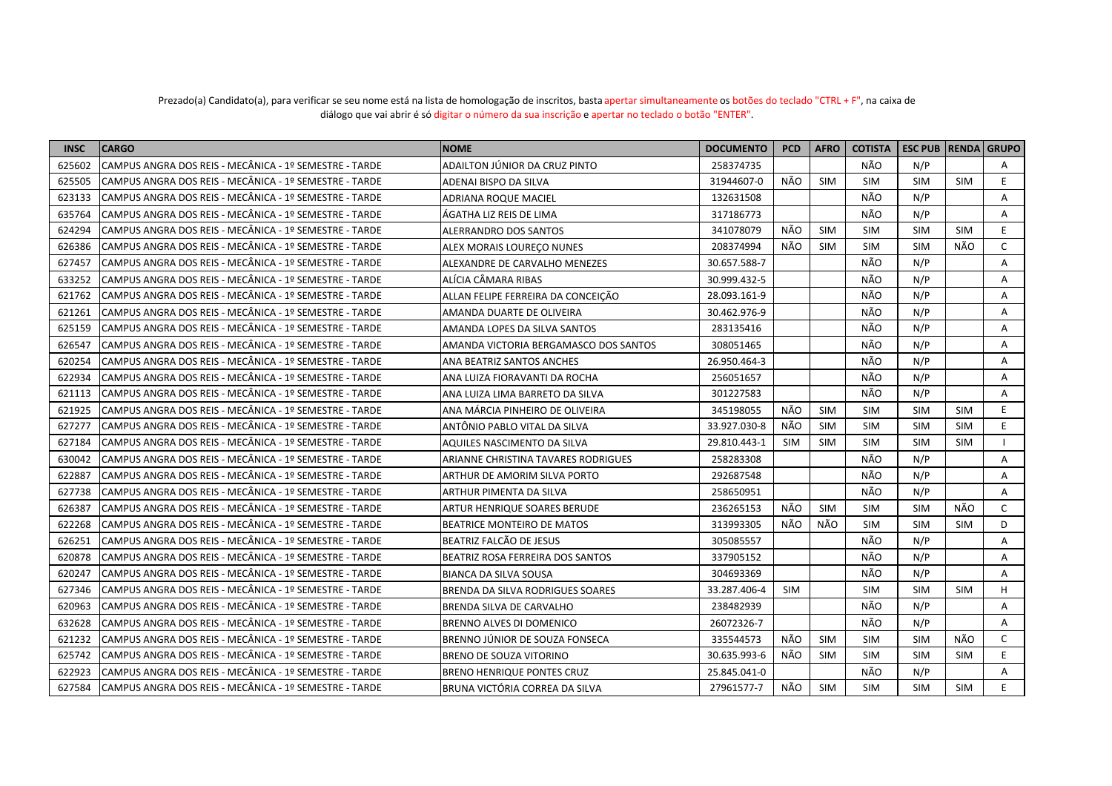| <b>INSC</b> | <b>CARGO</b>                                            | <b>NOME</b>                             | <b>DOCUMENTO</b> | <b>PCD</b> | <b>AFRO</b> | <b>COTISTA</b> | <b>ESC PUB   RENDA   GRUPO</b> |            |    |
|-------------|---------------------------------------------------------|-----------------------------------------|------------------|------------|-------------|----------------|--------------------------------|------------|----|
| 625602      | CAMPUS ANGRA DOS REIS - MECÂNICA - 1º SEMESTRE - TARDE  | ADAILTON JÚNIOR DA CRUZ PINTO           | 258374735        |            |             | <b>NÃO</b>     | N/P                            |            | A  |
| 625505      | CAMPUS ANGRA DOS REIS - MECÂNICA - 1º SEMESTRE - TARDE  | ADENAI BISPO DA SILVA                   | 31944607-0       | NÃO        | <b>SIM</b>  | <b>SIM</b>     | <b>SIM</b>                     | <b>SIM</b> | E. |
| 623133      | CAMPUS ANGRA DOS REIS - MECÂNICA - 1º SEMESTRE - TARDE  | ADRIANA ROQUE MACIEL                    | 132631508        |            |             | NÃO            | N/P                            |            | A  |
| 635764      | CAMPUS ANGRA DOS REIS - MECÂNICA - 1º SEMESTRE - TARDE  | ÀGATHA LIZ REIS DE LIMA                 | 317186773        |            |             | NÃO            | N/P                            |            | A  |
| 624294      | CAMPUS ANGRA DOS REIS - MECÂNICA - 1º SEMESTRE - TARDE  | ALERRANDRO DOS SANTOS                   | 341078079        | NÃO        | <b>SIM</b>  | <b>SIM</b>     | <b>SIM</b>                     | <b>SIM</b> | E. |
| 626386      | CAMPUS ANGRA DOS REIS - MECÂNICA - 1º SEMESTRE - TARDE  | ALEX MORAIS LOURECO NUNES               | 208374994        | NÃO        | <b>SIM</b>  | <b>SIM</b>     | <b>SIM</b>                     | NÃO        | C  |
| 627457      | CAMPUS ANGRA DOS REIS - MECÂNICA - 1º SEMESTRE - TARDE  | ALEXANDRE DE CARVALHO MENEZES           | 30.657.588-7     |            |             | NÃO            | N/P                            |            | Α  |
| 633252      | CAMPUS ANGRA DOS REIS - MECÂNICA - 1º SEMESTRE - TARDE  | ALÍCIA CÂMARA RIBAS                     | 30.999.432-5     |            |             | NÃO            | N/P                            |            | A  |
| 621762      | CAMPUS ANGRA DOS REIS - MECÂNICA - 1º SEMESTRE - TARDE  | ALLAN FELIPE FERREIRA DA CONCEIÇÃO      | 28.093.161-9     |            |             | NÃO            | N/P                            |            | A  |
| 621261      | CAMPUS ANGRA DOS REIS - MECÂNICA - 1º SEMESTRE - TARDE  | AMANDA DUARTE DE OLIVEIRA               | 30.462.976-9     |            |             | NÃO            | N/P                            |            | A  |
| 625159      | CAMPUS ANGRA DOS REIS - MECÂNICA - 1º SEMESTRE - TARDE  | AMANDA LOPES DA SILVA SANTOS            | 283135416        |            |             | <b>NÃO</b>     | N/P                            |            | A  |
| 626547      | CAMPUS ANGRA DOS REIS - MECÂNICA - 1º SEMESTRE - TARDE  | AMANDA VICTORIA BERGAMASCO DOS SANTOS   | 308051465        |            |             | NÃO            | N/P                            |            | A  |
| 620254      | CAMPUS ANGRA DOS REIS - MECÂNICA - 1º SEMESTRE - TARDE  | ANA BEATRIZ SANTOS ANCHES               | 26.950.464-3     |            |             | NÃO            | N/P                            |            | A  |
| 622934      | CAMPUS ANGRA DOS REIS - MECÂNICA - 1º SEMESTRE - TARDE  | ANA LUIZA FIORAVANTI DA ROCHA           | 256051657        |            |             | <b>NÃO</b>     | N/P                            |            | A  |
| 621113      | CAMPUS ANGRA DOS REIS - MECÂNICA - 1º SEMESTRE - TARDE  | ANA LUIZA LIMA BARRETO DA SILVA         | 301227583        |            |             | NÃO            | N/P                            |            | A  |
| 621925      | CAMPUS ANGRA DOS REIS - MECÂNICA - 1º SEMESTRE - TARDE  | ANA MÁRCIA PINHEIRO DE OLIVEIRA         | 345198055        | NÃO        | <b>SIM</b>  | <b>SIM</b>     | <b>SIM</b>                     | <b>SIM</b> | E. |
| 627277      | CAMPUS ANGRA DOS REIS - MECÂNICA - 1º SEMESTRE - TARDE  | ANTÔNIO PABLO VITAL DA SILVA            | 33.927.030-8     | NÃO        | <b>SIM</b>  | <b>SIM</b>     | <b>SIM</b>                     | <b>SIM</b> | E. |
| 627184      | CAMPUS ANGRA DOS REIS - MECÂNICA - 1º SEMESTRE - TARDE  | AQUILES NASCIMENTO DA SILVA             | 29.810.443-1     | <b>SIM</b> | <b>SIM</b>  | <b>SIM</b>     | <b>SIM</b>                     | <b>SIM</b> |    |
| 630042      | CAMPUS ANGRA DOS REIS - MECÂNICA - 1º SEMESTRE - TARDE  | ARIANNE CHRISTINA TAVARES RODRIGUES     | 258283308        |            |             | NÃO            | N/P                            |            | A  |
| 622887      | CAMPUS ANGRA DOS REIS - MECÂNICA - 1º SEMESTRE - TARDE  | ARTHUR DE AMORIM SILVA PORTO            | 292687548        |            |             | NÃO            | N/P                            |            | Α  |
| 627738      | CAMPUS ANGRA DOS REIS - MECÂNICA - 1º SEMESTRE - TARDE  | ARTHUR PIMENTA DA SILVA                 | 258650951        |            |             | NÃO            | N/P                            |            | Α  |
| 626387      | CAMPUS ANGRA DOS REIS - MECÂNICA - 1º SEMESTRE - TARDE  | ARTUR HENRIQUE SOARES BERUDE            | 236265153        | NÃO        | <b>SIM</b>  | <b>SIM</b>     | <b>SIM</b>                     | NÃO        | C  |
| 622268      | CAMPUS ANGRA DOS REIS - MECÂNICA - 1º SEMESTRE - TARDE  | BEATRICE MONTEIRO DE MATOS              | 313993305        | NÃO        | NÃO         | <b>SIM</b>     | <b>SIM</b>                     | <b>SIM</b> | D  |
| 626251      | CAMPUS ANGRA DOS REIS - MECÂNICA - 1º SEMESTRE - TARDE  | BEATRIZ FALCÃO DE JESUS                 | 305085557        |            |             | NÃO            | N/P                            |            | A  |
| 620878      | CAMPUS ANGRA DOS REIS - MECÂNICA - 1º SEMESTRE - TARDE  | BEATRIZ ROSA FERREIRA DOS SANTOS        | 337905152        |            |             | NÃO            | N/P                            |            | A  |
| 620247      | CAMPUS ANGRA DOS REIS - MECÂNICA - 1º SEMESTRE - TARDE  | <b>BIANCA DA SILVA SOUSA</b>            | 304693369        |            |             | NÃO            | N/P                            |            | A  |
| 627346      | CAMPUS ANGRA DOS REIS - MECÂNICA - 1º SEMESTRE - TARDE  | <b>BRENDA DA SILVA RODRIGUES SOARES</b> | 33.287.406-4     | <b>SIM</b> |             | <b>SIM</b>     | <b>SIM</b>                     | <b>SIM</b> | H  |
| 620963      | CAMPUS ANGRA DOS REIS - MECÂNICA - 1º SEMESTRE - TARDE  | BRENDA SILVA DE CARVALHO                | 238482939        |            |             | NÃO            | N/P                            |            | A  |
| 632628      | CAMPUS ANGRA DOS REIS - MECÂNICA - 1º SEMESTRE - TARDE  | <b>BRENNO ALVES DI DOMENICO</b>         | 26072326-7       |            |             | NÃO            | N/P                            |            | A  |
| 621232      | CAMPUS ANGRA DOS REIS - MECÂNICA - 1º SEMESTRE - TARDE  | BRENNO JÚNIOR DE SOUZA FONSECA          | 335544573        | NÃO        | SIM         | <b>SIM</b>     | <b>SIM</b>                     | NÃO        | C  |
| 625742      | CAMPUS ANGRA DOS REIS - MECÂNICA - 1º SEMESTRE - TARDE  | BRENO DE SOUZA VITORINO                 | 30.635.993-6     | NÃO        | <b>SIM</b>  | <b>SIM</b>     | <b>SIM</b>                     | <b>SIM</b> | E. |
| 622923      | ICAMPUS ANGRA DOS REIS - MECÂNICA - 1º SEMESTRE - TARDE | <b>BRENO HENRIQUE PONTES CRUZ</b>       | 25.845.041-0     |            |             | NÃO            | N/P                            |            | A  |
| 627584      | CAMPUS ANGRA DOS REIS - MECÂNICA - 1º SEMESTRE - TARDE  | BRUNA VICTÓRIA CORREA DA SILVA          | 27961577-7       | NÃO        | <b>SIM</b>  | <b>SIM</b>     | <b>SIM</b>                     | <b>SIM</b> | F  |

## Prezado(a) Candidato(a), para verificar se seu nome está na lista de homologação de inscritos, basta apertar simultaneamente os botões do teclado "CTRL + F", na caixa de diálogo que vai abrir é só digitar o número da sua inscrição e apertar no teclado o botão "ENTER".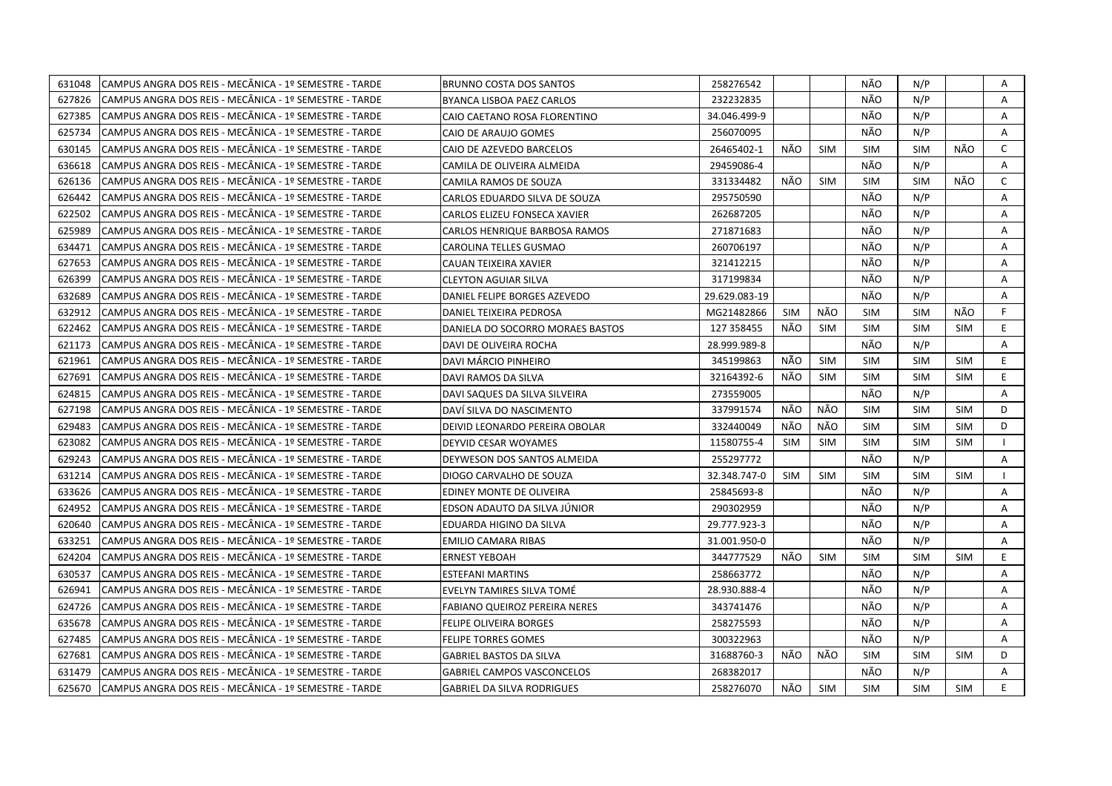| 631048 | CAMPUS ANGRA DOS REIS - MECÂNICA - 1º SEMESTRE - TARDE  | <b>BRUNNO COSTA DOS SANTOS</b>       | 258276542     |            |            | NÃO        | N/P        |            | Α            |
|--------|---------------------------------------------------------|--------------------------------------|---------------|------------|------------|------------|------------|------------|--------------|
| 627826 | CAMPUS ANGRA DOS REIS - MECÂNICA - 1º SEMESTRE - TARDE  | BYANCA LISBOA PAEZ CARLOS            | 232232835     |            |            | NÃO        | N/P        |            | A            |
| 627385 | lCAMPUS ANGRA DOS REIS - MECÂNICA - 1º SEMESTRE - TARDE | CAIO CAETANO ROSA FLORENTINO         | 34.046.499-9  |            |            | NÃO        | N/P        |            | Α            |
| 625734 | CAMPUS ANGRA DOS REIS - MECÂNICA - 1º SEMESTRE - TARDE  | CAIO DE ARAUJO GOMES                 | 256070095     |            |            | NÃO        | N/P        |            | Α            |
| 630145 | CAMPUS ANGRA DOS REIS - MECÂNICA - 1º SEMESTRE - TARDE  | CAIO DE AZEVEDO BARCELOS             | 26465402-1    | NÃO        | <b>SIM</b> | <b>SIM</b> | <b>SIM</b> | NÃO        | C            |
| 636618 | CAMPUS ANGRA DOS REIS - MECÂNICA - 1º SEMESTRE - TARDE  | CAMILA DE OLIVEIRA ALMEIDA           | 29459086-4    |            |            | NÃO        | N/P        |            | A            |
| 626136 | CAMPUS ANGRA DOS REIS - MECÂNICA - 1º SEMESTRE - TARDE  | CAMILA RAMOS DE SOUZA                | 331334482     | NÃO        | <b>SIM</b> | SIM        | <b>SIM</b> | NÃO        | $\mathsf{C}$ |
| 626442 | CAMPUS ANGRA DOS REIS - MECÂNICA - 1º SEMESTRE - TARDE  | CARLOS EDUARDO SILVA DE SOUZA        | 295750590     |            |            | NÃO        | N/P        |            | A            |
| 622502 | CAMPUS ANGRA DOS REIS - MECÂNICA - 1º SEMESTRE - TARDE  | CARLOS ELIZEU FONSECA XAVIER         | 262687205     |            |            | NÃO        | N/P        |            | Α            |
| 625989 | CAMPUS ANGRA DOS REIS - MECÂNICA - 1º SEMESTRE - TARDE  | CARLOS HENRIQUE BARBOSA RAMOS        | 271871683     |            |            | NÃO        | N/P        |            | Α            |
| 634471 | CAMPUS ANGRA DOS REIS - MECÂNICA - 1º SEMESTRE - TARDE  | CAROLINA TELLES GUSMAO               | 260706197     |            |            | NÃO        | N/P        |            | A            |
| 627653 | CAMPUS ANGRA DOS REIS - MECÂNICA - 1º SEMESTRE - TARDE  | CAUAN TEIXEIRA XAVIER                | 321412215     |            |            | NÃO        | N/P        |            | Α            |
| 626399 | CAMPUS ANGRA DOS REIS - MECÂNICA - 1º SEMESTRE - TARDE  | <b>CLEYTON AGUIAR SILVA</b>          | 317199834     |            |            | NÃO        | N/P        |            | Α            |
| 632689 | CAMPUS ANGRA DOS REIS - MECÂNICA - 1º SEMESTRE - TARDE  | DANIEL FELIPE BORGES AZEVEDO         | 29.629.083-19 |            |            | NÃO        | N/P        |            | $\mathsf{A}$ |
| 632912 | CAMPUS ANGRA DOS REIS - MECÂNICA - 1º SEMESTRE - TARDE  | DANIEL TEIXEIRA PEDROSA              | MG21482866    | <b>SIM</b> | NÃO        | <b>SIM</b> | <b>SIM</b> | NÃO        | F.           |
| 622462 | CAMPUS ANGRA DOS REIS - MECÂNICA - 1º SEMESTRE - TARDE  | DANIELA DO SOCORRO MORAES BASTOS     | 127 358455    | NÃO        | <b>SIM</b> | <b>SIM</b> | <b>SIM</b> | <b>SIM</b> | E.           |
| 621173 | CAMPUS ANGRA DOS REIS - MECÂNICA - 1º SEMESTRE - TARDE  | DAVI DE OLIVEIRA ROCHA               | 28.999.989-8  |            |            | NÃO        | N/P        |            | A            |
| 621961 | CAMPUS ANGRA DOS REIS - MECÂNICA - 1º SEMESTRE - TARDE  | DAVI MÁRCIO PINHEIRO                 | 345199863     | NÃO        | <b>SIM</b> | <b>SIM</b> | <b>SIM</b> | <b>SIM</b> | E.           |
| 627691 | CAMPUS ANGRA DOS REIS - MECÂNICA - 1º SEMESTRE - TARDE  | DAVI RAMOS DA SILVA                  | 32164392-6    | NÃO        | <b>SIM</b> | <b>SIM</b> | <b>SIM</b> | <b>SIM</b> | E.           |
| 624815 | CAMPUS ANGRA DOS REIS - MECÂNICA - 1º SEMESTRE - TARDE  | DAVI SAQUES DA SILVA SILVEIRA        | 273559005     |            |            | NÃO        | N/P        |            | Α            |
| 627198 | CAMPUS ANGRA DOS REIS - MECÂNICA - 1º SEMESTRE - TARDE  | DAVI SILVA DO NASCIMENTO             | 337991574     | NÃO        | NÃO        | <b>SIM</b> | <b>SIM</b> | <b>SIM</b> | D            |
| 629483 | CAMPUS ANGRA DOS REIS - MECÂNICA - 1º SEMESTRE - TARDE  | DEIVID LEONARDO PEREIRA OBOLAR       | 332440049     | NÃO        | NÃO        | <b>SIM</b> | <b>SIM</b> | <b>SIM</b> | D            |
| 623082 | CAMPUS ANGRA DOS REIS - MECÂNICA - 1º SEMESTRE - TARDE  | DEYVID CESAR WOYAMES                 | 11580755-4    | <b>SIM</b> | SIM        | <b>SIM</b> | <b>SIM</b> | <b>SIM</b> |              |
| 629243 | CAMPUS ANGRA DOS REIS - MECÂNICA - 1º SEMESTRE - TARDE  | DEYWESON DOS SANTOS ALMEIDA          | 255297772     |            |            | NÃO        | N/P        |            | A            |
| 631214 | CAMPUS ANGRA DOS REIS - MECÂNICA - 1º SEMESTRE - TARDE  | DIOGO CARVALHO DE SOUZA              | 32.348.747-0  | <b>SIM</b> | <b>SIM</b> | <b>SIM</b> | <b>SIM</b> | <b>SIM</b> |              |
| 633626 | CAMPUS ANGRA DOS REIS - MECÂNICA - 1º SEMESTRE - TARDE  | EDINEY MONTE DE OLIVEIRA             | 25845693-8    |            |            | NÃO        | N/P        |            | Α            |
| 624952 | CAMPUS ANGRA DOS REIS - MECÂNICA - 1º SEMESTRE - TARDE  | EDSON ADAUTO DA SILVA JÚNIOR         | 290302959     |            |            | NÃO        | N/P        |            | Α            |
| 620640 | CAMPUS ANGRA DOS REIS - MECÂNICA - 1º SEMESTRE - TARDE  | EDUARDA HIGINO DA SILVA              | 29.777.923-3  |            |            | NÃO        | N/P        |            | A            |
| 633251 | CAMPUS ANGRA DOS REIS - MECÂNICA - 1º SEMESTRE - TARDE  | <b>EMILIO CAMARA RIBAS</b>           | 31.001.950-0  |            |            | NÃO        | N/P        |            | Α            |
| 624204 | CAMPUS ANGRA DOS REIS - MECÂNICA - 1º SEMESTRE - TARDE  | <b>ERNEST YEBOAH</b>                 | 344777529     | NÃO        | <b>SIM</b> | <b>SIM</b> | <b>SIM</b> | <b>SIM</b> | E.           |
| 630537 | CAMPUS ANGRA DOS REIS - MECÂNICA - 1º SEMESTRE - TARDE  | <b>ESTEFANI MARTINS</b>              | 258663772     |            |            | NÃO        | N/P        |            | A            |
| 626941 | CAMPUS ANGRA DOS REIS - MECÂNICA - 1º SEMESTRE - TARDE  | EVELYN TAMIRES SILVA TOMÉ            | 28.930.888-4  |            |            | NÃO        | N/P        |            | Α            |
| 624726 | CAMPUS ANGRA DOS REIS - MECÂNICA - 1º SEMESTRE - TARDE  | <b>FABIANO QUEIROZ PEREIRA NERES</b> | 343741476     |            |            | NÃO        | N/P        |            | A            |
| 635678 | CAMPUS ANGRA DOS REIS - MECÂNICA - 1º SEMESTRE - TARDE  | FELIPE OLIVEIRA BORGES               | 258275593     |            |            | NÃO        | N/P        |            | Α            |
| 627485 | CAMPUS ANGRA DOS REIS - MECÂNICA - 1º SEMESTRE - TARDE  | FELIPE TORRES GOMES                  | 300322963     |            |            | NÃO.       | N/P        |            | A            |
| 627681 | CAMPUS ANGRA DOS REIS - MECÂNICA - 1º SEMESTRE - TARDE  | <b>GABRIEL BASTOS DA SILVA</b>       | 31688760-3    | NÃO        | NÃO        | <b>SIM</b> | <b>SIM</b> | <b>SIM</b> | D            |
| 631479 | CAMPUS ANGRA DOS REIS - MECÂNICA - 1º SEMESTRE - TARDE  | <b>GABRIEL CAMPOS VASCONCELOS</b>    | 268382017     |            |            | NÃO        | N/P        |            | A            |
| 625670 | CAMPUS ANGRA DOS REIS - MECÂNICA - 1º SEMESTRE - TARDE  | <b>GABRIEL DA SILVA RODRIGUES</b>    | 258276070     | NÃO        | <b>SIM</b> | <b>SIM</b> | <b>SIM</b> | <b>SIM</b> | E            |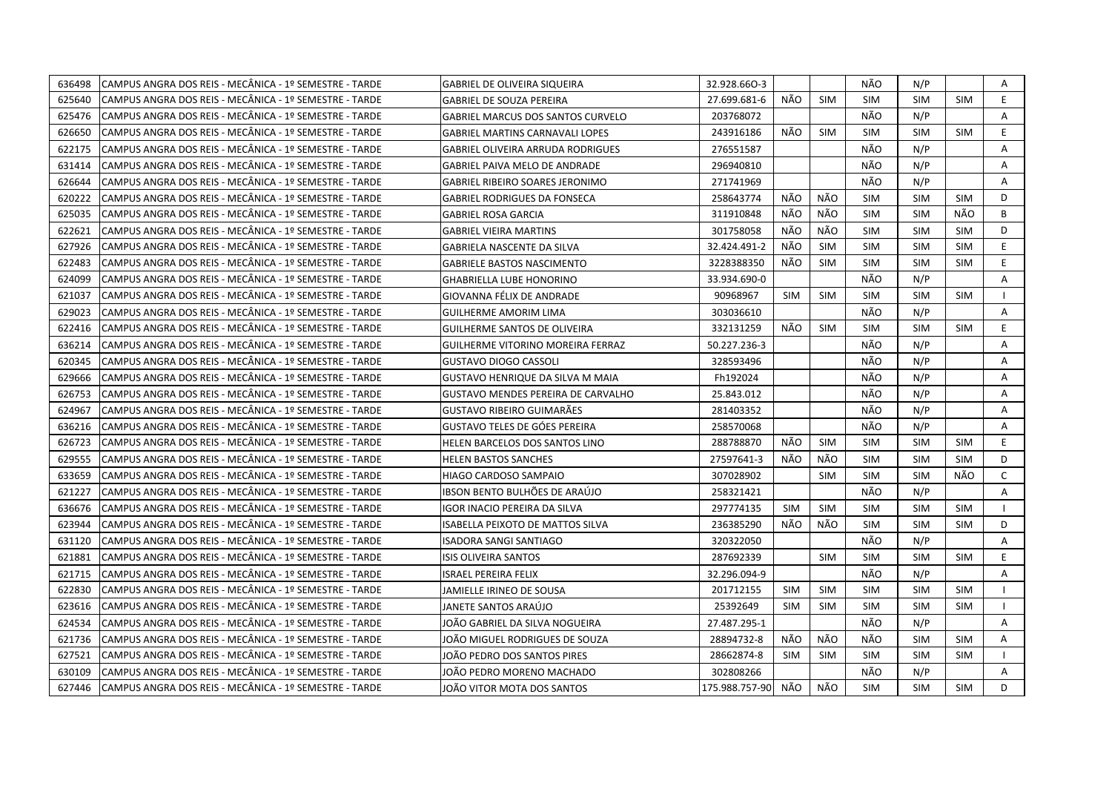| 636498 | CAMPUS ANGRA DOS REIS - MECÂNICA - 1º SEMESTRE - TARDE | <b>GABRIEL DE OLIVEIRA SIQUEIRA</b>      | 32.928.660-3   |            |            | NÃO        | N/P        |            | A  |
|--------|--------------------------------------------------------|------------------------------------------|----------------|------------|------------|------------|------------|------------|----|
| 625640 | CAMPUS ANGRA DOS REIS - MECÂNICA - 1º SEMESTRE - TARDE | GABRIEL DE SOUZA PEREIRA                 | 27.699.681-6   | NÃO        | <b>SIM</b> | <b>SIM</b> | <b>SIM</b> | <b>SIM</b> | E  |
| 625476 | CAMPUS ANGRA DOS REIS - MECÂNICA - 1º SEMESTRE - TARDE | GABRIEL MARCUS DOS SANTOS CURVELO        | 203768072      |            |            | NÃO        | N/P        |            | A  |
| 626650 | CAMPUS ANGRA DOS REIS - MECÂNICA - 1º SEMESTRE - TARDE | <b>GABRIEL MARTINS CARNAVALI LOPES</b>   | 243916186      | NÃO        | <b>SIM</b> | <b>SIM</b> | <b>SIM</b> | <b>SIM</b> | E  |
| 622175 | CAMPUS ANGRA DOS REIS - MECÂNICA - 1º SEMESTRE - TARDE | <b>GABRIEL OLIVEIRA ARRUDA RODRIGUES</b> | 276551587      |            |            | NÃO        | N/P        |            | Α  |
| 631414 | CAMPUS ANGRA DOS REIS - MECÂNICA - 1º SEMESTRE - TARDE | <b>GABRIEL PAIVA MELO DE ANDRADE</b>     | 296940810      |            |            | NÃO        | N/P        |            | A  |
| 626644 | CAMPUS ANGRA DOS REIS - MECÂNICA - 1º SEMESTRE - TARDE | <b>GABRIEL RIBEIRO SOARES JERONIMO</b>   | 271741969      |            |            | NÃO        | N/P        |            | A  |
| 620222 | CAMPUS ANGRA DOS REIS - MECÂNICA - 1º SEMESTRE - TARDE | <b>GABRIEL RODRIGUES DA FONSECA</b>      | 258643774      | NÃO        | NÃO        | <b>SIM</b> | <b>SIM</b> | <b>SIM</b> | D  |
| 625035 | CAMPUS ANGRA DOS REIS - MECÂNICA - 1º SEMESTRE - TARDE | <b>GABRIEL ROSA GARCIA</b>               | 311910848      | NÃO        | NÃO        | <b>SIM</b> | <b>SIM</b> | NÃO        | B  |
| 622621 | CAMPUS ANGRA DOS REIS - MECÂNICA - 1º SEMESTRE - TARDE | <b>GABRIEL VIEIRA MARTINS</b>            | 301758058      | NÃO        | NÃO        | <b>SIM</b> | <b>SIM</b> | <b>SIM</b> | D  |
| 627926 | CAMPUS ANGRA DOS REIS - MECÂNICA - 1º SEMESTRE - TARDE | GABRIELA NASCENTE DA SILVA               | 32.424.491-2   | NÃO        | <b>SIM</b> | <b>SIM</b> | <b>SIM</b> | <b>SIM</b> | E. |
| 622483 | CAMPUS ANGRA DOS REIS - MECÂNICA - 1º SEMESTRE - TARDE | <b>GABRIELE BASTOS NASCIMENTO</b>        | 3228388350     | NÃO        | <b>SIM</b> | <b>SIM</b> | <b>SIM</b> | <b>SIM</b> | E  |
| 624099 | CAMPUS ANGRA DOS REIS - MECÂNICA - 1º SEMESTRE - TARDE | <b>GHABRIELLA LUBE HONORINO</b>          | 33.934.690-0   |            |            | NÃO        | N/P        |            | Α  |
| 621037 | CAMPUS ANGRA DOS REIS - MECÂNICA - 1º SEMESTRE - TARDE | GIOVANNA FÉLIX DE ANDRADE                | 90968967       | <b>SIM</b> | <b>SIM</b> | <b>SIM</b> | <b>SIM</b> | <b>SIM</b> |    |
| 629023 | CAMPUS ANGRA DOS REIS - MECÂNICA - 1º SEMESTRE - TARDE | <b>GUILHERME AMORIM LIMA</b>             | 303036610      |            |            | NÃO        | N/P        |            | Α  |
| 622416 | CAMPUS ANGRA DOS REIS - MECÂNICA - 1º SEMESTRE - TARDE | <b>GUILHERME SANTOS DE OLIVEIRA</b>      | 332131259      | NÃO        | <b>SIM</b> | SIM        | <b>SIM</b> | <b>SIM</b> | E  |
| 636214 | CAMPUS ANGRA DOS REIS - MECÂNICA - 1º SEMESTRE - TARDE | GUILHERME VITORINO MOREIRA FERRAZ        | 50.227.236-3   |            |            | NÃO        | N/P        |            | A  |
| 620345 | CAMPUS ANGRA DOS REIS - MECÂNICA - 1º SEMESTRE - TARDE | <b>GUSTAVO DIOGO CASSOLI</b>             | 328593496      |            |            | NÃO        | N/P        |            | A  |
| 629666 | CAMPUS ANGRA DOS REIS - MECÂNICA - 1º SEMESTRE - TARDE | <b>GUSTAVO HENRIQUE DA SILVA M MAIA</b>  | Fh192024       |            |            | NÃO        | N/P        |            | A  |
| 626753 | CAMPUS ANGRA DOS REIS - MECÂNICA - 1º SEMESTRE - TARDE | GUSTAVO MENDES PEREIRA DE CARVALHO       | 25.843.012     |            |            | NÃO        | N/P        |            | Α  |
| 624967 | CAMPUS ANGRA DOS REIS - MECÂNICA - 1º SEMESTRE - TARDE | GUSTAVO RIBEIRO GUIMARÃES                | 281403352      |            |            | NÃO        | N/P        |            | A  |
| 636216 | CAMPUS ANGRA DOS REIS - MECÂNICA - 1º SEMESTRE - TARDE | GUSTAVO TELES DE GÓES PEREIRA            | 258570068      |            |            | NÃO        | N/P        |            | A  |
| 626723 | CAMPUS ANGRA DOS REIS - MECÂNICA - 1º SEMESTRE - TARDE | HELEN BARCELOS DOS SANTOS LINO           | 288788870      | NÃO        | SIM        | <b>SIM</b> | <b>SIM</b> | <b>SIM</b> | E. |
| 629555 | CAMPUS ANGRA DOS REIS - MECÂNICA - 1º SEMESTRE - TARDE | <b>HELEN BASTOS SANCHES</b>              | 27597641-3     | NÃO        | NÃO        | <b>SIM</b> | <b>SIM</b> | <b>SIM</b> | D  |
| 633659 | CAMPUS ANGRA DOS REIS - MECÂNICA - 1º SEMESTRE - TARDE | HIAGO CARDOSO SAMPAIO                    | 307028902      |            | <b>SIM</b> | <b>SIM</b> | <b>SIM</b> | NÃO        | C  |
| 621227 | CAMPUS ANGRA DOS REIS - MECÂNICA - 1º SEMESTRE - TARDE | IBSON BENTO BULHÕES DE ARAÚJO            | 258321421      |            |            | NÃO        | N/P        |            | A  |
| 636676 | CAMPUS ANGRA DOS REIS - MECÂNICA - 1º SEMESTRE - TARDE | IGOR INACIO PEREIRA DA SILVA             | 297774135      | <b>SIM</b> | SIM        | <b>SIM</b> | <b>SIM</b> | SIM        |    |
| 623944 | CAMPUS ANGRA DOS REIS - MECÂNICA - 1º SEMESTRE - TARDE | ISABELLA PEIXOTO DE MATTOS SILVA         | 236385290      | NÃO        | NÃO        | <b>SIM</b> | <b>SIM</b> | <b>SIM</b> | D  |
| 631120 | CAMPUS ANGRA DOS REIS - MECÂNICA - 1º SEMESTRE - TARDE | ISADORA SANGI SANTIAGO                   | 320322050      |            |            | NÃO        | N/P        |            | Α  |
| 621881 | CAMPUS ANGRA DOS REIS - MECÂNICA - 1º SEMESTRE - TARDE | ISIS OLIVEIRA SANTOS                     | 287692339      |            | <b>SIM</b> | <b>SIM</b> | <b>SIM</b> | <b>SIM</b> | E  |
| 621715 | CAMPUS ANGRA DOS REIS - MECÂNICA - 1º SEMESTRE - TARDE | ISRAEL PEREIRA FELIX                     | 32.296.094-9   |            |            | NÃO        | N/P        |            | A  |
| 622830 | CAMPUS ANGRA DOS REIS - MECÂNICA - 1º SEMESTRE - TARDE | JAMIELLE IRINEO DE SOUSA                 | 201712155      | <b>SIM</b> | <b>SIM</b> | <b>SIM</b> | <b>SIM</b> | <b>SIM</b> |    |
| 623616 | CAMPUS ANGRA DOS REIS - MECÂNICA - 1º SEMESTRE - TARDE | JANETE SANTOS ARAÚJO                     | 25392649       | <b>SIM</b> | <b>SIM</b> | <b>SIM</b> | <b>SIM</b> | <b>SIM</b> |    |
| 624534 | CAMPUS ANGRA DOS REIS - MECÂNICA - 1º SEMESTRE - TARDE | JOÃO GABRIEL DA SILVA NOGUEIRA           | 27.487.295-1   |            |            | NÃO        | N/P        |            | A  |
| 621736 | CAMPUS ANGRA DOS REIS - MECÂNICA - 1º SEMESTRE - TARDE | JOÃO MIGUEL RODRIGUES DE SOUZA           | 28894732-8     | NÃO        | NÃO        | NÃO        | <b>SIM</b> | SIM        | Α  |
| 627521 | CAMPUS ANGRA DOS REIS - MECÂNICA - 1º SEMESTRE - TARDE | JOÃO PEDRO DOS SANTOS PIRES              | 28662874-8     | <b>SIM</b> | <b>SIM</b> | <b>SIM</b> | <b>SIM</b> | <b>SIM</b> |    |
| 630109 | CAMPUS ANGRA DOS REIS - MECÂNICA - 1º SEMESTRE - TARDE | JOÃO PEDRO MORENO MACHADO                | 302808266      |            |            | NÃO        | N/P        |            | Α  |
| 627446 | CAMPUS ANGRA DOS REIS - MECÂNICA - 1º SEMESTRE - TARDE | JOÃO VITOR MOTA DOS SANTOS               | 175.988.757-90 | NÃO        | NÃO        | <b>SIM</b> | <b>SIM</b> | <b>SIM</b> | D  |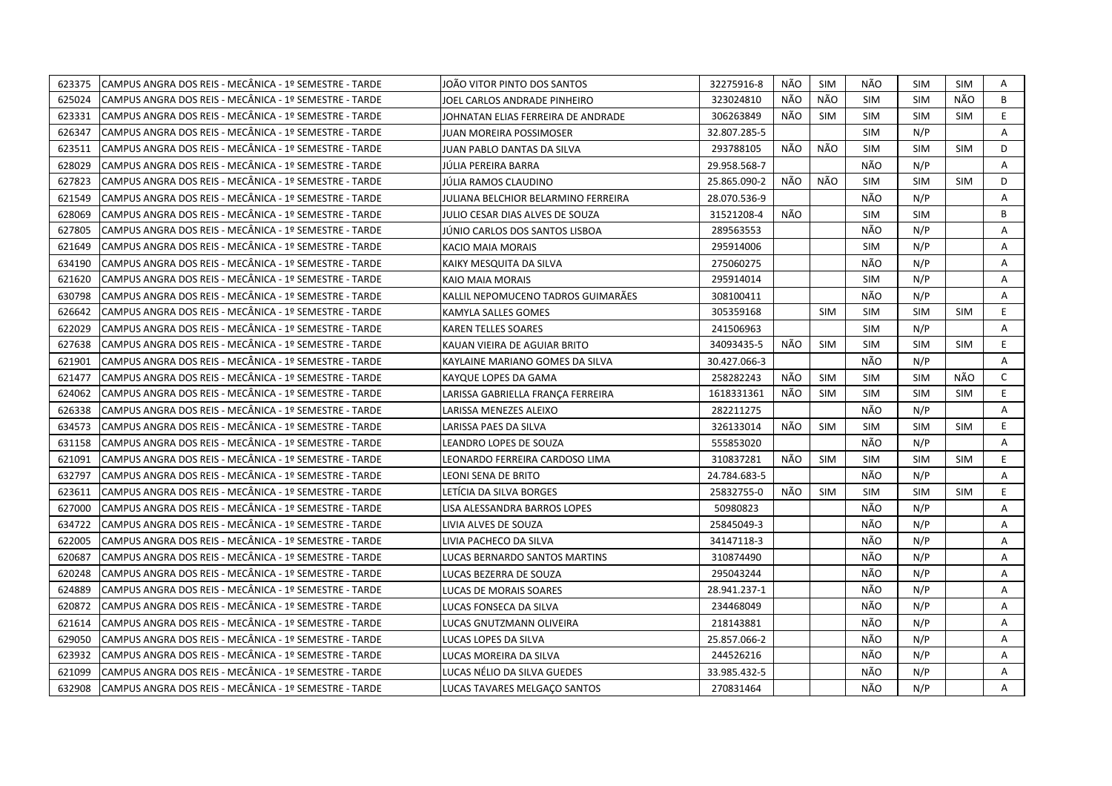| 623375 | CAMPUS ANGRA DOS REIS - MECÂNICA - 1º SEMESTRE - TARDE | JOÃO VITOR PINTO DOS SANTOS         | 32275916-8   | NÃO | <b>SIM</b> | NÃO        | <b>SIM</b> | SIM        | A  |
|--------|--------------------------------------------------------|-------------------------------------|--------------|-----|------------|------------|------------|------------|----|
| 625024 | CAMPUS ANGRA DOS REIS - MECÂNICA - 1º SEMESTRE - TARDE | IOEL CARLOS ANDRADE PINHEIRO        | 323024810    | NÃO | NÃO        | <b>SIM</b> | <b>SIM</b> | NÃO.       | B  |
| 623331 | CAMPUS ANGRA DOS REIS - MECÂNICA - 1º SEMESTRE - TARDE | JOHNATAN ELIAS FERREIRA DE ANDRADE  | 306263849    | NÃO | <b>SIM</b> | <b>SIM</b> | <b>SIM</b> | <b>SIM</b> | E. |
| 626347 | CAMPUS ANGRA DOS REIS - MECÂNICA - 1º SEMESTRE - TARDE | JUAN MOREIRA POSSIMOSER             | 32.807.285-5 |     |            | <b>SIM</b> | N/P        |            | Α  |
| 623511 | CAMPUS ANGRA DOS REIS - MECÂNICA - 1º SEMESTRE - TARDE | JUAN PABLO DANTAS DA SILVA          | 293788105    | NÃO | NÃO        | <b>SIM</b> | <b>SIM</b> | <b>SIM</b> | D  |
| 628029 | CAMPUS ANGRA DOS REIS - MECÂNICA - 1º SEMESTRE - TARDE | JÚLIA PEREIRA BARRA                 | 29.958.568-7 |     |            | NÃO        | N/P        |            | Α  |
| 627823 | CAMPUS ANGRA DOS REIS - MECÂNICA - 1º SEMESTRE - TARDE | JÚLIA RAMOS CLAUDINO                | 25.865.090-2 | NÃO | NÃO        | <b>SIM</b> | <b>SIM</b> | <b>SIM</b> | D  |
| 621549 | CAMPUS ANGRA DOS REIS - MECÂNICA - 1º SEMESTRE - TARDE | JULIANA BELCHIOR BELARMINO FERREIRA | 28.070.536-9 |     |            | NÃO        | N/P        |            | A  |
| 628069 | CAMPUS ANGRA DOS REIS - MECÂNICA - 1º SEMESTRE - TARDE | JULIO CESAR DIAS ALVES DE SOUZA     | 31521208-4   | NÃO |            | <b>SIM</b> | <b>SIM</b> |            | B  |
| 627805 | CAMPUS ANGRA DOS REIS - MECÂNICA - 1º SEMESTRE - TARDE | JÚNIO CARLOS DOS SANTOS LISBOA      | 289563553    |     |            | NÃO        | N/P        |            | A  |
| 621649 | CAMPUS ANGRA DOS REIS - MECÂNICA - 1º SEMESTRE - TARDE | KACIO MAIA MORAIS                   | 295914006    |     |            | <b>SIM</b> | N/P        |            | Α  |
| 634190 | CAMPUS ANGRA DOS REIS - MECÂNICA - 1º SEMESTRE - TARDE | KAIKY MESQUITA DA SILVA             | 275060275    |     |            | NÃO        | N/P        |            | A  |
| 621620 | CAMPUS ANGRA DOS REIS - MECÂNICA - 1º SEMESTRE - TARDE | KAIO MAIA MORAIS                    | 295914014    |     |            | <b>SIM</b> | N/P        |            | A  |
| 630798 | CAMPUS ANGRA DOS REIS - MECÂNICA - 1º SEMESTRE - TARDE | KALLIL NEPOMUCENO TADROS GUIMARÃES  | 308100411    |     |            | NÃO        | N/P        |            | Α  |
| 626642 | CAMPUS ANGRA DOS REIS - MECÂNICA - 1º SEMESTRE - TARDE | KAMYLA SALLES GOMES                 | 305359168    |     | <b>SIM</b> | <b>SIM</b> | <b>SIM</b> | <b>SIM</b> | E  |
| 622029 | CAMPUS ANGRA DOS REIS - MECÂNICA - 1º SEMESTRE - TARDE | <b>KAREN TELLES SOARES</b>          | 241506963    |     |            | <b>SIM</b> | N/P        |            | A  |
| 627638 | CAMPUS ANGRA DOS REIS - MECÂNICA - 1º SEMESTRE - TARDE | KAUAN VIEIRA DE AGUIAR BRITO        | 34093435-5   | NÃO | <b>SIM</b> | <b>SIM</b> | <b>SIM</b> | <b>SIM</b> | E. |
| 621901 | CAMPUS ANGRA DOS REIS - MECÂNICA - 1º SEMESTRE - TARDE | KAYLAINE MARIANO GOMES DA SILVA     | 30.427.066-3 |     |            | NÃO        | N/P        |            | A  |
| 621477 | CAMPUS ANGRA DOS REIS - MECÂNICA - 1º SEMESTRE - TARDE | KAYQUE LOPES DA GAMA                | 258282243    | NÃO | <b>SIM</b> | <b>SIM</b> | <b>SIM</b> | NÃO        | C  |
| 624062 | CAMPUS ANGRA DOS REIS - MECÂNICA - 1º SEMESTRE - TARDE | LARISSA GABRIELLA FRANÇA FERREIRA   | 1618331361   | NÃO | <b>SIM</b> | <b>SIM</b> | <b>SIM</b> | <b>SIM</b> | E  |
| 626338 | CAMPUS ANGRA DOS REIS - MECÂNICA - 1º SEMESTRE - TARDE | LARISSA MENEZES ALEIXO              | 282211275    |     |            | NÃO        | N/P        |            | A  |
| 634573 | CAMPUS ANGRA DOS REIS - MECÂNICA - 1º SEMESTRE - TARDE | LARISSA PAES DA SILVA               | 326133014    | NÃO | <b>SIM</b> | <b>SIM</b> | <b>SIM</b> | <b>SIM</b> | E. |
| 631158 | CAMPUS ANGRA DOS REIS - MECÂNICA - 1º SEMESTRE - TARDE | LEANDRO LOPES DE SOUZA              | 555853020    |     |            | NÃO        | N/P        |            | A  |
| 621091 | CAMPUS ANGRA DOS REIS - MECÂNICA - 1º SEMESTRE - TARDE | LEONARDO FERREIRA CARDOSO LIMA      | 310837281    | NÃO | <b>SIM</b> | <b>SIM</b> | <b>SIM</b> | <b>SIM</b> | E. |
| 632797 | CAMPUS ANGRA DOS REIS - MECÂNICA - 1º SEMESTRE - TARDE | LEONI SENA DE BRITO                 | 24.784.683-5 |     |            | NÃO        | N/P        |            | A  |
| 623611 | CAMPUS ANGRA DOS REIS - MECÂNICA - 1º SEMESTRE - TARDE | LETÍCIA DA SILVA BORGES             | 25832755-0   | NÃO | <b>SIM</b> | <b>SIM</b> | <b>SIM</b> | <b>SIM</b> | E. |
| 627000 | CAMPUS ANGRA DOS REIS - MECÂNICA - 1º SEMESTRE - TARDE | LISA ALESSANDRA BARROS LOPES        | 50980823     |     |            | NÃO        | N/P        |            | A  |
| 634722 | CAMPUS ANGRA DOS REIS - MECÂNICA - 1º SEMESTRE - TARDE | LIVIA ALVES DE SOUZA                | 25845049-3   |     |            | NÃO        | N/P        |            | A  |
| 622005 | CAMPUS ANGRA DOS REIS - MECÂNICA - 1º SEMESTRE - TARDE | LIVIA PACHECO DA SILVA              | 34147118-3   |     |            | NÃO        | N/P        |            | A  |
| 620687 | CAMPUS ANGRA DOS REIS - MECÂNICA - 1º SEMESTRE - TARDE | LUCAS BERNARDO SANTOS MARTINS       | 310874490    |     |            | NÃO        | N/P        |            | A  |
| 620248 | CAMPUS ANGRA DOS REIS - MECÂNICA - 1º SEMESTRE - TARDE | LUCAS BEZERRA DE SOUZA              | 295043244    |     |            | NÃO        | N/P        |            | A  |
| 624889 | CAMPUS ANGRA DOS REIS - MECÂNICA - 1º SEMESTRE - TARDE | LUCAS DE MORAIS SOARES              | 28.941.237-1 |     |            | NÃO        | N/P        |            | A  |
| 620872 | CAMPUS ANGRA DOS REIS - MECÂNICA - 1º SEMESTRE - TARDE | LUCAS FONSECA DA SILVA              | 234468049    |     |            | NÃO        | N/P        |            | A  |
| 621614 | CAMPUS ANGRA DOS REIS - MECÂNICA - 1º SEMESTRE - TARDE | LUCAS GNUTZMANN OLIVEIRA            | 218143881    |     |            | NÃO        | N/P        |            | A  |
| 629050 | CAMPUS ANGRA DOS REIS - MECÂNICA - 1º SEMESTRE - TARDE | LUCAS LOPES DA SILVA                | 25.857.066-2 |     |            | NÃO        | N/P        |            | A  |
| 623932 | CAMPUS ANGRA DOS REIS - MECÂNICA - 1º SEMESTRE - TARDE | LUCAS MOREIRA DA SILVA              | 244526216    |     |            | NÃO        | N/P        |            | Α  |
| 621099 | CAMPUS ANGRA DOS REIS - MECÂNICA - 1º SEMESTRE - TARDE | LUCAS NÉLIO DA SILVA GUEDES         | 33.985.432-5 |     |            | NÃO        | N/P        |            | A  |
| 632908 | CAMPUS ANGRA DOS REIS - MECÂNICA - 1º SEMESTRE - TARDE | LUCAS TAVARES MELGACO SANTOS        | 270831464    |     |            | NÃO        | N/P        |            | A  |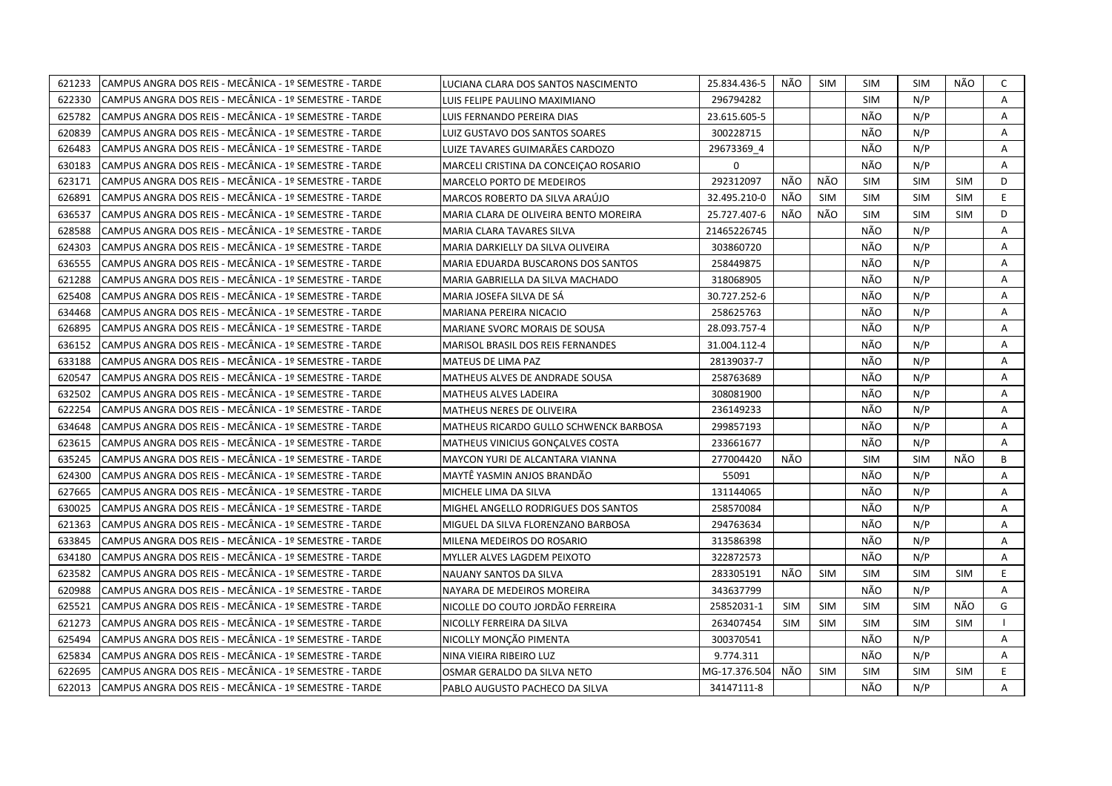| 621233 | CAMPUS ANGRA DOS REIS - MECÂNICA - 1º SEMESTRE - TARDE | LUCIANA CLARA DOS SANTOS NASCIMENTO     | 25.834.436-5  | NÃO        | SIM        | <b>SIM</b> | <b>SIM</b> | NÃO        | C  |
|--------|--------------------------------------------------------|-----------------------------------------|---------------|------------|------------|------------|------------|------------|----|
| 622330 | CAMPUS ANGRA DOS REIS - MECÂNICA - 1º SEMESTRE - TARDE | LUIS FELIPE PAULINO MAXIMIANO           | 296794282     |            |            | <b>SIM</b> | N/P        |            | A  |
| 625782 | CAMPUS ANGRA DOS REIS - MECÂNICA - 1º SEMESTRE - TARDE | LUIS FERNANDO PEREIRA DIAS              | 23.615.605-5  |            |            | NÃO        | N/P        |            | A  |
| 620839 | CAMPUS ANGRA DOS REIS - MECÂNICA - 1º SEMESTRE - TARDE | LUIZ GUSTAVO DOS SANTOS SOARES          | 300228715     |            |            | NÃO        | N/P        |            | Α  |
| 626483 | CAMPUS ANGRA DOS REIS - MECÂNICA - 1º SEMESTRE - TARDE | LUIZE TAVARES GUIMARÃES CARDOZO         | 29673369 4    |            |            | NÃO        | N/P        |            | Α  |
| 630183 | CAMPUS ANGRA DOS REIS - MECÂNICA - 1º SEMESTRE - TARDE | MARCELI CRISTINA DA CONCEIÇÃO ROSARIO   | $\mathbf 0$   |            |            | NÃO        | N/P        |            | Α  |
| 623171 | CAMPUS ANGRA DOS REIS - MECÂNICA - 1º SEMESTRE - TARDE | <b>MARCELO PORTO DE MEDEIROS</b>        | 292312097     | NÃO        | NÃO        | SIM        | <b>SIM</b> | <b>SIM</b> | D  |
| 626891 | CAMPUS ANGRA DOS REIS - MECÂNICA - 1º SEMESTRE - TARDE | MARCOS ROBERTO DA SILVA ARAÚJO          | 32.495.210-0  | NÃO        | <b>SIM</b> | <b>SIM</b> | <b>SIM</b> | <b>SIM</b> | E. |
| 636537 | CAMPUS ANGRA DOS REIS - MECÂNICA - 1º SEMESTRE - TARDE | MARIA CLARA DE OLIVEIRA BENTO MOREIRA   | 25.727.407-6  | NÃO        | NÃO        | <b>SIM</b> | <b>SIM</b> | <b>SIM</b> | D  |
| 628588 | CAMPUS ANGRA DOS REIS - MECÂNICA - 1º SEMESTRE - TARDE | MARIA CLARA TAVARES SILVA               | 21465226745   |            |            | NÃO        | N/P        |            | Α  |
| 624303 | CAMPUS ANGRA DOS REIS - MECÂNICA - 1º SEMESTRE - TARDE | MARIA DARKIELLY DA SILVA OLIVEIRA       | 303860720     |            |            | NÃO        | N/P        |            | Α  |
| 636555 | CAMPUS ANGRA DOS REIS - MECÂNICA - 1º SEMESTRE - TARDE | MARIA EDUARDA BUSCARONS DOS SANTOS      | 258449875     |            |            | NÃO        | N/P        |            | Α  |
| 621288 | CAMPUS ANGRA DOS REIS - MECÂNICA - 1º SEMESTRE - TARDE | MARIA GABRIELLA DA SILVA MACHADO        | 318068905     |            |            | NÃO        | N/P        |            | Α  |
| 625408 | CAMPUS ANGRA DOS REIS - MECÂNICA - 1º SEMESTRE - TARDE | MARIA JOSEFA SILVA DE SÁ                | 30.727.252-6  |            |            | NÃO        | N/P        |            | A  |
| 634468 | CAMPUS ANGRA DOS REIS - MECÂNICA - 1º SEMESTRE - TARDE | MARIANA PEREIRA NICACIO                 | 258625763     |            |            | NÃO        | N/P        |            | Α  |
| 626895 | CAMPUS ANGRA DOS REIS - MECÂNICA - 1º SEMESTRE - TARDE | <b>MARIANE SVORC MORAIS DE SOUSA</b>    | 28.093.757-4  |            |            | NÃO        | N/P        |            | A  |
| 636152 | CAMPUS ANGRA DOS REIS - MECÂNICA - 1º SEMESTRE - TARDE | MARISOL BRASIL DOS REIS FERNANDES       | 31.004.112-4  |            |            | NÃO        | N/P        |            | Α  |
| 633188 | CAMPUS ANGRA DOS REIS - MECÂNICA - 1º SEMESTRE - TARDE | MATEUS DE LIMA PAZ                      | 28139037-7    |            |            | NÃO        | N/P        |            | Α  |
| 620547 | CAMPUS ANGRA DOS REIS - MECÂNICA - 1º SEMESTRE - TARDE | MATHEUS ALVES DE ANDRADE SOUSA          | 258763689     |            |            | NÃO        | N/P        |            | A  |
| 632502 | CAMPUS ANGRA DOS REIS - MECÂNICA - 1º SEMESTRE - TARDE | MATHEUS ALVES LADEIRA                   | 308081900     |            |            | NÃO        | N/P        |            | A  |
| 622254 | CAMPUS ANGRA DOS REIS - MECÂNICA - 1º SEMESTRE - TARDE | <b>MATHEUS NERES DE OLIVEIRA</b>        | 236149233     |            |            | NÃO        | N/P        |            | A  |
| 634648 | CAMPUS ANGRA DOS REIS - MECÂNICA - 1º SEMESTRE - TARDE | MATHEUS RICARDO GULLO SCHWENCK BARBOSA  | 299857193     |            |            | NÃO        | N/P        |            | Α  |
| 623615 | CAMPUS ANGRA DOS REIS - MECÂNICA - 1º SEMESTRE - TARDE | <b>MATHEUS VINICIUS GONCALVES COSTA</b> | 233661677     |            |            | NÃO        | N/P        |            | A  |
| 635245 | CAMPUS ANGRA DOS REIS - MECÂNICA - 1º SEMESTRE - TARDE | MAYCON YURI DE ALCANTARA VIANNA         | 277004420     | NÃO        |            | <b>SIM</b> | <b>SIM</b> | NÃO        | B  |
| 624300 | CAMPUS ANGRA DOS REIS - MECÂNICA - 1º SEMESTRE - TARDE | MAYTË YASMIN ANJOS BRANDÄO              | 55091         |            |            | NÃO        | N/P        |            | A  |
| 627665 | CAMPUS ANGRA DOS REIS - MECÂNICA - 1º SEMESTRE - TARDE | MICHELE LIMA DA SILVA                   | 131144065     |            |            | NÃO        | N/P        |            | A  |
| 630025 | CAMPUS ANGRA DOS REIS - MECÂNICA - 1º SEMESTRE - TARDE | MIGHEL ANGELLO RODRIGUES DOS SANTOS     | 258570084     |            |            | NÃO        | N/P        |            | Α  |
| 621363 | CAMPUS ANGRA DOS REIS - MECÂNICA - 1º SEMESTRE - TARDE | MIGUEL DA SILVA FLORENZANO BARBOSA      | 294763634     |            |            | NÃO        | N/P        |            | A  |
| 633845 | CAMPUS ANGRA DOS REIS - MECÂNICA - 1º SEMESTRE - TARDE | MILENA MEDEIROS DO ROSARIO              | 313586398     |            |            | NÃO        | N/P        |            | Α  |
| 634180 | CAMPUS ANGRA DOS REIS - MECÂNICA - 1º SEMESTRE - TARDE | MYLLER ALVES LAGDEM PEIXOTO             | 322872573     |            |            | NÃO        | N/P        |            | Α  |
| 623582 | CAMPUS ANGRA DOS REIS - MECÂNICA - 1º SEMESTRE - TARDE | NAUANY SANTOS DA SILVA                  | 283305191     | NÃO        | <b>SIM</b> | <b>SIM</b> | <b>SIM</b> | <b>SIM</b> | E. |
| 620988 | CAMPUS ANGRA DOS REIS - MECÂNICA - 1º SEMESTRE - TARDE | NAYARA DE MEDEIROS MOREIRA              | 343637799     |            |            | NÃO        | N/P        |            | A  |
| 625521 | CAMPUS ANGRA DOS REIS - MECÂNICA - 1º SEMESTRE - TARDE | NICOLLE DO COUTO JORDÃO FERREIRA        | 25852031-1    | <b>SIM</b> | <b>SIM</b> | <b>SIM</b> | <b>SIM</b> | NÃO        | G  |
| 621273 | CAMPUS ANGRA DOS REIS - MECÂNICA - 1º SEMESTRE - TARDE | NICOLLY FERREIRA DA SILVA               | 263407454     | <b>SIM</b> | <b>SIM</b> | <b>SIM</b> | <b>SIM</b> | SIM        |    |
| 625494 | CAMPUS ANGRA DOS REIS - MECÂNICA - 1º SEMESTRE - TARDE | NICOLLY MONÇÃO PIMENTA                  | 300370541     |            |            | NÃO        | N/P        |            | A  |
| 625834 | CAMPUS ANGRA DOS REIS - MECÂNICA - 1º SEMESTRE - TARDE | NINA VIEIRA RIBEIRO LUZ                 | 9.774.311     |            |            | NÃO        | N/P        |            | Α  |
| 622695 | CAMPUS ANGRA DOS REIS - MECÂNICA - 1º SEMESTRE - TARDE | OSMAR GERALDO DA SILVA NETO             | MG-17.376.504 | NÃO        | <b>SIM</b> | <b>SIM</b> | <b>SIM</b> | <b>SIM</b> | E. |
| 622013 | CAMPUS ANGRA DOS REIS - MECÂNICA - 1º SEMESTRE - TARDE | PABLO AUGUSTO PACHECO DA SILVA          | 34147111-8    |            |            | NÃO        | N/P        |            | А  |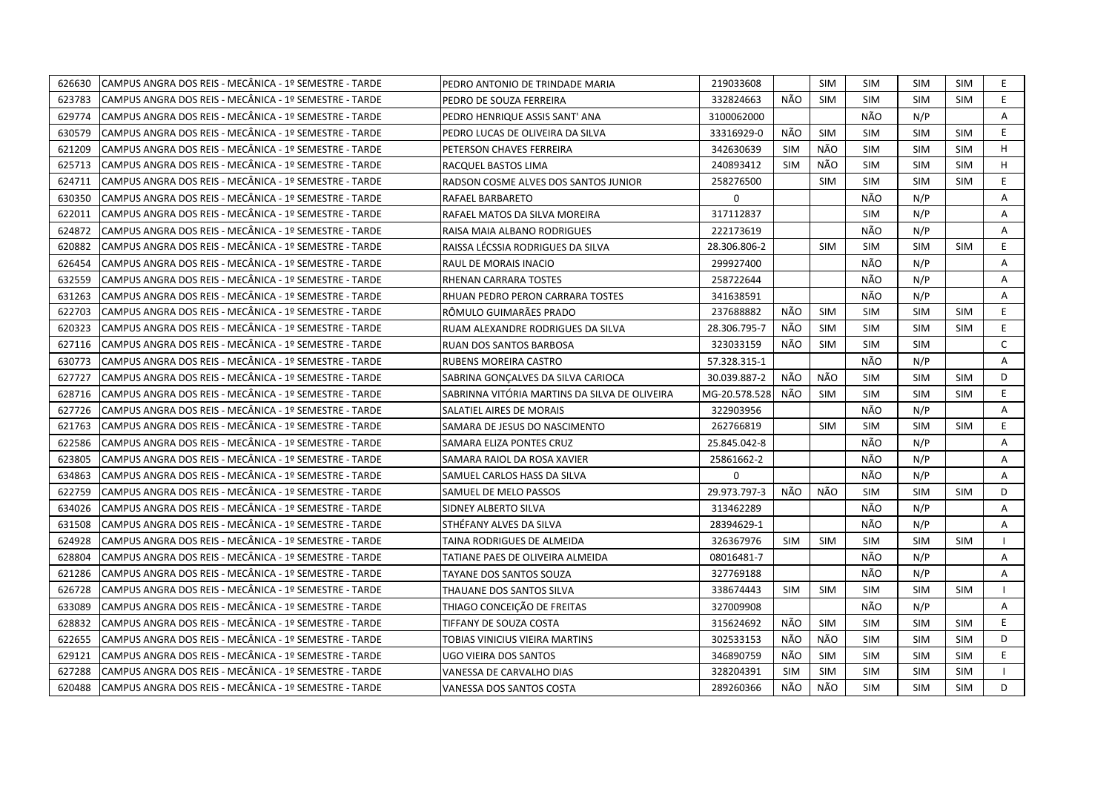| 626630 | CAMPUS ANGRA DOS REIS - MECÂNICA - 1º SEMESTRE - TARDE | PEDRO ANTONIO DE TRINDADE MARIA               | 219033608     |            | <b>SIM</b> | <b>SIM</b> | <b>SIM</b> | SIM        | E.             |
|--------|--------------------------------------------------------|-----------------------------------------------|---------------|------------|------------|------------|------------|------------|----------------|
| 623783 | CAMPUS ANGRA DOS REIS - MECÂNICA - 1º SEMESTRE - TARDE | PEDRO DE SOUZA FERREIRA                       | 332824663     | NÃO        | <b>SIM</b> | <b>SIM</b> | <b>SIM</b> | <b>SIM</b> | E              |
| 629774 | CAMPUS ANGRA DOS REIS - MECÂNICA - 1º SEMESTRE - TARDE | PEDRO HENRIQUE ASSIS SANT' ANA                | 3100062000    |            |            | NÃO        | N/P        |            | A              |
| 630579 | CAMPUS ANGRA DOS REIS - MECÂNICA - 1º SEMESTRE - TARDE | PEDRO LUCAS DE OLIVEIRA DA SILVA              | 33316929-0    | NÃO        | <b>SIM</b> | <b>SIM</b> | SIM        | <b>SIM</b> | E.             |
| 621209 | CAMPUS ANGRA DOS REIS - MECÂNICA - 1º SEMESTRE - TARDE | PETERSON CHAVES FERREIRA                      | 342630639     | <b>SIM</b> | NÃO        | <b>SIM</b> | <b>SIM</b> | <b>SIM</b> | H              |
| 625713 | CAMPUS ANGRA DOS REIS - MECÂNICA - 1º SEMESTRE - TARDE | RACQUEL BASTOS LIMA                           | 240893412     | <b>SIM</b> | NÃO        | <b>SIM</b> | <b>SIM</b> | <b>SIM</b> | H              |
| 624711 | CAMPUS ANGRA DOS REIS - MECÂNICA - 1º SEMESTRE - TARDE | RADSON COSME ALVES DOS SANTOS JUNIOR          | 258276500     |            | <b>SIM</b> | <b>SIM</b> | <b>SIM</b> | <b>SIM</b> | E              |
| 630350 | CAMPUS ANGRA DOS REIS - MECÂNICA - 1º SEMESTRE - TARDE | RAFAEL BARBARETO                              | $\mathbf 0$   |            |            | NÃO        | N/P        |            | Α              |
| 622011 | CAMPUS ANGRA DOS REIS - MECÂNICA - 1º SEMESTRE - TARDE | RAFAEL MATOS DA SILVA MOREIRA                 | 317112837     |            |            | <b>SIM</b> | N/P        |            | A              |
| 624872 | CAMPUS ANGRA DOS REIS - MECÂNICA - 1º SEMESTRE - TARDE | RAISA MAIA ALBANO RODRIGUES                   | 222173619     |            |            | NÃO        | N/P        |            | Α              |
| 620882 | CAMPUS ANGRA DOS REIS - MECÂNICA - 1º SEMESTRE - TARDE | RAISSA LÉCSSIA RODRIGUES DA SILVA             | 28.306.806-2  |            | <b>SIM</b> | <b>SIM</b> | <b>SIM</b> | <b>SIM</b> | E.             |
| 626454 | CAMPUS ANGRA DOS REIS - MECÂNICA - 1º SEMESTRE - TARDE | RAUL DE MORAIS INACIO                         | 299927400     |            |            | NÃO        | N/P        |            | Α              |
| 632559 | CAMPUS ANGRA DOS REIS - MECÂNICA - 1º SEMESTRE - TARDE | RHENAN CARRARA TOSTES                         | 258722644     |            |            | NÃO        | N/P        |            | Α              |
| 631263 | CAMPUS ANGRA DOS REIS - MECÂNICA - 1º SEMESTRE - TARDE | RHUAN PEDRO PERON CARRARA TOSTES              | 341638591     |            |            | NÃO        | N/P        |            | $\overline{A}$ |
| 622703 | CAMPUS ANGRA DOS REIS - MECÂNICA - 1º SEMESTRE - TARDE | RÔMULO GUIMARÃES PRADO                        | 237688882     | NÃO        | <b>SIM</b> | <b>SIM</b> | <b>SIM</b> | <b>SIM</b> | E              |
| 620323 | CAMPUS ANGRA DOS REIS - MECÂNICA - 1º SEMESTRE - TARDE | RUAM ALEXANDRE RODRIGUES DA SILVA             | 28.306.795-7  | NÃO        | <b>SIM</b> | <b>SIM</b> | <b>SIM</b> | <b>SIM</b> | E.             |
| 627116 | CAMPUS ANGRA DOS REIS - MECÂNICA - 1º SEMESTRE - TARDE | RUAN DOS SANTOS BARBOSA                       | 323033159     | NÃO        | <b>SIM</b> | <b>SIM</b> | <b>SIM</b> |            | $\mathsf{C}$   |
| 630773 | CAMPUS ANGRA DOS REIS - MECÂNICA - 1º SEMESTRE - TARDE | RUBENS MOREIRA CASTRO                         | 57.328.315-1  |            |            | NÃO        | N/P        |            | $\mathsf{A}$   |
| 627727 | CAMPUS ANGRA DOS REIS - MECÂNICA - 1º SEMESTRE - TARDE | SABRINA GONÇALVES DA SILVA CARIOCA            | 30.039.887-2  | NÃO        | NÃO        | <b>SIM</b> | <b>SIM</b> | <b>SIM</b> | D              |
| 628716 | CAMPUS ANGRA DOS REIS - MECÂNICA - 1º SEMESTRE - TARDE | SABRINNA VITÓRIA MARTINS DA SILVA DE OLIVEIRA | MG-20.578.528 | NÃO        | <b>SIM</b> | <b>SIM</b> | <b>SIM</b> | <b>SIM</b> | E.             |
| 627726 | CAMPUS ANGRA DOS REIS - MECÂNICA - 1º SEMESTRE - TARDE | SALATIEL AIRES DE MORAIS                      | 322903956     |            |            | NÃO        | N/P        |            | A              |
| 621763 | CAMPUS ANGRA DOS REIS - MECÂNICA - 1º SEMESTRE - TARDE | SAMARA DE JESUS DO NASCIMENTO                 | 262766819     |            | <b>SIM</b> | <b>SIM</b> | <b>SIM</b> | <b>SIM</b> | E              |
| 622586 | CAMPUS ANGRA DOS REIS - MECÂNICA - 1º SEMESTRE - TARDE | SAMARA ELIZA PONTES CRUZ                      | 25.845.042-8  |            |            | NÃO        | N/P        |            | A              |
| 623805 | CAMPUS ANGRA DOS REIS - MECÂNICA - 1º SEMESTRE - TARDE | SAMARA RAIOL DA ROSA XAVIER                   | 25861662-2    |            |            | NÃO        | N/P        |            | A              |
| 634863 | CAMPUS ANGRA DOS REIS - MECÂNICA - 1º SEMESTRE - TARDE | SAMUEL CARLOS HASS DA SILVA                   | 0             |            |            | NÃO        | N/P        |            | A              |
| 622759 | CAMPUS ANGRA DOS REIS - MECÂNICA - 1º SEMESTRE - TARDE | SAMUEL DE MELO PASSOS                         | 29.973.797-3  | NÃO        | NÃO        | <b>SIM</b> | <b>SIM</b> | <b>SIM</b> | D              |
| 634026 | CAMPUS ANGRA DOS REIS - MECÂNICA - 1º SEMESTRE - TARDE | SIDNEY ALBERTO SILVA                          | 313462289     |            |            | NÃO        | N/P        |            | Α              |
| 631508 | CAMPUS ANGRA DOS REIS - MECÂNICA - 1º SEMESTRE - TARDE | STHÉFANY ALVES DA SILVA                       | 28394629-1    |            |            | NÃO        | N/P        |            | A              |
| 624928 | CAMPUS ANGRA DOS REIS - MECÂNICA - 1º SEMESTRE - TARDE | TAINA RODRIGUES DE ALMEIDA                    | 326367976     | <b>SIM</b> | <b>SIM</b> | <b>SIM</b> | <b>SIM</b> | <b>SIM</b> |                |
| 628804 | CAMPUS ANGRA DOS REIS - MECÂNICA - 1º SEMESTRE - TARDE | TATIANE PAES DE OLIVEIRA ALMEIDA              | 08016481-7    |            |            | NÃO        | N/P        |            | Α              |
| 621286 | CAMPUS ANGRA DOS REIS - MECÂNICA - 1º SEMESTRE - TARDE | TAYANE DOS SANTOS SOUZA                       | 327769188     |            |            | NÃO        | N/P        |            | Α              |
| 626728 | CAMPUS ANGRA DOS REIS - MECÂNICA - 1º SEMESTRE - TARDE | THAUANE DOS SANTOS SILVA                      | 338674443     | <b>SIM</b> | <b>SIM</b> | <b>SIM</b> | <b>SIM</b> | <b>SIM</b> |                |
| 633089 | CAMPUS ANGRA DOS REIS - MECÂNICA - 1º SEMESTRE - TARDE | THIAGO CONCEIÇÃO DE FREITAS                   | 327009908     |            |            | NÃO        | N/P        |            | A              |
| 628832 | CAMPUS ANGRA DOS REIS - MECÂNICA - 1º SEMESTRE - TARDE | TIFFANY DE SOUZA COSTA                        | 315624692     | NÃO        | <b>SIM</b> | <b>SIM</b> | <b>SIM</b> | <b>SIM</b> | E.             |
| 622655 | CAMPUS ANGRA DOS REIS - MECÂNICA - 1º SEMESTRE - TARDE | TOBIAS VINICIUS VIEIRA MARTINS                | 302533153     | NÃO        | NÃO        | <b>SIM</b> | <b>SIM</b> | <b>SIM</b> | D              |
| 629121 | CAMPUS ANGRA DOS REIS - MECÂNICA - 1º SEMESTRE - TARDE | UGO VIEIRA DOS SANTOS                         | 346890759     | NÃO        | <b>SIM</b> | <b>SIM</b> | <b>SIM</b> | <b>SIM</b> | E.             |
| 627288 | CAMPUS ANGRA DOS REIS - MECÂNICA - 1º SEMESTRE - TARDE | VANESSA DE CARVALHO DIAS                      | 328204391     | <b>SIM</b> | <b>SIM</b> | <b>SIM</b> | <b>SIM</b> | <b>SIM</b> | $\mathbf{I}$   |
| 620488 | CAMPUS ANGRA DOS REIS - MECÂNICA - 1º SEMESTRE - TARDE | VANESSA DOS SANTOS COSTA                      | 289260366     | NÃO        | NÃO        | <b>SIM</b> | <b>SIM</b> | <b>SIM</b> | D              |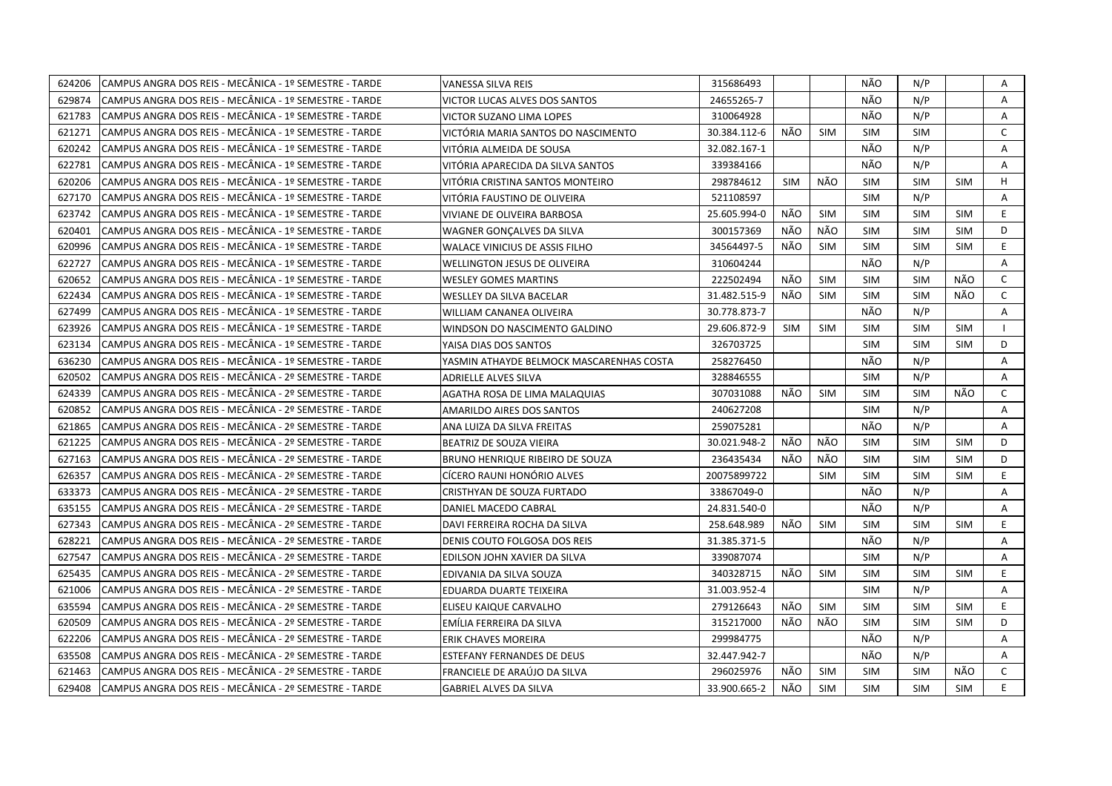| 624206 | CAMPUS ANGRA DOS REIS - MECÂNICA - 1º SEMESTRE - TARDE | VANESSA SILVA REIS                       | 315686493    |            |            | NÃO        | N/P        |            | Α            |
|--------|--------------------------------------------------------|------------------------------------------|--------------|------------|------------|------------|------------|------------|--------------|
| 629874 | CAMPUS ANGRA DOS REIS - MECÂNICA - 1º SEMESTRE - TARDE | VICTOR LUCAS ALVES DOS SANTOS            | 24655265-7   |            |            | NÃO        | N/P        |            | A            |
| 621783 | CAMPUS ANGRA DOS REIS - MECÂNICA - 1º SEMESTRE - TARDE | VICTOR SUZANO LIMA LOPES                 | 310064928    |            |            | NÃO        | N/P        |            | Α            |
| 621271 | CAMPUS ANGRA DOS REIS - MECÂNICA - 1º SEMESTRE - TARDE | VICTÓRIA MARIA SANTOS DO NASCIMENTO      | 30.384.112-6 | NÃO        | <b>SIM</b> | <b>SIM</b> | <b>SIM</b> |            | $\mathsf{C}$ |
| 620242 | CAMPUS ANGRA DOS REIS - MECÂNICA - 1º SEMESTRE - TARDE | VITÓRIA ALMEIDA DE SOUSA                 | 32.082.167-1 |            |            | NÃO        | N/P        |            | A            |
| 622781 | CAMPUS ANGRA DOS REIS - MECÂNICA - 1º SEMESTRE - TARDE | VITÓRIA APARECIDA DA SILVA SANTOS        | 339384166    |            |            | NÃO        | N/P        |            | Α            |
| 620206 | CAMPUS ANGRA DOS REIS - MECÂNICA - 1º SEMESTRE - TARDE | VITÓRIA CRISTINA SANTOS MONTEIRO         | 298784612    | <b>SIM</b> | NÃO        | <b>SIM</b> | <b>SIM</b> | <b>SIM</b> | H            |
| 627170 | CAMPUS ANGRA DOS REIS - MECÂNICA - 1º SEMESTRE - TARDE | VITÓRIA FAUSTINO DE OLIVEIRA             | 521108597    |            |            | <b>SIM</b> | N/P        |            | A            |
| 623742 | CAMPUS ANGRA DOS REIS - MECÂNICA - 1º SEMESTRE - TARDE | VIVIANE DE OLIVEIRA BARBOSA              | 25.605.994-0 | NÃO        | <b>SIM</b> | <b>SIM</b> | <b>SIM</b> | SIM        | E.           |
| 620401 | CAMPUS ANGRA DOS REIS - MECÂNICA - 1º SEMESTRE - TARDE | WAGNER GONCALVES DA SILVA                | 300157369    | NÃO        | NÃO        | <b>SIM</b> | <b>SIM</b> | <b>SIM</b> | D            |
| 620996 | CAMPUS ANGRA DOS REIS - MECÂNICA - 1º SEMESTRE - TARDE | WALACE VINICIUS DE ASSIS FILHO           | 34564497-5   | NÃO        | <b>SIM</b> | <b>SIM</b> | <b>SIM</b> | <b>SIM</b> | E.           |
| 622727 | CAMPUS ANGRA DOS REIS - MECÂNICA - 1º SEMESTRE - TARDE | <b>WELLINGTON JESUS DE OLIVEIRA</b>      | 310604244    |            |            | NÃO        | N/P        |            | A            |
| 620652 | CAMPUS ANGRA DOS REIS - MECÂNICA - 1º SEMESTRE - TARDE | <b>WESLEY GOMES MARTINS</b>              | 222502494    | NÃO        | <b>SIM</b> | <b>SIM</b> | <b>SIM</b> | NÃO        | $\mathsf{C}$ |
| 622434 | CAMPUS ANGRA DOS REIS - MECÂNICA - 1º SEMESTRE - TARDE | WESLLEY DA SILVA BACELAR                 | 31.482.515-9 | NÃO        | <b>SIM</b> | <b>SIM</b> | <b>SIM</b> | NÃO        | $\mathsf{C}$ |
| 627499 | CAMPUS ANGRA DOS REIS - MECÂNICA - 1º SEMESTRE - TARDE | WILLIAM CANANEA OLIVEIRA                 | 30.778.873-7 |            |            | NÃO        | N/P        |            | A            |
| 623926 | CAMPUS ANGRA DOS REIS - MECÂNICA - 1º SEMESTRE - TARDE | WINDSON DO NASCIMENTO GALDINO            | 29.606.872-9 | <b>SIM</b> | <b>SIM</b> | <b>SIM</b> | <b>SIM</b> | <b>SIM</b> |              |
| 623134 | CAMPUS ANGRA DOS REIS - MECÂNICA - 1º SEMESTRE - TARDE | YAISA DIAS DOS SANTOS                    | 326703725    |            |            | <b>SIM</b> | <b>SIM</b> | <b>SIM</b> | D            |
| 636230 | CAMPUS ANGRA DOS REIS - MECÂNICA - 1º SEMESTRE - TARDE | YASMIN ATHAYDE BELMOCK MASCARENHAS COSTA | 258276450    |            |            | NÃO        | N/P        |            | A            |
| 620502 | CAMPUS ANGRA DOS REIS - MECÂNICA - 2º SEMESTRE - TARDE | ADRIELLE ALVES SILVA                     | 328846555    |            |            | <b>SIM</b> | N/P        |            | Α            |
| 624339 | CAMPUS ANGRA DOS REIS - MECÂNICA - 2º SEMESTRE - TARDE | AGATHA ROSA DE LIMA MALAQUIAS            | 307031088    | NÃO        | <b>SIM</b> | <b>SIM</b> | <b>SIM</b> | NÃO        | C            |
| 620852 | CAMPUS ANGRA DOS REIS - MECÂNICA - 2º SEMESTRE - TARDE | AMARILDO AIRES DOS SANTOS                | 240627208    |            |            | <b>SIM</b> | N/P        |            | $\mathsf{A}$ |
| 621865 | CAMPUS ANGRA DOS REIS - MECÂNICA - 2º SEMESTRE - TARDE | ANA LUIZA DA SILVA FREITAS               | 259075281    |            |            | NÃO        | N/P        |            | A            |
| 621225 | CAMPUS ANGRA DOS REIS - MECÂNICA - 2º SEMESTRE - TARDE | BEATRIZ DE SOUZA VIEIRA                  | 30.021.948-2 | NÃO        | NÃO        | <b>SIM</b> | <b>SIM</b> | <b>SIM</b> | D            |
| 627163 | CAMPUS ANGRA DOS REIS - MECÂNICA - 2º SEMESTRE - TARDE | BRUNO HENRIQUE RIBEIRO DE SOUZA          | 236435434    | NÃO        | NÃO        | <b>SIM</b> | <b>SIM</b> | <b>SIM</b> | D            |
| 626357 | CAMPUS ANGRA DOS REIS - MECÂNICA - 2º SEMESTRE - TARDE | CÍCERO RAUNI HONÓRIO ALVES               | 20075899722  |            | <b>SIM</b> | <b>SIM</b> | <b>SIM</b> | <b>SIM</b> | E            |
| 633373 | CAMPUS ANGRA DOS REIS - MECÂNICA - 2º SEMESTRE - TARDE | CRISTHYAN DE SOUZA FURTADO               | 33867049-0   |            |            | NÃO        | N/P        |            | Α            |
| 635155 | CAMPUS ANGRA DOS REIS - MECÂNICA - 2º SEMESTRE - TARDE | DANIEL MACEDO CABRAL                     | 24.831.540-0 |            |            | NÃO        | N/P        |            | Α            |
| 627343 | CAMPUS ANGRA DOS REIS - MECÂNICA - 2º SEMESTRE - TARDE | DAVI FERREIRA ROCHA DA SILVA             | 258.648.989  | NÃO        | <b>SIM</b> | <b>SIM</b> | <b>SIM</b> | <b>SIM</b> | E            |
| 628221 | CAMPUS ANGRA DOS REIS - MECÂNICA - 2º SEMESTRE - TARDE | DENIS COUTO FOLGOSA DOS REIS             | 31.385.371-5 |            |            | NÃO        | N/P        |            | A            |
| 627547 | CAMPUS ANGRA DOS REIS - MECÂNICA - 2º SEMESTRE - TARDE | EDILSON JOHN XAVIER DA SILVA             | 339087074    |            |            | <b>SIM</b> | N/P        |            | Α            |
| 625435 | CAMPUS ANGRA DOS REIS - MECÂNICA - 2º SEMESTRE - TARDE | EDIVANIA DA SILVA SOUZA                  | 340328715    | NÃO        | <b>SIM</b> | <b>SIM</b> | <b>SIM</b> | <b>SIM</b> | E.           |
| 621006 | CAMPUS ANGRA DOS REIS - MECÂNICA - 2º SEMESTRE - TARDE | EDUARDA DUARTE TEIXEIRA                  | 31.003.952-4 |            |            | <b>SIM</b> | N/P        |            | A            |
| 635594 | CAMPUS ANGRA DOS REIS - MECÂNICA - 2º SEMESTRE - TARDE | ELISEU KAIQUE CARVALHO                   | 279126643    | NÃO        | <b>SIM</b> | <b>SIM</b> | <b>SIM</b> | <b>SIM</b> | E.           |
| 620509 | CAMPUS ANGRA DOS REIS - MECÂNICA - 2º SEMESTRE - TARDE | EMÍLIA FERREIRA DA SILVA                 | 315217000    | NÃO        | NÃO        | <b>SIM</b> | <b>SIM</b> | <b>SIM</b> | D            |
| 622206 | CAMPUS ANGRA DOS REIS - MECÂNICA - 2º SEMESTRE - TARDE | ERIK CHAVES MOREIRA                      | 299984775    |            |            | NÃO        | N/P        |            | A            |
| 635508 | CAMPUS ANGRA DOS REIS - MECÂNICA - 2º SEMESTRE - TARDE | ESTEFANY FERNANDES DE DEUS               | 32.447.942-7 |            |            | NÃO        | N/P        |            | A            |
| 621463 | CAMPUS ANGRA DOS REIS - MECÂNICA - 2º SEMESTRE - TARDE | FRANCIELE DE ARAÚJO DA SILVA             | 296025976    | NÃO        | <b>SIM</b> | <b>SIM</b> | <b>SIM</b> | NÃO        | $\mathsf{C}$ |
| 629408 | CAMPUS ANGRA DOS REIS - MECÂNICA - 2º SEMESTRE - TARDE | <b>GABRIEL ALVES DA SILVA</b>            | 33.900.665-2 | NÃO        | <b>SIM</b> | <b>SIM</b> | <b>SIM</b> | <b>SIM</b> | E.           |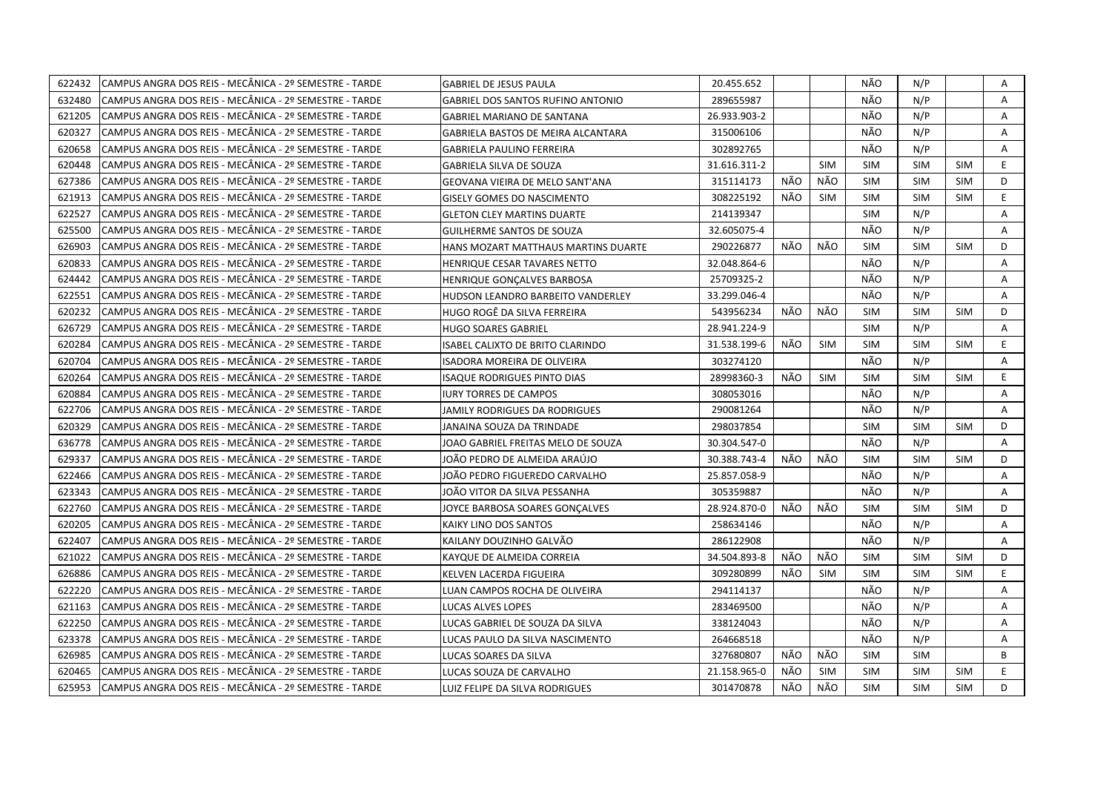| 622432 | CAMPUS ANGRA DOS REIS - MECÂNICA - 2º SEMESTRE - TARDE | <b>GABRIEL DE JESUS PAULA</b>       | 20.455.652   |     |            | NÃO        | N/P        |            | Α  |
|--------|--------------------------------------------------------|-------------------------------------|--------------|-----|------------|------------|------------|------------|----|
| 632480 | CAMPUS ANGRA DOS REIS - MECÂNICA - 2º SEMESTRE - TARDE | GABRIEL DOS SANTOS RUFINO ANTONIO   | 289655987    |     |            | NÃO        | N/P        |            | A  |
| 621205 | CAMPUS ANGRA DOS REIS - MECÂNICA - 2º SEMESTRE - TARDE | GABRIEL MARIANO DE SANTANA          | 26.933.903-2 |     |            | NÃO        | N/P        |            | A  |
| 620327 | CAMPUS ANGRA DOS REIS - MECÂNICA - 2º SEMESTRE - TARDE | GABRIELA BASTOS DE MEIRA ALCANTARA  | 315006106    |     |            | NÃO        | N/P        |            | A  |
| 620658 | CAMPUS ANGRA DOS REIS - MECÂNICA - 2º SEMESTRE - TARDE | <b>GABRIELA PAULINO FERREIRA</b>    | 302892765    |     |            | NÃO        | N/P        |            | Α  |
| 620448 | CAMPUS ANGRA DOS REIS - MECÂNICA - 2º SEMESTRE - TARDE | <b>GABRIELA SILVA DE SOUZA</b>      | 31.616.311-2 |     | <b>SIM</b> | <b>SIM</b> | <b>SIM</b> | <b>SIM</b> | E  |
| 627386 | CAMPUS ANGRA DOS REIS - MECÂNICA - 2º SEMESTRE - TARDE | GEOVANA VIEIRA DE MELO SANT'ANA     | 315114173    | NÃO | NÃO        | <b>SIM</b> | <b>SIM</b> | <b>SIM</b> | D  |
| 621913 | CAMPUS ANGRA DOS REIS - MECÂNICA - 2º SEMESTRE - TARDE | <b>GISELY GOMES DO NASCIMENTO</b>   | 308225192    | NÃO | <b>SIM</b> | <b>SIM</b> | <b>SIM</b> | <b>SIM</b> | E  |
| 622527 | CAMPUS ANGRA DOS REIS - MECÂNICA - 2º SEMESTRE - TARDE | <b>GLETON CLEY MARTINS DUARTE</b>   | 214139347    |     |            | SIM        | N/P        |            | A  |
| 625500 | CAMPUS ANGRA DOS REIS - MECÂNICA - 2º SEMESTRE - TARDE | <b>GUILHERME SANTOS DE SOUZA</b>    | 32.605075-4  |     |            | NÃO        | N/P        |            | A  |
| 626903 | CAMPUS ANGRA DOS REIS - MECÂNICA - 2º SEMESTRE - TARDE | HANS MOZART MATTHAUS MARTINS DUARTE | 290226877    | NÃO | NÃO        | <b>SIM</b> | <b>SIM</b> | <b>SIM</b> | D  |
| 620833 | CAMPUS ANGRA DOS REIS - MECÂNICA - 2º SEMESTRE - TARDE | HENRIQUE CESAR TAVARES NETTO        | 32.048.864-6 |     |            | NÃO        | N/P        |            | A  |
| 624442 | CAMPUS ANGRA DOS REIS - MECÂNICA - 2º SEMESTRE - TARDE | HENRIQUE GONÇALVES BARBOSA          | 25709325-2   |     |            | NÃO        | N/P        |            | Α  |
| 622551 | CAMPUS ANGRA DOS REIS - MECÂNICA - 2º SEMESTRE - TARDE | HUDSON LEANDRO BARBEITO VANDERLEY   | 33.299.046-4 |     |            | NÃO        | N/P        |            | Α  |
| 620232 | CAMPUS ANGRA DOS REIS - MECÂNICA - 2º SEMESTRE - TARDE | HUGO ROGÊ DA SILVA FERREIRA         | 543956234    | NÃO | NÃO        | <b>SIM</b> | <b>SIM</b> | <b>SIM</b> | D  |
| 626729 | CAMPUS ANGRA DOS REIS - MECÂNICA - 2º SEMESTRE - TARDE | <b>HUGO SOARES GABRIEL</b>          | 28.941.224-9 |     |            | <b>SIM</b> | N/P        |            | A  |
| 620284 | CAMPUS ANGRA DOS REIS - MECÂNICA - 2º SEMESTRE - TARDE | ISABEL CALIXTO DE BRITO CLARINDO    | 31.538.199-6 | NÃO | <b>SIM</b> | <b>SIM</b> | <b>SIM</b> | <b>SIM</b> | E. |
| 620704 | CAMPUS ANGRA DOS REIS - MECÂNICA - 2º SEMESTRE - TARDE | ISADORA MOREIRA DE OLIVEIRA         | 303274120    |     |            | NÃO        | N/P        |            | A  |
| 620264 | CAMPUS ANGRA DOS REIS - MECÂNICA - 2º SEMESTRE - TARDE | <b>ISAQUE RODRIGUES PINTO DIAS</b>  | 28998360-3   | NÃO | SIM        | <b>SIM</b> | <b>SIM</b> | <b>SIM</b> | E. |
| 620884 | CAMPUS ANGRA DOS REIS - MECÂNICA - 2º SEMESTRE - TARDE | <b>IURY TORRES DE CAMPOS</b>        | 308053016    |     |            | NÃO        | N/P        |            | Α  |
| 622706 | CAMPUS ANGRA DOS REIS - MECÂNICA - 2º SEMESTRE - TARDE | JAMILY RODRIGUES DA RODRIGUES       | 290081264    |     |            | NÃO        | N/P        |            | A  |
| 620329 | CAMPUS ANGRA DOS REIS - MECÂNICA - 2º SEMESTRE - TARDE | JANAINA SOUZA DA TRINDADE           | 298037854    |     |            | <b>SIM</b> | <b>SIM</b> | <b>SIM</b> | D  |
| 636778 | CAMPUS ANGRA DOS REIS - MECÂNICA - 2º SEMESTRE - TARDE | JOAO GABRIEL FREITAS MELO DE SOUZA  | 30.304.547-0 |     |            | NÃO        | N/P        |            | Α  |
| 629337 | CAMPUS ANGRA DOS REIS - MECÂNICA - 2º SEMESTRE - TARDE | JOÃO PEDRO DE ALMEIDA ARAÚJO        | 30.388.743-4 | NÃO | NÃO        | <b>SIM</b> | <b>SIM</b> | <b>SIM</b> | D  |
| 622466 | CAMPUS ANGRA DOS REIS - MECÂNICA - 2º SEMESTRE - TARDE | IOÃO PEDRO FIGUEREDO CARVALHO       | 25.857.058-9 |     |            | NÃO        | N/P        |            | Α  |
| 623343 | CAMPUS ANGRA DOS REIS - MECÂNICA - 2º SEMESTRE - TARDE | IOÃO VITOR DA SILVA PESSANHA        | 305359887    |     |            | NÃO        | N/P        |            | A  |
| 622760 | CAMPUS ANGRA DOS REIS - MECÂNICA - 2º SEMESTRE - TARDE | JOYCE BARBOSA SOARES GONÇALVES      | 28.924.870-0 | NÃO | NÃO        | <b>SIM</b> | <b>SIM</b> | <b>SIM</b> | D  |
| 620205 | CAMPUS ANGRA DOS REIS - MECÂNICA - 2º SEMESTRE - TARDE | KAIKY LINO DOS SANTOS               | 258634146    |     |            | NÃO        | N/P        |            | A  |
| 622407 | CAMPUS ANGRA DOS REIS - MECÂNICA - 2º SEMESTRE - TARDE | KAILANY DOUZINHO GALVÄO             | 286122908    |     |            | NÃO        | N/P        |            | Α  |
| 621022 | CAMPUS ANGRA DOS REIS - MECÂNICA - 2º SEMESTRE - TARDE | KAYQUE DE ALMEIDA CORREIA           | 34.504.893-8 | NÃO | NÃO        | <b>SIM</b> | <b>SIM</b> | <b>SIM</b> | D  |
| 626886 | CAMPUS ANGRA DOS REIS - MECÂNICA - 2º SEMESTRE - TARDE | KELVEN LACERDA FIGUEIRA             | 309280899    | NÃO | <b>SIM</b> | <b>SIM</b> | <b>SIM</b> | <b>SIM</b> | E  |
| 622220 | CAMPUS ANGRA DOS REIS - MECÂNICA - 2º SEMESTRE - TARDE | LUAN CAMPOS ROCHA DE OLIVEIRA       | 294114137    |     |            | NÃO        | N/P        |            | A  |
| 621163 | CAMPUS ANGRA DOS REIS - MECÂNICA - 2º SEMESTRE - TARDE | LUCAS ALVES LOPES                   | 283469500    |     |            | NÃO        | N/P        |            | A  |
| 622250 | CAMPUS ANGRA DOS REIS - MECÂNICA - 2º SEMESTRE - TARDE | LUCAS GABRIEL DE SOUZA DA SILVA     | 338124043    |     |            | NÃO        | N/P        |            | A  |
| 623378 | CAMPUS ANGRA DOS REIS - MECÂNICA - 2º SEMESTRE - TARDE | LUCAS PAULO DA SILVA NASCIMENTO     | 264668518    |     |            | NÃO        | N/P        |            | Α  |
| 626985 | CAMPUS ANGRA DOS REIS - MECÂNICA - 2º SEMESTRE - TARDE | LUCAS SOARES DA SILVA               | 327680807    | NÃO | NÃO        | SIM        | <b>SIM</b> |            | B  |
| 620465 | CAMPUS ANGRA DOS REIS - MECÂNICA - 2º SEMESTRE - TARDE | LUCAS SOUZA DE CARVALHO             | 21.158.965-0 | NÃO | SIM        | <b>SIM</b> | <b>SIM</b> | <b>SIM</b> | E  |
| 625953 | CAMPUS ANGRA DOS REIS - MECÂNICA - 2º SEMESTRE - TARDE | LUIZ FELIPE DA SILVA RODRIGUES      | 301470878    | NÃO | NÃO        | <b>SIM</b> | <b>SIM</b> | <b>SIM</b> | D  |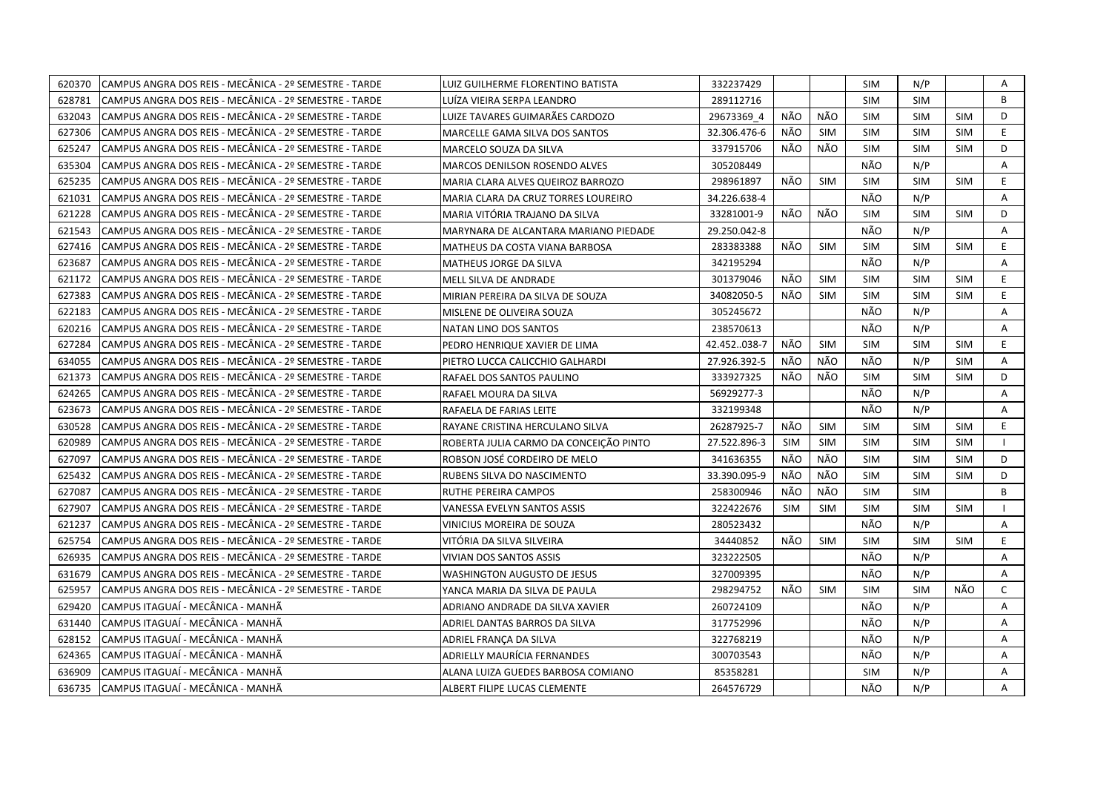| 620370 | CAMPUS ANGRA DOS REIS - MECÂNICA - 2º SEMESTRE - TARDE  | LUIZ GUILHERME FLORENTINO BATISTA      | 332237429    |            |            | <b>SIM</b> | N/P        |            | Α            |
|--------|---------------------------------------------------------|----------------------------------------|--------------|------------|------------|------------|------------|------------|--------------|
| 628781 | CAMPUS ANGRA DOS REIS - MECÂNICA - 2º SEMESTRE - TARDE  | LUÍZA VIEIRA SERPA LEANDRO             | 289112716    |            |            | <b>SIM</b> | <b>SIM</b> |            | R.           |
| 632043 | CAMPUS ANGRA DOS REIS - MECÂNICA - 2º SEMESTRE - TARDE  | LUIZE TAVARES GUIMARÃES CARDOZO        | 29673369 4   | NÃO        | NÃO        | <b>SIM</b> | <b>SIM</b> | <b>SIM</b> | D            |
| 627306 | CAMPUS ANGRA DOS REIS - MECÃNICA - 2º SEMESTRE - TARDE  | MARCELLE GAMA SILVA DOS SANTOS         | 32.306.476-6 | NÃO        | <b>SIM</b> | <b>SIM</b> | <b>SIM</b> | <b>SIM</b> | E.           |
| 625247 | CAMPUS ANGRA DOS REIS - MECÂNICA - 2º SEMESTRE - TARDE  | MARCELO SOUZA DA SILVA                 | 337915706    | NÃO        | NÃO        | <b>SIM</b> | <b>SIM</b> | <b>SIM</b> | D            |
| 635304 | CAMPUS ANGRA DOS REIS - MECÂNICA - 2º SEMESTRE - TARDE  | <b>MARCOS DENILSON ROSENDO ALVES</b>   | 305208449    |            |            | NÃO        | N/P        |            | Α            |
| 625235 | ICAMPUS ANGRA DOS REIS - MECÂNICA - 2º SEMESTRE - TARDE | MARIA CLARA ALVES QUEIROZ BARROZO      | 298961897    | NÃO        | <b>SIM</b> | <b>SIM</b> | <b>SIM</b> | <b>SIM</b> | E.           |
| 621031 | ICAMPUS ANGRA DOS REIS - MECÂNICA - 2º SEMESTRE - TARDE | MARIA CLARA DA CRUZ TORRES LOUREIRO    | 34.226.638-4 |            |            | NÃO        | N/P        |            | A            |
| 621228 | CAMPUS ANGRA DOS REIS - MECÂNICA - 2º SEMESTRE - TARDE  | MARIA VITÓRIA TRAJANO DA SILVA         | 33281001-9   | NÃO        | NÃO        | <b>SIM</b> | <b>SIM</b> | <b>SIM</b> | D.           |
| 621543 | CAMPUS ANGRA DOS REIS - MECÂNICA - 2º SEMESTRE - TARDE  | MARYNARA DE ALCANTARA MARIANO PIEDADE  | 29.250.042-8 |            |            | NÃO        | N/P        |            | A            |
| 627416 | CAMPUS ANGRA DOS REIS - MECÂNICA - 2º SEMESTRE - TARDE  | MATHEUS DA COSTA VIANA BARBOSA         | 283383388    | NÃO        | <b>SIM</b> | <b>SIM</b> | <b>SIM</b> | <b>SIM</b> | E.           |
| 623687 | CAMPUS ANGRA DOS REIS - MECÂNICA - 2º SEMESTRE - TARDE  | MATHEUS JORGE DA SILVA                 | 342195294    |            |            | NÃO        | N/P        |            | A            |
| 621172 | CAMPUS ANGRA DOS REIS - MECÂNICA - 2º SEMESTRE - TARDE  | MELL SILVA DE ANDRADE                  | 301379046    | NÃO        | <b>SIM</b> | <b>SIM</b> | <b>SIM</b> | <b>SIM</b> | E.           |
| 627383 | CAMPUS ANGRA DOS REIS - MECÂNICA - 2º SEMESTRE - TARDE  | MIRIAN PEREIRA DA SILVA DE SOUZA       | 34082050-5   | NÃO        | <b>SIM</b> | <b>SIM</b> | <b>SIM</b> | <b>SIM</b> | E.           |
| 622183 | CAMPUS ANGRA DOS REIS - MECÂNICA - 2º SEMESTRE - TARDE  | MISLENE DE OLIVEIRA SOUZA              | 305245672    |            |            | NÃO        | N/P        |            | A            |
| 620216 | CAMPUS ANGRA DOS REIS - MECÂNICA - 2º SEMESTRE - TARDE  | NATAN LINO DOS SANTOS                  | 238570613    |            |            | NÃO        | N/P        |            | Α            |
| 627284 | CAMPUS ANGRA DOS REIS - MECÂNICA - 2º SEMESTRE - TARDE  | PEDRO HENRIQUE XAVIER DE LIMA          | 42.452038-7  | NÃO        | <b>SIM</b> | <b>SIM</b> | <b>SIM</b> | <b>SIM</b> | E            |
| 634055 | CAMPUS ANGRA DOS REIS - MECÂNICA - 2º SEMESTRE - TARDE  | PIETRO LUCCA CALICCHIO GALHARDI        | 27.926.392-5 | NÃO        | NÃO        | NÃO        | N/P        | <b>SIM</b> | A            |
| 621373 | CAMPUS ANGRA DOS REIS - MECÂNICA - 2º SEMESTRE - TARDE  | RAFAEL DOS SANTOS PAULINO              | 333927325    | NÃO        | NÃO        | <b>SIM</b> | <b>SIM</b> | <b>SIM</b> | D            |
| 624265 | CAMPUS ANGRA DOS REIS - MECÂNICA - 2º SEMESTRE - TARDE  | RAFAEL MOURA DA SILVA                  | 56929277-3   |            |            | NÃO        | N/P        |            | A            |
| 623673 | CAMPUS ANGRA DOS REIS - MECÂNICA - 2º SEMESTRE - TARDE  | RAFAELA DE FARIAS LEITE                | 332199348    |            |            | NÃO        | N/P        |            | A            |
| 630528 | CAMPUS ANGRA DOS REIS - MECÂNICA - 2º SEMESTRE - TARDE  | RAYANE CRISTINA HERCULANO SILVA        | 26287925-7   | NÃO        | <b>SIM</b> | <b>SIM</b> | <b>SIM</b> | <b>SIM</b> | E.           |
| 620989 | CAMPUS ANGRA DOS REIS - MECÂNICA - 2º SEMESTRE - TARDE  | ROBERTA JULIA CARMO DA CONCEIÇÃO PINTO | 27.522.896-3 | SIM        | <b>SIM</b> | <b>SIM</b> | <b>SIM</b> | <b>SIM</b> |              |
| 627097 | CAMPUS ANGRA DOS REIS - MECÂNICA - 2º SEMESTRE - TARDE  | ROBSON JOSÉ CORDEIRO DE MELO           | 341636355    | NÃO        | NÃO        | <b>SIM</b> | <b>SIM</b> | <b>SIM</b> | D            |
| 625432 | CAMPUS ANGRA DOS REIS - MECÂNICA - 2º SEMESTRE - TARDE  | RUBENS SILVA DO NASCIMENTO             | 33.390.095-9 | NÃO        | <b>NÃO</b> | <b>SIM</b> | <b>SIM</b> | <b>SIM</b> | D            |
| 627087 | CAMPUS ANGRA DOS REIS - MECÂNICA - 2º SEMESTRE - TARDE  | RUTHE PEREIRA CAMPOS                   | 258300946    | NÃO        | NÃO        | <b>SIM</b> | <b>SIM</b> |            | B            |
| 627907 | CAMPUS ANGRA DOS REIS - MECÂNICA - 2º SEMESTRE - TARDE  | VANESSA EVELYN SANTOS ASSIS            | 322422676    | <b>SIM</b> | <b>SIM</b> | <b>SIM</b> | <b>SIM</b> | <b>SIM</b> |              |
| 621237 | CAMPUS ANGRA DOS REIS - MECÂNICA - 2º SEMESTRE - TARDE  | VINICIUS MOREIRA DE SOUZA              | 280523432    |            |            | NÃO        | N/P        |            | Α            |
| 625754 | CAMPUS ANGRA DOS REIS - MECÂNICA - 2º SEMESTRE - TARDE  | VITÓRIA DA SILVA SILVEIRA              | 34440852     | NÃO        | <b>SIM</b> | <b>SIM</b> | <b>SIM</b> | <b>SIM</b> | E.           |
| 626935 | CAMPUS ANGRA DOS REIS - MECÂNICA - 2º SEMESTRE - TARDE  | VIVIAN DOS SANTOS ASSIS                | 323222505    |            |            | NÃO        | N/P        |            | Α            |
| 631679 | CAMPUS ANGRA DOS REIS - MECÂNICA - 2º SEMESTRE - TARDE  | <b>WASHINGTON AUGUSTO DE JESUS</b>     | 327009395    |            |            | NÃO        | N/P        |            | Α            |
| 625957 | CAMPUS ANGRA DOS REIS - MECÂNICA - 2º SEMESTRE - TARDE  | YANCA MARIA DA SILVA DE PAULA          | 298294752    | NÃO        | <b>SIM</b> | <b>SIM</b> | <b>SIM</b> | NÃO        | $\mathsf{C}$ |
| 629420 | CAMPUS ITAGUAÍ - MECÂNICA - MANHÃ                       | ADRIANO ANDRADE DA SILVA XAVIER        | 260724109    |            |            | NÃO        | N/P        |            | A            |
| 631440 | CAMPUS ITAGUAÍ - MECÂNICA - MANHÃ                       | ADRIEL DANTAS BARROS DA SILVA          | 317752996    |            |            | NÃO        | N/P        |            | A            |
| 628152 | CAMPUS ITAGUAÍ - MECÂNICA - MANHÃ                       | ADRIEL FRANÇA DA SILVA                 | 322768219    |            |            | NÃO        | N/P        |            | A            |
| 624365 | CAMPUS ITAGUAI - MECÂNICA - MANHÃ                       | ADRIELLY MAURÍCIA FERNANDES            | 300703543    |            |            | NÃO        | N/P        |            | Α            |
| 636909 | CAMPUS ITAGUAI - MECÂNICA - MANHÃ                       | ALANA LUIZA GUEDES BARBOSA COMIANO     | 85358281     |            |            | <b>SIM</b> | N/P        |            | A            |
| 636735 | CAMPUS ITAGUAÍ - MECÂNICA - MANHÃ                       | ALBERT FILIPE LUCAS CLEMENTE           | 264576729    |            |            | NÃO        | N/P        |            | A            |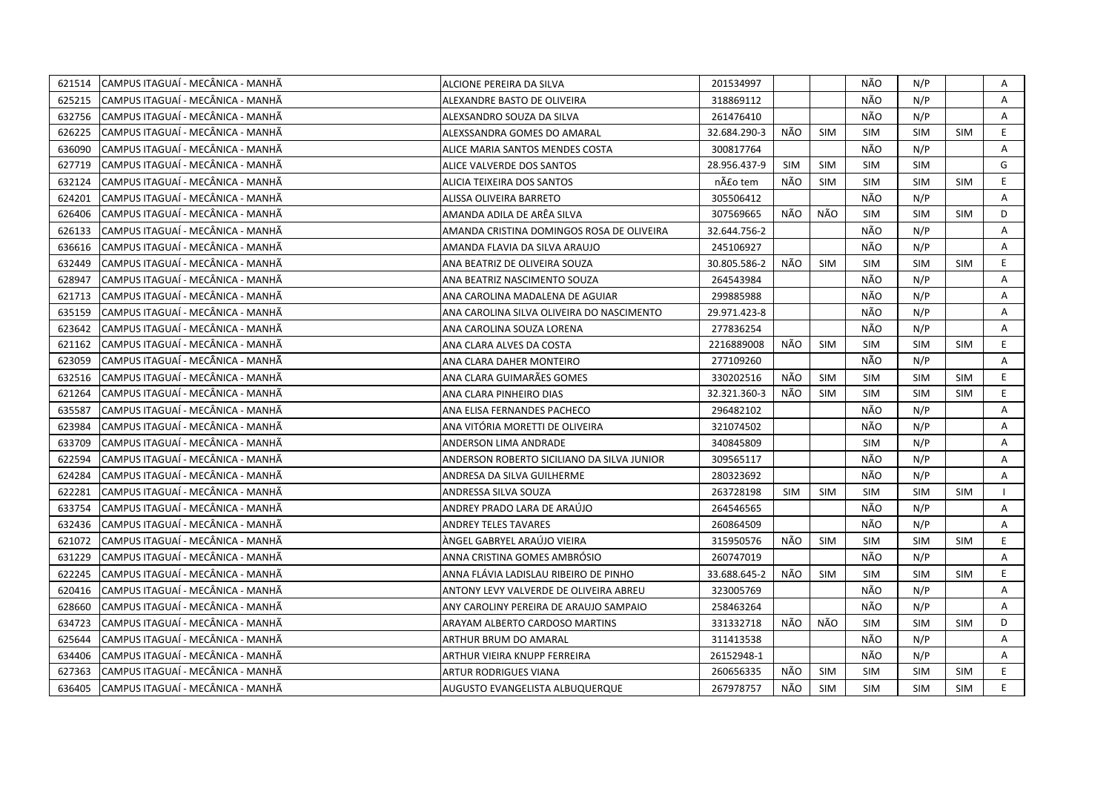|        | 621514 CAMPUS ITAGUAÍ - MECÂNICA - MANHÃ | ALCIONE PEREIRA DA SILVA                   | 201534997    |            |            | NÃO        | N/P        |            | Α            |
|--------|------------------------------------------|--------------------------------------------|--------------|------------|------------|------------|------------|------------|--------------|
| 625215 | CAMPUS ITAGUAÍ - MECÂNICA - MANHÃ        | ALEXANDRE BASTO DE OLIVEIRA                | 318869112    |            |            | NÃO        | N/P        |            | A            |
| 632756 | lCAMPUS ITAGUAÍ - MECÂNICA - MANHÃ       | ALEXSANDRO SOUZA DA SILVA                  | 261476410    |            |            | NÃO        | N/P        |            | A            |
| 626225 | CAMPUS ITAGUAÍ - MECÂNICA - MANHÃ        | ALEXSSANDRA GOMES DO AMARAL                | 32.684.290-3 | NÃO        | <b>SIM</b> | <b>SIM</b> | <b>SIM</b> | <b>SIM</b> | E            |
| 636090 | CAMPUS ITAGUAÍ - MECÂNICA - MANHÃ        | ALICE MARIA SANTOS MENDES COSTA            | 300817764    |            |            | NÃO        | N/P        |            | A            |
| 627719 | CAMPUS ITAGUAÍ - MECÂNICA - MANHÃ        | ALICE VALVERDE DOS SANTOS                  | 28.956.437-9 | SIM        | <b>SIM</b> | <b>SIM</b> | <b>SIM</b> |            | G            |
| 632124 | CAMPUS ITAGUAÍ - MECÂNICA - MANHÃ        | <b>ALICIA TEIXEIRA DOS SANTOS</b>          | não tem      | NÃO        | <b>SIM</b> | <b>SIM</b> | <b>SIM</b> | <b>SIM</b> | E.           |
| 624201 | CAMPUS ITAGUAÍ - MECÂNICA - MANHÃ        | ALISSA OLIVEIRA BARRETO                    | 305506412    |            |            | NÃO        | N/P        |            | A            |
| 626406 | CAMPUS ITAGUAÍ - MECÂNICA - MANHÃ        | AMANDA ADILA DE ARÊA SILVA                 | 307569665    | NÃO        | NÃO        | <b>SIM</b> | <b>SIM</b> | <b>SIM</b> | D            |
| 626133 | CAMPUS ITAGUAÍ - MECÂNICA - MANHÃ        | AMANDA CRISTINA DOMINGOS ROSA DE OLIVEIRA  | 32.644.756-2 |            |            | NÃO        | N/P        |            | A            |
| 636616 | CAMPUS ITAGUAÍ - MECÂNICA - MANHÃ        | AMANDA FLAVIA DA SILVA ARAUJO              | 245106927    |            |            | NÃO        | N/P        |            | A            |
| 632449 | CAMPUS ITAGUAÍ - MECÂNICA - MANHÃ        | ANA BEATRIZ DE OLIVEIRA SOUZA              | 30.805.586-2 | NÃO        | <b>SIM</b> | <b>SIM</b> | <b>SIM</b> | <b>SIM</b> | E.           |
| 628947 | CAMPUS ITAGUAÍ - MECÂNICA - MANHÃ        | ANA BEATRIZ NASCIMENTO SOUZA               | 264543984    |            |            | NÃO        | N/P        |            | Α            |
| 621713 | CAMPUS ITAGUAÍ - MECÂNICA - MANHÃ        | ANA CAROLINA MADALENA DE AGUIAR            | 299885988    |            |            | NÃO        | N/P        |            | A            |
| 635159 | CAMPUS ITAGUAÍ - MECÂNICA - MANHÃ        | ANA CAROLINA SILVA OLIVEIRA DO NASCIMENTO  | 29.971.423-8 |            |            | NÃO        | N/P        |            | A            |
| 623642 | CAMPUS ITAGUAÍ - MECÂNICA - MANHÃ        | ANA CAROLINA SOUZA LORENA                  | 277836254    |            |            | NÃO        | N/P        |            | A            |
| 621162 | CAMPUS ITAGUAÍ - MECÂNICA - MANHÃ        | ANA CLARA ALVES DA COSTA                   | 2216889008   | NÃO.       | <b>SIM</b> | <b>SIM</b> | <b>SIM</b> | <b>SIM</b> | E.           |
| 623059 | CAMPUS ITAGUAÍ - MECÂNICA - MANHÃ        | ANA CLARA DAHER MONTEIRO                   | 277109260    |            |            | NÃO        | N/P        |            | A            |
| 632516 | CAMPUS ITAGUAÍ - MECÂNICA - MANHÃ        | ANA CLARA GUIMARÃES GOMES                  | 330202516    | NÃO        | SIM        | <b>SIM</b> | <b>SIM</b> | <b>SIM</b> | E.           |
| 621264 | CAMPUS ITAGUAÍ - MECÂNICA - MANHÃ        | ANA CLARA PINHEIRO DIAS                    | 32.321.360-3 | NÃO        | <b>SIM</b> | <b>SIM</b> | <b>SIM</b> | <b>SIM</b> | E            |
| 635587 | CAMPUS ITAGUAÍ - MECÂNICA - MANHÃ        | ANA ELISA FERNANDES PACHECO                | 296482102    |            |            | NÃO        | N/P        |            | A            |
| 623984 | CAMPUS ITAGUAÍ - MECÂNICA - MANHÃ        | ANA VITÓRIA MORETTI DE OLIVEIRA            | 321074502    |            |            | NÃO        | N/P        |            | A            |
| 633709 | CAMPUS ITAGUAÍ - MECÂNICA - MANHÃ        | ANDERSON LIMA ANDRADE                      | 340845809    |            |            | <b>SIM</b> | N/P        |            | A            |
| 622594 | CAMPUS ITAGUAÍ - MECÂNICA - MANHÃ        | ANDERSON ROBERTO SICILIANO DA SILVA JUNIOR | 309565117    |            |            | NÃO        | N/P        |            | A            |
| 624284 | CAMPUS ITAGUAÍ - MECÂNICA - MANHÃ        | ANDRESA DA SILVA GUILHERME                 | 280323692    |            |            | NÃO        | N/P        |            | Α            |
| 622281 | CAMPUS ITAGUAÍ - MECÂNICA - MANHÃ        | ANDRESSA SILVA SOUZA                       | 263728198    | <b>SIM</b> | <b>SIM</b> | <b>SIM</b> | <b>SIM</b> | <b>SIM</b> |              |
| 633754 | CAMPUS ITAGUAÍ - MECÂNICA - MANHÃ        | ANDREY PRADO LARA DE ARAÚJO                | 264546565    |            |            | NÃO        | N/P        |            | Α            |
| 632436 | CAMPUS ITAGUAÍ - MECÂNICA - MANHÃ        | <b>ANDREY TELES TAVARES</b>                | 260864509    |            |            | NÃO        | N/P        |            | A            |
| 621072 | CAMPUS ITAGUAÍ - MECÂNICA - MANHÃ        | ÀNGEL GABRYEL ARAÚJO VIEIRA                | 315950576    | NÃO        | <b>SIM</b> | <b>SIM</b> | <b>SIM</b> | <b>SIM</b> | E.           |
| 631229 | CAMPUS ITAGUAÍ - MECÂNICA - MANHÃ        | ANNA CRISTINA GOMES AMBRÓSIO               | 260747019    |            |            | NÃO        | N/P        |            | Α            |
| 622245 | CAMPUS ITAGUAÍ - MECÂNICA - MANHÃ        | ANNA FLÁVIA LADISLAU RIBEIRO DE PINHO      | 33.688.645-2 | NÃO        | <b>SIM</b> | <b>SIM</b> | <b>SIM</b> | <b>SIM</b> | E.           |
| 620416 | CAMPUS ITAGUAÍ - MECÂNICA - MANHÃ        | ANTONY LEVY VALVERDE DE OLIVEIRA ABREU     | 323005769    |            |            | NÃO        | N/P        |            | A            |
| 628660 | CAMPUS ITAGUAÍ - MECÂNICA - MANHÃ        | ANY CAROLINY PEREIRA DE ARAUJO SAMPAIO     | 258463264    |            |            | NÃO        | N/P        |            | $\mathsf{A}$ |
| 634723 | CAMPUS ITAGUAÍ - MECÂNICA - MANHÃ        | ARAYAM ALBERTO CARDOSO MARTINS             | 331332718    | NÃO        | NÃO        | <b>SIM</b> | <b>SIM</b> | <b>SIM</b> | D            |
| 625644 | CAMPUS ITAGUAÍ - MECÂNICA - MANHÃ        | ARTHUR BRUM DO AMARAL                      | 311413538    |            |            | NÃO        | N/P        |            | A            |
| 634406 | CAMPUS ITAGUAÍ - MECÂNICA - MANHÃ        | ARTHUR VIEIRA KNUPP FERREIRA               | 26152948-1   |            |            | NÃO        | N/P        |            | $\mathsf{A}$ |
| 627363 | CAMPUS ITAGUAÍ - MECÂNICA - MANHÃ        | ARTUR RODRIGUES VIANA                      | 260656335    | NÃO        | <b>SIM</b> | <b>SIM</b> | <b>SIM</b> | <b>SIM</b> | E.           |
| 636405 | CAMPUS ITAGUAÍ - MECÂNICA - MANHÃ        | AUGUSTO EVANGELISTA ALBUQUERQUE            | 267978757    | NÃO        | SIM        | <b>SIM</b> | <b>SIM</b> | <b>SIM</b> | E.           |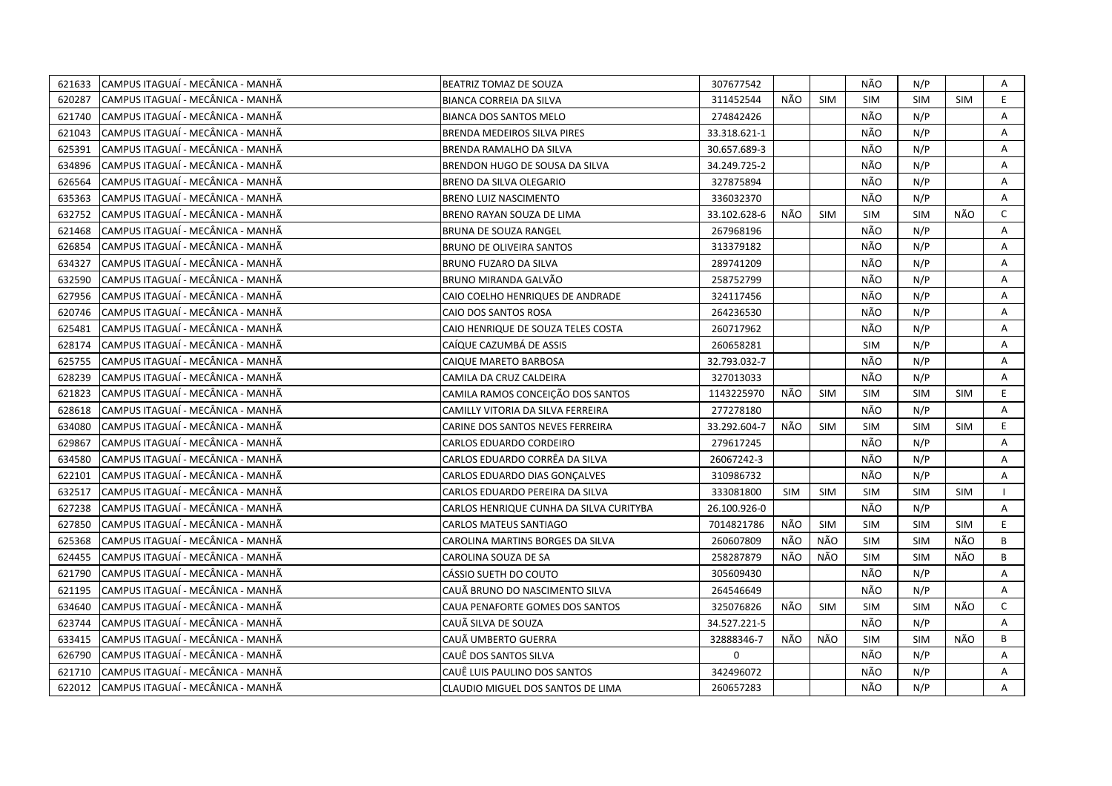| 621633 | CAMPUS ITAGUAÍ - MECÂNICA - MANHÃ | BEATRIZ TOMAZ DE SOUZA                  | 307677542    |            |            | NÃO        | N/P        |            | Α            |
|--------|-----------------------------------|-----------------------------------------|--------------|------------|------------|------------|------------|------------|--------------|
| 620287 | CAMPUS ITAGUAÍ - MECÂNICA - MANHÃ | <b>BIANCA CORREIA DA SILVA</b>          | 311452544    | NÃO        | <b>SIM</b> | SIM        | <b>SIM</b> | <b>SIM</b> | E            |
| 621740 | CAMPUS ITAGUAÍ - MECÂNICA - MANHÃ | <b>BIANCA DOS SANTOS MELO</b>           | 274842426    |            |            | NÃO        | N/P        |            | A            |
| 621043 | CAMPUS ITAGUAÍ - MECÂNICA - MANHÃ | BRENDA MEDEIROS SILVA PIRES             | 33.318.621-1 |            |            | NÃO        | N/P        |            | A            |
| 625391 | CAMPUS ITAGUAÍ - MECÂNICA - MANHÃ | BRENDA RAMALHO DA SILVA                 | 30.657.689-3 |            |            | NÃO        | N/P        |            | A            |
| 634896 | CAMPUS ITAGUAÍ - MECÂNICA - MANHÃ | BRENDON HUGO DE SOUSA DA SILVA          | 34.249.725-2 |            |            | NÃO        | N/P        |            | Α            |
| 626564 | CAMPUS ITAGUAÍ - MECÂNICA - MANHÃ | BRENO DA SILVA OLEGARIO                 | 327875894    |            |            | NÃO        | N/P        |            | Α            |
| 635363 | CAMPUS ITAGUAÍ - MECÂNICA - MANHÃ | BRENO LUIZ NASCIMENTO                   | 336032370    |            |            | NÃO        | N/P        |            | A            |
| 632752 | CAMPUS ITAGUAÍ - MECÂNICA - MANHÃ | BRENO RAYAN SOUZA DE LIMA               | 33.102.628-6 | NÃO        | <b>SIM</b> | <b>SIM</b> | <b>SIM</b> | NÃO        | C            |
| 621468 | CAMPUS ITAGUAÍ - MECÂNICA - MANHÃ | <b>BRUNA DE SOUZA RANGEL</b>            | 267968196    |            |            | NÃO        | N/P        |            | A            |
| 626854 | CAMPUS ITAGUAÍ - MECÂNICA - MANHÃ | <b>BRUNO DE OLIVEIRA SANTOS</b>         | 313379182    |            |            | NÃO        | N/P        |            | A            |
| 634327 | CAMPUS ITAGUAÍ - MECÂNICA - MANHÃ | BRUNO FUZARO DA SILVA                   | 289741209    |            |            | NÃO        | N/P        |            | A            |
| 632590 | CAMPUS ITAGUAÍ - MECÂNICA - MANHÃ | BRUNO MIRANDA GALVÃO                    | 258752799    |            |            | NÃO        | N/P        |            | Α            |
| 627956 | CAMPUS ITAGUAÍ - MECÂNICA - MANHÃ | CAIO COELHO HENRIQUES DE ANDRADE        | 324117456    |            |            | NÃO        | N/P        |            | Α            |
| 620746 | CAMPUS ITAGUAÍ - MECÂNICA - MANHÃ | CAIO DOS SANTOS ROSA                    | 264236530    |            |            | NÃO        | N/P        |            | A            |
| 625481 | CAMPUS ITAGUAÍ - MECÂNICA - MANHÃ | CAIO HENRIQUE DE SOUZA TELES COSTA      | 260717962    |            |            | NÃO        | N/P        |            | Α            |
| 628174 | CAMPUS ITAGUAÍ - MECÂNICA - MANHÃ | CAÍQUE CAZUMBÁ DE ASSIS                 | 260658281    |            |            | <b>SIM</b> | N/P        |            | A            |
| 625755 | CAMPUS ITAGUAÍ - MECÂNICA - MANHÃ | CAIQUE MARETO BARBOSA                   | 32.793.032-7 |            |            | NÃO        | N/P        |            | Α            |
| 628239 | CAMPUS ITAGUAÍ - MECÂNICA - MANHÃ | CAMILA DA CRUZ CALDEIRA                 | 327013033    |            |            | NÃO        | N/P        |            | Α            |
| 621823 | CAMPUS ITAGUAÍ - MECÂNICA - MANHÃ | CAMILA RAMOS CONCEIÇÃO DOS SANTOS       | 1143225970   | NÃO        | <b>SIM</b> | <b>SIM</b> | <b>SIM</b> | <b>SIM</b> | E.           |
| 628618 | CAMPUS ITAGUAÍ - MECÂNICA - MANHÃ | CAMILLY VITORIA DA SILVA FERREIRA       | 277278180    |            |            | NÃO        | N/P        |            | A            |
| 634080 | CAMPUS ITAGUAÍ - MECÂNICA - MANHÃ | CARINE DOS SANTOS NEVES FERREIRA        | 33.292.604-7 | NÃO        | <b>SIM</b> | <b>SIM</b> | <b>SIM</b> | <b>SIM</b> | E.           |
| 629867 | CAMPUS ITAGUAÍ - MECÂNICA - MANHÃ | CARLOS EDUARDO CORDEIRO                 | 279617245    |            |            | NÃO        | N/P        |            | A            |
| 634580 | CAMPUS ITAGUAÍ - MECÂNICA - MANHÃ | CARLOS EDUARDO CORRÊA DA SILVA          | 26067242-3   |            |            | NÃO        | N/P        |            | Α            |
| 622101 | CAMPUS ITAGUAÍ - MECÂNICA - MANHÃ | CARLOS EDUARDO DIAS GONCALVES           | 310986732    |            |            | NÃO        | N/P        |            | A            |
| 632517 | CAMPUS ITAGUAI - MECÂNICA - MANHÃ | CARLOS EDUARDO PEREIRA DA SILVA         | 333081800    | <b>SIM</b> | SIM        | <b>SIM</b> | <b>SIM</b> | <b>SIM</b> |              |
| 627238 | CAMPUS ITAGUAI - MECÂNICA - MANHÃ | CARLOS HENRIQUE CUNHA DA SILVA CURITYBA | 26.100.926-0 |            |            | NÃO        | N/P        |            | A            |
| 627850 | CAMPUS ITAGUAÍ - MECÂNICA - MANHÃ | <b>CARLOS MATEUS SANTIAGO</b>           | 7014821786   | NÃO        | SIM        | <b>SIM</b> | <b>SIM</b> | <b>SIM</b> | E.           |
| 625368 | CAMPUS ITAGUAÍ - MECÂNICA - MANHÃ | CAROLINA MARTINS BORGES DA SILVA        | 260607809    | NÃO.       | NÃO        | <b>SIM</b> | <b>SIM</b> | NÃO        | B            |
| 624455 | CAMPUS ITAGUAÍ - MECÂNICA - MANHÃ | CAROLINA SOUZA DE SA                    | 258287879    | NÃO        | NÃO        | <b>SIM</b> | <b>SIM</b> | NÃO        | B            |
| 621790 | CAMPUS ITAGUAÍ - MECÂNICA - MANHÃ | CÁSSIO SUETH DO COUTO                   | 305609430    |            |            | NÃO        | N/P        |            | Α            |
| 621195 | CAMPUS ITAGUAI - MECÂNICA - MANHÃ | CAUÃ BRUNO DO NASCIMENTO SILVA          | 264546649    |            |            | NÃO        | N/P        |            | A            |
| 634640 | CAMPUS ITAGUAÍ - MECÂNICA - MANHÃ | CAUA PENAFORTE GOMES DOS SANTOS         | 325076826    | NÃO        | SIM        | <b>SIM</b> | <b>SIM</b> | NÃO        | $\mathsf{C}$ |
| 623744 | CAMPUS ITAGUAÍ - MECÂNICA - MANHÃ | CAUÃ SILVA DE SOUZA                     | 34.527.221-5 |            |            | NÃO        | N/P        |            | A            |
| 633415 | CAMPUS ITAGUAÍ - MECÂNICA - MANHÃ | CAUÃ UMBERTO GUERRA                     | 32888346-7   | NÃO        | NÃO        | <b>SIM</b> | <b>SIM</b> | NÃO        | B            |
| 626790 | CAMPUS ITAGUAI - MECÂNICA - MANHÃ | CAUE DOS SANTOS SILVA                   | $\mathsf{O}$ |            |            | NÃO        | N/P        |            | A            |
| 621710 | CAMPUS ITAGUAÍ - MECÂNICA - MANHÃ | CAUË LUIS PAULINO DOS SANTOS            | 342496072    |            |            | NÃO        | N/P        |            | A            |
| 622012 | CAMPUS ITAGUAÍ - MECÂNICA - MANHÃ | CLAUDIO MIGUEL DOS SANTOS DE LIMA       | 260657283    |            |            | NÃO        | N/P        |            | A            |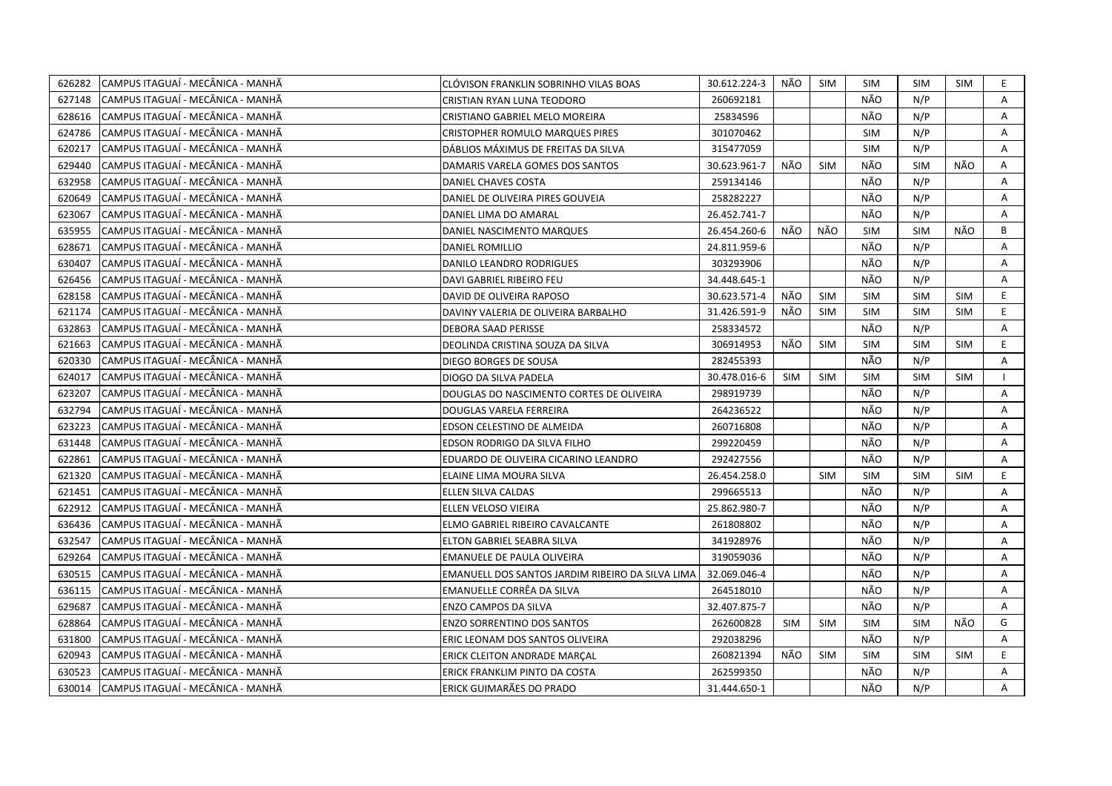| 626282 | CAMPUS ITAGUAÍ - MECÂNICA - MANHÃ | CLÓVISON FRANKLIN SOBRINHO VILAS BOAS            | 30.612.224-3 | NÃO        | SIM        | SIM        | <b>SIM</b> | SIM        | E. |
|--------|-----------------------------------|--------------------------------------------------|--------------|------------|------------|------------|------------|------------|----|
| 627148 | CAMPUS ITAGUAÍ - MECÂNICA - MANHÃ | CRISTIAN RYAN LUNA TEODORO                       | 260692181    |            |            | NÃO        | N/P        |            | A  |
| 628616 | CAMPUS ITAGUAÍ - MECÂNICA - MANHÃ | CRISTIANO GABRIEL MELO MOREIRA                   | 25834596     |            |            | NÃO        | N/P        |            | A  |
| 624786 | CAMPUS ITAGUAÍ - MECÂNICA - MANHÃ | <b>CRISTOPHER ROMULO MARQUES PIRES</b>           | 301070462    |            |            | <b>SIM</b> | N/P        |            | A  |
| 620217 | CAMPUS ITAGUAÍ - MECÂNICA - MANHÃ | DÁBLIOS MÁXIMUS DE FREITAS DA SILVA              | 315477059    |            |            | <b>SIM</b> | N/P        |            | Α  |
| 629440 | CAMPUS ITAGUAÍ - MECÂNICA - MANHÃ | DAMARIS VARELA GOMES DOS SANTOS                  | 30.623.961-7 | NÃO        | <b>SIM</b> | NÃO        | <b>SIM</b> | NÃO        | Α  |
| 632958 | CAMPUS ITAGUAÍ - MECÂNICA - MANHÃ | DANIEL CHAVES COSTA                              | 259134146    |            |            | NÃO        | N/P        |            | A  |
| 620649 | CAMPUS ITAGUAÍ - MECÂNICA - MANHÃ | DANIEL DE OLIVEIRA PIRES GOUVEIA                 | 258282227    |            |            | NÃO        | N/P        |            | Α  |
| 623067 | CAMPUS ITAGUAÍ - MECÂNICA - MANHÃ | DANIEL LIMA DO AMARAL                            | 26.452.741-7 |            |            | NÃO        | N/P        |            | A  |
| 635955 | CAMPUS ITAGUAÍ - MECÂNICA - MANHÃ | DANIEL NASCIMENTO MARQUES                        | 26.454.260-6 | NÃO        | NÃO        | <b>SIM</b> | <b>SIM</b> | NÃO        | B  |
| 628671 | CAMPUS ITAGUAÍ - MECÂNICA - MANHÃ | DANIEL ROMILLIO                                  | 24.811.959-6 |            |            | NÃO        | N/P        |            | A  |
| 630407 | CAMPUS ITAGUAÍ - MECÂNICA - MANHÃ | DANILO LEANDRO RODRIGUES                         | 303293906    |            |            | NÃO        | N/P        |            | Α  |
| 626456 | CAMPUS ITAGUAÍ - MECÂNICA - MANHÃ | DAVI GABRIEL RIBEIRO FEU                         | 34.448.645-1 |            |            | NÃO        | N/P        |            | A  |
| 628158 | CAMPUS ITAGUAÍ - MECÂNICA - MANHÃ | DAVID DE OLIVEIRA RAPOSO                         | 30.623.571-4 | NÃO        | <b>SIM</b> | <b>SIM</b> | <b>SIM</b> | <b>SIM</b> | E. |
| 621174 | CAMPUS ITAGUAÍ - MECÂNICA - MANHÃ | DAVINY VALERIA DE OLIVEIRA BARBALHO              | 31.426.591-9 | NÃO        | <b>SIM</b> | <b>SIM</b> | <b>SIM</b> | <b>SIM</b> | E. |
| 632863 | CAMPUS ITAGUAÍ - MECÂNICA - MANHÃ | <b>DEBORA SAAD PERISSE</b>                       | 258334572    |            |            | NÃO        | N/P        |            | A  |
| 621663 | CAMPUS ITAGUAÍ - MECÂNICA - MANHÃ | DEOLINDA CRISTINA SOUZA DA SILVA                 | 306914953    | NÃO        | SIM        | SIM        | <b>SIM</b> | <b>SIM</b> | E  |
| 620330 | CAMPUS ITAGUAÍ - MECÂNICA - MANHÃ | DIEGO BORGES DE SOUSA                            | 282455393    |            |            | NÃO        | N/P        |            | Α  |
| 624017 | CAMPUS ITAGUAÍ - MECÂNICA - MANHÃ | DIOGO DA SILVA PADELA                            | 30.478.016-6 | <b>SIM</b> | <b>SIM</b> | <b>SIM</b> | <b>SIM</b> | SIM        |    |
| 623207 | CAMPUS ITAGUAÍ - MECÂNICA - MANHÃ | DOUGLAS DO NASCIMENTO CORTES DE OLIVEIRA         | 298919739    |            |            | NÃO        | N/P        |            | A  |
| 632794 | CAMPUS ITAGUAÍ - MECÂNICA - MANHÃ | DOUGLAS VARELA FERREIRA                          | 264236522    |            |            | NÃO        | N/P        |            | Α  |
| 623223 | CAMPUS ITAGUAÍ - MECÂNICA - MANHÃ | EDSON CELESTINO DE ALMEIDA                       | 260716808    |            |            | NÃO        | N/P        |            | A  |
| 631448 | CAMPUS ITAGUAÍ - MECÂNICA - MANHÃ | EDSON RODRIGO DA SILVA FILHO                     | 299220459    |            |            | NÃO        | N/P        |            | A  |
| 622861 | CAMPUS ITAGUAÍ - MECÂNICA - MANHÃ | EDUARDO DE OLIVEIRA CICARINO LEANDRO             | 292427556    |            |            | NÃO        | N/P        |            | A  |
| 621320 | CAMPUS ITAGUAI - MECÂNICA - MANHÃ | ELAINE LIMA MOURA SILVA                          | 26.454.258.0 |            | <b>SIM</b> | <b>SIM</b> | <b>SIM</b> | <b>SIM</b> | E. |
| 621451 | CAMPUS ITAGUAI - MECÂNICA - MANHÃ | ELLEN SILVA CALDAS                               | 299665513    |            |            | NÃO        | N/P        |            | A  |
| 622912 | CAMPUS ITAGUAÍ - MECÂNICA - MANHÃ | ELLEN VELOSO VIEIRA                              | 25.862.980-7 |            |            | NÃO        | N/P        |            | A  |
| 636436 | CAMPUS ITAGUAÍ - MECÂNICA - MANHÃ | ELMO GABRIEL RIBEIRO CAVALCANTE                  | 261808802    |            |            | NÃO        | N/P        |            | A  |
| 632547 | CAMPUS ITAGUAÍ - MECÂNICA - MANHÃ | ELTON GABRIEL SEABRA SILVA                       | 341928976    |            |            | NÃO        | N/P        |            | A  |
| 629264 | CAMPUS ITAGUAÍ - MECÂNICA - MANHÃ | EMANUELE DE PAULA OLIVEIRA                       | 319059036    |            |            | NÃO        | N/P        |            | Α  |
| 630515 | CAMPUS ITAGUAÍ - MECÂNICA - MANHÃ | EMANUELL DOS SANTOS JARDIM RIBEIRO DA SILVA LIMA | 32.069.046-4 |            |            | NÃO        | N/P        |            | A  |
| 636115 | CAMPUS ITAGUAÍ - MECÂNICA - MANHÃ | EMANUELLE CORRÊA DA SILVA                        | 264518010    |            |            | NÃO        | N/P        |            | Α  |
| 629687 | CAMPUS ITAGUAI - MECÂNICA - MANHÃ | ENZO CAMPOS DA SILVA                             | 32.407.875-7 |            |            | NÃO        | N/P        |            | A  |
| 628864 | CAMPUS ITAGUAÍ - MECÂNICA - MANHÃ | ENZO SORRENTINO DOS SANTOS                       | 262600828    | <b>SIM</b> | <b>SIM</b> | <b>SIM</b> | <b>SIM</b> | NÃO        | G  |
| 631800 | CAMPUS ITAGUAÍ - MECÂNICA - MANHÃ | ERIC LEONAM DOS SANTOS OLIVEIRA                  | 292038296    |            |            | NÃO        | N/P        |            | A  |
| 620943 | CAMPUS ITAGUAÍ - MECÂNICA - MANHÃ | <b>ERICK CLEITON ANDRADE MARCAL</b>              | 260821394    | NÃO        | <b>SIM</b> | <b>SIM</b> | <b>SIM</b> | <b>SIM</b> | E. |
| 630523 | CAMPUS ITAGUAÍ - MECÂNICA - MANHÃ | ERICK FRANKLIM PINTO DA COSTA                    | 262599350    |            |            | NÃO        | N/P        |            | A  |
| 630014 | CAMPUS ITAGUAÍ - MECÂNICA - MANHÃ | ERICK GUIMARÃES DO PRADO                         | 31.444.650-1 |            |            | NÃO        | N/P        |            | A  |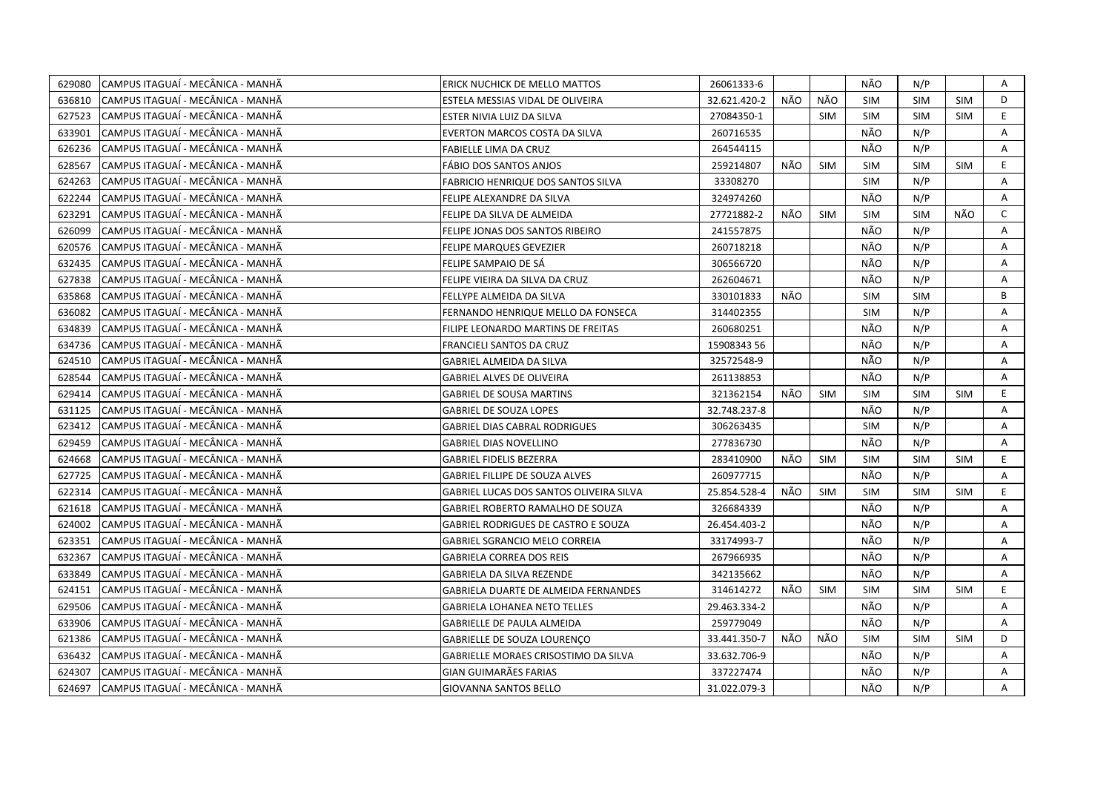| 629080 | CAMPUS ITAGUAÍ - MECÂNICA - MANHÃ | ERICK NUCHICK DE MELLO MATTOS              | 26061333-6   |     |            | NÃO        | N/P        |            | Α            |
|--------|-----------------------------------|--------------------------------------------|--------------|-----|------------|------------|------------|------------|--------------|
| 636810 | CAMPUS ITAGUAÍ - MECÂNICA - MANHÃ | ESTELA MESSIAS VIDAL DE OLIVEIRA           | 32.621.420-2 | NÃO | NÃO        | <b>SIM</b> | <b>SIM</b> | <b>SIM</b> | D            |
| 627523 | CAMPUS ITAGUAÍ - MECÂNICA - MANHÃ | ESTER NIVIA LUIZ DA SILVA                  | 27084350-1   |     | <b>SIM</b> | <b>SIM</b> | <b>SIM</b> | <b>SIM</b> | E.           |
| 633901 | CAMPUS ITAGUAÍ - MECÂNICA - MANHÃ | EVERTON MARCOS COSTA DA SILVA              | 260716535    |     |            | NÃO        | N/P        |            | Α            |
| 626236 | CAMPUS ITAGUAÍ - MECÂNICA - MANHÃ | FABIELLE LIMA DA CRUZ                      | 264544115    |     |            | NÃO        | N/P        |            | Α            |
| 628567 | CAMPUS ITAGUAÍ - MECÂNICA - MANHÃ | FÁBIO DOS SANTOS ANJOS                     | 259214807    | NÃO | <b>SIM</b> | <b>SIM</b> | <b>SIM</b> | <b>SIM</b> | E            |
| 624263 | CAMPUS ITAGUAÍ - MECÂNICA - MANHÃ | <b>FABRICIO HENRIQUE DOS SANTOS SILVA</b>  | 33308270     |     |            | <b>SIM</b> | N/P        |            | A            |
| 622244 | CAMPUS ITAGUAÍ - MECÂNICA - MANHÃ | FELIPE ALEXANDRE DA SILVA                  | 324974260    |     |            | NÃO        | N/P        |            | A            |
| 623291 | CAMPUS ITAGUAÍ - MECÂNICA - MANHÃ | FELIPE DA SILVA DE ALMEIDA                 | 27721882-2   | NÃO | <b>SIM</b> | <b>SIM</b> | <b>SIM</b> | NÃO        | C            |
| 626099 | CAMPUS ITAGUAÍ - MECÂNICA - MANHÃ | FELIPE JONAS DOS SANTOS RIBEIRO            | 241557875    |     |            | NÃO        | N/P        |            | A            |
| 620576 | CAMPUS ITAGUAÍ - MECÂNICA - MANHÃ | FELIPE MARQUES GEVEZIER                    | 260718218    |     |            | NÃO        | N/P        |            | Α            |
| 632435 | CAMPUS ITAGUAÍ - MECÂNICA - MANHÃ | FELIPE SAMPAIO DE SÁ                       | 306566720    |     |            | NÃO        | N/P        |            | A            |
| 627838 | CAMPUS ITAGUAÍ - MECÂNICA - MANHÃ | FELIPE VIEIRA DA SILVA DA CRUZ             | 262604671    |     |            | NÃO        | N/P        |            | A            |
| 635868 | CAMPUS ITAGUAÍ - MECÂNICA - MANHÃ | FELLYPE ALMEIDA DA SILVA                   | 330101833    | NÃO |            | <b>SIM</b> | <b>SIM</b> |            | B            |
| 636082 | CAMPUS ITAGUAÍ - MECÂNICA - MANHÃ | FERNANDO HENRIQUE MELLO DA FONSECA         | 314402355    |     |            | <b>SIM</b> | N/P        |            | A            |
| 634839 | CAMPUS ITAGUAÍ - MECÂNICA - MANHÃ | FILIPE LEONARDO MARTINS DE FREITAS         | 260680251    |     |            | NÃO        | N/P        |            | A            |
| 634736 | CAMPUS ITAGUAÍ - MECÂNICA - MANHÃ | FRANCIELI SANTOS DA CRUZ                   | 15908343 56  |     |            | NÃO        | N/P        |            | $\mathsf{A}$ |
| 624510 | CAMPUS ITAGUAÍ - MECÂNICA - MANHÃ | GABRIEL ALMEIDA DA SILVA                   | 32572548-9   |     |            | NÃO        | N/P        |            | A            |
| 628544 | CAMPUS ITAGUAÍ - MECÂNICA - MANHÃ | <b>GABRIEL ALVES DE OLIVEIRA</b>           | 261138853    |     |            | NÃO        | N/P        |            | A            |
| 629414 | CAMPUS ITAGUAÍ - MECÂNICA - MANHÃ | <b>GABRIEL DE SOUSA MARTINS</b>            | 321362154    | NÃO | SIM        | <b>SIM</b> | <b>SIM</b> | <b>SIM</b> | E.           |
| 631125 | CAMPUS ITAGUAÍ - MECÂNICA - MANHÃ | <b>GABRIEL DE SOUZA LOPES</b>              | 32.748.237-8 |     |            | NÃO        | N/P        |            | A            |
| 623412 | CAMPUS ITAGUAÍ - MECÂNICA - MANHÃ | <b>GABRIEL DIAS CABRAL RODRIGUES</b>       | 306263435    |     |            | <b>SIM</b> | N/P        |            | A            |
| 629459 | CAMPUS ITAGUAÍ - MECÂNICA - MANHÃ | <b>GABRIEL DIAS NOVELLINO</b>              | 277836730    |     |            | NÃO        | N/P        |            | A            |
| 624668 | CAMPUS ITAGUAÍ - MECÂNICA - MANHÃ | <b>GABRIEL FIDELIS BEZERRA</b>             | 283410900    | NÃO | <b>SIM</b> | <b>SIM</b> | <b>SIM</b> | <b>SIM</b> | E.           |
| 627725 | CAMPUS ITAGUAÍ - MECÂNICA - MANHÃ | <b>GABRIEL FILLIPE DE SOUZA ALVES</b>      | 260977715    |     |            | NÃO        | N/P        |            | A            |
| 622314 | CAMPUS ITAGUAÍ - MECÂNICA - MANHÃ | GABRIEL LUCAS DOS SANTOS OLIVEIRA SILVA    | 25.854.528-4 | NÃO | <b>SIM</b> | <b>SIM</b> | <b>SIM</b> | <b>SIM</b> | E.           |
| 621618 | CAMPUS ITAGUAÍ - MECÂNICA - MANHÃ | <b>GABRIEL ROBERTO RAMALHO DE SOUZA</b>    | 326684339    |     |            | NÃO        | N/P        |            | A            |
| 624002 | CAMPUS ITAGUAÍ - MECÂNICA - MANHÃ | <b>GABRIEL RODRIGUES DE CASTRO E SOUZA</b> | 26.454.403-2 |     |            | NÃO        | N/P        |            | Α            |
| 623351 | CAMPUS ITAGUAÍ - MECÂNICA - MANHÃ | GABRIEL SGRANCIO MELO CORREIA              | 33174993-7   |     |            | NÃO        | N/P        |            | A            |
| 632367 | CAMPUS ITAGUAÍ - MECÂNICA - MANHÃ | <b>GABRIELA CORREA DOS REIS</b>            | 267966935    |     |            | NÃO        | N/P        |            | Α            |
| 633849 | CAMPUS ITAGUAÍ - MECÂNICA - MANHÃ | <b>GABRIELA DA SILVA REZENDE</b>           | 342135662    |     |            | NÃO        | N/P        |            | Α            |
| 624151 | CAMPUS ITAGUAÍ - MECÂNICA - MANHÃ | GABRIELA DUARTE DE ALMEIDA FERNANDES       | 314614272    | NÃO | <b>SIM</b> | <b>SIM</b> | <b>SIM</b> | <b>SIM</b> | E.           |
| 629506 | CAMPUS ITAGUAÍ - MECÂNICA - MANHÃ | <b>GABRIELA LOHANEA NETO TELLES</b>        | 29.463.334-2 |     |            | NÃO        | N/P        |            | A            |
| 633906 | CAMPUS ITAGUAÍ - MECÂNICA - MANHÃ | GABRIELLE DE PAULA ALMEIDA                 | 259779049    |     |            | NÃO        | N/P        |            | A            |
| 621386 | CAMPUS ITAGUAÍ - MECÂNICA - MANHÃ | <b>GABRIELLE DE SOUZA LOURENCO</b>         | 33.441.350-7 | NÃO | NÃO        | <b>SIM</b> | <b>SIM</b> | <b>SIM</b> | D            |
| 636432 | CAMPUS ITAGUAÍ - MECÂNICA - MANHÃ | GABRIELLE MORAES CRISOSTIMO DA SILVA       | 33.632.706-9 |     |            | NÃO        | N/P        |            | Α            |
| 624307 | CAMPUS ITAGUAÍ - MECÂNICA - MANHÃ | GIAN GUIMARÃES FARIAS                      | 337227474    |     |            | NÃO        | N/P        |            | Α            |
| 624697 | CAMPUS ITAGUAÍ - MECÂNICA - MANHÃ | <b>GIOVANNA SANTOS BELLO</b>               | 31.022.079-3 |     |            | NÃO        | N/P        |            | A            |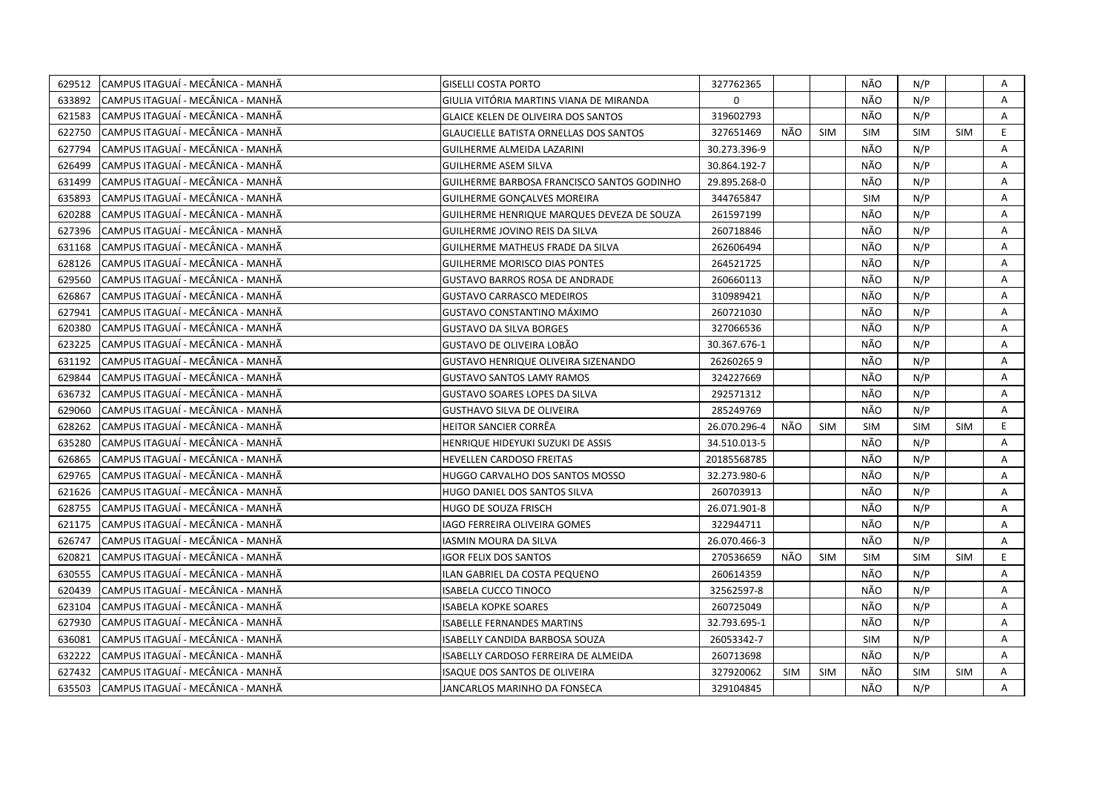| 629512 | CAMPUS ITAGUAÍ - MECÂNICA - MANHÃ  | <b>GISELLI COSTA PORTO</b>                    | 327762365    |            |            | NÃO        | N/P        |            | Α  |
|--------|------------------------------------|-----------------------------------------------|--------------|------------|------------|------------|------------|------------|----|
| 633892 | CAMPUS ITAGUAÍ - MECÂNICA - MANHÃ  | GIULIA VITÓRIA MARTINS VIANA DE MIRANDA       | $\Omega$     |            |            | NÃO        | N/P        |            | A  |
| 621583 | CAMPUS ITAGUAÍ - MECÂNICA - MANHÃ  | <b>GLAICE KELEN DE OLIVEIRA DOS SANTOS</b>    | 319602793    |            |            | NÃO        | N/P        |            | A  |
| 622750 | CAMPUS ITAGUAÍ - MECÂNICA - MANHÃ  | <b>GLAUCIELLE BATISTA ORNELLAS DOS SANTOS</b> | 327651469    | NÃO        | <b>SIM</b> | <b>SIM</b> | <b>SIM</b> | <b>SIM</b> | E. |
| 627794 | CAMPUS ITAGUAÍ - MECÂNICA - MANHÃ  | GUILHERME ALMEIDA LAZARINI                    | 30.273.396-9 |            |            | NÃO        | N/P        |            | A  |
| 626499 | CAMPUS ITAGUAÍ - MECÂNICA - MANHÃ  | <b>GUILHERME ASEM SILVA</b>                   | 30.864.192-7 |            |            | NÃO        | N/P        |            | Α  |
| 631499 | CAMPUS ITAGUAÍ - MECÂNICA - MANHÃ  | GUILHERME BARBOSA FRANCISCO SANTOS GODINHO    | 29.895.268-0 |            |            | NÃO        | N/P        |            | Α  |
| 635893 | CAMPUS ITAGUAÍ - MECÂNICA - MANHÃ  | GUILHERME GONÇALVES MOREIRA                   | 344765847    |            |            | <b>SIM</b> | N/P        |            | A  |
| 620288 | CAMPUS ITAGUAÍ - MECÂNICA - MANHÃ  | GUILHERME HENRIQUE MARQUES DEVEZA DE SOUZA    | 261597199    |            |            | NÃO        | N/P        |            | Α  |
| 627396 | CAMPUS ITAGUAÍ - MECÂNICA - MANHÃ  | GUILHERME JOVINO REIS DA SILVA                | 260718846    |            |            | NÃO        | N/P        |            | A  |
| 631168 | CAMPUS ITAGUAÍ - MECÂNICA - MANHÃ  | GUILHERME MATHEUS FRADE DA SILVA              | 262606494    |            |            | NÃO        | N/P        |            | A  |
| 628126 | CAMPUS ITAGUAÍ - MECÂNICA - MANHÃ  | <b>GUILHERME MORISCO DIAS PONTES</b>          | 264521725    |            |            | NÃO        | N/P        |            | Α  |
| 629560 | CAMPUS ITAGUAÍ - MECÂNICA - MANHÃ  | <b>GUSTAVO BARROS ROSA DE ANDRADE</b>         | 260660113    |            |            | NÃO        | N/P        |            | A  |
| 626867 | CAMPUS ITAGUAÍ - MECÂNICA - MANHÃ  | <b>GUSTAVO CARRASCO MEDEIROS</b>              | 310989421    |            |            | NÃO        | N/P        |            | A  |
| 627941 | CAMPUS ITAGUAÍ - MECÂNICA - MANHÃ  | GUSTAVO CONSTANTINO MÁXIMO                    | 260721030    |            |            | NÃO        | N/P        |            | Α  |
| 620380 | CAMPUS ITAGUAÍ - MECÂNICA - MANHÃ  | <b>GUSTAVO DA SILVA BORGES</b>                | 327066536    |            |            | NÃO        | N/P        |            | A  |
| 623225 | CAMPUS ITAGUAÍ - MECÂNICA - MANHÃ  | GUSTAVO DE OLIVEIRA LOBÃO                     | 30.367.676-1 |            |            | NÃO        | N/P        |            | A  |
| 631192 | CAMPUS ITAGUAÍ - MECÂNICA - MANHÃ  | GUSTAVO HENRIQUE OLIVEIRA SIZENANDO           | 262602659    |            |            | NÃO        | N/P        |            | A  |
| 629844 | CAMPUS ITAGUAÍ - MECÂNICA - MANHÃ  | <b>GUSTAVO SANTOS LAMY RAMOS</b>              | 324227669    |            |            | NÃO        | N/P        |            | A  |
| 636732 | CAMPUS ITAGUAÍ - MECÂNICA - MANHÃ  | GUSTAVO SOARES LOPES DA SILVA                 | 292571312    |            |            | NÃO        | N/P        |            | Α  |
| 629060 | ICAMPUS ITAGUAÍ - MECÂNICA - MANHÃ | <b>GUSTHAVO SILVA DE OLIVEIRA</b>             | 285249769    |            |            | NÃO        | N/P        |            | A  |
| 628262 | CAMPUS ITAGUAÍ - MECÂNICA - MANHÃ  | HEITOR SANCIER CORRËA                         | 26.070.296-4 | NÃO        | <b>SIM</b> | <b>SIM</b> | <b>SIM</b> | <b>SIM</b> | E. |
| 635280 | CAMPUS ITAGUAÍ - MECÂNICA - MANHÃ  | HENRIQUE HIDEYUKI SUZUKI DE ASSIS             | 34.510.013-5 |            |            | NÃO        | N/P        |            | A  |
| 626865 | CAMPUS ITAGUAÍ - MECÂNICA - MANHÃ  | HEVELLEN CARDOSO FREITAS                      | 20185568785  |            |            | NÃO        | N/P        |            | A  |
| 629765 | CAMPUS ITAGUAÍ - MECÂNICA - MANHÃ  | HUGGO CARVALHO DOS SANTOS MOSSO               | 32.273.980-6 |            |            | NÃO        | N/P        |            | Α  |
| 621626 | CAMPUS ITAGUAÍ - MECÂNICA - MANHÃ  | HUGO DANIEL DOS SANTOS SILVA                  | 260703913    |            |            | NÃO        | N/P        |            | A  |
| 628755 | CAMPUS ITAGUAÍ - MECÂNICA - MANHÃ  | HUGO DE SOUZA FRISCH                          | 26.071.901-8 |            |            | NÃO        | N/P        |            | A  |
| 621175 | CAMPUS ITAGUAÍ - MECÂNICA - MANHÃ  | IAGO FERREIRA OLIVEIRA GOMES                  | 322944711    |            |            | NÃO        | N/P        |            | Α  |
| 626747 | CAMPUS ITAGUAÍ - MECÂNICA - MANHÃ  | IASMIN MOURA DA SILVA                         | 26.070.466-3 |            |            | NÃO        | N/P        |            | A  |
| 620821 | CAMPUS ITAGUAÍ - MECÂNICA - MANHÃ  | <b>IGOR FELIX DOS SANTOS</b>                  | 270536659    | NÃO        | <b>SIM</b> | <b>SIM</b> | <b>SIM</b> | <b>SIM</b> | E. |
| 630555 | CAMPUS ITAGUAÍ - MECÂNICA - MANHÃ  | ILAN GABRIEL DA COSTA PEQUENO                 | 260614359    |            |            | NÃO        | N/P        |            | A  |
| 620439 | CAMPUS ITAGUAÍ - MECÂNICA - MANHÃ  | <b>ISABELA CUCCO TINOCO</b>                   | 32562597-8   |            |            | NÃO        | N/P        |            | A  |
| 623104 | CAMPUS ITAGUAÍ - MECÂNICA - MANHÃ  | <b>ISABELA KOPKE SOARES</b>                   | 260725049    |            |            | NÃO        | N/P        |            | Α  |
| 627930 | CAMPUS ITAGUAI - MECÂNICA - MANHÃ  | <b>ISABELLE FERNANDES MARTINS</b>             | 32.793.695-1 |            |            | NÃO        | N/P        |            | A  |
| 636081 | CAMPUS ITAGUAÍ - MECÂNICA - MANHÃ  | ISABELLY CANDIDA BARBOSA SOUZA                | 26053342-7   |            |            | <b>SIM</b> | N/P        |            | A  |
| 632222 | CAMPUS ITAGUAI - MECÂNICA - MANHÃ  | ISABELLY CARDOSO FERREIRA DE ALMEIDA          | 260713698    |            |            | NÃO        | N/P        |            | Α  |
| 627432 | CAMPUS ITAGUAÍ - MECÂNICA - MANHÃ  | ISAQUE DOS SANTOS DE OLIVEIRA                 | 327920062    | <b>SIM</b> | <b>SIM</b> | NÃO        | <b>SIM</b> | SIM        | Α  |
| 635503 | CAMPUS ITAGUAÍ - MECÂNICA - MANHÃ  | JANCARLOS MARINHO DA FONSECA                  | 329104845    |            |            | NÃO        | N/P        |            | A  |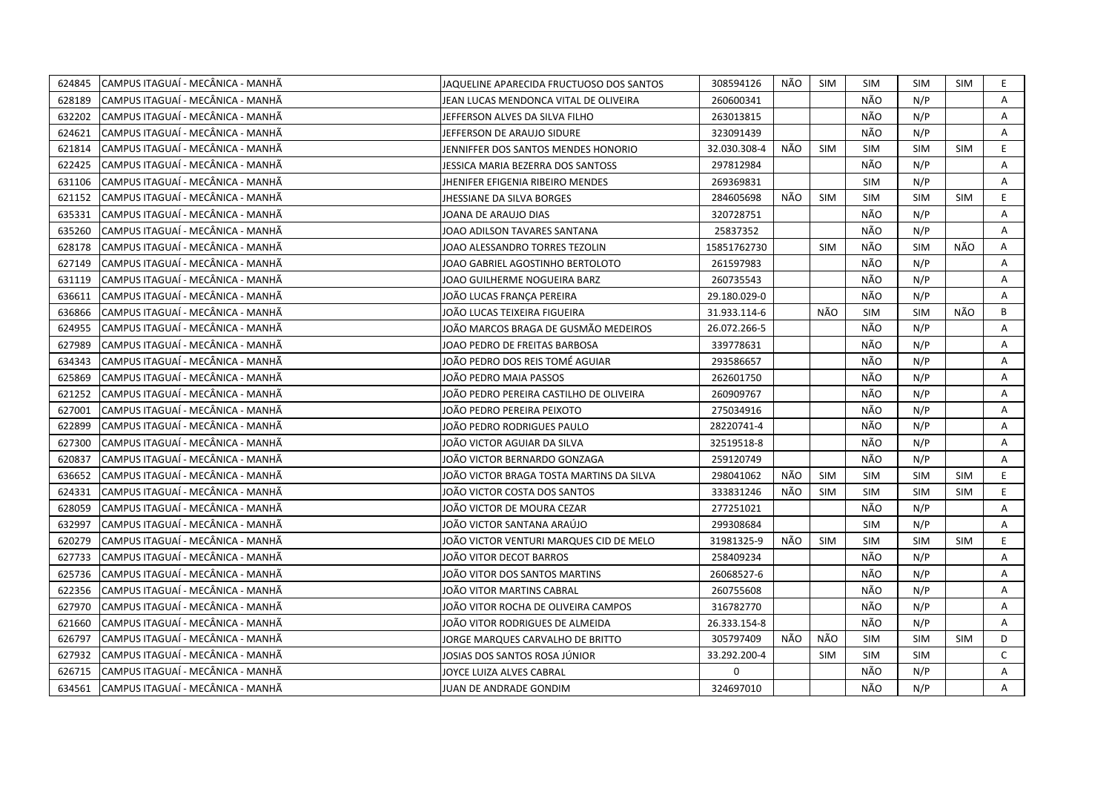| 624845 | CAMPUS ITAGUAÍ - MECÂNICA - MANHÃ | JAQUELINE APARECIDA FRUCTUOSO DOS SANTOS | 308594126    | NÃO | <b>SIM</b> | <b>SIM</b> | <b>SIM</b> | SIM        | E.           |
|--------|-----------------------------------|------------------------------------------|--------------|-----|------------|------------|------------|------------|--------------|
| 628189 | CAMPUS ITAGUAÍ - MECÂNICA - MANHÃ | JEAN LUCAS MENDONCA VITAL DE OLIVEIRA    | 260600341    |     |            | NÃO        | N/P        |            | A            |
| 632202 | CAMPUS ITAGUAÍ - MECÂNICA - MANHÃ | JEFFERSON ALVES DA SILVA FILHO           | 263013815    |     |            | NÃO        | N/P        |            | A            |
| 624621 | CAMPUS ITAGUAÍ - MECÂNICA - MANHÃ | JEFFERSON DE ARAUJO SIDURE               | 323091439    |     |            | NÃO        | N/P        |            | A            |
| 621814 | CAMPUS ITAGUAÍ - MECÂNICA - MANHÃ | JENNIFFER DOS SANTOS MENDES HONORIO      | 32.030.308-4 | NÃO | <b>SIM</b> | <b>SIM</b> | <b>SIM</b> | <b>SIM</b> | E            |
| 622425 | CAMPUS ITAGUAÍ - MECÂNICA - MANHÃ | JESSICA MARIA BEZERRA DOS SANTOSS        | 297812984    |     |            | NÃO        | N/P        |            | A            |
| 631106 | CAMPUS ITAGUAÍ - MECÂNICA - MANHÃ | JHENIFER EFIGENIA RIBEIRO MENDES         | 269369831    |     |            | <b>SIM</b> | N/P        |            | A            |
| 621152 | CAMPUS ITAGUAÍ - MECÂNICA - MANHÃ | JHESSIANE DA SILVA BORGES                | 284605698    | NÃO | <b>SIM</b> | <b>SIM</b> | <b>SIM</b> | <b>SIM</b> | E.           |
| 635331 | CAMPUS ITAGUAÍ - MECÂNICA - MANHÃ | JOANA DE ARAUJO DIAS                     | 320728751    |     |            | NÃO        | N/P        |            | A            |
| 635260 | CAMPUS ITAGUAÍ - MECÂNICA - MANHÃ | JOAO ADILSON TAVARES SANTANA             | 25837352     |     |            | NÃO        | N/P        |            | A            |
| 628178 | CAMPUS ITAGUAI - MECÂNICA - MANHÃ | JOAO ALESSANDRO TORRES TEZOLIN           | 15851762730  |     | <b>SIM</b> | NÃO        | <b>SIM</b> | NÃO        | A            |
| 627149 | CAMPUS ITAGUAÍ - MECÂNICA - MANHÃ | JOAO GABRIEL AGOSTINHO BERTOLOTO         | 261597983    |     |            | NÃO        | N/P        |            | Α            |
| 631119 | CAMPUS ITAGUAÍ - MECÂNICA - MANHÃ | JOAO GUILHERME NOGUEIRA BARZ             | 260735543    |     |            | NÃO        | N/P        |            | A            |
| 636611 | CAMPUS ITAGUAÍ - MECÂNICA - MANHÃ | JOÃO LUCAS FRANÇA PEREIRA                | 29.180.029-0 |     |            | NÃO        | N/P        |            | Α            |
| 636866 | CAMPUS ITAGUAÍ - MECÂNICA - MANHÃ | JOÃO LUCAS TEIXEIRA FIGUEIRA             | 31.933.114-6 |     | NÃO        | <b>SIM</b> | <b>SIM</b> | NÃO        | B            |
| 624955 | CAMPUS ITAGUAÍ - MECÂNICA - MANHÃ | JOÃO MARCOS BRAGA DE GUSMÃO MEDEIROS     | 26.072.266-5 |     |            | NÃO        | N/P        |            | A            |
| 627989 | CAMPUS ITAGUAÍ - MECÂNICA - MANHÃ | JOAO PEDRO DE FREITAS BARBOSA            | 339778631    |     |            | NÃO        | N/P        |            | A            |
| 634343 | CAMPUS ITAGUAÍ - MECÂNICA - MANHÃ | JOÃO PEDRO DOS REIS TOMÉ AGUIAR          | 293586657    |     |            | NÃO        | N/P        |            | Α            |
| 625869 | CAMPUS ITAGUAÍ - MECÂNICA - MANHÃ | JOÃO PEDRO MAIA PASSOS                   | 262601750    |     |            | NÃO        | N/P        |            | Α            |
| 621252 | CAMPUS ITAGUAÍ - MECÂNICA - MANHÃ | JOÃO PEDRO PEREIRA CASTILHO DE OLIVEIRA  | 260909767    |     |            | NÃO        | N/P        |            | A            |
| 627001 | CAMPUS ITAGUAÍ - MECÂNICA - MANHÃ | JOÃO PEDRO PEREIRA PEIXOTO               | 275034916    |     |            | NÃO        | N/P        |            | Α            |
| 622899 | CAMPUS ITAGUAÍ - MECÂNICA - MANHÃ | JOÃO PEDRO RODRIGUES PAULO               | 28220741-4   |     |            | NÃO        | N/P        |            | A            |
| 627300 | CAMPUS ITAGUAÍ - MECÂNICA - MANHÃ | JOÃO VICTOR AGUIAR DA SILVA              | 32519518-8   |     |            | NÃO        | N/P        |            | A            |
| 620837 | CAMPUS ITAGUAÍ - MECÂNICA - MANHÃ | JOÃO VICTOR BERNARDO GONZAGA             | 259120749    |     |            | NÃO        | N/P        |            | A            |
| 636652 | CAMPUS ITAGUAÍ - MECÂNICA - MANHÃ | JOÄO VICTOR BRAGA TOSTA MARTINS DA SILVA | 298041062    | NÃO | <b>SIM</b> | <b>SIM</b> | <b>SIM</b> | <b>SIM</b> | E.           |
| 624331 | CAMPUS ITAGUAI - MECÂNICA - MANHÃ | JOÃO VICTOR COSTA DOS SANTOS             | 333831246    | NÃO | <b>SIM</b> | <b>SIM</b> | <b>SIM</b> | <b>SIM</b> | E.           |
| 628059 | CAMPUS ITAGUAÍ - MECÂNICA - MANHÃ | JOÃO VICTOR DE MOURA CEZAR               | 277251021    |     |            | NÃO        | N/P        |            | A            |
| 632997 | CAMPUS ITAGUAÍ - MECÂNICA - MANHÃ | JOÃO VICTOR SANTANA ARAÚJO               | 299308684    |     |            | <b>SIM</b> | N/P        |            | A            |
| 620279 | CAMPUS ITAGUAÍ - MECÂNICA - MANHÃ | JOÃO VICTOR VENTURI MARQUES CID DE MELO  | 31981325-9   | NÃO | <b>SIM</b> | <b>SIM</b> | <b>SIM</b> | <b>SIM</b> | E            |
| 627733 | CAMPUS ITAGUAÍ - MECÂNICA - MANHÃ | JOÃO VITOR DECOT BARROS                  | 258409234    |     |            | NÃO        | N/P        |            | Α            |
| 625736 | CAMPUS ITAGUAÍ - MECÂNICA - MANHÃ | JOÃO VITOR DOS SANTOS MARTINS            | 26068527-6   |     |            | NÃO        | N/P        |            | Α            |
| 622356 | CAMPUS ITAGUAÍ - MECÂNICA - MANHÃ | JOÃO VITOR MARTINS CABRAL                | 260755608    |     |            | NÃO        | N/P        |            | Α            |
| 627970 | CAMPUS ITAGUAÍ - MECÂNICA - MANHÃ | JOÃO VITOR ROCHA DE OLIVEIRA CAMPOS      | 316782770    |     |            | NÃO        | N/P        |            | Α            |
| 621660 | CAMPUS ITAGUAÍ - MECÂNICA - MANHÃ | JOÃO VITOR RODRIGUES DE ALMEIDA          | 26.333.154-8 |     |            | NÃO        | N/P        |            | A            |
| 626797 | CAMPUS ITAGUAÍ - MECÂNICA - MANHÃ | JORGE MARQUES CARVALHO DE BRITTO         | 305797409    | NÃO | NÃO        | <b>SIM</b> | <b>SIM</b> | <b>SIM</b> | D            |
| 627932 | CAMPUS ITAGUAÍ - MECÂNICA - MANHÃ | JOSIAS DOS SANTOS ROSA JÚNIOR            | 33.292.200-4 |     | <b>SIM</b> | <b>SIM</b> | <b>SIM</b> |            | $\mathsf{C}$ |
| 626715 | CAMPUS ITAGUAÍ - MECÂNICA - MANHÃ | JOYCE LUIZA ALVES CABRAL                 | 0            |     |            | NÃO        | N/P        |            | A            |
| 634561 | CAMPUS ITAGUAÍ - MECÂNICA - MANHÃ | JUAN DE ANDRADE GONDIM                   | 324697010    |     |            | NÃO        | N/P        |            | A            |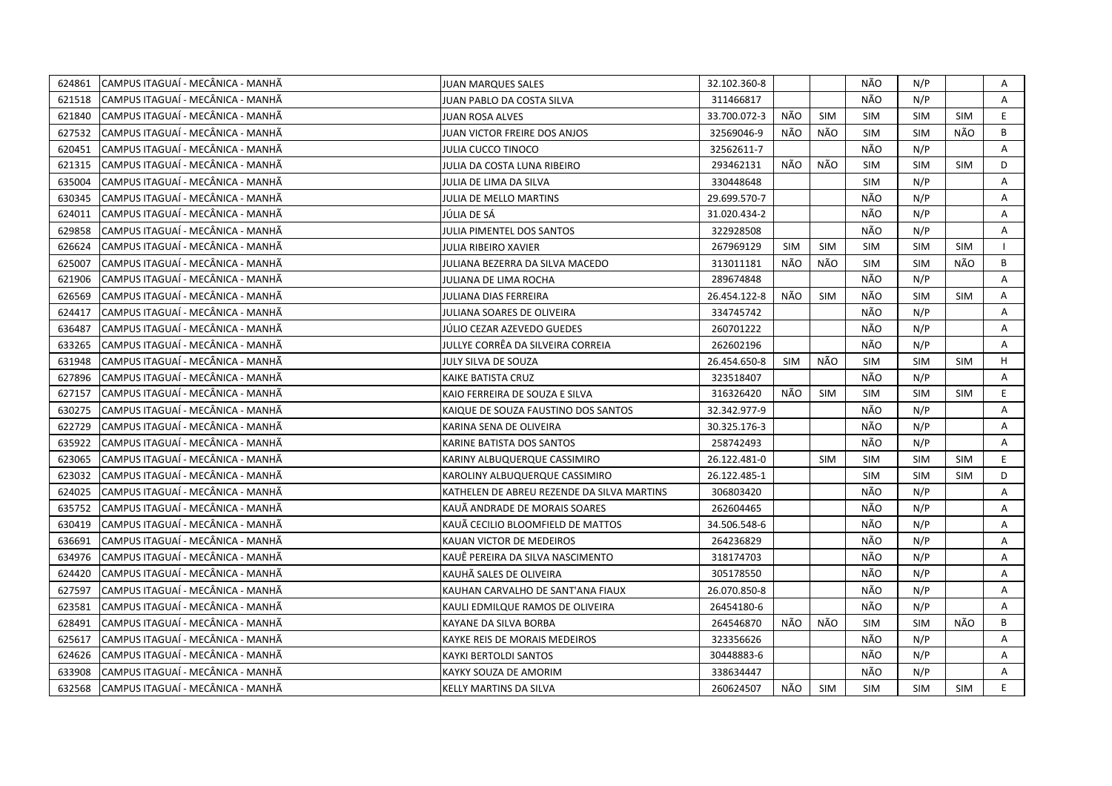| CAMPUS ITAGUAÍ - MECÂNICA - MANHÃ<br>624861  | <b>JUAN MARQUES SALES</b>                  | 32.102.360-8 |            |            | NÃO        | N/P        |            | Α            |
|----------------------------------------------|--------------------------------------------|--------------|------------|------------|------------|------------|------------|--------------|
| 621518<br>CAMPUS ITAGUAÍ - MECÂNICA - MANHÃ  | JUAN PABLO DA COSTA SILVA                  | 311466817    |            |            | NÃO        | N/P        |            | A            |
| 621840<br>CAMPUS ITAGUAÍ - MECÂNICA - MANHÃ  | <b>JUAN ROSA ALVES</b>                     | 33.700.072-3 | NÃO        | <b>SIM</b> | <b>SIM</b> | <b>SIM</b> | <b>SIM</b> | E            |
| CAMPUS ITAGUAÍ - MECÂNICA - MANHÃ<br>627532  | JUAN VICTOR FREIRE DOS ANJOS               | 32569046-9   | NÃO        | NÃO        | <b>SIM</b> | <b>SIM</b> | NÃO        | B            |
| CAMPUS ITAGUAÍ - MECÂNICA - MANHÃ<br>620451  | <b>JULIA CUCCO TINOCO</b>                  | 32562611-7   |            |            | NÃO        | N/P        |            | Α            |
| 621315<br> CAMPUS ITAGUAÍ - MECÂNICA - MANHÃ | JULIA DA COSTA LUNA RIBEIRO                | 293462131    | NÃO        | NÃO        | <b>SIM</b> | <b>SIM</b> | <b>SIM</b> | D            |
| 635004<br> CAMPUS ITAGUAÍ - MECÂNICA - MANHÃ | JULIA DE LIMA DA SILVA                     | 330448648    |            |            | <b>SIM</b> | N/P        |            | A            |
| CAMPUS ITAGUAÍ - MECÂNICA - MANHÃ<br>630345  | JULIA DE MELLO MARTINS                     | 29.699.570-7 |            |            | NÃO        | N/P        |            | A            |
| CAMPUS ITAGUAÍ - MECÂNICA - MANHÃ<br>624011  | JÚLIA DE SÁ                                | 31.020.434-2 |            |            | NÃO        | N/P        |            | A            |
| CAMPUS ITAGUAÍ - MECÂNICA - MANHÃ<br>629858  | JULIA PIMENTEL DOS SANTOS                  | 322928508    |            |            | NÃO        | N/P        |            | Α            |
| CAMPUS ITAGUAÍ - MECÂNICA - MANHÃ<br>626624  | <b>JULIA RIBEIRO XAVIER</b>                | 267969129    | <b>SIM</b> | <b>SIM</b> | <b>SIM</b> | <b>SIM</b> | <b>SIM</b> |              |
| CAMPUS ITAGUAÍ - MECÂNICA - MANHÃ<br>625007  | JULIANA BEZERRA DA SILVA MACEDO            | 313011181    | NÃO        | NÃO        | <b>SIM</b> | <b>SIM</b> | NÃO        | B            |
| CAMPUS ITAGUAÍ - MECÂNICA - MANHÃ<br>621906  | JULIANA DE LIMA ROCHA                      | 289674848    |            |            | NÃO        | N/P        |            | A            |
| CAMPUS ITAGUAÍ - MECÂNICA - MANHÃ<br>626569  | <b>JULIANA DIAS FERREIRA</b>               | 26.454.122-8 | NÃO        | <b>SIM</b> | NÃO        | <b>SIM</b> | <b>SIM</b> | A            |
| CAMPUS ITAGUAÍ - MECÂNICA - MANHÃ<br>624417  | JULIANA SOARES DE OLIVEIRA                 | 334745742    |            |            | NÃO        | N/P        |            | A            |
| 636487<br>CAMPUS ITAGUAÍ - MECÂNICA - MANHÃ  | JÚLIO CEZAR AZEVEDO GUEDES                 | 260701222    |            |            | NÃO        | N/P        |            | A            |
| 633265<br>CAMPUS ITAGUAÍ - MECÂNICA - MANHÃ  | JULLYE CORRÊA DA SILVEIRA CORREIA          | 262602196    |            |            | NÃO        | N/P        |            | A            |
| 631948<br>CAMPUS ITAGUAÍ - MECÂNICA - MANHÃ  | JULY SILVA DE SOUZA                        | 26.454.650-8 | <b>SIM</b> | NÃO        | <b>SIM</b> | <b>SIM</b> | <b>SIM</b> | H            |
| CAMPUS ITAGUAÍ - MECÂNICA - MANHÃ<br>627896  | KAIKE BATISTA CRUZ                         | 323518407    |            |            | NÃO        | N/P        |            | A            |
| 627157<br>CAMPUS ITAGUAÍ - MECÂNICA - MANHÃ  | KAIO FERREIRA DE SOUZA E SILVA             | 316326420    | NÃO        | <b>SIM</b> | <b>SIM</b> | <b>SIM</b> | <b>SIM</b> | E.           |
| CAMPUS ITAGUAÍ - MECÂNICA - MANHÃ<br>630275  | KAIQUE DE SOUZA FAUSTINO DOS SANTOS        | 32.342.977-9 |            |            | NÃO        | N/P        |            | A            |
| 622729<br>CAMPUS ITAGUAÍ - MECÂNICA - MANHÃ  | KARINA SENA DE OLIVEIRA                    | 30.325.176-3 |            |            | NÃO        | N/P        |            | Α            |
| 635922<br>CAMPUS ITAGUAÍ - MECÂNICA - MANHÃ  | KARINE BATISTA DOS SANTOS                  | 258742493    |            |            | NÃO        | N/P        |            | A            |
| 623065<br>CAMPUS ITAGUAÍ - MECÂNICA - MANHÃ  | KARINY ALBUQUERQUE CASSIMIRO               | 26.122.481-0 |            | <b>SIM</b> | <b>SIM</b> | <b>SIM</b> | <b>SIM</b> | E            |
| 623032<br>CAMPUS ITAGUAÍ - MECÂNICA - MANHÃ  | KAROLINY ALBUQUERQUE CASSIMIRO             | 26.122.485-1 |            |            | <b>SIM</b> | <b>SIM</b> | <b>SIM</b> | D            |
| 624025<br>CAMPUS ITAGUAÍ - MECÂNICA - MANHÃ  | KATHELEN DE ABREU REZENDE DA SILVA MARTINS | 306803420    |            |            | NÃO        | N/P        |            | Α            |
| CAMPUS ITAGUAÍ - MECÂNICA - MANHÃ<br>635752  | KAUÄ ANDRADE DE MORAIS SOARES              | 262604465    |            |            | NÃO        | N/P        |            | A            |
| CAMPUS ITAGUAÍ - MECÂNICA - MANHÃ<br>630419  | KAUÃ CECILIO BLOOMFIELD DE MATTOS          | 34.506.548-6 |            |            | NÃO        | N/P        |            | A            |
| 636691<br>CAMPUS ITAGUAÍ - MECÂNICA - MANHÃ  | KAUAN VICTOR DE MEDEIROS                   | 264236829    |            |            | NÃO        | N/P        |            | A            |
| 634976<br>CAMPUS ITAGUAI - MECÂNICA - MANHÃ  | KAUË PEREIRA DA SILVA NASCIMENTO           | 318174703    |            |            | NÃO        | N/P        |            | Α            |
| CAMPUS ITAGUAÍ - MECÂNICA - MANHÃ<br>624420  | KAUHÃ SALES DE OLIVEIRA                    | 305178550    |            |            | NÃO        | N/P        |            | A            |
| 627597<br>CAMPUS ITAGUAÍ - MECÂNICA - MANHÃ  | KAUHAN CARVALHO DE SANT'ANA FIAUX          | 26.070.850-8 |            |            | NÃO        | N/P        |            | A            |
| CAMPUS ITAGUAÍ - MECÂNICA - MANHÃ<br>623581  | KAULI EDMILQUE RAMOS DE OLIVEIRA           | 26454180-6   |            |            | NÃO        | N/P        |            | $\mathsf{A}$ |
| CAMPUS ITAGUAÍ - MECÂNICA - MANHÃ<br>628491  | KAYANE DA SILVA BORBA                      | 264546870    | NÃO        | NÃO        | <b>SIM</b> | <b>SIM</b> | NÃO        | B            |
| CAMPUS ITAGUAÍ - MECÂNICA - MANHÃ<br>625617  | KAYKE REIS DE MORAIS MEDEIROS              | 323356626    |            |            | NÃO        | N/P        |            | A            |
| 624626<br>CAMPUS ITAGUAÍ - MECÂNICA - MANHÃ  | KAYKI BERTOLDI SANTOS                      | 30448883-6   |            |            | NÃO        | N/P        |            | A            |
| CAMPUS ITAGUAÍ - MECÂNICA - MANHÃ<br>633908  | KAYKY SOUZA DE AMORIM                      | 338634447    |            |            | NÃO        | N/P        |            | A            |
| 632568<br> CAMPUS ITAGUAÍ - MECÂNICA - MANHÃ | KELLY MARTINS DA SILVA                     | 260624507    | NÃO        | <b>SIM</b> | <b>SIM</b> | <b>SIM</b> | <b>SIM</b> | E.           |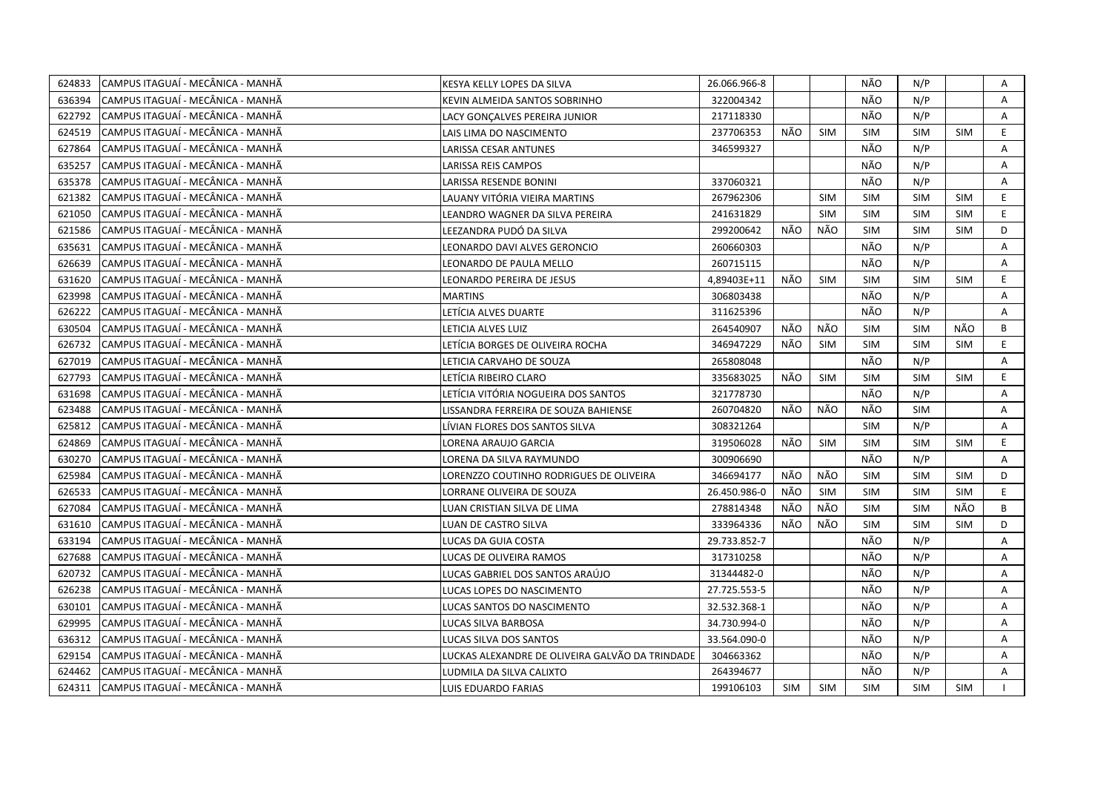| 624833 | CAMPUS ITAGUAÍ - MECÂNICA - MANHÃ  | KESYA KELLY LOPES DA SILVA                      | 26.066.966-8 |            |            | NÃO        | N/P        |            | Α  |
|--------|------------------------------------|-------------------------------------------------|--------------|------------|------------|------------|------------|------------|----|
| 636394 | CAMPUS ITAGUAÍ - MECÂNICA - MANHÃ  | KEVIN ALMEIDA SANTOS SOBRINHO                   | 322004342    |            |            | NÃO        | N/P        |            | A  |
| 622792 | CAMPUS ITAGUAÍ - MECÂNICA - MANHÃ  | LACY GONÇALVES PEREIRA JUNIOR                   | 217118330    |            |            | NÃO        | N/P        |            | Α  |
| 624519 | CAMPUS ITAGUAÍ - MECÂNICA - MANHÃ  | LAIS LIMA DO NASCIMENTO                         | 237706353    | NÃO        | <b>SIM</b> | <b>SIM</b> | <b>SIM</b> | <b>SIM</b> | E. |
| 627864 | CAMPUS ITAGUAÍ - MECÂNICA - MANHÃ  | LARISSA CESAR ANTUNES                           | 346599327    |            |            | NÃO        | N/P        |            | Α  |
| 635257 | CAMPUS ITAGUAÍ - MECÂNICA - MANHÃ  | LARISSA REIS CAMPOS                             |              |            |            | NÃO        | N/P        |            | A  |
| 635378 | CAMPUS ITAGUAÍ - MECÂNICA - MANHÃ  | LARISSA RESENDE BONINI                          | 337060321    |            |            | NÃO        | N/P        |            | A  |
| 621382 | CAMPUS ITAGUAÍ - MECÂNICA - MANHÃ  | LAUANY VITÓRIA VIEIRA MARTINS                   | 267962306    |            | <b>SIM</b> | <b>SIM</b> | <b>SIM</b> | <b>SIM</b> | E. |
| 621050 | CAMPUS ITAGUAÍ - MECÂNICA - MANHÃ  | LEANDRO WAGNER DA SILVA PEREIRA                 | 241631829    |            | <b>SIM</b> | <b>SIM</b> | <b>SIM</b> | <b>SIM</b> | E. |
| 621586 | CAMPUS ITAGUAÍ - MECÂNICA - MANHÃ  | LEEZANDRA PUDÓ DA SILVA                         | 299200642    | NÃO        | NÃO        | <b>SIM</b> | <b>SIM</b> | <b>SIM</b> | D  |
| 635631 | CAMPUS ITAGUAÍ - MECÂNICA - MANHÃ  | LEONARDO DAVI ALVES GERONCIO                    | 260660303    |            |            | NÃO        | N/P        |            | A  |
| 626639 | CAMPUS ITAGUAÍ - MECÂNICA - MANHÃ  | LEONARDO DE PAULA MELLO                         | 260715115    |            |            | NÃO        | N/P        |            | Α  |
| 631620 | CAMPUS ITAGUAÍ - MECÂNICA - MANHÃ  | LEONARDO PEREIRA DE JESUS                       | 4,89403E+11  | NÃO        | <b>SIM</b> | <b>SIM</b> | <b>SIM</b> | <b>SIM</b> | E. |
| 623998 | CAMPUS ITAGUAÍ - MECÂNICA - MANHÃ  | <b>MARTINS</b>                                  | 306803438    |            |            | NÃO        | N/P        |            | Α  |
| 626222 | CAMPUS ITAGUAÍ - MECÂNICA - MANHÃ  | LETÍCIA ALVES DUARTE                            | 311625396    |            |            | NÃO        | N/P        |            | A  |
| 630504 | CAMPUS ITAGUAÍ - MECÂNICA - MANHÃ  | LETICIA ALVES LUIZ                              | 264540907    | NÃO        | NÃO        | <b>SIM</b> | <b>SIM</b> | NÃO        | B  |
| 626732 | CAMPUS ITAGUAÍ - MECÂNICA - MANHÃ  | LETÍCIA BORGES DE OLIVEIRA ROCHA                | 346947229    | NÃO        | <b>SIM</b> | <b>SIM</b> | <b>SIM</b> | <b>SIM</b> | E. |
| 627019 | CAMPUS ITAGUAÍ - MECÂNICA - MANHÃ  | LETICIA CARVAHO DE SOUZA                        | 265808048    |            |            | NÃO        | N/P        |            | Α  |
| 627793 | CAMPUS ITAGUAÍ - MECÂNICA - MANHÃ  | LETÍCIA RIBEIRO CLARO                           | 335683025    | NÃO        | SIM        | <b>SIM</b> | <b>SIM</b> | <b>SIM</b> | E. |
| 631698 | CAMPUS ITAGUAÍ - MECÂNICA - MANHÃ  | LETÍCIA VITÓRIA NOGUEIRA DOS SANTOS             | 321778730    |            |            | NÃO        | N/P        |            | A  |
| 623488 | CAMPUS ITAGUAÍ - MECÂNICA - MANHÃ  | LISSANDRA FERREIRA DE SOUZA BAHIENSE            | 260704820    | NÃO        | NÃO        | NÃO        | <b>SIM</b> |            | A  |
| 625812 | CAMPUS ITAGUAÍ - MECÂNICA - MANHÃ  | LİVIAN FLORES DOS SANTOS SILVA                  | 308321264    |            |            | <b>SIM</b> | N/P        |            | A  |
| 624869 | CAMPUS ITAGUAÍ - MECÂNICA - MANHÃ  | LORENA ARAUJO GARCIA                            | 319506028    | NÃO        | SIM        | <b>SIM</b> | <b>SIM</b> | <b>SIM</b> | E. |
| 630270 | CAMPUS ITAGUAÍ - MECÂNICA - MANHÃ  | LORENA DA SILVA RAYMUNDO                        | 300906690    |            |            | NÃO        | N/P        |            | A  |
| 625984 | CAMPUS ITAGUAÍ - MECÂNICA - MANHÃ  | LORENZZO COUTINHO RODRIGUES DE OLIVEIRA         | 346694177    | NÃO        | NÃO        | <b>SIM</b> | <b>SIM</b> | <b>SIM</b> | D  |
| 626533 | CAMPUS ITAGUAÍ - MECÂNICA - MANHÃ  | LORRANE OLIVEIRA DE SOUZA                       | 26.450.986-0 | NÃO        | <b>SIM</b> | <b>SIM</b> | <b>SIM</b> | <b>SIM</b> | E. |
| 627084 | CAMPUS ITAGUAÍ - MECÂNICA - MANHÃ  | LUAN CRISTIAN SILVA DE LIMA                     | 278814348    | NÃO        | NÃO        | <b>SIM</b> | <b>SIM</b> | NÃO        | B  |
| 631610 | CAMPUS ITAGUAÍ - MECÂNICA - MANHÃ  | LUAN DE CASTRO SILVA                            | 333964336    | NÃO        | NÃO        | <b>SIM</b> | <b>SIM</b> | <b>SIM</b> | D  |
| 633194 | CAMPUS ITAGUAÍ - MECÂNICA - MANHÃ  | LUCAS DA GUIA COSTA                             | 29.733.852-7 |            |            | NÃO        | N/P        |            | A  |
| 627688 | CAMPUS ITAGUAÍ - MECÂNICA - MANHÃ  | LUCAS DE OLIVEIRA RAMOS                         | 317310258    |            |            | NÃO        | N/P        |            | Α  |
| 620732 | CAMPUS ITAGUAÍ - MECÂNICA - MANHÃ  | LUCAS GABRIEL DOS SANTOS ARAÚJO                 | 31344482-0   |            |            | NÃO        | N/P        |            | A  |
| 626238 | CAMPUS ITAGUAÍ - MECÂNICA - MANHÃ  | LUCAS LOPES DO NASCIMENTO                       | 27.725.553-5 |            |            | NÃO        | N/P        |            | Α  |
| 630101 | CAMPUS ITAGUAÍ - MECÂNICA - MANHÃ  | LUCAS SANTOS DO NASCIMENTO                      | 32.532.368-1 |            |            | NÃO        | N/P        |            | Α  |
| 629995 | CAMPUS ITAGUAÍ - MECÂNICA - MANHÃ  | LUCAS SILVA BARBOSA                             | 34.730.994-0 |            |            | NÃO        | N/P        |            | Α  |
| 636312 | lCAMPUS ITAGUAÍ - MECÂNICA - MANHÃ | LUCAS SILVA DOS SANTOS                          | 33.564.090-0 |            |            | NÃO        | N/P        |            | A  |
| 629154 | CAMPUS ITAGUAÍ - MECÂNICA - MANHÃ  | LUCKAS ALEXANDRE DE OLIVEIRA GALVÃO DA TRINDADE | 304663362    |            |            | NÃO        | N/P        |            | A  |
| 624462 | CAMPUS ITAGUAÍ - MECÂNICA - MANHÃ  | LUDMILA DA SILVA CALIXTO                        | 264394677    |            |            | NÃO        | N/P        |            | A  |
| 624311 | CAMPUS ITAGUAÍ - MECÂNICA - MANHÃ  | LUIS EDUARDO FARIAS                             | 199106103    | <b>SIM</b> | <b>SIM</b> | <b>SIM</b> | <b>SIM</b> | <b>SIM</b> |    |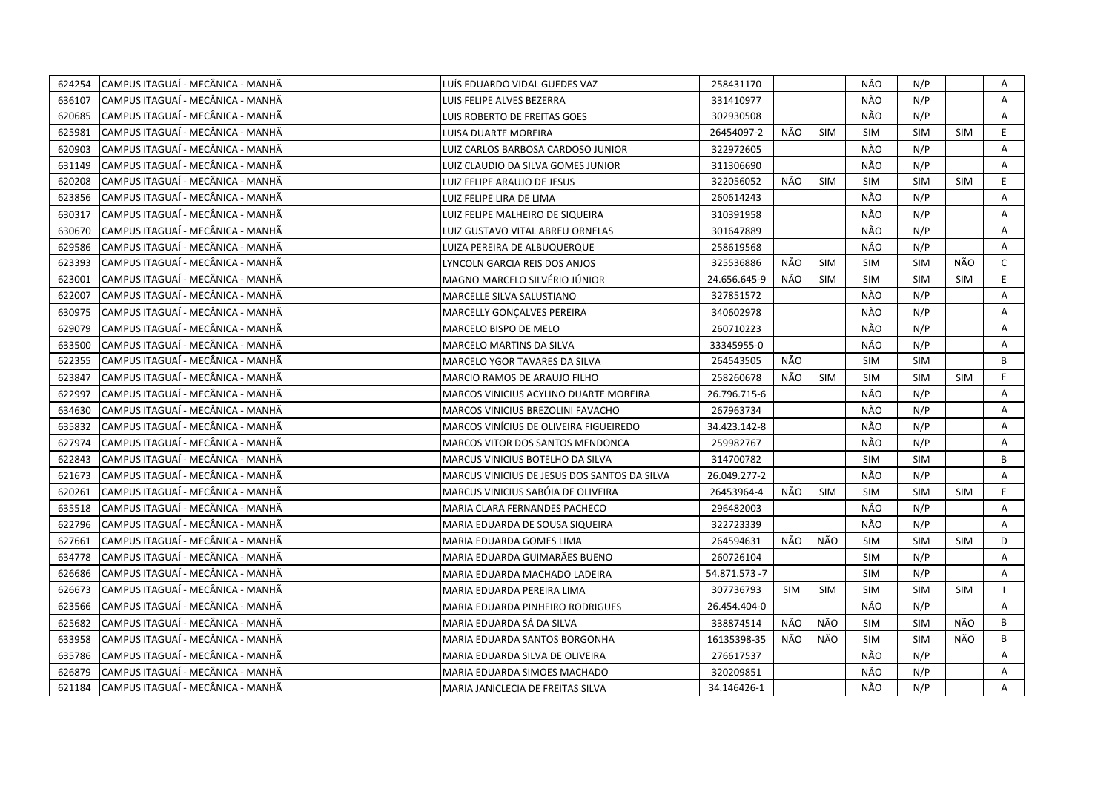| 624254 | CAMPUS ITAGUAÍ - MECÂNICA - MANHÃ  | LUÍS EDUARDO VIDAL GUEDES VAZ                | 258431170     |            |            | NÃO        | N/P        |            | Α            |
|--------|------------------------------------|----------------------------------------------|---------------|------------|------------|------------|------------|------------|--------------|
| 636107 | CAMPUS ITAGUAÍ - MECÂNICA - MANHÃ  | LUIS FELIPE ALVES BEZERRA                    | 331410977     |            |            | NÃO        | N/P        |            | A            |
| 620685 | CAMPUS ITAGUAÍ - MECÂNICA - MANHÃ  | LUIS ROBERTO DE FREITAS GOES                 | 302930508     |            |            | NÃO        | N/P        |            | Α            |
| 625981 | CAMPUS ITAGUAÍ - MECÂNICA - MANHÃ  | LUISA DUARTE MOREIRA                         | 26454097-2    | NÃO        | <b>SIM</b> | <b>SIM</b> | <b>SIM</b> | <b>SIM</b> | E.           |
| 620903 | CAMPUS ITAGUAÍ - MECÂNICA - MANHÃ  | LUIZ CARLOS BARBOSA CARDOSO JUNIOR           | 322972605     |            |            | NÃO        | N/P        |            | Α            |
| 631149 | CAMPUS ITAGUAÍ - MECÂNICA - MANHÃ  | LUIZ CLAUDIO DA SILVA GOMES JUNIOR           | 311306690     |            |            | NÃO        | N/P        |            | Α            |
| 620208 | CAMPUS ITAGUAÍ - MECÂNICA - MANHÃ  | LUIZ FELIPE ARAUJO DE JESUS                  | 322056052     | NÃO        | <b>SIM</b> | <b>SIM</b> | <b>SIM</b> | <b>SIM</b> | E.           |
| 623856 | CAMPUS ITAGUAÍ - MECÂNICA - MANHÃ  | LUIZ FELIPE LIRA DE LIMA                     | 260614243     |            |            | NÃO        | N/P        |            | A            |
| 630317 | lCAMPUS ITAGUAÍ - MECÂNICA - MANHÃ | LUIZ FELIPE MALHEIRO DE SIQUEIRA             | 310391958     |            |            | NÃO        | N/P        |            | A            |
| 630670 | CAMPUS ITAGUAÍ - MECÂNICA - MANHÃ  | LUIZ GUSTAVO VITAL ABREU ORNELAS             | 301647889     |            |            | NÃO        | N/P        |            | A            |
| 629586 | CAMPUS ITAGUAÍ - MECÂNICA - MANHÃ  | LUIZA PEREIRA DE ALBUQUERQUE                 | 258619568     |            |            | NÃO        | N/P        |            | Α            |
| 623393 | CAMPUS ITAGUAÍ - MECÂNICA - MANHÃ  | LYNCOLN GARCIA REIS DOS ANJOS                | 325536886     | NÃO        | <b>SIM</b> | <b>SIM</b> | <b>SIM</b> | NÃO        | $\mathsf{C}$ |
| 623001 | CAMPUS ITAGUAÍ - MECÂNICA - MANHÃ  | MAGNO MARCELO SILVÉRIO JÚNIOR                | 24.656.645-9  | NÃO        | <b>SIM</b> | <b>SIM</b> | <b>SIM</b> | <b>SIM</b> | E            |
| 622007 | CAMPUS ITAGUAÍ - MECÂNICA - MANHÃ  | MARCELLE SILVA SALUSTIANO                    | 327851572     |            |            | NÃO        | N/P        |            | A            |
| 630975 | CAMPUS ITAGUAÍ - MECÂNICA - MANHÃ  | MARCELLY GONÇALVES PEREIRA                   | 340602978     |            |            | NÃO        | N/P        |            | Α            |
| 629079 | CAMPUS ITAGUAÍ - MECÂNICA - MANHÃ  | MARCELO BISPO DE MELO                        | 260710223     |            |            | NÃO        | N/P        |            | A            |
| 633500 | CAMPUS ITAGUAÍ - MECÂNICA - MANHÃ  | MARCELO MARTINS DA SILVA                     | 33345955-0    |            |            | NÃO        | N/P        |            | A            |
| 622355 | CAMPUS ITAGUAÍ - MECÂNICA - MANHÃ  | MARCELO YGOR TAVARES DA SILVA                | 264543505     | NÃO        |            | <b>SIM</b> | <b>SIM</b> |            | B            |
| 623847 | CAMPUS ITAGUAÍ - MECÂNICA - MANHÃ  | MARCIO RAMOS DE ARAUJO FILHO                 | 258260678     | NÃO        | <b>SIM</b> | <b>SIM</b> | <b>SIM</b> | <b>SIM</b> | E.           |
| 622997 | CAMPUS ITAGUAÍ - MECÂNICA - MANHÃ  | MARCOS VINICIUS ACYLINO DUARTE MOREIRA       | 26.796.715-6  |            |            | NÃO        | N/P        |            | A            |
| 634630 | CAMPUS ITAGUAÍ - MECÂNICA - MANHÃ  | MARCOS VINICIUS BREZOLINI FAVACHO            | 267963734     |            |            | NÃO        | N/P        |            | A            |
| 635832 | CAMPUS ITAGUAÍ - MECÂNICA - MANHÃ  | MARCOS VINÍCIUS DE OLIVEIRA FIGUEIREDO       | 34.423.142-8  |            |            | NÃO        | N/P        |            | A            |
| 627974 | CAMPUS ITAGUAÍ - MECÂNICA - MANHÃ  | MARCOS VITOR DOS SANTOS MENDONCA             | 259982767     |            |            | NÃO        | N/P        |            | A            |
| 622843 | CAMPUS ITAGUAÍ - MECÂNICA - MANHÃ  | MARCUS VINICIUS BOTELHO DA SILVA             | 314700782     |            |            | <b>SIM</b> | <b>SIM</b> |            | B            |
| 621673 | CAMPUS ITAGUAÍ - MECÂNICA - MANHÃ  | MARCUS VINICIUS DE JESUS DOS SANTOS DA SILVA | 26.049.277-2  |            |            | NÃO        | N/P        |            | A            |
| 620261 | CAMPUS ITAGUAÍ - MECÂNICA - MANHÃ  | MARCUS VINICIUS SABÓIA DE OLIVEIRA           | 26453964-4    | NÃO        | <b>SIM</b> | <b>SIM</b> | <b>SIM</b> | <b>SIM</b> | E.           |
| 635518 | CAMPUS ITAGUAÍ - MECÂNICA - MANHÃ  | MARIA CLARA FERNANDES PACHECO                | 296482003     |            |            | NÃO        | N/P        |            | Α            |
| 622796 | CAMPUS ITAGUAÍ - MECÂNICA - MANHÃ  | MARIA EDUARDA DE SOUSA SIQUEIRA              | 322723339     |            |            | NÃO        | N/P        |            | A            |
| 627661 | CAMPUS ITAGUAÍ - MECÂNICA - MANHÃ  | MARIA EDUARDA GOMES LIMA                     | 264594631     | NÃO        | NÃO        | <b>SIM</b> | <b>SIM</b> | <b>SIM</b> | D            |
| 634778 | CAMPUS ITAGUAÍ - MECÂNICA - MANHÃ  | MARIA EDUARDA GUIMARÃES BUENO                | 260726104     |            |            | <b>SIM</b> | N/P        |            | A            |
| 626686 | CAMPUS ITAGUAÍ - MECÂNICA - MANHÃ  | MARIA EDUARDA MACHADO LADEIRA                | 54.871.573 -7 |            |            | <b>SIM</b> | N/P        |            | Α            |
| 626673 | CAMPUS ITAGUAÍ - MECÂNICA - MANHÃ  | MARIA EDUARDA PEREIRA LIMA                   | 307736793     | <b>SIM</b> | <b>SIM</b> | <b>SIM</b> | <b>SIM</b> | <b>SIM</b> |              |
| 623566 | CAMPUS ITAGUAÍ - MECÂNICA - MANHÃ  | MARIA EDUARDA PINHEIRO RODRIGUES             | 26.454.404-0  |            |            | NÃO        | N/P        |            | A            |
| 625682 | CAMPUS ITAGUAÍ - MECÂNICA - MANHÃ  | MARIA EDUARDA SÁ DA SILVA                    | 338874514     | NÃO        | NÃO        | <b>SIM</b> | <b>SIM</b> | NÃO        | B            |
| 633958 | CAMPUS ITAGUAÍ - MECÂNICA - MANHÃ  | MARIA EDUARDA SANTOS BORGONHA                | 16135398-35   | NÃO        | NÃO        | <b>SIM</b> | <b>SIM</b> | NÃO        | B            |
| 635786 | CAMPUS ITAGUAÍ - MECÂNICA - MANHÃ  | MARIA EDUARDA SILVA DE OLIVEIRA              | 276617537     |            |            | NÃO        | N/P        |            | A            |
| 626879 | CAMPUS ITAGUAÍ - MECÂNICA - MANHÃ  | MARIA EDUARDA SIMOES MACHADO                 | 320209851     |            |            | NÃO        | N/P        |            | A            |
| 621184 | CAMPUS ITAGUAÍ - MECÂNICA - MANHÃ  | MARIA JANICLECIA DE FREITAS SILVA            | 34.146426-1   |            |            | NÃO        | N/P        |            | A            |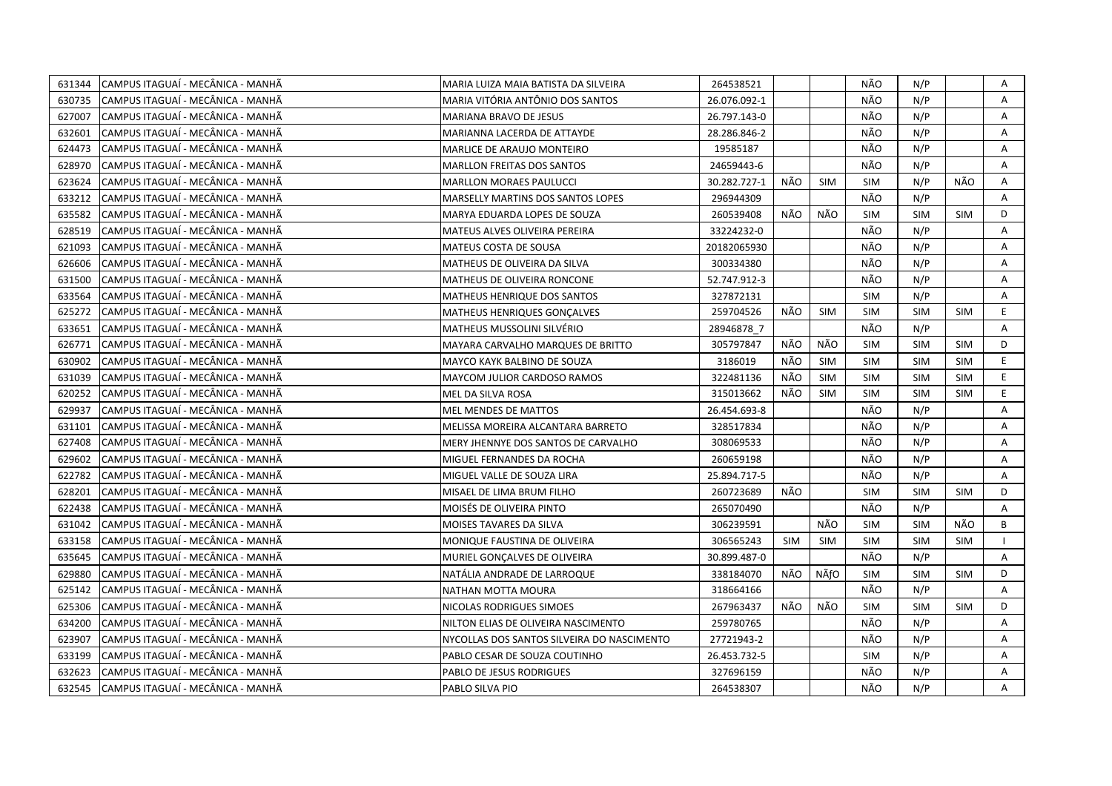| 631344 | CAMPUS ITAGUAÍ - MECÂNICA - MANHÃ | MARIA LUIZA MAIA BATISTA DA SILVEIRA       | 264538521    |            |            | NÃO        | N/P        |            | Α  |
|--------|-----------------------------------|--------------------------------------------|--------------|------------|------------|------------|------------|------------|----|
| 630735 | CAMPUS ITAGUAÍ - MECÂNICA - MANHÃ | MARIA VITÓRIA ANTÔNIO DOS SANTOS           | 26.076.092-1 |            |            | NÃO        | N/P        |            | A  |
| 627007 | CAMPUS ITAGUAÍ - MECÂNICA - MANHÃ | MARIANA BRAVO DE JESUS                     | 26.797.143-0 |            |            | NÃO        | N/P        |            | A  |
| 632601 | CAMPUS ITAGUAÍ - MECÂNICA - MANHÃ | MARIANNA LACERDA DE ATTAYDE                | 28.286.846-2 |            |            | NÃO        | N/P        |            | Α  |
| 624473 | CAMPUS ITAGUAÍ - MECÂNICA - MANHÃ | MARLICE DE ARAUJO MONTEIRO                 | 19585187     |            |            | NÃO        | N/P        |            | Α  |
| 628970 | CAMPUS ITAGUAÍ - MECÂNICA - MANHÃ | <b>MARLLON FREITAS DOS SANTOS</b>          | 24659443-6   |            |            | NÃO        | N/P        |            | A  |
| 623624 | CAMPUS ITAGUAÍ - MECÂNICA - MANHÃ | <b>MARLLON MORAES PAULUCCI</b>             | 30.282.727-1 | NÃO        | <b>SIM</b> | <b>SIM</b> | N/P        | NÃO        | Α  |
| 633212 | CAMPUS ITAGUAÍ - MECÂNICA - MANHÃ | <b>MARSELLY MARTINS DOS SANTOS LOPES</b>   | 296944309    |            |            | NÃO        | N/P        |            | A  |
| 635582 | CAMPUS ITAGUAÍ - MECÂNICA - MANHÃ | MARYA EDUARDA LOPES DE SOUZA               | 260539408    | NÃO        | NÃO        | <b>SIM</b> | <b>SIM</b> | <b>SIM</b> | D  |
| 628519 | CAMPUS ITAGUAI - MECÂNICA - MANHÃ | MATEUS ALVES OLIVEIRA PEREIRA              | 33224232-0   |            |            | NÃO        | N/P        |            | A  |
| 621093 | CAMPUS ITAGUAÍ - MECÂNICA - MANHÃ | <b>MATEUS COSTA DE SOUSA</b>               | 20182065930  |            |            | NÃO        | N/P        |            | Α  |
| 626606 | CAMPUS ITAGUAÍ - MECÂNICA - MANHÃ | MATHEUS DE OLIVEIRA DA SILVA               | 300334380    |            |            | NÃO        | N/P        |            | Α  |
| 631500 | CAMPUS ITAGUAÍ - MECÂNICA - MANHÃ | MATHEUS DE OLIVEIRA RONCONE                | 52.747.912-3 |            |            | NÃO        | N/P        |            | A  |
| 633564 | CAMPUS ITAGUAÍ - MECÂNICA - MANHÃ | MATHEUS HENRIQUE DOS SANTOS                | 327872131    |            |            | <b>SIM</b> | N/P        |            | A  |
| 625272 | CAMPUS ITAGUAÍ - MECÂNICA - MANHÃ | MATHEUS HENRIQUES GONCALVES                | 259704526    | NÃO        | <b>SIM</b> | <b>SIM</b> | <b>SIM</b> | <b>SIM</b> | E  |
| 633651 | CAMPUS ITAGUAÍ - MECÂNICA - MANHÃ | <b>MATHEUS MUSSOLINI SILVÉRIO</b>          | 28946878 7   |            |            | NÃO        | N/P        |            | A  |
| 626771 | CAMPUS ITAGUAÍ - MECÂNICA - MANHÃ | MAYARA CARVALHO MARQUES DE BRITTO          | 305797847    | NÃO        | NÃO        | <b>SIM</b> | <b>SIM</b> | <b>SIM</b> | D  |
| 630902 | CAMPUS ITAGUAÍ - MECÂNICA - MANHÃ | MAYCO KAYK BALBINO DE SOUZA                | 3186019      | NÃO        | SIM        | <b>SIM</b> | <b>SIM</b> | <b>SIM</b> | E. |
| 631039 | CAMPUS ITAGUAÍ - MECÂNICA - MANHÃ | MAYCOM JULIOR CARDOSO RAMOS                | 322481136    | NÃO        | <b>SIM</b> | <b>SIM</b> | <b>SIM</b> | <b>SIM</b> | E  |
| 620252 | CAMPUS ITAGUAI - MECÂNICA - MANHÃ | MEL DA SILVA ROSA                          | 315013662    | NÃO        | <b>SIM</b> | <b>SIM</b> | <b>SIM</b> | <b>SIM</b> | E. |
| 629937 | CAMPUS ITAGUAÍ - MECÂNICA - MANHÃ | <b>MEL MENDES DE MATTOS</b>                | 26.454.693-8 |            |            | NÃO        | N/P        |            | A  |
| 631101 | CAMPUS ITAGUAÍ - MECÂNICA - MANHÃ | MELISSA MOREIRA ALCANTARA BARRETO          | 328517834    |            |            | NÃO        | N/P        |            | A  |
| 627408 | CAMPUS ITAGUAÍ - MECÂNICA - MANHÃ | MERY JHENNYE DOS SANTOS DE CARVALHO        | 308069533    |            |            | NÃO        | N/P        |            | A  |
| 629602 | CAMPUS ITAGUAÍ - MECÂNICA - MANHÃ | MIGUEL FERNANDES DA ROCHA                  | 260659198    |            |            | NÃO        | N/P        |            | A  |
| 622782 | CAMPUS ITAGUAÍ - MECÂNICA - MANHÃ | MIGUEL VALLE DE SOUZA LIRA                 | 25.894.717-5 |            |            | NÃO        | N/P        |            | Α  |
| 628201 | CAMPUS ITAGUAÍ - MECÂNICA - MANHÃ | MISAEL DE LIMA BRUM FILHO                  | 260723689    | NÃO        |            | <b>SIM</b> | <b>SIM</b> | <b>SIM</b> | D  |
| 622438 | CAMPUS ITAGUAÍ - MECÂNICA - MANHÃ | MOISÉS DE OLIVEIRA PINTO                   | 265070490    |            |            | NÃO        | N/P        |            | A  |
| 631042 | CAMPUS ITAGUAÍ - MECÂNICA - MANHÃ | MOISES TAVARES DA SILVA                    | 306239591    |            | NÃO        | <b>SIM</b> | <b>SIM</b> | NÃO        | B  |
| 633158 | CAMPUS ITAGUAÍ - MECÂNICA - MANHÃ | MONIQUE FAUSTINA DE OLIVEIRA               | 306565243    | <b>SIM</b> | <b>SIM</b> | <b>SIM</b> | <b>SIM</b> | <b>SIM</b> |    |
| 635645 | CAMPUS ITAGUAÍ - MECÂNICA - MANHÃ | MURIEL GONÇALVES DE OLIVEIRA               | 30.899.487-0 |            |            | NÃO        | N/P        |            | A  |
| 629880 | CAMPUS ITAGUAÍ - MECÂNICA - MANHÃ | NATÁLIA ANDRADE DE LARROQUE                | 338184070    | NÃO        | NÃfO       | <b>SIM</b> | <b>SIM</b> | <b>SIM</b> | D  |
| 625142 | CAMPUS ITAGUAÍ - MECÂNICA - MANHÃ | NATHAN MOTTA MOURA                         | 318664166    |            |            | NÃO        | N/P        |            | A  |
| 625306 | CAMPUS ITAGUAÍ - MECÂNICA - MANHÃ | NICOLAS RODRIGUES SIMOES                   | 267963437    | NÃO        | NÃO        | <b>SIM</b> | <b>SIM</b> | <b>SIM</b> | D  |
| 634200 | CAMPUS ITAGUAI - MECÂNICA - MANHÃ | NILTON ELIAS DE OLIVEIRA NASCIMENTO        | 259780765    |            |            | NÃO        | N/P        |            | A  |
| 623907 | CAMPUS ITAGUAÍ - MECÂNICA - MANHÃ | NYCOLLAS DOS SANTOS SILVEIRA DO NASCIMENTO | 27721943-2   |            |            | NÃO        | N/P        |            | Α  |
| 633199 | CAMPUS ITAGUAÍ - MECÂNICA - MANHÃ | PABLO CESAR DE SOUZA COUTINHO              | 26.453.732-5 |            |            | <b>SIM</b> | N/P        |            | Α  |
| 632623 | CAMPUS ITAGUAÍ - MECÂNICA - MANHÃ | PABLO DE JESUS RODRIGUES                   | 327696159    |            |            | NÃO        | N/P        |            | A  |
| 632545 | CAMPUS ITAGUAÍ - MECÂNICA - MANHÃ | PABLO SILVA PIO                            | 264538307    |            |            | NÃO        | N/P        |            | A  |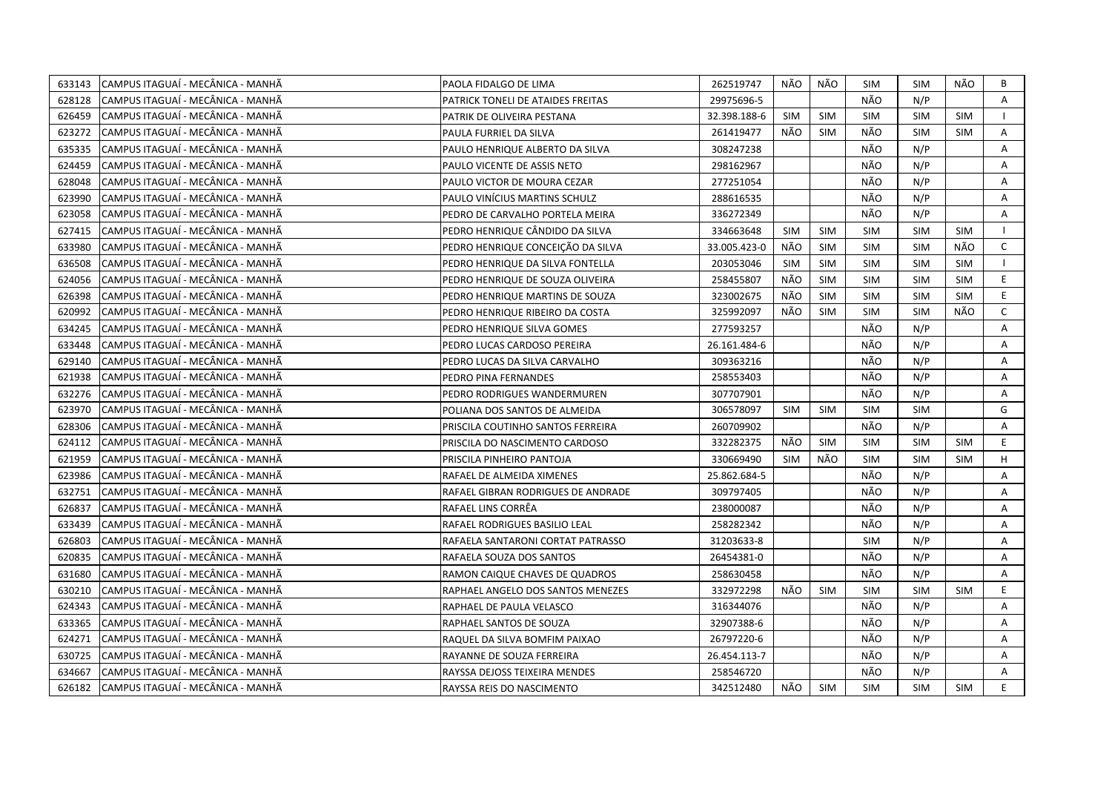| 633143 | CAMPUS ITAGUAÍ - MECÂNICA - MANHÃ | PAOLA FIDALGO DE LIMA              | 262519747    | NÃO        | NÃO        | SIM        | <b>SIM</b> | NÃO        | B            |
|--------|-----------------------------------|------------------------------------|--------------|------------|------------|------------|------------|------------|--------------|
| 628128 | CAMPUS ITAGUAÍ - MECÂNICA - MANHÃ | PATRICK TONELI DE ATAIDES FREITAS  | 29975696-5   |            |            | NÃO        | N/P        |            | A            |
| 626459 | CAMPUS ITAGUAÍ - MECÂNICA - MANHÃ | PATRIK DE OLIVEIRA PESTANA         | 32.398.188-6 | <b>SIM</b> | <b>SIM</b> | SIM        | <b>SIM</b> | <b>SIM</b> |              |
| 623272 | CAMPUS ITAGUAÍ - MECÂNICA - MANHÃ | PAULA FURRIEL DA SILVA             | 261419477    | NÃO        | <b>SIM</b> | NÃO        | <b>SIM</b> | <b>SIM</b> | Α            |
| 635335 | CAMPUS ITAGUAÍ - MECÂNICA - MANHÃ | PAULO HENRIQUE ALBERTO DA SILVA    | 308247238    |            |            | NÃO        | N/P        |            | Α            |
| 624459 | CAMPUS ITAGUAÍ - MECÂNICA - MANHÃ | PAULO VICENTE DE ASSIS NETO        | 298162967    |            |            | NÃO        | N/P        |            | Α            |
| 628048 | CAMPUS ITAGUAÍ - MECÂNICA - MANHÃ | PAULO VICTOR DE MOURA CEZAR        | 277251054    |            |            | NÃO        | N/P        |            | Α            |
| 623990 | CAMPUS ITAGUAÍ - MECÂNICA - MANHÃ | PAULO VINÍCIUS MARTINS SCHULZ      | 288616535    |            |            | NÃO        | N/P        |            | A            |
| 623058 | CAMPUS ITAGUAÍ - MECÂNICA - MANHÃ | PEDRO DE CARVALHO PORTELA MEIRA    | 336272349    |            |            | NÃO        | N/P        |            | A            |
| 627415 | CAMPUS ITAGUAI - MECÂNICA - MANHÃ | PEDRO HENRIQUE CÂNDIDO DA SILVA    | 334663648    | <b>SIM</b> | <b>SIM</b> | <b>SIM</b> | <b>SIM</b> | <b>SIM</b> |              |
| 633980 | CAMPUS ITAGUAÍ - MECÂNICA - MANHÃ | PEDRO HENRIQUE CONCEIÇÃO DA SILVA  | 33.005.423-0 | NÃO        | <b>SIM</b> | <b>SIM</b> | <b>SIM</b> | NÃO        | $\mathsf{C}$ |
| 636508 | CAMPUS ITAGUAÍ - MECÂNICA - MANHÃ | PEDRO HENRIQUE DA SILVA FONTELLA   | 203053046    | <b>SIM</b> | <b>SIM</b> | <b>SIM</b> | <b>SIM</b> | <b>SIM</b> |              |
| 624056 | CAMPUS ITAGUAÍ - MECÂNICA - MANHÃ | PEDRO HENRIQUE DE SOUZA OLIVEIRA   | 258455807    | NÃO        | SIM        | <b>SIM</b> | <b>SIM</b> | <b>SIM</b> | E            |
| 626398 | CAMPUS ITAGUAÍ - MECÂNICA - MANHÃ | PEDRO HENRIQUE MARTINS DE SOUZA    | 323002675    | NÃO        | <b>SIM</b> | <b>SIM</b> | <b>SIM</b> | <b>SIM</b> | E.           |
| 620992 | CAMPUS ITAGUAÍ - MECÂNICA - MANHÃ | PEDRO HENRIQUE RIBEIRO DA COSTA    | 325992097    | NÃO        | SIM        | <b>SIM</b> | <b>SIM</b> | NÃO        | $\mathsf{C}$ |
| 634245 | CAMPUS ITAGUAÍ - MECÂNICA - MANHÃ | PEDRO HENRIQUE SILVA GOMES         | 277593257    |            |            | NÃO        | N/P        |            | A            |
| 633448 | CAMPUS ITAGUAÍ - MECÂNICA - MANHÃ | PEDRO LUCAS CARDOSO PEREIRA        | 26.161.484-6 |            |            | NÃO        | N/P        |            | Α            |
| 629140 | CAMPUS ITAGUAÍ - MECÂNICA - MANHÃ | PEDRO LUCAS DA SILVA CARVALHO      | 309363216    |            |            | NÃO        | N/P        |            | A            |
| 621938 | CAMPUS ITAGUAÍ - MECÂNICA - MANHÃ | PEDRO PINA FERNANDES               | 258553403    |            |            | NÃO        | N/P        |            | A            |
| 632276 | CAMPUS ITAGUAÍ - MECÂNICA - MANHÃ | PEDRO RODRIGUES WANDERMUREN        | 307707901    |            |            | NÃO        | N/P        |            | Α            |
| 623970 | CAMPUS ITAGUAÍ - MECÂNICA - MANHÃ | POLIANA DOS SANTOS DE ALMEIDA      | 306578097    | <b>SIM</b> | <b>SIM</b> | <b>SIM</b> | <b>SIM</b> |            | G            |
| 628306 | CAMPUS ITAGUAÍ - MECÂNICA - MANHÃ | PRISCILA COUTINHO SANTOS FERREIRA  | 260709902    |            |            | NÃO        | N/P        |            | A            |
| 624112 | CAMPUS ITAGUAÍ - MECÂNICA - MANHÃ | PRISCILA DO NASCIMENTO CARDOSO     | 332282375    | NÃO        | <b>SIM</b> | <b>SIM</b> | <b>SIM</b> | <b>SIM</b> | E.           |
| 621959 | CAMPUS ITAGUAÍ - MECÂNICA - MANHÃ | PRISCILA PINHEIRO PANTOJA          | 330669490    | <b>SIM</b> | NÃO        | <b>SIM</b> | <b>SIM</b> | <b>SIM</b> | H            |
| 623986 | CAMPUS ITAGUAÍ - MECÂNICA - MANHÃ | RAFAEL DE ALMEIDA XIMENES          | 25.862.684-5 |            |            | NÃO        | N/P        |            | Α            |
| 632751 | CAMPUS ITAGUAÍ - MECÂNICA - MANHÃ | RAFAEL GIBRAN RODRIGUES DE ANDRADE | 309797405    |            |            | NÃO        | N/P        |            | A            |
| 626837 | CAMPUS ITAGUAÍ - MECÂNICA - MANHÃ | RAFAEL LINS CORREA                 | 238000087    |            |            | NÃO        | N/P        |            | A            |
| 633439 | CAMPUS ITAGUAÍ - MECÂNICA - MANHÃ | RAFAEL RODRIGUES BASILIO LEAL      | 258282342    |            |            | NÃO        | N/P        |            | Α            |
| 626803 | CAMPUS ITAGUAÍ - MECÂNICA - MANHÃ | RAFAELA SANTARONI CORTAT PATRASSO  | 31203633-8   |            |            | <b>SIM</b> | N/P        |            | A            |
| 620835 | CAMPUS ITAGUAÍ - MECÂNICA - MANHÃ | RAFAELA SOUZA DOS SANTOS           | 26454381-0   |            |            | NÃO        | N/P        |            | A            |
| 631680 | CAMPUS ITAGUAÍ - MECÂNICA - MANHÃ | RAMON CAIQUE CHAVES DE QUADROS     | 258630458    |            |            | NÃO        | N/P        |            | A            |
| 630210 | CAMPUS ITAGUAÍ - MECÂNICA - MANHÃ | RAPHAEL ANGELO DOS SANTOS MENEZES  | 332972298    | NÃO        | <b>SIM</b> | <b>SIM</b> | <b>SIM</b> | <b>SIM</b> | E            |
| 624343 | CAMPUS ITAGUAÍ - MECÂNICA - MANHÃ | RAPHAEL DE PAULA VELASCO           | 316344076    |            |            | NÃO        | N/P        |            | A            |
| 633365 | CAMPUS ITAGUAI - MECÂNICA - MANHÃ | RAPHAEL SANTOS DE SOUZA            | 32907388-6   |            |            | NÃO        | N/P        |            | A            |
| 624271 | CAMPUS ITAGUAÍ - MECÂNICA - MANHÃ | RAQUEL DA SILVA BOMFIM PAIXAO      | 26797220-6   |            |            | NÃO        | N/P        |            | Α            |
| 630725 | CAMPUS ITAGUAÍ - MECÂNICA - MANHÃ | RAYANNE DE SOUZA FERREIRA          | 26.454.113-7 |            |            | NÃO        | N/P        |            | Α            |
| 634667 | CAMPUS ITAGUAÍ - MECÂNICA - MANHÃ | RAYSSA DEJOSS TEIXEIRA MENDES      | 258546720    |            |            | NÃO        | N/P        |            | A            |
| 626182 | CAMPUS ITAGUAÍ - MECÂNICA - MANHÃ | RAYSSA REIS DO NASCIMENTO          | 342512480    | NÃO        | SIM        | <b>SIM</b> | <b>SIM</b> | <b>SIM</b> | E            |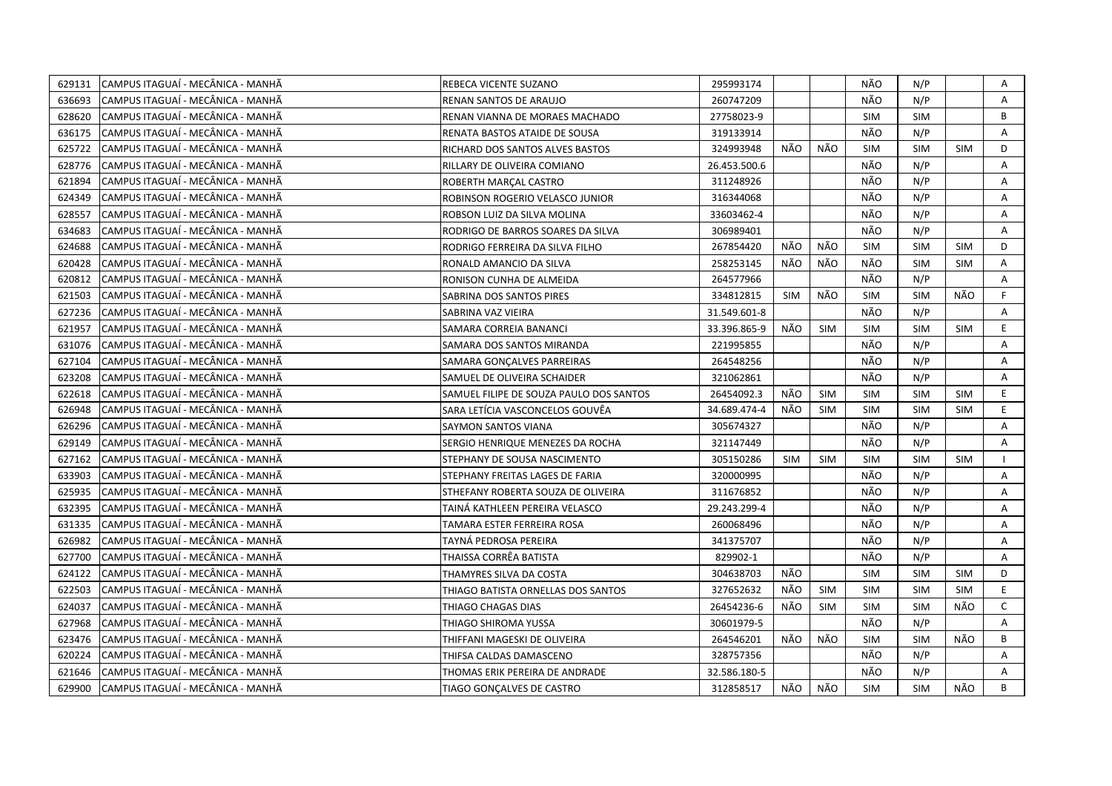| 629131 | CAMPUS ITAGUAÍ - MECÂNICA - MANHÃ | REBECA VICENTE SUZANO                   | 295993174    |            |            | NÃO        | N/P        |            | Α            |
|--------|-----------------------------------|-----------------------------------------|--------------|------------|------------|------------|------------|------------|--------------|
| 636693 | CAMPUS ITAGUAÍ - MECÂNICA - MANHÃ | RENAN SANTOS DE ARAUJO                  | 260747209    |            |            | NÃO        | N/P        |            | Α            |
| 628620 | CAMPUS ITAGUAÍ - MECÂNICA - MANHÃ | RENAN VIANNA DE MORAES MACHADO          | 27758023-9   |            |            | <b>SIM</b> | <b>SIM</b> |            | B            |
| 636175 | CAMPUS ITAGUAÍ - MECÂNICA - MANHÃ | RENATA BASTOS ATAIDE DE SOUSA           | 319133914    |            |            | NÃO        | N/P        |            | A            |
| 625722 | CAMPUS ITAGUAÍ - MECÂNICA - MANHÃ | RICHARD DOS SANTOS ALVES BASTOS         | 324993948    | NÃO        | NÃO        | <b>SIM</b> | <b>SIM</b> | <b>SIM</b> | D            |
| 628776 | CAMPUS ITAGUAÍ - MECÂNICA - MANHÃ | RILLARY DE OLIVEIRA COMIANO             | 26.453.500.6 |            |            | NÃO        | N/P        |            | Α            |
| 621894 | CAMPUS ITAGUAÍ - MECÂNICA - MANHÃ | ROBERTH MARÇAL CASTRO                   | 311248926    |            |            | NÃO        | N/P        |            | Α            |
| 624349 | CAMPUS ITAGUAÍ - MECÂNICA - MANHÃ | ROBINSON ROGERIO VELASCO JUNIOR         | 316344068    |            |            | NÃO        | N/P        |            | A            |
| 628557 | CAMPUS ITAGUAÍ - MECÂNICA - MANHÃ | ROBSON LUIZ DA SILVA MOLINA             | 33603462-4   |            |            | NÃO        | N/P        |            | A            |
| 634683 | CAMPUS ITAGUAÍ - MECÂNICA - MANHÃ | RODRIGO DE BARROS SOARES DA SILVA       | 306989401    |            |            | NÃO        | N/P        |            | A            |
| 624688 | CAMPUS ITAGUAÍ - MECÂNICA - MANHÃ | RODRIGO FERREIRA DA SILVA FILHO         | 267854420    | NÃO        | NÃO        | <b>SIM</b> | <b>SIM</b> | <b>SIM</b> | D            |
| 620428 | CAMPUS ITAGUAÍ - MECÂNICA - MANHÃ | RONALD AMANCIO DA SILVA                 | 258253145    | NÃO        | NÃO        | NÃO        | <b>SIM</b> | <b>SIM</b> | А            |
| 620812 | CAMPUS ITAGUAÍ - MECÂNICA - MANHÃ | RONISON CUNHA DE ALMEIDA                | 264577966    |            |            | NÃO        | N/P        |            | A            |
| 621503 | CAMPUS ITAGUAÍ - MECÂNICA - MANHÃ | SABRINA DOS SANTOS PIRES                | 334812815    | <b>SIM</b> | NÃO        | <b>SIM</b> | <b>SIM</b> | NÃO        | F.           |
| 627236 | CAMPUS ITAGUAÍ - MECÂNICA - MANHÃ | SABRINA VAZ VIEIRA                      | 31.549.601-8 |            |            | NÃO        | N/P        |            | Α            |
| 621957 | CAMPUS ITAGUAÍ - MECÂNICA - MANHÃ | SAMARA CORREIA BANANCI                  | 33.396.865-9 | NÃO        | SIM        | <b>SIM</b> | <b>SIM</b> | <b>SIM</b> | E            |
| 631076 | CAMPUS ITAGUAÍ - MECÂNICA - MANHÃ | SAMARA DOS SANTOS MIRANDA               | 221995855    |            |            | NÃO        | N/P        |            | A            |
| 627104 | CAMPUS ITAGUAÍ - MECÂNICA - MANHÃ | SAMARA GONÇALVES PARREIRAS              | 264548256    |            |            | NÃO        | N/P        |            | A            |
| 623208 | CAMPUS ITAGUAÍ - MECÂNICA - MANHÃ | SAMUEL DE OLIVEIRA SCHAIDER             | 321062861    |            |            | NÃO        | N/P        |            | $\mathsf{A}$ |
| 622618 | CAMPUS ITAGUAÍ - MECÂNICA - MANHÃ | SAMUEL FILIPE DE SOUZA PAULO DOS SANTOS | 26454092.3   | NÃO        | <b>SIM</b> | <b>SIM</b> | <b>SIM</b> | <b>SIM</b> | E.           |
| 626948 | CAMPUS ITAGUAI - MECÂNICA - MANHÃ | SARA LETÍCIA VASCONCELOS GOUVÊA         | 34.689.474-4 | NÃO        | <b>SIM</b> | <b>SIM</b> | <b>SIM</b> | <b>SIM</b> | E.           |
| 626296 | CAMPUS ITAGUAÍ - MECÂNICA - MANHÃ | SAYMON SANTOS VIANA                     | 305674327    |            |            | NÃO        | N/P        |            | A            |
| 629149 | CAMPUS ITAGUAÍ - MECÂNICA - MANHÃ | SERGIO HENRIQUE MENEZES DA ROCHA        | 321147449    |            |            | NÃO        | N/P        |            | A            |
| 627162 | CAMPUS ITAGUAÍ - MECÂNICA - MANHÃ | STEPHANY DE SOUSA NASCIMENTO            | 305150286    | <b>SIM</b> | SIM        | <b>SIM</b> | <b>SIM</b> | <b>SIM</b> |              |
| 633903 | CAMPUS ITAGUAI - MECÂNICA - MANHÃ | STEPHANY FREITAS LAGES DE FARIA         | 320000995    |            |            | NÃO        | N/P        |            | A            |
| 625935 | CAMPUS ITAGUAÍ - MECÂNICA - MANHÃ | STHEFANY ROBERTA SOUZA DE OLIVEIRA      | 311676852    |            |            | NÃO        | N/P        |            | Α            |
| 632395 | CAMPUS ITAGUAÍ - MECÂNICA - MANHÃ | TAINA KATHLEEN PEREIRA VELASCO          | 29.243.299-4 |            |            | NÃO        | N/P        |            | Α            |
| 631335 | CAMPUS ITAGUAÍ - MECÂNICA - MANHÃ | TAMARA ESTER FERREIRA ROSA              | 260068496    |            |            | NÃO        | N/P        |            | A            |
| 626982 | CAMPUS ITAGUAÍ - MECÂNICA - MANHÃ | TAYNÁ PEDROSA PEREIRA                   | 341375707    |            |            | NÃO        | N/P        |            | Α            |
| 627700 | CAMPUS ITAGUAÍ - MECÂNICA - MANHÃ | THAISSA CORRÊA BATISTA                  | 829902-1     |            |            | NÃO        | N/P        |            | A            |
| 624122 | CAMPUS ITAGUAÍ - MECÂNICA - MANHÃ | THAMYRES SILVA DA COSTA                 | 304638703    | NÃO        |            | <b>SIM</b> | <b>SIM</b> | <b>SIM</b> | D            |
| 622503 | CAMPUS ITAGUAÍ - MECÂNICA - MANHÃ | THIAGO BATISTA ORNELLAS DOS SANTOS      | 327652632    | NÃO        | <b>SIM</b> | <b>SIM</b> | <b>SIM</b> | <b>SIM</b> | E.           |
| 624037 | CAMPUS ITAGUAÍ - MECÂNICA - MANHÃ | THIAGO CHAGAS DIAS                      | 26454236-6   | NÃO        | <b>SIM</b> | <b>SIM</b> | <b>SIM</b> | NÃO        | $\mathsf{C}$ |
| 627968 | CAMPUS ITAGUAÍ - MECÂNICA - MANHÃ | THIAGO SHIROMA YUSSA                    | 30601979-5   |            |            | NÃO        | N/P        |            | A            |
| 623476 | CAMPUS ITAGUAÍ - MECÂNICA - MANHÃ | THIFFANI MAGESKI DE OLIVEIRA            | 264546201    | NÃO        | NÃO        | <b>SIM</b> | <b>SIM</b> | NÃO        | В            |
| 620224 | CAMPUS ITAGUAÍ - MECÂNICA - MANHÃ | THIFSA CALDAS DAMASCENO                 | 328757356    |            |            | NÃO        | N/P        |            | A            |
| 621646 | CAMPUS ITAGUAÍ - MECÂNICA - MANHÃ | THOMAS ERIK PEREIRA DE ANDRADE          | 32.586.180-5 |            |            | NÃO        | N/P        |            | A            |
| 629900 | CAMPUS ITAGUAÍ - MECÂNICA - MANHÃ | TIAGO GONÇALVES DE CASTRO               | 312858517    | NÃO I      | NÃO        | <b>SIM</b> | <b>SIM</b> | NÃO        | B            |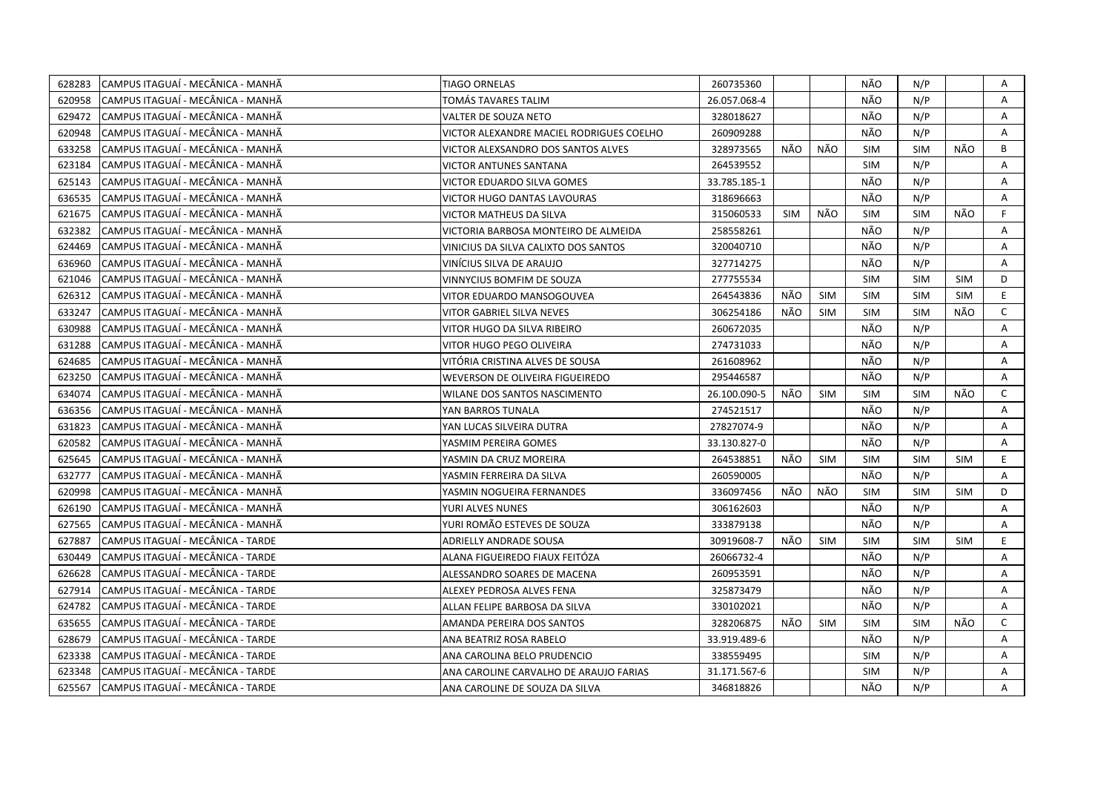| 628283 | CAMPUS ITAGUAÍ - MECÂNICA - MANHÃ | <b>TIAGO ORNELAS</b>                     | 260735360    |            |            | NÃO        | N/P        |            | Α            |
|--------|-----------------------------------|------------------------------------------|--------------|------------|------------|------------|------------|------------|--------------|
| 620958 | CAMPUS ITAGUAÍ - MECÂNICA - MANHÃ | TOMÁS TAVARES TALIM                      | 26.057.068-4 |            |            | NÃO        | N/P        |            | A            |
| 629472 | CAMPUS ITAGUAÍ - MECÂNICA - MANHÃ | VALTER DE SOUZA NETO                     | 328018627    |            |            | NÃO        | N/P        |            | A            |
| 620948 | CAMPUS ITAGUAÍ - MECÂNICA - MANHÃ | VICTOR ALEXANDRE MACIEL RODRIGUES COELHO | 260909288    |            |            | NÃO        | N/P        |            | A            |
| 633258 | CAMPUS ITAGUAÍ - MECÂNICA - MANHÃ | VICTOR ALEXSANDRO DOS SANTOS ALVES       | 328973565    | NÃO        | NÃO        | <b>SIM</b> | <b>SIM</b> | NÃO        | B            |
| 623184 | CAMPUS ITAGUAÍ - MECÂNICA - MANHÃ | <b>VICTOR ANTUNES SANTANA</b>            | 264539552    |            |            | <b>SIM</b> | N/P        |            | Α            |
| 625143 | CAMPUS ITAGUAÍ - MECÂNICA - MANHÃ | VICTOR EDUARDO SILVA GOMES               | 33.785.185-1 |            |            | NÃO        | N/P        |            | A            |
| 636535 | CAMPUS ITAGUAÍ - MECÂNICA - MANHÃ | VICTOR HUGO DANTAS LAVOURAS              | 318696663    |            |            | NÃO        | N/P        |            | Α            |
| 621675 | CAMPUS ITAGUAÍ - MECÂNICA - MANHÃ | <b>VICTOR MATHEUS DA SILVA</b>           | 315060533    | <b>SIM</b> | NÃO        | <b>SIM</b> | <b>SIM</b> | NÃO        | F.           |
| 632382 | CAMPUS ITAGUAÍ - MECÂNICA - MANHÃ | VICTORIA BARBOSA MONTEIRO DE ALMEIDA     | 258558261    |            |            | NÃO        | N/P        |            | A            |
| 624469 | CAMPUS ITAGUAÍ - MECÂNICA - MANHÃ | VINICIUS DA SILVA CALIXTO DOS SANTOS     | 320040710    |            |            | NÃO        | N/P        |            | A            |
| 636960 | CAMPUS ITAGUAÍ - MECÂNICA - MANHÃ | VINÍCIUS SILVA DE ARAUJO                 | 327714275    |            |            | NÃO        | N/P        |            | A            |
| 621046 | CAMPUS ITAGUAÍ - MECÂNICA - MANHÃ | VINNYCIUS BOMFIM DE SOUZA                | 277755534    |            |            | <b>SIM</b> | <b>SIM</b> | <b>SIM</b> | D            |
| 626312 | CAMPUS ITAGUAÍ - MECÂNICA - MANHÃ | VITOR EDUARDO MANSOGOUVEA                | 264543836    | NÃO        | <b>SIM</b> | <b>SIM</b> | <b>SIM</b> | <b>SIM</b> | E.           |
| 633247 | CAMPUS ITAGUAÍ - MECÂNICA - MANHÃ | VITOR GABRIEL SILVA NEVES                | 306254186    | NÃO        | <b>SIM</b> | <b>SIM</b> | <b>SIM</b> | NÃO        | $\mathsf{C}$ |
| 630988 | CAMPUS ITAGUAÍ - MECÂNICA - MANHÃ | VITOR HUGO DA SILVA RIBEIRO              | 260672035    |            |            | NÃO        | N/P        |            | Α            |
| 631288 | CAMPUS ITAGUAÍ - MECÂNICA - MANHÃ | VITOR HUGO PEGO OLIVEIRA                 | 274731033    |            |            | NÃO        | N/P        |            | A            |
| 624685 | CAMPUS ITAGUAÍ - MECÂNICA - MANHÃ | VITÓRIA CRISTINA ALVES DE SOUSA          | 261608962    |            |            | NÃO        | N/P        |            | A            |
| 623250 | CAMPUS ITAGUAÍ - MECÂNICA - MANHÃ | WEVERSON DE OLIVEIRA FIGUEIREDO          | 295446587    |            |            | NÃO        | N/P        |            | A            |
| 634074 | CAMPUS ITAGUAÍ - MECÂNICA - MANHÃ | WILANE DOS SANTOS NASCIMENTO             | 26.100.090-5 | NÃO        | <b>SIM</b> | SIM        | <b>SIM</b> | NÃO        | $\mathsf{C}$ |
| 636356 | CAMPUS ITAGUAÍ - MECÂNICA - MANHÃ | YAN BARROS TUNALA                        | 274521517    |            |            | NÃO        | N/P        |            | A            |
| 631823 | CAMPUS ITAGUAÍ - MECÂNICA - MANHÃ | YAN LUCAS SILVEIRA DUTRA                 | 27827074-9   |            |            | NÃO        | N/P        |            | A            |
| 620582 | CAMPUS ITAGUAÍ - MECÂNICA - MANHÃ | YASMIM PEREIRA GOMES                     | 33.130.827-0 |            |            | NÃO        | N/P        |            | A            |
| 625645 | CAMPUS ITAGUAI - MECÂNICA - MANHÃ | YASMIN DA CRUZ MOREIRA                   | 264538851    | NÃO        | <b>SIM</b> | <b>SIM</b> | <b>SIM</b> | <b>SIM</b> | E.           |
| 632777 | CAMPUS ITAGUAÍ - MECÂNICA - MANHÃ | YASMIN FERREIRA DA SILVA                 | 260590005    |            |            | NÃO        | N/P        |            | A            |
| 620998 | CAMPUS ITAGUAÍ - MECÂNICA - MANHÃ | YASMIN NOGUEIRA FERNANDES                | 336097456    | NÃO        | NÃO        | <b>SIM</b> | <b>SIM</b> | SIM        | D            |
| 626190 | CAMPUS ITAGUAÍ - MECÂNICA - MANHÃ | YURI ALVES NUNES                         | 306162603    |            |            | NÃO        | N/P        |            | A            |
| 627565 | CAMPUS ITAGUAÍ - MECÂNICA - MANHÃ | YURI ROMÃO ESTEVES DE SOUZA              | 333879138    |            |            | NÃO        | N/P        |            | Α            |
| 627887 | CAMPUS ITAGUAÍ - MECÂNICA - TARDE | ADRIELLY ANDRADE SOUSA                   | 30919608-7   | NÃO        | <b>SIM</b> | <b>SIM</b> | <b>SIM</b> | <b>SIM</b> | E            |
| 630449 | CAMPUS ITAGUAÍ - MECÂNICA - TARDE | ALANA FIGUEIREDO FIAUX FEITÓZA           | 26066732-4   |            |            | NÃO        | N/P        |            | A            |
| 626628 | CAMPUS ITAGUAI - MECÂNICA - TARDE | ALESSANDRO SOARES DE MACENA              | 260953591    |            |            | NÃO        | N/P        |            | Α            |
| 627914 | CAMPUS ITAGUAI - MECÂNICA - TARDE | ALEXEY PEDROSA ALVES FENA                | 325873479    |            |            | NÃO        | N/P        |            | A            |
| 624782 | CAMPUS ITAGUAÍ - MECÂNICA - TARDE | ALLAN FELIPE BARBOSA DA SILVA            | 330102021    |            |            | NÃO        | N/P        |            | A            |
| 635655 | CAMPUS ITAGUAÍ - MECÂNICA - TARDE | AMANDA PEREIRA DOS SANTOS                | 328206875    | NÃO        | <b>SIM</b> | <b>SIM</b> | <b>SIM</b> | NÃO        | $\mathsf{C}$ |
| 628679 | CAMPUS ITAGUAÍ - MECÂNICA - TARDE | ANA BEATRIZ ROSA RABELO                  | 33.919.489-6 |            |            | NÃO        | N/P        |            | A            |
| 623338 | CAMPUS ITAGUAÍ - MECÂNICA - TARDE | ANA CAROLINA BELO PRUDENCIO              | 338559495    |            |            | <b>SIM</b> | N/P        |            | Α            |
| 623348 | CAMPUS ITAGUAÍ - MECÂNICA - TARDE | ANA CAROLINE CARVALHO DE ARAUJO FARIAS   | 31.171.567-6 |            |            | <b>SIM</b> | N/P        |            | A            |
| 625567 | CAMPUS ITAGUAÍ - MECÂNICA - TARDE | ANA CAROLINE DE SOUZA DA SILVA           | 346818826    |            |            | NÃO        | N/P        |            | A            |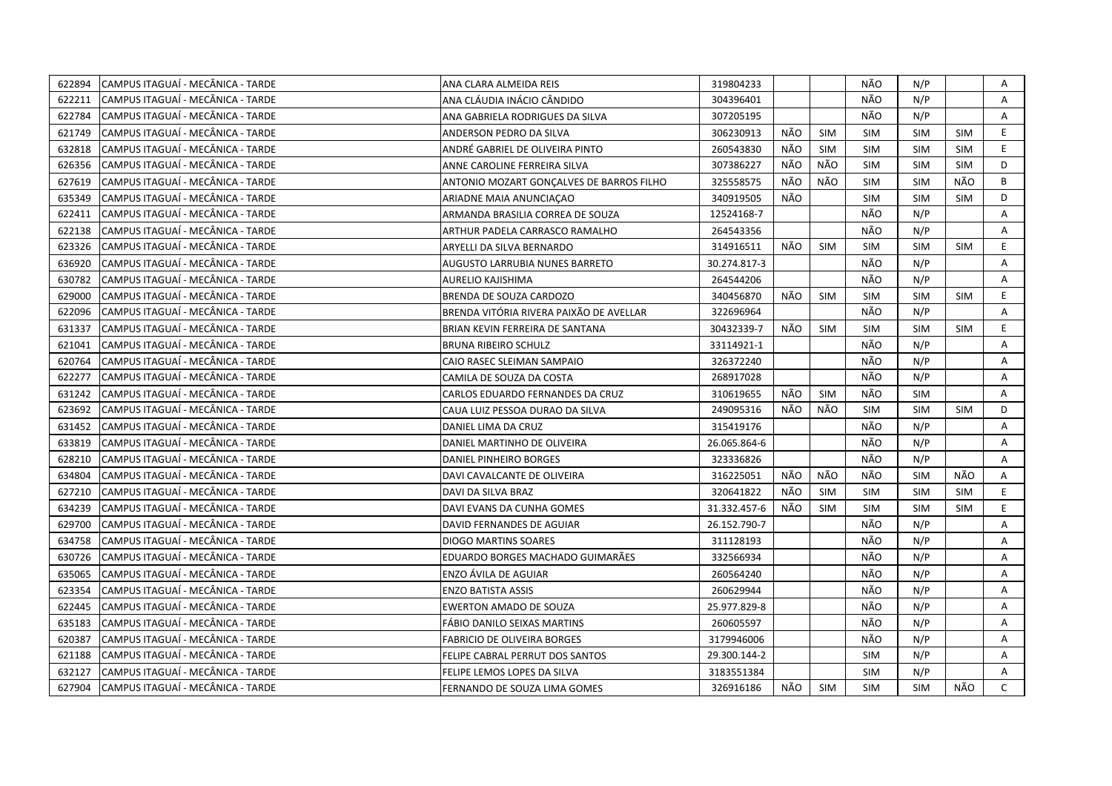| 622894 | CAMPUS ITAGUAÍ - MECÂNICA - TARDE  | ANA CLARA ALMEIDA REIS                   | 319804233    |     |            | NÃO        | N/P        |            | Α              |
|--------|------------------------------------|------------------------------------------|--------------|-----|------------|------------|------------|------------|----------------|
| 622211 | CAMPUS ITAGUAÍ - MECÂNICA - TARDE  | ANA CLÁUDIA INÁCIO CÂNDIDO               | 304396401    |     |            | NÃO        | N/P        |            | $\overline{A}$ |
| 622784 | CAMPUS ITAGUAÍ - MECÂNICA - TARDE  | ANA GABRIELA RODRIGUES DA SILVA          | 307205195    |     |            | NÃO        | N/P        |            | A              |
| 621749 | CAMPUS ITAGUAÍ - MECÂNICA - TARDE  | ANDERSON PEDRO DA SILVA                  | 306230913    | NÃO | <b>SIM</b> | <b>SIM</b> | <b>SIM</b> | <b>SIM</b> | E              |
| 632818 | CAMPUS ITAGUAÍ - MECÂNICA - TARDE  | ANDRÉ GABRIEL DE OLIVEIRA PINTO          | 260543830    | NÃO | SIM        | <b>SIM</b> | <b>SIM</b> | <b>SIM</b> | E.             |
| 626356 | CAMPUS ITAGUAÍ - MECÂNICA - TARDE  | ANNE CAROLINE FERREIRA SILVA             | 307386227    | NÃO | NÃO        | <b>SIM</b> | <b>SIM</b> | <b>SIM</b> | D              |
| 627619 | CAMPUS ITAGUAÍ - MECÂNICA - TARDE  | ANTONIO MOZART GONÇALVES DE BARROS FILHO | 325558575    | NÃO | NÃO        | <b>SIM</b> | <b>SIM</b> | NÃO        | B              |
| 635349 | CAMPUS ITAGUAÍ - MECÂNICA - TARDE  | ARIADNE MAIA ANUNCIACAO                  | 340919505    | NÃO |            | <b>SIM</b> | <b>SIM</b> | <b>SIM</b> | D              |
| 622411 | CAMPUS ITAGUAÍ - MECÂNICA - TARDE  | ARMANDA BRASILIA CORREA DE SOUZA         | 12524168-7   |     |            | NÃO        | N/P        |            | A              |
| 622138 | CAMPUS ITAGUAI - MECÂNICA - TARDE  | ARTHUR PADELA CARRASCO RAMALHO           | 264543356    |     |            | NÃO        | N/P        |            | A              |
| 623326 | CAMPUS ITAGUAÍ - MECÂNICA - TARDE  | ARYELLI DA SILVA BERNARDO                | 314916511    | NÃO | <b>SIM</b> | <b>SIM</b> | <b>SIM</b> | <b>SIM</b> | E.             |
| 636920 | CAMPUS ITAGUAI - MECÂNICA - TARDE  | AUGUSTO LARRUBIA NUNES BARRETO           | 30.274.817-3 |     |            | NÃO        | N/P        |            | A              |
| 630782 | CAMPUS ITAGUAÍ - MECÂNICA - TARDE  | <b>AURELIO KAJISHIMA</b>                 | 264544206    |     |            | NÃO        | N/P        |            | Α              |
| 629000 | CAMPUS ITAGUAÍ - MECÂNICA - TARDE  | <b>BRENDA DE SOUZA CARDOZO</b>           | 340456870    | NÃO | <b>SIM</b> | <b>SIM</b> | <b>SIM</b> | <b>SIM</b> | E.             |
| 622096 | CAMPUS ITAGUAÍ - MECÂNICA - TARDE  | BRENDA VITÓRIA RIVERA PAIXÃO DE AVELLAR  | 322696964    |     |            | NÃO        | N/P        |            | A              |
| 631337 | CAMPUS ITAGUAÍ - MECÂNICA - TARDE  | BRIAN KEVIN FERREIRA DE SANTANA          | 30432339-7   | NÃO | <b>SIM</b> | <b>SIM</b> | <b>SIM</b> | <b>SIM</b> | E              |
| 621041 | CAMPUS ITAGUAÍ - MECÂNICA - TARDE  | <b>BRUNA RIBEIRO SCHULZ</b>              | 33114921-1   |     |            | NÃO        | N/P        |            | Α              |
| 620764 | CAMPUS ITAGUAÍ - MECÂNICA - TARDE  | CAIO RASEC SLEIMAN SAMPAIO               | 326372240    |     |            | NÃO        | N/P        |            | A              |
| 622277 | CAMPUS ITAGUAÍ - MECÂNICA - TARDE  | CAMILA DE SOUZA DA COSTA                 | 268917028    |     |            | NÃO        | N/P        |            | A              |
| 631242 | CAMPUS ITAGUAÍ - MECÂNICA - TARDE  | CARLOS EDUARDO FERNANDES DA CRUZ         | 310619655    | NÃO | <b>SIM</b> | NÃO        | <b>SIM</b> |            | Α              |
| 623692 | CAMPUS ITAGUAÍ - MECÂNICA - TARDE  | CAUA LUIZ PESSOA DURAO DA SILVA          | 249095316    | NÃO | NÃO        | <b>SIM</b> | <b>SIM</b> | <b>SIM</b> | D              |
| 631452 | CAMPUS ITAGUAÍ - MECÂNICA - TARDE  | DANIEL LIMA DA CRUZ                      | 315419176    |     |            | NÃO        | N/P        |            | $\mathsf{A}$   |
| 633819 | CAMPUS ITAGUAÍ - MECÂNICA - TARDE  | DANIEL MARTINHO DE OLIVEIRA              | 26.065.864-6 |     |            | NÃO        | N/P        |            | A              |
| 628210 | CAMPUS ITAGUAÍ - MECÂNICA - TARDE  | DANIEL PINHEIRO BORGES                   | 323336826    |     |            | NÃO        | N/P        |            | $\overline{A}$ |
| 634804 | CAMPUS ITAGUAÍ - MECÂNICA - TARDE  | DAVI CAVALCANTE DE OLIVEIRA              | 316225051    | NÃO | NÃO        | NÃO        | <b>SIM</b> | NÃO        | Α              |
| 627210 | CAMPUS ITAGUAI - MECÂNICA - TARDE  | DAVI DA SILVA BRAZ                       | 320641822    | NÃO | <b>SIM</b> | <b>SIM</b> | <b>SIM</b> | <b>SIM</b> | E              |
| 634239 | CAMPUS ITAGUAÍ - MECÂNICA - TARDE  | DAVI EVANS DA CUNHA GOMES                | 31.332.457-6 | NÃO | <b>SIM</b> | <b>SIM</b> | <b>SIM</b> | <b>SIM</b> | E.             |
| 629700 | CAMPUS ITAGUAÍ - MECÂNICA - TARDE  | DAVID FERNANDES DE AGUIAR                | 26.152.790-7 |     |            | NÃO        | N/P        |            | A              |
| 634758 | CAMPUS ITAGUAÍ - MECÂNICA - TARDE  | <b>DIOGO MARTINS SOARES</b>              | 311128193    |     |            | NÃO        | N/P        |            | Α              |
| 630726 | CAMPUS ITAGUAÍ - MECÂNICA - TARDE  | EDUARDO BORGES MACHADO GUIMARÃES         | 332566934    |     |            | NÃO        | N/P        |            | A              |
| 635065 | CAMPUS ITAGUAÍ - MECÂNICA - TARDE  | ENZO ÁVILA DE AGUIAR                     | 260564240    |     |            | NÃO        | N/P        |            | Α              |
| 623354 | CAMPUS ITAGUAÍ - MECÂNICA - TARDE  | <b>ENZO BATISTA ASSIS</b>                | 260629944    |     |            | NÃO        | N/P        |            | A              |
| 622445 | CAMPUS ITAGUAÍ - MECÂNICA - TARDE  | <b>EWERTON AMADO DE SOUZA</b>            | 25.977.829-8 |     |            | NÃO        | N/P        |            | Α              |
| 635183 | CAMPUS ITAGUAÍ - MECÂNICA - TARDE  | FÁBIO DANILO SEIXAS MARTINS              | 260605597    |     |            | NÃO        | N/P        |            | A              |
| 620387 | CAMPUS ITAGUAÍ - MECÂNICA - TARDE  | <b>FABRICIO DE OLIVEIRA BORGES</b>       | 3179946006   |     |            | NÃO        | N/P        |            | Α              |
| 621188 | CAMPUS ITAGUAÍ - MECÂNICA - TARDE  | FELIPE CABRAL PERRUT DOS SANTOS          | 29.300.144-2 |     |            | <b>SIM</b> | N/P        |            | Α              |
| 632127 | CAMPUS ITAGUAÍ - MECÂNICA - TARDE  | FELIPE LEMOS LOPES DA SILVA              | 3183551384   |     |            | <b>SIM</b> | N/P        |            | Α              |
| 627904 | ICAMPUS ITAGUAÍ - MECÂNICA - TARDE | FERNANDO DE SOUZA LIMA GOMES             | 326916186    | NÃO | <b>SIM</b> | <b>SIM</b> | <b>SIM</b> | NÃO        | $\mathsf{C}$   |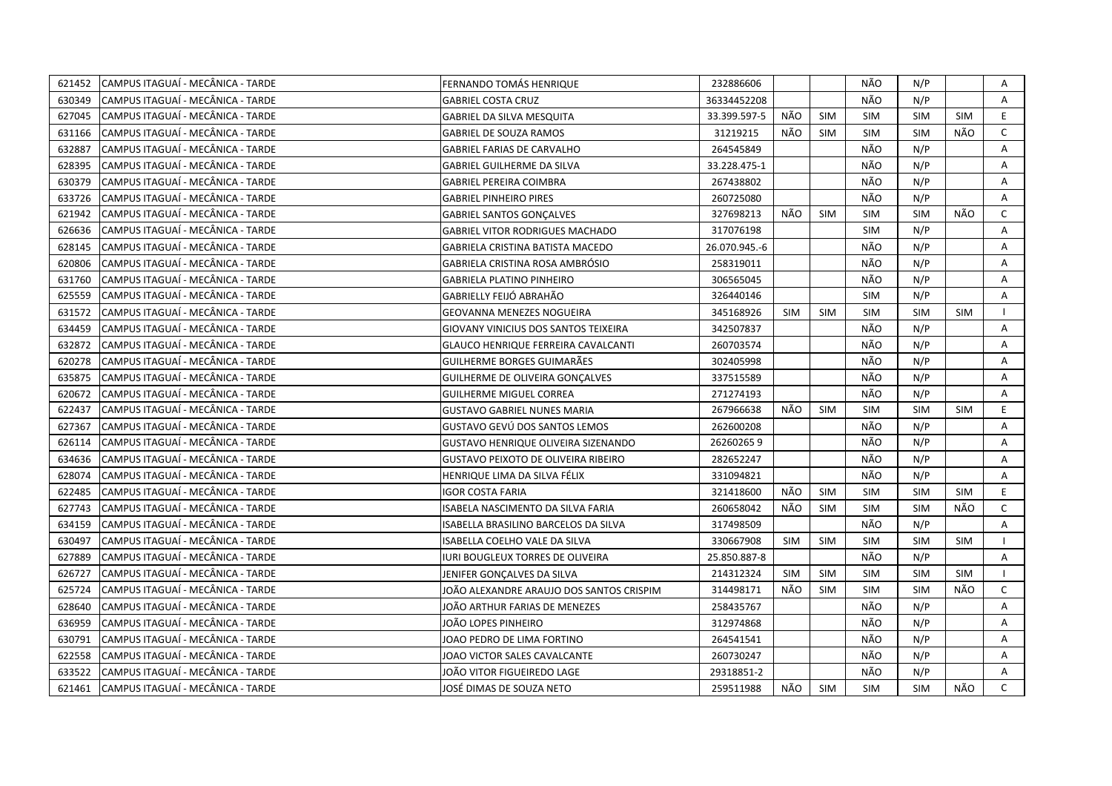| 621452 | CAMPUS ITAGUAÍ - MECÂNICA - TARDE | FERNANDO TOMÁS HENRIQUE                    | 232886606     |            |            | NÃO        | N/P        |            | Α            |
|--------|-----------------------------------|--------------------------------------------|---------------|------------|------------|------------|------------|------------|--------------|
| 630349 | CAMPUS ITAGUAÍ - MECÂNICA - TARDE | <b>GABRIEL COSTA CRUZ</b>                  | 36334452208   |            |            | NÃO        | N/P        |            | A            |
| 627045 | CAMPUS ITAGUAÍ - MECÂNICA - TARDE | <b>GABRIEL DA SILVA MESQUITA</b>           | 33.399.597-5  | NÃO        | <b>SIM</b> | <b>SIM</b> | <b>SIM</b> | <b>SIM</b> | E            |
| 631166 | CAMPUS ITAGUAÍ - MECÂNICA - TARDE | <b>GABRIEL DE SOUZA RAMOS</b>              | 31219215      | NÃO        | <b>SIM</b> | <b>SIM</b> | <b>SIM</b> | NÃO        | $\mathsf{C}$ |
| 632887 | CAMPUS ITAGUAÍ - MECÂNICA - TARDE | <b>GABRIEL FARIAS DE CARVALHO</b>          | 264545849     |            |            | NÃO        | N/P        |            | Α            |
| 628395 | CAMPUS ITAGUAÍ - MECÂNICA - TARDE | <b>GABRIEL GUILHERME DA SILVA</b>          | 33.228.475-1  |            |            | NÃO        | N/P        |            | A            |
| 630379 | CAMPUS ITAGUAÍ - MECÂNICA - TARDE | <b>GABRIEL PEREIRA COIMBRA</b>             | 267438802     |            |            | NÃO        | N/P        |            | A            |
| 633726 | CAMPUS ITAGUAÍ - MECÂNICA - TARDE | <b>GABRIEL PINHEIRO PIRES</b>              | 260725080     |            |            | NÃO        | N/P        |            | A            |
| 621942 | CAMPUS ITAGUAÍ - MECÂNICA - TARDE | <b>GABRIEL SANTOS GONÇALVES</b>            | 327698213     | NÃO        | <b>SIM</b> | <b>SIM</b> | <b>SIM</b> | NÃO        | $\mathsf{C}$ |
| 626636 | CAMPUS ITAGUAÍ - MECÂNICA - TARDE | <b>GABRIEL VITOR RODRIGUES MACHADO</b>     | 317076198     |            |            | <b>SIM</b> | N/P        |            | A            |
| 628145 | CAMPUS ITAGUAÍ - MECÂNICA - TARDE | GABRIELA CRISTINA BATISTA MACEDO           | 26.070.945.-6 |            |            | NÃO        | N/P        |            | Α            |
| 620806 | CAMPUS ITAGUAÍ - MECÂNICA - TARDE | GABRIELA CRISTINA ROSA AMBRÓSIO            | 258319011     |            |            | NÃO        | N/P        |            | Α            |
| 631760 | CAMPUS ITAGUAÍ - MECÂNICA - TARDE | <b>GABRIELA PLATINO PINHEIRO</b>           | 306565045     |            |            | NÃO        | N/P        |            | A            |
| 625559 | CAMPUS ITAGUAÍ - MECÂNICA - TARDE | GABRIELLY FEIJÓ ABRAHÃO                    | 326440146     |            |            | <b>SIM</b> | N/P        |            | A            |
| 631572 | CAMPUS ITAGUAÍ - MECÂNICA - TARDE | GEOVANNA MENEZES NOGUEIRA                  | 345168926     | <b>SIM</b> | <b>SIM</b> | <b>SIM</b> | <b>SIM</b> | <b>SIM</b> | $\mathbf{I}$ |
| 634459 | CAMPUS ITAGUAÍ - MECÂNICA - TARDE | GIOVANY VINICIUS DOS SANTOS TEIXEIRA       | 342507837     |            |            | NÃO        | N/P        |            | A            |
| 632872 | CAMPUS ITAGUAÍ - MECÂNICA - TARDE | GLAUCO HENRIQUE FERREIRA CAVALCANTI        | 260703574     |            |            | NÃO        | N/P        |            | A            |
| 620278 | CAMPUS ITAGUAÍ - MECÂNICA - TARDE | GUILHERME BORGES GUIMARÃES                 | 302405998     |            |            | NÃO        | N/P        |            | A            |
| 635875 | CAMPUS ITAGUAÍ - MECÂNICA - TARDE | GUILHERME DE OLIVEIRA GONÇALVES            | 337515589     |            |            | NÃO        | N/P        |            | $\mathsf{A}$ |
| 620672 | CAMPUS ITAGUAÍ - MECÂNICA - TARDE | <b>GUILHERME MIGUEL CORREA</b>             | 271274193     |            |            | NÃO        | N/P        |            | Α            |
| 622437 | CAMPUS ITAGUAÍ - MECÂNICA - TARDE | <b>GUSTAVO GABRIEL NUNES MARIA</b>         | 267966638     | NÃO        | <b>SIM</b> | <b>SIM</b> | <b>SIM</b> | <b>SIM</b> | E            |
| 627367 | CAMPUS ITAGUAÍ - MECÂNICA - TARDE | GUSTAVO GEVÚ DOS SANTOS LEMOS              | 262600208     |            |            | NÃO        | N/P        |            | Α            |
| 626114 | CAMPUS ITAGUAÍ - MECÂNICA - TARDE | GUSTAVO HENRIQUE OLIVEIRA SIZENANDO        | 262602659     |            |            | <b>NÃO</b> | N/P        |            | A            |
| 634636 | CAMPUS ITAGUAÍ - MECÂNICA - TARDE | <b>GUSTAVO PEIXOTO DE OLIVEIRA RIBEIRO</b> | 282652247     |            |            | NÃO        | N/P        |            | A            |
| 628074 | CAMPUS ITAGUAÍ - MECÂNICA - TARDE | HENRIQUE LIMA DA SILVA FÉLIX               | 331094821     |            |            | NÃO        | N/P        |            | Α            |
| 622485 | CAMPUS ITAGUAÍ - MECÂNICA - TARDE | <b>IGOR COSTA FARIA</b>                    | 321418600     | NÃO        | <b>SIM</b> | <b>SIM</b> | <b>SIM</b> | <b>SIM</b> | E            |
| 627743 | CAMPUS ITAGUAÍ - MECÂNICA - TARDE | ISABELA NASCIMENTO DA SILVA FARIA          | 260658042     | NÃO        | <b>SIM</b> | <b>SIM</b> | <b>SIM</b> | NÃO        | $\mathsf{C}$ |
| 634159 | CAMPUS ITAGUAÍ - MECÂNICA - TARDE | ISABELLA BRASILINO BARCELOS DA SILVA       | 317498509     |            |            | NÃO        | N/P        |            | Α            |
| 630497 | CAMPUS ITAGUAÍ - MECÂNICA - TARDE | ISABELLA COELHO VALE DA SILVA              | 330667908     | <b>SIM</b> | <b>SIM</b> | <b>SIM</b> | <b>SIM</b> | <b>SIM</b> |              |
| 627889 | CAMPUS ITAGUAÍ - MECÂNICA - TARDE | IURI BOUGLEUX TORRES DE OLIVEIRA           | 25.850.887-8  |            |            | NÃO        | N/P        |            | A            |
| 626727 | CAMPUS ITAGUAÍ - MECÂNICA - TARDE | JENIFER GONÇALVES DA SILVA                 | 214312324     | <b>SIM</b> | <b>SIM</b> | <b>SIM</b> | <b>SIM</b> | <b>SIM</b> | $\mathbf{L}$ |
| 625724 | CAMPUS ITAGUAÍ - MECÂNICA - TARDE | JOÃO ALEXANDRE ARAUJO DOS SANTOS CRISPIM   | 314498171     | NÃO        | <b>SIM</b> | <b>SIM</b> | <b>SIM</b> | NÃO        | $\mathsf{C}$ |
| 628640 | CAMPUS ITAGUAÍ - MECÂNICA - TARDE | JOÃO ARTHUR FARIAS DE MENEZES              | 258435767     |            |            | NÃO        | N/P        |            | Α            |
| 636959 | CAMPUS ITAGUAÍ - MECÂNICA - TARDE | JOÃO LOPES PINHEIRO                        | 312974868     |            |            | NÃO        | N/P        |            | A            |
| 630791 | CAMPUS ITAGUAÍ - MECÂNICA - TARDE | JOAO PEDRO DE LIMA FORTINO                 | 264541541     |            |            | NÃO        | N/P        |            | Α            |
| 622558 | CAMPUS ITAGUAÍ - MECÂNICA - TARDE | JOAO VICTOR SALES CAVALCANTE               | 260730247     |            |            | NÃO        | N/P        |            | Α            |
| 633522 | CAMPUS ITAGUAÍ - MECÂNICA - TARDE | JOÃO VITOR FIGUEIREDO LAGE                 | 29318851-2    |            |            | NÃO        | N/P        |            | A            |
| 621461 | CAMPUS ITAGUAÍ - MECÂNICA - TARDE | JOSÉ DIMAS DE SOUZA NETO                   | 259511988     | NÃO        | <b>SIM</b> | <b>SIM</b> | <b>SIM</b> | NÃO        | $\mathsf{C}$ |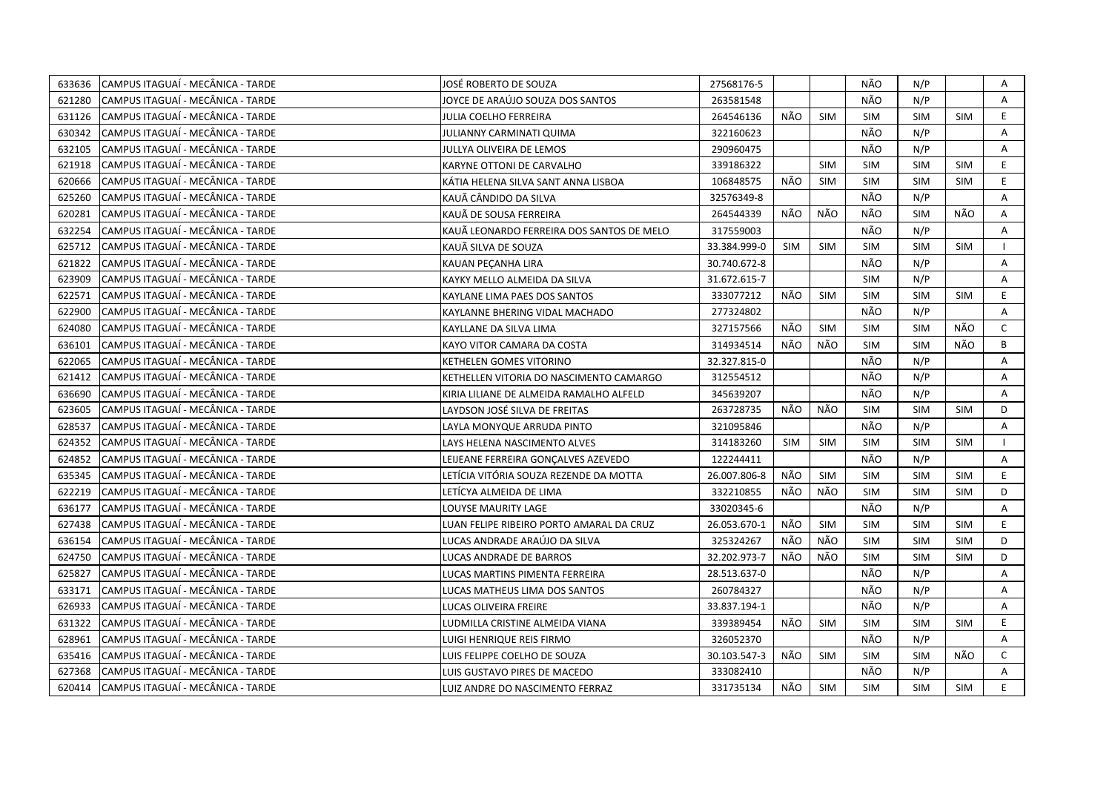| CAMPUS ITAGUAÍ - MECÂNICA - TARDE<br>633636 | JOSÉ ROBERTO DE SOUZA                     | 27568176-5   |            |            | NÃO        | N/P        |            | Α            |
|---------------------------------------------|-------------------------------------------|--------------|------------|------------|------------|------------|------------|--------------|
| 621280<br>CAMPUS ITAGUAÍ - MECÂNICA - TARDE | JOYCE DE ARAÚJO SOUZA DOS SANTOS          | 263581548    |            |            | NÃO        | N/P        |            | A            |
| 631126<br>CAMPUS ITAGUAÍ - MECÂNICA - TARDE | JULIA COELHO FERREIRA                     | 264546136    | NÃO        | <b>SIM</b> | <b>SIM</b> | <b>SIM</b> | <b>SIM</b> | E.           |
| 630342<br>CAMPUS ITAGUAÍ - MECÂNICA - TARDE | JULIANNY CARMINATI QUIMA                  | 322160623    |            |            | NÃO        | N/P        |            | A            |
| 632105<br>CAMPUS ITAGUAÍ - MECÂNICA - TARDE | JULLYA OLIVEIRA DE LEMOS                  | 290960475    |            |            | NÃO        | N/P        |            | $\mathsf{A}$ |
| 621918<br>CAMPUS ITAGUAÍ - MECÂNICA - TARDE | KARYNE OTTONI DE CARVALHO                 | 339186322    |            | <b>SIM</b> | <b>SIM</b> | <b>SIM</b> | <b>SIM</b> | E.           |
| 620666<br>CAMPUS ITAGUAÍ - MECÂNICA - TARDE | KÁTIA HELENA SILVA SANT ANNA LISBOA       | 106848575    | NÃO        | <b>SIM</b> | <b>SIM</b> | <b>SIM</b> | <b>SIM</b> | E.           |
| CAMPUS ITAGUAÍ - MECÂNICA - TARDE<br>625260 | KAUÃ CÂNDIDO DA SILVA                     | 32576349-8   |            |            | NÃO        | N/P        |            | A            |
| 620281<br>CAMPUS ITAGUAÍ - MECÂNICA - TARDE | KAUÃ DE SOUSA FERREIRA                    | 264544339    | NÃO        | NÃO        | NÃO        | <b>SIM</b> | NÃO        | Α            |
| CAMPUS ITAGUAÍ - MECÂNICA - TARDE<br>632254 | KAUÃ LEONARDO FERREIRA DOS SANTOS DE MELO | 317559003    |            |            | NÃO        | N/P        |            | A            |
| CAMPUS ITAGUAÍ - MECÂNICA - TARDE<br>625712 | KAUÃ SILVA DE SOUZA                       | 33.384.999-0 | <b>SIM</b> | <b>SIM</b> | <b>SIM</b> | <b>SIM</b> | <b>SIM</b> |              |
| 621822<br>CAMPUS ITAGUAI - MECÂNICA - TARDE | KAUAN PECANHA LIRA                        | 30.740.672-8 |            |            | NÃO        | N/P        |            | A            |
| 623909<br>CAMPUS ITAGUAÍ - MECÂNICA - TARDE | KAYKY MELLO ALMEIDA DA SILVA              | 31.672.615-7 |            |            | <b>SIM</b> | N/P        |            | Α            |
| 622571<br>CAMPUS ITAGUAÍ - MECÂNICA - TARDE | KAYLANE LIMA PAES DOS SANTOS              | 333077212    | NÃO        | <b>SIM</b> | <b>SIM</b> | <b>SIM</b> | <b>SIM</b> | E.           |
| CAMPUS ITAGUAÍ - MECÂNICA - TARDE<br>622900 | KAYLANNE BHERING VIDAL MACHADO            | 277324802    |            |            | NÃO        | N/P        |            | A            |
| 624080<br>CAMPUS ITAGUAÍ - MECÂNICA - TARDE | KAYLLANE DA SILVA LIMA                    | 327157566    | NÃO        | <b>SIM</b> | SIM        | <b>SIM</b> | NÃO        | $\mathsf{C}$ |
| CAMPUS ITAGUAÍ - MECÂNICA - TARDE<br>636101 | KAYO VITOR CAMARA DA COSTA                | 314934514    | NÃO        | NÃO        | <b>SIM</b> | <b>SIM</b> | NÃO        | B            |
| 622065<br>CAMPUS ITAGUAÍ - MECÂNICA - TARDE | KETHELEN GOMES VITORINO                   | 32.327.815-0 |            |            | NÃO        | N/P        |            | A            |
| 621412<br>CAMPUS ITAGUAÍ - MECÂNICA - TARDE | KETHELLEN VITORIA DO NASCIMENTO CAMARGO   | 312554512    |            |            | NÃO        | N/P        |            | A            |
| CAMPUS ITAGUAÍ - MECÂNICA - TARDE<br>636690 | KIRIA LILIANE DE ALMEIDA RAMALHO ALFELD   | 345639207    |            |            | NÃO        | N/P        |            | A            |
| 623605<br>CAMPUS ITAGUAÍ - MECÂNICA - TARDE | LAYDSON JOSÉ SILVA DE FREITAS             | 263728735    | NÃO        | NÃO        | <b>SIM</b> | <b>SIM</b> | <b>SIM</b> | D            |
| 628537<br>CAMPUS ITAGUAÍ - MECÂNICA - TARDE | LAYLA MONYQUE ARRUDA PINTO                | 321095846    |            |            | NÃO        | N/P        |            | A            |
| CAMPUS ITAGUAÍ - MECÂNICA - TARDE<br>624352 | LAYS HELENA NASCIMENTO ALVES              | 314183260    | <b>SIM</b> | <b>SIM</b> | <b>SIM</b> | <b>SIM</b> | SIM        |              |
| 624852<br>CAMPUS ITAGUAÍ - MECÂNICA - TARDE | LEIJEANE FERREIRA GONÇALVES AZEVEDO       | 122244411    |            |            | NÃO        | N/P        |            | A            |
| 635345<br>CAMPUS ITAGUAÍ - MECÂNICA - TARDE | LETÍCIA VITÓRIA SOUZA REZENDE DA MOTTA    | 26.007.806-8 | NÃO        | SIM        | <b>SIM</b> | <b>SIM</b> | SIM        | E.           |
| 622219<br>CAMPUS ITAGUAI - MECÂNICA - TARDE | LETİCYA ALMEIDA DE LIMA                   | 332210855    | NÃO        | NÃO        | <b>SIM</b> | <b>SIM</b> | <b>SIM</b> | D            |
| 636177<br>CAMPUS ITAGUAI - MECÂNICA - TARDE | LOUYSE MAURITY LAGE                       | 33020345-6   |            |            | NÃO        | N/P        |            | A            |
| 627438<br>CAMPUS ITAGUAÍ - MECÂNICA - TARDE | LUAN FELIPE RIBEIRO PORTO AMARAL DA CRUZ  | 26.053.670-1 | NÃO        | <b>SIM</b> | <b>SIM</b> | <b>SIM</b> | <b>SIM</b> | E.           |
| 636154<br>CAMPUS ITAGUAÍ - MECÂNICA - TARDE | LUCAS ANDRADE ARAÚJO DA SILVA             | 325324267    | NÃO        | NÃO        | <b>SIM</b> | <b>SIM</b> | SIM        | D            |
| 624750<br>CAMPUS ITAGUAÍ - MECÂNICA - TARDE | LUCAS ANDRADE DE BARROS                   | 32.202.973-7 | NÃO        | NÃO        | <b>SIM</b> | <b>SIM</b> | <b>SIM</b> | D            |
| 625827<br>CAMPUS ITAGUAÍ - MECÂNICA - TARDE | LUCAS MARTINS PIMENTA FERREIRA            | 28.513.637-0 |            |            | NÃO        | N/P        |            | A            |
| CAMPUS ITAGUAÍ - MECÂNICA - TARDE<br>633171 | LUCAS MATHEUS LIMA DOS SANTOS             | 260784327    |            |            | NÃO        | N/P        |            | A            |
| 626933<br>CAMPUS ITAGUAÍ - MECÂNICA - TARDE | LUCAS OLIVEIRA FREIRE                     | 33.837.194-1 |            |            | NÃO        | N/P        |            | A            |
| 631322<br>CAMPUS ITAGUAÍ - MECÂNICA - TARDE | LUDMILLA CRISTINE ALMEIDA VIANA           | 339389454    | NÃO        | SIM        | <b>SIM</b> | <b>SIM</b> | <b>SIM</b> | E.           |
| CAMPUS ITAGUAÍ - MECÂNICA - TARDE<br>628961 | LUIGI HENRIQUE REIS FIRMO                 | 326052370    |            |            | NÃO        | N/P        |            | A            |
| 635416<br>CAMPUS ITAGUAÍ - MECÂNICA - TARDE | LUIS FELIPPE COELHO DE SOUZA              | 30.103.547-3 | NÃO        | <b>SIM</b> | SIM        | <b>SIM</b> | NÃO        | $\mathsf{C}$ |
| 627368<br>CAMPUS ITAGUAÍ - MECÂNICA - TARDE | LUIS GUSTAVO PIRES DE MACEDO              | 333082410    |            |            | NÃO        | N/P        |            | A            |
| CAMPUS ITAGUAÍ - MECÂNICA - TARDE<br>620414 | LUIZ ANDRE DO NASCIMENTO FERRAZ           | 331735134    | NÃO        | <b>SIM</b> | <b>SIM</b> | <b>SIM</b> | SIM        | E.           |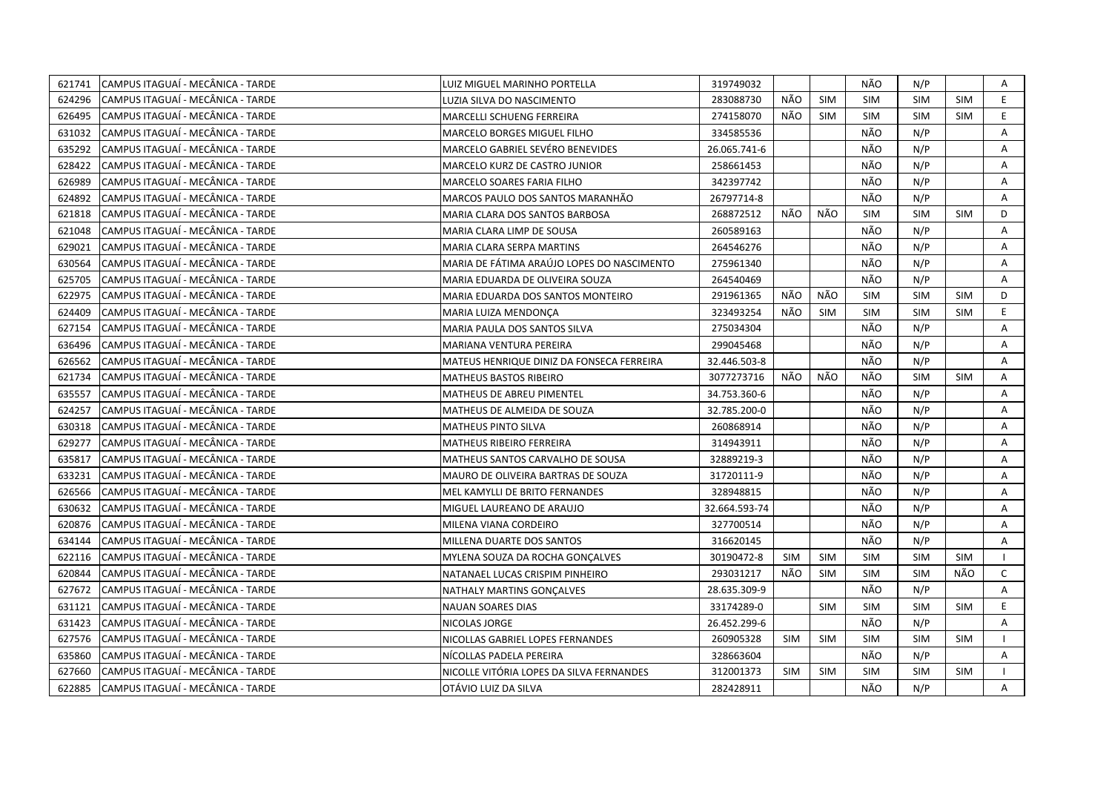| 621741 | CAMPUS ITAGUAÍ - MECÂNICA - TARDE | LUIZ MIGUEL MARINHO PORTELLA               | 319749032     |            |            | NÃO        | N/P        |            | Α            |
|--------|-----------------------------------|--------------------------------------------|---------------|------------|------------|------------|------------|------------|--------------|
| 624296 | CAMPUS ITAGUAÍ - MECÂNICA - TARDE | LUZIA SILVA DO NASCIMENTO                  | 283088730     | NÃO        | <b>SIM</b> | <b>SIM</b> | <b>SIM</b> | <b>SIM</b> | E.           |
| 626495 | CAMPUS ITAGUAÍ - MECÂNICA - TARDE | MARCELLI SCHUENG FERREIRA                  | 274158070     | NÃO        | <b>SIM</b> | <b>SIM</b> | <b>SIM</b> | <b>SIM</b> | E.           |
| 631032 | CAMPUS ITAGUAÍ - MECÂNICA - TARDE | MARCELO BORGES MIGUEL FILHO                | 334585536     |            |            | NÃO        | N/P        |            | Α            |
| 635292 | CAMPUS ITAGUAÍ - MECÂNICA - TARDE | MARCELO GABRIEL SEVÉRO BENEVIDES           | 26.065.741-6  |            |            | NÃO        | N/P        |            | Α            |
| 628422 | CAMPUS ITAGUAÍ - MECÂNICA - TARDE | MARCELO KURZ DE CASTRO JUNIOR              | 258661453     |            |            | NÃO        | N/P        |            | Α            |
| 626989 | CAMPUS ITAGUAÍ - MECÂNICA - TARDE | <b>MARCELO SOARES FARIA FILHO</b>          | 342397742     |            |            | NÃO        | N/P        |            | A            |
| 624892 | CAMPUS ITAGUAÍ - MECÂNICA - TARDE | MARCOS PAULO DOS SANTOS MARANHÃO           | 26797714-8    |            |            | NÃO        | N/P        |            | A            |
| 621818 | CAMPUS ITAGUAÍ - MECÂNICA - TARDE | MARIA CLARA DOS SANTOS BARBOSA             | 268872512     | NÃO        | NÃO        | <b>SIM</b> | <b>SIM</b> | <b>SIM</b> | D            |
| 621048 | CAMPUS ITAGUAÍ - MECÂNICA - TARDE | MARIA CLARA LIMP DE SOUSA                  | 260589163     |            |            | NÃO        | N/P        |            | A            |
| 629021 | CAMPUS ITAGUAÍ - MECÂNICA - TARDE | <b>MARIA CLARA SERPA MARTINS</b>           | 264546276     |            |            | NÃO        | N/P        |            | Α            |
| 630564 | CAMPUS ITAGUAÍ - MECÂNICA - TARDE | MARIA DE FÁTIMA ARAÚJO LOPES DO NASCIMENTO | 275961340     |            |            | NÃO        | N/P        |            | A            |
| 625705 | CAMPUS ITAGUAÍ - MECÂNICA - TARDE | MARIA EDUARDA DE OLIVEIRA SOUZA            | 264540469     |            |            | NÃO        | N/P        |            | A            |
| 622975 | CAMPUS ITAGUAÍ - MECÂNICA - TARDE | MARIA EDUARDA DOS SANTOS MONTEIRO          | 291961365     | NÃO        | NÃO        | <b>SIM</b> | <b>SIM</b> | <b>SIM</b> | D            |
| 624409 | CAMPUS ITAGUAÍ - MECÂNICA - TARDE | MARIA LUIZA MENDONCA                       | 323493254     | NÃO        | <b>SIM</b> | <b>SIM</b> | <b>SIM</b> | <b>SIM</b> | E            |
| 627154 | CAMPUS ITAGUAÍ - MECÂNICA - TARDE | MARIA PAULA DOS SANTOS SILVA               | 275034304     |            |            | NÃO        | N/P        |            | A            |
| 636496 | CAMPUS ITAGUAÍ - MECÂNICA - TARDE | MARIANA VENTURA PEREIRA                    | 299045468     |            |            | NÃO        | N/P        |            | $\mathsf{A}$ |
| 626562 | CAMPUS ITAGUAÍ - MECÂNICA - TARDE | MATEUS HENRIQUE DINIZ DA FONSECA FERREIRA  | 32.446.503-8  |            |            | NÃO        | N/P        |            | A            |
| 621734 | CAMPUS ITAGUAI - MECÂNICA - TARDE | MATHEUS BASTOS RIBEIRO                     | 3077273716    | NÃO.       | NÃO        | NÃO        | <b>SIM</b> | <b>SIM</b> | $\mathsf{A}$ |
| 635557 | CAMPUS ITAGUAÍ - MECÂNICA - TARDE | MATHEUS DE ABREU PIMENTEL                  | 34.753.360-6  |            |            | NÃO        | N/P        |            | A            |
| 624257 | CAMPUS ITAGUAÍ - MECÂNICA - TARDE | MATHEUS DE ALMEIDA DE SOUZA                | 32.785.200-0  |            |            | NÃO        | N/P        |            | A            |
| 630318 | CAMPUS ITAGUAÍ - MECÂNICA - TARDE | <b>MATHEUS PINTO SILVA</b>                 | 260868914     |            |            | NÃO        | N/P        |            | A            |
| 629277 | CAMPUS ITAGUAÍ - MECÂNICA - TARDE | <b>MATHEUS RIBEIRO FERREIRA</b>            | 314943911     |            |            | NÃO        | N/P        |            | A            |
| 635817 | CAMPUS ITAGUAI - MECÂNICA - TARDE | MATHEUS SANTOS CARVALHO DE SOUSA           | 32889219-3    |            |            | NÃO        | N/P        |            | A            |
| 633231 | CAMPUS ITAGUAÍ - MECÂNICA - TARDE | MAURO DE OLIVEIRA BARTRAS DE SOUZA         | 31720111-9    |            |            | NÃO        | N/P        |            | A            |
| 626566 | CAMPUS ITAGUAÍ - MECÂNICA - TARDE | MEL KAMYLLI DE BRITO FERNANDES             | 328948815     |            |            | NÃO        | N/P        |            | Α            |
| 630632 | CAMPUS ITAGUAÍ - MECÂNICA - TARDE | MIGUEL LAUREANO DE ARAUJO                  | 32.664.593-74 |            |            | NÃO        | N/P        |            | A            |
| 620876 | CAMPUS ITAGUAÍ - MECÂNICA - TARDE | MILENA VIANA CORDEIRO                      | 327700514     |            |            | NÃO        | N/P        |            | A            |
| 634144 | CAMPUS ITAGUAI - MECÂNICA - TARDE | MILLENA DUARTE DOS SANTOS                  | 316620145     |            |            | NÃO        | N/P        |            | A            |
| 622116 | CAMPUS ITAGUAÍ - MECÂNICA - TARDE | MYLENA SOUZA DA ROCHA GONCALVES            | 30190472-8    | <b>SIM</b> | <b>SIM</b> | <b>SIM</b> | <b>SIM</b> | <b>SIM</b> |              |
| 620844 | CAMPUS ITAGUAÍ - MECÂNICA - TARDE | NATANAEL LUCAS CRISPIM PINHEIRO            | 293031217     | NÃO        | <b>SIM</b> | <b>SIM</b> | <b>SIM</b> | NÃO        | C            |
| 627672 | CAMPUS ITAGUAÍ - MECÂNICA - TARDE | NATHALY MARTINS GONÇALVES                  | 28.635.309-9  |            |            | NÃO        | N/P        |            | A            |
| 631121 | CAMPUS ITAGUAÍ - MECÂNICA - TARDE | <b>NAUAN SOARES DIAS</b>                   | 33174289-0    |            | <b>SIM</b> | <b>SIM</b> | <b>SIM</b> | <b>SIM</b> | E.           |
| 631423 | CAMPUS ITAGUAÍ - MECÂNICA - TARDE | NICOLAS JORGE                              | 26.452.299-6  |            |            | NÃO        | N/P        |            | A            |
| 627576 | CAMPUS ITAGUAÍ - MECÂNICA - TARDE | NICOLLAS GABRIEL LOPES FERNANDES           | 260905328     | <b>SIM</b> | <b>SIM</b> | <b>SIM</b> | <b>SIM</b> | <b>SIM</b> |              |
| 635860 | CAMPUS ITAGUAÍ - MECÂNICA - TARDE | NÍCOLLAS PADELA PEREIRA                    | 328663604     |            |            | NÃO        | N/P        |            | Α            |
| 627660 | CAMPUS ITAGUAÍ - MECÂNICA - TARDE | NICOLLE VITÓRIA LOPES DA SILVA FERNANDES   | 312001373     | <b>SIM</b> | <b>SIM</b> | SIM        | <b>SIM</b> | <b>SIM</b> |              |
| 622885 | CAMPUS ITAGUAÍ - MECÂNICA - TARDE | OTÁVIO LUIZ DA SILVA                       | 282428911     |            |            | NÃO        | N/P        |            | A            |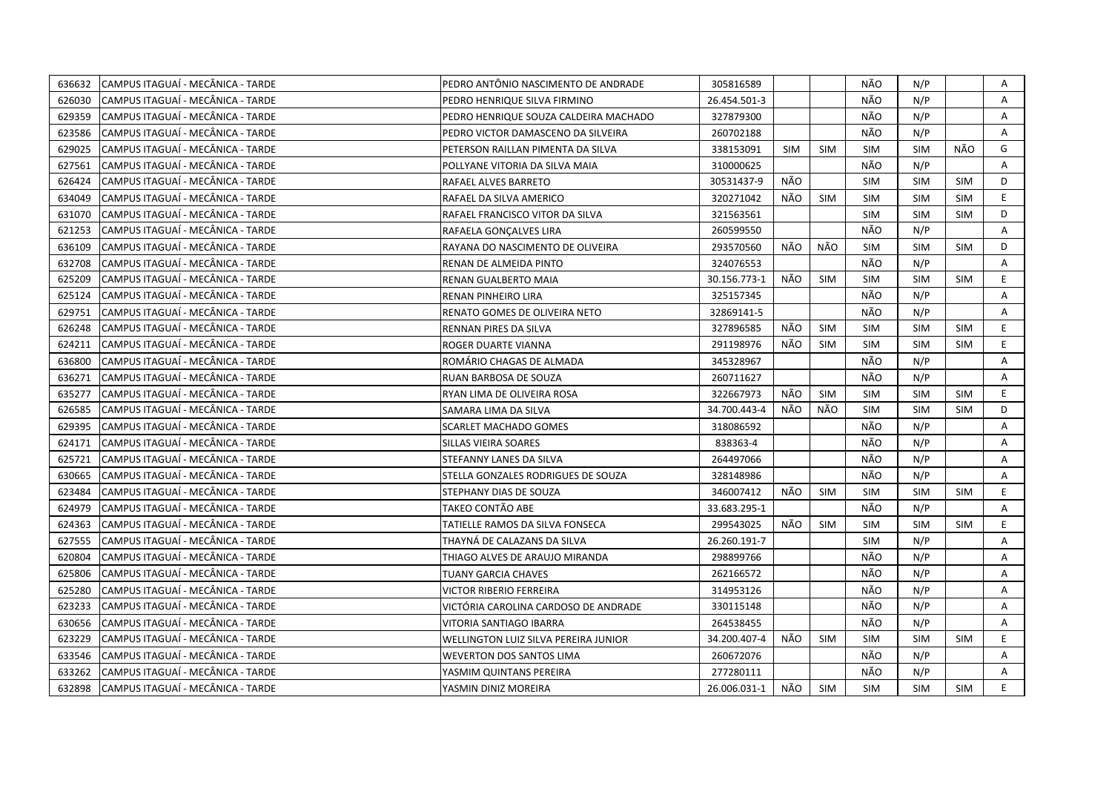| 636632 | CAMPUS ITAGUAÍ - MECÂNICA - TARDE  | PEDRO ANTÔNIO NASCIMENTO DE ANDRADE   | 305816589    |            |            | NÃO        | N/P        |            | Α              |
|--------|------------------------------------|---------------------------------------|--------------|------------|------------|------------|------------|------------|----------------|
| 626030 | CAMPUS ITAGUAÍ - MECÂNICA - TARDE  | PEDRO HENRIQUE SILVA FIRMINO          | 26.454.501-3 |            |            | NÃO        | N/P        |            | A              |
| 629359 | lCAMPUS ITAGUAÍ - MECÂNICA - TARDE | PEDRO HENRIQUE SOUZA CALDEIRA MACHADO | 327879300    |            |            | NÃO        | N/P        |            | $\mathsf{A}$   |
| 623586 | CAMPUS ITAGUAÍ - MECÂNICA - TARDE  | PEDRO VICTOR DAMASCENO DA SILVEIRA    | 260702188    |            |            | NÃO        | N/P        |            | Α              |
| 629025 | CAMPUS ITAGUAÍ - MECÂNICA - TARDE  | PETERSON RAILLAN PIMENTA DA SILVA     | 338153091    | <b>SIM</b> | <b>SIM</b> | <b>SIM</b> | <b>SIM</b> | NÃO        | G              |
| 627561 | CAMPUS ITAGUAÍ - MECÂNICA - TARDE  | POLLYANE VITORIA DA SILVA MAIA        | 310000625    |            |            | NÃO        | N/P        |            | Α              |
| 626424 | CAMPUS ITAGUAÍ - MECÂNICA - TARDE  | RAFAEL ALVES BARRETO                  | 30531437-9   | NÃO        |            | <b>SIM</b> | <b>SIM</b> | <b>SIM</b> | D              |
| 634049 | CAMPUS ITAGUAÍ - MECÂNICA - TARDE  | RAFAEL DA SILVA AMERICO               | 320271042    | NÃO        | <b>SIM</b> | <b>SIM</b> | <b>SIM</b> | <b>SIM</b> | E.             |
| 631070 | CAMPUS ITAGUAÍ - MECÂNICA - TARDE  | RAFAEL FRANCISCO VITOR DA SILVA       | 321563561    |            |            | <b>SIM</b> | <b>SIM</b> | <b>SIM</b> | D              |
| 621253 | CAMPUS ITAGUAÍ - MECÂNICA - TARDE  | RAFAELA GONÇALVES LIRA                | 260599550    |            |            | NÃO        | N/P        |            | A              |
| 636109 | CAMPUS ITAGUAÍ - MECÂNICA - TARDE  | RAYANA DO NASCIMENTO DE OLIVEIRA      | 293570560    | NÃO        | NÃO        | <b>SIM</b> | <b>SIM</b> | SIM        | D              |
| 632708 | CAMPUS ITAGUAÍ - MECÂNICA - TARDE  | RENAN DE ALMEIDA PINTO                | 324076553    |            |            | NÃO        | N/P        |            | Α              |
| 625209 | CAMPUS ITAGUAÍ - MECÂNICA - TARDE  | RENAN GUALBERTO MAIA                  | 30.156.773-1 | NÃO        | <b>SIM</b> | <b>SIM</b> | <b>SIM</b> | <b>SIM</b> | E              |
| 625124 | CAMPUS ITAGUAÍ - MECÂNICA - TARDE  | RENAN PINHEIRO LIRA                   | 325157345    |            |            | NÃO        | N/P        |            | A              |
| 629751 | CAMPUS ITAGUAÍ - MECÂNICA - TARDE  | RENATO GOMES DE OLIVEIRA NETO         | 32869141-5   |            |            | NÃO        | N/P        |            | A              |
| 626248 | CAMPUS ITAGUAÍ - MECÂNICA - TARDE  | RENNAN PIRES DA SILVA                 | 327896585    | NÃO        | <b>SIM</b> | <b>SIM</b> | <b>SIM</b> | <b>SIM</b> | E.             |
| 624211 | CAMPUS ITAGUAÍ - MECÂNICA - TARDE  | ROGER DUARTE VIANNA                   | 291198976    | NÃO        | <b>SIM</b> | <b>SIM</b> | <b>SIM</b> | <b>SIM</b> | E.             |
| 636800 | CAMPUS ITAGUAÍ - MECÂNICA - TARDE  | ROMÁRIO CHAGAS DE ALMADA              | 345328967    |            |            | NÃO        | N/P        |            | $\mathsf{A}$   |
| 636271 | CAMPUS ITAGUAÍ - MECÂNICA - TARDE  | RUAN BARBOSA DE SOUZA                 | 260711627    |            |            | NÃO        | N/P        |            | A              |
| 635277 | CAMPUS ITAGUAI - MECÂNICA - TARDE  | RYAN LIMA DE OLIVEIRA ROSA            | 322667973    | NÃO        | SIM        | <b>SIM</b> | <b>SIM</b> | <b>SIM</b> | E.             |
| 626585 | CAMPUS ITAGUAÍ - MECÂNICA - TARDE  | SAMARA LIMA DA SILVA                  | 34.700.443-4 | NÃO        | NÃO        | <b>SIM</b> | <b>SIM</b> | <b>SIM</b> | D              |
| 629395 | CAMPUS ITAGUAÍ - MECÂNICA - TARDE  | <b>SCARLET MACHADO GOMES</b>          | 318086592    |            |            | NÃO        | N/P        |            | A              |
| 624171 | CAMPUS ITAGUAÍ - MECÂNICA - TARDE  | SILLAS VIEIRA SOARES                  | 838363-4     |            |            | NÃO        | N/P        |            | A              |
| 625721 | CAMPUS ITAGUAÍ - MECÂNICA - TARDE  | STEFANNY LANES DA SILVA               | 264497066    |            |            | NÃO        | N/P        |            | A              |
| 630665 | CAMPUS ITAGUAÍ - MECÂNICA - TARDE  | STELLA GONZALES RODRIGUES DE SOUZA    | 328148986    |            |            | NÃO        | N/P        |            | Α              |
| 623484 | CAMPUS ITAGUAÍ - MECÂNICA - TARDE  | STEPHANY DIAS DE SOUZA                | 346007412    | NÃO        | <b>SIM</b> | <b>SIM</b> | <b>SIM</b> | <b>SIM</b> | E.             |
| 624979 | CAMPUS ITAGUAÍ - MECÂNICA - TARDE  | TAKEO CONTÃO ABE                      | 33.683.295-1 |            |            | NÃO        | N/P        |            | Α              |
| 624363 | CAMPUS ITAGUAÍ - MECÂNICA - TARDE  | TATIELLE RAMOS DA SILVA FONSECA       | 299543025    | NÃO        | <b>SIM</b> | <b>SIM</b> | <b>SIM</b> | <b>SIM</b> | E.             |
| 627555 | CAMPUS ITAGUAÍ - MECÂNICA - TARDE  | THAYNÁ DE CALAZANS DA SILVA           | 26.260.191-7 |            |            | <b>SIM</b> | N/P        |            | A              |
| 620804 | CAMPUS ITAGUAÍ - MECÂNICA - TARDE  | THIAGO ALVES DE ARAUJO MIRANDA        | 298899766    |            |            | NÃO        | N/P        |            | Α              |
| 625806 | CAMPUS ITAGUAÍ - MECÂNICA - TARDE  | TUANY GARCIA CHAVES                   | 262166572    |            |            | NÃO        | N/P        |            | A              |
| 625280 | CAMPUS ITAGUAÍ - MECÂNICA - TARDE  | <b>VICTOR RIBERIO FERREIRA</b>        | 314953126    |            |            | NÃO        | N/P        |            | A              |
| 623233 | CAMPUS ITAGUAÍ - MECÂNICA - TARDE  | VICTÓRIA CAROLINA CARDOSO DE ANDRADE  | 330115148    |            |            | NÃO        | N/P        |            | $\mathsf{A}$   |
| 630656 | CAMPUS ITAGUAÍ - MECÂNICA - TARDE  | VITORIA SANTIAGO IBARRA               | 264538455    |            |            | NÃO        | N/P        |            | $\overline{A}$ |
| 623229 | CAMPUS ITAGUAI - MECÂNICA - TARDE  | WELLINGTON LUIZ SILVA PEREIRA JUNIOR  | 34.200.407-4 | NÃO.       | <b>SIM</b> | SIM        | <b>SIM</b> | <b>SIM</b> | E.             |
| 633546 | CAMPUS ITAGUAÍ - MECÂNICA - TARDE  | <b>WEVERTON DOS SANTOS LIMA</b>       | 260672076    |            |            | NÃO        | N/P        |            | A              |
| 633262 | CAMPUS ITAGUAÍ - MECÂNICA - TARDE  | YASMIM QUINTANS PEREIRA               | 277280111    |            |            | NÃO        | N/P        |            | $\mathsf{A}$   |
| 632898 | CAMPUS ITAGUAÍ - MECÂNICA - TARDE  | YASMIN DINIZ MOREIRA                  | 26.006.031-1 | NÃO        | SIM        | <b>SIM</b> | <b>SIM</b> | <b>SIM</b> | E.             |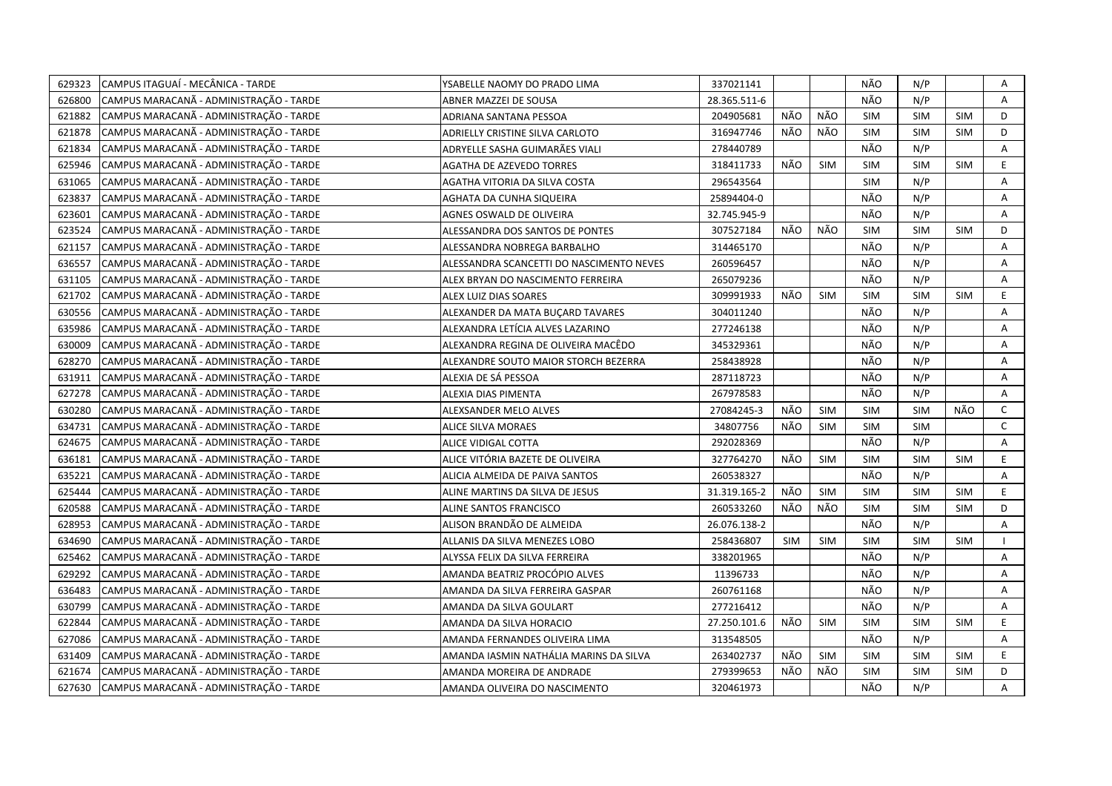| 629323 | CAMPUS ITAGUAÍ - MECÂNICA - TARDE       | YSABELLE NAOMY DO PRADO LIMA             | 337021141    |            |            | NÃO        | N/P        |            | Α            |
|--------|-----------------------------------------|------------------------------------------|--------------|------------|------------|------------|------------|------------|--------------|
| 626800 | CAMPUS MARACANÃ - ADMINISTRAÇÃO - TARDE | ABNER MAZZEI DE SOUSA                    | 28.365.511-6 |            |            | NÃO        | N/P        |            | A            |
| 621882 | CAMPUS MARACANA - ADMINISTRAÇÃO - TARDE | ADRIANA SANTANA PESSOA                   | 204905681    | NÃO        | NÃO        | SIM        | <b>SIM</b> | <b>SIM</b> | D            |
| 621878 | CAMPUS MARACANÃ - ADMINISTRAÇÃO - TARDE | ADRIELLY CRISTINE SILVA CARLOTO          | 316947746    | NÃO        | NÃO        | <b>SIM</b> | <b>SIM</b> | <b>SIM</b> | D            |
| 621834 | CAMPUS MARACANÃ - ADMINISTRAÇÃO - TARDE | ADRYELLE SASHA GUIMARÄES VIALI           | 278440789    |            |            | NÃO        | N/P        |            | Α            |
| 625946 | CAMPUS MARACANÃ - ADMINISTRAÇÃO - TARDE | AGATHA DE AZEVEDO TORRES                 | 318411733    | NÃO        | <b>SIM</b> | <b>SIM</b> | <b>SIM</b> | <b>SIM</b> | $\mathsf E$  |
| 631065 | CAMPUS MARACANÃ - ADMINISTRAÇÃO - TARDE | AGATHA VITORIA DA SILVA COSTA            | 296543564    |            |            | <b>SIM</b> | N/P        |            | Α            |
| 623837 | CAMPUS MARACANÃ - ADMINISTRAÇÃO - TARDE | AGHATA DA CUNHA SIQUEIRA                 | 25894404-0   |            |            | NÃO        | N/P        |            | A            |
| 623601 | CAMPUS MARACANA - ADMINISTRAÇÃO - TARDE | AGNES OSWALD DE OLIVEIRA                 | 32.745.945-9 |            |            | NÃO        | N/P        |            | A            |
| 623524 | CAMPUS MARACANÃ - ADMINISTRAÇÃO - TARDE | ALESSANDRA DOS SANTOS DE PONTES          | 307527184    | NÃO        | NÃO        | <b>SIM</b> | <b>SIM</b> | <b>SIM</b> | D            |
| 621157 | CAMPUS MARACANÃ - ADMINISTRAÇÃO - TARDE | ALESSANDRA NOBREGA BARBALHO              | 314465170    |            |            | NÃO        | N/P        |            | A            |
| 636557 | CAMPUS MARACANÃ - ADMINISTRAÇÃO - TARDE | ALESSANDRA SCANCETTI DO NASCIMENTO NEVES | 260596457    |            |            | NÃO        | N/P        |            | Α            |
| 631105 | CAMPUS MARACANÃ - ADMINISTRAÇÃO - TARDE | ALEX BRYAN DO NASCIMENTO FERREIRA        | 265079236    |            |            | NÃO        | N/P        |            | Α            |
| 621702 | CAMPUS MARACANÃ - ADMINISTRAÇÃO - TARDE | ALEX LUIZ DIAS SOARES                    | 309991933    | NÃO        | <b>SIM</b> | <b>SIM</b> | <b>SIM</b> | SIM        | E.           |
| 630556 | CAMPUS MARACANÃ - ADMINISTRAÇÃO - TARDE | ALEXANDER DA MATA BUÇARD TAVARES         | 304011240    |            |            | NÃO        | N/P        |            | Α            |
| 635986 | CAMPUS MARACANÃ - ADMINISTRAÇÃO - TARDE | ALEXANDRA LETÍCIA ALVES LAZARINO         | 277246138    |            |            | NÃO        | N/P        |            | Α            |
| 630009 | CAMPUS MARACANÃ - ADMINISTRAÇÃO - TARDE | ALEXANDRA REGINA DE OLIVEIRA MACÊDO      | 345329361    |            |            | NÃO        | N/P        |            | A            |
| 628270 | CAMPUS MARACANÃ - ADMINISTRAÇÃO - TARDE | ALEXANDRE SOUTO MAIOR STORCH BEZERRA     | 258438928    |            |            | NÃO        | N/P        |            | A            |
| 631911 | CAMPUS MARACANÃ - ADMINISTRAÇÃO - TARDE | ALEXIA DE SÁ PESSOA                      | 287118723    |            |            | NÃO        | N/P        |            | A            |
| 627278 | CAMPUS MARACANÃ - ADMINISTRAÇÃO - TARDE | ALEXIA DIAS PIMENTA                      | 267978583    |            |            | NÃO        | N/P        |            | A            |
| 630280 | CAMPUS MARACANÃ - ADMINISTRAÇÃO - TARDE | ALEXSANDER MELO ALVES                    | 27084245-3   | NÃO        | <b>SIM</b> | <b>SIM</b> | <b>SIM</b> | NÃO        | $\mathsf{C}$ |
| 634731 | CAMPUS MARACANÃ - ADMINISTRAÇÃO - TARDE | ALICE SILVA MORAES                       | 34807756     | NÃO        | <b>SIM</b> | <b>SIM</b> | <b>SIM</b> |            | $\mathsf{C}$ |
| 624675 | CAMPUS MARACANÃ - ADMINISTRAÇÃO - TARDE | ALICE VIDIGAL COTTA                      | 292028369    |            |            | NÃO        | N/P        |            | A            |
| 636181 | CAMPUS MARACANÃ - ADMINISTRAÇÃO - TARDE | ALICE VITÓRIA BAZETE DE OLIVEIRA         | 327764270    | NÃO        | SIM        | <b>SIM</b> | <b>SIM</b> | <b>SIM</b> | E            |
| 635221 | CAMPUS MARACANÃ - ADMINISTRAÇÃO - TARDE | ALICIA ALMEIDA DE PAIVA SANTOS           | 260538327    |            |            | NÃO        | N/P        |            | A            |
| 625444 | CAMPUS MARACANÃ - ADMINISTRAÇÃO - TARDE | ALINE MARTINS DA SILVA DE JESUS          | 31.319.165-2 | NÃO        | <b>SIM</b> | <b>SIM</b> | <b>SIM</b> | <b>SIM</b> | E.           |
| 620588 | CAMPUS MARACANÃ - ADMINISTRAÇÃO - TARDE | ALINE SANTOS FRANCISCO                   | 260533260    | NÃO        | NÃO        | <b>SIM</b> | <b>SIM</b> | <b>SIM</b> | D            |
| 628953 | CAMPUS MARACANÃ - ADMINISTRAÇÃO - TARDE | ALISON BRANDÃO DE ALMEIDA                | 26.076.138-2 |            |            | NÃO        | N/P        |            | A            |
| 634690 | CAMPUS MARACANÃ - ADMINISTRAÇÃO - TARDE | ALLANIS DA SILVA MENEZES LOBO            | 258436807    | <b>SIM</b> | <b>SIM</b> | <b>SIM</b> | <b>SIM</b> | <b>SIM</b> |              |
| 625462 | CAMPUS MARACANÃ - ADMINISTRAÇÃO - TARDE | ALYSSA FELIX DA SILVA FERREIRA           | 338201965    |            |            | NÃO        | N/P        |            | Α            |
| 629292 | CAMPUS MARACANA - ADMINISTRAÇÃO - TARDE | AMANDA BEATRIZ PROCÓPIO ALVES            | 11396733     |            |            | NÃO        | N/P        |            | A            |
| 636483 | CAMPUS MARACANÃ - ADMINISTRAÇÃO - TARDE | AMANDA DA SILVA FERREIRA GASPAR          | 260761168    |            |            | NÃO        | N/P        |            | Α            |
| 630799 | CAMPUS MARACANÃ - ADMINISTRAÇÃO - TARDE | AMANDA DA SILVA GOULART                  | 277216412    |            |            | NÃO        | N/P        |            | Α            |
| 622844 | CAMPUS MARACANÃ - ADMINISTRAÇÃO - TARDE | AMANDA DA SILVA HORACIO                  | 27.250.101.6 | NÃO        | <b>SIM</b> | <b>SIM</b> | <b>SIM</b> | <b>SIM</b> | E.           |
| 627086 | CAMPUS MARACANÃ - ADMINISTRAÇÃO - TARDE | AMANDA FERNANDES OLIVEIRA LIMA           | 313548505    |            |            | NÃO        | N/P        |            | Α            |
| 631409 | CAMPUS MARACANÃ - ADMINISTRAÇÃO - TARDE | AMANDA IASMIN NATHÁLIA MARINS DA SILVA   | 263402737    | NÃO        | SIM        | <b>SIM</b> | <b>SIM</b> | <b>SIM</b> | E.           |
| 621674 | CAMPUS MARACANÃ - ADMINISTRAÇÃO - TARDE | AMANDA MOREIRA DE ANDRADE                | 279399653    | NÃO        | NÃO        | <b>SIM</b> | <b>SIM</b> | <b>SIM</b> | D            |
| 627630 | CAMPUS MARACANÃ - ADMINISTRAÇÃO - TARDE | AMANDA OLIVEIRA DO NASCIMENTO            | 320461973    |            |            | NÃO        | N/P        |            | A            |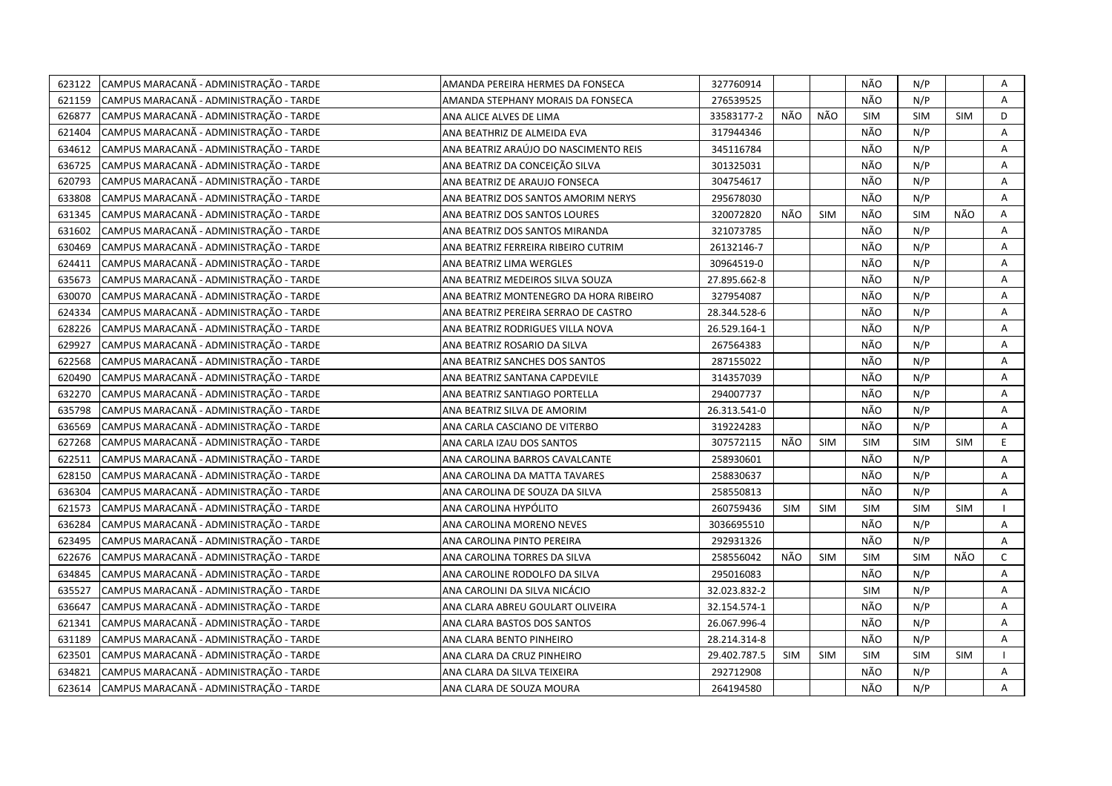| 623122 | CAMPUS MARACANÃ - ADMINISTRAÇÃO - TARDE | AMANDA PEREIRA HERMES DA FONSECA       | 327760914    |            |            | NÃO        | N/P        |            | Α              |
|--------|-----------------------------------------|----------------------------------------|--------------|------------|------------|------------|------------|------------|----------------|
| 621159 | CAMPUS MARACANÃ - ADMINISTRAÇÃO - TARDE | AMANDA STEPHANY MORAIS DA FONSECA      | 276539525    |            |            | NÃO        | N/P        |            | $\mathsf{A}$   |
| 626877 | CAMPUS MARACANÃ - ADMINISTRAÇÃO - TARDE | ANA ALICE ALVES DE LIMA                | 33583177-2   | NÃO        | NÃO        | SIM        | SIM        | <b>SIM</b> | D              |
| 621404 | CAMPUS MARACANÃ - ADMINISTRAÇÃO - TARDE | ANA BEATHRIZ DE ALMEIDA EVA            | 317944346    |            |            | NÃO        | N/P        |            | A              |
| 634612 | CAMPUS MARACANÃ - ADMINISTRAÇÃO - TARDE | ANA BEATRIZ ARAÚJO DO NASCIMENTO REIS  | 345116784    |            |            | NÃO        | N/P        |            | A              |
| 636725 | CAMPUS MARACANÃ - ADMINISTRAÇÃO - TARDE | ANA BEATRIZ DA CONCEIÇÃO SILVA         | 301325031    |            |            | NÃO        | N/P        |            | Α              |
| 620793 | CAMPUS MARACANÃ - ADMINISTRAÇÃO - TARDE | ANA BEATRIZ DE ARAUJO FONSECA          | 304754617    |            |            | NÃO        | N/P        |            | Α              |
| 633808 | CAMPUS MARACANÃ - ADMINISTRAÇÃO - TARDE | ANA BEATRIZ DOS SANTOS AMORIM NERYS    | 295678030    |            |            | NÃO        | N/P        |            | Α              |
| 631345 | CAMPUS MARACANA - ADMINISTRAÇÃO - TARDE | ANA BEATRIZ DOS SANTOS LOURES          | 320072820    | NÃO        | <b>SIM</b> | NÃO        | SIM        | NÃO        | A              |
| 631602 | CAMPUS MARACANÃ - ADMINISTRAÇÃO - TARDE | ANA BEATRIZ DOS SANTOS MIRANDA         | 321073785    |            |            | NÃO        | N/P        |            | A              |
| 630469 | CAMPUS MARACANÃ - ADMINISTRAÇÃO - TARDE | ANA BEATRIZ FERREIRA RIBEIRO CUTRIM    | 26132146-7   |            |            | NÃO        | N/P        |            | A              |
| 624411 | CAMPUS MARACANA - ADMINISTRAÇÃO - TARDE | ANA BEATRIZ LIMA WERGLES               | 30964519-0   |            |            | NÃO        | N/P        |            | A              |
| 635673 | CAMPUS MARACANA - ADMINISTRAÇÃO - TARDE | ANA BEATRIZ MEDEIROS SILVA SOUZA       | 27.895.662-8 |            |            | NÃO        | N/P        |            | A              |
| 630070 | CAMPUS MARACANÃ - ADMINISTRAÇÃO - TARDE | ANA BEATRIZ MONTENEGRO DA HORA RIBEIRO | 327954087    |            |            | NÃO        | N/P        |            | Α              |
| 624334 | CAMPUS MARACANÃ - ADMINISTRAÇÃO - TARDE | ANA BEATRIZ PEREIRA SERRAO DE CASTRO   | 28.344.528-6 |            |            | NÃO        | N/P        |            | Α              |
| 628226 | CAMPUS MARACANÃ - ADMINISTRAÇÃO - TARDE | ANA BEATRIZ RODRIGUES VILLA NOVA       | 26.529.164-1 |            |            | NÃO        | N/P        |            | Α              |
| 629927 | CAMPUS MARACANÃ - ADMINISTRAÇÃO - TARDE | ANA BEATRIZ ROSARIO DA SILVA           | 267564383    |            |            | NÃO        | N/P        |            | A              |
| 622568 | CAMPUS MARACANÃ - ADMINISTRAÇÃO - TARDE | ANA BEATRIZ SANCHES DOS SANTOS         | 287155022    |            |            | NÃO        | N/P        |            | Α              |
| 620490 | CAMPUS MARACANÃ - ADMINISTRAÇÃO - TARDE | ANA BEATRIZ SANTANA CAPDEVILE          | 314357039    |            |            | NÃO        | N/P        |            | A              |
| 632270 | CAMPUS MARACANÃ - ADMINISTRAÇÃO - TARDE | ANA BEATRIZ SANTIAGO PORTELLA          | 294007737    |            |            | NÃO        | N/P        |            | Α              |
| 635798 | CAMPUS MARACANÃ - ADMINISTRAÇÃO - TARDE | ANA BEATRIZ SILVA DE AMORIM            | 26.313.541-0 |            |            | NÃO        | N/P        |            | A              |
| 636569 | CAMPUS MARACANÃ - ADMINISTRAÇÃO - TARDE | ANA CARLA CASCIANO DE VITERBO          | 319224283    |            |            | NÃO        | N/P        |            | A              |
| 627268 | CAMPUS MARACANÃ - ADMINISTRAÇÃO - TARDE | ANA CARLA IZAU DOS SANTOS              | 307572115    | NÃO        | <b>SIM</b> | <b>SIM</b> | <b>SIM</b> | <b>SIM</b> | E.             |
| 622511 | CAMPUS MARACANÃ - ADMINISTRAÇÃO - TARDE | ANA CAROLINA BARROS CAVALCANTE         | 258930601    |            |            | NÃO        | N/P        |            | A              |
| 628150 | CAMPUS MARACANÃ - ADMINISTRAÇÃO - TARDE | ANA CAROLINA DA MATTA TAVARES          | 258830637    |            |            | NÃO        | N/P        |            | A              |
| 636304 | CAMPUS MARACANA - ADMINISTRAÇÃO - TARDE | ANA CAROLINA DE SOUZA DA SILVA         | 258550813    |            |            | NÃO        | N/P        |            | A              |
| 621573 | CAMPUS MARACANÃ - ADMINISTRAÇÃO - TARDE | ANA CAROLINA HYPÓLITO                  | 260759436    | <b>SIM</b> | SIM        | <b>SIM</b> | <b>SIM</b> | <b>SIM</b> |                |
| 636284 | CAMPUS MARACANÃ - ADMINISTRAÇÃO - TARDE | ANA CAROLINA MORENO NEVES              | 3036695510   |            |            | NÃO        | N/P        |            | A              |
| 623495 | CAMPUS MARACANÃ - ADMINISTRAÇÃO - TARDE | ANA CAROLINA PINTO PEREIRA             | 292931326    |            |            | NÃO        | N/P        |            | $\overline{A}$ |
| 622676 | CAMPUS MARACANÃ - ADMINISTRAÇÃO - TARDE | ANA CAROLINA TORRES DA SILVA           | 258556042    | NÃO        | <b>SIM</b> | SIM        | <b>SIM</b> | NÃO        | $\mathsf{C}$   |
| 634845 | CAMPUS MARACANÃ - ADMINISTRAÇÃO - TARDE | ANA CAROLINE RODOLFO DA SILVA          | 295016083    |            |            | NÃO        | N/P        |            | A              |
| 635527 | CAMPUS MARACANÃ - ADMINISTRAÇÃO - TARDE | ANA CAROLINI DA SILVA NICÁCIO          | 32.023.832-2 |            |            | <b>SIM</b> | N/P        |            | A              |
| 636647 | CAMPUS MARACANA - ADMINISTRAÇÃO - TARDE | ANA CLARA ABREU GOULART OLIVEIRA       | 32.154.574-1 |            |            | NÃO        | N/P        |            | A              |
| 621341 | CAMPUS MARACANÃ - ADMINISTRAÇÃO - TARDE | ANA CLARA BASTOS DOS SANTOS            | 26.067.996-4 |            |            | NÃO        | N/P        |            | Α              |
| 631189 | CAMPUS MARACANÃ - ADMINISTRAÇÃO - TARDE | ANA CLARA BENTO PINHEIRO               | 28.214.314-8 |            |            | NÃO        | N/P        |            | A              |
| 623501 | CAMPUS MARACANÃ - ADMINISTRAÇÃO - TARDE | ANA CLARA DA CRUZ PINHEIRO             | 29.402.787.5 | SIM        | <b>SIM</b> | <b>SIM</b> | <b>SIM</b> | <b>SIM</b> |                |
| 634821 | CAMPUS MARACANÃ - ADMINISTRAÇÃO - TARDE | ANA CLARA DA SILVA TEIXEIRA            | 292712908    |            |            | NÃO        | N/P        |            | Α              |
| 623614 | CAMPUS MARACANA - ADMINISTRAÇÃO - TARDE | ANA CLARA DE SOUZA MOURA               | 264194580    |            |            | NÃO        | N/P        |            | A              |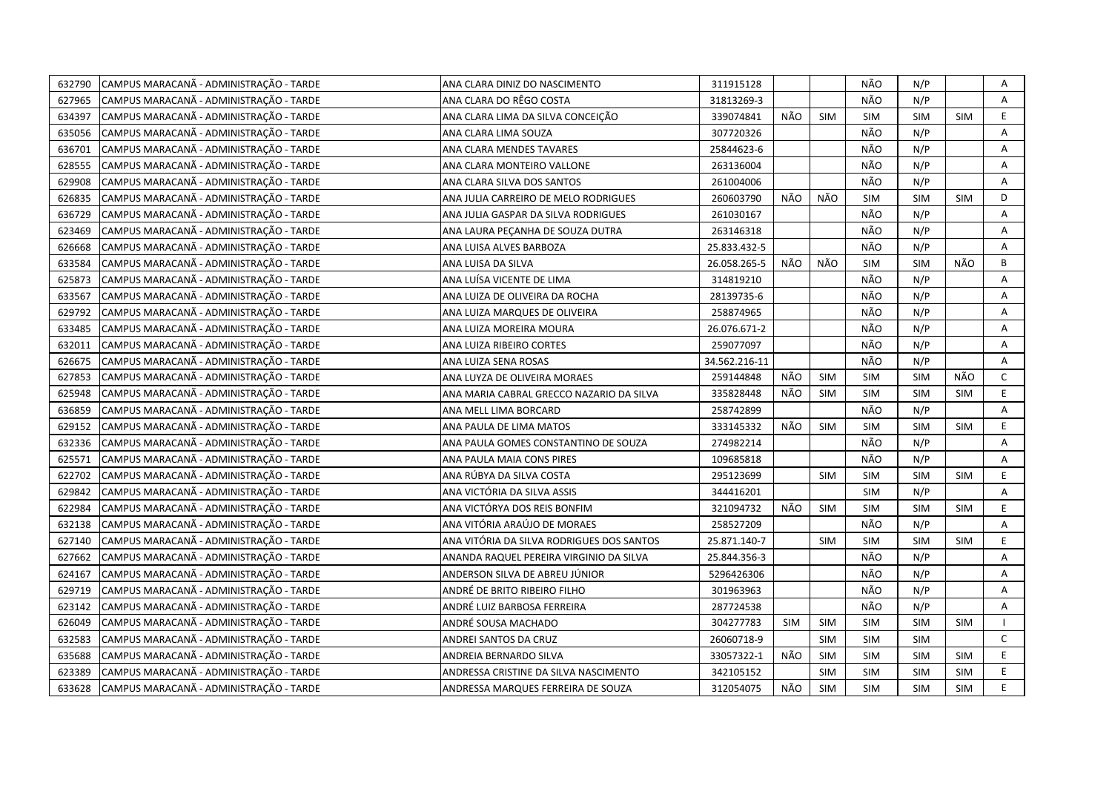| 632790 | CAMPUS MARACANÃ - ADMINISTRAÇÃO - TARDE | ANA CLARA DINIZ DO NASCIMENTO             | 311915128     |            |            | NÃO        | N/P        |            | Α              |
|--------|-----------------------------------------|-------------------------------------------|---------------|------------|------------|------------|------------|------------|----------------|
| 627965 | CAMPUS MARACANÃ - ADMINISTRAÇÃO - TARDE | ANA CLARA DO RÊGO COSTA                   | 31813269-3    |            |            | NÃO        | N/P        |            | Α              |
| 634397 | CAMPUS MARACANÃ - ADMINISTRAÇÃO - TARDE | ANA CLARA LIMA DA SILVA CONCEIÇÃO         | 339074841     | NÃO        | <b>SIM</b> | <b>SIM</b> | <b>SIM</b> | <b>SIM</b> | E              |
| 635056 | CAMPUS MARACANÃ - ADMINISTRAÇÃO - TARDE | ANA CLARA LIMA SOUZA                      | 307720326     |            |            | NÃO        | N/P        |            | Α              |
| 636701 | CAMPUS MARACANÃ - ADMINISTRAÇÃO - TARDE | ANA CLARA MENDES TAVARES                  | 25844623-6    |            |            | NÃO        | N/P        |            | Α              |
| 628555 | CAMPUS MARACANÃ - ADMINISTRAÇÃO - TARDE | ANA CLARA MONTEIRO VALLONE                | 263136004     |            |            | NÃO        | N/P        |            | Α              |
| 629908 | CAMPUS MARACANÃ - ADMINISTRAÇÃO - TARDE | ANA CLARA SILVA DOS SANTOS                | 261004006     |            |            | NÃO        | N/P        |            | A              |
| 626835 | CAMPUS MARACANÃ - ADMINISTRAÇÃO - TARDE | ANA JULIA CARREIRO DE MELO RODRIGUES      | 260603790     | NÃO        | NÃO        | <b>SIM</b> | <b>SIM</b> | <b>SIM</b> | D              |
| 636729 | CAMPUS MARACANÃ - ADMINISTRAÇÃO - TARDE | ANA JULIA GASPAR DA SILVA RODRIGUES       | 261030167     |            |            | NÃO        | N/P        |            | Α              |
| 623469 | CAMPUS MARACANÃ - ADMINISTRAÇÃO - TARDE | ANA LAURA PEÇANHA DE SOUZA DUTRA          | 263146318     |            |            | NÃO        | N/P        |            | A              |
| 626668 | CAMPUS MARACANÃ - ADMINISTRAÇÃO - TARDE | ANA LUISA ALVES BARBOZA                   | 25.833.432-5  |            |            | NÃO        | N/P        |            | $\overline{A}$ |
| 633584 | CAMPUS MARACANÃ - ADMINISTRAÇÃO - TARDE | ANA LUISA DA SILVA                        | 26.058.265-5  | NÃO        | NÃO        | <b>SIM</b> | <b>SIM</b> | NÃO        | B              |
| 625873 | CAMPUS MARACANÃ - ADMINISTRAÇÃO - TARDE | ANA LUÍSA VICENTE DE LIMA                 | 314819210     |            |            | NÃO        | N/P        |            | Α              |
| 633567 | CAMPUS MARACANÃ - ADMINISTRAÇÃO - TARDE | ANA LUIZA DE OLIVEIRA DA ROCHA            | 28139735-6    |            |            | NÃO        | N/P        |            | Α              |
| 629792 | CAMPUS MARACANÃ - ADMINISTRAÇÃO - TARDE | ANA LUIZA MARQUES DE OLIVEIRA             | 258874965     |            |            | NÃO        | N/P        |            | Α              |
| 633485 | CAMPUS MARACANÃ - ADMINISTRAÇÃO - TARDE | ANA LUIZA MOREIRA MOURA                   | 26.076.671-2  |            |            | NÃO        | N/P        |            | A              |
| 632011 | CAMPUS MARACANÃ - ADMINISTRAÇÃO - TARDE | ANA LUIZA RIBEIRO CORTES                  | 259077097     |            |            | NÃO        | N/P        |            | A              |
| 626675 | CAMPUS MARACANÃ - ADMINISTRAÇÃO - TARDE | ANA LUIZA SENA ROSAS                      | 34.562.216-11 |            |            | NÃO        | N/P        |            | A              |
| 627853 | CAMPUS MARACANA - ADMINISTRAÇÃO - TARDE | ANA LUYZA DE OLIVEIRA MORAES              | 259144848     | NÃO        | SIM        | <b>SIM</b> | <b>SIM</b> | NÃO        | C              |
| 625948 | CAMPUS MARACANÃ - ADMINISTRAÇÃO - TARDE | ANA MARIA CABRAL GRECCO NAZARIO DA SILVA  | 335828448     | NÃO        | <b>SIM</b> | <b>SIM</b> | <b>SIM</b> | <b>SIM</b> | E              |
| 636859 | CAMPUS MARACANÃ - ADMINISTRAÇÃO - TARDE | ANA MELL LIMA BORCARD                     | 258742899     |            |            | NÃO        | N/P        |            | A              |
| 629152 | CAMPUS MARACANÃ - ADMINISTRAÇÃO - TARDE | ANA PAULA DE LIMA MATOS                   | 333145332     | NÃO        | <b>SIM</b> | <b>SIM</b> | <b>SIM</b> | <b>SIM</b> | E              |
| 632336 | CAMPUS MARACANÃ - ADMINISTRAÇÃO - TARDE | ANA PAULA GOMES CONSTANTINO DE SOUZA      | 274982214     |            |            | NÃO        | N/P        |            | A              |
| 625571 | CAMPUS MARACANA - ADMINISTRAÇÃO - TARDE | ANA PAULA MAIA CONS PIRES                 | 109685818     |            |            | NÃO        | N/P        |            | Α              |
| 622702 | CAMPUS MARACANÃ - ADMINISTRAÇÃO - TARDE | ANA RÚBYA DA SILVA COSTA                  | 295123699     |            | <b>SIM</b> | <b>SIM</b> | <b>SIM</b> | <b>SIM</b> | E              |
| 629842 | CAMPUS MARACANÃ - ADMINISTRAÇÃO - TARDE | ANA VICTÓRIA DA SILVA ASSIS               | 344416201     |            |            | <b>SIM</b> | N/P        |            | Α              |
| 622984 | CAMPUS MARACANÃ - ADMINISTRAÇÃO - TARDE | ANA VICTÓRYA DOS REIS BONFIM              | 321094732     | NÃO        | <b>SIM</b> | <b>SIM</b> | <b>SIM</b> | <b>SIM</b> | E.             |
| 632138 | CAMPUS MARACANÃ - ADMINISTRAÇÃO - TARDE | ANA VITÓRIA ARAÚJO DE MORAES              | 258527209     |            |            | NÃO        | N/P        |            | A              |
| 627140 | CAMPUS MARACANÃ - ADMINISTRAÇÃO - TARDE | ANA VITÓRIA DA SILVA RODRIGUES DOS SANTOS | 25.871.140-7  |            | <b>SIM</b> | <b>SIM</b> | <b>SIM</b> | <b>SIM</b> | E.             |
| 627662 | CAMPUS MARACANÃ - ADMINISTRAÇÃO - TARDE | ANANDA RAQUEL PEREIRA VIRGINIO DA SILVA   | 25.844.356-3  |            |            | NÃO        | N/P        |            | Α              |
| 624167 | CAMPUS MARACANÃ - ADMINISTRAÇÃO - TARDE | ANDERSON SILVA DE ABREU JÚNIOR            | 5296426306    |            |            | NÃO        | N/P        |            | A              |
| 629719 | CAMPUS MARACANÃ - ADMINISTRAÇÃO - TARDE | ANDRÉ DE BRITO RIBEIRO FILHO              | 301963963     |            |            | NÃO        | N/P        |            | A              |
| 623142 | CAMPUS MARACANÃ - ADMINISTRAÇÃO - TARDE | ANDRÉ LUIZ BARBOSA FERREIRA               | 287724538     |            |            | NÃO        | N/P        |            | A              |
| 626049 | CAMPUS MARACANÃ - ADMINISTRAÇÃO - TARDE | ANDRÉ SOUSA MACHADO                       | 304277783     | <b>SIM</b> | <b>SIM</b> | <b>SIM</b> | <b>SIM</b> | <b>SIM</b> |                |
| 632583 | CAMPUS MARACANÃ - ADMINISTRAÇÃO - TARDE | ANDREI SANTOS DA CRUZ                     | 26060718-9    |            | <b>SIM</b> | SIM        | <b>SIM</b> |            | $\mathsf{C}$   |
| 635688 | CAMPUS MARACANÃ - ADMINISTRAÇÃO - TARDE | ANDREIA BERNARDO SILVA                    | 33057322-1    | NÃO        | <b>SIM</b> | <b>SIM</b> | <b>SIM</b> | <b>SIM</b> | E.             |
| 623389 | CAMPUS MARACANÃ - ADMINISTRAÇÃO - TARDE | ANDRESSA CRISTINE DA SILVA NASCIMENTO     | 342105152     |            | <b>SIM</b> | <b>SIM</b> | <b>SIM</b> | <b>SIM</b> | E.             |
| 633628 | CAMPUS MARACANA - ADMINISTRAÇÃO - TARDE | ANDRESSA MARQUES FERREIRA DE SOUZA        | 312054075     | NÃO        | <b>SIM</b> | <b>SIM</b> | <b>SIM</b> | <b>SIM</b> | E              |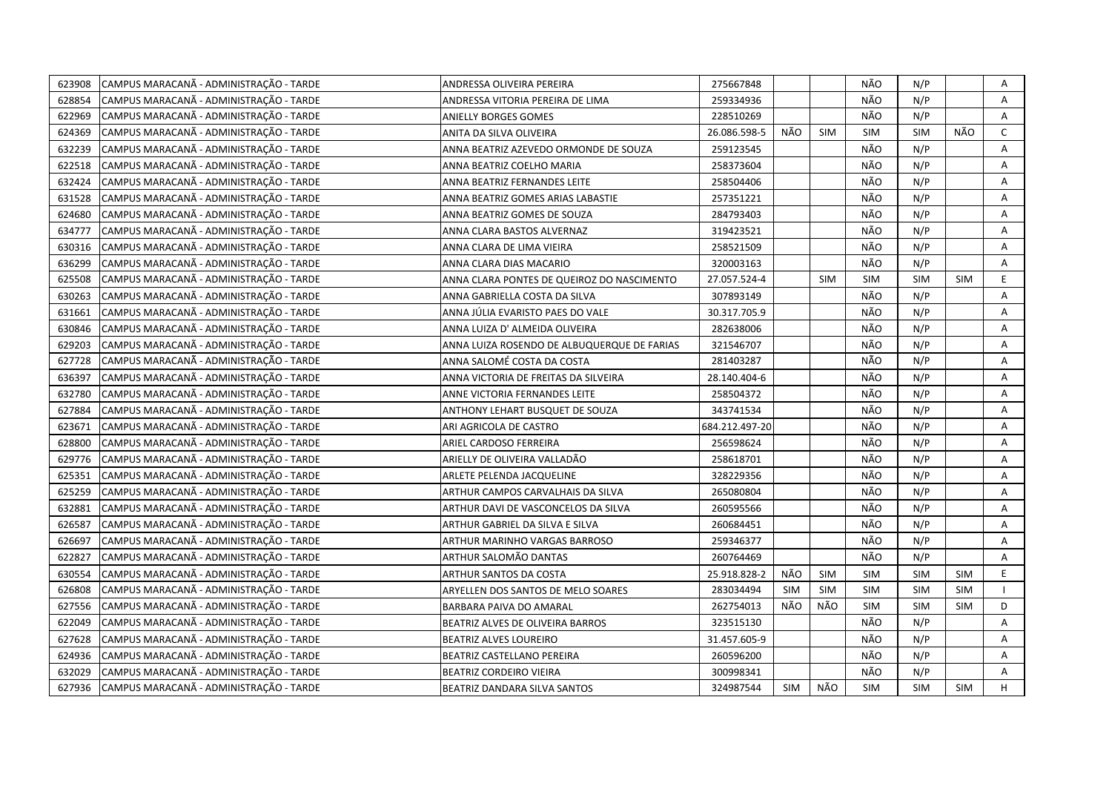| 623908 | CAMPUS MARACANÃ - ADMINISTRAÇÃO - TARDE | ANDRESSA OLIVEIRA PEREIRA                   | 275667848      |     |            | NÃO        | N/P        |            | Α            |
|--------|-----------------------------------------|---------------------------------------------|----------------|-----|------------|------------|------------|------------|--------------|
| 628854 | CAMPUS MARACANÃ - ADMINISTRAÇÃO - TARDE | ANDRESSA VITORIA PEREIRA DE LIMA            | 259334936      |     |            | NÃO        | N/P        |            | $\mathsf{A}$ |
| 622969 | CAMPUS MARACANÃ - ADMINISTRAÇÃO - TARDE | <b>ANIELLY BORGES GOMES</b>                 | 228510269      |     |            | NÃO        | N/P        |            | A            |
| 624369 | CAMPUS MARACANÃ - ADMINISTRAÇÃO - TARDE | ANITA DA SILVA OLIVEIRA                     | 26.086.598-5   | NÃO | <b>SIM</b> | <b>SIM</b> | <b>SIM</b> | NÃO        | $\mathsf{C}$ |
| 632239 | CAMPUS MARACANÃ - ADMINISTRAÇÃO - TARDE | ANNA BEATRIZ AZEVEDO ORMONDE DE SOUZA       | 259123545      |     |            | NÃO        | N/P        |            | A            |
| 622518 | CAMPUS MARACANÃ - ADMINISTRAÇÃO - TARDE | ANNA BEATRIZ COELHO MARIA                   | 258373604      |     |            | NÃO        | N/P        |            | A            |
| 632424 | CAMPUS MARACANÃ - ADMINISTRAÇÃO - TARDE | ANNA BEATRIZ FERNANDES LEITE                | 258504406      |     |            | NÃO        | N/P        |            | Α            |
| 631528 | CAMPUS MARACANÃ - ADMINISTRAÇÃO - TARDE | ANNA BEATRIZ GOMES ARIAS LABASTIE           | 257351221      |     |            | NÃO        | N/P        |            | Α            |
| 624680 | CAMPUS MARACANÃ - ADMINISTRAÇÃO - TARDE | ANNA BEATRIZ GOMES DE SOUZA                 | 284793403      |     |            | NÃO        | N/P        |            | Α            |
| 634777 | CAMPUS MARACANA - ADMINISTRAÇÃO - TARDE | ANNA CLARA BASTOS ALVERNAZ                  | 319423521      |     |            | NÃO        | N/P        |            | Α            |
| 630316 | CAMPUS MARACANÃ - ADMINISTRAÇÃO - TARDE | ANNA CLARA DE LIMA VIEIRA                   | 258521509      |     |            | NÃO        | N/P        |            | Α            |
| 636299 | CAMPUS MARACANÃ - ADMINISTRAÇÃO - TARDE | ANNA CLARA DIAS MACARIO                     | 320003163      |     |            | NÃO        | N/P        |            | Α            |
| 625508 | CAMPUS MARACANÃ - ADMINISTRAÇÃO - TARDE | ANNA CLARA PONTES DE QUEIROZ DO NASCIMENTO  | 27.057.524-4   |     | <b>SIM</b> | <b>SIM</b> | <b>SIM</b> | <b>SIM</b> | E            |
| 630263 | CAMPUS MARACANÃ - ADMINISTRAÇÃO - TARDE | ANNA GABRIELLA COSTA DA SILVA               | 307893149      |     |            | NÃO        | N/P        |            | Α            |
| 631661 | CAMPUS MARACANÃ - ADMINISTRAÇÃO - TARDE | ANNA JÚLIA EVARISTO PAES DO VALE            | 30.317.705.9   |     |            | NÃO        | N/P        |            | Α            |
| 630846 | CAMPUS MARACANÃ - ADMINISTRAÇÃO - TARDE | ANNA LUIZA D' ALMEIDA OLIVEIRA              | 282638006      |     |            | NÃO        | N/P        |            | Α            |
| 629203 | CAMPUS MARACANÃ - ADMINISTRAÇÃO - TARDE | ANNA LUIZA ROSENDO DE ALBUQUERQUE DE FARIAS | 321546707      |     |            | NÃO        | N/P        |            | A            |
| 627728 | CAMPUS MARACANÃ - ADMINISTRAÇÃO - TARDE | ANNA SALOMÉ COSTA DA COSTA                  | 281403287      |     |            | NÃO        | N/P        |            | A            |
| 636397 | CAMPUS MARACANÃ - ADMINISTRAÇÃO - TARDE | ANNA VICTORIA DE FREITAS DA SILVEIRA        | 28.140.404-6   |     |            | NÃO        | N/P        |            | A            |
| 632780 | CAMPUS MARACANÃ - ADMINISTRAÇÃO - TARDE | ANNE VICTORIA FERNANDES LEITE               | 258504372      |     |            | NÃO        | N/P        |            | A            |
| 627884 | CAMPUS MARACANÃ - ADMINISTRAÇÃO - TARDE | ANTHONY LEHART BUSQUET DE SOUZA             | 343741534      |     |            | NÃO        | N/P        |            | A            |
| 623671 | CAMPUS MARACANÃ - ADMINISTRAÇÃO - TARDE | ARI AGRICOLA DE CASTRO                      | 684.212.497-20 |     |            | NÃO        | N/P        |            | A            |
| 628800 | CAMPUS MARACANÃ - ADMINISTRAÇÃO - TARDE | ARIEL CARDOSO FERREIRA                      | 256598624      |     |            | NÃO        | N/P        |            | A            |
| 629776 | CAMPUS MARACANÃ - ADMINISTRAÇÃO - TARDE | ARIELLY DE OLIVEIRA VALLADÃO                | 258618701      |     |            | NÃO        | N/P        |            | A            |
| 625351 | CAMPUS MARACANÃ - ADMINISTRAÇÃO - TARDE | ARLETE PELENDA JACQUELINE                   | 328229356      |     |            | NÃO        | N/P        |            | A            |
| 625259 | CAMPUS MARACANÃ - ADMINISTRAÇÃO - TARDE | ARTHUR CAMPOS CARVALHAIS DA SILVA           | 265080804      |     |            | NÃO        | N/P        |            | A            |
| 632881 | CAMPUS MARACANA - ADMINISTRAÇÃO - TARDE | ARTHUR DAVI DE VASCONCELOS DA SILVA         | 260595566      |     |            | NÃO        | N/P        |            | A            |
| 626587 | CAMPUS MARACANÃ - ADMINISTRAÇÃO - TARDE | ARTHUR GABRIEL DA SILVA E SILVA             | 260684451      |     |            | NÃO        | N/P        |            | A            |
| 626697 | CAMPUS MARACANA - ADMINISTRAÇÃO - TARDE | ARTHUR MARINHO VARGAS BARROSO               | 259346377      |     |            | NÃO        | N/P        |            | A            |
| 622827 | CAMPUS MARACANÃ - ADMINISTRAÇÃO - TARDE | ARTHUR SALOMÃO DANTAS                       | 260764469      |     |            | NÃO        | N/P        |            | A            |
| 630554 | CAMPUS MARACANÃ - ADMINISTRAÇÃO - TARDE | ARTHUR SANTOS DA COSTA                      | 25.918.828-2   | NÃO | <b>SIM</b> | <b>SIM</b> | <b>SIM</b> | <b>SIM</b> | E.           |
| 626808 | CAMPUS MARACANÃ - ADMINISTRAÇÃO - TARDE | ARYELLEN DOS SANTOS DE MELO SOARES          | 283034494      | SIM | SIM        | <b>SIM</b> | SIM        | <b>SIM</b> |              |
| 627556 | CAMPUS MARACANÃ - ADMINISTRAÇÃO - TARDE | BARBARA PAIVA DO AMARAL                     | 262754013      | NÃO | NÃO        | <b>SIM</b> | <b>SIM</b> | <b>SIM</b> | D            |
| 622049 | CAMPUS MARACANÃ - ADMINISTRAÇÃO - TARDE | BEATRIZ ALVES DE OLIVEIRA BARROS            | 323515130      |     |            | NÃO        | N/P        |            | Α            |
| 627628 | CAMPUS MARACANÃ - ADMINISTRAÇÃO - TARDE | BEATRIZ ALVES LOUREIRO                      | 31.457.605-9   |     |            | NÃO        | N/P        |            | A            |
| 624936 | CAMPUS MARACANÃ - ADMINISTRAÇÃO - TARDE | BEATRIZ CASTELLANO PEREIRA                  | 260596200      |     |            | NÃO        | N/P        |            | Α            |
| 632029 | CAMPUS MARACANÃ - ADMINISTRAÇÃO - TARDE | <b>BEATRIZ CORDEIRO VIEIRA</b>              | 300998341      |     |            | NÃO        | N/P        |            | Α            |
| 627936 | CAMPUS MARACANÃ - ADMINISTRAÇÃO - TARDE | BEATRIZ DANDARA SILVA SANTOS                | 324987544      | SIM | NÃO        | <b>SIM</b> | <b>SIM</b> | <b>SIM</b> | H            |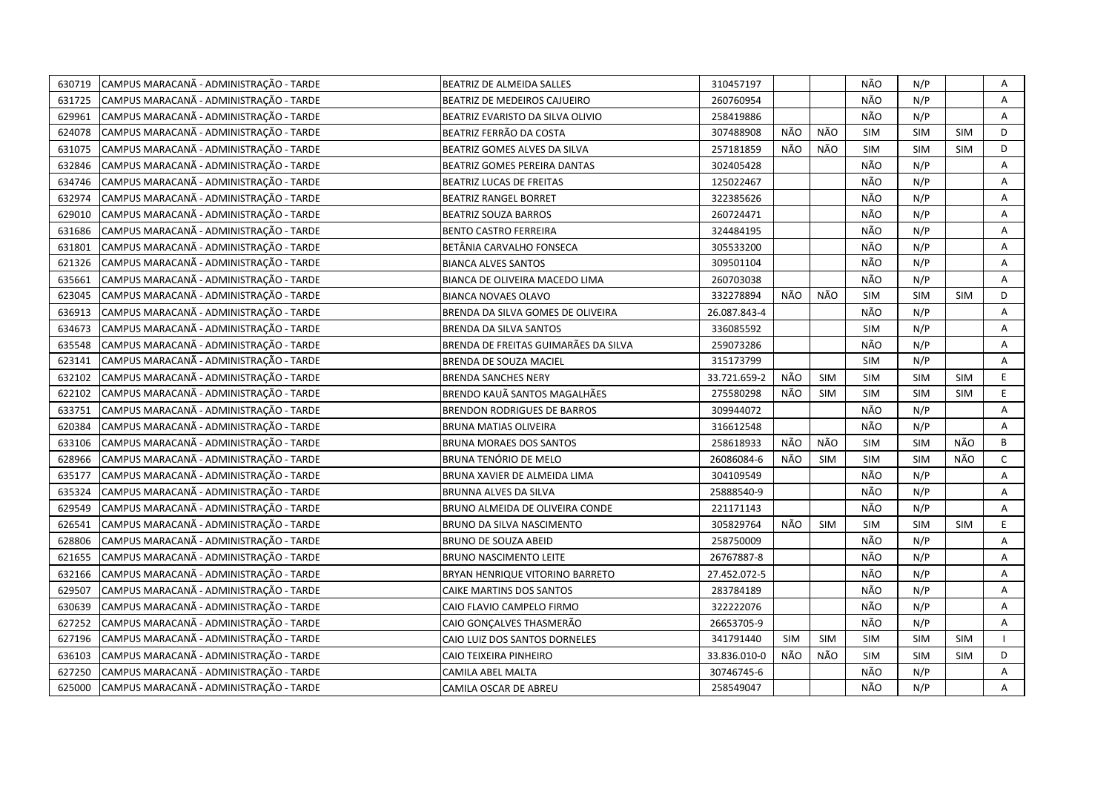| 630719 | CAMPUS MARACANÃ - ADMINISTRAÇÃO - TARDE | BEATRIZ DE ALMEIDA SALLES            | 310457197    |     |            | NÃO        | N/P        |            | Α            |
|--------|-----------------------------------------|--------------------------------------|--------------|-----|------------|------------|------------|------------|--------------|
| 631725 | CAMPUS MARACANÃ - ADMINISTRAÇÃO - TARDE | BEATRIZ DE MEDEIROS CAJUEIRO         | 260760954    |     |            | NÃO        | N/P        |            | A            |
| 629961 | CAMPUS MARACANÃ - ADMINISTRAÇÃO - TARDE | BEATRIZ EVARISTO DA SILVA OLIVIO     | 258419886    |     |            | NÃO        | N/P        |            | A            |
| 624078 | CAMPUS MARACANÃ - ADMINISTRAÇÃO - TARDE | BEATRIZ FERRÃO DA COSTA              | 307488908    | NÃO | NÃO        | <b>SIM</b> | <b>SIM</b> | <b>SIM</b> | D            |
| 631075 | CAMPUS MARACANÃ - ADMINISTRAÇÃO - TARDE | BEATRIZ GOMES ALVES DA SILVA         | 257181859    | NÃO | NÃO        | <b>SIM</b> | <b>SIM</b> | <b>SIM</b> | D            |
| 632846 | CAMPUS MARACANÃ - ADMINISTRAÇÃO - TARDE | BEATRIZ GOMES PEREIRA DANTAS         | 302405428    |     |            | NÃO        | N/P        |            | Α            |
| 634746 | CAMPUS MARACANÃ - ADMINISTRAÇÃO - TARDE | <b>BEATRIZ LUCAS DE FREITAS</b>      | 125022467    |     |            | NÃO        | N/P        |            | Α            |
| 632974 | CAMPUS MARACANÃ - ADMINISTRAÇÃO - TARDE | <b>BEATRIZ RANGEL BORRET</b>         | 322385626    |     |            | NÃO        | N/P        |            | Α            |
| 629010 | CAMPUS MARACANÃ - ADMINISTRAÇÃO - TARDE | <b>BEATRIZ SOUZA BARROS</b>          | 260724471    |     |            | NÃO        | N/P        |            | Α            |
| 631686 | CAMPUS MARACANÃ - ADMINISTRAÇÃO - TARDE | <b>BENTO CASTRO FERREIRA</b>         | 324484195    |     |            | NÃO        | N/P        |            | Α            |
| 631801 | CAMPUS MARACANÃ - ADMINISTRAÇÃO - TARDE | BETÄNIA CARVALHO FONSECA             | 305533200    |     |            | NÃO        | N/P        |            | Α            |
| 621326 | CAMPUS MARACANÃ - ADMINISTRAÇÃO - TARDE | <b>BIANCA ALVES SANTOS</b>           | 309501104    |     |            | NÃO        | N/P        |            | Α            |
| 635661 | CAMPUS MARACANÃ - ADMINISTRAÇÃO - TARDE | BIANCA DE OLIVEIRA MACEDO LIMA       | 260703038    |     |            | NÃO        | N/P        |            | A            |
| 623045 | CAMPUS MARACANÃ - ADMINISTRAÇÃO - TARDE | <b>BIANCA NOVAES OLAVO</b>           | 332278894    | NÃO | NÃO        | <b>SIM</b> | <b>SIM</b> | <b>SIM</b> | D            |
| 636913 | CAMPUS MARACANÃ - ADMINISTRAÇÃO - TARDE | BRENDA DA SILVA GOMES DE OLIVEIRA    | 26.087.843-4 |     |            | NÃO        | N/P        |            | A            |
| 634673 | CAMPUS MARACANÃ - ADMINISTRAÇÃO - TARDE | <b>BRENDA DA SILVA SANTOS</b>        | 336085592    |     |            | <b>SIM</b> | N/P        |            | A            |
| 635548 | CAMPUS MARACANÃ - ADMINISTRAÇÃO - TARDE | BRENDA DE FREITAS GUIMARÃES DA SILVA | 259073286    |     |            | NÃO        | N/P        |            | Α            |
| 623141 | CAMPUS MARACANÃ - ADMINISTRAÇÃO - TARDE | BRENDA DE SOUZA MACIEL               | 315173799    |     |            | <b>SIM</b> | N/P        |            | A            |
| 632102 | CAMPUS MARACANÃ - ADMINISTRAÇÃO - TARDE | <b>BRENDA SANCHES NERY</b>           | 33.721.659-2 | NÃO | <b>SIM</b> | <b>SIM</b> | <b>SIM</b> | <b>SIM</b> | E            |
| 622102 | CAMPUS MARACANÃ - ADMINISTRAÇÃO - TARDE | BRENDO KAUÃ SANTOS MAGALHÃES         | 275580298    | NÃO | <b>SIM</b> | <b>SIM</b> | <b>SIM</b> | <b>SIM</b> | E.           |
| 633751 | CAMPUS MARACANÃ - ADMINISTRAÇÃO - TARDE | <b>BRENDON RODRIGUES DE BARROS</b>   | 309944072    |     |            | NÃO        | N/P        |            | Α            |
| 620384 | CAMPUS MARACANÃ - ADMINISTRAÇÃO - TARDE | <b>BRUNA MATIAS OLIVEIRA</b>         | 316612548    |     |            | NÃO        | N/P        |            | A            |
| 633106 | CAMPUS MARACANÃ - ADMINISTRAÇÃO - TARDE | <b>BRUNA MORAES DOS SANTOS</b>       | 258618933    | NÃO | NÃO        | <b>SIM</b> | <b>SIM</b> | NÃO        | В            |
| 628966 | CAMPUS MARACANÃ - ADMINISTRAÇÃO - TARDE | BRUNA TENÓRIO DE MELO                | 26086084-6   | NÃO | <b>SIM</b> | <b>SIM</b> | <b>SIM</b> | NÃO        | $\mathsf{C}$ |
| 635177 | CAMPUS MARACANÃ - ADMINISTRAÇÃO - TARDE | BRUNA XAVIER DE ALMEIDA LIMA         | 304109549    |     |            | NÃO        | N/P        |            | A            |
| 635324 | CAMPUS MARACANÃ - ADMINISTRAÇÃO - TARDE | BRUNNA ALVES DA SILVA                | 25888540-9   |     |            | NÃO        | N/P        |            | Α            |
| 629549 | CAMPUS MARACANÃ - ADMINISTRAÇÃO - TARDE | BRUNO ALMEIDA DE OLIVEIRA CONDE      | 221171143    |     |            | NÃO        | N/P        |            | A            |
| 626541 | CAMPUS MARACANÃ - ADMINISTRAÇÃO - TARDE | BRUNO DA SILVA NASCIMENTO            | 305829764    | NÃO | <b>SIM</b> | <b>SIM</b> | <b>SIM</b> | <b>SIM</b> | E            |
| 628806 | CAMPUS MARACANÃ - ADMINISTRAÇÃO - TARDE | BRUNO DE SOUZA ABEID                 | 258750009    |     |            | NÃO        | N/P        |            | Α            |
| 621655 | CAMPUS MARACANÃ - ADMINISTRAÇÃO - TARDE | <b>BRUNO NASCIMENTO LEITE</b>        | 26767887-8   |     |            | NÃO        | N/P        |            | А            |
| 632166 | CAMPUS MARACANÃ - ADMINISTRAÇÃO - TARDE | BRYAN HENRIQUE VITORINO BARRETO      | 27.452.072-5 |     |            | NÃO        | N/P        |            | Α            |
| 629507 | CAMPUS MARACANÃ - ADMINISTRAÇÃO - TARDE | CAIKE MARTINS DOS SANTOS             | 283784189    |     |            | NÃO        | N/P        |            | A            |
| 630639 | CAMPUS MARACANÃ - ADMINISTRAÇÃO - TARDE | CAIO FLAVIO CAMPELO FIRMO            | 322222076    |     |            | NÃO        | N/P        |            | Α            |
| 627252 | CAMPUS MARACANÃ - ADMINISTRAÇÃO - TARDE | CAIO GONÇALVES THASMERÃO             | 26653705-9   |     |            | NÃO        | N/P        |            | A            |
| 627196 | CAMPUS MARACANÃ - ADMINISTRAÇÃO - TARDE | CAIO LUIZ DOS SANTOS DORNELES        | 341791440    | SIM | SIM        | <b>SIM</b> | <b>SIM</b> | <b>SIM</b> | $\mathbf{I}$ |
| 636103 | CAMPUS MARACANÃ - ADMINISTRAÇÃO - TARDE | CAIO TEIXEIRA PINHEIRO               | 33.836.010-0 | NÃO | NÃO        | <b>SIM</b> | <b>SIM</b> | <b>SIM</b> | D            |
| 627250 | CAMPUS MARACANÃ - ADMINISTRAÇÃO - TARDE | CAMILA ABEL MALTA                    | 30746745-6   |     |            | NÃO        | N/P        |            | А            |
| 625000 | CAMPUS MARACANÃ - ADMINISTRAÇÃO - TARDE | CAMILA OSCAR DE ABREU                | 258549047    |     |            | NÃO        | N/P        |            | A            |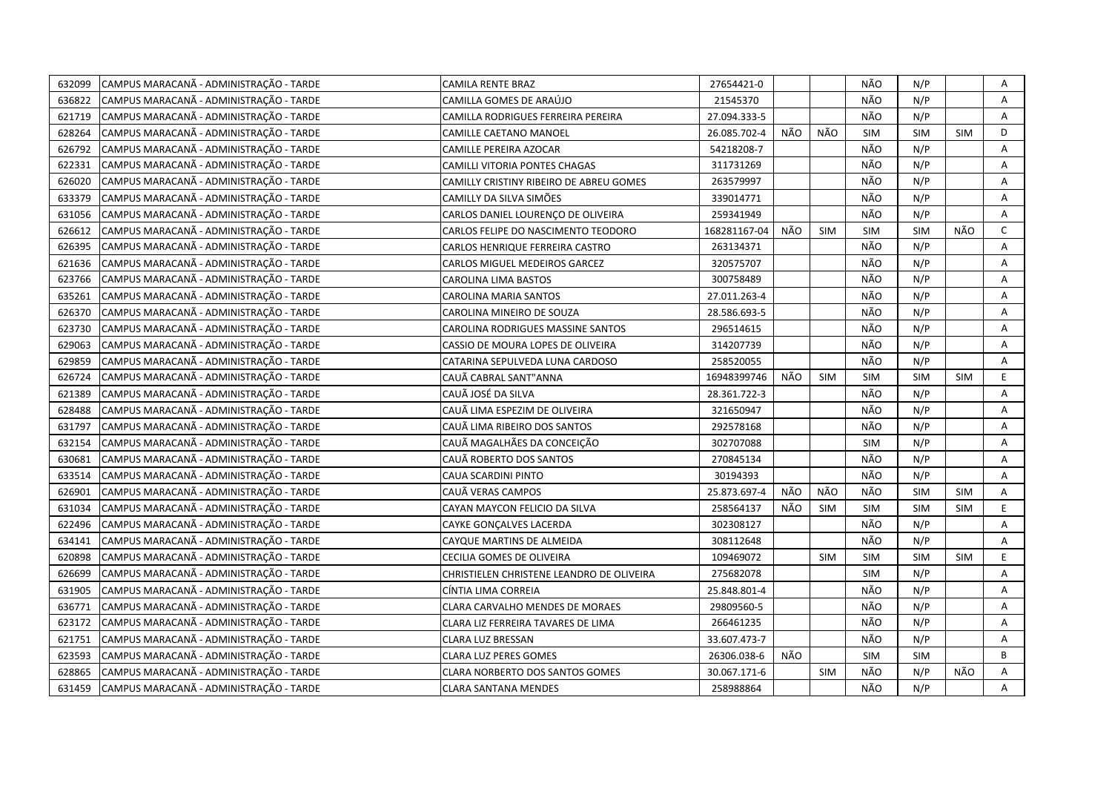| 632099 | CAMPUS MARACANÃ - ADMINISTRAÇÃO - TARDE | CAMILA RENTE BRAZ                         | 27654421-0   |     |            | NÃO        | N/P        |            | Α            |
|--------|-----------------------------------------|-------------------------------------------|--------------|-----|------------|------------|------------|------------|--------------|
| 636822 | CAMPUS MARACANÃ - ADMINISTRAÇÃO - TARDE | CAMILLA GOMES DE ARAÚJO                   | 21545370     |     |            | NÃO        | N/P        |            | A            |
| 621719 | CAMPUS MARACANÃ - ADMINISTRAÇÃO - TARDE | CAMILLA RODRIGUES FERREIRA PEREIRA        | 27.094.333-5 |     |            | NÃO        | N/P        |            | Α            |
| 628264 | CAMPUS MARACANÃ - ADMINISTRAÇÃO - TARDE | <b>CAMILLE CAETANO MANOEL</b>             | 26.085.702-4 | NÃO | NÃO        | <b>SIM</b> | <b>SIM</b> | <b>SIM</b> | D            |
| 626792 | CAMPUS MARACANÃ - ADMINISTRAÇÃO - TARDE | CAMILLE PEREIRA AZOCAR                    | 54218208-7   |     |            | NÃO        | N/P        |            | Α            |
| 622331 | CAMPUS MARACANÃ - ADMINISTRAÇÃO - TARDE | CAMILLI VITORIA PONTES CHAGAS             | 311731269    |     |            | NÃO        | N/P        |            | Α            |
| 626020 | CAMPUS MARACANÃ - ADMINISTRAÇÃO - TARDE | CAMILLY CRISTINY RIBEIRO DE ABREU GOMES   | 263579997    |     |            | NÃO        | N/P        |            | Α            |
| 633379 | CAMPUS MARACANÃ - ADMINISTRAÇÃO - TARDE | CAMILLY DA SILVA SIMÕES                   | 339014771    |     |            | NÃO        | N/P        |            | Α            |
| 631056 | CAMPUS MARACANÃ - ADMINISTRAÇÃO - TARDE | CARLOS DANIEL LOURENÇO DE OLIVEIRA        | 259341949    |     |            | NÃO        | N/P        |            | Α            |
| 626612 | CAMPUS MARACANÃ - ADMINISTRAÇÃO - TARDE | CARLOS FELIPE DO NASCIMENTO TEODORO       | 168281167-04 | NÃO | <b>SIM</b> | <b>SIM</b> | <b>SIM</b> | NÃO        | $\mathsf{C}$ |
| 626395 | CAMPUS MARACANÃ - ADMINISTRAÇÃO - TARDE | CARLOS HENRIQUE FERREIRA CASTRO           | 263134371    |     |            | NÃO        | N/P        |            | Α            |
| 621636 | CAMPUS MARACANÃ - ADMINISTRAÇÃO - TARDE | CARLOS MIGUEL MEDEIROS GARCEZ             | 320575707    |     |            | NÃO        | N/P        |            | A            |
| 623766 | CAMPUS MARACANÃ - ADMINISTRAÇÃO - TARDE | CAROLINA LIMA BASTOS                      | 300758489    |     |            | NÃO        | N/P        |            | A            |
| 635261 | CAMPUS MARACANÃ - ADMINISTRAÇÃO - TARDE | <b>CAROLINA MARIA SANTOS</b>              | 27.011.263-4 |     |            | NÃO        | N/P        |            | Α            |
| 626370 | CAMPUS MARACANÃ - ADMINISTRAÇÃO - TARDE | CAROLINA MINEIRO DE SOUZA                 | 28.586.693-5 |     |            | NÃO        | N/P        |            | A            |
| 623730 | CAMPUS MARACANÃ - ADMINISTRAÇÃO - TARDE | CAROLINA RODRIGUES MASSINE SANTOS         | 296514615    |     |            | NÃO        | N/P        |            | A            |
| 629063 | CAMPUS MARACANÃ - ADMINISTRAÇÃO - TARDE | CASSIO DE MOURA LOPES DE OLIVEIRA         | 314207739    |     |            | NÃO        | N/P        |            | Α            |
| 629859 | CAMPUS MARACANÃ - ADMINISTRAÇÃO - TARDE | CATARINA SEPULVEDA LUNA CARDOSO           | 258520055    |     |            | NÃO        | N/P        |            | A            |
| 626724 | CAMPUS MARACANA - ADMINISTRAÇÃO - TARDE | CAUÃ CABRAL SANT"ANNA                     | 16948399746  | NÃO | <b>SIM</b> | <b>SIM</b> | <b>SIM</b> | <b>SIM</b> | E.           |
| 621389 | CAMPUS MARACANÃ - ADMINISTRAÇÃO - TARDE | CAUÃ JOSÉ DA SILVA                        | 28.361.722-3 |     |            | NÃO        | N/P        |            | A            |
| 628488 | CAMPUS MARACANÃ - ADMINISTRAÇÃO - TARDE | CAUÃ LIMA ESPEZIM DE OLIVEIRA             | 321650947    |     |            | NÃO        | N/P        |            | A            |
| 631797 | CAMPUS MARACANÃ - ADMINISTRAÇÃO - TARDE | CAUÃ LIMA RIBEIRO DOS SANTOS              | 292578168    |     |            | NÃO        | N/P        |            | A            |
| 632154 | CAMPUS MARACANÃ - ADMINISTRAÇÃO - TARDE | CAUÃ MAGALHÃES DA CONCEIÇÃO               | 302707088    |     |            | <b>SIM</b> | N/P        |            | A            |
| 630681 | CAMPUS MARACANÃ - ADMINISTRAÇÃO - TARDE | CAUÃ ROBERTO DOS SANTOS                   | 270845134    |     |            | NÃO        | N/P        |            | A            |
| 633514 | CAMPUS MARACANÃ - ADMINISTRAÇÃO - TARDE | CAUA SCARDINI PINTO                       | 30194393     |     |            | NÃO        | N/P        |            | A            |
| 626901 | CAMPUS MARACANÃ - ADMINISTRAÇÃO - TARDE | CAUÃ VERAS CAMPOS                         | 25.873.697-4 | NÃO | NÃO        | NÃO        | <b>SIM</b> | <b>SIM</b> | Α            |
| 631034 | CAMPUS MARACANÃ - ADMINISTRAÇÃO - TARDE | CAYAN MAYCON FELICIO DA SILVA             | 258564137    | NÃO | <b>SIM</b> | SIM        | <b>SIM</b> | <b>SIM</b> | E.           |
| 622496 | CAMPUS MARACANÃ - ADMINISTRAÇÃO - TARDE | CAYKE GONÇALVES LACERDA                   | 302308127    |     |            | NÃO        | N/P        |            | A            |
| 634141 | CAMPUS MARACANÃ - ADMINISTRAÇÃO - TARDE | CAYQUE MARTINS DE ALMEIDA                 | 308112648    |     |            | NÃO        | N/P        |            | A            |
| 620898 | CAMPUS MARACANÃ - ADMINISTRAÇÃO - TARDE | CECILIA GOMES DE OLIVEIRA                 | 109469072    |     | <b>SIM</b> | <b>SIM</b> | <b>SIM</b> | <b>SIM</b> | E            |
| 626699 | CAMPUS MARACANÃ - ADMINISTRAÇÃO - TARDE | CHRISTIELEN CHRISTENE LEANDRO DE OLIVEIRA | 275682078    |     |            | <b>SIM</b> | N/P        |            | Α            |
| 631905 | CAMPUS MARACANÃ - ADMINISTRAÇÃO - TARDE | CÍNTIA LIMA CORREIA                       | 25.848.801-4 |     |            | NÃO        | N/P        |            | A            |
| 636771 | CAMPUS MARACANÃ - ADMINISTRAÇÃO - TARDE | CLARA CARVALHO MENDES DE MORAES           | 29809560-5   |     |            | NÃO        | N/P        |            | Α            |
| 623172 | CAMPUS MARACANÃ - ADMINISTRAÇÃO - TARDE | CLARA LIZ FERREIRA TAVARES DE LIMA        | 266461235    |     |            | NÃO        | N/P        |            | A            |
| 621751 | CAMPUS MARACANÃ - ADMINISTRAÇÃO - TARDE | CLARA LUZ BRESSAN                         | 33.607.473-7 |     |            | NÃO        | N/P        |            | A            |
| 623593 | CAMPUS MARACANÃ - ADMINISTRAÇÃO - TARDE | <b>CLARA LUZ PERES GOMES</b>              | 26306.038-6  | NÃO |            | <b>SIM</b> | <b>SIM</b> |            | B            |
| 628865 | CAMPUS MARACANÃ - ADMINISTRAÇÃO - TARDE | <b>CLARA NORBERTO DOS SANTOS GOMES</b>    | 30.067.171-6 |     | <b>SIM</b> | NÃO        | N/P        | NÃO        | A            |
| 631459 | CAMPUS MARACANÃ - ADMINISTRAÇÃO - TARDE | <b>CLARA SANTANA MENDES</b>               | 258988864    |     |            | NÃO        | N/P        |            | A            |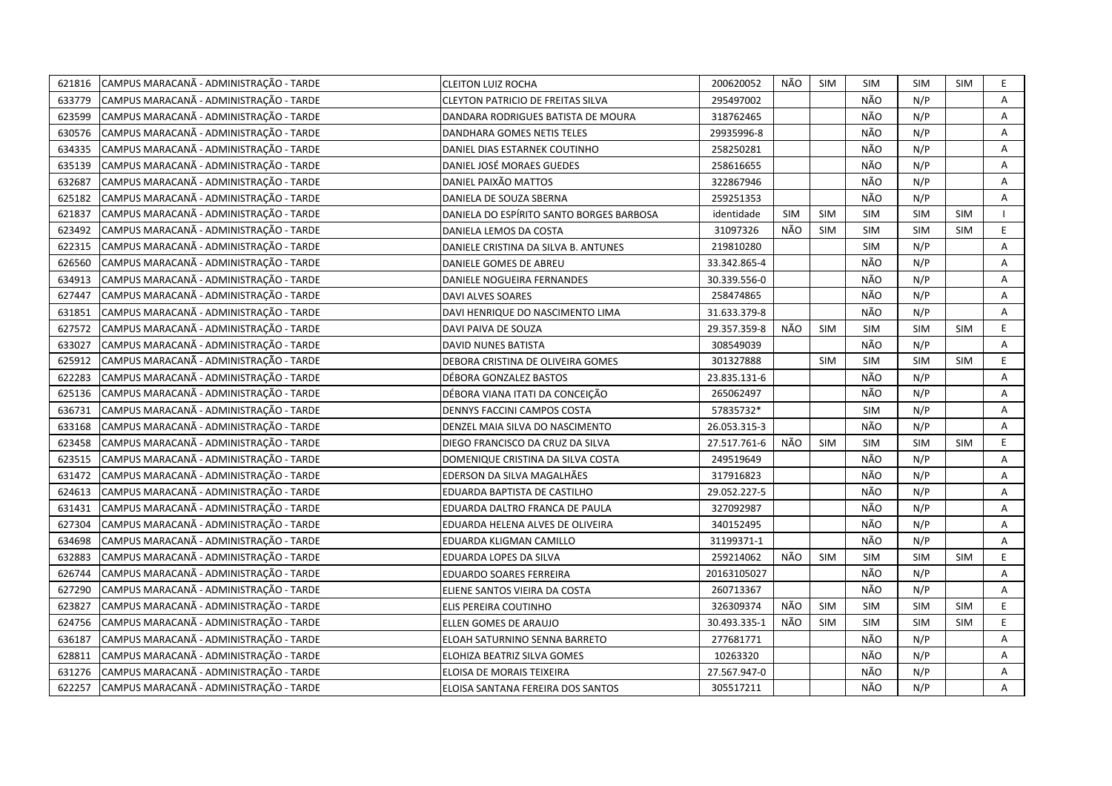| 621816 | CAMPUS MARACANÃ - ADMINISTRAÇÃO - TARDE | <b>CLEITON LUIZ ROCHA</b>                | 200620052    | NÃO        | <b>SIM</b> | <b>SIM</b> | <b>SIM</b> | <b>SIM</b> | E. |
|--------|-----------------------------------------|------------------------------------------|--------------|------------|------------|------------|------------|------------|----|
| 633779 | CAMPUS MARACANÃ - ADMINISTRAÇÃO - TARDE | CLEYTON PATRICIO DE FREITAS SILVA        | 295497002    |            |            | NÃO        | N/P        |            | A  |
| 623599 | CAMPUS MARACANÃ - ADMINISTRAÇÃO - TARDE | DANDARA RODRIGUES BATISTA DE MOURA       | 318762465    |            |            | NÃO        | N/P        |            | A  |
| 630576 | CAMPUS MARACANÃ - ADMINISTRAÇÃO - TARDE | DANDHARA GOMES NETIS TELES               | 29935996-8   |            |            | NÃO        | N/P        |            | Α  |
| 634335 | CAMPUS MARACANÃ - ADMINISTRAÇÃO - TARDE | DANIEL DIAS ESTARNEK COUTINHO            | 258250281    |            |            | NÃO        | N/P        |            | Α  |
| 635139 | CAMPUS MARACANÃ - ADMINISTRAÇÃO - TARDE | DANIEL JOSÉ MORAES GUEDES                | 258616655    |            |            | NÃO        | N/P        |            | Α  |
| 632687 | CAMPUS MARACANÃ - ADMINISTRAÇÃO - TARDE | DANIEL PAIXÃO MATTOS                     | 322867946    |            |            | NÃO        | N/P        |            | Α  |
| 625182 | CAMPUS MARACANÃ - ADMINISTRAÇÃO - TARDE | DANIELA DE SOUZA SBERNA                  | 259251353    |            |            | NÃO        | N/P        |            | Α  |
| 621837 | CAMPUS MARACANÃ - ADMINISTRAÇÃO - TARDE | DANIELA DO ESPÍRITO SANTO BORGES BARBOSA | identidade   | <b>SIM</b> | <b>SIM</b> | <b>SIM</b> | <b>SIM</b> | <b>SIM</b> |    |
| 623492 | CAMPUS MARACANÃ - ADMINISTRAÇÃO - TARDE | DANIELA LEMOS DA COSTA                   | 31097326     | NÃO        | <b>SIM</b> | <b>SIM</b> | <b>SIM</b> | <b>SIM</b> | E  |
| 622315 | CAMPUS MARACANÃ - ADMINISTRAÇÃO - TARDE | DANIELE CRISTINA DA SILVA B. ANTUNES     | 219810280    |            |            | <b>SIM</b> | N/P        |            | A  |
| 626560 | CAMPUS MARACANÃ - ADMINISTRAÇÃO - TARDE | DANIELE GOMES DE ABREU                   | 33.342.865-4 |            |            | NÃO        | N/P        |            | A  |
| 634913 | CAMPUS MARACANÃ - ADMINISTRAÇÃO - TARDE | DANIELE NOGUEIRA FERNANDES               | 30.339.556-0 |            |            | NÃO        | N/P        |            | Α  |
| 627447 | CAMPUS MARACANÃ - ADMINISTRAÇÃO - TARDE | <b>DAVI ALVES SOARES</b>                 | 258474865    |            |            | NÃO        | N/P        |            | A  |
| 631851 | CAMPUS MARACANÃ - ADMINISTRAÇÃO - TARDE | DAVI HENRIQUE DO NASCIMENTO LIMA         | 31.633.379-8 |            |            | NÃO        | N/P        |            | Α  |
| 627572 | CAMPUS MARACANÃ - ADMINISTRAÇÃO - TARDE | DAVI PAIVA DE SOUZA                      | 29.357.359-8 | NÃO        | <b>SIM</b> | <b>SIM</b> | <b>SIM</b> | SIM        | E. |
| 633027 | CAMPUS MARACANÃ - ADMINISTRAÇÃO - TARDE | DAVID NUNES BATISTA                      | 308549039    |            |            | NÃO        | N/P        |            | Α  |
| 625912 | CAMPUS MARACANÃ - ADMINISTRAÇÃO - TARDE | DEBORA CRISTINA DE OLIVEIRA GOMES        | 301327888    |            | <b>SIM</b> | <b>SIM</b> | <b>SIM</b> | <b>SIM</b> | E. |
| 622283 | CAMPUS MARACANÃ - ADMINISTRAÇÃO - TARDE | DÉBORA GONZALEZ BASTOS                   | 23.835.131-6 |            |            | NÃO        | N/P        |            | Α  |
| 625136 | CAMPUS MARACANÃ - ADMINISTRAÇÃO - TARDE | DÉBORA VIANA ITATI DA CONCEIÇÃO          | 265062497    |            |            | NÃO        | N/P        |            | Α  |
| 636731 | CAMPUS MARACANÃ - ADMINISTRAÇÃO - TARDE | DENNYS FACCINI CAMPOS COSTA              | 57835732*    |            |            | <b>SIM</b> | N/P        |            | A  |
| 633168 | CAMPUS MARACANÃ - ADMINISTRAÇÃO - TARDE | DENZEL MAIA SILVA DO NASCIMENTO          | 26.053.315-3 |            |            | NÃO        | N/P        |            | A  |
| 623458 | CAMPUS MARACANÃ - ADMINISTRAÇÃO - TARDE | DIEGO FRANCISCO DA CRUZ DA SILVA         | 27.517.761-6 | NÃO        | <b>SIM</b> | <b>SIM</b> | SIM        | <b>SIM</b> | E  |
| 623515 | CAMPUS MARACANÃ - ADMINISTRAÇÃO - TARDE | DOMENIQUE CRISTINA DA SILVA COSTA        | 249519649    |            |            | NÃO        | N/P        |            | A  |
| 631472 | CAMPUS MARACANÃ - ADMINISTRAÇÃO - TARDE | EDERSON DA SILVA MAGALHÃES               | 317916823    |            |            | NÃO        | N/P        |            | A  |
| 624613 | CAMPUS MARACANÃ - ADMINISTRAÇÃO - TARDE | EDUARDA BAPTISTA DE CASTILHO             | 29.052.227-5 |            |            | NÃO        | N/P        |            | A  |
| 631431 | CAMPUS MARACANA - ADMINISTRAÇÃO - TARDE | EDUARDA DALTRO FRANCA DE PAULA           | 327092987    |            |            | NÃO        | N/P        |            | Α  |
| 627304 | CAMPUS MARACANÃ - ADMINISTRAÇÃO - TARDE | EDUARDA HELENA ALVES DE OLIVEIRA         | 340152495    |            |            | NÃO        | N/P        |            | A  |
| 634698 | CAMPUS MARACANÃ - ADMINISTRAÇÃO - TARDE | EDUARDA KLIGMAN CAMILLO                  | 31199371-1   |            |            | NÃO        | N/P        |            | Α  |
| 632883 | CAMPUS MARACANÃ - ADMINISTRAÇÃO - TARDE | EDUARDA LOPES DA SILVA                   | 259214062    | NÃO        | <b>SIM</b> | <b>SIM</b> | <b>SIM</b> | <b>SIM</b> | E. |
| 626744 | CAMPUS MARACANÃ - ADMINISTRAÇÃO - TARDE | EDUARDO SOARES FERREIRA                  | 20163105027  |            |            | NÃO        | N/P        |            | A  |
| 627290 | CAMPUS MARACANÃ - ADMINISTRAÇÃO - TARDE | ELIENE SANTOS VIEIRA DA COSTA            | 260713367    |            |            | NÃO        | N/P        |            | Α  |
| 623827 | CAMPUS MARACANÃ - ADMINISTRAÇÃO - TARDE | ELIS PEREIRA COUTINHO                    | 326309374    | NÃO        | SIM        | <b>SIM</b> | <b>SIM</b> | <b>SIM</b> | E  |
| 624756 | CAMPUS MARACANÃ - ADMINISTRAÇÃO - TARDE | ELLEN GOMES DE ARAUJO                    | 30.493.335-1 | NÃO        | <b>SIM</b> | <b>SIM</b> | <b>SIM</b> | <b>SIM</b> | E. |
| 636187 | CAMPUS MARACANÃ - ADMINISTRAÇÃO - TARDE | ELOAH SATURNINO SENNA BARRETO            | 277681771    |            |            | NÃO        | N/P        |            | Α  |
| 628811 | CAMPUS MARACANÃ - ADMINISTRAÇÃO - TARDE | ELOHIZA BEATRIZ SILVA GOMES              | 10263320     |            |            | NÃO        | N/P        |            | Α  |
| 631276 | CAMPUS MARACANÃ - ADMINISTRAÇÃO - TARDE | ELOISA DE MORAIS TEIXEIRA                | 27.567.947-0 |            |            | NÃO        | N/P        |            | Α  |
| 622257 | CAMPUS MARACANÃ - ADMINISTRAÇÃO - TARDE | ELOISA SANTANA FEREIRA DOS SANTOS        | 305517211    |            |            | NÃO        | N/P        |            | A  |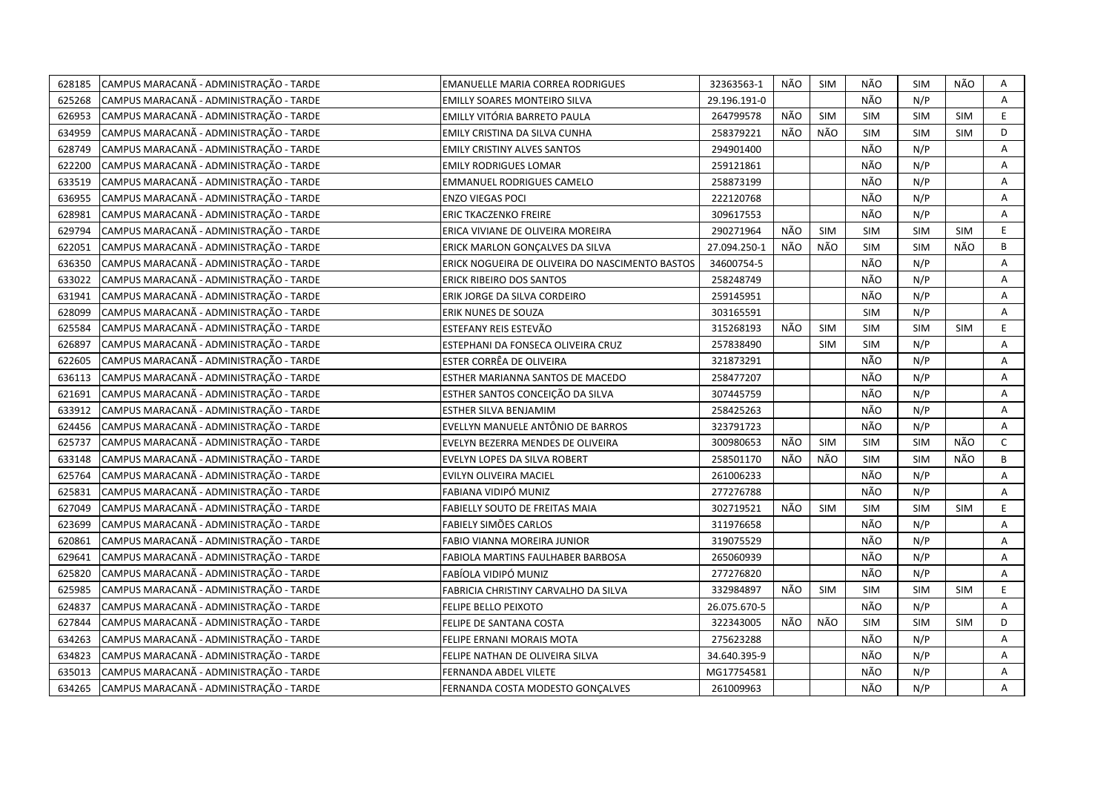| 628185 | CAMPUS MARACANÃ - ADMINISTRAÇÃO - TARDE | <b>EMANUELLE MARIA CORREA RODRIGUES</b>         | 32363563-1   | NÃO | <b>SIM</b> | NÃO        | <b>SIM</b> | NÃO        | Α            |
|--------|-----------------------------------------|-------------------------------------------------|--------------|-----|------------|------------|------------|------------|--------------|
| 625268 | CAMPUS MARACANÃ - ADMINISTRAÇÃO - TARDE | <b>EMILLY SOARES MONTEIRO SILVA</b>             | 29.196.191-0 |     |            | NÃO        | N/P        |            | A            |
| 626953 | CAMPUS MARACANÃ - ADMINISTRAÇÃO - TARDE | EMILLY VITÓRIA BARRETO PAULA                    | 264799578    | NÃO | SIM        | <b>SIM</b> | SIM        | <b>SIM</b> | E            |
| 634959 | CAMPUS MARACANÃ - ADMINISTRAÇÃO - TARDE | EMILY CRISTINA DA SILVA CUNHA                   | 258379221    | NÃO | NÃO        | <b>SIM</b> | <b>SIM</b> | <b>SIM</b> | D            |
| 628749 | CAMPUS MARACANÃ - ADMINISTRAÇÃO - TARDE | <b>EMILY CRISTINY ALVES SANTOS</b>              | 294901400    |     |            | NÃO        | N/P        |            | А            |
| 622200 | CAMPUS MARACANÃ - ADMINISTRAÇÃO - TARDE | <b>EMILY RODRIGUES LOMAR</b>                    | 259121861    |     |            | NÃO        | N/P        |            | A            |
| 633519 | CAMPUS MARACANÃ - ADMINISTRAÇÃO - TARDE | <b>EMMANUEL RODRIGUES CAMELO</b>                | 258873199    |     |            | NÃO        | N/P        |            | Α            |
| 636955 | CAMPUS MARACANÃ - ADMINISTRAÇÃO - TARDE | <b>ENZO VIEGAS POCI</b>                         | 222120768    |     |            | NÃO        | N/P        |            | A            |
| 628981 | CAMPUS MARACANÃ - ADMINISTRAÇÃO - TARDE | ERIC TKACZENKO FREIRE                           | 309617553    |     |            | NÃO        | N/P        |            | Α            |
| 629794 | CAMPUS MARACANÃ - ADMINISTRAÇÃO - TARDE | ERICA VIVIANE DE OLIVEIRA MOREIRA               | 290271964    | NÃO | <b>SIM</b> | <b>SIM</b> | <b>SIM</b> | <b>SIM</b> | E            |
| 622051 | CAMPUS MARACANÃ - ADMINISTRAÇÃO - TARDE | ERICK MARLON GONÇALVES DA SILVA                 | 27.094.250-1 | NÃO | NÃO        | <b>SIM</b> | <b>SIM</b> | NÃO        | В            |
| 636350 | CAMPUS MARACANÃ - ADMINISTRAÇÃO - TARDE | ERICK NOGUEIRA DE OLIVEIRA DO NASCIMENTO BASTOS | 34600754-5   |     |            | NÃO        | N/P        |            | Α            |
| 633022 | CAMPUS MARACANÃ - ADMINISTRAÇÃO - TARDE | <b>ERICK RIBEIRO DOS SANTOS</b>                 | 258248749    |     |            | NÃO        | N/P        |            | A            |
| 631941 | CAMPUS MARACANÃ - ADMINISTRAÇÃO - TARDE | ERIK JORGE DA SILVA CORDEIRO                    | 259145951    |     |            | NÃO        | N/P        |            | Α            |
| 628099 | CAMPUS MARACANÃ - ADMINISTRAÇÃO - TARDE | ERIK NUNES DE SOUZA                             | 303165591    |     |            | <b>SIM</b> | N/P        |            | A            |
| 625584 | CAMPUS MARACANÃ - ADMINISTRAÇÃO - TARDE | ESTEFANY REIS ESTEVÃO                           | 315268193    | NÃO | SIM        | <b>SIM</b> | <b>SIM</b> | <b>SIM</b> | E            |
| 626897 | CAMPUS MARACANÃ - ADMINISTRAÇÃO - TARDE | ESTEPHANI DA FONSECA OLIVEIRA CRUZ              | 257838490    |     | <b>SIM</b> | <b>SIM</b> | N/P        |            | Α            |
| 622605 | CAMPUS MARACANÃ - ADMINISTRAÇÃO - TARDE | ESTER CORRÊA DE OLIVEIRA                        | 321873291    |     |            | NÃO        | N/P        |            | A            |
| 636113 | CAMPUS MARACANÃ - ADMINISTRAÇÃO - TARDE | ESTHER MARIANNA SANTOS DE MACEDO                | 258477207    |     |            | NÃO        | N/P        |            | A            |
| 621691 | CAMPUS MARACANÃ - ADMINISTRAÇÃO - TARDE | ESTHER SANTOS CONCEIÇÃO DA SILVA                | 307445759    |     |            | NÃO        | N/P        |            | A            |
| 633912 | CAMPUS MARACANÃ - ADMINISTRAÇÃO - TARDE | ESTHER SILVA BENJAMIM                           | 258425263    |     |            | NÃO        | N/P        |            | Α            |
| 624456 | CAMPUS MARACANÃ - ADMINISTRAÇÃO - TARDE | EVELLYN MANUELE ANTÔNIO DE BARROS               | 323791723    |     |            | NÃO        | N/P        |            | A            |
| 625737 | CAMPUS MARACANÃ - ADMINISTRAÇÃO - TARDE | EVELYN BEZERRA MENDES DE OLIVEIRA               | 300980653    | NÃO | SIM        | <b>SIM</b> | <b>SIM</b> | NÃO        | $\mathsf{C}$ |
| 633148 | CAMPUS MARACANÃ - ADMINISTRAÇÃO - TARDE | EVELYN LOPES DA SILVA ROBERT                    | 258501170    | NÃO | NÃO        | <b>SIM</b> | <b>SIM</b> | NÃO        | B            |
| 625764 | CAMPUS MARACANÃ - ADMINISTRAÇÃO - TARDE | EVILYN OLIVEIRA MACIEL                          | 261006233    |     |            | NÃO        | N/P        |            | A            |
| 625831 | CAMPUS MARACANÃ - ADMINISTRAÇÃO - TARDE | FABIANA VIDIPÓ MUNIZ                            | 277276788    |     |            | NÃO        | N/P        |            | Α            |
| 627049 | CAMPUS MARACANÃ - ADMINISTRAÇÃO - TARDE | FABIELLY SOUTO DE FREITAS MAIA                  | 302719521    | NÃO | <b>SIM</b> | <b>SIM</b> | <b>SIM</b> | <b>SIM</b> | E.           |
| 623699 | CAMPUS MARACANÃ - ADMINISTRAÇÃO - TARDE | FABIELY SIMÕES CARLOS                           | 311976658    |     |            | NÃO        | N/P        |            | A            |
| 620861 | CAMPUS MARACANÃ - ADMINISTRAÇÃO - TARDE | FABIO VIANNA MOREIRA JUNIOR                     | 319075529    |     |            | NÃO        | N/P        |            | Α            |
| 629641 | CAMPUS MARACANÃ - ADMINISTRAÇÃO - TARDE | FABIOLA MARTINS FAULHABER BARBOSA               | 265060939    |     |            | NÃO        | N/P        |            | А            |
| 625820 | CAMPUS MARACANÃ - ADMINISTRAÇÃO - TARDE | FABÍOLA VIDIPÓ MUNIZ                            | 277276820    |     |            | NÃO        | N/P        |            | A            |
| 625985 | CAMPUS MARACANÃ - ADMINISTRAÇÃO - TARDE | FABRICIA CHRISTINY CARVALHO DA SILVA            | 332984897    | NÃO | <b>SIM</b> | <b>SIM</b> | <b>SIM</b> | <b>SIM</b> | E            |
| 624837 | CAMPUS MARACANÃ - ADMINISTRAÇÃO - TARDE | FELIPE BELLO PEIXOTO                            | 26.075.670-5 |     |            | NÃO        | N/P        |            | A            |
| 627844 | CAMPUS MARACANÃ - ADMINISTRAÇÃO - TARDE | FELIPE DE SANTANA COSTA                         | 322343005    | NÃO | NÃO        | <b>SIM</b> | <b>SIM</b> | <b>SIM</b> | D            |
| 634263 | CAMPUS MARACANÃ - ADMINISTRAÇÃO - TARDE | FELIPE ERNANI MORAIS MOTA                       | 275623288    |     |            | NÃO        | N/P        |            | Α            |
| 634823 | CAMPUS MARACANÃ - ADMINISTRAÇÃO - TARDE | FELIPE NATHAN DE OLIVEIRA SILVA                 | 34.640.395-9 |     |            | NÃO        | N/P        |            | Α            |
| 635013 | CAMPUS MARACANÃ - ADMINISTRAÇÃO - TARDE | FERNANDA ABDEL VILETE                           | MG17754581   |     |            | NÃO        | N/P        |            | А            |
| 634265 | CAMPUS MARACANÃ - ADMINISTRAÇÃO - TARDE | FERNANDA COSTA MODESTO GONÇALVES                | 261009963    |     |            | NÃO        | N/P        |            | A            |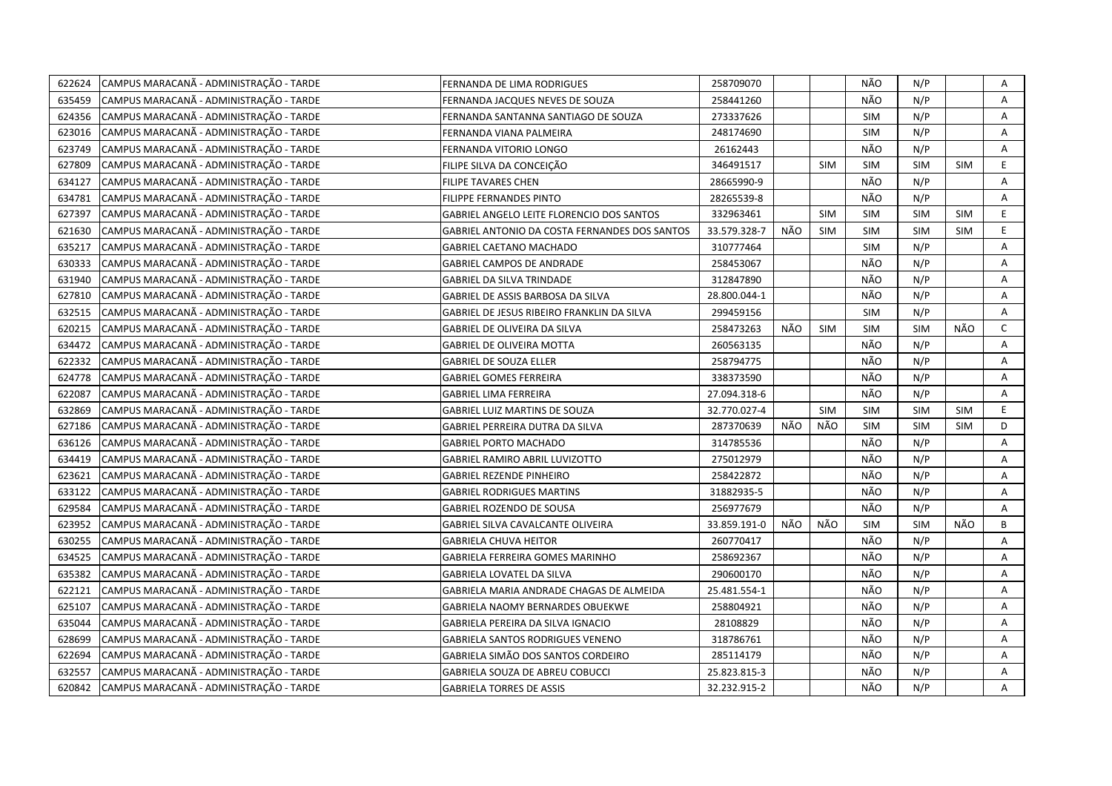| 622624 | CAMPUS MARACANÃ - ADMINISTRAÇÃO - TARDE | FERNANDA DE LIMA RODRIGUES                    | 258709070    |     |            | NÃO        | N/P        |            | Α            |
|--------|-----------------------------------------|-----------------------------------------------|--------------|-----|------------|------------|------------|------------|--------------|
| 635459 | CAMPUS MARACANÃ - ADMINISTRAÇÃO - TARDE | FERNANDA JACQUES NEVES DE SOUZA               | 258441260    |     |            | NÃO        | N/P        |            | A            |
| 624356 | CAMPUS MARACANÃ - ADMINISTRAÇÃO - TARDE | FERNANDA SANTANNA SANTIAGO DE SOUZA           | 273337626    |     |            | <b>SIM</b> | N/P        |            | Α            |
| 623016 | CAMPUS MARACANÃ - ADMINISTRAÇÃO - TARDE | FERNANDA VIANA PALMEIRA                       | 248174690    |     |            | <b>SIM</b> | N/P        |            | A            |
| 623749 | CAMPUS MARACANÃ - ADMINISTRAÇÃO - TARDE | FERNANDA VITORIO LONGO                        | 26162443     |     |            | NÃO        | N/P        |            | Α            |
| 627809 | CAMPUS MARACANÃ - ADMINISTRAÇÃO - TARDE | FILIPE SILVA DA CONCEIÇÃO                     | 346491517    |     | <b>SIM</b> | <b>SIM</b> | <b>SIM</b> | <b>SIM</b> | E.           |
| 634127 | CAMPUS MARACANÃ - ADMINISTRAÇÃO - TARDE | <b>FILIPE TAVARES CHEN</b>                    | 28665990-9   |     |            | NÃO        | N/P        |            | Α            |
| 634781 | CAMPUS MARACANÃ - ADMINISTRAÇÃO - TARDE | FILIPPE FERNANDES PINTO                       | 28265539-8   |     |            | NÃO        | N/P        |            | Α            |
| 627397 | CAMPUS MARACANÃ - ADMINISTRAÇÃO - TARDE | GABRIEL ANGELO LEITE FLORENCIO DOS SANTOS     | 332963461    |     | <b>SIM</b> | <b>SIM</b> | <b>SIM</b> | <b>SIM</b> | E            |
| 621630 | CAMPUS MARACANÃ - ADMINISTRAÇÃO - TARDE | GABRIEL ANTONIO DA COSTA FERNANDES DOS SANTOS | 33.579.328-7 | NÃO | <b>SIM</b> | <b>SIM</b> | SIM        | <b>SIM</b> | E.           |
| 635217 | CAMPUS MARACANÃ - ADMINISTRAÇÃO - TARDE | <b>GABRIEL CAETANO MACHADO</b>                | 310777464    |     |            | <b>SIM</b> | N/P        |            | A            |
| 630333 | CAMPUS MARACANÃ - ADMINISTRAÇÃO - TARDE | <b>GABRIEL CAMPOS DE ANDRADE</b>              | 258453067    |     |            | NÃO        | N/P        |            | Α            |
| 631940 | CAMPUS MARACANÃ - ADMINISTRAÇÃO - TARDE | <b>GABRIEL DA SILVA TRINDADE</b>              | 312847890    |     |            | NÃO        | N/P        |            | A            |
| 627810 | CAMPUS MARACANÃ - ADMINISTRAÇÃO - TARDE | GABRIEL DE ASSIS BARBOSA DA SILVA             | 28.800.044-1 |     |            | NÃO        | N/P        |            | Α            |
| 632515 | CAMPUS MARACANÃ - ADMINISTRAÇÃO - TARDE | GABRIEL DE JESUS RIBEIRO FRANKLIN DA SILVA    | 299459156    |     |            | <b>SIM</b> | N/P        |            | Α            |
| 620215 | CAMPUS MARACANÃ - ADMINISTRAÇÃO - TARDE | GABRIEL DE OLIVEIRA DA SILVA                  | 258473263    | NÃO | <b>SIM</b> | <b>SIM</b> | <b>SIM</b> | NÃO        | $\mathsf{C}$ |
| 634472 | CAMPUS MARACANÃ - ADMINISTRAÇÃO - TARDE | <b>GABRIEL DE OLIVEIRA MOTTA</b>              | 260563135    |     |            | NÃO        | N/P        |            | A            |
| 622332 | CAMPUS MARACANÃ - ADMINISTRAÇÃO - TARDE | <b>GABRIEL DE SOUZA ELLER</b>                 | 258794775    |     |            | NÃO        | N/P        |            | A            |
| 624778 | CAMPUS MARACANÃ - ADMINISTRAÇÃO - TARDE | <b>GABRIEL GOMES FERREIRA</b>                 | 338373590    |     |            | NÃO        | N/P        |            | A            |
| 622087 | CAMPUS MARACANÃ - ADMINISTRAÇÃO - TARDE | <b>GABRIEL LIMA FERREIRA</b>                  | 27.094.318-6 |     |            | NÃO        | N/P        |            | A            |
| 632869 | CAMPUS MARACANÃ - ADMINISTRAÇÃO - TARDE | GABRIEL LUIZ MARTINS DE SOUZA                 | 32.770.027-4 |     | <b>SIM</b> | <b>SIM</b> | <b>SIM</b> | <b>SIM</b> | E.           |
| 627186 | CAMPUS MARACANÃ - ADMINISTRAÇÃO - TARDE | GABRIEL PERREIRA DUTRA DA SILVA               | 287370639    | NÃO | NÃO        | <b>SIM</b> | <b>SIM</b> | SIM        | D            |
| 636126 | CAMPUS MARACANÃ - ADMINISTRAÇÃO - TARDE | <b>GABRIEL PORTO MACHADO</b>                  | 314785536    |     |            | NÃO        | N/P        |            | A            |
| 634419 | CAMPUS MARACANÃ - ADMINISTRAÇÃO - TARDE | GABRIEL RAMIRO ABRIL LUVIZOTTO                | 275012979    |     |            | NÃO        | N/P        |            | Α            |
| 623621 | CAMPUS MARACANÃ - ADMINISTRAÇÃO - TARDE | GABRIEL REZENDE PINHEIRO                      | 258422872    |     |            | NÃO        | N/P        |            | A            |
| 633122 | CAMPUS MARACANÃ - ADMINISTRAÇÃO - TARDE | <b>GABRIEL RODRIGUES MARTINS</b>              | 31882935-5   |     |            | NÃO        | N/P        |            | A            |
| 629584 | CAMPUS MARACANA - ADMINISTRAÇÃO - TARDE | GABRIEL ROZENDO DE SOUSA                      | 256977679    |     |            | NÃO        | N/P        |            | A            |
| 623952 | CAMPUS MARACANÃ - ADMINISTRAÇÃO - TARDE | GABRIEL SILVA CAVALCANTE OLIVEIRA             | 33.859.191-0 | NÃO | NÃO        | <b>SIM</b> | <b>SIM</b> | NÃO        | B            |
| 630255 | CAMPUS MARACANA - ADMINISTRAÇÃO - TARDE | GABRIELA CHUVA HEITOR                         | 260770417    |     |            | NÃO        | N/P        |            | A            |
| 634525 | CAMPUS MARACANÃ - ADMINISTRAÇÃO - TARDE | GABRIELA FERREIRA GOMES MARINHO               | 258692367    |     |            | NÃO        | N/P        |            | A            |
| 635382 | CAMPUS MARACANÃ - ADMINISTRAÇÃO - TARDE | GABRIELA LOVATEL DA SILVA                     | 290600170    |     |            | NÃO        | N/P        |            | A            |
| 622121 | CAMPUS MARACANÃ - ADMINISTRAÇÃO - TARDE | GABRIELA MARIA ANDRADE CHAGAS DE ALMEIDA      | 25.481.554-1 |     |            | NÃO        | N/P        |            | Α            |
| 625107 | CAMPUS MARACANÃ - ADMINISTRAÇÃO - TARDE | GABRIELA NAOMY BERNARDES OBUEKWE              | 258804921    |     |            | NÃO        | N/P        |            | A            |
| 635044 | CAMPUS MARACANÃ - ADMINISTRAÇÃO - TARDE | GABRIELA PEREIRA DA SILVA IGNACIO             | 28108829     |     |            | NÃO        | N/P        |            | Α            |
| 628699 | CAMPUS MARACANÃ - ADMINISTRAÇÃO - TARDE | <b>GABRIELA SANTOS RODRIGUES VENENO</b>       | 318786761    |     |            | NÃO        | N/P        |            | A            |
| 622694 | CAMPUS MARACANÃ - ADMINISTRAÇÃO - TARDE | GABRIELA SIMÃO DOS SANTOS CORDEIRO            | 285114179    |     |            | NÃO        | N/P        |            | Α            |
| 632557 | CAMPUS MARACANÃ - ADMINISTRAÇÃO - TARDE | GABRIELA SOUZA DE ABREU COBUCCI               | 25.823.815-3 |     |            | NÃO        | N/P        |            | Α            |
| 620842 | CAMPUS MARACANA - ADMINISTRAÇÃO - TARDE | <b>GABRIELA TORRES DE ASSIS</b>               | 32.232.915-2 |     |            | NÃO        | N/P        |            | A            |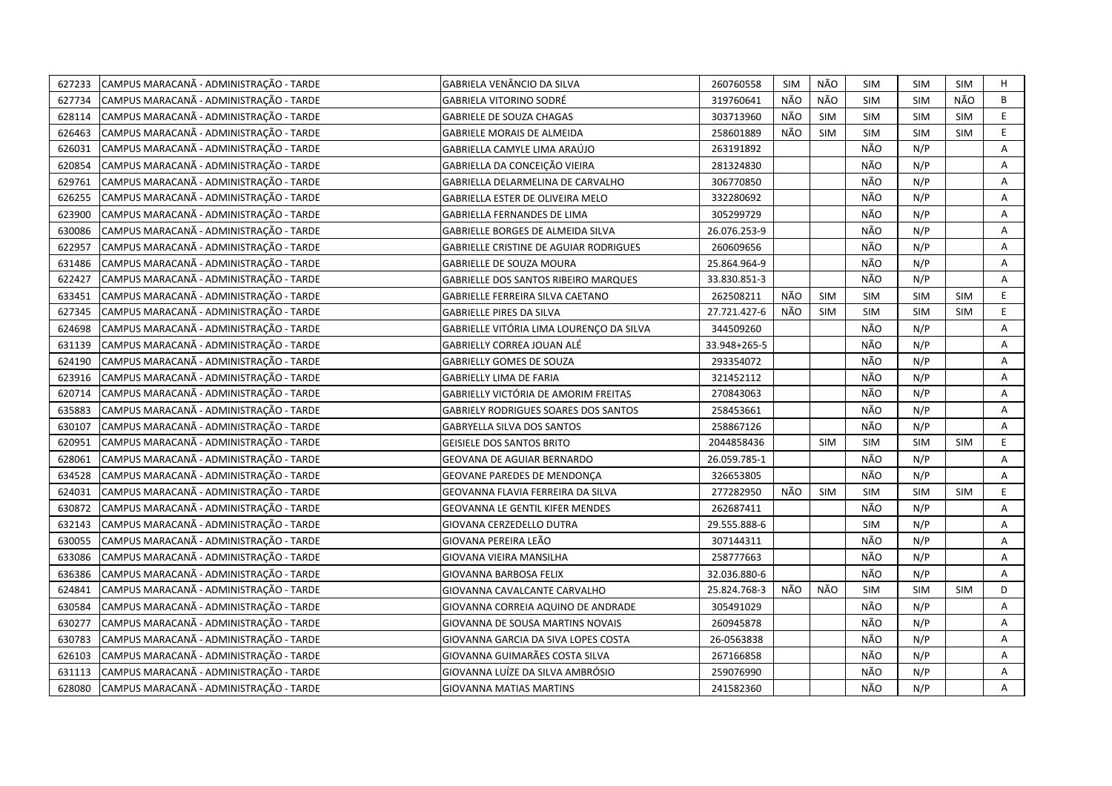| 627233 | CAMPUS MARACANÃ - ADMINISTRAÇÃO - TARDE | GABRIELA VENÂNCIO DA SILVA                    | 260760558    | <b>SIM</b> | NÃO        | SIM        | <b>SIM</b> | SIM        | Н  |
|--------|-----------------------------------------|-----------------------------------------------|--------------|------------|------------|------------|------------|------------|----|
| 627734 | CAMPUS MARACANÃ - ADMINISTRAÇÃO - TARDE | <b>GABRIELA VITORINO SODRÉ</b>                | 319760641    | NÃO        | <b>NÃO</b> | <b>SIM</b> | <b>SIM</b> | NÃO        | B  |
| 628114 | CAMPUS MARACANÃ - ADMINISTRAÇÃO - TARDE | <b>GABRIELE DE SOUZA CHAGAS</b>               | 303713960    | NÃO        | <b>SIM</b> | <b>SIM</b> | SIM        | SIM        | E  |
| 626463 | CAMPUS MARACANÃ - ADMINISTRAÇÃO - TARDE | <b>GABRIELE MORAIS DE ALMEIDA</b>             | 258601889    | NÃO        | <b>SIM</b> | <b>SIM</b> | <b>SIM</b> | <b>SIM</b> | E  |
| 626031 | CAMPUS MARACANÃ - ADMINISTRAÇÃO - TARDE | GABRIELLA CAMYLE LIMA ARAÚJO                  | 263191892    |            |            | NÃO        | N/P        |            | Α  |
| 620854 | CAMPUS MARACANÃ - ADMINISTRAÇÃO - TARDE | GABRIELLA DA CONCEIÇÃO VIEIRA                 | 281324830    |            |            | NÃO        | N/P        |            | Α  |
| 629761 | CAMPUS MARACANÃ - ADMINISTRAÇÃO - TARDE | GABRIELLA DELARMELINA DE CARVALHO             | 306770850    |            |            | NÃO        | N/P        |            | Α  |
| 626255 | CAMPUS MARACANÃ - ADMINISTRAÇÃO - TARDE | <b>GABRIELLA ESTER DE OLIVEIRA MELO</b>       | 332280692    |            |            | NÃO        | N/P        |            | Α  |
| 623900 | CAMPUS MARACANÃ - ADMINISTRAÇÃO - TARDE | GABRIELLA FERNANDES DE LIMA                   | 305299729    |            |            | NÃO        | N/P        |            | Α  |
| 630086 | CAMPUS MARACANÃ - ADMINISTRAÇÃO - TARDE | GABRIELLE BORGES DE ALMEIDA SILVA             | 26.076.253-9 |            |            | NÃO        | N/P        |            | A  |
| 622957 | CAMPUS MARACANÃ - ADMINISTRAÇÃO - TARDE | <b>GABRIELLE CRISTINE DE AGUIAR RODRIGUES</b> | 260609656    |            |            | NÃO        | N/P        |            | Α  |
| 631486 | CAMPUS MARACANÃ - ADMINISTRAÇÃO - TARDE | <b>GABRIELLE DE SOUZA MOURA</b>               | 25.864.964-9 |            |            | NÃO        | N/P        |            | A  |
| 622427 | CAMPUS MARACANÃ - ADMINISTRAÇÃO - TARDE | <b>GABRIELLE DOS SANTOS RIBEIRO MARQUES</b>   | 33.830.851-3 |            |            | NÃO        | N/P        |            | A  |
| 633451 | CAMPUS MARACANÃ - ADMINISTRAÇÃO - TARDE | GABRIELLE FERREIRA SILVA CAETANO              | 262508211    | NÃO        | <b>SIM</b> | <b>SIM</b> | <b>SIM</b> | <b>SIM</b> | E. |
| 627345 | CAMPUS MARACANÃ - ADMINISTRAÇÃO - TARDE | <b>GABRIELLE PIRES DA SILVA</b>               | 27.721.427-6 | NÃO        | <b>SIM</b> | <b>SIM</b> | SIM        | <b>SIM</b> | E. |
| 624698 | CAMPUS MARACANÃ - ADMINISTRAÇÃO - TARDE | GABRIELLE VITÓRIA LIMA LOURENCO DA SILVA      | 344509260    |            |            | NÃO        | N/P        |            | A  |
| 631139 | CAMPUS MARACANÃ - ADMINISTRAÇÃO - TARDE | GABRIELLY CORREA JOUAN ALÉ                    | 33.948+265-5 |            |            | NÃO        | N/P        |            | A  |
| 624190 | CAMPUS MARACANÃ - ADMINISTRAÇÃO - TARDE | <b>GABRIELLY GOMES DE SOUZA</b>               | 293354072    |            |            | NÃO        | N/P        |            | A  |
| 623916 | CAMPUS MARACANÃ - ADMINISTRAÇÃO - TARDE | GABRIELLY LIMA DE FARIA                       | 321452112    |            |            | NÃO        | N/P        |            | A  |
| 620714 | CAMPUS MARACANÃ - ADMINISTRAÇÃO - TARDE | GABRIELLY VICTÓRIA DE AMORIM FREITAS          | 270843063    |            |            | NÃO        | N/P        |            | A  |
| 635883 | CAMPUS MARACANÃ - ADMINISTRAÇÃO - TARDE | <b>GABRIELY RODRIGUES SOARES DOS SANTOS</b>   | 258453661    |            |            | NÃO        | N/P        |            | A  |
| 630107 | CAMPUS MARACANÃ - ADMINISTRAÇÃO - TARDE | <b>GABRYELLA SILVA DOS SANTOS</b>             | 258867126    |            |            | NÃO        | N/P        |            | A  |
| 620951 | CAMPUS MARACANÃ - ADMINISTRAÇÃO - TARDE | <b>GEISIELE DOS SANTOS BRITO</b>              | 2044858436   |            | <b>SIM</b> | <b>SIM</b> | <b>SIM</b> | <b>SIM</b> | E. |
| 628061 | CAMPUS MARACANÃ - ADMINISTRAÇÃO - TARDE | GEOVANA DE AGUIAR BERNARDO                    | 26.059.785-1 |            |            | NÃO        | N/P        |            | A  |
| 634528 | CAMPUS MARACANÃ - ADMINISTRAÇÃO - TARDE | GEOVANE PAREDES DE MENDONÇA                   | 326653805    |            |            | NÃO        | N/P        |            | A  |
| 624031 | CAMPUS MARACANÃ - ADMINISTRAÇÃO - TARDE | GEOVANNA FLAVIA FERREIRA DA SILVA             | 277282950    | NÃO        | <b>SIM</b> | SIM        | <b>SIM</b> | <b>SIM</b> | E  |
| 630872 | CAMPUS MARACANÃ - ADMINISTRAÇÃO - TARDE | <b>GEOVANNA LE GENTIL KIFER MENDES</b>        | 262687411    |            |            | NÃO        | N/P        |            | A  |
| 632143 | CAMPUS MARACANÃ - ADMINISTRAÇÃO - TARDE | GIOVANA CERZEDELLO DUTRA                      | 29.555.888-6 |            |            | <b>SIM</b> | N/P        |            | Α  |
| 630055 | CAMPUS MARACANÃ - ADMINISTRAÇÃO - TARDE | GIOVANA PEREIRA LEÃO                          | 307144311    |            |            | NÃO        | N/P        |            | Α  |
| 633086 | CAMPUS MARACANÃ - ADMINISTRAÇÃO - TARDE | GIOVANA VIEIRA MANSILHA                       | 258777663    |            |            | NÃO        | N/P        |            | Α  |
| 636386 | CAMPUS MARACANÃ - ADMINISTRAÇÃO - TARDE | GIOVANNA BARBOSA FELIX                        | 32.036.880-6 |            |            | NÃO        | N/P        |            | Α  |
| 624841 | CAMPUS MARACANÃ - ADMINISTRAÇÃO - TARDE | GIOVANNA CAVALCANTE CARVALHO                  | 25.824.768-3 | NÃO        | NÃO        | <b>SIM</b> | <b>SIM</b> | <b>SIM</b> | D  |
| 630584 | CAMPUS MARACANÃ - ADMINISTRAÇÃO - TARDE | GIOVANNA CORREIA AQUINO DE ANDRADE            | 305491029    |            |            | NÃO        | N/P        |            | A  |
| 630277 | CAMPUS MARACANÃ - ADMINISTRAÇÃO - TARDE | GIOVANNA DE SOUSA MARTINS NOVAIS              | 260945878    |            |            | NÃO        | N/P        |            | A  |
| 630783 | CAMPUS MARACANÃ - ADMINISTRAÇÃO - TARDE | GIOVANNA GARCIA DA SIVA LOPES COSTA           | 26-0563838   |            |            | NÃO        | N/P        |            | A  |
| 626103 | CAMPUS MARACANÃ - ADMINISTRAÇÃO - TARDE | GIOVANNA GUIMARÃES COSTA SILVA                | 267166858    |            |            | NÃO        | N/P        |            | Α  |
| 631113 | CAMPUS MARACANÃ - ADMINISTRAÇÃO - TARDE | GIOVANNA LUÍZE DA SILVA AMBRÓSIO              | 259076990    |            |            | NÃO        | N/P        |            | Α  |
| 628080 | CAMPUS MARACANÃ - ADMINISTRAÇÃO - TARDE | <b>GIOVANNA MATIAS MARTINS</b>                | 241582360    |            |            | NÃO        | N/P        |            | A  |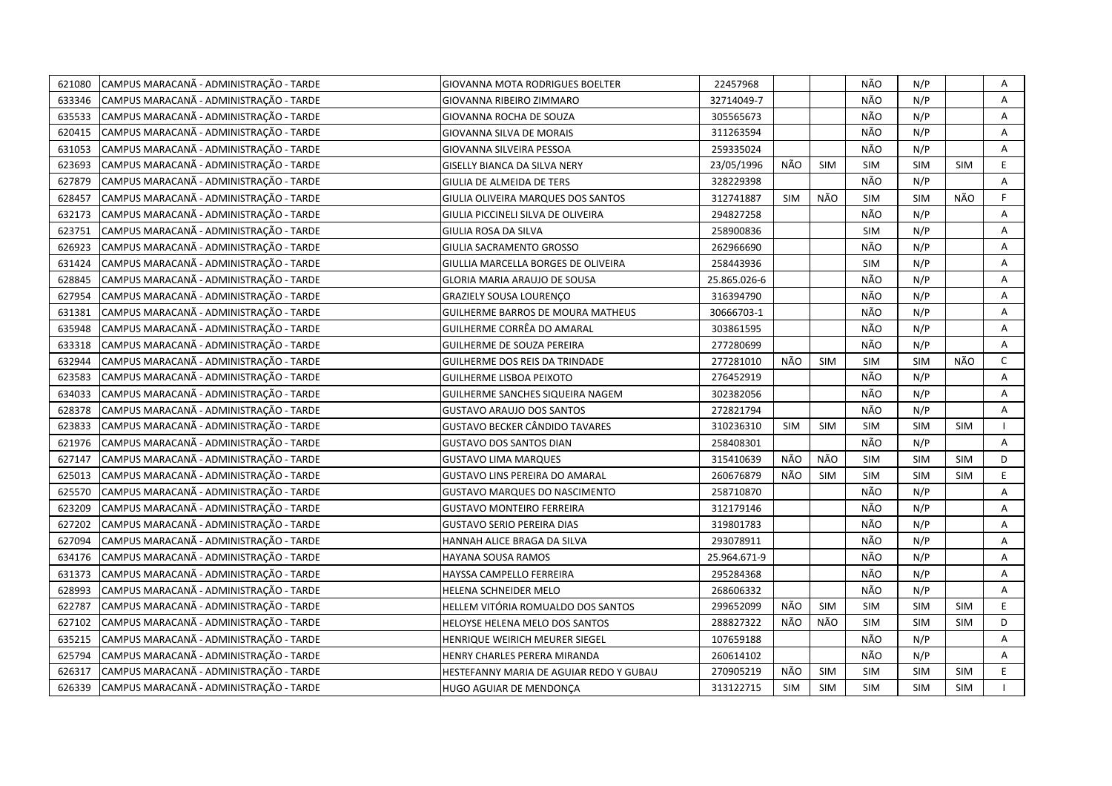| 621080 | CAMPUS MARACANÃ - ADMINISTRAÇÃO - TARDE | GIOVANNA MOTA RODRIGUES BOELTER          | 22457968     |            |            | NÃO        | N/P        |            | Α              |
|--------|-----------------------------------------|------------------------------------------|--------------|------------|------------|------------|------------|------------|----------------|
| 633346 | CAMPUS MARACANÃ - ADMINISTRAÇÃO - TARDE | GIOVANNA RIBEIRO ZIMMARO                 | 32714049-7   |            |            | NÃO        | N/P        |            | $\mathsf{A}$   |
| 635533 | CAMPUS MARACANÃ - ADMINISTRAÇÃO - TARDE | GIOVANNA ROCHA DE SOUZA                  | 305565673    |            |            | NÃO        | N/P        |            | A              |
| 620415 | CAMPUS MARACANÃ - ADMINISTRAÇÃO - TARDE | GIOVANNA SILVA DE MORAIS                 | 311263594    |            |            | NÃO        | N/P        |            | A              |
| 631053 | CAMPUS MARACANÃ - ADMINISTRAÇÃO - TARDE | GIOVANNA SILVEIRA PESSOA                 | 259335024    |            |            | NÃO        | N/P        |            | A              |
| 623693 | CAMPUS MARACANÃ - ADMINISTRAÇÃO - TARDE | GISELLY BIANCA DA SILVA NERY             | 23/05/1996   | NÃO        | <b>SIM</b> | <b>SIM</b> | <b>SIM</b> | <b>SIM</b> | E              |
| 627879 | CAMPUS MARACANÃ - ADMINISTRAÇÃO - TARDE | GIULIA DE ALMEIDA DE TERS                | 328229398    |            |            | NÃO        | N/P        |            | A              |
| 628457 | CAMPUS MARACANÃ - ADMINISTRAÇÃO - TARDE | GIULIA OLIVEIRA MARQUES DOS SANTOS       | 312741887    | <b>SIM</b> | NÃO        | <b>SIM</b> | <b>SIM</b> | NÃO        | F.             |
| 632173 | CAMPUS MARACANÃ - ADMINISTRAÇÃO - TARDE | GIULIA PICCINELI SILVA DE OLIVEIRA       | 294827258    |            |            | NÃO        | N/P        |            | A              |
| 623751 | CAMPUS MARACANÃ - ADMINISTRAÇÃO - TARDE | GIULIA ROSA DA SILVA                     | 258900836    |            |            | <b>SIM</b> | N/P        |            | A              |
| 626923 | CAMPUS MARACANÃ - ADMINISTRAÇÃO - TARDE | GIULIA SACRAMENTO GROSSO                 | 262966690    |            |            | NÃO        | N/P        |            | A              |
| 631424 | CAMPUS MARACANÃ - ADMINISTRAÇÃO - TARDE | GIULLIA MARCELLA BORGES DE OLIVEIRA      | 258443936    |            |            | <b>SIM</b> | N/P        |            | A              |
| 628845 | CAMPUS MARACANÃ - ADMINISTRAÇÃO - TARDE | GLORIA MARIA ARAUJO DE SOUSA             | 25.865.026-6 |            |            | NÃO        | N/P        |            | Α              |
| 627954 | CAMPUS MARACANÃ - ADMINISTRAÇÃO - TARDE | <b>GRAZIELY SOUSA LOURENÇO</b>           | 316394790    |            |            | NÃO        | N/P        |            | Α              |
| 631381 | CAMPUS MARACANÃ - ADMINISTRAÇÃO - TARDE | <b>GUILHERME BARROS DE MOURA MATHEUS</b> | 30666703-1   |            |            | NÃO        | N/P        |            | Α              |
| 635948 | CAMPUS MARACANÃ - ADMINISTRAÇÃO - TARDE | GUILHERME CORRÊA DO AMARAL               | 303861595    |            |            | NÃO        | N/P        |            | A              |
| 633318 | CAMPUS MARACANÃ - ADMINISTRAÇÃO - TARDE | <b>GUILHERME DE SOUZA PEREIRA</b>        | 277280699    |            |            | NÃO        | N/P        |            | $\overline{A}$ |
| 632944 | CAMPUS MARACANÃ - ADMINISTRAÇÃO - TARDE | <b>GUILHERME DOS REIS DA TRINDADE</b>    | 277281010    | NÃO        | <b>SIM</b> | SIM        | <b>SIM</b> | NÃO        | $\mathsf{C}$   |
| 623583 | CAMPUS MARACANÃ - ADMINISTRAÇÃO - TARDE | <b>GUILHERME LISBOA PEIXOTO</b>          | 276452919    |            |            | NÃO        | N/P        |            | A              |
| 634033 | CAMPUS MARACANÃ - ADMINISTRAÇÃO - TARDE | GUILHERME SANCHES SIQUEIRA NAGEM         | 302382056    |            |            | NÃO        | N/P        |            | A              |
| 628378 | CAMPUS MARACANÃ - ADMINISTRAÇÃO - TARDE | <b>GUSTAVO ARAUJO DOS SANTOS</b>         | 272821794    |            |            | NÃO        | N/P        |            | A              |
| 623833 | CAMPUS MARACANÃ - ADMINISTRAÇÃO - TARDE | GUSTAVO BECKER CÂNDIDO TAVARES           | 310236310    | <b>SIM</b> | <b>SIM</b> | <b>SIM</b> | <b>SIM</b> | <b>SIM</b> |                |
| 621976 | CAMPUS MARACANÃ - ADMINISTRAÇÃO - TARDE | <b>GUSTAVO DOS SANTOS DIAN</b>           | 258408301    |            |            | NÃO        | N/P        |            | $\mathsf{A}$   |
| 627147 | CAMPUS MARACANA - ADMINISTRAÇÃO - TARDE | <b>GUSTAVO LIMA MARQUES</b>              | 315410639    | NÃO        | NÃO        | <b>SIM</b> | SIM        | <b>SIM</b> | D              |
| 625013 | CAMPUS MARACANÃ - ADMINISTRAÇÃO - TARDE | <b>GUSTAVO LINS PEREIRA DO AMARAL</b>    | 260676879    | NÃO        | SIM        | <b>SIM</b> | SIM        | <b>SIM</b> | E.             |
| 625570 | CAMPUS MARACANÃ - ADMINISTRAÇÃO - TARDE | GUSTAVO MARQUES DO NASCIMENTO            | 258710870    |            |            | NÃO        | N/P        |            | A              |
| 623209 | CAMPUS MARACANÃ - ADMINISTRAÇÃO - TARDE | GUSTAVO MONTEIRO FERREIRA                | 312179146    |            |            | NÃO        | N/P        |            | A              |
| 627202 | CAMPUS MARACANÃ - ADMINISTRAÇÃO - TARDE | <b>GUSTAVO SERIO PEREIRA DIAS</b>        | 319801783    |            |            | NÃO        | N/P        |            | Α              |
| 627094 | CAMPUS MARACANÃ - ADMINISTRAÇÃO - TARDE | HANNAH ALICE BRAGA DA SILVA              | 293078911    |            |            | NÃO        | N/P        |            | Α              |
| 634176 | CAMPUS MARACANÃ - ADMINISTRAÇÃO - TARDE | HAYANA SOUSA RAMOS                       | 25.964.671-9 |            |            | NÃO        | N/P        |            | A              |
| 631373 | CAMPUS MARACANÃ - ADMINISTRAÇÃO - TARDE | HAYSSA CAMPELLO FERREIRA                 | 295284368    |            |            | NÃO        | N/P        |            | Α              |
| 628993 | CAMPUS MARACANÃ - ADMINISTRAÇÃO - TARDE | HELENA SCHNEIDER MELO                    | 268606332    |            |            | NÃO        | N/P        |            | Α              |
| 622787 | CAMPUS MARACANÃ - ADMINISTRAÇÃO - TARDE | HELLEM VITÓRIA ROMUALDO DOS SANTOS       | 299652099    | NÃO        | <b>SIM</b> | <b>SIM</b> | <b>SIM</b> | <b>SIM</b> | E              |
| 627102 | CAMPUS MARACANÃ - ADMINISTRAÇÃO - TARDE | HELOYSE HELENA MELO DOS SANTOS           | 288827322    | NÃO        | NÃO        | <b>SIM</b> | <b>SIM</b> | <b>SIM</b> | D              |
| 635215 | CAMPUS MARACANÃ - ADMINISTRAÇÃO - TARDE | HENRIQUE WEIRICH MEURER SIEGEL           | 107659188    |            |            | NÃO        | N/P        |            | A              |
| 625794 | CAMPUS MARACANÃ - ADMINISTRAÇÃO - TARDE | HENRY CHARLES PERERA MIRANDA             | 260614102    |            |            | NÃO        | N/P        |            | A              |
| 626317 | CAMPUS MARACANA - ADMINISTRAÇÃO - TARDE | HESTEFANNY MARIA DE AGUIAR REDO Y GUBAU  | 270905219    | NÃO        | <b>SIM</b> | <b>SIM</b> | <b>SIM</b> | <b>SIM</b> | E              |
| 626339 | CAMPUS MARACANÃ - ADMINISTRAÇÃO - TARDE | HUGO AGUIAR DE MENDONÇA                  | 313122715    | <b>SIM</b> | <b>SIM</b> | SIM        | <b>SIM</b> | <b>SIM</b> |                |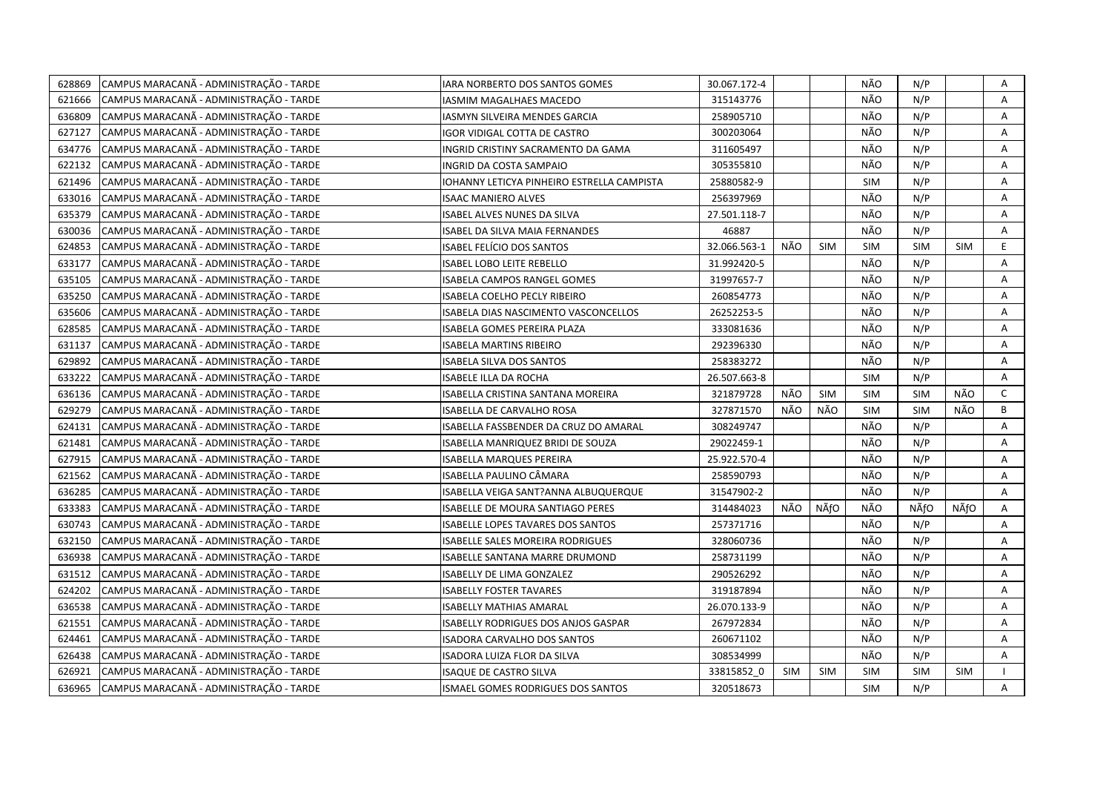| 628869 | CAMPUS MARACANÃ - ADMINISTRAÇÃO - TARDE | IARA NORBERTO DOS SANTOS GOMES              | 30.067.172-4 |            |            | NÃO        | N/P        |            | Α            |
|--------|-----------------------------------------|---------------------------------------------|--------------|------------|------------|------------|------------|------------|--------------|
| 621666 | CAMPUS MARACANÃ - ADMINISTRAÇÃO - TARDE | IASMIM MAGALHAES MACEDO                     | 315143776    |            |            | NÃO        | N/P        |            | A            |
| 636809 | CAMPUS MARACANÃ - ADMINISTRAÇÃO - TARDE | IASMYN SILVEIRA MENDES GARCIA               | 258905710    |            |            | NÃO        | N/P        |            | Α            |
| 627127 | CAMPUS MARACANÃ - ADMINISTRAÇÃO - TARDE | IGOR VIDIGAL COTTA DE CASTRO                | 300203064    |            |            | NÃO        | N/P        |            | Α            |
| 634776 | CAMPUS MARACANÃ - ADMINISTRAÇÃO - TARDE | INGRID CRISTINY SACRAMENTO DA GAMA          | 311605497    |            |            | NÃO        | N/P        |            | Α            |
| 622132 | CAMPUS MARACANÃ - ADMINISTRAÇÃO - TARDE | INGRID DA COSTA SAMPAIO                     | 305355810    |            |            | NÃO        | N/P        |            | Α            |
| 621496 | CAMPUS MARACANÃ - ADMINISTRAÇÃO - TARDE | IOHANNY LETICYA PINHEIRO ESTRELLA CAMPISTA  | 25880582-9   |            |            | <b>SIM</b> | N/P        |            | Α            |
| 633016 | CAMPUS MARACANÃ - ADMINISTRAÇÃO - TARDE | <b>ISAAC MANIERO ALVES</b>                  | 256397969    |            |            | NÃO        | N/P        |            | A            |
| 635379 | CAMPUS MARACANÃ - ADMINISTRAÇÃO - TARDE | ISABEL ALVES NUNES DA SILVA                 | 27.501.118-7 |            |            | NÃO        | N/P        |            | Α            |
| 630036 | CAMPUS MARACANÃ - ADMINISTRAÇÃO - TARDE | ISABEL DA SILVA MAIA FERNANDES              | 46887        |            |            | NÃO        | N/P        |            | A            |
| 624853 | CAMPUS MARACANÃ - ADMINISTRAÇÃO - TARDE | ISABEL FELÍCIO DOS SANTOS                   | 32.066.563-1 | NÃO        | <b>SIM</b> | <b>SIM</b> | <b>SIM</b> | <b>SIM</b> | E            |
| 633177 | CAMPUS MARACANÃ - ADMINISTRAÇÃO - TARDE | ISABEL LOBO LEITE REBELLO                   | 31.992420-5  |            |            | NÃO        | N/P        |            | A            |
| 635105 | CAMPUS MARACANÃ - ADMINISTRAÇÃO - TARDE | <b>ISABELA CAMPOS RANGEL GOMES</b>          | 31997657-7   |            |            | NÃO        | N/P        |            | A            |
| 635250 | CAMPUS MARACANÃ - ADMINISTRAÇÃO - TARDE | ISABELA COELHO PECLY RIBEIRO                | 260854773    |            |            | NÃO        | N/P        |            | Α            |
| 635606 | CAMPUS MARACANÃ - ADMINISTRAÇÃO - TARDE | <b>ISABELA DIAS NASCIMENTO VASCONCELLOS</b> | 26252253-5   |            |            | NÃO        | N/P        |            | A            |
| 628585 | CAMPUS MARACANÃ - ADMINISTRAÇÃO - TARDE | ISABELA GOMES PEREIRA PLAZA                 | 333081636    |            |            | NÃO        | N/P        |            | A            |
| 631137 | CAMPUS MARACANÃ - ADMINISTRAÇÃO - TARDE | ISABELA MARTINS RIBEIRO                     | 292396330    |            |            | NÃO        | N/P        |            | A            |
| 629892 | CAMPUS MARACANÃ - ADMINISTRAÇÃO - TARDE | ISABELA SILVA DOS SANTOS                    | 258383272    |            |            | NÃO        | N/P        |            | A            |
| 633222 | CAMPUS MARACANÃ - ADMINISTRAÇÃO - TARDE | ISABELE ILLA DA ROCHA                       | 26.507.663-8 |            |            | <b>SIM</b> | N/P        |            | $\mathsf{A}$ |
| 636136 | CAMPUS MARACANÃ - ADMINISTRAÇÃO - TARDE | ISABELLA CRISTINA SANTANA MOREIRA           | 321879728    | NÃO        | <b>SIM</b> | <b>SIM</b> | <b>SIM</b> | NÃO        | $\mathsf{C}$ |
| 629279 | CAMPUS MARACANÃ - ADMINISTRAÇÃO - TARDE | ISABELLA DE CARVALHO ROSA                   | 327871570    | NÃO        | NÃO        | <b>SIM</b> | <b>SIM</b> | NÃO        | B            |
| 624131 | CAMPUS MARACANÃ - ADMINISTRAÇÃO - TARDE | ISABELLA FASSBENDER DA CRUZ DO AMARAL       | 308249747    |            |            | NÃO        | N/P        |            | A            |
| 621481 | CAMPUS MARACANÃ - ADMINISTRAÇÃO - TARDE | ISABELLA MANRIQUEZ BRIDI DE SOUZA           | 29022459-1   |            |            | NÃO        | N/P        |            | A            |
| 627915 | CAMPUS MARACANÃ - ADMINISTRAÇÃO - TARDE | ISABELLA MARQUES PEREIRA                    | 25.922.570-4 |            |            | NÃO        | N/P        |            | A            |
| 621562 | CAMPUS MARACANÃ - ADMINISTRAÇÃO - TARDE | ISABELLA PAULINO CÂMARA                     | 258590793    |            |            | NÃO        | N/P        |            | A            |
| 636285 | CAMPUS MARACANÃ - ADMINISTRAÇÃO - TARDE | ISABELLA VEIGA SANT?ANNA ALBUQUERQUE        | 31547902-2   |            |            | NÃO        | N/P        |            | A            |
| 633383 | CAMPUS MARACANÃ - ADMINISTRAÇÃO - TARDE | ISABELLE DE MOURA SANTIAGO PERES            | 314484023    | NÃO        | NÃfO       | NÃO        | NÃfO       | NÃfO       | A            |
| 630743 | CAMPUS MARACANÃ - ADMINISTRAÇÃO - TARDE | ISABELLE LOPES TAVARES DOS SANTOS           | 257371716    |            |            | NÃO        | N/P        |            | A            |
| 632150 | CAMPUS MARACANÃ - ADMINISTRAÇÃO - TARDE | ISABELLE SALES MOREIRA RODRIGUES            | 328060736    |            |            | NÃO        | N/P        |            | A            |
| 636938 | CAMPUS MARACANÃ - ADMINISTRAÇÃO - TARDE | ISABELLE SANTANA MARRE DRUMOND              | 258731199    |            |            | NÃO        | N/P        |            | Α            |
| 631512 | CAMPUS MARACANÃ - ADMINISTRAÇÃO - TARDE | ISABELLY DE LIMA GONZALEZ                   | 290526292    |            |            | NÃO        | N/P        |            | Α            |
| 624202 | CAMPUS MARACANÃ - ADMINISTRAÇÃO - TARDE | <b>ISABELLY FOSTER TAVARES</b>              | 319187894    |            |            | NÃO        | N/P        |            | A            |
| 636538 | CAMPUS MARACANÃ - ADMINISTRAÇÃO - TARDE | <b>ISABELLY MATHIAS AMARAL</b>              | 26.070.133-9 |            |            | NÃO        | N/P        |            | A            |
| 621551 | CAMPUS MARACANÃ - ADMINISTRAÇÃO - TARDE | ISABELLY RODRIGUES DOS ANJOS GASPAR         | 267972834    |            |            | NÃO        | N/P        |            | A            |
| 624461 | CAMPUS MARACANÃ - ADMINISTRAÇÃO - TARDE | ISADORA CARVALHO DOS SANTOS                 | 260671102    |            |            | NÃO        | N/P        |            | A            |
| 626438 | CAMPUS MARACANÃ - ADMINISTRAÇÃO - TARDE | ISADORA LUIZA FLOR DA SILVA                 | 308534999    |            |            | NÃO        | N/P        |            | Α            |
| 626921 | CAMPUS MARACANÃ - ADMINISTRAÇÃO - TARDE | ISAQUE DE CASTRO SILVA                      | 33815852 0   | <b>SIM</b> | <b>SIM</b> | <b>SIM</b> | <b>SIM</b> | <b>SIM</b> |              |
| 636965 | CAMPUS MARACANÃ - ADMINISTRAÇÃO - TARDE | <b>ISMAEL GOMES RODRIGUES DOS SANTOS</b>    | 320518673    |            |            | <b>SIM</b> | N/P        |            | A            |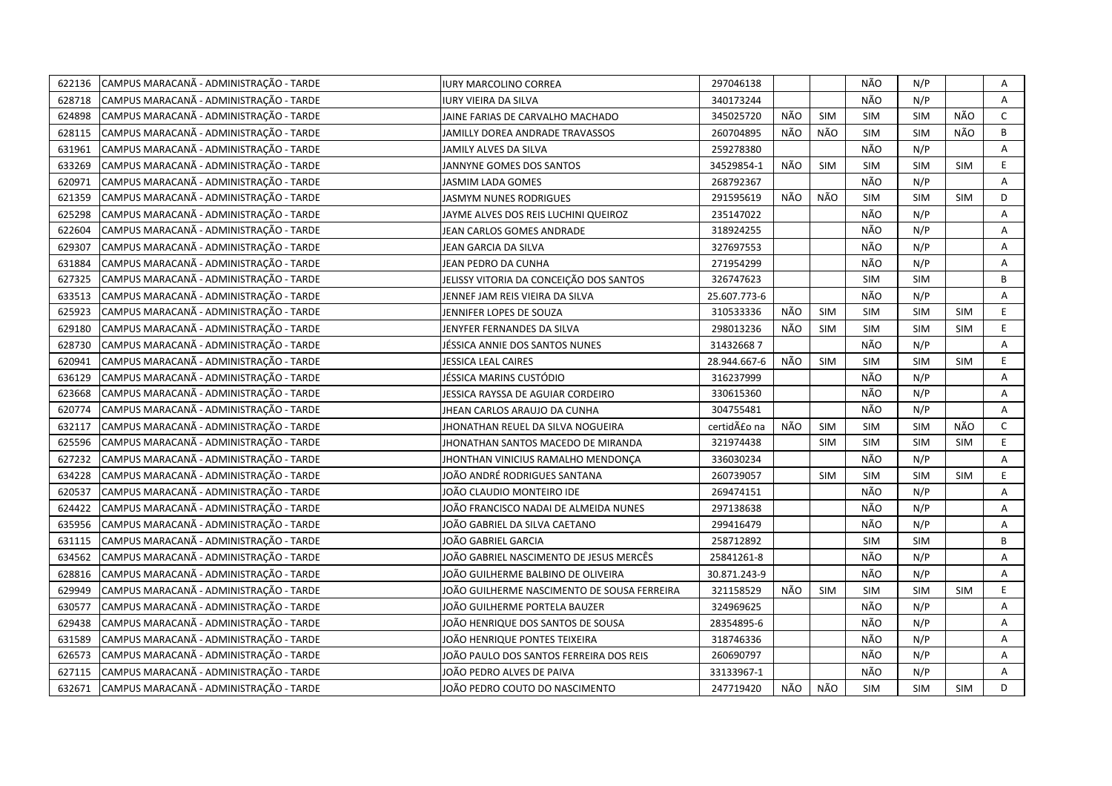| 622136 | CAMPUS MARACANÃ - ADMINISTRAÇÃO - TARDE        | IURY MARCOLINO CORREA                       | 297046138    |     |            | NÃO        | N/P        |            | Α            |
|--------|------------------------------------------------|---------------------------------------------|--------------|-----|------------|------------|------------|------------|--------------|
| 628718 | CAMPUS MARACANÃ - ADMINISTRAÇÃO - TARDE        | IURY VIEIRA DA SILVA                        | 340173244    |     |            | NÃO        | N/P        |            | A            |
| 624898 | CAMPUS MARACANÃ - ADMINISTRAÇÃO - TARDE        | JAINE FARIAS DE CARVALHO MACHADO            | 345025720    | NÃO | SIM        | <b>SIM</b> | <b>SIM</b> | NÃO        | $\mathsf{C}$ |
| 628115 | CAMPUS MARACANÃ - ADMINISTRAÇÃO - TARDE        | JAMILLY DOREA ANDRADE TRAVASSOS             | 260704895    | NÃO | NÃO        | <b>SIM</b> | <b>SIM</b> | NÃO        | B            |
| 631961 | CAMPUS MARACANÃ - ADMINISTRAÇÃO - TARDE        | JAMILY ALVES DA SILVA                       | 259278380    |     |            | NÃO        | N/P        |            | A            |
| 633269 | CAMPUS MARACANÃ - ADMINISTRAÇÃO - TARDE        | JANNYNE GOMES DOS SANTOS                    | 34529854-1   | NÃO | <b>SIM</b> | <b>SIM</b> | <b>SIM</b> | <b>SIM</b> | E            |
| 620971 | CAMPUS MARACANÃ - ADMINISTRAÇÃO - TARDE        | <b>JASMIM LADA GOMES</b>                    | 268792367    |     |            | NÃO        | N/P        |            | A            |
| 621359 | CAMPUS MARACANÃ - ADMINISTRAÇÃO - TARDE        | <b>JASMYM NUNES RODRIGUES</b>               | 291595619    | NÃO | NÃO        | <b>SIM</b> | <b>SIM</b> | <b>SIM</b> | D            |
| 625298 | CAMPUS MARACANÃ - ADMINISTRAÇÃO - TARDE        | JAYME ALVES DOS REIS LUCHINI QUEIROZ        | 235147022    |     |            | NÃO        | N/P        |            | Α            |
| 622604 | CAMPUS MARACANÃ - ADMINISTRAÇÃO - TARDE        | JEAN CARLOS GOMES ANDRADE                   | 318924255    |     |            | NÃO        | N/P        |            | Α            |
| 629307 | CAMPUS MARACANÃ - ADMINISTRAÇÃO - TARDE        | JEAN GARCIA DA SILVA                        | 327697553    |     |            | NÃO        | N/P        |            | A            |
| 631884 | CAMPUS MARACANÃ - ADMINISTRAÇÃO - TARDE        | JEAN PEDRO DA CUNHA                         | 271954299    |     |            | NÃO        | N/P        |            | Α            |
| 627325 | CAMPUS MARACANÃ - ADMINISTRAÇÃO - TARDE        | JELISSY VITORIA DA CONCEIÇÃO DOS SANTOS     | 326747623    |     |            | <b>SIM</b> | <b>SIM</b> |            | B            |
| 633513 | CAMPUS MARACANÃ - ADMINISTRAÇÃO - TARDE        | JENNEF JAM REIS VIEIRA DA SILVA             | 25.607.773-6 |     |            | NÃO        | N/P        |            | A            |
| 625923 | CAMPUS MARACANÃ - ADMINISTRAÇÃO - TARDE        | JENNIFER LOPES DE SOUZA                     | 310533336    | NÃO | <b>SIM</b> | <b>SIM</b> | <b>SIM</b> | <b>SIM</b> | E.           |
| 629180 | CAMPUS MARACANÃ - ADMINISTRAÇÃO - TARDE        | JENYFER FERNANDES DA SILVA                  | 298013236    | NÃO | <b>SIM</b> | <b>SIM</b> | <b>SIM</b> | <b>SIM</b> | E            |
| 628730 | CAMPUS MARACANÃ - ADMINISTRAÇÃO - TARDE        | JÉSSICA ANNIE DOS SANTOS NUNES              | 314326687    |     |            | NÃO        | N/P        |            | A            |
| 620941 | CAMPUS MARACANÃ - ADMINISTRAÇÃO - TARDE        | JESSICA LEAL CAIRES                         | 28.944.667-6 | NÃO | <b>SIM</b> | <b>SIM</b> | <b>SIM</b> | <b>SIM</b> | E            |
| 636129 | CAMPUS MARACANÃ - ADMINISTRAÇÃO - TARDE        | JÉSSICA MARINS CUSTÓDIO                     | 316237999    |     |            | NÃO        | N/P        |            | Α            |
| 623668 | CAMPUS MARACANÃ - ADMINISTRAÇÃO - TARDE        | JESSICA RAYSSA DE AGUIAR CORDEIRO           | 330615360    |     |            | NÃO        | N/P        |            | Α            |
| 620774 | CAMPUS MARACANÃ - ADMINISTRAÇÃO - TARDE        | JHEAN CARLOS ARAUJO DA CUNHA                | 304755481    |     |            | NÃO        | N/P        |            | $\mathsf{A}$ |
| 632117 | CAMPUS MARACANÃ - ADMINISTRAÇÃO - TARDE        | JHONATHAN REUEL DA SILVA NOGUEIRA           | certidão na  | NÃO | SIM        | <b>SIM</b> | <b>SIM</b> | NÃO        | $\mathsf{C}$ |
| 625596 | CAMPUS MARACANÃ - ADMINISTRAÇÃO - TARDE        | JHONATHAN SANTOS MACEDO DE MIRANDA          | 321974438    |     | <b>SIM</b> | <b>SIM</b> | <b>SIM</b> | <b>SIM</b> | E.           |
| 627232 | CAMPUS MARACANA - ADMINISTRAÇÃO - TARDE        | JHONTHAN VINICIUS RAMALHO MENDONÇA          | 336030234    |     |            | NÃO        | N/P        |            | Α            |
| 634228 | CAMPUS MARACANÃ - ADMINISTRAÇÃO - TARDE        | JOÃO ANDRÉ RODRIGUES SANTANA                | 260739057    |     | <b>SIM</b> | <b>SIM</b> | <b>SIM</b> | <b>SIM</b> | E.           |
| 620537 | CAMPUS MARACANÃ - ADMINISTRAÇÃO - TARDE        | JOÃO CLAUDIO MONTEIRO IDE                   | 269474151    |     |            | NÃO        | N/P        |            | Α            |
| 624422 | CAMPUS MARACANÃ - ADMINISTRAÇÃO - TARDE        | JOÃO FRANCISCO NADAI DE ALMEIDA NUNES       | 297138638    |     |            | NÃO        | N/P        |            | Α            |
| 635956 | CAMPUS MARACANÃ - ADMINISTRAÇÃO - TARDE        | JOÃO GABRIEL DA SILVA CAETANO               | 299416479    |     |            | NÃO        | N/P        |            | A            |
| 631115 | CAMPUS MARACANÃ - ADMINISTRAÇÃO - TARDE        | JOÃO GABRIEL GARCIA                         | 258712892    |     |            | <b>SIM</b> | <b>SIM</b> |            | B            |
| 634562 | CAMPUS MARACANÃ - ADMINISTRAÇÃO - TARDE        | JOÃO GABRIEL NASCIMENTO DE JESUS MERCÊS     | 25841261-8   |     |            | NÃO        | N/P        |            | Α            |
| 628816 | CAMPUS MARACANÃ - ADMINISTRAÇÃO - TARDE        | JOÃO GUILHERME BALBINO DE OLIVEIRA          | 30.871.243-9 |     |            | NÃO        | N/P        |            | Α            |
| 629949 | CAMPUS MARACANÃ - ADMINISTRAÇÃO - TARDE        | JOÃO GUILHERME NASCIMENTO DE SOUSA FERREIRA | 321158529    | NÃO | <b>SIM</b> | <b>SIM</b> | <b>SIM</b> | <b>SIM</b> | E            |
| 630577 | CAMPUS MARACANÃ - ADMINISTRAÇÃO - TARDE        | JOÃO GUILHERME PORTELA BAUZER               | 324969625    |     |            | NÃO        | N/P        |            | Α            |
| 629438 | CAMPUS MARACANÃ - ADMINISTRAÇÃO - TARDE        | JOÃO HENRIQUE DOS SANTOS DE SOUSA           | 28354895-6   |     |            | NÃO        | N/P        |            | Α            |
| 631589 | CAMPUS MARACANÃ - ADMINISTRAÇÃO - TARDE        | JOÃO HENRIQUE PONTES TEIXEIRA               | 318746336    |     |            | NÃO        | N/P        |            | A            |
| 626573 | CAMPUS MARACANÃ - ADMINISTRAÇÃO - TARDE        | JOÃO PAULO DOS SANTOS FERREIRA DOS REIS     | 260690797    |     |            | NÃO        | N/P        |            | Α            |
| 627115 | CAMPUS MARACANÃ - ADMINISTRAÇÃO - TARDE        | JOÃO PEDRO ALVES DE PAIVA                   | 33133967-1   |     |            | NÃO        | N/P        |            | A            |
|        | 632671 CAMPUS MARACANA - ADMINISTRAÇÃO - TARDE | JOÃO PEDRO COUTO DO NASCIMENTO              | 247719420    | NÃO | NÃO        | <b>SIM</b> | <b>SIM</b> | <b>SIM</b> | D            |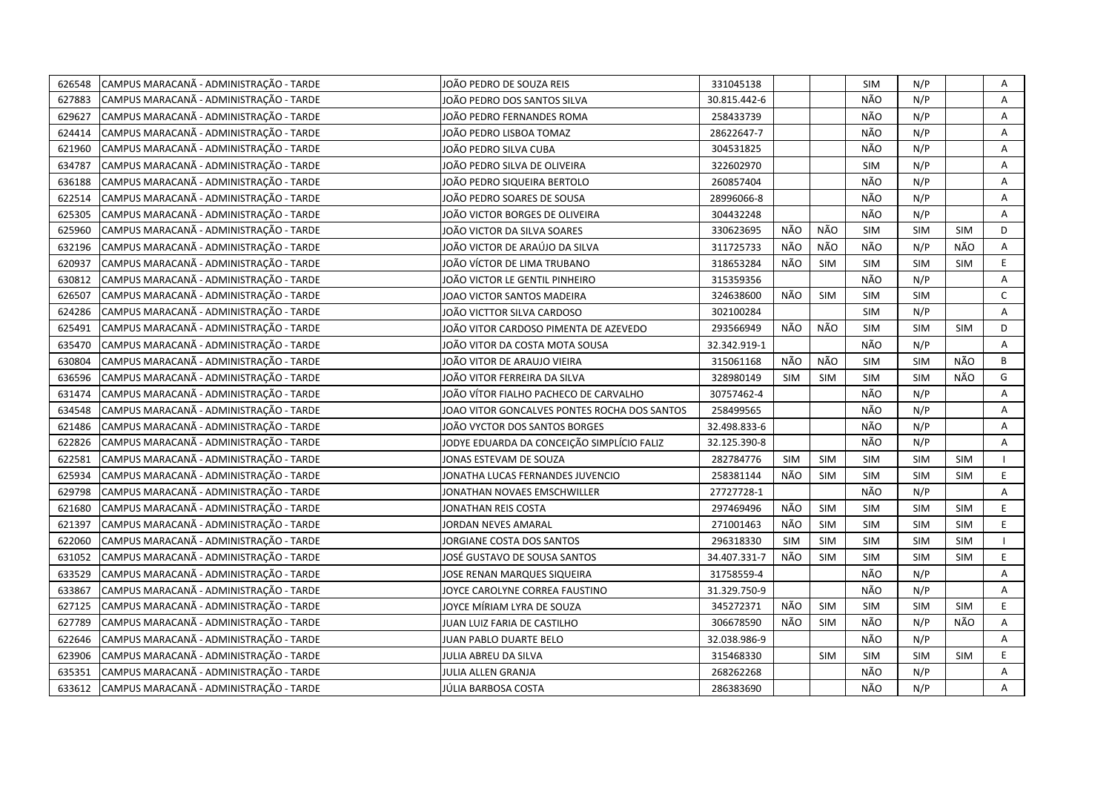| 626548 | CAMPUS MARACANÃ - ADMINISTRAÇÃO - TARDE | JOÃO PEDRO DE SOUZA REIS                     | 331045138    |            |            | <b>SIM</b> | N/P        |            | Α            |
|--------|-----------------------------------------|----------------------------------------------|--------------|------------|------------|------------|------------|------------|--------------|
| 627883 | CAMPUS MARACANÃ - ADMINISTRAÇÃO - TARDE | JOÃO PEDRO DOS SANTOS SILVA                  | 30.815.442-6 |            |            | NÃO        | N/P        |            | A            |
| 629627 | CAMPUS MARACANÃ - ADMINISTRAÇÃO - TARDE | JOÃO PEDRO FERNANDES ROMA                    | 258433739    |            |            | NÃO        | N/P        |            | A            |
| 624414 | CAMPUS MARACANÃ - ADMINISTRAÇÃO - TARDE | JOÃO PEDRO LISBOA TOMAZ                      | 28622647-7   |            |            | NÃO        | N/P        |            | Α            |
| 621960 | CAMPUS MARACANÃ - ADMINISTRAÇÃO - TARDE | JOÃO PEDRO SILVA CUBA                        | 304531825    |            |            | NÃO        | N/P        |            | A            |
| 634787 | CAMPUS MARACANÃ - ADMINISTRAÇÃO - TARDE | JOÃO PEDRO SILVA DE OLIVEIRA                 | 322602970    |            |            | <b>SIM</b> | N/P        |            | A            |
| 636188 | CAMPUS MARACANÃ - ADMINISTRAÇÃO - TARDE | JOÃO PEDRO SIQUEIRA BERTOLO                  | 260857404    |            |            | NÃO        | N/P        |            | Α            |
| 622514 | CAMPUS MARACANÃ - ADMINISTRAÇÃO - TARDE | JOÃO PEDRO SOARES DE SOUSA                   | 28996066-8   |            |            | NÃO        | N/P        |            | A            |
| 625305 | CAMPUS MARACANÃ - ADMINISTRAÇÃO - TARDE | JOÃO VICTOR BORGES DE OLIVEIRA               | 304432248    |            |            | NÃO        | N/P        |            | Α            |
| 625960 | CAMPUS MARACANÃ - ADMINISTRAÇÃO - TARDE | JOÃO VICTOR DA SILVA SOARES                  | 330623695    | NÃO        | NÃO        | <b>SIM</b> | <b>SIM</b> | <b>SIM</b> | D            |
| 632196 | CAMPUS MARACANÃ - ADMINISTRAÇÃO - TARDE | JOÃO VICTOR DE ARAÚJO DA SILVA               | 311725733    | NÃO        | NÃO        | NÃO        | N/P        | NÃO        | Α            |
| 620937 | CAMPUS MARACANÃ - ADMINISTRAÇÃO - TARDE | JOÃO VÍCTOR DE LIMA TRUBANO                  | 318653284    | NÃO        | SIM        | <b>SIM</b> | <b>SIM</b> | <b>SIM</b> | E.           |
| 630812 | CAMPUS MARACANÃ - ADMINISTRAÇÃO - TARDE | JOÃO VICTOR LE GENTIL PINHEIRO               | 315359356    |            |            | NÃO        | N/P        |            | A            |
| 626507 | CAMPUS MARACANÃ - ADMINISTRAÇÃO - TARDE | JOAO VICTOR SANTOS MADEIRA                   | 324638600    | NÃO        | <b>SIM</b> | <b>SIM</b> | <b>SIM</b> |            | $\mathsf{C}$ |
| 624286 | CAMPUS MARACANÃ - ADMINISTRAÇÃO - TARDE | JOÃO VICTTOR SILVA CARDOSO                   | 302100284    |            |            | <b>SIM</b> | N/P        |            | A            |
| 625491 | CAMPUS MARACANÃ - ADMINISTRAÇÃO - TARDE | JOÃO VITOR CARDOSO PIMENTA DE AZEVEDO        | 293566949    | NÃO        | NÃO        | <b>SIM</b> | <b>SIM</b> | <b>SIM</b> | D            |
| 635470 | CAMPUS MARACANÃ - ADMINISTRAÇÃO - TARDE | JOÃO VITOR DA COSTA MOTA SOUSA               | 32.342.919-1 |            |            | NÃO        | N/P        |            | Α            |
| 630804 | CAMPUS MARACANÃ - ADMINISTRAÇÃO - TARDE | JOÃO VITOR DE ARAUJO VIEIRA                  | 315061168    | NÃO        | NÃO        | <b>SIM</b> | <b>SIM</b> | NÃO        | B            |
| 636596 | CAMPUS MARACANÃ - ADMINISTRAÇÃO - TARDE | JOÃO VITOR FERREIRA DA SILVA                 | 328980149    | SIM        | SIM        | <b>SIM</b> | <b>SIM</b> | NÃO        | G            |
| 631474 | CAMPUS MARACANÃ - ADMINISTRAÇÃO - TARDE | JOÃO VÍTOR FIALHO PACHECO DE CARVALHO        | 30757462-4   |            |            | NÃO        | N/P        |            | A            |
| 634548 | CAMPUS MARACANÃ - ADMINISTRAÇÃO - TARDE | JOAO VITOR GONCALVES PONTES ROCHA DOS SANTOS | 258499565    |            |            | NÃO        | N/P        |            | Α            |
| 621486 | CAMPUS MARACANÃ - ADMINISTRAÇÃO - TARDE | JOÃO VYCTOR DOS SANTOS BORGES                | 32.498.833-6 |            |            | NÃO        | N/P        |            | A            |
| 622826 | CAMPUS MARACANA - ADMINISTRAÇÃO - TARDE | JODYE EDUARDA DA CONCEIÇÃO SIMPLÍCIO FALIZ   | 32.125.390-8 |            |            | NÃO        | N/P        |            | Α            |
| 622581 | CAMPUS MARACANÃ - ADMINISTRAÇÃO - TARDE | JONAS ESTEVAM DE SOUZA                       | 282784776    | <b>SIM</b> | <b>SIM</b> | <b>SIM</b> | <b>SIM</b> | <b>SIM</b> | $\mathbf{I}$ |
| 625934 | CAMPUS MARACANÃ - ADMINISTRAÇÃO - TARDE | JONATHA LUCAS FERNANDES JUVENCIO             | 258381144    | NÃO        | SIM        | <b>SIM</b> | <b>SIM</b> | <b>SIM</b> | E            |
| 629798 | CAMPUS MARACANÃ - ADMINISTRAÇÃO - TARDE | JONATHAN NOVAES EMSCHWILLER                  | 27727728-1   |            |            | NÃO        | N/P        |            | A            |
| 621680 | CAMPUS MARACANÃ - ADMINISTRAÇÃO - TARDE | JONATHAN REIS COSTA                          | 297469496    | NÃO        | SIM        | <b>SIM</b> | <b>SIM</b> | <b>SIM</b> | E            |
| 621397 | CAMPUS MARACANÃ - ADMINISTRAÇÃO - TARDE | JORDAN NEVES AMARAL                          | 271001463    | NÃO        | SIM        | <b>SIM</b> | <b>SIM</b> | <b>SIM</b> | E            |
| 622060 | CAMPUS MARACANÃ - ADMINISTRAÇÃO - TARDE | JORGIANE COSTA DOS SANTOS                    | 296318330    | <b>SIM</b> | <b>SIM</b> | <b>SIM</b> | <b>SIM</b> | <b>SIM</b> |              |
| 631052 | CAMPUS MARACANÃ - ADMINISTRAÇÃO - TARDE | JOSÉ GUSTAVO DE SOUSA SANTOS                 | 34.407.331-7 | NÃO        | <b>SIM</b> | <b>SIM</b> | <b>SIM</b> | <b>SIM</b> | E            |
| 633529 | CAMPUS MARACANÃ - ADMINISTRAÇÃO - TARDE | JOSE RENAN MARQUES SIQUEIRA                  | 31758559-4   |            |            | NÃO        | N/P        |            | Α            |
| 633867 | CAMPUS MARACANÃ - ADMINISTRAÇÃO - TARDE | JOYCE CAROLYNE CORREA FAUSTINO               | 31.329.750-9 |            |            | NÃO        | N/P        |            | A            |
| 627125 | CAMPUS MARACANÃ - ADMINISTRAÇÃO - TARDE | JOYCE MÍRIAM LYRA DE SOUZA                   | 345272371    | NÃO        | <b>SIM</b> | <b>SIM</b> | <b>SIM</b> | <b>SIM</b> | E            |
| 627789 | CAMPUS MARACANÃ - ADMINISTRAÇÃO - TARDE | JUAN LUIZ FARIA DE CASTILHO                  | 306678590    | NÃO        | <b>SIM</b> | NÃO        | N/P        | NÃO        | A            |
| 622646 | CAMPUS MARACANÃ - ADMINISTRAÇÃO - TARDE | JUAN PABLO DUARTE BELO                       | 32.038.986-9 |            |            | NÃO        | N/P        |            | A            |
| 623906 | CAMPUS MARACANÃ - ADMINISTRAÇÃO - TARDE | JULIA ABREU DA SILVA                         | 315468330    |            | <b>SIM</b> | <b>SIM</b> | <b>SIM</b> | <b>SIM</b> | E.           |
| 635351 | CAMPUS MARACANÃ - ADMINISTRAÇÃO - TARDE | JULIA ALLEN GRANJA                           | 268262268    |            |            | NÃO        | N/P        |            | А            |
| 633612 | CAMPUS MARACANÃ - ADMINISTRAÇÃO - TARDE | JÚLIA BARBOSA COSTA                          | 286383690    |            |            | NÃO        | N/P        |            | A            |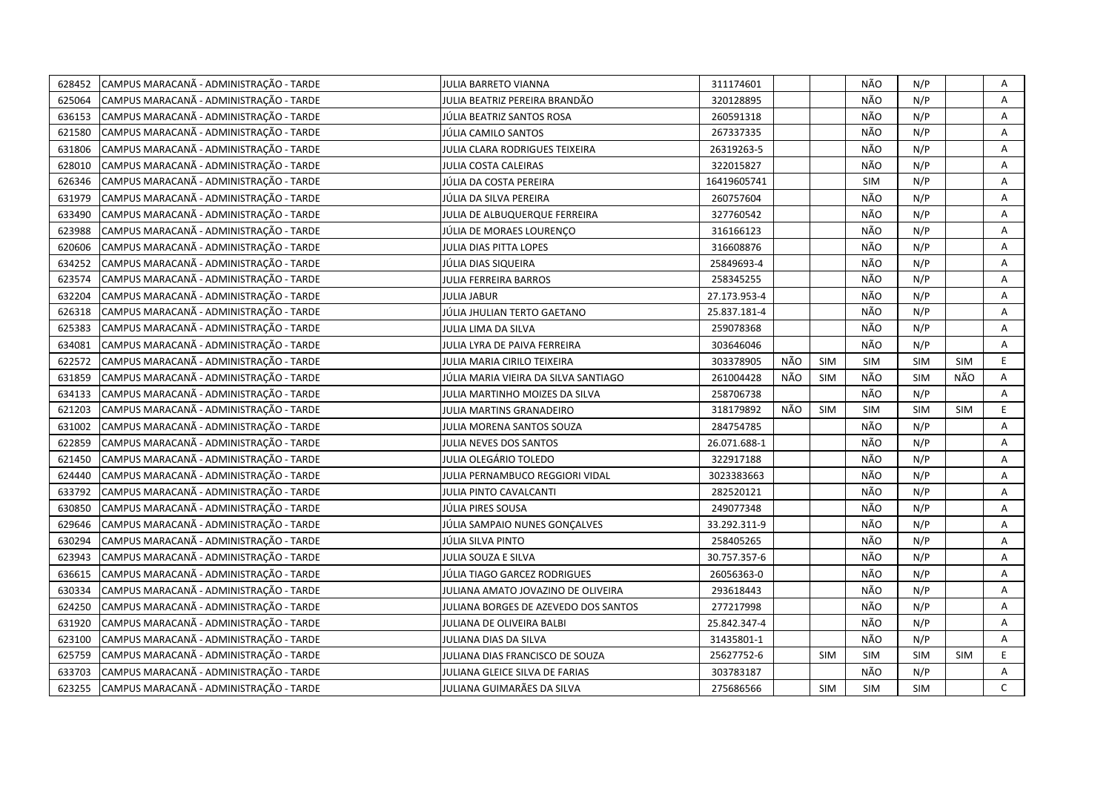| 628452 | CAMPUS MARACANÃ - ADMINISTRAÇÃO - TARDE | JULIA BARRETO VIANNA                 | 311174601    |     |            | NÃO        | N/P        |            | Α            |
|--------|-----------------------------------------|--------------------------------------|--------------|-----|------------|------------|------------|------------|--------------|
| 625064 | CAMPUS MARACANÃ - ADMINISTRAÇÃO - TARDE | JULIA BEATRIZ PEREIRA BRANDÄO        | 320128895    |     |            | NÃO        | N/P        |            | A            |
| 636153 | CAMPUS MARACANÃ - ADMINISTRAÇÃO - TARDE | JÚLIA BEATRIZ SANTOS ROSA            | 260591318    |     |            | NÃO        | N/P        |            | Α            |
| 621580 | CAMPUS MARACANÃ - ADMINISTRAÇÃO - TARDE | JÚLIA CAMILO SANTOS                  | 267337335    |     |            | NÃO        | N/P        |            | Α            |
| 631806 | CAMPUS MARACANÃ - ADMINISTRAÇÃO - TARDE | JULIA CLARA RODRIGUES TEIXEIRA       | 26319263-5   |     |            | NÃO        | N/P        |            | Α            |
| 628010 | CAMPUS MARACANÃ - ADMINISTRAÇÃO - TARDE | JULIA COSTA CALEIRAS                 | 322015827    |     |            | NÃO        | N/P        |            | Α            |
| 626346 | CAMPUS MARACANÃ - ADMINISTRAÇÃO - TARDE | JÚLIA DA COSTA PEREIRA               | 16419605741  |     |            | <b>SIM</b> | N/P        |            | A            |
| 631979 | CAMPUS MARACANÃ - ADMINISTRAÇÃO - TARDE | JÚLIA DA SILVA PEREIRA               | 260757604    |     |            | NÃO        | N/P        |            | A            |
| 633490 | CAMPUS MARACANÃ - ADMINISTRAÇÃO - TARDE | JULIA DE ALBUQUERQUE FERREIRA        | 327760542    |     |            | NÃO        | N/P        |            | Α            |
| 623988 | CAMPUS MARACANÃ - ADMINISTRAÇÃO - TARDE | JÚLIA DE MORAES LOURENCO             | 316166123    |     |            | NÃO        | N/P        |            | A            |
| 620606 | CAMPUS MARACANÃ - ADMINISTRAÇÃO - TARDE | JULIA DIAS PITTA LOPES               | 316608876    |     |            | NÃO        | N/P        |            | A            |
| 634252 | CAMPUS MARACANÃ - ADMINISTRAÇÃO - TARDE | JÚLIA DIAS SIQUEIRA                  | 25849693-4   |     |            | NÃO        | N/P        |            | Α            |
| 623574 | CAMPUS MARACANÃ - ADMINISTRAÇÃO - TARDE | JULIA FERREIRA BARROS                | 258345255    |     |            | NÃO        | N/P        |            | Α            |
| 632204 | CAMPUS MARACANÃ - ADMINISTRAÇÃO - TARDE | <b>JULIA JABUR</b>                   | 27.173.953-4 |     |            | NÃO        | N/P        |            | A            |
| 626318 | CAMPUS MARACANÃ - ADMINISTRAÇÃO - TARDE | JÚLIA JHULIAN TERTO GAETANO          | 25.837.181-4 |     |            | NÃO        | N/P        |            | Α            |
| 625383 | CAMPUS MARACANÃ - ADMINISTRAÇÃO - TARDE | JULIA LIMA DA SILVA                  | 259078368    |     |            | NÃO        | N/P        |            | Α            |
| 634081 | CAMPUS MARACANÃ - ADMINISTRAÇÃO - TARDE | JULIA LYRA DE PAIVA FERREIRA         | 303646046    |     |            | NÃO        | N/P        |            | A            |
| 622572 | CAMPUS MARACANÃ - ADMINISTRAÇÃO - TARDE | JULIA MARIA CIRILO TEIXEIRA          | 303378905    | NÃO | <b>SIM</b> | <b>SIM</b> | <b>SIM</b> | <b>SIM</b> | E.           |
| 631859 | CAMPUS MARACANÃ - ADMINISTRAÇÃO - TARDE | JÚLIA MARIA VIEIRA DA SILVA SANTIAGO | 261004428    | NÃO | <b>SIM</b> | NÃO        | <b>SIM</b> | NÃO        | Α            |
| 634133 | CAMPUS MARACANÃ - ADMINISTRAÇÃO - TARDE | JULIA MARTINHO MOIZES DA SILVA       | 258706738    |     |            | NÃO        | N/P        |            | Α            |
| 621203 | CAMPUS MARACANÃ - ADMINISTRAÇÃO - TARDE | JULIA MARTINS GRANADEIRO             | 318179892    | NÃO | SIM        | <b>SIM</b> | <b>SIM</b> | <b>SIM</b> | E            |
| 631002 | CAMPUS MARACANÃ - ADMINISTRAÇÃO - TARDE | JULIA MORENA SANTOS SOUZA            | 284754785    |     |            | NÃO        | N/P        |            | A            |
| 622859 | CAMPUS MARACANÃ - ADMINISTRAÇÃO - TARDE | JULIA NEVES DOS SANTOS               | 26.071.688-1 |     |            | NÃO        | N/P        |            | Α            |
| 621450 | CAMPUS MARACANÃ - ADMINISTRAÇÃO - TARDE | JULIA OLEGÁRIO TOLEDO                | 322917188    |     |            | NÃO        | N/P        |            | Α            |
| 624440 | CAMPUS MARACANÃ - ADMINISTRAÇÃO - TARDE | JULIA PERNAMBUCO REGGIORI VIDAL      | 3023383663   |     |            | NÃO        | N/P        |            | Α            |
| 633792 | CAMPUS MARACANÃ - ADMINISTRAÇÃO - TARDE | JULIA PINTO CAVALCANTI               | 282520121    |     |            | NÃO        | N/P        |            | Α            |
| 630850 | CAMPUS MARACANÃ - ADMINISTRAÇÃO - TARDE | JÚLIA PIRES SOUSA                    | 249077348    |     |            | NÃO        | N/P        |            | Α            |
| 629646 | CAMPUS MARACANÃ - ADMINISTRAÇÃO - TARDE | JÚLIA SAMPAIO NUNES GONCALVES        | 33.292.311-9 |     |            | NÃO        | N/P        |            | A            |
| 630294 | CAMPUS MARACANÃ - ADMINISTRAÇÃO - TARDE | JÚLIA SILVA PINTO                    | 258405265    |     |            | NÃO        | N/P        |            | A            |
| 623943 | CAMPUS MARACANÃ - ADMINISTRAÇÃO - TARDE | JULIA SOUZA E SILVA                  | 30.757.357-6 |     |            | NÃO        | N/P        |            | Α            |
| 636615 | CAMPUS MARACANÃ - ADMINISTRAÇÃO - TARDE | JÚLIA TIAGO GARCEZ RODRIGUES         | 26056363-0   |     |            | NÃO        | N/P        |            | A            |
| 630334 | CAMPUS MARACANÃ - ADMINISTRAÇÃO - TARDE | JULIANA AMATO JOVAZINO DE OLIVEIRA   | 293618443    |     |            | NÃO        | N/P        |            | A            |
| 624250 | CAMPUS MARACANÃ - ADMINISTRAÇÃO - TARDE | JULIANA BORGES DE AZEVEDO DOS SANTOS | 277217998    |     |            | NÃO        | N/P        |            | Α            |
| 631920 | CAMPUS MARACANÃ - ADMINISTRAÇÃO - TARDE | JULIANA DE OLIVEIRA BALBI            | 25.842.347-4 |     |            | NÃO        | N/P        |            | Α            |
| 623100 | CAMPUS MARACANÃ - ADMINISTRAÇÃO - TARDE | JULIANA DIAS DA SILVA                | 31435801-1   |     |            | NÃO        | N/P        |            | A            |
| 625759 | CAMPUS MARACANÃ - ADMINISTRAÇÃO - TARDE | JULIANA DIAS FRANCISCO DE SOUZA      | 25627752-6   |     | <b>SIM</b> | <b>SIM</b> | <b>SIM</b> | <b>SIM</b> | E.           |
| 633703 | CAMPUS MARACANÃ - ADMINISTRAÇÃO - TARDE | JULIANA GLEICE SILVA DE FARIAS       | 303783187    |     |            | NÃO        | N/P        |            | A            |
| 623255 | CAMPUS MARACANÃ - ADMINISTRAÇÃO - TARDE | JULIANA GUIMARÃES DA SILVA           | 275686566    |     | <b>SIM</b> | <b>SIM</b> | <b>SIM</b> |            | $\mathsf{C}$ |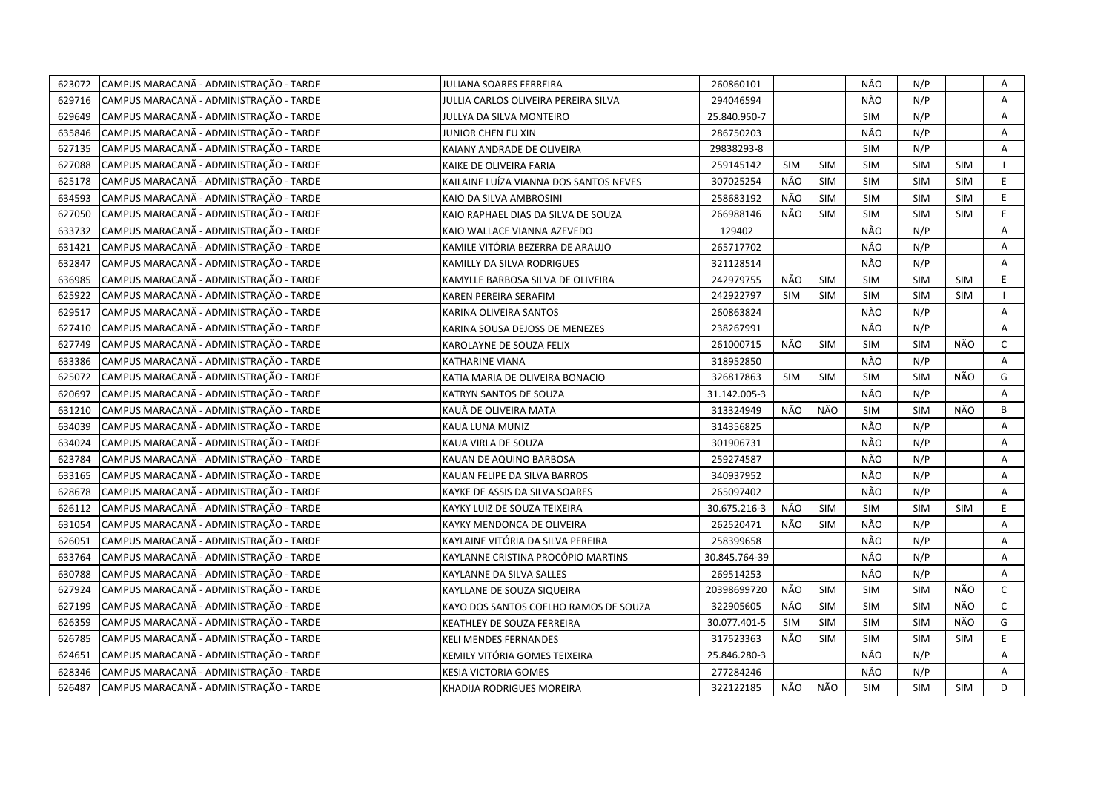| 623072 | CAMPUS MARACANÃ - ADMINISTRAÇÃO - TARDE | <b>JULIANA SOARES FERREIRA</b>         | 260860101     |            |            | NÃO        | N/P        |            | Α            |
|--------|-----------------------------------------|----------------------------------------|---------------|------------|------------|------------|------------|------------|--------------|
| 629716 | CAMPUS MARACANÃ - ADMINISTRAÇÃO - TARDE | JULLIA CARLOS OLIVEIRA PEREIRA SILVA   | 294046594     |            |            | NÃO        | N/P        |            | A            |
| 629649 | CAMPUS MARACANÃ - ADMINISTRAÇÃO - TARDE | JULLYA DA SILVA MONTEIRO               | 25.840.950-7  |            |            | SIM        | N/P        |            | A            |
| 635846 | CAMPUS MARACANÃ - ADMINISTRAÇÃO - TARDE | JUNIOR CHEN FU XIN                     | 286750203     |            |            | NÃO        | N/P        |            | Α            |
| 627135 | CAMPUS MARACANÃ - ADMINISTRAÇÃO - TARDE | KAIANY ANDRADE DE OLIVEIRA             | 29838293-8    |            |            | <b>SIM</b> | N/P        |            | Α            |
| 627088 | CAMPUS MARACANÃ - ADMINISTRAÇÃO - TARDE | KAIKE DE OLIVEIRA FARIA                | 259145142     | <b>SIM</b> | <b>SIM</b> | <b>SIM</b> | <b>SIM</b> | <b>SIM</b> |              |
| 625178 | CAMPUS MARACANÃ - ADMINISTRAÇÃO - TARDE | KAILAINE LUÍZA VIANNA DOS SANTOS NEVES | 307025254     | NÃO        | <b>SIM</b> | <b>SIM</b> | <b>SIM</b> | <b>SIM</b> | E            |
| 634593 | CAMPUS MARACANÃ - ADMINISTRAÇÃO - TARDE | KAIO DA SILVA AMBROSINI                | 258683192     | NÃO        | SIM        | <b>SIM</b> | <b>SIM</b> | <b>SIM</b> | E            |
| 627050 | CAMPUS MARACANÃ - ADMINISTRAÇÃO - TARDE | KAIO RAPHAEL DIAS DA SILVA DE SOUZA    | 266988146     | NÃO        | <b>SIM</b> | <b>SIM</b> | <b>SIM</b> | <b>SIM</b> | E.           |
| 633732 | CAMPUS MARACANÃ - ADMINISTRAÇÃO - TARDE | KAIO WALLACE VIANNA AZEVEDO            | 129402        |            |            | NÃO        | N/P        |            | A            |
| 631421 | CAMPUS MARACANÃ - ADMINISTRAÇÃO - TARDE | KAMILE VITÓRIA BEZERRA DE ARAUJO       | 265717702     |            |            | NÃO        | N/P        |            | Α            |
| 632847 | CAMPUS MARACANÃ - ADMINISTRAÇÃO - TARDE | KAMILLY DA SILVA RODRIGUES             | 321128514     |            |            | NÃO        | N/P        |            | Α            |
| 636985 | CAMPUS MARACANÃ - ADMINISTRAÇÃO - TARDE | KAMYLLE BARBOSA SILVA DE OLIVEIRA      | 242979755     | NÃO        | <b>SIM</b> | <b>SIM</b> | <b>SIM</b> | <b>SIM</b> | E            |
| 625922 | CAMPUS MARACANÃ - ADMINISTRAÇÃO - TARDE | KAREN PEREIRA SERAFIM                  | 242922797     | <b>SIM</b> | <b>SIM</b> | <b>SIM</b> | SIM        | SIM        |              |
| 629517 | CAMPUS MARACANÃ - ADMINISTRAÇÃO - TARDE | KARINA OLIVEIRA SANTOS                 | 260863824     |            |            | NÃO        | N/P        |            | Α            |
| 627410 | CAMPUS MARACANÃ - ADMINISTRAÇÃO - TARDE | KARINA SOUSA DEJOSS DE MENEZES         | 238267991     |            |            | NÃO        | N/P        |            | A            |
| 627749 | CAMPUS MARACANÃ - ADMINISTRAÇÃO - TARDE | KAROLAYNE DE SOUZA FELIX               | 261000715     | NÃO        | <b>SIM</b> | SIM        | <b>SIM</b> | NÃO        | $\mathsf{C}$ |
| 633386 | CAMPUS MARACANÃ - ADMINISTRAÇÃO - TARDE | <b>KATHARINE VIANA</b>                 | 318952850     |            |            | NÃO        | N/P        |            | A            |
| 625072 | CAMPUS MARACANÃ - ADMINISTRAÇÃO - TARDE | KATIA MARIA DE OLIVEIRA BONACIO        | 326817863     | <b>SIM</b> | <b>SIM</b> | <b>SIM</b> | <b>SIM</b> | NÃO        | G            |
| 620697 | CAMPUS MARACANÃ - ADMINISTRAÇÃO - TARDE | KATRYN SANTOS DE SOUZA                 | 31.142.005-3  |            |            | NÃO        | N/P        |            | A            |
| 631210 | CAMPUS MARACANÃ - ADMINISTRAÇÃO - TARDE | KAUÃ DE OLIVEIRA MATA                  | 313324949     | NÃO        | NÃO        | <b>SIM</b> | <b>SIM</b> | NÃO        | B            |
| 634039 | CAMPUS MARACANÃ - ADMINISTRAÇÃO - TARDE | KAUA LUNA MUNIZ                        | 314356825     |            |            | NÃO        | N/P        |            | A            |
| 634024 | CAMPUS MARACANÃ - ADMINISTRAÇÃO - TARDE | KAUA VIRLA DE SOUZA                    | 301906731     |            |            | NÃO        | N/P        |            | A            |
| 623784 | CAMPUS MARACANÃ - ADMINISTRAÇÃO - TARDE | KAUAN DE AQUINO BARBOSA                | 259274587     |            |            | NÃO        | N/P        |            | Α            |
| 633165 | CAMPUS MARACANÃ - ADMINISTRAÇÃO - TARDE | KAUAN FELIPE DA SILVA BARROS           | 340937952     |            |            | NÃO        | N/P        |            | A            |
| 628678 | CAMPUS MARACANÃ - ADMINISTRAÇÃO - TARDE | KAYKE DE ASSIS DA SILVA SOARES         | 265097402     |            |            | NÃO        | N/P        |            | A            |
| 626112 | CAMPUS MARACANÃ - ADMINISTRAÇÃO - TARDE | KAYKY LUIZ DE SOUZA TEIXEIRA           | 30.675.216-3  | NÃO        | <b>SIM</b> | SIM        | <b>SIM</b> | <b>SIM</b> | E            |
| 631054 | CAMPUS MARACANÃ - ADMINISTRAÇÃO - TARDE | KAYKY MENDONCA DE OLIVEIRA             | 262520471     | NÃO        | <b>SIM</b> | NÃO        | N/P        |            | A            |
| 626051 | CAMPUS MARACANÃ - ADMINISTRAÇÃO - TARDE | KAYLAINE VITÓRIA DA SILVA PEREIRA      | 258399658     |            |            | NÃO        | N/P        |            | Α            |
| 633764 | CAMPUS MARACANÃ - ADMINISTRAÇÃO - TARDE | KAYLANNE CRISTINA PROCÓPIO MARTINS     | 30.845.764-39 |            |            | NÃO        | N/P        |            | A            |
| 630788 | CAMPUS MARACANÃ - ADMINISTRAÇÃO - TARDE | KAYLANNE DA SILVA SALLES               | 269514253     |            |            | NÃO        | N/P        |            | Α            |
| 627924 | CAMPUS MARACANÃ - ADMINISTRAÇÃO - TARDE | KAYLLANE DE SOUZA SIQUEIRA             | 20398699720   | NÃO        | <b>SIM</b> | <b>SIM</b> | <b>SIM</b> | NÃO        | $\mathsf{C}$ |
| 627199 | CAMPUS MARACANÃ - ADMINISTRAÇÃO - TARDE | KAYO DOS SANTOS COELHO RAMOS DE SOUZA  | 322905605     | NÃO        | <b>SIM</b> | <b>SIM</b> | <b>SIM</b> | NÃO        | $\mathsf{C}$ |
| 626359 | CAMPUS MARACANÃ - ADMINISTRAÇÃO - TARDE | KEATHLEY DE SOUZA FERREIRA             | 30.077.401-5  | <b>SIM</b> | <b>SIM</b> | <b>SIM</b> | <b>SIM</b> | NÃO        | G            |
| 626785 | CAMPUS MARACANÃ - ADMINISTRAÇÃO - TARDE | <b>KELI MENDES FERNANDES</b>           | 317523363     | NÃO        | <b>SIM</b> | <b>SIM</b> | <b>SIM</b> | <b>SIM</b> | E            |
| 624651 | CAMPUS MARACANÃ - ADMINISTRAÇÃO - TARDE | KEMILY VITÓRIA GOMES TEIXEIRA          | 25.846.280-3  |            |            | NÃO        | N/P        |            | A            |
| 628346 | CAMPUS MARACANÃ - ADMINISTRAÇÃO - TARDE | KESIA VICTORIA GOMES                   | 277284246     |            |            | NÃO        | N/P        |            | A            |
| 626487 | CAMPUS MARACANÃ - ADMINISTRAÇÃO - TARDE | KHADIJA RODRIGUES MOREIRA              | 322122185     | NÃO        | NÃO        | <b>SIM</b> | <b>SIM</b> | <b>SIM</b> | D            |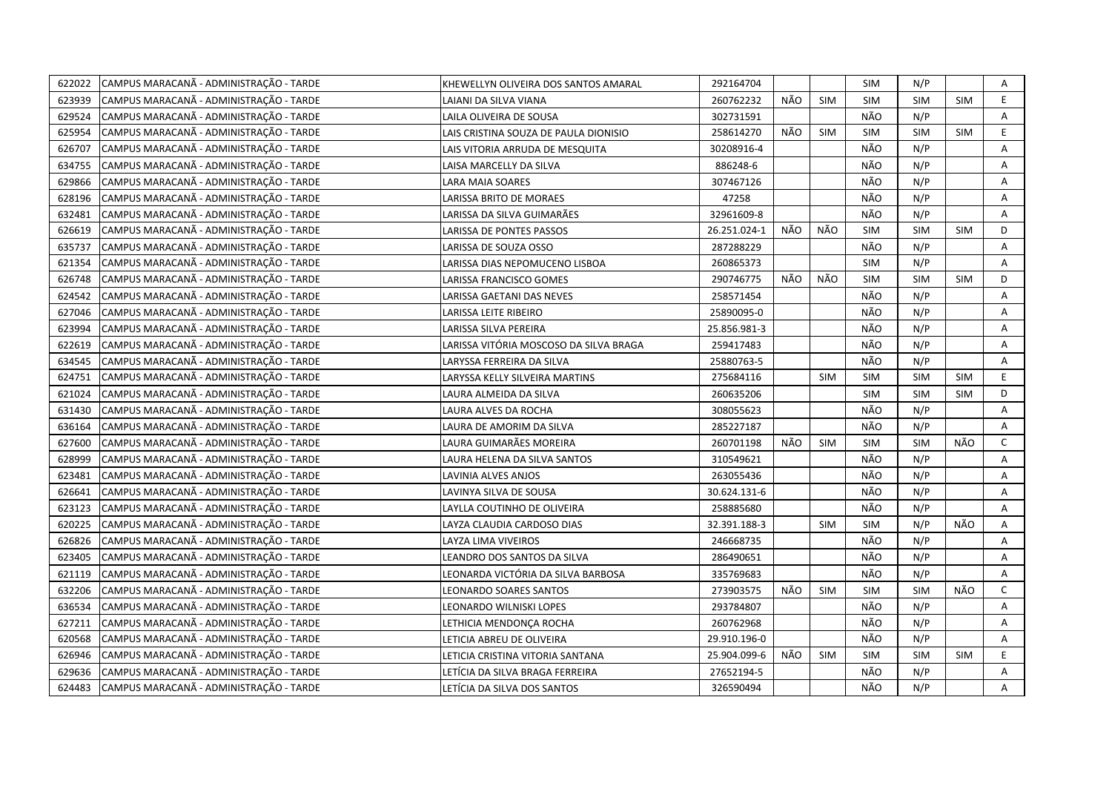| 622022 | CAMPUS MARACANÃ - ADMINISTRAÇÃO - TARDE | KHEWELLYN OLIVEIRA DOS SANTOS AMARAL   | 292164704    |     |            | SIM        | N/P        |            | Α              |
|--------|-----------------------------------------|----------------------------------------|--------------|-----|------------|------------|------------|------------|----------------|
| 623939 | CAMPUS MARACANÃ - ADMINISTRAÇÃO - TARDE | LAIANI DA SILVA VIANA                  | 260762232    | NÃO | <b>SIM</b> | <b>SIM</b> | <b>SIM</b> | <b>SIM</b> | E              |
| 629524 | CAMPUS MARACANÃ - ADMINISTRAÇÃO - TARDE | LAILA OLIVEIRA DE SOUSA                | 302731591    |     |            | NÃO        | N/P        |            | A              |
| 625954 | CAMPUS MARACANÃ - ADMINISTRAÇÃO - TARDE | LAIS CRISTINA SOUZA DE PAULA DIONISIO  | 258614270    | NÃO | <b>SIM</b> | SIM        | <b>SIM</b> | <b>SIM</b> | E.             |
| 626707 | CAMPUS MARACANÃ - ADMINISTRAÇÃO - TARDE | LAIS VITORIA ARRUDA DE MESQUITA        | 30208916-4   |     |            | NÃO        | N/P        |            | Α              |
| 634755 | CAMPUS MARACANÃ - ADMINISTRAÇÃO - TARDE | LAISA MARCELLY DA SILVA                | 886248-6     |     |            | NÃO        | N/P        |            | Α              |
| 629866 | CAMPUS MARACANÃ - ADMINISTRAÇÃO - TARDE | <b>LARA MAIA SOARES</b>                | 307467126    |     |            | NÃO        | N/P        |            | Α              |
| 628196 | CAMPUS MARACANÃ - ADMINISTRAÇÃO - TARDE | <b>LARISSA BRITO DE MORAES</b>         | 47258        |     |            | NÃO        | N/P        |            | Α              |
| 632481 | CAMPUS MARACANÃ - ADMINISTRAÇÃO - TARDE | LARISSA DA SILVA GUIMARÃES             | 32961609-8   |     |            | NÃO        | N/P        |            | Α              |
| 626619 | CAMPUS MARACANÃ - ADMINISTRAÇÃO - TARDE | LARISSA DE PONTES PASSOS               | 26.251.024-1 | NÃO | NÃO        | <b>SIM</b> | <b>SIM</b> | <b>SIM</b> | D              |
| 635737 | CAMPUS MARACANÃ - ADMINISTRAÇÃO - TARDE | LARISSA DE SOUZA OSSO                  | 287288229    |     |            | NÃO        | N/P        |            | A              |
| 621354 | CAMPUS MARACANÃ - ADMINISTRAÇÃO - TARDE | LARISSA DIAS NEPOMUCENO LISBOA         | 260865373    |     |            | SIM        | N/P        |            | A              |
| 626748 | CAMPUS MARACANÃ - ADMINISTRAÇÃO - TARDE | LARISSA FRANCISCO GOMES                | 290746775    | NÃO | NÃO        | <b>SIM</b> | <b>SIM</b> | <b>SIM</b> | D              |
| 624542 | CAMPUS MARACANÃ - ADMINISTRAÇÃO - TARDE | LARISSA GAETANI DAS NEVES              | 258571454    |     |            | NÃO        | N/P        |            | A              |
| 627046 | CAMPUS MARACANÃ - ADMINISTRAÇÃO - TARDE | LARISSA LEITE RIBEIRO                  | 25890095-0   |     |            | NÃO        | N/P        |            | Α              |
| 623994 | CAMPUS MARACANÃ - ADMINISTRAÇÃO - TARDE | LARISSA SILVA PEREIRA                  | 25.856.981-3 |     |            | NÃO        | N/P        |            | A              |
| 622619 | CAMPUS MARACANÃ - ADMINISTRAÇÃO - TARDE | LARISSA VITÓRIA MOSCOSO DA SILVA BRAGA | 259417483    |     |            | NÃO        | N/P        |            | A              |
| 634545 | CAMPUS MARACANÃ - ADMINISTRAÇÃO - TARDE | LARYSSA FERREIRA DA SILVA              | 25880763-5   |     |            | NÃO        | N/P        |            | $\overline{A}$ |
| 624751 | CAMPUS MARACANÃ - ADMINISTRAÇÃO - TARDE | LARYSSA KELLY SILVEIRA MARTINS         | 275684116    |     | <b>SIM</b> | <b>SIM</b> | <b>SIM</b> | <b>SIM</b> | E.             |
| 621024 | CAMPUS MARACANÃ - ADMINISTRAÇÃO - TARDE | LAURA ALMEIDA DA SILVA                 | 260635206    |     |            | SIM        | <b>SIM</b> | <b>SIM</b> | D              |
| 631430 | CAMPUS MARACANÃ - ADMINISTRAÇÃO - TARDE | LAURA ALVES DA ROCHA                   | 308055623    |     |            | NÃO        | N/P        |            | A              |
| 636164 | CAMPUS MARACANÃ - ADMINISTRAÇÃO - TARDE | LAURA DE AMORIM DA SILVA               | 285227187    |     |            | NÃO        | N/P        |            | A              |
| 627600 | CAMPUS MARACANÃ - ADMINISTRAÇÃO - TARDE | LAURA GUIMARÃES MOREIRA                | 260701198    | NÃO | <b>SIM</b> | <b>SIM</b> | <b>SIM</b> | NÃO        | C              |
| 628999 | CAMPUS MARACANÃ - ADMINISTRAÇÃO - TARDE | LAURA HELENA DA SILVA SANTOS           | 310549621    |     |            | NÃO        | N/P        |            | A              |
| 623481 | CAMPUS MARACANÃ - ADMINISTRAÇÃO - TARDE | LAVINIA ALVES ANJOS                    | 263055436    |     |            | NÃO        | N/P        |            | A              |
| 626641 | CAMPUS MARACANÃ - ADMINISTRAÇÃO - TARDE | LAVINYA SILVA DE SOUSA                 | 30.624.131-6 |     |            | NÃO        | N/P        |            | A              |
| 623123 | CAMPUS MARACANÃ - ADMINISTRAÇÃO - TARDE | LAYLLA COUTINHO DE OLIVEIRA            | 258885680    |     |            | NÃO        | N/P        |            | Α              |
| 620225 | CAMPUS MARACANÃ - ADMINISTRAÇÃO - TARDE | LAYZA CLAUDIA CARDOSO DIAS             | 32.391.188-3 |     | <b>SIM</b> | <b>SIM</b> | N/P        | NÃO        | A              |
| 626826 | CAMPUS MARACANÃ - ADMINISTRAÇÃO - TARDE | LAYZA LIMA VIVEIROS                    | 246668735    |     |            | NÃO        | N/P        |            | Α              |
| 623405 | CAMPUS MARACANÃ - ADMINISTRAÇÃO - TARDE | LEANDRO DOS SANTOS DA SILVA            | 286490651    |     |            | NÃO        | N/P        |            | A              |
| 621119 | CAMPUS MARACANÃ - ADMINISTRAÇÃO - TARDE | LEONARDA VICTÓRIA DA SILVA BARBOSA     | 335769683    |     |            | NÃO        | N/P        |            | A              |
| 632206 | CAMPUS MARACANÃ - ADMINISTRAÇÃO - TARDE | LEONARDO SOARES SANTOS                 | 273903575    | NÃO | <b>SIM</b> | <b>SIM</b> | <b>SIM</b> | NÃO        | $\mathsf{C}$   |
| 636534 | CAMPUS MARACANÃ - ADMINISTRAÇÃO - TARDE | LEONARDO WILNISKI LOPES                | 293784807    |     |            | NÃO        | N/P        |            | A              |
| 627211 | CAMPUS MARACANÃ - ADMINISTRAÇÃO - TARDE | LETHICIA MENDONÇA ROCHA                | 260762968    |     |            | NÃO        | N/P        |            | Α              |
| 620568 | CAMPUS MARACANÃ - ADMINISTRAÇÃO - TARDE | LETICIA ABREU DE OLIVEIRA              | 29.910.196-0 |     |            | NÃO        | N/P        |            | Α              |
| 626946 | CAMPUS MARACANÃ - ADMINISTRAÇÃO - TARDE | LETICIA CRISTINA VITORIA SANTANA       | 25.904.099-6 | NÃO | <b>SIM</b> | <b>SIM</b> | <b>SIM</b> | <b>SIM</b> | E              |
| 629636 | CAMPUS MARACANÃ - ADMINISTRAÇÃO - TARDE | LETÍCIA DA SILVA BRAGA FERREIRA        | 27652194-5   |     |            | NÃO        | N/P        |            | Α              |
| 624483 | CAMPUS MARACANA - ADMINISTRAÇÃO - TARDE | LETÍCIA DA SILVA DOS SANTOS            | 326590494    |     |            | NÃO        | N/P        |            | A              |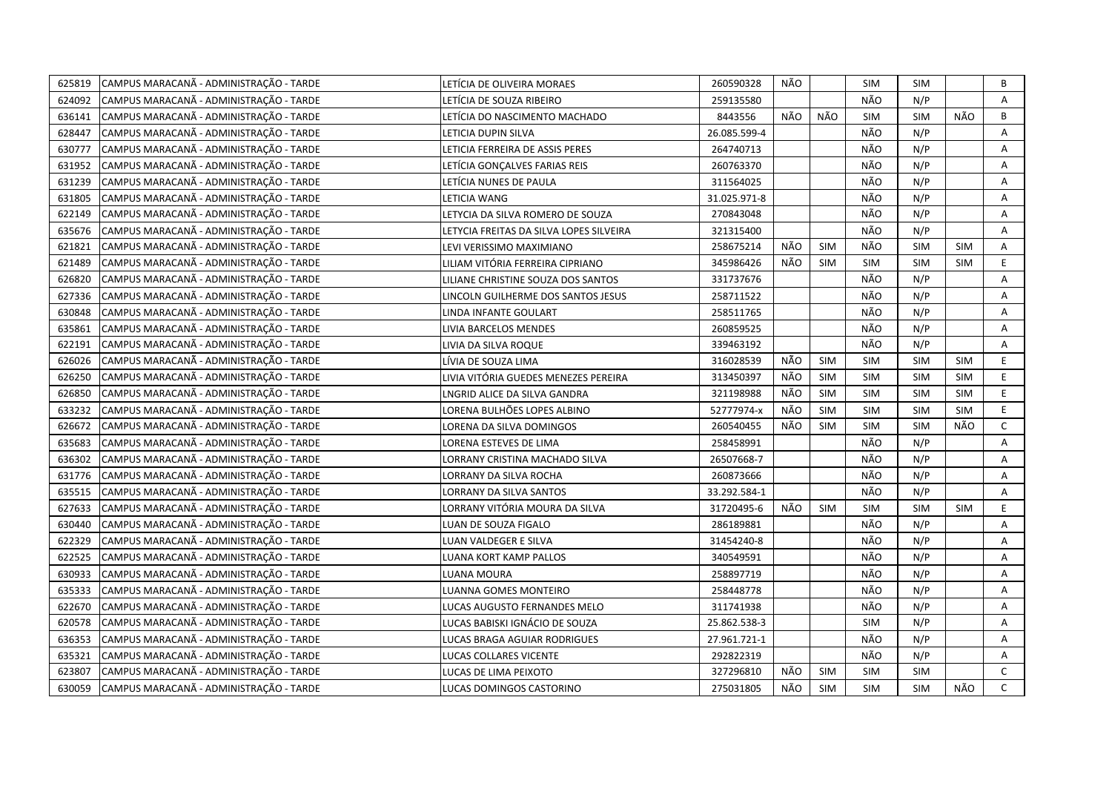| 625819 | CAMPUS MARACANÃ - ADMINISTRAÇÃO - TARDE | LETÍCIA DE OLIVEIRA MORAES              | 260590328    | NÃO |            | <b>SIM</b> | <b>SIM</b> |            | В            |
|--------|-----------------------------------------|-----------------------------------------|--------------|-----|------------|------------|------------|------------|--------------|
| 624092 | CAMPUS MARACANÃ - ADMINISTRAÇÃO - TARDE | LETÍCIA DE SOUZA RIBEIRO                | 259135580    |     |            | NÃO        | N/P        |            | A            |
| 636141 | CAMPUS MARACANÃ - ADMINISTRAÇÃO - TARDE | LETÍCIA DO NASCIMENTO MACHADO           | 8443556      | NÃO | NÃO        | <b>SIM</b> | SIM        | NÃO        | B            |
| 628447 | CAMPUS MARACANÃ - ADMINISTRAÇÃO - TARDE | LETICIA DUPIN SILVA                     | 26.085.599-4 |     |            | NÃO        | N/P        |            | A            |
| 630777 | CAMPUS MARACANÃ - ADMINISTRAÇÃO - TARDE | LETICIA FERREIRA DE ASSIS PERES         | 264740713    |     |            | NÃO        | N/P        |            | Α            |
| 631952 | CAMPUS MARACANÃ - ADMINISTRAÇÃO - TARDE | LETÍCIA GONÇALVES FARIAS REIS           | 260763370    |     |            | NÃO        | N/P        |            | A            |
| 631239 | CAMPUS MARACANÃ - ADMINISTRAÇÃO - TARDE | LETÍCIA NUNES DE PAULA                  | 311564025    |     |            | NÃO        | N/P        |            | A            |
| 631805 | CAMPUS MARACANÃ - ADMINISTRAÇÃO - TARDE | LETICIA WANG                            | 31.025.971-8 |     |            | NÃO        | N/P        |            | A            |
| 622149 | CAMPUS MARACANÃ - ADMINISTRAÇÃO - TARDE | LETYCIA DA SILVA ROMERO DE SOUZA        | 270843048    |     |            | NÃO        | N/P        |            | Α            |
| 635676 | CAMPUS MARACANÃ - ADMINISTRAÇÃO - TARDE | LETYCIA FREITAS DA SILVA LOPES SILVEIRA | 321315400    |     |            | NÃO        | N/P        |            | A            |
| 621821 | CAMPUS MARACANÃ - ADMINISTRAÇÃO - TARDE | LEVI VERISSIMO MAXIMIANO                | 258675214    | NÃO | <b>SIM</b> | NÃO        | <b>SIM</b> | <b>SIM</b> | Α            |
| 621489 | CAMPUS MARACANÃ - ADMINISTRAÇÃO - TARDE | LILIAM VITÓRIA FERREIRA CIPRIANO        | 345986426    | NÃO | <b>SIM</b> | <b>SIM</b> | <b>SIM</b> | <b>SIM</b> | E.           |
| 626820 | CAMPUS MARACANÃ - ADMINISTRAÇÃO - TARDE | LILIANE CHRISTINE SOUZA DOS SANTOS      | 331737676    |     |            | NÃO        | N/P        |            | A            |
| 627336 | CAMPUS MARACANÃ - ADMINISTRAÇÃO - TARDE | LINCOLN GUILHERME DOS SANTOS JESUS      | 258711522    |     |            | NÃO        | N/P        |            | A            |
| 630848 | CAMPUS MARACANÃ - ADMINISTRAÇÃO - TARDE | LINDA INFANTE GOULART                   | 258511765    |     |            | NÃO        | N/P        |            | A            |
| 635861 | CAMPUS MARACANÃ - ADMINISTRAÇÃO - TARDE | LIVIA BARCELOS MENDES                   | 260859525    |     |            | NÃO        | N/P        |            | A            |
| 622191 | CAMPUS MARACANÃ - ADMINISTRAÇÃO - TARDE | LIVIA DA SILVA ROQUE                    | 339463192    |     |            | NÃO        | N/P        |            | A            |
| 626026 | CAMPUS MARACANÃ - ADMINISTRAÇÃO - TARDE | LÍVIA DE SOUZA LIMA                     | 316028539    | NÃO | <b>SIM</b> | <b>SIM</b> | <b>SIM</b> | <b>SIM</b> | E.           |
| 626250 | CAMPUS MARACANÃ - ADMINISTRAÇÃO - TARDE | LIVIA VITÓRIA GUEDES MENEZES PEREIRA    | 313450397    | NÃO | <b>SIM</b> | <b>SIM</b> | <b>SIM</b> | <b>SIM</b> | E            |
| 626850 | CAMPUS MARACANÃ - ADMINISTRAÇÃO - TARDE | LNGRID ALICE DA SILVA GANDRA            | 321198988    | NÃO | <b>SIM</b> | <b>SIM</b> | <b>SIM</b> | <b>SIM</b> | E            |
| 633232 | CAMPUS MARACANÃ - ADMINISTRAÇÃO - TARDE | LORENA BULHÕES LOPES ALBINO             | 52777974-x   | NÃO | <b>SIM</b> | <b>SIM</b> | <b>SIM</b> | <b>SIM</b> | E.           |
| 626672 | CAMPUS MARACANÃ - ADMINISTRAÇÃO - TARDE | LORENA DA SILVA DOMINGOS                | 260540455    | NÃO | <b>SIM</b> | <b>SIM</b> | <b>SIM</b> | NÃO        | $\mathsf{C}$ |
| 635683 | CAMPUS MARACANÃ - ADMINISTRAÇÃO - TARDE | LORENA ESTEVES DE LIMA                  | 258458991    |     |            | NÃO        | N/P        |            | A            |
| 636302 | CAMPUS MARACANÃ - ADMINISTRAÇÃO - TARDE | LORRANY CRISTINA MACHADO SILVA          | 26507668-7   |     |            | NÃO        | N/P        |            | A            |
| 631776 | CAMPUS MARACANÃ - ADMINISTRAÇÃO - TARDE | LORRANY DA SILVA ROCHA                  | 260873666    |     |            | NÃO        | N/P        |            | Α            |
| 635515 | CAMPUS MARACANÃ - ADMINISTRAÇÃO - TARDE | LORRANY DA SILVA SANTOS                 | 33.292.584-1 |     |            | NÃO        | N/P        |            | A            |
| 627633 | CAMPUS MARACANÃ - ADMINISTRAÇÃO - TARDE | LORRANY VITÓRIA MOURA DA SILVA          | 31720495-6   | NÃO | <b>SIM</b> | <b>SIM</b> | SIM        | <b>SIM</b> | E            |
| 630440 | CAMPUS MARACANÃ - ADMINISTRAÇÃO - TARDE | LUAN DE SOUZA FIGALO                    | 286189881    |     |            | NÃO        | N/P        |            | Α            |
| 622329 | CAMPUS MARACANÃ - ADMINISTRAÇÃO - TARDE | LUAN VALDEGER E SILVA                   | 31454240-8   |     |            | NÃO        | N/P        |            | Α            |
| 622525 | CAMPUS MARACANÃ - ADMINISTRAÇÃO - TARDE | LUANA KORT KAMP PALLOS                  | 340549591    |     |            | NÃO        | N/P        |            | A            |
| 630933 | CAMPUS MARACANÃ - ADMINISTRAÇÃO - TARDE | LUANA MOURA                             | 258897719    |     |            | NÃO        | N/P        |            | Α            |
| 635333 | CAMPUS MARACANÃ - ADMINISTRAÇÃO - TARDE | LUANNA GOMES MONTEIRO                   | 258448778    |     |            | NÃO        | N/P        |            | A            |
| 622670 | CAMPUS MARACANÃ - ADMINISTRAÇÃO - TARDE | LUCAS AUGUSTO FERNANDES MELO            | 311741938    |     |            | NÃO        | N/P        |            | Α            |
| 620578 | CAMPUS MARACANÃ - ADMINISTRAÇÃO - TARDE | LUCAS BABISKI IGNÁCIO DE SOUZA          | 25.862.538-3 |     |            | <b>SIM</b> | N/P        |            | A            |
| 636353 | CAMPUS MARACANÃ - ADMINISTRAÇÃO - TARDE | LUCAS BRAGA AGUIAR RODRIGUES            | 27.961.721-1 |     |            | NÃO        | N/P        |            | Α            |
| 635321 | CAMPUS MARACANÃ - ADMINISTRAÇÃO - TARDE | LUCAS COLLARES VICENTE                  | 292822319    |     |            | NÃO        | N/P        |            | Α            |
| 623807 | CAMPUS MARACANÃ - ADMINISTRAÇÃO - TARDE | LUCAS DE LIMA PEIXOTO                   | 327296810    | NÃO | <b>SIM</b> | <b>SIM</b> | <b>SIM</b> |            | $\mathsf{C}$ |
| 630059 | CAMPUS MARACANÃ - ADMINISTRAÇÃO - TARDE | LUCAS DOMINGOS CASTORINO                | 275031805    | NÃO | SIM        | <b>SIM</b> | <b>SIM</b> | NÃO        | $\mathsf{C}$ |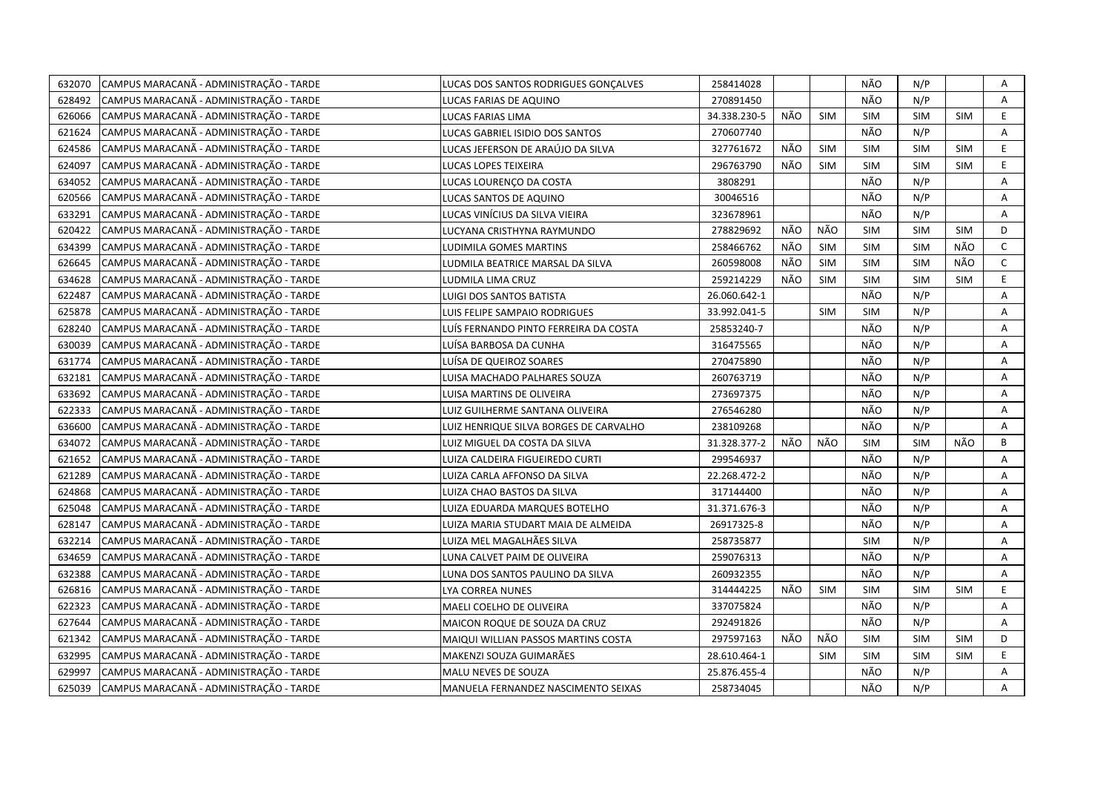| 632070 | CAMPUS MARACANÃ - ADMINISTRAÇÃO - TARDE | LUCAS DOS SANTOS RODRIGUES GONÇALVES   | 258414028    |     |            | NÃO        | N/P        |            | Α            |
|--------|-----------------------------------------|----------------------------------------|--------------|-----|------------|------------|------------|------------|--------------|
| 628492 | CAMPUS MARACANÃ - ADMINISTRAÇÃO - TARDE | LUCAS FARIAS DE AQUINO                 | 270891450    |     |            | NÃO        | N/P        |            | A            |
| 626066 | CAMPUS MARACANÃ - ADMINISTRAÇÃO - TARDE | LUCAS FARIAS LIMA                      | 34.338.230-5 | NÃO | <b>SIM</b> | SIM        | SIM        | <b>SIM</b> | E.           |
| 621624 | CAMPUS MARACANÃ - ADMINISTRAÇÃO - TARDE | LUCAS GABRIEL ISIDIO DOS SANTOS        | 270607740    |     |            | NÃO        | N/P        |            | A            |
| 624586 | CAMPUS MARACANÃ - ADMINISTRAÇÃO - TARDE | LUCAS JEFERSON DE ARAÚJO DA SILVA      | 327761672    | NÃO | SIM        | <b>SIM</b> | <b>SIM</b> | <b>SIM</b> | E.           |
| 624097 | CAMPUS MARACANÃ - ADMINISTRAÇÃO - TARDE | LUCAS LOPES TEIXEIRA                   | 296763790    | NÃO | <b>SIM</b> | <b>SIM</b> | <b>SIM</b> | <b>SIM</b> | E.           |
| 634052 | CAMPUS MARACANÃ - ADMINISTRAÇÃO - TARDE | LUCAS LOURENÇO DA COSTA                | 3808291      |     |            | NÃO        | N/P        |            | Α            |
| 620566 | CAMPUS MARACANÃ - ADMINISTRAÇÃO - TARDE | LUCAS SANTOS DE AQUINO                 | 30046516     |     |            | NÃO        | N/P        |            | Α            |
| 633291 | CAMPUS MARACANA - ADMINISTRAÇÃO - TARDE | LUCAS VINÍCIUS DA SILVA VIEIRA         | 323678961    |     |            | NÃO        | N/P        |            | Α            |
| 620422 | CAMPUS MARACANÃ - ADMINISTRAÇÃO - TARDE | LUCYANA CRISTHYNA RAYMUNDO             | 278829692    | NÃO | NÃO        | <b>SIM</b> | <b>SIM</b> | <b>SIM</b> | D            |
| 634399 | CAMPUS MARACANÃ - ADMINISTRAÇÃO - TARDE | LUDIMILA GOMES MARTINS                 | 258466762    | NÃO | <b>SIM</b> | <b>SIM</b> | <b>SIM</b> | NÃO        | $\mathsf{C}$ |
| 626645 | CAMPUS MARACANÃ - ADMINISTRAÇÃO - TARDE | LUDMILA BEATRICE MARSAL DA SILVA       | 260598008    | NÃO | <b>SIM</b> | <b>SIM</b> | <b>SIM</b> | NÃO        | $\mathsf{C}$ |
| 634628 | CAMPUS MARACANÃ - ADMINISTRAÇÃO - TARDE | LUDMILA LIMA CRUZ                      | 259214229    | NÃO | <b>SIM</b> | <b>SIM</b> | <b>SIM</b> | <b>SIM</b> | E.           |
| 622487 | CAMPUS MARACANÃ - ADMINISTRAÇÃO - TARDE | LUIGI DOS SANTOS BATISTA               | 26.060.642-1 |     |            | NÃO        | N/P        |            | Α            |
| 625878 | CAMPUS MARACANÃ - ADMINISTRAÇÃO - TARDE | LUIS FELIPE SAMPAIO RODRIGUES          | 33.992.041-5 |     | <b>SIM</b> | <b>SIM</b> | N/P        |            | A            |
| 628240 | CAMPUS MARACANÃ - ADMINISTRAÇÃO - TARDE | LUÍS FERNANDO PINTO FERREIRA DA COSTA  | 25853240-7   |     |            | NÃO        | N/P        |            | A            |
| 630039 | CAMPUS MARACANÃ - ADMINISTRAÇÃO - TARDE | LUÍSA BARBOSA DA CUNHA                 | 316475565    |     |            | NÃO        | N/P        |            | Α            |
| 631774 | CAMPUS MARACANÃ - ADMINISTRAÇÃO - TARDE | LUÍSA DE QUEIROZ SOARES                | 270475890    |     |            | NÃO        | N/P        |            | A            |
| 632181 | CAMPUS MARACANÃ - ADMINISTRAÇÃO - TARDE | LUISA MACHADO PALHARES SOUZA           | 260763719    |     |            | NÃO        | N/P        |            | A            |
| 633692 | CAMPUS MARACANÃ - ADMINISTRAÇÃO - TARDE | LUISA MARTINS DE OLIVEIRA              | 273697375    |     |            | NÃO        | N/P        |            | Α            |
| 622333 | CAMPUS MARACANÃ - ADMINISTRAÇÃO - TARDE | LUIZ GUILHERME SANTANA OLIVEIRA        | 276546280    |     |            | NÃO        | N/P        |            | A            |
| 636600 | CAMPUS MARACANÃ - ADMINISTRAÇÃO - TARDE | LUIZ HENRIQUE SILVA BORGES DE CARVALHO | 238109268    |     |            | NÃO        | N/P        |            | A            |
| 634072 | CAMPUS MARACANÃ - ADMINISTRAÇÃO - TARDE | LUIZ MIGUEL DA COSTA DA SILVA          | 31.328.377-2 | NÃO | NÃO        | <b>SIM</b> | <b>SIM</b> | NÃO        | B            |
| 621652 | CAMPUS MARACANÃ - ADMINISTRAÇÃO - TARDE | LUIZA CALDEIRA FIGUEIREDO CURTI        | 299546937    |     |            | NÃO        | N/P        |            | A            |
| 621289 | CAMPUS MARACANÃ - ADMINISTRAÇÃO - TARDE | LUIZA CARLA AFFONSO DA SILVA           | 22.268.472-2 |     |            | NÃO        | N/P        |            | A            |
| 624868 | CAMPUS MARACANA - ADMINISTRAÇÃO - TARDE | LUIZA CHAO BASTOS DA SILVA             | 317144400    |     |            | NÃO        | N/P        |            | A            |
| 625048 | CAMPUS MARACANÃ - ADMINISTRAÇÃO - TARDE | LUIZA EDUARDA MARQUES BOTELHO          | 31.371.676-3 |     |            | NÃO        | N/P        |            | A            |
| 628147 | CAMPUS MARACANÃ - ADMINISTRAÇÃO - TARDE | LUIZA MARIA STUDART MAIA DE ALMEIDA    | 26917325-8   |     |            | NÃO        | N/P        |            | Α            |
| 632214 | CAMPUS MARACANÃ - ADMINISTRAÇÃO - TARDE | LUIZA MEL MAGALHÃES SILVA              | 258735877    |     |            | <b>SIM</b> | N/P        |            | A            |
| 634659 | CAMPUS MARACANÃ - ADMINISTRAÇÃO - TARDE | LUNA CALVET PAIM DE OLIVEIRA           | 259076313    |     |            | NÃO        | N/P        |            | Α            |
| 632388 | CAMPUS MARACANÃ - ADMINISTRAÇÃO - TARDE | LUNA DOS SANTOS PAULINO DA SILVA       | 260932355    |     |            | NÃO        | N/P        |            | A            |
| 626816 | CAMPUS MARACANÃ - ADMINISTRAÇÃO - TARDE | LYA CORREA NUNES                       | 314444225    | NÃO | <b>SIM</b> | <b>SIM</b> | <b>SIM</b> | <b>SIM</b> | E.           |
| 622323 | CAMPUS MARACANA - ADMINISTRAÇÃO - TARDE | <b>MAELI COELHO DE OLIVEIRA</b>        | 337075824    |     |            | NÃO        | N/P        |            | A            |
| 627644 | CAMPUS MARACANÃ - ADMINISTRAÇÃO - TARDE | MAICON ROQUE DE SOUZA DA CRUZ          | 292491826    |     |            | NÃO        | N/P        |            | Α            |
| 621342 | CAMPUS MARACANÃ - ADMINISTRAÇÃO - TARDE | MAIQUI WILLIAN PASSOS MARTINS COSTA    | 297597163    | NÃO | NÃO        | <b>SIM</b> | <b>SIM</b> | <b>SIM</b> | D            |
| 632995 | CAMPUS MARACANÃ - ADMINISTRAÇÃO - TARDE | MAKENZI SOUZA GUIMARÃES                | 28.610.464-1 |     | <b>SIM</b> | <b>SIM</b> | <b>SIM</b> | <b>SIM</b> | E            |
| 629997 | CAMPUS MARACANÃ - ADMINISTRAÇÃO - TARDE | MALU NEVES DE SOUZA                    | 25.876.455-4 |     |            | NÃO        | N/P        |            | Α            |
| 625039 | CAMPUS MARACANA - ADMINISTRAÇÃO - TARDE | MANUELA FERNANDEZ NASCIMENTO SEIXAS    | 258734045    |     |            | NÃO        | N/P        |            | A            |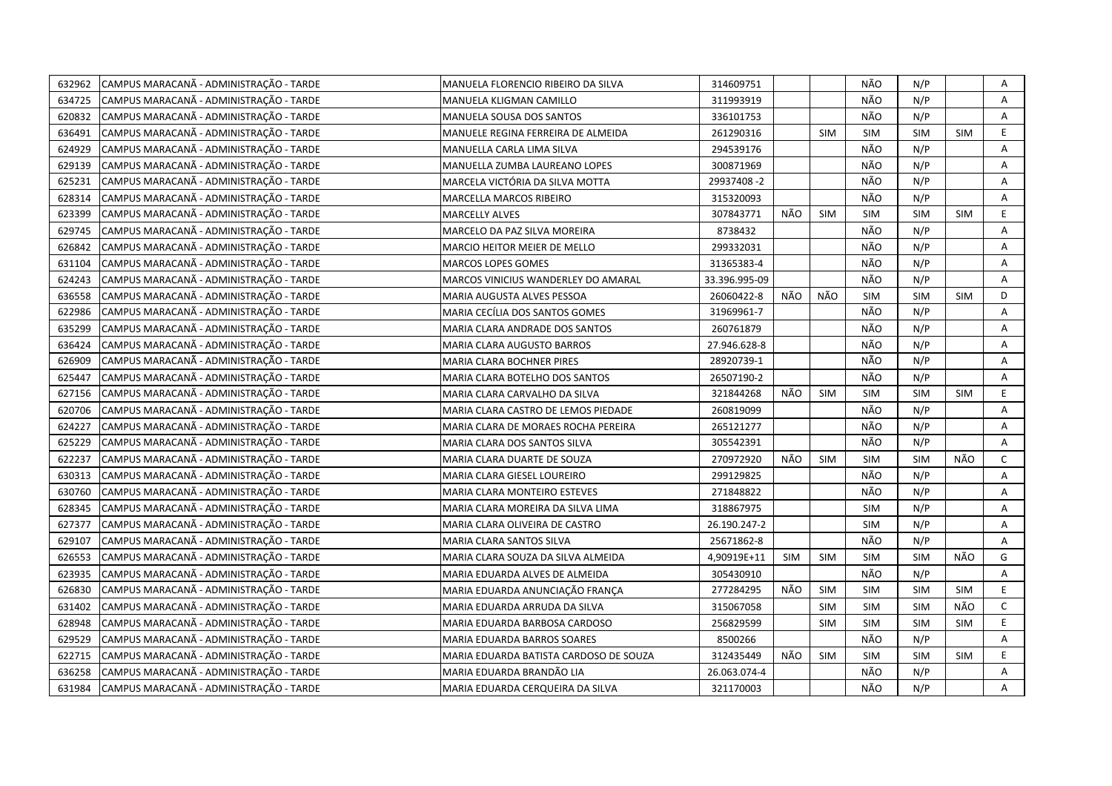| 632962 | CAMPUS MARACANÃ - ADMINISTRAÇÃO - TARDE | MANUELA FLORENCIO RIBEIRO DA SILVA     | 314609751     |            |            | NÃO        | N/P        |            | Α              |
|--------|-----------------------------------------|----------------------------------------|---------------|------------|------------|------------|------------|------------|----------------|
| 634725 | CAMPUS MARACANÃ - ADMINISTRAÇÃO - TARDE | MANUELA KLIGMAN CAMILLO                | 311993919     |            |            | NÃO        | N/P        |            | $\mathsf{A}$   |
| 620832 | CAMPUS MARACANÃ - ADMINISTRAÇÃO - TARDE | MANUELA SOUSA DOS SANTOS               | 336101753     |            |            | NÃO        | N/P        |            | A              |
| 636491 | CAMPUS MARACANÃ - ADMINISTRAÇÃO - TARDE | MANUELE REGINA FERREIRA DE ALMEIDA     | 261290316     |            | <b>SIM</b> | <b>SIM</b> | <b>SIM</b> | <b>SIM</b> | E.             |
| 624929 | CAMPUS MARACANÃ - ADMINISTRAÇÃO - TARDE | MANUELLA CARLA LIMA SILVA              | 294539176     |            |            | NÃO        | N/P        |            | A              |
| 629139 | CAMPUS MARACANÃ - ADMINISTRAÇÃO - TARDE | MANUELLA ZUMBA LAUREANO LOPES          | 300871969     |            |            | NÃO        | N/P        |            | Α              |
| 625231 | CAMPUS MARACANÃ - ADMINISTRAÇÃO - TARDE | MARCELA VICTÓRIA DA SILVA MOTTA        | 29937408-2    |            |            | NÃO        | N/P        |            | Α              |
| 628314 | CAMPUS MARACANÃ - ADMINISTRAÇÃO - TARDE | MARCELLA MARCOS RIBEIRO                | 315320093     |            |            | NÃO        | N/P        |            | Α              |
| 623399 | CAMPUS MARACANÃ - ADMINISTRAÇÃO - TARDE | <b>MARCELLY ALVES</b>                  | 307843771     | NÃO        | <b>SIM</b> | <b>SIM</b> | <b>SIM</b> | <b>SIM</b> | E              |
| 629745 | CAMPUS MARACANÃ - ADMINISTRAÇÃO - TARDE | MARCELO DA PAZ SILVA MOREIRA           | 8738432       |            |            | NÃO        | N/P        |            | A              |
| 626842 | CAMPUS MARACANÃ - ADMINISTRAÇÃO - TARDE | MARCIO HEITOR MEIER DE MELLO           | 299332031     |            |            | NÃO        | N/P        |            | A              |
| 631104 | CAMPUS MARACANÃ - ADMINISTRAÇÃO - TARDE | MARCOS LOPES GOMES                     | 31365383-4    |            |            | NÃO        | N/P        |            | A              |
| 624243 | CAMPUS MARACANÃ - ADMINISTRAÇÃO - TARDE | MARCOS VINICIUS WANDERLEY DO AMARAL    | 33.396.995-09 |            |            | NÃO        | N/P        |            | A              |
| 636558 | CAMPUS MARACANÃ - ADMINISTRAÇÃO - TARDE | MARIA AUGUSTA ALVES PESSOA             | 26060422-8    | NÃO        | NÃO        | <b>SIM</b> | <b>SIM</b> | <b>SIM</b> | D              |
| 622986 | CAMPUS MARACANÃ - ADMINISTRAÇÃO - TARDE | MARIA CECÍLIA DOS SANTOS GOMES         | 31969961-7    |            |            | NÃO        | N/P        |            | A              |
| 635299 | CAMPUS MARACANÃ - ADMINISTRAÇÃO - TARDE | MARIA CLARA ANDRADE DOS SANTOS         | 260761879     |            |            | NÃO        | N/P        |            | A              |
| 636424 | CAMPUS MARACANÃ - ADMINISTRAÇÃO - TARDE | MARIA CLARA AUGUSTO BARROS             | 27.946.628-8  |            |            | NÃO        | N/P        |            | A              |
| 626909 | CAMPUS MARACANÃ - ADMINISTRAÇÃO - TARDE | MARIA CLARA BOCHNER PIRES              | 28920739-1    |            |            | NÃO        | N/P        |            | A              |
| 625447 | CAMPUS MARACANÃ - ADMINISTRAÇÃO - TARDE | MARIA CLARA BOTELHO DOS SANTOS         | 26507190-2    |            |            | NÃO        | N/P        |            | A              |
| 627156 | CAMPUS MARACANÃ - ADMINISTRAÇÃO - TARDE | MARIA CLARA CARVALHO DA SILVA          | 321844268     | NÃO        | <b>SIM</b> | <b>SIM</b> | <b>SIM</b> | <b>SIM</b> | E              |
| 620706 | CAMPUS MARACANÃ - ADMINISTRAÇÃO - TARDE | MARIA CLARA CASTRO DE LEMOS PIEDADE    | 260819099     |            |            | NÃO        | N/P        |            | A              |
| 624227 | CAMPUS MARACANÃ - ADMINISTRAÇÃO - TARDE | MARIA CLARA DE MORAES ROCHA PEREIRA    | 265121277     |            |            | NÃO        | N/P        |            | A              |
| 625229 | CAMPUS MARACANÃ - ADMINISTRAÇÃO - TARDE | MARIA CLARA DOS SANTOS SILVA           | 305542391     |            |            | NÃO        | N/P        |            | A              |
| 622237 | CAMPUS MARACANÃ - ADMINISTRAÇÃO - TARDE | MARIA CLARA DUARTE DE SOUZA            | 270972920     | NÃO        | <b>SIM</b> | <b>SIM</b> | <b>SIM</b> | NÃO        | C              |
| 630313 | CAMPUS MARACANÃ - ADMINISTRAÇÃO - TARDE | MARIA CLARA GIESEL LOUREIRO            | 299129825     |            |            | NÃO        | N/P        |            | A              |
| 630760 | CAMPUS MARACANA - ADMINISTRAÇÃO - TARDE | MARIA CLARA MONTEIRO ESTEVES           | 271848822     |            |            | NÃO        | N/P        |            | A              |
| 628345 | CAMPUS MARACANÃ - ADMINISTRAÇÃO - TARDE | MARIA CLARA MOREIRA DA SILVA LIMA      | 318867975     |            |            | <b>SIM</b> | N/P        |            | A              |
| 627377 | CAMPUS MARACANÃ - ADMINISTRAÇÃO - TARDE | MARIA CLARA OLIVEIRA DE CASTRO         | 26.190.247-2  |            |            | <b>SIM</b> | N/P        |            | Α              |
| 629107 | CAMPUS MARACANÃ - ADMINISTRAÇÃO - TARDE | MARIA CLARA SANTOS SILVA               | 25671862-8    |            |            | NÃO        | N/P        |            | $\overline{A}$ |
| 626553 | CAMPUS MARACANÃ - ADMINISTRAÇÃO - TARDE | MARIA CLARA SOUZA DA SILVA ALMEIDA     | 4,90919E+11   | <b>SIM</b> | <b>SIM</b> | <b>SIM</b> | <b>SIM</b> | NÃO        | G              |
| 623935 | CAMPUS MARACANÃ - ADMINISTRAÇÃO - TARDE | MARIA EDUARDA ALVES DE ALMEIDA         | 305430910     |            |            | NÃO        | N/P        |            | $\overline{A}$ |
| 626830 | CAMPUS MARACANÃ - ADMINISTRAÇÃO - TARDE | MARIA EDUARDA ANUNCIAÇÃO FRANÇA        | 277284295     | NÃO        | SIM        | <b>SIM</b> | <b>SIM</b> | <b>SIM</b> | E              |
| 631402 | CAMPUS MARACANA - ADMINISTRAÇÃO - TARDE | MARIA EDUARDA ARRUDA DA SILVA          | 315067058     |            | <b>SIM</b> | <b>SIM</b> | <b>SIM</b> | NÃO        | $\mathsf{C}$   |
| 628948 | CAMPUS MARACANÃ - ADMINISTRAÇÃO - TARDE | MARIA EDUARDA BARBOSA CARDOSO          | 256829599     |            | <b>SIM</b> | <b>SIM</b> | <b>SIM</b> | <b>SIM</b> | E              |
| 629529 | CAMPUS MARACANÃ - ADMINISTRAÇÃO - TARDE | MARIA EDUARDA BARROS SOARES            | 8500266       |            |            | NÃO        | N/P        |            | A              |
| 622715 | CAMPUS MARACANÃ - ADMINISTRAÇÃO - TARDE | MARIA EDUARDA BATISTA CARDOSO DE SOUZA | 312435449     | NÃO        | SIM        | <b>SIM</b> | <b>SIM</b> | <b>SIM</b> | E              |
| 636258 | CAMPUS MARACANÃ - ADMINISTRAÇÃO - TARDE | MARIA EDUARDA BRANDÃO LIA              | 26.063.074-4  |            |            | NÃO        | N/P        |            | Α              |
| 631984 | CAMPUS MARACANA - ADMINISTRAÇÃO - TARDE | MARIA EDUARDA CERQUEIRA DA SILVA       | 321170003     |            |            | NÃO        | N/P        |            | A              |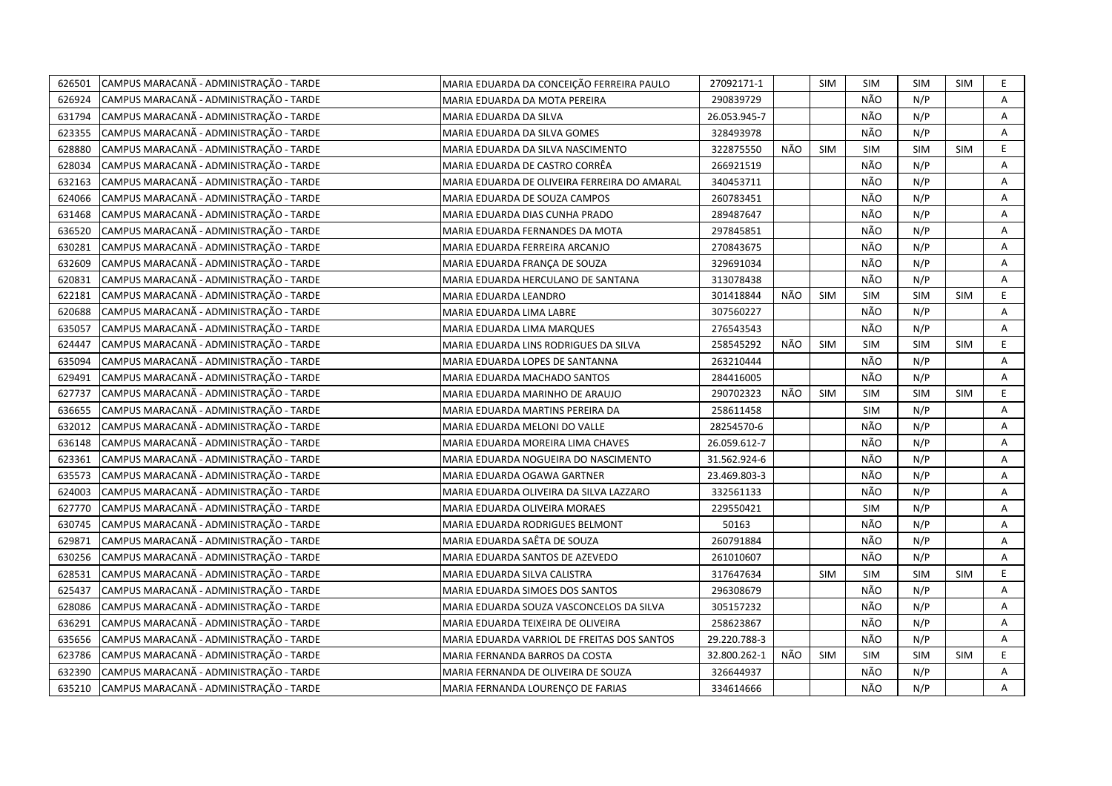| 626501 | CAMPUS MARACANÃ - ADMINISTRAÇÃO - TARDE | MARIA EDUARDA DA CONCEIÇÃO FERREIRA PAULO    | 27092171-1   |     | <b>SIM</b> | SIM        | <b>SIM</b> | SIM        | E.           |
|--------|-----------------------------------------|----------------------------------------------|--------------|-----|------------|------------|------------|------------|--------------|
| 626924 | CAMPUS MARACANÃ - ADMINISTRAÇÃO - TARDE | MARIA EDUARDA DA MOTA PEREIRA                | 290839729    |     |            | NÃO        | N/P        |            | A            |
| 631794 | CAMPUS MARACANÃ - ADMINISTRAÇÃO - TARDE | MARIA EDUARDA DA SILVA                       | 26.053.945-7 |     |            | NÃO        | N/P        |            | A            |
| 623355 | CAMPUS MARACANÃ - ADMINISTRAÇÃO - TARDE | MARIA EDUARDA DA SILVA GOMES                 | 328493978    |     |            | NÃO        | N/P        |            | Α            |
| 628880 | CAMPUS MARACANÃ - ADMINISTRAÇÃO - TARDE | MARIA EDUARDA DA SILVA NASCIMENTO            | 322875550    | NÃO | <b>SIM</b> | <b>SIM</b> | <b>SIM</b> | <b>SIM</b> | E.           |
| 628034 | CAMPUS MARACANÃ - ADMINISTRAÇÃO - TARDE | MARIA EDUARDA DE CASTRO CORRÊA               | 266921519    |     |            | NÃO        | N/P        |            | Α            |
| 632163 | CAMPUS MARACANÃ - ADMINISTRAÇÃO - TARDE | MARIA EDUARDA DE OLIVEIRA FERREIRA DO AMARAL | 340453711    |     |            | NÃO        | N/P        |            | Α            |
| 624066 | CAMPUS MARACANÃ - ADMINISTRAÇÃO - TARDE | MARIA EDUARDA DE SOUZA CAMPOS                | 260783451    |     |            | NÃO        | N/P        |            | Α            |
| 631468 | CAMPUS MARACANÃ - ADMINISTRAÇÃO - TARDE | MARIA EDUARDA DIAS CUNHA PRADO               | 289487647    |     |            | NÃO        | N/P        |            | Α            |
| 636520 | CAMPUS MARACANÃ - ADMINISTRAÇÃO - TARDE | MARIA EDUARDA FERNANDES DA MOTA              | 297845851    |     |            | NÃO        | N/P        |            | Α            |
| 630281 | CAMPUS MARACANÃ - ADMINISTRAÇÃO - TARDE | MARIA EDUARDA FERREIRA ARCANJO               | 270843675    |     |            | NÃO        | N/P        |            | Α            |
| 632609 | CAMPUS MARACANÃ - ADMINISTRAÇÃO - TARDE | MARIA EDUARDA FRANÇA DE SOUZA                | 329691034    |     |            | NÃO        | N/P        |            | A            |
| 620831 | CAMPUS MARACANÃ - ADMINISTRAÇÃO - TARDE | MARIA EDUARDA HERCULANO DE SANTANA           | 313078438    |     |            | NÃO        | N/P        |            | Α            |
| 622181 | CAMPUS MARACANÃ - ADMINISTRAÇÃO - TARDE | MARIA EDUARDA LEANDRO                        | 301418844    | NÃO | <b>SIM</b> | SIM        | <b>SIM</b> | <b>SIM</b> | E            |
| 620688 | CAMPUS MARACANÃ - ADMINISTRAÇÃO - TARDE | MARIA EDUARDA LIMA LABRE                     | 307560227    |     |            | NÃO        | N/P        |            | Α            |
| 635057 | CAMPUS MARACANÃ - ADMINISTRAÇÃO - TARDE | MARIA EDUARDA LIMA MARQUES                   | 276543543    |     |            | NÃO        | N/P        |            | $\mathsf{A}$ |
| 624447 | CAMPUS MARACANÃ - ADMINISTRAÇÃO - TARDE | MARIA EDUARDA LINS RODRIGUES DA SILVA        | 258545292    | NÃO | <b>SIM</b> | <b>SIM</b> | SIM        | <b>SIM</b> | E.           |
| 635094 | CAMPUS MARACANÃ - ADMINISTRAÇÃO - TARDE | MARIA EDUARDA LOPES DE SANTANNA              | 263210444    |     |            | NÃO        | N/P        |            | Α            |
| 629491 | CAMPUS MARACANÃ - ADMINISTRAÇÃO - TARDE | MARIA EDUARDA MACHADO SANTOS                 | 284416005    |     |            | NÃO        | N/P        |            | A            |
| 627737 | CAMPUS MARACANÃ - ADMINISTRAÇÃO - TARDE | MARIA EDUARDA MARINHO DE ARAUJO              | 290702323    | NÃO | <b>SIM</b> | <b>SIM</b> | <b>SIM</b> | SIM        | E            |
| 636655 | CAMPUS MARACANÃ - ADMINISTRAÇÃO - TARDE | MARIA EDUARDA MARTINS PEREIRA DA             | 258611458    |     |            | SIM        | N/P        |            | A            |
| 632012 | CAMPUS MARACANÃ - ADMINISTRAÇÃO - TARDE | MARIA EDUARDA MELONI DO VALLE                | 28254570-6   |     |            | NÃO        | N/P        |            | Α            |
| 636148 | CAMPUS MARACANÃ - ADMINISTRAÇÃO - TARDE | MARIA EDUARDA MOREIRA LIMA CHAVES            | 26.059.612-7 |     |            | NÃO        | N/P        |            | A            |
| 623361 | CAMPUS MARACANÃ - ADMINISTRAÇÃO - TARDE | MARIA EDUARDA NOGUEIRA DO NASCIMENTO         | 31.562.924-6 |     |            | NÃO        | N/P        |            | A            |
| 635573 | CAMPUS MARACANÃ - ADMINISTRAÇÃO - TARDE | MARIA EDUARDA OGAWA GARTNER                  | 23.469.803-3 |     |            | NÃO        | N/P        |            | Α            |
| 624003 | CAMPUS MARACANÃ - ADMINISTRAÇÃO - TARDE | MARIA EDUARDA OLIVEIRA DA SILVA LAZZARO      | 332561133    |     |            | NÃO        | N/P        |            | A            |
| 627770 | CAMPUS MARACANÃ - ADMINISTRAÇÃO - TARDE | MARIA EDUARDA OLIVEIRA MORAES                | 229550421    |     |            | <b>SIM</b> | N/P        |            | Α            |
| 630745 | CAMPUS MARACANÃ - ADMINISTRAÇÃO - TARDE | MARIA EDUARDA RODRIGUES BELMONT              | 50163        |     |            | NÃO        | N/P        |            | A            |
| 629871 | CAMPUS MARACANÃ - ADMINISTRAÇÃO - TARDE | MARIA EDUARDA SAÊTA DE SOUZA                 | 260791884    |     |            | NÃO        | N/P        |            | Α            |
| 630256 | CAMPUS MARACANÃ - ADMINISTRAÇÃO - TARDE | MARIA EDUARDA SANTOS DE AZEVEDO              | 261010607    |     |            | NÃO        | N/P        |            | A            |
| 628531 | CAMPUS MARACANÃ - ADMINISTRAÇÃO - TARDE | MARIA EDUARDA SILVA CALISTRA                 | 317647634    |     | <b>SIM</b> | <b>SIM</b> | <b>SIM</b> | <b>SIM</b> | E            |
| 625437 | CAMPUS MARACANÃ - ADMINISTRAÇÃO - TARDE | MARIA EDUARDA SIMOES DOS SANTOS              | 296308679    |     |            | NÃO        | N/P        |            | Α            |
| 628086 | CAMPUS MARACANÃ - ADMINISTRAÇÃO - TARDE | MARIA EDUARDA SOUZA VASCONCELOS DA SILVA     | 305157232    |     |            | NÃO        | N/P        |            | Α            |
| 636291 | CAMPUS MARACANÃ - ADMINISTRAÇÃO - TARDE | MARIA EDUARDA TEIXEIRA DE OLIVEIRA           | 258623867    |     |            | NÃO        | N/P        |            | Α            |
| 635656 | CAMPUS MARACANÃ - ADMINISTRAÇÃO - TARDE | MARIA EDUARDA VARRIOL DE FREITAS DOS SANTOS  | 29.220.788-3 |     |            | NÃO        | N/P        |            | A            |
| 623786 | CAMPUS MARACANÃ - ADMINISTRAÇÃO - TARDE | MARIA FERNANDA BARROS DA COSTA               | 32.800.262-1 | NÃO | <b>SIM</b> | <b>SIM</b> | <b>SIM</b> | <b>SIM</b> | E            |
| 632390 | CAMPUS MARACANÃ - ADMINISTRAÇÃO - TARDE | MARIA FERNANDA DE OLIVEIRA DE SOUZA          | 326644937    |     |            | NÃO        | N/P        |            | A            |
| 635210 | CAMPUS MARACANA - ADMINISTRAÇÃO - TARDE | MARIA FERNANDA LOURENÇO DE FARIAS            | 334614666    |     |            | NÃO        | N/P        |            | A            |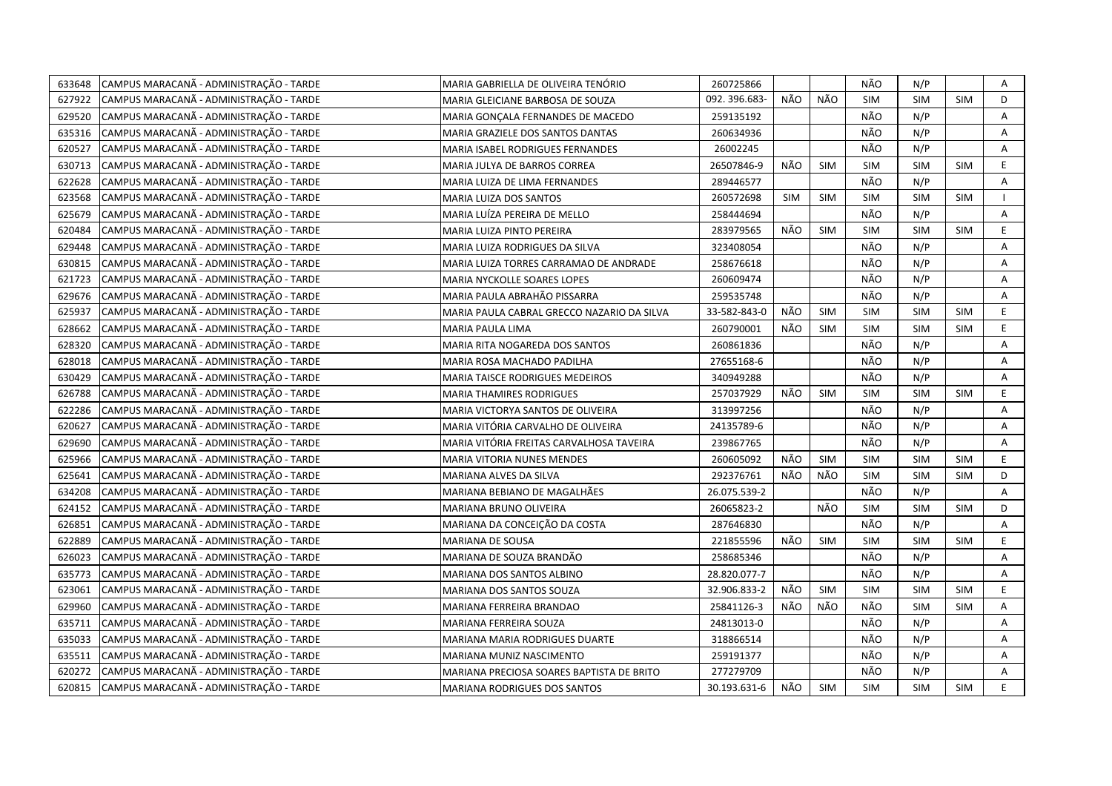| 633648 | CAMPUS MARACANÃ - ADMINISTRAÇÃO - TARDE | MARIA GABRIELLA DE OLIVEIRA TENÓRIO        | 260725866    |            |            | NÃO        | N/P        |            | Α              |
|--------|-----------------------------------------|--------------------------------------------|--------------|------------|------------|------------|------------|------------|----------------|
| 627922 | CAMPUS MARACANÃ - ADMINISTRAÇÃO - TARDE | MARIA GLEICIANE BARBOSA DE SOUZA           | 092.396.683- | NÃO        | NÃO        | <b>SIM</b> | <b>SIM</b> | <b>SIM</b> | D              |
| 629520 | CAMPUS MARACANÃ - ADMINISTRAÇÃO - TARDE | MARIA GONÇALA FERNANDES DE MACEDO          | 259135192    |            |            | NÃO        | N/P        |            | A              |
| 635316 | CAMPUS MARACANÃ - ADMINISTRAÇÃO - TARDE | MARIA GRAZIELE DOS SANTOS DANTAS           | 260634936    |            |            | NÃO        | N/P        |            | A              |
| 620527 | CAMPUS MARACANÃ - ADMINISTRAÇÃO - TARDE | MARIA ISABEL RODRIGUES FERNANDES           | 26002245     |            |            | NÃO        | N/P        |            | Α              |
| 630713 | CAMPUS MARACANÃ - ADMINISTRAÇÃO - TARDE | MARIA JULYA DE BARROS CORREA               | 26507846-9   | NÃO        | <b>SIM</b> | <b>SIM</b> | <b>SIM</b> | <b>SIM</b> | E.             |
| 622628 | CAMPUS MARACANÃ - ADMINISTRAÇÃO - TARDE | MARIA LUIZA DE LIMA FERNANDES              | 289446577    |            |            | NÃO        | N/P        |            | Α              |
| 623568 | CAMPUS MARACANÃ - ADMINISTRAÇÃO - TARDE | MARIA LUIZA DOS SANTOS                     | 260572698    | <b>SIM</b> | <b>SIM</b> | <b>SIM</b> | <b>SIM</b> | <b>SIM</b> |                |
| 625679 | CAMPUS MARACANÃ - ADMINISTRAÇÃO - TARDE | MARIA LUÍZA PEREIRA DE MELLO               | 258444694    |            |            | NÃO        | N/P        |            | A              |
| 620484 | CAMPUS MARACANÃ - ADMINISTRAÇÃO - TARDE | MARIA LUIZA PINTO PEREIRA                  | 283979565    | NÃO        | <b>SIM</b> | <b>SIM</b> | <b>SIM</b> | <b>SIM</b> | E.             |
| 629448 | CAMPUS MARACANÃ - ADMINISTRAÇÃO - TARDE | MARIA LUIZA RODRIGUES DA SILVA             | 323408054    |            |            | NÃO        | N/P        |            | A              |
| 630815 | CAMPUS MARACANÃ - ADMINISTRAÇÃO - TARDE | MARIA LUIZA TORRES CARRAMAO DE ANDRADE     | 258676618    |            |            | NÃO        | N/P        |            | Α              |
| 621723 | CAMPUS MARACANÃ - ADMINISTRAÇÃO - TARDE | MARIA NYCKOLLE SOARES LOPES                | 260609474    |            |            | NÃO        | N/P        |            | A              |
| 629676 | CAMPUS MARACANÃ - ADMINISTRAÇÃO - TARDE | MARIA PAULA ABRAHÃO PISSARRA               | 259535748    |            |            | NÃO        | N/P        |            | Α              |
| 625937 | CAMPUS MARACANÃ - ADMINISTRAÇÃO - TARDE | MARIA PAULA CABRAL GRECCO NAZARIO DA SILVA | 33-582-843-0 | NÃO        | <b>SIM</b> | <b>SIM</b> | <b>SIM</b> | <b>SIM</b> | E              |
| 628662 | CAMPUS MARACANÃ - ADMINISTRAÇÃO - TARDE | MARIA PAULA LIMA                           | 260790001    | NÃO        | <b>SIM</b> | <b>SIM</b> | <b>SIM</b> | <b>SIM</b> | E              |
| 628320 | CAMPUS MARACANÃ - ADMINISTRAÇÃO - TARDE | MARIA RITA NOGAREDA DOS SANTOS             | 260861836    |            |            | NÃO        | N/P        |            | A              |
| 628018 | CAMPUS MARACANÃ - ADMINISTRAÇÃO - TARDE | MARIA ROSA MACHADO PADILHA                 | 27655168-6   |            |            | NÃO        | N/P        |            | A              |
| 630429 | CAMPUS MARACANÃ - ADMINISTRAÇÃO - TARDE | MARIA TAISCE RODRIGUES MEDEIROS            | 340949288    |            |            | NÃO        | N/P        |            | A              |
| 626788 | CAMPUS MARACANÃ - ADMINISTRAÇÃO - TARDE | <b>MARIA THAMIRES RODRIGUES</b>            | 257037929    | NÃO        | <b>SIM</b> | SIM        | <b>SIM</b> | <b>SIM</b> | E              |
| 622286 | CAMPUS MARACANÃ - ADMINISTRAÇÃO - TARDE | MARIA VICTORYA SANTOS DE OLIVEIRA          | 313997256    |            |            | NÃO        | N/P        |            | A              |
| 620627 | CAMPUS MARACANÃ - ADMINISTRAÇÃO - TARDE | MARIA VITÓRIA CARVALHO DE OLIVEIRA         | 24135789-6   |            |            | NÃO        | N/P        |            | A              |
| 629690 | CAMPUS MARACANÃ - ADMINISTRAÇÃO - TARDE | MARIA VITÓRIA FREITAS CARVALHOSA TAVEIRA   | 239867765    |            |            | NÃO        | N/P        |            | A              |
| 625966 | CAMPUS MARACANÃ - ADMINISTRAÇÃO - TARDE | MARIA VITORIA NUNES MENDES                 | 260605092    | NÃO        | <b>SIM</b> | <b>SIM</b> | <b>SIM</b> | <b>SIM</b> | E.             |
| 625641 | CAMPUS MARACANA - ADMINISTRAÇÃO - TARDE | MARIANA ALVES DA SILVA                     | 292376761    | NÃO        | NÃO        | <b>SIM</b> | <b>SIM</b> | <b>SIM</b> | D              |
| 634208 | CAMPUS MARACANÃ - ADMINISTRAÇÃO - TARDE | MARIANA BEBIANO DE MAGALHÃES               | 26.075.539-2 |            |            | NÃO        | N/P        |            | A              |
| 624152 | CAMPUS MARACANA - ADMINISTRAÇÃO - TARDE | MARIANA BRUNO OLIVEIRA                     | 26065823-2   |            | NÃO        | <b>SIM</b> | <b>SIM</b> | <b>SIM</b> | D              |
| 626851 | CAMPUS MARACANÃ - ADMINISTRAÇÃO - TARDE | MARIANA DA CONCEIÇÃO DA COSTA              | 287646830    |            |            | NÃO        | N/P        |            | A              |
| 622889 | CAMPUS MARACANÃ - ADMINISTRAÇÃO - TARDE | MARIANA DE SOUSA                           | 221855596    | NÃO        | <b>SIM</b> | <b>SIM</b> | <b>SIM</b> | <b>SIM</b> | E.             |
| 626023 | CAMPUS MARACANÃ - ADMINISTRAÇÃO - TARDE | MARIANA DE SOUZA BRANDÃO                   | 258685346    |            |            | NÃO        | N/P        |            | $\overline{A}$ |
| 635773 | CAMPUS MARACANÃ - ADMINISTRAÇÃO - TARDE | MARIANA DOS SANTOS ALBINO                  | 28.820.077-7 |            |            | NÃO        | N/P        |            | A              |
| 623061 | CAMPUS MARACANÃ - ADMINISTRAÇÃO - TARDE | MARIANA DOS SANTOS SOUZA                   | 32.906.833-2 | NÃO        | SIM        | <b>SIM</b> | SIM        | <b>SIM</b> | E.             |
| 629960 | CAMPUS MARACANÃ - ADMINISTRAÇÃO - TARDE | MARIANA FERREIRA BRANDAO                   | 25841126-3   | NÃO        | NÃO        | NÃO        | <b>SIM</b> | <b>SIM</b> | A              |
| 635711 | CAMPUS MARACANÃ - ADMINISTRAÇÃO - TARDE | MARIANA FERREIRA SOUZA                     | 24813013-0   |            |            | NÃO        | N/P        |            | A              |
| 635033 | CAMPUS MARACANÃ - ADMINISTRAÇÃO - TARDE | MARIANA MARIA RODRIGUES DUARTE             | 318866514    |            |            | NÃO        | N/P        |            | A              |
| 635511 | CAMPUS MARACANÃ - ADMINISTRAÇÃO - TARDE | MARIANA MUNIZ NASCIMENTO                   | 259191377    |            |            | NÃO        | N/P        |            | Α              |
| 620272 | CAMPUS MARACANÃ - ADMINISTRAÇÃO - TARDE | MARIANA PRECIOSA SOARES BAPTISTA DE BRITO  | 277279709    |            |            | NÃO        | N/P        |            | Α              |
| 620815 | CAMPUS MARACANÃ - ADMINISTRAÇÃO - TARDE | MARIANA RODRIGUES DOS SANTOS               | 30.193.631-6 | NÃO        | <b>SIM</b> | <b>SIM</b> | <b>SIM</b> | SIM        | E              |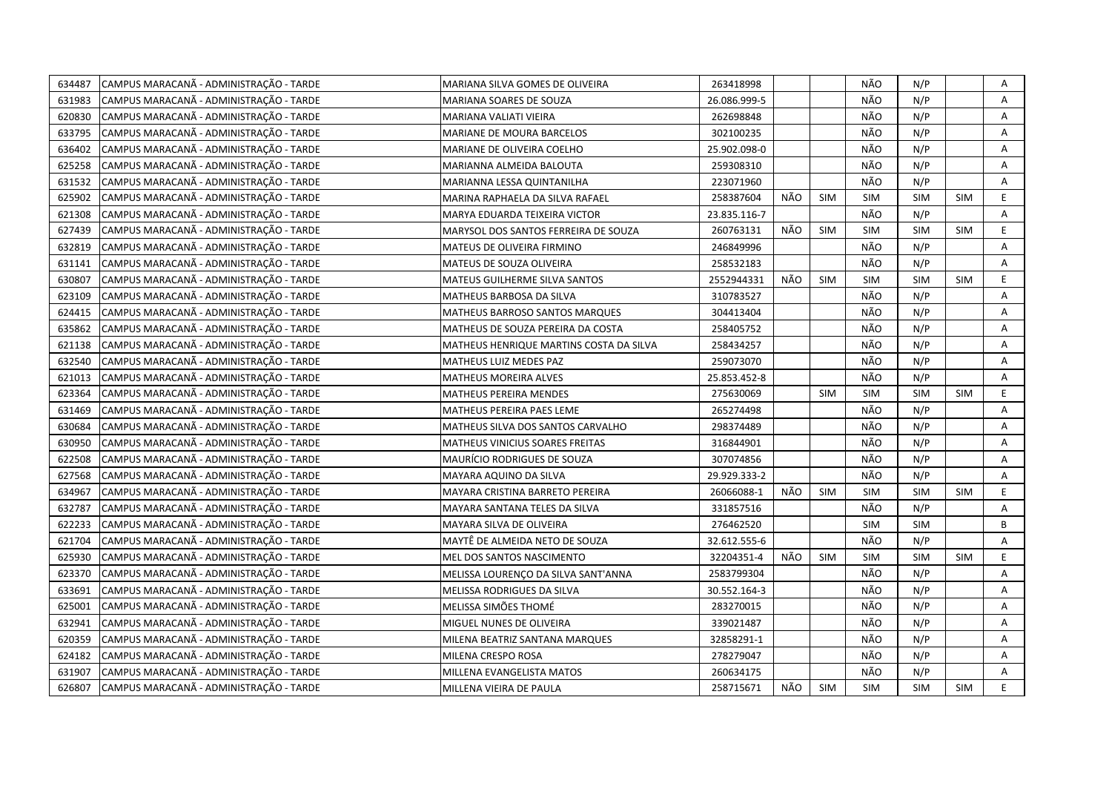| 634487 | CAMPUS MARACANÃ - ADMINISTRAÇÃO - TARDE | MARIANA SILVA GOMES DE OLIVEIRA         | 263418998    |     |            | NÃO        | N/P        |            | Α  |
|--------|-----------------------------------------|-----------------------------------------|--------------|-----|------------|------------|------------|------------|----|
| 631983 | CAMPUS MARACANÃ - ADMINISTRAÇÃO - TARDE | MARIANA SOARES DE SOUZA                 | 26.086.999-5 |     |            | NÃO        | N/P        |            | A  |
| 620830 | CAMPUS MARACANÃ - ADMINISTRAÇÃO - TARDE | MARIANA VALIATI VIEIRA                  | 262698848    |     |            | NÃO        | N/P        |            | A  |
| 633795 | CAMPUS MARACANÃ - ADMINISTRAÇÃO - TARDE | MARIANE DE MOURA BARCELOS               | 302100235    |     |            | NÃO        | N/P        |            | Α  |
| 636402 | CAMPUS MARACANÃ - ADMINISTRAÇÃO - TARDE | MARIANE DE OLIVEIRA COELHO              | 25.902.098-0 |     |            | NÃO        | N/P        |            | Α  |
| 625258 | CAMPUS MARACANÃ - ADMINISTRAÇÃO - TARDE | MARIANNA ALMEIDA BALOUTA                | 259308310    |     |            | NÃO        | N/P        |            | Α  |
| 631532 | CAMPUS MARACANÃ - ADMINISTRAÇÃO - TARDE | MARIANNA LESSA QUINTANILHA              | 223071960    |     |            | NÃO        | N/P        |            | Α  |
| 625902 | CAMPUS MARACANÃ - ADMINISTRAÇÃO - TARDE | MARINA RAPHAELA DA SILVA RAFAEL         | 258387604    | NÃO | <b>SIM</b> | <b>SIM</b> | <b>SIM</b> | <b>SIM</b> | E  |
| 621308 | CAMPUS MARACANÃ - ADMINISTRAÇÃO - TARDE | MARYA EDUARDA TEIXEIRA VICTOR           | 23.835.116-7 |     |            | NÃO        | N/P        |            | A  |
| 627439 | CAMPUS MARACANÃ - ADMINISTRAÇÃO - TARDE | MARYSOL DOS SANTOS FERREIRA DE SOUZA    | 260763131    | NÃO | <b>SIM</b> | <b>SIM</b> | <b>SIM</b> | <b>SIM</b> | E. |
| 632819 | CAMPUS MARACANÃ - ADMINISTRAÇÃO - TARDE | MATEUS DE OLIVEIRA FIRMINO              | 246849996    |     |            | NÃO        | N/P        |            | Α  |
| 631141 | CAMPUS MARACANÃ - ADMINISTRAÇÃO - TARDE | MATEUS DE SOUZA OLIVEIRA                | 258532183    |     |            | NÃO        | N/P        |            | Α  |
| 630807 | CAMPUS MARACANÃ - ADMINISTRAÇÃO - TARDE | MATEUS GUILHERME SILVA SANTOS           | 2552944331   | NÃO | <b>SIM</b> | <b>SIM</b> | <b>SIM</b> | <b>SIM</b> | E  |
| 623109 | CAMPUS MARACANÃ - ADMINISTRAÇÃO - TARDE | MATHEUS BARBOSA DA SILVA                | 310783527    |     |            | NÃO        | N/P        |            | A  |
| 624415 | CAMPUS MARACANÃ - ADMINISTRAÇÃO - TARDE | MATHEUS BARROSO SANTOS MARQUES          | 304413404    |     |            | NÃO        | N/P        |            | Α  |
| 635862 | CAMPUS MARACANÃ - ADMINISTRAÇÃO - TARDE | MATHEUS DE SOUZA PEREIRA DA COSTA       | 258405752    |     |            | NÃO        | N/P        |            | A  |
| 621138 | CAMPUS MARACANÃ - ADMINISTRAÇÃO - TARDE | MATHEUS HENRIQUE MARTINS COSTA DA SILVA | 258434257    |     |            | NÃO        | N/P        |            | A  |
| 632540 | CAMPUS MARACANÃ - ADMINISTRAÇÃO - TARDE | MATHEUS LUIZ MEDES PAZ                  | 259073070    |     |            | NÃO        | N/P        |            | A  |
| 621013 | CAMPUS MARACANÃ - ADMINISTRAÇÃO - TARDE | <b>MATHEUS MOREIRA ALVES</b>            | 25.853.452-8 |     |            | NÃO        | N/P        |            | A  |
| 623364 | CAMPUS MARACANA - ADMINISTRAÇÃO - TARDE | MATHEUS PEREIRA MENDES                  | 275630069    |     | <b>SIM</b> | <b>SIM</b> | <b>SIM</b> | <b>SIM</b> | E  |
| 631469 | CAMPUS MARACANÃ - ADMINISTRAÇÃO - TARDE | MATHEUS PEREIRA PAES LEME               | 265274498    |     |            | NÃO        | N/P        |            | A  |
| 630684 | CAMPUS MARACANÃ - ADMINISTRAÇÃO - TARDE | MATHEUS SILVA DOS SANTOS CARVALHO       | 298374489    |     |            | NÃO        | N/P        |            | Α  |
| 630950 | CAMPUS MARACANÃ - ADMINISTRAÇÃO - TARDE | MATHEUS VINICIUS SOARES FREITAS         | 316844901    |     |            | NÃO        | N/P        |            | A  |
| 622508 | CAMPUS MARACANÃ - ADMINISTRAÇÃO - TARDE | MAURÍCIO RODRIGUES DE SOUZA             | 307074856    |     |            | NÃO        | N/P        |            | A  |
| 627568 | CAMPUS MARACANÃ - ADMINISTRAÇÃO - TARDE | MAYARA AQUINO DA SILVA                  | 29.929.333-2 |     |            | NÃO        | N/P        |            | A  |
| 634967 | CAMPUS MARACANÃ - ADMINISTRAÇÃO - TARDE | MAYARA CRISTINA BARRETO PEREIRA         | 26066088-1   | NÃO | <b>SIM</b> | <b>SIM</b> | SIM        | <b>SIM</b> | E  |
| 632787 | CAMPUS MARACANÃ - ADMINISTRAÇÃO - TARDE | MAYARA SANTANA TELES DA SILVA           | 331857516    |     |            | NÃO        | N/P        |            | Α  |
| 622233 | CAMPUS MARACANÃ - ADMINISTRAÇÃO - TARDE | MAYARA SILVA DE OLIVEIRA                | 276462520    |     |            | <b>SIM</b> | <b>SIM</b> |            | B  |
| 621704 | CAMPUS MARACANÃ - ADMINISTRAÇÃO - TARDE | MAYTÊ DE ALMEIDA NETO DE SOUZA          | 32.612.555-6 |     |            | NÃO        | N/P        |            | Α  |
| 625930 | CAMPUS MARACANA - ADMINISTRAÇÃO - TARDE | MEL DOS SANTOS NASCIMENTO               | 32204351-4   | NÃO | <b>SIM</b> | <b>SIM</b> | <b>SIM</b> | <b>SIM</b> | E. |
| 623370 | CAMPUS MARACANÃ - ADMINISTRAÇÃO - TARDE | MELISSA LOURENÇO DA SILVA SANT'ANNA     | 2583799304   |     |            | NÃO        | N/P        |            | Α  |
| 633691 | CAMPUS MARACANÃ - ADMINISTRAÇÃO - TARDE | MELISSA RODRIGUES DA SILVA              | 30.552.164-3 |     |            | NÃO        | N/P        |            | A  |
| 625001 | CAMPUS MARACANÃ - ADMINISTRAÇÃO - TARDE | MELISSA SIMÕES THOMÉ                    | 283270015    |     |            | NÃO        | N/P        |            | A  |
| 632941 | CAMPUS MARACANÃ - ADMINISTRAÇÃO - TARDE | MIGUEL NUNES DE OLIVEIRA                | 339021487    |     |            | NÃO        | N/P        |            | Α  |
| 620359 | CAMPUS MARACANÃ - ADMINISTRAÇÃO - TARDE | MILENA BEATRIZ SANTANA MARQUES          | 32858291-1   |     |            | NÃO        | N/P        |            | A  |
| 624182 | CAMPUS MARACANÃ - ADMINISTRAÇÃO - TARDE | MILENA CRESPO ROSA                      | 278279047    |     |            | NÃO        | N/P        |            | A  |
| 631907 | CAMPUS MARACANA - ADMINISTRAÇÃO - TARDE | MILLENA EVANGELISTA MATOS               | 260634175    |     |            | NÃO        | N/P        |            | A  |
| 626807 | CAMPUS MARACANÃ - ADMINISTRAÇÃO - TARDE | MILLENA VIEIRA DE PAULA                 | 258715671    | NÃO | SIM        | <b>SIM</b> | <b>SIM</b> | <b>SIM</b> | E. |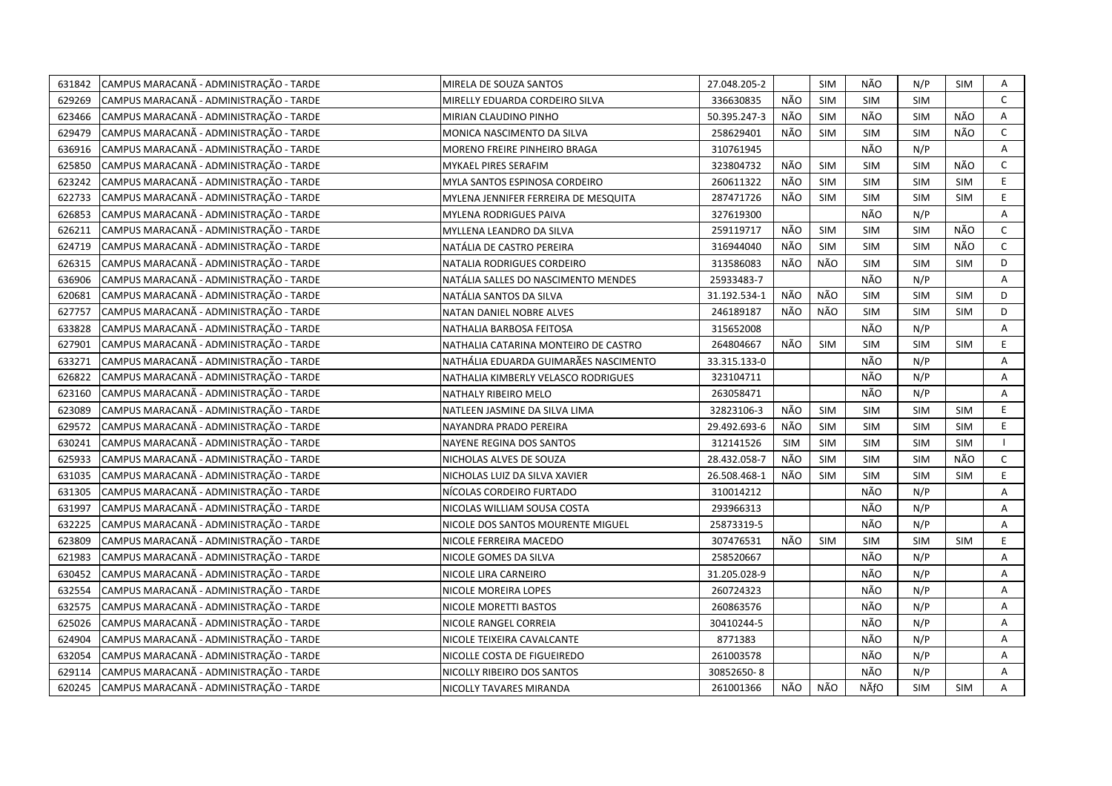| 631842 | CAMPUS MARACANÃ - ADMINISTRAÇÃO - TARDE | MIRELA DE SOUZA SANTOS                | 27.048.205-2 |            | SIM        | NÃO        | N/P        | SIM        | Α              |
|--------|-----------------------------------------|---------------------------------------|--------------|------------|------------|------------|------------|------------|----------------|
| 629269 | CAMPUS MARACANÃ - ADMINISTRAÇÃO - TARDE | MIRELLY EDUARDA CORDEIRO SILVA        | 336630835    | NÃO        | <b>SIM</b> | <b>SIM</b> | <b>SIM</b> |            | $\mathsf{C}$   |
| 623466 | CAMPUS MARACANÃ - ADMINISTRAÇÃO - TARDE | MIRIAN CLAUDINO PINHO                 | 50.395.247-3 | NÃO        | SIM        | NÃO        | <b>SIM</b> | NÃO        | A              |
| 629479 | CAMPUS MARACANÃ - ADMINISTRAÇÃO - TARDE | MONICA NASCIMENTO DA SILVA            | 258629401    | NÃO        | <b>SIM</b> | <b>SIM</b> | <b>SIM</b> | NÃO        | $\mathsf{C}$   |
| 636916 | CAMPUS MARACANÃ - ADMINISTRAÇÃO - TARDE | MORENO FREIRE PINHEIRO BRAGA          | 310761945    |            |            | NÃO        | N/P        |            | A              |
| 625850 | CAMPUS MARACANÃ - ADMINISTRAÇÃO - TARDE | MYKAEL PIRES SERAFIM                  | 323804732    | NÃO        | <b>SIM</b> | <b>SIM</b> | SIM        | NÃO        | $\mathsf{C}$   |
| 623242 | CAMPUS MARACANÃ - ADMINISTRAÇÃO - TARDE | MYLA SANTOS ESPINOSA CORDEIRO         | 260611322    | NÃO        | <b>SIM</b> | <b>SIM</b> | <b>SIM</b> | <b>SIM</b> | E              |
| 622733 | CAMPUS MARACANÃ - ADMINISTRAÇÃO - TARDE | MYLENA JENNIFER FERREIRA DE MESQUITA  | 287471726    | NÃO        | <b>SIM</b> | <b>SIM</b> | <b>SIM</b> | <b>SIM</b> | E.             |
| 626853 | CAMPUS MARACANÃ - ADMINISTRAÇÃO - TARDE | <b>MYLENA RODRIGUES PAIVA</b>         | 327619300    |            |            | NÃO        | N/P        |            | A              |
| 626211 | CAMPUS MARACANÃ - ADMINISTRAÇÃO - TARDE | MYLLENA LEANDRO DA SILVA              | 259119717    | NÃO        | <b>SIM</b> | <b>SIM</b> | <b>SIM</b> | NÃO        | $\mathsf{C}$   |
| 624719 | CAMPUS MARACANÃ - ADMINISTRAÇÃO - TARDE | NATÁLIA DE CASTRO PEREIRA             | 316944040    | NÃO        | SIM        | <b>SIM</b> | <b>SIM</b> | NÃO        | $\mathsf{C}$   |
| 626315 | CAMPUS MARACANÃ - ADMINISTRAÇÃO - TARDE | NATALIA RODRIGUES CORDEIRO            | 313586083    | NÃO        | NÃO        | <b>SIM</b> | <b>SIM</b> | <b>SIM</b> | D              |
| 636906 | CAMPUS MARACANÃ - ADMINISTRAÇÃO - TARDE | NATÁLIA SALLES DO NASCIMENTO MENDES   | 25933483-7   |            |            | NÃO        | N/P        |            | Α              |
| 620681 | CAMPUS MARACANÃ - ADMINISTRAÇÃO - TARDE | NATÁLIA SANTOS DA SILVA               | 31.192.534-1 | NÃO        | NÃO        | <b>SIM</b> | <b>SIM</b> | <b>SIM</b> | D              |
| 627757 | CAMPUS MARACANÃ - ADMINISTRAÇÃO - TARDE | NATAN DANIEL NOBRE ALVES              | 246189187    | NÃO        | NÃO        | <b>SIM</b> | <b>SIM</b> | <b>SIM</b> | D              |
| 633828 | CAMPUS MARACANÃ - ADMINISTRAÇÃO - TARDE | NATHALIA BARBOSA FEITOSA              | 315652008    |            |            | NÃO        | N/P        |            | A              |
| 627901 | CAMPUS MARACANÃ - ADMINISTRAÇÃO - TARDE | NATHALIA CATARINA MONTEIRO DE CASTRO  | 264804667    | NÃO        | SIM        | <b>SIM</b> | <b>SIM</b> | <b>SIM</b> | E              |
| 633271 | CAMPUS MARACANÃ - ADMINISTRAÇÃO - TARDE | NATHÁLIA EDUARDA GUIMARÃES NASCIMENTO | 33.315.133-0 |            |            | NÃO        | N/P        |            | Α              |
| 626822 | CAMPUS MARACANÃ - ADMINISTRAÇÃO - TARDE | NATHALIA KIMBERLY VELASCO RODRIGUES   | 323104711    |            |            | NÃO        | N/P        |            | A              |
| 623160 | CAMPUS MARACANÃ - ADMINISTRAÇÃO - TARDE | NATHALY RIBEIRO MELO                  | 263058471    |            |            | NÃO        | N/P        |            | A              |
| 623089 | CAMPUS MARACANÃ - ADMINISTRAÇÃO - TARDE | NATLEEN JASMINE DA SILVA LIMA         | 32823106-3   | NÃO        | SIM        | <b>SIM</b> | <b>SIM</b> | <b>SIM</b> | E              |
| 629572 | CAMPUS MARACANÃ - ADMINISTRAÇÃO - TARDE | NAYANDRA PRADO PEREIRA                | 29.492.693-6 | NÃO        | <b>SIM</b> | <b>SIM</b> | <b>SIM</b> | <b>SIM</b> | E              |
| 630241 | CAMPUS MARACANÃ - ADMINISTRAÇÃO - TARDE | NAYENE REGINA DOS SANTOS              | 312141526    | <b>SIM</b> | <b>SIM</b> | <b>SIM</b> | <b>SIM</b> | <b>SIM</b> | $\mathbf{L}$   |
| 625933 | CAMPUS MARACANÃ - ADMINISTRAÇÃO - TARDE | NICHOLAS ALVES DE SOUZA               | 28.432.058-7 | NÃO        | <b>SIM</b> | <b>SIM</b> | <b>SIM</b> | NÃO        | $\mathsf{C}$   |
| 631035 | CAMPUS MARACANÃ - ADMINISTRAÇÃO - TARDE | NICHOLAS LUIZ DA SILVA XAVIER         | 26.508.468-1 | NÃO        | <b>SIM</b> | <b>SIM</b> | <b>SIM</b> | <b>SIM</b> | E              |
| 631305 | CAMPUS MARACANÃ - ADMINISTRAÇÃO - TARDE | NÍCOLAS CORDEIRO FURTADO              | 310014212    |            |            | NÃO        | N/P        |            | A              |
| 631997 | CAMPUS MARACANÃ - ADMINISTRAÇÃO - TARDE | NICOLAS WILLIAM SOUSA COSTA           | 293966313    |            |            | NÃO        | N/P        |            | Α              |
| 632225 | CAMPUS MARACANÃ - ADMINISTRAÇÃO - TARDE | NICOLE DOS SANTOS MOURENTE MIGUEL     | 25873319-5   |            |            | NÃO        | N/P        |            | $\overline{A}$ |
| 623809 | CAMPUS MARACANÃ - ADMINISTRAÇÃO - TARDE | NICOLE FERREIRA MACEDO                | 307476531    | NÃO        | SIM        | <b>SIM</b> | <b>SIM</b> | <b>SIM</b> | E              |
| 621983 | CAMPUS MARACANA - ADMINISTRAÇÃO - TARDE | NICOLE GOMES DA SILVA                 | 258520667    |            |            | NÃO        | N/P        |            | Α              |
| 630452 | CAMPUS MARACANÃ - ADMINISTRAÇÃO - TARDE | NICOLE LIRA CARNEIRO                  | 31.205.028-9 |            |            | NÃO        | N/P        |            | Α              |
| 632554 | CAMPUS MARACANÃ - ADMINISTRAÇÃO - TARDE | NICOLE MOREIRA LOPES                  | 260724323    |            |            | NÃO        | N/P        |            | Α              |
| 632575 | CAMPUS MARACANÃ - ADMINISTRAÇÃO - TARDE | NICOLE MORETTI BASTOS                 | 260863576    |            |            | NÃO        | N/P        |            | А              |
| 625026 | CAMPUS MARACANÃ - ADMINISTRAÇÃO - TARDE | NICOLE RANGEL CORREIA                 | 30410244-5   |            |            | NÃO        | N/P        |            | Α              |
| 624904 | CAMPUS MARACANÃ - ADMINISTRAÇÃO - TARDE | NICOLE TEIXEIRA CAVALCANTE            | 8771383      |            |            | NÃO        | N/P        |            | A              |
| 632054 | CAMPUS MARACANÃ - ADMINISTRAÇÃO - TARDE | NICOLLE COSTA DE FIGUEIREDO           | 261003578    |            |            | NÃO        | N/P        |            | Α              |
| 629114 | CAMPUS MARACANA - ADMINISTRAÇÃO - TARDE | NICOLLY RIBEIRO DOS SANTOS            | 30852650-8   |            |            | NÃO        | N/P        |            | Α              |
| 620245 | CAMPUS MARACANÃ - ADMINISTRAÇÃO - TARDE | NICOLLY TAVARES MIRANDA               | 261001366    | NÃO        | NÃO        | NÃfO       | <b>SIM</b> | SIM        | A              |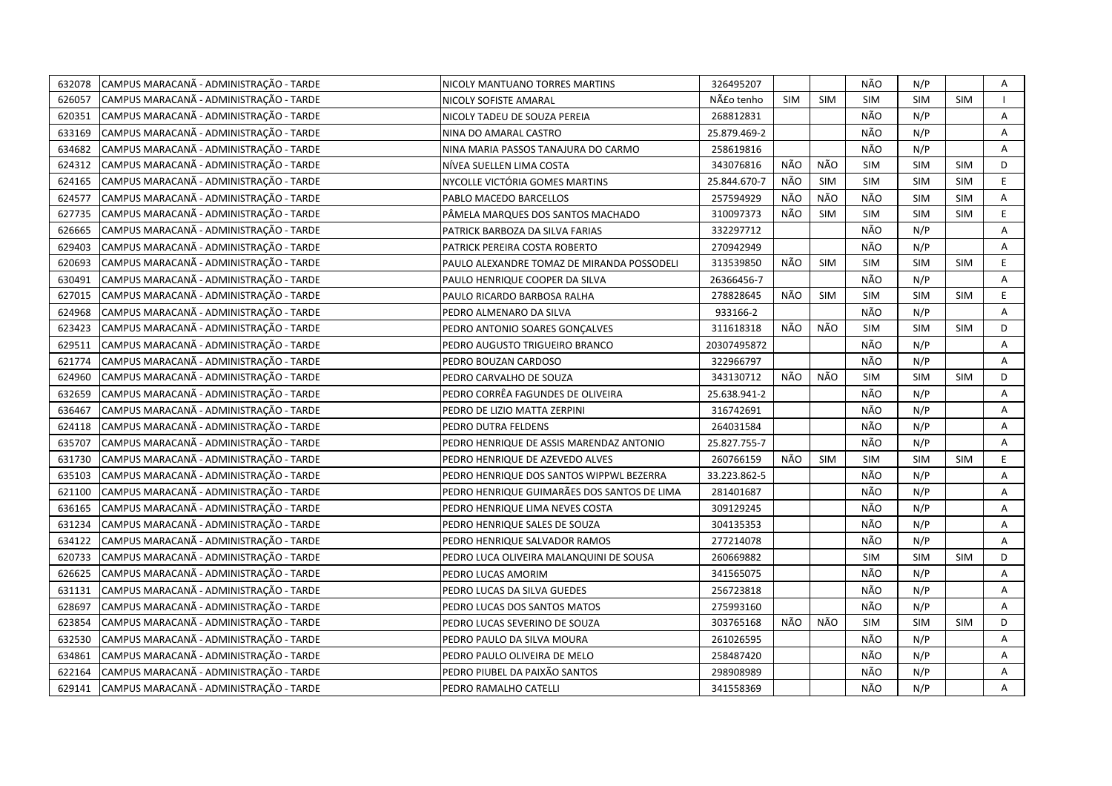| 632078 | CAMPUS MARACANÃ - ADMINISTRAÇÃO - TARDE | NICOLY MANTUANO TORRES MARTINS              | 326495207    |            |            | NÃO        | N/P        |            | Α              |
|--------|-----------------------------------------|---------------------------------------------|--------------|------------|------------|------------|------------|------------|----------------|
| 626057 | CAMPUS MARACANÃ - ADMINISTRAÇÃO - TARDE | NICOLY SOFISTE AMARAL                       | Não tenho    | <b>SIM</b> | <b>SIM</b> | SIM        | SIM        | <b>SIM</b> |                |
| 620351 | CAMPUS MARACANÃ - ADMINISTRAÇÃO - TARDE | NICOLY TADEU DE SOUZA PEREIA                | 268812831    |            |            | NÃO        | N/P        |            | $\overline{A}$ |
| 633169 | CAMPUS MARACANÃ - ADMINISTRAÇÃO - TARDE | NINA DO AMARAL CASTRO                       | 25.879.469-2 |            |            | NÃO        | N/P        |            | A              |
| 634682 | CAMPUS MARACANÃ - ADMINISTRAÇÃO - TARDE | NINA MARIA PASSOS TANAJURA DO CARMO         | 258619816    |            |            | NÃO        | N/P        |            | $\mathsf{A}$   |
| 624312 | CAMPUS MARACANÃ - ADMINISTRAÇÃO - TARDE | NÍVEA SUELLEN LIMA COSTA                    | 343076816    | NÃO        | NÃO        | <b>SIM</b> | <b>SIM</b> | <b>SIM</b> | D              |
| 624165 | CAMPUS MARACANÃ - ADMINISTRAÇÃO - TARDE | NYCOLLE VICTORIA GOMES MARTINS              | 25.844.670-7 | NÃO        | <b>SIM</b> | <b>SIM</b> | <b>SIM</b> | <b>SIM</b> | E              |
| 624577 | CAMPUS MARACANA - ADMINISTRAÇÃO - TARDE | PABLO MACEDO BARCELLOS                      | 257594929    | NÃO        | NÃO        | NÃO        | SIM        | SIM        | A              |
| 627735 | CAMPUS MARACANÃ - ADMINISTRAÇÃO - TARDE | PÂMELA MARQUES DOS SANTOS MACHADO           | 310097373    | NÃO        | <b>SIM</b> | <b>SIM</b> | <b>SIM</b> | <b>SIM</b> | E              |
| 626665 | CAMPUS MARACANÃ - ADMINISTRAÇÃO - TARDE | PATRICK BARBOZA DA SILVA FARIAS             | 332297712    |            |            | NÃO        | N/P        |            | A              |
| 629403 | CAMPUS MARACANÃ - ADMINISTRAÇÃO - TARDE | PATRICK PEREIRA COSTA ROBERTO               | 270942949    |            |            | NÃO        | N/P        |            | A              |
| 620693 | CAMPUS MARACANÃ - ADMINISTRAÇÃO - TARDE | PAULO ALEXANDRE TOMAZ DE MIRANDA POSSODELI  | 313539850    | NÃO        | <b>SIM</b> | <b>SIM</b> | <b>SIM</b> | <b>SIM</b> | E              |
| 630491 | CAMPUS MARACANÃ - ADMINISTRAÇÃO - TARDE | PAULO HENRIQUE COOPER DA SILVA              | 26366456-7   |            |            | NÃO        | N/P        |            | A              |
| 627015 | CAMPUS MARACANÃ - ADMINISTRAÇÃO - TARDE | PAULO RICARDO BARBOSA RALHA                 | 278828645    | NÃO        | <b>SIM</b> | SIM        | <b>SIM</b> | <b>SIM</b> | E              |
| 624968 | CAMPUS MARACANÃ - ADMINISTRAÇÃO - TARDE | PEDRO ALMENARO DA SILVA                     | 933166-2     |            |            | NÃO        | N/P        |            | A              |
| 623423 | CAMPUS MARACANÃ - ADMINISTRAÇÃO - TARDE | PEDRO ANTONIO SOARES GONCALVES              | 311618318    | NÃO        | NÃO        | SIM        | SIM        | SIM        | D              |
| 629511 | CAMPUS MARACANÃ - ADMINISTRAÇÃO - TARDE | PEDRO AUGUSTO TRIGUEIRO BRANCO              | 20307495872  |            |            | NÃO        | N/P        |            | A              |
| 621774 | CAMPUS MARACANÃ - ADMINISTRAÇÃO - TARDE | PEDRO BOUZAN CARDOSO                        | 322966797    |            |            | NÃO        | N/P        |            | A              |
| 624960 | CAMPUS MARACANÃ - ADMINISTRAÇÃO - TARDE | PEDRO CARVALHO DE SOUZA                     | 343130712    | NÃO        | NÃO        | <b>SIM</b> | <b>SIM</b> | <b>SIM</b> | D              |
| 632659 | CAMPUS MARACANÃ - ADMINISTRAÇÃO - TARDE | PEDRO CORRÊA FAGUNDES DE OLIVEIRA           | 25.638.941-2 |            |            | NÃO        | N/P        |            | Α              |
| 636467 | CAMPUS MARACANÃ - ADMINISTRAÇÃO - TARDE | PEDRO DE LIZIO MATTA ZERPINI                | 316742691    |            |            | NÃO        | N/P        |            | A              |
| 624118 | CAMPUS MARACANÃ - ADMINISTRAÇÃO - TARDE | PEDRO DUTRA FELDENS                         | 264031584    |            |            | NÃO        | N/P        |            | A              |
| 635707 | CAMPUS MARACANÃ - ADMINISTRAÇÃO - TARDE | PEDRO HENRIQUE DE ASSIS MARENDAZ ANTONIO    | 25.827.755-7 |            |            | NÃO        | N/P        |            | A              |
| 631730 | CAMPUS MARACANÃ - ADMINISTRAÇÃO - TARDE | PEDRO HENRIQUE DE AZEVEDO ALVES             | 260766159    | NÃO        | SIM        | <b>SIM</b> | <b>SIM</b> | <b>SIM</b> | E.             |
| 635103 | CAMPUS MARACANÃ - ADMINISTRAÇÃO - TARDE | PEDRO HENRIQUE DOS SANTOS WIPPWL BEZERRA    | 33.223.862-5 |            |            | NÃO        | N/P        |            | A              |
| 621100 | CAMPUS MARACANÃ - ADMINISTRAÇÃO - TARDE | PEDRO HENRIQUE GUIMARÃES DOS SANTOS DE LIMA | 281401687    |            |            | NÃO        | N/P        |            | A              |
| 636165 | CAMPUS MARACANÃ - ADMINISTRAÇÃO - TARDE | PEDRO HENRIQUE LIMA NEVES COSTA             | 309129245    |            |            | NÃO        | N/P        |            | Α              |
| 631234 | CAMPUS MARACANÃ - ADMINISTRAÇÃO - TARDE | PEDRO HENRIQUE SALES DE SOUZA               | 304135353    |            |            | NÃO        | N/P        |            | Α              |
| 634122 | CAMPUS MARACANÃ - ADMINISTRAÇÃO - TARDE | PEDRO HENRIQUE SALVADOR RAMOS               | 277214078    |            |            | NÃO        | N/P        |            | $\overline{A}$ |
| 620733 | CAMPUS MARACANÃ - ADMINISTRAÇÃO - TARDE | PEDRO LUCA OLIVEIRA MALANQUINI DE SOUSA     | 260669882    |            |            | <b>SIM</b> | <b>SIM</b> | <b>SIM</b> | D              |
| 626625 | CAMPUS MARACANÃ - ADMINISTRAÇÃO - TARDE | PEDRO LUCAS AMORIM                          | 341565075    |            |            | NÃO        | N/P        |            | A              |
| 631131 | CAMPUS MARACANÃ - ADMINISTRAÇÃO - TARDE | PEDRO LUCAS DA SILVA GUEDES                 | 256723818    |            |            | NÃO        | N/P        |            | A              |
| 628697 | CAMPUS MARACANÃ - ADMINISTRAÇÃO - TARDE | PEDRO LUCAS DOS SANTOS MATOS                | 275993160    |            |            | NÃO        | N/P        |            | A              |
| 623854 | CAMPUS MARACANA - ADMINISTRAÇÃO - TARDE | PEDRO LUCAS SEVERINO DE SOUZA               | 303765168    | NÃO        | NÃO        | <b>SIM</b> | <b>SIM</b> | <b>SIM</b> | D              |
| 632530 | CAMPUS MARACANÃ - ADMINISTRAÇÃO - TARDE | PEDRO PAULO DA SILVA MOURA                  | 261026595    |            |            | NÃO        | N/P        |            | A              |
| 634861 | CAMPUS MARACANÃ - ADMINISTRAÇÃO - TARDE | PEDRO PAULO OLIVEIRA DE MELO                | 258487420    |            |            | NÃO        | N/P        |            | Α              |
| 622164 | CAMPUS MARACANÃ - ADMINISTRAÇÃO - TARDE | PEDRO PIUBEL DA PAIXÃO SANTOS               | 298908989    |            |            | NÃO        | N/P        |            | Α              |
| 629141 | CAMPUS MARACANÃ - ADMINISTRAÇÃO - TARDE | PEDRO RAMALHO CATELLI                       | 341558369    |            |            | NÃO        | N/P        |            | A              |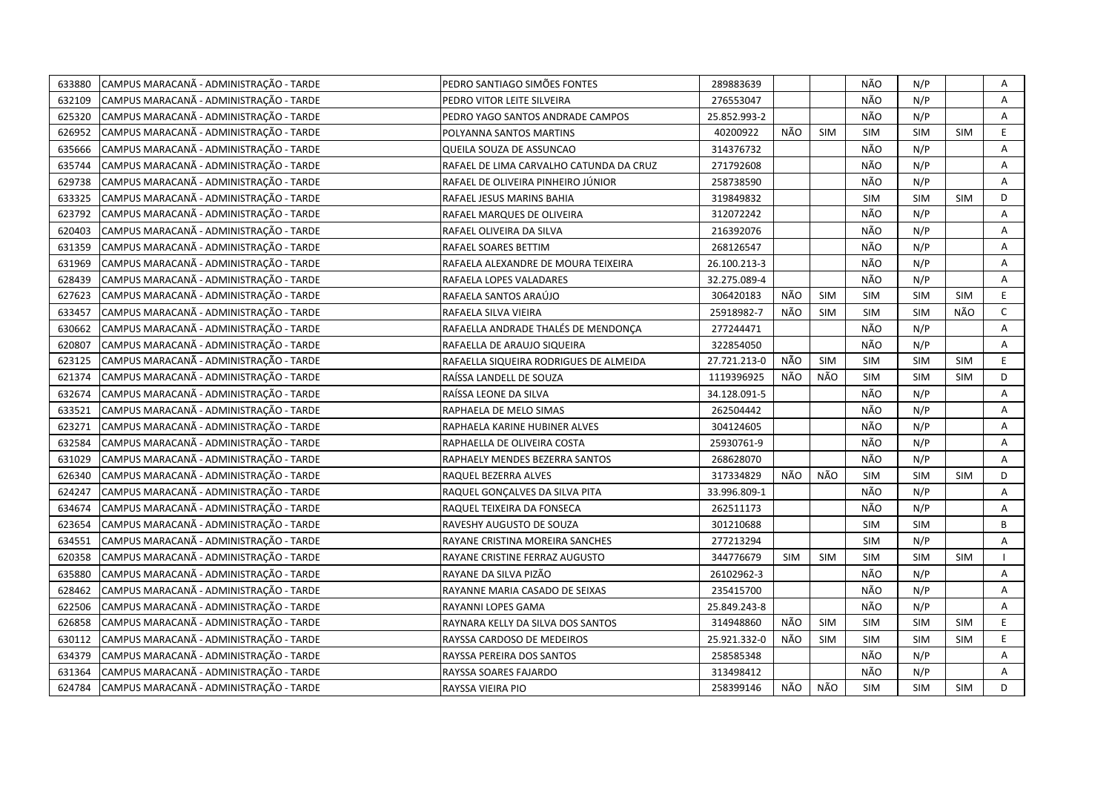| 633880 | CAMPUS MARACANÃ - ADMINISTRAÇÃO - TARDE | PEDRO SANTIAGO SIMÕES FONTES            | 289883639    |     |            | NÃO        | N/P        |            | Α              |
|--------|-----------------------------------------|-----------------------------------------|--------------|-----|------------|------------|------------|------------|----------------|
| 632109 | CAMPUS MARACANÃ - ADMINISTRAÇÃO - TARDE | PEDRO VITOR LEITE SILVEIRA              | 276553047    |     |            | NÃO        | N/P        |            | A              |
| 625320 | CAMPUS MARACANÃ - ADMINISTRAÇÃO - TARDE | PEDRO YAGO SANTOS ANDRADE CAMPOS        | 25.852.993-2 |     |            | NÃO        | N/P        |            | $\overline{A}$ |
| 626952 | CAMPUS MARACANÃ - ADMINISTRAÇÃO - TARDE | POLYANNA SANTOS MARTINS                 | 40200922     | NÃO | <b>SIM</b> | <b>SIM</b> | SIM        | <b>SIM</b> | E              |
| 635666 | CAMPUS MARACANÃ - ADMINISTRAÇÃO - TARDE | QUEILA SOUZA DE ASSUNCAO                | 314376732    |     |            | NÃO        | N/P        |            | Α              |
| 635744 | CAMPUS MARACANÃ - ADMINISTRAÇÃO - TARDE | RAFAEL DE LIMA CARVALHO CATUNDA DA CRUZ | 271792608    |     |            | NÃO        | N/P        |            | Α              |
| 629738 | CAMPUS MARACANÃ - ADMINISTRAÇÃO - TARDE | RAFAEL DE OLIVEIRA PINHEIRO JÚNIOR      | 258738590    |     |            | NÃO        | N/P        |            | A              |
| 633325 | CAMPUS MARACANÃ - ADMINISTRAÇÃO - TARDE | RAFAEL JESUS MARINS BAHIA               | 319849832    |     |            | <b>SIM</b> | <b>SIM</b> | <b>SIM</b> | D              |
| 623792 | CAMPUS MARACANÃ - ADMINISTRAÇÃO - TARDE | RAFAEL MARQUES DE OLIVEIRA              | 312072242    |     |            | NÃO        | N/P        |            | A              |
| 620403 | CAMPUS MARACANÃ - ADMINISTRAÇÃO - TARDE | RAFAEL OLIVEIRA DA SILVA                | 216392076    |     |            | NÃO        | N/P        |            | Α              |
| 631359 | CAMPUS MARACANA - ADMINISTRAÇÃO - TARDE | RAFAEL SOARES BETTIM                    | 268126547    |     |            | NÃO        | N/P        |            | Α              |
| 631969 | CAMPUS MARACANÃ - ADMINISTRAÇÃO - TARDE | RAFAELA ALEXANDRE DE MOURA TEIXEIRA     | 26.100.213-3 |     |            | NÃO        | N/P        |            | А              |
| 628439 | CAMPUS MARACANÃ - ADMINISTRAÇÃO - TARDE | RAFAELA LOPES VALADARES                 | 32.275.089-4 |     |            | NÃO        | N/P        |            | Α              |
| 627623 | CAMPUS MARACANÃ - ADMINISTRAÇÃO - TARDE | RAFAELA SANTOS ARAÚJO                   | 306420183    | NÃO | <b>SIM</b> | <b>SIM</b> | <b>SIM</b> | <b>SIM</b> | E              |
| 633457 | CAMPUS MARACANÃ - ADMINISTRAÇÃO - TARDE | RAFAELA SILVA VIEIRA                    | 25918982-7   | NÃO | SIM        | <b>SIM</b> | <b>SIM</b> | NÃO        | $\mathsf{C}$   |
| 630662 | CAMPUS MARACANÃ - ADMINISTRAÇÃO - TARDE | RAFAELLA ANDRADE THALÉS DE MENDONÇA     | 277244471    |     |            | NÃO        | N/P        |            | A              |
| 620807 | CAMPUS MARACANÃ - ADMINISTRAÇÃO - TARDE | RAFAELLA DE ARAUJO SIQUEIRA             | 322854050    |     |            | NÃO        | N/P        |            | A              |
| 623125 | CAMPUS MARACANÃ - ADMINISTRAÇÃO - TARDE | RAFAELLA SIQUEIRA RODRIGUES DE ALMEIDA  | 27.721.213-0 | NÃO | <b>SIM</b> | <b>SIM</b> | <b>SIM</b> | <b>SIM</b> | E              |
| 621374 | CAMPUS MARACANÃ - ADMINISTRAÇÃO - TARDE | RAÍSSA LANDELL DE SOUZA                 | 1119396925   | NÃO | NÃO        | <b>SIM</b> | <b>SIM</b> | <b>SIM</b> | D              |
| 632674 | CAMPUS MARACANÃ - ADMINISTRAÇÃO - TARDE | RAÍSSA LEONE DA SILVA                   | 34.128.091-5 |     |            | NÃO        | N/P        |            | A              |
| 633521 | CAMPUS MARACANÃ - ADMINISTRAÇÃO - TARDE | RAPHAELA DE MELO SIMAS                  | 262504442    |     |            | NÃO        | N/P        |            | Α              |
| 623271 | CAMPUS MARACANÃ - ADMINISTRAÇÃO - TARDE | RAPHAELA KARINE HUBINER ALVES           | 304124605    |     |            | NÃO        | N/P        |            | A              |
| 632584 | CAMPUS MARACANÃ - ADMINISTRAÇÃO - TARDE | RAPHAELLA DE OLIVEIRA COSTA             | 25930761-9   |     |            | NÃO        | N/P        |            | Α              |
| 631029 | CAMPUS MARACANÃ - ADMINISTRAÇÃO - TARDE | RAPHAELY MENDES BEZERRA SANTOS          | 268628070    |     |            | NÃO        | N/P        |            | A              |
| 626340 | CAMPUS MARACANA - ADMINISTRAÇÃO - TARDE | RAQUEL BEZERRA ALVES                    | 317334829    | NÃO | NÃO        | <b>SIM</b> | <b>SIM</b> | <b>SIM</b> | D              |
| 624247 | CAMPUS MARACANÃ - ADMINISTRAÇÃO - TARDE | RAQUEL GONÇALVES DA SILVA PITA          | 33.996.809-1 |     |            | NÃO        | N/P        |            | A              |
| 634674 | CAMPUS MARACANÃ - ADMINISTRAÇÃO - TARDE | RAQUEL TEIXEIRA DA FONSECA              | 262511173    |     |            | NÃO        | N/P        |            | A              |
| 623654 | CAMPUS MARACANÃ - ADMINISTRAÇÃO - TARDE | RAVESHY AUGUSTO DE SOUZA                | 301210688    |     |            | <b>SIM</b> | <b>SIM</b> |            | B              |
| 634551 | CAMPUS MARACANÃ - ADMINISTRAÇÃO - TARDE | RAYANE CRISTINA MOREIRA SANCHES         | 277213294    |     |            | <b>SIM</b> | N/P        |            | Α              |
| 620358 | CAMPUS MARACANÃ - ADMINISTRAÇÃO - TARDE | RAYANE CRISTINE FERRAZ AUGUSTO          | 344776679    | SIM | SIM        | <b>SIM</b> | <b>SIM</b> | <b>SIM</b> |                |
| 635880 | CAMPUS MARACANÃ - ADMINISTRAÇÃO - TARDE | RAYANE DA SILVA PIZÃO                   | 26102962-3   |     |            | NÃO        | N/P        |            | A              |
| 628462 | CAMPUS MARACANÃ - ADMINISTRAÇÃO - TARDE | RAYANNE MARIA CASADO DE SEIXAS          | 235415700    |     |            | NÃO        | N/P        |            | Α              |
| 622506 | CAMPUS MARACANÃ - ADMINISTRAÇÃO - TARDE | RAYANNI LOPES GAMA                      | 25.849.243-8 |     |            | NÃO        | N/P        |            | Α              |
| 626858 | CAMPUS MARACANÃ - ADMINISTRAÇÃO - TARDE | RAYNARA KELLY DA SILVA DOS SANTOS       | 314948860    | NÃO | <b>SIM</b> | <b>SIM</b> | <b>SIM</b> | <b>SIM</b> | E.             |
| 630112 | CAMPUS MARACANÃ - ADMINISTRAÇÃO - TARDE | RAYSSA CARDOSO DE MEDEIROS              | 25.921.332-0 | NÃO | <b>SIM</b> | <b>SIM</b> | <b>SIM</b> | <b>SIM</b> | E.             |
| 634379 | CAMPUS MARACANÃ - ADMINISTRAÇÃO - TARDE | RAYSSA PEREIRA DOS SANTOS               | 258585348    |     |            | NÃO        | N/P        |            | Α              |
| 631364 | CAMPUS MARACANÃ - ADMINISTRAÇÃO - TARDE | RAYSSA SOARES FAJARDO                   | 313498412    |     |            | NÃO        | N/P        |            | A              |
| 624784 | CAMPUS MARACANÃ - ADMINISTRAÇÃO - TARDE | RAYSSA VIEIRA PIO                       | 258399146    | NÃO | NÃO        | <b>SIM</b> | <b>SIM</b> | <b>SIM</b> | D              |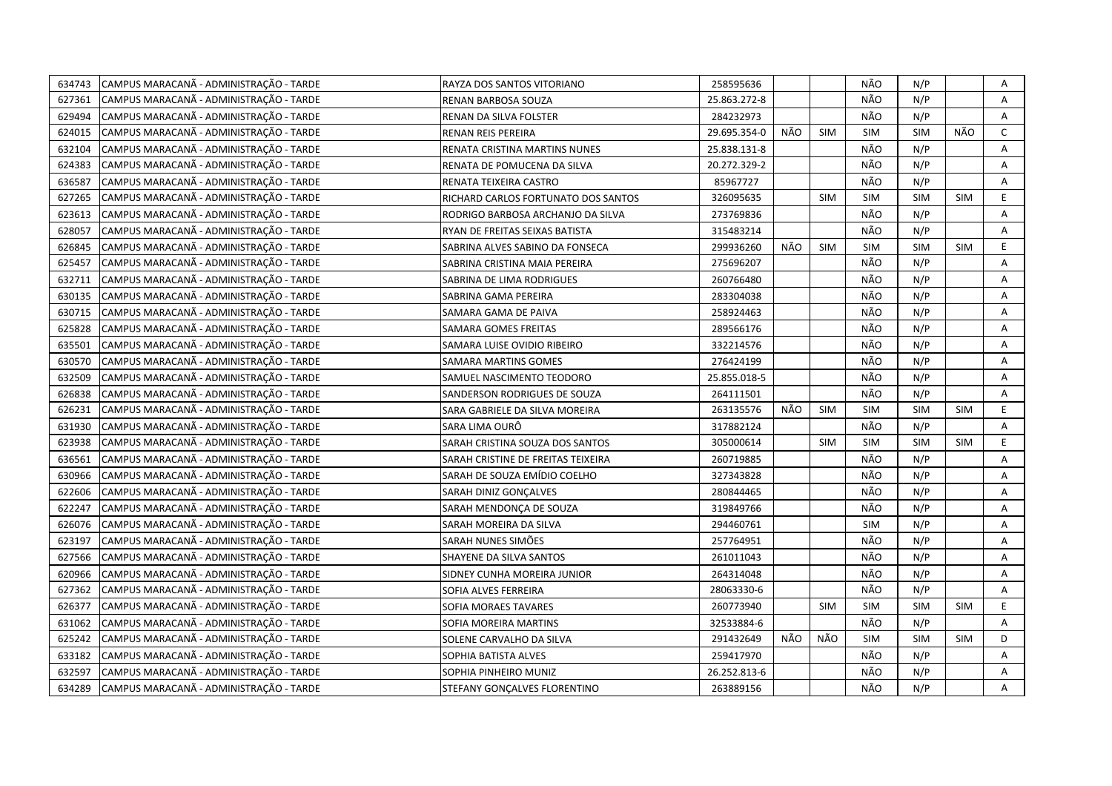| 634743 | CAMPUS MARACANÃ - ADMINISTRAÇÃO - TARDE | RAYZA DOS SANTOS VITORIANO          | 258595636    |     |            | NÃO        | N/P        |            | Α  |
|--------|-----------------------------------------|-------------------------------------|--------------|-----|------------|------------|------------|------------|----|
| 627361 | CAMPUS MARACANÃ - ADMINISTRAÇÃO - TARDE | RENAN BARBOSA SOUZA                 | 25.863.272-8 |     |            | NÃO        | N/P        |            | A  |
| 629494 | CAMPUS MARACANÃ - ADMINISTRAÇÃO - TARDE | RENAN DA SILVA FOLSTER              | 284232973    |     |            | NÃO        | N/P        |            | A  |
| 624015 | CAMPUS MARACANÃ - ADMINISTRAÇÃO - TARDE | RENAN REIS PEREIRA                  | 29.695.354-0 | NÃO | <b>SIM</b> | <b>SIM</b> | <b>SIM</b> | NÃO        | C  |
| 632104 | CAMPUS MARACANÃ - ADMINISTRAÇÃO - TARDE | RENATA CRISTINA MARTINS NUNES       | 25.838.131-8 |     |            | NÃO        | N/P        |            | Α  |
| 624383 | CAMPUS MARACANÃ - ADMINISTRAÇÃO - TARDE | RENATA DE POMUCENA DA SILVA         | 20.272.329-2 |     |            | NÃO        | N/P        |            | Α  |
| 636587 | CAMPUS MARACANÃ - ADMINISTRAÇÃO - TARDE | RENATA TEIXEIRA CASTRO              | 85967727     |     |            | NÃO        | N/P        |            | Α  |
| 627265 | CAMPUS MARACANÃ - ADMINISTRAÇÃO - TARDE | RICHARD CARLOS FORTUNATO DOS SANTOS | 326095635    |     | <b>SIM</b> | <b>SIM</b> | <b>SIM</b> | <b>SIM</b> | E. |
| 623613 | CAMPUS MARACANÃ - ADMINISTRAÇÃO - TARDE | RODRIGO BARBOSA ARCHANJO DA SILVA   | 273769836    |     |            | NÃO        | N/P        |            | A  |
| 628057 | CAMPUS MARACANÃ - ADMINISTRAÇÃO - TARDE | RYAN DE FREITAS SEIXAS BATISTA      | 315483214    |     |            | NÃO        | N/P        |            | A  |
| 626845 | CAMPUS MARACANÃ - ADMINISTRAÇÃO - TARDE | SABRINA ALVES SABINO DA FONSECA     | 299936260    | NÃO | <b>SIM</b> | <b>SIM</b> | <b>SIM</b> | <b>SIM</b> | E  |
| 625457 | CAMPUS MARACANÃ - ADMINISTRAÇÃO - TARDE | SABRINA CRISTINA MAIA PEREIRA       | 275696207    |     |            | NÃO        | N/P        |            | A  |
| 632711 | CAMPUS MARACANÃ - ADMINISTRAÇÃO - TARDE | SABRINA DE LIMA RODRIGUES           | 260766480    |     |            | NÃO        | N/P        |            | Α  |
| 630135 | CAMPUS MARACANÃ - ADMINISTRAÇÃO - TARDE | SABRINA GAMA PEREIRA                | 283304038    |     |            | NÃO        | N/P        |            | Α  |
| 630715 | CAMPUS MARACANÃ - ADMINISTRAÇÃO - TARDE | SAMARA GAMA DE PAIVA                | 258924463    |     |            | NÃO        | N/P        |            | A  |
| 625828 | CAMPUS MARACANÃ - ADMINISTRAÇÃO - TARDE | <b>SAMARA GOMES FREITAS</b>         | 289566176    |     |            | NÃO        | N/P        |            | A  |
| 635501 | CAMPUS MARACANÃ - ADMINISTRAÇÃO - TARDE | SAMARA LUISE OVIDIO RIBEIRO         | 332214576    |     |            | NÃO        | N/P        |            | Α  |
| 630570 | CAMPUS MARACANÃ - ADMINISTRAÇÃO - TARDE | SAMARA MARTINS GOMES                | 276424199    |     |            | NÃO        | N/P        |            | A  |
| 632509 | CAMPUS MARACANÃ - ADMINISTRAÇÃO - TARDE | SAMUEL NASCIMENTO TEODORO           | 25.855.018-5 |     |            | NÃO        | N/P        |            | Α  |
| 626838 | CAMPUS MARACANÃ - ADMINISTRAÇÃO - TARDE | SANDERSON RODRIGUES DE SOUZA        | 264111501    |     |            | NÃO        | N/P        |            | A  |
| 626231 | CAMPUS MARACANÃ - ADMINISTRAÇÃO - TARDE | SARA GABRIELE DA SILVA MOREIRA      | 263135576    | NÃO | <b>SIM</b> | <b>SIM</b> | <b>SIM</b> | <b>SIM</b> | E. |
| 631930 | CAMPUS MARACANÃ - ADMINISTRAÇÃO - TARDE | SARA LIMA OURÔ                      | 317882124    |     |            | NÃO        | N/P        |            | A  |
| 623938 | CAMPUS MARACANÃ - ADMINISTRAÇÃO - TARDE | SARAH CRISTINA SOUZA DOS SANTOS     | 305000614    |     | <b>SIM</b> | <b>SIM</b> | <b>SIM</b> | <b>SIM</b> | E. |
| 636561 | CAMPUS MARACANÃ - ADMINISTRAÇÃO - TARDE | SARAH CRISTINE DE FREITAS TEIXEIRA  | 260719885    |     |            | NÃO        | N/P        |            | A  |
| 630966 | CAMPUS MARACANÃ - ADMINISTRAÇÃO - TARDE | SARAH DE SOUZA EMÍDIO COELHO        | 327343828    |     |            | NÃO        | N/P        |            | A  |
| 622606 | CAMPUS MARACANA - ADMINISTRAÇÃO - TARDE | SARAH DINIZ GONÇALVES               | 280844465    |     |            | NÃO        | N/P        |            | Α  |
| 622247 | CAMPUS MARACANÃ - ADMINISTRAÇÃO - TARDE | SARAH MENDONCA DE SOUZA             | 319849766    |     |            | NÃO        | N/P        |            | A  |
| 626076 | CAMPUS MARACANÃ - ADMINISTRAÇÃO - TARDE | SARAH MOREIRA DA SILVA              | 294460761    |     |            | <b>SIM</b> | N/P        |            | A  |
| 623197 | CAMPUS MARACANÃ - ADMINISTRAÇÃO - TARDE | SARAH NUNES SIMÕES                  | 257764951    |     |            | NÃO        | N/P        |            | A  |
| 627566 | CAMPUS MARACANÃ - ADMINISTRAÇÃO - TARDE | SHAYENE DA SILVA SANTOS             | 261011043    |     |            | NÃO        | N/P        |            | Α  |
| 620966 | CAMPUS MARACANÃ - ADMINISTRAÇÃO - TARDE | SIDNEY CUNHA MOREIRA JUNIOR         | 264314048    |     |            | NÃO        | N/P        |            | A  |
| 627362 | CAMPUS MARACANÃ - ADMINISTRAÇÃO - TARDE | SOFIA ALVES FERREIRA                | 28063330-6   |     |            | NÃO        | N/P        |            | A  |
| 626377 | CAMPUS MARACANÃ - ADMINISTRAÇÃO - TARDE | SOFIA MORAES TAVARES                | 260773940    |     | <b>SIM</b> | <b>SIM</b> | <b>SIM</b> | <b>SIM</b> | E. |
| 631062 | CAMPUS MARACANÃ - ADMINISTRAÇÃO - TARDE | SOFIA MOREIRA MARTINS               | 32533884-6   |     |            | NÃO        | N/P        |            | A  |
| 625242 | CAMPUS MARACANÃ - ADMINISTRAÇÃO - TARDE | SOLENE CARVALHO DA SILVA            | 291432649    | NÃO | NÃO        | <b>SIM</b> | <b>SIM</b> | <b>SIM</b> | D  |
| 633182 | CAMPUS MARACANÃ - ADMINISTRAÇÃO - TARDE | SOPHIA BATISTA ALVES                | 259417970    |     |            | NÃO        | N/P        |            | A  |
| 632597 | CAMPUS MARACANÃ - ADMINISTRAÇÃO - TARDE | SOPHIA PINHEIRO MUNIZ               | 26.252.813-6 |     |            | NÃO        | N/P        |            | Α  |
| 634289 | CAMPUS MARACANÃ - ADMINISTRAÇÃO - TARDE | STEFANY GONÇALVES FLORENTINO        | 263889156    |     |            | NÃO        | N/P        |            | A  |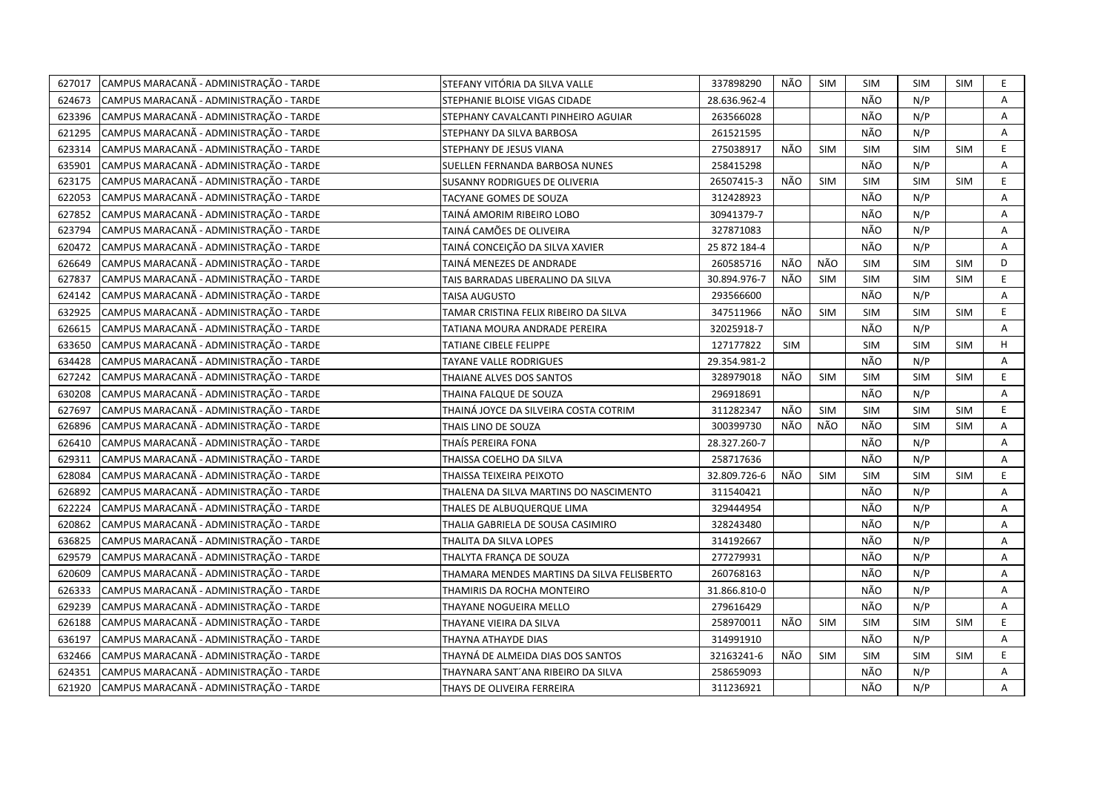| 627017 | CAMPUS MARACANA - ADMINISTRAÇÃO - TARDE | STEFANY VITÓRIA DA SILVA VALLE             | 337898290    | NÃO        | <b>SIM</b> | <b>SIM</b> | <b>SIM</b> | SIM        | E. |
|--------|-----------------------------------------|--------------------------------------------|--------------|------------|------------|------------|------------|------------|----|
| 624673 | CAMPUS MARACANÃ - ADMINISTRAÇÃO - TARDE | STEPHANIE BLOISE VIGAS CIDADE              | 28.636.962-4 |            |            | NÃO        | N/P        |            | A  |
| 623396 | CAMPUS MARACANÃ - ADMINISTRAÇÃO - TARDE | STEPHANY CAVALCANTI PINHEIRO AGUIAR        | 263566028    |            |            | NÃO        | N/P        |            | A  |
| 621295 | CAMPUS MARACANÃ - ADMINISTRAÇÃO - TARDE | STEPHANY DA SILVA BARBOSA                  | 261521595    |            |            | NÃO        | N/P        |            | Α  |
| 623314 | CAMPUS MARACANÃ - ADMINISTRAÇÃO - TARDE | STEPHANY DE JESUS VIANA                    | 275038917    | NÃO        | <b>SIM</b> | <b>SIM</b> | <b>SIM</b> | <b>SIM</b> | E  |
| 635901 | CAMPUS MARACANÃ - ADMINISTRAÇÃO - TARDE | SUELLEN FERNANDA BARBOSA NUNES             | 258415298    |            |            | NÃO        | N/P        |            | Α  |
| 623175 | CAMPUS MARACANÃ - ADMINISTRAÇÃO - TARDE | SUSANNY RODRIGUES DE OLIVERIA              | 26507415-3   | NÃO        | <b>SIM</b> | <b>SIM</b> | SIM        | SIM        | E  |
| 622053 | CAMPUS MARACANÃ - ADMINISTRAÇÃO - TARDE | TACYANE GOMES DE SOUZA                     | 312428923    |            |            | NÃO        | N/P        |            | Α  |
| 627852 | CAMPUS MARACANÃ - ADMINISTRAÇÃO - TARDE | TAINA AMORIM RIBEIRO LOBO                  | 30941379-7   |            |            | NÃO        | N/P        |            | A  |
| 623794 | CAMPUS MARACANÃ - ADMINISTRAÇÃO - TARDE | TAINÁ CAMÕES DE OLIVEIRA                   | 327871083    |            |            | NÃO        | N/P        |            | A  |
| 620472 | CAMPUS MARACANÃ - ADMINISTRAÇÃO - TARDE | TAINÁ CONCEIÇÃO DA SILVA XAVIER            | 25 872 184-4 |            |            | NÃO        | N/P        |            | Α  |
| 626649 | CAMPUS MARACANÃ - ADMINISTRAÇÃO - TARDE | TAINÁ MENEZES DE ANDRADE                   | 260585716    | NÃO        | NÃO        | <b>SIM</b> | <b>SIM</b> | <b>SIM</b> | D  |
| 627837 | CAMPUS MARACANÃ - ADMINISTRAÇÃO - TARDE | TAIS BARRADAS LIBERALINO DA SILVA          | 30.894.976-7 | NÃO        | <b>SIM</b> | <b>SIM</b> | <b>SIM</b> | <b>SIM</b> | E  |
| 624142 | CAMPUS MARACANÃ - ADMINISTRAÇÃO - TARDE | TAISA AUGUSTO                              | 293566600    |            |            | NÃO        | N/P        |            | A  |
| 632925 | CAMPUS MARACANÃ - ADMINISTRAÇÃO - TARDE | TAMAR CRISTINA FELIX RIBEIRO DA SILVA      | 347511966    | NÃO        | <b>SIM</b> | SIM        | <b>SIM</b> | <b>SIM</b> | E  |
| 626615 | CAMPUS MARACANÃ - ADMINISTRAÇÃO - TARDE | TATIANA MOURA ANDRADE PEREIRA              | 32025918-7   |            |            | NÃO        | N/P        |            | A  |
| 633650 | CAMPUS MARACANÃ - ADMINISTRAÇÃO - TARDE | <b>TATIANE CIBELE FELIPPE</b>              | 127177822    | <b>SIM</b> |            | <b>SIM</b> | SIM        | SIM        | H  |
| 634428 | CAMPUS MARACANÃ - ADMINISTRAÇÃO - TARDE | TAYANE VALLE RODRIGUES                     | 29.354.981-2 |            |            | NÃO        | N/P        |            | A  |
| 627242 | CAMPUS MARACANÃ - ADMINISTRAÇÃO - TARDE | THAIANE ALVES DOS SANTOS                   | 328979018    | NÃO        | <b>SIM</b> | <b>SIM</b> | <b>SIM</b> | SIM        | E  |
| 630208 | CAMPUS MARACANÃ - ADMINISTRAÇÃO - TARDE | THAINA FALQUE DE SOUZA                     | 296918691    |            |            | NÃO        | N/P        |            | A  |
| 627697 | CAMPUS MARACANÃ - ADMINISTRAÇÃO - TARDE | THAINÁ JOYCE DA SILVEIRA COSTA COTRIM      | 311282347    | NÃO        | <b>SIM</b> | <b>SIM</b> | <b>SIM</b> | <b>SIM</b> | E  |
| 626896 | CAMPUS MARACANÃ - ADMINISTRAÇÃO - TARDE | THAIS LINO DE SOUZA                        | 300399730    | NÃO        | NÃO        | NÃO        | <b>SIM</b> | <b>SIM</b> | Α  |
| 626410 | CAMPUS MARACANÃ - ADMINISTRAÇÃO - TARDE | THAÍS PEREIRA FONA                         | 28.327.260-7 |            |            | NÃO        | N/P        |            | A  |
| 629311 | CAMPUS MARACANÃ - ADMINISTRAÇÃO - TARDE | THAISSA COELHO DA SILVA                    | 258717636    |            |            | NÃO        | N/P        |            | Α  |
| 628084 | CAMPUS MARACANÃ - ADMINISTRAÇÃO - TARDE | THAISSA TEIXEIRA PEIXOTO                   | 32.809.726-6 | NÃO        | <b>SIM</b> | <b>SIM</b> | <b>SIM</b> | <b>SIM</b> | E. |
| 626892 | CAMPUS MARACANÃ - ADMINISTRAÇÃO - TARDE | THALENA DA SILVA MARTINS DO NASCIMENTO     | 311540421    |            |            | NÃO        | N/P        |            | A  |
| 622224 | CAMPUS MARACANÃ - ADMINISTRAÇÃO - TARDE | THALES DE ALBUQUERQUE LIMA                 | 329444954    |            |            | NÃO        | N/P        |            | Α  |
| 620862 | CAMPUS MARACANÃ - ADMINISTRAÇÃO - TARDE | THALIA GABRIELA DE SOUSA CASIMIRO          | 328243480    |            |            | NÃO        | N/P        |            | A  |
| 636825 | CAMPUS MARACANÃ - ADMINISTRAÇÃO - TARDE | THALITA DA SILVA LOPES                     | 314192667    |            |            | NÃO        | N/P        |            | Α  |
| 629579 | CAMPUS MARACANA - ADMINISTRAÇÃO - TARDE | THALYTA FRANÇA DE SOUZA                    | 277279931    |            |            | NÃO        | N/P        |            | A  |
| 620609 | CAMPUS MARACANÃ - ADMINISTRAÇÃO - TARDE | THAMARA MENDES MARTINS DA SILVA FELISBERTO | 260768163    |            |            | NÃO        | N/P        |            | Α  |
| 626333 | CAMPUS MARACANÃ - ADMINISTRAÇÃO - TARDE | THAMIRIS DA ROCHA MONTEIRO                 | 31.866.810-0 |            |            | NÃO        | N/P        |            | A  |
| 629239 | CAMPUS MARACANÃ - ADMINISTRAÇÃO - TARDE | THAYANE NOGUEIRA MELLO                     | 279616429    |            |            | NÃO        | N/P        |            | A  |
| 626188 | CAMPUS MARACANÃ - ADMINISTRAÇÃO - TARDE | THAYANE VIEIRA DA SILVA                    | 258970011    | NÃO        | <b>SIM</b> | <b>SIM</b> | <b>SIM</b> | <b>SIM</b> | E  |
| 636197 | CAMPUS MARACANÃ - ADMINISTRAÇÃO - TARDE | THAYNA ATHAYDE DIAS                        | 314991910    |            |            | NÃO        | N/P        |            | A  |
| 632466 | CAMPUS MARACANÃ - ADMINISTRAÇÃO - TARDE | THAYNÁ DE ALMEIDA DIAS DOS SANTOS          | 32163241-6   | NÃO        | <b>SIM</b> | <b>SIM</b> | <b>SIM</b> | <b>SIM</b> | E  |
| 624351 | CAMPUS MARACANÃ - ADMINISTRAÇÃO - TARDE | THAYNARA SANT'ANA RIBEIRO DA SILVA         | 258659093    |            |            | NÃO        | N/P        |            | A  |
| 621920 | CAMPUS MARACANÃ - ADMINISTRAÇÃO - TARDE | THAYS DE OLIVEIRA FERREIRA                 | 311236921    |            |            | NÃO        | N/P        |            | A  |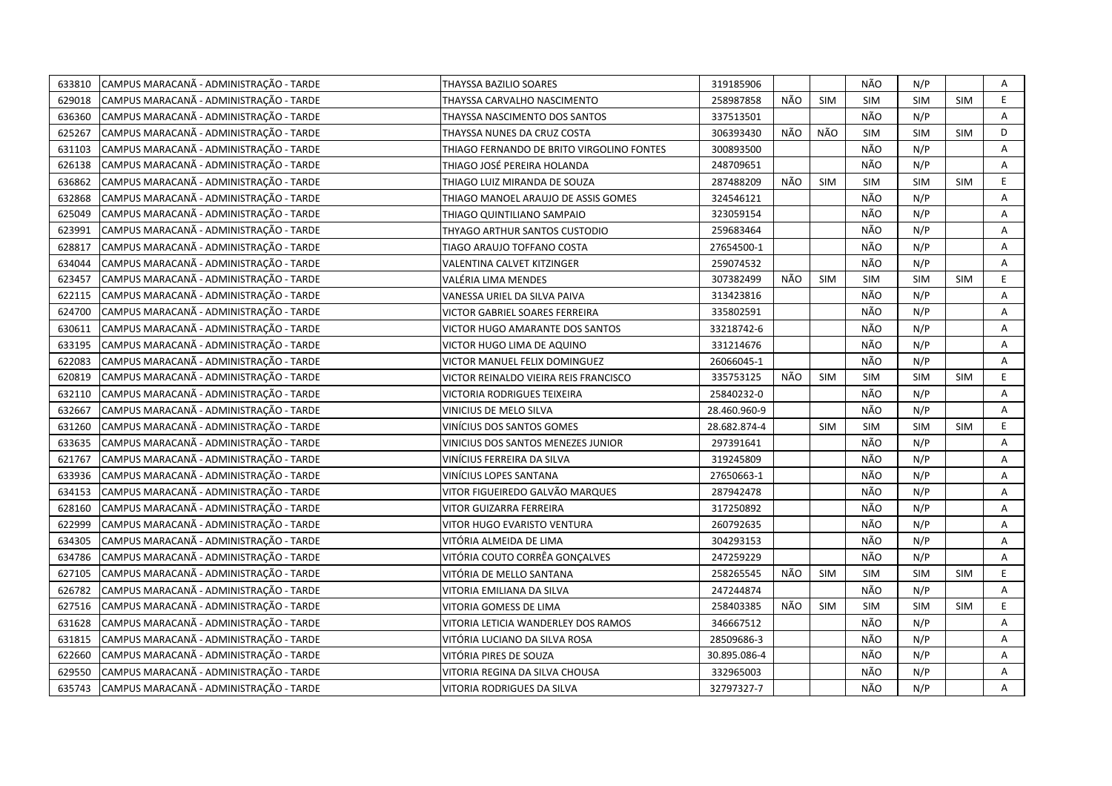| 633810 | CAMPUS MARACANÃ - ADMINISTRAÇÃO - TARDE | <b>THAYSSA BAZILIO SOARES</b>             | 319185906    |     |            | NÃO        | N/P        |            | Α  |
|--------|-----------------------------------------|-------------------------------------------|--------------|-----|------------|------------|------------|------------|----|
| 629018 | CAMPUS MARACANÃ - ADMINISTRAÇÃO - TARDE | THAYSSA CARVALHO NASCIMENTO               | 258987858    | NÃO | <b>SIM</b> | <b>SIM</b> | <b>SIM</b> | <b>SIM</b> | E. |
| 636360 | CAMPUS MARACANÃ - ADMINISTRAÇÃO - TARDE | THAYSSA NASCIMENTO DOS SANTOS             | 337513501    |     |            | NÃO        | N/P        |            | A  |
| 625267 | CAMPUS MARACANÃ - ADMINISTRAÇÃO - TARDE | THAYSSA NUNES DA CRUZ COSTA               | 306393430    | NÃO | NÃO        | <b>SIM</b> | <b>SIM</b> | <b>SIM</b> | D  |
| 631103 | CAMPUS MARACANÃ - ADMINISTRAÇÃO - TARDE | THIAGO FERNANDO DE BRITO VIRGOLINO FONTES | 300893500    |     |            | NÃO        | N/P        |            | Α  |
| 626138 | CAMPUS MARACANÃ - ADMINISTRAÇÃO - TARDE | THIAGO JOSÉ PEREIRA HOLANDA               | 248709651    |     |            | NÃO        | N/P        |            | Α  |
| 636862 | CAMPUS MARACANÃ - ADMINISTRAÇÃO - TARDE | THIAGO LUIZ MIRANDA DE SOUZA              | 287488209    | NÃO | <b>SIM</b> | <b>SIM</b> | <b>SIM</b> | <b>SIM</b> | E. |
| 632868 | CAMPUS MARACANÃ - ADMINISTRAÇÃO - TARDE | THIAGO MANOEL ARAUJO DE ASSIS GOMES       | 324546121    |     |            | NÃO        | N/P        |            | A  |
| 625049 | CAMPUS MARACANÃ - ADMINISTRAÇÃO - TARDE | THIAGO QUINTILIANO SAMPAIO                | 323059154    |     |            | NÃO        | N/P        |            | A  |
| 623991 | CAMPUS MARACANÃ - ADMINISTRAÇÃO - TARDE | THYAGO ARTHUR SANTOS CUSTODIO             | 259683464    |     |            | NÃO        | N/P        |            | A  |
| 628817 | CAMPUS MARACANÃ - ADMINISTRAÇÃO - TARDE | TIAGO ARAUJO TOFFANO COSTA                | 27654500-1   |     |            | NÃO        | N/P        |            | Α  |
| 634044 | CAMPUS MARACANÃ - ADMINISTRAÇÃO - TARDE | VALENTINA CALVET KITZINGER                | 259074532    |     |            | NÃO        | N/P        |            | A  |
| 623457 | CAMPUS MARACANÃ - ADMINISTRAÇÃO - TARDE | VALÉRIA LIMA MENDES                       | 307382499    | NÃO | <b>SIM</b> | <b>SIM</b> | <b>SIM</b> | <b>SIM</b> | E. |
| 622115 | CAMPUS MARACANÃ - ADMINISTRAÇÃO - TARDE | VANESSA URIEL DA SILVA PAIVA              | 313423816    |     |            | NÃO        | N/P        |            | Α  |
| 624700 | CAMPUS MARACANÃ - ADMINISTRAÇÃO - TARDE | VICTOR GABRIEL SOARES FERREIRA            | 335802591    |     |            | NÃO        | N/P        |            | A  |
| 630611 | CAMPUS MARACANÃ - ADMINISTRAÇÃO - TARDE | VICTOR HUGO AMARANTE DOS SANTOS           | 33218742-6   |     |            | NÃO        | N/P        |            | A  |
| 633195 | CAMPUS MARACANÃ - ADMINISTRAÇÃO - TARDE | VICTOR HUGO LIMA DE AQUINO                | 331214676    |     |            | NÃO        | N/P        |            | A  |
| 622083 | CAMPUS MARACANÃ - ADMINISTRAÇÃO - TARDE | VICTOR MANUEL FELIX DOMINGUEZ             | 26066045-1   |     |            | NÃO        | N/P        |            | A  |
| 620819 | CAMPUS MARACANA - ADMINISTRAÇÃO - TARDE | VICTOR REINALDO VIEIRA REIS FRANCISCO     | 335753125    | NÃO | <b>SIM</b> | <b>SIM</b> | <b>SIM</b> | <b>SIM</b> | E. |
| 632110 | CAMPUS MARACANÃ - ADMINISTRAÇÃO - TARDE | VICTORIA RODRIGUES TEIXEIRA               | 25840232-0   |     |            | NÃO        | N/P        |            | A  |
| 632667 | CAMPUS MARACANÃ - ADMINISTRAÇÃO - TARDE | VINICIUS DE MELO SILVA                    | 28.460.960-9 |     |            | NÃO        | N/P        |            | A  |
| 631260 | CAMPUS MARACANÃ - ADMINISTRAÇÃO - TARDE | VINÍCIUS DOS SANTOS GOMES                 | 28.682.874-4 |     | <b>SIM</b> | <b>SIM</b> | <b>SIM</b> | <b>SIM</b> | E  |
| 633635 | CAMPUS MARACANÃ - ADMINISTRAÇÃO - TARDE | VINICIUS DOS SANTOS MENEZES JUNIOR        | 297391641    |     |            | NÃO        | N/P        |            | A  |
| 621767 | CAMPUS MARACANÃ - ADMINISTRAÇÃO - TARDE | VINÍCIUS FERREIRA DA SILVA                | 319245809    |     |            | NÃO        | N/P        |            | A  |
| 633936 | CAMPUS MARACANÃ - ADMINISTRAÇÃO - TARDE | VINÍCIUS LOPES SANTANA                    | 27650663-1   |     |            | NÃO        | N/P        |            | A  |
| 634153 | CAMPUS MARACANÃ - ADMINISTRAÇÃO - TARDE | VITOR FIGUEIREDO GALVÃO MARQUES           | 287942478    |     |            | NÃO        | N/P        |            | Α  |
| 628160 | CAMPUS MARACANÃ - ADMINISTRAÇÃO - TARDE | VITOR GUIZARRA FERREIRA                   | 317250892    |     |            | NÃO        | N/P        |            | A  |
| 622999 | CAMPUS MARACANÃ - ADMINISTRAÇÃO - TARDE | VITOR HUGO EVARISTO VENTURA               | 260792635    |     |            | NÃO        | N/P        |            | Α  |
| 634305 | CAMPUS MARACANÃ - ADMINISTRAÇÃO - TARDE | VITÓRIA ALMEIDA DE LIMA                   | 304293153    |     |            | NÃO        | N/P        |            | A  |
| 634786 | CAMPUS MARACANÃ - ADMINISTRAÇÃO - TARDE | VITÓRIA COUTO CORRÊA GONCALVES            | 247259229    |     |            | NÃO        | N/P        |            | Α  |
| 627105 | CAMPUS MARACANÃ - ADMINISTRAÇÃO - TARDE | VITÓRIA DE MELLO SANTANA                  | 258265545    | NÃO | <b>SIM</b> | <b>SIM</b> | <b>SIM</b> | <b>SIM</b> | E  |
| 626782 | CAMPUS MARACANÃ - ADMINISTRAÇÃO - TARDE | VITORIA EMILIANA DA SILVA                 | 247244874    |     |            | NÃO        | N/P        |            | A  |
| 627516 | CAMPUS MARACANÃ - ADMINISTRAÇÃO - TARDE | VITORIA GOMESS DE LIMA                    | 258403385    | NÃO | <b>SIM</b> | <b>SIM</b> | <b>SIM</b> | <b>SIM</b> | E  |
| 631628 | CAMPUS MARACANÃ - ADMINISTRAÇÃO - TARDE | VITORIA LETICIA WANDERLEY DOS RAMOS       | 346667512    |     |            | NÃO        | N/P        |            | A  |
| 631815 | CAMPUS MARACANÃ - ADMINISTRAÇÃO - TARDE | VITÓRIA LUCIANO DA SILVA ROSA             | 28509686-3   |     |            | NÃO        | N/P        |            | A  |
| 622660 | CAMPUS MARACANÃ - ADMINISTRAÇÃO - TARDE | VITÓRIA PIRES DE SOUZA                    | 30.895.086-4 |     |            | NÃO        | N/P        |            | Α  |
| 629550 | CAMPUS MARACANÃ - ADMINISTRAÇÃO - TARDE | VITORIA REGINA DA SILVA CHOUSA            | 332965003    |     |            | NÃO        | N/P        |            | Α  |
| 635743 | CAMPUS MARACANÃ - ADMINISTRAÇÃO - TARDE | VITORIA RODRIGUES DA SILVA                | 32797327-7   |     |            | NÃO        | N/P        |            | A  |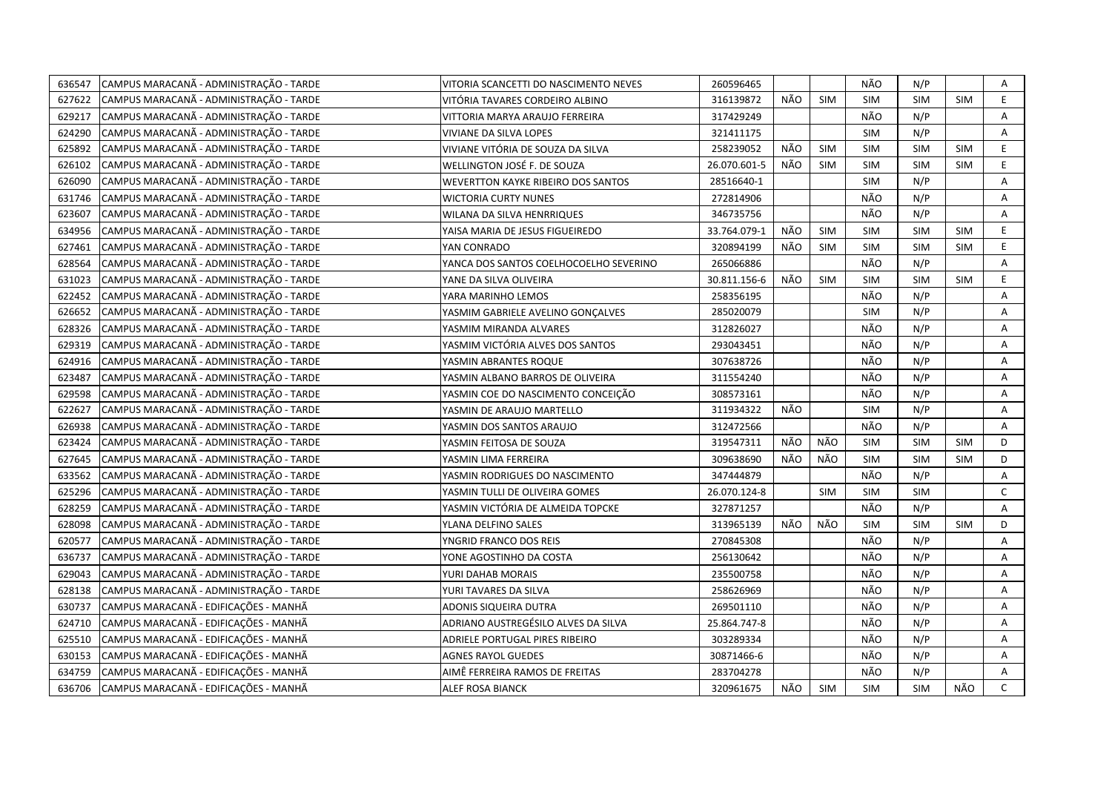| 636547 | CAMPUS MARACANÃ - ADMINISTRAÇÃO - TARDE | VITORIA SCANCETTI DO NASCIMENTO NEVES     | 260596465    |     |            | NÃO        | N/P        |            | Α            |
|--------|-----------------------------------------|-------------------------------------------|--------------|-----|------------|------------|------------|------------|--------------|
| 627622 | CAMPUS MARACANÃ - ADMINISTRAÇÃO - TARDE | VITÓRIA TAVARES CORDEIRO ALBINO           | 316139872    | NÃO | <b>SIM</b> | <b>SIM</b> | <b>SIM</b> | <b>SIM</b> | E.           |
| 629217 | CAMPUS MARACANÃ - ADMINISTRAÇÃO - TARDE | VITTORIA MARYA ARAUJO FERREIRA            | 317429249    |     |            | NÃO        | N/P        |            | A            |
| 624290 | CAMPUS MARACANÃ - ADMINISTRAÇÃO - TARDE | VIVIANE DA SILVA LOPES                    | 321411175    |     |            | <b>SIM</b> | N/P        |            | Α            |
| 625892 | CAMPUS MARACANÃ - ADMINISTRAÇÃO - TARDE | VIVIANE VITÓRIA DE SOUZA DA SILVA         | 258239052    | NÃO | <b>SIM</b> | <b>SIM</b> | SIM        | <b>SIM</b> | E            |
| 626102 | CAMPUS MARACANÃ - ADMINISTRAÇÃO - TARDE | WELLINGTON JOSÉ F. DE SOUZA               | 26.070.601-5 | NÃO | <b>SIM</b> | <b>SIM</b> | <b>SIM</b> | <b>SIM</b> | E            |
| 626090 | CAMPUS MARACANÃ - ADMINISTRAÇÃO - TARDE | <b>WEVERTTON KAYKE RIBEIRO DOS SANTOS</b> | 28516640-1   |     |            | <b>SIM</b> | N/P        |            | Α            |
| 631746 | CAMPUS MARACANÃ - ADMINISTRAÇÃO - TARDE | <b>WICTORIA CURTY NUNES</b>               | 272814906    |     |            | NÃO        | N/P        |            | A            |
| 623607 | CAMPUS MARACANÃ - ADMINISTRAÇÃO - TARDE | WILANA DA SILVA HENRRIQUES                | 346735756    |     |            | NÃO        | N/P        |            | A            |
| 634956 | CAMPUS MARACANÃ - ADMINISTRAÇÃO - TARDE | YAISA MARIA DE JESUS FIGUEIREDO           | 33.764.079-1 | NÃO | <b>SIM</b> | <b>SIM</b> | <b>SIM</b> | <b>SIM</b> | E.           |
| 627461 | CAMPUS MARACANÃ - ADMINISTRAÇÃO - TARDE | YAN CONRADO                               | 320894199    | NÃO | <b>SIM</b> | <b>SIM</b> | <b>SIM</b> | <b>SIM</b> | E            |
| 628564 | CAMPUS MARACANÃ - ADMINISTRAÇÃO - TARDE | YANCA DOS SANTOS COELHOCOELHO SEVERINO    | 265066886    |     |            | NÃO        | N/P        |            | Α            |
| 631023 | CAMPUS MARACANÃ - ADMINISTRAÇÃO - TARDE | YANE DA SILVA OLIVEIRA                    | 30.811.156-6 | NÃO | <b>SIM</b> | <b>SIM</b> | <b>SIM</b> | SIM        | E.           |
| 622452 | CAMPUS MARACANÃ - ADMINISTRAÇÃO - TARDE | YARA MARINHO LEMOS                        | 258356195    |     |            | NÃO        | N/P        |            | Α            |
| 626652 | CAMPUS MARACANÃ - ADMINISTRAÇÃO - TARDE | YASMIM GABRIELE AVELINO GONCALVES         | 285020079    |     |            | <b>SIM</b> | N/P        |            | Α            |
| 628326 | CAMPUS MARACANÃ - ADMINISTRAÇÃO - TARDE | YASMIM MIRANDA ALVARES                    | 312826027    |     |            | NÃO        | N/P        |            | A            |
| 629319 | CAMPUS MARACANÃ - ADMINISTRAÇÃO - TARDE | YASMIM VICTÓRIA ALVES DOS SANTOS          | 293043451    |     |            | NÃO        | N/P        |            | Α            |
| 624916 | CAMPUS MARACANÃ - ADMINISTRAÇÃO - TARDE | YASMIN ABRANTES ROQUE                     | 307638726    |     |            | NÃO        | N/P        |            | A            |
| 623487 | CAMPUS MARACANÃ - ADMINISTRAÇÃO - TARDE | YASMIN ALBANO BARROS DE OLIVEIRA          | 311554240    |     |            | NÃO        | N/P        |            | A            |
| 629598 | CAMPUS MARACANÃ - ADMINISTRAÇÃO - TARDE | YASMIN COE DO NASCIMENTO CONCEIÇÃO        | 308573161    |     |            | NÃO        | N/P        |            | A            |
| 622627 | CAMPUS MARACANÃ - ADMINISTRAÇÃO - TARDE | YASMIN DE ARAUJO MARTELLO                 | 311934322    | NÃO |            | <b>SIM</b> | N/P        |            | A            |
| 626938 | CAMPUS MARACANÃ - ADMINISTRAÇÃO - TARDE | YASMIN DOS SANTOS ARAUJO                  | 312472566    |     |            | NÃO        | N/P        |            | A            |
| 623424 | CAMPUS MARACANÃ - ADMINISTRAÇÃO - TARDE | YASMIN FEITOSA DE SOUZA                   | 319547311    | NÃO | NÃO        | <b>SIM</b> | <b>SIM</b> | <b>SIM</b> | D            |
| 627645 | CAMPUS MARACANÃ - ADMINISTRAÇÃO - TARDE | YASMIN LIMA FERREIRA                      | 309638690    | NÃO | NÃO        | <b>SIM</b> | <b>SIM</b> | <b>SIM</b> | D            |
| 633562 | CAMPUS MARACANÃ - ADMINISTRAÇÃO - TARDE | YASMIN RODRIGUES DO NASCIMENTO            | 347444879    |     |            | NÃO        | N/P        |            | Α            |
| 625296 | CAMPUS MARACANÃ - ADMINISTRAÇÃO - TARDE | YASMIN TULLI DE OLIVEIRA GOMES            | 26.070.124-8 |     | <b>SIM</b> | <b>SIM</b> | <b>SIM</b> |            | $\mathsf{C}$ |
| 628259 | CAMPUS MARACANÃ - ADMINISTRAÇÃO - TARDE | YASMIN VICTÓRIA DE ALMEIDA TOPCKE         | 327871257    |     |            | NÃO        | N/P        |            | A            |
| 628098 | CAMPUS MARACANÃ - ADMINISTRAÇÃO - TARDE | YLANA DELFINO SALES                       | 313965139    | NÃO | NÃO        | <b>SIM</b> | <b>SIM</b> | <b>SIM</b> | D            |
| 620577 | CAMPUS MARACANÃ - ADMINISTRAÇÃO - TARDE | YNGRID FRANCO DOS REIS                    | 270845308    |     |            | NÃO        | N/P        |            | A            |
| 636737 | CAMPUS MARACANÃ - ADMINISTRAÇÃO - TARDE | YONE AGOSTINHO DA COSTA                   | 256130642    |     |            | NÃO        | N/P        |            | Α            |
| 629043 | CAMPUS MARACANÃ - ADMINISTRAÇÃO - TARDE | YURI DAHAB MORAIS                         | 235500758    |     |            | NÃO        | N/P        |            | A            |
| 628138 | CAMPUS MARACANÃ - ADMINISTRAÇÃO - TARDE | YURI TAVARES DA SILVA                     | 258626969    |     |            | NÃO        | N/P        |            | A            |
| 630737 | CAMPUS MARACANÃ - EDIFICAÇÕES - MANHÃ   | ADONIS SIQUEIRA DUTRA                     | 269501110    |     |            | NÃO        | N/P        |            | A            |
| 624710 | CAMPUS MARACANÃ - EDIFICAÇÕES - MANHÃ   | ADRIANO AUSTREGÉSILO ALVES DA SILVA       | 25.864.747-8 |     |            | NÃO        | N/P        |            | A            |
| 625510 | CAMPUS MARACANÃ - EDIFICAÇÕES - MANHÃ   | ADRIELE PORTUGAL PIRES RIBEIRO            | 303289334    |     |            | NÃO        | N/P        |            | Α            |
| 630153 | CAMPUS MARACANÃ - EDIFICAÇÕES - MANHÃ   | <b>AGNES RAYOL GUEDES</b>                 | 30871466-6   |     |            | NÃO        | N/P        |            | Α            |
| 634759 | CAMPUS MARACANÃ - EDIFICAÇÕES - MANHÃ   | AIMÊ FERREIRA RAMOS DE FREITAS            | 283704278    |     |            | NÃO        | N/P        |            | A            |
| 636706 | CAMPUS MARACANÃ - EDIFICAÇÕES - MANHÃ   | ALEF ROSA BIANCK                          | 320961675    | NÃO | <b>SIM</b> | <b>SIM</b> | <b>SIM</b> | NÃO        | $\mathsf{C}$ |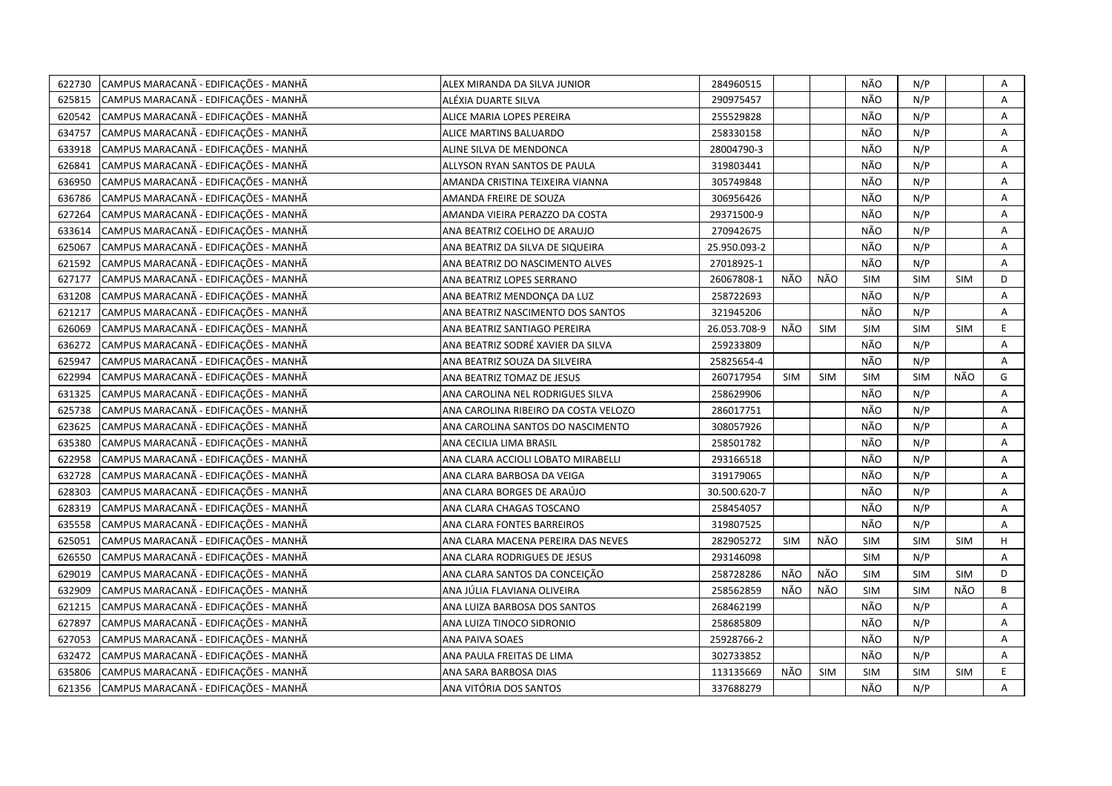| 622730 | CAMPUS MARACANÃ - EDIFICAÇÕES - MANHÃ | ALEX MIRANDA DA SILVA JUNIOR         | 284960515    |            |            | NÃO        | N/P        |            | Α           |
|--------|---------------------------------------|--------------------------------------|--------------|------------|------------|------------|------------|------------|-------------|
| 625815 | CAMPUS MARACANÃ - EDIFICAÇÕES - MANHÃ | ALÉXIA DUARTE SILVA                  | 290975457    |            |            | NÃO        | N/P        |            | A           |
| 620542 | CAMPUS MARACANÃ - EDIFICAÇÕES - MANHÃ | ALICE MARIA LOPES PEREIRA            | 255529828    |            |            | NÃO        | N/P        |            | A           |
| 634757 | CAMPUS MARACANÃ - EDIFICAÇÕES - MANHÃ | ALICE MARTINS BALUARDO               | 258330158    |            |            | NÃO        | N/P        |            | Α           |
| 633918 | CAMPUS MARACANÃ - EDIFICAÇÕES - MANHÃ | ALINE SILVA DE MENDONCA              | 28004790-3   |            |            | NÃO        | N/P        |            | Α           |
| 626841 | CAMPUS MARACANÃ - EDIFICAÇÕES - MANHÃ | ALLYSON RYAN SANTOS DE PAULA         | 319803441    |            |            | NÃO        | N/P        |            | Α           |
| 636950 | CAMPUS MARACANÃ - EDIFICAÇÕES - MANHÃ | AMANDA CRISTINA TEIXEIRA VIANNA      | 305749848    |            |            | NÃO        | N/P        |            | Α           |
| 636786 | CAMPUS MARACANÃ - EDIFICAÇÕES - MANHÃ | AMANDA FREIRE DE SOUZA               | 306956426    |            |            | NÃO        | N/P        |            | Α           |
| 627264 | CAMPUS MARACANÃ - EDIFICAÇÕES - MANHÃ | AMANDA VIEIRA PERAZZO DA COSTA       | 29371500-9   |            |            | NÃO        | N/P        |            | Α           |
| 633614 | CAMPUS MARACANÃ - EDIFICAÇÕES - MANHÃ | ANA BEATRIZ COELHO DE ARAUJO         | 270942675    |            |            | NÃO        | N/P        |            | A           |
| 625067 | CAMPUS MARACANÃ - EDIFICAÇÕES - MANHÃ | ANA BEATRIZ DA SILVA DE SIQUEIRA     | 25.950.093-2 |            |            | NÃO        | N/P        |            | Α           |
| 621592 | CAMPUS MARACANÃ - EDIFICAÇÕES - MANHÃ | ANA BEATRIZ DO NASCIMENTO ALVES      | 27018925-1   |            |            | NÃO        | N/P        |            | A           |
| 627177 | CAMPUS MARACANÃ - EDIFICAÇÕES - MANHÃ | ANA BEATRIZ LOPES SERRANO            | 26067808-1   | NÃO        | NÃO        | SIM        | <b>SIM</b> | <b>SIM</b> | D           |
| 631208 | CAMPUS MARACANÃ - EDIFICAÇÕES - MANHÃ | ANA BEATRIZ MENDONÇA DA LUZ          | 258722693    |            |            | NÃO        | N/P        |            | Α           |
| 621217 | CAMPUS MARACANÃ - EDIFICAÇÕES - MANHÃ | ANA BEATRIZ NASCIMENTO DOS SANTOS    | 321945206    |            |            | NÃO        | N/P        |            | Α           |
| 626069 | CAMPUS MARACANÃ - EDIFICAÇÕES - MANHÃ | ANA BEATRIZ SANTIAGO PEREIRA         | 26.053.708-9 | NÃO        | <b>SIM</b> | <b>SIM</b> | <b>SIM</b> | <b>SIM</b> | E           |
| 636272 | CAMPUS MARACANÃ - EDIFICAÇÕES - MANHÃ | ANA BEATRIZ SODRÉ XAVIER DA SILVA    | 259233809    |            |            | NÃO        | N/P        |            | Α           |
| 625947 | CAMPUS MARACANÃ - EDIFICAÇÕES - MANHÃ | ANA BEATRIZ SOUZA DA SILVEIRA        | 25825654-4   |            |            | NÃO        | N/P        |            | Α           |
| 622994 | CAMPUS MARACANA - EDIFICAÇÕES - MANHÃ | ANA BEATRIZ TOMAZ DE JESUS           | 260717954    | <b>SIM</b> | <b>SIM</b> | <b>SIM</b> | SIM        | NÃO        | G           |
| 631325 | CAMPUS MARACANÃ - EDIFICAÇÕES - MANHÃ | ANA CAROLINA NEL RODRIGUES SILVA     | 258629906    |            |            | NÃO        | N/P        |            | A           |
| 625738 | CAMPUS MARACANÃ - EDIFICAÇÕES - MANHÃ | ANA CAROLINA RIBEIRO DA COSTA VELOZO | 286017751    |            |            | NÃO        | N/P        |            | Α           |
| 623625 | CAMPUS MARACANÃ - EDIFICAÇÕES - MANHÃ | ANA CAROLINA SANTOS DO NASCIMENTO    | 308057926    |            |            | NÃO        | N/P        |            | A           |
| 635380 | CAMPUS MARACANÃ - EDIFICAÇÕES - MANHÃ | ANA CECILIA LIMA BRASIL              | 258501782    |            |            | NÃO        | N/P        |            | Α           |
| 622958 | CAMPUS MARACANÃ - EDIFICAÇÕES - MANHÃ | ANA CLARA ACCIOLI LOBATO MIRABELLI   | 293166518    |            |            | NÃO        | N/P        |            | A           |
| 632728 | CAMPUS MARACANÃ - EDIFICAÇÕES - MANHÃ | ANA CLARA BARBOSA DA VEIGA           | 319179065    |            |            | NÃO        | N/P        |            | Α           |
| 628303 | CAMPUS MARACANÃ - EDIFICAÇÕES - MANHÃ | ANA CLARA BORGES DE ARAÚJO           | 30.500.620-7 |            |            | NÃO        | N/P        |            | Α           |
| 628319 | CAMPUS MARACANÃ - EDIFICAÇÕES - MANHÃ | ANA CLARA CHAGAS TOSCANO             | 258454057    |            |            | NÃO        | N/P        |            | A           |
| 635558 | CAMPUS MARACANÃ - EDIFICAÇÕES - MANHÃ | ANA CLARA FONTES BARREIROS           | 319807525    |            |            | NÃO        | N/P        |            | A           |
| 625051 | CAMPUS MARACANÃ - EDIFICAÇÕES - MANHÃ | ANA CLARA MACENA PEREIRA DAS NEVES   | 282905272    | <b>SIM</b> | NÃO        | <b>SIM</b> | <b>SIM</b> | <b>SIM</b> | H           |
| 626550 | CAMPUS MARACANÃ - EDIFICAÇÕES - MANHÃ | ANA CLARA RODRIGUES DE JESUS         | 293146098    |            |            | <b>SIM</b> | N/P        |            | Α           |
| 629019 | CAMPUS MARACANÃ - EDIFICAÇÕES - MANHÃ | ANA CLARA SANTOS DA CONCEIÇÃO        | 258728286    | NÃO        | NÃO        | <b>SIM</b> | <b>SIM</b> | <b>SIM</b> | D           |
| 632909 | CAMPUS MARACANÃ - EDIFICAÇÕES - MANHÃ | ANA JÚLIA FLAVIANA OLIVEIRA          | 258562859    | NÃO        | NÃO        | <b>SIM</b> | SIM        | NÃO        | B           |
| 621215 | CAMPUS MARACANÃ - EDIFICAÇÕES - MANHÃ | ANA LUIZA BARBOSA DOS SANTOS         | 268462199    |            |            | NÃO        | N/P        |            | Α           |
| 627897 | CAMPUS MARACANÃ - EDIFICAÇÕES - MANHÃ | ANA LUIZA TINOCO SIDRONIO            | 258685809    |            |            | NÃO        | N/P        |            | A           |
| 627053 | CAMPUS MARACANÃ - EDIFICAÇÕES - MANHÃ | ANA PAIVA SOAES                      | 25928766-2   |            |            | NÃO        | N/P        |            | A           |
| 632472 | CAMPUS MARACANÃ - EDIFICAÇÕES - MANHÃ | ANA PAULA FREITAS DE LIMA            | 302733852    |            |            | NÃO        | N/P        |            | Α           |
| 635806 | CAMPUS MARACANÃ - EDIFICAÇÕES - MANHÃ | ANA SARA BARBOSA DIAS                | 113135669    | NÃO        | <b>SIM</b> | <b>SIM</b> | <b>SIM</b> | <b>SIM</b> | $\mathsf E$ |
| 621356 | CAMPUS MARACANÃ - EDIFICAÇÕES - MANHÃ | ANA VITÓRIA DOS SANTOS               | 337688279    |            |            | NÃO        | N/P        |            | A           |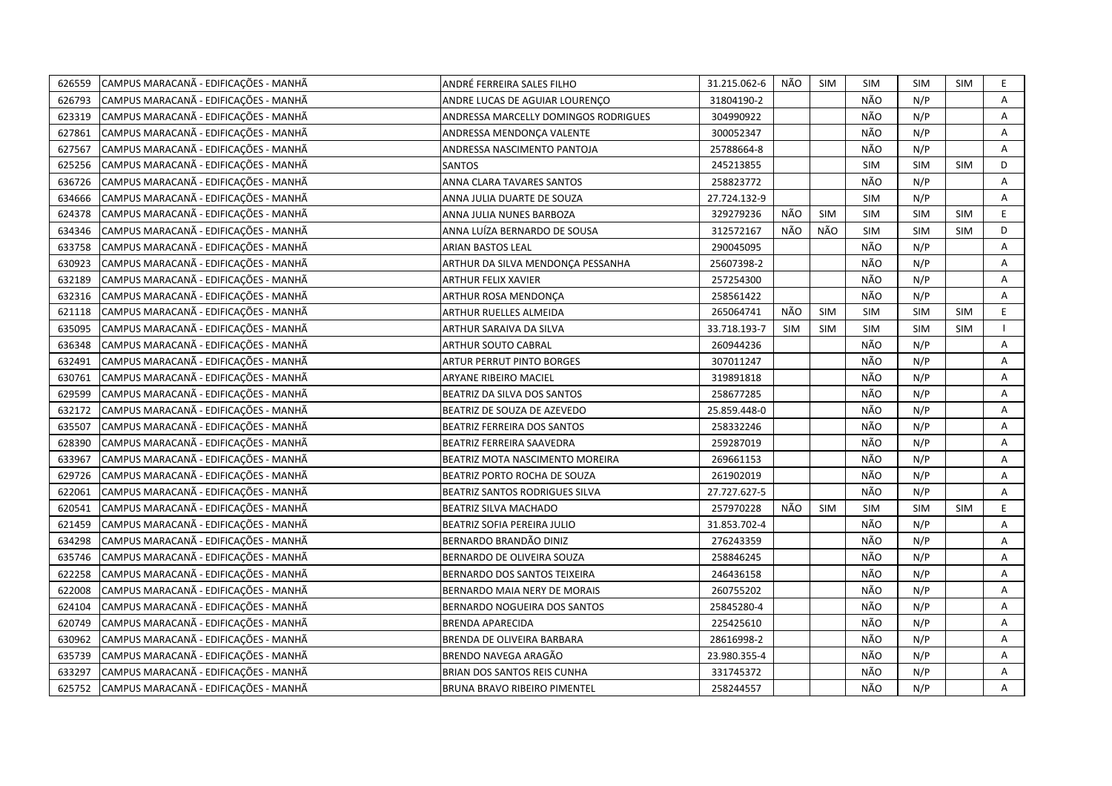| 626559 | CAMPUS MARACANÃ - EDIFICAÇÕES - MANHÃ | ANDRÉ FERREIRA SALES FILHO           | 31.215.062-6 | NÃO        | <b>SIM</b> | <b>SIM</b> | <b>SIM</b> | <b>SIM</b> | E.          |
|--------|---------------------------------------|--------------------------------------|--------------|------------|------------|------------|------------|------------|-------------|
| 626793 | CAMPUS MARACANÃ - EDIFICAÇÕES - MANHÃ | ANDRE LUCAS DE AGUIAR LOURENCO       | 31804190-2   |            |            | NÃO        | N/P        |            | A           |
| 623319 | CAMPUS MARACANÃ - EDIFICAÇÕES - MANHÃ | ANDRESSA MARCELLY DOMINGOS RODRIGUES | 304990922    |            |            | NÃO        | N/P        |            | A           |
| 627861 | CAMPUS MARACANÃ - EDIFICAÇÕES - MANHÃ | ANDRESSA MENDONÇA VALENTE            | 300052347    |            |            | NÃO        | N/P        |            | Α           |
| 627567 | CAMPUS MARACANÃ - EDIFICAÇÕES - MANHÃ | ANDRESSA NASCIMENTO PANTOJA          | 25788664-8   |            |            | NÃO        | N/P        |            | Α           |
| 625256 | CAMPUS MARACANÃ - EDIFICAÇÕES - MANHÃ | <b>SANTOS</b>                        | 245213855    |            |            | <b>SIM</b> | SIM        | <b>SIM</b> | D           |
| 636726 | CAMPUS MARACANÃ - EDIFICAÇÕES - MANHÃ | ANNA CLARA TAVARES SANTOS            | 258823772    |            |            | NÃO        | N/P        |            | Α           |
| 634666 | CAMPUS MARACANÃ - EDIFICAÇÕES - MANHÃ | ANNA JULIA DUARTE DE SOUZA           | 27.724.132-9 |            |            | <b>SIM</b> | N/P        |            | Α           |
| 624378 | CAMPUS MARACANÃ - EDIFICAÇÕES - MANHÃ | ANNA JULIA NUNES BARBOZA             | 329279236    | NÃO        | <b>SIM</b> | <b>SIM</b> | <b>SIM</b> | <b>SIM</b> | $\mathsf E$ |
| 634346 | CAMPUS MARACANÃ - EDIFICAÇÕES - MANHÃ | ANNA LUÍZA BERNARDO DE SOUSA         | 312572167    | NÃO        | NÃO        | <b>SIM</b> | <b>SIM</b> | <b>SIM</b> | D           |
| 633758 | CAMPUS MARACANÃ - EDIFICAÇÕES - MANHÃ | <b>ARIAN BASTOS LEAL</b>             | 290045095    |            |            | NÃO        | N/P        |            | A           |
| 630923 | CAMPUS MARACANÃ - EDIFICAÇÕES - MANHÃ | ARTHUR DA SILVA MENDONÇA PESSANHA    | 25607398-2   |            |            | NÃO        | N/P        |            | Α           |
| 632189 | CAMPUS MARACANÃ - EDIFICAÇÕES - MANHÃ | <b>ARTHUR FELIX XAVIER</b>           | 257254300    |            |            | NÃO        | N/P        |            | Α           |
| 632316 | CAMPUS MARACANÃ - EDIFICAÇÕES - MANHÃ | ARTHUR ROSA MENDONÇA                 | 258561422    |            |            | NÃO        | N/P        |            | A           |
| 621118 | CAMPUS MARACANÃ - EDIFICAÇÕES - MANHÃ | ARTHUR RUELLES ALMEIDA               | 265064741    | NÃO        | <b>SIM</b> | SIM        | <b>SIM</b> | <b>SIM</b> | E           |
| 635095 | CAMPUS MARACANÃ - EDIFICAÇÕES - MANHÃ | ARTHUR SARAIVA DA SILVA              | 33.718.193-7 | <b>SIM</b> | <b>SIM</b> | SIM        | <b>SIM</b> | SIM        |             |
| 636348 | CAMPUS MARACANÃ - EDIFICAÇÕES - MANHÃ | <b>ARTHUR SOUTO CABRAL</b>           | 260944236    |            |            | NÃO        | N/P        |            | Α           |
| 632491 | CAMPUS MARACANÃ - EDIFICAÇÕES - MANHÃ | ARTUR PERRUT PINTO BORGES            | 307011247    |            |            | NÃO        | N/P        |            | Α           |
| 630761 | CAMPUS MARACANÃ - EDIFICAÇÕES - MANHÃ | ARYANE RIBEIRO MACIEL                | 319891818    |            |            | NÃO        | N/P        |            | Α           |
| 629599 | CAMPUS MARACANÃ - EDIFICAÇÕES - MANHÃ | BEATRIZ DA SILVA DOS SANTOS          | 258677285    |            |            | NÃO        | N/P        |            | Α           |
| 632172 | CAMPUS MARACANÃ - EDIFICAÇÕES - MANHÃ | BEATRIZ DE SOUZA DE AZEVEDO          | 25.859.448-0 |            |            | NÃO        | N/P        |            | A           |
| 635507 | CAMPUS MARACANÃ - EDIFICAÇÕES - MANHÃ | BEATRIZ FERREIRA DOS SANTOS          | 258332246    |            |            | NÃO        | N/P        |            | A           |
| 628390 | CAMPUS MARACANÃ - EDIFICAÇÕES - MANHÃ | BEATRIZ FERREIRA SAAVEDRA            | 259287019    |            |            | NÃO        | N/P        |            | Α           |
| 633967 | CAMPUS MARACANÃ - EDIFICAÇÕES - MANHÃ | BEATRIZ MOTA NASCIMENTO MOREIRA      | 269661153    |            |            | NÃO        | N/P        |            | A           |
| 629726 | CAMPUS MARACANÃ - EDIFICAÇÕES - MANHÃ | BEATRIZ PORTO ROCHA DE SOUZA         | 261902019    |            |            | NÃO        | N/P        |            | Α           |
| 622061 | CAMPUS MARACANÃ - EDIFICAÇÕES - MANHÃ | BEATRIZ SANTOS RODRIGUES SILVA       | 27.727.627-5 |            |            | NÃO        | N/P        |            | A           |
| 620541 | CAMPUS MARACANÃ - EDIFICAÇÕES - MANHÃ | BEATRIZ SILVA MACHADO                | 257970228    | NÃO        | <b>SIM</b> | SIM        | <b>SIM</b> | <b>SIM</b> | $\mathsf E$ |
| 621459 | CAMPUS MARACANÃ - EDIFICAÇÕES - MANHÃ | BEATRIZ SOFIA PEREIRA JULIO          | 31.853.702-4 |            |            | NÃO        | N/P        |            | A           |
| 634298 | CAMPUS MARACANÃ - EDIFICAÇÕES - MANHÃ | BERNARDO BRANDÃO DINIZ               | 276243359    |            |            | NÃO        | N/P        |            | Α           |
| 635746 | CAMPUS MARACANÃ - EDIFICAÇÕES - MANHÃ | BERNARDO DE OLIVEIRA SOUZA           | 258846245    |            |            | NÃO        | N/P        |            | A           |
| 622258 | CAMPUS MARACANÃ - EDIFICAÇÕES - MANHÃ | BERNARDO DOS SANTOS TEIXEIRA         | 246436158    |            |            | NÃO        | N/P        |            | A           |
| 622008 | CAMPUS MARACANÃ - EDIFICAÇÕES - MANHÃ | BERNARDO MAIA NERY DE MORAIS         | 260755202    |            |            | NÃO        | N/P        |            | Α           |
| 624104 | CAMPUS MARACANÃ - EDIFICAÇÕES - MANHÃ | BERNARDO NOGUEIRA DOS SANTOS         | 25845280-4   |            |            | NÃO        | N/P        |            | Α           |
| 620749 | CAMPUS MARACANÃ - EDIFICAÇÕES - MANHÃ | <b>BRENDA APARECIDA</b>              | 225425610    |            |            | NÃO        | N/P        |            | Α           |
| 630962 | CAMPUS MARACANÃ - EDIFICAÇÕES - MANHÃ | BRENDA DE OLIVEIRA BARBARA           | 28616998-2   |            |            | NÃO        | N/P        |            | Α           |
| 635739 | CAMPUS MARACANÃ - EDIFICAÇÕES - MANHÃ | BRENDO NAVEGA ARAGÃO                 | 23.980.355-4 |            |            | NÃO        | N/P        |            | Α           |
| 633297 | CAMPUS MARACANÃ - EDIFICAÇÕES - MANHÃ | BRIAN DOS SANTOS REIS CUNHA          | 331745372    |            |            | NÃO        | N/P        |            | A           |
| 625752 | CAMPUS MARACANÃ - EDIFICAÇÕES - MANHÃ | <b>BRUNA BRAVO RIBEIRO PIMENTEL</b>  | 258244557    |            |            | NÃO        | N/P        |            | A           |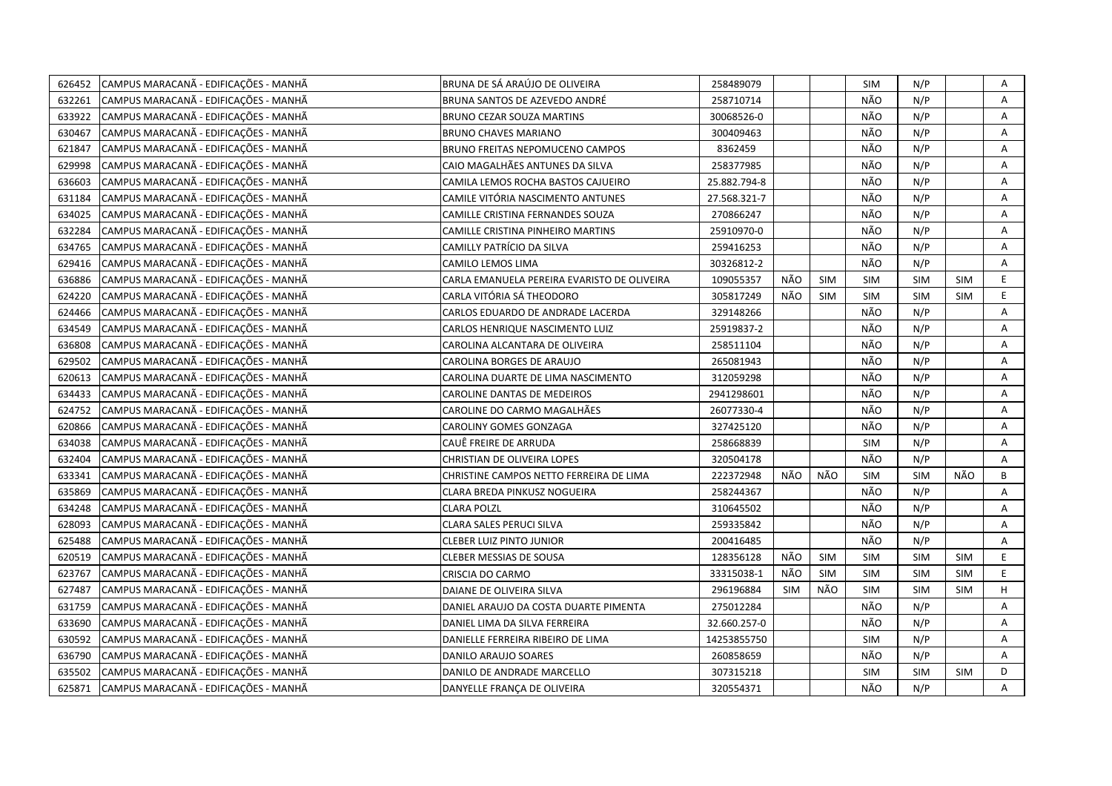| 626452 | CAMPUS MARACANÃ - EDIFICAÇÕES - MANHÃ | BRUNA DE SÁ ARAÚJO DE OLIVEIRA              | 258489079    |            |            | <b>SIM</b> | N/P        |            | Α |
|--------|---------------------------------------|---------------------------------------------|--------------|------------|------------|------------|------------|------------|---|
| 632261 | CAMPUS MARACANÃ - EDIFICAÇÕES - MANHÃ | BRUNA SANTOS DE AZEVEDO ANDRÉ               | 258710714    |            |            | NÃO        | N/P        |            | A |
| 633922 | CAMPUS MARACANÃ - EDIFICAÇÕES - MANHÃ | <b>BRUNO CEZAR SOUZA MARTINS</b>            | 30068526-0   |            |            | NÃO        | N/P        |            | Α |
| 630467 | CAMPUS MARACANÃ - EDIFICAÇÕES - MANHÃ | <b>BRUNO CHAVES MARIANO</b>                 | 300409463    |            |            | NÃO        | N/P        |            | Α |
| 621847 | CAMPUS MARACANÃ - EDIFICAÇÕES - MANHÃ | BRUNO FREITAS NEPOMUCENO CAMPOS             | 8362459      |            |            | NÃO        | N/P        |            | Α |
| 629998 | CAMPUS MARACANÃ - EDIFICAÇÕES - MANHÃ | CAIO MAGALHÃES ANTUNES DA SILVA             | 258377985    |            |            | NÃO        | N/P        |            | Α |
| 636603 | CAMPUS MARACANÃ - EDIFICAÇÕES - MANHÃ | CAMILA LEMOS ROCHA BASTOS CAJUEIRO          | 25.882.794-8 |            |            | NÃO        | N/P        |            | Α |
| 631184 | CAMPUS MARACANÃ - EDIFICAÇÕES - MANHÃ | CAMILE VITÓRIA NASCIMENTO ANTUNES           | 27.568.321-7 |            |            | NÃO        | N/P        |            | Α |
| 634025 | CAMPUS MARACANÃ - EDIFICAÇÕES - MANHÃ | CAMILLE CRISTINA FERNANDES SOUZA            | 270866247    |            |            | NÃO        | N/P        |            | Α |
| 632284 | CAMPUS MARACANÃ - EDIFICAÇÕES - MANHÃ | CAMILLE CRISTINA PINHEIRO MARTINS           | 25910970-0   |            |            | NÃO        | N/P        |            | A |
| 634765 | CAMPUS MARACANÃ - EDIFICAÇÕES - MANHÃ | CAMILLY PATRÍCIO DA SILVA                   | 259416253    |            |            | NÃO        | N/P        |            | Α |
| 629416 | CAMPUS MARACANÃ - EDIFICAÇÕES - MANHÃ | CAMILO LEMOS LIMA                           | 30326812-2   |            |            | NÃO        | N/P        |            | A |
| 636886 | CAMPUS MARACANÃ - EDIFICAÇÕES - MANHÃ | CARLA EMANUELA PEREIRA EVARISTO DE OLIVEIRA | 109055357    | NÃO        | <b>SIM</b> | SIM        | <b>SIM</b> | <b>SIM</b> | E |
| 624220 | CAMPUS MARACANÃ - EDIFICAÇÕES - MANHÃ | CARLA VITÓRIA SÁ THEODORO                   | 305817249    | NÃO        | <b>SIM</b> | <b>SIM</b> | SIM        | <b>SIM</b> | E |
| 624466 | CAMPUS MARACANÃ - EDIFICAÇÕES - MANHÃ | CARLOS EDUARDO DE ANDRADE LACERDA           | 329148266    |            |            | NÃO        | N/P        |            | A |
| 634549 | CAMPUS MARACANÃ - EDIFICAÇÕES - MANHÃ | CARLOS HENRIQUE NASCIMENTO LUIZ             | 25919837-2   |            |            | NÃO        | N/P        |            | A |
| 636808 | CAMPUS MARACANÃ - EDIFICAÇÕES - MANHÃ | CAROLINA ALCANTARA DE OLIVEIRA              | 258511104    |            |            | NÃO        | N/P        |            | Α |
| 629502 | CAMPUS MARACANÃ - EDIFICAÇÕES - MANHÃ | CAROLINA BORGES DE ARAUJO                   | 265081943    |            |            | NÃO        | N/P        |            | A |
| 620613 | CAMPUS MARACANÃ - EDIFICAÇÕES - MANHÃ | CAROLINA DUARTE DE LIMA NASCIMENTO          | 312059298    |            |            | NÃO        | N/P        |            | A |
| 634433 | CAMPUS MARACANÃ - EDIFICAÇÕES - MANHÃ | CAROLINE DANTAS DE MEDEIROS                 | 2941298601   |            |            | NÃO        | N/P        |            | A |
| 624752 | CAMPUS MARACANÃ - EDIFICAÇÕES - MANHÃ | CAROLINE DO CARMO MAGALHÃES                 | 26077330-4   |            |            | NÃO        | N/P        |            | Α |
| 620866 | CAMPUS MARACANÃ - EDIFICAÇÕES - MANHÃ | CAROLINY GOMES GONZAGA                      | 327425120    |            |            | NÃO        | N/P        |            | A |
| 634038 | CAMPUS MARACANÃ - EDIFICAÇÕES - MANHÃ | CAUÊ FREIRE DE ARRUDA                       | 258668839    |            |            | <b>SIM</b> | N/P        |            | Α |
| 632404 | CAMPUS MARACANÃ - EDIFICAÇÕES - MANHÃ | CHRISTIAN DE OLIVEIRA LOPES                 | 320504178    |            |            | NÃO        | N/P        |            | A |
| 633341 | CAMPUS MARACANÃ - EDIFICAÇÕES - MANHÃ | CHRISTINE CAMPOS NETTO FERREIRA DE LIMA     | 222372948    | NÃO        | NÃO        | <b>SIM</b> | <b>SIM</b> | NÃO        | B |
| 635869 | CAMPUS MARACANÃ - EDIFICAÇÕES - MANHÃ | CLARA BREDA PINKUSZ NOGUEIRA                | 258244367    |            |            | NÃO        | N/P        |            | Α |
| 634248 | CAMPUS MARACANÃ - EDIFICAÇÕES - MANHÃ | CLARA POLZL                                 | 310645502    |            |            | NÃO        | N/P        |            | A |
| 628093 | CAMPUS MARACANÃ - EDIFICAÇÕES - MANHÃ | CLARA SALES PERUCI SILVA                    | 259335842    |            |            | NÃO        | N/P        |            | A |
| 625488 | CAMPUS MARACANÃ - EDIFICAÇÕES - MANHÃ | <b>CLEBER LUIZ PINTO JUNIOR</b>             | 200416485    |            |            | NÃO        | N/P        |            | A |
| 620519 | CAMPUS MARACANÃ - EDIFICAÇÕES - MANHÃ | CLEBER MESSIAS DE SOUSA                     | 128356128    | NÃO        | <b>SIM</b> | <b>SIM</b> | <b>SIM</b> | SIM        | E |
| 623767 | CAMPUS MARACANÃ - EDIFICAÇÕES - MANHÃ | CRISCIA DO CARMO                            | 33315038-1   | NÃO        | <b>SIM</b> | <b>SIM</b> | <b>SIM</b> | <b>SIM</b> | E |
| 627487 | CAMPUS MARACANÃ - EDIFICAÇÕES - MANHÃ | DAIANE DE OLIVEIRA SILVA                    | 296196884    | <b>SIM</b> | NÃO        | <b>SIM</b> | <b>SIM</b> | <b>SIM</b> | H |
| 631759 | CAMPUS MARACANÃ - EDIFICAÇÕES - MANHÃ | DANIEL ARAUJO DA COSTA DUARTE PIMENTA       | 275012284    |            |            | NÃO        | N/P        |            | Α |
| 633690 | CAMPUS MARACANÃ - EDIFICAÇÕES - MANHÃ | DANIEL LIMA DA SILVA FERREIRA               | 32.660.257-0 |            |            | NÃO        | N/P        |            | A |
| 630592 | CAMPUS MARACANÃ - EDIFICAÇÕES - MANHÃ | DANIELLE FERREIRA RIBEIRO DE LIMA           | 14253855750  |            |            | <b>SIM</b> | N/P        |            | A |
| 636790 | CAMPUS MARACANÃ - EDIFICAÇÕES - MANHÃ | DANILO ARAUJO SOARES                        | 260858659    |            |            | NÃO        | N/P        |            | Α |
| 635502 | CAMPUS MARACANÃ - EDIFICAÇÕES - MANHÃ | DANILO DE ANDRADE MARCELLO                  | 307315218    |            |            | <b>SIM</b> | <b>SIM</b> | <b>SIM</b> | D |
| 625871 | CAMPUS MARACANÃ - EDIFICAÇÕES - MANHÃ | DANYELLE FRANÇA DE OLIVEIRA                 | 320554371    |            |            | NÃO        | N/P        |            | A |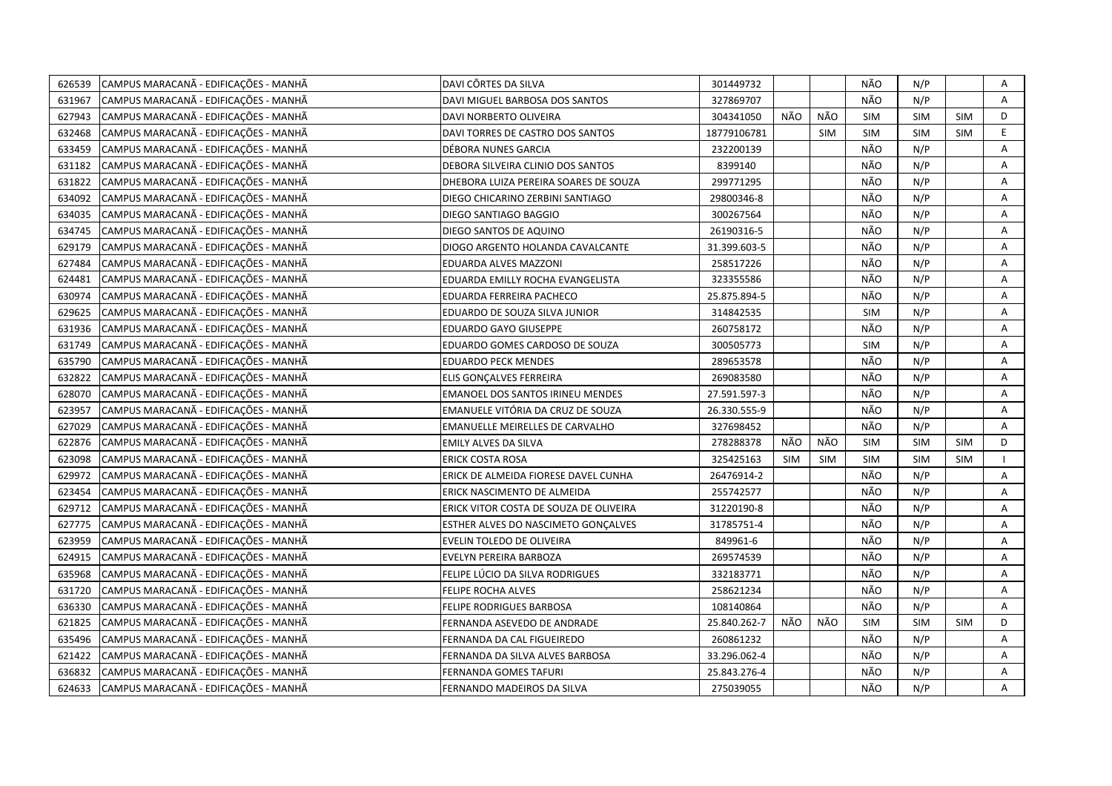| 626539 | CAMPUS MARACANÃ - EDIFICAÇÕES - MANHÃ | DAVI CÔRTES DA SILVA                    | 301449732    |            |            | NÃO        | N/P        |            | Α |
|--------|---------------------------------------|-----------------------------------------|--------------|------------|------------|------------|------------|------------|---|
| 631967 | CAMPUS MARACANÃ - EDIFICAÇÕES - MANHÃ | DAVI MIGUEL BARBOSA DOS SANTOS          | 327869707    |            |            | NÃO        | N/P        |            | A |
| 627943 | CAMPUS MARACANÃ - EDIFICAÇÕES - MANHÃ | DAVI NORBERTO OLIVEIRA                  | 304341050    | NÃO        | NÃO        | <b>SIM</b> | <b>SIM</b> | <b>SIM</b> | D |
| 632468 | CAMPUS MARACANÃ - EDIFICAÇÕES - MANHÃ | DAVI TORRES DE CASTRO DOS SANTOS        | 18779106781  |            | <b>SIM</b> | SIM        | <b>SIM</b> | <b>SIM</b> | E |
| 633459 | CAMPUS MARACANÃ - EDIFICAÇÕES - MANHÃ | DÉBORA NUNES GARCIA                     | 232200139    |            |            | NÃO        | N/P        |            | A |
| 631182 | CAMPUS MARACANÃ - EDIFICAÇÕES - MANHÃ | DEBORA SILVEIRA CLINIO DOS SANTOS       | 8399140      |            |            | NÃO        | N/P        |            | Α |
| 631822 | CAMPUS MARACANÃ - EDIFICAÇÕES - MANHÃ | DHEBORA LUIZA PEREIRA SOARES DE SOUZA   | 299771295    |            |            | NÃO        | N/P        |            | Α |
| 634092 | CAMPUS MARACANÃ - EDIFICAÇÕES - MANHÃ | DIEGO CHICARINO ZERBINI SANTIAGO        | 29800346-8   |            |            | NÃO        | N/P        |            | Α |
| 634035 | CAMPUS MARACANÃ - EDIFICAÇÕES - MANHÃ | DIEGO SANTIAGO BAGGIO                   | 300267564    |            |            | NÃO        | N/P        |            | Α |
| 634745 | CAMPUS MARACANÃ - EDIFICAÇÕES - MANHÃ | DIEGO SANTOS DE AQUINO                  | 26190316-5   |            |            | NÃO        | N/P        |            | A |
| 629179 | CAMPUS MARACANÃ - EDIFICAÇÕES - MANHÃ | DIOGO ARGENTO HOLANDA CAVALCANTE        | 31.399.603-5 |            |            | NÃO        | N/P        |            | Α |
| 627484 | CAMPUS MARACANÃ - EDIFICAÇÕES - MANHÃ | EDUARDA ALVES MAZZONI                   | 258517226    |            |            | NÃO        | N/P        |            | A |
| 624481 | CAMPUS MARACANÃ - EDIFICAÇÕES - MANHÃ | EDUARDA EMILLY ROCHA EVANGELISTA        | 323355586    |            |            | NÃO        | N/P        |            | Α |
| 630974 | CAMPUS MARACANÃ - EDIFICAÇÕES - MANHÃ | EDUARDA FERREIRA PACHECO                | 25.875.894-5 |            |            | NÃO        | N/P        |            | Α |
| 629625 | CAMPUS MARACANÃ - EDIFICAÇÕES - MANHÃ | EDUARDO DE SOUZA SILVA JUNIOR           | 314842535    |            |            | SIM        | N/P        |            | Α |
| 631936 | CAMPUS MARACANÃ - EDIFICAÇÕES - MANHÃ | EDUARDO GAYO GIUSEPPE                   | 260758172    |            |            | NÃO        | N/P        |            | A |
| 631749 | CAMPUS MARACANÃ - EDIFICAÇÕES - MANHÃ | EDUARDO GOMES CARDOSO DE SOUZA          | 300505773    |            |            | <b>SIM</b> | N/P        |            | Α |
| 635790 | CAMPUS MARACANÃ - EDIFICAÇÕES - MANHÃ | <b>EDUARDO PECK MENDES</b>              | 289653578    |            |            | NÃO        | N/P        |            | A |
| 632822 | CAMPUS MARACANÃ - EDIFICAÇÕES - MANHÃ | ELIS GONÇALVES FERREIRA                 | 269083580    |            |            | NÃO        | N/P        |            | A |
| 628070 | CAMPUS MARACANÃ - EDIFICAÇÕES - MANHÃ | <b>EMANOEL DOS SANTOS IRINEU MENDES</b> | 27.591.597-3 |            |            | NÃO        | N/P        |            | A |
| 623957 | CAMPUS MARACANÃ - EDIFICAÇÕES - MANHÃ | EMANUELE VITÓRIA DA CRUZ DE SOUZA       | 26.330.555-9 |            |            | NÃO        | N/P        |            | A |
| 627029 | CAMPUS MARACANÃ - EDIFICAÇÕES - MANHÃ | EMANUELLE MEIRELLES DE CARVALHO         | 327698452    |            |            | NÃO        | N/P        |            | A |
| 622876 | CAMPUS MARACANÃ - EDIFICAÇÕES - MANHÃ | EMILY ALVES DA SILVA                    | 278288378    | NÃO        | NÃO        | <b>SIM</b> | SIM        | <b>SIM</b> | D |
| 623098 | CAMPUS MARACANÃ - EDIFICAÇÕES - MANHÃ | ERICK COSTA ROSA                        | 325425163    | <b>SIM</b> | <b>SIM</b> | <b>SIM</b> | <b>SIM</b> | <b>SIM</b> |   |
| 629972 | CAMPUS MARACANÃ - EDIFICAÇÕES - MANHÃ | ERICK DE ALMEIDA FIORESE DAVEL CUNHA    | 26476914-2   |            |            | NÃO        | N/P        |            | Α |
| 623454 | CAMPUS MARACANÃ - EDIFICAÇÕES - MANHÃ | ERICK NASCIMENTO DE ALMEIDA             | 255742577    |            |            | NÃO        | N/P        |            | Α |
| 629712 | CAMPUS MARACANÃ - EDIFICAÇÕES - MANHÃ | ERICK VITOR COSTA DE SOUZA DE OLIVEIRA  | 31220190-8   |            |            | NÃO        | N/P        |            | A |
| 627775 | CAMPUS MARACANÃ - EDIFICAÇÕES - MANHÃ | ESTHER ALVES DO NASCIMETO GONÇALVES     | 31785751-4   |            |            | NÃO        | N/P        |            | A |
| 623959 | CAMPUS MARACANÃ - EDIFICAÇÕES - MANHÃ | EVELIN TOLEDO DE OLIVEIRA               | 849961-6     |            |            | NÃO        | N/P        |            | Α |
| 624915 | CAMPUS MARACANÃ - EDIFICAÇÕES - MANHÃ | EVELYN PEREIRA BARBOZA                  | 269574539    |            |            | NÃO        | N/P        |            | Α |
| 635968 | CAMPUS MARACANÃ - EDIFICAÇÕES - MANHÃ | FELIPE LÚCIO DA SILVA RODRIGUES         | 332183771    |            |            | NÃO        | N/P        |            | Α |
| 631720 | CAMPUS MARACANÃ - EDIFICAÇÕES - MANHÃ | <b>FELIPE ROCHA ALVES</b>               | 258621234    |            |            | NÃO        | N/P        |            | A |
| 636330 | CAMPUS MARACANÃ - EDIFICAÇÕES - MANHÃ | <b>FELIPE RODRIGUES BARBOSA</b>         | 108140864    |            |            | NÃO        | N/P        |            | A |
| 621825 | CAMPUS MARACANÃ - EDIFICAÇÕES - MANHÃ | FERNANDA ASEVEDO DE ANDRADE             | 25.840.262-7 | NÃO        | NÃO        | <b>SIM</b> | <b>SIM</b> | <b>SIM</b> | D |
| 635496 | CAMPUS MARACANÃ - EDIFICAÇÕES - MANHÃ | FERNANDA DA CAL FIGUEIREDO              | 260861232    |            |            | NÃO        | N/P        |            | A |
| 621422 | CAMPUS MARACANÃ - EDIFICAÇÕES - MANHÃ | FERNANDA DA SILVA ALVES BARBOSA         | 33.296.062-4 |            |            | NÃO        | N/P        |            | Α |
| 636832 | CAMPUS MARACANÃ - EDIFICAÇÕES - MANHÃ | FERNANDA GOMES TAFURI                   | 25.843.276-4 |            |            | NÃO        | N/P        |            | Α |
| 624633 | CAMPUS MARACANÃ - EDIFICAÇÕES - MANHÃ | FERNANDO MADEIROS DA SILVA              | 275039055    |            |            | NÃO        | N/P        |            | A |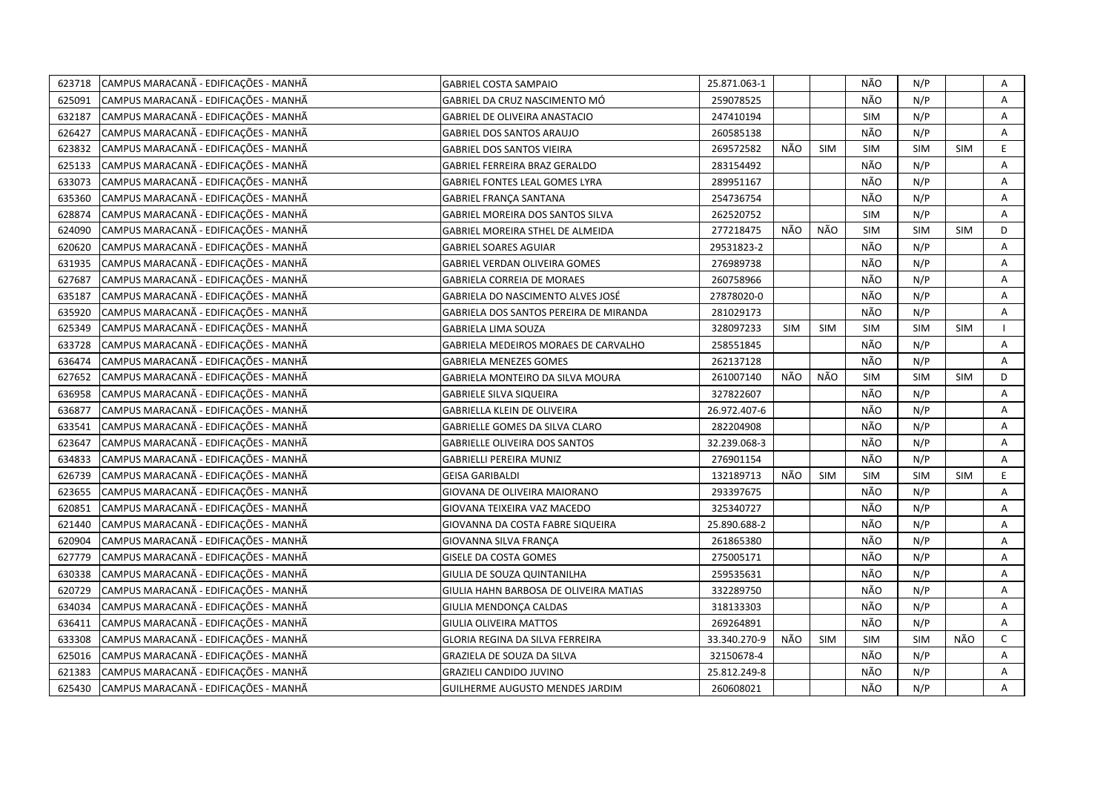| 623718 | CAMPUS MARACANÃ - EDIFICAÇÕES - MANHÃ | GABRIEL COSTA SAMPAIO                  | 25.871.063-1 |            |            | NÃO        | N/P        |            | Α            |
|--------|---------------------------------------|----------------------------------------|--------------|------------|------------|------------|------------|------------|--------------|
| 625091 | CAMPUS MARACANÃ - EDIFICAÇÕES - MANHÃ | GABRIEL DA CRUZ NASCIMENTO MÓ          | 259078525    |            |            | NÃO        | N/P        |            | Α            |
| 632187 | CAMPUS MARACANÃ - EDIFICAÇÕES - MANHÃ | <b>GABRIEL DE OLIVEIRA ANASTACIO</b>   | 247410194    |            |            | SIM        | N/P        |            | A            |
| 626427 | CAMPUS MARACANÃ - EDIFICAÇÕES - MANHÃ | GABRIEL DOS SANTOS ARAUJO              | 260585138    |            |            | NÃO        | N/P        |            | Α            |
| 623832 | CAMPUS MARACANÃ - EDIFICAÇÕES - MANHÃ | GABRIEL DOS SANTOS VIEIRA              | 269572582    | NÃO        | <b>SIM</b> | <b>SIM</b> | <b>SIM</b> | <b>SIM</b> | E.           |
| 625133 | CAMPUS MARACANÃ - EDIFICAÇÕES - MANHÃ | GABRIEL FERREIRA BRAZ GERALDO          | 283154492    |            |            | NÃO        | N/P        |            | Α            |
| 633073 | CAMPUS MARACANÃ - EDIFICAÇÕES - MANHÃ | GABRIEL FONTES LEAL GOMES LYRA         | 289951167    |            |            | NÃO        | N/P        |            | Α            |
| 635360 | CAMPUS MARACANÃ - EDIFICAÇÕES - MANHÃ | GABRIEL FRANÇA SANTANA                 | 254736754    |            |            | NÃO        | N/P        |            | Α            |
| 628874 | CAMPUS MARACANA - EDIFICAÇÕES - MANHA | GABRIEL MOREIRA DOS SANTOS SILVA       | 262520752    |            |            | SIM        | N/P        |            | Α            |
| 624090 | CAMPUS MARACANÃ - EDIFICAÇÕES - MANHÃ | GABRIEL MOREIRA STHEL DE ALMEIDA       | 277218475    | NÃO        | NÃO        | <b>SIM</b> | <b>SIM</b> | <b>SIM</b> | D            |
| 620620 | CAMPUS MARACANÃ - EDIFICAÇÕES - MANHÃ | <b>GABRIEL SOARES AGUIAR</b>           | 29531823-2   |            |            | NÃO        | N/P        |            | Α            |
| 631935 | CAMPUS MARACANÃ - EDIFICAÇÕES - MANHÃ | <b>GABRIEL VERDAN OLIVEIRA GOMES</b>   | 276989738    |            |            | NÃO        | N/P        |            | A            |
| 627687 | CAMPUS MARACANÃ - EDIFICAÇÕES - MANHÃ | <b>GABRIELA CORREIA DE MORAES</b>      | 260758966    |            |            | NÃO        | N/P        |            | Α            |
| 635187 | CAMPUS MARACANÃ - EDIFICAÇÕES - MANHÃ | GABRIELA DO NASCIMENTO ALVES JOSÉ      | 27878020-0   |            |            | NÃO        | N/P        |            | A            |
| 635920 | CAMPUS MARACANÃ - EDIFICAÇÕES - MANHÃ | GABRIELA DOS SANTOS PEREIRA DE MIRANDA | 281029173    |            |            | NÃO        | N/P        |            | A            |
| 625349 | CAMPUS MARACANÃ - EDIFICAÇÕES - MANHÃ | <b>GABRIELA LIMA SOUZA</b>             | 328097233    | <b>SIM</b> | <b>SIM</b> | SIM        | <b>SIM</b> | <b>SIM</b> |              |
| 633728 | CAMPUS MARACANÃ - EDIFICAÇÕES - MANHÃ | GABRIELA MEDEIROS MORAES DE CARVALHO   | 258551845    |            |            | NÃO        | N/P        |            | Α            |
| 636474 | CAMPUS MARACANÃ - EDIFICAÇÕES - MANHÃ | <b>GABRIELA MENEZES GOMES</b>          | 262137128    |            |            | NÃO        | N/P        |            | Α            |
| 627652 | CAMPUS MARACANÃ - EDIFICAÇÕES - MANHÃ | GABRIELA MONTEIRO DA SILVA MOURA       | 261007140    | NÃO        | NÃO        | <b>SIM</b> | SIM        | SIM        | D            |
| 636958 | CAMPUS MARACANÃ - EDIFICAÇÕES - MANHÃ | <b>GABRIELE SILVA SIQUEIRA</b>         | 327822607    |            |            | NÃO        | N/P        |            | A            |
| 636877 | CAMPUS MARACANÃ - EDIFICAÇÕES - MANHÃ | GABRIELLA KLEIN DE OLIVEIRA            | 26.972.407-6 |            |            | NÃO        | N/P        |            | A            |
| 633541 | CAMPUS MARACANÃ - EDIFICAÇÕES - MANHÃ | GABRIELLE GOMES DA SILVA CLARO         | 282204908    |            |            | NÃO        | N/P        |            | A            |
| 623647 | CAMPUS MARACANÃ - EDIFICAÇÕES - MANHÃ | <b>GABRIELLE OLIVEIRA DOS SANTOS</b>   | 32.239.068-3 |            |            | NÃO        | N/P        |            | A            |
| 634833 | CAMPUS MARACANÃ - EDIFICAÇÕES - MANHÃ | GABRIELLI PEREIRA MUNIZ                | 276901154    |            |            | NÃO        | N/P        |            | A            |
| 626739 | CAMPUS MARACANÃ - EDIFICAÇÕES - MANHÃ | GEISA GARIBALDI                        | 132189713    | NÃO        | <b>SIM</b> | <b>SIM</b> | SIM        | <b>SIM</b> | E.           |
| 623655 | CAMPUS MARACANÃ - EDIFICAÇÕES - MANHÃ | GIOVANA DE OLIVEIRA MAIORANO           | 293397675    |            |            | NÃO        | N/P        |            | A            |
| 620851 | CAMPUS MARACANÃ - EDIFICAÇÕES - MANHÃ | GIOVANA TEIXEIRA VAZ MACEDO            | 325340727    |            |            | NÃO        | N/P        |            | Α            |
| 621440 | CAMPUS MARACANÃ - EDIFICAÇÕES - MANHÃ | GIOVANNA DA COSTA FABRE SIQUEIRA       | 25.890.688-2 |            |            | NÃO        | N/P        |            | A            |
| 620904 | CAMPUS MARACANÃ - EDIFICAÇÕES - MANHÃ | GIOVANNA SILVA FRANÇA                  | 261865380    |            |            | NÃO        | N/P        |            | Α            |
| 627779 | CAMPUS MARACANÃ - EDIFICAÇÕES - MANHÃ | GISELE DA COSTA GOMES                  | 275005171    |            |            | NÃO        | N/P        |            | A            |
| 630338 | CAMPUS MARACANÃ - EDIFICAÇÕES - MANHÃ | GIULIA DE SOUZA QUINTANILHA            | 259535631    |            |            | NÃO        | N/P        |            | A            |
| 620729 | CAMPUS MARACANÃ - EDIFICAÇÕES - MANHÃ | GIULIA HAHN BARBOSA DE OLIVEIRA MATIAS | 332289750    |            |            | NÃO        | N/P        |            | Α            |
| 634034 | CAMPUS MARACANÃ - EDIFICAÇÕES - MANHÃ | GIULIA MENDONÇA CALDAS                 | 318133303    |            |            | NÃO        | N/P        |            | Α            |
| 636411 | CAMPUS MARACANÃ - EDIFICAÇÕES - MANHÃ | GIULIA OLIVEIRA MATTOS                 | 269264891    |            |            | NÃO        | N/P        |            | Α            |
| 633308 | CAMPUS MARACANÃ - EDIFICAÇÕES - MANHÃ | GLORIA REGINA DA SILVA FERREIRA        | 33.340.270-9 | NÃO        | <b>SIM</b> | <b>SIM</b> | <b>SIM</b> | NÃO        | $\mathsf{C}$ |
| 625016 | CAMPUS MARACANÃ - EDIFICAÇÕES - MANHÃ | GRAZIELA DE SOUZA DA SILVA             | 32150678-4   |            |            | NÃO        | N/P        |            | A            |
| 621383 | CAMPUS MARACANÃ - EDIFICAÇÕES - MANHÃ | <b>GRAZIELI CANDIDO JUVINO</b>         | 25.812.249-8 |            |            | NÃO        | N/P        |            | A            |
| 625430 | CAMPUS MARACANÃ - EDIFICAÇÕES - MANHÃ | <b>GUILHERME AUGUSTO MENDES JARDIM</b> | 260608021    |            |            | NÃO        | N/P        |            | A            |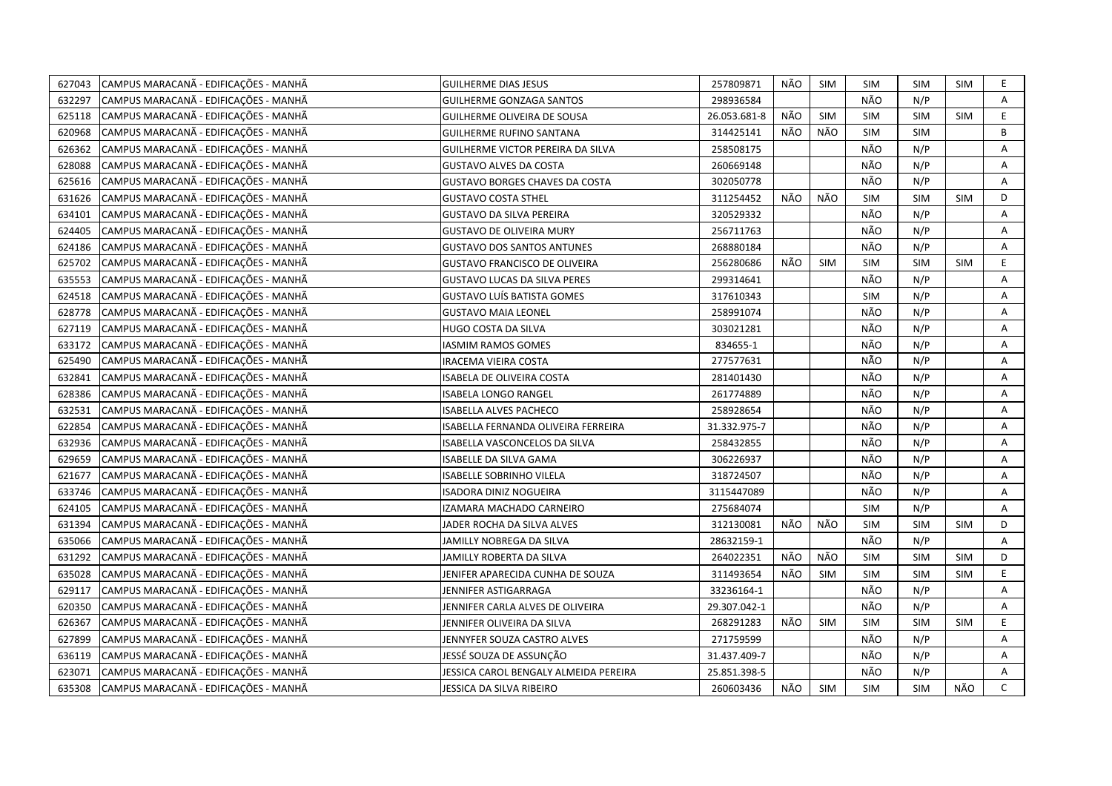| 627043 | CAMPUS MARACANÃ - EDIFICAÇÕES - MANHÃ | <b>GUILHERME DIAS JESUS</b>                | 257809871    | NÃO | <b>SIM</b> | <b>SIM</b> | <b>SIM</b> | SIM        | E.           |
|--------|---------------------------------------|--------------------------------------------|--------------|-----|------------|------------|------------|------------|--------------|
| 632297 | CAMPUS MARACANÃ - EDIFICAÇÕES - MANHÃ | <b>GUILHERME GONZAGA SANTOS</b>            | 298936584    |     |            | NÃO        | N/P        |            | A            |
| 625118 | CAMPUS MARACANÃ - EDIFICAÇÕES - MANHÃ | <b>GUILHERME OLIVEIRA DE SOUSA</b>         | 26.053.681-8 | NÃO | <b>SIM</b> | SIM        | SIM        | <b>SIM</b> | $\mathsf E$  |
| 620968 | CAMPUS MARACANÃ - EDIFICAÇÕES - MANHÃ | <b>GUILHERME RUFINO SANTANA</b>            | 314425141    | NÃO | NÃO        | <b>SIM</b> | <b>SIM</b> |            | В            |
| 626362 | CAMPUS MARACANÃ - EDIFICAÇÕES - MANHÃ | GUILHERME VICTOR PEREIRA DA SILVA          | 258508175    |     |            | NÃO        | N/P        |            | A            |
| 628088 | CAMPUS MARACANÃ - EDIFICAÇÕES - MANHÃ | <b>GUSTAVO ALVES DA COSTA</b>              | 260669148    |     |            | NÃO        | N/P        |            | Α            |
| 625616 | CAMPUS MARACANÃ - EDIFICAÇÕES - MANHÃ | <b>GUSTAVO BORGES CHAVES DA COSTA</b>      | 302050778    |     |            | NÃO        | N/P        |            | Α            |
| 631626 | CAMPUS MARACANÃ - EDIFICAÇÕES - MANHÃ | <b>GUSTAVO COSTA STHEL</b>                 | 311254452    | NÃO | NÃO        | <b>SIM</b> | SIM        | <b>SIM</b> | D            |
| 634101 | CAMPUS MARACANÃ - EDIFICAÇÕES - MANHÃ | <b>GUSTAVO DA SILVA PEREIRA</b>            | 320529332    |     |            | NÃO        | N/P        |            | A            |
| 624405 | CAMPUS MARACANÃ - EDIFICAÇÕES - MANHÃ | <b>GUSTAVO DE OLIVEIRA MURY</b>            | 256711763    |     |            | NÃO        | N/P        |            | A            |
| 624186 | CAMPUS MARACANÃ - EDIFICAÇÕES - MANHÃ | <b>GUSTAVO DOS SANTOS ANTUNES</b>          | 268880184    |     |            | NÃO        | N/P        |            | Α            |
| 625702 | CAMPUS MARACANÃ - EDIFICAÇÕES - MANHÃ | <b>GUSTAVO FRANCISCO DE OLIVEIRA</b>       | 256280686    | NÃO | <b>SIM</b> | <b>SIM</b> | <b>SIM</b> | <b>SIM</b> | E            |
| 635553 | CAMPUS MARACANÃ - EDIFICAÇÕES - MANHÃ | <b>GUSTAVO LUCAS DA SILVA PERES</b>        | 299314641    |     |            | NÃO        | N/P        |            | A            |
| 624518 | CAMPUS MARACANÃ - EDIFICAÇÕES - MANHÃ | <b>GUSTAVO LUÍS BATISTA GOMES</b>          | 317610343    |     |            | SIM        | N/P        |            | Α            |
| 628778 | CAMPUS MARACANÃ - EDIFICAÇÕES - MANHÃ | <b>GUSTAVO MAIA LEONEL</b>                 | 258991074    |     |            | NÃO        | N/P        |            | Α            |
| 627119 | CAMPUS MARACANÃ - EDIFICAÇÕES - MANHÃ | HUGO COSTA DA SILVA                        | 303021281    |     |            | NÃO        | N/P        |            | A            |
| 633172 | CAMPUS MARACANÃ - EDIFICAÇÕES - MANHÃ | IASMIM RAMOS GOMES                         | 834655-1     |     |            | NÃO        | N/P        |            | Α            |
| 625490 | CAMPUS MARACANÃ - EDIFICAÇÕES - MANHÃ | IRACEMA VIEIRA COSTA                       | 277577631    |     |            | NÃO        | N/P        |            | Α            |
| 632841 | CAMPUS MARACANÃ - EDIFICAÇÕES - MANHÃ | ISABELA DE OLIVEIRA COSTA                  | 281401430    |     |            | NÃO        | N/P        |            | A            |
| 628386 | CAMPUS MARACANÃ - EDIFICAÇÕES - MANHÃ | <b>ISABELA LONGO RANGEL</b>                | 261774889    |     |            | NÃO        | N/P        |            | Α            |
| 632531 | CAMPUS MARACANÃ - EDIFICAÇÕES - MANHÃ | <b>ISABELLA ALVES PACHECO</b>              | 258928654    |     |            | NÃO        | N/P        |            | A            |
| 622854 | CAMPUS MARACANÃ - EDIFICAÇÕES - MANHÃ | <b>ISABELLA FERNANDA OLIVEIRA FERREIRA</b> | 31.332.975-7 |     |            | NÃO        | N/P        |            | Α            |
| 632936 | CAMPUS MARACANÃ - EDIFICAÇÕES - MANHÃ | ISABELLA VASCONCELOS DA SILVA              | 258432855    |     |            | NÃO        | N/P        |            | A            |
| 629659 | CAMPUS MARACANÃ - EDIFICAÇÕES - MANHÃ | ISABELLE DA SILVA GAMA                     | 306226937    |     |            | NÃO        | N/P        |            | Α            |
| 621677 | CAMPUS MARACANÃ - EDIFICAÇÕES - MANHÃ | ISABELLE SOBRINHO VILELA                   | 318724507    |     |            | NÃO        | N/P        |            | Α            |
| 633746 | CAMPUS MARACANÃ - EDIFICAÇÕES - MANHÃ | ISADORA DINIZ NOGUEIRA                     | 3115447089   |     |            | NÃO        | N/P        |            | A            |
| 624105 | CAMPUS MARACANÃ - EDIFICAÇÕES - MANHÃ | IZAMARA MACHADO CARNEIRO                   | 275684074    |     |            | SIM        | N/P        |            | Α            |
| 631394 | CAMPUS MARACANÃ - EDIFICAÇÕES - MANHÃ | JADER ROCHA DA SILVA ALVES                 | 312130081    | NÃO | NÃO        | <b>SIM</b> | <b>SIM</b> | <b>SIM</b> | D            |
| 635066 | CAMPUS MARACANÃ - EDIFICAÇÕES - MANHÃ | JAMILLY NOBREGA DA SILVA                   | 28632159-1   |     |            | NÃO        | N/P        |            | Α            |
| 631292 | CAMPUS MARACANÃ - EDIFICAÇÕES - MANHÃ | JAMILLY ROBERTA DA SILVA                   | 264022351    | NÃO | NÃO        | <b>SIM</b> | SIM        | SIM        | D            |
| 635028 | CAMPUS MARACANÃ - EDIFICAÇÕES - MANHÃ | JENIFER APARECIDA CUNHA DE SOUZA           | 311493654    | NÃO | <b>SIM</b> | <b>SIM</b> | SIM        | <b>SIM</b> | E            |
| 629117 | CAMPUS MARACANÃ - EDIFICAÇÕES - MANHÃ | JENNIFER ASTIGARRAGA                       | 33236164-1   |     |            | NÃO        | N/P        |            | A            |
| 620350 | CAMPUS MARACANÃ - EDIFICAÇÕES - MANHÃ | JENNIFER CARLA ALVES DE OLIVEIRA           | 29.307.042-1 |     |            | NÃO        | N/P        |            | Α            |
| 626367 | CAMPUS MARACANÃ - EDIFICAÇÕES - MANHÃ | JENNIFER OLIVEIRA DA SILVA                 | 268291283    | NÃO | <b>SIM</b> | <b>SIM</b> | <b>SIM</b> | <b>SIM</b> | E            |
| 627899 | CAMPUS MARACANÃ - EDIFICAÇÕES - MANHÃ | JENNYFER SOUZA CASTRO ALVES                | 271759599    |     |            | NÃO        | N/P        |            | Α            |
| 636119 | CAMPUS MARACANÃ - EDIFICAÇÕES - MANHÃ | JESSÉ SOUZA DE ASSUNÇÃO                    | 31.437.409-7 |     |            | NÃO        | N/P        |            | Α            |
| 623071 | CAMPUS MARACANÃ - EDIFICAÇÕES - MANHÃ | JESSICA CAROL BENGALY ALMEIDA PEREIRA      | 25.851.398-5 |     |            | NÃO        | N/P        |            | A            |
| 635308 | CAMPUS MARACANÃ - EDIFICAÇÕES - MANHÃ | JESSICA DA SILVA RIBEIRO                   | 260603436    | NÃO | <b>SIM</b> | <b>SIM</b> | <b>SIM</b> | NÃO        | $\mathsf{C}$ |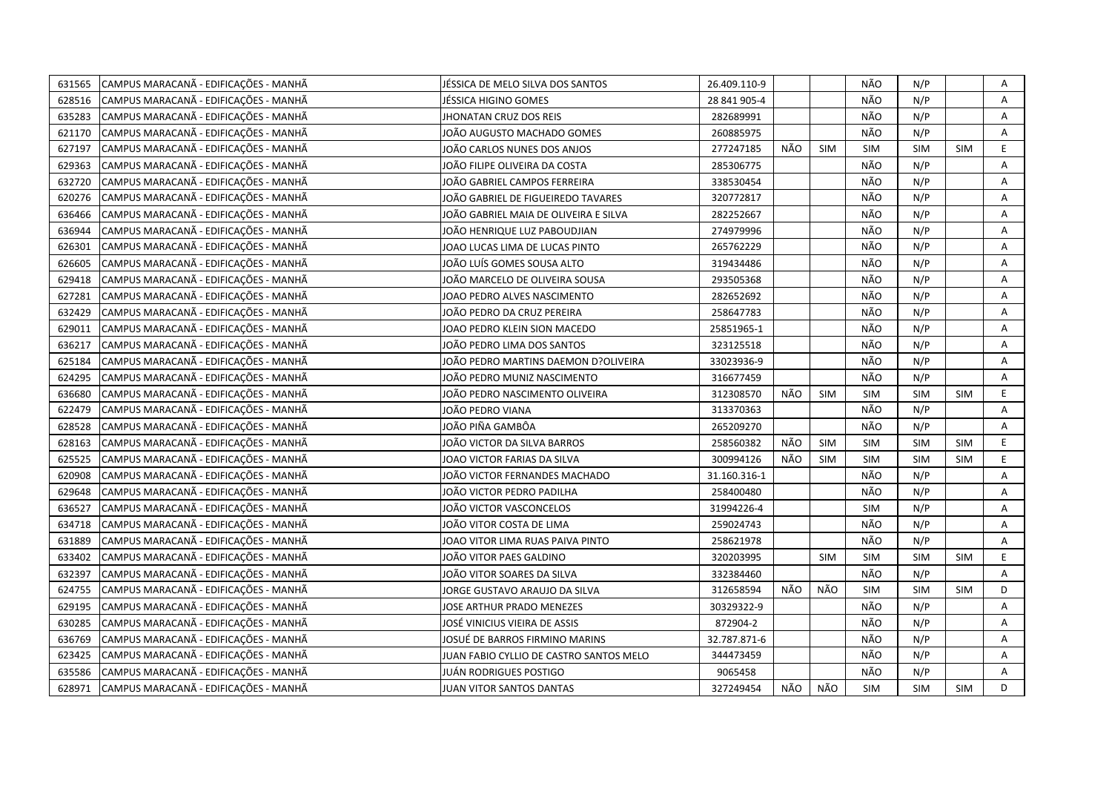| 631565 | CAMPUS MARACANÃ - EDIFICAÇÕES - MANHÃ | JÉSSICA DE MELO SILVA DOS SANTOS        | 26.409.110-9 |     |            | NÃO        | N/P        |            | Α              |
|--------|---------------------------------------|-----------------------------------------|--------------|-----|------------|------------|------------|------------|----------------|
| 628516 | CAMPUS MARACANÃ - EDIFICAÇÕES - MANHÃ | JÉSSICA HIGINO GOMES                    | 28 841 905-4 |     |            | NÃO        | N/P        |            | A              |
| 635283 | CAMPUS MARACANÃ - EDIFICAÇÕES - MANHÃ | <b>JHONATAN CRUZ DOS REIS</b>           | 282689991    |     |            | NÃO        | N/P        |            | Α              |
| 621170 | CAMPUS MARACANÃ - EDIFICAÇÕES - MANHÃ | JOÃO AUGUSTO MACHADO GOMES              | 260885975    |     |            | NÃO        | N/P        |            | Α              |
| 627197 | CAMPUS MARACANÃ - EDIFICAÇÕES - MANHÃ | JOÃO CARLOS NUNES DOS ANJOS             | 277247185    | NÃO | <b>SIM</b> | <b>SIM</b> | <b>SIM</b> | SIM        | E              |
| 629363 | CAMPUS MARACANÃ - EDIFICAÇÕES - MANHÃ | JOÃO FILIPE OLIVEIRA DA COSTA           | 285306775    |     |            | NÃO        | N/P        |            | Α              |
| 632720 | CAMPUS MARACANÃ - EDIFICAÇÕES - MANHÃ | JOÃO GABRIEL CAMPOS FERREIRA            | 338530454    |     |            | NÃO        | N/P        |            | A              |
| 620276 | CAMPUS MARACANÃ - EDIFICAÇÕES - MANHÃ | JOÃO GABRIEL DE FIGUEIREDO TAVARES      | 320772817    |     |            | NÃO        | N/P        |            | A              |
| 636466 | CAMPUS MARACANÃ - EDIFICAÇÕES - MANHÃ | JOÃO GABRIEL MAIA DE OLIVEIRA E SILVA   | 282252667    |     |            | NÃO        | N/P        |            | Α              |
| 636944 | CAMPUS MARACANÃ - EDIFICAÇÕES - MANHÃ | JOÃO HENRIQUE LUZ PABOUDJIAN            | 274979996    |     |            | NÃO        | N/P        |            | A              |
| 626301 | CAMPUS MARACANÃ - EDIFICAÇÕES - MANHÃ | JOAO LUCAS LIMA DE LUCAS PINTO          | 265762229    |     |            | NÃO        | N/P        |            | A              |
| 626605 | CAMPUS MARACANÃ - EDIFICAÇÕES - MANHÃ | JOÃO LUÍS GOMES SOUSA ALTO              | 319434486    |     |            | NÃO        | N/P        |            | Α              |
| 629418 | CAMPUS MARACANÃ - EDIFICAÇÕES - MANHÃ | JOÃO MARCELO DE OLIVEIRA SOUSA          | 293505368    |     |            | NÃO        | N/P        |            | A              |
| 627281 | CAMPUS MARACANÃ - EDIFICAÇÕES - MANHÃ | JOAO PEDRO ALVES NASCIMENTO             | 282652692    |     |            | NÃO        | N/P        |            | A              |
| 632429 | CAMPUS MARACANÃ - EDIFICAÇÕES - MANHÃ | JOÃO PEDRO DA CRUZ PEREIRA              | 258647783    |     |            | NÃO        | N/P        |            | Α              |
| 629011 | CAMPUS MARACANÃ - EDIFICAÇÕES - MANHÃ | JOAO PEDRO KLEIN SION MACEDO            | 25851965-1   |     |            | NÃO        | N/P        |            | A              |
| 636217 | CAMPUS MARACANÃ - EDIFICAÇÕES - MANHÃ | JOÃO PEDRO LIMA DOS SANTOS              | 323125518    |     |            | NÃO        | N/P        |            | A              |
| 625184 | CAMPUS MARACANÃ - EDIFICAÇÕES - MANHÃ | IOÃO PEDRO MARTINS DAEMON D?OLIVEIRA    | 33023936-9   |     |            | NÃO        | N/P        |            | A              |
| 624295 | CAMPUS MARACANÃ - EDIFICAÇÕES - MANHÃ | IOÃO PEDRO MUNIZ NASCIMENTO             | 316677459    |     |            | NÃO        | N/P        |            | Α              |
| 636680 | CAMPUS MARACANÃ - EDIFICAÇÕES - MANHÃ | JOÃO PEDRO NASCIMENTO OLIVEIRA          | 312308570    | NÃO | <b>SIM</b> | <b>SIM</b> | <b>SIM</b> | <b>SIM</b> | E              |
| 622479 | CAMPUS MARACANÃ - EDIFICAÇÕES - MANHÃ | JOÃO PEDRO VIANA                        | 313370363    |     |            | NÃO        | N/P        |            | $\overline{A}$ |
| 628528 | CAMPUS MARACANÃ - EDIFICAÇÕES - MANHÃ | IOÃO PIÑA GAMBÔA                        | 265209270    |     |            | NÃO        | N/P        |            | Α              |
| 628163 | CAMPUS MARACANÃ - EDIFICAÇÕES - MANHÃ | IOÃO VICTOR DA SILVA BARROS             | 258560382    | NÃO | <b>SIM</b> | SIM        | SIM        | <b>SIM</b> | $\mathsf E$    |
| 625525 | CAMPUS MARACANÃ - EDIFICAÇÕES - MANHÃ | JOAO VICTOR FARIAS DA SILVA             | 300994126    | NÃO | <b>SIM</b> | SIM        | SIM        | <b>SIM</b> | $\mathsf E$    |
| 620908 | CAMPUS MARACANÃ - EDIFICAÇÕES - MANHÃ | JOÃO VICTOR FERNANDES MACHADO           | 31.160.316-1 |     |            | NÃO        | N/P        |            | Α              |
| 629648 | CAMPUS MARACANÃ - EDIFICAÇÕES - MANHÃ | JOÃO VICTOR PEDRO PADILHA               | 258400480    |     |            | NÃO        | N/P        |            | Α              |
| 636527 | CAMPUS MARACANÃ - EDIFICAÇÕES - MANHÃ | JOÃO VICTOR VASCONCELOS                 | 31994226-4   |     |            | <b>SIM</b> | N/P        |            | Α              |
| 634718 | CAMPUS MARACANÃ - EDIFICAÇÕES - MANHÃ | JOÃO VITOR COSTA DE LIMA                | 259024743    |     |            | NÃO        | N/P        |            | A              |
| 631889 | CAMPUS MARACANÃ - EDIFICAÇÕES - MANHÃ | JOAO VITOR LIMA RUAS PAIVA PINTO        | 258621978    |     |            | NÃO        | N/P        |            | $\overline{A}$ |
| 633402 | CAMPUS MARACANÃ - EDIFICAÇÕES - MANHÃ | JOÃO VITOR PAES GALDINO                 | 320203995    |     | <b>SIM</b> | <b>SIM</b> | <b>SIM</b> | <b>SIM</b> | E              |
| 632397 | CAMPUS MARACANÃ - EDIFICAÇÕES - MANHÃ | JOÃO VITOR SOARES DA SILVA              | 332384460    |     |            | NÃO        | N/P        |            | A              |
| 624755 | CAMPUS MARACANÃ - EDIFICAÇÕES - MANHÃ | JORGE GUSTAVO ARAUJO DA SILVA           | 312658594    | NÃO | NÃO        | SIM        | <b>SIM</b> | <b>SIM</b> | D              |
| 629195 | CAMPUS MARACANÃ - EDIFICAÇÕES - MANHÃ | JOSE ARTHUR PRADO MENEZES               | 30329322-9   |     |            | NÃO        | N/P        |            | A              |
| 630285 | CAMPUS MARACANÃ - EDIFICAÇÕES - MANHÃ | JOSÉ VINICIUS VIEIRA DE ASSIS           | 872904-2     |     |            | NÃO        | N/P        |            | A              |
| 636769 | CAMPUS MARACANÃ - EDIFICAÇÕES - MANHÃ | JOSUÉ DE BARROS FIRMINO MARINS          | 32.787.871-6 |     |            | NÃO        | N/P        |            | A              |
| 623425 | CAMPUS MARACANÃ - EDIFICAÇÕES - MANHÃ | JUAN FABIO CYLLIO DE CASTRO SANTOS MELO | 344473459    |     |            | NÃO        | N/P        |            | Α              |
| 635586 | CAMPUS MARACANÃ - EDIFICAÇÕES - MANHÃ | JUÁN RODRIGUES POSTIGO                  | 9065458      |     |            | NÃO        | N/P        |            | A              |
| 628971 | CAMPUS MARACANÃ - EDIFICAÇÕES - MANHÃ | JUAN VITOR SANTOS DANTAS                | 327249454    | NÃO | NÃO        | <b>SIM</b> | <b>SIM</b> | SIM        | D              |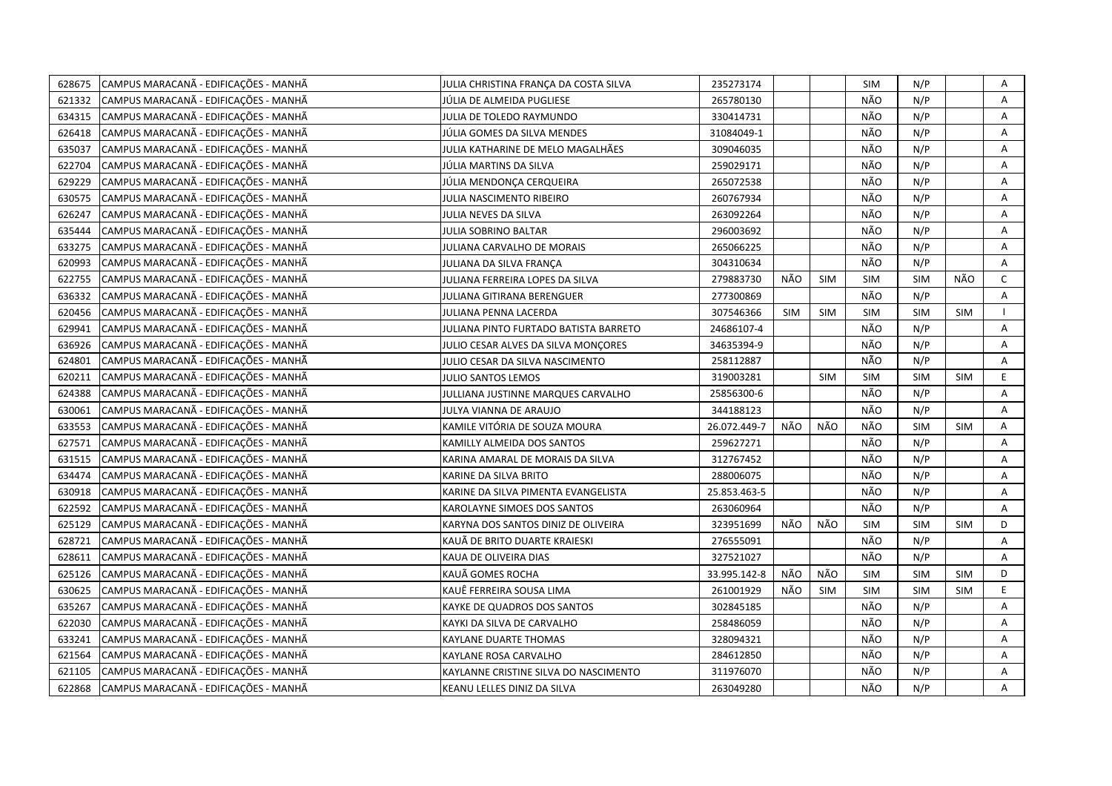| 628675 | CAMPUS MARACANÃ - EDIFICAÇÕES - MANHÃ | JULIA CHRISTINA FRANÇA DA COSTA SILVA | 235273174    |            |            | <b>SIM</b> | N/P        |            | Α            |
|--------|---------------------------------------|---------------------------------------|--------------|------------|------------|------------|------------|------------|--------------|
| 621332 | CAMPUS MARACANÃ - EDIFICAÇÕES - MANHÃ | JÚLIA DE ALMEIDA PUGLIESE             | 265780130    |            |            | NÃO        | N/P        |            | A            |
| 634315 | CAMPUS MARACANÃ - EDIFICAÇÕES - MANHÃ | JULIA DE TOLEDO RAYMUNDO              | 330414731    |            |            | NÃO        | N/P        |            | Α            |
| 626418 | CAMPUS MARACANÃ - EDIFICAÇÕES - MANHÃ | JÚLIA GOMES DA SILVA MENDES           | 31084049-1   |            |            | NÃO        | N/P        |            | Α            |
| 635037 | CAMPUS MARACANÃ - EDIFICAÇÕES - MANHÃ | JULIA KATHARINE DE MELO MAGALHÃES     | 309046035    |            |            | NÃO        | N/P        |            | Α            |
| 622704 | CAMPUS MARACANÃ - EDIFICAÇÕES - MANHÃ | JÚLIA MARTINS DA SILVA                | 259029171    |            |            | NÃO        | N/P        |            | Α            |
| 629229 | CAMPUS MARACANÃ - EDIFICAÇÕES - MANHÃ | JÚLIA MENDONÇA CERQUEIRA              | 265072538    |            |            | NÃO        | N/P        |            | Α            |
| 630575 | CAMPUS MARACANÃ - EDIFICAÇÕES - MANHÃ | JULIA NASCIMENTO RIBEIRO              | 260767934    |            |            | NÃO        | N/P        |            | Α            |
| 626247 | CAMPUS MARACANÃ - EDIFICAÇÕES - MANHÃ | JULIA NEVES DA SILVA                  | 263092264    |            |            | NÃO        | N/P        |            | Α            |
| 635444 | CAMPUS MARACANÃ - EDIFICAÇÕES - MANHÃ | <b>JULIA SOBRINO BALTAR</b>           | 296003692    |            |            | NÃO        | N/P        |            | A            |
| 633275 | CAMPUS MARACANÃ - EDIFICAÇÕES - MANHÃ | JULIANA CARVALHO DE MORAIS            | 265066225    |            |            | NÃO        | N/P        |            | Α            |
| 620993 | CAMPUS MARACANÃ - EDIFICAÇÕES - MANHÃ | JULIANA DA SILVA FRANÇA               | 304310634    |            |            | NÃO        | N/P        |            | A            |
| 622755 | CAMPUS MARACANÃ - EDIFICAÇÕES - MANHÃ | JULIANA FERREIRA LOPES DA SILVA       | 279883730    | NÃO        | <b>SIM</b> | SIM        | <b>SIM</b> | NÃO        | $\mathsf{C}$ |
| 636332 | CAMPUS MARACANÃ - EDIFICAÇÕES - MANHÃ | JULIANA GITIRANA BERENGUER            | 277300869    |            |            | NÃO        | N/P        |            | A            |
| 620456 | CAMPUS MARACANÃ - EDIFICAÇÕES - MANHÃ | JULIANA PENNA LACERDA                 | 307546366    | <b>SIM</b> | <b>SIM</b> | <b>SIM</b> | SIM        | SIM        |              |
| 629941 | CAMPUS MARACANÃ - EDIFICAÇÕES - MANHÃ | JULIANA PINTO FURTADO BATISTA BARRETO | 24686107-4   |            |            | NÃO        | N/P        |            | A            |
| 636926 | CAMPUS MARACANÃ - EDIFICAÇÕES - MANHÃ | JULIO CESAR ALVES DA SILVA MONÇORES   | 34635394-9   |            |            | NÃO        | N/P        |            | Α            |
| 624801 | CAMPUS MARACANÃ - EDIFICAÇÕES - MANHÃ | JULIO CESAR DA SILVA NASCIMENTO       | 258112887    |            |            | NÃO        | N/P        |            | A            |
| 620211 | CAMPUS MARACANÃ - EDIFICAÇÕES - MANHÃ | <b>JULIO SANTOS LEMOS</b>             | 319003281    |            | <b>SIM</b> | <b>SIM</b> | SIM        | <b>SIM</b> | E.           |
| 624388 | CAMPUS MARACANÃ - EDIFICAÇÕES - MANHÃ | JULLIANA JUSTINNE MARQUES CARVALHO    | 25856300-6   |            |            | NÃO        | N/P        |            | A            |
| 630061 | CAMPUS MARACANÃ - EDIFICAÇÕES - MANHÃ | JULYA VIANNA DE ARAUJO                | 344188123    |            |            | NÃO        | N/P        |            | Α            |
| 633553 | CAMPUS MARACANÃ - EDIFICAÇÕES - MANHÃ | KAMILE VITÓRIA DE SOUZA MOURA         | 26.072.449-7 | NÃO        | NÃO        | NÃO        | <b>SIM</b> | <b>SIM</b> | A            |
| 627571 | CAMPUS MARACANÃ - EDIFICAÇÕES - MANHÃ | KAMILLY ALMEIDA DOS SANTOS            | 259627271    |            |            | NÃO        | N/P        |            | Α            |
| 631515 | CAMPUS MARACANÃ - EDIFICAÇÕES - MANHÃ | KARINA AMARAL DE MORAIS DA SILVA      | 312767452    |            |            | NÃO        | N/P        |            | A            |
| 634474 | CAMPUS MARACANÃ - EDIFICAÇÕES - MANHÃ | KARINE DA SILVA BRITO                 | 288006075    |            |            | NÃO        | N/P        |            | Α            |
| 630918 | CAMPUS MARACANÃ - EDIFICAÇÕES - MANHÃ | KARINE DA SILVA PIMENTA EVANGELISTA   | 25.853.463-5 |            |            | NÃO        | N/P        |            | Α            |
| 622592 | CAMPUS MARACANÃ - EDIFICAÇÕES - MANHÃ | KAROLAYNE SIMOES DOS SANTOS           | 263060964    |            |            | NÃO        | N/P        |            | A            |
| 625129 | CAMPUS MARACANÃ - EDIFICAÇÕES - MANHÃ | KARYNA DOS SANTOS DINIZ DE OLIVEIRA   | 323951699    | NÃO        | NÃO        | SIM        | <b>SIM</b> | <b>SIM</b> | D            |
| 628721 | CAMPUS MARACANÃ - EDIFICAÇÕES - MANHÃ | KAUÄ DE BRITO DUARTE KRAIESKI         | 276555091    |            |            | NÃO        | N/P        |            | A            |
| 628611 | CAMPUS MARACANÃ - EDIFICAÇÕES - MANHÃ | KAUA DE OLIVEIRA DIAS                 | 327521027    |            |            | NÃO        | N/P        |            | Α            |
| 625126 | CAMPUS MARACANÃ - EDIFICAÇÕES - MANHÃ | KAUÃ GOMES ROCHA                      | 33.995.142-8 | NÃO        | NÃO        | <b>SIM</b> | SIM        | <b>SIM</b> | D            |
| 630625 | CAMPUS MARACANÃ - EDIFICAÇÕES - MANHÃ | KAUË FERREIRA SOUSA LIMA              | 261001929    | NÃO        | <b>SIM</b> | <b>SIM</b> | SIM        | <b>SIM</b> | E            |
| 635267 | CAMPUS MARACANÃ - EDIFICAÇÕES - MANHÃ | KAYKE DE QUADROS DOS SANTOS           | 302845185    |            |            | NÃO        | N/P        |            | Α            |
| 622030 | CAMPUS MARACANÃ - EDIFICAÇÕES - MANHÃ | KAYKI DA SILVA DE CARVALHO            | 258486059    |            |            | NÃO        | N/P        |            | A            |
| 633241 | CAMPUS MARACANÃ - EDIFICAÇÕES - MANHÃ | KAYLANE DUARTE THOMAS                 | 328094321    |            |            | NÃO        | N/P        |            | A            |
| 621564 | CAMPUS MARACANÃ - EDIFICAÇÕES - MANHÃ | KAYLANE ROSA CARVALHO                 | 284612850    |            |            | NÃO        | N/P        |            | Α            |
| 621105 | CAMPUS MARACANÃ - EDIFICAÇÕES - MANHÃ | KAYLANNE CRISTINE SILVA DO NASCIMENTO | 311976070    |            |            | NÃO        | N/P        |            | Α            |
| 622868 | CAMPUS MARACANÃ - EDIFICAÇÕES - MANHÃ | KEANU LELLES DINIZ DA SILVA           | 263049280    |            |            | NÃO        | N/P        |            | A            |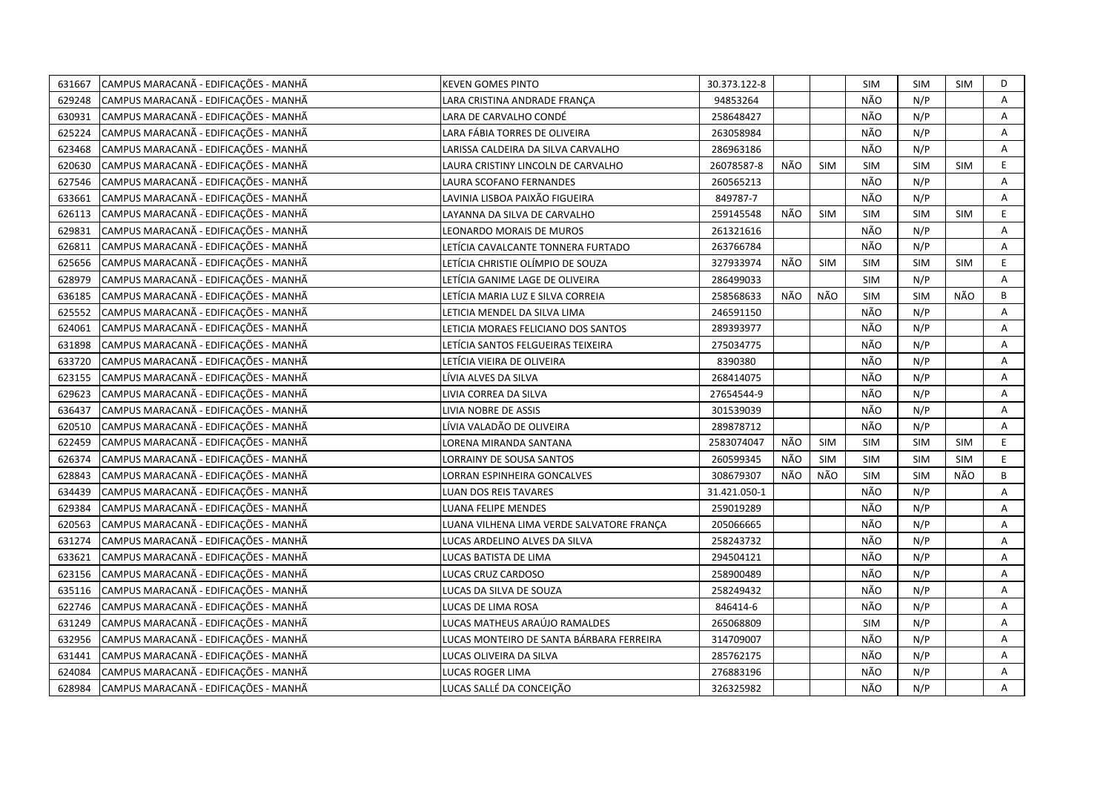| 631667 | CAMPUS MARACANÃ - EDIFICAÇÕES - MANHÃ | KEVEN GOMES PINTO                         | 30.373.122-8 |     |            | <b>SIM</b> | <b>SIM</b> | <b>SIM</b> | D  |
|--------|---------------------------------------|-------------------------------------------|--------------|-----|------------|------------|------------|------------|----|
| 629248 | CAMPUS MARACANÃ - EDIFICAÇÕES - MANHÃ | LARA CRISTINA ANDRADE FRANCA              | 94853264     |     |            | NÃO        | N/P        |            | A  |
| 630931 | CAMPUS MARACANÃ - EDIFICAÇÕES - MANHÃ | LARA DE CARVALHO CONDÉ                    | 258648427    |     |            | NÃO        | N/P        |            | Α  |
| 625224 | CAMPUS MARACANÃ - EDIFICAÇÕES - MANHÃ | LARA FÁBIA TORRES DE OLIVEIRA             | 263058984    |     |            | NÃO        | N/P        |            | Α  |
| 623468 | CAMPUS MARACANÃ - EDIFICAÇÕES - MANHÃ | LARISSA CALDEIRA DA SILVA CARVALHO        | 286963186    |     |            | NÃO        | N/P        |            | Α  |
| 620630 | CAMPUS MARACANÃ - EDIFICAÇÕES - MANHÃ | LAURA CRISTINY LINCOLN DE CARVALHO        | 26078587-8   | NÃO | <b>SIM</b> | <b>SIM</b> | SIM        | <b>SIM</b> | E  |
| 627546 | CAMPUS MARACANÃ - EDIFICAÇÕES - MANHÃ | <b>LAURA SCOFANO FERNANDES</b>            | 260565213    |     |            | NÃO        | N/P        |            | Α  |
| 633661 | CAMPUS MARACANÃ - EDIFICAÇÕES - MANHÃ | LAVINIA LISBOA PAIXÃO FIGUEIRA            | 849787-7     |     |            | NÃO        | N/P        |            | Α  |
| 626113 | CAMPUS MARACANÃ - EDIFICAÇÕES - MANHÃ | LAYANNA DA SILVA DE CARVALHO              | 259145548    | NÃO | <b>SIM</b> | <b>SIM</b> | <b>SIM</b> | <b>SIM</b> | E  |
| 629831 | CAMPUS MARACANÃ - EDIFICAÇÕES - MANHÃ | LEONARDO MORAIS DE MUROS                  | 261321616    |     |            | NÃO        | N/P        |            | A  |
| 626811 | CAMPUS MARACANÃ - EDIFICAÇÕES - MANHÃ | LETÍCIA CAVALCANTE TONNERA FURTADO        | 263766784    |     |            | NÃO        | N/P        |            | Α  |
| 625656 | CAMPUS MARACANÃ - EDIFICAÇÕES - MANHÃ | LETÍCIA CHRISTIE OLÍMPIO DE SOUZA         | 327933974    | NÃO | <b>SIM</b> | <b>SIM</b> | <b>SIM</b> | <b>SIM</b> | E. |
| 628979 | CAMPUS MARACANÃ - EDIFICAÇÕES - MANHÃ | LETÍCIA GANIME LAGE DE OLIVEIRA           | 286499033    |     |            | SIM        | N/P        |            | Α  |
| 636185 | CAMPUS MARACANÃ - EDIFICAÇÕES - MANHÃ | LETÍCIA MARIA LUZ E SILVA CORREIA         | 258568633    | NÃO | NÃO        | <b>SIM</b> | SIM        | NÃO        | В  |
| 625552 | CAMPUS MARACANÃ - EDIFICAÇÕES - MANHÃ | LETICIA MENDEL DA SILVA LIMA              | 246591150    |     |            | NÃO        | N/P        |            | A  |
| 624061 | CAMPUS MARACANÃ - EDIFICAÇÕES - MANHÃ | LETICIA MORAES FELICIANO DOS SANTOS       | 289393977    |     |            | NÃO        | N/P        |            | A  |
| 631898 | CAMPUS MARACANÃ - EDIFICAÇÕES - MANHÃ | LETÍCIA SANTOS FELGUEIRAS TEIXEIRA        | 275034775    |     |            | NÃO        | N/P        |            | Α  |
| 633720 | CAMPUS MARACANÃ - EDIFICAÇÕES - MANHÃ | LETÍCIA VIEIRA DE OLIVEIRA                | 8390380      |     |            | NÃO        | N/P        |            | A  |
| 623155 | CAMPUS MARACANÃ - EDIFICAÇÕES - MANHÃ | LÍVIA ALVES DA SILVA                      | 268414075    |     |            | NÃO        | N/P        |            | A  |
| 629623 | CAMPUS MARACANÃ - EDIFICAÇÕES - MANHÃ | LIVIA CORREA DA SILVA                     | 27654544-9   |     |            | NÃO        | N/P        |            | A  |
| 636437 | CAMPUS MARACANÃ - EDIFICAÇÕES - MANHÃ | LIVIA NOBRE DE ASSIS                      | 301539039    |     |            | NÃO        | N/P        |            | A  |
| 620510 | CAMPUS MARACANÃ - EDIFICAÇÕES - MANHÃ | LÍVIA VALADÃO DE OLIVEIRA                 | 289878712    |     |            | NÃO        | N/P        |            | A  |
| 622459 | CAMPUS MARACANÃ - EDIFICAÇÕES - MANHÃ | LORENA MIRANDA SANTANA                    | 2583074047   | NÃO | <b>SIM</b> | <b>SIM</b> | <b>SIM</b> | <b>SIM</b> | E  |
| 626374 | CAMPUS MARACANÃ - EDIFICAÇÕES - MANHÃ | LORRAINY DE SOUSA SANTOS                  | 260599345    | NÃO | <b>SIM</b> | <b>SIM</b> | SIM        | <b>SIM</b> | E  |
| 628843 | CAMPUS MARACANÃ - EDIFICAÇÕES - MANHÃ | LORRAN ESPINHEIRA GONCALVES               | 308679307    | NÃO | NÃO        | <b>SIM</b> | <b>SIM</b> | NÃO        | B  |
| 634439 | CAMPUS MARACANÃ - EDIFICAÇÕES - MANHÃ | LUAN DOS REIS TAVARES                     | 31.421.050-1 |     |            | NÃO        | N/P        |            | Α  |
| 629384 | CAMPUS MARACANÃ - EDIFICAÇÕES - MANHÃ | LUANA FELIPE MENDES                       | 259019289    |     |            | NÃO        | N/P        |            | A  |
| 620563 | CAMPUS MARACANÃ - EDIFICAÇÕES - MANHÃ | LUANA VILHENA LIMA VERDE SALVATORE FRANÇA | 205066665    |     |            | NÃO        | N/P        |            | A  |
| 631274 | CAMPUS MARACANÃ - EDIFICAÇÕES - MANHÃ | LUCAS ARDELINO ALVES DA SILVA             | 258243732    |     |            | NÃO        | N/P        |            | Α  |
| 633621 | CAMPUS MARACANÃ - EDIFICAÇÕES - MANHÃ | LUCAS BATISTA DE LIMA                     | 294504121    |     |            | NÃO        | N/P        |            | Α  |
| 623156 | CAMPUS MARACANÃ - EDIFICAÇÕES - MANHÃ | LUCAS CRUZ CARDOSO                        | 258900489    |     |            | NÃO        | N/P        |            | Α  |
| 635116 | CAMPUS MARACANÃ - EDIFICAÇÕES - MANHÃ | LUCAS DA SILVA DE SOUZA                   | 258249432    |     |            | NÃO        | N/P        |            | A  |
| 622746 | CAMPUS MARACANÃ - EDIFICAÇÕES - MANHÃ | LUCAS DE LIMA ROSA                        | 846414-6     |     |            | NÃO        | N/P        |            | Α  |
| 631249 | CAMPUS MARACANÃ - EDIFICAÇÕES - MANHÃ | LUCAS MATHEUS ARAÚJO RAMALDES             | 265068809    |     |            | <b>SIM</b> | N/P        |            | A  |
| 632956 | CAMPUS MARACANÃ - EDIFICAÇÕES - MANHÃ | LUCAS MONTEIRO DE SANTA BÁRBARA FERREIRA  | 314709007    |     |            | NÃO        | N/P        |            | A  |
| 631441 | CAMPUS MARACANÃ - EDIFICAÇÕES - MANHÃ | LUCAS OLIVEIRA DA SILVA                   | 285762175    |     |            | NÃO        | N/P        |            | Α  |
| 624084 | CAMPUS MARACANÃ - EDIFICAÇÕES - MANHÃ | <b>LUCAS ROGER LIMA</b>                   | 276883196    |     |            | NÃO        | N/P        |            | Α  |
| 628984 | CAMPUS MARACANÃ - EDIFICAÇÕES - MANHÃ | LUCAS SALLÉ DA CONCEIÇÃO                  | 326325982    |     |            | NÃO        | N/P        |            | A  |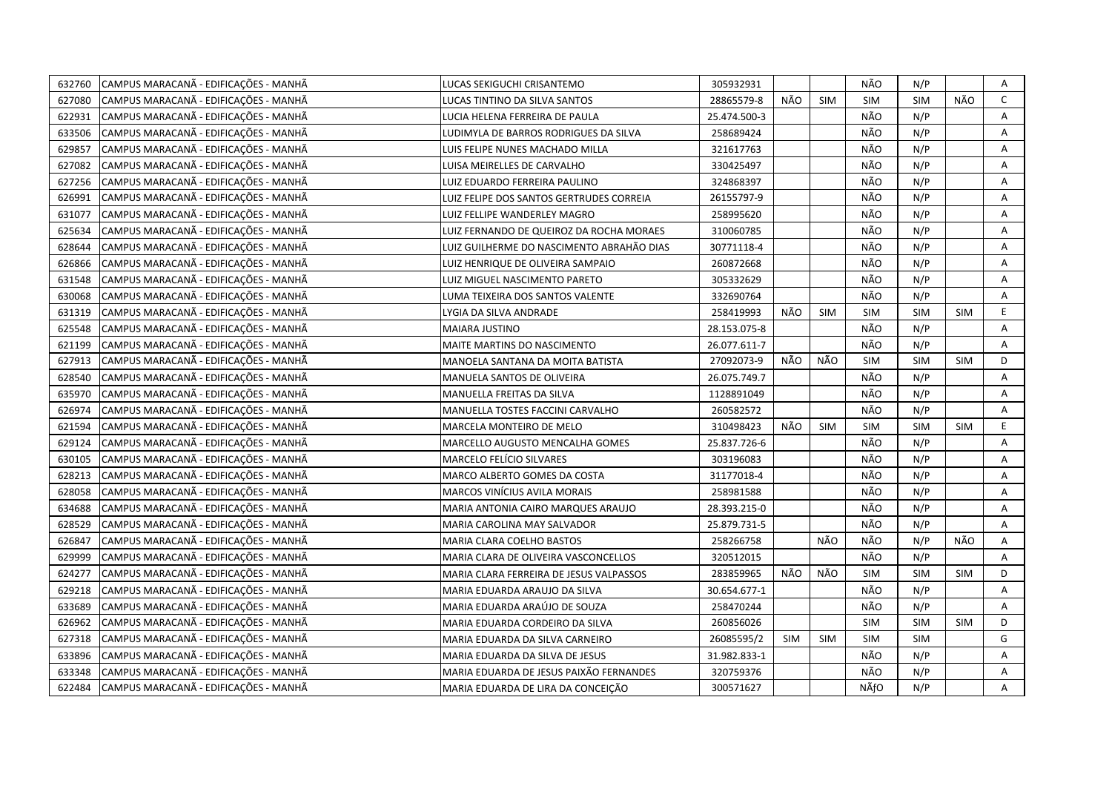| 632760 | CAMPUS MARACANÃ - EDIFICAÇÕES - MANHÃ | LUCAS SEKIGUCHI CRISANTEMO                | 305932931    |            |            | NÃO        | N/P        |            | Α            |
|--------|---------------------------------------|-------------------------------------------|--------------|------------|------------|------------|------------|------------|--------------|
| 627080 | CAMPUS MARACANÃ - EDIFICAÇÕES - MANHÃ | LUCAS TINTINO DA SILVA SANTOS             | 28865579-8   | NÃO        | <b>SIM</b> | SIM        | <b>SIM</b> | NÃO        | $\mathsf{C}$ |
| 622931 | CAMPUS MARACANÃ - EDIFICAÇÕES - MANHÃ | LUCIA HELENA FERREIRA DE PAULA            | 25.474.500-3 |            |            | NÃO        | N/P        |            | A            |
| 633506 | CAMPUS MARACANÃ - EDIFICAÇÕES - MANHÃ | LUDIMYLA DE BARROS RODRIGUES DA SILVA     | 258689424    |            |            | NÃO        | N/P        |            | Α            |
| 629857 | CAMPUS MARACANÃ - EDIFICAÇÕES - MANHÃ | LUIS FELIPE NUNES MACHADO MILLA           | 321617763    |            |            | NÃO        | N/P        |            | A            |
| 627082 | CAMPUS MARACANÃ - EDIFICAÇÕES - MANHÃ | LUISA MEIRELLES DE CARVALHO               | 330425497    |            |            | NÃO        | N/P        |            | Α            |
| 627256 | CAMPUS MARACANÃ - EDIFICAÇÕES - MANHÃ | LUIZ EDUARDO FERREIRA PAULINO             | 324868397    |            |            | NÃO        | N/P        |            | Α            |
| 626991 | CAMPUS MARACANÃ - EDIFICAÇÕES - MANHÃ | LUIZ FELIPE DOS SANTOS GERTRUDES CORREIA  | 26155797-9   |            |            | NÃO        | N/P        |            | A            |
| 631077 | CAMPUS MARACANÃ - EDIFICAÇÕES - MANHÃ | LUIZ FELLIPE WANDERLEY MAGRO              | 258995620    |            |            | NÃO        | N/P        |            | A            |
| 625634 | CAMPUS MARACANÃ - EDIFICAÇÕES - MANHÃ | LUIZ FERNANDO DE QUEIROZ DA ROCHA MORAES  | 310060785    |            |            | NÃO        | N/P        |            | A            |
| 628644 | CAMPUS MARACANÃ - EDIFICAÇÕES - MANHÃ | LUIZ GUILHERME DO NASCIMENTO ABRAHÃO DIAS | 30771118-4   |            |            | NÃO        | N/P        |            | Α            |
| 626866 | CAMPUS MARACANÃ - EDIFICAÇÕES - MANHÃ | LUIZ HENRIQUE DE OLIVEIRA SAMPAIO         | 260872668    |            |            | NÃO        | N/P        |            | Α            |
| 631548 | CAMPUS MARACANÃ - EDIFICAÇÕES - MANHÃ | LUIZ MIGUEL NASCIMENTO PARETO             | 305332629    |            |            | NÃO        | N/P        |            | A            |
| 630068 | CAMPUS MARACANÃ - EDIFICAÇÕES - MANHÃ | LUMA TEIXEIRA DOS SANTOS VALENTE          | 332690764    |            |            | NÃO        | N/P        |            | Α            |
| 631319 | CAMPUS MARACANÃ - EDIFICAÇÕES - MANHÃ | LYGIA DA SILVA ANDRADE                    | 258419993    | NÃO        | <b>SIM</b> | <b>SIM</b> | SIM        | <b>SIM</b> | E            |
| 625548 | CAMPUS MARACANÃ - EDIFICAÇÕES - MANHÃ | MAIARA JUSTINO                            | 28.153.075-8 |            |            | NÃO        | N/P        |            | A            |
| 621199 | CAMPUS MARACANÃ - EDIFICAÇÕES - MANHÃ | MAITE MARTINS DO NASCIMENTO               | 26.077.611-7 |            |            | NÃO        | N/P        |            | Α            |
| 627913 | CAMPUS MARACANÃ - EDIFICAÇÕES - MANHÃ | MANOELA SANTANA DA MOITA BATISTA          | 27092073-9   | NÃO        | NÃO        | <b>SIM</b> | <b>SIM</b> | <b>SIM</b> | D            |
| 628540 | CAMPUS MARACANÃ - EDIFICAÇÕES - MANHÃ | MANUELA SANTOS DE OLIVEIRA                | 26.075.749.7 |            |            | NÃO        | N/P        |            | A            |
| 635970 | CAMPUS MARACANÃ - EDIFICAÇÕES - MANHÃ | MANUELLA FREITAS DA SILVA                 | 1128891049   |            |            | NÃO        | N/P        |            | Α            |
| 626974 | CAMPUS MARACANÃ - EDIFICAÇÕES - MANHÃ | MANUELLA TOSTES FACCINI CARVALHO          | 260582572    |            |            | NÃO        | N/P        |            | A            |
| 621594 | CAMPUS MARACANÃ - EDIFICAÇÕES - MANHÃ | MARCELA MONTEIRO DE MELO                  | 310498423    | NÃO        | <b>SIM</b> | <b>SIM</b> | SIM        | <b>SIM</b> | E            |
| 629124 | CAMPUS MARACANÃ - EDIFICAÇÕES - MANHÃ | MARCELLO AUGUSTO MENCALHA GOMES           | 25.837.726-6 |            |            | NÃO        | N/P        |            | A            |
| 630105 | CAMPUS MARACANÃ - EDIFICAÇÕES - MANHÃ | MARCELO FELÍCIO SILVARES                  | 303196083    |            |            | NÃO        | N/P        |            | Α            |
| 628213 | CAMPUS MARACANÃ - EDIFICAÇÕES - MANHÃ | MARCO ALBERTO GOMES DA COSTA              | 31177018-4   |            |            | NÃO        | N/P        |            | Α            |
| 628058 | CAMPUS MARACANÃ - EDIFICAÇÕES - MANHÃ | MARCOS VINÍCIUS AVILA MORAIS              | 258981588    |            |            | NÃO        | N/P        |            | A            |
| 634688 | CAMPUS MARACANÃ - EDIFICAÇÕES - MANHÃ | MARIA ANTONIA CAIRO MARQUES ARAUJO        | 28.393.215-0 |            |            | NÃO        | N/P        |            | A            |
| 628529 | CAMPUS MARACANÃ - EDIFICAÇÕES - MANHÃ | MARIA CAROLINA MAY SALVADOR               | 25.879.731-5 |            |            | NÃO        | N/P        |            | Α            |
| 626847 | CAMPUS MARACANÃ - EDIFICAÇÕES - MANHÃ | MARIA CLARA COELHO BASTOS                 | 258266758    |            | NÃO        | NÃO        | N/P        | NÃO        | Α            |
| 629999 | CAMPUS MARACANÃ - EDIFICAÇÕES - MANHÃ | MARIA CLARA DE OLIVEIRA VASCONCELLOS      | 320512015    |            |            | NÃO        | N/P        |            | Α            |
| 624277 | CAMPUS MARACANÃ - EDIFICAÇÕES - MANHÃ | MARIA CLARA FERREIRA DE JESUS VALPASSOS   | 283859965    | NÃO        | NÃO        | <b>SIM</b> | <b>SIM</b> | <b>SIM</b> | D            |
| 629218 | CAMPUS MARACANÃ - EDIFICAÇÕES - MANHÃ | MARIA EDUARDA ARAUJO DA SILVA             | 30.654.677-1 |            |            | NÃO        | N/P        |            | A            |
| 633689 | CAMPUS MARACANÃ - EDIFICAÇÕES - MANHÃ | MARIA EDUARDA ARAÚJO DE SOUZA             | 258470244    |            |            | NÃO        | N/P        |            | A            |
| 626962 | CAMPUS MARACANÃ - EDIFICAÇÕES - MANHÃ | MARIA EDUARDA CORDEIRO DA SILVA           | 260856026    |            |            | <b>SIM</b> | <b>SIM</b> | <b>SIM</b> | D            |
| 627318 | CAMPUS MARACANÃ - EDIFICAÇÕES - MANHÃ | MARIA EDUARDA DA SILVA CARNEIRO           | 26085595/2   | <b>SIM</b> | <b>SIM</b> | <b>SIM</b> | <b>SIM</b> |            | G            |
| 633896 | CAMPUS MARACANÃ - EDIFICAÇÕES - MANHÃ | MARIA EDUARDA DA SILVA DE JESUS           | 31.982.833-1 |            |            | NÃO        | N/P        |            | Α            |
| 633348 | CAMPUS MARACANÃ - EDIFICAÇÕES - MANHÃ | MARIA EDUARDA DE JESUS PAIXÃO FERNANDES   | 320759376    |            |            | NÃO        | N/P        |            | Α            |
| 622484 | CAMPUS MARACANÃ - EDIFICAÇÕES - MANHÃ | MARIA EDUARDA DE LIRA DA CONCEIÇÃO        | 300571627    |            |            | NÃfO       | N/P        |            | A            |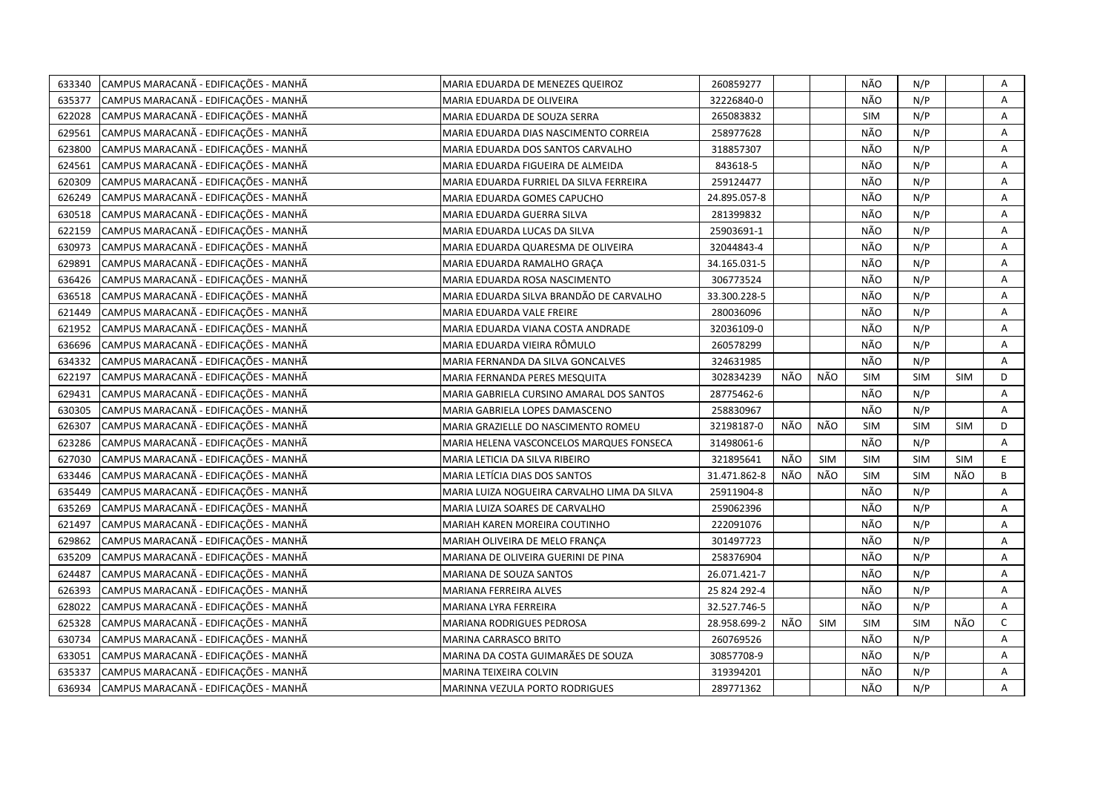| 633340 | CAMPUS MARACANÃ - EDIFICAÇÕES - MANHÃ | MARIA EDUARDA DE MENEZES QUEIROZ            | 260859277    |     |            | NÃO        | N/P        |            | Α            |
|--------|---------------------------------------|---------------------------------------------|--------------|-----|------------|------------|------------|------------|--------------|
| 635377 | CAMPUS MARACANÃ - EDIFICAÇÕES - MANHÃ | MARIA EDUARDA DE OLIVEIRA                   | 32226840-0   |     |            | NÃO        | N/P        |            | Α            |
| 622028 | CAMPUS MARACANÃ - EDIFICAÇÕES - MANHÃ | MARIA EDUARDA DE SOUZA SERRA                | 265083832    |     |            | SIM        | N/P        |            | Α            |
| 629561 | CAMPUS MARACANÃ - EDIFICAÇÕES - MANHÃ | MARIA EDUARDA DIAS NASCIMENTO CORREIA       | 258977628    |     |            | NÃO        | N/P        |            | A            |
| 623800 | CAMPUS MARACANÃ - EDIFICAÇÕES - MANHÃ | MARIA EDUARDA DOS SANTOS CARVALHO           | 318857307    |     |            | NÃO        | N/P        |            | A            |
| 624561 | CAMPUS MARACANÃ - EDIFICAÇÕES - MANHÃ | MARIA EDUARDA FIGUEIRA DE ALMEIDA           | 843618-5     |     |            | NÃO        | N/P        |            | Α            |
| 620309 | CAMPUS MARACANÃ - EDIFICAÇÕES - MANHÃ | MARIA EDUARDA FURRIEL DA SILVA FERREIRA     | 259124477    |     |            | NÃO        | N/P        |            | Α            |
| 626249 | CAMPUS MARACANÃ - EDIFICAÇÕES - MANHÃ | MARIA EDUARDA GOMES CAPUCHO                 | 24.895.057-8 |     |            | NÃO        | N/P        |            | Α            |
| 630518 | CAMPUS MARACANÃ - EDIFICAÇÕES - MANHÃ | MARIA EDUARDA GUERRA SILVA                  | 281399832    |     |            | NÃO        | N/P        |            | Α            |
| 622159 | CAMPUS MARACANÃ - EDIFICAÇÕES - MANHÃ | MARIA EDUARDA LUCAS DA SILVA                | 25903691-1   |     |            | NÃO        | N/P        |            | Α            |
| 630973 | CAMPUS MARACANÃ - EDIFICAÇÕES - MANHÃ | MARIA EDUARDA QUARESMA DE OLIVEIRA          | 32044843-4   |     |            | NÃO        | N/P        |            | A            |
| 629891 | CAMPUS MARACANÃ - EDIFICAÇÕES - MANHÃ | MARIA EDUARDA RAMALHO GRAÇA                 | 34.165.031-5 |     |            | NÃO        | N/P        |            | A            |
| 636426 | CAMPUS MARACANÃ - EDIFICAÇÕES - MANHÃ | MARIA EDUARDA ROSA NASCIMENTO               | 306773524    |     |            | NÃO        | N/P        |            | A            |
| 636518 | CAMPUS MARACANÃ - EDIFICAÇÕES - MANHÃ | MARIA EDUARDA SILVA BRANDÃO DE CARVALHO     | 33.300.228-5 |     |            | NÃO        | N/P        |            | Α            |
| 621449 | CAMPUS MARACANÃ - EDIFICAÇÕES - MANHÃ | MARIA EDUARDA VALE FREIRE                   | 280036096    |     |            | NÃO        | N/P        |            | Α            |
| 621952 | CAMPUS MARACANÃ - EDIFICAÇÕES - MANHÃ | MARIA EDUARDA VIANA COSTA ANDRADE           | 32036109-0   |     |            | NÃO        | N/P        |            | A            |
| 636696 | CAMPUS MARACANÃ - EDIFICAÇÕES - MANHÃ | MARIA EDUARDA VIEIRA RÔMULO                 | 260578299    |     |            | NÃO        | N/P        |            | A            |
| 634332 | CAMPUS MARACANÃ - EDIFICAÇÕES - MANHÃ | MARIA FERNANDA DA SILVA GONCALVES           | 324631985    |     |            | NÃO        | N/P        |            | A            |
| 622197 | CAMPUS MARACANÃ - EDIFICAÇÕES - MANHÃ | MARIA FERNANDA PERES MESQUITA               | 302834239    | NÃO | NÃO        | SIM        | <b>SIM</b> | <b>SIM</b> | D            |
| 629431 | CAMPUS MARACANÃ - EDIFICAÇÕES - MANHÃ | MARIA GABRIELA CURSINO AMARAL DOS SANTOS    | 28775462-6   |     |            | NÃO        | N/P        |            | Α            |
| 630305 | CAMPUS MARACANÃ - EDIFICAÇÕES - MANHÃ | MARIA GABRIELA LOPES DAMASCENO              | 258830967    |     |            | NÃO        | N/P        |            | A            |
| 626307 | CAMPUS MARACANÃ - EDIFICAÇÕES - MANHÃ | MARIA GRAZIELLE DO NASCIMENTO ROMEU         | 32198187-0   | NÃO | NÃO        | <b>SIM</b> | <b>SIM</b> | SIM        | D            |
| 623286 | CAMPUS MARACANÃ - EDIFICAÇÕES - MANHÃ | MARIA HELENA VASCONCELOS MARQUES FONSECA    | 31498061-6   |     |            | NÃO        | N/P        |            | A            |
| 627030 | CAMPUS MARACANÃ - EDIFICAÇÕES - MANHÃ | MARIA LETICIA DA SILVA RIBEIRO              | 321895641    | NÃO | <b>SIM</b> | <b>SIM</b> | <b>SIM</b> | <b>SIM</b> | E            |
| 633446 | CAMPUS MARACANÃ - EDIFICAÇÕES - MANHÃ | MARIA LETÍCIA DIAS DOS SANTOS               | 31.471.862-8 | NÃO | NÃO        | <b>SIM</b> | <b>SIM</b> | NÃO        | B            |
| 635449 | CAMPUS MARACANÃ - EDIFICAÇÕES - MANHÃ | MARIA LUIZA NOGUEIRA CARVALHO LIMA DA SILVA | 25911904-8   |     |            | NÃO        | N/P        |            | A            |
| 635269 | CAMPUS MARACANÃ - EDIFICAÇÕES - MANHÃ | MARIA LUIZA SOARES DE CARVALHO              | 259062396    |     |            | NÃO        | N/P        |            | Α            |
| 621497 | CAMPUS MARACANÃ - EDIFICAÇÕES - MANHÃ | MARIAH KAREN MOREIRA COUTINHO               | 222091076    |     |            | NÃO        | N/P        |            | Α            |
| 629862 | CAMPUS MARACANÃ - EDIFICAÇÕES - MANHÃ | MARIAH OLIVEIRA DE MELO FRANÇA              | 301497723    |     |            | NÃO        | N/P        |            | A            |
| 635209 | CAMPUS MARACANÃ - EDIFICAÇÕES - MANHÃ | MARIANA DE OLIVEIRA GUERINI DE PINA         | 258376904    |     |            | NÃO        | N/P        |            | Α            |
| 624487 | CAMPUS MARACANÃ - EDIFICAÇÕES - MANHÃ | MARIANA DE SOUZA SANTOS                     | 26.071.421-7 |     |            | NÃO        | N/P        |            | A            |
| 626393 | CAMPUS MARACANÃ - EDIFICAÇÕES - MANHÃ | MARIANA FERREIRA ALVES                      | 25 824 292-4 |     |            | NÃO        | N/P        |            | Α            |
| 628022 | CAMPUS MARACANÃ - EDIFICAÇÕES - MANHÃ | MARIANA LYRA FERREIRA                       | 32.527.746-5 |     |            | NÃO        | N/P        |            | Α            |
| 625328 | CAMPUS MARACANÃ - EDIFICAÇÕES - MANHÃ | MARIANA RODRIGUES PEDROSA                   | 28.958.699-2 | NÃO | <b>SIM</b> | <b>SIM</b> | <b>SIM</b> | NÃO        | $\mathsf{C}$ |
| 630734 | CAMPUS MARACANÃ - EDIFICAÇÕES - MANHÃ | MARINA CARRASCO BRITO                       | 260769526    |     |            | NÃO        | N/P        |            | A            |
| 633051 | CAMPUS MARACANÃ - EDIFICAÇÕES - MANHÃ | MARINA DA COSTA GUIMARÃES DE SOUZA          | 30857708-9   |     |            | NÃO        | N/P        |            | Α            |
| 635337 | CAMPUS MARACANÃ - EDIFICAÇÕES - MANHÃ | MARINA TEIXEIRA COLVIN                      | 319394201    |     |            | NÃO        | N/P        |            | Α            |
| 636934 | CAMPUS MARACANÃ - EDIFICAÇÕES - MANHÃ | MARINNA VEZULA PORTO RODRIGUES              | 289771362    |     |            | NÃO        | N/P        |            | A            |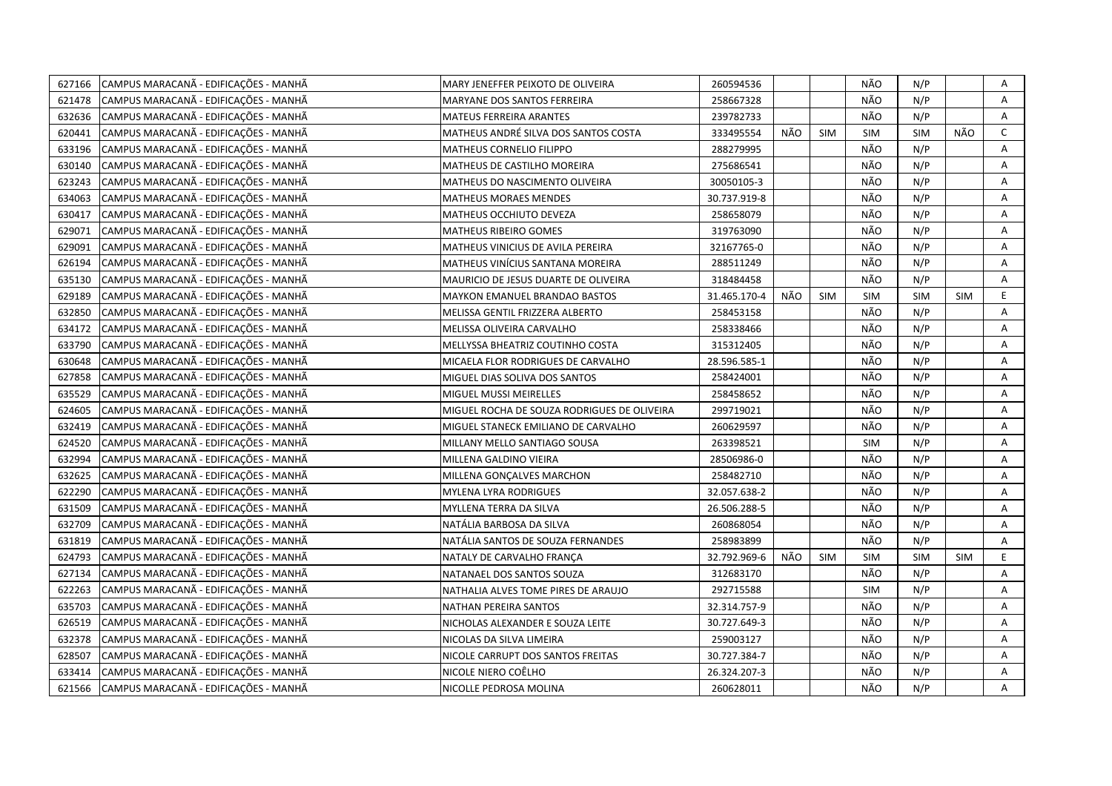| 627166 | CAMPUS MARACANÃ - EDIFICAÇÕES - MANHÃ | MARY JENEFFER PEIXOTO DE OLIVEIRA           | 260594536    |     |            | NÃO        | N/P        |            | Α            |
|--------|---------------------------------------|---------------------------------------------|--------------|-----|------------|------------|------------|------------|--------------|
| 621478 | CAMPUS MARACANÃ - EDIFICAÇÕES - MANHÃ | MARYANE DOS SANTOS FERREIRA                 | 258667328    |     |            | NÃO        | N/P        |            | Α            |
| 632636 | CAMPUS MARACANÃ - EDIFICAÇÕES - MANHÃ | MATEUS FERREIRA ARANTES                     | 239782733    |     |            | NÃO        | N/P        |            | A            |
| 620441 | CAMPUS MARACANÃ - EDIFICAÇÕES - MANHÃ | MATHEUS ANDRÉ SILVA DOS SANTOS COSTA        | 333495554    | NÃO | <b>SIM</b> | SIM        | <b>SIM</b> | NÃO        | $\mathsf{C}$ |
| 633196 | CAMPUS MARACANÃ - EDIFICAÇÕES - MANHÃ | MATHEUS CORNELIO FILIPPO                    | 288279995    |     |            | NÃO        | N/P        |            | A            |
| 630140 | CAMPUS MARACANÃ - EDIFICAÇÕES - MANHÃ | MATHEUS DE CASTILHO MOREIRA                 | 275686541    |     |            | NÃO        | N/P        |            | Α            |
| 623243 | CAMPUS MARACANÃ - EDIFICAÇÕES - MANHÃ | MATHEUS DO NASCIMENTO OLIVEIRA              | 30050105-3   |     |            | NÃO        | N/P        |            | Α            |
| 634063 | CAMPUS MARACANÃ - EDIFICAÇÕES - MANHÃ | <b>MATHEUS MORAES MENDES</b>                | 30.737.919-8 |     |            | NÃO        | N/P        |            | Α            |
| 630417 | CAMPUS MARACANÃ - EDIFICAÇÕES - MANHÃ | MATHEUS OCCHIUTO DEVEZA                     | 258658079    |     |            | NÃO        | N/P        |            | Α            |
| 629071 | CAMPUS MARACANÃ - EDIFICAÇÕES - MANHÃ | <b>MATHEUS RIBEIRO GOMES</b>                | 319763090    |     |            | NÃO        | N/P        |            | Α            |
| 629091 | CAMPUS MARACANÃ - EDIFICAÇÕES - MANHÃ | MATHEUS VINICIUS DE AVILA PEREIRA           | 32167765-0   |     |            | NÃO        | N/P        |            | A            |
| 626194 | CAMPUS MARACANÃ - EDIFICAÇÕES - MANHÃ | MATHEUS VINÍCIUS SANTANA MOREIRA            | 288511249    |     |            | NÃO        | N/P        |            | A            |
| 635130 | CAMPUS MARACANÃ - EDIFICAÇÕES - MANHÃ | MAURICIO DE JESUS DUARTE DE OLIVEIRA        | 318484458    |     |            | NÃO        | N/P        |            | A            |
| 629189 | CAMPUS MARACANÃ - EDIFICAÇÕES - MANHÃ | MAYKON EMANUEL BRANDAO BASTOS               | 31.465.170-4 | NÃO | <b>SIM</b> | <b>SIM</b> | <b>SIM</b> | <b>SIM</b> | E            |
| 632850 | CAMPUS MARACANÃ - EDIFICAÇÕES - MANHÃ | MELISSA GENTIL FRIZZERA ALBERTO             | 258453158    |     |            | NÃO        | N/P        |            | A            |
| 634172 | CAMPUS MARACANÃ - EDIFICAÇÕES - MANHÃ | MELISSA OLIVEIRA CARVALHO                   | 258338466    |     |            | NÃO        | N/P        |            | A            |
| 633790 | CAMPUS MARACANÃ - EDIFICAÇÕES - MANHÃ | MELLYSSA BHEATRIZ COUTINHO COSTA            | 315312405    |     |            | NÃO        | N/P        |            | A            |
| 630648 | CAMPUS MARACANÃ - EDIFICAÇÕES - MANHÃ | MICAELA FLOR RODRIGUES DE CARVALHO          | 28.596.585-1 |     |            | NÃO        | N/P        |            | A            |
| 627858 | CAMPUS MARACANÃ - EDIFICAÇÕES - MANHÃ | MIGUEL DIAS SOLIVA DOS SANTOS               | 258424001    |     |            | NÃO        | N/P        |            | A            |
| 635529 | CAMPUS MARACANÃ - EDIFICAÇÕES - MANHÃ | MIGUEL MUSSI MEIRELLES                      | 258458652    |     |            | NÃO        | N/P        |            | Α            |
| 624605 | CAMPUS MARACANÃ - EDIFICAÇÕES - MANHÃ | MIGUEL ROCHA DE SOUZA RODRIGUES DE OLIVEIRA | 299719021    |     |            | NÃO        | N/P        |            | A            |
| 632419 | CAMPUS MARACANÃ - EDIFICAÇÕES - MANHÃ | MIGUEL STANECK EMILIANO DE CARVALHO         | 260629597    |     |            | NÃO        | N/P        |            | A            |
| 624520 | CAMPUS MARACANÃ - EDIFICAÇÕES - MANHÃ | MILLANY MELLO SANTIAGO SOUSA                | 263398521    |     |            | SIM        | N/P        |            | A            |
| 632994 | CAMPUS MARACANÃ - EDIFICAÇÕES - MANHÃ | MILLENA GALDINO VIEIRA                      | 28506986-0   |     |            | NÃO        | N/P        |            | A            |
| 632625 | CAMPUS MARACANÃ - EDIFICAÇÕES - MANHÃ | MILLENA GONÇALVES MARCHON                   | 258482710    |     |            | NÃO        | N/P        |            | A            |
| 622290 | CAMPUS MARACANÃ - EDIFICAÇÕES - MANHÃ | MYLENA LYRA RODRIGUES                       | 32.057.638-2 |     |            | NÃO        | N/P        |            | A            |
| 631509 | CAMPUS MARACANÃ - EDIFICAÇÕES - MANHÃ | MYLLENA TERRA DA SILVA                      | 26.506.288-5 |     |            | NÃO        | N/P        |            | A            |
| 632709 | CAMPUS MARACANÃ - EDIFICAÇÕES - MANHÃ | NATÁLIA BARBOSA DA SILVA                    | 260868054    |     |            | NÃO        | N/P        |            | Α            |
| 631819 | CAMPUS MARACANÃ - EDIFICAÇÕES - MANHÃ | NATÁLIA SANTOS DE SOUZA FERNANDES           | 258983899    |     |            | NÃO        | N/P        |            | A            |
| 624793 | CAMPUS MARACANÃ - EDIFICAÇÕES - MANHÃ | NATALY DE CARVALHO FRANÇA                   | 32.792.969-6 | NÃO | <b>SIM</b> | SIM        | SIM        | <b>SIM</b> | E            |
| 627134 | CAMPUS MARACANÃ - EDIFICAÇÕES - MANHÃ | NATANAEL DOS SANTOS SOUZA                   | 312683170    |     |            | NÃO        | N/P        |            | A            |
| 622263 | CAMPUS MARACANÃ - EDIFICAÇÕES - MANHÃ | NATHALIA ALVES TOME PIRES DE ARAUJO         | 292715588    |     |            | <b>SIM</b> | N/P        |            | A            |
| 635703 | CAMPUS MARACANÃ - EDIFICAÇÕES - MANHÃ | NATHAN PEREIRA SANTOS                       | 32.314.757-9 |     |            | NÃO        | N/P        |            | A            |
| 626519 | CAMPUS MARACANÃ - EDIFICAÇÕES - MANHÃ | NICHOLAS ALEXANDER E SOUZA LEITE            | 30.727.649-3 |     |            | NÃO        | N/P        |            | Α            |
| 632378 | CAMPUS MARACANÃ - EDIFICAÇÕES - MANHÃ | NICOLAS DA SILVA LIMEIRA                    | 259003127    |     |            | NÃO        | N/P        |            | Α            |
| 628507 | CAMPUS MARACANÃ - EDIFICAÇÕES - MANHÃ | NICOLE CARRUPT DOS SANTOS FREITAS           | 30.727.384-7 |     |            | NÃO        | N/P        |            | Α            |
| 633414 | CAMPUS MARACANÃ - EDIFICAÇÕES - MANHÃ | NICOLE NIERO COÊLHO                         | 26.324.207-3 |     |            | NÃO        | N/P        |            | Α            |
| 621566 | CAMPUS MARACANA - EDIFICAÇÕES - MANHÃ | NICOLLE PEDROSA MOLINA                      | 260628011    |     |            | NÃO        | N/P        |            | A            |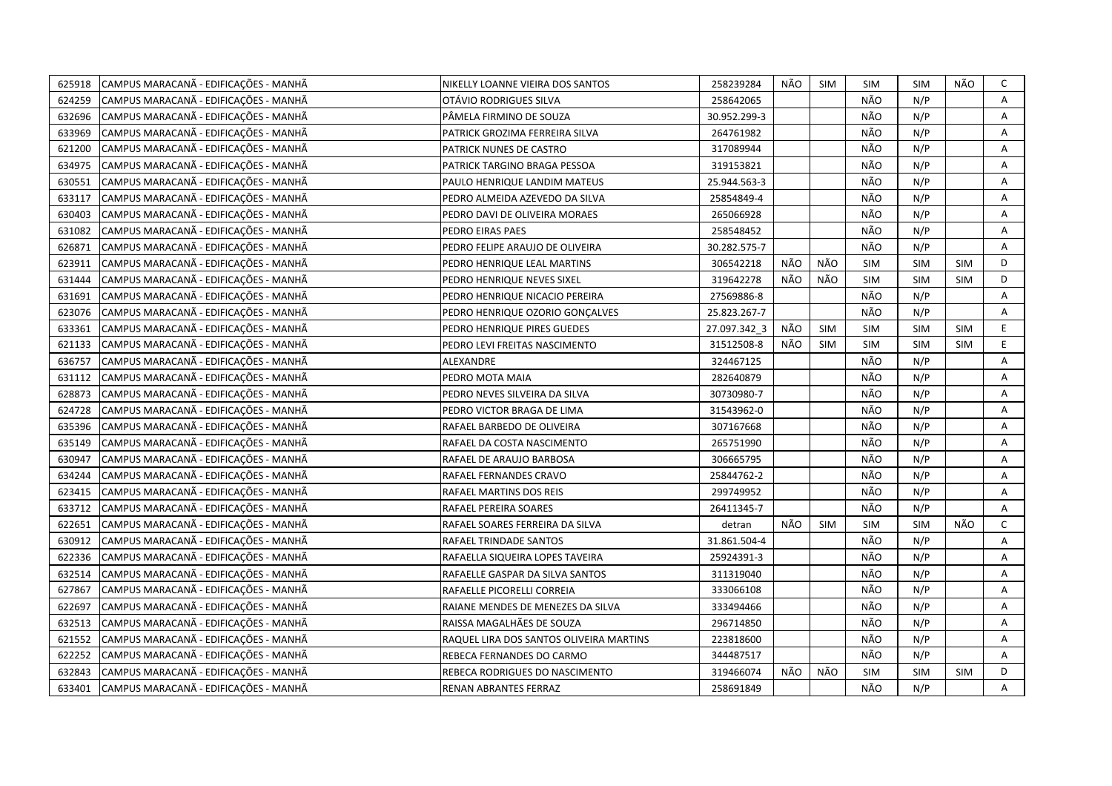| 625918 | CAMPUS MARACANÃ - EDIFICAÇÕES - MANHÃ | NIKELLY LOANNE VIEIRA DOS SANTOS        | 258239284    | NÃO | <b>SIM</b> | <b>SIM</b> | <b>SIM</b> | NÃO        | C            |
|--------|---------------------------------------|-----------------------------------------|--------------|-----|------------|------------|------------|------------|--------------|
| 624259 | CAMPUS MARACANÃ - EDIFICAÇÕES - MANHÃ | OTÁVIO RODRIGUES SILVA                  | 258642065    |     |            | NÃO        | N/P        |            | A            |
| 632696 | CAMPUS MARACANÃ - EDIFICAÇÕES - MANHÃ | PÂMELA FIRMINO DE SOUZA                 | 30.952.299-3 |     |            | NÃO        | N/P        |            | Α            |
| 633969 | CAMPUS MARACANÃ - EDIFICAÇÕES - MANHÃ | PATRICK GROZIMA FERREIRA SILVA          | 264761982    |     |            | NÃO        | N/P        |            | Α            |
| 621200 | CAMPUS MARACANÃ - EDIFICAÇÕES - MANHÃ | PATRICK NUNES DE CASTRO                 | 317089944    |     |            | NÃO        | N/P        |            | Α            |
| 634975 | CAMPUS MARACANÃ - EDIFICAÇÕES - MANHÃ | PATRICK TARGINO BRAGA PESSOA            | 319153821    |     |            | NÃO        | N/P        |            | Α            |
| 630551 | CAMPUS MARACANA - EDIFICAÇÕES - MANHA | PAULO HENRIQUE LANDIM MATEUS            | 25.944.563-3 |     |            | NÃO        | N/P        |            | Α            |
| 633117 | CAMPUS MARACANÃ - EDIFICAÇÕES - MANHÃ | PEDRO ALMEIDA AZEVEDO DA SILVA          | 25854849-4   |     |            | NÃO        | N/P        |            | Α            |
| 630403 | CAMPUS MARACANÃ - EDIFICAÇÕES - MANHÃ | PEDRO DAVI DE OLIVEIRA MORAES           | 265066928    |     |            | NÃO        | N/P        |            | Α            |
| 631082 | CAMPUS MARACANÃ - EDIFICAÇÕES - MANHÃ | PEDRO EIRAS PAES                        | 258548452    |     |            | NÃO        | N/P        |            | A            |
| 626871 | CAMPUS MARACANÃ - EDIFICAÇÕES - MANHÃ | PEDRO FELIPE ARAUJO DE OLIVEIRA         | 30.282.575-7 |     |            | NÃO        | N/P        |            | Α            |
| 623911 | CAMPUS MARACANÃ - EDIFICAÇÕES - MANHÃ | PEDRO HENRIQUE LEAL MARTINS             | 306542218    | NÃO | NÃO        | <b>SIM</b> | <b>SIM</b> | <b>SIM</b> | D            |
| 631444 | CAMPUS MARACANÃ - EDIFICAÇÕES - MANHÃ | PEDRO HENRIQUE NEVES SIXEL              | 319642278    | NÃO | NÃO        | SIM        | <b>SIM</b> | SIM        | D            |
| 631691 | CAMPUS MARACANÃ - EDIFICAÇÕES - MANHÃ | PEDRO HENRIQUE NICACIO PEREIRA          | 27569886-8   |     |            | NÃO        | N/P        |            | Α            |
| 623076 | CAMPUS MARACANÃ - EDIFICAÇÕES - MANHÃ | PEDRO HENRIQUE OZORIO GONÇALVES         | 25.823.267-7 |     |            | NÃO        | N/P        |            | Α            |
| 633361 | CAMPUS MARACANÃ - EDIFICAÇÕES - MANHÃ | PEDRO HENRIQUE PIRES GUEDES             | 27.097.342_3 | NÃO | <b>SIM</b> | SIM        | <b>SIM</b> | <b>SIM</b> | E            |
| 621133 | CAMPUS MARACANA - EDIFICAÇÕES - MANHA | PEDRO LEVI FREITAS NASCIMENTO           | 31512508-8   | NÃO | <b>SIM</b> | <b>SIM</b> | <b>SIM</b> | <b>SIM</b> | E.           |
| 636757 | CAMPUS MARACANÃ - EDIFICAÇÕES - MANHÃ | ALEXANDRE                               | 324467125    |     |            | NÃO        | N/P        |            | A            |
| 631112 | CAMPUS MARACANÃ - EDIFICAÇÕES - MANHÃ | PEDRO MOTA MAIA                         | 282640879    |     |            | NÃO        | N/P        |            | Α            |
| 628873 | CAMPUS MARACANÃ - EDIFICAÇÕES - MANHÃ | PEDRO NEVES SILVEIRA DA SILVA           | 30730980-7   |     |            | NÃO        | N/P        |            | A            |
| 624728 | CAMPUS MARACANÃ - EDIFICAÇÕES - MANHÃ | PEDRO VICTOR BRAGA DE LIMA              | 31543962-0   |     |            | NÃO        | N/P        |            | Α            |
| 635396 | CAMPUS MARACANÃ - EDIFICAÇÕES - MANHÃ | RAFAEL BARBEDO DE OLIVEIRA              | 307167668    |     |            | NÃO        | N/P        |            | A            |
| 635149 | CAMPUS MARACANÃ - EDIFICAÇÕES - MANHÃ | RAFAEL DA COSTA NASCIMENTO              | 265751990    |     |            | NÃO        | N/P        |            | Α            |
| 630947 | CAMPUS MARACANÃ - EDIFICAÇÕES - MANHÃ | RAFAEL DE ARAUJO BARBOSA                | 306665795    |     |            | NÃO        | N/P        |            | A            |
| 634244 | CAMPUS MARACANÃ - EDIFICAÇÕES - MANHÃ | RAFAEL FERNANDES CRAVO                  | 25844762-2   |     |            | NÃO        | N/P        |            | A            |
| 623415 | CAMPUS MARACANÃ - EDIFICAÇÕES - MANHÃ | RAFAEL MARTINS DOS REIS                 | 299749952    |     |            | NÃO        | N/P        |            | Α            |
| 633712 | CAMPUS MARACANÃ - EDIFICAÇÕES - MANHÃ | RAFAEL PEREIRA SOARES                   | 26411345-7   |     |            | NÃO        | N/P        |            | A            |
| 622651 | CAMPUS MARACANÃ - EDIFICAÇÕES - MANHÃ | RAFAEL SOARES FERREIRA DA SILVA         | detran       | NÃO | <b>SIM</b> | SIM        | <b>SIM</b> | NÃO        | $\mathsf{C}$ |
| 630912 | CAMPUS MARACANÃ - EDIFICAÇÕES - MANHÃ | RAFAEL TRINDADE SANTOS                  | 31.861.504-4 |     |            | NÃO        | N/P        |            | Α            |
| 622336 | CAMPUS MARACANÃ - EDIFICAÇÕES - MANHÃ | RAFAELLA SIQUEIRA LOPES TAVEIRA         | 25924391-3   |     |            | NÃO        | N/P        |            | Α            |
| 632514 | CAMPUS MARACANÃ - EDIFICAÇÕES - MANHÃ | RAFAELLE GASPAR DA SILVA SANTOS         | 311319040    |     |            | NÃO        | N/P        |            | Α            |
| 627867 | CAMPUS MARACANÃ - EDIFICAÇÕES - MANHÃ | RAFAELLE PICORELLI CORREIA              | 333066108    |     |            | NÃO        | N/P        |            | A            |
| 622697 | CAMPUS MARACANÃ - EDIFICAÇÕES - MANHÃ | RAIANE MENDES DE MENEZES DA SILVA       | 333494466    |     |            | NÃO        | N/P        |            | Α            |
| 632513 | CAMPUS MARACANÃ - EDIFICAÇÕES - MANHÃ | RAISSA MAGALHÃES DE SOUZA               | 296714850    |     |            | NÃO        | N/P        |            | A            |
| 621552 | CAMPUS MARACANÃ - EDIFICAÇÕES - MANHÃ | RAQUEL LIRA DOS SANTOS OLIVEIRA MARTINS | 223818600    |     |            | NÃO        | N/P        |            | A            |
| 622252 | CAMPUS MARACANÃ - EDIFICAÇÕES - MANHÃ | REBECA FERNANDES DO CARMO               | 344487517    |     |            | NÃO        | N/P        |            | Α            |
| 632843 | CAMPUS MARACANÃ - EDIFICAÇÕES - MANHÃ | REBECA RODRIGUES DO NASCIMENTO          | 319466074    | NÃO | NÃO        | <b>SIM</b> | <b>SIM</b> | <b>SIM</b> | D            |
| 633401 | CAMPUS MARACANÃ - EDIFICAÇÕES - MANHÃ | RENAN ABRANTES FERRAZ                   | 258691849    |     |            | NÃO        | N/P        |            | A            |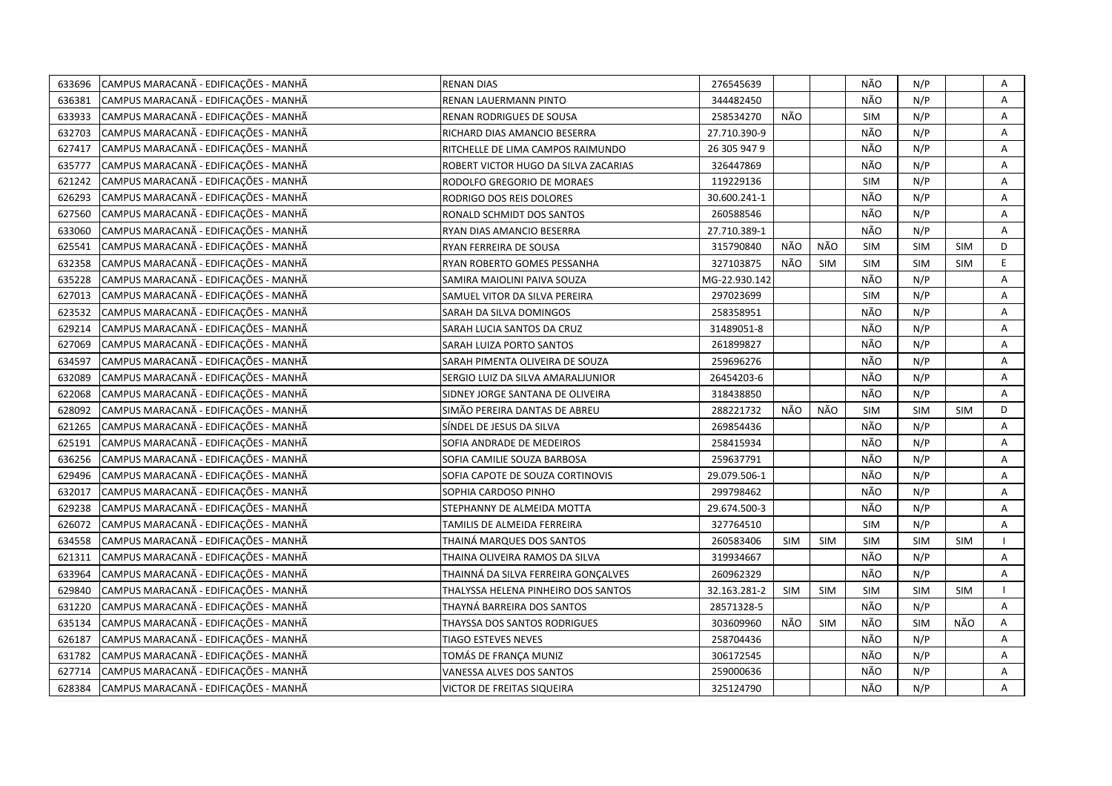| 633696 | CAMPUS MARACANÃ - EDIFICAÇÕES - MANHÃ | <b>RENAN DIAS</b>                    | 276545639     |            |            | NÃO        | N/P        |            | Α              |
|--------|---------------------------------------|--------------------------------------|---------------|------------|------------|------------|------------|------------|----------------|
| 636381 | CAMPUS MARACANÃ - EDIFICAÇÕES - MANHÃ | RENAN LAUERMANN PINTO                | 344482450     |            |            | NÃO        | N/P        |            | Α              |
| 633933 | CAMPUS MARACANÃ - EDIFICAÇÕES - MANHÃ | RENAN RODRIGUES DE SOUSA             | 258534270     | NÃO        |            | SIM        | N/P        |            | A              |
| 632703 | CAMPUS MARACANÃ - EDIFICAÇÕES - MANHÃ | RICHARD DIAS AMANCIO BESERRA         | 27.710.390-9  |            |            | NÃO        | N/P        |            | Α              |
| 627417 | CAMPUS MARACANÃ - EDIFICAÇÕES - MANHÃ | RITCHELLE DE LIMA CAMPOS RAIMUNDO    | 26 305 947 9  |            |            | NÃO        | N/P        |            | Α              |
| 635777 | CAMPUS MARACANÃ - EDIFICAÇÕES - MANHÃ | ROBERT VICTOR HUGO DA SILVA ZACARIAS | 326447869     |            |            | NÃO        | N/P        |            | Α              |
| 621242 | CAMPUS MARACANÃ - EDIFICAÇÕES - MANHÃ | RODOLFO GREGORIO DE MORAES           | 119229136     |            |            | <b>SIM</b> | N/P        |            | Α              |
| 626293 | CAMPUS MARACANÃ - EDIFICAÇÕES - MANHÃ | RODRIGO DOS REIS DOLORES             | 30.600.241-1  |            |            | NÃO        | N/P        |            | Α              |
| 627560 | CAMPUS MARACANÃ - EDIFICAÇÕES - MANHÃ | RONALD SCHMIDT DOS SANTOS            | 260588546     |            |            | NÃO        | N/P        |            | Α              |
| 633060 | CAMPUS MARACANÃ - EDIFICAÇÕES - MANHÃ | RYAN DIAS AMANCIO BESERRA            | 27.710.389-1  |            |            | NÃO        | N/P        |            | A              |
| 625541 | CAMPUS MARACANÃ - EDIFICAÇÕES - MANHÃ | RYAN FERREIRA DE SOUSA               | 315790840     | NÃO        | NÃO        | <b>SIM</b> | <b>SIM</b> | <b>SIM</b> | D              |
| 632358 | CAMPUS MARACANÃ - EDIFICAÇÕES - MANHÃ | RYAN ROBERTO GOMES PESSANHA          | 327103875     | NÃO        | <b>SIM</b> | <b>SIM</b> | <b>SIM</b> | <b>SIM</b> | E              |
| 635228 | CAMPUS MARACANÃ - EDIFICAÇÕES - MANHÃ | SAMIRA MAIOLINI PAIVA SOUZA          | MG-22.930.142 |            |            | NÃO        | N/P        |            | A              |
| 627013 | CAMPUS MARACANÃ - EDIFICAÇÕES - MANHÃ | SAMUEL VITOR DA SILVA PEREIRA        | 297023699     |            |            | <b>SIM</b> | N/P        |            | Α              |
| 623532 | CAMPUS MARACANÃ - EDIFICAÇÕES - MANHÃ | SARAH DA SILVA DOMINGOS              | 258358951     |            |            | NÃO        | N/P        |            | Α              |
| 629214 | CAMPUS MARACANÃ - EDIFICAÇÕES - MANHÃ | SARAH LUCIA SANTOS DA CRUZ           | 31489051-8    |            |            | NÃO        | N/P        |            | A              |
| 627069 | CAMPUS MARACANÃ - EDIFICAÇÕES - MANHÃ | SARAH LUIZA PORTO SANTOS             | 261899827     |            |            | NÃO        | N/P        |            | A              |
| 634597 | CAMPUS MARACANÃ - EDIFICAÇÕES - MANHÃ | SARAH PIMENTA OLIVEIRA DE SOUZA      | 259696276     |            |            | NÃO        | N/P        |            | Α              |
| 632089 | CAMPUS MARACANÃ - EDIFICAÇÕES - MANHÃ | SERGIO LUIZ DA SILVA AMARALJUNIOR    | 26454203-6    |            |            | NÃO        | N/P        |            | A              |
| 622068 | CAMPUS MARACANÃ - EDIFICAÇÕES - MANHÃ | SIDNEY JORGE SANTANA DE OLIVEIRA     | 318438850     |            |            | NÃO        | N/P        |            | A              |
| 628092 | CAMPUS MARACANÃ - EDIFICAÇÕES - MANHÃ | SIMÃO PEREIRA DANTAS DE ABREU        | 288221732     | NÃO        | NÃO        | <b>SIM</b> | <b>SIM</b> | <b>SIM</b> | D              |
| 621265 | CAMPUS MARACANÃ - EDIFICAÇÕES - MANHÃ | SÍNDEL DE JESUS DA SILVA             | 269854436     |            |            | NÃO        | N/P        |            | $\overline{A}$ |
| 625191 | CAMPUS MARACANÃ - EDIFICAÇÕES - MANHÃ | SOFIA ANDRADE DE MEDEIROS            | 258415934     |            |            | NÃO        | N/P        |            | A              |
| 636256 | CAMPUS MARACANÃ - EDIFICAÇÕES - MANHÃ | SOFIA CAMILIE SOUZA BARBOSA          | 259637791     |            |            | NÃO        | N/P        |            | A              |
| 629496 | CAMPUS MARACANÃ - EDIFICAÇÕES - MANHÃ | SOFIA CAPOTE DE SOUZA CORTINOVIS     | 29.079.506-1  |            |            | NÃO        | N/P        |            | Α              |
| 632017 | CAMPUS MARACANÃ - EDIFICAÇÕES - MANHÃ | SOPHIA CARDOSO PINHO                 | 299798462     |            |            | NÃO        | N/P        |            | A              |
| 629238 | CAMPUS MARACANÃ - EDIFICAÇÕES - MANHÃ | STEPHANNY DE ALMEIDA MOTTA           | 29.674.500-3  |            |            | NÃO        | N/P        |            | Α              |
| 626072 | CAMPUS MARACANÃ - EDIFICAÇÕES - MANHÃ | TAMILIS DE ALMEIDA FERREIRA          | 327764510     |            |            | SIM        | N/P        |            | A              |
| 634558 | CAMPUS MARACANÃ - EDIFICAÇÕES - MANHÃ | THAINÁ MARQUES DOS SANTOS            | 260583406     | <b>SIM</b> | <b>SIM</b> | <b>SIM</b> | <b>SIM</b> | <b>SIM</b> |                |
| 621311 | CAMPUS MARACANÃ - EDIFICAÇÕES - MANHÃ | THAINA OLIVEIRA RAMOS DA SILVA       | 319934667     |            |            | NÃO        | N/P        |            | Α              |
| 633964 | CAMPUS MARACANÃ - EDIFICAÇÕES - MANHÃ | THAINNÁ DA SILVA FERREIRA GONÇALVES  | 260962329     |            |            | NÃO        | N/P        |            | Α              |
| 629840 | CAMPUS MARACANÃ - EDIFICAÇÕES - MANHÃ | THALYSSA HELENA PINHEIRO DOS SANTOS  | 32.163.281-2  | <b>SIM</b> | <b>SIM</b> | <b>SIM</b> | SIM        | <b>SIM</b> |                |
| 631220 | CAMPUS MARACANÃ - EDIFICAÇÕES - MANHÃ | THAYNÁ BARREIRA DOS SANTOS           | 28571328-5    |            |            | NÃO        | N/P        |            | Α              |
| 635134 | CAMPUS MARACANÃ - EDIFICAÇÕES - MANHÃ | THAYSSA DOS SANTOS RODRIGUES         | 303609960     | NÃO        | <b>SIM</b> | NÃO        | <b>SIM</b> | NÃO        | A              |
| 626187 | CAMPUS MARACANÃ - EDIFICAÇÕES - MANHÃ | TIAGO ESTEVES NEVES                  | 258704436     |            |            | NÃO        | N/P        |            | A              |
| 631782 | CAMPUS MARACANÃ - EDIFICAÇÕES - MANHÃ | TOMÁS DE FRANÇA MUNIZ                | 306172545     |            |            | NÃO        | N/P        |            | Α              |
| 627714 | CAMPUS MARACANÃ - EDIFICAÇÕES - MANHÃ | VANESSA ALVES DOS SANTOS             | 259000636     |            |            | NÃO        | N/P        |            | Α              |
| 628384 | CAMPUS MARACANÃ - EDIFICAÇÕES - MANHÃ | VICTOR DE FREITAS SIQUEIRA           | 325124790     |            |            | NÃO        | N/P        |            | A              |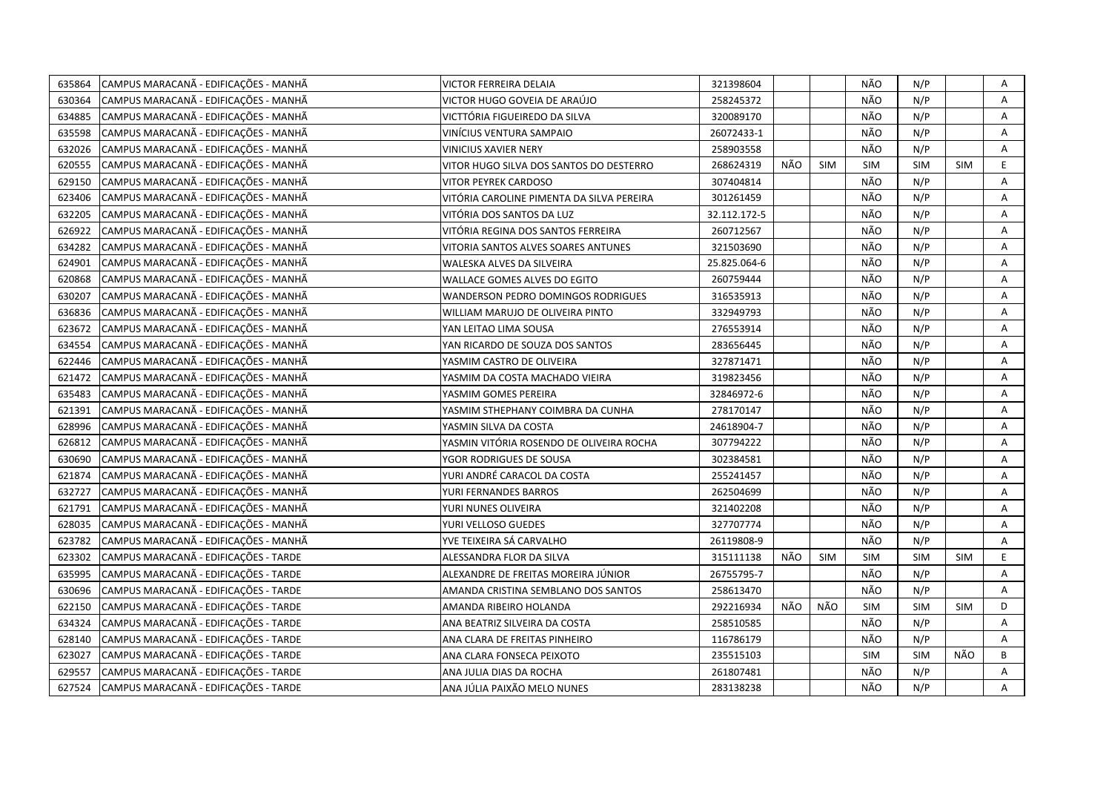| 635864 | CAMPUS MARACANÃ - EDIFICAÇÕES - MANHÃ | VICTOR FERREIRA DELAIA                    | 321398604    |     |            | NÃO        | N/P        |            | Α |
|--------|---------------------------------------|-------------------------------------------|--------------|-----|------------|------------|------------|------------|---|
| 630364 | CAMPUS MARACANÃ - EDIFICAÇÕES - MANHÃ | VICTOR HUGO GOVEIA DE ARAÚJO              | 258245372    |     |            | NÃO        | N/P        |            | A |
| 634885 | CAMPUS MARACANÃ - EDIFICAÇÕES - MANHÃ | VICTTÓRIA FIGUEIREDO DA SILVA             | 320089170    |     |            | NÃO        | N/P        |            | Α |
| 635598 | CAMPUS MARACANÃ - EDIFICAÇÕES - MANHÃ | VINÍCIUS VENTURA SAMPAIO                  | 26072433-1   |     |            | NÃO        | N/P        |            | Α |
| 632026 | CAMPUS MARACANÃ - EDIFICAÇÕES - MANHÃ | VINICIUS XAVIER NERY                      | 258903558    |     |            | NÃO        | N/P        |            | Α |
| 620555 | CAMPUS MARACANÃ - EDIFICAÇÕES - MANHÃ | VITOR HUGO SILVA DOS SANTOS DO DESTERRO   | 268624319    | NÃO | <b>SIM</b> | <b>SIM</b> | SIM        | <b>SIM</b> | E |
| 629150 | CAMPUS MARACANÃ - EDIFICAÇÕES - MANHÃ | <b>VITOR PEYREK CARDOSO</b>               | 307404814    |     |            | NÃO        | N/P        |            | Α |
| 623406 | CAMPUS MARACANÃ - EDIFICAÇÕES - MANHÃ | VITÓRIA CAROLINE PIMENTA DA SILVA PEREIRA | 301261459    |     |            | NÃO        | N/P        |            | Α |
| 632205 | CAMPUS MARACANÃ - EDIFICAÇÕES - MANHÃ | VITÓRIA DOS SANTOS DA LUZ                 | 32.112.172-5 |     |            | NÃO        | N/P        |            | Α |
| 626922 | CAMPUS MARACANÃ - EDIFICAÇÕES - MANHÃ | VITÓRIA REGINA DOS SANTOS FERREIRA        | 260712567    |     |            | NÃO        | N/P        |            | A |
| 634282 | CAMPUS MARACANÃ - EDIFICAÇÕES - MANHÃ | VITORIA SANTOS ALVES SOARES ANTUNES       | 321503690    |     |            | NÃO        | N/P        |            | A |
| 624901 | CAMPUS MARACANÃ - EDIFICAÇÕES - MANHÃ | WALESKA ALVES DA SILVEIRA                 | 25.825.064-6 |     |            | NÃO        | N/P        |            | A |
| 620868 | CAMPUS MARACANÃ - EDIFICAÇÕES - MANHÃ | WALLACE GOMES ALVES DO EGITO              | 260759444    |     |            | NÃO        | N/P        |            | Α |
| 630207 | CAMPUS MARACANÃ - EDIFICAÇÕES - MANHÃ | WANDERSON PEDRO DOMINGOS RODRIGUES        | 316535913    |     |            | NÃO        | N/P        |            | A |
| 636836 | CAMPUS MARACANÃ - EDIFICAÇÕES - MANHÃ | WILLIAM MARUJO DE OLIVEIRA PINTO          | 332949793    |     |            | NÃO        | N/P        |            | Α |
| 623672 | CAMPUS MARACANÃ - EDIFICAÇÕES - MANHÃ | YAN LEITAO LIMA SOUSA                     | 276553914    |     |            | NÃO        | N/P        |            | A |
| 634554 | CAMPUS MARACANÃ - EDIFICAÇÕES - MANHÃ | YAN RICARDO DE SOUZA DOS SANTOS           | 283656445    |     |            | NÃO        | N/P        |            | Α |
| 622446 | CAMPUS MARACANÃ - EDIFICAÇÕES - MANHÃ | YASMIM CASTRO DE OLIVEIRA                 | 327871471    |     |            | NÃO        | N/P        |            | A |
| 621472 | CAMPUS MARACANÃ - EDIFICAÇÕES - MANHÃ | YASMIM DA COSTA MACHADO VIEIRA            | 319823456    |     |            | NÃO        | N/P        |            | Α |
| 635483 | CAMPUS MARACANÃ - EDIFICAÇÕES - MANHÃ | YASMIM GOMES PEREIRA                      | 32846972-6   |     |            | NÃO        | N/P        |            | Α |
| 621391 | CAMPUS MARACANÃ - EDIFICAÇÕES - MANHÃ | YASMIM STHEPHANY COIMBRA DA CUNHA         | 278170147    |     |            | NÃO        | N/P        |            | A |
| 628996 | CAMPUS MARACANÃ - EDIFICAÇÕES - MANHÃ | YASMIN SILVA DA COSTA                     | 24618904-7   |     |            | NÃO        | N/P        |            | A |
| 626812 | CAMPUS MARACANÃ - EDIFICAÇÕES - MANHÃ | YASMIN VITÓRIA ROSENDO DE OLIVEIRA ROCHA  | 307794222    |     |            | NÃO        | N/P        |            | Α |
| 630690 | CAMPUS MARACANÃ - EDIFICAÇÕES - MANHÃ | YGOR RODRIGUES DE SOUSA                   | 302384581    |     |            | NÃO        | N/P        |            | A |
| 621874 | CAMPUS MARACANÃ - EDIFICAÇÕES - MANHÃ | YURI ANDRÉ CARACOL DA COSTA               | 255241457    |     |            | NÃO        | N/P        |            | A |
| 632727 | CAMPUS MARACANÃ - EDIFICAÇÕES - MANHÃ | YURI FERNANDES BARROS                     | 262504699    |     |            | NÃO        | N/P        |            | A |
| 621791 | CAMPUS MARACANÃ - EDIFICAÇÕES - MANHÃ | YURI NUNES OLIVEIRA                       | 321402208    |     |            | NÃO        | N/P        |            | Α |
| 628035 | CAMPUS MARACANÃ - EDIFICAÇÕES - MANHÃ | YURI VELLOSO GUEDES                       | 327707774    |     |            | NÃO        | N/P        |            | A |
| 623782 | CAMPUS MARACANÃ - EDIFICAÇÕES - MANHÃ | YVE TEIXEIRA SÁ CARVALHO                  | 26119808-9   |     |            | NÃO        | N/P        |            | Α |
| 623302 | CAMPUS MARACANÃ - EDIFICAÇÕES - TARDE | ALESSANDRA FLOR DA SILVA                  | 315111138    | NÃO | <b>SIM</b> | <b>SIM</b> | SIM        | <b>SIM</b> | E |
| 635995 | CAMPUS MARACANÃ - EDIFICAÇÕES - TARDE | ALEXANDRE DE FREITAS MOREIRA JÚNIOR       | 26755795-7   |     |            | NÃO        | N/P        |            | A |
| 630696 | CAMPUS MARACANÃ - EDIFICAÇÕES - TARDE | AMANDA CRISTINA SEMBLANO DOS SANTOS       | 258613470    |     |            | NÃO        | N/P        |            | Α |
| 622150 | CAMPUS MARACANÃ - EDIFICAÇÕES - TARDE | AMANDA RIBEIRO HOLANDA                    | 292216934    | NÃO | NÃO        | SIM        | SIM        | <b>SIM</b> | D |
| 634324 | CAMPUS MARACANÃ - EDIFICAÇÕES - TARDE | ANA BEATRIZ SILVEIRA DA COSTA             | 258510585    |     |            | NÃO        | N/P        |            | A |
| 628140 | CAMPUS MARACANA - EDIFICAÇÕES - TARDE | ANA CLARA DE FREITAS PINHEIRO             | 116786179    |     |            | NÃO        | N/P        |            | Α |
| 623027 | CAMPUS MARACANÃ - EDIFICAÇÕES - TARDE | ANA CLARA FONSECA PEIXOTO                 | 235515103    |     |            | <b>SIM</b> | <b>SIM</b> | NÃO        | B |
| 629557 | CAMPUS MARACANÃ - EDIFICAÇÕES - TARDE | ANA JULIA DIAS DA ROCHA                   | 261807481    |     |            | NÃO        | N/P        |            | Α |
| 627524 | CAMPUS MARACANA - EDIFICAÇÕES - TARDE | ANA JÚLIA PAIXÃO MELO NUNES               | 283138238    |     |            | NÃO        | N/P        |            | A |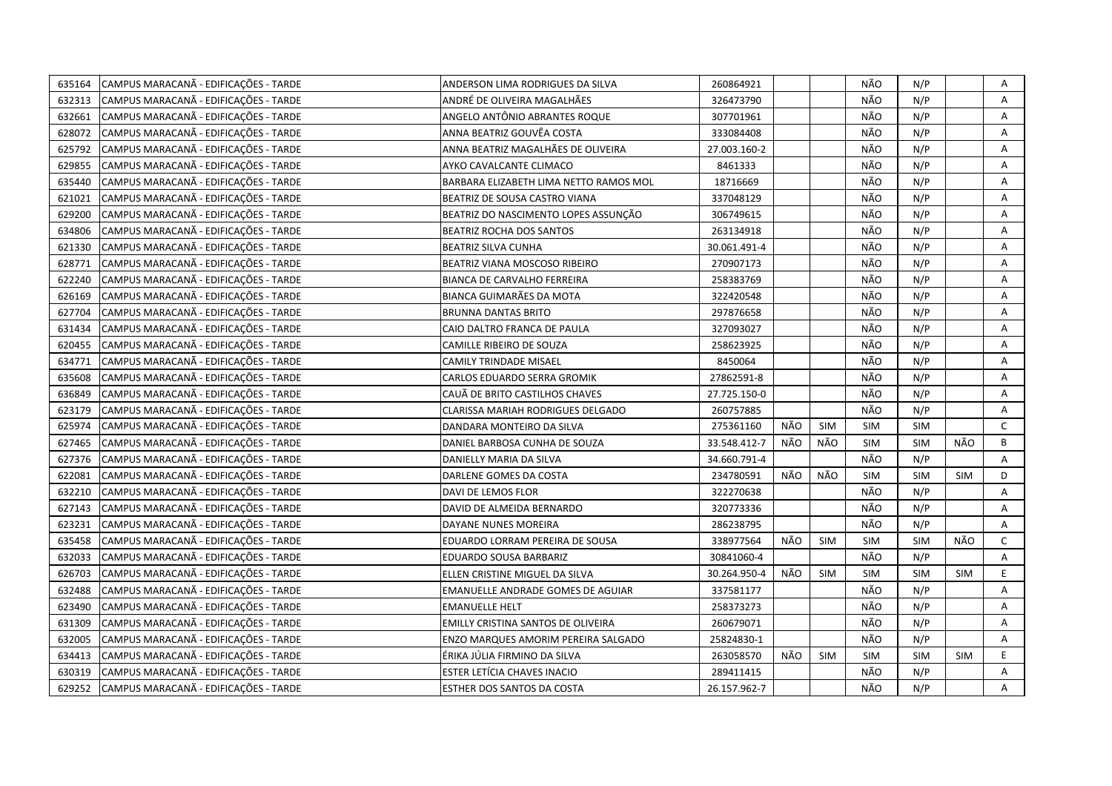| 635164 | CAMPUS MARACANÃ - EDIFICAÇÕES - TARDE | ANDERSON LIMA RODRIGUES DA SILVA       | 260864921    |     |            | NÃO        | N/P        |            | Α            |
|--------|---------------------------------------|----------------------------------------|--------------|-----|------------|------------|------------|------------|--------------|
| 632313 | CAMPUS MARACANA - EDIFICAÇÕES - TARDE | ANDRÉ DE OLIVEIRA MAGALHÃES            | 326473790    |     |            | NÃO        | N/P        |            | A            |
| 632661 | CAMPUS MARACANÃ - EDIFICAÇÕES - TARDE | ANGELO ANTÔNIO ABRANTES ROQUE          | 307701961    |     |            | NÃO        | N/P        |            | Α            |
| 628072 | CAMPUS MARACANA - EDIFICAÇÕES - TARDE | ANNA BEATRIZ GOUVÊA COSTA              | 333084408    |     |            | NÃO        | N/P        |            | Α            |
| 625792 | CAMPUS MARACANA - EDIFICAÇÕES - TARDE | ANNA BEATRIZ MAGALHÃES DE OLIVEIRA     | 27.003.160-2 |     |            | NÃO        | N/P        |            | Α            |
| 629855 | CAMPUS MARACANÃ - EDIFICAÇÕES - TARDE | AYKO CAVALCANTE CLIMACO                | 8461333      |     |            | NÃO        | N/P        |            | Α            |
| 635440 | CAMPUS MARACANÃ - EDIFICAÇÕES - TARDE | BARBARA ELIZABETH LIMA NETTO RAMOS MOL | 18716669     |     |            | NÃO        | N/P        |            | Α            |
| 621021 | CAMPUS MARACANÃ - EDIFICAÇÕES - TARDE | BEATRIZ DE SOUSA CASTRO VIANA          | 337048129    |     |            | NÃO        | N/P        |            | Α            |
| 629200 | CAMPUS MARACANA - EDIFICAÇÕES - TARDE | BEATRIZ DO NASCIMENTO LOPES ASSUNÇÃO   | 306749615    |     |            | NÃO        | N/P        |            | Α            |
| 634806 | CAMPUS MARACANÃ - EDIFICAÇÕES - TARDE | <b>BEATRIZ ROCHA DOS SANTOS</b>        | 263134918    |     |            | NÃO        | N/P        |            | A            |
| 621330 | CAMPUS MARACANÃ - EDIFICAÇÕES - TARDE | <b>BEATRIZ SILVA CUNHA</b>             | 30.061.491-4 |     |            | NÃO        | N/P        |            | Α            |
| 628771 | CAMPUS MARACANÃ - EDIFICAÇÕES - TARDE | BEATRIZ VIANA MOSCOSO RIBEIRO          | 270907173    |     |            | NÃO        | N/P        |            | A            |
| 622240 | CAMPUS MARACANÃ - EDIFICAÇÕES - TARDE | <b>BIANCA DE CARVALHO FERREIRA</b>     | 258383769    |     |            | NÃO        | N/P        |            | Α            |
| 626169 | CAMPUS MARACANÃ - EDIFICAÇÕES - TARDE | BIANCA GUIMARÃES DA MOTA               | 322420548    |     |            | NÃO        | N/P        |            | Α            |
| 627704 | CAMPUS MARACANÃ - EDIFICAÇÕES - TARDE | <b>BRUNNA DANTAS BRITO</b>             | 297876658    |     |            | NÃO        | N/P        |            | Α            |
| 631434 | CAMPUS MARACANÃ - EDIFICAÇÕES - TARDE | CAIO DALTRO FRANCA DE PAULA            | 327093027    |     |            | NÃO        | N/P        |            | A            |
| 620455 | CAMPUS MARACANÃ - EDIFICAÇÕES - TARDE | CAMILLE RIBEIRO DE SOUZA               | 258623925    |     |            | NÃO        | N/P        |            | A            |
| 634771 | CAMPUS MARACANÃ - EDIFICAÇÕES - TARDE | CAMILY TRINDADE MISAEL                 | 8450064      |     |            | NÃO        | N/P        |            | A            |
| 635608 | CAMPUS MARACANA - EDIFICAÇÕES - TARDE | CARLOS EDUARDO SERRA GROMIK            | 27862591-8   |     |            | NÃO        | N/P        |            | A            |
| 636849 | CAMPUS MARACANA - EDIFICAÇÕES - TARDE | CAUÃ DE BRITO CASTILHOS CHAVES         | 27.725.150-0 |     |            | NÃO        | N/P        |            | A            |
| 623179 | CAMPUS MARACANA - EDIFICAÇÕES - TARDE | CLARISSA MARIAH RODRIGUES DELGADO      | 260757885    |     |            | NÃO        | N/P        |            | A            |
| 625974 | CAMPUS MARACANA - EDIFICAÇÕES - TARDE | DANDARA MONTEIRO DA SILVA              | 275361160    | NÃO | <b>SIM</b> | <b>SIM</b> | <b>SIM</b> |            | $\mathsf{C}$ |
| 627465 | CAMPUS MARACANÃ - EDIFICAÇÕES - TARDE | DANIEL BARBOSA CUNHA DE SOUZA          | 33.548.412-7 | NÃO | NÃO        | <b>SIM</b> | <b>SIM</b> | NÃO        | B            |
| 627376 | CAMPUS MARACANÃ - EDIFICAÇÕES - TARDE | DANIELLY MARIA DA SILVA                | 34.660.791-4 |     |            | NÃO        | N/P        |            | A            |
| 622081 | CAMPUS MARACANÃ - EDIFICAÇÕES - TARDE | DARLENE GOMES DA COSTA                 | 234780591    | NÃO | NÃO        | SIM        | SIM        | <b>SIM</b> | D            |
| 632210 | CAMPUS MARACANÃ - EDIFICAÇÕES - TARDE | DAVI DE LEMOS FLOR                     | 322270638    |     |            | NÃO        | N/P        |            | Α            |
| 627143 | CAMPUS MARACANÃ - EDIFICAÇÕES - TARDE | DAVID DE ALMEIDA BERNARDO              | 320773336    |     |            | NÃO        | N/P        |            | A            |
| 623231 | CAMPUS MARACANÃ - EDIFICAÇÕES - TARDE | DAYANE NUNES MOREIRA                   | 286238795    |     |            | NÃO        | N/P        |            | A            |
| 635458 | CAMPUS MARACANA - EDIFICAÇÕES - TARDE | EDUARDO LORRAM PEREIRA DE SOUSA        | 338977564    | NÃO | <b>SIM</b> | SIM        | <b>SIM</b> | NÃO        | C            |
| 632033 | CAMPUS MARACANÃ - EDIFICAÇÕES - TARDE | EDUARDO SOUSA BARBARIZ                 | 30841060-4   |     |            | NÃO        | N/P        |            | A            |
| 626703 | CAMPUS MARACANÃ - EDIFICAÇÕES - TARDE | ELLEN CRISTINE MIGUEL DA SILVA         | 30.264.950-4 | NÃO | <b>SIM</b> | <b>SIM</b> | <b>SIM</b> | <b>SIM</b> | E            |
| 632488 | CAMPUS MARACANA - EDIFICAÇÕES - TARDE | EMANUELLE ANDRADE GOMES DE AGUIAR      | 337581177    |     |            | NÃO        | N/P        |            | A            |
| 623490 | CAMPUS MARACANÃ - EDIFICAÇÕES - TARDE | <b>EMANUELLE HELT</b>                  | 258373273    |     |            | NÃO        | N/P        |            | Α            |
| 631309 | CAMPUS MARACANA - EDIFICAÇÕES - TARDE | EMILLY CRISTINA SANTOS DE OLIVEIRA     | 260679071    |     |            | NÃO        | N/P        |            | A            |
| 632005 | CAMPUS MARACANÃ - EDIFICAÇÕES - TARDE | ENZO MARQUES AMORIM PEREIRA SALGADO    | 25824830-1   |     |            | NÃO        | N/P        |            | A            |
| 634413 | CAMPUS MARACANÃ - EDIFICAÇÕES - TARDE | ÉRIKA JÚLIA FIRMINO DA SILVA           | 263058570    | NÃO | <b>SIM</b> | <b>SIM</b> | <b>SIM</b> | <b>SIM</b> | E            |
| 630319 | CAMPUS MARACANÃ - EDIFICAÇÕES - TARDE | ESTER LETICIA CHAVES INACIO            | 289411415    |     |            | NÃO        | N/P        |            | Α            |
| 629252 | CAMPUS MARACANÃ - EDIFICAÇÕES - TARDE | ESTHER DOS SANTOS DA COSTA             | 26.157.962-7 |     |            | NÃO        | N/P        |            | A            |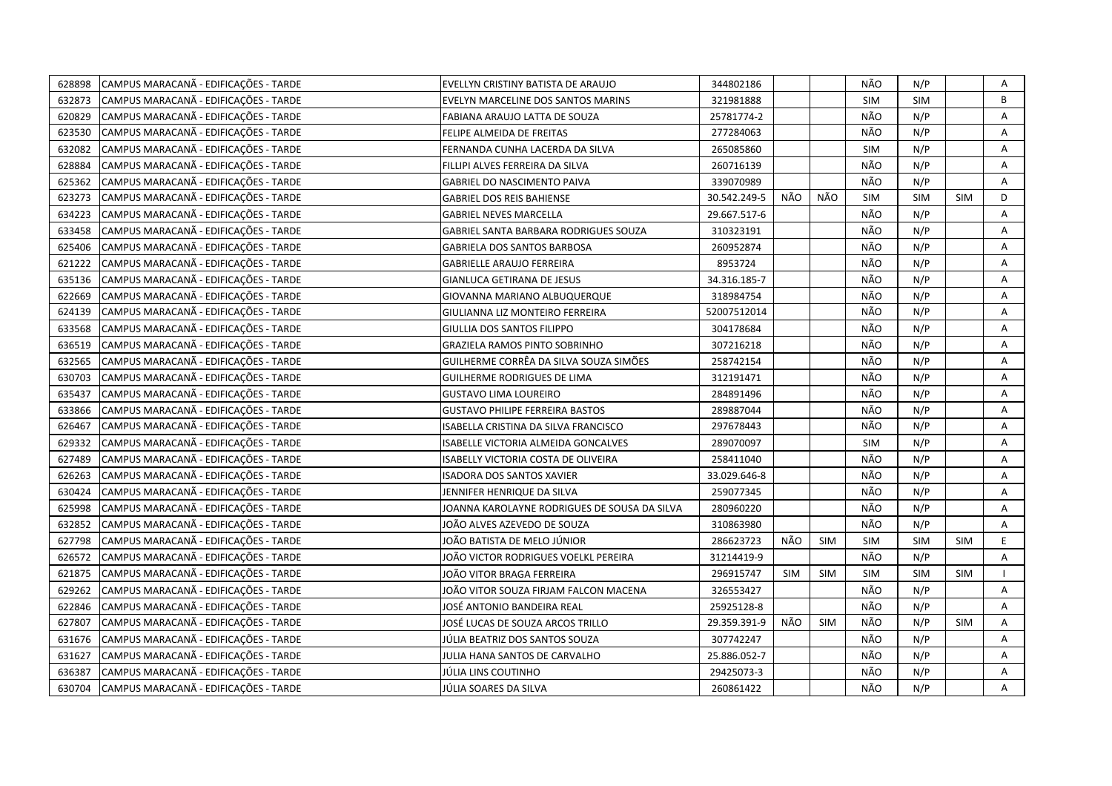| 628898 | CAMPUS MARACANÃ - EDIFICAÇÕES - TARDE | EVELLYN CRISTINY BATISTA DE ARAUJO           | 344802186    |            |            | NÃO        | N/P        |            | Α |
|--------|---------------------------------------|----------------------------------------------|--------------|------------|------------|------------|------------|------------|---|
| 632873 | CAMPUS MARACANÃ - EDIFICAÇÕES - TARDE | EVELYN MARCELINE DOS SANTOS MARINS           | 321981888    |            |            | <b>SIM</b> | <b>SIM</b> |            | B |
| 620829 | CAMPUS MARACANÃ - EDIFICAÇÕES - TARDE | FABIANA ARAUJO LATTA DE SOUZA                | 25781774-2   |            |            | NÃO        | N/P        |            | Α |
| 623530 | CAMPUS MARACANÃ - EDIFICAÇÕES - TARDE | FELIPE ALMEIDA DE FREITAS                    | 277284063    |            |            | NÃO        | N/P        |            | A |
| 632082 | CAMPUS MARACANÃ - EDIFICAÇÕES - TARDE | FERNANDA CUNHA LACERDA DA SILVA              | 265085860    |            |            | <b>SIM</b> | N/P        |            | A |
| 628884 | CAMPUS MARACANA - EDIFICAÇÕES - TARDE | FILLIPI ALVES FERREIRA DA SILVA              | 260716139    |            |            | NÃO        | N/P        |            | Α |
| 625362 | CAMPUS MARACANÃ - EDIFICAÇÕES - TARDE | <b>GABRIEL DO NASCIMENTO PAIVA</b>           | 339070989    |            |            | NÃO        | N/P        |            | Α |
| 623273 | CAMPUS MARACANA - EDIFICAÇÕES - TARDE | <b>GABRIEL DOS REIS BAHIENSE</b>             | 30.542.249-5 | NÃO        | NÃO        | <b>SIM</b> | <b>SIM</b> | <b>SIM</b> | D |
| 634223 | CAMPUS MARACANÃ - EDIFICAÇÕES - TARDE | <b>GABRIEL NEVES MARCELLA</b>                | 29.667.517-6 |            |            | NÃO        | N/P        |            | Α |
| 633458 | CAMPUS MARACANÃ - EDIFICAÇÕES - TARDE | GABRIEL SANTA BARBARA RODRIGUES SOUZA        | 310323191    |            |            | NÃO        | N/P        |            | A |
| 625406 | CAMPUS MARACANÃ - EDIFICAÇÕES - TARDE | <b>GABRIELA DOS SANTOS BARBOSA</b>           | 260952874    |            |            | NÃO        | N/P        |            | A |
| 621222 | CAMPUS MARACANÃ - EDIFICAÇÕES - TARDE | <b>GABRIELLE ARAUJO FERREIRA</b>             | 8953724      |            |            | NÃO        | N/P        |            | A |
| 635136 | CAMPUS MARACANÃ - EDIFICAÇÕES - TARDE | <b>GIANLUCA GETIRANA DE JESUS</b>            | 34.316.185-7 |            |            | NÃO        | N/P        |            | A |
| 622669 | CAMPUS MARACANÃ - EDIFICAÇÕES - TARDE | GIOVANNA MARIANO ALBUQUERQUE                 | 318984754    |            |            | NÃO        | N/P        |            | Α |
| 624139 | CAMPUS MARACANÃ - EDIFICAÇÕES - TARDE | GIULIANNA LIZ MONTEIRO FERREIRA              | 52007512014  |            |            | NÃO        | N/P        |            | Α |
| 633568 | CAMPUS MARACANÃ - EDIFICAÇÕES - TARDE | GIULLIA DOS SANTOS FILIPPO                   | 304178684    |            |            | NÃO        | N/P        |            | Α |
| 636519 | CAMPUS MARACANÃ - EDIFICAÇÕES - TARDE | GRAZIELA RAMOS PINTO SOBRINHO                | 307216218    |            |            | NÃO        | N/P        |            | A |
| 632565 | CAMPUS MARACANÃ - EDIFICAÇÕES - TARDE | GUILHERME CORRÊA DA SILVA SOUZA SIMÕES       | 258742154    |            |            | NÃO        | N/P        |            | A |
| 630703 | CAMPUS MARACANÃ - EDIFICAÇÕES - TARDE | GUILHERME RODRIGUES DE LIMA                  | 312191471    |            |            | NÃO        | N/P        |            | A |
| 635437 | CAMPUS MARACANÃ - EDIFICAÇÕES - TARDE | <b>GUSTAVO LIMA LOUREIRO</b>                 | 284891496    |            |            | NÃO        | N/P        |            | Α |
| 633866 | CAMPUS MARACANÃ - EDIFICAÇÕES - TARDE | <b>GUSTAVO PHILIPE FERREIRA BASTOS</b>       | 289887044    |            |            | NÃO        | N/P        |            | A |
| 626467 | CAMPUS MARACANA - EDIFICAÇÕES - TARDE | ISABELLA CRISTINA DA SILVA FRANCISCO         | 297678443    |            |            | NÃO        | N/P        |            | A |
| 629332 | CAMPUS MARACANÃ - EDIFICAÇÕES - TARDE | ISABELLE VICTORIA ALMEIDA GONCALVES          | 289070097    |            |            | <b>SIM</b> | N/P        |            | A |
| 627489 | CAMPUS MARACANÃ - EDIFICAÇÕES - TARDE | <b>ISABELLY VICTORIA COSTA DE OLIVEIRA</b>   | 258411040    |            |            | NÃO        | N/P        |            | A |
| 626263 | CAMPUS MARACANA - EDIFICAÇÕES - TARDE | <b>ISADORA DOS SANTOS XAVIER</b>             | 33.029.646-8 |            |            | NÃO        | N/P        |            | A |
| 630424 | CAMPUS MARACANA - EDIFICAÇÕES - TARDE | JENNIFER HENRIQUE DA SILVA                   | 259077345    |            |            | NÃO        | N/P        |            | A |
| 625998 | CAMPUS MARACANA - EDIFICAÇÕES - TARDE | JOANNA KAROLAYNE RODRIGUES DE SOUSA DA SILVA | 280960220    |            |            | NÃO        | N/P        |            | A |
| 632852 | CAMPUS MARACANÃ - EDIFICAÇÕES - TARDE | JOÃO ALVES AZEVEDO DE SOUZA                  | 310863980    |            |            | NÃO        | N/P        |            | Α |
| 627798 | CAMPUS MARACANÃ - EDIFICAÇÕES - TARDE | JOÃO BATISTA DE MELO JÚNIOR                  | 286623723    | NÃO        | <b>SIM</b> | <b>SIM</b> | <b>SIM</b> | <b>SIM</b> | E |
| 626572 | CAMPUS MARACANÃ - EDIFICAÇÕES - TARDE | JOÃO VICTOR RODRIGUES VOELKL PEREIRA         | 31214419-9   |            |            | NÃO        | N/P        |            | Α |
| 621875 | CAMPUS MARACANÃ - EDIFICAÇÕES - TARDE | JOÃO VITOR BRAGA FERREIRA                    | 296915747    | <b>SIM</b> | <b>SIM</b> | <b>SIM</b> | <b>SIM</b> | <b>SIM</b> |   |
| 629262 | CAMPUS MARACANÃ - EDIFICAÇÕES - TARDE | JOÃO VITOR SOUZA FIRJAM FALCON MACENA        | 326553427    |            |            | NÃO        | N/P        |            | A |
| 622846 | CAMPUS MARACANÃ - EDIFICAÇÕES - TARDE | JOSÉ ANTONIO BANDEIRA REAL                   | 25925128-8   |            |            | NÃO        | N/P        |            | A |
| 627807 | CAMPUS MARACANA - EDIFICAÇÕES - TARDE | JOSÉ LUCAS DE SOUZA ARCOS TRILLO             | 29.359.391-9 | NÃO        | <b>SIM</b> | NÃO        | N/P        | <b>SIM</b> | Α |
| 631676 | CAMPUS MARACANA - EDIFICAÇÕES - TARDE | JÚLIA BEATRIZ DOS SANTOS SOUZA               | 307742247    |            |            | NÃO        | N/P        |            | A |
| 631627 | CAMPUS MARACANÃ - EDIFICAÇÕES - TARDE | JULIA HANA SANTOS DE CARVALHO                | 25.886.052-7 |            |            | NÃO        | N/P        |            | Α |
| 636387 | CAMPUS MARACANÃ - EDIFICAÇÕES - TARDE | JÚLIA LINS COUTINHO                          | 29425073-3   |            |            | NÃO        | N/P        |            | A |
| 630704 | CAMPUS MARACANÃ - EDIFICAÇÕES - TARDE | JÚLIA SOARES DA SILVA                        | 260861422    |            |            | NÃO        | N/P        |            | A |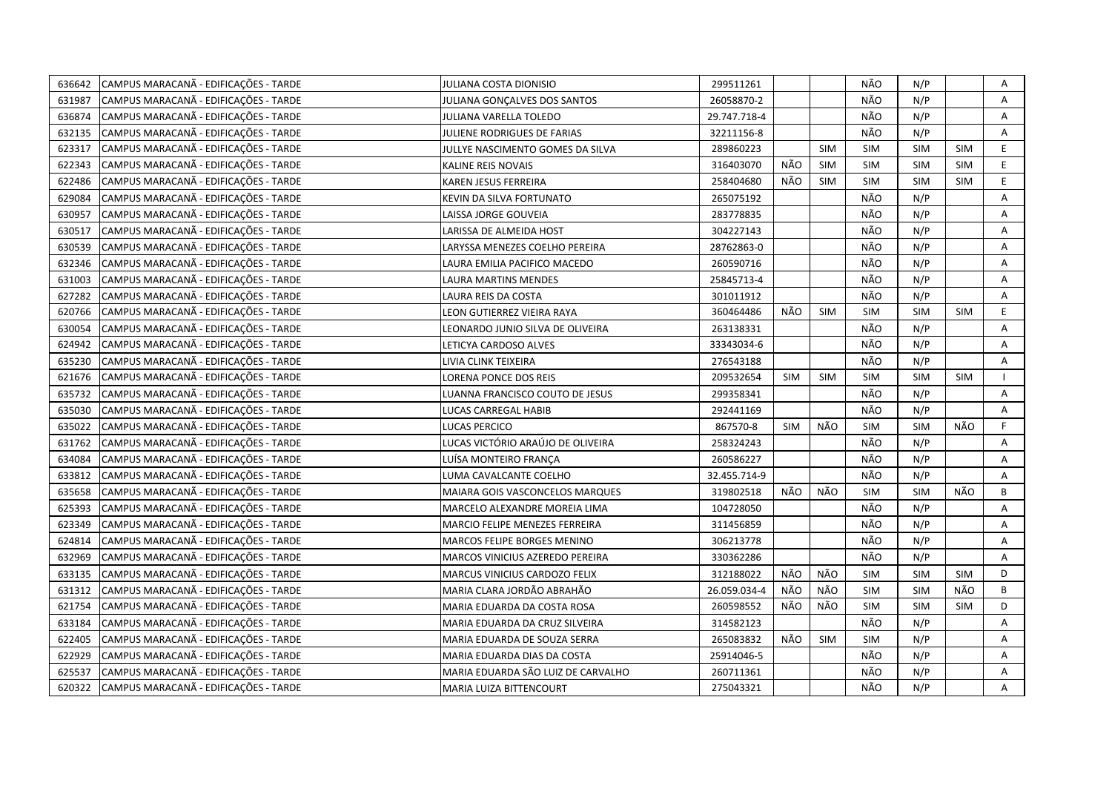| 636642 | CAMPUS MARACANÃ - EDIFICAÇÕES - TARDE | JULIANA COSTA DIONISIO             | 299511261    |            |            | NÃO        | N/P        |            | Α  |
|--------|---------------------------------------|------------------------------------|--------------|------------|------------|------------|------------|------------|----|
| 631987 | CAMPUS MARACANÃ - EDIFICAÇÕES - TARDE | JULIANA GONÇALVES DOS SANTOS       | 26058870-2   |            |            | NÃO        | N/P        |            | A  |
| 636874 | CAMPUS MARACANÃ - EDIFICAÇÕES - TARDE | JULIANA VARELLA TOLEDO             | 29.747.718-4 |            |            | NÃO        | N/P        |            | Α  |
| 632135 | CAMPUS MARACANÃ - EDIFICAÇÕES - TARDE | JULIENE RODRIGUES DE FARIAS        | 32211156-8   |            |            | NÃO        | N/P        |            | A  |
| 623317 | CAMPUS MARACANÃ - EDIFICAÇÕES - TARDE | JULLYE NASCIMENTO GOMES DA SILVA   | 289860223    |            | <b>SIM</b> | <b>SIM</b> | <b>SIM</b> | <b>SIM</b> | E  |
| 622343 | CAMPUS MARACANA - EDIFICAÇÕES - TARDE | KALINE REIS NOVAIS                 | 316403070    | NÃO        | <b>SIM</b> | <b>SIM</b> | <b>SIM</b> | <b>SIM</b> | E  |
| 622486 | CAMPUS MARACANÃ - EDIFICAÇÕES - TARDE | KAREN JESUS FERREIRA               | 258404680    | NÃO        | SIM        | <b>SIM</b> | SIM        | <b>SIM</b> | E  |
| 629084 | CAMPUS MARACANÃ - EDIFICAÇÕES - TARDE | KEVIN DA SILVA FORTUNATO           | 265075192    |            |            | NÃO        | N/P        |            | Α  |
| 630957 | CAMPUS MARACANÃ - EDIFICAÇÕES - TARDE | LAISSA JORGE GOUVEIA               | 283778835    |            |            | NÃO        | N/P        |            | Α  |
| 630517 | CAMPUS MARACANÃ - EDIFICAÇÕES - TARDE | LARISSA DE ALMEIDA HOST            | 304227143    |            |            | NÃO        | N/P        |            | Α  |
| 630539 | CAMPUS MARACANÃ - EDIFICAÇÕES - TARDE | LARYSSA MENEZES COELHO PEREIRA     | 28762863-0   |            |            | NÃO        | N/P        |            | A  |
| 632346 | CAMPUS MARACANÃ - EDIFICAÇÕES - TARDE | LAURA EMILIA PACIFICO MACEDO       | 260590716    |            |            | NÃO        | N/P        |            | A  |
| 631003 | CAMPUS MARACANÃ - EDIFICAÇÕES - TARDE | LAURA MARTINS MENDES               | 25845713-4   |            |            | NÃO        | N/P        |            | A  |
| 627282 | CAMPUS MARACANÃ - EDIFICAÇÕES - TARDE | LAURA REIS DA COSTA                | 301011912    |            |            | NÃO        | N/P        |            | Α  |
| 620766 | CAMPUS MARACANÃ - EDIFICAÇÕES - TARDE | LEON GUTIERREZ VIEIRA RAYA         | 360464486    | NÃO        | <b>SIM</b> | <b>SIM</b> | <b>SIM</b> | <b>SIM</b> | E. |
| 630054 | CAMPUS MARACANÃ - EDIFICAÇÕES - TARDE | LEONARDO JUNIO SILVA DE OLIVEIRA   | 263138331    |            |            | NÃO        | N/P        |            | A  |
| 624942 | CAMPUS MARACANÃ - EDIFICAÇÕES - TARDE | LETICYA CARDOSO ALVES              | 33343034-6   |            |            | NÃO        | N/P        |            | A  |
| 635230 | CAMPUS MARACANÃ - EDIFICAÇÕES - TARDE | LIVIA CLINK TEIXEIRA               | 276543188    |            |            | NÃO        | N/P        |            | A  |
| 621676 | CAMPUS MARACANÃ - EDIFICAÇÕES - TARDE | LORENA PONCE DOS REIS              | 209532654    | <b>SIM</b> | <b>SIM</b> | SIM        | <b>SIM</b> | <b>SIM</b> |    |
| 635732 | CAMPUS MARACANÃ - EDIFICAÇÕES - TARDE | LUANNA FRANCISCO COUTO DE JESUS    | 299358341    |            |            | NÃO        | N/P        |            | A  |
| 635030 | CAMPUS MARACANÃ - EDIFICAÇÕES - TARDE | LUCAS CARREGAL HABIB               | 292441169    |            |            | NÃO        | N/P        |            | A  |
| 635022 | CAMPUS MARACANÃ - EDIFICAÇÕES - TARDE | <b>LUCAS PERCICO</b>               | 867570-8     | <b>SIM</b> | NÃO        | <b>SIM</b> | <b>SIM</b> | NÃO        | F  |
| 631762 | CAMPUS MARACANÃ - EDIFICAÇÕES - TARDE | LUCAS VICTÓRIO ARAÚJO DE OLIVEIRA  | 258324243    |            |            | NÃO        | N/P        |            | A  |
| 634084 | CAMPUS MARACANÃ - EDIFICAÇÕES - TARDE | LUÍSA MONTEIRO FRANCA              | 260586227    |            |            | NÃO        | N/P        |            | A  |
| 633812 | CAMPUS MARACANA - EDIFICAÇÕES - TARDE | LUMA CAVALCANTE COELHO             | 32.455.714-9 |            |            | NÃO        | N/P        |            | A  |
| 635658 | CAMPUS MARACANA - EDIFICAÇÕES - TARDE | MAIARA GOIS VASCONCELOS MARQUES    | 319802518    | NÃO        | NÃO        | <b>SIM</b> | <b>SIM</b> | NÃO        | B  |
| 625393 | CAMPUS MARACANA - EDIFICAÇÕES - TARDE | MARCELO ALEXANDRE MOREIA LIMA      | 104728050    |            |            | NÃO        | N/P        |            | A  |
| 623349 | CAMPUS MARACANÃ - EDIFICAÇÕES - TARDE | MARCIO FELIPE MENEZES FERREIRA     | 311456859    |            |            | NÃO        | N/P        |            | Α  |
| 624814 | CAMPUS MARACANÃ - EDIFICAÇÕES - TARDE | MARCOS FELIPE BORGES MENINO        | 306213778    |            |            | NÃO        | N/P        |            | A  |
| 632969 | CAMPUS MARACANÃ - EDIFICAÇÕES - TARDE | MARCOS VINICIUS AZEREDO PEREIRA    | 330362286    |            |            | NÃO        | N/P        |            | A  |
| 633135 | CAMPUS MARACANÃ - EDIFICAÇÕES - TARDE | MARCUS VINICIUS CARDOZO FELIX      | 312188022    | NÃO        | NÃO        | SIM        | SIM        | <b>SIM</b> | D  |
| 631312 | CAMPUS MARACANA - EDIFICAÇÕES - TARDE | MARIA CLARA JORDÃO ABRAHÃO         | 26.059.034-4 | NÃO        | NÃO        | <b>SIM</b> | SIM        | NÃO        | B  |
| 621754 | CAMPUS MARACANA - EDIFICAÇÕES - TARDE | MARIA EDUARDA DA COSTA ROSA        | 260598552    | NÃO        | <b>NÃO</b> | <b>SIM</b> | <b>SIM</b> | <b>SIM</b> | D  |
| 633184 | CAMPUS MARACANÃ - EDIFICAÇÕES - TARDE | MARIA EDUARDA DA CRUZ SILVEIRA     | 314582123    |            |            | NÃO        | N/P        |            | Α  |
| 622405 | CAMPUS MARACANÃ - EDIFICAÇÕES - TARDE | MARIA EDUARDA DE SOUZA SERRA       | 265083832    | NÃO        | <b>SIM</b> | <b>SIM</b> | N/P        |            | Α  |
| 622929 | CAMPUS MARACANÃ - EDIFICAÇÕES - TARDE | MARIA EDUARDA DIAS DA COSTA        | 25914046-5   |            |            | NÃO        | N/P        |            | Α  |
| 625537 | CAMPUS MARACANÃ - EDIFICAÇÕES - TARDE | MARIA EDUARDA SÃO LUIZ DE CARVALHO | 260711361    |            |            | NÃO        | N/P        |            | A  |
| 620322 | CAMPUS MARACANA - EDIFICAÇÕES - TARDE | MARIA LUIZA BITTENCOURT            | 275043321    |            |            | NÃO        | N/P        |            | A  |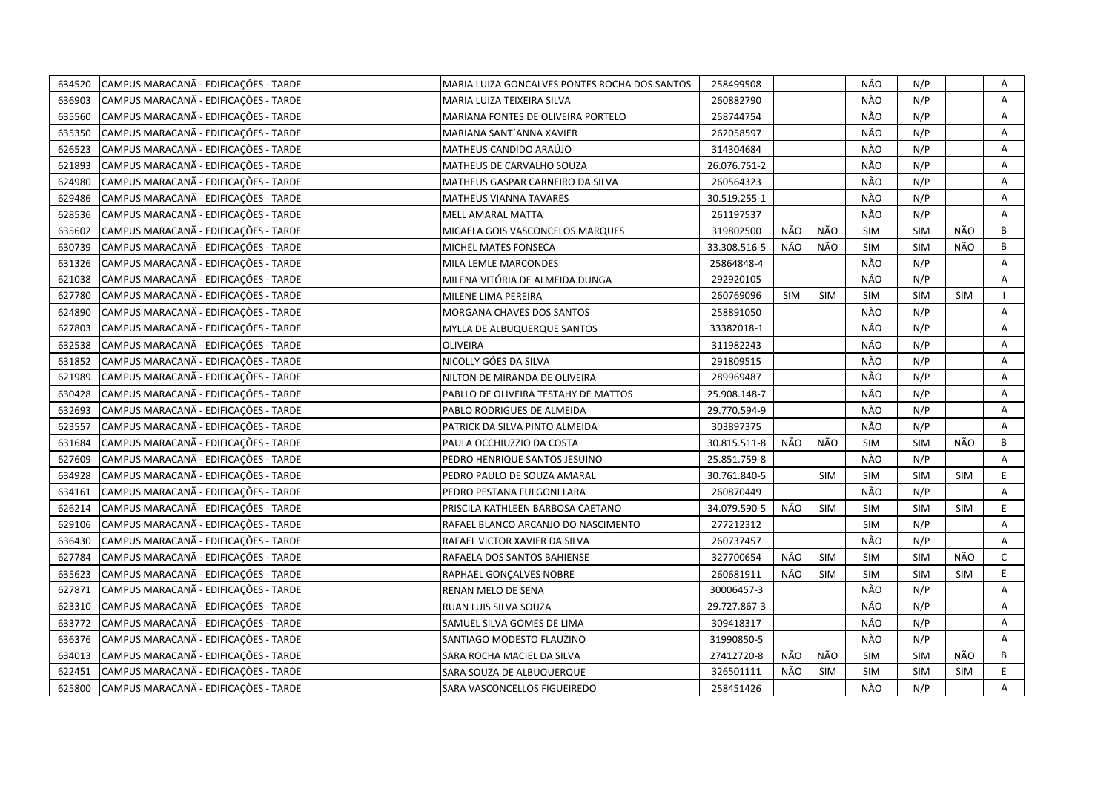| 634520 | CAMPUS MARACANÃ - EDIFICAÇÕES - TARDE | MARIA LUIZA GONCALVES PONTES ROCHA DOS SANTOS | 258499508    |            |            | NÃO        | N/P        |            | Α            |
|--------|---------------------------------------|-----------------------------------------------|--------------|------------|------------|------------|------------|------------|--------------|
| 636903 | CAMPUS MARACANÃ - EDIFICAÇÕES - TARDE | MARIA LUIZA TEIXEIRA SILVA                    | 260882790    |            |            | NÃO        | N/P        |            | A            |
| 635560 | CAMPUS MARACANÃ - EDIFICAÇÕES - TARDE | MARIANA FONTES DE OLIVEIRA PORTELO            | 258744754    |            |            | NÃO        | N/P        |            | Α            |
| 635350 | CAMPUS MARACANÃ - EDIFICAÇÕES - TARDE | MARIANA SANT´ANNA XAVIER                      | 262058597    |            |            | NÃO        | N/P        |            | A            |
| 626523 | CAMPUS MARACANÃ - EDIFICAÇÕES - TARDE | MATHEUS CANDIDO ARAÚJO                        | 314304684    |            |            | NÃO        | N/P        |            | A            |
| 621893 | CAMPUS MARACANÃ - EDIFICAÇÕES - TARDE | MATHEUS DE CARVALHO SOUZA                     | 26.076.751-2 |            |            | NÃO        | N/P        |            | Α            |
| 624980 | CAMPUS MARACANÃ - EDIFICAÇÕES - TARDE | MATHEUS GASPAR CARNEIRO DA SILVA              | 260564323    |            |            | NÃO        | N/P        |            | Α            |
| 629486 | CAMPUS MARACANÃ - EDIFICAÇÕES - TARDE | MATHEUS VIANNA TAVARES                        | 30.519.255-1 |            |            | NÃO        | N/P        |            | Α            |
| 628536 | CAMPUS MARACANÃ - EDIFICAÇÕES - TARDE | MELL AMARAL MATTA                             | 261197537    |            |            | NÃO        | N/P        |            | A            |
| 635602 | CAMPUS MARACANÃ - EDIFICAÇÕES - TARDE | MICAELA GOIS VASCONCELOS MARQUES              | 319802500    | NÃO        | NÃO        | SIM        | SIM        | NÃO        | B            |
| 630739 | CAMPUS MARACANÃ - EDIFICAÇÕES - TARDE | MICHEL MATES FONSECA                          | 33.308.516-5 | NÃO        | NÃO        | <b>SIM</b> | <b>SIM</b> | NÃO        | B            |
| 631326 | CAMPUS MARACANÃ - EDIFICAÇÕES - TARDE | MILA LEMLE MARCONDES                          | 25864848-4   |            |            | NÃO        | N/P        |            | A            |
| 621038 | CAMPUS MARACANÃ - EDIFICAÇÕES - TARDE | MILENA VITÓRIA DE ALMEIDA DUNGA               | 292920105    |            |            | NÃO        | N/P        |            | A            |
| 627780 | CAMPUS MARACANÃ - EDIFICAÇÕES - TARDE | MILENE LIMA PEREIRA                           | 260769096    | <b>SIM</b> | <b>SIM</b> | SIM        | <b>SIM</b> | <b>SIM</b> |              |
| 624890 | CAMPUS MARACANÃ - EDIFICAÇÕES - TARDE | MORGANA CHAVES DOS SANTOS                     | 258891050    |            |            | NÃO        | N/P        |            | Α            |
| 627803 | CAMPUS MARACANÃ - EDIFICAÇÕES - TARDE | MYLLA DE ALBUQUERQUE SANTOS                   | 33382018-1   |            |            | NÃO        | N/P        |            | A            |
| 632538 | CAMPUS MARACANÃ - EDIFICAÇÕES - TARDE | OLIVEIRA                                      | 311982243    |            |            | NÃO        | N/P        |            | A            |
| 631852 | CAMPUS MARACANÃ - EDIFICAÇÕES - TARDE | NICOLLY GÓES DA SILVA                         | 291809515    |            |            | NÃO        | N/P        |            | A            |
| 621989 | CAMPUS MARACANÃ - EDIFICAÇÕES - TARDE | NILTON DE MIRANDA DE OLIVEIRA                 | 289969487    |            |            | NÃO        | N/P        |            | A            |
| 630428 | CAMPUS MARACANÃ - EDIFICAÇÕES - TARDE | PABLLO DE OLIVEIRA TESTAHY DE MATTOS          | 25.908.148-7 |            |            | NÃO        | N/P        |            | Α            |
| 632693 | CAMPUS MARACANÃ - EDIFICAÇÕES - TARDE | PABLO RODRIGUES DE ALMEIDA                    | 29.770.594-9 |            |            | NÃO        | N/P        |            | A            |
| 623557 | CAMPUS MARACANÃ - EDIFICAÇÕES - TARDE | PATRICK DA SILVA PINTO ALMEIDA                | 303897375    |            |            | NÃO        | N/P        |            | A            |
| 631684 | CAMPUS MARACANÃ - EDIFICAÇÕES - TARDE | PAULA OCCHIUZZIO DA COSTA                     | 30.815.511-8 | NÃO        | NÃO        | SIM        | <b>SIM</b> | NÃO        | B            |
| 627609 | CAMPUS MARACANÃ - EDIFICAÇÕES - TARDE | PEDRO HENRIQUE SANTOS JESUINO                 | 25.851.759-8 |            |            | NÃO        | N/P        |            | A            |
| 634928 | CAMPUS MARACANA - EDIFICAÇÕES - TARDE | PEDRO PAULO DE SOUZA AMARAL                   | 30.761.840-5 |            | <b>SIM</b> | <b>SIM</b> | <b>SIM</b> | <b>SIM</b> | E.           |
| 634161 | CAMPUS MARACANÃ - EDIFICAÇÕES - TARDE | PEDRO PESTANA FULGONI LARA                    | 260870449    |            |            | NÃO        | N/P        |            | A            |
| 626214 | CAMPUS MARACANA - EDIFICAÇÕES - TARDE | PRISCILA KATHLEEN BARBOSA CAETANO             | 34.079.590-5 | NÃO        | <b>SIM</b> | <b>SIM</b> | <b>SIM</b> | <b>SIM</b> | E.           |
| 629106 | CAMPUS MARACANÃ - EDIFICAÇÕES - TARDE | RAFAEL BLANCO ARCANJO DO NASCIMENTO           | 277212312    |            |            | <b>SIM</b> | N/P        |            | A            |
| 636430 | CAMPUS MARACANÃ - EDIFICAÇÕES - TARDE | RAFAEL VICTOR XAVIER DA SILVA                 | 260737457    |            |            | NÃO        | N/P        |            | A            |
| 627784 | CAMPUS MARACANÃ - EDIFICAÇÕES - TARDE | RAFAELA DOS SANTOS BAHIENSE                   | 327700654    | NÃO        | <b>SIM</b> | SIM        | <b>SIM</b> | NÃO        | $\mathsf{C}$ |
| 635623 | CAMPUS MARACANÃ - EDIFICAÇÕES - TARDE | RAPHAEL GONÇALVES NOBRE                       | 260681911    | NÃO        | SIM        | SIM        | <b>SIM</b> | <b>SIM</b> | E            |
| 627871 | CAMPUS MARACANA - EDIFICAÇÕES - TARDE | RENAN MELO DE SENA                            | 30006457-3   |            |            | NÃO        | N/P        |            | A            |
| 623310 | CAMPUS MARACANA - EDIFICAÇÕES - TARDE | RUAN LUIS SILVA SOUZA                         | 29.727.867-3 |            |            | NÃO        | N/P        |            | Α            |
| 633772 | CAMPUS MARACANÃ - EDIFICAÇÕES - TARDE | SAMUEL SILVA GOMES DE LIMA                    | 309418317    |            |            | NÃO        | N/P        |            | Α            |
| 636376 | CAMPUS MARACANÃ - EDIFICAÇÕES - TARDE | SANTIAGO MODESTO FLAUZINO                     | 31990850-5   |            |            | NÃO        | N/P        |            | A            |
| 634013 | CAMPUS MARACANÃ - EDIFICAÇÕES - TARDE | SARA ROCHA MACIEL DA SILVA                    | 27412720-8   | NÃO        | NÃO        | <b>SIM</b> | <b>SIM</b> | NÃO        | B            |
| 622451 | CAMPUS MARACANA - EDIFICAÇÕES - TARDE | SARA SOUZA DE ALBUQUERQUE                     | 326501111    | NÃO        | <b>SIM</b> | <b>SIM</b> | <b>SIM</b> | <b>SIM</b> | E            |
| 625800 | CAMPUS MARACANÃ - EDIFICAÇÕES - TARDE | SARA VASCONCELLOS FIGUEIREDO                  | 258451426    |            |            | NÃO        | N/P        |            | A            |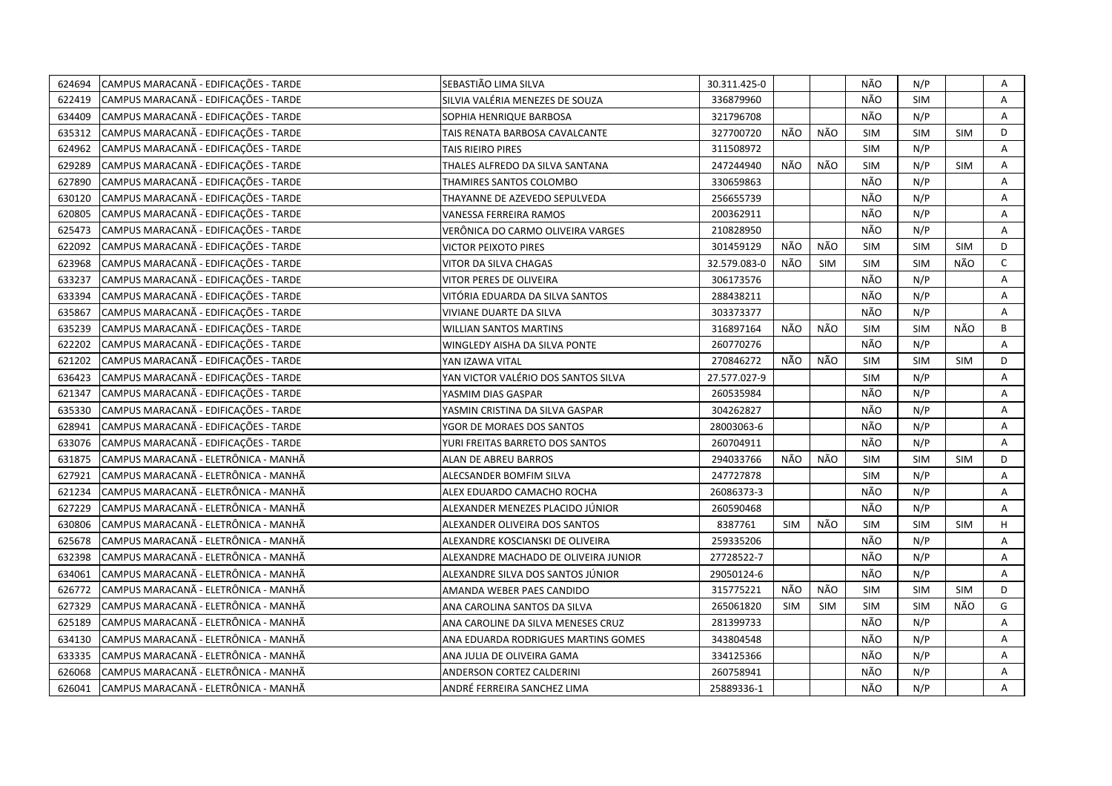| 624694 | CAMPUS MARACANÃ - EDIFICAÇÕES - TARDE | SEBASTIÃO LIMA SILVA                 | 30.311.425-0 |            |            | NÃO        | N/P        |            | Α            |
|--------|---------------------------------------|--------------------------------------|--------------|------------|------------|------------|------------|------------|--------------|
| 622419 | CAMPUS MARACANA - EDIFICAÇÕES - TARDE | SILVIA VALÉRIA MENEZES DE SOUZA      | 336879960    |            |            | NÃO        | <b>SIM</b> |            | A            |
| 634409 | CAMPUS MARACANA - EDIFICAÇÕES - TARDE | SOPHIA HENRIQUE BARBOSA              | 321796708    |            |            | NÃO        | N/P        |            | A            |
| 635312 | CAMPUS MARACANA - EDIFICAÇÕES - TARDE | TAIS RENATA BARBOSA CAVALCANTE       | 327700720    | NÃO        | NÃO        | <b>SIM</b> | <b>SIM</b> | <b>SIM</b> | D            |
| 624962 | CAMPUS MARACANÃ - EDIFICAÇÕES - TARDE | TAIS RIEIRO PIRES                    | 311508972    |            |            | <b>SIM</b> | N/P        |            | A            |
| 629289 | CAMPUS MARACANÃ - EDIFICAÇÕES - TARDE | THALES ALFREDO DA SILVA SANTANA      | 247244940    | NÃO        | NÃO        | <b>SIM</b> | N/P        | SIM        | Α            |
| 627890 | CAMPUS MARACANÃ - EDIFICAÇÕES - TARDE | THAMIRES SANTOS COLOMBO              | 330659863    |            |            | NÃO        | N/P        |            | A            |
| 630120 | CAMPUS MARACANÃ - EDIFICAÇÕES - TARDE | THAYANNE DE AZEVEDO SEPULVEDA        | 256655739    |            |            | NÃO        | N/P        |            | A            |
| 620805 | CAMPUS MARACANA - EDIFICAÇÕES - TARDE | VANESSA FERREIRA RAMOS               | 200362911    |            |            | NÃO        | N/P        |            | Α            |
| 625473 | CAMPUS MARACANÃ - EDIFICAÇÕES - TARDE | VERÔNICA DO CARMO OLIVEIRA VARGES    | 210828950    |            |            | NÃO        | N/P        |            | A            |
| 622092 | CAMPUS MARACANÃ - EDIFICAÇÕES - TARDE | <b>VICTOR PEIXOTO PIRES</b>          | 301459129    | NÃO        | NÃO        | <b>SIM</b> | <b>SIM</b> | <b>SIM</b> | D            |
| 623968 | CAMPUS MARACANÃ - EDIFICAÇÕES - TARDE | VITOR DA SILVA CHAGAS                | 32.579.083-0 | NÃO        | <b>SIM</b> | <b>SIM</b> | <b>SIM</b> | NÃO        | $\mathsf{C}$ |
| 633237 | CAMPUS MARACANÃ - EDIFICAÇÕES - TARDE | VITOR PERES DE OLIVEIRA              | 306173576    |            |            | NÃO        | N/P        |            | A            |
| 633394 | CAMPUS MARACANÃ - EDIFICAÇÕES - TARDE | VITÓRIA EDUARDA DA SILVA SANTOS      | 288438211    |            |            | NÃO        | N/P        |            | Α            |
| 635867 | CAMPUS MARACANÃ - EDIFICAÇÕES - TARDE | VIVIANE DUARTE DA SILVA              | 303373377    |            |            | NÃO        | N/P        |            | A            |
| 635239 | CAMPUS MARACANÃ - EDIFICAÇÕES - TARDE | <b>WILLIAN SANTOS MARTINS</b>        | 316897164    | NÃO        | NÃO        | <b>SIM</b> | <b>SIM</b> | NÃO        | B            |
| 622202 | CAMPUS MARACANA - EDIFICAÇÕES - TARDE | WINGLEDY AISHA DA SILVA PONTE        | 260770276    |            |            | NÃO        | N/P        |            | A            |
| 621202 | CAMPUS MARACANA - EDIFICAÇÕES - TARDE | YAN IZAWA VITAL                      | 270846272    | NÃO        | NÃO        | <b>SIM</b> | <b>SIM</b> | SIM        | D            |
| 636423 | CAMPUS MARACANÃ - EDIFICAÇÕES - TARDE | YAN VICTOR VALÉRIO DOS SANTOS SILVA  | 27.577.027-9 |            |            | <b>SIM</b> | N/P        |            | A            |
| 621347 | CAMPUS MARACANÃ - EDIFICAÇÕES - TARDE | YASMIM DIAS GASPAR                   | 260535984    |            |            | NÃO        | N/P        |            | A            |
| 635330 | CAMPUS MARACANA - EDIFICAÇÕES - TARDE | YASMIN CRISTINA DA SILVA GASPAR      | 304262827    |            |            | NÃO        | N/P        |            | A            |
| 628941 | CAMPUS MARACANA - EDIFICAÇÕES - TARDE | YGOR DE MORAES DOS SANTOS            | 28003063-6   |            |            | NÃO        | N/P        |            | A            |
| 633076 | CAMPUS MARACANÃ - EDIFICAÇÕES - TARDE | YURI FREITAS BARRETO DOS SANTOS      | 260704911    |            |            | NÃO        | N/P        |            | A            |
| 631875 | CAMPUS MARACANÃ - ELETRÔNICA - MANHÃ  | ALAN DE ABREU BARROS                 | 294033766    | NÃO        | NÃO        | <b>SIM</b> | <b>SIM</b> | <b>SIM</b> | D            |
| 627921 | CAMPUS MARACANÃ - ELETRÔNICA - MANHÃ  | ALECSANDER BOMFIM SILVA              | 247727878    |            |            | <b>SIM</b> | N/P        |            | A            |
| 621234 | CAMPUS MARACANÃ - ELETRÔNICA - MANHÃ  | ALEX EDUARDO CAMACHO ROCHA           | 26086373-3   |            |            | NÃO        | N/P        |            | Α            |
| 627229 | CAMPUS MARACANÃ - ELETRÔNICA - MANHÃ  | ALEXANDER MENEZES PLACIDO JÚNIOR     | 260590468    |            |            | NÃO        | N/P        |            | A            |
| 630806 | CAMPUS MARACANÃ - ELETRÔNICA - MANHÃ  | ALEXANDER OLIVEIRA DOS SANTOS        | 8387761      | <b>SIM</b> | NÃO        | <b>SIM</b> | SIM        | <b>SIM</b> | H            |
| 625678 | CAMPUS MARACANÃ - ELETRÔNICA - MANHÃ  | ALEXANDRE KOSCIANSKI DE OLIVEIRA     | 259335206    |            |            | NÃO        | N/P        |            | A            |
| 632398 | CAMPUS MARACANÃ - ELETRÔNICA - MANHÃ  | ALEXANDRE MACHADO DE OLIVEIRA JUNIOR | 27728522-7   |            |            | NÃO        | N/P        |            | Α            |
| 634061 | CAMPUS MARACANÃ - ELETRÔNICA - MANHÃ  | ALEXANDRE SILVA DOS SANTOS JÚNIOR    | 29050124-6   |            |            | NÃO        | N/P        |            | Α            |
| 626772 | CAMPUS MARACANÃ - ELETRÔNICA - MANHÃ  | AMANDA WEBER PAES CANDIDO            | 315775221    | NÃO        | NÃO        | <b>SIM</b> | <b>SIM</b> | <b>SIM</b> | D            |
| 627329 | CAMPUS MARACANÃ - ELETRÔNICA - MANHÃ  | ANA CAROLINA SANTOS DA SILVA         | 265061820    | <b>SIM</b> | <b>SIM</b> | <b>SIM</b> | <b>SIM</b> | NÃO        | G            |
| 625189 | CAMPUS MARACANÃ - ELETRÔNICA - MANHÃ  | ANA CAROLINE DA SILVA MENESES CRUZ   | 281399733    |            |            | NÃO        | N/P        |            | A            |
| 634130 | CAMPUS MARACANÃ - ELETRÔNICA - MANHÃ  | ANA EDUARDA RODRIGUES MARTINS GOMES  | 343804548    |            |            | NÃO        | N/P        |            | A            |
| 633335 | CAMPUS MARACANÃ - ELETRÔNICA - MANHÃ  | ANA JULIA DE OLIVEIRA GAMA           | 334125366    |            |            | NÃO        | N/P        |            | Α            |
| 626068 | CAMPUS MARACANÃ - ELETRÔNICA - MANHÃ  | ANDERSON CORTEZ CALDERINI            | 260758941    |            |            | NÃO        | N/P        |            | Α            |
| 626041 | CAMPUS MARACANÃ - ELETRÔNICA - MANHÃ  | ANDRÉ FERREIRA SANCHEZ LIMA          | 25889336-1   |            |            | NÃO        | N/P        |            | A            |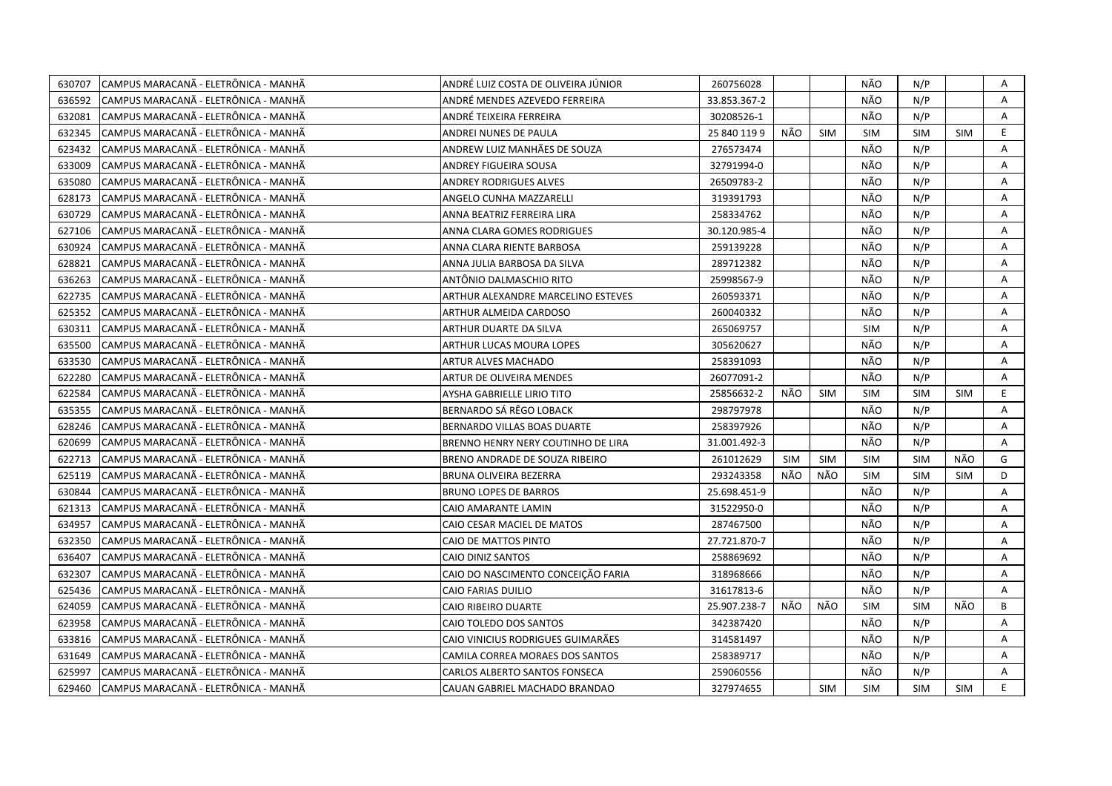| 630707 | CAMPUS MARACANÃ - ELETRÔNICA - MANHÃ | ANDRÉ LUIZ COSTA DE OLIVEIRA JÚNIOR | 260756028    |            |            | NÃO        | N/P        |            | Α              |
|--------|--------------------------------------|-------------------------------------|--------------|------------|------------|------------|------------|------------|----------------|
| 636592 | CAMPUS MARACANÃ - ELETRÔNICA - MANHÃ | ANDRÉ MENDES AZEVEDO FERREIRA       | 33.853.367-2 |            |            | NÃO        | N/P        |            | Α              |
| 632081 | CAMPUS MARACANÃ - ELETRÔNICA - MANHÃ | ANDRÉ TEIXEIRA FERREIRA             | 30208526-1   |            |            | NÃO        | N/P        |            | A              |
| 632345 | CAMPUS MARACANÃ - ELETRÔNICA - MANHÃ | ANDREI NUNES DE PAULA               | 25 840 119 9 | NÃO        | <b>SIM</b> | <b>SIM</b> | <b>SIM</b> | <b>SIM</b> | E              |
| 623432 | CAMPUS MARACANÃ - ELETRÔNICA - MANHÃ | ANDREW LUIZ MANHÃES DE SOUZA        | 276573474    |            |            | NÃO        | N/P        |            | Α              |
| 633009 | CAMPUS MARACANÃ - ELETRÔNICA - MANHÃ | ANDREY FIGUEIRA SOUSA               | 32791994-0   |            |            | NÃO        | N/P        |            | Α              |
| 635080 | CAMPUS MARACANÃ - ELETRÔNICA - MANHÃ | <b>ANDREY RODRIGUES ALVES</b>       | 26509783-2   |            |            | NÃO        | N/P        |            | A              |
| 628173 | CAMPUS MARACANÃ - ELETRÔNICA - MANHÃ | ANGELO CUNHA MAZZARELLI             | 319391793    |            |            | NÃO        | N/P        |            | A              |
| 630729 | CAMPUS MARACANÃ - ELETRÔNICA - MANHÃ | ANNA BEATRIZ FERREIRA LIRA          | 258334762    |            |            | NÃO        | N/P        |            | A              |
| 627106 | CAMPUS MARACANÃ - ELETRÔNICA - MANHÃ | ANNA CLARA GOMES RODRIGUES          | 30.120.985-4 |            |            | NÃO        | N/P        |            | Α              |
| 630924 | CAMPUS MARACANÃ - ELETRÔNICA - MANHÃ | ANNA CLARA RIENTE BARBOSA           | 259139228    |            |            | NÃO        | N/P        |            | A              |
| 628821 | CAMPUS MARACANÃ - ELETRÔNICA - MANHÃ | ANNA JULIA BARBOSA DA SILVA         | 289712382    |            |            | NÃO        | N/P        |            | A              |
| 636263 | CAMPUS MARACANÃ - ELETRÔNICA - MANHÃ | ANTÔNIO DALMASCHIO RITO             | 25998567-9   |            |            | NÃO        | N/P        |            | Α              |
| 622735 | CAMPUS MARACANÃ - ELETRÔNICA - MANHÃ | ARTHUR ALEXANDRE MARCELINO ESTEVES  | 260593371    |            |            | NÃO        | N/P        |            | A              |
| 625352 | CAMPUS MARACANÃ - ELETRÔNICA - MANHÃ | ARTHUR ALMEIDA CARDOSO              | 260040332    |            |            | NÃO        | N/P        |            | $\mathsf{A}$   |
| 630311 | CAMPUS MARACANÃ - ELETRÔNICA - MANHÃ | ARTHUR DUARTE DA SILVA              | 265069757    |            |            | <b>SIM</b> | N/P        |            | Α              |
| 635500 | CAMPUS MARACANÃ - ELETRÔNICA - MANHÃ | ARTHUR LUCAS MOURA LOPES            | 305620627    |            |            | NÃO        | N/P        |            | A              |
| 633530 | CAMPUS MARACANÃ - ELETRÔNICA - MANHÃ | ARTUR ALVES MACHADO                 | 258391093    |            |            | NÃO        | N/P        |            | A              |
| 622280 | CAMPUS MARACANA - ELETRÔNICA - MANHA | ARTUR DE OLIVEIRA MENDES            | 26077091-2   |            |            | NÃO        | N/P        |            | A              |
| 622584 | CAMPUS MARACANĂ - ELETRÔNICA - MANHÃ | AYSHA GABRIELLE LIRIO TITO          | 25856632-2   | NÃO        | <b>SIM</b> | <b>SIM</b> | <b>SIM</b> | <b>SIM</b> | E              |
| 635355 | CAMPUS MARACANÃ - ELETRÔNICA - MANHÃ | BERNARDO SÁ RÊGO LOBACK             | 298797978    |            |            | NÃO        | N/P        |            | Α              |
| 628246 | CAMPUS MARACANA - ELETRÔNICA - MANHA | BERNARDO VILLAS BOAS DUARTE         | 258397926    |            |            | NÃO        | N/P        |            | Α              |
| 620699 | CAMPUS MARACANÃ - ELETRÔNICA - MANHÃ | BRENNO HENRY NERY COUTINHO DE LIRA  | 31.001.492-3 |            |            | NÃO        | N/P        |            | A              |
| 622713 | CAMPUS MARACANÃ - ELETRÔNICA - MANHÃ | BRENO ANDRADE DE SOUZA RIBEIRO      | 261012629    | <b>SIM</b> | <b>SIM</b> | <b>SIM</b> | <b>SIM</b> | NÃO        | G              |
| 625119 | CAMPUS MARACANÃ - ELETRÔNICA - MANHÃ | BRUNA OLIVEIRA BEZERRA              | 293243358    | NÃO        | NÃO        | <b>SIM</b> | <b>SIM</b> | <b>SIM</b> | D              |
| 630844 | CAMPUS MARACANÃ - ELETRÔNICA - MANHÃ | <b>BRUNO LOPES DE BARROS</b>        | 25.698.451-9 |            |            | NÃO        | N/P        |            | Α              |
| 621313 | CAMPUS MARACANÃ - ELETRÔNICA - MANHÃ | CAIO AMARANTE LAMIN                 | 31522950-0   |            |            | NÃO        | N/P        |            | A              |
| 634957 | CAMPUS MARACANÃ - ELETRÔNICA - MANHÃ | CAIO CESAR MACIEL DE MATOS          | 287467500    |            |            | NÃO        | N/P        |            | A              |
| 632350 | CAMPUS MARACANÃ - ELETRÔNICA - MANHÃ | CAIO DE MATTOS PINTO                | 27.721.870-7 |            |            | NÃO        | N/P        |            | A              |
| 636407 | CAMPUS MARACANÃ - ELETRÔNICA - MANHÃ | CAIO DINIZ SANTOS                   | 258869692    |            |            | NÃO        | N/P        |            | Α              |
| 632307 | CAMPUS MARACANÃ - ELETRÔNICA - MANHÃ | CAIO DO NASCIMENTO CONCEIÇÃO FARIA  | 318968666    |            |            | NÃO        | N/P        |            | A              |
| 625436 | CAMPUS MARACANÃ - ELETRÔNICA - MANHÃ | CAIO FARIAS DUILIO                  | 31617813-6   |            |            | NÃO        | N/P        |            | $\overline{A}$ |
| 624059 | CAMPUS MARACANÃ - ELETRÔNICA - MANHÃ | CAIO RIBEIRO DUARTE                 | 25.907.238-7 | NÃO        | NÃO        | <b>SIM</b> | <b>SIM</b> | NÃO        | B              |
| 623958 | CAMPUS MARACANÃ - ELETRÔNICA - MANHÃ | CAIO TOLEDO DOS SANTOS              | 342387420    |            |            | NÃO        | N/P        |            | A              |
| 633816 | CAMPUS MARACANÃ - ELETRÔNICA - MANHÃ | CAIO VINICIUS RODRIGUES GUIMARÃES   | 314581497    |            |            | NÃO        | N/P        |            | A              |
| 631649 | CAMPUS MARACANÃ - ELETRÔNICA - MANHÃ | CAMILA CORREA MORAES DOS SANTOS     | 258389717    |            |            | NÃO        | N/P        |            | A              |
| 625997 | CAMPUS MARACANÃ - ELETRÔNICA - MANHÃ | CARLOS ALBERTO SANTOS FONSECA       | 259060556    |            |            | NÃO        | N/P        |            | A              |
| 629460 | CAMPUS MARACANÃ - ELETRÔNICA - MANHÃ | CAUAN GABRIEL MACHADO BRANDAO       | 327974655    |            | <b>SIM</b> | <b>SIM</b> | <b>SIM</b> | <b>SIM</b> | E.             |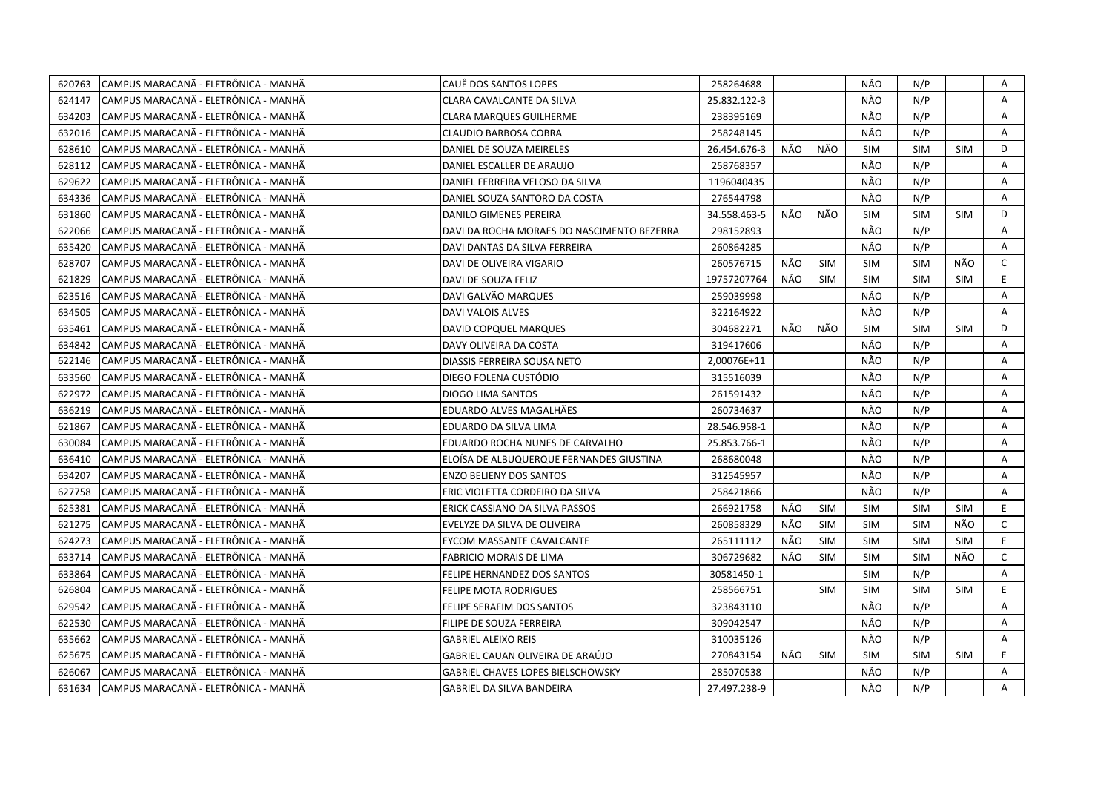| 620763 | CAMPUS MARACANÃ - ELETRÔNICA - MANHÃ | CAUÊ DOS SANTOS LOPES                      | 258264688    |     |            | NÃO        | N/P        |            | Α            |
|--------|--------------------------------------|--------------------------------------------|--------------|-----|------------|------------|------------|------------|--------------|
| 624147 | CAMPUS MARACANÃ - ELETRÔNICA - MANHÃ | CLARA CAVALCANTE DA SILVA                  | 25.832.122-3 |     |            | NÃO        | N/P        |            | A            |
| 634203 | CAMPUS MARACANÃ - ELETRÔNICA - MANHÃ | CLARA MARQUES GUILHERME                    | 238395169    |     |            | NÃO        | N/P        |            | Α            |
| 632016 | CAMPUS MARACANÃ - ELETRÔNICA - MANHÃ | <b>CLAUDIO BARBOSA COBRA</b>               | 258248145    |     |            | NÃO        | N/P        |            | Α            |
| 628610 | CAMPUS MARACANÃ - ELETRÔNICA - MANHÃ | DANIEL DE SOUZA MEIRELES                   | 26.454.676-3 | NÃO | NÃO        | <b>SIM</b> | <b>SIM</b> | <b>SIM</b> | D            |
| 628112 | CAMPUS MARACANÃ - ELETRÔNICA - MANHÃ | DANIEL ESCALLER DE ARAUJO                  | 258768357    |     |            | NÃO        | N/P        |            | Α            |
| 629622 | CAMPUS MARACANÃ - ELETRÔNICA - MANHÃ | DANIEL FERREIRA VELOSO DA SILVA            | 1196040435   |     |            | NÃO        | N/P        |            | A            |
| 634336 | CAMPUS MARACANÃ - ELETRÔNICA - MANHÃ | DANIEL SOUZA SANTORO DA COSTA              | 276544798    |     |            | NÃO        | N/P        |            | A            |
| 631860 | CAMPUS MARACANÃ - ELETRÔNICA - MANHÃ | DANILO GIMENES PEREIRA                     | 34.558.463-5 | NÃO | NÃO        | <b>SIM</b> | <b>SIM</b> | <b>SIM</b> | D            |
| 622066 | CAMPUS MARACANÃ - ELETRÔNICA - MANHÃ | DAVI DA ROCHA MORAES DO NASCIMENTO BEZERRA | 298152893    |     |            | NÃO        | N/P        |            | A            |
| 635420 | CAMPUS MARACANÃ - ELETRÔNICA - MANHÃ | DAVI DANTAS DA SILVA FERREIRA              | 260864285    |     |            | NÃO        | N/P        |            | Α            |
| 628707 | CAMPUS MARACANÃ - ELETRÔNICA - MANHÃ | DAVI DE OLIVEIRA VIGARIO                   | 260576715    | NÃO | <b>SIM</b> | SIM        | <b>SIM</b> | NÃO        | $\mathsf{C}$ |
| 621829 | CAMPUS MARACANÃ - ELETRÔNICA - MANHÃ | DAVI DE SOUZA FELIZ                        | 19757207764  | NÃO | <b>SIM</b> | <b>SIM</b> | <b>SIM</b> | <b>SIM</b> | E.           |
| 623516 | CAMPUS MARACANÃ - ELETRÔNICA - MANHÃ | DAVI GALVÃO MARQUES                        | 259039998    |     |            | NÃO        | N/P        |            | Α            |
| 634505 | CAMPUS MARACANÃ - ELETRÔNICA - MANHÃ | <b>DAVI VALOIS ALVES</b>                   | 322164922    |     |            | NÃO        | N/P        |            | A            |
| 635461 | CAMPUS MARACANÃ - ELETRÔNICA - MANHÃ | DAVID COPQUEL MARQUES                      | 304682271    | NÃO | NÃO        | <b>SIM</b> | <b>SIM</b> | <b>SIM</b> | D            |
| 634842 | CAMPUS MARACANA - ELETRÔNICA - MANHA | DAVY OLIVEIRA DA COSTA                     | 319417606    |     |            | NÃO        | N/P        |            | A            |
| 622146 | CAMPUS MARACANÃ - ELETRÔNICA - MANHÃ | DIASSIS FERREIRA SOUSA NETO                | 2,00076E+11  |     |            | NÃO        | N/P        |            | A            |
| 633560 | CAMPUS MARACANÃ - ELETRÔNICA - MANHÃ | DIEGO FOLENA CUSTÓDIO                      | 315516039    |     |            | NÃO        | N/P        |            | A            |
| 622972 | CAMPUS MARACANÃ - ELETRÔNICA - MANHÃ | DIOGO LIMA SANTOS                          | 261591432    |     |            | NÃO        | N/P        |            | A            |
| 636219 | CAMPUS MARACANÃ - ELETRÔNICA - MANHÃ | EDUARDO ALVES MAGALHÃES                    | 260734637    |     |            | NÃO        | N/P        |            | A            |
| 621867 | CAMPUS MARACANA - ELETRÔNICA - MANHÀ | EDUARDO DA SILVA LIMA                      | 28.546.958-1 |     |            | NÃO        | N/P        |            | A            |
| 630084 | CAMPUS MARACANÃ - ELETRÔNICA - MANHÃ | EDUARDO ROCHA NUNES DE CARVALHO            | 25.853.766-1 |     |            | NÃO        | N/P        |            | A            |
| 636410 | CAMPUS MARACANA - ELETRÔNICA - MANHA | ELOISA DE ALBUQUERQUE FERNANDES GIUSTINA   | 268680048    |     |            | NÃO        | N/P        |            | A            |
| 634207 | CAMPUS MARACANÃ - ELETRÔNICA - MANHÃ | <b>ENZO BELIENY DOS SANTOS</b>             | 312545957    |     |            | NÃO        | N/P        |            | A            |
| 627758 | CAMPUS MARACANÃ - ELETRÔNICA - MANHÃ | ERIC VIOLETTA CORDEIRO DA SILVA            | 258421866    |     |            | NÃO        | N/P        |            | Α            |
| 625381 | CAMPUS MARACANÃ - ELETRÔNICA - MANHÃ | ERICK CASSIANO DA SILVA PASSOS             | 266921758    | NÃO | <b>SIM</b> | <b>SIM</b> | <b>SIM</b> | <b>SIM</b> | E.           |
| 621275 | CAMPUS MARACANÃ - ELETRÔNICA - MANHÃ | EVELYZE DA SILVA DE OLIVEIRA               | 260858329    | NÃO | SIM        | <b>SIM</b> | <b>SIM</b> | NÃO        | $\mathsf{C}$ |
| 624273 | CAMPUS MARACANA - ELETRÔNICA - MANHA | EYCOM MASSANTE CAVALCANTE                  | 265111112    | NÃO | <b>SIM</b> | <b>SIM</b> | <b>SIM</b> | <b>SIM</b> | E.           |
| 633714 | CAMPUS MARACANÃ - ELETRÔNICA - MANHÃ | <b>FABRICIO MORAIS DE LIMA</b>             | 306729682    | NÃO | <b>SIM</b> | <b>SIM</b> | <b>SIM</b> | NÃO        | $\mathsf{C}$ |
| 633864 | CAMPUS MARACANÃ - ELETRÔNICA - MANHÃ | FELIPE HERNANDEZ DOS SANTOS                | 30581450-1   |     |            | <b>SIM</b> | N/P        |            | Α            |
| 626804 | CAMPUS MARACANÃ - ELETRÔNICA - MANHÃ | <b>FELIPE MOTA RODRIGUES</b>               | 258566751    |     | <b>SIM</b> | <b>SIM</b> | <b>SIM</b> | <b>SIM</b> | E            |
| 629542 | CAMPUS MARACANÃ - ELETRÔNICA - MANHÃ | FELIPE SERAFIM DOS SANTOS                  | 323843110    |     |            | NÃO        | N/P        |            | A            |
| 622530 | CAMPUS MARACANÃ - ELETRÔNICA - MANHÃ | FILIPE DE SOUZA FERREIRA                   | 309042547    |     |            | NÃO        | N/P        |            | A            |
| 635662 | CAMPUS MARACANÃ - ELETRÔNICA - MANHÃ | <b>GABRIEL ALEIXO REIS</b>                 | 310035126    |     |            | NÃO        | N/P        |            | A            |
| 625675 | CAMPUS MARACANÃ - ELETRÔNICA - MANHÃ | GABRIEL CAUAN OLIVEIRA DE ARAÚJO           | 270843154    | NÃO | SIM        | <b>SIM</b> | <b>SIM</b> | <b>SIM</b> | E.           |
| 626067 | CAMPUS MARACANÃ - ELETRÔNICA - MANHÃ | <b>GABRIEL CHAVES LOPES BIELSCHOWSKY</b>   | 285070538    |     |            | NÃO        | N/P        |            | A            |
| 631634 | CAMPUS MARACANÃ - ELETRÔNICA - MANHÃ | <b>GABRIEL DA SILVA BANDEIRA</b>           | 27.497.238-9 |     |            | NÃO        | N/P        |            | A            |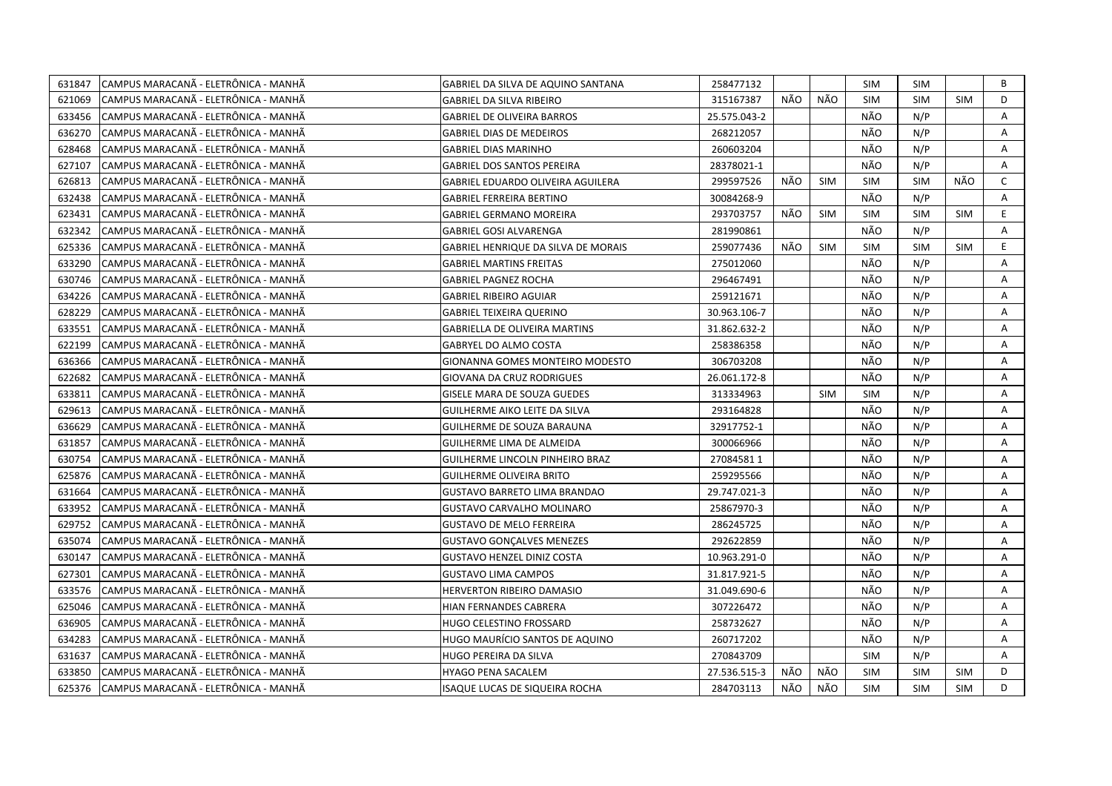| 631847 | CAMPUS MARACANÃ - ELETRÔNICA - MANHÃ  | GABRIEL DA SILVA DE AQUINO SANTANA       | 258477132    |     |            | <b>SIM</b> | <b>SIM</b> |            | B            |
|--------|---------------------------------------|------------------------------------------|--------------|-----|------------|------------|------------|------------|--------------|
| 621069 | CAMPUS MARACANÃ - ELETRÔNICA - MANHÃ  | <b>GABRIEL DA SILVA RIBEIRO</b>          | 315167387    | NÃO | NÃO        | <b>SIM</b> | <b>SIM</b> | <b>SIM</b> | D            |
| 633456 | İCAMPUS MARACANÃ - ELETRÔNICA - MANHÃ | <b>GABRIEL DE OLIVEIRA BARROS</b>        | 25.575.043-2 |     |            | NÃO        | N/P        |            | Α            |
| 636270 | CAMPUS MARACANÃ - ELETRÔNICA - MANHÃ  | <b>GABRIEL DIAS DE MEDEIROS</b>          | 268212057    |     |            | NÃO        | N/P        |            | A            |
| 628468 | CAMPUS MARACANÃ - ELETRÔNICA - MANHÃ  | <b>GABRIEL DIAS MARINHO</b>              | 260603204    |     |            | NÃO        | N/P        |            | A            |
| 627107 | CAMPUS MARACANÃ - ELETRÔNICA - MANHÃ  | <b>GABRIEL DOS SANTOS PEREIRA</b>        | 28378021-1   |     |            | NÃO        | N/P        |            | Α            |
| 626813 | CAMPUS MARACANÃ - ELETRÔNICA - MANHÃ  | <b>GABRIEL EDUARDO OLIVEIRA AGUILERA</b> | 299597526    | NÃO | <b>SIM</b> | <b>SIM</b> | <b>SIM</b> | NÃO        | $\mathsf{C}$ |
| 632438 | CAMPUS MARACANÃ - ELETRÔNICA - MANHÃ  | <b>GABRIEL FERREIRA BERTINO</b>          | 30084268-9   |     |            | NÃO        | N/P        |            | A            |
| 623431 | CAMPUS MARACANÃ - ELETRÔNICA - MANHÃ  | <b>GABRIEL GERMANO MOREIRA</b>           | 293703757    | NÃO | <b>SIM</b> | <b>SIM</b> | <b>SIM</b> | <b>SIM</b> | E.           |
| 632342 | CAMPUS MARACANÃ - ELETRÔNICA - MANHÃ  | <b>GABRIEL GOSI ALVARENGA</b>            | 281990861    |     |            | NÃO        | N/P        |            | Α            |
| 625336 | CAMPUS MARACANÃ - ELETRÔNICA - MANHÃ  | GABRIEL HENRIQUE DA SILVA DE MORAIS      | 259077436    | NÃO | <b>SIM</b> | <b>SIM</b> | <b>SIM</b> | <b>SIM</b> | E            |
| 633290 | CAMPUS MARACANÃ - ELETRÔNICA - MANHÃ  | <b>GABRIEL MARTINS FREITAS</b>           | 275012060    |     |            | NÃO        | N/P        |            | Α            |
| 630746 | CAMPUS MARACANÃ - ELETRÔNICA - MANHÃ  | <b>GABRIEL PAGNEZ ROCHA</b>              | 296467491    |     |            | NÃO        | N/P        |            | Α            |
| 634226 | CAMPUS MARACANÃ - ELETRÔNICA - MANHÃ  | <b>GABRIEL RIBEIRO AGUIAR</b>            | 259121671    |     |            | NÃO        | N/P        |            | Α            |
| 628229 | CAMPUS MARACANÃ - ELETRÔNICA - MANHÃ  | <b>GABRIEL TEIXEIRA QUERINO</b>          | 30.963.106-7 |     |            | NÃO        | N/P        |            | A            |
| 633551 | CAMPUS MARACANÃ - ELETRÔNICA - MANHÃ  | <b>GABRIELLA DE OLIVEIRA MARTINS</b>     | 31.862.632-2 |     |            | NÃO        | N/P        |            | Α            |
| 622199 | CAMPUS MARACANÃ - ELETRÔNICA - MANHÃ  | <b>GABRYEL DO ALMO COSTA</b>             | 258386358    |     |            | NÃO        | N/P        |            | A            |
| 636366 | CAMPUS MARACANÃ - ELETRÔNICA - MANHÃ  | <b>GIONANNA GOMES MONTEIRO MODESTO</b>   | 306703208    |     |            | NÃO        | N/P        |            | A            |
| 622682 | CAMPUS MARACANÃ - ELETRÔNICA - MANHÃ  | GIOVANA DA CRUZ RODRIGUES                | 26.061.172-8 |     |            | NÃO        | N/P        |            | Α            |
| 633811 | CAMPUS MARACANA - ELETRÔNICA - MANHA  | GISELE MARA DE SOUZA GUEDES              | 313334963    |     | SIM        | <b>SIM</b> | N/P        |            | Α            |
| 629613 | CAMPUS MARACANA - ELETRÔNICA - MANHA  | GUILHERME AIKO LEITE DA SILVA            | 293164828    |     |            | NÃO        | N/P        |            | A            |
| 636629 | CAMPUS MARACANÃ - ELETRÔNICA - MANHÃ  | GUILHERME DE SOUZA BARAUNA               | 32917752-1   |     |            | NÃO        | N/P        |            | Α            |
| 631857 | CAMPUS MARACANÃ - ELETRÔNICA - MANHÃ  | GUILHERME LIMA DE ALMEIDA                | 300066966    |     |            | NÃO        | N/P        |            | A            |
| 630754 | CAMPUS MARACANÃ - ELETRÔNICA - MANHÃ  | GUILHERME LINCOLN PINHEIRO BRAZ          | 270845811    |     |            | NÃO        | N/P        |            | Α            |
| 625876 | CAMPUS MARACANÃ - ELETRÔNICA - MANHÃ  | <b>GUILHERME OLIVEIRA BRITO</b>          | 259295566    |     |            | NÃO        | N/P        |            | Α            |
| 631664 | CAMPUS MARACANÃ - ELETRÔNICA - MANHÃ  | <b>GUSTAVO BARRETO LIMA BRANDAO</b>      | 29.747.021-3 |     |            | NÃO        | N/P        |            | Α            |
| 633952 | CAMPUS MARACANÃ - ELETRÔNICA - MANHÃ  | <b>GUSTAVO CARVALHO MOLINARO</b>         | 25867970-3   |     |            | NÃO        | N/P        |            | Α            |
| 629752 | CAMPUS MARACANÃ - ELETRÔNICA - MANHÃ  | <b>GUSTAVO DE MELO FERREIRA</b>          | 286245725    |     |            | NÃO        | N/P        |            | A            |
| 635074 | CAMPUS MARACANÃ - ELETRÔNICA - MANHÃ  | <b>GUSTAVO GONÇALVES MENEZES</b>         | 292622859    |     |            | NÃO        | N/P        |            | A            |
| 630147 | CAMPUS MARACANÃ - ELETRÔNICA - MANHÃ  | <b>GUSTAVO HENZEL DINIZ COSTA</b>        | 10.963.291-0 |     |            | NÃO        | N/P        |            | Α            |
| 627301 | CAMPUS MARACANÃ - ELETRÔNICA - MANHÃ  | <b>GUSTAVO LIMA CAMPOS</b>               | 31.817.921-5 |     |            | NÃO        | N/P        |            | Α            |
| 633576 | CAMPUS MARACANÃ - ELETRÔNICA - MANHÃ  | HERVERTON RIBEIRO DAMASIO                | 31.049.690-6 |     |            | NÃO        | N/P        |            | A            |
| 625046 | CAMPUS MARACANÃ - ELETRÔNICA - MANHÃ  | HIAN FERNANDES CABRERA                   | 307226472    |     |            | NÃO        | N/P        |            | Α            |
| 636905 | CAMPUS MARACANÃ - ELETRÔNICA - MANHÃ  | HUGO CELESTINO FROSSARD                  | 258732627    |     |            | NÃO        | N/P        |            | Α            |
| 634283 | CAMPUS MARACANA - ELETRÔNICA - MANHA  | HUGO MAURÍCIO SANTOS DE AQUINO           | 260717202    |     |            | NÃO        | N/P        |            | A            |
| 631637 | CAMPUS MARACANÃ - ELETRÔNICA - MANHÃ  | HUGO PEREIRA DA SILVA                    | 270843709    |     |            | <b>SIM</b> | N/P        |            | Α            |
| 633850 | CAMPUS MARACANÃ - ELETRÔNICA - MANHÃ  | HYAGO PENA SACALEM                       | 27.536.515-3 | NÃO | NÃO        | <b>SIM</b> | <b>SIM</b> | <b>SIM</b> | D            |
| 625376 | CAMPUS MARACANÃ - ELETRÔNICA - MANHÃ  | ISAQUE LUCAS DE SIQUEIRA ROCHA           | 284703113    | NÃO | NÃO        | <b>SIM</b> | <b>SIM</b> | <b>SIM</b> | D            |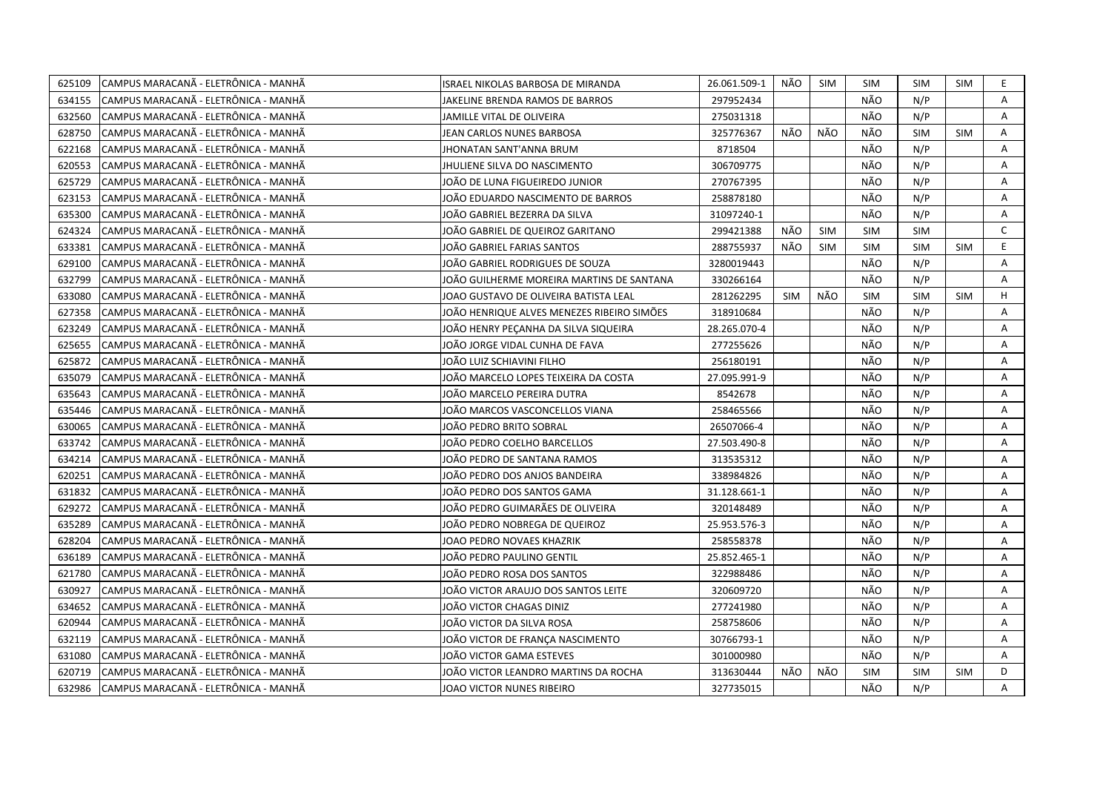| 625109 | CAMPUS MARACANÃ - ELETRÔNICA - MANHÃ | ISRAEL NIKOLAS BARBOSA DE MIRANDA          | 26.061.509-1 | NÃO        | <b>SIM</b> | SIM        | <b>SIM</b> | SIM        | E.           |
|--------|--------------------------------------|--------------------------------------------|--------------|------------|------------|------------|------------|------------|--------------|
| 634155 | CAMPUS MARACANÃ - ELETRÔNICA - MANHÃ | JAKELINE BRENDA RAMOS DE BARROS            | 297952434    |            |            | NÃO        | N/P        |            | A            |
| 632560 | CAMPUS MARACANÃ - ELETRÔNICA - MANHÃ | JAMILLE VITAL DE OLIVEIRA                  | 275031318    |            |            | NÃO        | N/P        |            | Α            |
| 628750 | CAMPUS MARACANÃ - ELETRÔNICA - MANHÃ | JEAN CARLOS NUNES BARBOSA                  | 325776367    | NÃO        | NÃO        | NÃO        | <b>SIM</b> | <b>SIM</b> | Α            |
| 622168 | CAMPUS MARACANÃ - ELETRÔNICA - MANHÃ | <b>JHONATAN SANT'ANNA BRUM</b>             | 8718504      |            |            | NÃO        | N/P        |            | Α            |
| 620553 | CAMPUS MARACANÃ - ELETRÔNICA - MANHÃ | <b>JHULIENE SILVA DO NASCIMENTO</b>        | 306709775    |            |            | NÃO        | N/P        |            | A            |
| 625729 | CAMPUS MARACANÃ - ELETRÔNICA - MANHÃ | JOÃO DE LUNA FIGUEIREDO JUNIOR             | 270767395    |            |            | NÃO        | N/P        |            | Α            |
| 623153 | CAMPUS MARACANÃ - ELETRÔNICA - MANHÃ | JOÃO EDUARDO NASCIMENTO DE BARROS          | 258878180    |            |            | NÃO        | N/P        |            | Α            |
| 635300 | CAMPUS MARACANÃ - ELETRÔNICA - MANHÃ | JOÃO GABRIEL BEZERRA DA SILVA              | 31097240-1   |            |            | NÃO        | N/P        |            | A            |
| 624324 | CAMPUS MARACANÃ - ELETRÔNICA - MANHÃ | JOÃO GABRIEL DE QUEIROZ GARITANO           | 299421388    | NÃO        | <b>SIM</b> | <b>SIM</b> | <b>SIM</b> |            | $\mathsf{C}$ |
| 633381 | CAMPUS MARACANA - ELETRÔNICA - MANHA | JOÃO GABRIEL FARIAS SANTOS                 | 288755937    | NÃO        | <b>SIM</b> | <b>SIM</b> | <b>SIM</b> | <b>SIM</b> | E            |
| 629100 | CAMPUS MARACANÃ - ELETRÔNICA - MANHÃ | JOÃO GABRIEL RODRIGUES DE SOUZA            | 3280019443   |            |            | NÃO        | N/P        |            | Α            |
| 632799 | CAMPUS MARACANÃ - ELETRÔNICA - MANHÃ | JOÃO GUILHERME MOREIRA MARTINS DE SANTANA  | 330266164    |            |            | NÃO        | N/P        |            | A            |
| 633080 | CAMPUS MARACANÃ - ELETRÔNICA - MANHÃ | JOAO GUSTAVO DE OLIVEIRA BATISTA LEAL      | 281262295    | <b>SIM</b> | NÃO        | <b>SIM</b> | <b>SIM</b> | <b>SIM</b> | H            |
| 627358 | CAMPUS MARACANÃ - ELETRÔNICA - MANHÃ | JOÃO HENRIQUE ALVES MENEZES RIBEIRO SIMÕES | 318910684    |            |            | NÃO        | N/P        |            | A            |
| 623249 | CAMPUS MARACANÃ - ELETRÔNICA - MANHÃ | JOÃO HENRY PEÇANHA DA SILVA SIQUEIRA       | 28.265.070-4 |            |            | NÃO        | N/P        |            | Α            |
| 625655 | CAMPUS MARACANÃ - ELETRÔNICA - MANHÃ | JOÃO JORGE VIDAL CUNHA DE FAVA             | 277255626    |            |            | NÃO        | N/P        |            | Α            |
| 625872 | CAMPUS MARACANÃ - ELETRÔNICA - MANHÃ | JOÃO LUIZ SCHIAVINI FILHO                  | 256180191    |            |            | NÃO        | N/P        |            | Α            |
| 635079 | CAMPUS MARACANÃ - ELETRÔNICA - MANHÃ | JOÃO MARCELO LOPES TEIXEIRA DA COSTA       | 27.095.991-9 |            |            | NÃO        | N/P        |            | A            |
| 635643 | CAMPUS MARACANÃ - ELETRÔNICA - MANHÃ | JOÃO MARCELO PEREIRA DUTRA                 | 8542678      |            |            | NÃO        | N/P        |            | A            |
| 635446 | CAMPUS MARACANÃ - ELETRÔNICA - MANHÃ | JOÃO MARCOS VASCONCELLOS VIANA             | 258465566    |            |            | NÃO        | N/P        |            | Α            |
| 630065 | CAMPUS MARACANÃ - ELETRÔNICA - MANHÃ | JOÃO PEDRO BRITO SOBRAL                    | 26507066-4   |            |            | NÃO        | N/P        |            | A            |
| 633742 | CAMPUS MARACANÃ - ELETRÔNICA - MANHÃ | JOÃO PEDRO COELHO BARCELLOS                | 27.503.490-8 |            |            | NÃO        | N/P        |            | A            |
| 634214 | CAMPUS MARACANA - ELETRÔNICA - MANHÀ | JOÃO PEDRO DE SANTANA RAMOS                | 313535312    |            |            | NÃO        | N/P        |            | A            |
| 620251 | CAMPUS MARACANÃ - ELETRÔNICA - MANHÃ | JOÃO PEDRO DOS ANJOS BANDEIRA              | 338984826    |            |            | NÃO        | N/P        |            | A            |
| 631832 | CAMPUS MARACANA - ELETRÔNICA - MANHA | IOÃO PEDRO DOS SANTOS GAMA                 | 31.128.661-1 |            |            | NÃO        | N/P        |            | A            |
| 629272 | CAMPUS MARACANÃ - ELETRÔNICA - MANHÃ | IOÃO PEDRO GUIMARÃES DE OLIVEIRA           | 320148489    |            |            | NÃO        | N/P        |            | A            |
| 635289 | CAMPUS MARACANÃ - ELETRÔNICA - MANHÃ | JOÃO PEDRO NOBREGA DE QUEIROZ              | 25.953.576-3 |            |            | NÃO        | N/P        |            | A            |
| 628204 | CAMPUS MARACANÃ - ELETRÔNICA - MANHÃ | JOAO PEDRO NOVAES KHAZRIK                  | 258558378    |            |            | NÃO        | N/P        |            | Α            |
| 636189 | CAMPUS MARACANÃ - ELETRÔNICA - MANHÃ | JOÃO PEDRO PAULINO GENTIL                  | 25.852.465-1 |            |            | NÃO        | N/P        |            | Α            |
| 621780 | CAMPUS MARACANÃ - ELETRÔNICA - MANHÃ | JOÃO PEDRO ROSA DOS SANTOS                 | 322988486    |            |            | NÃO        | N/P        |            | Α            |
| 630927 | CAMPUS MARACANÃ - ELETRÔNICA - MANHÃ | JOÃO VICTOR ARAUJO DOS SANTOS LEITE        | 320609720    |            |            | NÃO        | N/P        |            | Α            |
| 634652 | CAMPUS MARACANÃ - ELETRÔNICA - MANHÃ | JOÃO VICTOR CHAGAS DINIZ                   | 277241980    |            |            | NÃO        | N/P        |            | Α            |
| 620944 | CAMPUS MARACANÃ - ELETRÔNICA - MANHÃ | JOÃO VICTOR DA SILVA ROSA                  | 258758606    |            |            | NÃO        | N/P        |            | Α            |
| 632119 | CAMPUS MARACANÃ - ELETRÔNICA - MANHÃ | JOÃO VICTOR DE FRANÇA NASCIMENTO           | 30766793-1   |            |            | NÃO        | N/P        |            | A            |
| 631080 | CAMPUS MARACANÃ - ELETRÔNICA - MANHÃ | JOÃO VICTOR GAMA ESTEVES                   | 301000980    |            |            | NÃO        | N/P        |            | A            |
| 620719 | CAMPUS MARACANÃ - ELETRÔNICA - MANHÃ | JOÄO VICTOR LEANDRO MARTINS DA ROCHA       | 313630444    | NÃO        | NÃO        | <b>SIM</b> | <b>SIM</b> | <b>SIM</b> | D            |
| 632986 | CAMPUS MARACANÃ - ELETRÔNICA - MANHÃ | JOAO VICTOR NUNES RIBEIRO                  | 327735015    |            |            | NÃO        | N/P        |            | A            |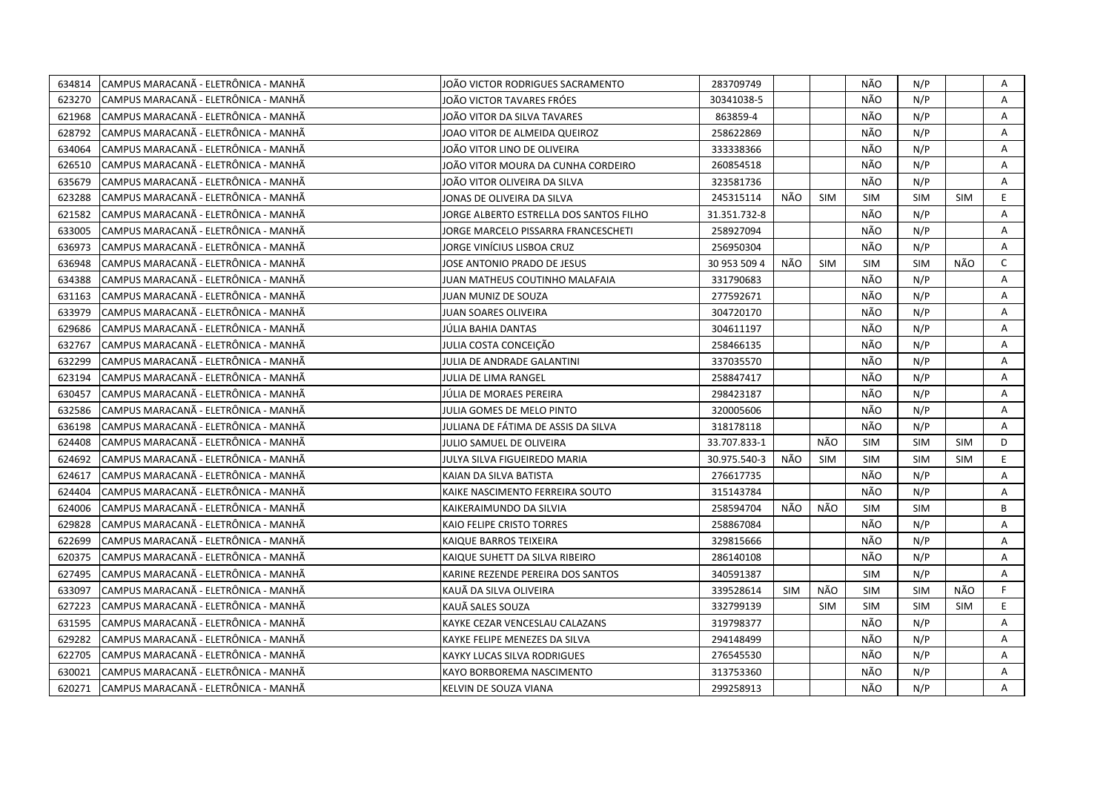| 634814 | CAMPUS MARACANÃ - ELETRÔNICA - MANHÃ | JOÃO VICTOR RODRIGUES SACRAMENTO        | 283709749    |            |            | NÃO        | N/P        |            | Α            |
|--------|--------------------------------------|-----------------------------------------|--------------|------------|------------|------------|------------|------------|--------------|
| 623270 | CAMPUS MARACANÃ - ELETRÔNICA - MANHÃ | JOÃO VICTOR TAVARES FRÓES               | 30341038-5   |            |            | NÃO        | N/P        |            | A            |
| 621968 | CAMPUS MARACANÃ - ELETRÔNICA - MANHÃ | JOÃO VITOR DA SILVA TAVARES             | 863859-4     |            |            | NÃO        | N/P        |            | A            |
| 628792 | CAMPUS MARACANÃ - ELETRÔNICA - MANHÃ | JOAO VITOR DE ALMEIDA QUEIROZ           | 258622869    |            |            | NÃO        | N/P        |            | Α            |
| 634064 | CAMPUS MARACANA - ELETRÔNICA - MANHA | JOÃO VITOR LINO DE OLIVEIRA             | 333338366    |            |            | NÃO        | N/P        |            | A            |
| 626510 | CAMPUS MARACANÃ - ELETRÔNICA - MANHÃ | JOÃO VITOR MOURA DA CUNHA CORDEIRO      | 260854518    |            |            | NÃO        | N/P        |            | Α            |
| 635679 | CAMPUS MARACANÃ - ELETRÔNICA - MANHÃ | JOÃO VITOR OLIVEIRA DA SILVA            | 323581736    |            |            | NÃO        | N/P        |            | Α            |
| 623288 | CAMPUS MARACANÃ - ELETRÔNICA - MANHÃ | JONAS DE OLIVEIRA DA SILVA              | 245315114    | NÃO        | <b>SIM</b> | <b>SIM</b> | <b>SIM</b> | <b>SIM</b> | E.           |
| 621582 | CAMPUS MARACANÃ - ELETRÔNICA - MANHÃ | JORGE ALBERTO ESTRELLA DOS SANTOS FILHO | 31.351.732-8 |            |            | NÃO        | N/P        |            | A            |
| 633005 | CAMPUS MARACANA - ELETRÔNICA - MANHA | JORGE MARCELO PISSARRA FRANCESCHETI     | 258927094    |            |            | NÃO        | N/P        |            | A            |
| 636973 | CAMPUS MARACANÃ - ELETRÔNICA - MANHÃ | JORGE VINÍCIUS LISBOA CRUZ              | 256950304    |            |            | NÃO        | N/P        |            | A            |
| 636948 | CAMPUS MARACANÃ - ELETRÔNICA - MANHÃ | JOSE ANTONIO PRADO DE JESUS             | 30 953 509 4 | NÃO        | <b>SIM</b> | <b>SIM</b> | <b>SIM</b> | NÃO        | $\mathsf{C}$ |
| 634388 | CAMPUS MARACANÃ - ELETRÔNICA - MANHÃ | JUAN MATHEUS COUTINHO MALAFAIA          | 331790683    |            |            | NÃO        | N/P        |            | A            |
| 631163 | CAMPUS MARACANÃ - ELETRÔNICA - MANHÃ | JUAN MUNIZ DE SOUZA                     | 277592671    |            |            | NÃO        | N/P        |            | Α            |
| 633979 | CAMPUS MARACANÃ - ELETRÔNICA - MANHÃ | <b>JUAN SOARES OLIVEIRA</b>             | 304720170    |            |            | NÃO        | N/P        |            | Α            |
| 629686 | CAMPUS MARACANÃ - ELETRÔNICA - MANHÃ | JÚLIA BAHIA DANTAS                      | 304611197    |            |            | NÃO        | N/P        |            | A            |
| 632767 | CAMPUS MARACANÃ - ELETRÔNICA - MANHÃ | JULIA COSTA CONCEIÇÃO                   | 258466135    |            |            | NÃO        | N/P        |            | A            |
| 632299 | CAMPUS MARACANÃ - ELETRÔNICA - MANHÃ | JULIA DE ANDRADE GALANTINI              | 337035570    |            |            | NÃO        | N/P        |            | A            |
| 623194 | CAMPUS MARACANÃ - ELETRÔNICA - MANHÃ | JULIA DE LIMA RANGEL                    | 258847417    |            |            | NÃO        | N/P        |            | A            |
| 630457 | CAMPUS MARACANÃ - ELETRÔNICA - MANHÃ | JÚLIA DE MORAES PEREIRA                 | 298423187    |            |            | NÃO        | N/P        |            | Α            |
| 632586 | CAMPUS MARACANÃ - ELETRÔNICA - MANHÃ | JULIA GOMES DE MELO PINTO               | 320005606    |            |            | NÃO        | N/P        |            | A            |
| 636198 | CAMPUS MARACANÃ - ELETRÔNICA - MANHÃ | JULIANA DE FÁTIMA DE ASSIS DA SILVA     | 318178118    |            |            | NÃO        | N/P        |            | A            |
| 624408 | CAMPUS MARACANA - ELETRONICA - MANHA | JULIO SAMUEL DE OLIVEIRA                | 33.707.833-1 |            | NÃO        | <b>SIM</b> | <b>SIM</b> | <b>SIM</b> | D            |
| 624692 | CAMPUS MARACANÃ - ELETRÔNICA - MANHÃ | JULYA SILVA FIGUEIREDO MARIA            | 30.975.540-3 | NÃO        | SIM        | <b>SIM</b> | <b>SIM</b> | <b>SIM</b> | E.           |
| 624617 | CAMPUS MARACANÃ - ELETRÔNICA - MANHÃ | KAIAN DA SILVA BATISTA                  | 276617735    |            |            | NÃO        | N/P        |            | Α            |
| 624404 | CAMPUS MARACANÃ - ELETRÔNICA - MANHÃ | KAIKE NASCIMENTO FERREIRA SOUTO         | 315143784    |            |            | NÃO        | N/P        |            | A            |
| 624006 | CAMPUS MARACANÃ - ELETRÔNICA - MANHÃ | KAIKERAIMUNDO DA SILVIA                 | 258594704    | NÃO        | NÃO        | <b>SIM</b> | <b>SIM</b> |            | B            |
| 629828 | CAMPUS MARACANÃ - ELETRÔNICA - MANHÃ | KAIO FELIPE CRISTO TORRES               | 258867084    |            |            | NÃO        | N/P        |            | Α            |
| 622699 | CAMPUS MARACANÃ - ELETRÔNICA - MANHÃ | KAIQUE BARROS TEIXEIRA                  | 329815666    |            |            | NÃO        | N/P        |            | A            |
| 620375 | CAMPUS MARACANÃ - ELETRÔNICA - MANHÃ | KAIQUE SUHETT DA SILVA RIBEIRO          | 286140108    |            |            | NÃO        | N/P        |            | Α            |
| 627495 | CAMPUS MARACANÃ - ELETRÔNICA - MANHÃ | KARINE REZENDE PEREIRA DOS SANTOS       | 340591387    |            |            | <b>SIM</b> | N/P        |            | A            |
| 633097 | CAMPUS MARACANÃ - ELETRÔNICA - MANHÃ | KAUÃ DA SILVA OLIVEIRA                  | 339528614    | <b>SIM</b> | NÃO        | <b>SIM</b> | SIM        | NÃO        | F.           |
| 627223 | CAMPUS MARACANÃ - ELETRÔNICA - MANHÃ | KAUÃ SALES SOUZA                        | 332799139    |            | <b>SIM</b> | <b>SIM</b> | <b>SIM</b> | <b>SIM</b> | E            |
| 631595 | CAMPUS MARACANÃ - ELETRÔNICA - MANHÃ | KAYKE CEZAR VENCESLAU CALAZANS          | 319798377    |            |            | NÃO        | N/P        |            | A            |
| 629282 | CAMPUS MARACANÃ - ELETRÔNICA - MANHÃ | KAYKE FELIPE MENEZES DA SILVA           | 294148499    |            |            | NÃO        | N/P        |            | A            |
| 622705 | CAMPUS MARACANÃ - ELETRÔNICA - MANHÃ | KAYKY LUCAS SILVA RODRIGUES             | 276545530    |            |            | NÃO        | N/P        |            | Α            |
| 630021 | CAMPUS MARACANÃ - ELETRÔNICA - MANHÃ | KAYO BORBOREMA NASCIMENTO               | 313753360    |            |            | NÃO        | N/P        |            | Α            |
| 620271 | CAMPUS MARACANÃ - ELETRÔNICA - MANHÃ | KELVIN DE SOUZA VIANA                   | 299258913    |            |            | NÃO        | N/P        |            | A            |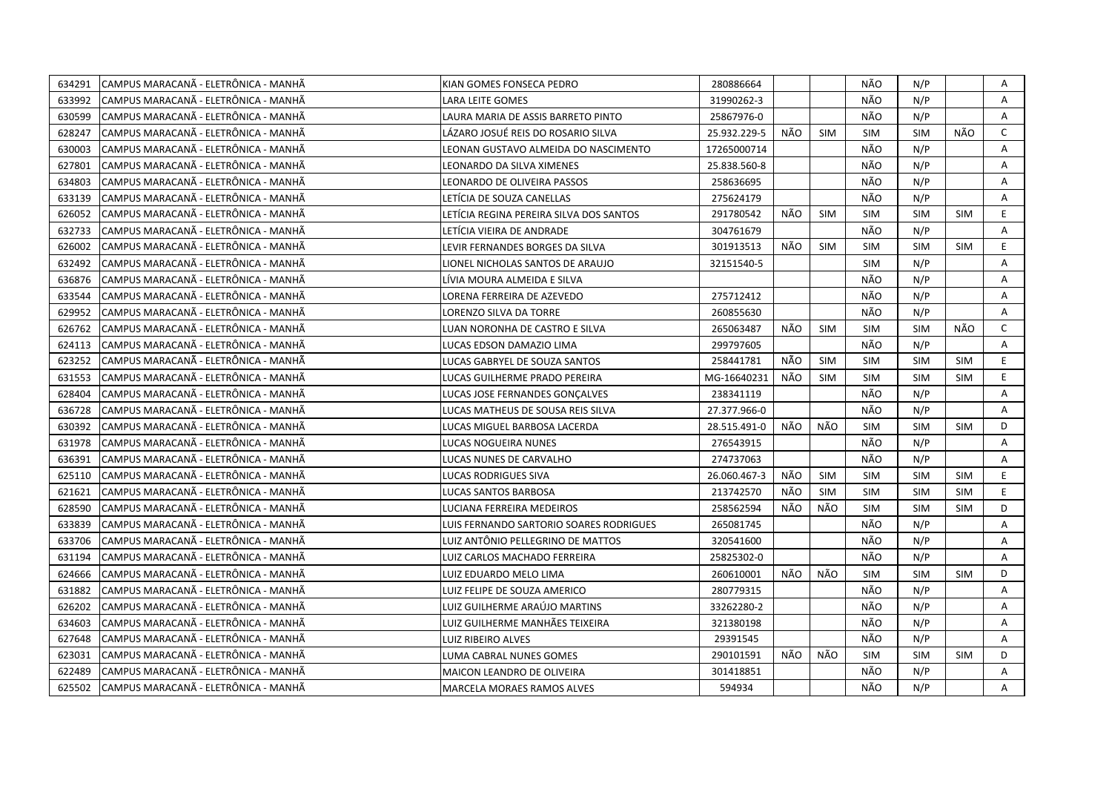| 634291 | CAMPUS MARACANÃ - ELETRÔNICA - MANHÃ  | KIAN GOMES FONSECA PEDRO                | 280886664    |     |            | NÃO        | N/P        |            | Α            |
|--------|---------------------------------------|-----------------------------------------|--------------|-----|------------|------------|------------|------------|--------------|
| 633992 | lCAMPUS MARACANÃ - ELETRÔNICA - MANHÃ | LARA LEITE GOMES                        | 31990262-3   |     |            | NÃO        | N/P        |            | A            |
| 630599 | CAMPUS MARACANÃ - ELETRÔNICA - MANHÃ  | LAURA MARIA DE ASSIS BARRETO PINTO      | 25867976-0   |     |            | NÃO        | N/P        |            | Α            |
| 628247 | ICAMPUS MARACANÃ - ELETRÔNICA - MANHÃ | LÁZARO JOSUÉ REIS DO ROSARIO SILVA      | 25.932.229-5 | NÃO | <b>SIM</b> | <b>SIM</b> | <b>SIM</b> | NÃO        | C            |
| 630003 | CAMPUS MARACANÃ - ELETRÔNICA - MANHÃ  | LEONAN GUSTAVO ALMEIDA DO NASCIMENTO    | 17265000714  |     |            | NÃO        | N/P        |            | Α            |
| 627801 | CAMPUS MARACANÃ - ELETRÔNICA - MANHÃ  | LEONARDO DA SILVA XIMENES               | 25.838.560-8 |     |            | NÃO        | N/P        |            | A            |
| 634803 | CAMPUS MARACANÃ - ELETRÔNICA - MANHÃ  | LEONARDO DE OLIVEIRA PASSOS             | 258636695    |     |            | NÃO        | N/P        |            | A            |
| 633139 | CAMPUS MARACANÃ - ELETRÔNICA - MANHÃ  | LETÍCIA DE SOUZA CANELLAS               | 275624179    |     |            | NÃO        | N/P        |            | Α            |
| 626052 | CAMPUS MARACANÃ - ELETRÔNICA - MANHÃ  | LETÍCIA REGINA PEREIRA SILVA DOS SANTOS | 291780542    | NÃO | <b>SIM</b> | <b>SIM</b> | <b>SIM</b> | <b>SIM</b> | E.           |
| 632733 | CAMPUS MARACANÃ - ELETRÔNICA - MANHÃ  | LETÍCIA VIEIRA DE ANDRADE               | 304761679    |     |            | NÃO        | N/P        |            | A            |
| 626002 | CAMPUS MARACANÃ - ELETRÔNICA - MANHÃ  | LEVIR FERNANDES BORGES DA SILVA         | 301913513    | NÃO | <b>SIM</b> | SIM        | <b>SIM</b> | <b>SIM</b> | E            |
| 632492 | CAMPUS MARACANÃ - ELETRÔNICA - MANHÃ  | LIONEL NICHOLAS SANTOS DE ARAUJO        | 32151540-5   |     |            | <b>SIM</b> | N/P        |            | Α            |
| 636876 | CAMPUS MARACANÃ - ELETRÔNICA - MANHÃ  | LIVIA MOURA ALMEIDA E SILVA             |              |     |            | NÃO        | N/P        |            | A            |
| 633544 | CAMPUS MARACANÃ - ELETRÔNICA - MANHÃ  | LORENA FERREIRA DE AZEVEDO              | 275712412    |     |            | NÃO        | N/P        |            | Α            |
| 629952 | ICAMPUS MARACANÃ - ELETRÔNICA - MANHÃ | LORENZO SILVA DA TORRE                  | 260855630    |     |            | NÃO        | N/P        |            | A            |
| 626762 | ICAMPUS MARACANÃ - ELETRÔNICA - MANHÃ | LUAN NORONHA DE CASTRO E SILVA          | 265063487    | NÃO | <b>SIM</b> | <b>SIM</b> | <b>SIM</b> | NÃO        | $\mathsf{C}$ |
| 624113 | CAMPUS MARACANÃ - ELETRÔNICA - MANHÃ  | LUCAS EDSON DAMAZIO LIMA                | 299797605    |     |            | NÃO        | N/P        |            | A            |
| 623252 | CAMPUS MARACANÃ - ELETRÔNICA - MANHÃ  | LUCAS GABRYEL DE SOUZA SANTOS           | 258441781    | NÃO | <b>SIM</b> | <b>SIM</b> | <b>SIM</b> | <b>SIM</b> | E            |
| 631553 | CAMPUS MARACANÃ - ELETRÔNICA - MANHÃ  | LUCAS GUILHERME PRADO PEREIRA           | MG-16640231  | NÃO | <b>SIM</b> | <b>SIM</b> | <b>SIM</b> | <b>SIM</b> | E.           |
| 628404 | CAMPUS MARACANÃ - ELETRÔNICA - MANHÃ  | LUCAS JOSE FERNANDES GONCALVES          | 238341119    |     |            | NÃO        | N/P        |            | A            |
| 636728 | CAMPUS MARACANÃ - ELETRÔNICA - MANHÃ  | LUCAS MATHEUS DE SOUSA REIS SILVA       | 27.377.966-0 |     |            | NÃO        | N/P        |            | Α            |
| 630392 | ICAMPUS MARACANÃ - ELETRÔNICA - MANHÃ | LUCAS MIGUEL BARBOSA LACERDA            | 28.515.491-0 | NÃO | NÃO        | <b>SIM</b> | <b>SIM</b> | <b>SIM</b> | D            |
| 631978 | CAMPUS MARACANÃ - ELETRÔNICA - MANHÃ  | LUCAS NOGUEIRA NUNES                    | 276543915    |     |            | NÃO        | N/P        |            | A            |
| 636391 | ICAMPUS MARACANÃ - ELETRÔNICA - MANHÃ | LUCAS NUNES DE CARVALHO                 | 274737063    |     |            | NÃO        | N/P        |            | A            |
| 625110 | CAMPUS MARACANÃ - ELETRÔNICA - MANHÃ  | LUCAS RODRIGUES SIVA                    | 26.060.467-3 | NÃO | <b>SIM</b> | <b>SIM</b> | <b>SIM</b> | <b>SIM</b> | E.           |
| 621621 | CAMPUS MARACANÃ - ELETRÔNICA - MANHÃ  | LUCAS SANTOS BARBOSA                    | 213742570    | NÃO | <b>SIM</b> | <b>SIM</b> | <b>SIM</b> | <b>SIM</b> | E.           |
| 628590 | CAMPUS MARACANÃ - ELETRÔNICA - MANHÃ  | LUCIANA FERREIRA MEDEIROS               | 258562594    | NÃO | NÃO        | <b>SIM</b> | <b>SIM</b> | <b>SIM</b> | D            |
| 633839 | CAMPUS MARACANÃ - ELETRÔNICA - MANHÃ  | LUIS FERNANDO SARTORIO SOARES RODRIGUES | 265081745    |     |            | NÃO        | N/P        |            | A            |
| 633706 | CAMPUS MARACANÃ - ELETRÔNICA - MANHÃ  | LUIZ ANTÔNIO PELLEGRINO DE MATTOS       | 320541600    |     |            | NÃO        | N/P        |            | A            |
| 631194 | CAMPUS MARACANÃ - ELETRÔNICA - MANHÃ  | LUIZ CARLOS MACHADO FERREIRA            | 25825302-0   |     |            | NÃO        | N/P        |            | Α            |
| 624666 | CAMPUS MARACANÃ - ELETRÔNICA - MANHÃ  | LUIZ EDUARDO MELO LIMA                  | 260610001    | NÃO | NÃO        | <b>SIM</b> | <b>SIM</b> | <b>SIM</b> | D            |
| 631882 | CAMPUS MARACANÃ - ELETRÔNICA - MANHÃ  | LUIZ FELIPE DE SOUZA AMERICO            | 280779315    |     |            | NÃO        | N/P        |            | Α            |
| 626202 | CAMPUS MARACANÃ - ELETRÔNICA - MANHÃ  | LUIZ GUILHERME ARAÚJO MARTINS           | 33262280-2   |     |            | NÃO        | N/P        |            | Α            |
| 634603 | CAMPUS MARACANÃ - ELETRÔNICA - MANHÃ  | LUIZ GUILHERME MANHÃES TEIXEIRA         | 321380198    |     |            | NÃO        | N/P        |            | Α            |
| 627648 | CAMPUS MARACANÃ - ELETRÔNICA - MANHÃ  | LUIZ RIBEIRO ALVES                      | 29391545     |     |            | NÃO        | N/P        |            | A            |
| 623031 | CAMPUS MARACANÃ - ELETRÔNICA - MANHÃ  | LUMA CABRAL NUNES GOMES                 | 290101591    | NÃO | NÃO        | <b>SIM</b> | <b>SIM</b> | <b>SIM</b> | D            |
| 622489 | CAMPUS MARACANÃ - ELETRÔNICA - MANHÃ  | <b>MAICON LEANDRO DE OLIVEIRA</b>       | 301418851    |     |            | NÃO        | N/P        |            | A            |
| 625502 | CAMPUS MARACANÃ - ELETRÔNICA - MANHÃ  | <b>MARCELA MORAES RAMOS ALVES</b>       | 594934       |     |            | NÃO        | N/P        |            | A            |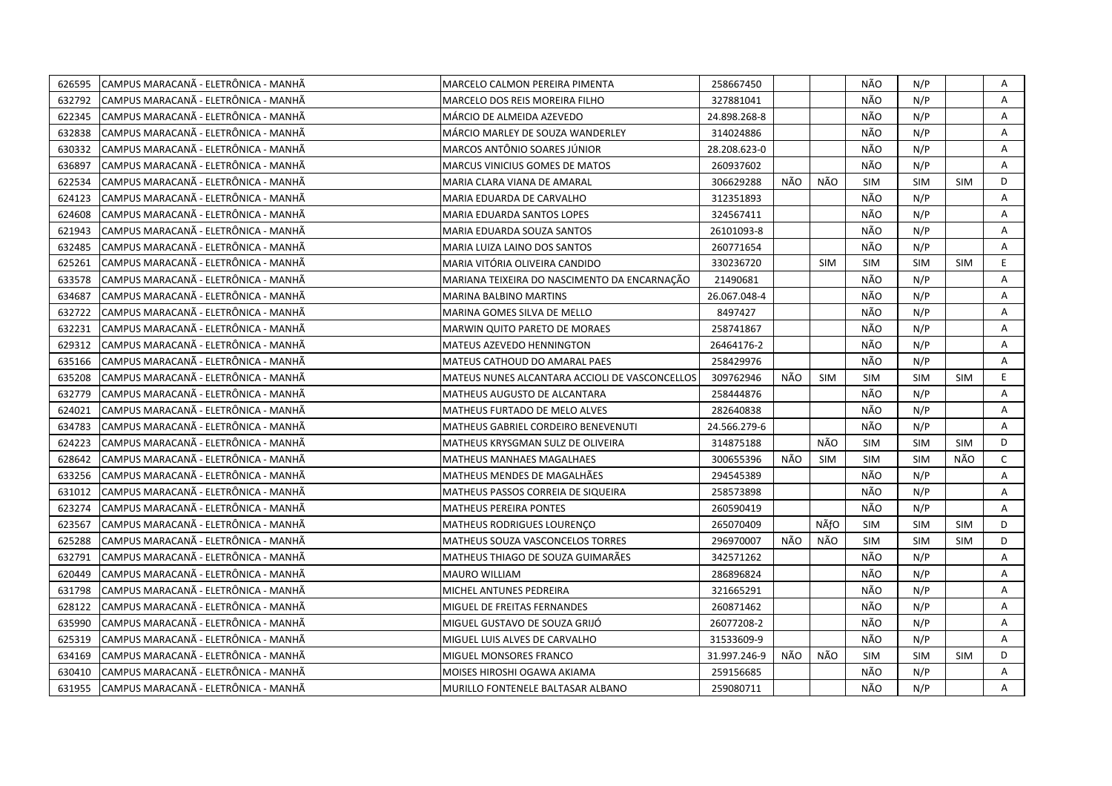| 626595 | CAMPUS MARACANÃ - ELETRÔNICA - MANHÃ  | MARCELO CALMON PEREIRA PIMENTA                 | 258667450    |     |            | NÃO        | N/P        |            | Α            |
|--------|---------------------------------------|------------------------------------------------|--------------|-----|------------|------------|------------|------------|--------------|
| 632792 | CAMPUS MARACANÃ - ELETRÔNICA - MANHÃ  | MARCELO DOS REIS MOREIRA FILHO                 | 327881041    |     |            | NÃO        | N/P        |            | A            |
| 622345 | CAMPUS MARACANÃ - ELETRÔNICA - MANHÃ  | MÁRCIO DE ALMEIDA AZEVEDO                      | 24.898.268-8 |     |            | NÃO        | N/P        |            | Α            |
| 632838 | ICAMPUS MARACANÃ - ELETRÔNICA - MANHÃ | MÁRCIO MARLEY DE SOUZA WANDERLEY               | 314024886    |     |            | NÃO        | N/P        |            | Α            |
| 630332 | CAMPUS MARACANÃ - ELETRÔNICA - MANHÃ  | MARCOS ANTÔNIO SOARES JÚNIOR                   | 28.208.623-0 |     |            | NÃO        | N/P        |            | Α            |
| 636897 | CAMPUS MARACANÃ - ELETRÔNICA - MANHÃ  | <b>MARCUS VINICIUS GOMES DE MATOS</b>          | 260937602    |     |            | NÃO        | N/P        |            | A            |
| 622534 | CAMPUS MARACANÃ - ELETRÔNICA - MANHÃ  | MARIA CLARA VIANA DE AMARAL                    | 306629288    | NÃO | NÃO        | <b>SIM</b> | SIM        | <b>SIM</b> | D            |
| 624123 | CAMPUS MARACANÃ - ELETRÔNICA - MANHÃ  | MARIA EDUARDA DE CARVALHO                      | 312351893    |     |            | NÃO        | N/P        |            | A            |
| 624608 | CAMPUS MARACANÃ - ELETRÔNICA - MANHÃ  | MARIA EDUARDA SANTOS LOPES                     | 324567411    |     |            | NÃO        | N/P        |            | A            |
| 621943 | CAMPUS MARACANÃ - ELETRÔNICA - MANHÃ  | MARIA EDUARDA SOUZA SANTOS                     | 26101093-8   |     |            | NÃO        | N/P        |            | A            |
| 632485 | CAMPUS MARACANÃ - ELETRÔNICA - MANHÃ  | MARIA LUIZA LAINO DOS SANTOS                   | 260771654    |     |            | NÃO        | N/P        |            | A            |
| 625261 | CAMPUS MARACANA - ELETRÔNICA - MANHA  | MARIA VITÓRIA OLIVEIRA CANDIDO                 | 330236720    |     | <b>SIM</b> | <b>SIM</b> | SIM        | <b>SIM</b> | E.           |
| 633578 | CAMPUS MARACANÃ - ELETRÔNICA - MANHÃ  | MARIANA TEIXEIRA DO NASCIMENTO DA ENCARNAÇÃO   | 21490681     |     |            | NÃO        | N/P        |            | Α            |
| 634687 | CAMPUS MARACANÃ - ELETRÔNICA - MANHÃ  | MARINA BALBINO MARTINS                         | 26.067.048-4 |     |            | NÃO        | N/P        |            | Α            |
| 632722 | CAMPUS MARACANÃ - ELETRÔNICA - MANHÃ  | MARINA GOMES SILVA DE MELLO                    | 8497427      |     |            | NÃO        | N/P        |            | A            |
| 632231 | CAMPUS MARACANÃ - ELETRÔNICA - MANHÃ  | MARWIN QUITO PARETO DE MORAES                  | 258741867    |     |            | NÃO        | N/P        |            | Α            |
| 629312 | CAMPUS MARACANÃ - ELETRÔNICA - MANHÃ  | MATEUS AZEVEDO HENNINGTON                      | 26464176-2   |     |            | NÃO        | N/P        |            | A            |
| 635166 | CAMPUS MARACANÃ - ELETRÔNICA - MANHÃ  | MATEUS CATHOUD DO AMARAL PAES                  | 258429976    |     |            | NÃO        | N/P        |            | A            |
| 635208 | CAMPUS MARACANÃ - ELETRÔNICA - MANHÃ  | MATEUS NUNES ALCANTARA ACCIOLI DE VASCONCELLOS | 309762946    | NÃO | <b>SIM</b> | <b>SIM</b> | <b>SIM</b> | <b>SIM</b> | E.           |
| 632779 | CAMPUS MARACANÃ - ELETRÔNICA - MANHÃ  | MATHEUS AUGUSTO DE ALCANTARA                   | 258444876    |     |            | NÃO        | N/P        |            | A            |
| 624021 | CAMPUS MARACANÃ - ELETRÔNICA - MANHÃ  | MATHEUS FURTADO DE MELO ALVES                  | 282640838    |     |            | NÃO        | N/P        |            | A            |
| 634783 | CAMPUS MARACANÃ - ELETRÔNICA - MANHÃ  | MATHEUS GABRIEL CORDEIRO BENEVENUTI            | 24.566.279-6 |     |            | NÃO        | N/P        |            | A            |
| 624223 | CAMPUS MARACANÃ - ELETRÔNICA - MANHÃ  | MATHEUS KRYSGMAN SULZ DE OLIVEIRA              | 314875188    |     | NÃO        | <b>SIM</b> | <b>SIM</b> | <b>SIM</b> | D            |
| 628642 | CAMPUS MARACANÃ - ELETRÔNICA - MANHÃ  | MATHEUS MANHAES MAGALHAES                      | 300655396    | NÃO | <b>SIM</b> | <b>SIM</b> | <b>SIM</b> | NÃO        | $\mathsf{C}$ |
| 633256 | CAMPUS MARACANA - ELETRÔNICA - MANHÀ  | MATHEUS MENDES DE MAGALHÃES                    | 294545389    |     |            | NÃO        | N/P        |            | A            |
| 631012 | CAMPUS MARACANA - ELETRÔNICA - MANHA  | MATHEUS PASSOS CORREIA DE SIQUEIRA             | 258573898    |     |            | NÃO        | N/P        |            | Α            |
| 623274 | CAMPUS MARACANA - ELETRÔNICA - MANHA  | MATHEUS PEREIRA PONTES                         | 260590419    |     |            | NÃO        | N/P        |            | A            |
| 623567 | CAMPUS MARACANÃ - ELETRÔNICA - MANHÃ  | MATHEUS RODRIGUES LOURENÇO                     | 265070409    |     | NÃfO       | <b>SIM</b> | <b>SIM</b> | <b>SIM</b> | D            |
| 625288 | CAMPUS MARACANÃ - ELETRÔNICA - MANHÃ  | MATHEUS SOUZA VASCONCELOS TORRES               | 296970007    | NÃO | NÃO        | <b>SIM</b> | <b>SIM</b> | <b>SIM</b> | D            |
| 632791 | CAMPUS MARACANÃ - ELETRÔNICA - MANHÃ  | MATHEUS THIAGO DE SOUZA GUIMARÃES              | 342571262    |     |            | NÃO        | N/P        |            | Α            |
| 620449 | CAMPUS MARACANÃ - ELETRÔNICA - MANHÃ  | MAURO WILLIAM                                  | 286896824    |     |            | NÃO        | N/P        |            | A            |
| 631798 | CAMPUS MARACANÃ - ELETRÔNICA - MANHÃ  | MICHEL ANTUNES PEDREIRA                        | 321665291    |     |            | NÃO        | N/P        |            | A            |
| 628122 | CAMPUS MARACANA - ELETRÔNICA - MANHA  | MIGUEL DE FREITAS FERNANDES                    | 260871462    |     |            | NÃO        | N/P        |            | A            |
| 635990 | CAMPUS MARACANÃ - ELETRÔNICA - MANHÃ  | MIGUEL GUSTAVO DE SOUZA GRIJÓ                  | 26077208-2   |     |            | NÃO        | N/P        |            | Α            |
| 625319 | CAMPUS MARACANÃ - ELETRÔNICA - MANHÃ  | MIGUEL LUIS ALVES DE CARVALHO                  | 31533609-9   |     |            | NÃO        | N/P        |            | A            |
| 634169 | CAMPUS MARACANÃ - ELETRÔNICA - MANHÃ  | MIGUEL MONSORES FRANCO                         | 31.997.246-9 | NÃO | NÃO        | <b>SIM</b> | <b>SIM</b> | <b>SIM</b> | D            |
| 630410 | CAMPUS MARACANÃ - ELETRÔNICA - MANHÃ  | MOISES HIROSHI OGAWA AKIAMA                    | 259156685    |     |            | NÃO        | N/P        |            | A            |
| 631955 | CAMPUS MARACANÃ - ELETRÔNICA - MANHÃ  | MURILLO FONTENELE BALTASAR ALBANO              | 259080711    |     |            | NÃO        | N/P        |            | A            |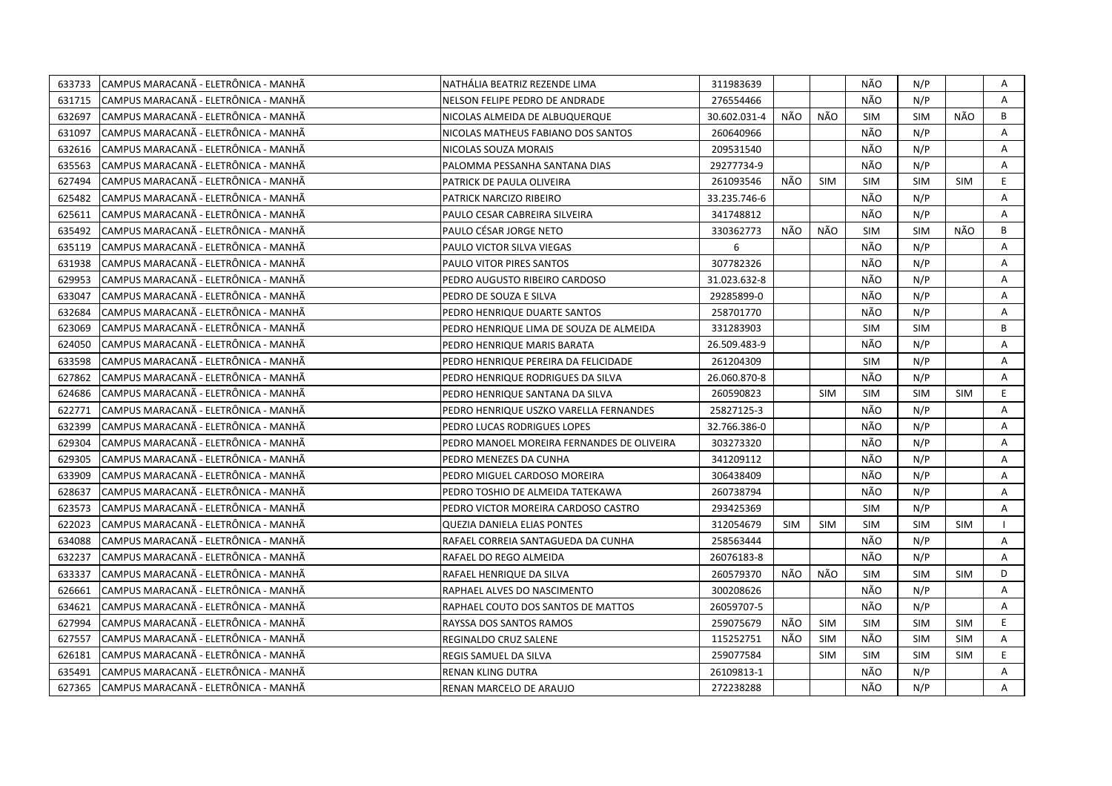| 633733 | CAMPUS MARACANA - ELETRÔNICA - MANHA | NATHÁLIA BEATRIZ REZENDE LIMA              | 311983639    |     |            | NÃO        | N/P        |            | Α  |
|--------|--------------------------------------|--------------------------------------------|--------------|-----|------------|------------|------------|------------|----|
| 631715 | CAMPUS MARACANÃ - ELETRÔNICA - MANHÃ | NELSON FELIPE PEDRO DE ANDRADE             | 276554466    |     |            | NÃO        | N/P        |            | A  |
| 632697 | CAMPUS MARACANÃ - ELETRÔNICA - MANHÃ | NICOLAS ALMEIDA DE ALBUQUERQUE             | 30.602.031-4 | NÃO | NÃO        | <b>SIM</b> | SIM        | NÃO        | B  |
| 631097 | CAMPUS MARACANÃ - ELETRÔNICA - MANHÃ | NICOLAS MATHEUS FABIANO DOS SANTOS         | 260640966    |     |            | NÃO        | N/P        |            | Α  |
| 632616 | CAMPUS MARACANÃ - ELETRÔNICA - MANHÃ | NICOLAS SOUZA MORAIS                       | 209531540    |     |            | NÃO        | N/P        |            | Α  |
| 635563 | CAMPUS MARACANÃ - ELETRÔNICA - MANHÃ | PALOMMA PESSANHA SANTANA DIAS              | 29277734-9   |     |            | NÃO        | N/P        |            | Α  |
| 627494 | CAMPUS MARACANA - ELETRÖNICA - MANHÄ | PATRICK DE PAULA OLIVEIRA                  | 261093546    | NÃO | <b>SIM</b> | <b>SIM</b> | <b>SIM</b> | <b>SIM</b> | E. |
| 625482 | CAMPUS MARACANÃ - ELETRÔNICA - MANHÃ | PATRICK NARCIZO RIBEIRO                    | 33.235.746-6 |     |            | NÃO        | N/P        |            | A  |
| 625611 | CAMPUS MARACANÃ - ELETRÔNICA - MANHÃ | PAULO CESAR CABREIRA SILVEIRA              | 341748812    |     |            | NÃO        | N/P        |            | A  |
| 635492 | CAMPUS MARACANA - ELETRÔNICA - MANHA | PAULO CÉSAR JORGE NETO                     | 330362773    | NÃO | NÃO        | <b>SIM</b> | <b>SIM</b> | NÃO        | B  |
| 635119 | CAMPUS MARACANÃ - ELETRÔNICA - MANHÃ | PAULO VICTOR SILVA VIEGAS                  | 6            |     |            | NÃO        | N/P        |            | Α  |
| 631938 | CAMPUS MARACANÃ - ELETRÔNICA - MANHÃ | PAULO VITOR PIRES SANTOS                   | 307782326    |     |            | NÃO        | N/P        |            | Α  |
| 629953 | CAMPUS MARACANÃ - ELETRÔNICA - MANHÃ | PEDRO AUGUSTO RIBEIRO CARDOSO              | 31.023.632-8 |     |            | NÃO        | N/P        |            | A  |
| 633047 | CAMPUS MARACANÃ - ELETRÔNICA - MANHÃ | PEDRO DE SOUZA E SILVA                     | 29285899-0   |     |            | NÃO        | N/P        |            | A  |
| 632684 | CAMPUS MARACANÃ - ELETRÔNICA - MANHÃ | PEDRO HENRIQUE DUARTE SANTOS               | 258701770    |     |            | NÃO        | N/P        |            | Α  |
| 623069 | CAMPUS MARACANÃ - ELETRÔNICA - MANHÃ | PEDRO HENRIQUE LIMA DE SOUZA DE ALMEIDA    | 331283903    |     |            | <b>SIM</b> | <b>SIM</b> |            | B  |
| 624050 | CAMPUS MARACANÃ - ELETRÔNICA - MANHÃ | PEDRO HENRIQUE MARIS BARATA                | 26.509.483-9 |     |            | NÃO        | N/P        |            | Α  |
| 633598 | CAMPUS MARACANÃ - ELETRÔNICA - MANHÃ | PEDRO HENRIQUE PEREIRA DA FELICIDADE       | 261204309    |     |            | SIM        | N/P        |            | A  |
| 627862 | CAMPUS MARACANÃ - ELETRÔNICA - MANHÃ | PEDRO HENRIQUE RODRIGUES DA SILVA          | 26.060.870-8 |     |            | NÃO        | N/P        |            | A  |
| 624686 | CAMPUS MARACANA - ELETRÔNICA - MANHA | PEDRO HENRIQUE SANTANA DA SILVA            | 260590823    |     | <b>SIM</b> | <b>SIM</b> | <b>SIM</b> | <b>SIM</b> | E. |
| 622771 | CAMPUS MARACANA - ELETRÔNICA - MANHÀ | PEDRO HENRIQUE USZKO VARELLA FERNANDES     | 25827125-3   |     |            | NÃO        | N/P        |            | A  |
| 632399 | CAMPUS MARACANÃ - ELETRÔNICA - MANHÃ | PEDRO LUCAS RODRIGUES LOPES                | 32.766.386-0 |     |            | NÃO        | N/P        |            | A  |
| 629304 | CAMPUS MARACANA - ELETRÔNICA - MANHA | PEDRO MANOEL MOREIRA FERNANDES DE OLIVEIRA | 303273320    |     |            | NÃO        | N/P        |            | A  |
| 629305 | CAMPUS MARACANÃ - ELETRÔNICA - MANHÃ | PEDRO MENEZES DA CUNHA                     | 341209112    |     |            | NÃO        | N/P        |            | A  |
| 633909 | CAMPUS MARACANÃ - ELETRÔNICA - MANHÃ | PEDRO MIGUEL CARDOSO MOREIRA               | 306438409    |     |            | NÃO        | N/P        |            | Α  |
| 628637 | CAMPUS MARACANA - ELETRÔNICA - MANHA | PEDRO TOSHIO DE ALMEIDA TATEKAWA           | 260738794    |     |            | NÃO        | N/P        |            | A  |
| 623573 | CAMPUS MARACANÃ - ELETRÔNICA - MANHÃ | PEDRO VICTOR MOREIRA CARDOSO CASTRO        | 293425369    |     |            | <b>SIM</b> | N/P        |            | A  |
| 622023 | CAMPUS MARACANA - ELETRÔNICA - MANHA | QUEZIA DANIELA ELIAS PONTES                | 312054679    | SIM | <b>SIM</b> | <b>SIM</b> | <b>SIM</b> | <b>SIM</b> |    |
| 634088 | CAMPUS MARACANÃ - ELETRÔNICA - MANHÃ | RAFAEL CORREIA SANTAGUEDA DA CUNHA         | 258563444    |     |            | NÃO        | N/P        |            | A  |
| 632237 | CAMPUS MARACANÃ - ELETRÔNICA - MANHÃ | RAFAEL DO REGO ALMEIDA                     | 26076183-8   |     |            | NÃO        | N/P        |            | A  |
| 633337 | CAMPUS MARACANÃ - ELETRÔNICA - MANHÃ | RAFAEL HENRIQUE DA SILVA                   | 260579370    | NÃO | NÃO        | <b>SIM</b> | SIM        | <b>SIM</b> | D  |
| 626661 | CAMPUS MARACANÃ - ELETRÔNICA - MANHÃ | RAPHAEL ALVES DO NASCIMENTO                | 300208626    |     |            | NÃO        | N/P        |            | A  |
| 634621 | CAMPUS MARACANÃ - ELETRÔNICA - MANHÃ | RAPHAEL COUTO DOS SANTOS DE MATTOS         | 26059707-5   |     |            | NÃO        | N/P        |            | A  |
| 627994 | CAMPUS MARACANA - ELETRÖNICA - MANHÄ | RAYSSA DOS SANTOS RAMOS                    | 259075679    | NÃO | <b>SIM</b> | <b>SIM</b> | <b>SIM</b> | <b>SIM</b> | E. |
| 627557 | CAMPUS MARACANÃ - ELETRÔNICA - MANHÃ | REGINALDO CRUZ SALENE                      | 115252751    | NÃO | <b>SIM</b> | NÃO        | <b>SIM</b> | <b>SIM</b> | Α  |
| 626181 | CAMPUS MARACANÃ - ELETRÔNICA - MANHÃ | REGIS SAMUEL DA SILVA                      | 259077584    |     | <b>SIM</b> | <b>SIM</b> | <b>SIM</b> | <b>SIM</b> | E. |
| 635491 | CAMPUS MARACANÃ - ELETRÔNICA - MANHÃ | <b>RENAN KLING DUTRA</b>                   | 26109813-1   |     |            | NÃO        | N/P        |            | A  |
| 627365 | CAMPUS MARACANÃ - ELETRÔNICA - MANHÃ | RENAN MARCELO DE ARAUJO                    | 272238288    |     |            | NÃO        | N/P        |            | A  |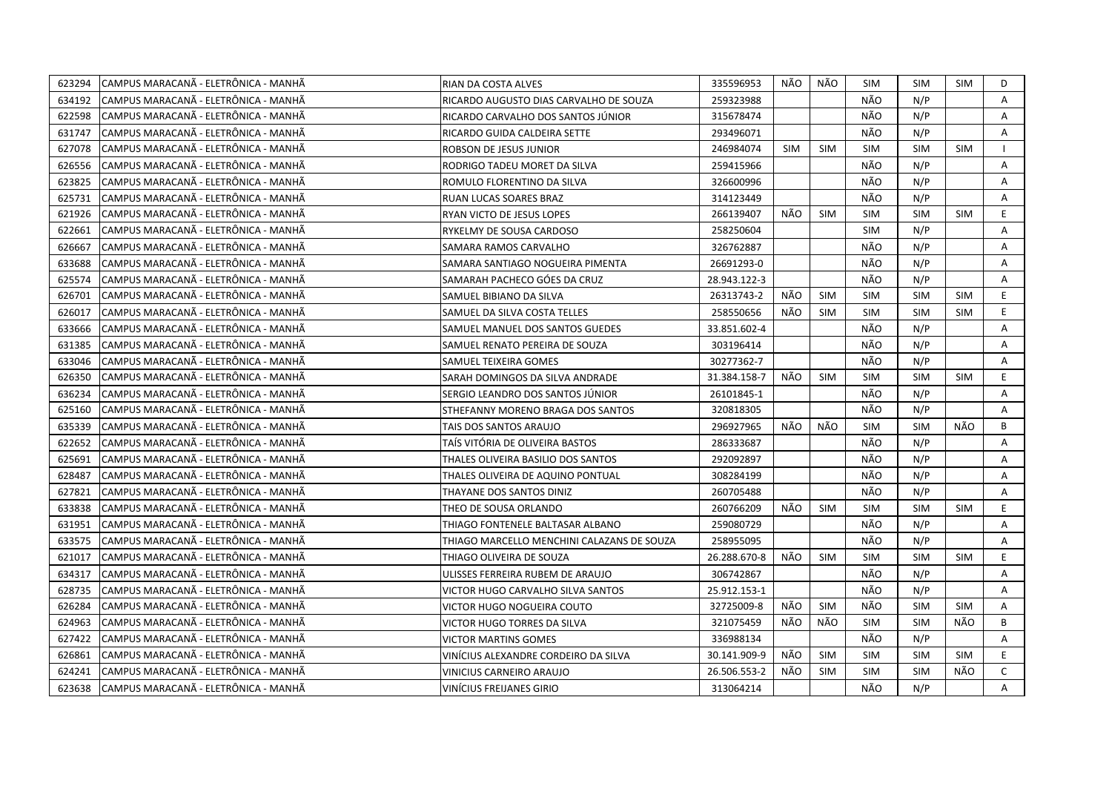| 623294 | CAMPUS MARACANÃ - ELETRÔNICA - MANHÃ | RIAN DA COSTA ALVES                        | 335596953    | NÃO        | NÃO        | <b>SIM</b> | SIM        | <b>SIM</b> | D            |
|--------|--------------------------------------|--------------------------------------------|--------------|------------|------------|------------|------------|------------|--------------|
| 634192 | CAMPUS MARACANÃ - ELETRÔNICA - MANHÃ | RICARDO AUGUSTO DIAS CARVALHO DE SOUZA     | 259323988    |            |            | NÃO        | N/P        |            | A            |
| 622598 | CAMPUS MARACANÃ - ELETRÔNICA - MANHÃ | RICARDO CARVALHO DOS SANTOS JÚNIOR         | 315678474    |            |            | NÃO        | N/P        |            | A            |
| 631747 | CAMPUS MARACANÃ - ELETRÔNICA - MANHÃ | RICARDO GUIDA CALDEIRA SETTE               | 293496071    |            |            | NÃO        | N/P        |            | A            |
| 627078 | CAMPUS MARACANÃ - ELETRÔNICA - MANHÃ | ROBSON DE JESUS JUNIOR                     | 246984074    | <b>SIM</b> | <b>SIM</b> | <b>SIM</b> | <b>SIM</b> | <b>SIM</b> | $\mathbf{I}$ |
| 626556 | CAMPUS MARACANÃ - ELETRÔNICA - MANHÃ | RODRIGO TADEU MORET DA SILVA               | 259415966    |            |            | NÃO        | N/P        |            | Α            |
| 623825 | CAMPUS MARACANA - ELETRÖNICA - MANHÄ | ROMULO FLORENTINO DA SILVA                 | 326600996    |            |            | NÃO        | N/P        |            | Α            |
| 625731 | CAMPUS MARACANÃ - ELETRÔNICA - MANHÃ | RUAN LUCAS SOARES BRAZ                     | 314123449    |            |            | NÃO        | N/P        |            | A            |
| 621926 | CAMPUS MARACANÃ - ELETRÔNICA - MANHÃ | RYAN VICTO DE JESUS LOPES                  | 266139407    | NÃO        | <b>SIM</b> | <b>SIM</b> | <b>SIM</b> | <b>SIM</b> | E            |
| 622661 | CAMPUS MARACANÃ - ELETRÔNICA - MANHÃ | RYKELMY DE SOUSA CARDOSO                   | 258250604    |            |            | <b>SIM</b> | N/P        |            | A            |
| 626667 | CAMPUS MARACANÃ - ELETRÔNICA - MANHÃ | SAMARA RAMOS CARVALHO                      | 326762887    |            |            | NÃO        | N/P        |            | Α            |
| 633688 | CAMPUS MARACANÃ - ELETRÔNICA - MANHÃ | SAMARA SANTIAGO NOGUEIRA PIMENTA           | 26691293-0   |            |            | NÃO        | N/P        |            | Α            |
| 625574 | CAMPUS MARACANÃ - ELETRÔNICA - MANHÃ | SAMARAH PACHECO GÓES DA CRUZ               | 28.943.122-3 |            |            | NÃO        | N/P        |            | Α            |
| 626701 | CAMPUS MARACANA - ELETRÔNICA - MANHA | SAMUEL BIBIANO DA SILVA                    | 26313743-2   | NÃO        | <b>SIM</b> | <b>SIM</b> | <b>SIM</b> | <b>SIM</b> | E            |
| 626017 | CAMPUS MARACANÃ - ELETRÔNICA - MANHÃ | SAMUEL DA SILVA COSTA TELLES               | 258550656    | NÃO        | <b>SIM</b> | <b>SIM</b> | <b>SIM</b> | <b>SIM</b> | E            |
| 633666 | CAMPUS MARACANÃ - ELETRÔNICA - MANHÃ | SAMUEL MANUEL DOS SANTOS GUEDES            | 33.851.602-4 |            |            | NÃO        | N/P        |            | A            |
| 631385 | CAMPUS MARACANÃ - ELETRÔNICA - MANHÃ | SAMUEL RENATO PEREIRA DE SOUZA             | 303196414    |            |            | NÃO        | N/P        |            | A            |
| 633046 | CAMPUS MARACANÃ - ELETRÔNICA - MANHÃ | SAMUEL TEIXEIRA GOMES                      | 30277362-7   |            |            | NÃO        | N/P        |            | A            |
| 626350 | CAMPUS MARACANÃ - ELETRÔNICA - MANHÃ | SARAH DOMINGOS DA SILVA ANDRADE            | 31.384.158-7 | NÃO        | <b>SIM</b> | <b>SIM</b> | <b>SIM</b> | <b>SIM</b> | E            |
| 636234 | CAMPUS MARACANÃ - ELETRÔNICA - MANHÃ | SERGIO LEANDRO DOS SANTOS JÚNIOR           | 26101845-1   |            |            | NÃO        | N/P        |            | A            |
| 625160 | CAMPUS MARACANÃ - ELETRÔNICA - MANHÃ | STHEFANNY MORENO BRAGA DOS SANTOS          | 320818305    |            |            | NÃO        | N/P        |            | A            |
| 635339 | CAMPUS MARACANÃ - ELETRÔNICA - MANHÃ | TAIS DOS SANTOS ARAUJO                     | 296927965    | NÃO        | NÃO        | <b>SIM</b> | <b>SIM</b> | NÃO        | B            |
| 622652 | CAMPUS MARACANÃ - ELETRÔNICA - MANHÃ | TAÍS VITÓRIA DE OLIVEIRA BASTOS            | 286333687    |            |            | NÃO        | N/P        |            | A            |
| 625691 | CAMPUS MARACANÃ - ELETRÔNICA - MANHÃ | THALES OLIVEIRA BASILIO DOS SANTOS         | 292092897    |            |            | NÃO        | N/P        |            | Α            |
| 628487 | CAMPUS MARACANA - ELETRÔNICA - MANHA | THALES OLIVEIRA DE AQUINO PONTUAL          | 308284199    |            |            | NÃO        | N/P        |            | Α            |
| 627821 | CAMPUS MARACANA - ELETRÔNICA - MANHA | THAYANE DOS SANTOS DINIZ                   | 260705488    |            |            | NÃO        | N/P        |            | A            |
| 633838 | CAMPUS MARACANA - ELETRÔNICA - MANHA | THEO DE SOUSA ORLANDO                      | 260766209    | NÃO        | SIM        | <b>SIM</b> | <b>SIM</b> | <b>SIM</b> | E            |
| 631951 | CAMPUS MARACANÃ - ELETRÔNICA - MANHÃ | THIAGO FONTENELE BALTASAR ALBANO           | 259080729    |            |            | NÃO        | N/P        |            | A            |
| 633575 | CAMPUS MARACANÃ - ELETRÔNICA - MANHÃ | THIAGO MARCELLO MENCHINI CALAZANS DE SOUZA | 258955095    |            |            | NÃO        | N/P        |            | Α            |
| 621017 | CAMPUS MARACANA - ELETRÖNICA - MANHÄ | THIAGO OLIVEIRA DE SOUZA                   | 26.288.670-8 | NÃO        | <b>SIM</b> | <b>SIM</b> | <b>SIM</b> | <b>SIM</b> | E.           |
| 634317 | CAMPUS MARACANÃ - ELETRÔNICA - MANHÃ | ULISSES FERREIRA RUBEM DE ARAUJO           | 306742867    |            |            | NÃO        | N/P        |            | A            |
| 628735 | CAMPUS MARACANÃ - ELETRÔNICA - MANHÃ | VICTOR HUGO CARVALHO SILVA SANTOS          | 25.912.153-1 |            |            | NÃO        | N/P        |            | Α            |
| 626284 | CAMPUS MARACANÃ - ELETRÔNICA - MANHÃ | VICTOR HUGO NOGUEIRA COUTO                 | 32725009-8   | NÃO        | SIM        | NÃO        | <b>SIM</b> | <b>SIM</b> | Α            |
| 624963 | CAMPUS MARACANÃ - ELETRÔNICA - MANHÃ | VICTOR HUGO TORRES DA SILVA                | 321075459    | NÃO        | NÃO        | <b>SIM</b> | <b>SIM</b> | NÃO        | B            |
| 627422 | CAMPUS MARACANÃ - ELETRÔNICA - MANHÃ | <b>VICTOR MARTINS GOMES</b>                | 336988134    |            |            | NÃO        | N/P        |            | A            |
| 626861 | CAMPUS MARACANÃ - ELETRÔNICA - MANHÃ | VINÍCIUS ALEXANDRE CORDEIRO DA SILVA       | 30.141.909-9 | NÃO        | SIM        | <b>SIM</b> | <b>SIM</b> | <b>SIM</b> | E.           |
| 624241 | CAMPUS MARACANA - ELETRÖNICA - MANHÄ | VINICIUS CARNEIRO ARAUJO                   | 26.506.553-2 | NÃO        | <b>SIM</b> | <b>SIM</b> | <b>SIM</b> | NÃO        | $\mathsf{C}$ |
| 623638 | CAMPUS MARACANÃ - ELETRÔNICA - MANHÃ | VINÍCIUS FREIJANES GIRIO                   | 313064214    |            |            | NÃO        | N/P        |            | A            |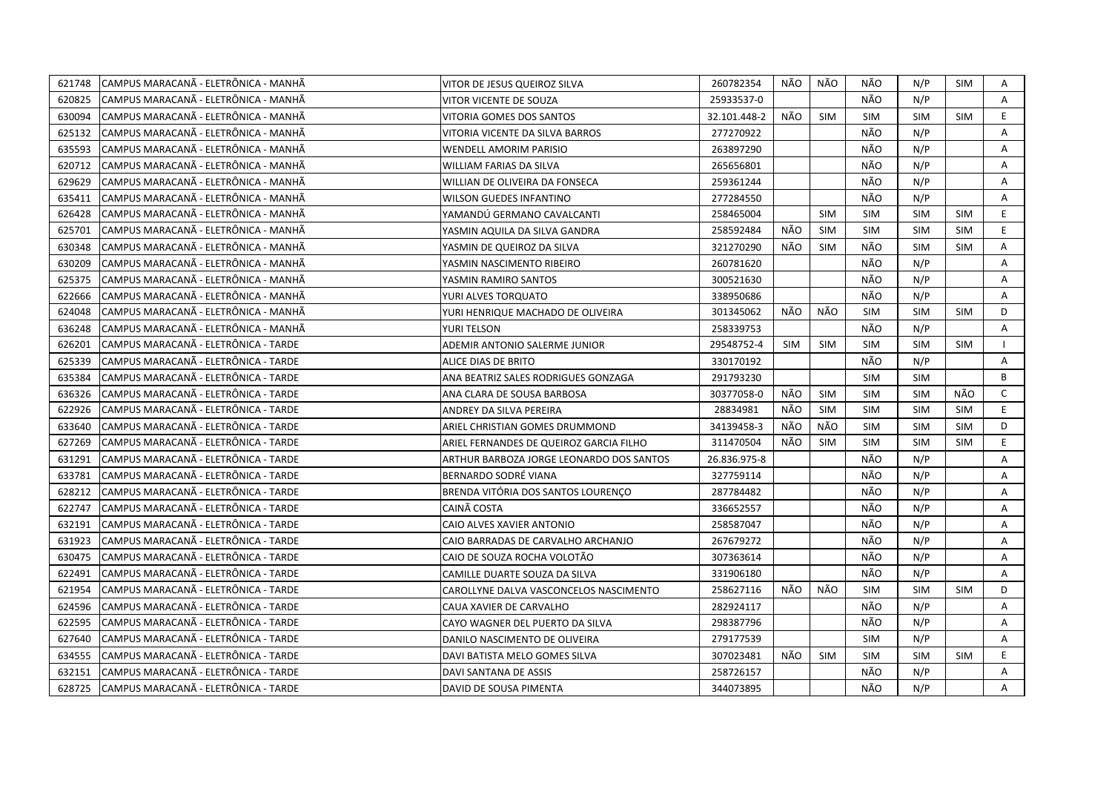| 621748 | CAMPUS MARACANA - ELETRÔNICA - MANHA  | VITOR DE JESUS QUEIROZ SILVA             | 260782354    | NÃO | NÃO        | NÃO        | N/P        | SIM        | A            |
|--------|---------------------------------------|------------------------------------------|--------------|-----|------------|------------|------------|------------|--------------|
| 620825 | CAMPUS MARACANÃ - ELETRÔNICA - MANHÃ  | VITOR VICENTE DE SOUZA                   | 25933537-0   |     |            | NÃO        | N/P        |            | A            |
| 630094 | CAMPUS MARACANÃ - ELETRÔNICA - MANHÃ  | VITORIA GOMES DOS SANTOS                 | 32.101.448-2 | NÃO | <b>SIM</b> | <b>SIM</b> | <b>SIM</b> | <b>SIM</b> | E            |
| 625132 | İCAMPUS MARACANÃ - ELETRÔNICA - MANHÃ | VITORIA VICENTE DA SILVA BARROS          | 277270922    |     |            | NÃO        | N/P        |            | Α            |
| 635593 | CAMPUS MARACANÃ - ELETRÔNICA - MANHÃ  | WENDELL AMORIM PARISIO                   | 263897290    |     |            | NÃO        | N/P        |            | A            |
| 620712 | CAMPUS MARACANÃ - ELETRÔNICA - MANHÃ  | WILLIAM FARIAS DA SILVA                  | 265656801    |     |            | NÃO        | N/P        |            | Α            |
| 629629 | CAMPUS MARACANÃ - ELETRÔNICA - MANHÃ  | WILLIAN DE OLIVEIRA DA FONSECA           | 259361244    |     |            | NÃO        | N/P        |            | A            |
| 635411 | CAMPUS MARACANÃ - ELETRÔNICA - MANHÃ  | WILSON GUEDES INFANTINO                  | 277284550    |     |            | NÃO        | N/P        |            | A            |
| 626428 | CAMPUS MARACANÃ - ELETRÔNICA - MANHÃ  | YAMANDÚ GERMANO CAVALCANTI               | 258465004    |     | <b>SIM</b> | <b>SIM</b> | <b>SIM</b> | <b>SIM</b> | E.           |
| 625701 | CAMPUS MARACANÃ - ELETRÔNICA - MANHÃ  | YASMIN AQUILA DA SILVA GANDRA            | 258592484    | NÃO | <b>SIM</b> | <b>SIM</b> | <b>SIM</b> | <b>SIM</b> | E            |
| 630348 | CAMPUS MARACANA - ELETRÔNICA - MANHA  | YASMIN DE QUEIROZ DA SILVA               | 321270290    | NÃO | <b>SIM</b> | NÃO        | <b>SIM</b> | <b>SIM</b> | A            |
| 630209 | CAMPUS MARACANÃ - ELETRÔNICA - MANHÃ  | YASMIN NASCIMENTO RIBEIRO                | 260781620    |     |            | NÃO        | N/P        |            | Α            |
| 625375 | CAMPUS MARACANÃ - ELETRÔNICA - MANHÃ  | YASMIN RAMIRO SANTOS                     | 300521630    |     |            | NÃO        | N/P        |            | Α            |
| 622666 | CAMPUS MARACANÃ - ELETRÔNICA - MANHÃ  | YURI ALVES TORQUATO                      | 338950686    |     |            | NÃO        | N/P        |            | A            |
| 624048 | CAMPUS MARACANÃ - ELETRÔNICA - MANHÃ  | YURI HENRIQUE MACHADO DE OLIVEIRA        | 301345062    | NÃO | NÃO        | <b>SIM</b> | <b>SIM</b> | <b>SIM</b> | D            |
| 636248 | CAMPUS MARACANÃ - ELETRÔNICA - MANHÃ  | YURI TELSON                              | 258339753    |     |            | NÃO        | N/P        |            | A            |
| 626201 | CAMPUS MARACANA - ELETRÔNICA - TARDE  | ADEMIR ANTONIO SALERME JUNIOR            | 29548752-4   | SIM | SIM        | <b>SIM</b> | <b>SIM</b> | <b>SIM</b> | $\mathbf{L}$ |
| 625339 | CAMPUS MARACANÃ - ELETRÔNICA - TARDE  | ALICE DIAS DE BRITO                      | 330170192    |     |            | NÃO        | N/P        |            | Α            |
| 635384 | CAMPUS MARACANÃ - ELETRÔNICA - TARDE  | ANA BEATRIZ SALES RODRIGUES GONZAGA      | 291793230    |     |            | <b>SIM</b> | <b>SIM</b> |            | B            |
| 636326 | CAMPUS MARACANÃ - ELETRÔNICA - TARDE  | ANA CLARA DE SOUSA BARBOSA               | 30377058-0   | NÃO | <b>SIM</b> | <b>SIM</b> | <b>SIM</b> | NÃO        | $\mathsf{C}$ |
| 622926 | CAMPUS MARACANA - ELETRÔNICA - TARDE  | ANDREY DA SILVA PEREIRA                  | 28834981     | NÃO | <b>SIM</b> | <b>SIM</b> | <b>SIM</b> | <b>SIM</b> | E.           |
| 633640 | CAMPUS MARACANÃ - ELETRÔNICA - TARDE  | ARIEL CHRISTIAN GOMES DRUMMOND           | 34139458-3   | NÃO | NÃO        | <b>SIM</b> | <b>SIM</b> | <b>SIM</b> | D            |
| 627269 | CAMPUS MARACANA - ELETRÔNICA - TARDE  | ARIEL FERNANDES DE QUEIROZ GARCIA FILHO  | 311470504    | NÃO | <b>SIM</b> | <b>SIM</b> | <b>SIM</b> | <b>SIM</b> | E            |
| 631291 | CAMPUS MARACANÃ - ELETRÔNICA - TARDE  | ARTHUR BARBOZA JORGE LEONARDO DOS SANTOS | 26.836.975-8 |     |            | NÃO        | N/P        |            | A            |
| 633781 | CAMPUS MARACANÃ - ELETRÔNICA - TARDE  | BERNARDO SODRÉ VIANA                     | 327759114    |     |            | NÃO        | N/P        |            | Α            |
| 628212 | CAMPUS MARACANA - ELETRÔNICA - TARDE  | BRENDA VITÓRIA DOS SANTOS LOURENCO       | 287784482    |     |            | NÃO        | N/P        |            | A            |
| 622747 | CAMPUS MARACANÃ - ELETRÔNICA - TARDE  | CAINÃ COSTA                              | 336652557    |     |            | NÃO        | N/P        |            | A            |
| 632191 | CAMPUS MARACANÃ - ELETRÔNICA - TARDE  | CAIO ALVES XAVIER ANTONIO                | 258587047    |     |            | NÃO        | N/P        |            | $\mathsf{A}$ |
| 631923 | CAMPUS MARACANÃ - ELETRÔNICA - TARDE  | CAIO BARRADAS DE CARVALHO ARCHANJO       | 267679272    |     |            | NÃO        | N/P        |            | A            |
| 630475 | CAMPUS MARACANÃ - ELETRÔNICA - TARDE  | CAIO DE SOUZA ROCHA VOLOTÃO              | 307363614    |     |            | NÃO        | N/P        |            | A            |
| 622491 | CAMPUS MARACANÃ - ELETRÔNICA - TARDE  | CAMILLE DUARTE SOUZA DA SILVA            | 331906180    |     |            | NÃO        | N/P        |            | А            |
| 621954 | CAMPUS MARACANA - ELETRÔNICA - TARDE  | CAROLLYNE DALVA VASCONCELOS NASCIMENTO   | 258627116    | NÃO | NÃO        | <b>SIM</b> | <b>SIM</b> | <b>SIM</b> | D            |
| 624596 | CAMPUS MARACANÃ - ELETRÔNICA - TARDE  | CAUA XAVIER DE CARVALHO                  | 282924117    |     |            | NÃO        | N/P        |            | A            |
| 622595 | CAMPUS MARACANÃ - ELETRÔNICA - TARDE  | CAYO WAGNER DEL PUERTO DA SILVA          | 298387796    |     |            | NÃO        | N/P        |            | Α            |
| 627640 | CAMPUS MARACANÃ - ELETRÔNICA - TARDE  | DANILO NASCIMENTO DE OLIVEIRA            | 279177539    |     |            | <b>SIM</b> | N/P        |            | A            |
| 634555 | CAMPUS MARACANÃ - ELETRÔNICA - TARDE  | DAVI BATISTA MELO GOMES SILVA            | 307023481    | NÃO | <b>SIM</b> | <b>SIM</b> | <b>SIM</b> | <b>SIM</b> | E.           |
| 632151 | İCAMPUS MARACANÃ - ELETRÔNICA - TARDE | DAVI SANTANA DE ASSIS                    | 258726157    |     |            | NÃO        | N/P        |            | A            |
| 628725 | CAMPUS MARACANA - ELETRÔNICA - TARDE  | DAVID DE SOUSA PIMENTA                   | 344073895    |     |            | NÃO        | N/P        |            | A            |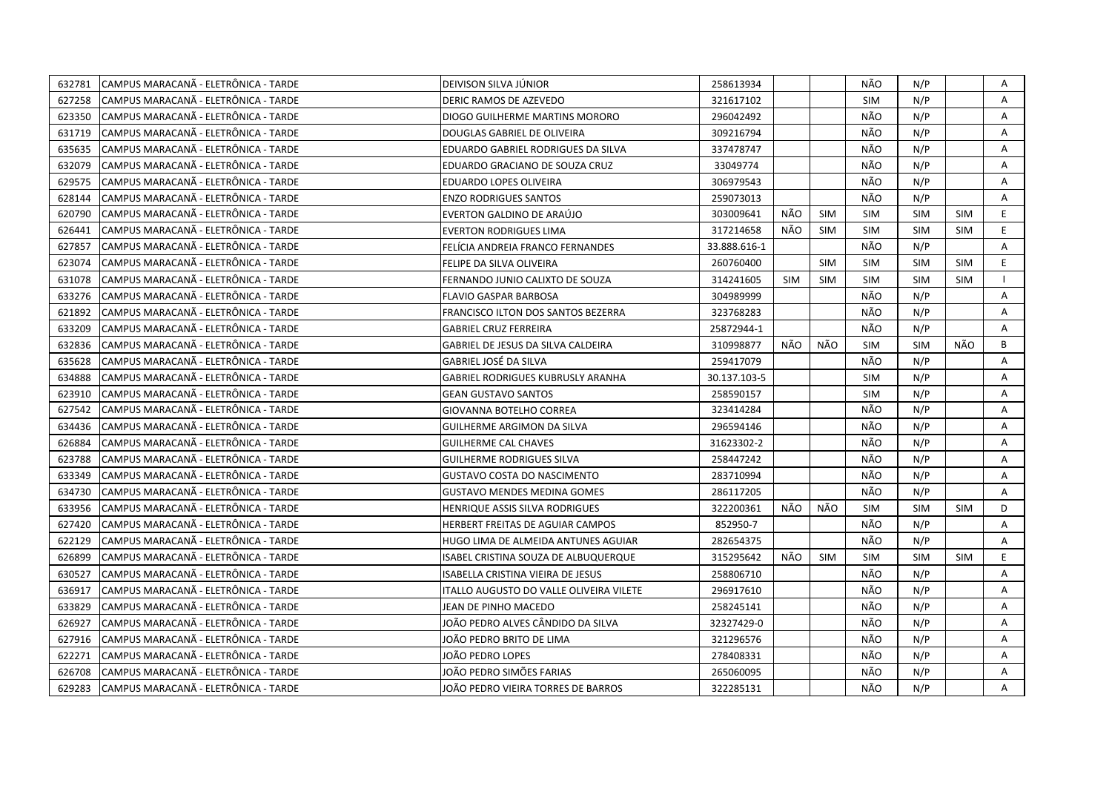| 632781 | CAMPUS MARACANA - ELETRÔNICA - TARDE  | DEIVISON SILVA JÚNIOR                          | 258613934    |            |            | NÃO        | N/P        |            | Α  |
|--------|---------------------------------------|------------------------------------------------|--------------|------------|------------|------------|------------|------------|----|
| 627258 | CAMPUS MARACANÃ - ELETRÔNICA - TARDE  | DERIC RAMOS DE AZEVEDO                         | 321617102    |            |            | <b>SIM</b> | N/P        |            | A  |
| 623350 | CAMPUS MARACANÃ - ELETRÔNICA - TARDE  | DIOGO GUILHERME MARTINS MORORO                 | 296042492    |            |            | NÃO        | N/P        |            | A  |
| 631719 | ICAMPUS MARACANÃ - ELETRÔNICA - TARDE | DOUGLAS GABRIEL DE OLIVEIRA                    | 309216794    |            |            | NÃO        | N/P        |            | A  |
| 635635 | CAMPUS MARACANÃ - ELETRÔNICA - TARDE  | EDUARDO GABRIEL RODRIGUES DA SILVA             | 337478747    |            |            | NÃO        | N/P        |            | Α  |
| 632079 | CAMPUS MARACANÃ - ELETRÔNICA - TARDE  | EDUARDO GRACIANO DE SOUZA CRUZ                 | 33049774     |            |            | NÃO        | N/P        |            | A  |
| 629575 | CAMPUS MARACANÃ - ELETRÔNICA - TARDE  | EDUARDO LOPES OLIVEIRA                         | 306979543    |            |            | NÃO        | N/P        |            | Α  |
| 628144 | CAMPUS MARACANÃ - ELETRÔNICA - TARDE  | <b>ENZO RODRIGUES SANTOS</b>                   | 259073013    |            |            | NÃO        | N/P        |            | A  |
| 620790 | CAMPUS MARACANÃ - ELETRÔNICA - TARDE  | EVERTON GALDINO DE ARAÚJO                      | 303009641    | NÃO        | <b>SIM</b> | <b>SIM</b> | <b>SIM</b> | <b>SIM</b> | E. |
| 626441 | CAMPUS MARACANÃ - ELETRÔNICA - TARDE  | <b>EVERTON RODRIGUES LIMA</b>                  | 317214658    | NÃO        | <b>SIM</b> | <b>SIM</b> | <b>SIM</b> | <b>SIM</b> | E. |
| 627857 | CAMPUS MARACANÃ - ELETRÔNICA - TARDE  | FELÍCIA ANDREIA FRANCO FERNANDES               | 33.888.616-1 |            |            | NÃO        | N/P        |            | A  |
| 623074 | CAMPUS MARACANÃ - ELETRÔNICA - TARDE  | FELIPE DA SILVA OLIVEIRA                       | 260760400    |            | <b>SIM</b> | <b>SIM</b> | <b>SIM</b> | <b>SIM</b> | E. |
| 631078 | CAMPUS MARACANÃ - ELETRÔNICA - TARDE  | FERNANDO JUNIO CALIXTO DE SOUZA                | 314241605    | <b>SIM</b> | <b>SIM</b> | <b>SIM</b> | <b>SIM</b> | <b>SIM</b> |    |
| 633276 | CAMPUS MARACANÃ - ELETRÔNICA - TARDE  | <b>FLAVIO GASPAR BARBOSA</b>                   | 304989999    |            |            | NÃO        | N/P        |            | Α  |
| 621892 | CAMPUS MARACANÃ - ELETRÔNICA - TARDE  | FRANCISCO ILTON DOS SANTOS BEZERRA             | 323768283    |            |            | NÃO        | N/P        |            | A  |
| 633209 | CAMPUS MARACANÃ - ELETRÔNICA - TARDE  | <b>GABRIEL CRUZ FERREIRA</b>                   | 25872944-1   |            |            | NÃO        | N/P        |            | A  |
| 632836 | CAMPUS MARACANÃ - ELETRÔNICA - TARDE  | GABRIEL DE JESUS DA SILVA CALDEIRA             | 310998877    | NÃO        | NÃO        | <b>SIM</b> | <b>SIM</b> | NÃO        | B  |
| 635628 | CAMPUS MARACANÃ - ELETRÔNICA - TARDE  | GABRIEL JOSÉ DA SILVA                          | 259417079    |            |            | NÃO        | N/P        |            | A  |
| 634888 | CAMPUS MARACANÃ - ELETRÔNICA - TARDE  | GABRIEL RODRIGUES KUBRUSLY ARANHA              | 30.137.103-5 |            |            | <b>SIM</b> | N/P        |            | Α  |
| 623910 | CAMPUS MARACANÃ - ELETRÔNICA - TARDE  | <b>GEAN GUSTAVO SANTOS</b>                     | 258590157    |            |            | <b>SIM</b> | N/P        |            | Α  |
| 627542 | CAMPUS MARACANÃ - ELETRÔNICA - TARDE  | <b>GIOVANNA BOTELHO CORREA</b>                 | 323414284    |            |            | NÃO        | N/P        |            | A  |
| 634436 | CAMPUS MARACANÃ - ELETRÔNICA - TARDE  | GUILHERME ARGIMON DA SILVA                     | 296594146    |            |            | NÃO        | N/P        |            | Α  |
| 626884 | CAMPUS MARACANÃ - ELETRÔNICA - TARDE  | <b>GUILHERME CAL CHAVES</b>                    | 31623302-2   |            |            | NÃO        | N/P        |            | A  |
| 623788 | CAMPUS MARACANÃ - ELETRÔNICA - TARDE  | <b>GUILHERME RODRIGUES SILVA</b>               | 258447242    |            |            | NÃO        | N/P        |            | Α  |
| 633349 | CAMPUS MARACANÃ - ELETRÔNICA - TARDE  | <b>GUSTAVO COSTA DO NASCIMENTO</b>             | 283710994    |            |            | NÃO        | N/P        |            | A  |
| 634730 | CAMPUS MARACANA - ELETRÔNICA - TARDE  | <b>GUSTAVO MENDES MEDINA GOMES</b>             | 286117205    |            |            | NÃO        | N/P        |            | A  |
| 633956 | CAMPUS MARACANA - ELETRÔNICA - TARDE  | HENRIQUE ASSIS SILVA RODRIGUES                 | 322200361    | NÃO        | NÃO        | <b>SIM</b> | <b>SIM</b> | <b>SIM</b> | D  |
| 627420 | CAMPUS MARACANÃ - ELETRÔNICA - TARDE  | HERBERT FREITAS DE AGUIAR CAMPOS               | 852950-7     |            |            | NÃO        | N/P        |            | A  |
| 622129 | CAMPUS MARACANÃ - ELETRÔNICA - TARDE  | HUGO LIMA DE ALMEIDA ANTUNES AGUIAR            | 282654375    |            |            | NÃO        | N/P        |            | A  |
| 626899 | CAMPUS MARACANÃ - ELETRÔNICA - TARDE  | ISABEL CRISTINA SOUZA DE ALBUQUERQUE           | 315295642    | NÃO        | <b>SIM</b> | <b>SIM</b> | <b>SIM</b> | <b>SIM</b> | E. |
| 630527 | CAMPUS MARACANÃ - ELETRÔNICA - TARDE  | ISABELLA CRISTINA VIEIRA DE JESUS              | 258806710    |            |            | NÃO        | N/P        |            | A  |
| 636917 | CAMPUS MARACANÃ - ELETRÔNICA - TARDE  | <b>ITALLO AUGUSTO DO VALLE OLIVEIRA VILETE</b> | 296917610    |            |            | NÃO        | N/P        |            | A  |
| 633829 | CAMPUS MARACANA - ELETRÔNICA - TARDE  | JEAN DE PINHO MACEDO                           | 258245141    |            |            | NÃO        | N/P        |            | A  |
| 626927 | CAMPUS MARACANÃ - ELETRÔNICA - TARDE  | JOÃO PEDRO ALVES CÂNDIDO DA SILVA              | 32327429-0   |            |            | NÃO        | N/P        |            | Α  |
| 627916 | CAMPUS MARACANA - ELETRÔNICA - TARDE  | JOÃO PEDRO BRITO DE LIMA                       | 321296576    |            |            | NÃO        | N/P        |            | A  |
| 622271 | CAMPUS MARACANÃ - ELETRÔNICA - TARDE  | JOÃO PEDRO LOPES                               | 278408331    |            |            | NÃO        | N/P        |            | A  |
| 626708 | CAMPUS MARACANÃ - ELETRÔNICA - TARDE  | JOÃO PEDRO SIMÕES FARIAS                       | 265060095    |            |            | NÃO        | N/P        |            | A  |
| 629283 | CAMPUS MARACANÃ - ELETRÔNICA - TARDE  | JOÃO PEDRO VIEIRA TORRES DE BARROS             | 322285131    |            |            | NÃO        | N/P        |            | A  |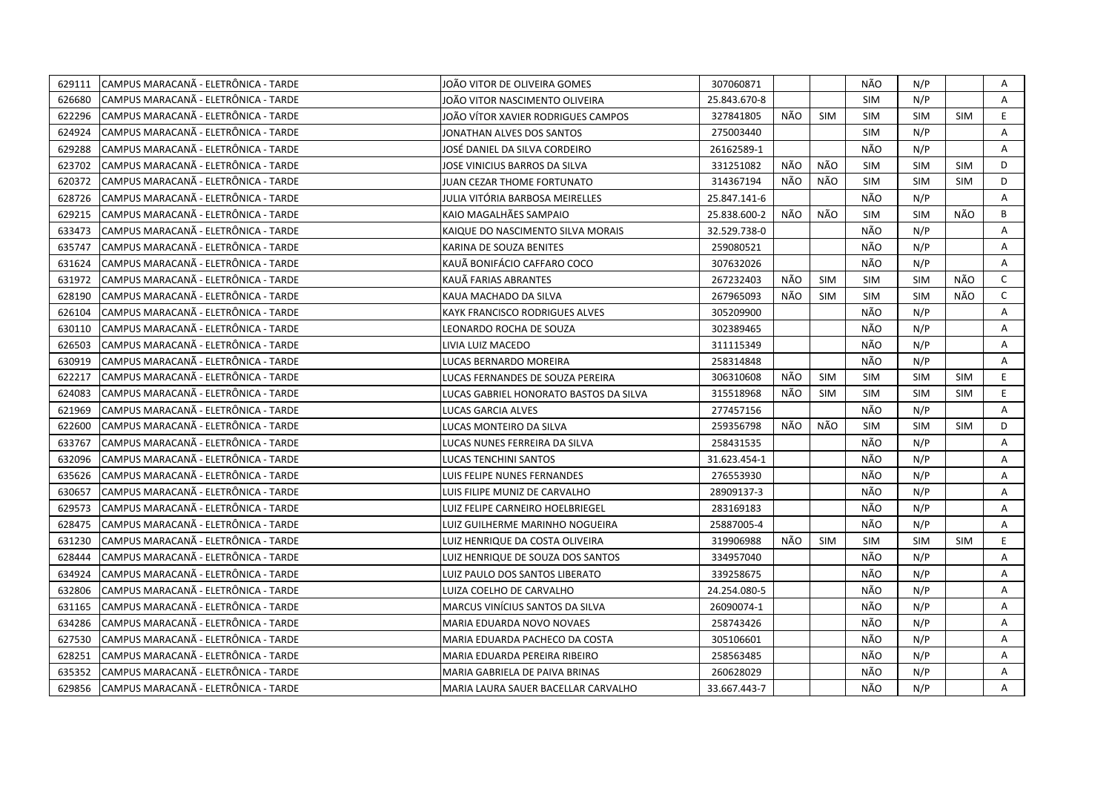| 629111 | CAMPUS MARACANA - ELETRÔNICA - TARDE | JOÃO VITOR DE OLIVEIRA GOMES           | 307060871    |     |            | NÃO        | N/P        |            | Α            |
|--------|--------------------------------------|----------------------------------------|--------------|-----|------------|------------|------------|------------|--------------|
| 626680 | CAMPUS MARACANÃ - ELETRÔNICA - TARDE | JOÃO VITOR NASCIMENTO OLIVEIRA         | 25.843.670-8 |     |            | <b>SIM</b> | N/P        |            | $\mathsf{A}$ |
| 622296 | CAMPUS MARACANÃ - ELETRÔNICA - TARDE | JOÃO VÍTOR XAVIER RODRIGUES CAMPOS     | 327841805    | NÃO | <b>SIM</b> | <b>SIM</b> | SIM        | <b>SIM</b> | E            |
| 624924 | CAMPUS MARACANÃ - ELETRÔNICA - TARDE | JONATHAN ALVES DOS SANTOS              | 275003440    |     |            | <b>SIM</b> | N/P        |            | A            |
| 629288 | CAMPUS MARACANÃ - ELETRÔNICA - TARDE | JOSÉ DANIEL DA SILVA CORDEIRO          | 26162589-1   |     |            | NÃO        | N/P        |            | A            |
| 623702 | CAMPUS MARACANÃ - ELETRÔNICA - TARDE | JOSE VINICIUS BARROS DA SILVA          | 331251082    | NÃO | NÃO        | <b>SIM</b> | <b>SIM</b> | <b>SIM</b> | D            |
| 620372 | CAMPUS MARACANA - ELETRÔNICA - TARDE | JUAN CEZAR THOME FORTUNATO             | 314367194    | NÃO | NÃO        | <b>SIM</b> | <b>SIM</b> | <b>SIM</b> | D            |
| 628726 | CAMPUS MARACANÃ - ELETRÔNICA - TARDE | JULIA VITÓRIA BARBOSA MEIRELLES        | 25.847.141-6 |     |            | NÃO        | N/P        |            | Α            |
| 629215 | CAMPUS MARACANA - ELETRÔNICA - TARDE | KAIO MAGALHÃES SAMPAIO                 | 25.838.600-2 | NÃO | NÃO        | <b>SIM</b> | <b>SIM</b> | NÃO        | B            |
| 633473 | CAMPUS MARACANA - ELETRÔNICA - TARDE | KAIQUE DO NASCIMENTO SILVA MORAIS      | 32.529.738-0 |     |            | NÃO        | N/P        |            | Α            |
| 635747 | CAMPUS MARACANÃ - ELETRÔNICA - TARDE | KARINA DE SOUZA BENITES                | 259080521    |     |            | NÃO        | N/P        |            | A            |
| 631624 | CAMPUS MARACANÃ - ELETRÔNICA - TARDE | KAUÃ BONIFÁCIO CAFFARO COCO            | 307632026    |     |            | NÃO        | N/P        |            | A            |
| 631972 | CAMPUS MARACANA - ELETRÔNICA - TARDE | KAUÄ FARIAS ABRANTES                   | 267232403    | NÃO | <b>SIM</b> | <b>SIM</b> | <b>SIM</b> | NÃO        | $\mathsf{C}$ |
| 628190 | CAMPUS MARACANÃ - ELETRÔNICA - TARDE | KAUA MACHADO DA SILVA                  | 267965093    | NÃO | <b>SIM</b> | <b>SIM</b> | <b>SIM</b> | NÃO        | $\mathsf{C}$ |
| 626104 | CAMPUS MARACANÃ - ELETRÔNICA - TARDE | KAYK FRANCISCO RODRIGUES ALVES         | 305209900    |     |            | NÃO        | N/P        |            | A            |
| 630110 | CAMPUS MARACANÃ - ELETRÔNICA - TARDE | LEONARDO ROCHA DE SOUZA                | 302389465    |     |            | NÃO        | N/P        |            | Α            |
| 626503 | CAMPUS MARACANÃ - ELETRÔNICA - TARDE | LIVIA LUIZ MACEDO                      | 311115349    |     |            | NÃO        | N/P        |            | A            |
| 630919 | CAMPUS MARACANÃ - ELETRÔNICA - TARDE | LUCAS BERNARDO MOREIRA                 | 258314848    |     |            | NÃO        | N/P        |            | $\mathsf{A}$ |
| 622217 | CAMPUS MARACANA - ELETRÔNICA - TARDE | LUCAS FERNANDES DE SOUZA PEREIRA       | 306310608    | NÃO | <b>SIM</b> | <b>SIM</b> | <b>SIM</b> | <b>SIM</b> | E.           |
| 624083 | CAMPUS MARACANÃ - ELETRÔNICA - TARDE | LUCAS GABRIEL HONORATO BASTOS DA SILVA | 315518968    | NÃO | <b>SIM</b> | <b>SIM</b> | <b>SIM</b> | <b>SIM</b> | E            |
| 621969 | CAMPUS MARACANÃ - ELETRÔNICA - TARDE | LUCAS GARCIA ALVES                     | 277457156    |     |            | NÃO        | N/P        |            | Α            |
| 622600 | CAMPUS MARACANÃ - ELETRÔNICA - TARDE | LUCAS MONTEIRO DA SILVA                | 259356798    | NÃO | NÃO        | <b>SIM</b> | <b>SIM</b> | <b>SIM</b> | D            |
| 633767 | CAMPUS MARACANÃ - ELETRÔNICA - TARDE | LUCAS NUNES FERREIRA DA SILVA          | 258431535    |     |            | NÃO        | N/P        |            | Α            |
| 632096 | CAMPUS MARACANÃ - ELETRÔNICA - TARDE | LUCAS TENCHINI SANTOS                  | 31.623.454-1 |     |            | NÃO        | N/P        |            | A            |
| 635626 | CAMPUS MARACANÃ - ELETRÔNICA - TARDE | LUIS FELIPE NUNES FERNANDES            | 276553930    |     |            | NÃO        | N/P        |            | A            |
| 630657 | CAMPUS MARACANA - ELETRÔNICA - TARDE | LUIS FILIPE MUNIZ DE CARVALHO          | 28909137-3   |     |            | NÃO        | N/P        |            | A            |
| 629573 | CAMPUS MARACANÃ - ELETRÔNICA - TARDE | LUIZ FELIPE CARNEIRO HOELBRIEGEL       | 283169183    |     |            | NÃO        | N/P        |            | A            |
| 628475 | CAMPUS MARACANA - ELETRÔNICA - TARDE | LUIZ GUILHERME MARINHO NOGUEIRA        | 25887005-4   |     |            | NÃO        | N/P        |            | Α            |
| 631230 | CAMPUS MARACANÃ - ELETRÔNICA - TARDE | LUIZ HENRIQUE DA COSTA OLIVEIRA        | 319906988    | NÃO | <b>SIM</b> | <b>SIM</b> | <b>SIM</b> | <b>SIM</b> | E            |
| 628444 | CAMPUS MARACANÃ - ELETRÔNICA - TARDE | LUIZ HENRIQUE DE SOUZA DOS SANTOS      | 334957040    |     |            | NÃO        | N/P        |            | Α            |
| 634924 | CAMPUS MARACANÃ - ELETRÔNICA - TARDE | LUIZ PAULO DOS SANTOS LIBERATO         | 339258675    |     |            | NÃO        | N/P        |            | A            |
| 632806 | CAMPUS MARACANÃ - ELETRÔNICA - TARDE | LUIZA COELHO DE CARVALHO               | 24.254.080-5 |     |            | NÃO        | N/P        |            | Α            |
| 631165 | CAMPUS MARACANA - ELETRÔNICA - TARDE | <b>MARCUS VINICIUS SANTOS DA SILVA</b> | 26090074-1   |     |            | NÃO        | N/P        |            | A            |
| 634286 | CAMPUS MARACANÃ - ELETRÔNICA - TARDE | MARIA EDUARDA NOVO NOVAES              | 258743426    |     |            | NÃO        | N/P        |            | Α            |
| 627530 | CAMPUS MARACANA - ELETRÔNICA - TARDE | MARIA EDUARDA PACHECO DA COSTA         | 305106601    |     |            | NÃO        | N/P        |            | A            |
| 628251 | CAMPUS MARACANÃ - ELETRÔNICA - TARDE | MARIA EDUARDA PEREIRA RIBEIRO          | 258563485    |     |            | NÃO        | N/P        |            | Α            |
| 635352 | CAMPUS MARACANA - ELETRÔNICA - TARDE | MARIA GABRIELA DE PAIVA BRINAS         | 260628029    |     |            | NÃO        | N/P        |            | Α            |
| 629856 | CAMPUS MARACANA - ELETRÔNICA - TARDE | MARIA LAURA SAUER BACELLAR CARVALHO    | 33.667.443-7 |     |            | NÃO        | N/P        |            | A            |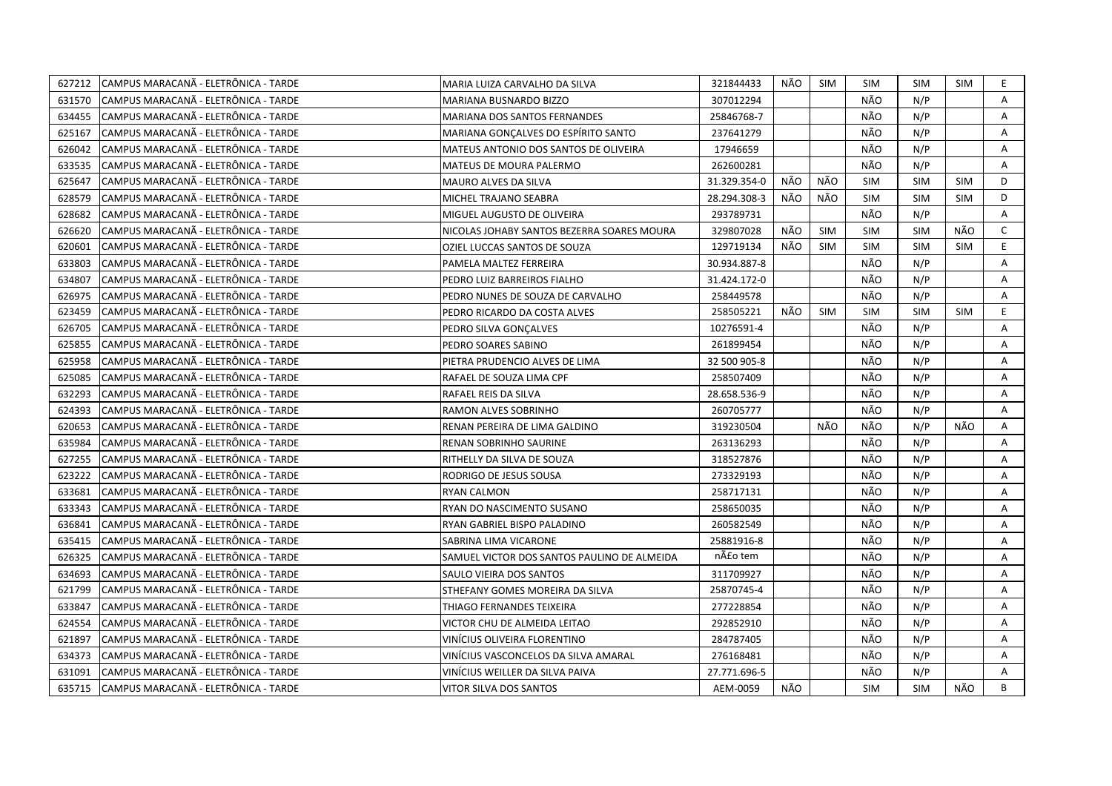| 627212 | CAMPUS MARACANA - ELETRÖNICA - TARDE | MARIA LUIZA CARVALHO DA SILVA               | 321844433    | NÃO | <b>SIM</b> | SIM        | SIM        | SIM        | E.             |
|--------|--------------------------------------|---------------------------------------------|--------------|-----|------------|------------|------------|------------|----------------|
| 631570 | CAMPUS MARACANA - ELETRÔNICA - TARDE | MARIANA BUSNARDO BIZZO                      | 307012294    |     |            | NÃO        | N/P        |            | A              |
| 634455 | CAMPUS MARACANÃ - ELETRÔNICA - TARDE | MARIANA DOS SANTOS FERNANDES                | 25846768-7   |     |            | NÃO        | N/P        |            | Α              |
| 625167 | CAMPUS MARACANÃ - ELETRÔNICA - TARDE | MARIANA GONÇALVES DO ESPÍRITO SANTO         | 237641279    |     |            | NÃO        | N/P        |            | Α              |
| 626042 | CAMPUS MARACANÃ - ELETRÔNICA - TARDE | MATEUS ANTONIO DOS SANTOS DE OLIVEIRA       | 17946659     |     |            | NÃO        | N/P        |            | A              |
| 633535 | CAMPUS MARACANÃ - ELETRÔNICA - TARDE | MATEUS DE MOURA PALERMO                     | 262600281    |     |            | NÃO        | N/P        |            | A              |
| 625647 | CAMPUS MARACANA - ELETRÔNICA - TARDE | MAURO ALVES DA SILVA                        | 31.329.354-0 | NÃO | NÃO        | <b>SIM</b> | <b>SIM</b> | <b>SIM</b> | D              |
| 628579 | CAMPUS MARACANÃ - ELETRÔNICA - TARDE | MICHEL TRAJANO SEABRA                       | 28.294.308-3 | NÃO | NÃO        | <b>SIM</b> | <b>SIM</b> | <b>SIM</b> | D              |
| 628682 | CAMPUS MARACANA - ELETRÔNICA - TARDE | MIGUEL AUGUSTO DE OLIVEIRA                  | 293789731    |     |            | NÃO        | N/P        |            | A              |
| 626620 | CAMPUS MARACANÃ - ELETRÔNICA - TARDE | NICOLAS JOHABY SANTOS BEZERRA SOARES MOURA  | 329807028    | NÃO | <b>SIM</b> | <b>SIM</b> | <b>SIM</b> | NÃO        | $\mathsf{C}$   |
| 620601 | CAMPUS MARACANÃ - ELETRÔNICA - TARDE | OZIEL LUCCAS SANTOS DE SOUZA                | 129719134    | NÃO | <b>SIM</b> | <b>SIM</b> | <b>SIM</b> | <b>SIM</b> | E.             |
| 633803 | CAMPUS MARACANÃ - ELETRÔNICA - TARDE | PAMELA MALTEZ FERREIRA                      | 30.934.887-8 |     |            | NÃO        | N/P        |            | A              |
| 634807 | CAMPUS MARACANÃ - ELETRÔNICA - TARDE | PEDRO LUIZ BARREIROS FIALHO                 | 31.424.172-0 |     |            | NÃO        | N/P        |            | A              |
| 626975 | CAMPUS MARACANÃ - ELETRÔNICA - TARDE | PEDRO NUNES DE SOUZA DE CARVALHO            | 258449578    |     |            | NÃO        | N/P        |            | A              |
| 623459 | CAMPUS MARACANÃ - ELETRÔNICA - TARDE | PEDRO RICARDO DA COSTA ALVES                | 258505221    | NÃO | <b>SIM</b> | <b>SIM</b> | <b>SIM</b> | <b>SIM</b> | E              |
| 626705 | CAMPUS MARACANÃ - ELETRÔNICA - TARDE | PEDRO SILVA GONÇALVES                       | 10276591-4   |     |            | NÃO        | N/P        |            | Α              |
| 625855 | CAMPUS MARACANÃ - ELETRÔNICA - TARDE | PEDRO SOARES SABINO                         | 261899454    |     |            | NÃO        | N/P        |            | A              |
| 625958 | CAMPUS MARACANÃ - ELETRÔNICA - TARDE | PIETRA PRUDENCIO ALVES DE LIMA              | 32 500 905-8 |     |            | NÃO        | N/P        |            | Α              |
| 625085 | CAMPUS MARACANÃ - ELETRÔNICA - TARDE | RAFAEL DE SOUZA LIMA CPF                    | 258507409    |     |            | NÃO        | N/P        |            | A              |
| 632293 | CAMPUS MARACANÃ - ELETRÔNICA - TARDE | RAFAEL REIS DA SILVA                        | 28.658.536-9 |     |            | NÃO        | N/P        |            | A              |
| 624393 | CAMPUS MARACANÃ - ELETRÔNICA - TARDE | RAMON ALVES SOBRINHO                        | 260705777    |     |            | NÃO        | N/P        |            | Α              |
| 620653 | CAMPUS MARACANA - ELETRÔNICA - TARDE | RENAN PEREIRA DE LIMA GALDINO               | 319230504    |     | NÃO        | NÃO        | N/P        | NÃO        | A              |
| 635984 | CAMPUS MARACANÃ - ELETRÔNICA - TARDE | RENAN SOBRINHO SAURINE                      | 263136293    |     |            | NÃO        | N/P        |            | A              |
| 627255 | CAMPUS MARACANA - ELETRÔNICA - TARDE | RITHELLY DA SILVA DE SOUZA                  | 318527876    |     |            | NÃO        | N/P        |            | A              |
| 623222 | CAMPUS MARACANÃ - ELETRÔNICA - TARDE | RODRIGO DE JESUS SOUSA                      | 273329193    |     |            | NÃO        | N/P        |            | A              |
| 633681 | CAMPUS MARACANÃ - ELETRÔNICA - TARDE | RYAN CALMON                                 | 258717131    |     |            | NÃO        | N/P        |            | Α              |
| 633343 | CAMPUS MARACANÃ - ELETRÔNICA - TARDE | RYAN DO NASCIMENTO SUSANO                   | 258650035    |     |            | NÃO        | N/P        |            | A              |
| 636841 | CAMPUS MARACANÃ - ELETRÔNICA - TARDE | RYAN GABRIEL BISPO PALADINO                 | 260582549    |     |            | NÃO        | N/P        |            | Α              |
| 635415 | CAMPUS MARACANA - ELETRÔNICA - TARDE | SABRINA LIMA VICARONE                       | 25881916-8   |     |            | NÃO        | N/P        |            | A              |
| 626325 | CAMPUS MARACANÃ - ELETRÔNICA - TARDE | SAMUEL VICTOR DOS SANTOS PAULINO DE ALMEIDA | não tem      |     |            | NÃO        | N/P        |            | A              |
| 634693 | CAMPUS MARACANÃ - ELETRÔNICA - TARDE | SAULO VIEIRA DOS SANTOS                     | 311709927    |     |            | NÃO        | N/P        |            | Α              |
| 621799 | CAMPUS MARACANÃ - ELETRÔNICA - TARDE | STHEFANY GOMES MOREIRA DA SILVA             | 25870745-4   |     |            | NÃO        | N/P        |            | A              |
| 633847 | CAMPUS MARACANÃ - ELETRÔNICA - TARDE | THIAGO FERNANDES TEIXEIRA                   | 277228854    |     |            | NÃO        | N/P        |            | A              |
| 624554 | CAMPUS MARACANA - ELETRÔNICA - TARDE | VICTOR CHU DE ALMEIDA LEITAO                | 292852910    |     |            | NÃO        | N/P        |            | A              |
| 621897 | CAMPUS MARACANÃ - ELETRÔNICA - TARDE | VINÍCIUS OLIVEIRA FLORENTINO                | 284787405    |     |            | NÃO        | N/P        |            | Α              |
| 634373 | CAMPUS MARACANÃ - ELETRÔNICA - TARDE | VINÍCIUS VASCONCELOS DA SILVA AMARAL        | 276168481    |     |            | NÃO        | N/P        |            | Α              |
| 631091 | CAMPUS MARACANÃ - ELETRÔNICA - TARDE | VINÍCIUS WEILLER DA SILVA PAIVA             | 27.771.696-5 |     |            | NÃO        | N/P        |            | $\overline{A}$ |
| 635715 | CAMPUS MARACANA - ELETRÔNICA - TARDE | VITOR SILVA DOS SANTOS                      | AEM-0059     | NÃO |            | <b>SIM</b> | <b>SIM</b> | NÃO        | B              |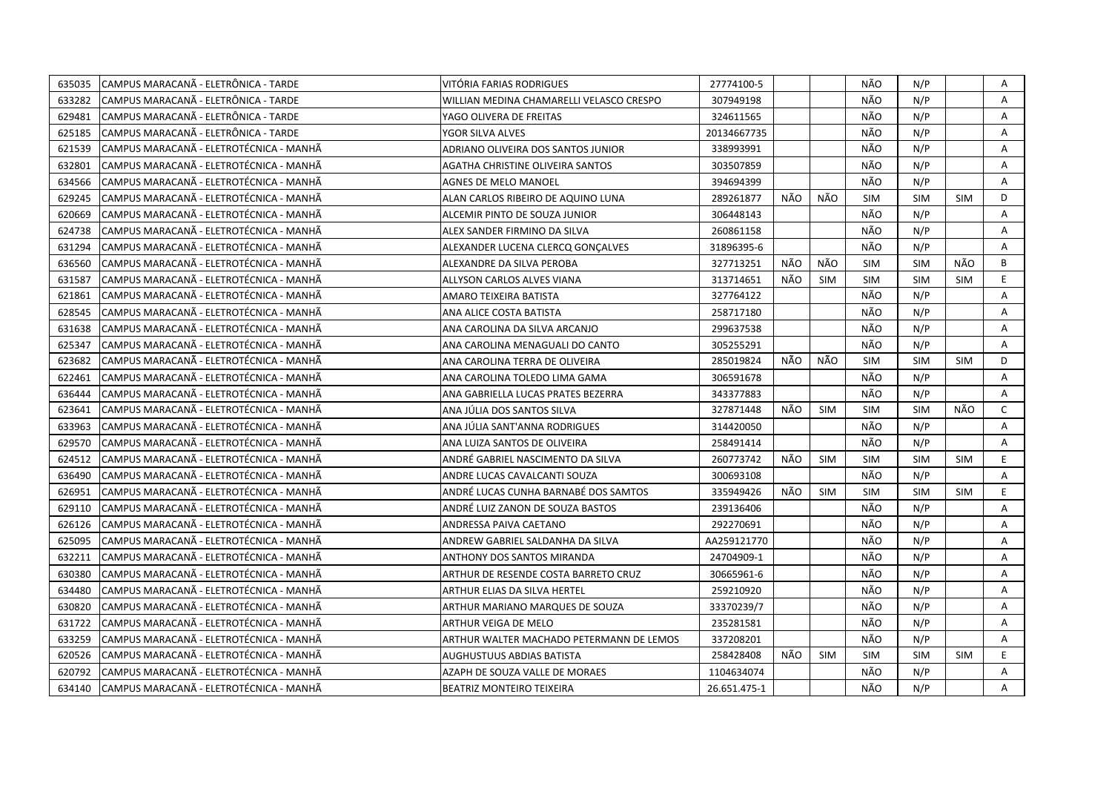| 635035 | CAMPUS MARACANA - ELETRÔNICA - TARDE     | VITÓRIA FARIAS RODRIGUES                 | 27774100-5   |     |            | NÃO        | N/P        |            | Α            |
|--------|------------------------------------------|------------------------------------------|--------------|-----|------------|------------|------------|------------|--------------|
| 633282 | ICAMPUS MARACANÃ - ELETRÔNICA - TARDE    | WILLIAN MEDINA CHAMARELLI VELASCO CRESPO | 307949198    |     |            | NÃO        | N/P        |            | A            |
| 629481 | CAMPUS MARACANÃ - ELETRÔNICA - TARDE     | YAGO OLIVERA DE FREITAS                  | 324611565    |     |            | NÃO        | N/P        |            | Α            |
| 625185 | CAMPUS MARACANÃ - ELETRÔNICA - TARDE     | YGOR SILVA ALVES                         | 20134667735  |     |            | NÃO        | N/P        |            | Α            |
| 621539 | CAMPUS MARACANÃ - ELETROTÉCNICA - MANHÃ  | ADRIANO OLIVEIRA DOS SANTOS JUNIOR       | 338993991    |     |            | NÃO        | N/P        |            | Α            |
| 632801 | CAMPUS MARACANÃ - ELETROTÉCNICA - MANHÃ  | AGATHA CHRISTINE OLIVEIRA SANTOS         | 303507859    |     |            | NÃO        | N/P        |            | Α            |
| 634566 | ICAMPUS MARACANÃ - ELETROTÉCNICA - MANHÃ | <b>AGNES DE MELO MANOEL</b>              | 394694399    |     |            | NÃO        | N/P        |            | A            |
| 629245 | CAMPUS MARACANÃ - ELETROTÉCNICA - MANHÃ  | ALAN CARLOS RIBEIRO DE AQUINO LUNA       | 289261877    | NÃO | NÃO        | <b>SIM</b> | <b>SIM</b> | <b>SIM</b> | D            |
| 620669 | CAMPUS MARACANÃ - ELETROTÉCNICA - MANHÃ  | ALCEMIR PINTO DE SOUZA JUNIOR            | 306448143    |     |            | NÃO        | N/P        |            | A            |
| 624738 | CAMPUS MARACANÃ - ELETROTÉCNICA - MANHÃ  | ALEX SANDER FIRMINO DA SILVA             | 260861158    |     |            | NÃO        | N/P        |            | A            |
| 631294 | CAMPUS MARACANÃ - ELETROTÉCNICA - MANHÃ  | ALEXANDER LUCENA CLERCQ GONÇALVES        | 31896395-6   |     |            | NÃO        | N/P        |            | Α            |
| 636560 | CAMPUS MARACANÃ - ELETROTÉCNICA - MANHÃ  | ALEXANDRE DA SILVA PEROBA                | 327713251    | NÃO | NÃO        | SIM        | <b>SIM</b> | NÃO        | B            |
| 631587 | CAMPUS MARACANÃ - ELETROTÉCNICA - MANHÃ  | ALLYSON CARLOS ALVES VIANA               | 313714651    | NÃO | <b>SIM</b> | <b>SIM</b> | <b>SIM</b> | <b>SIM</b> | E.           |
| 621861 | CAMPUS MARACANÃ - ELETROTÉCNICA - MANHÃ  | AMARO TEIXEIRA BATISTA                   | 327764122    |     |            | NÃO        | N/P        |            | Α            |
| 628545 | CAMPUS MARACANÃ - ELETROTÉCNICA - MANHÃ  | ANA ALICE COSTA BATISTA                  | 258717180    |     |            | NÃO        | N/P        |            | A            |
| 631638 | CAMPUS MARACANÃ - ELETROTÉCNICA - MANHÃ  | ANA CAROLINA DA SILVA ARCANJO            | 299637538    |     |            | NÃO        | N/P        |            | Α            |
| 625347 | CAMPUS MARACANÃ - ELETROTÉCNICA - MANHÃ  | ANA CAROLINA MENAGUALI DO CANTO          | 305255291    |     |            | NÃO        | N/P        |            | A            |
| 623682 | CAMPUS MARACANÃ - ELETROTÉCNICA - MANHÃ  | ANA CAROLINA TERRA DE OLIVEIRA           | 285019824    | NÃO | NÃO        | <b>SIM</b> | <b>SIM</b> | <b>SIM</b> | D            |
| 622461 | CAMPUS MARACANÃ - ELETROTÉCNICA - MANHÃ  | ANA CAROLINA TOLEDO LIMA GAMA            | 306591678    |     |            | NÃO        | N/P        |            | A            |
| 636444 | ICAMPUS MARACANÃ - ELETROTÉCNICA - MANHÃ | ANA GABRIELLA LUCAS PRATES BEZERRA       | 343377883    |     |            | NÃO        | N/P        |            | A            |
| 623641 | CAMPUS MARACANA - ELETROTÉCNICA - MANHA  | ANA JÚLIA DOS SANTOS SILVA               | 327871448    | NÃO | <b>SIM</b> | <b>SIM</b> | <b>SIM</b> | NÃO        | $\mathsf{C}$ |
| 633963 | ICAMPUS MARACANÃ - ELETROTÉCNICA - MANHÃ | ANA JÚLIA SANT'ANNA RODRIGUES            | 314420050    |     |            | NÃO        | N/P        |            | A            |
| 629570 | CAMPUS MARACANÃ - ELETROTÉCNICA - MANHÃ  | ANA LUIZA SANTOS DE OLIVEIRA             | 258491414    |     |            | NÃO        | N/P        |            | A            |
| 624512 | CAMPUS MARACANÃ - ELETROTÉCNICA - MANHÃ  | ANDRÉ GABRIEL NASCIMENTO DA SILVA        | 260773742    | NÃO | <b>SIM</b> | <b>SIM</b> | <b>SIM</b> | <b>SIM</b> | E.           |
| 636490 | CAMPUS MARACANÃ - ELETROTÉCNICA - MANHÃ  | ANDRE LUCAS CAVALCANTI SOUZA             | 300693108    |     |            | NÃO        | N/P        |            | A            |
| 626951 | CAMPUS MARACANÃ - ELETROTÉCNICA - MANHÃ  | ANDRÉ LUCAS CUNHA BARNABÉ DOS SAMTOS     | 335949426    | NÃO | <b>SIM</b> | <b>SIM</b> | <b>SIM</b> | <b>SIM</b> | E.           |
| 629110 | CAMPUS MARACANÃ - ELETROTÉCNICA - MANHÃ  | ANDRÉ LUIZ ZANON DE SOUZA BASTOS         | 239136406    |     |            | NÃO        | N/P        |            | A            |
| 626126 | CAMPUS MARACANÃ - ELETROTÉCNICA - MANHÃ  | ANDRESSA PAIVA CAETANO                   | 292270691    |     |            | NÃO        | N/P        |            | Α            |
| 625095 | CAMPUS MARACANÃ - ELETROTÉCNICA - MANHÃ  | ANDREW GABRIEL SALDANHA DA SILVA         | AA259121770  |     |            | NÃO        | N/P        |            | A            |
| 632211 | CAMPUS MARACANÃ - ELETROTÉCNICA - MANHÃ  | ANTHONY DOS SANTOS MIRANDA               | 24704909-1   |     |            | NÃO        | N/P        |            | Α            |
| 630380 | CAMPUS MARACANÃ - ELETROTÉCNICA - MANHÃ  | ARTHUR DE RESENDE COSTA BARRETO CRUZ     | 30665961-6   |     |            | NÃO        | N/P        |            | Α            |
| 634480 | CAMPUS MARACANÃ - ELETROTÉCNICA - MANHÃ  | ARTHUR ELIAS DA SILVA HERTEL             | 259210920    |     |            | NÃO        | N/P        |            | A            |
| 630820 | CAMPUS MARACANÃ - ELETROTÉCNICA - MANHÃ  | ARTHUR MARIANO MARQUES DE SOUZA          | 33370239/7   |     |            | NÃO        | N/P        |            | A            |
| 631722 | ICAMPUS MARACANÃ - ELETROTÉCNICA - MANHÃ | ARTHUR VEIGA DE MELO                     | 235281581    |     |            | NÃO        | N/P        |            | A            |
| 633259 | CAMPUS MARACANÃ - ELETROTÉCNICA - MANHÃ  | ARTHUR WALTER MACHADO PETERMANN DE LEMOS | 337208201    |     |            | NÃO        | N/P        |            | A            |
| 620526 | CAMPUS MARACANÃ - ELETROTÉCNICA - MANHÃ  | <b>AUGHUSTUUS ABDIAS BATISTA</b>         | 258428408    | NÃO | SIM        | <b>SIM</b> | <b>SIM</b> | <b>SIM</b> | E.           |
| 620792 | CAMPUS MARACANÃ - ELETROTÉCNICA - MANHÃ  | AZAPH DE SOUZA VALLE DE MORAES           | 1104634074   |     |            | NÃO        | N/P        |            | A            |
| 634140 | CAMPUS MARACANÃ - ELETROTÉCNICA - MANHÃ  | <b>BEATRIZ MONTEIRO TEIXEIRA</b>         | 26.651.475-1 |     |            | NÃO        | N/P        |            | A            |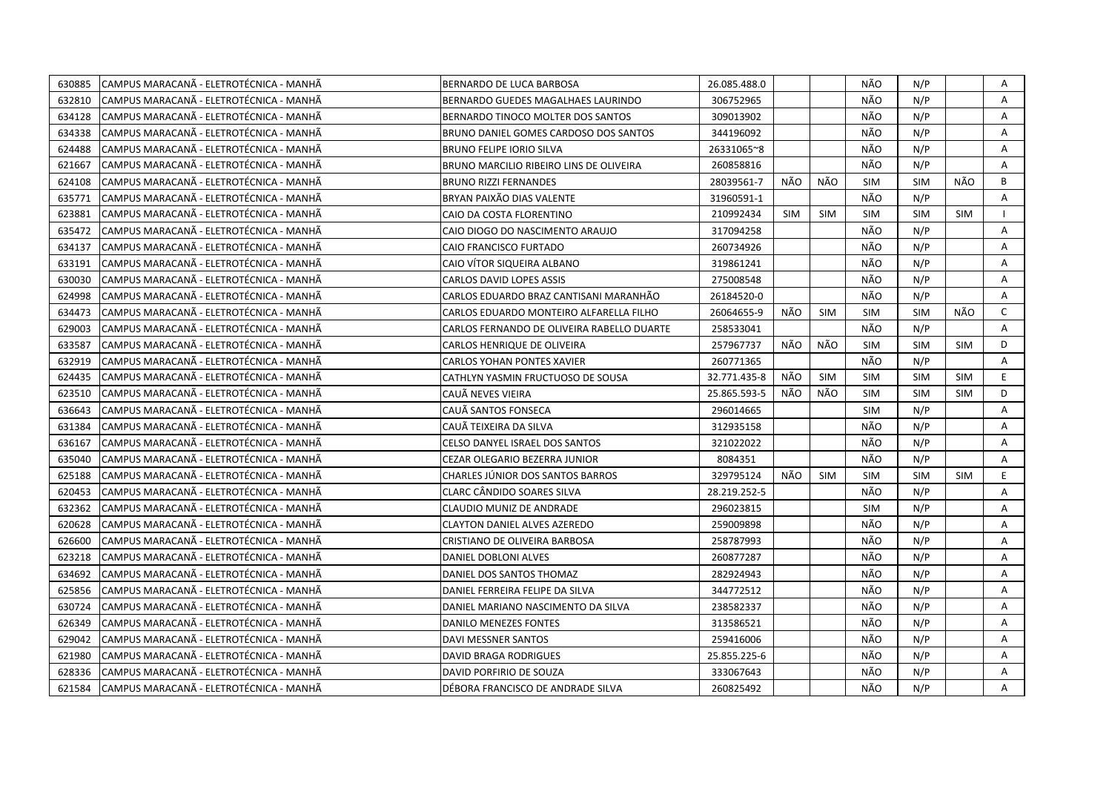| 630885 | CAMPUS MARACANÃ - ELETROTÉCNICA - MANHÃ  | <b>BERNARDO DE LUCA BARBOSA</b>            | 26.085.488.0 |            |            | NÃO        | N/P        |            | Α            |
|--------|------------------------------------------|--------------------------------------------|--------------|------------|------------|------------|------------|------------|--------------|
| 632810 | ICAMPUS MARACANÃ - ELETROTÉCNICA - MANHÃ | BERNARDO GUEDES MAGALHAES LAURINDO         | 306752965    |            |            | NÃO        | N/P        |            | A            |
| 634128 | CAMPUS MARACANÃ - ELETROTÉCNICA - MANHÃ  | BERNARDO TINOCO MOLTER DOS SANTOS          | 309013902    |            |            | NÃO        | N/P        |            | Α            |
| 634338 | ICAMPUS MARACANĂ - ELETROTÉCNICA - MANHÃ | BRUNO DANIEL GOMES CARDOSO DOS SANTOS      | 344196092    |            |            | NÃO        | N/P        |            | A            |
| 624488 | CAMPUS MARACANÃ - ELETROTÉCNICA - MANHÃ  | <b>BRUNO FELIPE IORIO SILVA</b>            | 26331065~8   |            |            | NÃO        | N/P        |            | Α            |
| 621667 | ICAMPUS MARACANĂ - ELETROTÉCNICA - MANHÃ | BRUNO MARCILIO RIBEIRO LINS DE OLIVEIRA    | 260858816    |            |            | NÃO        | N/P        |            | A            |
| 624108 | CAMPUS MARACANÃ - ELETROTÉCNICA - MANHÃ  | <b>BRUNO RIZZI FERNANDES</b>               | 28039561-7   | NÃO        | NÃO        | <b>SIM</b> | SIM        | NÃO        | B            |
| 635771 | ICAMPUS MARACANÃ - ELETROTÉCNICA - MANHÃ | BRYAN PAIXÃO DIAS VALENTE                  | 31960591-1   |            |            | NÃO        | N/P        |            | A            |
| 623881 | CAMPUS MARACANÃ - ELETROTÉCNICA - MANHÃ  | CAIO DA COSTA FLORENTINO                   | 210992434    | <b>SIM</b> | <b>SIM</b> | <b>SIM</b> | <b>SIM</b> | <b>SIM</b> |              |
| 635472 | ICAMPUS MARACANÃ - ELETROTÉCNICA - MANHÃ | CAIO DIOGO DO NASCIMENTO ARAUJO            | 317094258    |            |            | NÃO        | N/P        |            | A            |
| 634137 | CAMPUS MARACANÃ - ELETROTÉCNICA - MANHÃ  | CAIO FRANCISCO FURTADO                     | 260734926    |            |            | NÃO        | N/P        |            | A            |
| 633191 | CAMPUS MARACANA - ELETROTÉCNICA - MANHA  | CAIO VÍTOR SIQUEIRA ALBANO                 | 319861241    |            |            | NÃO        | N/P        |            | A            |
| 630030 | CAMPUS MARACANÃ - ELETROTÉCNICA - MANHÃ  | CARLOS DAVID LOPES ASSIS                   | 275008548    |            |            | NÃO        | N/P        |            | A            |
| 624998 | CAMPUS MARACANÃ - ELETROTÉCNICA - MANHÃ  | CARLOS EDUARDO BRAZ CANTISANI MARANHÃO     | 26184520-0   |            |            | NÃO        | N/P        |            | Α            |
| 634473 | CAMPUS MARACANÃ - ELETROTÉCNICA - MANHÃ  | CARLOS EDUARDO MONTEIRO ALFARELLA FILHO    | 26064655-9   | NÃO        | SIM        | <b>SIM</b> | <b>SIM</b> | NÃO        | $\mathsf{C}$ |
| 629003 | CAMPUS MARACANÃ - ELETROTÉCNICA - MANHÃ  | CARLOS FERNANDO DE OLIVEIRA RABELLO DUARTE | 258533041    |            |            | NÃO        | N/P        |            | Α            |
| 633587 | ICAMPUS MARACANÃ - ELETROTÉCNICA - MANHÃ | CARLOS HENRIQUE DE OLIVEIRA                | 257967737    | NÃO        | NÃO        | <b>SIM</b> | <b>SIM</b> | <b>SIM</b> | D            |
| 632919 | CAMPUS MARACANÃ - ELETROTÉCNICA - MANHÃ  | CARLOS YOHAN PONTES XAVIER                 | 260771365    |            |            | NÃO        | N/P        |            | A            |
| 624435 | CAMPUS MARACANÃ - ELETROTÉCNICA - MANHÃ  | CATHLYN YASMIN FRUCTUOSO DE SOUSA          | 32.771.435-8 | NÃO        | <b>SIM</b> | <b>SIM</b> | <b>SIM</b> | <b>SIM</b> | E.           |
| 623510 | CAMPUS MARACANÃ - ELETROTÉCNICA - MANHÃ  | CAUA NEVES VIEIRA                          | 25.865.593-5 | NÃO        | NÃO        | <b>SIM</b> | <b>SIM</b> | <b>SIM</b> | D            |
| 636643 | CAMPUS MARACANÃ - ELETROTÉCNICA - MANHÃ  | CAUÃ SANTOS FONSECA                        | 296014665    |            |            | SIM        | N/P        |            | A            |
| 631384 | CAMPUS MARACANÃ - ELETROTÉCNICA - MANHÃ  | CAUA TEIXEIRA DA SILVA                     | 312935158    |            |            | NÃO        | N/P        |            | Α            |
| 636167 | ICAMPUS MARACANÃ - ELETROTÉCNICA - MANHÃ | CELSO DANYEL ISRAEL DOS SANTOS             | 321022022    |            |            | NÃO        | N/P        |            | A            |
| 635040 | CAMPUS MARACANÃ - ELETROTÉCNICA - MANHÃ  | CEZAR OLEGARIO BEZERRA JUNIOR              | 8084351      |            |            | NÃO        | N/P        |            | A            |
| 625188 | CAMPUS MARACANA - ELETROTECNICA - MANHA  | CHARLES JÚNIOR DOS SANTOS BARROS           | 329795124    | NÃO        | <b>SIM</b> | <b>SIM</b> | <b>SIM</b> | <b>SIM</b> | E.           |
| 620453 | CAMPUS MARACANA - ELETROTÉCNICA - MANHÀ  | CLARC CÂNDIDO SOARES SILVA                 | 28.219.252-5 |            |            | NÃO        | N/P        |            | A            |
| 632362 | CAMPUS MARACANA - ELETROTÉCNICA - MANHA  | CLAUDIO MUNIZ DE ANDRADE                   | 296023815    |            |            | <b>SIM</b> | N/P        |            | A            |
| 620628 | CAMPUS MARACANÃ - ELETROTÉCNICA - MANHÃ  | CLAYTON DANIEL ALVES AZEREDO               | 259009898    |            |            | NÃO        | N/P        |            | A            |
| 626600 | CAMPUS MARACANA - ELETROTÉCNICA - MANHÀ  | CRISTIANO DE OLIVEIRA BARBOSA              | 258787993    |            |            | NÃO        | N/P        |            | A            |
| 623218 | CAMPUS MARACANÃ - ELETROTÉCNICA - MANHÃ  | DANIEL DOBLONI ALVES                       | 260877287    |            |            | NÃO        | N/P        |            | A            |
| 634692 | ICAMPUS MARACANÃ - ELETROTÉCNICA - MANHÃ | DANIEL DOS SANTOS THOMAZ                   | 282924943    |            |            | NÃO        | N/P        |            | A            |
| 625856 | CAMPUS MARACANÃ - ELETROTÉCNICA - MANHÃ  | DANIEL FERREIRA FELIPE DA SILVA            | 344772512    |            |            | NÃO        | N/P        |            | A            |
| 630724 | ICAMPUS MARACANA - ELETROTÉCNICA - MANHÀ | DANIEL MARIANO NASCIMENTO DA SILVA         | 238582337    |            |            | NÃO        | N/P        |            | A            |
| 626349 | CAMPUS MARACANÃ - ELETROTÉCNICA - MANHÃ  | DANILO MENEZES FONTES                      | 313586521    |            |            | NÃO        | N/P        |            | Α            |
| 629042 | CAMPUS MARACANÃ - ELETROTÉCNICA - MANHÃ  | DAVI MESSNER SANTOS                        | 259416006    |            |            | NÃO        | N/P        |            | A            |
| 621980 | CAMPUS MARACANÃ - ELETROTÉCNICA - MANHÃ  | DAVID BRAGA RODRIGUES                      | 25.855.225-6 |            |            | NÃO        | N/P        |            | A            |
| 628336 | CAMPUS MARACANÃ - ELETROTÉCNICA - MANHÃ  | DAVID PORFIRIO DE SOUZA                    | 333067643    |            |            | NÃO        | N/P        |            | A            |
| 621584 | CAMPUS MARACANÃ - ELETROTÉCNICA - MANHÃ  | DÉBORA FRANCISCO DE ANDRADE SILVA          | 260825492    |            |            | NÃO        | N/P        |            | A            |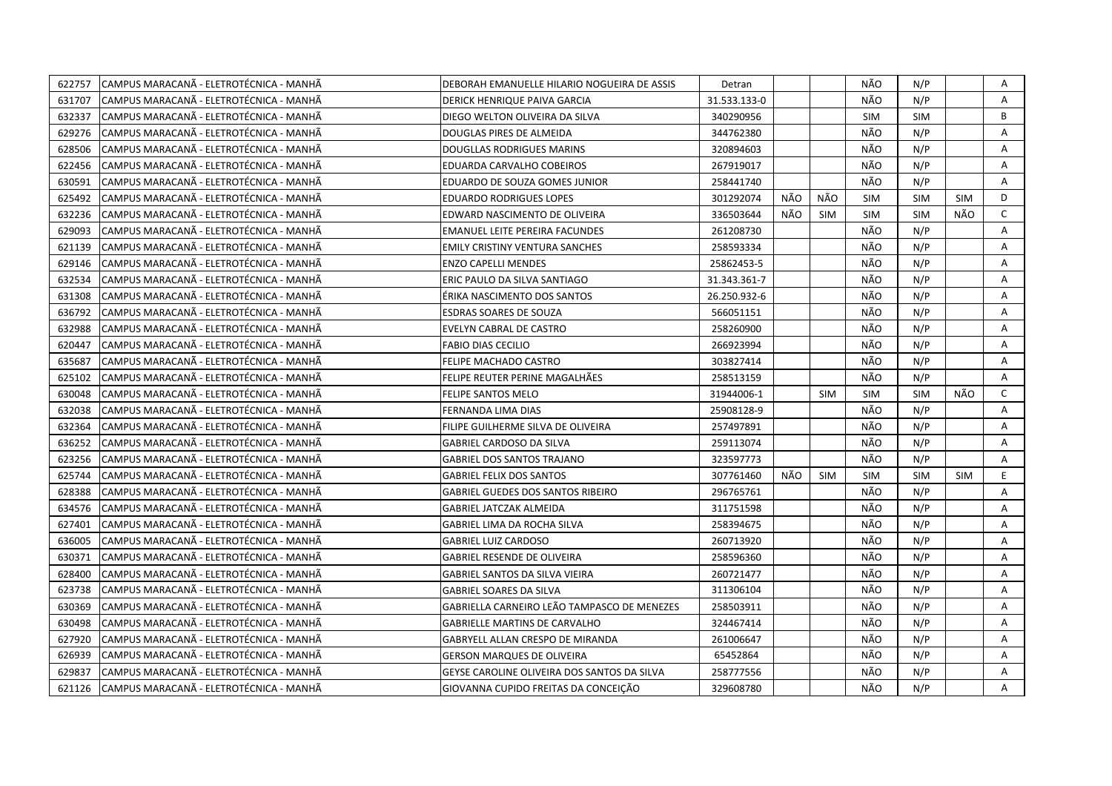| 622757 | CAMPUS MARACANÃ - ELETROTÉCNICA - MANHÃ | DEBORAH EMANUELLE HILARIO NOGUEIRA DE ASSIS | Detran       |     |            | NÃO        | N/P        |            | A            |
|--------|-----------------------------------------|---------------------------------------------|--------------|-----|------------|------------|------------|------------|--------------|
| 631707 | CAMPUS MARACANÃ - ELETROTÉCNICA - MANHÃ | DERICK HENRIQUE PAIVA GARCIA                | 31.533.133-0 |     |            | NÃO        | N/P        |            | A            |
| 632337 | CAMPUS MARACANÃ - ELETROTÉCNICA - MANHÃ | DIEGO WELTON OLIVEIRA DA SILVA              | 340290956    |     |            | <b>SIM</b> | <b>SIM</b> |            | B            |
| 629276 | CAMPUS MARACANÃ - ELETROTÉCNICA - MANHÃ | DOUGLAS PIRES DE ALMEIDA                    | 344762380    |     |            | NÃO        | N/P        |            | A            |
| 628506 | CAMPUS MARACANA - ELETROTÉCNICA - MANHÀ | DOUGLLAS RODRIGUES MARINS                   | 320894603    |     |            | NÃO        | N/P        |            | A            |
| 622456 | CAMPUS MARACANÃ - ELETROTÉCNICA - MANHÃ | EDUARDA CARVALHO COBEIROS                   | 267919017    |     |            | NÃO        | N/P        |            | Α            |
| 630591 | CAMPUS MARACANÃ - ELETROTÉCNICA - MANHÃ | EDUARDO DE SOUZA GOMES JUNIOR               | 258441740    |     |            | NÃO        | N/P        |            | Α            |
| 625492 | CAMPUS MARACANÃ - ELETROTÉCNICA - MANHÃ | <b>EDUARDO RODRIGUES LOPES</b>              | 301292074    | NÃO | NÃO        | <b>SIM</b> | SIM        | SIM        | D            |
| 632236 | CAMPUS MARACANÃ - ELETROTÉCNICA - MANHÃ | EDWARD NASCIMENTO DE OLIVEIRA               | 336503644    | NÃO | <b>SIM</b> | <b>SIM</b> | <b>SIM</b> | NÃO        | $\mathsf{C}$ |
| 629093 | CAMPUS MARACANA - ELETROTÉCNICA - MANHA | <b>EMANUEL LEITE PEREIRA FACUNDES</b>       | 261208730    |     |            | NÃO        | N/P        |            | A            |
| 621139 | CAMPUS MARACANÃ - ELETROTÉCNICA - MANHÃ | <b>EMILY CRISTINY VENTURA SANCHES</b>       | 258593334    |     |            | NÃO        | N/P        |            | A            |
| 629146 | CAMPUS MARACANÃ - ELETROTÉCNICA - MANHÃ | <b>ENZO CAPELLI MENDES</b>                  | 25862453-5   |     |            | NÃO        | N/P        |            | Α            |
| 632534 | CAMPUS MARACANÃ - ELETROTÉCNICA - MANHÃ | ERIC PAULO DA SILVA SANTIAGO                | 31.343.361-7 |     |            | NÃO        | N/P        |            | A            |
| 631308 | CAMPUS MARACANÃ - ELETROTÉCNICA - MANHÃ | ÉRIKA NASCIMENTO DOS SANTOS                 | 26.250.932-6 |     |            | NÃO        | N/P        |            | A            |
| 636792 | CAMPUS MARACANÃ - ELETROTÉCNICA - MANHÃ | ESDRAS SOARES DE SOUZA                      | 566051151    |     |            | NÃO        | N/P        |            | Α            |
| 632988 | CAMPUS MARACANÃ - ELETROTÉCNICA - MANHÃ | EVELYN CABRAL DE CASTRO                     | 258260900    |     |            | NÃO        | N/P        |            | A            |
| 620447 | CAMPUS MARACANÃ - ELETROTÉCNICA - MANHÃ | <b>FABIO DIAS CECILIO</b>                   | 266923994    |     |            | NÃO        | N/P        |            | A            |
| 635687 | CAMPUS MARACANA - ELETROTÉCNICA - MANHA | FELIPE MACHADO CASTRO                       | 303827414    |     |            | NÃO        | N/P        |            | A            |
| 625102 | CAMPUS MARACANÃ - ELETROTÉCNICA - MANHÃ | FELIPE REUTER PERINE MAGALHÃES              | 258513159    |     |            | NÃO        | N/P        |            | A            |
| 630048 | CAMPUS MARACANÃ - ELETROTÉCNICA - MANHÃ | FELIPE SANTOS MELO                          | 31944006-1   |     | <b>SIM</b> | <b>SIM</b> | <b>SIM</b> | NÃO        | C            |
| 632038 | CAMPUS MARACANÃ - ELETROTÉCNICA - MANHÃ | FERNANDA LIMA DIAS                          | 25908128-9   |     |            | NÃO        | N/P        |            | A            |
| 632364 | CAMPUS MARACANÃ - ELETROTÉCNICA - MANHÃ | FILIPE GUILHERME SILVA DE OLIVEIRA          | 257497891    |     |            | NÃO        | N/P        |            | A            |
| 636252 | CAMPUS MARACANA - ELETROTÉCNICA - MANHA | GABRIEL CARDOSO DA SILVA                    | 259113074    |     |            | NÃO        | N/P        |            | A            |
| 623256 | CAMPUS MARACANÃ - ELETROTÉCNICA - MANHÃ | <b>GABRIEL DOS SANTOS TRAJANO</b>           | 323597773    |     |            | NÃO        | N/P        |            | A            |
| 625744 | CAMPUS MARACANÃ - ELETROTÉCNICA - MANHÃ | <b>GABRIEL FELIX DOS SANTOS</b>             | 307761460    | NÃO | <b>SIM</b> | <b>SIM</b> | <b>SIM</b> | <b>SIM</b> | E.           |
| 628388 | CAMPUS MARACANA - ELETROTÉCNICA - MANHA | GABRIEL GUEDES DOS SANTOS RIBEIRO           | 296765761    |     |            | NÃO        | N/P        |            | A            |
| 634576 | CAMPUS MARACANÃ - ELETROTÉCNICA - MANHÃ | <b>GABRIEL JATCZAK ALMEIDA</b>              | 311751598    |     |            | NÃO        | N/P        |            | A            |
| 627401 | CAMPUS MARACANÃ - ELETROTÉCNICA - MANHÃ | GABRIEL LIMA DA ROCHA SILVA                 | 258394675    |     |            | NÃO        | N/P        |            | Α            |
| 636005 | CAMPUS MARACANÃ - ELETROTÉCNICA - MANHÃ | <b>GABRIEL LUIZ CARDOSO</b>                 | 260713920    |     |            | NÃO        | N/P        |            | A            |
| 630371 | CAMPUS MARACANÃ - ELETROTÉCNICA - MANHÃ | <b>GABRIEL RESENDE DE OLIVEIRA</b>          | 258596360    |     |            | NÃO        | N/P        |            | Α            |
| 628400 | CAMPUS MARACANÃ - ELETROTÉCNICA - MANHÃ | <b>GABRIEL SANTOS DA SILVA VIEIRA</b>       | 260721477    |     |            | NÃO        | N/P        |            | A            |
| 623738 | CAMPUS MARACANÃ - ELETROTÉCNICA - MANHÃ | <b>GABRIEL SOARES DA SILVA</b>              | 311306104    |     |            | NÃO        | N/P        |            | A            |
| 630369 | CAMPUS MARACANÃ - ELETROTÉCNICA - MANHÃ | GABRIELLA CARNEIRO LEÃO TAMPASCO DE MENEZES | 258503911    |     |            | NÃO        | N/P        |            | A            |
| 630498 | CAMPUS MARACANÃ - ELETROTÉCNICA - MANHÃ | <b>GABRIELLE MARTINS DE CARVALHO</b>        | 324467414    |     |            | NÃO        | N/P        |            | A            |
| 627920 | CAMPUS MARACANÃ - ELETROTÉCNICA - MANHÃ | GABRYELL ALLAN CRESPO DE MIRANDA            | 261006647    |     |            | NÃO        | N/P        |            | A            |
| 626939 | CAMPUS MARACANÃ - ELETROTÉCNICA - MANHÃ | GERSON MARQUES DE OLIVEIRA                  | 65452864     |     |            | NÃO        | N/P        |            | Α            |
| 629837 | CAMPUS MARACANÃ - ELETROTÉCNICA - MANHÃ | GEYSE CAROLINE OLIVEIRA DOS SANTOS DA SILVA | 258777556    |     |            | NÃO        | N/P        |            | Α            |
| 621126 | CAMPUS MARACANÃ - ELETROTÉCNICA - MANHÃ | GIOVANNA CUPIDO FREITAS DA CONCEIÇÃO        | 329608780    |     |            | NÃO        | N/P        |            | A            |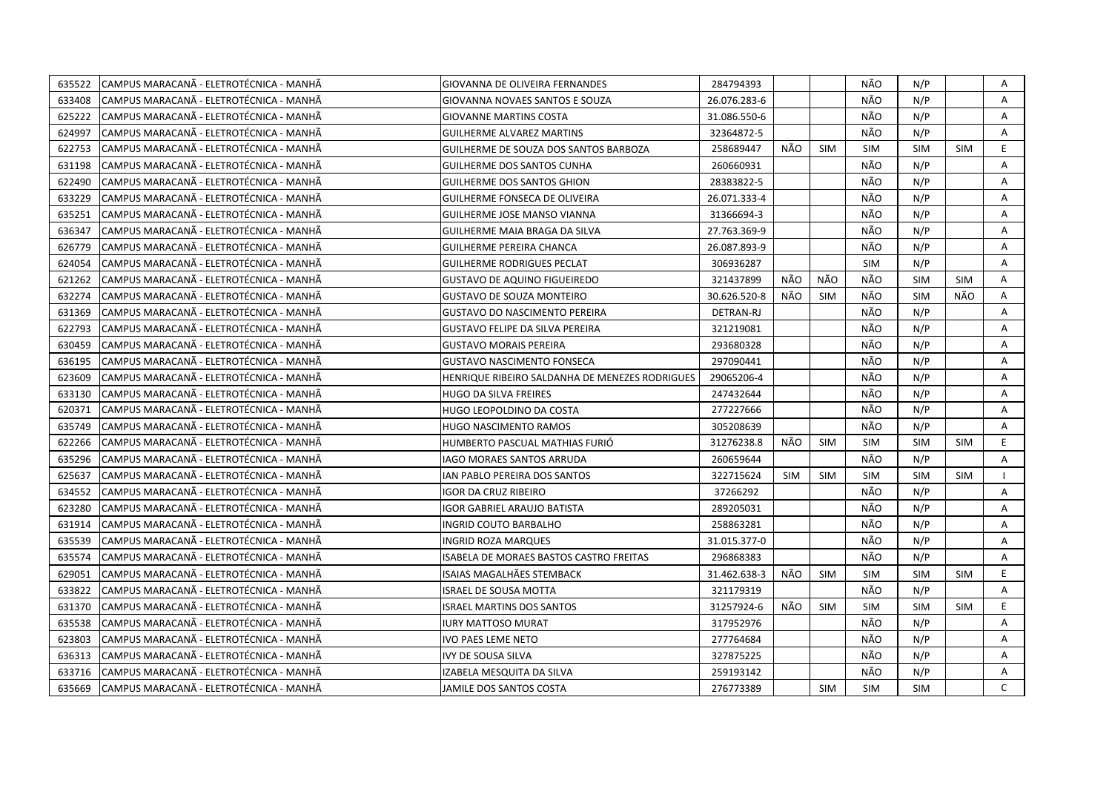| 635522 | CAMPUS MARACANA - ELETROTÉCNICA - MANHA  | GIOVANNA DE OLIVEIRA FERNANDES                 | 284794393    |            |            | NÃO        | N/P        |            | A            |
|--------|------------------------------------------|------------------------------------------------|--------------|------------|------------|------------|------------|------------|--------------|
| 633408 | CAMPUS MARACANÃ - ELETROTÉCNICA - MANHÃ  | GIOVANNA NOVAES SANTOS E SOUZA                 | 26.076.283-6 |            |            | NÃO        | N/P        |            | Α            |
| 625222 | CAMPUS MARACANA - ELETROTÉCNICA - MANHA  | <b>GIOVANNE MARTINS COSTA</b>                  | 31.086.550-6 |            |            | NÃO        | N/P        |            | A            |
| 624997 | CAMPUS MARACANÃ - ELETROTÉCNICA - MANHÃ  | <b>GUILHERME ALVAREZ MARTINS</b>               | 32364872-5   |            |            | NÃO        | N/P        |            | A            |
| 622753 | ICAMPUS MARACANA - ELETROTÉCNICA - MANHÀ | GUILHERME DE SOUZA DOS SANTOS BARBOZA          | 258689447    | NÃO        | <b>SIM</b> | <b>SIM</b> | <b>SIM</b> | <b>SIM</b> | E            |
| 631198 | CAMPUS MARACANÃ - ELETROTÉCNICA - MANHÃ  | <b>GUILHERME DOS SANTOS CUNHA</b>              | 260660931    |            |            | NÃO        | N/P        |            | Α            |
| 622490 | CAMPUS MARACANA - ELETROTÉCNICA - MANHA  | <b>GUILHERME DOS SANTOS GHION</b>              | 28383822-5   |            |            | NÃO        | N/P        |            | A            |
| 633229 | CAMPUS MARACANÃ - ELETROTÉCNICA - MANHÃ  | <b>GUILHERME FONSECA DE OLIVEIRA</b>           | 26.071.333-4 |            |            | NÃO        | N/P        |            | A            |
| 635251 | CAMPUS MARACANÃ - ELETROTÉCNICA - MANHÃ  | GUILHERME JOSE MANSO VIANNA                    | 31366694-3   |            |            | NÃO        | N/P        |            | A            |
| 636347 | CAMPUS MARACANA - ELETROTÉCNICA - MANHA  | GUILHERME MAIA BRAGA DA SILVA                  | 27.763.369-9 |            |            | NÃO        | N/P        |            | Α            |
| 626779 | CAMPUS MARACANÃ - ELETROTÉCNICA - MANHÃ  | <b>GUILHERME PEREIRA CHANCA</b>                | 26.087.893-9 |            |            | NÃO        | N/P        |            | A            |
| 624054 | CAMPUS MARACANÃ - ELETROTÉCNICA - MANHÃ  | <b>GUILHERME RODRIGUES PECLAT</b>              | 306936287    |            |            | <b>SIM</b> | N/P        |            | A            |
| 621262 | CAMPUS MARACANA - ELETROTÉCNICA - MANHA  | <b>GUSTAVO DE AQUINO FIGUEIREDO</b>            | 321437899    | NÃO        | NÃO        | NÃO        | <b>SIM</b> | <b>SIM</b> | $\mathsf{A}$ |
| 632274 | CAMPUS MARACANÃ - ELETROTÉCNICA - MANHÃ  | <b>GUSTAVO DE SOUZA MONTEIRO</b>               | 30.626.520-8 | NÃO        | <b>SIM</b> | NÃO        | <b>SIM</b> | NÃO        | $\mathsf{A}$ |
| 631369 | CAMPUS MARACANÃ - ELETROTÉCNICA - MANHÃ  | <b>GUSTAVO DO NASCIMENTO PEREIRA</b>           | DETRAN-RJ    |            |            | NÃO        | N/P        |            | A            |
| 622793 | CAMPUS MARACANÃ - ELETROTÉCNICA - MANHÃ  | <b>GUSTAVO FELIPE DA SILVA PEREIRA</b>         | 321219081    |            |            | NÃO        | N/P        |            | A            |
| 630459 | CAMPUS MARACANÃ - ELETROTÉCNICA - MANHÃ  | <b>GUSTAVO MORAIS PEREIRA</b>                  | 293680328    |            |            | NÃO        | N/P        |            | A            |
| 636195 | CAMPUS MARACANÃ - ELETROTÉCNICA - MANHÃ  | <b>GUSTAVO NASCIMENTO FONSECA</b>              | 297090441    |            |            | NÃO        | N/P        |            | A            |
| 623609 | ICAMPUS MARACANÃ - ELETROTÉCNICA - MANHÃ | HENRIQUE RIBEIRO SALDANHA DE MENEZES RODRIGUES | 29065206-4   |            |            | NÃO        | N/P        |            | A            |
| 633130 | CAMPUS MARACANÃ - ELETROTÉCNICA - MANHÃ  | HUGO DA SILVA FREIRES                          | 247432644    |            |            | NÃO        | N/P        |            | A            |
| 620371 | CAMPUS MARACANÃ - ELETROTÉCNICA - MANHÃ  | HUGO LEOPOLDINO DA COSTA                       | 277227666    |            |            | NÃO        | N/P        |            | A            |
| 635749 | CAMPUS MARACANA - ELETROTÉCNICA - MANHA  | HUGO NASCIMENTO RAMOS                          | 305208639    |            |            | NÃO        | N/P        |            | Α            |
| 622266 | CAMPUS MARACANA - ELETROTÉCNICA - MANHA  | HUMBERTO PASCUAL MATHIAS FURIÓ                 | 31276238.8   | NÃO        | <b>SIM</b> | <b>SIM</b> | <b>SIM</b> | <b>SIM</b> | E.           |
| 635296 | CAMPUS MARACANÃ - ELETROTÉCNICA - MANHÃ  | <b>IAGO MORAES SANTOS ARRUDA</b>               | 260659644    |            |            | NÃO        | N/P        |            | A            |
| 625637 | CAMPUS MARACANA - ELETROTÉCNICA - MANHA  | IAN PABLO PEREIRA DOS SANTOS                   | 322715624    | <b>SIM</b> | <b>SIM</b> | <b>SIM</b> | <b>SIM</b> | <b>SIM</b> |              |
| 634552 | CAMPUS MARACANA - ELETROTÉCNICA - MANHA  | IGOR DA CRUZ RIBEIRO                           | 37266292     |            |            | NÃO        | N/P        |            | Α            |
| 623280 | CAMPUS MARACANÃ - ELETROTÉCNICA - MANHÃ  | IGOR GABRIEL ARAUJO BATISTA                    | 289205031    |            |            | NÃO        | N/P        |            | A            |
| 631914 | CAMPUS MARACANÃ - ELETROTÉCNICA - MANHÃ  | <b>INGRID COUTO BARBALHO</b>                   | 258863281    |            |            | NÃO        | N/P        |            | A            |
| 635539 | CAMPUS MARACANÃ - ELETROTÉCNICA - MANHÃ  | <b>INGRID ROZA MARQUES</b>                     | 31.015.377-0 |            |            | NÃO        | N/P        |            | A            |
| 635574 | CAMPUS MARACANA - ELETROTÉCNICA - MANHA  | ISABELA DE MORAES BASTOS CASTRO FREITAS        | 296868383    |            |            | NÃO        | N/P        |            | Α            |
| 629051 | CAMPUS MARACANÃ - ELETROTÉCNICA - MANHÃ  | ISAIAS MAGALHÃES STEMBACK                      | 31.462.638-3 | NÃO        | <b>SIM</b> | SIM        | <b>SIM</b> | <b>SIM</b> | E.           |
| 633822 | CAMPUS MARACANÃ - ELETROTÉCNICA - MANHÃ  | <b>ISRAEL DE SOUSA MOTTA</b>                   | 321179319    |            |            | NÃO        | N/P        |            | A            |
| 631370 | CAMPUS MARACANÃ - ELETROTÉCNICA - MANHÃ  | <b>ISRAEL MARTINS DOS SANTOS</b>               | 31257924-6   | NÃO        | <b>SIM</b> | <b>SIM</b> | <b>SIM</b> | <b>SIM</b> | E.           |
| 635538 | CAMPUS MARACANÃ - ELETROTÉCNICA - MANHÃ  | <b>IURY MATTOSO MURAT</b>                      | 317952976    |            |            | NÃO        | N/P        |            | A            |
| 623803 | CAMPUS MARACANÃ - ELETROTÉCNICA - MANHÃ  | <b>IVO PAES LEME NETO</b>                      | 277764684    |            |            | NÃO        | N/P        |            | $\mathsf{A}$ |
| 636313 | CAMPUS MARACANÃ - ELETROTÉCNICA - MANHÃ  | IVY DE SOUSA SILVA                             | 327875225    |            |            | NÃO        | N/P        |            | A            |
| 633716 | CAMPUS MARACANÃ - ELETROTÉCNICA - MANHÃ  | IZABELA MESQUITA DA SILVA                      | 259193142    |            |            | NÃO        | N/P        |            | Α            |
| 635669 | CAMPUS MARACANÃ - ELETROTÉCNICA - MANHÃ  | JAMILE DOS SANTOS COSTA                        | 276773389    |            | <b>SIM</b> | <b>SIM</b> | <b>SIM</b> |            | $\mathsf{C}$ |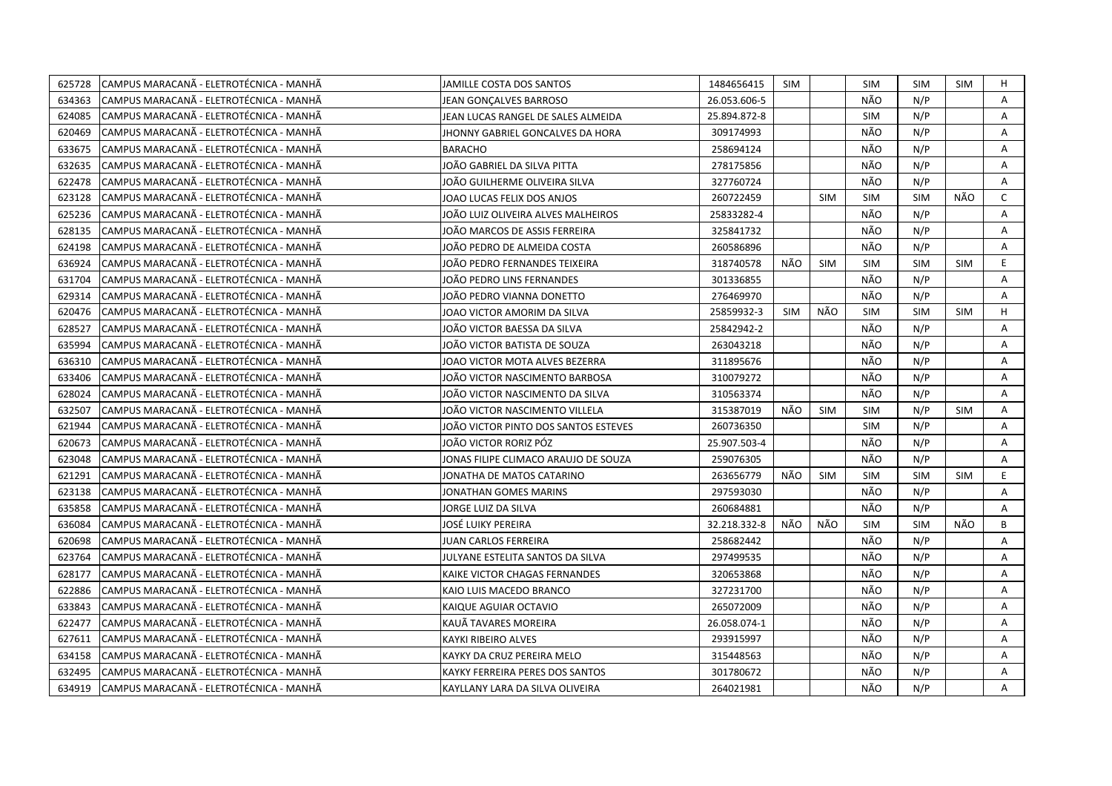| 625728 | CAMPUS MARACANÃ - ELETROTÉCNICA - MANHÃ  | JAMILLE COSTA DOS SANTOS             | 1484656415   | <b>SIM</b> |            | SIM        | <b>SIM</b> | <b>SIM</b> | Н            |
|--------|------------------------------------------|--------------------------------------|--------------|------------|------------|------------|------------|------------|--------------|
| 634363 | CAMPUS MARACANÃ - ELETROTÉCNICA - MANHÃ  | JEAN GONCALVES BARROSO               | 26.053.606-5 |            |            | NÃO        | N/P        |            | A            |
| 624085 | CAMPUS MARACANÃ - ELETROTÉCNICA - MANHÃ  | JEAN LUCAS RANGEL DE SALES ALMEIDA   | 25.894.872-8 |            |            | <b>SIM</b> | N/P        |            | A            |
| 620469 | CAMPUS MARACANÃ - ELETROTÉCNICA - MANHÃ  | JHONNY GABRIEL GONCALVES DA HORA     | 309174993    |            |            | NÃO        | N/P        |            | Α            |
| 633675 | CAMPUS MARACANÃ - ELETROTÉCNICA - MANHÃ  | <b>BARACHO</b>                       | 258694124    |            |            | NÃO        | N/P        |            | Α            |
| 632635 | CAMPUS MARACANÃ - ELETROTÉCNICA - MANHÃ  | JOÃO GABRIEL DA SILVA PITTA          | 278175856    |            |            | NÃO        | N/P        |            | Α            |
| 622478 | ICAMPUS MARACANÃ - ELETROTÉCNICA - MANHÃ | JOÃO GUILHERME OLIVEIRA SILVA        | 327760724    |            |            | NÃO        | N/P        |            | A            |
| 623128 | CAMPUS MARACANÃ - ELETROTÉCNICA - MANHÃ  | JOAO LUCAS FELIX DOS ANJOS           | 260722459    |            | <b>SIM</b> | <b>SIM</b> | <b>SIM</b> | NÃO        | $\mathsf{C}$ |
| 625236 | CAMPUS MARACANÃ - ELETROTÉCNICA - MANHÃ  | JOÃO LUIZ OLIVEIRA ALVES MALHEIROS   | 25833282-4   |            |            | NÃO        | N/P        |            | A            |
| 628135 | CAMPUS MARACANÃ - ELETROTÉCNICA - MANHÃ  | JOÃO MARCOS DE ASSIS FERREIRA        | 325841732    |            |            | NÃO        | N/P        |            | A            |
| 624198 | CAMPUS MARACANÃ - ELETROTÉCNICA - MANHÃ  | JOÃO PEDRO DE ALMEIDA COSTA          | 260586896    |            |            | NÃO        | N/P        |            | Α            |
| 636924 | CAMPUS MARACANÃ - ELETROTÉCNICA - MANHÃ  | JOÃO PEDRO FERNANDES TEIXEIRA        | 318740578    | NÃO        | <b>SIM</b> | SIM        | <b>SIM</b> | <b>SIM</b> | E.           |
| 631704 | CAMPUS MARACANÃ - ELETROTÉCNICA - MANHÃ  | JOÃO PEDRO LINS FERNANDES            | 301336855    |            |            | NÃO        | N/P        |            | A            |
| 629314 | CAMPUS MARACANÃ - ELETROTÉCNICA - MANHÃ  | JOÃO PEDRO VIANNA DONETTO            | 276469970    |            |            | NÃO        | N/P        |            | A            |
| 620476 | CAMPUS MARACANÃ - ELETROTÉCNICA - MANHÃ  | JOAO VICTOR AMORIM DA SILVA          | 25859932-3   | <b>SIM</b> | NÃO        | <b>SIM</b> | <b>SIM</b> | <b>SIM</b> | H            |
| 628527 | CAMPUS MARACANÃ - ELETROTÉCNICA - MANHÃ  | JOÃO VICTOR BAESSA DA SILVA          | 25842942-2   |            |            | NÃO        | N/P        |            | A            |
| 635994 | CAMPUS MARACANA - ELETROTÉCNICA - MANHA  | JOÃO VICTOR BATISTA DE SOUZA         | 263043218    |            |            | NÃO        | N/P        |            | A            |
| 636310 | CAMPUS MARACANÃ - ELETROTÉCNICA - MANHÃ  | JOAO VICTOR MOTA ALVES BEZERRA       | 311895676    |            |            | NÃO        | N/P        |            | A            |
| 633406 | CAMPUS MARACANÃ - ELETROTÉCNICA - MANHÃ  | JOÃO VICTOR NASCIMENTO BARBOSA       | 310079272    |            |            | NÃO        | N/P        |            | A            |
| 628024 | CAMPUS MARACANÃ - ELETROTÉCNICA - MANHÃ  | JOÃO VICTOR NASCIMENTO DA SILVA      | 310563374    |            |            | NÃO        | N/P        |            | A            |
| 632507 | CAMPUS MARACANÃ - ELETROTÉCNICA - MANHÃ  | JOÃO VICTOR NASCIMENTO VILLELA       | 315387019    | NÃO        | <b>SIM</b> | <b>SIM</b> | N/P        | <b>SIM</b> | A            |
| 621944 | CAMPUS MARACANA - ELETROTECNICA - MANHA  | JOÃO VICTOR PINTO DOS SANTOS ESTEVES | 260736350    |            |            | <b>SIM</b> | N/P        |            | A            |
| 620673 | CAMPUS MARACANÃ - ELETROTÉCNICA - MANHÃ  | JOÃO VICTOR RORIZ PÓZ                | 25.907.503-4 |            |            | NÃO        | N/P        |            | A            |
| 623048 | CAMPUS MARACANA - ELETROTÉCNICA - MANHA  | IONAS FILIPE CLIMACO ARAUJO DE SOUZA | 259076305    |            |            | NÃO        | N/P        |            | A            |
| 621291 | CAMPUS MARACANÃ - ELETROTÉCNICA - MANHÃ  | IONATHA DE MATOS CATARINO            | 263656779    | NÃO        | <b>SIM</b> | <b>SIM</b> | <b>SIM</b> | <b>SIM</b> | E.           |
| 623138 | CAMPUS MARACANÃ - ELETROTÉCNICA - MANHÃ  | JONATHAN GOMES MARINS                | 297593030    |            |            | NÃO        | N/P        |            | A            |
| 635858 | CAMPUS MARACANÃ - ELETROTÉCNICA - MANHÃ  | JORGE LUIZ DA SILVA                  | 260684881    |            |            | NÃO        | N/P        |            | A            |
| 636084 | CAMPUS MARACANÃ - ELETROTÉCNICA - MANHÃ  | JOSÉ LUIKY PEREIRA                   | 32.218.332-8 | NÃO        | NÃO        | <b>SIM</b> | SIM        | NÃO        | B            |
| 620698 | CAMPUS MARACANÃ - ELETROTÉCNICA - MANHÃ  | JUAN CARLOS FERREIRA                 | 258682442    |            |            | NÃO        | N/P        |            | A            |
| 623764 | CAMPUS MARACANÃ - ELETROTÉCNICA - MANHÃ  | JULYANE ESTELITA SANTOS DA SILVA     | 297499535    |            |            | NÃO        | N/P        |            | Α            |
| 628177 | CAMPUS MARACANÃ - ELETROTÉCNICA - MANHÃ  | KAIKE VICTOR CHAGAS FERNANDES        | 320653868    |            |            | NÃO        | N/P        |            | Α            |
| 622886 | CAMPUS MARACANÃ - ELETROTÉCNICA - MANHÃ  | KAIO LUIS MACEDO BRANCO              | 327231700    |            |            | NÃO        | N/P        |            | A            |
| 633843 | CAMPUS MARACANÃ - ELETROTÉCNICA - MANHÃ  | KAIQUE AGUIAR OCTAVIO                | 265072009    |            |            | NÃO        | N/P        |            | A            |
| 622477 | CAMPUS MARACANÃ - ELETROTÉCNICA - MANHÃ  | KAUÄ TAVARES MOREIRA                 | 26.058.074-1 |            |            | NÃO        | N/P        |            | A            |
| 627611 | CAMPUS MARACANÃ - ELETROTÉCNICA - MANHÃ  | KAYKI RIBEIRO ALVES                  | 293915997    |            |            | NÃO        | N/P        |            | A            |
| 634158 | CAMPUS MARACANÃ - ELETROTÉCNICA - MANHÃ  | KAYKY DA CRUZ PEREIRA MELO           | 315448563    |            |            | NÃO        | N/P        |            | Α            |
| 632495 | CAMPUS MARACANÃ - ELETROTÉCNICA - MANHÃ  | KAYKY FERREIRA PERES DOS SANTOS      | 301780672    |            |            | NÃO        | N/P        |            | A            |
| 634919 | CAMPUS MARACANA - ELETROTÉCNICA - MANHA  | KAYLLANY LARA DA SILVA OLIVEIRA      | 264021981    |            |            | NÃO        | N/P        |            | A            |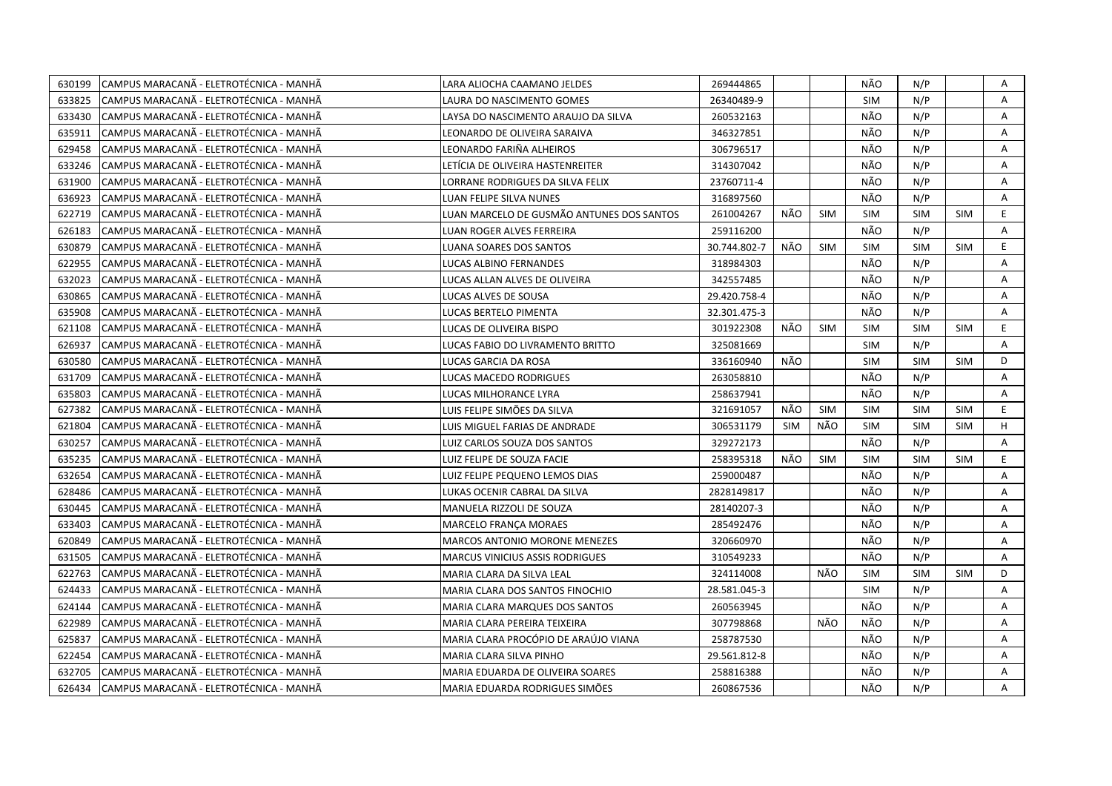| 630199 | CAMPUS MARACANÃ - ELETROTÉCNICA - MANHÃ  | LARA ALIOCHA CAAMANO JELDES               | 269444865    |            |            | NÃO        | N/P        |            | Α  |
|--------|------------------------------------------|-------------------------------------------|--------------|------------|------------|------------|------------|------------|----|
| 633825 | ICAMPUS MARACANÃ - ELETROTÉCNICA - MANHÃ | LAURA DO NASCIMENTO GOMES                 | 26340489-9   |            |            | <b>SIM</b> | N/P        |            | A  |
| 633430 | CAMPUS MARACANÃ - ELETROTÉCNICA - MANHÃ  | LAYSA DO NASCIMENTO ARAUJO DA SILVA       | 260532163    |            |            | NÃO        | N/P        |            | Α  |
| 635911 | CAMPUS MARACANÃ - ELETROTÉCNICA - MANHÃ  | LEONARDO DE OLIVEIRA SARAIVA              | 346327851    |            |            | NÃO        | N/P        |            | Α  |
| 629458 | CAMPUS MARACANÃ - ELETROTÉCNICA - MANHÃ  | LEONARDO FARIÑA ALHEIROS                  | 306796517    |            |            | NÃO        | N/P        |            | Α  |
| 633246 | CAMPUS MARACANÃ - ELETROTÉCNICA - MANHÃ  | LETÍCIA DE OLIVEIRA HASTENREITER          | 314307042    |            |            | NÃO        | N/P        |            | Α  |
| 631900 | ICAMPUS MARACANÃ - ELETROTÉCNICA - MANHÃ | LORRANE RODRIGUES DA SILVA FELIX          | 23760711-4   |            |            | NÃO        | N/P        |            | A  |
| 636923 | CAMPUS MARACANÃ - ELETROTÉCNICA - MANHÃ  | LUAN FELIPE SILVA NUNES                   | 316897560    |            |            | NÃO        | N/P        |            | A  |
| 622719 | CAMPUS MARACANA - ELETROTÉCNICA - MANHA  | LUAN MARCELO DE GUSMÃO ANTUNES DOS SANTOS | 261004267    | NÃO        | <b>SIM</b> | <b>SIM</b> | <b>SIM</b> | <b>SIM</b> | E  |
| 626183 | CAMPUS MARACANÃ - ELETROTÉCNICA - MANHÃ  | LUAN ROGER ALVES FERREIRA                 | 259116200    |            |            | NÃO        | N/P        |            | A  |
| 630879 | CAMPUS MARACANÃ - ELETROTÉCNICA - MANHÃ  | LUANA SOARES DOS SANTOS                   | 30.744.802-7 | NÃO        | <b>SIM</b> | <b>SIM</b> | <b>SIM</b> | <b>SIM</b> | E  |
| 622955 | CAMPUS MARACANÃ - ELETROTÉCNICA - MANHÃ  | LUCAS ALBINO FERNANDES                    | 318984303    |            |            | NÃO        | N/P        |            | A  |
| 632023 | CAMPUS MARACANÃ - ELETROTÉCNICA - MANHÃ  | LUCAS ALLAN ALVES DE OLIVEIRA             | 342557485    |            |            | NÃO        | N/P        |            | A  |
| 630865 | CAMPUS MARACANÃ - ELETROTÉCNICA - MANHÃ  | LUCAS ALVES DE SOUSA                      | 29.420.758-4 |            |            | NÃO        | N/P        |            | Α  |
| 635908 | CAMPUS MARACANÃ - ELETROTÉCNICA - MANHÃ  | LUCAS BERTELO PIMENTA                     | 32.301.475-3 |            |            | NÃO        | N/P        |            | A  |
| 621108 | CAMPUS MARACANÃ - ELETROTÉCNICA - MANHÃ  | LUCAS DE OLIVEIRA BISPO                   | 301922308    | NÃO        | <b>SIM</b> | <b>SIM</b> | <b>SIM</b> | <b>SIM</b> | E. |
| 626937 | CAMPUS MARACANÃ - ELETROTÉCNICA - MANHÃ  | LUCAS FABIO DO LIVRAMENTO BRITTO          | 325081669    |            |            | SIM        | N/P        |            | A  |
| 630580 | CAMPUS MARACANÃ - ELETROTÉCNICA - MANHÃ  | LUCAS GARCIA DA ROSA                      | 336160940    | NÃO        |            | <b>SIM</b> | <b>SIM</b> | SIM        | D  |
| 631709 | CAMPUS MARACANÃ - ELETROTÉCNICA - MANHÃ  | LUCAS MACEDO RODRIGUES                    | 263058810    |            |            | NÃO        | N/P        |            | A  |
| 635803 | CAMPUS MARACANÃ - ELETROTÉCNICA - MANHÃ  | LUCAS MILHORANCE LYRA                     | 258637941    |            |            | NÃO        | N/P        |            | A  |
| 627382 | CAMPUS MARACANA - ELETROTÉCNICA - MANHA  | LUIS FELIPE SIMÕES DA SILVA               | 321691057    | NÃO        | <b>SIM</b> | <b>SIM</b> | <b>SIM</b> | <b>SIM</b> | E. |
| 621804 | CAMPUS MARACANA - ELETROTÉCNICA - MANHÀ  | LUIS MIGUEL FARIAS DE ANDRADE             | 306531179    | <b>SIM</b> | NÃO        | <b>SIM</b> | <b>SIM</b> | <b>SIM</b> | H  |
| 630257 | CAMPUS MARACANÃ - ELETROTÉCNICA - MANHÃ  | LUIZ CARLOS SOUZA DOS SANTOS              | 329272173    |            |            | NÃO        | N/P        |            | A  |
| 635235 | CAMPUS MARACANA - ELETROTÉCNICA - MANHA  | LUIZ FELIPE DE SOUZA FACIE                | 258395318    | NÃO        | <b>SIM</b> | <b>SIM</b> | <b>SIM</b> | <b>SIM</b> | E. |
| 632654 | CAMPUS MARACANÃ - ELETROTÉCNICA - MANHÃ  | LUIZ FELIPE PEQUENO LEMOS DIAS            | 259000487    |            |            | NÃO        | N/P        |            | A  |
| 628486 | CAMPUS MARACANÃ - ELETROTÉCNICA - MANHÃ  | LUKAS OCENIR CABRAL DA SILVA              | 2828149817   |            |            | NÃO        | N/P        |            | Α  |
| 630445 | CAMPUS MARACANA - ELETROTÉCNICA - MANHÀ  | MANUELA RIZZOLI DE SOUZA                  | 28140207-3   |            |            | NÃO        | N/P        |            | A  |
| 633403 | CAMPUS MARACANÃ - ELETROTÉCNICA - MANHÃ  | MARCELO FRANÇA MORAES                     | 285492476    |            |            | NÃO        | N/P        |            | Α  |
| 620849 | CAMPUS MARACANÃ - ELETROTÉCNICA - MANHÃ  | <b>MARCOS ANTONIO MORONE MENEZES</b>      | 320660970    |            |            | NÃO        | N/P        |            | A  |
| 631505 | CAMPUS MARACANÃ - ELETROTÉCNICA - MANHÃ  | <b>MARCUS VINICIUS ASSIS RODRIGUES</b>    | 310549233    |            |            | NÃO        | N/P        |            | A  |
| 622763 | CAMPUS MARACANÃ - ELETROTÉCNICA - MANHÃ  | MARIA CLARA DA SILVA LEAL                 | 324114008    |            | NÃO        | <b>SIM</b> | <b>SIM</b> | <b>SIM</b> | D  |
| 624433 | CAMPUS MARACANÃ - ELETROTÉCNICA - MANHÃ  | MARIA CLARA DOS SANTOS FINOCHIO           | 28.581.045-3 |            |            | <b>SIM</b> | N/P        |            | A  |
| 624144 | CAMPUS MARACANÃ - ELETROTÉCNICA - MANHÃ  | <b>MARIA CLARA MARQUES DOS SANTOS</b>     | 260563945    |            |            | NÃO        | N/P        |            | A  |
| 622989 | ICAMPUS MARACANÃ - ELETROTÉCNICA - MANHÃ | MARIA CLARA PEREIRA TEIXEIRA              | 307798868    |            | NÃO        | NÃO        | N/P        |            | A  |
| 625837 | CAMPUS MARACANÃ - ELETROTÉCNICA - MANHÃ  | MARIA CLARA PROCÓPIO DE ARAÚJO VIANA      | 258787530    |            |            | NÃO        | N/P        |            | A  |
| 622454 | CAMPUS MARACANÃ - ELETROTÉCNICA - MANHÃ  | MARIA CLARA SILVA PINHO                   | 29.561.812-8 |            |            | NÃO        | N/P        |            | Α  |
| 632705 | CAMPUS MARACANÃ - ELETROTÉCNICA - MANHÃ  | MARIA EDUARDA DE OLIVEIRA SOARES          | 258816388    |            |            | NÃO        | N/P        |            | A  |
| 626434 | CAMPUS MARACANÃ - ELETROTÉCNICA - MANHÃ  | MARIA EDUARDA RODRIGUES SIMÕES            | 260867536    |            |            | NÃO        | N/P        |            | A  |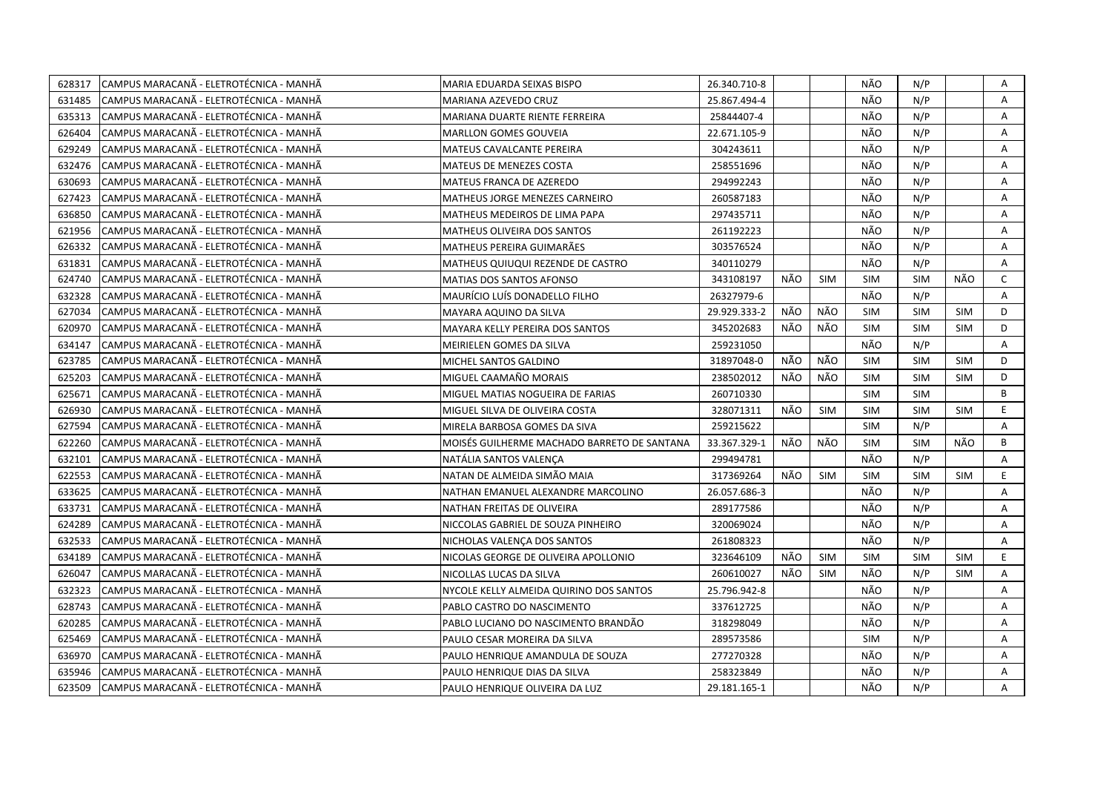| 628317 | CAMPUS MARACANÃ - ELETROTÉCNICA - MANHÃ  | MARIA EDUARDA SEIXAS BISPO                  | 26.340.710-8 |     |            | NÃO        | N/P        |            | Α            |
|--------|------------------------------------------|---------------------------------------------|--------------|-----|------------|------------|------------|------------|--------------|
| 631485 | ICAMPUS MARACANÃ - ELETROTÉCNICA - MANHÃ | MARIANA AZEVEDO CRUZ                        | 25.867.494-4 |     |            | NÃO        | N/P        |            | A            |
| 635313 | CAMPUS MARACANÃ - ELETROTÉCNICA - MANHÃ  | MARIANA DUARTE RIENTE FERREIRA              | 25844407-4   |     |            | NÃO        | N/P        |            | A            |
| 626404 | CAMPUS MARACANÃ - ELETROTÉCNICA - MANHÃ  | <b>MARLLON GOMES GOUVEIA</b>                | 22.671.105-9 |     |            | NÃO        | N/P        |            | Α            |
| 629249 | CAMPUS MARACANÃ - ELETROTÉCNICA - MANHÃ  | MATEUS CAVALCANTE PEREIRA                   | 304243611    |     |            | NÃO        | N/P        |            | A            |
| 632476 | CAMPUS MARACANÃ - ELETROTÉCNICA - MANHÃ  | MATEUS DE MENEZES COSTA                     | 258551696    |     |            | NÃO        | N/P        |            | Α            |
| 630693 | ICAMPUS MARACANA - ELETROTÉCNICA - MANHÀ | MATEUS FRANCA DE AZEREDO                    | 294992243    |     |            | NÃO        | N/P        |            | Α            |
| 627423 | CAMPUS MARACANÃ - ELETROTÉCNICA - MANHÃ  | MATHEUS JORGE MENEZES CARNEIRO              | 260587183    |     |            | NÃO        | N/P        |            | Α            |
| 636850 | CAMPUS MARACANA - ELETROTÉCNICA - MANHA  | MATHEUS MEDEIROS DE LIMA PAPA               | 297435711    |     |            | NÃO        | N/P        |            | A            |
| 621956 | CAMPUS MARACANÃ - ELETROTÉCNICA - MANHÃ  | <b>MATHEUS OLIVEIRA DOS SANTOS</b>          | 261192223    |     |            | NÃO        | N/P        |            | A            |
| 626332 | CAMPUS MARACANA - ELETROTÉCNICA - MANHA  | MATHEUS PEREIRA GUIMARÃES                   | 303576524    |     |            | NÃO        | N/P        |            | Α            |
| 631831 | CAMPUS MARACANÃ - ELETROTÉCNICA - MANHÃ  | MATHEUS QUIUQUI REZENDE DE CASTRO           | 340110279    |     |            | NÃO        | N/P        |            | A            |
| 624740 | CAMPUS MARACANÃ - ELETROTÉCNICA - MANHÃ  | <b>MATIAS DOS SANTOS AFONSO</b>             | 343108197    | NÃO | SIM        | <b>SIM</b> | <b>SIM</b> | NÃO        | $\mathsf{C}$ |
| 632328 | CAMPUS MARACANÃ - ELETROTÉCNICA - MANHÃ  | <b>MAURÍCIO LUÍS DONADELLO FILHO</b>        | 26327979-6   |     |            | NÃO        | N/P        |            | A            |
| 627034 | CAMPUS MARACANÃ - ELETROTÉCNICA - MANHÃ  | MAYARA AQUINO DA SILVA                      | 29.929.333-2 | NÃO | NÃO        | <b>SIM</b> | <b>SIM</b> | <b>SIM</b> | D            |
| 620970 | ICAMPUS MARACANÃ - ELETROTÉCNICA - MANHÃ | <b>MAYARA KELLY PEREIRA DOS SANTOS</b>      | 345202683    | NÃO | NÃO        | <b>SIM</b> | <b>SIM</b> | <b>SIM</b> | D            |
| 634147 | CAMPUS MARACANÃ - ELETROTÉCNICA - MANHÃ  | MEIRIELEN GOMES DA SILVA                    | 259231050    |     |            | NÃO        | N/P        |            | A            |
| 623785 | CAMPUS MARACANA - ELETROTÉCNICA - MANHA  | MICHEL SANTOS GALDINO                       | 31897048-0   | NÃO | NÃO        | <b>SIM</b> | <b>SIM</b> | <b>SIM</b> | D            |
| 625203 | CAMPUS MARACANÃ - ELETROTÉCNICA - MANHÃ  | MIGUEL CAAMAÑO MORAIS                       | 238502012    | NÃO | NÃO        | <b>SIM</b> | <b>SIM</b> | <b>SIM</b> | D            |
| 625671 | CAMPUS MARACANÃ - ELETROTÉCNICA - MANHÃ  | MIGUEL MATIAS NOGUEIRA DE FARIAS            | 260710330    |     |            | <b>SIM</b> | <b>SIM</b> |            | B            |
| 626930 | CAMPUS MARACANÃ - ELETROTÉCNICA - MANHÃ  | MIGUEL SILVA DE OLIVEIRA COSTA              | 328071311    | NÃO | SIM        | <b>SIM</b> | <b>SIM</b> | SIM        | E.           |
| 627594 | CAMPUS MARACANÃ - ELETROTÉCNICA - MANHÃ  | MIRELA BARBOSA GOMES DA SIVA                | 259215622    |     |            | <b>SIM</b> | N/P        |            | Α            |
| 622260 | ICAMPUS MARACANÃ - ELETROTÉCNICA - MANHÃ | MOISÉS GUILHERME MACHADO BARRETO DE SANTANA | 33.367.329-1 | NÃO | NÃO        | <b>SIM</b> | <b>SIM</b> | NÃO        | B            |
| 632101 | CAMPUS MARACANÃ - ELETROTÉCNICA - MANHÃ  | NATÁLIA SANTOS VALENÇA                      | 299494781    |     |            | NÃO        | N/P        |            | A            |
| 622553 | CAMPUS MARACANA - ELETROTÉCNICA - MANHA  | NATAN DE ALMEIDA SIMÃO MAIA                 | 317369264    | NÃO | <b>SIM</b> | <b>SIM</b> | <b>SIM</b> | <b>SIM</b> | E.           |
| 633625 | CAMPUS MARACANÃ - ELETROTÉCNICA - MANHÃ  | NATHAN EMANUEL ALEXANDRE MARCOLINO          | 26.057.686-3 |     |            | NÃO        | N/P        |            | A            |
| 633731 | CAMPUS MARACANĂ - ELETROTÉCNICA - MANHÃ  | NATHAN FREITAS DE OLIVEIRA                  | 289177586    |     |            | NÃO        | N/P        |            | Α            |
| 624289 | CAMPUS MARACANÃ - ELETROTÉCNICA - MANHÃ  | NICCOLAS GABRIEL DE SOUZA PINHEIRO          | 320069024    |     |            | NÃO        | N/P        |            | A            |
| 632533 | CAMPUS MARACANÃ - ELETROTÉCNICA - MANHÃ  | NICHOLAS VALENÇA DOS SANTOS                 | 261808323    |     |            | NÃO        | N/P        |            | Α            |
| 634189 | CAMPUS MARACANÃ - ELETROTÉCNICA - MANHÃ  | NICOLAS GEORGE DE OLIVEIRA APOLLONIO        | 323646109    | NÃO | <b>SIM</b> | <b>SIM</b> | <b>SIM</b> | <b>SIM</b> | E            |
| 626047 | CAMPUS MARACANÃ - ELETROTÉCNICA - MANHÃ  | NICOLLAS LUCAS DA SILVA                     | 260610027    | NÃO | <b>SIM</b> | NÃO        | N/P        | <b>SIM</b> | A            |
| 632323 | CAMPUS MARACANÃ - ELETROTÉCNICA - MANHÃ  | NYCOLE KELLY ALMEIDA QUIRINO DOS SANTOS     | 25.796.942-8 |     |            | NÃO        | N/P        |            | Α            |
| 628743 | CAMPUS MARACANÃ - ELETROTÉCNICA - MANHÃ  | PABLO CASTRO DO NASCIMENTO                  | 337612725    |     |            | NÃO        | N/P        |            | Α            |
| 620285 | CAMPUS MARACANÃ - ELETROTÉCNICA - MANHÃ  | PABLO LUCIANO DO NASCIMENTO BRANDÃO         | 318298049    |     |            | NÃO        | N/P        |            | Α            |
| 625469 | CAMPUS MARACANÃ - ELETROTÉCNICA - MANHÃ  | PAULO CESAR MOREIRA DA SILVA                | 289573586    |     |            | <b>SIM</b> | N/P        |            | A            |
| 636970 | CAMPUS MARACANÃ - ELETROTÉCNICA - MANHÃ  | PAULO HENRIQUE AMANDULA DE SOUZA            | 277270328    |     |            | NÃO        | N/P        |            | Α            |
| 635946 | ICAMPUS MARACANÃ - ELETROTÉCNICA - MANHÃ | PAULO HENRIQUE DIAS DA SILVA                | 258323849    |     |            | NÃO        | N/P        |            | A            |
| 623509 | CAMPUS MARACANÃ - ELETROTÉCNICA - MANHÃ  | PAULO HENRIQUE OLIVEIRA DA LUZ              | 29.181.165-1 |     |            | NÃO        | N/P        |            | A            |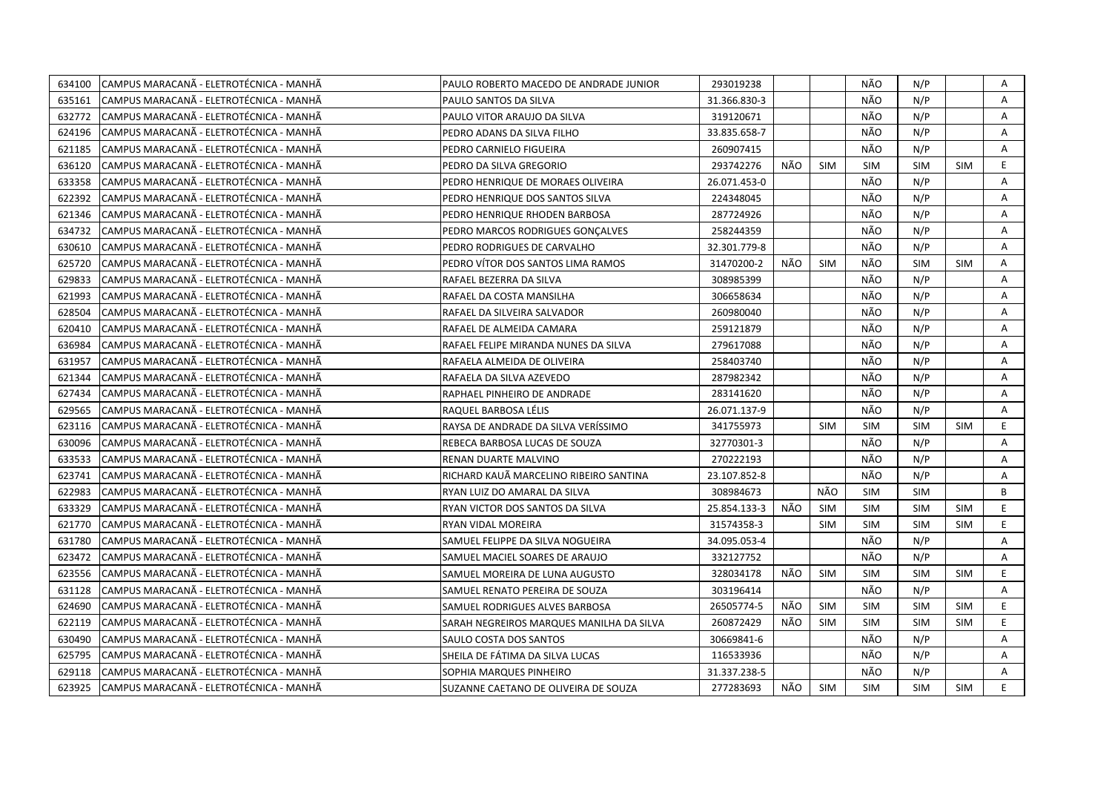| 634100 | CAMPUS MARACANÃ - ELETROTÉCNICA - MANHÃ | PAULO ROBERTO MACEDO DE ANDRADE JUNIOR   | 293019238    |     |            | NÃO        | N/P        |            | Α            |
|--------|-----------------------------------------|------------------------------------------|--------------|-----|------------|------------|------------|------------|--------------|
| 635161 | CAMPUS MARACANÃ - ELETROTÉCNICA - MANHÃ | PAULO SANTOS DA SILVA                    | 31.366.830-3 |     |            | NÃO        | N/P        |            | A            |
| 632772 | CAMPUS MARACANÃ - ELETROTÉCNICA - MANHÃ | PAULO VITOR ARAUJO DA SILVA              | 319120671    |     |            | NÃO        | N/P        |            | A            |
| 624196 | CAMPUS MARACANA - ELETROTÉCNICA - MANHÀ | PEDRO ADANS DA SILVA FILHO               | 33.835.658-7 |     |            | NÃO        | N/P        |            | A            |
| 621185 | CAMPUS MARACANA - ELETROTÉCNICA - MANHÀ | PEDRO CARNIELO FIGUEIRA                  | 260907415    |     |            | NÃO        | N/P        |            | A            |
| 636120 | CAMPUS MARACANÃ - ELETROTÉCNICA - MANHÃ | PEDRO DA SILVA GREGORIO                  | 293742276    | NÃO | <b>SIM</b> | <b>SIM</b> | <b>SIM</b> | <b>SIM</b> | E            |
| 633358 | CAMPUS MARACANA - ELETROTÉCNICA - MANHA | PEDRO HENRIQUE DE MORAES OLIVEIRA        | 26.071.453-0 |     |            | NÃO        | N/P        |            | A            |
| 622392 | CAMPUS MARACANÃ - ELETROTÉCNICA - MANHÃ | PEDRO HENRIQUE DOS SANTOS SILVA          | 224348045    |     |            | NÃO        | N/P        |            | A            |
| 621346 | CAMPUS MARACANÃ - ELETROTÉCNICA - MANHÃ | PEDRO HENRIQUE RHODEN BARBOSA            | 287724926    |     |            | NÃO        | N/P        |            | Α            |
| 634732 | CAMPUS MARACANÃ - ELETROTÉCNICA - MANHÃ | PEDRO MARCOS RODRIGUES GONCALVES         | 258244359    |     |            | NÃO        | N/P        |            | A            |
| 630610 | CAMPUS MARACANÃ - ELETROTÉCNICA - MANHÃ | PEDRO RODRIGUES DE CARVALHO              | 32.301.779-8 |     |            | NÃO        | N/P        |            | A            |
| 625720 | CAMPUS MARACANA - ELETROTÉCNICA - MANHA | PEDRO VÍTOR DOS SANTOS LIMA RAMOS        | 31470200-2   | NÃO | <b>SIM</b> | NÃO        | <b>SIM</b> | <b>SIM</b> | A            |
| 629833 | CAMPUS MARACANÃ - ELETROTÉCNICA - MANHÃ | RAFAEL BEZERRA DA SILVA                  | 308985399    |     |            | NÃO        | N/P        |            | Α            |
| 621993 | CAMPUS MARACANÃ - ELETROTÉCNICA - MANHÃ | RAFAEL DA COSTA MANSILHA                 | 306658634    |     |            | NÃO        | N/P        |            | Α            |
| 628504 | CAMPUS MARACANÃ - ELETROTÉCNICA - MANHÃ | RAFAEL DA SILVEIRA SALVADOR              | 260980040    |     |            | NÃO        | N/P        |            | Α            |
| 620410 | CAMPUS MARACANÃ - ELETROTÉCNICA - MANHÃ | RAFAEL DE ALMEIDA CAMARA                 | 259121879    |     |            | NÃO        | N/P        |            | A            |
| 636984 | CAMPUS MARACANÃ - ELETROTÉCNICA - MANHÃ | RAFAEL FELIPE MIRANDA NUNES DA SILVA     | 279617088    |     |            | NÃO        | N/P        |            | $\mathsf{A}$ |
| 631957 | CAMPUS MARACANÃ - ELETROTÉCNICA - MANHÃ | RAFAELA ALMEIDA DE OLIVEIRA              | 258403740    |     |            | NÃO        | N/P        |            | A            |
| 621344 | CAMPUS MARACANÃ - ELETROTÉCNICA - MANHÃ | RAFAELA DA SILVA AZEVEDO                 | 287982342    |     |            | NÃO        | N/P        |            | Α            |
| 627434 | CAMPUS MARACANÃ - ELETROTÉCNICA - MANHÃ | RAPHAEL PINHEIRO DE ANDRADE              | 283141620    |     |            | NÃO        | N/P        |            | A            |
| 629565 | CAMPUS MARACANÃ - ELETROTÉCNICA - MANHÃ | RAQUEL BARBOSA LÉLIS                     | 26.071.137-9 |     |            | NÃO        | N/P        |            | A            |
| 623116 | CAMPUS MARACANA - ELETROTÉCNICA - MANHA | RAYSA DE ANDRADE DA SILVA VERÍSSIMO      | 341755973    |     | <b>SIM</b> | <b>SIM</b> | <b>SIM</b> | <b>SIM</b> | E.           |
| 630096 | CAMPUS MARACANÃ - ELETROTÉCNICA - MANHÃ | REBECA BARBOSA LUCAS DE SOUZA            | 32770301-3   |     |            | NÃO        | N/P        |            | A            |
| 633533 | CAMPUS MARACANÃ - ELETROTÉCNICA - MANHÃ | RENAN DUARTE MALVINO                     | 270222193    |     |            | NÃO        | N/P        |            | Α            |
| 623741 | CAMPUS MARACANÃ - ELETROTÉCNICA - MANHÃ | RICHARD KAUÃ MARCELINO RIBEIRO SANTINA   | 23.107.852-8 |     |            | NÃO        | N/P        |            | A            |
| 622983 | CAMPUS MARACANA - ELETROTÉCNICA - MANHA | RYAN LUIZ DO AMARAL DA SILVA             | 308984673    |     | NÃO        | <b>SIM</b> | <b>SIM</b> |            | B            |
| 633329 | CAMPUS MARACANÃ - ELETROTÉCNICA - MANHÃ | RYAN VICTOR DOS SANTOS DA SILVA          | 25.854.133-3 | NÃO | <b>SIM</b> | <b>SIM</b> | <b>SIM</b> | <b>SIM</b> | E            |
| 621770 | CAMPUS MARACANÃ - ELETROTÉCNICA - MANHÃ | RYAN VIDAL MOREIRA                       | 31574358-3   |     | <b>SIM</b> | <b>SIM</b> | <b>SIM</b> | <b>SIM</b> | E.           |
| 631780 | CAMPUS MARACANÃ - ELETROTÉCNICA - MANHÃ | SAMUEL FELIPPE DA SILVA NOGUEIRA         | 34.095.053-4 |     |            | NÃO        | N/P        |            | A            |
| 623472 | CAMPUS MARACANÃ - ELETROTÉCNICA - MANHÃ | SAMUEL MACIEL SOARES DE ARAUJO           | 332127752    |     |            | NÃO        | N/P        |            | A            |
| 623556 | CAMPUS MARACANA - ELETROTÉCNICA - MANHA | SAMUEL MOREIRA DE LUNA AUGUSTO           | 328034178    | NÃO | <b>SIM</b> | <b>SIM</b> | <b>SIM</b> | <b>SIM</b> | E.           |
| 631128 | CAMPUS MARACANA - ELETROTÉCNICA - MANHA | SAMUEL RENATO PEREIRA DE SOUZA           | 303196414    |     |            | NÃO        | N/P        |            | A            |
| 624690 | CAMPUS MARACANÃ - ELETROTÉCNICA - MANHÃ | SAMUEL RODRIGUES ALVES BARBOSA           | 26505774-5   | NÃO | <b>SIM</b> | <b>SIM</b> | <b>SIM</b> | <b>SIM</b> | E            |
| 622119 | CAMPUS MARACANÃ - ELETROTÉCNICA - MANHÃ | SARAH NEGREIROS MARQUES MANILHA DA SILVA | 260872429    | NÃO | <b>SIM</b> | <b>SIM</b> | <b>SIM</b> | <b>SIM</b> | E.           |
| 630490 | CAMPUS MARACANÃ - ELETROTÉCNICA - MANHÃ | SAULO COSTA DOS SANTOS                   | 30669841-6   |     |            | NÃO        | N/P        |            | A            |
| 625795 | CAMPUS MARACANÃ - ELETROTÉCNICA - MANHÃ | SHEILA DE FÁTIMA DA SILVA LUCAS          | 116533936    |     |            | NÃO        | N/P        |            | Α            |
| 629118 | CAMPUS MARACANA - ELETROTÉCNICA - MANHÀ | SOPHIA MARQUES PINHEIRO                  | 31.337.238-5 |     |            | NÃO        | N/P        |            | A            |
| 623925 | CAMPUS MARACANÃ - ELETROTÉCNICA - MANHÃ | SUZANNE CAETANO DE OLIVEIRA DE SOUZA     | 277283693    | NÃO | <b>SIM</b> | SIM        | <b>SIM</b> | <b>SIM</b> | E.           |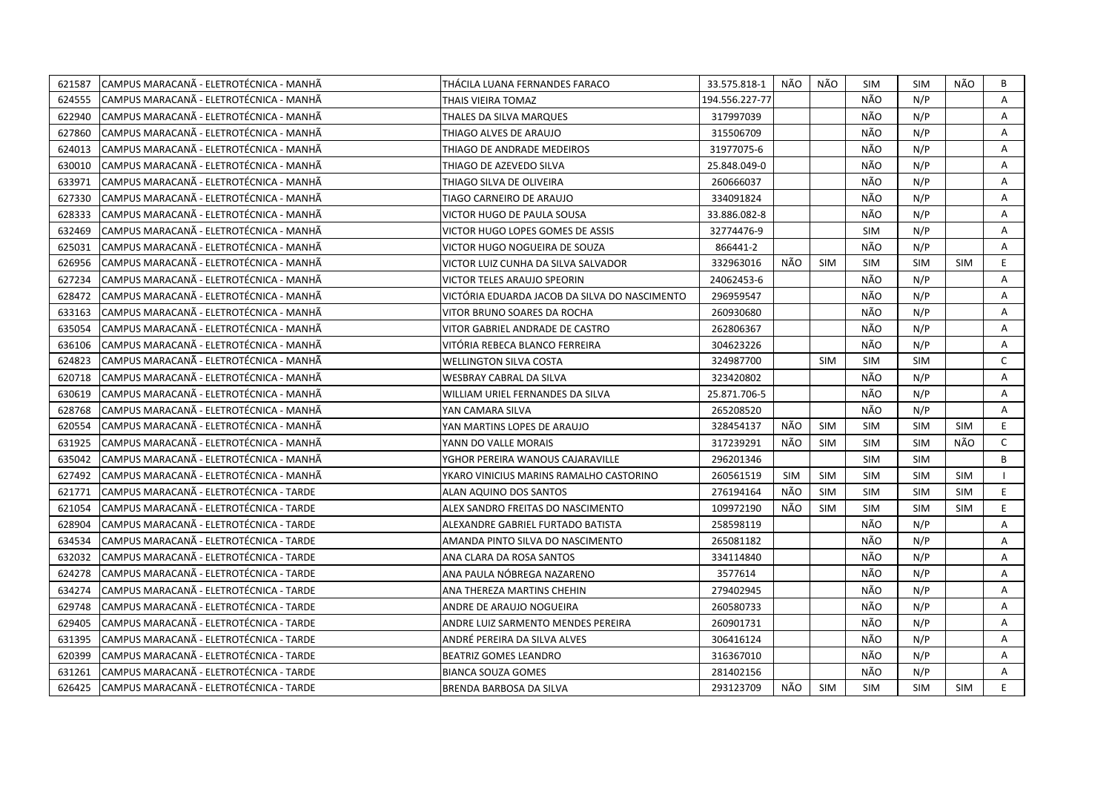| 621587 | CAMPUS MARACANÃ - ELETROTÉCNICA - MANHÃ  | THÁCILA LUANA FERNANDES FARACO                | 33.575.818-1   | NÃO        | NÃO        | SIM        | <b>SIM</b> | NÃO        | B            |
|--------|------------------------------------------|-----------------------------------------------|----------------|------------|------------|------------|------------|------------|--------------|
| 624555 | CAMPUS MARACANA - ELETROTÉCNICA - MANHA  | THAIS VIEIRA TOMAZ                            | 194.556.227-77 |            |            | NÃO        | N/P        |            | A            |
| 622940 | CAMPUS MARACANÃ - ELETROTÉCNICA - MANHÃ  | THALES DA SILVA MARQUES                       | 317997039      |            |            | NÃO        | N/P        |            | A            |
| 627860 | CAMPUS MARACANÃ - ELETROTÉCNICA - MANHÃ  | THIAGO ALVES DE ARAUJO                        | 315506709      |            |            | NÃO        | N/P        |            | Α            |
| 624013 | CAMPUS MARACANÃ - ELETROTÉCNICA - MANHÃ  | THIAGO DE ANDRADE MEDEIROS                    | 31977075-6     |            |            | NÃO        | N/P        |            | Α            |
| 630010 | CAMPUS MARACANÃ - ELETROTÉCNICA - MANHÃ  | THIAGO DE AZEVEDO SILVA                       | 25.848.049-0   |            |            | NÃO        | N/P        |            | Α            |
| 633971 | ICAMPUS MARACANA - ELETROTÉCNICA - MANHA | THIAGO SILVA DE OLIVEIRA                      | 260666037      |            |            | NÃO        | N/P        |            | A            |
| 627330 | CAMPUS MARACANÃ - ELETROTÉCNICA - MANHÃ  | TIAGO CARNEIRO DE ARAUJO                      | 334091824      |            |            | NÃO        | N/P        |            | Α            |
| 628333 | CAMPUS MARACANÃ - ELETROTÉCNICA - MANHÃ  | VICTOR HUGO DE PAULA SOUSA                    | 33.886.082-8   |            |            | NÃO        | N/P        |            | A            |
| 632469 | CAMPUS MARACANÃ - ELETROTÉCNICA - MANHÃ  | VICTOR HUGO LOPES GOMES DE ASSIS              | 32774476-9     |            |            | <b>SIM</b> | N/P        |            | A            |
| 625031 | CAMPUS MARACANA - ELETROTÉCNICA - MANHA  | VICTOR HUGO NOGUEIRA DE SOUZA                 | 866441-2       |            |            | NÃO        | N/P        |            | Α            |
| 626956 | CAMPUS MARACANÃ - ELETROTÉCNICA - MANHÃ  | VICTOR LUIZ CUNHA DA SILVA SALVADOR           | 332963016      | NÃO        | <b>SIM</b> | <b>SIM</b> | <b>SIM</b> | <b>SIM</b> | E            |
| 627234 | CAMPUS MARACANÃ - ELETROTÉCNICA - MANHÃ  | VICTOR TELES ARAUJO SPEORIN                   | 24062453-6     |            |            | NÃO        | N/P        |            | Α            |
| 628472 | CAMPUS MARACANÃ - ELETROTÉCNICA - MANHÃ  | VICTÓRIA EDUARDA JACOB DA SILVA DO NASCIMENTO | 296959547      |            |            | NÃO        | N/P        |            | A            |
| 633163 | CAMPUS MARACANÃ - ELETROTÉCNICA - MANHÃ  | VITOR BRUNO SOARES DA ROCHA                   | 260930680      |            |            | NÃO        | N/P        |            | Α            |
| 635054 | CAMPUS MARACANÃ - ELETROTÉCNICA - MANHÃ  | VITOR GABRIEL ANDRADE DE CASTRO               | 262806367      |            |            | NÃO        | N/P        |            | A            |
| 636106 | CAMPUS MARACANÃ - ELETROTÉCNICA - MANHÃ  | VITÓRIA REBECA BLANCO FERREIRA                | 304623226      |            |            | NÃO        | N/P        |            | A            |
| 624823 | CAMPUS MARACANA - ELETROTÉCNICA - MANHA  | <b>WELLINGTON SILVA COSTA</b>                 | 324987700      |            | <b>SIM</b> | <b>SIM</b> | <b>SIM</b> |            | $\mathsf{C}$ |
| 620718 | CAMPUS MARACANÃ - ELETROTÉCNICA - MANHÃ  | WESBRAY CABRAL DA SILVA                       | 323420802      |            |            | NÃO        | N/P        |            | A            |
| 630619 | CAMPUS MARACANÃ - ELETROTÉCNICA - MANHÃ  | WILLIAM URIEL FERNANDES DA SILVA              | 25.871.706-5   |            |            | NÃO        | N/P        |            | Α            |
| 628768 | CAMPUS MARACANÃ - ELETROTÉCNICA - MANHÃ  | YAN CAMARA SILVA                              | 265208520      |            |            | NÃO        | N/P        |            | A            |
| 620554 | CAMPUS MARACANA - ELETROTÉCNICA - MANHA  | YAN MARTINS LOPES DE ARAUJO                   | 328454137      | NÃO        | <b>SIM</b> | <b>SIM</b> | <b>SIM</b> | <b>SIM</b> | E.           |
| 631925 |                                          | YANN DO VALLE MORAIS                          | 317239291      | NÃO        | <b>SIM</b> |            |            | NÃO        | $\mathsf{C}$ |
|        | CAMPUS MARACANA - ELETROTÉCNICA - MANHA  |                                               |                |            |            | <b>SIM</b> | <b>SIM</b> |            |              |
| 635042 | CAMPUS MARACANÃ - ELETROTÉCNICA - MANHÃ  | YGHOR PEREIRA WANOUS CAJARAVILLE              | 296201346      |            |            | <b>SIM</b> | <b>SIM</b> |            | B            |
| 627492 | CAMPUS MARACANA - ELETROTÉCNICA - MANHA  | YKARO VINICIUS MARINS RAMALHO CASTORINO       | 260561519      | <b>SIM</b> | <b>SIM</b> | <b>SIM</b> | <b>SIM</b> | <b>SIM</b> |              |
| 621771 | CAMPUS MARACANÃ - ELETROTÉCNICA - TARDE  | ALAN AQUINO DOS SANTOS                        | 276194164      | NÃO        | SIM        | <b>SIM</b> | <b>SIM</b> | <b>SIM</b> | E            |
| 621054 | CAMPUS MARACANÃ - ELETROTÉCNICA - TARDE  | ALEX SANDRO FREITAS DO NASCIMENTO             | 109972190      | NÃO        | <b>SIM</b> | <b>SIM</b> | <b>SIM</b> | <b>SIM</b> | E.           |
| 628904 | CAMPUS MARACANÃ - ELETROTÉCNICA - TARDE  | ALEXANDRE GABRIEL FURTADO BATISTA             | 258598119      |            |            | NÃO        | N/P        |            | A            |
| 634534 | CAMPUS MARACANÃ - ELETROTÉCNICA - TARDE  | AMANDA PINTO SILVA DO NASCIMENTO              | 265081182      |            |            | NÃO        | N/P        |            | Α            |
| 632032 | CAMPUS MARACANA - ELETROTÉCNICA - TARDE  | ANA CLARA DA ROSA SANTOS                      | 334114840      |            |            | NÃO        | N/P        |            | A            |
| 624278 | CAMPUS MARACANA - ELETROTÉCNICA - TARDE  | ANA PAULA NÓBREGA NAZARENO                    | 3577614        |            |            | NÃO        | N/P        |            | Α            |
| 634274 | CAMPUS MARACANÃ - ELETROTÉCNICA - TARDE  | ANA THEREZA MARTINS CHEHIN                    | 279402945      |            |            | NÃO        | N/P        |            | A            |
| 629748 | CAMPUS MARACANÃ - ELETROTÉCNICA - TARDE  | ANDRE DE ARAUJO NOGUEIRA                      | 260580733      |            |            | NÃO        | N/P        |            | A            |
| 629405 | CAMPUS MARACANA - ELETROTÉCNICA - TARDE  | ANDRE LUIZ SARMENTO MENDES PEREIRA            | 260901731      |            |            | NÃO        | N/P        |            | Α            |
| 631395 | CAMPUS MARACANÃ - ELETROTÉCNICA - TARDE  | ANDRÉ PEREIRA DA SILVA ALVES                  | 306416124      |            |            | NÃO        | N/P        |            | A            |
| 620399 | CAMPUS MARACANÃ - ELETROTÉCNICA - TARDE  | BEATRIZ GOMES LEANDRO                         | 316367010      |            |            | NÃO        | N/P        |            | A            |
| 631261 | CAMPUS MARACANA - ELETROTÉCNICA - TARDE  | <b>BIANCA SOUZA GOMES</b>                     | 281402156      |            |            | NÃO        | N/P        |            | A            |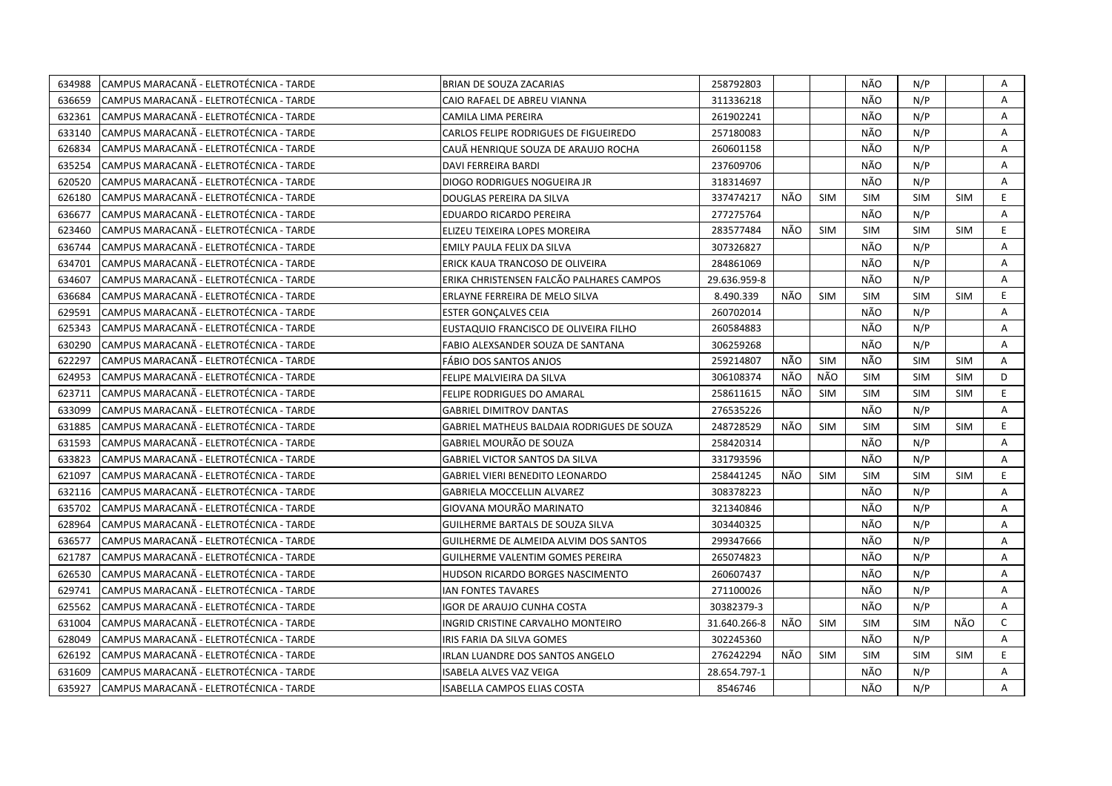| 634988 | CAMPUS MARACANA - ELETROTÉCNICA - TARDE | BRIAN DE SOUZA ZACARIAS                           | 258792803    |     |            | NÃO        | N/P        |            | Α            |
|--------|-----------------------------------------|---------------------------------------------------|--------------|-----|------------|------------|------------|------------|--------------|
| 636659 | CAMPUS MARACANÃ - ELETROTÉCNICA - TARDE | CAIO RAFAEL DE ABREU VIANNA                       | 311336218    |     |            | NÃO        | N/P        |            | A            |
| 632361 | CAMPUS MARACANÃ - ELETROTÉCNICA - TARDE | CAMILA LIMA PEREIRA                               | 261902241    |     |            | NÃO        | N/P        |            | Α            |
| 633140 | CAMPUS MARACANÃ - ELETROTÉCNICA - TARDE | CARLOS FELIPE RODRIGUES DE FIGUEIREDO             | 257180083    |     |            | NÃO        | N/P        |            | Α            |
| 626834 | CAMPUS MARACANÃ - ELETROTÉCNICA - TARDE | CAUÃ HENRIQUE SOUZA DE ARAUJO ROCHA               | 260601158    |     |            | NÃO        | N/P        |            | Α            |
| 635254 | CAMPUS MARACANÃ - ELETROTÉCNICA - TARDE | DAVI FERREIRA BARDI                               | 237609706    |     |            | NÃO        | N/P        |            | Α            |
| 620520 | CAMPUS MARACANÃ - ELETROTÉCNICA - TARDE | DIOGO RODRIGUES NOGUEIRA JR                       | 318314697    |     |            | NÃO        | N/P        |            | A            |
| 626180 | CAMPUS MARACANÃ - ELETROTÉCNICA - TARDE | DOUGLAS PEREIRA DA SILVA                          | 337474217    | NÃO | <b>SIM</b> | <b>SIM</b> | <b>SIM</b> | <b>SIM</b> | E.           |
| 636677 | CAMPUS MARACANÃ - ELETROTÉCNICA - TARDE | EDUARDO RICARDO PEREIRA                           | 277275764    |     |            | NÃO        | N/P        |            | A            |
| 623460 | CAMPUS MARACANÃ - ELETROTÉCNICA - TARDE | ELIZEU TEIXEIRA LOPES MOREIRA                     | 283577484    | NÃO | <b>SIM</b> | <b>SIM</b> | <b>SIM</b> | <b>SIM</b> | E.           |
| 636744 | CAMPUS MARACANÃ - ELETROTÉCNICA - TARDE | EMILY PAULA FELIX DA SILVA                        | 307326827    |     |            | NÃO        | N/P        |            | Α            |
| 634701 | CAMPUS MARACANÃ - ELETROTÉCNICA - TARDE | ERICK KAUA TRANCOSO DE OLIVEIRA                   | 284861069    |     |            | NÃO        | N/P        |            | A            |
| 634607 | CAMPUS MARACANÃ - ELETROTÉCNICA - TARDE | ERIKA CHRISTENSEN FALCÃO PALHARES CAMPOS          | 29.636.959-8 |     |            | NÃO        | N/P        |            | A            |
| 636684 | CAMPUS MARACANÃ - ELETROTÉCNICA - TARDE | ERLAYNE FERREIRA DE MELO SILVA                    | 8.490.339    | NÃO | SIM        | <b>SIM</b> | <b>SIM</b> | <b>SIM</b> | E.           |
| 629591 | CAMPUS MARACANÃ - ELETROTÉCNICA - TARDE | <b>ESTER GONÇALVES CEIA</b>                       | 260702014    |     |            | NÃO        | N/P        |            | A            |
| 625343 | CAMPUS MARACANÃ - ELETROTÉCNICA - TARDE | EUSTAQUIO FRANCISCO DE OLIVEIRA FILHO             | 260584883    |     |            | NÃO        | N/P        |            | A            |
| 630290 | CAMPUS MARACANÃ - ELETROTÉCNICA - TARDE | FABIO ALEXSANDER SOUZA DE SANTANA                 | 306259268    |     |            | NÃO        | N/P        |            | A            |
| 622297 | CAMPUS MARACANÃ - ELETROTÉCNICA - TARDE | FÁBIO DOS SANTOS ANJOS                            | 259214807    | NÃO | <b>SIM</b> | NÃO        | <b>SIM</b> | <b>SIM</b> | A            |
| 624953 | CAMPUS MARACANÃ - ELETROTÉCNICA - TARDE | FELIPE MALVIEIRA DA SILVA                         | 306108374    | NÃO | NÃO        | <b>SIM</b> | <b>SIM</b> | <b>SIM</b> | D            |
| 623711 | CAMPUS MARACANÃ - ELETROTÉCNICA - TARDE | FELIPE RODRIGUES DO AMARAL                        | 258611615    | NÃO | <b>SIM</b> | <b>SIM</b> | <b>SIM</b> | <b>SIM</b> | E.           |
| 633099 | CAMPUS MARACANÃ - ELETROTÉCNICA - TARDE | <b>GABRIEL DIMITROV DANTAS</b>                    | 276535226    |     |            | NÃO        | N/P        |            | A            |
| 631885 | CAMPUS MARACANA - ELETROTÉCNICA - TARDE | <b>GABRIEL MATHEUS BALDAIA RODRIGUES DE SOUZA</b> | 248728529    | NÃO | <b>SIM</b> | <b>SIM</b> | <b>SIM</b> | <b>SIM</b> | E.           |
| 631593 | CAMPUS MARACANÃ - ELETROTÉCNICA - TARDE | GABRIEL MOURÃO DE SOUZA                           | 258420314    |     |            | NÃO        | N/P        |            | A            |
| 633823 | CAMPUS MARACANA - ELETROTÉCNICA - TARDE | GABRIEL VICTOR SANTOS DA SILVA                    | 331793596    |     |            | NÃO        | N/P        |            | A            |
| 621097 | CAMPUS MARACANÃ - ELETROTÉCNICA - TARDE | <b>GABRIEL VIERI BENEDITO LEONARDO</b>            | 258441245    | NÃO | <b>SIM</b> | <b>SIM</b> | <b>SIM</b> | <b>SIM</b> | E.           |
| 632116 | CAMPUS MARACANÃ - ELETROTÉCNICA - TARDE | GABRIELA MOCCELLIN ALVAREZ                        | 308378223    |     |            | NÃO        | N/P        |            | A            |
| 635702 | CAMPUS MARACANÃ - ELETROTÉCNICA - TARDE | GIOVANA MOURÃO MARINATO                           | 321340846    |     |            | NÃO        | N/P        |            | A            |
| 628964 | CAMPUS MARACANÃ - ELETROTÉCNICA - TARDE | GUILHERME BARTALS DE SOUZA SILVA                  | 303440325    |     |            | NÃO        | N/P        |            | Α            |
| 636577 | CAMPUS MARACANÃ - ELETROTÉCNICA - TARDE | GUILHERME DE ALMEIDA ALVIM DOS SANTOS             | 299347666    |     |            | NÃO        | N/P        |            | A            |
| 621787 | CAMPUS MARACANÃ - ELETROTÉCNICA - TARDE | <b>GUILHERME VALENTIM GOMES PEREIRA</b>           | 265074823    |     |            | NÃO        | N/P        |            | Α            |
| 626530 | CAMPUS MARACANÃ - ELETROTÉCNICA - TARDE | HUDSON RICARDO BORGES NASCIMENTO                  | 260607437    |     |            | NÃO        | N/P        |            | Α            |
| 629741 | CAMPUS MARACANÃ - ELETROTÉCNICA - TARDE | IAN FONTES TAVARES                                | 271100026    |     |            | NÃO        | N/P        |            | A            |
| 625562 | CAMPUS MARACANÃ - ELETROTÉCNICA - TARDE | <b>IGOR DE ARAUJO CUNHA COSTA</b>                 | 30382379-3   |     |            | NÃO        | N/P        |            | A            |
| 631004 | CAMPUS MARACANÃ - ELETROTÉCNICA - TARDE | INGRID CRISTINE CARVALHO MONTEIRO                 | 31.640.266-8 | NÃO | <b>SIM</b> | <b>SIM</b> | <b>SIM</b> | NÃO        | $\mathsf{C}$ |
| 628049 | CAMPUS MARACANÃ - ELETROTÉCNICA - TARDE | IRIS FARIA DA SILVA GOMES                         | 302245360    |     |            | NÃO        | N/P        |            | A            |
| 626192 | CAMPUS MARACANÃ - ELETROTÉCNICA - TARDE | IRLAN LUANDRE DOS SANTOS ANGELO                   | 276242294    | NÃO | <b>SIM</b> | <b>SIM</b> | <b>SIM</b> | <b>SIM</b> | E.           |
| 631609 | CAMPUS MARACANA - ELETROTÉCNICA - TARDE | ISABELA ALVES VAZ VEIGA                           | 28.654.797-1 |     |            | NÃO        | N/P        |            | A            |
| 635927 | CAMPUS MARACANÃ - ELETROTÉCNICA - TARDE | ISABELLA CAMPOS ELIAS COSTA                       | 8546746      |     |            | NÃO        | N/P        |            | A            |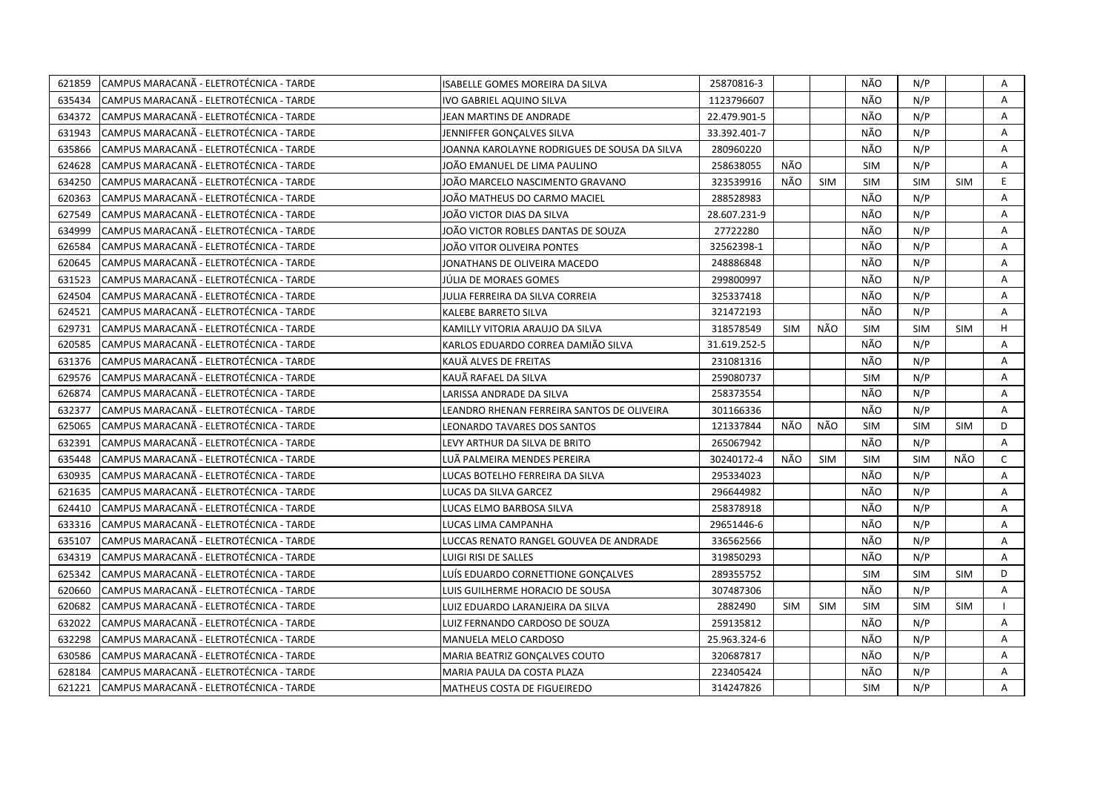| 621859 | CAMPUS MARACANÃ - ELETROTÉCNICA - TARDE | ISABELLE GOMES MOREIRA DA SILVA              | 25870816-3   |            |            | NÃO        | N/P        |            | Α            |
|--------|-----------------------------------------|----------------------------------------------|--------------|------------|------------|------------|------------|------------|--------------|
| 635434 | CAMPUS MARACANÃ - ELETROTÉCNICA - TARDE | IVO GABRIEL AQUINO SILVA                     | 1123796607   |            |            | NÃO        | N/P        |            | A            |
| 634372 | CAMPUS MARACANÃ - ELETROTÉCNICA - TARDE | JEAN MARTINS DE ANDRADE                      | 22.479.901-5 |            |            | NÃO        | N/P        |            | Α            |
| 631943 | CAMPUS MARACANÃ - ELETROTÉCNICA - TARDE | JENNIFFER GONÇALVES SILVA                    | 33.392.401-7 |            |            | NÃO        | N/P        |            | Α            |
| 635866 | CAMPUS MARACANÃ - ELETROTÉCNICA - TARDE | JOANNA KAROLAYNE RODRIGUES DE SOUSA DA SILVA | 280960220    |            |            | NÃO        | N/P        |            | Α            |
| 624628 | CAMPUS MARACANÃ - ELETROTÉCNICA - TARDE | JOÃO EMANUEL DE LIMA PAULINO                 | 258638055    | NÃO        |            | <b>SIM</b> | N/P        |            | Α            |
| 634250 | CAMPUS MARACANÃ - ELETROTÉCNICA - TARDE | JOÃO MARCELO NASCIMENTO GRAVANO              | 323539916    | NÃO        | <b>SIM</b> | <b>SIM</b> | <b>SIM</b> | <b>SIM</b> | E.           |
| 620363 | CAMPUS MARACANÃ - ELETROTÉCNICA - TARDE | JOÃO MATHEUS DO CARMO MACIEL                 | 288528983    |            |            | NÃO        | N/P        |            | A            |
| 627549 | CAMPUS MARACANÃ - ELETROTÉCNICA - TARDE | JOÃO VICTOR DIAS DA SILVA                    | 28.607.231-9 |            |            | NÃO        | N/P        |            | A            |
| 634999 | CAMPUS MARACANA - ELETROTÉCNICA - TARDE | JOÃO VICTOR ROBLES DANTAS DE SOUZA           | 27722280     |            |            | NÃO        | N/P        |            | A            |
| 626584 | CAMPUS MARACANÃ - ELETROTÉCNICA - TARDE | JOÃO VITOR OLIVEIRA PONTES                   | 32562398-1   |            |            | NÃO        | N/P        |            | Α            |
| 620645 | CAMPUS MARACANÃ - ELETROTÉCNICA - TARDE | JONATHANS DE OLIVEIRA MACEDO                 | 248886848    |            |            | NÃO        | N/P        |            | Α            |
| 631523 | CAMPUS MARACANÃ - ELETROTÉCNICA - TARDE | JÚLIA DE MORAES GOMES                        | 299800997    |            |            | NÃO        | N/P        |            | A            |
| 624504 | CAMPUS MARACANÃ - ELETROTÉCNICA - TARDE | JULIA FERREIRA DA SILVA CORREIA              | 325337418    |            |            | NÃO        | N/P        |            | A            |
| 624521 | CAMPUS MARACANÃ - ELETROTÉCNICA - TARDE | KALEBE BARRETO SILVA                         | 321472193    |            |            | NÃO        | N/P        |            | A            |
| 629731 | CAMPUS MARACANA - ELETROTÉCNICA - TARDE | KAMILLY VITORIA ARAUJO DA SILVA              | 318578549    | <b>SIM</b> | NÃO        | <b>SIM</b> | <b>SIM</b> | <b>SIM</b> | H            |
| 620585 | CAMPUS MARACANÃ - ELETROTÉCNICA - TARDE | KARLOS EDUARDO CORREA DAMIÃO SILVA           | 31.619.252-5 |            |            | NÃO        | N/P        |            | Α            |
| 631376 | CAMPUS MARACANA - ELETROTÉCNICA - TARDE | KAUÄ ALVES DE FREITAS                        | 231081316    |            |            | NÃO        | N/P        |            | A            |
| 629576 | CAMPUS MARACANA - ELETROTÉCNICA - TARDE | KAUÃ RAFAEL DA SILVA                         | 259080737    |            |            | <b>SIM</b> | N/P        |            | A            |
| 626874 | CAMPUS MARACANA - ELETROTÉCNICA - TARDE | LARISSA ANDRADE DA SILVA                     | 258373554    |            |            | NÃO        | N/P        |            | A            |
| 632377 | CAMPUS MARACANÃ - ELETROTÉCNICA - TARDE | LEANDRO RHENAN FERREIRA SANTOS DE OLIVEIRA   | 301166336    |            |            | NÃO        | N/P        |            | A            |
| 625065 | CAMPUS MARACANÃ - ELETROTÉCNICA - TARDE | LEONARDO TAVARES DOS SANTOS                  | 121337844    | NÃO        | NÃO        | <b>SIM</b> | <b>SIM</b> | <b>SIM</b> | D            |
| 632391 | CAMPUS MARACANA - ELETROTÉCNICA - TARDE | LEVY ARTHUR DA SILVA DE BRITO                | 265067942    |            |            | NÃO        | N/P        |            | A            |
| 635448 | CAMPUS MARACANÃ - ELETROTÉCNICA - TARDE | LUÄ PALMEIRA MENDES PEREIRA                  | 30240172-4   | NÃO        | <b>SIM</b> | <b>SIM</b> | <b>SIM</b> | NÃO        | $\mathsf{C}$ |
| 630935 | CAMPUS MARACANÃ - ELETROTÉCNICA - TARDE | LUCAS BOTELHO FERREIRA DA SILVA              | 295334023    |            |            | NÃO        | N/P        |            | Α            |
| 621635 | CAMPUS MARACANÃ - ELETROTÉCNICA - TARDE | LUCAS DA SILVA GARCEZ                        | 296644982    |            |            | NÃO        | N/P        |            | A            |
| 624410 | CAMPUS MARACANÃ - ELETROTÉCNICA - TARDE | LUCAS ELMO BARBOSA SILVA                     | 258378918    |            |            | NÃO        | N/P        |            | A            |
| 633316 | CAMPUS MARACANA - ELETROTÉCNICA - TARDE | LUCAS LIMA CAMPANHA                          | 29651446-6   |            |            | NÃO        | N/P        |            | Α            |
| 635107 | CAMPUS MARACANÃ - ELETROTÉCNICA - TARDE | LUCCAS RENATO RANGEL GOUVEA DE ANDRADE       | 336562566    |            |            | NÃO        | N/P        |            | A            |
| 634319 | CAMPUS MARACANÃ - ELETROTÉCNICA - TARDE | LUIGI RISI DE SALLES                         | 319850293    |            |            | NÃO        | N/P        |            | A            |
| 625342 | CAMPUS MARACANÃ - ELETROTÉCNICA - TARDE | LUÍS EDUARDO CORNETTIONE GONÇALVES           | 289355752    |            |            | <b>SIM</b> | SIM        | <b>SIM</b> | D            |
| 620660 | CAMPUS MARACANÃ - ELETROTÉCNICA - TARDE | LUIS GUILHERME HORACIO DE SOUSA              | 307487306    |            |            | NÃO        | N/P        |            | A            |
| 620682 | CAMPUS MARACANA - ELETROTÉCNICA - TARDE | LUIZ EDUARDO LARANJEIRA DA SILVA             | 2882490      | <b>SIM</b> | <b>SIM</b> | <b>SIM</b> | <b>SIM</b> | <b>SIM</b> |              |
| 632022 | CAMPUS MARACANA - ELETROTÉCNICA - TARDE | LUIZ FERNANDO CARDOSO DE SOUZA               | 259135812    |            |            | NÃO        | N/P        |            | A            |
| 632298 | CAMPUS MARACANÃ - ELETROTÉCNICA - TARDE | MANUELA MELO CARDOSO                         | 25.963.324-6 |            |            | NÃO        | N/P        |            | Α            |
| 630586 | CAMPUS MARACANA - ELETROTÉCNICA - TARDE | MARIA BEATRIZ GONÇALVES COUTO                | 320687817    |            |            | NÃO        | N/P        |            | Α            |
| 628184 | CAMPUS MARACANÃ - ELETROTÉCNICA - TARDE | MARIA PAULA DA COSTA PLAZA                   | 223405424    |            |            | NÃO        | N/P        |            | A            |
| 621221 | CAMPUS MARACANÃ - ELETROTÉCNICA - TARDE | MATHEUS COSTA DE FIGUEIREDO                  | 314247826    |            |            | <b>SIM</b> | N/P        |            | A            |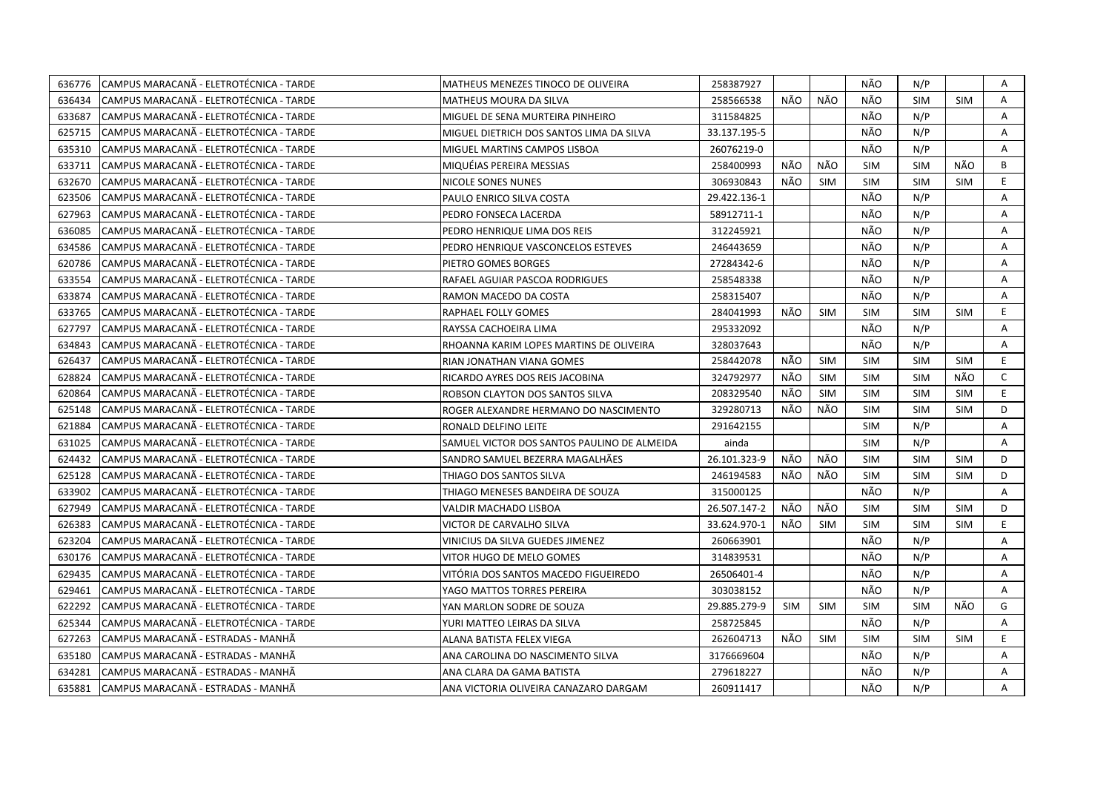| 636776 | CAMPUS MARACANA - ELETROTÉCNICA - TARDE  | MATHEUS MENEZES TINOCO DE OLIVEIRA          | 258387927    |            |            | NÃO        | N/P        |            | Α            |
|--------|------------------------------------------|---------------------------------------------|--------------|------------|------------|------------|------------|------------|--------------|
| 636434 | CAMPUS MARACANÃ - ELETROTÉCNICA - TARDE  | MATHEUS MOURA DA SILVA                      | 258566538    | NÃO        | NÃO        | NÃO        | <b>SIM</b> | <b>SIM</b> | A            |
| 633687 | CAMPUS MARACANÃ - ELETROTÉCNICA - TARDE  | MIGUEL DE SENA MURTEIRA PINHEIRO            | 311584825    |            |            | NÃO        | N/P        |            | A            |
| 625715 | CAMPUS MARACANA - ELETROTECNICA - TARDE  | MIGUEL DIETRICH DOS SANTOS LIMA DA SILVA    | 33.137.195-5 |            |            | NÃO        | N/P        |            | A            |
| 635310 | CAMPUS MARACANÃ - ELETROTÉCNICA - TARDE  | MIGUEL MARTINS CAMPOS LISBOA                | 26076219-0   |            |            | NÃO        | N/P        |            | Α            |
| 633711 | ICAMPUS MARACANÃ - ELETROTÉCNICA - TARDE | MIQUÉIAS PEREIRA MESSIAS                    | 258400993    | NÃO        | NÃO        | <b>SIM</b> | <b>SIM</b> | NÃO        | B            |
| 632670 | CAMPUS MARACANÃ - ELETROTÉCNICA - TARDE  | NICOLE SONES NUNES                          | 306930843    | NÃO        | <b>SIM</b> | <b>SIM</b> | SIM        | <b>SIM</b> | E            |
| 623506 | ICAMPUS MARACANÃ - ELETROTÉCNICA - TARDE | PAULO ENRICO SILVA COSTA                    | 29.422.136-1 |            |            | NÃO        | N/P        |            | A            |
| 627963 | CAMPUS MARACANÃ - ELETROTÉCNICA - TARDE  | PEDRO FONSECA LACERDA                       | 58912711-1   |            |            | NÃO        | N/P        |            | A            |
| 636085 | CAMPUS MARACANÃ - ELETROTÉCNICA - TARDE  | PEDRO HENRIQUE LIMA DOS REIS                | 312245921    |            |            | NÃO        | N/P        |            | A            |
| 634586 | CAMPUS MARACANÃ - ELETROTÉCNICA - TARDE  | PEDRO HENRIQUE VASCONCELOS ESTEVES          | 246443659    |            |            | NÃO        | N/P        |            | A            |
| 620786 | CAMPUS MARACANA - ELETROTÉCNICA - TARDE  | PIETRO GOMES BORGES                         | 27284342-6   |            |            | NÃO        | N/P        |            | A            |
| 633554 | CAMPUS MARACANÃ - ELETROTÉCNICA - TARDE  | RAFAEL AGUIAR PASCOA RODRIGUES              | 258548338    |            |            | NÃO        | N/P        |            | A            |
| 633874 | CAMPUS MARACANA - ELETROTÉCNICA - TARDE  | RAMON MACEDO DA COSTA                       | 258315407    |            |            | NÃO        | N/P        |            | Α            |
| 633765 | CAMPUS MARACANÃ - ELETROTÉCNICA - TARDE  | RAPHAEL FOLLY GOMES                         | 284041993    | NÃO        | <b>SIM</b> | <b>SIM</b> | <b>SIM</b> | <b>SIM</b> | E.           |
| 627797 | CAMPUS MARACANÃ - ELETROTÉCNICA - TARDE  | RAYSSA CACHOEIRA LIMA                       | 295332092    |            |            | NÃO        | N/P        |            | Α            |
| 634843 | CAMPUS MARACANÃ - ELETROTÉCNICA - TARDE  | RHOANNA KARIM LOPES MARTINS DE OLIVEIRA     | 328037643    |            |            | NÃO        | N/P        |            | A            |
| 626437 | CAMPUS MARACANA - ELETROTÉCNICA - TARDE  | RIAN JONATHAN VIANA GOMES                   | 258442078    | NÃO        | <b>SIM</b> | <b>SIM</b> | <b>SIM</b> | <b>SIM</b> | E.           |
| 628824 | CAMPUS MARACANÃ - ELETROTÉCNICA - TARDE  | RICARDO AYRES DOS REIS JACOBINA             | 324792977    | NÃO        | <b>SIM</b> | <b>SIM</b> | <b>SIM</b> | NÃO        | $\mathsf{C}$ |
| 620864 | CAMPUS MARACANÃ - ELETROTÉCNICA - TARDE  | ROBSON CLAYTON DOS SANTOS SILVA             | 208329540    | NÃO        | <b>SIM</b> | <b>SIM</b> | <b>SIM</b> | <b>SIM</b> | E            |
| 625148 | CAMPUS MARACANÃ - ELETROTÉCNICA - TARDE  | ROGER ALEXANDRE HERMANO DO NASCIMENTO       | 329280713    | NÃO        | NÃO        | <b>SIM</b> | <b>SIM</b> | <b>SIM</b> | D            |
| 621884 | CAMPUS MARACANÃ - ELETROTÉCNICA - TARDE  | RONALD DELFINO LEITE                        | 291642155    |            |            | <b>SIM</b> | N/P        |            | Α            |
| 631025 | CAMPUS MARACANÃ - ELETROTÉCNICA - TARDE  | SAMUEL VICTOR DOS SANTOS PAULINO DE ALMEIDA | ainda        |            |            | <b>SIM</b> | N/P        |            | A            |
| 624432 | CAMPUS MARACANA - ELETROTÉCNICA - TARDE  | SANDRO SAMUEL BEZERRA MAGALHÃES             | 26.101.323-9 | NÃO        | NÃO        | <b>SIM</b> | <b>SIM</b> | <b>SIM</b> | D            |
| 625128 | CAMPUS MARACANÃ - ELETROTÉCNICA - TARDE  | THIAGO DOS SANTOS SILVA                     | 246194583    | NÃO        | NÃO        | <b>SIM</b> | <b>SIM</b> | <b>SIM</b> | D            |
| 633902 | CAMPUS MARACANÃ - ELETROTÉCNICA - TARDE  | THIAGO MENESES BANDEIRA DE SOUZA            | 315000125    |            |            | NÃO        | N/P        |            | A            |
| 627949 | CAMPUS MARACANA - ELETROTÉCNICA - TARDE  | VALDIR MACHADO LISBOA                       | 26.507.147-2 | NÃO        | NÃO        | <b>SIM</b> | <b>SIM</b> | <b>SIM</b> | D            |
| 626383 | CAMPUS MARACANÃ - ELETROTÉCNICA - TARDE  | VICTOR DE CARVALHO SILVA                    | 33.624.970-1 | NÃO        | <b>SIM</b> | <b>SIM</b> | <b>SIM</b> | <b>SIM</b> | E.           |
| 623204 | CAMPUS MARACANA - ELETROTÉCNICA - TARDE  | VINICIUS DA SILVA GUEDES JIMENEZ            | 260663901    |            |            | NÃO        | N/P        |            | A            |
| 630176 | CAMPUS MARACANÃ - ELETROTÉCNICA - TARDE  | VITOR HUGO DE MELO GOMES                    | 314839531    |            |            | NÃO        | N/P        |            | Α            |
| 629435 | CAMPUS MARACANÃ - ELETROTÉCNICA - TARDE  | VITÓRIA DOS SANTOS MACEDO FIGUEIREDO        | 26506401-4   |            |            | NÃO        | N/P        |            | A            |
| 629461 | CAMPUS MARACANÃ - ELETROTÉCNICA - TARDE  | YAGO MATTOS TORRES PEREIRA                  | 303038152    |            |            | NÃO        | N/P        |            | A            |
| 622292 | CAMPUS MARACANA - ELETROTÉCNICA - TARDE  | YAN MARLON SODRE DE SOUZA                   | 29.885.279-9 | <b>SIM</b> | <b>SIM</b> | <b>SIM</b> | <b>SIM</b> | NÃO        | G            |
| 625344 | CAMPUS MARACANÃ - ELETROTÉCNICA - TARDE  | YURI MATTEO LEIRAS DA SILVA                 | 258725845    |            |            | NÃO        | N/P        |            | Α            |
| 627263 | CAMPUS MARACANÃ - ESTRADAS - MANHÃ       | ALANA BATISTA FELEX VIEGA                   | 262604713    | NÃO        | <b>SIM</b> | <b>SIM</b> | <b>SIM</b> | <b>SIM</b> | E.           |
| 635180 | CAMPUS MARACANA - ESTRADAS - MANHA       | ANA CAROLINA DO NASCIMENTO SILVA            | 3176669604   |            |            | NÃO        | N/P        |            | A            |
| 634281 | CAMPUS MARACANÃ - ESTRADAS - MANHÃ       | ANA CLARA DA GAMA BATISTA                   | 279618227    |            |            | NÃO        | N/P        |            | Α            |
| 635881 | CAMPUS MARACANÃ - ESTRADAS - MANHÃ       | ANA VICTORIA OLIVEIRA CANAZARO DARGAM       | 260911417    |            |            | NÃO        | N/P        |            | A            |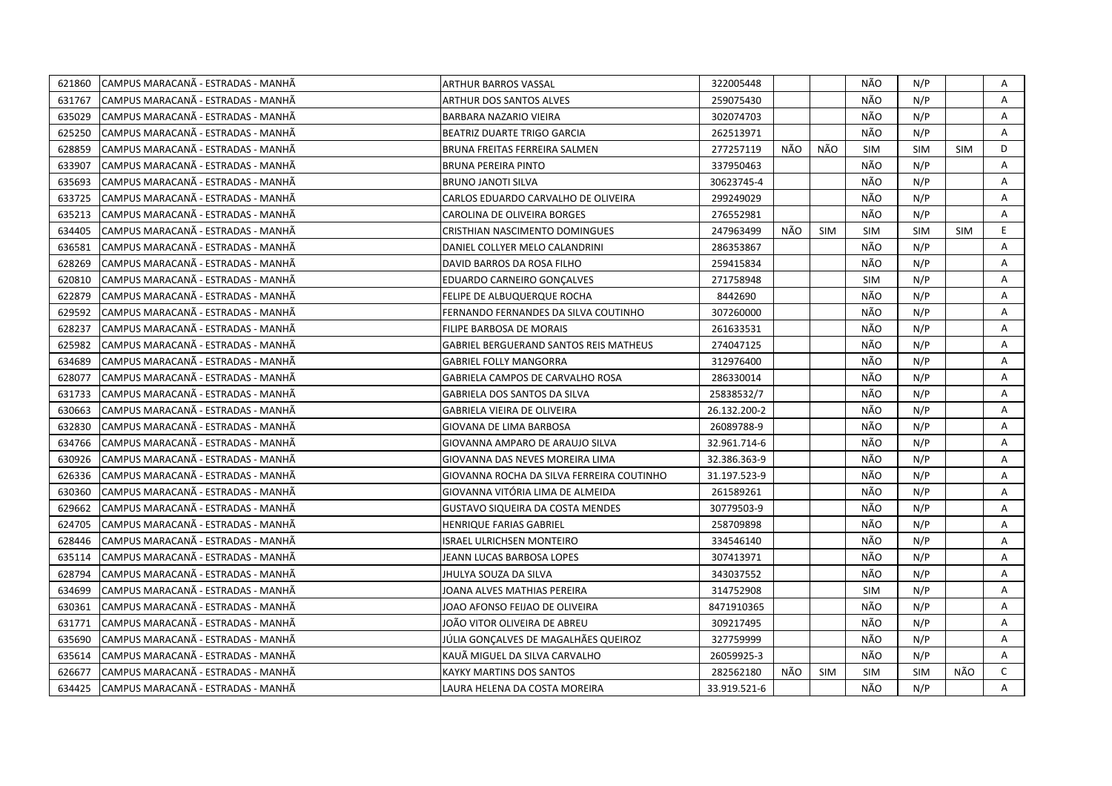| 621860 | CAMPUS MARACANÃ - ESTRADAS - MANHÃ | <b>ARTHUR BARROS VASSAL</b>                   | 322005448    |     |            | NÃO        | N/P        |            | Α |
|--------|------------------------------------|-----------------------------------------------|--------------|-----|------------|------------|------------|------------|---|
| 631767 | CAMPUS MARACANÃ - ESTRADAS - MANHÃ | ARTHUR DOS SANTOS ALVES                       | 259075430    |     |            | NÃO        | N/P        |            | A |
| 635029 | CAMPUS MARACANA - ESTRADAS - MANHA | BARBARA NAZARIO VIEIRA                        | 302074703    |     |            | NÃO        | N/P        |            | A |
| 625250 | CAMPUS MARACANÃ - ESTRADAS - MANHÃ | BEATRIZ DUARTE TRIGO GARCIA                   | 262513971    |     |            | NÃO        | N/P        |            | A |
| 628859 | CAMPUS MARACANA - ESTRADAS - MANHA | BRUNA FREITAS FERREIRA SALMEN                 | 277257119    | NÃO | NÃO        | <b>SIM</b> | <b>SIM</b> | <b>SIM</b> | D |
| 633907 | CAMPUS MARACANÃ - ESTRADAS - MANHÃ | <b>BRUNA PEREIRA PINTO</b>                    | 337950463    |     |            | NÃO        | N/P        |            | A |
| 635693 | CAMPUS MARACANÃ - ESTRADAS - MANHÃ | <b>BRUNO JANOTI SILVA</b>                     | 30623745-4   |     |            | NÃO        | N/P        |            | Α |
| 633725 | CAMPUS MARACANÃ - ESTRADAS - MANHÃ | CARLOS EDUARDO CARVALHO DE OLIVEIRA           | 299249029    |     |            | NÃO        | N/P        |            | Α |
| 635213 | CAMPUS MARACANÃ - ESTRADAS - MANHÃ | <b>CAROLINA DE OLIVEIRA BORGES</b>            | 276552981    |     |            | NÃO        | N/P        |            | A |
| 634405 | CAMPUS MARACANÃ - ESTRADAS - MANHÃ | CRISTHIAN NASCIMENTO DOMINGUES                | 247963499    | NÃO | <b>SIM</b> | <b>SIM</b> | <b>SIM</b> | <b>SIM</b> | E |
| 636581 | CAMPUS MARACANA - ESTRADAS - MANHA | DANIEL COLLYER MELO CALANDRINI                | 286353867    |     |            | NÃO        | N/P        |            | A |
| 628269 | CAMPUS MARACANÃ - ESTRADAS - MANHÃ | DAVID BARROS DA ROSA FILHO                    | 259415834    |     |            | NÃO        | N/P        |            | Α |
| 620810 | CAMPUS MARACANA - ESTRADAS - MANHA | EDUARDO CARNEIRO GONÇALVES                    | 271758948    |     |            | SIM        | N/P        |            | A |
| 622879 | CAMPUS MARACANA - ESTRADAS - MANHA | FELIPE DE ALBUQUERQUE ROCHA                   | 8442690      |     |            | NÃO        | N/P        |            | A |
| 629592 | CAMPUS MARACANÃ - ESTRADAS - MANHÃ | FERNANDO FERNANDES DA SILVA COUTINHO          | 307260000    |     |            | NÃO        | N/P        |            | A |
| 628237 | CAMPUS MARACANÃ - ESTRADAS - MANHÃ | FILIPE BARBOSA DE MORAIS                      | 261633531    |     |            | NÃO        | N/P        |            | A |
| 625982 | CAMPUS MARACANÃ - ESTRADAS - MANHÃ | <b>GABRIEL BERGUERAND SANTOS REIS MATHEUS</b> | 274047125    |     |            | NÃO        | N/P        |            | Α |
| 634689 | CAMPUS MARACANA - ESTRADAS - MANHA | <b>GABRIEL FOLLY MANGORRA</b>                 | 312976400    |     |            | NÃO        | N/P        |            | Α |
| 628077 | CAMPUS MARACANÃ - ESTRADAS - MANHÃ | GABRIELA CAMPOS DE CARVALHO ROSA              | 286330014    |     |            | NÃO        | N/P        |            | Α |
| 631733 | CAMPUS MARACANA - ESTRADAS - MANHA | GABRIELA DOS SANTOS DA SILVA                  | 25838532/7   |     |            | NÃO        | N/P        |            | A |
| 630663 | CAMPUS MARACANÃ - ESTRADAS - MANHÃ | <b>GABRIELA VIEIRA DE OLIVEIRA</b>            | 26.132.200-2 |     |            | NÃO        | N/P        |            | Α |
| 632830 | CAMPUS MARACANA - ESTRADAS - MANHA | GIOVANA DE LIMA BARBOSA                       | 26089788-9   |     |            | NÃO        | N/P        |            | A |
| 634766 | CAMPUS MARACANÃ - ESTRADAS - MANHÃ | GIOVANNA AMPARO DE ARAUJO SILVA               | 32.961.714-6 |     |            | NÃO        | N/P        |            | A |
| 630926 | CAMPUS MARACANA - ESTRADAS - MANHA | GIOVANNA DAS NEVES MOREIRA LIMA               | 32.386.363-9 |     |            | NÃO        | N/P        |            | A |
| 626336 | CAMPUS MARACANÃ - ESTRADAS - MANHÃ | GIOVANNA ROCHA DA SILVA FERREIRA COUTINHO     | 31.197.523-9 |     |            | NÃO        | N/P        |            | A |
| 630360 | CAMPUS MARACANA - ESTRADAS - MANHA | GIOVANNA VITÓRIA LIMA DE ALMEIDA              | 261589261    |     |            | NÃO        | N/P        |            | A |
| 629662 | CAMPUS MARACANA - ESTRADAS - MANHA | GUSTAVO SIQUEIRA DA COSTA MENDES              | 30779503-9   |     |            | NÃO        | N/P        |            | A |
| 624705 | CAMPUS MARACANÃ - ESTRADAS - MANHÃ | HENRIQUE FARIAS GABRIEL                       | 258709898    |     |            | NÃO        | N/P        |            | A |
| 628446 | CAMPUS MARACANA - ESTRADAS - MANHA | ISRAEL ULRICHSEN MONTEIRO                     | 334546140    |     |            | NÃO        | N/P        |            | A |
| 635114 | CAMPUS MARACANA - ESTRADAS - MANHA | JEANN LUCAS BARBOSA LOPES                     | 307413971    |     |            | NÃO        | N/P        |            | Α |
| 628794 | CAMPUS MARACANA - ESTRADAS - MANHA | JHULYA SOUZA DA SILVA                         | 343037552    |     |            | NÃO        | N/P        |            | A |
| 634699 | CAMPUS MARACANA - ESTRADAS - MANHA | JOANA ALVES MATHIAS PEREIRA                   | 314752908    |     |            | <b>SIM</b> | N/P        |            | Α |
| 630361 | CAMPUS MARACANA - ESTRADAS - MANHA | JOAO AFONSO FEIJAO DE OLIVEIRA                | 8471910365   |     |            | NÃO        | N/P        |            | A |
| 631771 | CAMPUS MARACANÃ - ESTRADAS - MANHÃ | JOÃO VITOR OLIVEIRA DE ABREU                  | 309217495    |     |            | NÃO        | N/P        |            | A |
| 635690 | CAMPUS MARACANA - ESTRADAS - MANHA | JÚLIA GONCALVES DE MAGALHÃES QUEIROZ          | 327759999    |     |            | NÃO        | N/P        |            | A |
| 635614 | CAMPUS MARACANÃ - ESTRADAS - MANHÃ | KAUÃ MIGUEL DA SILVA CARVALHO                 | 26059925-3   |     |            | NÃO        | N/P        |            | A |
| 626677 | CAMPUS MARACANÃ - ESTRADAS - MANHÃ | KAYKY MARTINS DOS SANTOS                      | 282562180    | NÃO | <b>SIM</b> | <b>SIM</b> | <b>SIM</b> | NÃO        | C |
| 634425 | CAMPUS MARACANÃ - ESTRADAS - MANHÃ | LAURA HELENA DA COSTA MOREIRA                 | 33.919.521-6 |     |            | NÃO        | N/P        |            | A |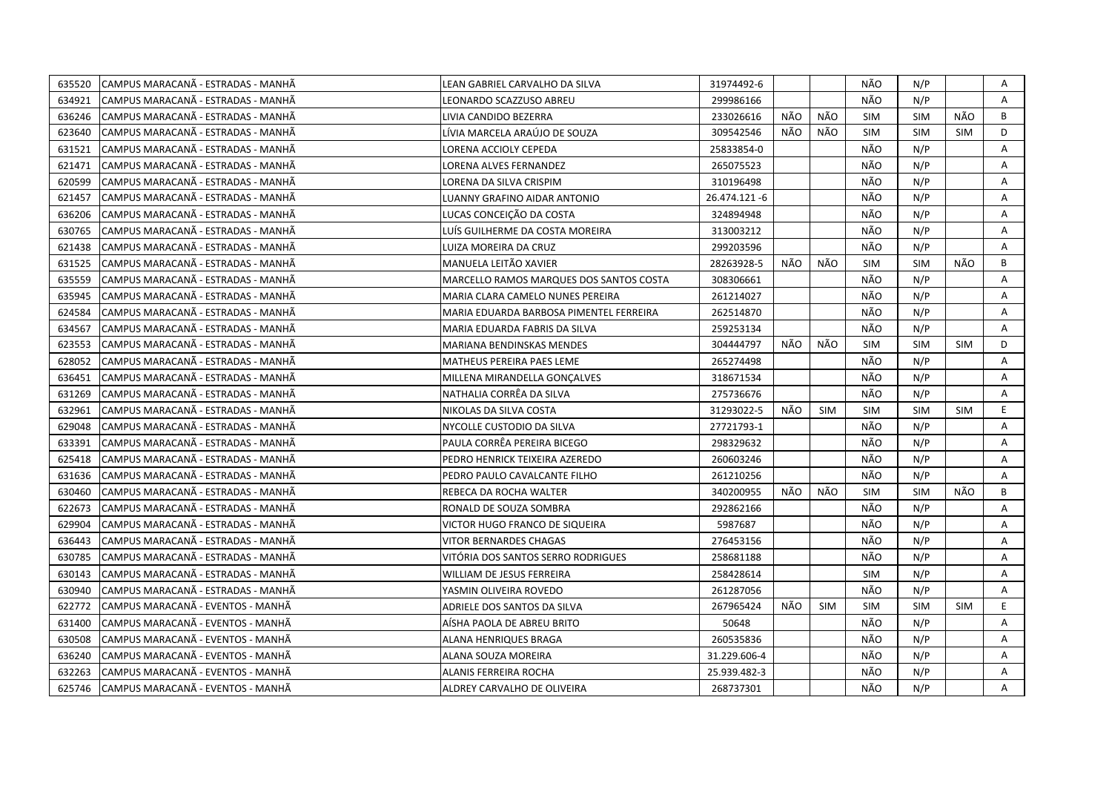| 635520 | CAMPUS MARACANA - ESTRADAS - MANHÃ | LEAN GABRIEL CARVALHO DA SILVA          | 31974492-6    |      |            | NÃO        | N/P        |            | Α  |
|--------|------------------------------------|-----------------------------------------|---------------|------|------------|------------|------------|------------|----|
| 634921 | CAMPUS MARACANÃ - ESTRADAS - MANHÃ | LEONARDO SCAZZUSO ABREU                 | 299986166     |      |            | NÃO        | N/P        |            | A  |
| 636246 | CAMPUS MARACANÃ - ESTRADAS - MANHÃ | LIVIA CANDIDO BEZERRA                   | 233026616     | NÃO  | NÃO        | <b>SIM</b> | <b>SIM</b> | NÃO        | B  |
| 623640 | CAMPUS MARACANA - ESTRADAS - MANHA | LÍVIA MARCELA ARAÚJO DE SOUZA           | 309542546     | NÃO  | NÃO        | <b>SIM</b> | <b>SIM</b> | SIM        | D  |
| 631521 | CAMPUS MARACANÃ - ESTRADAS - MANHÃ | LORENA ACCIOLY CEPEDA                   | 25833854-0    |      |            | NÃO        | N/P        |            | Α  |
| 621471 | CAMPUS MARACANÃ - ESTRADAS - MANHÃ | LORENA ALVES FERNANDEZ                  | 265075523     |      |            | NÃO        | N/P        |            | Α  |
| 620599 | CAMPUS MARACANÃ - ESTRADAS - MANHÃ | <b>LORENA DA SILVA CRISPIM</b>          | 310196498     |      |            | NÃO        | N/P        |            | A  |
| 621457 | CAMPUS MARACANÃ - ESTRADAS - MANHÃ | LUANNY GRAFINO AIDAR ANTONIO            | 26.474.121 -6 |      |            | NÃO        | N/P        |            | A  |
| 636206 | CAMPUS MARACANÃ - ESTRADAS - MANHÃ | LUCAS CONCEIÇÃO DA COSTA                | 324894948     |      |            | NÃO        | N/P        |            | A  |
| 630765 | CAMPUS MARACANÃ - ESTRADAS - MANHÃ | LUÍS GUILHERME DA COSTA MOREIRA         | 313003212     |      |            | NÃO        | N/P        |            | A  |
| 621438 | CAMPUS MARACANÃ - ESTRADAS - MANHÃ | LUIZA MOREIRA DA CRUZ                   | 299203596     |      |            | NÃO        | N/P        |            | Α  |
| 631525 | CAMPUS MARACANA - ESTRADAS - MANHA | MANUELA LEITÃO XAVIER                   | 28263928-5    | NÃO  | NÃO        | SIM        | <b>SIM</b> | NÃO        | B  |
| 635559 | CAMPUS MARACANA - ESTRADAS - MANHA | MARCELLO RAMOS MARQUES DOS SANTOS COSTA | 308306661     |      |            | NÃO        | N/P        |            | A  |
| 635945 | CAMPUS MARACANÃ - ESTRADAS - MANHÃ | MARIA CLARA CAMELO NUNES PEREIRA        | 261214027     |      |            | NÃO        | N/P        |            | Α  |
| 624584 | CAMPUS MARACANA - ESTRADAS - MANHA | MARIA EDUARDA BARBOSA PIMENTEL FERREIRA | 262514870     |      |            | NÃO        | N/P        |            | A  |
| 634567 | CAMPUS MARACANA - ESTRADAS - MANHA | MARIA EDUARDA FABRIS DA SILVA           | 259253134     |      |            | NÃO        | N/P        |            | A  |
| 623553 | CAMPUS MARACANA - ESTRADAS - MANHA | MARIANA BENDINSKAS MENDES               | 304444797     | NÃO. | NÃO        | <b>SIM</b> | <b>SIM</b> | <b>SIM</b> | D  |
| 628052 | CAMPUS MARACANA - ESTRADAS - MANHA | MATHEUS PEREIRA PAES LEME               | 265274498     |      |            | NÃO        | N/P        |            | A  |
| 636451 | CAMPUS MARACANA - ESTRADAS - MANHA | MILLENA MIRANDELLA GONÇALVES            | 318671534     |      |            | NÃO        | N/P        |            | A  |
| 631269 | CAMPUS MARACANÃ - ESTRADAS - MANHÃ | NATHALIA CORRÊA DA SILVA                | 275736676     |      |            | NÃO        | N/P        |            | A  |
| 632961 | CAMPUS MARACANÃ - ESTRADAS - MANHÃ | NIKOLAS DA SILVA COSTA                  | 31293022-5    | NÃO  | <b>SIM</b> | <b>SIM</b> | <b>SIM</b> | <b>SIM</b> | E. |
| 629048 | CAMPUS MARACANA - ESTRADAS - MANHA | NYCOLLE CUSTODIO DA SILVA               | 27721793-1    |      |            | NÃO        | N/P        |            | A  |
| 633391 | CAMPUS MARACANÃ - ESTRADAS - MANHÃ | PAULA CORRÊA PEREIRA BICEGO             | 298329632     |      |            | NÃO        | N/P        |            | A  |
| 625418 | CAMPUS MARACANA - ESTRADAS - MANHA | PEDRO HENRICK TEIXEIRA AZEREDO          | 260603246     |      |            | NÃO        | N/P        |            | A  |
| 631636 | CAMPUS MARACANÃ - ESTRADAS - MANHÃ | PEDRO PAULO CAVALCANTE FILHO            | 261210256     |      |            | NÃO        | N/P        |            | A  |
| 630460 | CAMPUS MARACANA - ESTRADAS - MANHA | REBECA DA ROCHA WALTER                  | 340200955     | NÃO  | NÃO        | <b>SIM</b> | <b>SIM</b> | NÃO        | B  |
| 622673 | CAMPUS MARACANA - ESTRADAS - MANHA | RONALD DE SOUZA SOMBRA                  | 292862166     |      |            | NÃO        | N/P        |            | A  |
| 629904 | CAMPUS MARACANA - ESTRADAS - MANHA | VICTOR HUGO FRANCO DE SIQUEIRA          | 5987687       |      |            | NÃO        | N/P        |            | A  |
| 636443 | CAMPUS MARACANA - ESTRADAS - MANHA | VITOR BERNARDES CHAGAS                  | 276453156     |      |            | NÃO        | N/P        |            | A  |
| 630785 | CAMPUS MARACANA - ESTRADAS - MANHA | VITÓRIA DOS SANTOS SERRO RODRIGUES      | 258681188     |      |            | NÃO        | N/P        |            | Α  |
| 630143 | CAMPUS MARACANA - ESTRADAS - MANHA | WILLIAM DE JESUS FERREIRA               | 258428614     |      |            | <b>SIM</b> | N/P        |            | Α  |
| 630940 | CAMPUS MARACANA - ESTRADAS - MANHA | YASMIN OLIVEIRA ROVEDO                  | 261287056     |      |            | NÃO        | N/P        |            | A  |
| 622772 | CAMPUS MARACANÃ - EVENTOS - MANHÃ  | ADRIELE DOS SANTOS DA SILVA             | 267965424     | NÃO  | <b>SIM</b> | <b>SIM</b> | <b>SIM</b> | <b>SIM</b> | E. |
| 631400 | CAMPUS MARACANÃ - EVENTOS - MANHÃ  | AÍSHA PAOLA DE ABREU BRITO              | 50648         |      |            | NÃO        | N/P        |            | A  |
| 630508 | CAMPUS MARACANÃ - EVENTOS - MANHÃ  | ALANA HENRIQUES BRAGA                   | 260535836     |      |            | NÃO        | N/P        |            | A  |
| 636240 | CAMPUS MARACANA - EVENTOS - MANHA  | ALANA SOUZA MOREIRA                     | 31.229.606-4  |      |            | NÃO        | N/P        |            | Α  |
| 632263 | CAMPUS MARACANA - EVENTOS - MANHA  | ALANIS FERREIRA ROCHA                   | 25.939.482-3  |      |            | NÃO        | N/P        |            | A  |
| 625746 | CAMPUS MARACANA - EVENTOS - MANHA  | ALDREY CARVALHO DE OLIVEIRA             | 268737301     |      |            | NÃO        | N/P        |            | A  |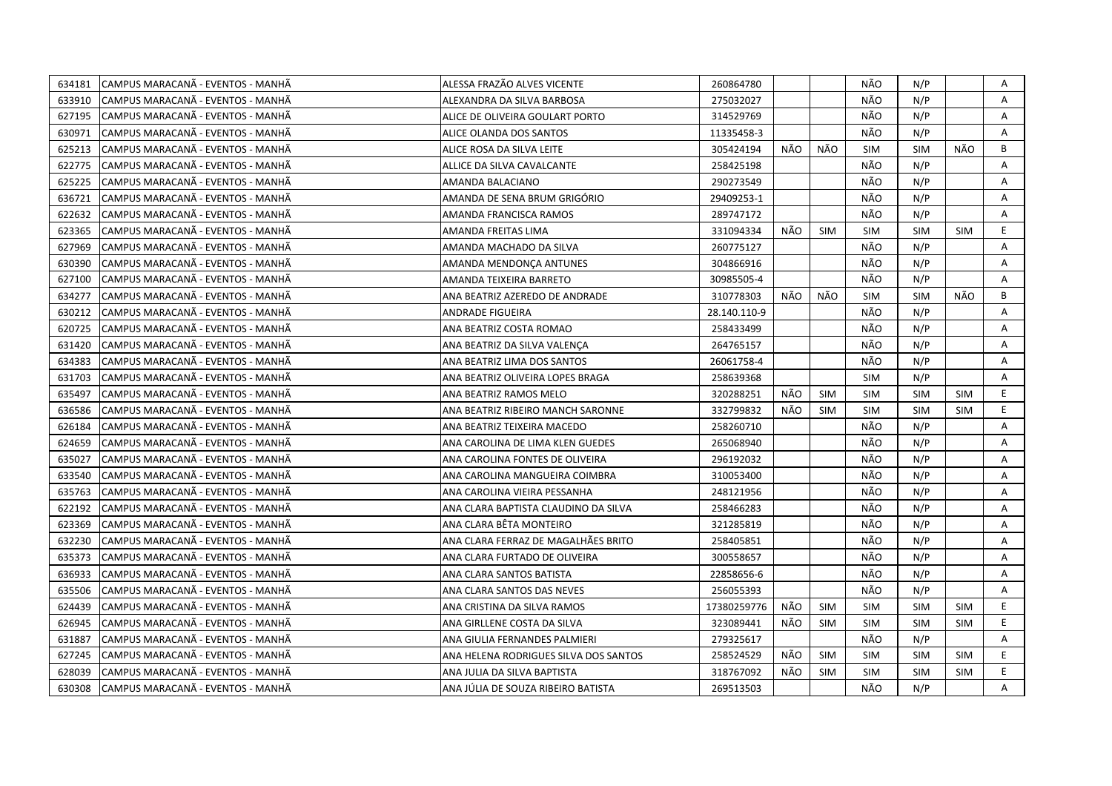| 634181 | CAMPUS MARACANÃ - EVENTOS - MANHÃ  | ALESSA FRAZÃO ALVES VICENTE           | 260864780    |      |            | NÃO        | N/P        |            | Α  |
|--------|------------------------------------|---------------------------------------|--------------|------|------------|------------|------------|------------|----|
| 633910 | CAMPUS MARACANÃ - EVENTOS - MANHÃ  | ALEXANDRA DA SILVA BARBOSA            | 275032027    |      |            | NÃO        | N/P        |            | A  |
| 627195 | CAMPUS MARACANÃ - EVENTOS - MANHÃ  | ALICE DE OLIVEIRA GOULART PORTO       | 314529769    |      |            | NÃO        | N/P        |            | A  |
| 630971 | CAMPUS MARACANÃ - EVENTOS - MANHÃ  | ALICE OLANDA DOS SANTOS               | 11335458-3   |      |            | NÃO        | N/P        |            | A  |
| 625213 | CAMPUS MARACANÃ - EVENTOS - MANHÃ  | ALICE ROSA DA SILVA LEITE             | 305424194    | NÃO  | NÃO        | <b>SIM</b> | <b>SIM</b> | NÃO        | B  |
| 622775 | CAMPUS MARACANÃ - EVENTOS - MANHÃ  | ALLICE DA SILVA CAVALCANTE            | 258425198    |      |            | NÃO        | N/P        |            | Α  |
| 625225 | CAMPUS MARACANÃ - EVENTOS - MANHÃ  | AMANDA BALACIANO                      | 290273549    |      |            | NÃO        | N/P        |            | Α  |
| 636721 | ICAMPUS MARACANÃ - EVENTOS - MANHÃ | AMANDA DE SENA BRUM GRIGÓRIO          | 29409253-1   |      |            | NÃO        | N/P        |            | A  |
| 622632 | CAMPUS MARACANÃ - EVENTOS - MANHÃ  | AMANDA FRANCISCA RAMOS                | 289747172    |      |            | NÃO        | N/P        |            | A  |
| 623365 | CAMPUS MARACANÃ - EVENTOS - MANHÃ  | AMANDA FREITAS LIMA                   | 331094334    | NÃO  | <b>SIM</b> | <b>SIM</b> | <b>SIM</b> | <b>SIM</b> | E. |
| 627969 | CAMPUS MARACANÃ - EVENTOS - MANHÃ  | AMANDA MACHADO DA SILVA               | 260775127    |      |            | NÃO        | N/P        |            | A  |
| 630390 | CAMPUS MARACANA - EVENTOS - MANHA  | AMANDA MENDONÇA ANTUNES               | 304866916    |      |            | NÃO        | N/P        |            | A  |
| 627100 | CAMPUS MARACANA - EVENTOS - MANHA  | AMANDA TEIXEIRA BARRETO               | 30985505-4   |      |            | NÃO        | N/P        |            | Α  |
| 634277 | CAMPUS MARACANA - EVENTOS - MANHA  | ANA BEATRIZ AZEREDO DE ANDRADE        | 310778303    | NÃO  | NÃO        | <b>SIM</b> | <b>SIM</b> | NÃO        | В  |
| 630212 | CAMPUS MARACANÃ - EVENTOS - MANHÃ  | <b>ANDRADE FIGUEIRA</b>               | 28.140.110-9 |      |            | NÃO        | N/P        |            | A  |
| 620725 | CAMPUS MARACANÃ - EVENTOS - MANHÃ  | ANA BEATRIZ COSTA ROMAO               | 258433499    |      |            | NÃO        | N/P        |            | Α  |
| 631420 | CAMPUS MARACANA - EVENTOS - MANHA  | ANA BEATRIZ DA SILVA VALENÇA          | 264765157    |      |            | NÃO        | N/P        |            | A  |
| 634383 | CAMPUS MARACANÃ - EVENTOS - MANHÃ  | ANA BEATRIZ LIMA DOS SANTOS           | 26061758-4   |      |            | NÃO        | N/P        |            | A  |
| 631703 | CAMPUS MARACANÃ - EVENTOS - MANHÃ  | ANA BEATRIZ OLIVEIRA LOPES BRAGA      | 258639368    |      |            | <b>SIM</b> | N/P        |            | Α  |
| 635497 | CAMPUS MARACANÃ - EVENTOS - MANHÃ  | ANA BEATRIZ RAMOS MELO                | 320288251    | NÃO  | <b>SIM</b> | <b>SIM</b> | <b>SIM</b> | <b>SIM</b> | E. |
| 636586 | CAMPUS MARACANÃ - EVENTOS - MANHÃ  | ANA BEATRIZ RIBEIRO MANCH SARONNE     | 332799832    | NÃO  | SIM        | SIM        | <b>SIM</b> | <b>SIM</b> | E  |
| 626184 | CAMPUS MARACANÃ - EVENTOS - MANHÃ  | ANA BEATRIZ TEIXEIRA MACEDO           | 258260710    |      |            | NÃO        | N/P        |            | Α  |
| 624659 | CAMPUS MARACANA - EVENTOS - MANHA  | ANA CAROLINA DE LIMA KLEN GUEDES      | 265068940    |      |            | NÃO        | N/P        |            | A  |
| 635027 | CAMPUS MARACANÃ - EVENTOS - MANHÃ  | ANA CAROLINA FONTES DE OLIVEIRA       | 296192032    |      |            | NÃO        | N/P        |            | Α  |
| 633540 | CAMPUS MARACANA - EVENTOS - MANHA  | ANA CAROLINA MANGUEIRA COIMBRA        | 310053400    |      |            | NÃO        | N/P        |            | A  |
| 635763 | CAMPUS MARACANÃ - EVENTOS - MANHÃ  | ANA CAROLINA VIEIRA PESSANHA          | 248121956    |      |            | NÃO        | N/P        |            | Α  |
| 622192 | CAMPUS MARACANA - EVENTOS - MANHA  | ANA CLARA BAPTISTA CLAUDINO DA SILVA  | 258466283    |      |            | NÃO        | N/P        |            | A  |
| 623369 | CAMPUS MARACANÃ - EVENTOS - MANHÃ  | ANA CLARA BÊTA MONTEIRO               | 321285819    |      |            | NÃO        | N/P        |            | A  |
| 632230 | CAMPUS MARACANÃ - EVENTOS - MANHÃ  | ANA CLARA FERRAZ DE MAGALHÃES BRITO   | 258405851    |      |            | NÃO        | N/P        |            | A  |
| 635373 | CAMPUS MARACANÃ - EVENTOS - MANHÃ  | ANA CLARA FURTADO DE OLIVEIRA         | 300558657    |      |            | NÃO        | N/P        |            | Α  |
| 636933 | CAMPUS MARACANÃ - EVENTOS - MANHÃ  | ANA CLARA SANTOS BATISTA              | 22858656-6   |      |            | NÃO        | N/P        |            | A  |
| 635506 | CAMPUS MARACANÃ - EVENTOS - MANHÃ  | ANA CLARA SANTOS DAS NEVES            | 256055393    |      |            | NÃO        | N/P        |            | A  |
| 624439 | CAMPUS MARACANA - EVENTOS - MANHA  | ANA CRISTINA DA SILVA RAMOS           | 17380259776  | NÃO. | <b>SIM</b> | <b>SIM</b> | <b>SIM</b> | <b>SIM</b> | E. |
| 626945 | CAMPUS MARACANÃ - EVENTOS - MANHÃ  | ANA GIRLLENE COSTA DA SILVA           | 323089441    | NÃO  | <b>SIM</b> | <b>SIM</b> | <b>SIM</b> | <b>SIM</b> | E. |
| 631887 | CAMPUS MARACANÃ - EVENTOS - MANHÃ  | ANA GIULIA FERNANDES PALMIERI         | 279325617    |      |            | NÃO        | N/P        |            | A  |
| 627245 | CAMPUS MARACANÃ - EVENTOS - MANHÃ  | ANA HELENA RODRIGUES SILVA DOS SANTOS | 258524529    | NÃO  | SIM        | <b>SIM</b> | <b>SIM</b> | <b>SIM</b> | E  |
| 628039 | CAMPUS MARACANÃ - EVENTOS - MANHÃ  | ANA JULIA DA SILVA BAPTISTA           | 318767092    | NÃO  | <b>SIM</b> | <b>SIM</b> | <b>SIM</b> | <b>SIM</b> | E  |
| 630308 | CAMPUS MARACANA - EVENTOS - MANHA  | ANA JÚLIA DE SOUZA RIBEIRO BATISTA    | 269513503    |      |            | NÃO        | N/P        |            | A  |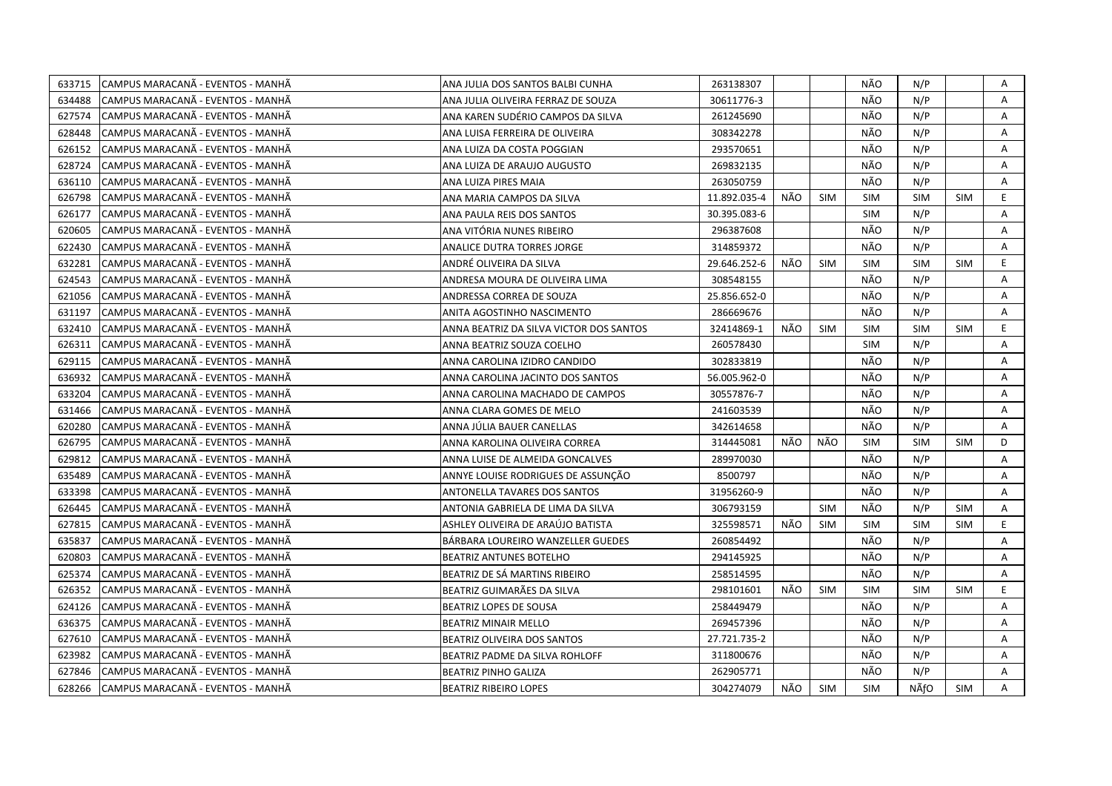|        | 633715 CAMPUS MARACANA - EVENTOS - MANHA | ANA JULIA DOS SANTOS BALBI CUNHA        | 263138307    |      |            | NÃO        | N/P        |            | Α  |
|--------|------------------------------------------|-----------------------------------------|--------------|------|------------|------------|------------|------------|----|
| 634488 | CAMPUS MARACANÃ - EVENTOS - MANHÃ        | ANA JULIA OLIVEIRA FERRAZ DE SOUZA      | 30611776-3   |      |            | NÃO        | N/P        |            | A  |
| 627574 | CAMPUS MARACANA - EVENTOS - MANHA        | ANA KAREN SUDÉRIO CAMPOS DA SILVA       | 261245690    |      |            | NÃO        | N/P        |            | Α  |
| 628448 | ICAMPUS MARACANÃ - EVENTOS - MANHÃ       | ANA LUISA FERREIRA DE OLIVEIRA          | 308342278    |      |            | NÃO        | N/P        |            | Α  |
| 626152 | CAMPUS MARACANÃ - EVENTOS - MANHÃ        | ANA LUIZA DA COSTA POGGIAN              | 293570651    |      |            | NÃO        | N/P        |            | Α  |
| 628724 | CAMPUS MARACANÃ - EVENTOS - MANHÃ        | ANA LUIZA DE ARAUJO AUGUSTO             | 269832135    |      |            | NÃO        | N/P        |            | A  |
| 636110 | CAMPUS MARACANÃ - EVENTOS - MANHÃ        | ANA LUIZA PIRES MAIA                    | 263050759    |      |            | NÃO        | N/P        |            | A  |
| 626798 | CAMPUS MARACANA - EVENTOS - MANHA        | ANA MARIA CAMPOS DA SILVA               | 11.892.035-4 | NÃO  | <b>SIM</b> | <b>SIM</b> | <b>SIM</b> | SIM        | E. |
| 626177 | CAMPUS MARACANÃ - EVENTOS - MANHÃ        | ANA PAULA REIS DOS SANTOS               | 30.395.083-6 |      |            | SIM        | N/P        |            | A  |
| 620605 | CAMPUS MARACANA - EVENTOS - MANHA        | ANA VITÓRIA NUNES RIBEIRO               | 296387608    |      |            | NÃO        | N/P        |            | A  |
| 622430 | CAMPUS MARACANA - EVENTOS - MANHA        | ANALICE DUTRA TORRES JORGE              | 314859372    |      |            | NÃO        | N/P        |            | A  |
| 632281 | CAMPUS MARACANÃ - EVENTOS - MANHÃ        | ANDRÉ OLIVEIRA DA SILVA                 | 29.646.252-6 | NÃO  | <b>SIM</b> | <b>SIM</b> | <b>SIM</b> | <b>SIM</b> | E  |
| 624543 | CAMPUS MARACANÃ - EVENTOS - MANHÃ        | ANDRESA MOURA DE OLIVEIRA LIMA          | 308548155    |      |            | NÃO        | N/P        |            | A  |
| 621056 | CAMPUS MARACANÃ - EVENTOS - MANHÃ        | ANDRESSA CORREA DE SOUZA                | 25.856.652-0 |      |            | NÃO        | N/P        |            | Α  |
| 631197 | CAMPUS MARACANÃ - EVENTOS - MANHÃ        | ANITA AGOSTINHO NASCIMENTO              | 286669676    |      |            | NÃO        | N/P        |            | A  |
| 632410 | CAMPUS MARACANÃ - EVENTOS - MANHÃ        | ANNA BEATRIZ DA SILVA VICTOR DOS SANTOS | 32414869-1   | NÃO  | <b>SIM</b> | <b>SIM</b> | <b>SIM</b> | <b>SIM</b> | E. |
| 626311 | CAMPUS MARACANA - EVENTOS - MANHA        | ANNA BEATRIZ SOUZA COELHO               | 260578430    |      |            | <b>SIM</b> | N/P        |            | Α  |
| 629115 | CAMPUS MARACANA - EVENTOS - MANHA        | ANNA CAROLINA IZIDRO CANDIDO            | 302833819    |      |            | NÃO        | N/P        |            | A  |
| 636932 | CAMPUS MARACANÃ - EVENTOS - MANHÃ        | ANNA CAROLINA JACINTO DOS SANTOS        | 56.005.962-0 |      |            | NÃO        | N/P        |            | A  |
| 633204 | CAMPUS MARACANÃ - EVENTOS - MANHÃ        | ANNA CAROLINA MACHADO DE CAMPOS         | 30557876-7   |      |            | NÃO        | N/P        |            | A  |
| 631466 | CAMPUS MARACANÃ - EVENTOS - MANHÃ        | ANNA CLARA GOMES DE MELO                | 241603539    |      |            | NÃO        | N/P        |            | Α  |
| 620280 | CAMPUS MARACANÃ - EVENTOS - MANHÃ        | ANNA JÚLIA BAUER CANELLAS               | 342614658    |      |            | NÃO        | N/P        |            | Α  |
| 626795 | CAMPUS MARACANA - EVENTOS - MANHA        | ANNA KAROLINA OLIVEIRA CORREA           | 314445081    | NÃO  | NÃO        | <b>SIM</b> | <b>SIM</b> | <b>SIM</b> | D  |
| 629812 | CAMPUS MARACANÃ - EVENTOS - MANHÃ        | ANNA LUISE DE ALMEIDA GONCALVES         | 289970030    |      |            | NÃO        | N/P        |            | A  |
| 635489 | CAMPUS MARACANÃ - EVENTOS - MANHÃ        | ANNYE LOUISE RODRIGUES DE ASSUNÇÃO      | 8500797      |      |            | NÃO        | N/P        |            | A  |
| 633398 | CAMPUS MARACANA - EVENTOS - MANHA        | ANTONELLA TAVARES DOS SANTOS            | 31956260-9   |      |            | NÃO        | N/P        |            | A  |
| 626445 | CAMPUS MARACANA - EVENTOS - MANHA        | ANTONIA GABRIELA DE LIMA DA SILVA       | 306793159    |      | <b>SIM</b> | NÃO        | N/P        | SIM        | Α  |
| 627815 | CAMPUS MARACANA - EVENTOS - MANHA        | ASHLEY OLIVEIRA DE ARAUJO BATISTA       | 325598571    | NÃO. | <b>SIM</b> | SIM        | <b>SIM</b> | <b>SIM</b> | E  |
| 635837 | CAMPUS MARACANA - EVENTOS - MANHA        | BÁRBARA LOUREIRO WANZELLER GUEDES       | 260854492    |      |            | NÃO        | N/P        |            | A  |
| 620803 | CAMPUS MARACANA - EVENTOS - MANHA        | <b>BEATRIZ ANTUNES BOTELHO</b>          | 294145925    |      |            | NÃO        | N/P        |            | A  |
| 625374 | CAMPUS MARACANÃ - EVENTOS - MANHÃ        | BEATRIZ DE SÁ MARTINS RIBEIRO           | 258514595    |      |            | NÃO        | N/P        |            | A  |
| 626352 | CAMPUS MARACANÃ - EVENTOS - MANHÃ        | BEATRIZ GUIMARÃES DA SILVA              | 298101601    | NÃO  | SIM        | <b>SIM</b> | <b>SIM</b> | SIM        | E. |
| 624126 | CAMPUS MARACANA - EVENTOS - MANHA        | BEATRIZ LOPES DE SOUSA                  | 258449479    |      |            | NÃO        | N/P        |            | A  |
| 636375 | CAMPUS MARACANÃ - EVENTOS - MANHÃ        | <b>BEATRIZ MINAIR MELLO</b>             | 269457396    |      |            | NÃO        | N/P        |            | A  |
| 627610 | CAMPUS MARACANÃ - EVENTOS - MANHÃ        | BEATRIZ OLIVEIRA DOS SANTOS             | 27.721.735-2 |      |            | NÃO        | N/P        |            | A  |
| 623982 | CAMPUS MARACANÃ - EVENTOS - MANHÃ        | BEATRIZ PADME DA SILVA ROHLOFF          | 311800676    |      |            | NÃO        | N/P        |            | A  |
| 627846 | CAMPUS MARACANÃ - EVENTOS - MANHÃ        | <b>BEATRIZ PINHO GALIZA</b>             | 262905771    |      |            | NÃO        | N/P        |            | A  |
| 628266 | CAMPUS MARACANÃ - EVENTOS - MANHÃ        | <b>BEATRIZ RIBEIRO LOPES</b>            | 304274079    | NÃO  | <b>SIM</b> | <b>SIM</b> | NÃfO       | <b>SIM</b> | A  |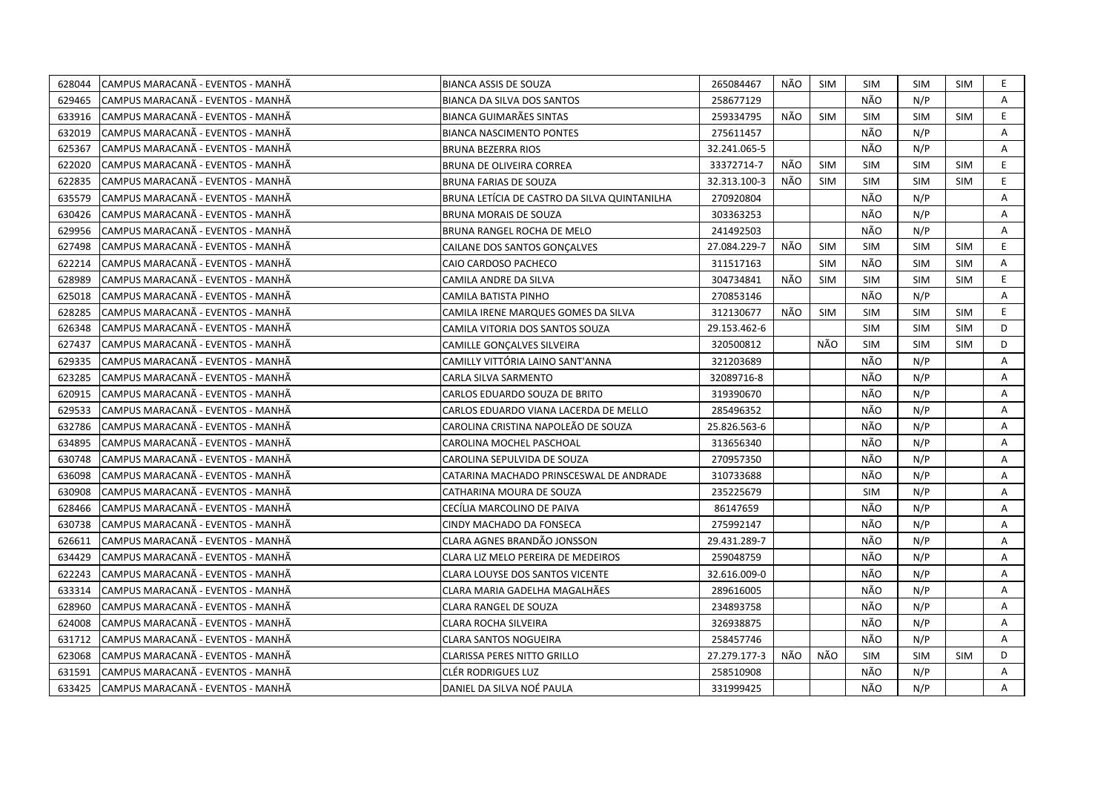| 628044 | CAMPUS MARACANA - EVENTOS - MANHA  | <b>BIANCA ASSIS DE SOUZA</b>                 | 265084467    | NÃO | <b>SIM</b> | <b>SIM</b> | <b>SIM</b> | SIM        | E. |
|--------|------------------------------------|----------------------------------------------|--------------|-----|------------|------------|------------|------------|----|
| 629465 | ICAMPUS MARACANÃ - EVENTOS - MANHÃ | <b>BIANCA DA SILVA DOS SANTOS</b>            | 258677129    |     |            | NÃO        | N/P        |            | A  |
| 633916 | CAMPUS MARACANA - EVENTOS - MANHA  | BIANCA GUIMARÃES SINTAS                      | 259334795    | NÃO | <b>SIM</b> | <b>SIM</b> | <b>SIM</b> | <b>SIM</b> | E. |
| 632019 | CAMPUS MARACANÃ - EVENTOS - MANHÃ  | <b>BIANCA NASCIMENTO PONTES</b>              | 275611457    |     |            | NÃO        | N/P        |            | A  |
| 625367 | CAMPUS MARACANÃ - EVENTOS - MANHÃ  | <b>BRUNA BEZERRA RIOS</b>                    | 32.241.065-5 |     |            | NÃO        | N/P        |            | A  |
| 622020 | CAMPUS MARACANÃ - EVENTOS - MANHÃ  | BRUNA DE OLIVEIRA CORREA                     | 33372714-7   | NÃO | <b>SIM</b> | SIM        | <b>SIM</b> | SIM        | E. |
| 622835 | ICAMPUS MARACANÃ - EVENTOS - MANHÃ | <b>BRUNA FARIAS DE SOUZA</b>                 | 32.313.100-3 | NÃO | <b>SIM</b> | <b>SIM</b> | <b>SIM</b> | <b>SIM</b> | E. |
| 635579 | CAMPUS MARACANÃ - EVENTOS - MANHÃ  | BRUNA LETÍCIA DE CASTRO DA SILVA QUINTANILHA | 270920804    |     |            | NÃO        | N/P        |            | A  |
| 630426 | CAMPUS MARACANÃ - EVENTOS - MANHÃ  | <b>BRUNA MORAIS DE SOUZA</b>                 | 303363253    |     |            | NÃO        | N/P        |            | Α  |
| 629956 | CAMPUS MARACANA - EVENTOS - MANHA  | BRUNA RANGEL ROCHA DE MELO                   | 241492503    |     |            | NÃO        | N/P        |            | A  |
| 627498 | CAMPUS MARACANA - EVENTOS - MANHA  | CAILANE DOS SANTOS GONÇALVES                 | 27.084.229-7 | NÃO | <b>SIM</b> | <b>SIM</b> | <b>SIM</b> | <b>SIM</b> | E  |
| 622214 | CAMPUS MARACANA - EVENTOS - MANHA  | CAIO CARDOSO PACHECO                         | 311517163    |     | <b>SIM</b> | NÃO        | <b>SIM</b> | SIM        | Α  |
| 628989 | CAMPUS MARACANA - EVENTOS - MANHA  | CAMILA ANDRE DA SILVA                        | 304734841    | NÃO | <b>SIM</b> | <b>SIM</b> | <b>SIM</b> | SIM        | E. |
| 625018 | CAMPUS MARACANA - EVENTOS - MANHA  | CAMILA BATISTA PINHO                         | 270853146    |     |            | NÃO        | N/P        |            | Α  |
| 628285 | ICAMPUS MARACANÃ - EVENTOS - MANHÃ | CAMILA IRENE MARQUES GOMES DA SILVA          | 312130677    | NÃO | <b>SIM</b> | <b>SIM</b> | <b>SIM</b> | <b>SIM</b> | E. |
| 626348 | CAMPUS MARACANÃ - EVENTOS - MANHÃ  | CAMILA VITORIA DOS SANTOS SOUZA              | 29.153.462-6 |     |            | SIM        | <b>SIM</b> | <b>SIM</b> | D  |
| 627437 | CAMPUS MARACANÃ - EVENTOS - MANHÃ  | CAMILLE GONCALVES SILVEIRA                   | 320500812    |     | NÃO        | <b>SIM</b> | <b>SIM</b> | <b>SIM</b> | D  |
| 629335 | CAMPUS MARACANÃ - EVENTOS - MANHÃ  | CAMILLY VITTÓRIA LAINO SANT'ANNA             | 321203689    |     |            | NÃO        | N/P        |            | A  |
| 623285 | CAMPUS MARACANÃ - EVENTOS - MANHÃ  | CARLA SILVA SARMENTO                         | 32089716-8   |     |            | NÃO        | N/P        |            | A  |
| 620915 | CAMPUS MARACANÃ - EVENTOS - MANHÃ  | CARLOS EDUARDO SOUZA DE BRITO                | 319390670    |     |            | NÃO        | N/P        |            | A  |
| 629533 | CAMPUS MARACANÃ - EVENTOS - MANHÃ  | CARLOS EDUARDO VIANA LACERDA DE MELLO        | 285496352    |     |            | NÃO        | N/P        |            | A  |
| 632786 | ICAMPUS MARACANÃ - EVENTOS - MANHÃ | CAROLINA CRISTINA NAPOLEÃO DE SOUZA          | 25.826.563-6 |     |            | NÃO        | N/P        |            | A  |
| 634895 | CAMPUS MARACANÃ - EVENTOS - MANHÃ  | CAROLINA MOCHEL PASCHOAL                     | 313656340    |     |            | NÃO        | N/P        |            | Α  |
| 630748 | CAMPUS MARACANÃ - EVENTOS - MANHÃ  | CAROLINA SEPULVIDA DE SOUZA                  | 270957350    |     |            | NÃO        | N/P        |            | A  |
| 636098 | CAMPUS MARACANÃ - EVENTOS - MANHÃ  | CATARINA MACHADO PRINSCESWAL DE ANDRADE      | 310733688    |     |            | NÃO        | N/P        |            | A  |
| 630908 | CAMPUS MARACANA - EVENTOS - MANHA  | CATHARINA MOURA DE SOUZA                     | 235225679    |     |            | <b>SIM</b> | N/P        |            | Α  |
| 628466 | CAMPUS MARACANA - EVENTOS - MANHA  | CECÍLIA MARCOLINO DE PAIVA                   | 86147659     |     |            | NÃO        | N/P        |            | A  |
| 630738 | CAMPUS MARACANÃ - EVENTOS - MANHÃ  | CINDY MACHADO DA FONSECA                     | 275992147    |     |            | NÃO        | N/P        |            | A  |
| 626611 | CAMPUS MARACANA - EVENTOS - MANHA  | CLARA AGNES BRANDÃO JONSSON                  | 29.431.289-7 |     |            | NÃO        | N/P        |            | Α  |
| 634429 | CAMPUS MARACANÃ - EVENTOS - MANHÃ  | CLARA LIZ MELO PEREIRA DE MEDEIROS           | 259048759    |     |            | NÃO        | N/P        |            | Α  |
| 622243 | CAMPUS MARACANÃ - EVENTOS - MANHÃ  | <b>CLARA LOUYSE DOS SANTOS VICENTE</b>       | 32.616.009-0 |     |            | NÃO        | N/P        |            | Α  |
| 633314 | CAMPUS MARACANÃ - EVENTOS - MANHÃ  | CLARA MARIA GADELHA MAGALHÄES                | 289616005    |     |            | NÃO        | N/P        |            | A  |
| 628960 | CAMPUS MARACANÃ - EVENTOS - MANHÃ  | CLARA RANGEL DE SOUZA                        | 234893758    |     |            | NÃO        | N/P        |            | Α  |
| 624008 | CAMPUS MARACANÃ - EVENTOS - MANHÃ  | <b>CLARA ROCHA SILVEIRA</b>                  | 326938875    |     |            | NÃO        | N/P        |            | A  |
| 631712 | CAMPUS MARACANÃ - EVENTOS - MANHÃ  | <b>CLARA SANTOS NOGUEIRA</b>                 | 258457746    |     |            | NÃO        | N/P        |            | A  |
| 623068 | CAMPUS MARACANA - EVENTOS - MANHA  | <b>CLARISSA PERES NITTO GRILLO</b>           | 27.279.177-3 | NÃO | NÃO        | <b>SIM</b> | <b>SIM</b> | SIM        | D  |
| 631591 | CAMPUS MARACANA - EVENTOS - MANHA  | CLÉR RODRIGUES LUZ                           | 258510908    |     |            | NÃO        | N/P        |            | A  |
| 633425 | CAMPUS MARACANA - EVENTOS - MANHA  | DANIEL DA SILVA NOÉ PAULA                    | 331999425    |     |            | NÃO        | N/P        |            | A  |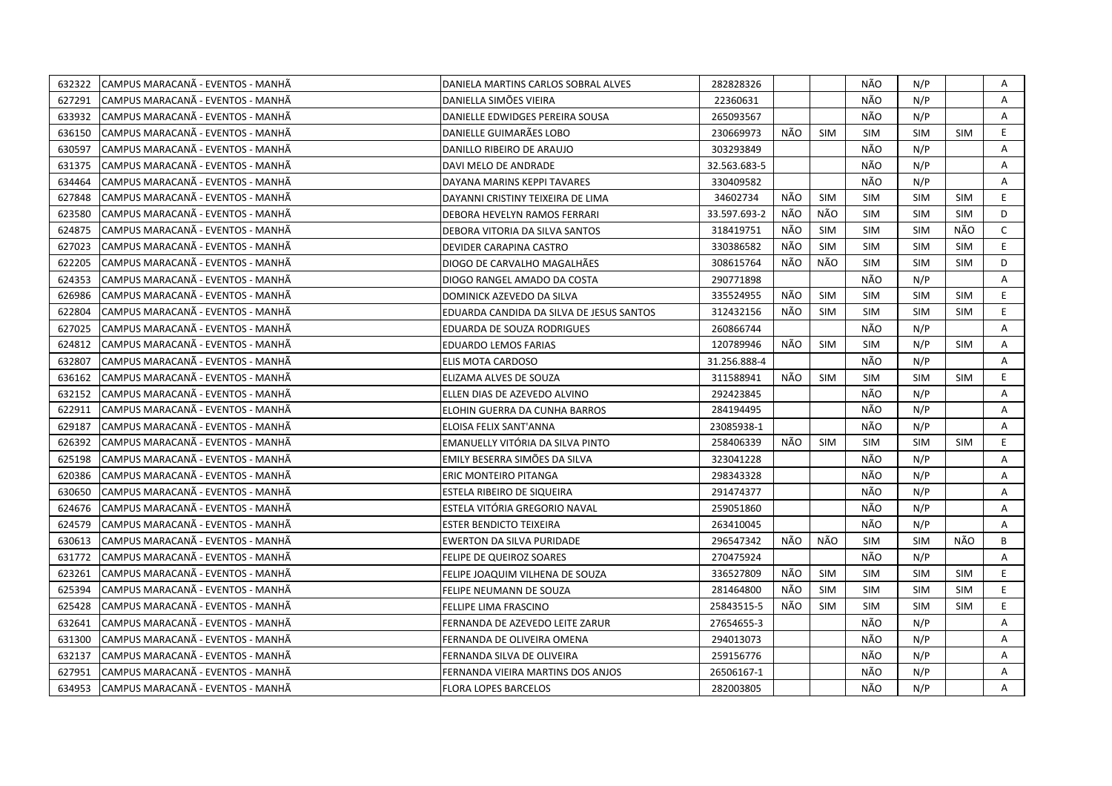| 632322 | CAMPUS MARACANÃ - EVENTOS - MANHÃ  | DANIELA MARTINS CARLOS SOBRAL ALVES      | 282828326    |     |            | NÃO        | N/P        |            | Α            |
|--------|------------------------------------|------------------------------------------|--------------|-----|------------|------------|------------|------------|--------------|
| 627291 | ICAMPUS MARACANÃ - EVENTOS - MANHÃ | DANIELLA SIMÕES VIEIRA                   | 22360631     |     |            | NÃO        | N/P        |            | A            |
| 633932 | CAMPUS MARACANÃ - EVENTOS - MANHÃ  | DANIELLE EDWIDGES PEREIRA SOUSA          | 265093567    |     |            | NÃO        | N/P        |            | Α            |
| 636150 | CAMPUS MARACANÃ - EVENTOS - MANHÃ  | DANIELLE GUIMARÃES LOBO                  | 230669973    | NÃO | <b>SIM</b> | <b>SIM</b> | <b>SIM</b> | <b>SIM</b> | E.           |
| 630597 | CAMPUS MARACANA - EVENTOS - MANHA  | DANILLO RIBEIRO DE ARAUJO                | 303293849    |     |            | NÃO        | N/P        |            | Α            |
| 631375 | CAMPUS MARACANÃ - EVENTOS - MANHÃ  | DAVI MELO DE ANDRADE                     | 32.563.683-5 |     |            | NÃO        | N/P        |            | Α            |
| 634464 | ICAMPUS MARACANÃ - EVENTOS - MANHÃ | DAYANA MARINS KEPPI TAVARES              | 330409582    |     |            | NÃO        | N/P        |            | A            |
| 627848 | CAMPUS MARACANÃ - EVENTOS - MANHÃ  | DAYANNI CRISTINY TEIXEIRA DE LIMA        | 34602734     | NÃO | <b>SIM</b> | <b>SIM</b> | <b>SIM</b> | <b>SIM</b> | E.           |
| 623580 | CAMPUS MARACANÃ - EVENTOS - MANHÃ  | DEBORA HEVELYN RAMOS FERRARI             | 33.597.693-2 | NÃO | NÃO        | <b>SIM</b> | <b>SIM</b> | <b>SIM</b> | D            |
| 624875 | CAMPUS MARACANÃ - EVENTOS - MANHÃ  | DEBORA VITORIA DA SILVA SANTOS           | 318419751    | NÃO | <b>SIM</b> | <b>SIM</b> | <b>SIM</b> | NÃO        | $\mathsf{C}$ |
| 627023 | CAMPUS MARACANÃ - EVENTOS - MANHÃ  | DEVIDER CARAPINA CASTRO                  | 330386582    | NÃO | <b>SIM</b> | <b>SIM</b> | <b>SIM</b> | <b>SIM</b> | E            |
| 622205 | CAMPUS MARACANÃ - EVENTOS - MANHÃ  | DIOGO DE CARVALHO MAGALHÃES              | 308615764    | NÃO | NÃO        | SIM        | <b>SIM</b> | <b>SIM</b> | D            |
| 624353 | CAMPUS MARACANÃ - EVENTOS - MANHÃ  | DIOGO RANGEL AMADO DA COSTA              | 290771898    |     |            | NÃO        | N/P        |            | A            |
| 626986 | CAMPUS MARACANÃ - EVENTOS - MANHÃ  | DOMINICK AZEVEDO DA SILVA                | 335524955    | NÃO | <b>SIM</b> | <b>SIM</b> | <b>SIM</b> | <b>SIM</b> | E.           |
| 622804 | CAMPUS MARACANA - EVENTOS - MANHA  | EDUARDA CANDIDA DA SILVA DE JESUS SANTOS | 312432156    | NÃO | <b>SIM</b> | <b>SIM</b> | <b>SIM</b> | <b>SIM</b> | E.           |
| 627025 | CAMPUS MARACANÃ - EVENTOS - MANHÃ  | EDUARDA DE SOUZA RODRIGUES               | 260866744    |     |            | NÃO        | N/P        |            | A            |
| 624812 | CAMPUS MARACANA - EVENTOS - MANHA  | <b>EDUARDO LEMOS FARIAS</b>              | 120789946    | NÃO | <b>SIM</b> | <b>SIM</b> | N/P        | <b>SIM</b> | A            |
| 632807 | CAMPUS MARACANÃ - EVENTOS - MANHÃ  | ELIS MOTA CARDOSO                        | 31.256.888-4 |     |            | NÃO        | N/P        |            | A            |
| 636162 | CAMPUS MARACANÃ - EVENTOS - MANHÃ  | ELIZAMA ALVES DE SOUZA                   | 311588941    | NÃO | SIM        | <b>SIM</b> | <b>SIM</b> | SIM        | E.           |
| 632152 | CAMPUS MARACANÃ - EVENTOS - MANHÃ  | ELLEN DIAS DE AZEVEDO ALVINO             | 292423845    |     |            | NÃO        | N/P        |            | A            |
| 622911 | CAMPUS MARACANÃ - EVENTOS - MANHÃ  | ELOHIN GUERRA DA CUNHA BARROS            | 284194495    |     |            | NÃO        | N/P        |            | A            |
| 629187 | lCAMPUS MARACANÃ - EVENTOS - MANHÃ | ELOISA FELIX SANT'ANNA                   | 23085938-1   |     |            | NÃO        | N/P        |            | A            |
| 626392 | CAMPUS MARACANÃ - EVENTOS - MANHÃ  | EMANUELLY VITÓRIA DA SILVA PINTO         | 258406339    | NÃO | <b>SIM</b> | <b>SIM</b> | <b>SIM</b> | <b>SIM</b> | E.           |
| 625198 | CAMPUS MARACANÃ - EVENTOS - MANHÃ  | EMILY BESERRA SIMÕES DA SILVA            | 323041228    |     |            | NÃO        | N/P        |            | A            |
| 620386 | CAMPUS MARACANÃ - EVENTOS - MANHÃ  | ERIC MONTEIRO PITANGA                    | 298343328    |     |            | NÃO        | N/P        |            | A            |
| 630650 | CAMPUS MARACANÃ - EVENTOS - MANHÃ  | ESTELA RIBEIRO DE SIQUEIRA               | 291474377    |     |            | NÃO        | N/P        |            | Α            |
| 624676 | CAMPUS MARACANÃ - EVENTOS - MANHÃ  | ESTELA VITÓRIA GREGORIO NAVAL            | 259051860    |     |            | NÃO        | N/P        |            | A            |
| 624579 | CAMPUS MARACANÃ - EVENTOS - MANHÃ  | <b>ESTER BENDICTO TEIXEIRA</b>           | 263410045    |     |            | NÃO        | N/P        |            | A            |
| 630613 | CAMPUS MARACANÃ - EVENTOS - MANHÃ  | EWERTON DA SILVA PURIDADE                | 296547342    | NÃO | NÃO        | <b>SIM</b> | <b>SIM</b> | NÃO        | B            |
| 631772 | CAMPUS MARACANÃ - EVENTOS - MANHÃ  | FELIPE DE QUEIROZ SOARES                 | 270475924    |     |            | NÃO        | N/P        |            | Α            |
| 623261 | CAMPUS MARACANÃ - EVENTOS - MANHÃ  | FELIPE JOAQUIM VILHENA DE SOUZA          | 336527809    | NÃO | <b>SIM</b> | <b>SIM</b> | <b>SIM</b> | <b>SIM</b> | E.           |
| 625394 | CAMPUS MARACANÃ - EVENTOS - MANHÃ  | FELIPE NEUMANN DE SOUZA                  | 281464800    | NÃO | <b>SIM</b> | <b>SIM</b> | <b>SIM</b> | <b>SIM</b> | E.           |
| 625428 | CAMPUS MARACANÃ - EVENTOS - MANHÃ  | FELLIPE LIMA FRASCINO                    | 25843515-5   | NÃO | <b>SIM</b> | <b>SIM</b> | <b>SIM</b> | <b>SIM</b> | E.           |
| 632641 | CAMPUS MARACANÃ - EVENTOS - MANHÃ  | FERNANDA DE AZEVEDO LEITE ZARUR          | 27654655-3   |     |            | NÃO        | N/P        |            | A            |
| 631300 | CAMPUS MARACANÃ - EVENTOS - MANHÃ  | FERNANDA DE OLIVEIRA OMENA               | 294013073    |     |            | NÃO        | N/P        |            | A            |
| 632137 | CAMPUS MARACANA - EVENTOS - MANHA  | FERNANDA SILVA DE OLIVEIRA               | 259156776    |     |            | NÃO        | N/P        |            | Α            |
| 627951 | CAMPUS MARACANÃ - EVENTOS - MANHÃ  | FERNANDA VIEIRA MARTINS DOS ANJOS        | 26506167-1   |     |            | NÃO        | N/P        |            | Α            |
| 634953 | CAMPUS MARACANA - EVENTOS - MANHA  | <b>FLORA LOPES BARCELOS</b>              | 282003805    |     |            | NÃO        | N/P        |            | A            |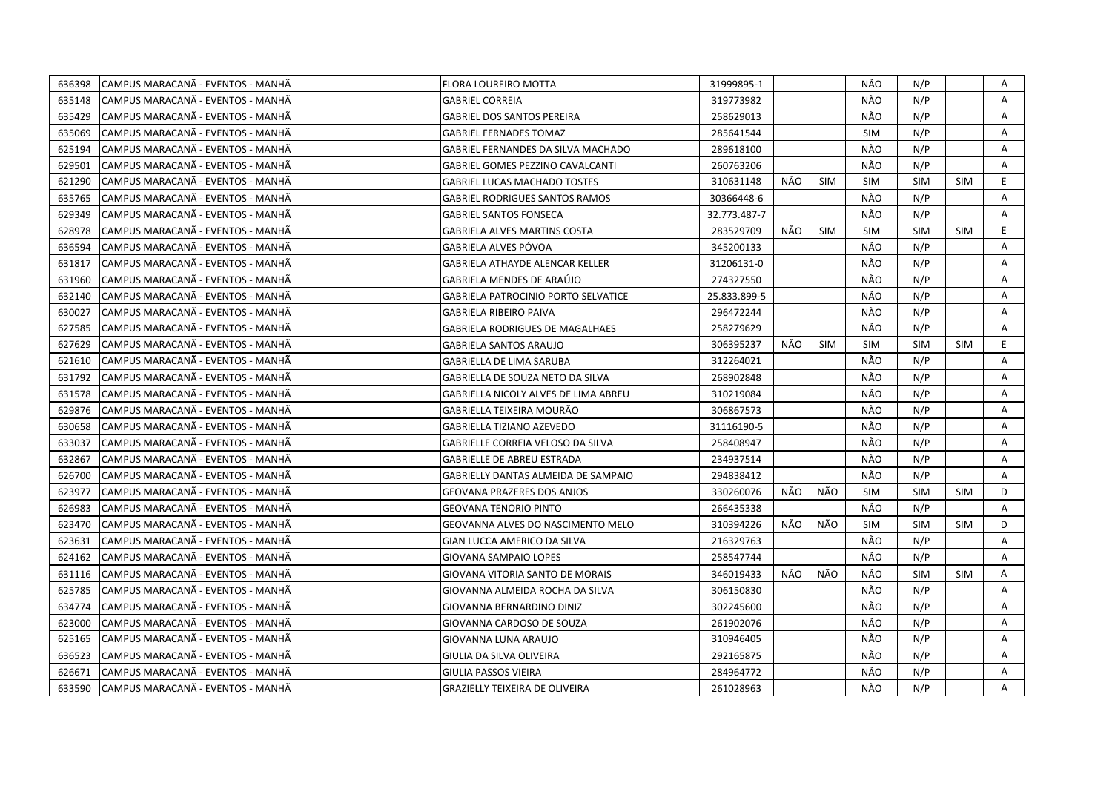| 636398 | CAMPUS MARACANÃ - EVENTOS - MANHÃ  | <b>FLORA LOUREIRO MOTTA</b>                | 31999895-1   |      |            | NÃO        | N/P        |            | Α  |
|--------|------------------------------------|--------------------------------------------|--------------|------|------------|------------|------------|------------|----|
| 635148 | ICAMPUS MARACANÃ - EVENTOS - MANHÃ | <b>GABRIEL CORREIA</b>                     | 319773982    |      |            | NÃO        | N/P        |            | A  |
| 635429 | CAMPUS MARACANÃ - EVENTOS - MANHÃ  | <b>GABRIEL DOS SANTOS PEREIRA</b>          | 258629013    |      |            | NÃO        | N/P        |            | A  |
| 635069 | CAMPUS MARACANA - EVENTOS - MANHA  | <b>GABRIEL FERNADES TOMAZ</b>              | 285641544    |      |            | <b>SIM</b> | N/P        |            | A  |
| 625194 | CAMPUS MARACANÃ - EVENTOS - MANHÃ  | GABRIEL FERNANDES DA SILVA MACHADO         | 289618100    |      |            | NÃO        | N/P        |            | Α  |
| 629501 | CAMPUS MARACANÃ - EVENTOS - MANHÃ  | <b>GABRIEL GOMES PEZZINO CAVALCANTI</b>    | 260763206    |      |            | NÃO        | N/P        |            | A  |
| 621290 | CAMPUS MARACANÃ - EVENTOS - MANHÃ  | <b>GABRIEL LUCAS MACHADO TOSTES</b>        | 310631148    | NÃO  | <b>SIM</b> | <b>SIM</b> | <b>SIM</b> | <b>SIM</b> | E  |
| 635765 | ICAMPUS MARACANÃ - EVENTOS - MANHÃ | <b>GABRIEL RODRIGUES SANTOS RAMOS</b>      | 30366448-6   |      |            | NÃO        | N/P        |            | A  |
| 629349 | CAMPUS MARACANÃ - EVENTOS - MANHÃ  | <b>GABRIEL SANTOS FONSECA</b>              | 32.773.487-7 |      |            | NÃO        | N/P        |            | A  |
| 628978 | CAMPUS MARACANÃ - EVENTOS - MANHÃ  | <b>GABRIELA ALVES MARTINS COSTA</b>        | 283529709    | NÃO. | <b>SIM</b> | <b>SIM</b> | <b>SIM</b> | <b>SIM</b> | E. |
| 636594 | CAMPUS MARACANÃ - EVENTOS - MANHÃ  | GABRIELA ALVES PÓVOA                       | 345200133    |      |            | NÃO        | N/P        |            | A  |
| 631817 | CAMPUS MARACANA - EVENTOS - MANHA  | GABRIELA ATHAYDE ALENCAR KELLER            | 31206131-0   |      |            | NÃO        | N/P        |            | A  |
| 631960 | CAMPUS MARACANÃ - EVENTOS - MANHÃ  | GABRIELA MENDES DE ARAÚJO                  | 274327550    |      |            | NÃO        | N/P        |            | Α  |
| 632140 | CAMPUS MARACANA - EVENTOS - MANHA  | <b>GABRIELA PATROCINIO PORTO SELVATICE</b> | 25.833.899-5 |      |            | NÃO        | N/P        |            | Α  |
| 630027 | CAMPUS MARACANA - EVENTOS - MANHA  | <b>GABRIELA RIBEIRO PAIVA</b>              | 296472244    |      |            | NÃO        | N/P        |            | A  |
| 627585 | CAMPUS MARACANÃ - EVENTOS - MANHÃ  | <b>GABRIELA RODRIGUES DE MAGALHAES</b>     | 258279629    |      |            | NÃO        | N/P        |            | A  |
| 627629 | CAMPUS MARACANÃ - EVENTOS - MANHÃ  | <b>GABRIELA SANTOS ARAUJO</b>              | 306395237    | NÃO  | <b>SIM</b> | <b>SIM</b> | <b>SIM</b> | <b>SIM</b> | E. |
| 621610 | CAMPUS MARACANA - EVENTOS - MANHA  | <b>GABRIELLA DE LIMA SARUBA</b>            | 312264021    |      |            | NÃO        | N/P        |            | A  |
| 631792 | CAMPUS MARACANÃ - EVENTOS - MANHÃ  | GABRIELLA DE SOUZA NETO DA SILVA           | 268902848    |      |            | NÃO        | N/P        |            | Α  |
| 631578 | CAMPUS MARACANA - EVENTOS - MANHA  | GABRIELLA NICOLY ALVES DE LIMA ABREU       | 310219084    |      |            | NÃO        | N/P        |            | Α  |
| 629876 | CAMPUS MARACANÃ - EVENTOS - MANHÃ  | GABRIELLA TEIXEIRA MOURÃO                  | 306867573    |      |            | NÃO        | N/P        |            | A  |
| 630658 | CAMPUS MARACANÃ - EVENTOS - MANHÃ  | <b>GABRIELLA TIZIANO AZEVEDO</b>           | 31116190-5   |      |            | NÃO        | N/P        |            | Α  |
| 633037 | CAMPUS MARACANA - EVENTOS - MANHA  | GABRIELLE CORREIA VELOSO DA SILVA          | 258408947    |      |            | NÃO        | N/P        |            | A  |
| 632867 | CAMPUS MARACANÃ - EVENTOS - MANHÃ  | <b>GABRIELLE DE ABREU ESTRADA</b>          | 234937514    |      |            | NÃO        | N/P        |            | A  |
| 626700 | CAMPUS MARACANA - EVENTOS - MANHA  | <b>GABRIELLY DANTAS ALMEIDA DE SAMPAIO</b> | 294838412    |      |            | NÃO        | N/P        |            | A  |
| 623977 | CAMPUS MARACANA - EVENTOS - MANHA  | GEOVANA PRAZERES DOS ANJOS                 | 330260076    | NÃO  | NÃO        | <b>SIM</b> | <b>SIM</b> | <b>SIM</b> | D  |
| 626983 | CAMPUS MARACANÃ - EVENTOS - MANHÃ  | <b>GEOVANA TENORIO PINTO</b>               | 266435338    |      |            | NÃO        | N/P        |            | A  |
| 623470 | CAMPUS MARACANÃ - EVENTOS - MANHÃ  | GEOVANNA ALVES DO NASCIMENTO MELO          | 310394226    | NÃO  | NÃO        | <b>SIM</b> | <b>SIM</b> | <b>SIM</b> | D  |
| 623631 | CAMPUS MARACANÃ - EVENTOS - MANHÃ  | GIAN LUCCA AMERICO DA SILVA                | 216329763    |      |            | NÃO        | N/P        |            | A  |
| 624162 | CAMPUS MARACANÃ - EVENTOS - MANHÃ  | <b>GIOVANA SAMPAIO LOPES</b>               | 258547744    |      |            | NÃO        | N/P        |            | Α  |
| 631116 | CAMPUS MARACANÃ - EVENTOS - MANHÃ  | GIOVANA VITORIA SANTO DE MORAIS            | 346019433    | NÃO  | NÃO        | NÃO        | <b>SIM</b> | <b>SIM</b> | A  |
| 625785 | CAMPUS MARACANÃ - EVENTOS - MANHÃ  | GIOVANNA ALMEIDA ROCHA DA SILVA            | 306150830    |      |            | NÃO        | N/P        |            | A  |
| 634774 | CAMPUS MARACANA - EVENTOS - MANHA  | GIOVANNA BERNARDINO DINIZ                  | 302245600    |      |            | NÃO        | N/P        |            | A  |
| 623000 | CAMPUS MARACANÃ - EVENTOS - MANHÃ  | GIOVANNA CARDOSO DE SOUZA                  | 261902076    |      |            | NÃO        | N/P        |            | Α  |
| 625165 | CAMPUS MARACANA - EVENTOS - MANHA  | GIOVANNA LUNA ARAUJO                       | 310946405    |      |            | NÃO        | N/P        |            | A  |
| 636523 | CAMPUS MARACANÃ - EVENTOS - MANHÃ  | GIULIA DA SILVA OLIVEIRA                   | 292165875    |      |            | NÃO        | N/P        |            | A  |
| 626671 | CAMPUS MARACANA - EVENTOS - MANHA  | <b>GIULIA PASSOS VIEIRA</b>                | 284964772    |      |            | NÃO        | N/P        |            | Α  |
| 633590 | CAMPUS MARACANÃ - EVENTOS - MANHÃ  | <b>GRAZIELLY TEIXEIRA DE OLIVEIRA</b>      | 261028963    |      |            | NÃO        | N/P        |            | A  |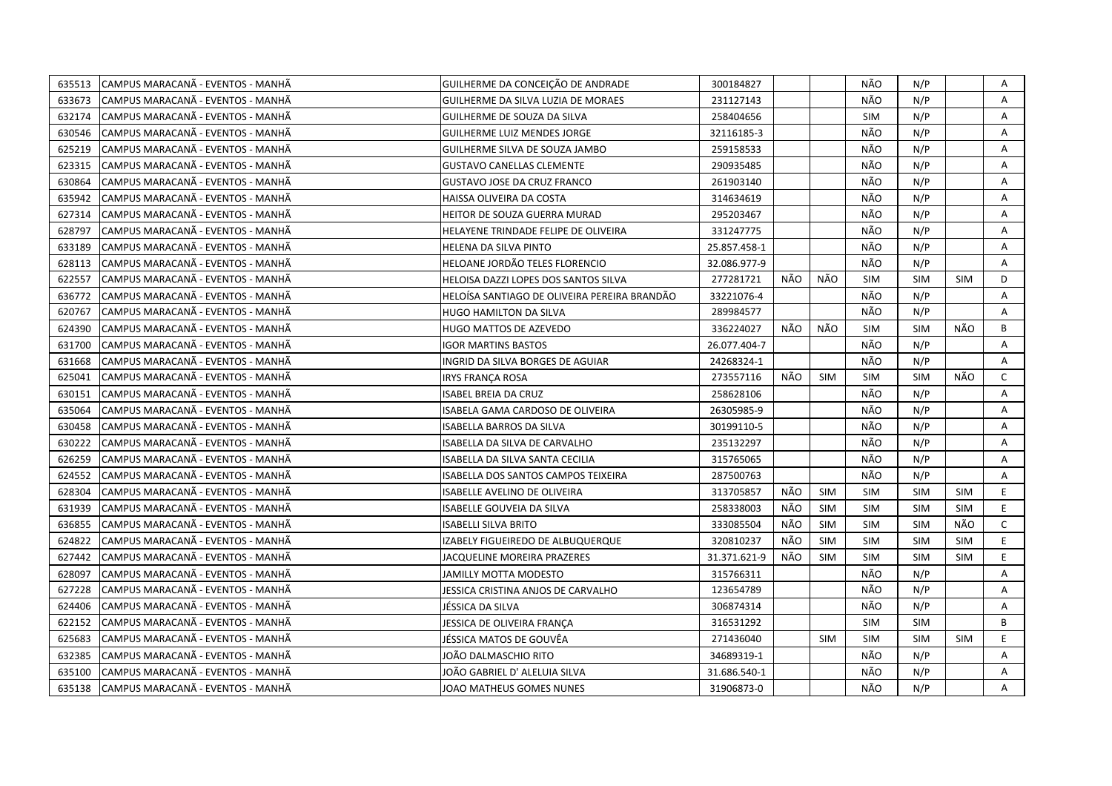| 635513 | CAMPUS MARACANA - EVENTOS - MANHA | GUILHERME DA CONCEIÇÃO DE ANDRADE            | 300184827    |     |            | NÃO        | N/P        |            | Α            |
|--------|-----------------------------------|----------------------------------------------|--------------|-----|------------|------------|------------|------------|--------------|
| 633673 | CAMPUS MARACANÃ - EVENTOS - MANHÃ | GUILHERME DA SILVA LUZIA DE MORAES           | 231127143    |     |            | NÃO        | N/P        |            | A            |
| 632174 | CAMPUS MARACANÃ - EVENTOS - MANHÃ | GUILHERME DE SOUZA DA SILVA                  | 258404656    |     |            | <b>SIM</b> | N/P        |            | Α            |
| 630546 | CAMPUS MARACANA - EVENTOS - MANHA | GUILHERME LUIZ MENDES JORGE                  | 32116185-3   |     |            | NÃO        | N/P        |            | Α            |
| 625219 | CAMPUS MARACANÃ - EVENTOS - MANHÃ | GUILHERME SILVA DE SOUZA JAMBO               | 259158533    |     |            | NÃO        | N/P        |            | Α            |
| 623315 | CAMPUS MARACANÃ - EVENTOS - MANHÃ | <b>GUSTAVO CANELLAS CLEMENTE</b>             | 290935485    |     |            | NÃO        | N/P        |            | Α            |
| 630864 | CAMPUS MARACANA - EVENTOS - MANHA | GUSTAVO JOSE DA CRUZ FRANCO                  | 261903140    |     |            | NÃO        | N/P        |            | Α            |
| 635942 | CAMPUS MARACANÃ - EVENTOS - MANHÃ | HAISSA OLIVEIRA DA COSTA                     | 314634619    |     |            | NÃO        | N/P        |            | A            |
| 627314 | CAMPUS MARACANÃ - EVENTOS - MANHÃ | HEITOR DE SOUZA GUERRA MURAD                 | 295203467    |     |            | NÃO        | N/P        |            | A            |
| 628797 | CAMPUS MARACANÃ - EVENTOS - MANHÃ | HELAYENE TRINDADE FELIPE DE OLIVEIRA         | 331247775    |     |            | NÃO        | N/P        |            | A            |
| 633189 | CAMPUS MARACANÃ - EVENTOS - MANHÃ | HELENA DA SILVA PINTO                        | 25.857.458-1 |     |            | NÃO        | N/P        |            | A            |
| 628113 | CAMPUS MARACANA - EVENTOS - MANHA | HELOANE JORDÃO TELES FLORENCIO               | 32.086.977-9 |     |            | NÃO        | N/P        |            | A            |
| 622557 | CAMPUS MARACANÃ - EVENTOS - MANHÃ | HELOISA DAZZI LOPES DOS SANTOS SILVA         | 277281721    | NÃO | NÃO        | <b>SIM</b> | <b>SIM</b> | <b>SIM</b> | D            |
| 636772 | CAMPUS MARACANÃ - EVENTOS - MANHÃ | HELOÍSA SANTIAGO DE OLIVEIRA PEREIRA BRANDÃO | 33221076-4   |     |            | NÃO        | N/P        |            | Α            |
| 620767 | CAMPUS MARACANA - EVENTOS - MANHA | HUGO HAMILTON DA SILVA                       | 289984577    |     |            | NÃO        | N/P        |            | A            |
| 624390 | CAMPUS MARACANA - EVENTOS - MANHA | HUGO MATTOS DE AZEVEDO                       | 336224027    | NÃO | NÃO        | <b>SIM</b> | <b>SIM</b> | NÃO        | B            |
| 631700 | CAMPUS MARACANA - EVENTOS - MANHA | <b>IGOR MARTINS BASTOS</b>                   | 26.077.404-7 |     |            | NÃO        | N/P        |            | A            |
| 631668 | CAMPUS MARACANÃ - EVENTOS - MANHÃ | INGRID DA SILVA BORGES DE AGUIAR             | 24268324-1   |     |            | NÃO        | N/P        |            | A            |
| 625041 | CAMPUS MARACANA - EVENTOS - MANHA | IRYS FRANÇA ROSA                             | 273557116    | NÃO | <b>SIM</b> | <b>SIM</b> | <b>SIM</b> | NÃO        | $\mathsf{C}$ |
| 630151 | CAMPUS MARACANÃ - EVENTOS - MANHÃ | ISABEL BREIA DA CRUZ                         | 258628106    |     |            | NÃO        | N/P        |            | Α            |
| 635064 | CAMPUS MARACANA - EVENTOS - MANHA | ISABELA GAMA CARDOSO DE OLIVEIRA             | 26305985-9   |     |            | NÃO        | N/P        |            | A            |
| 630458 | CAMPUS MARACANÃ - EVENTOS - MANHÃ | ISABELLA BARROS DA SILVA                     | 30199110-5   |     |            | NÃO        | N/P        |            | Α            |
| 630222 | CAMPUS MARACANA - EVENTOS - MANHA | ISABELLA DA SILVA DE CARVALHO                | 235132297    |     |            | NÃO        | N/P        |            | A            |
| 626259 | CAMPUS MARACANA - EVENTOS - MANHA | ISABELLA DA SILVA SANTA CECILIA              | 315765065    |     |            | NÃO        | N/P        |            | Α            |
| 624552 | CAMPUS MARACANA - EVENTOS - MANHA | ISABELLA DOS SANTOS CAMPOS TEIXEIRA          | 287500763    |     |            | NÃO        | N/P        |            | A            |
| 628304 | CAMPUS MARACANA - EVENTOS - MANHA | ISABELLE AVELINO DE OLIVEIRA                 | 313705857    | NÃO | SIM        | <b>SIM</b> | <b>SIM</b> | <b>SIM</b> | E.           |
| 631939 | CAMPUS MARACANA - EVENTOS - MANHA | ISABELLE GOUVEIA DA SILVA                    | 258338003    | NÃO | <b>SIM</b> | SIM        | <b>SIM</b> | <b>SIM</b> | E            |
| 636855 | CAMPUS MARACANÃ - EVENTOS - MANHÃ | <b>ISABELLI SILVA BRITO</b>                  | 333085504    | NÃO | <b>SIM</b> | <b>SIM</b> | <b>SIM</b> | NÃO        | $\mathsf{C}$ |
| 624822 | CAMPUS MARACANA - EVENTOS - MANHA | IZABELY FIGUEIREDO DE ALBUQUERQUE            | 320810237    | NÃO | <b>SIM</b> | <b>SIM</b> | <b>SIM</b> | <b>SIM</b> | E.           |
| 627442 | CAMPUS MARACANÃ - EVENTOS - MANHÃ | JACQUELINE MOREIRA PRAZERES                  | 31.371.621-9 | NÃO | <b>SIM</b> | <b>SIM</b> | <b>SIM</b> | <b>SIM</b> | E            |
| 628097 | CAMPUS MARACANÃ - EVENTOS - MANHÃ | JAMILLY MOTTA MODESTO                        | 315766311    |     |            | NÃO        | N/P        |            | A            |
| 627228 | CAMPUS MARACANÃ - EVENTOS - MANHÃ | JESSICA CRISTINA ANJOS DE CARVALHO           | 123654789    |     |            | NÃO        | N/P        |            | A            |
| 624406 | CAMPUS MARACANA - EVENTOS - MANHA | JÉSSICA DA SILVA                             | 306874314    |     |            | NÃO        | N/P        |            | A            |
| 622152 | CAMPUS MARACANÃ - EVENTOS - MANHÃ | JESSICA DE OLIVEIRA FRANÇA                   | 316531292    |     |            | <b>SIM</b> | <b>SIM</b> |            | B            |
| 625683 | CAMPUS MARACANÃ - EVENTOS - MANHÃ | JÉSSICA MATOS DE GOUVËA                      | 271436040    |     | <b>SIM</b> | <b>SIM</b> | <b>SIM</b> | <b>SIM</b> | E.           |
| 632385 | CAMPUS MARACANÃ - EVENTOS - MANHÃ | JOÃO DALMASCHIO RITO                         | 34689319-1   |     |            | NÃO        | N/P        |            | A            |
| 635100 | CAMPUS MARACANÃ - EVENTOS - MANHÃ | JOÃO GABRIEL D' ALELUIA SILVA                | 31.686.540-1 |     |            | NÃO        | N/P        |            | Α            |
| 635138 | CAMPUS MARACANA - EVENTOS - MANHA | JOAO MATHEUS GOMES NUNES                     | 31906873-0   |     |            | NÃO        | N/P        |            | A            |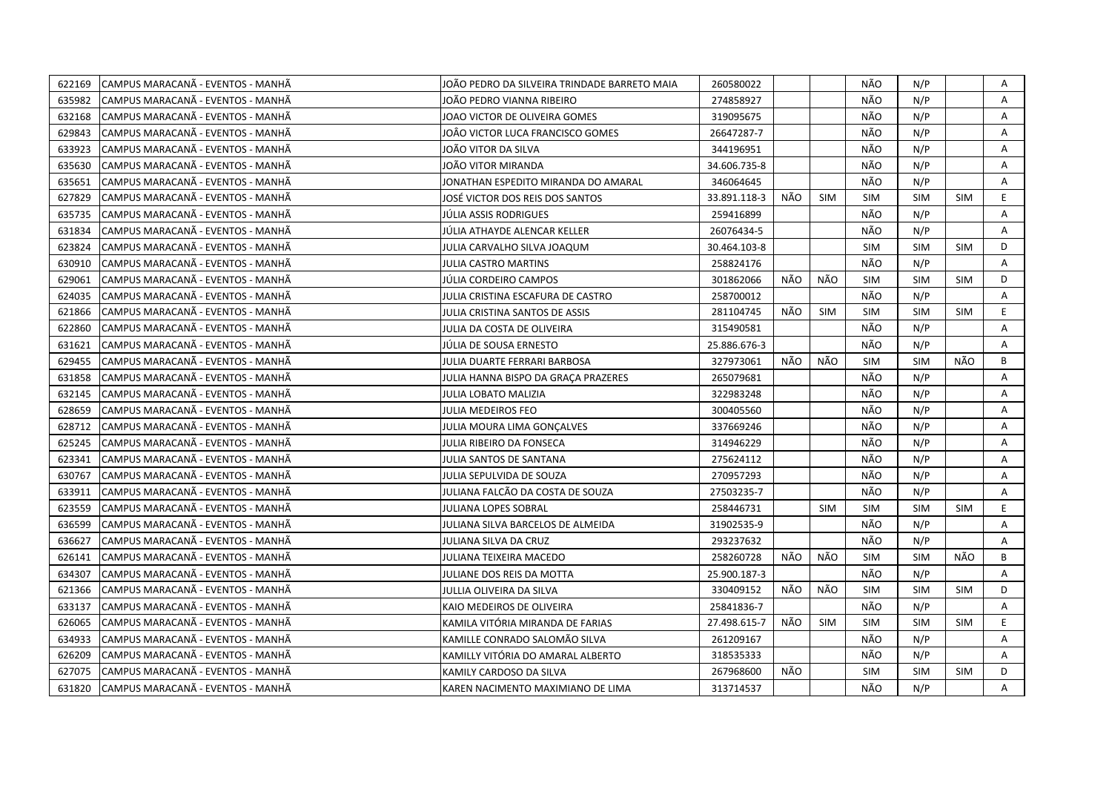| 622169 | CAMPUS MARACANÃ - EVENTOS - MANHÃ  | JOÃO PEDRO DA SILVEIRA TRINDADE BARRETO MAIA | 260580022    |     |            | NÃO        | N/P        |            | Α  |
|--------|------------------------------------|----------------------------------------------|--------------|-----|------------|------------|------------|------------|----|
| 635982 | CAMPUS MARACANÃ - EVENTOS - MANHÃ  | JOÃO PEDRO VIANNA RIBEIRO                    | 274858927    |     |            | NÃO        | N/P        |            | A  |
| 632168 | CAMPUS MARACANÃ - EVENTOS - MANHÃ  | JOAO VICTOR DE OLIVEIRA GOMES                | 319095675    |     |            | NÃO        | N/P        |            | A  |
| 629843 | CAMPUS MARACANÃ - EVENTOS - MANHÃ  | JOÃO VICTOR LUCA FRANCISCO GOMES             | 26647287-7   |     |            | NÃO        | N/P        |            | A  |
| 633923 | CAMPUS MARACANÃ - EVENTOS - MANHÃ  | JOÃO VITOR DA SILVA                          | 344196951    |     |            | NÃO        | N/P        |            | Α  |
| 635630 | CAMPUS MARACANÃ - EVENTOS - MANHÃ  | JOÃO VITOR MIRANDA                           | 34.606.735-8 |     |            | NÃO        | N/P        |            | Α  |
| 635651 | CAMPUS MARACANÃ - EVENTOS - MANHÃ  | JONATHAN ESPEDITO MIRANDA DO AMARAL          | 346064645    |     |            | NÃO        | N/P        |            | Α  |
| 627829 | ICAMPUS MARACANÃ - EVENTOS - MANHÃ | JOSÉ VICTOR DOS REIS DOS SANTOS              | 33.891.118-3 | NÃO | <b>SIM</b> | <b>SIM</b> | <b>SIM</b> | <b>SIM</b> | E. |
| 635735 | CAMPUS MARACANÃ - EVENTOS - MANHÃ  | JÚLIA ASSIS RODRIGUES                        | 259416899    |     |            | NÃO        | N/P        |            | A  |
| 631834 | CAMPUS MARACANÃ - EVENTOS - MANHÃ  | JÚLIA ATHAYDE ALENCAR KELLER                 | 26076434-5   |     |            | NÃO        | N/P        |            | A  |
| 623824 | CAMPUS MARACANÃ - EVENTOS - MANHÃ  | JULIA CARVALHO SILVA JOAQUM                  | 30.464.103-8 |     |            | <b>SIM</b> | <b>SIM</b> | <b>SIM</b> | D  |
| 630910 | CAMPUS MARACANÃ - EVENTOS - MANHÃ  | JULIA CASTRO MARTINS                         | 258824176    |     |            | NÃO        | N/P        |            | A  |
| 629061 | CAMPUS MARACANÃ - EVENTOS - MANHÃ  | JÚLIA CORDEIRO CAMPOS                        | 301862066    | NÃO | NÃO        | <b>SIM</b> | <b>SIM</b> | <b>SIM</b> | D  |
| 624035 | CAMPUS MARACANÃ - EVENTOS - MANHÃ  | JULIA CRISTINA ESCAFURA DE CASTRO            | 258700012    |     |            | NÃO        | N/P        |            | Α  |
| 621866 | CAMPUS MARACANA - EVENTOS - MANHA  | JULIA CRISTINA SANTOS DE ASSIS               | 281104745    | NÃO | <b>SIM</b> | <b>SIM</b> | <b>SIM</b> | <b>SIM</b> | E  |
| 622860 | CAMPUS MARACANÃ - EVENTOS - MANHÃ  | JULIA DA COSTA DE OLIVEIRA                   | 315490581    |     |            | NÃO        | N/P        |            | Α  |
| 631621 | CAMPUS MARACANÃ - EVENTOS - MANHÃ  | JÚLIA DE SOUSA ERNESTO                       | 25.886.676-3 |     |            | NÃO        | N/P        |            | A  |
| 629455 | CAMPUS MARACANÃ - EVENTOS - MANHÃ  | JULIA DUARTE FERRARI BARBOSA                 | 327973061    | NÃO | NÃO        | <b>SIM</b> | <b>SIM</b> | NÃO        | B  |
| 631858 | CAMPUS MARACANÃ - EVENTOS - MANHÃ  | JULIA HANNA BISPO DA GRAÇA PRAZERES          | 265079681    |     |            | NÃO        | N/P        |            | Α  |
| 632145 | CAMPUS MARACANÃ - EVENTOS - MANHÃ  | <b>JULIA LOBATO MALIZIA</b>                  | 322983248    |     |            | NÃO        | N/P        |            | Α  |
| 628659 | CAMPUS MARACANÃ - EVENTOS - MANHÃ  | JULIA MEDEIROS FEO                           | 300405560    |     |            | NÃO        | N/P        |            | A  |
| 628712 | CAMPUS MARACANÃ - EVENTOS - MANHÃ  | JULIA MOURA LIMA GONÇALVES                   | 337669246    |     |            | NÃO        | N/P        |            | Α  |
| 625245 | CAMPUS MARACANÃ - EVENTOS - MANHÃ  | JULIA RIBEIRO DA FONSECA                     | 314946229    |     |            | NÃO        | N/P        |            | A  |
| 623341 | CAMPUS MARACANÃ - EVENTOS - MANHÃ  | JULIA SANTOS DE SANTANA                      | 275624112    |     |            | NÃO        | N/P        |            | A  |
| 630767 | CAMPUS MARACANA - EVENTOS - MANHA  | JULIA SEPULVIDA DE SOUZA                     | 270957293    |     |            | NÃO        | N/P        |            | A  |
| 633911 | CAMPUS MARACANA - EVENTOS - MANHA  | JULIANA FALCÃO DA COSTA DE SOUZA             | 27503235-7   |     |            | NÃO        | N/P        |            | A  |
| 623559 | CAMPUS MARACANA - EVENTOS - MANHA  | JULIANA LOPES SOBRAL                         | 258446731    |     | <b>SIM</b> | <b>SIM</b> | <b>SIM</b> | <b>SIM</b> | E. |
| 636599 | CAMPUS MARACANÃ - EVENTOS - MANHÃ  | JULIANA SILVA BARCELOS DE ALMEIDA            | 31902535-9   |     |            | NÃO        | N/P        |            | A  |
| 636627 | CAMPUS MARACANÃ - EVENTOS - MANHÃ  | JULIANA SILVA DA CRUZ                        | 293237632    |     |            | NÃO        | N/P        |            | A  |
| 626141 | CAMPUS MARACANA - EVENTOS - MANHA  | JULIANA TEIXEIRA MACEDO                      | 258260728    | NÃO | NÃO        | <b>SIM</b> | <b>SIM</b> | NÃO        | B  |
| 634307 | CAMPUS MARACANÃ - EVENTOS - MANHÃ  | JULIANE DOS REIS DA MOTTA                    | 25.900.187-3 |     |            | NÃO        | N/P        |            | A  |
| 621366 | CAMPUS MARACANÃ - EVENTOS - MANHÃ  | JULLIA OLIVEIRA DA SILVA                     | 330409152    | NÃO | NÃO        | <b>SIM</b> | <b>SIM</b> | <b>SIM</b> | D  |
| 633137 | CAMPUS MARACANA - EVENTOS - MANHA  | KAIO MEDEIROS DE OLIVEIRA                    | 25841836-7   |     |            | NÃO        | N/P        |            | A  |
| 626065 | CAMPUS MARACANÃ - EVENTOS - MANHÃ  | KAMILA VITÓRIA MIRANDA DE FARIAS             | 27.498.615-7 | NÃO | <b>SIM</b> | <b>SIM</b> | <b>SIM</b> | <b>SIM</b> | E. |
| 634933 | CAMPUS MARACANÃ - EVENTOS - MANHÃ  | KAMILLE CONRADO SALOMÃO SILVA                | 261209167    |     |            | NÃO        | N/P        |            | A  |
| 626209 | CAMPUS MARACANÃ - EVENTOS - MANHÃ  | KAMILLY VITÓRIA DO AMARAL ALBERTO            | 318535333    |     |            | NÃO        | N/P        |            | A  |
| 627075 | CAMPUS MARACANÃ - EVENTOS - MANHÃ  | KAMILY CARDOSO DA SILVA                      | 267968600    | NÃO |            | <b>SIM</b> | <b>SIM</b> | <b>SIM</b> | D  |
| 631820 | CAMPUS MARACANA - EVENTOS - MANHA  | KAREN NACIMENTO MAXIMIANO DE LIMA            | 313714537    |     |            | NÃO        | N/P        |            | A  |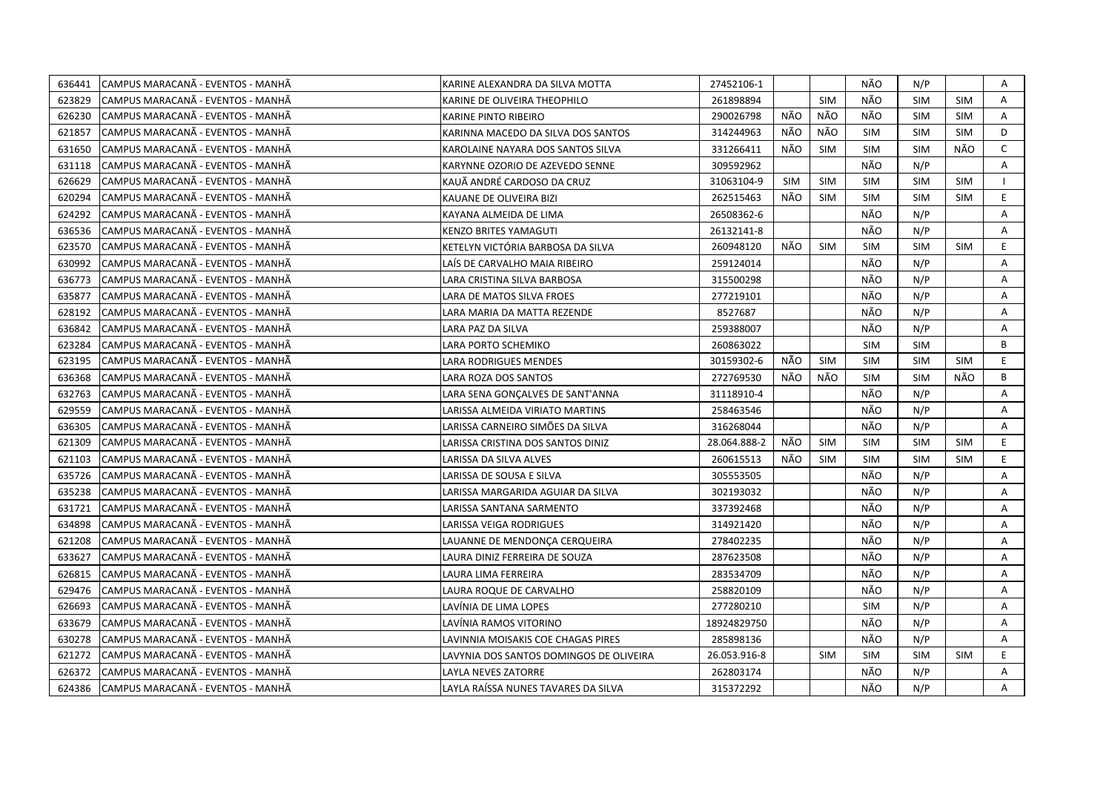| 636441 | CAMPUS MARACANÃ - EVENTOS - MANHÃ  | KARINE ALEXANDRA DA SILVA MOTTA         | 27452106-1   |            |            | NÃO        | N/P        |            | A            |
|--------|------------------------------------|-----------------------------------------|--------------|------------|------------|------------|------------|------------|--------------|
| 623829 | ICAMPUS MARACANÃ - EVENTOS - MANHÃ | KARINE DE OLIVEIRA THEOPHILO            | 261898894    |            | <b>SIM</b> | NÃO        | <b>SIM</b> | <b>SIM</b> | A            |
| 626230 | CAMPUS MARACANA - EVENTOS - MANHA  | KARINE PINTO RIBEIRO                    | 290026798    | NÃO        | NÃO        | NÃO        | <b>SIM</b> | <b>SIM</b> | A            |
| 621857 | CAMPUS MARACANA - EVENTOS - MANHA  | KARINNA MACEDO DA SILVA DOS SANTOS      | 314244963    | NÃO        | NÃO        | <b>SIM</b> | <b>SIM</b> | <b>SIM</b> | D            |
| 631650 | CAMPUS MARACANÃ - EVENTOS - MANHÃ  | KAROLAINE NAYARA DOS SANTOS SILVA       | 331266411    | NÃO        | <b>SIM</b> | <b>SIM</b> | <b>SIM</b> | NÃO        | $\mathsf{C}$ |
| 631118 | ICAMPUS MARACANÃ - EVENTOS - MANHÃ | KARYNNE OZORIO DE AZEVEDO SENNE         | 309592962    |            |            | NÃO        | N/P        |            | $\mathsf{A}$ |
| 626629 | CAMPUS MARACANÃ - EVENTOS - MANHÃ  | KAUÃ ANDRÉ CARDOSO DA CRUZ              | 31063104-9   | <b>SIM</b> | <b>SIM</b> | SIM        | <b>SIM</b> | <b>SIM</b> |              |
| 620294 | CAMPUS MARACANA - EVENTOS - MANHA  | KAUANE DE OLIVEIRA BIZI                 | 262515463    | NÃO        | <b>SIM</b> | <b>SIM</b> | <b>SIM</b> | <b>SIM</b> | E.           |
| 624292 | CAMPUS MARACANA - EVENTOS - MANHA  | KAYANA ALMEIDA DE LIMA                  | 26508362-6   |            |            | NÃO        | N/P        |            | A            |
| 636536 | CAMPUS MARACANA - EVENTOS - MANHA  | <b>KENZO BRITES YAMAGUTI</b>            | 26132141-8   |            |            | NÃO        | N/P        |            | A            |
| 623570 | CAMPUS MARACANÃ - EVENTOS - MANHÃ  | KETELYN VICTÓRIA BARBOSA DA SILVA       | 260948120    | NÃO        | <b>SIM</b> | <b>SIM</b> | <b>SIM</b> | <b>SIM</b> | E            |
| 630992 | CAMPUS MARACANA - EVENTOS - MANHA  | LAÍS DE CARVALHO MAIA RIBEIRO           | 259124014    |            |            | NÃO        | N/P        |            | Α            |
| 636773 | CAMPUS MARACANA - EVENTOS - MANHA  | LARA CRISTINA SILVA BARBOSA             | 315500298    |            |            | NÃO        | N/P        |            | Α            |
| 635877 | CAMPUS MARACANA - EVENTOS - MANHA  | LARA DE MATOS SILVA FROES               | 277219101    |            |            | NÃO        | N/P        |            | Α            |
| 628192 | CAMPUS MARACANA - EVENTOS - MANHA  | LARA MARIA DA MATTA REZENDE             | 8527687      |            |            | NÃO        | N/P        |            | A            |
| 636842 | CAMPUS MARACANA - EVENTOS - MANHA  | LARA PAZ DA SILVA                       | 259388007    |            |            | NÃO        | N/P        |            | A            |
| 623284 | CAMPUS MARACANA - EVENTOS - MANHA  | LARA PORTO SCHEMIKO                     | 260863022    |            |            | <b>SIM</b> | <b>SIM</b> |            | B            |
| 623195 | CAMPUS MARACANA - EVENTOS - MANHA  | LARA RODRIGUES MENDES                   | 30159302-6   | NÃO        | SIM        | <b>SIM</b> | <b>SIM</b> | SIM        | E.           |
| 636368 | CAMPUS MARACANA - EVENTOS - MANHA  | LARA ROZA DOS SANTOS                    | 272769530    | NÃO        | NÃO        | <b>SIM</b> | <b>SIM</b> | NÃO        | B            |
| 632763 | CAMPUS MARACANÃ - EVENTOS - MANHÃ  | LARA SENA GONÇALVES DE SANT'ANNA        | 31118910-4   |            |            | NÃO        | N/P        |            | A            |
| 629559 | CAMPUS MARACANÃ - EVENTOS - MANHÃ  | LARISSA ALMEIDA VIRIATO MARTINS         | 258463546    |            |            | NÃO        | N/P        |            | $\mathsf{A}$ |
| 636305 | CAMPUS MARACANÃ - EVENTOS - MANHÃ  | LARISSA CARNEIRO SIMÕES DA SILVA        | 316268044    |            |            | NÃO        | N/P        |            | A            |
| 621309 | CAMPUS MARACANÃ - EVENTOS - MANHÃ  | LARISSA CRISTINA DOS SANTOS DINIZ       | 28.064.888-2 | NÃO        | <b>SIM</b> | <b>SIM</b> | <b>SIM</b> | <b>SIM</b> | E.           |
| 621103 | CAMPUS MARACANÃ - EVENTOS - MANHÃ  | LARISSA DA SILVA ALVES                  | 260615513    | NÃO        | <b>SIM</b> | <b>SIM</b> | <b>SIM</b> | <b>SIM</b> | E            |
| 635726 | ICAMPUS MARACANÃ - EVENTOS - MANHÃ | LARISSA DE SOUSA E SILVA                | 305553505    |            |            | NÃO        | N/P        |            | $\mathsf{A}$ |
| 635238 | CAMPUS MARACANA - EVENTOS - MANHA  | LARISSA MARGARIDA AGUIAR DA SILVA       | 302193032    |            |            | NÃO        | N/P        |            | Α            |
| 631721 | CAMPUS MARACANA - EVENTOS - MANHA  | LARISSA SANTANA SARMENTO                | 337392468    |            |            | NÃO        | N/P        |            | A            |
| 634898 | CAMPUS MARACANÃ - EVENTOS - MANHÃ  | LARISSA VEIGA RODRIGUES                 | 314921420    |            |            | NÃO        | N/P        |            | Α            |
| 621208 | CAMPUS MARACANA - EVENTOS - MANHA  | LAUANNE DE MENDONCA CERQUEIRA           | 278402235    |            |            | NÃO        | N/P        |            | Α            |
| 633627 | CAMPUS MARACANA - EVENTOS - MANHA  | LAURA DINIZ FERREIRA DE SOUZA           | 287623508    |            |            | NÃO        | N/P        |            | Α            |
| 626815 | ICAMPUS MARACANÃ - EVENTOS - MANHÃ | LAURA LIMA FERREIRA                     | 283534709    |            |            | NÃO        | N/P        |            | A            |
| 629476 | CAMPUS MARACANÃ - EVENTOS - MANHÃ  | LAURA ROQUE DE CARVALHO                 | 258820109    |            |            | NÃO        | N/P        |            | $\mathsf{A}$ |
| 626693 | CAMPUS MARACANA - EVENTOS - MANHA  | LAVÍNIA DE LIMA LOPES                   | 277280210    |            |            | <b>SIM</b> | N/P        |            | $\mathsf{A}$ |
| 633679 | CAMPUS MARACANÃ - EVENTOS - MANHÃ  | LAVÍNIA RAMOS VITORINO                  | 18924829750  |            |            | NÃO        | N/P        |            | A            |
| 630278 | CAMPUS MARACANA - EVENTOS - MANHA  | LAVINNIA MOISAKIS COE CHAGAS PIRES      | 285898136    |            |            | NÃO        | N/P        |            | A            |
| 621272 | CAMPUS MARACANA - EVENTOS - MANHA  | LAVYNIA DOS SANTOS DOMINGOS DE OLIVEIRA | 26.053.916-8 |            | <b>SIM</b> | SIM        | <b>SIM</b> | <b>SIM</b> | E            |
| 626372 | CAMPUS MARACANA - EVENTOS - MANHA  | LAYLA NEVES ZATORRE                     | 262803174    |            |            | NÃO        | N/P        |            | A            |
| 624386 | CAMPUS MARACANA - EVENTOS - MANHA  | LAYLA RAÍSSA NUNES TAVARES DA SILVA     | 315372292    |            |            | NÃO        | N/P        |            | A            |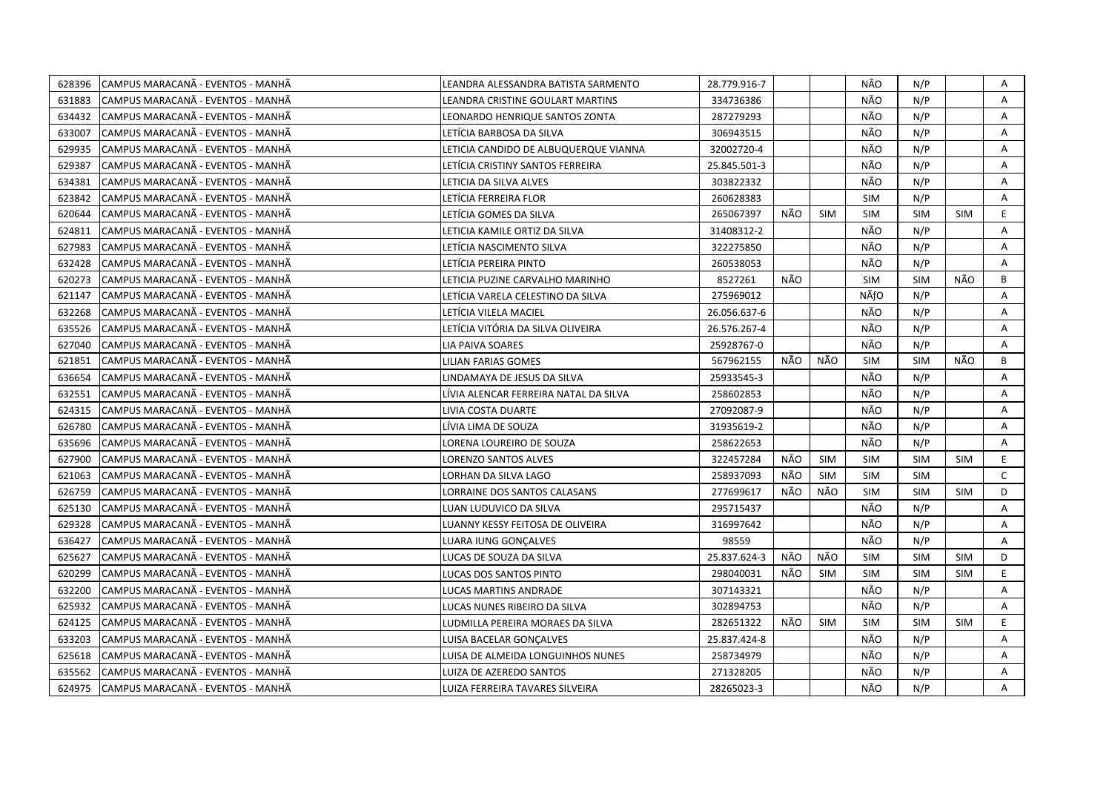| 628396 | CAMPUS MARACANÃ - EVENTOS - MANHÃ  | LEANDRA ALESSANDRA BATISTA SARMENTO   | 28.779.916-7 |     |            | NÃO        | N/P        |            | Α            |
|--------|------------------------------------|---------------------------------------|--------------|-----|------------|------------|------------|------------|--------------|
| 631883 | ICAMPUS MARACANÃ - EVENTOS - MANHÃ | LEANDRA CRISTINE GOULART MARTINS      | 334736386    |     |            | NÃO        | N/P        |            | A            |
| 634432 | CAMPUS MARACANÃ - EVENTOS - MANHÃ  | LEONARDO HENRIQUE SANTOS ZONTA        | 287279293    |     |            | NÃO        | N/P        |            | A            |
| 633007 | CAMPUS MARACANÃ - EVENTOS - MANHÃ  | LETÍCIA BARBOSA DA SILVA              | 306943515    |     |            | NÃO        | N/P        |            | Α            |
| 629935 | CAMPUS MARACANÃ - EVENTOS - MANHÃ  | LETICIA CANDIDO DE ALBUQUERQUE VIANNA | 32002720-4   |     |            | NÃO        | N/P        |            | Α            |
| 629387 | CAMPUS MARACANÃ - EVENTOS - MANHÃ  | LETÍCIA CRISTINY SANTOS FERREIRA      | 25.845.501-3 |     |            | NÃO        | N/P        |            | Α            |
| 634381 | ICAMPUS MARACANÃ - EVENTOS - MANHÃ | LETICIA DA SILVA ALVES                | 303822332    |     |            | NÃO        | N/P        |            | A            |
| 623842 | CAMPUS MARACANÃ - EVENTOS - MANHÃ  | LETÍCIA FERREIRA FLOR                 | 260628383    |     |            | <b>SIM</b> | N/P        |            | A            |
| 620644 | CAMPUS MARACANÃ - EVENTOS - MANHÃ  | LETÍCIA GOMES DA SILVA                | 265067397    | NÃO | <b>SIM</b> | <b>SIM</b> | <b>SIM</b> | <b>SIM</b> | E.           |
| 624811 | CAMPUS MARACANÃ - EVENTOS - MANHÃ  | LETICIA KAMILE ORTIZ DA SILVA         | 31408312-2   |     |            | NÃO        | N/P        |            | A            |
| 627983 | CAMPUS MARACANÃ - EVENTOS - MANHÃ  | LETICIA NASCIMENTO SILVA              | 322275850    |     |            | NÃO        | N/P        |            | Α            |
| 632428 | CAMPUS MARACANÃ - EVENTOS - MANHÃ  | LETÍCIA PEREIRA PINTO                 | 260538053    |     |            | NÃO        | N/P        |            | A            |
| 620273 | CAMPUS MARACANA - EVENTOS - MANHA  | LETICIA PUZINE CARVALHO MARINHO       | 8527261      | NÃO |            | <b>SIM</b> | <b>SIM</b> | NÃO        | B            |
| 621147 | CAMPUS MARACANA - EVENTOS - MANHA  | LETÍCIA VARELA CELESTINO DA SILVA     | 275969012    |     |            | NÃfO       | N/P        |            | Α            |
| 632268 | CAMPUS MARACANÃ - EVENTOS - MANHÃ  | LETÍCIA VILELA MACIEL                 | 26.056.637-6 |     |            | NÃO        | N/P        |            | A            |
| 635526 | CAMPUS MARACANÃ - EVENTOS - MANHÃ  | LETÍCIA VITÓRIA DA SILVA OLIVEIRA     | 26.576.267-4 |     |            | NÃO        | N/P        |            | Α            |
| 627040 | CAMPUS MARACANÃ - EVENTOS - MANHÃ  | LIA PAIVA SOARES                      | 25928767-0   |     |            | NÃO        | N/P        |            | A            |
| 621851 | CAMPUS MARACANÃ - EVENTOS - MANHÃ  | LILIAN FARIAS GOMES                   | 567962155    | NÃO | NÃO        | <b>SIM</b> | <b>SIM</b> | NÃO        | B            |
| 636654 | CAMPUS MARACANÃ - EVENTOS - MANHÃ  | LINDAMAYA DE JESUS DA SILVA           | 25933545-3   |     |            | NÃO        | N/P        |            | A            |
| 632551 | CAMPUS MARACANÃ - EVENTOS - MANHÃ  | LÍVIA ALENCAR FERREIRA NATAL DA SILVA | 258602853    |     |            | NÃO        | N/P        |            | A            |
| 624315 | CAMPUS MARACANÃ - EVENTOS - MANHÃ  | LIVIA COSTA DUARTE                    | 27092087-9   |     |            | NÃO        | N/P        |            | A            |
| 626780 | ICAMPUS MARACANÃ - EVENTOS - MANHÃ | LIVIA LIMA DE SOUZA                   | 31935619-2   |     |            | NÃO        | N/P        |            | A            |
| 635696 | CAMPUS MARACANÃ - EVENTOS - MANHÃ  | LORENA LOUREIRO DE SOUZA              | 258622653    |     |            | NÃO        | N/P        |            | A            |
| 627900 | CAMPUS MARACANA - EVENTOS - MANHA  | LORENZO SANTOS ALVES                  | 322457284    | NÃO | <b>SIM</b> | <b>SIM</b> | <b>SIM</b> | <b>SIM</b> | E.           |
| 621063 | CAMPUS MARACANÃ - EVENTOS - MANHÃ  | LORHAN DA SILVA LAGO                  | 258937093    | NÃO | <b>SIM</b> | <b>SIM</b> | <b>SIM</b> |            | $\mathsf{C}$ |
| 626759 | CAMPUS MARACANÃ - EVENTOS - MANHÃ  | LORRAINE DOS SANTOS CALASANS          | 277699617    | NÃO | NÃO        | <b>SIM</b> | <b>SIM</b> | <b>SIM</b> | D            |
| 625130 | CAMPUS MARACANÃ - EVENTOS - MANHÃ  | LUAN LUDUVICO DA SILVA                | 295715437    |     |            | NÃO        | N/P        |            | A            |
| 629328 | CAMPUS MARACANÃ - EVENTOS - MANHÃ  | LUANNY KESSY FEITOSA DE OLIVEIRA      | 316997642    |     |            | NÃO        | N/P        |            | Α            |
| 636427 | CAMPUS MARACANÃ - EVENTOS - MANHÃ  | LUARA IUNG GONÇALVES                  | 98559        |     |            | NÃO        | N/P        |            | A            |
| 625627 | CAMPUS MARACANÃ - EVENTOS - MANHÃ  | LUCAS DE SOUZA DA SILVA               | 25.837.624-3 | NÃO | NÃO        | <b>SIM</b> | <b>SIM</b> | <b>SIM</b> | D            |
| 620299 | CAMPUS MARACANÃ - EVENTOS - MANHÃ  | LUCAS DOS SANTOS PINTO                | 298040031    | NÃO | <b>SIM</b> | <b>SIM</b> | <b>SIM</b> | <b>SIM</b> | E            |
| 632200 | ICAMPUS MARACANÃ - EVENTOS - MANHÃ | LUCAS MARTINS ANDRADE                 | 307143321    |     |            | NÃO        | N/P        |            | A            |
| 625932 | CAMPUS MARACANÃ - EVENTOS - MANHÃ  | LUCAS NUNES RIBEIRO DA SILVA          | 302894753    |     |            | NÃO        | N/P        |            | A            |
| 624125 | CAMPUS MARACANA - EVENTOS - MANHA  | LUDMILLA PEREIRA MORAES DA SILVA      | 282651322    | NÃO | <b>SIM</b> | <b>SIM</b> | <b>SIM</b> | <b>SIM</b> | E.           |
| 633203 | CAMPUS MARACANÃ - EVENTOS - MANHÃ  | LUISA BACELAR GONÇALVES               | 25.837.424-8 |     |            | NÃO        | N/P        |            | A            |
| 625618 | CAMPUS MARACANA - EVENTOS - MANHA  | LUISA DE ALMEIDA LONGUINHOS NUNES     | 258734979    |     |            | NÃO        | N/P        |            | Α            |
| 635562 | CAMPUS MARACANÃ - EVENTOS - MANHÃ  | LUIZA DE AZEREDO SANTOS               | 271328205    |     |            | NÃO        | N/P        |            | Α            |
| 624975 | CAMPUS MARACANÃ - EVENTOS - MANHÃ  | LUIZA FERREIRA TAVARES SILVEIRA       | 28265023-3   |     |            | NÃO        | N/P        |            | A            |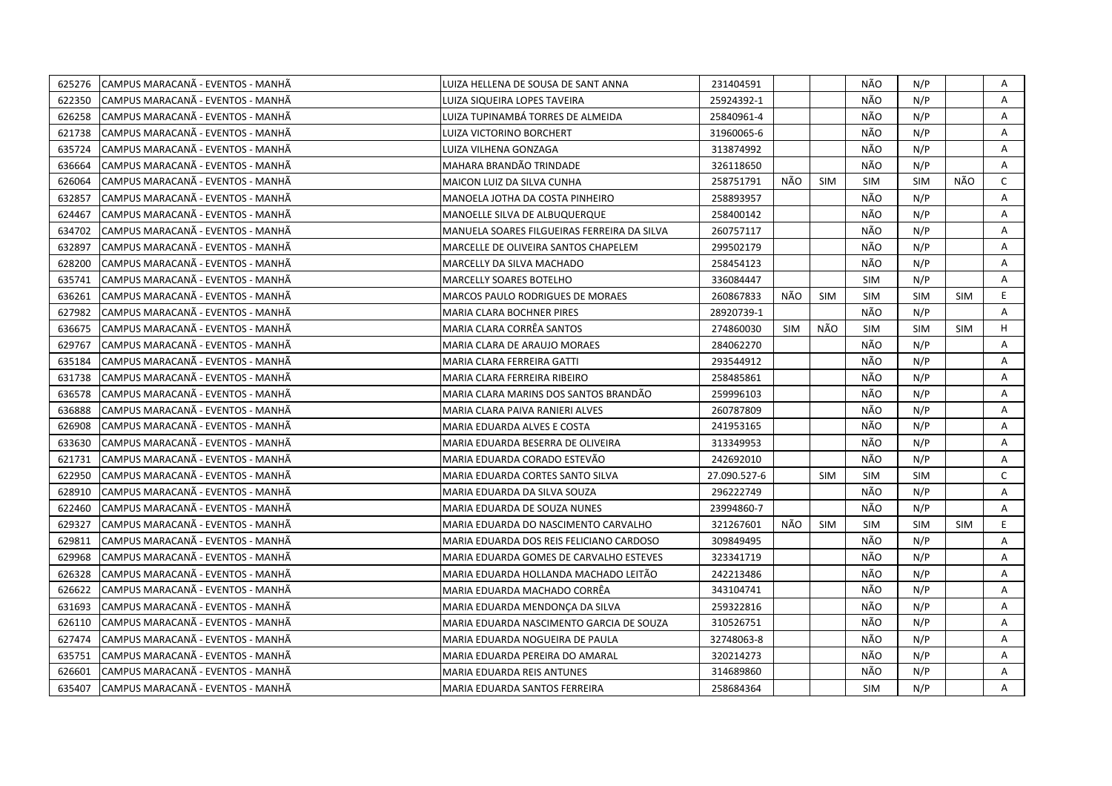| 625276 | CAMPUS MARACANÃ - EVENTOS - MANHÃ | LUIZA HELLENA DE SOUSA DE SANT ANNA         | 231404591    |     |            | NÃO        | N/P        |            | Α            |
|--------|-----------------------------------|---------------------------------------------|--------------|-----|------------|------------|------------|------------|--------------|
| 622350 | CAMPUS MARACANÃ - EVENTOS - MANHÃ | LUIZA SIQUEIRA LOPES TAVEIRA                | 25924392-1   |     |            | NÃO        | N/P        |            | A            |
| 626258 | CAMPUS MARACANÃ - EVENTOS - MANHÃ | LUIZA TUPINAMBÁ TORRES DE ALMEIDA           | 25840961-4   |     |            | NÃO        | N/P        |            | A            |
| 621738 | CAMPUS MARACANÃ - EVENTOS - MANHÃ | LUIZA VICTORINO BORCHERT                    | 31960065-6   |     |            | NÃO        | N/P        |            | Α            |
| 635724 | CAMPUS MARACANÃ - EVENTOS - MANHÃ | LUIZA VILHENA GONZAGA                       | 313874992    |     |            | NÃO        | N/P        |            | Α            |
| 636664 | CAMPUS MARACANÃ - EVENTOS - MANHÃ | MAHARA BRANDÃO TRINDADE                     | 326118650    |     |            | NÃO        | N/P        |            | Α            |
| 626064 | CAMPUS MARACANÃ - EVENTOS - MANHÃ | <b>MAICON LUIZ DA SILVA CUNHA</b>           | 258751791    | NÃO | <b>SIM</b> | <b>SIM</b> | <b>SIM</b> | NÃO        | C            |
| 632857 | CAMPUS MARACANÃ - EVENTOS - MANHÃ | MANOELA JOTHA DA COSTA PINHEIRO             | 258893957    |     |            | NÃO        | N/P        |            | A            |
| 624467 | CAMPUS MARACANÃ - EVENTOS - MANHÃ | MANOELLE SILVA DE ALBUQUERQUE               | 258400142    |     |            | NÃO        | N/P        |            | A            |
| 634702 | CAMPUS MARACANÃ - EVENTOS - MANHÃ | MANUELA SOARES FILGUEIRAS FERREIRA DA SILVA | 260757117    |     |            | NÃO        | N/P        |            | A            |
| 632897 | CAMPUS MARACANÃ - EVENTOS - MANHÃ | MARCELLE DE OLIVEIRA SANTOS CHAPELEM        | 299502179    |     |            | NÃO        | N/P        |            | Α            |
| 628200 | CAMPUS MARACANÃ - EVENTOS - MANHÃ | MARCELLY DA SILVA MACHADO                   | 258454123    |     |            | NÃO        | N/P        |            | A            |
| 635741 | CAMPUS MARACANÃ - EVENTOS - MANHÃ | <b>MARCELLY SOARES BOTELHO</b>              | 336084447    |     |            | <b>SIM</b> | N/P        |            | A            |
| 636261 | CAMPUS MARACANÃ - EVENTOS - MANHÃ | MARCOS PAULO RODRIGUES DE MORAES            | 260867833    | NÃO | SIM        | <b>SIM</b> | <b>SIM</b> | <b>SIM</b> | E.           |
| 627982 | CAMPUS MARACANA - EVENTOS - MANHA | MARIA CLARA BOCHNER PIRES                   | 28920739-1   |     |            | NÃO        | N/P        |            | A            |
| 636675 | CAMPUS MARACANÃ - EVENTOS - MANHÃ | MARIA CLARA CORRÊA SANTOS                   | 274860030    | SIM | NÃO        | <b>SIM</b> | <b>SIM</b> | <b>SIM</b> | H            |
| 629767 | CAMPUS MARACANA - EVENTOS - MANHA | MARIA CLARA DE ARAUJO MORAES                | 284062270    |     |            | NÃO        | N/P        |            | A            |
| 635184 | CAMPUS MARACANÃ - EVENTOS - MANHÃ | MARIA CLARA FERREIRA GATTI                  | 293544912    |     |            | NÃO        | N/P        |            | A            |
| 631738 | CAMPUS MARACANA - EVENTOS - MANHA | MARIA CLARA FERREIRA RIBEIRO                | 258485861    |     |            | NÃO        | N/P        |            | A            |
| 636578 | CAMPUS MARACANÃ - EVENTOS - MANHÃ | MARIA CLARA MARINS DOS SANTOS BRANDÃO       | 259996103    |     |            | NÃO        | N/P        |            | A            |
| 636888 | CAMPUS MARACANÃ - EVENTOS - MANHÃ | MARIA CLARA PAIVA RANIERI ALVES             | 260787809    |     |            | NÃO        | N/P        |            | A            |
| 626908 | CAMPUS MARACANA - EVENTOS - MANHA | MARIA EDUARDA ALVES E COSTA                 | 241953165    |     |            | NÃO        | N/P        |            | A            |
| 633630 | CAMPUS MARACANÃ - EVENTOS - MANHÃ | MARIA EDUARDA BESERRA DE OLIVEIRA           | 313349953    |     |            | NÃO        | N/P        |            | A            |
| 621731 | CAMPUS MARACANA - EVENTOS - MANHA | MARIA EDUARDA CORADO ESTEVÃO                | 242692010    |     |            | NÃO        | N/P        |            | A            |
| 622950 | CAMPUS MARACANÃ - EVENTOS - MANHÃ | MARIA EDUARDA CORTES SANTO SILVA            | 27.090.527-6 |     | <b>SIM</b> | <b>SIM</b> | <b>SIM</b> |            | $\mathsf{C}$ |
| 628910 | CAMPUS MARACANÃ - EVENTOS - MANHÃ | MARIA EDUARDA DA SILVA SOUZA                | 296222749    |     |            | NÃO        | N/P        |            | Α            |
| 622460 | CAMPUS MARACANA - EVENTOS - MANHA | MARIA EDUARDA DE SOUZA NUNES                | 23994860-7   |     |            | NÃO        | N/P        |            | A            |
| 629327 | CAMPUS MARACANÃ - EVENTOS - MANHÃ | MARIA EDUARDA DO NASCIMENTO CARVALHO        | 321267601    | NÃO | <b>SIM</b> | <b>SIM</b> | <b>SIM</b> | <b>SIM</b> | E            |
| 629811 | CAMPUS MARACANÃ - EVENTOS - MANHÃ | MARIA EDUARDA DOS REIS FELICIANO CARDOSO    | 309849495    |     |            | NÃO        | N/P        |            | A            |
| 629968 | CAMPUS MARACANÃ - EVENTOS - MANHÃ | MARIA EDUARDA GOMES DE CARVALHO ESTEVES     | 323341719    |     |            | NÃO        | N/P        |            | Α            |
| 626328 | CAMPUS MARACANÃ - EVENTOS - MANHÃ | MARIA EDUARDA HOLLANDA MACHADO LEITÃO       | 242213486    |     |            | NÃO        | N/P        |            | Α            |
| 626622 | CAMPUS MARACANÃ - EVENTOS - MANHÃ | MARIA EDUARDA MACHADO CORRÊA                | 343104741    |     |            | NÃO        | N/P        |            | A            |
| 631693 | CAMPUS MARACANÃ - EVENTOS - MANHÃ | MARIA EDUARDA MENDONÇA DA SILVA             | 259322816    |     |            | NÃO        | N/P        |            | A            |
| 626110 | CAMPUS MARACANA - EVENTOS - MANHA | MARIA EDUARDA NASCIMENTO GARCIA DE SOUZA    | 310526751    |     |            | NÃO        | N/P        |            | A            |
| 627474 | CAMPUS MARACANÃ - EVENTOS - MANHÃ | MARIA EDUARDA NOGUEIRA DE PAULA             | 32748063-8   |     |            | NÃO        | N/P        |            | A            |
| 635751 | CAMPUS MARACANA - EVENTOS - MANHA | MARIA EDUARDA PEREIRA DO AMARAL             | 320214273    |     |            | NÃO        | N/P        |            | Α            |
| 626601 | CAMPUS MARACANÃ - EVENTOS - MANHÃ | MARIA EDUARDA REIS ANTUNES                  | 314689860    |     |            | NÃO        | N/P        |            | A            |
| 635407 | CAMPUS MARACANÃ - EVENTOS - MANHÃ | MARIA EDUARDA SANTOS FERREIRA               | 258684364    |     |            | <b>SIM</b> | N/P        |            | A            |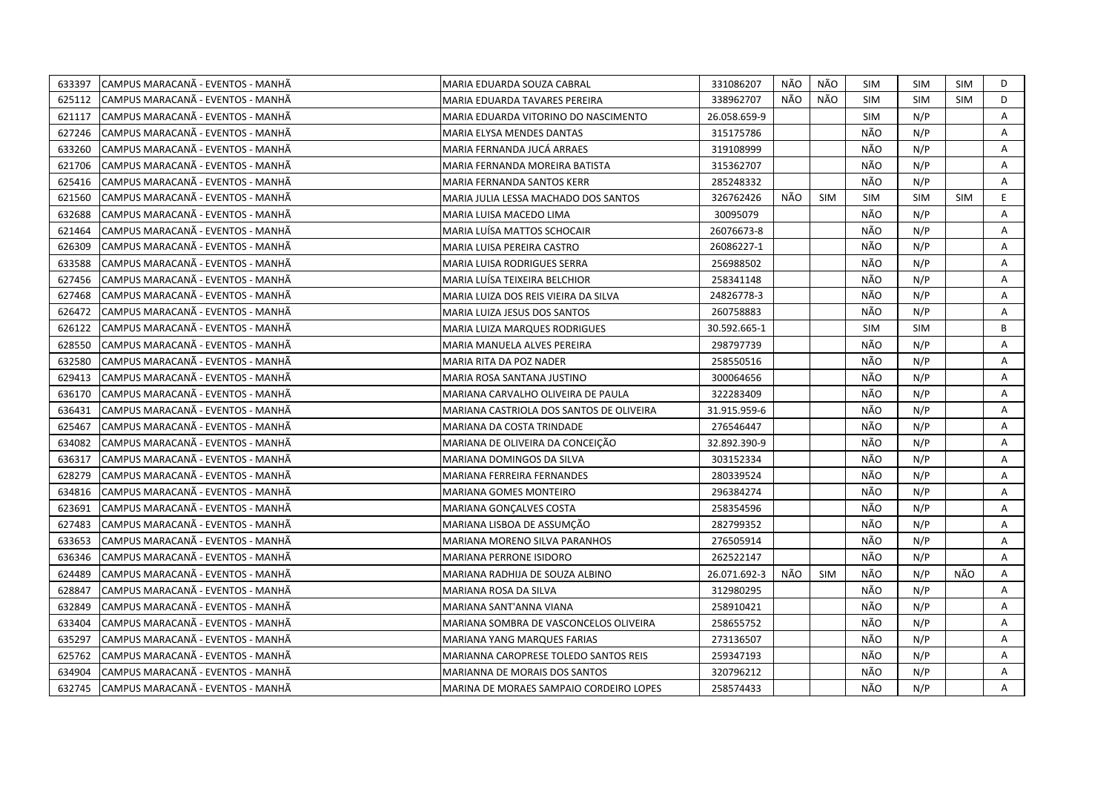| 633397 | CAMPUS MARACANA - EVENTOS - MANHA | MARIA EDUARDA SOUZA CABRAL               | 331086207    | NÃO | NÃO        | SIM        | <b>SIM</b> | SIM        | D  |
|--------|-----------------------------------|------------------------------------------|--------------|-----|------------|------------|------------|------------|----|
| 625112 | CAMPUS MARACANA - EVENTOS - MANHA | MARIA EDUARDA TAVARES PEREIRA            | 338962707    | NÃO | NÃO        | <b>SIM</b> | <b>SIM</b> | <b>SIM</b> | D  |
| 621117 | CAMPUS MARACANÃ - EVENTOS - MANHÃ | MARIA EDUARDA VITORINO DO NASCIMENTO     | 26.058.659-9 |     |            | <b>SIM</b> | N/P        |            | Α  |
| 627246 | CAMPUS MARACANÃ - EVENTOS - MANHÃ | MARIA ELYSA MENDES DANTAS                | 315175786    |     |            | NÃO        | N/P        |            | A  |
| 633260 | CAMPUS MARACANÃ - EVENTOS - MANHÃ | MARIA FERNANDA JUCÁ ARRAES               | 319108999    |     |            | NÃO        | N/P        |            | Α  |
| 621706 | CAMPUS MARACANÃ - EVENTOS - MANHÃ | MARIA FERNANDA MOREIRA BATISTA           | 315362707    |     |            | NÃO        | N/P        |            | A  |
| 625416 | CAMPUS MARACANÃ - EVENTOS - MANHÃ | MARIA FERNANDA SANTOS KERR               | 285248332    |     |            | NÃO        | N/P        |            | Α  |
| 621560 | CAMPUS MARACANÃ - EVENTOS - MANHÃ | MARIA JULIA LESSA MACHADO DOS SANTOS     | 326762426    | NÃO | <b>SIM</b> | <b>SIM</b> | <b>SIM</b> | <b>SIM</b> | E. |
| 632688 | CAMPUS MARACANÃ - EVENTOS - MANHÃ | MARIA LUISA MACEDO LIMA                  | 30095079     |     |            | NÃO        | N/P        |            | A  |
| 621464 | CAMPUS MARACANÃ - EVENTOS - MANHÃ | MARIA LUÍSA MATTOS SCHOCAIR              | 26076673-8   |     |            | NÃO        | N/P        |            | A  |
| 626309 | CAMPUS MARACANA - EVENTOS - MANHA | MARIA LUISA PEREIRA CASTRO               | 26086227-1   |     |            | NÃO        | N/P        |            | A  |
| 633588 | CAMPUS MARACANÃ - EVENTOS - MANHÃ | MARIA LUISA RODRIGUES SERRA              | 256988502    |     |            | NÃO        | N/P        |            | A  |
| 627456 | CAMPUS MARACANÃ - EVENTOS - MANHÃ | MARIA LUÍSA TEIXEIRA BELCHIOR            | 258341148    |     |            | NÃO        | N/P        |            | Α  |
| 627468 | CAMPUS MARACANÃ - EVENTOS - MANHÃ | MARIA LUIZA DOS REIS VIEIRA DA SILVA     | 24826778-3   |     |            | NÃO        | N/P        |            | Α  |
| 626472 | CAMPUS MARACANÃ - EVENTOS - MANHÃ | MARIA LUIZA JESUS DOS SANTOS             | 260758883    |     |            | NÃO        | N/P        |            | A  |
| 626122 | CAMPUS MARACANÃ - EVENTOS - MANHÃ | MARIA LUIZA MARQUES RODRIGUES            | 30.592.665-1 |     |            | <b>SIM</b> | <b>SIM</b> |            | B  |
| 628550 | CAMPUS MARACANA - EVENTOS - MANHA | MARIA MANUELA ALVES PEREIRA              | 298797739    |     |            | NÃO        | N/P        |            | A  |
| 632580 | CAMPUS MARACANÃ - EVENTOS - MANHÃ | MARIA RITA DA POZ NADER                  | 258550516    |     |            | NÃO        | N/P        |            | A  |
| 629413 | CAMPUS MARACANÃ - EVENTOS - MANHÃ | MARIA ROSA SANTANA JUSTINO               | 300064656    |     |            | NÃO        | N/P        |            | Α  |
| 636170 | CAMPUS MARACANÃ - EVENTOS - MANHÃ | MARIANA CARVALHO OLIVEIRA DE PAULA       | 322283409    |     |            | NÃO        | N/P        |            | Α  |
| 636431 | CAMPUS MARACANÃ - EVENTOS - MANHÃ | MARIANA CASTRIOLA DOS SANTOS DE OLIVEIRA | 31.915.959-6 |     |            | NÃO        | N/P        |            | A  |
| 625467 | CAMPUS MARACANÃ - EVENTOS - MANHÃ | MARIANA DA COSTA TRINDADE                | 276546447    |     |            | NÃO        | N/P        |            | Α  |
| 634082 | CAMPUS MARACANA - EVENTOS - MANHA | MARIANA DE OLIVEIRA DA CONCEIÇÃO         | 32.892.390-9 |     |            | NÃO        | N/P        |            | A  |
| 636317 | CAMPUS MARACANÃ - EVENTOS - MANHÃ | MARIANA DOMINGOS DA SILVA                | 303152334    |     |            | NÃO        | N/P        |            | A  |
| 628279 | CAMPUS MARACANA - EVENTOS - MANHA | MARIANA FERREIRA FERNANDES               | 280339524    |     |            | NÃO        | N/P        |            | A  |
| 634816 | CAMPUS MARACANA - EVENTOS - MANHA | MARIANA GOMES MONTEIRO                   | 296384274    |     |            | NÃO        | N/P        |            | A  |
| 623691 | CAMPUS MARACANA - EVENTOS - MANHA | MARIANA GONÇALVES COSTA                  | 258354596    |     |            | NÃO        | N/P        |            | A  |
| 627483 | CAMPUS MARACANÃ - EVENTOS - MANHÃ | MARIANA LISBOA DE ASSUMÇÃO               | 282799352    |     |            | NÃO        | N/P        |            | A  |
| 633653 | CAMPUS MARACANÃ - EVENTOS - MANHÃ | MARIANA MORENO SILVA PARANHOS            | 276505914    |     |            | NÃO        | N/P        |            | A  |
| 636346 | CAMPUS MARACANÃ - EVENTOS - MANHÃ | MARIANA PERRONE ISIDORO                  | 262522147    |     |            | NÃO        | N/P        |            | A  |
| 624489 | CAMPUS MARACANÃ - EVENTOS - MANHÃ | MARIANA RADHIJA DE SOUZA ALBINO          | 26.071.692-3 | NÃO | <b>SIM</b> | NÃO        | N/P        | NÃO        | A  |
| 628847 | CAMPUS MARACANÃ - EVENTOS - MANHÃ | MARIANA ROSA DA SILVA                    | 312980295    |     |            | NÃO        | N/P        |            | A  |
| 632849 | CAMPUS MARACANA - EVENTOS - MANHA | MARIANA SANT'ANNA VIANA                  | 258910421    |     |            | NÃO        | N/P        |            | A  |
| 633404 | CAMPUS MARACANÃ - EVENTOS - MANHÃ | MARIANA SOMBRA DE VASCONCELOS OLIVEIRA   | 258655752    |     |            | NÃO        | N/P        |            | Α  |
| 635297 | CAMPUS MARACANÃ - EVENTOS - MANHÃ | MARIANA YANG MARQUES FARIAS              | 273136507    |     |            | NÃO        | N/P        |            | A  |
| 625762 | CAMPUS MARACANÃ - EVENTOS - MANHÃ | MARIANNA CAROPRESE TOLEDO SANTOS REIS    | 259347193    |     |            | NÃO        | N/P        |            | A  |
| 634904 | CAMPUS MARACANÃ - EVENTOS - MANHÃ | MARIANNA DE MORAIS DOS SANTOS            | 320796212    |     |            | NÃO        | N/P        |            | Α  |
| 632745 | CAMPUS MARACANA - EVENTOS - MANHA | MARINA DE MORAES SAMPAIO CORDEIRO LOPES  | 258574433    |     |            | NÃO        | N/P        |            | A  |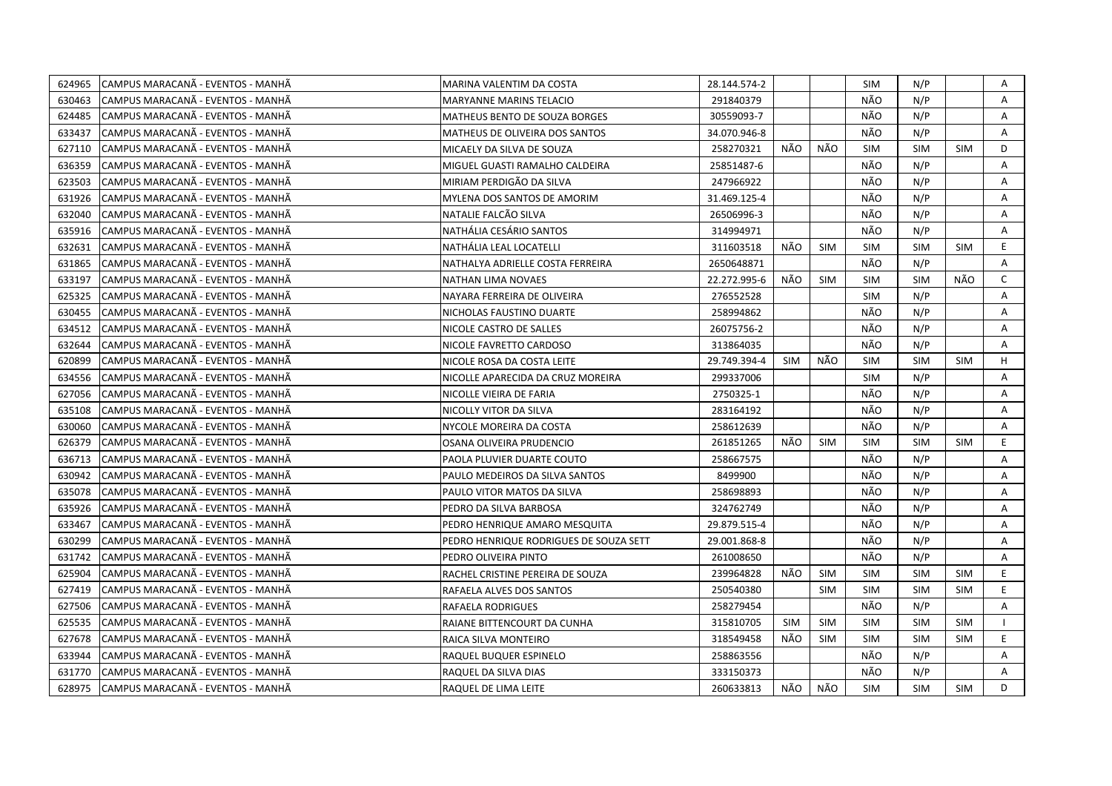| 624965 | CAMPUS MARACANÃ - EVENTOS - MANHÃ  | MARINA VALENTIM DA COSTA               | 28.144.574-2 |            |            | SIM        | N/P        |            | Α            |
|--------|------------------------------------|----------------------------------------|--------------|------------|------------|------------|------------|------------|--------------|
| 630463 | CAMPUS MARACANÃ - EVENTOS - MANHÃ  | MARYANNE MARINS TELACIO                | 291840379    |            |            | NÃO        | N/P        |            | A            |
| 624485 | CAMPUS MARACANA - EVENTOS - MANHA  | MATHEUS BENTO DE SOUZA BORGES          | 30559093-7   |            |            | NÃO        | N/P        |            | A            |
| 633437 | CAMPUS MARACANÃ - EVENTOS - MANHÃ  | MATHEUS DE OLIVEIRA DOS SANTOS         | 34.070.946-8 |            |            | NÃO        | N/P        |            | Α            |
| 627110 | CAMPUS MARACANÃ - EVENTOS - MANHÃ  | MICAELY DA SILVA DE SOUZA              | 258270321    | NÃO        | NÃO        | <b>SIM</b> | <b>SIM</b> | <b>SIM</b> | D            |
| 636359 | CAMPUS MARACANÃ - EVENTOS - MANHÃ  | MIGUEL GUASTI RAMALHO CALDEIRA         | 25851487-6   |            |            | NÃO        | N/P        |            | Α            |
| 623503 | ICAMPUS MARACANÃ - EVENTOS - MANHÃ | MIRIAM PERDIGÃO DA SILVA               | 247966922    |            |            | NÃO        | N/P        |            | A            |
| 631926 | CAMPUS MARACANÃ - EVENTOS - MANHÃ  | MYLENA DOS SANTOS DE AMORIM            | 31.469.125-4 |            |            | NÃO        | N/P        |            | A            |
| 632040 | CAMPUS MARACANA - EVENTOS - MANHA  | NATALIE FALCÃO SILVA                   | 26506996-3   |            |            | NÃO        | N/P        |            | Α            |
| 635916 | CAMPUS MARACANA - EVENTOS - MANHA  | NATHÁLIA CESÁRIO SANTOS                | 314994971    |            |            | NÃO        | N/P        |            | A            |
| 632631 | CAMPUS MARACANÃ - EVENTOS - MANHÃ  | NATHÁLIA LEAL LOCATELLI                | 311603518    | NÃO        | <b>SIM</b> | <b>SIM</b> | <b>SIM</b> | <b>SIM</b> | E            |
| 631865 | CAMPUS MARACANÃ - EVENTOS - MANHÃ  | NATHALYA ADRIELLE COSTA FERREIRA       | 2650648871   |            |            | NÃO        | N/P        |            | Α            |
| 633197 | CAMPUS MARACANA - EVENTOS - MANHA  | NATHAN LIMA NOVAES                     | 22.272.995-6 | NÃO        | <b>SIM</b> | <b>SIM</b> | <b>SIM</b> | NÃO        | $\mathsf{C}$ |
| 625325 | CAMPUS MARACANÃ - EVENTOS - MANHÃ  | NAYARA FERREIRA DE OLIVEIRA            | 276552528    |            |            | SIM        | N/P        |            | A            |
| 630455 | CAMPUS MARACANÃ - EVENTOS - MANHÃ  | NICHOLAS FAUSTINO DUARTE               | 258994862    |            |            | NÃO        | N/P        |            | Α            |
| 634512 | CAMPUS MARACANÃ - EVENTOS - MANHÃ  | NICOLE CASTRO DE SALLES                | 26075756-2   |            |            | NÃO        | N/P        |            | Α            |
| 632644 | ICAMPUS MARACANÃ - EVENTOS - MANHÃ | NICOLE FAVRETTO CARDOSO                | 313864035    |            |            | NÃO        | N/P        |            | A            |
| 620899 | CAMPUS MARACANA - EVENTOS - MANHA  | NICOLE ROSA DA COSTA LEITE             | 29.749.394-4 | <b>SIM</b> | NÃO        | <b>SIM</b> | <b>SIM</b> | <b>SIM</b> | H            |
| 634556 | CAMPUS MARACANÃ - EVENTOS - MANHÃ  | NICOLLE APARECIDA DA CRUZ MOREIRA      | 299337006    |            |            | <b>SIM</b> | N/P        |            | A            |
| 627056 | CAMPUS MARACANA - EVENTOS - MANHA  | NICOLLE VIEIRA DE FARIA                | 2750325-1    |            |            | NÃO        | N/P        |            | Α            |
| 635108 | CAMPUS MARACANA - EVENTOS - MANHA  | NICOLLY VITOR DA SILVA                 | 283164192    |            |            | NÃO        | N/P        |            | A            |
| 630060 | CAMPUS MARACANÃ - EVENTOS - MANHÃ  | NYCOLE MOREIRA DA COSTA                | 258612639    |            |            | NÃO        | N/P        |            | A            |
| 626379 | CAMPUS MARACANA - EVENTOS - MANHA  | OSANA OLIVEIRA PRUDENCIO               | 261851265    | NÃO        | <b>SIM</b> | <b>SIM</b> | <b>SIM</b> | <b>SIM</b> | E            |
| 636713 | CAMPUS MARACANÃ - EVENTOS - MANHÃ  | PAOLA PLUVIER DUARTE COUTO             | 258667575    |            |            | NÃO        | N/P        |            | A            |
| 630942 | CAMPUS MARACANÃ - EVENTOS - MANHÃ  | PAULO MEDEIROS DA SILVA SANTOS         | 8499900      |            |            | NÃO        | N/P        |            | Α            |
| 635078 | CAMPUS MARACANÃ - EVENTOS - MANHÃ  | PAULO VITOR MATOS DA SILVA             | 258698893    |            |            | NÃO        | N/P        |            | Α            |
| 635926 | CAMPUS MARACANÃ - EVENTOS - MANHÃ  | PEDRO DA SILVA BARBOSA                 | 324762749    |            |            | NÃO        | N/P        |            | Α            |
| 633467 | CAMPUS MARACANÃ - EVENTOS - MANHÃ  | PEDRO HENRIQUE AMARO MESQUITA          | 29.879.515-4 |            |            | NÃO        | N/P        |            | A            |
| 630299 | CAMPUS MARACANÃ - EVENTOS - MANHÃ  | PEDRO HENRIQUE RODRIGUES DE SOUZA SETT | 29.001.868-8 |            |            | NÃO        | N/P        |            | A            |
| 631742 | CAMPUS MARACANÃ - EVENTOS - MANHÃ  | PEDRO OLIVEIRA PINTO                   | 261008650    |            |            | NÃO        | N/P        |            | Α            |
| 625904 | CAMPUS MARACANÃ - EVENTOS - MANHÃ  | RACHEL CRISTINE PEREIRA DE SOUZA       | 239964828    | NÃO        | <b>SIM</b> | <b>SIM</b> | <b>SIM</b> | <b>SIM</b> | E.           |
| 627419 | CAMPUS MARACANA - EVENTOS - MANHA  | RAFAELA ALVES DOS SANTOS               | 250540380    |            | <b>SIM</b> | <b>SIM</b> | <b>SIM</b> | <b>SIM</b> | E.           |
| 627506 | CAMPUS MARACANÃ - EVENTOS - MANHÃ  | <b>RAFAELA RODRIGUES</b>               | 258279454    |            |            | NÃO        | N/P        |            | A            |
| 625535 | CAMPUS MARACANÃ - EVENTOS - MANHÃ  | RAIANE BITTENCOURT DA CUNHA            | 315810705    | <b>SIM</b> | <b>SIM</b> | <b>SIM</b> | <b>SIM</b> | <b>SIM</b> |              |
| 627678 | CAMPUS MARACANA - EVENTOS - MANHA  | RAICA SILVA MONTEIRO                   | 318549458    | NÃO        | <b>SIM</b> | SIM        | <b>SIM</b> | <b>SIM</b> | E.           |
| 633944 | CAMPUS MARACANÃ - EVENTOS - MANHÃ  | RAQUEL BUQUER ESPINELO                 | 258863556    |            |            | NÃO        | N/P        |            | A            |
| 631770 | CAMPUS MARACANÃ - EVENTOS - MANHÃ  | RAQUEL DA SILVA DIAS                   | 333150373    |            |            | NÃO        | N/P        |            | A            |
| 628975 | CAMPUS MARACANA - EVENTOS - MANHA  | RAQUEL DE LIMA LEITE                   | 260633813    | NÃO        | NÃO        | <b>SIM</b> | <b>SIM</b> | <b>SIM</b> | D.           |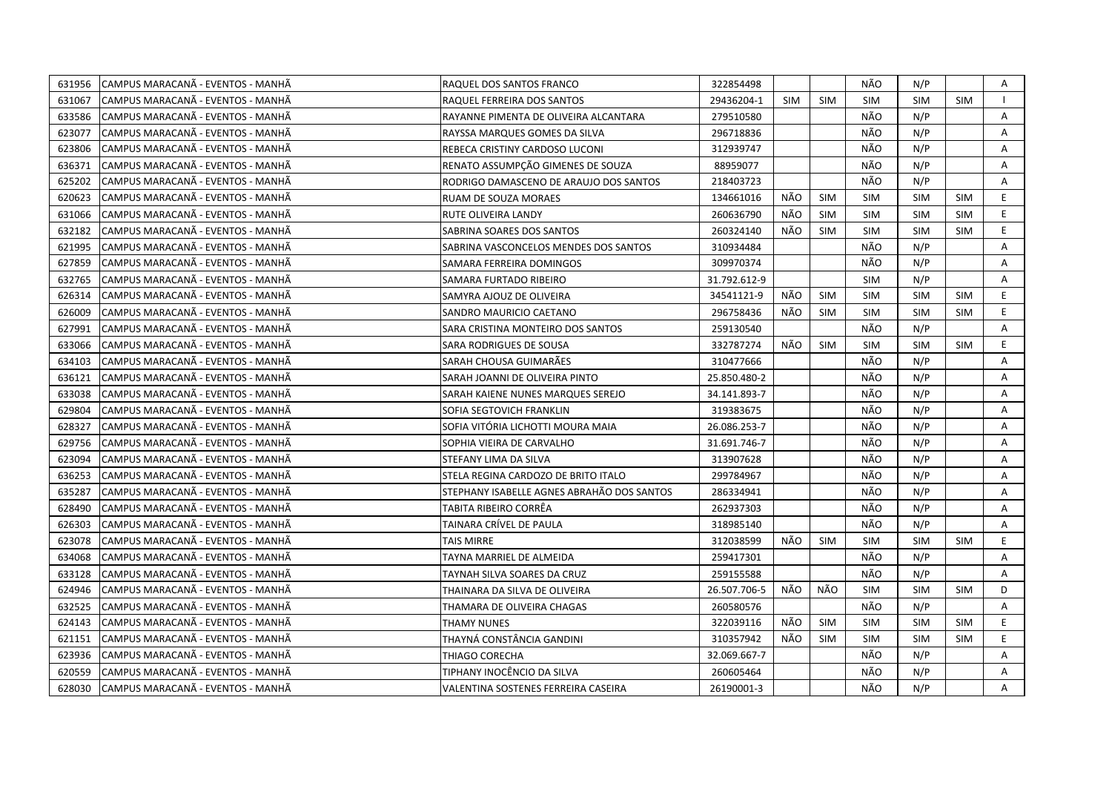| 631956 | CAMPUS MARACANÃ - EVENTOS - MANHÃ | RAQUEL DOS SANTOS FRANCO                   | 322854498    |            |            | NÃO        | N/P        |            | Α  |
|--------|-----------------------------------|--------------------------------------------|--------------|------------|------------|------------|------------|------------|----|
| 631067 | CAMPUS MARACANÃ - EVENTOS - MANHÃ | RAQUEL FERREIRA DOS SANTOS                 | 29436204-1   | <b>SIM</b> | <b>SIM</b> | <b>SIM</b> | <b>SIM</b> | <b>SIM</b> |    |
| 633586 | CAMPUS MARACANÃ - EVENTOS - MANHÃ | RAYANNE PIMENTA DE OLIVEIRA ALCANTARA      | 279510580    |            |            | NÃO        | N/P        |            | Α  |
| 623077 | CAMPUS MARACANÃ - EVENTOS - MANHÃ | RAYSSA MARQUES GOMES DA SILVA              | 296718836    |            |            | NÃO        | N/P        |            | Α  |
| 623806 | CAMPUS MARACANÃ - EVENTOS - MANHÃ | REBECA CRISTINY CARDOSO LUCONI             | 312939747    |            |            | NÃO        | N/P        |            | Α  |
| 636371 | CAMPUS MARACANÃ - EVENTOS - MANHÃ | RENATO ASSUMPÇÃO GIMENES DE SOUZA          | 88959077     |            |            | NÃO        | N/P        |            | Α  |
| 625202 | CAMPUS MARACANÃ - EVENTOS - MANHÃ | RODRIGO DAMASCENO DE ARAUJO DOS SANTOS     | 218403723    |            |            | NÃO        | N/P        |            | A  |
| 620623 | CAMPUS MARACANÃ - EVENTOS - MANHÃ | <b>RUAM DE SOUZA MORAES</b>                | 134661016    | NÃO        | <b>SIM</b> | <b>SIM</b> | <b>SIM</b> | <b>SIM</b> | E. |
| 631066 | CAMPUS MARACANÃ - EVENTOS - MANHÃ | RUTE OLIVEIRA LANDY                        | 260636790    | NÃO        | <b>SIM</b> | <b>SIM</b> | <b>SIM</b> | <b>SIM</b> | E  |
| 632182 | CAMPUS MARACANÃ - EVENTOS - MANHÃ | SABRINA SOARES DOS SANTOS                  | 260324140    | NÃO        | <b>SIM</b> | <b>SIM</b> | <b>SIM</b> | <b>SIM</b> | E. |
| 621995 | CAMPUS MARACANÃ - EVENTOS - MANHÃ | SABRINA VASCONCELOS MENDES DOS SANTOS      | 310934484    |            |            | NÃO        | N/P        |            | Α  |
| 627859 | CAMPUS MARACANÃ - EVENTOS - MANHÃ | SAMARA FERREIRA DOMINGOS                   | 309970374    |            |            | NÃO        | N/P        |            | A  |
| 632765 | CAMPUS MARACANA - EVENTOS - MANHA | SAMARA FURTADO RIBEIRO                     | 31.792.612-9 |            |            | <b>SIM</b> | N/P        |            | A  |
| 626314 | CAMPUS MARACANÃ - EVENTOS - MANHÃ | SAMYRA AJOUZ DE OLIVEIRA                   | 34541121-9   | NÃO        | <b>SIM</b> | <b>SIM</b> | <b>SIM</b> | <b>SIM</b> | E. |
| 626009 | CAMPUS MARACANA - EVENTOS - MANHA | SANDRO MAURICIO CAETANO                    | 296758436    | NÃO        | <b>SIM</b> | <b>SIM</b> | <b>SIM</b> | <b>SIM</b> | E  |
| 627991 | CAMPUS MARACANÃ - EVENTOS - MANHÃ | SARA CRISTINA MONTEIRO DOS SANTOS          | 259130540    |            |            | NÃO        | N/P        |            | A  |
| 633066 | CAMPUS MARACANA - EVENTOS - MANHA | SARA RODRIGUES DE SOUSA                    | 332787274    | NÃO        | <b>SIM</b> | <b>SIM</b> | <b>SIM</b> | <b>SIM</b> | E. |
| 634103 | CAMPUS MARACANÃ - EVENTOS - MANHÃ | SARAH CHOUSA GUIMARÃES                     | 310477666    |            |            | NÃO        | N/P        |            | A  |
| 636121 | CAMPUS MARACANÃ - EVENTOS - MANHÃ | SARAH JOANNI DE OLIVEIRA PINTO             | 25.850.480-2 |            |            | NÃO        | N/P        |            | A  |
| 633038 | CAMPUS MARACANÃ - EVENTOS - MANHÃ | SARAH KAIENE NUNES MARQUES SEREJO          | 34.141.893-7 |            |            | NÃO        | N/P        |            | A  |
| 629804 | CAMPUS MARACANÃ - EVENTOS - MANHÃ | SOFIA SEGTOVICH FRANKLIN                   | 319383675    |            |            | NÃO        | N/P        |            | A  |
| 628327 | CAMPUS MARACANÃ - EVENTOS - MANHÃ | SOFIA VITÓRIA LICHOTTI MOURA MAIA          | 26.086.253-7 |            |            | NÃO        | N/P        |            | A  |
| 629756 | CAMPUS MARACANÃ - EVENTOS - MANHÃ | SOPHIA VIEIRA DE CARVALHO                  | 31.691.746-7 |            |            | NÃO        | N/P        |            | A  |
| 623094 | CAMPUS MARACANÃ - EVENTOS - MANHÃ | STEFANY LIMA DA SILVA                      | 313907628    |            |            | NÃO        | N/P        |            | A  |
| 636253 | CAMPUS MARACANÃ - EVENTOS - MANHÃ | STELA REGINA CARDOZO DE BRITO ITALO        | 299784967    |            |            | NÃO        | N/P        |            | A  |
| 635287 | CAMPUS MARACANÃ - EVENTOS - MANHÃ | STEPHANY ISABELLE AGNES ABRAHÃO DOS SANTOS | 286334941    |            |            | NÃO        | N/P        |            | Α  |
| 628490 | CAMPUS MARACANÃ - EVENTOS - MANHÃ | TABITA RIBEIRO CORRÊA                      | 262937303    |            |            | NÃO        | N/P        |            | A  |
| 626303 | CAMPUS MARACANÃ - EVENTOS - MANHÃ | TAINARA CRÍVEL DE PAULA                    | 318985140    |            |            | NÃO        | N/P        |            | Α  |
| 623078 | CAMPUS MARACANA - EVENTOS - MANHA | TAIS MIRRE                                 | 312038599    | NÃO        | <b>SIM</b> | <b>SIM</b> | <b>SIM</b> | <b>SIM</b> | E. |
| 634068 | CAMPUS MARACANÃ - EVENTOS - MANHÃ | TAYNA MARRIEL DE ALMEIDA                   | 259417301    |            |            | NÃO        | N/P        |            | Α  |
| 633128 | CAMPUS MARACANÃ - EVENTOS - MANHÃ | TAYNAH SILVA SOARES DA CRUZ                | 259155588    |            |            | NÃO        | N/P        |            | A  |
| 624946 | CAMPUS MARACANÃ - EVENTOS - MANHÃ | THAINARA DA SILVA DE OLIVEIRA              | 26.507.706-5 | NÃO        | NÃO        | <b>SIM</b> | <b>SIM</b> | <b>SIM</b> | D  |
| 632525 | CAMPUS MARACANA - EVENTOS - MANHA | THAMARA DE OLIVEIRA CHAGAS                 | 260580576    |            |            | NÃO        | N/P        |            | A  |
| 624143 | CAMPUS MARACANA - EVENTOS - MANHA | <b>THAMY NUNES</b>                         | 322039116    | NÃO        | <b>SIM</b> | <b>SIM</b> | <b>SIM</b> | <b>SIM</b> | E. |
| 621151 | CAMPUS MARACANÃ - EVENTOS - MANHÃ | THAYNÁ CONSTÂNCIA GANDINI                  | 310357942    | NÃO        | <b>SIM</b> | <b>SIM</b> | <b>SIM</b> | <b>SIM</b> | E. |
| 623936 | CAMPUS MARACANÃ - EVENTOS - MANHÃ | THIAGO CORECHA                             | 32.069.667-7 |            |            | NÃO        | N/P        |            | Α  |
| 620559 | CAMPUS MARACANA - EVENTOS - MANHA | TIPHANY INOCÊNCIO DA SILVA                 | 260605464    |            |            | NÃO        | N/P        |            | Α  |
| 628030 | CAMPUS MARACANÃ - EVENTOS - MANHÃ | VALENTINA SOSTENES FERREIRA CASEIRA        | 26190001-3   |            |            | NÃO        | N/P        |            | A  |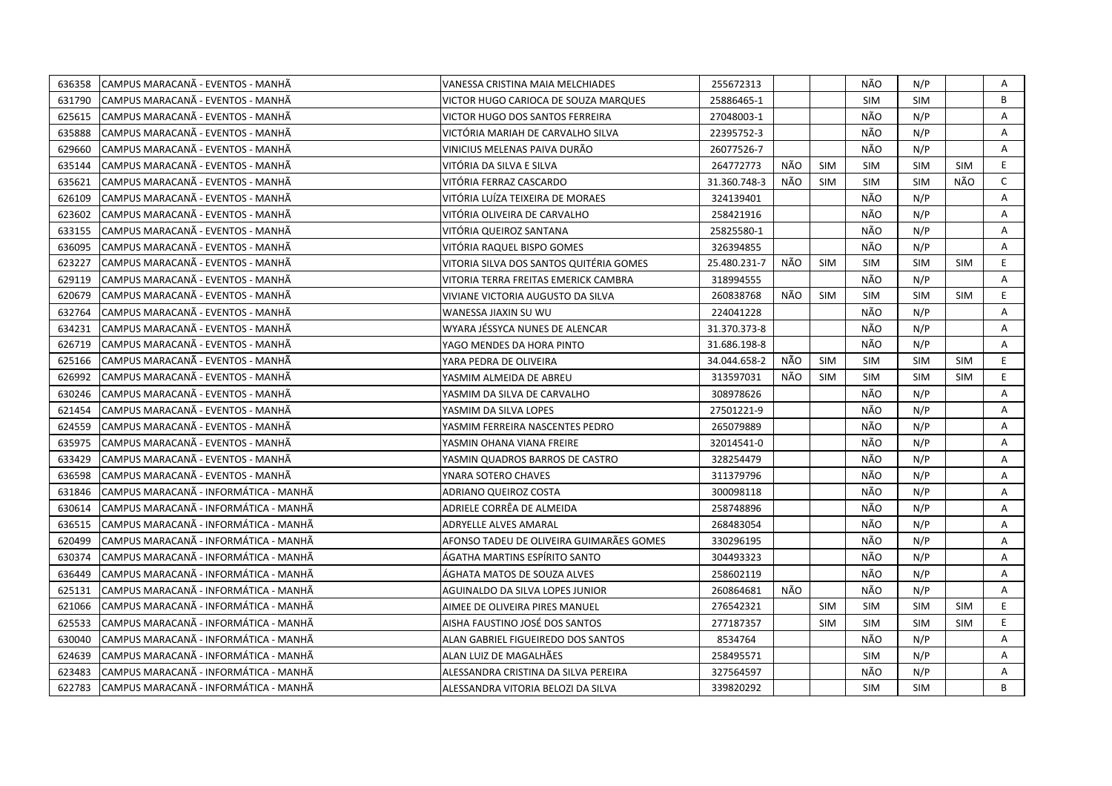| 636358 | CAMPUS MARACANÃ - EVENTOS - MANHÃ     | VANESSA CRISTINA MAIA MELCHIADES         | 255672313    |     |            | NÃO        | N/P        |            | Α            |
|--------|---------------------------------------|------------------------------------------|--------------|-----|------------|------------|------------|------------|--------------|
| 631790 | ICAMPUS MARACANÃ - EVENTOS - MANHÃ    | VICTOR HUGO CARIOCA DE SOUZA MARQUES     | 25886465-1   |     |            | <b>SIM</b> | <b>SIM</b> |            | B            |
| 625615 | CAMPUS MARACANÃ - EVENTOS - MANHÃ     | VICTOR HUGO DOS SANTOS FERREIRA          | 27048003-1   |     |            | NÃO        | N/P        |            | Α            |
| 635888 | CAMPUS MARACANÃ - EVENTOS - MANHÃ     | VICTÓRIA MARIAH DE CARVALHO SILVA        | 22395752-3   |     |            | NÃO        | N/P        |            | Α            |
| 629660 | CAMPUS MARACANÃ - EVENTOS - MANHÃ     | VINICIUS MELENAS PAIVA DURÃO             | 26077526-7   |     |            | NÃO        | N/P        |            | Α            |
| 635144 | CAMPUS MARACANÃ - EVENTOS - MANHÃ     | VITÓRIA DA SILVA E SILVA                 | 264772773    | NÃO | <b>SIM</b> | <b>SIM</b> | <b>SIM</b> | <b>SIM</b> | E            |
| 635621 | ICAMPUS MARACANÃ - EVENTOS - MANHÃ    | VITÓRIA FERRAZ CASCARDO                  | 31.360.748-3 | NÃO | <b>SIM</b> | <b>SIM</b> | <b>SIM</b> | NÃO        | $\mathsf{C}$ |
| 626109 | CAMPUS MARACANÃ - EVENTOS - MANHÃ     | VITÓRIA LUÍZA TEIXEIRA DE MORAES         | 324139401    |     |            | NÃO        | N/P        |            | Α            |
| 623602 | CAMPUS MARACANÃ - EVENTOS - MANHÃ     | VITÓRIA OLIVEIRA DE CARVALHO             | 258421916    |     |            | NÃO        | N/P        |            | A            |
| 633155 | CAMPUS MARACANÃ - EVENTOS - MANHÃ     | VITÓRIA QUEIROZ SANTANA                  | 25825580-1   |     |            | NÃO        | N/P        |            | A            |
| 636095 | CAMPUS MARACANA - EVENTOS - MANHA     | VITÓRIA RAQUEL BISPO GOMES               | 326394855    |     |            | NÃO        | N/P        |            | Α            |
| 623227 | CAMPUS MARACANÃ - EVENTOS - MANHÃ     | VITORIA SILVA DOS SANTOS QUITÉRIA GOMES  | 25.480.231-7 | NÃO | <b>SIM</b> | <b>SIM</b> | <b>SIM</b> | <b>SIM</b> | E            |
| 629119 | CAMPUS MARACANÃ - EVENTOS - MANHÃ     | VITORIA TERRA FREITAS EMERICK CAMBRA     | 318994555    |     |            | NÃO        | N/P        |            | Α            |
| 620679 | CAMPUS MARACANA - EVENTOS - MANHA     | VIVIANE VICTORIA AUGUSTO DA SILVA        | 260838768    | NÃO | <b>SIM</b> | <b>SIM</b> | <b>SIM</b> | <b>SIM</b> | E            |
| 632764 | CAMPUS MARACANA - EVENTOS - MANHA     | WANESSA JIAXIN SU WU                     | 224041228    |     |            | NÃO        | N/P        |            | Α            |
| 634231 | ICAMPUS MARACANÃ - EVENTOS - MANHÃ    | WYARA JÉSSYCA NUNES DE ALENCAR           | 31.370.373-8 |     |            | NÃO        | N/P        |            | A            |
| 626719 | CAMPUS MARACANÃ - EVENTOS - MANHÃ     | YAGO MENDES DA HORA PINTO                | 31.686.198-8 |     |            | NÃO        | N/P        |            | A            |
| 625166 | ICAMPUS MARACANÃ - EVENTOS - MANHÃ    | YARA PEDRA DE OLIVEIRA                   | 34.044.658-2 | NÃO | <b>SIM</b> | <b>SIM</b> | <b>SIM</b> | <b>SIM</b> | E.           |
| 626992 | CAMPUS MARACANÃ - EVENTOS - MANHÃ     | YASMIM ALMEIDA DE ABREU                  | 313597031    | NÃO | <b>SIM</b> | <b>SIM</b> | <b>SIM</b> | <b>SIM</b> | E.           |
| 630246 | CAMPUS MARACANÃ - EVENTOS - MANHÃ     | YASMIM DA SILVA DE CARVALHO              | 308978626    |     |            | NÃO        | N/P        |            | Α            |
| 621454 | CAMPUS MARACANA - EVENTOS - MANHA     | YASMIM DA SILVA LOPES                    | 27501221-9   |     |            | NÃO        | N/P        |            | A            |
| 624559 | CAMPUS MARACANÃ - EVENTOS - MANHÃ     | YASMIM FERREIRA NASCENTES PEDRO          | 265079889    |     |            | NÃO        | N/P        |            | A            |
| 635975 | ICAMPUS MARACANÃ - EVENTOS - MANHÃ    | YASMIN OHANA VIANA FREIRE                | 32014541-0   |     |            | NÃO        | N/P        |            | A            |
| 633429 | CAMPUS MARACANÃ - EVENTOS - MANHÃ     | YASMIN QUADROS BARROS DE CASTRO          | 328254479    |     |            | NÃO        | N/P        |            | A            |
| 636598 | CAMPUS MARACANÃ - EVENTOS - MANHÃ     | YNARA SOTERO CHAVES                      | 311379796    |     |            | NÃO        | N/P        |            | A            |
| 631846 | CAMPUS MARACANÃ - INFORMÁTICA - MANHÃ | ADRIANO QUEIROZ COSTA                    | 300098118    |     |            | NÃO        | N/P        |            | A            |
| 630614 | CAMPUS MARACANÃ - INFORMÁTICA - MANHÃ | ADRIELE CORRÊA DE ALMEIDA                | 258748896    |     |            | NÃO        | N/P        |            | Α            |
| 636515 | CAMPUS MARACANA - INFORMÁTICA - MANHÃ | ADRYELLE ALVES AMARAL                    | 268483054    |     |            | NÃO        | N/P        |            | A            |
| 620499 | CAMPUS MARACANÃ - INFORMÁTICA - MANHÃ | AFONSO TADEU DE OLIVEIRA GUIMARÃES GOMES | 330296195    |     |            | NÃO        | N/P        |            | A            |
| 630374 | CAMPUS MARACANA - INFORMATICA - MANHA | ÁGATHA MARTINS ESPÍRITO SANTO            | 304493323    |     |            | NÃO        | N/P        |            | A            |
| 636449 | CAMPUS MARACANÃ - INFORMÁTICA - MANHÃ | ÁGHATA MATOS DE SOUZA ALVES              | 258602119    |     |            | NÃO        | N/P        |            | Α            |
| 625131 | CAMPUS MARACANA - INFORMÁTICA - MANHA | AGUINALDO DA SILVA LOPES JUNIOR          | 260864681    | NÃO |            | NÃO        | N/P        |            | A            |
| 621066 | CAMPUS MARACANÃ - INFORMÁTICA - MANHÃ | AIMEE DE OLIVEIRA PIRES MANUEL           | 276542321    |     | <b>SIM</b> | <b>SIM</b> | <b>SIM</b> | <b>SIM</b> | E.           |
| 625533 | CAMPUS MARACANÃ - INFORMÁTICA - MANHÃ | AISHA FAUSTINO JOSÉ DOS SANTOS           | 277187357    |     | <b>SIM</b> | <b>SIM</b> | <b>SIM</b> | <b>SIM</b> | E.           |
| 630040 | CAMPUS MARACANÃ - INFORMÁTICA - MANHÃ | ALAN GABRIEL FIGUEIREDO DOS SANTOS       | 8534764      |     |            | NÃO        | N/P        |            | A            |
| 624639 | CAMPUS MARACANÃ - INFORMÁTICA - MANHÃ | ALAN LUIZ DE MAGALHÃES                   | 258495571    |     |            | <b>SIM</b> | N/P        |            | Α            |
| 623483 | CAMPUS MARACANA - INFORMATICA - MANHA | ALESSANDRA CRISTINA DA SILVA PEREIRA     | 327564597    |     |            | NÃO        | N/P        |            | A            |
| 622783 | CAMPUS MARACANÃ - INFORMÁTICA - MANHÃ | ALESSANDRA VITORIA BELOZI DA SILVA       | 339820292    |     |            | SIM        | <b>SIM</b> |            | B            |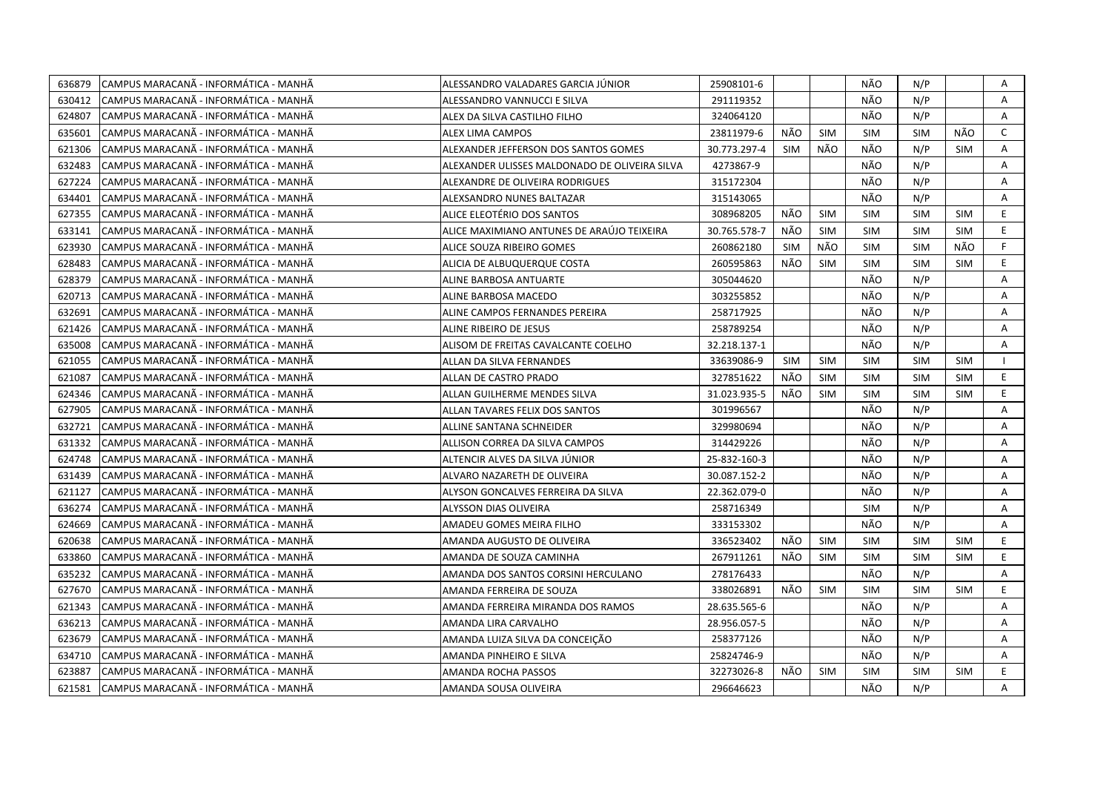| 636879 | CAMPUS MARACANÃ - INFORMÁTICA - MANHÃ  | ALESSANDRO VALADARES GARCIA JÚNIOR            | 25908101-6   |            |            | NÃO        | N/P        |            | Α            |
|--------|----------------------------------------|-----------------------------------------------|--------------|------------|------------|------------|------------|------------|--------------|
| 630412 | ICAMPUS MARACANÃ - INFORMÁTICA - MANHÃ | ALESSANDRO VANNUCCI E SILVA                   | 291119352    |            |            | NÃO        | N/P        |            | A            |
| 624807 | CAMPUS MARACANÃ - INFORMÁTICA - MANHÃ  | ALEX DA SILVA CASTILHO FILHO                  | 324064120    |            |            | NÃO        | N/P        |            | A            |
| 635601 | CAMPUS MARACANÃ - INFORMÁTICA - MANHÃ  | <b>ALEX LIMA CAMPOS</b>                       | 23811979-6   | NÃO        | <b>SIM</b> | <b>SIM</b> | <b>SIM</b> | NÃO        | $\mathsf{C}$ |
| 621306 | ICAMPUS MARACANÃ - INFORMÁTICA - MANHÃ | ALEXANDER JEFFERSON DOS SANTOS GOMES          | 30.773.297-4 | <b>SIM</b> | NÃO        | NÃO        | N/P        | <b>SIM</b> | A            |
| 632483 | CAMPUS MARACANÃ - INFORMÁTICA - MANHÃ  | ALEXANDER ULISSES MALDONADO DE OLIVEIRA SILVA | 4273867-9    |            |            | NÃO        | N/P        |            | Α            |
| 627224 | ICAMPUS MARACANÃ - INFORMÁTICA - MANHÃ | ALEXANDRE DE OLIVEIRA RODRIGUES               | 315172304    |            |            | NÃO        | N/P        |            | Α            |
| 634401 | CAMPUS MARACANÃ - INFORMÁTICA - MANHÃ  | ALEXSANDRO NUNES BALTAZAR                     | 315143065    |            |            | NÃO        | N/P        |            | A            |
| 627355 | CAMPUS MARACANA - INFORMÁTICA - MANHA  | ALICE ELEOTÉRIO DOS SANTOS                    | 308968205    | NÃO        | <b>SIM</b> | <b>SIM</b> | <b>SIM</b> | <b>SIM</b> | E.           |
| 633141 | CAMPUS MARACANÃ - INFORMÁTICA - MANHÃ  | ALICE MAXIMIANO ANTUNES DE ARAÚJO TEIXEIRA    | 30.765.578-7 | NÃO        | <b>SIM</b> | <b>SIM</b> | <b>SIM</b> | <b>SIM</b> | E.           |
| 623930 | CAMPUS MARACANÃ - INFORMÁTICA - MANHÃ  | ALICE SOUZA RIBEIRO GOMES                     | 260862180    | <b>SIM</b> | NÃO        | <b>SIM</b> | <b>SIM</b> | NÃO        | F.           |
| 628483 | CAMPUS MARACANÃ - INFORMÁTICA - MANHÃ  | ALICIA DE ALBUQUERQUE COSTA                   | 260595863    | NÃO        | <b>SIM</b> | <b>SIM</b> | <b>SIM</b> | <b>SIM</b> | E            |
| 628379 | CAMPUS MARACANÃ - INFORMÁTICA - MANHÃ  | ALINE BARBOSA ANTUARTE                        | 305044620    |            |            | NÃO        | N/P        |            | A            |
| 620713 | CAMPUS MARACANÃ - INFORMÁTICA - MANHÃ  | ALINE BARBOSA MACEDO                          | 303255852    |            |            | NÃO        | N/P        |            | Α            |
| 632691 | ICAMPUS MARACANÃ - INFORMÁTICA - MANHÃ | ALINE CAMPOS FERNANDES PEREIRA                | 258717925    |            |            | NÃO        | N/P        |            | A            |
| 621426 | CAMPUS MARACANÃ - INFORMÁTICA - MANHÃ  | ALINE RIBEIRO DE JESUS                        | 258789254    |            |            | NÃO        | N/P        |            | A            |
| 635008 | CAMPUS MARACANÃ - INFORMÁTICA - MANHÃ  | ALISOM DE FREITAS CAVALCANTE COELHO           | 32.218.137-1 |            |            | NÃO        | N/P        |            | A            |
| 621055 | CAMPUS MARACANÃ - INFORMÁTICA - MANHÃ  | ALLAN DA SILVA FERNANDES                      | 33639086-9   | <b>SIM</b> | <b>SIM</b> | <b>SIM</b> | <b>SIM</b> | <b>SIM</b> | $\mathbf{L}$ |
| 621087 | CAMPUS MARACANÃ - INFORMÁTICA - MANHÃ  | ALLAN DE CASTRO PRADO                         | 327851622    | NÃO        | <b>SIM</b> | <b>SIM</b> | <b>SIM</b> | <b>SIM</b> | E.           |
| 624346 | CAMPUS MARACANÃ - INFORMÁTICA - MANHÃ  | ALLAN GUILHERME MENDES SILVA                  | 31.023.935-5 | NÃO        | <b>SIM</b> | <b>SIM</b> | <b>SIM</b> | <b>SIM</b> | E            |
| 627905 | CAMPUS MARACANA - INFORMATICA - MANHA  | ALLAN TAVARES FELIX DOS SANTOS                | 301996567    |            |            | NÃO        | N/P        |            | A            |
| 632721 | ICAMPUS MARACANÃ - INFORMÁTICA - MANHÃ | ALLINE SANTANA SCHNEIDER                      | 329980694    |            |            | NÃO        | N/P        |            | A            |
| 631332 | CAMPUS MARACANÃ - INFORMÁTICA - MANHÃ  | ALLISON CORREA DA SILVA CAMPOS                | 314429226    |            |            | NÃO        | N/P        |            | Α            |
| 624748 | CAMPUS MARACANA - INFORMÁTICA - MANHA  | ALTENCIR ALVES DA SILVA JUNIOR                | 25-832-160-3 |            |            | NÃO        | N/P        |            | A            |
| 631439 | CAMPUS MARACANÃ - INFORMÁTICA - MANHÃ  | ALVARO NAZARETH DE OLIVEIRA                   | 30.087.152-2 |            |            | NÃO        | N/P        |            | A            |
| 621127 | CAMPUS MARACANÃ - INFORMÁTICA - MANHÃ  | ALYSON GONCALVES FERREIRA DA SILVA            | 22.362.079-0 |            |            | NÃO        | N/P        |            | Α            |
| 636274 | CAMPUS MARACANÃ - INFORMÁTICA - MANHÃ  | ALYSSON DIAS OLIVEIRA                         | 258716349    |            |            | <b>SIM</b> | N/P        |            | A            |
| 624669 | CAMPUS MARACANÃ - INFORMÁTICA - MANHÃ  | AMADEU GOMES MEIRA FILHO                      | 333153302    |            |            | NÃO        | N/P        |            | A            |
| 620638 | CAMPUS MARACANA - INFORMÁTICA - MANHA  | AMANDA AUGUSTO DE OLIVEIRA                    | 336523402    | NÃO        | <b>SIM</b> | <b>SIM</b> | <b>SIM</b> | <b>SIM</b> | E.           |
| 633860 | CAMPUS MARACANÃ - INFORMÁTICA - MANHÃ  | AMANDA DE SOUZA CAMINHA                       | 267911261    | NÃO        | <b>SIM</b> | <b>SIM</b> | <b>SIM</b> | <b>SIM</b> | E.           |
| 635232 | CAMPUS MARACANÃ - INFORMÁTICA - MANHÃ  | AMANDA DOS SANTOS CORSINI HERCULANO           | 278176433    |            |            | NÃO        | N/P        |            | Α            |
| 627670 | CAMPUS MARACANÃ - INFORMÁTICA - MANHÃ  | AMANDA FERREIRA DE SOUZA                      | 338026891    | NÃO        | <b>SIM</b> | <b>SIM</b> | <b>SIM</b> | <b>SIM</b> | E            |
| 621343 | CAMPUS MARACANÃ - INFORMÁTICA - MANHÃ  | AMANDA FERREIRA MIRANDA DOS RAMOS             | 28.635.565-6 |            |            | NÃO        | N/P        |            | Α            |
| 636213 | ICAMPUS MARACANÃ - INFORMÁTICA - MANHÃ | AMANDA LIRA CARVALHO                          | 28.956.057-5 |            |            | NÃO        | N/P        |            | A            |
| 623679 | CAMPUS MARACANÃ - INFORMÁTICA - MANHÃ  | AMANDA LUIZA SILVA DA CONCEIÇÃO               | 258377126    |            |            | NÃO        | N/P        |            | Α            |
| 634710 | CAMPUS MARACANÃ - INFORMÁTICA - MANHÃ  | AMANDA PINHEIRO E SILVA                       | 25824746-9   |            |            | NÃO        | N/P        |            | A            |
| 623887 | CAMPUS MARACANÃ - INFORMÁTICA - MANHÃ  | AMANDA ROCHA PASSOS                           | 32273026-8   | NÃO        | <b>SIM</b> | <b>SIM</b> | <b>SIM</b> | <b>SIM</b> | E.           |
| 621581 | CAMPUS MARACANÃ - INFORMÁTICA - MANHÃ  | AMANDA SOUSA OLIVEIRA                         | 296646623    |            |            | NÃO        | N/P        |            | A            |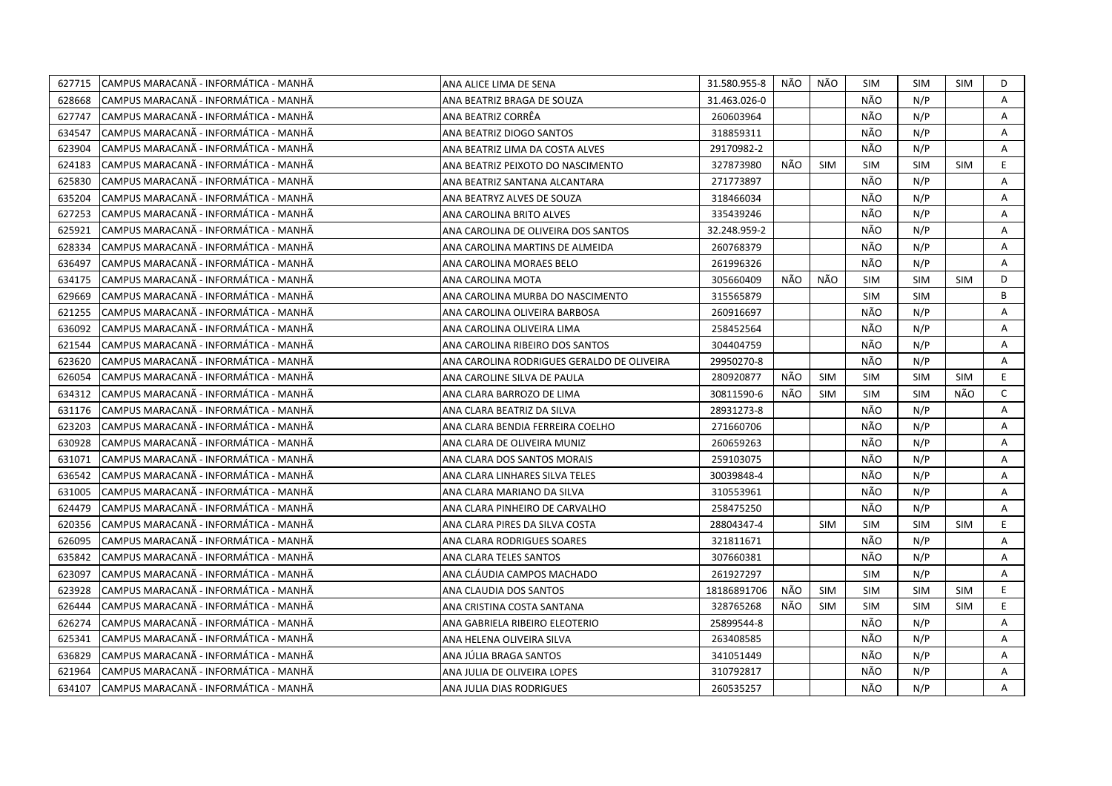| 627715 | CAMPUS MARACANÃ - INFORMÁTICA - MANHÃ | ANA ALICE LIMA DE SENA                     | 31.580.955-8 | NÃO | NÃO        | SIM        | <b>SIM</b> | SIM        | D            |
|--------|---------------------------------------|--------------------------------------------|--------------|-----|------------|------------|------------|------------|--------------|
| 628668 | CAMPUS MARACANÃ - INFORMÁTICA - MANHÃ | ANA BEATRIZ BRAGA DE SOUZA                 | 31.463.026-0 |     |            | NÃO        | N/P        |            | A            |
| 627747 | CAMPUS MARACANÃ - INFORMÁTICA - MANHÃ | ANA BEATRIZ CORRÊA                         | 260603964    |     |            | NÃO        | N/P        |            | Α            |
| 634547 | CAMPUS MARACANÃ - INFORMÁTICA - MANHÃ | ANA BEATRIZ DIOGO SANTOS                   | 318859311    |     |            | NÃO        | N/P        |            | A            |
| 623904 | CAMPUS MARACANÃ - INFORMÁTICA - MANHÃ | ANA BEATRIZ LIMA DA COSTA ALVES            | 29170982-2   |     |            | NÃO        | N/P        |            | Α            |
| 624183 | CAMPUS MARACANÃ - INFORMÁTICA - MANHÃ | ANA BEATRIZ PEIXOTO DO NASCIMENTO          | 327873980    | NÃO | <b>SIM</b> | <b>SIM</b> | <b>SIM</b> | <b>SIM</b> | E.           |
| 625830 | CAMPUS MARACANÃ - INFORMÁTICA - MANHÃ | ANA BEATRIZ SANTANA ALCANTARA              | 271773897    |     |            | NÃO        | N/P        |            | Α            |
| 635204 | CAMPUS MARACANÃ - INFORMÁTICA - MANHÃ | ANA BEATRYZ ALVES DE SOUZA                 | 318466034    |     |            | NÃO        | N/P        |            | Α            |
| 627253 | CAMPUS MARACANÃ - INFORMÁTICA - MANHÃ | <b>ANA CAROLINA BRITO ALVES</b>            | 335439246    |     |            | NÃO        | N/P        |            | A            |
| 625921 | CAMPUS MARACANÃ - INFORMÁTICA - MANHÃ | ANA CAROLINA DE OLIVEIRA DOS SANTOS        | 32.248.959-2 |     |            | NÃO        | N/P        |            | A            |
| 628334 | CAMPUS MARACANA - INFORMATICA - MANHA | ANA CAROLINA MARTINS DE ALMEIDA            | 260768379    |     |            | NÃO        | N/P        |            | A            |
| 636497 | CAMPUS MARACANÃ - INFORMÁTICA - MANHÃ | ANA CAROLINA MORAES BELO                   | 261996326    |     |            | NÃO        | N/P        |            | Α            |
| 634175 | CAMPUS MARACANA - INFORMATICA - MANHA | ANA CAROLINA MOTA                          | 305660409    | NÃO | NÃO        | SIM        | <b>SIM</b> | <b>SIM</b> | D            |
| 629669 | CAMPUS MARACANÃ - INFORMÁTICA - MANHÃ | ANA CAROLINA MURBA DO NASCIMENTO           | 315565879    |     |            | <b>SIM</b> | <b>SIM</b> |            | B            |
| 621255 | CAMPUS MARACANÃ - INFORMÁTICA - MANHÃ | ANA CAROLINA OLIVEIRA BARBOSA              | 260916697    |     |            | NÃO        | N/P        |            | A            |
| 636092 | CAMPUS MARACANÃ - INFORMÁTICA - MANHÃ | ANA CAROLINA OLIVEIRA LIMA                 | 258452564    |     |            | NÃO        | N/P        |            | Α            |
| 621544 | CAMPUS MARACANÃ - INFORMÁTICA - MANHÃ | ANA CAROLINA RIBEIRO DOS SANTOS            | 304404759    |     |            | NÃO        | N/P        |            | Α            |
| 623620 | CAMPUS MARACANÃ - INFORMÁTICA - MANHÃ | ANA CAROLINA RODRIGUES GERALDO DE OLIVEIRA | 29950270-8   |     |            | NÃO        | N/P        |            | Α            |
| 626054 | CAMPUS MARACANA - INFORMATICA - MANHA | ANA CAROLINE SILVA DE PAULA                | 280920877    | NÃO | <b>SIM</b> | <b>SIM</b> | <b>SIM</b> | <b>SIM</b> | E.           |
| 634312 | CAMPUS MARACANÃ - INFORMÁTICA - MANHÃ | ANA CLARA BARROZO DE LIMA                  | 30811590-6   | NÃO | <b>SIM</b> | <b>SIM</b> | <b>SIM</b> | NÃO        | $\mathsf{C}$ |
| 631176 | CAMPUS MARACANÃ - INFORMÁTICA - MANHÃ | ANA CLARA BEATRIZ DA SILVA                 | 28931273-8   |     |            | NÃO        | N/P        |            | Α            |
| 623203 | CAMPUS MARACANÃ - INFORMÁTICA - MANHÃ | ANA CLARA BENDIA FERREIRA COELHO           | 271660706    |     |            | NÃO        | N/P        |            | A            |
| 630928 | CAMPUS MARACANÃ - INFORMÁTICA - MANHÃ | ANA CLARA DE OLIVEIRA MUNIZ                | 260659263    |     |            | NÃO        | N/P        |            | A            |
| 631071 | CAMPUS MARACANÃ - INFORMÁTICA - MANHÃ | ANA CLARA DOS SANTOS MORAIS                | 259103075    |     |            | NÃO        | N/P        |            | A            |
| 636542 | CAMPUS MARACANÃ - INFORMÁTICA - MANHÃ | ANA CLARA LINHARES SILVA TELES             | 30039848-4   |     |            | NÃO        | N/P        |            | A            |
| 631005 | CAMPUS MARACANA - INFORMATICA - MANHA | ANA CLARA MARIANO DA SILVA                 | 310553961    |     |            | NÃO        | N/P        |            | A            |
| 624479 | CAMPUS MARACANÃ - INFORMÁTICA - MANHÃ | ANA CLARA PINHEIRO DE CARVALHO             | 258475250    |     |            | NÃO        | N/P        |            | A            |
| 620356 | CAMPUS MARACANÃ - INFORMÁTICA - MANHÃ | ANA CLARA PIRES DA SILVA COSTA             | 28804347-4   |     | <b>SIM</b> | <b>SIM</b> | <b>SIM</b> | <b>SIM</b> | E.           |
| 626095 | CAMPUS MARACANÃ - INFORMÁTICA - MANHÃ | ANA CLARA RODRIGUES SOARES                 | 321811671    |     |            | NÃO        | N/P        |            | A            |
| 635842 | CAMPUS MARACANÃ - INFORMÁTICA - MANHÃ | ANA CLARA TELES SANTOS                     | 307660381    |     |            | NÃO        | N/P        |            | Α            |
| 623097 | CAMPUS MARACANÃ - INFORMÁTICA - MANHÃ | ANA CLÁUDIA CAMPOS MACHADO                 | 261927297    |     |            | <b>SIM</b> | N/P        |            | A            |
| 623928 | CAMPUS MARACANÃ - INFORMÁTICA - MANHÃ | ANA CLAUDIA DOS SANTOS                     | 18186891706  | NÃO | <b>SIM</b> | <b>SIM</b> | <b>SIM</b> | <b>SIM</b> | E.           |
| 626444 | CAMPUS MARACANÃ - INFORMÁTICA - MANHÃ | ANA CRISTINA COSTA SANTANA                 | 328765268    | NÃO | <b>SIM</b> | <b>SIM</b> | <b>SIM</b> | <b>SIM</b> | E            |
| 626274 | CAMPUS MARACANÃ - INFORMÁTICA - MANHÃ | ANA GABRIELA RIBEIRO ELEOTERIO             | 25899544-8   |     |            | NÃO        | N/P        |            | A            |
| 625341 | CAMPUS MARACANA - INFORMATICA - MANHA | ANA HELENA OLIVEIRA SILVA                  | 263408585    |     |            | NÃO        | N/P        |            | A            |
| 636829 | CAMPUS MARACANÃ - INFORMÁTICA - MANHÃ | ANA JÚLIA BRAGA SANTOS                     | 341051449    |     |            | NÃO        | N/P        |            | Α            |
| 621964 | CAMPUS MARACANÃ - INFORMÁTICA - MANHÃ | ANA JULIA DE OLIVEIRA LOPES                | 310792817    |     |            | NÃO        | N/P        |            | A            |
| 634107 | CAMPUS MARACANÃ - INFORMÁTICA - MANHÃ | ANA JULIA DIAS RODRIGUES                   | 260535257    |     |            | NÃO        | N/P        |            | A            |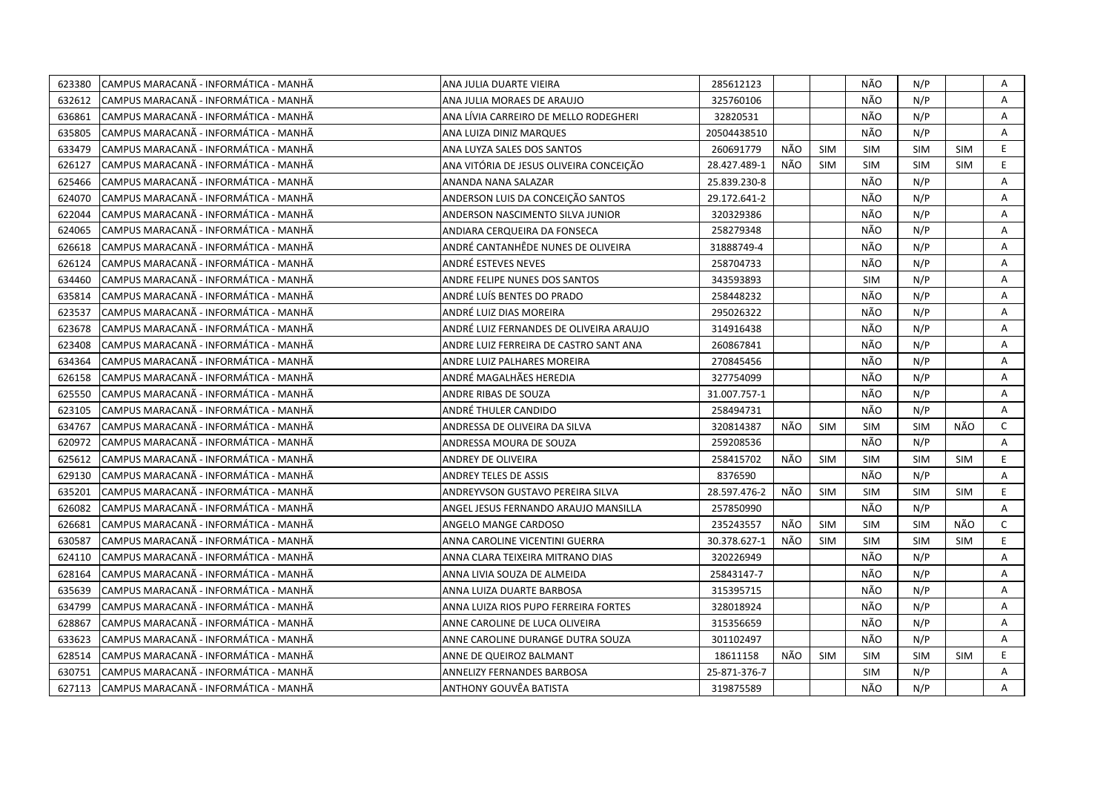| 623380 | CAMPUS MARACANÃ - INFORMÁTICA - MANHÃ  | ANA JULIA DUARTE VIEIRA                 | 285612123    |     |            | NÃO        | N/P        |            | Α            |
|--------|----------------------------------------|-----------------------------------------|--------------|-----|------------|------------|------------|------------|--------------|
| 632612 | CAMPUS MARACANÃ - INFORMÁTICA - MANHÃ  | ANA JULIA MORAES DE ARAUJO              | 325760106    |     |            | NÃO        | N/P        |            | A            |
| 636861 | CAMPUS MARACANA - INFORMÁTICA - MANHÃ  | ANA LÍVIA CARREIRO DE MELLO RODEGHERI   | 32820531     |     |            | NÃO        | N/P        |            | A            |
| 635805 | CAMPUS MARACANÃ - INFORMÁTICA - MANHÃ  | ANA LUIZA DINIZ MARQUES                 | 20504438510  |     |            | NÃO        | N/P        |            | Α            |
| 633479 | CAMPUS MARACANÃ - INFORMÁTICA - MANHÃ  | ANA LUYZA SALES DOS SANTOS              | 260691779    | NÃO | <b>SIM</b> | <b>SIM</b> | <b>SIM</b> | <b>SIM</b> | E.           |
| 626127 | CAMPUS MARACANÃ - INFORMÁTICA - MANHÃ  | ANA VITÓRIA DE JESUS OLIVEIRA CONCEIÇÃO | 28.427.489-1 | NÃO | <b>SIM</b> | <b>SIM</b> | <b>SIM</b> | <b>SIM</b> | E            |
| 625466 | CAMPUS MARACANÃ - INFORMÁTICA - MANHÃ  | ANANDA NANA SALAZAR                     | 25.839.230-8 |     |            | NÃO        | N/P        |            | Α            |
| 624070 | CAMPUS MARACANA - INFORMÁTICA - MANHÃ  | ANDERSON LUIS DA CONCEIÇÃO SANTOS       | 29.172.641-2 |     |            | NÃO        | N/P        |            | Α            |
| 622044 | CAMPUS MARACANÃ - INFORMÁTICA - MANHÃ  | ANDERSON NASCIMENTO SILVA JUNIOR        | 320329386    |     |            | NÃO        | N/P        |            | Α            |
| 624065 | CAMPUS MARACANA - INFORMÁTICA - MANHA  | ANDIARA CERQUEIRA DA FONSECA            | 258279348    |     |            | NÃO        | N/P        |            | A            |
| 626618 | CAMPUS MARACANÃ - INFORMÁTICA - MANHÃ  | ANDRÉ CANTANHÊDE NUNES DE OLIVEIRA      | 31888749-4   |     |            | NÃO        | N/P        |            | A            |
| 626124 | CAMPUS MARACANÃ - INFORMÁTICA - MANHÃ  | ANDRÉ ESTEVES NEVES                     | 258704733    |     |            | NÃO        | N/P        |            | Α            |
| 634460 | CAMPUS MARACANÃ - INFORMÁTICA - MANHÃ  | ANDRE FELIPE NUNES DOS SANTOS           | 343593893    |     |            | <b>SIM</b> | N/P        |            | Α            |
| 635814 | CAMPUS MARACANA - INFORMÁTICA - MANHÃ  | ANDRÉ LUÍS BENTES DO PRADO              | 258448232    |     |            | NÃO        | N/P        |            | A            |
| 623537 | CAMPUS MARACANA - INFORMÁTICA - MANHÃ  | ANDRÉ LUIZ DIAS MOREIRA                 | 295026322    |     |            | NÃO        | N/P        |            | Α            |
| 623678 | CAMPUS MARACANA - INFORMÁTICA - MANHÃ  | ANDRÉ LUIZ FERNANDES DE OLIVEIRA ARAUJO | 314916438    |     |            | NÃO        | N/P        |            | A            |
| 623408 | CAMPUS MARACANÃ - INFORMÁTICA - MANHÃ  | ANDRE LUIZ FERREIRA DE CASTRO SANT ANA  | 260867841    |     |            | NÃO        | N/P        |            | A            |
| 634364 | CAMPUS MARACANÃ - INFORMÁTICA - MANHÃ  | ANDRE LUIZ PALHARES MOREIRA             | 270845456    |     |            | NÃO        | N/P        |            | A            |
| 626158 | CAMPUS MARACANÃ - INFORMÁTICA - MANHÃ  | ANDRÉ MAGALHÃES HEREDIA                 | 327754099    |     |            | NÃO        | N/P        |            | A            |
| 625550 | CAMPUS MARACANÃ - INFORMÁTICA - MANHÃ  | ANDRE RIBAS DE SOUZA                    | 31.007.757-1 |     |            | NÃO        | N/P        |            | Α            |
| 623105 | ICAMPUS MARACANÃ - INFORMÁTICA - MANHÃ | ANDRÉ THULER CANDIDO                    | 258494731    |     |            | NÃO        | N/P        |            | A            |
| 634767 | CAMPUS MARACANÃ - INFORMÁTICA - MANHÃ  | ANDRESSA DE OLIVEIRA DA SILVA           | 320814387    | NÃO | <b>SIM</b> | <b>SIM</b> | <b>SIM</b> | NÃO        | $\mathsf{C}$ |
| 620972 | CAMPUS MARACANA - INFORMATICA - MANHA  | ANDRESSA MOURA DE SOUZA                 | 259208536    |     |            | NÃO        | N/P        |            | A            |
| 625612 | CAMPUS MARACANÃ - INFORMÁTICA - MANHÃ  | ANDREY DE OLIVEIRA                      | 258415702    | NÃO | <b>SIM</b> | <b>SIM</b> | <b>SIM</b> | <b>SIM</b> | E            |
| 629130 | CAMPUS MARACANÃ - INFORMÁTICA - MANHÃ  | ANDREY TELES DE ASSIS                   | 8376590      |     |            | NÃO        | N/P        |            | A            |
| 635201 | CAMPUS MARACANÃ - INFORMÁTICA - MANHÃ  | ANDREYVSON GUSTAVO PEREIRA SILVA        | 28.597.476-2 | NÃO | <b>SIM</b> | <b>SIM</b> | <b>SIM</b> | <b>SIM</b> | E.           |
| 626082 | CAMPUS MARACANÃ - INFORMÁTICA - MANHÃ  | ANGEL JESUS FERNANDO ARAUJO MANSILLA    | 257850990    |     |            | NÃO        | N/P        |            | A            |
| 626681 | CAMPUS MARACANÃ - INFORMÁTICA - MANHÃ  | ANGELO MANGE CARDOSO                    | 235243557    | NÃO | SIM        | <b>SIM</b> | <b>SIM</b> | NÃO        | $\mathsf{C}$ |
| 630587 | CAMPUS MARACANÃ - INFORMÁTICA - MANHÃ  | ANNA CAROLINE VICENTINI GUERRA          | 30.378.627-1 | NÃO | <b>SIM</b> | <b>SIM</b> | <b>SIM</b> | <b>SIM</b> | E.           |
| 624110 | CAMPUS MARACANÃ - INFORMÁTICA - MANHÃ  | ANNA CLARA TEIXEIRA MITRANO DIAS        | 320226949    |     |            | NÃO        | N/P        |            | Α            |
| 628164 | CAMPUS MARACANÃ - INFORMÁTICA - MANHÃ  | ANNA LIVIA SOUZA DE ALMEIDA             | 25843147-7   |     |            | NÃO        | N/P        |            | A            |
| 635639 | CAMPUS MARACANÃ - INFORMÁTICA - MANHÃ  | ANNA LUIZA DUARTE BARBOSA               | 315395715    |     |            | NÃO        | N/P        |            | A            |
| 634799 | CAMPUS MARACANÃ - INFORMÁTICA - MANHÃ  | ANNA LUIZA RIOS PUPO FERREIRA FORTES    | 328018924    |     |            | NÃO        | N/P        |            | Α            |
| 628867 | CAMPUS MARACANÃ - INFORMÁTICA - MANHÃ  | ANNE CAROLINE DE LUCA OLIVEIRA          | 315356659    |     |            | NÃO        | N/P        |            | A            |
| 633623 | CAMPUS MARACANÃ - INFORMÁTICA - MANHÃ  | ANNE CAROLINE DURANGE DUTRA SOUZA       | 301102497    |     |            | NÃO        | N/P        |            | A            |
| 628514 | CAMPUS MARACANA - INFORMÁTICA - MANHA  | ANNE DE QUEIROZ BALMANT                 | 18611158     | NÃO | <b>SIM</b> | <b>SIM</b> | <b>SIM</b> | <b>SIM</b> | E.           |
| 630751 | CAMPUS MARACANÃ - INFORMÁTICA - MANHÃ  | ANNELIZY FERNANDES BARBOSA              | 25-871-376-7 |     |            | SIM        | N/P        |            | A            |
| 627113 | CAMPUS MARACANÃ - INFORMÁTICA - MANHÃ  | ANTHONY GOUVÊA BATISTA                  | 319875589    |     |            | NÃO        | N/P        |            | A            |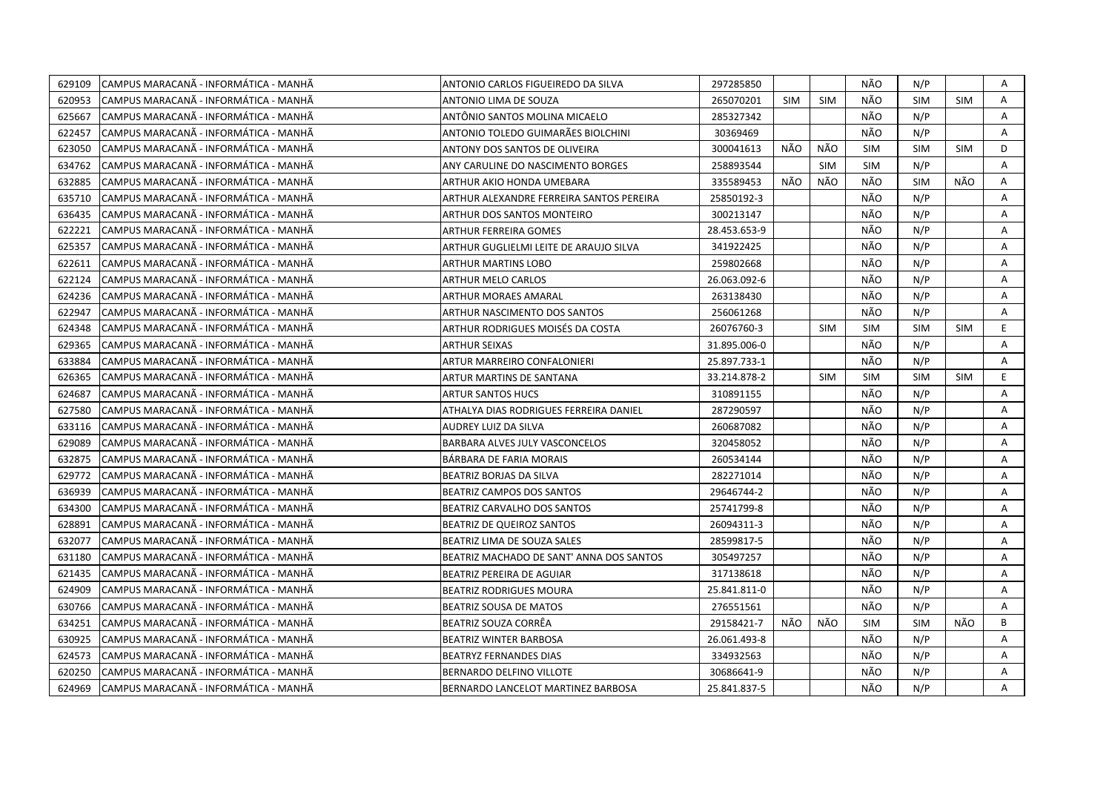| 629109 | CAMPUS MARACANÃ - INFORMÁTICA - MANHÃ  | ANTONIO CARLOS FIGUEIREDO DA SILVA       | 297285850    |            |            | NÃO        | N/P        |            | Α              |
|--------|----------------------------------------|------------------------------------------|--------------|------------|------------|------------|------------|------------|----------------|
| 620953 | ICAMPUS MARACANÃ - INFORMÁTICA - MANHÃ | ANTONIO LIMA DE SOUZA                    | 265070201    | <b>SIM</b> | <b>SIM</b> | NÃO        | <b>SIM</b> | <b>SIM</b> | A              |
| 625667 | CAMPUS MARACANA - INFORMÁTICA - MANHÃ  | ANTÔNIO SANTOS MOLINA MICAELO            | 285327342    |            |            | NÃO        | N/P        |            | A              |
| 622457 | ICAMPUS MARACANÃ - INFORMÁTICA - MANHÃ | ANTONIO TOLEDO GUIMARÃES BIOLCHINI       | 30369469     |            |            | NÃO        | N/P        |            | A              |
| 623050 | CAMPUS MARACANÃ - INFORMÁTICA - MANHÃ  | ANTONY DOS SANTOS DE OLIVEIRA            | 300041613    | NÃO        | NÃO        | <b>SIM</b> | <b>SIM</b> | <b>SIM</b> | D              |
| 634762 | CAMPUS MARACANÃ - INFORMÁTICA - MANHÃ  | ANY CARULINE DO NASCIMENTO BORGES        | 258893544    |            | <b>SIM</b> | <b>SIM</b> | N/P        |            | Α              |
| 632885 | CAMPUS MARACANÃ - INFORMÁTICA - MANHÃ  | ARTHUR AKIO HONDA UMEBARA                | 335589453    | NÃO        | NÃO        | NÃO        | <b>SIM</b> | NÃO        | Α              |
| 635710 | CAMPUS MARACANÃ - INFORMÁTICA - MANHÃ  | ARTHUR ALEXANDRE FERREIRA SANTOS PEREIRA | 25850192-3   |            |            | NÃO        | N/P        |            | Α              |
| 636435 | CAMPUS MARACANÃ - INFORMÁTICA - MANHÃ  | ARTHUR DOS SANTOS MONTEIRO               | 300213147    |            |            | NÃO        | N/P        |            | A              |
| 622221 | CAMPUS MARACANÃ - INFORMÁTICA - MANHÃ  | <b>ARTHUR FERREIRA GOMES</b>             | 28.453.653-9 |            |            | NÃO        | N/P        |            | Α              |
| 625357 | CAMPUS MARACANA - INFORMATICA - MANHA  | ARTHUR GUGLIELMI LEITE DE ARAUJO SILVA   | 341922425    |            |            | NÃO        | N/P        |            | A              |
| 622611 | CAMPUS MARACANÃ - INFORMÁTICA - MANHÃ  | <b>ARTHUR MARTINS LOBO</b>               | 259802668    |            |            | NÃO        | N/P        |            | A              |
| 622124 | CAMPUS MARACANÃ - INFORMÁTICA - MANHÃ  | <b>ARTHUR MELO CARLOS</b>                | 26.063.092-6 |            |            | NÃO        | N/P        |            | A              |
| 624236 | CAMPUS MARACANÃ - INFORMÁTICA - MANHÃ  | <b>ARTHUR MORAES AMARAL</b>              | 263138430    |            |            | NÃO        | N/P        |            | Α              |
| 622947 | CAMPUS MARACANÃ - INFORMÁTICA - MANHÃ  | ARTHUR NASCIMENTO DOS SANTOS             | 256061268    |            |            | NÃO        | N/P        |            | A              |
| 624348 | CAMPUS MARACANÃ - INFORMÁTICA - MANHÃ  | ARTHUR RODRIGUES MOISÉS DA COSTA         | 26076760-3   |            | <b>SIM</b> | <b>SIM</b> | <b>SIM</b> | <b>SIM</b> | E              |
| 629365 | CAMPUS MARACANA - INFORMÁTICA - MANHÃ  | <b>ARTHUR SEIXAS</b>                     | 31.895.006-0 |            |            | NÃO        | N/P        |            | A              |
| 633884 | CAMPUS MARACANA - INFORMÁTICA - MANHÃ  | ARTUR MARREIRO CONFALONIERI              | 25.897.733-1 |            |            | NÃO        | N/P        |            | $\overline{A}$ |
| 626365 | CAMPUS MARACANA - INFORMATICA - MANHA  | ARTUR MARTINS DE SANTANA                 | 33.214.878-2 |            | <b>SIM</b> | <b>SIM</b> | <b>SIM</b> | SIM        | E.             |
| 624687 | CAMPUS MARACANA - INFORMÁTICA - MANHÃ  | <b>ARTUR SANTOS HUCS</b>                 | 310891155    |            |            | NÃO        | N/P        |            | A              |
| 627580 | CAMPUS MARACANÃ - INFORMÁTICA - MANHÃ  | ATHALYA DIAS RODRIGUES FERREIRA DANIEL   | 287290597    |            |            | NÃO        | N/P        |            | A              |
| 633116 | CAMPUS MARACANÃ - INFORMÁTICA - MANHÃ  | AUDREY LUIZ DA SILVA                     | 260687082    |            |            | NÃO        | N/P        |            | A              |
| 629089 | CAMPUS MARACANÃ - INFORMÁTICA - MANHÃ  | BARBARA ALVES JULY VASCONCELOS           | 320458052    |            |            | NÃO        | N/P        |            | Α              |
| 632875 | ICAMPUS MARACANÃ - INFORMÁTICA - MANHÃ | BÁRBARA DE FARIA MORAIS                  | 260534144    |            |            | NÃO        | N/P        |            | A              |
| 629772 | ICAMPUS MARACANÃ - INFORMÁTICA - MANHÃ | BEATRIZ BORJAS DA SILVA                  | 282271014    |            |            | NÃO        | N/P        |            | A              |
| 636939 | CAMPUS MARACANA - INFORMATICA - MANHA  | BEATRIZ CAMPOS DOS SANTOS                | 29646744-2   |            |            | NÃO        | N/P        |            | A              |
| 634300 | CAMPUS MARACANÃ - INFORMÁTICA - MANHÃ  | BEATRIZ CARVALHO DOS SANTOS              | 25741799-8   |            |            | NÃO        | N/P        |            | A              |
| 628891 | CAMPUS MARACANA - INFORMÁTICA - MANHA  | BEATRIZ DE QUEIROZ SANTOS                | 26094311-3   |            |            | NÃO        | N/P        |            | Α              |
| 632077 | CAMPUS MARACANA - INFORMÁTICA - MANHÃ  | BEATRIZ LIMA DE SOUZA SALES              | 28599817-5   |            |            | NÃO        | N/P        |            | A              |
| 631180 | CAMPUS MARACANÃ - INFORMÁTICA - MANHÃ  | BEATRIZ MACHADO DE SANT' ANNA DOS SANTOS | 305497257    |            |            | NÃO        | N/P        |            | Α              |
| 621435 | CAMPUS MARACANÃ - INFORMÁTICA - MANHÃ  | <b>BEATRIZ PEREIRA DE AGUIAR</b>         | 317138618    |            |            | NÃO        | N/P        |            | A              |
| 624909 | CAMPUS MARACANÃ - INFORMÁTICA - MANHÃ  | <b>BEATRIZ RODRIGUES MOURA</b>           | 25.841.811-0 |            |            | NÃO        | N/P        |            | A              |
| 630766 | CAMPUS MARACANA - INFORMATICA - MANHA  | BEATRIZ SOUSA DE MATOS                   | 276551561    |            |            | NÃO        | N/P        |            | A              |
| 634251 | CAMPUS MARACANÃ - INFORMÁTICA - MANHÃ  | BEATRIZ SOUZA CORRÊA                     | 29158421-7   | NÃO        | NÃO        | <b>SIM</b> | <b>SIM</b> | NÃO        | B              |
| 630925 | CAMPUS MARACANA - INFORMATICA - MANHA  | <b>BEATRIZ WINTER BARBOSA</b>            | 26.061.493-8 |            |            | NÃO        | N/P        |            | A              |
| 624573 | CAMPUS MARACANÃ - INFORMÁTICA - MANHÃ  | <b>BEATRYZ FERNANDES DIAS</b>            | 334932563    |            |            | NÃO        | N/P        |            | A              |
| 620250 | CAMPUS MARACANÃ - INFORMÁTICA - MANHÃ  | BERNARDO DELFINO VILLOTE                 | 30686641-9   |            |            | NÃO        | N/P        |            | Α              |
| 624969 | CAMPUS MARACANA - INFORMÁTICA - MANHÃ  | BERNARDO LANCELOT MARTINEZ BARBOSA       | 25.841.837-5 |            |            | NÃO        | N/P        |            | A              |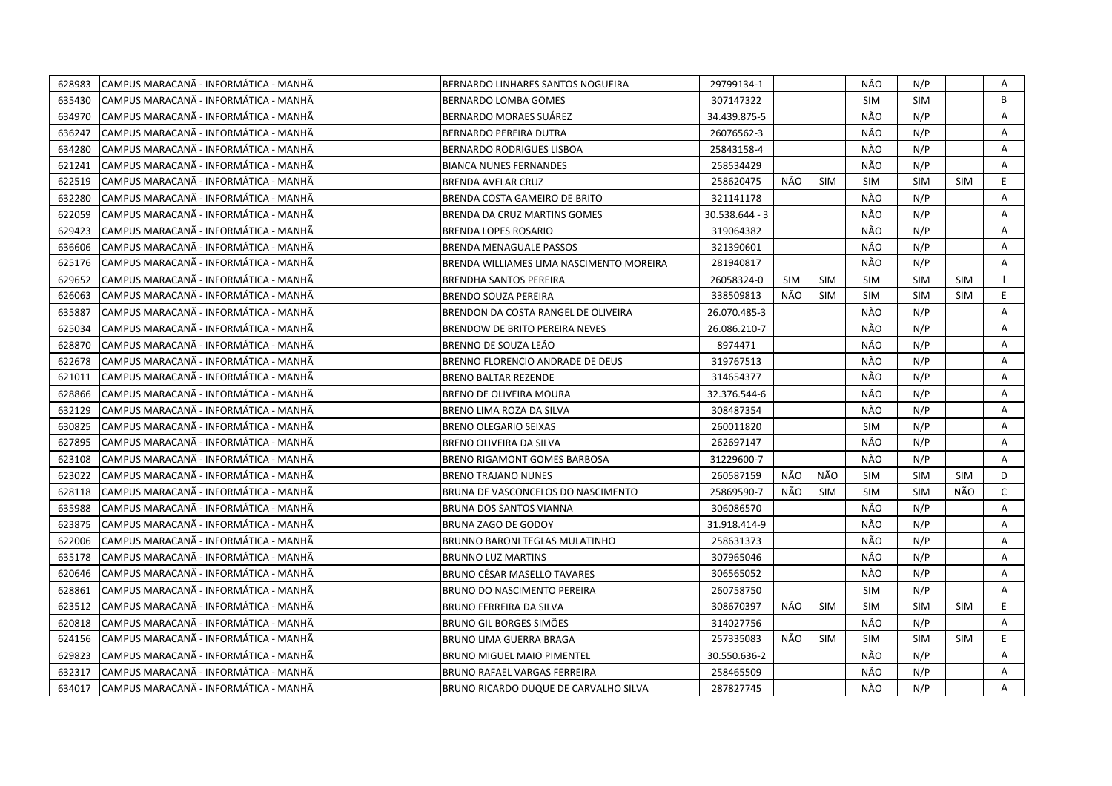| 628983 | CAMPUS MARACANA - INFORMATICA - MANHA  | BERNARDO LINHARES SANTOS NOGUEIRA        | 29799134-1     |            |            | <b>NÃO</b> | N/P        |            | Α            |
|--------|----------------------------------------|------------------------------------------|----------------|------------|------------|------------|------------|------------|--------------|
| 635430 | CAMPUS MARACANA - INFORMÁTICA - MANHA  | BERNARDO LOMBA GOMES                     | 307147322      |            |            | <b>SIM</b> | <b>SIM</b> |            | B            |
| 634970 | CAMPUS MARACANÃ - INFORMÁTICA - MANHÃ  | BERNARDO MORAES SUAREZ                   | 34.439.875-5   |            |            | NÃO        | N/P        |            | A            |
| 636247 | CAMPUS MARACANÃ - INFORMÁTICA - MANHÃ  | BERNARDO PEREIRA DUTRA                   | 26076562-3     |            |            | NÃO        | N/P        |            | Α            |
| 634280 | CAMPUS MARACANÃ - INFORMÁTICA - MANHÃ  | <b>BERNARDO RODRIGUES LISBOA</b>         | 25843158-4     |            |            | NÃO        | N/P        |            | A            |
| 621241 | CAMPUS MARACANÃ - INFORMÁTICA - MANHÃ  | <b>BIANCA NUNES FERNANDES</b>            | 258534429      |            |            | NÃO        | N/P        |            | Α            |
| 622519 | CAMPUS MARACANA - INFORMATICA - MANHA  | <b>BRENDA AVELAR CRUZ</b>                | 258620475      | NÃO.       | <b>SIM</b> | <b>SIM</b> | <b>SIM</b> | <b>SIM</b> | E.           |
| 632280 | CAMPUS MARACANÃ - INFORMÁTICA - MANHÃ  | BRENDA COSTA GAMEIRO DE BRITO            | 321141178      |            |            | NÃO        | N/P        |            | Α            |
| 622059 | ICAMPUS MARACANÃ - INFORMÁTICA - MANHÃ | BRENDA DA CRUZ MARTINS GOMES             | 30.538.644 - 3 |            |            | NÃO        | N/P        |            | A            |
| 629423 | CAMPUS MARACANA - INFORMÁTICA - MANHÃ  | <b>BRENDA LOPES ROSARIO</b>              | 319064382      |            |            | NÃO        | N/P        |            | Α            |
| 636606 | CAMPUS MARACANÃ - INFORMÁTICA - MANHÃ  | <b>BRENDA MENAGUALE PASSOS</b>           | 321390601      |            |            | NÃO        | N/P        |            | Α            |
| 625176 | CAMPUS MARACANÃ - INFORMÁTICA - MANHÃ  | BRENDA WILLIAMES LIMA NASCIMENTO MOREIRA | 281940817      |            |            | NÃO        | N/P        |            | A            |
| 629652 | CAMPUS MARACANÃ - INFORMÁTICA - MANHÃ  | <b>BRENDHA SANTOS PEREIRA</b>            | 26058324-0     | <b>SIM</b> | <b>SIM</b> | <b>SIM</b> | <b>SIM</b> | <b>SIM</b> |              |
| 626063 | CAMPUS MARACANA - INFORMATICA - MANHA  | <b>BRENDO SOUZA PEREIRA</b>              | 338509813      | NÃO        | <b>SIM</b> | SIM        | <b>SIM</b> | <b>SIM</b> | E.           |
| 635887 | CAMPUS MARACANÃ - INFORMÁTICA - MANHÃ  | BRENDON DA COSTA RANGEL DE OLIVEIRA      | 26.070.485-3   |            |            | NÃO        | N/P        |            | Α            |
| 625034 | CAMPUS MARACANÃ - INFORMÁTICA - MANHÃ  | BRENDOW DE BRITO PEREIRA NEVES           | 26.086.210-7   |            |            | NÃO        | N/P        |            | A            |
| 628870 | CAMPUS MARACANA - INFORMÁTICA - MANHÃ  | BRENNO DE SOUZA LEÃO                     | 8974471        |            |            | NÃO        | N/P        |            | A            |
| 622678 | CAMPUS MARACANÃ - INFORMÁTICA - MANHÃ  | BRENNO FLORENCIO ANDRADE DE DEUS         | 319767513      |            |            | NÃO        | N/P        |            | Α            |
| 621011 | CAMPUS MARACANÃ - INFORMÁTICA - MANHÃ  | <b>BRENO BALTAR REZENDE</b>              | 314654377      |            |            | NÃO        | N/P        |            | A            |
| 628866 | CAMPUS MARACANÃ - INFORMÁTICA - MANHÃ  | <b>BRENO DE OLIVEIRA MOURA</b>           | 32.376.544-6   |            |            | NÃO        | N/P        |            | A            |
| 632129 | CAMPUS MARACANÃ - INFORMÁTICA - MANHÃ  | BRENO LIMA ROZA DA SILVA                 | 308487354      |            |            | NÃO        | N/P        |            | Α            |
| 630825 | CAMPUS MARACANÃ - INFORMÁTICA - MANHÃ  | <b>BRENO OLEGARIO SEIXAS</b>             | 260011820      |            |            | <b>SIM</b> | N/P        |            | A            |
| 627895 | CAMPUS MARACANA - INFORMATICA - MANHA  | BRENO OLIVEIRA DA SILVA                  | 262697147      |            |            | NÃO        | N/P        |            | A            |
| 623108 | CAMPUS MARACANA - INFORMÁTICA - MANHÃ  | BRENO RIGAMONT GOMES BARBOSA             | 31229600-7     |            |            | NÃO        | N/P        |            | A            |
| 623022 | CAMPUS MARACANA - INFORMATICA - MANHA  | <b>BRENO TRAJANO NUNES</b>               | 260587159      | NÃO        | NÃO        | <b>SIM</b> | <b>SIM</b> | <b>SIM</b> | D            |
| 628118 | CAMPUS MARACANÃ - INFORMÁTICA - MANHÃ  | BRUNA DE VASCONCELOS DO NASCIMENTO       | 25869590-7     | NÃO        | <b>SIM</b> | <b>SIM</b> | <b>SIM</b> | NÃO        | $\mathsf{C}$ |
| 635988 | CAMPUS MARACANA - INFORMATICA - MANHA  | BRUNA DOS SANTOS VIANNA                  | 306086570      |            |            | NÃO        | N/P        |            | Α            |
| 623875 | CAMPUS MARACANA - INFORMATICA - MANHA  | BRUNA ZAGO DE GODOY                      | 31.918.414-9   |            |            | NÃO        | N/P        |            | A            |
| 622006 | CAMPUS MARACANÃ - INFORMÁTICA - MANHÃ  | <b>BRUNNO BARONI TEGLAS MULATINHO</b>    | 258631373      |            |            | NÃO        | N/P        |            | A            |
| 635178 | CAMPUS MARACANÃ - INFORMÁTICA - MANHÃ  | <b>BRUNNO LUZ MARTINS</b>                | 307965046      |            |            | NÃO        | N/P        |            | A            |
| 620646 | CAMPUS MARACANÃ - INFORMÁTICA - MANHÃ  | <b>BRUNO CÉSAR MASELLO TAVARES</b>       | 306565052      |            |            | NÃO        | N/P        |            | A            |
| 628861 | CAMPUS MARACANÃ - INFORMÁTICA - MANHÃ  | BRUNO DO NASCIMENTO PEREIRA              | 260758750      |            |            | <b>SIM</b> | N/P        |            | Α            |
| 623512 | CAMPUS MARACANÃ - INFORMÁTICA - MANHÃ  | <b>BRUNO FERREIRA DA SILVA</b>           | 308670397      | NÃO        | <b>SIM</b> | <b>SIM</b> | <b>SIM</b> | <b>SIM</b> | E.           |
| 620818 | CAMPUS MARACANÃ - INFORMÁTICA - MANHÃ  | BRUNO GIL BORGES SIMÕES                  | 314027756      |            |            | NÃO        | N/P        |            | Α            |
| 624156 | CAMPUS MARACANÃ - INFORMÁTICA - MANHÃ  | BRUNO LIMA GUERRA BRAGA                  | 257335083      | NÃO        | <b>SIM</b> | <b>SIM</b> | <b>SIM</b> | <b>SIM</b> | E            |
| 629823 | CAMPUS MARACANÃ - INFORMÁTICA - MANHÃ  | <b>BRUNO MIGUEL MAIO PIMENTEL</b>        | 30.550.636-2   |            |            | NÃO        | N/P        |            | A            |
| 632317 | CAMPUS MARACANÃ - INFORMÁTICA - MANHÃ  | BRUNO RAFAEL VARGAS FERREIRA             | 258465509      |            |            | NÃO        | N/P        |            | Α            |
| 634017 | CAMPUS MARACANÃ - INFORMÁTICA - MANHÃ  | BRUNO RICARDO DUQUE DE CARVALHO SILVA    | 287827745      |            |            | NÃO        | N/P        |            | A            |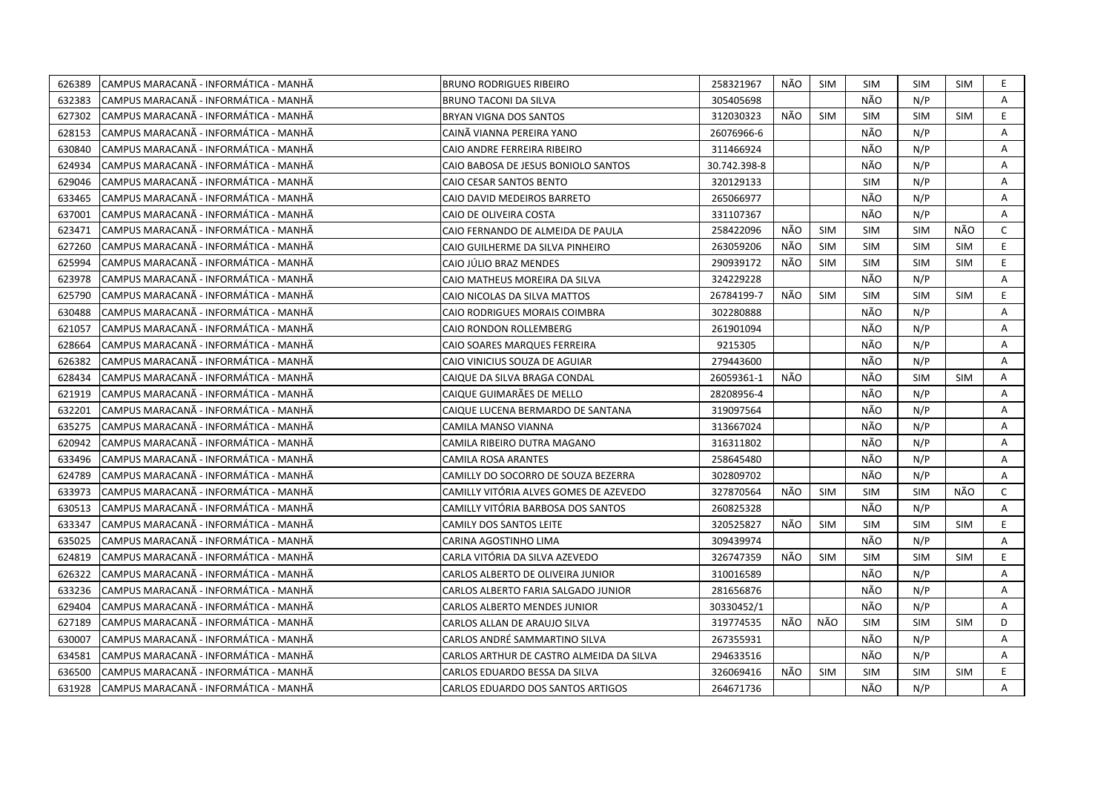| 626389 | CAMPUS MARACANÃ - INFORMÁTICA - MANHÃ  | <b>BRUNO RODRIGUES RIBEIRO</b>           | 258321967    | NÃO | <b>SIM</b> | <b>SIM</b> | <b>SIM</b> | <b>SIM</b> | E.             |
|--------|----------------------------------------|------------------------------------------|--------------|-----|------------|------------|------------|------------|----------------|
| 632383 | ICAMPUS MARACANÃ - INFORMÁTICA - MANHÃ | <b>BRUNO TACONI DA SILVA</b>             | 305405698    |     |            | NÃO        | N/P        |            | A              |
| 627302 | CAMPUS MARACANÃ - INFORMÁTICA - MANHÃ  | BRYAN VIGNA DOS SANTOS                   | 312030323    | NÃO | <b>SIM</b> | <b>SIM</b> | <b>SIM</b> | <b>SIM</b> | E              |
| 628153 | CAMPUS MARACANÃ - INFORMÁTICA - MANHÃ  | CAINÃ VIANNA PEREIRA YANO                | 26076966-6   |     |            | NÃO        | N/P        |            | Α              |
| 630840 | ICAMPUS MARACANÃ - INFORMÁTICA - MANHÃ | CAIO ANDRE FERREIRA RIBEIRO              | 311466924    |     |            | NÃO        | N/P        |            | А              |
| 624934 | CAMPUS MARACANÃ - INFORMÁTICA - MANHÃ  | CAIO BABOSA DE JESUS BONIOLO SANTOS      | 30.742.398-8 |     |            | NÃO        | N/P        |            | A              |
| 629046 | ICAMPUS MARACANÃ - INFORMÁTICA - MANHÃ | CAIO CESAR SANTOS BENTO                  | 320129133    |     |            | <b>SIM</b> | N/P        |            | Α              |
| 633465 | CAMPUS MARACANÃ - INFORMÁTICA - MANHÃ  | CAIO DAVID MEDEIROS BARRETO              | 265066977    |     |            | NÃO        | N/P        |            | A              |
| 637001 | CAMPUS MARACANÃ - INFORMÁTICA - MANHÃ  | CAIO DE OLIVEIRA COSTA                   | 331107367    |     |            | NÃO        | N/P        |            | Α              |
| 623471 | CAMPUS MARACANÃ - INFORMÁTICA - MANHÃ  | CAIO FERNANDO DE ALMEIDA DE PAULA        | 258422096    | NÃO | <b>SIM</b> | <b>SIM</b> | <b>SIM</b> | NÃO        | $\mathsf{C}$   |
| 627260 | CAMPUS MARACANÃ - INFORMÁTICA - MANHÃ  | CAIO GUILHERME DA SILVA PINHEIRO         | 263059206    | NÃO | <b>SIM</b> | <b>SIM</b> | <b>SIM</b> | <b>SIM</b> | E.             |
| 625994 | CAMPUS MARACANÃ - INFORMÁTICA - MANHÃ  | CAIO JULIO BRAZ MENDES                   | 290939172    | NÃO | <b>SIM</b> | <b>SIM</b> | <b>SIM</b> | <b>SIM</b> | E.             |
| 623978 | CAMPUS MARACANÃ - INFORMÁTICA - MANHÃ  | CAIO MATHEUS MOREIRA DA SILVA            | 324229228    |     |            | NÃO        | N/P        |            | Α              |
| 625790 | CAMPUS MARACANÃ - INFORMÁTICA - MANHÃ  | CAIO NICOLAS DA SILVA MATTOS             | 26784199-7   | NÃO | <b>SIM</b> | <b>SIM</b> | <b>SIM</b> | <b>SIM</b> | E.             |
| 630488 | ICAMPUS MARACANÃ - INFORMÁTICA - MANHÃ | CAIO RODRIGUES MORAIS COIMBRA            | 302280888    |     |            | NÃO        | N/P        |            | A              |
| 621057 | CAMPUS MARACANÃ - INFORMÁTICA - MANHÃ  | CAIO RONDON ROLLEMBERG                   | 261901094    |     |            | NÃO        | N/P        |            | A              |
| 628664 | CAMPUS MARACANÃ - INFORMÁTICA - MANHÃ  | CAIO SOARES MARQUES FERREIRA             | 9215305      |     |            | NÃO        | N/P        |            | A              |
| 626382 | CAMPUS MARACANÃ - INFORMÁTICA - MANHÃ  | CAIO VINICIUS SOUZA DE AGUIAR            | 279443600    |     |            | NÃO        | N/P        |            | A              |
| 628434 | CAMPUS MARACANÃ - INFORMÁTICA - MANHÃ  | CAIQUE DA SILVA BRAGA CONDAL             | 26059361-1   | NÃO |            | NÃO        | <b>SIM</b> | <b>SIM</b> | A              |
| 621919 | CAMPUS MARACANÃ - INFORMÁTICA - MANHÃ  | CAIQUE GUIMARÃES DE MELLO                | 28208956-4   |     |            | NÃO        | N/P        |            | Α              |
| 632201 | CAMPUS MARACANÃ - INFORMÁTICA - MANHÃ  | CAIQUE LUCENA BERMARDO DE SANTANA        | 319097564    |     |            | NÃO        | N/P        |            | Α              |
| 635275 | ICAMPUS MARACANA - INFORMÁTICA - MANHÃ | CAMILA MANSO VIANNA                      | 313667024    |     |            | NÃO        | N/P        |            | A              |
| 620942 | CAMPUS MARACANÃ - INFORMÁTICA - MANHÃ  | CAMILA RIBEIRO DUTRA MAGANO              | 316311802    |     |            | NÃO        | N/P        |            | Α              |
| 633496 | CAMPUS MARACANA - INFORMÁTICA - MANHA  | CAMILA ROSA ARANTES                      | 258645480    |     |            | NÃO        | N/P        |            | A              |
| 624789 | CAMPUS MARACANÃ - INFORMÁTICA - MANHÃ  | CAMILLY DO SOCORRO DE SOUZA BEZERRA      | 302809702    |     |            | NÃO        | N/P        |            | $\overline{A}$ |
| 633973 | CAMPUS MARACANÃ - INFORMÁTICA - MANHÃ  | CAMILLY VITÓRIA ALVES GOMES DE AZEVEDO   | 327870564    | NÃO | SIM        | <b>SIM</b> | <b>SIM</b> | NÃO        | $\mathsf{C}$   |
| 630513 | CAMPUS MARACANÃ - INFORMÁTICA - MANHÃ  | CAMILLY VITÓRIA BARBOSA DOS SANTOS       | 260825328    |     |            | NÃO        | N/P        |            | A              |
| 633347 | CAMPUS MARACANÃ - INFORMÁTICA - MANHÃ  | CAMILY DOS SANTOS LEITE                  | 320525827    | NÃO | <b>SIM</b> | <b>SIM</b> | <b>SIM</b> | <b>SIM</b> | E              |
| 635025 | CAMPUS MARACANA - INFORMÁTICA - MANHA  | CARINA AGOSTINHO LIMA                    | 309439974    |     |            | NÃO        | N/P        |            | Α              |
| 624819 | CAMPUS MARACANÃ - INFORMÁTICA - MANHÃ  | CARLA VITÓRIA DA SILVA AZEVEDO           | 326747359    | NÃO | <b>SIM</b> | <b>SIM</b> | <b>SIM</b> | <b>SIM</b> | E.             |
| 626322 | CAMPUS MARACANÃ - INFORMÁTICA - MANHÃ  | CARLOS ALBERTO DE OLIVEIRA JUNIOR        | 310016589    |     |            | NÃO        | N/P        |            | Α              |
| 633236 | ICAMPUS MARACANÃ - INFORMÁTICA - MANHÃ | CARLOS ALBERTO FARIA SALGADO JUNIOR      | 281656876    |     |            | NÃO        | N/P        |            | A              |
| 629404 | CAMPUS MARACANÃ - INFORMÁTICA - MANHÃ  | <b>CARLOS ALBERTO MENDES JUNIOR</b>      | 30330452/1   |     |            | NÃO        | N/P        |            | Α              |
| 627189 | CAMPUS MARACANA - INFORMATICA - MANHÀ  | CARLOS ALLAN DE ARAUJO SILVA             | 319774535    | NÃO | NÃO        | <b>SIM</b> | <b>SIM</b> | <b>SIM</b> | D              |
| 630007 | CAMPUS MARACANÃ - INFORMÁTICA - MANHÃ  | CARLOS ANDRÉ SAMMARTINO SILVA            | 267355931    |     |            | NÃO        | N/P        |            | Α              |
| 634581 | CAMPUS MARACANÃ - INFORMÁTICA - MANHÃ  | CARLOS ARTHUR DE CASTRO ALMEIDA DA SILVA | 294633516    |     |            | NÃO        | N/P        |            | Α              |
| 636500 | CAMPUS MARACANA - INFORMATICA - MANHÀ  | CARLOS EDUARDO BESSA DA SILVA            | 326069416    | NÃO | <b>SIM</b> | <b>SIM</b> | <b>SIM</b> | SIM        | E.             |
| 631928 | CAMPUS MARACANÃ - INFORMÁTICA - MANHÃ  | CARLOS EDUARDO DOS SANTOS ARTIGOS        | 264671736    |     |            | NÃO        | N/P        |            | A              |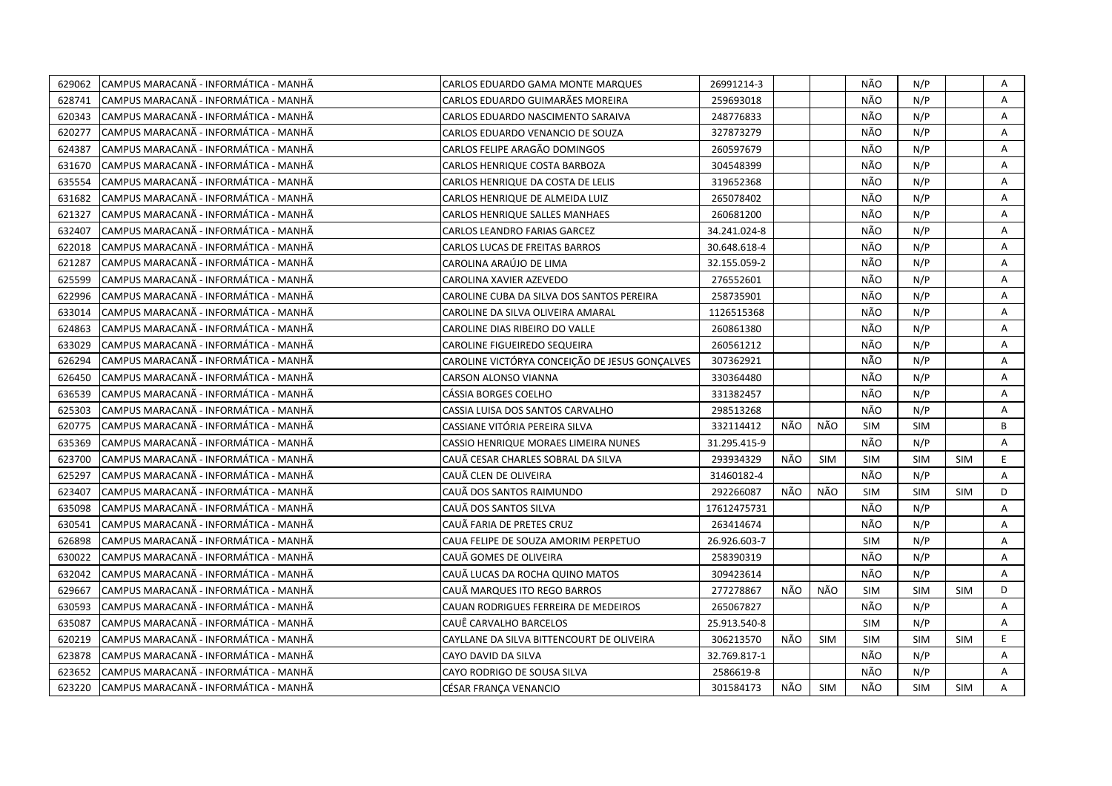| 629062 | CAMPUS MARACANÃ - INFORMÁTICA - MANHÃ | CARLOS EDUARDO GAMA MONTE MARQUES              | 26991214-3   |     |            | NÃO        | N/P        |            | Α  |
|--------|---------------------------------------|------------------------------------------------|--------------|-----|------------|------------|------------|------------|----|
| 628741 | CAMPUS MARACANÃ - INFORMÁTICA - MANHÃ | CARLOS EDUARDO GUIMARÃES MOREIRA               | 259693018    |     |            | NÃO        | N/P        |            | Α  |
| 620343 | CAMPUS MARACANÃ - INFORMÁTICA - MANHÃ | CARLOS EDUARDO NASCIMENTO SARAIVA              | 248776833    |     |            | NÃO        | N/P        |            | A  |
| 620277 | CAMPUS MARACANÃ - INFORMÁTICA - MANHÃ | CARLOS EDUARDO VENANCIO DE SOUZA               | 327873279    |     |            | NÃO        | N/P        |            | Α  |
| 624387 | CAMPUS MARACANÃ - INFORMÁTICA - MANHÃ | CARLOS FELIPE ARAGÃO DOMINGOS                  | 260597679    |     |            | NÃO        | N/P        |            | Α  |
| 631670 | CAMPUS MARACANA - INFORMATICA - MANHA | CARLOS HENRIQUE COSTA BARBOZA                  | 304548399    |     |            | NÃO        | N/P        |            | Α  |
| 635554 | CAMPUS MARACANÃ - INFORMÁTICA - MANHÃ | CARLOS HENRIQUE DA COSTA DE LELIS              | 319652368    |     |            | NÃO        | N/P        |            | Α  |
| 631682 | CAMPUS MARACANÃ - INFORMÁTICA - MANHÃ | CARLOS HENRIQUE DE ALMEIDA LUIZ                | 265078402    |     |            | NÃO        | N/P        |            | Α  |
| 621327 | CAMPUS MARACANÃ - INFORMÁTICA - MANHÃ | CARLOS HENRIQUE SALLES MANHAES                 | 260681200    |     |            | NÃO        | N/P        |            | Α  |
| 632407 | CAMPUS MARACANÃ - INFORMÁTICA - MANHÃ | <b>CARLOS LEANDRO FARIAS GARCEZ</b>            | 34.241.024-8 |     |            | NÃO        | N/P        |            | A  |
| 622018 | CAMPUS MARACANÃ - INFORMÁTICA - MANHÃ | CARLOS LUCAS DE FREITAS BARROS                 | 30.648.618-4 |     |            | NÃO        | N/P        |            | Α  |
| 621287 | CAMPUS MARACANA - INFORMATICA - MANHA | CAROLINA ARAÚJO DE LIMA                        | 32.155.059-2 |     |            | NÃO        | N/P        |            | A  |
| 625599 | CAMPUS MARACANÃ - INFORMÁTICA - MANHÃ | CAROLINA XAVIER AZEVEDO                        | 276552601    |     |            | NÃO        | N/P        |            | Α  |
| 622996 | CAMPUS MARACANÃ - INFORMÁTICA - MANHÃ | CAROLINE CUBA DA SILVA DOS SANTOS PEREIRA      | 258735901    |     |            | NÃO        | N/P        |            | Α  |
| 633014 | CAMPUS MARACANÃ - INFORMÁTICA - MANHÃ | CAROLINE DA SILVA OLIVEIRA AMARAL              | 1126515368   |     |            | NÃO        | N/P        |            | A  |
| 624863 | CAMPUS MARACANÃ - INFORMÁTICA - MANHÃ | CAROLINE DIAS RIBEIRO DO VALLE                 | 260861380    |     |            | NÃO        | N/P        |            | A  |
| 633029 | CAMPUS MARACANÃ - INFORMÁTICA - MANHÃ | CAROLINE FIGUEIREDO SEQUEIRA                   | 260561212    |     |            | NÃO        | N/P        |            | A  |
| 626294 | CAMPUS MARACANÃ - INFORMÁTICA - MANHÃ | CAROLINE VICTÓRYA CONCEIÇÃO DE JESUS GONÇALVES | 307362921    |     |            | NÃO        | N/P        |            | A  |
| 626450 | CAMPUS MARACANÃ - INFORMÁTICA - MANHÃ | <b>CARSON ALONSO VIANNA</b>                    | 330364480    |     |            | NÃO        | N/P        |            | A  |
| 636539 | CAMPUS MARACANÃ - INFORMÁTICA - MANHÃ | CÁSSIA BORGES COELHO                           | 331382457    |     |            | NÃO        | N/P        |            | Α  |
| 625303 | CAMPUS MARACANÃ - INFORMÁTICA - MANHÃ | CASSIA LUISA DOS SANTOS CARVALHO               | 298513268    |     |            | NÃO        | N/P        |            | A  |
| 620775 | CAMPUS MARACANA - INFORMÁTICA - MANHÃ | CASSIANE VITÓRIA PEREIRA SILVA                 | 332114412    | NÃO | NÃO        | <b>SIM</b> | <b>SIM</b> |            | B  |
| 635369 | CAMPUS MARACANÃ - INFORMÁTICA - MANHÃ | CASSIO HENRIQUE MORAES LIMEIRA NUNES           | 31.295.415-9 |     |            | NÃO        | N/P        |            | A  |
| 623700 | CAMPUS MARACANA - INFORMATICA - MANHA | CAUÃ CESAR CHARLES SOBRAL DA SILVA             | 293934329    | NÃO | <b>SIM</b> | <b>SIM</b> | <b>SIM</b> | <b>SIM</b> | E  |
| 625297 | CAMPUS MARACANÃ - INFORMÁTICA - MANHÃ | CAUÃ CLEN DE OLIVEIRA                          | 31460182-4   |     |            | NÃO        | N/P        |            | A  |
| 623407 | CAMPUS MARACANÃ - INFORMÁTICA - MANHÃ | CAUÃ DOS SANTOS RAIMUNDO                       | 292266087    | NÃO | NÃO        | SIM        | <b>SIM</b> | <b>SIM</b> | D  |
| 635098 | CAMPUS MARACANÃ - INFORMÁTICA - MANHÃ | CAUÃ DOS SANTOS SILVA                          | 17612475731  |     |            | NÃO        | N/P        |            | A  |
| 630541 | CAMPUS MARACANÃ - INFORMÁTICA - MANHÃ | CAUÃ FARIA DE PRETES CRUZ                      | 263414674    |     |            | NÃO        | N/P        |            | A  |
| 626898 | CAMPUS MARACANÃ - INFORMÁTICA - MANHÃ | CAUA FELIPE DE SOUZA AMORIM PERPETUO           | 26.926.603-7 |     |            | <b>SIM</b> | N/P        |            | Α  |
| 630022 | CAMPUS MARACANA - INFORMATICA - MANHA | CAUÃ GOMES DE OLIVEIRA                         | 258390319    |     |            | NÃO        | N/P        |            | A  |
| 632042 | CAMPUS MARACANÃ - INFORMÁTICA - MANHÃ | CAUÃ LUCAS DA ROCHA QUINO MATOS                | 309423614    |     |            | NÃO        | N/P        |            | A  |
| 629667 | CAMPUS MARACANÃ - INFORMÁTICA - MANHÃ | CAUÃ MARQUES ITO REGO BARROS                   | 277278867    | NÃO | NÃO        | <b>SIM</b> | <b>SIM</b> | <b>SIM</b> | D  |
| 630593 | CAMPUS MARACANÃ - INFORMÁTICA - MANHÃ | CAUAN RODRIGUES FERREIRA DE MEDEIROS           | 265067827    |     |            | NÃO        | N/P        |            | A  |
| 635087 | CAMPUS MARACANÃ - INFORMÁTICA - MANHÃ | CAUÊ CARVALHO BARCELOS                         | 25.913.540-8 |     |            | <b>SIM</b> | N/P        |            | A  |
| 620219 | CAMPUS MARACANÃ - INFORMÁTICA - MANHÃ | CAYLLANE DA SILVA BITTENCOURT DE OLIVEIRA      | 306213570    | NÃO | <b>SIM</b> | <b>SIM</b> | <b>SIM</b> | <b>SIM</b> | E. |
| 623878 | CAMPUS MARACANÃ - INFORMÁTICA - MANHÃ | CAYO DAVID DA SILVA                            | 32.769.817-1 |     |            | NÃO        | N/P        |            | A  |
| 623652 | CAMPUS MARACANÃ - INFORMÁTICA - MANHÃ | CAYO RODRIGO DE SOUSA SILVA                    | 2586619-8    |     |            | NÃO        | N/P        |            | A  |
| 623220 | CAMPUS MARACANÃ - INFORMÁTICA - MANHÃ | CÉSAR FRANÇA VENANCIO                          | 301584173    | NÃO | SIM        | NÃO        | <b>SIM</b> | <b>SIM</b> | A  |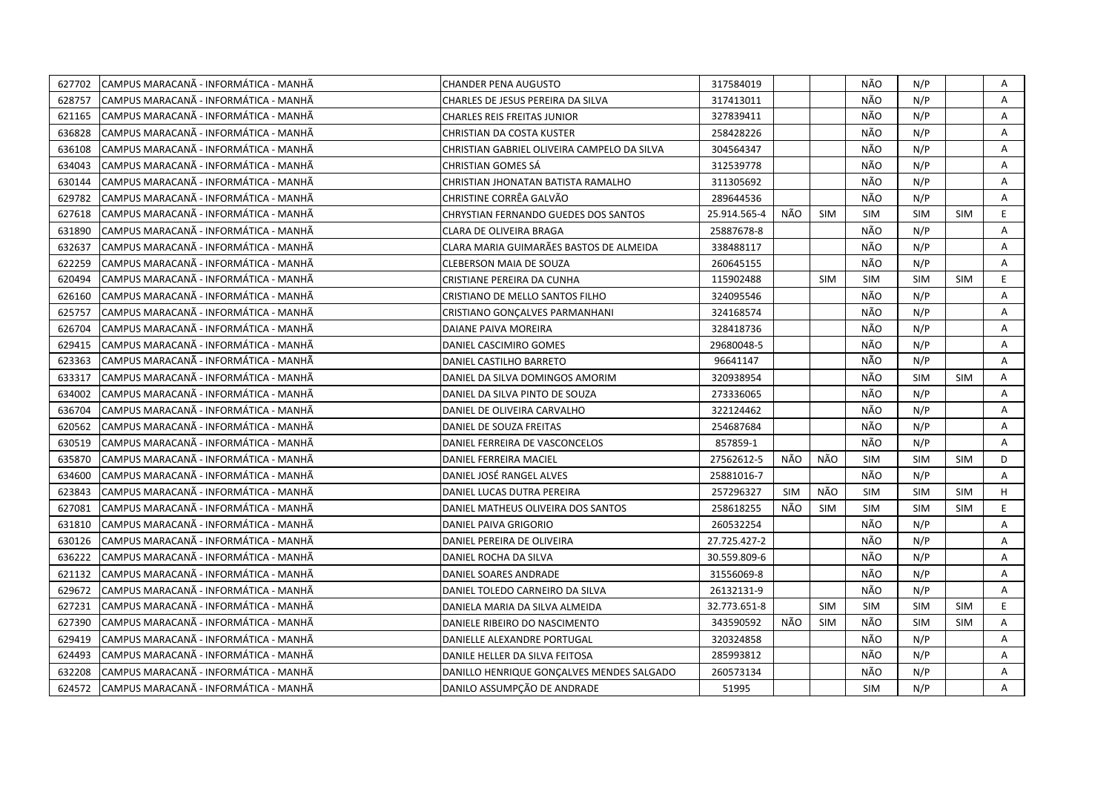| 627702 | CAMPUS MARACANÃ - INFORMÁTICA - MANHÃ | <b>CHANDER PENA AUGUSTO</b>                 | 317584019    |            |            | NÃO        | N/P        |            | Α  |
|--------|---------------------------------------|---------------------------------------------|--------------|------------|------------|------------|------------|------------|----|
| 628757 | CAMPUS MARACANÃ - INFORMÁTICA - MANHÃ | CHARLES DE JESUS PEREIRA DA SILVA           | 317413011    |            |            | NÃO        | N/P        |            | A  |
| 621165 | CAMPUS MARACANÃ - INFORMÁTICA - MANHÃ | <b>CHARLES REIS FREITAS JUNIOR</b>          | 327839411    |            |            | NÃO        | N/P        |            | A  |
| 636828 | CAMPUS MARACANÃ - INFORMÁTICA - MANHÃ | CHRISTIAN DA COSTA KUSTER                   | 258428226    |            |            | NÃO        | N/P        |            | Α  |
| 636108 | CAMPUS MARACANÃ - INFORMÁTICA - MANHÃ | CHRISTIAN GABRIEL OLIVEIRA CAMPELO DA SILVA | 304564347    |            |            | NÃO        | N/P        |            | A  |
| 634043 | CAMPUS MARACANÃ - INFORMÁTICA - MANHÃ | CHRISTIAN GOMES SA                          | 312539778    |            |            | NÃO        | N/P        |            | Α  |
| 630144 | CAMPUS MARACANÃ - INFORMÁTICA - MANHÃ | CHRISTIAN JHONATAN BATISTA RAMALHO          | 311305692    |            |            | NÃO        | N/P        |            | Α  |
| 629782 | CAMPUS MARACANA - INFORMÁTICA - MANHÃ | CHRISTINE CORRÊA GALVÃO                     | 289644536    |            |            | NÃO        | N/P        |            | A  |
| 627618 | CAMPUS MARACANÃ - INFORMÁTICA - MANHÃ | CHRYSTIAN FERNANDO GUEDES DOS SANTOS        | 25.914.565-4 | NÃO        | <b>SIM</b> | <b>SIM</b> | <b>SIM</b> | <b>SIM</b> | E  |
| 631890 | CAMPUS MARACANÃ - INFORMÁTICA - MANHÃ | CLARA DE OLIVEIRA BRAGA                     | 25887678-8   |            |            | NÃO        | N/P        |            | A  |
| 632637 | CAMPUS MARACANÃ - INFORMÁTICA - MANHÃ | CLARA MARIA GUIMARÃES BASTOS DE ALMEIDA     | 338488117    |            |            | NÃO        | N/P        |            | A  |
| 622259 | CAMPUS MARACANÃ - INFORMÁTICA - MANHÃ | CLEBERSON MAIA DE SOUZA                     | 260645155    |            |            | NÃO        | N/P        |            | Α  |
| 620494 | CAMPUS MARACANÃ - INFORMÁTICA - MANHÃ | CRISTIANE PEREIRA DA CUNHA                  | 115902488    |            | <b>SIM</b> | <b>SIM</b> | <b>SIM</b> | <b>SIM</b> | E  |
| 626160 | CAMPUS MARACANÃ - INFORMÁTICA - MANHÃ | CRISTIANO DE MELLO SANTOS FILHO             | 324095546    |            |            | NÃO        | N/P        |            | A  |
| 625757 | CAMPUS MARACANA - INFORMÁTICA - MANHÃ | CRISTIANO GONÇALVES PARMANHANI              | 324168574    |            |            | NÃO        | N/P        |            | Α  |
| 626704 | CAMPUS MARACANÃ - INFORMÁTICA - MANHÃ | DAIANE PAIVA MOREIRA                        | 328418736    |            |            | NÃO        | N/P        |            | A  |
| 629415 | CAMPUS MARACANÃ - INFORMÁTICA - MANHÃ | DANIEL CASCIMIRO GOMES                      | 29680048-5   |            |            | NÃO        | N/P        |            | A  |
| 623363 | CAMPUS MARACANÃ - INFORMÁTICA - MANHÃ | DANIEL CASTILHO BARRETO                     | 96641147     |            |            | NÃO        | N/P        |            | A  |
| 633317 | CAMPUS MARACANÃ - INFORMÁTICA - MANHÃ | DANIEL DA SILVA DOMINGOS AMORIM             | 320938954    |            |            | NÃO        | <b>SIM</b> | <b>SIM</b> | A  |
| 634002 | CAMPUS MARACANÃ - INFORMÁTICA - MANHÃ | DANIEL DA SILVA PINTO DE SOUZA              | 273336065    |            |            | NÃO        | N/P        |            | Α  |
| 636704 | CAMPUS MARACANÃ - INFORMÁTICA - MANHÃ | DANIEL DE OLIVEIRA CARVALHO                 | 322124462    |            |            | NÃO        | N/P        |            | A  |
| 620562 | CAMPUS MARACANÃ - INFORMÁTICA - MANHÃ | DANIEL DE SOUZA FREITAS                     | 254687684    |            |            | NÃO        | N/P        |            | A  |
| 630519 | CAMPUS MARACANÃ - INFORMÁTICA - MANHÃ | DANIEL FERREIRA DE VASCONCELOS              | 857859-1     |            |            | NÃO        | N/P        |            | A  |
| 635870 | CAMPUS MARACANÃ - INFORMÁTICA - MANHÃ | DANIEL FERREIRA MACIEL                      | 27562612-5   | NÃO        | NÃO        | <b>SIM</b> | <b>SIM</b> | <b>SIM</b> | D  |
| 634600 | CAMPUS MARACANÃ - INFORMÁTICA - MANHÃ | DANIEL JOSÉ RANGEL ALVES                    | 25881016-7   |            |            | NÃO        | N/P        |            | A  |
| 623843 | CAMPUS MARACANA - INFORMATICA - MANHA | DANIEL LUCAS DUTRA PEREIRA                  | 257296327    | <b>SIM</b> | NÃO        | <b>SIM</b> | <b>SIM</b> | <b>SIM</b> | H  |
| 627081 | CAMPUS MARACANÃ - INFORMÁTICA - MANHÃ | DANIEL MATHEUS OLIVEIRA DOS SANTOS          | 258618255    | NÃO        | <b>SIM</b> | <b>SIM</b> | <b>SIM</b> | <b>SIM</b> | E. |
| 631810 | CAMPUS MARACANÃ - INFORMÁTICA - MANHÃ | DANIEL PAIVA GRIGORIO                       | 260532254    |            |            | NÃO        | N/P        |            | Α  |
| 630126 | CAMPUS MARACANÃ - INFORMÁTICA - MANHÃ | DANIEL PEREIRA DE OLIVEIRA                  | 27.725.427-2 |            |            | NÃO        | N/P        |            | Α  |
| 636222 | CAMPUS MARACANÃ - INFORMÁTICA - MANHÃ | DANIEL ROCHA DA SILVA                       | 30.559.809-6 |            |            | NÃO        | N/P        |            | Α  |
| 621132 | CAMPUS MARACANÃ - INFORMÁTICA - MANHÃ | DANIEL SOARES ANDRADE                       | 31556069-8   |            |            | NÃO        | N/P        |            | A  |
| 629672 | CAMPUS MARACANÃ - INFORMÁTICA - MANHÃ | DANIEL TOLEDO CARNEIRO DA SILVA             | 26132131-9   |            |            | NÃO        | N/P        |            | A  |
| 627231 | CAMPUS MARACANÃ - INFORMÁTICA - MANHÃ | DANIELA MARIA DA SILVA ALMEIDA              | 32.773.651-8 |            | <b>SIM</b> | <b>SIM</b> | <b>SIM</b> | <b>SIM</b> | E. |
| 627390 | CAMPUS MARACANA - INFORMÁTICA - MANHÃ | DANIELE RIBEIRO DO NASCIMENTO               | 343590592    | NÃO        | <b>SIM</b> | NÃO        | <b>SIM</b> | <b>SIM</b> | A  |
| 629419 | CAMPUS MARACANÃ - INFORMÁTICA - MANHÃ | DANIELLE ALEXANDRE PORTUGAL                 | 320324858    |            |            | NÃO        | N/P        |            | A  |
| 624493 | CAMPUS MARACANÃ - INFORMÁTICA - MANHÃ | DANILE HELLER DA SILVA FEITOSA              | 285993812    |            |            | NÃO        | N/P        |            | Α  |
| 632208 | CAMPUS MARACANÃ - INFORMÁTICA - MANHÃ | DANILLO HENRIQUE GONÇALVES MENDES SALGADO   | 260573134    |            |            | NÃO        | N/P        |            | Α  |
| 624572 | CAMPUS MARACANÃ - INFORMÁTICA - MANHÃ | DANILO ASSUMPÇÃO DE ANDRADE                 | 51995        |            |            | <b>SIM</b> | N/P        |            | A  |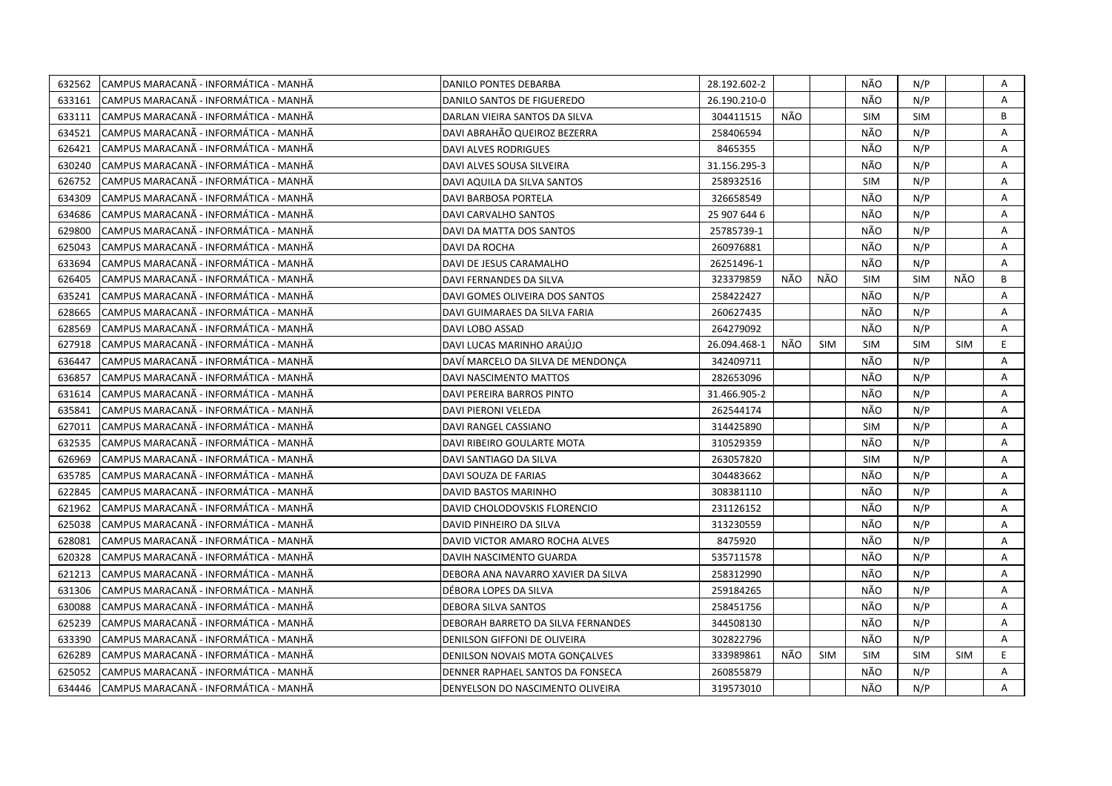| 632562 | CAMPUS MARACANÃ - INFORMÁTICA - MANHÃ  | DANILO PONTES DEBARBA              | 28.192.602-2 |     |            | NÃO        | N/P        |            | Α  |
|--------|----------------------------------------|------------------------------------|--------------|-----|------------|------------|------------|------------|----|
| 633161 | ICAMPUS MARACANÃ - INFORMÁTICA - MANHÃ | DANILO SANTOS DE FIGUEREDO         | 26.190.210-0 |     |            | NÃO        | N/P        |            | A  |
| 633111 | CAMPUS MARACANÃ - INFORMÁTICA - MANHÃ  | DARLAN VIEIRA SANTOS DA SILVA      | 304411515    | NÃO |            | <b>SIM</b> | SIM        |            | B  |
| 634521 | ICAMPUS MARACANÃ - INFORMÁTICA - MANHÃ | DAVI ABRAHÃO QUEIROZ BEZERRA       | 258406594    |     |            | NÃO        | N/P        |            | A  |
| 626421 | CAMPUS MARACANÃ - INFORMÁTICA - MANHÃ  | DAVI ALVES RODRIGUES               | 8465355      |     |            | NÃO        | N/P        |            | A  |
| 630240 | CAMPUS MARACANÃ - INFORMÁTICA - MANHÃ  | DAVI ALVES SOUSA SILVEIRA          | 31.156.295-3 |     |            | NÃO        | N/P        |            | Α  |
| 626752 | CAMPUS MARACANÃ - INFORMÁTICA - MANHÃ  | DAVI AQUILA DA SILVA SANTOS        | 258932516    |     |            | <b>SIM</b> | N/P        |            | Α  |
| 634309 | CAMPUS MARACANÃ - INFORMÁTICA - MANHÃ  | DAVI BARBOSA PORTELA               | 326658549    |     |            | NÃO        | N/P        |            | Α  |
| 634686 | ICAMPUS MARACANÃ - INFORMÁTICA - MANHÃ | DAVI CARVALHO SANTOS               | 25 907 644 6 |     |            | NÃO        | N/P        |            | Α  |
| 629800 | CAMPUS MARACANÃ - INFORMÁTICA - MANHÃ  | DAVI DA MATTA DOS SANTOS           | 25785739-1   |     |            | NÃO        | N/P        |            | Α  |
| 625043 | ICAMPUS MARACANÃ - INFORMÁTICA - MANHÃ | DAVI DA ROCHA                      | 260976881    |     |            | NÃO        | N/P        |            | A  |
| 633694 | CAMPUS MARACANÃ - INFORMÁTICA - MANHÃ  | DAVI DE JESUS CARAMALHO            | 26251496-1   |     |            | NÃO        | N/P        |            | A  |
| 626405 | CAMPUS MARACANA - INFORMATICA - MANHA  | DAVI FERNANDES DA SILVA            | 323379859    | NÃO | NÃO        | SIM        | <b>SIM</b> | NÃO        | B  |
| 635241 | CAMPUS MARACANÃ - INFORMÁTICA - MANHÃ  | DAVI GOMES OLIVEIRA DOS SANTOS     | 258422427    |     |            | NÃO        | N/P        |            | Α  |
| 628665 | CAMPUS MARACANÃ - INFORMÁTICA - MANHÃ  | DAVI GUIMARAES DA SILVA FARIA      | 260627435    |     |            | NÃO        | N/P        |            | A  |
| 628569 | CAMPUS MARACANA - INFORMÁTICA - MANHÃ  | DAVI LOBO ASSAD                    | 264279092    |     |            | NÃO        | N/P        |            | A  |
| 627918 | CAMPUS MARACANÃ - INFORMÁTICA - MANHÃ  | DAVI LUCAS MARINHO ARAÚJO          | 26.094.468-1 | NÃO | <b>SIM</b> | <b>SIM</b> | <b>SIM</b> | <b>SIM</b> | E. |
| 636447 | CAMPUS MARACANA - INFORMÁTICA - MANHÃ  | DAVÍ MARCELO DA SILVA DE MENDONÇA  | 342409711    |     |            | NÃO        | N/P        |            | A  |
| 636857 | CAMPUS MARACANÃ - INFORMÁTICA - MANHÃ  | DAVI NASCIMENTO MATTOS             | 282653096    |     |            | NÃO        | N/P        |            | Α  |
| 631614 | CAMPUS MARACANÃ - INFORMÁTICA - MANHÃ  | DAVI PEREIRA BARROS PINTO          | 31.466.905-2 |     |            | NÃO        | N/P        |            | Α  |
| 635841 | CAMPUS MARACANÃ - INFORMÁTICA - MANHÃ  | DAVI PIERONI VELEDA                | 262544174    |     |            | NÃO        | N/P        |            | Α  |
| 627011 | CAMPUS MARACANÃ - INFORMÁTICA - MANHÃ  | DAVI RANGEL CASSIANO               | 314425890    |     |            | SIM        | N/P        |            | A  |
| 632535 | CAMPUS MARACANÃ - INFORMÁTICA - MANHÃ  | DAVI RIBEIRO GOULARTE MOTA         | 310529359    |     |            | NÃO        | N/P        |            | Α  |
| 626969 | ICAMPUS MARACANÃ - INFORMÁTICA - MANHÃ | DAVI SANTIAGO DA SILVA             | 263057820    |     |            | <b>SIM</b> | N/P        |            | A  |
| 635785 | CAMPUS MARACANÃ - INFORMÁTICA - MANHÃ  | DAVI SOUZA DE FARIAS               | 304483662    |     |            | NÃO        | N/P        |            | A  |
| 622845 | CAMPUS MARACANA - INFORMATICA - MANHA  | DAVID BASTOS MARINHO               | 308381110    |     |            | NÃO        | N/P        |            | A  |
| 621962 | CAMPUS MARACANA - INFORMATICA - MANHA  | DAVID CHOLODOVSKIS FLORENCIO       | 231126152    |     |            | NÃO        | N/P        |            | A  |
| 625038 | CAMPUS MARACANA - INFORMATICA - MANHA  | DAVID PINHEIRO DA SILVA            | 313230559    |     |            | NÃO        | N/P        |            | Α  |
| 628081 | CAMPUS MARACANÃ - INFORMÁTICA - MANHÃ  | DAVID VICTOR AMARO ROCHA ALVES     | 8475920      |     |            | NÃO        | N/P        |            | A  |
| 620328 | CAMPUS MARACANÃ - INFORMÁTICA - MANHÃ  | DAVIH NASCIMENTO GUARDA            | 535711578    |     |            | NÃO        | N/P        |            | Α  |
| 621213 | CAMPUS MARACANA - INFORMÁTICA - MANHÃ  | DEBORA ANA NAVARRO XAVIER DA SILVA | 258312990    |     |            | NÃO        | N/P        |            | A  |
| 631306 | CAMPUS MARACANÃ - INFORMÁTICA - MANHÃ  | DÉBORA LOPES DA SILVA              | 259184265    |     |            | NÃO        | N/P        |            | A  |
| 630088 | CAMPUS MARACANA - INFORMATICA - MANHA  | DEBORA SILVA SANTOS                | 258451756    |     |            | NÃO        | N/P        |            | A  |
| 625239 | CAMPUS MARACANÃ - INFORMÁTICA - MANHÃ  | DEBORAH BARRETO DA SILVA FERNANDES | 344508130    |     |            | NÃO        | N/P        |            | Α  |
| 633390 | CAMPUS MARACANA - INFORMATICA - MANHA  | DENILSON GIFFONI DE OLIVEIRA       | 302822796    |     |            | NÃO        | N/P        |            | A  |
| 626289 | CAMPUS MARACANÃ - INFORMÁTICA - MANHÃ  | DENILSON NOVAIS MOTA GONÇALVES     | 333989861    | NÃO | <b>SIM</b> | <b>SIM</b> | <b>SIM</b> | SIM        | E. |
| 625052 | CAMPUS MARACANÃ - INFORMÁTICA - MANHÃ  | DENNER RAPHAEL SANTOS DA FONSECA   | 260855879    |     |            | NÃO        | N/P        |            | A  |
| 634446 | CAMPUS MARACANÃ - INFORMÁTICA - MANHÃ  | DENYELSON DO NASCIMENTO OLIVEIRA   | 319573010    |     |            | NÃO        | N/P        |            | A  |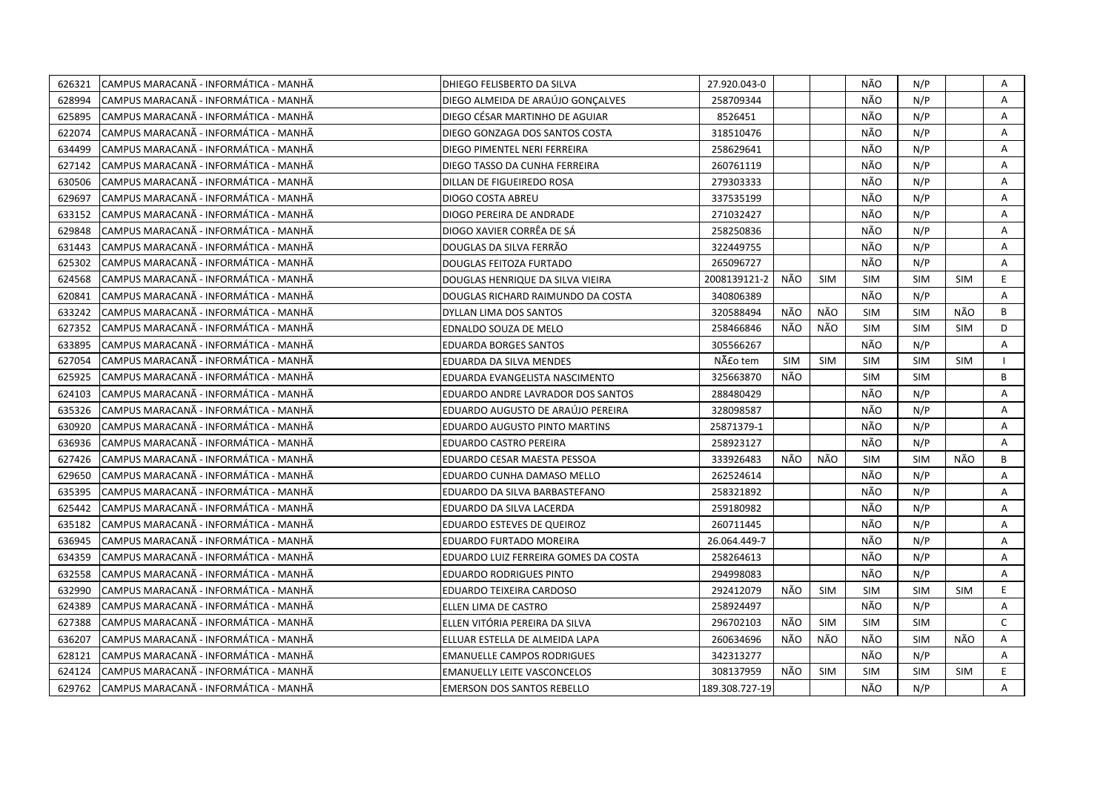| 626321 | CAMPUS MARACANÃ - INFORMÁTICA - MANHÃ  | DHIEGO FELISBERTO DA SILVA           | 27.920.043-0   |            |            | NÃO        | N/P        |            | Α  |
|--------|----------------------------------------|--------------------------------------|----------------|------------|------------|------------|------------|------------|----|
| 628994 | ICAMPUS MARACANÃ - INFORMÁTICA - MANHÃ | DIEGO ALMEIDA DE ARAÚJO GONCALVES    | 258709344      |            |            | NÃO        | N/P        |            | A  |
| 625895 | CAMPUS MARACANA - INFORMÁTICA - MANHÃ  | DIEGO CÉSAR MARTINHO DE AGUIAR       | 8526451        |            |            | NÃO        | N/P        |            | Α  |
| 622074 | ICAMPUS MARACANÃ - INFORMÁTICA - MANHÃ | DIEGO GONZAGA DOS SANTOS COSTA       | 318510476      |            |            | NÃO        | N/P        |            | A  |
| 634499 | CAMPUS MARACANÃ - INFORMÁTICA - MANHÃ  | DIEGO PIMENTEL NERI FERREIRA         | 258629641      |            |            | NÃO        | N/P        |            | Α  |
| 627142 | CAMPUS MARACANÃ - INFORMÁTICA - MANHÃ  | DIEGO TASSO DA CUNHA FERREIRA        | 260761119      |            |            | NÃO        | N/P        |            | Α  |
| 630506 | CAMPUS MARACANÃ - INFORMÁTICA - MANHÃ  | DILLAN DE FIGUEIREDO ROSA            | 279303333      |            |            | NÃO        | N/P        |            | Α  |
| 629697 | CAMPUS MARACANÃ - INFORMÁTICA - MANHÃ  | DIOGO COSTA ABREU                    | 337535199      |            |            | NÃO        | N/P        |            | Α  |
| 633152 | CAMPUS MARACANA - INFORMÁTICA - MANHÃ  | DIOGO PEREIRA DE ANDRADE             | 271032427      |            |            | NÃO        | N/P        |            | Α  |
| 629848 | CAMPUS MARACANÃ - INFORMÁTICA - MANHÃ  | DIOGO XAVIER CORRÊA DE SÁ            | 258250836      |            |            | NÃO        | N/P        |            | Α  |
| 631443 | ICAMPUS MARACANÃ - INFORMÁTICA - MANHÃ | DOUGLAS DA SILVA FERRÃO              | 322449755      |            |            | NÃO        | N/P        |            | A  |
| 625302 | CAMPUS MARACANÃ - INFORMÁTICA - MANHÃ  | <b>DOUGLAS FEITOZA FURTADO</b>       | 265096727      |            |            | NÃO        | N/P        |            | A  |
| 624568 | CAMPUS MARACANA - INFORMATICA - MANHA  | DOUGLAS HENRIQUE DA SILVA VIEIRA     | 2008139121-2   | NÃO        | <b>SIM</b> | SIM        | <b>SIM</b> | <b>SIM</b> | E. |
| 620841 | CAMPUS MARACANA - INFORMÁTICA - MANHÃ  | DOUGLAS RICHARD RAIMUNDO DA COSTA    | 340806389      |            |            | NÃO        | N/P        |            | Α  |
| 633242 | CAMPUS MARACANÃ - INFORMÁTICA - MANHÃ  | DYLLAN LIMA DOS SANTOS               | 320588494      | NÃO        | NÃO        | <b>SIM</b> | <b>SIM</b> | NÃO        | B  |
| 627352 | CAMPUS MARACANA - INFORMÁTICA - MANHÃ  | EDNALDO SOUZA DE MELO                | 258466846      | NÃO        | NÃO        | <b>SIM</b> | <b>SIM</b> | <b>SIM</b> | D  |
| 633895 | CAMPUS MARACANA - INFORMÁTICA - MANHÃ  | <b>EDUARDA BORGES SANTOS</b>         | 305566267      |            |            | NÃO        | N/P        |            | Α  |
| 627054 | CAMPUS MARACANÃ - INFORMÁTICA - MANHÃ  | EDUARDA DA SILVA MENDES              | Não tem        | <b>SIM</b> | <b>SIM</b> | <b>SIM</b> | <b>SIM</b> | <b>SIM</b> |    |
| 625925 | CAMPUS MARACANÃ - INFORMÁTICA - MANHÃ  | EDUARDA EVANGELISTA NASCIMENTO       | 325663870      | NÃO        |            | <b>SIM</b> | <b>SIM</b> |            | В  |
| 624103 | CAMPUS MARACANA - INFORMÁTICA - MANHÃ  | EDUARDO ANDRE LAVRADOR DOS SANTOS    | 288480429      |            |            | NÃO        | N/P        |            | Α  |
| 635326 | CAMPUS MARACANÃ - INFORMÁTICA - MANHÃ  | EDUARDO AUGUSTO DE ARAÚJO PEREIRA    | 328098587      |            |            | NÃO        | N/P        |            | A  |
| 630920 | CAMPUS MARACANÃ - INFORMÁTICA - MANHÃ  | <b>EDUARDO AUGUSTO PINTO MARTINS</b> | 25871379-1     |            |            | NÃO        | N/P        |            | A  |
| 636936 | CAMPUS MARACANÃ - INFORMÁTICA - MANHÃ  | EDUARDO CASTRO PEREIRA               | 258923127      |            |            | NÃO        | N/P        |            | Α  |
| 627426 | ICAMPUS MARACANÃ - INFORMÁTICA - MANHÃ | EDUARDO CESAR MAESTA PESSOA          | 333926483      | NÃO        | NÃO        | <b>SIM</b> | <b>SIM</b> | NÃO        | B  |
| 629650 | CAMPUS MARACANÃ - INFORMÁTICA - MANHÃ  | EDUARDO CUNHA DAMASO MELLO           | 262524614      |            |            | NÃO        | N/P        |            | A  |
| 635395 | CAMPUS MARACANA - INFORMATICA - MANHA  | EDUARDO DA SILVA BARBASTEFANO        | 258321892      |            |            | NÃO        | N/P        |            | A  |
| 625442 | CAMPUS MARACANÃ - INFORMÁTICA - MANHÃ  | EDUARDO DA SILVA LACERDA             | 259180982      |            |            | NÃO        | N/P        |            | A  |
| 635182 | CAMPUS MARACANA - INFORMÁTICA - MANHA  | EDUARDO ESTEVES DE QUEIROZ           | 260711445      |            |            | NÃO        | N/P        |            | Α  |
| 636945 | CAMPUS MARACANA - INFORMÁTICA - MANHÃ  | EDUARDO FURTADO MOREIRA              | 26.064.449-7   |            |            | NÃO        | N/P        |            | A  |
| 634359 | CAMPUS MARACANÃ - INFORMÁTICA - MANHÃ  | EDUARDO LUIZ FERREIRA GOMES DA COSTA | 258264613      |            |            | NÃO        | N/P        |            | Α  |
| 632558 | CAMPUS MARACANÃ - INFORMÁTICA - MANHÃ  | EDUARDO RODRIGUES PINTO              | 294998083      |            |            | NÃO        | N/P        |            | A  |
| 632990 | CAMPUS MARACANÃ - INFORMÁTICA - MANHÃ  | EDUARDO TEIXEIRA CARDOSO             | 292412079      | NÃO        | <b>SIM</b> | <b>SIM</b> | <b>SIM</b> | <b>SIM</b> | E  |
| 624389 | CAMPUS MARACANA - INFORMATICA - MANHA  | ELLEN LIMA DE CASTRO                 | 258924497      |            |            | NÃO        | N/P        |            | A  |
| 627388 | CAMPUS MARACANÃ - INFORMÁTICA - MANHÃ  | ELLEN VITÓRIA PEREIRA DA SILVA       | 296702103      | NÃO        | SIM        | <b>SIM</b> | <b>SIM</b> |            | C  |
| 636207 | CAMPUS MARACANÃ - INFORMÁTICA - MANHÃ  | ELLUAR ESTELLA DE ALMEIDA LAPA       | 260634696      | NÃO        | NÃO        | NÃO        | <b>SIM</b> | NÃO        | Α  |
| 628121 | CAMPUS MARACANÃ - INFORMÁTICA - MANHÃ  | <b>EMANUELLE CAMPOS RODRIGUES</b>    | 342313277      |            |            | NÃO        | N/P        |            | Α  |
| 624124 | CAMPUS MARACANÃ - INFORMÁTICA - MANHÃ  | <b>EMANUELLY LEITE VASCONCELOS</b>   | 308137959      | NÃO        | <b>SIM</b> | <b>SIM</b> | <b>SIM</b> | <b>SIM</b> | E  |
| 629762 | CAMPUS MARACANÃ - INFORMÁTICA - MANHÃ  | <b>EMERSON DOS SANTOS REBELLO</b>    | 189.308.727-19 |            |            | NÃO        | N/P        |            | A  |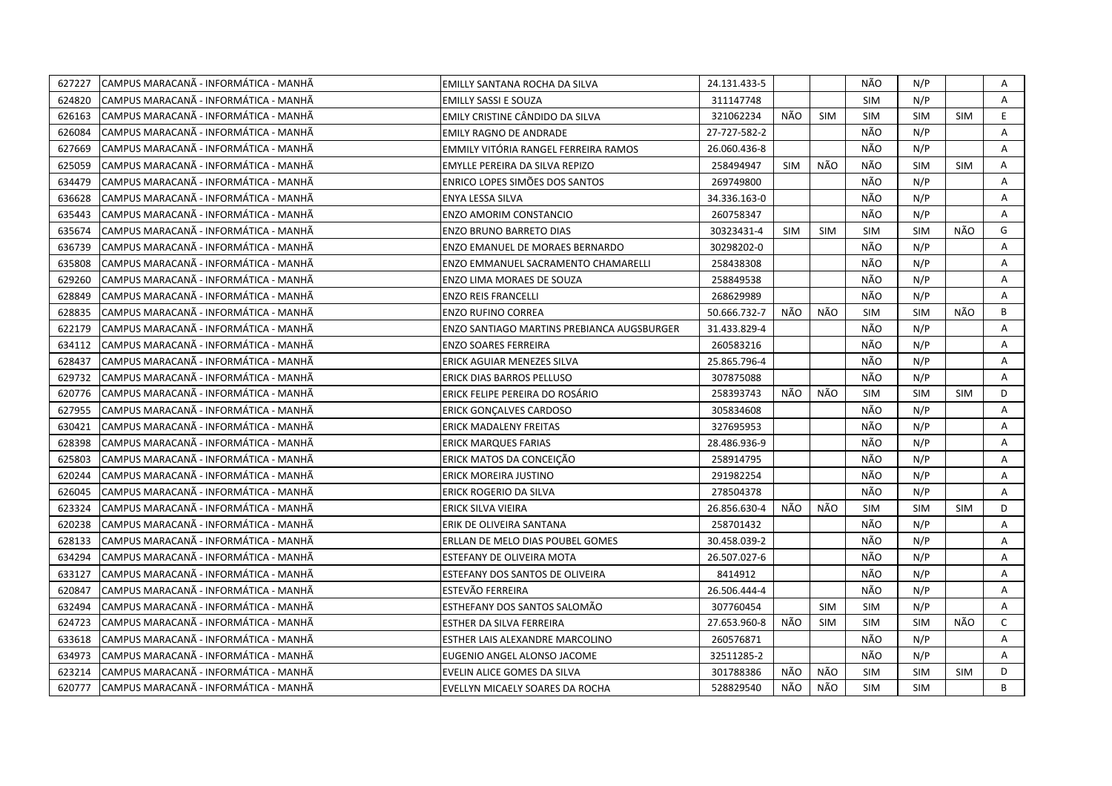| 627227 | CAMPUS MARACANÃ - INFORMÁTICA - MANHÃ | EMILLY SANTANA ROCHA DA SILVA              | 24.131.433-5 |            |            | NÃO        | N/P        |            | Α            |
|--------|---------------------------------------|--------------------------------------------|--------------|------------|------------|------------|------------|------------|--------------|
| 624820 | CAMPUS MARACANÃ - INFORMÁTICA - MANHÃ | <b>EMILLY SASSI E SOUZA</b>                | 311147748    |            |            | <b>SIM</b> | N/P        |            | A            |
| 626163 | CAMPUS MARACANÃ - INFORMÁTICA - MANHÃ | EMILY CRISTINE CÂNDIDO DA SILVA            | 321062234    | NÃO        | <b>SIM</b> | <b>SIM</b> | SIM        | <b>SIM</b> | E.           |
| 626084 | CAMPUS MARACANÃ - INFORMÁTICA - MANHÃ | <b>EMILY RAGNO DE ANDRADE</b>              | 27-727-582-2 |            |            | NÃO        | N/P        |            | Α            |
| 627669 | CAMPUS MARACANÃ - INFORMÁTICA - MANHÃ | EMMILY VITÓRIA RANGEL FERREIRA RAMOS       | 26.060.436-8 |            |            | NÃO        | N/P        |            | Α            |
| 625059 | CAMPUS MARACANÃ - INFORMÁTICA - MANHÃ | EMYLLE PEREIRA DA SILVA REPIZO             | 258494947    | SIM        | NÃO        | NÃO        | <b>SIM</b> | <b>SIM</b> | A            |
| 634479 | CAMPUS MARACANÃ - INFORMÁTICA - MANHÃ | ENRICO LOPES SIMÕES DOS SANTOS             | 269749800    |            |            | NÃO        | N/P        |            | A            |
| 636628 | CAMPUS MARACANÃ - INFORMÁTICA - MANHÃ | ENYA LESSA SILVA                           | 34.336.163-0 |            |            | NÃO        | N/P        |            | Α            |
| 635443 | CAMPUS MARACANÃ - INFORMÁTICA - MANHÃ | <b>ENZO AMORIM CONSTANCIO</b>              | 260758347    |            |            | NÃO        | N/P        |            | A            |
| 635674 | CAMPUS MARACANÃ - INFORMÁTICA - MANHÃ | <b>ENZO BRUNO BARRETO DIAS</b>             | 30323431-4   | <b>SIM</b> | <b>SIM</b> | <b>SIM</b> | <b>SIM</b> | NÃO        | G            |
| 636739 | CAMPUS MARACANA - INFORMÁTICA - MANHA | ENZO EMANUEL DE MORAES BERNARDO            | 30298202-0   |            |            | NÃO        | N/P        |            | Α            |
| 635808 | CAMPUS MARACANÃ - INFORMÁTICA - MANHÃ | ENZO EMMANUEL SACRAMENTO CHAMARELLI        | 258438308    |            |            | NÃO        | N/P        |            | A            |
| 629260 | CAMPUS MARACANÃ - INFORMÁTICA - MANHÃ | ENZO LIMA MORAES DE SOUZA                  | 258849538    |            |            | NÃO        | N/P        |            | Α            |
| 628849 | CAMPUS MARACANÃ - INFORMÁTICA - MANHÃ | <b>ENZO REIS FRANCELLI</b>                 | 268629989    |            |            | NÃO        | N/P        |            | A            |
| 628835 | CAMPUS MARACANÃ - INFORMÁTICA - MANHÃ | <b>ENZO RUFINO CORREA</b>                  | 50.666.732-7 | NÃO        | NÃO        | <b>SIM</b> | <b>SIM</b> | NÃO        | B            |
| 622179 | CAMPUS MARACANÃ - INFORMÁTICA - MANHÃ | ENZO SANTIAGO MARTINS PREBIANCA AUGSBURGER | 31.433.829-4 |            |            | NÃO        | N/P        |            | A            |
| 634112 | CAMPUS MARACANÃ - INFORMÁTICA - MANHÃ | <b>ENZO SOARES FERREIRA</b>                | 260583216    |            |            | NÃO        | N/P        |            | A            |
| 628437 | CAMPUS MARACANÃ - INFORMÁTICA - MANHÃ | ERICK AGUIAR MENEZES SILVA                 | 25.865.796-4 |            |            | NÃO        | N/P        |            | A            |
| 629732 | CAMPUS MARACANÃ - INFORMÁTICA - MANHÃ | ERICK DIAS BARROS PELLUSO                  | 307875088    |            |            | NÃO        | N/P        |            | A            |
| 620776 | CAMPUS MARACANA - INFORMÁTICA - MANHA | ERICK FELIPE PEREIRA DO ROSÁRIO            | 258393743    | NÃO        | NÃO        | <b>SIM</b> | <b>SIM</b> | SIM        | D            |
| 627955 | CAMPUS MARACANÃ - INFORMÁTICA - MANHÃ | <b>ERICK GONÇALVES CARDOSO</b>             | 305834608    |            |            | NÃO        | N/P        |            | A            |
| 630421 | CAMPUS MARACANÃ - INFORMÁTICA - MANHÃ | <b>ERICK MADALENY FREITAS</b>              | 327695953    |            |            | NÃO        | N/P        |            | A            |
| 628398 | CAMPUS MARACANÃ - INFORMÁTICA - MANHÃ | <b>ERICK MARQUES FARIAS</b>                | 28.486.936-9 |            |            | NÃO        | N/P        |            | A            |
| 625803 | CAMPUS MARACANÃ - INFORMÁTICA - MANHÃ | ERICK MATOS DA CONCEIÇÃO                   | 258914795    |            |            | NÃO        | N/P        |            | A            |
| 620244 | CAMPUS MARACANA - INFORMÁTICA - MANHÃ | ERICK MOREIRA JUSTINO                      | 291982254    |            |            | NÃO        | N/P        |            | A            |
| 626045 | CAMPUS MARACANÃ - INFORMÁTICA - MANHÃ | ERICK ROGERIO DA SILVA                     | 278504378    |            |            | NÃO        | N/P        |            | A            |
| 623324 | CAMPUS MARACANÃ - INFORMÁTICA - MANHÃ | ERICK SILVA VIEIRA                         | 26.856.630-4 | NÃO        | NÃO        | SIM        | <b>SIM</b> | <b>SIM</b> | D            |
| 620238 | CAMPUS MARACANÃ - INFORMÁTICA - MANHÃ | ERIK DE OLIVEIRA SANTANA                   | 258701432    |            |            | NÃO        | N/P        |            | A            |
| 628133 | CAMPUS MARACANÃ - INFORMÁTICA - MANHÃ | ERLLAN DE MELO DIAS POUBEL GOMES           | 30.458.039-2 |            |            | NÃO        | N/P        |            | A            |
| 634294 | CAMPUS MARACANA - INFORMATICA - MANHA | ESTEFANY DE OLIVEIRA MOTA                  | 26.507.027-6 |            |            | NÃO        | N/P        |            | A            |
| 633127 | CAMPUS MARACANÃ - INFORMÁTICA - MANHÃ | ESTEFANY DOS SANTOS DE OLIVEIRA            | 8414912      |            |            | NÃO        | N/P        |            | Α            |
| 620847 | CAMPUS MARACANÃ - INFORMÁTICA - MANHÃ | ESTEVÃO FERREIRA                           | 26.506.444-4 |            |            | NÃO        | N/P        |            | A            |
| 632494 | CAMPUS MARACANÃ - INFORMÁTICA - MANHÃ | ESTHEFANY DOS SANTOS SALOMÃO               | 307760454    |            | <b>SIM</b> | <b>SIM</b> | N/P        |            | A            |
| 624723 | CAMPUS MARACANÃ - INFORMÁTICA - MANHÃ | ESTHER DA SILVA FERREIRA                   | 27.653.960-8 | NÃO        | <b>SIM</b> | <b>SIM</b> | <b>SIM</b> | NÃO        | $\mathsf{C}$ |
| 633618 | CAMPUS MARACANÃ - INFORMÁTICA - MANHÃ | ESTHER LAIS ALEXANDRE MARCOLINO            | 260576871    |            |            | NÃO        | N/P        |            | A            |
| 634973 | CAMPUS MARACANÃ - INFORMÁTICA - MANHÃ | EUGENIO ANGEL ALONSO JACOME                | 32511285-2   |            |            | NÃO        | N/P        |            | A            |
| 623214 | CAMPUS MARACANA - INFORMATICA - MANHA | EVELIN ALICE GOMES DA SILVA                | 301788386    | NÃO        | NÃO        | <b>SIM</b> | <b>SIM</b> | <b>SIM</b> | D            |
| 620777 | CAMPUS MARACANÃ - INFORMÁTICA - MANHÃ | EVELLYN MICAELY SOARES DA ROCHA            | 528829540    | NÃO        | NÃO        | SIM        | <b>SIM</b> |            | B            |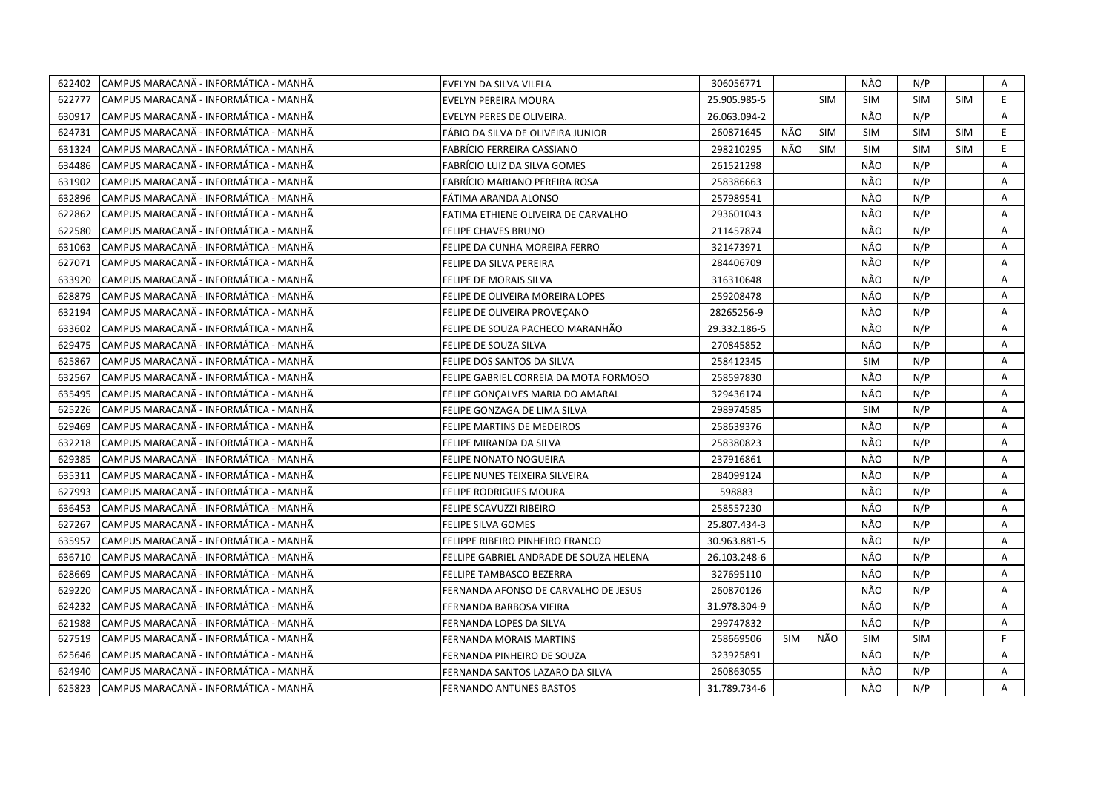| 622402 | CAMPUS MARACANÃ - INFORMÁTICA - MANHÃ  | EVELYN DA SILVA VILELA                  | 306056771    |            |            | NÃO        | N/P        |            | Α              |
|--------|----------------------------------------|-----------------------------------------|--------------|------------|------------|------------|------------|------------|----------------|
| 622777 | ICAMPUS MARACANÃ - INFORMÁTICA - MANHÃ | EVELYN PEREIRA MOURA                    | 25.905.985-5 |            | <b>SIM</b> | <b>SIM</b> | <b>SIM</b> | <b>SIM</b> | E.             |
| 630917 | CAMPUS MARACANA - INFORMÁTICA - MANHÃ  | EVELYN PERES DE OLIVEIRA.               | 26.063.094-2 |            |            | NÃO        | N/P        |            | A              |
| 624731 | CAMPUS MARACANÃ - INFORMÁTICA - MANHÃ  | FÁBIO DA SILVA DE OLIVEIRA JUNIOR       | 260871645    | NÃO        | <b>SIM</b> | <b>SIM</b> | <b>SIM</b> | <b>SIM</b> | E.             |
| 631324 | CAMPUS MARACANA - INFORMÁTICA - MANHÃ  | FABRÍCIO FERREIRA CASSIANO              | 298210295    | NÃO        | <b>SIM</b> | <b>SIM</b> | <b>SIM</b> | <b>SIM</b> | E              |
| 634486 | CAMPUS MARACANÃ - INFORMÁTICA - MANHÃ  | FABRÍCIO LUIZ DA SILVA GOMES            | 261521298    |            |            | NÃO        | N/P        |            | A              |
| 631902 | ICAMPUS MARACANÃ - INFORMÁTICA - MANHÃ | FABRÍCIO MARIANO PEREIRA ROSA           | 258386663    |            |            | NÃO        | N/P        |            | A              |
| 632896 | CAMPUS MARACANÃ - INFORMÁTICA - MANHÃ  | FÁTIMA ARANDA ALONSO                    | 257989541    |            |            | NÃO        | N/P        |            | Α              |
| 622862 | CAMPUS MARACANÃ - INFORMÁTICA - MANHÃ  | FATIMA ETHIENE OLIVEIRA DE CARVALHO     | 293601043    |            |            | NÃO        | N/P        |            | A              |
| 622580 | CAMPUS MARACANÃ - INFORMÁTICA - MANHÃ  | <b>FELIPE CHAVES BRUNO</b>              | 211457874    |            |            | NÃO        | N/P        |            | A              |
| 631063 | CAMPUS MARACANA - INFORMATICA - MANHA  | FELIPE DA CUNHA MOREIRA FERRO           | 321473971    |            |            | NÃO        | N/P        |            | A              |
| 627071 | CAMPUS MARACANÃ - INFORMÁTICA - MANHÃ  | FELIPE DA SILVA PEREIRA                 | 284406709    |            |            | NÃO        | N/P        |            | Α              |
| 633920 | CAMPUS MARACANÃ - INFORMÁTICA - MANHÃ  | FELIPE DE MORAIS SILVA                  | 316310648    |            |            | NÃO        | N/P        |            | A              |
| 628879 | CAMPUS MARACANA - INFORMÁTICA - MANHÃ  | FELIPE DE OLIVEIRA MOREIRA LOPES        | 259208478    |            |            | NÃO        | N/P        |            | Α              |
| 632194 | ICAMPUS MARACANÃ - INFORMÁTICA - MANHÃ | FELIPE DE OLIVEIRA PROVEÇANO            | 28265256-9   |            |            | NÃO        | N/P        |            | A              |
| 633602 | CAMPUS MARACANA - INFORMÁTICA - MANHÃ  | FELIPE DE SOUZA PACHECO MARANHÃO        | 29.332.186-5 |            |            | NÃO        | N/P        |            | $\overline{A}$ |
| 629475 | CAMPUS MARACANA - INFORMÁTICA - MANHÃ  | FELIPE DE SOUZA SILVA                   | 270845852    |            |            | NÃO        | N/P        |            | A              |
| 625867 | CAMPUS MARACANÃ - INFORMÁTICA - MANHÃ  | FELIPE DOS SANTOS DA SILVA              | 258412345    |            |            | <b>SIM</b> | N/P        |            | Α              |
| 632567 | CAMPUS MARACANÃ - INFORMÁTICA - MANHÃ  | FELIPE GABRIEL CORREIA DA MOTA FORMOSO  | 258597830    |            |            | NÃO        | N/P        |            | Α              |
| 635495 | CAMPUS MARACANÃ - INFORMÁTICA - MANHÃ  | FELIPE GONÇALVES MARIA DO AMARAL        | 329436174    |            |            | NÃO        | N/P        |            | A              |
| 625226 | CAMPUS MARACANÃ - INFORMÁTICA - MANHÃ  | FELIPE GONZAGA DE LIMA SILVA            | 298974585    |            |            | <b>SIM</b> | N/P        |            | Α              |
| 629469 | ICAMPUS MARACANÃ - INFORMÁTICA - MANHÃ | FELIPE MARTINS DE MEDEIROS              | 258639376    |            |            | NÃO        | N/P        |            | A              |
| 632218 | CAMPUS MARACANÃ - INFORMÁTICA - MANHÃ  | FELIPE MIRANDA DA SILVA                 | 258380823    |            |            | NÃO        | N/P        |            | A              |
| 629385 | ICAMPUS MARACANÃ - INFORMÁTICA - MANHÃ | <b>FELIPE NONATO NOGUEIRA</b>           | 237916861    |            |            | NÃO        | N/P        |            | A              |
| 635311 | CAMPUS MARACANÃ - INFORMÁTICA - MANHÃ  | FELIPE NUNES TEIXEIRA SILVEIRA          | 284099124    |            |            | NÃO        | N/P        |            | A              |
| 627993 | CAMPUS MARACANA - INFORMATICA - MANHA  | FELIPE RODRIGUES MOURA                  | 598883       |            |            | NÃO        | N/P        |            | A              |
| 636453 | CAMPUS MARACANÃ - INFORMÁTICA - MANHÃ  | FELIPE SCAVUZZI RIBEIRO                 | 258557230    |            |            | NÃO        | N/P        |            | A              |
| 627267 | CAMPUS MARACANÃ - INFORMÁTICA - MANHÃ  | FELIPE SILVA GOMES                      | 25.807.434-3 |            |            | NÃO        | N/P        |            | A              |
| 635957 | CAMPUS MARACANÃ - INFORMÁTICA - MANHÃ  | FELIPPE RIBEIRO PINHEIRO FRANCO         | 30.963.881-5 |            |            | NÃO        | N/P        |            | A              |
| 636710 | CAMPUS MARACANÃ - INFORMÁTICA - MANHÃ  | FELLIPE GABRIEL ANDRADE DE SOUZA HELENA | 26.103.248-6 |            |            | NÃO        | N/P        |            | Α              |
| 628669 | CAMPUS MARACANÃ - INFORMÁTICA - MANHÃ  | FELLIPE TAMBASCO BEZERRA                | 327695110    |            |            | NÃO        | N/P        |            | A              |
| 629220 | CAMPUS MARACANÃ - INFORMÁTICA - MANHÃ  | FERNANDA AFONSO DE CARVALHO DE JESUS    | 260870126    |            |            | NÃO        | N/P        |            | Α              |
| 624232 | CAMPUS MARACANÃ - INFORMÁTICA - MANHÃ  | FERNANDA BARBOSA VIEIRA                 | 31.978.304-9 |            |            | NÃO        | N/P        |            | Α              |
| 621988 | CAMPUS MARACANÃ - INFORMÁTICA - MANHÃ  | FERNANDA LOPES DA SILVA                 | 299747832    |            |            | NÃO        | N/P        |            | Α              |
| 627519 | CAMPUS MARACANÃ - INFORMÁTICA - MANHÃ  | <b>FERNANDA MORAIS MARTINS</b>          | 258669506    | <b>SIM</b> | NÃO        | <b>SIM</b> | <b>SIM</b> |            | F.             |
| 625646 | CAMPUS MARACANÃ - INFORMÁTICA - MANHÃ  | FERNANDA PINHEIRO DE SOUZA              | 323925891    |            |            | NÃO        | N/P        |            | A              |
| 624940 | CAMPUS MARACANÃ - INFORMÁTICA - MANHÃ  | FERNANDA SANTOS LAZARO DA SILVA         | 260863055    |            |            | NÃO        | N/P        |            | A              |
| 625823 | CAMPUS MARACANA - INFORMÁTICA - MANHÃ  | <b>FERNANDO ANTUNES BASTOS</b>          | 31.789.734-6 |            |            | NÃO        | N/P        |            | A              |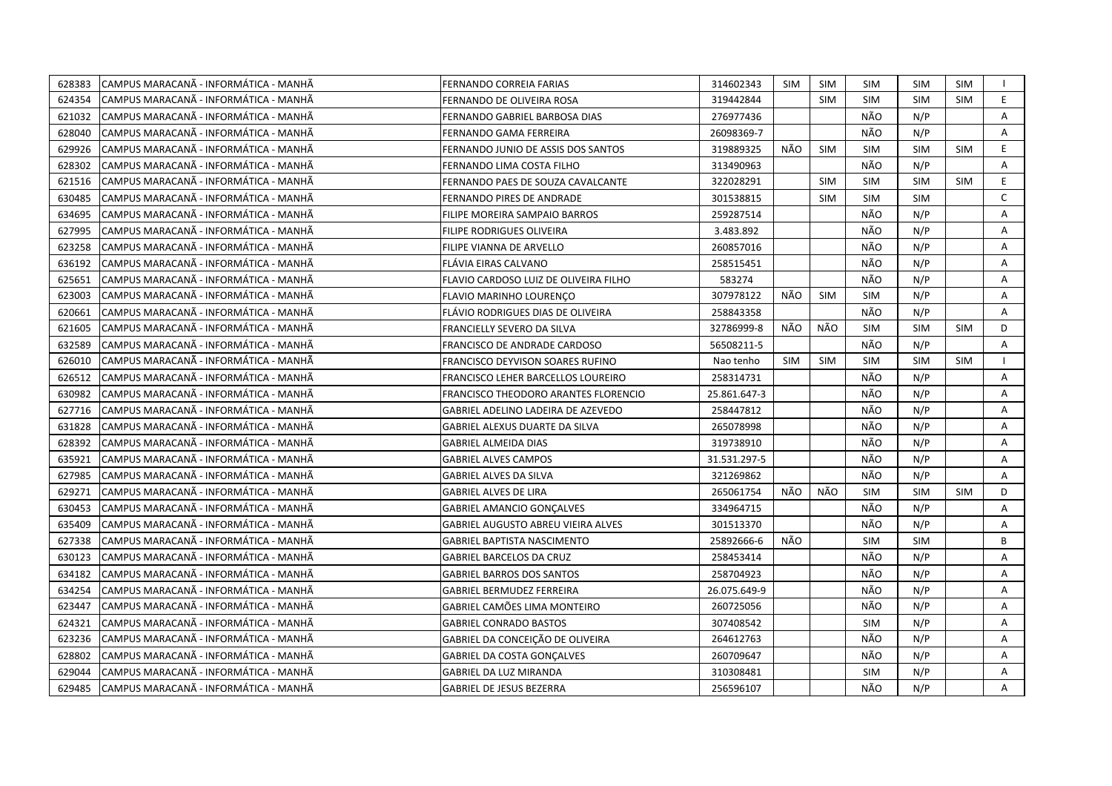| 628383 | CAMPUS MARACANA - INFORMÁTICA - MANHÃ | FERNANDO CORREIA FARIAS               | 314602343    | <b>SIM</b> | <b>SIM</b> | SIM        | <b>SIM</b> | <b>SIM</b> |                |
|--------|---------------------------------------|---------------------------------------|--------------|------------|------------|------------|------------|------------|----------------|
| 624354 | CAMPUS MARACANÃ - INFORMÁTICA - MANHÃ | FERNANDO DE OLIVEIRA ROSA             | 319442844    |            | <b>SIM</b> | <b>SIM</b> | <b>SIM</b> | <b>SIM</b> | E              |
| 621032 | CAMPUS MARACANÃ - INFORMÁTICA - MANHÃ | FERNANDO GABRIEL BARBOSA DIAS         | 276977436    |            |            | NÃO        | N/P        |            | $\overline{A}$ |
| 628040 | CAMPUS MARACANÃ - INFORMÁTICA - MANHÃ | FERNANDO GAMA FERREIRA                | 26098369-7   |            |            | NÃO        | N/P        |            | A              |
| 629926 | CAMPUS MARACANÃ - INFORMÁTICA - MANHÃ | FERNANDO JUNIO DE ASSIS DOS SANTOS    | 319889325    | NÃO        | <b>SIM</b> | <b>SIM</b> | <b>SIM</b> | <b>SIM</b> | E.             |
| 628302 | CAMPUS MARACANÃ - INFORMÁTICA - MANHÃ | FERNANDO LIMA COSTA FILHO             | 313490963    |            |            | NÃO        | N/P        |            | Α              |
| 621516 | CAMPUS MARACANÃ - INFORMÁTICA - MANHÃ | FERNANDO PAES DE SOUZA CAVALCANTE     | 322028291    |            | <b>SIM</b> | <b>SIM</b> | <b>SIM</b> | <b>SIM</b> | E              |
| 630485 | CAMPUS MARACANÃ - INFORMÁTICA - MANHÃ | FERNANDO PIRES DE ANDRADE             | 301538815    |            | <b>SIM</b> | <b>SIM</b> | <b>SIM</b> |            | $\mathsf{C}$   |
| 634695 | CAMPUS MARACANA - INFORMÁTICA - MANHÃ | FILIPE MOREIRA SAMPAIO BARROS         | 259287514    |            |            | NÃO        | N/P        |            | A              |
| 627995 | CAMPUS MARACANÃ - INFORMÁTICA - MANHÃ | FILIPE RODRIGUES OLIVEIRA             | 3.483.892    |            |            | NÃO        | N/P        |            | Α              |
| 623258 | CAMPUS MARACANÃ - INFORMÁTICA - MANHÃ | FILIPE VIANNA DE ARVELLO              | 260857016    |            |            | NÃO        | N/P        |            | A              |
| 636192 | CAMPUS MARACANÃ - INFORMÁTICA - MANHÃ | FLÁVIA EIRAS CALVANO                  | 258515451    |            |            | NÃO        | N/P        |            | A              |
| 625651 | CAMPUS MARACANA - INFORMATICA - MANHA | FLAVIO CARDOSO LUIZ DE OLIVEIRA FILHO | 583274       |            |            | NÃO        | N/P        |            | A              |
| 623003 | CAMPUS MARACANÃ - INFORMÁTICA - MANHÃ | FLAVIO MARINHO LOURENÇO               | 307978122    | NÃO        | SIM        | <b>SIM</b> | N/P        |            | Α              |
| 620661 | CAMPUS MARACANÃ - INFORMÁTICA - MANHÃ | FLÁVIO RODRIGUES DIAS DE OLIVEIRA     | 258843358    |            |            | NÃO        | N/P        |            | A              |
| 621605 | CAMPUS MARACANÃ - INFORMÁTICA - MANHÃ | FRANCIELLY SEVERO DA SILVA            | 32786999-8   | NÃO        | NÃO        | <b>SIM</b> | <b>SIM</b> | <b>SIM</b> | D              |
| 632589 | CAMPUS MARACANÃ - INFORMÁTICA - MANHÃ | FRANCISCO DE ANDRADE CARDOSO          | 56508211-5   |            |            | NÃO        | N/P        |            | Α              |
| 626010 | CAMPUS MARACANÃ - INFORMÁTICA - MANHÃ | FRANCISCO DEYVISON SOARES RUFINO      | Nao tenho    | <b>SIM</b> | <b>SIM</b> | <b>SIM</b> | <b>SIM</b> | <b>SIM</b> |                |
| 626512 | CAMPUS MARACANÃ - INFORMÁTICA - MANHÃ | FRANCISCO LEHER BARCELLOS LOUREIRO    | 258314731    |            |            | NÃO        | N/P        |            | A              |
| 630982 | CAMPUS MARACANÃ - INFORMÁTICA - MANHÃ | FRANCISCO THEODORO ARANTES FLORENCIO  | 25.861.647-3 |            |            | NÃO        | N/P        |            | Α              |
| 627716 | CAMPUS MARACANÃ - INFORMÁTICA - MANHÃ | GABRIEL ADELINO LADEIRA DE AZEVEDO    | 258447812    |            |            | NÃO        | N/P        |            | Α              |
| 631828 | CAMPUS MARACANÃ - INFORMÁTICA - MANHÃ | GABRIEL ALEXUS DUARTE DA SILVA        | 265078998    |            |            | NÃO        | N/P        |            | A              |
| 628392 | CAMPUS MARACANÃ - INFORMÁTICA - MANHÃ | <b>GABRIEL ALMEIDA DIAS</b>           | 319738910    |            |            | NÃO        | N/P        |            | A              |
| 635921 | CAMPUS MARACANÃ - INFORMÁTICA - MANHÃ | <b>GABRIEL ALVES CAMPOS</b>           | 31.531.297-5 |            |            | NÃO        | N/P        |            | A              |
| 627985 | CAMPUS MARACANÃ - INFORMÁTICA - MANHÃ | <b>GABRIEL ALVES DA SILVA</b>         | 321269862    |            |            | NÃO        | N/P        |            | A              |
| 629271 | CAMPUS MARACANA - INFORMÁTICA - MANHÃ | <b>GABRIEL ALVES DE LIRA</b>          | 265061754    | NÃO        | NÃO        | <b>SIM</b> | <b>SIM</b> | <b>SIM</b> | D              |
| 630453 | CAMPUS MARACANÃ - INFORMÁTICA - MANHÃ | <b>GABRIEL AMANCIO GONÇALVES</b>      | 334964715    |            |            | NÃO        | N/P        |            | A              |
| 635409 | CAMPUS MARACANÃ - INFORMÁTICA - MANHÃ | GABRIEL AUGUSTO ABREU VIEIRA ALVES    | 301513370    |            |            | NÃO        | N/P        |            | Α              |
| 627338 | CAMPUS MARACANÃ - INFORMÁTICA - MANHÃ | <b>GABRIEL BAPTISTA NASCIMENTO</b>    | 25892666-6   | NÃO        |            | <b>SIM</b> | <b>SIM</b> |            | B              |
| 630123 | CAMPUS MARACANÃ - INFORMÁTICA - MANHÃ | GABRIEL BARCELOS DA CRUZ              | 258453414    |            |            | NÃO        | N/P        |            | Α              |
| 634182 | CAMPUS MARACANÃ - INFORMÁTICA - MANHÃ | <b>GABRIEL BARROS DOS SANTOS</b>      | 258704923    |            |            | NÃO        | N/P        |            | A              |
| 634254 | CAMPUS MARACANÃ - INFORMÁTICA - MANHÃ | <b>GABRIEL BERMUDEZ FERREIRA</b>      | 26.075.649-9 |            |            | NÃO        | N/P        |            | A              |
| 623447 | CAMPUS MARACANA - INFORMATICA - MANHA | GABRIEL CAMÕES LIMA MONTEIRO          | 260725056    |            |            | NÃO        | N/P        |            | A              |
| 624321 | CAMPUS MARACANÃ - INFORMÁTICA - MANHÃ | <b>GABRIEL CONRADO BASTOS</b>         | 307408542    |            |            | <b>SIM</b> | N/P        |            | Α              |
| 623236 | CAMPUS MARACANÃ - INFORMÁTICA - MANHÃ | GABRIEL DA CONCEIÇÃO DE OLIVEIRA      | 264612763    |            |            | NÃO        | N/P        |            | A              |
| 628802 | CAMPUS MARACANÃ - INFORMÁTICA - MANHÃ | <b>GABRIEL DA COSTA GONÇALVES</b>     | 260709647    |            |            | NÃO        | N/P        |            | Α              |
| 629044 | CAMPUS MARACANÃ - INFORMÁTICA - MANHÃ | GABRIEL DA LUZ MIRANDA                | 310308481    |            |            | <b>SIM</b> | N/P        |            | Α              |
| 629485 | CAMPUS MARACANÃ - INFORMÁTICA - MANHÃ | <b>GABRIEL DE JESUS BEZERRA</b>       | 256596107    |            |            | NÃO        | N/P        |            | A              |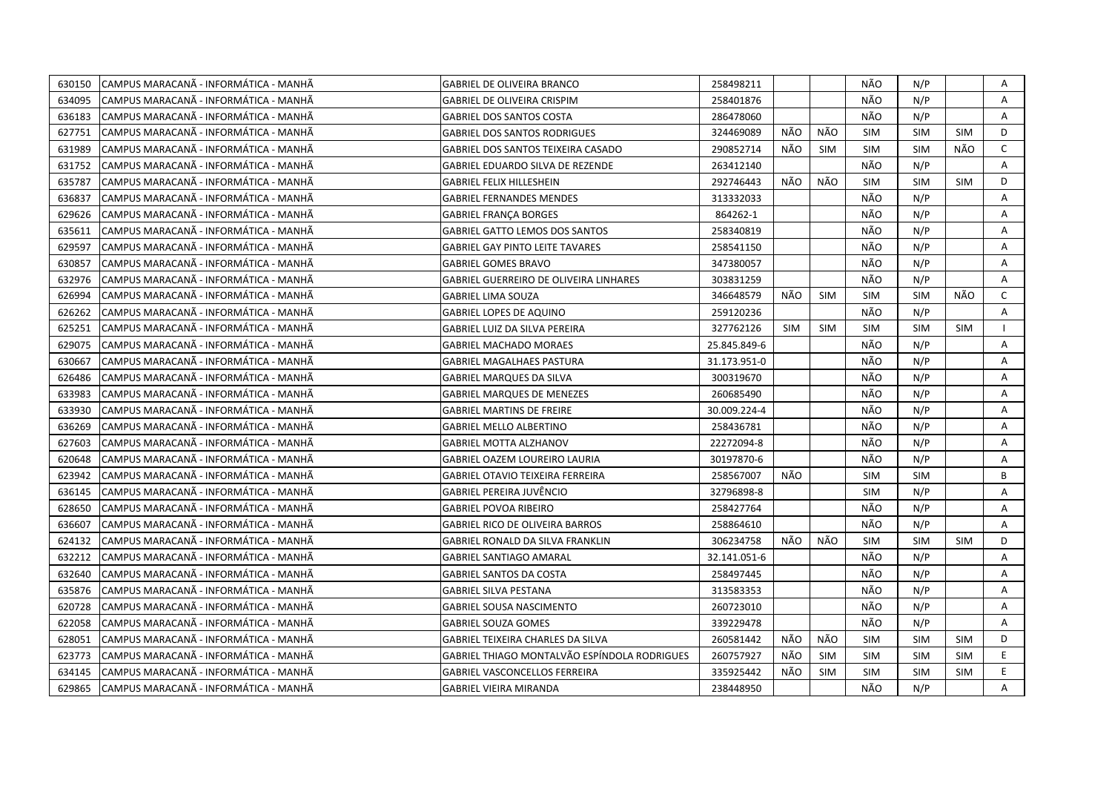| 630150 | CAMPUS MARACANÃ - INFORMÁTICA - MANHÃ | GABRIEL DE OLIVEIRA BRANCO                    | 258498211    |            |            | NÃO        | N/P        |            | Α            |
|--------|---------------------------------------|-----------------------------------------------|--------------|------------|------------|------------|------------|------------|--------------|
| 634095 | CAMPUS MARACANÃ - INFORMÁTICA - MANHÃ | <b>GABRIEL DE OLIVEIRA CRISPIM</b>            | 258401876    |            |            | NÃO        | N/P        |            | $\mathsf{A}$ |
| 636183 | CAMPUS MARACANA - INFORMÁTICA - MANHÃ | <b>GABRIEL DOS SANTOS COSTA</b>               | 286478060    |            |            | NÃO        | N/P        |            | A            |
| 627751 | CAMPUS MARACANÃ - INFORMÁTICA - MANHÃ | <b>GABRIEL DOS SANTOS RODRIGUES</b>           | 324469089    | NÃO        | NÃO        | <b>SIM</b> | <b>SIM</b> | <b>SIM</b> | D            |
| 631989 | CAMPUS MARACANA - INFORMATICA - MANHA | GABRIEL DOS SANTOS TEIXEIRA CASADO            | 290852714    | NÃO        | <b>SIM</b> | <b>SIM</b> | <b>SIM</b> | NÃO        | $\mathsf{C}$ |
| 631752 | CAMPUS MARACANÃ - INFORMÁTICA - MANHÃ | GABRIEL EDUARDO SILVA DE REZENDE              | 263412140    |            |            | NÃO        | N/P        |            | Α            |
| 635787 | CAMPUS MARACANÃ - INFORMÁTICA - MANHÃ | <b>GABRIEL FELIX HILLESHEIN</b>               | 292746443    | NÃO        | NÃO        | <b>SIM</b> | <b>SIM</b> | <b>SIM</b> | D            |
| 636837 | CAMPUS MARACANÃ - INFORMÁTICA - MANHÃ | <b>GABRIEL FERNANDES MENDES</b>               | 313332033    |            |            | NÃO        | N/P        |            | A            |
| 629626 | CAMPUS MARACANÃ - INFORMÁTICA - MANHÃ | <b>GABRIEL FRANÇA BORGES</b>                  | 864262-1     |            |            | NÃO        | N/P        |            | Α            |
| 635611 | CAMPUS MARACANÃ - INFORMÁTICA - MANHÃ | <b>GABRIEL GATTO LEMOS DOS SANTOS</b>         | 258340819    |            |            | NÃO        | N/P        |            | A            |
| 629597 | CAMPUS MARACANÃ - INFORMÁTICA - MANHÃ | <b>GABRIEL GAY PINTO LEITE TAVARES</b>        | 258541150    |            |            | NÃO        | N/P        |            | Α            |
| 630857 | CAMPUS MARACANÃ - INFORMÁTICA - MANHÃ | <b>GABRIEL GOMES BRAVO</b>                    | 347380057    |            |            | NÃO        | N/P        |            | Α            |
| 632976 | CAMPUS MARACANÃ - INFORMÁTICA - MANHÃ | <b>GABRIEL GUERREIRO DE OLIVEIRA LINHARES</b> | 303831259    |            |            | NÃO        | N/P        |            | Α            |
| 626994 | CAMPUS MARACANÃ - INFORMÁTICA - MANHÃ | <b>GABRIEL LIMA SOUZA</b>                     | 346648579    | NÃO        | <b>SIM</b> | <b>SIM</b> | <b>SIM</b> | NÃO        | $\mathsf{C}$ |
| 626262 | CAMPUS MARACANÃ - INFORMÁTICA - MANHÃ | <b>GABRIEL LOPES DE AQUINO</b>                | 259120236    |            |            | NÃO        | N/P        |            | A            |
| 625251 | CAMPUS MARACANÃ - INFORMÁTICA - MANHÃ | GABRIEL LUIZ DA SILVA PEREIRA                 | 327762126    | <b>SIM</b> | <b>SIM</b> | <b>SIM</b> | <b>SIM</b> | <b>SIM</b> | $\mathbf{I}$ |
| 629075 | CAMPUS MARACANÃ - INFORMÁTICA - MANHÃ | <b>GABRIEL MACHADO MORAES</b>                 | 25.845.849-6 |            |            | NÃO        | N/P        |            | A            |
| 630667 | CAMPUS MARACANÃ - INFORMÁTICA - MANHÃ | <b>GABRIEL MAGALHAES PASTURA</b>              | 31.173.951-0 |            |            | NÃO        | N/P        |            | Α            |
| 626486 | CAMPUS MARACANÃ - INFORMÁTICA - MANHÃ | <b>GABRIEL MARQUES DA SILVA</b>               | 300319670    |            |            | NÃO        | N/P        |            | A            |
| 633983 | CAMPUS MARACANÃ - INFORMÁTICA - MANHÃ | <b>GABRIEL MARQUES DE MENEZES</b>             | 260685490    |            |            | NÃO        | N/P        |            | A            |
| 633930 | CAMPUS MARACANA - INFORMATICA - MANHA | GABRIEL MARTINS DE FREIRE                     | 30.009.224-4 |            |            | NÃO        | N/P        |            | A            |
| 636269 | CAMPUS MARACANÃ - INFORMÁTICA - MANHÃ | GABRIEL MELLO ALBERTINO                       | 258436781    |            |            | NÃO        | N/P        |            | Α            |
| 627603 | CAMPUS MARACANÃ - INFORMÁTICA - MANHÃ | GABRIEL MOTTA ALZHANOV                        | 22272094-8   |            |            | NÃO        | N/P        |            | A            |
| 620648 | CAMPUS MARACANÃ - INFORMÁTICA - MANHÃ | GABRIEL OAZEM LOUREIRO LAURIA                 | 30197870-6   |            |            | NÃO        | N/P        |            | A            |
| 623942 | CAMPUS MARACANÃ - INFORMÁTICA - MANHÃ | GABRIEL OTAVIO TEIXEIRA FERREIRA              | 258567007    | NÃO        |            | <b>SIM</b> | <b>SIM</b> |            | B            |
| 636145 | CAMPUS MARACANA - INFORMATICA - MANHA | GABRIEL PEREIRA JUVENCIO                      | 32796898-8   |            |            | <b>SIM</b> | N/P        |            | A            |
| 628650 | CAMPUS MARACANÃ - INFORMÁTICA - MANHÃ | GABRIEL POVOA RIBEIRO                         | 258427764    |            |            | NÃO        | N/P        |            | Α            |
| 636607 | CAMPUS MARACANÃ - INFORMÁTICA - MANHÃ | GABRIEL RICO DE OLIVEIRA BARROS               | 258864610    |            |            | NÃO        | N/P        |            | А            |
| 624132 | CAMPUS MARACANÃ - INFORMÁTICA - MANHÃ | GABRIEL RONALD DA SILVA FRANKLIN              | 306234758    | NÃO        | NÃO        | <b>SIM</b> | <b>SIM</b> | <b>SIM</b> | D            |
| 632212 | CAMPUS MARACANÃ - INFORMÁTICA - MANHÃ | <b>GABRIEL SANTIAGO AMARAL</b>                | 32.141.051-6 |            |            | NÃO        | N/P        |            | Α            |
| 632640 | CAMPUS MARACANÃ - INFORMÁTICA - MANHÃ | GABRIEL SANTOS DA COSTA                       | 258497445    |            |            | NÃO        | N/P        |            | Α            |
| 635876 | CAMPUS MARACANÃ - INFORMÁTICA - MANHÃ | <b>GABRIEL SILVA PESTANA</b>                  | 313583353    |            |            | NÃO        | N/P        |            | A            |
| 620728 | CAMPUS MARACANÃ - INFORMÁTICA - MANHÃ | <b>GABRIEL SOUSA NASCIMENTO</b>               | 260723010    |            |            | NÃO        | N/P        |            | Α            |
| 622058 | CAMPUS MARACANÃ - INFORMÁTICA - MANHÃ | <b>GABRIEL SOUZA GOMES</b>                    | 339229478    |            |            | NÃO        | N/P        |            | A            |
| 628051 | CAMPUS MARACANÃ - INFORMÁTICA - MANHÃ | GABRIEL TEIXEIRA CHARLES DA SILVA             | 260581442    | NÃO        | NÃO        | <b>SIM</b> | <b>SIM</b> | <b>SIM</b> | D            |
| 623773 | CAMPUS MARACANA - INFORMATICA - MANHA | GABRIEL THIAGO MONTALVÃO ESPÍNDOLA RODRIGUES  | 260757927    | NÃO        | <b>SIM</b> | <b>SIM</b> | <b>SIM</b> | <b>SIM</b> | E.           |
| 634145 | CAMPUS MARACANÃ - INFORMÁTICA - MANHÃ | <b>GABRIEL VASCONCELLOS FERREIRA</b>          | 335925442    | NÃO        | <b>SIM</b> | <b>SIM</b> | <b>SIM</b> | <b>SIM</b> | E.           |
| 629865 | CAMPUS MARACANÃ - INFORMÁTICA - MANHÃ | <b>GABRIEL VIEIRA MIRANDA</b>                 | 238448950    |            |            | NÃO        | N/P        |            | A            |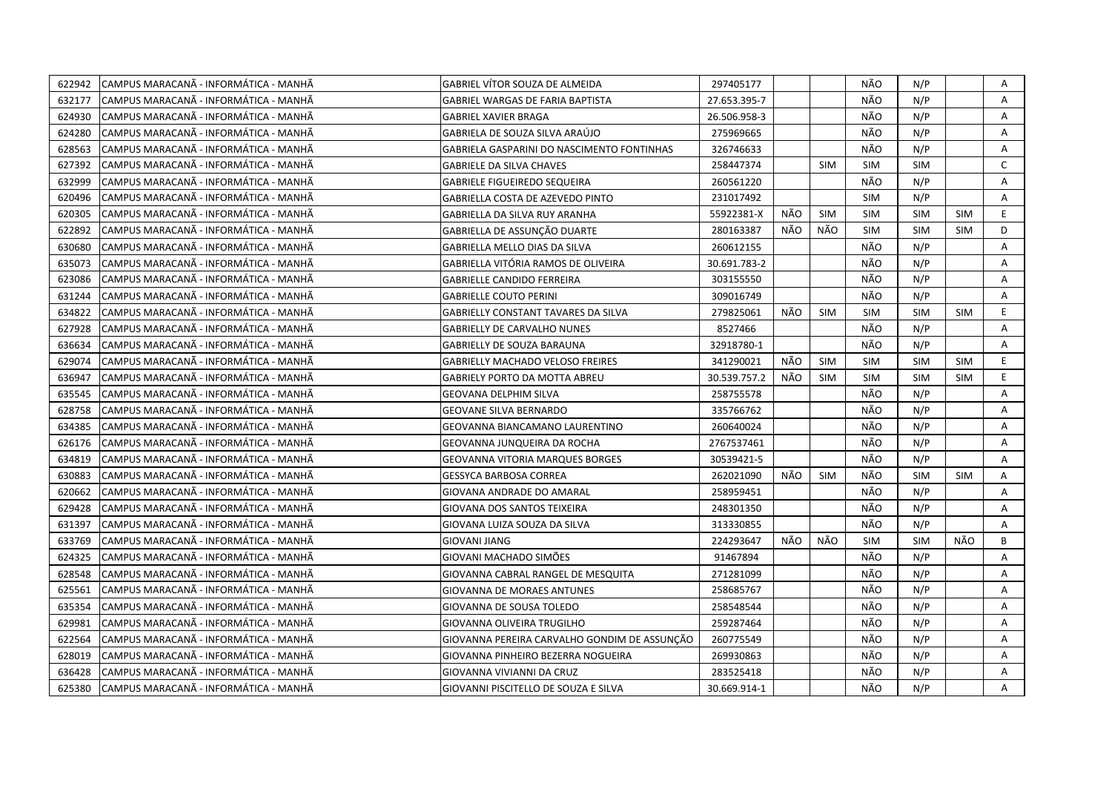| 622942 | CAMPUS MARACANÃ - INFORMÁTICA - MANHÃ | <b>GABRIEL VÍTOR SOUZA DE ALMEIDA</b>        | 297405177    |     |            | NÃO        | N/P        |            | Α            |
|--------|---------------------------------------|----------------------------------------------|--------------|-----|------------|------------|------------|------------|--------------|
| 632177 | CAMPUS MARACANÃ - INFORMÁTICA - MANHÃ | <b>GABRIEL WARGAS DE FARIA BAPTISTA</b>      | 27.653.395-7 |     |            | NÃO        | N/P        |            | A            |
| 624930 | CAMPUS MARACANÃ - INFORMÁTICA - MANHÃ | <b>GABRIEL XAVIER BRAGA</b>                  | 26.506.958-3 |     |            | NÃO        | N/P        |            | Α            |
| 624280 | CAMPUS MARACANÃ - INFORMÁTICA - MANHÃ | GABRIELA DE SOUZA SILVA ARAÚJO               | 275969665    |     |            | NÃO        | N/P        |            | Α            |
| 628563 | CAMPUS MARACANÃ - INFORMÁTICA - MANHÃ | GABRIELA GASPARINI DO NASCIMENTO FONTINHAS   | 326746633    |     |            | NÃO        | N/P        |            | Α            |
| 627392 | CAMPUS MARACANÃ - INFORMÁTICA - MANHÃ | <b>GABRIELE DA SILVA CHAVES</b>              | 258447374    |     | <b>SIM</b> | <b>SIM</b> | <b>SIM</b> |            | $\mathsf{C}$ |
| 632999 | CAMPUS MARACANÃ - INFORMÁTICA - MANHÃ | <b>GABRIELE FIGUEIREDO SEQUEIRA</b>          | 260561220    |     |            | NÃO        | N/P        |            | A            |
| 620496 | CAMPUS MARACANÃ - INFORMÁTICA - MANHÃ | GABRIELLA COSTA DE AZEVEDO PINTO             | 231017492    |     |            | <b>SIM</b> | N/P        |            | A            |
| 620305 | CAMPUS MARACANÃ - INFORMÁTICA - MANHÃ | GABRIELLA DA SILVA RUY ARANHA                | 55922381-X   | NÃO | <b>SIM</b> | <b>SIM</b> | <b>SIM</b> | <b>SIM</b> | E            |
| 622892 | CAMPUS MARACANÃ - INFORMÁTICA - MANHÃ | GABRIELLA DE ASSUNÇÃO DUARTE                 | 280163387    | NÃO | NÃO        | <b>SIM</b> | <b>SIM</b> | <b>SIM</b> | D            |
| 630680 | CAMPUS MARACANÃ - INFORMÁTICA - MANHÃ | GABRIELLA MELLO DIAS DA SILVA                | 260612155    |     |            | NÃO        | N/P        |            | Α            |
| 635073 | CAMPUS MARACANÃ - INFORMÁTICA - MANHÃ | GABRIELLA VITÓRIA RAMOS DE OLIVEIRA          | 30.691.783-2 |     |            | NÃO        | N/P        |            | A            |
| 623086 | CAMPUS MARACANÃ - INFORMÁTICA - MANHÃ | <b>GABRIELLE CANDIDO FERREIRA</b>            | 303155550    |     |            | NÃO        | N/P        |            | A            |
| 631244 | CAMPUS MARACANÃ - INFORMÁTICA - MANHÃ | <b>GABRIELLE COUTO PERINI</b>                | 309016749    |     |            | NÃO        | N/P        |            | A            |
| 634822 | CAMPUS MARACANÃ - INFORMÁTICA - MANHÃ | GABRIELLY CONSTANT TAVARES DA SILVA          | 279825061    | NÃO | <b>SIM</b> | <b>SIM</b> | <b>SIM</b> | <b>SIM</b> | E.           |
| 627928 | CAMPUS MARACANÃ - INFORMÁTICA - MANHÃ | <b>GABRIELLY DE CARVALHO NUNES</b>           | 8527466      |     |            | NÃO        | N/P        |            | A            |
| 636634 | CAMPUS MARACANA - INFORMATICA - MANHA | <b>GABRIELLY DE SOUZA BARAUNA</b>            | 32918780-1   |     |            | NÃO        | N/P        |            | A            |
| 629074 | CAMPUS MARACANÃ - INFORMÁTICA - MANHÃ | <b>GABRIELLY MACHADO VELOSO FREIRES</b>      | 341290021    | NÃO | <b>SIM</b> | <b>SIM</b> | <b>SIM</b> | <b>SIM</b> | E.           |
| 636947 | CAMPUS MARACANÃ - INFORMÁTICA - MANHÃ | GABRIELY PORTO DA MOTTA ABREU                | 30.539.757.2 | NÃO | <b>SIM</b> | <b>SIM</b> | <b>SIM</b> | SIM        | E.           |
| 635545 | CAMPUS MARACANÃ - INFORMÁTICA - MANHÃ | GEOVANA DELPHIM SILVA                        | 258755578    |     |            | NÃO        | N/P        |            | A            |
| 628758 | CAMPUS MARACANÃ - INFORMÁTICA - MANHÃ | GEOVANE SILVA BERNARDO                       | 335766762    |     |            | NÃO        | N/P        |            | A            |
| 634385 | CAMPUS MARACANA - INFORMÁTICA - MANHA | <b>GEOVANNA BIANCAMANO LAURENTINO</b>        | 260640024    |     |            | NÃO        | N/P        |            | A            |
| 626176 | CAMPUS MARACANÃ - INFORMÁTICA - MANHÃ | GEOVANNA JUNQUEIRA DA ROCHA                  | 2767537461   |     |            | NÃO        | N/P        |            | A            |
| 634819 | CAMPUS MARACANA - INFORMÁTICA - MANHÃ | <b>GEOVANNA VITORIA MARQUES BORGES</b>       | 30539421-5   |     |            | NÃO        | N/P        |            | A            |
| 630883 | CAMPUS MARACANÃ - INFORMÁTICA - MANHÃ | GESSYCA BARBOSA CORREA                       | 262021090    | NÃO | <b>SIM</b> | NÃO        | <b>SIM</b> | <b>SIM</b> | Α            |
| 620662 | CAMPUS MARACANÃ - INFORMÁTICA - MANHÃ | GIOVANA ANDRADE DO AMARAL                    | 258959451    |     |            | NÃO        | N/P        |            | Α            |
| 629428 | CAMPUS MARACANÃ - INFORMÁTICA - MANHÃ | GIOVANA DOS SANTOS TEIXEIRA                  | 248301350    |     |            | NÃO        | N/P        |            | A            |
| 631397 | CAMPUS MARACANÃ - INFORMÁTICA - MANHÃ | GIOVANA LUIZA SOUZA DA SILVA                 | 313330855    |     |            | NÃO        | N/P        |            | A            |
| 633769 | CAMPUS MARACANÃ - INFORMÁTICA - MANHÃ | <b>GIOVANI JIANG</b>                         | 224293647    | NÃO | NÃO        | <b>SIM</b> | <b>SIM</b> | NÃO        | B            |
| 624325 | CAMPUS MARACANÃ - INFORMÁTICA - MANHÃ | GIOVANI MACHADO SIMÕES                       | 91467894     |     |            | NÃO        | N/P        |            | Α            |
| 628548 | CAMPUS MARACANÃ - INFORMÁTICA - MANHÃ | GIOVANNA CABRAL RANGEL DE MESQUITA           | 271281099    |     |            | NÃO        | N/P        |            | Α            |
| 625561 | CAMPUS MARACANÃ - INFORMÁTICA - MANHÃ | <b>GIOVANNA DE MORAES ANTUNES</b>            | 258685767    |     |            | NÃO        | N/P        |            | A            |
| 635354 | CAMPUS MARACANÃ - INFORMÁTICA - MANHÃ | GIOVANNA DE SOUSA TOLEDO                     | 258548544    |     |            | NÃO        | N/P        |            | A            |
| 629981 | CAMPUS MARACANÃ - INFORMÁTICA - MANHÃ | GIOVANNA OLIVEIRA TRUGILHO                   | 259287464    |     |            | NÃO        | N/P        |            | A            |
| 622564 | CAMPUS MARACANÃ - INFORMÁTICA - MANHÃ | GIOVANNA PEREIRA CARVALHO GONDIM DE ASSUNÇÃO | 260775549    |     |            | NÃO        | N/P        |            | A            |
| 628019 | CAMPUS MARACANÃ - INFORMÁTICA - MANHÃ | GIOVANNA PINHEIRO BEZERRA NOGUEIRA           | 269930863    |     |            | NÃO        | N/P        |            | Α            |
| 636428 | CAMPUS MARACANA - INFORMATICA - MANHA | GIOVANNA VIVIANNI DA CRUZ                    | 283525418    |     |            | NÃO        | N/P        |            | Α            |
| 625380 | CAMPUS MARACANÃ - INFORMÁTICA - MANHÃ | GIOVANNI PISCITELLO DE SOUZA E SILVA         | 30.669.914-1 |     |            | NÃO        | N/P        |            | A            |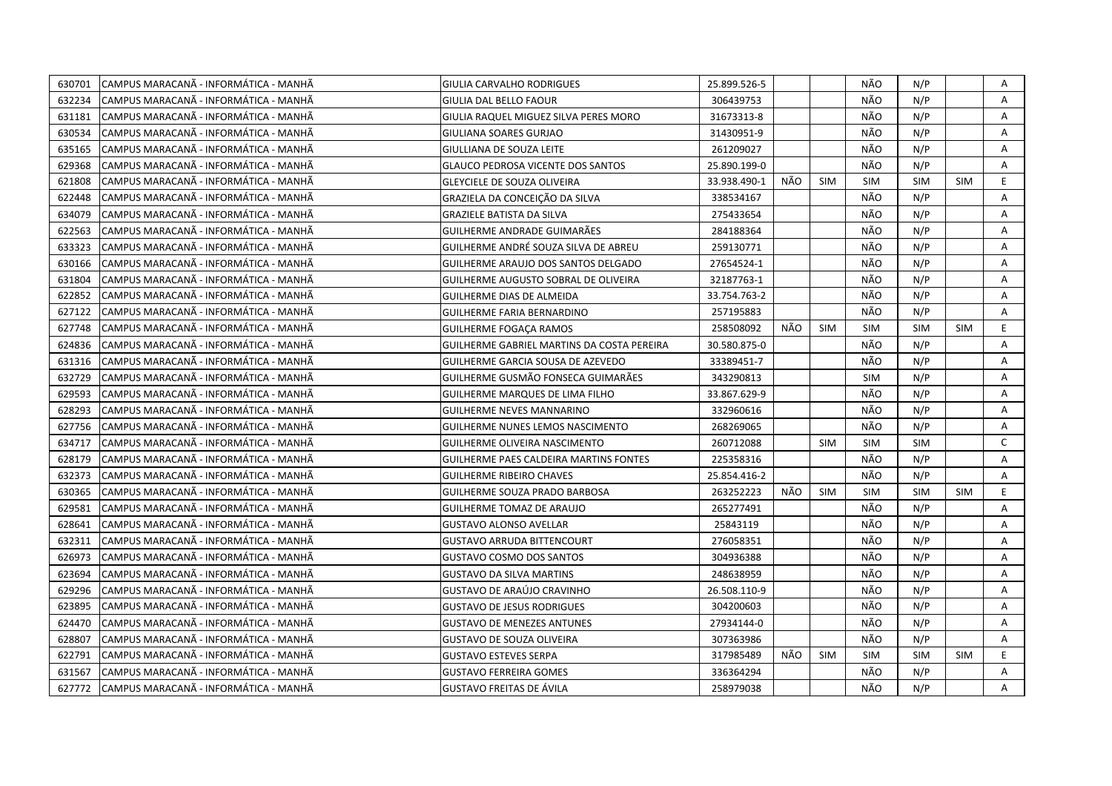| 630701 | CAMPUS MARACANÃ - INFORMÁTICA - MANHÃ  | GIULIA CARVALHO RODRIGUES                  | 25.899.526-5 |     |            | NÃO        | N/P        |            | Α            |
|--------|----------------------------------------|--------------------------------------------|--------------|-----|------------|------------|------------|------------|--------------|
| 632234 | ICAMPUS MARACANÃ - INFORMÁTICA - MANHÃ | <b>GIULIA DAL BELLO FAOUR</b>              | 306439753    |     |            | NÃO        | N/P        |            | A            |
| 631181 | CAMPUS MARACANÃ - INFORMÁTICA - MANHÃ  | GIULIA RAQUEL MIGUEZ SILVA PERES MORO      | 31673313-8   |     |            | NÃO        | N/P        |            | Α            |
| 630534 | CAMPUS MARACANÃ - INFORMÁTICA - MANHÃ  | GIULIANA SOARES GURJAO                     | 31430951-9   |     |            | NÃO        | N/P        |            | Α            |
| 635165 | CAMPUS MARACANÃ - INFORMÁTICA - MANHÃ  | GIULLIANA DE SOUZA LEITE                   | 261209027    |     |            | NÃO        | N/P        |            | Α            |
| 629368 | CAMPUS MARACANÃ - INFORMÁTICA - MANHÃ  | <b>GLAUCO PEDROSA VICENTE DOS SANTOS</b>   | 25.890.199-0 |     |            | NÃO        | N/P        |            | Α            |
| 621808 | CAMPUS MARACANÃ - INFORMÁTICA - MANHÃ  | <b>GLEYCIELE DE SOUZA OLIVEIRA</b>         | 33.938.490-1 | NÃO | <b>SIM</b> | <b>SIM</b> | <b>SIM</b> | <b>SIM</b> | E.           |
| 622448 | CAMPUS MARACANÃ - INFORMÁTICA - MANHÃ  | GRAZIELA DA CONCEIÇÃO DA SILVA             | 338534167    |     |            | NÃO        | N/P        |            | A            |
| 634079 | CAMPUS MARACANÃ - INFORMÁTICA - MANHÃ  | <b>GRAZIELE BATISTA DA SILVA</b>           | 275433654    |     |            | NÃO        | N/P        |            | Α            |
| 622563 | CAMPUS MARACANÃ - INFORMÁTICA - MANHÃ  | GUILHERME ANDRADE GUIMARÃES                | 284188364    |     |            | NÃO        | N/P        |            | A            |
| 633323 | CAMPUS MARACANÃ - INFORMÁTICA - MANHÃ  | GUILHERME ANDRÉ SOUZA SILVA DE ABREU       | 259130771    |     |            | NÃO        | N/P        |            | Α            |
| 630166 | CAMPUS MARACANÃ - INFORMÁTICA - MANHÃ  | GUILHERME ARAUJO DOS SANTOS DELGADO        | 27654524-1   |     |            | NÃO        | N/P        |            | A            |
| 631804 | CAMPUS MARACANÃ - INFORMÁTICA - MANHÃ  | GUILHERME AUGUSTO SOBRAL DE OLIVEIRA       | 32187763-1   |     |            | NÃO        | N/P        |            | A            |
| 622852 | CAMPUS MARACANÃ - INFORMÁTICA - MANHÃ  | GUILHERME DIAS DE ALMEIDA                  | 33.754.763-2 |     |            | NÃO        | N/P        |            | Α            |
| 627122 | CAMPUS MARACANA - INFORMÁTICA - MANHÃ  | <b>GUILHERME FARIA BERNARDINO</b>          | 257195883    |     |            | NÃO        | N/P        |            | A            |
| 627748 | CAMPUS MARACANÃ - INFORMÁTICA - MANHÃ  | <b>GUILHERME FOGAÇA RAMOS</b>              | 258508092    | NÃO | SIM        | <b>SIM</b> | <b>SIM</b> | <b>SIM</b> | E            |
| 624836 | CAMPUS MARACANÃ - INFORMÁTICA - MANHÃ  | GUILHERME GABRIEL MARTINS DA COSTA PEREIRA | 30.580.875-0 |     |            | NÃO        | N/P        |            | A            |
| 631316 | CAMPUS MARACANA - INFORMÁTICA - MANHÃ  | GUILHERME GARCIA SOUSA DE AZEVEDO          | 33389451-7   |     |            | NÃO        | N/P        |            | A            |
| 632729 | CAMPUS MARACANÃ - INFORMÁTICA - MANHÃ  | GUILHERME GUSMÃO FONSECA GUIMARÃES         | 343290813    |     |            | <b>SIM</b> | N/P        |            | A            |
| 629593 | CAMPUS MARACANÃ - INFORMÁTICA - MANHÃ  | <b>GUILHERME MARQUES DE LIMA FILHO</b>     | 33.867.629-9 |     |            | NÃO        | N/P        |            | A            |
| 628293 | CAMPUS MARACANÃ - INFORMÁTICA - MANHÃ  | <b>GUILHERME NEVES MANNARINO</b>           | 332960616    |     |            | NÃO        | N/P        |            | A            |
| 627756 | ICAMPUS MARACANA - INFORMÁTICA - MANHÃ | GUILHERME NUNES LEMOS NASCIMENTO           | 268269065    |     |            | NÃO        | N/P        |            | A            |
| 634717 | CAMPUS MARACANÃ - INFORMÁTICA - MANHÃ  | GUILHERME OLIVEIRA NASCIMENTO              | 260712088    |     | <b>SIM</b> | <b>SIM</b> | <b>SIM</b> |            | $\mathsf{C}$ |
| 628179 | CAMPUS MARACANA - INFORMÁTICA - MANHA  | GUILHERME PAES CALDEIRA MARTINS FONTES     | 225358316    |     |            | NÃO        | N/P        |            | A            |
| 632373 | CAMPUS MARACANÃ - INFORMÁTICA - MANHÃ  | <b>GUILHERME RIBEIRO CHAVES</b>            | 25.854.416-2 |     |            | NÃO        | N/P        |            | A            |
| 630365 | CAMPUS MARACANÃ - INFORMÁTICA - MANHÃ  | GUILHERME SOUZA PRADO BARBOSA              | 263252223    | NÃO | <b>SIM</b> | <b>SIM</b> | <b>SIM</b> | <b>SIM</b> | E.           |
| 629581 | CAMPUS MARACANA - INFORMÁTICA - MANHÃ  | <b>GUILHERME TOMAZ DE ARAUJO</b>           | 265277491    |     |            | NÃO        | N/P        |            | A            |
| 628641 | CAMPUS MARACANÃ - INFORMÁTICA - MANHÃ  | <b>GUSTAVO ALONSO AVELLAR</b>              | 25843119     |     |            | NÃO        | N/P        |            | Α            |
| 632311 | CAMPUS MARACANÃ - INFORMÁTICA - MANHÃ  | <b>GUSTAVO ARRUDA BITTENCOURT</b>          | 276058351    |     |            | NÃO        | N/P        |            | A            |
| 626973 | CAMPUS MARACANÃ - INFORMÁTICA - MANHÃ  | <b>GUSTAVO COSMO DOS SANTOS</b>            | 304936388    |     |            | NÃO        | N/P        |            | Α            |
| 623694 | CAMPUS MARACANÃ - INFORMÁTICA - MANHÃ  | <b>GUSTAVO DA SILVA MARTINS</b>            | 248638959    |     |            | NÃO        | N/P        |            | Α            |
| 629296 | CAMPUS MARACANÃ - INFORMÁTICA - MANHÃ  | GUSTAVO DE ARAÚJO CRAVINHO                 | 26.508.110-9 |     |            | NÃO        | N/P        |            | A            |
| 623895 | CAMPUS MARACANÃ - INFORMÁTICA - MANHÃ  | <b>GUSTAVO DE JESUS RODRIGUES</b>          | 304200603    |     |            | NÃO        | N/P        |            | A            |
| 624470 | ICAMPUS MARACANÃ - INFORMÁTICA - MANHÃ | <b>GUSTAVO DE MENEZES ANTUNES</b>          | 27934144-0   |     |            | NÃO        | N/P        |            | A            |
| 628807 | CAMPUS MARACANÃ - INFORMÁTICA - MANHÃ  | <b>GUSTAVO DE SOUZA OLIVEIRA</b>           | 307363986    |     |            | NÃO        | N/P        |            | A            |
| 622791 | CAMPUS MARACANÃ - INFORMÁTICA - MANHÃ  | <b>GUSTAVO ESTEVES SERPA</b>               | 317985489    | NÃO | SIM        | <b>SIM</b> | <b>SIM</b> | <b>SIM</b> | E.           |
| 631567 | CAMPUS MARACANÃ - INFORMÁTICA - MANHÃ  | <b>GUSTAVO FERREIRA GOMES</b>              | 336364294    |     |            | NÃO        | N/P        |            | A            |
| 627772 | CAMPUS MARACANÃ - INFORMÁTICA - MANHÃ  | <b>GUSTAVO FREITAS DE ÁVILA</b>            | 258979038    |     |            | NÃO        | N/P        |            | A            |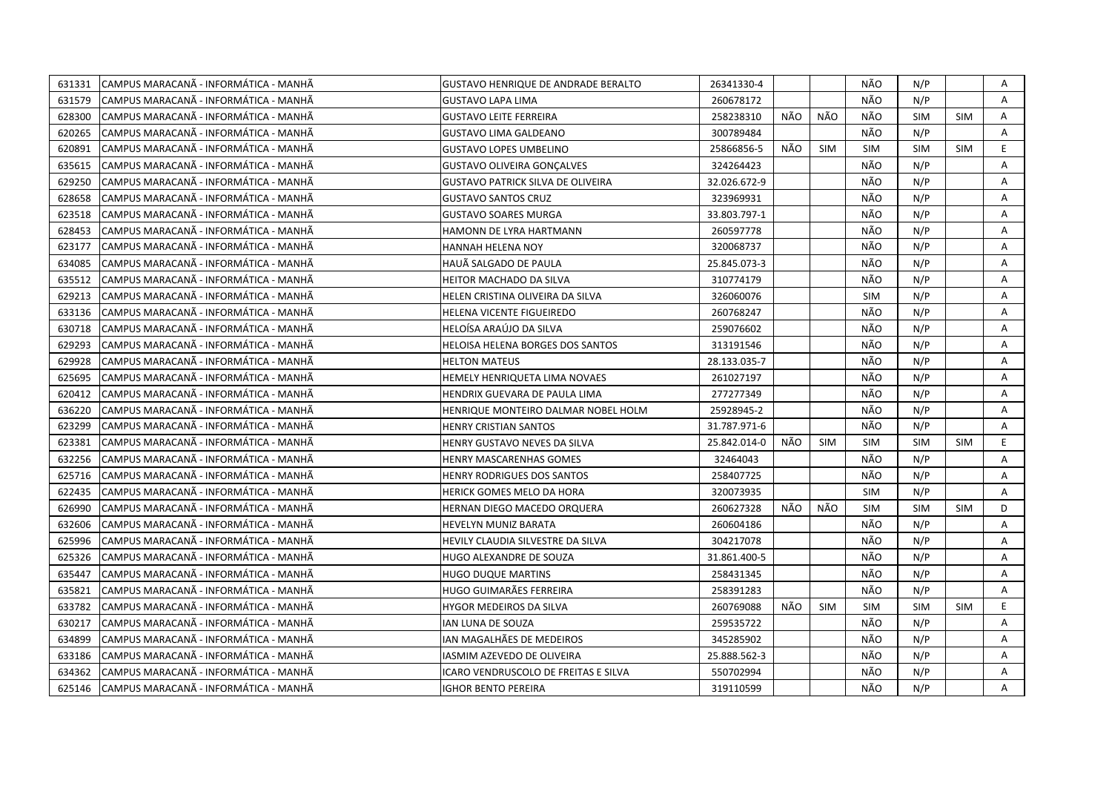| 631331 | CAMPUS MARACANÃ - INFORMÁTICA - MANHÃ  | <b>GUSTAVO HENRIQUE DE ANDRADE BERALTO</b> | 26341330-4   |     |            | NÃO        | N/P        |            | Α            |
|--------|----------------------------------------|--------------------------------------------|--------------|-----|------------|------------|------------|------------|--------------|
| 631579 | CAMPUS MARACANÃ - INFORMÁTICA - MANHÃ  | <b>GUSTAVO LAPA LIMA</b>                   | 260678172    |     |            | NÃO        | N/P        |            | $\mathsf{A}$ |
| 628300 | CAMPUS MARACANA - INFORMÁTICA - MANHÃ  | <b>GUSTAVO LEITE FERREIRA</b>              | 258238310    | NÃO | NÃO        | NÃO        | <b>SIM</b> | <b>SIM</b> | $\mathsf{A}$ |
| 620265 | CAMPUS MARACANÃ - INFORMÁTICA - MANHÃ  | <b>GUSTAVO LIMA GALDEANO</b>               | 300789484    |     |            | NÃO        | N/P        |            | A            |
| 620891 | CAMPUS MARACANA - INFORMATICA - MANHA  | <b>GUSTAVO LOPES UMBELINO</b>              | 25866856-5   | NÃO | <b>SIM</b> | <b>SIM</b> | <b>SIM</b> | <b>SIM</b> | E.           |
| 635615 | CAMPUS MARACANÃ - INFORMÁTICA - MANHÃ  | <b>GUSTAVO OLIVEIRA GONÇALVES</b>          | 324264423    |     |            | NÃO        | N/P        |            | Α            |
| 629250 | CAMPUS MARACANÃ - INFORMÁTICA - MANHÃ  | GUSTAVO PATRICK SILVA DE OLIVEIRA          | 32.026.672-9 |     |            | NÃO        | N/P        |            | Α            |
| 628658 | CAMPUS MARACANA - INFORMÁTICA - MANHÃ  | <b>GUSTAVO SANTOS CRUZ</b>                 | 323969931    |     |            | NÃO        | N/P        |            | A            |
| 623518 | CAMPUS MARACANÃ - INFORMÁTICA - MANHÃ  | <b>GUSTAVO SOARES MURGA</b>                | 33.803.797-1 |     |            | NÃO        | N/P        |            | Α            |
| 628453 | CAMPUS MARACANÃ - INFORMÁTICA - MANHÃ  | HAMONN DE LYRA HARTMANN                    | 260597778    |     |            | NÃO        | N/P        |            | A            |
| 623177 | CAMPUS MARACANÃ - INFORMÁTICA - MANHÃ  | <b>HANNAH HELENA NOY</b>                   | 320068737    |     |            | NÃO        | N/P        |            | A            |
| 634085 | CAMPUS MARACANÃ - INFORMÁTICA - MANHÃ  | HAUÃ SALGADO DE PAULA                      | 25.845.073-3 |     |            | NÃO        | N/P        |            | Α            |
| 635512 | CAMPUS MARACANÃ - INFORMÁTICA - MANHÃ  | <b>HEITOR MACHADO DA SILVA</b>             | 310774179    |     |            | NÃO        | N/P        |            | Α            |
| 629213 | CAMPUS MARACANA - INFORMÁTICA - MANHÃ  | HELEN CRISTINA OLIVEIRA DA SILVA           | 326060076    |     |            | <b>SIM</b> | N/P        |            | A            |
| 633136 | CAMPUS MARACANA - INFORMÁTICA - MANHÃ  | HELENA VICENTE FIGUEIREDO                  | 260768247    |     |            | NÃO        | N/P        |            | Α            |
| 630718 | CAMPUS MARACANA - INFORMÁTICA - MANHÃ  | HELOÍSA ARAÚJO DA SILVA                    | 259076602    |     |            | NÃO        | N/P        |            | A            |
| 629293 | CAMPUS MARACANÃ - INFORMÁTICA - MANHÃ  | HELOISA HELENA BORGES DOS SANTOS           | 313191546    |     |            | NÃO        | N/P        |            | A            |
| 629928 | CAMPUS MARACANÃ - INFORMÁTICA - MANHÃ  | <b>HELTON MATEUS</b>                       | 28.133.035-7 |     |            | NÃO        | N/P        |            | A            |
| 625695 | CAMPUS MARACANÃ - INFORMÁTICA - MANHÃ  | HEMELY HENRIQUETA LIMA NOVAES              | 261027197    |     |            | NÃO        | N/P        |            | A            |
| 620412 | CAMPUS MARACANÃ - INFORMÁTICA - MANHÃ  | HENDRIX GUEVARA DE PAULA LIMA              | 277277349    |     |            | NÃO        | N/P        |            | Α            |
| 636220 | ICAMPUS MARACANÃ - INFORMÁTICA - MANHÃ | HENRIQUE MONTEIRO DALMAR NOBEL HOLM        | 25928945-2   |     |            | NÃO        | N/P        |            | A            |
| 623299 | CAMPUS MARACANA - INFORMATICA - MANHA  | HENRY CRISTIAN SANTOS                      | 31.787.971-6 |     |            | NÃO        | N/P        |            | A            |
| 623381 | CAMPUS MARACANA - INFORMATICA - MANHA  | HENRY GUSTAVO NEVES DA SILVA               | 25.842.014-0 | NÃO | <b>SIM</b> | <b>SIM</b> | <b>SIM</b> | <b>SIM</b> | E.           |
| 632256 | CAMPUS MARACANÃ - INFORMÁTICA - MANHÃ  | HENRY MASCARENHAS GOMES                    | 32464043     |     |            | NÃO        | N/P        |            | A            |
| 625716 | CAMPUS MARACANÃ - INFORMÁTICA - MANHÃ  | HENRY RODRIGUES DOS SANTOS                 | 258407725    |     |            | NÃO        | N/P        |            | A            |
| 622435 | CAMPUS MARACANA - INFORMATICA - MANHA  | HERICK GOMES MELO DA HORA                  | 320073935    |     |            | <b>SIM</b> | N/P        |            | A            |
| 626990 | CAMPUS MARACANÃ - INFORMÁTICA - MANHÃ  | HERNAN DIEGO MACEDO ORQUERA                | 260627328    | NÃO | NÃO        | <b>SIM</b> | <b>SIM</b> | <b>SIM</b> | D            |
| 632606 | CAMPUS MARACANÃ - INFORMÁTICA - MANHÃ  | HEVELYN MUNIZ BARATA                       | 260604186    |     |            | NÃO        | N/P        |            | Α            |
| 625996 | CAMPUS MARACANÃ - INFORMÁTICA - MANHÃ  | HEVILY CLAUDIA SILVESTRE DA SILVA          | 304217078    |     |            | NÃO        | N/P        |            | A            |
| 625326 | CAMPUS MARACANÃ - INFORMÁTICA - MANHÃ  | HUGO ALEXANDRE DE SOUZA                    | 31.861.400-5 |     |            | NÃO        | N/P        |            | Α            |
| 635447 | CAMPUS MARACANÃ - INFORMÁTICA - MANHÃ  | HUGO DUQUE MARTINS                         | 258431345    |     |            | NÃO        | N/P        |            | A            |
| 635821 | CAMPUS MARACANÃ - INFORMÁTICA - MANHÃ  | HUGO GUIMARÃES FERREIRA                    | 258391283    |     |            | NÃO        | N/P        |            | A            |
| 633782 | CAMPUS MARACANÃ - INFORMÁTICA - MANHÃ  | HYGOR MEDEIROS DA SILVA                    | 260769088    | NÃO | <b>SIM</b> | <b>SIM</b> | <b>SIM</b> | <b>SIM</b> | E.           |
| 630217 | CAMPUS MARACANÃ - INFORMÁTICA - MANHÃ  | IAN LUNA DE SOUZA                          | 259535722    |     |            | NÃO        | N/P        |            | A            |
| 634899 | CAMPUS MARACANÃ - INFORMÁTICA - MANHÃ  | IAN MAGALHÃES DE MEDEIROS                  | 345285902    |     |            | NÃO        | N/P        |            | A            |
| 633186 | CAMPUS MARACANA - INFORMATICA - MANHA  | IASMIM AZEVEDO DE OLIVEIRA                 | 25.888.562-3 |     |            | NÃO        | N/P        |            | Α            |
| 634362 | CAMPUS MARACANÃ - INFORMÁTICA - MANHÃ  | ICARO VENDRUSCOLO DE FREITAS E SILVA       | 550702994    |     |            | NÃO        | N/P        |            | Α            |
| 625146 | CAMPUS MARACANÃ - INFORMÁTICA - MANHÃ  | <b>IGHOR BENTO PEREIRA</b>                 | 319110599    |     |            | NÃO        | N/P        |            | A            |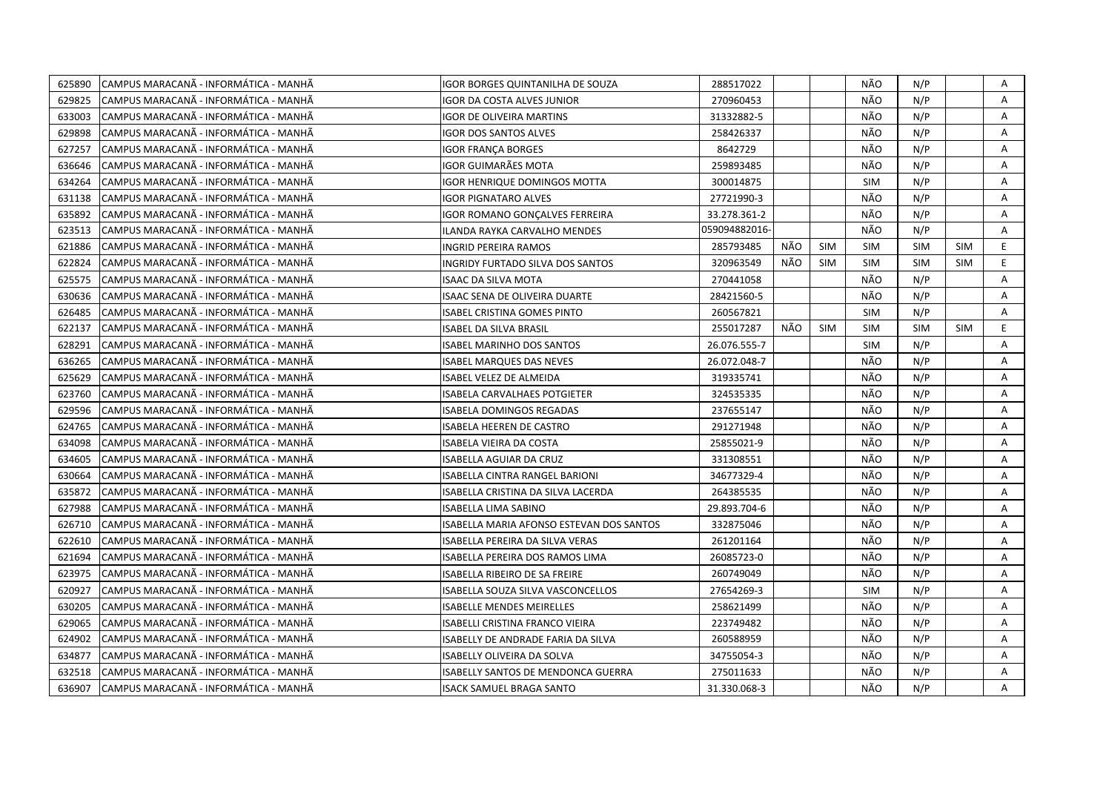| 625890 | CAMPUS MARACANÃ - INFORMÁTICA - MANHÃ | IGOR BORGES QUINTANILHA DE SOUZA         | 288517022     |     |            | NÃO        | N/P        |            | Α  |
|--------|---------------------------------------|------------------------------------------|---------------|-----|------------|------------|------------|------------|----|
| 629825 | CAMPUS MARACANÃ - INFORMÁTICA - MANHÃ | <b>GOR DA COSTA ALVES JUNIOR</b>         | 270960453     |     |            | NÃO        | N/P        |            | A  |
| 633003 | CAMPUS MARACANÃ - INFORMÁTICA - MANHÃ | <b>IGOR DE OLIVEIRA MARTINS</b>          | 31332882-5    |     |            | NÃO        | N/P        |            | A  |
| 629898 | CAMPUS MARACANÃ - INFORMÁTICA - MANHÃ | IGOR DOS SANTOS ALVES                    | 258426337     |     |            | NÃO        | N/P        |            | A  |
| 627257 | CAMPUS MARACANA - INFORMATICA - MANHA | IGOR FRANÇA BORGES                       | 8642729       |     |            | NÃO        | N/P        |            | A  |
| 636646 | CAMPUS MARACANÃ - INFORMÁTICA - MANHÃ | IGOR GUIMARÃES MOTA                      | 259893485     |     |            | NÃO        | N/P        |            | Α  |
| 634264 | CAMPUS MARACANÃ - INFORMÁTICA - MANHÃ | IGOR HENRIQUE DOMINGOS MOTTA             | 300014875     |     |            | <b>SIM</b> | N/P        |            | Α  |
| 631138 | CAMPUS MARACANÃ - INFORMÁTICA - MANHÃ | <b>IGOR PIGNATARO ALVES</b>              | 27721990-3    |     |            | NÃO        | N/P        |            | A  |
| 635892 | CAMPUS MARACANÃ - INFORMÁTICA - MANHÃ | IGOR ROMANO GONÇALVES FERREIRA           | 33.278.361-2  |     |            | NÃO        | N/P        |            | A  |
| 623513 | CAMPUS MARACANA - INFORMÁTICA - MANHA | ILANDA RAYKA CARVALHO MENDES             | 059094882016- |     |            | NÃO        | N/P        |            | A  |
| 621886 | CAMPUS MARACANÃ - INFORMÁTICA - MANHÃ | INGRID PEREIRA RAMOS                     | 285793485     | NÃO | <b>SIM</b> | <b>SIM</b> | <b>SIM</b> | <b>SIM</b> | E. |
| 622824 | CAMPUS MARACANÃ - INFORMÁTICA - MANHÃ | INGRIDY FURTADO SILVA DOS SANTOS         | 320963549     | NÃO | <b>SIM</b> | <b>SIM</b> | <b>SIM</b> | <b>SIM</b> | E  |
| 625575 | CAMPUS MARACANÃ - INFORMÁTICA - MANHÃ | ISAAC DA SILVA MOTA                      | 270441058     |     |            | NÃO        | N/P        |            | A  |
| 630636 | CAMPUS MARACANÃ - INFORMÁTICA - MANHÃ | ISAAC SENA DE OLIVEIRA DUARTE            | 28421560-5    |     |            | NÃO        | N/P        |            | Α  |
| 626485 | CAMPUS MARACANÃ - INFORMÁTICA - MANHÃ | ISABEL CRISTINA GOMES PINTO              | 260567821     |     |            | <b>SIM</b> | N/P        |            | A  |
| 622137 | CAMPUS MARACANÃ - INFORMÁTICA - MANHÃ | <b>ISABEL DA SILVA BRASIL</b>            | 255017287     | NÃO | <b>SIM</b> | <b>SIM</b> | SIM        | <b>SIM</b> | E  |
| 628291 | CAMPUS MARACANÃ - INFORMÁTICA - MANHÃ | <b>ISABEL MARINHO DOS SANTOS</b>         | 26.076.555-7  |     |            | <b>SIM</b> | N/P        |            | A  |
| 636265 | CAMPUS MARACANÃ - INFORMÁTICA - MANHÃ | <b>ISABEL MARQUES DAS NEVES</b>          | 26.072.048-7  |     |            | NÃO        | N/P        |            | A  |
| 625629 | CAMPUS MARACANÃ - INFORMÁTICA - MANHÃ | ISABEL VELEZ DE ALMEIDA                  | 319335741     |     |            | NÃO        | N/P        |            | A  |
| 623760 | CAMPUS MARACANÃ - INFORMÁTICA - MANHÃ | ISABELA CARVALHAES POTGIETER             | 324535335     |     |            | NÃO        | N/P        |            | Α  |
| 629596 | CAMPUS MARACANÃ - INFORMÁTICA - MANHÃ | ISABELA DOMINGOS REGADAS                 | 237655147     |     |            | NÃO        | N/P        |            | A  |
| 624765 | CAMPUS MARACANÃ - INFORMÁTICA - MANHÃ | ISABELA HEEREN DE CASTRO                 | 291271948     |     |            | NÃO        | N/P        |            | A  |
| 634098 | CAMPUS MARACANA - INFORMATICA - MANHA | <b>ISABELA VIEIRA DA COSTA</b>           | 25855021-9    |     |            | NÃO        | N/P        |            | A  |
| 634605 | CAMPUS MARACANÃ - INFORMÁTICA - MANHÃ | ISABELLA AGUIAR DA CRUZ                  | 331308551     |     |            | NÃO        | N/P        |            | A  |
| 630664 | CAMPUS MARACANA - INFORMATICA - MANHA | ISABELLA CINTRA RANGEL BARIONI           | 34677329-4    |     |            | NÃO        | N/P        |            | Α  |
| 635872 | CAMPUS MARACANÃ - INFORMÁTICA - MANHÃ | ISABELLA CRISTINA DA SILVA LACERDA       | 264385535     |     |            | NÃO        | N/P        |            | A  |
| 627988 | CAMPUS MARACANÃ - INFORMÁTICA - MANHÃ | ISABELLA LIMA SABINO                     | 29.893.704-6  |     |            | NÃO        | N/P        |            | Α  |
| 626710 | CAMPUS MARACANÃ - INFORMÁTICA - MANHÃ | ISABELLA MARIA AFONSO ESTEVAN DOS SANTOS | 332875046     |     |            | NÃO        | N/P        |            | Α  |
| 622610 | CAMPUS MARACANÃ - INFORMÁTICA - MANHÃ | ISABELLA PEREIRA DA SILVA VERAS          | 261201164     |     |            | NÃO        | N/P        |            | A  |
| 621694 | CAMPUS MARACANÃ - INFORMÁTICA - MANHÃ | ISABELLA PEREIRA DOS RAMOS LIMA          | 26085723-0    |     |            | NÃO        | N/P        |            | Α  |
| 623975 | CAMPUS MARACANÃ - INFORMÁTICA - MANHÃ | ISABELLA RIBEIRO DE SA FREIRE            | 260749049     |     |            | NÃO        | N/P        |            | A  |
| 620927 | CAMPUS MARACANÃ - INFORMÁTICA - MANHÃ | ISABELLA SOUZA SILVA VASCONCELLOS        | 27654269-3    |     |            | <b>SIM</b> | N/P        |            | A  |
| 630205 | CAMPUS MARACANÃ - INFORMÁTICA - MANHÃ | <b>ISABELLE MENDES MEIRELLES</b>         | 258621499     |     |            | NÃO        | N/P        |            | A  |
| 629065 | CAMPUS MARACANA - INFORMATICA - MANHA | ISABELLI CRISTINA FRANCO VIEIRA          | 223749482     |     |            | NÃO        | N/P        |            | A  |
| 624902 | CAMPUS MARACANÃ - INFORMÁTICA - MANHÃ | ISABELLY DE ANDRADE FARIA DA SILVA       | 260588959     |     |            | NÃO        | N/P        |            | A  |
| 634877 | CAMPUS MARACANÃ - INFORMÁTICA - MANHÃ | ISABELLY OLIVEIRA DA SOLVA               | 34755054-3    |     |            | NÃO        | N/P        |            | Α  |
| 632518 | CAMPUS MARACANÃ - INFORMÁTICA - MANHÃ | ISABELLY SANTOS DE MENDONCA GUERRA       | 275011633     |     |            | NÃO        | N/P        |            | Α  |
| 636907 | CAMPUS MARACANA - INFORMÁTICA - MANHA | ISACK SAMUEL BRAGA SANTO                 | 31.330.068-3  |     |            | NÃO        | N/P        |            | A  |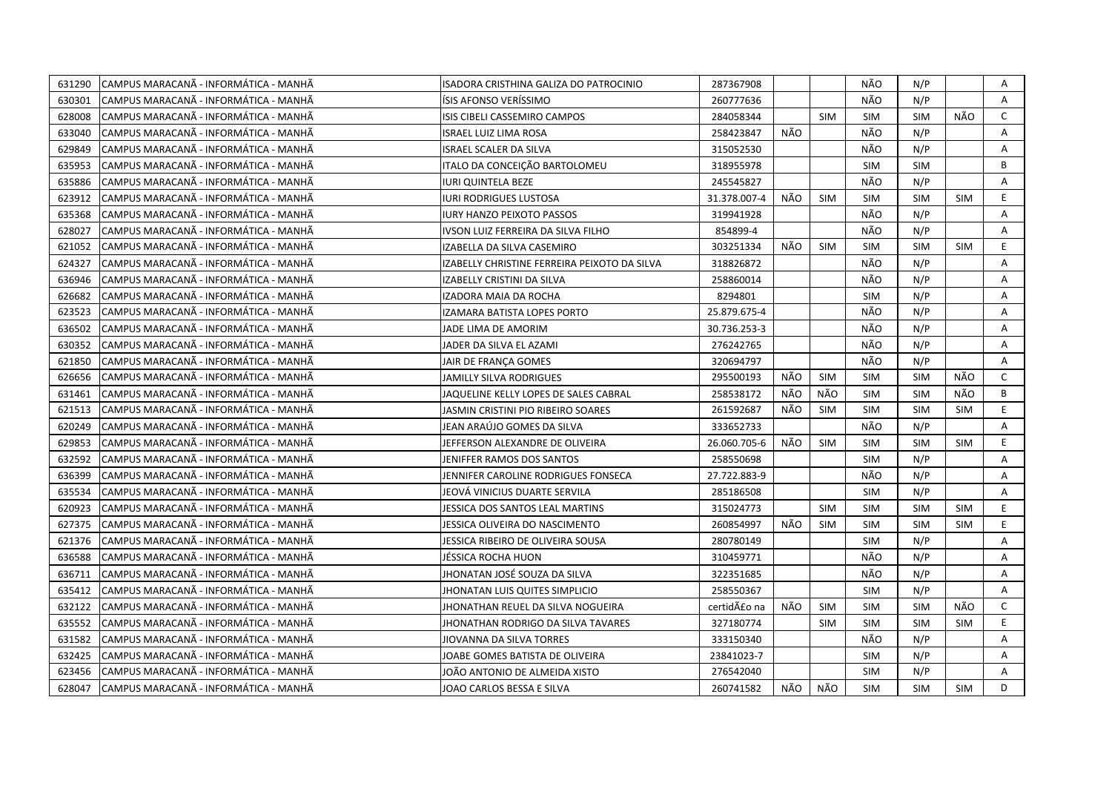| 631290 | CAMPUS MARACANÃ - INFORMÁTICA - MANHÃ  | ISADORA CRISTHINA GALIZA DO PATROCINIO       | 287367908    |     |            | NÃO        | N/P        |            | Α              |
|--------|----------------------------------------|----------------------------------------------|--------------|-----|------------|------------|------------|------------|----------------|
| 630301 | CAMPUS MARACANÃ - INFORMÁTICA - MANHÃ  | ÍSIS AFONSO VERÍSSIMO                        | 260777636    |     |            | NÃO        | N/P        |            | A              |
| 628008 | ICAMPUS MARACANÃ - INFORMÁTICA - MANHÃ | ISIS CIBELI CASSEMIRO CAMPOS                 | 284058344    |     | <b>SIM</b> | <b>SIM</b> | <b>SIM</b> | NÃO        | $\mathsf{C}$   |
| 633040 | CAMPUS MARACANÃ - INFORMÁTICA - MANHÃ  | <b>ISRAEL LUIZ LIMA ROSA</b>                 | 258423847    | NÃO |            | NÃO        | N/P        |            | Α              |
| 629849 | CAMPUS MARACANÃ - INFORMÁTICA - MANHÃ  | <b>ISRAEL SCALER DA SILVA</b>                | 315052530    |     |            | NÃO        | N/P        |            | Α              |
| 635953 | CAMPUS MARACANÃ - INFORMÁTICA - MANHÃ  | ITALO DA CONCEIÇÃO BARTOLOMEU                | 318955978    |     |            | <b>SIM</b> | <b>SIM</b> |            | B              |
| 635886 | ICAMPUS MARACANÃ - INFORMÁTICA - MANHÃ | <b>IURI QUINTELA BEZE</b>                    | 245545827    |     |            | NÃO        | N/P        |            | A              |
| 623912 | CAMPUS MARACANÃ - INFORMÁTICA - MANHÃ  | <b>IURI RODRIGUES LUSTOSA</b>                | 31.378.007-4 | NÃO | <b>SIM</b> | <b>SIM</b> | <b>SIM</b> | <b>SIM</b> | E.             |
| 635368 | CAMPUS MARACANÃ - INFORMÁTICA - MANHÃ  | <b>IURY HANZO PEIXOTO PASSOS</b>             | 319941928    |     |            | NÃO        | N/P        |            | Α              |
| 628027 | CAMPUS MARACANÃ - INFORMÁTICA - MANHÃ  | IVSON LUIZ FERREIRA DA SILVA FILHO           | 854899-4     |     |            | NÃO        | N/P        |            | A              |
| 621052 | CAMPUS MARACANA - INFORMÁTICA - MANHÃ  | IZABELLA DA SILVA CASEMIRO                   | 303251334    | NÃO | <b>SIM</b> | <b>SIM</b> | <b>SIM</b> | <b>SIM</b> | E              |
| 624327 | CAMPUS MARACANA - INFORMÁTICA - MANHÃ  | IZABELLY CHRISTINE FERREIRA PEIXOTO DA SILVA | 318826872    |     |            | NÃO        | N/P        |            | Α              |
| 636946 | CAMPUS MARACANA - INFORMÁTICA - MANHÃ  | IZABELLY CRISTINI DA SILVA                   | 258860014    |     |            | NÃO        | N/P        |            | Α              |
| 626682 | CAMPUS MARACANA - INFORMÁTICA - MANHÃ  | IZADORA MAIA DA ROCHA                        | 8294801      |     |            | SIM        | N/P        |            | A              |
| 623523 | CAMPUS MARACANÃ - INFORMÁTICA - MANHÃ  | IZAMARA BATISTA LOPES PORTO                  | 25.879.675-4 |     |            | NÃO        | N/P        |            | Α              |
| 636502 | CAMPUS MARACANÃ - INFORMÁTICA - MANHÃ  | JADE LIMA DE AMORIM                          | 30.736.253-3 |     |            | NÃO        | N/P        |            | Α              |
| 630352 | ICAMPUS MARACANÃ - INFORMÁTICA - MANHÃ | JADER DA SILVA EL AZAMI                      | 276242765    |     |            | NÃO        | N/P        |            | A              |
| 621850 | ICAMPUS MARACANÃ - INFORMÁTICA - MANHÃ | JAIR DE FRANCA GOMES                         | 320694797    |     |            | NÃO        | N/P        |            | A              |
| 626656 | CAMPUS MARACANA - INFORMATICA - MANHA  | JAMILLY SILVA RODRIGUES                      | 295500193    | NÃO | SIM        | <b>SIM</b> | <b>SIM</b> | NÃO        | C              |
| 631461 | CAMPUS MARACANÃ - INFORMÁTICA - MANHÃ  | JAQUELINE KELLY LOPES DE SALES CABRAL        | 258538172    | NÃO | NÃO        | <b>SIM</b> | <b>SIM</b> | NÃO        | В              |
| 621513 | CAMPUS MARACANÃ - INFORMÁTICA - MANHÃ  | JASMIN CRISTINI PIO RIBEIRO SOARES           | 261592687    | NÃO | <b>SIM</b> | <b>SIM</b> | <b>SIM</b> | <b>SIM</b> | E.             |
| 620249 | CAMPUS MARACANÃ - INFORMÁTICA - MANHÃ  | JEAN ARAÚJO GOMES DA SILVA                   | 333652733    |     |            | NÃO        | N/P        |            | A              |
| 629853 | CAMPUS MARACANA - INFORMÁTICA - MANHÃ  | JEFFERSON ALEXANDRE DE OLIVEIRA              | 26.060.705-6 | NÃO | <b>SIM</b> | <b>SIM</b> | <b>SIM</b> | <b>SIM</b> | E              |
| 632592 | CAMPUS MARACANÃ - INFORMÁTICA - MANHÃ  | JENIFFER RAMOS DOS SANTOS                    | 258550698    |     |            | <b>SIM</b> | N/P        |            | A              |
| 636399 | CAMPUS MARACANÃ - INFORMÁTICA - MANHÃ  | JENNIFER CAROLINE RODRIGUES FONSECA          | 27.722.883-9 |     |            | NÃO        | N/P        |            | Α              |
| 635534 | CAMPUS MARACANÃ - INFORMÁTICA - MANHÃ  | JEOVÁ VINICIUS DUARTE SERVILA                | 285186508    |     |            | <b>SIM</b> | N/P        |            | Α              |
| 620923 | CAMPUS MARACANÃ - INFORMÁTICA - MANHÃ  | JESSICA DOS SANTOS LEAL MARTINS              | 315024773    |     | <b>SIM</b> | <b>SIM</b> | <b>SIM</b> | <b>SIM</b> | E.             |
| 627375 | CAMPUS MARACANÃ - INFORMÁTICA - MANHÃ  | JESSICA OLIVEIRA DO NASCIMENTO               | 260854997    | NÃO | <b>SIM</b> | <b>SIM</b> | <b>SIM</b> | <b>SIM</b> | E.             |
| 621376 | CAMPUS MARACANÃ - INFORMÁTICA - MANHÃ  | JESSICA RIBEIRO DE OLIVEIRA SOUSA            | 280780149    |     |            | <b>SIM</b> | N/P        |            | A              |
| 636588 | CAMPUS MARACANÃ - INFORMÁTICA - MANHÃ  | JÉSSICA ROCHA HUON                           | 310459771    |     |            | NÃO        | N/P        |            | Α              |
| 636711 | CAMPUS MARACANÃ - INFORMÁTICA - MANHÃ  | JHONATAN JOSÉ SOUZA DA SILVA                 | 322351685    |     |            | NÃO        | N/P        |            | A              |
| 635412 | CAMPUS MARACANA - INFORMÁTICA - MANHÃ  | JHONATAN LUIS QUITES SIMPLICIO               | 258550367    |     |            | <b>SIM</b> | N/P        |            | $\overline{A}$ |
| 632122 | CAMPUS MARACANA - INFORMÁTICA - MANHÃ  | JHONATHAN REUEL DA SILVA NOGUEIRA            | certidão na  | NÃO | <b>SIM</b> | <b>SIM</b> | <b>SIM</b> | NÃO        | $\mathsf{C}$   |
| 635552 | CAMPUS MARACANA - INFORMÁTICA - MANHÃ  | JHONATHAN RODRIGO DA SILVA TAVARES           | 327180774    |     | <b>SIM</b> | <b>SIM</b> | <b>SIM</b> | <b>SIM</b> | E.             |
| 631582 | CAMPUS MARACANÃ - INFORMÁTICA - MANHÃ  | JIOVANNA DA SILVA TORRES                     | 333150340    |     |            | NÃO        | N/P        |            | A              |
| 632425 | CAMPUS MARACANÃ - INFORMÁTICA - MANHÃ  | JOABE GOMES BATISTA DE OLIVEIRA              | 23841023-7   |     |            | <b>SIM</b> | N/P        |            | Α              |
| 623456 | CAMPUS MARACANÃ - INFORMÁTICA - MANHÃ  | JOÃO ANTONIO DE ALMEIDA XISTO                | 276542040    |     |            | <b>SIM</b> | N/P        |            | A              |
| 628047 | CAMPUS MARACANÃ - INFORMÁTICA - MANHÃ  | JOAO CARLOS BESSA E SILVA                    | 260741582    | NÃO | NÃO        | <b>SIM</b> | <b>SIM</b> | <b>SIM</b> | D.             |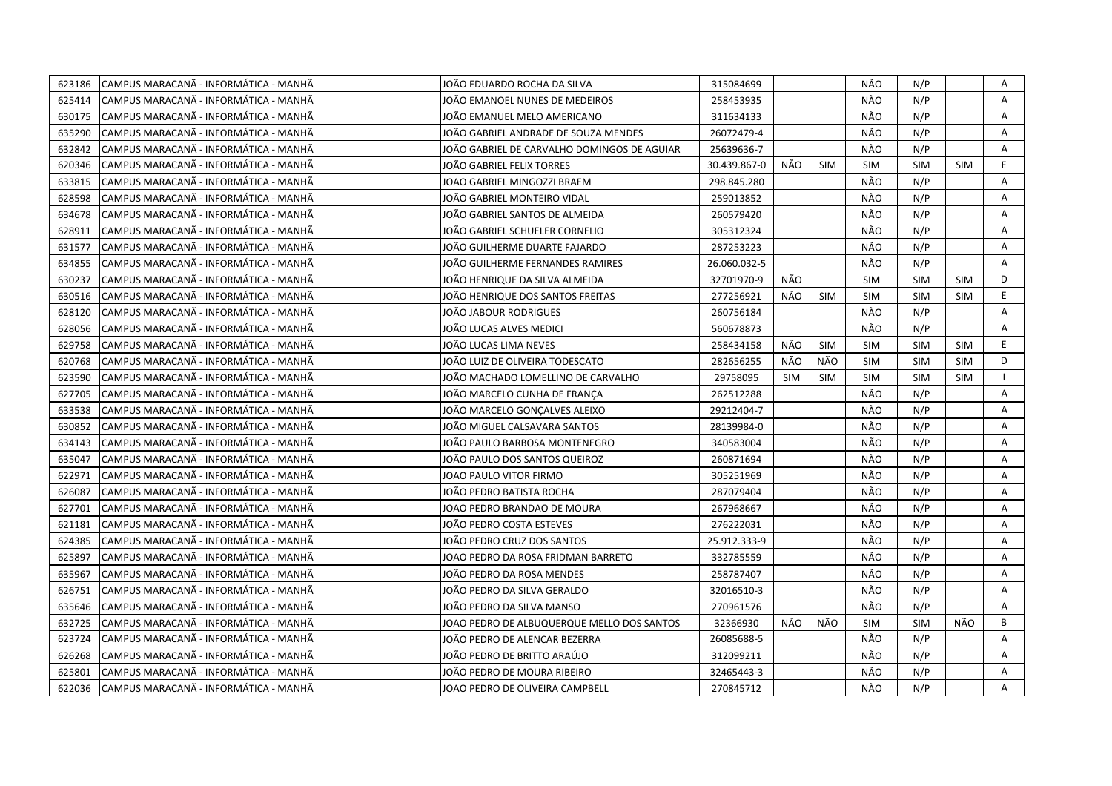| 623186 | CAMPUS MARACANÃ - INFORMÁTICA - MANHÃ  | JOÃO EDUARDO ROCHA DA SILVA                 | 315084699    |            |            | NÃO        | N/P        |            | Α  |
|--------|----------------------------------------|---------------------------------------------|--------------|------------|------------|------------|------------|------------|----|
| 625414 | ICAMPUS MARACANÃ - INFORMÁTICA - MANHÃ | JOÃO EMANOEL NUNES DE MEDEIROS              | 258453935    |            |            | NÃO        | N/P        |            | A  |
| 630175 | CAMPUS MARACANÃ - INFORMÁTICA - MANHÃ  | JOÃO EMANUEL MELO AMERICANO                 | 311634133    |            |            | NÃO        | N/P        |            | Α  |
| 635290 | ICAMPUS MARACANÃ - INFORMÁTICA - MANHÃ | JOÃO GABRIEL ANDRADE DE SOUZA MENDES        | 26072479-4   |            |            | NÃO        | N/P        |            | A  |
| 632842 | CAMPUS MARACANÃ - INFORMÁTICA - MANHÃ  | JOÃO GABRIEL DE CARVALHO DOMINGOS DE AGUIAR | 25639636-7   |            |            | NÃO        | N/P        |            | A  |
| 620346 | CAMPUS MARACANA - INFORMATICA - MANHA  | JOÄO GABRIEL FELIX TORRES                   | 30.439.867-0 | NÃO        | SIM        | <b>SIM</b> | <b>SIM</b> | <b>SIM</b> | E. |
| 633815 | CAMPUS MARACANÃ - INFORMÁTICA - MANHÃ  | JOAO GABRIEL MINGOZZI BRAEM                 | 298.845.280  |            |            | NÃO        | N/P        |            | Α  |
| 628598 | CAMPUS MARACANÃ - INFORMÁTICA - MANHÃ  | JOÄO GABRIEL MONTEIRO VIDAL                 | 259013852    |            |            | NÃO        | N/P        |            | Α  |
| 634678 | ICAMPUS MARACANÃ - INFORMÁTICA - MANHÃ | JOÃO GABRIEL SANTOS DE ALMEIDA              | 260579420    |            |            | NÃO        | N/P        |            | Α  |
| 628911 | CAMPUS MARACANÃ - INFORMÁTICA - MANHÃ  | JOÃO GABRIEL SCHUELER CORNELIO              | 305312324    |            |            | NÃO        | N/P        |            | Α  |
| 631577 | ICAMPUS MARACANÃ - INFORMÁTICA - MANHÃ | JOÃO GUILHERME DUARTE FAJARDO               | 287253223    |            |            | NÃO        | N/P        |            | A  |
| 634855 | CAMPUS MARACANÃ - INFORMÁTICA - MANHÃ  | JOÃO GUILHERME FERNANDES RAMIRES            | 26.060.032-5 |            |            | NÃO        | N/P        |            | A  |
| 630237 | CAMPUS MARACANA - INFORMATICA - MANHA  | JOÃO HENRIQUE DA SILVA ALMEIDA              | 32701970-9   | NÃO        |            | <b>SIM</b> | <b>SIM</b> | <b>SIM</b> | D  |
| 630516 | CAMPUS MARACANÃ - INFORMÁTICA - MANHÃ  | JOÃO HENRIQUE DOS SANTOS FREITAS            | 277256921    | NÃO        | SIM        | <b>SIM</b> | <b>SIM</b> | <b>SIM</b> | E  |
| 628120 | CAMPUS MARACANÃ - INFORMÁTICA - MANHÃ  | JOÄO JABOUR RODRIGUES                       | 260756184    |            |            | NÃO        | N/P        |            | A  |
| 628056 | CAMPUS MARACANA - INFORMÁTICA - MANHÃ  | JOÃO LUCAS ALVES MEDICI                     | 560678873    |            |            | NÃO        | N/P        |            | A  |
| 629758 | CAMPUS MARACANÃ - INFORMÁTICA - MANHÃ  | JOÃO LUCAS LIMA NEVES                       | 258434158    | NÃO        | <b>SIM</b> | <b>SIM</b> | <b>SIM</b> | <b>SIM</b> | E. |
| 620768 | CAMPUS MARACANA - INFORMÁTICA - MANHÃ  | JOÃO LUIZ DE OLIVEIRA TODESCATO             | 282656255    | NÃO        | NÃO        | <b>SIM</b> | <b>SIM</b> | <b>SIM</b> | D  |
| 623590 | CAMPUS MARACANÃ - INFORMÁTICA - MANHÃ  | JOÃO MACHADO LOMELLINO DE CARVALHO          | 29758095     | <b>SIM</b> | <b>SIM</b> | <b>SIM</b> | <b>SIM</b> | <b>SIM</b> |    |
| 627705 | CAMPUS MARACANÃ - INFORMÁTICA - MANHÃ  | JOÃO MARCELO CUNHA DE FRANCA                | 262512288    |            |            | NÃO        | N/P        |            | Α  |
| 633538 | CAMPUS MARACANÃ - INFORMÁTICA - MANHÃ  | JOÃO MARCELO GONÇALVES ALEIXO               | 29212404-7   |            |            | NÃO        | N/P        |            | A  |
| 630852 | CAMPUS MARACANÃ - INFORMÁTICA - MANHÃ  | JOÃO MIGUEL CALSAVARA SANTOS                | 28139984-0   |            |            | NÃO        | N/P        |            | A  |
| 634143 | CAMPUS MARACANÃ - INFORMÁTICA - MANHÃ  | JOÃO PAULO BARBOSA MONTENEGRO               | 340583004    |            |            | NÃO        | N/P        |            | Α  |
| 635047 | ICAMPUS MARACANÃ - INFORMÁTICA - MANHÃ | JOÃO PAULO DOS SANTOS QUEIROZ               | 260871694    |            |            | NÃO        | N/P        |            | A  |
| 622971 | ICAMPUS MARACANÃ - INFORMÁTICA - MANHÃ | JOAO PAULO VITOR FIRMO                      | 305251969    |            |            | NÃO        | N/P        |            | A  |
| 626087 | CAMPUS MARACANA - INFORMATICA - MANHA  | JOAO PEDRO BATISTA ROCHA                    | 287079404    |            |            | NÃO        | N/P        |            | A  |
| 627701 | CAMPUS MARACANA - INFORMATICA - MANHA  | JOAO PEDRO BRANDAO DE MOURA                 | 267968667    |            |            | NÃO        | N/P        |            | A  |
| 621181 | CAMPUS MARACANA - INFORMÁTICA - MANHA  | JOÃO PEDRO COSTA ESTEVES                    | 276222031    |            |            | NÃO        | N/P        |            | Α  |
| 624385 | CAMPUS MARACANA - INFORMÁTICA - MANHÃ  | JOÃO PEDRO CRUZ DOS SANTOS                  | 25.912.333-9 |            |            | NÃO        | N/P        |            | A  |
| 625897 | CAMPUS MARACANÃ - INFORMÁTICA - MANHÃ  | JOAO PEDRO DA ROSA FRIDMAN BARRETO          | 332785559    |            |            | NÃO        | N/P        |            | Α  |
| 635967 | CAMPUS MARACANA - INFORMÁTICA - MANHÃ  | JOÃO PEDRO DA ROSA MENDES                   | 258787407    |            |            | NÃO        | N/P        |            | A  |
| 626751 | CAMPUS MARACANÃ - INFORMÁTICA - MANHÃ  | JOÃO PEDRO DA SILVA GERALDO                 | 32016510-3   |            |            | NÃO        | N/P        |            | A  |
| 635646 | CAMPUS MARACANA - INFORMATICA - MANHA  | JOÃO PEDRO DA SILVA MANSO                   | 270961576    |            |            | NÃO        | N/P        |            | A  |
| 632725 | CAMPUS MARACANÃ - INFORMÁTICA - MANHÃ  | JOAO PEDRO DE ALBUQUERQUE MELLO DOS SANTOS  | 32366930     | NÃO        | NÃO        | <b>SIM</b> | <b>SIM</b> | NÃO        | B  |
| 623724 | CAMPUS MARACANA - INFORMATICA - MANHA  | JOÃO PEDRO DE ALENCAR BEZERRA               | 26085688-5   |            |            | NÃO        | N/P        |            | A  |
| 626268 | CAMPUS MARACANÃ - INFORMÁTICA - MANHÃ  | JOÃO PEDRO DE BRITTO ARAÚJO                 | 312099211    |            |            | NÃO        | N/P        |            | A  |
| 625801 | CAMPUS MARACANÃ - INFORMÁTICA - MANHÃ  | JOÃO PEDRO DE MOURA RIBEIRO                 | 32465443-3   |            |            | NÃO        | N/P        |            | Α  |
| 622036 | CAMPUS MARACANÃ - INFORMÁTICA - MANHÃ  | JOAO PEDRO DE OLIVEIRA CAMPBELL             | 270845712    |            |            | NÃO        | N/P        |            | A  |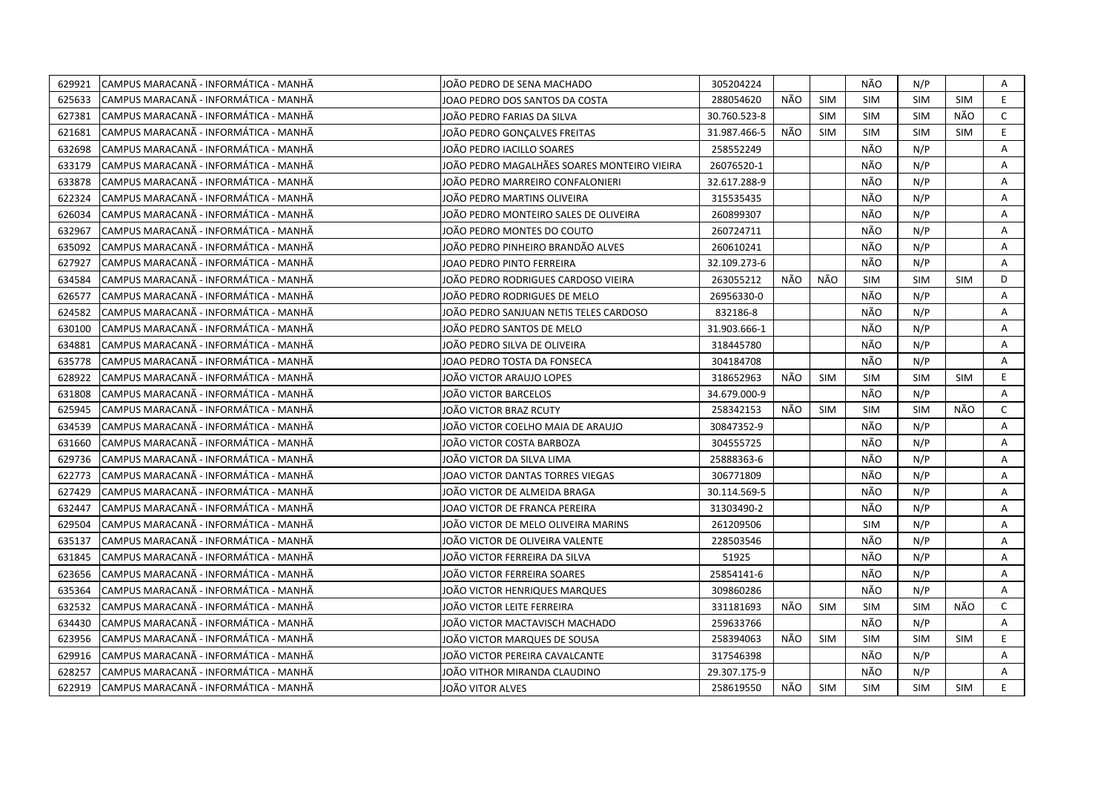| 629921 | CAMPUS MARACANÃ - INFORMÁTICA - MANHÃ  | JOÃO PEDRO DE SENA MACHADO                  | 305204224    |     |            | NÃO        | N/P        |            | Α            |
|--------|----------------------------------------|---------------------------------------------|--------------|-----|------------|------------|------------|------------|--------------|
| 625633 | ICAMPUS MARACANÃ - INFORMÁTICA - MANHÃ | JOAO PEDRO DOS SANTOS DA COSTA              | 288054620    | NÃO | <b>SIM</b> | <b>SIM</b> | <b>SIM</b> | <b>SIM</b> | E            |
| 627381 | CAMPUS MARACANÃ - INFORMÁTICA - MANHÃ  | JOÃO PEDRO FARIAS DA SILVA                  | 30.760.523-8 |     | <b>SIM</b> | <b>SIM</b> | <b>SIM</b> | NÃO        | $\mathsf{C}$ |
| 621681 | CAMPUS MARACANÃ - INFORMÁTICA - MANHÃ  | JOÃO PEDRO GONÇALVES FREITAS                | 31.987.466-5 | NÃO | <b>SIM</b> | <b>SIM</b> | <b>SIM</b> | <b>SIM</b> | E            |
| 632698 | CAMPUS MARACANÃ - INFORMÁTICA - MANHÃ  | JOÃO PEDRO IACILLO SOARES                   | 258552249    |     |            | NÃO        | N/P        |            | A            |
| 633179 | CAMPUS MARACANÃ - INFORMÁTICA - MANHÃ  | JOÃO PEDRO MAGALHÃES SOARES MONTEIRO VIEIRA | 26076520-1   |     |            | NÃO        | N/P        |            | Α            |
| 633878 | CAMPUS MARACANA - INFORMATICA - MANHA  | JOÃO PEDRO MARREIRO CONFALONIERI            | 32.617.288-9 |     |            | NÃO        | N/P        |            | Α            |
| 622324 | CAMPUS MARACANÃ - INFORMÁTICA - MANHÃ  | JOÃO PEDRO MARTINS OLIVEIRA                 | 315535435    |     |            | NÃO        | N/P        |            | Α            |
| 626034 | ICAMPUS MARACANÃ - INFORMÁTICA - MANHÃ | JOÃO PEDRO MONTEIRO SALES DE OLIVEIRA       | 260899307    |     |            | NÃO        | N/P        |            | A            |
| 632967 | CAMPUS MARACANÃ - INFORMÁTICA - MANHÃ  | JOÃO PEDRO MONTES DO COUTO                  | 260724711    |     |            | NÃO        | N/P        |            | A            |
| 635092 | CAMPUS MARACANÃ - INFORMÁTICA - MANHÃ  | JOÃO PEDRO PINHEIRO BRANDÃO ALVES           | 260610241    |     |            | NÃO        | N/P        |            | Α            |
| 627927 | CAMPUS MARACANÃ - INFORMÁTICA - MANHÃ  | JOAO PEDRO PINTO FERREIRA                   | 32.109.273-6 |     |            | NÃO        | N/P        |            | A            |
| 634584 | CAMPUS MARACANÃ - INFORMÁTICA - MANHÃ  | JOÄO PEDRO RODRIGUES CARDOSO VIEIRA         | 263055212    | NÃO | NÃO        | <b>SIM</b> | <b>SIM</b> | <b>SIM</b> | D            |
| 626577 | CAMPUS MARACANÃ - INFORMÁTICA - MANHÃ  | JOÃO PEDRO RODRIGUES DE MELO                | 26956330-0   |     |            | NÃO        | N/P        |            | A            |
| 624582 | CAMPUS MARACANÃ - INFORMÁTICA - MANHÃ  | JOÃO PEDRO SANJUAN NETIS TELES CARDOSO      | 832186-8     |     |            | NÃO        | N/P        |            | A            |
| 630100 | ICAMPUS MARACANÃ - INFORMÁTICA - MANHÃ | JOÃO PEDRO SANTOS DE MELO                   | 31.903.666-1 |     |            | NÃO        | N/P        |            | A            |
| 634881 | CAMPUS MARACANA - INFORMÁTICA - MANHÃ  | JOÃO PEDRO SILVA DE OLIVEIRA                | 318445780    |     |            | NÃO        | N/P        |            | A            |
| 635778 | CAMPUS MARACANÃ - INFORMÁTICA - MANHÃ  | JOAO PEDRO TOSTA DA FONSECA                 | 304184708    |     |            | NÃO        | N/P        |            | A            |
| 628922 | CAMPUS MARACANA - INFORMÁTICA - MANHÃ  | JOÃO VICTOR ARAUJO LOPES                    | 318652963    | NÃO | SIM        | <b>SIM</b> | <b>SIM</b> | <b>SIM</b> | E.           |
| 631808 | CAMPUS MARACANÃ - INFORMÁTICA - MANHÃ  | JOÃO VICTOR BARCELOS                        | 34.679.000-9 |     |            | NÃO        | N/P        |            | A            |
| 625945 | CAMPUS MARACANÃ - INFORMÁTICA - MANHÃ  | JOÃO VICTOR BRAZ RCUTY                      | 258342153    | NÃO | <b>SIM</b> | <b>SIM</b> | <b>SIM</b> | NÃO        | $\mathsf{C}$ |
| 634539 | CAMPUS MARACANÃ - INFORMÁTICA - MANHÃ  | JOÃO VICTOR COELHO MAIA DE ARAUJO           | 30847352-9   |     |            | NÃO        | N/P        |            | Α            |
| 631660 | ICAMPUS MARACANÃ - INFORMÁTICA - MANHÃ | JOÃO VICTOR COSTA BARBOZA                   | 304555725    |     |            | NÃO        | N/P        |            | A            |
| 629736 | ICAMPUS MARACANÃ - INFORMÁTICA - MANHÃ | JOÃO VICTOR DA SILVA LIMA                   | 25888363-6   |     |            | NÃO        | N/P        |            | A            |
| 622773 | CAMPUS MARACANÃ - INFORMÁTICA - MANHÃ  | JOAO VICTOR DANTAS TORRES VIEGAS            | 306771809    |     |            | NÃO        | N/P        |            | A            |
| 627429 | CAMPUS MARACANA - INFORMATICA - MANHA  | JOÃO VICTOR DE ALMEIDA BRAGA                | 30.114.569-5 |     |            | NÃO        | N/P        |            | A            |
| 632447 | CAMPUS MARACANA - INFORMÁTICA - MANHA  | IOAO VICTOR DE FRANCA PEREIRA               | 31303490-2   |     |            | NÃO        | N/P        |            | Α            |
| 629504 | CAMPUS MARACANÃ - INFORMÁTICA - MANHÃ  | JOAO VICTOR DE MELO OLIVEIRA MARINS         | 261209506    |     |            | <b>SIM</b> | N/P        |            | A            |
| 635137 | CAMPUS MARACANÃ - INFORMÁTICA - MANHÃ  | JOÃO VICTOR DE OLIVEIRA VALENTE             | 228503546    |     |            | NÃO        | N/P        |            | Α            |
| 631845 | ICAMPUS MARACANÃ - INFORMÁTICA - MANHÃ | JOÃO VICTOR FERREIRA DA SILVA               | 51925        |     |            | NÃO        | N/P        |            | A            |
| 623656 | CAMPUS MARACANÃ - INFORMÁTICA - MANHÃ  | JOÃO VICTOR FERREIRA SOARES                 | 25854141-6   |     |            | NÃO        | N/P        |            | A            |
| 635364 | CAMPUS MARACANÃ - INFORMÁTICA - MANHÃ  | JOÃO VICTOR HENRIQUES MARQUES               | 309860286    |     |            | NÃO        | N/P        |            | Α            |
| 632532 | CAMPUS MARACANÃ - INFORMÁTICA - MANHÃ  | JOÃO VICTOR LEITE FERREIRA                  | 331181693    | NÃO | <b>SIM</b> | <b>SIM</b> | <b>SIM</b> | NÃO        | $\mathsf{C}$ |
| 634430 | CAMPUS MARACANÃ - INFORMÁTICA - MANHÃ  | JOÃO VICTOR MACTAVISCH MACHADO              | 259633766    |     |            | NÃO        | N/P        |            | Α            |
| 623956 | CAMPUS MARACANÃ - INFORMÁTICA - MANHÃ  | JOÃO VICTOR MARQUES DE SOUSA                | 258394063    | NÃO | <b>SIM</b> | <b>SIM</b> | <b>SIM</b> | <b>SIM</b> | E.           |
| 629916 | CAMPUS MARACANA - INFORMÁTICA - MANHÃ  | JOÃO VICTOR PEREIRA CAVALCANTE              | 317546398    |     |            | NÃO        | N/P        |            | A            |
| 628257 | ICAMPUS MARACANÃ - INFORMÁTICA - MANHÃ | JOÃO VITHOR MIRANDA CLAUDINO                | 29.307.175-9 |     |            | NÃO        | N/P        |            | A            |
| 622919 | CAMPUS MARACANÃ - INFORMÁTICA - MANHÃ  | JOÃO VITOR ALVES                            | 258619550    | NÃO | <b>SIM</b> | <b>SIM</b> | <b>SIM</b> | <b>SIM</b> | E.           |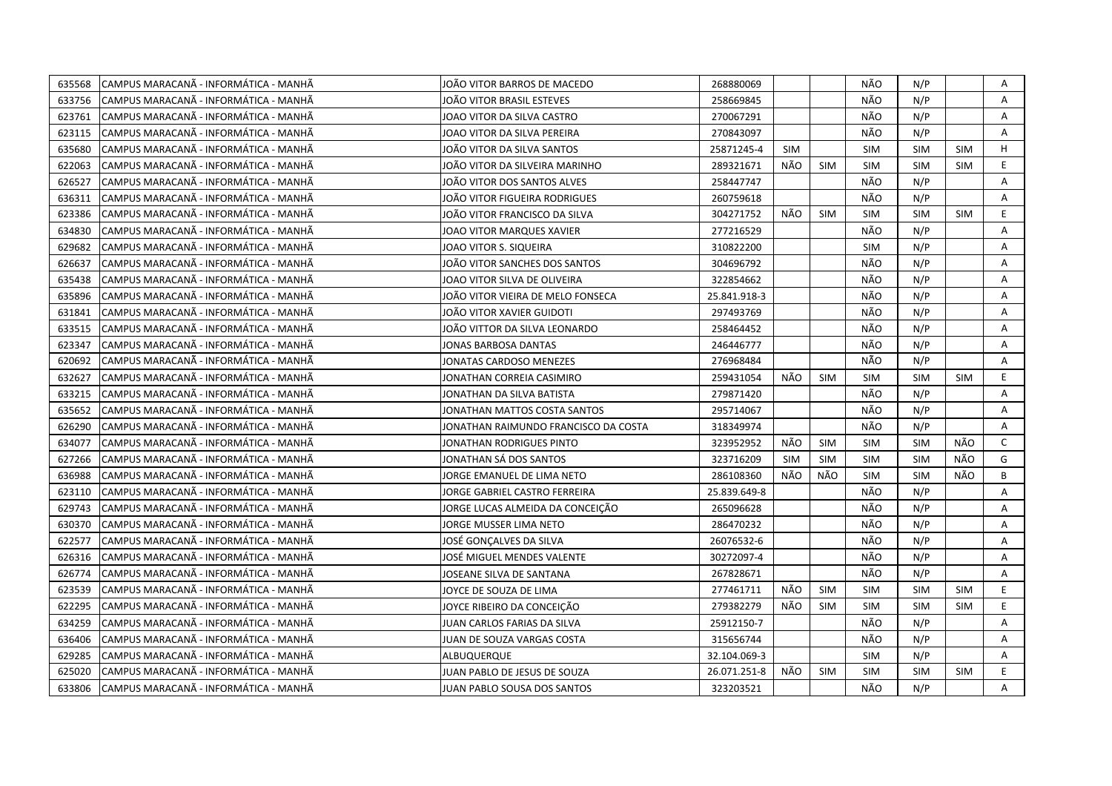| 635568 | CAMPUS MARACANÃ - INFORMÁTICA - MANHÃ | JOÃO VITOR BARROS DE MACEDO          | 268880069    |            |            | NÃO        | N/P        |            | Α            |
|--------|---------------------------------------|--------------------------------------|--------------|------------|------------|------------|------------|------------|--------------|
| 633756 | CAMPUS MARACANÃ - INFORMÁTICA - MANHÃ | JOÄO VITOR BRASIL ESTEVES            | 258669845    |            |            | NÃO        | N/P        |            | A            |
| 623761 | CAMPUS MARACANA - INFORMÁTICA - MANHÃ | JOAO VITOR DA SILVA CASTRO           | 270067291    |            |            | NÃO        | N/P        |            | A            |
| 623115 | CAMPUS MARACANÃ - INFORMÁTICA - MANHÃ | JOAO VITOR DA SILVA PEREIRA          | 270843097    |            |            | NÃO        | N/P        |            | A            |
| 635680 | CAMPUS MARACANÃ - INFORMÁTICA - MANHÃ | JOÃO VITOR DA SILVA SANTOS           | 25871245-4   | <b>SIM</b> |            | <b>SIM</b> | <b>SIM</b> | <b>SIM</b> | H            |
| 622063 | CAMPUS MARACANÃ - INFORMÁTICA - MANHÃ | JOÃO VITOR DA SILVEIRA MARINHO       | 289321671    | NÃO        | <b>SIM</b> | <b>SIM</b> | <b>SIM</b> | <b>SIM</b> | E            |
| 626527 | CAMPUS MARACANÃ - INFORMÁTICA - MANHÃ | JOÃO VITOR DOS SANTOS ALVES          | 258447747    |            |            | NÃO        | N/P        |            | Α            |
| 636311 | CAMPUS MARACANA - INFORMÁTICA - MANHÃ | JOÃO VITOR FIGUEIRA RODRIGUES        | 260759618    |            |            | NÃO        | N/P        |            | A            |
| 623386 | CAMPUS MARACANÃ - INFORMÁTICA - MANHÃ | JOÃO VITOR FRANCISCO DA SILVA        | 304271752    | NÃO        | <b>SIM</b> | <b>SIM</b> | <b>SIM</b> | <b>SIM</b> | E            |
| 634830 | CAMPUS MARACANÃ - INFORMÁTICA - MANHÃ | JOAO VITOR MARQUES XAVIER            | 277216529    |            |            | NÃO        | N/P        |            | A            |
| 629682 | CAMPUS MARACANÃ - INFORMÁTICA - MANHÃ | JOAO VITOR S. SIQUEIRA               | 310822200    |            |            | <b>SIM</b> | N/P        |            | A            |
| 626637 | CAMPUS MARACANÃ - INFORMÁTICA - MANHÃ | JOÃO VITOR SANCHES DOS SANTOS        | 304696792    |            |            | NÃO        | N/P        |            | Α            |
| 635438 | CAMPUS MARACANÃ - INFORMÁTICA - MANHÃ | JOAO VITOR SILVA DE OLIVEIRA         | 322854662    |            |            | NÃO        | N/P        |            | Α            |
| 635896 | CAMPUS MARACANA - INFORMÁTICA - MANHÃ | JOÃO VITOR VIEIRA DE MELO FONSECA    | 25.841.918-3 |            |            | NÃO        | N/P        |            | A            |
| 631841 | CAMPUS MARACANA - INFORMÁTICA - MANHÃ | JOÃO VITOR XAVIER GUIDOTI            | 297493769    |            |            | NÃO        | N/P        |            | Α            |
| 633515 | CAMPUS MARACANÃ - INFORMÁTICA - MANHÃ | JOÃO VITTOR DA SILVA LEONARDO        | 258464452    |            |            | NÃO        | N/P        |            | A            |
| 623347 | CAMPUS MARACANÃ - INFORMÁTICA - MANHÃ | JONAS BARBOSA DANTAS                 | 246446777    |            |            | NÃO        | N/P        |            | A            |
| 620692 | CAMPUS MARACANÃ - INFORMÁTICA - MANHÃ | JONATAS CARDOSO MENEZES              | 276968484    |            |            | NÃO        | N/P        |            | A            |
| 632627 | CAMPUS MARACANÃ - INFORMÁTICA - MANHÃ | JONATHAN CORREIA CASIMIRO            | 259431054    | NÃO        | SIM        | <b>SIM</b> | <b>SIM</b> | <b>SIM</b> | E            |
| 633215 | CAMPUS MARACANÃ - INFORMÁTICA - MANHÃ | JONATHAN DA SILVA BATISTA            | 279871420    |            |            | NÃO        | N/P        |            | A            |
| 635652 | CAMPUS MARACANÃ - INFORMÁTICA - MANHÃ | JONATHAN MATTOS COSTA SANTOS         | 295714067    |            |            | NÃO        | N/P        |            | A            |
| 626290 | CAMPUS MARACANA - INFORMÁTICA - MANHÃ | JONATHAN RAIMUNDO FRANCISCO DA COSTA | 318349974    |            |            | NÃO        | N/P        |            | A            |
| 634077 | CAMPUS MARACANÃ - INFORMÁTICA - MANHÃ | JONATHAN RODRIGUES PINTO             | 323952952    | NÃO        | SIM        | <b>SIM</b> | <b>SIM</b> | NÃO        | $\mathsf{C}$ |
| 627266 | CAMPUS MARACANÃ - INFORMÁTICA - MANHÃ | JONATHAN SÁ DOS SANTOS               | 323716209    | <b>SIM</b> | <b>SIM</b> | <b>SIM</b> | <b>SIM</b> | NÃO        | G            |
| 636988 | CAMPUS MARACANÃ - INFORMÁTICA - MANHÃ | IORGE EMANUEL DE LIMA NETO           | 286108360    | NÃO        | NÃO        | <b>SIM</b> | <b>SIM</b> | NÃO        | B            |
| 623110 | CAMPUS MARACANÃ - INFORMÁTICA - MANHÃ | IORGE GABRIEL CASTRO FERREIRA        | 25.839.649-8 |            |            | NÃO        | N/P        |            | A            |
| 629743 | CAMPUS MARACANA - INFORMÁTICA - MANHÃ | JORGE LUCAS ALMEIDA DA CONCEIÇÃO     | 265096628    |            |            | NÃO        | N/P        |            | A            |
| 630370 | CAMPUS MARACANÃ - INFORMÁTICA - MANHÃ | JORGE MUSSER LIMA NETO               | 286470232    |            |            | NÃO        | N/P        |            | Α            |
| 622577 | CAMPUS MARACANA - INFORMÁTICA - MANHÃ | JOSÉ GONÇALVES DA SILVA              | 26076532-6   |            |            | NÃO        | N/P        |            | A            |
| 626316 | CAMPUS MARACANÃ - INFORMÁTICA - MANHÃ | JOSÉ MIGUEL MENDES VALENTE           | 30272097-4   |            |            | NÃO        | N/P        |            | Α            |
| 626774 | CAMPUS MARACANÃ - INFORMÁTICA - MANHÃ | JOSEANE SILVA DE SANTANA             | 267828671    |            |            | NÃO        | N/P        |            | A            |
| 623539 | CAMPUS MARACANÃ - INFORMÁTICA - MANHÃ | JOYCE DE SOUZA DE LIMA               | 277461711    | NÃO        | <b>SIM</b> | <b>SIM</b> | <b>SIM</b> | <b>SIM</b> | E            |
| 622295 | CAMPUS MARACANÃ - INFORMÁTICA - MANHÃ | JOYCE RIBEIRO DA CONCEIÇÃO           | 279382279    | NÃO        | <b>SIM</b> | <b>SIM</b> | <b>SIM</b> | <b>SIM</b> | E.           |
| 634259 | CAMPUS MARACANÃ - INFORMÁTICA - MANHÃ | JUAN CARLOS FARIAS DA SILVA          | 25912150-7   |            |            | NÃO        | N/P        |            | A            |
| 636406 | CAMPUS MARACANÃ - INFORMÁTICA - MANHÃ | JUAN DE SOUZA VARGAS COSTA           | 315656744    |            |            | NÃO        | N/P        |            | A            |
| 629285 | CAMPUS MARACANÃ - INFORMÁTICA - MANHÃ | ALBUQUERQUE                          | 32.104.069-3 |            |            | <b>SIM</b> | N/P        |            | Α            |
| 625020 | CAMPUS MARACANÃ - INFORMÁTICA - MANHÃ | JUAN PABLO DE JESUS DE SOUZA         | 26.071.251-8 | NÃO        | <b>SIM</b> | <b>SIM</b> | <b>SIM</b> | <b>SIM</b> | E            |
| 633806 | CAMPUS MARACANÃ - INFORMÁTICA - MANHÃ | JUAN PABLO SOUSA DOS SANTOS          | 323203521    |            |            | NÃO        | N/P        |            | A            |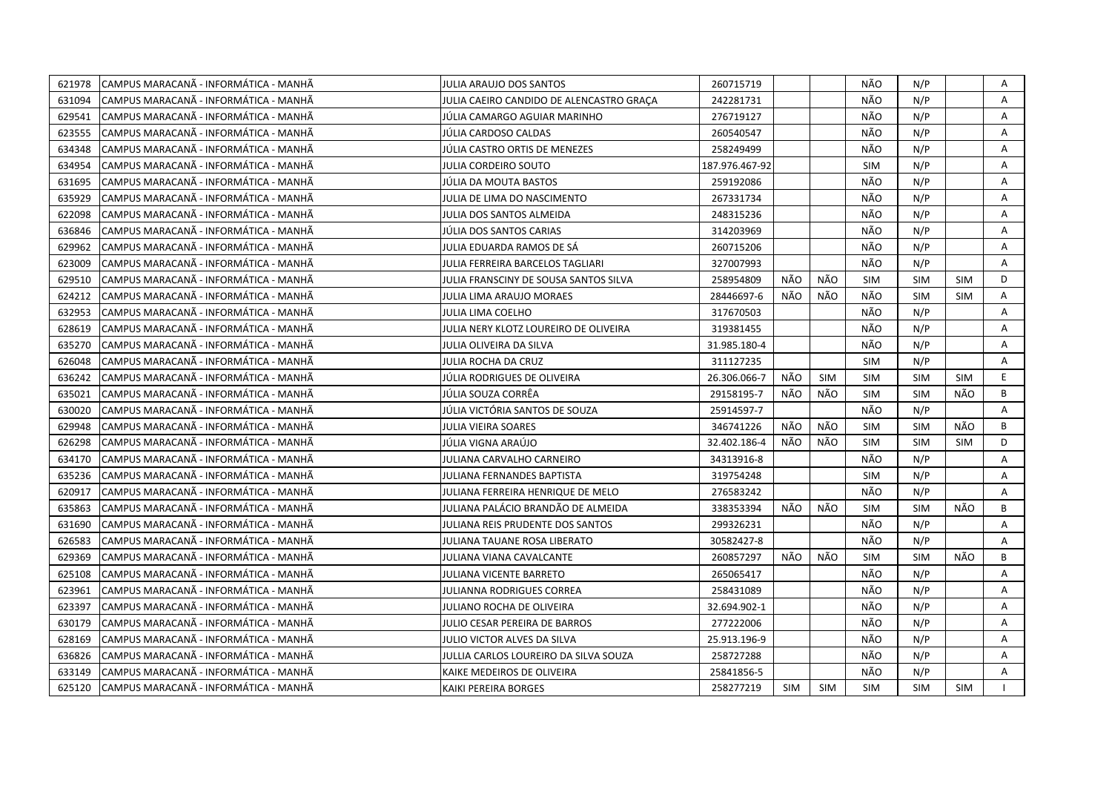| 621978 | CAMPUS MARACANÃ - INFORMÁTICA - MANHÃ | <b>JULIA ARAUJO DOS SANTOS</b>           | 260715719      |            |            | NÃO        | N/P        |            | Α  |
|--------|---------------------------------------|------------------------------------------|----------------|------------|------------|------------|------------|------------|----|
| 631094 | CAMPUS MARACANÃ - INFORMÁTICA - MANHÃ | JULIA CAEIRO CANDIDO DE ALENCASTRO GRACA | 242281731      |            |            | NÃO        | N/P        |            | A  |
| 629541 | CAMPUS MARACANÃ - INFORMÁTICA - MANHÃ | JÚLIA CAMARGO AGUIAR MARINHO             | 276719127      |            |            | NÃO        | N/P        |            | Α  |
| 623555 | CAMPUS MARACANÃ - INFORMÁTICA - MANHÃ | JÚLIA CARDOSO CALDAS                     | 260540547      |            |            | NÃO        | N/P        |            | A  |
| 634348 | CAMPUS MARACANÃ - INFORMÁTICA - MANHÃ | JÚLIA CASTRO ORTIS DE MENEZES            | 258249499      |            |            | NÃO        | N/P        |            | Α  |
| 634954 | CAMPUS MARACANÃ - INFORMÁTICA - MANHÃ | <b>JULIA CORDEIRO SOUTO</b>              | 187.976.467-92 |            |            | <b>SIM</b> | N/P        |            | A  |
| 631695 | CAMPUS MARACANÃ - INFORMÁTICA - MANHÃ | JÚLIA DA MOUTA BASTOS                    | 259192086      |            |            | NÃO        | N/P        |            | Α  |
| 635929 | CAMPUS MARACANÃ - INFORMÁTICA - MANHÃ | JULIA DE LIMA DO NASCIMENTO              | 267331734      |            |            | NÃO        | N/P        |            | Α  |
| 622098 | CAMPUS MARACANÃ - INFORMÁTICA - MANHÃ | JULIA DOS SANTOS ALMEIDA                 | 248315236      |            |            | NÃO        | N/P        |            | A  |
| 636846 | CAMPUS MARACANÃ - INFORMÁTICA - MANHÃ | JÚLIA DOS SANTOS CARIAS                  | 314203969      |            |            | NÃO        | N/P        |            | A  |
| 629962 | CAMPUS MARACANA - INFORMATICA - MANHA | JULIA EDUARDA RAMOS DE SA                | 260715206      |            |            | NÃO        | N/P        |            | A  |
| 623009 | CAMPUS MARACANÃ - INFORMÁTICA - MANHÃ | JULIA FERREIRA BARCELOS TAGLIARI         | 327007993      |            |            | NÃO        | N/P        |            | Α  |
| 629510 | CAMPUS MARACANÃ - INFORMÁTICA - MANHÃ | JULIA FRANSCINY DE SOUSA SANTOS SILVA    | 258954809      | NÃO        | NÃO        | SIM        | <b>SIM</b> | <b>SIM</b> | D  |
| 624212 | CAMPUS MARACANÃ - INFORMÁTICA - MANHÃ | JULIA LIMA ARAUJO MORAES                 | 28446697-6     | NÃO        | NÃO        | NÃO        | <b>SIM</b> | <b>SIM</b> | Α  |
| 632953 | CAMPUS MARACANÃ - INFORMÁTICA - MANHÃ | JULIA LIMA COELHO                        | 317670503      |            |            | NÃO        | N/P        |            | A  |
| 628619 | CAMPUS MARACANÃ - INFORMÁTICA - MANHÃ | JULIA NERY KLOTZ LOUREIRO DE OLIVEIRA    | 319381455      |            |            | NÃO        | N/P        |            | A  |
| 635270 | CAMPUS MARACANÃ - INFORMÁTICA - MANHÃ | JULIA OLIVEIRA DA SILVA                  | 31.985.180-4   |            |            | NÃO        | N/P        |            | Α  |
| 626048 | CAMPUS MARACANÃ - INFORMÁTICA - MANHÃ | JULIA ROCHA DA CRUZ                      | 311127235      |            |            | <b>SIM</b> | N/P        |            | Α  |
| 636242 | CAMPUS MARACANÃ - INFORMÁTICA - MANHÃ | JÚLIA RODRIGUES DE OLIVEIRA              | 26.306.066-7   | NÃO        | <b>SIM</b> | <b>SIM</b> | <b>SIM</b> | <b>SIM</b> | E. |
| 635021 | CAMPUS MARACANÃ - INFORMÁTICA - MANHÃ | JÚLIA SOUZA CORRÊA                       | 29158195-7     | NÃO        | NÃO        | <b>SIM</b> | <b>SIM</b> | NÃO        | B  |
| 630020 | CAMPUS MARACANÃ - INFORMÁTICA - MANHÃ | JÚLIA VICTÓRIA SANTOS DE SOUZA           | 25914597-7     |            |            | NÃO        | N/P        |            | Α  |
| 629948 | CAMPUS MARACANÃ - INFORMÁTICA - MANHÃ | JULIA VIEIRA SOARES                      | 346741226      | NÃO        | NÃO        | <b>SIM</b> | <b>SIM</b> | NÃO        | B  |
| 626298 | CAMPUS MARACANA - INFORMÁTICA - MANHÃ | JÚLIA VIGNA ARAÚJO                       | 32.402.186-4   | NÃO        | NÃO        | <b>SIM</b> | <b>SIM</b> | <b>SIM</b> | D  |
| 634170 | CAMPUS MARACANÃ - INFORMÁTICA - MANHÃ | JULIANA CARVALHO CARNEIRO                | 34313916-8     |            |            | NÃO        | N/P        |            | A  |
| 635236 | CAMPUS MARACANÃ - INFORMÁTICA - MANHÃ | JULIANA FERNANDES BAPTISTA               | 319754248      |            |            | <b>SIM</b> | N/P        |            | A  |
| 620917 | CAMPUS MARACANA - INFORMATICA - MANHA | JULIANA FERREIRA HENRIQUE DE MELO        | 276583242      |            |            | NÃO        | N/P        |            | A  |
| 635863 | CAMPUS MARACANÃ - INFORMÁTICA - MANHÃ | JULIANA PALÁCIO BRANDÃO DE ALMEIDA       | 338353394      | NÃO        | NÃO        | <b>SIM</b> | <b>SIM</b> | NÃO        | B  |
| 631690 | CAMPUS MARACANÃ - INFORMÁTICA - MANHÃ | JULIANA REIS PRUDENTE DOS SANTOS         | 299326231      |            |            | NÃO        | N/P        |            | A  |
| 626583 | CAMPUS MARACANÃ - INFORMÁTICA - MANHÃ | JULIANA TAUANE ROSA LIBERATO             | 30582427-8     |            |            | NÃO        | N/P        |            | A  |
| 629369 | CAMPUS MARACANÃ - INFORMÁTICA - MANHÃ | JULIANA VIANA CAVALCANTE                 | 260857297      | NÃO        | NÃO        | <b>SIM</b> | <b>SIM</b> | NÃO        | B  |
| 625108 | CAMPUS MARACANÃ - INFORMÁTICA - MANHÃ | JULIANA VICENTE BARRETO                  | 265065417      |            |            | NÃO        | N/P        |            | A  |
| 623961 | CAMPUS MARACANÃ - INFORMÁTICA - MANHÃ | <b>JULIANNA RODRIGUES CORREA</b>         | 258431089      |            |            | NÃO        | N/P        |            | Α  |
| 623397 | CAMPUS MARACANÃ - INFORMÁTICA - MANHÃ | JULIANO ROCHA DE OLIVEIRA                | 32.694.902-1   |            |            | NÃO        | N/P        |            | Α  |
| 630179 | CAMPUS MARACANÃ - INFORMÁTICA - MANHÃ | JULIO CESAR PEREIRA DE BARROS            | 277222006      |            |            | NÃO        | N/P        |            | A  |
| 628169 | CAMPUS MARACANÃ - INFORMÁTICA - MANHÃ | JULIO VICTOR ALVES DA SILVA              | 25.913.196-9   |            |            | NÃO        | N/P        |            | A  |
| 636826 | CAMPUS MARACANÃ - INFORMÁTICA - MANHÃ | JULLIA CARLOS LOUREIRO DA SILVA SOUZA    | 258727288      |            |            | NÃO        | N/P        |            | A  |
| 633149 | CAMPUS MARACANÃ - INFORMÁTICA - MANHÃ | KAIKE MEDEIROS DE OLIVEIRA               | 25841856-5     |            |            | NÃO        | N/P        |            | A  |
| 625120 | CAMPUS MARACANÃ - INFORMÁTICA - MANHÃ | KAIKI PEREIRA BORGES                     | 258277219      | <b>SIM</b> | <b>SIM</b> | <b>SIM</b> | <b>SIM</b> | <b>SIM</b> |    |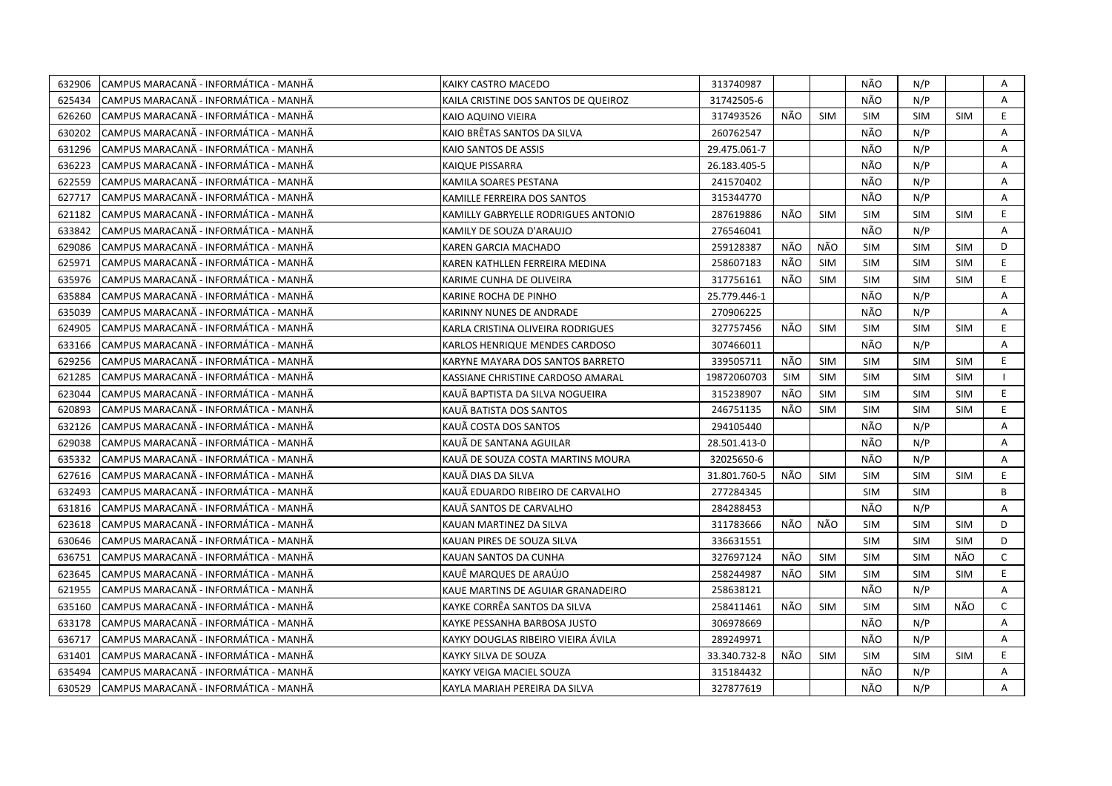| 632906 | CAMPUS MARACANÃ - INFORMÁTICA - MANHÃ  | KAIKY CASTRO MACEDO                  | 313740987    |            |            | NÃO        | N/P        |            | A            |
|--------|----------------------------------------|--------------------------------------|--------------|------------|------------|------------|------------|------------|--------------|
| 625434 | ICAMPUS MARACANÃ - INFORMÁTICA - MANHÃ | KAILA CRISTINE DOS SANTOS DE QUEIROZ | 31742505-6   |            |            | NÃO        | N/P        |            | A            |
| 626260 | CAMPUS MARACANÃ - INFORMÁTICA - MANHÃ  | KAIO AQUINO VIEIRA                   | 317493526    | NÃO        | <b>SIM</b> | SIM        | <b>SIM</b> | <b>SIM</b> | E            |
| 630202 | ICAMPUS MARACANÃ - INFORMÁTICA - MANHÃ | KAIO BRÊTAS SANTOS DA SILVA          | 260762547    |            |            | NÃO        | N/P        |            | $\mathsf{A}$ |
| 631296 | CAMPUS MARACANÃ - INFORMÁTICA - MANHÃ  | KAIO SANTOS DE ASSIS                 | 29.475.061-7 |            |            | NÃO        | N/P        |            | A            |
| 636223 | CAMPUS MARACANÃ - INFORMÁTICA - MANHÃ  | KAIQUE PISSARRA                      | 26.183.405-5 |            |            | NÃO        | N/P        |            | $\mathsf{A}$ |
| 622559 | CAMPUS MARACANÃ - INFORMÁTICA - MANHÃ  | KAMILA SOARES PESTANA                | 241570402    |            |            | NÃO        | N/P        |            | A            |
| 627717 | CAMPUS MARACANÃ - INFORMÁTICA - MANHÃ  | KAMILLE FERREIRA DOS SANTOS          | 315344770    |            |            | NÃO        | N/P        |            | A            |
| 621182 | ICAMPUS MARACANÃ - INFORMÁTICA - MANHÃ | KAMILLY GABRYELLE RODRIGUES ANTONIO  | 287619886    | NÃO        | <b>SIM</b> | <b>SIM</b> | <b>SIM</b> | <b>SIM</b> | E.           |
| 633842 | CAMPUS MARACANÃ - INFORMÁTICA - MANHÃ  | KAMILY DE SOUZA D'ARAUJO             | 276546041    |            |            | NÃO        | N/P        |            | A            |
| 629086 | ICAMPUS MARACANÃ - INFORMÁTICA - MANHÃ | KAREN GARCIA MACHADO                 | 259128387    | NÃO        | NÃO        | <b>SIM</b> | <b>SIM</b> | <b>SIM</b> | D            |
| 625971 | CAMPUS MARACANÃ - INFORMÁTICA - MANHÃ  | KAREN KATHLLEN FERREIRA MEDINA       | 258607183    | NÃO        | <b>SIM</b> | <b>SIM</b> | <b>SIM</b> | <b>SIM</b> | E.           |
| 635976 | CAMPUS MARACANÃ - INFORMÁTICA - MANHÃ  | KARIME CUNHA DE OLIVEIRA             | 317756161    | NÃO        | <b>SIM</b> | <b>SIM</b> | <b>SIM</b> | <b>SIM</b> | E.           |
| 635884 | CAMPUS MARACANÃ - INFORMÁTICA - MANHÃ  | KARINE ROCHA DE PINHO                | 25.779.446-1 |            |            | NÃO        | N/P        |            | A            |
| 635039 | CAMPUS MARACANÃ - INFORMÁTICA - MANHÃ  | KARINNY NUNES DE ANDRADE             | 270906225    |            |            | NÃO        | N/P        |            | Α            |
| 624905 | CAMPUS MARACANÃ - INFORMÁTICA - MANHÃ  | KARLA CRISTINA OLIVEIRA RODRIGUES    | 327757456    | NÃO        | <b>SIM</b> | SIM        | <b>SIM</b> | SIM        | E.           |
| 633166 | CAMPUS MARACANA - INFORMÁTICA - MANHÃ  | KARLOS HENRIQUE MENDES CARDOSO       | 307466011    |            |            | NÃO        | N/P        |            | A            |
| 629256 | CAMPUS MARACANA - INFORMÁTICA - MANHÃ  | KARYNE MAYARA DOS SANTOS BARRETO     | 339505711    | NÃO        | <b>SIM</b> | <b>SIM</b> | <b>SIM</b> | <b>SIM</b> | E            |
| 621285 | CAMPUS MARACANÃ - INFORMÁTICA - MANHÃ  | KASSIANE CHRISTINE CARDOSO AMARAL    | 19872060703  | <b>SIM</b> | <b>SIM</b> | <b>SIM</b> | <b>SIM</b> | SIM        |              |
| 623044 | CAMPUS MARACANÃ - INFORMÁTICA - MANHÃ  | KAUÃ BAPTISTA DA SILVA NOGUEIRA      | 315238907    | NÃO        | <b>SIM</b> | <b>SIM</b> | <b>SIM</b> | <b>SIM</b> | E.           |
| 620893 | CAMPUS MARACANÃ - INFORMÁTICA - MANHÃ  | KAUÃ BATISTA DOS SANTOS              | 246751135    | NÃO        | <b>SIM</b> | <b>SIM</b> | <b>SIM</b> | <b>SIM</b> | E.           |
| 632126 | CAMPUS MARACANÃ - INFORMÁTICA - MANHÃ  | KAUÃ COSTA DOS SANTOS                | 294105440    |            |            | NÃO        | N/P        |            | A            |
| 629038 | CAMPUS MARACANÃ - INFORMÁTICA - MANHÃ  | KAUÄ DE SANTANA AGUILAR              | 28.501.413-0 |            |            | NÃO        | N/P        |            | A            |
| 635332 | ICAMPUS MARACANÃ - INFORMÁTICA - MANHÃ | KAUÃ DE SOUZA COSTA MARTINS MOURA    | 32025650-6   |            |            | NÃO        | N/P        |            | A            |
| 627616 | CAMPUS MARACANA - INFORMÁTICA - MANHA  | KAUÃ DIAS DA SILVA                   | 31.801.760-5 | NÃO        | <b>SIM</b> | <b>SIM</b> | <b>SIM</b> | <b>SIM</b> | E.           |
| 632493 | CAMPUS MARACANA - INFORMÁTICA - MANHA  | KAUÃ EDUARDO RIBEIRO DE CARVALHO     | 277284345    |            |            | <b>SIM</b> | <b>SIM</b> |            | B            |
| 631816 | CAMPUS MARACANÃ - INFORMÁTICA - MANHÃ  | KAUÄ SANTOS DE CARVALHO              | 284288453    |            |            | NÃO        | N/P        |            | A            |
| 623618 | CAMPUS MARACANÃ - INFORMÁTICA - MANHÃ  | KAUAN MARTINEZ DA SILVA              | 311783666    | NÃO        | NÃO        | <b>SIM</b> | <b>SIM</b> | SIM        | D            |
| 630646 | CAMPUS MARACANÃ - INFORMÁTICA - MANHÃ  | KAUAN PIRES DE SOUZA SILVA           | 336631551    |            |            | <b>SIM</b> | <b>SIM</b> | <b>SIM</b> | D            |
| 636751 | CAMPUS MARACANÃ - INFORMÁTICA - MANHÃ  | KAUAN SANTOS DA CUNHA                | 327697124    | NÃO        | SIM        | <b>SIM</b> | <b>SIM</b> | NÃO        | $\mathsf{C}$ |
| 623645 | CAMPUS MARACANÃ - INFORMÁTICA - MANHÃ  | KAUÊ MARQUES DE ARAÚJO               | 258244987    | NÃO        | <b>SIM</b> | <b>SIM</b> | <b>SIM</b> | <b>SIM</b> | E            |
| 621955 | CAMPUS MARACANÃ - INFORMÁTICA - MANHÃ  | KAUE MARTINS DE AGUIAR GRANADEIRO    | 258638121    |            |            | NÃO        | N/P        |            | A            |
| 635160 | CAMPUS MARACANA - INFORMATICA - MANHA  | KAYKE CORRÊA SANTOS DA SILVA         | 258411461    | NÃO        | <b>SIM</b> | <b>SIM</b> | <b>SIM</b> | NÃO        | $\mathsf{C}$ |
| 633178 | CAMPUS MARACANÃ - INFORMÁTICA - MANHÃ  | KAYKE PESSANHA BARBOSA JUSTO         | 306978669    |            |            | NÃO        | N/P        |            | A            |
| 636717 | CAMPUS MARACANA - INFORMATICA - MANHA  | KAYKY DOUGLAS RIBEIRO VIEIRA ÁVILA   | 289249971    |            |            | NÃO        | N/P        |            | Α            |
| 631401 | CAMPUS MARACANÃ - INFORMÁTICA - MANHÃ  | KAYKY SILVA DE SOUZA                 | 33.340.732-8 | NÃO        | <b>SIM</b> | <b>SIM</b> | <b>SIM</b> | SIM        | E.           |
| 635494 | CAMPUS MARACANÃ - INFORMÁTICA - MANHÃ  | KAYKY VEIGA MACIEL SOUZA             | 315184432    |            |            | NÃO        | N/P        |            | A            |
| 630529 | CAMPUS MARACANA - INFORMÁTICA - MANHÃ  | KAYLA MARIAH PEREIRA DA SILVA        | 327877619    |            |            | NÃO        | N/P        |            | A            |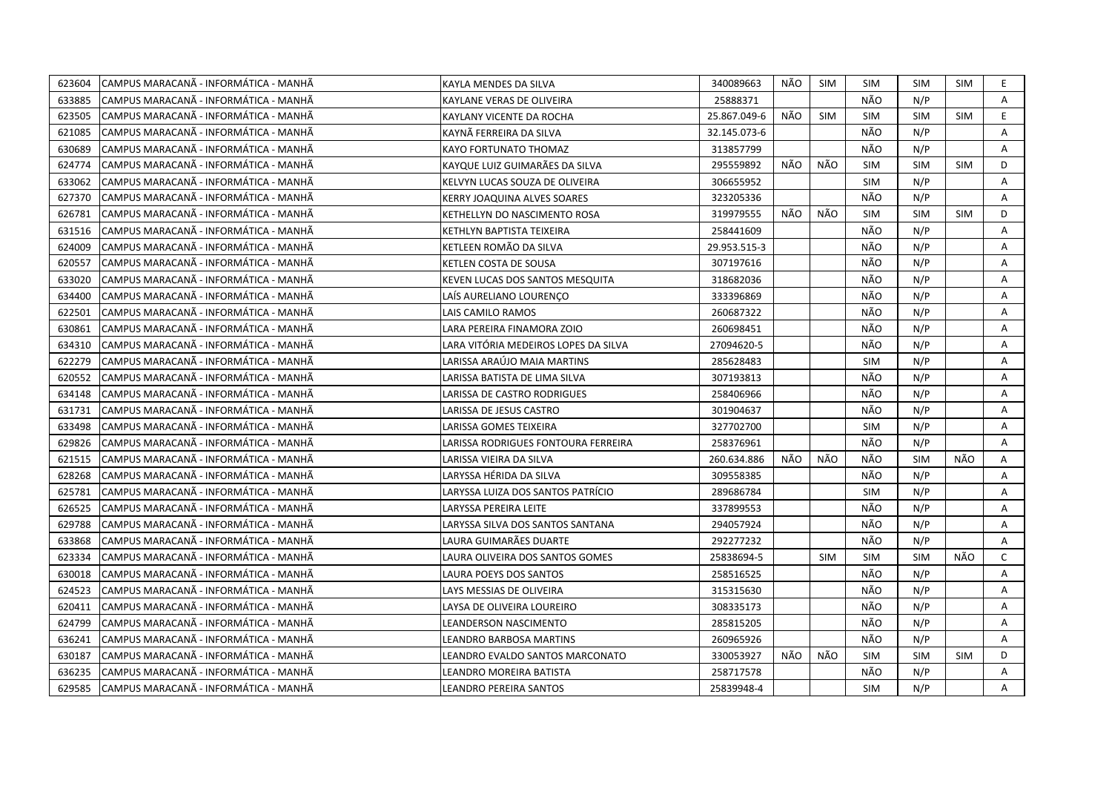| 623604 | CAMPUS MARACANÃ - INFORMÁTICA - MANHÃ  | KAYLA MENDES DA SILVA                | 340089663    | NÃO | <b>SIM</b> | SIM        | <b>SIM</b> | <b>SIM</b> | E.           |
|--------|----------------------------------------|--------------------------------------|--------------|-----|------------|------------|------------|------------|--------------|
| 633885 | ICAMPUS MARACANÃ - INFORMÁTICA - MANHÃ | KAYLANE VERAS DE OLIVEIRA            | 25888371     |     |            | NÃO        | N/P        |            | A            |
| 623505 | CAMPUS MARACANA - INFORMÁTICA - MANHÃ  | KAYLANY VICENTE DA ROCHA             | 25.867.049-6 | NÃO | <b>SIM</b> | SIM        | <b>SIM</b> | <b>SIM</b> | E            |
| 621085 | CAMPUS MARACANÃ - INFORMÁTICA - MANHÃ  | KAYNÄ FERREIRA DA SILVA              | 32.145.073-6 |     |            | NÃO        | N/P        |            | A            |
| 630689 | CAMPUS MARACANÃ - INFORMÁTICA - MANHÃ  | KAYO FORTUNATO THOMAZ                | 313857799    |     |            | NÃO        | N/P        |            | A            |
| 624774 | CAMPUS MARACANÃ - INFORMÁTICA - MANHÃ  | KAYQUE LUIZ GUIMARÃES DA SILVA       | 295559892    | NÃO | NÃO        | <b>SIM</b> | <b>SIM</b> | <b>SIM</b> | D            |
| 633062 | CAMPUS MARACANÃ - INFORMÁTICA - MANHÃ  | KELVYN LUCAS SOUZA DE OLIVEIRA       | 306655952    |     |            | <b>SIM</b> | N/P        |            | A            |
| 627370 | CAMPUS MARACANÃ - INFORMÁTICA - MANHÃ  | KERRY JOAQUINA ALVES SOARES          | 323205336    |     |            | NÃO        | N/P        |            | A            |
| 626781 | CAMPUS MARACANÃ - INFORMÁTICA - MANHÃ  | KETHELLYN DO NASCIMENTO ROSA         | 319979555    | NÃO | NÃO        | <b>SIM</b> | <b>SIM</b> | <b>SIM</b> | D            |
| 631516 | CAMPUS MARACANA - INFORMÁTICA - MANHÃ  | KETHLYN BAPTISTA TEIXEIRA            | 258441609    |     |            | NÃO        | N/P        |            | A            |
| 624009 | CAMPUS MARACANÃ - INFORMÁTICA - MANHÃ  | KETLEEN ROMÃO DA SILVA               | 29.953.515-3 |     |            | NÃO        | N/P        |            | Α            |
| 620557 | CAMPUS MARACANÃ - INFORMÁTICA - MANHÃ  | KETLEN COSTA DE SOUSA                | 307197616    |     |            | NÃO        | N/P        |            | A            |
| 633020 | CAMPUS MARACANÃ - INFORMÁTICA - MANHÃ  | KEVEN LUCAS DOS SANTOS MESQUITA      | 318682036    |     |            | NÃO        | N/P        |            | Α            |
| 634400 | CAMPUS MARACANÃ - INFORMÁTICA - MANHÃ  | LAÍS AURELIANO LOURENCO              | 333396869    |     |            | NÃO        | N/P        |            | A            |
| 622501 | CAMPUS MARACANA - INFORMÁTICA - MANHÃ  | LAIS CAMILO RAMOS                    | 260687322    |     |            | NÃO        | N/P        |            | A            |
| 630861 | ICAMPUS MARACANÃ - INFORMÁTICA - MANHÃ | LARA PEREIRA FINAMORA ZOIO           | 260698451    |     |            | NÃO        | N/P        |            | A            |
| 634310 | CAMPUS MARACANA - INFORMÁTICA - MANHÃ  | LARA VITÓRIA MEDEIROS LOPES DA SILVA | 27094620-5   |     |            | NÃO        | N/P        |            | A            |
| 622279 | CAMPUS MARACANÃ - INFORMÁTICA - MANHÃ  | LARISSA ARAÚJO MAIA MARTINS          | 285628483    |     |            | <b>SIM</b> | N/P        |            | Α            |
| 620552 | CAMPUS MARACANA - INFORMÁTICA - MANHÃ  | LARISSA BATISTA DE LIMA SILVA        | 307193813    |     |            | NÃO        | N/P        |            | Α            |
| 634148 | CAMPUS MARACANÃ - INFORMÁTICA - MANHÃ  | LARISSA DE CASTRO RODRIGUES          | 258406966    |     |            | NÃO        | N/P        |            | A            |
| 631731 | CAMPUS MARACANÃ - INFORMÁTICA - MANHÃ  | LARISSA DE JESUS CASTRO              | 301904637    |     |            | NÃO        | N/P        |            | A            |
| 633498 | CAMPUS MARACANA - INFORMÁTICA - MANHÃ  | LARISSA GOMES TEIXEIRA               | 327702700    |     |            | <b>SIM</b> | N/P        |            | Α            |
| 629826 | ICAMPUS MARACANÃ - INFORMÁTICA - MANHÃ | LARISSA RODRIGUES FONTOURA FERREIRA  | 258376961    |     |            | NÃO        | N/P        |            | A            |
| 621515 | CAMPUS MARACANÃ - INFORMÁTICA - MANHÃ  | LARISSA VIEIRA DA SILVA              | 260.634.886  | NÃO | NÃO        | NÃO        | <b>SIM</b> | NÃO        | A            |
| 628268 | CAMPUS MARACANÃ - INFORMÁTICA - MANHÃ  | LARYSSA HÉRIDA DA SILVA              | 309558385    |     |            | NÃO        | N/P        |            | Α            |
| 625781 | CAMPUS MARACANÃ - INFORMÁTICA - MANHÃ  | LARYSSA LUIZA DOS SANTOS PATRÍCIO    | 289686784    |     |            | <b>SIM</b> | N/P        |            | A            |
| 626525 | CAMPUS MARACANÃ - INFORMÁTICA - MANHÃ  | LARYSSA PEREIRA LEITE                | 337899553    |     |            | NÃO        | N/P        |            | Α            |
| 629788 | CAMPUS MARACANA - INFORMÁTICA - MANHÃ  | LARYSSA SILVA DOS SANTOS SANTANA     | 294057924    |     |            | NÃO        | N/P        |            | A            |
| 633868 | CAMPUS MARACANA - INFORMÁTICA - MANHÃ  | LAURA GUIMARÃES DUARTE               | 292277232    |     |            | NÃO        | N/P        |            | Α            |
| 623334 | CAMPUS MARACANÃ - INFORMÁTICA - MANHÃ  | LAURA OLIVEIRA DOS SANTOS GOMES      | 25838694-5   |     | <b>SIM</b> | <b>SIM</b> | <b>SIM</b> | NÃO        | $\mathsf{C}$ |
| 630018 | CAMPUS MARACANÃ - INFORMÁTICA - MANHÃ  | LAURA POEYS DOS SANTOS               | 258516525    |     |            | NÃO        | N/P        |            | A            |
| 624523 | CAMPUS MARACANÃ - INFORMÁTICA - MANHÃ  | LAYS MESSIAS DE OLIVEIRA             | 315315630    |     |            | NÃO        | N/P        |            | Α            |
| 620411 | CAMPUS MARACANA - INFORMÁTICA - MANHÃ  | LAYSA DE OLIVEIRA LOUREIRO           | 308335173    |     |            | NÃO        | N/P        |            | Α            |
| 624799 | CAMPUS MARACANÃ - INFORMÁTICA - MANHÃ  | LEANDERSON NASCIMENTO                | 285815205    |     |            | NÃO        | N/P        |            | Α            |
| 636241 | CAMPUS MARACANA - INFORMÁTICA - MANHÃ  | <b>LEANDRO BARBOSA MARTINS</b>       | 260965926    |     |            | NÃO        | N/P        |            | A            |
| 630187 | CAMPUS MARACANÃ - INFORMÁTICA - MANHÃ  | LEANDRO EVALDO SANTOS MARCONATO      | 330053927    | NÃO | NÃO        | <b>SIM</b> | <b>SIM</b> | <b>SIM</b> | D            |
| 636235 | ICAMPUS MARACANÃ - INFORMÁTICA - MANHÃ | <b>LEANDRO MOREIRA BATISTA</b>       | 258717578    |     |            | NÃO        | N/P        |            | A            |
| 629585 | CAMPUS MARACANA - INFORMÁTICA - MANHÃ  | <b>LEANDRO PEREIRA SANTOS</b>        | 25839948-4   |     |            | <b>SIM</b> | N/P        |            | A            |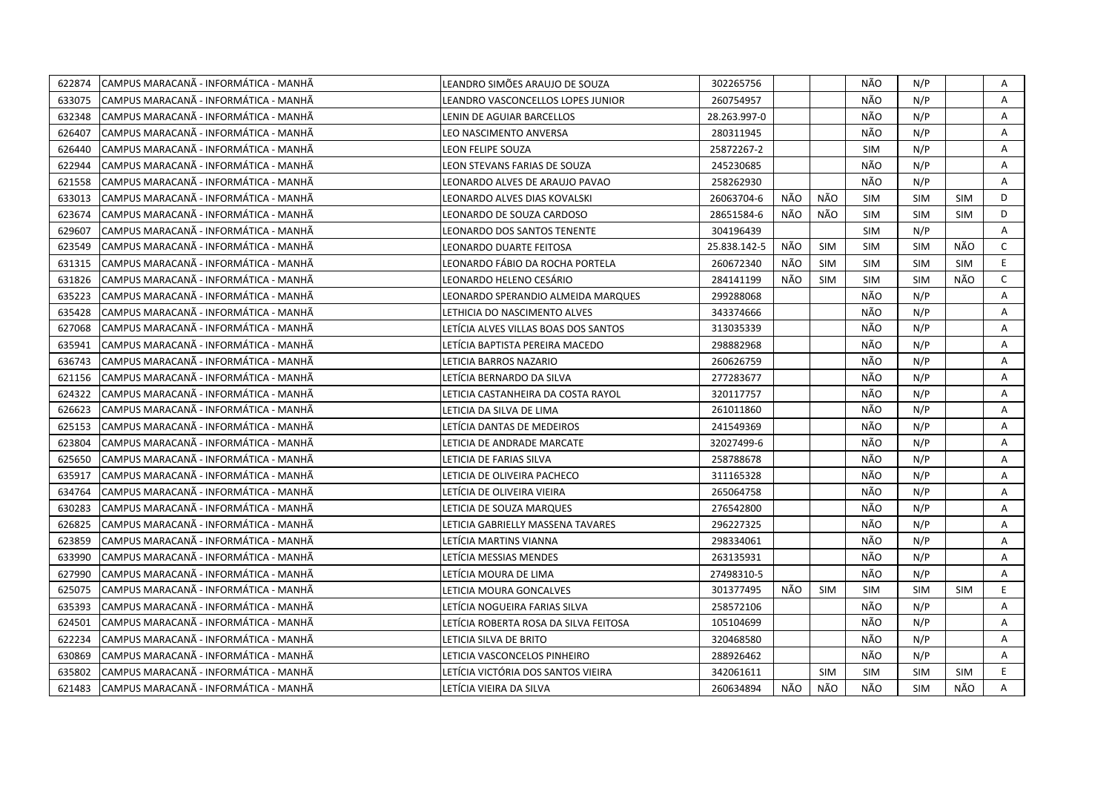| 622874 | CAMPUS MARACANÃ - INFORMÁTICA - MANHÃ | LEANDRO SIMÕES ARAUJO DE SOUZA        | 302265756    |     |            | NÃO        | N/P        |            | Α            |
|--------|---------------------------------------|---------------------------------------|--------------|-----|------------|------------|------------|------------|--------------|
| 633075 | CAMPUS MARACANÃ - INFORMÁTICA - MANHÃ | LEANDRO VASCONCELLOS LOPES JUNIOR     | 260754957    |     |            | NÃO        | N/P        |            | A            |
| 632348 | CAMPUS MARACANÃ - INFORMÁTICA - MANHÃ | LENIN DE AGUIAR BARCELLOS             | 28.263.997-0 |     |            | NÃO        | N/P        |            | Α            |
| 626407 | CAMPUS MARACANÃ - INFORMÁTICA - MANHÃ | LEO NASCIMENTO ANVERSA                | 280311945    |     |            | NÃO        | N/P        |            | Α            |
| 626440 | CAMPUS MARACANÃ - INFORMÁTICA - MANHÃ | LEON FELIPE SOUZA                     | 25872267-2   |     |            | <b>SIM</b> | N/P        |            | Α            |
| 622944 | CAMPUS MARACANÃ - INFORMÁTICA - MANHÃ | LEON STEVANS FARIAS DE SOUZA          | 245230685    |     |            | NÃO        | N/P        |            | Α            |
| 621558 | CAMPUS MARACANÃ - INFORMÁTICA - MANHÃ | LEONARDO ALVES DE ARAUJO PAVAO        | 258262930    |     |            | NÃO        | N/P        |            | Α            |
| 633013 | CAMPUS MARACANÃ - INFORMÁTICA - MANHÃ | LEONARDO ALVES DIAS KOVALSKI          | 26063704-6   | NÃO | NÃO        | <b>SIM</b> | <b>SIM</b> | <b>SIM</b> | D            |
| 623674 | CAMPUS MARACANÃ - INFORMÁTICA - MANHÃ | LEONARDO DE SOUZA CARDOSO             | 28651584-6   | NÃO | NÃO        | <b>SIM</b> | <b>SIM</b> | <b>SIM</b> | D            |
| 629607 | CAMPUS MARACANA - INFORMÁTICA - MANHÃ | LEONARDO DOS SANTOS TENENTE           | 304196439    |     |            | <b>SIM</b> | N/P        |            | A            |
| 623549 | CAMPUS MARACANÃ - INFORMÁTICA - MANHÃ | LEONARDO DUARTE FEITOSA               | 25.838.142-5 | NÃO | <b>SIM</b> | <b>SIM</b> | <b>SIM</b> | NÃO        | $\mathsf{C}$ |
| 631315 | CAMPUS MARACANÃ - INFORMÁTICA - MANHÃ | LEONARDO FÁBIO DA ROCHA PORTELA       | 260672340    | NÃO | <b>SIM</b> | <b>SIM</b> | <b>SIM</b> | <b>SIM</b> | E.           |
| 631826 | CAMPUS MARACANÃ - INFORMÁTICA - MANHÃ | LEONARDO HELENO CESÁRIO               | 284141199    | NÃO | <b>SIM</b> | <b>SIM</b> | <b>SIM</b> | NÃO        | $\mathsf{C}$ |
| 635223 | CAMPUS MARACANÃ - INFORMÁTICA - MANHÃ | LEONARDO SPERANDIO ALMEIDA MARQUES    | 299288068    |     |            | NÃO        | N/P        |            | A            |
| 635428 | CAMPUS MARACANÃ - INFORMÁTICA - MANHÃ | LETHICIA DO NASCIMENTO ALVES          | 343374666    |     |            | NÃO        | N/P        |            | Α            |
| 627068 | CAMPUS MARACANÃ - INFORMÁTICA - MANHÃ | LETÍCIA ALVES VILLAS BOAS DOS SANTOS  | 313035339    |     |            | NÃO        | N/P        |            | A            |
| 635941 | CAMPUS MARACANÃ - INFORMÁTICA - MANHÃ | LETÍCIA BAPTISTA PEREIRA MACEDO       | 298882968    |     |            | NÃO        | N/P        |            | Α            |
| 636743 | CAMPUS MARACANÃ - INFORMÁTICA - MANHÃ | LETICIA BARROS NAZARIO                | 260626759    |     |            | NÃO        | N/P        |            | A            |
| 621156 | CAMPUS MARACANÃ - INFORMÁTICA - MANHÃ | LETÍCIA BERNARDO DA SILVA             | 277283677    |     |            | NÃO        | N/P        |            | A            |
| 624322 | CAMPUS MARACANÃ - INFORMÁTICA - MANHÃ | LETICIA CASTANHEIRA DA COSTA RAYOL    | 320117757    |     |            | NÃO        | N/P        |            | A            |
| 626623 | CAMPUS MARACANA - INFORMATICA - MANHA | LETICIA DA SILVA DE LIMA              | 261011860    |     |            | NÃO        | N/P        |            | A            |
| 625153 | CAMPUS MARACANÃ - INFORMÁTICA - MANHÃ | LETÍCIA DANTAS DE MEDEIROS            | 241549369    |     |            | NÃO        | N/P        |            | A            |
| 623804 | CAMPUS MARACANA - INFORMÁTICA - MANHÃ | LETICIA DE ANDRADE MARCATE            | 32027499-6   |     |            | NÃO        | N/P        |            | A            |
| 625650 | CAMPUS MARACANÃ - INFORMÁTICA - MANHÃ | LETICIA DE FARIAS SILVA               | 258788678    |     |            | NÃO        | N/P        |            | A            |
| 635917 | CAMPUS MARACANÃ - INFORMÁTICA - MANHÃ | LETICIA DE OLIVEIRA PACHECO           | 311165328    |     |            | NÃO        | N/P        |            | Α            |
| 634764 | CAMPUS MARACANA - INFORMATICA - MANHA | LETÍCIA DE OLIVEIRA VIEIRA            | 265064758    |     |            | NÃO        | N/P        |            | A            |
| 630283 | CAMPUS MARACANÃ - INFORMÁTICA - MANHÃ | LETICIA DE SOUZA MARQUES              | 276542800    |     |            | NÃO        | N/P        |            | A            |
| 626825 | CAMPUS MARACANA - INFORMÁTICA - MANHÃ | LETICIA GABRIELLY MASSENA TAVARES     | 296227325    |     |            | NÃO        | N/P        |            | Α            |
| 623859 | CAMPUS MARACANÃ - INFORMÁTICA - MANHÃ | LETÍCIA MARTINS VIANNA                | 298334061    |     |            | NÃO        | N/P        |            | A            |
| 633990 | CAMPUS MARACANÃ - INFORMÁTICA - MANHÃ | LETÍCIA MESSIAS MENDES                | 263135931    |     |            | NÃO        | N/P        |            | Α            |
| 627990 | CAMPUS MARACANÃ - INFORMÁTICA - MANHÃ | LETÍCIA MOURA DE LIMA                 | 27498310-5   |     |            | NÃO        | N/P        |            | A            |
| 625075 | CAMPUS MARACANÃ - INFORMÁTICA - MANHÃ | LETICIA MOURA GONCALVES               | 301377495    | NÃO | <b>SIM</b> | <b>SIM</b> | <b>SIM</b> | <b>SIM</b> | E            |
| 635393 | CAMPUS MARACANÃ - INFORMÁTICA - MANHÃ | LETÍCIA NOGUEIRA FARIAS SILVA         | 258572106    |     |            | NÃO        | N/P        |            | A            |
| 624501 | CAMPUS MARACANÃ - INFORMÁTICA - MANHÃ | LETÍCIA ROBERTA ROSA DA SILVA FEITOSA | 105104699    |     |            | NÃO        | N/P        |            | A            |
| 622234 | CAMPUS MARACANÃ - INFORMÁTICA - MANHÃ | LETICIA SILVA DE BRITO                | 320468580    |     |            | NÃO        | N/P        |            | Α            |
| 630869 | CAMPUS MARACANÃ - INFORMÁTICA - MANHÃ | LETICIA VASCONCELOS PINHEIRO          | 288926462    |     |            | NÃO        | N/P        |            | Α            |
| 635802 | CAMPUS MARACANÃ - INFORMÁTICA - MANHÃ | LETÍCIA VICTÓRIA DOS SANTOS VIEIRA    | 342061611    |     | <b>SIM</b> | <b>SIM</b> | <b>SIM</b> | <b>SIM</b> | E            |
| 621483 | CAMPUS MARACANÃ - INFORMÁTICA - MANHÃ | LETÍCIA VIEIRA DA SILVA               | 260634894    | NÃO | NÃO        | NÃO        | <b>SIM</b> | NÃO        | A            |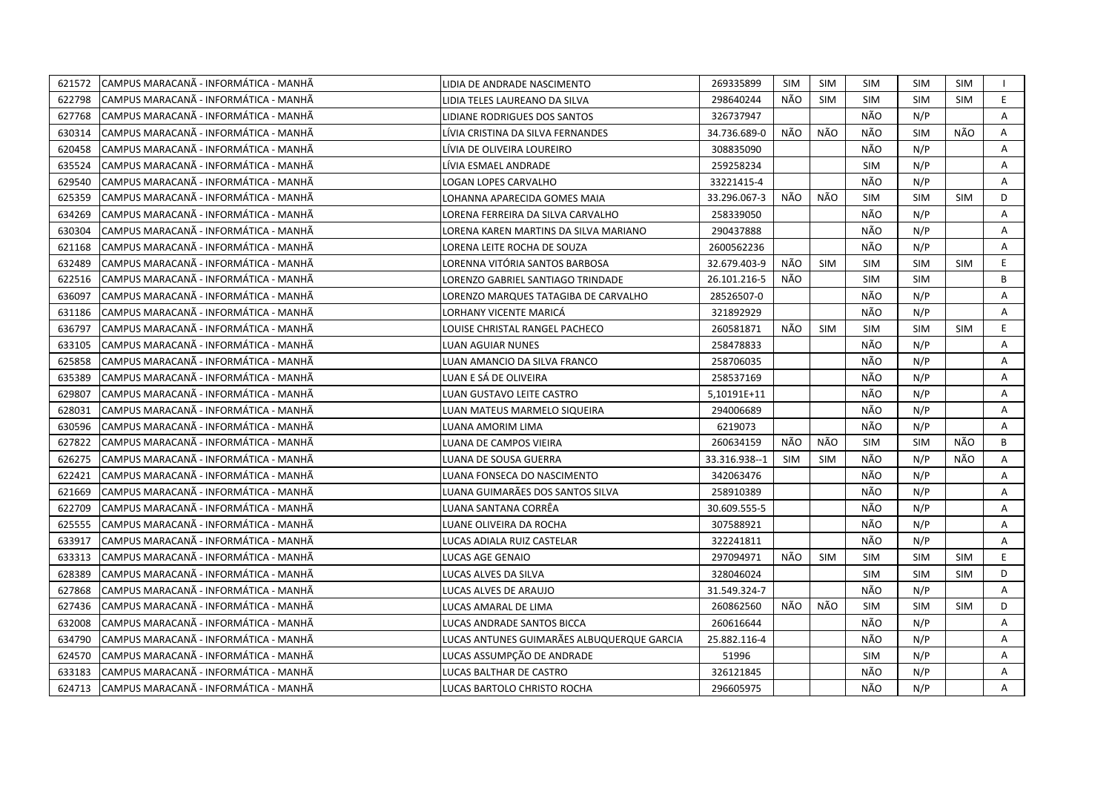| 621572 | CAMPUS MARACANÃ - INFORMÁTICA - MANHÃ  | LIDIA DE ANDRADE NASCIMENTO                | 269335899     | <b>SIM</b> | SIM        | <b>SIM</b> | <b>SIM</b> | SIM        |    |
|--------|----------------------------------------|--------------------------------------------|---------------|------------|------------|------------|------------|------------|----|
| 622798 | ICAMPUS MARACANÃ - INFORMÁTICA - MANHÃ | LIDIA TELES LAUREANO DA SILVA              | 298640244     | NÃO        | <b>SIM</b> | <b>SIM</b> | <b>SIM</b> | <b>SIM</b> | E. |
| 627768 | CAMPUS MARACANA - INFORMÁTICA - MANHÃ  | LIDIANE RODRIGUES DOS SANTOS               | 326737947     |            |            | NÃO        | N/P        |            | A  |
| 630314 | ICAMPUS MARACANÃ - INFORMÁTICA - MANHÃ | LÍVIA CRISTINA DA SILVA FERNANDES          | 34.736.689-0  | NÃO        | NÃO        | NÃO        | <b>SIM</b> | NÃO        | Α  |
| 620458 | CAMPUS MARACANÃ - INFORMÁTICA - MANHÃ  | LÍVIA DE OLIVEIRA LOUREIRO                 | 308835090     |            |            | NÃO        | N/P        |            | Α  |
| 635524 | CAMPUS MARACANÃ - INFORMÁTICA - MANHÃ  | LÍVIA ESMAEL ANDRADE                       | 259258234     |            |            | <b>SIM</b> | N/P        |            | A  |
| 629540 | CAMPUS MARACANÃ - INFORMÁTICA - MANHÃ  | <b>LOGAN LOPES CARVALHO</b>                | 33221415-4    |            |            | NÃO        | N/P        |            | A  |
| 625359 | CAMPUS MARACANÃ - INFORMÁTICA - MANHÃ  | LOHANNA APARECIDA GOMES MAIA               | 33.296.067-3  | NÃO        | NÃO        | <b>SIM</b> | <b>SIM</b> | <b>SIM</b> | D  |
| 634269 | CAMPUS MARACANÃ - INFORMÁTICA - MANHÃ  | LORENA FERREIRA DA SILVA CARVALHO          | 258339050     |            |            | NÃO        | N/P        |            | A  |
| 630304 | CAMPUS MARACANÃ - INFORMÁTICA - MANHÃ  | LORENA KAREN MARTINS DA SILVA MARIANO      | 290437888     |            |            | NÃO        | N/P        |            | A  |
| 621168 | CAMPUS MARACANA - INFORMATICA - MANHA  | LORENA LEITE ROCHA DE SOUZA                | 2600562236    |            |            | NÃO        | N/P        |            | A  |
| 632489 | CAMPUS MARACANÃ - INFORMÁTICA - MANHÃ  | LORENNA VITÓRIA SANTOS BARBOSA             | 32.679.403-9  | NÃO        | <b>SIM</b> | <b>SIM</b> | <b>SIM</b> | <b>SIM</b> | E  |
| 622516 | CAMPUS MARACANÃ - INFORMÁTICA - MANHÃ  | LORENZO GABRIEL SANTIAGO TRINDADE          | 26.101.216-5  | NÃO        |            | <b>SIM</b> | <b>SIM</b> |            | B  |
| 636097 | CAMPUS MARACANÃ - INFORMÁTICA - MANHÃ  | LORENZO MARQUES TATAGIBA DE CARVALHO       | 28526507-0    |            |            | NÃO        | N/P        |            | Α  |
| 631186 | ICAMPUS MARACANÃ - INFORMÁTICA - MANHÃ | LORHANY VICENTE MARICÁ                     | 321892929     |            |            | NÃO        | N/P        |            | A  |
| 636797 | CAMPUS MARACANA - INFORMÁTICA - MANHÃ  | LOUISE CHRISTAL RANGEL PACHECO             | 260581871     | NÃO        | <b>SIM</b> | <b>SIM</b> | <b>SIM</b> | <b>SIM</b> | E  |
| 633105 | CAMPUS MARACANÃ - INFORMÁTICA - MANHÃ  | <b>LUAN AGUIAR NUNES</b>                   | 258478833     |            |            | NÃO        | N/P        |            | A  |
| 625858 | CAMPUS MARACANÃ - INFORMÁTICA - MANHÃ  | LUAN AMANCIO DA SILVA FRANCO               | 258706035     |            |            | NÃO        | N/P        |            | Α  |
| 635389 | CAMPUS MARACANÃ - INFORMÁTICA - MANHÃ  | LUAN E SÁ DE OLIVEIRA                      | 258537169     |            |            | NÃO        | N/P        |            | Α  |
| 629807 | CAMPUS MARACANÃ - INFORMÁTICA - MANHÃ  | LUAN GUSTAVO LEITE CASTRO                  | 5,10191E+11   |            |            | NÃO        | N/P        |            | A  |
| 628031 | CAMPUS MARACANÃ - INFORMÁTICA - MANHÃ  | LUAN MATEUS MARMELO SIQUEIRA               | 294006689     |            |            | NÃO        | N/P        |            | Α  |
| 630596 | ICAMPUS MARACANÃ - INFORMÁTICA - MANHÃ | LUANA AMORIM LIMA                          | 6219073       |            |            | NÃO        | N/P        |            | A  |
| 627822 | CAMPUS MARACANA - INFORMATICA - MANHA  | LUANA DE CAMPOS VIEIRA                     | 260634159     | NÃO        | NÃO        | <b>SIM</b> | <b>SIM</b> | NÃO        | B  |
| 626275 | CAMPUS MARACANA - INFORMATICA - MANHA  | LUANA DE SOUSA GUERRA                      | 33.316.938--1 | <b>SIM</b> | <b>SIM</b> | NÃO        | N/P        | NÃO        | A  |
| 622421 | CAMPUS MARACANÃ - INFORMÁTICA - MANHÃ  | LUANA FONSECA DO NASCIMENTO                | 342063476     |            |            | NÃO        | N/P        |            | A  |
| 621669 | CAMPUS MARACANÃ - INFORMÁTICA - MANHÃ  | LUANA GUIMARÃES DOS SANTOS SILVA           | 258910389     |            |            | NÃO        | N/P        |            | A  |
| 622709 | CAMPUS MARACANÃ - INFORMÁTICA - MANHÃ  | LUANA SANTANA CORRËA                       | 30.609.555-5  |            |            | NÃO        | N/P        |            | A  |
| 625555 | CAMPUS MARACANÃ - INFORMÁTICA - MANHÃ  | LUANE OLIVEIRA DA ROCHA                    | 307588921     |            |            | NÃO        | N/P        |            | A  |
| 633917 | CAMPUS MARACANA - INFORMÁTICA - MANHÃ  | LUCAS ADIALA RUIZ CASTELAR                 | 322241811     |            |            | NÃO        | N/P        |            | A  |
| 633313 | CAMPUS MARACANÃ - INFORMÁTICA - MANHÃ  | LUCAS AGE GENAIO                           | 297094971     | NÃO        | SIM        | <b>SIM</b> | <b>SIM</b> | <b>SIM</b> | E  |
| 628389 | CAMPUS MARACANÃ - INFORMÁTICA - MANHÃ  | LUCAS ALVES DA SILVA                       | 328046024     |            |            | <b>SIM</b> | <b>SIM</b> | <b>SIM</b> | D  |
| 627868 | CAMPUS MARACANÃ - INFORMÁTICA - MANHÃ  | LUCAS ALVES DE ARAUJO                      | 31.549.324-7  |            |            | NÃO        | N/P        |            | Α  |
| 627436 | CAMPUS MARACANÃ - INFORMÁTICA - MANHÃ  | LUCAS AMARAL DE LIMA                       | 260862560     | NÃO        | NÃO        | <b>SIM</b> | <b>SIM</b> | <b>SIM</b> | D  |
| 632008 | CAMPUS MARACANÃ - INFORMÁTICA - MANHÃ  | LUCAS ANDRADE SANTOS BICCA                 | 260616644     |            |            | NÃO        | N/P        |            | Α  |
| 634790 | ICAMPUS MARACANÃ - INFORMÁTICA - MANHÃ | LUCAS ANTUNES GUIMARÃES ALBUQUERQUE GARCIA | 25.882.116-4  |            |            | NÃO        | N/P        |            | A  |
| 624570 | CAMPUS MARACANÃ - INFORMÁTICA - MANHÃ  | LUCAS ASSUMPÇÃO DE ANDRADE                 | 51996         |            |            | <b>SIM</b> | N/P        |            | Α  |
| 633183 | CAMPUS MARACANÃ - INFORMÁTICA - MANHÃ  | LUCAS BALTHAR DE CASTRO                    | 326121845     |            |            | NÃO        | N/P        |            | A  |
| 624713 | CAMPUS MARACANA - INFORMÁTICA - MANHÃ  | LUCAS BARTOLO CHRISTO ROCHA                | 296605975     |            |            | NÃO        | N/P        |            | A  |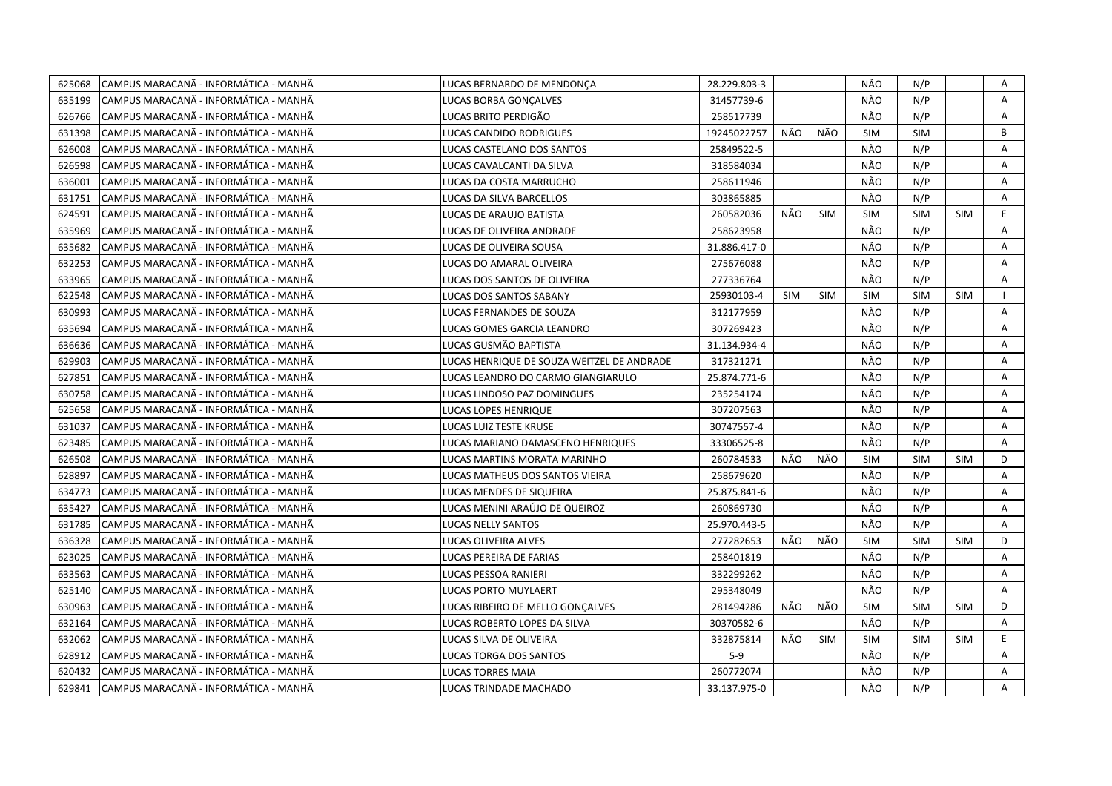| 625068 | CAMPUS MARACANÃ - INFORMÁTICA - MANHÃ  | LUCAS BERNARDO DE MENDONCA                 | 28.229.803-3 |            |            | NÃO        | N/P        |            | Α  |
|--------|----------------------------------------|--------------------------------------------|--------------|------------|------------|------------|------------|------------|----|
| 635199 | ICAMPUS MARACANÃ - INFORMÁTICA - MANHÃ | LUCAS BORBA GONCALVES                      | 31457739-6   |            |            | NÃO        | N/P        |            | A  |
| 626766 | CAMPUS MARACANÃ - INFORMÁTICA - MANHÃ  | LUCAS BRITO PERDIGÃO                       | 258517739    |            |            | NÃO        | N/P        |            | Α  |
| 631398 | ICAMPUS MARACANÃ - INFORMÁTICA - MANHÃ | <b>LUCAS CANDIDO RODRIGUES</b>             | 19245022757  | NÃO        | NÃO        | <b>SIM</b> | <b>SIM</b> |            | B  |
| 626008 | CAMPUS MARACANÃ - INFORMÁTICA - MANHÃ  | LUCAS CASTELANO DOS SANTOS                 | 25849522-5   |            |            | NÃO        | N/P        |            | Α  |
| 626598 | ICAMPUS MARACANÃ - INFORMÁTICA - MANHÃ | LUCAS CAVALCANTI DA SILVA                  | 318584034    |            |            | NÃO        | N/P        |            | Α  |
| 636001 | ICAMPUS MARACANÃ - INFORMÁTICA - MANHÃ | LUCAS DA COSTA MARRUCHO                    | 258611946    |            |            | NÃO        | N/P        |            | Α  |
| 631751 | ICAMPUS MARACANÃ - INFORMÁTICA - MANHÃ | LUCAS DA SILVA BARCELLOS                   | 303865885    |            |            | NÃO        | N/P        |            | A  |
| 624591 | CAMPUS MARACANÃ - INFORMÁTICA - MANHÃ  | LUCAS DE ARAUJO BATISTA                    | 260582036    | NÃO        | <b>SIM</b> | <b>SIM</b> | <b>SIM</b> | <b>SIM</b> | E  |
| 635969 | ICAMPUS MARACANÃ - INFORMÁTICA - MANHÃ | LUCAS DE OLIVEIRA ANDRADE                  | 258623958    |            |            | NÃO        | N/P        |            | A  |
| 635682 | CAMPUS MARACANÃ - INFORMÁTICA - MANHÃ  | LUCAS DE OLIVEIRA SOUSA                    | 31.886.417-0 |            |            | NÃO        | N/P        |            | A  |
| 632253 | CAMPUS MARACANÃ - INFORMÁTICA - MANHÃ  | LUCAS DO AMARAL OLIVEIRA                   | 275676088    |            |            | NÃO        | N/P        |            | A  |
| 633965 | CAMPUS MARACANÃ - INFORMÁTICA - MANHÃ  | LUCAS DOS SANTOS DE OLIVEIRA               | 277336764    |            |            | NÃO        | N/P        |            | Α  |
| 622548 | CAMPUS MARACANÃ - INFORMÁTICA - MANHÃ  | LUCAS DOS SANTOS SABANY                    | 25930103-4   | <b>SIM</b> | <b>SIM</b> | <b>SIM</b> | <b>SIM</b> | <b>SIM</b> |    |
| 630993 | CAMPUS MARACANA - INFORMÁTICA - MANHÃ  | LUCAS FERNANDES DE SOUZA                   | 312177959    |            |            | NÃO        | N/P        |            | A  |
| 635694 | CAMPUS MARACANA - INFORMÁTICA - MANHÃ  | LUCAS GOMES GARCIA LEANDRO                 | 307269423    |            |            | NÃO        | N/P        |            | Α  |
| 636636 | CAMPUS MARACANA - INFORMÁTICA - MANHÃ  | LUCAS GUSMÃO BAPTISTA                      | 31.134.934-4 |            |            | NÃO        | N/P        |            | Α  |
| 629903 | CAMPUS MARACANÃ - INFORMÁTICA - MANHÃ  | LUCAS HENRIQUE DE SOUZA WEITZEL DE ANDRADE | 317321271    |            |            | NÃO        | N/P        |            | A  |
| 627851 | CAMPUS MARACANA - INFORMÁTICA - MANHÃ  | LUCAS LEANDRO DO CARMO GIANGIARULO         | 25.874.771-6 |            |            | NÃO        | N/P        |            | Α  |
| 630758 | CAMPUS MARACANÃ - INFORMÁTICA - MANHÃ  | LUCAS LINDOSO PAZ DOMINGUES                | 235254174    |            |            | NÃO        | N/P        |            | Α  |
| 625658 | CAMPUS MARACANÃ - INFORMÁTICA - MANHÃ  | LUCAS LOPES HENRIQUE                       | 307207563    |            |            | NÃO        | N/P        |            | A  |
| 631037 | CAMPUS MARACANÃ - INFORMÁTICA - MANHÃ  | LUCAS LUIZ TESTE KRUSE                     | 30747557-4   |            |            | NÃO        | N/P        |            | Α  |
| 623485 | ICAMPUS MARACANÃ - INFORMÁTICA - MANHÃ | LUCAS MARIANO DAMASCENO HENRIQUES          | 33306525-8   |            |            | NÃO        | N/P        |            | A  |
| 626508 | CAMPUS MARACANA - INFORMATICA - MANHA  | LUCAS MARTINS MORATA MARINHO               | 260784533    | NÃO        | NÃO        | <b>SIM</b> | <b>SIM</b> | <b>SIM</b> | D  |
| 628897 | ICAMPUS MARACANÃ - INFORMÁTICA - MANHÃ | LUCAS MATHEUS DOS SANTOS VIEIRA            | 258679620    |            |            | NÃO        | N/P        |            | A  |
| 634773 | CAMPUS MARACANA - INFORMATICA - MANHA  | LUCAS MENDES DE SIQUEIRA                   | 25.875.841-6 |            |            | NÃO        | N/P        |            | Α  |
| 635427 | CAMPUS MARACANA - INFORMATICA - MANHA  | LUCAS MENINI ARAÚJO DE QUEIROZ             | 260869730    |            |            | NÃO        | N/P        |            | A  |
| 631785 | CAMPUS MARACANÃ - INFORMÁTICA - MANHÃ  | LUCAS NELLY SANTOS                         | 25.970.443-5 |            |            | NÃO        | N/P        |            | A  |
| 636328 | CAMPUS MARACANÃ - INFORMÁTICA - MANHÃ  | LUCAS OLIVEIRA ALVES                       | 277282653    | NÃO        | NÃO        | <b>SIM</b> | <b>SIM</b> | <b>SIM</b> | D  |
| 623025 | CAMPUS MARACANA - INFORMÁTICA - MANHÃ  | LUCAS PEREIRA DE FARIAS                    | 258401819    |            |            | NÃO        | N/P        |            | A  |
| 633563 | ICAMPUS MARACANÃ - INFORMÁTICA - MANHÃ | LUCAS PESSOA RANIERI                       | 332299262    |            |            | NÃO        | N/P        |            | A  |
| 625140 | CAMPUS MARACANÃ - INFORMÁTICA - MANHÃ  | LUCAS PORTO MUYLAERT                       | 295348049    |            |            | NÃO        | N/P        |            | A  |
| 630963 | CAMPUS MARACANA - INFORMATICA - MANHA  | LUCAS RIBEIRO DE MELLO GONCALVES           | 281494286    | NÃO        | NÃO        | <b>SIM</b> | <b>SIM</b> | <b>SIM</b> | D  |
| 632164 | CAMPUS MARACANÃ - INFORMÁTICA - MANHÃ  | LUCAS ROBERTO LOPES DA SILVA               | 30370582-6   |            |            | NÃO        | N/P        |            | Α  |
| 632062 | CAMPUS MARACANÃ - INFORMÁTICA - MANHÃ  | LUCAS SILVA DE OLIVEIRA                    | 332875814    | NÃO        | <b>SIM</b> | <b>SIM</b> | <b>SIM</b> | <b>SIM</b> | E. |
| 628912 | CAMPUS MARACANÃ - INFORMÁTICA - MANHÃ  | LUCAS TORGA DOS SANTOS                     | $5-9$        |            |            | NÃO        | N/P        |            | A  |
| 620432 | CAMPUS MARACANÃ - INFORMÁTICA - MANHÃ  | <b>LUCAS TORRES MAIA</b>                   | 260772074    |            |            | NÃO        | N/P        |            | Α  |
| 629841 | CAMPUS MARACANÃ - INFORMÁTICA - MANHÃ  | LUCAS TRINDADE MACHADO                     | 33.137.975-0 |            |            | NÃO        | N/P        |            | A  |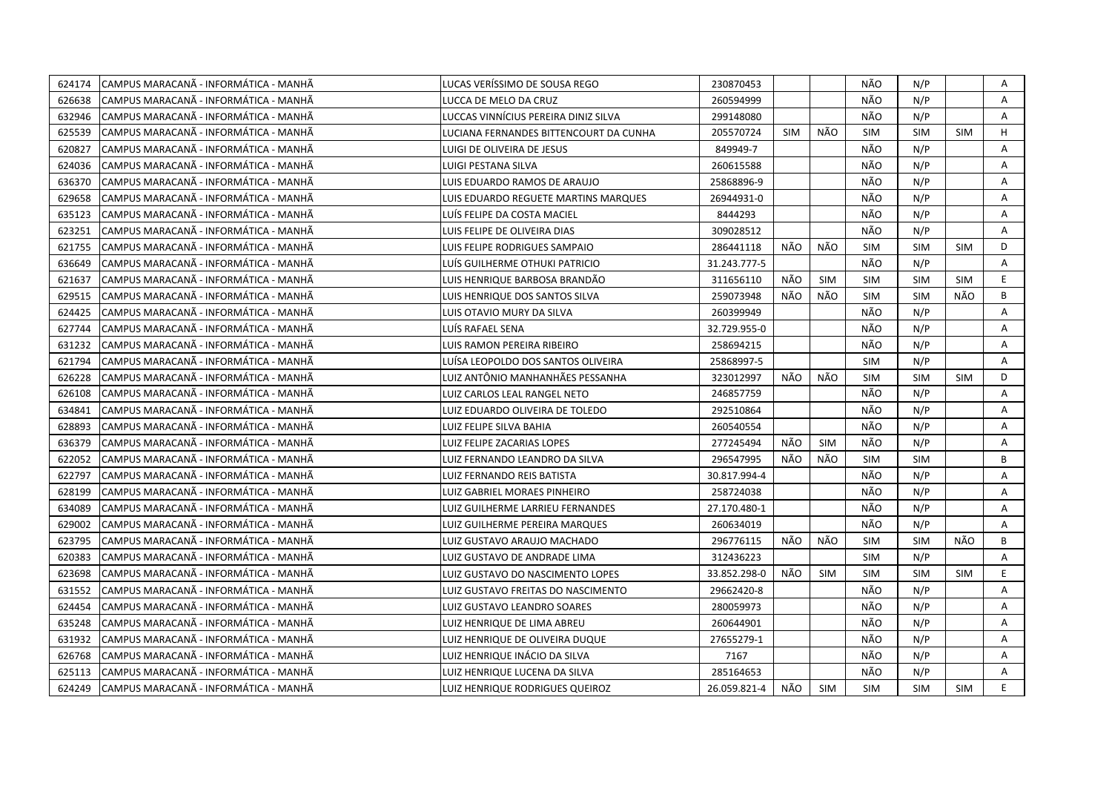| 624174 | CAMPUS MARACANÃ - INFORMÁTICA - MANHÃ  | LUCAS VERÍSSIMO DE SOUSA REGO          | 230870453    |     |            | NÃO        | N/P        |            | Α  |
|--------|----------------------------------------|----------------------------------------|--------------|-----|------------|------------|------------|------------|----|
| 626638 | CAMPUS MARACANÃ - INFORMÁTICA - MANHÃ  | LUCCA DE MELO DA CRUZ                  | 260594999    |     |            | NÃO        | N/P        |            | A  |
| 632946 | ICAMPUS MARACANÃ - INFORMÁTICA - MANHÃ | LUCCAS VINNÍCIUS PEREIRA DINIZ SILVA   | 299148080    |     |            | NÃO        | N/P        |            | A  |
| 625539 | CAMPUS MARACANÃ - INFORMÁTICA - MANHÃ  | LUCIANA FERNANDES BITTENCOURT DA CUNHA | 205570724    | SIM | NÃO        | <b>SIM</b> | <b>SIM</b> | <b>SIM</b> | H  |
| 620827 | CAMPUS MARACANÃ - INFORMÁTICA - MANHÃ  | LUIGI DE OLIVEIRA DE JESUS             | 849949-7     |     |            | NÃO        | N/P        |            | Α  |
| 624036 | CAMPUS MARACANÃ - INFORMÁTICA - MANHÃ  | LUIGI PESTANA SILVA                    | 260615588    |     |            | NÃO        | N/P        |            | Α  |
| 636370 | CAMPUS MARACANÃ - INFORMÁTICA - MANHÃ  | LUIS EDUARDO RAMOS DE ARAUJO           | 25868896-9   |     |            | NÃO        | N/P        |            | A  |
| 629658 | CAMPUS MARACANÃ - INFORMÁTICA - MANHÃ  | LUIS EDUARDO REGUETE MARTINS MARQUES   | 26944931-0   |     |            | NÃO        | N/P        |            | A  |
| 635123 | CAMPUS MARACANÃ - INFORMÁTICA - MANHÃ  | LUÍS FELIPE DA COSTA MACIEL            | 8444293      |     |            | NÃO        | N/P        |            | Α  |
| 623251 | CAMPUS MARACANÃ - INFORMÁTICA - MANHÃ  | LUIS FELIPE DE OLIVEIRA DIAS           | 309028512    |     |            | NÃO        | N/P        |            | A  |
| 621755 | CAMPUS MARACANÃ - INFORMÁTICA - MANHÃ  | LUIS FELIPE RODRIGUES SAMPAIO          | 286441118    | NÃO | NÃO        | <b>SIM</b> | <b>SIM</b> | <b>SIM</b> | D  |
| 636649 | CAMPUS MARACANÃ - INFORMÁTICA - MANHÃ  | LUÍS GUILHERME OTHUKI PATRICIO         | 31.243.777-5 |     |            | NÃO        | N/P        |            | Α  |
| 621637 | CAMPUS MARACANÃ - INFORMÁTICA - MANHÃ  | LUIS HENRIQUE BARBOSA BRANDÃO          | 311656110    | NÃO | <b>SIM</b> | <b>SIM</b> | <b>SIM</b> | <b>SIM</b> | E  |
| 629515 | CAMPUS MARACANÃ - INFORMÁTICA - MANHÃ  | LUIS HENRIQUE DOS SANTOS SILVA         | 259073948    | NÃO | NÃO        | SIM        | <b>SIM</b> | NÃO        | B  |
| 624425 | CAMPUS MARACANÃ - INFORMÁTICA - MANHÃ  | LUIS OTAVIO MURY DA SILVA              | 260399949    |     |            | NÃO        | N/P        |            | Α  |
| 627744 | CAMPUS MARACANÃ - INFORMÁTICA - MANHÃ  | LUÍS RAFAEL SENA                       | 32.729.955-0 |     |            | NÃO        | N/P        |            | Α  |
| 631232 | CAMPUS MARACANÃ - INFORMÁTICA - MANHÃ  | LUIS RAMON PEREIRA RIBEIRO             | 258694215    |     |            | NÃO        | N/P        |            | A  |
| 621794 | CAMPUS MARACANÃ - INFORMÁTICA - MANHÃ  | LUÍSA LEOPOLDO DOS SANTOS OLIVEIRA     | 25868997-5   |     |            | <b>SIM</b> | N/P        |            | A  |
| 626228 | CAMPUS MARACANÃ - INFORMÁTICA - MANHÃ  | LUIZ ANTÔNIO MANHANHÃES PESSANHA       | 323012997    | NÃO | NÃO        | <b>SIM</b> | <b>SIM</b> | <b>SIM</b> | D  |
| 626108 | CAMPUS MARACANÃ - INFORMÁTICA - MANHÃ  | LUIZ CARLOS LEAL RANGEL NETO           | 246857759    |     |            | NÃO        | N/P        |            | Α  |
| 634841 | CAMPUS MARACANA - INFORMATICA - MANHA  | LUIZ EDUARDO OLIVEIRA DE TOLEDO        | 292510864    |     |            | NÃO        | N/P        |            | A  |
| 628893 | CAMPUS MARACANÃ - INFORMÁTICA - MANHÃ  | LUIZ FELIPE SILVA BAHIA                | 260540554    |     |            | NÃO        | N/P        |            | A  |
| 636379 | CAMPUS MARACANÃ - INFORMÁTICA - MANHÃ  | LUIZ FELIPE ZACARIAS LOPES             | 277245494    | NÃO | <b>SIM</b> | NÃO        | N/P        |            | Α  |
| 622052 | CAMPUS MARACANA - INFORMATICA - MANHA  | LUIZ FERNANDO LEANDRO DA SILVA         | 296547995    | NÃO | NÃO        | <b>SIM</b> | <b>SIM</b> |            | B  |
| 622797 | CAMPUS MARACANÃ - INFORMÁTICA - MANHÃ  | LUIZ FERNANDO REIS BATISTA             | 30.817.994-4 |     |            | NÃO        | N/P        |            | Α  |
| 628199 | CAMPUS MARACANÃ - INFORMÁTICA - MANHÃ  | LUIZ GABRIEL MORAES PINHEIRO           | 258724038    |     |            | NÃO        | N/P        |            | Α  |
| 634089 | CAMPUS MARACANÃ - INFORMÁTICA - MANHÃ  | LUIZ GUILHERME LARRIEU FERNANDES       | 27.170.480-1 |     |            | NÃO        | N/P        |            | Α  |
| 629002 | CAMPUS MARACANÃ - INFORMÁTICA - MANHÃ  | LUIZ GUILHERME PEREIRA MARQUES         | 260634019    |     |            | NÃO        | N/P        |            | A  |
| 623795 | CAMPUS MARACANÃ - INFORMÁTICA - MANHÃ  | LUIZ GUSTAVO ARAUJO MACHADO            | 296776115    | NÃO | NÃO        | <b>SIM</b> | <b>SIM</b> | NÃO        | B  |
| 620383 | CAMPUS MARACANÃ - INFORMÁTICA - MANHÃ  | LUIZ GUSTAVO DE ANDRADE LIMA           | 312436223    |     |            | <b>SIM</b> | N/P        |            | Α  |
| 623698 | CAMPUS MARACANÃ - INFORMÁTICA - MANHÃ  | LUIZ GUSTAVO DO NASCIMENTO LOPES       | 33.852.298-0 | NÃO | <b>SIM</b> | <b>SIM</b> | <b>SIM</b> | <b>SIM</b> | E. |
| 631552 | CAMPUS MARACANÃ - INFORMÁTICA - MANHÃ  | LUIZ GUSTAVO FREITAS DO NASCIMENTO     | 29662420-8   |     |            | NÃO        | N/P        |            | A  |
| 624454 | CAMPUS MARACANÃ - INFORMÁTICA - MANHÃ  | LUIZ GUSTAVO LEANDRO SOARES            | 280059973    |     |            | NÃO        | N/P        |            | A  |
| 635248 | CAMPUS MARACANÃ - INFORMÁTICA - MANHÃ  | LUIZ HENRIQUE DE LIMA ABREU            | 260644901    |     |            | NÃO        | N/P        |            | Α  |
| 631932 | CAMPUS MARACANA - INFORMATICA - MANHA  | LUIZ HENRIQUE DE OLIVEIRA DUQUE        | 27655279-1   |     |            | NÃO        | N/P        |            | A  |
| 626768 | CAMPUS MARACANÃ - INFORMÁTICA - MANHÃ  | LUIZ HENRIQUE INÁCIO DA SILVA          | 7167         |     |            | NÃO        | N/P        |            | A  |
| 625113 | CAMPUS MARACANÃ - INFORMÁTICA - MANHÃ  | LUIZ HENRIQUE LUCENA DA SILVA          | 285164653    |     |            | NÃO        | N/P        |            | A  |
| 624249 | CAMPUS MARACANÃ - INFORMÁTICA - MANHÃ  | LUIZ HENRIQUE RODRIGUES QUEIROZ        | 26.059.821-4 | NÃO | <b>SIM</b> | <b>SIM</b> | <b>SIM</b> | <b>SIM</b> | E. |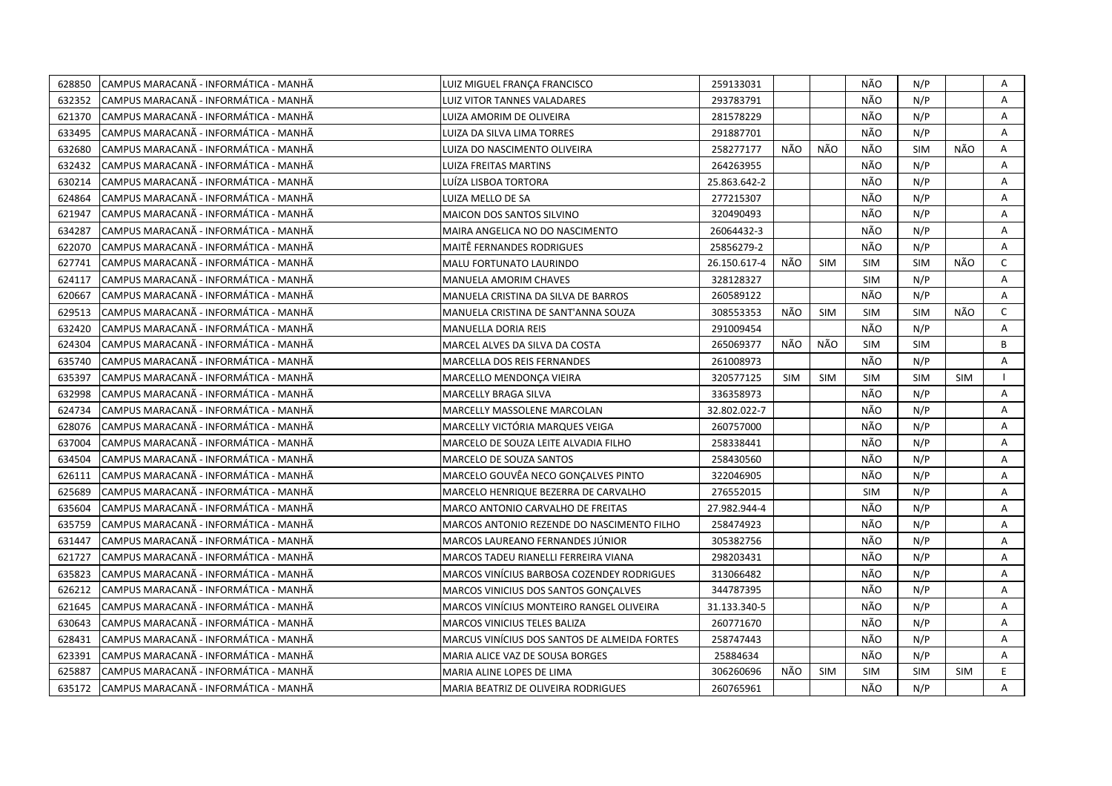| 628850 | CAMPUS MARACANÃ - INFORMÁTICA - MANHÃ  | LUIZ MIGUEL FRANÇA FRANCISCO                      | 259133031    |            |            | NÃO        | N/P        |            | Α            |
|--------|----------------------------------------|---------------------------------------------------|--------------|------------|------------|------------|------------|------------|--------------|
| 632352 | ICAMPUS MARACANÃ - INFORMÁTICA - MANHÃ | LUIZ VITOR TANNES VALADARES                       | 293783791    |            |            | NÃO        | N/P        |            | A            |
| 621370 | CAMPUS MARACANÃ - INFORMÁTICA - MANHÃ  | LUIZA AMORIM DE OLIVEIRA                          | 281578229    |            |            | NÃO        | N/P        |            | Α            |
| 633495 | CAMPUS MARACANÃ - INFORMÁTICA - MANHÃ  | LUIZA DA SILVA LIMA TORRES                        | 291887701    |            |            | NÃO        | N/P        |            | Α            |
| 632680 | CAMPUS MARACANÃ - INFORMÁTICA - MANHÃ  | LUIZA DO NASCIMENTO OLIVEIRA                      | 258277177    | NÃO        | NÃO        | NÃO        | <b>SIM</b> | NÃO        | A            |
| 632432 | CAMPUS MARACANÃ - INFORMÁTICA - MANHÃ  | <b>LUIZA FREITAS MARTINS</b>                      | 264263955    |            |            | NÃO        | N/P        |            | Α            |
| 630214 | ICAMPUS MARACANÃ - INFORMÁTICA - MANHÃ | LUÍZA LISBOA TORTORA                              | 25.863.642-2 |            |            | NÃO        | N/P        |            | A            |
| 624864 | CAMPUS MARACANÃ - INFORMÁTICA - MANHÃ  | LUIZA MELLO DE SA                                 | 277215307    |            |            | NÃO        | N/P        |            | A            |
| 621947 | CAMPUS MARACANÃ - INFORMÁTICA - MANHÃ  | <b>MAICON DOS SANTOS SILVINO</b>                  | 320490493    |            |            | NÃO        | N/P        |            | A            |
| 634287 | CAMPUS MARACANA - INFORMÁTICA - MANHÃ  | MAIRA ANGELICA NO DO NASCIMENTO                   | 26064432-3   |            |            | NÃO        | N/P        |            | A            |
| 622070 | CAMPUS MARACANÃ - INFORMÁTICA - MANHÃ  | <b>MAITE FERNANDES RODRIGUES</b>                  | 25856279-2   |            |            | NÃO        | N/P        |            | Α            |
| 627741 | CAMPUS MARACANÃ - INFORMÁTICA - MANHÃ  | MALU FORTUNATO LAURINDO                           | 26.150.617-4 | NÃO        | <b>SIM</b> | <b>SIM</b> | <b>SIM</b> | NÃO        | $\mathsf{C}$ |
| 624117 | CAMPUS MARACANA - INFORMÁTICA - MANHÃ  | <b>MANUELA AMORIM CHAVES</b>                      | 328128327    |            |            | <b>SIM</b> | N/P        |            | A            |
| 620667 | CAMPUS MARACANÃ - INFORMÁTICA - MANHÃ  | MANUELA CRISTINA DA SILVA DE BARROS               | 260589122    |            |            | NÃO        | N/P        |            | Α            |
| 629513 | CAMPUS MARACANÃ - INFORMÁTICA - MANHÃ  | MANUELA CRISTINA DE SANT'ANNA SOUZA               | 308553353    | NÃO        | <b>SIM</b> | <b>SIM</b> | <b>SIM</b> | NÃO        | $\mathsf{C}$ |
| 632420 | CAMPUS MARACANA - INFORMÁTICA - MANHÃ  | <b>MANUELLA DORIA REIS</b>                        | 291009454    |            |            | NÃO        | N/P        |            | A            |
| 624304 | CAMPUS MARACANA - INFORMATICA - MANHA  | MARCEL ALVES DA SILVA DA COSTA                    | 265069377    | NÃO        | NÃO        | <b>SIM</b> | <b>SIM</b> |            | B            |
| 635740 | CAMPUS MARACANA - INFORMÁTICA - MANHÃ  | MARCELLA DOS REIS FERNANDES                       | 261008973    |            |            | NÃO        | N/P        |            | A            |
| 635397 | CAMPUS MARACANÃ - INFORMÁTICA - MANHÃ  | MARCELLO MENDONÇA VIEIRA                          | 320577125    | <b>SIM</b> | SIM        | <b>SIM</b> | <b>SIM</b> | SIM        |              |
| 632998 | CAMPUS MARACANÃ - INFORMÁTICA - MANHÃ  | <b>MARCELLY BRAGA SILVA</b>                       | 336358973    |            |            | NÃO        | N/P        |            | A            |
| 624734 | CAMPUS MARACANÃ - INFORMÁTICA - MANHÃ  | MARCELLY MASSOLENE MARCOLAN                       | 32.802.022-7 |            |            | NÃO        | N/P        |            | A            |
| 628076 | ICAMPUS MARACANÃ - INFORMÁTICA - MANHÃ | MARCELLY VICTÓRIA MARQUES VEIGA                   | 260757000    |            |            | NÃO        | N/P        |            | A            |
| 637004 | CAMPUS MARACANÃ - INFORMÁTICA - MANHÃ  | MARCELO DE SOUZA LEITE ALVADIA FILHO              | 258338441    |            |            | NÃO        | N/P        |            | A            |
| 634504 | CAMPUS MARACANÃ - INFORMÁTICA - MANHÃ  | MARCELO DE SOUZA SANTOS                           | 258430560    |            |            | NÃO        | N/P        |            | A            |
| 626111 | CAMPUS MARACANÃ - INFORMÁTICA - MANHÃ  | MARCELO GOUVÊA NECO GONCALVES PINTO               | 322046905    |            |            | NÃO        | N/P        |            | A            |
| 625689 | CAMPUS MARACANÃ - INFORMÁTICA - MANHÃ  | MARCELO HENRIQUE BEZERRA DE CARVALHO              | 276552015    |            |            | <b>SIM</b> | N/P        |            | Α            |
| 635604 | CAMPUS MARACANÃ - INFORMÁTICA - MANHÃ  | MARCO ANTONIO CARVALHO DE FREITAS                 | 27.982.944-4 |            |            | NÃO        | N/P        |            | A            |
| 635759 | CAMPUS MARACANÃ - INFORMÁTICA - MANHÃ  | MARCOS ANTONIO REZENDE DO NASCIMENTO FILHO        | 258474923    |            |            | NÃO        | N/P        |            | Α            |
| 631447 | CAMPUS MARACANÃ - INFORMÁTICA - MANHÃ  | MARCOS LAUREANO FERNANDES JÚNIOR                  | 305382756    |            |            | NÃO        | N/P        |            | A            |
| 621727 | CAMPUS MARACANÃ - INFORMÁTICA - MANHÃ  | MARCOS TADEU RIANELLI FERREIRA VIANA              | 298203431    |            |            | NÃO        | N/P        |            | Α            |
| 635823 | CAMPUS MARACANÃ - INFORMÁTICA - MANHÃ  | <b>MARCOS VINÍCIUS BARBOSA COZENDEY RODRIGUES</b> | 313066482    |            |            | NÃO        | N/P        |            | Α            |
| 626212 | CAMPUS MARACANA - INFORMÁTICA - MANHÃ  | MARCOS VINICIUS DOS SANTOS GONÇALVES              | 344787395    |            |            | NÃO        | N/P        |            | A            |
| 621645 | CAMPUS MARACANA - INFORMÁTICA - MANHÃ  | MARCOS VINÍCIUS MONTEIRO RANGEL OLIVEIRA          | 31.133.340-5 |            |            | NÃO        | N/P        |            | A            |
| 630643 | CAMPUS MARACANÃ - INFORMÁTICA - MANHÃ  | <b>MARCOS VINICIUS TELES BALIZA</b>               | 260771670    |            |            | NÃO        | N/P        |            | A            |
| 628431 | CAMPUS MARACANÃ - INFORMÁTICA - MANHÃ  | MARCUS VINÍCIUS DOS SANTOS DE ALMEIDA FORTES      | 258747443    |            |            | NÃO        | N/P        |            | A            |
| 623391 | CAMPUS MARACANÃ - INFORMÁTICA - MANHÃ  | MARIA ALICE VAZ DE SOUSA BORGES                   | 25884634     |            |            | NÃO        | N/P        |            | Α            |
| 625887 | CAMPUS MARACANÃ - INFORMÁTICA - MANHÃ  | MARIA ALINE LOPES DE LIMA                         | 306260696    | NÃO        | <b>SIM</b> | SIM        | <b>SIM</b> | <b>SIM</b> | E            |
| 635172 | CAMPUS MARACANÃ - INFORMÁTICA - MANHÃ  | MARIA BEATRIZ DE OLIVEIRA RODRIGUES               | 260765961    |            |            | NÃO        | N/P        |            | A            |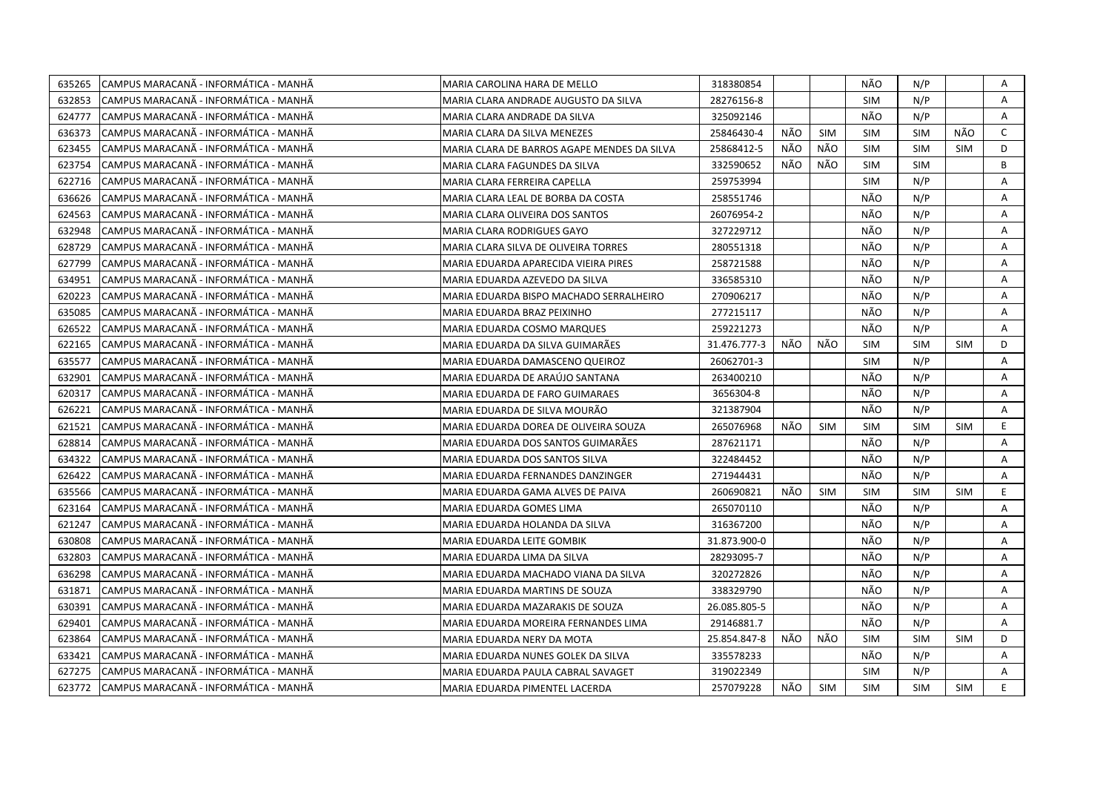| 635265 | CAMPUS MARACANA - INFORMATICA - MANHA        | MARIA CAROLINA HARA DE MELLO                | 318380854    |     |            | NÃO        | N/P        |            | Α              |
|--------|----------------------------------------------|---------------------------------------------|--------------|-----|------------|------------|------------|------------|----------------|
| 632853 | CAMPUS MARACANA - INFORMATICA - MANHA        | MARIA CLARA ANDRADE AUGUSTO DA SILVA        | 28276156-8   |     |            | <b>SIM</b> | N/P        |            | Α              |
| 624777 | CAMPUS MARACANÃ - INFORMÁTICA - MANHÃ        | MARIA CLARA ANDRADE DA SILVA                | 325092146    |     |            | NÃO        | N/P        |            | A              |
| 636373 | CAMPUS MARACANÃ - INFORMÁTICA - MANHÃ        | MARIA CLARA DA SILVA MENEZES                | 25846430-4   | NÃO | <b>SIM</b> | <b>SIM</b> | <b>SIM</b> | NÃO        | $\mathsf{C}$   |
| 623455 | CAMPUS MARACANA - INFORMÁTICA - MANHA        | MARIA CLARA DE BARROS AGAPE MENDES DA SILVA | 25868412-5   | NÃO | NÃO        | <b>SIM</b> | <b>SIM</b> | <b>SIM</b> | D              |
| 623754 | CAMPUS MARACANÃ - INFORMÁTICA - MANHÃ        | MARIA CLARA FAGUNDES DA SILVA               | 332590652    | NÃO | NÃO        | <b>SIM</b> | <b>SIM</b> |            | B              |
| 622716 | CAMPUS MARACANÃ - INFORMÁTICA - MANHÃ        | MARIA CLARA FERREIRA CAPELLA                | 259753994    |     |            | <b>SIM</b> | N/P        |            | Α              |
| 636626 | CAMPUS MARACANA - INFORMÁTICA - MANHA        | MARIA CLARA LEAL DE BORBA DA COSTA          | 258551746    |     |            | NÃO        | N/P        |            | Α              |
| 624563 | CAMPUS MARACANÃ - INFORMÁTICA - MANHÃ        | MARIA CLARA OLIVEIRA DOS SANTOS             | 26076954-2   |     |            | NÃO        | N/P        |            | Α              |
| 632948 | CAMPUS MARACANÃ - INFORMÁTICA - MANHÃ        | MARIA CLARA RODRIGUES GAYO                  | 327229712    |     |            | NÃO        | N/P        |            | Α              |
| 628729 | CAMPUS MARACANÃ - INFORMÁTICA - MANHÃ        | MARIA CLARA SILVA DE OLIVEIRA TORRES        | 280551318    |     |            | NÃO        | N/P        |            | A              |
| 627799 | CAMPUS MARACANÃ - INFORMÁTICA - MANHÃ        | MARIA EDUARDA APARECIDA VIEIRA PIRES        | 258721588    |     |            | NÃO        | N/P        |            | A              |
| 634951 | CAMPUS MARACANA - INFORMATICA - MANHA        | MARIA EDUARDA AZEVEDO DA SILVA              | 336585310    |     |            | NÃO        | N/P        |            | A              |
| 620223 | CAMPUS MARACANÃ - INFORMÁTICA - MANHÃ        | MARIA EDUARDA BISPO MACHADO SERRALHEIRO     | 270906217    |     |            | NÃO        | N/P        |            | Α              |
| 635085 | CAMPUS MARACANÃ - INFORMÁTICA - MANHÃ        | MARIA EDUARDA BRAZ PEIXINHO                 | 277215117    |     |            | NÃO        | N/P        |            | Α              |
| 626522 | CAMPUS MARACANÃ - INFORMÁTICA - MANHÃ        | MARIA EDUARDA COSMO MARQUES                 | 259221273    |     |            | NÃO        | N/P        |            | $\overline{A}$ |
| 622165 | CAMPUS MARACANÃ - INFORMÁTICA - MANHÃ        | MARIA EDUARDA DA SILVA GUIMARÃES            | 31.476.777-3 | NÃO | NÃO        | <b>SIM</b> | <b>SIM</b> | <b>SIM</b> | D              |
| 635577 | CAMPUS MARACANÃ - INFORMÁTICA - MANHÃ        | MARIA EDUARDA DAMASCENO QUEIROZ             | 26062701-3   |     |            | <b>SIM</b> | N/P        |            | A              |
| 632901 | CAMPUS MARACANÃ - INFORMÁTICA - MANHÃ        | MARIA EDUARDA DE ARAÚJO SANTANA             | 263400210    |     |            | NÃO        | N/P        |            | Α              |
| 620317 | CAMPUS MARACANA - INFORMATICA - MANHA        | MARIA EDUARDA DE FARO GUIMARAES             | 3656304-8    |     |            | NÃO        | N/P        |            | A              |
| 626221 | CAMPUS MARACANA - INFORMATICA - MANHA        | MARIA EDUARDA DE SILVA MOURÃO               | 321387904    |     |            | NÃO        | N/P        |            | $\mathsf{A}$   |
| 621521 | CAMPUS MARACANÃ - INFORMÁTICA - MANHÃ        | MARIA EDUARDA DOREA DE OLIVEIRA SOUZA       | 265076968    | NÃO | <b>SIM</b> | <b>SIM</b> | <b>SIM</b> | SIM        | E.             |
| 628814 | CAMPUS MARACANÃ - INFORMÁTICA - MANHÃ        | MARIA EDUARDA DOS SANTOS GUIMARÃES          | 287621171    |     |            | NÃO        | N/P        |            | A              |
| 634322 | CAMPUS MARACANÃ - INFORMÁTICA - MANHÃ        | MARIA EDUARDA DOS SANTOS SILVA              | 322484452    |     |            | NÃO        | N/P        |            | A              |
| 626422 | CAMPUS MARACANÃ - INFORMÁTICA - MANHÃ        | MARIA EDUARDA FERNANDES DANZINGER           | 271944431    |     |            | NÃO        | N/P        |            | Α              |
| 635566 | CAMPUS MARACANA - INFORMATICA - MANHA        | MARIA EDUARDA GAMA ALVES DE PAIVA           | 260690821    | NÃO | <b>SIM</b> | <b>SIM</b> | <b>SIM</b> | <b>SIM</b> | E.             |
| 623164 | CAMPUS MARACANÃ - INFORMÁTICA - MANHÃ        | MARIA EDUARDA GOMES LIMA                    | 265070110    |     |            | NÃO        | N/P        |            | A              |
| 621247 | CAMPUS MARACANÃ - INFORMÁTICA - MANHÃ        | MARIA EDUARDA HOLANDA DA SILVA              | 316367200    |     |            | NÃO        | N/P        |            | Α              |
| 630808 | CAMPUS MARACANA - INFORMATICA - MANHA        | MARIA EDUARDA LEITE GOMBIK                  | 31.873.900-0 |     |            | NÃO        | N/P        |            | A              |
| 632803 | CAMPUS MARACANÃ - INFORMÁTICA - MANHÃ        | MARIA EDUARDA LIMA DA SILVA                 | 28293095-7   |     |            | NÃO        | N/P        |            | A              |
| 636298 | CAMPUS MARACANA - INFORMÁTICA - MANHÃ        | MARIA EDUARDA MACHADO VIANA DA SILVA        | 320272826    |     |            | NÃO        | N/P        |            | Α              |
| 631871 | CAMPUS MARACANÃ - INFORMÁTICA - MANHÃ        | MARIA EDUARDA MARTINS DE SOUZA              | 338329790    |     |            | NÃO        | N/P        |            | Α              |
| 630391 | CAMPUS MARACANÃ - INFORMÁTICA - MANHÃ        | MARIA EDUARDA MAZARAKIS DE SOUZA            | 26.085.805-5 |     |            | NÃO        | N/P        |            | Α              |
| 629401 | CAMPUS MARACANA - INFORMATICA - MANHA        | MARIA EDUARDA MOREIRA FERNANDES LIMA        | 29146881.7   |     |            | NÃO        | N/P        |            | A              |
| 623864 | CAMPUS MARACANÃ - INFORMÁTICA - MANHÃ        | MARIA EDUARDA NERY DA MOTA                  | 25.854.847-8 | NÃO | NÃO        | <b>SIM</b> | <b>SIM</b> | <b>SIM</b> | D              |
| 633421 | CAMPUS MARACANÃ - INFORMÁTICA - MANHÃ        | MARIA EDUARDA NUNES GOLEK DA SILVA          | 335578233    |     |            | NÃO        | N/P        |            | Α              |
| 627275 | CAMPUS MARACANÃ - INFORMÁTICA - MANHÃ        | MARIA EDUARDA PAULA CABRAL SAVAGET          | 319022349    |     |            | SIM        | N/P        |            | A              |
|        | 623772 CAMPUS MARACANA - INFORMÁTICA - MANHA | MARIA EDUARDA PIMENTEL LACERDA              | 257079228    | NÃO | SIM        | SIM        | <b>SIM</b> | SIM        | E.             |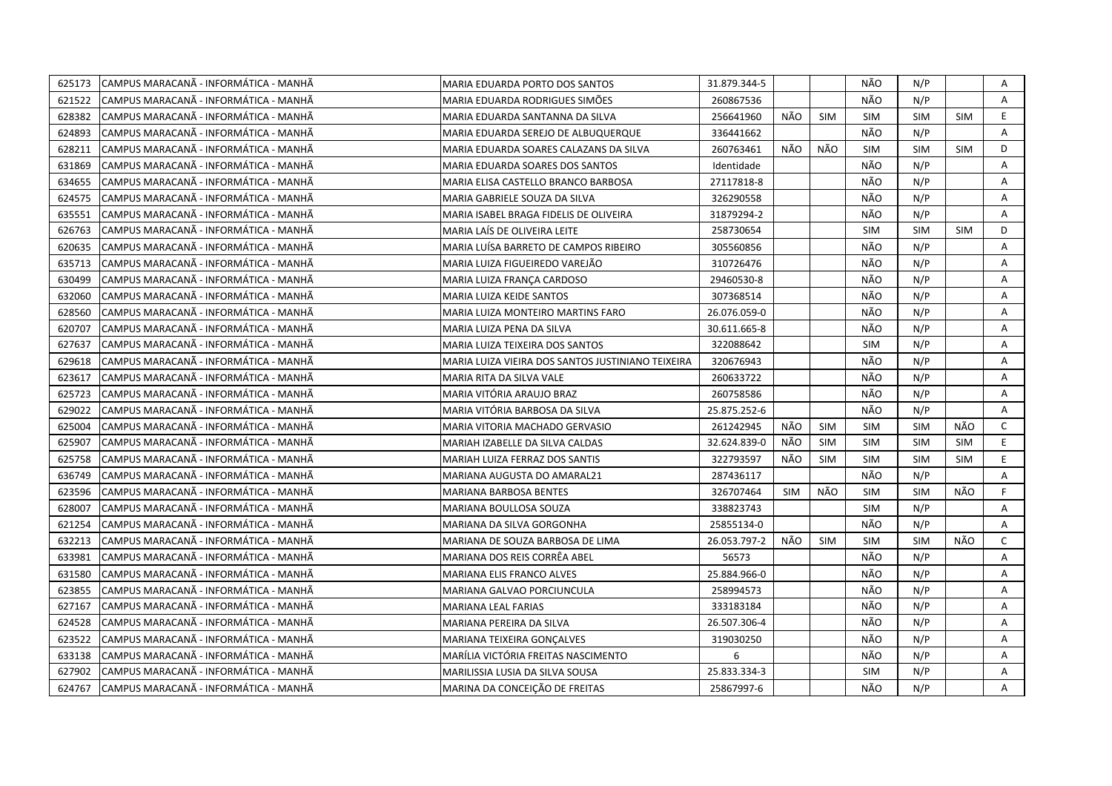| 625173 | CAMPUS MARACANA - INFORMÁTICA - MANHÃ  | MARIA EDUARDA PORTO DOS SANTOS                    | 31.879.344-5 |            |            | NÃO        | N/P        |            | Α              |
|--------|----------------------------------------|---------------------------------------------------|--------------|------------|------------|------------|------------|------------|----------------|
| 621522 | CAMPUS MARACANÃ - INFORMÁTICA - MANHÃ  | MARIA EDUARDA RODRIGUES SIMÕES                    | 260867536    |            |            | NÃO        | N/P        |            | $\mathsf{A}$   |
| 628382 | CAMPUS MARACANÃ - INFORMÁTICA - MANHÃ  | MARIA EDUARDA SANTANNA DA SILVA                   | 256641960    | NÃO        | <b>SIM</b> | SIM        | SIM        | <b>SIM</b> | E.             |
| 624893 | CAMPUS MARACANÃ - INFORMÁTICA - MANHÃ  | MARIA EDUARDA SEREJO DE ALBUQUERQUE               | 336441662    |            |            | NÃO        | N/P        |            | Α              |
| 628211 | CAMPUS MARACANÃ - INFORMÁTICA - MANHÃ  | MARIA EDUARDA SOARES CALAZANS DA SILVA            | 260763461    | NÃO        | NÃO        | <b>SIM</b> | <b>SIM</b> | <b>SIM</b> | D              |
| 631869 | CAMPUS MARACANÃ - INFORMÁTICA - MANHÃ  | MARIA EDUARDA SOARES DOS SANTOS                   | Identidade   |            |            | NÃO        | N/P        |            | Α              |
| 634655 | CAMPUS MARACANA - INFORMATICA - MANHA  | MARIA ELISA CASTELLO BRANCO BARBOSA               | 27117818-8   |            |            | NÃO        | N/P        |            | Α              |
| 624575 | CAMPUS MARACANÃ - INFORMÁTICA - MANHÃ  | MARIA GABRIELE SOUZA DA SILVA                     | 326290558    |            |            | NÃO        | N/P        |            | Α              |
| 635551 | ICAMPUS MARACANÃ - INFORMÁTICA - MANHÃ | MARIA ISABEL BRAGA FIDELIS DE OLIVEIRA            | 31879294-2   |            |            | NÃO        | N/P        |            | A              |
| 626763 | CAMPUS MARACANÃ - INFORMÁTICA - MANHÃ  | MARIA LAÍS DE OLIVEIRA LEITE                      | 258730654    |            |            | <b>SIM</b> | <b>SIM</b> | <b>SIM</b> | D              |
| 620635 | CAMPUS MARACANÃ - INFORMÁTICA - MANHÃ  | MARIA LUÍSA BARRETO DE CAMPOS RIBEIRO             | 305560856    |            |            | NÃO        | N/P        |            | Α              |
| 635713 | CAMPUS MARACANÃ - INFORMÁTICA - MANHÃ  | MARIA LUIZA FIGUEIREDO VAREJÃO                    | 310726476    |            |            | NÃO        | N/P        |            | A              |
| 630499 | CAMPUS MARACANÃ - INFORMÁTICA - MANHÃ  | MARIA LUIZA FRANÇA CARDOSO                        | 29460530-8   |            |            | NÃO        | N/P        |            | Α              |
| 632060 | CAMPUS MARACANÃ - INFORMÁTICA - MANHÃ  | MARIA LUIZA KEIDE SANTOS                          | 307368514    |            |            | NÃO        | N/P        |            | Α              |
| 628560 | CAMPUS MARACANÃ - INFORMÁTICA - MANHÃ  | MARIA LUIZA MONTEIRO MARTINS FARO                 | 26.076.059-0 |            |            | NÃO        | N/P        |            | Α              |
| 620707 | CAMPUS MARACANÃ - INFORMÁTICA - MANHÃ  | MARIA LUIZA PENA DA SILVA                         | 30.611.665-8 |            |            | NÃO        | N/P        |            | A              |
| 627637 | CAMPUS MARACANÃ - INFORMÁTICA - MANHÃ  | MARIA LUIZA TEIXEIRA DOS SANTOS                   | 322088642    |            |            | <b>SIM</b> | N/P        |            | A              |
| 629618 | CAMPUS MARACANÃ - INFORMÁTICA - MANHÃ  | MARIA LUIZA VIEIRA DOS SANTOS JUSTINIANO TEIXEIRA | 320676943    |            |            | NÃO        | N/P        |            | A              |
| 623617 | CAMPUS MARACANÃ - INFORMÁTICA - MANHÃ  | MARIA RITA DA SILVA VALE                          | 260633722    |            |            | NÃO        | N/P        |            | Α              |
| 625723 | CAMPUS MARACANÃ - INFORMÁTICA - MANHÃ  | MARIA VITÓRIA ARAUJO BRAZ                         | 260758586    |            |            | NÃO        | N/P        |            | A              |
| 629022 | CAMPUS MARACANÃ - INFORMÁTICA - MANHÃ  | MARIA VITÓRIA BARBOSA DA SILVA                    | 25.875.252-6 |            |            | NÃO        | N/P        |            | $\overline{A}$ |
| 625004 | CAMPUS MARACANÃ - INFORMÁTICA - MANHÃ  | MARIA VITORIA MACHADO GERVASIO                    | 261242945    | NÃO        | <b>SIM</b> | <b>SIM</b> | <b>SIM</b> | NÃO        | C              |
| 625907 | CAMPUS MARACANA - INFORMATICA - MANHA  | MARIAH IZABELLE DA SILVA CALDAS                   | 32.624.839-0 | NÃO        | <b>SIM</b> | <b>SIM</b> | <b>SIM</b> | <b>SIM</b> | E.             |
| 625758 | CAMPUS MARACANÃ - INFORMÁTICA - MANHÃ  | MARIAH LUIZA FERRAZ DOS SANTIS                    | 322793597    | NÃO        | <b>SIM</b> | <b>SIM</b> | <b>SIM</b> | <b>SIM</b> | E              |
| 636749 | CAMPUS MARACANÃ - INFORMÁTICA - MANHÃ  | MARIANA AUGUSTA DO AMARAL21                       | 287436117    |            |            | NÃO        | N/P        |            | Α              |
| 623596 | CAMPUS MARACANÃ - INFORMÁTICA - MANHÃ  | MARIANA BARBOSA BENTES                            | 326707464    | <b>SIM</b> | NÃO        | <b>SIM</b> | <b>SIM</b> | NÃO        | F              |
| 628007 | CAMPUS MARACANÃ - INFORMÁTICA - MANHÃ  | MARIANA BOULLOSA SOUZA                            | 338823743    |            |            | <b>SIM</b> | N/P        |            | A              |
| 621254 | CAMPUS MARACANÃ - INFORMÁTICA - MANHÃ  | MARIANA DA SILVA GORGONHA                         | 25855134-0   |            |            | NÃO        | N/P        |            | A              |
| 632213 | CAMPUS MARACANÃ - INFORMÁTICA - MANHÃ  | MARIANA DE SOUZA BARBOSA DE LIMA                  | 26.053.797-2 | NÃO        | <b>SIM</b> | <b>SIM</b> | <b>SIM</b> | NÃO        | $\mathsf{C}$   |
| 633981 | CAMPUS MARACANÃ - INFORMÁTICA - MANHÃ  | MARIANA DOS REIS CORRÊA ABEL                      | 56573        |            |            | NÃO        | N/P        |            | A              |
| 631580 | CAMPUS MARACANÃ - INFORMÁTICA - MANHÃ  | MARIANA ELIS FRANCO ALVES                         | 25.884.966-0 |            |            | NÃO        | N/P        |            | Α              |
| 623855 | CAMPUS MARACANÃ - INFORMÁTICA - MANHÃ  | MARIANA GALVAO PORCIUNCULA                        | 258994573    |            |            | NÃO        | N/P        |            | Α              |
| 627167 | CAMPUS MARACANÃ - INFORMÁTICA - MANHÃ  | MARIANA LEAL FARIAS                               | 333183184    |            |            | NÃO        | N/P        |            | Α              |
| 624528 | CAMPUS MARACANÃ - INFORMÁTICA - MANHÃ  | MARIANA PEREIRA DA SILVA                          | 26.507.306-4 |            |            | NÃO        | N/P        |            | Α              |
| 623522 | CAMPUS MARACANÃ - INFORMÁTICA - MANHÃ  | MARIANA TEIXEIRA GONÇALVES                        | 319030250    |            |            | NÃO        | N/P        |            | A              |
| 633138 | CAMPUS MARACANÃ - INFORMÁTICA - MANHÃ  | MARÍLIA VICTÓRIA FREITAS NASCIMENTO               | 6            |            |            | NÃO        | N/P        |            | Α              |
| 627902 | CAMPUS MARACANÃ - INFORMÁTICA - MANHÃ  | MARILISSIA LUSIA DA SILVA SOUSA                   | 25.833.334-3 |            |            | <b>SIM</b> | N/P        |            | A              |
| 624767 | CAMPUS MARACANÃ - INFORMÁTICA - MANHÃ  | MARINA DA CONCEIÇÃO DE FREITAS                    | 25867997-6   |            |            | NÃO        | N/P        |            | A              |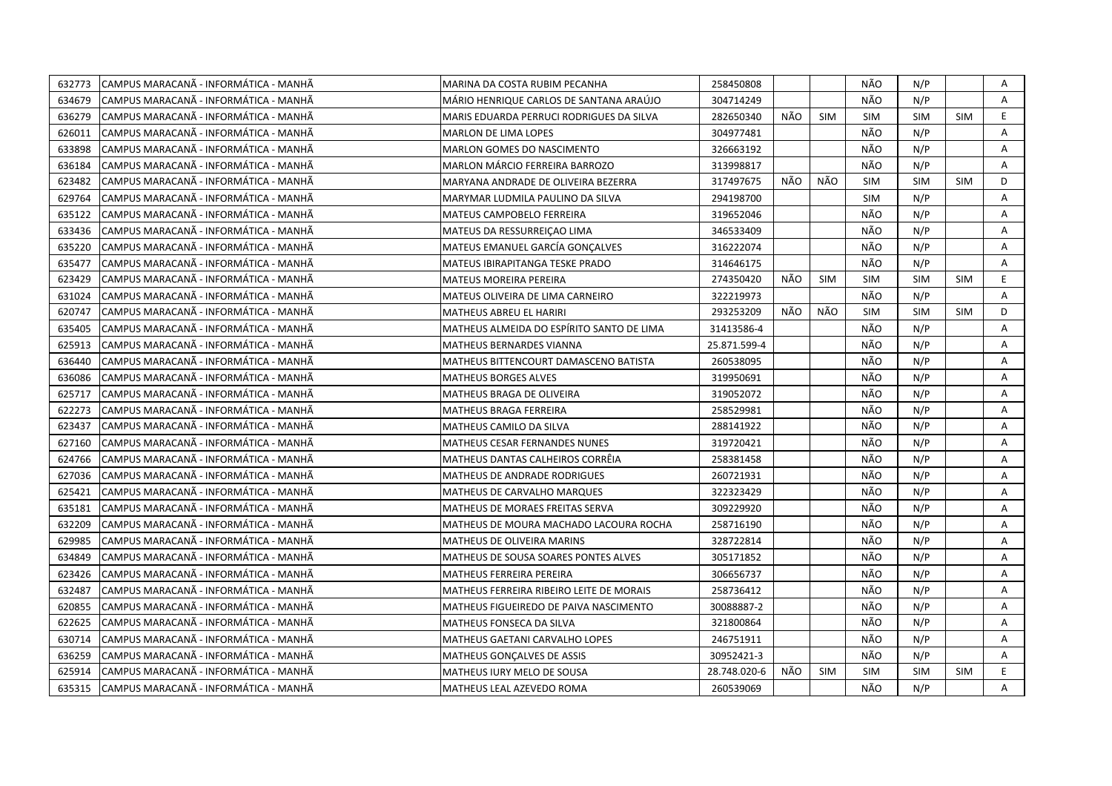| 632773 | CAMPUS MARACANÃ - INFORMÁTICA - MANHÃ  | MARINA DA COSTA RUBIM PECANHA             | 258450808    |     |            | NÃO        | N/P        |            | Α            |
|--------|----------------------------------------|-------------------------------------------|--------------|-----|------------|------------|------------|------------|--------------|
| 634679 | CAMPUS MARACANÃ - INFORMÁTICA - MANHÃ  | MÁRIO HENRIQUE CARLOS DE SANTANA ARAÚJO   | 304714249    |     |            | NÃO        | N/P        |            | $\mathsf{A}$ |
| 636279 | CAMPUS MARACANA - INFORMÁTICA - MANHÃ  | MARIS EDUARDA PERRUCI RODRIGUES DA SILVA  | 282650340    | NÃO | <b>SIM</b> | SIM        | <b>SIM</b> | <b>SIM</b> | E            |
| 626011 | CAMPUS MARACANÃ - INFORMÁTICA - MANHÃ  | <b>MARLON DE LIMA LOPES</b>               | 304977481    |     |            | NÃO        | N/P        |            | A            |
| 633898 | CAMPUS MARACANA - INFORMATICA - MANHA  | <b>MARLON GOMES DO NASCIMENTO</b>         | 326663192    |     |            | NÃO        | N/P        |            | A            |
| 636184 | CAMPUS MARACANÃ - INFORMÁTICA - MANHÃ  | MARLON MÁRCIO FERREIRA BARROZO            | 313998817    |     |            | NÃO        | N/P        |            | Α            |
| 623482 | CAMPUS MARACANÃ - INFORMÁTICA - MANHÃ  | MARYANA ANDRADE DE OLIVEIRA BEZERRA       | 317497675    | NÃO | NÃO        | <b>SIM</b> | <b>SIM</b> | SIM        | D            |
| 629764 | CAMPUS MARACANA - INFORMÁTICA - MANHÃ  | MARYMAR LUDMILA PAULINO DA SILVA          | 294198700    |     |            | <b>SIM</b> | N/P        |            | A            |
| 635122 | CAMPUS MARACANÃ - INFORMÁTICA - MANHÃ  | <b>MATEUS CAMPOBELO FERREIRA</b>          | 319652046    |     |            | NÃO        | N/P        |            | Α            |
| 633436 | CAMPUS MARACANÃ - INFORMÁTICA - MANHÃ  | MATEUS DA RESSURREIÇÃO LIMA               | 346533409    |     |            | NÃO        | N/P        |            | A            |
| 635220 | CAMPUS MARACANÃ - INFORMÁTICA - MANHÃ  | <b>MATEUS EMANUEL GARCÍA GONCALVES</b>    | 316222074    |     |            | NÃO        | N/P        |            | A            |
| 635477 | CAMPUS MARACANÃ - INFORMÁTICA - MANHÃ  | <b>MATEUS IBIRAPITANGA TESKE PRADO</b>    | 314646175    |     |            | NÃO        | N/P        |            | Α            |
| 623429 | CAMPUS MARACANA - INFORMÁTICA - MANHÃ  | <b>MATEUS MOREIRA PEREIRA</b>             | 274350420    | NÃO | <b>SIM</b> | <b>SIM</b> | <b>SIM</b> | <b>SIM</b> | E.           |
| 631024 | CAMPUS MARACANA - INFORMÁTICA - MANHÃ  | MATEUS OLIVEIRA DE LIMA CARNEIRO          | 322219973    |     |            | NÃO        | N/P        |            | A            |
| 620747 | CAMPUS MARACANÃ - INFORMÁTICA - MANHÃ  | <b>MATHEUS ABREU EL HARIRI</b>            | 293253209    | NÃO | NÃO        | <b>SIM</b> | <b>SIM</b> | <b>SIM</b> | D            |
| 635405 | CAMPUS MARACANA - INFORMÁTICA - MANHÃ  | MATHEUS ALMEIDA DO ESPÍRITO SANTO DE LIMA | 31413586-4   |     |            | NÃO        | N/P        |            | A            |
| 625913 | CAMPUS MARACANÃ - INFORMÁTICA - MANHÃ  | MATHEUS BERNARDES VIANNA                  | 25.871.599-4 |     |            | NÃO        | N/P        |            | A            |
| 636440 | CAMPUS MARACANÃ - INFORMÁTICA - MANHÃ  | MATHEUS BITTENCOURT DAMASCENO BATISTA     | 260538095    |     |            | NÃO        | N/P        |            | A            |
| 636086 | CAMPUS MARACANÃ - INFORMÁTICA - MANHÃ  | <b>MATHEUS BORGES ALVES</b>               | 319950691    |     |            | NÃO        | N/P        |            | A            |
| 625717 | CAMPUS MARACANÃ - INFORMÁTICA - MANHÃ  | MATHEUS BRAGA DE OLIVEIRA                 | 319052072    |     |            | NÃO        | N/P        |            | Α            |
| 622273 | ICAMPUS MARACANÃ - INFORMÁTICA - MANHÃ | MATHEUS BRAGA FERREIRA                    | 258529981    |     |            | NÃO        | N/P        |            | A            |
| 623437 | CAMPUS MARACANA - INFORMATICA - MANHA  | MATHEUS CAMILO DA SILVA                   | 288141922    |     |            | NÃO        | N/P        |            | A            |
| 627160 | CAMPUS MARACANÃ - INFORMÁTICA - MANHÃ  | MATHEUS CESAR FERNANDES NUNES             | 319720421    |     |            | NÃO        | N/P        |            | A            |
| 624766 | CAMPUS MARACANÃ - INFORMÁTICA - MANHÃ  | MATHEUS DANTAS CALHEIROS CORRÊIA          | 258381458    |     |            | NÃO        | N/P        |            | A            |
| 627036 | CAMPUS MARACANÃ - INFORMÁTICA - MANHÃ  | MATHEUS DE ANDRADE RODRIGUES              | 260721931    |     |            | NÃO        | N/P        |            | A            |
| 625421 | CAMPUS MARACANÃ - INFORMÁTICA - MANHÃ  | MATHEUS DE CARVALHO MARQUES               | 322323429    |     |            | NÃO        | N/P        |            | A            |
| 635181 | CAMPUS MARACANA - INFORMÁTICA - MANHÃ  | MATHEUS DE MORAES FREITAS SERVA           | 309229920    |     |            | NÃO        | N/P        |            | A            |
| 632209 | CAMPUS MARACANÃ - INFORMÁTICA - MANHÃ  | MATHEUS DE MOURA MACHADO LACOURA ROCHA    | 258716190    |     |            | NÃO        | N/P        |            | Α            |
| 629985 | CAMPUS MARACANÃ - INFORMÁTICA - MANHÃ  | <b>MATHEUS DE OLIVEIRA MARINS</b>         | 328722814    |     |            | NÃO        | N/P        |            | A            |
| 634849 | CAMPUS MARACANÃ - INFORMÁTICA - MANHÃ  | MATHEUS DE SOUSA SOARES PONTES ALVES      | 305171852    |     |            | NÃO        | N/P        |            | Α            |
| 623426 | CAMPUS MARACANÃ - INFORMÁTICA - MANHÃ  | MATHEUS FERREIRA PEREIRA                  | 306656737    |     |            | NÃO        | N/P        |            | A            |
| 632487 | CAMPUS MARACANÃ - INFORMÁTICA - MANHÃ  | MATHEUS FERREIRA RIBEIRO LEITE DE MORAIS  | 258736412    |     |            | NÃO        | N/P        |            | A            |
| 620855 | CAMPUS MARACANÃ - INFORMÁTICA - MANHÃ  | MATHEUS FIGUEIREDO DE PAIVA NASCIMENTO    | 30088887-2   |     |            | NÃO        | N/P        |            | Α            |
| 622625 | CAMPUS MARACANA - INFORMATICA - MANHA  | <b>MATHEUS FONSECA DA SILVA</b>           | 321800864    |     |            | NÃO        | N/P        |            | A            |
| 630714 | CAMPUS MARACANÃ - INFORMÁTICA - MANHÃ  | MATHEUS GAETANI CARVALHO LOPES            | 246751911    |     |            | NÃO        | N/P        |            | A            |
| 636259 | CAMPUS MARACANÃ - INFORMÁTICA - MANHÃ  | MATHEUS GONÇALVES DE ASSIS                | 30952421-3   |     |            | NÃO        | N/P        |            | Α            |
| 625914 | CAMPUS MARACANA - INFORMÁTICA - MANHÃ  | MATHEUS IURY MELO DE SOUSA                | 28.748.020-6 | NÃO | <b>SIM</b> | <b>SIM</b> | <b>SIM</b> | <b>SIM</b> | E.           |
| 635315 | CAMPUS MARACANÃ - INFORMÁTICA - MANHÃ  | MATHEUS LEAL AZEVEDO ROMA                 | 260539069    |     |            | NÃO        | N/P        |            | A            |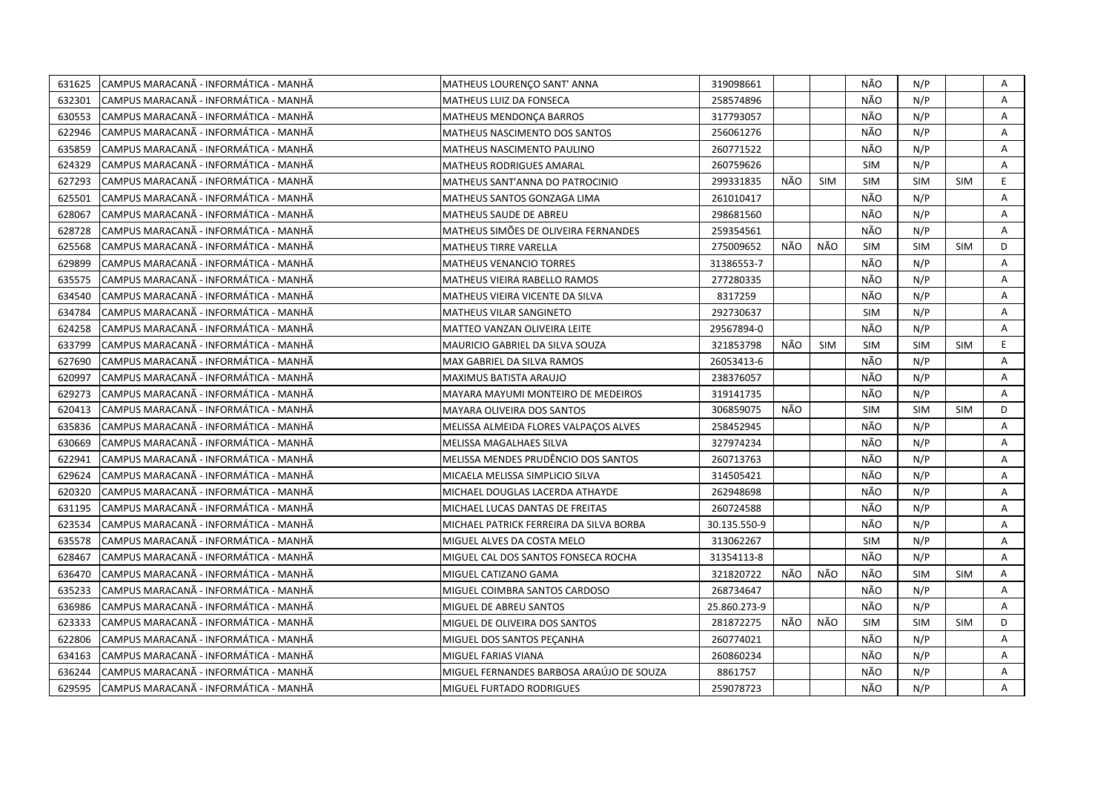| 631625 | CAMPUS MARACANÃ - INFORMÁTICA - MANHÃ | MATHEUS LOURENÇO SANT' ANNA              | 319098661    |     |            | NÃO        | N/P        |            | Α |
|--------|---------------------------------------|------------------------------------------|--------------|-----|------------|------------|------------|------------|---|
| 632301 | CAMPUS MARACANÃ - INFORMÁTICA - MANHÃ | MATHEUS LUIZ DA FONSECA                  | 258574896    |     |            | NÃO        | N/P        |            | A |
| 630553 | CAMPUS MARACANA - INFORMÁTICA - MANHÃ | MATHEUS MENDONÇA BARROS                  | 317793057    |     |            | NÃO        | N/P        |            | A |
| 622946 | CAMPUS MARACANÃ - INFORMÁTICA - MANHÃ | MATHEUS NASCIMENTO DOS SANTOS            | 256061276    |     |            | NÃO        | N/P        |            | A |
| 635859 | CAMPUS MARACANÃ - INFORMÁTICA - MANHÃ | MATHEUS NASCIMENTO PAULINO               | 260771522    |     |            | NÃO        | N/P        |            | A |
| 624329 | CAMPUS MARACANÃ - INFORMÁTICA - MANHÃ | <b>MATHEUS RODRIGUES AMARAL</b>          | 260759626    |     |            | <b>SIM</b> | N/P        |            | Α |
| 627293 | CAMPUS MARACANÃ - INFORMÁTICA - MANHÃ | MATHEUS SANT'ANNA DO PATROCINIO          | 299331835    | NÃO | <b>SIM</b> | <b>SIM</b> | <b>SIM</b> | <b>SIM</b> | E |
| 625501 | CAMPUS MARACANÃ - INFORMÁTICA - MANHÃ | MATHEUS SANTOS GONZAGA LIMA              | 261010417    |     |            | NÃO        | N/P        |            | A |
| 628067 | CAMPUS MARACANÃ - INFORMÁTICA - MANHÃ | <b>MATHEUS SAUDE DE ABREU</b>            | 298681560    |     |            | NÃO        | N/P        |            | Α |
| 628728 | CAMPUS MARACANÃ - INFORMÁTICA - MANHÃ | MATHEUS SIMOES DE OLIVEIRA FERNANDES     | 259354561    |     |            | NÃO        | N/P        |            | A |
| 625568 | CAMPUS MARACANÃ - INFORMÁTICA - MANHÃ | <b>MATHEUS TIRRE VARELLA</b>             | 275009652    | NÃO | NÃO        | <b>SIM</b> | <b>SIM</b> | <b>SIM</b> | D |
| 629899 | CAMPUS MARACANÃ - INFORMÁTICA - MANHÃ | <b>MATHEUS VENANCIO TORRES</b>           | 31386553-7   |     |            | NÃO        | N/P        |            | Α |
| 635575 | CAMPUS MARACANÃ - INFORMÁTICA - MANHÃ | <b>MATHEUS VIEIRA RABELLO RAMOS</b>      | 277280335    |     |            | NÃO        | N/P        |            | Α |
| 634540 | CAMPUS MARACANA - INFORMÁTICA - MANHÃ | MATHEUS VIEIRA VICENTE DA SILVA          | 8317259      |     |            | NÃO        | N/P        |            | A |
| 634784 | CAMPUS MARACANA - INFORMÁTICA - MANHÃ | MATHEUS VILAR SANGINETO                  | 292730637    |     |            | <b>SIM</b> | N/P        |            | Α |
| 624258 | CAMPUS MARACANA - INFORMÁTICA - MANHÃ | MATTEO VANZAN OLIVEIRA LEITE             | 29567894-0   |     |            | NÃO        | N/P        |            | A |
| 633799 | CAMPUS MARACANÃ - INFORMÁTICA - MANHÃ | MAURICIO GABRIEL DA SILVA SOUZA          | 321853798    | NÃO | SIM        | <b>SIM</b> | <b>SIM</b> | <b>SIM</b> | E |
| 627690 | CAMPUS MARACANÃ - INFORMÁTICA - MANHÃ | MAX GABRIEL DA SILVA RAMOS               | 26053413-6   |     |            | NÃO        | N/P        |            | A |
| 620997 | CAMPUS MARACANÃ - INFORMÁTICA - MANHÃ | MAXIMUS BATISTA ARAUJO                   | 238376057    |     |            | NÃO        | N/P        |            | A |
| 629273 | CAMPUS MARACANÃ - INFORMÁTICA - MANHÃ | MAYARA MAYUMI MONTEIRO DE MEDEIROS       | 319141735    |     |            | NÃO        | N/P        |            | A |
| 620413 | CAMPUS MARACANÃ - INFORMÁTICA - MANHÃ | MAYARA OLIVEIRA DOS SANTOS               | 306859075    | NÃO |            | <b>SIM</b> | <b>SIM</b> | <b>SIM</b> | D |
| 635836 | CAMPUS MARACANÃ - INFORMÁTICA - MANHÃ | MELISSA ALMEIDA FLORES VALPAÇOS ALVES    | 258452945    |     |            | NÃO        | N/P        |            | A |
| 630669 | CAMPUS MARACANÃ - INFORMÁTICA - MANHÃ | MELISSA MAGALHAES SILVA                  | 327974234    |     |            | NÃO        | N/P        |            | A |
| 622941 | CAMPUS MARACANÃ - INFORMÁTICA - MANHÃ | MELISSA MENDES PRUDÊNCIO DOS SANTOS      | 260713763    |     |            | NÃO        | N/P        |            | A |
| 629624 | CAMPUS MARACANÃ - INFORMÁTICA - MANHÃ | MICAELA MELISSA SIMPLICIO SILVA          | 314505421    |     |            | NÃO        | N/P        |            | Α |
| 620320 | CAMPUS MARACANA - INFORMATICA - MANHA | MICHAEL DOUGLAS LACERDA ATHAYDE          | 262948698    |     |            | NÃO        | N/P        |            | A |
| 631195 | CAMPUS MARACANA - INFORMÁTICA - MANHÃ | MICHAEL LUCAS DANTAS DE FREITAS          | 260724588    |     |            | NÃO        | N/P        |            | A |
| 623534 | CAMPUS MARACANÃ - INFORMÁTICA - MANHÃ | MICHAEL PATRICK FERREIRA DA SILVA BORBA  | 30.135.550-9 |     |            | NÃO        | N/P        |            | Α |
| 635578 | CAMPUS MARACANÃ - INFORMÁTICA - MANHÃ | MIGUEL ALVES DA COSTA MELO               | 313062267    |     |            | <b>SIM</b> | N/P        |            | A |
| 628467 | CAMPUS MARACANÃ - INFORMÁTICA - MANHÃ | MIGUEL CAL DOS SANTOS FONSECA ROCHA      | 31354113-8   |     |            | NÃO        | N/P        |            | Α |
| 636470 | CAMPUS MARACANÃ - INFORMÁTICA - MANHÃ | MIGUEL CATIZANO GAMA                     | 321820722    | NÃO | NÃO        | NÃO        | <b>SIM</b> | <b>SIM</b> | Α |
| 635233 | CAMPUS MARACANÃ - INFORMÁTICA - MANHÃ | MIGUEL COIMBRA SANTOS CARDOSO            | 268734647    |     |            | NÃO        | N/P        |            | A |
| 636986 | CAMPUS MARACANÃ - INFORMÁTICA - MANHÃ | MIGUEL DE ABREU SANTOS                   | 25.860.273-9 |     |            | NÃO        | N/P        |            | Α |
| 623333 | CAMPUS MARACANA - INFORMATICA - MANHA | MIGUEL DE OLIVEIRA DOS SANTOS            | 281872275    | NÃO | NÃO        | <b>SIM</b> | <b>SIM</b> | <b>SIM</b> | D |
| 622806 | CAMPUS MARACANÃ - INFORMÁTICA - MANHÃ | MIGUEL DOS SANTOS PEÇANHA                | 260774021    |     |            | NÃO        | N/P        |            | A |
| 634163 | CAMPUS MARACANÃ - INFORMÁTICA - MANHÃ | MIGUEL FARIAS VIANA                      | 260860234    |     |            | NÃO        | N/P        |            | Α |
| 636244 | CAMPUS MARACANÃ - INFORMÁTICA - MANHÃ | MIGUEL FERNANDES BARBOSA ARAÚJO DE SOUZA | 8861757      |     |            | NÃO        | N/P        |            | Α |
| 629595 | CAMPUS MARACANA - INFORMÁTICA - MANHÃ | MIGUEL FURTADO RODRIGUES                 | 259078723    |     |            | NÃO        | N/P        |            | A |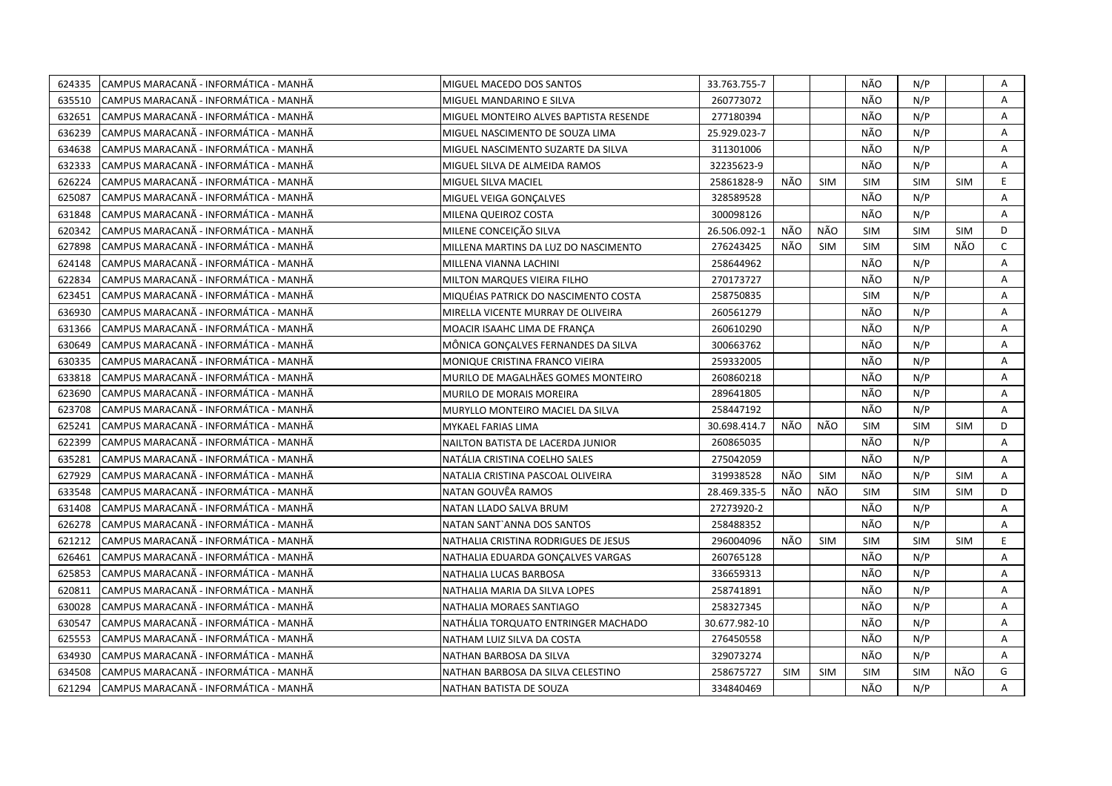| 624335 | CAMPUS MARACANÃ - INFORMÁTICA - MANHÃ  | MIGUEL MACEDO DOS SANTOS               | 33.763.755-7  |            |            | NÃO        | N/P        |            | Α            |
|--------|----------------------------------------|----------------------------------------|---------------|------------|------------|------------|------------|------------|--------------|
| 635510 | CAMPUS MARACANÃ - INFORMÁTICA - MANHÃ  | MIGUEL MANDARINO E SILVA               | 260773072     |            |            | NÃO        | N/P        |            | A            |
| 632651 | CAMPUS MARACANA - INFORMÁTICA - MANHÃ  | MIGUEL MONTEIRO ALVES BAPTISTA RESENDE | 277180394     |            |            | NÃO        | N/P        |            | A            |
| 636239 | CAMPUS MARACANÃ - INFORMÁTICA - MANHÃ  | MIGUEL NASCIMENTO DE SOUZA LIMA        | 25.929.023-7  |            |            | NÃO        | N/P        |            | A            |
| 634638 | CAMPUS MARACANA - INFORMATICA - MANHA  | MIGUEL NASCIMENTO SUZARTE DA SILVA     | 311301006     |            |            | NÃO        | N/P        |            | A            |
| 632333 | CAMPUS MARACANÃ - INFORMÁTICA - MANHÃ  | MIGUEL SILVA DE ALMEIDA RAMOS          | 32235623-9    |            |            | NÃO        | N/P        |            | Α            |
| 626224 | CAMPUS MARACANÃ - INFORMÁTICA - MANHÃ  | MIGUEL SILVA MACIEL                    | 25861828-9    | NÃO        | <b>SIM</b> | <b>SIM</b> | SIM        | <b>SIM</b> | E            |
| 625087 | CAMPUS MARACANÃ - INFORMÁTICA - MANHÃ  | MIGUEL VEIGA GONÇALVES                 | 328589528     |            |            | NÃO        | N/P        |            | A            |
| 631848 | CAMPUS MARACANA - INFORMÁTICA - MANHÃ  | MILENA QUEIROZ COSTA                   | 300098126     |            |            | NÃO        | N/P        |            | A            |
| 620342 | CAMPUS MARACANÃ - INFORMÁTICA - MANHÃ  | MILENE CONCEIÇÃO SILVA                 | 26.506.092-1  | NÃO        | NÃO        | <b>SIM</b> | <b>SIM</b> | <b>SIM</b> | D            |
| 627898 | CAMPUS MARACANÃ - INFORMÁTICA - MANHÃ  | MILLENA MARTINS DA LUZ DO NASCIMENTO   | 276243425     | NÃO        | <b>SIM</b> | <b>SIM</b> | <b>SIM</b> | NÃO        | $\mathsf{C}$ |
| 624148 | CAMPUS MARACANÃ - INFORMÁTICA - MANHÃ  | MILLENA VIANNA LACHINI                 | 258644962     |            |            | NÃO        | N/P        |            | A            |
| 622834 | CAMPUS MARACANÃ - INFORMÁTICA - MANHÃ  | <b>MILTON MARQUES VIEIRA FILHO</b>     | 270173727     |            |            | NÃO        | N/P        |            | Α            |
| 623451 | CAMPUS MARACANA - INFORMÁTICA - MANHÃ  | MIQUÉIAS PATRICK DO NASCIMENTO COSTA   | 258750835     |            |            | <b>SIM</b> | N/P        |            | A            |
| 636930 | CAMPUS MARACANA - INFORMÁTICA - MANHÃ  | MIRELLA VICENTE MURRAY DE OLIVEIRA     | 260561279     |            |            | NÃO        | N/P        |            | Α            |
| 631366 | CAMPUS MARACANA - INFORMÁTICA - MANHÃ  | MOACIR ISAAHC LIMA DE FRANCA           | 260610290     |            |            | NÃO        | N/P        |            | A            |
| 630649 | CAMPUS MARACANÃ - INFORMÁTICA - MANHÃ  | MÔNICA GONÇALVES FERNANDES DA SILVA    | 300663762     |            |            | NÃO        | N/P        |            | A            |
| 630335 | CAMPUS MARACANÃ - INFORMÁTICA - MANHÃ  | MONIQUE CRISTINA FRANCO VIEIRA         | 259332005     |            |            | NÃO        | N/P        |            | A            |
| 633818 | CAMPUS MARACANÃ - INFORMÁTICA - MANHÃ  | MURILO DE MAGALHÃES GOMES MONTEIRO     | 260860218     |            |            | NÃO        | N/P        |            | A            |
| 623690 | CAMPUS MARACANÃ - INFORMÁTICA - MANHÃ  | MURILO DE MORAIS MOREIRA               | 289641805     |            |            | NÃO        | N/P        |            | Α            |
| 623708 | CAMPUS MARACANÃ - INFORMÁTICA - MANHÃ  | MURYLLO MONTEIRO MACIEL DA SILVA       | 258447192     |            |            | NÃO        | N/P        |            | A            |
| 625241 | CAMPUS MARACANÃ - INFORMÁTICA - MANHÃ  | MYKAEL FARIAS LIMA                     | 30.698.414.7  | NÃO        | NÃO        | <b>SIM</b> | <b>SIM</b> | <b>SIM</b> | D            |
| 622399 | CAMPUS MARACANA - INFORMATICA - MANHA  | NAILTON BATISTA DE LACERDA JUNIOR      | 260865035     |            |            | NÃO        | N/P        |            | A            |
| 635281 | CAMPUS MARACANÃ - INFORMÁTICA - MANHÃ  | NATÁLIA CRISTINA COELHO SALES          | 275042059     |            |            | NÃO        | N/P        |            | A            |
| 627929 | CAMPUS MARACANÃ - INFORMÁTICA - MANHÃ  | NATALIA CRISTINA PASCOAL OLIVEIRA      | 319938528     | NÃO        | SIM        | NÃO        | N/P        | <b>SIM</b> | Α            |
| 633548 | CAMPUS MARACANÃ - INFORMÁTICA - MANHÃ  | NATAN GOUVËA RAMOS                     | 28.469.335-5  | NÃO        | NÃO        | <b>SIM</b> | <b>SIM</b> | <b>SIM</b> | D            |
| 631408 | CAMPUS MARACANA - INFORMÁTICA - MANHÃ  | NATAN LLADO SALVA BRUM                 | 27273920-2    |            |            | NÃO        | N/P        |            | A            |
| 626278 | CAMPUS MARACANÃ - INFORMÁTICA - MANHÃ  | NATAN SANT'ANNA DOS SANTOS             | 258488352     |            |            | NÃO        | N/P        |            | Α            |
| 621212 | CAMPUS MARACANA - INFORMÁTICA - MANHÃ  | NATHALIA CRISTINA RODRIGUES DE JESUS   | 296004096     | NÃO        | <b>SIM</b> | <b>SIM</b> | <b>SIM</b> | <b>SIM</b> | E            |
| 626461 | CAMPUS MARACANÃ - INFORMÁTICA - MANHÃ  | NATHALIA EDUARDA GONÇALVES VARGAS      | 260765128     |            |            | NÃO        | N/P        |            | Α            |
| 625853 | ICAMPUS MARACANÃ - INFORMÁTICA - MANHÃ | NATHALIA LUCAS BARBOSA                 | 336659313     |            |            | NÃO        | N/P        |            | A            |
| 620811 | CAMPUS MARACANÃ - INFORMÁTICA - MANHÃ  | NATHALIA MARIA DA SILVA LOPES          | 258741891     |            |            | NÃO        | N/P        |            | A            |
| 630028 | CAMPUS MARACANA - INFORMÁTICA - MANHÃ  | NATHALIA MORAES SANTIAGO               | 258327345     |            |            | NÃO        | N/P        |            | Α            |
| 630547 | CAMPUS MARACANÃ - INFORMÁTICA - MANHÃ  | NATHÁLIA TORQUATO ENTRINGER MACHADO    | 30.677.982-10 |            |            | NÃO        | N/P        |            | A            |
| 625553 | CAMPUS MARACANÃ - INFORMÁTICA - MANHÃ  | NATHAM LUIZ SILVA DA COSTA             | 276450558     |            |            | NÃO        | N/P        |            | A            |
| 634930 | CAMPUS MARACANÃ - INFORMÁTICA - MANHÃ  | NATHAN BARBOSA DA SILVA                | 329073274     |            |            | NÃO        | N/P        |            | Α            |
| 634508 | CAMPUS MARACANÃ - INFORMÁTICA - MANHÃ  | NATHAN BARBOSA DA SILVA CELESTINO      | 258675727     | <b>SIM</b> | <b>SIM</b> | <b>SIM</b> | <b>SIM</b> | NÃO        | G            |
| 621294 | CAMPUS MARACANA - INFORMÁTICA - MANHÃ  | NATHAN BATISTA DE SOUZA                | 334840469     |            |            | NÃO        | N/P        |            | A            |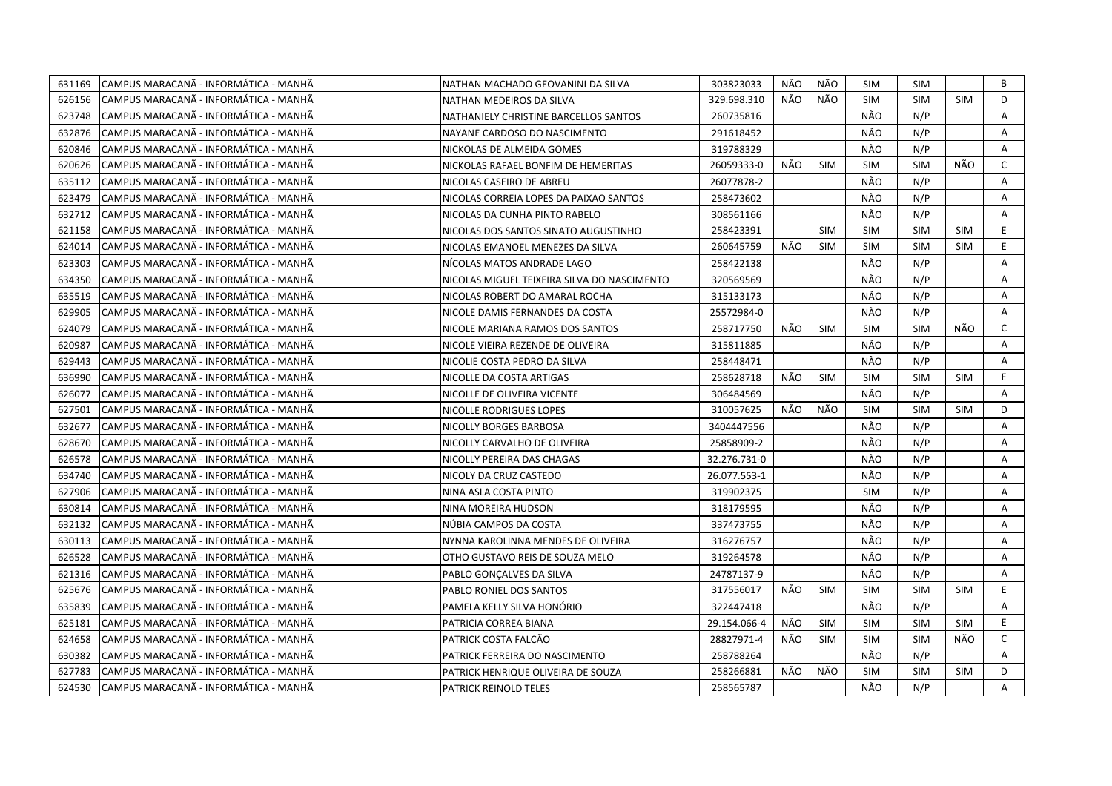| 631169 | CAMPUS MARACANÃ - INFORMÁTICA - MANHÃ  | NATHAN MACHADO GEOVANINI DA SILVA           | 303823033    | NÃO | NÃO        | SIM        | <b>SIM</b> |            | В              |
|--------|----------------------------------------|---------------------------------------------|--------------|-----|------------|------------|------------|------------|----------------|
| 626156 | ICAMPUS MARACANÃ - INFORMÁTICA - MANHÃ | NATHAN MEDEIROS DA SILVA                    | 329.698.310  | NÃO | NÃO        | <b>SIM</b> | <b>SIM</b> | <b>SIM</b> | D              |
| 623748 | CAMPUS MARACANÃ - INFORMÁTICA - MANHÃ  | NATHANIELY CHRISTINE BARCELLOS SANTOS       | 260735816    |     |            | NÃO        | N/P        |            | A              |
| 632876 | CAMPUS MARACANÃ - INFORMÁTICA - MANHÃ  | NAYANE CARDOSO DO NASCIMENTO                | 291618452    |     |            | NÃO        | N/P        |            | A              |
| 620846 | CAMPUS MARACANÃ - INFORMÁTICA - MANHÃ  | NICKOLAS DE ALMEIDA GOMES                   | 319788329    |     |            | NÃO        | N/P        |            | A              |
| 620626 | CAMPUS MARACANA - INFORMATICA - MANHA  | NICKOLAS RAFAEL BONFIM DE HEMERITAS         | 26059333-0   | NÃO | <b>SIM</b> | <b>SIM</b> | <b>SIM</b> | NÃO        | $\mathsf{C}$   |
| 635112 | CAMPUS MARACANA - INFORMATICA - MANHA  | NICOLAS CASEIRO DE ABREU                    | 26077878-2   |     |            | NÃO        | N/P        |            | A              |
| 623479 | CAMPUS MARACANÃ - INFORMÁTICA - MANHÃ  | NICOLAS CORREIA LOPES DA PAIXAO SANTOS      | 258473602    |     |            | NÃO        | N/P        |            | Α              |
| 632712 | ICAMPUS MARACANÃ - INFORMÁTICA - MANHÃ | NICOLAS DA CUNHA PINTO RABELO               | 308561166    |     |            | NÃO        | N/P        |            | A              |
| 621158 | CAMPUS MARACANÃ - INFORMÁTICA - MANHÃ  | NICOLAS DOS SANTOS SINATO AUGUSTINHO        | 258423391    |     | <b>SIM</b> | <b>SIM</b> | <b>SIM</b> | <b>SIM</b> | E.             |
| 624014 | CAMPUS MARACANA - INFORMATICA - MANHA  | NICOLAS EMANOEL MENEZES DA SILVA            | 260645759    | NÃO | <b>SIM</b> | <b>SIM</b> | <b>SIM</b> | <b>SIM</b> | E              |
| 623303 | CAMPUS MARACANÃ - INFORMÁTICA - MANHÃ  | NÍCOLAS MATOS ANDRADE LAGO                  | 258422138    |     |            | NÃO        | N/P        |            | A              |
| 634350 | CAMPUS MARACANÃ - INFORMÁTICA - MANHÃ  | NICOLAS MIGUEL TEIXEIRA SILVA DO NASCIMENTO | 320569569    |     |            | NÃO        | N/P        |            | Α              |
| 635519 | CAMPUS MARACANA - INFORMATICA - MANHA  | NICOLAS ROBERT DO AMARAL ROCHA              | 315133173    |     |            | NÃO        | N/P        |            | Α              |
| 629905 | CAMPUS MARACANA - INFORMÁTICA - MANHÃ  | NICOLE DAMIS FERNANDES DA COSTA             | 25572984-0   |     |            | NÃO        | N/P        |            | A              |
| 624079 | ICAMPUS MARACANÃ - INFORMÁTICA - MANHÃ | NICOLE MARIANA RAMOS DOS SANTOS             | 258717750    | NÃO | <b>SIM</b> | <b>SIM</b> | <b>SIM</b> | NÃO        | C              |
| 620987 | CAMPUS MARACANA - INFORMÁTICA - MANHÃ  | NICOLE VIEIRA REZENDE DE OLIVEIRA           | 315811885    |     |            | NÃO        | N/P        |            | A              |
| 629443 | CAMPUS MARACANÃ - INFORMÁTICA - MANHÃ  | NICOLIE COSTA PEDRO DA SILVA                | 258448471    |     |            | NÃO        | N/P        |            | A              |
| 636990 | CAMPUS MARACANA - INFORMÁTICA - MANHÃ  | NICOLLE DA COSTA ARTIGAS                    | 258628718    | NÃO | SIM        | <b>SIM</b> | <b>SIM</b> | <b>SIM</b> | E.             |
| 626077 | CAMPUS MARACANÃ - INFORMÁTICA - MANHÃ  | NICOLLE DE OLIVEIRA VICENTE                 | 306484569    |     |            | NÃO        | N/P        |            | A              |
| 627501 | CAMPUS MARACANÃ - INFORMÁTICA - MANHÃ  | NICOLLE RODRIGUES LOPES                     | 310057625    | NÃO | NÃO        | <b>SIM</b> | <b>SIM</b> | <b>SIM</b> | D              |
| 632677 | CAMPUS MARACANA - INFORMÁTICA - MANHÃ  | NICOLLY BORGES BARBOSA                      | 3404447556   |     |            | NÃO        | N/P        |            | Α              |
| 628670 | ICAMPUS MARACANÃ - INFORMÁTICA - MANHÃ | NICOLLY CARVALHO DE OLIVEIRA                | 25858909-2   |     |            | NÃO        | N/P        |            | A              |
| 626578 | CAMPUS MARACANA - INFORMATICA - MANHA  | NICOLLY PEREIRA DAS CHAGAS                  | 32.276.731-0 |     |            | NÃO        | N/P        |            | A              |
| 634740 | CAMPUS MARACANÃ - INFORMÁTICA - MANHÃ  | NICOLY DA CRUZ CASTEDO                      | 26.077.553-1 |     |            | NÃO        | N/P        |            | A              |
| 627906 | CAMPUS MARACANA - INFORMATICA - MANHA  | NINA ASLA COSTA PINTO                       | 319902375    |     |            | <b>SIM</b> | N/P        |            | A              |
| 630814 | CAMPUS MARACANA - INFORMATICA - MANHA  | NINA MOREIRA HUDSON                         | 318179595    |     |            | NÃO        | N/P        |            | Α              |
| 632132 | CAMPUS MARACANA - INFORMATICA - MANHA  | NUBIA CAMPOS DA COSTA                       | 337473755    |     |            | NÃO        | N/P        |            | A              |
| 630113 | CAMPUS MARACANÃ - INFORMÁTICA - MANHÃ  | NYNNA KAROLINNA MENDES DE OLIVEIRA          | 316276757    |     |            | NÃO        | N/P        |            | Α              |
| 626528 | ICAMPUS MARACANÃ - INFORMÁTICA - MANHÃ | OTHO GUSTAVO REIS DE SOUZA MELO             | 319264578    |     |            | NÃO        | N/P        |            | A              |
| 621316 | CAMPUS MARACANÃ - INFORMÁTICA - MANHÃ  | PABLO GONÇALVES DA SILVA                    | 24787137-9   |     |            | NÃO        | N/P        |            | Α              |
| 625676 | CAMPUS MARACANA - INFORMATICA - MANHA  | PABLO RONIEL DOS SANTOS                     | 317556017    | NÃO | <b>SIM</b> | <b>SIM</b> | <b>SIM</b> | <b>SIM</b> | E.             |
| 635839 | CAMPUS MARACANA - INFORMÁTICA - MANHÃ  | PAMELA KELLY SILVA HONÓRIO                  | 322447418    |     |            | NÃO        | N/P        |            | Α              |
| 625181 | CAMPUS MARACANÃ - INFORMÁTICA - MANHÃ  | PATRICIA CORREA BIANA                       | 29.154.066-4 | NÃO | SIM        | <b>SIM</b> | <b>SIM</b> | <b>SIM</b> | E.             |
| 624658 | CAMPUS MARACANA - INFORMÁTICA - MANHÃ  | PATRICK COSTA FALCÃO                        | 28827971-4   | NÃO | <b>SIM</b> | SIM        | <b>SIM</b> | NÃO        | $\mathsf{C}$   |
| 630382 | CAMPUS MARACANÃ - INFORMÁTICA - MANHÃ  | PATRICK FERREIRA DO NASCIMENTO              | 258788264    |     |            | NÃO        | N/P        |            | A              |
| 627783 | CAMPUS MARACANA - INFORMATICA - MANHA  | PATRICK HENRIQUE OLIVEIRA DE SOUZA          | 258266881    | NÃO | NÃO        | <b>SIM</b> | <b>SIM</b> | <b>SIM</b> | D              |
| 624530 | CAMPUS MARACANÃ - INFORMÁTICA - MANHÃ  | <b>PATRICK REINOLD TELES</b>                | 258565787    |     |            | NÃO        | N/P        |            | $\overline{A}$ |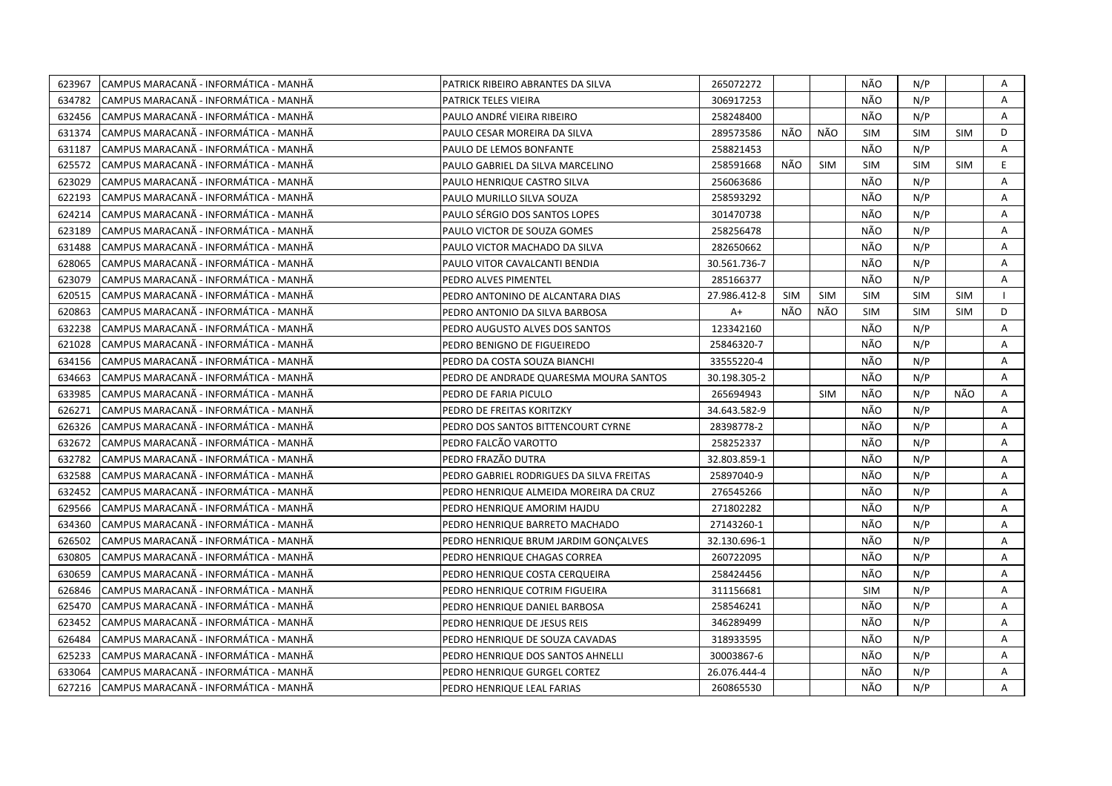| 623967 | CAMPUS MARACANÃ - INFORMÁTICA - MANHÃ  | PATRICK RIBEIRO ABRANTES DA SILVA        | 265072272    |            |            | NÃO        | N/P        |            | Α |
|--------|----------------------------------------|------------------------------------------|--------------|------------|------------|------------|------------|------------|---|
| 634782 | ICAMPUS MARACANÃ - INFORMÁTICA - MANHÃ | PATRICK TELES VIEIRA                     | 306917253    |            |            | NÃO        | N/P        |            | A |
| 632456 | CAMPUS MARACANA - INFORMÁTICA - MANHÃ  | PAULO ANDRÉ VIEIRA RIBEIRO               | 258248400    |            |            | NÃO        | N/P        |            | A |
| 631374 | CAMPUS MARACANÃ - INFORMÁTICA - MANHÃ  | PAULO CESAR MOREIRA DA SILVA             | 289573586    | NÃO        | NÃO        | <b>SIM</b> | <b>SIM</b> | <b>SIM</b> | D |
| 631187 | CAMPUS MARACANÃ - INFORMÁTICA - MANHÃ  | PAULO DE LEMOS BONFANTE                  | 258821453    |            |            | NÃO        | N/P        |            | A |
| 625572 | CAMPUS MARACANA - INFORMATICA - MANHA  | PAULO GABRIEL DA SILVA MARCELINO         | 258591668    | NÃO        | <b>SIM</b> | <b>SIM</b> | <b>SIM</b> | <b>SIM</b> | E |
| 623029 | CAMPUS MARACANA - INFORMATICA - MANHA  | PAULO HENRIQUE CASTRO SILVA              | 256063686    |            |            | NÃO        | N/P        |            | A |
| 622193 | CAMPUS MARACANÃ - INFORMÁTICA - MANHÃ  | PAULO MURILLO SILVA SOUZA                | 258593292    |            |            | NÃO        | N/P        |            | Α |
| 624214 | ICAMPUS MARACANÃ - INFORMÁTICA - MANHÃ | PAULO SÉRGIO DOS SANTOS LOPES            | 301470738    |            |            | NÃO        | N/P        |            | A |
| 623189 | CAMPUS MARACANÃ - INFORMÁTICA - MANHÃ  | PAULO VICTOR DE SOUZA GOMES              | 258256478    |            |            | NÃO        | N/P        |            | A |
| 631488 | CAMPUS MARACANÃ - INFORMÁTICA - MANHÃ  | PAULO VICTOR MACHADO DA SILVA            | 282650662    |            |            | NÃO        | N/P        |            | Α |
| 628065 | CAMPUS MARACANÃ - INFORMÁTICA - MANHÃ  | PAULO VITOR CAVALCANTI BENDIA            | 30.561.736-7 |            |            | NÃO        | N/P        |            | A |
| 623079 | CAMPUS MARACANÃ - INFORMÁTICA - MANHÃ  | PEDRO ALVES PIMENTEL                     | 285166377    |            |            | NÃO        | N/P        |            | Α |
| 620515 | CAMPUS MARACANÃ - INFORMÁTICA - MANHÃ  | PEDRO ANTONINO DE ALCANTARA DIAS         | 27.986.412-8 | <b>SIM</b> | <b>SIM</b> | SIM        | <b>SIM</b> | <b>SIM</b> |   |
| 620863 | CAMPUS MARACANA - INFORMÁTICA - MANHÃ  | PEDRO ANTONIO DA SILVA BARBOSA           | $A+$         | NÃO        | NÃO        | <b>SIM</b> | <b>SIM</b> | <b>SIM</b> | D |
| 632238 | CAMPUS MARACANÃ - INFORMÁTICA - MANHÃ  | PEDRO AUGUSTO ALVES DOS SANTOS           | 123342160    |            |            | NÃO        | N/P        |            | A |
| 621028 | CAMPUS MARACANA - INFORMÁTICA - MANHÃ  | PEDRO BENIGNO DE FIGUEIREDO              | 25846320-7   |            |            | NÃO        | N/P        |            | A |
| 634156 | CAMPUS MARACANÃ - INFORMÁTICA - MANHÃ  | PEDRO DA COSTA SOUZA BIANCHI             | 33555220-4   |            |            | NÃO        | N/P        |            | A |
| 634663 | CAMPUS MARACANA - INFORMÁTICA - MANHÃ  | PEDRO DE ANDRADE QUARESMA MOURA SANTOS   | 30.198.305-2 |            |            | NÃO        | N/P        |            | A |
| 633985 | CAMPUS MARACANÃ - INFORMÁTICA - MANHÃ  | PEDRO DE FARIA PICULO                    | 265694943    |            | <b>SIM</b> | NÃO        | N/P        | NÃO        | A |
| 626271 | CAMPUS MARACANÃ - INFORMÁTICA - MANHÃ  | PEDRO DE FREITAS KORITZKY                | 34.643.582-9 |            |            | NÃO        | N/P        |            | A |
| 626326 | CAMPUS MARACANÃ - INFORMÁTICA - MANHÃ  | PEDRO DOS SANTOS BITTENCOURT CYRNE       | 28398778-2   |            |            | NÃO        | N/P        |            | Α |
| 632672 | ICAMPUS MARACANÃ - INFORMÁTICA - MANHÃ | PEDRO FALCÃO VAROTTO                     | 258252337    |            |            | NÃO        | N/P        |            | A |
| 632782 | CAMPUS MARACANÃ - INFORMÁTICA - MANHÃ  | PEDRO FRAZÃO DUTRA                       | 32.803.859-1 |            |            | NÃO        | N/P        |            | A |
| 632588 | CAMPUS MARACANÃ - INFORMÁTICA - MANHÃ  | PEDRO GABRIEL RODRIGUES DA SILVA FREITAS | 25897040-9   |            |            | NÃO        | N/P        |            | A |
| 632452 | CAMPUS MARACANA - INFORMATICA - MANHA  | PEDRO HENRIQUE ALMEIDA MOREIRA DA CRUZ   | 276545266    |            |            | NÃO        | N/P        |            | A |
| 629566 | CAMPUS MARACANÃ - INFORMÁTICA - MANHÃ  | PEDRO HENRIQUE AMORIM HAJDU              | 271802282    |            |            | NÃO        | N/P        |            | Α |
| 634360 | CAMPUS MARACANA - INFORMATICA - MANHA  | PEDRO HENRIQUE BARRETO MACHADO           | 27143260-1   |            |            | NÃO        | N/P        |            | A |
| 626502 | CAMPUS MARACANÃ - INFORMÁTICA - MANHÃ  | PEDRO HENRIQUE BRUM JARDIM GONÇALVES     | 32.130.696-1 |            |            | NÃO        | N/P        |            | Α |
| 630805 | ICAMPUS MARACANÃ - INFORMÁTICA - MANHÃ | PEDRO HENRIQUE CHAGAS CORREA             | 260722095    |            |            | NÃO        | N/P        |            | A |
| 630659 | CAMPUS MARACANÃ - INFORMÁTICA - MANHÃ  | PEDRO HENRIQUE COSTA CERQUEIRA           | 258424456    |            |            | NÃO        | N/P        |            | Α |
| 626846 | CAMPUS MARACANÃ - INFORMÁTICA - MANHÃ  | PEDRO HENRIQUE COTRIM FIGUEIRA           | 311156681    |            |            | <b>SIM</b> | N/P        |            | Α |
| 625470 | CAMPUS MARACANÃ - INFORMÁTICA - MANHÃ  | PEDRO HENRIQUE DANIEL BARBOSA            | 258546241    |            |            | NÃO        | N/P        |            | Α |
| 623452 | CAMPUS MARACANÃ - INFORMÁTICA - MANHÃ  | PEDRO HENRIQUE DE JESUS REIS             | 346289499    |            |            | NÃO        | N/P        |            | Α |
| 626484 | ICAMPUS MARACANÃ - INFORMÁTICA - MANHÃ | PEDRO HENRIQUE DE SOUZA CAVADAS          | 318933595    |            |            | NÃO        | N/P        |            | A |
| 625233 | CAMPUS MARACANA - INFORMÁTICA - MANHÃ  | PEDRO HENRIQUE DOS SANTOS AHNELLI        | 30003867-6   |            |            | NÃO        | N/P        |            | Α |
| 633064 | CAMPUS MARACANÃ - INFORMÁTICA - MANHÃ  | PEDRO HENRIQUE GURGEL CORTEZ             | 26.076.444-4 |            |            | NÃO        | N/P        |            | A |
| 627216 | CAMPUS MARACANÃ - INFORMÁTICA - MANHÃ  | PEDRO HENRIQUE LEAL FARIAS               | 260865530    |            |            | NÃO        | N/P        |            | A |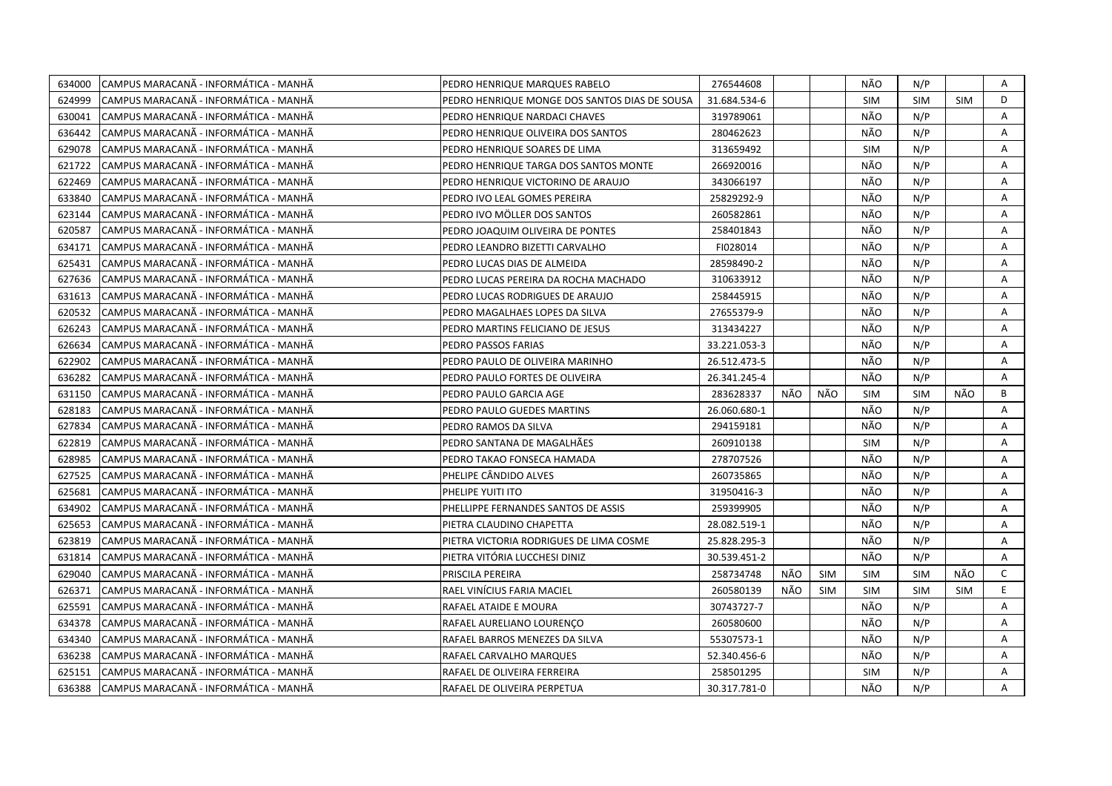| 634000 | CAMPUS MARACANÃ - INFORMÁTICA - MANHÃ | PEDRO HENRIQUE MARQUES RABELO                 | 276544608    |     |            | NÃO        | N/P        |            | Α            |
|--------|---------------------------------------|-----------------------------------------------|--------------|-----|------------|------------|------------|------------|--------------|
| 624999 | CAMPUS MARACANÃ - INFORMÁTICA - MANHÃ | PEDRO HENRIQUE MONGE DOS SANTOS DIAS DE SOUSA | 31.684.534-6 |     |            | <b>SIM</b> | <b>SIM</b> | <b>SIM</b> | D            |
| 630041 | CAMPUS MARACANÃ - INFORMÁTICA - MANHÃ | PEDRO HENRIQUE NARDACI CHAVES                 | 319789061    |     |            | NÃO        | N/P        |            | A            |
| 636442 | CAMPUS MARACANÃ - INFORMÁTICA - MANHÃ | PEDRO HENRIQUE OLIVEIRA DOS SANTOS            | 280462623    |     |            | NÃO        | N/P        |            | A            |
| 629078 | CAMPUS MARACANÃ - INFORMÁTICA - MANHÃ | PEDRO HENRIQUE SOARES DE LIMA                 | 313659492    |     |            | <b>SIM</b> | N/P        |            | A            |
| 621722 | CAMPUS MARACANA - INFORMATICA - MANHA | PEDRO HENRIQUE TARGA DOS SANTOS MONTE         | 266920016    |     |            | NÃO        | N/P        |            | A            |
| 622469 | CAMPUS MARACANÃ - INFORMÁTICA - MANHÃ | PEDRO HENRIQUE VICTORINO DE ARAUJO            | 343066197    |     |            | NÃO        | N/P        |            | Α            |
| 633840 | CAMPUS MARACANÃ - INFORMÁTICA - MANHÃ | PEDRO IVO LEAL GOMES PEREIRA                  | 25829292-9   |     |            | NÃO        | N/P        |            | Α            |
| 623144 | CAMPUS MARACANÃ - INFORMÁTICA - MANHÃ | PEDRO IVO MÖLLER DOS SANTOS                   | 260582861    |     |            | NÃO        | N/P        |            | A            |
| 620587 | CAMPUS MARACANÃ - INFORMÁTICA - MANHÃ | PEDRO JOAQUIM OLIVEIRA DE PONTES              | 258401843    |     |            | NÃO        | N/P        |            | Α            |
| 634171 | CAMPUS MARACANÃ - INFORMÁTICA - MANHÃ | PEDRO LEANDRO BIZETTI CARVALHO                | FI028014     |     |            | NÃO        | N/P        |            | A            |
| 625431 | CAMPUS MARACANÃ - INFORMÁTICA - MANHÃ | PEDRO LUCAS DIAS DE ALMEIDA                   | 28598490-2   |     |            | NÃO        | N/P        |            | A            |
| 627636 | CAMPUS MARACANA - INFORMATICA - MANHA | PEDRO LUCAS PEREIRA DA ROCHA MACHADO          | 310633912    |     |            | NÃO        | N/P        |            | A            |
| 631613 | CAMPUS MARACANÃ - INFORMÁTICA - MANHÃ | PEDRO LUCAS RODRIGUES DE ARAUJO               | 258445915    |     |            | NÃO        | N/P        |            | Α            |
| 620532 | CAMPUS MARACANÃ - INFORMÁTICA - MANHÃ | PEDRO MAGALHAES LOPES DA SILVA                | 27655379-9   |     |            | NÃO        | N/P        |            | A            |
| 626243 | CAMPUS MARACANÃ - INFORMÁTICA - MANHÃ | PEDRO MARTINS FELICIANO DE JESUS              | 313434227    |     |            | NÃO        | N/P        |            | Α            |
| 626634 | CAMPUS MARACANÃ - INFORMÁTICA - MANHÃ | PEDRO PASSOS FARIAS                           | 33.221.053-3 |     |            | NÃO        | N/P        |            | A            |
| 622902 | CAMPUS MARACANÃ - INFORMÁTICA - MANHÃ | PEDRO PAULO DE OLIVEIRA MARINHO               | 26.512.473-5 |     |            | NÃO        | N/P        |            | A            |
| 636282 | CAMPUS MARACANÃ - INFORMÁTICA - MANHÃ | PEDRO PAULO FORTES DE OLIVEIRA                | 26.341.245-4 |     |            | NÃO        | N/P        |            | A            |
| 631150 | CAMPUS MARACANÃ - INFORMÁTICA - MANHÃ | PEDRO PAULO GARCIA AGE                        | 283628337    | NÃO | NÃO        | <b>SIM</b> | <b>SIM</b> | NÃO        | B            |
| 628183 | CAMPUS MARACANÃ - INFORMÁTICA - MANHÃ | PEDRO PAULO GUEDES MARTINS                    | 26.060.680-1 |     |            | NÃO        | N/P        |            | Α            |
| 627834 | CAMPUS MARACANÃ - INFORMÁTICA - MANHÃ | PEDRO RAMOS DA SILVA                          | 294159181    |     |            | NÃO        | N/P        |            | A            |
| 622819 | CAMPUS MARACANÃ - INFORMÁTICA - MANHÃ | PEDRO SANTANA DE MAGALHÃES                    | 260910138    |     |            | <b>SIM</b> | N/P        |            | Α            |
| 628985 | CAMPUS MARACANÃ - INFORMÁTICA - MANHÃ | PEDRO TAKAO FONSECA HAMADA                    | 278707526    |     |            | NÃO        | N/P        |            | A            |
| 627525 | CAMPUS MARACANÃ - INFORMÁTICA - MANHÃ | PHELIPE CÂNDIDO ALVES                         | 260735865    |     |            | NÃO        | N/P        |            | A            |
| 625681 | CAMPUS MARACANA - INFORMÁTICA - MANHÃ | PHELIPE YUITI ITO                             | 31950416-3   |     |            | NÃO        | N/P        |            | A            |
| 634902 | CAMPUS MARACANÃ - INFORMÁTICA - MANHÃ | PHELLIPPE FERNANDES SANTOS DE ASSIS           | 259399905    |     |            | NÃO        | N/P        |            | A            |
| 625653 | CAMPUS MARACANÃ - INFORMÁTICA - MANHÃ | PIETRA CLAUDINO CHAPETTA                      | 28.082.519-1 |     |            | NÃO        | N/P        |            | Α            |
| 623819 | CAMPUS MARACANÃ - INFORMÁTICA - MANHÃ | PIETRA VICTORIA RODRIGUES DE LIMA COSME       | 25.828.295-3 |     |            | NÃO        | N/P        |            | A            |
| 631814 | CAMPUS MARACANÃ - INFORMÁTICA - MANHÃ | PIETRA VITÓRIA LUCCHESI DINIZ                 | 30.539.451-2 |     |            | NÃO        | N/P        |            | Α            |
| 629040 | CAMPUS MARACANÃ - INFORMÁTICA - MANHÃ | PRISCILA PEREIRA                              | 258734748    | NÃO | <b>SIM</b> | SIM        | <b>SIM</b> | NÃO        | $\mathsf{C}$ |
| 626371 | CAMPUS MARACANÃ - INFORMÁTICA - MANHÃ | RAEL VINICIUS FARIA MACIEL                    | 260580139    | NÃO | <b>SIM</b> | <b>SIM</b> | <b>SIM</b> | <b>SIM</b> | E            |
| 625591 | CAMPUS MARACANA - INFORMATICA - MANHA | RAFAEL ATAIDE E MOURA                         | 30743727-7   |     |            | NÃO        | N/P        |            | A            |
| 634378 | CAMPUS MARACANÃ - INFORMÁTICA - MANHÃ | RAFAEL AURELIANO LOURENÇO                     | 260580600    |     |            | NÃO        | N/P        |            | Α            |
| 634340 | CAMPUS MARACANA - INFORMATICA - MANHA | RAFAEL BARROS MENEZES DA SILVA                | 55307573-1   |     |            | NÃO        | N/P        |            | A            |
| 636238 | CAMPUS MARACANÃ - INFORMÁTICA - MANHÃ | RAFAEL CARVALHO MARQUES                       | 52.340.456-6 |     |            | NÃO        | N/P        |            | Α            |
| 625151 | CAMPUS MARACANÃ - INFORMÁTICA - MANHÃ | RAFAEL DE OLIVEIRA FERREIRA                   | 258501295    |     |            | <b>SIM</b> | N/P        |            | Α            |
| 636388 | CAMPUS MARACANÃ - INFORMÁTICA - MANHÃ | RAFAEL DE OLIVEIRA PERPETUA                   | 30.317.781-0 |     |            | NÃO        | N/P        |            | A            |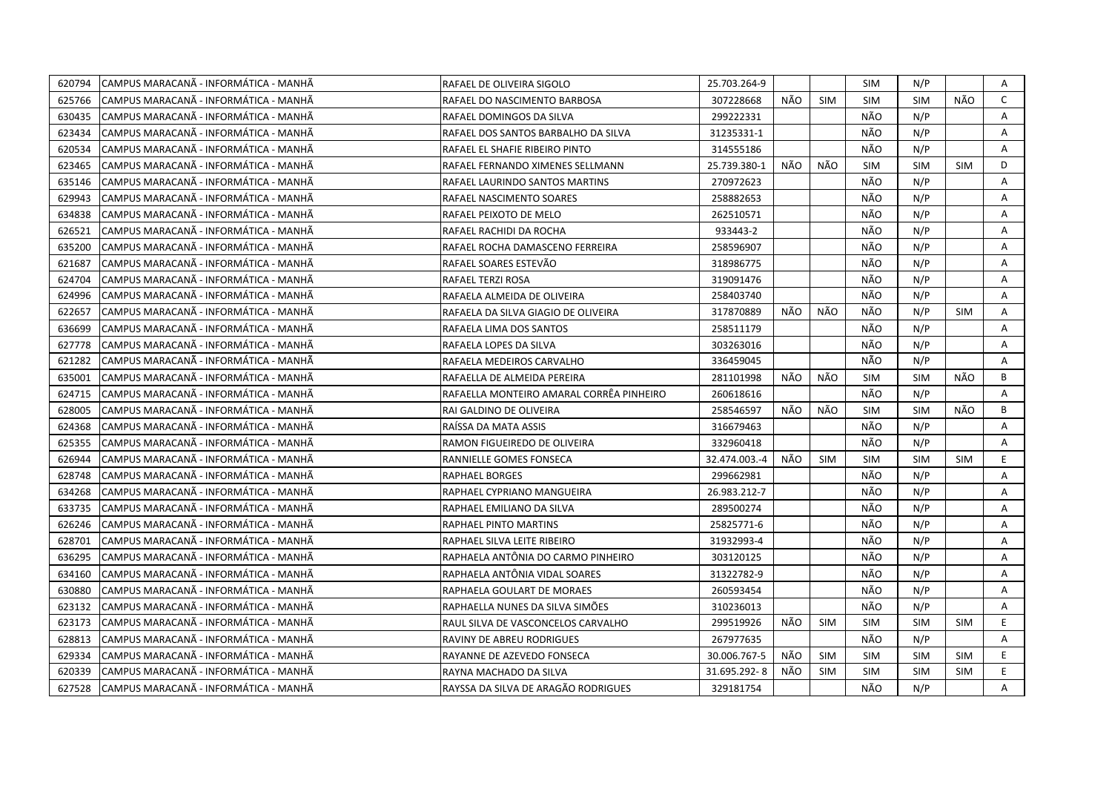| 620794 | CAMPUS MARACANÃ - INFORMÁTICA - MANHÃ  | RAFAEL DE OLIVEIRA SIGOLO                | 25.703.264-9  |     |            | <b>SIM</b> | N/P        |            | A            |
|--------|----------------------------------------|------------------------------------------|---------------|-----|------------|------------|------------|------------|--------------|
| 625766 | ICAMPUS MARACANÃ - INFORMÁTICA - MANHÃ | RAFAEL DO NASCIMENTO BARBOSA             | 307228668     | NÃO | <b>SIM</b> | <b>SIM</b> | <b>SIM</b> | NÃO        | $\mathsf{C}$ |
| 630435 | CAMPUS MARACANA - INFORMÁTICA - MANHÃ  | RAFAEL DOMINGOS DA SILVA                 | 299222331     |     |            | NÃO        | N/P        |            | A            |
| 623434 | CAMPUS MARACANÃ - INFORMÁTICA - MANHÃ  | RAFAEL DOS SANTOS BARBALHO DA SILVA      | 31235331-1    |     |            | NÃO        | N/P        |            | A            |
| 620534 | CAMPUS MARACANÃ - INFORMÁTICA - MANHÃ  | RAFAEL EL SHAFIE RIBEIRO PINTO           | 314555186     |     |            | NÃO        | N/P        |            | Α            |
| 623465 | CAMPUS MARACANÃ - INFORMÁTICA - MANHÃ  | RAFAEL FERNANDO XIMENES SELLMANN         | 25.739.380-1  | NÃO | NÃO        | <b>SIM</b> | <b>SIM</b> | <b>SIM</b> | D            |
| 635146 | CAMPUS MARACANA - INFORMATICA - MANHA  | RAFAEL LAURINDO SANTOS MARTINS           | 270972623     |     |            | NÃO        | N/P        |            | Α            |
| 629943 | CAMPUS MARACANÃ - INFORMÁTICA - MANHÃ  | RAFAEL NASCIMENTO SOARES                 | 258882653     |     |            | NÃO        | N/P        |            | Α            |
| 634838 | ICAMPUS MARACANÃ - INFORMÁTICA - MANHÃ | RAFAEL PEIXOTO DE MELO                   | 262510571     |     |            | NÃO        | N/P        |            | Α            |
| 626521 | CAMPUS MARACANÃ - INFORMÁTICA - MANHÃ  | RAFAEL RACHIDI DA ROCHA                  | 933443-2      |     |            | NÃO        | N/P        |            | Α            |
| 635200 | CAMPUS MARACANÃ - INFORMÁTICA - MANHÃ  | RAFAEL ROCHA DAMASCENO FERREIRA          | 258596907     |     |            | NÃO        | N/P        |            | Α            |
| 621687 | CAMPUS MARACANÃ - INFORMÁTICA - MANHÃ  | RAFAEL SOARES ESTEVÃO                    | 318986775     |     |            | NÃO        | N/P        |            | Α            |
| 624704 | CAMPUS MARACANÃ - INFORMÁTICA - MANHÃ  | RAFAEL TERZI ROSA                        | 319091476     |     |            | NÃO        | N/P        |            | Α            |
| 624996 | CAMPUS MARACANÃ - INFORMÁTICA - MANHÃ  | RAFAELA ALMEIDA DE OLIVEIRA              | 258403740     |     |            | NÃO        | N/P        |            | Α            |
| 622657 | CAMPUS MARACANA - INFORMÁTICA - MANHÃ  | RAFAELA DA SILVA GIAGIO DE OLIVEIRA      | 317870889     | NÃO | NÃO        | NÃO        | N/P        | <b>SIM</b> | A            |
| 636699 | ICAMPUS MARACANÃ - INFORMÁTICA - MANHÃ | RAFAELA LIMA DOS SANTOS                  | 258511179     |     |            | NÃO        | N/P        |            | A            |
| 627778 | CAMPUS MARACANA - INFORMÁTICA - MANHÃ  | RAFAELA LOPES DA SILVA                   | 303263016     |     |            | NÃO        | N/P        |            | A            |
| 621282 | CAMPUS MARACANA - INFORMÁTICA - MANHA  | RAFAELA MEDEIROS CARVALHO                | 336459045     |     |            | NÃO        | N/P        |            | A            |
| 635001 | CAMPUS MARACANÃ - INFORMÁTICA - MANHÃ  | RAFAELLA DE ALMEIDA PEREIRA              | 281101998     | NÃO | NÃO        | <b>SIM</b> | <b>SIM</b> | NÃO        | B            |
| 624715 | CAMPUS MARACANÃ - INFORMÁTICA - MANHÃ  | RAFAELLA MONTEIRO AMARAL CORRÊA PINHEIRO | 260618616     |     |            | NÃO        | N/P        |            | A            |
| 628005 | CAMPUS MARACANÃ - INFORMÁTICA - MANHÃ  | RAI GALDINO DE OLIVEIRA                  | 258546597     | NÃO | NÃO        | <b>SIM</b> | <b>SIM</b> | NÃO        | B            |
| 624368 | CAMPUS MARACANÃ - INFORMÁTICA - MANHÃ  | RAÍSSA DA MATA ASSIS                     | 316679463     |     |            | NÃO        | N/P        |            | A            |
| 625355 | ICAMPUS MARACANÃ - INFORMÁTICA - MANHÃ | RAMON FIGUEIREDO DE OLIVEIRA             | 332960418     |     |            | NÃO        | N/P        |            | A            |
| 626944 | CAMPUS MARACANÃ - INFORMÁTICA - MANHÃ  | RANNIELLE GOMES FONSECA                  | 32.474.003.-4 | NÃO | <b>SIM</b> | <b>SIM</b> | <b>SIM</b> | <b>SIM</b> | E            |
| 628748 | CAMPUS MARACANÃ - INFORMÁTICA - MANHÃ  | RAPHAEL BORGES                           | 299662981     |     |            | NÃO        | N/P        |            | Α            |
| 634268 | CAMPUS MARACANA - INFORMATICA - MANHA  | RAPHAEL CYPRIANO MANGUEIRA               | 26.983.212-7  |     |            | NÃO        | N/P        |            | Α            |
| 633735 | CAMPUS MARACANÃ - INFORMÁTICA - MANHÃ  | RAPHAEL EMILIANO DA SILVA                | 289500274     |     |            | NÃO        | N/P        |            | Α            |
| 626246 | CAMPUS MARACANÃ - INFORMÁTICA - MANHÃ  | RAPHAEL PINTO MARTINS                    | 25825771-6    |     |            | NÃO        | N/P        |            | A            |
| 628701 | CAMPUS MARACANÃ - INFORMÁTICA - MANHÃ  | RAPHAEL SILVA LEITE RIBEIRO              | 31932993-4    |     |            | NÃO        | N/P        |            | Α            |
| 636295 | ICAMPUS MARACANÃ - INFORMÁTICA - MANHÃ | RAPHAELA ANTÔNIA DO CARMO PINHEIRO       | 303120125     |     |            | NÃO        | N/P        |            | A            |
| 634160 | CAMPUS MARACANÃ - INFORMÁTICA - MANHÃ  | RAPHAELA ANTÔNIA VIDAL SOARES            | 31322782-9    |     |            | NÃO        | N/P        |            | A            |
| 630880 | CAMPUS MARACANÃ - INFORMÁTICA - MANHÃ  | RAPHAELA GOULART DE MORAES               | 260593454     |     |            | NÃO        | N/P        |            | Α            |
| 623132 | CAMPUS MARACANÃ - INFORMÁTICA - MANHÃ  | RAPHAELLA NUNES DA SILVA SIMÕES          | 310236013     |     |            | NÃO        | N/P        |            | A            |
| 623173 | CAMPUS MARACANÃ - INFORMÁTICA - MANHÃ  | RAUL SILVA DE VASCONCELOS CARVALHO       | 299519926     | NÃO | <b>SIM</b> | <b>SIM</b> | <b>SIM</b> | <b>SIM</b> | E            |
| 628813 | ICAMPUS MARACANÃ - INFORMÁTICA - MANHÃ | RAVINY DE ABREU RODRIGUES                | 267977635     |     |            | NÃO        | N/P        |            | A            |
| 629334 | CAMPUS MARACANÃ - INFORMÁTICA - MANHÃ  | RAYANNE DE AZEVEDO FONSECA               | 30.006.767-5  | NÃO | <b>SIM</b> | <b>SIM</b> | <b>SIM</b> | <b>SIM</b> | E.           |
| 620339 | CAMPUS MARACANA - INFORMATICA - MANHÀ  | RAYNA MACHADO DA SILVA                   | 31.695.292-8  | NÃO | <b>SIM</b> | <b>SIM</b> | <b>SIM</b> | <b>SIM</b> | E.           |
| 627528 | CAMPUS MARACANA - INFORMÁTICA - MANHÃ  | RAYSSA DA SILVA DE ARAGÃO RODRIGUES      | 329181754     |     |            | NÃO        | N/P        |            | A            |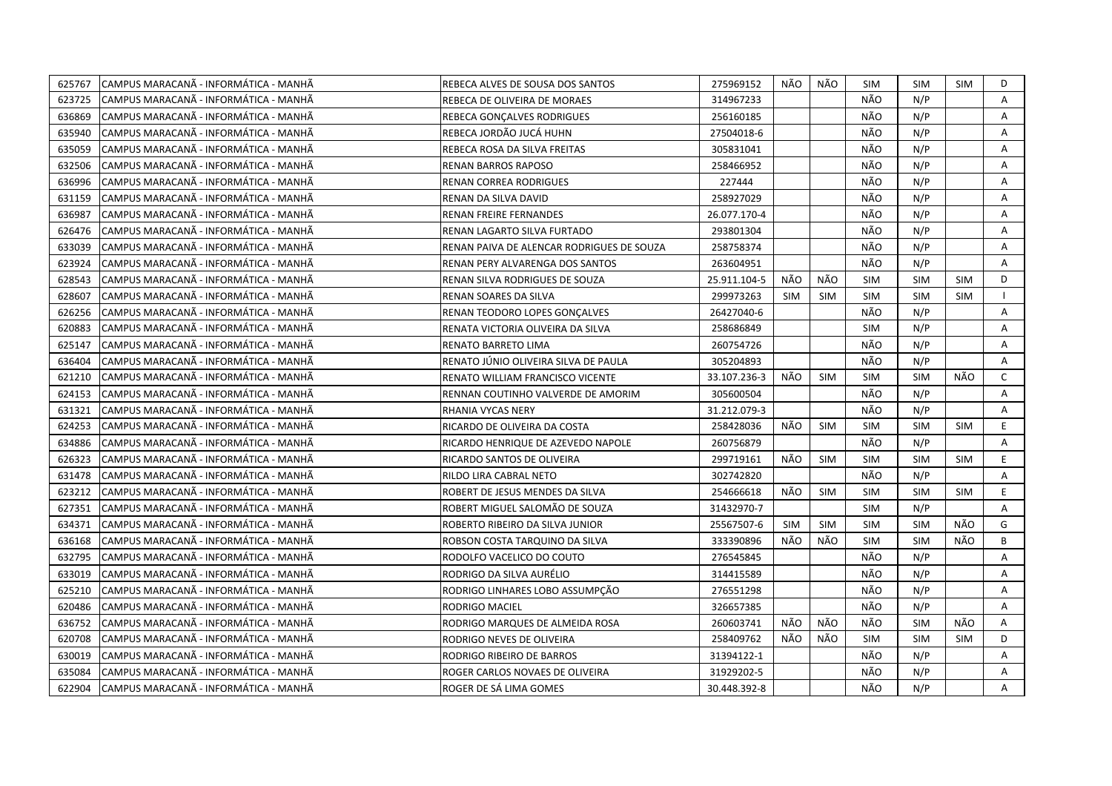| 625767 | CAMPUS MARACANÃ - INFORMÁTICA - MANHÃ | REBECA ALVES DE SOUSA DOS SANTOS          | 275969152    | NÃO | NÃO        | <b>SIM</b> | SIM        | <b>SIM</b> | D            |
|--------|---------------------------------------|-------------------------------------------|--------------|-----|------------|------------|------------|------------|--------------|
| 623725 | CAMPUS MARACANÃ - INFORMÁTICA - MANHÃ | REBECA DE OLIVEIRA DE MORAES              | 314967233    |     |            | NÃO        | N/P        |            | A            |
| 636869 | CAMPUS MARACANÃ - INFORMÁTICA - MANHÃ | REBECA GONCALVES RODRIGUES                | 256160185    |     |            | NÃO        | N/P        |            | A            |
| 635940 | CAMPUS MARACANÃ - INFORMÁTICA - MANHÃ | REBECA JORDÃO JUCÁ HUHN                   | 27504018-6   |     |            | NÃO        | N/P        |            | Α            |
| 635059 | CAMPUS MARACANÃ - INFORMÁTICA - MANHÃ | REBECA ROSA DA SILVA FREITAS              | 305831041    |     |            | NÃO        | N/P        |            | A            |
| 632506 | CAMPUS MARACANA - INFORMÁTICA - MANHÃ | RENAN BARROS RAPOSO                       | 258466952    |     |            | NÃO        | N/P        |            | A            |
| 636996 | CAMPUS MARACANÃ - INFORMÁTICA - MANHÃ | <b>RENAN CORREA RODRIGUES</b>             | 227444       |     |            | NÃO        | N/P        |            | Α            |
| 631159 | CAMPUS MARACANA - INFORMÁTICA - MANHÃ | RENAN DA SILVA DAVID                      | 258927029    |     |            | NÃO        | N/P        |            | A            |
| 636987 | CAMPUS MARACANÃ - INFORMÁTICA - MANHÃ | RENAN FREIRE FERNANDES                    | 26.077.170-4 |     |            | NÃO        | N/P        |            | Α            |
| 626476 | CAMPUS MARACANÃ - INFORMÁTICA - MANHÃ | RENAN LAGARTO SILVA FURTADO               | 293801304    |     |            | NÃO        | N/P        |            | Α            |
| 633039 | CAMPUS MARACANÃ - INFORMÁTICA - MANHÃ | RENAN PAIVA DE ALENCAR RODRIGUES DE SOUZA | 258758374    |     |            | NÃO        | N/P        |            | Α            |
| 623924 | CAMPUS MARACANÃ - INFORMÁTICA - MANHÃ | RENAN PERY ALVARENGA DOS SANTOS           | 263604951    |     |            | NÃO        | N/P        |            | Α            |
| 628543 | CAMPUS MARACANA - INFORMÁTICA - MANHÃ | RENAN SILVA RODRIGUES DE SOUZA            | 25.911.104-5 | NÃO | NÃO        | <b>SIM</b> | <b>SIM</b> | <b>SIM</b> | D            |
| 628607 | CAMPUS MARACANA - INFORMÁTICA - MANHÃ | RENAN SOARES DA SILVA                     | 299973263    | SIM | <b>SIM</b> | <b>SIM</b> | <b>SIM</b> | <b>SIM</b> | $\mathbf{I}$ |
| 626256 | CAMPUS MARACANA - INFORMÁTICA - MANHÃ | RENAN TEODORO LOPES GONCALVES             | 26427040-6   |     |            | NÃO        | N/P        |            | A            |
| 620883 | CAMPUS MARACANÃ - INFORMÁTICA - MANHÃ | RENATA VICTORIA OLIVEIRA DA SILVA         | 258686849    |     |            | <b>SIM</b> | N/P        |            | A            |
| 625147 | CAMPUS MARACANÃ - INFORMÁTICA - MANHÃ | RENATO BARRETO LIMA                       | 260754726    |     |            | NÃO        | N/P        |            | Α            |
| 636404 | CAMPUS MARACANÃ - INFORMÁTICA - MANHÃ | RENATO JÚNIO OLIVEIRA SILVA DE PAULA      | 305204893    |     |            | NÃO        | N/P        |            | A            |
| 621210 | CAMPUS MARACANA - INFORMÁTICA - MANHÃ | RENATO WILLIAM FRANCISCO VICENTE          | 33.107.236-3 | NÃO | <b>SIM</b> | <b>SIM</b> | <b>SIM</b> | NÃO        | $\mathsf{C}$ |
| 624153 | CAMPUS MARACANÃ - INFORMÁTICA - MANHÃ | RENNAN COUTINHO VALVERDE DE AMORIM        | 305600504    |     |            | NÃO        | N/P        |            | A            |
| 631321 | CAMPUS MARACANÃ - INFORMÁTICA - MANHÃ | RHANIA VYCAS NERY                         | 31.212.079-3 |     |            | NÃO        | N/P        |            | Α            |
| 624253 | CAMPUS MARACANA - INFORMATICA - MANHA | RICARDO DE OLIVEIRA DA COSTA              | 258428036    | NÃO | <b>SIM</b> | <b>SIM</b> | <b>SIM</b> | <b>SIM</b> | E            |
| 634886 | CAMPUS MARACANÃ - INFORMÁTICA - MANHÃ | RICARDO HENRIQUE DE AZEVEDO NAPOLE        | 260756879    |     |            | NÃO        | N/P        |            | A            |
| 626323 | CAMPUS MARACANÃ - INFORMÁTICA - MANHÃ | RICARDO SANTOS DE OLIVEIRA                | 299719161    | NÃO | <b>SIM</b> | <b>SIM</b> | <b>SIM</b> | <b>SIM</b> | E.           |
| 631478 | CAMPUS MARACANÃ - INFORMÁTICA - MANHÃ | RILDO LIRA CABRAL NETO                    | 302742820    |     |            | NÃO        | N/P        |            | A            |
| 623212 | CAMPUS MARACANÃ - INFORMÁTICA - MANHÃ | ROBERT DE JESUS MENDES DA SILVA           | 254666618    | NÃO | SIM        | <b>SIM</b> | <b>SIM</b> | <b>SIM</b> | E            |
| 627351 | CAMPUS MARACANÃ - INFORMÁTICA - MANHÃ | ROBERT MIGUEL SALOMÃO DE SOUZA            | 31432970-7   |     |            | <b>SIM</b> | N/P        |            | A            |
| 634371 | CAMPUS MARACANÃ - INFORMÁTICA - MANHÃ | ROBERTO RIBEIRO DA SILVA JUNIOR           | 25567507-6   | SIM | SIM        | <b>SIM</b> | <b>SIM</b> | NÃO        | G            |
| 636168 | CAMPUS MARACANÃ - INFORMÁTICA - MANHÃ | ROBSON COSTA TARQUINO DA SILVA            | 333390896    | NÃO | NÃO        | <b>SIM</b> | <b>SIM</b> | NÃO        | B            |
| 632795 | CAMPUS MARACANÃ - INFORMÁTICA - MANHÃ | RODOLFO VACELICO DO COUTO                 | 276545845    |     |            | NÃO        | N/P        |            | А            |
| 633019 | CAMPUS MARACANA - INFORMÁTICA - MANHÃ | RODRIGO DA SILVA AURÉLIO                  | 314415589    |     |            | NÃO        | N/P        |            | Α            |
| 625210 | CAMPUS MARACANA - INFORMÁTICA - MANHÃ | RODRIGO LINHARES LOBO ASSUMPÇÃO           | 276551298    |     |            | NÃO        | N/P        |            | A            |
| 620486 | CAMPUS MARACANA - INFORMÁTICA - MANHÃ | <b>RODRIGO MACIEL</b>                     | 326657385    |     |            | NÃO        | N/P        |            | $\mathsf{A}$ |
| 636752 | CAMPUS MARACANÃ - INFORMÁTICA - MANHÃ | RODRIGO MARQUES DE ALMEIDA ROSA           | 260603741    | NÃO | NÃO        | NÃO        | <b>SIM</b> | NÃO        | A            |
| 620708 | CAMPUS MARACANÃ - INFORMÁTICA - MANHÃ | RODRIGO NEVES DE OLIVEIRA                 | 258409762    | NÃO | NÃO        | <b>SIM</b> | <b>SIM</b> | <b>SIM</b> | D            |
| 630019 | CAMPUS MARACANÃ - INFORMÁTICA - MANHÃ | RODRIGO RIBEIRO DE BARROS                 | 31394122-1   |     |            | NÃO        | N/P        |            | Α            |
| 635084 | CAMPUS MARACANÃ - INFORMÁTICA - MANHÃ | ROGER CARLOS NOVAES DE OLIVEIRA           | 31929202-5   |     |            | NÃO        | N/P        |            | А            |
| 622904 | CAMPUS MARACANÃ - INFORMÁTICA - MANHÃ | ROGER DE SÁ LIMA GOMES                    | 30.448.392-8 |     |            | NÃO        | N/P        |            | A            |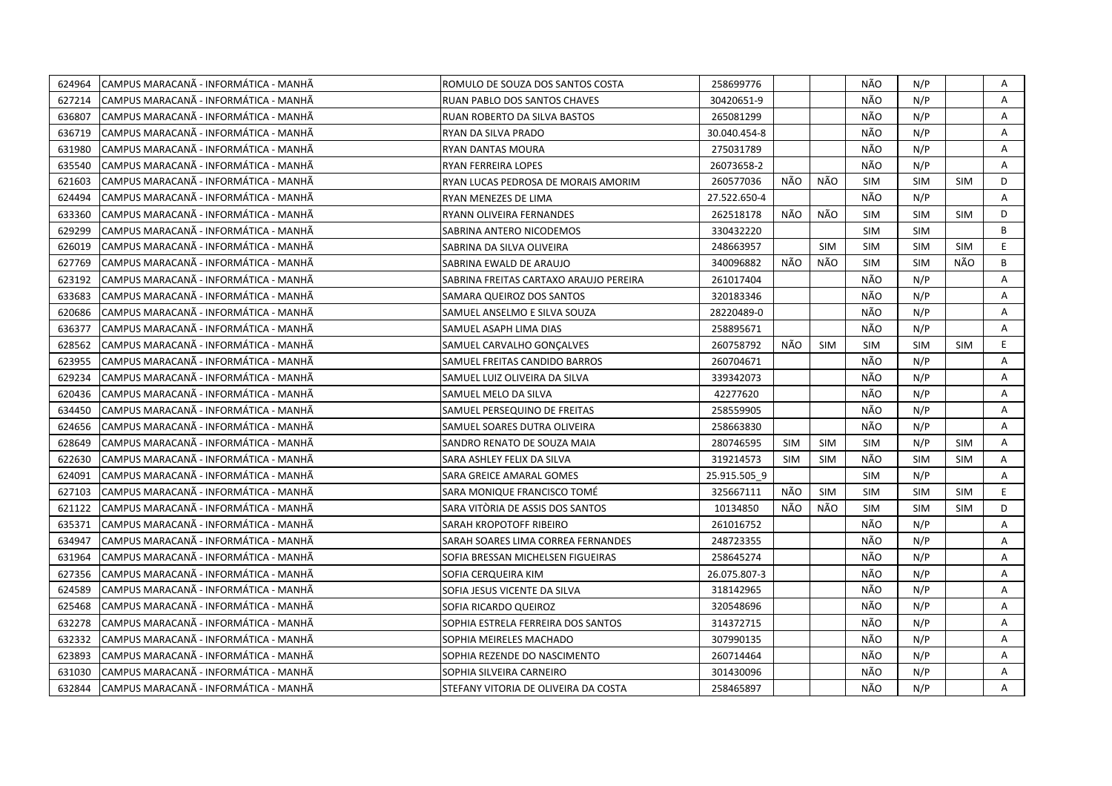| 624964 | CAMPUS MARACANÃ - INFORMÁTICA - MANHÃ | ROMULO DE SOUZA DOS SANTOS COSTA       | 258699776    |            |            | NÃO        | N/P        |            | Α  |
|--------|---------------------------------------|----------------------------------------|--------------|------------|------------|------------|------------|------------|----|
| 627214 | CAMPUS MARACANÃ - INFORMÁTICA - MANHÃ | RUAN PABLO DOS SANTOS CHAVES           | 30420651-9   |            |            | NÃO        | N/P        |            | A  |
| 636807 | CAMPUS MARACANÃ - INFORMÁTICA - MANHÃ | RUAN ROBERTO DA SILVA BASTOS           | 265081299    |            |            | NÃO        | N/P        |            | A  |
| 636719 | CAMPUS MARACANÃ - INFORMÁTICA - MANHÃ | RYAN DA SILVA PRADO                    | 30.040.454-8 |            |            | NÃO        | N/P        |            | Α  |
| 631980 | CAMPUS MARACANÃ - INFORMÁTICA - MANHÃ | RYAN DANTAS MOURA                      | 275031789    |            |            | NÃO        | N/P        |            | Α  |
| 635540 | CAMPUS MARACANÃ - INFORMÁTICA - MANHÃ | <b>RYAN FERREIRA LOPES</b>             | 26073658-2   |            |            | NÃO        | N/P        |            | Α  |
| 621603 | CAMPUS MARACANÃ - INFORMÁTICA - MANHÃ | RYAN LUCAS PEDROSA DE MORAIS AMORIM    | 260577036    | NÃO        | NÃO        | <b>SIM</b> | <b>SIM</b> | <b>SIM</b> | D  |
| 624494 | CAMPUS MARACANÃ - INFORMÁTICA - MANHÃ | RYAN MENEZES DE LIMA                   | 27.522.650-4 |            |            | NÃO        | N/P        |            | A  |
| 633360 | CAMPUS MARACANÃ - INFORMÁTICA - MANHÃ | RYANN OLIVEIRA FERNANDES               | 262518178    | NÃO        | NÃO        | <b>SIM</b> | <b>SIM</b> | <b>SIM</b> | D  |
| 629299 | CAMPUS MARACANÃ - INFORMÁTICA - MANHÃ | SABRINA ANTERO NICODEMOS               | 330432220    |            |            | <b>SIM</b> | <b>SIM</b> |            | B  |
| 626019 | CAMPUS MARACANÃ - INFORMÁTICA - MANHÃ | SABRINA DA SILVA OLIVEIRA              | 248663957    |            | <b>SIM</b> | <b>SIM</b> | <b>SIM</b> | <b>SIM</b> | E  |
| 627769 | CAMPUS MARACANÃ - INFORMÁTICA - MANHÃ | SABRINA EWALD DE ARAUJO                | 340096882    | NÃO        | NÃO        | <b>SIM</b> | <b>SIM</b> | NÃO        | B  |
| 623192 | CAMPUS MARACANÃ - INFORMÁTICA - MANHÃ | SABRINA FREITAS CARTAXO ARAUJO PEREIRA | 261017404    |            |            | NÃO        | N/P        |            | Α  |
| 633683 | CAMPUS MARACANÃ - INFORMÁTICA - MANHÃ | SAMARA QUEIROZ DOS SANTOS              | 320183346    |            |            | NÃO        | N/P        |            | Α  |
| 620686 | CAMPUS MARACANA - INFORMÁTICA - MANHÃ | SAMUEL ANSELMO E SILVA SOUZA           | 28220489-0   |            |            | NÃO        | N/P        |            | A  |
| 636377 | CAMPUS MARACANA - INFORMÁTICA - MANHÃ | SAMUEL ASAPH LIMA DIAS                 | 258895671    |            |            | NÃO        | N/P        |            | Α  |
| 628562 | CAMPUS MARACANA - INFORMÁTICA - MANHÃ | SAMUEL CARVALHO GONCALVES              | 260758792    | NÃO        | <b>SIM</b> | <b>SIM</b> | <b>SIM</b> | <b>SIM</b> | E  |
| 623955 | CAMPUS MARACANÃ - INFORMÁTICA - MANHÃ | SAMUEL FREITAS CANDIDO BARROS          | 260704671    |            |            | NÃO        | N/P        |            | Α  |
| 629234 | CAMPUS MARACANÃ - INFORMÁTICA - MANHÃ | SAMUEL LUIZ OLIVEIRA DA SILVA          | 339342073    |            |            | NÃO        | N/P        |            | Α  |
| 620436 | CAMPUS MARACANÃ - INFORMÁTICA - MANHÃ | SAMUEL MELO DA SILVA                   | 42277620     |            |            | NÃO        | N/P        |            | A  |
| 634450 | CAMPUS MARACANÃ - INFORMÁTICA - MANHÃ | SAMUEL PERSEQUINO DE FREITAS           | 258559905    |            |            | NÃO        | N/P        |            | A  |
| 624656 | CAMPUS MARACANÃ - INFORMÁTICA - MANHÃ | SAMUEL SOARES DUTRA OLIVEIRA           | 258663830    |            |            | NÃO        | N/P        |            | A  |
| 628649 | CAMPUS MARACANÃ - INFORMÁTICA - MANHÃ | SANDRO RENATO DE SOUZA MAIA            | 280746595    | SIM        | <b>SIM</b> | <b>SIM</b> | N/P        | <b>SIM</b> | Α  |
| 622630 | CAMPUS MARACANÃ - INFORMÁTICA - MANHÃ | SARA ASHLEY FELIX DA SILVA             | 319214573    | <b>SIM</b> | <b>SIM</b> | NÃO        | <b>SIM</b> | <b>SIM</b> | Α  |
| 624091 | CAMPUS MARACANA - INFORMATICA - MANHA | SARA GREICE AMARAL GOMES               | 25.915.505 9 |            |            | <b>SIM</b> | N/P        |            | A  |
| 627103 | CAMPUS MARACANA - INFORMÁTICA - MANHÃ | SARA MONIQUE FRANCISCO TOMÉ            | 325667111    | NÃO        | SIM        | <b>SIM</b> | <b>SIM</b> | <b>SIM</b> | E. |
| 621122 | CAMPUS MARACANA - INFORMÁTICA - MANHÃ | SARA VITÓRIA DE ASSIS DOS SANTOS       | 10134850     | NÃO        | NÃO        | <b>SIM</b> | <b>SIM</b> | <b>SIM</b> | D  |
| 635371 | CAMPUS MARACANA - INFORMÁTICA - MANHÃ | SARAH KROPOTOFF RIBEIRO                | 261016752    |            |            | NÃO        | N/P        |            | A  |
| 634947 | CAMPUS MARACANÃ - INFORMÁTICA - MANHÃ | SARAH SOARES LIMA CORREA FERNANDES     | 248723355    |            |            | NÃO        | N/P        |            | A  |
| 631964 | CAMPUS MARACANA - INFORMÁTICA - MANHÃ | SOFIA BRESSAN MICHELSEN FIGUEIRAS      | 258645274    |            |            | NÃO        | N/P        |            | A  |
| 627356 | CAMPUS MARACANÃ - INFORMÁTICA - MANHÃ | SOFIA CERQUEIRA KIM                    | 26.075.807-3 |            |            | NÃO        | N/P        |            | A  |
| 624589 | CAMPUS MARACANÃ - INFORMÁTICA - MANHÃ | SOFIA JESUS VICENTE DA SILVA           | 318142965    |            |            | NÃO        | N/P        |            | A  |
| 625468 | CAMPUS MARACANA - INFORMATICA - MANHA | SOFIA RICARDO QUEIROZ                  | 320548696    |            |            | NÃO        | N/P        |            | A  |
| 632278 | CAMPUS MARACANÃ - INFORMÁTICA - MANHÃ | SOPHIA ESTRELA FERREIRA DOS SANTOS     | 314372715    |            |            | NÃO        | N/P        |            | Α  |
| 632332 | CAMPUS MARACANÃ - INFORMÁTICA - MANHÃ | SOPHIA MEIRELES MACHADO                | 307990135    |            |            | NÃO        | N/P        |            | Α  |
| 623893 | CAMPUS MARACANÃ - INFORMÁTICA - MANHÃ | SOPHIA REZENDE DO NASCIMENTO           | 260714464    |            |            | NÃO        | N/P        |            | A  |
| 631030 | CAMPUS MARACANÃ - INFORMÁTICA - MANHÃ | SOPHIA SILVEIRA CARNEIRO               | 301430096    |            |            | NÃO        | N/P        |            | Α  |
| 632844 | CAMPUS MARACANÃ - INFORMÁTICA - MANHÃ | STEFANY VITORIA DE OLIVEIRA DA COSTA   | 258465897    |            |            | NÃO        | N/P        |            | A  |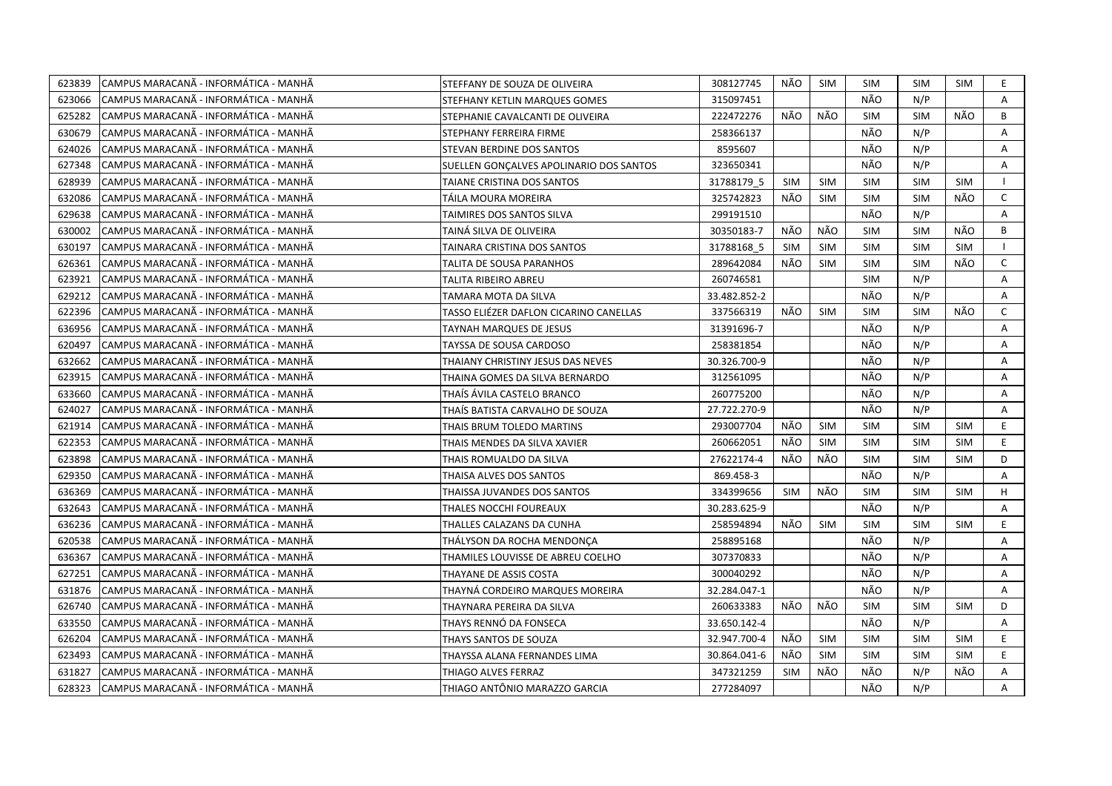| 623839 | CAMPUS MARACANÃ - INFORMÁTICA - MANHÃ  | STEFFANY DE SOUZA DE OLIVEIRA           | 308127745    | NÃO        | SIM        | SIM        | <b>SIM</b> | SIM        | E.             |
|--------|----------------------------------------|-----------------------------------------|--------------|------------|------------|------------|------------|------------|----------------|
| 623066 | ICAMPUS MARACANÃ - INFORMÁTICA - MANHÃ | STEFHANY KETLIN MARQUES GOMES           | 315097451    |            |            | NÃO        | N/P        |            | A              |
| 625282 | CAMPUS MARACANÃ - INFORMÁTICA - MANHÃ  | STEPHANIE CAVALCANTI DE OLIVEIRA        | 222472276    | NÃO        | NÃO        | SIM        | <b>SIM</b> | NÃO        | B              |
| 630679 | ICAMPUS MARACANÃ - INFORMÁTICA - MANHÃ | STEPHANY FERREIRA FIRME                 | 258366137    |            |            | NÃO        | N/P        |            | A              |
| 624026 | CAMPUS MARACANÃ - INFORMÁTICA - MANHÃ  | STEVAN BERDINE DOS SANTOS               | 8595607      |            |            | NÃO        | N/P        |            | A              |
| 627348 | ICAMPUS MARACANÃ - INFORMÁTICA - MANHÃ | SUELLEN GONÇALVES APOLINARIO DOS SANTOS | 323650341    |            |            | NÃO        | N/P        |            | A              |
| 628939 | ICAMPUS MARACANÃ - INFORMÁTICA - MANHÃ | TAIANE CRISTINA DOS SANTOS              | 31788179 5   | <b>SIM</b> | <b>SIM</b> | <b>SIM</b> | <b>SIM</b> | <b>SIM</b> | $\perp$        |
| 632086 | CAMPUS MARACANÃ - INFORMÁTICA - MANHÃ  | TÁILA MOURA MOREIRA                     | 325742823    | NÃO        | SIM        | <b>SIM</b> | <b>SIM</b> | NÃO        | C              |
| 629638 | CAMPUS MARACANÃ - INFORMÁTICA - MANHÃ  | TAIMIRES DOS SANTOS SILVA               | 299191510    |            |            | NÃO        | N/P        |            | A              |
| 630002 | CAMPUS MARACANÃ - INFORMÁTICA - MANHÃ  | TAINA SILVA DE OLIVEIRA                 | 30350183-7   | NÃO        | NÃO        | <b>SIM</b> | <b>SIM</b> | NÃO        | B              |
| 630197 | CAMPUS MARACANA - INFORMATICA - MANHA  | TAINARA CRISTINA DOS SANTOS             | 31788168 5   | <b>SIM</b> | <b>SIM</b> | <b>SIM</b> | <b>SIM</b> | SIM        |                |
| 626361 | CAMPUS MARACANA - INFORMÁTICA - MANHA  | TALITA DE SOUSA PARANHOS                | 289642084    | NÃO        | <b>SIM</b> | <b>SIM</b> | <b>SIM</b> | NÃO        | $\mathsf{C}$   |
| 623921 | CAMPUS MARACANÃ - INFORMÁTICA - MANHÃ  | TALITA RIBEIRO ABREU                    | 260746581    |            |            | <b>SIM</b> | N/P        |            | Α              |
| 629212 | CAMPUS MARACANA - INFORMÁTICA - MANHÃ  | TAMARA MOTA DA SILVA                    | 33.482.852-2 |            |            | NÃO        | N/P        |            | A              |
| 622396 | ICAMPUS MARACANÃ - INFORMÁTICA - MANHÃ | TASSO ELIÉZER DAFLON CICARINO CANELLAS  | 337566319    | NÃO        | <b>SIM</b> | <b>SIM</b> | <b>SIM</b> | NÃO        | $\mathsf{C}$   |
| 636956 | CAMPUS MARACANÃ - INFORMÁTICA - MANHÃ  | TAYNAH MARQUES DE JESUS                 | 31391696-7   |            |            | NÃO        | N/P        |            | A              |
| 620497 | CAMPUS MARACANÃ - INFORMÁTICA - MANHÃ  | TAYSSA DE SOUSA CARDOSO                 | 258381854    |            |            | NÃO        | N/P        |            | $\mathsf{A}$   |
| 632662 | CAMPUS MARACANÃ - INFORMÁTICA - MANHÃ  | THAIANY CHRISTINY JESUS DAS NEVES       | 30.326.700-9 |            |            | NÃO        | N/P        |            | A              |
| 623915 | CAMPUS MARACANÃ - INFORMÁTICA - MANHÃ  | THAINA GOMES DA SILVA BERNARDO          | 312561095    |            |            | NÃO        | N/P        |            | A              |
| 633660 | CAMPUS MARACANÃ - INFORMÁTICA - MANHÃ  | THAÍS ÁVILA CASTELO BRANCO              | 260775200    |            |            | NÃO        | N/P        |            | A              |
| 624027 | CAMPUS MARACANÃ - INFORMÁTICA - MANHÃ  | THAÍS BATISTA CARVALHO DE SOUZA         | 27.722.270-9 |            |            | NÃO        | N/P        |            | A              |
| 621914 | CAMPUS MARACANÃ - INFORMÁTICA - MANHÃ  | THAIS BRUM TOLEDO MARTINS               | 293007704    | NÃO        | <b>SIM</b> | <b>SIM</b> | <b>SIM</b> | <b>SIM</b> | E.             |
| 622353 | CAMPUS MARACANA - INFORMATICA - MANHA  | THAIS MENDES DA SILVA XAVIER            | 260662051    | NÃO        | <b>SIM</b> | <b>SIM</b> | <b>SIM</b> | SIM        | E.             |
| 623898 | CAMPUS MARACANA - INFORMATICA - MANHA  | THAIS ROMUALDO DA SILVA                 | 27622174-4   | NÃO        | NÃO        | <b>SIM</b> | <b>SIM</b> | <b>SIM</b> | D              |
| 629350 | CAMPUS MARACANÃ - INFORMÁTICA - MANHÃ  | THAISA ALVES DOS SANTOS                 | 869.458-3    |            |            | NÃO        | N/P        |            | A              |
| 636369 | CAMPUS MARACANA - INFORMATICA - MANHÀ  | THAISSA JUVANDES DOS SANTOS             | 334399656    | <b>SIM</b> | NÃO        | <b>SIM</b> | <b>SIM</b> | <b>SIM</b> | H              |
| 632643 | CAMPUS MARACANÃ - INFORMÁTICA - MANHÃ  | THALES NOCCHI FOUREAUX                  | 30.283.625-9 |            |            | NÃO        | N/P        |            | A              |
| 636236 | CAMPUS MARACANÃ - INFORMÁTICA - MANHÃ  | THALLES CALAZANS DA CUNHA               | 258594894    | NÃO        | <b>SIM</b> | <b>SIM</b> | <b>SIM</b> | SIM        | E.             |
| 620538 | CAMPUS MARACANÃ - INFORMÁTICA - MANHÃ  | THÁLYSON DA ROCHA MENDONCA              | 258895168    |            |            | NÃO        | N/P        |            | A              |
| 636367 | CAMPUS MARACANÃ - INFORMÁTICA - MANHÃ  | THAMILES LOUVISSE DE ABREU COELHO       | 307370833    |            |            | NÃO        | N/P        |            | A              |
| 627251 | CAMPUS MARACANÃ - INFORMÁTICA - MANHÃ  | THAYANE DE ASSIS COSTA                  | 300040292    |            |            | NÃO        | N/P        |            | A              |
| 631876 | CAMPUS MARACANÃ - INFORMÁTICA - MANHÃ  | THAYNÁ CORDEIRO MARQUES MOREIRA         | 32.284.047-1 |            |            | NÃO        | N/P        |            | A              |
| 626740 | CAMPUS MARACANÃ - INFORMÁTICA - MANHÃ  | THAYNARA PEREIRA DA SILVA               | 260633383    | NÃO        | NÃO        | SIM        | <b>SIM</b> | <b>SIM</b> | D              |
| 633550 | CAMPUS MARACANÃ - INFORMÁTICA - MANHÃ  | THAYS RENNÓ DA FONSECA                  | 33.650.142-4 |            |            | NÃO        | N/P        |            | A              |
| 626204 | CAMPUS MARACANA - INFORMATICA - MANHA  | THAYS SANTOS DE SOUZA                   | 32.947.700-4 | NÃO        | <b>SIM</b> | <b>SIM</b> | <b>SIM</b> | SIM        | E.             |
| 623493 | CAMPUS MARACANÃ - INFORMÁTICA - MANHÃ  | THAYSSA ALANA FERNANDES LIMA            | 30.864.041-6 | NÃO        | <b>SIM</b> | SIM        | <b>SIM</b> | <b>SIM</b> | E.             |
| 631827 | ICAMPUS MARACANÃ - INFORMÁTICA - MANHÃ | THIAGO ALVES FERRAZ                     | 347321259    | <b>SIM</b> | NÃO        | NÃO        | N/P        | NÃO        | A              |
| 628323 | CAMPUS MARACANÃ - INFORMÁTICA - MANHÃ  | THIAGO ANTÔNIO MARAZZO GARCIA           | 277284097    |            |            | NÃO        | N/P        |            | $\overline{A}$ |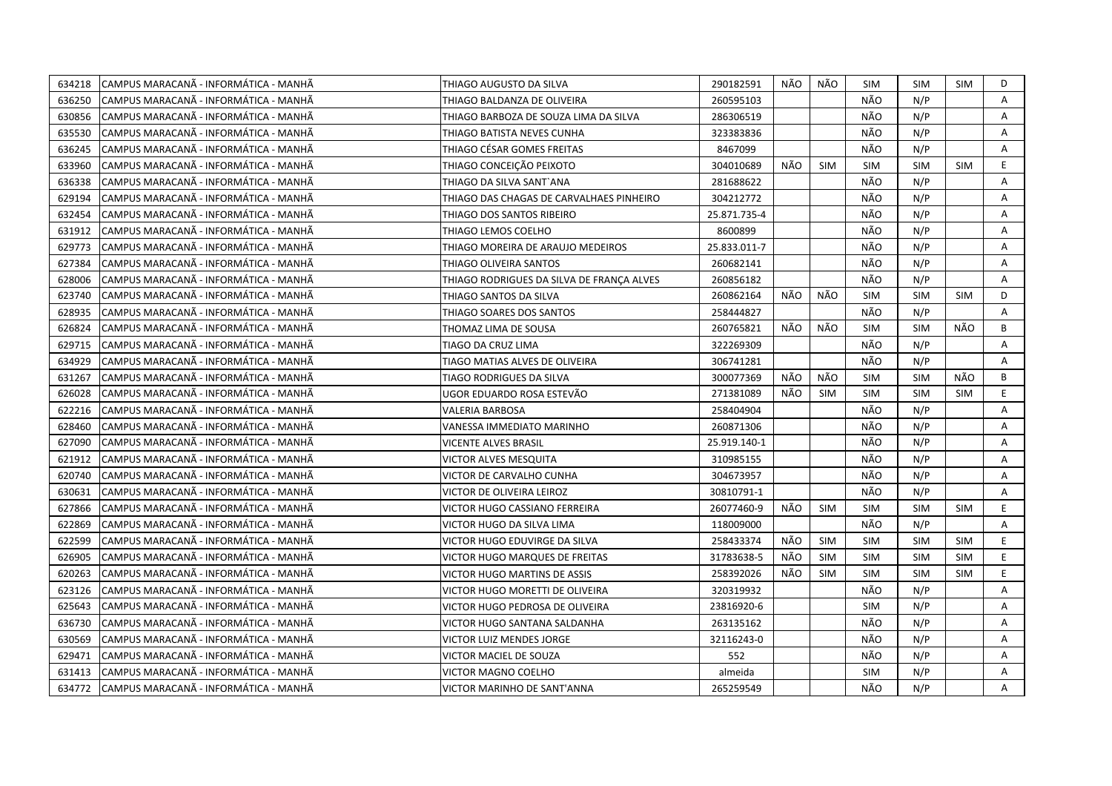| 634218 | CAMPUS MARACANÃ - INFORMÁTICA - MANHÃ  | THIAGO AUGUSTO DA SILVA                   | 290182591    | NÃO  | NÃO        | SIM        | <b>SIM</b> | <b>SIM</b> | D  |
|--------|----------------------------------------|-------------------------------------------|--------------|------|------------|------------|------------|------------|----|
| 636250 | ICAMPUS MARACANÃ - INFORMÁTICA - MANHÃ | THIAGO BALDANZA DE OLIVEIRA               | 260595103    |      |            | NÃO        | N/P        |            | A  |
| 630856 | CAMPUS MARACANÃ - INFORMÁTICA - MANHÃ  | THIAGO BARBOZA DE SOUZA LIMA DA SILVA     | 286306519    |      |            | NÃO        | N/P        |            | A  |
| 635530 | CAMPUS MARACANÃ - INFORMÁTICA - MANHÃ  | THIAGO BATISTA NEVES CUNHA                | 323383836    |      |            | NÃO        | N/P        |            | Α  |
| 636245 | CAMPUS MARACANÃ - INFORMÁTICA - MANHÃ  | THIAGO CÉSAR GOMES FREITAS                | 8467099      |      |            | NÃO        | N/P        |            | Α  |
| 633960 | ICAMPUS MARACANÃ - INFORMÁTICA - MANHÃ | THIAGO CONCEIÇÃO PEIXOTO                  | 304010689    | NÃO  | <b>SIM</b> | <b>SIM</b> | <b>SIM</b> | <b>SIM</b> | E. |
| 636338 | CAMPUS MARACANÃ - INFORMÁTICA - MANHÃ  | THIAGO DA SILVA SANT`ANA                  | 281688622    |      |            | NÃO        | N/P        |            | Α  |
| 629194 | ICAMPUS MARACANÃ - INFORMÁTICA - MANHÃ | THIAGO DAS CHAGAS DE CARVALHAES PINHEIRO  | 304212772    |      |            | NÃO        | N/P        |            | A  |
| 632454 | CAMPUS MARACANA - INFORMÁTICA - MANHÃ  | THIAGO DOS SANTOS RIBEIRO                 | 25.871.735-4 |      |            | NÃO        | N/P        |            | A  |
| 631912 | ICAMPUS MARACANÃ - INFORMÁTICA - MANHÃ | THIAGO LEMOS COELHO                       | 8600899      |      |            | NÃO        | N/P        |            | A  |
| 629773 | CAMPUS MARACANÃ - INFORMÁTICA - MANHÃ  | THIAGO MOREIRA DE ARAUJO MEDEIROS         | 25.833.011-7 |      |            | NÃO        | N/P        |            | A  |
| 627384 | CAMPUS MARACANÃ - INFORMÁTICA - MANHÃ  | THIAGO OLIVEIRA SANTOS                    | 260682141    |      |            | NÃO        | N/P        |            | A  |
| 628006 | CAMPUS MARACANÃ - INFORMÁTICA - MANHÃ  | THIAGO RODRIGUES DA SILVA DE FRANÇA ALVES | 260856182    |      |            | NÃO        | N/P        |            | Α  |
| 623740 | CAMPUS MARACANÃ - INFORMÁTICA - MANHÃ  | THIAGO SANTOS DA SILVA                    | 260862164    | NÃO  | NÃO        | <b>SIM</b> | <b>SIM</b> | <b>SIM</b> | D  |
| 628935 | CAMPUS MARACANA - INFORMÁTICA - MANHÃ  | THIAGO SOARES DOS SANTOS                  | 258444827    |      |            | NÃO        | N/P        |            | A  |
| 626824 | CAMPUS MARACANÃ - INFORMÁTICA - MANHÃ  | THOMAZ LIMA DE SOUSA                      | 260765821    | NÃO  | NÃO        | <b>SIM</b> | <b>SIM</b> | NÃO        | B  |
| 629715 | CAMPUS MARACANA - INFORMÁTICA - MANHÃ  | TIAGO DA CRUZ LIMA                        | 322269309    |      |            | NÃO        | N/P        |            | A  |
| 634929 | CAMPUS MARACANÃ - INFORMÁTICA - MANHÃ  | TIAGO MATIAS ALVES DE OLIVEIRA            | 306741281    |      |            | NÃO        | N/P        |            | A  |
| 631267 | CAMPUS MARACANA - INFORMÁTICA - MANHÃ  | TIAGO RODRIGUES DA SILVA                  | 300077369    | NÃO  | NÃO        | <b>SIM</b> | <b>SIM</b> | NÃO        | B  |
| 626028 | CAMPUS MARACANÃ - INFORMÁTICA - MANHÃ  | UGOR EDUARDO ROSA ESTEVÃO                 | 271381089    | NÃO  | <b>SIM</b> | <b>SIM</b> | <b>SIM</b> | SIM        | E. |
| 622216 | CAMPUS MARACANA - INFORMÁTICA - MANHÃ  | VALERIA BARBOSA                           | 258404904    |      |            | NÃO        | N/P        |            | A  |
| 628460 | CAMPUS MARACANÃ - INFORMÁTICA - MANHÃ  | VANESSA IMMEDIATO MARINHO                 | 260871306    |      |            | NÃO        | N/P        |            | Α  |
| 627090 | CAMPUS MARACANÃ - INFORMÁTICA - MANHÃ  | VICENTE ALVES BRASIL                      | 25.919.140-1 |      |            | NÃO        | N/P        |            | A  |
| 621912 | CAMPUS MARACANÃ - INFORMÁTICA - MANHÃ  | VICTOR ALVES MESQUITA                     | 310985155    |      |            | NÃO        | N/P        |            | Α  |
| 620740 | ICAMPUS MARACANÃ - INFORMÁTICA - MANHÃ | VICTOR DE CARVALHO CUNHA                  | 304673957    |      |            | NÃO        | N/P        |            | A  |
| 630631 | CAMPUS MARACANA - INFORMATICA - MANHA  | VICTOR DE OLIVEIRA LEIROZ                 | 30810791-1   |      |            | NÃO        | N/P        |            | Α  |
| 627866 | CAMPUS MARACANA - INFORMATICA - MANHA  | VICTOR HUGO CASSIANO FERREIRA             | 26077460-9   | NÃO. | <b>SIM</b> | <b>SIM</b> | <b>SIM</b> | <b>SIM</b> | E. |
| 622869 | CAMPUS MARACANÃ - INFORMÁTICA - MANHÃ  | VICTOR HUGO DA SILVA LIMA                 | 118009000    |      |            | NÃO        | N/P        |            | A  |
| 622599 | CAMPUS MARACANÃ - INFORMÁTICA - MANHÃ  | VICTOR HUGO EDUVIRGE DA SILVA             | 258433374    | NÃO  | <b>SIM</b> | <b>SIM</b> | <b>SIM</b> | <b>SIM</b> | E. |
| 626905 | CAMPUS MARACANÃ - INFORMÁTICA - MANHÃ  | VICTOR HUGO MARQUES DE FREITAS            | 31783638-5   | NÃO  | <b>SIM</b> | <b>SIM</b> | <b>SIM</b> | <b>SIM</b> | E. |
| 620263 | CAMPUS MARACANÃ - INFORMÁTICA - MANHÃ  | VICTOR HUGO MARTINS DE ASSIS              | 258392026    | NÃO  | <b>SIM</b> | <b>SIM</b> | <b>SIM</b> | <b>SIM</b> | E. |
| 623126 | CAMPUS MARACANÃ - INFORMÁTICA - MANHÃ  | VICTOR HUGO MORETTI DE OLIVEIRA           | 320319932    |      |            | NÃO        | N/P        |            | A  |
| 625643 | CAMPUS MARACANA - INFORMATICA - MANHA  | VICTOR HUGO PEDROSA DE OLIVEIRA           | 23816920-6   |      |            | <b>SIM</b> | N/P        |            | A  |
| 636730 | CAMPUS MARACANÃ - INFORMÁTICA - MANHÃ  | VICTOR HUGO SANTANA SALDANHA              | 263135162    |      |            | NÃO        | N/P        |            | Α  |
| 630569 | CAMPUS MARACANÃ - INFORMÁTICA - MANHÃ  | VICTOR LUIZ MENDES JORGE                  | 32116243-0   |      |            | NÃO        | N/P        |            | A  |
| 629471 | CAMPUS MARACANA - INFORMÁTICA - MANHÃ  | VICTOR MACIEL DE SOUZA                    | 552          |      |            | NÃO        | N/P        |            | A  |
| 631413 | CAMPUS MARACANÃ - INFORMÁTICA - MANHÃ  | <b>VICTOR MAGNO COELHO</b>                | almeida      |      |            | <b>SIM</b> | N/P        |            | Α  |
| 634772 | CAMPUS MARACANÃ - INFORMÁTICA - MANHÃ  | VICTOR MARINHO DE SANT'ANNA               | 265259549    |      |            | NÃO        | N/P        |            | A  |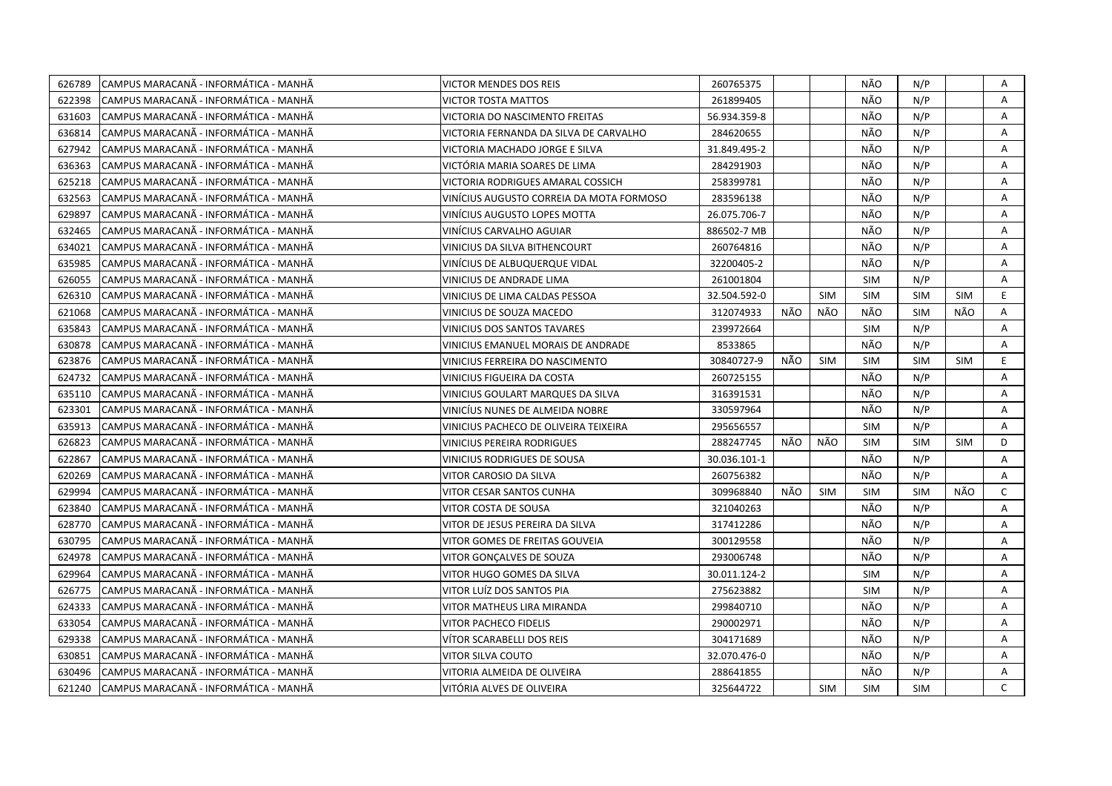| 626789 | CAMPUS MARACANÃ - INFORMÁTICA - MANHÃ  | VICTOR MENDES DOS REIS                   | 260765375    |     |            | NÃO        | N/P        |            | Α            |
|--------|----------------------------------------|------------------------------------------|--------------|-----|------------|------------|------------|------------|--------------|
| 622398 | CAMPUS MARACANÃ - INFORMÁTICA - MANHÃ  | VICTOR TOSTA MATTOS                      | 261899405    |     |            | NÃO        | N/P        |            | A            |
| 631603 | ICAMPUS MARACANÃ - INFORMÁTICA - MANHÃ | VICTORIA DO NASCIMENTO FREITAS           | 56.934.359-8 |     |            | NÃO        | N/P        |            | Α            |
| 636814 | CAMPUS MARACANÃ - INFORMÁTICA - MANHÃ  | VICTORIA FERNANDA DA SILVA DE CARVALHO   | 284620655    |     |            | NÃO        | N/P        |            | Α            |
| 627942 | CAMPUS MARACANÃ - INFORMÁTICA - MANHÃ  | VICTORIA MACHADO JORGE E SILVA           | 31.849.495-2 |     |            | NÃO        | N/P        |            | Α            |
| 636363 | CAMPUS MARACANÃ - INFORMÁTICA - MANHÃ  | VICTÓRIA MARIA SOARES DE LIMA            | 284291903    |     |            | NÃO        | N/P        |            | Α            |
| 625218 | ICAMPUS MARACANÃ - INFORMÁTICA - MANHÃ | VICTORIA RODRIGUES AMARAL COSSICH        | 258399781    |     |            | NÃO        | N/P        |            | A            |
| 632563 | CAMPUS MARACANÃ - INFORMÁTICA - MANHÃ  | VINÍCIUS AUGUSTO CORREIA DA MOTA FORMOSO | 283596138    |     |            | NÃO        | N/P        |            | A            |
| 629897 | CAMPUS MARACANÃ - INFORMÁTICA - MANHÃ  | VINÍCIUS AUGUSTO LOPES MOTTA             | 26.075.706-7 |     |            | NÃO        | N/P        |            | Α            |
| 632465 | CAMPUS MARACANÃ - INFORMÁTICA - MANHÃ  | VINÍCIUS CARVALHO AGUIAR                 | 886502-7 MB  |     |            | NÃO        | N/P        |            | A            |
| 634021 | CAMPUS MARACANA - INFORMÁTICA - MANHÃ  | VINICIUS DA SILVA BITHENCOURT            | 260764816    |     |            | NÃO        | N/P        |            | A            |
| 635985 | CAMPUS MARACANA - INFORMÁTICA - MANHÃ  | VINÍCIUS DE ALBUQUERQUE VIDAL            | 32200405-2   |     |            | NÃO        | N/P        |            | Α            |
| 626055 | CAMPUS MARACANÃ - INFORMÁTICA - MANHÃ  | VINICIUS DE ANDRADE LIMA                 | 261001804    |     |            | <b>SIM</b> | N/P        |            | Α            |
| 626310 | CAMPUS MARACANÃ - INFORMÁTICA - MANHÃ  | VINICIUS DE LIMA CALDAS PESSOA           | 32.504.592-0 |     | <b>SIM</b> | <b>SIM</b> | <b>SIM</b> | <b>SIM</b> | E.           |
| 621068 | CAMPUS MARACANÃ - INFORMÁTICA - MANHÃ  | VINICIUS DE SOUZA MACEDO                 | 312074933    | NÃO | NÃO        | NÃO        | <b>SIM</b> | NÃO        | Α            |
| 635843 | CAMPUS MARACANÃ - INFORMÁTICA - MANHÃ  | VINICIUS DOS SANTOS TAVARES              | 239972664    |     |            | <b>SIM</b> | N/P        |            | Α            |
| 630878 | ICAMPUS MARACANÃ - INFORMÁTICA - MANHÃ | VINICIUS EMANUEL MORAIS DE ANDRADE       | 8533865      |     |            | NÃO        | N/P        |            | A            |
| 623876 | CAMPUS MARACANÃ - INFORMÁTICA - MANHÃ  | VINICIUS FERREIRA DO NASCIMENTO          | 30840727-9   | NÃO | <b>SIM</b> | <b>SIM</b> | <b>SIM</b> | <b>SIM</b> | E.           |
| 624732 | CAMPUS MARACANÃ - INFORMÁTICA - MANHÃ  | VINICIUS FIGUEIRA DA COSTA               | 260725155    |     |            | NÃO        | N/P        |            | A            |
| 635110 | CAMPUS MARACANA - INFORMÁTICA - MANHA  | VINICIUS GOULART MARQUES DA SILVA        | 316391531    |     |            | NÃO        | N/P        |            | Α            |
| 623301 | CAMPUS MARACANÃ - INFORMÁTICA - MANHÃ  | VINICIUS NUNES DE ALMEIDA NOBRE          | 330597964    |     |            | NÃO        | N/P        |            | A            |
| 635913 | CAMPUS MARACANA - INFORMÁTICA - MANHÃ  | VINICIUS PACHECO DE OLIVEIRA TEIXEIRA    | 295656557    |     |            | <b>SIM</b> | N/P        |            | A            |
| 626823 | CAMPUS MARACANÃ - INFORMÁTICA - MANHÃ  | VINICIUS PEREIRA RODRIGUES               | 288247745    | NÃO | NÃO        | <b>SIM</b> | <b>SIM</b> | <b>SIM</b> | D            |
| 622867 | CAMPUS MARACANA - INFORMATICA - MANHA  | VINICIUS RODRIGUES DE SOUSA              | 30.036.101-1 |     |            | NÃO        | N/P        |            | A            |
| 620269 | CAMPUS MARACANÃ - INFORMÁTICA - MANHÃ  | VITOR CAROSIO DA SILVA                   | 260756382    |     |            | NÃO        | N/P        |            | Α            |
| 629994 | CAMPUS MARACANÃ - INFORMÁTICA - MANHÃ  | VITOR CESAR SANTOS CUNHA                 | 309968840    | NÃO | <b>SIM</b> | <b>SIM</b> | <b>SIM</b> | NÃO        | C            |
| 623840 | CAMPUS MARACANÃ - INFORMÁTICA - MANHÃ  | VITOR COSTA DE SOUSA                     | 321040263    |     |            | NÃO        | N/P        |            | Α            |
| 628770 | ICAMPUS MARACANÃ - INFORMÁTICA - MANHÃ | VITOR DE JESUS PEREIRA DA SILVA          | 317412286    |     |            | NÃO        | N/P        |            | A            |
| 630795 | CAMPUS MARACANÃ - INFORMÁTICA - MANHÃ  | VITOR GOMES DE FREITAS GOUVEIA           | 300129558    |     |            | NÃO        | N/P        |            | A            |
| 624978 | CAMPUS MARACANÃ - INFORMÁTICA - MANHÃ  | VITOR GONÇALVES DE SOUZA                 | 293006748    |     |            | NÃO        | N/P        |            | Α            |
| 629964 | CAMPUS MARACANÃ - INFORMÁTICA - MANHÃ  | VITOR HUGO GOMES DA SILVA                | 30.011.124-2 |     |            | <b>SIM</b> | N/P        |            | A            |
| 626775 | CAMPUS MARACANA - INFORMÁTICA - MANHÃ  | VITOR LUÍZ DOS SANTOS PIA                | 275623882    |     |            | <b>SIM</b> | N/P        |            | A            |
| 624333 | CAMPUS MARACANA - INFORMÁTICA - MANHÃ  | VITOR MATHEUS LIRA MIRANDA               | 299840710    |     |            | NÃO        | N/P        |            | A            |
| 633054 | CAMPUS MARACANÃ - INFORMÁTICA - MANHÃ  | <b>VITOR PACHECO FIDELIS</b>             | 290002971    |     |            | NÃO        | N/P        |            | A            |
| 629338 | CAMPUS MARACANA - INFORMATICA - MANHA  | VİTOR SCARABELLI DOS REIS                | 304171689    |     |            | NÃO        | N/P        |            | A            |
| 630851 | CAMPUS MARACANÃ - INFORMÁTICA - MANHÃ  | VITOR SILVA COUTO                        | 32.070.476-0 |     |            | NÃO        | N/P        |            | Α            |
| 630496 | CAMPUS MARACANÃ - INFORMÁTICA - MANHÃ  | VITORIA ALMEIDA DE OLIVEIRA              | 288641855    |     |            | NÃO        | N/P        |            | A            |
| 621240 | CAMPUS MARACANÃ - INFORMÁTICA - MANHÃ  | VITÓRIA ALVES DE OLIVEIRA                | 325644722    |     | <b>SIM</b> | <b>SIM</b> | <b>SIM</b> |            | $\mathsf{C}$ |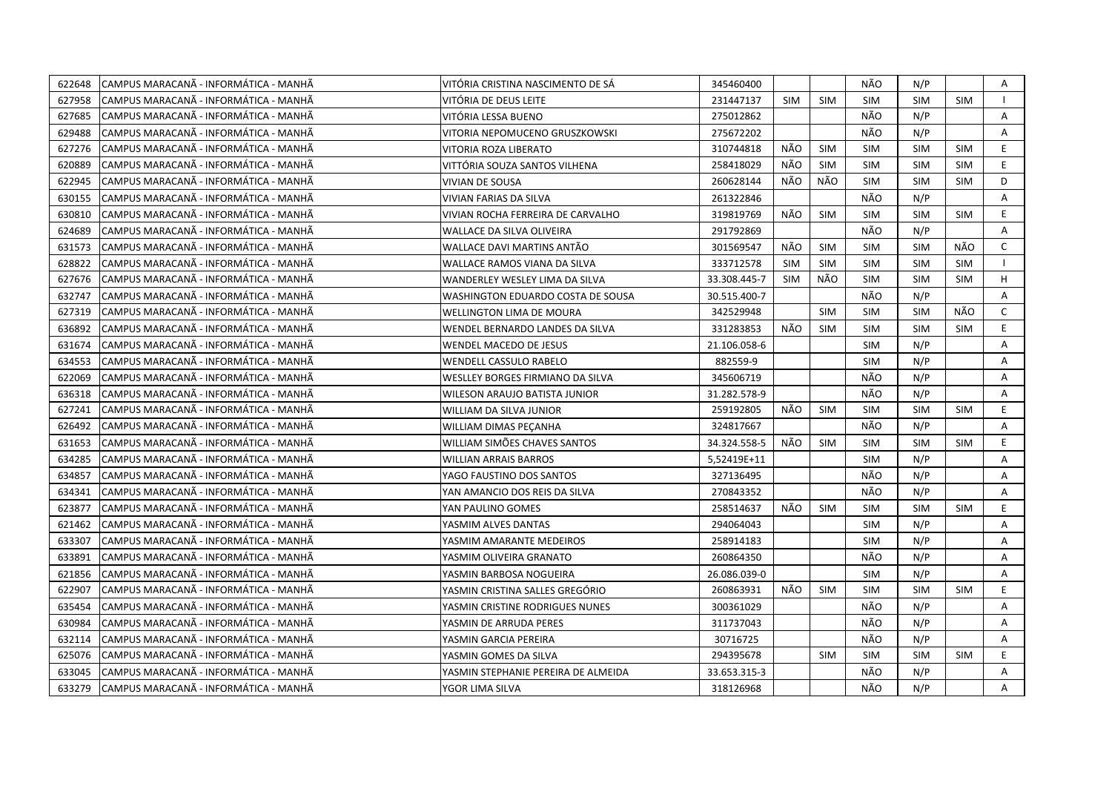| 622648 | CAMPUS MARACANÃ - INFORMÁTICA - MANHÃ  | VITÓRIA CRISTINA NASCIMENTO DE SÁ   | 345460400    |            |            | NÃO        | N/P        |            | Α            |
|--------|----------------------------------------|-------------------------------------|--------------|------------|------------|------------|------------|------------|--------------|
| 627958 | ICAMPUS MARACANÃ - INFORMÁTICA - MANHÃ | VITÓRIA DE DEUS LEITE               | 231447137    | <b>SIM</b> | <b>SIM</b> | <b>SIM</b> | <b>SIM</b> | <b>SIM</b> |              |
| 627685 | CAMPUS MARACANÃ - INFORMÁTICA - MANHÃ  | VITÓRIA LESSA BUENO                 | 275012862    |            |            | NÃO        | N/P        |            | Α            |
| 629488 | CAMPUS MARACANÃ - INFORMÁTICA - MANHÃ  | VITORIA NEPOMUCENO GRUSZKOWSKI      | 275672202    |            |            | NÃO        | N/P        |            | Α            |
| 627276 | ICAMPUS MARACANÃ - INFORMÁTICA - MANHÃ | VITORIA ROZA LIBERATO               | 310744818    | NÃO        | <b>SIM</b> | <b>SIM</b> | <b>SIM</b> | <b>SIM</b> | E.           |
| 620889 | CAMPUS MARACANÃ - INFORMÁTICA - MANHÃ  | VITTÓRIA SOUZA SANTOS VILHENA       | 258418029    | NÃO        | <b>SIM</b> | <b>SIM</b> | <b>SIM</b> | <b>SIM</b> | E            |
| 622945 | ICAMPUS MARACANÃ - INFORMÁTICA - MANHÃ | <b>VIVIAN DE SOUSA</b>              | 260628144    | NÃO        | NÃO        | <b>SIM</b> | <b>SIM</b> | <b>SIM</b> | D            |
| 630155 | CAMPUS MARACANA - INFORMÁTICA - MANHÃ  | VIVIAN FARIAS DA SILVA              | 261322846    |            |            | NÃO        | N/P        |            | A            |
| 630810 | ICAMPUS MARACANÃ - INFORMÁTICA - MANHÃ | VIVIAN ROCHA FERREIRA DE CARVALHO   | 319819769    | NÃO        | <b>SIM</b> | <b>SIM</b> | <b>SIM</b> | <b>SIM</b> | E.           |
| 624689 | CAMPUS MARACANÃ - INFORMÁTICA - MANHÃ  | WALLACE DA SILVA OLIVEIRA           | 291792869    |            |            | NÃO        | N/P        |            | A            |
| 631573 | CAMPUS MARACANÃ - INFORMÁTICA - MANHÃ  | WALLACE DAVI MARTINS ANTÃO          | 301569547    | NÃO        | <b>SIM</b> | <b>SIM</b> | <b>SIM</b> | NÃO        | $\mathsf{C}$ |
| 628822 | CAMPUS MARACANÃ - INFORMÁTICA - MANHÃ  | WALLACE RAMOS VIANA DA SILVA        | 333712578    | <b>SIM</b> | <b>SIM</b> | <b>SIM</b> | <b>SIM</b> | <b>SIM</b> |              |
| 627676 | CAMPUS MARACANÃ - INFORMÁTICA - MANHÃ  | WANDERLEY WESLEY LIMA DA SILVA      | 33.308.445-7 | <b>SIM</b> | NÃO        | <b>SIM</b> | <b>SIM</b> | <b>SIM</b> | H            |
| 632747 | CAMPUS MARACANÃ - INFORMÁTICA - MANHÃ  | WASHINGTON EDUARDO COSTA DE SOUSA   | 30.515.400-7 |            |            | NÃO        | N/P        |            | A            |
| 627319 | CAMPUS MARACANA - INFORMÁTICA - MANHÃ  | <b>WELLINGTON LIMA DE MOURA</b>     | 342529948    |            | <b>SIM</b> | <b>SIM</b> | <b>SIM</b> | NÃO        | $\mathsf{C}$ |
| 636892 | ICAMPUS MARACANÃ - INFORMÁTICA - MANHÃ | WENDEL BERNARDO LANDES DA SILVA     | 331283853    | NÃO        | <b>SIM</b> | <b>SIM</b> | <b>SIM</b> | <b>SIM</b> | E            |
| 631674 | CAMPUS MARACANÃ - INFORMÁTICA - MANHÃ  | WENDEL MACEDO DE JESUS              | 21.106.058-6 |            |            | <b>SIM</b> | N/P        |            | A            |
| 634553 | CAMPUS MARACANÃ - INFORMÁTICA - MANHÃ  | <b>WENDELL CASSULO RABELO</b>       | 882559-9     |            |            | <b>SIM</b> | N/P        |            | A            |
| 622069 | CAMPUS MARACANÃ - INFORMÁTICA - MANHÃ  | WESLLEY BORGES FIRMIANO DA SILVA    | 345606719    |            |            | NÃO        | N/P        |            | A            |
| 636318 | CAMPUS MARACANÃ - INFORMÁTICA - MANHÃ  | WILESON ARAUJO BATISTA JUNIOR       | 31.282.578-9 |            |            | NÃO        | N/P        |            | Α            |
| 627241 | CAMPUS MARACANÃ - INFORMÁTICA - MANHÃ  | WILLIAM DA SILVA JUNIOR             | 259192805    | NÃO        | <b>SIM</b> | <b>SIM</b> | <b>SIM</b> | <b>SIM</b> | E.           |
| 626492 | CAMPUS MARACANA - INFORMATICA - MANHA  | WILLIAM DIMAS PECANHA               | 324817667    |            |            | NÃO        | N/P        |            | A            |
| 631653 | ICAMPUS MARACANÃ - INFORMÁTICA - MANHÃ | WILLIAM SIMÕES CHAVES SANTOS        | 34.324.558-5 | NÃO        | <b>SIM</b> | <b>SIM</b> | <b>SIM</b> | <b>SIM</b> | E.           |
| 634285 | CAMPUS MARACANÃ - INFORMÁTICA - MANHÃ  | WILLIAN ARRAIS BARROS               | 5,52419E+11  |            |            | <b>SIM</b> | N/P        |            | A            |
| 634857 | CAMPUS MARACANÃ - INFORMÁTICA - MANHÃ  | YAGO FAUSTINO DOS SANTOS            | 327136495    |            |            | NÃO        | N/P        |            | A            |
| 634341 | CAMPUS MARACANÃ - INFORMÁTICA - MANHÃ  | YAN AMANCIO DOS REIS DA SILVA       | 270843352    |            |            | NÃO        | N/P        |            | A            |
| 623877 | CAMPUS MARACANÃ - INFORMÁTICA - MANHÃ  | YAN PAULINO GOMES                   | 258514637    | NÃO        | <b>SIM</b> | <b>SIM</b> | <b>SIM</b> | <b>SIM</b> | E.           |
| 621462 | ICAMPUS MARACANÃ - INFORMÁTICA - MANHÃ | YASMIM ALVES DANTAS                 | 294064043    |            |            | <b>SIM</b> | N/P        |            | A            |
| 633307 | CAMPUS MARACANÃ - INFORMÁTICA - MANHÃ  | YASMIM AMARANTE MEDEIROS            | 258914183    |            |            | <b>SIM</b> | N/P        |            | Α            |
| 633891 | CAMPUS MARACANA - INFORMATICA - MANHA  | YASMIM OLIVEIRA GRANATO             | 260864350    |            |            | NÃO        | N/P        |            | A            |
| 621856 | CAMPUS MARACANÃ - INFORMÁTICA - MANHÃ  | YASMIN BARBOSA NOGUEIRA             | 26.086.039-0 |            |            | <b>SIM</b> | N/P        |            | Α            |
| 622907 | ICAMPUS MARACANÃ - INFORMÁTICA - MANHÃ | YASMIN CRISTINA SALLES GREGÓRIO     | 260863931    | NÃO        | <b>SIM</b> | <b>SIM</b> | <b>SIM</b> | <b>SIM</b> | E.           |
| 635454 | CAMPUS MARACANÃ - INFORMÁTICA - MANHÃ  | YASMIN CRISTINE RODRIGUES NUNES     | 300361029    |            |            | NÃO        | N/P        |            | A            |
| 630984 | CAMPUS MARACANÃ - INFORMÁTICA - MANHÃ  | YASMIN DE ARRUDA PERES              | 311737043    |            |            | NÃO        | N/P        |            | Α            |
| 632114 | CAMPUS MARACANÃ - INFORMÁTICA - MANHÃ  | YASMIN GARCIA PEREIRA               | 30716725     |            |            | NÃO        | N/P        |            | A            |
| 625076 | CAMPUS MARACANÃ - INFORMÁTICA - MANHÃ  | YASMIN GOMES DA SILVA               | 294395678    |            | <b>SIM</b> | <b>SIM</b> | <b>SIM</b> | <b>SIM</b> | E            |
| 633045 | CAMPUS MARACANA - INFORMATICA - MANHA  | YASMIN STEPHANIE PEREIRA DE ALMEIDA | 33.653.315-3 |            |            | NÃO        | N/P        |            | A            |
| 633279 | CAMPUS MARACANÃ - INFORMÁTICA - MANHÃ  | YGOR LIMA SILVA                     | 318126968    |            |            | NÃO        | N/P        |            | A            |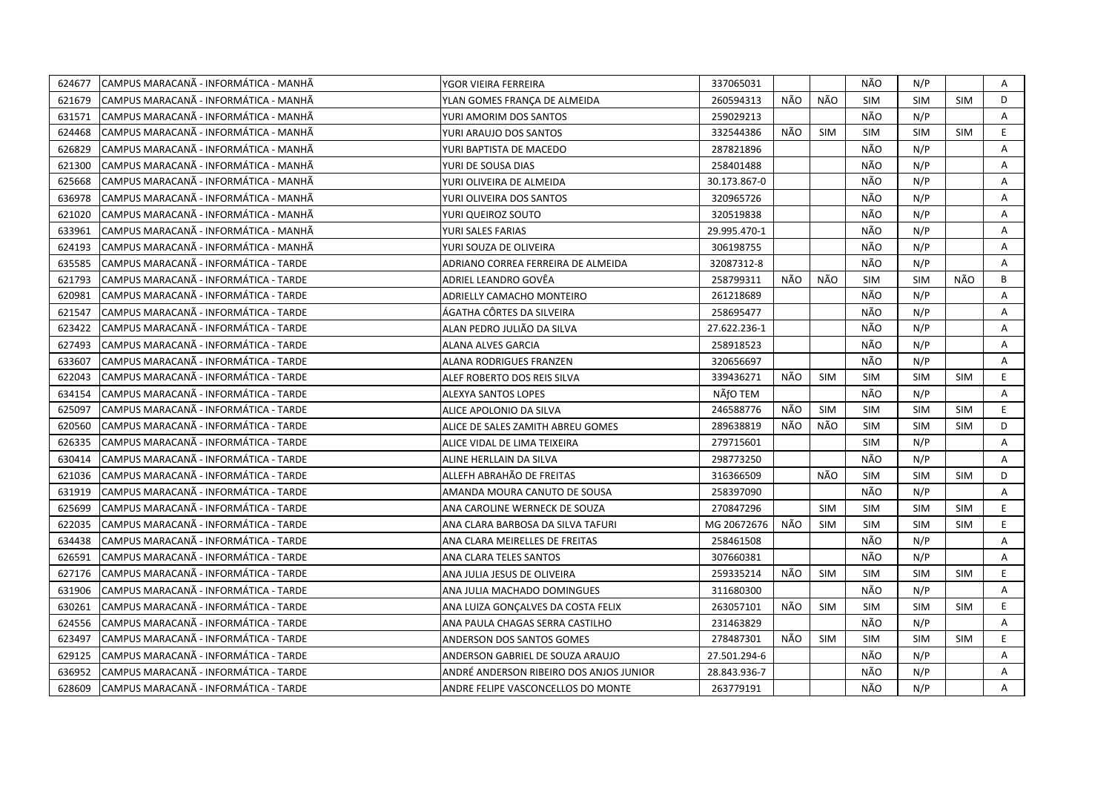| 624677 | CAMPUS MARACANÃ - INFORMÁTICA - MANHÃ | YGOR VIEIRA FERREIRA                    | 337065031    |     |            | NÃO        | N/P        |            | Α  |
|--------|---------------------------------------|-----------------------------------------|--------------|-----|------------|------------|------------|------------|----|
| 621679 | CAMPUS MARACANÃ - INFORMÁTICA - MANHÃ | YLAN GOMES FRANÇA DE ALMEIDA            | 260594313    | NÃO | NÃO        | <b>SIM</b> | <b>SIM</b> | <b>SIM</b> | D  |
| 631571 | CAMPUS MARACANÃ - INFORMÁTICA - MANHÃ | YURI AMORIM DOS SANTOS                  | 259029213    |     |            | NÃO        | N/P        |            | A  |
| 624468 | CAMPUS MARACANA - INFORMATICA - MANHA | YURI ARAUJO DOS SANTOS                  | 332544386    | NÃO | <b>SIM</b> | <b>SIM</b> | <b>SIM</b> | <b>SIM</b> | E. |
| 626829 | CAMPUS MARACANÃ - INFORMÁTICA - MANHÃ | YURI BAPTISTA DE MACEDO                 | 287821896    |     |            | NÃO        | N/P        |            | Α  |
| 621300 | CAMPUS MARACANÃ - INFORMÁTICA - MANHÃ | YURI DE SOUSA DIAS                      | 258401488    |     |            | NÃO        | N/P        |            | A  |
| 625668 | CAMPUS MARACANÃ - INFORMÁTICA - MANHÃ | YURI OLIVEIRA DE ALMEIDA                | 30.173.867-0 |     |            | NÃO        | N/P        |            | Α  |
| 636978 | CAMPUS MARACANÃ - INFORMÁTICA - MANHÃ | YURI OLIVEIRA DOS SANTOS                | 320965726    |     |            | NÃO        | N/P        |            | Α  |
| 621020 | CAMPUS MARACANÃ - INFORMÁTICA - MANHÃ | YURI QUEIROZ SOUTO                      | 320519838    |     |            | NÃO        | N/P        |            | A  |
| 633961 | CAMPUS MARACANÃ - INFORMÁTICA - MANHÃ | YURI SALES FARIAS                       | 29.995.470-1 |     |            | NÃO        | N/P        |            | A  |
| 624193 | CAMPUS MARACANA - INFORMATICA - MANHA | YURI SOUZA DE OLIVEIRA                  | 306198755    |     |            | NÃO        | N/P        |            | A  |
| 635585 | CAMPUS MARACANÃ - INFORMÁTICA - TARDE | ADRIANO CORREA FERREIRA DE ALMEIDA      | 32087312-8   |     |            | NÃO        | N/P        |            | Α  |
| 621793 | CAMPUS MARACANÃ - INFORMÁTICA - TARDE | ADRIEL LEANDRO GOVËA                    | 258799311    | NÃO | NÃO        | <b>SIM</b> | <b>SIM</b> | NÃO        | B  |
| 620981 | CAMPUS MARACANÃ - INFORMÁTICA - TARDE | ADRIELLY CAMACHO MONTEIRO               | 261218689    |     |            | NÃO        | N/P        |            | A  |
| 621547 | CAMPUS MARACANÃ - INFORMÁTICA - TARDE | ÁGATHA CÔRTES DA SILVEIRA               | 258695477    |     |            | NÃO        | N/P        |            | A  |
| 623422 | CAMPUS MARACANÃ - INFORMÁTICA - TARDE | ALAN PEDRO JULIÃO DA SILVA              | 27.622.236-1 |     |            | NÃO        | N/P        |            | Α  |
| 627493 | CAMPUS MARACANÃ - INFORMÁTICA - TARDE | ALANA ALVES GARCIA                      | 258918523    |     |            | NÃO        | N/P        |            | A  |
| 633607 | CAMPUS MARACANÃ - INFORMÁTICA - TARDE | ALANA RODRIGUES FRANZEN                 | 320656697    |     |            | NÃO        | N/P        |            | Α  |
| 622043 | CAMPUS MARACANA - INFORMÁTICA - TARDE | ALEF ROBERTO DOS REIS SILVA             | 339436271    | NÃO | <b>SIM</b> | <b>SIM</b> | <b>SIM</b> | <b>SIM</b> | E. |
| 634154 | CAMPUS MARACANÃ - INFORMÁTICA - TARDE | <b>ALEXYA SANTOS LOPES</b>              | NÃfO TEM     |     |            | NÃO        | N/P        |            | A  |
| 625097 | CAMPUS MARACANÃ - INFORMÁTICA - TARDE | ALICE APOLONIO DA SILVA                 | 246588776    | NÃO | <b>SIM</b> | <b>SIM</b> | <b>SIM</b> | <b>SIM</b> | E. |
| 620560 | CAMPUS MARACANA - INFORMÁTICA - TARDE | ALICE DE SALES ZAMITH ABREU GOMES       | 289638819    | NÃO | NÃO        | <b>SIM</b> | <b>SIM</b> | <b>SIM</b> | D  |
| 626335 | CAMPUS MARACANÃ - INFORMÁTICA - TARDE | ALICE VIDAL DE LIMA TEIXEIRA            | 279715601    |     |            | <b>SIM</b> | N/P        |            | A  |
| 630414 | CAMPUS MARACANÃ - INFORMÁTICA - TARDE | ALINE HERLLAIN DA SILVA                 | 298773250    |     |            | NÃO        | N/P        |            | A  |
| 621036 | CAMPUS MARACANÃ - INFORMÁTICA - TARDE | ALLEFH ABRAHÃO DE FREITAS               | 316366509    |     | NÃO        | <b>SIM</b> | <b>SIM</b> | <b>SIM</b> | D  |
| 631919 | CAMPUS MARACANA - INFORMÁTICA - TARDE | AMANDA MOURA CANUTO DE SOUSA            | 258397090    |     |            | NÃO        | N/P        |            | A  |
| 625699 | CAMPUS MARACANÃ - INFORMÁTICA - TARDE | ANA CAROLINE WERNECK DE SOUZA           | 270847296    |     | <b>SIM</b> | <b>SIM</b> | <b>SIM</b> | <b>SIM</b> | E. |
| 622035 | CAMPUS MARACANÃ - INFORMÁTICA - TARDE | ANA CLARA BARBOSA DA SILVA TAFURI       | MG 20672676  | NÃO | <b>SIM</b> | <b>SIM</b> | <b>SIM</b> | SIM        | E. |
| 634438 | CAMPUS MARACANÃ - INFORMÁTICA - TARDE | ANA CLARA MEIRELLES DE FREITAS          | 258461508    |     |            | NÃO        | N/P        |            | A  |
| 626591 | CAMPUS MARACANÃ - INFORMÁTICA - TARDE | ANA CLARA TELES SANTOS                  | 307660381    |     |            | NÃO        | N/P        |            | Α  |
| 627176 | CAMPUS MARACANA - INFORMÁTICA - TARDE | ANA JULIA JESUS DE OLIVEIRA             | 259335214    | NÃO | <b>SIM</b> | <b>SIM</b> | <b>SIM</b> | <b>SIM</b> | E. |
| 631906 | CAMPUS MARACANA - INFORMÁTICA - TARDE | ANA JULIA MACHADO DOMINGUES             | 311680300    |     |            | NÃO        | N/P        |            | Α  |
| 630261 | CAMPUS MARACANÃ - INFORMÁTICA - TARDE | ANA LUIZA GONÇALVES DA COSTA FELIX      | 263057101    | NÃO | <b>SIM</b> | <b>SIM</b> | SIM        | <b>SIM</b> | E. |
| 624556 | CAMPUS MARACANÃ - INFORMÁTICA - TARDE | ANA PAULA CHAGAS SERRA CASTILHO         | 231463829    |     |            | NÃO        | N/P        |            | A  |
| 623497 | CAMPUS MARACANA - INFORMATICA - TARDE | ANDERSON DOS SANTOS GOMES               | 278487301    | NÃO | <b>SIM</b> | <b>SIM</b> | <b>SIM</b> | <b>SIM</b> | E. |
| 629125 | CAMPUS MARACANÃ - INFORMÁTICA - TARDE | ANDERSON GABRIEL DE SOUZA ARAUJO        | 27.501.294-6 |     |            | NÃO        | N/P        |            | A  |
| 636952 | CAMPUS MARACANÃ - INFORMÁTICA - TARDE | ANDRÉ ANDERSON RIBEIRO DOS ANJOS JUNIOR | 28.843.936-7 |     |            | NÃO        | N/P        |            | A  |
| 628609 | CAMPUS MARACANA - INFORMÁTICA - TARDE | ANDRE FELIPE VASCONCELLOS DO MONTE      | 263779191    |     |            | NÃO        | N/P        |            | A  |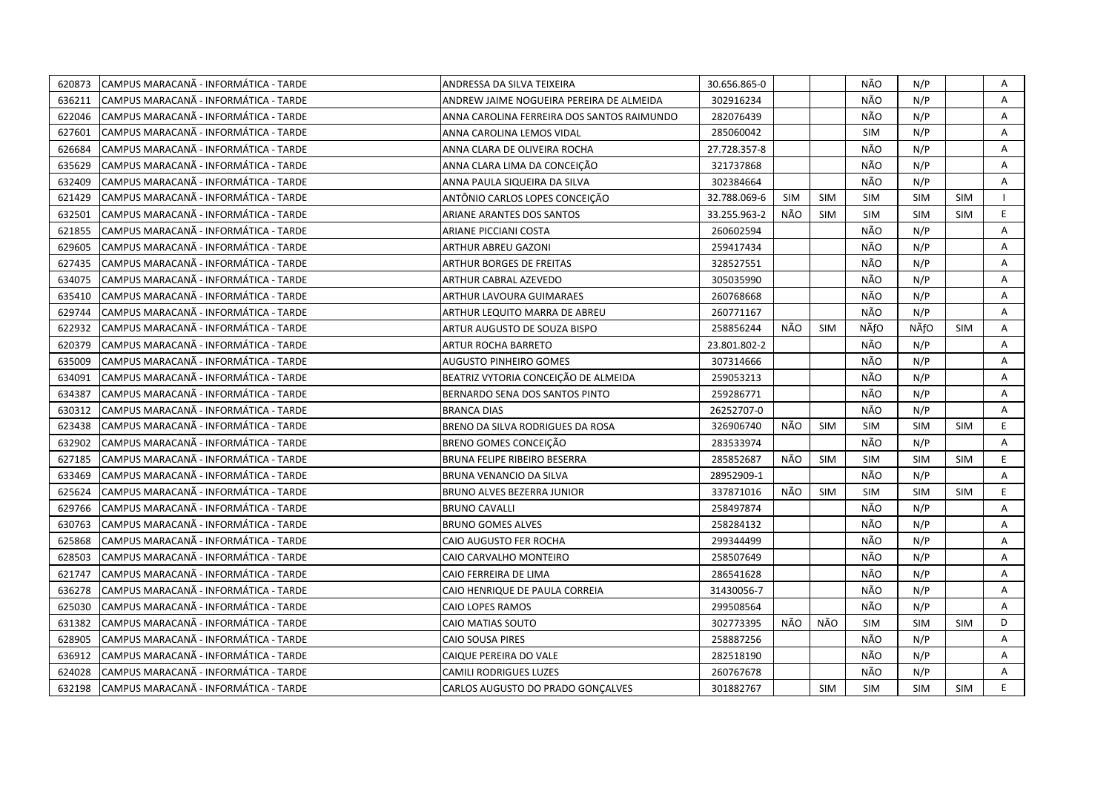| 620873 | CAMPUS MARACANA - INFORMÁTICA - TARDE        | ANDRESSA DA SILVA TEIXEIRA                 | 30.656.865-0 |            |            | NÃO        | N/P        |            | Α              |
|--------|----------------------------------------------|--------------------------------------------|--------------|------------|------------|------------|------------|------------|----------------|
| 636211 | CAMPUS MARACANÃ - INFORMÁTICA - TARDE        | ANDREW JAIME NOGUEIRA PEREIRA DE ALMEIDA   | 302916234    |            |            | NÃO        | N/P        |            | A              |
| 622046 | CAMPUS MARACANÃ - INFORMÁTICA - TARDE        | ANNA CAROLINA FERREIRA DOS SANTOS RAIMUNDO | 282076439    |            |            | NÃO        | N/P        |            | A              |
| 627601 | CAMPUS MARACANA - INFORMÁTICA - TARDE        | ANNA CAROLINA LEMOS VIDAL                  | 285060042    |            |            | <b>SIM</b> | N/P        |            | $\overline{A}$ |
| 626684 | CAMPUS MARACANÃ - INFORMÁTICA - TARDE        | ANNA CLARA DE OLIVEIRA ROCHA               | 27.728.357-8 |            |            | NÃO        | N/P        |            | Α              |
| 635629 | CAMPUS MARACANÃ - INFORMÁTICA - TARDE        | ANNA CLARA LIMA DA CONCEIÇÃO               | 321737868    |            |            | NÃO        | N/P        |            | A              |
| 632409 | CAMPUS MARACANÃ - INFORMÁTICA - TARDE        | ANNA PAULA SIQUEIRA DA SILVA               | 302384664    |            |            | NÃO        | N/P        |            | A              |
| 621429 | CAMPUS MARACANÃ - INFORMÁTICA - TARDE        | ANTÔNIO CARLOS LOPES CONCEIÇÃO             | 32.788.069-6 | <b>SIM</b> | <b>SIM</b> | <b>SIM</b> | <b>SIM</b> | <b>SIM</b> |                |
| 632501 | CAMPUS MARACANA - INFORMÁTICA - TARDE        | ARIANE ARANTES DOS SANTOS                  | 33.255.963-2 | NÃO        | <b>SIM</b> | <b>SIM</b> | <b>SIM</b> | <b>SIM</b> | E.             |
| 621855 | CAMPUS MARACANA - INFORMÁTICA - TARDE        | ARIANE PICCIANI COSTA                      | 260602594    |            |            | NÃO        | N/P        |            | Α              |
| 629605 | CAMPUS MARACANÃ - INFORMÁTICA - TARDE        | ARTHUR ABREU GAZONI                        | 259417434    |            |            | NÃO        | N/P        |            | A              |
| 627435 | CAMPUS MARACANÃ - INFORMÁTICA - TARDE        | ARTHUR BORGES DE FREITAS                   | 328527551    |            |            | NÃO        | N/P        |            | A              |
| 634075 | CAMPUS MARACANÃ - INFORMÁTICA - TARDE        | ARTHUR CABRAL AZEVEDO                      | 305035990    |            |            | NÃO        | N/P        |            | $\overline{A}$ |
| 635410 | CAMPUS MARACANÃ - INFORMÁTICA - TARDE        | <b>ARTHUR LAVOURA GUIMARAES</b>            | 260768668    |            |            | NÃO        | N/P        |            | A              |
| 629744 | CAMPUS MARACANÃ - INFORMÁTICA - TARDE        | ARTHUR LEQUITO MARRA DE ABREU              | 260771167    |            |            | NÃO        | N/P        |            | $\mathsf{A}$   |
| 622932 | CAMPUS MARACANÃ - INFORMÁTICA - TARDE        | ARTUR AUGUSTO DE SOUZA BISPO               | 258856244    | NÃO        | <b>SIM</b> | NÃfO       | NÃfO       | <b>SIM</b> | A              |
| 620379 | CAMPUS MARACANÃ - INFORMÁTICA - TARDE        | ARTUR ROCHA BARRETO                        | 23.801.802-2 |            |            | NÃO        | N/P        |            | A              |
| 635009 | CAMPUS MARACANÃ - INFORMÁTICA - TARDE        | <b>AUGUSTO PINHEIRO GOMES</b>              | 307314666    |            |            | NÃO        | N/P        |            | A              |
| 634091 | CAMPUS MARACANÃ - INFORMÁTICA - TARDE        | BEATRIZ VYTORIA CONCEIÇÃO DE ALMEIDA       | 259053213    |            |            | NÃO        | N/P        |            | A              |
| 634387 | CAMPUS MARACANÃ - INFORMÁTICA - TARDE        | BERNARDO SENA DOS SANTOS PINTO             | 259286771    |            |            | NÃO        | N/P        |            | A              |
| 630312 | CAMPUS MARACANA - INFORMÁTICA - TARDE        | <b>BRANCA DIAS</b>                         | 26252707-0   |            |            | NÃO        | N/P        |            | A              |
| 623438 | CAMPUS MARACANÃ - INFORMÁTICA - TARDE        | BRENO DA SILVA RODRIGUES DA ROSA           | 326906740    | NÃO        | <b>SIM</b> | <b>SIM</b> | <b>SIM</b> | <b>SIM</b> | E              |
| 632902 | CAMPUS MARACANÃ - INFORMÁTICA - TARDE        | BRENO GOMES CONCEIÇÃO                      | 283533974    |            |            | NÃO        | N/P        |            | A              |
| 627185 | CAMPUS MARACANÃ - INFORMÁTICA - TARDE        | <b>BRUNA FELIPE RIBEIRO BESERRA</b>        | 285852687    | NÃO        | <b>SIM</b> | <b>SIM</b> | <b>SIM</b> | <b>SIM</b> | E.             |
| 633469 | CAMPUS MARACANÃ - INFORMÁTICA - TARDE        | BRUNA VENANCIO DA SILVA                    | 28952909-1   |            |            | NÃO        | N/P        |            | A              |
| 625624 | CAMPUS MARACANA - INFORMÁTICA - TARDE        | BRUNO ALVES BEZERRA JUNIOR                 | 337871016    | NÃO        | <b>SIM</b> | <b>SIM</b> | <b>SIM</b> | <b>SIM</b> | E              |
| 629766 | ICAMPUS MARACANÃ - INFORMÁTICA - TARDE       | <b>BRUNO CAVALLI</b>                       | 258497874    |            |            | NÃO        | N/P        |            | A              |
| 630763 | CAMPUS MARACANÃ - INFORMÁTICA - TARDE        | <b>BRUNO GOMES ALVES</b>                   | 258284132    |            |            | NÃO        | N/P        |            | A              |
| 625868 | CAMPUS MARACANÃ - INFORMÁTICA - TARDE        | CAIO AUGUSTO FER ROCHA                     | 299344499    |            |            | NÃO        | N/P        |            | A              |
| 628503 | CAMPUS MARACANA - INFORMÁTICA - TARDE        | CAIO CARVALHO MONTEIRO                     | 258507649    |            |            | NÃO        | N/P        |            | Α              |
| 621747 | CAMPUS MARACANÃ - INFORMÁTICA - TARDE        | CAIO FERREIRA DE LIMA                      | 286541628    |            |            | NÃO        | N/P        |            | A              |
| 636278 | CAMPUS MARACANÃ - INFORMÁTICA - TARDE        | CAIO HENRIQUE DE PAULA CORREIA             | 31430056-7   |            |            | NÃO        | N/P        |            | A              |
| 625030 | CAMPUS MARACANÃ - INFORMÁTICA - TARDE        | CAIO LOPES RAMOS                           | 299508564    |            |            | NÃO        | N/P        |            | $\mathsf{A}$   |
| 631382 | CAMPUS MARACANA - INFORMÁTICA - TARDE        | CAIO MATIAS SOUTO                          | 302773395    | NÃO        | NÃO        | <b>SIM</b> | <b>SIM</b> | <b>SIM</b> | D              |
| 628905 | CAMPUS MARACANÃ - INFORMÁTICA - TARDE        | CAIO SOUSA PIRES                           | 258887256    |            |            | NÃO        | N/P        |            | A              |
| 636912 | CAMPUS MARACANÃ - INFORMÁTICA - TARDE        | CAIQUE PEREIRA DO VALE                     | 282518190    |            |            | NÃO        | N/P        |            | A              |
| 624028 | CAMPUS MARACANÃ - INFORMÁTICA - TARDE        | CAMILI RODRIGUES LUZES                     | 260767678    |            |            | NÃO        | N/P        |            | A              |
|        | 632198 CAMPUS MARACANA - INFORMÁTICA - TARDE | CARLOS AUGUSTO DO PRADO GONÇALVES          | 301882767    |            | <b>SIM</b> | <b>SIM</b> | <b>SIM</b> | <b>SIM</b> | E.             |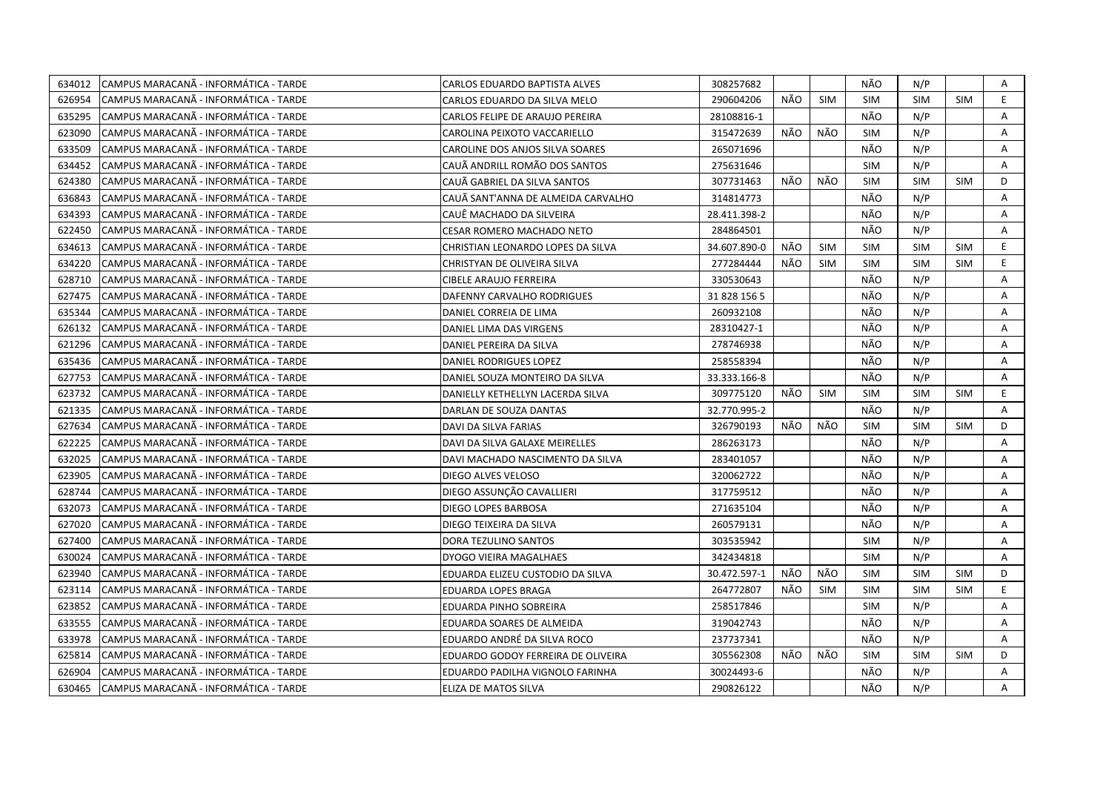| 634012 | CAMPUS MARACANA - INFORMÁTICA - TARDE  | CARLOS EDUARDO BAPTISTA ALVES      | 308257682    |     |            | NÃO        | N/P        |            | Α  |
|--------|----------------------------------------|------------------------------------|--------------|-----|------------|------------|------------|------------|----|
| 626954 | CAMPUS MARACANÃ - INFORMÁTICA - TARDE  | CARLOS EDUARDO DA SILVA MELO       | 290604206    | NÃO | <b>SIM</b> | <b>SIM</b> | <b>SIM</b> | <b>SIM</b> | E  |
| 635295 | CAMPUS MARACANÃ - INFORMÁTICA - TARDE  | CARLOS FELIPE DE ARAUJO PEREIRA    | 28108816-1   |     |            | NÃO        | N/P        |            | A  |
| 623090 | CAMPUS MARACANÃ - INFORMÁTICA - TARDE  | CAROLINA PEIXOTO VACCARIELLO       | 315472639    | NÃO | NÃO        | <b>SIM</b> | N/P        |            | A  |
| 633509 | CAMPUS MARACANÃ - INFORMÁTICA - TARDE  | CAROLINE DOS ANJOS SILVA SOARES    | 265071696    |     |            | NÃO        | N/P        |            | Α  |
| 634452 | CAMPUS MARACANÃ - INFORMÁTICA - TARDE  | CAUÃ ANDRILL ROMÃO DOS SANTOS      | 275631646    |     |            | <b>SIM</b> | N/P        |            | A  |
| 624380 | CAMPUS MARACANÃ - INFORMÁTICA - TARDE  | CAUÃ GABRIEL DA SILVA SANTOS       | 307731463    | NÃO | NÃO        | <b>SIM</b> | <b>SIM</b> | <b>SIM</b> | D  |
| 636843 | CAMPUS MARACANÃ - INFORMÁTICA - TARDE  | CAUÃ SANT'ANNA DE ALMEIDA CARVALHO | 314814773    |     |            | NÃO        | N/P        |            | A  |
| 634393 | CAMPUS MARACANÃ - INFORMÁTICA - TARDE  | CAUÊ MACHADO DA SILVEIRA           | 28.411.398-2 |     |            | NÃO        | N/P        |            | A  |
| 622450 | CAMPUS MARACANA - INFORMATICA - TARDE  | <b>CESAR ROMERO MACHADO NETO</b>   | 284864501    |     |            | NÃO        | N/P        |            | A  |
| 634613 | CAMPUS MARACANÃ - INFORMÁTICA - TARDE  | CHRISTIAN LEONARDO LOPES DA SILVA  | 34.607.890-0 | NÃO | <b>SIM</b> | <b>SIM</b> | <b>SIM</b> | <b>SIM</b> | E. |
| 634220 | CAMPUS MARACANA - INFORMATICA - TARDE  | CHRISTYAN DE OLIVEIRA SILVA        | 277284444    | NÃO | <b>SIM</b> | <b>SIM</b> | <b>SIM</b> | <b>SIM</b> | E. |
| 628710 | CAMPUS MARACANÃ - INFORMÁTICA - TARDE  | <b>CIBELE ARAUJO FERREIRA</b>      | 330530643    |     |            | NÃO        | N/P        |            | Α  |
| 627475 | CAMPUS MARACANÃ - INFORMÁTICA - TARDE  | DAFENNY CARVALHO RODRIGUES         | 31 828 156 5 |     |            | NÃO        | N/P        |            | Α  |
| 635344 | CAMPUS MARACANÃ - INFORMÁTICA - TARDE  | DANIEL CORREIA DE LIMA             | 260932108    |     |            | NÃO        | N/P        |            | A  |
| 626132 | CAMPUS MARACANÃ - INFORMÁTICA - TARDE  | DANIEL LIMA DAS VIRGENS            | 28310427-1   |     |            | NÃO        | N/P        |            | A  |
| 621296 | CAMPUS MARACANÃ - INFORMÁTICA - TARDE  | DANIEL PEREIRA DA SILVA            | 278746938    |     |            | NÃO        | N/P        |            | A  |
| 635436 | CAMPUS MARACANÃ - INFORMÁTICA - TARDE  | DANIEL RODRIGUES LOPEZ             | 258558394    |     |            | NÃO        | N/P        |            | A  |
| 627753 | CAMPUS MARACANÃ - INFORMÁTICA - TARDE  | DANIEL SOUZA MONTEIRO DA SILVA     | 33.333.166-8 |     |            | NÃO        | N/P        |            | Α  |
| 623732 | CAMPUS MARACANA - INFORMATICA - TARDE  | DANIELLY KETHELLYN LACERDA SILVA   | 309775120    | NÃO | <b>SIM</b> | <b>SIM</b> | <b>SIM</b> | <b>SIM</b> | E. |
| 621335 | CAMPUS MARACANÃ - INFORMÁTICA - TARDE  | DARLAN DE SOUZA DANTAS             | 32.770.995-2 |     |            | NÃO        | N/P        |            | A  |
| 627634 | ICAMPUS MARACANA - INFORMATICA - TARDE | DAVI DA SILVA FARIAS               | 326790193    | NÃO | NÃO        | <b>SIM</b> | <b>SIM</b> | SIM        | D  |
| 622225 | ICAMPUS MARACANÃ - INFORMÁTICA - TARDE | DAVI DA SILVA GALAXE MEIRELLES     | 286263173    |     |            | NÃO        | N/P        |            | A  |
| 632025 | CAMPUS MARACANÃ - INFORMÁTICA - TARDE  | DAVI MACHADO NASCIMENTO DA SILVA   | 283401057    |     |            | NÃO        | N/P        |            | Α  |
| 623905 | CAMPUS MARACANÃ - INFORMÁTICA - TARDE  | DIEGO ALVES VELOSO                 | 320062722    |     |            | NÃO        | N/P        |            | A  |
| 628744 | CAMPUS MARACANA - INFORMÁTICA - TARDE  | DIEGO ASSUNÇÃO CAVALLIERI          | 317759512    |     |            | NÃO        | N/P        |            | A  |
| 632073 | CAMPUS MARACANA - INFORMÁTICA - TARDE  | DIEGO LOPES BARBOSA                | 271635104    |     |            | NÃO        | N/P        |            | A  |
| 627020 | CAMPUS MARACANÃ - INFORMÁTICA - TARDE  | DIEGO TEIXEIRA DA SILVA            | 260579131    |     |            | NÃO        | N/P        |            | A  |
| 627400 | CAMPUS MARACANÃ - INFORMÁTICA - TARDE  | DORA TEZULINO SANTOS               | 303535942    |     |            | <b>SIM</b> | N/P        |            | A  |
| 630024 | CAMPUS MARACANÃ - INFORMÁTICA - TARDE  | DYOGO VIEIRA MAGALHAES             | 342434818    |     |            | <b>SIM</b> | N/P        |            | A  |
| 623940 | CAMPUS MARACANA - INFORMATICA - TARDE  | EDUARDA ELIZEU CUSTODIO DA SILVA   | 30.472.597-1 | NÃO | NÃO        | <b>SIM</b> | <b>SIM</b> | <b>SIM</b> | D  |
| 623114 | CAMPUS MARACANÃ - INFORMÁTICA - TARDE  | EDUARDA LOPES BRAGA                | 264772807    | NÃO | <b>SIM</b> | <b>SIM</b> | <b>SIM</b> | <b>SIM</b> | E. |
| 623852 | CAMPUS MARACANA - INFORMATICA - TARDE  | EDUARDA PINHO SOBREIRA             | 258517846    |     |            | <b>SIM</b> | N/P        |            | A  |
| 633555 | CAMPUS MARACANÃ - INFORMÁTICA - TARDE  | EDUARDA SOARES DE ALMEIDA          | 319042743    |     |            | NÃO        | N/P        |            | Α  |
| 633978 | CAMPUS MARACANA - INFORMÁTICA - TARDE  | EDUARDO ANDRÉ DA SILVA ROCO        | 237737341    |     |            | NÃO        | N/P        |            | A  |
| 625814 | CAMPUS MARACANÃ - INFORMÁTICA - TARDE  | EDUARDO GODOY FERREIRA DE OLIVEIRA | 305562308    | NÃO | NÃO        | <b>SIM</b> | <b>SIM</b> | <b>SIM</b> | D  |
| 626904 | CAMPUS MARACANÃ - INFORMÁTICA - TARDE  | EDUARDO PADILHA VIGNOLO FARINHA    | 30024493-6   |     |            | NÃO        | N/P        |            | A  |
| 630465 | CAMPUS MARACANA - INFORMÁTICA - TARDE  | <b>ELIZA DE MATOS SILVA</b>        | 290826122    |     |            | NÃO        | N/P        |            | A  |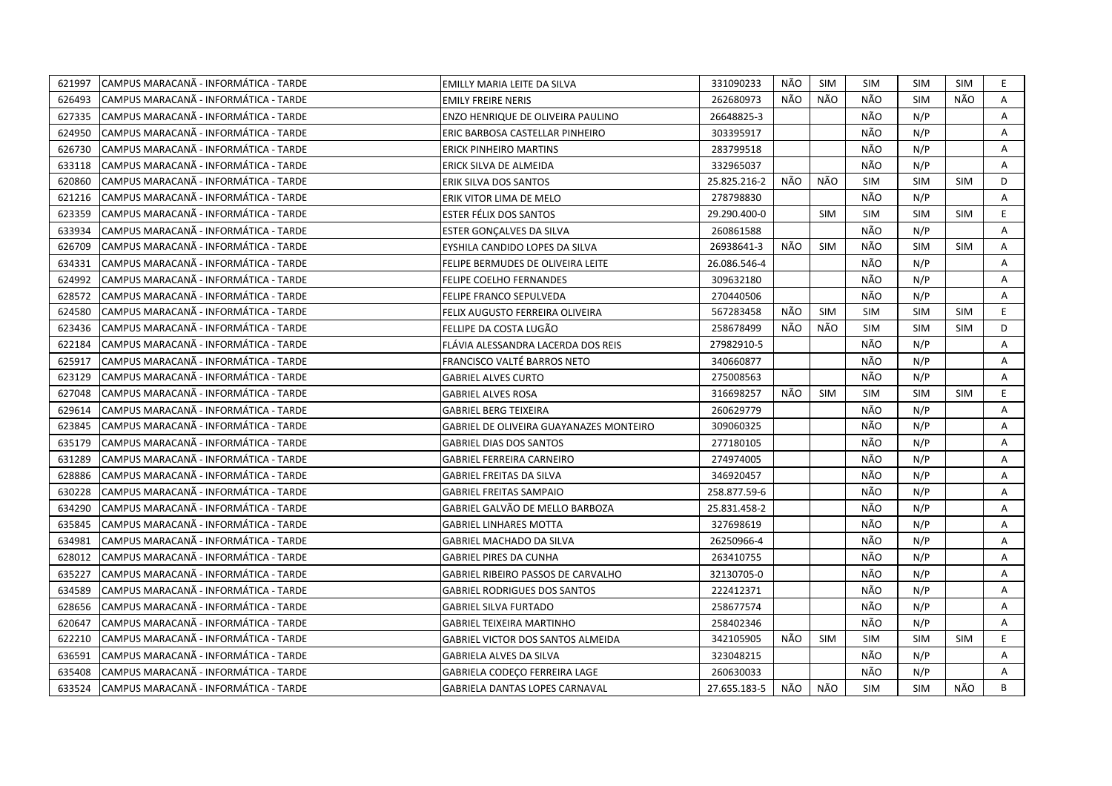| 621997 | CAMPUS MARACANA - INFORMÁTICA - TARDE  | EMILLY MARIA LEITE DA SILVA               | 331090233    | NÃO | SIM        | <b>SIM</b> | SIM        | SIM        | E.             |
|--------|----------------------------------------|-------------------------------------------|--------------|-----|------------|------------|------------|------------|----------------|
| 626493 | CAMPUS MARACANÃ - INFORMÁTICA - TARDE  | <b>EMILY FREIRE NERIS</b>                 | 262680973    | NÃO | NÃO        | NÃO        | <b>SIM</b> | NÃO        | A              |
| 627335 | ICAMPUS MARACANÃ - INFORMÁTICA - TARDE | ENZO HENRIQUE DE OLIVEIRA PAULINO         | 26648825-3   |     |            | NÃO        | N/P        |            | A              |
| 624950 | CAMPUS MARACANÃ - INFORMÁTICA - TARDE  | ERIC BARBOSA CASTELLAR PINHEIRO           | 303395917    |     |            | NÃO        | N/P        |            | Α              |
| 626730 | CAMPUS MARACANÃ - INFORMÁTICA - TARDE  | <b>ERICK PINHEIRO MARTINS</b>             | 283799518    |     |            | NÃO        | N/P        |            | Α              |
| 633118 | CAMPUS MARACANÃ - INFORMÁTICA - TARDE  | ERICK SILVA DE ALMEIDA                    | 332965037    |     |            | NÃO        | N/P        |            | A              |
| 620860 | CAMPUS MARACANÃ - INFORMÁTICA - TARDE  | ERIK SILVA DOS SANTOS                     | 25.825.216-2 | NÃO | NÃO        | <b>SIM</b> | <b>SIM</b> | <b>SIM</b> | D              |
| 621216 | CAMPUS MARACANÃ - INFORMÁTICA - TARDE  | ERIK VITOR LIMA DE MELO                   | 278798830    |     |            | NÃO        | N/P        |            | A              |
| 623359 | CAMPUS MARACANÃ - INFORMÁTICA - TARDE  | ESTER FÉLIX DOS SANTOS                    | 29.290.400-0 |     | <b>SIM</b> | <b>SIM</b> | <b>SIM</b> | <b>SIM</b> | E              |
| 633934 | CAMPUS MARACANÃ - INFORMÁTICA - TARDE  | ESTER GONÇALVES DA SILVA                  | 260861588    |     |            | NÃO        | N/P        |            | A              |
| 626709 | CAMPUS MARACANÃ - INFORMÁTICA - TARDE  | EYSHILA CANDIDO LOPES DA SILVA            | 26938641-3   | NÃO | <b>SIM</b> | NÃO        | <b>SIM</b> | <b>SIM</b> | Α              |
| 634331 | CAMPUS MARACANÃ - INFORMÁTICA - TARDE  | FELIPE BERMUDES DE OLIVEIRA LEITE         | 26.086.546-4 |     |            | NÃO        | N/P        |            | Α              |
| 624992 | CAMPUS MARACANÃ - INFORMÁTICA - TARDE  | <b>FELIPE COELHO FERNANDES</b>            | 309632180    |     |            | NÃO        | N/P        |            | $\overline{A}$ |
| 628572 | CAMPUS MARACANÃ - INFORMÁTICA - TARDE  | FELIPE FRANCO SEPULVEDA                   | 270440506    |     |            | NÃO        | N/P        |            | Α              |
| 624580 | CAMPUS MARACANA - INFORMÁTICA - TARDE  | FELIX AUGUSTO FERREIRA OLIVEIRA           | 567283458    | NÃO | SIM        | <b>SIM</b> | <b>SIM</b> | <b>SIM</b> | E.             |
| 623436 | CAMPUS MARACANÃ - INFORMÁTICA - TARDE  | FELLIPE DA COSTA LUGÃO                    | 258678499    | NÃO | NÃO        | <b>SIM</b> | <b>SIM</b> | <b>SIM</b> | D              |
| 622184 | CAMPUS MARACANA - INFORMÁTICA - TARDE  | FLÁVIA ALESSANDRA LACERDA DOS REIS        | 27982910-5   |     |            | NÃO        | N/P        |            | Α              |
| 625917 | CAMPUS MARACANÃ - INFORMÁTICA - TARDE  | FRANCISCO VALTÉ BARROS NETO               | 340660877    |     |            | NÃO        | N/P        |            | Α              |
| 623129 | CAMPUS MARACANÃ - INFORMÁTICA - TARDE  | <b>GABRIEL ALVES CURTO</b>                | 275008563    |     |            | NÃO        | N/P        |            | Α              |
| 627048 | CAMPUS MARACANA - INFORMÁTICA - TARDE  | <b>GABRIEL ALVES ROSA</b>                 | 316698257    | NÃO | SIM        | <b>SIM</b> | <b>SIM</b> | <b>SIM</b> | E.             |
| 629614 | CAMPUS MARACANÃ - INFORMÁTICA - TARDE  | <b>GABRIEL BERG TEIXEIRA</b>              | 260629779    |     |            | NÃO        | N/P        |            | A              |
| 623845 | CAMPUS MARACANA - INFORMÁTICA - TARDE  | GABRIEL DE OLIVEIRA GUAYANAZES MONTEIRO   | 309060325    |     |            | NÃO        | N/P        |            | Α              |
| 635179 | CAMPUS MARACANA - INFORMÁTICA - TARDE  | GABRIEL DIAS DOS SANTOS                   | 277180105    |     |            | NÃO        | N/P        |            | A              |
| 631289 | CAMPUS MARACANA - INFORMÁTICA - TARDE  | <b>GABRIEL FERREIRA CARNEIRO</b>          | 274974005    |     |            | NÃO        | N/P        |            | A              |
| 628886 | CAMPUS MARACANA - INFORMÁTICA - TARDE  | GABRIEL FREITAS DA SILVA                  | 346920457    |     |            | NÃO        | N/P        |            | Α              |
| 630228 | CAMPUS MARACANÃ - INFORMÁTICA - TARDE  | <b>GABRIEL FREITAS SAMPAIO</b>            | 258.877.59-6 |     |            | NÃO        | N/P        |            | A              |
| 634290 | CAMPUS MARACANA - INFORMÁTICA - TARDE  | GABRIEL GALVÃO DE MELLO BARBOZA           | 25.831.458-2 |     |            | NÃO        | N/P        |            | A              |
| 635845 | CAMPUS MARACANA - INFORMÁTICA - TARDE  | <b>GABRIEL LINHARES MOTTA</b>             | 327698619    |     |            | NÃO        | N/P        |            | A              |
| 634981 | CAMPUS MARACANA - INFORMÁTICA - TARDE  | GABRIEL MACHADO DA SILVA                  | 26250966-4   |     |            | NÃO        | N/P        |            | Α              |
| 628012 | CAMPUS MARACANA - INFORMÁTICA - TARDE  | <b>GABRIEL PIRES DA CUNHA</b>             | 263410755    |     |            | NÃO        | N/P        |            | A              |
| 635227 | CAMPUS MARACANÃ - INFORMÁTICA - TARDE  | <b>GABRIEL RIBEIRO PASSOS DE CARVALHO</b> | 32130705-0   |     |            | NÃO        | N/P        |            | A              |
| 634589 | CAMPUS MARACANA - INFORMÁTICA - TARDE  | <b>GABRIEL RODRIGUES DOS SANTOS</b>       | 222412371    |     |            | NÃO        | N/P        |            | A              |
| 628656 | CAMPUS MARACANÃ - INFORMÁTICA - TARDE  | <b>GABRIEL SILVA FURTADO</b>              | 258677574    |     |            | NÃO        | N/P        |            | Α              |
| 620647 | CAMPUS MARACANA - INFORMATICA - TARDE  | <b>GABRIEL TEIXEIRA MARTINHO</b>          | 258402346    |     |            | NÃO        | N/P        |            | A              |
| 622210 | CAMPUS MARACANA - INFORMÁTICA - TARDE  | <b>GABRIEL VICTOR DOS SANTOS ALMEIDA</b>  | 342105905    | NÃO | <b>SIM</b> | <b>SIM</b> | <b>SIM</b> | <b>SIM</b> | E.             |
| 636591 | CAMPUS MARACANA - INFORMÁTICA - TARDE  | GABRIELA ALVES DA SILVA                   | 323048215    |     |            | NÃO        | N/P        |            | Α              |
| 635408 | CAMPUS MARACANÃ - INFORMÁTICA - TARDE  | GABRIELA CODEÇO FERREIRA LAGE             | 260630033    |     |            | NÃO        | N/P        |            | A              |
| 633524 | CAMPUS MARACANA - INFORMÁTICA - TARDE  | <b>GABRIELA DANTAS LOPES CARNAVAL</b>     | 27.655.183-5 | NÃO | NÃO        | <b>SIM</b> | <b>SIM</b> | NÃO        | B              |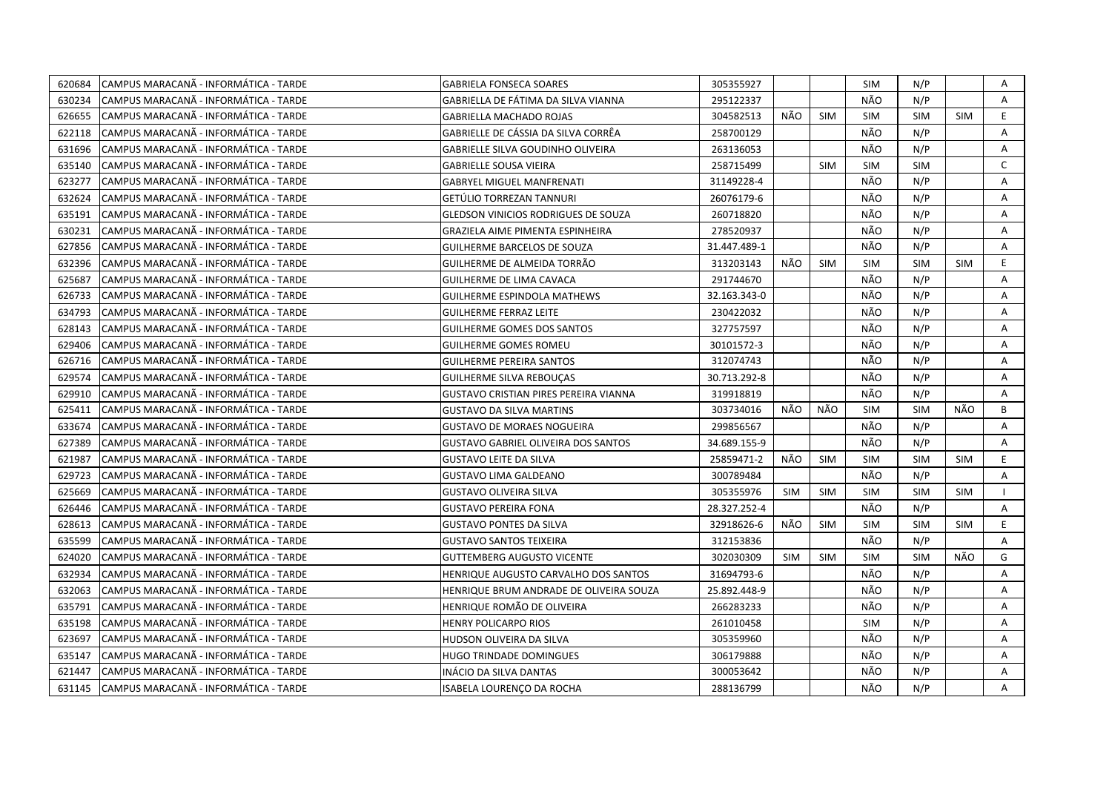| 620684 | CAMPUS MARACANA - INFORMÁTICA - TARDE  | <b>GABRIELA FONSECA SOARES</b>               | 305355927    |            |            | <b>SIM</b> | N/P        |            | Α            |
|--------|----------------------------------------|----------------------------------------------|--------------|------------|------------|------------|------------|------------|--------------|
| 630234 | CAMPUS MARACANÃ - INFORMÁTICA - TARDE  | GABRIELLA DE FÁTIMA DA SILVA VIANNA          | 295122337    |            |            | NÃO        | N/P        |            | $\mathsf{A}$ |
| 626655 | CAMPUS MARACANÃ - INFORMÁTICA - TARDE  | <b>GABRIELLA MACHADO ROJAS</b>               | 304582513    | NÃO        | <b>SIM</b> | <b>SIM</b> | SIM        | <b>SIM</b> | E            |
| 622118 | ICAMPUS MARACANÃ - INFORMÁTICA - TARDE | GABRIELLE DE CÁSSIA DA SILVA CORRÊA          | 258700129    |            |            | NÃO        | N/P        |            | A            |
| 631696 | CAMPUS MARACANÃ - INFORMÁTICA - TARDE  | GABRIELLE SILVA GOUDINHO OLIVEIRA            | 263136053    |            |            | NÃO        | N/P        |            | A            |
| 635140 | ICAMPUS MARACANA - INFORMATICA - TARDE | <b>GABRIELLE SOUSA VIEIRA</b>                | 258715499    |            | <b>SIM</b> | <b>SIM</b> | <b>SIM</b> |            | C            |
| 623277 | CAMPUS MARACANA - INFORMÁTICA - TARDE  | <b>GABRYEL MIGUEL MANFRENATI</b>             | 31149228-4   |            |            | NÃO        | N/P        |            | Α            |
| 632624 | CAMPUS MARACANÃ - INFORMÁTICA - TARDE  | GETÚLIO TORREZAN TANNURI                     | 26076179-6   |            |            | NÃO        | N/P        |            | Α            |
| 635191 | CAMPUS MARACANÃ - INFORMÁTICA - TARDE  | <b>GLEDSON VINICIOS RODRIGUES DE SOUZA</b>   | 260718820    |            |            | NÃO        | N/P        |            | A            |
| 630231 | CAMPUS MARACANA - INFORMÁTICA - TARDE  | GRAZIELA AIME PIMENTA ESPINHEIRA             | 278520937    |            |            | NÃO        | N/P        |            | Α            |
| 627856 | ICAMPUS MARACANA - INFORMATICA - TARDE | <b>GUILHERME BARCELOS DE SOUZA</b>           | 31.447.489-1 |            |            | NÃO        | N/P        |            | A            |
| 632396 | CAMPUS MARACANA - INFORMÁTICA - TARDE  | GUILHERME DE ALMEIDA TORRÃO                  | 313203143    | NÃO        | <b>SIM</b> | <b>SIM</b> | <b>SIM</b> | <b>SIM</b> | E            |
| 625687 | ICAMPUS MARACANA - INFORMATICA - TARDE | GUILHERME DE LIMA CAVACA                     | 291744670    |            |            | NÃO        | N/P        |            | A            |
| 626733 | CAMPUS MARACANÃ - INFORMÁTICA - TARDE  | <b>GUILHERME ESPINDOLA MATHEWS</b>           | 32.163.343-0 |            |            | NÃO        | N/P        |            | Α            |
| 634793 | CAMPUS MARACANÃ - INFORMÁTICA - TARDE  | <b>GUILHERME FERRAZ LEITE</b>                | 230422032    |            |            | NÃO        | N/P        |            | A            |
| 628143 | CAMPUS MARACANÃ - INFORMÁTICA - TARDE  | <b>GUILHERME GOMES DOS SANTOS</b>            | 327757597    |            |            | NÃO        | N/P        |            | A            |
| 629406 | CAMPUS MARACANÃ - INFORMÁTICA - TARDE  | <b>GUILHERME GOMES ROMEU</b>                 | 30101572-3   |            |            | NÃO        | N/P        |            | A            |
| 626716 | CAMPUS MARACANÃ - INFORMÁTICA - TARDE  | <b>GUILHERME PEREIRA SANTOS</b>              | 312074743    |            |            | NÃO        | N/P        |            | A            |
| 629574 | CAMPUS MARACANÃ - INFORMÁTICA - TARDE  | <b>GUILHERME SILVA REBOUÇAS</b>              | 30.713.292-8 |            |            | NÃO        | N/P        |            | A            |
| 629910 | CAMPUS MARACANÃ - INFORMÁTICA - TARDE  | <b>GUSTAVO CRISTIAN PIRES PEREIRA VIANNA</b> | 319918819    |            |            | NÃO        | N/P        |            | Α            |
| 625411 | CAMPUS MARACANÃ - INFORMÁTICA - TARDE  | <b>GUSTAVO DA SILVA MARTINS</b>              | 303734016    | NÃO        | NÃO        | <b>SIM</b> | <b>SIM</b> | NÃO        | B            |
| 633674 | CAMPUS MARACANÃ - INFORMÁTICA - TARDE  | <b>GUSTAVO DE MORAES NOGUEIRA</b>            | 299856567    |            |            | NÃO        | N/P        |            | A            |
| 627389 | CAMPUS MARACANÃ - INFORMÁTICA - TARDE  | GUSTAVO GABRIEL OLIVEIRA DOS SANTOS          | 34.689.155-9 |            |            | NÃO        | N/P        |            | A            |
| 621987 | ICAMPUS MARACANA - INFORMATICA - TARDE | <b>GUSTAVO LEITE DA SILVA</b>                | 25859471-2   | NÃO        | <b>SIM</b> | <b>SIM</b> | <b>SIM</b> | <b>SIM</b> | E.           |
| 629723 | CAMPUS MARACANÃ - INFORMÁTICA - TARDE  | <b>GUSTAVO LIMA GALDEANO</b>                 | 300789484    |            |            | NÃO        | N/P        |            | $\mathsf{A}$ |
| 625669 | CAMPUS MARACANA - INFORMATICA - TARDE  | GUSTAVO OLIVEIRA SILVA                       | 305355976    | <b>SIM</b> | <b>SIM</b> | <b>SIM</b> | <b>SIM</b> | <b>SIM</b> |              |
| 626446 | CAMPUS MARACANA - INFORMÁTICA - TARDE  | <b>GUSTAVO PEREIRA FONA</b>                  | 28.327.252-4 |            |            | NÃO        | N/P        |            | A            |
| 628613 | CAMPUS MARACANA - INFORMÁTICA - TARDE  | GUSTAVO PONTES DA SILVA                      | 32918626-6   | NÃO        | <b>SIM</b> | <b>SIM</b> | <b>SIM</b> | <b>SIM</b> | E.           |
| 635599 | CAMPUS MARACANÃ - INFORMÁTICA - TARDE  | GUSTAVO SANTOS TEIXEIRA                      | 312153836    |            |            | NÃO        | N/P        |            | A            |
| 624020 | CAMPUS MARACANÃ - INFORMÁTICA - TARDE  | <b>GUTTEMBERG AUGUSTO VICENTE</b>            | 302030309    | <b>SIM</b> | <b>SIM</b> | <b>SIM</b> | <b>SIM</b> | NÃO        | G            |
| 632934 | CAMPUS MARACANÃ - INFORMÁTICA - TARDE  | HENRIQUE AUGUSTO CARVALHO DOS SANTOS         | 31694793-6   |            |            | NÃO        | N/P        |            | A            |
| 632063 | CAMPUS MARACANA - INFORMÁTICA - TARDE  | HENRIQUE BRUM ANDRADE DE OLIVEIRA SOUZA      | 25.892.448-9 |            |            | NÃO        | N/P        |            | A            |
| 635791 | ICAMPUS MARACANA - INFORMATICA - TARDE | HENRIQUE ROMÃO DE OLIVEIRA                   | 266283233    |            |            | NÃO        | N/P        |            | A            |
| 635198 | CAMPUS MARACANÃ - INFORMÁTICA - TARDE  | <b>HENRY POLICARPO RIOS</b>                  | 261010458    |            |            | <b>SIM</b> | N/P        |            | Α            |
| 623697 | CAMPUS MARACANÃ - INFORMÁTICA - TARDE  | HUDSON OLIVEIRA DA SILVA                     | 305359960    |            |            | NÃO        | N/P        |            | A            |
| 635147 | CAMPUS MARACANÃ - INFORMÁTICA - TARDE  | HUGO TRINDADE DOMINGUES                      | 306179888    |            |            | NÃO        | N/P        |            | Α            |
| 621447 | CAMPUS MARACANÃ - INFORMÁTICA - TARDE  | INÁCIO DA SILVA DANTAS                       | 300053642    |            |            | NÃO        | N/P        |            | Α            |
| 631145 | CAMPUS MARACANA - INFORMÁTICA - TARDE  | ISABELA LOURENCO DA ROCHA                    | 288136799    |            |            | NÃO        | N/P        |            | A            |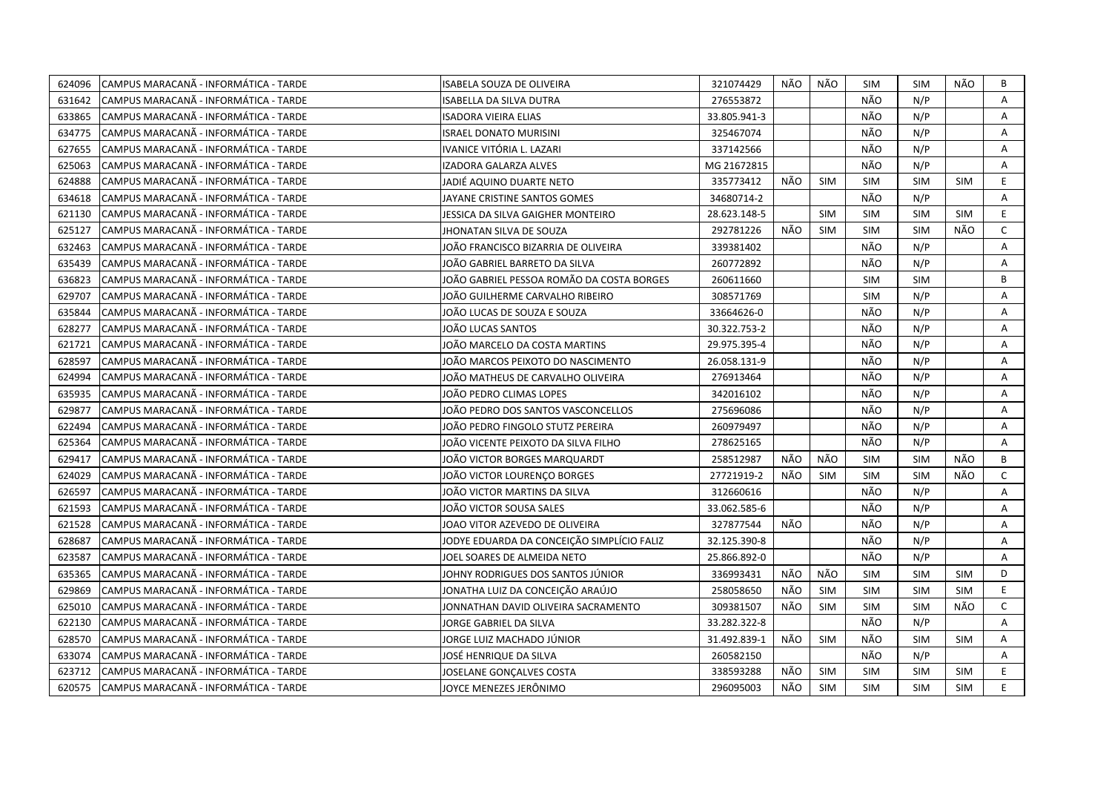| 624096 | CAMPUS MARACANÃ - INFORMÁTICA - TARDE | ISABELA SOUZA DE OLIVEIRA                  | 321074429    | NÃO | NÃO        | SIM        | <b>SIM</b> | NÃO        | B              |
|--------|---------------------------------------|--------------------------------------------|--------------|-----|------------|------------|------------|------------|----------------|
| 631642 | CAMPUS MARACANÃ - INFORMÁTICA - TARDE | <b>ISABELLA DA SILVA DUTRA</b>             | 276553872    |     |            | NÃO        | N/P        |            | $\overline{A}$ |
| 633865 | CAMPUS MARACANÃ - INFORMÁTICA - TARDE | <b>ISADORA VIEIRA ELIAS</b>                | 33.805.941-3 |     |            | NÃO        | N/P        |            | A              |
| 634775 | CAMPUS MARACANÃ - INFORMÁTICA - TARDE | <b>ISRAEL DONATO MURISINI</b>              | 325467074    |     |            | NÃO        | N/P        |            | A              |
| 627655 | CAMPUS MARACANÃ - INFORMÁTICA - TARDE | IVANICE VITÓRIA L. LAZARI                  | 337142566    |     |            | NÃO        | N/P        |            | Α              |
| 625063 | CAMPUS MARACANÃ - INFORMÁTICA - TARDE | IZADORA GALARZA ALVES                      | MG 21672815  |     |            | NÃO        | N/P        |            | A              |
| 624888 | CAMPUS MARACANÃ - INFORMÁTICA - TARDE | JADIÉ AQUINO DUARTE NETO                   | 335773412    | NÃO | <b>SIM</b> | SIM        | <b>SIM</b> | SIM        | E.             |
| 634618 | CAMPUS MARACANÃ - INFORMÁTICA - TARDE | JAYANE CRISTINE SANTOS GOMES               | 34680714-2   |     |            | NÃO        | N/P        |            | A              |
| 621130 | CAMPUS MARACANÃ - INFORMÁTICA - TARDE | JESSICA DA SILVA GAIGHER MONTEIRO          | 28.623.148-5 |     | <b>SIM</b> | <b>SIM</b> | <b>SIM</b> | <b>SIM</b> | E              |
| 625127 | CAMPUS MARACANÃ - INFORMÁTICA - TARDE | JHONATAN SILVA DE SOUZA                    | 292781226    | NÃO | <b>SIM</b> | <b>SIM</b> | <b>SIM</b> | NÃO        | $\mathsf{C}$   |
| 632463 | CAMPUS MARACANÃ - INFORMÁTICA - TARDE | JOÃO FRANCISCO BIZARRIA DE OLIVEIRA        | 339381402    |     |            | NÃO        | N/P        |            | A              |
| 635439 | CAMPUS MARACANÃ - INFORMÁTICA - TARDE | JOÃO GABRIEL BARRETO DA SILVA              | 260772892    |     |            | NÃO        | N/P        |            | A              |
| 636823 | CAMPUS MARACANÃ - INFORMÁTICA - TARDE | JOÃO GABRIEL PESSOA ROMÃO DA COSTA BORGES  | 260611660    |     |            | <b>SIM</b> | <b>SIM</b> |            | B              |
| 629707 | CAMPUS MARACANÃ - INFORMÁTICA - TARDE | JOÃO GUILHERME CARVALHO RIBEIRO            | 308571769    |     |            | <b>SIM</b> | N/P        |            | A              |
| 635844 | CAMPUS MARACANÃ - INFORMÁTICA - TARDE | JOÃO LUCAS DE SOUZA E SOUZA                | 33664626-0   |     |            | NÃO        | N/P        |            | A              |
| 628277 | CAMPUS MARACANÃ - INFORMÁTICA - TARDE | JOÃO LUCAS SANTOS                          | 30.322.753-2 |     |            | NÃO        | N/P        |            | A              |
| 621721 | CAMPUS MARACANÃ - INFORMÁTICA - TARDE | JOÃO MARCELO DA COSTA MARTINS              | 29.975.395-4 |     |            | NÃO        | N/P        |            | A              |
| 628597 | CAMPUS MARACANÃ - INFORMÁTICA - TARDE | JOÃO MARCOS PEIXOTO DO NASCIMENTO          | 26.058.131-9 |     |            | NÃO        | N/P        |            | A              |
| 624994 | CAMPUS MARACANÃ - INFORMÁTICA - TARDE | JOÃO MATHEUS DE CARVALHO OLIVEIRA          | 276913464    |     |            | NÃO        | N/P        |            | A              |
| 635935 | CAMPUS MARACANÃ - INFORMÁTICA - TARDE | JOÃO PEDRO CLIMAS LOPES                    | 342016102    |     |            | NÃO        | N/P        |            | A              |
| 629877 | CAMPUS MARACANÃ - INFORMÁTICA - TARDE | JOÃO PEDRO DOS SANTOS VASCONCELLOS         | 275696086    |     |            | NÃO        | N/P        |            | A              |
| 622494 | CAMPUS MARACANÃ - INFORMÁTICA - TARDE | JOÃO PEDRO FINGOLO STUTZ PEREIRA           | 260979497    |     |            | NÃO        | N/P        |            | A              |
| 625364 | CAMPUS MARACANÃ - INFORMÁTICA - TARDE | IOÃO VICENTE PEIXOTO DA SILVA FILHO        | 278625165    |     |            | NÃO        | N/P        |            | A              |
| 629417 | CAMPUS MARACANÃ - INFORMÁTICA - TARDE | JOÃO VICTOR BORGES MARQUARDT               | 258512987    | NÃO | NÃO        | <b>SIM</b> | <b>SIM</b> | NÃO        | B              |
| 624029 | CAMPUS MARACANÃ - INFORMÁTICA - TARDE | JOÃO VICTOR LOURENÇO BORGES                | 27721919-2   | NÃO | <b>SIM</b> | SIM        | <b>SIM</b> | NÃO        | $\mathsf{C}$   |
| 626597 | CAMPUS MARACANÃ - INFORMÁTICA - TARDE | JOÃO VICTOR MARTINS DA SILVA               | 312660616    |     |            | NÃO        | N/P        |            | $\overline{A}$ |
| 621593 | CAMPUS MARACANÃ - INFORMÁTICA - TARDE | JOÃO VICTOR SOUSA SALES                    | 33.062.585-6 |     |            | NÃO        | N/P        |            | A              |
| 621528 | CAMPUS MARACANA - INFORMÁTICA - TARDE | JOAO VITOR AZEVEDO DE OLIVEIRA             | 327877544    | NÃO |            | NÃO        | N/P        |            | A              |
| 628687 | CAMPUS MARACANÃ - INFORMÁTICA - TARDE | JODYE EDUARDA DA CONCEIÇÃO SIMPLÍCIO FALIZ | 32.125.390-8 |     |            | NÃO        | N/P        |            | A              |
| 623587 | CAMPUS MARACANÃ - INFORMÁTICA - TARDE | JOEL SOARES DE ALMEIDA NETO                | 25.866.892-0 |     |            | NÃO        | N/P        |            | A              |
| 635365 | CAMPUS MARACANA - INFORMÁTICA - TARDE | JOHNY RODRIGUES DOS SANTOS JÚNIOR          | 336993431    | NÃO | NÃO        | <b>SIM</b> | <b>SIM</b> | <b>SIM</b> | D              |
| 629869 | CAMPUS MARACANÃ - INFORMÁTICA - TARDE | JONATHA LUIZ DA CONCEIÇÃO ARAÚJO           | 258058650    | NÃO | <b>SIM</b> | <b>SIM</b> | <b>SIM</b> | <b>SIM</b> | E              |
| 625010 | CAMPUS MARACANÃ - INFORMÁTICA - TARDE | JONNATHAN DAVID OLIVEIRA SACRAMENTO        | 309381507    | NÃO | <b>SIM</b> | <b>SIM</b> | <b>SIM</b> | NÃO        | $\mathsf{C}$   |
| 622130 | CAMPUS MARACANÃ - INFORMÁTICA - TARDE | JORGE GABRIEL DA SILVA                     | 33.282.322-8 |     |            | NÃO        | N/P        |            | A              |
| 628570 | CAMPUS MARACANÃ - INFORMÁTICA - TARDE | JORGE LUIZ MACHADO JÚNIOR                  | 31.492.839-1 | NÃO | <b>SIM</b> | NÃO        | <b>SIM</b> | SIM        | Α              |
| 633074 | CAMPUS MARACANÃ - INFORMÁTICA - TARDE | JOSÉ HENRIQUE DA SILVA                     | 260582150    |     |            | NÃO        | N/P        |            | A              |
| 623712 | CAMPUS MARACANÃ - INFORMÁTICA - TARDE | JOSELANE GONÇALVES COSTA                   | 338593288    | NÃO | <b>SIM</b> | <b>SIM</b> | <b>SIM</b> | <b>SIM</b> | E.             |
| 620575 | CAMPUS MARACANÃ - INFORMÁTICA - TARDE | JOYCE MENEZES JERÔNIMO                     | 296095003    | NÃO | <b>SIM</b> | <b>SIM</b> | <b>SIM</b> | <b>SIM</b> | E.             |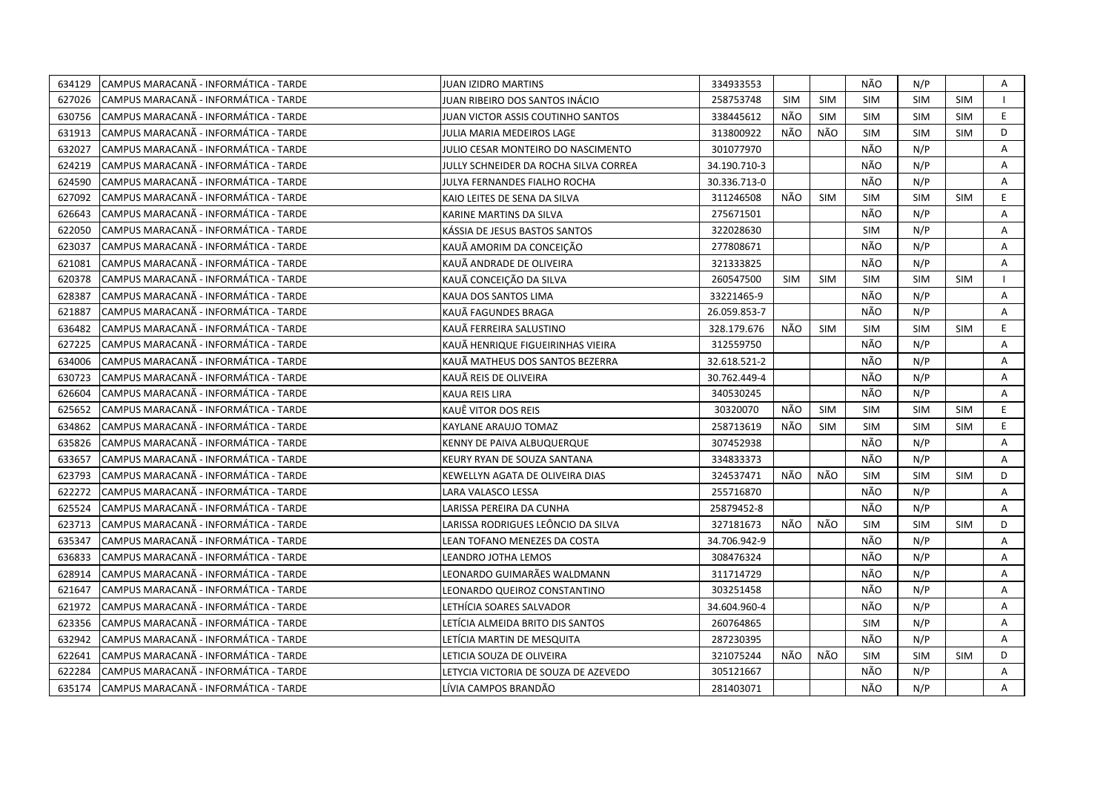| 634129 | CAMPUS MARACANA - INFORMÁTICA - TARDE  | JUAN IZIDRO MARTINS                   | 334933553    |            |            | NÃO        | N/P        |            | A |
|--------|----------------------------------------|---------------------------------------|--------------|------------|------------|------------|------------|------------|---|
| 627026 | ICAMPUS MARACANÃ - INFORMÁTICA - TARDE | JUAN RIBEIRO DOS SANTOS INÁCIO        | 258753748    | <b>SIM</b> | <b>SIM</b> | <b>SIM</b> | <b>SIM</b> | <b>SIM</b> |   |
| 630756 | CAMPUS MARACANA - INFORMÁTICA - TARDE  | JUAN VICTOR ASSIS COUTINHO SANTOS     | 338445612    | NÃO        | <b>SIM</b> | <b>SIM</b> | <b>SIM</b> | <b>SIM</b> | E |
| 631913 | CAMPUS MARACANA - INFORMÁTICA - TARDE  | JULIA MARIA MEDEIROS LAGE             | 313800922    | NÃO        | NÃO        | <b>SIM</b> | SIM        | <b>SIM</b> | D |
| 632027 | CAMPUS MARACANA - INFORMATICA - TARDE  | JULIO CESAR MONTEIRO DO NASCIMENTO    | 301077970    |            |            | NÃO        | N/P        |            | A |
| 624219 | CAMPUS MARACANA - INFORMÁTICA - TARDE  | JULLY SCHNEIDER DA ROCHA SILVA CORREA | 34.190.710-3 |            |            | NÃO        | N/P        |            | Α |
| 624590 | CAMPUS MARACANÃ - INFORMÁTICA - TARDE  | JULYA FERNANDES FIALHO ROCHA          | 30.336.713-0 |            |            | NÃO        | N/P        |            | Α |
| 627092 | CAMPUS MARACANÃ - INFORMÁTICA - TARDE  | KAIO LEITES DE SENA DA SILVA          | 311246508    | NÃO        | <b>SIM</b> | <b>SIM</b> | <b>SIM</b> | <b>SIM</b> | E |
| 626643 | CAMPUS MARACANÃ - INFORMÁTICA - TARDE  | KARINE MARTINS DA SILVA               | 275671501    |            |            | NÃO        | N/P        |            | A |
| 622050 | CAMPUS MARACANÃ - INFORMÁTICA - TARDE  | KÁSSIA DE JESUS BASTOS SANTOS         | 322028630    |            |            | <b>SIM</b> | N/P        |            | A |
| 623037 | CAMPUS MARACANÃ - INFORMÁTICA - TARDE  | KAUÃ AMORIM DA CONCEIÇÃO              | 277808671    |            |            | NÃO        | N/P        |            | A |
| 621081 | CAMPUS MARACANÃ - INFORMÁTICA - TARDE  | KAUÄ ANDRADE DE OLIVEIRA              | 321333825    |            |            | NÃO        | N/P        |            | Α |
| 620378 | CAMPUS MARACANÃ - INFORMÁTICA - TARDE  | KAUÃ CONCEIÇÃO DA SILVA               | 260547500    | <b>SIM</b> | <b>SIM</b> | <b>SIM</b> | <b>SIM</b> | <b>SIM</b> |   |
| 628387 | CAMPUS MARACANÃ - INFORMÁTICA - TARDE  | KAUA DOS SANTOS LIMA                  | 33221465-9   |            |            | NÃO        | N/P        |            | A |
| 621887 | CAMPUS MARACANÃ - INFORMÁTICA - TARDE  | KAUÃ FAGUNDES BRAGA                   | 26.059.853-7 |            |            | NÃO        | N/P        |            | A |
| 636482 | ICAMPUS MARACANÃ - INFORMÁTICA - TARDE | KAUÃ FERREIRA SALUSTINO               | 328.179.676  | NÃO        | <b>SIM</b> | SIM        | <b>SIM</b> | <b>SIM</b> | E |
| 627225 | CAMPUS MARACANÃ - INFORMÁTICA - TARDE  | KAUÃ HENRIQUE FIGUEIRINHAS VIEIRA     | 312559750    |            |            | NÃO        | N/P        |            | A |
| 634006 | CAMPUS MARACANÃ - INFORMÁTICA - TARDE  | KAUÃ MATHEUS DOS SANTOS BEZERRA       | 32.618.521-2 |            |            | NÃO        | N/P        |            | A |
| 630723 | CAMPUS MARACANÃ - INFORMÁTICA - TARDE  | KAUÃ REIS DE OLIVEIRA                 | 30.762.449-4 |            |            | NÃO        | N/P        |            | A |
| 626604 | CAMPUS MARACANÃ - INFORMÁTICA - TARDE  | KAUA REIS LIRA                        | 340530245    |            |            | NÃO        | N/P        |            | A |
| 625652 | CAMPUS MARACANÃ - INFORMÁTICA - TARDE  | KAUË VITOR DOS REIS                   | 30320070     | NÃO        | <b>SIM</b> | <b>SIM</b> | <b>SIM</b> | <b>SIM</b> | E |
| 634862 | CAMPUS MARACANÃ - INFORMÁTICA - TARDE  | KAYLANE ARAUJO TOMAZ                  | 258713619    | NÃO        | <b>SIM</b> | <b>SIM</b> | <b>SIM</b> | <b>SIM</b> | E |
| 635826 | CAMPUS MARACANÃ - INFORMÁTICA - TARDE  | KENNY DE PAIVA ALBUQUERQUE            | 307452938    |            |            | NÃO        | N/P        |            | A |
| 633657 | CAMPUS MARACANÃ - INFORMÁTICA - TARDE  | KEURY RYAN DE SOUZA SANTANA           | 334833373    |            |            | NÃO        | N/P        |            | A |
| 623793 | CAMPUS MARACANÃ - INFORMÁTICA - TARDE  | KEWELLYN AGATA DE OLIVEIRA DIAS       | 324537471    | NÃO        | NÃO        | <b>SIM</b> | <b>SIM</b> | <b>SIM</b> | D |
| 622272 | CAMPUS MARACANÃ - INFORMÁTICA - TARDE  | LARA VALASCO LESSA                    | 255716870    |            |            | NÃO        | N/P        |            | A |
| 625524 | CAMPUS MARACANÃ - INFORMÁTICA - TARDE  | LARISSA PEREIRA DA CUNHA              | 25879452-8   |            |            | NÃO        | N/P        |            | A |
| 623713 | CAMPUS MARACANÃ - INFORMÁTICA - TARDE  | LARISSA RODRIGUES LEÔNCIO DA SILVA    | 327181673    | NÃO        | NÃO        | <b>SIM</b> | <b>SIM</b> | <b>SIM</b> | D |
| 635347 | CAMPUS MARACANÃ - INFORMÁTICA - TARDE  | LEAN TOFANO MENEZES DA COSTA          | 34.706.942-9 |            |            | NÃO        | N/P        |            | A |
| 636833 | CAMPUS MARACANÃ - INFORMÁTICA - TARDE  | LEANDRO JOTHA LEMOS                   | 308476324    |            |            | NÃO        | N/P        |            | Α |
| 628914 | CAMPUS MARACANÃ - INFORMÁTICA - TARDE  | LEONARDO GUIMARÃES WALDMANN           | 311714729    |            |            | NÃO        | N/P        |            | A |
| 621647 | CAMPUS MARACANÃ - INFORMÁTICA - TARDE  | LEONARDO QUEIROZ CONSTANTINO          | 303251458    |            |            | NÃO        | N/P        |            | A |
| 621972 | CAMPUS MARACANA - INFORMÁTICA - TARDE  | LETHÍCIA SOARES SALVADOR              | 34.604.960-4 |            |            | NÃO        | N/P        |            | Α |
| 623356 | ICAMPUS MARACANÃ - INFORMÁTICA - TARDE | LETÍCIA ALMEIDA BRITO DIS SANTOS      | 260764865    |            |            | <b>SIM</b> | N/P        |            | A |
| 632942 | CAMPUS MARACANÃ - INFORMÁTICA - TARDE  | LETÍCIA MARTIN DE MESQUITA            | 287230395    |            |            | NÃO        | N/P        |            | A |
| 622641 | CAMPUS MARACANÃ - INFORMÁTICA - TARDE  | LETICIA SOUZA DE OLIVEIRA             | 321075244    | NÃO        | NÃO        | <b>SIM</b> | <b>SIM</b> | <b>SIM</b> | D |
| 622284 | CAMPUS MARACANÃ - INFORMÁTICA - TARDE  | LETYCIA VICTORIA DE SOUZA DE AZEVEDO  | 305121667    |            |            | NÃO        | N/P        |            | A |
| 635174 | CAMPUS MARACANA - INFORMÁTICA - TARDE  | LÍVIA CAMPOS BRANDÃO                  | 281403071    |            |            | NÃO        | N/P        |            | A |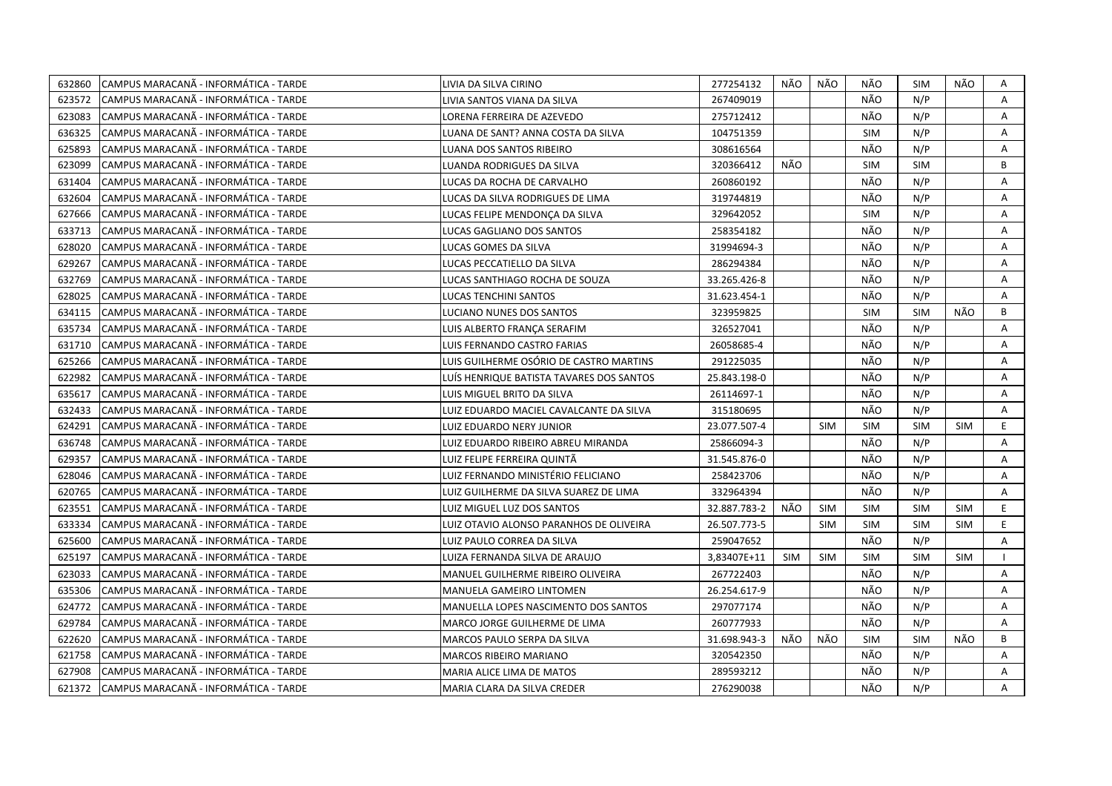| 632860 | CAMPUS MARACANÃ - INFORMÁTICA - TARDE  | LIVIA DA SILVA CIRINO                    | 277254132    | NÃO | NÃO        | NÃO        | <b>SIM</b> | NÃO        | A  |
|--------|----------------------------------------|------------------------------------------|--------------|-----|------------|------------|------------|------------|----|
| 623572 | ICAMPUS MARACANÃ - INFORMÁTICA - TARDE | LIVIA SANTOS VIANA DA SILVA              | 267409019    |     |            | NÃO        | N/P        |            | A  |
| 623083 | CAMPUS MARACANÃ - INFORMÁTICA - TARDE  | LORENA FERREIRA DE AZEVEDO               | 275712412    |     |            | NÃO        | N/P        |            | A  |
| 636325 | CAMPUS MARACANÃ - INFORMÁTICA - TARDE  | LUANA DE SANT? ANNA COSTA DA SILVA       | 104751359    |     |            | <b>SIM</b> | N/P        |            | A  |
| 625893 | CAMPUS MARACANÃ - INFORMÁTICA - TARDE  | LUANA DOS SANTOS RIBEIRO                 | 308616564    |     |            | NÃO        | N/P        |            | Α  |
| 623099 | CAMPUS MARACANÃ - INFORMÁTICA - TARDE  | LUANDA RODRIGUES DA SILVA                | 320366412    | NÃO |            | <b>SIM</b> | <b>SIM</b> |            | B  |
| 631404 | ICAMPUS MARACANÃ - INFORMÁTICA - TARDE | LUCAS DA ROCHA DE CARVALHO               | 260860192    |     |            | NÃO        | N/P        |            | Α  |
| 632604 | CAMPUS MARACANÃ - INFORMÁTICA - TARDE  | LUCAS DA SILVA RODRIGUES DE LIMA         | 319744819    |     |            | NÃO        | N/P        |            | A  |
| 627666 | CAMPUS MARACANÃ - INFORMÁTICA - TARDE  | LUCAS FELIPE MENDONCA DA SILVA           | 329642052    |     |            | <b>SIM</b> | N/P        |            | A  |
| 633713 | ICAMPUS MARACANÃ - INFORMÁTICA - TARDE | LUCAS GAGLIANO DOS SANTOS                | 258354182    |     |            | NÃO        | N/P        |            | A  |
| 628020 | CAMPUS MARACANÃ - INFORMÁTICA - TARDE  | LUCAS GOMES DA SILVA                     | 31994694-3   |     |            | NÃO        | N/P        |            | A  |
| 629267 | CAMPUS MARACANA - INFORMATICA - TARDE  | LUCAS PECCATIELLO DA SILVA               | 286294384    |     |            | NÃO        | N/P        |            | A  |
| 632769 | CAMPUS MARACANÃ - INFORMÁTICA - TARDE  | LUCAS SANTHIAGO ROCHA DE SOUZA           | 33.265.426-8 |     |            | NÃO        | N/P        |            | A  |
| 628025 | CAMPUS MARACANA - INFORMÁTICA - TARDE  | LUCAS TENCHINI SANTOS                    | 31.623.454-1 |     |            | NÃO        | N/P        |            | Α  |
| 634115 | CAMPUS MARACANÃ - INFORMÁTICA - TARDE  | LUCIANO NUNES DOS SANTOS                 | 323959825    |     |            | <b>SIM</b> | <b>SIM</b> | NÃO        | B  |
| 635734 | CAMPUS MARACANÃ - INFORMÁTICA - TARDE  | LUIS ALBERTO FRANÇA SERAFIM              | 326527041    |     |            | NÃO        | N/P        |            | Α  |
| 631710 | CAMPUS MARACANÃ - INFORMÁTICA - TARDE  | LUIS FERNANDO CASTRO FARIAS              | 26058685-4   |     |            | NÃO        | N/P        |            | A  |
| 625266 | CAMPUS MARACANÃ - INFORMÁTICA - TARDE  | LUIS GUILHERME OSÓRIO DE CASTRO MARTINS  | 291225035    |     |            | NÃO        | N/P        |            | A  |
| 622982 | CAMPUS MARACANÃ - INFORMÁTICA - TARDE  | LUÍS HENRIQUE BATISTA TAVARES DOS SANTOS | 25.843.198-0 |     |            | NÃO        | N/P        |            | Α  |
| 635617 | CAMPUS MARACANÃ - INFORMÁTICA - TARDE  | LUIS MIGUEL BRITO DA SILVA               | 26114697-1   |     |            | NÃO        | N/P        |            | A  |
| 632433 | CAMPUS MARACANÃ - INFORMÁTICA - TARDE  | LUIZ EDUARDO MACIEL CAVALCANTE DA SILVA  | 315180695    |     |            | NÃO        | N/P        |            | A  |
| 624291 | CAMPUS MARACANA - INFORMATICA - TARDE  | LUIZ EDUARDO NERY JUNIOR                 | 23.077.507-4 |     | <b>SIM</b> | <b>SIM</b> | <b>SIM</b> | SIM        | E. |
| 636748 | CAMPUS MARACANÃ - INFORMÁTICA - TARDE  | LUIZ EDUARDO RIBEIRO ABREU MIRANDA       | 25866094-3   |     |            | NÃO        | N/P        |            | A  |
| 629357 | CAMPUS MARACANÃ - INFORMÁTICA - TARDE  | LUIZ FELIPE FERREIRA QUINTÃ              | 31.545.876-0 |     |            | NÃO        | N/P        |            | Α  |
| 628046 | CAMPUS MARACANÃ - INFORMÁTICA - TARDE  | LUIZ FERNANDO MINISTÉRIO FELICIANO       | 258423706    |     |            | NÃO        | N/P        |            | A  |
| 620765 | CAMPUS MARACANA - INFORMÁTICA - TARDE  | LUIZ GUILHERME DA SILVA SUAREZ DE LIMA   | 332964394    |     |            | NÃO        | N/P        |            | A  |
| 623551 | CAMPUS MARACANA - INFORMATICA - TARDE  | LUIZ MIGUEL LUZ DOS SANTOS               | 32.887.783-2 | NÃO | <b>SIM</b> | <b>SIM</b> | <b>SIM</b> | <b>SIM</b> | E. |
| 633334 | CAMPUS MARACANÃ - INFORMÁTICA - TARDE  | LUIZ OTAVIO ALONSO PARANHOS DE OLIVEIRA  | 26.507.773-5 |     | <b>SIM</b> | <b>SIM</b> | <b>SIM</b> | <b>SIM</b> | E. |
| 625600 | CAMPUS MARACANÃ - INFORMÁTICA - TARDE  | LUIZ PAULO CORREA DA SILVA               | 259047652    |     |            | NÃO        | N/P        |            | A  |
| 625197 | CAMPUS MARACANÃ - INFORMÁTICA - TARDE  | LUIZA FERNANDA SILVA DE ARAUJO           | 3,83407E+11  | SIM | <b>SIM</b> | <b>SIM</b> | SIM        | <b>SIM</b> |    |
| 623033 | CAMPUS MARACANÃ - INFORMÁTICA - TARDE  | MANUEL GUILHERME RIBEIRO OLIVEIRA        | 267722403    |     |            | NÃO        | N/P        |            | A  |
| 635306 | CAMPUS MARACANÃ - INFORMÁTICA - TARDE  | MANUELA GAMEIRO LINTOMEN                 | 26.254.617-9 |     |            | NÃO        | N/P        |            | A  |
| 624772 | ICAMPUS MARACANA - INFORMÁTICA - TARDE | MANUELLA LOPES NASCIMENTO DOS SANTOS     | 297077174    |     |            | NÃO        | N/P        |            | A  |
| 629784 | CAMPUS MARACANÃ - INFORMÁTICA - TARDE  | MARCO JORGE GUILHERME DE LIMA            | 260777933    |     |            | NÃO        | N/P        |            | A  |
| 622620 | CAMPUS MARACANÃ - INFORMÁTICA - TARDE  | MARCOS PAULO SERPA DA SILVA              | 31.698.943-3 | NÃO | NÃO        | <b>SIM</b> | <b>SIM</b> | NÃO        | B  |
| 621758 | CAMPUS MARACANÃ - INFORMÁTICA - TARDE  | MARCOS RIBEIRO MARIANO                   | 320542350    |     |            | NÃO        | N/P        |            | A  |
| 627908 | ICAMPUS MARACANÃ - INFORMÁTICA - TARDE | MARIA ALICE LIMA DE MATOS                | 289593212    |     |            | NÃO        | N/P        |            | Α  |
| 621372 | CAMPUS MARACANA - INFORMÁTICA - TARDE  | MARIA CLARA DA SILVA CREDER              | 276290038    |     |            | NÃO        | N/P        |            | A  |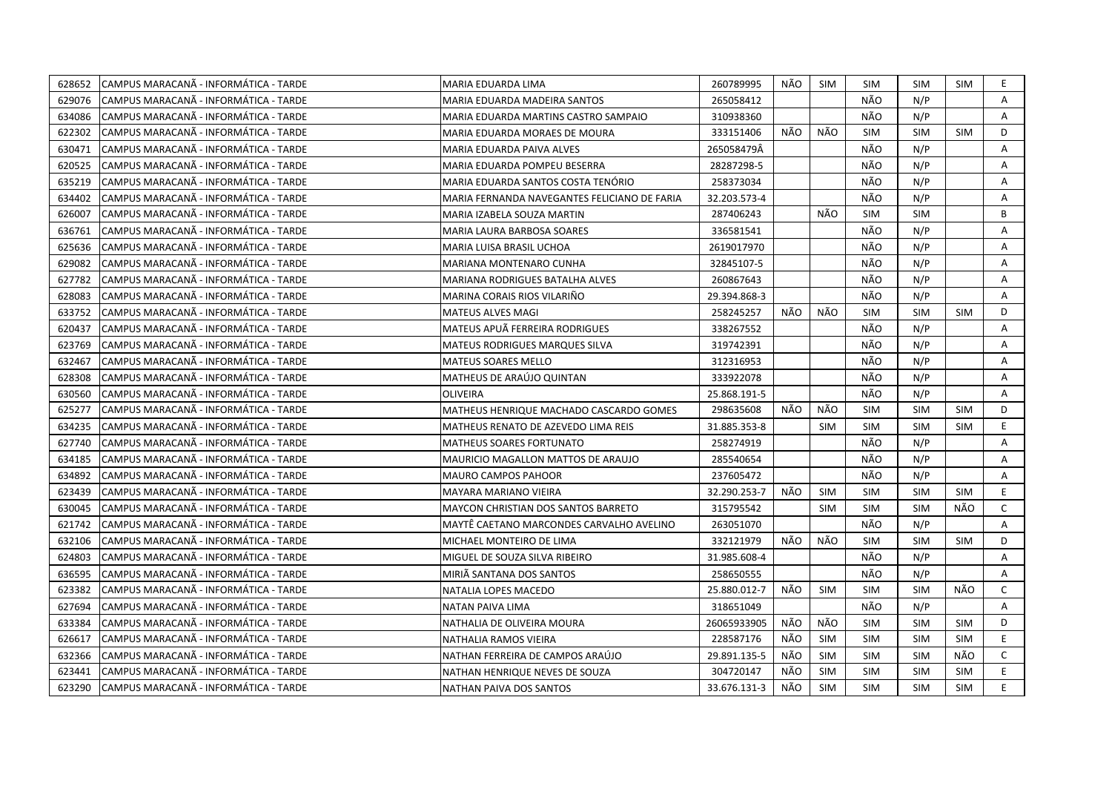| 628652 | CAMPUS MARACANÃ - INFORMÁTICA - TARDE  | MARIA EDUARDA LIMA                           | 260789995    | NÃO | <b>SIM</b> | SIM        | <b>SIM</b> | SIM        | E.           |
|--------|----------------------------------------|----------------------------------------------|--------------|-----|------------|------------|------------|------------|--------------|
| 629076 | CAMPUS MARACANÃ - INFORMÁTICA - TARDE  | MARIA EDUARDA MADEIRA SANTOS                 | 265058412    |     |            | NÃO        | N/P        |            | $\mathsf{A}$ |
| 634086 | CAMPUS MARACANÃ - INFORMÁTICA - TARDE  | MARIA EDUARDA MARTINS CASTRO SAMPAIO         | 310938360    |     |            | NÃO        | N/P        |            | A            |
| 622302 | CAMPUS MARACANÃ - INFORMÁTICA - TARDE  | MARIA EDUARDA MORAES DE MOURA                | 333151406    | NÃO | NÃO        | SIM        | <b>SIM</b> | <b>SIM</b> | D            |
| 630471 | CAMPUS MARACANÃ - INFORMÁTICA - TARDE  | MARIA EDUARDA PAIVA ALVES                    | 265058479Â   |     |            | NÃO        | N/P        |            | A            |
| 620525 | CAMPUS MARACANÃ - INFORMÁTICA - TARDE  | MARIA EDUARDA POMPEU BESERRA                 | 28287298-5   |     |            | NÃO        | N/P        |            | A            |
| 635219 | CAMPUS MARACANÃ - INFORMÁTICA - TARDE  | MARIA EDUARDA SANTOS COSTA TENÓRIO           | 258373034    |     |            | NÃO        | N/P        |            | A            |
| 634402 | ICAMPUS MARACANÃ - INFORMÁTICA - TARDE | MARIA FERNANDA NAVEGANTES FELICIANO DE FARIA | 32.203.573-4 |     |            | NÃO        | N/P        |            | A            |
| 626007 | CAMPUS MARACANÃ - INFORMÁTICA - TARDE  | MARIA IZABELA SOUZA MARTIN                   | 287406243    |     | NÃO        | <b>SIM</b> | <b>SIM</b> |            | B            |
| 636761 | ICAMPUS MARACANA - INFORMÁTICA - TARDE | MARIA LAURA BARBOSA SOARES                   | 336581541    |     |            | NÃO        | N/P        |            | A            |
| 625636 | CAMPUS MARACANÃ - INFORMÁTICA - TARDE  | MARIA LUISA BRASIL UCHOA                     | 2619017970   |     |            | NÃO        | N/P        |            | Α            |
| 629082 | ICAMPUS MARACANA - INFORMATICA - TARDE | MARIANA MONTENARO CUNHA                      | 32845107-5   |     |            | NÃO        | N/P        |            | A            |
| 627782 | CAMPUS MARACANÃ - INFORMÁTICA - TARDE  | <b>MARIANA RODRIGUES BATALHA ALVES</b>       | 260867643    |     |            | NÃO        | N/P        |            | Α            |
| 628083 | CAMPUS MARACANÃ - INFORMÁTICA - TARDE  | MARINA CORAIS RIOS VILARIÑO                  | 29.394.868-3 |     |            | NÃO        | N/P        |            | A            |
| 633752 | CAMPUS MARACANÃ - INFORMÁTICA - TARDE  | <b>MATEUS ALVES MAGI</b>                     | 258245257    | NÃO | NÃO        | <b>SIM</b> | <b>SIM</b> | <b>SIM</b> | D            |
| 620437 | CAMPUS MARACANÃ - INFORMÁTICA - TARDE  | MATEUS APUÃ FERREIRA RODRIGUES               | 338267552    |     |            | NÃO        | N/P        |            | A            |
| 623769 | CAMPUS MARACANÃ - INFORMÁTICA - TARDE  | MATEUS RODRIGUES MARQUES SILVA               | 319742391    |     |            | NÃO        | N/P        |            | A            |
| 632467 | CAMPUS MARACANÃ - INFORMÁTICA - TARDE  | <b>MATEUS SOARES MELLO</b>                   | 312316953    |     |            | NÃO        | N/P        |            | A            |
| 628308 | CAMPUS MARACANA - INFORMÁTICA - TARDE  | MATHEUS DE ARAÚJO QUINTAN                    | 333922078    |     |            | NÃO        | N/P        |            | A            |
| 630560 | CAMPUS MARACANÃ - INFORMÁTICA - TARDE  | <b>OLIVEIRA</b>                              | 25.868.191-5 |     |            | NÃO        | N/P        |            | A            |
| 625277 | CAMPUS MARACANA - INFORMÁTICA - TARDE  | MATHEUS HENRIQUE MACHADO CASCARDO GOMES      | 298635608    | NÃO | NÃO        | <b>SIM</b> | <b>SIM</b> | SIM        | D            |
| 634235 | CAMPUS MARACANÃ - INFORMÁTICA - TARDE  | MATHEUS RENATO DE AZEVEDO LIMA REIS          | 31.885.353-8 |     | <b>SIM</b> | <b>SIM</b> | <b>SIM</b> | <b>SIM</b> | E.           |
| 627740 | CAMPUS MARACANA - INFORMÁTICA - TARDE  | MATHEUS SOARES FORTUNATO                     | 258274919    |     |            | NÃO        | N/P        |            | A            |
| 634185 | CAMPUS MARACANÃ - INFORMÁTICA - TARDE  | <b>MAURICIO MAGALLON MATTOS DE ARAUJO</b>    | 285540654    |     |            | NÃO        | N/P        |            | A            |
| 634892 | CAMPUS MARACANA - INFORMÁTICA - TARDE  | <b>MAURO CAMPOS PAHOOR</b>                   | 237605472    |     |            | NÃO        | N/P        |            | A            |
| 623439 | CAMPUS MARACANA - INFORMÁTICA - TARDE  | MAYARA MARIANO VIEIRA                        | 32.290.253-7 | NÃO | <b>SIM</b> | <b>SIM</b> | <b>SIM</b> | <b>SIM</b> | E            |
| 630045 | CAMPUS MARACANA - INFORMÁTICA - TARDE  | MAYCON CHRISTIAN DOS SANTOS BARRETO          | 315795542    |     | <b>SIM</b> | <b>SIM</b> | <b>SIM</b> | NÃO        | $\mathsf{C}$ |
| 621742 | CAMPUS MARACANA - INFORMÁTICA - TARDE  | MAYTÊ CAETANO MARCONDES CARVALHO AVELINO     | 263051070    |     |            | NÃO        | N/P        |            | A            |
| 632106 | CAMPUS MARACANA - INFORMÁTICA - TARDE  | MICHAEL MONTEIRO DE LIMA                     | 332121979    | NÃO | NÃO        | <b>SIM</b> | <b>SIM</b> | SIM        | D            |
| 624803 | CAMPUS MARACANÃ - INFORMÁTICA - TARDE  | MIGUEL DE SOUZA SILVA RIBEIRO                | 31.985.608-4 |     |            | NÃO        | N/P        |            | A            |
| 636595 | CAMPUS MARACANA - INFORMÁTICA - TARDE  | MIRIÃ SANTANA DOS SANTOS                     | 258650555    |     |            | NÃO        | N/P        |            | Α            |
| 623382 | CAMPUS MARACANA - INFORMÁTICA - TARDE  | NATALIA LOPES MACEDO                         | 25.880.012-7 | NÃO | <b>SIM</b> | <b>SIM</b> | <b>SIM</b> | NÃO        | $\mathsf{C}$ |
| 627694 | CAMPUS MARACANA - INFORMÁTICA - TARDE  | NATAN PAIVA LIMA                             | 318651049    |     |            | NÃO        | N/P        |            | A            |
| 633384 | CAMPUS MARACANA - INFORMÁTICA - TARDE  | NATHALIA DE OLIVEIRA MOURA                   | 26065933905  | NÃO | NÃO        | <b>SIM</b> | <b>SIM</b> | <b>SIM</b> | D            |
| 626617 | CAMPUS MARACANA - INFORMÁTICA - TARDE  | NATHALIA RAMOS VIEIRA                        | 228587176    | NÃO | <b>SIM</b> | <b>SIM</b> | <b>SIM</b> | SIM        | E.           |
| 632366 | CAMPUS MARACANÃ - INFORMÁTICA - TARDE  | NATHAN FERREIRA DE CAMPOS ARAÚJO             | 29.891.135-5 | NÃO | <b>SIM</b> | <b>SIM</b> | <b>SIM</b> | NÃO        | $\mathsf{C}$ |
| 623441 | CAMPUS MARACANÃ - INFORMÁTICA - TARDE  | NATHAN HENRIQUE NEVES DE SOUZA               | 304720147    | NÃO | <b>SIM</b> | <b>SIM</b> | <b>SIM</b> | <b>SIM</b> | E.           |
| 623290 | CAMPUS MARACANA - INFORMÁTICA - TARDE  | <b>NATHAN PAIVA DOS SANTOS</b>               | 33.676.131-3 | NÃO | <b>SIM</b> | <b>SIM</b> | <b>SIM</b> | <b>SIM</b> | E            |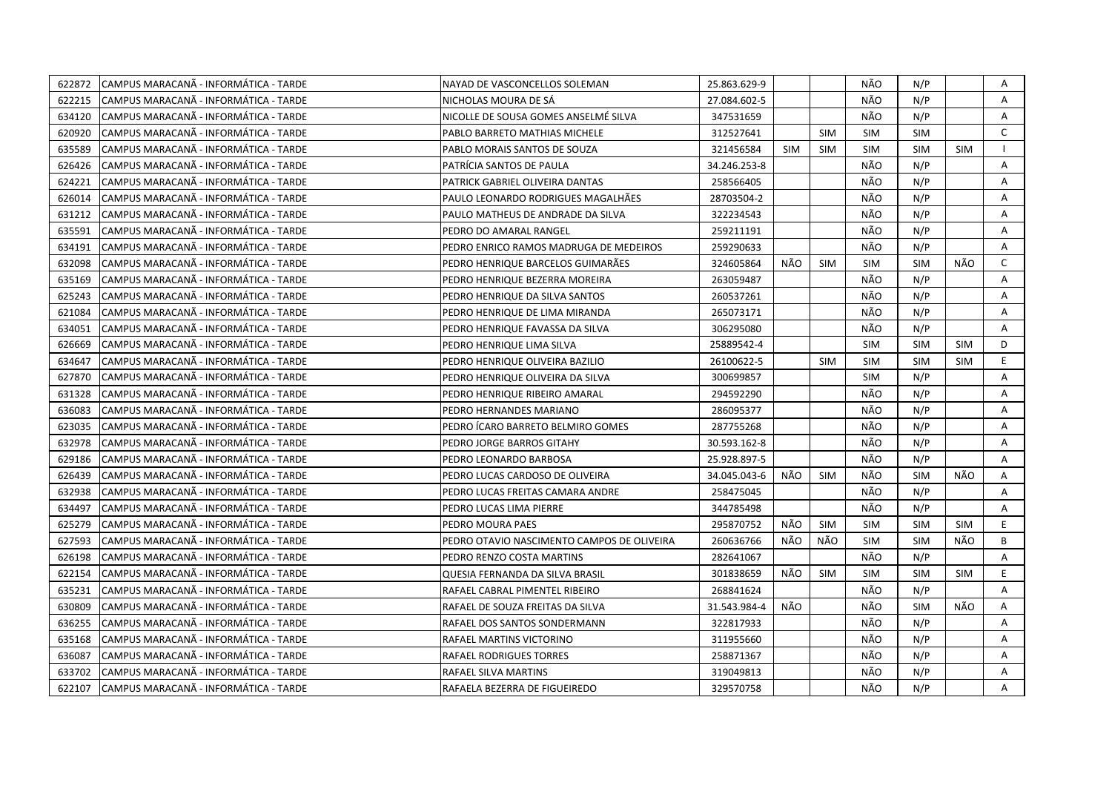| 622872 | CAMPUS MARACANA - INFORMÁTICA - TARDE  | NAYAD DE VASCONCELLOS SOLEMAN              | 25.863.629-9 |            |            | NÃO        | N/P        |            | Α            |
|--------|----------------------------------------|--------------------------------------------|--------------|------------|------------|------------|------------|------------|--------------|
| 622215 | CAMPUS MARACANÃ - INFORMÁTICA - TARDE  | NICHOLAS MOURA DE SÁ                       | 27.084.602-5 |            |            | NÃO        | N/P        |            | $\mathsf{A}$ |
| 634120 | CAMPUS MARACANÃ - INFORMÁTICA - TARDE  | NICOLLE DE SOUSA GOMES ANSELMÉ SILVA       | 347531659    |            |            | NÃO        | N/P        |            | A            |
| 620920 | CAMPUS MARACANÃ - INFORMÁTICA - TARDE  | PABLO BARRETO MATHIAS MICHELE              | 312527641    |            | <b>SIM</b> | <b>SIM</b> | <b>SIM</b> |            | $\mathsf{C}$ |
| 635589 | CAMPUS MARACANÃ - INFORMÁTICA - TARDE  | PABLO MORAIS SANTOS DE SOUZA               | 321456584    | <b>SIM</b> | <b>SIM</b> | <b>SIM</b> | <b>SIM</b> | <b>SIM</b> |              |
| 626426 | ICAMPUS MARACANA - INFORMATICA - TARDE | PATRÍCIA SANTOS DE PAULA                   | 34.246.253-8 |            |            | NÃO        | N/P        |            | Α            |
| 624221 | CAMPUS MARACANA - INFORMÁTICA - TARDE  | PATRICK GABRIEL OLIVEIRA DANTAS            | 258566405    |            |            | NÃO        | N/P        |            | Α            |
| 626014 | CAMPUS MARACANÃ - INFORMÁTICA - TARDE  | PAULO LEONARDO RODRIGUES MAGALHÃES         | 28703504-2   |            |            | NÃO        | N/P        |            | Α            |
| 631212 | CAMPUS MARACANA - INFORMÁTICA - TARDE  | PAULO MATHEUS DE ANDRADE DA SILVA          | 322234543    |            |            | NÃO        | N/P        |            | A            |
| 635591 | CAMPUS MARACANA - INFORMÁTICA - TARDE  | PEDRO DO AMARAL RANGEL                     | 259211191    |            |            | NÃO        | N/P        |            | Α            |
| 634191 | ICAMPUS MARACANA - INFORMÁTICA - TARDE | PEDRO ENRICO RAMOS MADRUGA DE MEDEIROS     | 259290633    |            |            | NÃO        | N/P        |            | A            |
| 632098 | CAMPUS MARACANÃ - INFORMÁTICA - TARDE  | PEDRO HENRIQUE BARCELOS GUIMARÃES          | 324605864    | NÃO        | SIM        | <b>SIM</b> | <b>SIM</b> | NÃO        | $\mathsf{C}$ |
| 635169 | ICAMPUS MARACANA - INFORMATICA - TARDE | PEDRO HENRIQUE BEZERRA MOREIRA             | 263059487    |            |            | NÃO        | N/P        |            | A            |
| 625243 | CAMPUS MARACANÃ - INFORMÁTICA - TARDE  | PEDRO HENRIQUE DA SILVA SANTOS             | 260537261    |            |            | NÃO        | N/P        |            | Α            |
| 621084 | CAMPUS MARACANA - INFORMÁTICA - TARDE  | PEDRO HENRIQUE DE LIMA MIRANDA             | 265073171    |            |            | NÃO        | N/P        |            | A            |
| 634051 | CAMPUS MARACANÃ - INFORMÁTICA - TARDE  | PEDRO HENRIQUE FAVASSA DA SILVA            | 306295080    |            |            | NÃO        | N/P        |            | A            |
| 626669 | CAMPUS MARACANÃ - INFORMÁTICA - TARDE  | PEDRO HENRIQUE LIMA SILVA                  | 25889542-4   |            |            | SIM        | <b>SIM</b> | <b>SIM</b> | D            |
| 634647 | CAMPUS MARACANÃ - INFORMÁTICA - TARDE  | PEDRO HENRIQUE OLIVEIRA BAZILIO            | 26100622-5   |            | <b>SIM</b> | <b>SIM</b> | <b>SIM</b> | <b>SIM</b> | E            |
| 627870 | CAMPUS MARACANA - INFORMÁTICA - TARDE  | PEDRO HENRIQUE OLIVEIRA DA SILVA           | 300699857    |            |            | <b>SIM</b> | N/P        |            | Α            |
| 631328 | CAMPUS MARACANÃ - INFORMÁTICA - TARDE  | PEDRO HENRIQUE RIBEIRO AMARAL              | 294592290    |            |            | NÃO        | N/P        |            | Α            |
| 636083 | CAMPUS MARACANÃ - INFORMÁTICA - TARDE  | PEDRO HERNANDES MARIANO                    | 286095377    |            |            | NÃO        | N/P        |            | Α            |
| 623035 | CAMPUS MARACANÃ - INFORMÁTICA - TARDE  | PEDRO ICARO BARRETO BELMIRO GOMES          | 287755268    |            |            | NÃO        | N/P        |            | A            |
| 632978 | CAMPUS MARACANÃ - INFORMÁTICA - TARDE  | PEDRO JORGE BARROS GITAHY                  | 30.593.162-8 |            |            | NÃO        | N/P        |            | A            |
| 629186 | CAMPUS MARACANÃ - INFORMÁTICA - TARDE  | PEDRO LEONARDO BARBOSA                     | 25.928.897-5 |            |            | NÃO        | N/P        |            | A            |
| 626439 | CAMPUS MARACANA - INFORMÁTICA - TARDE  | PEDRO LUCAS CARDOSO DE OLIVEIRA            | 34.045.043-6 | NÃO        | <b>SIM</b> | NÃO        | <b>SIM</b> | NÃO        | A            |
| 632938 | CAMPUS MARACANA - INFORMÁTICA - TARDE  | PEDRO LUCAS FREITAS CAMARA ANDRE           | 258475045    |            |            | NÃO        | N/P        |            | A            |
| 634497 | CAMPUS MARACANA - INFORMÁTICA - TARDE  | PEDRO LUCAS LIMA PIERRE                    | 344785498    |            |            | NÃO        | N/P        |            | A            |
| 625279 | CAMPUS MARACANA - INFORMÁTICA - TARDE  | PEDRO MOURA PAES                           | 295870752    | NÃO        | SIM        | <b>SIM</b> | <b>SIM</b> | <b>SIM</b> | E.           |
| 627593 | CAMPUS MARACANÃ - INFORMÁTICA - TARDE  | PEDRO OTAVIO NASCIMENTO CAMPOS DE OLIVEIRA | 260636766    | NÃO        | NÃO        | <b>SIM</b> | <b>SIM</b> | NÃO        | B            |
| 626198 | CAMPUS MARACANA - INFORMÁTICA - TARDE  | PEDRO RENZO COSTA MARTINS                  | 282641067    |            |            | NÃO        | N/P        |            | Α            |
| 622154 | CAMPUS MARACANÃ - INFORMÁTICA - TARDE  | QUESIA FERNANDA DA SILVA BRASIL            | 301838659    | NÃO        | <b>SIM</b> | SIM        | <b>SIM</b> | <b>SIM</b> | E            |
| 635231 | CAMPUS MARACANÃ - INFORMÁTICA - TARDE  | RAFAEL CABRAL PIMENTEL RIBEIRO             | 268841624    |            |            | NÃO        | N/P        |            | A            |
| 630809 | CAMPUS MARACANA - INFORMATICA - TARDE  | RAFAEL DE SOUZA FREITAS DA SILVA           | 31.543.984-4 | NÃO.       |            | NÃO        | <b>SIM</b> | NÃO        | A            |
| 636255 | CAMPUS MARACANA - INFORMATICA - TARDE  | RAFAEL DOS SANTOS SONDERMANN               | 322817933    |            |            | NÃO        | N/P        |            | Α            |
| 635168 | CAMPUS MARACANA - INFORMATICA - TARDE  | RAFAEL MARTINS VICTORINO                   | 311955660    |            |            | NÃO        | N/P        |            | A            |
| 636087 | CAMPUS MARACANÃ - INFORMÁTICA - TARDE  | RAFAEL RODRIGUES TORRES                    | 258871367    |            |            | NÃO        | N/P        |            | Α            |
| 633702 | CAMPUS MARACANA - INFORMÁTICA - TARDE  | RAFAEL SILVA MARTINS                       | 319049813    |            |            | NÃO        | N/P        |            | Α            |
| 622107 | CAMPUS MARACANA - INFORMÁTICA - TARDE  | RAFAELA BEZERRA DE FIGUEIREDO              | 329570758    |            |            | NÃO        | N/P        |            | A            |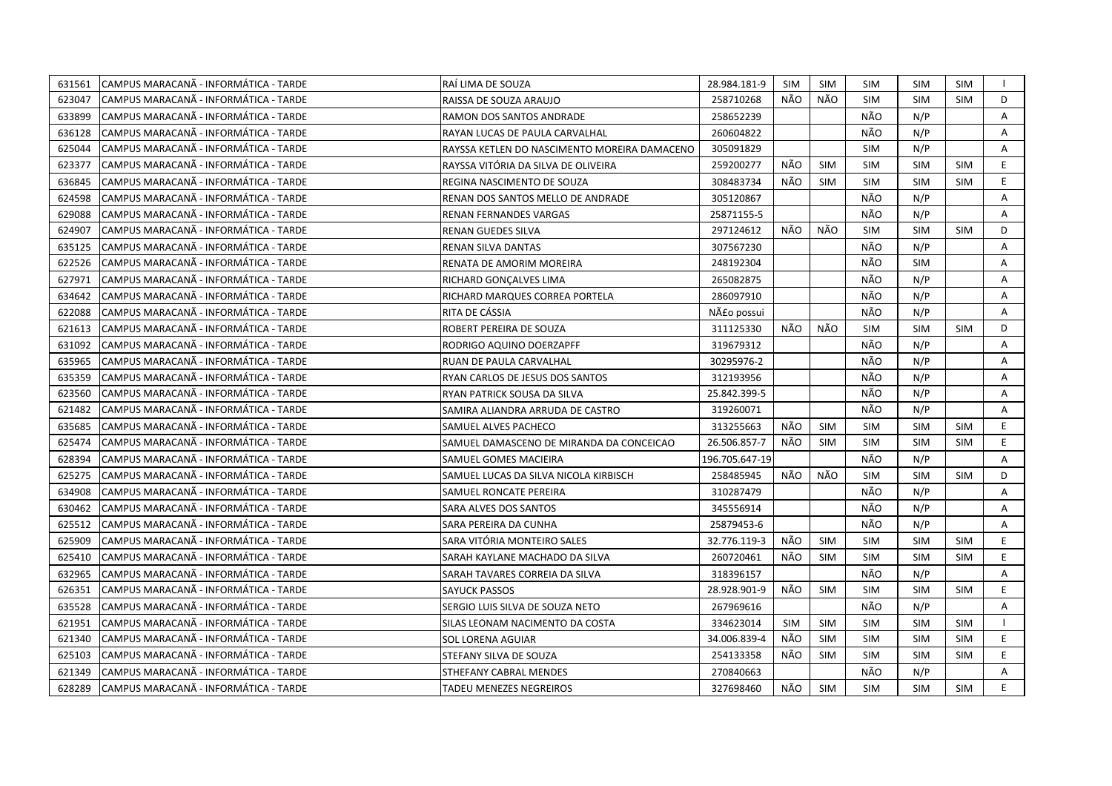| 631561 | CAMPUS MARACANA - INFORMÁTICA - TARDE | RAÍ LIMA DE SOUZA                            | 28.984.181-9   | SIM | SIM        | <b>SIM</b> | SIM        | <b>SIM</b> | $\mathbf{I}$   |
|--------|---------------------------------------|----------------------------------------------|----------------|-----|------------|------------|------------|------------|----------------|
| 623047 | CAMPUS MARACANÃ - INFORMÁTICA - TARDE | RAISSA DE SOUZA ARAUJO                       | 258710268      | NÃO | NÃO        | <b>SIM</b> | <b>SIM</b> | <b>SIM</b> | D              |
| 633899 | CAMPUS MARACANÃ - INFORMÁTICA - TARDE | RAMON DOS SANTOS ANDRADE                     | 258652239      |     |            | NÃO        | N/P        |            | Α              |
| 636128 | CAMPUS MARACANÃ - INFORMÁTICA - TARDE | RAYAN LUCAS DE PAULA CARVALHAL               | 260604822      |     |            | NÃO        | N/P        |            | Α              |
| 625044 | CAMPUS MARACANÃ - INFORMÁTICA - TARDE | RAYSSA KETLEN DO NASCIMENTO MOREIRA DAMACENO | 305091829      |     |            | <b>SIM</b> | N/P        |            | A              |
| 623377 | CAMPUS MARACANÃ - INFORMÁTICA - TARDE | RAYSSA VITÓRIA DA SILVA DE OLIVEIRA          | 259200277      | NÃO | <b>SIM</b> | <b>SIM</b> | <b>SIM</b> | <b>SIM</b> | E.             |
| 636845 | CAMPUS MARACANÃ - INFORMÁTICA - TARDE | REGINA NASCIMENTO DE SOUZA                   | 308483734      | NÃO | <b>SIM</b> | <b>SIM</b> | <b>SIM</b> | <b>SIM</b> | E              |
| 624598 | CAMPUS MARACANÃ - INFORMÁTICA - TARDE | RENAN DOS SANTOS MELLO DE ANDRADE            | 305120867      |     |            | NÃO        | N/P        |            | A              |
| 629088 | CAMPUS MARACANÃ - INFORMÁTICA - TARDE | RENAN FERNANDES VARGAS                       | 25871155-5     |     |            | NÃO        | N/P        |            | Α              |
| 624907 | CAMPUS MARACANA - INFORMÁTICA - TARDE | RENAN GUEDES SILVA                           | 297124612      | NÃO | NÃO        | <b>SIM</b> | <b>SIM</b> | <b>SIM</b> | D              |
| 635125 | CAMPUS MARACANÃ - INFORMÁTICA - TARDE | RENAN SILVA DANTAS                           | 307567230      |     |            | NÃO        | N/P        |            | A              |
| 622526 | CAMPUS MARACANÃ - INFORMÁTICA - TARDE | RENATA DE AMORIM MOREIRA                     | 248192304      |     |            | NÃO        | <b>SIM</b> |            | Α              |
| 627971 | CAMPUS MARACANÃ - INFORMÁTICA - TARDE | RICHARD GONÇALVES LIMA                       | 265082875      |     |            | NÃO        | N/P        |            | Α              |
| 634642 | CAMPUS MARACANÃ - INFORMÁTICA - TARDE | RICHARD MARQUES CORREA PORTELA               | 286097910      |     |            | NÃO        | N/P        |            | A              |
| 622088 | CAMPUS MARACANA - INFORMÁTICA - TARDE | RITA DE CÁSSIA                               | Não possui     |     |            | NÃO        | N/P        |            | A              |
| 621613 | CAMPUS MARACANA - INFORMÁTICA - TARDE | ROBERT PEREIRA DE SOUZA                      | 311125330      | NÃO | NÃO        | <b>SIM</b> | <b>SIM</b> | <b>SIM</b> | D              |
| 631092 | CAMPUS MARACANÃ - INFORMÁTICA - TARDE | RODRIGO AQUINO DOERZAPFF                     | 319679312      |     |            | NÃO        | N/P        |            | A              |
| 635965 | CAMPUS MARACANÃ - INFORMÁTICA - TARDE | RUAN DE PAULA CARVALHAL                      | 30295976-2     |     |            | NÃO        | N/P        |            | A              |
| 635359 | CAMPUS MARACANA - INFORMÁTICA - TARDE | RYAN CARLOS DE JESUS DOS SANTOS              | 312193956      |     |            | NÃO        | N/P        |            | Α              |
| 623560 | CAMPUS MARACANA - INFORMÁTICA - TARDE | RYAN PATRICK SOUSA DA SILVA                  | 25.842.399-5   |     |            | NÃO        | N/P        |            | Α              |
| 621482 | CAMPUS MARACANÃ - INFORMÁTICA - TARDE | SAMIRA ALIANDRA ARRUDA DE CASTRO             | 319260071      |     |            | NÃO        | N/P        |            | $\overline{A}$ |
| 635685 | CAMPUS MARACANÃ - INFORMÁTICA - TARDE | SAMUEL ALVES PACHECO                         | 313255663      | NÃO | <b>SIM</b> | <b>SIM</b> | <b>SIM</b> | <b>SIM</b> | E              |
| 625474 | CAMPUS MARACANÃ - INFORMÁTICA - TARDE | SAMUEL DAMASCENO DE MIRANDA DA CONCEICAO     | 26.506.857-7   | NÃO | <b>SIM</b> | <b>SIM</b> | <b>SIM</b> | <b>SIM</b> | E              |
| 628394 | CAMPUS MARACANA - INFORMÁTICA - TARDE | SAMUEL GOMES MACIEIRA                        | 196.705.647-19 |     |            | NÃO        | N/P        |            | A              |
| 625275 | CAMPUS MARACANÃ - INFORMÁTICA - TARDE | SAMUEL LUCAS DA SILVA NICOLA KIRBISCH        | 258485945      | NÃO | NÃO        | <b>SIM</b> | <b>SIM</b> | <b>SIM</b> | D              |
| 634908 | CAMPUS MARACANA - INFORMÁTICA - TARDE | SAMUEL RONCATE PEREIRA                       | 310287479      |     |            | NÃO        | N/P        |            | A              |
| 630462 | CAMPUS MARACANÃ - INFORMÁTICA - TARDE | SARA ALVES DOS SANTOS                        | 345556914      |     |            | NÃO        | N/P        |            | Α              |
| 625512 | CAMPUS MARACANÃ - INFORMÁTICA - TARDE | SARA PEREIRA DA CUNHA                        | 25879453-6     |     |            | NÃO        | N/P        |            | A              |
| 625909 | CAMPUS MARACANÃ - INFORMÁTICA - TARDE | SARA VITÓRIA MONTEIRO SALES                  | 32.776.119-3   | NÃO | SIM        | <b>SIM</b> | <b>SIM</b> | <b>SIM</b> | E              |
| 625410 | CAMPUS MARACANA - INFORMÁTICA - TARDE | SARAH KAYLANE MACHADO DA SILVA               | 260720461      | NÃO | <b>SIM</b> | <b>SIM</b> | <b>SIM</b> | <b>SIM</b> | E.             |
| 632965 | CAMPUS MARACANÃ - INFORMÁTICA - TARDE | SARAH TAVARES CORREIA DA SILVA               | 318396157      |     |            | NÃO        | N/P        |            | Α              |
| 626351 | CAMPUS MARACANÃ - INFORMÁTICA - TARDE | <b>SAYUCK PASSOS</b>                         | 28.928.901-9   | NÃO | <b>SIM</b> | <b>SIM</b> | <b>SIM</b> | <b>SIM</b> | E              |
| 635528 | CAMPUS MARACANÃ - INFORMÁTICA - TARDE | SERGIO LUIS SILVA DE SOUZA NETO              | 267969616      |     |            | NÃO        | N/P        |            | A              |
| 621951 | CAMPUS MARACANÃ - INFORMÁTICA - TARDE | SILAS LEONAM NACIMENTO DA COSTA              | 334623014      | SIM | <b>SIM</b> | <b>SIM</b> | <b>SIM</b> | <b>SIM</b> | $\mathbf{1}$   |
| 621340 | CAMPUS MARACANA - INFORMÁTICA - TARDE | SOL LORENA AGUIAR                            | 34.006.839-4   | NÃO | <b>SIM</b> | <b>SIM</b> | <b>SIM</b> | <b>SIM</b> | E.             |
| 625103 | CAMPUS MARACANÃ - INFORMÁTICA - TARDE | STEFANY SILVA DE SOUZA                       | 254133358      | NÃO | <b>SIM</b> | <b>SIM</b> | <b>SIM</b> | <b>SIM</b> | E.             |
| 621349 | CAMPUS MARACANÃ - INFORMÁTICA - TARDE | STHEFANY CABRAL MENDES                       | 270840663      |     |            | NÃO        | N/P        |            | $\mathsf{A}$   |
| 628289 | CAMPUS MARACANA - INFORMÁTICA - TARDE | <b>TADEU MENEZES NEGREIROS</b>               | 327698460      | NÃO | <b>SIM</b> | <b>SIM</b> | <b>SIM</b> | <b>SIM</b> | E              |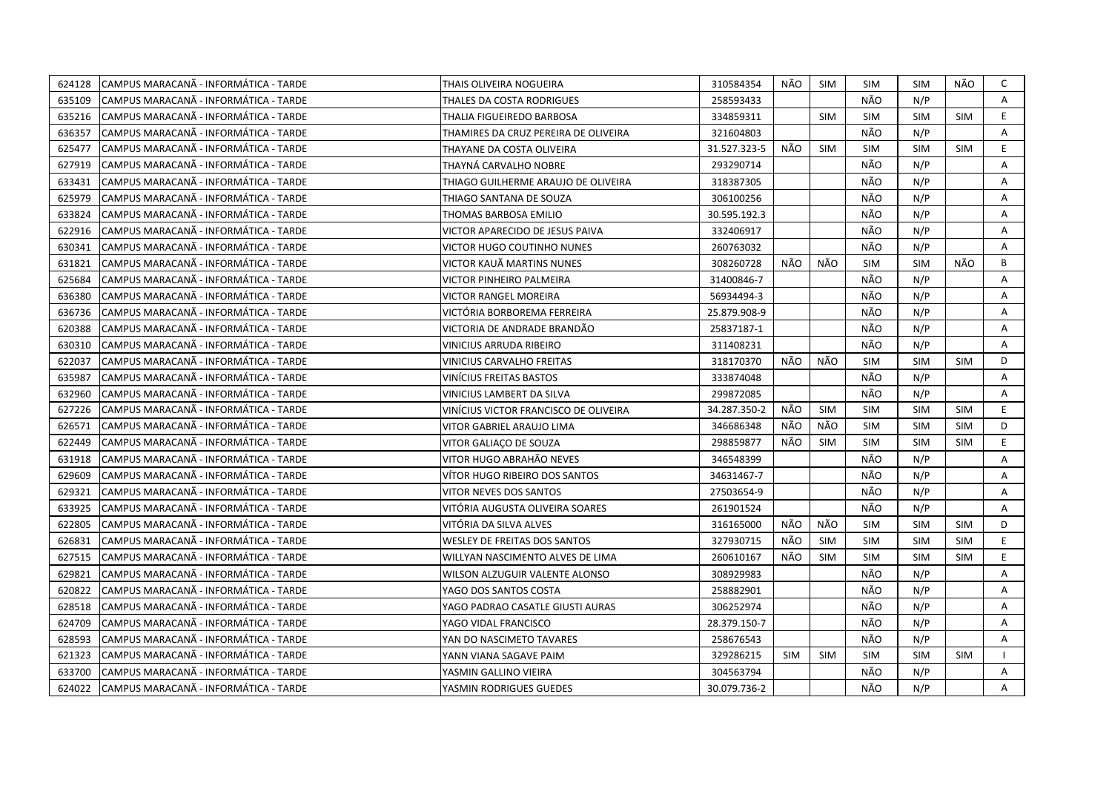| 624128 | CAMPUS MARACANÃ - INFORMÁTICA - TARDE  | THAIS OLIVEIRA NOGUEIRA               | 310584354    | NÃO        | SIM        | <b>SIM</b> | SIM        | NÃO        | C            |
|--------|----------------------------------------|---------------------------------------|--------------|------------|------------|------------|------------|------------|--------------|
| 635109 | CAMPUS MARACANÃ - INFORMÁTICA - TARDE  | THALES DA COSTA RODRIGUES             | 258593433    |            |            | NÃO        | N/P        |            | A            |
| 635216 | CAMPUS MARACANÃ - INFORMÁTICA - TARDE  | THALIA FIGUEIREDO BARBOSA             | 334859311    |            | <b>SIM</b> | <b>SIM</b> | <b>SIM</b> | <b>SIM</b> | E            |
| 636357 | ICAMPUS MARACANÃ - INFORMÁTICA - TARDE | THAMIRES DA CRUZ PEREIRA DE OLIVEIRA  | 321604803    |            |            | NÃO        | N/P        |            | Α            |
| 625477 | CAMPUS MARACANÃ - INFORMÁTICA - TARDE  | THAYANE DA COSTA OLIVEIRA             | 31.527.323-5 | NÃO        | SIM        | <b>SIM</b> | <b>SIM</b> | <b>SIM</b> | E            |
| 627919 | CAMPUS MARACANÃ - INFORMÁTICA - TARDE  | THAYNÁ CARVALHO NOBRE                 | 293290714    |            |            | NÃO        | N/P        |            | Α            |
| 633431 | ICAMPUS MARACANÃ - INFORMÁTICA - TARDE | THIAGO GUILHERME ARAUJO DE OLIVEIRA   | 318387305    |            |            | NÃO        | N/P        |            | A            |
| 625979 | ICAMPUS MARACANÃ - INFORMÁTICA - TARDE | THIAGO SANTANA DE SOUZA               | 306100256    |            |            | NÃO        | N/P        |            | A            |
| 633824 | CAMPUS MARACANÃ - INFORMÁTICA - TARDE  | THOMAS BARBOSA EMILIO                 | 30.595.192.3 |            |            | NÃO        | N/P        |            | A            |
| 622916 | ICAMPUS MARACANÃ - INFORMÁTICA - TARDE | VICTOR APARECIDO DE JESUS PAIVA       | 332406917    |            |            | NÃO        | N/P        |            | A            |
| 630341 | CAMPUS MARACANÃ - INFORMÁTICA - TARDE  | VICTOR HUGO COUTINHO NUNES            | 260763032    |            |            | NÃO        | N/P        |            | A            |
| 631821 | CAMPUS MARACANA - INFORMATICA - TARDE  | VICTOR KAUÄ MARTINS NUNES             | 308260728    | NÃO        | NÃO        | <b>SIM</b> | <b>SIM</b> | NÃO        | B            |
| 625684 | CAMPUS MARACANÃ - INFORMÁTICA - TARDE  | VICTOR PINHEIRO PALMEIRA              | 31400846-7   |            |            | NÃO        | N/P        |            | Α            |
| 636380 | CAMPUS MARACANÃ - INFORMÁTICA - TARDE  | <b>VICTOR RANGEL MOREIRA</b>          | 56934494-3   |            |            | NÃO        | N/P        |            | Α            |
| 636736 | CAMPUS MARACANÃ - INFORMÁTICA - TARDE  | VICTÓRIA BORBOREMA FERREIRA           | 25.879.908-9 |            |            | NÃO        | N/P        |            | A            |
| 620388 | CAMPUS MARACANÃ - INFORMÁTICA - TARDE  | VICTORIA DE ANDRADE BRANDÃO           | 25837187-1   |            |            | NÃO        | N/P        |            | A            |
| 630310 | CAMPUS MARACANÃ - INFORMÁTICA - TARDE  | <b>VINICIUS ARRUDA RIBEIRO</b>        | 311408231    |            |            | NÃO        | N/P        |            | A            |
| 622037 | CAMPUS MARACANÃ - INFORMÁTICA - TARDE  | VINICIUS CARVALHO FREITAS             | 318170370    | NÃO        | NÃO        | <b>SIM</b> | <b>SIM</b> | <b>SIM</b> | D            |
| 635987 | CAMPUS MARACANÃ - INFORMÁTICA - TARDE  | VINÍCIUS FREITAS BASTOS               | 333874048    |            |            | NÃO        | N/P        |            | A            |
| 632960 | CAMPUS MARACANÃ - INFORMÁTICA - TARDE  | VINICIUS LAMBERT DA SILVA             | 299872085    |            |            | NÃO        | N/P        |            | A            |
| 627226 | CAMPUS MARACANÃ - INFORMÁTICA - TARDE  | VINÍCIUS VICTOR FRANCISCO DE OLIVEIRA | 34.287.350-2 | NÃO        | <b>SIM</b> | <b>SIM</b> | <b>SIM</b> | <b>SIM</b> | E            |
| 626571 | CAMPUS MARACANÃ - INFORMÁTICA - TARDE  | VITOR GABRIEL ARAUJO LIMA             | 346686348    | NÃO        | NÃO        | <b>SIM</b> | <b>SIM</b> | <b>SIM</b> | D            |
| 622449 | CAMPUS MARACANÃ - INFORMÁTICA - TARDE  | VITOR GALIAÇO DE SOUZA                | 298859877    | NÃO        | <b>SIM</b> | <b>SIM</b> | <b>SIM</b> | <b>SIM</b> | E.           |
| 631918 | CAMPUS MARACANÃ - INFORMÁTICA - TARDE  | VITOR HUGO ABRAHÃO NEVES              | 346548399    |            |            | NÃO        | N/P        |            | A            |
| 629609 | CAMPUS MARACANA - INFORMATICA - TARDE  | VÍTOR HUGO RIBEIRO DOS SANTOS         | 34631467-7   |            |            | NÃO        | N/P        |            | A            |
| 629321 | CAMPUS MARACANA - INFORMÁTICA - TARDE  | VITOR NEVES DOS SANTOS                | 27503654-9   |            |            | NÃO        | N/P        |            | Α            |
| 633925 | CAMPUS MARACANA - INFORMÁTICA - TARDE  | VITÓRIA AUGUSTA OLIVEIRA SOARES       | 261901524    |            |            | NÃO        | N/P        |            | A            |
| 622805 | CAMPUS MARACANÃ - INFORMÁTICA - TARDE  | VITÓRIA DA SILVA ALVES                | 316165000    | NÃO        | NÃO        | <b>SIM</b> | <b>SIM</b> | <b>SIM</b> | D            |
| 626831 | CAMPUS MARACANÃ - INFORMÁTICA - TARDE  | <b>WESLEY DE FREITAS DOS SANTOS</b>   | 327930715    | NÃO        | <b>SIM</b> | <b>SIM</b> | <b>SIM</b> | <b>SIM</b> | E            |
| 627515 | CAMPUS MARACANÃ - INFORMÁTICA - TARDE  | WILLYAN NASCIMENTO ALVES DE LIMA      | 260610167    | NÃO        | <b>SIM</b> | <b>SIM</b> | <b>SIM</b> | <b>SIM</b> | E            |
| 629821 | CAMPUS MARACANÃ - INFORMÁTICA - TARDE  | WILSON ALZUGUIR VALENTE ALONSO        | 308929983    |            |            | NÃO        | N/P        |            | A            |
| 620822 | CAMPUS MARACANÃ - INFORMÁTICA - TARDE  | YAGO DOS SANTOS COSTA                 | 258882901    |            |            | NÃO        | N/P        |            | A            |
| 628518 | CAMPUS MARACANA - INFORMATICA - TARDE  | YAGO PADRAO CASATLE GIUSTI AURAS      | 306252974    |            |            | NÃO        | N/P        |            | A            |
| 624709 | CAMPUS MARACANÃ - INFORMÁTICA - TARDE  | YAGO VIDAL FRANCISCO                  | 28.379.150-7 |            |            | NÃO        | N/P        |            | Α            |
| 628593 | CAMPUS MARACANÃ - INFORMÁTICA - TARDE  | YAN DO NASCIMETO TAVARES              | 258676543    |            |            | NÃO        | N/P        |            | Α            |
| 621323 | CAMPUS MARACANÃ - INFORMÁTICA - TARDE  | YANN VIANA SAGAVE PAIM                | 329286215    | <b>SIM</b> | SIM        | <b>SIM</b> | <b>SIM</b> | <b>SIM</b> | $\mathbf{I}$ |
| 633700 | CAMPUS MARACANÃ - INFORMÁTICA - TARDE  | YASMIN GALLINO VIEIRA                 | 304563794    |            |            | NÃO        | N/P        |            | A            |
| 624022 | CAMPUS MARACANÃ - INFORMÁTICA - TARDE  | YASMIN RODRIGUES GUEDES               | 30.079.736-2 |            |            | NÃO        | N/P        |            | A            |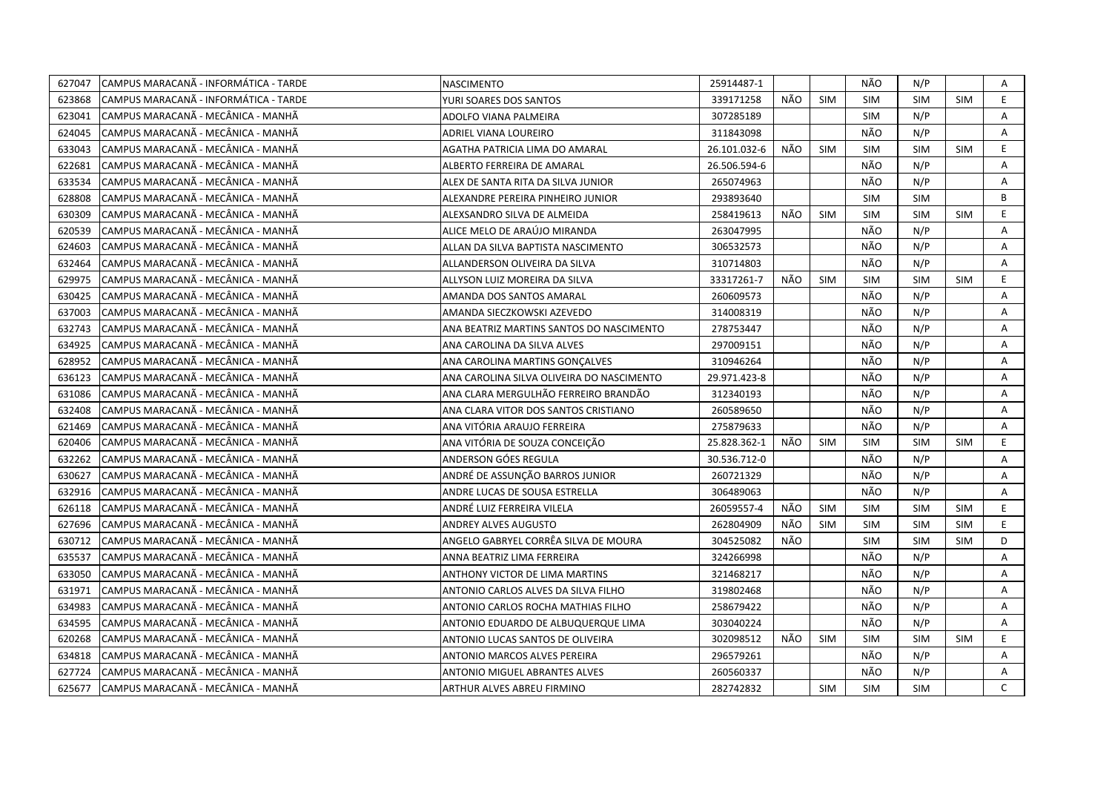| 627047 | CAMPUS MARACANA - INFORMÁTICA - TARDE | <b>NASCIMENTO</b>                         | 25914487-1   |     |            | NÃO        | N/P        |            | Α            |
|--------|---------------------------------------|-------------------------------------------|--------------|-----|------------|------------|------------|------------|--------------|
| 623868 | CAMPUS MARACANÃ - INFORMÁTICA - TARDE | YURI SOARES DOS SANTOS                    | 339171258    | NÃO | <b>SIM</b> | <b>SIM</b> | <b>SIM</b> | <b>SIM</b> | E.           |
| 623041 | ICAMPUS MARACANÃ - MECÂNICA - MANHÃ   | ADOLFO VIANA PALMEIRA                     | 307285189    |     |            | <b>SIM</b> | N/P        |            | A            |
| 624045 | CAMPUS MARACANÃ - MECÂNICA - MANHÃ    | ADRIEL VIANA LOUREIRO                     | 311843098    |     |            | NÃO        | N/P        |            | A            |
| 633043 | CAMPUS MARACANÃ - MECÂNICA - MANHÃ    | AGATHA PATRICIA LIMA DO AMARAL            | 26.101.032-6 | NÃO | <b>SIM</b> | <b>SIM</b> | <b>SIM</b> | <b>SIM</b> | E            |
| 622681 | CAMPUS MARACANÃ - MECÂNICA - MANHÃ    | ALBERTO FERREIRA DE AMARAL                | 26.506.594-6 |     |            | NÃO        | N/P        |            | A            |
| 633534 | CAMPUS MARACANÃ - MECÂNICA - MANHÃ    | ALEX DE SANTA RITA DA SILVA JUNIOR        | 265074963    |     |            | NÃO        | N/P        |            | A            |
| 628808 | CAMPUS MARACANÃ - MECÂNICA - MANHÃ    | ALEXANDRE PEREIRA PINHEIRO JUNIOR         | 293893640    |     |            | <b>SIM</b> | <b>SIM</b> |            | B            |
| 630309 | CAMPUS MARACANÃ - MECÂNICA - MANHÃ    | ALEXSANDRO SILVA DE ALMEIDA               | 258419613    | NÃO | <b>SIM</b> | <b>SIM</b> | <b>SIM</b> | <b>SIM</b> | E.           |
| 620539 | CAMPUS MARACANÃ - MECÂNICA - MANHÃ    | ALICE MELO DE ARAÚJO MIRANDA              | 263047995    |     |            | NÃO        | N/P        |            | Α            |
| 624603 | CAMPUS MARACANÃ - MECÂNICA - MANHÃ    | ALLAN DA SILVA BAPTISTA NASCIMENTO        | 306532573    |     |            | NÃO        | N/P        |            | A            |
| 632464 | CAMPUS MARACANÃ - MECÂNICA - MANHÃ    | ALLANDERSON OLIVEIRA DA SILVA             | 310714803    |     |            | NÃO        | N/P        |            | A            |
| 629975 | CAMPUS MARACANÃ - MECÂNICA - MANHÃ    | ALLYSON LUIZ MOREIRA DA SILVA             | 33317261-7   | NÃO | <b>SIM</b> | <b>SIM</b> | <b>SIM</b> | <b>SIM</b> | E.           |
| 630425 | CAMPUS MARACANÃ - MECÂNICA - MANHÃ    | AMANDA DOS SANTOS AMARAL                  | 260609573    |     |            | NÃO        | N/P        |            | A            |
| 637003 | CAMPUS MARACANÃ - MECÂNICA - MANHÃ    | AMANDA SIECZKOWSKI AZEVEDO                | 314008319    |     |            | NÃO        | N/P        |            | $\mathsf{A}$ |
| 632743 | CAMPUS MARACANÃ - MECÂNICA - MANHÃ    | ANA BEATRIZ MARTINS SANTOS DO NASCIMENTO  | 278753447    |     |            | NÃO        | N/P        |            | A            |
| 634925 | CAMPUS MARACANÃ - MECÂNICA - MANHÃ    | ANA CAROLINA DA SILVA ALVES               | 297009151    |     |            | NÃO        | N/P        |            | A            |
| 628952 | CAMPUS MARACANÃ - MECÂNICA - MANHÃ    | ANA CAROLINA MARTINS GONCALVES            | 310946264    |     |            | NÃO        | N/P        |            | A            |
| 636123 | CAMPUS MARACANA - MECANICA - MANHA    | ANA CAROLINA SILVA OLIVEIRA DO NASCIMENTO | 29.971.423-8 |     |            | NÃO        | N/P        |            | A            |
| 631086 | CAMPUS MARACANÃ - MECÂNICA - MANHÃ    | ANA CLARA MERGULHÃO FERREIRO BRANDÃO      | 312340193    |     |            | NÃO        | N/P        |            | A            |
| 632408 | CAMPUS MARACANÃ - MECÂNICA - MANHÃ    | ANA CLARA VITOR DOS SANTOS CRISTIANO      | 260589650    |     |            | NÃO        | N/P        |            | A            |
| 621469 | CAMPUS MARACANÃ - MECÂNICA - MANHÃ    | ANA VITÓRIA ARAUJO FERREIRA               | 275879633    |     |            | NÃO        | N/P        |            | A            |
| 620406 | CAMPUS MARACANÃ - MECÂNICA - MANHÃ    | ANA VITÓRIA DE SOUZA CONCEIÇÃO            | 25.828.362-1 | NÃO | <b>SIM</b> | SIM        | <b>SIM</b> | <b>SIM</b> | E.           |
| 632262 | CAMPUS MARACANÃ - MECÂNICA - MANHÃ    | ANDERSON GÓES REGULA                      | 30.536.712-0 |     |            | NÃO        | N/P        |            | A            |
| 630627 | CAMPUS MARACANÃ - MECÂNICA - MANHÃ    | ANDRÉ DE ASSUNÇÃO BARROS JUNIOR           | 260721329    |     |            | NÃO        | N/P        |            | Α            |
| 632916 | CAMPUS MARACANÃ - MECÂNICA - MANHÃ    | ANDRE LUCAS DE SOUSA ESTRELLA             | 306489063    |     |            | NÃO        | N/P        |            | Α            |
| 626118 | CAMPUS MARACANÃ - MECÂNICA - MANHÃ    | ANDRÉ LUIZ FERREIRA VILELA                | 26059557-4   | NÃO | <b>SIM</b> | <b>SIM</b> | <b>SIM</b> | <b>SIM</b> | E.           |
| 627696 | CAMPUS MARACANÃ - MECÂNICA - MANHÃ    | <b>ANDREY ALVES AUGUSTO</b>               | 262804909    | NÃO | <b>SIM</b> | <b>SIM</b> | <b>SIM</b> | <b>SIM</b> | E.           |
| 630712 | CAMPUS MARACANÃ - MECÂNICA - MANHÃ    | ANGELO GABRYEL CORRÊA SILVA DE MOURA      | 304525082    | NÃO |            | <b>SIM</b> | <b>SIM</b> | <b>SIM</b> | D            |
| 635537 | CAMPUS MARACANÃ - MECÂNICA - MANHÃ    | ANNA BEATRIZ LIMA FERREIRA                | 324266998    |     |            | NÃO        | N/P        |            | A            |
| 633050 | CAMPUS MARACANÃ - MECÂNICA - MANHÃ    | ANTHONY VICTOR DE LIMA MARTINS            | 321468217    |     |            | NÃO        | N/P        |            | A            |
| 631971 | CAMPUS MARACANÃ - MECÂNICA - MANHÃ    | ANTONIO CARLOS ALVES DA SILVA FILHO       | 319802468    |     |            | NÃO        | N/P        |            | A            |
| 634983 | CAMPUS MARACANÃ - MECÂNICA - MANHÃ    | ANTONIO CARLOS ROCHA MATHIAS FILHO        | 258679422    |     |            | NÃO        | N/P        |            | A            |
| 634595 | CAMPUS MARACANÃ - MECÂNICA - MANHÃ    | ANTONIO EDUARDO DE ALBUQUERQUE LIMA       | 303040224    |     |            | NÃO        | N/P        |            | A            |
| 620268 | CAMPUS MARACANÃ - MECÂNICA - MANHÃ    | ANTONIO LUCAS SANTOS DE OLIVEIRA          | 302098512    | NÃO | <b>SIM</b> | <b>SIM</b> | <b>SIM</b> | <b>SIM</b> | E            |
| 634818 | CAMPUS MARACANÃ - MECÂNICA - MANHÃ    | ANTONIO MARCOS ALVES PEREIRA              | 296579261    |     |            | NÃO        | N/P        |            | A            |
| 627724 | CAMPUS MARACANÃ - MECÂNICA - MANHÃ    | ANTONIO MIGUEL ABRANTES ALVES             | 260560337    |     |            | NÃO        | N/P        |            | A            |
| 625677 | CAMPUS MARACANÃ - MECÂNICA - MANHÃ    | ARTHUR ALVES ABREU FIRMINO                | 282742832    |     | <b>SIM</b> | <b>SIM</b> | <b>SIM</b> |            | $\mathsf{C}$ |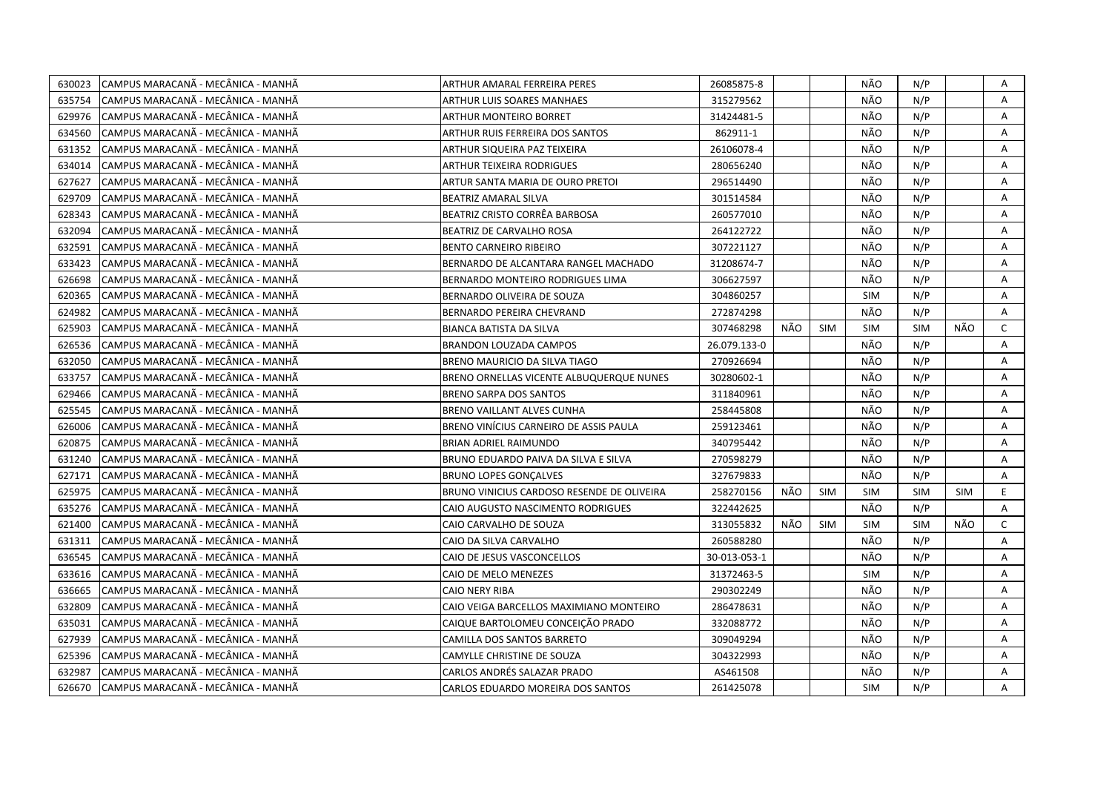| 630023 | CAMPUS MARACANÃ - MECÂNICA - MANHÃ  | ARTHUR AMARAL FERREIRA PERES               | 26085875-8   |     |            | NÃO        | N/P        |            | Α            |
|--------|-------------------------------------|--------------------------------------------|--------------|-----|------------|------------|------------|------------|--------------|
| 635754 | ICAMPUS MARACANÃ - MECÂNICA - MANHÃ | ARTHUR LUIS SOARES MANHAES                 | 315279562    |     |            | NÃO        | N/P        |            | A            |
| 629976 | CAMPUS MARACANÃ - MECÂNICA - MANHÃ  | <b>ARTHUR MONTEIRO BORRET</b>              | 31424481-5   |     |            | NÃO        | N/P        |            | A            |
| 634560 | ICAMPUS MARACANÃ - MECÂNICA - MANHÃ | ARTHUR RUIS FERREIRA DOS SANTOS            | 862911-1     |     |            | NÃO        | N/P        |            | A            |
| 631352 | CAMPUS MARACANÃ - MECÂNICA - MANHÃ  | ARTHUR SIQUEIRA PAZ TEIXEIRA               | 26106078-4   |     |            | NÃO        | N/P        |            | Α            |
| 634014 | CAMPUS MARACANÃ - MECÂNICA - MANHÃ  | <b>ARTHUR TEIXEIRA RODRIGUES</b>           | 280656240    |     |            | NÃO        | N/P        |            | A            |
| 627627 | ICAMPUS MARACANÃ - MECÂNICA - MANHÃ | ARTUR SANTA MARIA DE OURO PRETOI           | 296514490    |     |            | NÃO        | N/P        |            | A            |
| 629709 | CAMPUS MARACANÃ - MECÂNICA - MANHÃ  | BEATRIZ AMARAL SILVA                       | 301514584    |     |            | NÃO        | N/P        |            | A            |
| 628343 | CAMPUS MARACANÃ - MECÂNICA - MANHÃ  | BEATRIZ CRISTO CORRÊA BARBOSA              | 260577010    |     |            | NÃO        | N/P        |            | A            |
| 632094 | CAMPUS MARACANÃ - MECÂNICA - MANHÃ  | BEATRIZ DE CARVALHO ROSA                   | 264122722    |     |            | NÃO        | N/P        |            | A            |
| 632591 | CAMPUS MARACANA - MECANICA - MANHA  | <b>BENTO CARNEIRO RIBEIRO</b>              | 307221127    |     |            | NÃO        | N/P        |            | A            |
| 633423 | CAMPUS MARACANÃ - MECÂNICA - MANHÃ  | BERNARDO DE ALCANTARA RANGEL MACHADO       | 31208674-7   |     |            | NÃO        | N/P        |            | Α            |
| 626698 | CAMPUS MARACANA - MECANICA - MANHA  | BERNARDO MONTEIRO RODRIGUES LIMA           | 306627597    |     |            | NÃO        | N/P        |            | A            |
| 620365 | CAMPUS MARACANÃ - MECÂNICA - MANHÃ  | BERNARDO OLIVEIRA DE SOUZA                 | 304860257    |     |            | <b>SIM</b> | N/P        |            | Α            |
| 624982 | CAMPUS MARACANÃ - MECÂNICA - MANHÃ  | <b>BERNARDO PEREIRA CHEVRAND</b>           | 272874298    |     |            | NÃO        | N/P        |            | A            |
| 625903 | CAMPUS MARACANÃ - MECÂNICA - MANHÃ  | <b>BIANCA BATISTA DA SILVA</b>             | 307468298    | NÃO | <b>SIM</b> | <b>SIM</b> | <b>SIM</b> | NÃO        | $\mathsf{C}$ |
| 626536 | CAMPUS MARACANÃ - MECÂNICA - MANHÃ  | <b>BRANDON LOUZADA CAMPOS</b>              | 26.079.133-0 |     |            | NÃO        | N/P        |            | $\mathsf{A}$ |
| 632050 | CAMPUS MARACANÃ - MECÂNICA - MANHÃ  | BRENO MAURICIO DA SILVA TIAGO              | 270926694    |     |            | NÃO        | N/P        |            | Α            |
| 633757 | CAMPUS MARACANÃ - MECÂNICA - MANHÃ  | BRENO ORNELLAS VICENTE ALBUQUERQUE NUNES   | 30280602-1   |     |            | NÃO        | N/P        |            | A            |
| 629466 | CAMPUS MARACANÃ - MECÂNICA - MANHÃ  | <b>BRENO SARPA DOS SANTOS</b>              | 311840961    |     |            | NÃO        | N/P        |            | A            |
| 625545 | CAMPUS MARACANÃ - MECÂNICA - MANHÃ  | BRENO VAILLANT ALVES CUNHA                 | 258445808    |     |            | NÃO        | N/P        |            | A            |
| 626006 | ICAMPUS MARACANÃ - MECÂNICA - MANHÃ | BRENO VINÍCIUS CARNEIRO DE ASSIS PAULA     | 259123461    |     |            | NÃO        | N/P        |            | A            |
| 620875 | CAMPUS MARACANÃ - MECÂNICA - MANHÃ  | BRIAN ADRIEL RAIMUNDO                      | 340795442    |     |            | NÃO        | N/P        |            | A            |
| 631240 | ICAMPUS MARACANÃ - MECÂNICA - MANHÃ | BRUNO EDUARDO PAIVA DA SILVA E SILVA       | 270598279    |     |            | NÃO        | N/P        |            | A            |
| 627171 | CAMPUS MARACANA - MECANICA - MANHA  | <b>BRUNO LOPES GONCALVES</b>               | 327679833    |     |            | NÃO        | N/P        |            | A            |
| 625975 | CAMPUS MARACANÃ - MECÂNICA - MANHÃ  | BRUNO VINICIUS CARDOSO RESENDE DE OLIVEIRA | 258270156    | NÃO | <b>SIM</b> | <b>SIM</b> | <b>SIM</b> | <b>SIM</b> | E.           |
| 635276 | CAMPUS MARACANÃ - MECÂNICA - MANHÃ  | CAIO AUGUSTO NASCIMENTO RODRIGUES          | 322442625    |     |            | NÃO        | N/P        |            | A            |
| 621400 | CAMPUS MARACANÃ - MECÂNICA - MANHÃ  | CAIO CARVALHO DE SOUZA                     | 313055832    | NÃO | SIM        | <b>SIM</b> | <b>SIM</b> | NÃO        | C            |
| 631311 | CAMPUS MARACANÃ - MECÂNICA - MANHÃ  | CAIO DA SILVA CARVALHO                     | 260588280    |     |            | NÃO        | N/P        |            | A            |
| 636545 | CAMPUS MARACANÃ - MECÂNICA - MANHÃ  | CAIO DE JESUS VASCONCELLOS                 | 30-013-053-1 |     |            | NÃO        | N/P        |            | Α            |
| 633616 | CAMPUS MARACANÃ - MECÂNICA - MANHÃ  | CAIO DE MELO MENEZES                       | 31372463-5   |     |            | <b>SIM</b> | N/P        |            | A            |
| 636665 | CAMPUS MARACANÃ - MECÂNICA - MANHÃ  | <b>CAIO NERY RIBA</b>                      | 290302249    |     |            | NÃO        | N/P        |            | Α            |
| 632809 | CAMPUS MARACANÃ - MECÂNICA - MANHÃ  | CAIO VEIGA BARCELLOS MAXIMIANO MONTEIRO    | 286478631    |     |            | NÃO        | N/P        |            | Α            |
| 635031 | CAMPUS MARACANÃ - MECÂNICA - MANHÃ  | CAIQUE BARTOLOMEU CONCEIÇÃO PRADO          | 332088772    |     |            | NÃO        | N/P        |            | Α            |
| 627939 | ICAMPUS MARACANÃ - MECÂNICA - MANHÃ | CAMILLA DOS SANTOS BARRETO                 | 309049294    |     |            | NÃO        | N/P        |            | A            |
| 625396 | CAMPUS MARACANÃ - MECÂNICA - MANHÃ  | CAMYLLE CHRISTINE DE SOUZA                 | 304322993    |     |            | NÃO        | N/P        |            | Α            |
| 632987 | ICAMPUS MARACANÃ - MECÂNICA - MANHÃ | CARLOS ANDRÉS SALAZAR PRADO                | AS461508     |     |            | NÃO        | N/P        |            | A            |
| 626670 | CAMPUS MARACANÃ - MECÂNICA - MANHÃ  | CARLOS EDUARDO MOREIRA DOS SANTOS          | 261425078    |     |            | <b>SIM</b> | N/P        |            | A            |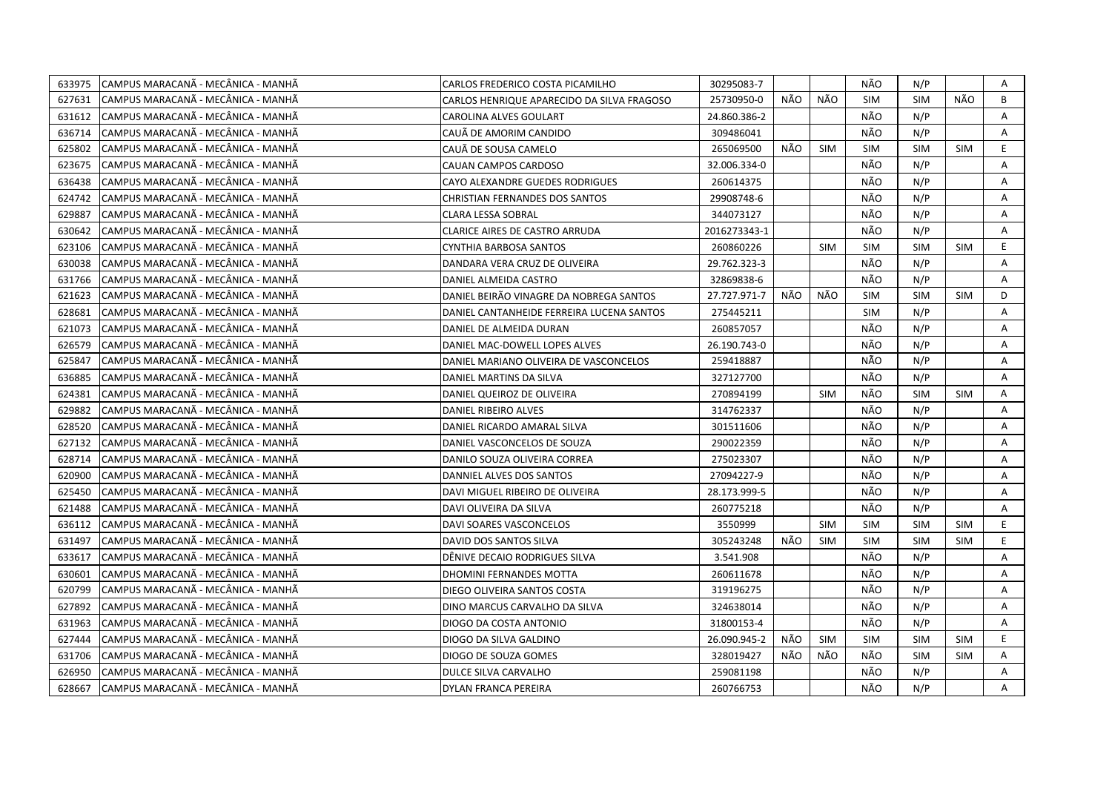| 633975 | CAMPUS MARACANÃ - MECÂNICA - MANHÃ  | CARLOS FREDERICO COSTA PICAMILHO           | 30295083-7   |     |            | NÃO        | N/P        |            | Α  |
|--------|-------------------------------------|--------------------------------------------|--------------|-----|------------|------------|------------|------------|----|
| 627631 | ICAMPUS MARACANÃ - MECÂNICA - MANHÃ | CARLOS HENRIQUE APARECIDO DA SILVA FRAGOSO | 25730950-0   | NÃO | NÃO        | <b>SIM</b> | <b>SIM</b> | NÃO        | B  |
| 631612 | CAMPUS MARACANÃ - MECÂNICA - MANHÃ  | CAROLINA ALVES GOULART                     | 24.860.386-2 |     |            | NÃO        | N/P        |            | A  |
| 636714 | ICAMPUS MARACANÃ - MECÂNICA - MANHÃ | CAUÃ DE AMORIM CANDIDO                     | 309486041    |     |            | NÃO        | N/P        |            | A  |
| 625802 | CAMPUS MARACANÃ - MECÂNICA - MANHÃ  | CAUÃ DE SOUSA CAMELO                       | 265069500    | NÃO | <b>SIM</b> | <b>SIM</b> | <b>SIM</b> | <b>SIM</b> | E. |
| 623675 | CAMPUS MARACANA - MECANICA - MANHA  | CAUAN CAMPOS CARDOSO                       | 32.006.334-0 |     |            | NÃO        | N/P        |            | Α  |
| 636438 | CAMPUS MARACANÃ - MECÂNICA - MANHÃ  | CAYO ALEXANDRE GUEDES RODRIGUES            | 260614375    |     |            | NÃO        | N/P        |            | Α  |
| 624742 | CAMPUS MARACANÃ - MECÂNICA - MANHÃ  | <b>CHRISTIAN FERNANDES DOS SANTOS</b>      | 29908748-6   |     |            | NÃO        | N/P        |            | Α  |
| 629887 | CAMPUS MARACANÃ - MECÂNICA - MANHÃ  | <b>CLARA LESSA SOBRAL</b>                  | 344073127    |     |            | NÃO        | N/P        |            | A  |
| 630642 | CAMPUS MARACANÃ - MECÂNICA - MANHÃ  | CLARICE AIRES DE CASTRO ARRUDA             | 2016273343-1 |     |            | NÃO        | N/P        |            | Α  |
| 623106 | CAMPUS MARACANÃ - MECÂNICA - MANHÃ  | CYNTHIA BARBOSA SANTOS                     | 260860226    |     | <b>SIM</b> | <b>SIM</b> | <b>SIM</b> | <b>SIM</b> | E. |
| 630038 | CAMPUS MARACANÃ - MECÂNICA - MANHÃ  | DANDARA VERA CRUZ DE OLIVEIRA              | 29.762.323-3 |     |            | NÃO        | N/P        |            | A  |
| 631766 | CAMPUS MARACANA - MECANICA - MANHA  | DANIEL ALMEIDA CASTRO                      | 32869838-6   |     |            | NÃO        | N/P        |            | A  |
| 621623 | CAMPUS MARACANÃ - MECÂNICA - MANHÃ  | DANIEL BEIRÃO VINAGRE DA NOBREGA SANTOS    | 27.727.971-7 | NÃO | NÃO        | <b>SIM</b> | <b>SIM</b> | <b>SIM</b> | D  |
| 628681 | CAMPUS MARACANÃ - MECÂNICA - MANHÃ  | DANIEL CANTANHEIDE FERREIRA LUCENA SANTOS  | 275445211    |     |            | SIM        | N/P        |            | A  |
| 621073 | CAMPUS MARACANÃ - MECÂNICA - MANHÃ  | DANIEL DE ALMEIDA DURAN                    | 260857057    |     |            | NÃO        | N/P        |            | A  |
| 626579 | CAMPUS MARACANÃ - MECÂNICA - MANHÃ  | DANIEL MAC-DOWELL LOPES ALVES              | 26.190.743-0 |     |            | NÃO        | N/P        |            | A  |
| 625847 | CAMPUS MARACANÃ - MECÂNICA - MANHÃ  | DANIEL MARIANO OLIVEIRA DE VASCONCELOS     | 259418887    |     |            | NÃO        | N/P        |            | A  |
| 636885 | CAMPUS MARACANÃ - MECÂNICA - MANHÃ  | DANIEL MARTINS DA SILVA                    | 327127700    |     |            | NÃO        | N/P        |            | A  |
| 624381 | CAMPUS MARACANÃ - MECÂNICA - MANHÃ  | DANIEL QUEIROZ DE OLIVEIRA                 | 270894199    |     | <b>SIM</b> | NÃO        | <b>SIM</b> | <b>SIM</b> | Α  |
| 629882 | CAMPUS MARACANÃ - MECÂNICA - MANHÃ  | DANIEL RIBEIRO ALVES                       | 314762337    |     |            | NÃO        | N/P        |            | Α  |
| 628520 | CAMPUS MARACANÃ - MECÂNICA - MANHÃ  | DANIEL RICARDO AMARAL SILVA                | 301511606    |     |            | NÃO        | N/P        |            | A  |
| 627132 | CAMPUS MARACANÃ - MECÂNICA - MANHÃ  | DANIEL VASCONCELOS DE SOUZA                | 290022359    |     |            | NÃO        | N/P        |            | A  |
| 628714 | CAMPUS MARACANÃ - MECÂNICA - MANHÃ  | DANILO SOUZA OLIVEIRA CORREA               | 275023307    |     |            | NÃO        | N/P        |            | A  |
| 620900 | CAMPUS MARACANÃ - MECÂNICA - MANHÃ  | DANNIEL ALVES DOS SANTOS                   | 27094227-9   |     |            | NÃO        | N/P        |            | A  |
| 625450 | CAMPUS MARACANA - MECÂNICA - MANHÂ  | DAVI MIGUEL RIBEIRO DE OLIVEIRA            | 28.173.999-5 |     |            | NÃO        | N/P        |            | A  |
| 621488 | CAMPUS MARACANÃ - MECÂNICA - MANHÃ  | DAVI OLIVEIRA DA SILVA                     | 260775218    |     |            | NÃO        | N/P        |            | A  |
| 636112 | CAMPUS MARACANÃ - MECÂNICA - MANHÃ  | DAVI SOARES VASCONCELOS                    | 3550999      |     | <b>SIM</b> | <b>SIM</b> | <b>SIM</b> | <b>SIM</b> | E  |
| 631497 | CAMPUS MARACANÃ - MECÂNICA - MANHÃ  | DAVID DOS SANTOS SILVA                     | 305243248    | NÃO | <b>SIM</b> | <b>SIM</b> | <b>SIM</b> | <b>SIM</b> | E  |
| 633617 | CAMPUS MARACANÃ - MECÂNICA - MANHÃ  | DÊNIVE DECAIO RODRIGUES SILVA              | 3.541.908    |     |            | NÃO        | N/P        |            | Α  |
| 630601 | CAMPUS MARACANÃ - MECÂNICA - MANHÃ  | DHOMINI FERNANDES MOTTA                    | 260611678    |     |            | NÃO        | N/P        |            | A  |
| 620799 | CAMPUS MARACANÃ - MECÂNICA - MANHÃ  | DIEGO OLIVEIRA SANTOS COSTA                | 319196275    |     |            | NÃO        | N/P        |            | A  |
| 627892 | CAMPUS MARACANA - MECÂNICA - MANHA  | DINO MARCUS CARVALHO DA SILVA              | 324638014    |     |            | NÃO        | N/P        |            | A  |
| 631963 | CAMPUS MARACANÃ - MECÂNICA - MANHÃ  | DIOGO DA COSTA ANTONIO                     | 31800153-4   |     |            | NÃO        | N/P        |            | Α  |
| 627444 | CAMPUS MARACANA - MECÂNICA - MANHA  | DIOGO DA SILVA GALDINO                     | 26.090.945-2 | NÃO | SIM        | <b>SIM</b> | <b>SIM</b> | <b>SIM</b> | E. |
| 631706 | CAMPUS MARACANÃ - MECÂNICA - MANHÃ  | DIOGO DE SOUZA GOMES                       | 328019427    | NÃO | NÃO        | NÃO        | <b>SIM</b> | <b>SIM</b> | Α  |
| 626950 | CAMPUS MARACANÃ - MECÂNICA - MANHÃ  | DULCE SILVA CARVALHO                       | 259081198    |     |            | NÃO        | N/P        |            | Α  |
| 628667 | CAMPUS MARACANÃ - MECÂNICA - MANHÃ  | <b>DYLAN FRANCA PEREIRA</b>                | 260766753    |     |            | NÃO        | N/P        |            | A  |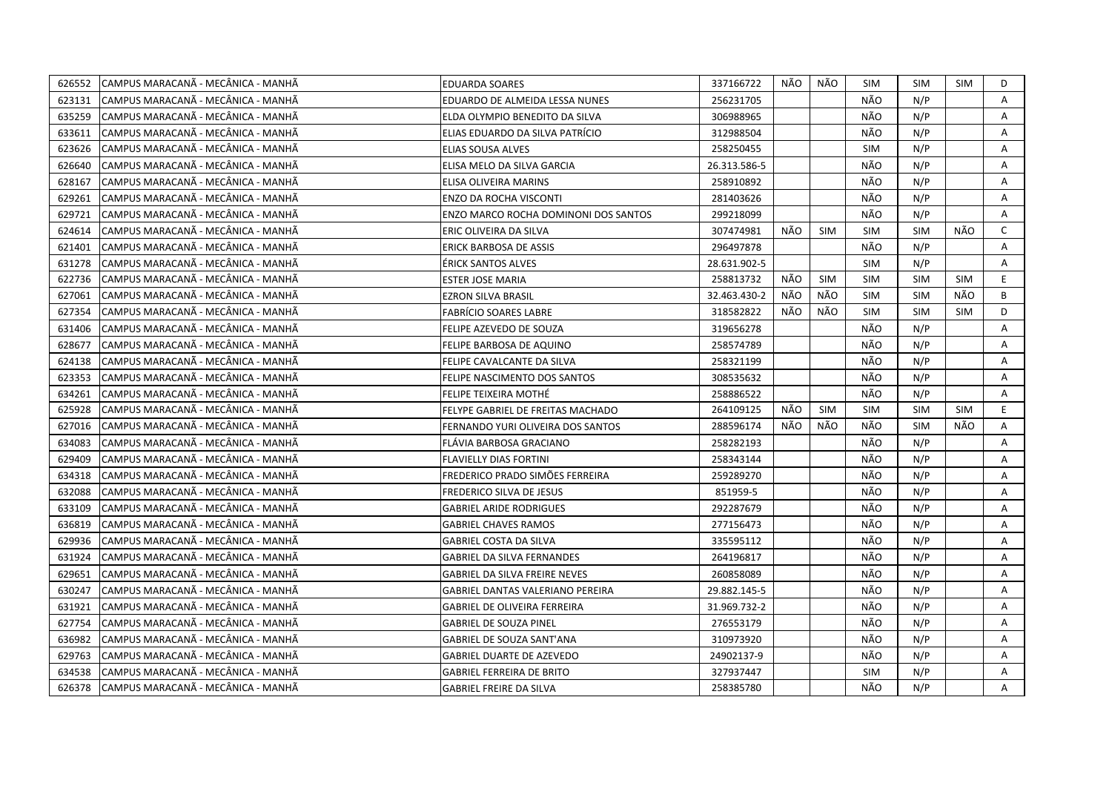| 626552 | CAMPUS MARACANÃ - MECÂNICA - MANHÃ  | <b>EDUARDA SOARES</b>                       | 337166722    | NÃO | NÃO        | SIM        | <b>SIM</b> | SIM        | D            |
|--------|-------------------------------------|---------------------------------------------|--------------|-----|------------|------------|------------|------------|--------------|
| 623131 | ICAMPUS MARACANÃ - MECÂNICA - MANHÃ | EDUARDO DE ALMEIDA LESSA NUNES              | 256231705    |     |            | NÃO        | N/P        |            | A            |
| 635259 | CAMPUS MARACANÃ - MECÂNICA - MANHÃ  | ELDA OLYMPIO BENEDITO DA SILVA              | 306988965    |     |            | NÃO        | N/P        |            | A            |
| 633611 | CAMPUS MARACANÃ - MECÂNICA - MANHÃ  | ELIAS EDUARDO DA SILVA PATRÍCIO             | 312988504    |     |            | NÃO        | N/P        |            | Α            |
| 623626 | CAMPUS MARACANÃ - MECÂNICA - MANHÃ  | ELIAS SOUSA ALVES                           | 258250455    |     |            | <b>SIM</b> | N/P        |            | Α            |
| 626640 | CAMPUS MARACANÃ - MECÂNICA - MANHÃ  | ELISA MELO DA SILVA GARCIA                  | 26.313.586-5 |     |            | NÃO        | N/P        |            | Α            |
| 628167 | CAMPUS MARACANÃ - MECÂNICA - MANHÃ  | ELISA OLIVEIRA MARINS                       | 258910892    |     |            | NÃO        | N/P        |            | A            |
| 629261 | CAMPUS MARACANÃ - MECÂNICA - MANHÃ  | <b>ENZO DA ROCHA VISCONTI</b>               | 281403626    |     |            | NÃO        | N/P        |            | Α            |
| 629721 | ICAMPUS MARACANĂ - MECÂNICA - MANHÃ | <b>ENZO MARCO ROCHA DOMINONI DOS SANTOS</b> | 299218099    |     |            | NÃO        | N/P        |            | A            |
| 624614 | CAMPUS MARACANÃ - MECÂNICA - MANHÃ  | ERIC OLIVEIRA DA SILVA                      | 307474981    | NÃO | <b>SIM</b> | <b>SIM</b> | <b>SIM</b> | NÃO        | $\mathsf{C}$ |
| 621401 | CAMPUS MARACANA - MECANICA - MANHA  | ERICK BARBOSA DE ASSIS                      | 296497878    |     |            | NÃO        | N/P        |            | Α            |
| 631278 | CAMPUS MARACANÃ - MECÂNICA - MANHÃ  | <b>ÉRICK SANTOS ALVES</b>                   | 28.631.902-5 |     |            | <b>SIM</b> | N/P        |            | A            |
| 622736 | CAMPUS MARACANÃ - MECÂNICA - MANHÃ  | ESTER JOSE MARIA                            | 258813732    | NÃO | <b>SIM</b> | <b>SIM</b> | <b>SIM</b> | <b>SIM</b> | E.           |
| 627061 | CAMPUS MARACANÃ - MECÂNICA - MANHÃ  | <b>EZRON SILVA BRASIL</b>                   | 32.463.430-2 | NÃO | NÃO        | <b>SIM</b> | <b>SIM</b> | NÃO        | B            |
| 627354 | CAMPUS MARACANÃ - MECÂNICA - MANHÃ  | <b>FABRÍCIO SOARES LABRE</b>                | 318582822    | NÃO | NÃO        | <b>SIM</b> | <b>SIM</b> | <b>SIM</b> | D            |
| 631406 | ICAMPUS MARACANÃ - MECÂNICA - MANHÃ | FELIPE AZEVEDO DE SOUZA                     | 319656278    |     |            | NÃO        | N/P        |            | A            |
| 628677 | CAMPUS MARACANÃ - MECÂNICA - MANHÃ  | FELIPE BARBOSA DE AQUINO                    | 258574789    |     |            | NÃO        | N/P        |            | A            |
| 624138 | CAMPUS MARACANÃ - MECÂNICA - MANHÃ  | FELIPE CAVALCANTE DA SILVA                  | 258321199    |     |            | NÃO        | N/P        |            | A            |
| 623353 | CAMPUS MARACANÃ - MECÂNICA - MANHÃ  | FELIPE NASCIMENTO DOS SANTOS                | 308535632    |     |            | NÃO        | N/P        |            | A            |
| 634261 | CAMPUS MARACANÃ - MECÂNICA - MANHÃ  | FELIPE TEIXEIRA MOTHÉ                       | 258886522    |     |            | NÃO        | N/P        |            | A            |
| 625928 | CAMPUS MARACANÃ - MECÂNICA - MANHÃ  | FELYPE GABRIEL DE FREITAS MACHADO           | 264109125    | NÃO | <b>SIM</b> | <b>SIM</b> | <b>SIM</b> | <b>SIM</b> | E.           |
| 627016 | CAMPUS MARACANA - MECANICA - MANHA  | FERNANDO YURI OLIVEIRA DOS SANTOS           | 288596174    | NÃO | NÃO        | NÃO        | <b>SIM</b> | NÃO        | A            |
| 634083 | lCAMPUS MARACANÃ - MECÂNICA - MANHÃ | FLÁVIA BARBOSA GRACIANO                     | 258282193    |     |            | NÃO        | N/P        |            | A            |
| 629409 | CAMPUS MARACANÃ - MECÂNICA - MANHÃ  | <b>FLAVIELLY DIAS FORTINI</b>               | 258343144    |     |            | NÃO        | N/P        |            | A            |
| 634318 | CAMPUS MARACANÃ - MECÂNICA - MANHÃ  | FREDERICO PRADO SIMÕES FERREIRA             | 259289270    |     |            | NÃO        | N/P        |            | A            |
| 632088 | CAMPUS MARACANÃ - MECÂNICA - MANHÃ  | FREDERICO SILVA DE JESUS                    | 851959-5     |     |            | NÃO        | N/P        |            | A            |
| 633109 | CAMPUS MARACANÃ - MECÂNICA - MANHÃ  | <b>GABRIEL ARIDE RODRIGUES</b>              | 292287679    |     |            | NÃO        | N/P        |            | Α            |
| 636819 | CAMPUS MARACANÃ - MECÂNICA - MANHÃ  | <b>GABRIEL CHAVES RAMOS</b>                 | 277156473    |     |            | NÃO        | N/P        |            | A            |
| 629936 | CAMPUS MARACANÃ - MECÂNICA - MANHÃ  | GABRIEL COSTA DA SILVA                      | 335595112    |     |            | NÃO        | N/P        |            | A            |
| 631924 | CAMPUS MARACANÃ - MECÂNICA - MANHÃ  | <b>GABRIEL DA SILVA FERNANDES</b>           | 264196817    |     |            | NÃO        | N/P        |            | A            |
| 629651 | CAMPUS MARACANÃ - MECÂNICA - MANHÃ  | GABRIEL DA SILVA FREIRE NEVES               | 260858089    |     |            | NÃO        | N/P        |            | Α            |
| 630247 | CAMPUS MARACANA - MECANICA - MANHA  | GABRIEL DANTAS VALERIANO PEREIRA            | 29.882.145-5 |     |            | NÃO        | N/P        |            | A            |
| 631921 | CAMPUS MARACANÃ - MECÂNICA - MANHÃ  | <b>GABRIEL DE OLIVEIRA FERREIRA</b>         | 31.969.732-2 |     |            | NÃO        | N/P        |            | A            |
| 627754 | CAMPUS MARACANÃ - MECÂNICA - MANHÃ  | <b>GABRIEL DE SOUZA PINEL</b>               | 276553179    |     |            | NÃO        | N/P        |            | Α            |
| 636982 | CAMPUS MARACANÃ - MECÂNICA - MANHÃ  | GABRIEL DE SOUZA SANT'ANA                   | 310973920    |     |            | NÃO        | N/P        |            | A            |
| 629763 | CAMPUS MARACANÃ - MECÂNICA - MANHÃ  | <b>GABRIEL DUARTE DE AZEVEDO</b>            | 24902137-9   |     |            | NÃO        | N/P        |            | A            |
| 634538 | CAMPUS MARACANÃ - MECÂNICA - MANHÃ  | <b>GABRIEL FERREIRA DE BRITO</b>            | 327937447    |     |            | <b>SIM</b> | N/P        |            | A            |
| 626378 | CAMPUS MARACANÃ - MECÂNICA - MANHÃ  | <b>GABRIEL FREIRE DA SILVA</b>              | 258385780    |     |            | NÃO        | N/P        |            | A            |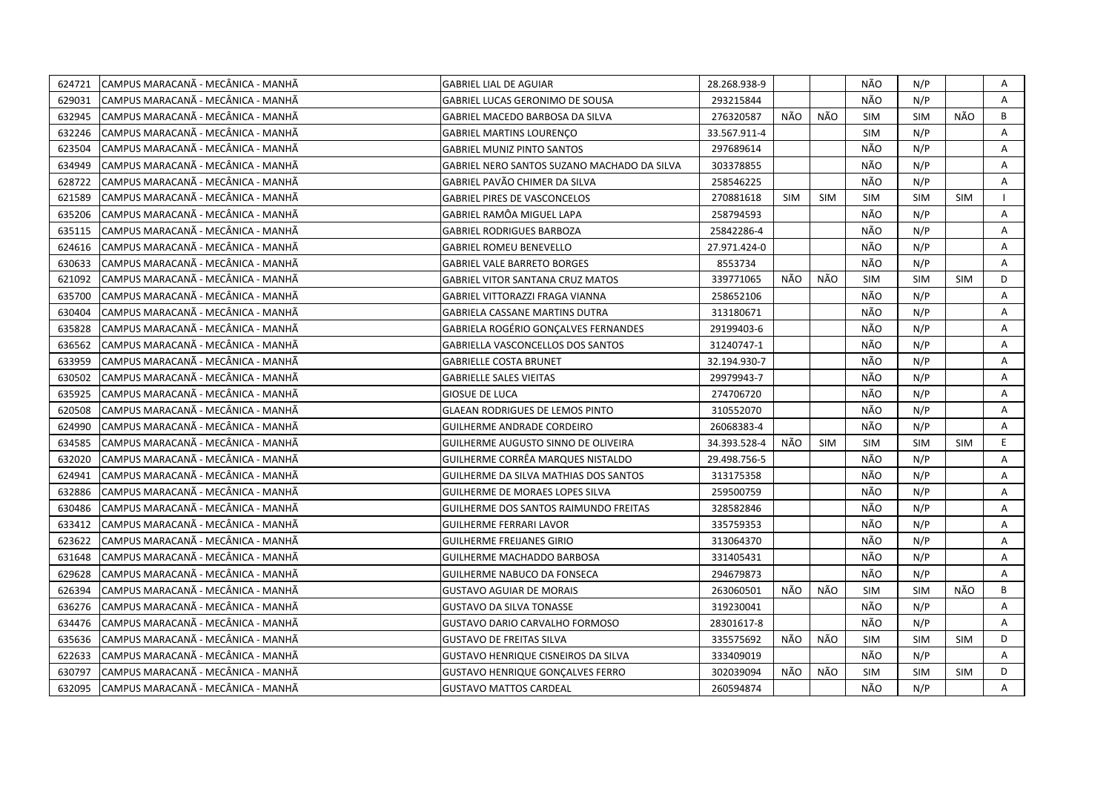| 624721 | CAMPUS MARACANÃ - MECÂNICA - MANHÃ | <b>GABRIEL LIAL DE AGUIAR</b>               | 28.268.938-9 |            |            | NÃO        | N/P        |            | Α            |
|--------|------------------------------------|---------------------------------------------|--------------|------------|------------|------------|------------|------------|--------------|
| 629031 | CAMPUS MARACANÃ - MECÂNICA - MANHÃ | GABRIEL LUCAS GERONIMO DE SOUSA             | 293215844    |            |            | NÃO        | N/P        |            | $\mathsf{A}$ |
| 632945 | CAMPUS MARACANÃ - MECÂNICA - MANHÃ | GABRIEL MACEDO BARBOSA DA SILVA             | 276320587    | NÃO        | NÃO        | <b>SIM</b> | <b>SIM</b> | NÃO        | B            |
| 632246 | CAMPUS MARACANÃ - MECÂNICA - MANHÃ | <b>GABRIEL MARTINS LOURENÇO</b>             | 33.567.911-4 |            |            | <b>SIM</b> | N/P        |            | A            |
| 623504 | CAMPUS MARACANA - MECANICA - MANHA | <b>GABRIEL MUNIZ PINTO SANTOS</b>           | 297689614    |            |            | NÃO        | N/P        |            | A            |
| 634949 | CAMPUS MARACANÃ - MECÂNICA - MANHÃ | GABRIEL NERO SANTOS SUZANO MACHADO DA SILVA | 303378855    |            |            | NÃO        | N/P        |            | Α            |
| 628722 | CAMPUS MARACANÃ - MECÂNICA - MANHÃ | GABRIEL PAVÃO CHIMER DA SILVA               | 258546225    |            |            | NÃO        | N/P        |            | Α            |
| 621589 | CAMPUS MARACANÃ - MECÂNICA - MANHÃ | <b>GABRIEL PIRES DE VASCONCELOS</b>         | 270881618    | <b>SIM</b> | <b>SIM</b> | <b>SIM</b> | <b>SIM</b> | <b>SIM</b> |              |
| 635206 | CAMPUS MARACANÃ - MECÂNICA - MANHÃ | GABRIEL RAMÔA MIGUEL LAPA                   | 258794593    |            |            | NÃO        | N/P        |            | Α            |
| 635115 | CAMPUS MARACANÃ - MECÂNICA - MANHÃ | <b>GABRIEL RODRIGUES BARBOZA</b>            | 25842286-4   |            |            | NÃO        | N/P        |            | A            |
| 624616 | CAMPUS MARACANÃ - MECÂNICA - MANHÃ | <b>GABRIEL ROMEU BENEVELLO</b>              | 27.971.424-0 |            |            | NÃO        | N/P        |            | Α            |
| 630633 | CAMPUS MARACANÃ - MECÂNICA - MANHÃ | <b>GABRIEL VALE BARRETO BORGES</b>          | 8553734      |            |            | NÃO        | N/P        |            | Α            |
| 621092 | CAMPUS MARACANÃ - MECÂNICA - MANHÃ | <b>GABRIEL VITOR SANTANA CRUZ MATOS</b>     | 339771065    | NÃO        | NÃO        | <b>SIM</b> | <b>SIM</b> | <b>SIM</b> | D            |
| 635700 | CAMPUS MARACANÃ - MECÂNICA - MANHÃ | GABRIEL VITTORAZZI FRAGA VIANNA             | 258652106    |            |            | NÃO        | N/P        |            | A            |
| 630404 | CAMPUS MARACANÃ - MECÂNICA - MANHÃ | <b>GABRIELA CASSANE MARTINS DUTRA</b>       | 313180671    |            |            | NÃO        | N/P        |            | A            |
| 635828 | CAMPUS MARACANÃ - MECÂNICA - MANHÃ | <b>GABRIELA ROGÉRIO GONCALVES FERNANDES</b> | 29199403-6   |            |            | NÃO        | N/P        |            | $\mathsf{A}$ |
| 636562 | CAMPUS MARACANÃ - MECÂNICA - MANHÃ | GABRIELLA VASCONCELLOS DOS SANTOS           | 31240747-1   |            |            | NÃO        | N/P        |            | A            |
| 633959 | CAMPUS MARACANÃ - MECÂNICA - MANHÃ | <b>GABRIELLE COSTA BRUNET</b>               | 32.194.930-7 |            |            | NÃO        | N/P        |            | A            |
| 630502 | CAMPUS MARACANÃ - MECÂNICA - MANHÃ | <b>GABRIELLE SALES VIEITAS</b>              | 29979943-7   |            |            | NÃO        | N/P        |            | $\mathsf{A}$ |
| 635925 | CAMPUS MARACANÃ - MECÂNICA - MANHÃ | GIOSUE DE LUCA                              | 274706720    |            |            | NÃO        | N/P        |            | A            |
| 620508 | CAMPUS MARACANÃ - MECÂNICA - MANHÃ | <b>GLAEAN RODRIGUES DE LEMOS PINTO</b>      | 310552070    |            |            | NÃO        | N/P        |            | A            |
| 624990 | CAMPUS MARACANÃ - MECÂNICA - MANHÃ | GUILHERME ANDRADE CORDEIRO                  | 26068383-4   |            |            | NÃO        | N/P        |            | Α            |
| 634585 | CAMPUS MARACANA - MECÂNICA - MANHA | GUILHERME AUGUSTO SINNO DE OLIVEIRA         | 34.393.528-4 | NÃO        | SIM        | <b>SIM</b> | <b>SIM</b> | <b>SIM</b> | E.           |
| 632020 | CAMPUS MARACANÃ - MECÂNICA - MANHÃ | GUILHERME CORRÊA MARQUES NISTALDO           | 29.498.756-5 |            |            | NÃO        | N/P        |            | A            |
| 624941 | CAMPUS MARACANÃ - MECÂNICA - MANHÃ | GUILHERME DA SILVA MATHIAS DOS SANTOS       | 313175358    |            |            | NÃO        | N/P        |            | Α            |
| 632886 | CAMPUS MARACANA - MECÂNICA - MANHA | GUILHERME DE MORAES LOPES SILVA             | 259500759    |            |            | NÃO        | N/P        |            | A            |
| 630486 | CAMPUS MARACANÃ - MECÂNICA - MANHÃ | GUILHERME DOS SANTOS RAIMUNDO FREITAS       | 328582846    |            |            | NÃO        | N/P        |            | Α            |
| 633412 | CAMPUS MARACANÃ - MECÂNICA - MANHÃ | GUILHERME FERRARI LAVOR                     | 335759353    |            |            | NÃO        | N/P        |            | A            |
| 623622 | CAMPUS MARACANÃ - MECÂNICA - MANHÃ | GUILHERME FREIJANES GIRIO                   | 313064370    |            |            | NÃO        | N/P        |            | A            |
| 631648 | CAMPUS MARACANÃ - MECÂNICA - MANHÃ | GUILHERME MACHADDO BARBOSA                  | 331405431    |            |            | NÃO        | N/P        |            | Α            |
| 629628 | CAMPUS MARACANÃ - MECÂNICA - MANHÃ | GUILHERME NABUCO DA FONSECA                 | 294679873    |            |            | NÃO        | N/P        |            | Α            |
| 626394 | CAMPUS MARACANÃ - MECÂNICA - MANHÃ | <b>GUSTAVO AGUIAR DE MORAIS</b>             | 263060501    | NÃO        | NÃO        | <b>SIM</b> | SIM        | NÃO        | B            |
| 636276 | CAMPUS MARACANÃ - MECÂNICA - MANHÃ | <b>GUSTAVO DA SILVA TONASSE</b>             | 319230041    |            |            | NÃO        | N/P        |            | Α            |
| 634476 | CAMPUS MARACANÃ - MECÂNICA - MANHÃ | <b>GUSTAVO DARIO CARVALHO FORMOSO</b>       | 28301617-8   |            |            | NÃO        | N/P        |            | A            |
| 635636 | CAMPUS MARACANÃ - MECÂNICA - MANHÃ | <b>GUSTAVO DE FREITAS SILVA</b>             | 335575692    | NÃO        | NÃO        | <b>SIM</b> | <b>SIM</b> | <b>SIM</b> | D            |
| 622633 | CAMPUS MARACANÃ - MECÂNICA - MANHÃ | <b>GUSTAVO HENRIQUE CISNEIROS DA SILVA</b>  | 333409019    |            |            | NÃO        | N/P        |            | Α            |
| 630797 | CAMPUS MARACANÃ - MECÂNICA - MANHÃ | <b>GUSTAVO HENRIQUE GONÇALVES FERRO</b>     | 302039094    | NÃO        | NÃO        | <b>SIM</b> | <b>SIM</b> | SIM        | D            |
| 632095 | CAMPUS MARACANÃ - MECÂNICA - MANHÃ | <b>GUSTAVO MATTOS CARDEAL</b>               | 260594874    |            |            | NÃO        | N/P        |            | A            |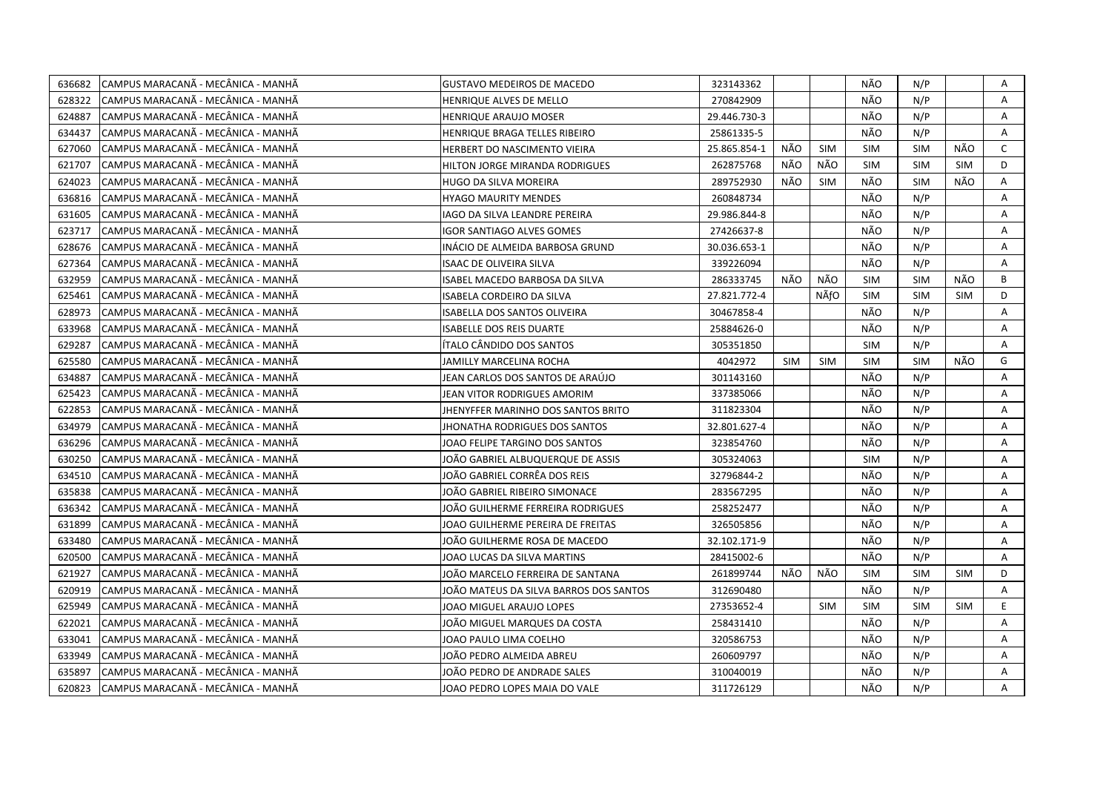| 636682 | CAMPUS MARACANÃ - MECÂNICA - MANHÃ  | <b>GUSTAVO MEDEIROS DE MACEDO</b>      | 323143362    |     |            | NÃO        | N/P        |            | Α              |
|--------|-------------------------------------|----------------------------------------|--------------|-----|------------|------------|------------|------------|----------------|
| 628322 | CAMPUS MARACANÃ - MECÂNICA - MANHÃ  | HENRIQUE ALVES DE MELLO                | 270842909    |     |            | NÃO        | N/P        |            | A              |
| 624887 | CAMPUS MARACANÃ - MECÂNICA - MANHÃ  | <b>HENRIQUE ARAUJO MOSER</b>           | 29.446.730-3 |     |            | NÃO        | N/P        |            | A              |
| 634437 | CAMPUS MARACANÃ - MECÂNICA - MANHÃ  | HENRIQUE BRAGA TELLES RIBEIRO          | 25861335-5   |     |            | NÃO        | N/P        |            | A              |
| 627060 | CAMPUS MARACANÃ - MECÂNICA - MANHÃ  | HERBERT DO NASCIMENTO VIEIRA           | 25.865.854-1 | NÃO | <b>SIM</b> | <b>SIM</b> | <b>SIM</b> | NÃO        | $\mathsf{C}$   |
| 621707 | CAMPUS MARACANÃ - MECÂNICA - MANHÃ  | <b>HILTON JORGE MIRANDA RODRIGUES</b>  | 262875768    | NÃO | NÃO        | <b>SIM</b> | <b>SIM</b> | <b>SIM</b> | D              |
| 624023 | CAMPUS MARACANÃ - MECÂNICA - MANHÃ  | HUGO DA SILVA MOREIRA                  | 289752930    | NÃO | <b>SIM</b> | NÃO        | SIM        | NÃO        | A              |
| 636816 | ICAMPUS MARACANÃ - MECÂNICA - MANHÃ | <b>HYAGO MAURITY MENDES</b>            | 260848734    |     |            | NÃO        | N/P        |            | A              |
| 631605 | CAMPUS MARACANÃ - MECÂNICA - MANHÃ  | IAGO DA SILVA LEANDRE PEREIRA          | 29.986.844-8 |     |            | NÃO        | N/P        |            | A              |
| 623717 | ICAMPUS MARACANÃ - MECÂNICA - MANHÃ | IGOR SANTIAGO ALVES GOMES              | 27426637-8   |     |            | NÃO        | N/P        |            | A              |
| 628676 | CAMPUS MARACANÃ - MECÂNICA - MANHÃ  | INÁCIO DE ALMEIDA BARBOSA GRUND        | 30.036.653-1 |     |            | NÃO        | N/P        |            | A              |
| 627364 | CAMPUS MARACANÃ - MECÂNICA - MANHÃ  | ISAAC DE OLIVEIRA SILVA                | 339226094    |     |            | NÃO        | N/P        |            | A              |
| 632959 | CAMPUS MARACANÃ - MECÂNICA - MANHÃ  | ISABEL MACEDO BARBOSA DA SILVA         | 286333745    | NÃO | NÃO        | <b>SIM</b> | <b>SIM</b> | NÃO        | B              |
| 625461 | CAMPUS MARACANÃ - MECÂNICA - MANHÃ  | ISABELA CORDEIRO DA SILVA              | 27.821.772-4 |     | NÃfO       | <b>SIM</b> | <b>SIM</b> | <b>SIM</b> | D              |
| 628973 | CAMPUS MARACANÃ - MECÂNICA - MANHÃ  | ISABELLA DOS SANTOS OLIVEIRA           | 30467858-4   |     |            | NÃO        | N/P        |            | A              |
| 633968 | CAMPUS MARACANÃ - MECÂNICA - MANHÃ  | <b>ISABELLE DOS REIS DUARTE</b>        | 25884626-0   |     |            | NÃO        | N/P        |            | Α              |
| 629287 | CAMPUS MARACANÃ - MECÂNICA - MANHÃ  | ÍTALO CÂNDIDO DOS SANTOS               | 305351850    |     |            | <b>SIM</b> | N/P        |            | $\overline{A}$ |
| 625580 | CAMPUS MARACANÃ - MECÂNICA - MANHÃ  | JAMILLY MARCELINA ROCHA                | 4042972      | SIM | <b>SIM</b> | <b>SIM</b> | <b>SIM</b> | NÃO        | G              |
| 634887 | CAMPUS MARACANÃ - MECÂNICA - MANHÃ  | JEAN CARLOS DOS SANTOS DE ARAÚJO       | 301143160    |     |            | NÃO        | N/P        |            | Α              |
| 625423 | CAMPUS MARACANÃ - MECÂNICA - MANHÃ  | JEAN VITOR RODRIGUES AMORIM            | 337385066    |     |            | NÃO        | N/P        |            | Α              |
| 622853 | CAMPUS MARACANÃ - MECÂNICA - MANHÃ  | JHENYFFER MARINHO DOS SANTOS BRITO     | 311823304    |     |            | NÃO        | N/P        |            | A              |
| 634979 | CAMPUS MARACANÃ - MECÂNICA - MANHÃ  | <b>JHONATHA RODRIGUES DOS SANTOS</b>   | 32.801.627-4 |     |            | NÃO        | N/P        |            | Α              |
| 636296 | CAMPUS MARACANÃ - MECÂNICA - MANHÃ  | JOAO FELIPE TARGINO DOS SANTOS         | 323854760    |     |            | NÃO        | N/P        |            | A              |
| 630250 | CAMPUS MARACANÃ - MECÂNICA - MANHÃ  | JOÃO GABRIEL ALBUQUERQUE DE ASSIS      | 305324063    |     |            | <b>SIM</b> | N/P        |            | Α              |
| 634510 | CAMPUS MARACANA - MECANICA - MANHA  | JOÃO GABRIEL CORRÊA DOS REIS           | 32796844-2   |     |            | NÃO        | N/P        |            | A              |
| 635838 | CAMPUS MARACANA - MECÂNICA - MANHÂ  | JOÃO GABRIEL RIBEIRO SIMONACE          | 283567295    |     |            | NÃO        | N/P        |            | Α              |
| 636342 | CAMPUS MARACANA - MECÂNICA - MANHA  | JOAO GUILHERME FERREIRA RODRIGUES      | 258252477    |     |            | NÃO        | N/P        |            | A              |
| 631899 | CAMPUS MARACANÃ - MECÂNICA - MANHÃ  | JOAO GUILHERME PEREIRA DE FREITAS      | 326505856    |     |            | NÃO        | N/P        |            | A              |
| 633480 | CAMPUS MARACANÃ - MECÂNICA - MANHÃ  | JOÃO GUILHERME ROSA DE MACEDO          | 32.102.171-9 |     |            | NÃO        | N/P        |            | A              |
| 620500 | CAMPUS MARACANÃ - MECÂNICA - MANHÃ  | JOAO LUCAS DA SILVA MARTINS            | 28415002-6   |     |            | NÃO        | N/P        |            | A              |
| 621927 | CAMPUS MARACANA - MECÂNICA - MANHA  | JOÃO MARCELO FERREIRA DE SANTANA       | 261899744    | NÃO | NÃO        | <b>SIM</b> | <b>SIM</b> | <b>SIM</b> | D              |
| 620919 | CAMPUS MARACANÃ - MECÂNICA - MANHÃ  | JOÃO MATEUS DA SILVA BARROS DOS SANTOS | 312690480    |     |            | NÃO        | N/P        |            | A              |
| 625949 | CAMPUS MARACANA - MECÂNICA - MANHA  | JOAO MIGUEL ARAUJO LOPES               | 27353652-4   |     | <b>SIM</b> | <b>SIM</b> | <b>SIM</b> | <b>SIM</b> | E.             |
| 622021 | CAMPUS MARACANÃ - MECÂNICA - MANHÃ  | JOÃO MIGUEL MARQUES DA COSTA           | 258431410    |     |            | NÃO        | N/P        |            | Α              |
| 633041 | CAMPUS MARACANÃ - MECÂNICA - MANHÃ  | JOAO PAULO LIMA COELHO                 | 320586753    |     |            | NÃO        | N/P        |            | A              |
| 633949 | CAMPUS MARACANÃ - MECÂNICA - MANHÃ  | JOÃO PEDRO ALMEIDA ABREU               | 260609797    |     |            | NÃO        | N/P        |            | A              |
| 635897 | CAMPUS MARACANÃ - MECÂNICA - MANHÃ  | JOÃO PEDRO DE ANDRADE SALES            | 310040019    |     |            | NÃO        | N/P        |            | Α              |
| 620823 | CAMPUS MARACANÃ - MECÂNICA - MANHÃ  | JOAO PEDRO LOPES MAIA DO VALE          | 311726129    |     |            | NÃO        | N/P        |            | A              |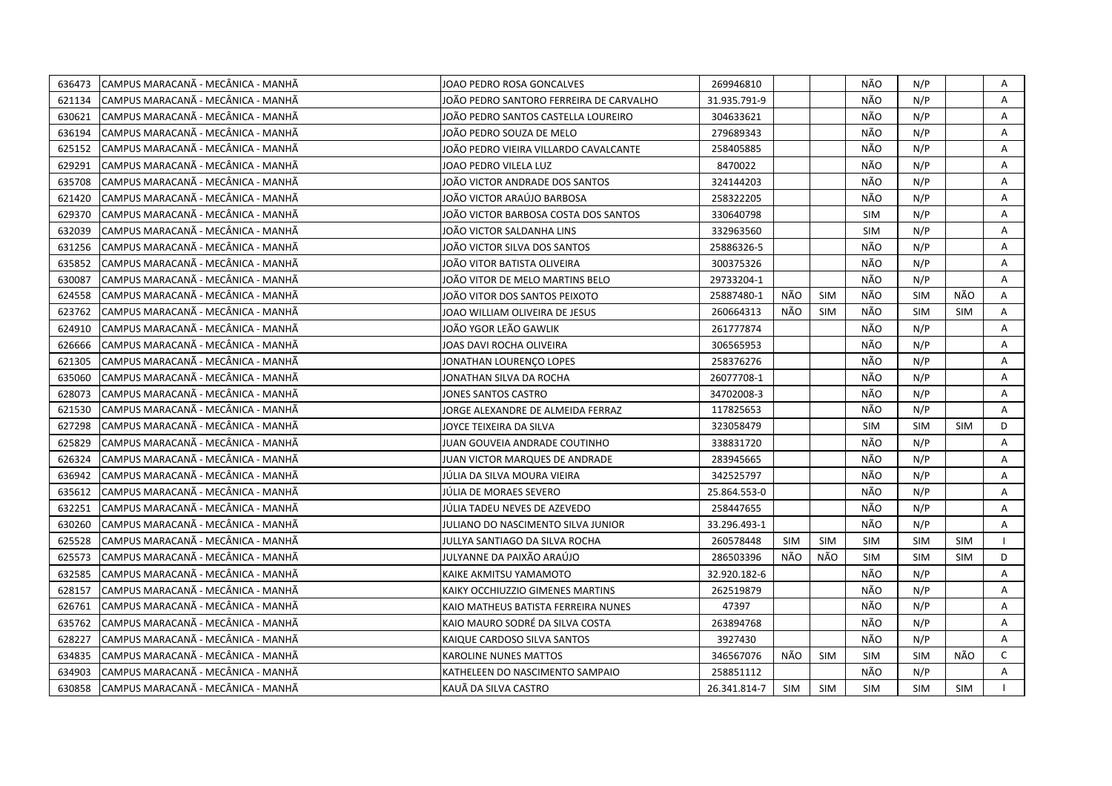| 636473 | CAMPUS MARACANÃ - MECÂNICA - MANHÃ  | JOAO PEDRO ROSA GONCALVES               | 269946810    |            |            | NÃO        | N/P        |            | Α            |
|--------|-------------------------------------|-----------------------------------------|--------------|------------|------------|------------|------------|------------|--------------|
| 621134 | CAMPUS MARACANÃ - MECÂNICA - MANHÃ  | JOÃO PEDRO SANTORO FERREIRA DE CARVALHO | 31.935.791-9 |            |            | NÃO        | N/P        |            | A            |
| 630621 | ICAMPUS MARACANÃ - MECÂNICA - MANHÃ | JOÃO PEDRO SANTOS CASTELLA LOUREIRO     | 304633621    |            |            | NÃO        | N/P        |            | Α            |
| 636194 | CAMPUS MARACANÃ - MECÂNICA - MANHÃ  | JOÃO PEDRO SOUZA DE MELO                | 279689343    |            |            | NÃO        | N/P        |            | Α            |
| 625152 | CAMPUS MARACANÃ - MECÂNICA - MANHÃ  | JOÃO PEDRO VIEIRA VILLARDO CAVALCANTE   | 258405885    |            |            | NÃO        | N/P        |            | Α            |
| 629291 | CAMPUS MARACANÃ - MECÂNICA - MANHÃ  | JOAO PEDRO VILELA LUZ                   | 8470022      |            |            | NÃO        | N/P        |            | Α            |
| 635708 | CAMPUS MARACANÃ - MECÂNICA - MANHÃ  | JOÃO VICTOR ANDRADE DOS SANTOS          | 324144203    |            |            | NÃO        | N/P        |            | A            |
| 621420 | CAMPUS MARACANÃ - MECÂNICA - MANHÃ  | JOÃO VICTOR ARAÚJO BARBOSA              | 258322205    |            |            | NÃO        | N/P        |            | A            |
| 629370 | CAMPUS MARACANÃ - MECÂNICA - MANHÃ  | JOÃO VICTOR BARBOSA COSTA DOS SANTOS    | 330640798    |            |            | <b>SIM</b> | N/P        |            | Α            |
| 632039 | CAMPUS MARACANÃ - MECÂNICA - MANHÃ  | JOÃO VICTOR SALDANHA LINS               | 332963560    |            |            | SIM        | N/P        |            | A            |
| 631256 | CAMPUS MARACANÃ - MECÂNICA - MANHÃ  | JOÃO VICTOR SILVA DOS SANTOS            | 25886326-5   |            |            | NÃO        | N/P        |            | A            |
| 635852 | CAMPUS MARACANÃ - MECÂNICA - MANHÃ  | JOÃO VITOR BATISTA OLIVEIRA             | 300375326    |            |            | NÃO        | N/P        |            | Α            |
| 630087 | CAMPUS MARACANÃ - MECÂNICA - MANHÃ  | JOÃO VITOR DE MELO MARTINS BELO         | 29733204-1   |            |            | NÃO        | N/P        |            | A            |
| 624558 | CAMPUS MARACANÃ - MECÂNICA - MANHÃ  | JOÃO VITOR DOS SANTOS PEIXOTO           | 25887480-1   | NÃO        | <b>SIM</b> | NÃO        | <b>SIM</b> | NÃO        | A            |
| 623762 | CAMPUS MARACANÃ - MECÂNICA - MANHÃ  | JOAO WILLIAM OLIVEIRA DE JESUS          | 260664313    | NÃO        | <b>SIM</b> | NÃO        | <b>SIM</b> | <b>SIM</b> | Α            |
| 624910 | CAMPUS MARACANÃ - MECÂNICA - MANHÃ  | JOÃO YGOR LEÃO GAWLIK                   | 261777874    |            |            | NÃO        | N/P        |            | Α            |
| 626666 | CAMPUS MARACANÃ - MECÂNICA - MANHÃ  | JOAS DAVI ROCHA OLIVEIRA                | 306565953    |            |            | NÃO        | N/P        |            | A            |
| 621305 | CAMPUS MARACANÃ - MECÂNICA - MANHÃ  | JONATHAN LOURENCO LOPES                 | 258376276    |            |            | NÃO        | N/P        |            | A            |
| 635060 | CAMPUS MARACANÃ - MECÂNICA - MANHÃ  | IONATHAN SILVA DA ROCHA                 | 26077708-1   |            |            | NÃO        | N/P        |            | A            |
| 628073 | CAMPUS MARACANA - MECANICA - MANHA  | IONES SANTOS CASTRO                     | 34702008-3   |            |            | NÃO        | N/P        |            | Α            |
| 621530 | CAMPUS MARACANÃ - MECÂNICA - MANHÃ  | JORGE ALEXANDRE DE ALMEIDA FERRAZ       | 117825653    |            |            | NÃO        | N/P        |            | A            |
| 627298 | CAMPUS MARACANÃ - MECÂNICA - MANHÃ  | JOYCE TEIXEIRA DA SILVA                 | 323058479    |            |            | <b>SIM</b> | <b>SIM</b> | <b>SIM</b> | D            |
| 625829 | CAMPUS MARACANÃ - MECÂNICA - MANHÃ  | JUAN GOUVEIA ANDRADE COUTINHO           | 338831720    |            |            | NÃO        | N/P        |            | Α            |
| 626324 | CAMPUS MARACANA - MECANICA - MANHA  | JUAN VICTOR MARQUES DE ANDRADE          | 283945665    |            |            | NÃO        | N/P        |            | A            |
| 636942 | CAMPUS MARACANÃ - MECÂNICA - MANHÃ  | JÚLIA DA SILVA MOURA VIEIRA             | 342525797    |            |            | NÃO        | N/P        |            | Α            |
| 635612 | CAMPUS MARACANÃ - MECÂNICA - MANHÃ  | JÚLIA DE MORAES SEVERO                  | 25.864.553-0 |            |            | NÃO        | N/P        |            | Α            |
| 632251 | CAMPUS MARACANÃ - MECÂNICA - MANHÃ  | JÚLIA TADEU NEVES DE AZEVEDO            | 258447655    |            |            | NÃO        | N/P        |            | Α            |
| 630260 | CAMPUS MARACANÃ - MECÂNICA - MANHÃ  | JULIANO DO NASCIMENTO SILVA JUNIOR      | 33.296.493-1 |            |            | NÃO        | N/P        |            | A            |
| 625528 | CAMPUS MARACANÃ - MECÂNICA - MANHÃ  | JULLYA SANTIAGO DA SILVA ROCHA          | 260578448    | <b>SIM</b> | <b>SIM</b> | <b>SIM</b> | <b>SIM</b> | <b>SIM</b> |              |
| 625573 | CAMPUS MARACANÃ - MECÂNICA - MANHÃ  | JULYANNE DA PAIXÃO ARAÚJO               | 286503396    | NÃO        | NÃO        | <b>SIM</b> | <b>SIM</b> | <b>SIM</b> | D            |
| 632585 | CAMPUS MARACANÃ - MECÂNICA - MANHÃ  | KAIKE AKMITSU YAMAMOTO                  | 32.920.182-6 |            |            | NÃO        | N/P        |            | A            |
| 628157 | CAMPUS MARACANÃ - MECÂNICA - MANHÃ  | KAIKY OCCHIUZZIO GIMENES MARTINS        | 262519879    |            |            | NÃO        | N/P        |            | A            |
| 626761 | CAMPUS MARACANÃ - MECÂNICA - MANHÃ  | KAIO MATHEUS BATISTA FERREIRA NUNES     | 47397        |            |            | NÃO        | N/P        |            | A            |
| 635762 | CAMPUS MARACANÃ - MECÂNICA - MANHÃ  | KAIO MAURO SODRÉ DA SILVA COSTA         | 263894768    |            |            | NÃO        | N/P        |            | A            |
| 628227 | CAMPUS MARACANA - MECÂNICA - MANHA  | KAIQUE CARDOSO SILVA SANTOS             | 3927430      |            |            | NÃO        | N/P        |            | $\mathsf{A}$ |
| 634835 | CAMPUS MARACANÃ - MECÂNICA - MANHÃ  | <b>KAROLINE NUNES MATTOS</b>            | 346567076    | NÃO        | <b>SIM</b> | <b>SIM</b> | <b>SIM</b> | NÃO        | $\mathsf{C}$ |
| 634903 | CAMPUS MARACANÃ - MECÂNICA - MANHÃ  | KATHELEEN DO NASCIMENTO SAMPAIO         | 258851112    |            |            | NÃO        | N/P        |            | $\mathsf{A}$ |
| 630858 | CAMPUS MARACANÃ - MECÂNICA - MANHÃ  | KAUÃ DA SILVA CASTRO                    | 26.341.814-7 | <b>SIM</b> | SIM        | <b>SIM</b> | <b>SIM</b> | <b>SIM</b> |              |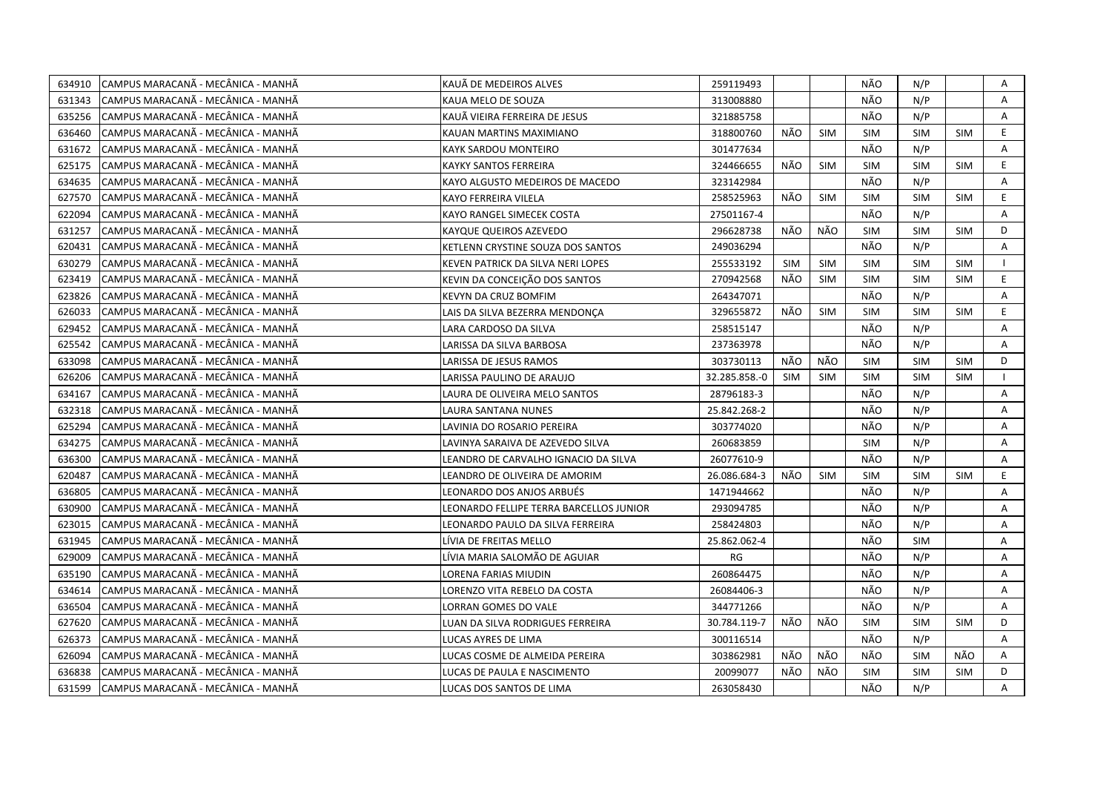| 634910 | CAMPUS MARACANÃ - MECÂNICA - MANHÃ  | KAUÃ DE MEDEIROS ALVES                  | 259119493     |            |            | NÃO        | N/P        |            | Α  |
|--------|-------------------------------------|-----------------------------------------|---------------|------------|------------|------------|------------|------------|----|
| 631343 | ICAMPUS MARACANÃ - MECÂNICA - MANHÃ | KAUA MELO DE SOUZA                      | 313008880     |            |            | NÃO        | N/P        |            | A  |
| 635256 | CAMPUS MARACANÃ - MECÂNICA - MANHÃ  | KAUÃ VIEIRA FERREIRA DE JESUS           | 321885758     |            |            | NÃO        | N/P        |            | A  |
| 636460 | CAMPUS MARACANÃ - MECÂNICA - MANHÃ  | KAUAN MARTINS MAXIMIANO                 | 318800760     | NÃO        | <b>SIM</b> | <b>SIM</b> | <b>SIM</b> | <b>SIM</b> | E. |
| 631672 | CAMPUS MARACANÃ - MECÂNICA - MANHÃ  | KAYK SARDOU MONTEIRO                    | 301477634     |            |            | NÃO        | N/P        |            | Α  |
| 625175 | CAMPUS MARACANÃ - MECÂNICA - MANHÃ  | <b>KAYKY SANTOS FERREIRA</b>            | 324466655     | NÃO        | <b>SIM</b> | <b>SIM</b> | <b>SIM</b> | <b>SIM</b> | E  |
| 634635 | ICAMPUS MARACANÃ - MECÂNICA - MANHÃ | KAYO ALGUSTO MEDEIROS DE MACEDO         | 323142984     |            |            | NÃO        | N/P        |            | A  |
| 627570 | CAMPUS MARACANÃ - MECÂNICA - MANHÃ  | KAYO FERREIRA VILELA                    | 258525963     | NÃO        | <b>SIM</b> | <b>SIM</b> | <b>SIM</b> | <b>SIM</b> | E  |
| 622094 | CAMPUS MARACANÃ - MECÂNICA - MANHÃ  | KAYO RANGEL SIMECEK COSTA               | 27501167-4    |            |            | NÃO        | N/P        |            | A  |
| 631257 | CAMPUS MARACANÃ - MECÂNICA - MANHÃ  | KAYQUE QUEIROS AZEVEDO                  | 296628738     | NÃO        | NÃO        | <b>SIM</b> | <b>SIM</b> | <b>SIM</b> | D  |
| 620431 | CAMPUS MARACANA - MECANICA - MANHA  | KETLENN CRYSTINE SOUZA DOS SANTOS       | 249036294     |            |            | NÃO        | N/P        |            | Α  |
| 630279 | CAMPUS MARACANÃ - MECÂNICA - MANHÃ  | KEVEN PATRICK DA SILVA NERI LOPES       | 255533192     | <b>SIM</b> | <b>SIM</b> | SIM        | SIM        | SIM        |    |
| 623419 | CAMPUS MARACANÃ - MECÂNICA - MANHÃ  | KEVIN DA CONCEIÇÃO DOS SANTOS           | 270942568     | NÃO        | <b>SIM</b> | <b>SIM</b> | <b>SIM</b> | <b>SIM</b> | E  |
| 623826 | CAMPUS MARACANÃ - MECÂNICA - MANHÃ  | KEVYN DA CRUZ BOMFIM                    | 264347071     |            |            | NÃO        | N/P        |            | Α  |
| 626033 | CAMPUS MARACANÃ - MECÂNICA - MANHÃ  | LAIS DA SILVA BEZERRA MENDONCA          | 329655872     | NÃO        | <b>SIM</b> | <b>SIM</b> | <b>SIM</b> | <b>SIM</b> | E  |
| 629452 | CAMPUS MARACANÃ - MECÂNICA - MANHÃ  | LARA CARDOSO DA SILVA                   | 258515147     |            |            | NÃO        | N/P        |            | A  |
| 625542 | CAMPUS MARACANA - MECANICA - MANHA  | LARISSA DA SILVA BARBOSA                | 237363978     |            |            | NÃO        | N/P        |            | A  |
| 633098 | CAMPUS MARACANÃ - MECÂNICA - MANHÃ  | LARISSA DE JESUS RAMOS                  | 303730113     | NÃO        | NÃO        | <b>SIM</b> | <b>SIM</b> | SIM        | D  |
| 626206 | CAMPUS MARACANA - MECANICA - MANHA  | LARISSA PAULINO DE ARAUJO               | 32.285.858.-0 | <b>SIM</b> | <b>SIM</b> | <b>SIM</b> | <b>SIM</b> | <b>SIM</b> |    |
| 634167 | ICAMPUS MARACANÃ - MECÂNICA - MANHÃ | LAURA DE OLIVEIRA MELO SANTOS           | 28796183-3    |            |            | NÃO        | N/P        |            | A  |
| 632318 | CAMPUS MARACANÃ - MECÂNICA - MANHÃ  | LAURA SANTANA NUNES                     | 25.842.268-2  |            |            | NÃO        | N/P        |            | A  |
| 625294 | ICAMPUS MARACANÃ - MECÂNICA - MANHÃ | LAVINIA DO ROSARIO PEREIRA              | 303774020     |            |            | NÃO        | N/P        |            | A  |
| 634275 | CAMPUS MARACANÃ - MECÂNICA - MANHÃ  | LAVINYA SARAIVA DE AZEVEDO SILVA        | 260683859     |            |            | <b>SIM</b> | N/P        |            | A  |
| 636300 | CAMPUS MARACANÃ - MECÂNICA - MANHÃ  | LEANDRO DE CARVALHO IGNACIO DA SILVA    | 26077610-9    |            |            | NÃO        | N/P        |            | A  |
| 620487 | CAMPUS MARACANÃ - MECÂNICA - MANHÃ  | LEANDRO DE OLIVEIRA DE AMORIM           | 26.086.684-3  | NÃO        | <b>SIM</b> | <b>SIM</b> | <b>SIM</b> | <b>SIM</b> | E. |
| 636805 | CAMPUS MARACANÃ - MECÂNICA - MANHÃ  | LEONARDO DOS ANJOS ARBUÉS               | 1471944662    |            |            | NÃO        | N/P        |            | Α  |
| 630900 | CAMPUS MARACANÃ - MECÂNICA - MANHÃ  | LEONARDO FELLIPE TERRA BARCELLOS JUNIOR | 293094785     |            |            | NÃO        | N/P        |            | A  |
| 623015 | CAMPUS MARACANÃ - MECÂNICA - MANHÃ  | LEONARDO PAULO DA SILVA FERREIRA        | 258424803     |            |            | NÃO        | N/P        |            | Α  |
| 631945 | CAMPUS MARACANÃ - MECÂNICA - MANHÃ  | LÍVIA DE FREITAS MELLO                  | 25.862.062-4  |            |            | NÃO        | <b>SIM</b> |            | A  |
| 629009 | CAMPUS MARACANÃ - MECÂNICA - MANHÃ  | LÍVIA MARIA SALOMÃO DE AGUIAR           | RG            |            |            | NÃO        | N/P        |            | Α  |
| 635190 | CAMPUS MARACANÃ - MECÂNICA - MANHÃ  | LORENA FARIAS MIUDIN                    | 260864475     |            |            | NÃO        | N/P        |            | Α  |
| 634614 | ICAMPUS MARACANÃ - MECÂNICA - MANHÃ | LORENZO VITA REBELO DA COSTA            | 26084406-3    |            |            | NÃO        | N/P        |            | A  |
| 636504 | CAMPUS MARACANÃ - MECÂNICA - MANHÃ  | LORRAN GOMES DO VALE                    | 344771266     |            |            | NÃO        | N/P        |            | A  |
| 627620 | CAMPUS MARACANÃ - MECÂNICA - MANHÃ  | LUAN DA SILVA RODRIGUES FERREIRA        | 30.784.119-7  | NÃO        | NÃO        | <b>SIM</b> | <b>SIM</b> | <b>SIM</b> | D  |
| 626373 | CAMPUS MARACANÃ - MECÂNICA - MANHÃ  | LUCAS AYRES DE LIMA                     | 300116514     |            |            | NÃO        | N/P        |            | A  |
| 626094 | CAMPUS MARACANA - MECANICA - MANHA  | LUCAS COSME DE ALMEIDA PEREIRA          | 303862981     | NÃO        | NÃO        | NÃO        | <b>SIM</b> | NÃO        | Α  |
| 636838 | CAMPUS MARACANÃ - MECÂNICA - MANHÃ  | LUCAS DE PAULA E NASCIMENTO             | 20099077      | NÃO        | NÃO        | SIM        | <b>SIM</b> | <b>SIM</b> | D  |
| 631599 | CAMPUS MARACANÃ - MECÂNICA - MANHÃ  | LUCAS DOS SANTOS DE LIMA                | 263058430     |            |            | NÃO        | N/P        |            | A  |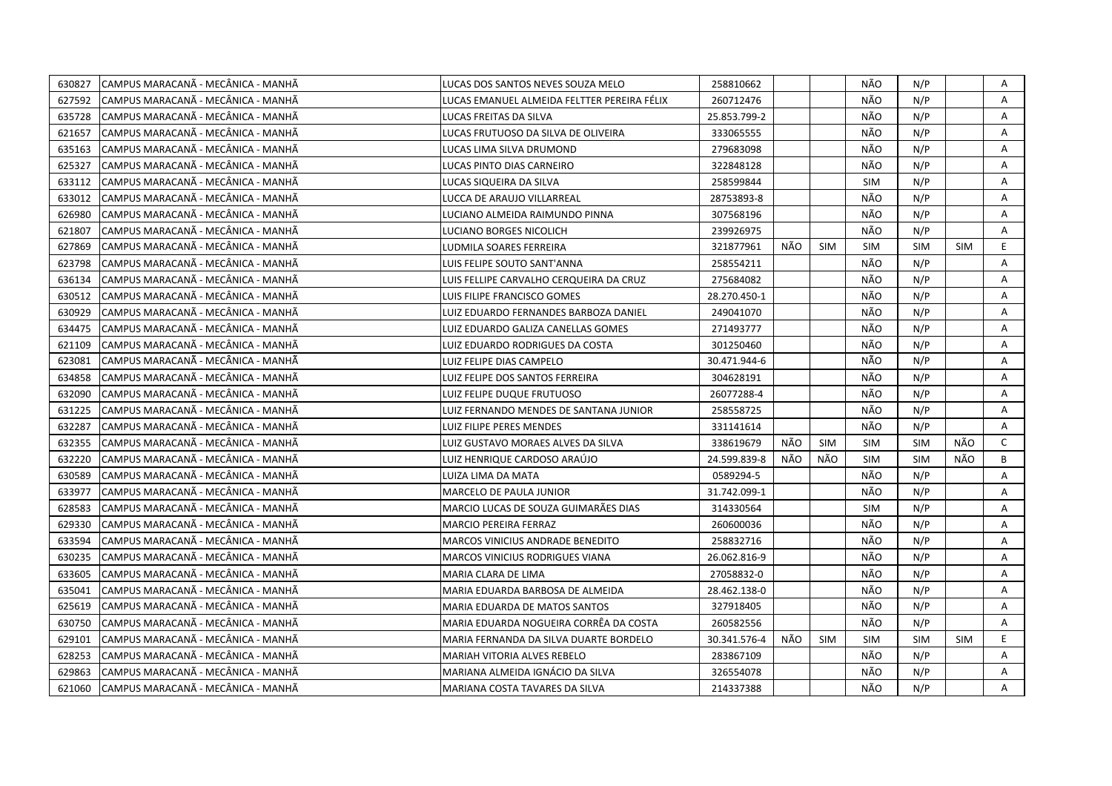| 630827 | CAMPUS MARACANÃ - MECÂNICA - MANHÃ  | LUCAS DOS SANTOS NEVES SOUZA MELO           | 258810662    |     |            | NÃO        | N/P        |            | Α            |
|--------|-------------------------------------|---------------------------------------------|--------------|-----|------------|------------|------------|------------|--------------|
| 627592 | CAMPUS MARACANÃ - MECÂNICA - MANHÃ  | LUCAS EMANUEL ALMEIDA FELTTER PEREIRA FÉLIX | 260712476    |     |            | NÃO        | N/P        |            | A            |
| 635728 | CAMPUS MARACANÃ - MECÂNICA - MANHÃ  | LUCAS FREITAS DA SILVA                      | 25.853.799-2 |     |            | NÃO        | N/P        |            | A            |
| 621657 | ICAMPUS MARACANÃ - MECÂNICA - MANHÃ | LUCAS FRUTUOSO DA SILVA DE OLIVEIRA         | 333065555    |     |            | NÃO        | N/P        |            | A            |
| 635163 | CAMPUS MARACANÃ - MECÂNICA - MANHÃ  | LUCAS LIMA SILVA DRUMOND                    | 279683098    |     |            | NÃO        | N/P        |            | Α            |
| 625327 | CAMPUS MARACANÃ - MECÂNICA - MANHÃ  | LUCAS PINTO DIAS CARNEIRO                   | 322848128    |     |            | NÃO        | N/P        |            | Α            |
| 633112 | CAMPUS MARACANÃ - MECÂNICA - MANHÃ  | LUCAS SIQUEIRA DA SILVA                     | 258599844    |     |            | <b>SIM</b> | N/P        |            | Α            |
| 633012 | ICAMPUS MARACANÃ - MECÂNICA - MANHÃ | LUCCA DE ARAUJO VILLARREAL                  | 28753893-8   |     |            | NÃO        | N/P        |            | A            |
| 626980 | CAMPUS MARACANÃ - MECÂNICA - MANHÃ  | LUCIANO ALMEIDA RAIMUNDO PINNA              | 307568196    |     |            | NÃO        | N/P        |            | A            |
| 621807 | CAMPUS MARACANÃ - MECÂNICA - MANHÃ  | <b>LUCIANO BORGES NICOLICH</b>              | 239926975    |     |            | NÃO        | N/P        |            | A            |
| 627869 | CAMPUS MARACANÃ - MECÂNICA - MANHÃ  | LUDMILA SOARES FERREIRA                     | 321877961    | NÃO | <b>SIM</b> | <b>SIM</b> | <b>SIM</b> | <b>SIM</b> | E.           |
| 623798 | CAMPUS MARACANÃ - MECÂNICA - MANHÃ  | LUIS FELIPE SOUTO SANT'ANNA                 | 258554211    |     |            | NÃO        | N/P        |            | A            |
| 636134 | CAMPUS MARACANÃ - MECÂNICA - MANHÃ  | LUIS FELLIPE CARVALHO CERQUEIRA DA CRUZ     | 275684082    |     |            | NÃO        | N/P        |            | Α            |
| 630512 | CAMPUS MARACANÃ - MECÂNICA - MANHÃ  | LUIS FILIPE FRANCISCO GOMES                 | 28.270.450-1 |     |            | NÃO        | N/P        |            | Α            |
| 630929 | CAMPUS MARACANÃ - MECÂNICA - MANHÃ  | LUIZ EDUARDO FERNANDES BARBOZA DANIEL       | 249041070    |     |            | NÃO        | N/P        |            | A            |
| 634475 | CAMPUS MARACANÃ - MECÂNICA - MANHÃ  | LUIZ EDUARDO GALIZA CANELLAS GOMES          | 271493777    |     |            | NÃO        | N/P        |            | A            |
| 621109 | CAMPUS MARACANÃ - MECÂNICA - MANHÃ  | LUIZ EDUARDO RODRIGUES DA COSTA             | 301250460    |     |            | NÃO        | N/P        |            | A            |
| 623081 | CAMPUS MARACANA - MECÂNICA - MANHÂ  | LUIZ FELIPE DIAS CAMPELO                    | 30.471.944-6 |     |            | NÃO        | N/P        |            | A            |
| 634858 | CAMPUS MARACANÃ - MECÂNICA - MANHÃ  | LUIZ FELIPE DOS SANTOS FERREIRA             | 304628191    |     |            | NÃO        | N/P        |            | Α            |
| 632090 | CAMPUS MARACANÃ - MECÂNICA - MANHÃ  | LUIZ FELIPE DUQUE FRUTUOSO                  | 26077288-4   |     |            | NÃO        | N/P        |            | Α            |
| 631225 | CAMPUS MARACANÃ - MECÂNICA - MANHÃ  | LUIZ FERNANDO MENDES DE SANTANA JUNIOR      | 258558725    |     |            | NÃO        | N/P        |            | A            |
| 632287 | CAMPUS MARACANÃ - MECÂNICA - MANHÃ  | LUIZ FILIPE PERES MENDES                    | 331141614    |     |            | NÃO        | N/P        |            | A            |
| 632355 | CAMPUS MARACANÃ - MECÂNICA - MANHÃ  | LUIZ GUSTAVO MORAES ALVES DA SILVA          | 338619679    | NÃO | SIM        | <b>SIM</b> | <b>SIM</b> | NÃO        | $\mathsf{C}$ |
| 632220 | CAMPUS MARACANÃ - MECÂNICA - MANHÃ  | LUIZ HENRIQUE CARDOSO ARAÚJO                | 24.599.839-8 | NÃO | NÃO        | <b>SIM</b> | <b>SIM</b> | NÃO        | B            |
| 630589 | CAMPUS MARACANA - MECANICA - MANHA  | LUIZA LIMA DA MATA                          | 0589294-5    |     |            | NÃO        | N/P        |            | A            |
| 633977 | CAMPUS MARACANA - MECÂNICA - MANHA  | MARCELO DE PAULA JUNIOR                     | 31.742.099-1 |     |            | NÃO        | N/P        |            | Α            |
| 628583 | CAMPUS MARACANA - MECÂNICA - MANHA  | MARCIO LUCAS DE SOUZA GUIMARÃES DIAS        | 314330564    |     |            | SIM        | N/P        |            | A            |
| 629330 | CAMPUS MARACANÃ - MECÂNICA - MANHÃ  | MARCIO PEREIRA FERRAZ                       | 260600036    |     |            | NÃO        | N/P        |            | A            |
| 633594 | CAMPUS MARACANÃ - MECÂNICA - MANHÃ  | MARCOS VINICIUS ANDRADE BENEDITO            | 258832716    |     |            | NÃO        | N/P        |            | A            |
| 630235 | CAMPUS MARACANÃ - MECÂNICA - MANHÃ  | MARCOS VINICIUS RODRIGUES VIANA             | 26.062.816-9 |     |            | NÃO        | N/P        |            | Α            |
| 633605 | CAMPUS MARACANÃ - MECÂNICA - MANHÃ  | MARIA CLARA DE LIMA                         | 27058832-0   |     |            | NÃO        | N/P        |            | A            |
| 635041 | CAMPUS MARACANÃ - MECÂNICA - MANHÃ  | MARIA EDUARDA BARBOSA DE ALMEIDA            | 28.462.138-0 |     |            | NÃO        | N/P        |            | A            |
| 625619 | CAMPUS MARACANA - MECÂNICA - MANHA  | MARIA EDUARDA DE MATOS SANTOS               | 327918405    |     |            | NÃO        | N/P        |            | A            |
| 630750 | CAMPUS MARACANÃ - MECÂNICA - MANHÃ  | MARIA EDUARDA NOGUEIRA CORRÊA DA COSTA      | 260582556    |     |            | NÃO        | N/P        |            | Α            |
| 629101 | CAMPUS MARACANÃ - MECÂNICA - MANHÃ  | MARIA FERNANDA DA SILVA DUARTE BORDELO      | 30.341.576-4 | NÃO | <b>SIM</b> | <b>SIM</b> | <b>SIM</b> | <b>SIM</b> | E.           |
| 628253 | CAMPUS MARACANÃ - MECÂNICA - MANHÃ  | MARIAH VITORIA ALVES REBELO                 | 283867109    |     |            | NÃO        | N/P        |            | A            |
| 629863 | CAMPUS MARACANÃ - MECÂNICA - MANHÃ  | MARIANA ALMEIDA IGNÁCIO DA SILVA            | 326554078    |     |            | NÃO        | N/P        |            | Α            |
| 621060 | CAMPUS MARACANÃ - MECÂNICA - MANHÃ  | MARIANA COSTA TAVARES DA SILVA              | 214337388    |     |            | NÃO        | N/P        |            | A            |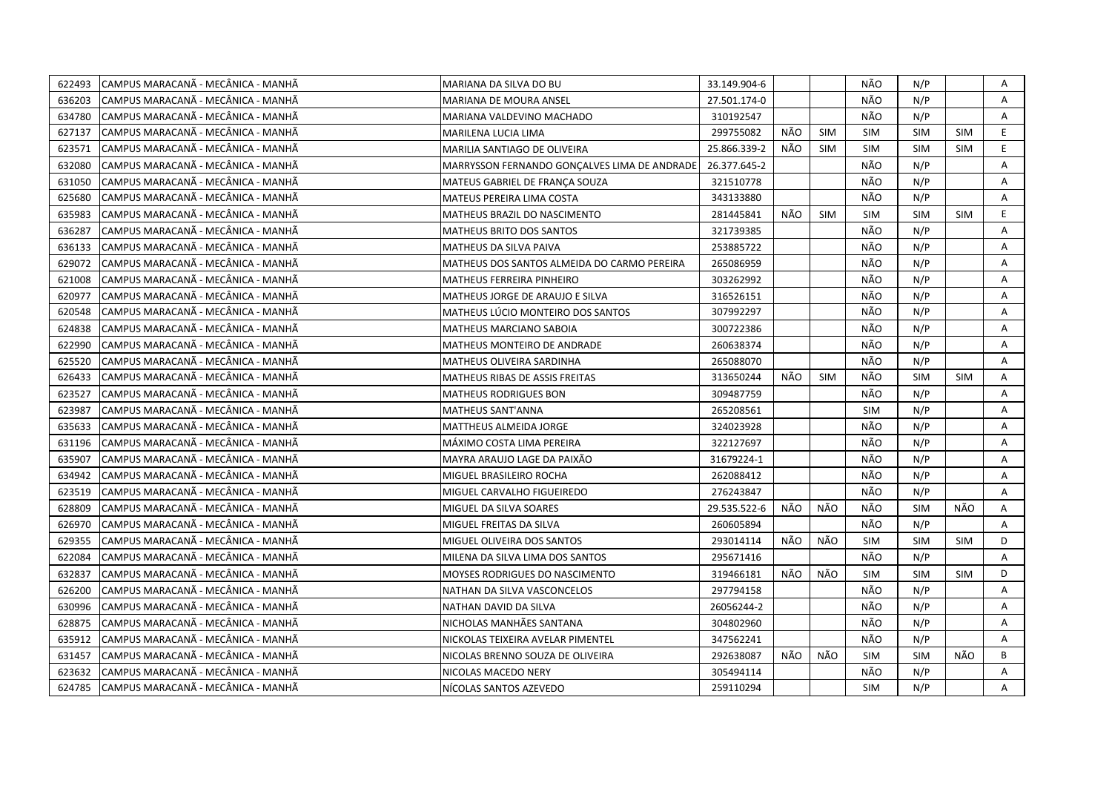| 622493 | CAMPUS MARACANÃ - MECÂNICA - MANHÃ  | MARIANA DA SILVA DO BU                       | 33.149.904-6 |     |            | NÃO        | N/P        |            | Α              |
|--------|-------------------------------------|----------------------------------------------|--------------|-----|------------|------------|------------|------------|----------------|
| 636203 | CAMPUS MARACANÃ - MECÂNICA - MANHÃ  | MARIANA DE MOURA ANSEL                       | 27.501.174-0 |     |            | NÃO        | N/P        |            | A              |
| 634780 | CAMPUS MARACANÃ - MECÂNICA - MANHÃ  | MARIANA VALDEVINO MACHADO                    | 310192547    |     |            | NÃO        | N/P        |            | A              |
| 627137 | CAMPUS MARACANÃ - MECÂNICA - MANHÃ  | MARILENA LUCIA LIMA                          | 299755082    | NÃO | <b>SIM</b> | <b>SIM</b> | <b>SIM</b> | <b>SIM</b> | E.             |
| 623571 | ICAMPUS MARACANÃ - MECÂNICA - MANHÃ | MARILIA SANTIAGO DE OLIVEIRA                 | 25.866.339-2 | NÃO | <b>SIM</b> | <b>SIM</b> | <b>SIM</b> | <b>SIM</b> | E.             |
| 632080 | CAMPUS MARACANÃ - MECÂNICA - MANHÃ  | MARRYSSON FERNANDO GONÇALVES LIMA DE ANDRADE | 26.377.645-2 |     |            | NÃO        | N/P        |            | A              |
| 631050 | CAMPUS MARACANÃ - MECÂNICA - MANHÃ  | MATEUS GABRIEL DE FRANÇA SOUZA               | 321510778    |     |            | NÃO        | N/P        |            | Α              |
| 625680 | CAMPUS MARACANÃ - MECÂNICA - MANHÃ  | MATEUS PEREIRA LIMA COSTA                    | 343133880    |     |            | NÃO        | N/P        |            | A              |
| 635983 | CAMPUS MARACANÃ - MECÂNICA - MANHÃ  | MATHEUS BRAZIL DO NASCIMENTO                 | 281445841    | NÃO | <b>SIM</b> | <b>SIM</b> | <b>SIM</b> | <b>SIM</b> | E              |
| 636287 | CAMPUS MARACANÃ - MECÂNICA - MANHÃ  | MATHEUS BRITO DOS SANTOS                     | 321739385    |     |            | NÃO        | N/P        |            | A              |
| 636133 | CAMPUS MARACANÃ - MECÂNICA - MANHÃ  | MATHEUS DA SILVA PAIVA                       | 253885722    |     |            | NÃO        | N/P        |            | Α              |
| 629072 | CAMPUS MARACANÃ - MECÂNICA - MANHÃ  | MATHEUS DOS SANTOS ALMEIDA DO CARMO PEREIRA  | 265086959    |     |            | NÃO        | N/P        |            | Α              |
| 621008 | CAMPUS MARACANÃ - MECÂNICA - MANHÃ  | MATHEUS FERREIRA PINHEIRO                    | 303262992    |     |            | NÃO        | N/P        |            | $\overline{A}$ |
| 620977 | CAMPUS MARACANÃ - MECÂNICA - MANHÃ  | MATHEUS JORGE DE ARAUJO E SILVA              | 316526151    |     |            | NÃO        | N/P        |            | Α              |
| 620548 | CAMPUS MARACANÃ - MECÂNICA - MANHÃ  | MATHEUS LÚCIO MONTEIRO DOS SANTOS            | 307992297    |     |            | NÃO        | N/P        |            | Α              |
| 624838 | CAMPUS MARACANÃ - MECÂNICA - MANHÃ  | MATHEUS MARCIANO SABOIA                      | 300722386    |     |            | NÃO        | N/P        |            | A              |
| 622990 | CAMPUS MARACANÃ - MECÂNICA - MANHÃ  | MATHEUS MONTEIRO DE ANDRADE                  | 260638374    |     |            | NÃO        | N/P        |            | Α              |
| 625520 | CAMPUS MARACANÃ - MECÂNICA - MANHÃ  | MATHEUS OLIVEIRA SARDINHA                    | 265088070    |     |            | NÃO        | N/P        |            | $\mathsf{A}$   |
| 626433 | CAMPUS MARACANÃ - MECÂNICA - MANHÃ  | MATHEUS RIBAS DE ASSIS FREITAS               | 313650244    | NÃO | <b>SIM</b> | NÃO        | <b>SIM</b> | <b>SIM</b> | $\mathsf{A}$   |
| 623527 | CAMPUS MARACANÃ - MECÂNICA - MANHÃ  | MATHEUS RODRIGUES BON                        | 309487759    |     |            | NÃO        | N/P        |            | A              |
| 623987 | CAMPUS MARACANÃ - MECÂNICA - MANHÃ  | MATHEUS SANT'ANNA                            | 265208561    |     |            | <b>SIM</b> | N/P        |            | A              |
| 635633 | CAMPUS MARACANÃ - MECÂNICA - MANHÃ  | MATTHEUS ALMEIDA JORGE                       | 324023928    |     |            | NÃO        | N/P        |            | A              |
| 631196 | CAMPUS MARACANA - MECANICA - MANHA  | MÁXIMO COSTA LIMA PEREIRA                    | 322127697    |     |            | NÃO        | N/P        |            | A              |
| 635907 | CAMPUS MARACANÃ - MECÂNICA - MANHÃ  | MAYRA ARAUJO LAGE DA PAIXÃO                  | 31679224-1   |     |            | NÃO        | N/P        |            | A              |
| 634942 | CAMPUS MARACANÃ - MECÂNICA - MANHÃ  | MIGUEL BRASILEIRO ROCHA                      | 262088412    |     |            | NÃO        | N/P        |            | Α              |
| 623519 | CAMPUS MARACANÃ - MECÂNICA - MANHÃ  | MIGUEL CARVALHO FIGUEIREDO                   | 276243847    |     |            | NÃO        | N/P        |            | A              |
| 628809 | CAMPUS MARACANÃ - MECÂNICA - MANHÃ  | MIGUEL DA SILVA SOARES                       | 29.535.522-6 | NÃO | NÃO        | NÃO        | <b>SIM</b> | NÃO        | A              |
| 626970 | CAMPUS MARACANÃ - MECÂNICA - MANHÃ  | MIGUEL FREITAS DA SILVA                      | 260605894    |     |            | NÃO        | N/P        |            | Α              |
| 629355 | CAMPUS MARACANÃ - MECÂNICA - MANHÃ  | MIGUEL OLIVEIRA DOS SANTOS                   | 293014114    | NÃO | NÃO        | <b>SIM</b> | <b>SIM</b> | <b>SIM</b> | D              |
| 622084 | CAMPUS MARACANÃ - MECÂNICA - MANHÃ  | MILENA DA SILVA LIMA DOS SANTOS              | 295671416    |     |            | NÃO        | N/P        |            | A              |
| 632837 | CAMPUS MARACANÃ - MECÂNICA - MANHÃ  | MOYSES RODRIGUES DO NASCIMENTO               | 319466181    | NÃO | NÃO        | <b>SIM</b> | SIM        | <b>SIM</b> | D              |
| 626200 | CAMPUS MARACANÃ - MECÂNICA - MANHÃ  | NATHAN DA SILVA VASCONCELOS                  | 297794158    |     |            | NÃO        | N/P        |            | A              |
| 630996 | CAMPUS MARACANÃ - MECÂNICA - MANHÃ  | NATHAN DAVID DA SILVA                        | 26056244-2   |     |            | NÃO        | N/P        |            | A              |
| 628875 | CAMPUS MARACANA - MECANICA - MANHA  | NICHOLAS MANHÃES SANTANA                     | 304802960    |     |            | NÃO        | N/P        |            | A              |
| 635912 | CAMPUS MARACANÃ - MECÂNICA - MANHÃ  | NICKOLAS TEIXEIRA AVELAR PIMENTEL            | 347562241    |     |            | NÃO        | N/P        |            | A              |
| 631457 | CAMPUS MARACANÃ - MECÂNICA - MANHÃ  | NICOLAS BRENNO SOUZA DE OLIVEIRA             | 292638087    | NÃO | NÃO        | <b>SIM</b> | <b>SIM</b> | NÃO        | В              |
| 623632 | CAMPUS MARACANÃ - MECÂNICA - MANHÃ  | NICOLAS MACEDO NERY                          | 305494114    |     |            | NÃO        | N/P        |            | A              |
| 624785 | CAMPUS MARACANÃ - MECÂNICA - MANHÃ  | NÍCOLAS SANTOS AZEVEDO                       | 259110294    |     |            | <b>SIM</b> | N/P        |            | A              |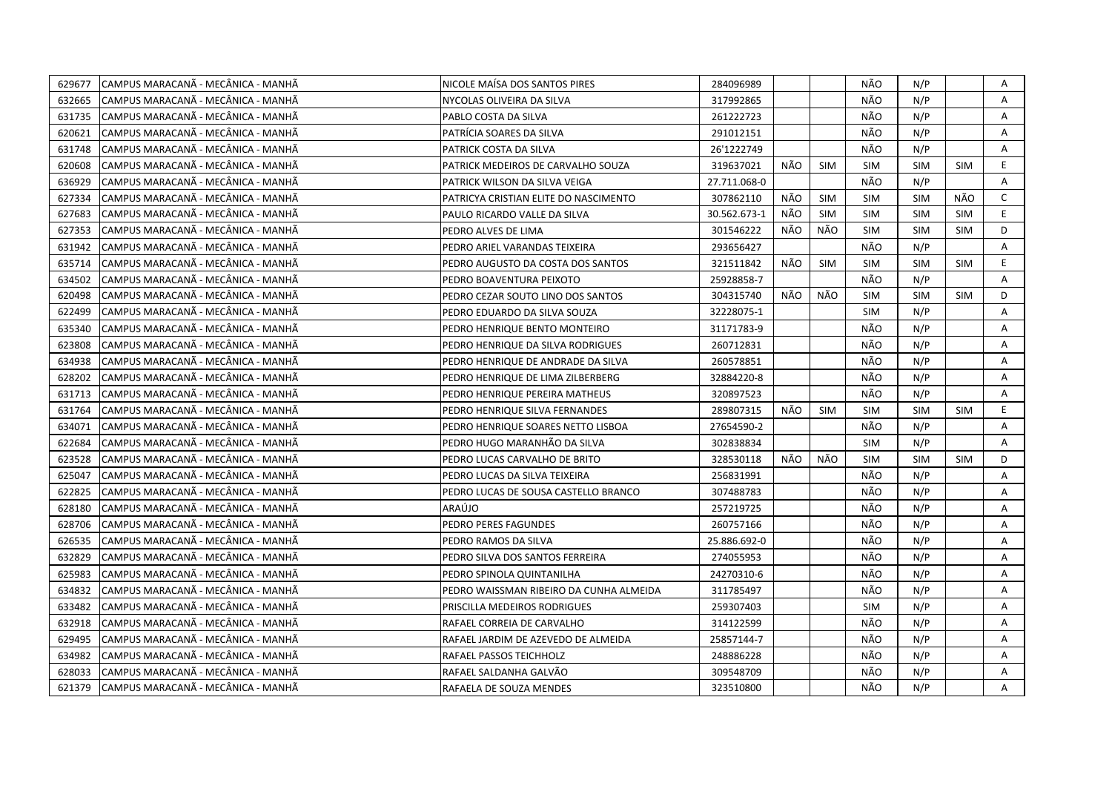| 629677 | CAMPUS MARACANÃ - MECÂNICA - MANHÃ | NICOLE MAÍSA DOS SANTOS PIRES           | 284096989    |     |            | NÃO        | N/P        |            | Α            |
|--------|------------------------------------|-----------------------------------------|--------------|-----|------------|------------|------------|------------|--------------|
| 632665 | CAMPUS MARACANÃ - MECÂNICA - MANHÃ | NYCOLAS OLIVEIRA DA SILVA               | 317992865    |     |            | NÃO        | N/P        |            | A            |
| 631735 | CAMPUS MARACANÃ - MECÂNICA - MANHÃ | PABLO COSTA DA SILVA                    | 261222723    |     |            | NÃO        | N/P        |            | A            |
| 620621 | CAMPUS MARACANÃ - MECÂNICA - MANHÃ | PATRÍCIA SOARES DA SILVA                | 291012151    |     |            | NÃO        | N/P        |            | Α            |
| 631748 | CAMPUS MARACANÃ - MECÂNICA - MANHÃ | PATRICK COSTA DA SILVA                  | 26'1222749   |     |            | NÃO        | N/P        |            | A            |
| 620608 | CAMPUS MARACANÃ - MECÂNICA - MANHÃ | PATRICK MEDEIROS DE CARVALHO SOUZA      | 319637021    | NÃO | <b>SIM</b> | <b>SIM</b> | <b>SIM</b> | <b>SIM</b> | E.           |
| 636929 | CAMPUS MARACANA - MECANICA - MANHA | PATRICK WILSON DA SILVA VEIGA           | 27.711.068-0 |     |            | NÃO        | N/P        |            | A            |
| 627334 | CAMPUS MARACANÃ - MECÂNICA - MANHÃ | PATRICYA CRISTIAN ELITE DO NASCIMENTO   | 307862110    | NÃO | <b>SIM</b> | <b>SIM</b> | <b>SIM</b> | NÃO        | $\mathsf{C}$ |
| 627683 | CAMPUS MARACANÃ - MECÂNICA - MANHÃ | PAULO RICARDO VALLE DA SILVA            | 30.562.673-1 | NÃO | <b>SIM</b> | <b>SIM</b> | <b>SIM</b> | <b>SIM</b> | E.           |
| 627353 | CAMPUS MARACANÃ - MECÂNICA - MANHÃ | PEDRO ALVES DE LIMA                     | 301546222    | NÃO | NÃO        | <b>SIM</b> | <b>SIM</b> | <b>SIM</b> | D            |
| 631942 | CAMPUS MARACANÃ - MECÂNICA - MANHÃ | PEDRO ARIEL VARANDAS TEIXEIRA           | 293656427    |     |            | NÃO        | N/P        |            | A            |
| 635714 | CAMPUS MARACANÃ - MECÂNICA - MANHÃ | PEDRO AUGUSTO DA COSTA DOS SANTOS       | 321511842    | NÃO | <b>SIM</b> | <b>SIM</b> | <b>SIM</b> | <b>SIM</b> | E            |
| 634502 | CAMPUS MARACANÃ - MECÂNICA - MANHÃ | PEDRO BOAVENTURA PEIXOTO                | 25928858-7   |     |            | NÃO        | N/P        |            | Α            |
| 620498 | CAMPUS MARACANÃ - MECÂNICA - MANHÃ | PEDRO CEZAR SOUTO LINO DOS SANTOS       | 304315740    | NÃO | NÃO        | SIM        | <b>SIM</b> | <b>SIM</b> | D            |
| 622499 | CAMPUS MARACANÃ - MECÂNICA - MANHÃ | PEDRO EDUARDO DA SILVA SOUZA            | 32228075-1   |     |            | <b>SIM</b> | N/P        |            | A            |
| 635340 | CAMPUS MARACANÃ - MECÂNICA - MANHÃ | PEDRO HENRIQUE BENTO MONTEIRO           | 31171783-9   |     |            | NÃO        | N/P        |            | A            |
| 623808 | CAMPUS MARACANÃ - MECÂNICA - MANHÃ | PEDRO HENRIQUE DA SILVA RODRIGUES       | 260712831    |     |            | NÃO        | N/P        |            | $\mathsf{A}$ |
| 634938 | CAMPUS MARACANÃ - MECÂNICA - MANHÃ | PEDRO HENRIQUE DE ANDRADE DA SILVA      | 260578851    |     |            | NÃO        | N/P        |            | A            |
| 628202 | CAMPUS MARACANÃ - MECÂNICA - MANHÃ | PEDRO HENRIQUE DE LIMA ZILBERBERG       | 32884220-8   |     |            | NÃO        | N/P        |            | A            |
| 631713 | CAMPUS MARACANÃ - MECÂNICA - MANHÃ | PEDRO HENRIQUE PEREIRA MATHEUS          | 320897523    |     |            | NÃO        | N/P        |            | Α            |
| 631764 | CAMPUS MARACANÃ - MECÂNICA - MANHÃ | PEDRO HENRIQUE SILVA FERNANDES          | 289807315    | NÃO | SIM        | <b>SIM</b> | <b>SIM</b> | <b>SIM</b> | E.           |
| 634071 | CAMPUS MARACANÃ - MECÂNICA - MANHÃ | PEDRO HENRIQUE SOARES NETTO LISBOA      | 27654590-2   |     |            | NÃO        | N/P        |            | A            |
| 622684 | CAMPUS MARACANÃ - MECÂNICA - MANHÃ | PEDRO HUGO MARANHÃO DA SILVA            | 302838834    |     |            | <b>SIM</b> | N/P        |            | A            |
| 623528 | CAMPUS MARACANA - MECÂNICA - MANHA | PEDRO LUCAS CARVALHO DE BRITO           | 328530118    | NÃO | NÃO        | <b>SIM</b> | <b>SIM</b> | <b>SIM</b> | D            |
| 625047 | CAMPUS MARACANÃ - MECÂNICA - MANHÃ | PEDRO LUCAS DA SILVA TEIXEIRA           | 256831991    |     |            | NÃO        | N/P        |            | A            |
| 622825 | CAMPUS MARACANA - MECÂNICA - MANHA | PEDRO LUCAS DE SOUSA CASTELLO BRANCO    | 307488783    |     |            | NÃO        | N/P        |            | A            |
| 628180 | CAMPUS MARACANA - MECÂNICA - MANHÂ | ARAÚJO                                  | 257219725    |     |            | NÃO        | N/P        |            | Α            |
| 628706 | CAMPUS MARACANA - MECÂNICA - MANHA | PEDRO PERES FAGUNDES                    | 260757166    |     |            | NÃO        | N/P        |            | A            |
| 626535 | CAMPUS MARACANÃ - MECÂNICA - MANHÃ | PEDRO RAMOS DA SILVA                    | 25.886.692-0 |     |            | NÃO        | N/P        |            | Α            |
| 632829 | CAMPUS MARACANÃ - MECÂNICA - MANHÃ | PEDRO SILVA DOS SANTOS FERREIRA         | 274055953    |     |            | NÃO        | N/P        |            | A            |
| 625983 | CAMPUS MARACANÃ - MECÂNICA - MANHÃ | PEDRO SPINOLA QUINTANILHA               | 24270310-6   |     |            | NÃO        | N/P        |            | A            |
| 634832 | CAMPUS MARACANÃ - MECÂNICA - MANHÃ | PEDRO WAISSMAN RIBEIRO DA CUNHA ALMEIDA | 311785497    |     |            | NÃO        | N/P        |            | Α            |
| 633482 | CAMPUS MARACANÃ - MECÂNICA - MANHÃ | PRISCILLA MEDEIROS RODRIGUES            | 259307403    |     |            | <b>SIM</b> | N/P        |            | Α            |
| 632918 | CAMPUS MARACANÃ - MECÂNICA - MANHÃ | RAFAEL CORREIA DE CARVALHO              | 314122599    |     |            | NÃO        | N/P        |            | Α            |
| 629495 | CAMPUS MARACANÃ - MECÂNICA - MANHÃ | RAFAEL JARDIM DE AZEVEDO DE ALMEIDA     | 25857144-7   |     |            | NÃO        | N/P        |            | A            |
| 634982 | CAMPUS MARACANÃ - MECÂNICA - MANHÃ | RAFAEL PASSOS TEICHHOLZ                 | 248886228    |     |            | NÃO        | N/P        |            | Α            |
| 628033 | CAMPUS MARACANÃ - MECÂNICA - MANHÃ | RAFAEL SALDANHA GALVÃO                  | 309548709    |     |            | NÃO        | N/P        |            | A            |
| 621379 | CAMPUS MARACANÃ - MECÂNICA - MANHÃ | RAFAELA DE SOUZA MENDES                 | 323510800    |     |            | NÃO        | N/P        |            | A            |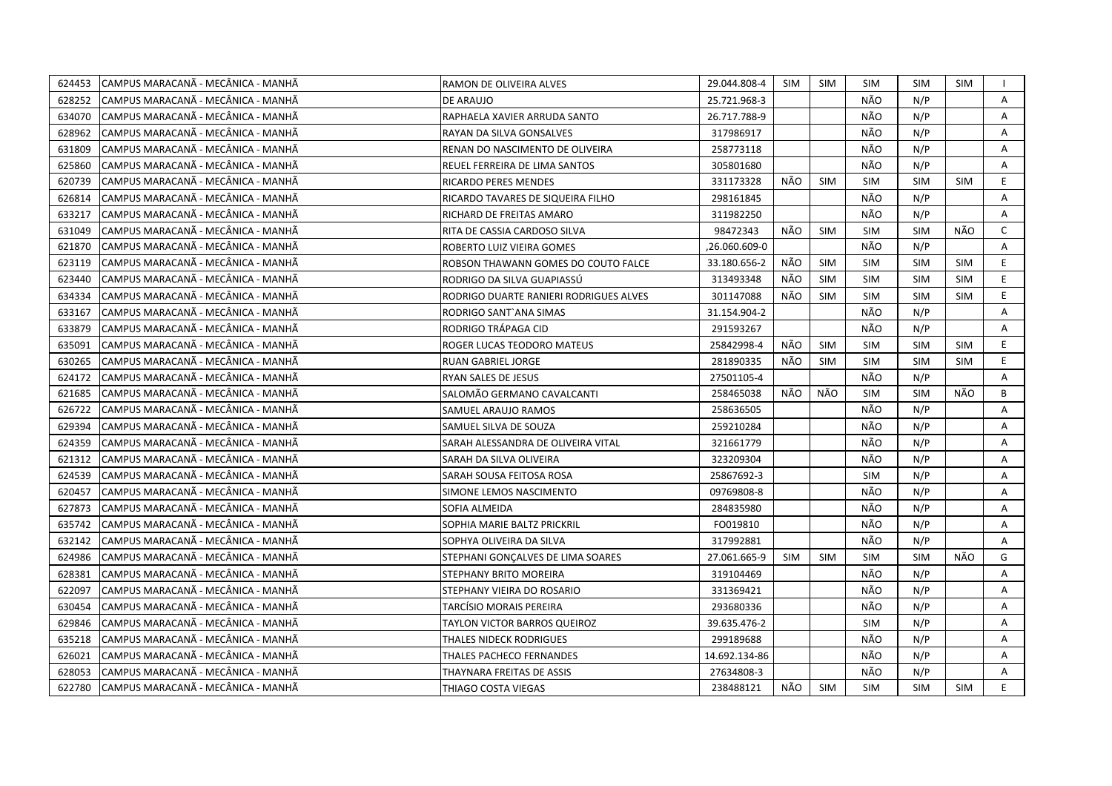| 624453 | CAMPUS MARACANÃ - MECÂNICA - MANHÃ  | RAMON DE OLIVEIRA ALVES                | 29.044.808-4  | <b>SIM</b> | <b>SIM</b> | SIM        | <b>SIM</b> | SIM        |                |
|--------|-------------------------------------|----------------------------------------|---------------|------------|------------|------------|------------|------------|----------------|
| 628252 | ICAMPUS MARACANÃ - MECÂNICA - MANHÃ | DE ARAUJO                              | 25.721.968-3  |            |            | NÃO        | N/P        |            | A              |
| 634070 | CAMPUS MARACANÃ - MECÂNICA - MANHÃ  | RAPHAELA XAVIER ARRUDA SANTO           | 26.717.788-9  |            |            | NÃO        | N/P        |            | A              |
| 628962 | ICAMPUS MARACANÃ - MECÂNICA - MANHÃ | RAYAN DA SILVA GONSALVES               | 317986917     |            |            | NÃO        | N/P        |            | A              |
| 631809 | CAMPUS MARACANÃ - MECÂNICA - MANHÃ  | RENAN DO NASCIMENTO DE OLIVEIRA        | 258773118     |            |            | NÃO        | N/P        |            | Α              |
| 625860 | CAMPUS MARACANÃ - MECÂNICA - MANHÃ  | REUEL FERREIRA DE LIMA SANTOS          | 305801680     |            |            | NÃO        | N/P        |            | A              |
| 620739 | CAMPUS MARACANÃ - MECÂNICA - MANHÃ  | <b>RICARDO PERES MENDES</b>            | 331173328     | NÃO        | <b>SIM</b> | <b>SIM</b> | <b>SIM</b> | <b>SIM</b> | E              |
| 626814 | CAMPUS MARACANÃ - MECÂNICA - MANHÃ  | RICARDO TAVARES DE SIQUEIRA FILHO      | 298161845     |            |            | NÃO        | N/P        |            | Α              |
| 633217 | CAMPUS MARACANÃ - MECÂNICA - MANHÃ  | RICHARD DE FREITAS AMARO               | 311982250     |            |            | NÃO        | N/P        |            | A              |
| 631049 | CAMPUS MARACANÃ - MECÂNICA - MANHÃ  | RITA DE CASSIA CARDOSO SILVA           | 98472343      | NÃO        | <b>SIM</b> | <b>SIM</b> | <b>SIM</b> | NÃO        | $\mathsf{C}$   |
| 621870 | CAMPUS MARACANÃ - MECÂNICA - MANHÃ  | ROBERTO LUIZ VIEIRA GOMES              | ,26.060.609-0 |            |            | NÃO        | N/P        |            | A              |
| 623119 | CAMPUS MARACANÃ - MECÂNICA - MANHÃ  | ROBSON THAWANN GOMES DO COUTO FALCE    | 33.180.656-2  | NÃO        | <b>SIM</b> | <b>SIM</b> | <b>SIM</b> | <b>SIM</b> | E.             |
| 623440 | CAMPUS MARACANÃ - MECÂNICA - MANHÃ  | RODRIGO DA SILVA GUAPIASSU             | 313493348     | NÃO        | <b>SIM</b> | SIM        | <b>SIM</b> | <b>SIM</b> | E.             |
| 634334 | CAMPUS MARACANÃ - MECÂNICA - MANHÃ  | RODRIGO DUARTE RANIERI RODRIGUES ALVES | 301147088     | NÃO        | <b>SIM</b> | <b>SIM</b> | <b>SIM</b> | <b>SIM</b> | E              |
| 633167 | ICAMPUS MARACANÃ - MECÂNICA - MANHÃ | RODRIGO SANT'ANA SIMAS                 | 31.154.904-2  |            |            | NÃO        | N/P        |            | A              |
| 633879 | ICAMPUS MARACANÃ - MECÂNICA - MANHÃ | RODRIGO TRÁPAGA CID                    | 291593267     |            |            | NÃO        | N/P        |            | $\overline{A}$ |
| 635091 | CAMPUS MARACANÃ - MECÂNICA - MANHÃ  | ROGER LUCAS TEODORO MATEUS             | 25842998-4    | NÃO        | <b>SIM</b> | <b>SIM</b> | <b>SIM</b> | <b>SIM</b> | E              |
| 630265 | CAMPUS MARACANÃ - MECÂNICA - MANHÃ  | RUAN GABRIEL JORGE                     | 281890335     | NÃO        | SIM        | <b>SIM</b> | <b>SIM</b> | <b>SIM</b> | E.             |
| 624172 | CAMPUS MARACANÃ - MECÂNICA - MANHÃ  | RYAN SALES DE JESUS                    | 27501105-4    |            |            | NÃO        | N/P        |            | Α              |
| 621685 | CAMPUS MARACANÃ - MECÂNICA - MANHÃ  | SALOMÃO GERMANO CAVALCANTI             | 258465038     | NÃO        | NÃO        | <b>SIM</b> | <b>SIM</b> | NÃO        | B              |
| 626722 | CAMPUS MARACANÃ - MECÂNICA - MANHÃ  | SAMUEL ARAUJO RAMOS                    | 258636505     |            |            | NÃO        | N/P        |            | Α              |
| 629394 | ICAMPUS MARACANÃ - MECÂNICA - MANHÃ | SAMUEL SILVA DE SOUZA                  | 259210284     |            |            | NÃO        | N/P        |            | A              |
| 624359 | CAMPUS MARACANÃ - MECÂNICA - MANHÃ  | SARAH ALESSANDRA DE OLIVEIRA VITAL     | 321661779     |            |            | NÃO        | N/P        |            | A              |
| 621312 | CAMPUS MARACANÃ - MECÂNICA - MANHÃ  | SARAH DA SILVA OLIVEIRA                | 323209304     |            |            | NÃO        | N/P        |            | A              |
| 624539 | CAMPUS MARACANÃ - MECÂNICA - MANHÃ  | SARAH SOUSA FEITOSA ROSA               | 25867692-3    |            |            | <b>SIM</b> | N/P        |            | A              |
| 620457 | CAMPUS MARACANÃ - MECÂNICA - MANHÃ  | SIMONE LEMOS NASCIMENTO                | 09769808-8    |            |            | NÃO        | N/P        |            | A              |
| 627873 | CAMPUS MARACANÃ - MECÂNICA - MANHÃ  | SOFIA ALMEIDA                          | 284835980     |            |            | NÃO        | N/P        |            | A              |
| 635742 | CAMPUS MARACANÃ - MECÂNICA - MANHÃ  | SOPHIA MARIE BALTZ PRICKRIL            | FO019810      |            |            | NÃO        | N/P        |            | A              |
| 632142 | CAMPUS MARACANÃ - MECÂNICA - MANHÃ  | SOPHYA OLIVEIRA DA SILVA               | 317992881     |            |            | NÃO        | N/P        |            | A              |
| 624986 | CAMPUS MARACANÃ - MECÂNICA - MANHÃ  | STEPHANI GONÇALVES DE LIMA SOARES      | 27.061.665-9  | <b>SIM</b> | <b>SIM</b> | <b>SIM</b> | <b>SIM</b> | NÃO        | G              |
| 628381 | CAMPUS MARACANÃ - MECÂNICA - MANHÃ  | STEPHANY BRITO MOREIRA                 | 319104469     |            |            | NÃO        | N/P        |            | A              |
| 622097 | CAMPUS MARACANÃ - MECÂNICA - MANHÃ  | STEPHANY VIEIRA DO ROSARIO             | 331369421     |            |            | NÃO        | N/P        |            | Α              |
| 630454 | CAMPUS MARACANA - MECANICA - MANHA  | TARCÍSIO MORAIS PEREIRA                | 293680336     |            |            | NÃO        | N/P        |            | Α              |
| 629846 | CAMPUS MARACANÃ - MECÂNICA - MANHÃ  | TAYLON VICTOR BARROS QUEIROZ           | 39.635.476-2  |            |            | <b>SIM</b> | N/P        |            | Α              |
| 635218 | ICAMPUS MARACANÃ - MECÂNICA - MANHÃ | THALES NIDECK RODRIGUES                | 299189688     |            |            | NÃO        | N/P        |            | A              |
| 626021 | CAMPUS MARACANÃ - MECÂNICA - MANHÃ  | THALES PACHECO FERNANDES               | 14.692.134-86 |            |            | NÃO        | N/P        |            | A              |
| 628053 | ICAMPUS MARACANÃ - MECÂNICA - MANHÃ | THAYNARA FREITAS DE ASSIS              | 27634808-3    |            |            | NÃO        | N/P        |            | A              |
| 622780 | CAMPUS MARACANÃ - MECÂNICA - MANHÃ  | THIAGO COSTA VIEGAS                    | 238488121     | NÃO        | <b>SIM</b> | <b>SIM</b> | <b>SIM</b> | <b>SIM</b> | E.             |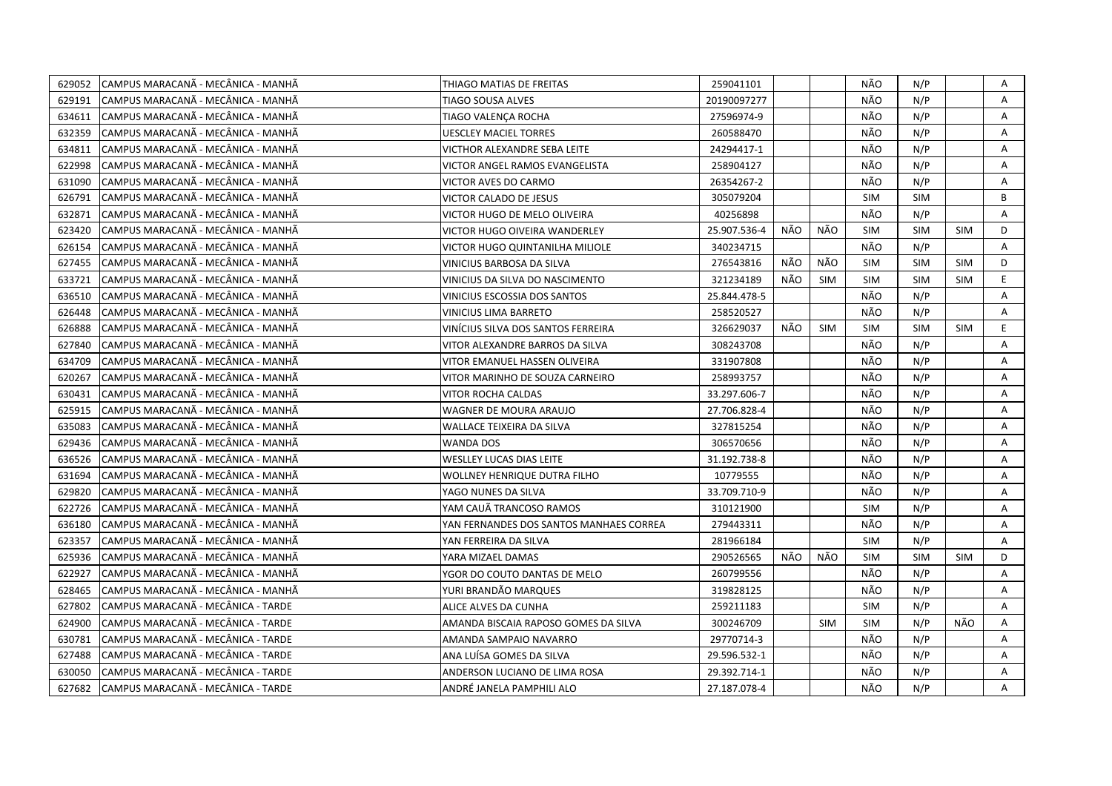| 629052 | CAMPUS MARACANÃ - MECÂNICA - MANHÃ | THIAGO MATIAS DE FREITAS                | 259041101    |     |            | NÃO        | N/P        |            | Α  |
|--------|------------------------------------|-----------------------------------------|--------------|-----|------------|------------|------------|------------|----|
| 629191 | CAMPUS MARACANÃ - MECÂNICA - MANHÃ | TIAGO SOUSA ALVES                       | 20190097277  |     |            | NÃO        | N/P        |            | A  |
| 634611 | CAMPUS MARACANÃ - MECÂNICA - MANHÃ | TIAGO VALENÇA ROCHA                     | 27596974-9   |     |            | NÃO        | N/P        |            | A  |
| 632359 | CAMPUS MARACANÃ - MECÂNICA - MANHÃ | <b>UESCLEY MACIEL TORRES</b>            | 260588470    |     |            | NÃO        | N/P        |            | Α  |
| 634811 | CAMPUS MARACANÃ - MECÂNICA - MANHÃ | <b>VICTHOR ALEXANDRE SEBA LEITE</b>     | 24294417-1   |     |            | NÃO        | N/P        |            | Α  |
| 622998 | CAMPUS MARACANÃ - MECÂNICA - MANHÃ | VICTOR ANGEL RAMOS EVANGELISTA          | 258904127    |     |            | NÃO        | N/P        |            | Α  |
| 631090 | CAMPUS MARACANÃ - MECÂNICA - MANHÃ | VICTOR AVES DO CARMO                    | 26354267-2   |     |            | NÃO        | N/P        |            | A  |
| 626791 | CAMPUS MARACANÃ - MECÂNICA - MANHÃ | VICTOR CALADO DE JESUS                  | 305079204    |     |            | <b>SIM</b> | <b>SIM</b> |            | B  |
| 632871 | CAMPUS MARACANÃ - MECÂNICA - MANHÃ | VICTOR HUGO DE MELO OLIVEIRA            | 40256898     |     |            | NÃO        | N/P        |            | A  |
| 623420 | CAMPUS MARACANÃ - MECÂNICA - MANHÃ | <b>VICTOR HUGO OIVEIRA WANDERLEY</b>    | 25.907.536-4 | NÃO | NÃO        | <b>SIM</b> | <b>SIM</b> | <b>SIM</b> | D  |
| 626154 | CAMPUS MARACANÃ - MECÂNICA - MANHÃ | VICTOR HUGO QUINTANILHA MILIOLE         | 340234715    |     |            | NÃO        | N/P        |            | Α  |
| 627455 | CAMPUS MARACANÃ - MECÂNICA - MANHÃ | VINICIUS BARBOSA DA SILVA               | 276543816    | NÃO | NÃO        | SIM        | <b>SIM</b> | <b>SIM</b> | D  |
| 633721 | CAMPUS MARACANÃ - MECÂNICA - MANHÃ | VINICIUS DA SILVA DO NASCIMENTO         | 321234189    | NÃO | <b>SIM</b> | <b>SIM</b> | <b>SIM</b> | <b>SIM</b> | E  |
| 636510 | CAMPUS MARACANÃ - MECÂNICA - MANHÃ | VINICIUS ESCOSSIA DOS SANTOS            | 25.844.478-5 |     |            | NÃO        | N/P        |            | Α  |
| 626448 | CAMPUS MARACANÃ - MECÂNICA - MANHÃ | <b>VINICIUS LIMA BARRETO</b>            | 258520527    |     |            | NÃO        | N/P        |            | A  |
| 626888 | CAMPUS MARACANÃ - MECÂNICA - MANHÃ | VINÍCIUS SILVA DOS SANTOS FERREIRA      | 326629037    | NÃO | <b>SIM</b> | <b>SIM</b> | <b>SIM</b> | <b>SIM</b> | E. |
| 627840 | CAMPUS MARACANÃ - MECÂNICA - MANHÃ | VITOR ALEXANDRE BARROS DA SILVA         | 308243708    |     |            | NÃO        | N/P        |            | A  |
| 634709 | CAMPUS MARACANÃ - MECÂNICA - MANHÃ | VITOR EMANUEL HASSEN OLIVEIRA           | 331907808    |     |            | NÃO        | N/P        |            | A  |
| 620267 | CAMPUS MARACANÃ - MECÂNICA - MANHÃ | VITOR MARINHO DE SOUZA CARNEIRO         | 258993757    |     |            | NÃO        | N/P        |            | A  |
| 630431 | CAMPUS MARACANÃ - MECÂNICA - MANHÃ | VITOR ROCHA CALDAS                      | 33.297.606-7 |     |            | NÃO        | N/P        |            | A  |
| 625915 | CAMPUS MARACANÃ - MECÂNICA - MANHÃ | WAGNER DE MOURA ARAUJO                  | 27.706.828-4 |     |            | NÃO        | N/P        |            | A  |
| 635083 | CAMPUS MARACANA - MECANICA - MANHA | <b>WALLACE TEIXEIRA DA SILVA</b>        | 327815254    |     |            | NÃO        | N/P        |            | A  |
| 629436 | CAMPUS MARACANÃ - MECÂNICA - MANHÃ | WANDA DOS                               | 306570656    |     |            | NÃO        | N/P        |            | A  |
| 636526 | CAMPUS MARACANA - MECANICA - MANHA | <b>WESLLEY LUCAS DIAS LEITE</b>         | 31.192.738-8 |     |            | NÃO        | N/P        |            | A  |
| 631694 | CAMPUS MARACANÃ - MECÂNICA - MANHÃ | WOLLNEY HENRIQUE DUTRA FILHO            | 10779555     |     |            | NÃO        | N/P        |            | A  |
| 629820 | CAMPUS MARACANÃ - MECÂNICA - MANHÃ | YAGO NUNES DA SILVA                     | 33.709.710-9 |     |            | NÃO        | N/P        |            | Α  |
| 622726 | CAMPUS MARACANÃ - MECÂNICA - MANHÃ | YAM CAUÄ TRANCOSO RAMOS                 | 310121900    |     |            | <b>SIM</b> | N/P        |            | A  |
| 636180 | CAMPUS MARACANÃ - MECÂNICA - MANHÃ | YAN FERNANDES DOS SANTOS MANHAES CORREA | 279443311    |     |            | NÃO        | N/P        |            | Α  |
| 623357 | CAMPUS MARACANA - MECÂNICA - MANHÂ | YAN FERREIRA DA SILVA                   | 281966184    |     |            | <b>SIM</b> | N/P        |            | A  |
| 625936 | CAMPUS MARACANÃ - MECÂNICA - MANHÃ | YARA MIZAEL DAMAS                       | 290526565    | NÃO | NÃO        | <b>SIM</b> | <b>SIM</b> | <b>SIM</b> | D  |
| 622927 | CAMPUS MARACANÃ - MECÂNICA - MANHÃ | YGOR DO COUTO DANTAS DE MELO            | 260799556    |     |            | NÃO        | N/P        |            | Α  |
| 628465 | CAMPUS MARACANÃ - MECÂNICA - MANHÃ | YURI BRANDÃO MARQUES                    | 319828125    |     |            | NÃO        | N/P        |            | A  |
| 627802 | CAMPUS MARACANÃ - MECÂNICA - TARDE | ALICE ALVES DA CUNHA                    | 259211183    |     |            | <b>SIM</b> | N/P        |            | A  |
| 624900 | CAMPUS MARACANA - MECANICA - TARDE | AMANDA BISCAIA RAPOSO GOMES DA SILVA    | 300246709    |     | <b>SIM</b> | <b>SIM</b> | N/P        | NÃO        | A  |
| 630781 | CAMPUS MARACANÃ - MECÂNICA - TARDE | AMANDA SAMPAIO NAVARRO                  | 29770714-3   |     |            | NÃO        | N/P        |            | A  |
| 627488 | CAMPUS MARACANA - MECANICA - TARDE | ANA LUÍSA GOMES DA SILVA                | 29.596.532-1 |     |            | NÃO        | N/P        |            | Α  |
| 630050 | CAMPUS MARACANA - MECÂNICA - TARDE | ANDERSON LUCIANO DE LIMA ROSA           | 29.392.714-1 |     |            | NÃO        | N/P        |            | Α  |
| 627682 | CAMPUS MARACANÃ - MECÂNICA - TARDE | ANDRÉ JANELA PAMPHILI ALO               | 27.187.078-4 |     |            | NÃO        | N/P        |            | A  |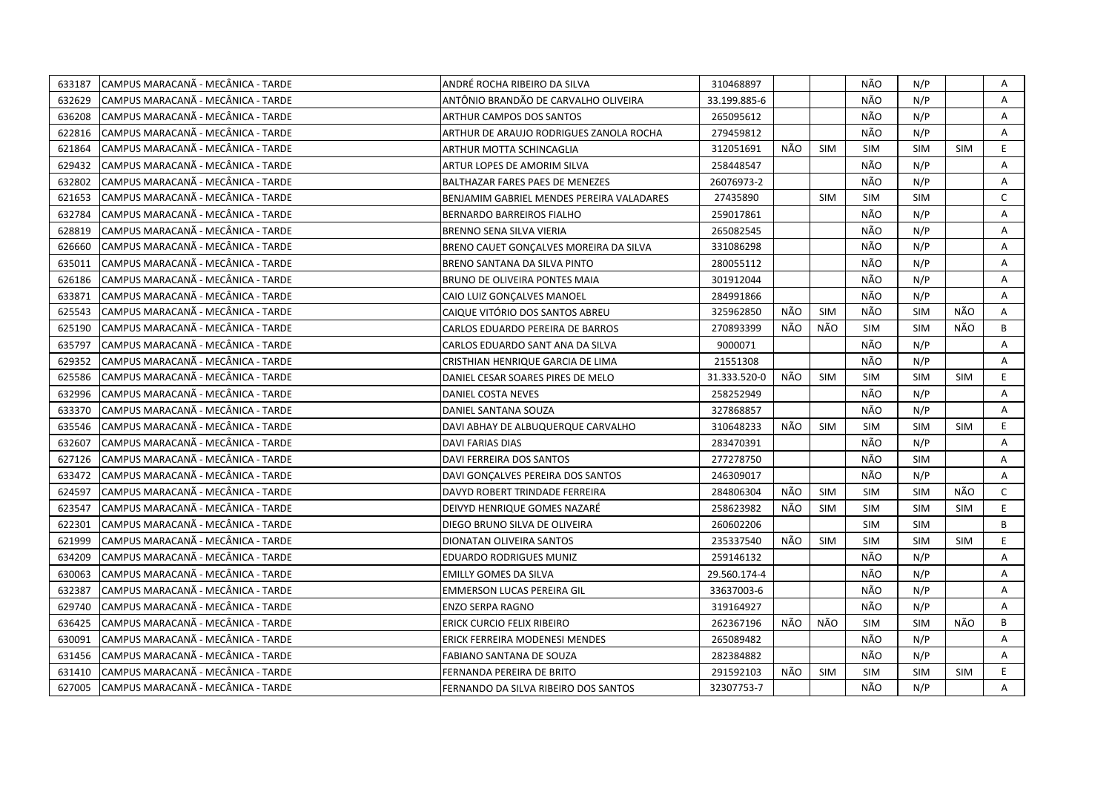| 633187 | CAMPUS MARACANÃ - MECÂNICA - TARDE  | ANDRÉ ROCHA RIBEIRO DA SILVA              | 310468897    |     |            | NÃO        | N/P        |            | Α              |
|--------|-------------------------------------|-------------------------------------------|--------------|-----|------------|------------|------------|------------|----------------|
| 632629 | CAMPUS MARACANÃ - MECÂNICA - TARDE  | ANTÔNIO BRANDÃO DE CARVALHO OLIVEIRA      | 33.199.885-6 |     |            | NÃO        | N/P        |            | A              |
| 636208 | CAMPUS MARACANÃ - MECÂNICA - TARDE  | <b>ARTHUR CAMPOS DOS SANTOS</b>           | 265095612    |     |            | NÃO        | N/P        |            | A              |
| 622816 | CAMPUS MARACANÃ - MECÂNICA - TARDE  | ARTHUR DE ARAUJO RODRIGUES ZANOLA ROCHA   | 279459812    |     |            | NÃO        | N/P        |            | A              |
| 621864 | CAMPUS MARACANÃ - MECÂNICA - TARDE  | ARTHUR MOTTA SCHINCAGLIA                  | 312051691    | NÃO | <b>SIM</b> | <b>SIM</b> | <b>SIM</b> | <b>SIM</b> | E              |
| 629432 | CAMPUS MARACANÃ - MECÂNICA - TARDE  | ARTUR LOPES DE AMORIM SILVA               | 258448547    |     |            | NÃO        | N/P        |            | Α              |
| 632802 | CAMPUS MARACANA - MECÂNICA - TARDE  | BALTHAZAR FARES PAES DE MENEZES           | 26076973-2   |     |            | NÃO        | N/P        |            | Α              |
| 621653 | CAMPUS MARACANÃ - MECÂNICA - TARDE  | BENJAMIM GABRIEL MENDES PEREIRA VALADARES | 27435890     |     | <b>SIM</b> | <b>SIM</b> | <b>SIM</b> |            | $\mathsf{C}$   |
| 632784 | CAMPUS MARACANÃ - MECÂNICA - TARDE  | <b>BERNARDO BARREIROS FIALHO</b>          | 259017861    |     |            | NÃO        | N/P        |            | Α              |
| 628819 | CAMPUS MARACANÃ - MECÂNICA - TARDE  | BRENNO SENA SILVA VIERIA                  | 265082545    |     |            | NÃO        | N/P        |            | A              |
| 626660 | CAMPUS MARACANÃ - MECÂNICA - TARDE  | BRENO CAUET GONÇALVES MOREIRA DA SILVA    | 331086298    |     |            | NÃO        | N/P        |            | A              |
| 635011 | ICAMPUS MARACANA - MECANICA - TARDE | BRENO SANTANA DA SILVA PINTO              | 280055112    |     |            | NÃO        | N/P        |            | A              |
| 626186 | CAMPUS MARACANÃ - MECÂNICA - TARDE  | BRUNO DE OLIVEIRA PONTES MAIA             | 301912044    |     |            | NÃO        | N/P        |            | Α              |
| 633871 | CAMPUS MARACANA - MECÂNICA - TARDE  | CAIO LUIZ GONÇALVES MANOEL                | 284991866    |     |            | NÃO        | N/P        |            | A              |
| 625543 | CAMPUS MARACANA - MECÂNICA - TARDE  | CAIQUE VITÓRIO DOS SANTOS ABREU           | 325962850    | NÃO | <b>SIM</b> | NÃO        | <b>SIM</b> | NÃO        | A              |
| 625190 | CAMPUS MARACANÃ - MECÂNICA - TARDE  | CARLOS EDUARDO PEREIRA DE BARROS          | 270893399    | NÃO | NÃO        | <b>SIM</b> | <b>SIM</b> | NÃO        | B              |
| 635797 | CAMPUS MARACANA - MECÂNICA - TARDE  | CARLOS EDUARDO SANT ANA DA SILVA          | 9000071      |     |            | NÃO        | N/P        |            | A              |
| 629352 | CAMPUS MARACANÃ - MECÂNICA - TARDE  | CRISTHIAN HENRIQUE GARCIA DE LIMA         | 21551308     |     |            | NÃO        | N/P        |            | $\overline{A}$ |
| 625586 | CAMPUS MARACANÃ - MECÂNICA - TARDE  | DANIEL CESAR SOARES PIRES DE MELO         | 31.333.520-0 | NÃO | <b>SIM</b> | <b>SIM</b> | <b>SIM</b> | <b>SIM</b> | E.             |
| 632996 | CAMPUS MARACANÃ - MECÂNICA - TARDE  | DANIEL COSTA NEVES                        | 258252949    |     |            | NÃO        | N/P        |            | A              |
| 633370 | CAMPUS MARACANÃ - MECÂNICA - TARDE  | DANIEL SANTANA SOUZA                      | 327868857    |     |            | NÃO        | N/P        |            | Α              |
| 635546 | CAMPUS MARACANÃ - MECÂNICA - TARDE  | DAVI ABHAY DE ALBUQUERQUE CARVALHO        | 310648233    | NÃO | <b>SIM</b> | <b>SIM</b> | <b>SIM</b> | <b>SIM</b> | E              |
| 632607 | CAMPUS MARACANÃ - MECÂNICA - TARDE  | <b>DAVI FARIAS DIAS</b>                   | 283470391    |     |            | NÃO        | N/P        |            | A              |
| 627126 | CAMPUS MARACANÃ - MECÂNICA - TARDE  | <b>DAVI FERREIRA DOS SANTOS</b>           | 277278750    |     |            | NÃO        | <b>SIM</b> |            | A              |
| 633472 | CAMPUS MARACANÃ - MECÂNICA - TARDE  | DAVI GONCALVES PEREIRA DOS SANTOS         | 246309017    |     |            | NÃO        | N/P        |            | A              |
| 624597 | CAMPUS MARACANÃ - MECÂNICA - TARDE  | DAVYD ROBERT TRINDADE FERREIRA            | 284806304    | NÃO | <b>SIM</b> | <b>SIM</b> | <b>SIM</b> | NÃO        | $\mathsf{C}$   |
| 623547 | CAMPUS MARACANA - MECANICA - TARDE  | DEIVYD HENRIQUE GOMES NAZARÉ              | 258623982    | NÃO | <b>SIM</b> | <b>SIM</b> | <b>SIM</b> | <b>SIM</b> | E.             |
| 622301 | CAMPUS MARACANA - MECÂNICA - TARDE  | DIEGO BRUNO SILVA DE OLIVEIRA             | 260602206    |     |            | <b>SIM</b> | <b>SIM</b> |            | B              |
| 621999 | CAMPUS MARACANÃ - MECÂNICA - TARDE  | DIONATAN OLIVEIRA SANTOS                  | 235337540    | NÃO | <b>SIM</b> | <b>SIM</b> | <b>SIM</b> | <b>SIM</b> | E.             |
| 634209 | CAMPUS MARACANÃ - MECÂNICA - TARDE  | EDUARDO RODRIGUES MUNIZ                   | 259146132    |     |            | NÃO        | N/P        |            | A              |
| 630063 | CAMPUS MARACANA - MECÂNICA - TARDE  | <b>EMILLY GOMES DA SILVA</b>              | 29.560.174-4 |     |            | NÃO        | N/P        |            | Α              |
| 632387 | CAMPUS MARACANA - MECÂNICA - TARDE  | EMMERSON LUCAS PEREIRA GIL                | 33637003-6   |     |            | NÃO        | N/P        |            | A              |
| 629740 | CAMPUS MARACANA - MECÂNICA - TARDE  | <b>ENZO SERPA RAGNO</b>                   | 319164927    |     |            | NÃO        | N/P        |            | Α              |
| 636425 | CAMPUS MARACANÃ - MECÂNICA - TARDE  | ERICK CURCIO FELIX RIBEIRO                | 262367196    | NÃO | NÃO        | <b>SIM</b> | <b>SIM</b> | NÃO        | B              |
| 630091 | CAMPUS MARACANÃ - MECÂNICA - TARDE  | ERICK FERREIRA MODENESI MENDES            | 265089482    |     |            | NÃO        | N/P        |            | Α              |
| 631456 | CAMPUS MARACANÃ - MECÂNICA - TARDE  | FABIANO SANTANA DE SOUZA                  | 282384882    |     |            | NÃO        | N/P        |            | Α              |
| 631410 | CAMPUS MARACANÃ - MECÂNICA - TARDE  | FERNANDA PEREIRA DE BRITO                 | 291592103    | NÃO | <b>SIM</b> | <b>SIM</b> | <b>SIM</b> | <b>SIM</b> | E              |
| 627005 | CAMPUS MARACANÃ - MECÂNICA - TARDE  | FERNANDO DA SILVA RIBEIRO DOS SANTOS      | 32307753-7   |     |            | NÃO        | N/P        |            | A              |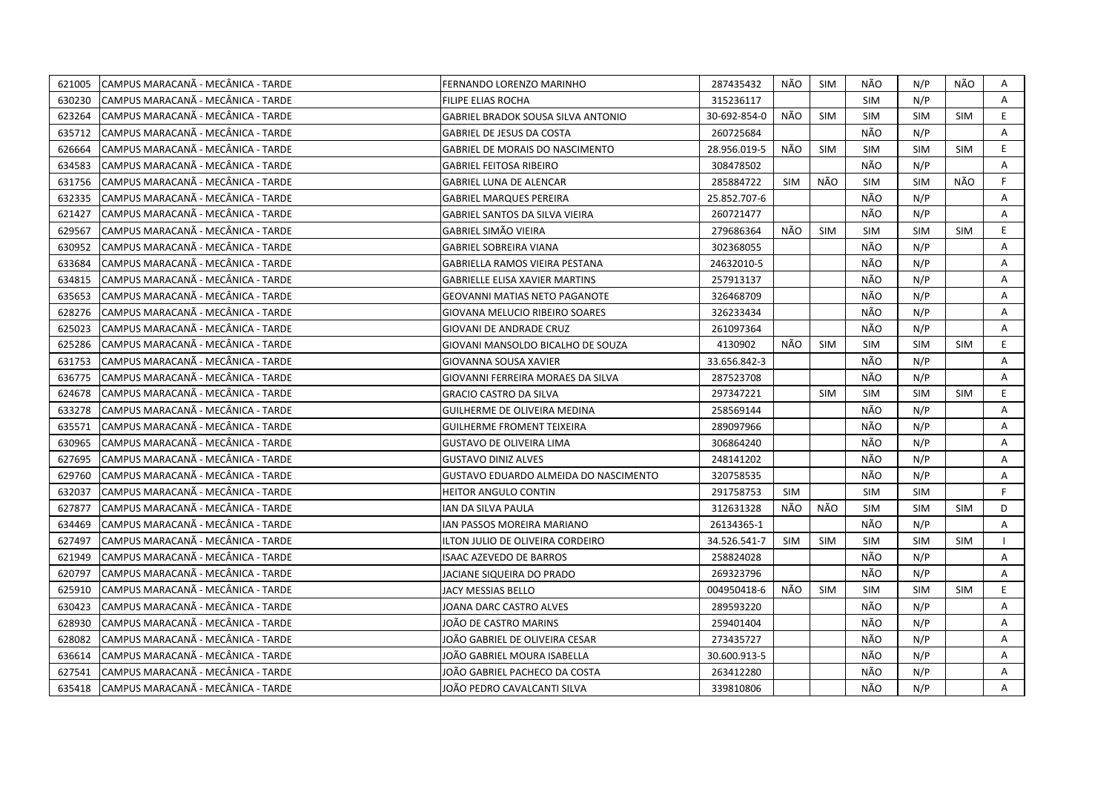| 621005 | CAMPUS MARACANA - MECÂNICA - TARDE  | FERNANDO LORENZO MARINHO                  | 287435432    | NÃO        | SIM        | NÃO        | N/P        | NÃO        | Α  |
|--------|-------------------------------------|-------------------------------------------|--------------|------------|------------|------------|------------|------------|----|
| 630230 | CAMPUS MARACANA - MECANICA - TARDE  | <b>FILIPE ELIAS ROCHA</b>                 | 315236117    |            |            | <b>SIM</b> | N/P        |            | A  |
| 623264 | CAMPUS MARACANA - MECANICA - TARDE  | <b>GABRIEL BRADOK SOUSA SILVA ANTONIO</b> | 30-692-854-0 | NÃO        | <b>SIM</b> | <b>SIM</b> | <b>SIM</b> | <b>SIM</b> | E. |
| 635712 | CAMPUS MARACANA - MECANICA - TARDE  | GABRIEL DE JESUS DA COSTA                 | 260725684    |            |            | NÃO        | N/P        |            | A  |
| 626664 | CAMPUS MARACANÃ - MECÂNICA - TARDE  | GABRIEL DE MORAIS DO NASCIMENTO           | 28.956.019-5 | NÃO        | <b>SIM</b> | <b>SIM</b> | <b>SIM</b> | <b>SIM</b> | E  |
| 634583 | CAMPUS MARACANÃ - MECÂNICA - TARDE  | <b>GABRIEL FEITOSA RIBEIRO</b>            | 308478502    |            |            | NÃO        | N/P        |            | Α  |
| 631756 | ICAMPUS MARACANÃ - MECÂNICA - TARDE | <b>GABRIEL LUNA DE ALENCAR</b>            | 285884722    | <b>SIM</b> | NÃO        | <b>SIM</b> | <b>SIM</b> | NÃO        | F. |
| 632335 | CAMPUS MARACANÃ - MECÂNICA - TARDE  | <b>GABRIEL MARQUES PEREIRA</b>            | 25.852.707-6 |            |            | NÃO        | N/P        |            | A  |
| 621427 | CAMPUS MARACANA - MECANICA - TARDE  | GABRIEL SANTOS DA SILVA VIEIRA            | 260721477    |            |            | NÃO        | N/P        |            | A  |
| 629567 | CAMPUS MARACANÃ - MECÂNICA - TARDE  | GABRIEL SIMÃO VIEIRA                      | 279686364    | NÃO        | <b>SIM</b> | <b>SIM</b> | <b>SIM</b> | <b>SIM</b> | E  |
| 630952 | ICAMPUS MARACANÃ - MECÂNICA - TARDE | <b>GABRIEL SOBREIRA VIANA</b>             | 302368055    |            |            | NÃO        | N/P        |            | A  |
| 633684 | CAMPUS MARACANÃ - MECÂNICA - TARDE  | GABRIELLA RAMOS VIEIRA PESTANA            | 24632010-5   |            |            | NÃO        | N/P        |            | A  |
| 634815 | CAMPUS MARACANA - MECÂNICA - TARDE  | <b>GABRIELLE ELISA XAVIER MARTINS</b>     | 257913137    |            |            | NÃO        | N/P        |            | Α  |
| 635653 | CAMPUS MARACANÃ - MECÂNICA - TARDE  | <b>GEOVANNI MATIAS NETO PAGANOTE</b>      | 326468709    |            |            | NÃO        | N/P        |            | A  |
| 628276 | CAMPUS MARACANA - MECÂNICA - TARDE  | GIOVANA MELUCIO RIBEIRO SOARES            | 326233434    |            |            | NÃO        | N/P        |            | A  |
| 625023 | CAMPUS MARACANA - MECANICA - TARDE  | GIOVANI DE ANDRADE CRUZ                   | 261097364    |            |            | <b>NÃO</b> | N/P        |            | A  |
| 625286 | CAMPUS MARACANÃ - MECÂNICA - TARDE  | GIOVANI MANSOLDO BICALHO DE SOUZA         | 4130902      | NÃO        | <b>SIM</b> | <b>SIM</b> | <b>SIM</b> | <b>SIM</b> | E. |
| 631753 | CAMPUS MARACANÃ - MECÂNICA - TARDE  | GIOVANNA SOUSA XAVIER                     | 33.656.842-3 |            |            | NÃO        | N/P        |            | A  |
| 636775 | CAMPUS MARACANÃ - MECÂNICA - TARDE  | GIOVANNI FERREIRA MORAES DA SILVA         | 287523708    |            |            | NÃO        | N/P        |            | A  |
| 624678 | CAMPUS MARACANA - MECANICA - TARDE  | <b>GRACIO CASTRO DA SILVA</b>             | 297347221    |            | <b>SIM</b> | <b>SIM</b> | <b>SIM</b> | <b>SIM</b> | E. |
| 633278 | ICAMPUS MARACANÃ - MECÂNICA - TARDE | GUILHERME DE OLIVEIRA MEDINA              | 258569144    |            |            | NÃO        | N/P        |            | A  |
| 635571 | CAMPUS MARACANÃ - MECÂNICA - TARDE  | <b>GUILHERME FROMENT TEIXEIRA</b>         | 289097966    |            |            | NÃO        | N/P        |            | A  |
| 630965 | CAMPUS MARACANA - MECANICA - TARDE  | GUSTAVO DE OLIVEIRA LIMA                  | 306864240    |            |            | NÃO        | N/P        |            | A  |
| 627695 | CAMPUS MARACANÃ - MECÂNICA - TARDE  | <b>GUSTAVO DINIZ ALVES</b>                | 248141202    |            |            | NÃO        | N/P        |            | A  |
| 629760 | CAMPUS MARACANA - MECANICA - TARDE  | GUSTAVO EDUARDO ALMEIDA DO NASCIMENTO     | 320758535    |            |            | NÃO        | N/P        |            | A  |
| 632037 | CAMPUS MARACANÃ - MECÂNICA - TARDE  | <b>HEITOR ANGULO CONTIN</b>               | 291758753    | <b>SIM</b> |            | <b>SIM</b> | <b>SIM</b> |            | F  |
| 627877 | CAMPUS MARACANA - MECÂNICA - TARDE  | IAN DA SILVA PAULA                        | 312631328    | NÃO        | NÃO        | <b>SIM</b> | <b>SIM</b> | <b>SIM</b> | D  |
| 634469 | CAMPUS MARACANÃ - MECÂNICA - TARDE  | IAN PASSOS MOREIRA MARIANO                | 26134365-1   |            |            | NÃO        | N/P        |            | A  |
| 627497 | CAMPUS MARACANÃ - MECÂNICA - TARDE  | ILTON JULIO DE OLIVEIRA CORDEIRO          | 34.526.541-7 | <b>SIM</b> | <b>SIM</b> | SIM        | <b>SIM</b> | <b>SIM</b> |    |
| 621949 | ICAMPUS MARACANÃ - MECÂNICA - TARDE | <b>ISAAC AZEVEDO DE BARROS</b>            | 258824028    |            |            | NÃO        | N/P        |            | Α  |
| 620797 | CAMPUS MARACANÃ - MECÂNICA - TARDE  | JACIANE SIQUEIRA DO PRADO                 | 269323796    |            |            | NÃO        | N/P        |            | Α  |
| 625910 | CAMPUS MARACANA - MECANICA - TARDE  | JACY MESSIAS BELLO                        | 004950418-6  | NÃO.       | <b>SIM</b> | <b>SIM</b> | <b>SIM</b> | <b>SIM</b> | E. |
| 630423 | ICAMPUS MARACANÃ - MECÂNICA - TARDE | JOANA DARC CASTRO ALVES                   | 289593220    |            |            | NÃO        | N/P        |            | A  |
| 628930 | CAMPUS MARACANÃ - MECÂNICA - TARDE  | JOÃO DE CASTRO MARINS                     | 259401404    |            |            | NÃO        | N/P        |            | A  |
| 628082 | CAMPUS MARACANÃ - MECÂNICA - TARDE  | JOÃO GABRIEL DE OLIVEIRA CESAR            | 273435727    |            |            | NÃO        | N/P        |            | A  |
| 636614 | CAMPUS MARACANA - MECANICA - TARDE  | JOÃO GABRIEL MOURA ISABELLA               | 30.600.913-5 |            |            | NÃO        | N/P        |            | Α  |
| 627541 | CAMPUS MARACANA - MECANICA - TARDE  | JOÃO GABRIEL PACHECO DA COSTA             | 263412280    |            |            | NÃO        | N/P        |            | A  |
| 635418 | CAMPUS MARACANA - MECÂNICA - TARDE  | JOÃO PEDRO CAVALCANTI SILVA               | 339810806    |            |            | NÃO        | N/P        |            | A  |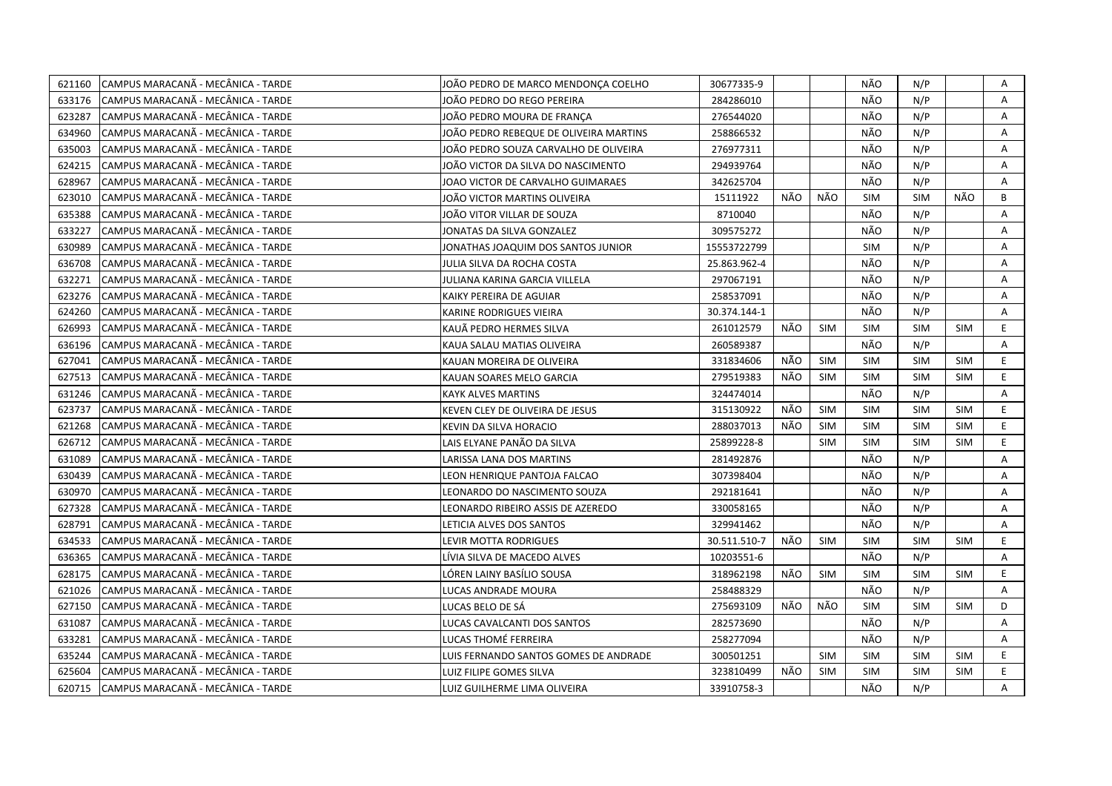| 621160 | CAMPUS MARACANÃ - MECÂNICA - TARDE | JOÃO PEDRO DE MARCO MENDONCA COELHO    | 30677335-9   |     |            | NÃO        | N/P        |            | Α  |
|--------|------------------------------------|----------------------------------------|--------------|-----|------------|------------|------------|------------|----|
| 633176 | CAMPUS MARACANÃ - MECÂNICA - TARDE | JOÃO PEDRO DO REGO PEREIRA             | 284286010    |     |            | NÃO        | N/P        |            | A  |
| 623287 | CAMPUS MARACANÃ - MECÂNICA - TARDE | JOÃO PEDRO MOURA DE FRANCA             | 276544020    |     |            | NÃO        | N/P        |            | A  |
| 634960 | CAMPUS MARACANÃ - MECÂNICA - TARDE | JOÃO PEDRO REBEQUE DE OLIVEIRA MARTINS | 258866532    |     |            | NÃO        | N/P        |            | Α  |
| 635003 | CAMPUS MARACANA - MECÂNICA - TARDE | JOÃO PEDRO SOUZA CARVALHO DE OLIVEIRA  | 276977311    |     |            | NÃO        | N/P        |            | Α  |
| 624215 | CAMPUS MARACANÃ - MECÂNICA - TARDE | JOÃO VICTOR DA SILVA DO NASCIMENTO     | 294939764    |     |            | NÃO        | N/P        |            | Α  |
| 628967 | CAMPUS MARACANÃ - MECÂNICA - TARDE | JOAO VICTOR DE CARVALHO GUIMARAES      | 342625704    |     |            | NÃO        | N/P        |            | A  |
| 623010 | CAMPUS MARACANÃ - MECÂNICA - TARDE | JOÃO VICTOR MARTINS OLIVEIRA           | 15111922     | NÃO | NÃO        | <b>SIM</b> | <b>SIM</b> | NÃO        | B  |
| 635388 | CAMPUS MARACANÃ - MECÂNICA - TARDE | JOÃO VITOR VILLAR DE SOUZA             | 8710040      |     |            | NÃO        | N/P        |            | A  |
| 633227 | CAMPUS MARACANÃ - MECÂNICA - TARDE | JONATAS DA SILVA GONZALEZ              | 309575272    |     |            | NÃO        | N/P        |            | A  |
| 630989 | CAMPUS MARACANÃ - MECÂNICA - TARDE | JONATHAS JOAQUIM DOS SANTOS JUNIOR     | 15553722799  |     |            | <b>SIM</b> | N/P        |            | Α  |
| 636708 | CAMPUS MARACANA - MECÂNICA - TARDE | JULIA SILVA DA ROCHA COSTA             | 25.863.962-4 |     |            | NÃO        | N/P        |            | A  |
| 632271 | CAMPUS MARACANA - MECÂNICA - TARDE | JULIANA KARINA GARCIA VILLELA          | 297067191    |     |            | NÃO        | N/P        |            | A  |
| 623276 | CAMPUS MARACANA - MECÂNICA - TARDE | KAIKY PEREIRA DE AGUIAR                | 258537091    |     |            | NÃO        | N/P        |            | Α  |
| 624260 | CAMPUS MARACANÃ - MECÂNICA - TARDE | KARINE RODRIGUES VIEIRA                | 30.374.144-1 |     |            | NÃO        | N/P        |            | A  |
| 626993 | CAMPUS MARACANÃ - MECÂNICA - TARDE | KAUÃ PEDRO HERMES SILVA                | 261012579    | NÃO | <b>SIM</b> | <b>SIM</b> | <b>SIM</b> | <b>SIM</b> | E  |
| 636196 | CAMPUS MARACANÃ - MECÂNICA - TARDE | KAUA SALAU MATIAS OLIVEIRA             | 260589387    |     |            | NÃO        | N/P        |            | A  |
| 627041 | CAMPUS MARACANA - MECÂNICA - TARDE | KAUAN MOREIRA DE OLIVEIRA              | 331834606    | NÃO | <b>SIM</b> | <b>SIM</b> | <b>SIM</b> | <b>SIM</b> | E. |
| 627513 | CAMPUS MARACANÃ - MECÂNICA - TARDE | KAUAN SOARES MELO GARCIA               | 279519383    | NÃO | <b>SIM</b> | <b>SIM</b> | <b>SIM</b> | <b>SIM</b> | E. |
| 631246 | CAMPUS MARACANÃ - MECÂNICA - TARDE | KAYK ALVES MARTINS                     | 324474014    |     |            | NÃO        | N/P        |            | A  |
| 623737 | CAMPUS MARACANA - MECÂNICA - TARDE | KEVEN CLEY DE OLIVEIRA DE JESUS        | 315130922    | NÃO | <b>SIM</b> | <b>SIM</b> | <b>SIM</b> | <b>SIM</b> | E. |
| 621268 | CAMPUS MARACANA - MECÂNICA - TARDE | KEVIN DA SILVA HORACIO                 | 288037013    | NÃO | <b>SIM</b> | <b>SIM</b> | <b>SIM</b> | <b>SIM</b> | E. |
| 626712 | CAMPUS MARACANÃ - MECÂNICA - TARDE | LAIS ELYANE PANÃO DA SILVA             | 25899228-8   |     | <b>SIM</b> | <b>SIM</b> | <b>SIM</b> | <b>SIM</b> | E. |
| 631089 | CAMPUS MARACANÃ - MECÂNICA - TARDE | LARISSA LANA DOS MARTINS               | 281492876    |     |            | NÃO        | N/P        |            | A  |
| 630439 | CAMPUS MARACANA - MECÂNICA - TARDE | LEON HENRIQUE PANTOJA FALCAO           | 307398404    |     |            | NÃO        | N/P        |            | A  |
| 630970 | CAMPUS MARACANA - MECÂNICA - TARDE | LEONARDO DO NASCIMENTO SOUZA           | 292181641    |     |            | NÃO        | N/P        |            | Α  |
| 627328 | CAMPUS MARACANÃ - MECÂNICA - TARDE | LEONARDO RIBEIRO ASSIS DE AZEREDO      | 330058165    |     |            | NÃO        | N/P        |            | A  |
| 628791 | CAMPUS MARACANÃ - MECÂNICA - TARDE | LETICIA ALVES DOS SANTOS               | 329941462    |     |            | NÃO        | N/P        |            | Α  |
| 634533 | CAMPUS MARACANÃ - MECÂNICA - TARDE | LEVIR MOTTA RODRIGUES                  | 30.511.510-7 | NÃO | <b>SIM</b> | <b>SIM</b> | <b>SIM</b> | <b>SIM</b> | E. |
| 636365 | CAMPUS MARACANÃ - MECÂNICA - TARDE | LÍVIA SILVA DE MACEDO ALVES            | 10203551-6   |     |            | NÃO        | N/P        |            | Α  |
| 628175 | CAMPUS MARACANÃ - MECÂNICA - TARDE | LÓREN LAINY BASÍLIO SOUSA              | 318962198    | NÃO | <b>SIM</b> | <b>SIM</b> | <b>SIM</b> | <b>SIM</b> | E  |
| 621026 | CAMPUS MARACANÃ - MECÂNICA - TARDE | LUCAS ANDRADE MOURA                    | 258488329    |     |            | NÃO        | N/P        |            | A  |
| 627150 | CAMPUS MARACANÃ - MECÂNICA - TARDE | LUCAS BELO DE SÁ                       | 275693109    | NÃO | NÃO        | <b>SIM</b> | <b>SIM</b> | <b>SIM</b> | D  |
| 631087 | CAMPUS MARACANÃ - MECÂNICA - TARDE | LUCAS CAVALCANTI DOS SANTOS            | 282573690    |     |            | NÃO        | N/P        |            | A  |
| 633281 | CAMPUS MARACANÃ - MECÂNICA - TARDE | LUCAS THOMÉ FERREIRA                   | 258277094    |     |            | NÃO        | N/P        |            | A  |
| 635244 | CAMPUS MARACANA - MECANICA - TARDE | LUIS FERNANDO SANTOS GOMES DE ANDRADE  | 300501251    |     | <b>SIM</b> | <b>SIM</b> | <b>SIM</b> | <b>SIM</b> | E. |
| 625604 | CAMPUS MARACANÃ - MECÂNICA - TARDE | LUIZ FILIPE GOMES SILVA                | 323810499    | NÃO | <b>SIM</b> | <b>SIM</b> | <b>SIM</b> | <b>SIM</b> | E. |
| 620715 | CAMPUS MARACANA - MECÂNICA - TARDE | LUIZ GUILHERME LIMA OLIVEIRA           | 33910758-3   |     |            | NÃO        | N/P        |            | A  |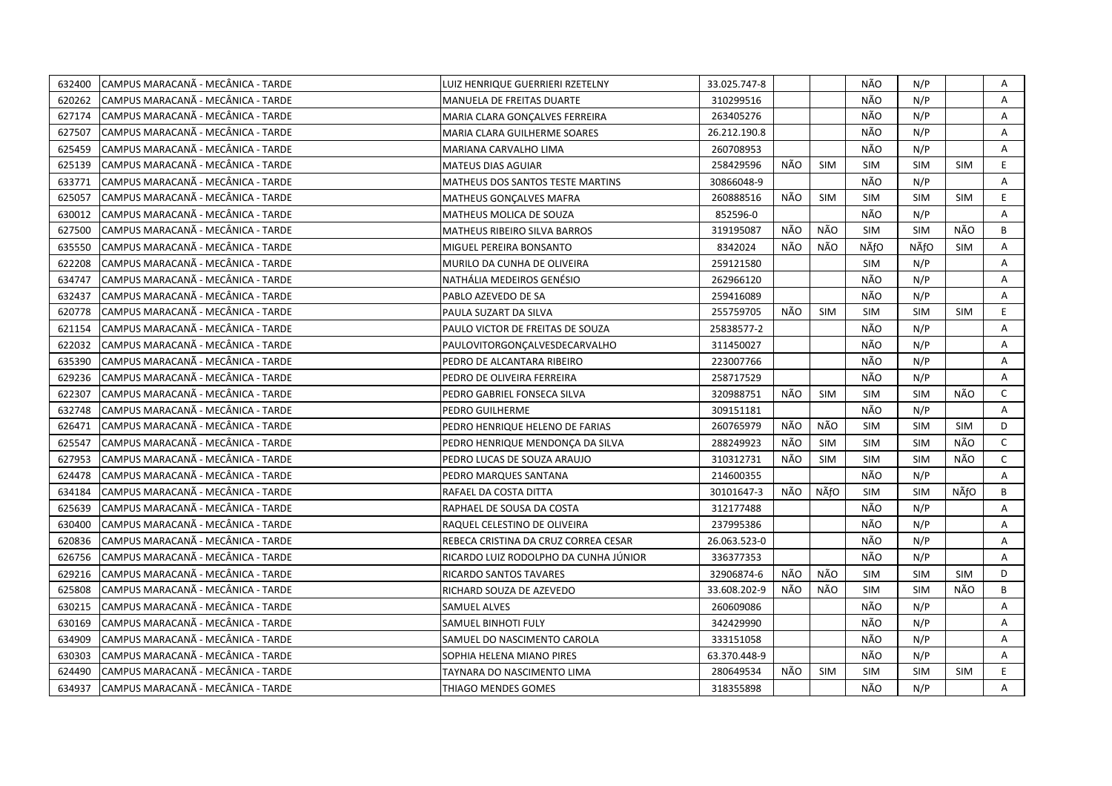| 632400 | CAMPUS MARACANA - MECÂNICA - TARDE  | LUIZ HENRIQUE GUERRIERI RZETELNY        | 33.025.747-8 |     |            | NÃO        | N/P        |            | Α            |
|--------|-------------------------------------|-----------------------------------------|--------------|-----|------------|------------|------------|------------|--------------|
| 620262 | ICAMPUS MARACANÃ - MECÂNICA - TARDE | <b>MANUELA DE FREITAS DUARTE</b>        | 310299516    |     |            | NÃO        | N/P        |            | A            |
| 627174 | CAMPUS MARACANÃ - MECÂNICA - TARDE  | MARIA CLARA GONCALVES FERREIRA          | 263405276    |     |            | NÃO        | N/P        |            | A            |
| 627507 | CAMPUS MARACANÃ - MECÂNICA - TARDE  | MARIA CLARA GUILHERME SOARES            | 26.212.190.8 |     |            | NÃO        | N/P        |            | Α            |
| 625459 | CAMPUS MARACANÃ - MECÂNICA - TARDE  | MARIANA CARVALHO LIMA                   | 260708953    |     |            | NÃO        | N/P        |            | Α            |
| 625139 | CAMPUS MARACANÃ - MECÂNICA - TARDE  | <b>MATEUS DIAS AGUIAR</b>               | 258429596    | NÃO | <b>SIM</b> | <b>SIM</b> | <b>SIM</b> | <b>SIM</b> | E            |
| 633771 | ICAMPUS MARACANÃ - MECÂNICA - TARDE | <b>MATHEUS DOS SANTOS TESTE MARTINS</b> | 30866048-9   |     |            | NÃO        | N/P        |            | A            |
| 625057 | CAMPUS MARACANÃ - MECÂNICA - TARDE  | <b>MATHEUS GONCALVES MAFRA</b>          | 260888516    | NÃO | <b>SIM</b> | <b>SIM</b> | <b>SIM</b> | <b>SIM</b> | E            |
| 630012 | CAMPUS MARACANÃ - MECÂNICA - TARDE  | MATHEUS MOLICA DE SOUZA                 | 852596-0     |     |            | NÃO        | N/P        |            | A            |
| 627500 | CAMPUS MARACANÃ - MECÂNICA - TARDE  | <b>MATHEUS RIBEIRO SILVA BARROS</b>     | 319195087    | NÃO | NÃO        | <b>SIM</b> | <b>SIM</b> | NÃO        | B            |
| 635550 | CAMPUS MARACANA - MECÂNICA - TARDE  | MIGUEL PEREIRA BONSANTO                 | 8342024      | NÃO | NÃO        | NÃfO       | NÃfO       | <b>SIM</b> | Α            |
| 622208 | CAMPUS MARACANÃ - MECÂNICA - TARDE  | MURILO DA CUNHA DE OLIVEIRA             | 259121580    |     |            | SIM        | N/P        |            | A            |
| 634747 | CAMPUS MARACANÃ - MECÂNICA - TARDE  | NATHÁLIA MEDEIROS GENÉSIO               | 262966120    |     |            | NÃO        | N/P        |            | A            |
| 632437 | CAMPUS MARACANÃ - MECÂNICA - TARDE  | PABLO AZEVEDO DE SA                     | 259416089    |     |            | NÃO        | N/P        |            | A            |
| 620778 | CAMPUS MARACANÃ - MECÂNICA - TARDE  | PAULA SUZART DA SILVA                   | 255759705    | NÃO | <b>SIM</b> | <b>SIM</b> | <b>SIM</b> | <b>SIM</b> | E            |
| 621154 | CAMPUS MARACANÃ - MECÂNICA - TARDE  | PAULO VICTOR DE FREITAS DE SOUZA        | 25838577-2   |     |            | NÃO        | N/P        |            | A            |
| 622032 | CAMPUS MARACANÃ - MECÂNICA - TARDE  | PAULOVITORGONCALVESDECARVALHO           | 311450027    |     |            | NÃO        | N/P        |            | A            |
| 635390 | CAMPUS MARACANÃ - MECÂNICA - TARDE  | PEDRO DE ALCANTARA RIBEIRO              | 223007766    |     |            | NÃO        | N/P        |            | A            |
| 629236 | CAMPUS MARACANÃ - MECÂNICA - TARDE  | PEDRO DE OLIVEIRA FERREIRA              | 258717529    |     |            | NÃO        | N/P        |            | A            |
| 622307 | ICAMPUS MARACANÃ - MECÂNICA - TARDE | PEDRO GABRIEL FONSECA SILVA             | 320988751    | NÃO | SIM        | <b>SIM</b> | <b>SIM</b> | NÃO        | $\mathsf{C}$ |
| 632748 | CAMPUS MARACANÃ - MECÂNICA - TARDE  | PEDRO GUILHERME                         | 309151181    |     |            | NÃO        | N/P        |            | A            |
| 626471 | CAMPUS MARACANA - MECANICA - TARDE  | PEDRO HENRIQUE HELENO DE FARIAS         | 260765979    | NÃO | NÃO        | <b>SIM</b> | <b>SIM</b> | <b>SIM</b> | D            |
| 625547 | CAMPUS MARACANÃ - MECÂNICA - TARDE  | PEDRO HENRIQUE MENDONÇA DA SILVA        | 288249923    | NÃO | <b>SIM</b> | <b>SIM</b> | <b>SIM</b> | NÃO        | $\mathsf{C}$ |
| 627953 | CAMPUS MARACANA - MECANICA - TARDE  | PEDRO LUCAS DE SOUZA ARAUJO             | 310312731    | NÃO | <b>SIM</b> | <b>SIM</b> | <b>SIM</b> | NÃO        | $\mathsf{C}$ |
| 624478 | CAMPUS MARACANÃ - MECÂNICA - TARDE  | PEDRO MARQUES SANTANA                   | 214600355    |     |            | NÃO        | N/P        |            | A            |
| 634184 | CAMPUS MARACANÃ - MECÂNICA - TARDE  | RAFAEL DA COSTA DITTA                   | 30101647-3   | NÃO | NÃfO       | <b>SIM</b> | <b>SIM</b> | NÃfO       | В            |
| 625639 | CAMPUS MARACANÃ - MECÂNICA - TARDE  | RAPHAEL DE SOUSA DA COSTA               | 312177488    |     |            | NÃO        | N/P        |            | A            |
| 630400 | CAMPUS MARACANÃ - MECÂNICA - TARDE  | RAQUEL CELESTINO DE OLIVEIRA            | 237995386    |     |            | NÃO        | N/P        |            | A            |
| 620836 | CAMPUS MARACANA - MECANICA - TARDE  | REBECA CRISTINA DA CRUZ CORREA CESAR    | 26.063.523-0 |     |            | NÃO        | N/P        |            | A            |
| 626756 | CAMPUS MARACANÃ - MECÂNICA - TARDE  | RICARDO LUIZ RODOLPHO DA CUNHA JÚNIOR   | 336377353    |     |            | NÃO        | N/P        |            | A            |
| 629216 | CAMPUS MARACANÃ - MECÂNICA - TARDE  | RICARDO SANTOS TAVARES                  | 32906874-6   | NÃO | NÃO        | <b>SIM</b> | <b>SIM</b> | <b>SIM</b> | D            |
| 625808 | CAMPUS MARACANÃ - MECÂNICA - TARDE  | RICHARD SOUZA DE AZEVEDO                | 33.608.202-9 | NÃO | NÃO        | <b>SIM</b> | <b>SIM</b> | NÃO        | B            |
| 630215 | CAMPUS MARACANÃ - MECÂNICA - TARDE  | <b>SAMUEL ALVES</b>                     | 260609086    |     |            | NÃO        | N/P        |            | A            |
| 630169 | lCAMPUS MARACANÃ - MECÂNICA - TARDE | <b>SAMUEL BINHOTI FULY</b>              | 342429990    |     |            | NÃO        | N/P        |            | A            |
| 634909 | CAMPUS MARACANÃ - MECÂNICA - TARDE  | SAMUEL DO NASCIMENTO CAROLA             | 333151058    |     |            | NÃO        | N/P        |            | A            |
| 630303 | CAMPUS MARACANA - MECÂNICA - TARDE  | SOPHIA HELENA MIANO PIRES               | 63.370.448-9 |     |            | NÃO        | N/P        |            | Α            |
| 624490 | CAMPUS MARACANÃ - MECÂNICA - TARDE  | TAYNARA DO NASCIMENTO LIMA              | 280649534    | NÃO | <b>SIM</b> | SIM        | <b>SIM</b> | <b>SIM</b> | E.           |
| 634937 | CAMPUS MARACANA - MECÂNICA - TARDE  | THIAGO MENDES GOMES                     | 318355898    |     |            | NÃO        | N/P        |            | A            |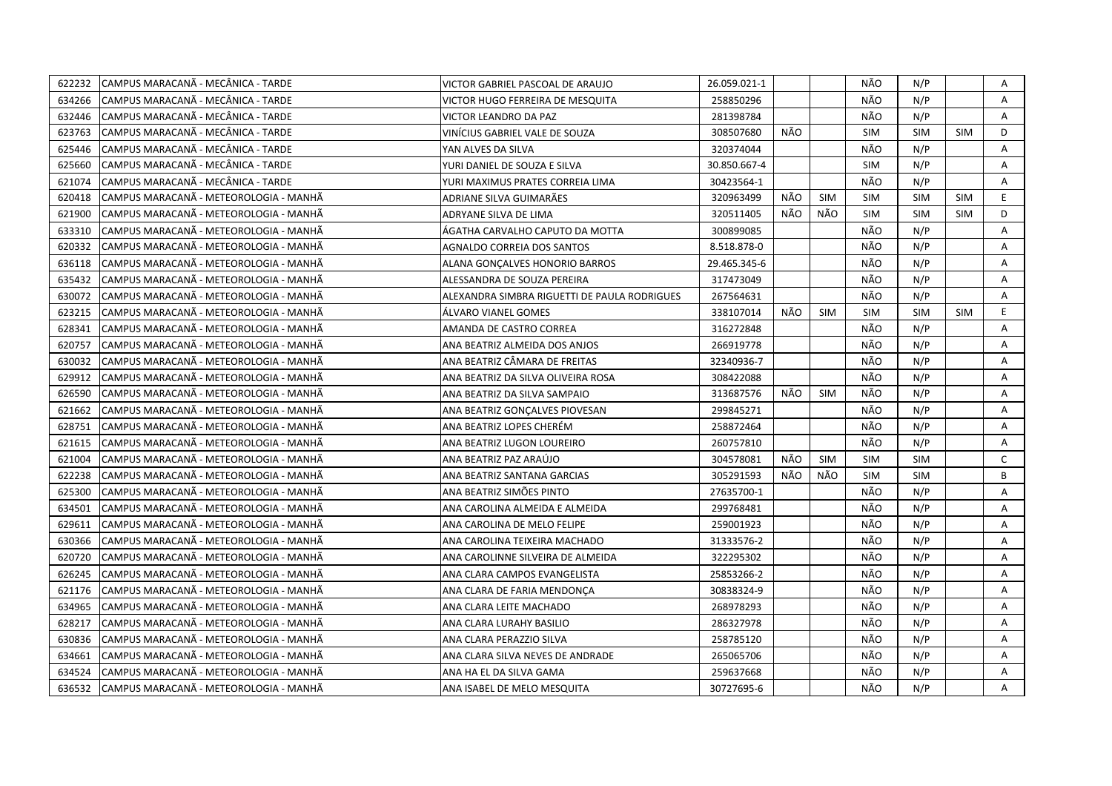| 622232 | CAMPUS MARACANÃ - MECÂNICA - TARDE     | VICTOR GABRIEL PASCOAL DE ARAUJO             | 26.059.021-1 |     |            | NÃO        | N/P        |            | Α            |
|--------|----------------------------------------|----------------------------------------------|--------------|-----|------------|------------|------------|------------|--------------|
| 634266 | CAMPUS MARACANÃ - MECÂNICA - TARDE     | VICTOR HUGO FERREIRA DE MESQUITA             | 258850296    |     |            | NÃO        | N/P        |            | A            |
| 632446 | CAMPUS MARACANÃ - MECÂNICA - TARDE     | VICTOR LEANDRO DA PAZ                        | 281398784    |     |            | NÃO        | N/P        |            | A            |
| 623763 | ICAMPUS MARACANA - MECANICA - TARDE    | VINÍCIUS GABRIEL VALE DE SOUZA               | 308507680    | NÃO |            | <b>SIM</b> | <b>SIM</b> | <b>SIM</b> | D            |
| 625446 | CAMPUS MARACANÃ - MECÂNICA - TARDE     | YAN ALVES DA SILVA                           | 320374044    |     |            | NÃO        | N/P        |            | Α            |
| 625660 | CAMPUS MARACANÃ - MECÂNICA - TARDE     | YURI DANIEL DE SOUZA E SILVA                 | 30.850.667-4 |     |            | <b>SIM</b> | N/P        |            | A            |
| 621074 | ICAMPUS MARACANÃ - MECÂNICA - TARDE    | YURI MAXIMUS PRATES CORREIA LIMA             | 30423564-1   |     |            | NÃO        | N/P        |            | Α            |
| 620418 | CAMPUS MARACANÃ - METEOROLOGIA - MANHÃ | ADRIANE SILVA GUIMARÃES                      | 320963499    | NÃO | <b>SIM</b> | <b>SIM</b> | <b>SIM</b> | <b>SIM</b> | E.           |
| 621900 | CAMPUS MARACANÃ - METEOROLOGIA - MANHÃ | ADRYANE SILVA DE LIMA                        | 320511405    | NÃO | NÃO        | <b>SIM</b> | <b>SIM</b> | <b>SIM</b> | D            |
| 633310 | CAMPUS MARACANÃ - METEOROLOGIA - MANHÃ | ÁGATHA CARVALHO CAPUTO DA MOTTA              | 300899085    |     |            | NÃO        | N/P        |            | A            |
| 620332 | CAMPUS MARACANÃ - METEOROLOGIA - MANHÃ | AGNALDO CORREIA DOS SANTOS                   | 8.518.878-0  |     |            | NÃO        | N/P        |            | A            |
| 636118 | CAMPUS MARACANÃ - METEOROLOGIA - MANHÃ | ALANA GONÇALVES HONORIO BARROS               | 29.465.345-6 |     |            | NÃO        | N/P        |            | Α            |
| 635432 | CAMPUS MARACANA - METEOROLOGIA - MANHA | ALESSANDRA DE SOUZA PEREIRA                  | 317473049    |     |            | NÃO        | N/P        |            | A            |
| 630072 | CAMPUS MARACANÃ - METEOROLOGIA - MANHÃ | ALEXANDRA SIMBRA RIGUETTI DE PAULA RODRIGUES | 267564631    |     |            | NÃO        | N/P        |            | A            |
| 623215 | CAMPUS MARACANÃ - METEOROLOGIA - MANHÃ | ÁLVARO VIANEL GOMES                          | 338107014    | NÃO | <b>SIM</b> | <b>SIM</b> | <b>SIM</b> | <b>SIM</b> | E.           |
| 628341 | CAMPUS MARACANÃ - METEOROLOGIA - MANHÃ | AMANDA DE CASTRO CORREA                      | 316272848    |     |            | NÃO        | N/P        |            | A            |
| 620757 | CAMPUS MARACANÃ - METEOROLOGIA - MANHÃ | ANA BEATRIZ ALMEIDA DOS ANJOS                | 266919778    |     |            | NÃO        | N/P        |            | Α            |
| 630032 | CAMPUS MARACANÃ - METEOROLOGIA - MANHÃ | ANA BEATRIZ CÂMARA DE FREITAS                | 32340936-7   |     |            | NÃO        | N/P        |            | Α            |
| 629912 | CAMPUS MARACANÃ - METEOROLOGIA - MANHÃ | ANA BEATRIZ DA SILVA OLIVEIRA ROSA           | 308422088    |     |            | NÃO        | N/P        |            | Α            |
| 626590 | CAMPUS MARACANÃ - METEOROLOGIA - MANHÃ | ANA BEATRIZ DA SILVA SAMPAIO                 | 313687576    | NÃO | <b>SIM</b> | NÃO        | N/P        |            | A            |
| 621662 | CAMPUS MARACANÃ - METEOROLOGIA - MANHÃ | ANA BEATRIZ GONÇALVES PIOVESAN               | 299845271    |     |            | NÃO        | N/P        |            | Α            |
| 628751 | CAMPUS MARACANA - METEOROLOGIA - MANHA | ANA BEATRIZ LOPES CHERÉM                     | 258872464    |     |            | NÃO        | N/P        |            | A            |
| 621615 | CAMPUS MARACANÃ - METEOROLOGIA - MANHÃ | ANA BEATRIZ LUGON LOUREIRO                   | 260757810    |     |            | NÃO        | N/P        |            | A            |
| 621004 | CAMPUS MARACANA - METEOROLOGIA - MANHA | ANA BEATRIZ PAZ ARAÚJO                       | 304578081    | NÃO | <b>SIM</b> | <b>SIM</b> | <b>SIM</b> |            | $\mathsf{C}$ |
| 622238 | CAMPUS MARACANA - METEOROLOGIA - MANHA | ANA BEATRIZ SANTANA GARCIAS                  | 305291593    | NÃO | NÃO        | <b>SIM</b> | <b>SIM</b> |            | B            |
| 625300 | CAMPUS MARACANA - METEOROLOGIA - MANHA | ANA BEATRIZ SIMOES PINTO                     | 27635700-1   |     |            | NÃO        | N/P        |            | A            |
| 634501 | CAMPUS MARACANÃ - METEOROLOGIA - MANHÃ | ANA CAROLINA ALMEIDA E ALMEIDA               | 299768481    |     |            | NÃO        | N/P        |            | A            |
| 629611 | CAMPUS MARACANÃ - METEOROLOGIA - MANHÃ | ANA CAROLINA DE MELO FELIPE                  | 259001923    |     |            | NÃO        | N/P        |            | A            |
| 630366 | CAMPUS MARACANÃ - METEOROLOGIA - MANHÃ | ANA CAROLINA TEIXEIRA MACHADO                | 31333576-2   |     |            | NÃO        | N/P        |            | A            |
| 620720 | CAMPUS MARACANÃ - METEOROLOGIA - MANHÃ | ANA CAROLINNE SILVEIRA DE ALMEIDA            | 322295302    |     |            | NÃO        | N/P        |            | Α            |
| 626245 | CAMPUS MARACANÃ - METEOROLOGIA - MANHÃ | ANA CLARA CAMPOS EVANGELISTA                 | 25853266-2   |     |            | NÃO        | N/P        |            | A            |
| 621176 | CAMPUS MARACANÃ - METEOROLOGIA - MANHÃ | ANA CLARA DE FARIA MENDONÇA                  | 30838324-9   |     |            | NÃO        | N/P        |            | Α            |
| 634965 | CAMPUS MARACANÃ - METEOROLOGIA - MANHÃ | ANA CLARA LEITE MACHADO                      | 268978293    |     |            | NÃO        | N/P        |            | A            |
| 628217 | CAMPUS MARACANÃ - METEOROLOGIA - MANHÃ | ANA CLARA LURAHY BASILIO                     | 286327978    |     |            | NÃO        | N/P        |            | A            |
| 630836 | CAMPUS MARACANÃ - METEOROLOGIA - MANHÃ | ANA CLARA PERAZZIO SILVA                     | 258785120    |     |            | NÃO        | N/P        |            | A            |
| 634661 | CAMPUS MARACANÃ - METEOROLOGIA - MANHÃ | ANA CLARA SILVA NEVES DE ANDRADE             | 265065706    |     |            | NÃO        | N/P        |            | Α            |
| 634524 | CAMPUS MARACANÃ - METEOROLOGIA - MANHÃ | ANA HA EL DA SILVA GAMA                      | 259637668    |     |            | NÃO        | N/P        |            | A            |
| 636532 | CAMPUS MARACANÃ - METEOROLOGIA - MANHÃ | ANA ISABEL DE MELO MESQUITA                  | 30727695-6   |     |            | NÃO        | N/P        |            | A            |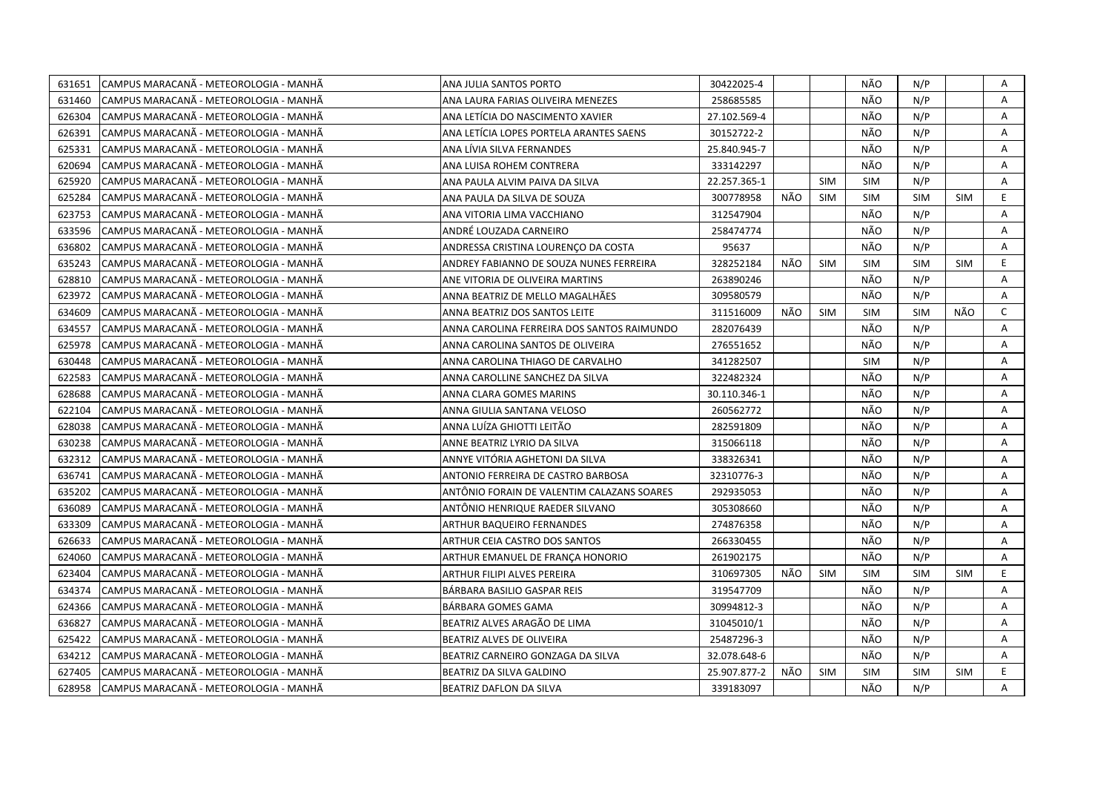| 631651 | CAMPUS MARACANÃ - METEOROLOGIA - MANHÃ | ANA JULIA SANTOS PORTO                     | 30422025-4   |     |            | NÃO        | N/P        |            | Α            |
|--------|----------------------------------------|--------------------------------------------|--------------|-----|------------|------------|------------|------------|--------------|
| 631460 | CAMPUS MARACANÃ - METEOROLOGIA - MANHÃ | ANA LAURA FARIAS OLIVEIRA MENEZES          | 258685585    |     |            | NÃO        | N/P        |            | A            |
| 626304 | CAMPUS MARACANÃ - METEOROLOGIA - MANHÃ | ANA LETÍCIA DO NASCIMENTO XAVIER           | 27.102.569-4 |     |            | NÃO        | N/P        |            | A            |
| 626391 | CAMPUS MARACANÃ - METEOROLOGIA - MANHÃ | ANA LETÍCIA LOPES PORTELA ARANTES SAENS    | 30152722-2   |     |            | NÃO        | N/P        |            | A            |
| 625331 | CAMPUS MARACANA - METEOROLOGIA - MANHA | ANA LÍVIA SILVA FERNANDES                  | 25.840.945-7 |     |            | NÃO        | N/P        |            | A            |
| 620694 | CAMPUS MARACANÃ - METEOROLOGIA - MANHÃ | ANA LUISA ROHEM CONTRERA                   | 333142297    |     |            | NÃO        | N/P        |            | Α            |
| 625920 | CAMPUS MARACANÃ - METEOROLOGIA - MANHÃ | ANA PAULA ALVIM PAIVA DA SILVA             | 22.257.365-1 |     | <b>SIM</b> | <b>SIM</b> | N/P        |            | Α            |
| 625284 | CAMPUS MARACANÃ - METEOROLOGIA - MANHÃ | ANA PAULA DA SILVA DE SOUZA                | 300778958    | NÃO | <b>SIM</b> | <b>SIM</b> | <b>SIM</b> | <b>SIM</b> | E.           |
| 623753 | CAMPUS MARACANÃ - METEOROLOGIA - MANHÃ | ANA VITORIA LIMA VACCHIANO                 | 312547904    |     |            | NÃO        | N/P        |            | A            |
| 633596 | CAMPUS MARACANA - METEOROLOGIA - MANHA | ANDRÉ LOUZADA CARNEIRO                     | 258474774    |     |            | NÃO        | N/P        |            | A            |
| 636802 | CAMPUS MARACANÃ - METEOROLOGIA - MANHÃ | ANDRESSA CRISTINA LOURENCO DA COSTA        | 95637        |     |            | NÃO        | N/P        |            | A            |
| 635243 | CAMPUS MARACANA - METEOROLOGIA - MANHA | ANDREY FABIANNO DE SOUZA NUNES FERREIRA    | 328252184    | NÃO | <b>SIM</b> | <b>SIM</b> | <b>SIM</b> | <b>SIM</b> | E            |
| 628810 | CAMPUS MARACANA - METEOROLOGIA - MANHA | ANE VITORIA DE OLIVEIRA MARTINS            | 263890246    |     |            | NÃO        | N/P        |            | A            |
| 623972 | CAMPUS MARACANÃ - METEOROLOGIA - MANHÃ | ANNA BEATRIZ DE MELLO MAGALHÃES            | 309580579    |     |            | NÃO        | N/P        |            | A            |
| 634609 | CAMPUS MARACANÃ - METEOROLOGIA - MANHÃ | ANNA BEATRIZ DOS SANTOS LEITE              | 311516009    | NÃO | <b>SIM</b> | <b>SIM</b> | <b>SIM</b> | NÃO        | $\mathsf{C}$ |
| 634557 | CAMPUS MARACANÃ - METEOROLOGIA - MANHÃ | ANNA CAROLINA FERREIRA DOS SANTOS RAIMUNDO | 282076439    |     |            | NÃO        | N/P        |            | A            |
| 625978 | CAMPUS MARACANÃ - METEOROLOGIA - MANHÃ | ANNA CAROLINA SANTOS DE OLIVEIRA           | 276551652    |     |            | NÃO        | N/P        |            | A            |
| 630448 | CAMPUS MARACANA - METEOROLOGIA - MANHA | ANNA CAROLINA THIAGO DE CARVALHO           | 341282507    |     |            | <b>SIM</b> | N/P        |            | A            |
| 622583 | CAMPUS MARACANÃ - METEOROLOGIA - MANHÃ | ANNA CAROLLINE SANCHEZ DA SILVA            | 322482324    |     |            | NÃO        | N/P        |            | A            |
| 628688 | CAMPUS MARACANÃ - METEOROLOGIA - MANHÃ | ANNA CLARA GOMES MARINS                    | 30.110.346-1 |     |            | NÃO        | N/P        |            | Α            |
| 622104 | CAMPUS MARACANA - METEOROLOGIA - MANHA | ANNA GIULIA SANTANA VELOSO                 | 260562772    |     |            | NÃO        | N/P        |            | A            |
| 628038 | CAMPUS MARACANÃ - METEOROLOGIA - MANHÃ | ANNA LUÍZA GHIOTTI LEITÃO                  | 282591809    |     |            | NÃO        | N/P        |            | A            |
| 630238 | CAMPUS MARACANA - METEOROLOGIA - MANHA | ANNE BEATRIZ LYRIO DA SILVA                | 315066118    |     |            | NÃO        | N/P        |            | A            |
| 632312 | CAMPUS MARACANÃ - METEOROLOGIA - MANHÃ | ANNYE VITÓRIA AGHETONI DA SILVA            | 338326341    |     |            | NÃO        | N/P        |            | A            |
| 636741 | CAMPUS MARACANA - METEOROLOGIA - MANHA | ANTONIO FERREIRA DE CASTRO BARBOSA         | 32310776-3   |     |            | NÃO        | N/P        |            | Α            |
| 635202 | CAMPUS MARACANA - METEOROLOGIA - MANHA | ANTÖNIO FORAIN DE VALENTIM CALAZANS SOARES | 292935053    |     |            | NÃO        | N/P        |            | A            |
| 636089 | CAMPUS MARACANÃ - METEOROLOGIA - MANHÃ | ANTÔNIO HENRIQUE RAEDER SILVANO            | 305308660    |     |            | NÃO        | N/P        |            | A            |
| 633309 | CAMPUS MARACANÃ - METEOROLOGIA - MANHÃ | ARTHUR BAQUEIRO FERNANDES                  | 274876358    |     |            | NÃO        | N/P        |            | Α            |
| 626633 | CAMPUS MARACANÃ - METEOROLOGIA - MANHÃ | ARTHUR CEIA CASTRO DOS SANTOS              | 266330455    |     |            | NÃO        | N/P        |            | A            |
| 624060 | CAMPUS MARACANÃ - METEOROLOGIA - MANHÃ | ARTHUR EMANUEL DE FRANÇA HONORIO           | 261902175    |     |            | NÃO        | N/P        |            | Α            |
| 623404 | CAMPUS MARACANÃ - METEOROLOGIA - MANHÃ | ARTHUR FILIPI ALVES PEREIRA                | 310697305    | NÃO | <b>SIM</b> | <b>SIM</b> | <b>SIM</b> | <b>SIM</b> | E.           |
|        |                                        |                                            |              |     |            |            |            |            | A            |
| 634374 | CAMPUS MARACANÃ - METEOROLOGIA - MANHÃ | BÁRBARA BASILIO GASPAR REIS                | 319547709    |     |            | NÃO        | N/P        |            |              |
| 624366 | CAMPUS MARACANÃ - METEOROLOGIA - MANHÃ | BÁRBARA GOMES GAMA                         | 30994812-3   |     |            | NÃO        | N/P        |            | A            |
| 636827 | CAMPUS MARACANA - METEOROLOGIA - MANHA | BEATRIZ ALVES ARAGÃO DE LIMA               | 31045010/1   |     |            | NÃO        | N/P        |            | A            |
| 625422 | CAMPUS MARACANÃ - METEOROLOGIA - MANHÃ | BEATRIZ ALVES DE OLIVEIRA                  | 25487296-3   |     |            | NÃO        | N/P        |            | A            |
| 634212 | CAMPUS MARACANA - METEOROLOGIA - MANHA | BEATRIZ CARNEIRO GONZAGA DA SILVA          | 32.078.648-6 |     |            | NÃO        | N/P        |            | Α            |
| 627405 | CAMPUS MARACANÃ - METEOROLOGIA - MANHÃ | BEATRIZ DA SILVA GALDINO                   | 25.907.877-2 | NÃO | <b>SIM</b> | <b>SIM</b> | <b>SIM</b> | SIM        | E.           |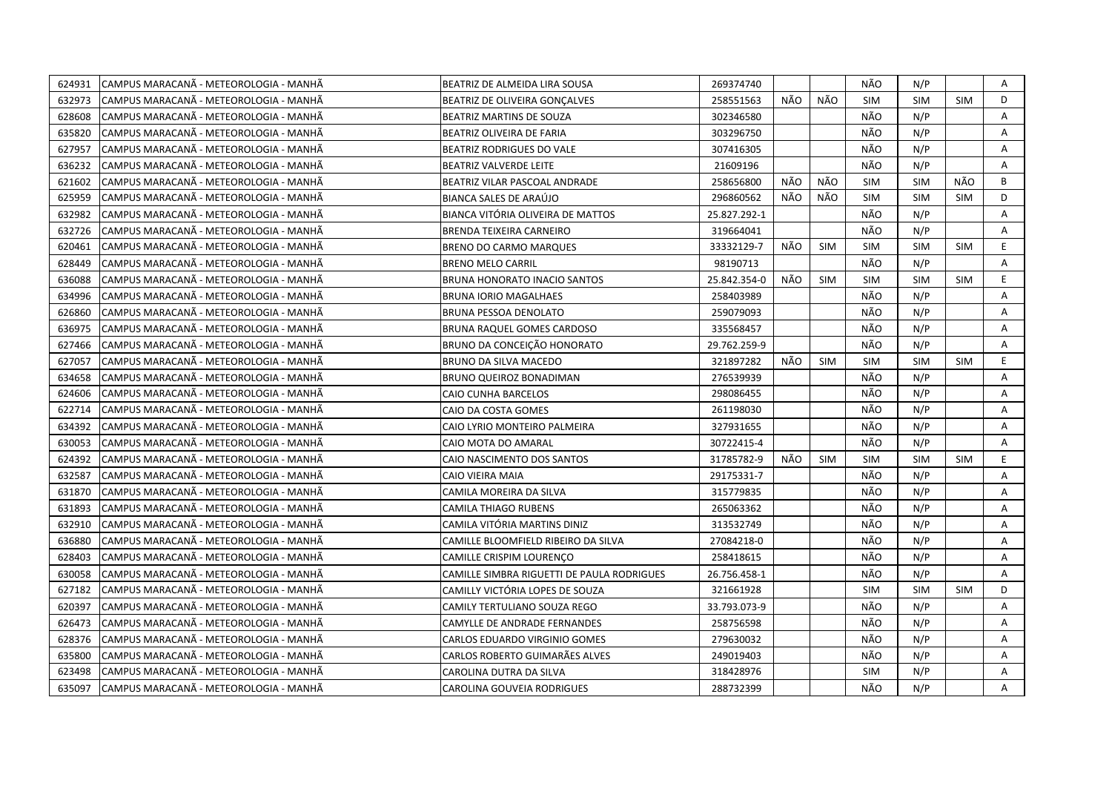| CAMPUS MARACANÃ - METEOROLOGIA - MANHÃ<br>624931 | BEATRIZ DE ALMEIDA LIRA SOUSA              | 269374740    |     |            | NÃO        | N/P        |            | A  |
|--------------------------------------------------|--------------------------------------------|--------------|-----|------------|------------|------------|------------|----|
| 632973<br>CAMPUS MARACANA - METEOROLOGIA - MANHA | <b>BEATRIZ DE OLIVEIRA GONCALVES</b>       | 258551563    | NÃO | NÃO        | <b>SIM</b> | <b>SIM</b> | <b>SIM</b> | D  |
| 628608<br>CAMPUS MARACANÃ - METEOROLOGIA - MANHÃ | BEATRIZ MARTINS DE SOUZA                   | 302346580    |     |            | NÃO        | N/P        |            | A  |
| 635820<br>CAMPUS MARACANA - METEOROLOGIA - MANHA | BEATRIZ OLIVEIRA DE FARIA                  | 303296750    |     |            | NÃO        | N/P        |            | Α  |
| 627957<br>CAMPUS MARACANÃ - METEOROLOGIA - MANHÃ | BEATRIZ RODRIGUES DO VALE                  | 307416305    |     |            | NÃO        | N/P        |            | A  |
| 636232<br>CAMPUS MARACANÃ - METEOROLOGIA - MANHÃ | <b>BEATRIZ VALVERDE LEITE</b>              | 21609196     |     |            | NÃO        | N/P        |            | A  |
| 621602<br>CAMPUS MARACANÃ - METEOROLOGIA - MANHÃ | BEATRIZ VILAR PASCOAL ANDRADE              | 258656800    | NÃO | NÃO        | <b>SIM</b> | <b>SIM</b> | NÃO        | B  |
| 625959<br>CAMPUS MARACANÃ - METEOROLOGIA - MANHÃ | <b>BIANCA SALES DE ARAÚJO</b>              | 296860562    | NÃO | NÃO        | <b>SIM</b> | <b>SIM</b> | <b>SIM</b> | D  |
| 632982<br>CAMPUS MARACANÃ - METEOROLOGIA - MANHÃ | BIANCA VITÓRIA OLIVEIRA DE MATTOS          | 25.827.292-1 |     |            | NÃO        | N/P        |            | Α  |
| 632726<br>CAMPUS MARACANÃ - METEOROLOGIA - MANHÃ | <b>BRENDA TEIXEIRA CARNEIRO</b>            | 319664041    |     |            | NÃO        | N/P        |            | Α  |
| 620461<br>CAMPUS MARACANA - METEOROLOGIA - MANHA | <b>BRENO DO CARMO MARQUES</b>              | 33332129-7   | NÃO | <b>SIM</b> | <b>SIM</b> | <b>SIM</b> | <b>SIM</b> | E. |
| 628449<br>CAMPUS MARACANA - METEOROLOGIA - MANHA | <b>BRENO MELO CARRIL</b>                   | 98190713     |     |            | NÃO        | N/P        |            | Α  |
| CAMPUS MARACANÃ - METEOROLOGIA - MANHÃ<br>636088 | <b>BRUNA HONORATO INACIO SANTOS</b>        | 25.842.354-0 | NÃO | <b>SIM</b> | <b>SIM</b> | <b>SIM</b> | <b>SIM</b> | E  |
| 634996<br>CAMPUS MARACANÃ - METEOROLOGIA - MANHÃ | <b>BRUNA IORIO MAGALHAES</b>               | 258403989    |     |            | NÃO        | N/P        |            | Α  |
| CAMPUS MARACANÃ - METEOROLOGIA - MANHÃ<br>626860 | <b>BRUNA PESSOA DENOLATO</b>               | 259079093    |     |            | NÃO        | N/P        |            | A  |
| 636975<br>CAMPUS MARACANÃ - METEOROLOGIA - MANHÃ | BRUNA RAQUEL GOMES CARDOSO                 | 335568457    |     |            | NÃO        | N/P        |            | A  |
| 627466<br>CAMPUS MARACANA - METEOROLOGIA - MANHA | BRUNO DA CONCEIÇÃO HONORATO                | 29.762.259-9 |     |            | NÃO        | N/P        |            | A  |
| 627057<br>CAMPUS MARACANÃ - METEOROLOGIA - MANHÃ | BRUNO DA SILVA MACEDO                      | 321897282    | NÃO | SIM        | <b>SIM</b> | <b>SIM</b> | <b>SIM</b> | E  |
| CAMPUS MARACANÃ - METEOROLOGIA - MANHÃ<br>634658 | BRUNO QUEIROZ BONADIMAN                    | 276539939    |     |            | NÃO        | N/P        |            | A  |
| CAMPUS MARACANÃ - METEOROLOGIA - MANHÃ<br>624606 | <b>CAIO CUNHA BARCELOS</b>                 | 298086455    |     |            | NÃO        | N/P        |            | A  |
| 622714<br>CAMPUS MARACANA - METEOROLOGIA - MANHA | CAIO DA COSTA GOMES                        | 261198030    |     |            | NÃO        | N/P        |            | Α  |
| 634392<br>CAMPUS MARACANA - METEOROLOGIA - MANHA | CAIO LYRIO MONTEIRO PALMEIRA               | 327931655    |     |            | NÃO        | N/P        |            | A  |
| CAMPUS MARACANÃ - METEOROLOGIA - MANHÃ<br>630053 | CAIO MOTA DO AMARAL                        | 30722415-4   |     |            | NÃO        | N/P        |            | A  |
| 624392<br>CAMPUS MARACANA - METEOROLOGIA - MANHA | CAIO NASCIMENTO DOS SANTOS                 | 31785782-9   | NÃO | <b>SIM</b> | <b>SIM</b> | <b>SIM</b> | <b>SIM</b> | E. |
| 632587<br>CAMPUS MARACANÃ - METEOROLOGIA - MANHÃ | CAIO VIEIRA MAIA                           | 29175331-7   |     |            | NÃO        | N/P        |            | A  |
| 631870<br>CAMPUS MARACANÃ - METEOROLOGIA - MANHÃ | CAMILA MOREIRA DA SILVA                    | 315779835    |     |            | NÃO        | N/P        |            | Α  |
| 631893<br>CAMPUS MARACANA - METEOROLOGIA - MANHA | CAMILA THIAGO RUBENS                       | 265063362    |     |            | NÃO        | N/P        |            | A  |
| 632910<br>CAMPUS MARACANÃ - METEOROLOGIA - MANHÃ | CAMILA VITÓRIA MARTINS DINIZ               | 313532749    |     |            | NÃO        | N/P        |            | A  |
| 636880<br>CAMPUS MARACANA - METEOROLOGIA - MANHA | CAMILLE BLOOMFIELD RIBEIRO DA SILVA        | 27084218-0   |     |            | NÃO        | N/P        |            | A  |
| 628403<br>CAMPUS MARACANÃ - METEOROLOGIA - MANHÃ | CAMILLE CRISPIM LOURENCO                   | 258418615    |     |            | NÃO        | N/P        |            | Α  |
| 630058<br>CAMPUS MARACANÃ - METEOROLOGIA - MANHÃ | CAMILLE SIMBRA RIGUETTI DE PAULA RODRIGUES | 26.756.458-1 |     |            | NÃO        | N/P        |            | Α  |
| 627182<br>CAMPUS MARACANÃ - METEOROLOGIA - MANHÃ | CAMILLY VICTÓRIA LOPES DE SOUZA            | 321661928    |     |            | <b>SIM</b> | <b>SIM</b> | <b>SIM</b> | D  |
| 620397<br>CAMPUS MARACANÃ - METEOROLOGIA - MANHÃ | CAMILY TERTULIANO SOUZA REGO               | 33.793.073-9 |     |            | NÃO        | N/P        |            | Α  |
| 626473<br>CAMPUS MARACANA - METEOROLOGIA - MANHA | CAMYLLE DE ANDRADE FERNANDES               | 258756598    |     |            | NÃO        | N/P        |            | A  |
| 628376<br>CAMPUS MARACANÃ - METEOROLOGIA - MANHÃ | CARLOS EDUARDO VIRGINIO GOMES              | 279630032    |     |            | NÃO        | N/P        |            | A  |
| 635800<br>CAMPUS MARACANA - METEOROLOGIA - MANHA | CARLOS ROBERTO GUIMARÃES ALVES             | 249019403    |     |            | NÃO        | N/P        |            | Α  |
| 623498<br>CAMPUS MARACANÃ - METEOROLOGIA - MANHÃ | CAROLINA DUTRA DA SILVA                    | 318428976    |     |            | <b>SIM</b> | N/P        |            | Α  |
| CAMPUS MARACANÃ - METEOROLOGIA - MANHÃ<br>635097 | CAROLINA GOUVEIA RODRIGUES                 | 288732399    |     |            | NÃO        | N/P        |            | A  |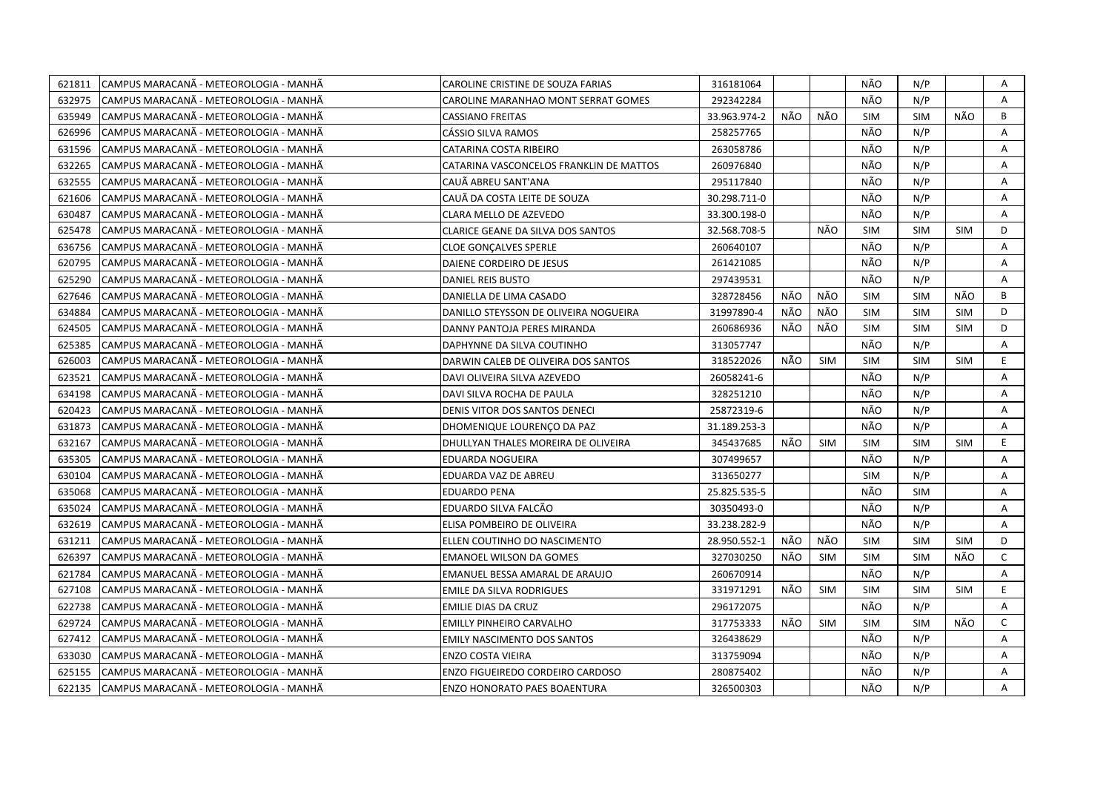| CAMPUS MARACANÃ - METEOROLOGIA - MANHÃ<br>621811  | CAROLINE CRISTINE DE SOUZA FARIAS       | 316181064    |     |            | NÃO        | N/P        |            | Α            |
|---------------------------------------------------|-----------------------------------------|--------------|-----|------------|------------|------------|------------|--------------|
| 632975<br>CAMPUS MARACANÃ - METEOROLOGIA - MANHÃ  | CAROLINE MARANHAO MONT SERRAT GOMES     | 292342284    |     |            | NÃO        | N/P        |            | $\mathsf{A}$ |
| 635949<br>CAMPUS MARACANÃ - METEOROLOGIA - MANHÃ  | <b>CASSIANO FREITAS</b>                 | 33.963.974-2 | NÃO | NÃO        | <b>SIM</b> | <b>SIM</b> | NÃO        | B            |
| 626996<br>CAMPUS MARACANA - METEOROLOGIA - MANHA  | CÁSSIO SILVA RAMOS                      | 258257765    |     |            | NÃO        | N/P        |            | A            |
| 631596<br>CAMPUS MARACANÃ - METEOROLOGIA - MANHÃ  | CATARINA COSTA RIBEIRO                  | 263058786    |     |            | NÃO        | N/P        |            | A            |
| 632265<br>CAMPUS MARACANA - METEOROLOGIA - MANHA  | CATARINA VASCONCELOS FRANKLIN DE MATTOS | 260976840    |     |            | NÃO        | N/P        |            | A            |
| 632555<br>CAMPUS MARACANÃ - METEOROLOGIA - MANHÃ  | CAUÃ ABREU SANT'ANA                     | 295117840    |     |            | NÃO        | N/P        |            | Α            |
| 621606<br>CAMPUS MARACANÃ - METEOROLOGIA - MANHÃ  | CAUÃ DA COSTA LEITE DE SOUZA            | 30.298.711-0 |     |            | NÃO        | N/P        |            | Α            |
| 630487<br>CAMPUS MARACANÃ - METEOROLOGIA - MANHÃ  | CLARA MELLO DE AZEVEDO                  | 33.300.198-0 |     |            | NÃO        | N/P        |            | A            |
| 625478<br>CAMPUS MARACANÃ - METEOROLOGIA - MANHÃ  | CLARICE GEANE DA SILVA DOS SANTOS       | 32.568.708-5 |     | NÃO        | <b>SIM</b> | <b>SIM</b> | <b>SIM</b> | D            |
| 636756<br>CAMPUS MARACANA - METEOROLOGIA - MANHA  | <b>CLOE GONÇALVES SPERLE</b>            | 260640107    |     |            | NÃO        | N/P        |            | A            |
| 620795<br>CAMPUS MARACANA - METEOROLOGIA - MANHA  | DAIENE CORDEIRO DE JESUS                | 261421085    |     |            | NÃO        | N/P        |            | Α            |
| 625290<br>CAMPUS MARACANA - METEOROLOGIA - MANHA  | DANIEL REIS BUSTO                       | 297439531    |     |            | NÃO        | N/P        |            | A            |
| CAMPUS MARACANÃ - METEOROLOGIA - MANHÃ<br>627646  | DANIELLA DE LIMA CASADO                 | 328728456    | NÃO | NÃO        | <b>SIM</b> | <b>SIM</b> | NÃO        | B            |
| CAMPUS MARACANÃ - METEOROLOGIA - MANHÃ<br>634884  | DANILLO STEYSSON DE OLIVEIRA NOGUEIRA   | 31997890-4   | NÃO | NÃO        | <b>SIM</b> | <b>SIM</b> | <b>SIM</b> | D            |
| CAMPUS MARACANÃ - METEOROLOGIA - MANHÃ<br>624505  | DANNY PANTOJA PERES MIRANDA             | 260686936    | NÃO | NÃO        | <b>SIM</b> | <b>SIM</b> | <b>SIM</b> | D            |
| CAMPUS MARACANÃ - METEOROLOGIA - MANHÃ<br>625385  | DAPHYNNE DA SILVA COUTINHO              | 313057747    |     |            | NÃO        | N/P        |            | A            |
| 626003<br>CAMPUS MARACANÃ - METEOROLOGIA - MANHÃ  | DARWIN CALEB DE OLIVEIRA DOS SANTOS     | 318522026    | NÃO | <b>SIM</b> | <b>SIM</b> | <b>SIM</b> | <b>SIM</b> | E            |
| 623521<br>CAMPUS MARACANÃ - METEOROLOGIA - MANHÃ  | DAVI OLIVEIRA SILVA AZEVEDO             | 26058241-6   |     |            | NÃO        | N/P        |            | A            |
| 634198<br>CAMPUS MARACANÃ - METEOROLOGIA - MANHÃ  | DAVI SILVA ROCHA DE PAULA               | 328251210    |     |            | NÃO        | N/P        |            | Α            |
| 620423<br>CAMPUS MARACANÃ - METEOROLOGIA - MANHÃ  | DENIS VITOR DOS SANTOS DENECI           | 25872319-6   |     |            | NÃO        | N/P        |            | A            |
| 631873<br>CAMPUS MARACANA - METEOROLOGIA - MANHA  | DHOMENIQUE LOURENÇO DA PAZ              | 31.189.253-3 |     |            | NÃO        | N/P        |            | $\mathsf{A}$ |
| 632167<br>CAMPUS MARACANÃ - METEOROLOGIA - MANHÃ  | DHULLYAN THALES MOREIRA DE OLIVEIRA     | 345437685    | NÃO | SIM        | <b>SIM</b> | <b>SIM</b> | <b>SIM</b> | E.           |
| 635305<br>ICAMPUS MARACANÃ - METEOROLOGIA - MANHÃ | <b>EDUARDA NOGUEIRA</b>                 | 307499657    |     |            | NÃO        | N/P        |            | A            |
| 630104<br>CAMPUS MARACANÃ - METEOROLOGIA - MANHÃ  | EDUARDA VAZ DE ABREU                    | 313650277    |     |            | <b>SIM</b> | N/P        |            | Α            |
| 635068<br>CAMPUS MARACANA - METEOROLOGIA - MANHA  | <b>EDUARDO PENA</b>                     | 25.825.535-5 |     |            | NÃO        | <b>SIM</b> |            | A            |
| 635024<br>CAMPUS MARACANA - METEOROLOGIA - MANHA  | EDUARDO SILVA FALCÃO                    | 30350493-0   |     |            | NÃO        | N/P        |            | A            |
| 632619<br>CAMPUS MARACANA - METEOROLOGIA - MANHA  | ELISA POMBEIRO DE OLIVEIRA              | 33.238.282-9 |     |            | NÃO        | N/P        |            | Α            |
| 631211<br>CAMPUS MARACANÃ - METEOROLOGIA - MANHÃ  | ELLEN COUTINHO DO NASCIMENTO            | 28.950.552-1 | NÃO | NÃO        | <b>SIM</b> | <b>SIM</b> | <b>SIM</b> | D            |
| 626397<br>CAMPUS MARACANÃ - METEOROLOGIA - MANHÃ  | <b>EMANOEL WILSON DA GOMES</b>          | 327030250    | NÃO | SIM        | <b>SIM</b> | <b>SIM</b> | NÃO        | $\mathsf{C}$ |
| 621784<br>CAMPUS MARACANÃ - METEOROLOGIA - MANHÃ  | EMANUEL BESSA AMARAL DE ARAUJO          | 260670914    |     |            | NÃO        | N/P        |            | A            |
| 627108<br>CAMPUS MARACANA - METEOROLOGIA - MANHA  | <b>EMILE DA SILVA RODRIGUES</b>         | 331971291    | NÃO | <b>SIM</b> | <b>SIM</b> | <b>SIM</b> | <b>SIM</b> | E            |
| 622738<br>CAMPUS MARACANA - METEOROLOGIA - MANHA  | EMILIE DIAS DA CRUZ                     | 296172075    |     |            | NÃO        | N/P        |            | A            |
| 629724<br>CAMPUS MARACANA - METEOROLOGIA - MANHA  | <b>EMILLY PINHEIRO CARVALHO</b>         | 317753333    | NÃO | SIM        | <b>SIM</b> | <b>SIM</b> | NÃO        | $\mathsf{C}$ |
| 627412<br>CAMPUS MARACANA - METEOROLOGIA - MANHA  | <b>EMILY NASCIMENTO DOS SANTOS</b>      | 326438629    |     |            | NÃO        | N/P        |            | Α            |
| 633030<br>CAMPUS MARACANÃ - METEOROLOGIA - MANHÃ  | <b>ENZO COSTA VIEIRA</b>                | 313759094    |     |            | NÃO        | N/P        |            | A            |
| 625155<br>CAMPUS MARACANA - METEOROLOGIA - MANHA  | <b>ENZO FIGUEIREDO CORDEIRO CARDOSO</b> | 280875402    |     |            | NÃO        | N/P        |            | A            |
| 622135<br> CAMPUS MARACANÃ - METEOROLOGIA - MANHÃ | <b>ENZO HONORATO PAES BOAENTURA</b>     | 326500303    |     |            | NÃO        | N/P        |            | A            |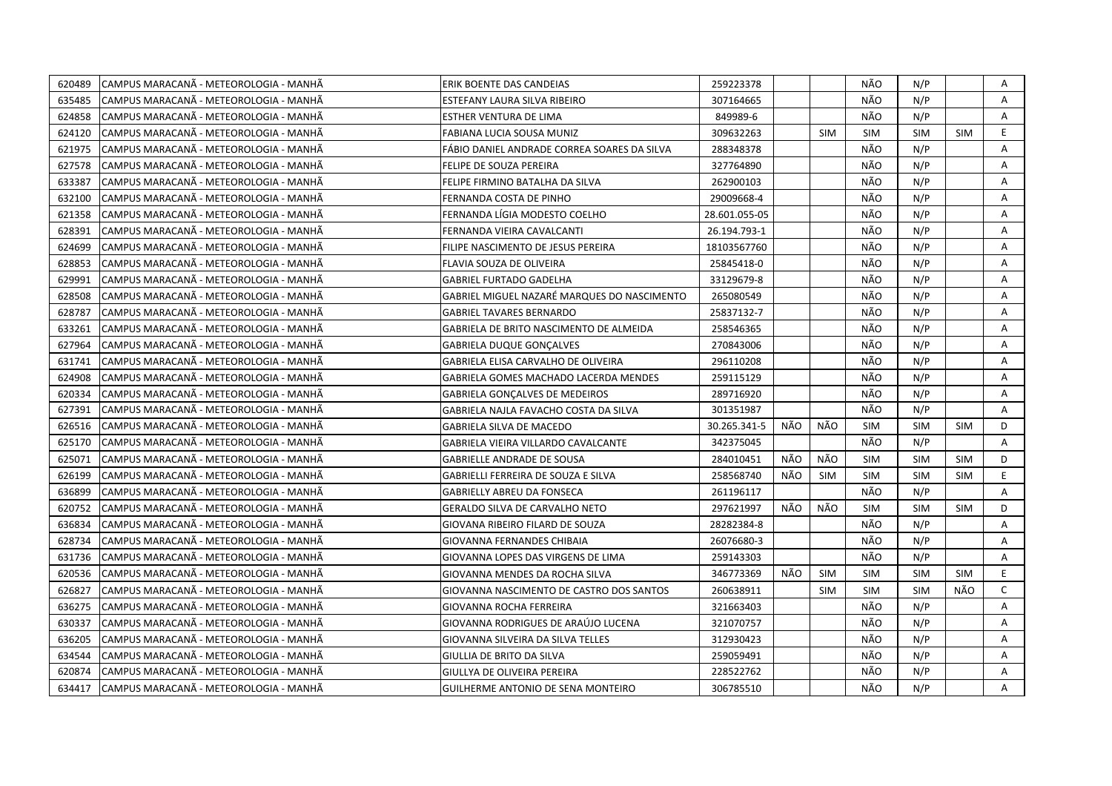| 620489 | CAMPUS MARACANÃ - METEOROLOGIA - MANHÃ | ERIK BOENTE DAS CANDEIAS                    | 259223378     |     |            | NÃO        | N/P        |            | A            |
|--------|----------------------------------------|---------------------------------------------|---------------|-----|------------|------------|------------|------------|--------------|
| 635485 | CAMPUS MARACANÃ - METEOROLOGIA - MANHÃ | ESTEFANY LAURA SILVA RIBEIRO                | 307164665     |     |            | NÃO        | N/P        |            | A            |
| 624858 | CAMPUS MARACANÃ - METEOROLOGIA - MANHÃ | ESTHER VENTURA DE LIMA                      | 849989-6      |     |            | NÃO        | N/P        |            | A            |
| 624120 | CAMPUS MARACANÃ - METEOROLOGIA - MANHÃ | FABIANA LUCIA SOUSA MUNIZ                   | 309632263     |     | <b>SIM</b> | <b>SIM</b> | <b>SIM</b> | <b>SIM</b> | E.           |
| 621975 | CAMPUS MARACANÃ - METEOROLOGIA - MANHÃ | FÁBIO DANIEL ANDRADE CORREA SOARES DA SILVA | 288348378     |     |            | NÃO        | N/P        |            | A            |
| 627578 | CAMPUS MARACANA - METEOROLOGIA - MANHA | FELIPE DE SOUZA PEREIRA                     | 327764890     |     |            | NÃO        | N/P        |            | A            |
| 633387 | CAMPUS MARACANÃ - METEOROLOGIA - MANHÃ | FELIPE FIRMINO BATALHA DA SILVA             | 262900103     |     |            | NÃO        | N/P        |            | Α            |
| 632100 | CAMPUS MARACANÃ - METEOROLOGIA - MANHÃ | FERNANDA COSTA DE PINHO                     | 29009668-4    |     |            | NÃO        | N/P        |            | Α            |
| 621358 | CAMPUS MARACANÃ - METEOROLOGIA - MANHÃ | FERNANDA LÍGIA MODESTO COELHO               | 28.601.055-05 |     |            | NÃO        | N/P        |            | A            |
| 628391 | CAMPUS MARACANÃ - METEOROLOGIA - MANHÃ | FERNANDA VIEIRA CAVALCANTI                  | 26.194.793-1  |     |            | NÃO        | N/P        |            | Α            |
| 624699 | CAMPUS MARACANA - METEOROLOGIA - MANHA | FILIPE NASCIMENTO DE JESUS PEREIRA          | 18103567760   |     |            | NÃO        | N/P        |            | A            |
| 628853 | CAMPUS MARACANÃ - METEOROLOGIA - MANHÃ | FLAVIA SOUZA DE OLIVEIRA                    | 25845418-0    |     |            | NÃO        | N/P        |            | A            |
| 629991 | CAMPUS MARACANA - METEOROLOGIA - MANHA | <b>GABRIEL FURTADO GADELHA</b>              | 33129679-8    |     |            | NÃO        | N/P        |            | A            |
| 628508 | CAMPUS MARACANA - METEOROLOGIA - MANHA | GABRIEL MIGUEL NAZARÉ MARQUES DO NASCIMENTO | 265080549     |     |            | NÃO        | N/P        |            | Α            |
| 628787 | CAMPUS MARACANA - METEOROLOGIA - MANHA | <b>GABRIEL TAVARES BERNARDO</b>             | 25837132-7    |     |            | NÃO        | N/P        |            | A            |
| 633261 | CAMPUS MARACANÃ - METEOROLOGIA - MANHÃ | GABRIELA DE BRITO NASCIMENTO DE ALMEIDA     | 258546365     |     |            | NÃO        | N/P        |            | A            |
| 627964 | CAMPUS MARACANÃ - METEOROLOGIA - MANHÃ | <b>GABRIELA DUQUE GONÇALVES</b>             | 270843006     |     |            | NÃO        | N/P        |            | A            |
| 631741 | CAMPUS MARACANÃ - METEOROLOGIA - MANHÃ | GABRIELA ELISA CARVALHO DE OLIVEIRA         | 296110208     |     |            | NÃO        | N/P        |            | A            |
| 624908 | CAMPUS MARACANÃ - METEOROLOGIA - MANHÃ | GABRIELA GOMES MACHADO LACERDA MENDES       | 259115129     |     |            | NÃO        | N/P        |            | A            |
| 620334 | CAMPUS MARACANÃ - METEOROLOGIA - MANHÃ | <b>GABRIELA GONCALVES DE MEDEIROS</b>       | 289716920     |     |            | NÃO        | N/P        |            | Α            |
| 627391 | CAMPUS MARACANA - METEOROLOGIA - MANHA | GABRIELA NAJLA FAVACHO COSTA DA SILVA       | 301351987     |     |            | NÃO        | N/P        |            | Α            |
| 626516 | CAMPUS MARACANÃ - METEOROLOGIA - MANHÃ | <b>GABRIELA SILVA DE MACEDO</b>             | 30.265.341-5  | NÃO | NÃO        | <b>SIM</b> | <b>SIM</b> | <b>SIM</b> | D            |
| 625170 | CAMPUS MARACANÃ - METEOROLOGIA - MANHÃ | GABRIELA VIEIRA VILLARDO CAVALCANTE         | 342375045     |     |            | NÃO        | N/P        |            | Α            |
| 625071 | CAMPUS MARACANA - METEOROLOGIA - MANHA | GABRIELLE ANDRADE DE SOUSA                  | 284010451     | NÃO | NÃO        | <b>SIM</b> | <b>SIM</b> | <b>SIM</b> | D            |
| 626199 | CAMPUS MARACANA - METEOROLOGIA - MANHA | GABRIELLI FERREIRA DE SOUZA E SILVA         | 258568740     | NÃO | <b>SIM</b> | <b>SIM</b> | <b>SIM</b> | <b>SIM</b> | E.           |
| 636899 | CAMPUS MARACANA - METEOROLOGIA - MANHA | GABRIELLY ABREU DA FONSECA                  | 261196117     |     |            | NÃO        | N/P        |            | A            |
| 620752 | CAMPUS MARACANA - METEOROLOGIA - MANHA | <b>GERALDO SILVA DE CARVALHO NETO</b>       | 297621997     | NÃO | NÃO        | <b>SIM</b> | <b>SIM</b> | <b>SIM</b> | D            |
| 636834 | CAMPUS MARACANA - METEOROLOGIA - MANHA | GIOVANA RIBEIRO FILARD DE SOUZA             | 28282384-8    |     |            | NÃO        | N/P        |            | Α            |
| 628734 | CAMPUS MARACANÃ - METEOROLOGIA - MANHÃ | GIOVANNA FERNANDES CHIBAIA                  | 26076680-3    |     |            | NÃO        | N/P        |            | A            |
| 631736 | CAMPUS MARACANÃ - METEOROLOGIA - MANHÃ | GIOVANNA LOPES DAS VIRGENS DE LIMA          | 259143303     |     |            | NÃO        | N/P        |            | Α            |
| 620536 | CAMPUS MARACANÃ - METEOROLOGIA - MANHÃ | <b>GIOVANNA MENDES DA ROCHA SILVA</b>       | 346773369     | NÃO | <b>SIM</b> | <b>SIM</b> | <b>SIM</b> | <b>SIM</b> | E            |
| 626827 | CAMPUS MARACANÃ - METEOROLOGIA - MANHÃ | GIOVANNA NASCIMENTO DE CASTRO DOS SANTOS    | 260638911     |     | <b>SIM</b> | <b>SIM</b> | <b>SIM</b> | NÃO        | $\mathsf{C}$ |
| 636275 | CAMPUS MARACANA - METEOROLOGIA - MANHA | GIOVANNA ROCHA FERREIRA                     | 321663403     |     |            | NÃO        | N/P        |            | A            |
| 630337 | CAMPUS MARACANA - METEOROLOGIA - MANHA | GIOVANNA RODRIGUES DE ARAÚJO LUCENA         | 321070757     |     |            | NÃO        | N/P        |            | Α            |
| 636205 | CAMPUS MARACANA - METEOROLOGIA - MANHA | GIOVANNA SILVEIRA DA SILVA TELLES           | 312930423     |     |            | NÃO        | N/P        |            | A            |
| 634544 | CAMPUS MARACANÃ - METEOROLOGIA - MANHÃ | GIULLIA DE BRITO DA SILVA                   | 259059491     |     |            | NÃO        | N/P        |            | Α            |
| 620874 | CAMPUS MARACANA - METEOROLOGIA - MANHA | GIULLYA DE OLIVEIRA PEREIRA                 | 228522762     |     |            | NÃO        | N/P        |            | Α            |
| 634417 | CAMPUS MARACANÃ - METEOROLOGIA - MANHÃ | GUILHERME ANTONIO DE SENA MONTEIRO          | 306785510     |     |            | NÃO        | N/P        |            | A            |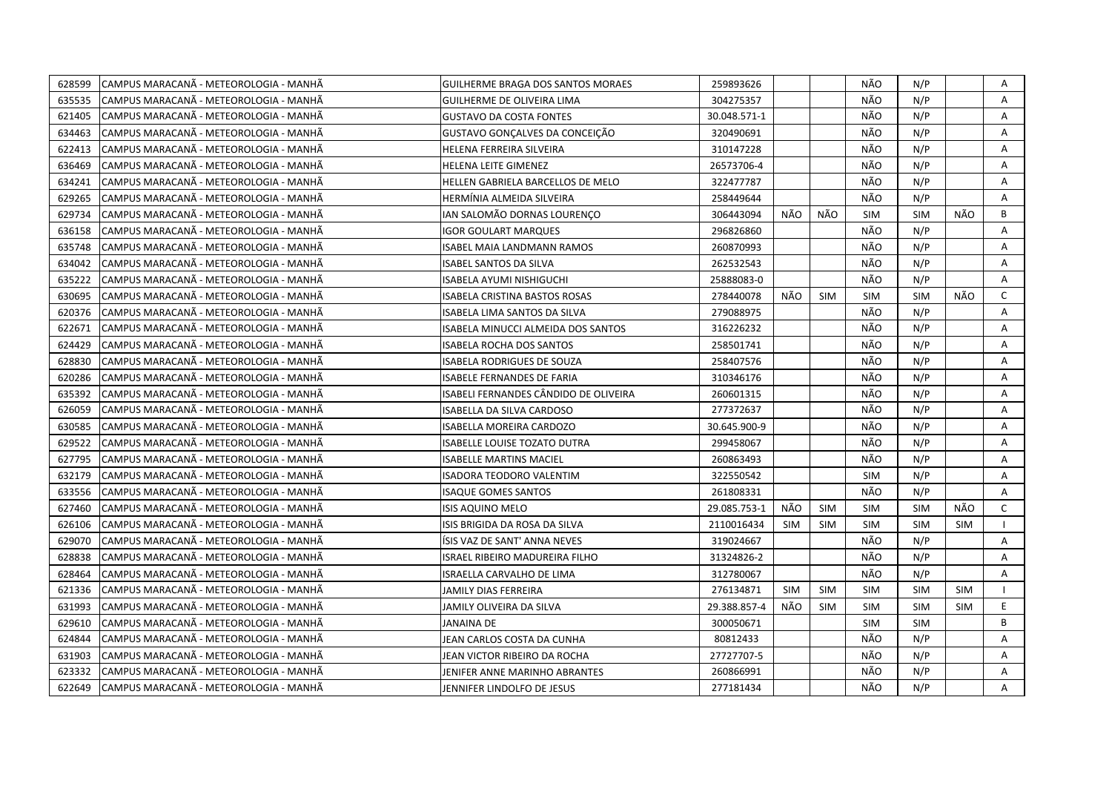| CAMPUS MARACANÃ - METEOROLOGIA - MANHÃ<br>628599  | <b>GUILHERME BRAGA DOS SANTOS MORAES</b>  | 259893626    |            |            | NÃO        | N/P        |            | Α            |
|---------------------------------------------------|-------------------------------------------|--------------|------------|------------|------------|------------|------------|--------------|
| 635535<br>ICAMPUS MARACANÃ - METEOROLOGIA - MANHÃ | GUILHERME DE OLIVEIRA LIMA                | 304275357    |            |            | NÃO        | N/P        |            | A            |
| 621405<br>CAMPUS MARACANÃ - METEOROLOGIA - MANHÃ  | <b>GUSTAVO DA COSTA FONTES</b>            | 30.048.571-1 |            |            | NÃO        | N/P        |            | A            |
| 634463<br>CAMPUS MARACANÃ - METEOROLOGIA - MANHÃ  | GUSTAVO GONÇALVES DA CONCEIÇÃO            | 320490691    |            |            | NÃO        | N/P        |            | A            |
| 622413<br>CAMPUS MARACANÃ - METEOROLOGIA - MANHÃ  | HELENA FERREIRA SILVEIRA                  | 310147228    |            |            | NÃO        | N/P        |            | A            |
| 636469<br>CAMPUS MARACANA - METEOROLOGIA - MANHA  | HELENA LEITE GIMENEZ                      | 26573706-4   |            |            | NÃO        | N/P        |            | Α            |
| 634241<br>CAMPUS MARACANA - METEOROLOGIA - MANHA  | HELLEN GABRIELA BARCELLOS DE MELO         | 322477787    |            |            | NÃO        | N/P        |            | A            |
| 629265<br>CAMPUS MARACANÃ - METEOROLOGIA - MANHÃ  | HERMÍNIA ALMEIDA SILVEIRA                 | 258449644    |            |            | NÃO        | N/P        |            | A            |
| 629734<br>CAMPUS MARACANA - METEOROLOGIA - MANHA  | IAN SALOMÃO DORNAS LOURENÇO               | 306443094    | NÃO        | NÃO        | <b>SIM</b> | <b>SIM</b> | NÃO        | B            |
| 636158<br>CAMPUS MARACANÃ - METEOROLOGIA - MANHÃ  | <b>IGOR GOULART MARQUES</b>               | 296826860    |            |            | NÃO        | N/P        |            | A            |
| 635748<br>CAMPUS MARACANA - METEOROLOGIA - MANHA  | ISABEL MAIA LANDMANN RAMOS                | 260870993    |            |            | NÃO        | N/P        |            | A            |
| CAMPUS MARACANÃ - METEOROLOGIA - MANHÃ<br>634042  | <b>ISABEL SANTOS DA SILVA</b>             | 262532543    |            |            | NÃO        | N/P        |            | A            |
| 635222<br>CAMPUS MARACANA - METEOROLOGIA - MANHA  | ISABELA AYUMI NISHIGUCHI                  | 25888083-0   |            |            | NÃO        | N/P        |            | Α            |
| CAMPUS MARACANA - METEOROLOGIA - MANHA<br>630695  | ISABELA CRISTINA BASTOS ROSAS             | 278440078    | NÃO        | <b>SIM</b> | <b>SIM</b> | <b>SIM</b> | NÃO        | $\mathsf{C}$ |
| CAMPUS MARACANÃ - METEOROLOGIA - MANHÃ<br>620376  | ISABELA LIMA SANTOS DA SILVA              | 279088975    |            |            | NÃO        | N/P        |            | A            |
| CAMPUS MARACANÃ - METEOROLOGIA - MANHÃ<br>622671  | <b>ISABELA MINUCCI ALMEIDA DOS SANTOS</b> | 316226232    |            |            | NÃO        | N/P        |            | A            |
| CAMPUS MARACANÃ - METEOROLOGIA - MANHÃ<br>624429  | <b>ISABELA ROCHA DOS SANTOS</b>           | 258501741    |            |            | NÃO        | N/P        |            | A            |
| 628830<br>CAMPUS MARACANÃ - METEOROLOGIA - MANHÃ  | <b>ISABELA RODRIGUES DE SOUZA</b>         | 258407576    |            |            | NÃO        | N/P        |            | A            |
| 620286<br>CAMPUS MARACANÃ - METEOROLOGIA - MANHÃ  | <b>ISABELE FERNANDES DE FARIA</b>         | 310346176    |            |            | NÃO        | N/P        |            | Α            |
| CAMPUS MARACANÃ - METEOROLOGIA - MANHÃ<br>635392  | ISABELI FERNANDES CÂNDIDO DE OLIVEIRA     | 260601315    |            |            | NÃO        | N/P        |            | Α            |
| 626059<br>CAMPUS MARACANÃ - METEOROLOGIA - MANHÃ  | ISABELLA DA SILVA CARDOSO                 | 277372637    |            |            | NÃO        | N/P        |            | A            |
| 630585<br>CAMPUS MARACANÃ - METEOROLOGIA - MANHÃ  | ISABELLA MOREIRA CARDOZO                  | 30.645.900-9 |            |            | NÃO        | N/P        |            | Α            |
| 629522<br>ICAMPUS MARACANA - METEOROLOGIA - MANHA | ISABELLE LOUISE TOZATO DUTRA              | 299458067    |            |            | NÃO        | N/P        |            | A            |
| 627795<br>CAMPUS MARACANÃ - METEOROLOGIA - MANHÃ  | <b>ISABELLE MARTINS MACIEL</b>            | 260863493    |            |            | NÃO        | N/P        |            | A            |
| 632179<br>CAMPUS MARACANA - METEOROLOGIA - MANHA  | <b>ISADORA TEODORO VALENTIM</b>           | 322550542    |            |            | <b>SIM</b> | N/P        |            | Α            |
| 633556<br>CAMPUS MARACANA - METEOROLOGIA - MANHA  | <b>ISAQUE GOMES SANTOS</b>                | 261808331    |            |            | NÃO        | N/P        |            | A            |
| 627460<br>CAMPUS MARACANA - METEOROLOGIA - MANHA  | ISIS AQUINO MELO                          | 29.085.753-1 | NÃO        | <b>SIM</b> | <b>SIM</b> | <b>SIM</b> | NÃO        | C            |
| 626106<br>CAMPUS MARACANÃ - METEOROLOGIA - MANHÃ  | ISIS BRIGIDA DA ROSA DA SILVA             | 2110016434   | <b>SIM</b> | <b>SIM</b> | <b>SIM</b> | <b>SIM</b> | <b>SIM</b> |              |
| 629070<br>CAMPUS MARACANÃ - METEOROLOGIA - MANHÃ  | ISIS VAZ DE SANT' ANNA NEVES              | 319024667    |            |            | NÃO        | N/P        |            | Α            |
| 628838<br>CAMPUS MARACANÃ - METEOROLOGIA - MANHÃ  | <b>ISRAEL RIBEIRO MADUREIRA FILHO</b>     | 31324826-2   |            |            | NÃO        | N/P        |            | A            |
| 628464<br>CAMPUS MARACANÃ - METEOROLOGIA - MANHÃ  | ISRAELLA CARVALHO DE LIMA                 | 312780067    |            |            | NÃO        | N/P        |            | A            |
| 621336<br>CAMPUS MARACANA - METEOROLOGIA - MANHA  | JAMILY DIAS FERREIRA                      | 276134871    | SIM        | <b>SIM</b> | <b>SIM</b> | <b>SIM</b> | <b>SIM</b> |              |
| 631993<br>CAMPUS MARACANA - METEOROLOGIA - MANHA  | JAMILY OLIVEIRA DA SILVA                  | 29.388.857-4 | NÃO        | <b>SIM</b> | <b>SIM</b> | <b>SIM</b> | <b>SIM</b> | E.           |
| 629610<br>CAMPUS MARACANÃ - METEOROLOGIA - MANHÃ  | JANAINA DE                                | 300050671    |            |            | <b>SIM</b> | <b>SIM</b> |            | B            |
| 624844<br>CAMPUS MARACANÃ - METEOROLOGIA - MANHÃ  | JEAN CARLOS COSTA DA CUNHA                | 80812433     |            |            | NÃO        | N/P        |            | A            |
| 631903<br>CAMPUS MARACANÃ - METEOROLOGIA - MANHÃ  | JEAN VICTOR RIBEIRO DA ROCHA              | 27727707-5   |            |            | NÃO        | N/P        |            | Α            |
| 623332<br>CAMPUS MARACANÃ - METEOROLOGIA - MANHÃ  | JENIFER ANNE MARINHO ABRANTES             | 260866991    |            |            | NÃO        | N/P        |            | A            |
| 622649<br>CAMPUS MARACANÃ - METEOROLOGIA - MANHÃ  | JENNIFER LINDOLFO DE JESUS                | 277181434    |            |            | NÃO        | N/P        |            | A            |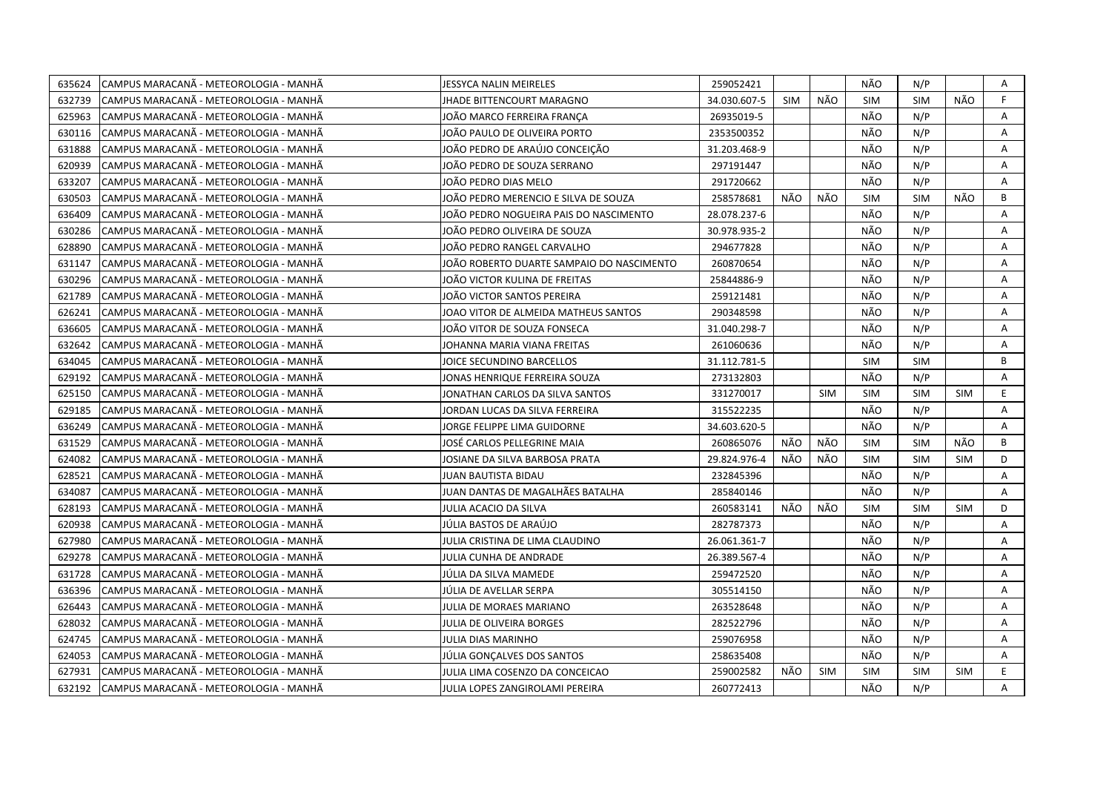| 635624 | CAMPUS MARACANÃ - METEOROLOGIA - MANHÃ | <b>JESSYCA NALIN MEIRELES</b>             | 259052421    |            |            | NÃO        | N/P        |            | A  |
|--------|----------------------------------------|-------------------------------------------|--------------|------------|------------|------------|------------|------------|----|
| 632739 | CAMPUS MARACANÃ - METEOROLOGIA - MANHÃ | JHADE BITTENCOURT MARAGNO                 | 34.030.607-5 | <b>SIM</b> | NÃO        | <b>SIM</b> | <b>SIM</b> | NÃO.       | F. |
| 625963 | CAMPUS MARACANÃ - METEOROLOGIA - MANHÃ | JOÃO MARCO FERREIRA FRANCA                | 26935019-5   |            |            | NÃO        | N/P        |            | A  |
| 630116 | CAMPUS MARACANÃ - METEOROLOGIA - MANHÃ | JOÃO PAULO DE OLIVEIRA PORTO              | 2353500352   |            |            | NÃO        | N/P        |            | Α  |
| 631888 | CAMPUS MARACANÃ - METEOROLOGIA - MANHÃ | JOÃO PEDRO DE ARAÚJO CONCEIÇÃO            | 31.203.468-9 |            |            | NÃO        | N/P        |            | Α  |
| 620939 | CAMPUS MARACANÃ - METEOROLOGIA - MANHÃ | JOÃO PEDRO DE SOUZA SERRANO               | 297191447    |            |            | NÃO        | N/P        |            | Α  |
| 633207 | CAMPUS MARACANÃ - METEOROLOGIA - MANHÃ | JOÃO PEDRO DIAS MELO                      | 291720662    |            |            | NÃO        | N/P        |            | A  |
| 630503 | CAMPUS MARACANÃ - METEOROLOGIA - MANHÃ | JOÃO PEDRO MERENCIO E SILVA DE SOUZA      | 258578681    | NÃO        | NÃO        | <b>SIM</b> | <b>SIM</b> | NÃO        | B  |
| 636409 | CAMPUS MARACANÃ - METEOROLOGIA - MANHÃ | JOÃO PEDRO NOGUEIRA PAIS DO NASCIMENTO    | 28.078.237-6 |            |            | NÃO        | N/P        |            | A  |
| 630286 | CAMPUS MARACANÃ - METEOROLOGIA - MANHÃ | JOÃO PEDRO OLIVEIRA DE SOUZA              | 30.978.935-2 |            |            | NÃO        | N/P        |            | A  |
| 628890 | CAMPUS MARACANA - METEOROLOGIA - MANHA | JOÃO PEDRO RANGEL CARVALHO                | 294677828    |            |            | NÃO        | N/P        |            | Α  |
| 631147 | CAMPUS MARACANA - METEOROLOGIA - MANHA | JOÃO ROBERTO DUARTE SAMPAIO DO NASCIMENTO | 260870654    |            |            | NÃO        | N/P        |            | A  |
| 630296 | CAMPUS MARACANÃ - METEOROLOGIA - MANHÃ | JOÃO VICTOR KULINA DE FREITAS             | 25844886-9   |            |            | NÃO        | N/P        |            | A  |
| 621789 | CAMPUS MARACANÃ - METEOROLOGIA - MANHÃ | JOÃO VICTOR SANTOS PEREIRA                | 259121481    |            |            | NÃO        | N/P        |            | Α  |
| 626241 | CAMPUS MARACANÃ - METEOROLOGIA - MANHÃ | JOAO VITOR DE ALMEIDA MATHEUS SANTOS      | 290348598    |            |            | NÃO        | N/P        |            | A  |
| 636605 | CAMPUS MARACANÃ - METEOROLOGIA - MANHÃ | JOÃO VITOR DE SOUZA FONSECA               | 31.040.298-7 |            |            | NÃO        | N/P        |            | Α  |
| 632642 | CAMPUS MARACANA - METEOROLOGIA - MANHA | JOHANNA MARIA VIANA FREITAS               | 261060636    |            |            | NÃO        | N/P        |            | A  |
| 634045 | CAMPUS MARACANÃ - METEOROLOGIA - MANHÃ | JOICE SECUNDINO BARCELLOS                 | 31.112.781-5 |            |            | <b>SIM</b> | <b>SIM</b> |            | B  |
| 629192 | CAMPUS MARACANÃ - METEOROLOGIA - MANHÃ | JONAS HENRIQUE FERREIRA SOUZA             | 273132803    |            |            | NÃO        | N/P        |            | A  |
| 625150 | CAMPUS MARACANÃ - METEOROLOGIA - MANHÃ | JONATHAN CARLOS DA SILVA SANTOS           | 331270017    |            | <b>SIM</b> | <b>SIM</b> | <b>SIM</b> | <b>SIM</b> | E. |
| 629185 | CAMPUS MARACANÃ - METEOROLOGIA - MANHÃ | JORDAN LUCAS DA SILVA FERREIRA            | 315522235    |            |            | NÃO        | N/P        |            | A  |
| 636249 | CAMPUS MARACANA - METEOROLOGIA - MANHA | JORGE FELIPPE LIMA GUIDORNE               | 34.603.620-5 |            |            | NÃO        | N/P        |            | A  |
| 631529 | CAMPUS MARACANÃ - METEOROLOGIA - MANHÃ | JOSÉ CARLOS PELLEGRINE MAIA               | 260865076    | NÃO        | NÃO        | <b>SIM</b> | <b>SIM</b> | NÃO        | B  |
| 624082 | CAMPUS MARACANA - METEOROLOGIA - MANHA | JOSIANE DA SILVA BARBOSA PRATA            | 29.824.976-4 | NÃO        | NÃO        | <b>SIM</b> | <b>SIM</b> | <b>SIM</b> | D  |
| 628521 | CAMPUS MARACANÃ - METEOROLOGIA - MANHÃ | JUAN BAUTISTA BIDAU                       | 232845396    |            |            | NÃO        | N/P        |            | A  |
| 634087 | CAMPUS MARACANÃ - METEOROLOGIA - MANHÃ | JUAN DANTAS DE MAGALHÃES BATALHA          | 285840146    |            |            | NÃO        | N/P        |            | Α  |
| 628193 | CAMPUS MARACANA - METEOROLOGIA - MANHA | JULIA ACACIO DA SILVA                     | 260583141    | NÃO        | NÃO        | <b>SIM</b> | <b>SIM</b> | <b>SIM</b> | D  |
| 620938 | CAMPUS MARACANÃ - METEOROLOGIA - MANHÃ | JÚLIA BASTOS DE ARAÚJO                    | 282787373    |            |            | NÃO        | N/P        |            | A  |
| 627980 | CAMPUS MARACANA - METEOROLOGIA - MANHA | JULIA CRISTINA DE LIMA CLAUDINO           | 26.061.361-7 |            |            | NÃO        | N/P        |            | A  |
| 629278 | CAMPUS MARACANÃ - METEOROLOGIA - MANHÃ | JULIA CUNHA DE ANDRADE                    | 26.389.567-4 |            |            | NÃO        | N/P        |            | Α  |
| 631728 | CAMPUS MARACANÃ - METEOROLOGIA - MANHÃ | JÚLIA DA SILVA MAMEDE                     | 259472520    |            |            | NÃO        | N/P        |            | Α  |
| 636396 | CAMPUS MARACANÃ - METEOROLOGIA - MANHÃ | JÚLIA DE AVELLAR SERPA                    | 305514150    |            |            | NÃO        | N/P        |            | A  |
| 626443 | CAMPUS MARACANÃ - METEOROLOGIA - MANHÃ | JULIA DE MORAES MARIANO                   | 263528648    |            |            | NÃO        | N/P        |            | A  |
| 628032 | CAMPUS MARACANA - METEOROLOGIA - MANHA | <b>JULIA DE OLIVEIRA BORGES</b>           | 282522796    |            |            | NÃO        | N/P        |            | A  |
| 624745 | CAMPUS MARACANÃ - METEOROLOGIA - MANHÃ | JULIA DIAS MARINHO                        | 259076958    |            |            | NÃO        | N/P        |            | A  |
| 624053 | CAMPUS MARACANA - METEOROLOGIA - MANHA | JÚLIA GONÇALVES DOS SANTOS                | 258635408    |            |            | NÃO        | N/P        |            | Α  |
| 627931 | CAMPUS MARACANÃ - METEOROLOGIA - MANHÃ | JULIA LIMA COSENZO DA CONCEICAO           | 259002582    | NÃO        | <b>SIM</b> | <b>SIM</b> | <b>SIM</b> | <b>SIM</b> | E. |
| 632192 | CAMPUS MARACANÃ - METEOROLOGIA - MANHÃ | JULIA LOPES ZANGIROLAMI PEREIRA           | 260772413    |            |            | NÃO        | N/P        |            | A  |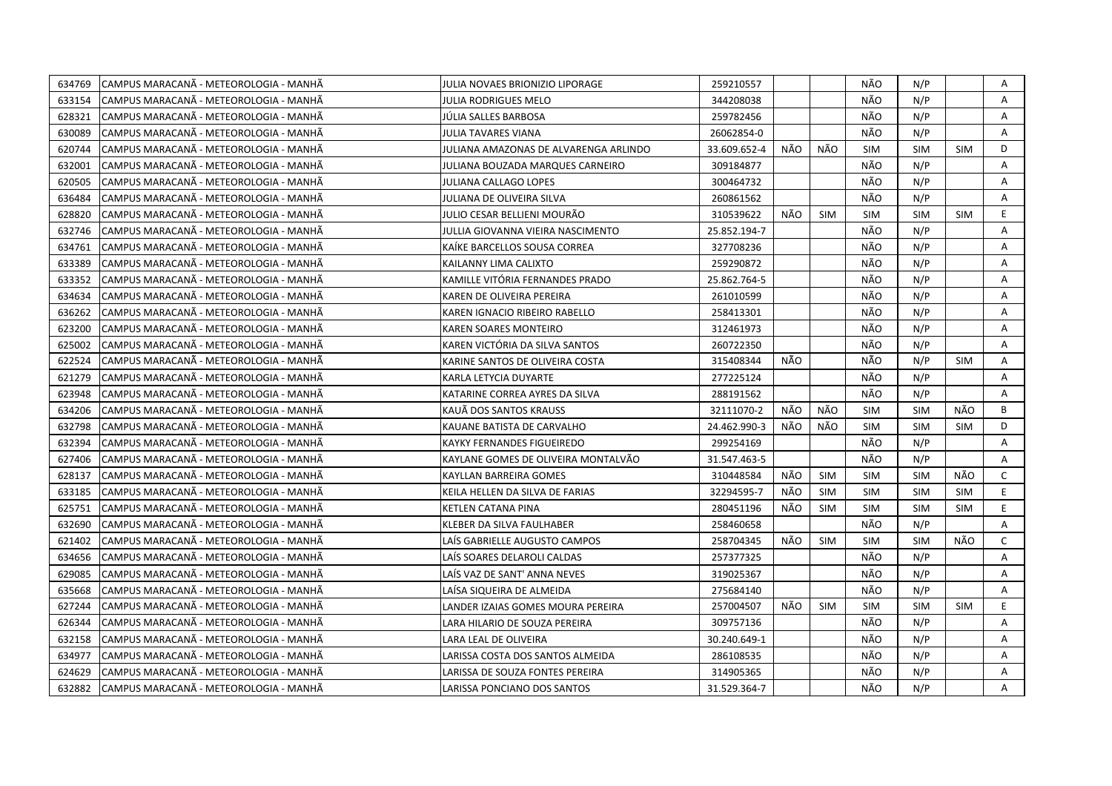| 634769 | CAMPUS MARACANÃ - METEOROLOGIA - MANHÃ | JULIA NOVAES BRIONIZIO LIPORAGE       | 259210557    |     |            | NÃO        | N/P        |            | A            |
|--------|----------------------------------------|---------------------------------------|--------------|-----|------------|------------|------------|------------|--------------|
| 633154 | CAMPUS MARACANÃ - METEOROLOGIA - MANHÃ | JULIA RODRIGUES MELO                  | 344208038    |     |            | NÃO        | N/P        |            | A            |
| 628321 | CAMPUS MARACANÃ - METEOROLOGIA - MANHÃ | JÚLIA SALLES BARBOSA                  | 259782456    |     |            | NÃO        | N/P        |            | A            |
| 630089 | CAMPUS MARACANÃ - METEOROLOGIA - MANHÃ | JULIA TAVARES VIANA                   | 26062854-0   |     |            | NÃO        | N/P        |            | A            |
| 620744 | CAMPUS MARACANA - METEOROLOGIA - MANHA | JULIANA AMAZONAS DE ALVARENGA ARLINDO | 33.609.652-4 | NÃO | NÃO        | <b>SIM</b> | <b>SIM</b> | <b>SIM</b> | D            |
| 632001 | CAMPUS MARACANÃ - METEOROLOGIA - MANHÃ | JULIANA BOUZADA MARQUES CARNEIRO      | 309184877    |     |            | NÃO        | N/P        |            | Α            |
| 620505 | CAMPUS MARACANÃ - METEOROLOGIA - MANHÃ | <b>JULIANA CALLAGO LOPES</b>          | 300464732    |     |            | NÃO        | N/P        |            | Α            |
| 636484 | CAMPUS MARACANÃ - METEOROLOGIA - MANHÃ | JULIANA DE OLIVEIRA SILVA             | 260861562    |     |            | NÃO        | N/P        |            | A            |
| 628820 | CAMPUS MARACANÃ - METEOROLOGIA - MANHÃ | JULIO CESAR BELLIENI MOURÃO           | 310539622    | NÃO | <b>SIM</b> | <b>SIM</b> | <b>SIM</b> | <b>SIM</b> | E            |
| 632746 | CAMPUS MARACANA - METEOROLOGIA - MANHA | JULLIA GIOVANNA VIEIRA NASCIMENTO     | 25.852.194-7 |     |            | NÃO        | N/P        |            | A            |
| 634761 | CAMPUS MARACANÃ - METEOROLOGIA - MANHÃ | KAIKE BARCELLOS SOUSA CORREA          | 327708236    |     |            | NÃO        | N/P        |            | A            |
| 633389 | CAMPUS MARACANA - METEOROLOGIA - MANHA | KAILANNY LIMA CALIXTO                 | 259290872    |     |            | NÃO        | N/P        |            | Α            |
| 633352 | CAMPUS MARACANA - METEOROLOGIA - MANHA | KAMILLE VITÓRIA FERNANDES PRADO       | 25.862.764-5 |     |            | NÃO        | N/P        |            | A            |
| 634634 | CAMPUS MARACANÃ - METEOROLOGIA - MANHÃ | KAREN DE OLIVEIRA PEREIRA             | 261010599    |     |            | NÃO        | N/P        |            | Α            |
| 636262 | CAMPUS MARACANÃ - METEOROLOGIA - MANHÃ | KAREN IGNACIO RIBEIRO RABELLO         | 258413301    |     |            | NÃO        | N/P        |            | A            |
| 623200 | CAMPUS MARACANÃ - METEOROLOGIA - MANHÃ | <b>KAREN SOARES MONTEIRO</b>          | 312461973    |     |            | NÃO        | N/P        |            | A            |
| 625002 | CAMPUS MARACANÃ - METEOROLOGIA - MANHÃ | KAREN VICTÓRIA DA SILVA SANTOS        | 260722350    |     |            | NÃO        | N/P        |            | A            |
| 622524 | CAMPUS MARACANA - METEOROLOGIA - MANHA | KARINE SANTOS DE OLIVEIRA COSTA       | 315408344    | NÃO |            | NÃO        | N/P        | <b>SIM</b> | A            |
| 621279 | CAMPUS MARACANÃ - METEOROLOGIA - MANHÃ | KARLA LETYCIA DUYARTE                 | 277225124    |     |            | NÃO        | N/P        |            | A            |
| 623948 | CAMPUS MARACANÃ - METEOROLOGIA - MANHÃ | KATARINE CORREA AYRES DA SILVA        | 288191562    |     |            | NÃO        | N/P        |            | Α            |
| 634206 | CAMPUS MARACANA - METEOROLOGIA - MANHA | KAUÄ DOS SANTOS KRAUSS                | 32111070-2   | NÃO | NÃO        | <b>SIM</b> | <b>SIM</b> | NÃO        | B            |
| 632798 | CAMPUS MARACANÃ - METEOROLOGIA - MANHÃ | KAUANE BATISTA DE CARVALHO            | 24.462.990-3 | NÃO | NÃO        | <b>SIM</b> | <b>SIM</b> | <b>SIM</b> | D            |
| 632394 | CAMPUS MARACANA - METEOROLOGIA - MANHA | KAYKY FERNANDES FIGUEIREDO            | 299254169    |     |            | NÃO        | N/P        |            | A            |
| 627406 | CAMPUS MARACANA - METEOROLOGIA - MANHA | KAYLANE GOMES DE OLIVEIRA MONTALVÃO   | 31.547.463-5 |     |            | NÃO        | N/P        |            | A            |
| 628137 | CAMPUS MARACANÃ - METEOROLOGIA - MANHÃ | KAYLLAN BARREIRA GOMES                | 310448584    | NÃO | SIM        | <b>SIM</b> | <b>SIM</b> | NÃO        | $\mathsf{C}$ |
| 633185 | CAMPUS MARACANA - METEOROLOGIA - MANHA | KEILA HELLEN DA SILVA DE FARIAS       | 32294595-7   | NÃO | <b>SIM</b> | <b>SIM</b> | <b>SIM</b> | <b>SIM</b> | E.           |
| 625751 | CAMPUS MARACANÃ - METEOROLOGIA - MANHÃ | KETLEN CATANA PINA                    | 280451196    | NÃO | <b>SIM</b> | <b>SIM</b> | <b>SIM</b> | <b>SIM</b> | E            |
| 632690 | CAMPUS MARACANÃ - METEOROLOGIA - MANHÃ | KLEBER DA SILVA FAULHABER             | 258460658    |     |            | NÃO        | N/P        |            | A            |
| 621402 | CAMPUS MARACANÃ - METEOROLOGIA - MANHÃ | LAÍS GABRIELLE AUGUSTO CAMPOS         | 258704345    | NÃO | <b>SIM</b> | <b>SIM</b> | <b>SIM</b> | NÃO        | $\mathsf{C}$ |
| 634656 | CAMPUS MARACANÃ - METEOROLOGIA - MANHÃ | LAÍS SOARES DELAROLI CALDAS           | 257377325    |     |            | NÃO        | N/P        |            | Α            |
| 629085 | CAMPUS MARACANÃ - METEOROLOGIA - MANHÃ | LAÍS VAZ DE SANT' ANNA NEVES          | 319025367    |     |            | NÃO        | N/P        |            | A            |
| 635668 | CAMPUS MARACANÃ - METEOROLOGIA - MANHÃ | LAÍSA SIQUEIRA DE ALMEIDA             | 275684140    |     |            | NÃO        | N/P        |            | A            |
| 627244 | CAMPUS MARACANA - METEOROLOGIA - MANHA | LANDER IZAIAS GOMES MOURA PEREIRA     | 257004507    | NÃO | <b>SIM</b> | <b>SIM</b> | <b>SIM</b> | <b>SIM</b> | E.           |
| 626344 | CAMPUS MARACANA - METEOROLOGIA - MANHA | LARA HILARIO DE SOUZA PEREIRA         | 309757136    |     |            | NÃO        | N/P        |            | A            |
| 632158 | CAMPUS MARACANÃ - METEOROLOGIA - MANHÃ | LARA LEAL DE OLIVEIRA                 | 30.240.649-1 |     |            | NÃO        | N/P        |            | A            |
| 634977 | CAMPUS MARACANA - METEOROLOGIA - MANHA | LARISSA COSTA DOS SANTOS ALMEIDA      | 286108535    |     |            | NÃO        | N/P        |            | A            |
| 624629 | CAMPUS MARACANÃ - METEOROLOGIA - MANHÃ | LARISSA DE SOUZA FONTES PEREIRA       | 314905365    |     |            | NÃO        | N/P        |            | Α            |
| 632882 | CAMPUS MARACANA - METEOROLOGIA - MANHA | LARISSA PONCIANO DOS SANTOS           | 31.529.364-7 |     |            | NÃO        | N/P        |            | A            |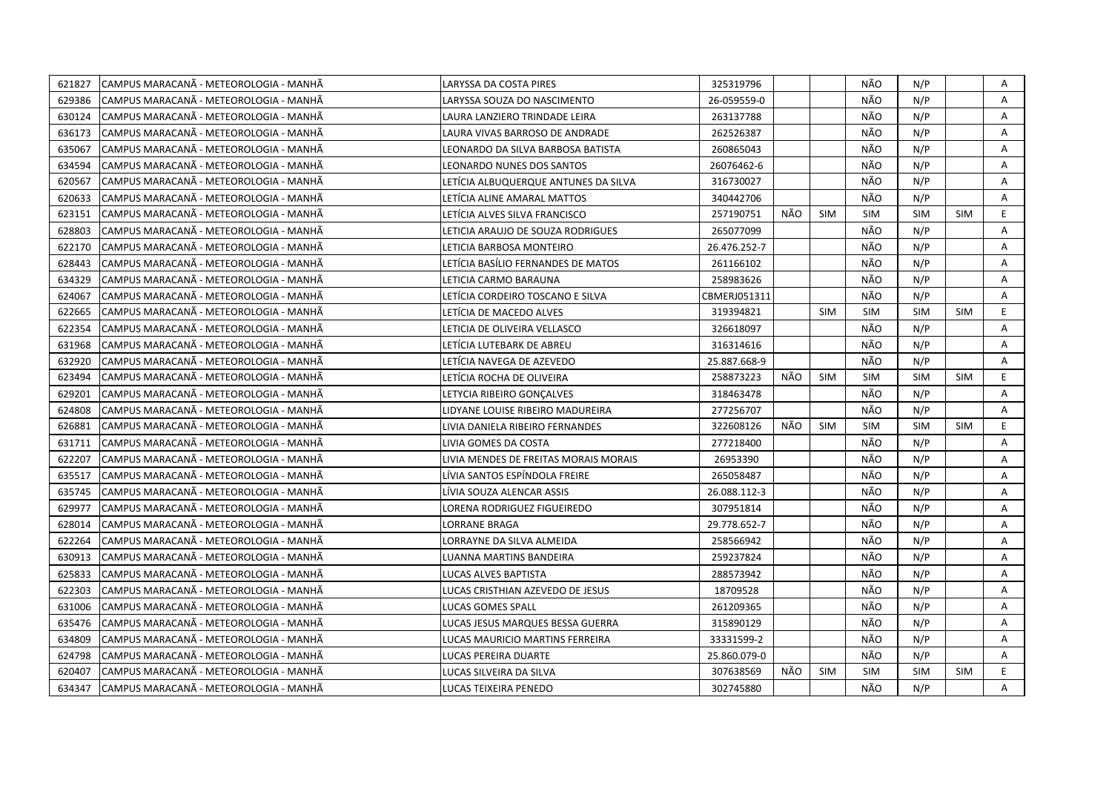| 621827 | CAMPUS MARACANÃ - METEOROLOGIA - MANHÃ | LARYSSA DA COSTA PIRES                | 325319796    |     |            | NÃO        | N/P        |            | Α  |
|--------|----------------------------------------|---------------------------------------|--------------|-----|------------|------------|------------|------------|----|
| 629386 | CAMPUS MARACANÃ - METEOROLOGIA - MANHÃ | LARYSSA SOUZA DO NASCIMENTO           | 26-059559-0  |     |            | NÃO        | N/P        |            | A  |
| 630124 | CAMPUS MARACANÃ - METEOROLOGIA - MANHÃ | LAURA LANZIERO TRINDADE LEIRA         | 263137788    |     |            | NÃO        | N/P        |            | A  |
| 636173 | CAMPUS MARACANÃ - METEOROLOGIA - MANHÃ | LAURA VIVAS BARROSO DE ANDRADE        | 262526387    |     |            | NÃO        | N/P        |            | Α  |
| 635067 | CAMPUS MARACANÃ - METEOROLOGIA - MANHÃ | LEONARDO DA SILVA BARBOSA BATISTA     | 260865043    |     |            | NÃO        | N/P        |            | Α  |
| 634594 | CAMPUS MARACANÃ - METEOROLOGIA - MANHÃ | <b>LEONARDO NUNES DOS SANTOS</b>      | 26076462-6   |     |            | NÃO        | N/P        |            | Α  |
| 620567 | CAMPUS MARACANA - METEOROLOGIA - MANHA | LETÍCIA ALBUQUERQUE ANTUNES DA SILVA  | 316730027    |     |            | NÃO        | N/P        |            | A  |
| 620633 | CAMPUS MARACANÃ - METEOROLOGIA - MANHÃ | LETICIA ALINE AMARAL MATTOS           | 340442706    |     |            | NÃO        | N/P        |            | A  |
| 623151 | CAMPUS MARACANA - METEOROLOGIA - MANHA | LETICIA ALVES SILVA FRANCISCO         | 257190751    | NÃO | <b>SIM</b> | <b>SIM</b> | <b>SIM</b> | <b>SIM</b> | E  |
| 628803 | CAMPUS MARACANÃ - METEOROLOGIA - MANHÃ | LETICIA ARAUJO DE SOUZA RODRIGUES     | 265077099    |     |            | NÃO        | N/P        |            | A  |
| 622170 | CAMPUS MARACANÃ - METEOROLOGIA - MANHÃ | LETICIA BARBOSA MONTEIRO              | 26.476.252-7 |     |            | NÃO        | N/P        |            | Α  |
| 628443 | CAMPUS MARACANA - METEOROLOGIA - MANHA | LETÍCIA BASÍLIO FERNANDES DE MATOS    | 261166102    |     |            | NÃO        | N/P        |            | A  |
| 634329 | CAMPUS MARACANÃ - METEOROLOGIA - MANHÃ | LETICIA CARMO BARAUNA                 | 258983626    |     |            | NÃO        | N/P        |            | A  |
| 624067 | CAMPUS MARACANÃ - METEOROLOGIA - MANHÃ | LETÍCIA CORDEIRO TOSCANO E SILVA      | CBMERJ051311 |     |            | NÃO        | N/P        |            | A  |
| 622665 | CAMPUS MARACANÃ - METEOROLOGIA - MANHÃ | LETÍCIA DE MACEDO ALVES               | 319394821    |     | <b>SIM</b> | <b>SIM</b> | <b>SIM</b> | <b>SIM</b> | E. |
| 622354 | CAMPUS MARACANÃ - METEOROLOGIA - MANHÃ | LETICIA DE OLIVEIRA VELLASCO          | 326618097    |     |            | NÃO        | N/P        |            | A  |
| 631968 | CAMPUS MARACANA - METEOROLOGIA - MANHA | LETICIA LUTEBARK DE ABREU             | 316314616    |     |            | NÃO        | N/P        |            | A  |
| 632920 | CAMPUS MARACANÃ - METEOROLOGIA - MANHÃ | LETÍCIA NAVEGA DE AZEVEDO             | 25.887.668-9 |     |            | NÃO        | N/P        |            | A  |
| 623494 | CAMPUS MARACANA - METEOROLOGIA - MANHA | LETÍCIA ROCHA DE OLIVEIRA             | 258873223    | NÃO | <b>SIM</b> | <b>SIM</b> | <b>SIM</b> | <b>SIM</b> | E. |
| 629201 | CAMPUS MARACANÃ - METEOROLOGIA - MANHÃ | LETYCIA RIBEIRO GONÇALVES             | 318463478    |     |            | NÃO        | N/P        |            | A  |
| 624808 | CAMPUS MARACANÃ - METEOROLOGIA - MANHÃ | LIDYANE LOUISE RIBEIRO MADUREIRA      | 277256707    |     |            | NÃO        | N/P        |            | A  |
| 626881 | CAMPUS MARACANA - METEOROLOGIA - MANHA | LIVIA DANIELA RIBEIRO FERNANDES       | 322608126    | NÃO | <b>SIM</b> | <b>SIM</b> | <b>SIM</b> | <b>SIM</b> | E. |
| 631711 | CAMPUS MARACANÃ - METEOROLOGIA - MANHÃ | LIVIA GOMES DA COSTA                  | 277218400    |     |            | NÃO        | N/P        |            | A  |
| 622207 | CAMPUS MARACANA - METEOROLOGIA - MANHA | LIVIA MENDES DE FREITAS MORAIS MORAIS | 26953390     |     |            | NÃO        | N/P        |            | A  |
| 635517 | CAMPUS MARACANÃ - METEOROLOGIA - MANHÃ | LÍVIA SANTOS ESPÍNDOLA FREIRE         | 265058487    |     |            | NÃO        | N/P        |            | A  |
| 635745 | CAMPUS MARACANÃ - METEOROLOGIA - MANHÃ | LÍVIA SOUZA ALENCAR ASSIS             | 26.088.112-3 |     |            | NÃO        | N/P        |            | Α  |
| 629977 | CAMPUS MARACANA - METEOROLOGIA - MANHA | LORENA RODRIGUEZ FIGUEIREDO           | 307951814    |     |            | NÃO        | N/P        |            | A  |
| 628014 | CAMPUS MARACANÃ - METEOROLOGIA - MANHÃ | LORRANE BRAGA                         | 29.778.652-7 |     |            | NÃO        | N/P        |            | Α  |
| 622264 | CAMPUS MARACANA - METEOROLOGIA - MANHA | LORRAYNE DA SILVA ALMEIDA             | 258566942    |     |            | NÃO        | N/P        |            | A  |
| 630913 | CAMPUS MARACANÃ - METEOROLOGIA - MANHÃ | LUANNA MARTINS BANDEIRA               | 259237824    |     |            | NÃO        | N/P        |            | Α  |
| 625833 | CAMPUS MARACANÃ - METEOROLOGIA - MANHÃ | LUCAS ALVES BAPTISTA                  | 288573942    |     |            | NÃO        | N/P        |            | Α  |
| 622303 | CAMPUS MARACANÃ - METEOROLOGIA - MANHÃ | LUCAS CRISTHIAN AZEVEDO DE JESUS      | 18709528     |     |            | NÃO        | N/P        |            | A  |
| 631006 | CAMPUS MARACANÃ - METEOROLOGIA - MANHÃ | <b>LUCAS GOMES SPALL</b>              | 261209365    |     |            | NÃO        | N/P        |            | A  |
| 635476 | CAMPUS MARACANA - METEOROLOGIA - MANHA | LUCAS JESUS MARQUES BESSA GUERRA      | 315890129    |     |            | NÃO        | N/P        |            | A  |
| 634809 | CAMPUS MARACANÃ - METEOROLOGIA - MANHÃ | LUCAS MAURICIO MARTINS FERREIRA       | 33331599-2   |     |            | NÃO        | N/P        |            | A  |
| 624798 | CAMPUS MARACANA - METEOROLOGIA - MANHA | LUCAS PEREIRA DUARTE                  | 25.860.079-0 |     |            | NÃO        | N/P        |            | Α  |
| 620407 | CAMPUS MARACANÃ - METEOROLOGIA - MANHÃ | LUCAS SILVEIRA DA SILVA               | 307638569    | NÃO | <b>SIM</b> | <b>SIM</b> | <b>SIM</b> | <b>SIM</b> | E. |
| 634347 | CAMPUS MARACANÃ - METEOROLOGIA - MANHÃ | LUCAS TEIXEIRA PENEDO                 | 302745880    |     |            | NÃO        | N/P        |            | A  |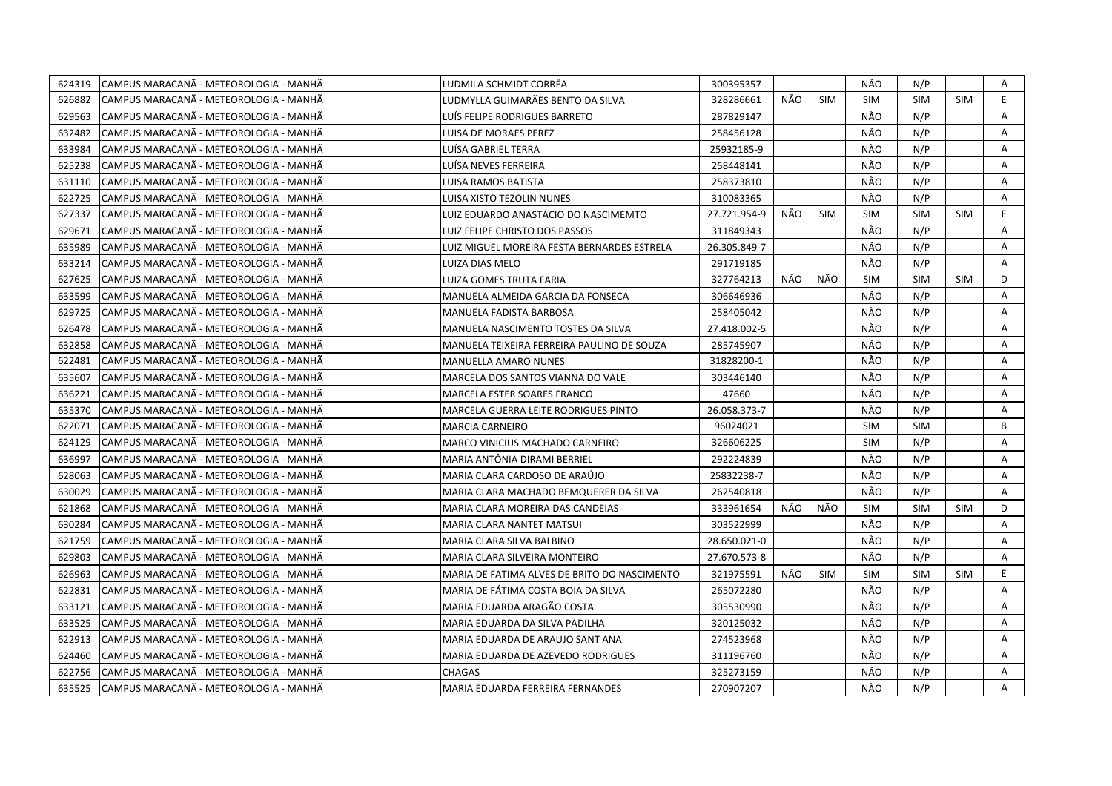| 624319 | CAMPUS MARACANÃ - METEOROLOGIA - MANHÃ  | LUDMILA SCHMIDT CORRËA                       | 300395357    |     |            | NÃO        | N/P        |            | A            |
|--------|-----------------------------------------|----------------------------------------------|--------------|-----|------------|------------|------------|------------|--------------|
| 626882 | CAMPUS MARACANA - METEOROLOGIA - MANHA  | LUDMYLLA GUIMARÃES BENTO DA SILVA            | 328286661    | NÃO | <b>SIM</b> | <b>SIM</b> | <b>SIM</b> | <b>SIM</b> | E            |
| 629563 | CAMPUS MARACANÃ - METEOROLOGIA - MANHÃ  | LUÍS FELIPE RODRIGUES BARRETO                | 287829147    |     |            | NÃO        | N/P        |            | A            |
| 632482 | CAMPUS MARACANA - METEOROLOGIA - MANHA  | <b>LUISA DE MORAES PEREZ</b>                 | 258456128    |     |            | NÃO        | N/P        |            | Α            |
| 633984 | CAMPUS MARACANÃ - METEOROLOGIA - MANHÃ  | LUÍSA GABRIEL TERRA                          | 25932185-9   |     |            | NÃO        | N/P        |            | Α            |
| 625238 | CAMPUS MARACANÃ - METEOROLOGIA - MANHÃ  | LUÍSA NEVES FERREIRA                         | 258448141    |     |            | NÃO        | N/P        |            | Α            |
| 631110 | CAMPUS MARACANÃ - METEOROLOGIA - MANHÃ  | <b>LUISA RAMOS BATISTA</b>                   | 258373810    |     |            | NÃO        | N/P        |            | A            |
| 622725 | ICAMPUS MARACANÃ - METEOROLOGIA - MANHÃ | LUISA XISTO TEZOLIN NUNES                    | 310083365    |     |            | NÃO        | N/P        |            | $\mathsf{A}$ |
| 627337 | CAMPUS MARACANÃ - METEOROLOGIA - MANHÃ  | LUIZ EDUARDO ANASTACIO DO NASCIMEMTO         | 27.721.954-9 | NÃO | <b>SIM</b> | <b>SIM</b> | <b>SIM</b> | <b>SIM</b> | E            |
| 629671 | ICAMPUS MARACANÃ - METEOROLOGIA - MANHÃ | LUIZ FELIPE CHRISTO DOS PASSOS               | 311849343    |     |            | NÃO        | N/P        |            | A            |
| 635989 | CAMPUS MARACANÃ - METEOROLOGIA - MANHÃ  | LUIZ MIGUEL MOREIRA FESTA BERNARDES ESTRELA  | 26.305.849-7 |     |            | NÃO        | N/P        |            | A            |
| 633214 | CAMPUS MARACANA - METEOROLOGIA - MANHA  | LUIZA DIAS MELO                              | 291719185    |     |            | NÃO        | N/P        |            | A            |
| 627625 | CAMPUS MARACANÃ - METEOROLOGIA - MANHÃ  | LUIZA GOMES TRUTA FARIA                      | 327764213    | NÃO | NÃO        | <b>SIM</b> | <b>SIM</b> | <b>SIM</b> | D            |
| 633599 | CAMPUS MARACANÃ - METEOROLOGIA - MANHÃ  | MANUELA ALMEIDA GARCIA DA FONSECA            | 306646936    |     |            | NÃO        | N/P        |            | Α            |
| 629725 | CAMPUS MARACANÃ - METEOROLOGIA - MANHÃ  | MANUELA FADISTA BARBOSA                      | 258405042    |     |            | NÃO        | N/P        |            | A            |
| 626478 | CAMPUS MARACANÃ - METEOROLOGIA - MANHÃ  | MANUELA NASCIMENTO TOSTES DA SILVA           | 27.418.002-5 |     |            | NÃO        | N/P        |            | A            |
| 632858 | CAMPUS MARACANÃ - METEOROLOGIA - MANHÃ  | MANUELA TEIXEIRA FERREIRA PAULINO DE SOUZA   | 285745907    |     |            | NÃO        | N/P        |            | A            |
| 622481 | CAMPUS MARACANA - METEOROLOGIA - MANHA  | <b>MANUELLA AMARO NUNES</b>                  | 31828200-1   |     |            | NÃO        | N/P        |            | A            |
| 635607 | CAMPUS MARACANÃ - METEOROLOGIA - MANHÃ  | MARCELA DOS SANTOS VIANNA DO VALE            | 303446140    |     |            | NÃO        | N/P        |            | Α            |
| 636221 | CAMPUS MARACANÃ - METEOROLOGIA - MANHÃ  | MARCELA ESTER SOARES FRANCO                  | 47660        |     |            | NÃO        | N/P        |            | A            |
| 635370 | CAMPUS MARACANÃ - METEOROLOGIA - MANHÃ  | MARCELA GUERRA LEITE RODRIGUES PINTO         | 26.058.373-7 |     |            | NÃO        | N/P        |            | A            |
| 622071 | CAMPUS MARACANA - METEOROLOGIA - MANHA  | <b>MARCIA CARNEIRO</b>                       | 96024021     |     |            | <b>SIM</b> | <b>SIM</b> |            | В            |
| 624129 | CAMPUS MARACANÃ - METEOROLOGIA - MANHÃ  | MARCO VINICIUS MACHADO CARNEIRO              | 326606225    |     |            | <b>SIM</b> | N/P        |            | A            |
| 636997 | CAMPUS MARACANÃ - METEOROLOGIA - MANHÃ  | MARIA ANTÔNIA DIRAMI BERRIEL                 | 292224839    |     |            | NÃO        | N/P        |            | Α            |
| 628063 | CAMPUS MARACANA - METEOROLOGIA - MANHA  | MARIA CLARA CARDOSO DE ARAÚJO                | 25832238-7   |     |            | NÃO        | N/P        |            | A            |
| 630029 | CAMPUS MARACANA - METEOROLOGIA - MANHA  | MARIA CLARA MACHADO BEMQUERER DA SILVA       | 262540818    |     |            | NÃO        | N/P        |            | A            |
| 621868 | CAMPUS MARACANA - METEOROLOGIA - MANHA  | MARIA CLARA MOREIRA DAS CANDEIAS             | 333961654    | NÃO | NÃO        | <b>SIM</b> | <b>SIM</b> | <b>SIM</b> | D            |
| 630284 | CAMPUS MARACANÃ - METEOROLOGIA - MANHÃ  | MARIA CLARA NANTET MATSUI                    | 303522999    |     |            | NÃO        | N/P        |            | Α            |
| 621759 | CAMPUS MARACANÃ - METEOROLOGIA - MANHÃ  | MARIA CLARA SILVA BALBINO                    | 28.650.021-0 |     |            | NÃO        | N/P        |            | A            |
| 629803 | CAMPUS MARACANÃ - METEOROLOGIA - MANHÃ  | MARIA CLARA SILVEIRA MONTEIRO                | 27.670.573-8 |     |            | NÃO        | N/P        |            | Α            |
| 626963 | CAMPUS MARACANÃ - METEOROLOGIA - MANHÃ  | MARIA DE FATIMA ALVES DE BRITO DO NASCIMENTO | 321975591    | NÃO | <b>SIM</b> | <b>SIM</b> | <b>SIM</b> | <b>SIM</b> | E            |
| 622831 |                                         |                                              |              |     |            | NÃO        | N/P        |            | A            |
|        | CAMPUS MARACANÃ - METEOROLOGIA - MANHÃ  | MARIA DE FÁTIMA COSTA BOIA DA SILVA          | 265072280    |     |            |            |            |            |              |
| 633121 | CAMPUS MARACANA - METEOROLOGIA - MANHA  | MARIA EDUARDA ARAGÃO COSTA                   | 305530990    |     |            | NÃO        | N/P        |            | A            |
| 633525 | CAMPUS MARACANÃ - METEOROLOGIA - MANHÃ  | MARIA EDUARDA DA SILVA PADILHA               | 320125032    |     |            | NÃO        | N/P        |            | Α            |
| 622913 | CAMPUS MARACANÃ - METEOROLOGIA - MANHÃ  | MARIA EDUARDA DE ARAUJO SANT ANA             | 274523968    |     |            | NÃO        | N/P        |            | Α            |
| 624460 | CAMPUS MARACANÃ - METEOROLOGIA - MANHÃ  | MARIA EDUARDA DE AZEVEDO RODRIGUES           | 311196760    |     |            | NÃO        | N/P        |            | A            |
| 622756 | CAMPUS MARACANA - METEOROLOGIA - MANHA  | <b>CHAGAS</b>                                | 325273159    |     |            | NÃO        | N/P        |            | A            |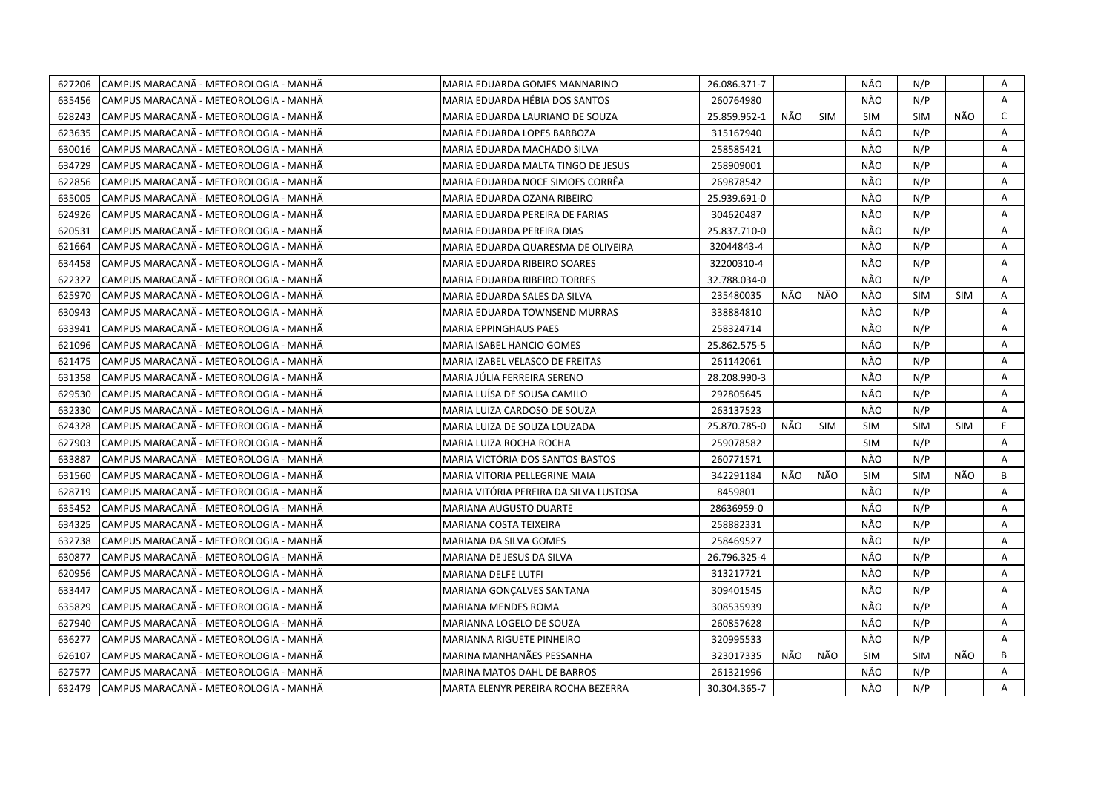| 627206 | CAMPUS MARACANÃ - METEOROLOGIA - MANHÃ | MARIA EDUARDA GOMES MANNARINO          | 26.086.371-7 |     |            | NÃO        | N/P        |            | Α            |
|--------|----------------------------------------|----------------------------------------|--------------|-----|------------|------------|------------|------------|--------------|
| 635456 | CAMPUS MARACANÃ - METEOROLOGIA - MANHÃ | MARIA EDUARDA HÉBIA DOS SANTOS         | 260764980    |     |            | NÃO        | N/P        |            | $\mathsf{A}$ |
| 628243 | CAMPUS MARACANÃ - METEOROLOGIA - MANHÃ | MARIA EDUARDA LAURIANO DE SOUZA        | 25.859.952-1 | NÃO | <b>SIM</b> | <b>SIM</b> | <b>SIM</b> | NÃO        | $\mathsf{C}$ |
| 623635 | CAMPUS MARACANÃ - METEOROLOGIA - MANHÃ | MARIA EDUARDA LOPES BARBOZA            | 315167940    |     |            | NÃO        | N/P        |            | A            |
| 630016 | CAMPUS MARACANÃ - METEOROLOGIA - MANHÃ | MARIA EDUARDA MACHADO SILVA            | 258585421    |     |            | NÃO        | N/P        |            | A            |
| 634729 | CAMPUS MARACANA - METEOROLOGIA - MANHA | MARIA EDUARDA MALTA TINGO DE JESUS     | 258909001    |     |            | NÃO        | N/P        |            | A            |
| 622856 | CAMPUS MARACANÃ - METEOROLOGIA - MANHÃ | MARIA EDUARDA NOCE SIMOES CORRÊA       | 269878542    |     |            | NÃO        | N/P        |            | Α            |
| 635005 | CAMPUS MARACANÃ - METEOROLOGIA - MANHÃ | MARIA EDUARDA OZANA RIBEIRO            | 25.939.691-0 |     |            | NÃO        | N/P        |            | Α            |
| 624926 | CAMPUS MARACANÃ - METEOROLOGIA - MANHÃ | MARIA EDUARDA PEREIRA DE FARIAS        | 304620487    |     |            | NÃO        | N/P        |            | A            |
| 620531 | CAMPUS MARACANÃ - METEOROLOGIA - MANHÃ | MARIA EDUARDA PEREIRA DIAS             | 25.837.710-0 |     |            | NÃO        | N/P        |            | Α            |
| 621664 | CAMPUS MARACANA - METEOROLOGIA - MANHA | MARIA EDUARDA QUARESMA DE OLIVEIRA     | 32044843-4   |     |            | NÃO        | N/P        |            | A            |
| 634458 | CAMPUS MARACANÃ - METEOROLOGIA - MANHÃ | MARIA EDUARDA RIBEIRO SOARES           | 32200310-4   |     |            | NÃO        | N/P        |            | A            |
| 622327 | CAMPUS MARACANA - METEOROLOGIA - MANHA | MARIA EDUARDA RIBEIRO TORRES           | 32.788.034-0 |     |            | NÃO        | N/P        |            | A            |
| 625970 | CAMPUS MARACANA - METEOROLOGIA - MANHÃ | MARIA EDUARDA SALES DA SILVA           | 235480035    | NÃO | NÃO        | NÃO        | <b>SIM</b> | <b>SIM</b> | Α            |
| 630943 | CAMPUS MARACANÃ - METEOROLOGIA - MANHÃ | MARIA EDUARDA TOWNSEND MURRAS          | 338884810    |     |            | NÃO        | N/P        |            | A            |
| 633941 | CAMPUS MARACANÃ - METEOROLOGIA - MANHÃ | MARIA EPPINGHAUS PAES                  | 258324714    |     |            | NÃO        | N/P        |            | A            |
| 621096 | CAMPUS MARACANÃ - METEOROLOGIA - MANHÃ | MARIA ISABEL HANCIO GOMES              | 25.862.575-5 |     |            | NÃO        | N/P        |            | A            |
| 621475 | CAMPUS MARACANÃ - METEOROLOGIA - MANHÃ | MARIA IZABEL VELASCO DE FREITAS        | 261142061    |     |            | NÃO        | N/P        |            | A            |
| 631358 | CAMPUS MARACANÃ - METEOROLOGIA - MANHÃ | MARIA JÚLIA FERREIRA SERENO            | 28.208.990-3 |     |            | NÃO        | N/P        |            | A            |
| 629530 | CAMPUS MARACANÃ - METEOROLOGIA - MANHÃ | MARIA LUÍSA DE SOUSA CAMILO            | 292805645    |     |            | NÃO        | N/P        |            | Α            |
| 632330 | CAMPUS MARACANÃ - METEOROLOGIA - MANHÃ | MARIA LUIZA CARDOSO DE SOUZA           | 263137523    |     |            | NÃO        | N/P        |            | Α            |
| 624328 | CAMPUS MARACANÃ - METEOROLOGIA - MANHÃ | MARIA LUIZA DE SOUZA LOUZADA           | 25.870.785-0 | NÃO | <b>SIM</b> | <b>SIM</b> | <b>SIM</b> | <b>SIM</b> | E            |
| 627903 | CAMPUS MARACANÃ - METEOROLOGIA - MANHÃ | MARIA LUIZA ROCHA ROCHA                | 259078582    |     |            | <b>SIM</b> | N/P        |            | A            |
| 633887 | CAMPUS MARACANA - METEOROLOGIA - MANHA | MARIA VICTÓRIA DOS SANTOS BASTOS       | 260771571    |     |            | NÃO        | N/P        |            | A            |
| 631560 | CAMPUS MARACANÃ - METEOROLOGIA - MANHÃ | MARIA VITORIA PELLEGRINE MAIA          | 342291184    | NÃO | NÃO        | <b>SIM</b> | <b>SIM</b> | NÃO        | B            |
| 628719 | CAMPUS MARACANA - METEOROLOGIA - MANHA | MARIA VITÓRIA PEREIRA DA SILVA LUSTOSA | 8459801      |     |            | NÃO        | N/P        |            | A            |
| 635452 | CAMPUS MARACANA - METEOROLOGIA - MANHA | MARIANA AUGUSTO DUARTE                 | 28636959-0   |     |            | NÃO        | N/P        |            | A            |
| 634325 | CAMPUS MARACANA - METEOROLOGIA - MANHA | MARIANA COSTA TEIXEIRA                 | 258882331    |     |            | NÃO        | N/P        |            | Α            |
| 632738 | CAMPUS MARACANÃ - METEOROLOGIA - MANHÃ | MARIANA DA SILVA GOMES                 | 258469527    |     |            | NÃO        | N/P        |            | A            |
| 630877 | CAMPUS MARACANÃ - METEOROLOGIA - MANHÃ | MARIANA DE JESUS DA SILVA              | 26.796.325-4 |     |            | NÃO        | N/P        |            | Α            |
| 620956 | CAMPUS MARACANÃ - METEOROLOGIA - MANHÃ | MARIANA DELFE LUTFI                    | 313217721    |     |            | NÃO        | N/P        |            | A            |
| 633447 | CAMPUS MARACANÃ - METEOROLOGIA - MANHÃ | MARIANA GONÇALVES SANTANA              | 309401545    |     |            | NÃO        | N/P        |            | A            |
| 635829 | CAMPUS MARACANA - METEOROLOGIA - MANHA | MARIANA MENDES ROMA                    | 308535939    |     |            | NÃO        | N/P        |            | A            |
| 627940 | CAMPUS MARACANA - METEOROLOGIA - MANHA | MARIANNA LOGELO DE SOUZA               | 260857628    |     |            | NÃO        | N/P        |            | Α            |
| 636277 | CAMPUS MARACANA - METEOROLOGIA - MANHA | MARIANNA RIGUETE PINHEIRO              | 320995533    |     |            | NÃO        | N/P        |            | A            |
| 626107 | CAMPUS MARACANÃ - METEOROLOGIA - MANHÃ | MARINA MANHANÃES PESSANHA              | 323017335    | NÃO | NÃO        | <b>SIM</b> | <b>SIM</b> | NÃO        | B            |
| 627577 | CAMPUS MARACANA - METEOROLOGIA - MANHA | <b>MARINA MATOS DAHL DE BARROS</b>     | 261321996    |     |            | NÃO        | N/P        |            | A            |
| 632479 | CAMPUS MARACANÃ - METEOROLOGIA - MANHÃ | MARTA ELENYR PEREIRA ROCHA BEZERRA     | 30.304.365-7 |     |            | NÃO        | N/P        |            | A            |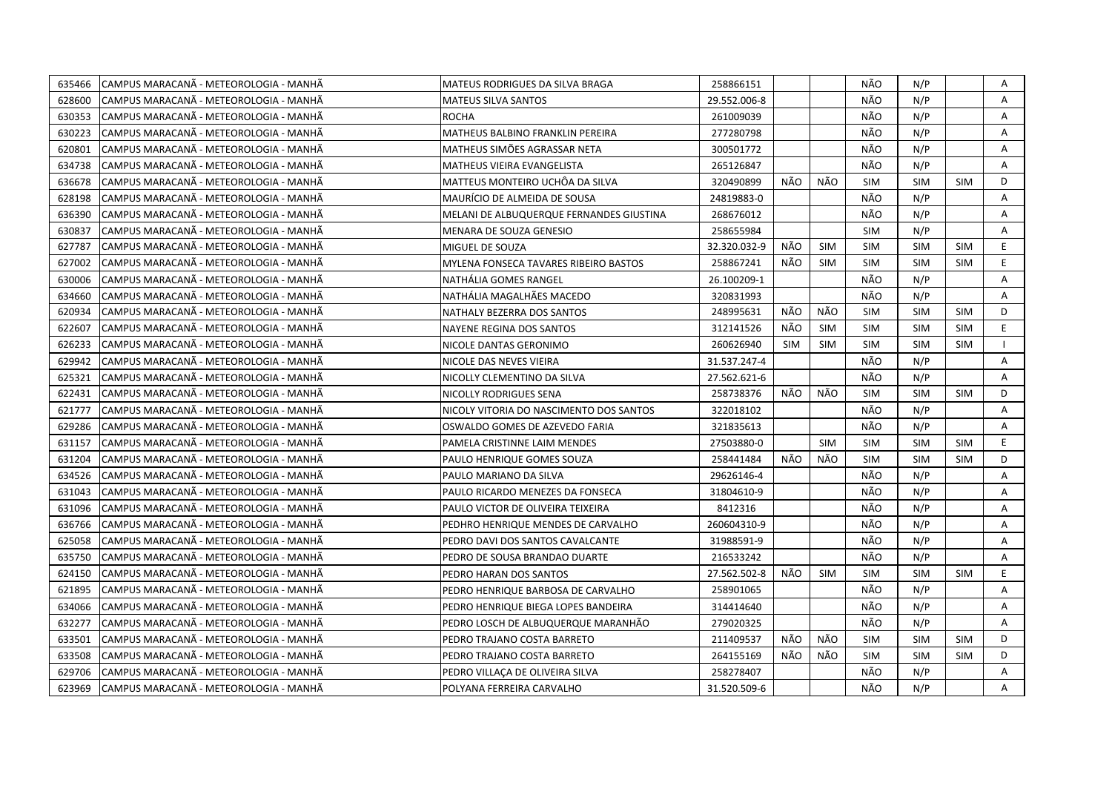| 635466 | CAMPUS MARACANÃ - METEOROLOGIA - MANHÃ | MATEUS RODRIGUES DA SILVA BRAGA          | 258866151    |     |            | NÃO        | N/P        |            | Α            |
|--------|----------------------------------------|------------------------------------------|--------------|-----|------------|------------|------------|------------|--------------|
| 628600 | CAMPUS MARACANÃ - METEOROLOGIA - MANHÃ | MATEUS SILVA SANTOS                      | 29.552.006-8 |     |            | NÃO        | N/P        |            | $\mathsf{A}$ |
| 630353 | CAMPUS MARACANÃ - METEOROLOGIA - MANHÃ | <b>ROCHA</b>                             | 261009039    |     |            | NÃO        | N/P        |            | $\mathsf{A}$ |
| 630223 | CAMPUS MARACANÃ - METEOROLOGIA - MANHÃ | MATHEUS BALBINO FRANKLIN PEREIRA         | 277280798    |     |            | NÃO        | N/P        |            | A            |
| 620801 | CAMPUS MARACANA - METEOROLOGIA - MANHA | MATHEUS SIMÕES AGRASSAR NETA             | 300501772    |     |            | NÃO        | N/P        |            | A            |
| 634738 | CAMPUS MARACANÃ - METEOROLOGIA - MANHÃ | MATHEUS VIEIRA EVANGELISTA               | 265126847    |     |            | NÃO        | N/P        |            | Α            |
| 636678 | CAMPUS MARACANÃ - METEOROLOGIA - MANHÃ | MATTEUS MONTEIRO UCHÔA DA SILVA          | 320490899    | NÃO | NÃO        | <b>SIM</b> | <b>SIM</b> | <b>SIM</b> | D            |
| 628198 | CAMPUS MARACANÃ - METEOROLOGIA - MANHÃ | MAURÍCIO DE ALMEIDA DE SOUSA             | 24819883-0   |     |            | NÃO        | N/P        |            | A            |
| 636390 | CAMPUS MARACANÃ - METEOROLOGIA - MANHÃ | MELANI DE ALBUQUERQUE FERNANDES GIUSTINA | 268676012    |     |            | NÃO        | N/P        |            | Α            |
| 630837 | CAMPUS MARACANÃ - METEOROLOGIA - MANHÃ | MENARA DE SOUZA GENESIO                  | 258655984    |     |            | <b>SIM</b> | N/P        |            | A            |
| 627787 | CAMPUS MARACANÃ - METEOROLOGIA - MANHÃ | MIGUEL DE SOUZA                          | 32.320.032-9 | NÃO | <b>SIM</b> | <b>SIM</b> | <b>SIM</b> | <b>SIM</b> | E.           |
| 627002 | CAMPUS MARACANÃ - METEOROLOGIA - MANHÃ | MYLENA FONSECA TAVARES RIBEIRO BASTOS    | 258867241    | NÃO | SIM        | <b>SIM</b> | <b>SIM</b> | <b>SIM</b> | E.           |
| 630006 | CAMPUS MARACANÃ - METEOROLOGIA - MANHÃ | NATHÁLIA GOMES RANGEL                    | 26.100209-1  |     |            | NÃO        | N/P        |            | Α            |
| 634660 | CAMPUS MARACANÃ - METEOROLOGIA - MANHÃ | NATHÁLIA MAGALHÃES MACEDO                | 320831993    |     |            | NÃO        | N/P        |            | A            |
| 620934 | CAMPUS MARACANÃ - METEOROLOGIA - MANHÃ | NATHALY BEZERRA DOS SANTOS               | 248995631    | NÃO | NÃO        | <b>SIM</b> | <b>SIM</b> | <b>SIM</b> | D            |
| 622607 | CAMPUS MARACANÃ - METEOROLOGIA - MANHÃ | NAYENE REGINA DOS SANTOS                 | 312141526    | NÃO | <b>SIM</b> | <b>SIM</b> | <b>SIM</b> | <b>SIM</b> | E            |
| 626233 | CAMPUS MARACANÃ - METEOROLOGIA - MANHÃ | NICOLE DANTAS GERONIMO                   | 260626940    | SIM | SIM        | <b>SIM</b> | <b>SIM</b> | <b>SIM</b> | $\mathbf{I}$ |
| 629942 | CAMPUS MARACANÃ - METEOROLOGIA - MANHÃ | NICOLE DAS NEVES VIEIRA                  | 31.537.247-4 |     |            | NÃO        | N/P        |            | Α            |
| 625321 | CAMPUS MARACANÃ - METEOROLOGIA - MANHÃ | NICOLLY CLEMENTINO DA SILVA              | 27.562.621-6 |     |            | NÃO        | N/P        |            | A            |
| 622431 | CAMPUS MARACANA - METEOROLOGIA - MANHA | NICOLLY RODRIGUES SENA                   | 258738376    | NÃO | NÃO        | <b>SIM</b> | <b>SIM</b> | <b>SIM</b> | D            |
| 621777 | CAMPUS MARACANA - METEOROLOGIA - MANHA | NICOLY VITORIA DO NASCIMENTO DOS SANTOS  | 322018102    |     |            | NÃO        | N/P        |            | A            |
| 629286 | CAMPUS MARACANÃ - METEOROLOGIA - MANHÃ | OSWALDO GOMES DE AZEVEDO FARIA           | 321835613    |     |            | NÃO        | N/P        |            | A            |
| 631157 | CAMPUS MARACANA - METEOROLOGIA - MANHA | PAMELA CRISTINNE LAIM MENDES             | 27503880-0   |     | <b>SIM</b> | <b>SIM</b> | <b>SIM</b> | <b>SIM</b> | E.           |
| 631204 | CAMPUS MARACANÃ - METEOROLOGIA - MANHÃ | PAULO HENRIQUE GOMES SOUZA               | 258441484    | NÃO | NÃO        | <b>SIM</b> | <b>SIM</b> | <b>SIM</b> | D            |
| 634526 | CAMPUS MARACANA - METEOROLOGIA - MANHA | PAULO MARIANO DA SILVA                   | 29626146-4   |     |            | NÃO        | N/P        |            | A            |
| 631043 | CAMPUS MARACANA - METEOROLOGIA - MANHA | PAULO RICARDO MENEZES DA FONSECA         | 31804610-9   |     |            | NÃO        | N/P        |            | A            |
| 631096 | CAMPUS MARACANÃ - METEOROLOGIA - MANHÃ | PAULO VICTOR DE OLIVEIRA TEIXEIRA        | 8412316      |     |            | NÃO        | N/P        |            | Α            |
| 636766 | CAMPUS MARACANÃ - METEOROLOGIA - MANHÃ | PEDHRO HENRIQUE MENDES DE CARVALHO       | 260604310-9  |     |            | NÃO        | N/P        |            | A            |
| 625058 | CAMPUS MARACANÃ - METEOROLOGIA - MANHÃ | PEDRO DAVI DOS SANTOS CAVALCANTE         | 31988591-9   |     |            | NÃO        | N/P        |            | A            |
| 635750 | CAMPUS MARACANÃ - METEOROLOGIA - MANHÃ | PEDRO DE SOUSA BRANDAO DUARTE            | 216533242    |     |            | NÃO        | N/P        |            | Α            |
| 624150 | CAMPUS MARACANÃ - METEOROLOGIA - MANHÃ | PEDRO HARAN DOS SANTOS                   | 27.562.502-8 | NÃO | <b>SIM</b> | <b>SIM</b> | <b>SIM</b> | <b>SIM</b> | E            |
| 621895 | CAMPUS MARACANÃ - METEOROLOGIA - MANHÃ | PEDRO HENRIQUE BARBOSA DE CARVALHO       | 258901065    |     |            | NÃO        | N/P        |            | A            |
| 634066 | CAMPUS MARACANÃ - METEOROLOGIA - MANHÃ | PEDRO HENRIQUE BIEGA LOPES BANDEIRA      | 314414640    |     |            | NÃO        | N/P        |            | A            |
| 632277 | CAMPUS MARACANA - METEOROLOGIA - MANHA | PEDRO LOSCH DE ALBUQUERQUE MARANHÃO      | 279020325    |     |            | NÃO        | N/P        |            | A            |
| 633501 | CAMPUS MARACANÃ - METEOROLOGIA - MANHÃ | PEDRO TRAJANO COSTA BARRETO              | 211409537    | NÃO | NÃO        | <b>SIM</b> | <b>SIM</b> | <b>SIM</b> | D            |
| 633508 | CAMPUS MARACANA - METEOROLOGIA - MANHA | PEDRO TRAJANO COSTA BARRETO              | 264155169    | NÃO | NÃO        | <b>SIM</b> | <b>SIM</b> | <b>SIM</b> | D            |
| 629706 | CAMPUS MARACANÃ - METEOROLOGIA - MANHÃ | PEDRO VILLAÇA DE OLIVEIRA SILVA          | 258278407    |     |            | NÃO        | N/P        |            | Α            |
| 623969 | CAMPUS MARACANÃ - METEOROLOGIA - MANHÃ | POLYANA FERREIRA CARVALHO                | 31.520.509-6 |     |            | NÃO        | N/P        |            | A            |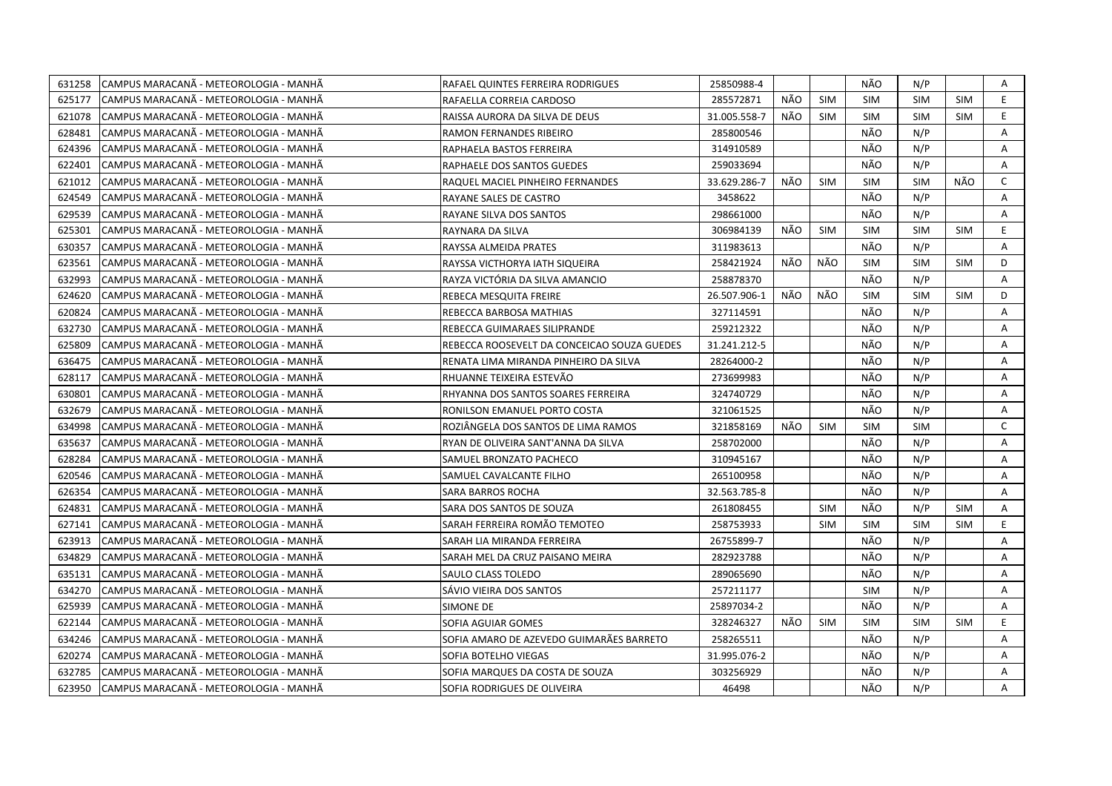| 631258 | CAMPUS MARACANÃ - METEOROLOGIA - MANHÃ | RAFAEL QUINTES FERREIRA RODRIGUES           | 25850988-4   |            |            | NÃO        | N/P        |            | A            |
|--------|----------------------------------------|---------------------------------------------|--------------|------------|------------|------------|------------|------------|--------------|
| 625177 | CAMPUS MARACANA - METEOROLOGIA - MANHA | RAFAELLA CORREIA CARDOSO                    | 285572871    | NÃO        | <b>SIM</b> | <b>SIM</b> | <b>SIM</b> | <b>SIM</b> | E            |
| 621078 | CAMPUS MARACANÃ - METEOROLOGIA - MANHÃ | RAISSA AURORA DA SILVA DE DEUS              | 31.005.558-7 | NÃO        | <b>SIM</b> | <b>SIM</b> | <b>SIM</b> | <b>SIM</b> | E.           |
| 628481 | CAMPUS MARACANÃ - METEOROLOGIA - MANHÃ | RAMON FERNANDES RIBEIRO                     | 285800546    |            |            | NÃO        | N/P        |            | A            |
| 624396 | CAMPUS MARACANA - METEOROLOGIA - MANHA | RAPHAELA BASTOS FERREIRA                    | 314910589    |            |            | NÃO        | N/P        |            | A            |
| 622401 | CAMPUS MARACANA - METEOROLOGIA - MANHA | RAPHAELE DOS SANTOS GUEDES                  | 259033694    |            |            | NÃO        | N/P        |            | Α            |
| 621012 | CAMPUS MARACANÃ - METEOROLOGIA - MANHÃ | RAQUEL MACIEL PINHEIRO FERNANDES            | 33.629.286-7 | NÃO        | <b>SIM</b> | <b>SIM</b> | <b>SIM</b> | NÃO        | C            |
| 624549 | CAMPUS MARACANÃ - METEOROLOGIA - MANHÃ | RAYANE SALES DE CASTRO                      | 3458622      |            |            | NÃO        | N/P        |            | A            |
| 629539 | CAMPUS MARACANÃ - METEOROLOGIA - MANHÃ | RAYANE SILVA DOS SANTOS                     | 298661000    |            |            | NÃO        | N/P        |            | A            |
| 625301 | CAMPUS MARACANA - METEOROLOGIA - MANHA | RAYNARA DA SILVA                            | 306984139    | <b>NÃO</b> | <b>SIM</b> | <b>SIM</b> | <b>SIM</b> | <b>SIM</b> | E.           |
| 630357 | CAMPUS MARACANÃ - METEOROLOGIA - MANHÃ | RAYSSA ALMEIDA PRATES                       | 311983613    |            |            | NÃO        | N/P        |            | A            |
| 623561 | CAMPUS MARACANA - METEOROLOGIA - MANHA | RAYSSA VICTHORYA IATH SIQUEIRA              | 258421924    | NÃO        | NÃO        | <b>SIM</b> | <b>SIM</b> | <b>SIM</b> | D            |
| 632993 | CAMPUS MARACANA - METEOROLOGIA - MANHA | RAYZA VICTÓRIA DA SILVA AMANCIO             | 258878370    |            |            | NÃO        | N/P        |            | A            |
| 624620 | CAMPUS MARACANÃ - METEOROLOGIA - MANHÃ | REBECA MESQUITA FREIRE                      | 26.507.906-1 | NÃO        | NÃO        | <b>SIM</b> | <b>SIM</b> | <b>SIM</b> | D            |
| 620824 | CAMPUS MARACANÃ - METEOROLOGIA - MANHÃ | REBECCA BARBOSA MATHIAS                     | 327114591    |            |            | NÃO        | N/P        |            | A            |
| 632730 | CAMPUS MARACANÃ - METEOROLOGIA - MANHÃ | REBECCA GUIMARAES SILIPRANDE                | 259212322    |            |            | NÃO        | N/P        |            | A            |
| 625809 | CAMPUS MARACANÃ - METEOROLOGIA - MANHÃ | REBECCA ROOSEVELT DA CONCEICAO SOUZA GUEDES | 31.241.212-5 |            |            | NÃO        | N/P        |            | A            |
| 636475 | CAMPUS MARACANA - METEOROLOGIA - MANHA | RENATA LIMA MIRANDA PINHEIRO DA SILVA       | 28264000-2   |            |            | NÃO        | N/P        |            | A            |
| 628117 | CAMPUS MARACANÃ - METEOROLOGIA - MANHÃ | RHUANNE TEIXEIRA ESTEVÃO                    | 273699983    |            |            | NÃO        | N/P        |            | A            |
| 630801 | CAMPUS MARACANÃ - METEOROLOGIA - MANHÃ | RHYANNA DOS SANTOS SOARES FERREIRA          | 324740729    |            |            | NÃO        | N/P        |            | A            |
| 632679 | CAMPUS MARACANA - METEOROLOGIA - MANHA | RONILSON EMANUEL PORTO COSTA                | 321061525    |            |            | NÃO        | N/P        |            | A            |
| 634998 | CAMPUS MARACANÃ - METEOROLOGIA - MANHÃ | ROZIÂNGELA DOS SANTOS DE LIMA RAMOS         | 321858169    | NÃO        | <b>SIM</b> | <b>SIM</b> | <b>SIM</b> |            | $\mathsf{C}$ |
| 635637 | CAMPUS MARACANA - METEOROLOGIA - MANHA | RYAN DE OLIVEIRA SANT'ANNA DA SILVA         | 258702000    |            |            | NÃO        | N/P        |            | A            |
| 628284 | CAMPUS MARACANÃ - METEOROLOGIA - MANHÃ | SAMUEL BRONZATO PACHECO                     | 310945167    |            |            | NÃO        | N/P        |            | A            |
| 620546 | CAMPUS MARACANA - METEOROLOGIA - MANHA | SAMUEL CAVALCANTE FILHO                     | 265100958    |            |            | NÃO        | N/P        |            | A            |
| 626354 | CAMPUS MARACANA - METEOROLOGIA - MANHA | SARA BARROS ROCHA                           | 32.563.785-8 |            |            | NÃO        | N/P        |            | A            |
| 624831 | CAMPUS MARACANÃ - METEOROLOGIA - MANHÃ | SARA DOS SANTOS DE SOUZA                    | 261808455    |            | <b>SIM</b> | NÃO        | N/P        | <b>SIM</b> | Α            |
| 627141 | CAMPUS MARACANA - METEOROLOGIA - MANHA | SARAH FERREIRA ROMÃO TEMOTEO                | 258753933    |            | <b>SIM</b> | <b>SIM</b> | <b>SIM</b> | <b>SIM</b> | E.           |
| 623913 | CAMPUS MARACANÃ - METEOROLOGIA - MANHÃ | SARAH LIA MIRANDA FERREIRA                  | 26755899-7   |            |            | NÃO        | N/P        |            | A            |
| 634829 | CAMPUS MARACANÃ - METEOROLOGIA - MANHÃ | SARAH MEL DA CRUZ PAISANO MEIRA             | 282923788    |            |            | NÃO        | N/P        |            | Α            |
| 635131 | CAMPUS MARACANÃ - METEOROLOGIA - MANHÃ | SAULO CLASS TOLEDO                          | 289065690    |            |            | NÃO        | N/P        |            | A            |
| 634270 | CAMPUS MARACANÃ - METEOROLOGIA - MANHÃ | SÁVIO VIEIRA DOS SANTOS                     | 257211177    |            |            | <b>SIM</b> | N/P        |            | A            |
| 625939 | CAMPUS MARACANA - METEOROLOGIA - MANHA | SIMONE DE                                   | 25897034-2   |            |            | NÃO        | N/P        |            | A            |
| 622144 | CAMPUS MARACANA - METEOROLOGIA - MANHA | SOFIA AGUIAR GOMES                          | 328246327    | NÃO        | <b>SIM</b> | <b>SIM</b> | <b>SIM</b> | <b>SIM</b> | E.           |
| 634246 | CAMPUS MARACANÃ - METEOROLOGIA - MANHÃ | SOFIA AMARO DE AZEVEDO GUIMARÃES BARRETO    | 258265511    |            |            | NÃO        | N/P        |            | A            |
| 620274 | CAMPUS MARACANA - METEOROLOGIA - MANHA | SOFIA BOTELHO VIEGAS                        | 31.995.076-2 |            |            | NÃO        | N/P        |            | A            |
| 632785 | CAMPUS MARACANÃ - METEOROLOGIA - MANHÃ | SOFIA MARQUES DA COSTA DE SOUZA             | 303256929    |            |            | NÃO        | N/P        |            | Α            |
| 623950 | CAMPUS MARACANA - METEOROLOGIA - MANHA | SOFIA RODRIGUES DE OLIVEIRA                 | 46498        |            |            | NÃO        | N/P        |            | A            |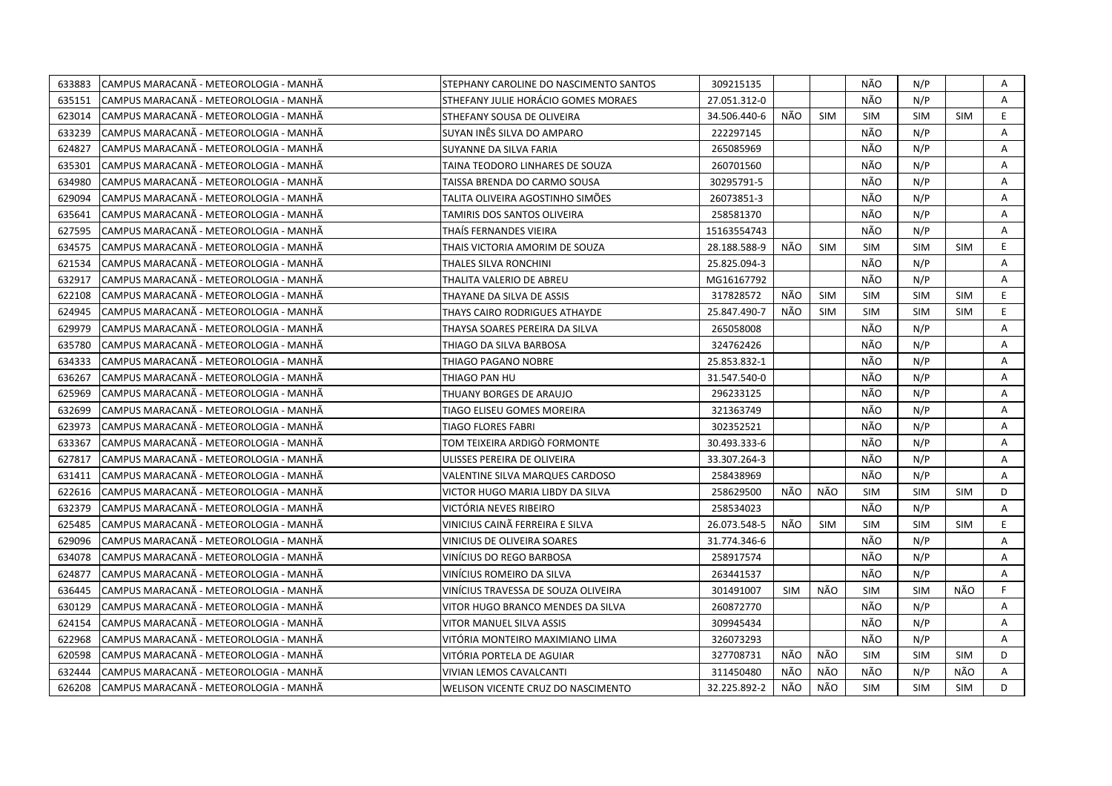| 633883 | CAMPUS MARACANÃ - METEOROLOGIA - MANHÃ | STEPHANY CAROLINE DO NASCIMENTO SANTOS | 309215135    |     |            | NÃO        | N/P        |            | Α            |
|--------|----------------------------------------|----------------------------------------|--------------|-----|------------|------------|------------|------------|--------------|
| 635151 | CAMPUS MARACANÃ - METEOROLOGIA - MANHÃ | STHEFANY JULIE HORÁCIO GOMES MORAES    | 27.051.312-0 |     |            | NÃO        | N/P        |            | A            |
| 623014 | CAMPUS MARACANÃ - METEOROLOGIA - MANHÃ | STHEFANY SOUSA DE OLIVEIRA             | 34.506.440-6 | NÃO | <b>SIM</b> | <b>SIM</b> | <b>SIM</b> | <b>SIM</b> | E            |
| 633239 | CAMPUS MARACANÃ - METEOROLOGIA - MANHÃ | SUYAN INÊS SILVA DO AMPARO             | 222297145    |     |            | NÃO        | N/P        |            | A            |
| 624827 | CAMPUS MARACANA - METEOROLOGIA - MANHA | SUYANNE DA SILVA FARIA                 | 265085969    |     |            | NÃO        | N/P        |            | Α            |
| 635301 | CAMPUS MARACANÃ - METEOROLOGIA - MANHÃ | TAINA TEODORO LINHARES DE SOUZA        | 260701560    |     |            | NÃO        | N/P        |            | Α            |
| 634980 | CAMPUS MARACANÃ - METEOROLOGIA - MANHÃ | TAISSA BRENDA DO CARMO SOUSA           | 30295791-5   |     |            | NÃO        | N/P        |            | A            |
| 629094 | CAMPUS MARACANA - METEOROLOGIA - MANHA | TALITA OLIVEIRA AGOSTINHO SIMÕES       | 26073851-3   |     |            | NÃO        | N/P        |            | Α            |
| 635641 | CAMPUS MARACANÃ - METEOROLOGIA - MANHÃ | TAMIRIS DOS SANTOS OLIVEIRA            | 258581370    |     |            | NÃO        | N/P        |            | Α            |
| 627595 | CAMPUS MARACANÃ - METEOROLOGIA - MANHÃ | THAIS FERNANDES VIEIRA                 | 15163554743  |     |            | NÃO        | N/P        |            | Α            |
| 634575 | CAMPUS MARACANA - METEOROLOGIA - MANHA | THAIS VICTORIA AMORIM DE SOUZA         | 28.188.588-9 | NÃO | <b>SIM</b> | <b>SIM</b> | <b>SIM</b> | <b>SIM</b> | E.           |
| 621534 | CAMPUS MARACANÃ - METEOROLOGIA - MANHÃ | THALES SILVA RONCHINI                  | 25.825.094-3 |     |            | NÃO        | N/P        |            | A            |
| 632917 | CAMPUS MARACANÃ - METEOROLOGIA - MANHÃ | THALITA VALERIO DE ABREU               | MG16167792   |     |            | NÃO        | N/P        |            | Α            |
| 622108 | CAMPUS MARACANÃ - METEOROLOGIA - MANHÃ | THAYANE DA SILVA DE ASSIS              | 317828572    | NÃO | <b>SIM</b> | <b>SIM</b> | <b>SIM</b> | <b>SIM</b> | E            |
| 624945 | CAMPUS MARACANÃ - METEOROLOGIA - MANHÃ | THAYS CAIRO RODRIGUES ATHAYDE          | 25.847.490-7 | NÃO | <b>SIM</b> | <b>SIM</b> | <b>SIM</b> | <b>SIM</b> | E            |
| 629979 | CAMPUS MARACANÃ - METEOROLOGIA - MANHÃ | THAYSA SOARES PEREIRA DA SILVA         | 265058008    |     |            | NÃO        | N/P        |            | A            |
| 635780 | CAMPUS MARACANÃ - METEOROLOGIA - MANHÃ | THIAGO DA SILVA BARBOSA                | 324762426    |     |            | NÃO        | N/P        |            | A            |
| 634333 | CAMPUS MARACANÃ - METEOROLOGIA - MANHÃ | THIAGO PAGANO NOBRE                    | 25.853.832-1 |     |            | NÃO        | N/P        |            | A            |
| 636267 | CAMPUS MARACANÃ - METEOROLOGIA - MANHÃ | THIAGO PAN HU                          | 31.547.540-0 |     |            | NÃO        | N/P        |            | A            |
| 625969 | CAMPUS MARACANA - METEOROLOGIA - MANHA | THUANY BORGES DE ARAUJO                | 296233125    |     |            | NÃO        | N/P        |            | A            |
| 632699 | CAMPUS MARACANÃ - METEOROLOGIA - MANHÃ | TIAGO ELISEU GOMES MOREIRA             | 321363749    |     |            | NÃO        | N/P        |            | A            |
| 623973 | CAMPUS MARACANA - METEOROLOGIA - MANHA | TIAGO FLORES FABRI                     | 302352521    |     |            | NÃO        | N/P        |            | A            |
| 633367 | CAMPUS MARACANÃ - METEOROLOGIA - MANHÃ | TOM TEIXEIRA ARDIGÓ FORMONTE           | 30.493.333-6 |     |            | NÃO        | N/P        |            | A            |
| 627817 | CAMPUS MARACANA - METEOROLOGIA - MANHA | ULISSES PEREIRA DE OLIVEIRA            | 33.307.264-3 |     |            | NÃO        | N/P        |            | A            |
| 631411 | CAMPUS MARACANA - METEOROLOGIA - MANHA | VALENTINE SILVA MARQUES CARDOSO        | 258438969    |     |            | NÃO        | N/P        |            | $\mathsf{A}$ |
| 622616 | CAMPUS MARACANÃ - METEOROLOGIA - MANHÃ | VICTOR HUGO MARIA LIBDY DA SILVA       | 258629500    | NÃO | NÃO        | <b>SIM</b> | <b>SIM</b> | <b>SIM</b> | D            |
| 632379 | CAMPUS MARACANA - METEOROLOGIA - MANHA | VICTÓRIA NEVES RIBEIRO                 | 258534023    |     |            | NÃO        | N/P        |            | A            |
| 625485 | CAMPUS MARACANÃ - METEOROLOGIA - MANHÃ | VINICIUS CAINÃ FERREIRA E SILVA        | 26.073.548-5 | NÃO | <b>SIM</b> | <b>SIM</b> | <b>SIM</b> | <b>SIM</b> | E            |
| 629096 | CAMPUS MARACANÃ - METEOROLOGIA - MANHÃ | VINICIUS DE OLIVEIRA SOARES            | 31.774.346-6 |     |            | NÃO        | N/P        |            | Α            |
| 634078 | CAMPUS MARACANÃ - METEOROLOGIA - MANHÃ | VINICIUS DO REGO BARBOSA               | 258917574    |     |            | NÃO        | N/P        |            | Α            |
| 624877 | CAMPUS MARACANÃ - METEOROLOGIA - MANHÃ | VINICIUS ROMEIRO DA SILVA              | 263441537    |     |            | NÃO        | N/P        |            | A            |
| 636445 | CAMPUS MARACANÃ - METEOROLOGIA - MANHÃ | VINÍCIUS TRAVESSA DE SOUZA OLIVEIRA    | 301491007    | SIM | NÃO        | <b>SIM</b> | <b>SIM</b> | NÃO        | F.           |
| 630129 | CAMPUS MARACANA - METEOROLOGIA - MANHA | VITOR HUGO BRANCO MENDES DA SILVA      | 260872770    |     |            | NÃO        | N/P        |            | Α            |
| 624154 | CAMPUS MARACANÃ - METEOROLOGIA - MANHÃ | VITOR MANUEL SILVA ASSIS               | 309945434    |     |            | NÃO        | N/P        |            | A            |
| 622968 | CAMPUS MARACANA - METEOROLOGIA - MANHA | VITÓRIA MONTEIRO MAXIMIANO LIMA        | 326073293    |     |            | NÃO        | N/P        |            | Α            |
| 620598 | CAMPUS MARACANÃ - METEOROLOGIA - MANHÃ | VITÓRIA PORTELA DE AGUIAR              | 327708731    | NÃO | NÃO        | <b>SIM</b> | <b>SIM</b> | <b>SIM</b> | D            |
| 632444 | CAMPUS MARACANÃ - METEOROLOGIA - MANHÃ | VIVIAN LEMOS CAVALCANTI                | 311450480    | NÃO | NÃO        | NÃO        | N/P        | NÃO        | A            |
| 626208 | CAMPUS MARACANÃ - METEOROLOGIA - MANHÃ | WELISON VICENTE CRUZ DO NASCIMENTO     | 32.225.892-2 | NÃO | NÃO        | <b>SIM</b> | <b>SIM</b> | <b>SIM</b> | D            |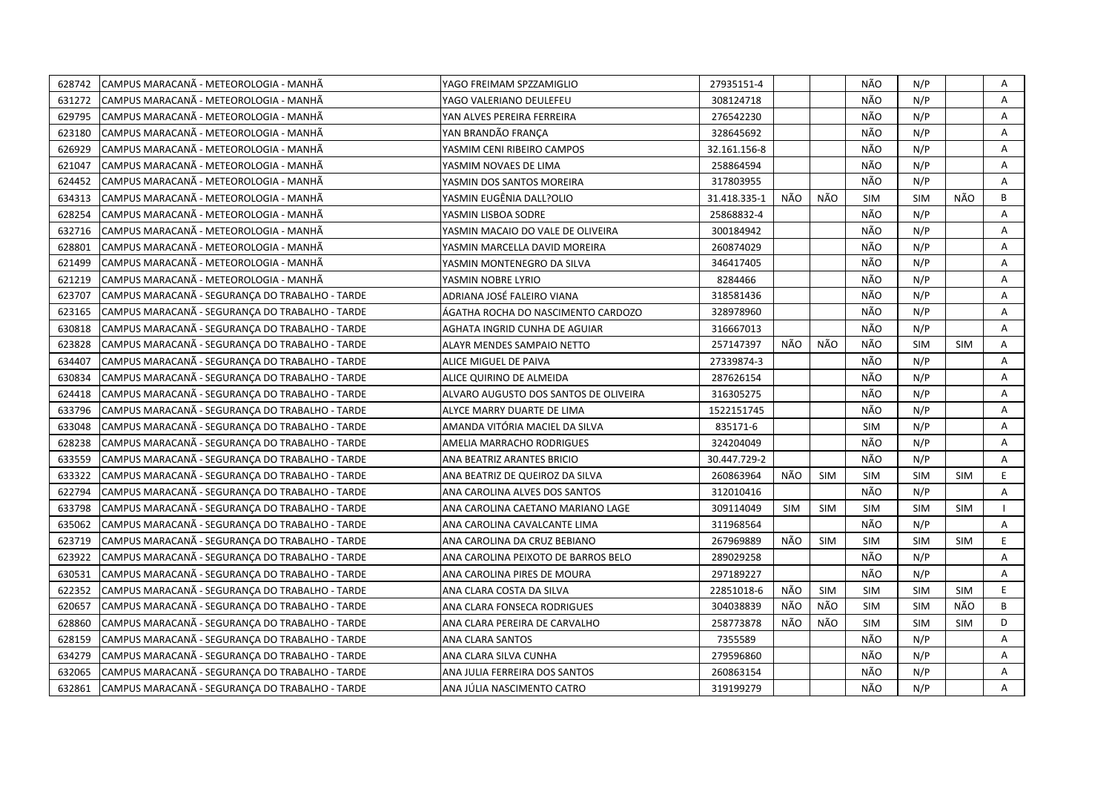| 628742 | CAMPUS MARACANÃ - METEOROLOGIA - MANHÃ          | YAGO FREIMAM SPZZAMIGLIO              | 27935151-4   |            |            | NÃO        | N/P        |            | Α  |
|--------|-------------------------------------------------|---------------------------------------|--------------|------------|------------|------------|------------|------------|----|
| 631272 | CAMPUS MARACANÃ - METEOROLOGIA - MANHÃ          | YAGO VALERIANO DEULEFEU               | 308124718    |            |            | NÃO        | N/P        |            | A  |
| 629795 | CAMPUS MARACANÃ - METEOROLOGIA - MANHÃ          | YAN ALVES PEREIRA FERREIRA            | 276542230    |            |            | NÃO        | N/P        |            | A  |
| 623180 | CAMPUS MARACANÃ - METEOROLOGIA - MANHÃ          | YAN BRANDÃO FRANCA                    | 328645692    |            |            | NÃO        | N/P        |            | Α  |
| 626929 | CAMPUS MARACANA - METEOROLOGIA - MANHA          | YASMIM CENI RIBEIRO CAMPOS            | 32.161.156-8 |            |            | NÃO        | N/P        |            | A  |
| 621047 | CAMPUS MARACANÃ - METEOROLOGIA - MANHÃ          | YASMIM NOVAES DE LIMA                 | 258864594    |            |            | NÃO        | N/P        |            | Α  |
| 624452 | CAMPUS MARACANÃ - METEOROLOGIA - MANHÃ          | YASMIN DOS SANTOS MOREIRA             | 317803955    |            |            | NÃO        | N/P        |            | Α  |
| 634313 | ICAMPUS MARACANÃ - METEOROLOGIA - MANHÃ         | YASMIN EUGÊNIA DALL?OLIO              | 31.418.335-1 | NÃO        | NÃO        | <b>SIM</b> | <b>SIM</b> | NÃO        | B  |
| 628254 | CAMPUS MARACANÃ - METEOROLOGIA - MANHÃ          | YASMIN LISBOA SODRE                   | 25868832-4   |            |            | NÃO        | N/P        |            | A  |
| 632716 | CAMPUS MARACANÃ - METEOROLOGIA - MANHÃ          | YASMIN MACAIO DO VALE DE OLIVEIRA     | 300184942    |            |            | NÃO        | N/P        |            | A  |
| 628801 | CAMPUS MARACANÃ - METEOROLOGIA - MANHÃ          | YASMIN MARCELLA DAVID MOREIRA         | 260874029    |            |            | NÃO        | N/P        |            | A  |
| 621499 | CAMPUS MARACANÃ - METEOROLOGIA - MANHÃ          | YASMIN MONTENEGRO DA SILVA            | 346417405    |            |            | NÃO        | N/P        |            | Α  |
| 621219 | CAMPUS MARACANÃ - METEOROLOGIA - MANHÃ          | YASMIN NOBRE LYRIO                    | 8284466      |            |            | NÃO        | N/P        |            | A  |
| 623707 | CAMPUS MARACANÃ - SEGURANÇA DO TRABALHO - TARDE | ADRIANA JOSÉ FALEIRO VIANA            | 318581436    |            |            | NÃO        | N/P        |            | Α  |
| 623165 | CAMPUS MARACANA - SEGURANÇA DO TRABALHO - TARDE | ÁGATHA ROCHA DO NASCIMENTO CARDOZO    | 328978960    |            |            | NÃO        | N/P        |            | Α  |
| 630818 | CAMPUS MARACANA - SEGURANCA DO TRABALHO - TARDE | AGHATA INGRID CUNHA DE AGUIAR         | 316667013    |            |            | NÃO        | N/P        |            | A  |
| 623828 | CAMPUS MARACANA - SEGURANÇA DO TRABALHO - TARDE | ALAYR MENDES SAMPAIO NETTO            | 257147397    | NÃO        | NÃO        | NÃO        | <b>SIM</b> | <b>SIM</b> | A  |
| 634407 | CAMPUS MARACANA - SEGURANÇA DO TRABALHO - TARDE | ALICE MIGUEL DE PAIVA                 | 27339874-3   |            |            | NÃO        | N/P        |            | A  |
| 630834 | CAMPUS MARACANÃ - SEGURANÇA DO TRABALHO - TARDE | ALICE QUIRINO DE ALMEIDA              | 287626154    |            |            | NÃO        | N/P        |            | A  |
| 624418 | CAMPUS MARACANA - SEGURANÇA DO TRABALHO - TARDE | ALVARO AUGUSTO DOS SANTOS DE OLIVEIRA | 316305275    |            |            | NÃO        | N/P        |            | A  |
| 633796 | CAMPUS MARACANÃ - SEGURANÇA DO TRABALHO - TARDE | ALYCE MARRY DUARTE DE LIMA            | 1522151745   |            |            | NÃO        | N/P        |            | A  |
| 633048 | CAMPUS MARACANÃ - SEGURANÇA DO TRABALHO - TARDE | AMANDA VITÓRIA MACIEL DA SILVA        | 835171-6     |            |            | <b>SIM</b> | N/P        |            | A  |
| 628238 | CAMPUS MARACANA - SEGURANÇA DO TRABALHO - TARDE | AMELIA MARRACHO RODRIGUES             | 324204049    |            |            | NÃO        | N/P        |            | A  |
| 633559 | CAMPUS MARACANÃ - SEGURANÇA DO TRABALHO - TARDE | ANA BEATRIZ ARANTES BRICIO            | 30.447.729-2 |            |            | NÃO        | N/P        |            | A  |
| 633322 | CAMPUS MARACANÃ - SEGURANÇA DO TRABALHO - TARDE | ANA BEATRIZ DE QUEIROZ DA SILVA       | 260863964    | NÃO        | <b>SIM</b> | <b>SIM</b> | <b>SIM</b> | <b>SIM</b> | E. |
| 622794 | CAMPUS MARACANA - SEGURANCA DO TRABALHO - TARDE | ANA CAROLINA ALVES DOS SANTOS         | 312010416    |            |            | NÃO        | N/P        |            | A  |
| 633798 | CAMPUS MARACANÃ - SEGURANÇA DO TRABALHO - TARDE | ANA CAROLINA CAETANO MARIANO LAGE     | 309114049    | <b>SIM</b> | <b>SIM</b> | <b>SIM</b> | <b>SIM</b> | <b>SIM</b> |    |
| 635062 | CAMPUS MARACANA - SEGURANÇA DO TRABALHO - TARDE | ANA CAROLINA CAVALCANTE LIMA          | 311968564    |            |            | NÃO        | N/P        |            | Α  |
| 623719 | CAMPUS MARACANA - SEGURANÇA DO TRABALHO - TARDE | ANA CAROLINA DA CRUZ BEBIANO          | 267969889    | NÃO        | <b>SIM</b> | <b>SIM</b> | <b>SIM</b> | <b>SIM</b> | E  |
| 623922 | CAMPUS MARACANA - SEGURANÇA DO TRABALHO - TARDE | ANA CAROLINA PEIXOTO DE BARROS BELO   | 289029258    |            |            | NÃO        | N/P        |            | Α  |
| 630531 | CAMPUS MARACANA - SEGURANÇA DO TRABALHO - TARDE | ANA CAROLINA PIRES DE MOURA           | 297189227    |            |            | NÃO        | N/P        |            | A  |
| 622352 | CAMPUS MARACANÃ - SEGURANÇA DO TRABALHO - TARDE | ANA CLARA COSTA DA SILVA              | 22851018-6   | NÃO        | <b>SIM</b> | <b>SIM</b> | <b>SIM</b> | SIM        | E. |
| 620657 | CAMPUS MARACANA - SEGURANÇA DO TRABALHO - TARDE | ANA CLARA FONSECA RODRIGUES           | 304038839    | NÃO        | NÃO        | <b>SIM</b> | <b>SIM</b> | NÃO        | B  |
| 628860 | CAMPUS MARACANÃ - SEGURANÇA DO TRABALHO - TARDE | ANA CLARA PEREIRA DE CARVALHO         | 258773878    | NÃO        | NÃO        | <b>SIM</b> | <b>SIM</b> | <b>SIM</b> | D. |
| 628159 | CAMPUS MARACANA - SEGURANÇA DO TRABALHO - TARDE | ANA CLARA SANTOS                      | 7355589      |            |            | NÃO        | N/P        |            | A  |
| 634279 | CAMPUS MARACANA - SEGURANÇA DO TRABALHO - TARDE | ANA CLARA SILVA CUNHA                 | 279596860    |            |            | NÃO        | N/P        |            | Α  |
| 632065 | CAMPUS MARACANA - SEGURANÇA DO TRABALHO - TARDE | ANA JULIA FERREIRA DOS SANTOS         | 260863154    |            |            | NÃO        | N/P        |            | Α  |
| 632861 | CAMPUS MARACANÃ - SEGURANÇA DO TRABALHO - TARDE | ANA JÚLIA NASCIMENTO CATRO            | 319199279    |            |            | NÃO        | N/P        |            | A  |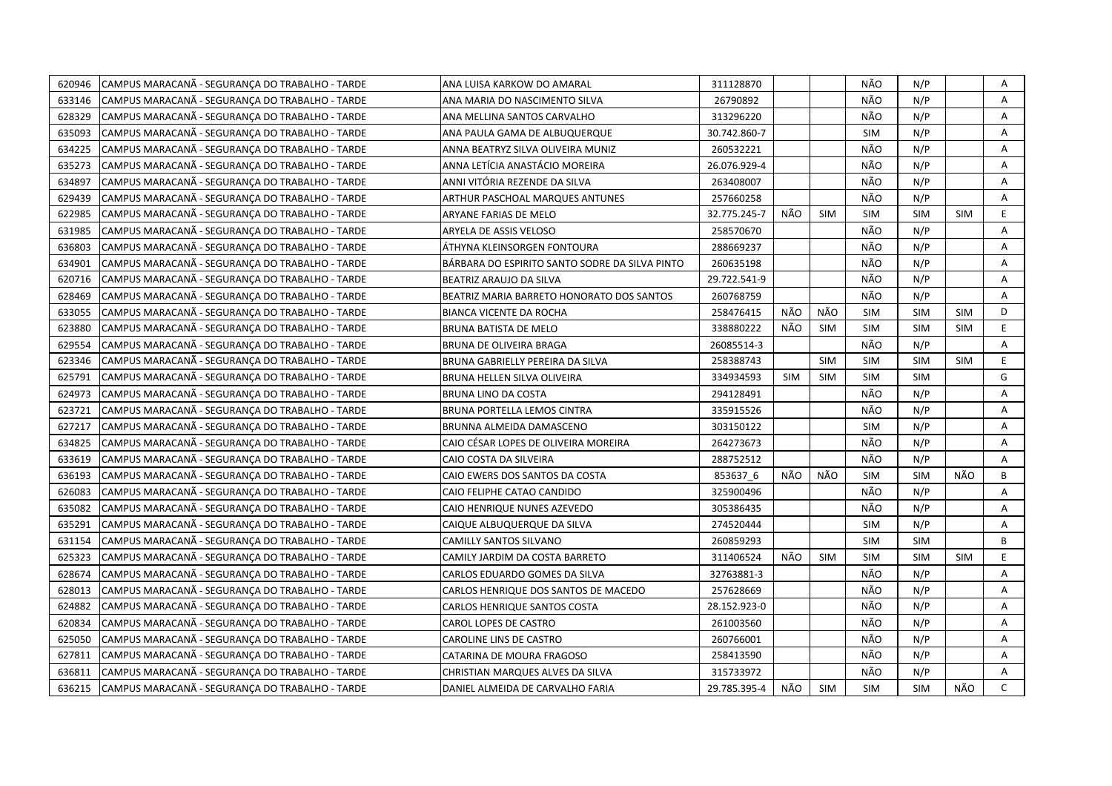| 620946 | CAMPUS MARACANÃ - SEGURANÇA DO TRABALHO - TARDE | ANA LUISA KARKOW DO AMARAL                     | 311128870    |            |            | NÃO        | N/P        |            | Α              |
|--------|-------------------------------------------------|------------------------------------------------|--------------|------------|------------|------------|------------|------------|----------------|
| 633146 | CAMPUS MARACANA - SEGURANÇA DO TRABALHO - TARDE | ANA MARIA DO NASCIMENTO SILVA                  | 26790892     |            |            | NÃO        | N/P        |            | A              |
| 628329 | CAMPUS MARACANÃ - SEGURANCA DO TRABALHO - TARDE | ANA MELLINA SANTOS CARVALHO                    | 313296220    |            |            | NÃO        | N/P        |            | A              |
| 635093 | CAMPUS MARACANÃ - SEGURANÇA DO TRABALHO - TARDE | ANA PAULA GAMA DE ALBUQUERQUE                  | 30.742.860-7 |            |            | <b>SIM</b> | N/P        |            | Α              |
| 634225 | CAMPUS MARACANÃ - SEGURANCA DO TRABALHO - TARDE | ANNA BEATRYZ SILVA OLIVEIRA MUNIZ              | 260532221    |            |            | NÃO        | N/P        |            | Α              |
| 635273 | CAMPUS MARACANÃ - SEGURANÇA DO TRABALHO - TARDE | ANNA LETÍCIA ANASTÁCIO MOREIRA                 | 26.076.929-4 |            |            | NÃO        | N/P        |            | A              |
| 634897 | CAMPUS MARACANA - SEGURANÇA DO TRABALHO - TARDE | ANNI VITÓRIA REZENDE DA SILVA                  | 263408007    |            |            | NÃO        | N/P        |            | Α              |
| 629439 | CAMPUS MARACANA - SEGURANCA DO TRABALHO - TARDE | ARTHUR PASCHOAL MARQUES ANTUNES                | 257660258    |            |            | NÃO        | N/P        |            | A              |
| 622985 | CAMPUS MARACANA - SEGURANÇA DO TRABALHO - TARDE | ARYANE FARIAS DE MELO                          | 32.775.245-7 | NÃO        | <b>SIM</b> | <b>SIM</b> | <b>SIM</b> | <b>SIM</b> | E              |
| 631985 | CAMPUS MARACANA - SEGURANÇA DO TRABALHO - TARDE | ARYELA DE ASSIS VELOSO                         | 258570670    |            |            | NÃO        | N/P        |            | A              |
| 636803 | CAMPUS MARACANÃ - SEGURANÇA DO TRABALHO - TARDE | ÁTHYNA KLEINSORGEN FONTOURA                    | 288669237    |            |            | NÃO        | N/P        |            | Α              |
| 634901 | CAMPUS MARACANÃ - SEGURANÇA DO TRABALHO - TARDE | BÁRBARA DO ESPIRITO SANTO SODRE DA SILVA PINTO | 260635198    |            |            | NÃO        | N/P        |            | Α              |
| 620716 | CAMPUS MARACANÃ - SEGURANÇA DO TRABALHO - TARDE | BEATRIZ ARAUJO DA SILVA                        | 29.722.541-9 |            |            | NÃO        | N/P        |            | A              |
| 628469 | CAMPUS MARACANÃ - SEGURANÇA DO TRABALHO - TARDE | BEATRIZ MARIA BARRETO HONORATO DOS SANTOS      | 260768759    |            |            | NÃO        | N/P        |            | Α              |
| 633055 | CAMPUS MARACANÃ - SEGURANÇA DO TRABALHO - TARDE | <b>BIANCA VICENTE DA ROCHA</b>                 | 258476415    | NÃO        | NÃO        | <b>SIM</b> | <b>SIM</b> | <b>SIM</b> | D              |
| 623880 | CAMPUS MARACANA - SEGURANÇA DO TRABALHO - TARDE | BRUNA BATISTA DE MELO                          | 338880222    | NÃO        | <b>SIM</b> | <b>SIM</b> | <b>SIM</b> | <b>SIM</b> | E              |
| 629554 | CAMPUS MARACANA - SEGURANÇA DO TRABALHO - TARDE | BRUNA DE OLIVEIRA BRAGA                        | 26085514-3   |            |            | NÃO        | N/P        |            | Α              |
| 623346 | CAMPUS MARACANA - SEGURANÇA DO TRABALHO - TARDE | BRUNA GABRIELLY PEREIRA DA SILVA               | 258388743    |            | <b>SIM</b> | <b>SIM</b> | <b>SIM</b> | <b>SIM</b> | E              |
| 625791 | CAMPUS MARACANA - SEGURANÇA DO TRABALHO - TARDE | BRUNA HELLEN SILVA OLIVEIRA                    | 334934593    | <b>SIM</b> | <b>SIM</b> | <b>SIM</b> | <b>SIM</b> |            | G              |
| 624973 | CAMPUS MARACANA - SEGURANCA DO TRABALHO - TARDE | BRUNA LINO DA COSTA                            | 294128491    |            |            | NÃO        | N/P        |            | Α              |
| 623721 | CAMPUS MARACANA - SEGURANCA DO TRABALHO - TARDE | BRUNA PORTELLA LEMOS CINTRA                    | 335915526    |            |            | NÃO        | N/P        |            | A              |
| 627217 | CAMPUS MARACANA - SEGURANCA DO TRABALHO - TARDE | BRUNNA ALMEIDA DAMASCENO                       | 303150122    |            |            | <b>SIM</b> | N/P        |            | A              |
| 634825 | CAMPUS MARACANA - SEGURANÇA DO TRABALHO - TARDE | CAIO CÉSAR LOPES DE OLIVEIRA MOREIRA           | 264273673    |            |            | NÃO        | N/P        |            | A              |
| 633619 | CAMPUS MARACANA - SEGURANCA DO TRABALHO - TARDE | CAIO COSTA DA SILVEIRA                         | 288752512    |            |            | NÃO        | N/P        |            | $\overline{A}$ |
| 636193 | CAMPUS MARACANA - SEGURANÇA DO TRABALHO - TARDE | CAIO EWERS DOS SANTOS DA COSTA                 | 853637 6     | NÃO        | NÃO        | <b>SIM</b> | <b>SIM</b> | NÃO        | B              |
| 626083 | CAMPUS MARACANA - SEGURANÇA DO TRABALHO - TARDE | CAIO FELIPHE CATAO CANDIDO                     | 325900496    |            |            | NÃO        | N/P        |            | A              |
| 635082 | CAMPUS MARACANA - SEGURANÇA DO TRABALHO - TARDE | CAIO HENRIQUE NUNES AZEVEDO                    | 305386435    |            |            | NÃO        | N/P        |            | Α              |
| 635291 | CAMPUS MARACANA - SEGURANÇA DO TRABALHO - TARDE | CAIQUE ALBUQUERQUE DA SILVA                    | 274520444    |            |            | <b>SIM</b> | N/P        |            | Α              |
| 631154 | CAMPUS MARACANA - SEGURANÇA DO TRABALHO - TARDE | <b>CAMILLY SANTOS SILVANO</b>                  | 260859293    |            |            | <b>SIM</b> | <b>SIM</b> |            | B              |
| 625323 | CAMPUS MARACANA - SEGURANÇA DO TRABALHO - TARDE | CAMILY JARDIM DA COSTA BARRETO                 | 311406524    | NÃO        | <b>SIM</b> | <b>SIM</b> | <b>SIM</b> | <b>SIM</b> | E              |
| 628674 | CAMPUS MARACANA - SEGURANÇA DO TRABALHO - TARDE | CARLOS EDUARDO GOMES DA SILVA                  | 32763881-3   |            |            | NÃO        | N/P        |            | Α              |
| 628013 | CAMPUS MARACANA - SEGURANÇA DO TRABALHO - TARDE | CARLOS HENRIQUE DOS SANTOS DE MACEDO           | 257628669    |            |            | NÃO        | N/P        |            | Α              |
| 624882 | CAMPUS MARACANA - SEGURANÇA DO TRABALHO - TARDE | CARLOS HENRIQUE SANTOS COSTA                   | 28.152.923-0 |            |            | NÃO        | N/P        |            | Α              |
| 620834 | CAMPUS MARACANA - SEGURANCA DO TRABALHO - TARDE | CAROL LOPES DE CASTRO                          | 261003560    |            |            | NÃO        | N/P        |            | A              |
| 625050 | CAMPUS MARACANA - SEGURANÇA DO TRABALHO - TARDE | CAROLINE LINS DE CASTRO                        | 260766001    |            |            | NÃO        | N/P        |            | Α              |
| 627811 | CAMPUS MARACANÃ - SEGURANÇA DO TRABALHO - TARDE | CATARINA DE MOURA FRAGOSO                      | 258413590    |            |            | NÃO        | N/P        |            | Α              |
| 636811 | CAMPUS MARACANA - SEGURANCA DO TRABALHO - TARDE | CHRISTIAN MARQUES ALVES DA SILVA               | 315733972    |            |            | NÃO        | N/P        |            | A              |
| 636215 | CAMPUS MARACANA - SEGURANCA DO TRABALHO - TARDE | DANIEL ALMEIDA DE CARVALHO FARIA               | 29.785.395-4 | NÃO        | <b>SIM</b> | <b>SIM</b> | <b>SIM</b> | NÃO        | $\mathsf{C}$   |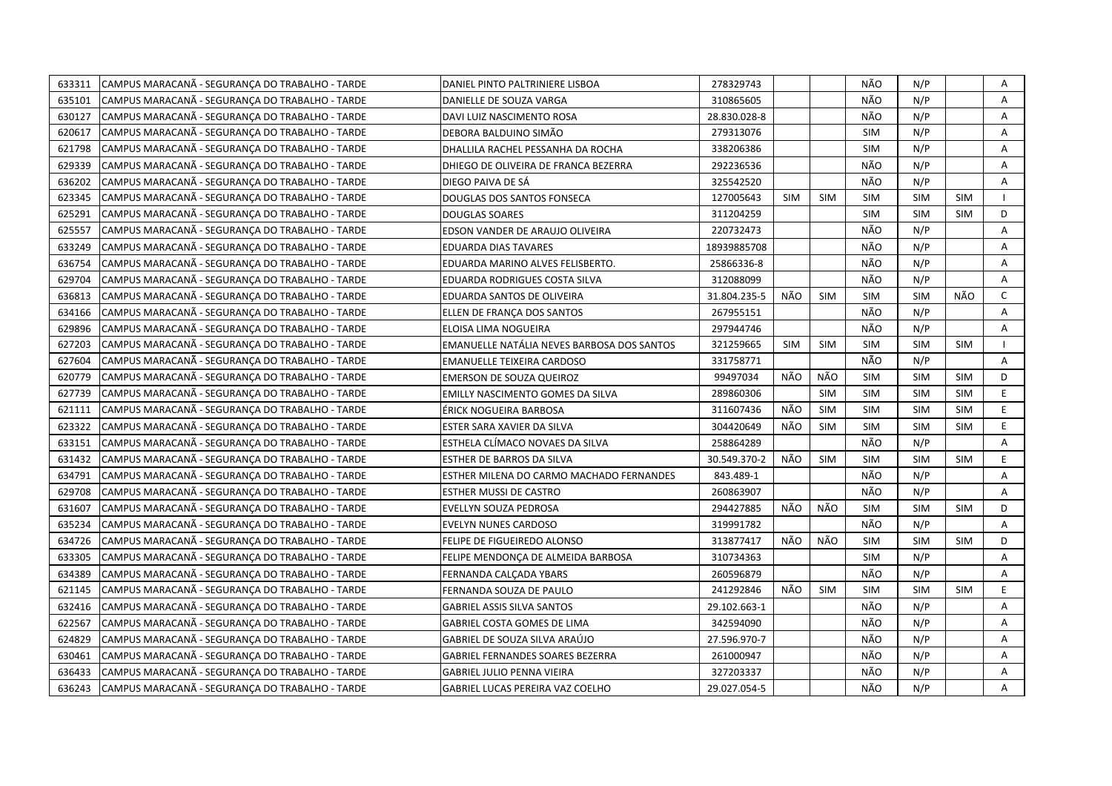| CAMPUS MARACANÃ - SEGURANÇA DO TRABALHO - TARDE<br>633311 | DANIEL PINTO PALTRINIERE LISBOA            | 278329743    |            |            | NÃO        | N/P        |            | Α            |
|-----------------------------------------------------------|--------------------------------------------|--------------|------------|------------|------------|------------|------------|--------------|
| CAMPUS MARACANÃ - SEGURANÇA DO TRABALHO - TARDE<br>635101 | DANIELLE DE SOUZA VARGA                    | 310865605    |            |            | NÃO        | N/P        |            | A            |
| 630127<br>CAMPUS MARACANÃ - SEGURANÇA DO TRABALHO - TARDE | DAVI LUIZ NASCIMENTO ROSA                  | 28.830.028-8 |            |            | NÃO        | N/P        |            | A            |
| 620617<br>CAMPUS MARACANA - SEGURANÇA DO TRABALHO - TARDE | DEBORA BALDUINO SIMÃO                      | 279313076    |            |            | <b>SIM</b> | N/P        |            | Α            |
| 621798<br>CAMPUS MARACANA - SEGURANÇA DO TRABALHO - TARDE | DHALLILA RACHEL PESSANHA DA ROCHA          | 338206386    |            |            | <b>SIM</b> | N/P        |            | Α            |
| 629339<br>CAMPUS MARACANA - SEGURANCA DO TRABALHO - TARDE | DHIEGO DE OLIVEIRA DE FRANCA BEZERRA       | 292236536    |            |            | NÃO        | N/P        |            | Α            |
| 636202<br>CAMPUS MARACANA - SEGURANCA DO TRABALHO - TARDE | DIEGO PAIVA DE SÁ                          | 325542520    |            |            | NÃO        | N/P        |            | A            |
| CAMPUS MARACANÃ - SEGURANCA DO TRABALHO - TARDE<br>623345 | DOUGLAS DOS SANTOS FONSECA                 | 127005643    | <b>SIM</b> | <b>SIM</b> | <b>SIM</b> | <b>SIM</b> | <b>SIM</b> | $\mathbf{I}$ |
| 625291<br>CAMPUS MARACANA - SEGURANÇA DO TRABALHO - TARDE | <b>DOUGLAS SOARES</b>                      | 311204259    |            |            | <b>SIM</b> | <b>SIM</b> | <b>SIM</b> | D            |
| 625557<br>CAMPUS MARACANA - SEGURANCA DO TRABALHO - TARDE | EDSON VANDER DE ARAUJO OLIVEIRA            | 220732473    |            |            | NÃO        | N/P        |            | A            |
| 633249<br>CAMPUS MARACANÃ - SEGURANÇA DO TRABALHO - TARDE | <b>EDUARDA DIAS TAVARES</b>                | 18939885708  |            |            | NÃO        | N/P        |            | Α            |
| CAMPUS MARACANA - SEGURANÇA DO TRABALHO - TARDE<br>636754 | EDUARDA MARINO ALVES FELISBERTO.           | 25866336-8   |            |            | NÃO        | N/P        |            | A            |
| CAMPUS MARACANÃ - SEGURANÇA DO TRABALHO - TARDE<br>629704 | EDUARDA RODRIGUES COSTA SILVA              | 312088099    |            |            | NÃO        | N/P        |            | Α            |
| CAMPUS MARACANÃ - SEGURANÇA DO TRABALHO - TARDE<br>636813 | EDUARDA SANTOS DE OLIVEIRA                 | 31.804.235-5 | NÃO        | <b>SIM</b> | <b>SIM</b> | <b>SIM</b> | NÃO        | $\mathsf{C}$ |
| CAMPUS MARACANÃ - SEGURANCA DO TRABALHO - TARDE<br>634166 | ELLEN DE FRANÇA DOS SANTOS                 | 267955151    |            |            | NÃO        | N/P        |            | А            |
| CAMPUS MARACANÃ - SEGURANÇA DO TRABALHO - TARDE<br>629896 | ELOISA LIMA NOGUEIRA                       | 297944746    |            |            | NÃO        | N/P        |            | Α            |
| CAMPUS MARACANÃ - SEGURANÇA DO TRABALHO - TARDE<br>627203 | EMANUELLE NATÁLIA NEVES BARBOSA DOS SANTOS | 321259665    | <b>SIM</b> | <b>SIM</b> | <b>SIM</b> | <b>SIM</b> | <b>SIM</b> | $\mathbf{I}$ |
| 627604<br>CAMPUS MARACANA - SEGURANÇA DO TRABALHO - TARDE | EMANUELLE TEIXEIRA CARDOSO                 | 331758771    |            |            | NÃO        | N/P        |            | A            |
| 620779<br>CAMPUS MARACANA - SEGURANÇA DO TRABALHO - TARDE | <b>EMERSON DE SOUZA QUEIROZ</b>            | 99497034     | NÃO        | NÃO        | <b>SIM</b> | <b>SIM</b> | <b>SIM</b> | D            |
| 627739<br>CAMPUS MARACANA - SEGURANÇA DO TRABALHO - TARDE | EMILLY NASCIMENTO GOMES DA SILVA           | 289860306    |            | <b>SIM</b> | <b>SIM</b> | <b>SIM</b> | <b>SIM</b> | E            |
| 621111<br>CAMPUS MARACANA - SEGURANÇA DO TRABALHO - TARDE | ÉRICK NOGUEIRA BARBOSA                     | 311607436    | NÃO        | <b>SIM</b> | <b>SIM</b> | <b>SIM</b> | <b>SIM</b> | E            |
| 623322<br>CAMPUS MARACANA - SEGURANÇA DO TRABALHO - TARDE | ESTER SARA XAVIER DA SILVA                 | 304420649    | NÃO        | <b>SIM</b> | <b>SIM</b> | <b>SIM</b> | <b>SIM</b> | E            |
| CAMPUS MARACANÃ - SEGURANÇA DO TRABALHO - TARDE<br>633151 | ESTHELA CLÍMACO NOVAES DA SILVA            | 258864289    |            |            | NÃO        | N/P        |            | A            |
| 631432<br>CAMPUS MARACANA - SEGURANCA DO TRABALHO - TARDE | ESTHER DE BARROS DA SILVA                  | 30.549.370-2 | NÃO        | <b>SIM</b> | <b>SIM</b> | <b>SIM</b> | <b>SIM</b> | E.           |
| 634791<br>CAMPUS MARACANA - SEGURANCA DO TRABALHO - TARDE | ESTHER MILENA DO CARMO MACHADO FERNANDES   | 843.489-1    |            |            | NÃO        | N/P        |            | A            |
| 629708<br>CAMPUS MARACANA - SEGURANÇA DO TRABALHO - TARDE | ESTHER MUSSI DE CASTRO                     | 260863907    |            |            | NÃO        | N/P        |            | A            |
| 631607<br>CAMPUS MARACANA - SEGURANCA DO TRABALHO - TARDE | EVELLYN SOUZA PEDROSA                      | 294427885    | NÃO        | NÃO        | <b>SIM</b> | <b>SIM</b> | <b>SIM</b> | D            |
| 635234<br>CAMPUS MARACANA - SEGURANÇA DO TRABALHO - TARDE | EVELYN NUNES CARDOSO                       | 319991782    |            |            | NÃO        | N/P        |            | A            |
| 634726<br>CAMPUS MARACANA - SEGURANCA DO TRABALHO - TARDE | FELIPE DE FIGUEIREDO ALONSO                | 313877417    | NÃO        | NÃO        | <b>SIM</b> | <b>SIM</b> | <b>SIM</b> | D            |
| 633305<br>CAMPUS MARACANA - SEGURANÇA DO TRABALHO - TARDE | FELIPE MENDONÇA DE ALMEIDA BARBOSA         | 310734363    |            |            | <b>SIM</b> | N/P        |            | A            |
| 634389<br>CAMPUS MARACANA - SEGURANCA DO TRABALHO - TARDE | FERNANDA CALCADA YBARS                     | 260596879    |            |            | NÃO        | N/P        |            | A            |
| 621145<br>CAMPUS MARACANA - SEGURANÇA DO TRABALHO - TARDE | FERNANDA SOUZA DE PAULO                    | 241292846    | NÃO        | <b>SIM</b> | <b>SIM</b> | <b>SIM</b> | <b>SIM</b> | E            |
| 632416<br>CAMPUS MARACANA - SEGURANCA DO TRABALHO - TARDE | GABRIEL ASSIS SILVA SANTOS                 | 29.102.663-1 |            |            | NÃO        | N/P        |            | A            |
| 622567<br>CAMPUS MARACANÃ - SEGURANÇA DO TRABALHO - TARDE | GABRIEL COSTA GOMES DE LIMA                | 342594090    |            |            | NÃO        | N/P        |            | Α            |
| 624829<br>CAMPUS MARACANÃ - SEGURANÇA DO TRABALHO - TARDE | GABRIEL DE SOUZA SILVA ARAÚJO              | 27.596.970-7 |            |            | NÃO        | N/P        |            | Α            |
| 630461<br>CAMPUS MARACANÃ - SEGURANÇA DO TRABALHO - TARDE | <b>GABRIEL FERNANDES SOARES BEZERRA</b>    | 261000947    |            |            | NÃO        | N/P        |            | А            |
| 636433<br>CAMPUS MARACANA - SEGURANÇA DO TRABALHO - TARDE | <b>GABRIEL JULIO PENNA VIEIRA</b>          | 327203337    |            |            | NÃO        | N/P        |            | Α            |
| 636243<br>CAMPUS MARACANÃ - SEGURANÇA DO TRABALHO - TARDE | <b>GABRIEL LUCAS PEREIRA VAZ COELHO</b>    | 29.027.054-5 |            |            | NÃO        | N/P        |            | A            |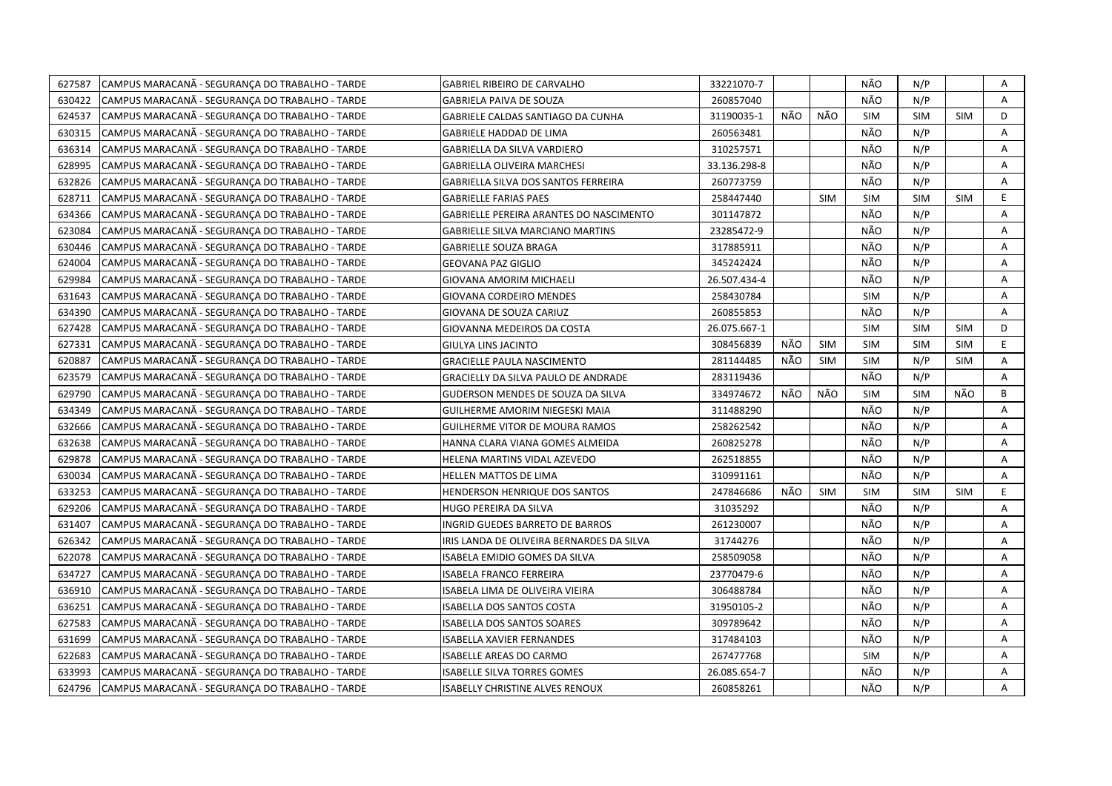| 627587 | CAMPUS MARACANÃ - SEGURANÇA DO TRABALHO - TARDE | GABRIEL RIBEIRO DE CARVALHO                    | 33221070-7   |     |            | NÃO        | N/P        |            | A  |
|--------|-------------------------------------------------|------------------------------------------------|--------------|-----|------------|------------|------------|------------|----|
| 630422 | CAMPUS MARACANÃ - SEGURANÇA DO TRABALHO - TARDE | GABRIELA PAIVA DE SOUZA                        | 260857040    |     |            | NÃO        | N/P        |            | A  |
| 624537 | CAMPUS MARACANÃ - SEGURANÇA DO TRABALHO - TARDE | GABRIELE CALDAS SANTIAGO DA CUNHA              | 31190035-1   | NÃO | NÃO        | <b>SIM</b> | <b>SIM</b> | <b>SIM</b> | D  |
| 630315 | CAMPUS MARACANÃ - SEGURANÇA DO TRABALHO - TARDE | GABRIELE HADDAD DE LIMA                        | 260563481    |     |            | NÃO        | N/P        |            | Α  |
| 636314 | CAMPUS MARACANÃ - SEGURANCA DO TRABALHO - TARDE | GABRIELLA DA SILVA VARDIERO                    | 310257571    |     |            | NÃO        | N/P        |            | A  |
| 628995 | CAMPUS MARACANÃ - SEGURANCA DO TRABALHO - TARDE | <b>GABRIELLA OLIVEIRA MARCHESI</b>             | 33.136.298-8 |     |            | NÃO        | N/P        |            | A  |
| 632826 | CAMPUS MARACANÃ - SEGURANCA DO TRABALHO - TARDE | <b>GABRIELLA SILVA DOS SANTOS FERREIRA</b>     | 260773759    |     |            | NÃO        | N/P        |            | Α  |
| 628711 | CAMPUS MARACANÃ - SEGURANCA DO TRABALHO - TARDE | <b>GABRIELLE FARIAS PAES</b>                   | 258447440    |     | <b>SIM</b> | <b>SIM</b> | <b>SIM</b> | <b>SIM</b> | E. |
| 634366 | CAMPUS MARACANÃ - SEGURANÇA DO TRABALHO - TARDE | <b>GABRIELLE PEREIRA ARANTES DO NASCIMENTO</b> | 301147872    |     |            | NÃO        | N/P        |            | Α  |
| 623084 | CAMPUS MARACANÃ - SEGURANCA DO TRABALHO - TARDE | <b>GABRIELLE SILVA MARCIANO MARTINS</b>        | 23285472-9   |     |            | NÃO        | N/P        |            | Α  |
| 630446 | CAMPUS MARACANA - SEGURANÇA DO TRABALHO - TARDE | <b>GABRIELLE SOUZA BRAGA</b>                   | 317885911    |     |            | NÃO        | N/P        |            | Α  |
| 624004 | CAMPUS MARACANA - SEGURANCA DO TRABALHO - TARDE | <b>GEOVANA PAZ GIGLIO</b>                      | 345242424    |     |            | NÃO        | N/P        |            | Α  |
| 629984 | CAMPUS MARACANÃ - SEGURANÇA DO TRABALHO - TARDE | <b>GIOVANA AMORIM MICHAELI</b>                 | 26.507.434-4 |     |            | NÃO        | N/P        |            | А  |
| 631643 | CAMPUS MARACANÃ - SEGURANÇA DO TRABALHO - TARDE | <b>GIOVANA CORDEIRO MENDES</b>                 | 258430784    |     |            | <b>SIM</b> | N/P        |            | Α  |
| 634390 | CAMPUS MARACANÃ - SEGURANÇA DO TRABALHO - TARDE | GIOVANA DE SOUZA CARIUZ                        | 260855853    |     |            | NÃO        | N/P        |            | A  |
| 627428 | CAMPUS MARACANA - SEGURANÇA DO TRABALHO - TARDE | GIOVANNA MEDEIROS DA COSTA                     | 26.075.667-1 |     |            | <b>SIM</b> | <b>SIM</b> | <b>SIM</b> | D  |
| 627331 | CAMPUS MARACANA - SEGURANCA DO TRABALHO - TARDE | GIULYA LINS JACINTO                            | 308456839    | NÃO | <b>SIM</b> | <b>SIM</b> | <b>SIM</b> | <b>SIM</b> | E. |
| 620887 | CAMPUS MARACANA - SEGURANÇA DO TRABALHO - TARDE | <b>GRACIELLE PAULA NASCIMENTO</b>              | 281144485    | NÃO | <b>SIM</b> | <b>SIM</b> | N/P        | <b>SIM</b> | A  |
| 623579 | CAMPUS MARACANA - SEGURANÇA DO TRABALHO - TARDE | GRACIELLY DA SILVA PAULO DE ANDRADE            | 283119436    |     |            | NÃO        | N/P        |            | A  |
| 629790 | CAMPUS MARACANÃ - SEGURANÇA DO TRABALHO - TARDE | GUDERSON MENDES DE SOUZA DA SILVA              | 334974672    | NÃO | NÃO        | <b>SIM</b> | <b>SIM</b> | NÃO        | B  |
| 634349 | CAMPUS MARACANA - SEGURANCA DO TRABALHO - TARDE | GUILHERME AMORIM NIEGESKI MAIA                 | 311488290    |     |            | NÃO        | N/P        |            | A  |
| 632666 | CAMPUS MARACANA - SEGURANCA DO TRABALHO - TARDE | <b>GUILHERME VITOR DE MOURA RAMOS</b>          | 258262542    |     |            | NÃO        | N/P        |            | A  |
| 632638 | CAMPUS MARACANA - SEGURANCA DO TRABALHO - TARDE | HANNA CLARA VIANA GOMES ALMEIDA                | 260825278    |     |            | NÃO        | N/P        |            | Α  |
| 629878 | CAMPUS MARACANA - SEGURANÇA DO TRABALHO - TARDE | HELENA MARTINS VIDAL AZEVEDO                   | 262518855    |     |            | NÃO        | N/P        |            | A  |
| 630034 | CAMPUS MARACANA - SEGURANCA DO TRABALHO - TARDE | HELLEN MATTOS DE LIMA                          | 310991161    |     |            | NÃO        | N/P        |            | А  |
| 633253 | CAMPUS MARACANA - SEGURANÇA DO TRABALHO - TARDE | HENDERSON HENRIQUE DOS SANTOS                  | 247846686    | NÃO | <b>SIM</b> | <b>SIM</b> | <b>SIM</b> | <b>SIM</b> | E. |
| 629206 | CAMPUS MARACANA - SEGURANCA DO TRABALHO - TARDE | HUGO PEREIRA DA SILVA                          | 31035292     |     |            | NÃO        | N/P        |            | A  |
| 631407 | CAMPUS MARACANÃ - SEGURANÇA DO TRABALHO - TARDE | INGRID GUEDES BARRETO DE BARROS                | 261230007    |     |            | NÃO        | N/P        |            | А  |
| 626342 | CAMPUS MARACANA - SEGURANÇA DO TRABALHO - TARDE | IRIS LANDA DE OLIVEIRA BERNARDES DA SILVA      | 31744276     |     |            | NÃO        | N/P        |            | A  |
| 622078 | CAMPUS MARACANÃ - SEGURANÇA DO TRABALHO - TARDE | ISABELA EMIDIO GOMES DA SILVA                  | 258509058    |     |            | NÃO        | N/P        |            | Α  |
| 634727 | CAMPUS MARACANA - SEGURANÇA DO TRABALHO - TARDE | <b>ISABELA FRANCO FERREIRA</b>                 | 23770479-6   |     |            | NÃO        | N/P        |            | Α  |
| 636910 | CAMPUS MARACANA - SEGURANÇA DO TRABALHO - TARDE | ISABELA LIMA DE OLIVEIRA VIEIRA                | 306488784    |     |            | NÃO        | N/P        |            | A  |
| 636251 | CAMPUS MARACANÃ - SEGURANÇA DO TRABALHO - TARDE | <b>ISABELLA DOS SANTOS COSTA</b>               | 31950105-2   |     |            | NÃO        | N/P        |            | Α  |
| 627583 | CAMPUS MARACANA - SEGURANÇA DO TRABALHO - TARDE | <b>ISABELLA DOS SANTOS SOARES</b>              | 309789642    |     |            | NÃO        | N/P        |            | A  |
| 631699 | CAMPUS MARACANA - SEGURANÇA DO TRABALHO - TARDE | <b>ISABELLA XAVIER FERNANDES</b>               | 317484103    |     |            | NÃO        | N/P        |            | A  |
| 622683 | CAMPUS MARACANA - SEGURANÇA DO TRABALHO - TARDE | <b>ISABELLE AREAS DO CARMO</b>                 | 267477768    |     |            | <b>SIM</b> | N/P        |            | Α  |
| 633993 | CAMPUS MARACANA - SEGURANÇA DO TRABALHO - TARDE | ISABELLE SILVA TORRES GOMES                    | 26.085.654-7 |     |            | NÃO        | N/P        |            | Α  |
| 624796 | CAMPUS MARACANÃ - SEGURANÇA DO TRABALHO - TARDE | <b>ISABELLY CHRISTINE ALVES RENOUX</b>         | 260858261    |     |            | NÃO        | N/P        |            | A  |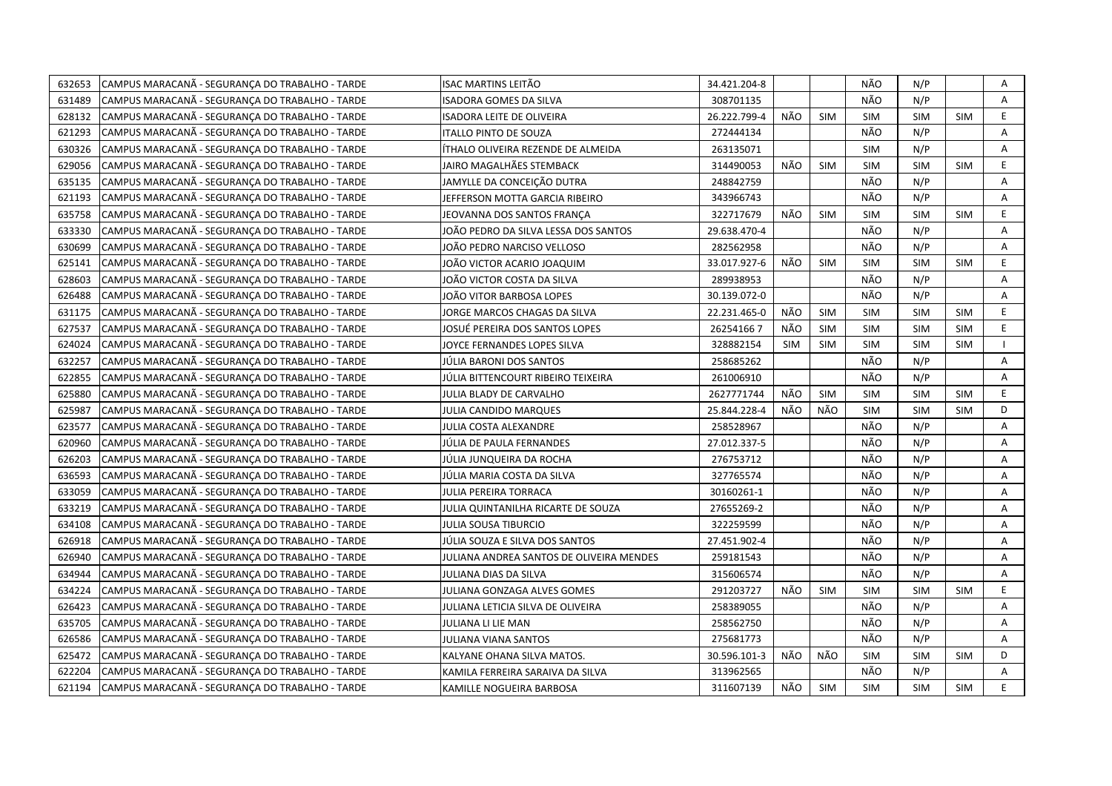| 632653 | CAMPUS MARACANÃ - SEGURANÇA DO TRABALHO - TARDE | ISAC MARTINS LEITÃO                      | 34.421.204-8 |            |            | NÃO        | N/P        |            | Α  |
|--------|-------------------------------------------------|------------------------------------------|--------------|------------|------------|------------|------------|------------|----|
| 631489 | CAMPUS MARACANÃ - SEGURANÇA DO TRABALHO - TARDE | ISADORA GOMES DA SILVA                   | 308701135    |            |            | NÃO        | N/P        |            | A  |
| 628132 | CAMPUS MARACANÃ - SEGURANCA DO TRABALHO - TARDE | <b>ISADORA LEITE DE OLIVEIRA</b>         | 26.222.799-4 | NÃO        | <b>SIM</b> | <b>SIM</b> | <b>SIM</b> | <b>SIM</b> | E  |
| 621293 | CAMPUS MARACANA - SEGURANÇA DO TRABALHO - TARDE | <b>ITALLO PINTO DE SOUZA</b>             | 272444134    |            |            | NÃO        | N/P        |            | A  |
| 630326 | CAMPUS MARACANÃ - SEGURANCA DO TRABALHO - TARDE | ÍTHALO OLIVEIRA REZENDE DE ALMEIDA       | 263135071    |            |            | <b>SIM</b> | N/P        |            | A  |
| 629056 | CAMPUS MARACANA - SEGURANCA DO TRABALHO - TARDE | JAIRO MAGALHÃES STEMBACK                 | 314490053    | NÃO        | <b>SIM</b> | <b>SIM</b> | <b>SIM</b> | <b>SIM</b> | E  |
| 635135 | CAMPUS MARACANÃ - SEGURANÇA DO TRABALHO - TARDE | JAMYLLE DA CONCEIÇÃO DUTRA               | 248842759    |            |            | NÃO        | N/P        |            | A  |
| 621193 | CAMPUS MARACANA - SEGURANÇA DO TRABALHO - TARDE | JEFFERSON MOTTA GARCIA RIBEIRO           | 343966743    |            |            | NÃO        | N/P        |            | A  |
| 635758 | CAMPUS MARACANÃ - SEGURANÇA DO TRABALHO - TARDE | JEOVANNA DOS SANTOS FRANCA               | 322717679    | NÃO        | <b>SIM</b> | <b>SIM</b> | <b>SIM</b> | <b>SIM</b> | E. |
| 633330 | CAMPUS MARACANA - SEGURANCA DO TRABALHO - TARDE | IOÃO PEDRO DA SILVA LESSA DOS SANTOS     | 29.638.470-4 |            |            | NÃO        | N/P        |            | А  |
| 630699 | CAMPUS MARACANA - SEGURANÇA DO TRABALHO - TARDE | IOÃO PEDRO NARCISO VELLOSO               | 282562958    |            |            | NÃO        | N/P        |            | Α  |
| 625141 | CAMPUS MARACANA - SEGURANÇA DO TRABALHO - TARDE | IOÃO VICTOR ACARIO JOAQUIM               | 33.017.927-6 | NÃO        | <b>SIM</b> | <b>SIM</b> | <b>SIM</b> | <b>SIM</b> | E  |
| 628603 | CAMPUS MARACANÃ - SEGURANÇA DO TRABALHO - TARDE | IOÃO VICTOR COSTA DA SILVA               | 289938953    |            |            | NÃO        | N/P        |            | А  |
| 626488 | CAMPUS MARACANA - SEGURANCA DO TRABALHO - TARDE | JOÃO VITOR BARBOSA LOPES                 | 30.139.072-0 |            |            | NÃO        | N/P        |            | A  |
| 631175 | CAMPUS MARACANÃ - SEGURANÇA DO TRABALHO - TARDE | JORGE MARCOS CHAGAS DA SILVA             | 22.231.465-0 | NÃO        | <b>SIM</b> | <b>SIM</b> | <b>SIM</b> | <b>SIM</b> | E  |
| 627537 | CAMPUS MARACANÃ - SEGURANÇA DO TRABALHO - TARDE | IOSUÉ PEREIRA DOS SANTOS LOPES           | 262541667    | <b>NÃO</b> | <b>SIM</b> | <b>SIM</b> | <b>SIM</b> | <b>SIM</b> | E. |
| 624024 | CAMPUS MARACANA - SEGURANÇA DO TRABALHO - TARDE | <b>IOYCE FERNANDES LOPES SILVA</b>       | 328882154    | <b>SIM</b> | <b>SIM</b> | <b>SIM</b> | <b>SIM</b> | <b>SIM</b> |    |
| 632257 | CAMPUS MARACANA - SEGURANÇA DO TRABALHO - TARDE | JÚLIA BARONI DOS SANTOS                  | 258685262    |            |            | NÃO        | N/P        |            | Α  |
| 622855 | CAMPUS MARACANA - SEGURANCA DO TRABALHO - TARDE | JÚLIA BITTENCOURT RIBEIRO TEIXEIRA       | 261006910    |            |            | NÃO        | N/P        |            | A  |
| 625880 | CAMPUS MARACANA - SEGURANÇA DO TRABALHO - TARDE | JULIA BLADY DE CARVALHO                  | 2627771744   | NÃO        | <b>SIM</b> | <b>SIM</b> | <b>SIM</b> | <b>SIM</b> | E. |
| 625987 | CAMPUS MARACANA - SEGURANCA DO TRABALHO - TARDE | JULIA CANDIDO MARQUES                    | 25.844.228-4 | NÃO        | NÃO        | <b>SIM</b> | <b>SIM</b> | <b>SIM</b> | D  |
| 623577 | CAMPUS MARACANA - SEGURANCA DO TRABALHO - TARDE | JULIA COSTA ALEXANDRE                    | 258528967    |            |            | NÃO        | N/P        |            | Α  |
| 620960 | CAMPUS MARACANA - SEGURANCA DO TRABALHO - TARDE | JÚLIA DE PAULA FERNANDES                 | 27.012.337-5 |            |            | NÃO        | N/P        |            | A  |
| 626203 | CAMPUS MARACANA - SEGURANCA DO TRABALHO - TARDE | JÚLIA JUNQUEIRA DA ROCHA                 | 276753712    |            |            | NÃO        | N/P        |            | Α  |
| 636593 | CAMPUS MARACANA - SEGURANÇA DO TRABALHO - TARDE | JÚLIA MARIA COSTA DA SILVA               | 327765574    |            |            | NÃO        | N/P        |            | A  |
| 633059 | CAMPUS MARACANA - SEGURANÇA DO TRABALHO - TARDE | JULIA PEREIRA TORRACA                    | 30160261-1   |            |            | NÃO        | N/P        |            | A  |
| 633219 | CAMPUS MARACANA - SEGURANÇA DO TRABALHO - TARDE | JULIA QUINTANILHA RICARTE DE SOUZA       | 27655269-2   |            |            | NÃO        | N/P        |            | Α  |
| 634108 | CAMPUS MARACANA - SEGURANCA DO TRABALHO - TARDE | <b>JULIA SOUSA TIBURCIO</b>              | 322259599    |            |            | NÃO        | N/P        |            | A  |
| 626918 | CAMPUS MARACANA - SEGURANÇA DO TRABALHO - TARDE | JÚLIA SOUZA E SILVA DOS SANTOS           | 27.451.902-4 |            |            | NÃO        | N/P        |            | A  |
| 626940 | CAMPUS MARACANA - SEGURANCA DO TRABALHO - TARDE | JULIANA ANDREA SANTOS DE OLIVEIRA MENDES | 259181543    |            |            | NÃO        | N/P        |            | A  |
| 634944 | CAMPUS MARACANA - SEGURANÇA DO TRABALHO - TARDE | JULIANA DIAS DA SILVA                    | 315606574    |            |            | NÃO        | N/P        |            | Α  |
| 634224 | CAMPUS MARACANA - SEGURANÇA DO TRABALHO - TARDE | JULIANA GONZAGA ALVES GOMES              | 291203727    | NÃO        | <b>SIM</b> | <b>SIM</b> | <b>SIM</b> | <b>SIM</b> | E  |
| 626423 | CAMPUS MARACANÃ - SEGURANÇA DO TRABALHO - TARDE | JULIANA LETICIA SILVA DE OLIVEIRA        | 258389055    |            |            | NÃO        | N/P        |            | А  |
| 635705 | CAMPUS MARACANA - SEGURANÇA DO TRABALHO - TARDE | JULIANA LI LIE MAN                       | 258562750    |            |            | NÃO        | N/P        |            | Α  |
| 626586 | CAMPUS MARACANA - SEGURANÇA DO TRABALHO - TARDE | JULIANA VIANA SANTOS                     | 275681773    |            |            | NÃO        | N/P        |            | A  |
| 625472 | CAMPUS MARACANA - SEGURANÇA DO TRABALHO - TARDE | KALYANE OHANA SILVA MATOS.               | 30.596.101-3 | NÃO        | NÃO        | <b>SIM</b> | <b>SIM</b> | <b>SIM</b> | D  |
| 622204 | CAMPUS MARACANA - SEGURANÇA DO TRABALHO - TARDE | KAMILA FERREIRA SARAIVA DA SILVA         | 313962565    |            |            | NÃO        | N/P        |            | Α  |
| 621194 | CAMPUS MARACANÃ - SEGURANÇA DO TRABALHO - TARDE | KAMILLE NOGUEIRA BARBOSA                 | 311607139    | NÃO        | SIM        | <b>SIM</b> | <b>SIM</b> | <b>SIM</b> | E. |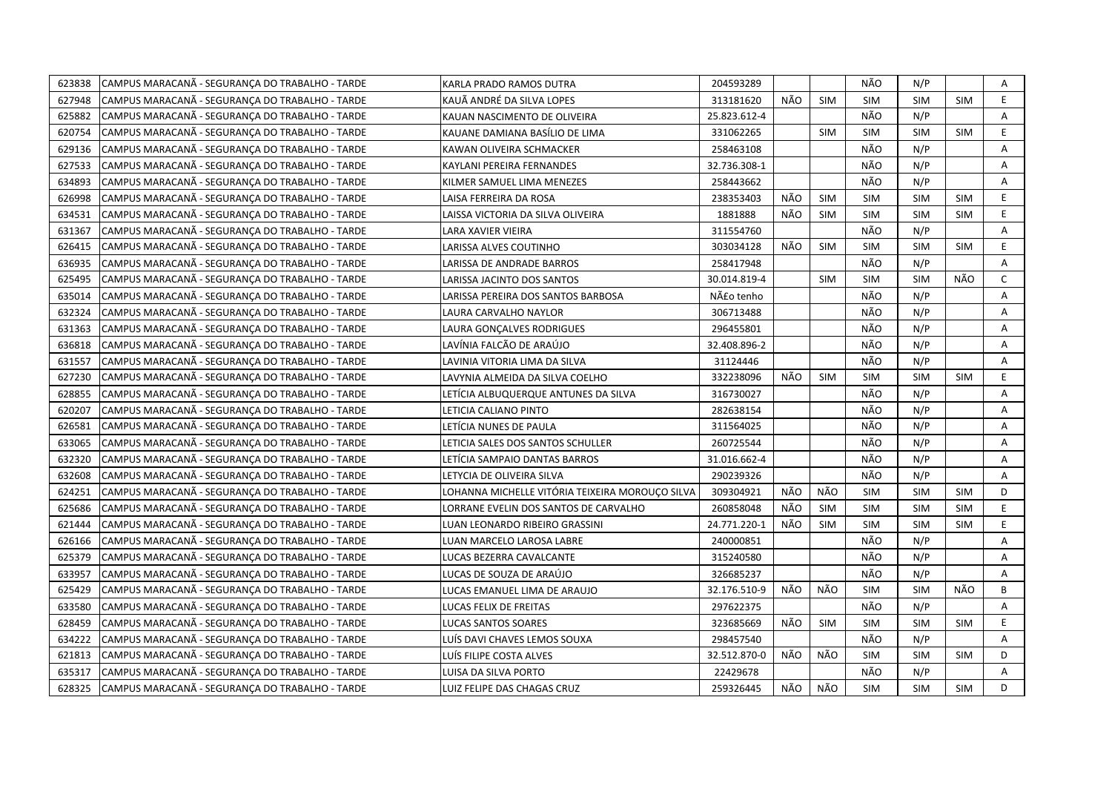| 623838 | CAMPUS MARACANÃ - SEGURANÇA DO TRABALHO - TARDE | KARLA PRADO RAMOS DUTRA                         | 204593289    |     |            | NÃO        | N/P        |            | Α            |
|--------|-------------------------------------------------|-------------------------------------------------|--------------|-----|------------|------------|------------|------------|--------------|
| 627948 | CAMPUS MARACANÃ - SEGURANCA DO TRABALHO - TARDE | KAUÃ ANDRÉ DA SILVA LOPES                       | 313181620    | NÃO | <b>SIM</b> | <b>SIM</b> | <b>SIM</b> | <b>SIM</b> | E            |
| 625882 | CAMPUS MARACANA - SEGURANCA DO TRABALHO - TARDE | KAUAN NASCIMENTO DE OLIVEIRA                    | 25.823.612-4 |     |            | NÃO        | N/P        |            | Α            |
| 620754 | CAMPUS MARACANÃ - SEGURANÇA DO TRABALHO - TARDE | KAUANE DAMIANA BASÍLIO DE LIMA                  | 331062265    |     | <b>SIM</b> | <b>SIM</b> | <b>SIM</b> | <b>SIM</b> | E            |
| 629136 | CAMPUS MARACANA - SEGURANCA DO TRABALHO - TARDE | KAWAN OLIVEIRA SCHMACKER                        | 258463108    |     |            | NÃO        | N/P        |            | Α            |
| 627533 | CAMPUS MARACANA - SEGURANÇA DO TRABALHO - TARDE | KAYLANI PEREIRA FERNANDES                       | 32.736.308-1 |     |            | NÃO        | N/P        |            | Α            |
| 634893 | CAMPUS MARACANA - SEGURANCA DO TRABALHO - TARDE | KILMER SAMUEL LIMA MENEZES                      | 258443662    |     |            | NÃO        | N/P        |            | A            |
| 626998 | CAMPUS MARACANA - SEGURANCA DO TRABALHO - TARDE | LAISA FERREIRA DA ROSA                          | 238353403    | NÃO | <b>SIM</b> | <b>SIM</b> | <b>SIM</b> | <b>SIM</b> | E            |
| 634531 | CAMPUS MARACANA - SEGURANÇA DO TRABALHO - TARDE | LAISSA VICTORIA DA SILVA OLIVEIRA               | 1881888      | NÃO | <b>SIM</b> | <b>SIM</b> | <b>SIM</b> | <b>SIM</b> | E.           |
| 631367 | CAMPUS MARACANA - SEGURANCA DO TRABALHO - TARDE | LARA XAVIER VIEIRA                              | 311554760    |     |            | NÃO        | N/P        |            | Α            |
| 626415 | CAMPUS MARACANA - SEGURANCA DO TRABALHO - TARDE | LARISSA ALVES COUTINHO                          | 303034128    | NÃO | <b>SIM</b> | <b>SIM</b> | <b>SIM</b> | <b>SIM</b> | E            |
| 636935 | CAMPUS MARACANÃ - SEGURANÇA DO TRABALHO - TARDE | LARISSA DE ANDRADE BARROS                       | 258417948    |     |            | NÃO        | N/P        |            | Α            |
| 625495 | CAMPUS MARACANA - SEGURANÇA DO TRABALHO - TARDE | LARISSA JACINTO DOS SANTOS                      | 30.014.819-4 |     | <b>SIM</b> | <b>SIM</b> | <b>SIM</b> | NÃO        | $\mathsf{C}$ |
| 635014 | CAMPUS MARACANA - SEGURANCA DO TRABALHO - TARDE | LARISSA PEREIRA DOS SANTOS BARBOSA              | Não tenho    |     |            | NÃO        | N/P        |            | Α            |
| 632324 | CAMPUS MARACANA - SEGURANÇA DO TRABALHO - TARDE | LAURA CARVALHO NAYLOR                           | 306713488    |     |            | NÃO        | N/P        |            | Α            |
| 631363 | CAMPUS MARACANA - SEGURANÇA DO TRABALHO - TARDE | LAURA GONÇALVES RODRIGUES                       | 296455801    |     |            | NÃO        | N/P        |            | Α            |
| 636818 | CAMPUS MARACANA - SEGURANÇA DO TRABALHO - TARDE | LAVÍNIA FALCÃO DE ARAÚJO                        | 32.408.896-2 |     |            | NÃO        | N/P        |            | A            |
| 631557 | CAMPUS MARACANÃ - SEGURANÇA DO TRABALHO - TARDE | LAVINIA VITORIA LIMA DA SILVA                   | 31124446     |     |            | NÃO        | N/P        |            | A            |
| 627230 | CAMPUS MARACANA - SEGURANÇA DO TRABALHO - TARDE | LAVYNIA ALMEIDA DA SILVA COELHO                 | 332238096    | NÃO | <b>SIM</b> | <b>SIM</b> | <b>SIM</b> | <b>SIM</b> | E.           |
| 628855 | CAMPUS MARACANA - SEGURANÇA DO TRABALHO - TARDE | ETÍCIA ALBUQUERQUE ANTUNES DA SILVA.            | 316730027    |     |            | NÃO        | N/P        |            | А            |
| 620207 | CAMPUS MARACANA - SEGURANCA DO TRABALHO - TARDE | LETICIA CALIANO PINTO                           | 282638154    |     |            | NÃO        | N/P        |            | A            |
| 626581 | CAMPUS MARACANÃ - SEGURANÇA DO TRABALHO - TARDE | LETÍCIA NUNES DE PAULA                          | 311564025    |     |            | NÃO        | N/P        |            | A            |
| 633065 | CAMPUS MARACANA - SEGURANCA DO TRABALHO - TARDE | LETICIA SALES DOS SANTOS SCHULLER               | 260725544    |     |            | NÃO        | N/P        |            | A            |
| 632320 | CAMPUS MARACANA - SEGURANÇA DO TRABALHO - TARDE | LETÍCIA SAMPAIO DANTAS BARROS                   | 31.016.662-4 |     |            | NÃO        | N/P        |            | Α            |
| 632608 | CAMPUS MARACANÃ - SEGURANÇA DO TRABALHO - TARDE | LETYCIA DE OLIVEIRA SILVA                       | 290239326    |     |            | NÃO        | N/P        |            | A            |
| 624251 | CAMPUS MARACANA - SEGURANÇA DO TRABALHO - TARDE | LOHANNA MICHELLE VITÓRIA TEIXEIRA MOROUÇO SILVA | 309304921    | NÃO | NÃO        | <b>SIM</b> | <b>SIM</b> | <b>SIM</b> | D            |
| 625686 | CAMPUS MARACANA - SEGURANÇA DO TRABALHO - TARDE | LORRANE EVELIN DOS SANTOS DE CARVALHO           | 260858048    | NÃO | <b>SIM</b> | <b>SIM</b> | <b>SIM</b> | <b>SIM</b> | E.           |
| 621444 | CAMPUS MARACANA - SEGURANCA DO TRABALHO - TARDE | LUAN LEONARDO RIBEIRO GRASSINI                  | 24.771.220-1 | NÃO | <b>SIM</b> | <b>SIM</b> | <b>SIM</b> | <b>SIM</b> | E            |
| 626166 | CAMPUS MARACANA - SEGURANCA DO TRABALHO - TARDE | LUAN MARCELO LAROSA LABRE                       | 240000851    |     |            | NÃO        | N/P        |            | А            |
| 625379 | CAMPUS MARACANA - SEGURANÇA DO TRABALHO - TARDE | LUCAS BEZERRA CAVALCANTE                        | 315240580    |     |            | NÃO        | N/P        |            | Α            |
| 633957 | CAMPUS MARACANA - SEGURANÇA DO TRABALHO - TARDE | LUCAS DE SOUZA DE ARAÚJO                        | 326685237    |     |            | NÃO        | N/P        |            | A            |
| 625429 | CAMPUS MARACANÃ - SEGURANÇA DO TRABALHO - TARDE | LUCAS EMANUEL LIMA DE ARAUJO                    | 32.176.510-9 | NÃO | NÃO        | <b>SIM</b> | <b>SIM</b> | NÃO        | B            |
| 633580 | CAMPUS MARACANA - SEGURANCA DO TRABALHO - TARDE | LUCAS FELIX DE FREITAS                          | 297622375    |     |            | NÃO        | N/P        |            | Α            |
| 628459 | CAMPUS MARACANA - SEGURANCA DO TRABALHO - TARDE | LUCAS SANTOS SOARES                             | 323685669    | NÃO | <b>SIM</b> | <b>SIM</b> | <b>SIM</b> | <b>SIM</b> | E            |
| 634222 | CAMPUS MARACANA - SEGURANCA DO TRABALHO - TARDE | LUÍS DAVI CHAVES LEMOS SOUXA                    | 298457540    |     |            | NÃO        | N/P        |            | A            |
| 621813 | CAMPUS MARACANA - SEGURANÇA DO TRABALHO - TARDE | LUÍS FILIPE COSTA ALVES                         | 32.512.870-0 | NÃO | NÃO        | <b>SIM</b> | <b>SIM</b> | <b>SIM</b> | D            |
| 635317 | CAMPUS MARACANA - SEGURANCA DO TRABALHO - TARDE | LUISA DA SILVA PORTO                            | 22429678     |     |            | NÃO        | N/P        |            | A            |
| 628325 | CAMPUS MARACANA - SEGURANÇA DO TRABALHO - TARDE | LUIZ FELIPE DAS CHAGAS CRUZ                     | 259326445    | NÃO | NÃO        | <b>SIM</b> | <b>SIM</b> | <b>SIM</b> | D            |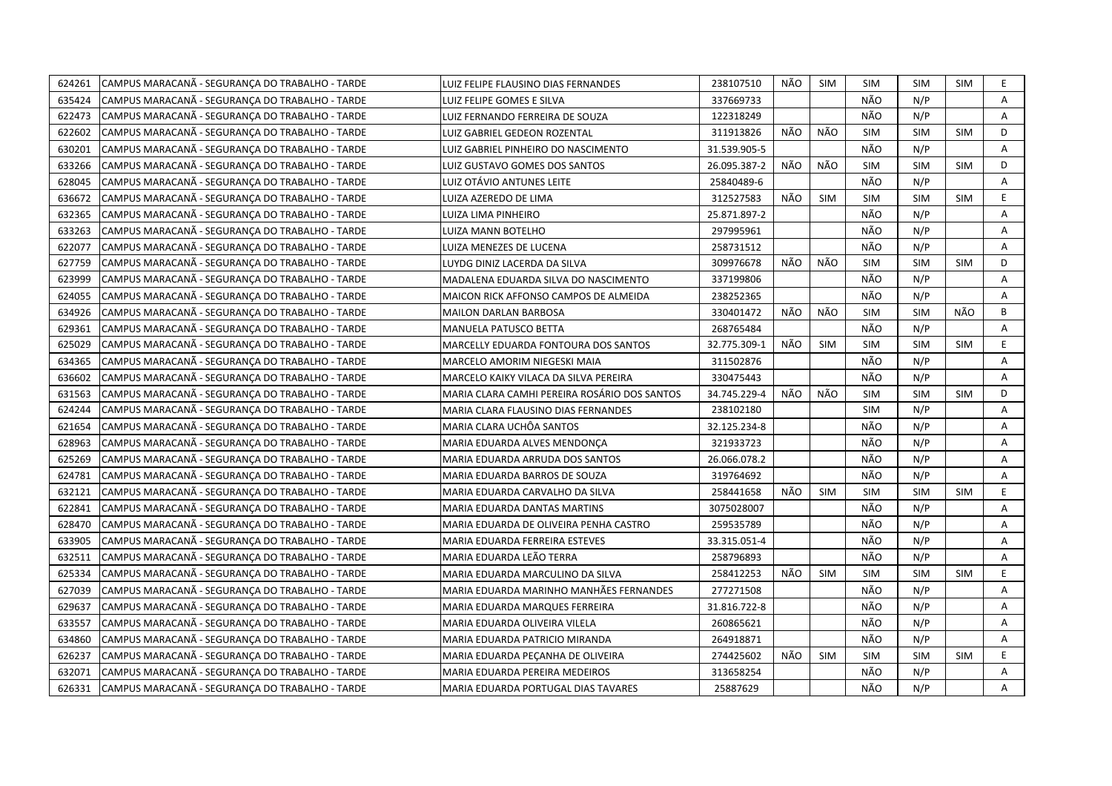| 624261 | CAMPUS MARACANA - SEGURANÇA DO TRABALHO - TARDE | LUIZ FELIPE FLAUSINO DIAS FERNANDES          | 238107510    | NÃO | <b>SIM</b> | <b>SIM</b> | <b>SIM</b> | <b>SIM</b> | E.          |
|--------|-------------------------------------------------|----------------------------------------------|--------------|-----|------------|------------|------------|------------|-------------|
| 635424 | CAMPUS MARACANÃ - SEGURANÇA DO TRABALHO - TARDE | LUIZ FELIPE GOMES E SILVA                    | 337669733    |     |            | NÃO        | N/P        |            | A           |
| 622473 | CAMPUS MARACANA - SEGURANÇA DO TRABALHO - TARDE | LUIZ FERNANDO FERREIRA DE SOUZA              | 122318249    |     |            | NÃO        | N/P        |            | A           |
| 622602 | CAMPUS MARACANA - SEGURANCA DO TRABALHO - TARDE | LUIZ GABRIEL GEDEON ROZENTAL                 | 311913826    | NÃO | NÃO        | <b>SIM</b> | <b>SIM</b> | <b>SIM</b> | D           |
| 630201 | CAMPUS MARACANÃ - SEGURANÇA DO TRABALHO - TARDE | LUIZ GABRIEL PINHEIRO DO NASCIMENTO          | 31.539.905-5 |     |            | NÃO        | N/P        |            | Α           |
| 633266 | CAMPUS MARACANÃ - SEGURANÇA DO TRABALHO - TARDE | LUIZ GUSTAVO GOMES DOS SANTOS                | 26.095.387-2 | NÃO | NÃO        | <b>SIM</b> | <b>SIM</b> | <b>SIM</b> | D           |
| 628045 | CAMPUS MARACANÃ - SEGURANÇA DO TRABALHO - TARDE | LUIZ OTÁVIO ANTUNES LEITE                    | 25840489-6   |     |            | NÃO        | N/P        |            | A           |
| 636672 | CAMPUS MARACANA - SEGURANÇA DO TRABALHO - TARDE | LUIZA AZEREDO DE LIMA                        | 312527583    | NÃO | <b>SIM</b> | <b>SIM</b> | <b>SIM</b> | <b>SIM</b> | E.          |
| 632365 | CAMPUS MARACANA - SEGURANCA DO TRABALHO - TARDE | LUIZA LIMA PINHEIRO                          | 25.871.897-2 |     |            | NÃO        | N/P        |            | A           |
| 633263 | CAMPUS MARACANÃ - SEGURANÇA DO TRABALHO - TARDE | LUIZA MANN BOTELHO                           | 297995961    |     |            | NÃO        | N/P        |            | A           |
| 622077 | CAMPUS MARACANA - SEGURANCA DO TRABALHO - TARDE | LUIZA MENEZES DE LUCENA                      | 258731512    |     |            | NÃO        | N/P        |            | A           |
| 627759 | CAMPUS MARACANA - SEGURANÇA DO TRABALHO - TARDE | LUYDG DINIZ LACERDA DA SILVA                 | 309976678    | NÃO | NÃO        | <b>SIM</b> | <b>SIM</b> | <b>SIM</b> | D           |
| 623999 | CAMPUS MARACANÃ - SEGURANCA DO TRABALHO - TARDE | MADALENA EDUARDA SILVA DO NASCIMENTO         | 337199806    |     |            | NÃO        | N/P        |            | A           |
| 624055 | CAMPUS MARACANÃ - SEGURANCA DO TRABALHO - TARDE | MAICON RICK AFFONSO CAMPOS DE ALMEIDA        | 238252365    |     |            | NÃO        | N/P        |            | A           |
| 634926 | CAMPUS MARACANÃ - SEGURANÇA DO TRABALHO - TARDE | <b>MAILON DARLAN BARBOSA</b>                 | 330401472    | NÃO | NÃO        | <b>SIM</b> | <b>SIM</b> | NÃO        | B           |
| 629361 | CAMPUS MARACANA - SEGURANCA DO TRABALHO - TARDE | MANUELA PATUSCO BETTA                        | 268765484    |     |            | NÃO        | N/P        |            | A           |
| 625029 | CAMPUS MARACANA - SEGURANÇA DO TRABALHO - TARDE | MARCELLY EDUARDA FONTOURA DOS SANTOS         | 32.775.309-1 | NÃO | <b>SIM</b> | <b>SIM</b> | <b>SIM</b> | <b>SIM</b> | $\mathsf E$ |
| 634365 | CAMPUS MARACANA - SEGURANCA DO TRABALHO - TARDE | MARCELO AMORIM NIEGESKI MAIA                 | 311502876    |     |            | NÃO        | N/P        |            | A           |
| 636602 | CAMPUS MARACANA - SEGURANÇA DO TRABALHO - TARDE | MARCELO KAIKY VILACA DA SILVA PEREIRA        | 330475443    |     |            | NÃO        | N/P        |            | Α           |
| 631563 | CAMPUS MARACANÃ - SEGURANCA DO TRABALHO - TARDE | MARIA CLARA CAMHI PEREIRA ROSÁRIO DOS SANTOS | 34.745.229-4 | NÃO | NÃO        | <b>SIM</b> | <b>SIM</b> | <b>SIM</b> | D           |
| 624244 | CAMPUS MARACANA - SEGURANÇA DO TRABALHO - TARDE | MARIA CLARA FLAUSINO DIAS FERNANDES          | 238102180    |     |            | <b>SIM</b> | N/P        |            | Α           |
| 621654 | CAMPUS MARACANÃ - SEGURANCA DO TRABALHO - TARDE | MARIA CLARA UCHÔA SANTOS                     | 32.125.234-8 |     |            | NÃO        | N/P        |            | A           |
| 628963 | CAMPUS MARACANÃ - SEGURANCA DO TRABALHO - TARDE | MARIA EDUARDA ALVES MENDONCA                 | 321933723    |     |            | NÃO        | N/P        |            | A           |
| 625269 | CAMPUS MARACANA - SEGURANÇA DO TRABALHO - TARDE | MARIA EDUARDA ARRUDA DOS SANTOS              | 26.066.078.2 |     |            | NÃO        | N/P        |            | A           |
| 624781 | CAMPUS MARACANÃ - SEGURANÇA DO TRABALHO - TARDE | MARIA EDUARDA BARROS DE SOUZA                | 319764692    |     |            | NÃO        | N/P        |            | A           |
| 632121 | CAMPUS MARACANA - SEGURANCA DO TRABALHO - TARDE | MARIA EDUARDA CARVALHO DA SILVA              | 258441658    | NÃO | <b>SIM</b> | <b>SIM</b> | <b>SIM</b> | <b>SIM</b> | E.          |
| 622841 | CAMPUS MARACANÃ - SEGURANÇA DO TRABALHO - TARDE | MARIA EDUARDA DANTAS MARTINS                 | 3075028007   |     |            | NÃO        | N/P        |            | A           |
| 628470 | CAMPUS MARACANÃ - SEGURANÇA DO TRABALHO - TARDE | MARIA EDUARDA DE OLIVEIRA PENHA CASTRO       | 259535789    |     |            | NÃO        | N/P        |            | A           |
| 633905 | CAMPUS MARACANÃ - SEGURANCA DO TRABALHO - TARDE | MARIA EDUARDA FERREIRA ESTEVES               | 33.315.051-4 |     |            | NÃO        | N/P        |            | A           |
| 632511 | CAMPUS MARACANA - SEGURANÇA DO TRABALHO - TARDE | MARIA EDUARDA LEÃO TERRA                     | 258796893    |     |            | NÃO        | N/P        |            | Α           |
| 625334 | CAMPUS MARACANA - SEGURANÇA DO TRABALHO - TARDE | MARIA EDUARDA MARCULINO DA SILVA             | 258412253    | NÃO | <b>SIM</b> | <b>SIM</b> | <b>SIM</b> | <b>SIM</b> | E           |
| 627039 | CAMPUS MARACANA - SEGURANÇA DO TRABALHO - TARDE | MARIA EDUARDA MARINHO MANHÃES FERNANDES      | 277271508    |     |            | NÃO        | N/P        |            | Α           |
| 629637 | CAMPUS MARACANA - SEGURANCA DO TRABALHO - TARDE | MARIA EDUARDA MARQUES FERREIRA               | 31.816.722-8 |     |            | NÃO        | N/P        |            | Α           |
| 633557 | CAMPUS MARACANÃ - SEGURANÇA DO TRABALHO - TARDE | MARIA EDUARDA OLIVEIRA VILELA                | 260865621    |     |            | NÃO        | N/P        |            | A           |
| 634860 | CAMPUS MARACANÃ - SEGURANÇA DO TRABALHO - TARDE | MARIA EDUARDA PATRICIO MIRANDA               | 264918871    |     |            | NÃO        | N/P        |            | A           |
| 626237 | CAMPUS MARACANA - SEGURANÇA DO TRABALHO - TARDE | MARIA EDUARDA PEÇANHA DE OLIVEIRA            | 274425602    | NÃO | <b>SIM</b> | <b>SIM</b> | <b>SIM</b> | <b>SIM</b> | E           |
| 632071 | CAMPUS MARACANÃ - SEGURANÇA DO TRABALHO - TARDE | MARIA EDUARDA PEREIRA MEDEIROS               | 313658254    |     |            | NÃO        | N/P        |            | A           |
| 626331 | CAMPUS MARACANÃ - SEGURANÇA DO TRABALHO - TARDE | MARIA EDUARDA PORTUGAL DIAS TAVARES          | 25887629     |     |            | NÃO        | N/P        |            | A           |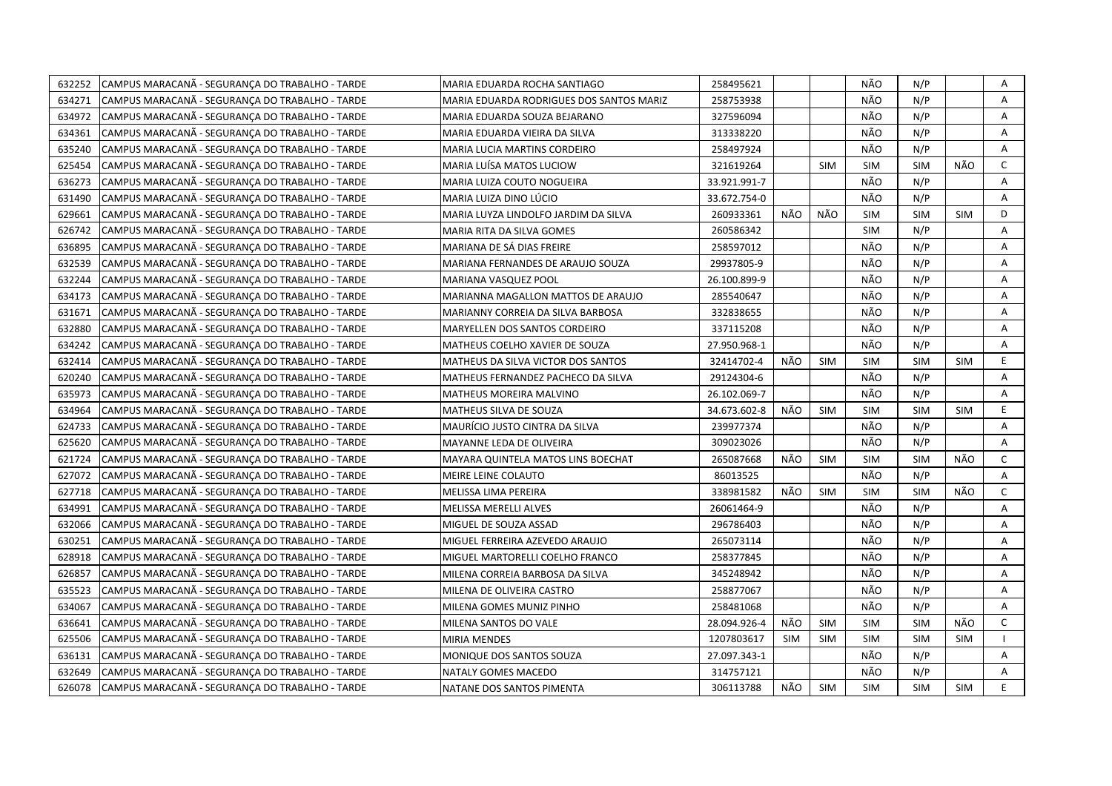| 632252<br>CAMPUS MARACANÃ - SEGURANÇA DO TRABALHO - TARDE | MARIA EDUARDA ROCHA SANTIAGO             | 258495621    |            |            | NÃO        | N/P        |            | Α            |
|-----------------------------------------------------------|------------------------------------------|--------------|------------|------------|------------|------------|------------|--------------|
| 634271<br>CAMPUS MARACANA - SEGURANÇA DO TRABALHO - TARDE | MARIA EDUARDA RODRIGUES DOS SANTOS MARIZ | 258753938    |            |            | NÃO        | N/P        |            | $\mathsf{A}$ |
| 634972<br>CAMPUS MARACANÃ - SEGURANÇA DO TRABALHO - TARDE | MARIA EDUARDA SOUZA BEJARANO             | 327596094    |            |            | NÃO        | N/P        |            | $\mathsf{A}$ |
| 634361<br>CAMPUS MARACANA - SEGURANÇA DO TRABALHO - TARDE | MARIA EDUARDA VIEIRA DA SILVA            | 313338220    |            |            | NÃO        | N/P        |            | A            |
| 635240<br>CAMPUS MARACANA - SEGURANCA DO TRABALHO - TARDE | MARIA LUCIA MARTINS CORDEIRO             | 258497924    |            |            | NÃO        | N/P        |            | A            |
| 625454<br>CAMPUS MARACANA - SEGURANÇA DO TRABALHO - TARDE | MARIA LUÍSA MATOS LUCIOW                 | 321619264    |            | <b>SIM</b> | <b>SIM</b> | <b>SIM</b> | NÃO        | $\mathsf{C}$ |
| CAMPUS MARACANA - SEGURANÇA DO TRABALHO - TARDE<br>636273 | MARIA LUIZA COUTO NOGUEIRA               | 33.921.991-7 |            |            | NÃO        | N/P        |            | Α            |
| CAMPUS MARACANA - SEGURANCA DO TRABALHO - TARDE<br>631490 | MARIA LUIZA DINO LÚCIO                   | 33.672.754-0 |            |            | NÃO        | N/P        |            | А            |
| 629661<br>CAMPUS MARACANÃ - SEGURANÇA DO TRABALHO - TARDE | MARIA LUYZA LINDOLFO JARDIM DA SILVA     | 260933361    | NÃO        | NÃO        | <b>SIM</b> | <b>SIM</b> | <b>SIM</b> | D            |
| 626742<br>CAMPUS MARACANA - SEGURANÇA DO TRABALHO - TARDE | MARIA RITA DA SILVA GOMES                | 260586342    |            |            | <b>SIM</b> | N/P        |            | A            |
| 636895<br>CAMPUS MARACANÃ - SEGURANÇA DO TRABALHO - TARDE | MARIANA DE SÁ DIAS FREIRE                | 258597012    |            |            | NÃO        | N/P        |            | Α            |
| 632539<br>CAMPUS MARACANA - SEGURANÇA DO TRABALHO - TARDE | MARIANA FERNANDES DE ARAUJO SOUZA        | 29937805-9   |            |            | NÃO        | N/P        |            | A            |
| CAMPUS MARACANA - SEGURANÇA DO TRABALHO - TARDE<br>632244 | <b>MARIANA VASQUEZ POOL</b>              | 26.100.899-9 |            |            | NÃO        | N/P        |            | А            |
| CAMPUS MARACANÃ - SEGURANÇA DO TRABALHO - TARDE<br>634173 | MARIANNA MAGALLON MATTOS DE ARAUJO       | 285540647    |            |            | NÃO        | N/P        |            | Α            |
| CAMPUS MARACANÃ - SEGURANÇA DO TRABALHO - TARDE<br>631671 | MARIANNY CORREIA DA SILVA BARBOSA        | 332838655    |            |            | NÃO        | N/P        |            | A            |
| 632880<br>CAMPUS MARACANÃ - SEGURANÇA DO TRABALHO - TARDE | MARYELLEN DOS SANTOS CORDEIRO            | 337115208    |            |            | NÃO        | N/P        |            | A            |
| 634242<br>CAMPUS MARACANÃ - SEGURANÇA DO TRABALHO - TARDE | MATHEUS COELHO XAVIER DE SOUZA           | 27.950.968-1 |            |            | NÃO        | N/P        |            | A            |
| CAMPUS MARACANÃ - SEGURANÇA DO TRABALHO - TARDE<br>632414 | MATHEUS DA SILVA VICTOR DOS SANTOS       | 32414702-4   | NÃO        | <b>SIM</b> | <b>SIM</b> | <b>SIM</b> | <b>SIM</b> | E            |
| 620240<br>CAMPUS MARACANA - SEGURANÇA DO TRABALHO - TARDE | MATHEUS FERNANDEZ PACHECO DA SILVA       | 29124304-6   |            |            | NÃO        | N/P        |            | A            |
| 635973<br>CAMPUS MARACANÃ - SEGURANÇA DO TRABALHO - TARDE | MATHEUS MOREIRA MALVINO                  | 26.102.069-7 |            |            | NÃO        | N/P        |            | A            |
| 634964<br>CAMPUS MARACANA - SEGURANÇA DO TRABALHO - TARDE | MATHEUS SILVA DE SOUZA                   | 34.673.602-8 | NÃO        | <b>SIM</b> | <b>SIM</b> | <b>SIM</b> | <b>SIM</b> | E.           |
| 624733<br>CAMPUS MARACANÃ - SEGURANÇA DO TRABALHO - TARDE | MAURÍCIO JUSTO CINTRA DA SILVA           | 239977374    |            |            | NÃO        | N/P        |            | A            |
| CAMPUS MARACANA - SEGURANÇA DO TRABALHO - TARDE<br>625620 | MAYANNE LEDA DE OLIVEIRA                 | 309023026    |            |            | NÃO        | N/P        |            | A            |
| 621724<br>CAMPUS MARACANÃ - SEGURANCA DO TRABALHO - TARDE | MAYARA QUINTELA MATOS LINS BOECHAT       | 265087668    | NÃO        | SIM        | <b>SIM</b> | <b>SIM</b> | NÃO        | $\mathsf{C}$ |
| 627072<br>CAMPUS MARACANA - SEGURANÇA DO TRABALHO - TARDE | MEIRE LEINE COLAUTO                      | 86013525     |            |            | NÃO        | N/P        |            | A            |
| 627718<br>CAMPUS MARACANA - SEGURANÇA DO TRABALHO - TARDE | MELISSA LIMA PEREIRA                     | 338981582    | NÃO        | <b>SIM</b> | <b>SIM</b> | <b>SIM</b> | NÃO        | $\mathsf{C}$ |
| 634991<br>CAMPUS MARACANA - SEGURANCA DO TRABALHO - TARDE | MELISSA MERELLI ALVES                    | 26061464-9   |            |            | NÃO        | N/P        |            | $\mathsf{A}$ |
| 632066<br>CAMPUS MARACANA - SEGURANÇA DO TRABALHO - TARDE | MIGUEL DE SOUZA ASSAD                    | 296786403    |            |            | NÃO        | N/P        |            | A            |
| 630251<br>CAMPUS MARACANA - SEGURANÇA DO TRABALHO - TARDE | MIGUEL FERREIRA AZEVEDO ARAUJO           | 265073114    |            |            | NÃO        | N/P        |            | A            |
| 628918<br>CAMPUS MARACANÃ - SEGURANÇA DO TRABALHO - TARDE | MIGUEL MARTORELLI COELHO FRANCO          | 258377845    |            |            | NÃO        | N/P        |            | А            |
| 626857<br>CAMPUS MARACANA - SEGURANÇA DO TRABALHO - TARDE | MILENA CORREIA BARBOSA DA SILVA          | 345248942    |            |            | NÃO        | N/P        |            | Α            |
| 635523<br>CAMPUS MARACANA - SEGURANCA DO TRABALHO - TARDE | MILENA DE OLIVEIRA CASTRO                | 258877067    |            |            | NÃO        | N/P        |            | Α            |
| CAMPUS MARACANÃ - SEGURANÇA DO TRABALHO - TARDE<br>634067 | MILENA GOMES MUNIZ PINHO                 | 258481068    |            |            | NÃO        | N/P        |            | A            |
| 636641<br>CAMPUS MARACANÃ - SEGURANÇA DO TRABALHO - TARDE | MILENA SANTOS DO VALE                    | 28.094.926-4 | NÃO        | SIM        | <b>SIM</b> | <b>SIM</b> | NÃO        | $\mathsf{C}$ |
| 625506<br>CAMPUS MARACANA - SEGURANÇA DO TRABALHO - TARDE | <b>MIRIA MENDES</b>                      | 1207803617   | <b>SIM</b> | <b>SIM</b> | <b>SIM</b> | <b>SIM</b> | <b>SIM</b> | $\mathbf{I}$ |
| CAMPUS MARACANA - SEGURANÇA DO TRABALHO - TARDE<br>636131 | MONIQUE DOS SANTOS SOUZA                 | 27.097.343-1 |            |            | NÃO        | N/P        |            | Α            |
| 632649<br>CAMPUS MARACANA - SEGURANCA DO TRABALHO - TARDE | NATALY GOMES MACEDO                      | 314757121    |            |            | NÃO        | N/P        |            | Α            |
| 626078<br>CAMPUS MARACANA - SEGURANÇA DO TRABALHO - TARDE | NATANE DOS SANTOS PIMENTA                | 306113788    | NÃO        | SIM        | <b>SIM</b> | <b>SIM</b> | <b>SIM</b> | E.           |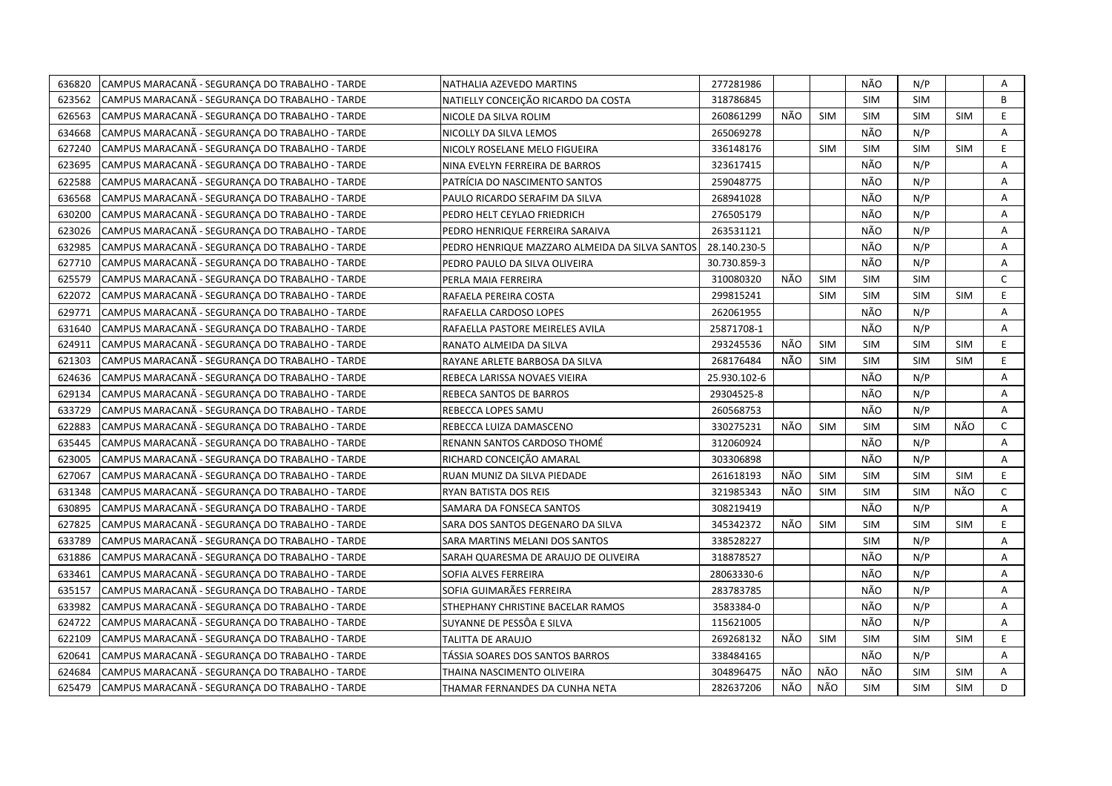| 636820 | CAMPUS MARACANÃ - SEGURANÇA DO TRABALHO - TARDE | NATHALIA AZEVEDO MARTINS                       | 277281986    |     |            | NÃO        | N/P        |            | Α            |
|--------|-------------------------------------------------|------------------------------------------------|--------------|-----|------------|------------|------------|------------|--------------|
| 623562 | CAMPUS MARACANÃ - SEGURANÇA DO TRABALHO - TARDE | NATIELLY CONCEICÃO RICARDO DA COSTA            | 318786845    |     |            | <b>SIM</b> | <b>SIM</b> |            | B            |
| 626563 | CAMPUS MARACANÃ - SEGURANÇA DO TRABALHO - TARDE | NICOLE DA SILVA ROLIM                          | 260861299    | NÃO | <b>SIM</b> | SIM        | <b>SIM</b> | <b>SIM</b> | E.           |
| 634668 | CAMPUS MARACANA - SEGURANÇA DO TRABALHO - TARDE | NICOLLY DA SILVA LEMOS                         | 265069278    |     |            | NÃO        | N/P        |            | A            |
| 627240 | CAMPUS MARACANÃ - SEGURANÇA DO TRABALHO - TARDE | NICOLY ROSELANE MELO FIGUEIRA                  | 336148176    |     | <b>SIM</b> | <b>SIM</b> | <b>SIM</b> | <b>SIM</b> | E            |
| 623695 | CAMPUS MARACANA - SEGURANÇA DO TRABALHO - TARDE | NINA EVELYN FERREIRA DE BARROS                 | 323617415    |     |            | NÃO        | N/P        |            | Α            |
| 622588 | CAMPUS MARACANÃ - SEGURANÇA DO TRABALHO - TARDE | PATRÍCIA DO NASCIMENTO SANTOS                  | 259048775    |     |            | NÃO        | N/P        |            | A            |
| 636568 | CAMPUS MARACANÃ - SEGURANÇA DO TRABALHO - TARDE | PAULO RICARDO SERAFIM DA SILVA                 | 268941028    |     |            | NÃO        | N/P        |            | Α            |
| 630200 | CAMPUS MARACANÃ - SEGURANÇA DO TRABALHO - TARDE | PEDRO HELT CEYLAO FRIEDRICH                    | 276505179    |     |            | NÃO        | N/P        |            | A            |
| 623026 | CAMPUS MARACANÃ - SEGURANÇA DO TRABALHO - TARDE | PEDRO HENRIQUE FERREIRA SARAIVA                | 263531121    |     |            | NÃO        | N/P        |            | A            |
| 632985 | CAMPUS MARACANA - SEGURANÇA DO TRABALHO - TARDE | PEDRO HENRIQUE MAZZARO ALMEIDA DA SILVA SANTOS | 28.140.230-5 |     |            | NÃO        | N/P        |            | Α            |
| 627710 | CAMPUS MARACANÃ - SEGURANÇA DO TRABALHO - TARDE | PEDRO PAULO DA SILVA OLIVEIRA                  | 30.730.859-3 |     |            | NÃO        | N/P        |            | A            |
| 625579 | CAMPUS MARACANÃ - SEGURANÇA DO TRABALHO - TARDE | PERLA MAIA FERREIRA                            | 310080320    | NÃO | <b>SIM</b> | <b>SIM</b> | <b>SIM</b> |            | $\mathsf{C}$ |
| 622072 | CAMPUS MARACANÃ - SEGURANÇA DO TRABALHO - TARDE | RAFAELA PEREIRA COSTA                          | 299815241    |     | <b>SIM</b> | <b>SIM</b> | <b>SIM</b> | <b>SIM</b> | E            |
| 629771 | CAMPUS MARACANÃ - SEGURANÇA DO TRABALHO - TARDE | RAFAELLA CARDOSO LOPES                         | 262061955    |     |            | NÃO        | N/P        |            | Α            |
| 631640 | CAMPUS MARACANÃ - SEGURANÇA DO TRABALHO - TARDE | RAFAELLA PASTORE MEIRELES AVILA                | 25871708-1   |     |            | NÃO        | N/P        |            | A            |
| 624911 | CAMPUS MARACANA - SEGURANÇA DO TRABALHO - TARDE | RANATO ALMEIDA DA SILVA                        | 293245536    | NÃO | <b>SIM</b> | <b>SIM</b> | <b>SIM</b> | <b>SIM</b> | E            |
| 621303 | CAMPUS MARACANA - SEGURANÇA DO TRABALHO - TARDE | RAYANE ARLETE BARBOSA DA SILVA                 | 268176484    | NÃO | <b>SIM</b> | <b>SIM</b> | <b>SIM</b> | <b>SIM</b> | E.           |
| 624636 | CAMPUS MARACANA - SEGURANCA DO TRABALHO - TARDE | REBECA LARISSA NOVAES VIEIRA                   | 25.930.102-6 |     |            | NÃO        | N/P        |            | A            |
| 629134 | CAMPUS MARACANA - SEGURANÇA DO TRABALHO - TARDE | REBECA SANTOS DE BARROS                        | 29304525-8   |     |            | NÃO        | N/P        |            | A            |
| 633729 | CAMPUS MARACANÃ - SEGURANÇA DO TRABALHO - TARDE | REBECCA LOPES SAMU                             | 260568753    |     |            | NÃO        | N/P        |            | A            |
| 622883 | CAMPUS MARACANÃ - SEGURANÇA DO TRABALHO - TARDE | REBECCA LUIZA DAMASCENO                        | 330275231    | NÃO | <b>SIM</b> | <b>SIM</b> | <b>SIM</b> | NÃO        | $\mathsf{C}$ |
| 635445 | CAMPUS MARACANA - SEGURANCA DO TRABALHO - TARDE | RENANN SANTOS CARDOSO THOMÉ                    | 312060924    |     |            | NÃO        | N/P        |            | A            |
| 623005 | CAMPUS MARACANA - SEGURANÇA DO TRABALHO - TARDE | RICHARD CONCEIÇÃO AMARAL                       | 303306898    |     |            | NÃO        | N/P        |            | Α            |
| 627067 | CAMPUS MARACANÃ - SEGURANÇA DO TRABALHO - TARDE | RUAN MUNIZ DA SILVA PIEDADE                    | 261618193    | NÃO | <b>SIM</b> | <b>SIM</b> | <b>SIM</b> | <b>SIM</b> | E.           |
| 631348 | CAMPUS MARACANÃ - SEGURANÇA DO TRABALHO - TARDE | RYAN BATISTA DOS REIS                          | 321985343    | NÃO | <b>SIM</b> | <b>SIM</b> | <b>SIM</b> | NÃO        | $\mathsf{C}$ |
| 630895 | CAMPUS MARACANA - SEGURANÇA DO TRABALHO - TARDE | SAMARA DA FONSECA SANTOS                       | 308219419    |     |            | NÃO        | N/P        |            | A            |
| 627825 | CAMPUS MARACANA - SEGURANÇA DO TRABALHO - TARDE | SARA DOS SANTOS DEGENARO DA SILVA              | 345342372    | NÃO | <b>SIM</b> | <b>SIM</b> | <b>SIM</b> | <b>SIM</b> | E.           |
| 633789 | CAMPUS MARACANÃ - SEGURANÇA DO TRABALHO - TARDE | SARA MARTINS MELANI DOS SANTOS                 | 338528227    |     |            | SIM        | N/P        |            | A            |
| 631886 | CAMPUS MARACANA - SEGURANCA DO TRABALHO - TARDE | SARAH QUARESMA DE ARAUJO DE OLIVEIRA           | 318878527    |     |            | NÃO        | N/P        |            | A            |
| 633461 | CAMPUS MARACANA - SEGURANÇA DO TRABALHO - TARDE | SOFIA ALVES FERREIRA                           | 28063330-6   |     |            | NÃO        | N/P        |            | Α            |
| 635157 | CAMPUS MARACANA - SEGURANÇA DO TRABALHO - TARDE | SOFIA GUIMARÃES FERREIRA                       | 283783785    |     |            | NÃO        | N/P        |            | A            |
| 633982 | CAMPUS MARACANÃ - SEGURANÇA DO TRABALHO - TARDE | STHEPHANY CHRISTINE BACELAR RAMOS              | 3583384-0    |     |            | NÃO        | N/P        |            | A            |
| 624722 | CAMPUS MARACANA - SEGURANÇA DO TRABALHO - TARDE | SUYANNE DE PESSÔA E SILVA                      | 115621005    |     |            | NÃO        | N/P        |            | Α            |
| 622109 | CAMPUS MARACANA - SEGURANÇA DO TRABALHO - TARDE | TALITTA DE ARAUJO                              | 269268132    | NÃO | <b>SIM</b> | <b>SIM</b> | <b>SIM</b> | <b>SIM</b> | E            |
| 620641 | CAMPUS MARACANA - SEGURANÇA DO TRABALHO - TARDE | TÁSSIA SOARES DOS SANTOS BARROS                | 338484165    |     |            | NÃO        | N/P        |            | Α            |
| 624684 | CAMPUS MARACANA - SEGURANÇA DO TRABALHO - TARDE | THAINA NASCIMENTO OLIVEIRA                     | 304896475    | NÃO | NÃO        | NÃO        | <b>SIM</b> | <b>SIM</b> | A            |
| 625479 | CAMPUS MARACANÃ - SEGURANÇA DO TRABALHO - TARDE | THAMAR FERNANDES DA CUNHA NETA                 | 282637206    | NÃO | NÃO        | <b>SIM</b> | <b>SIM</b> | SIM        | D            |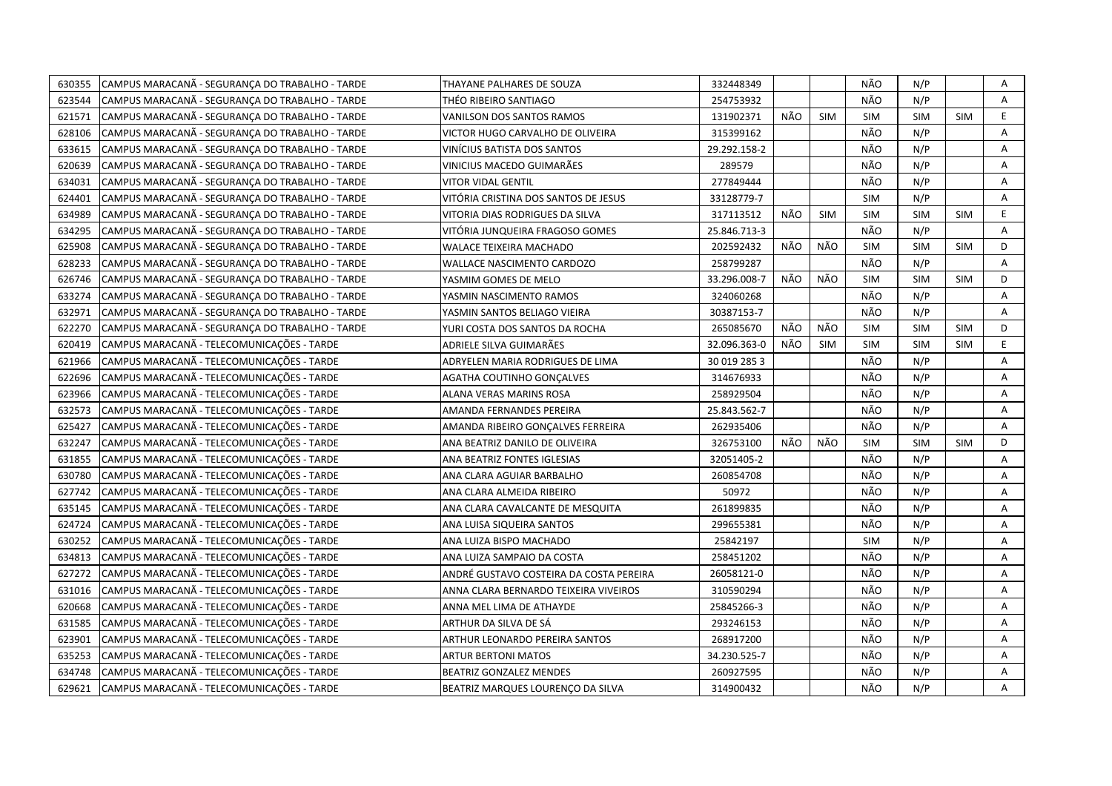| 630355 | CAMPUS MARACANÃ - SEGURANÇA DO TRABALHO - TARDE | THAYANE PALHARES DE SOUZA               | 332448349    |     |            | NÃO        | N/P        |            | Α  |
|--------|-------------------------------------------------|-----------------------------------------|--------------|-----|------------|------------|------------|------------|----|
| 623544 | CAMPUS MARACANÃ - SEGURANÇA DO TRABALHO - TARDE | THÉO RIBEIRO SANTIAGO                   | 254753932    |     |            | NÃO        | N/P        |            | A  |
| 621571 | CAMPUS MARACANÃ - SEGURANÇA DO TRABALHO - TARDE | VANILSON DOS SANTOS RAMOS               | 131902371    | NÃO | <b>SIM</b> | <b>SIM</b> | <b>SIM</b> | <b>SIM</b> | E  |
| 628106 | CAMPUS MARACANA - SEGURANCA DO TRABALHO - TARDE | VICTOR HUGO CARVALHO DE OLIVEIRA        | 315399162    |     |            | NÃO        | N/P        |            | A  |
| 633615 | CAMPUS MARACANA - SEGURANÇA DO TRABALHO - TARDE | VINÍCIUS BATISTA DOS SANTOS             | 29.292.158-2 |     |            | NÃO        | N/P        |            | Α  |
| 620639 | CAMPUS MARACANÃ - SEGURANÇA DO TRABALHO - TARDE | VINICIUS MACEDO GUIMARÃES               | 289579       |     |            | NÃO        | N/P        |            | Α  |
| 634031 | CAMPUS MARACANÃ - SEGURANÇA DO TRABALHO - TARDE | <b>VITOR VIDAL GENTIL</b>               | 277849444    |     |            | NÃO        | N/P        |            | Α  |
| 624401 | CAMPUS MARACANÃ - SEGURANÇA DO TRABALHO - TARDE | VITÓRIA CRISTINA DOS SANTOS DE JESUS    | 33128779-7   |     |            | <b>SIM</b> | N/P        |            | A  |
| 634989 | CAMPUS MARACANA - SEGURANCA DO TRABALHO - TARDE | VITORIA DIAS RODRIGUES DA SILVA         | 317113512    | NÃO | <b>SIM</b> | <b>SIM</b> | <b>SIM</b> | <b>SIM</b> | E  |
| 634295 | CAMPUS MARACANA - SEGURANÇA DO TRABALHO - TARDE | VITÓRIA JUNQUEIRA FRAGOSO GOMES         | 25.846.713-3 |     |            | NÃO        | N/P        |            | A  |
| 625908 | CAMPUS MARACANA - SEGURANÇA DO TRABALHO - TARDE | <b>WALACE TEIXEIRA MACHADO</b>          | 202592432    | NÃO | NÃO        | <b>SIM</b> | <b>SIM</b> | <b>SIM</b> | D  |
| 628233 | CAMPUS MARACANA - SEGURANÇA DO TRABALHO - TARDE | WALLACE NASCIMENTO CARDOZO              | 258799287    |     |            | NÃO        | N/P        |            | A  |
| 626746 | CAMPUS MARACANA - SEGURANÇA DO TRABALHO - TARDE | YASMIM GOMES DE MELO                    | 33.296.008-7 | NÃO | NÃO        | <b>SIM</b> | <b>SIM</b> | <b>SIM</b> | D  |
| 633274 | CAMPUS MARACANÃ - SEGURANÇA DO TRABALHO - TARDE | YASMIN NASCIMENTO RAMOS                 | 324060268    |     |            | NÃO        | N/P        |            | Α  |
| 632971 | CAMPUS MARACANA - SEGURANCA DO TRABALHO - TARDE | YASMIN SANTOS BELIAGO VIEIRA            | 30387153-7   |     |            | NÃO        | N/P        |            | A  |
| 622270 | CAMPUS MARACANA - SEGURANÇA DO TRABALHO - TARDE | YURI COSTA DOS SANTOS DA ROCHA          | 265085670    | NÃO | NÃO        | <b>SIM</b> | <b>SIM</b> | <b>SIM</b> | D  |
| 620419 | CAMPUS MARACANÃ - TELECOMUNICAÇÕES - TARDE      | ADRIELE SILVA GUIMARÃES                 | 32.096.363-0 | NÃO | <b>SIM</b> | <b>SIM</b> | <b>SIM</b> | <b>SIM</b> | E. |
| 621966 | CAMPUS MARACANÃ - TELECOMUNICAÇÕES - TARDE      | ADRYELEN MARIA RODRIGUES DE LIMA        | 30 019 285 3 |     |            | NÃO        | N/P        |            | Α  |
| 622696 | CAMPUS MARACANA - TELECOMUNICAÇÕES - TARDE      | AGATHA COUTINHO GONCALVES               | 314676933    |     |            | NÃO        | N/P        |            | Α  |
| 623966 | CAMPUS MARACANÃ - TELECOMUNICAÇÕES - TARDE      | ALANA VERAS MARINS ROSA                 | 258929504    |     |            | NÃO        | N/P        |            | Α  |
| 632573 | CAMPUS MARACANA - TELECOMUNICAÇÕES - TARDE      | AMANDA FERNANDES PEREIRA                | 25.843.562-7 |     |            | NÃO        | N/P        |            | A  |
| 625427 | CAMPUS MARACANÃ - TELECOMUNICAÇÕES - TARDE      | AMANDA RIBEIRO GONÇALVES FERREIRA       | 262935406    |     |            | NÃO        | N/P        |            | A  |
| 632247 | CAMPUS MARACANA - TELECOMUNICAÇÕES - TARDE      | ANA BEATRIZ DANILO DE OLIVEIRA          | 326753100    | NÃO | NÃO        | <b>SIM</b> | <b>SIM</b> | <b>SIM</b> | D  |
| 631855 | CAMPUS MARACANA - TELECOMUNICAÇÕES - TARDE      | ANA BEATRIZ FONTES IGLESIAS             | 32051405-2   |     |            | NÃO        | N/P        |            | A  |
| 630780 | CAMPUS MARACANÃ - TELECOMUNICAÇÕES - TARDE      | ANA CLARA AGUIAR BARBALHO               | 260854708    |     |            | NÃO        | N/P        |            | A  |
| 627742 | CAMPUS MARACANA - TELECOMUNICAÇÕES - TARDE      | ANA CLARA ALMEIDA RIBEIRO               | 50972        |     |            | NÃO        | N/P        |            | A  |
| 635145 | CAMPUS MARACANÃ - TELECOMUNICAÇÕES - TARDE      | ANA CLARA CAVALCANTE DE MESQUITA        | 261899835    |     |            | NÃO        | N/P        |            | A  |
| 624724 | CAMPUS MARACANÃ - TELECOMUNICAÇÕES - TARDE      | ANA LUISA SIQUEIRA SANTOS               | 299655381    |     |            | NÃO        | N/P        |            | A  |
| 630252 | CAMPUS MARACANÃ - TELECOMUNICAÇÕES - TARDE      | ANA LUIZA BISPO MACHADO                 | 25842197     |     |            | <b>SIM</b> | N/P        |            | A  |
| 634813 | CAMPUS MARACANÃ - TELECOMUNICAÇÕES - TARDE      | ANA LUIZA SAMPAIO DA COSTA              | 258451202    |     |            | NÃO        | N/P        |            | Α  |
| 627272 | CAMPUS MARACANÃ - TELECOMUNICAÇÕES - TARDE      | ANDRÉ GUSTAVO COSTEIRA DA COSTA PEREIRA | 26058121-0   |     |            | NÃO        | N/P        |            | A  |
| 631016 | CAMPUS MARACANA - TELECOMUNICAÇÕES - TARDE      | ANNA CLARA BERNARDO TEIXEIRA VIVEIROS   | 310590294    |     |            | NÃO        | N/P        |            | A  |
| 620668 | CAMPUS MARACANÃ - TELECOMUNICAÇÕES - TARDE      | ANNA MEL LIMA DE ATHAYDE                | 25845266-3   |     |            | NÃO        | N/P        |            | A  |
| 631585 | CAMPUS MARACANA - TELECOMUNICAÇÕES - TARDE      | ARTHUR DA SILVA DE SÁ                   | 293246153    |     |            | NÃO        | N/P        |            | Α  |
| 623901 | CAMPUS MARACANA - TELECOMUNICAÇÕES - TARDE      | ARTHUR LEONARDO PEREIRA SANTOS          | 268917200    |     |            | NÃO        | N/P        |            | A  |
| 635253 | CAMPUS MARACANÃ - TELECOMUNICAÇÕES - TARDE      | <b>ARTUR BERTONI MATOS</b>              | 34.230.525-7 |     |            | NÃO        | N/P        |            | Α  |
| 634748 | CAMPUS MARACANÃ - TELECOMUNICAÇÕES - TARDE      | <b>BEATRIZ GONZALEZ MENDES</b>          | 260927595    |     |            | NÃO        | N/P        |            | Α  |
| 629621 | CAMPUS MARACANA - TELECOMUNICAÇÕES - TARDE      | BEATRIZ MARQUES LOURENCO DA SILVA       | 314900432    |     |            | NÃO        | N/P        |            | A  |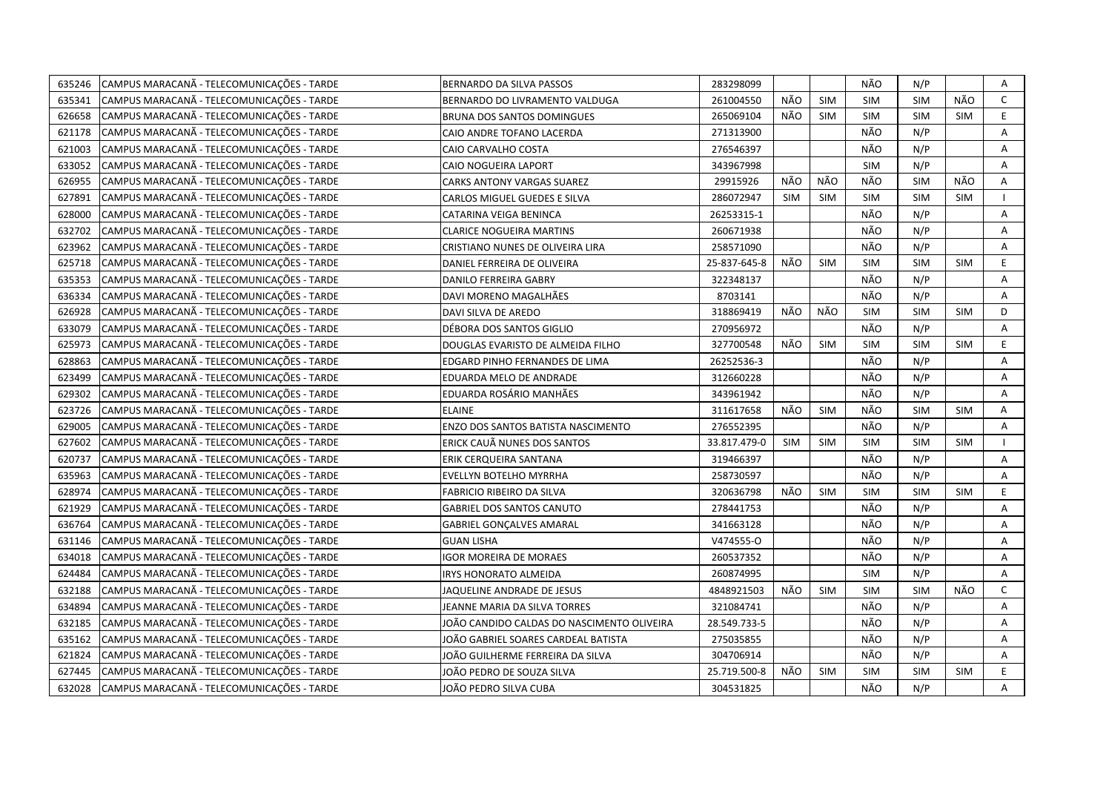| 635246 | CAMPUS MARACANÃ - TELECOMUNICAÇÕES - TARDE | BERNARDO DA SILVA PASSOS                   | 283298099    |            |            | NÃO        | N/P        |            | Α            |
|--------|--------------------------------------------|--------------------------------------------|--------------|------------|------------|------------|------------|------------|--------------|
| 635341 | CAMPUS MARACANÃ - TELECOMUNICAÇÕES - TARDE | BERNARDO DO LIVRAMENTO VALDUGA             | 261004550    | NÃO        | <b>SIM</b> | SIM        | <b>SIM</b> | NÃO        | $\mathsf{C}$ |
| 626658 | CAMPUS MARACANÃ - TELECOMUNICAÇÕES - TARDE | BRUNA DOS SANTOS DOMINGUES                 | 265069104    | NÃO        | <b>SIM</b> | SIM        | <b>SIM</b> | <b>SIM</b> | E            |
| 621178 | CAMPUS MARACANA - TELECOMUNICAÇÕES - TARDE | CAIO ANDRE TOFANO LACERDA                  | 271313900    |            |            | NÃO        | N/P        |            | A            |
| 621003 | CAMPUS MARACANÃ - TELECOMUNICAÇÕES - TARDE | CAIO CARVALHO COSTA                        | 276546397    |            |            | NÃO        | N/P        |            | A            |
| 633052 | CAMPUS MARACANÃ - TELECOMUNICAÇÕES - TARDE | CAIO NOGUEIRA LAPORT                       | 343967998    |            |            | <b>SIM</b> | N/P        |            | Α            |
| 626955 | CAMPUS MARACANA - TELECOMUNICAÇÕES - TARDE | <b>CARKS ANTONY VARGAS SUAREZ</b>          | 29915926     | NÃO        | NÃO        | NÃO        | <b>SIM</b> | NÃO        | Α            |
| 627891 | CAMPUS MARACANÃ - TELECOMUNICAÇÕES - TARDE | CARLOS MIGUEL GUEDES E SILVA               | 286072947    | <b>SIM</b> | <b>SIM</b> | <b>SIM</b> | <b>SIM</b> | <b>SIM</b> |              |
| 628000 | CAMPUS MARACANÃ - TELECOMUNICAÇÕES - TARDE | CATARINA VEIGA BENINCA                     | 26253315-1   |            |            | NÃO        | N/P        |            | A            |
| 632702 | CAMPUS MARACANÃ - TELECOMUNICAÇÕES - TARDE | <b>CLARICE NOGUEIRA MARTINS</b>            | 260671938    |            |            | NÃO        | N/P        |            | A            |
| 623962 | CAMPUS MARACANÃ - TELECOMUNICAÇÕES - TARDE | CRISTIANO NUNES DE OLIVEIRA LIRA           | 258571090    |            |            | NÃO        | N/P        |            | A            |
| 625718 | CAMPUS MARACANÃ - TELECOMUNICAÇÕES - TARDE | DANIEL FERREIRA DE OLIVEIRA                | 25-837-645-8 | NÃO        | SIM        | <b>SIM</b> | <b>SIM</b> | <b>SIM</b> | E            |
| 635353 | CAMPUS MARACANÃ - TELECOMUNICAÇÕES - TARDE | DANILO FERREIRA GABRY                      | 322348137    |            |            | NÃO        | N/P        |            | Α            |
| 636334 | CAMPUS MARACANÃ - TELECOMUNICAÇÕES - TARDE | DAVI MORENO MAGALHÃES                      | 8703141      |            |            | NÃO        | N/P        |            | A            |
| 626928 | CAMPUS MARACANÃ - TELECOMUNICAÇÕES - TARDE | DAVI SILVA DE AREDO                        | 318869419    | NÃO        | NÃO        | <b>SIM</b> | <b>SIM</b> | <b>SIM</b> | D            |
| 633079 | CAMPUS MARACANÃ - TELECOMUNICAÇÕES - TARDE | DÉBORA DOS SANTOS GIGLIO                   | 270956972    |            |            | NÃO        | N/P        |            | A            |
| 625973 | CAMPUS MARACANA - TELECOMUNICAÇÕES - TARDE | DOUGLAS EVARISTO DE ALMEIDA FILHO          | 327700548    | NÃO        | <b>SIM</b> | <b>SIM</b> | <b>SIM</b> | <b>SIM</b> | E.           |
| 628863 | CAMPUS MARACANÃ - TELECOMUNICAÇÕES - TARDE | EDGARD PINHO FERNANDES DE LIMA             | 26252536-3   |            |            | NÃO        | N/P        |            | Α            |
| 623499 | CAMPUS MARACANÃ - TELECOMUNICAÇÕES - TARDE | EDUARDA MELO DE ANDRADE                    | 312660228    |            |            | NÃO        | N/P        |            | A            |
| 629302 | CAMPUS MARACANÃ - TELECOMUNICAÇÕES - TARDE | EDUARDA ROSÁRIO MANHÃES                    | 343961942    |            |            | NÃO        | N/P        |            | A            |
| 623726 | CAMPUS MARACANÃ - TELECOMUNICAÇÕES - TARDE | <b>ELAINE</b>                              | 311617658    | NÃO        | <b>SIM</b> | NÃO        | <b>SIM</b> | <b>SIM</b> | A            |
| 629005 | CAMPUS MARACANÃ - TELECOMUNICAÇÕES - TARDE | ENZO DOS SANTOS BATISTA NASCIMENTO         | 276552395    |            |            | NÃO        | N/P        |            | A            |
| 627602 | CAMPUS MARACANA - TELECOMUNICAÇÕES - TARDE | ERICK CAUÃ NUNES DOS SANTOS                | 33.817.479-0 | <b>SIM</b> | <b>SIM</b> | <b>SIM</b> | <b>SIM</b> | <b>SIM</b> |              |
| 620737 | CAMPUS MARACANÃ - TELECOMUNICAÇÕES - TARDE | ERIK CERQUEIRA SANTANA                     | 319466397    |            |            | NÃO        | N/P        |            | A            |
| 635963 | CAMPUS MARACANÃ - TELECOMUNICAÇÕES - TARDE | EVELLYN BOTELHO MYRRHA                     | 258730597    |            |            | NÃO        | N/P        |            | A            |
| 628974 | CAMPUS MARACANA - TELECOMUNICAÇÕES - TARDE | <b>FABRICIO RIBEIRO DA SILVA</b>           | 320636798    | NÃO        | <b>SIM</b> | <b>SIM</b> | <b>SIM</b> | <b>SIM</b> | E.           |
| 621929 | CAMPUS MARACANÃ - TELECOMUNICAÇÕES - TARDE | <b>GABRIEL DOS SANTOS CANUTO</b>           | 278441753    |            |            | NÃO        | N/P        |            | A            |
| 636764 | CAMPUS MARACANÃ - TELECOMUNICAÇÕES - TARDE | <b>GABRIEL GONÇALVES AMARAL</b>            | 341663128    |            |            | NÃO        | N/P        |            | A            |
| 631146 | CAMPUS MARACANÃ - TELECOMUNICAÇÕES - TARDE | <b>GUAN LISHA</b>                          | V474555-0    |            |            | NÃO        | N/P        |            | A            |
| 634018 | CAMPUS MARACANÃ - TELECOMUNICAÇÕES - TARDE | IGOR MOREIRA DE MORAES                     | 260537352    |            |            | NÃO        | N/P        |            | A            |
| 624484 | CAMPUS MARACANÃ - TELECOMUNICAÇÕES - TARDE | <b>IRYS HONORATO ALMEIDA</b>               | 260874995    |            |            | <b>SIM</b> | N/P        |            | A            |
| 632188 | CAMPUS MARACANÃ - TELECOMUNICAÇÕES - TARDE | JAQUELINE ANDRADE DE JESUS                 | 4848921503   | NÃO        | <b>SIM</b> | SIM        | <b>SIM</b> | NÃO        | $\mathsf{C}$ |
| 634894 | CAMPUS MARACANÃ - TELECOMUNICAÇÕES - TARDE | JEANNE MARIA DA SILVA TORRES               | 321084741    |            |            | NÃO        | N/P        |            | Α            |
| 632185 | CAMPUS MARACANÃ - TELECOMUNICAÇÕES - TARDE | JOÃO CANDIDO CALDAS DO NASCIMENTO OLIVEIRA | 28.549.733-5 |            |            | NÃO        | N/P        |            | A            |
| 635162 | CAMPUS MARACANÃ - TELECOMUNICAÇÕES - TARDE | JOÃO GABRIEL SOARES CARDEAL BATISTA        | 275035855    |            |            | NÃO        | N/P        |            | A            |
| 621824 | CAMPUS MARACANÃ - TELECOMUNICAÇÕES - TARDE | JOÃO GUILHERME FERREIRA DA SILVA           | 304706914    |            |            | NÃO        | N/P        |            | Α            |
| 627445 | CAMPUS MARACANÃ - TELECOMUNICAÇÕES - TARDE | JOÃO PEDRO DE SOUZA SILVA                  | 25.719.500-8 | NÃO        | <b>SIM</b> | <b>SIM</b> | <b>SIM</b> | <b>SIM</b> | E            |
| 632028 | CAMPUS MARACANÃ - TELECOMUNICAÇÕES - TARDE | JOÃO PEDRO SILVA CUBA                      | 304531825    |            |            | NÃO        | N/P        |            | A            |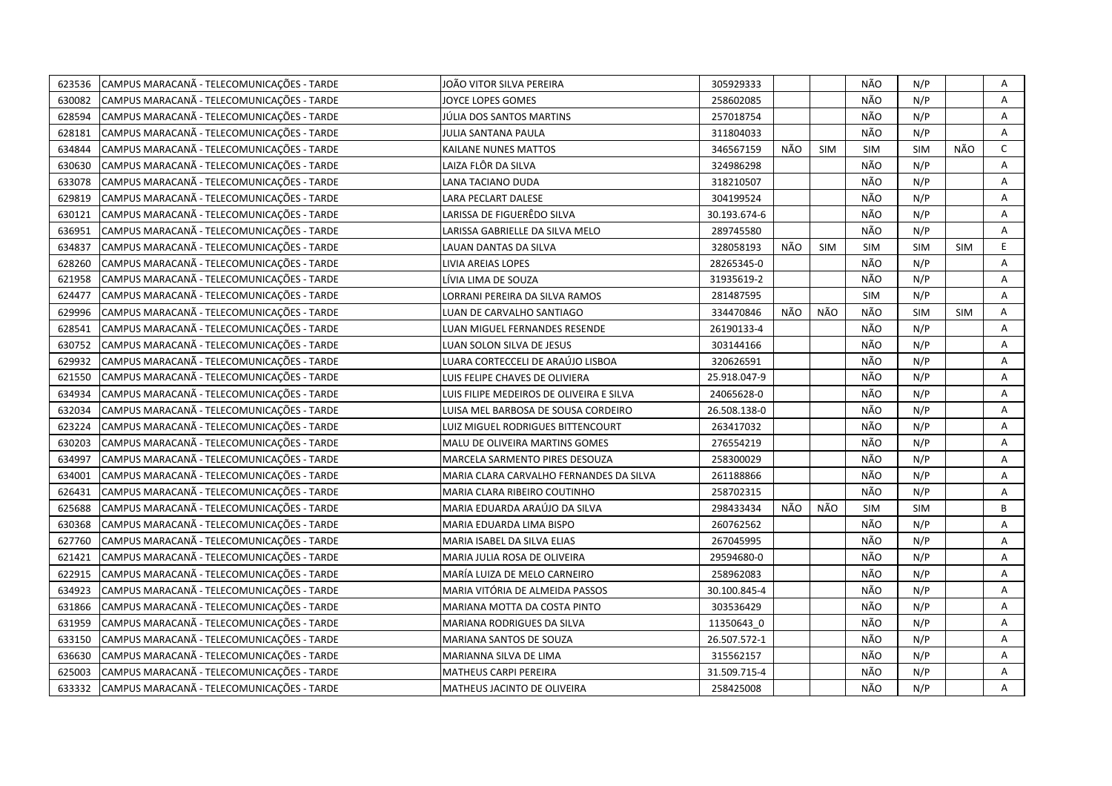| CAMPUS MARACANÃ - TELECOMUNICAÇÕES - TARDE<br>623536 | JOÃO VITOR SILVA PEREIRA                 | 305929333    |     |            | NÃO        | N/P        |            | Α            |
|------------------------------------------------------|------------------------------------------|--------------|-----|------------|------------|------------|------------|--------------|
| 630082<br>CAMPUS MARACANÃ - TELECOMUNICAÇÕES - TARDE | IOYCE LOPES GOMES                        | 258602085    |     |            | NÃO        | N/P        |            | A            |
| 628594<br>CAMPUS MARACANA - TELECOMUNICAÇÕES - TARDE | JÚLIA DOS SANTOS MARTINS                 | 257018754    |     |            | NÃO        | N/P        |            | A            |
| 628181<br>CAMPUS MARACANA - TELECOMUNICAÇÕES - TARDE | JULIA SANTANA PAULA                      | 311804033    |     |            | NÃO        | N/P        |            | Α            |
| 634844<br>CAMPUS MARACANA - TELECOMUNICAÇÕES - TARDE | KAILANE NUNES MATTOS                     | 346567159    | NÃO | <b>SIM</b> | <b>SIM</b> | <b>SIM</b> | NÃO        | $\mathsf{C}$ |
| 630630<br>CAMPUS MARACANA - TELECOMUNICAÇÕES - TARDE | LAIZA FLÔR DA SILVA                      | 324986298    |     |            | NÃO        | N/P        |            | A            |
| 633078<br>CAMPUS MARACANÃ - TELECOMUNICAÇÕES - TARDE | LANA TACIANO DUDA                        | 318210507    |     |            | NÃO        | N/P        |            | A            |
| 629819<br>CAMPUS MARACANÃ - TELECOMUNICAÇÕES - TARDE | <b>LARA PECLART DALESE</b>               | 304199524    |     |            | NÃO        | N/P        |            | Α            |
| CAMPUS MARACANÃ - TELECOMUNICAÇÕES - TARDE<br>630121 | LARISSA DE FIGUERÊDO SILVA               | 30.193.674-6 |     |            | NÃO        | N/P        |            | Α            |
| CAMPUS MARACANA - TELECOMUNICAÇÕES - TARDE<br>636951 | LARISSA GABRIELLE DA SILVA MELO          | 289745580    |     |            | NÃO        | N/P        |            | A            |
| 634837<br>CAMPUS MARACANA - TELECOMUNICAÇÕES - TARDE | LAUAN DANTAS DA SILVA                    | 328058193    | NÃO | <b>SIM</b> | <b>SIM</b> | <b>SIM</b> | <b>SIM</b> | E.           |
| CAMPUS MARACANA - TELECOMUNICAÇÕES - TARDE<br>628260 | LIVIA AREIAS LOPES                       | 28265345-0   |     |            | NÃO        | N/P        |            | A            |
| CAMPUS MARACANÃ - TELECOMUNICAÇÕES - TARDE<br>621958 | LÍVIA LIMA DE SOUZA                      | 31935619-2   |     |            | NÃO        | N/P        |            | Α            |
| CAMPUS MARACANÃ - TELECOMUNICAÇÕES - TARDE<br>624477 | LORRANI PEREIRA DA SILVA RAMOS           | 281487595    |     |            | <b>SIM</b> | N/P        |            | Α            |
| CAMPUS MARACANÃ - TELECOMUNICAÇÕES - TARDE<br>629996 | LUAN DE CARVALHO SANTIAGO                | 334470846    | NÃO | NÃO        | NÃO        | <b>SIM</b> | <b>SIM</b> | A            |
| CAMPUS MARACANÃ - TELECOMUNICAÇÕES - TARDE<br>628541 | LUAN MIGUEL FERNANDES RESENDE            | 26190133-4   |     |            | NÃO        | N/P        |            | Α            |
| CAMPUS MARACANÃ - TELECOMUNICAÇÕES - TARDE<br>630752 | LUAN SOLON SILVA DE JESUS                | 303144166    |     |            | NÃO        | N/P        |            | A            |
| 629932<br>CAMPUS MARACANA - TELECOMUNICAÇÕES - TARDE | LUARA CORTECCELI DE ARAÚJO LISBOA        | 320626591    |     |            | NÃO        | N/P        |            | Α            |
| 621550<br>CAMPUS MARACANA - TELECOMUNICAÇÕES - TARDE | LUIS FELIPE CHAVES DE OLIVIERA           | 25.918.047-9 |     |            | NÃO        | N/P        |            | Α            |
| CAMPUS MARACANÃ - TELECOMUNICAÇÕES - TARDE<br>634934 | LUIS FILIPE MEDEIROS DE OLIVEIRA E SILVA | 24065628-0   |     |            | NÃO        | N/P        |            | Α            |
| CAMPUS MARACANÃ - TELECOMUNICAÇÕES - TARDE<br>632034 | LUISA MEL BARBOSA DE SOUSA CORDEIRO      | 26.508.138-0 |     |            | NÃO        | N/P        |            | A            |
| CAMPUS MARACANÃ - TELECOMUNICAÇÕES - TARDE<br>623224 | LUIZ MIGUEL RODRIGUES BITTENCOURT        | 263417032    |     |            | NÃO        | N/P        |            | A            |
| CAMPUS MARACANA - TELECOMUNICAÇÕES - TARDE<br>630203 | MALU DE OLIVEIRA MARTINS GOMES           | 276554219    |     |            | NÃO        | N/P        |            | Α            |
| CAMPUS MARACANA - TELECOMUNICAÇÕES - TARDE<br>634997 | MARCELA SARMENTO PIRES DESOUZA           | 258300029    |     |            | NÃO        | N/P        |            | Α            |
| CAMPUS MARACANA - TELECOMUNICAÇÕES - TARDE<br>634001 | MARIA CLARA CARVALHO FERNANDES DA SILVA  | 261188866    |     |            | NÃO        | N/P        |            | Α            |
| CAMPUS MARACANA - TELECOMUNICAÇÕES - TARDE<br>626431 | MARIA CLARA RIBEIRO COUTINHO             | 258702315    |     |            | NÃO        | N/P        |            | Α            |
| 625688<br>CAMPUS MARACANA - TELECOMUNICAÇÕES - TARDE | MARIA EDUARDA ARAÚJO DA SILVA            | 298433434    | NÃO | NÃO        | <b>SIM</b> | <b>SIM</b> |            | B            |
| CAMPUS MARACANÃ - TELECOMUNICAÇÕES - TARDE<br>630368 | MARIA EDUARDA LIMA BISPO                 | 260762562    |     |            | NÃO        | N/P        |            | A            |
| 627760<br>CAMPUS MARACANA - TELECOMUNICAÇÕES - TARDE | MARIA ISABEL DA SILVA ELIAS              | 267045995    |     |            | NÃO        | N/P        |            | Α            |
| CAMPUS MARACANÃ - TELECOMUNICAÇÕES - TARDE<br>621421 | MARIA JULIA ROSA DE OLIVEIRA             | 29594680-0   |     |            | NÃO        | N/P        |            | A            |
| 622915<br>CAMPUS MARACANA - TELECOMUNICAÇÕES - TARDE | MARÍA LUIZA DE MELO CARNEIRO             | 258962083    |     |            | NÃO        | N/P        |            | A            |
| 634923<br>CAMPUS MARACANA - TELECOMUNICAÇÕES - TARDE | MARIA VITÓRIA DE ALMEIDA PASSOS          | 30.100.845-4 |     |            | NÃO        | N/P        |            | A            |
| CAMPUS MARACANA - TELECOMUNICAÇÕES - TARDE<br>631866 | MARIANA MOTTA DA COSTA PINTO             | 303536429    |     |            | NÃO        | N/P        |            | Α            |
| 631959<br>CAMPUS MARACANA - TELECOMUNICAÇÕES - TARDE | MARIANA RODRIGUES DA SILVA               | 11350643 0   |     |            | NÃO        | N/P        |            | Α            |
| CAMPUS MARACANÃ - TELECOMUNICAÇÕES - TARDE<br>633150 | MARIANA SANTOS DE SOUZA                  | 26.507.572-1 |     |            | NÃO        | N/P        |            | Α            |
| CAMPUS MARACANÃ - TELECOMUNICAÇÕES - TARDE<br>636630 | MARIANNA SILVA DE LIMA                   | 315562157    |     |            | NÃO        | N/P        |            | Α            |
| CAMPUS MARACANÃ - TELECOMUNICAÇÕES - TARDE<br>625003 | MATHEUS CARPI PEREIRA                    | 31.509.715-4 |     |            | NÃO        | N/P        |            | Α            |
| CAMPUS MARACANA - TELECOMUNICAÇÕES - TARDE<br>633332 | MATHEUS JACINTO DE OLIVEIRA              | 258425008    |     |            | NÃO        | N/P        |            | A            |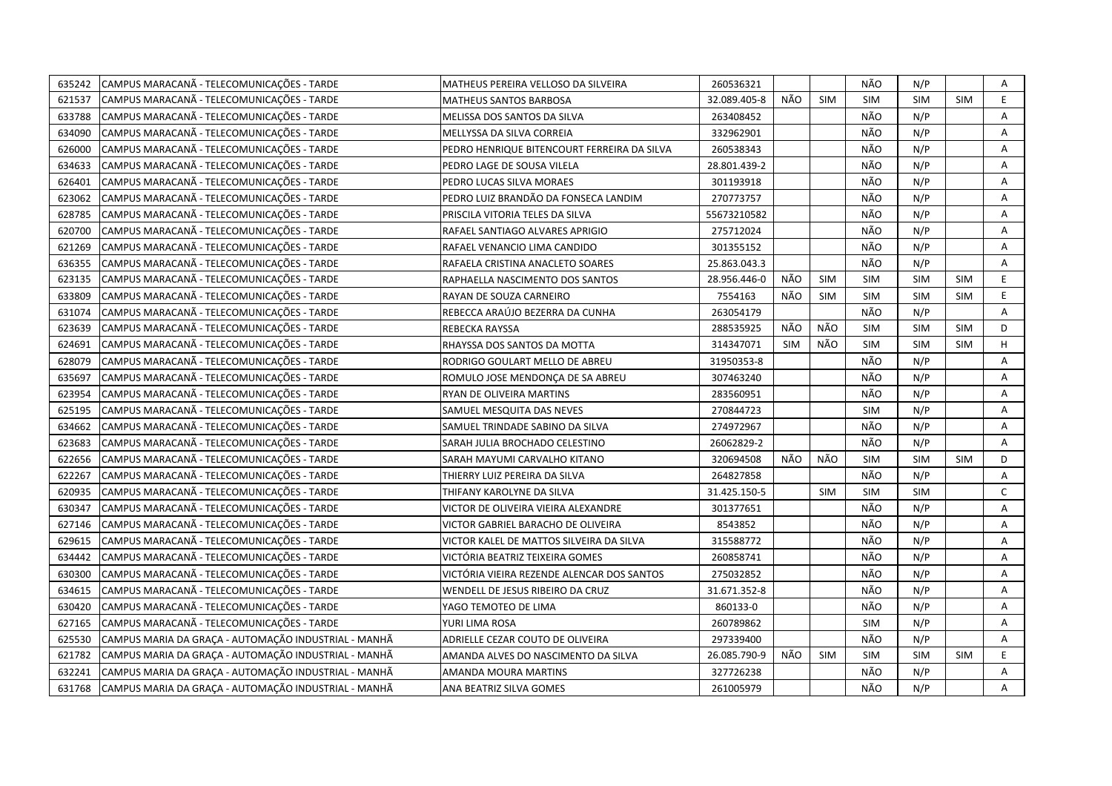| 635242 | CAMPUS MARACANÃ - TELECOMUNICAÇÕES - TARDE           | MATHEUS PEREIRA VELLOSO DA SILVEIRA         | 260536321    |            |            | NÃO        | N/P        |            | Α            |
|--------|------------------------------------------------------|---------------------------------------------|--------------|------------|------------|------------|------------|------------|--------------|
| 621537 | CAMPUS MARACANA - TELECOMUNICAÇÕES - TARDE           | MATHEUS SANTOS BARBOSA                      | 32.089.405-8 | NÃO        | <b>SIM</b> | SIM        | <b>SIM</b> | <b>SIM</b> | E            |
| 633788 | CAMPUS MARACANA - TELECOMUNICAÇÕES - TARDE           | MELISSA DOS SANTOS DA SILVA                 | 263408452    |            |            | NÃO        | N/P        |            | A            |
| 634090 | CAMPUS MARACANA - TELECOMUNICAÇÕES - TARDE           | MELLYSSA DA SILVA CORREIA                   | 332962901    |            |            | NÃO        | N/P        |            | Α            |
| 626000 | CAMPUS MARACANÃ - TELECOMUNICAÇÕES - TARDE           | PEDRO HENRIQUE BITENCOURT FERREIRA DA SILVA | 260538343    |            |            | NÃO        | N/P        |            | Α            |
| 634633 | CAMPUS MARACANA - TELECOMUNICAÇÕES - TARDE           | PEDRO LAGE DE SOUSA VILELA                  | 28.801.439-2 |            |            | NÃO        | N/P        |            | Α            |
| 626401 | CAMPUS MARACANA - TELECOMUNICAÇÕES - TARDE           | PEDRO LUCAS SILVA MORAES                    | 301193918    |            |            | NÃO        | N/P        |            | Α            |
| 623062 | CAMPUS MARACANÃ - TELECOMUNICAÇÕES - TARDE           | PEDRO LUIZ BRANDÃO DA FONSECA LANDIM        | 270773757    |            |            | NÃO        | N/P        |            | Α            |
| 628785 | CAMPUS MARACANÃ - TELECOMUNICAÇÕES - TARDE           | PRISCILA VITORIA TELES DA SILVA             | 55673210582  |            |            | NÃO        | N/P        |            | Α            |
| 620700 | CAMPUS MARACANA - TELECOMUNICAÇÕES - TARDE           | RAFAEL SANTIAGO ALVARES APRIGIO             | 275712024    |            |            | NÃO        | N/P        |            | A            |
| 621269 | CAMPUS MARACANÃ - TELECOMUNICAÇÕES - TARDE           | RAFAEL VENANCIO LIMA CANDIDO                | 301355152    |            |            | NÃO        | N/P        |            | A            |
| 636355 | CAMPUS MARACANA - TELECOMUNICAÇÕES - TARDE           | RAFAELA CRISTINA ANACLETO SOARES            | 25.863.043.3 |            |            | NÃO        | N/P        |            | Α            |
| 623135 | CAMPUS MARACANÃ - TELECOMUNICAÇÕES - TARDE           | RAPHAELLA NASCIMENTO DOS SANTOS             | 28.956.446-0 | NÃO        | <b>SIM</b> | <b>SIM</b> | <b>SIM</b> | SIM        | E            |
| 633809 | CAMPUS MARACANÃ - TELECOMUNICAÇÕES - TARDE           | RAYAN DE SOUZA CARNEIRO                     | 7554163      | NÃO        | <b>SIM</b> | <b>SIM</b> | <b>SIM</b> | <b>SIM</b> | E            |
| 631074 | CAMPUS MARACANÃ - TELECOMUNICAÇÕES - TARDE           | REBECCA ARAÚJO BEZERRA DA CUNHA             | 263054179    |            |            | NÃO        | N/P        |            | Α            |
| 623639 | CAMPUS MARACANÃ - TELECOMUNICAÇÕES - TARDE           | REBECKA RAYSSA                              | 288535925    | NÃO        | NÃO        | SIM        | SIM        | SIM        | D            |
| 624691 | CAMPUS MARACANA - TELECOMUNICAÇÕES - TARDE           | RHAYSSA DOS SANTOS DA MOTTA                 | 314347071    | <b>SIM</b> | NÃO        | SIM        | <b>SIM</b> | SIM        | H            |
| 628079 | CAMPUS MARACANA - TELECOMUNICAÇÕES - TARDE           | RODRIGO GOULART MELLO DE ABREU              | 31950353-8   |            |            | NÃO        | N/P        |            | Α            |
| 635697 | CAMPUS MARACANÃ - TELECOMUNICAÇÕES - TARDE           | ROMULO JOSE MENDONÇA DE SA ABREU            | 307463240    |            |            | NÃO        | N/P        |            | Α            |
| 623954 | CAMPUS MARACANÃ - TELECOMUNICAÇÕES - TARDE           | RYAN DE OLIVEIRA MARTINS                    | 283560951    |            |            | NÃO        | N/P        |            | Α            |
| 625195 | CAMPUS MARACANÃ - TELECOMUNICAÇÕES - TARDE           | SAMUEL MESQUITA DAS NEVES                   | 270844723    |            |            | <b>SIM</b> | N/P        |            | A            |
| 634662 | CAMPUS MARACANÃ - TELECOMUNICAÇÕES - TARDE           | SAMUEL TRINDADE SABINO DA SILVA             | 274972967    |            |            | NÃO        | N/P        |            | A            |
| 623683 | CAMPUS MARACANA - TELECOMUNICAÇÕES - TARDE           | SARAH JULIA BROCHADO CELESTINO              | 26062829-2   |            |            | NÃO        | N/P        |            | A            |
| 622656 | CAMPUS MARACANA - TELECOMUNICAÇÕES - TARDE           | SARAH MAYUMI CARVALHO KITANO                | 320694508    | NÃO        | NÃO        | <b>SIM</b> | SIM        | <b>SIM</b> | D            |
| 622267 | CAMPUS MARACANÃ - TELECOMUNICAÇÕES - TARDE           | THIERRY LUIZ PEREIRA DA SILVA               | 264827858    |            |            | NÃO        | N/P        |            | Α            |
| 620935 | CAMPUS MARACANÃ - TELECOMUNICAÇÕES - TARDE           | THIFANY KAROLYNE DA SILVA                   | 31.425.150-5 |            | <b>SIM</b> | <b>SIM</b> | <b>SIM</b> |            | $\mathsf{C}$ |
| 630347 | CAMPUS MARACANÃ - TELECOMUNICAÇÕES - TARDE           | VICTOR DE OLIVEIRA VIEIRA ALEXANDRE         | 301377651    |            |            | NÃO        | N/P        |            | Α            |
| 627146 | CAMPUS MARACANA - TELECOMUNICAÇÕES - TARDE           | VICTOR GABRIEL BARACHO DE OLIVEIRA          | 8543852      |            |            | NÃO        | N/P        |            | Α            |
| 629615 | CAMPUS MARACANÃ - TELECOMUNICAÇÕES - TARDE           | VICTOR KALEL DE MATTOS SILVEIRA DA SILVA    | 315588772    |            |            | NÃO        | N/P        |            | Α            |
| 634442 | CAMPUS MARACANÃ - TELECOMUNICAÇÕES - TARDE           | VICTÓRIA BEATRIZ TEIXEIRA GOMES             | 260858741    |            |            | NÃO        | N/P        |            | Α            |
| 630300 | CAMPUS MARACANÃ - TELECOMUNICAÇÕES - TARDE           | VICTÓRIA VIEIRA REZENDE ALENCAR DOS SANTOS  | 275032852    |            |            | NÃO        | N/P        |            | A            |
| 634615 | CAMPUS MARACANÃ - TELECOMUNICAÇÕES - TARDE           | WENDELL DE JESUS RIBEIRO DA CRUZ            | 31.671.352-8 |            |            | NÃO        | N/P        |            | A            |
| 630420 | CAMPUS MARACANÃ - TELECOMUNICAÇÕES - TARDE           | YAGO TEMOTEO DE LIMA                        | 860133-0     |            |            | NÃO        | N/P        |            | Α            |
| 627165 | CAMPUS MARACANÃ - TELECOMUNICAÇÕES - TARDE           | YURI LIMA ROSA                              | 260789862    |            |            | <b>SIM</b> | N/P        |            | A            |
| 625530 | CAMPUS MARIA DA GRAÇA - AUTOMAÇÃO INDUSTRIAL - MANHÃ | ADRIELLE CEZAR COUTO DE OLIVEIRA            | 297339400    |            |            | NÃO        | N/P        |            | A            |
| 621782 | CAMPUS MARIA DA GRAÇA - AUTOMAÇÃO INDUSTRIAL - MANHÃ | AMANDA ALVES DO NASCIMENTO DA SILVA         | 26.085.790-9 | NÃO        | <b>SIM</b> | <b>SIM</b> | <b>SIM</b> | <b>SIM</b> | E.           |
| 632241 | CAMPUS MARIA DA GRAÇA - AUTOMAÇÃO INDUSTRIAL - MANHÃ | AMANDA MOURA MARTINS                        | 327726238    |            |            | NÃO        | N/P        |            | Α            |
| 631768 | CAMPUS MARIA DA GRAÇA - AUTOMAÇÃO INDUSTRIAL - MANHÃ | ANA BEATRIZ SILVA GOMES                     | 261005979    |            |            | NÃO        | N/P        |            | A            |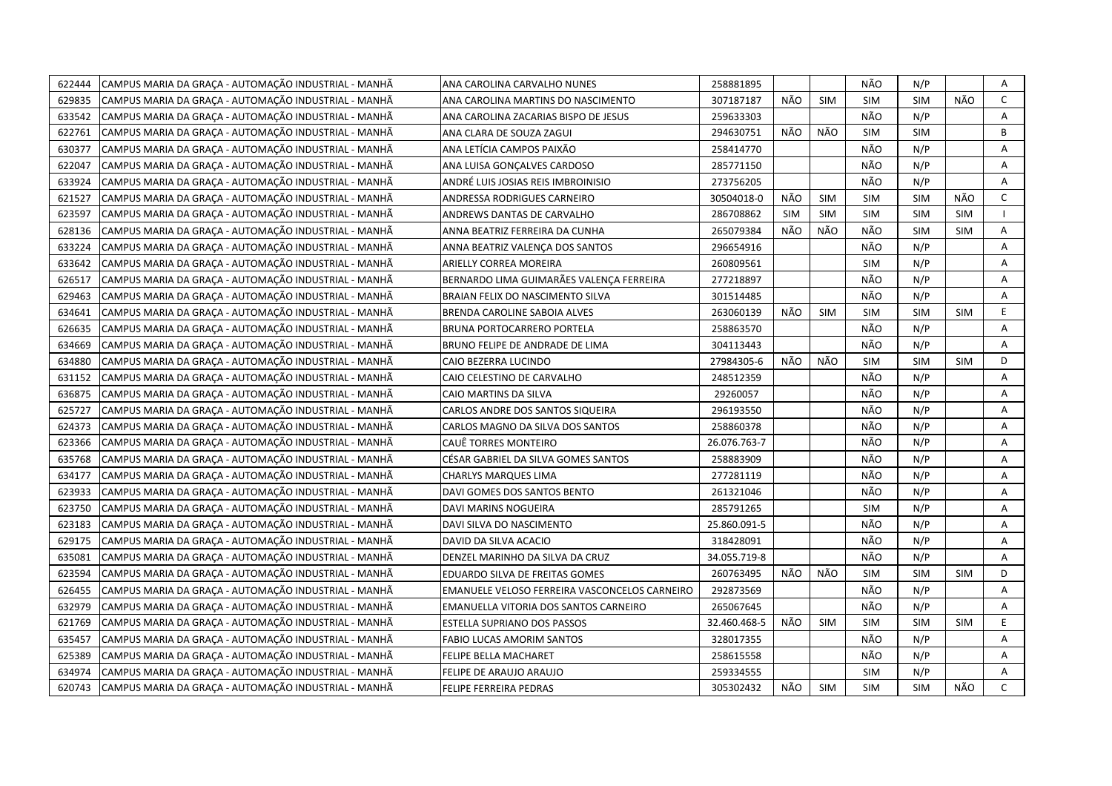| 622444 | CAMPUS MARIA DA GRAÇA - AUTOMAÇÃO INDUSTRIAL - MANHÃ | ANA CAROLINA CARVALHO NUNES                   | 258881895    |            |            | NÃO        | N/P        |            | Α            |
|--------|------------------------------------------------------|-----------------------------------------------|--------------|------------|------------|------------|------------|------------|--------------|
| 629835 | CAMPUS MARIA DA GRACA - AUTOMAÇÃO INDUSTRIAL - MANHÃ | ANA CAROLINA MARTINS DO NASCIMENTO            | 307187187    | NÃO        | <b>SIM</b> | <b>SIM</b> | <b>SIM</b> | NÃO        | $\mathsf{C}$ |
| 633542 | CAMPUS MARIA DA GRAÇA - AUTOMAÇÃO INDUSTRIAL - MANHÃ | ANA CAROLINA ZACARIAS BISPO DE JESUS          | 259633303    |            |            | NÃO        | N/P        |            | A            |
| 622761 | CAMPUS MARIA DA GRAÇA - AUTOMAÇÃO INDUSTRIAL - MANHÃ | ANA CLARA DE SOUZA ZAGUI                      | 294630751    | NÃO        | NÃO        | <b>SIM</b> | <b>SIM</b> |            | B            |
| 630377 | CAMPUS MARIA DA GRACA - AUTOMAÇÃO INDUSTRIAL - MANHÃ | ANA LETÍCIA CAMPOS PAIXÃO                     | 258414770    |            |            | NÃO        | N/P        |            | Α            |
| 622047 | CAMPUS MARIA DA GRAÇA - AUTOMAÇÃO INDUSTRIAL - MANHÃ | ANA LUISA GONÇALVES CARDOSO                   | 285771150    |            |            | NÃO        | N/P        |            | Α            |
| 633924 | CAMPUS MARIA DA GRAÇA - AUTOMAÇÃO INDUSTRIAL - MANHÃ | ANDRÉ LUIS JOSIAS REIS IMBROINISIO            | 273756205    |            |            | NÃO        | N/P        |            | A            |
| 621527 | CAMPUS MARIA DA GRAÇA - AUTOMAÇÃO INDUSTRIAL - MANHÃ | ANDRESSA RODRIGUES CARNEIRO                   | 30504018-0   | NÃO        | <b>SIM</b> | <b>SIM</b> | <b>SIM</b> | NÃO        | C            |
| 623597 | CAMPUS MARIA DA GRAÇA - AUTOMAÇÃO INDUSTRIAL - MANHÃ | ANDREWS DANTAS DE CARVALHO                    | 286708862    | <b>SIM</b> | <b>SIM</b> | <b>SIM</b> | <b>SIM</b> | <b>SIM</b> |              |
| 628136 | CAMPUS MARIA DA GRAÇA - AUTOMAÇÃO INDUSTRIAL - MANHÃ | ANNA BEATRIZ FERREIRA DA CUNHA                | 265079384    | NÃO        | NÃO        | NÃO        | <b>SIM</b> | <b>SIM</b> | Α            |
| 633224 | CAMPUS MARIA DA GRAÇA - AUTOMAÇÃO INDUSTRIAL - MANHÃ | ANNA BEATRIZ VALENÇA DOS SANTOS               | 296654916    |            |            | NÃO        | N/P        |            | A            |
| 633642 | CAMPUS MARIA DA GRAÇA - AUTOMAÇÃO INDUSTRIAL - MANHÃ | ARIELLY CORREA MOREIRA                        | 260809561    |            |            | <b>SIM</b> | N/P        |            | Α            |
| 626517 | CAMPUS MARIA DA GRACA - AUTOMAÇÃO INDUSTRIAL - MANHÃ | BERNARDO LIMA GUIMARÃES VALENÇA FERREIRA      | 277218897    |            |            | NÃO        | N/P        |            | Α            |
| 629463 | CAMPUS MARIA DA GRAÇA - AUTOMAÇÃO INDUSTRIAL - MANHÃ | BRAIAN FELIX DO NASCIMENTO SILVA              | 301514485    |            |            | NÃO        | N/P        |            | Α            |
| 634641 | CAMPUS MARIA DA GRAÇA - AUTOMAÇÃO INDUSTRIAL - MANHÃ | <b>BRENDA CAROLINE SABOIA ALVES</b>           | 263060139    | NÃO        | <b>SIM</b> | <b>SIM</b> | <b>SIM</b> | <b>SIM</b> | E.           |
| 626635 | CAMPUS MARIA DA GRAÇA - AUTOMAÇÃO INDUSTRIAL - MANHÃ | BRUNA PORTOCARRERO PORTELA                    | 258863570    |            |            | NÃO        | N/P        |            | A            |
| 634669 | CAMPUS MARIA DA GRAÇA - AUTOMAÇÃO INDUSTRIAL - MANHÃ | BRUNO FELIPE DE ANDRADE DE LIMA               | 304113443    |            |            | NÃO        | N/P        |            | A            |
| 634880 | CAMPUS MARIA DA GRAÇA - AUTOMAÇÃO INDUSTRIAL - MANHÃ | CAIO BEZERRA LUCINDO                          | 27984305-6   | NÃO        | NÃO        | <b>SIM</b> | <b>SIM</b> | SIM        | D            |
| 631152 | CAMPUS MARIA DA GRAÇA - AUTOMAÇÃO INDUSTRIAL - MANHÃ | CAIO CELESTINO DE CARVALHO                    | 248512359    |            |            | NÃO        | N/P        |            | Α            |
| 636875 | CAMPUS MARIA DA GRAÇA - AUTOMAÇÃO INDUSTRIAL - MANHÃ | CAIO MARTINS DA SILVA                         | 29260057     |            |            | NÃO        | N/P        |            | A            |
| 625727 | CAMPUS MARIA DA GRAÇA - AUTOMAÇÃO INDUSTRIAL - MANHÃ | CARLOS ANDRE DOS SANTOS SIQUEIRA              | 296193550    |            |            | NÃO        | N/P        |            | A            |
| 624373 | CAMPUS MARIA DA GRAÇA - AUTOMAÇÃO INDUSTRIAL - MANHÃ | CARLOS MAGNO DA SILVA DOS SANTOS              | 258860378    |            |            | NÃO        | N/P        |            | A            |
| 623366 | CAMPUS MARIA DA GRAÇA - AUTOMAÇÃO INDUSTRIAL - MANHÃ | CAUÊ TORRES MONTEIRO                          | 26.076.763-7 |            |            | NÃO        | N/P        |            | A            |
| 635768 | CAMPUS MARIA DA GRACA - AUTOMAÇÃO INDUSTRIAL - MANHÃ | CÉSAR GABRIEL DA SILVA GOMES SANTOS           | 258883909    |            |            | NÃO        | N/P        |            | A            |
| 634177 | CAMPUS MARIA DA GRACA - AUTOMAÇÃO INDUSTRIAL - MANHÃ | CHARLYS MARQUES LIMA                          | 277281119    |            |            | NÃO        | N/P        |            | Α            |
| 623933 | CAMPUS MARIA DA GRAÇA - AUTOMAÇÃO INDUSTRIAL - MANHÃ | DAVI GOMES DOS SANTOS BENTO                   | 261321046    |            |            | NÃO        | N/P        |            | A            |
| 623750 | CAMPUS MARIA DA GRAÇA - AUTOMAÇÃO INDUSTRIAL - MANHÃ | DAVI MARINS NOGUEIRA                          | 285791265    |            |            | <b>SIM</b> | N/P        |            | A            |
| 623183 | CAMPUS MARIA DA GRAÇA - AUTOMAÇÃO INDUSTRIAL - MANHÃ | DAVI SILVA DO NASCIMENTO                      | 25.860.091-5 |            |            | NÃO        | N/P        |            | A            |
| 629175 | CAMPUS MARIA DA GRACA - AUTOMAÇÃO INDUSTRIAL - MANHÃ | DAVID DA SILVA ACACIO                         | 318428091    |            |            | NÃO        | N/P        |            | A            |
| 635081 | CAMPUS MARIA DA GRAÇA - AUTOMAÇÃO INDUSTRIAL - MANHÃ | DENZEL MARINHO DA SILVA DA CRUZ               | 34.055.719-8 |            |            | NÃO        | N/P        |            | A            |
| 623594 | CAMPUS MARIA DA GRAÇA - AUTOMAÇÃO INDUSTRIAL - MANHÃ | EDUARDO SILVA DE FREITAS GOMES                | 260763495    | NÃO        | NÃO        | SIM        | <b>SIM</b> | <b>SIM</b> | D            |
| 626455 | CAMPUS MARIA DA GRAÇA - AUTOMAÇÃO INDUSTRIAL - MANHÃ | EMANUELE VELOSO FERREIRA VASCONCELOS CARNEIRO | 292873569    |            |            | NÃO        | N/P        |            | Α            |
| 632979 | CAMPUS MARIA DA GRACA - AUTOMAÇÃO INDUSTRIAL - MANHÃ | EMANUELLA VITORIA DOS SANTOS CARNEIRO         | 265067645    |            |            | NÃO        | N/P        |            | A            |
| 621769 | CAMPUS MARIA DA GRAÇA - AUTOMAÇÃO INDUSTRIAL - MANHÃ | ESTELLA SUPRIANO DOS PASSOS                   | 32.460.468-5 | NÃO        | <b>SIM</b> | <b>SIM</b> | <b>SIM</b> | <b>SIM</b> | E            |
| 635457 | CAMPUS MARIA DA GRACA - AUTOMAÇÃO INDUSTRIAL - MANHÃ | <b>FABIO LUCAS AMORIM SANTOS</b>              | 328017355    |            |            | NÃO        | N/P        |            | Α            |
| 625389 | CAMPUS MARIA DA GRAÇA - AUTOMAÇÃO INDUSTRIAL - MANHÃ | FELIPE BELLA MACHARET                         | 258615558    |            |            | NÃO        | N/P        |            | Α            |
| 634974 | CAMPUS MARIA DA GRACA - AUTOMAÇÃO INDUSTRIAL - MANHÃ | FELIPE DE ARAUJO ARAUJO                       | 259334555    |            |            | <b>SIM</b> | N/P        |            | A            |
| 620743 | CAMPUS MARIA DA GRAÇA - AUTOMAÇÃO INDUSTRIAL - MANHÃ | FELIPE FERREIRA PEDRAS                        | 305302432    | NÃO        | <b>SIM</b> | <b>SIM</b> | <b>SIM</b> | NÃO        | $\mathsf{C}$ |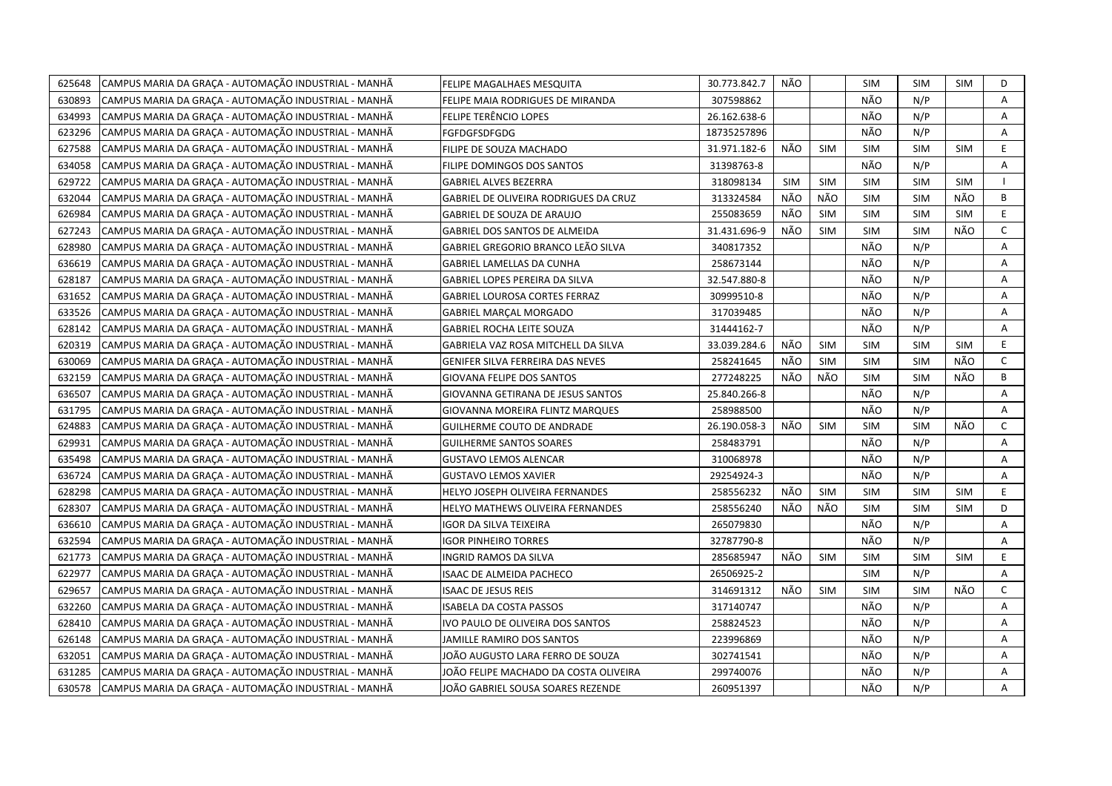| 625648 | CAMPUS MARIA DA GRAÇA - AUTOMAÇÃO INDUSTRIAL - MANHÃ | FELIPE MAGALHAES MESQUITA             | 30.773.842.7 | NÃO        |            | <b>SIM</b> | <b>SIM</b> | SIM        | D            |
|--------|------------------------------------------------------|---------------------------------------|--------------|------------|------------|------------|------------|------------|--------------|
| 630893 | CAMPUS MARIA DA GRACA - AUTOMACÃO INDUSTRIAL - MANHÃ | FELIPE MAIA RODRIGUES DE MIRANDA      | 307598862    |            |            | NÃO        | N/P        |            | A            |
| 634993 | CAMPUS MARIA DA GRAÇA - AUTOMAÇÃO INDUSTRIAL - MANHÃ | FELIPE TERÊNCIO LOPES                 | 26.162.638-6 |            |            | NÃO        | N/P        |            | A            |
| 623296 | CAMPUS MARIA DA GRAÇA - AUTOMAÇÃO INDUSTRIAL - MANHÃ | FGFDGFSDFGDG                          | 18735257896  |            |            | NÃO        | N/P        |            | Α            |
| 627588 | CAMPUS MARIA DA GRAÇA - AUTOMAÇÃO INDUSTRIAL - MANHÃ | FILIPE DE SOUZA MACHADO               | 31.971.182-6 | NÃO        | <b>SIM</b> | <b>SIM</b> | <b>SIM</b> | <b>SIM</b> | E.           |
| 634058 | CAMPUS MARIA DA GRAÇA - AUTOMAÇÃO INDUSTRIAL - MANHÃ | FILIPE DOMINGOS DOS SANTOS            | 31398763-8   |            |            | NÃO        | N/P        |            | Α            |
| 629722 | CAMPUS MARIA DA GRAÇA - AUTOMAÇÃO INDUSTRIAL - MANHÃ | <b>GABRIEL ALVES BEZERRA</b>          | 318098134    | <b>SIM</b> | <b>SIM</b> | <b>SIM</b> | <b>SIM</b> | <b>SIM</b> | $\mathbf{I}$ |
| 632044 | CAMPUS MARIA DA GRAÇA - AUTOMAÇÃO INDUSTRIAL - MANHÃ | GABRIEL DE OLIVEIRA RODRIGUES DA CRUZ | 313324584    | NÃO        | NÃO        | <b>SIM</b> | <b>SIM</b> | NÃO        | В            |
| 626984 | CAMPUS MARIA DA GRAÇA - AUTOMAÇÃO INDUSTRIAL - MANHÃ | <b>GABRIEL DE SOUZA DE ARAUJO</b>     | 255083659    | NÃO        | <b>SIM</b> | <b>SIM</b> | <b>SIM</b> | <b>SIM</b> | E.           |
| 627243 | CAMPUS MARIA DA GRAÇA - AUTOMAÇÃO INDUSTRIAL - MANHÃ | <b>GABRIEL DOS SANTOS DE ALMEIDA</b>  | 31.431.696-9 | NÃO        | <b>SIM</b> | <b>SIM</b> | <b>SIM</b> | NÃO        | C            |
| 628980 | CAMPUS MARIA DA GRACA - AUTOMACÃO INDUSTRIAL - MANHÃ | GABRIEL GREGORIO BRANCO LEÃO SILVA    | 340817352    |            |            | NÃO        | N/P        |            | A            |
| 636619 | CAMPUS MARIA DA GRAÇA - AUTOMAÇÃO INDUSTRIAL - MANHÃ | GABRIEL LAMELLAS DA CUNHA             | 258673144    |            |            | NÃO        | N/P        |            | Α            |
| 628187 | CAMPUS MARIA DA GRACA - AUTOMAÇÃO INDUSTRIAL - MANHÃ | GABRIEL LOPES PEREIRA DA SILVA        | 32.547.880-8 |            |            | NÃO        | N/P        |            | Α            |
| 631652 | CAMPUS MARIA DA GRAÇA - AUTOMAÇÃO INDUSTRIAL - MANHÃ | <b>GABRIEL LOUROSA CORTES FERRAZ</b>  | 30999510-8   |            |            | NÃO        | N/P        |            | А            |
| 633526 | CAMPUS MARIA DA GRAÇA - AUTOMAÇÃO INDUSTRIAL - MANHÃ | <b>GABRIEL MARCAL MORGADO</b>         | 317039485    |            |            | NÃO        | N/P        |            | $\mathsf{A}$ |
| 628142 | CAMPUS MARIA DA GRAÇA - AUTOMAÇÃO INDUSTRIAL - MANHÃ | <b>GABRIEL ROCHA LEITE SOUZA</b>      | 31444162-7   |            |            | NÃO        | N/P        |            | Α            |
| 620319 | CAMPUS MARIA DA GRAÇA - AUTOMAÇÃO INDUSTRIAL - MANHÃ | GABRIELA VAZ ROSA MITCHELL DA SILVA   | 33.039.284.6 | NÃO        | <b>SIM</b> | <b>SIM</b> | <b>SIM</b> | <b>SIM</b> | E.           |
| 630069 | CAMPUS MARIA DA GRAÇA - AUTOMAÇÃO INDUSTRIAL - MANHÃ | GENIFER SILVA FERREIRA DAS NEVES      | 258241645    | NÃO        | <b>SIM</b> | <b>SIM</b> | <b>SIM</b> | NÃO        | C            |
| 632159 | CAMPUS MARIA DA GRAÇA - AUTOMAÇÃO INDUSTRIAL - MANHÃ | <b>GIOVANA FELIPE DOS SANTOS</b>      | 277248225    | NÃO        | NÃO        | <b>SIM</b> | <b>SIM</b> | NÃO        | В            |
| 636507 | CAMPUS MARIA DA GRAÇA - AUTOMAÇÃO INDUSTRIAL - MANHÃ | GIOVANNA GETIRANA DE JESUS SANTOS     | 25.840.266-8 |            |            | NÃO        | N/P        |            | A            |
| 631795 | CAMPUS MARIA DA GRAÇA - AUTOMAÇÃO INDUSTRIAL - MANHÃ | GIOVANNA MOREIRA FLINTZ MARQUES       | 258988500    |            |            | NÃO        | N/P        |            | Α            |
| 624883 | CAMPUS MARIA DA GRAÇA - AUTOMAÇÃO INDUSTRIAL - MANHÃ | <b>GUILHERME COUTO DE ANDRADE</b>     | 26.190.058-3 | NÃO        | <b>SIM</b> | <b>SIM</b> | <b>SIM</b> | NÃO        | $\mathsf{C}$ |
| 629931 | CAMPUS MARIA DA GRACA - AUTOMAÇÃO INDUSTRIAL - MANHÃ | <b>GUILHERME SANTOS SOARES</b>        | 258483791    |            |            | NÃO        | N/P        |            | Α            |
| 635498 | CAMPUS MARIA DA GRACA - AUTOMAÇÃO INDUSTRIAL - MANHÃ | GUSTAVO LEMOS ALENCAR                 | 310068978    |            |            | NÃO        | N/P        |            | A            |
| 636724 | CAMPUS MARIA DA GRACA - AUTOMAÇÃO INDUSTRIAL - MANHÃ | GUSTAVO LEMOS XAVIER                  | 29254924-3   |            |            | NÃO        | N/P        |            | Α            |
| 628298 | CAMPUS MARIA DA GRAÇA - AUTOMAÇÃO INDUSTRIAL - MANHÃ | HELYO JOSEPH OLIVEIRA FERNANDES       | 258556232    | NÃO        | SIM        | <b>SIM</b> | <b>SIM</b> | <b>SIM</b> | E            |
| 628307 | CAMPUS MARIA DA GRAÇA - AUTOMAÇÃO INDUSTRIAL - MANHÃ | HELYO MATHEWS OLIVEIRA FERNANDES      | 258556240    | NÃO        | NÃO        | <b>SIM</b> | <b>SIM</b> | <b>SIM</b> | D            |
| 636610 | CAMPUS MARIA DA GRAÇA - AUTOMAÇÃO INDUSTRIAL - MANHÃ | IGOR DA SILVA TEIXEIRA                | 265079830    |            |            | NÃO        | N/P        |            | A            |
| 632594 | CAMPUS MARIA DA GRACA - AUTOMAÇÃO INDUSTRIAL - MANHÃ | <b>IGOR PINHEIRO TORRES</b>           | 32787790-8   |            |            | NÃO        | N/P        |            | A            |
| 621773 | CAMPUS MARIA DA GRAÇA - AUTOMAÇÃO INDUSTRIAL - MANHÃ | INGRID RAMOS DA SILVA                 | 285685947    | NÃO        | SIM        | <b>SIM</b> | <b>SIM</b> | <b>SIM</b> | E            |
| 622977 | CAMPUS MARIA DA GRAÇA - AUTOMAÇÃO INDUSTRIAL - MANHÃ | <b>ISAAC DE ALMEIDA PACHECO</b>       | 26506925-2   |            |            | <b>SIM</b> | N/P        |            | A            |
| 629657 | CAMPUS MARIA DA GRAÇA - AUTOMAÇÃO INDUSTRIAL - MANHÃ | <b>ISAAC DE JESUS REIS</b>            | 314691312    | NÃO        | <b>SIM</b> | <b>SIM</b> | <b>SIM</b> | NÃO        | C            |
| 632260 | CAMPUS MARIA DA GRACA - AUTOMAÇÃO INDUSTRIAL - MANHÃ | <b>ISABELA DA COSTA PASSOS</b>        | 317140747    |            |            | NÃO        | N/P        |            | А            |
| 628410 | CAMPUS MARIA DA GRAÇA - AUTOMAÇÃO INDUSTRIAL - MANHÃ | IVO PAULO DE OLIVEIRA DOS SANTOS      | 258824523    |            |            | NÃO        | N/P        |            | Α            |
| 626148 | CAMPUS MARIA DA GRAÇA - AUTOMAÇÃO INDUSTRIAL - MANHÃ | <b>JAMILLE RAMIRO DOS SANTOS</b>      | 223996869    |            |            | NÃO        | N/P        |            | Α            |
| 632051 | CAMPUS MARIA DA GRAÇA - AUTOMAÇÃO INDUSTRIAL - MANHÃ | JOÃO AUGUSTO LARA FERRO DE SOUZA      | 302741541    |            |            | NÃO        | N/P        |            | Α            |
| 631285 | CAMPUS MARIA DA GRACA - AUTOMAÇÃO INDUSTRIAL - MANHÃ | JOÃO FELIPE MACHADO DA COSTA OLIVEIRA | 299740076    |            |            | NÃO        | N/P        |            | A            |
| 630578 | CAMPUS MARIA DA GRAÇA - AUTOMAÇÃO INDUSTRIAL - MANHÃ | IOÃO GABRIEL SOUSA SOARES REZENDE     | 260951397    |            |            | NÃO        | N/P        |            | A            |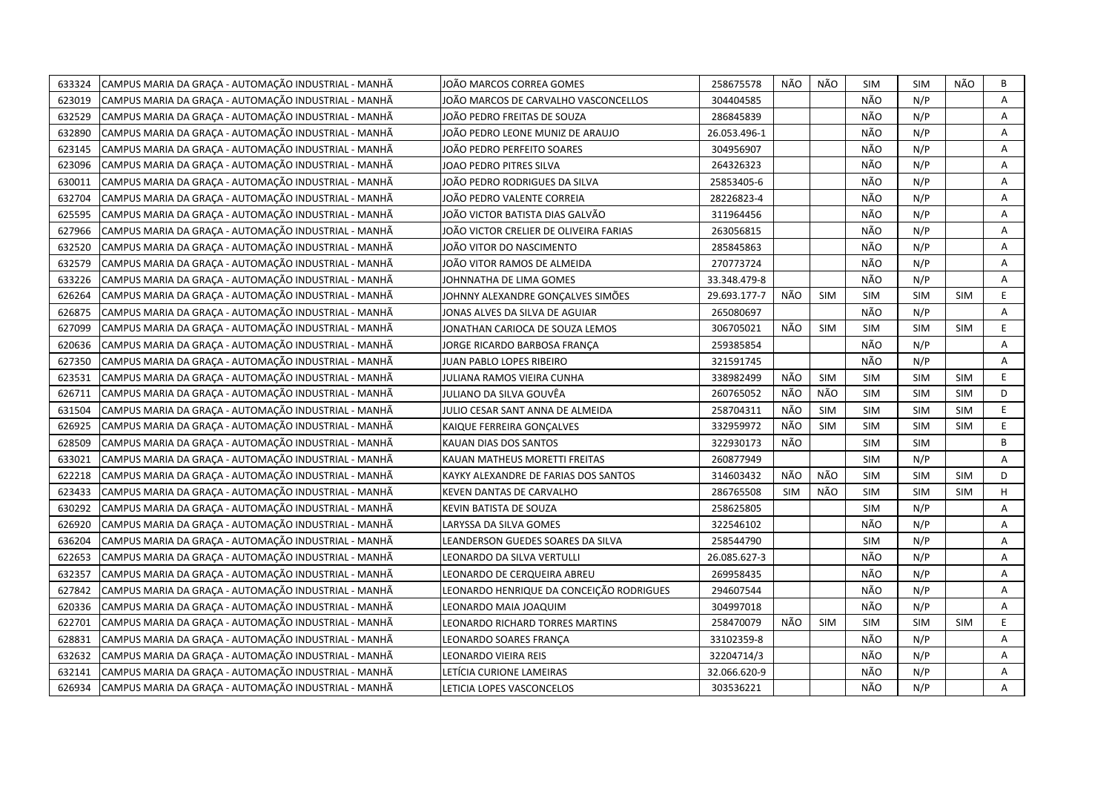| CAMPUS MARIA DA GRAÇA - AUTOMAÇÃO INDUSTRIAL - MANHÃ<br>633324 | JOÃO MARCOS CORREA GOMES                 | 258675578    | NÃO        | NÃO        | <b>SIM</b> | <b>SIM</b> | NÃO        | В  |
|----------------------------------------------------------------|------------------------------------------|--------------|------------|------------|------------|------------|------------|----|
| CAMPUS MARIA DA GRACA - AUTOMAÇÃO INDUSTRIAL - MANHÃ<br>623019 | JOÃO MARCOS DE CARVALHO VASCONCELLOS     | 304404585    |            |            | NÃO        | N/P        |            | A  |
| 632529<br>CAMPUS MARIA DA GRACA - AUTOMAÇÃO INDUSTRIAL - MANHÃ | JOÃO PEDRO FREITAS DE SOUZA              | 286845839    |            |            | NÃO        | N/P        |            | Α  |
| CAMPUS MARIA DA GRACA - AUTOMAÇÃO INDUSTRIAL - MANHÃ<br>632890 | JOÃO PEDRO LEONE MUNIZ DE ARAUJO         | 26.053.496-1 |            |            | NÃO        | N/P        |            | A  |
| CAMPUS MARIA DA GRAÇA - AUTOMAÇÃO INDUSTRIAL - MANHÃ<br>623145 | JOÃO PEDRO PERFEITO SOARES               | 304956907    |            |            | NÃO        | N/P        |            | Α  |
| 623096<br>CAMPUS MARIA DA GRAÇA - AUTOMAÇÃO INDUSTRIAL - MANHÃ | JOAO PEDRO PITRES SILVA                  | 264326323    |            |            | NÃO        | N/P        |            | A  |
| 630011<br>CAMPUS MARIA DA GRAÇA - AUTOMAÇÃO INDUSTRIAL - MANHÃ | JOÃO PEDRO RODRIGUES DA SILVA            | 25853405-6   |            |            | NÃO        | N/P        |            | Α  |
| CAMPUS MARIA DA GRAÇA - AUTOMAÇÃO INDUSTRIAL - MANHÃ<br>632704 | JOÃO PEDRO VALENTE CORREIA               | 28226823-4   |            |            | NÃO        | N/P        |            | Α  |
| CAMPUS MARIA DA GRAÇA - AUTOMAÇÃO INDUSTRIAL - MANHÃ<br>625595 | JOÃO VICTOR BATISTA DIAS GALVÃO          | 311964456    |            |            | NÃO        | N/P        |            | A  |
| 627966<br>CAMPUS MARIA DA GRAÇA - AUTOMAÇÃO INDUSTRIAL - MANHÃ | JOÃO VICTOR CRELIER DE OLIVEIRA FARIAS   | 263056815    |            |            | NÃO        | N/P        |            | A  |
| CAMPUS MARIA DA GRAÇA - AUTOMAÇÃO INDUSTRIAL - MANHÃ<br>632520 | JOÃO VITOR DO NASCIMENTO                 | 285845863    |            |            | NÃO        | N/P        |            | A  |
| CAMPUS MARIA DA GRAÇA - AUTOMAÇÃO INDUSTRIAL - MANHÃ<br>632579 | JOÃO VITOR RAMOS DE ALMEIDA              | 270773724    |            |            | NÃO        | N/P        |            | Α  |
| CAMPUS MARIA DA GRACA - AUTOMAÇÃO INDUSTRIAL - MANHÃ<br>633226 | JOHNNATHA DE LIMA GOMES                  | 33.348.479-8 |            |            | NÃO        | N/P        |            | A  |
| 626264<br>CAMPUS MARIA DA GRAÇA - AUTOMAÇÃO INDUSTRIAL - MANHÃ | JOHNNY ALEXANDRE GONCALVES SIMÕES        | 29.693.177-7 | NÃO        | <b>SIM</b> | <b>SIM</b> | <b>SIM</b> | <b>SIM</b> | E  |
| CAMPUS MARIA DA GRAÇA - AUTOMAÇÃO INDUSTRIAL - MANHÃ<br>626875 | JONAS ALVES DA SILVA DE AGUIAR           | 265080697    |            |            | NÃO        | N/P        |            | A  |
| 627099<br>CAMPUS MARIA DA GRAÇA - AUTOMAÇÃO INDUSTRIAL - MANHÃ | JONATHAN CARIOCA DE SOUZA LEMOS          | 306705021    | NÃO        | <b>SIM</b> | <b>SIM</b> | <b>SIM</b> | <b>SIM</b> | E  |
| 620636<br>CAMPUS MARIA DA GRAÇA - AUTOMAÇÃO INDUSTRIAL - MANHÃ | JORGE RICARDO BARBOSA FRANÇA             | 259385854    |            |            | NÃO        | N/P        |            | Α  |
| CAMPUS MARIA DA GRAÇA - AUTOMAÇÃO INDUSTRIAL - MANHÃ<br>627350 | JUAN PABLO LOPES RIBEIRO                 | 321591745    |            |            | NÃO        | N/P        |            | Α  |
| 623531<br>CAMPUS MARIA DA GRAÇA - AUTOMAÇÃO INDUSTRIAL - MANHÃ | JULIANA RAMOS VIEIRA CUNHA               | 338982499    | NÃO        | <b>SIM</b> | <b>SIM</b> | <b>SIM</b> | <b>SIM</b> | E. |
| 626711<br>CAMPUS MARIA DA GRAÇA - AUTOMAÇÃO INDUSTRIAL - MANHÃ | JULIANO DA SILVA GOUVÊA                  | 260765052    | NÃO        | NÃO        | <b>SIM</b> | <b>SIM</b> | <b>SIM</b> | D  |
| CAMPUS MARIA DA GRAÇA - AUTOMAÇÃO INDUSTRIAL - MANHÃ<br>631504 | JULIO CESAR SANT ANNA DE ALMEIDA         | 258704311    | NÃO        | SIM        | <b>SIM</b> | <b>SIM</b> | <b>SIM</b> | E. |
| 626925<br>CAMPUS MARIA DA GRAÇA - AUTOMAÇÃO INDUSTRIAL - MANHÃ | KAIQUE FERREIRA GONCALVES                | 332959972    | NÃO        | <b>SIM</b> | <b>SIM</b> | <b>SIM</b> | <b>SIM</b> | E  |
| CAMPUS MARIA DA GRAÇA - AUTOMAÇÃO INDUSTRIAL - MANHÃ<br>628509 | KAUAN DIAS DOS SANTOS                    | 322930173    | NÃO        |            | <b>SIM</b> | <b>SIM</b> |            | B  |
| CAMPUS MARIA DA GRACA - AUTOMAÇÃO INDUSTRIAL - MANHÃ<br>633021 | KAUAN MATHEUS MORETTI FREITAS            | 260877949    |            |            | <b>SIM</b> | N/P        |            | A  |
| 622218<br>CAMPUS MARIA DA GRAÇA - AUTOMAÇÃO INDUSTRIAL - MANHÃ | KAYKY ALEXANDRE DE FARIAS DOS SANTOS     | 314603432    | NÃO        | NÃO        | <b>SIM</b> | <b>SIM</b> | <b>SIM</b> | D  |
| 623433<br>CAMPUS MARIA DA GRAÇA - AUTOMAÇÃO INDUSTRIAL - MANHÃ | KEVEN DANTAS DE CARVALHO                 | 286765508    | <b>SIM</b> | NÃO        | <b>SIM</b> | <b>SIM</b> | <b>SIM</b> | H  |
| 630292<br>CAMPUS MARIA DA GRAÇA - AUTOMAÇÃO INDUSTRIAL - MANHÃ | KEVIN BATISTA DE SOUZA                   | 258625805    |            |            | <b>SIM</b> | N/P        |            | A  |
| 626920<br>CAMPUS MARIA DA GRAÇA - AUTOMAÇÃO INDUSTRIAL - MANHÃ | LARYSSA DA SILVA GOMES                   | 322546102    |            |            | NÃO        | N/P        |            | A  |
| CAMPUS MARIA DA GRAÇA - AUTOMAÇÃO INDUSTRIAL - MANHÃ<br>636204 | LEANDERSON GUEDES SOARES DA SILVA        | 258544790    |            |            | <b>SIM</b> | N/P        |            | A  |
| 622653<br>CAMPUS MARIA DA GRAÇA - AUTOMAÇÃO INDUSTRIAL - MANHÃ | LEONARDO DA SILVA VERTULLI               | 26.085.627-3 |            |            | NÃO        | N/P        |            | Α  |
| CAMPUS MARIA DA GRAÇA - AUTOMAÇÃO INDUSTRIAL - MANHÃ<br>632357 | LEONARDO DE CERQUEIRA ABREU              | 269958435    |            |            | NÃO        | N/P        |            | A  |
| 627842<br>CAMPUS MARIA DA GRAÇA - AUTOMAÇÃO INDUSTRIAL - MANHÃ | LEONARDO HENRIQUE DA CONCEIÇÃO RODRIGUES | 294607544    |            |            | NÃO        | N/P        |            | Α  |
| CAMPUS MARIA DA GRAÇA - AUTOMAÇÃO INDUSTRIAL - MANHÃ<br>620336 | LEONARDO MAIA JOAQUIM                    | 304997018    |            |            | NÃO        | N/P        |            | A  |
| CAMPUS MARIA DA GRAÇA - AUTOMAÇÃO INDUSTRIAL - MANHÃ<br>622701 | LEONARDO RICHARD TORRES MARTINS          | 258470079    | NÃO        | <b>SIM</b> | <b>SIM</b> | <b>SIM</b> | <b>SIM</b> | E  |
| 628831<br>CAMPUS MARIA DA GRACA - AUTOMAÇÃO INDUSTRIAL - MANHÃ | LEONARDO SOARES FRANCA                   | 33102359-8   |            |            | NÃO        | N/P        |            | A  |
| CAMPUS MARIA DA GRAÇA - AUTOMAÇÃO INDUSTRIAL - MANHÃ<br>632632 | LEONARDO VIEIRA REIS                     | 32204714/3   |            |            | NÃO        | N/P        |            | Α  |
| CAMPUS MARIA DA GRACA - AUTOMAÇÃO INDUSTRIAL - MANHÃ<br>632141 | LETÍCIA CURIONE LAMEIRAS                 | 32.066.620-9 |            |            | NÃO        | N/P        |            | A  |
| CAMPUS MARIA DA GRAÇA - AUTOMAÇÃO INDUSTRIAL - MANHÃ<br>626934 | LETICIA LOPES VASCONCELOS                | 303536221    |            |            | NÃO        | N/P        |            | A  |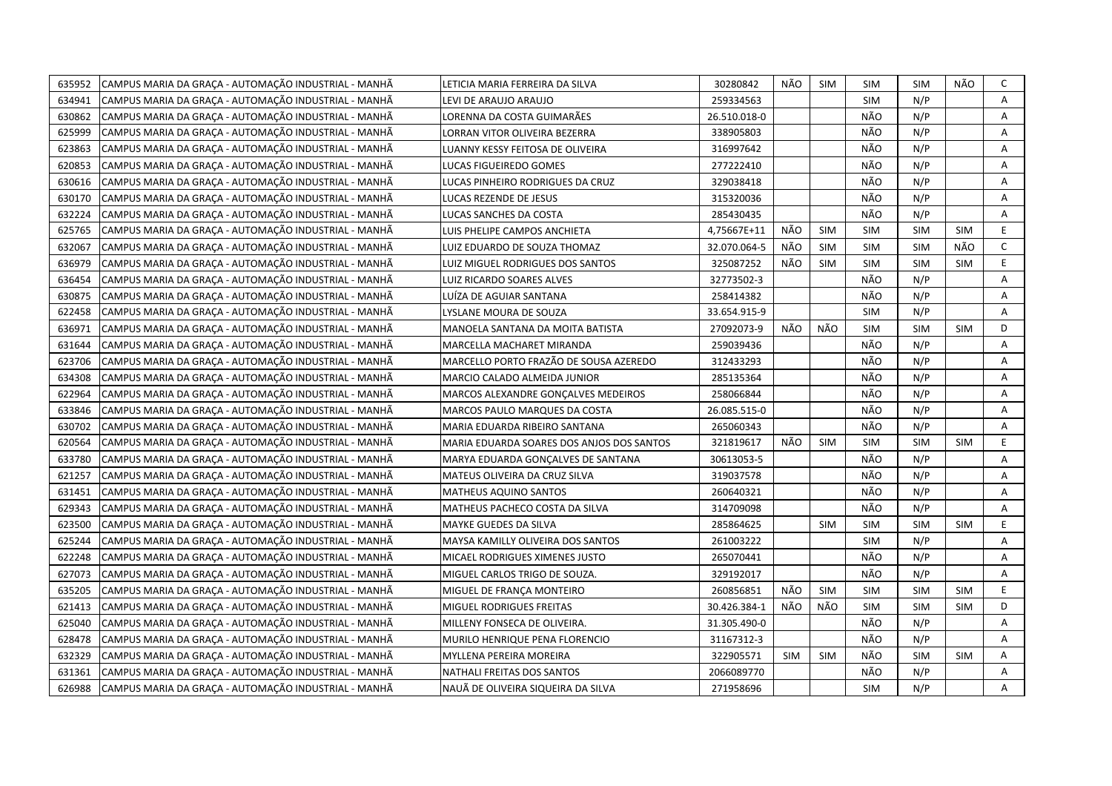| CAMPUS MARIA DA GRAÇA - AUTOMAÇÃO INDUSTRIAL - MANHÃ<br>635952 | LETICIA MARIA FERREIRA DA SILVA           | 30280842     | NÃO        | <b>SIM</b> | <b>SIM</b> | <b>SIM</b> | NÃO        | C  |
|----------------------------------------------------------------|-------------------------------------------|--------------|------------|------------|------------|------------|------------|----|
| 634941<br>CAMPUS MARIA DA GRACA - AUTOMAÇÃO INDUSTRIAL - MANHÃ | LEVI DE ARAUJO ARAUJO                     | 259334563    |            |            | <b>SIM</b> | N/P        |            | A  |
| CAMPUS MARIA DA GRAÇA - AUTOMAÇÃO INDUSTRIAL - MANHÃ<br>630862 | LORENNA DA COSTA GUIMARÃES                | 26.510.018-0 |            |            | NÃO        | N/P        |            | A  |
| 625999<br>CAMPUS MARIA DA GRAÇA - AUTOMAÇÃO INDUSTRIAL - MANHÃ | LORRAN VITOR OLIVEIRA BEZERRA             | 338905803    |            |            | NÃO        | N/P        |            | Α  |
| 623863<br>CAMPUS MARIA DA GRAÇA - AUTOMAÇÃO INDUSTRIAL - MANHÃ | LUANNY KESSY FEITOSA DE OLIVEIRA          | 316997642    |            |            | NÃO        | N/P        |            | А  |
| 620853<br>CAMPUS MARIA DA GRAÇA - AUTOMAÇÃO INDUSTRIAL - MANHÃ | LUCAS FIGUEIREDO GOMES                    | 277222410    |            |            | NÃO        | N/P        |            | A  |
| CAMPUS MARIA DA GRAÇA - AUTOMAÇÃO INDUSTRIAL - MANHÃ<br>630616 | LUCAS PINHEIRO RODRIGUES DA CRUZ          | 329038418    |            |            | NÃO        | N/P        |            | Α  |
| CAMPUS MARIA DA GRAÇA - AUTOMAÇÃO INDUSTRIAL - MANHÃ<br>630170 | LUCAS REZENDE DE JESUS                    | 315320036    |            |            | NÃO        | N/P        |            | Α  |
| CAMPUS MARIA DA GRAÇA - AUTOMAÇÃO INDUSTRIAL - MANHÃ<br>632224 | LUCAS SANCHES DA COSTA                    | 285430435    |            |            | NÃO        | N/P        |            | Α  |
| CAMPUS MARIA DA GRAÇA - AUTOMAÇÃO INDUSTRIAL - MANHÃ<br>625765 | LUIS PHELIPE CAMPOS ANCHIETA              | 4,75667E+11  | NÃO        | <b>SIM</b> | <b>SIM</b> | <b>SIM</b> | <b>SIM</b> | E  |
| CAMPUS MARIA DA GRAÇA - AUTOMAÇÃO INDUSTRIAL - MANHÃ<br>632067 | LUIZ EDUARDO DE SOUZA THOMAZ              | 32.070.064-5 | NÃO        | <b>SIM</b> | <b>SIM</b> | <b>SIM</b> | NÃO        | C  |
| CAMPUS MARIA DA GRACA - AUTOMAÇÃO INDUSTRIAL - MANHÃ<br>636979 | LUIZ MIGUEL RODRIGUES DOS SANTOS          | 325087252    | NÃO        | <b>SIM</b> | <b>SIM</b> | <b>SIM</b> | <b>SIM</b> | E  |
| CAMPUS MARIA DA GRAÇA - AUTOMAÇÃO INDUSTRIAL - MANHÃ<br>636454 | LUIZ RICARDO SOARES ALVES                 | 32773502-3   |            |            | NÃO        | N/P        |            | А  |
| CAMPUS MARIA DA GRAÇA - AUTOMAÇÃO INDUSTRIAL - MANHÃ<br>630875 | LUÍZA DE AGUIAR SANTANA                   | 258414382    |            |            | NÃO        | N/P        |            | Α  |
| CAMPUS MARIA DA GRAÇA - AUTOMAÇÃO INDUSTRIAL - MANHÃ<br>622458 | LYSLANE MOURA DE SOUZA                    | 33.654.915-9 |            |            | <b>SIM</b> | N/P        |            | A  |
| CAMPUS MARIA DA GRAÇA - AUTOMAÇÃO INDUSTRIAL - MANHÃ<br>636971 | MANOELA SANTANA DA MOITA BATISTA          | 27092073-9   | NÃO        | NÃO        | <b>SIM</b> | <b>SIM</b> | <b>SIM</b> | D  |
| CAMPUS MARIA DA GRACA - AUTOMAÇÃO INDUSTRIAL - MANHÃ<br>631644 | MARCELLA MACHARET MIRANDA                 | 259039436    |            |            | NÃO        | N/P        |            | Α  |
| CAMPUS MARIA DA GRAÇA - AUTOMAÇÃO INDUSTRIAL - MANHÃ<br>623706 | MARCELLO PORTO FRAZÃO DE SOUSA AZEREDO    | 312433293    |            |            | NÃO        | N/P        |            | A  |
| CAMPUS MARIA DA GRAÇA - AUTOMAÇÃO INDUSTRIAL - MANHÃ<br>634308 | MARCIO CALADO ALMEIDA JUNIOR              | 285135364    |            |            | NÃO        | N/P        |            | A  |
| CAMPUS MARIA DA GRAÇA - AUTOMAÇÃO INDUSTRIAL - MANHÃ<br>622964 | MARCOS ALEXANDRE GONCALVES MEDEIROS       | 258066844    |            |            | NÃO        | N/P        |            | A  |
| CAMPUS MARIA DA GRAÇA - AUTOMAÇÃO INDUSTRIAL - MANHÃ<br>633846 | MARCOS PAULO MARQUES DA COSTA             | 26.085.515-0 |            |            | NÃO        | N/P        |            | Α  |
| CAMPUS MARIA DA GRACA - AUTOMAÇÃO INDUSTRIAL - MANHÃ<br>630702 | MARIA EDUARDA RIBEIRO SANTANA             | 265060343    |            |            | NÃO        | N/P        |            | A  |
| CAMPUS MARIA DA GRAÇA - AUTOMAÇÃO INDUSTRIAL - MANHÃ<br>620564 | MARIA EDUARDA SOARES DOS ANJOS DOS SANTOS | 321819617    | NÃO        | <b>SIM</b> | <b>SIM</b> | <b>SIM</b> | <b>SIM</b> | E  |
| CAMPUS MARIA DA GRAÇA - AUTOMAÇÃO INDUSTRIAL - MANHÃ<br>633780 | MARYA EDUARDA GONÇALVES DE SANTANA        | 30613053-5   |            |            | NÃO        | N/P        |            | A  |
| CAMPUS MARIA DA GRAÇA - AUTOMAÇÃO INDUSTRIAL - MANHÃ<br>621257 | MATEUS OLIVEIRA DA CRUZ SILVA             | 319037578    |            |            | NÃO        | N/P        |            | А  |
| 631451<br>CAMPUS MARIA DA GRAÇA - AUTOMAÇÃO INDUSTRIAL - MANHÃ | <b>MATHEUS AQUINO SANTOS</b>              | 260640321    |            |            | NÃO        | N/P        |            | Α  |
| 629343<br>CAMPUS MARIA DA GRAÇA - AUTOMAÇÃO INDUSTRIAL - MANHÃ | MATHEUS PACHECO COSTA DA SILVA            | 314709098    |            |            | NÃO        | N/P        |            | A  |
| 623500<br>CAMPUS MARIA DA GRAÇA - AUTOMAÇÃO INDUSTRIAL - MANHÃ | MAYKE GUEDES DA SILVA                     | 285864625    |            | <b>SIM</b> | <b>SIM</b> | <b>SIM</b> | <b>SIM</b> | E  |
| 625244<br>CAMPUS MARIA DA GRAÇA - AUTOMAÇÃO INDUSTRIAL - MANHÃ | MAYSA KAMILLY OLIVEIRA DOS SANTOS         | 261003222    |            |            | <b>SIM</b> | N/P        |            | A  |
| CAMPUS MARIA DA GRAÇA - AUTOMAÇÃO INDUSTRIAL - MANHÃ<br>622248 | MICAEL RODRIGUES XIMENES JUSTO            | 265070441    |            |            | NÃO        | N/P        |            | Α  |
| 627073<br>CAMPUS MARIA DA GRAÇA - AUTOMAÇÃO INDUSTRIAL - MANHÃ | MIGUEL CARLOS TRIGO DE SOUZA.             | 329192017    |            |            | NÃO        | N/P        |            | Α  |
| 635205<br>CAMPUS MARIA DA GRAÇA - AUTOMAÇÃO INDUSTRIAL - MANHÃ | MIGUEL DE FRANÇA MONTEIRO                 | 260856851    | NÃO        | <b>SIM</b> | <b>SIM</b> | <b>SIM</b> | <b>SIM</b> | E. |
| CAMPUS MARIA DA GRAÇA - AUTOMAÇÃO INDUSTRIAL - MANHÃ<br>621413 | MIGUEL RODRIGUES FREITAS                  | 30.426.384-1 | NÃO        | NÃO        | <b>SIM</b> | <b>SIM</b> | <b>SIM</b> | D  |
| 625040<br>CAMPUS MARIA DA GRAÇA - AUTOMAÇÃO INDUSTRIAL - MANHÃ | MILLENY FONSECA DE OLIVEIRA.              | 31.305.490-0 |            |            | NÃO        | N/P        |            | A  |
| 628478<br>CAMPUS MARIA DA GRAÇA - AUTOMAÇÃO INDUSTRIAL - MANHÃ | MURILO HENRIQUE PENA FLORENCIO            | 31167312-3   |            |            | NÃO        | N/P        |            | A  |
| CAMPUS MARIA DA GRAÇA - AUTOMAÇÃO INDUSTRIAL - MANHÃ<br>632329 | MYLLENA PEREIRA MOREIRA                   | 322905571    | <b>SIM</b> | <b>SIM</b> | NÃO        | <b>SIM</b> | <b>SIM</b> | A  |
| CAMPUS MARIA DA GRAÇA - AUTOMAÇÃO INDUSTRIAL - MANHÃ<br>631361 | NATHALI FREITAS DOS SANTOS                | 2066089770   |            |            | NÃO        | N/P        |            | Α  |
| CAMPUS MARIA DA GRAÇA - AUTOMAÇÃO INDUSTRIAL - MANHÃ<br>626988 | NAUÃ DE OLIVEIRA SIQUEIRA DA SILVA        | 271958696    |            |            | <b>SIM</b> | N/P        |            | А  |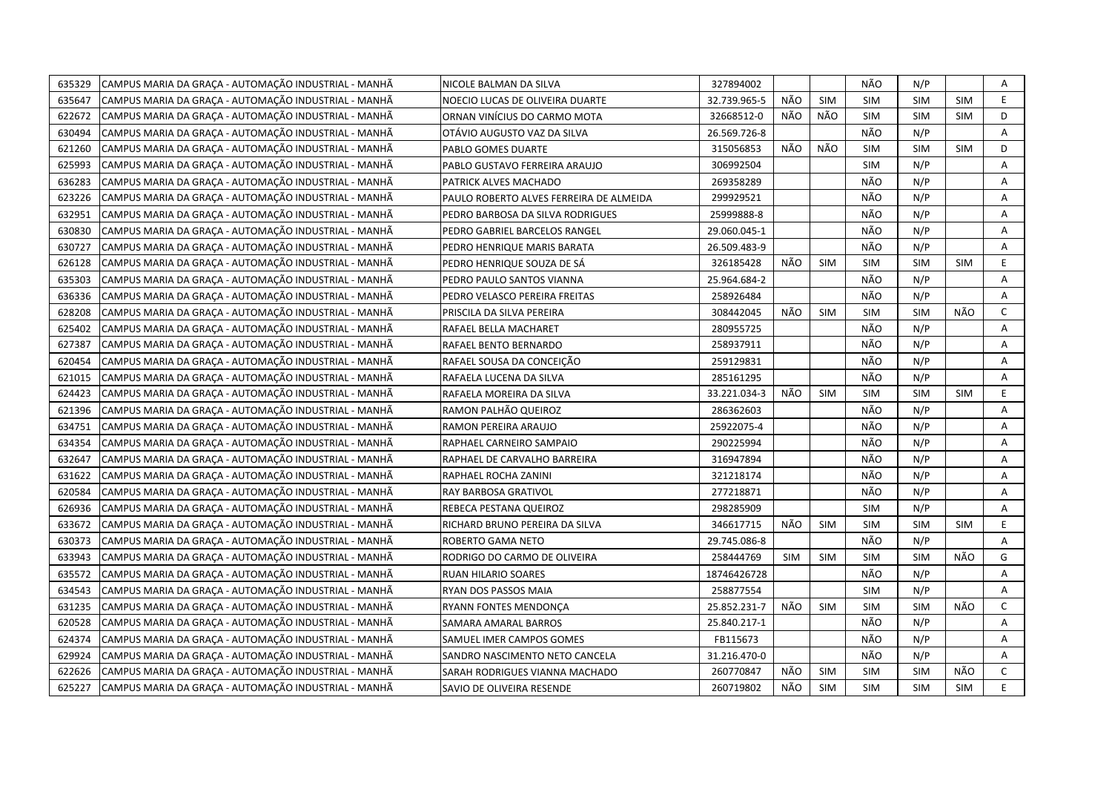| 635329 | CAMPUS MARIA DA GRAÇA - AUTOMAÇÃO INDUSTRIAL - MANHÃ | NICOLE BALMAN DA SILVA                  | 327894002    |            |            | NÃO        | N/P        |            | Α            |
|--------|------------------------------------------------------|-----------------------------------------|--------------|------------|------------|------------|------------|------------|--------------|
| 635647 | CAMPUS MARIA DA GRACA - AUTOMAÇÃO INDUSTRIAL - MANHÃ | NOECIO LUCAS DE OLIVEIRA DUARTE         | 32.739.965-5 | NÃO        | <b>SIM</b> | <b>SIM</b> | <b>SIM</b> | <b>SIM</b> | E.           |
| 622672 | CAMPUS MARIA DA GRAÇA - AUTOMAÇÃO INDUSTRIAL - MANHÃ | ORNAN VINÍCIUS DO CARMO MOTA            | 32668512-0   | NÃO        | NÃO        | SIM        | <b>SIM</b> | <b>SIM</b> | D            |
| 630494 | CAMPUS MARIA DA GRACA - AUTOMAÇÃO INDUSTRIAL - MANHÃ | OTÁVIO AUGUSTO VAZ DA SILVA             | 26.569.726-8 |            |            | NÃO        | N/P        |            | A            |
| 621260 | CAMPUS MARIA DA GRAÇA - AUTOMAÇÃO INDUSTRIAL - MANHÃ | PABLO GOMES DUARTE                      | 315056853    | NÃO        | NÃO        | <b>SIM</b> | SIM        | <b>SIM</b> | D            |
| 625993 | CAMPUS MARIA DA GRAÇA - AUTOMAÇÃO INDUSTRIAL - MANHÃ | PABLO GUSTAVO FERREIRA ARAUJO           | 306992504    |            |            | <b>SIM</b> | N/P        |            | Α            |
| 636283 | CAMPUS MARIA DA GRAÇA - AUTOMAÇÃO INDUSTRIAL - MANHÃ | PATRICK ALVES MACHADO                   | 269358289    |            |            | NÃO        | N/P        |            | A            |
| 623226 | CAMPUS MARIA DA GRAÇA - AUTOMAÇÃO INDUSTRIAL - MANHÃ | PAULO ROBERTO ALVES FERREIRA DE ALMEIDA | 299929521    |            |            | NÃO        | N/P        |            | Α            |
| 632951 | CAMPUS MARIA DA GRAÇA - AUTOMAÇÃO INDUSTRIAL - MANHÃ | PEDRO BARBOSA DA SILVA RODRIGUES        | 25999888-8   |            |            | NÃO        | N/P        |            | A            |
| 630830 | CAMPUS MARIA DA GRACA - AUTOMAÇÃO INDUSTRIAL - MANHÃ | PEDRO GABRIEL BARCELOS RANGEL           | 29.060.045-1 |            |            | NÃO        | N/P        |            | Α            |
| 630727 | CAMPUS MARIA DA GRACA - AUTOMACÃO INDUSTRIAL - MANHÃ | PEDRO HENRIQUE MARIS BARATA             | 26.509.483-9 |            |            | NÃO        | N/P        |            | A            |
| 626128 | CAMPUS MARIA DA GRAÇA - AUTOMAÇÃO INDUSTRIAL - MANHÃ | PEDRO HENRIQUE SOUZA DE SÁ              | 326185428    | NÃO        | <b>SIM</b> | <b>SIM</b> | <b>SIM</b> | SIM        | E            |
| 635303 | CAMPUS MARIA DA GRACA - AUTOMAÇÃO INDUSTRIAL - MANHÃ | PEDRO PAULO SANTOS VIANNA               | 25.964.684-2 |            |            | NÃO        | N/P        |            | Α            |
| 636336 | CAMPUS MARIA DA GRAÇA - AUTOMAÇÃO INDUSTRIAL - MANHÃ | PEDRO VELASCO PEREIRA FREITAS           | 258926484    |            |            | NÃO        | N/P        |            | A            |
| 628208 | CAMPUS MARIA DA GRAÇA - AUTOMAÇÃO INDUSTRIAL - MANHÃ | PRISCILA DA SILVA PEREIRA               | 308442045    | NÃO        | <b>SIM</b> | <b>SIM</b> | <b>SIM</b> | NÃO        | $\mathsf{C}$ |
| 625402 | CAMPUS MARIA DA GRAÇA - AUTOMAÇÃO INDUSTRIAL - MANHÃ | RAFAEL BELLA MACHARET                   | 280955725    |            |            | NÃO        | N/P        |            | A            |
| 627387 | CAMPUS MARIA DA GRAÇA - AUTOMAÇÃO INDUSTRIAL - MANHÃ | RAFAEL BENTO BERNARDO                   | 258937911    |            |            | NÃO        | N/P        |            | A            |
| 620454 | CAMPUS MARIA DA GRAÇA - AUTOMAÇÃO INDUSTRIAL - MANHÃ | RAFAEL SOUSA DA CONCEIÇÃO               | 259129831    |            |            | NÃO        | N/P        |            | Α            |
| 621015 | CAMPUS MARIA DA GRAÇA - AUTOMAÇÃO INDUSTRIAL - MANHÃ | RAFAELA LUCENA DA SILVA                 | 285161295    |            |            | NÃO        | N/P        |            | A            |
| 624423 | CAMPUS MARIA DA GRAÇA - AUTOMAÇÃO INDUSTRIAL - MANHÃ | RAFAELA MOREIRA DA SILVA                | 33.221.034-3 | NÃO        | <b>SIM</b> | <b>SIM</b> | <b>SIM</b> | <b>SIM</b> | E.           |
| 621396 | CAMPUS MARIA DA GRAÇA - AUTOMAÇÃO INDUSTRIAL - MANHÃ | RAMON PALHÃO QUEIROZ                    | 286362603    |            |            | NÃO        | N/P        |            | A            |
| 634751 | CAMPUS MARIA DA GRAÇA - AUTOMAÇÃO INDUSTRIAL - MANHÃ | RAMON PEREIRA ARAUJO                    | 25922075-4   |            |            | NÃO        | N/P        |            | A            |
| 634354 | CAMPUS MARIA DA GRACA - AUTOMAÇÃO INDUSTRIAL - MANHÃ | RAPHAEL CARNEIRO SAMPAIO                | 290225994    |            |            | NÃO        | N/P        |            | A            |
| 632647 | CAMPUS MARIA DA GRACA - AUTOMAÇÃO INDUSTRIAL - MANHÃ | RAPHAEL DE CARVALHO BARREIRA            | 316947894    |            |            | NÃO        | N/P        |            | A            |
| 631622 | CAMPUS MARIA DA GRACA - AUTOMAÇÃO INDUSTRIAL - MANHÃ | RAPHAEL ROCHA ZANINI                    | 321218174    |            |            | NÃO        | N/P        |            | Α            |
| 620584 | CAMPUS MARIA DA GRACA - AUTOMAÇÃO INDUSTRIAL - MANHÃ | RAY BARBOSA GRATIVOL                    | 277218871    |            |            | NÃO        | N/P        |            | A            |
| 626936 | CAMPUS MARIA DA GRAÇA - AUTOMAÇÃO INDUSTRIAL - MANHÃ | REBECA PESTANA QUEIROZ                  | 298285909    |            |            | <b>SIM</b> | N/P        |            | A            |
| 633672 | CAMPUS MARIA DA GRAÇA - AUTOMAÇÃO INDUSTRIAL - MANHÃ | RICHARD BRUNO PEREIRA DA SILVA          | 346617715    | NÃO        | <b>SIM</b> | <b>SIM</b> | <b>SIM</b> | SIM        | E.           |
| 630373 | CAMPUS MARIA DA GRACA - AUTOMAÇÃO INDUSTRIAL - MANHÃ | ROBERTO GAMA NETO                       | 29.745.086-8 |            |            | NÃO        | N/P        |            | A            |
| 633943 | CAMPUS MARIA DA GRAÇA - AUTOMAÇÃO INDUSTRIAL - MANHÃ | RODRIGO DO CARMO DE OLIVEIRA            | 258444769    | <b>SIM</b> | <b>SIM</b> | <b>SIM</b> | <b>SIM</b> | NÃO        | G            |
| 635572 | CAMPUS MARIA DA GRACA - AUTOMAÇÃO INDUSTRIAL - MANHÃ | RUAN HILARIO SOARES                     | 18746426728  |            |            | NÃO        | N/P        |            | A            |
| 634543 | CAMPUS MARIA DA GRAÇA - AUTOMAÇÃO INDUSTRIAL - MANHÃ | RYAN DOS PASSOS MAIA                    | 258877554    |            |            | <b>SIM</b> | N/P        |            | Α            |
| 631235 | CAMPUS MARIA DA GRAÇA - AUTOMAÇÃO INDUSTRIAL - MANHÃ | RYANN FONTES MENDONCA                   | 25.852.231-7 | NÃO        | <b>SIM</b> | <b>SIM</b> | <b>SIM</b> | NÃO        | $\mathsf{C}$ |
| 620528 | CAMPUS MARIA DA GRAÇA - AUTOMAÇÃO INDUSTRIAL - MANHÃ | SAMARA AMARAL BARROS                    | 25.840.217-1 |            |            | NÃO        | N/P        |            | A            |
| 624374 | CAMPUS MARIA DA GRACA - AUTOMAÇÃO INDUSTRIAL - MANHÃ | SAMUEL IMER CAMPOS GOMES                | FB115673     |            |            | NÃO        | N/P        |            | Α            |
| 629924 | CAMPUS MARIA DA GRAÇA - AUTOMAÇÃO INDUSTRIAL - MANHÃ | SANDRO NASCIMENTO NETO CANCELA          | 31.216.470-0 |            |            | NÃO        | N/P        |            | Α            |
| 622626 | CAMPUS MARIA DA GRACA - AUTOMAÇÃO INDUSTRIAL - MANHÃ | SARAH RODRIGUES VIANNA MACHADO          | 260770847    | NÃO        | <b>SIM</b> | <b>SIM</b> | <b>SIM</b> | NÃO        | $\mathsf{C}$ |
| 625227 | CAMPUS MARIA DA GRAÇA - AUTOMAÇÃO INDUSTRIAL - MANHÃ | SAVIO DE OLIVEIRA RESENDE               | 260719802    | NÃO        | <b>SIM</b> | <b>SIM</b> | <b>SIM</b> | <b>SIM</b> | E            |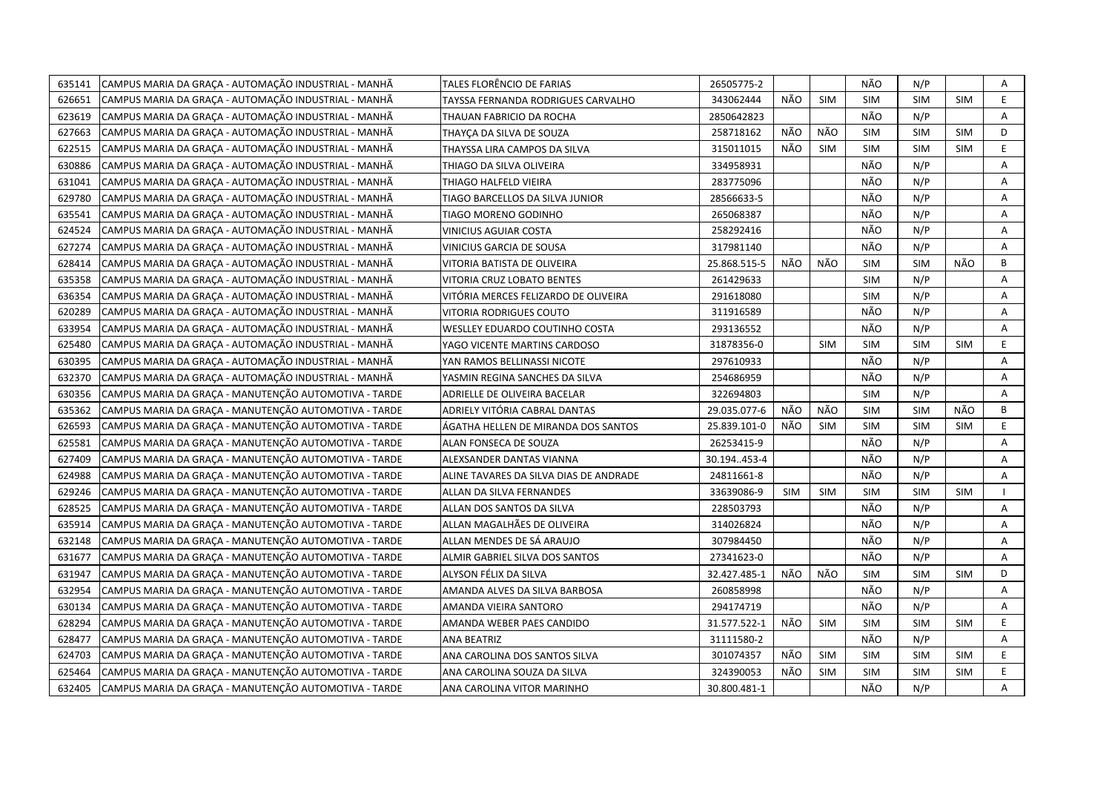| 635141 | CAMPUS MARIA DA GRAÇA - AUTOMAÇÃO INDUSTRIAL - MANHÃ  | TALES FLORÊNCIO DE FARIAS              | 26505775-2   |            |            | NÃO        | N/P        |            | Α  |
|--------|-------------------------------------------------------|----------------------------------------|--------------|------------|------------|------------|------------|------------|----|
| 626651 | CAMPUS MARIA DA GRACA - AUTOMAÇÃO INDUSTRIAL - MANHÃ  | TAYSSA FERNANDA RODRIGUES CARVALHO     | 343062444    | NÃO        | <b>SIM</b> | <b>SIM</b> | <b>SIM</b> | <b>SIM</b> | E. |
| 623619 | CAMPUS MARIA DA GRAÇA - AUTOMAÇÃO INDUSTRIAL - MANHÃ  | THAUAN FABRICIO DA ROCHA               | 2850642823   |            |            | NÃO        | N/P        |            | A  |
| 627663 | CAMPUS MARIA DA GRAÇA - AUTOMAÇÃO INDUSTRIAL - MANHÃ  | THAYÇA DA SILVA DE SOUZA               | 258718162    | NÃO        | NÃO        | <b>SIM</b> | <b>SIM</b> | <b>SIM</b> | D  |
| 622515 | CAMPUS MARIA DA GRAÇA - AUTOMAÇÃO INDUSTRIAL - MANHÃ  | THAYSSA LIRA CAMPOS DA SILVA           | 315011015    | NÃO        | <b>SIM</b> | <b>SIM</b> | <b>SIM</b> | <b>SIM</b> | E  |
| 630886 | CAMPUS MARIA DA GRAÇA - AUTOMAÇÃO INDUSTRIAL - MANHÃ  | THIAGO DA SILVA OLIVEIRA               | 334958931    |            |            | NÃO        | N/P        |            | A  |
| 631041 | CAMPUS MARIA DA GRACA - AUTOMAÇÃO INDUSTRIAL - MANHÃ  | THIAGO HALFELD VIEIRA                  | 283775096    |            |            | NÃO        | N/P        |            | Α  |
| 629780 | CAMPUS MARIA DA GRAÇA - AUTOMAÇÃO INDUSTRIAL - MANHÃ  | TIAGO BARCELLOS DA SILVA JUNIOR        | 28566633-5   |            |            | NÃO        | N/P        |            | Α  |
| 635541 | CAMPUS MARIA DA GRAÇA - AUTOMAÇÃO INDUSTRIAL - MANHÃ  | TIAGO MORENO GODINHO                   | 265068387    |            |            | NÃO        | N/P        |            | Α  |
| 624524 | CAMPUS MARIA DA GRAÇA - AUTOMAÇÃO INDUSTRIAL - MANHÃ  | VINICIUS AGUIAR COSTA                  | 258292416    |            |            | NÃO        | N/P        |            | Α  |
| 627274 | CAMPUS MARIA DA GRAÇA - AUTOMAÇÃO INDUSTRIAL - MANHÃ  | VINICIUS GARCIA DE SOUSA               | 317981140    |            |            | NÃO        | N/P        |            | Α  |
| 628414 | CAMPUS MARIA DA GRACA - AUTOMAÇÃO INDUSTRIAL - MANHÃ  | VITORIA BATISTA DE OLIVEIRA            | 25.868.515-5 | NÃO        | NÃO        | <b>SIM</b> | <b>SIM</b> | NÃO        | B  |
| 635358 | CAMPUS MARIA DA GRAÇA - AUTOMAÇÃO INDUSTRIAL - MANHÃ  | VITORIA CRUZ LOBATO BENTES             | 261429633    |            |            | <b>SIM</b> | N/P        |            | A  |
| 636354 | CAMPUS MARIA DA GRAÇA - AUTOMAÇÃO INDUSTRIAL - MANHÃ  | VITÓRIA MERCES FELIZARDO DE OLIVEIRA   | 291618080    |            |            | <b>SIM</b> | N/P        |            | Α  |
| 620289 | CAMPUS MARIA DA GRAÇA - AUTOMAÇÃO INDUSTRIAL - MANHÃ  | VITORIA RODRIGUES COUTO                | 311916589    |            |            | NÃO        | N/P        |            | A  |
| 633954 | CAMPUS MARIA DA GRAÇA - AUTOMAÇÃO INDUSTRIAL - MANHÃ  | WESLLEY EDUARDO COUTINHO COSTA         | 293136552    |            |            | NÃO        | N/P        |            | Α  |
| 625480 | CAMPUS MARIA DA GRAÇA - AUTOMAÇÃO INDUSTRIAL - MANHÃ  | YAGO VICENTE MARTINS CARDOSO           | 31878356-0   |            | <b>SIM</b> | <b>SIM</b> | <b>SIM</b> | <b>SIM</b> | E. |
| 630395 | CAMPUS MARIA DA GRAÇA - AUTOMAÇÃO INDUSTRIAL - MANHÃ  | YAN RAMOS BELLINASSI NICOTE            | 297610933    |            |            | NÃO        | N/P        |            | A  |
| 632370 | CAMPUS MARIA DA GRAÇA - AUTOMAÇÃO INDUSTRIAL - MANHÃ  | YASMIN REGINA SANCHES DA SILVA         | 254686959    |            |            | NÃO        | N/P        |            | A  |
| 630356 | CAMPUS MARIA DA GRAÇA - MANUTENÇÃO AUTOMOTIVA - TARDE | ADRIELLE DE OLIVEIRA BACELAR           | 322694803    |            |            | <b>SIM</b> | N/P        |            | A  |
| 635362 | CAMPUS MARIA DA GRACA - MANUTENÇÃO AUTOMOTIVA - TARDE | ADRIELY VITÓRIA CABRAL DANTAS          | 29.035.077-6 | NÃO        | NÃO        | <b>SIM</b> | <b>SIM</b> | NÃO        | B  |
| 626593 | CAMPUS MARIA DA GRAÇA - MANUTENÇÃO AUTOMOTIVA - TARDE | ÁGATHA HELLEN DE MIRANDA DOS SANTOS    | 25.839.101-0 | NÃO        | <b>SIM</b> | <b>SIM</b> | <b>SIM</b> | <b>SIM</b> | E  |
| 625581 | CAMPUS MARIA DA GRACA - MANUTENÇÃO AUTOMOTIVA - TARDE | ALAN FONSECA DE SOUZA                  | 26253415-9   |            |            | NÃO        | N/P        |            | Α  |
| 627409 | CAMPUS MARIA DA GRAÇA - MANUTENÇÃO AUTOMOTIVA - TARDE | ALEXSANDER DANTAS VIANNA               | 30.194453-4  |            |            | NÃO        | N/P        |            | Α  |
| 624988 | CAMPUS MARIA DA GRACA - MANUTENÇÃO AUTOMOTIVA - TARDE | ALINE TAVARES DA SILVA DIAS DE ANDRADE | 24811661-8   |            |            | NÃO        | N/P        |            | A  |
| 629246 | CAMPUS MARIA DA GRAÇA - MANUTENÇÃO AUTOMOTIVA - TARDE | ALLAN DA SILVA FERNANDES               | 33639086-9   | <b>SIM</b> | <b>SIM</b> | SIM        | <b>SIM</b> | <b>SIM</b> |    |
| 628525 | CAMPUS MARIA DA GRACA - MANUTENÇÃO AUTOMOTIVA - TARDE | ALLAN DOS SANTOS DA SILVA              | 228503793    |            |            | NÃO        | N/P        |            | A  |
| 635914 | CAMPUS MARIA DA GRAÇA - MANUTENÇÃO AUTOMOTIVA - TARDE | ALLAN MAGALHÃES DE OLIVEIRA            | 314026824    |            |            | NÃO        | N/P        |            | A  |
| 632148 | CAMPUS MARIA DA GRAÇA - MANUTENÇÃO AUTOMOTIVA - TARDE | ALLAN MENDES DE SÁ ARAUJO              | 307984450    |            |            | NÃO        | N/P        |            | Α  |
| 631677 | CAMPUS MARIA DA GRAÇA - MANUTENÇÃO AUTOMOTIVA - TARDE | ALMIR GABRIEL SILVA DOS SANTOS         | 27341623-0   |            |            | NÃO        | N/P        |            | Α  |
| 631947 | CAMPUS MARIA DA GRAÇA - MANUTENÇÃO AUTOMOTIVA - TARDE | ALYSON FÉLIX DA SILVA                  | 32.427.485-1 | NÃO        | NÃO        | <b>SIM</b> | <b>SIM</b> | <b>SIM</b> | D  |
| 632954 | CAMPUS MARIA DA GRACA - MANUTENÇÃO AUTOMOTIVA - TARDE | AMANDA ALVES DA SILVA BARBOSA          | 260858998    |            |            | NÃO        | N/P        |            | A  |
| 630134 | CAMPUS MARIA DA GRAÇA - MANUTENÇÃO AUTOMOTIVA - TARDE | AMANDA VIEIRA SANTORO                  | 294174719    |            |            | NÃO        | N/P        |            | Α  |
| 628294 | CAMPUS MARIA DA GRAÇA - MANUTENÇÃO AUTOMOTIVA - TARDE | AMANDA WEBER PAES CANDIDO              | 31.577.522-1 | NÃO        | <b>SIM</b> | <b>SIM</b> | <b>SIM</b> | <b>SIM</b> | E. |
| 628477 | CAMPUS MARIA DA GRAÇA - MANUTENÇÃO AUTOMOTIVA - TARDE | ANA BEATRIZ                            | 31111580-2   |            |            | NÃO        | N/P        |            | A  |
| 624703 | CAMPUS MARIA DA GRAÇA - MANUTENÇÃO AUTOMOTIVA - TARDE | ANA CAROLINA DOS SANTOS SILVA          | 301074357    | NÃO        | <b>SIM</b> | <b>SIM</b> | <b>SIM</b> | SIM        | E. |
| 625464 | CAMPUS MARIA DA GRAÇA - MANUTENÇÃO AUTOMOTIVA - TARDE | ANA CAROLINA SOUZA DA SILVA            | 324390053    | NÃO        | <b>SIM</b> | <b>SIM</b> | <b>SIM</b> | SIM        | E  |
| 632405 | CAMPUS MARIA DA GRAÇA - MANUTENÇÃO AUTOMOTIVA - TARDE | ANA CAROLINA VITOR MARINHO             | 30.800.481-1 |            |            | NÃO        | N/P        |            | A  |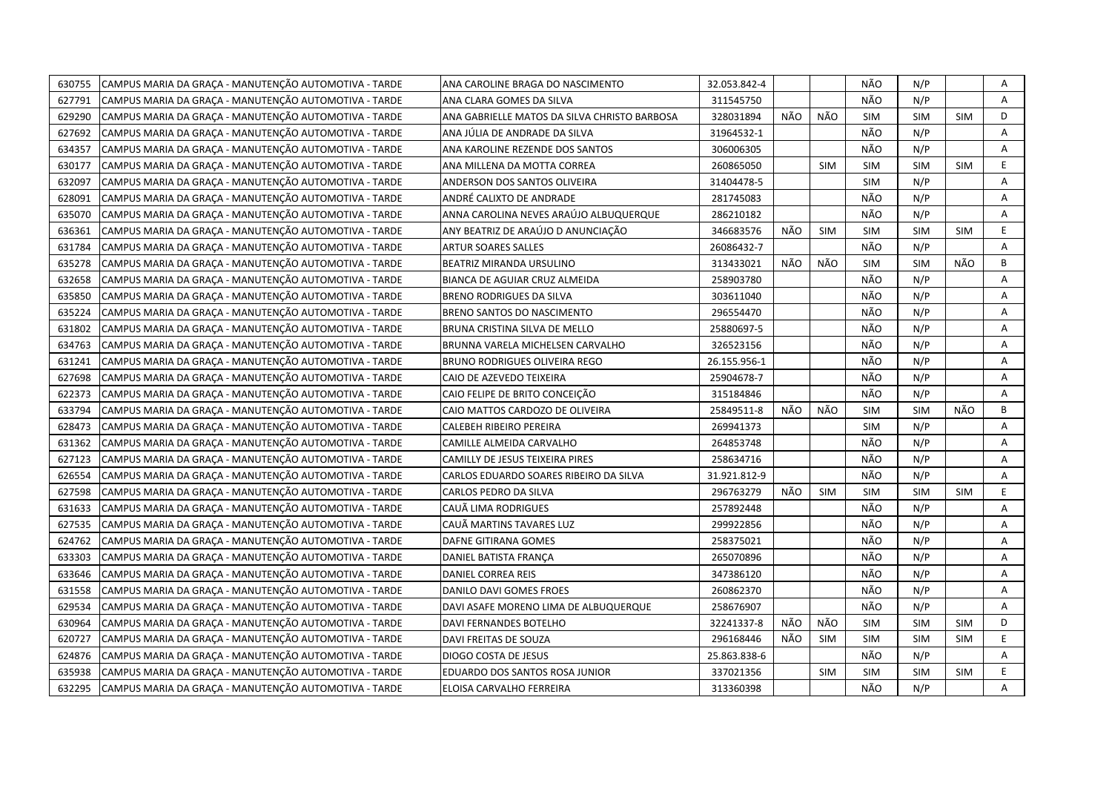| 630755 | CAMPUS MARIA DA GRAÇA - MANUTENÇÃO AUTOMOTIVA - TARDE | ANA CAROLINE BRAGA DO NASCIMENTO             | 32.053.842-4 |     |            | NÃO        | N/P        |            | Α  |
|--------|-------------------------------------------------------|----------------------------------------------|--------------|-----|------------|------------|------------|------------|----|
| 627791 | CAMPUS MARIA DA GRACA - MANUTENÇÃO AUTOMOTIVA - TARDE | ANA CLARA GOMES DA SILVA                     | 311545750    |     |            | NÃO        | N/P        |            | A  |
| 629290 | CAMPUS MARIA DA GRAÇA - MANUTENÇÃO AUTOMOTIVA - TARDE | ANA GABRIELLE MATOS DA SILVA CHRISTO BARBOSA | 328031894    | NÃO | NÃO        | SIM        | <b>SIM</b> | <b>SIM</b> | D  |
| 627692 | CAMPUS MARIA DA GRAÇA - MANUTENÇÃO AUTOMOTIVA - TARDE | ANA JÚLIA DE ANDRADE DA SILVA                | 31964532-1   |     |            | NÃO        | N/P        |            | A  |
| 634357 | CAMPUS MARIA DA GRAÇA - MANUTENÇÃO AUTOMOTIVA - TARDE | ANA KAROLINE REZENDE DOS SANTOS              | 306006305    |     |            | NÃO        | N/P        |            | Α  |
| 630177 | CAMPUS MARIA DA GRAÇA - MANUTENÇÃO AUTOMOTIVA - TARDE | ANA MILLENA DA MOTTA CORREA                  | 260865050    |     | <b>SIM</b> | <b>SIM</b> | <b>SIM</b> | <b>SIM</b> | E. |
| 632097 | CAMPUS MARIA DA GRAÇA - MANUTENÇÃO AUTOMOTIVA - TARDE | ANDERSON DOS SANTOS OLIVEIRA                 | 31404478-5   |     |            | <b>SIM</b> | N/P        |            | Α  |
| 628091 | CAMPUS MARIA DA GRAÇA - MANUTENÇÃO AUTOMOTIVA - TARDE | ANDRÉ CALIXTO DE ANDRADE                     | 281745083    |     |            | NÃO        | N/P        |            | Α  |
| 635070 | CAMPUS MARIA DA GRAÇA - MANUTENÇÃO AUTOMOTIVA - TARDE | ANNA CAROLINA NEVES ARAÚJO ALBUQUERQUE       | 286210182    |     |            | NÃO        | N/P        |            | A  |
| 636361 | CAMPUS MARIA DA GRAÇA - MANUTENÇÃO AUTOMOTIVA - TARDE | ANY BEATRIZ DE ARAÚJO D ANUNCIAÇÃO           | 346683576    | NÃO | <b>SIM</b> | <b>SIM</b> | <b>SIM</b> | <b>SIM</b> | E. |
| 631784 | CAMPUS MARIA DA GRACA - MANUTENÇÃO AUTOMOTIVA - TARDE | <b>ARTUR SOARES SALLES</b>                   | 26086432-7   |     |            | NÃO        | N/P        |            | A  |
| 635278 | CAMPUS MARIA DA GRAÇA - MANUTENÇÃO AUTOMOTIVA - TARDE | BEATRIZ MIRANDA URSULINO                     | 313433021    | NÃO | NÃO        | <b>SIM</b> | <b>SIM</b> | NÃO        | B  |
| 632658 | CAMPUS MARIA DA GRACA - MANUTENÇÃO AUTOMOTIVA - TARDE | BIANCA DE AGUIAR CRUZ ALMEIDA                | 258903780    |     |            | NÃO        | N/P        |            | A  |
| 635850 | CAMPUS MARIA DA GRAÇA - MANUTENÇÃO AUTOMOTIVA - TARDE | <b>BRENO RODRIGUES DA SILVA</b>              | 303611040    |     |            | NÃO        | N/P        |            | Α  |
| 635224 | CAMPUS MARIA DA GRAÇA - MANUTENÇÃO AUTOMOTIVA - TARDE | BRENO SANTOS DO NASCIMENTO                   | 296554470    |     |            | NÃO        | N/P        |            | Α  |
| 631802 | CAMPUS MARIA DA GRAÇA - MANUTENÇÃO AUTOMOTIVA - TARDE | BRUNA CRISTINA SILVA DE MELLO                | 25880697-5   |     |            | NÃO        | N/P        |            | A  |
| 634763 | CAMPUS MARIA DA GRAÇA - MANUTENÇÃO AUTOMOTIVA - TARDE | BRUNNA VARELA MICHELSEN CARVALHO             | 326523156    |     |            | NÃO        | N/P        |            | Α  |
| 631241 | CAMPUS MARIA DA GRAÇA - MANUTENÇÃO AUTOMOTIVA - TARDE | <b>BRUNO RODRIGUES OLIVEIRA REGO</b>         | 26.155.956-1 |     |            | NÃO        | N/P        |            | A  |
| 627698 | CAMPUS MARIA DA GRAÇA - MANUTENÇÃO AUTOMOTIVA - TARDE | CAIO DE AZEVEDO TEIXEIRA                     | 25904678-7   |     |            | NÃO        | N/P        |            | A  |
| 622373 | CAMPUS MARIA DA GRAÇA - MANUTENÇÃO AUTOMOTIVA - TARDE | CAIO FELIPE DE BRITO CONCEIÇÃO               | 315184846    |     |            | NÃO        | N/P        |            | Α  |
| 633794 | CAMPUS MARIA DA GRAÇA - MANUTENÇÃO AUTOMOTIVA - TARDE | CAIO MATTOS CARDOZO DE OLIVEIRA              | 25849511-8   | NÃO | NÃO        | <b>SIM</b> | <b>SIM</b> | NÃO        | B  |
| 628473 | CAMPUS MARIA DA GRACA - MANUTENÇÃO AUTOMOTIVA - TARDE | CALEBEH RIBEIRO PEREIRA                      | 269941373    |     |            | <b>SIM</b> | N/P        |            | A  |
| 631362 | CAMPUS MARIA DA GRAÇA - MANUTENÇÃO AUTOMOTIVA - TARDE | CAMILLE ALMEIDA CARVALHO                     | 264853748    |     |            | NÃO        | N/P        |            | Α  |
| 627123 | CAMPUS MARIA DA GRAÇA - MANUTENÇÃO AUTOMOTIVA - TARDE | CAMILLY DE JESUS TEIXEIRA PIRES              | 258634716    |     |            | NÃO        | N/P        |            | A  |
| 626554 | CAMPUS MARIA DA GRAÇA - MANUTENÇÃO AUTOMOTIVA - TARDE | CARLOS EDUARDO SOARES RIBEIRO DA SILVA       | 31.921.812-9 |     |            | NÃO        | N/P        |            | Α  |
| 627598 | CAMPUS MARIA DA GRAÇA - MANUTENÇÃO AUTOMOTIVA - TARDE | CARLOS PEDRO DA SILVA                        | 296763279    | NÃO | <b>SIM</b> | <b>SIM</b> | <b>SIM</b> | <b>SIM</b> | E. |
| 631633 | CAMPUS MARIA DA GRAÇA - MANUTENÇÃO AUTOMOTIVA - TARDE | CAUÃ LIMA RODRIGUES                          | 257892448    |     |            | NÃO        | N/P        |            | A  |
| 627535 | CAMPUS MARIA DA GRAÇA - MANUTENÇÃO AUTOMOTIVA - TARDE | CAUÃ MARTINS TAVARES LUZ                     | 299922856    |     |            | NÃO        | N/P        |            | Α  |
| 624762 | CAMPUS MARIA DA GRAÇA - MANUTENÇÃO AUTOMOTIVA - TARDE | DAFNE GITIRANA GOMES                         | 258375021    |     |            | NÃO        | N/P        |            | Α  |
| 633303 | CAMPUS MARIA DA GRAÇA - MANUTENÇÃO AUTOMOTIVA - TARDE | DANIEL BATISTA FRANÇA                        | 265070896    |     |            | NÃO        | N/P        |            | Α  |
| 633646 | CAMPUS MARIA DA GRAÇA - MANUTENÇÃO AUTOMOTIVA - TARDE | DANIEL CORREA REIS                           | 347386120    |     |            | NÃO        | N/P        |            | A  |
| 631558 | CAMPUS MARIA DA GRAÇA - MANUTENÇÃO AUTOMOTIVA - TARDE | DANILO DAVI GOMES FROES                      | 260862370    |     |            | NÃO        | N/P        |            | A  |
| 629534 | CAMPUS MARIA DA GRACA - MANUTENÇÃO AUTOMOTIVA - TARDE | DAVI ASAFE MORENO LIMA DE ALBUQUERQUE        | 258676907    |     |            | NÃO        | N/P        |            | A  |
| 630964 | CAMPUS MARIA DA GRAÇA - MANUTENÇÃO AUTOMOTIVA - TARDE | DAVI FERNANDES BOTELHO                       | 32241337-8   | NÃO | NÃO        | <b>SIM</b> | <b>SIM</b> | <b>SIM</b> | D  |
| 620727 | CAMPUS MARIA DA GRAÇA - MANUTENÇÃO AUTOMOTIVA - TARDE | DAVI FREITAS DE SOUZA                        | 296168446    | NÃO | <b>SIM</b> | <b>SIM</b> | <b>SIM</b> | <b>SIM</b> | E. |
| 624876 | CAMPUS MARIA DA GRAÇA - MANUTENÇÃO AUTOMOTIVA - TARDE | DIOGO COSTA DE JESUS                         | 25.863.838-6 |     |            | NÃO        | N/P        |            | A  |
| 635938 | CAMPUS MARIA DA GRAÇA - MANUTENÇÃO AUTOMOTIVA - TARDE | EDUARDO DOS SANTOS ROSA JUNIOR               | 337021356    |     | <b>SIM</b> | <b>SIM</b> | <b>SIM</b> | <b>SIM</b> | E. |
| 632295 | CAMPUS MARIA DA GRAÇA - MANUTENÇÃO AUTOMOTIVA - TARDE | ELOISA CARVALHO FERREIRA                     | 313360398    |     |            | NÃO        | N/P        |            | A  |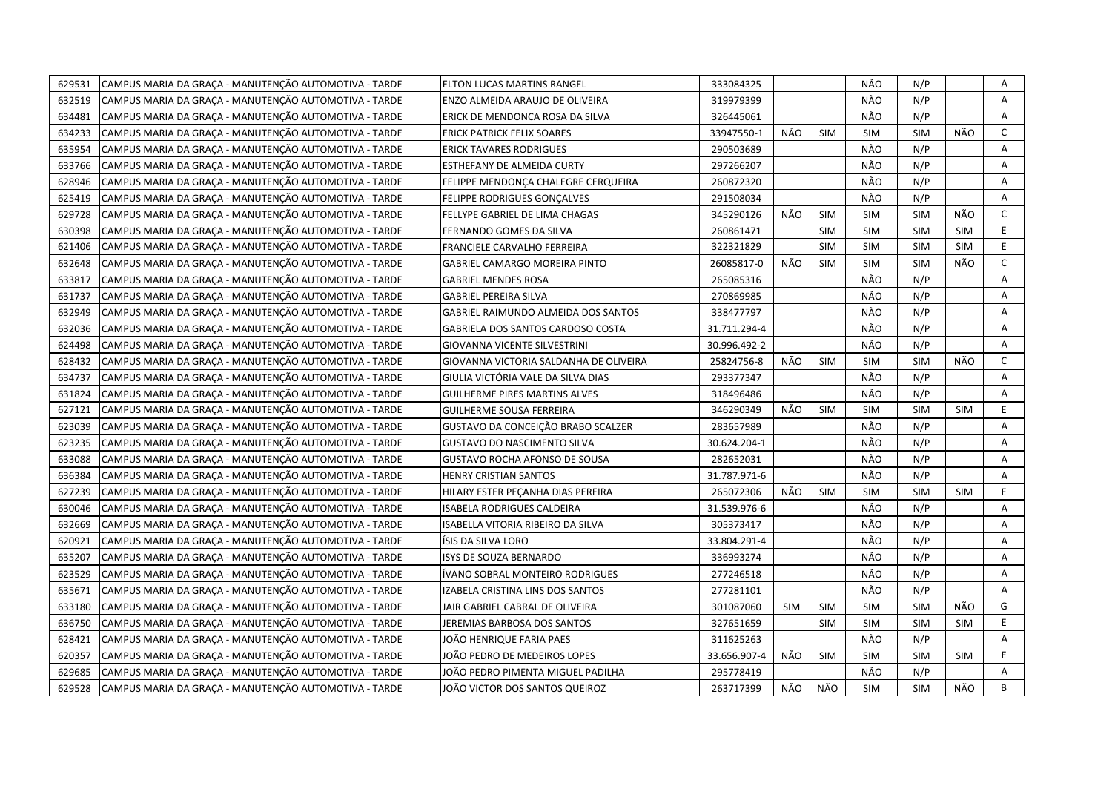| CAMPUS MARIA DA GRAÇA - MANUTENÇÃO AUTOMOTIVA - TARDE<br>629531 | ELTON LUCAS MARTINS RANGEL             | 333084325    |            |            | NÃO        | N/P        |            | Α            |
|-----------------------------------------------------------------|----------------------------------------|--------------|------------|------------|------------|------------|------------|--------------|
| 632519<br>CAMPUS MARIA DA GRAÇA - MANUTENÇÃO AUTOMOTIVA - TARDE | ENZO ALMEIDA ARAUJO DE OLIVEIRA        | 319979399    |            |            | NÃO        | N/P        |            | Α            |
| 634481<br>CAMPUS MARIA DA GRAÇA - MANUTENÇÃO AUTOMOTIVA - TARDE | ERICK DE MENDONCA ROSA DA SILVA        | 326445061    |            |            | NÃO        | N/P        |            | A            |
| 634233<br>CAMPUS MARIA DA GRAÇA - MANUTENÇÃO AUTOMOTIVA - TARDE | ERICK PATRICK FELIX SOARES             | 33947550-1   | NÃO        | <b>SIM</b> | SIM        | <b>SIM</b> | NÃO        | $\mathsf{C}$ |
| 635954<br>CAMPUS MARIA DA GRAÇA - MANUTENÇÃO AUTOMOTIVA - TARDE | ERICK TAVARES RODRIGUES                | 290503689    |            |            | NÃO        | N/P        |            | A            |
| 633766<br>CAMPUS MARIA DA GRAÇA - MANUTENÇÃO AUTOMOTIVA - TARDE | ESTHEFANY DE ALMEIDA CURTY             | 297266207    |            |            | NÃO        | N/P        |            | Α            |
| CAMPUS MARIA DA GRAÇA - MANUTENÇÃO AUTOMOTIVA - TARDE<br>628946 | FELIPPE MENDONCA CHALEGRE CERQUEIRA    | 260872320    |            |            | NÃO        | N/P        |            | A            |
| 625419<br>CAMPUS MARIA DA GRAÇA - MANUTENÇÃO AUTOMOTIVA - TARDE | FELIPPE RODRIGUES GONÇALVES            | 291508034    |            |            | NÃO        | N/P        |            | Α            |
| CAMPUS MARIA DA GRAÇA - MANUTENÇÃO AUTOMOTIVA - TARDE<br>629728 | FELLYPE GABRIEL DE LIMA CHAGAS         | 345290126    | NÃO        | <b>SIM</b> | <b>SIM</b> | <b>SIM</b> | NÃO        | $\mathsf{C}$ |
| 630398<br>CAMPUS MARIA DA GRAÇA - MANUTENÇÃO AUTOMOTIVA - TARDE | FERNANDO GOMES DA SILVA                | 260861471    |            | <b>SIM</b> | <b>SIM</b> | <b>SIM</b> | <b>SIM</b> | E            |
| 621406<br>CAMPUS MARIA DA GRAÇA - MANUTENÇÃO AUTOMOTIVA - TARDE | FRANCIELE CARVALHO FERREIRA            | 322321829    |            | <b>SIM</b> | <b>SIM</b> | <b>SIM</b> | <b>SIM</b> | E.           |
| CAMPUS MARIA DA GRAÇA - MANUTENÇÃO AUTOMOTIVA - TARDE<br>632648 | GABRIEL CAMARGO MOREIRA PINTO          | 26085817-0   | NÃO        | <b>SIM</b> | <b>SIM</b> | <b>SIM</b> | NÃO        | $\mathsf{C}$ |
| CAMPUS MARIA DA GRAÇA - MANUTENÇÃO AUTOMOTIVA - TARDE<br>633817 | <b>GABRIEL MENDES ROSA</b>             | 265085316    |            |            | NÃO        | N/P        |            | Α            |
| CAMPUS MARIA DA GRAÇA - MANUTENÇÃO AUTOMOTIVA - TARDE<br>631737 | <b>GABRIEL PEREIRA SILVA</b>           | 270869985    |            |            | NÃO        | N/P        |            | A            |
| 632949<br>CAMPUS MARIA DA GRAÇA - MANUTENÇÃO AUTOMOTIVA - TARDE | GABRIEL RAIMUNDO ALMEIDA DOS SANTOS    | 338477797    |            |            | NÃO        | N/P        |            | Α            |
| CAMPUS MARIA DA GRAÇA - MANUTENÇÃO AUTOMOTIVA - TARDE<br>632036 | GABRIELA DOS SANTOS CARDOSO COSTA      | 31.711.294-4 |            |            | NÃO        | N/P        |            | A            |
| CAMPUS MARIA DA GRAÇA - MANUTENÇÃO AUTOMOTIVA - TARDE<br>624498 | GIOVANNA VICENTE SILVESTRINI           | 30.996.492-2 |            |            | NÃO        | N/P        |            | A            |
| 628432<br>CAMPUS MARIA DA GRAÇA - MANUTENÇÃO AUTOMOTIVA - TARDE | GIOVANNA VICTORIA SALDANHA DE OLIVEIRA | 25824756-8   | NÃO        | SIM        | <b>SIM</b> | <b>SIM</b> | NÃO        | $\mathsf{C}$ |
| 634737<br>CAMPUS MARIA DA GRAÇA - MANUTENÇÃO AUTOMOTIVA - TARDE | GIULIA VICTÓRIA VALE DA SILVA DIAS     | 293377347    |            |            | NÃO        | N/P        |            | A            |
| 631824<br>CAMPUS MARIA DA GRAÇA - MANUTENÇÃO AUTOMOTIVA - TARDE | <b>GUILHERME PIRES MARTINS ALVES</b>   | 318496486    |            |            | NÃO        | N/P        |            | A            |
| 627121<br>CAMPUS MARIA DA GRAÇA - MANUTENÇÃO AUTOMOTIVA - TARDE | GUILHERME SOUSA FERREIRA               | 346290349    | NÃO        | <b>SIM</b> | <b>SIM</b> | <b>SIM</b> | <b>SIM</b> | E            |
| 623039<br>CAMPUS MARIA DA GRAÇA - MANUTENÇÃO AUTOMOTIVA - TARDE | GUSTAVO DA CONCEIÇÃO BRABO SCALZER     | 283657989    |            |            | NÃO        | N/P        |            | A            |
| 623235<br>CAMPUS MARIA DA GRACA - MANUTENÇÃO AUTOMOTIVA - TARDE | <b>GUSTAVO DO NASCIMENTO SILVA</b>     | 30.624.204-1 |            |            | NÃO        | N/P        |            | Α            |
| CAMPUS MARIA DA GRAÇA - MANUTENÇÃO AUTOMOTIVA - TARDE<br>633088 | GUSTAVO ROCHA AFONSO DE SOUSA          | 282652031    |            |            | NÃO        | N/P        |            | Α            |
| 636384<br>CAMPUS MARIA DA GRAÇA - MANUTENÇÃO AUTOMOTIVA - TARDE | HENRY CRISTIAN SANTOS                  | 31.787.971-6 |            |            | NÃO        | N/P        |            | A            |
| 627239<br>CAMPUS MARIA DA GRAÇA - MANUTENÇÃO AUTOMOTIVA - TARDE | HILARY ESTER PEÇANHA DIAS PEREIRA      | 265072306    | NÃO        | <b>SIM</b> | <b>SIM</b> | <b>SIM</b> | <b>SIM</b> | E            |
| 630046<br>CAMPUS MARIA DA GRAÇA - MANUTENÇÃO AUTOMOTIVA - TARDE | ISABELA RODRIGUES CALDEIRA             | 31.539.976-6 |            |            | NÃO        | N/P        |            | A            |
| 632669<br>CAMPUS MARIA DA GRACA - MANUTENÇÃO AUTOMOTIVA - TARDE | ISABELLA VITORIA RIBEIRO DA SILVA      | 305373417    |            |            | NÃO        | N/P        |            | A            |
| 620921<br>CAMPUS MARIA DA GRAÇA - MANUTENÇÃO AUTOMOTIVA - TARDE | ÍSIS DA SILVA LORO                     | 33.804.291-4 |            |            | NÃO        | N/P        |            | Α            |
| 635207<br>CAMPUS MARIA DA GRAÇA - MANUTENÇÃO AUTOMOTIVA - TARDE | ISYS DE SOUZA BERNARDO                 | 336993274    |            |            | NÃO        | N/P        |            | Α            |
| 623529<br>CAMPUS MARIA DA GRACA - MANUTENÇÃO AUTOMOTIVA - TARDE | ÍVANO SOBRAL MONTEIRO RODRIGUES        | 277246518    |            |            | NÃO        | N/P        |            | A            |
| CAMPUS MARIA DA GRAÇA - MANUTENÇÃO AUTOMOTIVA - TARDE<br>635671 | IZABELA CRISTINA LINS DOS SANTOS       | 277281101    |            |            | NÃO        | N/P        |            | A            |
| CAMPUS MARIA DA GRAÇA - MANUTENÇÃO AUTOMOTIVA - TARDE<br>633180 | JAIR GABRIEL CABRAL DE OLIVEIRA        | 301087060    | <b>SIM</b> | <b>SIM</b> | <b>SIM</b> | <b>SIM</b> | NÃO        | G            |
| 636750<br>CAMPUS MARIA DA GRAÇA - MANUTENÇÃO AUTOMOTIVA - TARDE | JEREMIAS BARBOSA DOS SANTOS            | 327651659    |            | <b>SIM</b> | <b>SIM</b> | <b>SIM</b> | <b>SIM</b> | E            |
| CAMPUS MARIA DA GRAÇA - MANUTENÇÃO AUTOMOTIVA - TARDE<br>628421 | JOÃO HENRIQUE FARIA PAES               | 311625263    |            |            | NÃO        | N/P        |            | Α            |
| CAMPUS MARIA DA GRAÇA - MANUTENÇÃO AUTOMOTIVA - TARDE<br>620357 | JOÃO PEDRO DE MEDEIROS LOPES           | 33.656.907-4 | NÃO        | <b>SIM</b> | <b>SIM</b> | <b>SIM</b> | <b>SIM</b> | E.           |
| 629685<br>CAMPUS MARIA DA GRAÇA - MANUTENÇÃO AUTOMOTIVA - TARDE | IOÃO PEDRO PIMENTA MIGUEL PADILHA      | 295778419    |            |            | NÃO        | N/P        |            | A            |
| 629528<br>CAMPUS MARIA DA GRAÇA - MANUTENÇÃO AUTOMOTIVA - TARDE | IOÃO VICTOR DOS SANTOS QUEIROZ         | 263717399    | NÃO        | NÃO        | SIM        | <b>SIM</b> | NÃO        | B            |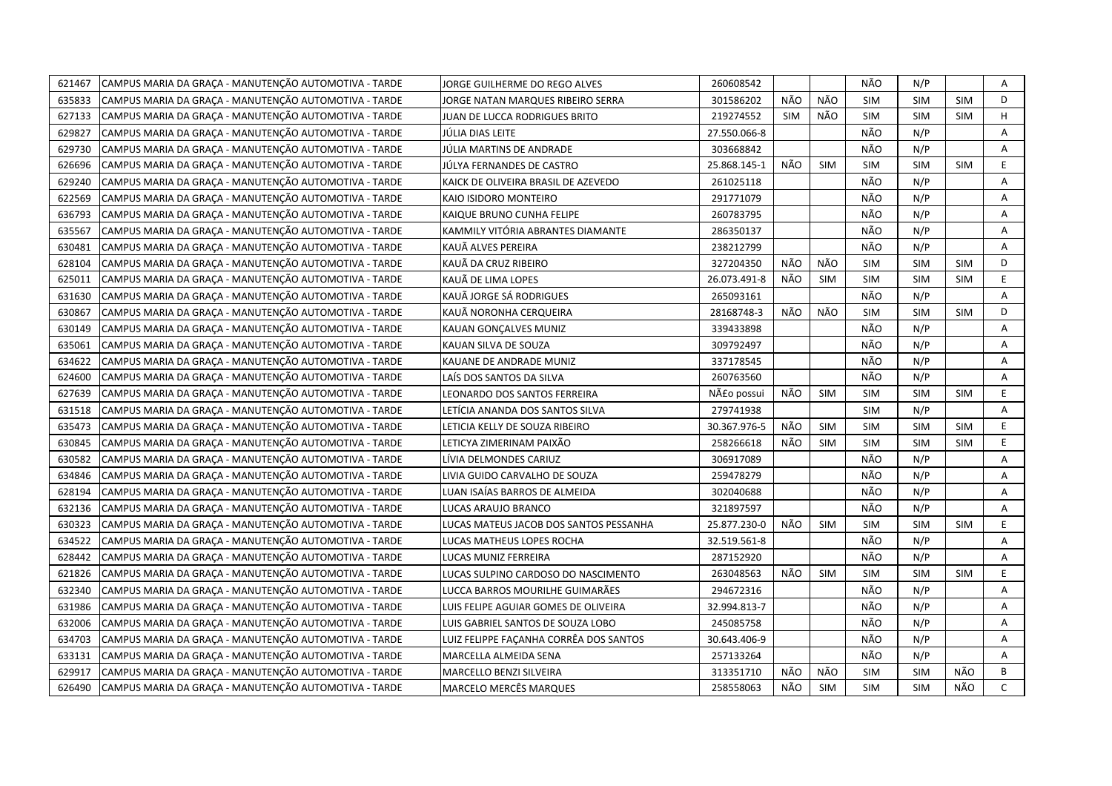| 621467 | CAMPUS MARIA DA GRAÇA - MANUTENÇÃO AUTOMOTIVA - TARDE | JORGE GUILHERME DO REGO ALVES          | 260608542    |     |            | NÃO        | N/P        |            | Α            |
|--------|-------------------------------------------------------|----------------------------------------|--------------|-----|------------|------------|------------|------------|--------------|
| 635833 | CAMPUS MARIA DA GRAÇA - MANUTENÇÃO AUTOMOTIVA - TARDE | IORGE NATAN MARQUES RIBEIRO SERRA      | 301586202    | NÃO | NÃO        | <b>SIM</b> | <b>SIM</b> | <b>SIM</b> | D            |
| 627133 | CAMPUS MARIA DA GRAÇA - MANUTENÇÃO AUTOMOTIVA - TARDE | JUAN DE LUCCA RODRIGUES BRITO          | 219274552    | SIM | NÃO        | <b>SIM</b> | <b>SIM</b> | <b>SIM</b> | H            |
| 629827 | CAMPUS MARIA DA GRAÇA - MANUTENÇÃO AUTOMOTIVA - TARDE | JÚLIA DIAS LEITE                       | 27.550.066-8 |     |            | NÃO        | N/P        |            | А            |
| 629730 | CAMPUS MARIA DA GRAÇA - MANUTENÇÃO AUTOMOTIVA - TARDE | JÚLIA MARTINS DE ANDRADE               | 303668842    |     |            | NÃO        | N/P        |            | Α            |
| 626696 | CAMPUS MARIA DA GRAÇA - MANUTENÇÃO AUTOMOTIVA - TARDE | JÚLYA FERNANDES DE CASTRO              | 25.868.145-1 | NÃO | <b>SIM</b> | <b>SIM</b> | <b>SIM</b> | <b>SIM</b> | E            |
| 629240 | CAMPUS MARIA DA GRACA - MANUTENÇÃO AUTOMOTIVA - TARDE | KAICK DE OLIVEIRA BRASIL DE AZEVEDO    | 261025118    |     |            | NÃO        | N/P        |            | Α            |
| 622569 | CAMPUS MARIA DA GRAÇA - MANUTENÇÃO AUTOMOTIVA - TARDE | KAIO ISIDORO MONTEIRO                  | 291771079    |     |            | NÃO        | N/P        |            | A            |
| 636793 | CAMPUS MARIA DA GRAÇA - MANUTENÇÃO AUTOMOTIVA - TARDE | KAIQUE BRUNO CUNHA FELIPE              | 260783795    |     |            | NÃO        | N/P        |            | Α            |
| 635567 | CAMPUS MARIA DA GRAÇA - MANUTENÇÃO AUTOMOTIVA - TARDE | KAMMILY VITÓRIA ABRANTES DIAMANTE      | 286350137    |     |            | NÃO        | N/P        |            | A            |
| 630481 | CAMPUS MARIA DA GRAÇA - MANUTENÇÃO AUTOMOTIVA - TARDE | KAUÃ ALVES PEREIRA                     | 238212799    |     |            | NÃO        | N/P        |            | A            |
| 628104 | CAMPUS MARIA DA GRAÇA - MANUTENÇÃO AUTOMOTIVA - TARDE | KAUÃ DA CRUZ RIBEIRO                   | 327204350    | NÃO | NÃO        | <b>SIM</b> | <b>SIM</b> | <b>SIM</b> | D            |
| 625011 | CAMPUS MARIA DA GRAÇA - MANUTENÇÃO AUTOMOTIVA - TARDE | KAUÃ DE LIMA LOPES                     | 26.073.491-8 | NÃO | <b>SIM</b> | <b>SIM</b> | <b>SIM</b> | <b>SIM</b> | E.           |
| 631630 | CAMPUS MARIA DA GRAÇA - MANUTENÇÃO AUTOMOTIVA - TARDE | KAUÃ JORGE SÁ RODRIGUES                | 265093161    |     |            | NÃO        | N/P        |            | Α            |
| 630867 | CAMPUS MARIA DA GRAÇA - MANUTENÇÃO AUTOMOTIVA - TARDE | KAUÃ NORONHA CERQUEIRA                 | 28168748-3   | NÃO | NÃO        | <b>SIM</b> | <b>SIM</b> | <b>SIM</b> | D            |
| 630149 | CAMPUS MARIA DA GRACA - MANUTENÇÃO AUTOMOTIVA - TARDE | KAUAN GONÇALVES MUNIZ                  | 339433898    |     |            | NÃO        | N/P        |            | А            |
| 635061 | CAMPUS MARIA DA GRAÇA - MANUTENÇÃO AUTOMOTIVA - TARDE | KAUAN SILVA DE SOUZA                   | 309792497    |     |            | NÃO        | N/P        |            | Α            |
| 634622 | CAMPUS MARIA DA GRAÇA - MANUTENÇÃO AUTOMOTIVA - TARDE | KAUANE DE ANDRADE MUNIZ                | 337178545    |     |            | NÃO        | N/P        |            | Α            |
| 624600 | CAMPUS MARIA DA GRAÇA - MANUTENÇÃO AUTOMOTIVA - TARDE | LAÍS DOS SANTOS DA SILVA               | 260763560    |     |            | NÃO        | N/P        |            | A            |
| 627639 | CAMPUS MARIA DA GRAÇA - MANUTENÇÃO AUTOMOTIVA - TARDE | LEONARDO DOS SANTOS FERREIRA           | Não possui   | NÃO | <b>SIM</b> | <b>SIM</b> | <b>SIM</b> | <b>SIM</b> | E            |
| 631518 | CAMPUS MARIA DA GRAÇA - MANUTENÇÃO AUTOMOTIVA - TARDE | LETÍCIA ANANDA DOS SANTOS SILVA        | 279741938    |     |            | <b>SIM</b> | N/P        |            | Α            |
| 635473 | CAMPUS MARIA DA GRAÇA - MANUTENÇÃO AUTOMOTIVA - TARDE | LETICIA KELLY DE SOUZA RIBEIRO         | 30.367.976-5 | NÃO | <b>SIM</b> | <b>SIM</b> | <b>SIM</b> | <b>SIM</b> | E            |
| 630845 | CAMPUS MARIA DA GRAÇA - MANUTENÇÃO AUTOMOTIVA - TARDE | LETICYA ZIMERINAM PAIXÃO               | 258266618    | NÃO | <b>SIM</b> | <b>SIM</b> | <b>SIM</b> | <b>SIM</b> | E.           |
| 630582 | CAMPUS MARIA DA GRACA - MANUTENÇÃO AUTOMOTIVA - TARDE | LÍVIA DELMONDES CARIUZ                 | 306917089    |     |            | NÃO        | N/P        |            | A            |
| 634846 | CAMPUS MARIA DA GRACA - MANUTENÇÃO AUTOMOTIVA - TARDE | LIVIA GUIDO CARVALHO DE SOUZA          | 259478279    |     |            | NÃO        | N/P        |            | Α            |
| 628194 | CAMPUS MARIA DA GRAÇA - MANUTENÇÃO AUTOMOTIVA - TARDE | LUAN ISAÍAS BARROS DE ALMEIDA          | 302040688    |     |            | NÃO        | N/P        |            | A            |
| 632136 | CAMPUS MARIA DA GRAÇA - MANUTENÇÃO AUTOMOTIVA - TARDE | LUCAS ARAUJO BRANCO                    | 321897597    |     |            | NÃO        | N/P        |            | Α            |
| 630323 | CAMPUS MARIA DA GRAÇA - MANUTENÇÃO AUTOMOTIVA - TARDE | LUCAS MATEUS JACOB DOS SANTOS PESSANHA | 25.877.230-0 | NÃO | <b>SIM</b> | <b>SIM</b> | <b>SIM</b> | <b>SIM</b> | E            |
| 634522 | CAMPUS MARIA DA GRAÇA - MANUTENÇÃO AUTOMOTIVA - TARDE | LUCAS MATHEUS LOPES ROCHA              | 32.519.561-8 |     |            | NÃO        | N/P        |            | A            |
| 628442 | CAMPUS MARIA DA GRACA - MANUTENÇÃO AUTOMOTIVA - TARDE | LUCAS MUNIZ FERREIRA                   | 287152920    |     |            | NÃO        | N/P        |            | Α            |
| 621826 | CAMPUS MARIA DA GRAÇA - MANUTENÇÃO AUTOMOTIVA - TARDE | LUCAS SULPINO CARDOSO DO NASCIMENTO    | 263048563    | NÃO | <b>SIM</b> | <b>SIM</b> | <b>SIM</b> | <b>SIM</b> | E.           |
| 632340 | CAMPUS MARIA DA GRAÇA - MANUTENÇÃO AUTOMOTIVA - TARDE | LUCCA BARROS MOURILHE GUIMARÃES        | 294672316    |     |            | NÃO        | N/P        |            | A            |
| 631986 | CAMPUS MARIA DA GRAÇA - MANUTENÇÃO AUTOMOTIVA - TARDE | LUIS FELIPE AGUIAR GOMES DE OLIVEIRA   | 32.994.813-7 |     |            | NÃO        | N/P        |            | Α            |
| 632006 | CAMPUS MARIA DA GRACA - MANUTENÇÃO AUTOMOTIVA - TARDE | LUIS GABRIEL SANTOS DE SOUZA LOBO      | 245085758    |     |            | NÃO        | N/P        |            | Α            |
| 634703 | CAMPUS MARIA DA GRAÇA - MANUTENÇÃO AUTOMOTIVA - TARDE | LUIZ FELIPPE FAÇANHA CORRÊA DOS SANTOS | 30.643.406-9 |     |            | NÃO        | N/P        |            | Α            |
| 633131 | CAMPUS MARIA DA GRAÇA - MANUTENÇÃO AUTOMOTIVA - TARDE | MARCELLA ALMEIDA SENA                  | 257133264    |     |            | NÃO        | N/P        |            | Α            |
| 629917 | CAMPUS MARIA DA GRAÇA - MANUTENÇÃO AUTOMOTIVA - TARDE | MARCELLO BENZI SILVEIRA                | 313351710    | NÃO | NÃO        | <b>SIM</b> | <b>SIM</b> | NÃO        | В            |
| 626490 | CAMPUS MARIA DA GRAÇA - MANUTENÇÃO AUTOMOTIVA - TARDE | <b>MARCELO MERCÊS MARQUES</b>          | 258558063    | NÃO | <b>SIM</b> | <b>SIM</b> | <b>SIM</b> | NÃO        | $\mathsf{C}$ |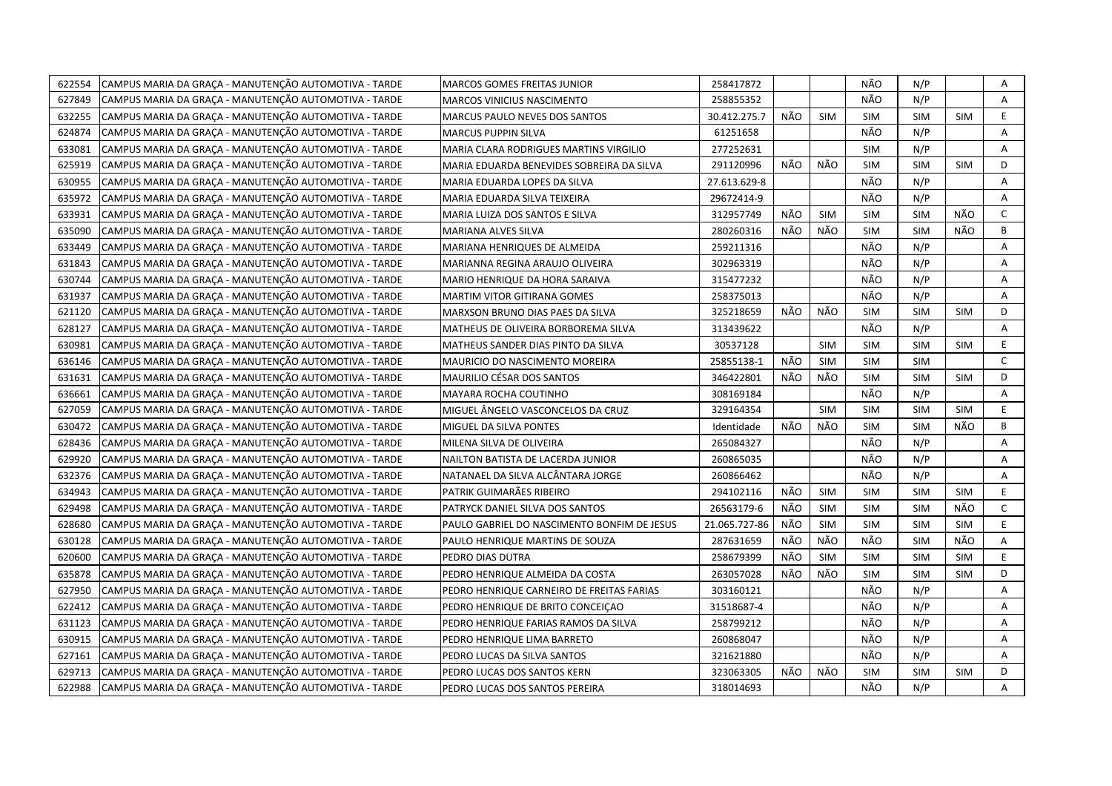| 622554 | CAMPUS MARIA DA GRAÇA - MANUTENÇÃO AUTOMOTIVA - TARDE | MARCOS GOMES FREITAS JUNIOR                 | 258417872     |     |            | NÃO        | N/P        |            | Α            |
|--------|-------------------------------------------------------|---------------------------------------------|---------------|-----|------------|------------|------------|------------|--------------|
| 627849 | CAMPUS MARIA DA GRACA - MANUTENÇÃO AUTOMOTIVA - TARDE | MARCOS VINICIUS NASCIMENTO                  | 258855352     |     |            | NÃO        | N/P        |            | A            |
| 632255 | CAMPUS MARIA DA GRAÇA - MANUTENÇÃO AUTOMOTIVA - TARDE | MARCUS PAULO NEVES DOS SANTOS               | 30.412.275.7  | NÃO | <b>SIM</b> | SIM        | <b>SIM</b> | <b>SIM</b> | E            |
| 624874 | CAMPUS MARIA DA GRAÇA - MANUTENÇÃO AUTOMOTIVA - TARDE | MARCUS PUPPIN SILVA                         | 61251658      |     |            | NÃO        | N/P        |            | A            |
| 633081 | CAMPUS MARIA DA GRACA - MANUTENÇÃO AUTOMOTIVA - TARDE | MARIA CLARA RODRIGUES MARTINS VIRGILIO      | 277252631     |     |            | <b>SIM</b> | N/P        |            | A            |
| 625919 | CAMPUS MARIA DA GRAÇA - MANUTENÇÃO AUTOMOTIVA - TARDE | MARIA EDUARDA BENEVIDES SOBREIRA DA SILVA   | 291120996     | NÃO | NÃO        | <b>SIM</b> | <b>SIM</b> | <b>SIM</b> | D            |
| 630955 | CAMPUS MARIA DA GRAÇA - MANUTENÇÃO AUTOMOTIVA - TARDE | MARIA EDUARDA LOPES DA SILVA                | 27.613.629-8  |     |            | NÃO        | N/P        |            | Α            |
| 635972 | CAMPUS MARIA DA GRAÇA - MANUTENÇÃO AUTOMOTIVA - TARDE | MARIA EDUARDA SILVA TEIXEIRA                | 29672414-9    |     |            | NÃO        | N/P        |            | A            |
| 633931 | CAMPUS MARIA DA GRAÇA - MANUTENÇÃO AUTOMOTIVA - TARDE | MARIA LUIZA DOS SANTOS E SILVA              | 312957749     | NÃO | <b>SIM</b> | <b>SIM</b> | <b>SIM</b> | NÃO        | C            |
| 635090 | CAMPUS MARIA DA GRAÇA - MANUTENÇÃO AUTOMOTIVA - TARDE | MARIANA ALVES SILVA                         | 280260316     | NÃO | NÃO        | <b>SIM</b> | <b>SIM</b> | NÃO        | B            |
| 633449 | CAMPUS MARIA DA GRAÇA - MANUTENÇÃO AUTOMOTIVA - TARDE | MARIANA HENRIQUES DE ALMEIDA                | 259211316     |     |            | NÃO        | N/P        |            | A            |
| 631843 | CAMPUS MARIA DA GRAÇA - MANUTENÇÃO AUTOMOTIVA - TARDE | MARIANNA REGINA ARAUJO OLIVEIRA             | 302963319     |     |            | NÃO        | N/P        |            | A            |
| 630744 | CAMPUS MARIA DA GRAÇA - MANUTENÇÃO AUTOMOTIVA - TARDE | MARIO HENRIQUE DA HORA SARAIVA              | 315477232     |     |            | NÃO        | N/P        |            | Α            |
| 631937 | CAMPUS MARIA DA GRAÇA - MANUTENÇÃO AUTOMOTIVA - TARDE | MARTIM VITOR GITIRANA GOMES                 | 258375013     |     |            | NÃO        | N/P        |            | Α            |
| 621120 | CAMPUS MARIA DA GRAÇA - MANUTENÇÃO AUTOMOTIVA - TARDE | MARXSON BRUNO DIAS PAES DA SILVA            | 325218659     | NÃO | NÃO        | <b>SIM</b> | <b>SIM</b> | <b>SIM</b> | D            |
| 628127 | CAMPUS MARIA DA GRAÇA - MANUTENÇÃO AUTOMOTIVA - TARDE | MATHEUS DE OLIVEIRA BORBOREMA SILVA         | 313439622     |     |            | NÃO        | N/P        |            | A            |
| 630981 | CAMPUS MARIA DA GRAÇA - MANUTENÇÃO AUTOMOTIVA - TARDE | MATHEUS SANDER DIAS PINTO DA SILVA          | 30537128      |     | <b>SIM</b> | <b>SIM</b> | <b>SIM</b> | <b>SIM</b> | E.           |
| 636146 | CAMPUS MARIA DA GRAÇA - MANUTENÇÃO AUTOMOTIVA - TARDE | MAURICIO DO NASCIMENTO MOREIRA              | 25855138-1    | NÃO | <b>SIM</b> | <b>SIM</b> | <b>SIM</b> |            | $\mathsf{C}$ |
| 631631 | CAMPUS MARIA DA GRAÇA - MANUTENÇÃO AUTOMOTIVA - TARDE | MAURILIO CÉSAR DOS SANTOS                   | 346422801     | NÃO | NÃO        | <b>SIM</b> | <b>SIM</b> | SIM        | D            |
| 636661 | CAMPUS MARIA DA GRAÇA - MANUTENÇÃO AUTOMOTIVA - TARDE | MAYARA ROCHA COUTINHO                       | 308169184     |     |            | NÃO        | N/P        |            | A            |
| 627059 | CAMPUS MARIA DA GRAÇA - MANUTENÇÃO AUTOMOTIVA - TARDE | MIGUEL ÂNGELO VASCONCELOS DA CRUZ           | 329164354     |     | <b>SIM</b> | <b>SIM</b> | <b>SIM</b> | <b>SIM</b> | E.           |
| 630472 | CAMPUS MARIA DA GRACA - MANUTENÇÃO AUTOMOTIVA - TARDE | MIGUEL DA SILVA PONTES                      | Identidade    | NÃO | NÃO        | <b>SIM</b> | <b>SIM</b> | NÃO        | B            |
| 628436 | CAMPUS MARIA DA GRACA - MANUTENÇÃO AUTOMOTIVA - TARDE | MILENA SILVA DE OLIVEIRA                    | 265084327     |     |            | NÃO        | N/P        |            | A            |
| 629920 | CAMPUS MARIA DA GRAÇA - MANUTENÇÃO AUTOMOTIVA - TARDE | NAILTON BATISTA DE LACERDA JUNIOR           | 260865035     |     |            | NÃO        | N/P        |            | A            |
| 632376 | CAMPUS MARIA DA GRACA - MANUTENÇÃO AUTOMOTIVA - TARDE | NATANAEL DA SILVA ALCÂNTARA JORGE           | 260866462     |     |            | NÃO        | N/P        |            | A            |
| 634943 | CAMPUS MARIA DA GRAÇA - MANUTENÇÃO AUTOMOTIVA - TARDE | PATRIK GUIMARÃES RIBEIRO                    | 294102116     | NÃO | <b>SIM</b> | <b>SIM</b> | <b>SIM</b> | <b>SIM</b> | E.           |
| 629498 | CAMPUS MARIA DA GRACA - MANUTENCÃO AUTOMOTIVA - TARDE | PATRYCK DANIEL SILVA DOS SANTOS             | 26563179-6    | NÃO | <b>SIM</b> | <b>SIM</b> | <b>SIM</b> | NÃO        | $\mathsf{C}$ |
| 628680 | CAMPUS MARIA DA GRACA - MANUTENÇÃO AUTOMOTIVA - TARDE | PAULO GABRIEL DO NASCIMENTO BONFIM DE JESUS | 21.065.727-86 | NÃO | <b>SIM</b> | SIM        | <b>SIM</b> | <b>SIM</b> | E            |
| 630128 | CAMPUS MARIA DA GRAÇA - MANUTENÇÃO AUTOMOTIVA - TARDE | PAULO HENRIQUE MARTINS DE SOUZA             | 287631659     | NÃO | NÃO        | NÃO        | <b>SIM</b> | NÃO        | Α            |
| 620600 | CAMPUS MARIA DA GRAÇA - MANUTENÇÃO AUTOMOTIVA - TARDE | PEDRO DIAS DUTRA                            | 258679399     | NÃO | <b>SIM</b> | <b>SIM</b> | <b>SIM</b> | <b>SIM</b> | E            |
| 635878 | CAMPUS MARIA DA GRAÇA - MANUTENÇÃO AUTOMOTIVA - TARDE | PEDRO HENRIQUE ALMEIDA DA COSTA             | 263057028     | NÃO | NÃO        | <b>SIM</b> | <b>SIM</b> | <b>SIM</b> | D            |
| 627950 | CAMPUS MARIA DA GRACA - MANUTENÇÃO AUTOMOTIVA - TARDE | PEDRO HENRIQUE CARNEIRO DE FREITAS FARIAS   | 303160121     |     |            | NÃO        | N/P        |            | A            |
| 622412 | CAMPUS MARIA DA GRAÇA - MANUTENÇÃO AUTOMOTIVA - TARDE | PEDRO HENRIQUE DE BRITO CONCEIÇAO           | 31518687-4    |     |            | NÃO        | N/P        |            | A            |
| 631123 | CAMPUS MARIA DA GRAÇA - MANUTENÇÃO AUTOMOTIVA - TARDE | PEDRO HENRIQUE FARIAS RAMOS DA SILVA        | 258799212     |     |            | NÃO        | N/P        |            | Α            |
| 630915 | CAMPUS MARIA DA GRAÇA - MANUTENÇÃO AUTOMOTIVA - TARDE | PEDRO HENRIQUE LIMA BARRETO                 | 260868047     |     |            | NÃO        | N/P        |            | A            |
| 627161 | CAMPUS MARIA DA GRAÇA - MANUTENÇÃO AUTOMOTIVA - TARDE | PEDRO LUCAS DA SILVA SANTOS                 | 321621880     |     |            | NÃO        | N/P        |            | Α            |
| 629713 | CAMPUS MARIA DA GRAÇA - MANUTENÇÃO AUTOMOTIVA - TARDE | PEDRO LUCAS DOS SANTOS KERN                 | 323063305     | NÃO | NÃO        | <b>SIM</b> | <b>SIM</b> | <b>SIM</b> | D            |
| 622988 | CAMPUS MARIA DA GRAÇA - MANUTENÇÃO AUTOMOTIVA - TARDE | PEDRO LUCAS DOS SANTOS PEREIRA              | 318014693     |     |            | NÃO        | N/P        |            | A            |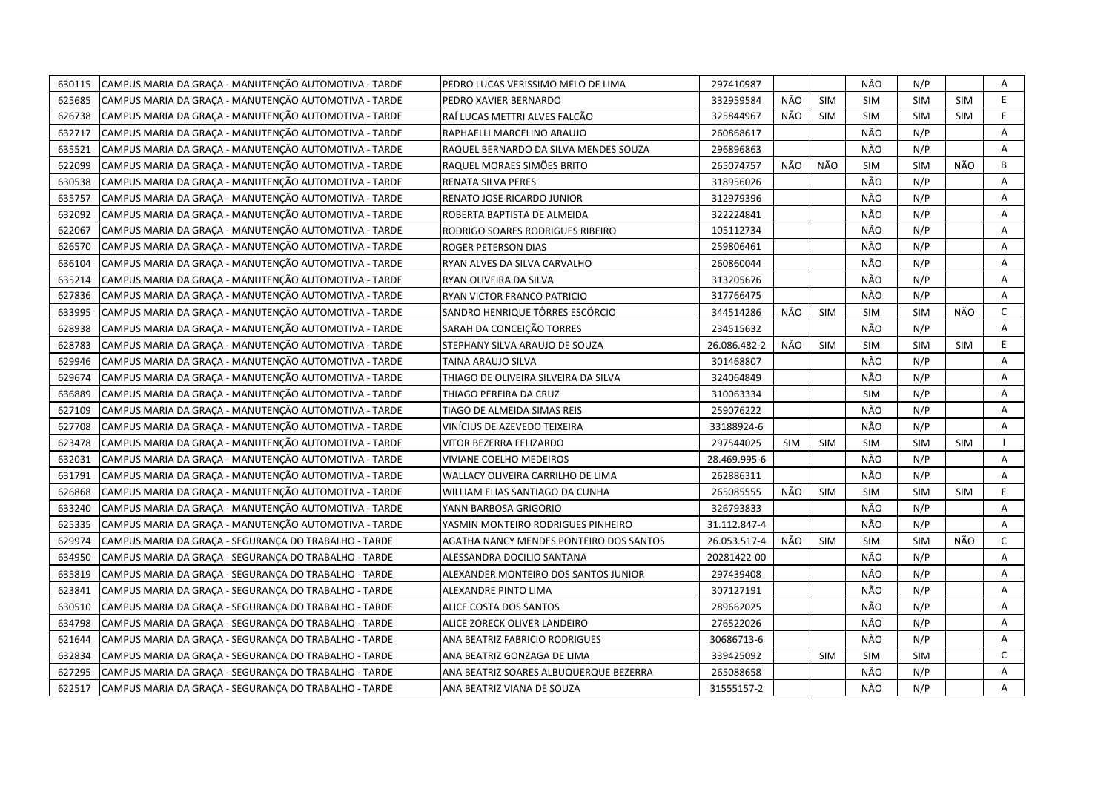| CAMPUS MARIA DA GRAÇA - MANUTENÇÃO AUTOMOTIVA - TARDE<br>630115 | PEDRO LUCAS VERISSIMO MELO DE LIMA      | 297410987    |            |            | NÃO        | N/P        |            | Α            |
|-----------------------------------------------------------------|-----------------------------------------|--------------|------------|------------|------------|------------|------------|--------------|
| 625685<br>CAMPUS MARIA DA GRAÇA - MANUTENÇÃO AUTOMOTIVA - TARDE | PEDRO XAVIER BERNARDO                   | 332959584    | NÃO        | <b>SIM</b> | <b>SIM</b> | <b>SIM</b> | <b>SIM</b> | E            |
| 626738<br>CAMPUS MARIA DA GRAÇA - MANUTENÇÃO AUTOMOTIVA - TARDE | RAÍ LUCAS METTRI ALVES FALCÃO           | 325844967    | NÃO        | <b>SIM</b> | <b>SIM</b> | <b>SIM</b> | <b>SIM</b> | E            |
| 632717<br>CAMPUS MARIA DA GRAÇA - MANUTENÇÃO AUTOMOTIVA - TARDE | RAPHAELLI MARCELINO ARAUJO              | 260868617    |            |            | NÃO        | N/P        |            | A            |
| 635521<br>CAMPUS MARIA DA GRAÇA - MANUTENÇÃO AUTOMOTIVA - TARDE | RAQUEL BERNARDO DA SILVA MENDES SOUZA   | 296896863    |            |            | NÃO        | N/P        |            | A            |
| 622099<br>CAMPUS MARIA DA GRAÇA - MANUTENÇÃO AUTOMOTIVA - TARDE | RAQUEL MORAES SIMÕES BRITO              | 265074757    | NÃO        | NÃO        | <b>SIM</b> | <b>SIM</b> | NÃO        | B            |
| 630538<br>CAMPUS MARIA DA GRAÇA - MANUTENÇÃO AUTOMOTIVA - TARDE | RENATA SILVA PERES                      | 318956026    |            |            | NÃO        | N/P        |            | Α            |
| 635757<br>CAMPUS MARIA DA GRAÇA - MANUTENÇÃO AUTOMOTIVA - TARDE | RENATO JOSE RICARDO JUNIOR              | 312979396    |            |            | NÃO        | N/P        |            | Α            |
| 632092<br>CAMPUS MARIA DA GRAÇA - MANUTENÇÃO AUTOMOTIVA - TARDE | ROBERTA BAPTISTA DE ALMEIDA             | 322224841    |            |            | NÃO        | N/P        |            | A            |
| 622067<br>CAMPUS MARIA DA GRAÇA - MANUTENÇÃO AUTOMOTIVA - TARDE | RODRIGO SOARES RODRIGUES RIBEIRO        | 105112734    |            |            | NÃO        | N/P        |            | Α            |
| 626570<br>CAMPUS MARIA DA GRAÇA - MANUTENÇÃO AUTOMOTIVA - TARDE | ROGER PETERSON DIAS                     | 259806461    |            |            | NÃO        | N/P        |            | A            |
| 636104<br>CAMPUS MARIA DA GRACA - MANUTENÇÃO AUTOMOTIVA - TARDE | RYAN ALVES DA SILVA CARVALHO            | 260860044    |            |            | NÃO        | N/P        |            | A            |
| 635214<br>CAMPUS MARIA DA GRACA - MANUTENÇÃO AUTOMOTIVA - TARDE | RYAN OLIVEIRA DA SILVA                  | 313205676    |            |            | NÃO        | N/P        |            | A            |
| 627836<br>CAMPUS MARIA DA GRAÇA - MANUTENÇÃO AUTOMOTIVA - TARDE | RYAN VICTOR FRANCO PATRICIO             | 317766475    |            |            | NÃO        | N/P        |            | A            |
| CAMPUS MARIA DA GRAÇA - MANUTENÇÃO AUTOMOTIVA - TARDE<br>633995 | SANDRO HENRIQUE TÔRRES ESCÓRCIO         | 344514286    | NÃO        | <b>SIM</b> | <b>SIM</b> | <b>SIM</b> | NÃO        | C            |
| 628938<br>CAMPUS MARIA DA GRAÇA - MANUTENÇÃO AUTOMOTIVA - TARDE | SARAH DA CONCEIÇÃO TORRES               | 234515632    |            |            | NÃO        | N/P        |            | A            |
| CAMPUS MARIA DA GRAÇA - MANUTENÇÃO AUTOMOTIVA - TARDE<br>628783 | STEPHANY SILVA ARAUJO DE SOUZA          | 26.086.482-2 | NÃO        | <b>SIM</b> | <b>SIM</b> | <b>SIM</b> | <b>SIM</b> | E.           |
| CAMPUS MARIA DA GRAÇA - MANUTENÇÃO AUTOMOTIVA - TARDE<br>629946 | TAINA ARAUJO SILVA                      | 301468807    |            |            | NÃO        | N/P        |            | A            |
| 629674<br>CAMPUS MARIA DA GRAÇA - MANUTENÇÃO AUTOMOTIVA - TARDE | THIAGO DE OLIVEIRA SILVEIRA DA SILVA    | 324064849    |            |            | NÃO        | N/P        |            | A            |
| 636889<br>CAMPUS MARIA DA GRAÇA - MANUTENÇÃO AUTOMOTIVA - TARDE | THIAGO PEREIRA DA CRUZ                  | 310063334    |            |            | <b>SIM</b> | N/P        |            | A            |
| 627109<br>CAMPUS MARIA DA GRAÇA - MANUTENÇÃO AUTOMOTIVA - TARDE | TIAGO DE ALMEIDA SIMAS REIS             | 259076222    |            |            | NÃO        | N/P        |            | Α            |
| 627708<br>CAMPUS MARIA DA GRAÇA - MANUTENÇÃO AUTOMOTIVA - TARDE | VINÍCIUS DE AZEVEDO TEIXEIRA            | 33188924-6   |            |            | NÃO        | N/P        |            | A            |
| CAMPUS MARIA DA GRAÇA - MANUTENÇÃO AUTOMOTIVA - TARDE<br>623478 | VITOR BEZERRA FELIZARDO                 | 297544025    | <b>SIM</b> | <b>SIM</b> | <b>SIM</b> | <b>SIM</b> | <b>SIM</b> |              |
| 632031<br>CAMPUS MARIA DA GRACA - MANUTENCÃO AUTOMOTIVA - TARDE | VIVIANE COELHO MEDEIROS                 | 28.469.995-6 |            |            | NÃO        | N/P        |            | A            |
| CAMPUS MARIA DA GRAÇA - MANUTENÇÃO AUTOMOTIVA - TARDE<br>631791 | WALLACY OLIVEIRA CARRILHO DE LIMA       | 262886311    |            |            | NÃO        | N/P        |            | A            |
| CAMPUS MARIA DA GRACA - MANUTENÇÃO AUTOMOTIVA - TARDE<br>626868 | WILLIAM ELIAS SANTIAGO DA CUNHA         | 265085555    | NÃO        | <b>SIM</b> | <b>SIM</b> | <b>SIM</b> | <b>SIM</b> | E.           |
| CAMPUS MARIA DA GRAÇA - MANUTENÇÃO AUTOMOTIVA - TARDE<br>633240 | YANN BARBOSA GRIGORIO                   | 326793833    |            |            | NÃO        | N/P        |            | A            |
| 625335<br>CAMPUS MARIA DA GRAÇA - MANUTENÇÃO AUTOMOTIVA - TARDE | YASMIN MONTEIRO RODRIGUES PINHEIRO      | 31.112.847-4 |            |            | NÃO        | N/P        |            | Α            |
| 629974<br>CAMPUS MARIA DA GRACA - SEGURANCA DO TRABALHO - TARDE | AGATHA NANCY MENDES PONTEIRO DOS SANTOS | 26.053.517-4 | NÃO        | <b>SIM</b> | <b>SIM</b> | <b>SIM</b> | NÃO        | $\mathsf{C}$ |
| 634950<br>CAMPUS MARIA DA GRAÇA - SEGURANÇA DO TRABALHO - TARDE | ALESSANDRA DOCILIO SANTANA              | 20281422-00  |            |            | NÃO        | N/P        |            | Α            |
| 635819<br>CAMPUS MARIA DA GRAÇA - SEGURANÇA DO TRABALHO - TARDE | ALEXANDER MONTEIRO DOS SANTOS JUNIOR    | 297439408    |            |            | NÃO        | N/P        |            | A            |
| 623841<br>CAMPUS MARIA DA GRAÇA - SEGURANÇA DO TRABALHO - TARDE | ALEXANDRE PINTO LIMA                    | 307127191    |            |            | NÃO        | N/P        |            | A            |
| 630510<br>CAMPUS MARIA DA GRAÇA - SEGURANÇA DO TRABALHO - TARDE | ALICE COSTA DOS SANTOS                  | 289662025    |            |            | NÃO        | N/P        |            | A            |
| 634798<br>CAMPUS MARIA DA GRAÇA - SEGURANÇA DO TRABALHO - TARDE | ALICE ZORECK OLIVER LANDEIRO            | 276522026    |            |            | NÃO        | N/P        |            | Α            |
| 621644<br>CAMPUS MARIA DA GRAÇA - SEGURANÇA DO TRABALHO - TARDE | ANA BEATRIZ FABRICIO RODRIGUES          | 30686713-6   |            |            | NÃO        | N/P        |            | A            |
| 632834<br>CAMPUS MARIA DA GRAÇA - SEGURANÇA DO TRABALHO - TARDE | ANA BEATRIZ GONZAGA DE LIMA             | 339425092    |            | <b>SIM</b> | <b>SIM</b> | <b>SIM</b> |            | $\mathsf{C}$ |
| 627295<br>CAMPUS MARIA DA GRAÇA - SEGURANÇA DO TRABALHO - TARDE | ANA BEATRIZ SOARES ALBUQUERQUE BEZERRA  | 265088658    |            |            | NÃO        | N/P        |            | Α            |
| 622517<br>CAMPUS MARIA DA GRAÇA - SEGURANÇA DO TRABALHO - TARDE | ANA BEATRIZ VIANA DE SOUZA              | 31555157-2   |            |            | NÃO        | N/P        |            | A            |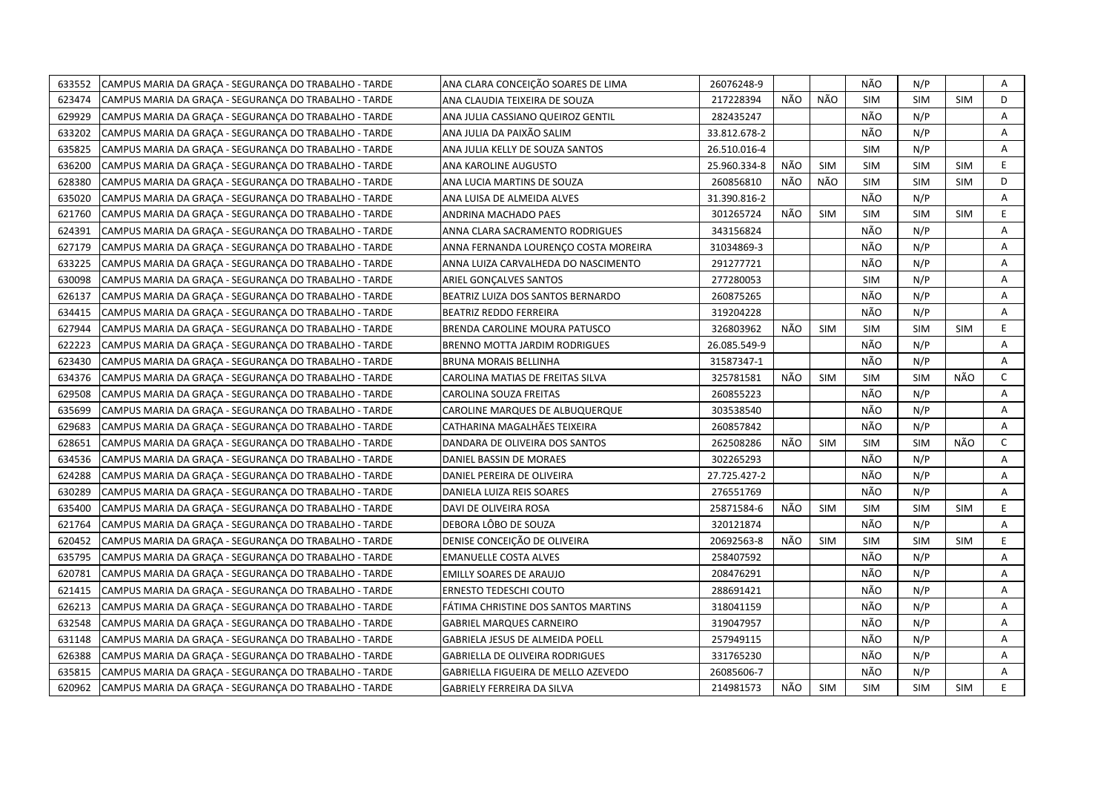| 633552 | CAMPUS MARIA DA GRAÇA - SEGURANÇA DO TRABALHO - TARDE | ANA CLARA CONCEIÇÃO SOARES DE LIMA   | 26076248-9   |     |            | NÃO        | N/P        |            | Α            |
|--------|-------------------------------------------------------|--------------------------------------|--------------|-----|------------|------------|------------|------------|--------------|
| 623474 | CAMPUS MARIA DA GRAÇA - SEGURANÇA DO TRABALHO - TARDE | ANA CLAUDIA TEIXEIRA DE SOUZA        | 217228394    | NÃO | NÃO        | <b>SIM</b> | <b>SIM</b> | <b>SIM</b> | D            |
| 629929 | CAMPUS MARIA DA GRAÇA - SEGURANÇA DO TRABALHO - TARDE | ANA JULIA CASSIANO QUEIROZ GENTIL    | 282435247    |     |            | NÃO        | N/P        |            | A            |
| 633202 | CAMPUS MARIA DA GRAÇA - SEGURANÇA DO TRABALHO - TARDE | ANA JULIA DA PAIXÃO SALIM            | 33.812.678-2 |     |            | NÃO        | N/P        |            | Α            |
| 635825 | CAMPUS MARIA DA GRAÇA - SEGURANÇA DO TRABALHO - TARDE | ANA JULIA KELLY DE SOUZA SANTOS      | 26.510.016-4 |     |            | <b>SIM</b> | N/P        |            | Α            |
| 636200 | CAMPUS MARIA DA GRAÇA - SEGURANÇA DO TRABALHO - TARDE | ANA KAROLINE AUGUSTO                 | 25.960.334-8 | NÃO | <b>SIM</b> | <b>SIM</b> | <b>SIM</b> | <b>SIM</b> | E.           |
| 628380 | CAMPUS MARIA DA GRAÇA - SEGURANÇA DO TRABALHO - TARDE | ANA LUCIA MARTINS DE SOUZA           | 260856810    | NÃO | NÃO        | <b>SIM</b> | <b>SIM</b> | <b>SIM</b> | D            |
| 635020 | CAMPUS MARIA DA GRAÇA - SEGURANÇA DO TRABALHO - TARDE | ANA LUISA DE ALMEIDA ALVES           | 31.390.816-2 |     |            | NÃO        | N/P        |            | Α            |
| 621760 | CAMPUS MARIA DA GRAÇA - SEGURANÇA DO TRABALHO - TARDE | <b>ANDRINA MACHADO PAES</b>          | 301265724    | NÃO | <b>SIM</b> | <b>SIM</b> | <b>SIM</b> | <b>SIM</b> | E.           |
| 624391 | CAMPUS MARIA DA GRAÇA - SEGURANÇA DO TRABALHO - TARDE | ANNA CLARA SACRAMENTO RODRIGUES      | 343156824    |     |            | NÃO        | N/P        |            | A            |
| 627179 | CAMPUS MARIA DA GRAÇA - SEGURANÇA DO TRABALHO - TARDE | ANNA FERNANDA LOURENÇO COSTA MOREIRA | 31034869-3   |     |            | NÃO        | N/P        |            | Α            |
| 633225 | CAMPUS MARIA DA GRAÇA - SEGURANÇA DO TRABALHO - TARDE | ANNA LUIZA CARVALHEDA DO NASCIMENTO  | 291277721    |     |            | NÃO        | N/P        |            | A            |
| 630098 | CAMPUS MARIA DA GRAÇA - SEGURANÇA DO TRABALHO - TARDE | ARIEL GONÇALVES SANTOS               | 277280053    |     |            | <b>SIM</b> | N/P        |            | Α            |
| 626137 | CAMPUS MARIA DA GRACA - SEGURANCA DO TRABALHO - TARDE | BEATRIZ LUIZA DOS SANTOS BERNARDO    | 260875265    |     |            | NÃO        | N/P        |            | A            |
| 634415 | CAMPUS MARIA DA GRAÇA - SEGURANÇA DO TRABALHO - TARDE | BEATRIZ REDDO FERREIRA               | 319204228    |     |            | NÃO        | N/P        |            | Α            |
| 627944 | CAMPUS MARIA DA GRAÇA - SEGURANÇA DO TRABALHO - TARDE | BRENDA CAROLINE MOURA PATUSCO        | 326803962    | NÃO | <b>SIM</b> | <b>SIM</b> | <b>SIM</b> | <b>SIM</b> | E.           |
| 622223 | CAMPUS MARIA DA GRAÇA - SEGURANÇA DO TRABALHO - TARDE | BRENNO MOTTA JARDIM RODRIGUES        | 26.085.549-9 |     |            | NÃO        | N/P        |            | A            |
| 623430 | CAMPUS MARIA DA GRAÇA - SEGURANÇA DO TRABALHO - TARDE | BRUNA MORAIS BELLINHA                | 31587347-1   |     |            | NÃO        | N/P        |            | A            |
| 634376 | CAMPUS MARIA DA GRAÇA - SEGURANÇA DO TRABALHO - TARDE | CAROLINA MATIAS DE FREITAS SILVA     | 325781581    | NÃO | <b>SIM</b> | <b>SIM</b> | <b>SIM</b> | NÃO        | $\mathsf{C}$ |
| 629508 | CAMPUS MARIA DA GRAÇA - SEGURANÇA DO TRABALHO - TARDE | CAROLINA SOUZA FREITAS               | 260855223    |     |            | NÃO        | N/P        |            | Α            |
| 635699 | CAMPUS MARIA DA GRACA - SEGURANCA DO TRABALHO - TARDE | CAROLINE MARQUES DE ALBUQUERQUE      | 303538540    |     |            | NÃO        | N/P        |            | A            |
| 629683 | CAMPUS MARIA DA GRACA - SEGURANCA DO TRABALHO - TARDE | CATHARINA MAGALHÃES TEIXEIRA         | 260857842    |     |            | NÃO        | N/P        |            | A            |
| 628651 | CAMPUS MARIA DA GRACA - SEGURANCA DO TRABALHO - TARDE | DANDARA DE OLIVEIRA DOS SANTOS       | 262508286    | NÃO | <b>SIM</b> | <b>SIM</b> | <b>SIM</b> | NÃO        | C            |
| 634536 | CAMPUS MARIA DA GRACA - SEGURANCA DO TRABALHO - TARDE | DANIEL BASSIN DE MORAES              | 302265293    |     |            | NÃO        | N/P        |            | A            |
| 624288 | CAMPUS MARIA DA GRAÇA - SEGURANÇA DO TRABALHO - TARDE | DANIEL PEREIRA DE OLIVEIRA           | 27.725.427-2 |     |            | NÃO        | N/P        |            | A            |
| 630289 | CAMPUS MARIA DA GRAÇA - SEGURANÇA DO TRABALHO - TARDE | DANIELA LUIZA REIS SOARES            | 276551769    |     |            | NÃO        | N/P        |            | A            |
| 635400 | CAMPUS MARIA DA GRAÇA - SEGURANÇA DO TRABALHO - TARDE | DAVI DE OLIVEIRA ROSA                | 25871584-6   | NÃO | SIM        | <b>SIM</b> | <b>SIM</b> | <b>SIM</b> | E.           |
| 621764 | CAMPUS MARIA DA GRACA - SEGURANCA DO TRABALHO - TARDE | DEBORA LÔBO DE SOUZA                 | 320121874    |     |            | NÃO        | N/P        |            | A            |
| 620452 | CAMPUS MARIA DA GRAÇA - SEGURANÇA DO TRABALHO - TARDE | DENISE CONCEIÇÃO DE OLIVEIRA         | 20692563-8   | NÃO | <b>SIM</b> | <b>SIM</b> | <b>SIM</b> | <b>SIM</b> | E            |
| 635795 | CAMPUS MARIA DA GRAÇA - SEGURANÇA DO TRABALHO - TARDE | EMANUELLE COSTA ALVES                | 258407592    |     |            | NÃO        | N/P        |            | A            |
| 620781 | CAMPUS MARIA DA GRAÇA - SEGURANÇA DO TRABALHO - TARDE | EMILLY SOARES DE ARAUJO              | 208476291    |     |            | NÃO        | N/P        |            | Α            |
| 621415 | CAMPUS MARIA DA GRAÇA - SEGURANÇA DO TRABALHO - TARDE | ERNESTO TEDESCHI COUTO               | 288691421    |     |            | NÃO        | N/P        |            | A            |
| 626213 | CAMPUS MARIA DA GRAÇA - SEGURANÇA DO TRABALHO - TARDE | FÁTIMA CHRISTINE DOS SANTOS MARTINS  | 318041159    |     |            | NÃO        | N/P        |            | A            |
| 632548 | CAMPUS MARIA DA GRAÇA - SEGURANÇA DO TRABALHO - TARDE | <b>GABRIEL MARQUES CARNEIRO</b>      | 319047957    |     |            | NÃO        | N/P        |            | Α            |
| 631148 | CAMPUS MARIA DA GRAÇA - SEGURANÇA DO TRABALHO - TARDE | GABRIELA JESUS DE ALMEIDA POELL      | 257949115    |     |            | NÃO        | N/P        |            | A            |
| 626388 | CAMPUS MARIA DA GRAÇA - SEGURANÇA DO TRABALHO - TARDE | GABRIELLA DE OLIVEIRA RODRIGUES      | 331765230    |     |            | NÃO        | N/P        |            | A            |
| 635815 | CAMPUS MARIA DA GRACA - SEGURANCA DO TRABALHO - TARDE | GABRIELLA FIGUEIRA DE MELLO AZEVEDO  | 26085606-7   |     |            | NÃO        | N/P        |            | A            |
| 620962 | CAMPUS MARIA DA GRAÇA - SEGURANÇA DO TRABALHO - TARDE | GABRIELY FERREIRA DA SILVA           | 214981573    | NÃO | SIM        | <b>SIM</b> | <b>SIM</b> | <b>SIM</b> | E.           |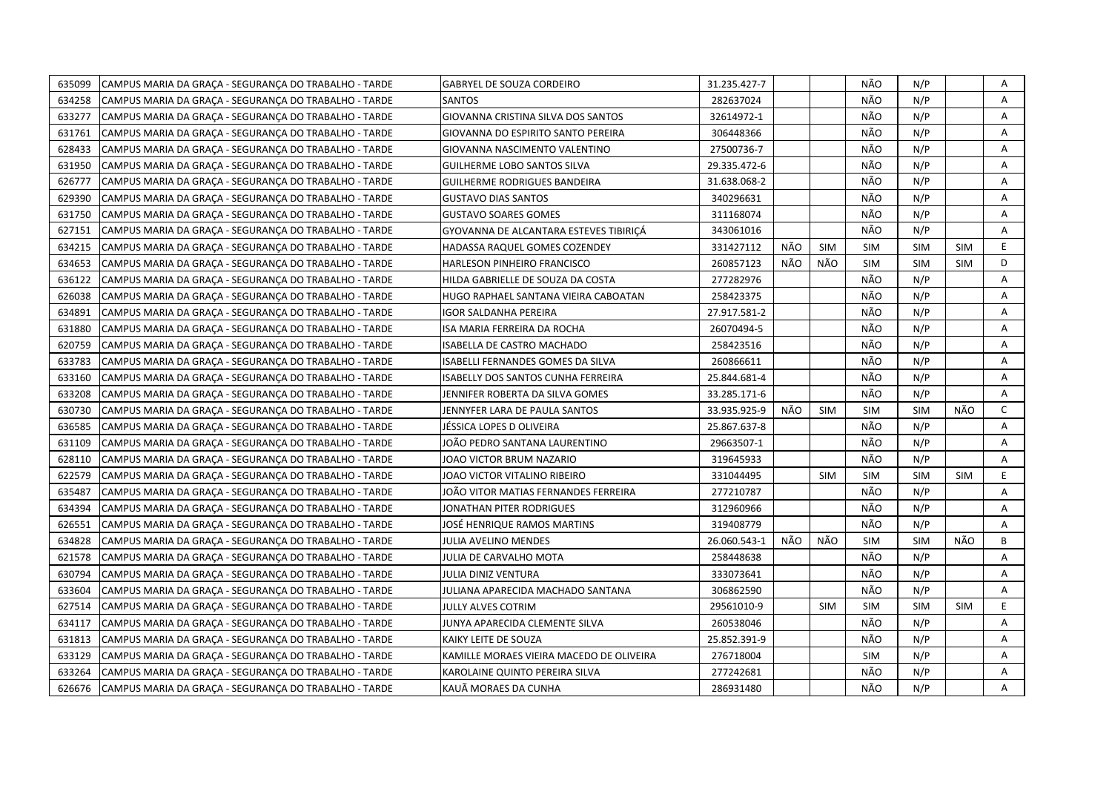| 635099<br>CAMPUS MARIA DA GRAÇA - SEGURANÇA DO TRABALHO - TARDE | <b>GABRYEL DE SOUZA CORDEIRO</b>         | 31.235.427-7 |     |            | NÃO        | N/P        |            | Α            |
|-----------------------------------------------------------------|------------------------------------------|--------------|-----|------------|------------|------------|------------|--------------|
| 634258<br>CAMPUS MARIA DA GRAÇA - SEGURANÇA DO TRABALHO - TARDE | SANTOS                                   | 282637024    |     |            | NÃO        | N/P        |            | A            |
| 633277<br>CAMPUS MARIA DA GRACA - SEGURANCA DO TRABALHO - TARDE | GIOVANNA CRISTINA SILVA DOS SANTOS       | 32614972-1   |     |            | NÃO        | N/P        |            | A            |
| 631761<br>CAMPUS MARIA DA GRAÇA - SEGURANÇA DO TRABALHO - TARDE | GIOVANNA DO ESPIRITO SANTO PEREIRA       | 306448366    |     |            | NÃO        | N/P        |            | Α            |
| 628433<br>CAMPUS MARIA DA GRAÇA - SEGURANÇA DO TRABALHO - TARDE | GIOVANNA NASCIMENTO VALENTINO            | 27500736-7   |     |            | NÃO        | N/P        |            | Α            |
| 631950<br>CAMPUS MARIA DA GRAÇA - SEGURANÇA DO TRABALHO - TARDE | <b>GUILHERME LOBO SANTOS SILVA</b>       | 29.335.472-6 |     |            | NÃO        | N/P        |            | Α            |
| 626777<br>CAMPUS MARIA DA GRACA - SEGURANCA DO TRABALHO - TARDE | <b>GUILHERME RODRIGUES BANDEIRA</b>      | 31.638.068-2 |     |            | NÃO        | N/P        |            | A            |
| 629390<br>CAMPUS MARIA DA GRACA - SEGURANCA DO TRABALHO - TARDE | <b>GUSTAVO DIAS SANTOS</b>               | 340296631    |     |            | NÃO        | N/P        |            | A            |
| 631750<br>CAMPUS MARIA DA GRAÇA - SEGURANÇA DO TRABALHO - TARDE | <b>GUSTAVO SOARES GOMES</b>              | 311168074    |     |            | NÃO        | N/P        |            | A            |
| 627151<br>CAMPUS MARIA DA GRAÇA - SEGURANÇA DO TRABALHO - TARDE | GYOVANNA DE ALCANTARA ESTEVES TIBIRIÇÁ   | 343061016    |     |            | NÃO        | N/P        |            | A            |
| 634215<br>CAMPUS MARIA DA GRAÇA - SEGURANÇA DO TRABALHO - TARDE | HADASSA RAQUEL GOMES COZENDEY            | 331427112    | NÃO | <b>SIM</b> | <b>SIM</b> | <b>SIM</b> | <b>SIM</b> | E.           |
| 634653<br>CAMPUS MARIA DA GRAÇA - SEGURANÇA DO TRABALHO - TARDE | HARLESON PINHEIRO FRANCISCO              | 260857123    | NÃO | NÃO        | <b>SIM</b> | <b>SIM</b> | <b>SIM</b> | D            |
| 636122<br>CAMPUS MARIA DA GRAÇA - SEGURANÇA DO TRABALHO - TARDE | HILDA GABRIELLE DE SOUZA DA COSTA        | 277282976    |     |            | NÃO        | N/P        |            | A            |
| 626038<br>CAMPUS MARIA DA GRAÇA - SEGURANÇA DO TRABALHO - TARDE | HUGO RAPHAEL SANTANA VIEIRA CABOATAN     | 258423375    |     |            | NÃO        | N/P        |            | Α            |
| 634891<br>CAMPUS MARIA DA GRACA - SEGURANCA DO TRABALHO - TARDE | <b>IGOR SALDANHA PEREIRA</b>             | 27.917.581-2 |     |            | NÃO        | N/P        |            | A            |
| 631880<br>CAMPUS MARIA DA GRAÇA - SEGURANÇA DO TRABALHO - TARDE | ISA MARIA FERREIRA DA ROCHA              | 26070494-5   |     |            | NÃO        | N/P        |            | A            |
| 620759<br>CAMPUS MARIA DA GRAÇA - SEGURANÇA DO TRABALHO - TARDE | ISABELLA DE CASTRO MACHADO               | 258423516    |     |            | NÃO        | N/P        |            | A            |
| 633783<br>CAMPUS MARIA DA GRAÇA - SEGURANÇA DO TRABALHO - TARDE | ISABELLI FERNANDES GOMES DA SILVA        | 260866611    |     |            | NÃO        | N/P        |            | A            |
| 633160<br>CAMPUS MARIA DA GRAÇA - SEGURANÇA DO TRABALHO - TARDE | ISABELLY DOS SANTOS CUNHA FERREIRA       | 25.844.681-4 |     |            | NÃO        | N/P        |            | A            |
| 633208<br>CAMPUS MARIA DA GRAÇA - SEGURANÇA DO TRABALHO - TARDE | JENNIFER ROBERTA DA SILVA GOMES          | 33.285.171-6 |     |            | NÃO        | N/P        |            | A            |
| 630730<br>CAMPUS MARIA DA GRAÇA - SEGURANÇA DO TRABALHO - TARDE | JENNYFER LARA DE PAULA SANTOS            | 33.935.925-9 | NÃO | <b>SIM</b> | <b>SIM</b> | <b>SIM</b> | NÃO        | $\mathsf{C}$ |
| 636585<br>CAMPUS MARIA DA GRAÇA - SEGURANÇA DO TRABALHO - TARDE | JÉSSICA LOPES D OLIVEIRA                 | 25.867.637-8 |     |            | NÃO        | N/P        |            | A            |
| 631109<br>CAMPUS MARIA DA GRAÇA - SEGURANÇA DO TRABALHO - TARDE | JOÃO PEDRO SANTANA LAURENTINO            | 29663507-1   |     |            | NÃO        | N/P        |            | A            |
| 628110<br>CAMPUS MARIA DA GRAÇA - SEGURANÇA DO TRABALHO - TARDE | JOAO VICTOR BRUM NAZARIO                 | 319645933    |     |            | NÃO        | N/P        |            | A            |
| 622579<br>CAMPUS MARIA DA GRAÇA - SEGURANÇA DO TRABALHO - TARDE | JOAO VICTOR VITALINO RIBEIRO             | 331044495    |     | <b>SIM</b> | <b>SIM</b> | <b>SIM</b> | <b>SIM</b> | E            |
| 635487<br>CAMPUS MARIA DA GRAÇA - SEGURANÇA DO TRABALHO - TARDE | JOÃO VITOR MATIAS FERNANDES FERREIRA     | 277210787    |     |            | NÃO        | N/P        |            | Α            |
| 634394<br>CAMPUS MARIA DA GRAÇA - SEGURANÇA DO TRABALHO - TARDE | JONATHAN PITER RODRIGUES                 | 312960966    |     |            | NÃO        | N/P        |            | A            |
| 626551<br>CAMPUS MARIA DA GRAÇA - SEGURANÇA DO TRABALHO - TARDE | JOSÉ HENRIQUE RAMOS MARTINS              | 319408779    |     |            | NÃO        | N/P        |            | A            |
| 634828<br>CAMPUS MARIA DA GRAÇA - SEGURANÇA DO TRABALHO - TARDE | JULIA AVELINO MENDES                     | 26.060.543-1 | NÃO | NÃO        | <b>SIM</b> | <b>SIM</b> | NÃO        | B            |
| 621578<br>CAMPUS MARIA DA GRAÇA - SEGURANÇA DO TRABALHO - TARDE | JULIA DE CARVALHO MOTA                   | 258448638    |     |            | NÃO        | N/P        |            | Α            |
| 630794<br>CAMPUS MARIA DA GRAÇA - SEGURANÇA DO TRABALHO - TARDE | <b>JULIA DINIZ VENTURA</b>               | 333073641    |     |            | NÃO        | N/P        |            | A            |
| 633604<br>CAMPUS MARIA DA GRAÇA - SEGURANÇA DO TRABALHO - TARDE | JULIANA APARECIDA MACHADO SANTANA        | 306862590    |     |            | NÃO        | N/P        |            | A            |
| 627514<br>CAMPUS MARIA DA GRAÇA - SEGURANÇA DO TRABALHO - TARDE | <b>JULLY ALVES COTRIM</b>                | 29561010-9   |     | <b>SIM</b> | <b>SIM</b> | <b>SIM</b> | <b>SIM</b> | E.           |
| 634117<br>CAMPUS MARIA DA GRAÇA - SEGURANÇA DO TRABALHO - TARDE | JUNYA APARECIDA CLEMENTE SILVA           | 260538046    |     |            | NÃO        | N/P        |            | A            |
| 631813<br>CAMPUS MARIA DA GRAÇA - SEGURANÇA DO TRABALHO - TARDE | KAIKY LEITE DE SOUZA                     | 25.852.391-9 |     |            | NÃO        | N/P        |            | A            |
| 633129<br>CAMPUS MARIA DA GRAÇA - SEGURANÇA DO TRABALHO - TARDE | KAMILLE MORAES VIEIRA MACEDO DE OLIVEIRA | 276718004    |     |            | <b>SIM</b> | N/P        |            | Α            |
| 633264<br>CAMPUS MARIA DA GRAÇA - SEGURANÇA DO TRABALHO - TARDE | KAROLAINE QUINTO PEREIRA SILVA           | 277242681    |     |            | NÃO        | N/P        |            | A            |
| 626676<br>CAMPUS MARIA DA GRAÇA - SEGURANÇA DO TRABALHO - TARDE | KAUÃ MORAES DA CUNHA                     | 286931480    |     |            | NÃO        | N/P        |            | A            |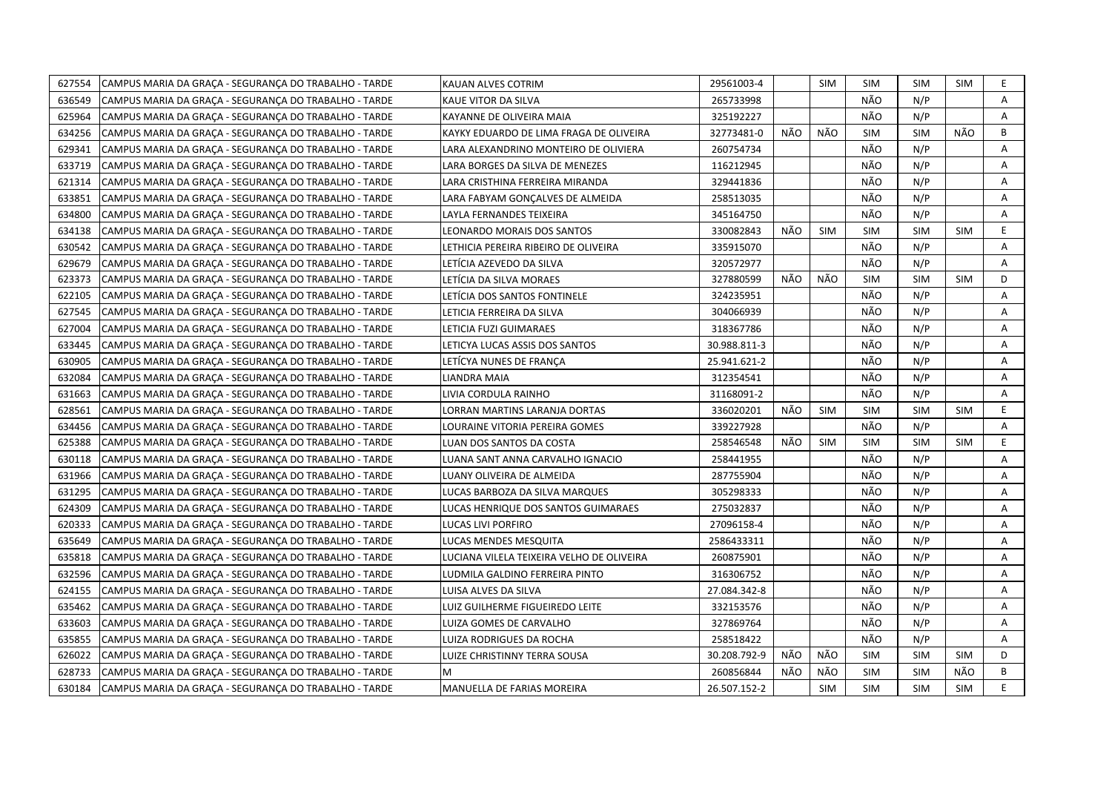| 627554 | CAMPUS MARIA DA GRAÇA - SEGURANÇA DO TRABALHO - TARDE | KAUAN ALVES COTRIM                        | 29561003-4   |     | <b>SIM</b> | <b>SIM</b> | <b>SIM</b> | SIM        | E.             |
|--------|-------------------------------------------------------|-------------------------------------------|--------------|-----|------------|------------|------------|------------|----------------|
| 636549 | CAMPUS MARIA DA GRAÇA - SEGURANÇA DO TRABALHO - TARDE | KAUE VITOR DA SILVA                       | 265733998    |     |            | NÃO        | N/P        |            | A              |
| 625964 | CAMPUS MARIA DA GRAÇA - SEGURANÇA DO TRABALHO - TARDE | KAYANNE DE OLIVEIRA MAIA                  | 325192227    |     |            | NÃO        | N/P        |            | $\overline{A}$ |
| 634256 | CAMPUS MARIA DA GRAÇA - SEGURANÇA DO TRABALHO - TARDE | KAYKY EDUARDO DE LIMA FRAGA DE OLIVEIRA   | 32773481-0   | NÃO | NÃO        | <b>SIM</b> | <b>SIM</b> | NÃO        | B              |
| 629341 | CAMPUS MARIA DA GRAÇA - SEGURANÇA DO TRABALHO - TARDE | LARA ALEXANDRINO MONTEIRO DE OLIVIERA     | 260754734    |     |            | NÃO        | N/P        |            | А              |
| 633719 | CAMPUS MARIA DA GRAÇA - SEGURANÇA DO TRABALHO - TARDE | LARA BORGES DA SILVA DE MENEZES           | 116212945    |     |            | NÃO        | N/P        |            | Α              |
| 621314 | CAMPUS MARIA DA GRACA - SEGURANCA DO TRABALHO - TARDE | LARA CRISTHINA FERREIRA MIRANDA           | 329441836    |     |            | NÃO        | N/P        |            | A              |
| 633851 | CAMPUS MARIA DA GRAÇA - SEGURANÇA DO TRABALHO - TARDE | LARA FABYAM GONÇALVES DE ALMEIDA          | 258513035    |     |            | NÃO        | N/P        |            | Α              |
| 634800 | CAMPUS MARIA DA GRAÇA - SEGURANÇA DO TRABALHO - TARDE | LAYLA FERNANDES TEIXEIRA                  | 345164750    |     |            | NÃO        | N/P        |            | Α              |
| 634138 | CAMPUS MARIA DA GRACA - SEGURANCA DO TRABALHO - TARDE | LEONARDO MORAIS DOS SANTOS                | 330082843    | NÃO | <b>SIM</b> | <b>SIM</b> | <b>SIM</b> | <b>SIM</b> | E.             |
| 630542 | CAMPUS MARIA DA GRACA - SEGURANCA DO TRABALHO - TARDE | LETHICIA PEREIRA RIBEIRO DE OLIVEIRA      | 335915070    |     |            | NÃO        | N/P        |            | Α              |
| 629679 | CAMPUS MARIA DA GRAÇA - SEGURANÇA DO TRABALHO - TARDE | LETÍCIA AZEVEDO DA SILVA                  | 320572977    |     |            | NÃO        | N/P        |            | Α              |
| 623373 | CAMPUS MARIA DA GRAÇA - SEGURANÇA DO TRABALHO - TARDE | LETÍCIA DA SILVA MORAES                   | 327880599    | NÃO | NÃO        | <b>SIM</b> | <b>SIM</b> | <b>SIM</b> | D.             |
| 622105 | CAMPUS MARIA DA GRAÇA - SEGURANÇA DO TRABALHO - TARDE | LETÍCIA DOS SANTOS FONTINELE              | 324235951    |     |            | NÃO        | N/P        |            | A              |
| 627545 | CAMPUS MARIA DA GRAÇA - SEGURANÇA DO TRABALHO - TARDE | LETICIA FERREIRA DA SILVA                 | 304066939    |     |            | NÃO        | N/P        |            | Α              |
| 627004 | CAMPUS MARIA DA GRAÇA - SEGURANÇA DO TRABALHO - TARDE | LETICIA FUZI GUIMARAES                    | 318367786    |     |            | NÃO        | N/P        |            | Α              |
| 633445 | CAMPUS MARIA DA GRAÇA - SEGURANÇA DO TRABALHO - TARDE | LETICYA LUCAS ASSIS DOS SANTOS            | 30.988.811-3 |     |            | NÃO        | N/P        |            | A              |
| 630905 | CAMPUS MARIA DA GRACA - SEGURANCA DO TRABALHO - TARDE | LETÍCYA NUNES DE FRANCA                   | 25.941.621-2 |     |            | NÃO        | N/P        |            | A              |
| 632084 | CAMPUS MARIA DA GRAÇA - SEGURANÇA DO TRABALHO - TARDE | LIANDRA MAIA                              | 312354541    |     |            | NÃO        | N/P        |            | A              |
| 631663 | CAMPUS MARIA DA GRAÇA - SEGURANÇA DO TRABALHO - TARDE | LIVIA CORDULA RAINHO                      | 31168091-2   |     |            | NÃO        | N/P        |            | Α              |
| 628561 | CAMPUS MARIA DA GRACA - SEGURANCA DO TRABALHO - TARDE | LORRAN MARTINS LARANJA DORTAS             | 336020201    | NÃO | <b>SIM</b> | <b>SIM</b> | <b>SIM</b> | <b>SIM</b> | E.             |
| 634456 | CAMPUS MARIA DA GRAÇA - SEGURANÇA DO TRABALHO - TARDE | LOURAINE VITORIA PEREIRA GOMES            | 339227928    |     |            | NÃO        | N/P        |            | A              |
| 625388 | CAMPUS MARIA DA GRAÇA - SEGURANÇA DO TRABALHO - TARDE | LUAN DOS SANTOS DA COSTA                  | 258546548    | NÃO | SIM        | <b>SIM</b> | <b>SIM</b> | <b>SIM</b> | E              |
| 630118 | CAMPUS MARIA DA GRAÇA - SEGURANÇA DO TRABALHO - TARDE | LUANA SANT ANNA CARVALHO IGNACIO          | 258441955    |     |            | NÃO        | N/P        |            | A              |
| 631966 | CAMPUS MARIA DA GRAÇA - SEGURANÇA DO TRABALHO - TARDE | LUANY OLIVEIRA DE ALMEIDA                 | 287755904    |     |            | NÃO        | N/P        |            | Α              |
| 631295 | CAMPUS MARIA DA GRAÇA - SEGURANÇA DO TRABALHO - TARDE | LUCAS BARBOZA DA SILVA MARQUES            | 305298333    |     |            | NÃO        | N/P        |            | Α              |
| 624309 | CAMPUS MARIA DA GRAÇA - SEGURANÇA DO TRABALHO - TARDE | LUCAS HENRIQUE DOS SANTOS GUIMARAES       | 275032837    |     |            | NÃO        | N/P        |            | Α              |
| 620333 | CAMPUS MARIA DA GRAÇA - SEGURANÇA DO TRABALHO - TARDE | LUCAS LIVI PORFIRO                        | 27096158-4   |     |            | NÃO        | N/P        |            | A              |
| 635649 | CAMPUS MARIA DA GRAÇA - SEGURANÇA DO TRABALHO - TARDE | LUCAS MENDES MESQUITA                     | 2586433311   |     |            | NÃO        | N/P        |            | Α              |
| 635818 | CAMPUS MARIA DA GRAÇA - SEGURANÇA DO TRABALHO - TARDE | LUCIANA VILELA TEIXEIRA VELHO DE OLIVEIRA | 260875901    |     |            | NÃO        | N/P        |            | Α              |
| 632596 | CAMPUS MARIA DA GRAÇA - SEGURANÇA DO TRABALHO - TARDE | LUDMILA GALDINO FERREIRA PINTO            | 316306752    |     |            | NÃO        | N/P        |            | A              |
| 624155 | CAMPUS MARIA DA GRAÇA - SEGURANÇA DO TRABALHO - TARDE | LUISA ALVES DA SILVA                      | 27.084.342-8 |     |            | NÃO        | N/P        |            | Α              |
| 635462 | CAMPUS MARIA DA GRAÇA - SEGURANÇA DO TRABALHO - TARDE | LUIZ GUILHERME FIGUEIREDO LEITE           | 332153576    |     |            | NÃO        | N/P        |            | Α              |
| 633603 | CAMPUS MARIA DA GRAÇA - SEGURANÇA DO TRABALHO - TARDE | LUIZA GOMES DE CARVALHO                   | 327869764    |     |            | NÃO        | N/P        |            | Α              |
| 635855 | CAMPUS MARIA DA GRACA - SEGURANCA DO TRABALHO - TARDE | LUIZA RODRIGUES DA ROCHA                  | 258518422    |     |            | NÃO        | N/P        |            | A              |
| 626022 | CAMPUS MARIA DA GRAÇA - SEGURANÇA DO TRABALHO - TARDE | LUIZE CHRISTINNY TERRA SOUSA              | 30.208.792-9 | NÃO | NÃO        | <b>SIM</b> | <b>SIM</b> | <b>SIM</b> | D              |
| 628733 | CAMPUS MARIA DA GRAÇA - SEGURANÇA DO TRABALHO - TARDE | M                                         | 260856844    | NÃO | NÃO        | <b>SIM</b> | <b>SIM</b> | NÃO        | B              |
| 630184 | CAMPUS MARIA DA GRAÇA - SEGURANÇA DO TRABALHO - TARDE | MANUELLA DE FARIAS MOREIRA                | 26.507.152-2 |     | <b>SIM</b> | <b>SIM</b> | <b>SIM</b> | <b>SIM</b> | E              |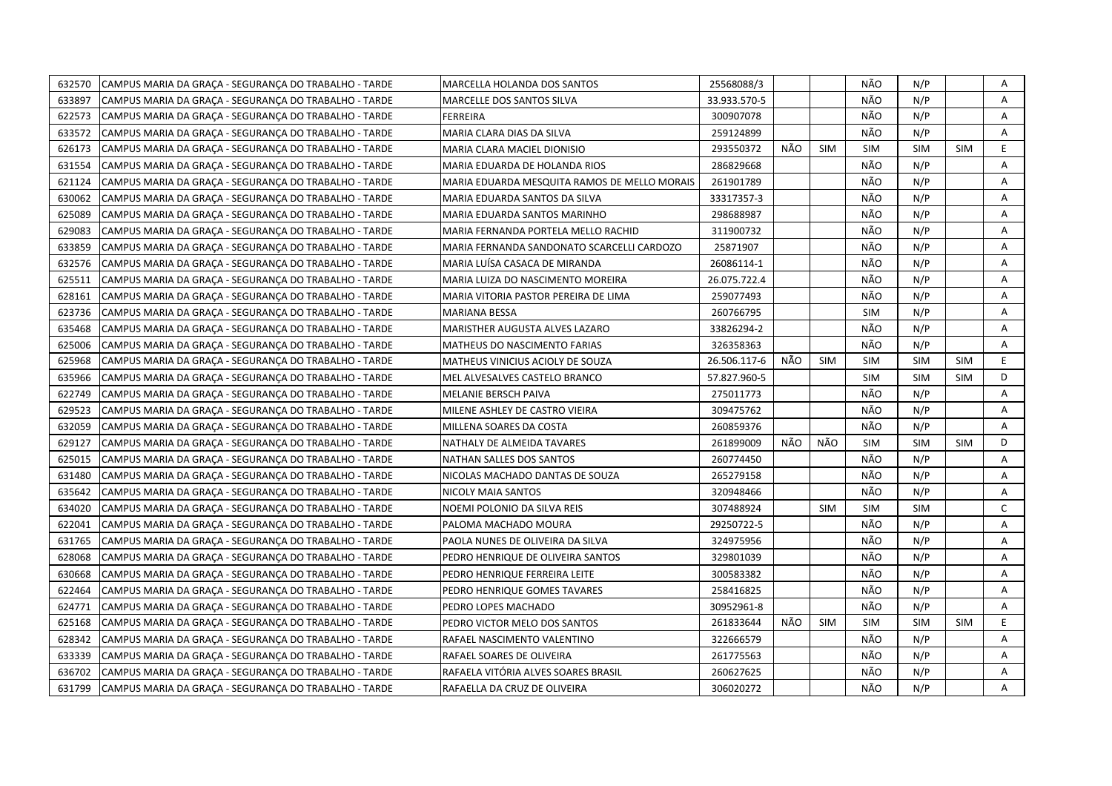| 632570<br>CAMPUS MARIA DA GRAÇA - SEGURANÇA DO TRABALHO - TARDE | MARCELLA HOLANDA DOS SANTOS                  | 25568088/3   |     |            | NÃO        | N/P        |            | A            |
|-----------------------------------------------------------------|----------------------------------------------|--------------|-----|------------|------------|------------|------------|--------------|
| 633897<br>CAMPUS MARIA DA GRAÇA - SEGURANÇA DO TRABALHO - TARDE | MARCELLE DOS SANTOS SILVA                    | 33.933.570-5 |     |            | NÃO        | N/P        |            | A            |
| 622573<br>CAMPUS MARIA DA GRACA - SEGURANCA DO TRABALHO - TARDE | <b>FERREIRA</b>                              | 300907078    |     |            | NÃO        | N/P        |            | A            |
| 633572<br>CAMPUS MARIA DA GRACA - SEGURANCA DO TRABALHO - TARDE | MARIA CLARA DIAS DA SILVA                    | 259124899    |     |            | NÃO        | N/P        |            | A            |
| 626173<br>CAMPUS MARIA DA GRAÇA - SEGURANÇA DO TRABALHO - TARDE | MARIA CLARA MACIEL DIONISIO                  | 293550372    | NÃO | <b>SIM</b> | <b>SIM</b> | <b>SIM</b> | <b>SIM</b> | E.           |
| 631554<br>CAMPUS MARIA DA GRAÇA - SEGURANÇA DO TRABALHO - TARDE | MARIA EDUARDA DE HOLANDA RIOS                | 286829668    |     |            | NÃO        | N/P        |            | Α            |
| 621124<br>CAMPUS MARIA DA GRAÇA - SEGURANÇA DO TRABALHO - TARDE | MARIA EDUARDA MESQUITA RAMOS DE MELLO MORAIS | 261901789    |     |            | NÃO        | N/P        |            | Α            |
| 630062<br>CAMPUS MARIA DA GRACA - SEGURANCA DO TRABALHO - TARDE | MARIA EDUARDA SANTOS DA SILVA                | 33317357-3   |     |            | NÃO        | N/P        |            | A            |
| 625089<br>CAMPUS MARIA DA GRAÇA - SEGURANÇA DO TRABALHO - TARDE | MARIA EDUARDA SANTOS MARINHO                 | 298688987    |     |            | NÃO        | N/P        |            | A            |
| 629083<br>CAMPUS MARIA DA GRAÇA - SEGURANÇA DO TRABALHO - TARDE | MARIA FERNANDA PORTELA MELLO RACHID          | 311900732    |     |            | NÃO        | N/P        |            | A            |
| 633859<br>CAMPUS MARIA DA GRAÇA - SEGURANÇA DO TRABALHO - TARDE | MARIA FERNANDA SANDONATO SCARCELLI CARDOZO   | 25871907     |     |            | NÃO        | N/P        |            | A            |
| 632576<br>CAMPUS MARIA DA GRAÇA - SEGURANÇA DO TRABALHO - TARDE | MARIA LUÍSA CASACA DE MIRANDA                | 26086114-1   |     |            | NÃO        | N/P        |            | Α            |
| 625511<br>CAMPUS MARIA DA GRACA - SEGURANCA DO TRABALHO - TARDE | MARIA LUIZA DO NASCIMENTO MOREIRA            | 26.075.722.4 |     |            | NÃO        | N/P        |            | A            |
| 628161<br>CAMPUS MARIA DA GRAÇA - SEGURANÇA DO TRABALHO - TARDE | MARIA VITORIA PASTOR PEREIRA DE LIMA         | 259077493    |     |            | NÃO        | N/P        |            | A            |
| 623736<br>CAMPUS MARIA DA GRAÇA - SEGURANÇA DO TRABALHO - TARDE | <b>MARIANA BESSA</b>                         | 260766795    |     |            | <b>SIM</b> | N/P        |            | Α            |
| 635468<br>CAMPUS MARIA DA GRACA - SEGURANCA DO TRABALHO - TARDE | MARISTHER AUGUSTA ALVES LAZARO               | 33826294-2   |     |            | NÃO        | N/P        |            | A            |
| 625006<br>CAMPUS MARIA DA GRAÇA - SEGURANÇA DO TRABALHO - TARDE | MATHEUS DO NASCIMENTO FARIAS                 | 326358363    |     |            | NÃO        | N/P        |            | A            |
| 625968<br>CAMPUS MARIA DA GRAÇA - SEGURANÇA DO TRABALHO - TARDE | MATHEUS VINICIUS ACIOLY DE SOUZA             | 26.506.117-6 | NÃO | <b>SIM</b> | <b>SIM</b> | <b>SIM</b> | <b>SIM</b> | E.           |
| 635966<br>CAMPUS MARIA DA GRAÇA - SEGURANÇA DO TRABALHO - TARDE | MEL ALVESALVES CASTELO BRANCO                | 57.827.960-5 |     |            | <b>SIM</b> | <b>SIM</b> | <b>SIM</b> | D            |
| 622749<br>CAMPUS MARIA DA GRAÇA - SEGURANÇA DO TRABALHO - TARDE | MELANIE BERSCH PAIVA                         | 275011773    |     |            | NÃO        | N/P        |            | Α            |
| 629523<br>CAMPUS MARIA DA GRAÇA - SEGURANÇA DO TRABALHO - TARDE | MILENE ASHLEY DE CASTRO VIEIRA               | 309475762    |     |            | NÃO        | N/P        |            | A            |
| 632059<br>CAMPUS MARIA DA GRAÇA - SEGURANÇA DO TRABALHO - TARDE | MILLENA SOARES DA COSTA                      | 260859376    |     |            | NÃO        | N/P        |            | A            |
| 629127<br>CAMPUS MARIA DA GRAÇA - SEGURANÇA DO TRABALHO - TARDE | NATHALY DE ALMEIDA TAVARES                   | 261899009    | NÃO | NÃO        | <b>SIM</b> | <b>SIM</b> | <b>SIM</b> | D            |
| 625015<br>CAMPUS MARIA DA GRAÇA - SEGURANÇA DO TRABALHO - TARDE | NATHAN SALLES DOS SANTOS                     | 260774450    |     |            | NÃO        | N/P        |            | A            |
| 631480<br>CAMPUS MARIA DA GRAÇA - SEGURANÇA DO TRABALHO - TARDE | NICOLAS MACHADO DANTAS DE SOUZA              | 265279158    |     |            | NÃO        | N/P        |            | A            |
| 635642<br>CAMPUS MARIA DA GRAÇA - SEGURANÇA DO TRABALHO - TARDE | NICOLY MAIA SANTOS                           | 320948466    |     |            | NÃO        | N/P        |            | A            |
| 634020<br>CAMPUS MARIA DA GRAÇA - SEGURANÇA DO TRABALHO - TARDE | NOEMI POLONIO DA SILVA REIS                  | 307488924    |     | <b>SIM</b> | <b>SIM</b> | <b>SIM</b> |            | $\mathsf{C}$ |
| 622041<br>CAMPUS MARIA DA GRAÇA - SEGURANÇA DO TRABALHO - TARDE | PALOMA MACHADO MOURA                         | 29250722-5   |     |            | NÃO        | N/P        |            | A            |
| 631765<br>CAMPUS MARIA DA GRACA - SEGURANCA DO TRABALHO - TARDE | PAOLA NUNES DE OLIVEIRA DA SILVA             | 324975956    |     |            | NÃO        | N/P        |            | A            |
| 628068<br>CAMPUS MARIA DA GRAÇA - SEGURANÇA DO TRABALHO - TARDE | PEDRO HENRIQUE DE OLIVEIRA SANTOS            | 329801039    |     |            | NÃO        | N/P        |            | Α            |
| 630668<br>CAMPUS MARIA DA GRAÇA - SEGURANÇA DO TRABALHO - TARDE | PEDRO HENRIQUE FERREIRA LEITE                | 300583382    |     |            | NÃO        | N/P        |            | A            |
| 622464<br>CAMPUS MARIA DA GRACA - SEGURANCA DO TRABALHO - TARDE | PEDRO HENRIQUE GOMES TAVARES                 | 258416825    |     |            | NÃO        | N/P        |            | A            |
| 624771<br>CAMPUS MARIA DA GRAÇA - SEGURANÇA DO TRABALHO - TARDE | PEDRO LOPES MACHADO                          | 30952961-8   |     |            | NÃO        | N/P        |            | A            |
| 625168<br>CAMPUS MARIA DA GRAÇA - SEGURANÇA DO TRABALHO - TARDE | PEDRO VICTOR MELO DOS SANTOS                 | 261833644    | NÃO | <b>SIM</b> | <b>SIM</b> | <b>SIM</b> | <b>SIM</b> | E.           |
| 628342<br>CAMPUS MARIA DA GRAÇA - SEGURANÇA DO TRABALHO - TARDE | RAFAEL NASCIMENTO VALENTINO                  | 322666579    |     |            | NÃO        | N/P        |            | A            |
| 633339<br>CAMPUS MARIA DA GRAÇA - SEGURANÇA DO TRABALHO - TARDE | RAFAEL SOARES DE OLIVEIRA                    | 261775563    |     |            | NÃO        | N/P        |            | Α            |
| 636702<br>CAMPUS MARIA DA GRAÇA - SEGURANÇA DO TRABALHO - TARDE | RAFAELA VITÓRIA ALVES SOARES BRASIL          | 260627625    |     |            | NÃO        | N/P        |            | A            |
| 631799<br>CAMPUS MARIA DA GRAÇA - SEGURANÇA DO TRABALHO - TARDE | RAFAELLA DA CRUZ DE OLIVEIRA                 | 306020272    |     |            | NÃO        | N/P        |            | A            |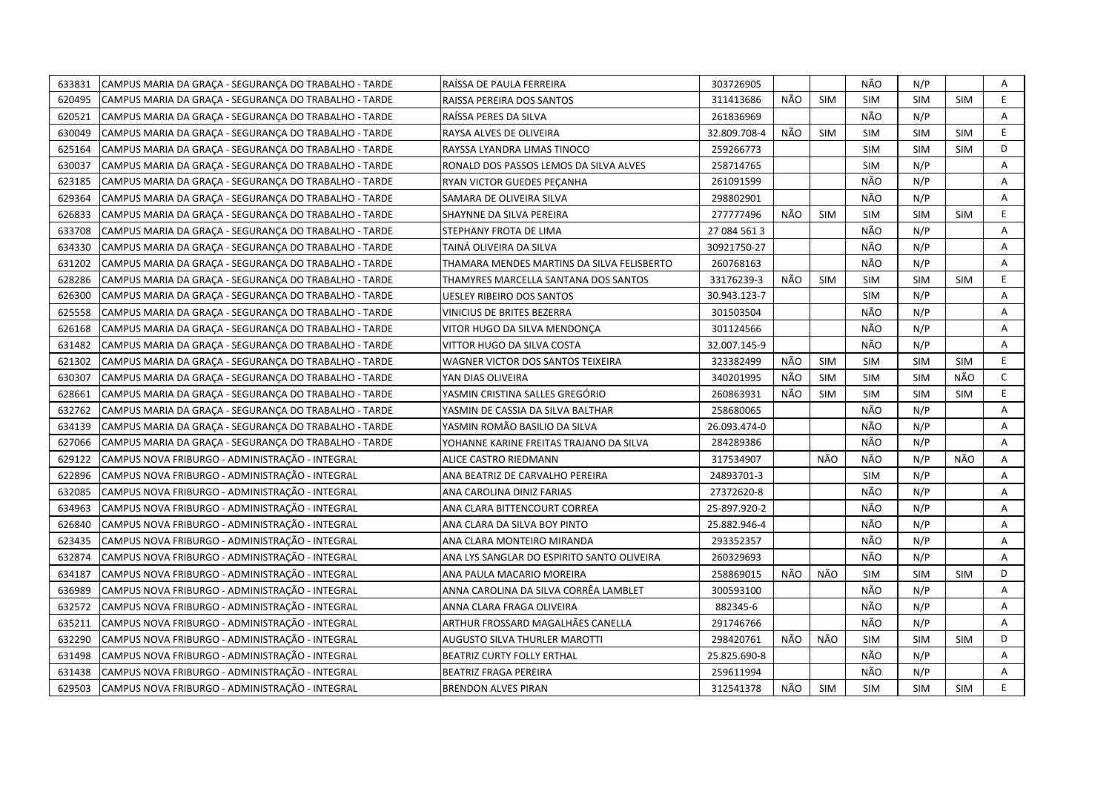| 633831 | CAMPUS MARIA DA GRACA - SEGURANCA DO TRABALHO - TARDE | RAÍSSA DE PAULA FERREIRA                   | 303726905    |     |            | NÃO        | N/P        |            | A  |
|--------|-------------------------------------------------------|--------------------------------------------|--------------|-----|------------|------------|------------|------------|----|
| 620495 | CAMPUS MARIA DA GRAÇA - SEGURANÇA DO TRABALHO - TARDE | RAISSA PEREIRA DOS SANTOS                  | 311413686    | NÃO | <b>SIM</b> | <b>SIM</b> | <b>SIM</b> | <b>SIM</b> | E  |
| 620521 | CAMPUS MARIA DA GRAÇA - SEGURANÇA DO TRABALHO - TARDE | RAÍSSA PERES DA SILVA                      | 261836969    |     |            | NÃO        | N/P        |            | A  |
| 630049 | CAMPUS MARIA DA GRACA - SEGURANCA DO TRABALHO - TARDE | RAYSA ALVES DE OLIVEIRA                    | 32.809.708-4 | NÃO | <b>SIM</b> | <b>SIM</b> | <b>SIM</b> | <b>SIM</b> | E  |
| 625164 | CAMPUS MARIA DA GRAÇA - SEGURANÇA DO TRABALHO - TARDE | RAYSSA LYANDRA LIMAS TINOCO                | 259266773    |     |            | <b>SIM</b> | <b>SIM</b> | <b>SIM</b> | D  |
| 630037 | CAMPUS MARIA DA GRAÇA - SEGURANÇA DO TRABALHO - TARDE | RONALD DOS PASSOS LEMOS DA SILVA ALVES     | 258714765    |     |            | <b>SIM</b> | N/P        |            | Α  |
| 623185 | CAMPUS MARIA DA GRACA - SEGURANCA DO TRABALHO - TARDE | RYAN VICTOR GUEDES PEÇANHA                 | 261091599    |     |            | NÃO        | N/P        |            | A  |
| 629364 | CAMPUS MARIA DA GRACA - SEGURANCA DO TRABALHO - TARDE | SAMARA DE OLIVEIRA SILVA                   | 298802901    |     |            | NÃO        | N/P        |            | Α  |
| 626833 | CAMPUS MARIA DA GRAÇA - SEGURANÇA DO TRABALHO - TARDE | SHAYNNE DA SILVA PEREIRA                   | 277777496    | NÃO | <b>SIM</b> | <b>SIM</b> | <b>SIM</b> | <b>SIM</b> | E. |
| 633708 | CAMPUS MARIA DA GRAÇA - SEGURANÇA DO TRABALHO - TARDE | STEPHANY FROTA DE LIMA                     | 27 084 561 3 |     |            | NÃO        | N/P        |            | A  |
| 634330 | CAMPUS MARIA DA GRACA - SEGURANCA DO TRABALHO - TARDE | TAINÁ OLIVEIRA DA SILVA                    | 30921750-27  |     |            | NÃO        | N/P        |            | A  |
| 631202 | CAMPUS MARIA DA GRAÇA - SEGURANÇA DO TRABALHO - TARDE | THAMARA MENDES MARTINS DA SILVA FELISBERTO | 260768163    |     |            | NÃO        | N/P        |            | Α  |
| 628286 | CAMPUS MARIA DA GRAÇA - SEGURANÇA DO TRABALHO - TARDE | THAMYRES MARCELLA SANTANA DOS SANTOS       | 33176239-3   | NÃO | <b>SIM</b> | <b>SIM</b> | <b>SIM</b> | <b>SIM</b> | E  |
| 626300 | CAMPUS MARIA DA GRAÇA - SEGURANÇA DO TRABALHO - TARDE | <b>UESLEY RIBEIRO DOS SANTOS</b>           | 30.943.123-7 |     |            | <b>SIM</b> | N/P        |            | A  |
| 625558 | CAMPUS MARIA DA GRAÇA - SEGURANÇA DO TRABALHO - TARDE | VINICIUS DE BRITES BEZERRA                 | 301503504    |     |            | NÃO        | N/P        |            | Α  |
| 626168 | CAMPUS MARIA DA GRAÇA - SEGURANÇA DO TRABALHO - TARDE | VITOR HUGO DA SILVA MENDONÇA               | 301124566    |     |            | NÃO        | N/P        |            | Α  |
| 631482 | CAMPUS MARIA DA GRAÇA - SEGURANÇA DO TRABALHO - TARDE | VITTOR HUGO DA SILVA COSTA                 | 32.007.145-9 |     |            | NÃO        | N/P        |            | A  |
| 621302 | CAMPUS MARIA DA GRACA - SEGURANCA DO TRABALHO - TARDE | WAGNER VICTOR DOS SANTOS TEIXEIRA          | 323382499    | NÃO | <b>SIM</b> | <b>SIM</b> | <b>SIM</b> | <b>SIM</b> | E. |
| 630307 | CAMPUS MARIA DA GRAÇA - SEGURANÇA DO TRABALHO - TARDE | YAN DIAS OLIVEIRA                          | 340201995    | NÃO | <b>SIM</b> | <b>SIM</b> | <b>SIM</b> | NÃO        | C  |
| 628661 | CAMPUS MARIA DA GRAÇA - SEGURANÇA DO TRABALHO - TARDE | YASMIN CRISTINA SALLES GREGÓRIO            | 260863931    | NÃO | <b>SIM</b> | <b>SIM</b> | <b>SIM</b> | <b>SIM</b> | E. |
| 632762 | CAMPUS MARIA DA GRACA - SEGURANCA DO TRABALHO - TARDE | YASMIN DE CASSIA DA SILVA BALTHAR          | 258680065    |     |            | NÃO        | N/P        |            | A  |
| 634139 | CAMPUS MARIA DA GRAÇA - SEGURANÇA DO TRABALHO - TARDE | YASMIN ROMÃO BASILIO DA SILVA              | 26.093.474-0 |     |            | NÃO        | N/P        |            | A  |
| 627066 | CAMPUS MARIA DA GRAÇA - SEGURANÇA DO TRABALHO - TARDE | YOHANNE KARINE FREITAS TRAJANO DA SILVA    | 284289386    |     |            | NÃO        | N/P        |            | A  |
| 629122 | CAMPUS NOVA FRIBURGO - ADMINISTRAÇÃO - INTEGRAL       | ALICE CASTRO RIEDMANN                      | 317534907    |     | NÃO        | NÃO        | N/P        | NÃO        | Α  |
| 622896 | CAMPUS NOVA FRIBURGO - ADMINISTRAÇÃO - INTEGRAL       | ANA BEATRIZ DE CARVALHO PEREIRA            | 24893701-3   |     |            | <b>SIM</b> | N/P        |            | Α  |
| 632085 | CAMPUS NOVA FRIBURGO - ADMINISTRAÇÃO - INTEGRAL       | ANA CAROLINA DINIZ FARIAS                  | 27372620-8   |     |            | NÃO        | N/P        |            | Α  |
| 634963 | CAMPUS NOVA FRIBURGO - ADMINISTRAÇÃO - INTEGRAL       | ANA CLARA BITTENCOURT CORREA               | 25-897.920-2 |     |            | NÃO        | N/P        |            | Α  |
| 626840 | CAMPUS NOVA FRIBURGO - ADMINISTRAÇÃO - INTEGRAL       | ANA CLARA DA SILVA BOY PINTO               | 25.882.946-4 |     |            | NÃO        | N/P        |            | A  |
| 623435 | CAMPUS NOVA FRIBURGO - ADMINISTRAÇÃO - INTEGRAL       | ANA CLARA MONTEIRO MIRANDA                 | 293352357    |     |            | NÃO        | N/P        |            | Α  |
| 632874 | CAMPUS NOVA FRIBURGO - ADMINISTRAÇÃO - INTEGRAL       | ANA LYS SANGLAR DO ESPIRITO SANTO OLIVEIRA | 260329693    |     |            | NÃO        | N/P        |            | Α  |
| 634187 | CAMPUS NOVA FRIBURGO - ADMINISTRAÇÃO - INTEGRAL       | ANA PAULA MACARIO MOREIRA                  | 258869015    | NÃO | NÃO        | <b>SIM</b> | <b>SIM</b> | <b>SIM</b> | D  |
| 636989 | CAMPUS NOVA FRIBURGO - ADMINISTRAÇÃO - INTEGRAL       | ANNA CAROLINA DA SILVA CORRÊA LAMBLET      | 300593100    |     |            | NÃO        | N/P        |            | A  |
| 632572 | CAMPUS NOVA FRIBURGO - ADMINISTRAÇÃO - INTEGRAL       | ANNA CLARA FRAGA OLIVEIRA                  | 882345-6     |     |            | NÃO        | N/P        |            | Α  |
| 635211 | CAMPUS NOVA FRIBURGO - ADMINISTRAÇÃO - INTEGRAL       | ARTHUR FROSSARD MAGALHÃES CANELLA          | 291746766    |     |            | NÃO        | N/P        |            | Α  |
| 632290 | CAMPUS NOVA FRIBURGO - ADMINISTRAÇÃO - INTEGRAL       | <b>AUGUSTO SILVA THURLER MAROTTI</b>       | 298420761    | NÃO | NÃO        | <b>SIM</b> | <b>SIM</b> | <b>SIM</b> | D  |
| 631498 | CAMPUS NOVA FRIBURGO - ADMINISTRAÇÃO - INTEGRAL       | BEATRIZ CURTY FOLLY ERTHAL                 | 25.825.690-8 |     |            | NÃO        | N/P        |            | Α  |
| 631438 | CAMPUS NOVA FRIBURGO - ADMINISTRAÇÃO - INTEGRAL       | BEATRIZ FRAGA PEREIRA                      | 259611994    |     |            | NÃO        | N/P        |            | A  |
| 629503 | CAMPUS NOVA FRIBURGO - ADMINISTRAÇÃO - INTEGRAL       | <b>BRENDON ALVES PIRAN</b>                 | 312541378    | NÃO | <b>SIM</b> | <b>SIM</b> | <b>SIM</b> | <b>SIM</b> | E  |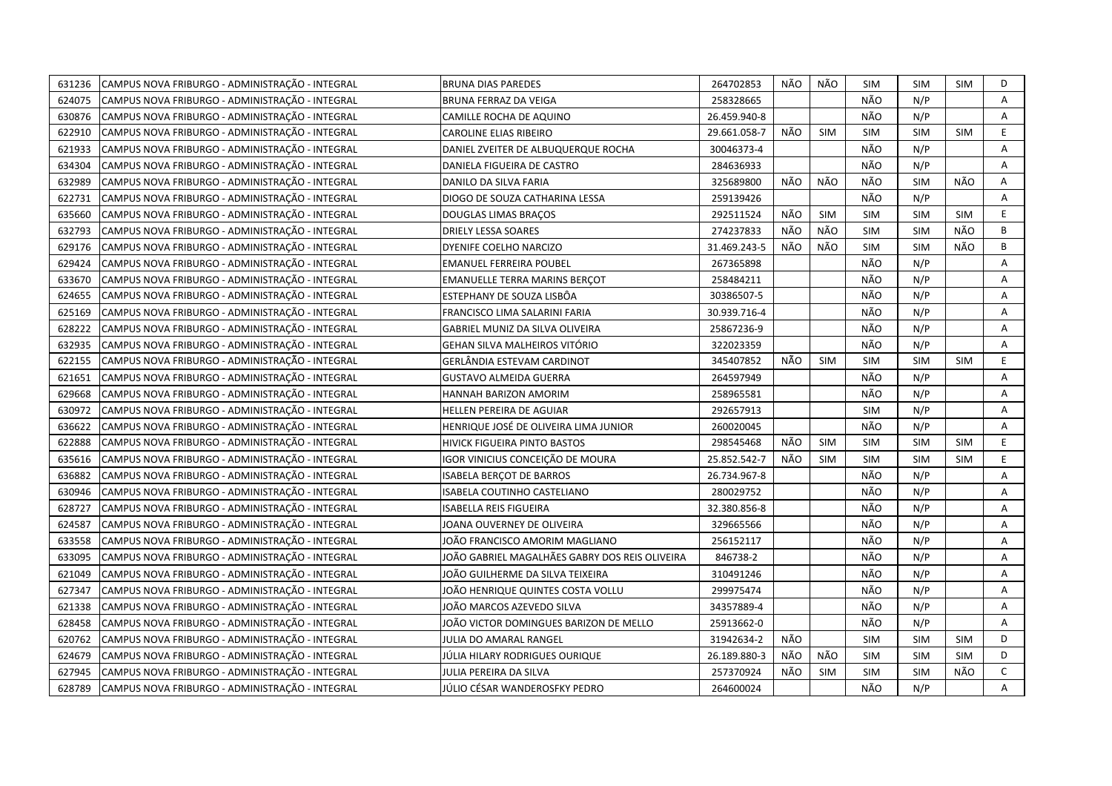| 631236 | CAMPUS NOVA FRIBURGO - ADMINISTRAÇÃO - INTEGRAL | <b>BRUNA DIAS PAREDES</b>                      | 264702853    | NÃO | NÃO        | <b>SIM</b> | <b>SIM</b> | SIM        | D  |
|--------|-------------------------------------------------|------------------------------------------------|--------------|-----|------------|------------|------------|------------|----|
| 624075 | CAMPUS NOVA FRIBURGO - ADMINISTRAÇÃO - INTEGRAL | <b>BRUNA FERRAZ DA VEIGA</b>                   | 258328665    |     |            | NÃO        | N/P        |            | A  |
| 630876 | CAMPUS NOVA FRIBURGO - ADMINISTRAÇÃO - INTEGRAL | CAMILLE ROCHA DE AQUINO                        | 26.459.940-8 |     |            | NÃO        | N/P        |            | A  |
| 622910 | CAMPUS NOVA FRIBURGO - ADMINISTRAÇÃO - INTEGRAL | CAROLINE ELIAS RIBEIRO                         | 29.661.058-7 | NÃO | <b>SIM</b> | <b>SIM</b> | <b>SIM</b> | SIM        | E  |
| 621933 | CAMPUS NOVA FRIBURGO - ADMINISTRAÇÃO - INTEGRAL | DANIEL ZVEITER DE ALBUQUERQUE ROCHA            | 30046373-4   |     |            | NÃO        | N/P        |            | A  |
| 634304 | CAMPUS NOVA FRIBURGO - ADMINISTRAÇÃO - INTEGRAL | DANIELA FIGUEIRA DE CASTRO                     | 284636933    |     |            | NÃO        | N/P        |            | Α  |
| 632989 | CAMPUS NOVA FRIBURGO - ADMINISTRAÇÃO - INTEGRAL | DANILO DA SILVA FARIA                          | 325689800    | NÃO | NÃO        | NÃO        | <b>SIM</b> | NÃO        | Α  |
| 622731 | CAMPUS NOVA FRIBURGO - ADMINISTRAÇÃO - INTEGRAL | DIOGO DE SOUZA CATHARINA LESSA                 | 259139426    |     |            | NÃO        | N/P        |            | A  |
| 635660 | CAMPUS NOVA FRIBURGO - ADMINISTRAÇÃO - INTEGRAL | DOUGLAS LIMAS BRAÇOS                           | 292511524    | NÃO | <b>SIM</b> | <b>SIM</b> | <b>SIM</b> | <b>SIM</b> | E  |
| 632793 | CAMPUS NOVA FRIBURGO - ADMINISTRAÇÃO - INTEGRAL | <b>DRIELY LESSA SOARES</b>                     | 274237833    | NÃO | NÃO        | <b>SIM</b> | <b>SIM</b> | NÃO        | B  |
| 629176 | CAMPUS NOVA FRIBURGO - ADMINISTRAÇÃO - INTEGRAL | DYENIFE COELHO NARCIZO                         | 31.469.243-5 | NÃO | NÃO        | <b>SIM</b> | <b>SIM</b> | NÃO        | B  |
| 629424 | CAMPUS NOVA FRIBURGO - ADMINISTRAÇÃO - INTEGRAL | <b>EMANUEL FERREIRA POUBEL</b>                 | 267365898    |     |            | NÃO        | N/P        |            | Α  |
| 633670 | CAMPUS NOVA FRIBURGO - ADMINISTRAÇÃO - INTEGRAL | <b>EMANUELLE TERRA MARINS BERÇOT</b>           | 258484211    |     |            | NÃO        | N/P        |            | Α  |
| 624655 | CAMPUS NOVA FRIBURGO - ADMINISTRAÇÃO - INTEGRAL | ESTEPHANY DE SOUZA LISBÔA                      | 30386507-5   |     |            | NÃO        | N/P        |            | Α  |
| 625169 | CAMPUS NOVA FRIBURGO - ADMINISTRAÇÃO - INTEGRAL | FRANCISCO LIMA SALARINI FARIA                  | 30.939.716-4 |     |            | NÃO        | N/P        |            | A  |
| 628222 | CAMPUS NOVA FRIBURGO - ADMINISTRAÇÃO - INTEGRAL | GABRIEL MUNIZ DA SILVA OLIVEIRA                | 25867236-9   |     |            | NÃO        | N/P        |            | A  |
| 632935 | CAMPUS NOVA FRIBURGO - ADMINISTRAÇÃO - INTEGRAL | GEHAN SILVA MALHEIROS VITÓRIO                  | 322023359    |     |            | NÃO        | N/P        |            | A  |
| 622155 | CAMPUS NOVA FRIBURGO - ADMINISTRAÇÃO - INTEGRAL | GERLÂNDIA ESTEVAM CARDINOT                     | 345407852    | NÃO | <b>SIM</b> | <b>SIM</b> | <b>SIM</b> | <b>SIM</b> | E  |
| 621651 | CAMPUS NOVA FRIBURGO - ADMINISTRAÇÃO - INTEGRAL | <b>GUSTAVO ALMEIDA GUERRA</b>                  | 264597949    |     |            | NÃO        | N/P        |            | A  |
| 629668 | CAMPUS NOVA FRIBURGO - ADMINISTRAÇÃO - INTEGRAL | HANNAH BARIZON AMORIM                          | 258965581    |     |            | NÃO        | N/P        |            | A  |
| 630972 | CAMPUS NOVA FRIBURGO - ADMINISTRAÇÃO - INTEGRAL | HELLEN PEREIRA DE AGUIAR                       | 292657913    |     |            | <b>SIM</b> | N/P        |            | A  |
| 636622 | CAMPUS NOVA FRIBURGO - ADMINISTRAÇÃO - INTEGRAL | HENRIQUE JOSÉ DE OLIVEIRA LIMA JUNIOR          | 260020045    |     |            | NÃO        | N/P        |            | A  |
| 622888 | CAMPUS NOVA FRIBURGO - ADMINISTRAÇÃO - INTEGRAL | HIVICK FIGUEIRA PINTO BASTOS                   | 298545468    | NÃO | <b>SIM</b> | <b>SIM</b> | <b>SIM</b> | <b>SIM</b> | E. |
| 635616 | CAMPUS NOVA FRIBURGO - ADMINISTRAÇÃO - INTEGRAL | IGOR VINICIUS CONCEIÇÃO DE MOURA               | 25.852.542-7 | NÃO | <b>SIM</b> | <b>SIM</b> | <b>SIM</b> | <b>SIM</b> | E  |
| 636882 | CAMPUS NOVA FRIBURGO - ADMINISTRAÇÃO - INTEGRAL | ISABELA BERÇOT DE BARROS                       | 26.734.967-8 |     |            | NÃO        | N/P        |            | A  |
| 630946 | CAMPUS NOVA FRIBURGO - ADMINISTRAÇÃO - INTEGRAL | ISABELA COUTINHO CASTELIANO                    | 280029752    |     |            | NÃO        | N/P        |            | Α  |
| 628727 | CAMPUS NOVA FRIBURGO - ADMINISTRAÇÃO - INTEGRAL | ISABELLA REIS FIGUEIRA                         | 32.380.856-8 |     |            | NÃO        | N/P        |            | A  |
| 624587 | CAMPUS NOVA FRIBURGO - ADMINISTRAÇÃO - INTEGRAL | JOANA OUVERNEY DE OLIVEIRA                     | 329665566    |     |            | NÃO        | N/P        |            | A  |
| 633558 | CAMPUS NOVA FRIBURGO - ADMINISTRAÇÃO - INTEGRAL | JOÄO FRANCISCO AMORIM MAGLIANO                 | 256152117    |     |            | NÃO        | N/P        |            | Α  |
| 633095 | CAMPUS NOVA FRIBURGO - ADMINISTRAÇÃO - INTEGRAL | JOÃO GABRIEL MAGALHÃES GABRY DOS REIS OLIVEIRA | 846738-2     |     |            | NÃO        | N/P        |            | A  |
| 621049 | CAMPUS NOVA FRIBURGO - ADMINISTRAÇÃO - INTEGRAL | JOÃO GUILHERME DA SILVA TEIXEIRA               | 310491246    |     |            | NÃO        | N/P        |            | Α  |
| 627347 | CAMPUS NOVA FRIBURGO - ADMINISTRAÇÃO - INTEGRAL | JOÃO HENRIQUE QUINTES COSTA VOLLU              | 299975474    |     |            | NÃO        | N/P        |            | A  |
| 621338 | CAMPUS NOVA FRIBURGO - ADMINISTRAÇÃO - INTEGRAL | JOÃO MARCOS AZEVEDO SILVA                      | 34357889-4   |     |            | NÃO        | N/P        |            | Α  |
| 628458 | CAMPUS NOVA FRIBURGO - ADMINISTRAÇÃO - INTEGRAL | JOÃO VICTOR DOMINGUES BARIZON DE MELLO         | 25913662-0   |     |            | NÃO        | N/P        |            | A  |
| 620762 | CAMPUS NOVA FRIBURGO - ADMINISTRAÇÃO - INTEGRAL | JULIA DO AMARAL RANGEL                         | 31942634-2   | NÃO |            | <b>SIM</b> | <b>SIM</b> | <b>SIM</b> | D  |
| 624679 | CAMPUS NOVA FRIBURGO - ADMINISTRAÇÃO - INTEGRAL | JÚLIA HILARY RODRIGUES OURIQUE                 | 26.189.880-3 | NÃO | NÃO        | <b>SIM</b> | <b>SIM</b> | <b>SIM</b> | D  |
| 627945 | CAMPUS NOVA FRIBURGO - ADMINISTRAÇÃO - INTEGRAL | JULIA PEREIRA DA SILVA                         | 257370924    | NÃO | <b>SIM</b> | <b>SIM</b> | <b>SIM</b> | NÃO        | C  |
| 628789 | CAMPUS NOVA FRIBURGO - ADMINISTRAÇÃO - INTEGRAL | JÚLIO CÉSAR WANDEROSFKY PEDRO                  | 264600024    |     |            | NÃO        | N/P        |            | A  |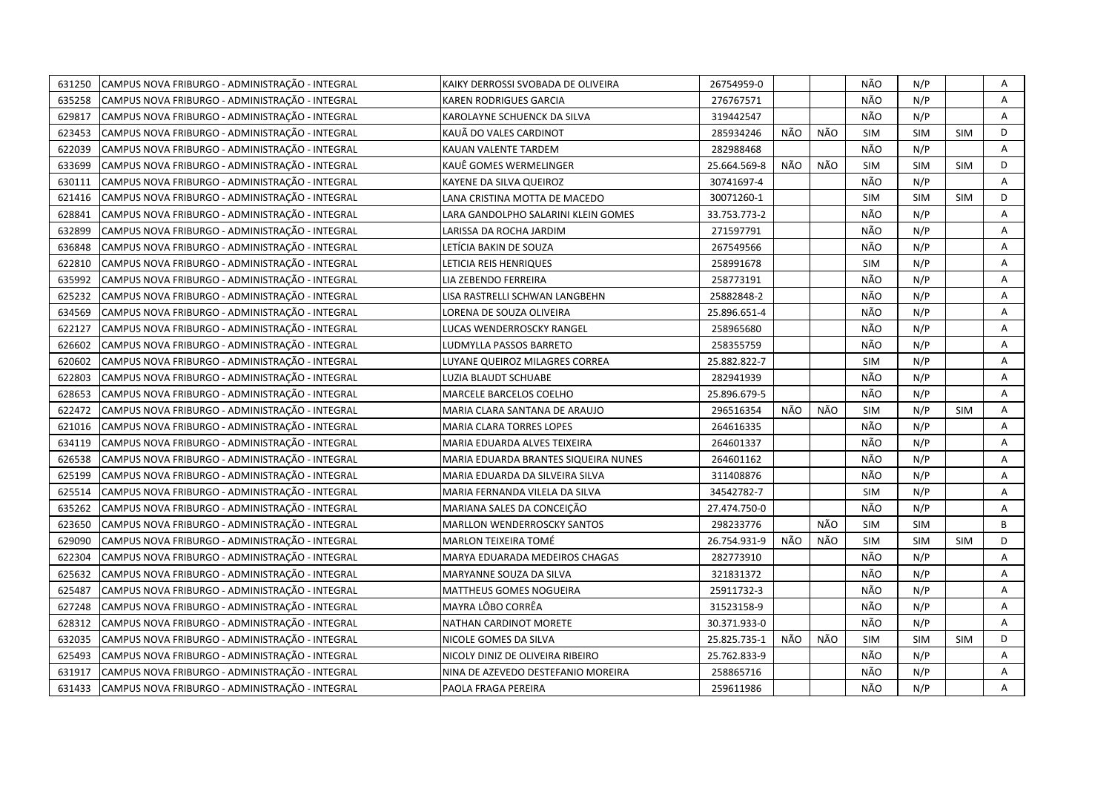| 631250 | CAMPUS NOVA FRIBURGO - ADMINISTRAÇÃO - INTEGRAL | KAIKY DERROSSI SVOBADA DE OLIVEIRA   | 26754959-0   |     |     | NÃO        | N/P        |            | Α |
|--------|-------------------------------------------------|--------------------------------------|--------------|-----|-----|------------|------------|------------|---|
| 635258 | CAMPUS NOVA FRIBURGO - ADMINISTRAÇÃO - INTEGRAL | KAREN RODRIGUES GARCIA               | 276767571    |     |     | NÃO        | N/P        |            | A |
| 629817 | CAMPUS NOVA FRIBURGO - ADMINISTRAÇÃO - INTEGRAL | KAROLAYNE SCHUENCK DA SILVA          | 319442547    |     |     | NÃO        | N/P        |            | A |
| 623453 | CAMPUS NOVA FRIBURGO - ADMINISTRAÇÃO - INTEGRAL | KAUÄ DO VALES CARDINOT               | 285934246    | NÃO | NÃO | <b>SIM</b> | <b>SIM</b> | <b>SIM</b> | D |
| 622039 | CAMPUS NOVA FRIBURGO - ADMINISTRAÇÃO - INTEGRAL | KAUAN VALENTE TARDEM                 | 282988468    |     |     | NÃO        | N/P        |            | Α |
| 633699 | CAMPUS NOVA FRIBURGO - ADMINISTRAÇÃO - INTEGRAL | KAUÊ GOMES WERMELINGER               | 25.664.569-8 | NÃO | NÃO | <b>SIM</b> | <b>SIM</b> | SIM        | D |
| 630111 | CAMPUS NOVA FRIBURGO - ADMINISTRAÇÃO - INTEGRAL | KAYENE DA SILVA QUEIROZ              | 30741697-4   |     |     | NÃO        | N/P        |            | A |
| 621416 | CAMPUS NOVA FRIBURGO - ADMINISTRAÇÃO - INTEGRAL | LANA CRISTINA MOTTA DE MACEDO        | 30071260-1   |     |     | <b>SIM</b> | <b>SIM</b> | <b>SIM</b> | D |
| 628841 | CAMPUS NOVA FRIBURGO - ADMINISTRAÇÃO - INTEGRAL | LARA GANDOLPHO SALARINI KLEIN GOMES  | 33.753.773-2 |     |     | NÃO        | N/P        |            | A |
| 632899 | CAMPUS NOVA FRIBURGO - ADMINISTRAÇÃO - INTEGRAL | LARISSA DA ROCHA JARDIM              | 271597791    |     |     | NÃO        | N/P        |            | A |
| 636848 | CAMPUS NOVA FRIBURGO - ADMINISTRAÇÃO - INTEGRAL | LETÍCIA BAKIN DE SOUZA               | 267549566    |     |     | NÃO        | N/P        |            | Α |
| 622810 | CAMPUS NOVA FRIBURGO - ADMINISTRAÇÃO - INTEGRAL | LETICIA REIS HENRIQUES               | 258991678    |     |     | <b>SIM</b> | N/P        |            | A |
| 635992 | CAMPUS NOVA FRIBURGO - ADMINISTRAÇÃO - INTEGRAL | LIA ZEBENDO FERREIRA                 | 258773191    |     |     | NÃO        | N/P        |            | A |
| 625232 | CAMPUS NOVA FRIBURGO - ADMINISTRAÇÃO - INTEGRAL | LISA RASTRELLI SCHWAN LANGBEHN       | 25882848-2   |     |     | NÃO        | N/P        |            | Α |
| 634569 | CAMPUS NOVA FRIBURGO - ADMINISTRAÇÃO - INTEGRAL | LORENA DE SOUZA OLIVEIRA             | 25.896.651-4 |     |     | NÃO        | N/P        |            | A |
| 622127 | CAMPUS NOVA FRIBURGO - ADMINISTRAÇÃO - INTEGRAL | LUCAS WENDERROSCKY RANGEL            | 258965680    |     |     | NÃO        | N/P        |            | Α |
| 626602 | CAMPUS NOVA FRIBURGO - ADMINISTRAÇÃO - INTEGRAL | LUDMYLLA PASSOS BARRETO              | 258355759    |     |     | NÃO        | N/P        |            | Α |
| 620602 | CAMPUS NOVA FRIBURGO - ADMINISTRAÇÃO - INTEGRAL | LUYANE QUEIROZ MILAGRES CORREA       | 25.882.822-7 |     |     | <b>SIM</b> | N/P        |            | Α |
| 622803 | CAMPUS NOVA FRIBURGO - ADMINISTRAÇÃO - INTEGRAL | LUZIA BLAUDT SCHUABE                 | 282941939    |     |     | NÃO        | N/P        |            | A |
| 628653 | CAMPUS NOVA FRIBURGO - ADMINISTRAÇÃO - INTEGRAL | MARCELE BARCELOS COELHO              | 25.896.679-5 |     |     | NÃO        | N/P        |            | A |
| 622472 | CAMPUS NOVA FRIBURGO - ADMINISTRAÇÃO - INTEGRAL | MARIA CLARA SANTANA DE ARAUJO        | 296516354    | NÃO | NÃO | <b>SIM</b> | N/P        | <b>SIM</b> | A |
| 621016 | CAMPUS NOVA FRIBURGO - ADMINISTRAÇÃO - INTEGRAL | MARIA CLARA TORRES LOPES             | 264616335    |     |     | NÃO        | N/P        |            | A |
| 634119 | CAMPUS NOVA FRIBURGO - ADMINISTRAÇÃO - INTEGRAL | MARIA EDUARDA ALVES TEIXEIRA         | 264601337    |     |     | NÃO        | N/P        |            | A |
| 626538 | CAMPUS NOVA FRIBURGO - ADMINISTRAÇÃO - INTEGRAL | MARIA EDUARDA BRANTES SIQUEIRA NUNES | 264601162    |     |     | NÃO        | N/P        |            | A |
| 625199 | CAMPUS NOVA FRIBURGO - ADMINISTRAÇÃO - INTEGRAL | MARIA EDUARDA DA SILVEIRA SILVA      | 311408876    |     |     | NÃO        | N/P        |            | A |
| 625514 | CAMPUS NOVA FRIBURGO - ADMINISTRAÇÃO - INTEGRAL | MARIA FERNANDA VILELA DA SILVA       | 34542782-7   |     |     | <b>SIM</b> | N/P        |            | Α |
| 635262 | CAMPUS NOVA FRIBURGO - ADMINISTRAÇÃO - INTEGRAL | MARIANA SALES DA CONCEIÇÃO           | 27.474.750-0 |     |     | NÃO        | N/P        |            | A |
| 623650 | CAMPUS NOVA FRIBURGO - ADMINISTRAÇÃO - INTEGRAL | MARLLON WENDERROSCKY SANTOS          | 298233776    |     | NÃO | <b>SIM</b> | <b>SIM</b> |            | B |
| 629090 | CAMPUS NOVA FRIBURGO - ADMINISTRAÇÃO - INTEGRAL | MARLON TEIXEIRA TOMÉ                 | 26.754.931-9 | NÃO | NÃO | <b>SIM</b> | <b>SIM</b> | <b>SIM</b> | D |
| 622304 | CAMPUS NOVA FRIBURGO - ADMINISTRAÇÃO - INTEGRAL | MARYA EDUARADA MEDEIROS CHAGAS       | 282773910    |     |     | NÃO        | N/P        |            | Α |
| 625632 | CAMPUS NOVA FRIBURGO - ADMINISTRAÇÃO - INTEGRAL | MARYANNE SOUZA DA SILVA              | 321831372    |     |     | NÃO        | N/P        |            | Α |
| 625487 | CAMPUS NOVA FRIBURGO - ADMINISTRAÇÃO - INTEGRAL | <b>MATTHEUS GOMES NOGUEIRA</b>       | 25911732-3   |     |     | NÃO        | N/P        |            | A |
| 627248 | CAMPUS NOVA FRIBURGO - ADMINISTRAÇÃO - INTEGRAL | MAYRA LÔBO CORRÊA                    | 31523158-9   |     |     | NÃO        | N/P        |            | A |
| 628312 | CAMPUS NOVA FRIBURGO - ADMINISTRAÇÃO - INTEGRAL | NATHAN CARDINOT MORETE               | 30.371.933-0 |     |     | NÃO        | N/P        |            | A |
| 632035 | CAMPUS NOVA FRIBURGO - ADMINISTRAÇÃO - INTEGRAL | NICOLE GOMES DA SILVA                | 25.825.735-1 | NÃO | NÃO | <b>SIM</b> | <b>SIM</b> | <b>SIM</b> | D |
| 625493 | CAMPUS NOVA FRIBURGO - ADMINISTRAÇÃO - INTEGRAL | NICOLY DINIZ DE OLIVEIRA RIBEIRO     | 25.762.833-9 |     |     | NÃO        | N/P        |            | Α |
| 631917 | CAMPUS NOVA FRIBURGO - ADMINISTRAÇÃO - INTEGRAL | NINA DE AZEVEDO DESTEFANIO MOREIRA   | 258865716    |     |     | NÃO        | N/P        |            | Α |
| 631433 | CAMPUS NOVA FRIBURGO - ADMINISTRAÇÃO - INTEGRAL | PAOLA FRAGA PEREIRA                  | 259611986    |     |     | NÃO        | N/P        |            | A |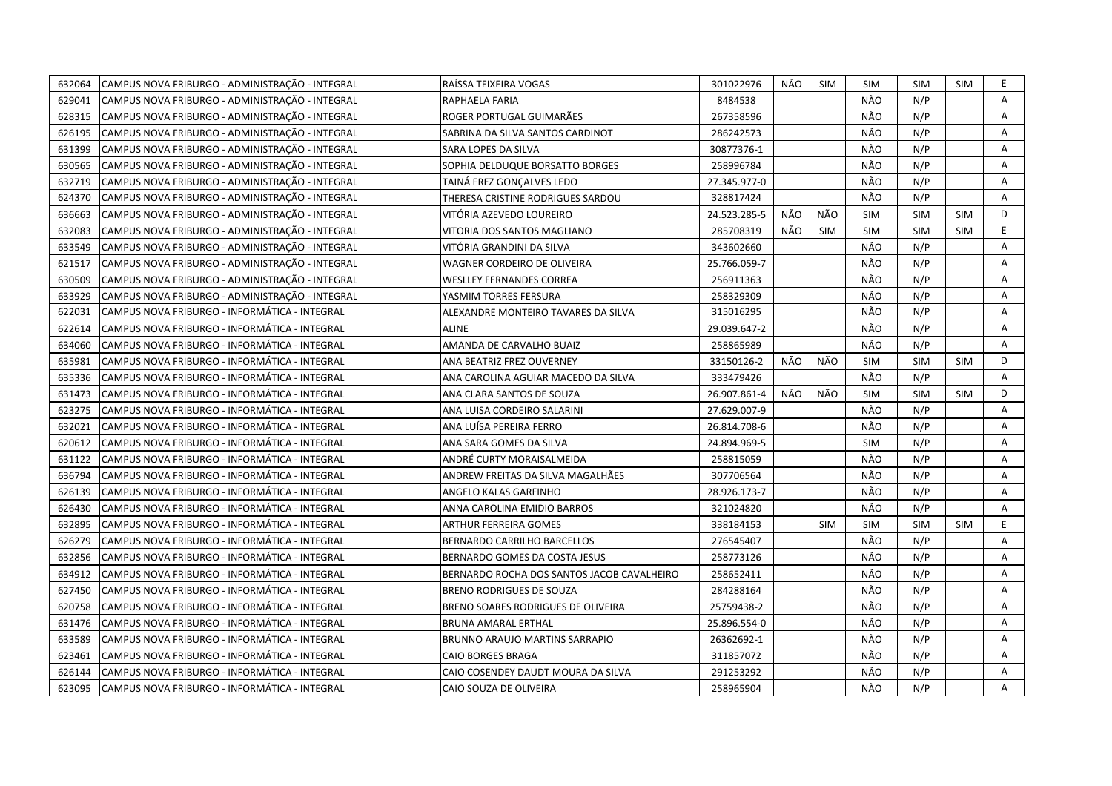| 632064 | CAMPUS NOVA FRIBURGO - ADMINISTRAÇÃO - INTEGRAL | RAÍSSA TEIXEIRA VOGAS                      | 301022976    | NÃO | <b>SIM</b> | <b>SIM</b> | <b>SIM</b> | <b>SIM</b> | E.             |
|--------|-------------------------------------------------|--------------------------------------------|--------------|-----|------------|------------|------------|------------|----------------|
| 629041 | CAMPUS NOVA FRIBURGO - ADMINISTRAÇÃO - INTEGRAL | RAPHAELA FARIA                             | 8484538      |     |            | NÃO        | N/P        |            | Α              |
| 628315 | CAMPUS NOVA FRIBURGO - ADMINISTRAÇÃO - INTEGRAL | ROGER PORTUGAL GUIMARÃES                   | 267358596    |     |            | NÃO        | N/P        |            | Α              |
| 626195 | CAMPUS NOVA FRIBURGO - ADMINISTRAÇÃO - INTEGRAL | SABRINA DA SILVA SANTOS CARDINOT           | 286242573    |     |            | NÃO        | N/P        |            | Α              |
| 631399 | CAMPUS NOVA FRIBURGO - ADMINISTRAÇÃO - INTEGRAL | SARA LOPES DA SILVA                        | 30877376-1   |     |            | NÃO        | N/P        |            | А              |
| 630565 | CAMPUS NOVA FRIBURGO - ADMINISTRAÇÃO - INTEGRAL | SOPHIA DELDUQUE BORSATTO BORGES            | 258996784    |     |            | NÃO        | N/P        |            | Α              |
| 632719 | CAMPUS NOVA FRIBURGO - ADMINISTRAÇÃO - INTEGRAL | TAINÁ FREZ GONÇALVES LEDO                  | 27.345.977-0 |     |            | NÃO        | N/P        |            | A              |
| 624370 | CAMPUS NOVA FRIBURGO - ADMINISTRAÇÃO - INTEGRAL | THERESA CRISTINE RODRIGUES SARDOU          | 328817424    |     |            | NÃO        | N/P        |            | Α              |
| 636663 | CAMPUS NOVA FRIBURGO - ADMINISTRAÇÃO - INTEGRAL | VITÓRIA AZEVEDO LOUREIRO                   | 24.523.285-5 | NÃO | NÃO        | <b>SIM</b> | <b>SIM</b> | <b>SIM</b> | D              |
| 632083 | CAMPUS NOVA FRIBURGO - ADMINISTRAÇÃO - INTEGRAL | VITORIA DOS SANTOS MAGLIANO                | 285708319    | NÃO | SIM        | <b>SIM</b> | <b>SIM</b> | <b>SIM</b> | E.             |
| 633549 | CAMPUS NOVA FRIBURGO - ADMINISTRAÇÃO - INTEGRAL | VITÓRIA GRANDINI DA SILVA                  | 343602660    |     |            | NÃO        | N/P        |            | Α              |
| 621517 | CAMPUS NOVA FRIBURGO - ADMINISTRAÇÃO - INTEGRAL | WAGNER CORDEIRO DE OLIVEIRA                | 25.766.059-7 |     |            | NÃO        | N/P        |            | A              |
| 630509 | CAMPUS NOVA FRIBURGO - ADMINISTRAÇÃO - INTEGRAL | <b>WESLLEY FERNANDES CORREA</b>            | 256911363    |     |            | NÃO        | N/P        |            | Α              |
| 633929 | CAMPUS NOVA FRIBURGO - ADMINISTRAÇÃO - INTEGRAL | YASMIM TORRES FERSURA                      | 258329309    |     |            | NÃO        | N/P        |            | $\overline{A}$ |
| 622031 | CAMPUS NOVA FRIBURGO - INFORMÁTICA - INTEGRAL   | ALEXANDRE MONTEIRO TAVARES DA SILVA        | 315016295    |     |            | NÃO        | N/P        |            | A              |
| 622614 | CAMPUS NOVA FRIBURGO - INFORMÁTICA - INTEGRAL   | <b>ALINE</b>                               | 29.039.647-2 |     |            | NÃO        | N/P        |            | A              |
| 634060 | CAMPUS NOVA FRIBURGO - INFORMÁTICA - INTEGRAL   | AMANDA DE CARVALHO BUAIZ                   | 258865989    |     |            | NÃO        | N/P        |            | Α              |
| 635981 | CAMPUS NOVA FRIBURGO - INFORMÁTICA - INTEGRAL   | ANA BEATRIZ FREZ OUVERNEY                  | 33150126-2   | NÃO | NÃO        | <b>SIM</b> | <b>SIM</b> | <b>SIM</b> | D              |
| 635336 | CAMPUS NOVA FRIBURGO - INFORMÁTICA - INTEGRAL   | ANA CAROLINA AGUIAR MACEDO DA SILVA        | 333479426    |     |            | NÃO        | N/P        |            | A              |
| 631473 | CAMPUS NOVA FRIBURGO - INFORMÁTICA - INTEGRAL   | ANA CLARA SANTOS DE SOUZA                  | 26.907.861-4 | NÃO | NÃO        | <b>SIM</b> | <b>SIM</b> | <b>SIM</b> | D              |
| 623275 | CAMPUS NOVA FRIBURGO - INFORMÁTICA - INTEGRAL   | ANA LUISA CORDEIRO SALARINI                | 27.629.007-9 |     |            | NÃO        | N/P        |            | A              |
| 632021 | CAMPUS NOVA FRIBURGO - INFORMÁTICA - INTEGRAL   | ANA LUÍSA PEREIRA FERRO                    | 26.814.708-6 |     |            | NÃO        | N/P        |            | Α              |
| 620612 | CAMPUS NOVA FRIBURGO - INFORMÁTICA - INTEGRAL   | ANA SARA GOMES DA SILVA                    | 24.894.969-5 |     |            | <b>SIM</b> | N/P        |            | A              |
| 631122 | CAMPUS NOVA FRIBURGO - INFORMÁTICA - INTEGRAL   | ANDRÉ CURTY MORAISALMEIDA                  | 258815059    |     |            | NÃO        | N/P        |            | A              |
| 636794 | CAMPUS NOVA FRIBURGO - INFORMÁTICA - INTEGRAL   | ANDREW FREITAS DA SILVA MAGALHÃES          | 307706564    |     |            | NÃO        | N/P        |            | A              |
| 626139 | CAMPUS NOVA FRIBURGO - INFORMÁTICA - INTEGRAL   | ANGELO KALAS GARFINHO                      | 28.926.173-7 |     |            | NÃO        | N/P        |            | A              |
| 626430 | CAMPUS NOVA FRIBURGO - INFORMÁTICA - INTEGRAL   | ANNA CAROLINA EMIDIO BARROS                | 321024820    |     |            | NÃO        | N/P        |            | А              |
| 632895 | CAMPUS NOVA FRIBURGO - INFORMÁTICA - INTEGRAL   | <b>ARTHUR FERREIRA GOMES</b>               | 338184153    |     | <b>SIM</b> | <b>SIM</b> | <b>SIM</b> | <b>SIM</b> | E              |
| 626279 | CAMPUS NOVA FRIBURGO - INFORMÁTICA - INTEGRAL   | <b>BERNARDO CARRILHO BARCELLOS</b>         | 276545407    |     |            | NÃO        | N/P        |            | Α              |
| 632856 | CAMPUS NOVA FRIBURGO - INFORMÁTICA - INTEGRAL   | BERNARDO GOMES DA COSTA JESUS              | 258773126    |     |            | NÃO        | N/P        |            | Α              |
| 634912 | CAMPUS NOVA FRIBURGO - INFORMÁTICA - INTEGRAL   | BERNARDO ROCHA DOS SANTOS JACOB CAVALHEIRO | 258652411    |     |            | NÃO        | N/P        |            | A              |
| 627450 | CAMPUS NOVA FRIBURGO - INFORMÁTICA - INTEGRAL   | <b>BRENO RODRIGUES DE SOUZA</b>            | 284288164    |     |            | NÃO        | N/P        |            | Α              |
| 620758 | CAMPUS NOVA FRIBURGO - INFORMÁTICA - INTEGRAL   | BRENO SOARES RODRIGUES DE OLIVEIRA         | 25759438-2   |     |            | NÃO        | N/P        |            | Α              |
| 631476 | CAMPUS NOVA FRIBURGO - INFORMÁTICA - INTEGRAL   | BRUNA AMARAL ERTHAL                        | 25.896.554-0 |     |            | NÃO        | N/P        |            | Α              |
| 633589 | CAMPUS NOVA FRIBURGO - INFORMÁTICA - INTEGRAL   | BRUNNO ARAUJO MARTINS SARRAPIO             | 26362692-1   |     |            | NÃO        | N/P        |            | A              |
| 623461 | CAMPUS NOVA FRIBURGO - INFORMÁTICA - INTEGRAL   | CAIO BORGES BRAGA                          | 311857072    |     |            | NÃO        | N/P        |            | Α              |
| 626144 | CAMPUS NOVA FRIBURGO - INFORMÁTICA - INTEGRAL   | CAIO COSENDEY DAUDT MOURA DA SILVA         | 291253292    |     |            | NÃO        | N/P        |            | Α              |
| 623095 | CAMPUS NOVA FRIBURGO - INFORMÁTICA - INTEGRAL   | CAIO SOUZA DE OLIVEIRA                     | 258965904    |     |            | NÃO        | N/P        |            | A              |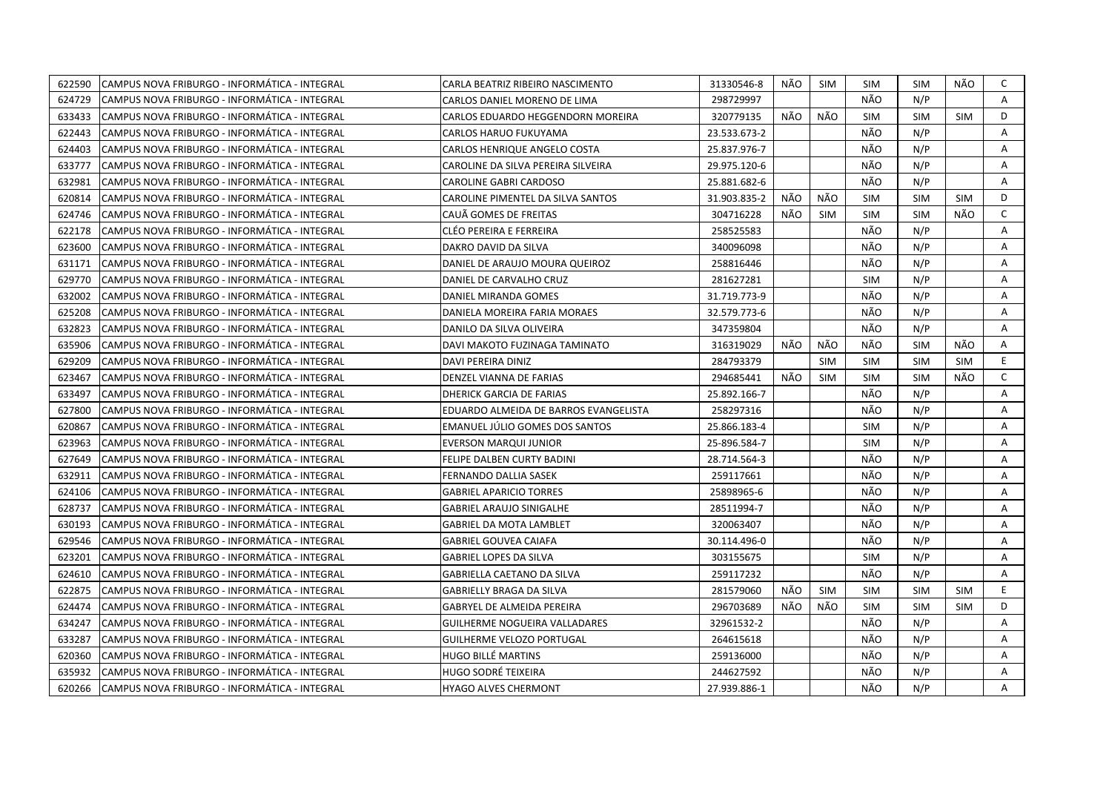| 622590 | CAMPUS NOVA FRIBURGO - INFORMÁTICA - INTEGRAL  | CARLA BEATRIZ RIBEIRO NASCIMENTO      | 31330546-8   | NÃO | SIM        | <b>SIM</b> | SIM        | NÃO        | C            |
|--------|------------------------------------------------|---------------------------------------|--------------|-----|------------|------------|------------|------------|--------------|
| 624729 | CAMPUS NOVA FRIBURGO - INFORMÁTICA - INTEGRAL  | CARLOS DANIEL MORENO DE LIMA          | 298729997    |     |            | NÃO        | N/P        |            | A            |
| 633433 | CAMPUS NOVA FRIBURGO - INFORMÁTICA - INTEGRAL  | CARLOS EDUARDO HEGGENDORN MOREIRA     | 320779135    | NÃO | NÃO        | <b>SIM</b> | <b>SIM</b> | <b>SIM</b> | D            |
| 622443 | CAMPUS NOVA FRIBURGO - INFORMÁTICA - INTEGRAL  | CARLOS HARUO FUKUYAMA                 | 23.533.673-2 |     |            | NÃO        | N/P        |            | Α            |
| 624403 | CAMPUS NOVA FRIBURGO - INFORMÁTICA - INTEGRAL  | CARLOS HENRIQUE ANGELO COSTA          | 25.837.976-7 |     |            | NÃO        | N/P        |            | A            |
| 633777 | ICAMPUS NOVA FRIBURGO - INFORMÁTICA - INTEGRAL | CAROLINE DA SILVA PEREIRA SILVEIRA    | 29.975.120-6 |     |            | NÃO        | N/P        |            | Α            |
| 632981 | CAMPUS NOVA FRIBURGO - INFORMÁTICA - INTEGRAL  | <b>CAROLINE GABRI CARDOSO</b>         | 25.881.682-6 |     |            | NÃO        | N/P        |            | A            |
| 620814 | ICAMPUS NOVA FRIBURGO - INFORMÁTICA - INTEGRAL | CAROLINE PIMENTEL DA SILVA SANTOS     | 31.903.835-2 | NÃO | NÃO        | <b>SIM</b> | <b>SIM</b> | <b>SIM</b> | D            |
| 624746 | CAMPUS NOVA FRIBURGO - INFORMÁTICA - INTEGRAL  | CAUA GOMES DE FREITAS                 | 304716228    | NÃO | <b>SIM</b> | <b>SIM</b> | <b>SIM</b> | NÃO        | C            |
| 622178 | CAMPUS NOVA FRIBURGO - INFORMÁTICA - INTEGRAL  | CLÉO PEREIRA E FERREIRA               | 258525583    |     |            | NÃO        | N/P        |            | A            |
| 623600 | CAMPUS NOVA FRIBURGO - INFORMÁTICA - INTEGRAL  | DAKRO DAVID DA SILVA                  | 340096098    |     |            | NÃO        | N/P        |            | Α            |
| 631171 | CAMPUS NOVA FRIBURGO - INFORMÁTICA - INTEGRAL  | DANIEL DE ARAUJO MOURA QUEIROZ        | 258816446    |     |            | NÃO        | N/P        |            | Α            |
| 629770 | CAMPUS NOVA FRIBURGO - INFORMÁTICA - INTEGRAL  | DANIEL DE CARVALHO CRUZ               | 281627281    |     |            | <b>SIM</b> | N/P        |            | A            |
| 632002 | CAMPUS NOVA FRIBURGO - INFORMÁTICA - INTEGRAL  | DANIEL MIRANDA GOMES                  | 31.719.773-9 |     |            | NÃO        | N/P        |            | Α            |
| 625208 | CAMPUS NOVA FRIBURGO - INFORMÁTICA - INTEGRAL  | DANIELA MOREIRA FARIA MORAES          | 32.579.773-6 |     |            | NÃO        | N/P        |            | A            |
| 632823 | CAMPUS NOVA FRIBURGO - INFORMÁTICA - INTEGRAL  | DANILO DA SILVA OLIVEIRA              | 347359804    |     |            | NÃO        | N/P        |            | Α            |
| 635906 | CAMPUS NOVA FRIBURGO - INFORMÁTICA - INTEGRAL  | DAVI MAKOTO FUZINAGA TAMINATO         | 316319029    | NÃO | NÃO        | NÃO.       | <b>SIM</b> | NÃO.       | A            |
| 629209 | CAMPUS NOVA FRIBURGO - INFORMÁTICA - INTEGRAL  | DAVI PEREIRA DINIZ                    | 284793379    |     | <b>SIM</b> | <b>SIM</b> | <b>SIM</b> | <b>SIM</b> | E.           |
| 623467 | CAMPUS NOVA FRIBURGO - INFORMÁTICA - INTEGRAL  | DENZEL VIANNA DE FARIAS               | 294685441    | NÃO | <b>SIM</b> | <b>SIM</b> | <b>SIM</b> | NÃO        | $\mathsf{C}$ |
| 633497 | CAMPUS NOVA FRIBURGO - INFORMÁTICA - INTEGRAL  | DHERICK GARCIA DE FARIAS              | 25.892.166-7 |     |            | NÃO        | N/P        |            | A            |
| 627800 | CAMPUS NOVA FRIBURGO - INFORMÁTICA - INTEGRAL  | EDUARDO ALMEIDA DE BARROS EVANGELISTA | 258297316    |     |            | NÃO        | N/P        |            | Α            |
| 620867 | CAMPUS NOVA FRIBURGO - INFORMÁTICA - INTEGRAL  | EMANUEL JÚLIO GOMES DOS SANTOS        | 25.866.183-4 |     |            | <b>SIM</b> | N/P        |            | A            |
| 623963 | CAMPUS NOVA FRIBURGO - INFORMÁTICA - INTEGRAL  | <b>EVERSON MARQUI JUNIOR</b>          | 25-896.584-7 |     |            | <b>SIM</b> | N/P        |            | Α            |
| 627649 | CAMPUS NOVA FRIBURGO - INFORMÁTICA - INTEGRAL  | FELIPE DALBEN CURTY BADINI            | 28.714.564-3 |     |            | NÃO        | N/P        |            | A            |
| 632911 | CAMPUS NOVA FRIBURGO - INFORMÁTICA - INTEGRAL  | FERNANDO DALLIA SASEK                 | 259117661    |     |            | NÃO        | N/P        |            | A            |
| 624106 | CAMPUS NOVA FRIBURGO - INFORMÁTICA - INTEGRAL  | <b>GABRIEL APARICIO TORRES</b>        | 25898965-6   |     |            | NÃO        | N/P        |            | Α            |
| 628737 | CAMPUS NOVA FRIBURGO - INFORMÁTICA - INTEGRAL  | GABRIEL ARAUJO SINIGALHE              | 28511994-7   |     |            | NÃO        | N/P        |            | A            |
| 630193 | CAMPUS NOVA FRIBURGO - INFORMÁTICA - INTEGRAL  | <b>GABRIEL DA MOTA LAMBLET</b>        | 320063407    |     |            | NÃO        | N/P        |            | A            |
| 629546 | CAMPUS NOVA FRIBURGO - INFORMÁTICA - INTEGRAL  | GABRIEL GOUVEA CAIAFA                 | 30.114.496-0 |     |            | NÃO        | N/P        |            | A            |
| 623201 | CAMPUS NOVA FRIBURGO - INFORMÁTICA - INTEGRAL  | <b>GABRIEL LOPES DA SILVA</b>         | 303155675    |     |            | <b>SIM</b> | N/P        |            | Α            |
| 624610 | CAMPUS NOVA FRIBURGO - INFORMÁTICA - INTEGRAL  | GABRIELLA CAETANO DA SILVA            | 259117232    |     |            | NÃO        | N/P        |            | Α            |
| 622875 | ICAMPUS NOVA FRIBURGO - INFORMÁTICA - INTEGRAL | GABRIELLY BRAGA DA SILVA              | 281579060    | NÃO | <b>SIM</b> | <b>SIM</b> | <b>SIM</b> | <b>SIM</b> | E            |
| 624474 | CAMPUS NOVA FRIBURGO - INFORMÁTICA - INTEGRAL  | <b>GABRYEL DE ALMEIDA PEREIRA</b>     | 296703689    | NÃO | NÃO        | <b>SIM</b> | <b>SIM</b> | <b>SIM</b> | D            |
| 634247 | CAMPUS NOVA FRIBURGO - INFORMÁTICA - INTEGRAL  | <b>GUILHERME NOGUEIRA VALLADARES</b>  | 32961532-2   |     |            | NÃO        | N/P        |            | A            |
| 633287 | CAMPUS NOVA FRIBURGO - INFORMÁTICA - INTEGRAL  | <b>GUILHERME VELOZO PORTUGAL</b>      | 264615618    |     |            | NÃO        | N/P        |            | Α            |
| 620360 | CAMPUS NOVA FRIBURGO - INFORMÁTICA - INTEGRAL  | HUGO BILLÉ MARTINS                    | 259136000    |     |            | NÃO        | N/P        |            | Α            |
| 635932 | CAMPUS NOVA FRIBURGO - INFORMÁTICA - INTEGRAL  | HUGO SODRÉ TEIXEIRA                   | 244627592    |     |            | NÃO        | N/P        |            | Α            |
| 620266 | CAMPUS NOVA FRIBURGO - INFORMÁTICA - INTEGRAL  | HYAGO ALVES CHERMONT                  | 27.939.886-1 |     |            | NÃO        | N/P        |            | A            |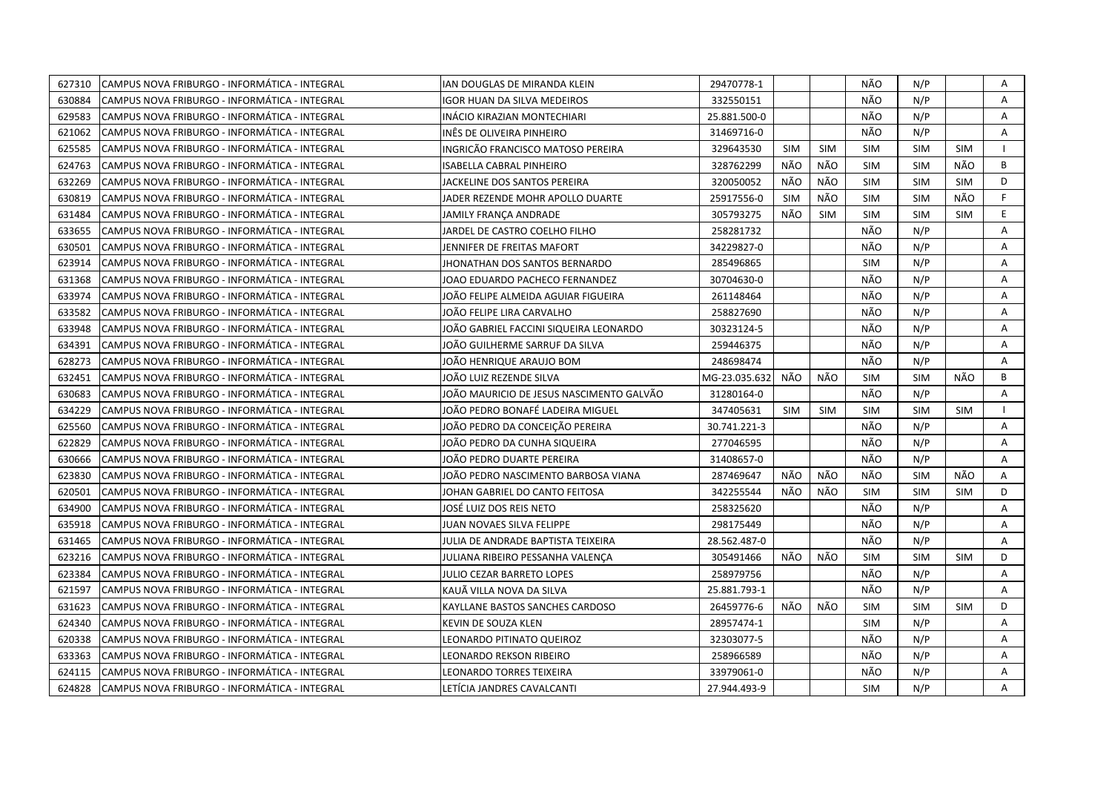| 627310<br>CAMPUS NOVA FRIBURGO - INFORMÁTICA - INTEGRAL | IAN DOUGLAS DE MIRANDA KLEIN             | 29470778-1    |            |            | NÃO        | N/P        |            | Α  |
|---------------------------------------------------------|------------------------------------------|---------------|------------|------------|------------|------------|------------|----|
| 630884<br>CAMPUS NOVA FRIBURGO - INFORMÁTICA - INTEGRAL | IGOR HUAN DA SILVA MEDEIROS              | 332550151     |            |            | NÃO        | N/P        |            | A  |
| 629583<br>CAMPUS NOVA FRIBURGO - INFORMÁTICA - INTEGRAL | INÁCIO KIRAZIAN MONTECHIARI              | 25.881.500-0  |            |            | NÃO        | N/P        |            | Α  |
| 621062<br>CAMPUS NOVA FRIBURGO - INFORMÁTICA - INTEGRAL | INËS DE OLIVEIRA PINHEIRO                | 31469716-0    |            |            | NÃO        | N/P        |            | Α  |
| 625585<br>CAMPUS NOVA FRIBURGO - INFORMÁTICA - INTEGRAL | INGRICÃO FRANCISCO MATOSO PEREIRA        | 329643530     | <b>SIM</b> | <b>SIM</b> | <b>SIM</b> | <b>SIM</b> | <b>SIM</b> |    |
| 624763<br>CAMPUS NOVA FRIBURGO - INFORMÁTICA - INTEGRAL | ISABELLA CABRAL PINHEIRO                 | 328762299     | NÃO        | NÃO        | <b>SIM</b> | <b>SIM</b> | NÃO        | B  |
| 632269<br>CAMPUS NOVA FRIBURGO - INFORMÁTICA - INTEGRAL | <b>JACKELINE DOS SANTOS PEREIRA</b>      | 320050052     | NÃO        | NÃO        | <b>SIM</b> | <b>SIM</b> | <b>SIM</b> | D  |
| 630819<br>CAMPUS NOVA FRIBURGO - INFORMÁTICA - INTEGRAL | JADER REZENDE MOHR APOLLO DUARTE         | 25917556-0    | <b>SIM</b> | NÃO        | <b>SIM</b> | <b>SIM</b> | NÃO        | F. |
| CAMPUS NOVA FRIBURGO - INFORMÁTICA - INTEGRAL<br>631484 | JAMILY FRANÇA ANDRADE                    | 305793275     | NÃO        | <b>SIM</b> | <b>SIM</b> | <b>SIM</b> | <b>SIM</b> | E  |
| 633655<br>CAMPUS NOVA FRIBURGO - INFORMÁTICA - INTEGRAL | JARDEL DE CASTRO COELHO FILHO            | 258281732     |            |            | NÃO        | N/P        |            | A  |
| 630501<br>CAMPUS NOVA FRIBURGO - INFORMÁTICA - INTEGRAL | JENNIFER DE FREITAS MAFORT               | 34229827-0    |            |            | NÃO        | N/P        |            | Α  |
| 623914<br>CAMPUS NOVA FRIBURGO - INFORMÁTICA - INTEGRAL | JHONATHAN DOS SANTOS BERNARDO            | 285496865     |            |            | <b>SIM</b> | N/P        |            | A  |
| 631368<br>CAMPUS NOVA FRIBURGO - INFORMÁTICA - INTEGRAL | JOAO EDUARDO PACHECO FERNANDEZ           | 30704630-0    |            |            | NÃO        | N/P        |            | A  |
| 633974<br>CAMPUS NOVA FRIBURGO - INFORMÁTICA - INTEGRAL | JOÃO FELIPE ALMEIDA AGUIAR FIGUEIRA      | 261148464     |            |            | NÃO        | N/P        |            | Α  |
| CAMPUS NOVA FRIBURGO - INFORMÁTICA - INTEGRAL<br>633582 | JOÃO FELIPE LIRA CARVALHO                | 258827690     |            |            | NÃO        | N/P        |            | A  |
| 633948<br>CAMPUS NOVA FRIBURGO - INFORMÁTICA - INTEGRAL | JOÃO GABRIEL FACCINI SIQUEIRA LEONARDO   | 30323124-5    |            |            | NÃO        | N/P        |            | A  |
| 634391<br>CAMPUS NOVA FRIBURGO - INFORMÁTICA - INTEGRAL | JOÄO GUILHERME SARRUF DA SILVA           | 259446375     |            |            | NÃO        | N/P        |            | A  |
| 628273<br>CAMPUS NOVA FRIBURGO - INFORMÁTICA - INTEGRAL | JOÃO HENRIQUE ARAUJO BOM                 | 248698474     |            |            | NÃO        | N/P        |            | A  |
| 632451<br>CAMPUS NOVA FRIBURGO - INFORMÁTICA - INTEGRAL | JOÃO LUIZ REZENDE SILVA                  | MG-23.035.632 | NÃO        | NÃO        | <b>SIM</b> | <b>SIM</b> | NÃO        | B  |
| 630683<br>CAMPUS NOVA FRIBURGO - INFORMÁTICA - INTEGRAL | JOÃO MAURICIO DE JESUS NASCIMENTO GALVÃO | 31280164-0    |            |            | NÃO        | N/P        |            | A  |
| 634229<br>CAMPUS NOVA FRIBURGO - INFORMÁTICA - INTEGRAL | JOÃO PEDRO BONAFÉ LADEIRA MIGUEL         | 347405631     | <b>SIM</b> | <b>SIM</b> | <b>SIM</b> | <b>SIM</b> | <b>SIM</b> |    |
| 625560<br>CAMPUS NOVA FRIBURGO - INFORMÁTICA - INTEGRAL | JOÃO PEDRO DA CONCEIÇÃO PEREIRA          | 30.741.221-3  |            |            | NÃO        | N/P        |            | A  |
| 622829<br>CAMPUS NOVA FRIBURGO - INFORMÁTICA - INTEGRAL | JOÃO PEDRO DA CUNHA SIQUEIRA             | 277046595     |            |            | NÃO        | N/P        |            | A  |
| 630666<br>CAMPUS NOVA FRIBURGO - INFORMÁTICA - INTEGRAL | JOÃO PEDRO DUARTE PEREIRA                | 31408657-0    |            |            | NÃO        | N/P        |            | A  |
| 623830<br>CAMPUS NOVA FRIBURGO - INFORMÁTICA - INTEGRAL | JOÃO PEDRO NASCIMENTO BARBOSA VIANA      | 287469647     | NÃO        | NÃO        | NÃO        | <b>SIM</b> | NÃO        | Α  |
| 620501<br>CAMPUS NOVA FRIBURGO - INFORMÁTICA - INTEGRAL | JOHAN GABRIEL DO CANTO FEITOSA           | 342255544     | NÃO        | NÃO        | SIM        | <b>SIM</b> | <b>SIM</b> | D  |
| 634900<br>CAMPUS NOVA FRIBURGO - INFORMÁTICA - INTEGRAL | JOSÉ LUIZ DOS REIS NETO                  | 258325620     |            |            | NÃO        | N/P        |            | A  |
| 635918<br>CAMPUS NOVA FRIBURGO - INFORMÁTICA - INTEGRAL | JUAN NOVAES SILVA FELIPPE                | 298175449     |            |            | NÃO        | N/P        |            | Α  |
| 631465<br>CAMPUS NOVA FRIBURGO - INFORMÁTICA - INTEGRAL | JULIA DE ANDRADE BAPTISTA TEIXEIRA       | 28.562.487-0  |            |            | NÃO        | N/P        |            | A  |
| 623216<br>CAMPUS NOVA FRIBURGO - INFORMÁTICA - INTEGRAL | JULIANA RIBEIRO PESSANHA VALENÇA         | 305491466     | NÃO        | NÃO        | <b>SIM</b> | <b>SIM</b> | <b>SIM</b> | D  |
| 623384<br>CAMPUS NOVA FRIBURGO - INFORMÁTICA - INTEGRAL | JULIO CEZAR BARRETO LOPES                | 258979756     |            |            | NÃO        | N/P        |            | Α  |
| 621597<br>CAMPUS NOVA FRIBURGO - INFORMÁTICA - INTEGRAL | KAUÄ VILLA NOVA DA SILVA                 | 25.881.793-1  |            |            | NÃO        | N/P        |            | A  |
| 631623<br>CAMPUS NOVA FRIBURGO - INFORMÁTICA - INTEGRAL | KAYLLANE BASTOS SANCHES CARDOSO          | 26459776-6    | NÃO        | NÃO        | <b>SIM</b> | <b>SIM</b> | <b>SIM</b> | D  |
| 624340<br>CAMPUS NOVA FRIBURGO - INFORMÁTICA - INTEGRAL | KEVIN DE SOUZA KLEN                      | 28957474-1    |            |            | <b>SIM</b> | N/P        |            | A  |
| 620338<br>CAMPUS NOVA FRIBURGO - INFORMÁTICA - INTEGRAL | LEONARDO PITINATO QUEIROZ                | 32303077-5    |            |            | NÃO        | N/P        |            | A  |
| 633363<br>CAMPUS NOVA FRIBURGO - INFORMÁTICA - INTEGRAL | LEONARDO REKSON RIBEIRO                  | 258966589     |            |            | NÃO        | N/P        |            | Α  |
| CAMPUS NOVA FRIBURGO - INFORMÁTICA - INTEGRAL<br>624115 | LEONARDO TORRES TEIXEIRA                 | 33979061-0    |            |            | NÃO        | N/P        |            | A  |
| 624828<br>CAMPUS NOVA FRIBURGO - INFORMÁTICA - INTEGRAL | LETÍCIA JANDRES CAVALCANTI               | 27.944.493-9  |            |            | <b>SIM</b> | N/P        |            | A  |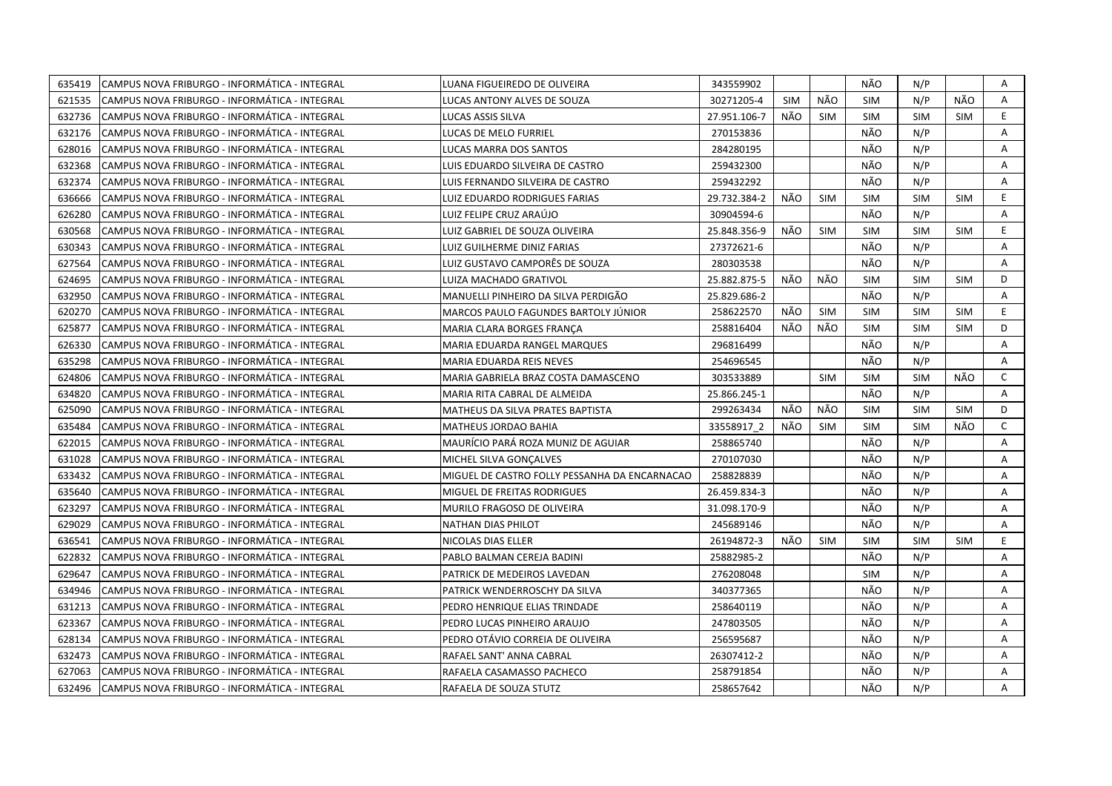| 635419<br>CAMPUS NOVA FRIBURGO - INFORMÁTICA - INTEGRAL  | LUANA FIGUEIREDO DE OLIVEIRA                  | 343559902    |            |            | NÃO        | N/P        |            | Α            |
|----------------------------------------------------------|-----------------------------------------------|--------------|------------|------------|------------|------------|------------|--------------|
| 621535<br>CAMPUS NOVA FRIBURGO - INFORMÁTICA - INTEGRAL  | LUCAS ANTONY ALVES DE SOUZA                   | 30271205-4   | <b>SIM</b> | NÃO        | <b>SIM</b> | N/P        | NÃO        | A            |
| 632736<br>CAMPUS NOVA FRIBURGO - INFORMÁTICA - INTEGRAL  | LUCAS ASSIS SILVA                             | 27.951.106-7 | NÃO        | <b>SIM</b> | <b>SIM</b> | <b>SIM</b> | <b>SIM</b> | E.           |
| 632176<br>CAMPUS NOVA FRIBURGO - INFORMÁTICA - INTEGRAL  | LUCAS DE MELO FURRIEL                         | 270153836    |            |            | NÃO        | N/P        |            | Α            |
| 628016<br>CAMPUS NOVA FRIBURGO - INFORMÁTICA - INTEGRAL  | LUCAS MARRA DOS SANTOS                        | 284280195    |            |            | NÃO        | N/P        |            | A            |
| 632368<br>CAMPUS NOVA FRIBURGO - INFORMÁTICA - INTEGRAL  | LUIS EDUARDO SILVEIRA DE CASTRO               | 259432300    |            |            | NÃO        | N/P        |            | A            |
| 632374<br>ICAMPUS NOVA FRIBURGO - INFORMÁTICA - INTEGRAL | LUIS FERNANDO SILVEIRA DE CASTRO              | 259432292    |            |            | NÃO        | N/P        |            | Α            |
| 636666<br>CAMPUS NOVA FRIBURGO - INFORMÁTICA - INTEGRAL  | <b>LUIZ EDUARDO RODRIGUES FARIAS</b>          | 29.732.384-2 | NÃO        | <b>SIM</b> | <b>SIM</b> | <b>SIM</b> | <b>SIM</b> | E.           |
| 626280<br>CAMPUS NOVA FRIBURGO - INFORMÁTICA - INTEGRAL  | LUIZ FELIPE CRUZ ARAÚJO                       | 30904594-6   |            |            | NÃO        | N/P        |            | Α            |
| 630568<br>CAMPUS NOVA FRIBURGO - INFORMÁTICA - INTEGRAL  | LUIZ GABRIEL DE SOUZA OLIVEIRA                | 25.848.356-9 | NÃO        | <b>SIM</b> | <b>SIM</b> | <b>SIM</b> | <b>SIM</b> | E            |
| 630343<br>CAMPUS NOVA FRIBURGO - INFORMÁTICA - INTEGRAL  | LUIZ GUILHERME DINIZ FARIAS                   | 27372621-6   |            |            | NÃO        | N/P        |            | Α            |
| CAMPUS NOVA FRIBURGO - INFORMÁTICA - INTEGRAL<br>627564  | LUIZ GUSTAVO CAMPORËS DE SOUZA                | 280303538    |            |            | NÃO        | N/P        |            | A            |
| 624695<br>CAMPUS NOVA FRIBURGO - INFORMÁTICA - INTEGRAL  | LUIZA MACHADO GRATIVOL                        | 25.882.875-5 | NÃO        | NÃO        | <b>SIM</b> | <b>SIM</b> | SIM        | D            |
| 632950<br>CAMPUS NOVA FRIBURGO - INFORMÁTICA - INTEGRAL  | MANUELLI PINHEIRO DA SILVA PERDIGÃO           | 25.829.686-2 |            |            | NÃO        | N/P        |            | Α            |
| 620270<br>CAMPUS NOVA FRIBURGO - INFORMÁTICA - INTEGRAL  | MARCOS PAULO FAGUNDES BARTOLY JÚNIOR          | 258622570    | NÃO        | <b>SIM</b> | <b>SIM</b> | <b>SIM</b> | <b>SIM</b> | E            |
| 625877<br>CAMPUS NOVA FRIBURGO - INFORMÁTICA - INTEGRAL  | MARIA CLARA BORGES FRANCA                     | 258816404    | NÃO        | NÃO        | <b>SIM</b> | <b>SIM</b> | <b>SIM</b> | D            |
| CAMPUS NOVA FRIBURGO - INFORMÁTICA - INTEGRAL<br>626330  | MARIA EDUARDA RANGEL MARQUES                  | 296816499    |            |            | NÃO        | N/P        |            | A            |
| 635298<br>CAMPUS NOVA FRIBURGO - INFORMÁTICA - INTEGRAL  | MARIA EDUARDA REIS NEVES                      | 254696545    |            |            | NÃO        | N/P        |            | A            |
| CAMPUS NOVA FRIBURGO - INFORMÁTICA - INTEGRAL<br>624806  | MARIA GABRIELA BRAZ COSTA DAMASCENO           | 303533889    |            | SIM        | <b>SIM</b> | <b>SIM</b> | NÃO        | $\mathsf{C}$ |
| 634820<br>CAMPUS NOVA FRIBURGO - INFORMÁTICA - INTEGRAL  | MARIA RITA CABRAL DE ALMEIDA                  | 25.866.245-1 |            |            | NÃO        | N/P        |            | A            |
| 625090<br>CAMPUS NOVA FRIBURGO - INFORMÁTICA - INTEGRAL  | MATHEUS DA SILVA PRATES BAPTISTA              | 299263434    | NÃO        | NÃO        | <b>SIM</b> | <b>SIM</b> | <b>SIM</b> | D            |
| 635484<br>CAMPUS NOVA FRIBURGO - INFORMÁTICA - INTEGRAL  | MATHEUS JORDAO BAHIA                          | 33558917 2   | NÃO        | <b>SIM</b> | <b>SIM</b> | <b>SIM</b> | NÃO        | $\mathsf{C}$ |
| CAMPUS NOVA FRIBURGO - INFORMÁTICA - INTEGRAL<br>622015  | MAURÍCIO PARÁ ROZA MUNIZ DE AGUIAR            | 258865740    |            |            | NÃO        | N/P        |            | Α            |
| 631028<br>CAMPUS NOVA FRIBURGO - INFORMÁTICA - INTEGRAL  | MICHEL SILVA GONÇALVES                        | 270107030    |            |            | NÃO        | N/P        |            | A            |
| 633432<br>CAMPUS NOVA FRIBURGO - INFORMÁTICA - INTEGRAL  | MIGUEL DE CASTRO FOLLY PESSANHA DA ENCARNACAO | 258828839    |            |            | NÃO        | N/P        |            | A            |
| 635640<br>CAMPUS NOVA FRIBURGO - INFORMÁTICA - INTEGRAL  | MIGUEL DE FREITAS RODRIGUES                   | 26.459.834-3 |            |            | NÃO        | N/P        |            | Α            |
| 623297<br>CAMPUS NOVA FRIBURGO - INFORMÁTICA - INTEGRAL  | MURILO FRAGOSO DE OLIVEIRA                    | 31.098.170-9 |            |            | NÃO        | N/P        |            | A            |
| 629029<br>CAMPUS NOVA FRIBURGO - INFORMÁTICA - INTEGRAL  | NATHAN DIAS PHILOT                            | 245689146    |            |            | NÃO        | N/P        |            | A            |
| 636541<br>CAMPUS NOVA FRIBURGO - INFORMÁTICA - INTEGRAL  | NICOLAS DIAS ELLER                            | 26194872-3   | NÃO        | <b>SIM</b> | <b>SIM</b> | <b>SIM</b> | SIM        | E.           |
| 622832<br>CAMPUS NOVA FRIBURGO - INFORMÁTICA - INTEGRAL  | PABLO BALMAN CEREJA BADINI                    | 25882985-2   |            |            | NÃO        | N/P        |            | Α            |
| 629647<br>CAMPUS NOVA FRIBURGO - INFORMÁTICA - INTEGRAL  | PATRICK DE MEDEIROS LAVEDAN                   | 276208048    |            |            | <b>SIM</b> | N/P        |            | Α            |
| 634946<br>CAMPUS NOVA FRIBURGO - INFORMÁTICA - INTEGRAL  | PATRICK WENDERROSCHY DA SILVA                 | 340377365    |            |            | NÃO        | N/P        |            | A            |
| 631213<br>CAMPUS NOVA FRIBURGO - INFORMÁTICA - INTEGRAL  | PEDRO HENRIQUE ELIAS TRINDADE                 | 258640119    |            |            | NÃO        | N/P        |            | Α            |
| 623367<br>CAMPUS NOVA FRIBURGO - INFORMÁTICA - INTEGRAL  | PEDRO LUCAS PINHEIRO ARAUJO                   | 247803505    |            |            | NÃO        | N/P        |            | A            |
| 628134<br>CAMPUS NOVA FRIBURGO - INFORMÁTICA - INTEGRAL  | PEDRO OTÁVIO CORREIA DE OLIVEIRA              | 256595687    |            |            | NÃO        | N/P        |            | Α            |
| 632473<br>CAMPUS NOVA FRIBURGO - INFORMÁTICA - INTEGRAL  | RAFAEL SANT' ANNA CABRAL                      | 26307412-2   |            |            | NÃO        | N/P        |            | A            |
| 627063<br>CAMPUS NOVA FRIBURGO - INFORMÁTICA - INTEGRAL  | RAFAELA CASAMASSO PACHECO                     | 258791854    |            |            | NÃO        | N/P        |            | A            |
| CAMPUS NOVA FRIBURGO - INFORMÁTICA - INTEGRAL<br>632496  | RAFAELA DE SOUZA STUTZ                        | 258657642    |            |            | NÃO        | N/P        |            | A            |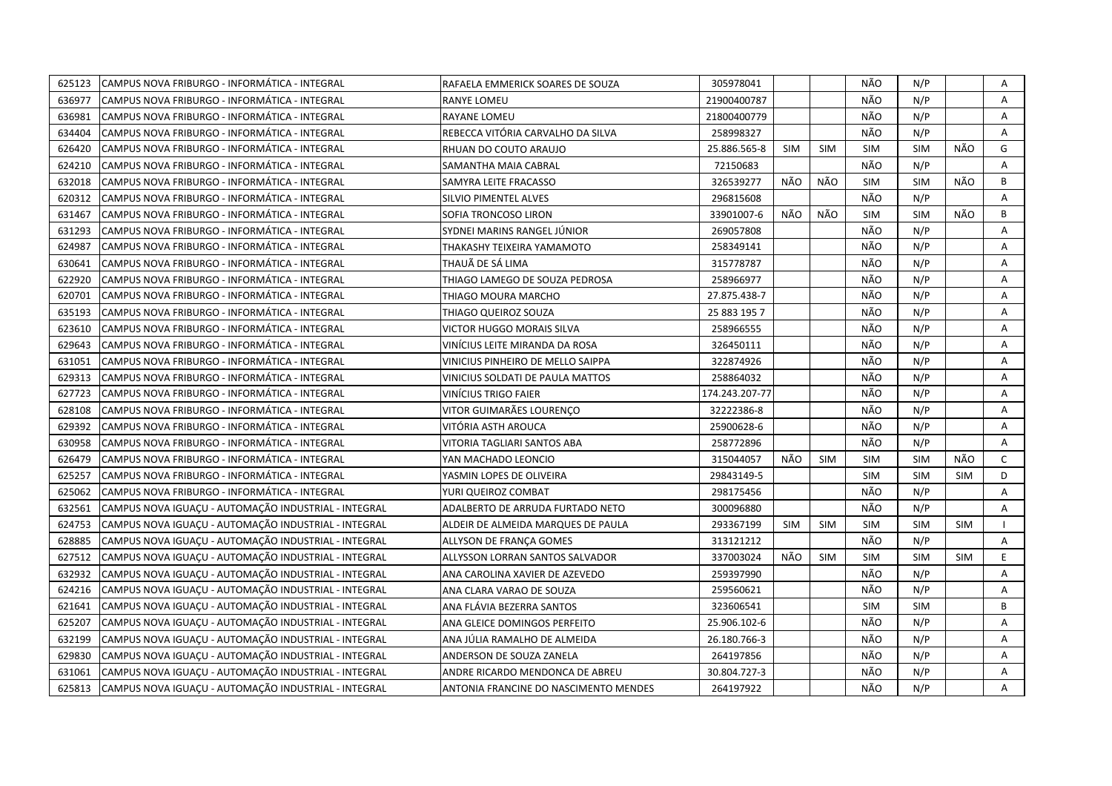| 625123 | CAMPUS NOVA FRIBURGO - INFORMÁTICA - INTEGRAL        | RAFAELA EMMERICK SOARES DE SOUZA      | 305978041      |            |            | NÃO        | N/P        |            | Α            |
|--------|------------------------------------------------------|---------------------------------------|----------------|------------|------------|------------|------------|------------|--------------|
| 636977 | CAMPUS NOVA FRIBURGO - INFORMÁTICA - INTEGRAL        | <b>RANYE LOMEU</b>                    | 21900400787    |            |            | NÃO        | N/P        |            | A            |
| 636981 | CAMPUS NOVA FRIBURGO - INFORMÁTICA - INTEGRAL        | <b>RAYANE LOMEU</b>                   | 21800400779    |            |            | NÃO        | N/P        |            | Α            |
| 634404 | CAMPUS NOVA FRIBURGO - INFORMÁTICA - INTEGRAL        | REBECCA VITÓRIA CARVALHO DA SILVA     | 258998327      |            |            | NÃO        | N/P        |            | A            |
| 626420 | CAMPUS NOVA FRIBURGO - INFORMÁTICA - INTEGRAL        | RHUAN DO COUTO ARAUJO                 | 25.886.565-8   | <b>SIM</b> | <b>SIM</b> | <b>SIM</b> | <b>SIM</b> | NÃO        | G            |
| 624210 | CAMPUS NOVA FRIBURGO - INFORMÁTICA - INTEGRAL        | SAMANTHA MAIA CABRAL                  | 72150683       |            |            | NÃO        | N/P        |            | A            |
| 632018 | CAMPUS NOVA FRIBURGO - INFORMÁTICA - INTEGRAL        | SAMYRA LEITE FRACASSO                 | 326539277      | NÃO        | NÃO        | <b>SIM</b> | SIM        | NÃO        | B            |
| 620312 | CAMPUS NOVA FRIBURGO - INFORMÁTICA - INTEGRAL        | SILVIO PIMENTEL ALVES                 | 296815608      |            |            | NÃO        | N/P        |            | Α            |
| 631467 | CAMPUS NOVA FRIBURGO - INFORMÁTICA - INTEGRAL        | SOFIA TRONCOSO LIRON                  | 33901007-6     | NÃO        | NÃO        | <b>SIM</b> | <b>SIM</b> | NÃO        | B            |
| 631293 | CAMPUS NOVA FRIBURGO - INFORMÁTICA - INTEGRAL        | SYDNEI MARINS RANGEL JÚNIOR           | 269057808      |            |            | NÃO        | N/P        |            | A            |
| 624987 | CAMPUS NOVA FRIBURGO - INFORMÁTICA - INTEGRAL        | THAKASHY TEIXEIRA YAMAMOTO            | 258349141      |            |            | NÃO        | N/P        |            | A            |
| 630641 | CAMPUS NOVA FRIBURGO - INFORMÁTICA - INTEGRAL        | THAUÃ DE SÁ LIMA                      | 315778787      |            |            | NÃO        | N/P        |            | Α            |
| 622920 | CAMPUS NOVA FRIBURGO - INFORMÁTICA - INTEGRAL        | THIAGO LAMEGO DE SOUZA PEDROSA        | 258966977      |            |            | NÃO        | N/P        |            | A            |
| 620701 | CAMPUS NOVA FRIBURGO - INFORMÁTICA - INTEGRAL        | THIAGO MOURA MARCHO                   | 27.875.438-7   |            |            | NÃO        | N/P        |            | A            |
| 635193 | CAMPUS NOVA FRIBURGO - INFORMÁTICA - INTEGRAL        | THIAGO QUEIROZ SOUZA                  | 25 883 195 7   |            |            | NÃO        | N/P        |            | A            |
| 623610 | CAMPUS NOVA FRIBURGO - INFORMÁTICA - INTEGRAL        | VICTOR HUGGO MORAIS SILVA             | 258966555      |            |            | NÃO        | N/P        |            | A            |
| 629643 | CAMPUS NOVA FRIBURGO - INFORMÁTICA - INTEGRAL        | VINÍCIUS LEITE MIRANDA DA ROSA        | 326450111      |            |            | NÃO        | N/P        |            | Α            |
| 631051 | CAMPUS NOVA FRIBURGO - INFORMÁTICA - INTEGRAL        | VINICIUS PINHEIRO DE MELLO SAIPPA     | 322874926      |            |            | NÃO        | N/P        |            | Α            |
| 629313 | CAMPUS NOVA FRIBURGO - INFORMÁTICA - INTEGRAL        | VINICIUS SOLDATI DE PAULA MATTOS      | 258864032      |            |            | NÃO        | N/P        |            | Α            |
| 627723 | CAMPUS NOVA FRIBURGO - INFORMÁTICA - INTEGRAL        | <b>VINÍCIUS TRIGO FAIER</b>           | 174.243.207-77 |            |            | NÃO        | N/P        |            | A            |
| 628108 | CAMPUS NOVA FRIBURGO - INFORMÁTICA - INTEGRAL        | VITOR GUIMARÃES LOURENCO              | 32222386-8     |            |            | NÃO        | N/P        |            | Α            |
| 629392 | CAMPUS NOVA FRIBURGO - INFORMÁTICA - INTEGRAL        | VITÓRIA ASTH AROUCA                   | 25900628-6     |            |            | NÃO        | N/P        |            | A            |
| 630958 | CAMPUS NOVA FRIBURGO - INFORMÁTICA - INTEGRAL        | VITORIA TAGLIARI SANTOS ABA           | 258772896      |            |            | NÃO        | N/P        |            | A            |
| 626479 | CAMPUS NOVA FRIBURGO - INFORMÁTICA - INTEGRAL        | YAN MACHADO LEONCIO                   | 315044057      | NÃO        | <b>SIM</b> | <b>SIM</b> | <b>SIM</b> | NÃO        | $\mathsf{C}$ |
| 625257 | CAMPUS NOVA FRIBURGO - INFORMÁTICA - INTEGRAL        | YASMIN LOPES DE OLIVEIRA              | 29843149-5     |            |            | <b>SIM</b> | <b>SIM</b> | <b>SIM</b> | D            |
| 625062 | CAMPUS NOVA FRIBURGO - INFORMÁTICA - INTEGRAL        | YURI QUEIROZ COMBAT                   | 298175456      |            |            | NÃO        | N/P        |            | A            |
| 632561 | CAMPUS NOVA IGUAÇU - AUTOMAÇÃO INDUSTRIAL - INTEGRAL | ADALBERTO DE ARRUDA FURTADO NETO      | 300096880      |            |            | NÃO        | N/P        |            | A            |
| 624753 | CAMPUS NOVA IGUAÇU - AUTOMAÇÃO INDUSTRIAL - INTEGRAL | ALDEIR DE ALMEIDA MARQUES DE PAULA    | 293367199      | <b>SIM</b> | <b>SIM</b> | <b>SIM</b> | <b>SIM</b> | <b>SIM</b> |              |
| 628885 | CAMPUS NOVA IGUACU - AUTOMAÇÃO INDUSTRIAL - INTEGRAL | ALLYSON DE FRANCA GOMES               | 313121212      |            |            | NÃO        | N/P        |            | A            |
| 627512 | CAMPUS NOVA IGUAÇU - AUTOMAÇÃO INDUSTRIAL - INTEGRAL | ALLYSSON LORRAN SANTOS SALVADOR       | 337003024      | NÃO        | <b>SIM</b> | <b>SIM</b> | SIM        | <b>SIM</b> | E            |
| 632932 | CAMPUS NOVA IGUACU - AUTOMAÇÃO INDUSTRIAL - INTEGRAL | ANA CAROLINA XAVIER DE AZEVEDO        | 259397990      |            |            | NÃO        | N/P        |            | A            |
| 624216 | CAMPUS NOVA IGUAÇU - AUTOMAÇÃO INDUSTRIAL - INTEGRAL | ANA CLARA VARAO DE SOUZA              | 259560621      |            |            | NÃO        | N/P        |            | Α            |
| 621641 | CAMPUS NOVA IGUAÇU - AUTOMAÇÃO INDUSTRIAL - INTEGRAL | ANA FLÁVIA BEZERRA SANTOS             | 323606541      |            |            | <b>SIM</b> | <b>SIM</b> |            | B            |
| 625207 | CAMPUS NOVA IGUAÇU - AUTOMAÇÃO INDUSTRIAL - INTEGRAL | ANA GLEICE DOMINGOS PERFEITO          | 25.906.102-6   |            |            | NÃO        | N/P        |            | A            |
| 632199 | CAMPUS NOVA IGUAÇU - AUTOMAÇÃO INDUSTRIAL - INTEGRAL | ANA JÚLIA RAMALHO DE ALMEIDA          | 26.180.766-3   |            |            | NÃO        | N/P        |            | A            |
| 629830 | CAMPUS NOVA IGUAÇU - AUTOMAÇÃO INDUSTRIAL - INTEGRAL | ANDERSON DE SOUZA ZANELA              | 264197856      |            |            | NÃO        | N/P        |            | A            |
| 631061 | CAMPUS NOVA IGUACU - AUTOMAÇÃO INDUSTRIAL - INTEGRAL | ANDRE RICARDO MENDONCA DE ABREU       | 30.804.727-3   |            |            | NÃO        | N/P        |            | A            |
| 625813 | CAMPUS NOVA IGUAÇU - AUTOMAÇÃO INDUSTRIAL - INTEGRAL | ANTONIA FRANCINE DO NASCIMENTO MENDES | 264197922      |            |            | NÃO        | N/P        |            | A            |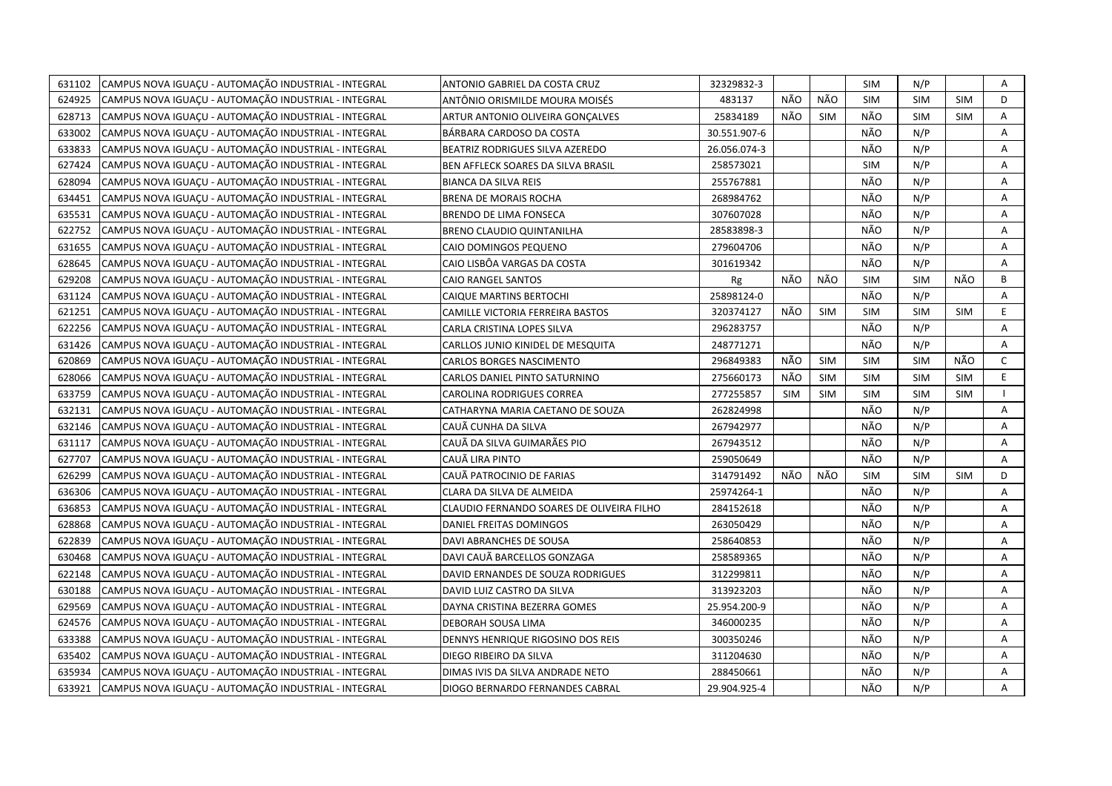| 631102 | CAMPUS NOVA IGUACU - AUTOMAÇÃO INDUSTRIAL - INTEGRAL | ANTONIO GABRIEL DA COSTA CRUZ             | 32329832-3   |            |            | SIM        | N/P        |            | Α            |
|--------|------------------------------------------------------|-------------------------------------------|--------------|------------|------------|------------|------------|------------|--------------|
| 624925 | CAMPUS NOVA IGUACU - AUTOMAÇÃO INDUSTRIAL - INTEGRAL | ANTÔNIO ORISMILDE MOURA MOISÉS            | 483137       | NÃO        | <b>NÃO</b> | <b>SIM</b> | <b>SIM</b> | <b>SIM</b> | D            |
| 628713 | CAMPUS NOVA IGUACU - AUTOMAÇÃO INDUSTRIAL - INTEGRAL | ARTUR ANTONIO OLIVEIRA GONCALVES          | 25834189     | NÃO        | <b>SIM</b> | NÃO        | SIM        | <b>SIM</b> | A            |
| 633002 | CAMPUS NOVA IGUAÇU - AUTOMAÇÃO INDUSTRIAL - INTEGRAL | BÁRBARA CARDOSO DA COSTA                  | 30.551.907-6 |            |            | NÃO        | N/P        |            | Α            |
| 633833 | CAMPUS NOVA IGUAÇU - AUTOMAÇÃO INDUSTRIAL - INTEGRAL | BEATRIZ RODRIGUES SILVA AZEREDO           | 26.056.074-3 |            |            | NÃO        | N/P        |            | Α            |
| 627424 | CAMPUS NOVA IGUAÇU - AUTOMAÇÃO INDUSTRIAL - INTEGRAL | BEN AFFLECK SOARES DA SILVA BRASIL        | 258573021    |            |            | <b>SIM</b> | N/P        |            | Α            |
| 628094 | CAMPUS NOVA IGUAÇU - AUTOMAÇÃO INDUSTRIAL - INTEGRAL | <b>BIANCA DA SILVA REIS</b>               | 255767881    |            |            | NÃO        | N/P        |            | A            |
| 634451 | CAMPUS NOVA IGUACU - AUTOMAÇÃO INDUSTRIAL - INTEGRAL | <b>BRENA DE MORAIS ROCHA</b>              | 268984762    |            |            | NÃO        | N/P        |            | A            |
| 635531 | CAMPUS NOVA IGUAÇU - AUTOMAÇÃO INDUSTRIAL - INTEGRAL | <b>BRENDO DE LIMA FONSECA</b>             | 307607028    |            |            | NÃO        | N/P        |            | A            |
| 622752 | CAMPUS NOVA IGUAÇU - AUTOMAÇÃO INDUSTRIAL - INTEGRAL | <b>BRENO CLAUDIO QUINTANILHA</b>          | 28583898-3   |            |            | NÃO        | N/P        |            | A            |
| 631655 | CAMPUS NOVA IGUAÇU - AUTOMAÇÃO INDUSTRIAL - INTEGRAL | CAIO DOMINGOS PEQUENO                     | 279604706    |            |            | NÃO        | N/P        |            | Α            |
| 628645 | CAMPUS NOVA IGUAÇU - AUTOMAÇÃO INDUSTRIAL - INTEGRAL | CAIO LISBÔA VARGAS DA COSTA               | 301619342    |            |            | NÃO        | N/P        |            | A            |
| 629208 | CAMPUS NOVA IGUACU - AUTOMAÇÃO INDUSTRIAL - INTEGRAL | CAIO RANGEL SANTOS                        | Rg           | NÃO        | NÃO        | <b>SIM</b> | <b>SIM</b> | NÃO        | B            |
| 631124 | CAMPUS NOVA IGUACU - AUTOMAÇÃO INDUSTRIAL - INTEGRAL | CAIQUE MARTINS BERTOCHI                   | 25898124-0   |            |            | NÃO        | N/P        |            | Α            |
| 621251 | CAMPUS NOVA IGUACU - AUTOMAÇÃO INDUSTRIAL - INTEGRAL | CAMILLE VICTORIA FERREIRA BASTOS          | 320374127    | NÃO        | <b>SIM</b> | <b>SIM</b> | <b>SIM</b> | <b>SIM</b> | E.           |
| 622256 | CAMPUS NOVA IGUAÇU - AUTOMAÇÃO INDUSTRIAL - INTEGRAL | CARLA CRISTINA LOPES SILVA                | 296283757    |            |            | NÃO        | N/P        |            | Α            |
| 631426 | CAMPUS NOVA IGUACU - AUTOMAÇÃO INDUSTRIAL - INTEGRAL | CARLLOS JUNIO KINIDEL DE MESQUITA         | 248771271    |            |            | NÃO        | N/P        |            | A            |
| 620869 | CAMPUS NOVA IGUAÇU - AUTOMAÇÃO INDUSTRIAL - INTEGRAL | <b>CARLOS BORGES NASCIMENTO</b>           | 296849383    | NÃO        | <b>SIM</b> | <b>SIM</b> | <b>SIM</b> | NÃO        | $\mathsf{C}$ |
| 628066 | CAMPUS NOVA IGUAÇU - AUTOMAÇÃO INDUSTRIAL - INTEGRAL | CARLOS DANIEL PINTO SATURNINO             | 275660173    | NÃO        | <b>SIM</b> | <b>SIM</b> | <b>SIM</b> | <b>SIM</b> | E.           |
| 633759 | CAMPUS NOVA IGUACU - AUTOMAÇÃO INDUSTRIAL - INTEGRAL | CAROLINA RODRIGUES CORREA                 | 277255857    | <b>SIM</b> | <b>SIM</b> | <b>SIM</b> | <b>SIM</b> | <b>SIM</b> |              |
| 632131 | CAMPUS NOVA IGUAÇU - AUTOMAÇÃO INDUSTRIAL - INTEGRAL | CATHARYNA MARIA CAETANO DE SOUZA          | 262824998    |            |            | NÃO        | N/P        |            | A            |
| 632146 | CAMPUS NOVA IGUACU - AUTOMAÇÃO INDUSTRIAL - INTEGRAL | CAUÃ CUNHA DA SILVA                       | 267942977    |            |            | NÃO        | N/P        |            | A            |
| 631117 | CAMPUS NOVA IGUACU - AUTOMAÇÃO INDUSTRIAL - INTEGRAL | CAUÃ DA SILVA GUIMARÃES PIO               | 267943512    |            |            | NÃO        | N/P        |            | A            |
| 627707 | CAMPUS NOVA IGUAÇU - AUTOMAÇÃO INDUSTRIAL - INTEGRAL | CAUÃ LIRA PINTO                           | 259050649    |            |            | NÃO        | N/P        |            | A            |
| 626299 | CAMPUS NOVA IGUAÇU - AUTOMAÇÃO INDUSTRIAL - INTEGRAL | CAUÃ PATROCINIO DE FARIAS                 | 314791492    | NÃO        | NÃO        | <b>SIM</b> | SIM        | <b>SIM</b> | D            |
| 636306 | CAMPUS NOVA IGUAÇU - AUTOMAÇÃO INDUSTRIAL - INTEGRAL | CLARA DA SILVA DE ALMEIDA                 | 25974264-1   |            |            | NÃO        | N/P        |            | Α            |
| 636853 | CAMPUS NOVA IGUACU - AUTOMAÇÃO INDUSTRIAL - INTEGRAL | CLAUDIO FERNANDO SOARES DE OLIVEIRA FILHO | 284152618    |            |            | NÃO        | N/P        |            | A            |
| 628868 | CAMPUS NOVA IGUAÇU - AUTOMAÇÃO INDUSTRIAL - INTEGRAL | DANIEL FREITAS DOMINGOS                   | 263050429    |            |            | NÃO        | N/P        |            | Α            |
| 622839 | CAMPUS NOVA IGUAÇU - AUTOMAÇÃO INDUSTRIAL - INTEGRAL | DAVI ABRANCHES DE SOUSA                   | 258640853    |            |            | NÃO        | N/P        |            | A            |
| 630468 | CAMPUS NOVA IGUACU - AUTOMAÇÃO INDUSTRIAL - INTEGRAL | DAVI CAUÃ BARCELLOS GONZAGA               | 258589365    |            |            | NÃO        | N/P        |            | Α            |
| 622148 | CAMPUS NOVA IGUAÇU - AUTOMAÇÃO INDUSTRIAL - INTEGRAL | DAVID ERNANDES DE SOUZA RODRIGUES         | 312299811    |            |            | NÃO        | N/P        |            | Α            |
| 630188 | CAMPUS NOVA IGUAÇU - AUTOMAÇÃO INDUSTRIAL - INTEGRAL | DAVID LUIZ CASTRO DA SILVA                | 313923203    |            |            | NÃO        | N/P        |            | A            |
| 629569 | CAMPUS NOVA IGUAÇU - AUTOMAÇÃO INDUSTRIAL - INTEGRAL | DAYNA CRISTINA BEZERRA GOMES              | 25.954.200-9 |            |            | NÃO        | N/P        |            | A            |
| 624576 | CAMPUS NOVA IGUAÇU - AUTOMAÇÃO INDUSTRIAL - INTEGRAL | DEBORAH SOUSA LIMA                        | 346000235    |            |            | NÃO        | N/P        |            | A            |
| 633388 | CAMPUS NOVA IGUAÇU - AUTOMAÇÃO INDUSTRIAL - INTEGRAL | DENNYS HENRIQUE RIGOSINO DOS REIS         | 300350246    |            |            | NÃO        | N/P        |            | A            |
| 635402 | CAMPUS NOVA IGUAÇU - AUTOMAÇÃO INDUSTRIAL - INTEGRAL | DIEGO RIBEIRO DA SILVA                    | 311204630    |            |            | NÃO        | N/P        |            | Α            |
| 635934 | CAMPUS NOVA IGUAÇU - AUTOMAÇÃO INDUSTRIAL - INTEGRAL | DIMAS IVIS DA SILVA ANDRADE NETO          | 288450661    |            |            | NÃO        | N/P        |            | Α            |
| 633921 | CAMPUS NOVA IGUAÇU - AUTOMAÇÃO INDUSTRIAL - INTEGRAL | DIOGO BERNARDO FERNANDES CABRAL           | 29.904.925-4 |            |            | NÃO        | N/P        |            | A            |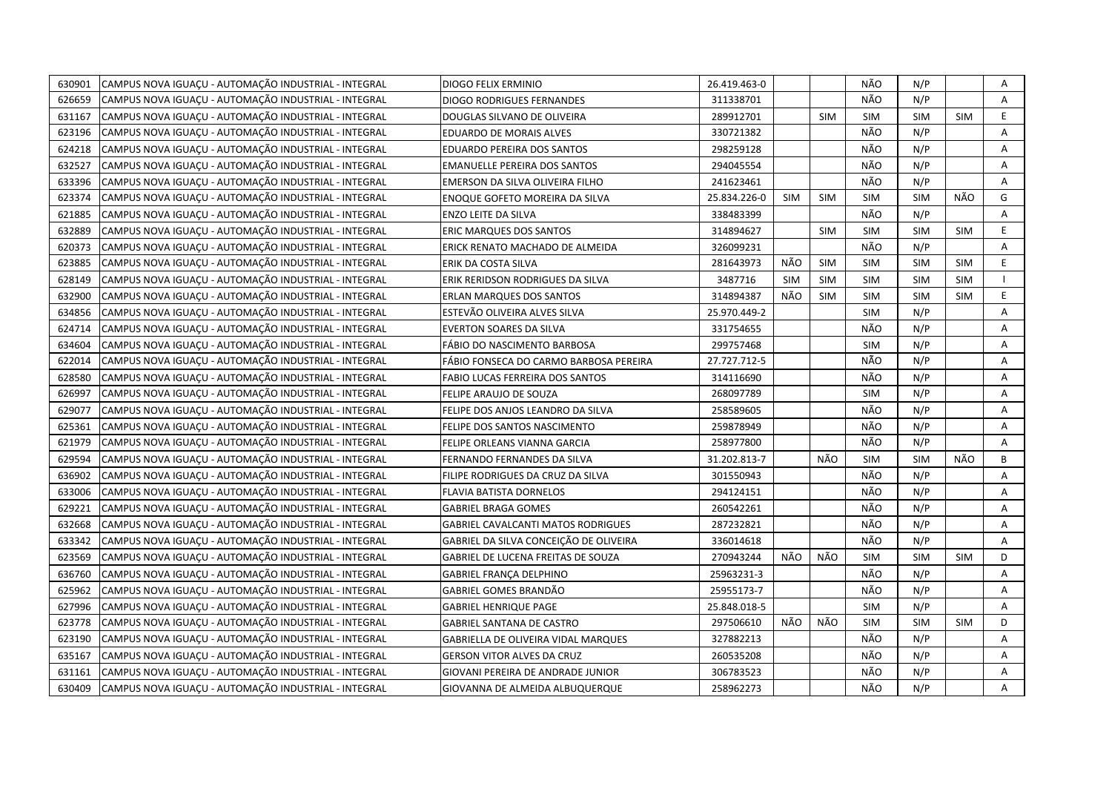| 630901 | CAMPUS NOVA IGUAÇU - AUTOMAÇÃO INDUSTRIAL - INTEGRAL | DIOGO FELIX ERMINIO                       | 26.419.463-0 |            |            | NÃO        | N/P        |            | Α  |
|--------|------------------------------------------------------|-------------------------------------------|--------------|------------|------------|------------|------------|------------|----|
| 626659 | CAMPUS NOVA IGUACU - AUTOMAÇÃO INDUSTRIAL - INTEGRAL | <b>DIOGO RODRIGUES FERNANDES</b>          | 311338701    |            |            | <b>NÃO</b> | N/P        |            | A  |
| 631167 | CAMPUS NOVA IGUACU - AUTOMAÇÃO INDUSTRIAL - INTEGRAL | DOUGLAS SILVANO DE OLIVEIRA               | 289912701    |            | <b>SIM</b> | <b>SIM</b> | <b>SIM</b> | <b>SIM</b> | E  |
| 623196 | CAMPUS NOVA IGUAÇU - AUTOMAÇÃO INDUSTRIAL - INTEGRAL | <b>EDUARDO DE MORAIS ALVES</b>            | 330721382    |            |            | NÃO        | N/P        |            | Α  |
| 624218 | CAMPUS NOVA IGUAÇU - AUTOMAÇÃO INDUSTRIAL - INTEGRAL | EDUARDO PEREIRA DOS SANTOS                | 298259128    |            |            | NÃO        | N/P        |            | Α  |
| 632527 | CAMPUS NOVA IGUACU - AUTOMAÇÃO INDUSTRIAL - INTEGRAL | <b>EMANUELLE PEREIRA DOS SANTOS</b>       | 294045554    |            |            | NÃO        | N/P        |            | Α  |
| 633396 | CAMPUS NOVA IGUACU - AUTOMAÇÃO INDUSTRIAL - INTEGRAL | EMERSON DA SILVA OLIVEIRA FILHO           | 241623461    |            |            | NÃO        | N/P        |            | A  |
| 623374 | CAMPUS NOVA IGUAÇU - AUTOMAÇÃO INDUSTRIAL - INTEGRAL | ENOQUE GOFETO MOREIRA DA SILVA            | 25.834.226-0 | <b>SIM</b> | <b>SIM</b> | <b>SIM</b> | <b>SIM</b> | NÃO        | G  |
| 621885 | CAMPUS NOVA IGUAÇU - AUTOMAÇÃO INDUSTRIAL - INTEGRAL | ENZO LEITE DA SILVA                       | 338483399    |            |            | NÃO        | N/P        |            | A  |
| 632889 | CAMPUS NOVA IGUACU - AUTOMAÇÃO INDUSTRIAL - INTEGRAL | <b>ERIC MARQUES DOS SANTOS</b>            | 314894627    |            | <b>SIM</b> | <b>SIM</b> | <b>SIM</b> | <b>SIM</b> | E  |
| 620373 | CAMPUS NOVA IGUAÇU - AUTOMAÇÃO INDUSTRIAL - INTEGRAL | ERICK RENATO MACHADO DE ALMEIDA           | 326099231    |            |            | NÃO        | N/P        |            | Α  |
| 623885 | CAMPUS NOVA IGUAÇU - AUTOMAÇÃO INDUSTRIAL - INTEGRAL | ERIK DA COSTA SILVA                       | 281643973    | NÃO        | <b>SIM</b> | <b>SIM</b> | <b>SIM</b> | <b>SIM</b> | E. |
| 628149 | CAMPUS NOVA IGUAÇU - AUTOMAÇÃO INDUSTRIAL - INTEGRAL | ERIK RERIDSON RODRIGUES DA SILVA          | 3487716      | <b>SIM</b> | <b>SIM</b> | <b>SIM</b> | <b>SIM</b> | <b>SIM</b> |    |
| 632900 | CAMPUS NOVA IGUAÇU - AUTOMAÇÃO INDUSTRIAL - INTEGRAL | <b>ERLAN MARQUES DOS SANTOS</b>           | 314894387    | NÃO        | <b>SIM</b> | <b>SIM</b> | <b>SIM</b> | <b>SIM</b> | E. |
| 634856 | CAMPUS NOVA IGUACU - AUTOMAÇÃO INDUSTRIAL - INTEGRAL | ESTEVÃO OLIVEIRA ALVES SILVA              | 25.970.449-2 |            |            | <b>SIM</b> | N/P        |            | A  |
| 624714 | CAMPUS NOVA IGUACU - AUTOMAÇÃO INDUSTRIAL - INTEGRAL | <b>EVERTON SOARES DA SILVA</b>            | 331754655    |            |            | NÃO        | N/P        |            | Α  |
| 634604 | CAMPUS NOVA IGUACU - AUTOMAÇÃO INDUSTRIAL - INTEGRAL | FÁBIO DO NASCIMENTO BARBOSA               | 299757468    |            |            | <b>SIM</b> | N/P        |            | A  |
| 622014 | CAMPUS NOVA IGUAÇU - AUTOMAÇÃO INDUSTRIAL - INTEGRAL | FÁBIO FONSECA DO CARMO BARBOSA PEREIRA    | 27.727.712-5 |            |            | NÃO        | N/P        |            | A  |
| 628580 | CAMPUS NOVA IGUAÇU - AUTOMAÇÃO INDUSTRIAL - INTEGRAL | FABIO LUCAS FERREIRA DOS SANTOS           | 314116690    |            |            | NÃO        | N/P        |            | A  |
| 626997 | CAMPUS NOVA IGUAÇU - AUTOMAÇÃO INDUSTRIAL - INTEGRAL | FELIPE ARAUJO DE SOUZA                    | 268097789    |            |            | <b>SIM</b> | N/P        |            | A  |
| 629077 | CAMPUS NOVA IGUACU - AUTOMAÇÃO INDUSTRIAL - INTEGRAL | FELIPE DOS ANJOS LEANDRO DA SILVA         | 258589605    |            |            | NÃO        | N/P        |            | A  |
| 625361 | CAMPUS NOVA IGUACU - AUTOMAÇÃO INDUSTRIAL - INTEGRAL | FELIPE DOS SANTOS NASCIMENTO              | 259878949    |            |            | NÃO        | N/P        |            | A  |
| 621979 | CAMPUS NOVA IGUAÇU - AUTOMAÇÃO INDUSTRIAL - INTEGRAL | FELIPE ORLEANS VIANNA GARCIA              | 258977800    |            |            | NÃO        | N/P        |            | A  |
| 629594 | CAMPUS NOVA IGUAÇU - AUTOMAÇÃO INDUSTRIAL - INTEGRAL | FERNANDO FERNANDES DA SILVA               | 31.202.813-7 |            | NÃO        | <b>SIM</b> | <b>SIM</b> | NÃO        | B  |
| 636902 | CAMPUS NOVA IGUACU - AUTOMAÇÃO INDUSTRIAL - INTEGRAL | FILIPE RODRIGUES DA CRUZ DA SILVA         | 301550943    |            |            | NÃO        | N/P        |            | A  |
| 633006 | CAMPUS NOVA IGUAÇU - AUTOMAÇÃO INDUSTRIAL - INTEGRAL | FLAVIA BATISTA DORNELOS                   | 294124151    |            |            | NÃO        | N/P        |            | Α  |
| 629221 | CAMPUS NOVA IGUACU - AUTOMAÇÃO INDUSTRIAL - INTEGRAL | <b>GABRIEL BRAGA GOMES</b>                | 260542261    |            |            | NÃO        | N/P        |            | A  |
| 632668 | CAMPUS NOVA IGUACU - AUTOMAÇÃO INDUSTRIAL - INTEGRAL | <b>GABRIEL CAVALCANTI MATOS RODRIGUES</b> | 287232821    |            |            | NÃO        | N/P        |            | Α  |
| 633342 | CAMPUS NOVA IGUAÇU - AUTOMAÇÃO INDUSTRIAL - INTEGRAL | GABRIEL DA SILVA CONCEIÇÃO DE OLIVEIRA    | 336014618    |            |            | NÃO        | N/P        |            | A  |
| 623569 | CAMPUS NOVA IGUAÇU - AUTOMAÇÃO INDUSTRIAL - INTEGRAL | GABRIEL DE LUCENA FREITAS DE SOUZA        | 270943244    | NÃO        | NÃO        | <b>SIM</b> | <b>SIM</b> | <b>SIM</b> | D  |
| 636760 | CAMPUS NOVA IGUAÇU - AUTOMAÇÃO INDUSTRIAL - INTEGRAL | <b>GABRIEL FRANÇA DELPHINO</b>            | 25963231-3   |            |            | NÃO        | N/P        |            | Α  |
| 625962 | CAMPUS NOVA IGUAÇU - AUTOMAÇÃO INDUSTRIAL - INTEGRAL | <b>GABRIEL GOMES BRANDÃO</b>              | 25955173-7   |            |            | NÃO        | N/P        |            | A  |
| 627996 | CAMPUS NOVA IGUAÇU - AUTOMAÇÃO INDUSTRIAL - INTEGRAL | <b>GABRIEL HENRIQUE PAGE</b>              | 25.848.018-5 |            |            | <b>SIM</b> | N/P        |            | A  |
| 623778 | CAMPUS NOVA IGUAÇU - AUTOMAÇÃO INDUSTRIAL - INTEGRAL | <b>GABRIEL SANTANA DE CASTRO</b>          | 297506610    | NÃO        | NÃO        | <b>SIM</b> | <b>SIM</b> | <b>SIM</b> | D. |
| 623190 | CAMPUS NOVA IGUAÇU - AUTOMAÇÃO INDUSTRIAL - INTEGRAL | GABRIELLA DE OLIVEIRA VIDAL MARQUES       | 327882213    |            |            | NÃO        | N/P        |            | A  |
| 635167 | CAMPUS NOVA IGUAÇU - AUTOMAÇÃO INDUSTRIAL - INTEGRAL | <b>GERSON VITOR ALVES DA CRUZ</b>         | 260535208    |            |            | NÃO        | N/P        |            | Α  |
| 631161 | CAMPUS NOVA IGUAÇU - AUTOMAÇÃO INDUSTRIAL - INTEGRAL | GIOVANI PEREIRA DE ANDRADE JUNIOR         | 306783523    |            |            | NÃO        | N/P        |            | Α  |
| 630409 | CAMPUS NOVA IGUAÇU - AUTOMAÇÃO INDUSTRIAL - INTEGRAL | GIOVANNA DE ALMEIDA ALBUQUERQUE           | 258962273    |            |            | NÃO        | N/P        |            | A  |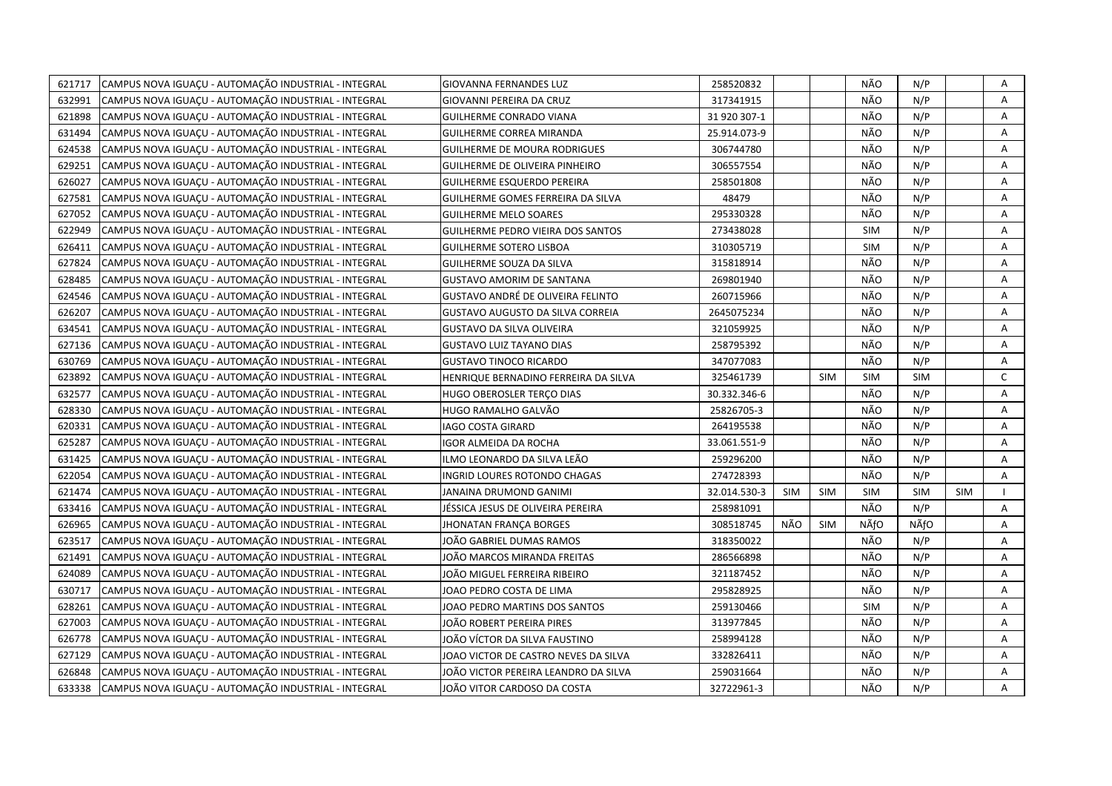| 621717 | CAMPUS NOVA IGUAÇU - AUTOMAÇÃO INDUSTRIAL - INTEGRAL | <b>GIOVANNA FERNANDES LUZ</b>            | 258520832    |            |            | NÃO        | N/P        |            | Α |
|--------|------------------------------------------------------|------------------------------------------|--------------|------------|------------|------------|------------|------------|---|
| 632991 | CAMPUS NOVA IGUACU - AUTOMAÇÃO INDUSTRIAL - INTEGRAL | GIOVANNI PEREIRA DA CRUZ                 | 317341915    |            |            | NÃO        | N/P        |            | A |
| 621898 | CAMPUS NOVA IGUACU - AUTOMAÇÃO INDUSTRIAL - INTEGRAL | GUILHERME CONRADO VIANA                  | 31 920 307-1 |            |            | NÃO        | N/P        |            | Α |
| 631494 | CAMPUS NOVA IGUAÇU - AUTOMAÇÃO INDUSTRIAL - INTEGRAL | GUILHERME CORREA MIRANDA                 | 25.914.073-9 |            |            | NÃO        | N/P        |            | A |
| 624538 | CAMPUS NOVA IGUACU - AUTOMAÇÃO INDUSTRIAL - INTEGRAL | <b>GUILHERME DE MOURA RODRIGUES</b>      | 306744780    |            |            | NÃO        | N/P        |            | A |
| 629251 | CAMPUS NOVA IGUAÇU - AUTOMAÇÃO INDUSTRIAL - INTEGRAL | GUILHERME DE OLIVEIRA PINHEIRO           | 306557554    |            |            | NÃO        | N/P        |            | Α |
| 626027 | CAMPUS NOVA IGUACU - AUTOMAÇÃO INDUSTRIAL - INTEGRAL | <b>GUILHERME ESQUERDO PEREIRA</b>        | 258501808    |            |            | NÃO        | N/P        |            | Α |
| 627581 | CAMPUS NOVA IGUAÇU - AUTOMAÇÃO INDUSTRIAL - INTEGRAL | GUILHERME GOMES FERREIRA DA SILVA        | 48479        |            |            | NÃO        | N/P        |            | Α |
| 627052 | CAMPUS NOVA IGUAÇU - AUTOMAÇÃO INDUSTRIAL - INTEGRAL | <b>GUILHERME MELO SOARES</b>             | 295330328    |            |            | NÃO        | N/P        |            | A |
| 622949 | CAMPUS NOVA IGUAÇU - AUTOMAÇÃO INDUSTRIAL - INTEGRAL | <b>GUILHERME PEDRO VIEIRA DOS SANTOS</b> | 273438028    |            |            | <b>SIM</b> | N/P        |            | Α |
| 626411 | CAMPUS NOVA IGUAÇU - AUTOMAÇÃO INDUSTRIAL - INTEGRAL | <b>GUILHERME SOTERO LISBOA</b>           | 310305719    |            |            | <b>SIM</b> | N/P        |            | A |
| 627824 | CAMPUS NOVA IGUAÇU - AUTOMAÇÃO INDUSTRIAL - INTEGRAL | GUILHERME SOUZA DA SILVA                 | 315818914    |            |            | NÃO        | N/P        |            | A |
| 628485 | CAMPUS NOVA IGUACU - AUTOMAÇÃO INDUSTRIAL - INTEGRAL | <b>GUSTAVO AMORIM DE SANTANA</b>         | 269801940    |            |            | NÃO        | N/P        |            | A |
| 624546 | CAMPUS NOVA IGUAÇU - AUTOMAÇÃO INDUSTRIAL - INTEGRAL | GUSTAVO ANDRÉ DE OLIVEIRA FELINTO        | 260715966    |            |            | NÃO        | N/P        |            | Α |
| 626207 | CAMPUS NOVA IGUAÇU - AUTOMAÇÃO INDUSTRIAL - INTEGRAL | GUSTAVO AUGUSTO DA SILVA CORREIA         | 2645075234   |            |            | NÃO        | N/P        |            | A |
| 634541 | CAMPUS NOVA IGUAÇU - AUTOMAÇÃO INDUSTRIAL - INTEGRAL | <b>GUSTAVO DA SILVA OLIVEIRA</b>         | 321059925    |            |            | NÃO        | N/P        |            | Α |
| 627136 | CAMPUS NOVA IGUACU - AUTOMAÇÃO INDUSTRIAL - INTEGRAL | <b>GUSTAVO LUIZ TAYANO DIAS</b>          | 258795392    |            |            | NÃO        | N/P        |            | Α |
| 630769 | CAMPUS NOVA IGUACU - AUTOMAÇÃO INDUSTRIAL - INTEGRAL | <b>GUSTAVO TINOCO RICARDO</b>            | 347077083    |            |            | NÃO        | N/P        |            | Α |
| 623892 | CAMPUS NOVA IGUAÇU - AUTOMAÇÃO INDUSTRIAL - INTEGRAL | HENRIQUE BERNADINO FERREIRA DA SILVA     | 325461739    |            | <b>SIM</b> | <b>SIM</b> | <b>SIM</b> |            | C |
| 632577 | CAMPUS NOVA IGUAÇU - AUTOMAÇÃO INDUSTRIAL - INTEGRAL | HUGO OBEROSLER TERCO DIAS                | 30.332.346-6 |            |            | NÃO        | N/P        |            | Α |
| 628330 | CAMPUS NOVA IGUACU - AUTOMAÇÃO INDUSTRIAL - INTEGRAL | HUGO RAMALHO GALVÃO                      | 25826705-3   |            |            | NÃO        | N/P        |            | Α |
| 620331 | CAMPUS NOVA IGUAÇU - AUTOMAÇÃO INDUSTRIAL - INTEGRAL | <b>IAGO COSTA GIRARD</b>                 | 264195538    |            |            | NÃO        | N/P        |            | A |
| 625287 | CAMPUS NOVA IGUAÇU - AUTOMAÇÃO INDUSTRIAL - INTEGRAL | IGOR ALMEIDA DA ROCHA                    | 33.061.551-9 |            |            | NÃO        | N/P        |            | Α |
| 631425 | CAMPUS NOVA IGUAÇU - AUTOMAÇÃO INDUSTRIAL - INTEGRAL | ILMO LEONARDO DA SILVA LEÃO              | 259296200    |            |            | NÃO        | N/P        |            | A |
| 622054 | CAMPUS NOVA IGUACU - AUTOMAÇÃO INDUSTRIAL - INTEGRAL | INGRID LOURES ROTONDO CHAGAS             | 274728393    |            |            | NÃO        | N/P        |            | A |
| 621474 | CAMPUS NOVA IGUAÇU - AUTOMAÇÃO INDUSTRIAL - INTEGRAL | JANAINA DRUMOND GANIMI                   | 32.014.530-3 | <b>SIM</b> | <b>SIM</b> | <b>SIM</b> | <b>SIM</b> | <b>SIM</b> |   |
| 633416 | CAMPUS NOVA IGUAÇU - AUTOMAÇÃO INDUSTRIAL - INTEGRAL | JÉSSICA JESUS DE OLIVEIRA PEREIRA        | 258981091    |            |            | NÃO        | N/P        |            | A |
| 626965 | CAMPUS NOVA IGUAÇU - AUTOMAÇÃO INDUSTRIAL - INTEGRAL | <b>JHONATAN FRANÇA BORGES</b>            | 308518745    | NÃO        | <b>SIM</b> | NÃfO       | NÃfO       |            | Α |
| 623517 | CAMPUS NOVA IGUACU - AUTOMAÇÃO INDUSTRIAL - INTEGRAL | JOÃO GABRIEL DUMAS RAMOS                 | 318350022    |            |            | NÃO        | N/P        |            | A |
| 621491 | CAMPUS NOVA IGUAÇU - AUTOMAÇÃO INDUSTRIAL - INTEGRAL | JOÃO MARCOS MIRANDA FREITAS              | 286566898    |            |            | NÃO        | N/P        |            | Α |
| 624089 | CAMPUS NOVA IGUACU - AUTOMAÇÃO INDUSTRIAL - INTEGRAL | JOÃO MIGUEL FERREIRA RIBEIRO             | 321187452    |            |            | NÃO        | N/P        |            | A |
| 630717 | CAMPUS NOVA IGUACU - AUTOMAÇÃO INDUSTRIAL - INTEGRAL | JOAO PEDRO COSTA DE LIMA                 | 295828925    |            |            | NÃO        | N/P        |            | Α |
| 628261 | CAMPUS NOVA IGUACU - AUTOMAÇÃO INDUSTRIAL - INTEGRAL | JOAO PEDRO MARTINS DOS SANTOS            | 259130466    |            |            | <b>SIM</b> | N/P        |            | A |
| 627003 | CAMPUS NOVA IGUAÇU - AUTOMAÇÃO INDUSTRIAL - INTEGRAL | JOÃO ROBERT PEREIRA PIRES                | 313977845    |            |            | NÃO        | N/P        |            | Α |
| 626778 | CAMPUS NOVA IGUAÇU - AUTOMAÇÃO INDUSTRIAL - INTEGRAL | JOÃO VÍCTOR DA SILVA FAUSTINO            | 258994128    |            |            | NÃO        | N/P        |            | A |
| 627129 | CAMPUS NOVA IGUAÇU - AUTOMAÇÃO INDUSTRIAL - INTEGRAL | JOAO VICTOR DE CASTRO NEVES DA SILVA     | 332826411    |            |            | NÃO        | N/P        |            | Α |
| 626848 | CAMPUS NOVA IGUAÇU - AUTOMAÇÃO INDUSTRIAL - INTEGRAL | JOÃO VICTOR PEREIRA LEANDRO DA SILVA     | 259031664    |            |            | NÃO        | N/P        |            | Α |
| 633338 | CAMPUS NOVA IGUAÇU - AUTOMAÇÃO INDUSTRIAL - INTEGRAL | JOÃO VITOR CARDOSO DA COSTA              | 32722961-3   |            |            | NÃO        | N/P        |            | A |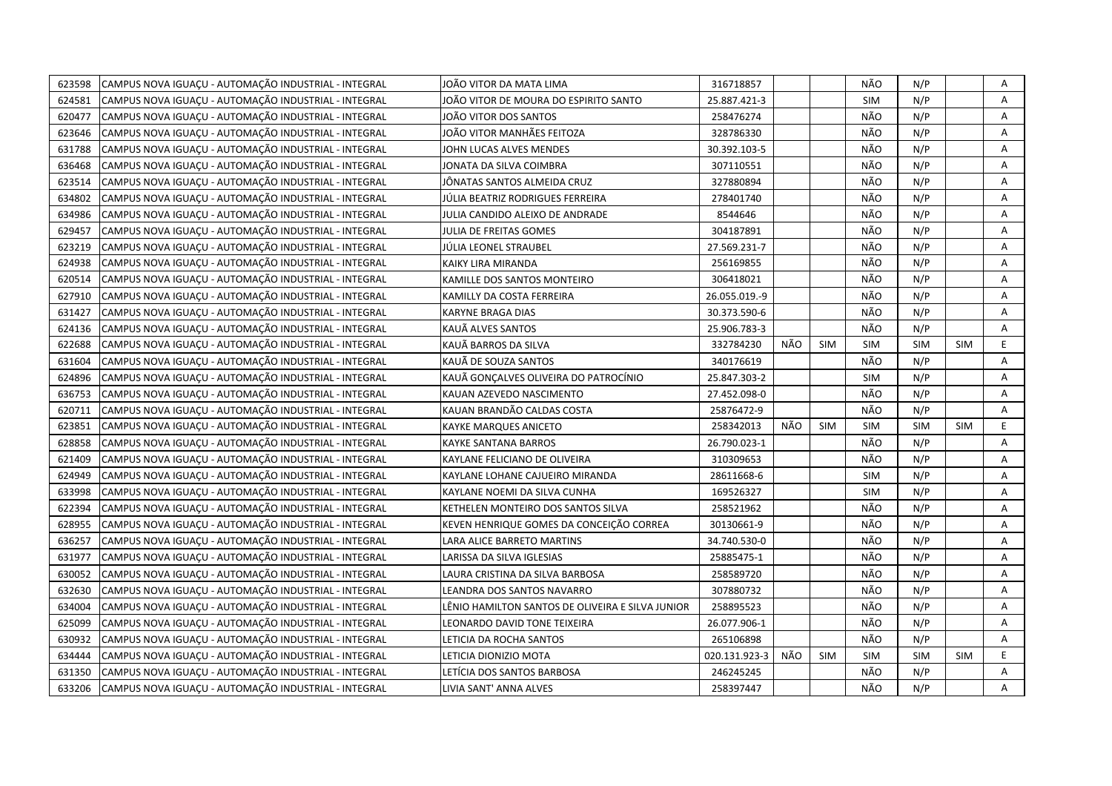| 623598 | CAMPUS NOVA IGUACU - AUTOMAÇÃO INDUSTRIAL - INTEGRAL | JOÃO VITOR DA MATA LIMA                          | 316718857     |     |            | NÃO        | N/P        |            | Α  |
|--------|------------------------------------------------------|--------------------------------------------------|---------------|-----|------------|------------|------------|------------|----|
| 624581 | CAMPUS NOVA IGUACU - AUTOMACÃO INDUSTRIAL - INTEGRAL | JOÃO VITOR DE MOURA DO ESPIRITO SANTO            | 25.887.421-3  |     |            | <b>SIM</b> | N/P        |            | A  |
| 620477 | CAMPUS NOVA IGUACU - AUTOMAÇÃO INDUSTRIAL - INTEGRAL | JOÃO VITOR DOS SANTOS                            | 258476274     |     |            | NÃO        | N/P        |            | Α  |
| 623646 | CAMPUS NOVA IGUAÇU - AUTOMAÇÃO INDUSTRIAL - INTEGRAL | JOÃO VITOR MANHÃES FEITOZA                       | 328786330     |     |            | NÃO        | N/P        |            | Α  |
| 631788 | CAMPUS NOVA IGUACU - AUTOMAÇÃO INDUSTRIAL - INTEGRAL | JOHN LUCAS ALVES MENDES                          | 30.392.103-5  |     |            | NÃO        | N/P        |            | Α  |
| 636468 | CAMPUS NOVA IGUAÇU - AUTOMAÇÃO INDUSTRIAL - INTEGRAL | JONATA DA SILVA COIMBRA                          | 307110551     |     |            | NÃO        | N/P        |            | Α  |
| 623514 | CAMPUS NOVA IGUACU - AUTOMAÇÃO INDUSTRIAL - INTEGRAL | JÔNATAS SANTOS ALMEIDA CRUZ                      | 327880894     |     |            | NÃO        | N/P        |            | A  |
| 634802 | CAMPUS NOVA IGUAÇU - AUTOMAÇÃO INDUSTRIAL - INTEGRAL | JÚLIA BEATRIZ RODRIGUES FERREIRA                 | 278401740     |     |            | NÃO        | N/P        |            | A  |
| 634986 | CAMPUS NOVA IGUAÇU - AUTOMAÇÃO INDUSTRIAL - INTEGRAL | JULIA CANDIDO ALEIXO DE ANDRADE                  | 8544646       |     |            | NÃO        | N/P        |            | A  |
| 629457 | CAMPUS NOVA IGUACU - AUTOMAÇÃO INDUSTRIAL - INTEGRAL | JULIA DE FREITAS GOMES                           | 304187891     |     |            | NÃO        | N/P        |            | A  |
| 623219 | CAMPUS NOVA IGUAÇU - AUTOMAÇÃO INDUSTRIAL - INTEGRAL | JÚLIA LEONEL STRAUBEL                            | 27.569.231-7  |     |            | NÃO        | N/P        |            | Α  |
| 624938 | CAMPUS NOVA IGUAÇU - AUTOMAÇÃO INDUSTRIAL - INTEGRAL | KAIKY LIRA MIRANDA                               | 256169855     |     |            | NÃO        | N/P        |            | A  |
| 620514 | CAMPUS NOVA IGUAÇU - AUTOMAÇÃO INDUSTRIAL - INTEGRAL | KAMILLE DOS SANTOS MONTEIRO                      | 306418021     |     |            | NÃO        | N/P        |            | A  |
| 627910 | CAMPUS NOVA IGUAÇU - AUTOMAÇÃO INDUSTRIAL - INTEGRAL | KAMILLY DA COSTA FERREIRA                        | 26.055.019.-9 |     |            | NÃO        | N/P        |            | Α  |
| 631427 | CAMPUS NOVA IGUAÇU - AUTOMAÇÃO INDUSTRIAL - INTEGRAL | <b>KARYNE BRAGA DIAS</b>                         | 30.373.590-6  |     |            | NÃO        | N/P        |            | A  |
| 624136 | CAMPUS NOVA IGUACU - AUTOMAÇÃO INDUSTRIAL - INTEGRAL | KAUÃ ALVES SANTOS                                | 25.906.783-3  |     |            | NÃO        | N/P        |            | Α  |
| 622688 | CAMPUS NOVA IGUAÇU - AUTOMAÇÃO INDUSTRIAL - INTEGRAL | KAUÄ BARROS DA SILVA                             | 332784230     | NÃO | <b>SIM</b> | <b>SIM</b> | <b>SIM</b> | <b>SIM</b> | E. |
| 631604 | CAMPUS NOVA IGUAÇU - AUTOMAÇÃO INDUSTRIAL - INTEGRAL | KAUÃ DE SOUZA SANTOS                             | 340176619     |     |            | NÃO        | N/P        |            | A  |
| 624896 | CAMPUS NOVA IGUAÇU - AUTOMAÇÃO INDUSTRIAL - INTEGRAL | KAUÃ GONÇALVES OLIVEIRA DO PATROCÍNIO            | 25.847.303-2  |     |            | <b>SIM</b> | N/P        |            | A  |
| 636753 | CAMPUS NOVA IGUACU - AUTOMAÇÃO INDUSTRIAL - INTEGRAL | KAUAN AZEVEDO NASCIMENTO                         | 27.452.098-0  |     |            | NÃO        | N/P        |            | A  |
| 620711 | CAMPUS NOVA IGUAÇU - AUTOMAÇÃO INDUSTRIAL - INTEGRAL | KAUAN BRANDÃO CALDAS COSTA                       | 25876472-9    |     |            | NÃO        | N/P        |            | A  |
| 623851 | CAMPUS NOVA IGUAÇU - AUTOMAÇÃO INDUSTRIAL - INTEGRAL | KAYKE MARQUES ANICETO                            | 258342013     | NÃO | <b>SIM</b> | <b>SIM</b> | <b>SIM</b> | <b>SIM</b> | E  |
| 628858 | CAMPUS NOVA IGUACU - AUTOMAÇÃO INDUSTRIAL - INTEGRAL | <b>KAYKE SANTANA BARROS</b>                      | 26.790.023-1  |     |            | NÃO        | N/P        |            | A  |
| 621409 | CAMPUS NOVA IGUAÇU - AUTOMAÇÃO INDUSTRIAL - INTEGRAL | KAYLANE FELICIANO DE OLIVEIRA                    | 310309653     |     |            | NÃO        | N/P        |            | A  |
| 624949 | CAMPUS NOVA IGUAÇU - AUTOMAÇÃO INDUSTRIAL - INTEGRAL | KAYLANE LOHANE CAJUEIRO MIRANDA                  | 28611668-6    |     |            | <b>SIM</b> | N/P        |            | A  |
| 633998 | CAMPUS NOVA IGUAÇU - AUTOMAÇÃO INDUSTRIAL - INTEGRAL | KAYLANE NOEMI DA SILVA CUNHA                     | 169526327     |     |            | <b>SIM</b> | N/P        |            | Α  |
| 622394 | CAMPUS NOVA IGUACU - AUTOMAÇÃO INDUSTRIAL - INTEGRAL | KETHELEN MONTEIRO DOS SANTOS SILVA               | 258521962     |     |            | NÃO        | N/P        |            | A  |
| 628955 | CAMPUS NOVA IGUAÇU - AUTOMAÇÃO INDUSTRIAL - INTEGRAL | KEVEN HENRIQUE GOMES DA CONCEIÇÃO CORREA         | 30130661-9    |     |            | NÃO        | N/P        |            | Α  |
| 636257 | CAMPUS NOVA IGUAÇU - AUTOMAÇÃO INDUSTRIAL - INTEGRAL | LARA ALICE BARRETO MARTINS                       | 34.740.530-0  |     |            | NÃO        | N/P        |            | A  |
| 631977 | CAMPUS NOVA IGUAÇU - AUTOMAÇÃO INDUSTRIAL - INTEGRAL | LARISSA DA SILVA IGLESIAS                        | 25885475-1    |     |            | NÃO        | N/P        |            | Α  |
| 630052 | CAMPUS NOVA IGUAÇU - AUTOMAÇÃO INDUSTRIAL - INTEGRAL | LAURA CRISTINA DA SILVA BARBOSA                  | 258589720     |     |            | NÃO        | N/P        |            | Α  |
| 632630 | CAMPUS NOVA IGUAÇU - AUTOMAÇÃO INDUSTRIAL - INTEGRAL | LEANDRA DOS SANTOS NAVARRO                       | 307880732     |     |            | NÃO        | N/P        |            | A  |
| 634004 | CAMPUS NOVA IGUAÇU - AUTOMAÇÃO INDUSTRIAL - INTEGRAL | LÊNIO HAMILTON SANTOS DE OLIVEIRA E SILVA JUNIOR | 258895523     |     |            | NÃO        | N/P        |            | A  |
| 625099 | CAMPUS NOVA IGUAÇU - AUTOMAÇÃO INDUSTRIAL - INTEGRAL | LEONARDO DAVID TONE TEIXEIRA                     | 26.077.906-1  |     |            | NÃO        | N/P        |            | A  |
| 630932 | CAMPUS NOVA IGUAÇU - AUTOMAÇÃO INDUSTRIAL - INTEGRAL | LETICIA DA ROCHA SANTOS                          | 265106898     |     |            | NÃO        | N/P        |            | A  |
| 634444 | CAMPUS NOVA IGUAÇU - AUTOMAÇÃO INDUSTRIAL - INTEGRAL | LETICIA DIONIZIO MOTA                            | 020.131.923-3 | NÃO | <b>SIM</b> | <b>SIM</b> | <b>SIM</b> | <b>SIM</b> | E  |
| 631350 | CAMPUS NOVA IGUAÇU - AUTOMAÇÃO INDUSTRIAL - INTEGRAL | LETÍCIA DOS SANTOS BARBOSA                       | 246245245     |     |            | NÃO        | N/P        |            | Α  |
| 633206 | CAMPUS NOVA IGUAÇU - AUTOMAÇÃO INDUSTRIAL - INTEGRAL | LIVIA SANT' ANNA ALVES                           | 258397447     |     |            | NÃO        | N/P        |            | A  |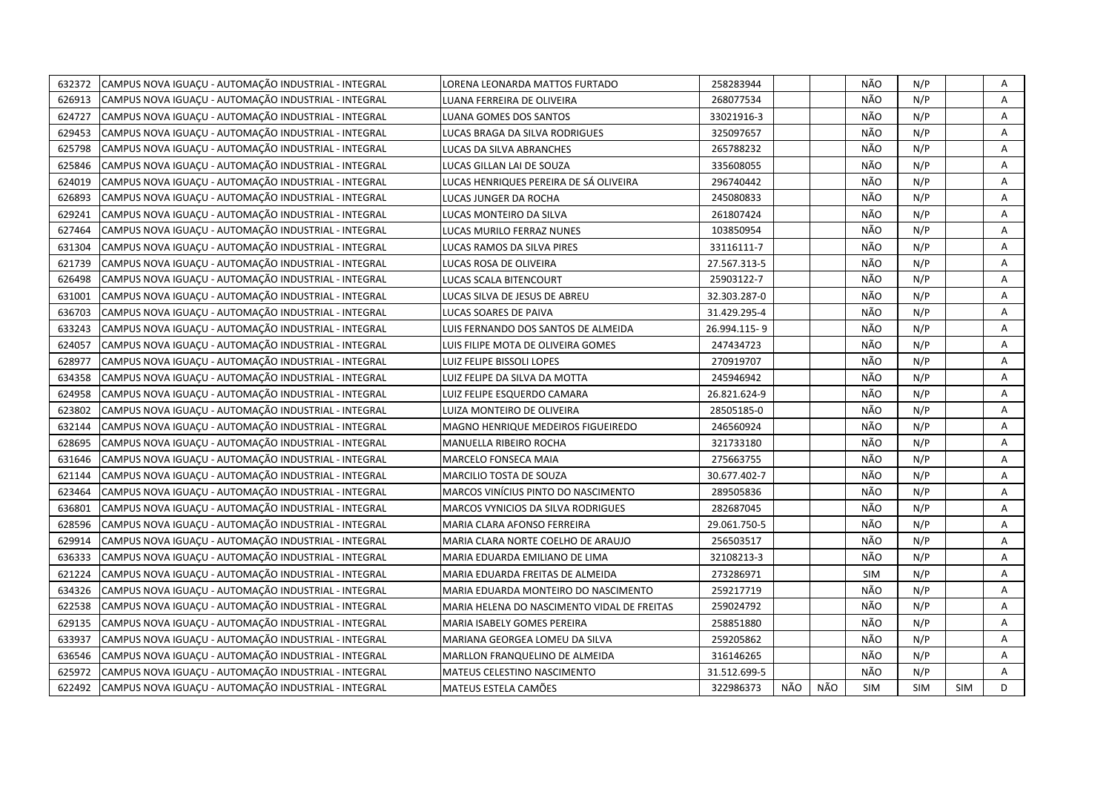| 632372 | CAMPUS NOVA IGUACU - AUTOMAÇÃO INDUSTRIAL - INTEGRAL | LORENA LEONARDA MATTOS FURTADO              | 258283944    |     |     | NÃO        | N/P        |            | Α |
|--------|------------------------------------------------------|---------------------------------------------|--------------|-----|-----|------------|------------|------------|---|
| 626913 | CAMPUS NOVA IGUACU - AUTOMAÇÃO INDUSTRIAL - INTEGRAL | LUANA FERREIRA DE OLIVEIRA                  | 268077534    |     |     | NÃO        | N/P        |            | A |
| 624727 | CAMPUS NOVA IGUACU - AUTOMAÇÃO INDUSTRIAL - INTEGRAL | LUANA GOMES DOS SANTOS                      | 33021916-3   |     |     | NÃO        | N/P        |            | Α |
| 629453 | CAMPUS NOVA IGUACU - AUTOMAÇÃO INDUSTRIAL - INTEGRAL | LUCAS BRAGA DA SILVA RODRIGUES              | 325097657    |     |     | NÃO        | N/P        |            | A |
| 625798 | CAMPUS NOVA IGUAÇU - AUTOMAÇÃO INDUSTRIAL - INTEGRAL | LUCAS DA SILVA ABRANCHES                    | 265788232    |     |     | NÃO        | N/P        |            | Α |
| 625846 | CAMPUS NOVA IGUAÇU - AUTOMAÇÃO INDUSTRIAL - INTEGRAL | LUCAS GILLAN LAI DE SOUZA                   | 335608055    |     |     | NÃO        | N/P        |            | Α |
| 624019 | CAMPUS NOVA IGUACU - AUTOMAÇÃO INDUSTRIAL - INTEGRAL | LUCAS HENRIQUES PEREIRA DE SÁ OLIVEIRA      | 296740442    |     |     | NÃO        | N/P        |            | Α |
| 626893 | CAMPUS NOVA IGUAÇU - AUTOMAÇÃO INDUSTRIAL - INTEGRAL | LUCAS JUNGER DA ROCHA                       | 245080833    |     |     | NÃO        | N/P        |            | A |
| 629241 | CAMPUS NOVA IGUAÇU - AUTOMAÇÃO INDUSTRIAL - INTEGRAL | LUCAS MONTEIRO DA SILVA                     | 261807424    |     |     | NÃO        | N/P        |            | Α |
| 627464 | CAMPUS NOVA IGUAÇU - AUTOMAÇÃO INDUSTRIAL - INTEGRAL | LUCAS MURILO FERRAZ NUNES                   | 103850954    |     |     | NÃO        | N/P        |            | A |
| 631304 | CAMPUS NOVA IGUAÇU - AUTOMAÇÃO INDUSTRIAL - INTEGRAL | LUCAS RAMOS DA SILVA PIRES                  | 33116111-7   |     |     | NÃO        | N/P        |            | A |
| 621739 | CAMPUS NOVA IGUACU - AUTOMAÇÃO INDUSTRIAL - INTEGRAL | LUCAS ROSA DE OLIVEIRA                      | 27.567.313-5 |     |     | NÃO        | N/P        |            | A |
| 626498 | CAMPUS NOVA IGUAÇU - AUTOMAÇÃO INDUSTRIAL - INTEGRAL | LUCAS SCALA BITENCOURT                      | 25903122-7   |     |     | NÃO        | N/P        |            | Α |
| 631001 | CAMPUS NOVA IGUAÇU - AUTOMAÇÃO INDUSTRIAL - INTEGRAL | LUCAS SILVA DE JESUS DE ABREU               | 32.303.287-0 |     |     | NÃO        | N/P        |            | A |
| 636703 | CAMPUS NOVA IGUAÇU - AUTOMAÇÃO INDUSTRIAL - INTEGRAL | LUCAS SOARES DE PAIVA                       | 31.429.295-4 |     |     | NÃO        | N/P        |            | Α |
| 633243 | CAMPUS NOVA IGUACU - AUTOMAÇÃO INDUSTRIAL - INTEGRAL | LUIS FERNANDO DOS SANTOS DE ALMEIDA         | 26.994.115-9 |     |     | NÃO        | N/P        |            | A |
| 624057 | CAMPUS NOVA IGUAÇU - AUTOMAÇÃO INDUSTRIAL - INTEGRAL | LUIS FILIPE MOTA DE OLIVEIRA GOMES          | 247434723    |     |     | NÃO        | N/P        |            | A |
| 628977 | CAMPUS NOVA IGUACU - AUTOMAÇÃO INDUSTRIAL - INTEGRAL | LUIZ FELIPE BISSOLI LOPES                   | 270919707    |     |     | NÃO        | N/P        |            | A |
| 634358 | CAMPUS NOVA IGUAÇU - AUTOMAÇÃO INDUSTRIAL - INTEGRAL | LUIZ FELIPE DA SILVA DA MOTTA               | 245946942    |     |     | NÃO        | N/P        |            | Α |
| 624958 | CAMPUS NOVA IGUACU - AUTOMAÇÃO INDUSTRIAL - INTEGRAL | LUIZ FELIPE ESQUERDO CAMARA                 | 26.821.624-9 |     |     | NÃO        | N/P        |            | A |
| 623802 | CAMPUS NOVA IGUAÇU - AUTOMAÇÃO INDUSTRIAL - INTEGRAL | LUIZA MONTEIRO DE OLIVEIRA                  | 28505185-0   |     |     | NÃO        | N/P        |            | Α |
| 632144 | CAMPUS NOVA IGUACU - AUTOMACÃO INDUSTRIAL - INTEGRAL | MAGNO HENRIQUE MEDEIROS FIGUEIREDO          | 246560924    |     |     | NÃO        | N/P        |            | A |
| 628695 | CAMPUS NOVA IGUAÇU - AUTOMAÇÃO INDUSTRIAL - INTEGRAL | MANUELLA RIBEIRO ROCHA                      | 321733180    |     |     | NÃO        | N/P        |            | Α |
| 631646 | CAMPUS NOVA IGUACU - AUTOMACÃO INDUSTRIAL - INTEGRAL | MARCELO FONSECA MAIA                        | 275663755    |     |     | NÃO        | N/P        |            | A |
| 621144 | CAMPUS NOVA IGUAÇU - AUTOMAÇÃO INDUSTRIAL - INTEGRAL | MARCILIO TOSTA DE SOUZA                     | 30.677.402-7 |     |     | NÃO        | N/P        |            | A |
| 623464 | CAMPUS NOVA IGUAÇU - AUTOMAÇÃO INDUSTRIAL - INTEGRAL | MARCOS VINÍCIUS PINTO DO NASCIMENTO         | 289505836    |     |     | NÃO        | N/P        |            | A |
| 636801 | CAMPUS NOVA IGUAÇU - AUTOMAÇÃO INDUSTRIAL - INTEGRAL | MARCOS VYNICIOS DA SILVA RODRIGUES          | 282687045    |     |     | NÃO        | N/P        |            | A |
| 628596 | CAMPUS NOVA IGUAÇU - AUTOMAÇÃO INDUSTRIAL - INTEGRAL | MARIA CLARA AFONSO FERREIRA                 | 29.061.750-5 |     |     | NÃO        | N/P        |            | A |
| 629914 | CAMPUS NOVA IGUAÇU - AUTOMAÇÃO INDUSTRIAL - INTEGRAL | MARIA CLARA NORTE COELHO DE ARAUJO          | 256503517    |     |     | NÃO        | N/P        |            | Α |
| 636333 | CAMPUS NOVA IGUACU - AUTOMACÃO INDUSTRIAL - INTEGRAL | MARIA EDUARDA EMILIANO DE LIMA              | 32108213-3   |     |     | NÃO        | N/P        |            | A |
| 621224 | CAMPUS NOVA IGUAÇU - AUTOMAÇÃO INDUSTRIAL - INTEGRAL | MARIA EDUARDA FREITAS DE ALMEIDA            | 273286971    |     |     | <b>SIM</b> | N/P        |            | Α |
| 634326 | CAMPUS NOVA IGUACU - AUTOMACÃO INDUSTRIAL - INTEGRAL | MARIA EDUARDA MONTEIRO DO NASCIMENTO        | 259217719    |     |     | NÃO        | N/P        |            | A |
| 622538 | CAMPUS NOVA IGUAÇU - AUTOMAÇÃO INDUSTRIAL - INTEGRAL | MARIA HELENA DO NASCIMENTO VIDAL DE FREITAS | 259024792    |     |     | NÃO        | N/P        |            | Α |
| 629135 | CAMPUS NOVA IGUACU - AUTOMAÇÃO INDUSTRIAL - INTEGRAL | MARIA ISABELY GOMES PEREIRA                 | 258851880    |     |     | NÃO        | N/P        |            | A |
| 633937 | CAMPUS NOVA IGUAÇU - AUTOMAÇÃO INDUSTRIAL - INTEGRAL | MARIANA GEORGEA LOMEU DA SILVA              | 259205862    |     |     | NÃO        | N/P        |            | Α |
| 636546 | CAMPUS NOVA IGUACU - AUTOMACÃO INDUSTRIAL - INTEGRAL | MARLLON FRANQUELINO DE ALMEIDA              | 316146265    |     |     | NÃO        | N/P        |            | Α |
| 625972 | CAMPUS NOVA IGUAÇU - AUTOMAÇÃO INDUSTRIAL - INTEGRAL | MATEUS CELESTINO NASCIMENTO                 | 31.512.699-5 |     |     | NÃO        | N/P        |            | Α |
| 622492 | CAMPUS NOVA IGUACU - AUTOMAÇÃO INDUSTRIAL - INTEGRAL | MATEUS ESTELA CAMÕES                        | 322986373    | NÃO | NÃO | <b>SIM</b> | <b>SIM</b> | <b>SIM</b> | D |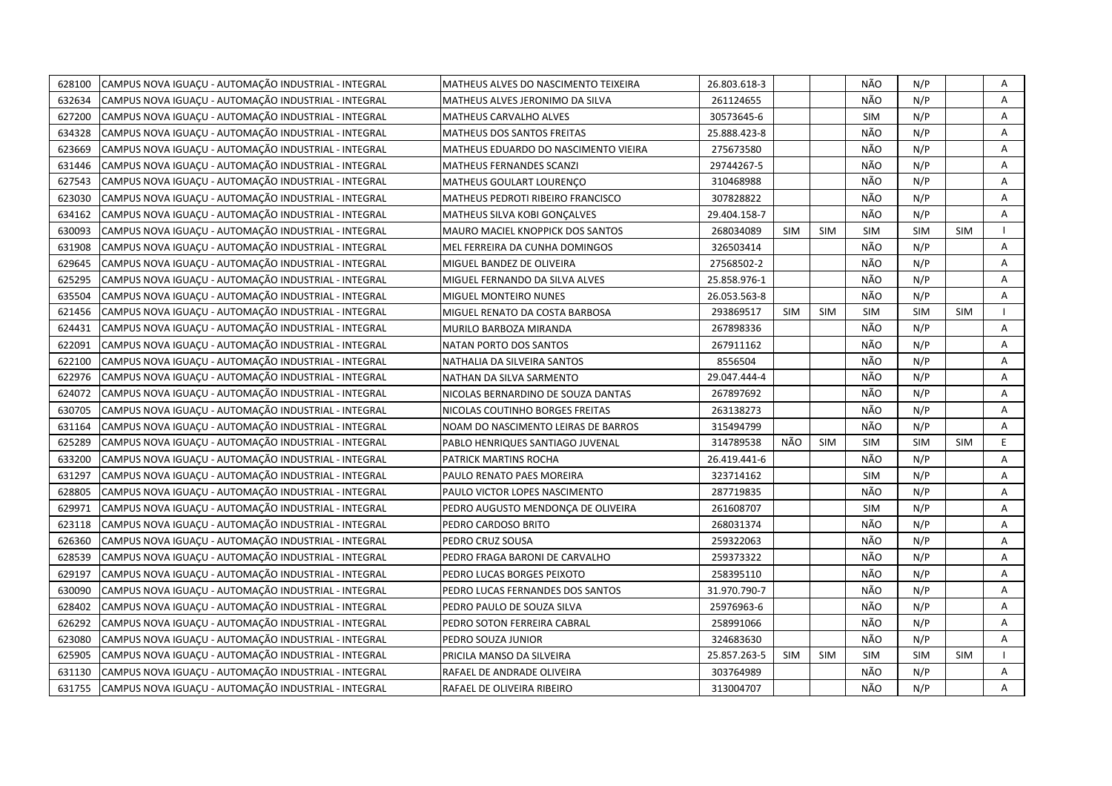| 628100 | CAMPUS NOVA IGUACU - AUTOMAÇÃO INDUSTRIAL - INTEGRAL | MATHEUS ALVES DO NASCIMENTO TEIXEIRA | 26.803.618-3 |            |            | NÃO        | N/P        |            | Α |
|--------|------------------------------------------------------|--------------------------------------|--------------|------------|------------|------------|------------|------------|---|
| 632634 | CAMPUS NOVA IGUACU - AUTOMACÃO INDUSTRIAL - INTEGRAL | MATHEUS ALVES JERONIMO DA SILVA      | 261124655    |            |            | NÃO        | N/P        |            | A |
| 627200 | CAMPUS NOVA IGUACU - AUTOMAÇÃO INDUSTRIAL - INTEGRAL | MATHEUS CARVALHO ALVES               | 30573645-6   |            |            | <b>SIM</b> | N/P        |            | Α |
| 634328 | CAMPUS NOVA IGUAÇU - AUTOMAÇÃO INDUSTRIAL - INTEGRAL | <b>MATHEUS DOS SANTOS FREITAS</b>    | 25.888.423-8 |            |            | NÃO        | N/P        |            | Α |
| 623669 | CAMPUS NOVA IGUAÇU - AUTOMAÇÃO INDUSTRIAL - INTEGRAL | MATHEUS EDUARDO DO NASCIMENTO VIEIRA | 275673580    |            |            | NÃO        | N/P        |            | Α |
| 631446 | CAMPUS NOVA IGUAÇU - AUTOMAÇÃO INDUSTRIAL - INTEGRAL | MATHEUS FERNANDES SCANZI             | 29744267-5   |            |            | NÃO        | N/P        |            | Α |
| 627543 | CAMPUS NOVA IGUAÇU - AUTOMAÇÃO INDUSTRIAL - INTEGRAL | MATHEUS GOULART LOURENCO             | 310468988    |            |            | NÃO        | N/P        |            | A |
| 623030 | CAMPUS NOVA IGUAÇU - AUTOMAÇÃO INDUSTRIAL - INTEGRAL | MATHEUS PEDROTI RIBEIRO FRANCISCO    | 307828822    |            |            | NÃO        | N/P        |            | A |
| 634162 | CAMPUS NOVA IGUAÇU - AUTOMAÇÃO INDUSTRIAL - INTEGRAL | MATHEUS SILVA KOBI GONÇALVES         | 29.404.158-7 |            |            | NÃO        | N/P        |            | A |
| 630093 | CAMPUS NOVA IGUACU - AUTOMAÇÃO INDUSTRIAL - INTEGRAL | MAURO MACIEL KNOPPICK DOS SANTOS     | 268034089    | <b>SIM</b> | <b>SIM</b> | <b>SIM</b> | <b>SIM</b> | <b>SIM</b> |   |
| 631908 | CAMPUS NOVA IGUAÇU - AUTOMAÇÃO INDUSTRIAL - INTEGRAL | MEL FERREIRA DA CUNHA DOMINGOS       | 326503414    |            |            | NÃO        | N/P        |            | Α |
| 629645 | CAMPUS NOVA IGUACU - AUTOMAÇÃO INDUSTRIAL - INTEGRAL | MIGUEL BANDEZ DE OLIVEIRA            | 27568502-2   |            |            | NÃO        | N/P        |            | A |
| 625295 | CAMPUS NOVA IGUACU - AUTOMAÇÃO INDUSTRIAL - INTEGRAL | MIGUEL FERNANDO DA SILVA ALVES       | 25.858.976-1 |            |            | NÃO        | N/P        |            | A |
| 635504 | CAMPUS NOVA IGUACU - AUTOMAÇÃO INDUSTRIAL - INTEGRAL | MIGUEL MONTEIRO NUNES                | 26.053.563-8 |            |            | NÃO        | N/P        |            | Α |
| 621456 | CAMPUS NOVA IGUACU - AUTOMAÇÃO INDUSTRIAL - INTEGRAL | MIGUEL RENATO DA COSTA BARBOSA       | 293869517    | <b>SIM</b> | <b>SIM</b> | <b>SIM</b> | <b>SIM</b> | <b>SIM</b> |   |
| 624431 | CAMPUS NOVA IGUAÇU - AUTOMAÇÃO INDUSTRIAL - INTEGRAL | MURILO BARBOZA MIRANDA               | 267898336    |            |            | NÃO        | N/P        |            | Α |
| 622091 | CAMPUS NOVA IGUACU - AUTOMAÇÃO INDUSTRIAL - INTEGRAL | NATAN PORTO DOS SANTOS               | 267911162    |            |            | NÃO        | N/P        |            | A |
| 622100 | CAMPUS NOVA IGUACU - AUTOMAÇÃO INDUSTRIAL - INTEGRAL | NATHALIA DA SILVEIRA SANTOS          | 8556504      |            |            | NÃO        | N/P        |            | A |
| 622976 | CAMPUS NOVA IGUAÇU - AUTOMAÇÃO INDUSTRIAL - INTEGRAL | NATHAN DA SILVA SARMENTO             | 29.047.444-4 |            |            | NÃO        | N/P        |            | A |
| 624072 | CAMPUS NOVA IGUAÇU - AUTOMAÇÃO INDUSTRIAL - INTEGRAL | NICOLAS BERNARDINO DE SOUZA DANTAS   | 267897692    |            |            | NÃO        | N/P        |            | A |
| 630705 | CAMPUS NOVA IGUACU - AUTOMAÇÃO INDUSTRIAL - INTEGRAL | NICOLAS COUTINHO BORGES FREITAS      | 263138273    |            |            | NÃO        | N/P        |            | A |
| 631164 | CAMPUS NOVA IGUACU - AUTOMAÇÃO INDUSTRIAL - INTEGRAL | NOAM DO NASCIMENTO LEIRAS DE BARROS  | 315494799    |            |            | NÃO        | N/P        |            | A |
| 625289 | CAMPUS NOVA IGUAÇU - AUTOMAÇÃO INDUSTRIAL - INTEGRAL | PABLO HENRIQUES SANTIAGO JUVENAL     | 314789538    | NÃO        | <b>SIM</b> | <b>SIM</b> | <b>SIM</b> | <b>SIM</b> | E |
| 633200 | CAMPUS NOVA IGUAÇU - AUTOMAÇÃO INDUSTRIAL - INTEGRAL | PATRICK MARTINS ROCHA                | 26.419.441-6 |            |            | NÃO        | N/P        |            | A |
| 631297 | CAMPUS NOVA IGUACU - AUTOMAÇÃO INDUSTRIAL - INTEGRAL | PAULO RENATO PAES MOREIRA            | 323714162    |            |            | <b>SIM</b> | N/P        |            | A |
| 628805 | CAMPUS NOVA IGUAÇU - AUTOMAÇÃO INDUSTRIAL - INTEGRAL | PAULO VICTOR LOPES NASCIMENTO        | 287719835    |            |            | NÃO        | N/P        |            | Α |
| 629971 | CAMPUS NOVA IGUACU - AUTOMAÇÃO INDUSTRIAL - INTEGRAL | PEDRO AUGUSTO MENDONCA DE OLIVEIRA   | 261608707    |            |            | <b>SIM</b> | N/P        |            | A |
| 623118 | CAMPUS NOVA IGUACU - AUTOMAÇÃO INDUSTRIAL - INTEGRAL | PEDRO CARDOSO BRITO                  | 268031374    |            |            | NÃO        | N/P        |            | Α |
| 626360 | CAMPUS NOVA IGUAÇU - AUTOMAÇÃO INDUSTRIAL - INTEGRAL | PEDRO CRUZ SOUSA                     | 259322063    |            |            | NÃO        | N/P        |            | A |
| 628539 | CAMPUS NOVA IGUACU - AUTOMAÇÃO INDUSTRIAL - INTEGRAL | PEDRO FRAGA BARONI DE CARVALHO       | 259373322    |            |            | NÃO        | N/P        |            | Α |
| 629197 | CAMPUS NOVA IGUAÇU - AUTOMAÇÃO INDUSTRIAL - INTEGRAL | PEDRO LUCAS BORGES PEIXOTO           | 258395110    |            |            | NÃO        | N/P        |            | Α |
| 630090 | CAMPUS NOVA IGUAÇU - AUTOMAÇÃO INDUSTRIAL - INTEGRAL | PEDRO LUCAS FERNANDES DOS SANTOS     | 31.970.790-7 |            |            | NÃO        | N/P        |            | A |
| 628402 | CAMPUS NOVA IGUAÇU - AUTOMAÇÃO INDUSTRIAL - INTEGRAL | PEDRO PAULO DE SOUZA SILVA           | 25976963-6   |            |            | NÃO        | N/P        |            | A |
| 626292 | CAMPUS NOVA IGUAÇU - AUTOMAÇÃO INDUSTRIAL - INTEGRAL | PEDRO SOTON FERREIRA CABRAL          | 258991066    |            |            | NÃO        | N/P        |            | A |
| 623080 | CAMPUS NOVA IGUAÇU - AUTOMAÇÃO INDUSTRIAL - INTEGRAL | PEDRO SOUZA JUNIOR                   | 324683630    |            |            | NÃO        | N/P        |            | A |
| 625905 | CAMPUS NOVA IGUAÇU - AUTOMAÇÃO INDUSTRIAL - INTEGRAL | PRICILA MANSO DA SILVEIRA            | 25.857.263-5 | SIM        | SIM        | <b>SIM</b> | <b>SIM</b> | <b>SIM</b> |   |
| 631130 | CAMPUS NOVA IGUAÇU - AUTOMAÇÃO INDUSTRIAL - INTEGRAL | RAFAEL DE ANDRADE OLIVEIRA           | 303764989    |            |            | NÃO        | N/P        |            | Α |
| 631755 | CAMPUS NOVA IGUAÇU - AUTOMAÇÃO INDUSTRIAL - INTEGRAL | RAFAEL DE OLIVEIRA RIBEIRO           | 313004707    |            |            | NÃO        | N/P        |            | A |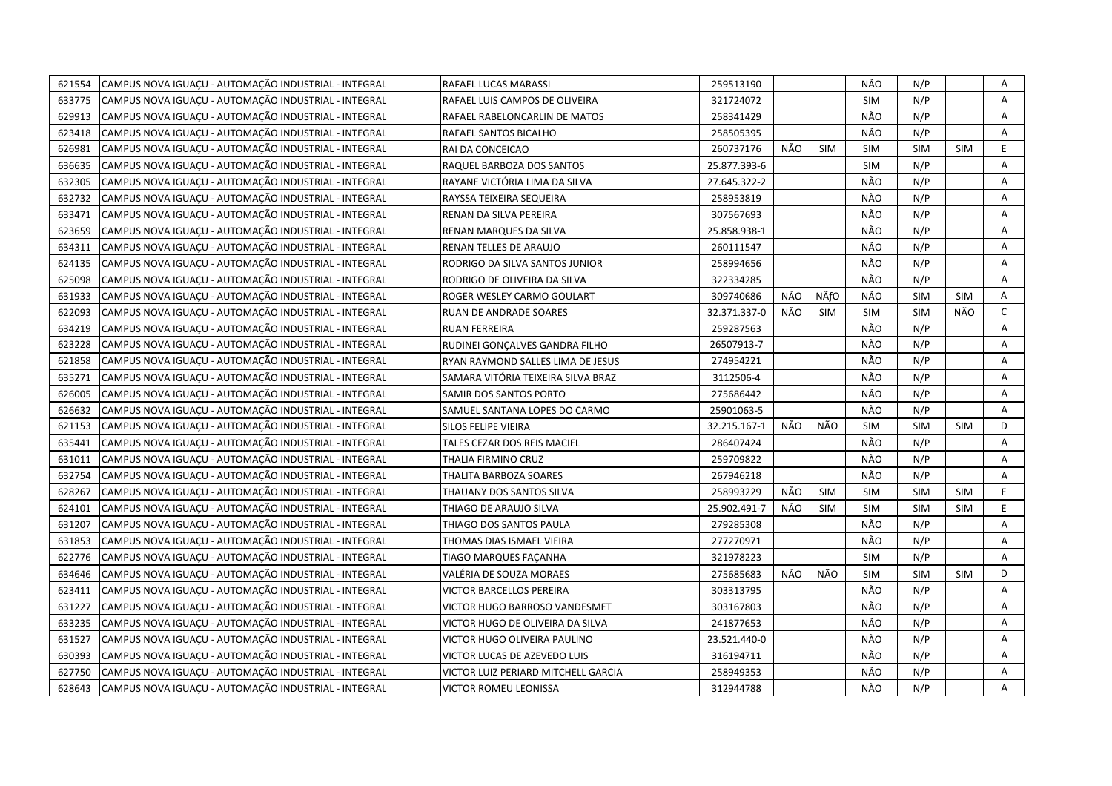| 621554 | CAMPUS NOVA IGUAÇU - AUTOMAÇÃO INDUSTRIAL - INTEGRAL | RAFAEL LUCAS MARASSI                | 259513190    |     |            | NÃO        | N/P        |            | Α            |
|--------|------------------------------------------------------|-------------------------------------|--------------|-----|------------|------------|------------|------------|--------------|
| 633775 | CAMPUS NOVA IGUAÇU - AUTOMAÇÃO INDUSTRIAL - INTEGRAL | RAFAEL LUIS CAMPOS DE OLIVEIRA      | 321724072    |     |            | <b>SIM</b> | N/P        |            | A            |
| 629913 | CAMPUS NOVA IGUACU - AUTOMAÇÃO INDUSTRIAL - INTEGRAL | RAFAEL RABELONCARLIN DE MATOS       | 258341429    |     |            | NÃO        | N/P        |            | A            |
| 623418 | CAMPUS NOVA IGUAÇU - AUTOMAÇÃO INDUSTRIAL - INTEGRAL | RAFAEL SANTOS BICALHO               | 258505395    |     |            | NÃO        | N/P        |            | Α            |
| 626981 | CAMPUS NOVA IGUACU - AUTOMAÇÃO INDUSTRIAL - INTEGRAL | RAI DA CONCEICAO                    | 260737176    | NÃO | <b>SIM</b> | <b>SIM</b> | <b>SIM</b> | <b>SIM</b> | E.           |
| 636635 | CAMPUS NOVA IGUAÇU - AUTOMAÇÃO INDUSTRIAL - INTEGRAL | RAQUEL BARBOZA DOS SANTOS           | 25.877.393-6 |     |            | <b>SIM</b> | N/P        |            | Α            |
| 632305 | CAMPUS NOVA IGUAÇU - AUTOMAÇÃO INDUSTRIAL - INTEGRAL | RAYANE VICTÓRIA LIMA DA SILVA       | 27.645.322-2 |     |            | NÃO        | N/P        |            | Α            |
| 632732 | CAMPUS NOVA IGUAÇU - AUTOMAÇÃO INDUSTRIAL - INTEGRAL | RAYSSA TEIXEIRA SEQUEIRA            | 258953819    |     |            | NÃO        | N/P        |            | A            |
| 633471 | CAMPUS NOVA IGUAÇU - AUTOMAÇÃO INDUSTRIAL - INTEGRAL | RENAN DA SILVA PEREIRA              | 307567693    |     |            | NÃO        | N/P        |            | Α            |
| 623659 | CAMPUS NOVA IGUAÇU - AUTOMAÇÃO INDUSTRIAL - INTEGRAL | RENAN MARQUES DA SILVA              | 25.858.938-1 |     |            | NÃO        | N/P        |            | A            |
| 634311 | CAMPUS NOVA IGUAÇU - AUTOMAÇÃO INDUSTRIAL - INTEGRAL | RENAN TELLES DE ARAUJO              | 260111547    |     |            | NÃO        | N/P        |            | A            |
| 624135 | CAMPUS NOVA IGUAÇU - AUTOMAÇÃO INDUSTRIAL - INTEGRAL | RODRIGO DA SILVA SANTOS JUNIOR      | 258994656    |     |            | NÃO        | N/P        |            | Α            |
| 625098 | CAMPUS NOVA IGUAÇU - AUTOMAÇÃO INDUSTRIAL - INTEGRAL | RODRIGO DE OLIVEIRA DA SILVA        | 322334285    |     |            | NÃO        | N/P        |            | A            |
| 631933 | CAMPUS NOVA IGUAÇU - AUTOMAÇÃO INDUSTRIAL - INTEGRAL | ROGER WESLEY CARMO GOULART          | 309740686    | NÃO | NÃfO       | NÃO        | <b>SIM</b> | <b>SIM</b> | Α            |
| 622093 | CAMPUS NOVA IGUAÇU - AUTOMAÇÃO INDUSTRIAL - INTEGRAL | RUAN DE ANDRADE SOARES              | 32.371.337-0 | NÃO | <b>SIM</b> | <b>SIM</b> | <b>SIM</b> | NÃO        | $\mathsf{C}$ |
| 634219 | CAMPUS NOVA IGUAÇU - AUTOMAÇÃO INDUSTRIAL - INTEGRAL | <b>RUAN FERREIRA</b>                | 259287563    |     |            | NÃO        | N/P        |            | A            |
| 623228 | CAMPUS NOVA IGUAÇU - AUTOMAÇÃO INDUSTRIAL - INTEGRAL | RUDINEI GONCALVES GANDRA FILHO      | 26507913-7   |     |            | NÃO        | N/P        |            | A            |
| 621858 | CAMPUS NOVA IGUAÇU - AUTOMAÇÃO INDUSTRIAL - INTEGRAL | RYAN RAYMOND SALLES LIMA DE JESUS   | 274954221    |     |            | NÃO        | N/P        |            | A            |
| 635271 | CAMPUS NOVA IGUAÇU - AUTOMAÇÃO INDUSTRIAL - INTEGRAL | SAMARA VITÓRIA TEIXEIRA SILVA BRAZ  | 3112506-4    |     |            | NÃO        | N/P        |            | A            |
| 626005 | CAMPUS NOVA IGUAÇU - AUTOMAÇÃO INDUSTRIAL - INTEGRAL | SAMIR DOS SANTOS PORTO              | 275686442    |     |            | NÃO        | N/P        |            | Α            |
| 626632 | CAMPUS NOVA IGUACU - AUTOMAÇÃO INDUSTRIAL - INTEGRAL | SAMUEL SANTANA LOPES DO CARMO       | 25901063-5   |     |            | NÃO        | N/P        |            | A            |
| 621153 | CAMPUS NOVA IGUAÇU - AUTOMAÇÃO INDUSTRIAL - INTEGRAL | SILOS FELIPE VIEIRA                 | 32.215.167-1 | NÃO | NÃO        | <b>SIM</b> | <b>SIM</b> | <b>SIM</b> | D            |
| 635441 | CAMPUS NOVA IGUAÇU - AUTOMAÇÃO INDUSTRIAL - INTEGRAL | TALES CEZAR DOS REIS MACIEL         | 286407424    |     |            | NÃO        | N/P        |            | A            |
| 631011 | CAMPUS NOVA IGUACU - AUTOMAÇÃO INDUSTRIAL - INTEGRAL | THALIA FIRMINO CRUZ                 | 259709822    |     |            | NÃO        | N/P        |            | A            |
| 632754 | CAMPUS NOVA IGUAÇU - AUTOMAÇÃO INDUSTRIAL - INTEGRAL | THALITA BARBOZA SOARES              | 267946218    |     |            | NÃO        | N/P        |            | Α            |
| 628267 | CAMPUS NOVA IGUACU - AUTOMAÇÃO INDUSTRIAL - INTEGRAL | THAUANY DOS SANTOS SILVA            | 258993229    | NÃO | <b>SIM</b> | <b>SIM</b> | <b>SIM</b> | <b>SIM</b> | E.           |
| 624101 | CAMPUS NOVA IGUAÇU - AUTOMAÇÃO INDUSTRIAL - INTEGRAL | THIAGO DE ARAUJO SILVA              | 25.902.491-7 | NÃO | <b>SIM</b> | <b>SIM</b> | <b>SIM</b> | <b>SIM</b> | E            |
| 631207 | CAMPUS NOVA IGUAÇU - AUTOMAÇÃO INDUSTRIAL - INTEGRAL | THIAGO DOS SANTOS PAULA             | 279285308    |     |            | NÃO        | N/P        |            | Α            |
| 631853 | CAMPUS NOVA IGUACU - AUTOMAÇÃO INDUSTRIAL - INTEGRAL | THOMAS DIAS ISMAEL VIEIRA           | 277270971    |     |            | NÃO        | N/P        |            | A            |
| 622776 | CAMPUS NOVA IGUAÇU - AUTOMAÇÃO INDUSTRIAL - INTEGRAL | TIAGO MARQUES FAÇANHA               | 321978223    |     |            | <b>SIM</b> | N/P        |            | Α            |
| 634646 | CAMPUS NOVA IGUAÇU - AUTOMAÇÃO INDUSTRIAL - INTEGRAL | VALÉRIA DE SOUZA MORAES             | 275685683    | NÃO | NÃO        | <b>SIM</b> | <b>SIM</b> | <b>SIM</b> | D            |
| 623411 | CAMPUS NOVA IGUAÇU - AUTOMAÇÃO INDUSTRIAL - INTEGRAL | <b>VICTOR BARCELLOS PEREIRA</b>     | 303313795    |     |            | NÃO        | N/P        |            | A            |
| 631227 | CAMPUS NOVA IGUAÇU - AUTOMAÇÃO INDUSTRIAL - INTEGRAL | VICTOR HUGO BARROSO VANDESMET       | 303167803    |     |            | NÃO        | N/P        |            | Α            |
| 633235 | CAMPUS NOVA IGUACU - AUTOMAÇÃO INDUSTRIAL - INTEGRAL | VICTOR HUGO DE OLIVEIRA DA SILVA    | 241877653    |     |            | NÃO        | N/P        |            | A            |
| 631527 | CAMPUS NOVA IGUAÇU - AUTOMAÇÃO INDUSTRIAL - INTEGRAL | VICTOR HUGO OLIVEIRA PAULINO        | 23.521.440-0 |     |            | NÃO        | N/P        |            | A            |
| 630393 | CAMPUS NOVA IGUAÇU - AUTOMAÇÃO INDUSTRIAL - INTEGRAL | VICTOR LUCAS DE AZEVEDO LUIS        | 316194711    |     |            | NÃO        | N/P        |            | Α            |
| 627750 | CAMPUS NOVA IGUAÇU - AUTOMAÇÃO INDUSTRIAL - INTEGRAL | VICTOR LUIZ PERIARD MITCHELL GARCIA | 258949353    |     |            | NÃO        | N/P        |            | Α            |
| 628643 | CAMPUS NOVA IGUAÇU - AUTOMAÇÃO INDUSTRIAL - INTEGRAL | <b>VICTOR ROMEU LEONISSA</b>        | 312944788    |     |            | NÃO        | N/P        |            | A            |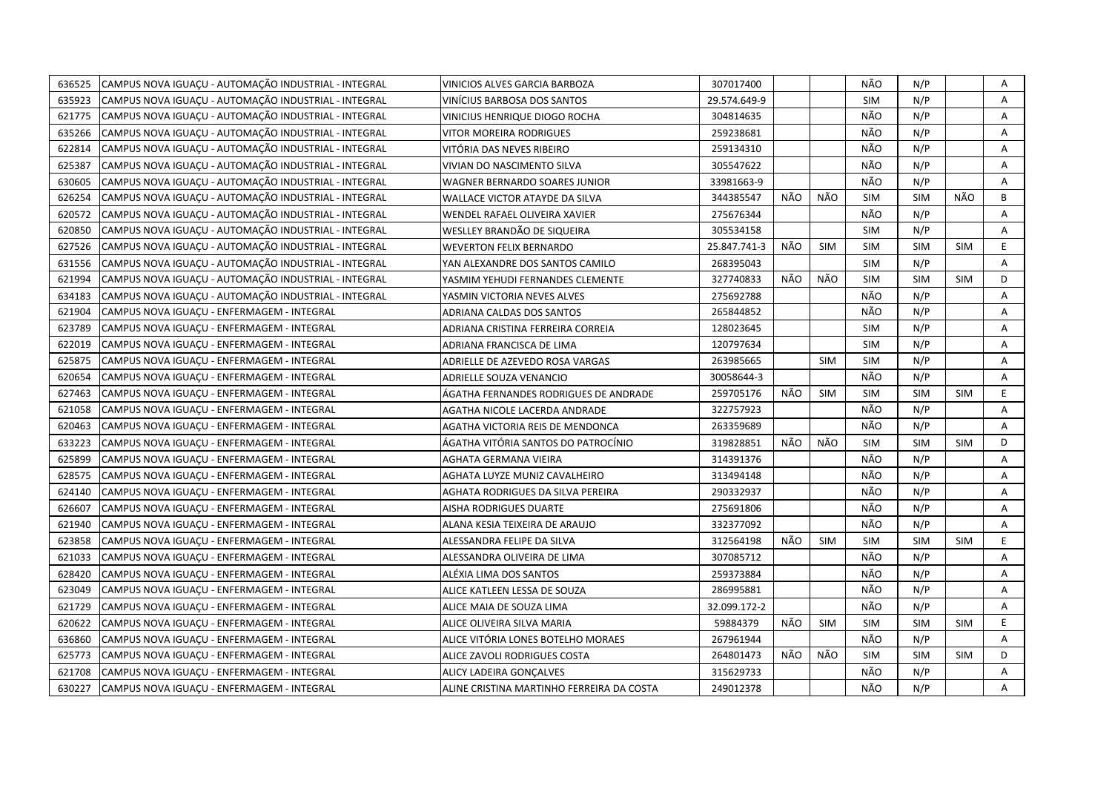| 636525 | CAMPUS NOVA IGUACU - AUTOMAÇÃO INDUSTRIAL - INTEGRAL | VINICIOS ALVES GARCIA BARBOZA             | 307017400    |     |            | NÃO        | N/P        |            | Α  |
|--------|------------------------------------------------------|-------------------------------------------|--------------|-----|------------|------------|------------|------------|----|
| 635923 | CAMPUS NOVA IGUACU - AUTOMACÃO INDUSTRIAL - INTEGRAL | VINÍCIUS BARBOSA DOS SANTOS               | 29.574.649-9 |     |            | <b>SIM</b> | N/P        |            | A  |
| 621775 | CAMPUS NOVA IGUAÇU - AUTOMAÇÃO INDUSTRIAL - INTEGRAL | VINICIUS HENRIQUE DIOGO ROCHA             | 304814635    |     |            | NÃO        | N/P        |            | Α  |
| 635266 | CAMPUS NOVA IGUACU - AUTOMAÇÃO INDUSTRIAL - INTEGRAL | VITOR MOREIRA RODRIGUES                   | 259238681    |     |            | NÃO        | N/P        |            | A  |
| 622814 | CAMPUS NOVA IGUAÇU - AUTOMAÇÃO INDUSTRIAL - INTEGRAL | VITÓRIA DAS NEVES RIBEIRO                 | 259134310    |     |            | NÃO        | N/P        |            | Α  |
| 625387 | CAMPUS NOVA IGUACU - AUTOMAÇÃO INDUSTRIAL - INTEGRAL | VIVIAN DO NASCIMENTO SILVA                | 305547622    |     |            | NÃO        | N/P        |            | A  |
| 630605 | CAMPUS NOVA IGUACU - AUTOMAÇÃO INDUSTRIAL - INTEGRAL | <b>WAGNER BERNARDO SOARES JUNIOR</b>      | 33981663-9   |     |            | NÃO        | N/P        |            | A  |
| 626254 | CAMPUS NOVA IGUAÇU - AUTOMAÇÃO INDUSTRIAL - INTEGRAL | <b>WALLACE VICTOR ATAYDE DA SILVA</b>     | 344385547    | NÃO | NÃO        | <b>SIM</b> | <b>SIM</b> | NÃO        | B  |
| 620572 | CAMPUS NOVA IGUAÇU - AUTOMAÇÃO INDUSTRIAL - INTEGRAL | WENDEL RAFAEL OLIVEIRA XAVIER             | 275676344    |     |            | NÃO        | N/P        |            | A  |
| 620850 | CAMPUS NOVA IGUAÇU - AUTOMAÇÃO INDUSTRIAL - INTEGRAL | WESLLEY BRANDÃO DE SIQUEIRA               | 305534158    |     |            | <b>SIM</b> | N/P        |            | A  |
| 627526 | CAMPUS NOVA IGUAÇU - AUTOMAÇÃO INDUSTRIAL - INTEGRAL | <b>WEVERTON FELIX BERNARDO</b>            | 25.847.741-3 | NÃO | <b>SIM</b> | <b>SIM</b> | <b>SIM</b> | <b>SIM</b> | E  |
| 631556 | CAMPUS NOVA IGUAÇU - AUTOMAÇÃO INDUSTRIAL - INTEGRAL | YAN ALEXANDRE DOS SANTOS CAMILO           | 268395043    |     |            | <b>SIM</b> | N/P        |            | A  |
| 621994 | CAMPUS NOVA IGUAÇU - AUTOMAÇÃO INDUSTRIAL - INTEGRAL | YASMIM YEHUDI FERNANDES CLEMENTE          | 327740833    | NÃO | NÃO        | <b>SIM</b> | <b>SIM</b> | <b>SIM</b> | D  |
| 634183 | CAMPUS NOVA IGUAÇU - AUTOMAÇÃO INDUSTRIAL - INTEGRAL | YASMIN VICTORIA NEVES ALVES               | 275692788    |     |            | NÃO        | N/P        |            | Α  |
| 621904 | CAMPUS NOVA IGUACU - ENFERMAGEM - INTEGRAL           | ADRIANA CALDAS DOS SANTOS                 | 265844852    |     |            | NÃO        | N/P        |            | A  |
| 623789 | CAMPUS NOVA IGUAÇU - ENFERMAGEM - INTEGRAL           | ADRIANA CRISTINA FERREIRA CORREIA         | 128023645    |     |            | <b>SIM</b> | N/P        |            | Α  |
| 622019 | CAMPUS NOVA IGUACU - ENFERMAGEM - INTEGRAL           | ADRIANA FRANCISCA DE LIMA                 | 120797634    |     |            | <b>SIM</b> | N/P        |            | A  |
| 625875 | CAMPUS NOVA IGUAÇU - ENFERMAGEM - INTEGRAL           | ADRIELLE DE AZEVEDO ROSA VARGAS           | 263985665    |     | <b>SIM</b> | <b>SIM</b> | N/P        |            | Α  |
| 620654 | CAMPUS NOVA IGUAÇU - ENFERMAGEM - INTEGRAL           | ADRIELLE SOUZA VENANCIO                   | 30058644-3   |     |            | NÃO        | N/P        |            | Α  |
| 627463 | CAMPUS NOVA IGUAÇU - ENFERMAGEM - INTEGRAL           | ÁGATHA FERNANDES RODRIGUES DE ANDRADE     | 259705176    | NÃO | <b>SIM</b> | <b>SIM</b> | <b>SIM</b> | <b>SIM</b> | E  |
| 621058 | CAMPUS NOVA IGUAÇU - ENFERMAGEM - INTEGRAL           | AGATHA NICOLE LACERDA ANDRADE             | 322757923    |     |            | NÃO        | N/P        |            | A  |
| 620463 | CAMPUS NOVA IGUAÇU - ENFERMAGEM - INTEGRAL           | AGATHA VICTORIA REIS DE MENDONCA          | 263359689    |     |            | NÃO        | N/P        |            | Α  |
| 633223 | CAMPUS NOVA IGUACU - ENFERMAGEM - INTEGRAL           | ÁGATHA VITÓRIA SANTOS DO PATROCÍNIO       | 319828851    | NÃO | NÃO        | <b>SIM</b> | <b>SIM</b> | <b>SIM</b> | D  |
| 625899 | CAMPUS NOVA IGUAÇU - ENFERMAGEM - INTEGRAL           | AGHATA GERMANA VIEIRA                     | 314391376    |     |            | NÃO        | N/P        |            | A  |
| 628575 | CAMPUS NOVA IGUACU - ENFERMAGEM - INTEGRAL           | AGHATA LUYZE MUNIZ CAVALHEIRO             | 313494148    |     |            | NÃO        | N/P        |            | A  |
| 624140 | CAMPUS NOVA IGUAÇU - ENFERMAGEM - INTEGRAL           | AGHATA RODRIGUES DA SILVA PEREIRA         | 290332937    |     |            | NÃO        | N/P        |            | A  |
| 626607 | CAMPUS NOVA IGUAÇU - ENFERMAGEM - INTEGRAL           | AISHA RODRIGUES DUARTE                    | 275691806    |     |            | NÃO        | N/P        |            | A  |
| 621940 | CAMPUS NOVA IGUAÇU - ENFERMAGEM - INTEGRAL           | ALANA KESIA TEIXEIRA DE ARAUJO            | 332377092    |     |            | NÃO        | N/P        |            | A  |
| 623858 | CAMPUS NOVA IGUAÇU - ENFERMAGEM - INTEGRAL           | ALESSANDRA FELIPE DA SILVA                | 312564198    | NÃO | <b>SIM</b> | <b>SIM</b> | <b>SIM</b> | <b>SIM</b> | E. |
| 621033 | CAMPUS NOVA IGUAÇU - ENFERMAGEM - INTEGRAL           | ALESSANDRA OLIVEIRA DE LIMA               | 307085712    |     |            | NÃO        | N/P        |            | A  |
| 628420 | CAMPUS NOVA IGUACU - ENFERMAGEM - INTEGRAL           | ALÉXIA LIMA DOS SANTOS                    | 259373884    |     |            | NÃO        | N/P        |            | A  |
| 623049 | CAMPUS NOVA IGUAÇU - ENFERMAGEM - INTEGRAL           | ALICE KATLEEN LESSA DE SOUZA              | 286995881    |     |            | NÃO        | N/P        |            | A  |
| 621729 | CAMPUS NOVA IGUACU - ENFERMAGEM - INTEGRAL           | ALICE MAIA DE SOUZA LIMA                  | 32.099.172-2 |     |            | NÃO        | N/P        |            | A  |
| 620622 | CAMPUS NOVA IGUAÇU - ENFERMAGEM - INTEGRAL           | ALICE OLIVEIRA SILVA MARIA                | 59884379     | NÃO | <b>SIM</b> | <b>SIM</b> | <b>SIM</b> | <b>SIM</b> | E. |
| 636860 | CAMPUS NOVA IGUAÇU - ENFERMAGEM - INTEGRAL           | ALICE VITÓRIA LONES BOTELHO MORAES        | 267961944    |     |            | NÃO        | N/P        |            | A  |
| 625773 | CAMPUS NOVA IGUAÇU - ENFERMAGEM - INTEGRAL           | ALICE ZAVOLI RODRIGUES COSTA              | 264801473    | NÃO | NÃO        | <b>SIM</b> | <b>SIM</b> | <b>SIM</b> | D  |
| 621708 | CAMPUS NOVA IGUAÇU - ENFERMAGEM - INTEGRAL           | ALICY LADEIRA GONÇALVES                   | 315629733    |     |            | NÃO        | N/P        |            | Α  |
| 630227 | CAMPUS NOVA IGUAÇU - ENFERMAGEM - INTEGRAL           | ALINE CRISTINA MARTINHO FERREIRA DA COSTA | 249012378    |     |            | NÃO        | N/P        |            | A  |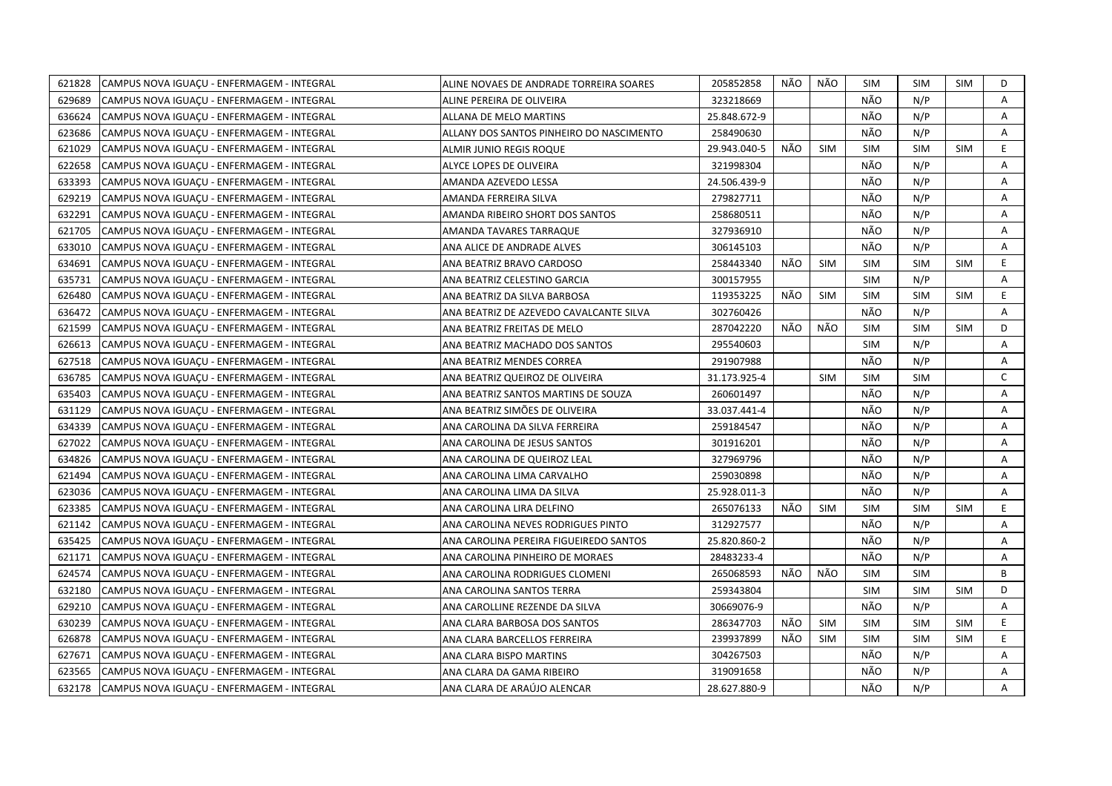| 621828 | CAMPUS NOVA IGUAÇU - ENFERMAGEM - INTEGRAL | ALINE NOVAES DE ANDRADE TORREIRA SOARES  | 205852858    | NÃO | NÃO        | <b>SIM</b> | <b>SIM</b> | SIM        | D            |
|--------|--------------------------------------------|------------------------------------------|--------------|-----|------------|------------|------------|------------|--------------|
| 629689 | CAMPUS NOVA IGUACU - ENFERMAGEM - INTEGRAL | ALINE PEREIRA DE OLIVEIRA                | 323218669    |     |            | NÃO        | N/P        |            | A            |
| 636624 | CAMPUS NOVA IGUACU - ENFERMAGEM - INTEGRAL | ALLANA DE MELO MARTINS                   | 25.848.672-9 |     |            | NÃO        | N/P        |            | A            |
| 623686 | CAMPUS NOVA IGUACU - ENFERMAGEM - INTEGRAL | ALLANY DOS SANTOS PINHEIRO DO NASCIMENTO | 258490630    |     |            | NÃO        | N/P        |            | A            |
| 621029 | CAMPUS NOVA IGUAÇU - ENFERMAGEM - INTEGRAL | ALMIR JUNIO REGIS ROQUE                  | 29.943.040-5 | NÃO | <b>SIM</b> | <b>SIM</b> | <b>SIM</b> | <b>SIM</b> | E.           |
| 622658 | CAMPUS NOVA IGUAÇU - ENFERMAGEM - INTEGRAL | ALYCE LOPES DE OLIVEIRA                  | 321998304    |     |            | NÃO        | N/P        |            | A            |
| 633393 | CAMPUS NOVA IGUACU - ENFERMAGEM - INTEGRAL | AMANDA AZEVEDO LESSA                     | 24.506.439-9 |     |            | NÃO        | N/P        |            | Α            |
| 629219 | CAMPUS NOVA IGUAÇU - ENFERMAGEM - INTEGRAL | AMANDA FERREIRA SILVA                    | 279827711    |     |            | NÃO        | N/P        |            | Α            |
| 632291 | CAMPUS NOVA IGUACU - ENFERMAGEM - INTEGRAL | AMANDA RIBEIRO SHORT DOS SANTOS          | 258680511    |     |            | NÃO        | N/P        |            | A            |
| 621705 | CAMPUS NOVA IGUAÇU - ENFERMAGEM - INTEGRAL | AMANDA TAVARES TARRAQUE                  | 327936910    |     |            | NÃO        | N/P        |            | A            |
| 633010 | CAMPUS NOVA IGUACU - ENFERMAGEM - INTEGRAL | ANA ALICE DE ANDRADE ALVES               | 306145103    |     |            | NÃO        | N/P        |            | A            |
| 634691 | CAMPUS NOVA IGUAÇU - ENFERMAGEM - INTEGRAL | ANA BEATRIZ BRAVO CARDOSO                | 258443340    | NÃO | <b>SIM</b> | <b>SIM</b> | <b>SIM</b> | <b>SIM</b> | E.           |
| 635731 | CAMPUS NOVA IGUACU - ENFERMAGEM - INTEGRAL | ANA BEATRIZ CELESTINO GARCIA             | 300157955    |     |            | <b>SIM</b> | N/P        |            | A            |
| 626480 | CAMPUS NOVA IGUAÇU - ENFERMAGEM - INTEGRAL | ANA BEATRIZ DA SILVA BARBOSA             | 119353225    | NÃO | <b>SIM</b> | <b>SIM</b> | <b>SIM</b> | <b>SIM</b> | E.           |
| 636472 | CAMPUS NOVA IGUAÇU - ENFERMAGEM - INTEGRAL | ANA BEATRIZ DE AZEVEDO CAVALCANTE SILVA  | 302760426    |     |            | NÃO        | N/P        |            | A            |
| 621599 | CAMPUS NOVA IGUAÇU - ENFERMAGEM - INTEGRAL | ANA BEATRIZ FREITAS DE MELO              | 287042220    | NÃO | NÃO        | <b>SIM</b> | <b>SIM</b> | <b>SIM</b> | D            |
| 626613 | CAMPUS NOVA IGUAÇU - ENFERMAGEM - INTEGRAL | ANA BEATRIZ MACHADO DOS SANTOS           | 295540603    |     |            | <b>SIM</b> | N/P        |            | Α            |
| 627518 | CAMPUS NOVA IGUACU - ENFERMAGEM - INTEGRAL | ANA BEATRIZ MENDES CORREA                | 291907988    |     |            | NÃO        | N/P        |            | Α            |
| 636785 | CAMPUS NOVA IGUAÇU - ENFERMAGEM - INTEGRAL | ANA BEATRIZ QUEIROZ DE OLIVEIRA          | 31.173.925-4 |     | <b>SIM</b> | <b>SIM</b> | <b>SIM</b> |            | $\mathsf{C}$ |
| 635403 | CAMPUS NOVA IGUAÇU - ENFERMAGEM - INTEGRAL | ANA BEATRIZ SANTOS MARTINS DE SOUZA      | 260601497    |     |            | NÃO        | N/P        |            | A            |
| 631129 | CAMPUS NOVA IGUAÇU - ENFERMAGEM - INTEGRAL | ANA BEATRIZ SIMÕES DE OLIVEIRA           | 33.037.441-4 |     |            | NÃO        | N/P        |            | Α            |
| 634339 | CAMPUS NOVA IGUACU - ENFERMAGEM - INTEGRAL | ANA CAROLINA DA SILVA FERREIRA           | 259184547    |     |            | NÃO        | N/P        |            | A            |
| 627022 | CAMPUS NOVA IGUACU - ENFERMAGEM - INTEGRAL | ANA CAROLINA DE JESUS SANTOS             | 301916201    |     |            | NÃO        | N/P        |            | A            |
| 634826 | CAMPUS NOVA IGUACU - ENFERMAGEM - INTEGRAL | ANA CAROLINA DE QUEIROZ LEAL             | 327969796    |     |            | NÃO        | N/P        |            | A            |
| 621494 | CAMPUS NOVA IGUAÇU - ENFERMAGEM - INTEGRAL | ANA CAROLINA LIMA CARVALHO               | 259030898    |     |            | NÃO        | N/P        |            | A            |
| 623036 | CAMPUS NOVA IGUAÇU - ENFERMAGEM - INTEGRAL | ANA CAROLINA LIMA DA SILVA               | 25.928.011-3 |     |            | NÃO        | N/P        |            | A            |
| 623385 | CAMPUS NOVA IGUAÇU - ENFERMAGEM - INTEGRAL | ANA CAROLINA LIRA DELFINO                | 265076133    | NÃO | <b>SIM</b> | SIM        | <b>SIM</b> | <b>SIM</b> | E            |
| 621142 | CAMPUS NOVA IGUAÇU - ENFERMAGEM - INTEGRAL | ANA CAROLINA NEVES RODRIGUES PINTO       | 312927577    |     |            | NÃO        | N/P        |            | A            |
| 635425 | CAMPUS NOVA IGUACU - ENFERMAGEM - INTEGRAL | ANA CAROLINA PEREIRA FIGUEIREDO SANTOS   | 25.820.860-2 |     |            | NÃO        | N/P        |            | A            |
| 621171 | CAMPUS NOVA IGUAÇU - ENFERMAGEM - INTEGRAL | ANA CAROLINA PINHEIRO DE MORAES          | 28483233-4   |     |            | NÃO        | N/P        |            | Α            |
| 624574 | CAMPUS NOVA IGUAÇU - ENFERMAGEM - INTEGRAL | ANA CAROLINA RODRIGUES CLOMENI           | 265068593    | NÃO | NÃO        | <b>SIM</b> | <b>SIM</b> |            | B            |
| 632180 | CAMPUS NOVA IGUAÇU - ENFERMAGEM - INTEGRAL | ANA CAROLINA SANTOS TERRA                | 259343804    |     |            | <b>SIM</b> | <b>SIM</b> | <b>SIM</b> | D            |
| 629210 | CAMPUS NOVA IGUACU - ENFERMAGEM - INTEGRAL | ANA CAROLLINE REZENDE DA SILVA           | 30669076-9   |     |            | NÃO        | N/P        |            | A            |
| 630239 | CAMPUS NOVA IGUAÇU - ENFERMAGEM - INTEGRAL | ANA CLARA BARBOSA DOS SANTOS             | 286347703    | NÃO | <b>SIM</b> | <b>SIM</b> | <b>SIM</b> | <b>SIM</b> | E.           |
| 626878 | CAMPUS NOVA IGUAÇU - ENFERMAGEM - INTEGRAL | ANA CLARA BARCELLOS FERREIRA             | 239937899    | NÃO | <b>SIM</b> | <b>SIM</b> | <b>SIM</b> | <b>SIM</b> | E.           |
| 627671 | CAMPUS NOVA IGUAÇU - ENFERMAGEM - INTEGRAL | ANA CLARA BISPO MARTINS                  | 304267503    |     |            | NÃO        | N/P        |            | A            |
| 623565 | CAMPUS NOVA IGUACU - ENFERMAGEM - INTEGRAL | ANA CLARA DA GAMA RIBEIRO                | 319091658    |     |            | NÃO        | N/P        |            | A            |
| 632178 | CAMPUS NOVA IGUACU - ENFERMAGEM - INTEGRAL | ANA CLARA DE ARAÚJO ALENCAR              | 28.627.880-9 |     |            | NÃO        | N/P        |            | A            |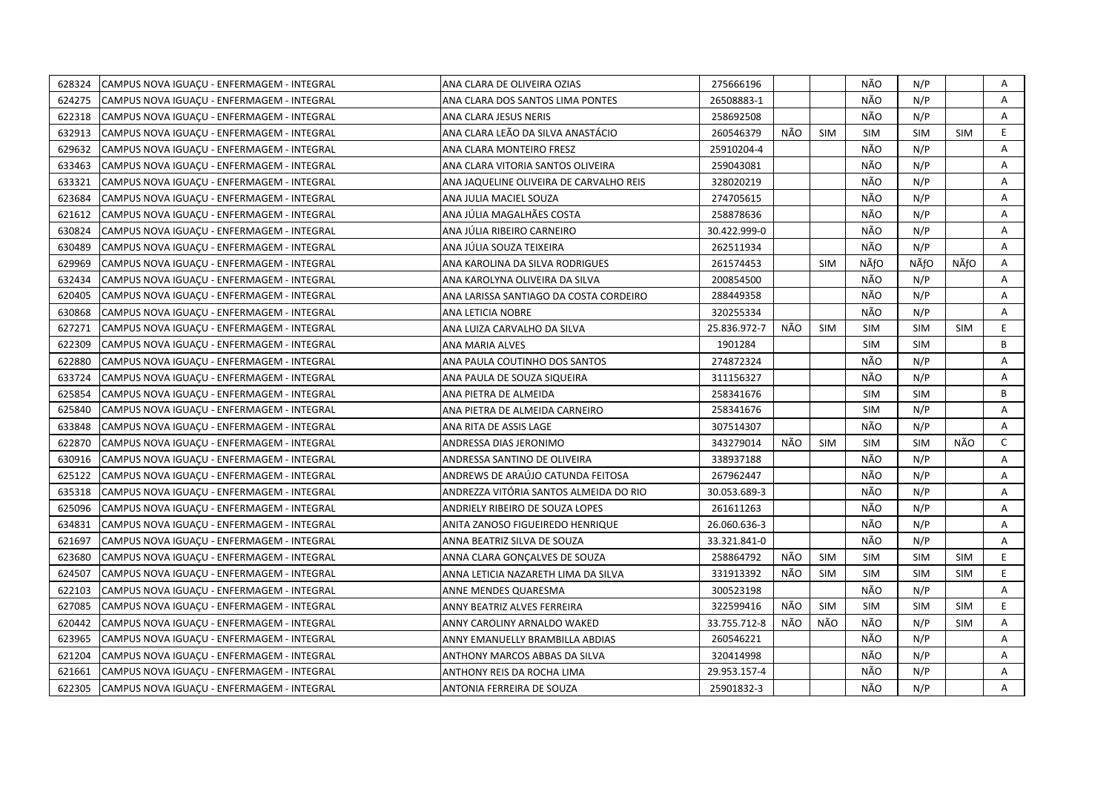| 628324<br>CAMPUS NOVA IGUACU - ENFERMAGEM - INTEGRAL | ANA CLARA DE OLIVEIRA OZIAS             | 275666196    |     |            | NÃO        | N/P        |            | Α  |
|------------------------------------------------------|-----------------------------------------|--------------|-----|------------|------------|------------|------------|----|
| 624275<br>CAMPUS NOVA IGUACU - ENFERMAGEM - INTEGRAL | ANA CLARA DOS SANTOS LIMA PONTES        | 26508883-1   |     |            | NÃO        | N/P        |            | A  |
| 622318<br>CAMPUS NOVA IGUACU - ENFERMAGEM - INTEGRAL | ANA CLARA JESUS NERIS                   | 258692508    |     |            | NÃO        | N/P        |            | A  |
| 632913<br>CAMPUS NOVA IGUAÇU - ENFERMAGEM - INTEGRAL | ANA CLARA LEÃO DA SILVA ANASTÁCIO       | 260546379    | NÃO | <b>SIM</b> | <b>SIM</b> | <b>SIM</b> | <b>SIM</b> | E. |
| 629632<br>CAMPUS NOVA IGUACU - ENFERMAGEM - INTEGRAL | ANA CLARA MONTEIRO FRESZ                | 25910204-4   |     |            | NÃO        | N/P        |            | Α  |
| 633463<br>CAMPUS NOVA IGUACU - ENFERMAGEM - INTEGRAL | ANA CLARA VITORIA SANTOS OLIVEIRA       | 259043081    |     |            | NÃO        | N/P        |            | Α  |
| 633321<br>CAMPUS NOVA IGUACU - ENFERMAGEM - INTEGRAL | ANA JAQUELINE OLIVEIRA DE CARVALHO REIS | 328020219    |     |            | NÃO        | N/P        |            | A  |
| 623684<br>CAMPUS NOVA IGUAÇU - ENFERMAGEM - INTEGRAL | ANA JULIA MACIEL SOUZA                  | 274705615    |     |            | NÃO        | N/P        |            | A  |
| 621612<br>CAMPUS NOVA IGUAÇU - ENFERMAGEM - INTEGRAL | ANA JÚLIA MAGALHÃES COSTA               | 258878636    |     |            | NÃO        | N/P        |            | A  |
| 630824<br>CAMPUS NOVA IGUACU - ENFERMAGEM - INTEGRAL | ANA JÚLIA RIBEIRO CARNEIRO              | 30.422.999-0 |     |            | NÃO        | N/P        |            | A  |
| 630489<br>CAMPUS NOVA IGUAÇU - ENFERMAGEM - INTEGRAL | ANA JÚLIA SOUZA TEIXEIRA                | 262511934    |     |            | NÃO        | N/P        |            | Α  |
| 629969<br>CAMPUS NOVA IGUACU - ENFERMAGEM - INTEGRAL | ANA KAROLINA DA SILVA RODRIGUES         | 261574453    |     | <b>SIM</b> | NÃfO       | NÃfO       | NÃfO       | A  |
| 632434<br>CAMPUS NOVA IGUACU - ENFERMAGEM - INTEGRAL | ANA KAROLYNA OLIVEIRA DA SILVA          | 200854500    |     |            | NÃO        | N/P        |            | A  |
| 620405<br>CAMPUS NOVA IGUAÇU - ENFERMAGEM - INTEGRAL | ANA LARISSA SANTIAGO DA COSTA CORDEIRO  | 288449358    |     |            | NÃO        | N/P        |            | Α  |
| 630868<br>CAMPUS NOVA IGUACU - ENFERMAGEM - INTEGRAL | ANA LETICIA NOBRE                       | 320255334    |     |            | NÃO        | N/P        |            | A  |
| 627271<br>CAMPUS NOVA IGUAÇU - ENFERMAGEM - INTEGRAL | ANA LUIZA CARVALHO DA SILVA             | 25.836.972-7 | NÃO | <b>SIM</b> | <b>SIM</b> | <b>SIM</b> | <b>SIM</b> | E  |
| 622309<br>CAMPUS NOVA IGUAÇU - ENFERMAGEM - INTEGRAL | ANA MARIA ALVES                         | 1901284      |     |            | <b>SIM</b> | <b>SIM</b> |            | B  |
| 622880<br>CAMPUS NOVA IGUACU - ENFERMAGEM - INTEGRAL | ANA PAULA COUTINHO DOS SANTOS           | 274872324    |     |            | NÃO        | N/P        |            | A  |
| 633724<br>CAMPUS NOVA IGUAÇU - ENFERMAGEM - INTEGRAL | ANA PAULA DE SOUZA SIQUEIRA             | 311156327    |     |            | NÃO        | N/P        |            | A  |
| 625854<br>CAMPUS NOVA IGUAÇU - ENFERMAGEM - INTEGRAL | ANA PIETRA DE ALMEIDA                   | 258341676    |     |            | <b>SIM</b> | <b>SIM</b> |            | B  |
| 625840<br>CAMPUS NOVA IGUAÇU - ENFERMAGEM - INTEGRAL | ANA PIETRA DE ALMEIDA CARNEIRO          | 258341676    |     |            | <b>SIM</b> | N/P        |            | A  |
| 633848<br>CAMPUS NOVA IGUACU - ENFERMAGEM - INTEGRAL | ANA RITA DE ASSIS LAGE                  | 307514307    |     |            | NÃO        | N/P        |            | A  |
| 622870<br>CAMPUS NOVA IGUAÇU - ENFERMAGEM - INTEGRAL | ANDRESSA DIAS JERONIMO                  | 343279014    | NÃO | <b>SIM</b> | <b>SIM</b> | <b>SIM</b> | NÃO        | C  |
| 630916<br>CAMPUS NOVA IGUAÇU - ENFERMAGEM - INTEGRAL | ANDRESSA SANTINO DE OLIVEIRA            | 338937188    |     |            | NÃO        | N/P        |            | A  |
| 625122<br>CAMPUS NOVA IGUAÇU - ENFERMAGEM - INTEGRAL | ANDREWS DE ARAÚJO CATUNDA FEITOSA       | 267962447    |     |            | NÃO        | N/P        |            | A  |
| 635318<br>CAMPUS NOVA IGUAÇU - ENFERMAGEM - INTEGRAL | ANDREZZA VITÓRIA SANTOS ALMEIDA DO RIO  | 30.053.689-3 |     |            | NÃO        | N/P        |            | Α  |
| 625096<br>CAMPUS NOVA IGUACU - ENFERMAGEM - INTEGRAL | ANDRIELY RIBEIRO DE SOUZA LOPES         | 261611263    |     |            | NÃO        | N/P        |            | A  |
| 634831<br>CAMPUS NOVA IGUACU - ENFERMAGEM - INTEGRAL | ANITA ZANOSO FIGUEIREDO HENRIQUE        | 26.060.636-3 |     |            | NÃO        | N/P        |            | A  |
| 621697<br>CAMPUS NOVA IGUAÇU - ENFERMAGEM - INTEGRAL | ANNA BEATRIZ SILVA DE SOUZA             | 33.321.841-0 |     |            | NÃO        | N/P        |            | A  |
| 623680<br>CAMPUS NOVA IGUAÇU - ENFERMAGEM - INTEGRAL | ANNA CLARA GONCALVES DE SOUZA           | 258864792    | NÃO | <b>SIM</b> | <b>SIM</b> | <b>SIM</b> | <b>SIM</b> | E. |
| 624507<br>CAMPUS NOVA IGUAÇU - ENFERMAGEM - INTEGRAL | ANNA LETICIA NAZARETH LIMA DA SILVA     | 331913392    | NÃO | <b>SIM</b> | <b>SIM</b> | <b>SIM</b> | <b>SIM</b> | E. |
| 622103<br>CAMPUS NOVA IGUACU - ENFERMAGEM - INTEGRAL | ANNE MENDES QUARESMA                    | 300523198    |     |            | NÃO        | N/P        |            | A  |
| 627085<br>CAMPUS NOVA IGUAÇU - ENFERMAGEM - INTEGRAL | ANNY BEATRIZ ALVES FERREIRA             | 322599416    | NÃO | <b>SIM</b> | <b>SIM</b> | <b>SIM</b> | <b>SIM</b> | E. |
| 620442<br>CAMPUS NOVA IGUAÇU - ENFERMAGEM - INTEGRAL | ANNY CAROLINY ARNALDO WAKED             | 33.755.712-8 | NÃO | NÃO        | NÃO        | N/P        | <b>SIM</b> | A  |
| 623965<br>CAMPUS NOVA IGUAÇU - ENFERMAGEM - INTEGRAL | ANNY EMANUELLY BRAMBILLA ABDIAS         | 260546221    |     |            | NÃO        | N/P        |            | A  |
| 621204<br>CAMPUS NOVA IGUAÇU - ENFERMAGEM - INTEGRAL | ANTHONY MARCOS ABBAS DA SILVA           | 320414998    |     |            | NÃO        | N/P        |            | Α  |
| 621661<br>CAMPUS NOVA IGUAÇU - ENFERMAGEM - INTEGRAL | ANTHONY REIS DA ROCHA LIMA              | 29.953.157-4 |     |            | NÃO        | N/P        |            | A  |
| 622305<br>CAMPUS NOVA IGUAÇU - ENFERMAGEM - INTEGRAL | ANTONIA FERREIRA DE SOUZA               | 25901832-3   |     |            | NÃO        | N/P        |            | A  |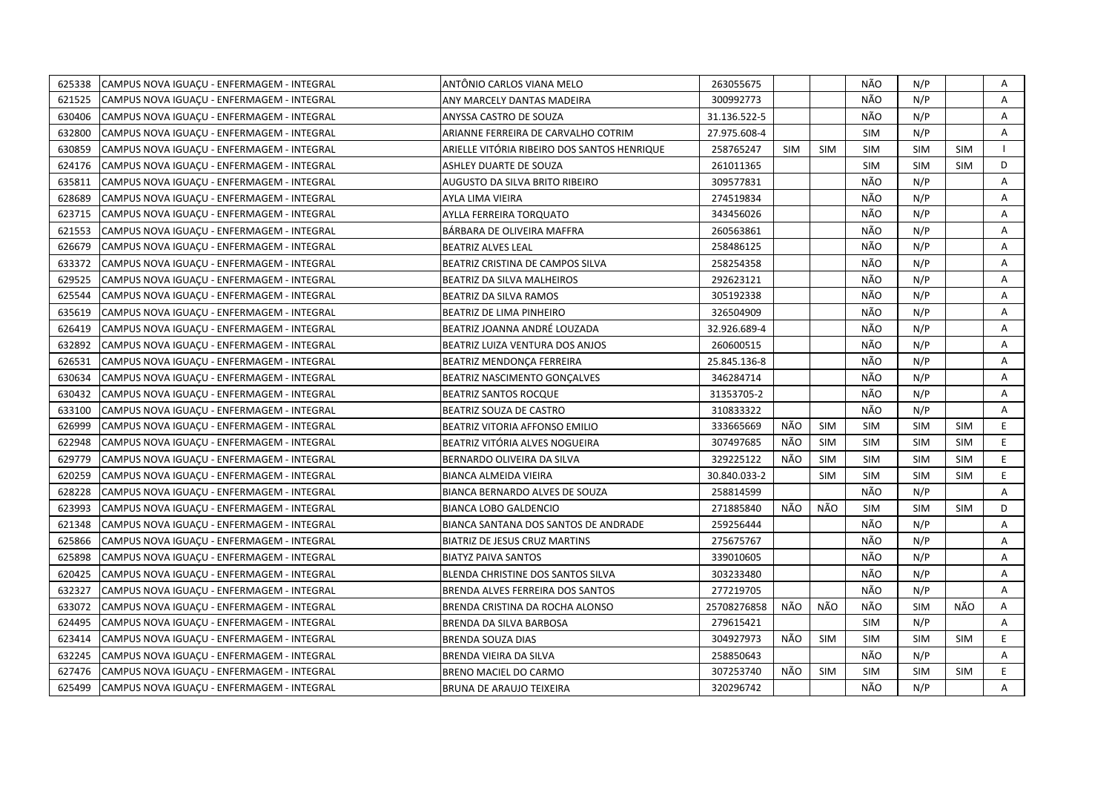| 625338 | CAMPUS NOVA IGUACU - ENFERMAGEM - INTEGRAL | ANTÔNIO CARLOS VIANA MELO                   | 263055675    |            |            | NÃO        | N/P        |            | A            |
|--------|--------------------------------------------|---------------------------------------------|--------------|------------|------------|------------|------------|------------|--------------|
| 621525 | CAMPUS NOVA IGUACU - ENFERMAGEM - INTEGRAL | ANY MARCELY DANTAS MADEIRA                  | 300992773    |            |            | NÃO        | N/P        |            | A            |
| 630406 | CAMPUS NOVA IGUACU - ENFERMAGEM - INTEGRAL | ANYSSA CASTRO DE SOUZA                      | 31.136.522-5 |            |            | NÃO        | N/P        |            | A            |
| 632800 | CAMPUS NOVA IGUAÇU - ENFERMAGEM - INTEGRAL | ARIANNE FERREIRA DE CARVALHO COTRIM         | 27.975.608-4 |            |            | <b>SIM</b> | N/P        |            | Α            |
| 630859 | CAMPUS NOVA IGUACU - ENFERMAGEM - INTEGRAL | ARIELLE VITÓRIA RIBEIRO DOS SANTOS HENRIQUE | 258765247    | <b>SIM</b> | <b>SIM</b> | <b>SIM</b> | <b>SIM</b> | <b>SIM</b> | $\mathbf{I}$ |
| 624176 | CAMPUS NOVA IGUAÇU - ENFERMAGEM - INTEGRAL | ASHLEY DUARTE DE SOUZA                      | 261011365    |            |            | <b>SIM</b> | <b>SIM</b> | <b>SIM</b> | D            |
| 635811 | CAMPUS NOVA IGUACU - ENFERMAGEM - INTEGRAL | AUGUSTO DA SILVA BRITO RIBEIRO              | 309577831    |            |            | NÃO        | N/P        |            | A            |
| 628689 | CAMPUS NOVA IGUAÇU - ENFERMAGEM - INTEGRAL | AYLA LIMA VIEIRA                            | 274519834    |            |            | NÃO        | N/P        |            | A            |
| 623715 | CAMPUS NOVA IGUACU - ENFERMAGEM - INTEGRAL | AYLLA FERREIRA TORQUATO                     | 343456026    |            |            | NÃO        | N/P        |            | A            |
| 621553 | CAMPUS NOVA IGUAÇU - ENFERMAGEM - INTEGRAL | BÁRBARA DE OLIVEIRA MAFFRA                  | 260563861    |            |            | NÃO        | N/P        |            | Α            |
| 626679 | CAMPUS NOVA IGUAÇU - ENFERMAGEM - INTEGRAL | <b>BEATRIZ ALVES LEAL</b>                   | 258486125    |            |            | NÃO        | N/P        |            | Α            |
| 633372 | CAMPUS NOVA IGUAÇU - ENFERMAGEM - INTEGRAL | BEATRIZ CRISTINA DE CAMPOS SILVA            | 258254358    |            |            | NÃO        | N/P        |            | Α            |
| 629525 | CAMPUS NOVA IGUAÇU - ENFERMAGEM - INTEGRAL | BEATRIZ DA SILVA MALHEIROS                  | 292623121    |            |            | NÃO        | N/P        |            | Α            |
| 625544 | CAMPUS NOVA IGUACU - ENFERMAGEM - INTEGRAL | <b>BEATRIZ DA SILVA RAMOS</b>               | 305192338    |            |            | NÃO        | N/P        |            | A            |
| 635619 | CAMPUS NOVA IGUACU - ENFERMAGEM - INTEGRAL | BEATRIZ DE LIMA PINHEIRO                    | 326504909    |            |            | NÃO        | N/P        |            | Α            |
| 626419 | CAMPUS NOVA IGUACU - ENFERMAGEM - INTEGRAL | BEATRIZ JOANNA ANDRÉ LOUZADA                | 32.926.689-4 |            |            | NÃO        | N/P        |            | A            |
| 632892 | CAMPUS NOVA IGUACU - ENFERMAGEM - INTEGRAL | BEATRIZ LUIZA VENTURA DOS ANJOS             | 260600515    |            |            | NÃO        | N/P        |            | Α            |
| 626531 | CAMPUS NOVA IGUAÇU - ENFERMAGEM - INTEGRAL | BEATRIZ MENDONÇA FERREIRA                   | 25.845.136-8 |            |            | NÃO        | N/P        |            | Α            |
| 630634 | CAMPUS NOVA IGUACU - ENFERMAGEM - INTEGRAL | BEATRIZ NASCIMENTO GONCALVES                | 346284714    |            |            | NÃO        | N/P        |            | A            |
| 630432 | CAMPUS NOVA IGUAÇU - ENFERMAGEM - INTEGRAL | <b>BEATRIZ SANTOS ROCQUE</b>                | 31353705-2   |            |            | NÃO        | N/P        |            | A            |
| 633100 | CAMPUS NOVA IGUACU - ENFERMAGEM - INTEGRAL | <b>BEATRIZ SOUZA DE CASTRO</b>              | 310833322    |            |            | NÃO        | N/P        |            | A            |
| 626999 | CAMPUS NOVA IGUAÇU - ENFERMAGEM - INTEGRAL | BEATRIZ VITORIA AFFONSO EMILIO              | 333665669    | NÃO        | SIM        | <b>SIM</b> | <b>SIM</b> | <b>SIM</b> | E.           |
| 622948 | CAMPUS NOVA IGUAÇU - ENFERMAGEM - INTEGRAL | BEATRIZ VITÓRIA ALVES NOGUEIRA              | 307497685    | NÃO        | <b>SIM</b> | <b>SIM</b> | <b>SIM</b> | <b>SIM</b> | E.           |
| 629779 | CAMPUS NOVA IGUAÇU - ENFERMAGEM - INTEGRAL | BERNARDO OLIVEIRA DA SILVA                  | 329225122    | NÃO        | SIM        | <b>SIM</b> | <b>SIM</b> | <b>SIM</b> | E.           |
| 620259 | CAMPUS NOVA IGUAÇU - ENFERMAGEM - INTEGRAL | BIANCA ALMEIDA VIEIRA                       | 30.840.033-2 |            | <b>SIM</b> | <b>SIM</b> | <b>SIM</b> | <b>SIM</b> | E            |
| 628228 | CAMPUS NOVA IGUAÇU - ENFERMAGEM - INTEGRAL | BIANCA BERNARDO ALVES DE SOUZA              | 258814599    |            |            | NÃO        | N/P        |            | A            |
| 623993 | CAMPUS NOVA IGUAÇU - ENFERMAGEM - INTEGRAL | <b>BIANCA LOBO GALDENCIO</b>                | 271885840    | NÃO        | NÃO        | <b>SIM</b> | <b>SIM</b> | <b>SIM</b> | D            |
| 621348 | CAMPUS NOVA IGUACU - ENFERMAGEM - INTEGRAL | BIANCA SANTANA DOS SANTOS DE ANDRADE        | 259256444    |            |            | NÃO        | N/P        |            | A            |
| 625866 | CAMPUS NOVA IGUAÇU - ENFERMAGEM - INTEGRAL | <b>BIATRIZ DE JESUS CRUZ MARTINS</b>        | 275675767    |            |            | NÃO        | N/P        |            | A            |
| 625898 | CAMPUS NOVA IGUACU - ENFERMAGEM - INTEGRAL | <b>BIATYZ PAIVA SANTOS</b>                  | 339010605    |            |            | NÃO        | N/P        |            | A            |
| 620425 | CAMPUS NOVA IGUAÇU - ENFERMAGEM - INTEGRAL | BLENDA CHRISTINE DOS SANTOS SILVA           | 303233480    |            |            | NÃO        | N/P        |            | Α            |
| 632327 | CAMPUS NOVA IGUAÇU - ENFERMAGEM - INTEGRAL | BRENDA ALVES FERREIRA DOS SANTOS            | 277219705    |            |            | NÃO        | N/P        |            | A            |
| 633072 | CAMPUS NOVA IGUAÇU - ENFERMAGEM - INTEGRAL | BRENDA CRISTINA DA ROCHA ALONSO             | 25708276858  | NÃO        | NÃO        | NÃO        | <b>SIM</b> | NÃO        | Α            |
| 624495 | CAMPUS NOVA IGUAÇU - ENFERMAGEM - INTEGRAL | BRENDA DA SILVA BARBOSA                     | 279615421    |            |            | <b>SIM</b> | N/P        |            | Α            |
| 623414 | CAMPUS NOVA IGUAÇU - ENFERMAGEM - INTEGRAL | BRENDA SOUZA DIAS                           | 304927973    | NÃO        | <b>SIM</b> | <b>SIM</b> | <b>SIM</b> | <b>SIM</b> | E.           |
| 632245 | CAMPUS NOVA IGUAÇU - ENFERMAGEM - INTEGRAL | BRENDA VIEIRA DA SILVA                      | 258850643    |            |            | NÃO        | N/P        |            | Α            |
| 627476 | CAMPUS NOVA IGUAÇU - ENFERMAGEM - INTEGRAL | BRENO MACIEL DO CARMO                       | 307253740    | NÃO        | <b>SIM</b> | <b>SIM</b> | <b>SIM</b> | <b>SIM</b> | E.           |
| 625499 | CAMPUS NOVA IGUAÇU - ENFERMAGEM - INTEGRAL | <b>BRUNA DE ARAUJO TEIXEIRA</b>             | 320296742    |            |            | NÃO        | N/P        |            | А            |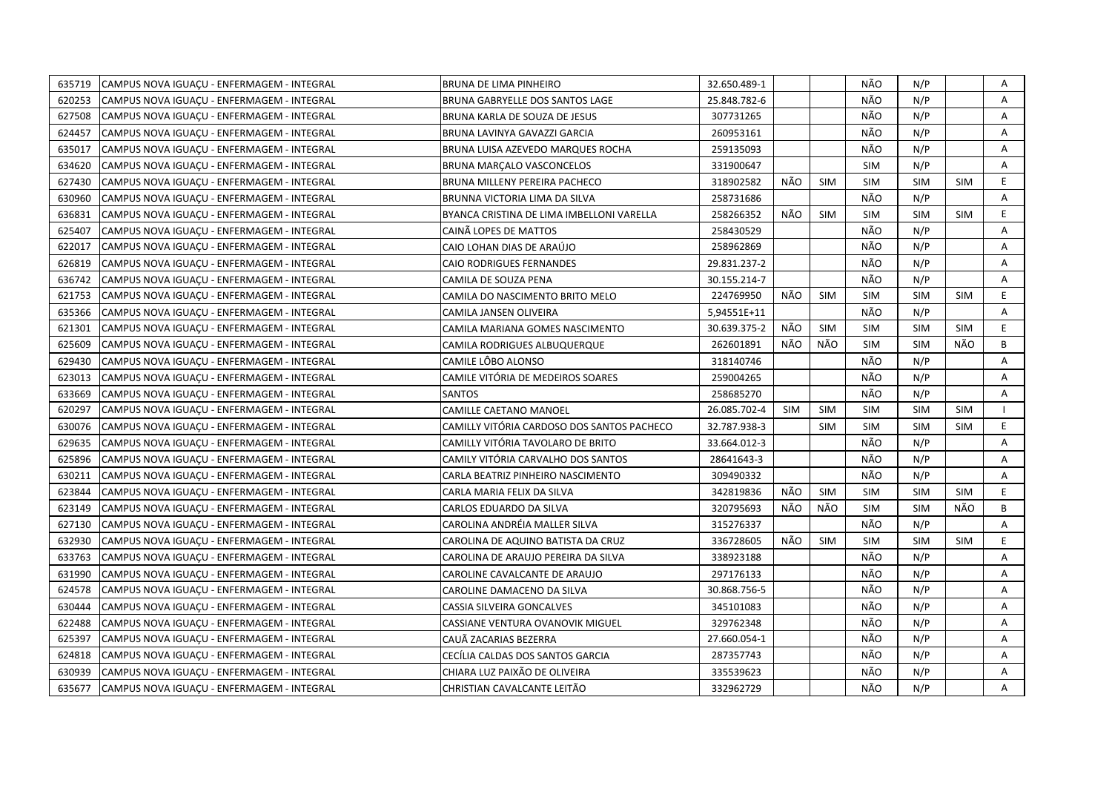| 635719 | CAMPUS NOVA IGUACU - ENFERMAGEM - INTEGRAL | BRUNA DE LIMA PINHEIRO                     | 32.650.489-1 |            |            | NÃO        | N/P        |            | Α  |
|--------|--------------------------------------------|--------------------------------------------|--------------|------------|------------|------------|------------|------------|----|
| 620253 | CAMPUS NOVA IGUACU - ENFERMAGEM - INTEGRAL | <b>BRUNA GABRYELLE DOS SANTOS LAGE</b>     | 25.848.782-6 |            |            | NÃO        | N/P        |            | A  |
| 627508 | CAMPUS NOVA IGUAÇU - ENFERMAGEM - INTEGRAL | BRUNA KARLA DE SOUZA DE JESUS              | 307731265    |            |            | NÃO        | N/P        |            | Α  |
| 624457 | CAMPUS NOVA IGUAÇU - ENFERMAGEM - INTEGRAL | BRUNA LAVINYA GAVAZZI GARCIA               | 260953161    |            |            | NÃO        | N/P        |            | Α  |
| 635017 | CAMPUS NOVA IGUACU - ENFERMAGEM - INTEGRAL | BRUNA LUISA AZEVEDO MARQUES ROCHA          | 259135093    |            |            | NÃO        | N/P        |            | Α  |
| 634620 | CAMPUS NOVA IGUAÇU - ENFERMAGEM - INTEGRAL | BRUNA MARÇALO VASCONCELOS                  | 331900647    |            |            | <b>SIM</b> | N/P        |            | Α  |
| 627430 | CAMPUS NOVA IGUACU - ENFERMAGEM - INTEGRAL | BRUNA MILLENY PEREIRA PACHECO              | 318902582    | NÃO        | <b>SIM</b> | <b>SIM</b> | <b>SIM</b> | <b>SIM</b> | E. |
| 630960 | CAMPUS NOVA IGUAÇU - ENFERMAGEM - INTEGRAL | BRUNNA VICTORIA LIMA DA SILVA              | 258731686    |            |            | NÃO        | N/P        |            | A  |
| 636831 | CAMPUS NOVA IGUAÇU - ENFERMAGEM - INTEGRAL | BYANCA CRISTINA DE LIMA IMBELLONI VARELLA  | 258266352    | NÃO        | <b>SIM</b> | <b>SIM</b> | <b>SIM</b> | <b>SIM</b> | E. |
| 625407 | CAMPUS NOVA IGUACU - ENFERMAGEM - INTEGRAL | CAINÃ LOPES DE MATTOS                      | 258430529    |            |            | NÃO        | N/P        |            | A  |
| 622017 | CAMPUS NOVA IGUAÇU - ENFERMAGEM - INTEGRAL | CAIO LOHAN DIAS DE ARAÚJO                  | 258962869    |            |            | NÃO        | N/P        |            | Α  |
| 626819 | CAMPUS NOVA IGUACU - ENFERMAGEM - INTEGRAL | <b>CAIO RODRIGUES FERNANDES</b>            | 29.831.237-2 |            |            | NÃO        | N/P        |            | A  |
| 636742 | CAMPUS NOVA IGUACU - ENFERMAGEM - INTEGRAL | CAMILA DE SOUZA PENA                       | 30.155.214-7 |            |            | NÃO        | N/P        |            | A  |
| 621753 | CAMPUS NOVA IGUAÇU - ENFERMAGEM - INTEGRAL | CAMILA DO NASCIMENTO BRITO MELO            | 224769950    | NÃO        | <b>SIM</b> | <b>SIM</b> | <b>SIM</b> | <b>SIM</b> | E. |
| 635366 | CAMPUS NOVA IGUACU - ENFERMAGEM - INTEGRAL | <b>CAMILA JANSEN OLIVEIRA</b>              | 5,94551E+11  |            |            | NÃO        | N/P        |            | A  |
| 621301 | CAMPUS NOVA IGUAÇU - ENFERMAGEM - INTEGRAL | CAMILA MARIANA GOMES NASCIMENTO            | 30.639.375-2 | NÃO        | <b>SIM</b> | <b>SIM</b> | <b>SIM</b> | <b>SIM</b> | E  |
| 625609 | CAMPUS NOVA IGUAÇU - ENFERMAGEM - INTEGRAL | CAMILA RODRIGUES ALBUQUERQUE               | 262601891    | NÃO        | NÃO        | <b>SIM</b> | <b>SIM</b> | NÃO        | B  |
| 629430 | CAMPUS NOVA IGUACU - ENFERMAGEM - INTEGRAL | CAMILE LÔBO ALONSO                         | 318140746    |            |            | NÃO        | N/P        |            | A  |
| 623013 | CAMPUS NOVA IGUAÇU - ENFERMAGEM - INTEGRAL | CAMILE VITÓRIA DE MEDEIROS SOARES          | 259004265    |            |            | NÃO        | N/P        |            | A  |
| 633669 | CAMPUS NOVA IGUAÇU - ENFERMAGEM - INTEGRAL | <b>SANTOS</b>                              | 258685270    |            |            | NÃO        | N/P        |            | A  |
| 620297 | CAMPUS NOVA IGUAÇU - ENFERMAGEM - INTEGRAL | CAMILLE CAETANO MANOEL                     | 26.085.702-4 | <b>SIM</b> | <b>SIM</b> | <b>SIM</b> | <b>SIM</b> | <b>SIM</b> |    |
| 630076 | CAMPUS NOVA IGUACU - ENFERMAGEM - INTEGRAL | CAMILLY VITÓRIA CARDOSO DOS SANTOS PACHECO | 32.787.938-3 |            | <b>SIM</b> | <b>SIM</b> | <b>SIM</b> | <b>SIM</b> | E. |
| 629635 | CAMPUS NOVA IGUAÇU - ENFERMAGEM - INTEGRAL | CAMILLY VITÓRIA TAVOLARO DE BRITO          | 33.664.012-3 |            |            | NÃO        | N/P        |            | A  |
| 625896 | CAMPUS NOVA IGUAÇU - ENFERMAGEM - INTEGRAL | CAMILY VITÓRIA CARVALHO DOS SANTOS         | 28641643-3   |            |            | NÃO        | N/P        |            | A  |
| 630211 | CAMPUS NOVA IGUAÇU - ENFERMAGEM - INTEGRAL | CARLA BEATRIZ PINHEIRO NASCIMENTO          | 309490332    |            |            | NÃO        | N/P        |            | A  |
| 623844 | CAMPUS NOVA IGUAÇU - ENFERMAGEM - INTEGRAL | CARLA MARIA FELIX DA SILVA                 | 342819836    | NÃO        | <b>SIM</b> | <b>SIM</b> | <b>SIM</b> | <b>SIM</b> | E. |
| 623149 | CAMPUS NOVA IGUACU - ENFERMAGEM - INTEGRAL | CARLOS EDUARDO DA SILVA                    | 320795693    | NÃO        | NÃO        | <b>SIM</b> | <b>SIM</b> | NÃO        | B  |
| 627130 | CAMPUS NOVA IGUACU - ENFERMAGEM - INTEGRAL | CAROLINA ANDRÉIA MALLER SILVA              | 315276337    |            |            | NÃO        | N/P        |            | A  |
| 632930 | CAMPUS NOVA IGUAÇU - ENFERMAGEM - INTEGRAL | CAROLINA DE AQUINO BATISTA DA CRUZ         | 336728605    | NÃO        | <b>SIM</b> | <b>SIM</b> | <b>SIM</b> | <b>SIM</b> | E. |
| 633763 | CAMPUS NOVA IGUACU - ENFERMAGEM - INTEGRAL | CAROLINA DE ARAUJO PEREIRA DA SILVA        | 338923188    |            |            | NÃO        | N/P        |            | Α  |
| 631990 | CAMPUS NOVA IGUAÇU - ENFERMAGEM - INTEGRAL | CAROLINE CAVALCANTE DE ARAUJO              | 297176133    |            |            | NÃO        | N/P        |            | Α  |
| 624578 | CAMPUS NOVA IGUAÇU - ENFERMAGEM - INTEGRAL | CAROLINE DAMACENO DA SILVA                 | 30.868.756-5 |            |            | NÃO        | N/P        |            | A  |
| 630444 | CAMPUS NOVA IGUAÇU - ENFERMAGEM - INTEGRAL | CASSIA SILVEIRA GONCALVES                  | 345101083    |            |            | NÃO        | N/P        |            | A  |
| 622488 | CAMPUS NOVA IGUAÇU - ENFERMAGEM - INTEGRAL | CASSIANE VENTURA OVANOVIK MIGUEL           | 329762348    |            |            | NÃO        | N/P        |            | A  |
| 625397 | CAMPUS NOVA IGUAÇU - ENFERMAGEM - INTEGRAL | CAUÃ ZACARIAS BEZERRA                      | 27.660.054-1 |            |            | NÃO        | N/P        |            | A  |
| 624818 | CAMPUS NOVA IGUAÇU - ENFERMAGEM - INTEGRAL | CECÍLIA CALDAS DOS SANTOS GARCIA           | 287357743    |            |            | NÃO        | N/P        |            | Α  |
| 630939 | CAMPUS NOVA IGUAÇU - ENFERMAGEM - INTEGRAL | CHIARA LUZ PAIXÃO DE OLIVEIRA              | 335539623    |            |            | NÃO        | N/P        |            | A  |
| 635677 | CAMPUS NOVA IGUAÇU - ENFERMAGEM - INTEGRAL | CHRISTIAN CAVALCANTE LEITÃO                | 332962729    |            |            | NÃO        | N/P        |            | A  |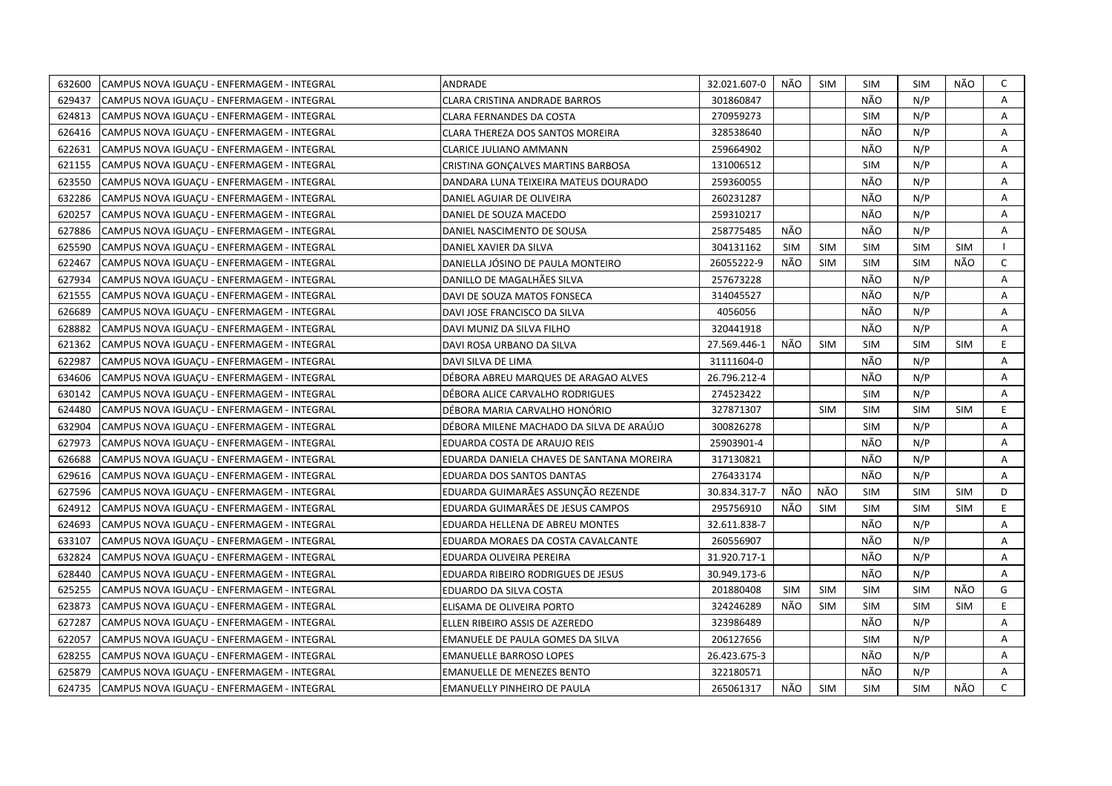| 632600 | CAMPUS NOVA IGUACU - ENFERMAGEM - INTEGRAL | ANDRADE                                   | 32.021.607-0 | NÃO        | SIM        | <b>SIM</b> | SIM        | NÃO        | C            |
|--------|--------------------------------------------|-------------------------------------------|--------------|------------|------------|------------|------------|------------|--------------|
| 629437 | CAMPUS NOVA IGUAÇU - ENFERMAGEM - INTEGRAL | CLARA CRISTINA ANDRADE BARROS             | 301860847    |            |            | NÃO        | N/P        |            | A            |
| 624813 | CAMPUS NOVA IGUAÇU - ENFERMAGEM - INTEGRAL | <b>CLARA FERNANDES DA COSTA</b>           | 270959273    |            |            | <b>SIM</b> | N/P        |            | A            |
| 626416 | CAMPUS NOVA IGUAÇU - ENFERMAGEM - INTEGRAL | CLARA THEREZA DOS SANTOS MOREIRA          | 328538640    |            |            | NÃO        | N/P        |            | Α            |
| 622631 | CAMPUS NOVA IGUACU - ENFERMAGEM - INTEGRAL | CLARICE JULIANO AMMANN                    | 259664902    |            |            | NÃO        | N/P        |            | Α            |
| 621155 | CAMPUS NOVA IGUAÇU - ENFERMAGEM - INTEGRAL | CRISTINA GONCALVES MARTINS BARBOSA        | 131006512    |            |            | <b>SIM</b> | N/P        |            | A            |
| 623550 | CAMPUS NOVA IGUAÇU - ENFERMAGEM - INTEGRAL | DANDARA LUNA TEIXEIRA MATEUS DOURADO      | 259360055    |            |            | NÃO        | N/P        |            | Α            |
| 632286 | CAMPUS NOVA IGUACU - ENFERMAGEM - INTEGRAL | DANIEL AGUIAR DE OLIVEIRA                 | 260231287    |            |            | NÃO        | N/P        |            | A            |
| 620257 | CAMPUS NOVA IGUAÇU - ENFERMAGEM - INTEGRAL | DANIEL DE SOUZA MACEDO                    | 259310217    |            |            | NÃO        | N/P        |            | Α            |
| 627886 | CAMPUS NOVA IGUAÇU - ENFERMAGEM - INTEGRAL | DANIEL NASCIMENTO DE SOUSA                | 258775485    | NÃO        |            | NÃO        | N/P        |            | A            |
| 625590 | CAMPUS NOVA IGUAÇU - ENFERMAGEM - INTEGRAL | DANIEL XAVIER DA SILVA                    | 304131162    | <b>SIM</b> | <b>SIM</b> | <b>SIM</b> | <b>SIM</b> | <b>SIM</b> | $\mathbf{I}$ |
| 622467 | CAMPUS NOVA IGUAÇU - ENFERMAGEM - INTEGRAL | DANIELLA JÓSINO DE PAULA MONTEIRO         | 26055222-9   | NÃO        | <b>SIM</b> | <b>SIM</b> | <b>SIM</b> | NÃO        | $\mathsf{C}$ |
| 627934 | CAMPUS NOVA IGUACU - ENFERMAGEM - INTEGRAL | DANILLO DE MAGALHÃES SILVA                | 257673228    |            |            | NÃO        | N/P        |            | A            |
| 621555 | CAMPUS NOVA IGUACU - ENFERMAGEM - INTEGRAL | DAVI DE SOUZA MATOS FONSECA               | 314045527    |            |            | NÃO        | N/P        |            | Α            |
| 626689 | CAMPUS NOVA IGUAÇU - ENFERMAGEM - INTEGRAL | DAVI JOSE FRANCISCO DA SILVA              | 4056056      |            |            | NÃO        | N/P        |            | Α            |
| 628882 | CAMPUS NOVA IGUACU - ENFERMAGEM - INTEGRAL | DAVI MUNIZ DA SILVA FILHO                 | 320441918    |            |            | NÃO        | N/P        |            | Α            |
| 621362 | CAMPUS NOVA IGUAÇU - ENFERMAGEM - INTEGRAL | DAVI ROSA URBANO DA SILVA                 | 27.569.446-1 | NÃO        | <b>SIM</b> | <b>SIM</b> | <b>SIM</b> | <b>SIM</b> | E            |
| 622987 | CAMPUS NOVA IGUACU - ENFERMAGEM - INTEGRAL | DAVI SILVA DE LIMA                        | 31111604-0   |            |            | NÃO        | N/P        |            | A            |
| 634606 | CAMPUS NOVA IGUACU - ENFERMAGEM - INTEGRAL | DÉBORA ABREU MARQUES DE ARAGAO ALVES      | 26.796.212-4 |            |            | NÃO        | N/P        |            | A            |
| 630142 | CAMPUS NOVA IGUAÇU - ENFERMAGEM - INTEGRAL | DÉBORA ALICE CARVALHO RODRIGUES           | 274523422    |            |            | <b>SIM</b> | N/P        |            | Α            |
| 624480 | CAMPUS NOVA IGUAÇU - ENFERMAGEM - INTEGRAL | DÉBORA MARIA CARVALHO HONÓRIO             | 327871307    |            | <b>SIM</b> | <b>SIM</b> | <b>SIM</b> | <b>SIM</b> | E.           |
| 632904 | CAMPUS NOVA IGUAÇU - ENFERMAGEM - INTEGRAL | DÉBORA MILENE MACHADO DA SILVA DE ARAÚJO  | 300826278    |            |            | <b>SIM</b> | N/P        |            | A            |
| 627973 | CAMPUS NOVA IGUAÇU - ENFERMAGEM - INTEGRAL | EDUARDA COSTA DE ARAUJO REIS              | 25903901-4   |            |            | NÃO        | N/P        |            | A            |
| 626688 | CAMPUS NOVA IGUAÇU - ENFERMAGEM - INTEGRAL | EDUARDA DANIELA CHAVES DE SANTANA MOREIRA | 317130821    |            |            | NÃO        | N/P        |            | A            |
| 629616 | CAMPUS NOVA IGUAÇU - ENFERMAGEM - INTEGRAL | EDUARDA DOS SANTOS DANTAS                 | 276433174    |            |            | NÃO        | N/P        |            | Α            |
| 627596 | CAMPUS NOVA IGUACU - ENFERMAGEM - INTEGRAL | EDUARDA GUIMARÃES ASSUNÇÃO REZENDE        | 30.834.317-7 | NÃO        | NÃO        | <b>SIM</b> | <b>SIM</b> | <b>SIM</b> | D            |
| 624912 | CAMPUS NOVA IGUAÇU - ENFERMAGEM - INTEGRAL | EDUARDA GUIMARÃES DE JESUS CAMPOS         | 295756910    | NÃO        | <b>SIM</b> | <b>SIM</b> | <b>SIM</b> | <b>SIM</b> | E            |
| 624693 | CAMPUS NOVA IGUAÇU - ENFERMAGEM - INTEGRAL | EDUARDA HELLENA DE ABREU MONTES           | 32.611.838-7 |            |            | NÃO        | N/P        |            | Α            |
| 633107 | CAMPUS NOVA IGUACU - ENFERMAGEM - INTEGRAL | EDUARDA MORAES DA COSTA CAVALCANTE        | 260556907    |            |            | NÃO        | N/P        |            | Α            |
| 632824 | CAMPUS NOVA IGUAÇU - ENFERMAGEM - INTEGRAL | EDUARDA OLIVEIRA PEREIRA                  | 31.920.717-1 |            |            | NÃO        | N/P        |            | Α            |
| 628440 | CAMPUS NOVA IGUAÇU - ENFERMAGEM - INTEGRAL | EDUARDA RIBEIRO RODRIGUES DE JESUS        | 30.949.173-6 |            |            | NÃO        | N/P        |            | A            |
| 625255 | CAMPUS NOVA IGUAÇU - ENFERMAGEM - INTEGRAL | EDUARDO DA SILVA COSTA                    | 201880408    | <b>SIM</b> | <b>SIM</b> | <b>SIM</b> | <b>SIM</b> | NÃO        | G            |
| 623873 | CAMPUS NOVA IGUAÇU - ENFERMAGEM - INTEGRAL | ELISAMA DE OLIVEIRA PORTO                 | 324246289    | NÃO        | <b>SIM</b> | <b>SIM</b> | <b>SIM</b> | <b>SIM</b> | E.           |
| 627287 | CAMPUS NOVA IGUAÇU - ENFERMAGEM - INTEGRAL | ELLEN RIBEIRO ASSIS DE AZEREDO            | 323986489    |            |            | NÃO        | N/P        |            | A            |
| 622057 | CAMPUS NOVA IGUAÇU - ENFERMAGEM - INTEGRAL | EMANUELE DE PAULA GOMES DA SILVA          | 206127656    |            |            | <b>SIM</b> | N/P        |            | Α            |
| 628255 | CAMPUS NOVA IGUAÇU - ENFERMAGEM - INTEGRAL | <b>EMANUELLE BARROSO LOPES</b>            | 26.423.675-3 |            |            | NÃO        | N/P        |            | Α            |
| 625879 | CAMPUS NOVA IGUAÇU - ENFERMAGEM - INTEGRAL | <b>EMANUELLE DE MENEZES BENTO</b>         | 322180571    |            |            | NÃO        | N/P        |            | A            |
| 624735 | CAMPUS NOVA IGUACU - ENFERMAGEM - INTEGRAL | EMANUELLY PINHEIRO DE PAULA               | 265061317    | NÃO        | <b>SIM</b> | <b>SIM</b> | <b>SIM</b> | NÃO        | $\mathsf{C}$ |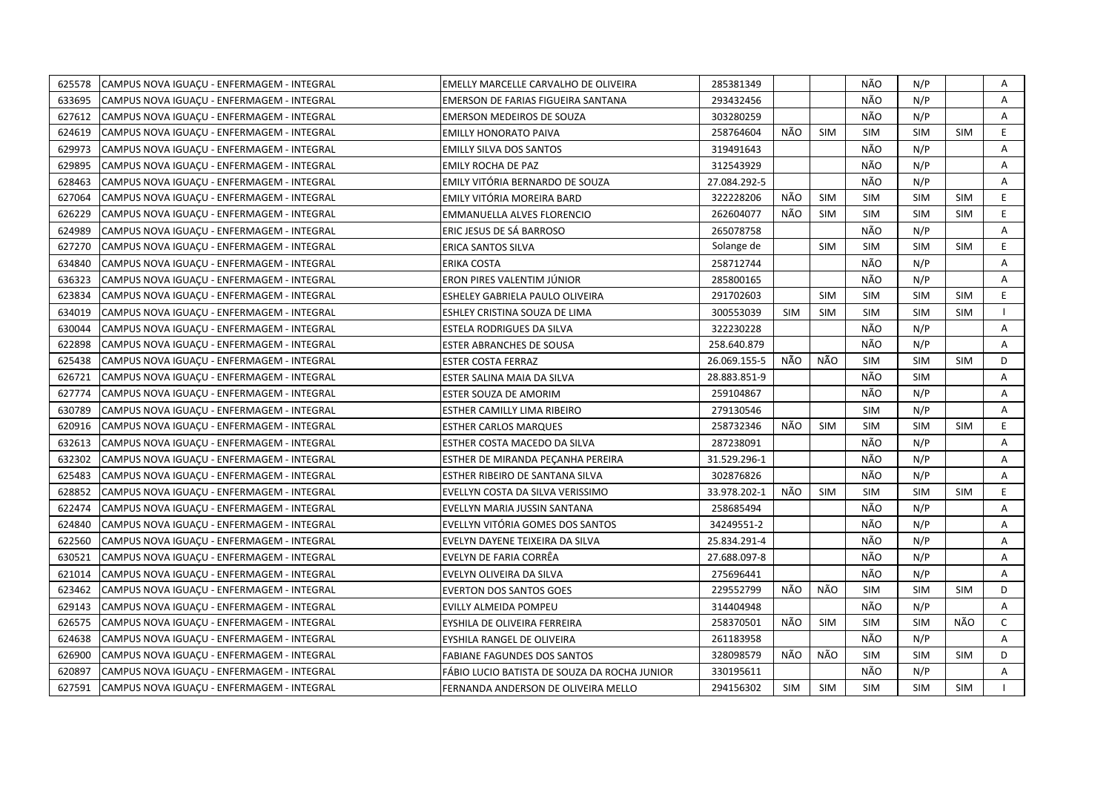| 625578 | CAMPUS NOVA IGUACU - ENFERMAGEM - INTEGRAL | EMELLY MARCELLE CARVALHO DE OLIVEIRA         | 285381349    |     |            | NÃO        | N/P        |            | Α              |
|--------|--------------------------------------------|----------------------------------------------|--------------|-----|------------|------------|------------|------------|----------------|
| 633695 | CAMPUS NOVA IGUAÇU - ENFERMAGEM - INTEGRAL | EMERSON DE FARIAS FIGUEIRA SANTANA           | 293432456    |     |            | NÃO        | N/P        |            | A              |
| 627612 | CAMPUS NOVA IGUACU - ENFERMAGEM - INTEGRAL | <b>EMERSON MEDEIROS DE SOUZA</b>             | 303280259    |     |            | NÃO        | N/P        |            | A              |
| 624619 | CAMPUS NOVA IGUAÇU - ENFERMAGEM - INTEGRAL | <b>EMILLY HONORATO PAIVA</b>                 | 258764604    | NÃO | <b>SIM</b> | <b>SIM</b> | <b>SIM</b> | <b>SIM</b> | E.             |
| 629973 | CAMPUS NOVA IGUACU - ENFERMAGEM - INTEGRAL | <b>EMILLY SILVA DOS SANTOS</b>               | 319491643    |     |            | NÃO        | N/P        |            | Α              |
| 629895 | CAMPUS NOVA IGUACU - ENFERMAGEM - INTEGRAL | <b>EMILY ROCHA DE PAZ</b>                    | 312543929    |     |            | NÃO        | N/P        |            | Α              |
| 628463 | CAMPUS NOVA IGUAÇU - ENFERMAGEM - INTEGRAL | EMILY VITÓRIA BERNARDO DE SOUZA              | 27.084.292-5 |     |            | NÃO        | N/P        |            | Α              |
| 627064 | CAMPUS NOVA IGUAÇU - ENFERMAGEM - INTEGRAL | EMILY VITÓRIA MOREIRA BARD                   | 322228206    | NÃO | <b>SIM</b> | <b>SIM</b> | <b>SIM</b> | <b>SIM</b> | E              |
| 626229 | CAMPUS NOVA IGUAÇU - ENFERMAGEM - INTEGRAL | EMMANUELLA ALVES FLORENCIO                   | 262604077    | NÃO | <b>SIM</b> | <b>SIM</b> | <b>SIM</b> | <b>SIM</b> | E.             |
| 624989 | CAMPUS NOVA IGUAÇU - ENFERMAGEM - INTEGRAL | ERIC JESUS DE SÁ BARROSO                     | 265078758    |     |            | NÃO        | N/P        |            | A              |
| 627270 | CAMPUS NOVA IGUAÇU - ENFERMAGEM - INTEGRAL | ERICA SANTOS SILVA                           | Solange de   |     | <b>SIM</b> | <b>SIM</b> | <b>SIM</b> | <b>SIM</b> | E              |
| 634840 | CAMPUS NOVA IGUAÇU - ENFERMAGEM - INTEGRAL | ERIKA COSTA                                  | 258712744    |     |            | NÃO        | N/P        |            | Α              |
| 636323 | CAMPUS NOVA IGUACU - ENFERMAGEM - INTEGRAL | ERON PIRES VALENTIM JÚNIOR                   | 285800165    |     |            | NÃO        | N/P        |            | $\overline{A}$ |
| 623834 | CAMPUS NOVA IGUAÇU - ENFERMAGEM - INTEGRAL | ESHELEY GABRIELA PAULO OLIVEIRA              | 291702603    |     | <b>SIM</b> | <b>SIM</b> | <b>SIM</b> | <b>SIM</b> | E              |
| 634019 | CAMPUS NOVA IGUAÇU - ENFERMAGEM - INTEGRAL | ESHLEY CRISTINA SOUZA DE LIMA                | 300553039    | SIM | <b>SIM</b> | <b>SIM</b> | <b>SIM</b> | <b>SIM</b> |                |
| 630044 | CAMPUS NOVA IGUACU - ENFERMAGEM - INTEGRAL | ESTELA RODRIGUES DA SILVA                    | 322230228    |     |            | NÃO        | N/P        |            | A              |
| 622898 | CAMPUS NOVA IGUAÇU - ENFERMAGEM - INTEGRAL | ESTER ABRANCHES DE SOUSA                     | 258.640.879  |     |            | NÃO        | N/P        |            | Α              |
| 625438 | CAMPUS NOVA IGUAÇU - ENFERMAGEM - INTEGRAL | <b>ESTER COSTA FERRAZ</b>                    | 26.069.155-5 | NÃO | NÃO        | <b>SIM</b> | <b>SIM</b> | <b>SIM</b> | D              |
| 626721 | CAMPUS NOVA IGUAÇU - ENFERMAGEM - INTEGRAL | ESTER SALINA MAIA DA SILVA                   | 28.883.851-9 |     |            | NÃO        | <b>SIM</b> |            | A              |
| 627774 | CAMPUS NOVA IGUAÇU - ENFERMAGEM - INTEGRAL | ESTER SOUZA DE AMORIM                        | 259104867    |     |            | NÃO        | N/P        |            | A              |
| 630789 | CAMPUS NOVA IGUACU - ENFERMAGEM - INTEGRAL | ESTHER CAMILLY LIMA RIBEIRO                  | 279130546    |     |            | <b>SIM</b> | N/P        |            | A              |
| 620916 | CAMPUS NOVA IGUAÇU - ENFERMAGEM - INTEGRAL | <b>ESTHER CARLOS MARQUES</b>                 | 258732346    | NÃO | <b>SIM</b> | <b>SIM</b> | <b>SIM</b> | <b>SIM</b> | E.             |
| 632613 | CAMPUS NOVA IGUAÇU - ENFERMAGEM - INTEGRAL | ESTHER COSTA MACEDO DA SILVA                 | 287238091    |     |            | NÃO        | N/P        |            | A              |
| 632302 | CAMPUS NOVA IGUACU - ENFERMAGEM - INTEGRAL | ESTHER DE MIRANDA PECANHA PEREIRA            | 31.529.296-1 |     |            | NÃO        | N/P        |            | A              |
| 625483 | CAMPUS NOVA IGUAÇU - ENFERMAGEM - INTEGRAL | ESTHER RIBEIRO DE SANTANA SILVA              | 302876826    |     |            | NÃO        | N/P        |            | Α              |
| 628852 | CAMPUS NOVA IGUACU - ENFERMAGEM - INTEGRAL | EVELLYN COSTA DA SILVA VERISSIMO             | 33.978.202-1 | NÃO | <b>SIM</b> | <b>SIM</b> | <b>SIM</b> | <b>SIM</b> | E.             |
| 622474 | CAMPUS NOVA IGUAÇU - ENFERMAGEM - INTEGRAL | EVELLYN MARIA JUSSIN SANTANA                 | 258685494    |     |            | NÃO        | N/P        |            | A              |
| 624840 | CAMPUS NOVA IGUAÇU - ENFERMAGEM - INTEGRAL | EVELLYN VITÓRIA GOMES DOS SANTOS             | 34249551-2   |     |            | NÃO        | N/P        |            | Α              |
| 622560 | CAMPUS NOVA IGUACU - ENFERMAGEM - INTEGRAL | EVELYN DAYENE TEIXEIRA DA SILVA              | 25.834.291-4 |     |            | NÃO        | N/P        |            | A              |
| 630521 | CAMPUS NOVA IGUACU - ENFERMAGEM - INTEGRAL | EVELYN DE FARIA CORRËA                       | 27.688.097-8 |     |            | NÃO        | N/P        |            | Α              |
| 621014 | CAMPUS NOVA IGUAÇU - ENFERMAGEM - INTEGRAL | EVELYN OLIVEIRA DA SILVA                     | 275696441    |     |            | NÃO        | N/P        |            | A              |
| 623462 | CAMPUS NOVA IGUAÇU - ENFERMAGEM - INTEGRAL | <b>EVERTON DOS SANTOS GOES</b>               | 229552799    | NÃO | NÃO        | <b>SIM</b> | <b>SIM</b> | <b>SIM</b> | D              |
| 629143 | CAMPUS NOVA IGUAÇU - ENFERMAGEM - INTEGRAL | EVILLY ALMEIDA POMPEU                        | 314404948    |     |            | NÃO        | N/P        |            | A              |
| 626575 | CAMPUS NOVA IGUAÇU - ENFERMAGEM - INTEGRAL | EYSHILA DE OLIVEIRA FERREIRA                 | 258370501    | NÃO | <b>SIM</b> | SIM        | <b>SIM</b> | NÃO        | $\mathsf{C}$   |
| 624638 | CAMPUS NOVA IGUAÇU - ENFERMAGEM - INTEGRAL | EYSHILA RANGEL DE OLIVEIRA                   | 261183958    |     |            | NÃO        | N/P        |            | A              |
| 626900 | CAMPUS NOVA IGUAÇU - ENFERMAGEM - INTEGRAL | <b>FABIANE FAGUNDES DOS SANTOS</b>           | 328098579    | NÃO | NÃO        | <b>SIM</b> | <b>SIM</b> | <b>SIM</b> | D              |
| 620897 | CAMPUS NOVA IGUAÇU - ENFERMAGEM - INTEGRAL | FÁBIO LUCIO BATISTA DE SOUZA DA ROCHA JUNIOR | 330195611    |     |            | NÃO        | N/P        |            | A              |
| 627591 | CAMPUS NOVA IGUACU - ENFERMAGEM - INTEGRAL | FERNANDA ANDERSON DE OLIVEIRA MELLO          | 294156302    | SIM | SIM        | <b>SIM</b> | <b>SIM</b> | <b>SIM</b> |                |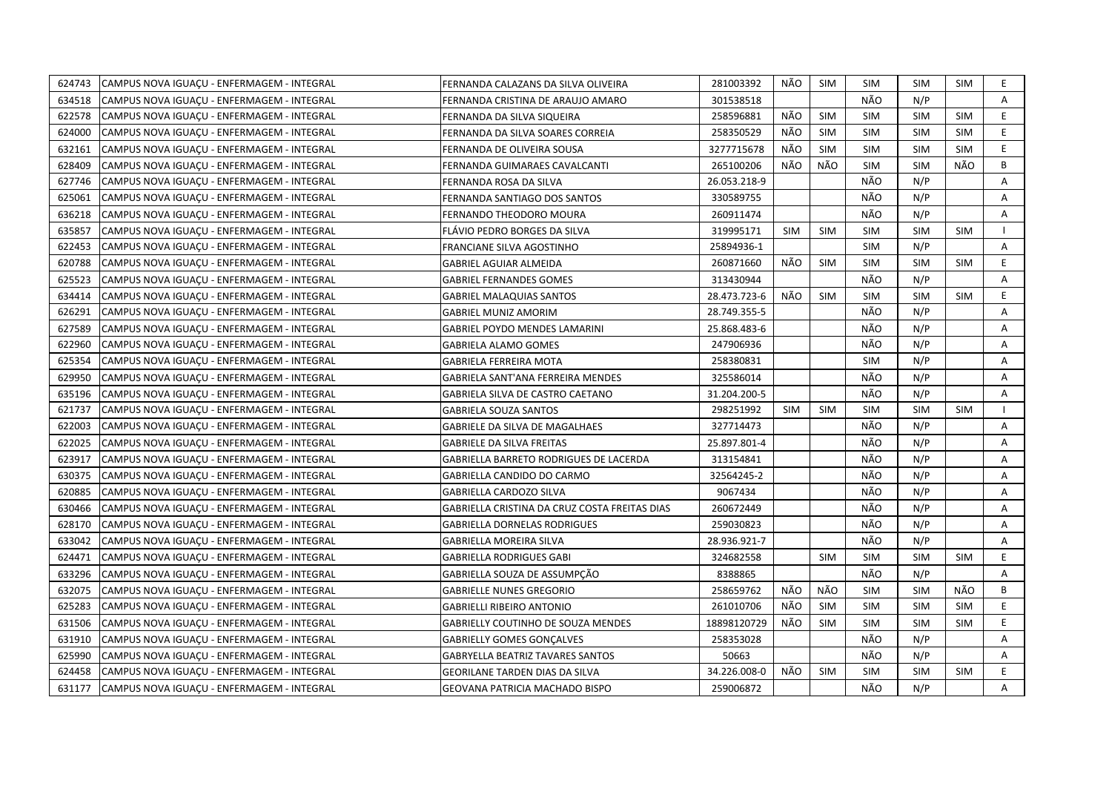| 624743 | CAMPUS NOVA IGUAÇU - ENFERMAGEM - INTEGRAL | FERNANDA CALAZANS DA SILVA OLIVEIRA           | 281003392    | NÃO        | <b>SIM</b> | <b>SIM</b> | <b>SIM</b> | <b>SIM</b> | E.             |
|--------|--------------------------------------------|-----------------------------------------------|--------------|------------|------------|------------|------------|------------|----------------|
| 634518 | CAMPUS NOVA IGUAÇU - ENFERMAGEM - INTEGRAL | FERNANDA CRISTINA DE ARAUJO AMARO             | 301538518    |            |            | NÃO        | N/P        |            | $\mathsf{A}$   |
| 622578 | CAMPUS NOVA IGUACU - ENFERMAGEM - INTEGRAL | FERNANDA DA SILVA SIQUEIRA                    | 258596881    | NÃO        | <b>SIM</b> | <b>SIM</b> | <b>SIM</b> | <b>SIM</b> | E              |
| 624000 | CAMPUS NOVA IGUAÇU - ENFERMAGEM - INTEGRAL | FERNANDA DA SILVA SOARES CORREIA              | 258350529    | NÃO        | SIM        | <b>SIM</b> | <b>SIM</b> | <b>SIM</b> | E              |
| 632161 | CAMPUS NOVA IGUACU - ENFERMAGEM - INTEGRAL | FERNANDA DE OLIVEIRA SOUSA                    | 3277715678   | NÃO        | <b>SIM</b> | <b>SIM</b> | <b>SIM</b> | <b>SIM</b> | E              |
| 628409 | CAMPUS NOVA IGUAÇU - ENFERMAGEM - INTEGRAL | FERNANDA GUIMARAES CAVALCANTI                 | 265100206    | NÃO        | NÃO        | <b>SIM</b> | <b>SIM</b> | NÃO        | B              |
| 627746 | CAMPUS NOVA IGUAÇU - ENFERMAGEM - INTEGRAL | FERNANDA ROSA DA SILVA                        | 26.053.218-9 |            |            | NÃO        | N/P        |            | Α              |
| 625061 | CAMPUS NOVA IGUAÇU - ENFERMAGEM - INTEGRAL | FERNANDA SANTIAGO DOS SANTOS                  | 330589755    |            |            | NÃO        | N/P        |            | A              |
| 636218 | CAMPUS NOVA IGUAÇU - ENFERMAGEM - INTEGRAL | FERNANDO THEODORO MOURA                       | 260911474    |            |            | NÃO        | N/P        |            | Α              |
| 635857 | CAMPUS NOVA IGUAÇU - ENFERMAGEM - INTEGRAL | FLÁVIO PEDRO BORGES DA SILVA                  | 319995171    | <b>SIM</b> | <b>SIM</b> | <b>SIM</b> | <b>SIM</b> | <b>SIM</b> | $\mathbf{I}$   |
| 622453 | CAMPUS NOVA IGUAÇU - ENFERMAGEM - INTEGRAL | FRANCIANE SILVA AGOSTINHO                     | 25894936-1   |            |            | <b>SIM</b> | N/P        |            | Α              |
| 620788 | CAMPUS NOVA IGUAÇU - ENFERMAGEM - INTEGRAL | <b>GABRIEL AGUIAR ALMEIDA</b>                 | 260871660    | NÃO        | <b>SIM</b> | <b>SIM</b> | <b>SIM</b> | <b>SIM</b> | E              |
| 625523 | CAMPUS NOVA IGUAÇU - ENFERMAGEM - INTEGRAL | <b>GABRIEL FERNANDES GOMES</b>                | 313430944    |            |            | NÃO        | N/P        |            | Α              |
| 634414 | CAMPUS NOVA IGUACU - ENFERMAGEM - INTEGRAL | <b>GABRIEL MALAQUIAS SANTOS</b>               | 28.473.723-6 | NÃO        | <b>SIM</b> | <b>SIM</b> | <b>SIM</b> | <b>SIM</b> | E              |
| 626291 | CAMPUS NOVA IGUAÇU - ENFERMAGEM - INTEGRAL | <b>GABRIEL MUNIZ AMORIM</b>                   | 28.749.355-5 |            |            | NÃO        | N/P        |            | А              |
| 627589 | CAMPUS NOVA IGUAÇU - ENFERMAGEM - INTEGRAL | <b>GABRIEL POYDO MENDES LAMARINI</b>          | 25.868.483-6 |            |            | NÃO        | N/P        |            | Α              |
| 622960 | CAMPUS NOVA IGUAÇU - ENFERMAGEM - INTEGRAL | <b>GABRIELA ALAMO GOMES</b>                   | 247906936    |            |            | NÃO        | N/P        |            | $\overline{A}$ |
| 625354 | CAMPUS NOVA IGUAÇU - ENFERMAGEM - INTEGRAL | GABRIELA FERREIRA MOTA                        | 258380831    |            |            | <b>SIM</b> | N/P        |            | Α              |
| 629950 | CAMPUS NOVA IGUACU - ENFERMAGEM - INTEGRAL | GABRIELA SANT'ANA FERREIRA MENDES             | 325586014    |            |            | NÃO        | N/P        |            | Α              |
| 635196 | CAMPUS NOVA IGUAÇU - ENFERMAGEM - INTEGRAL | GABRIELA SILVA DE CASTRO CAETANO              | 31.204.200-5 |            |            | NÃO        | N/P        |            | A              |
| 621737 | CAMPUS NOVA IGUAÇU - ENFERMAGEM - INTEGRAL | <b>GABRIELA SOUZA SANTOS</b>                  | 298251992    | <b>SIM</b> | <b>SIM</b> | <b>SIM</b> | <b>SIM</b> | <b>SIM</b> | $\mathbf{L}$   |
| 622003 | CAMPUS NOVA IGUAÇU - ENFERMAGEM - INTEGRAL | <b>GABRIELE DA SILVA DE MAGALHAES</b>         | 327714473    |            |            | NÃO        | N/P        |            | A              |
| 622025 | CAMPUS NOVA IGUACU - ENFERMAGEM - INTEGRAL | <b>GABRIELE DA SILVA FREITAS</b>              | 25.897.801-4 |            |            | NÃO        | N/P        |            | A              |
| 623917 | CAMPUS NOVA IGUACU - ENFERMAGEM - INTEGRAL | GABRIELLA BARRETO RODRIGUES DE LACERDA        | 313154841    |            |            | NÃO        | N/P        |            | A              |
| 630375 | CAMPUS NOVA IGUAÇU - ENFERMAGEM - INTEGRAL | GABRIELLA CANDIDO DO CARMO                    | 32564245-2   |            |            | NÃO        | N/P        |            | Α              |
| 620885 | CAMPUS NOVA IGUAÇU - ENFERMAGEM - INTEGRAL | GABRIELLA CARDOZO SILVA                       | 9067434      |            |            | NÃO        | N/P        |            | A              |
| 630466 | CAMPUS NOVA IGUAÇU - ENFERMAGEM - INTEGRAL | GABRIELLA CRISTINA DA CRUZ COSTA FREITAS DIAS | 260672449    |            |            | NÃO        | N/P        |            | Α              |
| 628170 | CAMPUS NOVA IGUAÇU - ENFERMAGEM - INTEGRAL | <b>GABRIELLA DORNELAS RODRIGUES</b>           | 259030823    |            |            | NÃO        | N/P        |            | A              |
| 633042 | CAMPUS NOVA IGUAÇU - ENFERMAGEM - INTEGRAL | GABRIELLA MOREIRA SILVA                       | 28.936.921-7 |            |            | NÃO        | N/P        |            | Α              |
| 624471 | CAMPUS NOVA IGUACU - ENFERMAGEM - INTEGRAL | <b>GABRIELLA RODRIGUES GABI</b>               | 324682558    |            | <b>SIM</b> | <b>SIM</b> | <b>SIM</b> | <b>SIM</b> | E              |
| 633296 | CAMPUS NOVA IGUACU - ENFERMAGEM - INTEGRAL | GABRIELLA SOUZA DE ASSUMPCÃO                  | 8388865      |            |            | NÃO        | N/P        |            | А              |
| 632075 | CAMPUS NOVA IGUAÇU - ENFERMAGEM - INTEGRAL | <b>GABRIELLE NUNES GREGORIO</b>               | 258659762    | NÃO        | NÃO        | <b>SIM</b> | <b>SIM</b> | NÃO        | В              |
| 625283 | CAMPUS NOVA IGUAÇU - ENFERMAGEM - INTEGRAL | <b>GABRIELLI RIBEIRO ANTONIO</b>              | 261010706    | NÃO        | <b>SIM</b> | <b>SIM</b> | <b>SIM</b> | <b>SIM</b> | E              |
| 631506 | CAMPUS NOVA IGUAÇU - ENFERMAGEM - INTEGRAL | GABRIELLY COUTINHO DE SOUZA MENDES            | 18898120729  | NÃO        | <b>SIM</b> | <b>SIM</b> | <b>SIM</b> | <b>SIM</b> | E              |
| 631910 | CAMPUS NOVA IGUAÇU - ENFERMAGEM - INTEGRAL | <b>GABRIELLY GOMES GONÇALVES</b>              | 258353028    |            |            | NÃO        | N/P        |            | A              |
| 625990 | CAMPUS NOVA IGUAÇU - ENFERMAGEM - INTEGRAL | <b>GABRYELLA BEATRIZ TAVARES SANTOS</b>       | 50663        |            |            | NÃO        | N/P        |            | Α              |
| 624458 | CAMPUS NOVA IGUAÇU - ENFERMAGEM - INTEGRAL | <b>GEORILANE TARDEN DIAS DA SILVA</b>         | 34.226.008-0 | NÃO        | <b>SIM</b> | <b>SIM</b> | <b>SIM</b> | <b>SIM</b> | E.             |
| 631177 | CAMPUS NOVA IGUAÇU - ENFERMAGEM - INTEGRAL | GEOVANA PATRICIA MACHADO BISPO                | 259006872    |            |            | NÃO        | N/P        |            | A              |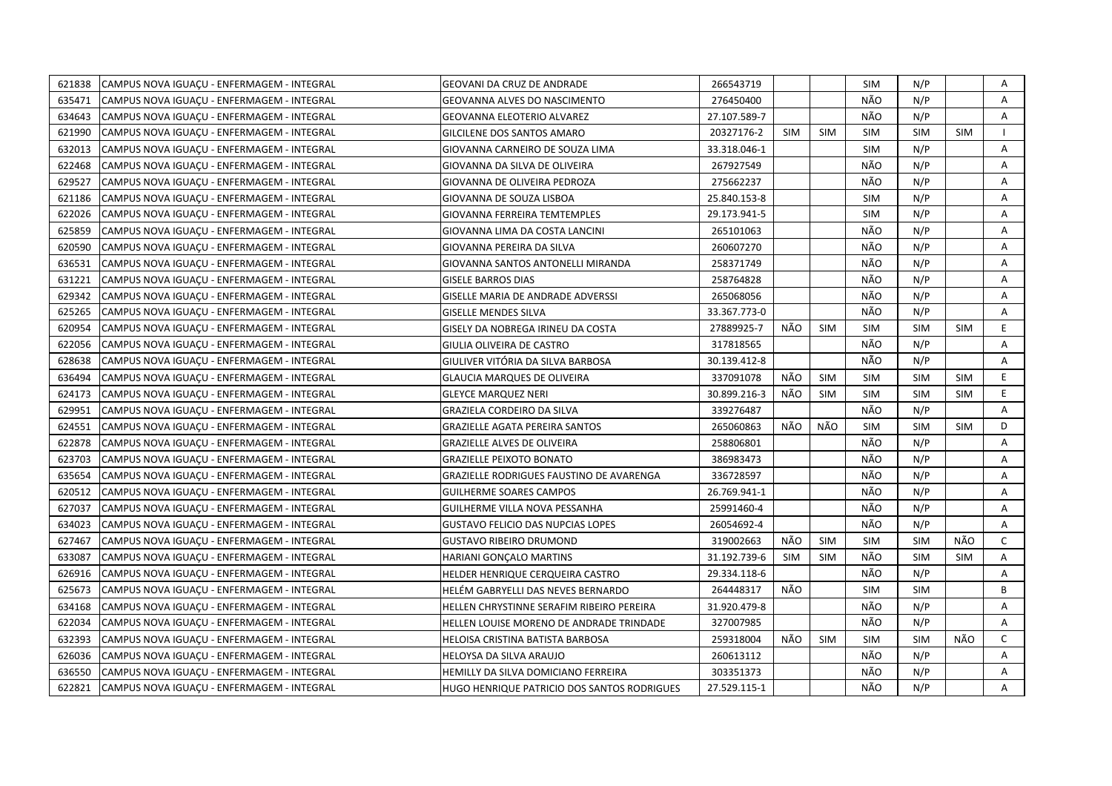| 621838 | CAMPUS NOVA IGUACU - ENFERMAGEM - INTEGRAL | <b>GEOVANI DA CRUZ DE ANDRADE</b>           | 266543719    |            |            | SIM        | N/P        |            | Α  |
|--------|--------------------------------------------|---------------------------------------------|--------------|------------|------------|------------|------------|------------|----|
| 635471 | CAMPUS NOVA IGUACU - ENFERMAGEM - INTEGRAL | <b>GEOVANNA ALVES DO NASCIMENTO</b>         | 276450400    |            |            | NÃO        | N/P        |            | A  |
| 634643 | CAMPUS NOVA IGUAÇU - ENFERMAGEM - INTEGRAL | <b>GEOVANNA ELEOTERIO ALVAREZ</b>           | 27.107.589-7 |            |            | NÃO        | N/P        |            | Α  |
| 621990 | CAMPUS NOVA IGUAÇU - ENFERMAGEM - INTEGRAL | GILCILENE DOS SANTOS AMARO                  | 20327176-2   | <b>SIM</b> | <b>SIM</b> | <b>SIM</b> | <b>SIM</b> | <b>SIM</b> |    |
| 632013 | CAMPUS NOVA IGUAÇU - ENFERMAGEM - INTEGRAL | GIOVANNA CARNEIRO DE SOUZA LIMA             | 33.318.046-1 |            |            | <b>SIM</b> | N/P        |            | Α  |
| 622468 | CAMPUS NOVA IGUACU - ENFERMAGEM - INTEGRAL | GIOVANNA DA SILVA DE OLIVEIRA               | 267927549    |            |            | NÃO        | N/P        |            | Α  |
| 629527 | CAMPUS NOVA IGUAÇU - ENFERMAGEM - INTEGRAL | GIOVANNA DE OLIVEIRA PEDROZA                | 275662237    |            |            | NÃO        | N/P        |            | Α  |
| 621186 | CAMPUS NOVA IGUACU - ENFERMAGEM - INTEGRAL | GIOVANNA DE SOUZA LISBOA                    | 25.840.153-8 |            |            | <b>SIM</b> | N/P        |            | A  |
| 622026 | CAMPUS NOVA IGUAÇU - ENFERMAGEM - INTEGRAL | <b>GIOVANNA FERREIRA TEMTEMPLES</b>         | 29.173.941-5 |            |            | <b>SIM</b> | N/P        |            | Α  |
| 625859 | CAMPUS NOVA IGUACU - ENFERMAGEM - INTEGRAL | GIOVANNA LIMA DA COSTA LANCINI              | 265101063    |            |            | NÃO        | N/P        |            | A  |
| 620590 | CAMPUS NOVA IGUAÇU - ENFERMAGEM - INTEGRAL | GIOVANNA PEREIRA DA SILVA                   | 260607270    |            |            | NÃO        | N/P        |            | A  |
| 636531 | CAMPUS NOVA IGUACU - ENFERMAGEM - INTEGRAL | GIOVANNA SANTOS ANTONELLI MIRANDA           | 258371749    |            |            | NÃO        | N/P        |            | A  |
| 631221 | CAMPUS NOVA IGUAÇU - ENFERMAGEM - INTEGRAL | <b>GISELE BARROS DIAS</b>                   | 258764828    |            |            | NÃO        | N/P        |            | Α  |
| 629342 | CAMPUS NOVA IGUACU - ENFERMAGEM - INTEGRAL | <b>GISELLE MARIA DE ANDRADE ADVERSSI</b>    | 265068056    |            |            | NÃO        | N/P        |            | A  |
| 625265 | CAMPUS NOVA IGUAÇU - ENFERMAGEM - INTEGRAL | <b>GISELLE MENDES SILVA</b>                 | 33.367.773-0 |            |            | NÃO        | N/P        |            | Α  |
| 620954 | CAMPUS NOVA IGUACU - ENFERMAGEM - INTEGRAL | GISELY DA NOBREGA IRINEU DA COSTA           | 27889925-7   | NÃO        | <b>SIM</b> | <b>SIM</b> | <b>SIM</b> | <b>SIM</b> | E. |
| 622056 | CAMPUS NOVA IGUAÇU - ENFERMAGEM - INTEGRAL | GIULIA OLIVEIRA DE CASTRO                   | 317818565    |            |            | NÃO        | N/P        |            | A  |
| 628638 | CAMPUS NOVA IGUAÇU - ENFERMAGEM - INTEGRAL | GIULIVER VITÓRIA DA SILVA BARBOSA           | 30.139.412-8 |            |            | NÃO        | N/P        |            | A  |
| 636494 | CAMPUS NOVA IGUAÇU - ENFERMAGEM - INTEGRAL | <b>GLAUCIA MARQUES DE OLIVEIRA</b>          | 337091078    | NÃO        | <b>SIM</b> | <b>SIM</b> | <b>SIM</b> | <b>SIM</b> | E. |
| 624173 | CAMPUS NOVA IGUACU - ENFERMAGEM - INTEGRAL | <b>GLEYCE MARQUEZ NERI</b>                  | 30.899.216-3 | NÃO        | <b>SIM</b> | SIM        | <b>SIM</b> | <b>SIM</b> | E. |
| 629951 | CAMPUS NOVA IGUAÇU - ENFERMAGEM - INTEGRAL | <b>GRAZIELA CORDEIRO DA SILVA</b>           | 339276487    |            |            | NÃO        | N/P        |            | A  |
| 624551 | CAMPUS NOVA IGUACU - ENFERMAGEM - INTEGRAL | <b>GRAZIELLE AGATA PEREIRA SANTOS</b>       | 265060863    | NÃO        | NÃO        | SIM        | <b>SIM</b> | <b>SIM</b> | D  |
| 622878 | CAMPUS NOVA IGUAÇU - ENFERMAGEM - INTEGRAL | <b>GRAZIELLE ALVES DE OLIVEIRA</b>          | 258806801    |            |            | NÃO        | N/P        |            | Α  |
| 623703 | CAMPUS NOVA IGUACU - ENFERMAGEM - INTEGRAL | <b>GRAZIELLE PEIXOTO BONATO</b>             | 386983473    |            |            | NÃO        | N/P        |            | A  |
| 635654 | CAMPUS NOVA IGUAÇU - ENFERMAGEM - INTEGRAL | GRAZIELLE RODRIGUES FAUSTINO DE AVARENGA    | 336728597    |            |            | NÃO        | N/P        |            | A  |
| 620512 | CAMPUS NOVA IGUAÇU - ENFERMAGEM - INTEGRAL | <b>GUILHERME SOARES CAMPOS</b>              | 26.769.941-1 |            |            | NÃO        | N/P        |            | A  |
| 627037 | CAMPUS NOVA IGUAÇU - ENFERMAGEM - INTEGRAL | GUILHERME VILLA NOVA PESSANHA               | 25991460-4   |            |            | NÃO        | N/P        |            | A  |
| 634023 | CAMPUS NOVA IGUAÇU - ENFERMAGEM - INTEGRAL | <b>GUSTAVO FELICIO DAS NUPCIAS LOPES</b>    | 26054692-4   |            |            | NÃO        | N/P        |            | A  |
| 627467 | CAMPUS NOVA IGUAÇU - ENFERMAGEM - INTEGRAL | GUSTAVO RIBEIRO DRUMOND                     | 319002663    | NÃO        | <b>SIM</b> | SIM        | <b>SIM</b> | NÃO        | C  |
| 633087 | CAMPUS NOVA IGUAÇU - ENFERMAGEM - INTEGRAL | HARIANI GONÇALO MARTINS                     | 31.192.739-6 | <b>SIM</b> | <b>SIM</b> | NÃO        | <b>SIM</b> | <b>SIM</b> | A  |
| 626916 | CAMPUS NOVA IGUAÇU - ENFERMAGEM - INTEGRAL | HELDER HENRIQUE CERQUEIRA CASTRO            | 29.334.118-6 |            |            | NÃO        | N/P        |            | Α  |
| 625673 | CAMPUS NOVA IGUACU - ENFERMAGEM - INTEGRAL | HELÉM GABRYELLI DAS NEVES BERNARDO          | 264448317    | NÃO        |            | <b>SIM</b> | <b>SIM</b> |            | B  |
| 634168 | CAMPUS NOVA IGUACU - ENFERMAGEM - INTEGRAL | HELLEN CHRYSTINNE SERAFIM RIBEIRO PEREIRA   | 31.920.479-8 |            |            | NÃO        | N/P        |            | Α  |
| 622034 | CAMPUS NOVA IGUAÇU - ENFERMAGEM - INTEGRAL | HELLEN LOUISE MORENO DE ANDRADE TRINDADE    | 327007985    |            |            | NÃO        | N/P        |            | A  |
| 632393 | CAMPUS NOVA IGUAÇU - ENFERMAGEM - INTEGRAL | HELOISA CRISTINA BATISTA BARBOSA            | 259318004    | NÃO        | <b>SIM</b> | <b>SIM</b> | <b>SIM</b> | NÃO        | C  |
| 626036 | CAMPUS NOVA IGUACU - ENFERMAGEM - INTEGRAL | HELOYSA DA SILVA ARAUJO                     | 260613112    |            |            | NÃO        | N/P        |            | Α  |
| 636550 | CAMPUS NOVA IGUAÇU - ENFERMAGEM - INTEGRAL | HEMILLY DA SILVA DOMICIANO FERREIRA         | 303351373    |            |            | NÃO        | N/P        |            | Α  |
| 622821 | CAMPUS NOVA IGUAÇU - ENFERMAGEM - INTEGRAL | HUGO HENRIQUE PATRICIO DOS SANTOS RODRIGUES | 27.529.115-1 |            |            | NÃO        | N/P        |            | A  |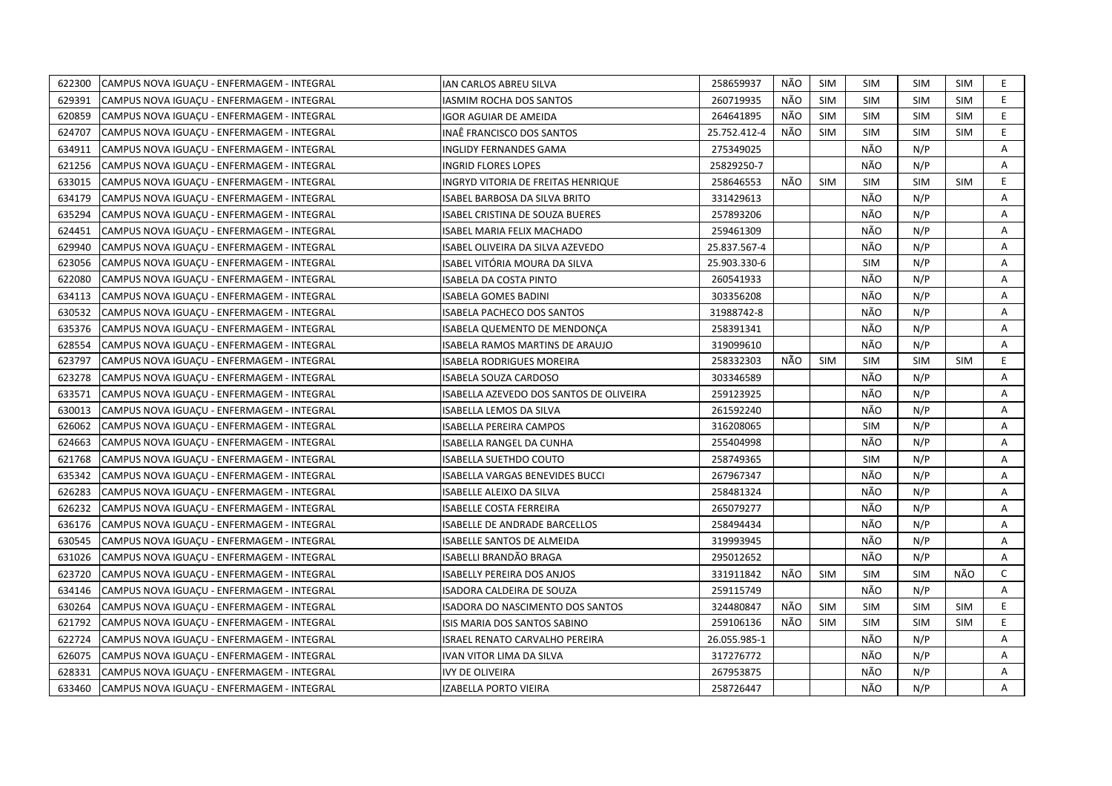| 622300 | CAMPUS NOVA IGUACU - ENFERMAGEM - INTEGRAL | IAN CARLOS ABREU SILVA                  | 258659937    | NÃO | SIM        | <b>SIM</b> | <b>SIM</b> | <b>SIM</b> | E.           |
|--------|--------------------------------------------|-----------------------------------------|--------------|-----|------------|------------|------------|------------|--------------|
| 629391 | CAMPUS NOVA IGUACU - ENFERMAGEM - INTEGRAL | <b>IASMIM ROCHA DOS SANTOS</b>          | 260719935    | NÃO | <b>SIM</b> | <b>SIM</b> | <b>SIM</b> | <b>SIM</b> | E            |
| 620859 | CAMPUS NOVA IGUAÇU - ENFERMAGEM - INTEGRAL | IGOR AGUIAR DE AMEIDA                   | 264641895    | NÃO | <b>SIM</b> | <b>SIM</b> | <b>SIM</b> | <b>SIM</b> | E            |
| 624707 | CAMPUS NOVA IGUACU - ENFERMAGEM - INTEGRAL | INAË FRANCISCO DOS SANTOS               | 25.752.412-4 | NÃO | <b>SIM</b> | <b>SIM</b> | <b>SIM</b> | <b>SIM</b> | E.           |
| 634911 | CAMPUS NOVA IGUACU - ENFERMAGEM - INTEGRAL | <b>INGLIDY FERNANDES GAMA</b>           | 275349025    |     |            | NÃO        | N/P        |            | Α            |
| 621256 | CAMPUS NOVA IGUAÇU - ENFERMAGEM - INTEGRAL | <b>INGRID FLORES LOPES</b>              | 25829250-7   |     |            | NÃO        | N/P        |            | Α            |
| 633015 | CAMPUS NOVA IGUACU - ENFERMAGEM - INTEGRAL | INGRYD VITORIA DE FREITAS HENRIQUE      | 258646553    | NÃO | <b>SIM</b> | <b>SIM</b> | <b>SIM</b> | <b>SIM</b> | E.           |
| 634179 | CAMPUS NOVA IGUAÇU - ENFERMAGEM - INTEGRAL | ISABEL BARBOSA DA SILVA BRITO           | 331429613    |     |            | NÃO        | N/P        |            | Α            |
| 635294 | CAMPUS NOVA IGUACU - ENFERMAGEM - INTEGRAL | <b>ISABEL CRISTINA DE SOUZA BUERES</b>  | 257893206    |     |            | NÃO        | N/P        |            | A            |
| 624451 | CAMPUS NOVA IGUAÇU - ENFERMAGEM - INTEGRAL | ISABEL MARIA FELIX MACHADO              | 259461309    |     |            | NÃO        | N/P        |            | Α            |
| 629940 | CAMPUS NOVA IGUACU - ENFERMAGEM - INTEGRAL | ISABEL OLIVEIRA DA SILVA AZEVEDO        | 25.837.567-4 |     |            | NÃO        | N/P        |            | A            |
| 623056 | CAMPUS NOVA IGUAÇU - ENFERMAGEM - INTEGRAL | ISABEL VITÓRIA MOURA DA SILVA           | 25.903.330-6 |     |            | <b>SIM</b> | N/P        |            | Α            |
| 622080 | CAMPUS NOVA IGUAÇU - ENFERMAGEM - INTEGRAL | ISABELA DA COSTA PINTO                  | 260541933    |     |            | NÃO        | N/P        |            | Α            |
| 634113 | CAMPUS NOVA IGUACU - ENFERMAGEM - INTEGRAL | <b>ISABELA GOMES BADINI</b>             | 303356208    |     |            | NÃO        | N/P        |            | Α            |
| 630532 | CAMPUS NOVA IGUAÇU - ENFERMAGEM - INTEGRAL | <b>ISABELA PACHECO DOS SANTOS</b>       | 31988742-8   |     |            | NÃO        | N/P        |            | Α            |
| 635376 | CAMPUS NOVA IGUACU - ENFERMAGEM - INTEGRAL | ISABELA QUEMENTO DE MENDONÇA            | 258391341    |     |            | NÃO        | N/P        |            | A            |
| 628554 | CAMPUS NOVA IGUAÇU - ENFERMAGEM - INTEGRAL | ISABELA RAMOS MARTINS DE ARAUJO         | 319099610    |     |            | NÃO        | N/P        |            | Α            |
| 623797 | CAMPUS NOVA IGUAÇU - ENFERMAGEM - INTEGRAL | <b>ISABELA RODRIGUES MOREIRA</b>        | 258332303    | NÃO | <b>SIM</b> | <b>SIM</b> | <b>SIM</b> | <b>SIM</b> | E.           |
| 623278 | CAMPUS NOVA IGUAÇU - ENFERMAGEM - INTEGRAL | <b>ISABELA SOUZA CARDOSO</b>            | 303346589    |     |            | NÃO        | N/P        |            | Α            |
| 633571 | CAMPUS NOVA IGUACU - ENFERMAGEM - INTEGRAL | ISABELLA AZEVEDO DOS SANTOS DE OLIVEIRA | 259123925    |     |            | NÃO        | N/P        |            | A            |
| 630013 | CAMPUS NOVA IGUAÇU - ENFERMAGEM - INTEGRAL | ISABELLA LEMOS DA SILVA                 | 261592240    |     |            | NÃO        | N/P        |            | Α            |
| 626062 | CAMPUS NOVA IGUAÇU - ENFERMAGEM - INTEGRAL | ISABELLA PEREIRA CAMPOS                 | 316208065    |     |            | <b>SIM</b> | N/P        |            | A            |
| 624663 | CAMPUS NOVA IGUAÇU - ENFERMAGEM - INTEGRAL | ISABELLA RANGEL DA CUNHA                | 255404998    |     |            | NÃO        | N/P        |            | Α            |
| 621768 | CAMPUS NOVA IGUAÇU - ENFERMAGEM - INTEGRAL | ISABELLA SUETHDO COUTO                  | 258749365    |     |            | <b>SIM</b> | N/P        |            | A            |
| 635342 | CAMPUS NOVA IGUACU - ENFERMAGEM - INTEGRAL | ISABELLA VARGAS BENEVIDES BUCCI         | 267967347    |     |            | NÃO        | N/P        |            | A            |
| 626283 | CAMPUS NOVA IGUAÇU - ENFERMAGEM - INTEGRAL | ISABELLE ALEIXO DA SILVA                | 258481324    |     |            | NÃO        | N/P        |            | A            |
| 626232 | CAMPUS NOVA IGUAÇU - ENFERMAGEM - INTEGRAL | ISABELLE COSTA FERREIRA                 | 265079277    |     |            | NÃO        | N/P        |            | A            |
| 636176 | CAMPUS NOVA IGUAÇU - ENFERMAGEM - INTEGRAL | <b>ISABELLE DE ANDRADE BARCELLOS</b>    | 258494434    |     |            | NÃO        | N/P        |            | A            |
| 630545 | CAMPUS NOVA IGUACU - ENFERMAGEM - INTEGRAL | <b>ISABELLE SANTOS DE ALMEIDA</b>       | 319993945    |     |            | NÃO        | N/P        |            | A            |
| 631026 | CAMPUS NOVA IGUAÇU - ENFERMAGEM - INTEGRAL | ISABELLI BRANDÃO BRAGA                  | 295012652    |     |            | NÃO        | N/P        |            | Α            |
| 623720 | CAMPUS NOVA IGUACU - ENFERMAGEM - INTEGRAL | <b>ISABELLY PEREIRA DOS ANJOS</b>       | 331911842    | NÃO | <b>SIM</b> | <b>SIM</b> | <b>SIM</b> | NÃO        | $\mathsf{C}$ |
| 634146 | CAMPUS NOVA IGUAÇU - ENFERMAGEM - INTEGRAL | ISADORA CALDEIRA DE SOUZA               | 259115749    |     |            | NÃO        | N/P        |            | Α            |
| 630264 | CAMPUS NOVA IGUACU - ENFERMAGEM - INTEGRAL | ISADORA DO NASCIMENTO DOS SANTOS        | 324480847    | NÃO | <b>SIM</b> | <b>SIM</b> | <b>SIM</b> | <b>SIM</b> | E            |
| 621792 | CAMPUS NOVA IGUAÇU - ENFERMAGEM - INTEGRAL | ISIS MARIA DOS SANTOS SABINO            | 259106136    | NÃO | <b>SIM</b> | <b>SIM</b> | <b>SIM</b> | <b>SIM</b> | E.           |
| 622724 | CAMPUS NOVA IGUACU - ENFERMAGEM - INTEGRAL | <b>ISRAEL RENATO CARVALHO PEREIRA</b>   | 26.055.985-1 |     |            | NÃO        | N/P        |            | Α            |
| 626075 | CAMPUS NOVA IGUAÇU - ENFERMAGEM - INTEGRAL | IVAN VITOR LIMA DA SILVA                | 317276772    |     |            | NÃO        | N/P        |            | Α            |
| 628331 | CAMPUS NOVA IGUACU - ENFERMAGEM - INTEGRAL | <b>IVY DE OLIVEIRA</b>                  | 267953875    |     |            | NÃO        | N/P        |            | A            |
| 633460 | CAMPUS NOVA IGUAÇU - ENFERMAGEM - INTEGRAL | <b>IZABELLA PORTO VIEIRA</b>            | 258726447    |     |            | NÃO        | N/P        |            | A            |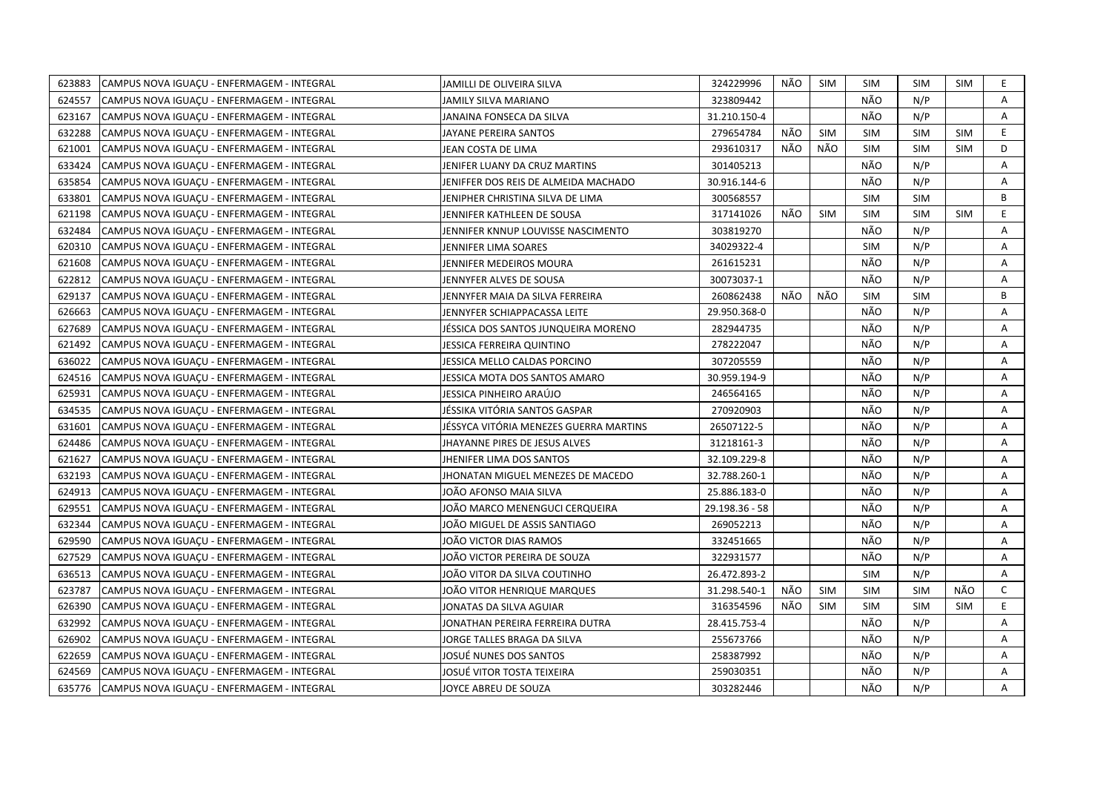| 623883 | CAMPUS NOVA IGUAÇU - ENFERMAGEM - INTEGRAL | JAMILLI DE OLIVEIRA SILVA              | 324229996      | NÃO | SIM        | <b>SIM</b> | <b>SIM</b> | SIM        | E. |
|--------|--------------------------------------------|----------------------------------------|----------------|-----|------------|------------|------------|------------|----|
| 624557 | CAMPUS NOVA IGUACU - ENFERMAGEM - INTEGRAL | JAMILY SILVA MARIANO                   | 323809442      |     |            | NÃO        | N/P        |            | A  |
| 623167 | CAMPUS NOVA IGUACU - ENFERMAGEM - INTEGRAL | JANAINA FONSECA DA SILVA               | 31.210.150-4   |     |            | NÃO        | N/P        |            | A  |
| 632288 | CAMPUS NOVA IGUACU - ENFERMAGEM - INTEGRAL | JAYANE PEREIRA SANTOS                  | 279654784      | NÃO | <b>SIM</b> | <b>SIM</b> | <b>SIM</b> | <b>SIM</b> | E. |
| 621001 | CAMPUS NOVA IGUAÇU - ENFERMAGEM - INTEGRAL | JEAN COSTA DE LIMA                     | 293610317      | NÃO | NÃO        | <b>SIM</b> | <b>SIM</b> | <b>SIM</b> | D  |
| 633424 | CAMPUS NOVA IGUAÇU - ENFERMAGEM - INTEGRAL | JENIFER LUANY DA CRUZ MARTINS          | 301405213      |     |            | NÃO        | N/P        |            | A  |
| 635854 | CAMPUS NOVA IGUACU - ENFERMAGEM - INTEGRAL | JENIFFER DOS REIS DE ALMEIDA MACHADO   | 30.916.144-6   |     |            | NÃO        | N/P        |            | A  |
| 633801 | CAMPUS NOVA IGUAÇU - ENFERMAGEM - INTEGRAL | JENIPHER CHRISTINA SILVA DE LIMA       | 300568557      |     |            | <b>SIM</b> | <b>SIM</b> |            | B  |
| 621198 | CAMPUS NOVA IGUAÇU - ENFERMAGEM - INTEGRAL | JENNIFER KATHLEEN DE SOUSA             | 317141026      | NÃO | <b>SIM</b> | <b>SIM</b> | <b>SIM</b> | <b>SIM</b> | E  |
| 632484 | CAMPUS NOVA IGUAÇU - ENFERMAGEM - INTEGRAL | JENNIFER KNNUP LOUVISSE NASCIMENTO     | 303819270      |     |            | NÃO        | N/P        |            | A  |
| 620310 | CAMPUS NOVA IGUAÇU - ENFERMAGEM - INTEGRAL | JENNIFER LIMA SOARES                   | 34029322-4     |     |            | <b>SIM</b> | N/P        |            | A  |
| 621608 | CAMPUS NOVA IGUAÇU - ENFERMAGEM - INTEGRAL | JENNIFER MEDEIROS MOURA                | 261615231      |     |            | NÃO        | N/P        |            | Α  |
| 622812 | CAMPUS NOVA IGUACU - ENFERMAGEM - INTEGRAL | JENNYFER ALVES DE SOUSA                | 30073037-1     |     |            | NÃO        | N/P        |            | A  |
| 629137 | CAMPUS NOVA IGUACU - ENFERMAGEM - INTEGRAL | JENNYFER MAIA DA SILVA FERREIRA        | 260862438      | NÃO | NÃO        | <b>SIM</b> | <b>SIM</b> |            | B  |
| 626663 | CAMPUS NOVA IGUACU - ENFERMAGEM - INTEGRAL | JENNYFER SCHIAPPACASSA LEITE           | 29.950.368-0   |     |            | NÃO        | N/P        |            | A  |
| 627689 | CAMPUS NOVA IGUACU - ENFERMAGEM - INTEGRAL | JÉSSICA DOS SANTOS JUNQUEIRA MORENO    | 282944735      |     |            | NÃO        | N/P        |            | A  |
| 621492 | CAMPUS NOVA IGUAÇU - ENFERMAGEM - INTEGRAL | JESSICA FERREIRA QUINTINO              | 278222047      |     |            | NÃO        | N/P        |            | Α  |
| 636022 | CAMPUS NOVA IGUACU - ENFERMAGEM - INTEGRAL | JESSICA MELLO CALDAS PORCINO           | 307205559      |     |            | NÃO        | N/P        |            | Α  |
| 624516 | CAMPUS NOVA IGUAÇU - ENFERMAGEM - INTEGRAL | JESSICA MOTA DOS SANTOS AMARO          | 30.959.194-9   |     |            | NÃO        | N/P        |            | Α  |
| 625931 | CAMPUS NOVA IGUAÇU - ENFERMAGEM - INTEGRAL | JESSICA PINHEIRO ARAÚJO                | 246564165      |     |            | NÃO        | N/P        |            | A  |
| 634535 | CAMPUS NOVA IGUAÇU - ENFERMAGEM - INTEGRAL | JÉSSIKA VITÓRIA SANTOS GASPAR          | 270920903      |     |            | NÃO        | N/P        |            | Α  |
| 631601 | CAMPUS NOVA IGUACU - ENFERMAGEM - INTEGRAL | JÉSSYCA VITÓRIA MENEZES GUERRA MARTINS | 26507122-5     |     |            | NÃO        | N/P        |            | A  |
| 624486 | CAMPUS NOVA IGUACU - ENFERMAGEM - INTEGRAL | JHAYANNE PIRES DE JESUS ALVES          | 31218161-3     |     |            | NÃO        | N/P        |            | A  |
| 621627 | CAMPUS NOVA IGUAÇU - ENFERMAGEM - INTEGRAL | JHENIFER LIMA DOS SANTOS               | 32.109.229-8   |     |            | NÃO        | N/P        |            | A  |
| 632193 | CAMPUS NOVA IGUAÇU - ENFERMAGEM - INTEGRAL | JHONATAN MIGUEL MENEZES DE MACEDO      | 32.788.260-1   |     |            | NÃO        | N/P        |            | A  |
| 624913 | CAMPUS NOVA IGUAÇU - ENFERMAGEM - INTEGRAL | JOAO AFONSO MAIA SILVA                 | 25.886.183-0   |     |            | NÃO        | N/P        |            | A  |
| 629551 | CAMPUS NOVA IGUAÇU - ENFERMAGEM - INTEGRAL | IOÃO MARCO MENENGUCI CERQUEIRA         | 29.198.36 - 58 |     |            | NÃO        | N/P        |            | A  |
| 632344 | CAMPUS NOVA IGUAÇU - ENFERMAGEM - INTEGRAL | JOÃO MIGUEL DE ASSIS SANTIAGO          | 269052213      |     |            | NÃO        | N/P        |            | A  |
| 629590 | CAMPUS NOVA IGUAÇU - ENFERMAGEM - INTEGRAL | JOÃO VICTOR DIAS RAMOS                 | 332451665      |     |            | NÃO        | N/P        |            | A  |
| 627529 | CAMPUS NOVA IGUAÇU - ENFERMAGEM - INTEGRAL | JOÃO VICTOR PEREIRA DE SOUZA           | 322931577      |     |            | NÃO        | N/P        |            | Α  |
| 636513 | CAMPUS NOVA IGUACU - ENFERMAGEM - INTEGRAL | JOÃO VITOR DA SILVA COUTINHO           | 26.472.893-2   |     |            | <b>SIM</b> | N/P        |            | A  |
| 623787 | CAMPUS NOVA IGUAÇU - ENFERMAGEM - INTEGRAL | JOÃO VITOR HENRIQUE MARQUES            | 31.298.540-1   | NÃO | <b>SIM</b> | <b>SIM</b> | <b>SIM</b> | NÃO        | C  |
| 626390 | CAMPUS NOVA IGUAÇU - ENFERMAGEM - INTEGRAL | JONATAS DA SILVA AGUIAR                | 316354596      | NÃO | <b>SIM</b> | <b>SIM</b> | <b>SIM</b> | <b>SIM</b> | E. |
| 632992 | CAMPUS NOVA IGUAÇU - ENFERMAGEM - INTEGRAL | JONATHAN PEREIRA FERREIRA DUTRA        | 28.415.753-4   |     |            | NÃO        | N/P        |            | A  |
| 626902 | CAMPUS NOVA IGUACU - ENFERMAGEM - INTEGRAL | JORGE TALLES BRAGA DA SILVA            | 255673766      |     |            | NÃO        | N/P        |            | A  |
| 622659 | CAMPUS NOVA IGUAÇU - ENFERMAGEM - INTEGRAL | JOSUĖ NUNES DOS SANTOS                 | 258387992      |     |            | NÃO        | N/P        |            | A  |
| 624569 | CAMPUS NOVA IGUACU - ENFERMAGEM - INTEGRAL | JOSUÉ VITOR TOSTA TEIXEIRA             | 259030351      |     |            | NÃO        | N/P        |            | A  |
| 635776 | CAMPUS NOVA IGUACU - ENFERMAGEM - INTEGRAL | JOYCE ABREU DE SOUZA                   | 303282446      |     |            | NÃO        | N/P        |            | A  |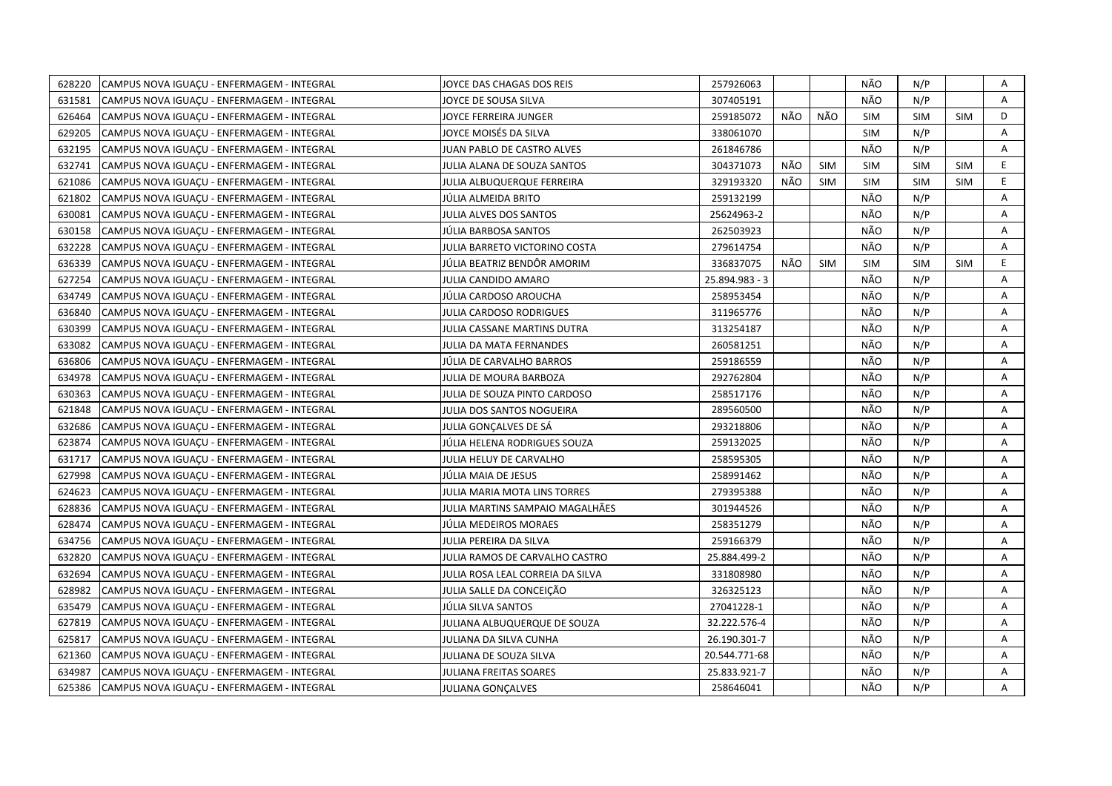| 628220 | CAMPUS NOVA IGUACU - ENFERMAGEM - INTEGRAL | JOYCE DAS CHAGAS DOS REIS        | 257926063      |     |            | NÃO        | N/P        |            | Α  |
|--------|--------------------------------------------|----------------------------------|----------------|-----|------------|------------|------------|------------|----|
| 631581 | CAMPUS NOVA IGUACU - ENFERMAGEM - INTEGRAL | JOYCE DE SOUSA SILVA             | 307405191      |     |            | NÃO        | N/P        |            | A  |
| 626464 | CAMPUS NOVA IGUACU - ENFERMAGEM - INTEGRAL | JOYCE FERREIRA JUNGER            | 259185072      | NÃO | NÃO        | <b>SIM</b> | <b>SIM</b> | <b>SIM</b> | D  |
| 629205 | CAMPUS NOVA IGUACU - ENFERMAGEM - INTEGRAL | JOYCE MOISÉS DA SILVA            | 338061070      |     |            | <b>SIM</b> | N/P        |            | A  |
| 632195 | CAMPUS NOVA IGUAÇU - ENFERMAGEM - INTEGRAL | JUAN PABLO DE CASTRO ALVES       | 261846786      |     |            | NÃO        | N/P        |            | Α  |
| 632741 | CAMPUS NOVA IGUACU - ENFERMAGEM - INTEGRAL | JULIA ALANA DE SOUZA SANTOS      | 304371073      | NÃO | <b>SIM</b> | <b>SIM</b> | <b>SIM</b> | <b>SIM</b> | E  |
| 621086 | CAMPUS NOVA IGUAÇU - ENFERMAGEM - INTEGRAL | JULIA ALBUQUERQUE FERREIRA       | 329193320      | NÃO | <b>SIM</b> | <b>SIM</b> | <b>SIM</b> | <b>SIM</b> | E. |
| 621802 | CAMPUS NOVA IGUACU - ENFERMAGEM - INTEGRAL | JÚLIA ALMEIDA BRITO              | 259132199      |     |            | NÃO        | N/P        |            | A  |
| 630081 | CAMPUS NOVA IGUAÇU - ENFERMAGEM - INTEGRAL | <b>JULIA ALVES DOS SANTOS</b>    | 25624963-2     |     |            | NÃO        | N/P        |            | Α  |
| 630158 | CAMPUS NOVA IGUACU - ENFERMAGEM - INTEGRAL | JÚLIA BARBOSA SANTOS             | 262503923      |     |            | NÃO        | N/P        |            | A  |
| 632228 | CAMPUS NOVA IGUAÇU - ENFERMAGEM - INTEGRAL | JULIA BARRETO VICTORINO COSTA    | 279614754      |     |            | NÃO        | N/P        |            | A  |
| 636339 | CAMPUS NOVA IGUACU - ENFERMAGEM - INTEGRAL | JÚLIA BEATRIZ BENDÖR AMORIM      | 336837075      | NÃO | <b>SIM</b> | <b>SIM</b> | <b>SIM</b> | <b>SIM</b> | E. |
| 627254 | CAMPUS NOVA IGUAÇU - ENFERMAGEM - INTEGRAL | JULIA CANDIDO AMARO              | 25.894.983 - 3 |     |            | NÃO        | N/P        |            | Α  |
| 634749 | CAMPUS NOVA IGUAÇU - ENFERMAGEM - INTEGRAL | JULIA CARDOSO AROUCHA            | 258953454      |     |            | NÃO        | N/P        |            | A  |
| 636840 | CAMPUS NOVA IGUAÇU - ENFERMAGEM - INTEGRAL | JULIA CARDOSO RODRIGUES          | 311965776      |     |            | NÃO        | N/P        |            | Α  |
| 630399 | CAMPUS NOVA IGUACU - ENFERMAGEM - INTEGRAL | JULIA CASSANE MARTINS DUTRA      | 313254187      |     |            | NÃO        | N/P        |            | A  |
| 633082 | CAMPUS NOVA IGUAÇU - ENFERMAGEM - INTEGRAL | JULIA DA MATA FERNANDES          | 260581251      |     |            | NÃO        | N/P        |            | A  |
| 636806 | CAMPUS NOVA IGUACU - ENFERMAGEM - INTEGRAL | JÚLIA DE CARVALHO BARROS         | 259186559      |     |            | NÃO        | N/P        |            | A  |
| 634978 | CAMPUS NOVA IGUAÇU - ENFERMAGEM - INTEGRAL | JULIA DE MOURA BARBOZA           | 292762804      |     |            | NÃO        | N/P        |            | A  |
| 630363 | CAMPUS NOVA IGUAÇU - ENFERMAGEM - INTEGRAL | JULIA DE SOUZA PINTO CARDOSO     | 258517176      |     |            | NÃO        | N/P        |            | A  |
| 621848 | CAMPUS NOVA IGUAÇU - ENFERMAGEM - INTEGRAL | JULIA DOS SANTOS NOGUEIRA        | 289560500      |     |            | NÃO        | N/P        |            | Α  |
| 632686 | CAMPUS NOVA IGUACU - ENFERMAGEM - INTEGRAL | JULIA GONCALVES DE SÁ            | 293218806      |     |            | NÃO        | N/P        |            | A  |
| 623874 | CAMPUS NOVA IGUAÇU - ENFERMAGEM - INTEGRAL | JÚLIA HELENA RODRIGUES SOUZA     | 259132025      |     |            | NÃO        | N/P        |            | Α  |
| 631717 | CAMPUS NOVA IGUACU - ENFERMAGEM - INTEGRAL | JULIA HELUY DE CARVALHO          | 258595305      |     |            | NÃO        | N/P        |            | A  |
| 627998 | CAMPUS NOVA IGUACU - ENFERMAGEM - INTEGRAL | JÚLIA MAIA DE JESUS              | 258991462      |     |            | NÃO        | N/P        |            | A  |
| 624623 | CAMPUS NOVA IGUAÇU - ENFERMAGEM - INTEGRAL | JULIA MARIA MOTA LINS TORRES     | 279395388      |     |            | NÃO        | N/P        |            | A  |
| 628836 | CAMPUS NOVA IGUAÇU - ENFERMAGEM - INTEGRAL | JULIA MARTINS SAMPAIO MAGALHÃES  | 301944526      |     |            | NÃO        | N/P        |            | A  |
| 628474 | CAMPUS NOVA IGUAÇU - ENFERMAGEM - INTEGRAL | JÚLIA MEDEIROS MORAES            | 258351279      |     |            | NÃO        | N/P        |            | A  |
| 634756 | CAMPUS NOVA IGUAÇU - ENFERMAGEM - INTEGRAL | JULIA PEREIRA DA SILVA           | 259166379      |     |            | NÃO        | N/P        |            | Α  |
| 632820 | CAMPUS NOVA IGUAÇU - ENFERMAGEM - INTEGRAL | JULIA RAMOS DE CARVALHO CASTRO   | 25.884.499-2   |     |            | NÃO        | N/P        |            | A  |
| 632694 | CAMPUS NOVA IGUAÇU - ENFERMAGEM - INTEGRAL | JULIA ROSA LEAL CORREIA DA SILVA | 331808980      |     |            | NÃO        | N/P        |            | Α  |
| 628982 | CAMPUS NOVA IGUACU - ENFERMAGEM - INTEGRAL | JULIA SALLE DA CONCEIÇÃO         | 326325123      |     |            | NÃO        | N/P        |            | A  |
| 635479 | CAMPUS NOVA IGUAÇU - ENFERMAGEM - INTEGRAL | JÚLIA SILVA SANTOS               | 27041228-1     |     |            | NÃO        | N/P        |            | Α  |
| 627819 | CAMPUS NOVA IGUAÇU - ENFERMAGEM - INTEGRAL | JULIANA ALBUQUERQUE DE SOUZA     | 32.222.576-4   |     |            | NÃO        | N/P        |            | A  |
| 625817 | CAMPUS NOVA IGUAÇU - ENFERMAGEM - INTEGRAL | JULIANA DA SILVA CUNHA           | 26.190.301-7   |     |            | NÃO        | N/P        |            | Α  |
| 621360 | CAMPUS NOVA IGUAÇU - ENFERMAGEM - INTEGRAL | JULIANA DE SOUZA SILVA           | 20.544.771-68  |     |            | NÃO        | N/P        |            | Α  |
| 634987 | CAMPUS NOVA IGUAÇU - ENFERMAGEM - INTEGRAL | JULIANA FREITAS SOARES           | 25.833.921-7   |     |            | NÃO        | N/P        |            | Α  |
| 625386 | CAMPUS NOVA IGUAÇU - ENFERMAGEM - INTEGRAL | <b>JULIANA GONCALVES</b>         | 258646041      |     |            | NÃO        | N/P        |            | A  |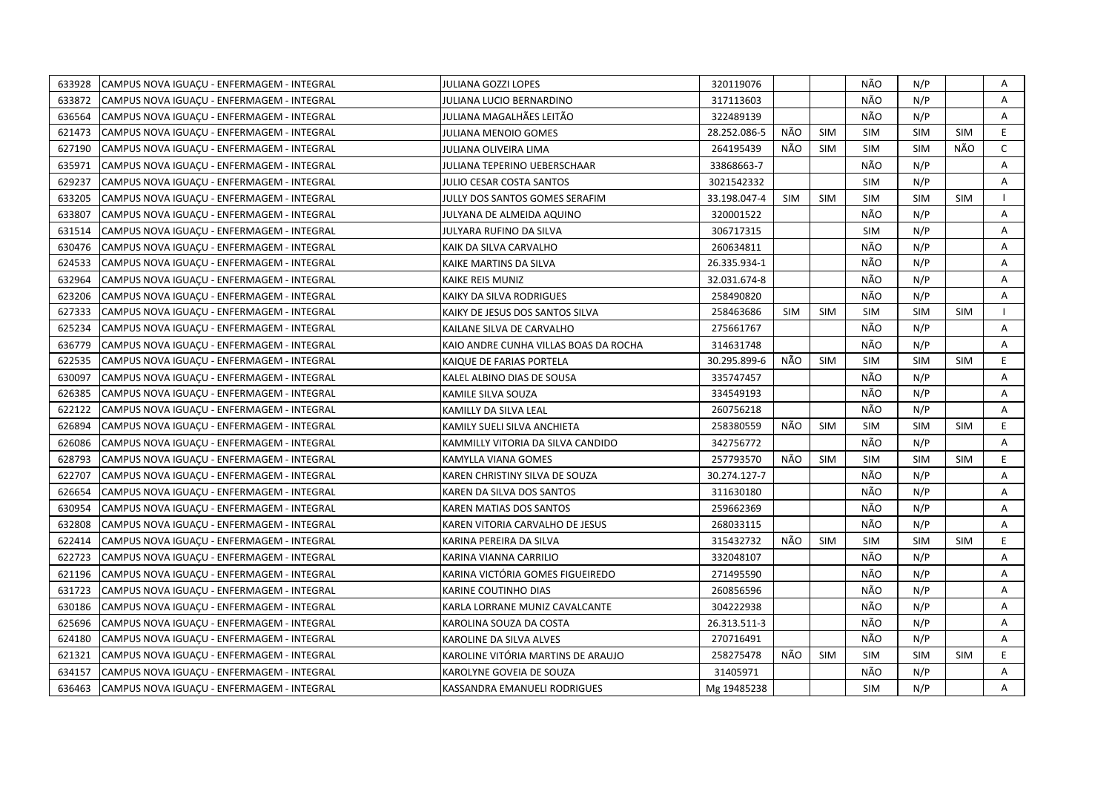| 633928<br>CAMPUS NOVA IGUAÇU - ENFERMAGEM - INTEGRAL | JULIANA GOZZI LOPES                   | 320119076    |            |            | NÃO        | N/P        |            | Α            |
|------------------------------------------------------|---------------------------------------|--------------|------------|------------|------------|------------|------------|--------------|
| 633872<br>CAMPUS NOVA IGUACU - ENFERMAGEM - INTEGRAL | JULIANA LUCIO BERNARDINO              | 317113603    |            |            | NÃO        | N/P        |            | $\mathsf{A}$ |
| 636564<br>CAMPUS NOVA IGUACU - ENFERMAGEM - INTEGRAL | JULIANA MAGALHÃES LEITÃO              | 322489139    |            |            | NÃO        | N/P        |            | A            |
| 621473<br>CAMPUS NOVA IGUACU - ENFERMAGEM - INTEGRAL | JULIANA MENOIO GOMES                  | 28.252.086-5 | NÃO        | <b>SIM</b> | <b>SIM</b> | <b>SIM</b> | <b>SIM</b> | E            |
| 627190<br>CAMPUS NOVA IGUAÇU - ENFERMAGEM - INTEGRAL | JULIANA OLIVEIRA LIMA                 | 264195439    | NÃO        | <b>SIM</b> | <b>SIM</b> | <b>SIM</b> | NÃO        | $\mathsf{C}$ |
| 635971<br>CAMPUS NOVA IGUAÇU - ENFERMAGEM - INTEGRAL | JULIANA TEPERINO UEBERSCHAAR          | 33868663-7   |            |            | NÃO        | N/P        |            | Α            |
| 629237<br>CAMPUS NOVA IGUACU - ENFERMAGEM - INTEGRAL | JULIO CESAR COSTA SANTOS              | 3021542332   |            |            | <b>SIM</b> | N/P        |            | Α            |
| 633205<br>CAMPUS NOVA IGUAÇU - ENFERMAGEM - INTEGRAL | JULLY DOS SANTOS GOMES SERAFIM        | 33.198.047-4 | <b>SIM</b> | <b>SIM</b> | <b>SIM</b> | <b>SIM</b> | <b>SIM</b> | $\mathbf{I}$ |
| 633807<br>CAMPUS NOVA IGUACU - ENFERMAGEM - INTEGRAL | JULYANA DE ALMEIDA AQUINO             | 320001522    |            |            | NÃO        | N/P        |            | A            |
| 631514<br>CAMPUS NOVA IGUAÇU - ENFERMAGEM - INTEGRAL | JULYARA RUFINO DA SILVA               | 306717315    |            |            | <b>SIM</b> | N/P        |            | Α            |
| 630476<br>CAMPUS NOVA IGUAÇU - ENFERMAGEM - INTEGRAL | KAIK DA SILVA CARVALHO                | 260634811    |            |            | NÃO        | N/P        |            | A            |
| 624533<br>CAMPUS NOVA IGUAÇU - ENFERMAGEM - INTEGRAL | KAIKE MARTINS DA SILVA                | 26.335.934-1 |            |            | NÃO        | N/P        |            | Α            |
| 632964<br>CAMPUS NOVA IGUACU - ENFERMAGEM - INTEGRAL | KAIKE REIS MUNIZ                      | 32.031.674-8 |            |            | NÃO        | N/P        |            | A            |
| CAMPUS NOVA IGUAÇU - ENFERMAGEM - INTEGRAL<br>623206 | KAIKY DA SILVA RODRIGUES              | 258490820    |            |            | NÃO        | N/P        |            | Α            |
| 627333<br>CAMPUS NOVA IGUAÇU - ENFERMAGEM - INTEGRAL | KAIKY DE JESUS DOS SANTOS SILVA       | 258463686    | <b>SIM</b> | <b>SIM</b> | <b>SIM</b> | <b>SIM</b> | <b>SIM</b> | $\mathbf{I}$ |
| 625234<br>CAMPUS NOVA IGUAÇU - ENFERMAGEM - INTEGRAL | KAILANE SILVA DE CARVALHO             | 275661767    |            |            | NÃO        | N/P        |            | A            |
| 636779<br>CAMPUS NOVA IGUACU - ENFERMAGEM - INTEGRAL | KAIO ANDRE CUNHA VILLAS BOAS DA ROCHA | 314631748    |            |            | NÃO        | N/P        |            | Α            |
| 622535<br>CAMPUS NOVA IGUAÇU - ENFERMAGEM - INTEGRAL | KAIQUE DE FARIAS PORTELA              | 30.295.899-6 | NÃO        | <b>SIM</b> | <b>SIM</b> | <b>SIM</b> | <b>SIM</b> | E            |
| 630097<br>CAMPUS NOVA IGUAÇU - ENFERMAGEM - INTEGRAL | KALEL ALBINO DIAS DE SOUSA            | 335747457    |            |            | NÃO        | N/P        |            | A            |
| 626385<br>CAMPUS NOVA IGUAÇU - ENFERMAGEM - INTEGRAL | KAMILE SILVA SOUZA                    | 334549193    |            |            | NÃO        | N/P        |            | Α            |
| 622122<br>CAMPUS NOVA IGUAÇU - ENFERMAGEM - INTEGRAL | KAMILLY DA SILVA LEAL                 | 260756218    |            |            | NÃO        | N/P        |            | A            |
| 626894<br>CAMPUS NOVA IGUAÇU - ENFERMAGEM - INTEGRAL | KAMILY SUELI SILVA ANCHIETA           | 258380559    | NÃO        | <b>SIM</b> | <b>SIM</b> | <b>SIM</b> | <b>SIM</b> | E            |
| 626086<br>CAMPUS NOVA IGUACU - ENFERMAGEM - INTEGRAL | KAMMILLY VITORIA DA SILVA CANDIDO     | 342756772    |            |            | NÃO        | N/P        |            | A            |
| 628793<br>CAMPUS NOVA IGUACU - ENFERMAGEM - INTEGRAL | KAMYLLA VIANA GOMES                   | 257793570    | NÃO        | <b>SIM</b> | <b>SIM</b> | <b>SIM</b> | <b>SIM</b> | E            |
| 622707<br>CAMPUS NOVA IGUAÇU - ENFERMAGEM - INTEGRAL | KAREN CHRISTINY SILVA DE SOUZA        | 30.274.127-7 |            |            | NÃO        | N/P        |            | A            |
| 626654<br>CAMPUS NOVA IGUAÇU - ENFERMAGEM - INTEGRAL | KAREN DA SILVA DOS SANTOS             | 311630180    |            |            | NÃO        | N/P        |            | A            |
| 630954<br>CAMPUS NOVA IGUAÇU - ENFERMAGEM - INTEGRAL | KAREN MATIAS DOS SANTOS               | 259662369    |            |            | NÃO        | N/P        |            | A            |
| 632808<br>CAMPUS NOVA IGUAÇU - ENFERMAGEM - INTEGRAL | KAREN VITORIA CARVALHO DE JESUS       | 268033115    |            |            | NÃO        | N/P        |            | Α            |
| 622414<br>CAMPUS NOVA IGUAÇU - ENFERMAGEM - INTEGRAL | KARINA PEREIRA DA SILVA               | 315432732    | NÃO        | <b>SIM</b> | <b>SIM</b> | <b>SIM</b> | <b>SIM</b> | E            |
| 622723<br>CAMPUS NOVA IGUAÇU - ENFERMAGEM - INTEGRAL | KARINA VIANNA CARRILIO                | 332048107    |            |            | NÃO        | N/P        |            | Α            |
| 621196<br>CAMPUS NOVA IGUACU - ENFERMAGEM - INTEGRAL | KARINA VICTÓRIA GOMES FIGUEIREDO      | 271495590    |            |            | NÃO        | N/P        |            | A            |
| 631723<br>CAMPUS NOVA IGUAÇU - ENFERMAGEM - INTEGRAL | KARINE COUTINHO DIAS                  | 260856596    |            |            | NÃO        | N/P        |            | A            |
| 630186<br>CAMPUS NOVA IGUACU - ENFERMAGEM - INTEGRAL | KARLA LORRANE MUNIZ CAVALCANTE        | 304222938    |            |            | NÃO        | N/P        |            | A            |
| 625696<br>CAMPUS NOVA IGUAÇU - ENFERMAGEM - INTEGRAL | KAROLINA SOUZA DA COSTA               | 26.313.511-3 |            |            | NÃO        | N/P        |            | Α            |
| 624180<br>CAMPUS NOVA IGUAÇU - ENFERMAGEM - INTEGRAL | KAROLINE DA SILVA ALVES               | 270716491    |            |            | NÃO        | N/P        |            | Α            |
| 621321<br>CAMPUS NOVA IGUAÇU - ENFERMAGEM - INTEGRAL | KAROLINE VITÓRIA MARTINS DE ARAUJO    | 258275478    | NÃO        | <b>SIM</b> | <b>SIM</b> | <b>SIM</b> | <b>SIM</b> | E            |
| 634157<br>CAMPUS NOVA IGUAÇU - ENFERMAGEM - INTEGRAL | KAROLYNE GOVEIA DE SOUZA              | 31405971     |            |            | NÃO        | N/P        |            | Α            |
| 636463<br>CAMPUS NOVA IGUAÇU - ENFERMAGEM - INTEGRAL | KASSANDRA EMANUELI RODRIGUES          | Mg 19485238  |            |            | <b>SIM</b> | N/P        |            | A            |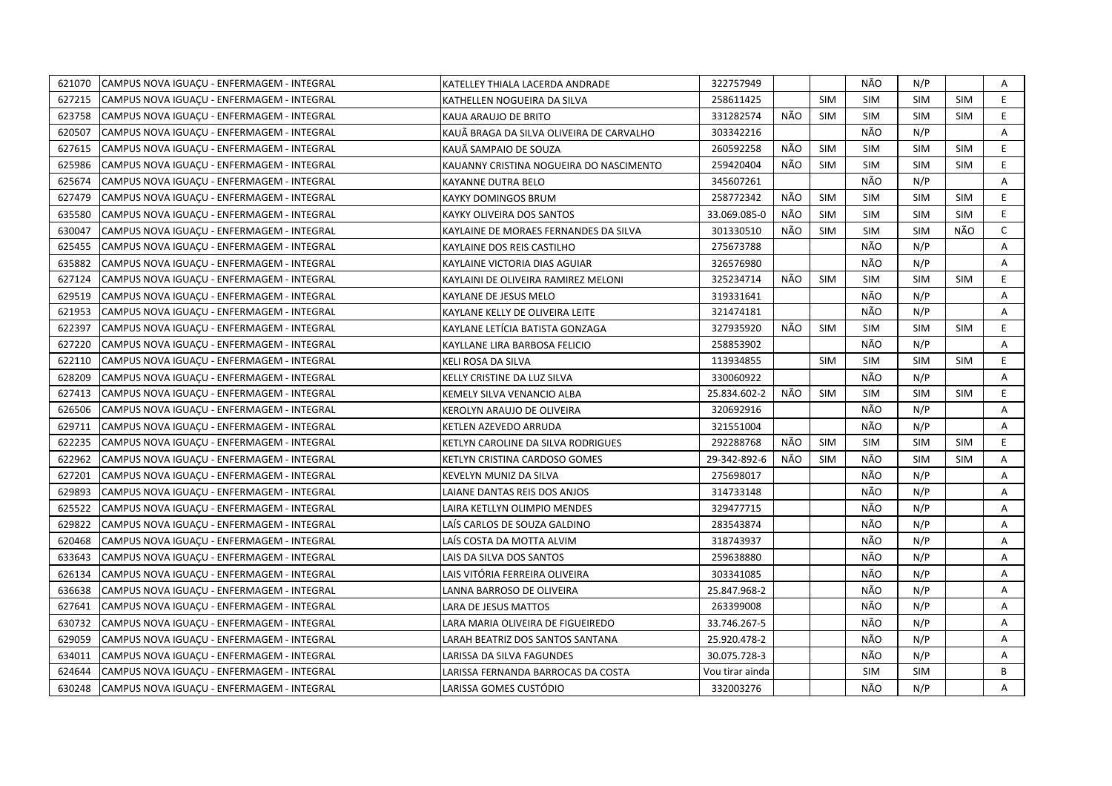| 621070 | CAMPUS NOVA IGUACU - ENFERMAGEM - INTEGRAL | KATELLEY THIALA LACERDA ANDRADE          | 322757949       |     |            | NÃO        | N/P        |            | A  |
|--------|--------------------------------------------|------------------------------------------|-----------------|-----|------------|------------|------------|------------|----|
| 627215 | CAMPUS NOVA IGUACU - ENFERMAGEM - INTEGRAL | KATHELLEN NOGUEIRA DA SILVA              | 258611425       |     | <b>SIM</b> | <b>SIM</b> | <b>SIM</b> | <b>SIM</b> | E  |
| 623758 | CAMPUS NOVA IGUAÇU - ENFERMAGEM - INTEGRAL | KAUA ARAUJO DE BRITO                     | 331282574       | NÃO | <b>SIM</b> | <b>SIM</b> | <b>SIM</b> | <b>SIM</b> | E  |
| 620507 | CAMPUS NOVA IGUACU - ENFERMAGEM - INTEGRAL | KAUÃ BRAGA DA SILVA OLIVEIRA DE CARVALHO | 303342216       |     |            | NÃO        | N/P        |            | A  |
| 627615 | CAMPUS NOVA IGUAÇU - ENFERMAGEM - INTEGRAL | KAUÃ SAMPAIO DE SOUZA                    | 260592258       | NÃO | <b>SIM</b> | <b>SIM</b> | <b>SIM</b> | <b>SIM</b> | E  |
| 625986 | CAMPUS NOVA IGUAÇU - ENFERMAGEM - INTEGRAL | KAUANNY CRISTINA NOGUEIRA DO NASCIMENTO  | 259420404       | NÃO | <b>SIM</b> | <b>SIM</b> | <b>SIM</b> | <b>SIM</b> | E. |
| 625674 | CAMPUS NOVA IGUACU - ENFERMAGEM - INTEGRAL | <b>KAYANNE DUTRA BELO</b>                | 345607261       |     |            | NÃO        | N/P        |            | A  |
| 627479 | CAMPUS NOVA IGUAÇU - ENFERMAGEM - INTEGRAL | <b>KAYKY DOMINGOS BRUM</b>               | 258772342       | NÃO | <b>SIM</b> | <b>SIM</b> | <b>SIM</b> | <b>SIM</b> | E. |
| 635580 | CAMPUS NOVA IGUACU - ENFERMAGEM - INTEGRAL | KAYKY OLIVEIRA DOS SANTOS                | 33.069.085-0    | NÃO | <b>SIM</b> | <b>SIM</b> | <b>SIM</b> | <b>SIM</b> | E. |
| 630047 | CAMPUS NOVA IGUAÇU - ENFERMAGEM - INTEGRAL | KAYLAINE DE MORAES FERNANDES DA SILVA    | 301330510       | NÃO | <b>SIM</b> | <b>SIM</b> | <b>SIM</b> | NÃO        | C  |
| 625455 | CAMPUS NOVA IGUAÇU - ENFERMAGEM - INTEGRAL | KAYLAINE DOS REIS CASTILHO               | 275673788       |     |            | NÃO        | N/P        |            | A  |
| 635882 | CAMPUS NOVA IGUAÇU - ENFERMAGEM - INTEGRAL | KAYLAINE VICTORIA DIAS AGUIAR            | 326576980       |     |            | NÃO        | N/P        |            | Α  |
| 627124 | CAMPUS NOVA IGUACU - ENFERMAGEM - INTEGRAL | KAYLAINI DE OLIVEIRA RAMIREZ MELONI      | 325234714       | NÃO | <b>SIM</b> | <b>SIM</b> | <b>SIM</b> | <b>SIM</b> | E  |
| 629519 | CAMPUS NOVA IGUACU - ENFERMAGEM - INTEGRAL | KAYLANE DE JESUS MELO                    | 319331641       |     |            | NÃO        | N/P        |            | Α  |
| 621953 | CAMPUS NOVA IGUACU - ENFERMAGEM - INTEGRAL | KAYLANE KELLY DE OLIVEIRA LEITE          | 321474181       |     |            | NÃO        | N/P        |            | Α  |
| 622397 | CAMPUS NOVA IGUACU - ENFERMAGEM - INTEGRAL | KAYLANE LETÍCIA BATISTA GONZAGA          | 327935920       | NÃO | <b>SIM</b> | <b>SIM</b> | <b>SIM</b> | <b>SIM</b> | E  |
| 627220 | CAMPUS NOVA IGUAÇU - ENFERMAGEM - INTEGRAL | KAYLLANE LIRA BARBOSA FELICIO            | 258853902       |     |            | NÃO        | N/P        |            | A  |
| 622110 | CAMPUS NOVA IGUAÇU - ENFERMAGEM - INTEGRAL | KELI ROSA DA SILVA                       | 113934855       |     | <b>SIM</b> | <b>SIM</b> | <b>SIM</b> | <b>SIM</b> | E. |
| 628209 | CAMPUS NOVA IGUAÇU - ENFERMAGEM - INTEGRAL | KELLY CRISTINE DA LUZ SILVA              | 330060922       |     |            | NÃO        | N/P        |            | Α  |
| 627413 | CAMPUS NOVA IGUAÇU - ENFERMAGEM - INTEGRAL | KEMELY SILVA VENANCIO ALBA               | 25.834.602-2    | NÃO | <b>SIM</b> | <b>SIM</b> | <b>SIM</b> | <b>SIM</b> | E  |
| 626506 | CAMPUS NOVA IGUAÇU - ENFERMAGEM - INTEGRAL | KEROLYN ARAUJO DE OLIVEIRA               | 320692916       |     |            | NÃO        | N/P        |            | Α  |
| 629711 | CAMPUS NOVA IGUACU - ENFERMAGEM - INTEGRAL | KETLEN AZEVEDO ARRUDA                    | 321551004       |     |            | NÃO        | N/P        |            | A  |
| 622235 | CAMPUS NOVA IGUAÇU - ENFERMAGEM - INTEGRAL | KETLYN CAROLINE DA SILVA RODRIGUES       | 292288768       | NÃO | <b>SIM</b> | <b>SIM</b> | <b>SIM</b> | <b>SIM</b> | E. |
| 622962 | CAMPUS NOVA IGUAÇU - ENFERMAGEM - INTEGRAL | KETLYN CRISTINA CARDOSO GOMES            | 29-342-892-6    | NÃO | <b>SIM</b> | NÃO        | <b>SIM</b> | <b>SIM</b> | A  |
| 627201 | CAMPUS NOVA IGUACU - ENFERMAGEM - INTEGRAL | KEVELYN MUNIZ DA SILVA                   | 275698017       |     |            | NÃO        | N/P        |            | Α  |
| 629893 | CAMPUS NOVA IGUACU - ENFERMAGEM - INTEGRAL | LAIANE DANTAS REIS DOS ANJOS             | 314733148       |     |            | NÃO        | N/P        |            | A  |
| 625522 | CAMPUS NOVA IGUAÇU - ENFERMAGEM - INTEGRAL | LAIRA KETLLYN OLIMPIO MENDES             | 329477715       |     |            | NÃO        | N/P        |            | A  |
| 629822 | CAMPUS NOVA IGUAÇU - ENFERMAGEM - INTEGRAL | LAÍS CARLOS DE SOUZA GALDINO             | 283543874       |     |            | NÃO        | N/P        |            | A  |
| 620468 | CAMPUS NOVA IGUACU - ENFERMAGEM - INTEGRAL | LAÍS COSTA DA MOTTA ALVIM                | 318743937       |     |            | NÃO        | N/P        |            | A  |
| 633643 | CAMPUS NOVA IGUAÇU - ENFERMAGEM - INTEGRAL | LAIS DA SILVA DOS SANTOS                 | 259638880       |     |            | NÃO        | N/P        |            | Α  |
| 626134 | CAMPUS NOVA IGUACU - ENFERMAGEM - INTEGRAL | LAIS VITÓRIA FERREIRA OLIVEIRA           | 303341085       |     |            | NÃO        | N/P        |            | Α  |
| 636638 | CAMPUS NOVA IGUAÇU - ENFERMAGEM - INTEGRAL | LANNA BARROSO DE OLIVEIRA                | 25.847.968-2    |     |            | NÃO        | N/P        |            | Α  |
| 627641 | CAMPUS NOVA IGUAÇU - ENFERMAGEM - INTEGRAL | LARA DE JESUS MATTOS                     | 263399008       |     |            | NÃO        | N/P        |            | Α  |
| 630732 | CAMPUS NOVA IGUAÇU - ENFERMAGEM - INTEGRAL | LARA MARIA OLIVEIRA DE FIGUEIREDO        | 33.746.267-5    |     |            | NÃO        | N/P        |            | Α  |
| 629059 | CAMPUS NOVA IGUACU - ENFERMAGEM - INTEGRAL | LARAH BEATRIZ DOS SANTOS SANTANA         | 25.920.478-2    |     |            | NÃO        | N/P        |            | Α  |
| 634011 | CAMPUS NOVA IGUAÇU - ENFERMAGEM - INTEGRAL | LARISSA DA SILVA FAGUNDES                | 30.075.728-3    |     |            | NÃO        | N/P        |            | Α  |
| 624644 | CAMPUS NOVA IGUACU - ENFERMAGEM - INTEGRAL | LARISSA FERNANDA BARROCAS DA COSTA       | Vou tirar ainda |     |            | <b>SIM</b> | <b>SIM</b> |            | B  |
| 630248 | CAMPUS NOVA IGUACU - ENFERMAGEM - INTEGRAL | LARISSA GOMES CUSTÓDIO                   | 332003276       |     |            | NÃO        | N/P        |            | A  |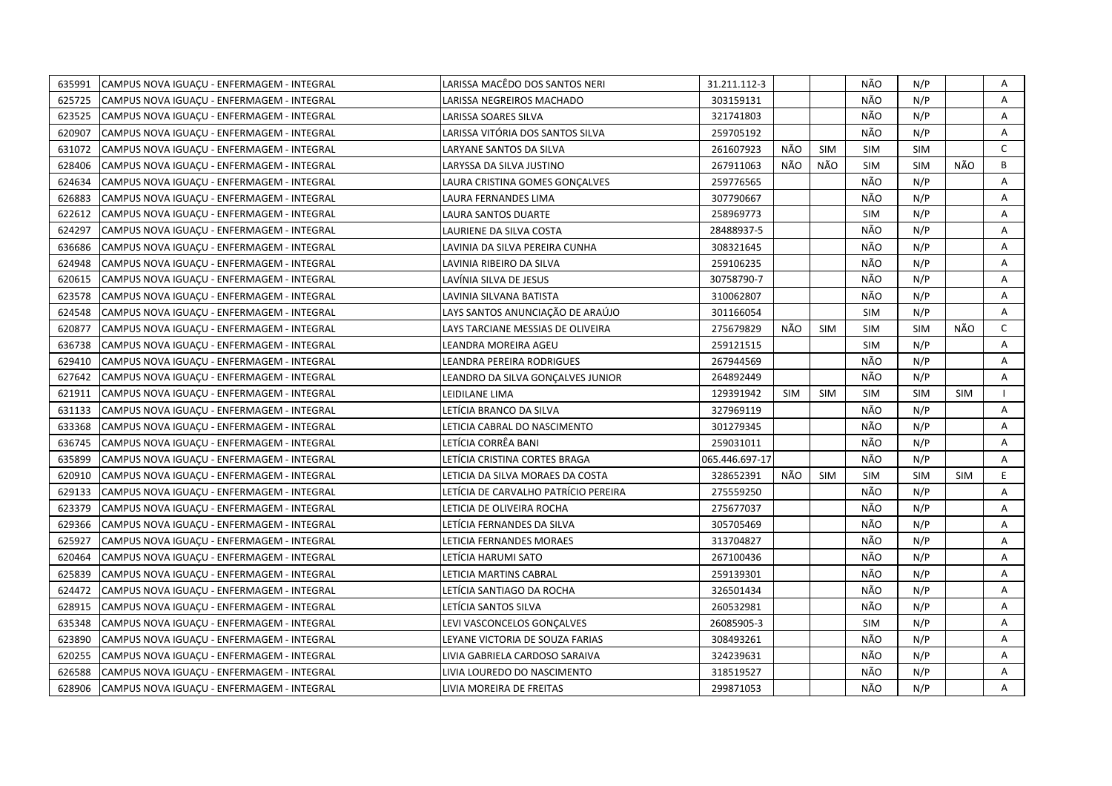| 635991 | CAMPUS NOVA IGUACU - ENFERMAGEM - INTEGRAL | LARISSA MACÊDO DOS SANTOS NERI       | 31.211.112-3   |            |            | NÃO        | N/P        |            | Α            |
|--------|--------------------------------------------|--------------------------------------|----------------|------------|------------|------------|------------|------------|--------------|
| 625725 | CAMPUS NOVA IGUACU - ENFERMAGEM - INTEGRAL | LARISSA NEGREIROS MACHADO            | 303159131      |            |            | NÃO        | N/P        |            | A            |
| 623525 | CAMPUS NOVA IGUAÇU - ENFERMAGEM - INTEGRAL | LARISSA SOARES SILVA                 | 321741803      |            |            | NÃO        | N/P        |            | Α            |
| 620907 | CAMPUS NOVA IGUAÇU - ENFERMAGEM - INTEGRAL | LARISSA VITÓRIA DOS SANTOS SILVA     | 259705192      |            |            | NÃO        | N/P        |            | Α            |
| 631072 | CAMPUS NOVA IGUACU - ENFERMAGEM - INTEGRAL | LARYANE SANTOS DA SILVA              | 261607923      | NÃO        | <b>SIM</b> | <b>SIM</b> | <b>SIM</b> |            | $\mathsf{C}$ |
| 628406 | CAMPUS NOVA IGUACU - ENFERMAGEM - INTEGRAL | LARYSSA DA SILVA JUSTINO             | 267911063      | NÃO        | NÃO        | <b>SIM</b> | <b>SIM</b> | NÃO        | B            |
| 624634 | CAMPUS NOVA IGUACU - ENFERMAGEM - INTEGRAL | LAURA CRISTINA GOMES GONCALVES       | 259776565      |            |            | NÃO        | N/P        |            | A            |
| 626883 | CAMPUS NOVA IGUAÇU - ENFERMAGEM - INTEGRAL | LAURA FERNANDES LIMA                 | 307790667      |            |            | NÃO        | N/P        |            | A            |
| 622612 | CAMPUS NOVA IGUAÇU - ENFERMAGEM - INTEGRAL | LAURA SANTOS DUARTE                  | 258969773      |            |            | <b>SIM</b> | N/P        |            | A            |
| 624297 | CAMPUS NOVA IGUAÇU - ENFERMAGEM - INTEGRAL | LAURIENE DA SILVA COSTA              | 28488937-5     |            |            | NÃO        | N/P        |            | A            |
| 636686 | CAMPUS NOVA IGUAÇU - ENFERMAGEM - INTEGRAL | LAVINIA DA SILVA PEREIRA CUNHA       | 308321645      |            |            | NÃO        | N/P        |            | Α            |
| 624948 | CAMPUS NOVA IGUACU - ENFERMAGEM - INTEGRAL | LAVINIA RIBEIRO DA SILVA             | 259106235      |            |            | NÃO        | N/P        |            | A            |
| 620615 | CAMPUS NOVA IGUAÇU - ENFERMAGEM - INTEGRAL | LAVÍNIA SILVA DE JESUS               | 30758790-7     |            |            | NÃO        | N/P        |            | A            |
| 623578 | CAMPUS NOVA IGUAÇU - ENFERMAGEM - INTEGRAL | LAVINIA SILVANA BATISTA              | 310062807      |            |            | NÃO        | N/P        |            | Α            |
| 624548 | CAMPUS NOVA IGUACU - ENFERMAGEM - INTEGRAL | LAYS SANTOS ANUNCIAÇÃO DE ARAÚJO     | 301166054      |            |            | <b>SIM</b> | N/P        |            | A            |
| 620877 | CAMPUS NOVA IGUACU - ENFERMAGEM - INTEGRAL | LAYS TARCIANE MESSIAS DE OLIVEIRA    | 275679829      | NÃO        | <b>SIM</b> | <b>SIM</b> | <b>SIM</b> | NÃO        | $\mathsf{C}$ |
| 636738 | CAMPUS NOVA IGUACU - ENFERMAGEM - INTEGRAL | LEANDRA MOREIRA AGEU                 | 259121515      |            |            | <b>SIM</b> | N/P        |            | A            |
| 629410 | CAMPUS NOVA IGUACU - ENFERMAGEM - INTEGRAL | LEANDRA PEREIRA RODRIGUES            | 267944569      |            |            | NÃO        | N/P        |            | A            |
| 627642 | CAMPUS NOVA IGUAÇU - ENFERMAGEM - INTEGRAL | LEANDRO DA SILVA GONÇALVES JUNIOR    | 264892449      |            |            | NÃO        | N/P        |            | A            |
| 621911 | CAMPUS NOVA IGUAÇU - ENFERMAGEM - INTEGRAL | LEIDILANE LIMA                       | 129391942      | <b>SIM</b> | <b>SIM</b> | <b>SIM</b> | <b>SIM</b> | <b>SIM</b> |              |
| 631133 | CAMPUS NOVA IGUACU - ENFERMAGEM - INTEGRAL | LETÍCIA BRANCO DA SILVA              | 327969119      |            |            | NÃO        | N/P        |            | A            |
| 633368 | CAMPUS NOVA IGUACU - ENFERMAGEM - INTEGRAL | LETICIA CABRAL DO NASCIMENTO         | 301279345      |            |            | NÃO        | N/P        |            | A            |
| 636745 | CAMPUS NOVA IGUAÇU - ENFERMAGEM - INTEGRAL | LETÍCIA CORRÊA BANI                  | 259031011      |            |            | NÃO        | N/P        |            | A            |
| 635899 | CAMPUS NOVA IGUAÇU - ENFERMAGEM - INTEGRAL | LETÍCIA CRISTINA CORTES BRAGA        | 065.446.697-17 |            |            | NÃO        | N/P        |            | A            |
| 620910 | CAMPUS NOVA IGUAÇU - ENFERMAGEM - INTEGRAL | LETICIA DA SILVA MORAES DA COSTA     | 328652391      | NÃO        | <b>SIM</b> | <b>SIM</b> | <b>SIM</b> | <b>SIM</b> | E            |
| 629133 | CAMPUS NOVA IGUAÇU - ENFERMAGEM - INTEGRAL | LETÍCIA DE CARVALHO PATRÍCIO PEREIRA | 275559250      |            |            | NÃO        | N/P        |            | Α            |
| 623379 | CAMPUS NOVA IGUACU - ENFERMAGEM - INTEGRAL | LETICIA DE OLIVEIRA ROCHA            | 275677037      |            |            | NÃO        | N/P        |            | A            |
| 629366 | CAMPUS NOVA IGUACU - ENFERMAGEM - INTEGRAL | LETÍCIA FERNANDES DA SILVA           | 305705469      |            |            | NÃO        | N/P        |            | A            |
| 625927 | CAMPUS NOVA IGUAÇU - ENFERMAGEM - INTEGRAL | LETICIA FERNANDES MORAES             | 313704827      |            |            | NÃO        | N/P        |            | A            |
| 620464 | CAMPUS NOVA IGUACU - ENFERMAGEM - INTEGRAL | LETİCIA HARUMI SATO                  | 267100436      |            |            | NÃO        | N/P        |            | Α            |
| 625839 | CAMPUS NOVA IGUAÇU - ENFERMAGEM - INTEGRAL | LETICIA MARTINS CABRAL               | 259139301      |            |            | NÃO        | N/P        |            | Α            |
| 624472 | CAMPUS NOVA IGUACU - ENFERMAGEM - INTEGRAL | LETÍCIA SANTIAGO DA ROCHA            | 326501434      |            |            | NÃO        | N/P        |            | A            |
| 628915 | CAMPUS NOVA IGUAÇU - ENFERMAGEM - INTEGRAL | LETÍCIA SANTOS SILVA                 | 260532981      |            |            | NÃO        | N/P        |            | A            |
| 635348 | CAMPUS NOVA IGUAÇU - ENFERMAGEM - INTEGRAL | LEVI VASCONCELOS GONÇALVES           | 26085905-3     |            |            | <b>SIM</b> | N/P        |            | A            |
| 623890 | CAMPUS NOVA IGUAÇU - ENFERMAGEM - INTEGRAL | LEYANE VICTORIA DE SOUZA FARIAS      | 308493261      |            |            | NÃO        | N/P        |            | A            |
| 620255 | CAMPUS NOVA IGUAÇU - ENFERMAGEM - INTEGRAL | LIVIA GABRIELA CARDOSO SARAIVA       | 324239631      |            |            | NÃO        | N/P        |            | Α            |
| 626588 | CAMPUS NOVA IGUAÇU - ENFERMAGEM - INTEGRAL | LIVIA LOUREDO DO NASCIMENTO          | 318519527      |            |            | NÃO        | N/P        |            | A            |
| 628906 | CAMPUS NOVA IGUAÇU - ENFERMAGEM - INTEGRAL | LIVIA MOREIRA DE FREITAS             | 299871053      |            |            | NÃO        | N/P        |            | A            |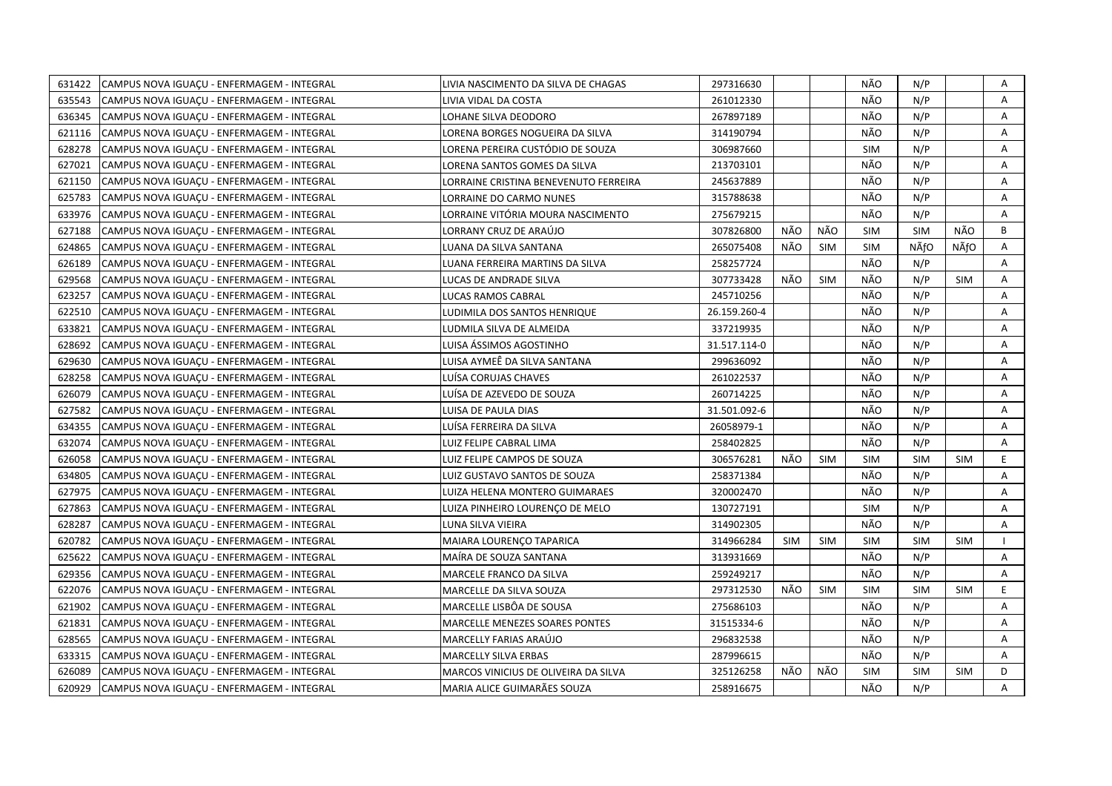| 631422 | CAMPUS NOVA IGUACU - ENFERMAGEM - INTEGRAL | LIVIA NASCIMENTO DA SILVA DE CHAGAS   | 297316630    |            |            | NÃO        | N/P        |            | Α |
|--------|--------------------------------------------|---------------------------------------|--------------|------------|------------|------------|------------|------------|---|
| 635543 | CAMPUS NOVA IGUAÇU - ENFERMAGEM - INTEGRAL | LIVIA VIDAL DA COSTA                  | 261012330    |            |            | NÃO        | N/P        |            | A |
| 636345 | CAMPUS NOVA IGUACU - ENFERMAGEM - INTEGRAL | LOHANE SILVA DEODORO                  | 267897189    |            |            | NÃO        | N/P        |            | A |
| 621116 | CAMPUS NOVA IGUACU - ENFERMAGEM - INTEGRAL | LORENA BORGES NOGUEIRA DA SILVA       | 314190794    |            |            | NÃO        | N/P        |            | Α |
| 628278 | CAMPUS NOVA IGUACU - ENFERMAGEM - INTEGRAL | LORENA PEREIRA CUSTÓDIO DE SOUZA      | 306987660    |            |            | <b>SIM</b> | N/P        |            | A |
| 627021 | CAMPUS NOVA IGUAÇU - ENFERMAGEM - INTEGRAL | LORENA SANTOS GOMES DA SILVA          | 213703101    |            |            | NÃO        | N/P        |            | Α |
| 621150 | CAMPUS NOVA IGUAÇU - ENFERMAGEM - INTEGRAL | LORRAINE CRISTINA BENEVENUTO FERREIRA | 245637889    |            |            | NÃO        | N/P        |            | Α |
| 625783 | CAMPUS NOVA IGUACU - ENFERMAGEM - INTEGRAL | LORRAINE DO CARMO NUNES               | 315788638    |            |            | NÃO        | N/P        |            | A |
| 633976 | CAMPUS NOVA IGUAÇU - ENFERMAGEM - INTEGRAL | LORRAINE VITÓRIA MOURA NASCIMENTO     | 275679215    |            |            | NÃO        | N/P        |            | A |
| 627188 | CAMPUS NOVA IGUAÇU - ENFERMAGEM - INTEGRAL | LORRANY CRUZ DE ARAÚJO                | 307826800    | NÃO        | NÃO        | <b>SIM</b> | <b>SIM</b> | NÃO        | B |
| 624865 | CAMPUS NOVA IGUAÇU - ENFERMAGEM - INTEGRAL | LUANA DA SILVA SANTANA                | 265075408    | NÃO        | <b>SIM</b> | <b>SIM</b> | NÃfO       | NÃfO       | A |
| 626189 | CAMPUS NOVA IGUAÇU - ENFERMAGEM - INTEGRAL | LUANA FERREIRA MARTINS DA SILVA       | 258257724    |            |            | NÃO        | N/P        |            | Α |
| 629568 | CAMPUS NOVA IGUACU - ENFERMAGEM - INTEGRAL | LUCAS DE ANDRADE SILVA                | 307733428    | NÃO        | <b>SIM</b> | NÃO        | N/P        | <b>SIM</b> | A |
| 623257 | CAMPUS NOVA IGUAÇU - ENFERMAGEM - INTEGRAL | LUCAS RAMOS CABRAL                    | 245710256    |            |            | NÃO        | N/P        |            | A |
| 622510 | CAMPUS NOVA IGUAÇU - ENFERMAGEM - INTEGRAL | LUDIMILA DOS SANTOS HENRIQUE          | 26.159.260-4 |            |            | NÃO        | N/P        |            | Α |
| 633821 | CAMPUS NOVA IGUACU - ENFERMAGEM - INTEGRAL | LUDMILA SILVA DE ALMEIDA              | 337219935    |            |            | NÃO        | N/P        |            | A |
| 628692 | CAMPUS NOVA IGUACU - ENFERMAGEM - INTEGRAL | LUISA ÁSSIMOS AGOSTINHO               | 31.517.114-0 |            |            | NÃO        | N/P        |            | A |
| 629630 | CAMPUS NOVA IGUAÇU - ENFERMAGEM - INTEGRAL | LUISA AYMEÊ DA SILVA SANTANA          | 299636092    |            |            | NÃO        | N/P        |            | A |
| 628258 | CAMPUS NOVA IGUAÇU - ENFERMAGEM - INTEGRAL | LUÍSA CORUJAS CHAVES                  | 261022537    |            |            | NÃO        | N/P        |            | A |
| 626079 | CAMPUS NOVA IGUAÇU - ENFERMAGEM - INTEGRAL | LUÍSA DE AZEVEDO DE SOUZA             | 260714225    |            |            | NÃO        | N/P        |            | Α |
| 627582 | CAMPUS NOVA IGUACU - ENFERMAGEM - INTEGRAL | LUISA DE PAULA DIAS                   | 31.501.092-6 |            |            | NÃO        | N/P        |            | A |
| 634355 | CAMPUS NOVA IGUACU - ENFERMAGEM - INTEGRAL | LUÍSA FERREIRA DA SILVA               | 26058979-1   |            |            | NÃO        | N/P        |            | A |
| 632074 | CAMPUS NOVA IGUAÇU - ENFERMAGEM - INTEGRAL | LUIZ FELIPE CABRAL LIMA               | 258402825    |            |            | NÃO        | N/P        |            | A |
| 626058 | CAMPUS NOVA IGUAÇU - ENFERMAGEM - INTEGRAL | LUIZ FELIPE CAMPOS DE SOUZA           | 306576281    | NÃO        | <b>SIM</b> | <b>SIM</b> | <b>SIM</b> | <b>SIM</b> | E |
| 634805 | CAMPUS NOVA IGUAÇU - ENFERMAGEM - INTEGRAL | LUIZ GUSTAVO SANTOS DE SOUZA          | 258371384    |            |            | NÃO        | N/P        |            | A |
| 627975 | CAMPUS NOVA IGUAÇU - ENFERMAGEM - INTEGRAL | LUIZA HELENA MONTERO GUIMARAES        | 320002470    |            |            | NÃO        | N/P        |            | A |
| 627863 | CAMPUS NOVA IGUAÇU - ENFERMAGEM - INTEGRAL | LUIZA PINHEIRO LOURENÇO DE MELO       | 130727191    |            |            | <b>SIM</b> | N/P        |            | A |
| 628287 | CAMPUS NOVA IGUACU - ENFERMAGEM - INTEGRAL | LUNA SILVA VIEIRA                     | 314902305    |            |            | NÃO        | N/P        |            | Α |
| 620782 | CAMPUS NOVA IGUACU - ENFERMAGEM - INTEGRAL | MAIARA LOURENCO TAPARICA              | 314966284    | <b>SIM</b> | <b>SIM</b> | <b>SIM</b> | <b>SIM</b> | <b>SIM</b> |   |
| 625622 | CAMPUS NOVA IGUAÇU - ENFERMAGEM - INTEGRAL | MAÍRA DE SOUZA SANTANA                | 313931669    |            |            | NÃO        | N/P        |            | Α |
| 629356 | CAMPUS NOVA IGUAÇU - ENFERMAGEM - INTEGRAL | MARCELE FRANCO DA SILVA               | 259249217    |            |            | NÃO        | N/P        |            | A |
| 622076 | CAMPUS NOVA IGUAÇU - ENFERMAGEM - INTEGRAL | MARCELLE DA SILVA SOUZA               | 297312530    | NÃO        | <b>SIM</b> | <b>SIM</b> | <b>SIM</b> | <b>SIM</b> | E |
| 621902 | CAMPUS NOVA IGUAÇU - ENFERMAGEM - INTEGRAL | MARCELLE LISBÔA DE SOUSA              | 275686103    |            |            | NÃO        | N/P        |            | A |
| 621831 | CAMPUS NOVA IGUACU - ENFERMAGEM - INTEGRAL | <b>MARCELLE MENEZES SOARES PONTES</b> | 31515334-6   |            |            | NÃO        | N/P        |            | A |
| 628565 | CAMPUS NOVA IGUAÇU - ENFERMAGEM - INTEGRAL | MARCELLY FARIAS ARAÚJO                | 296832538    |            |            | NÃO        | N/P        |            | A |
| 633315 | CAMPUS NOVA IGUAÇU - ENFERMAGEM - INTEGRAL | MARCELLY SILVA ERBAS                  | 287996615    |            |            | NÃO        | N/P        |            | Α |
| 626089 | CAMPUS NOVA IGUAÇU - ENFERMAGEM - INTEGRAL | MARCOS VINICIUS DE OLIVEIRA DA SILVA  | 325126258    | NÃO        | NÃO        | <b>SIM</b> | <b>SIM</b> | <b>SIM</b> | D |
| 620929 | CAMPUS NOVA IGUAÇU - ENFERMAGEM - INTEGRAL | MARIA ALICE GUIMARÃES SOUZA           | 258916675    |            |            | NÃO        | N/P        |            | A |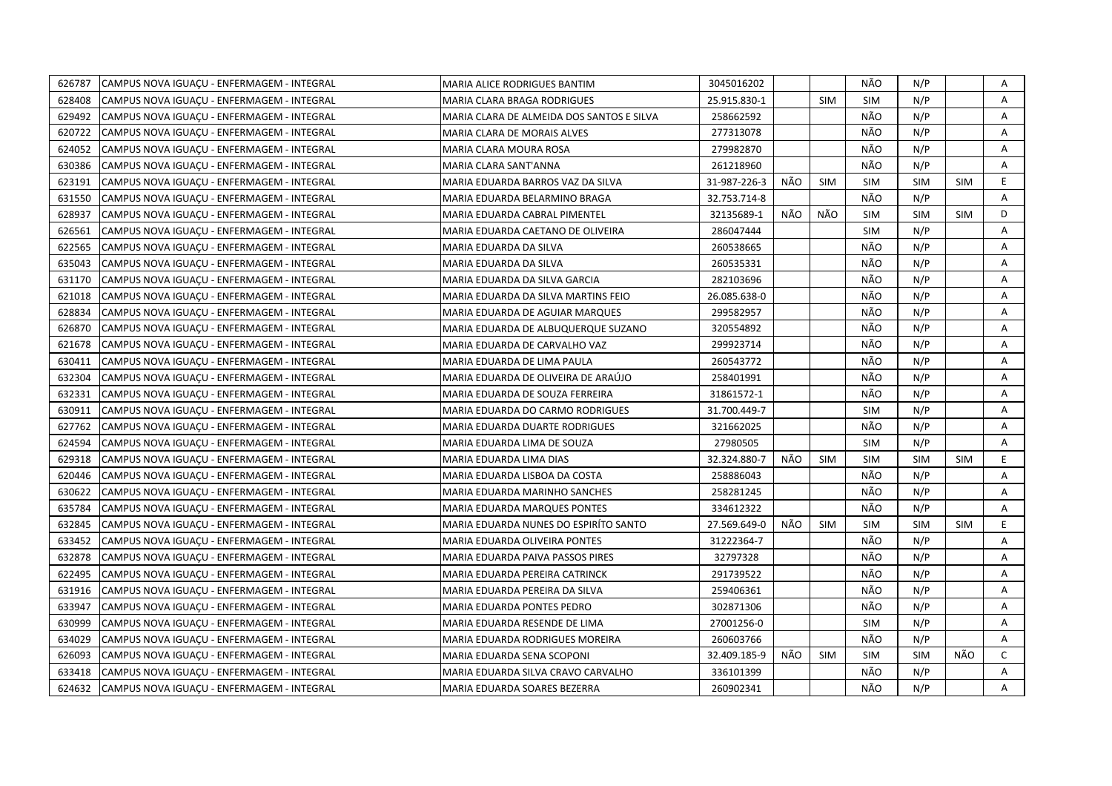| 626787 | CAMPUS NOVA IGUAÇU - ENFERMAGEM - INTEGRAL | MARIA ALICE RODRIGUES BANTIM              | 3045016202   |     |            | NÃO        | N/P        |            | A  |
|--------|--------------------------------------------|-------------------------------------------|--------------|-----|------------|------------|------------|------------|----|
| 628408 | CAMPUS NOVA IGUAÇU - ENFERMAGEM - INTEGRAL | MARIA CLARA BRAGA RODRIGUES               | 25.915.830-1 |     | <b>SIM</b> | <b>SIM</b> | N/P        |            | A  |
| 629492 | CAMPUS NOVA IGUACU - ENFERMAGEM - INTEGRAL | MARIA CLARA DE ALMEIDA DOS SANTOS E SILVA | 258662592    |     |            | NÃO        | N/P        |            | A  |
| 620722 | CAMPUS NOVA IGUAÇU - ENFERMAGEM - INTEGRAL | MARIA CLARA DE MORAIS ALVES               | 277313078    |     |            | NÃO        | N/P        |            | Α  |
| 624052 | CAMPUS NOVA IGUACU - ENFERMAGEM - INTEGRAL | MARIA CLARA MOURA ROSA                    | 279982870    |     |            | NÃO        | N/P        |            | A  |
| 630386 | CAMPUS NOVA IGUAÇU - ENFERMAGEM - INTEGRAL | MARIA CLARA SANT'ANNA                     | 261218960    |     |            | NÃO        | N/P        |            | Α  |
| 623191 | CAMPUS NOVA IGUACU - ENFERMAGEM - INTEGRAL | MARIA EDUARDA BARROS VAZ DA SILVA         | 31-987-226-3 | NÃO | <b>SIM</b> | <b>SIM</b> | SIM        | <b>SIM</b> | E  |
| 631550 | CAMPUS NOVA IGUAÇU - ENFERMAGEM - INTEGRAL | MARIA EDUARDA BELARMINO BRAGA             | 32.753.714-8 |     |            | NÃO        | N/P        |            | A  |
| 628937 | CAMPUS NOVA IGUAÇU - ENFERMAGEM - INTEGRAL | MARIA EDUARDA CABRAL PIMENTEL             | 32135689-1   | NÃO | NÃO        | <b>SIM</b> | <b>SIM</b> | <b>SIM</b> | D  |
| 626561 | CAMPUS NOVA IGUAÇU - ENFERMAGEM - INTEGRAL | MARIA EDUARDA CAETANO DE OLIVEIRA         | 286047444    |     |            | <b>SIM</b> | N/P        |            | A  |
| 622565 | CAMPUS NOVA IGUAÇU - ENFERMAGEM - INTEGRAL | MARIA EDUARDA DA SILVA                    | 260538665    |     |            | NÃO        | N/P        |            | A  |
| 635043 | CAMPUS NOVA IGUACU - ENFERMAGEM - INTEGRAL | MARIA EDUARDA DA SILVA                    | 260535331    |     |            | NÃO        | N/P        |            | A  |
| 631170 | CAMPUS NOVA IGUAÇU - ENFERMAGEM - INTEGRAL | MARIA EDUARDA DA SILVA GARCIA             | 282103696    |     |            | NÃO        | N/P        |            | Α  |
| 621018 | CAMPUS NOVA IGUACU - ENFERMAGEM - INTEGRAL | MARIA EDUARDA DA SILVA MARTINS FEIO       | 26.085.638-0 |     |            | NÃO        | N/P        |            | A  |
| 628834 | CAMPUS NOVA IGUACU - ENFERMAGEM - INTEGRAL | MARIA EDUARDA DE AGUIAR MARQUES           | 299582957    |     |            | NÃO        | N/P        |            | A  |
| 626870 | CAMPUS NOVA IGUACU - ENFERMAGEM - INTEGRAL | MARIA EDUARDA DE ALBUQUERQUE SUZANO       | 320554892    |     |            | NÃO        | N/P        |            | A  |
| 621678 | CAMPUS NOVA IGUACU - ENFERMAGEM - INTEGRAL | MARIA EDUARDA DE CARVALHO VAZ             | 299923714    |     |            | NÃO        | N/P        |            | A  |
| 630411 | CAMPUS NOVA IGUAÇU - ENFERMAGEM - INTEGRAL | MARIA EDUARDA DE LIMA PAULA               | 260543772    |     |            | NÃO        | N/P        |            | Α  |
| 632304 | CAMPUS NOVA IGUACU - ENFERMAGEM - INTEGRAL | MARIA EDUARDA DE OLIVEIRA DE ARAÚJO       | 258401991    |     |            | NÃO        | N/P        |            | Α  |
| 632331 | CAMPUS NOVA IGUAÇU - ENFERMAGEM - INTEGRAL | MARIA EDUARDA DE SOUZA FERREIRA           | 31861572-1   |     |            | NÃO        | N/P        |            | Α  |
| 630911 | CAMPUS NOVA IGUAÇU - ENFERMAGEM - INTEGRAL | MARIA EDUARDA DO CARMO RODRIGUES          | 31.700.449-7 |     |            | <b>SIM</b> | N/P        |            | A  |
| 627762 | CAMPUS NOVA IGUAÇU - ENFERMAGEM - INTEGRAL | MARIA EDUARDA DUARTE RODRIGUES            | 321662025    |     |            | NÃO        | N/P        |            | Α  |
| 624594 | CAMPUS NOVA IGUACU - ENFERMAGEM - INTEGRAL | MARIA EDUARDA LIMA DE SOUZA               | 27980505     |     |            | <b>SIM</b> | N/P        |            | A  |
| 629318 | CAMPUS NOVA IGUACU - ENFERMAGEM - INTEGRAL | MARIA EDUARDA LIMA DIAS                   | 32.324.880-7 | NÃO | <b>SIM</b> | <b>SIM</b> | <b>SIM</b> | <b>SIM</b> | E. |
| 620446 | CAMPUS NOVA IGUAÇU - ENFERMAGEM - INTEGRAL | MARIA EDUARDA LISBOA DA COSTA             | 258886043    |     |            | NÃO        | N/P        |            | A  |
| 630622 | CAMPUS NOVA IGUAÇU - ENFERMAGEM - INTEGRAL | MARIA EDUARDA MARINHO SANCHES             | 258281245    |     |            | NÃO        | N/P        |            | A  |
| 635784 | CAMPUS NOVA IGUAÇU - ENFERMAGEM - INTEGRAL | MARIA EDUARDA MARQUES PONTES              | 334612322    |     |            | NÃO        | N/P        |            | A  |
| 632845 | CAMPUS NOVA IGUAÇU - ENFERMAGEM - INTEGRAL | MARIA EDUARDA NUNES DO ESPIRITO SANTO     | 27.569.649-0 | NÃO | <b>SIM</b> | <b>SIM</b> | <b>SIM</b> | <b>SIM</b> | E  |
| 633452 | CAMPUS NOVA IGUAÇU - ENFERMAGEM - INTEGRAL | MARIA EDUARDA OLIVEIRA PONTES             | 31222364-7   |     |            | NÃO        | N/P        |            | A  |
| 632878 | CAMPUS NOVA IGUACU - ENFERMAGEM - INTEGRAL | MARIA EDUARDA PAIVA PASSOS PIRES          | 32797328     |     |            | NÃO        | N/P        |            | A  |
| 622495 | CAMPUS NOVA IGUACU - ENFERMAGEM - INTEGRAL | MARIA EDUARDA PEREIRA CATRINCK            | 291739522    |     |            | NÃO        | N/P        |            | A  |
| 631916 | CAMPUS NOVA IGUAÇU - ENFERMAGEM - INTEGRAL | MARIA EDUARDA PEREIRA DA SILVA            | 259406361    |     |            | NÃO        | N/P        |            | Α  |
| 633947 | CAMPUS NOVA IGUACU - ENFERMAGEM - INTEGRAL | MARIA EDUARDA PONTES PEDRO                | 302871306    |     |            | NÃO        | N/P        |            | Α  |
| 630999 | CAMPUS NOVA IGUAÇU - ENFERMAGEM - INTEGRAL | MARIA EDUARDA RESENDE DE LIMA             | 27001256-0   |     |            | <b>SIM</b> | N/P        |            | Α  |
| 634029 | CAMPUS NOVA IGUACU - ENFERMAGEM - INTEGRAL | MARIA EDUARDA RODRIGUES MOREIRA           | 260603766    |     |            | NÃO        | N/P        |            | A  |
| 626093 | CAMPUS NOVA IGUAÇU - ENFERMAGEM - INTEGRAL | MARIA EDUARDA SENA SCOPONI                | 32.409.185-9 | NÃO | <b>SIM</b> | <b>SIM</b> | <b>SIM</b> | NÃO        | C  |
| 633418 | CAMPUS NOVA IGUACU - ENFERMAGEM - INTEGRAL | MARIA EDUARDA SILVA CRAVO CARVALHO        | 336101399    |     |            | NÃO        | N/P        |            | A  |
| 624632 | CAMPUS NOVA IGUAÇU - ENFERMAGEM - INTEGRAL | MARIA EDUARDA SOARES BEZERRA              | 260902341    |     |            | NÃO        | N/P        |            | A  |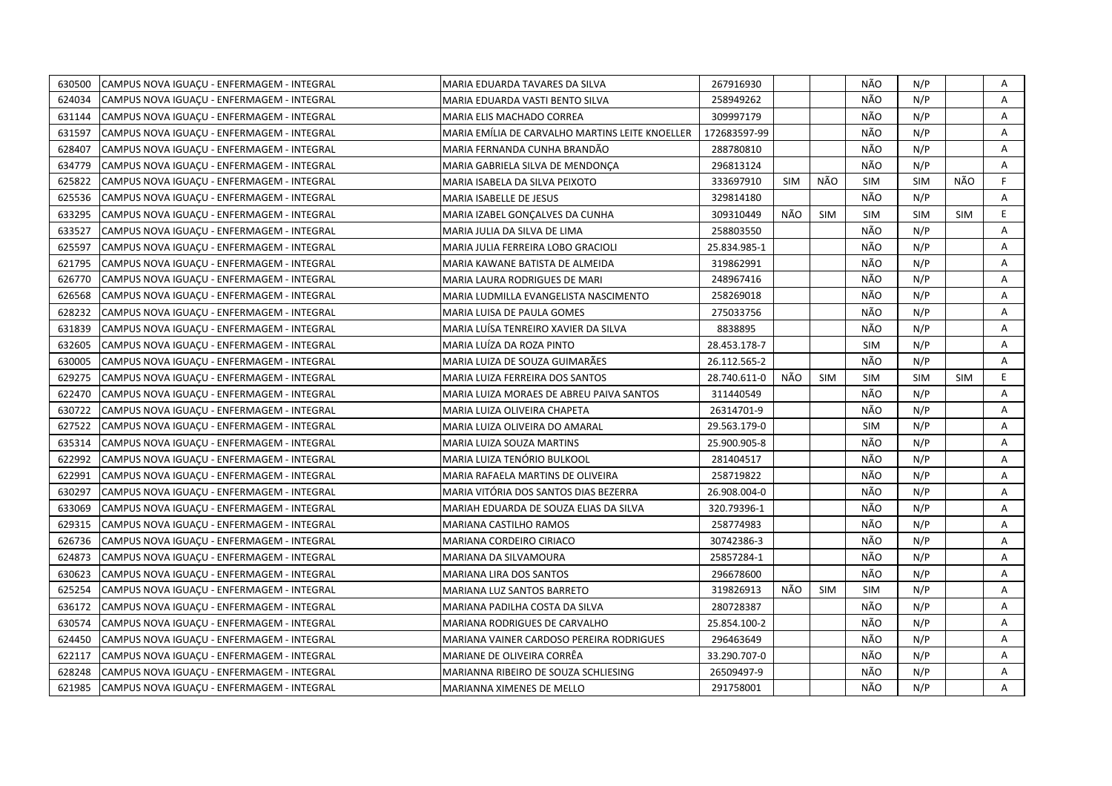| 630500 | CAMPUS NOVA IGUACU - ENFERMAGEM - INTEGRAL | MARIA EDUARDA TAVARES DA SILVA                  | 267916930    |     |            | NÃO        | N/P        |            | Α  |
|--------|--------------------------------------------|-------------------------------------------------|--------------|-----|------------|------------|------------|------------|----|
| 624034 | CAMPUS NOVA IGUACU - ENFERMAGEM - INTEGRAL | MARIA EDUARDA VASTI BENTO SILVA                 | 258949262    |     |            | NÃO        | N/P        |            | A  |
| 631144 | CAMPUS NOVA IGUACU - ENFERMAGEM - INTEGRAL | MARIA ELIS MACHADO CORREA                       | 309997179    |     |            | NÃO        | N/P        |            | A  |
| 631597 | CAMPUS NOVA IGUAÇU - ENFERMAGEM - INTEGRAL | MARIA EMÍLIA DE CARVALHO MARTINS LEITE KNOELLER | 172683597-99 |     |            | NÃO        | N/P        |            | Α  |
| 628407 | CAMPUS NOVA IGUACU - ENFERMAGEM - INTEGRAL | MARIA FERNANDA CUNHA BRANDÃO                    | 288780810    |     |            | NÃO        | N/P        |            | Α  |
| 634779 | CAMPUS NOVA IGUACU - ENFERMAGEM - INTEGRAL | MARIA GABRIELA SILVA DE MENDONÇA                | 296813124    |     |            | NÃO        | N/P        |            | A  |
| 625822 | CAMPUS NOVA IGUAÇU - ENFERMAGEM - INTEGRAL | MARIA ISABELA DA SILVA PEIXOTO                  | 333697910    | SIM | NÃO        | <b>SIM</b> | <b>SIM</b> | NÃO        | F. |
| 625536 | CAMPUS NOVA IGUAÇU - ENFERMAGEM - INTEGRAL | <b>MARIA ISABELLE DE JESUS</b>                  | 329814180    |     |            | NÃO        | N/P        |            | A  |
| 633295 | CAMPUS NOVA IGUACU - ENFERMAGEM - INTEGRAL | MARIA IZABEL GONCALVES DA CUNHA                 | 309310449    | NÃO | <b>SIM</b> | <b>SIM</b> | <b>SIM</b> | <b>SIM</b> | E  |
| 633527 | CAMPUS NOVA IGUAÇU - ENFERMAGEM - INTEGRAL | MARIA JULIA DA SILVA DE LIMA                    | 258803550    |     |            | NÃO        | N/P        |            | A  |
| 625597 | CAMPUS NOVA IGUAÇU - ENFERMAGEM - INTEGRAL | MARIA JULIA FERREIRA LOBO GRACIOLI              | 25.834.985-1 |     |            | NÃO        | N/P        |            | Α  |
| 621795 | CAMPUS NOVA IGUAÇU - ENFERMAGEM - INTEGRAL | MARIA KAWANE BATISTA DE ALMEIDA                 | 319862991    |     |            | NÃO        | N/P        |            | Α  |
| 626770 | CAMPUS NOVA IGUACU - ENFERMAGEM - INTEGRAL | MARIA LAURA RODRIGUES DE MARI                   | 248967416    |     |            | NÃO        | N/P        |            | A  |
| 626568 | CAMPUS NOVA IGUAÇU - ENFERMAGEM - INTEGRAL | MARIA LUDMILLA EVANGELISTA NASCIMENTO           | 258269018    |     |            | NÃO        | N/P        |            | A  |
| 628232 | CAMPUS NOVA IGUACU - ENFERMAGEM - INTEGRAL | MARIA LUISA DE PAULA GOMES                      | 275033756    |     |            | NÃO        | N/P        |            | Α  |
| 631839 | CAMPUS NOVA IGUACU - ENFERMAGEM - INTEGRAL | MARIA LUÍSA TENREIRO XAVIER DA SILVA            | 8838895      |     |            | NÃO        | N/P        |            | A  |
| 632605 | CAMPUS NOVA IGUAÇU - ENFERMAGEM - INTEGRAL | MARIA LUÍZA DA ROZA PINTO                       | 28.453.178-7 |     |            | <b>SIM</b> | N/P        |            | Α  |
| 630005 | CAMPUS NOVA IGUACU - ENFERMAGEM - INTEGRAL | MARIA LUIZA DE SOUZA GUIMARÃES                  | 26.112.565-2 |     |            | NÃO        | N/P        |            | A  |
| 629275 | CAMPUS NOVA IGUAÇU - ENFERMAGEM - INTEGRAL | MARIA LUIZA FERREIRA DOS SANTOS                 | 28.740.611-0 | NÃO | <b>SIM</b> | <b>SIM</b> | <b>SIM</b> | <b>SIM</b> | E. |
| 622470 | CAMPUS NOVA IGUACU - ENFERMAGEM - INTEGRAL | MARIA LUIZA MORAES DE ABREU PAIVA SANTOS        | 311440549    |     |            | NÃO        | N/P        |            | A  |
| 630722 | CAMPUS NOVA IGUACU - ENFERMAGEM - INTEGRAL | MARIA LUIZA OLIVEIRA CHAPETA                    | 26314701-9   |     |            | NÃO        | N/P        |            | A  |
| 627522 | CAMPUS NOVA IGUAÇU - ENFERMAGEM - INTEGRAL | MARIA LUIZA OLIVEIRA DO AMARAL                  | 29.563.179-0 |     |            | <b>SIM</b> | N/P        |            | A  |
| 635314 | CAMPUS NOVA IGUAÇU - ENFERMAGEM - INTEGRAL | MARIA LUIZA SOUZA MARTINS                       | 25.900.905-8 |     |            | NÃO        | N/P        |            | A  |
| 622992 | CAMPUS NOVA IGUACU - ENFERMAGEM - INTEGRAL | MARIA LUIZA TENÓRIO BULKOOL                     | 281404517    |     |            | NÃO        | N/P        |            | A  |
| 622991 | CAMPUS NOVA IGUAÇU - ENFERMAGEM - INTEGRAL | MARIA RAFAELA MARTINS DE OLIVEIRA               | 258719822    |     |            | NÃO        | N/P        |            | Α  |
| 630297 | CAMPUS NOVA IGUACU - ENFERMAGEM - INTEGRAL | MARIA VITÓRIA DOS SANTOS DIAS BEZERRA           | 26.908.004-0 |     |            | NÃO        | N/P        |            | A  |
| 633069 | CAMPUS NOVA IGUACU - ENFERMAGEM - INTEGRAL | MARIAH EDUARDA DE SOUZA ELIAS DA SILVA          | 320.79396-1  |     |            | NÃO        | N/P        |            | A  |
| 629315 | CAMPUS NOVA IGUAÇU - ENFERMAGEM - INTEGRAL | MARIANA CASTILHO RAMOS                          | 258774983    |     |            | NÃO        | N/P        |            | Α  |
| 626736 | CAMPUS NOVA IGUACU - ENFERMAGEM - INTEGRAL | MARIANA CORDEIRO CIRIACO                        | 30742386-3   |     |            | NÃO        | N/P        |            | A  |
| 624873 | CAMPUS NOVA IGUAÇU - ENFERMAGEM - INTEGRAL | MARIANA DA SILVAMOURA                           | 25857284-1   |     |            | NÃO        | N/P        |            | Α  |
| 630623 | CAMPUS NOVA IGUAÇU - ENFERMAGEM - INTEGRAL | MARIANA LIRA DOS SANTOS                         | 296678600    |     |            | NÃO        | N/P        |            | A  |
| 625254 | CAMPUS NOVA IGUAÇU - ENFERMAGEM - INTEGRAL | MARIANA LUZ SANTOS BARRETO                      | 319826913    | NÃO | <b>SIM</b> | <b>SIM</b> | N/P        |            | A  |
| 636172 | CAMPUS NOVA IGUAÇU - ENFERMAGEM - INTEGRAL | MARIANA PADILHA COSTA DA SILVA                  | 280728387    |     |            | NÃO        | N/P        |            | A  |
| 630574 | CAMPUS NOVA IGUACU - ENFERMAGEM - INTEGRAL | MARIANA RODRIGUES DE CARVALHO                   | 25.854.100-2 |     |            | NÃO        | N/P        |            | A  |
| 624450 | CAMPUS NOVA IGUAÇU - ENFERMAGEM - INTEGRAL | MARIANA VAINER CARDOSO PEREIRA RODRIGUES        | 296463649    |     |            | NÃO        | N/P        |            | A  |
| 622117 | CAMPUS NOVA IGUAÇU - ENFERMAGEM - INTEGRAL | MARIANE DE OLIVEIRA CORRÊA                      | 33.290.707-0 |     |            | NÃO        | N/P        |            | Α  |
| 628248 | CAMPUS NOVA IGUACU - ENFERMAGEM - INTEGRAL | MARIANNA RIBEIRO DE SOUZA SCHLIESING            | 26509497-9   |     |            | NÃO        | N/P        |            | Α  |
| 621985 | CAMPUS NOVA IGUAÇU - ENFERMAGEM - INTEGRAL | MARIANNA XIMENES DE MELLO                       | 291758001    |     |            | NÃO        | N/P        |            | A  |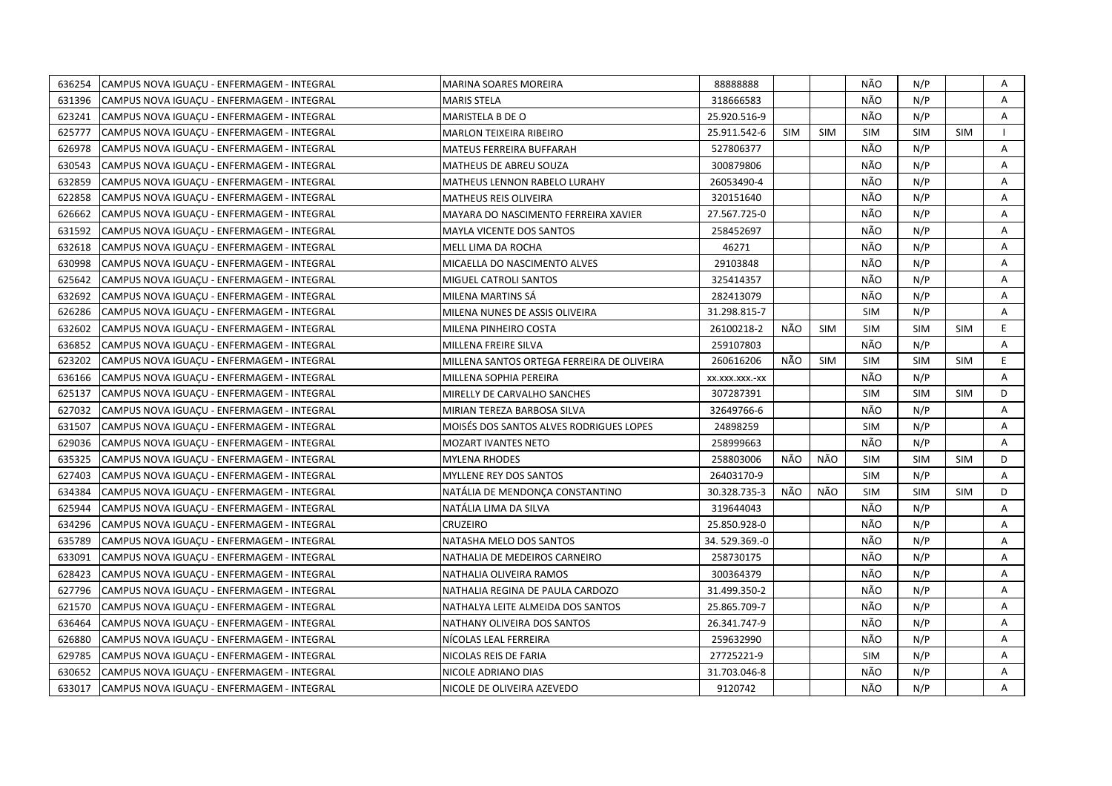| 636254 | CAMPUS NOVA IGUACU - ENFERMAGEM - INTEGRAL | MARINA SOARES MOREIRA                      | 88888888       |            |            | NÃO        | N/P        |            | A  |
|--------|--------------------------------------------|--------------------------------------------|----------------|------------|------------|------------|------------|------------|----|
| 631396 | CAMPUS NOVA IGUAÇU - ENFERMAGEM - INTEGRAL | MARIS STELA                                | 318666583      |            |            | NÃO        | N/P        |            | A  |
| 623241 | CAMPUS NOVA IGUACU - ENFERMAGEM - INTEGRAL | MARISTELA B DE O                           | 25.920.516-9   |            |            | NÃO        | N/P        |            | A  |
| 625777 | CAMPUS NOVA IGUAÇU - ENFERMAGEM - INTEGRAL | MARLON TEIXEIRA RIBEIRO                    | 25.911.542-6   | <b>SIM</b> | <b>SIM</b> | <b>SIM</b> | <b>SIM</b> | <b>SIM</b> |    |
| 626978 | CAMPUS NOVA IGUACU - ENFERMAGEM - INTEGRAL | MATEUS FERREIRA BUFFARAH                   | 527806377      |            |            | NÃO        | N/P        |            | A  |
| 630543 | CAMPUS NOVA IGUACU - ENFERMAGEM - INTEGRAL | MATHEUS DE ABREU SOUZA                     | 300879806      |            |            | NÃO        | N/P        |            | Α  |
| 632859 | CAMPUS NOVA IGUAÇU - ENFERMAGEM - INTEGRAL | MATHEUS LENNON RABELO LURAHY               | 26053490-4     |            |            | NÃO        | N/P        |            | Α  |
| 622858 | CAMPUS NOVA IGUAÇU - ENFERMAGEM - INTEGRAL | <b>MATHEUS REIS OLIVEIRA</b>               | 320151640      |            |            | NÃO        | N/P        |            | A  |
| 626662 | CAMPUS NOVA IGUAÇU - ENFERMAGEM - INTEGRAL | MAYARA DO NASCIMENTO FERREIRA XAVIER       | 27.567.725-0   |            |            | NÃO        | N/P        |            | A  |
| 631592 | CAMPUS NOVA IGUAÇU - ENFERMAGEM - INTEGRAL | <b>MAYLA VICENTE DOS SANTOS</b>            | 258452697      |            |            | NÃO        | N/P        |            | A  |
| 632618 | CAMPUS NOVA IGUACU - ENFERMAGEM - INTEGRAL | MELL LIMA DA ROCHA                         | 46271          |            |            | NÃO        | N/P        |            | A  |
| 630998 | CAMPUS NOVA IGUAÇU - ENFERMAGEM - INTEGRAL | MICAELLA DO NASCIMENTO ALVES               | 29103848       |            |            | NÃO        | N/P        |            | Α  |
| 625642 | CAMPUS NOVA IGUACU - ENFERMAGEM - INTEGRAL | MIGUEL CATROLI SANTOS                      | 325414357      |            |            | NÃO        | N/P        |            | A  |
| 632692 | CAMPUS NOVA IGUAÇU - ENFERMAGEM - INTEGRAL | MILENA MARTINS SÁ                          | 282413079      |            |            | NÃO        | N/P        |            | A  |
| 626286 | CAMPUS NOVA IGUAÇU - ENFERMAGEM - INTEGRAL | MILENA NUNES DE ASSIS OLIVEIRA             | 31.298.815-7   |            |            | <b>SIM</b> | N/P        |            | Α  |
| 632602 | CAMPUS NOVA IGUACU - ENFERMAGEM - INTEGRAL | MILENA PINHEIRO COSTA                      | 26100218-2     | NÃO        | <b>SIM</b> | <b>SIM</b> | <b>SIM</b> | <b>SIM</b> | E. |
| 636852 | CAMPUS NOVA IGUAÇU - ENFERMAGEM - INTEGRAL | MILLENA FREIRE SILVA                       | 259107803      |            |            | NÃO        | N/P        |            | A  |
| 623202 | CAMPUS NOVA IGUAÇU - ENFERMAGEM - INTEGRAL | MILLENA SANTOS ORTEGA FERREIRA DE OLIVEIRA | 260616206      | NÃO        | <b>SIM</b> | <b>SIM</b> | <b>SIM</b> | <b>SIM</b> | E. |
| 636166 | CAMPUS NOVA IGUACU - ENFERMAGEM - INTEGRAL | MILLENA SOPHIA PEREIRA                     | XX.XXX.XXX.-XX |            |            | NÃO        | N/P        |            | A  |
| 625137 | CAMPUS NOVA IGUAÇU - ENFERMAGEM - INTEGRAL | MIRELLY DE CARVALHO SANCHES                | 307287391      |            |            | <b>SIM</b> | <b>SIM</b> | SIM        | D  |
| 627032 | CAMPUS NOVA IGUACU - ENFERMAGEM - INTEGRAL | MIRIAN TEREZA BARBOSA SILVA                | 32649766-6     |            |            | NÃO        | N/P        |            | A  |
| 631507 | CAMPUS NOVA IGUACU - ENFERMAGEM - INTEGRAL | MOISÉS DOS SANTOS ALVES RODRIGUES LOPES    | 24898259       |            |            | <b>SIM</b> | N/P        |            | A  |
| 629036 | CAMPUS NOVA IGUAÇU - ENFERMAGEM - INTEGRAL | MOZART IVANTES NETO                        | 258999663      |            |            | NÃO        | N/P        |            | A  |
| 635325 | CAMPUS NOVA IGUAÇU - ENFERMAGEM - INTEGRAL | MYLENA RHODES                              | 258803006      | NÃO        | NÃO        | <b>SIM</b> | <b>SIM</b> | <b>SIM</b> | D  |
| 627403 | CAMPUS NOVA IGUAÇU - ENFERMAGEM - INTEGRAL | MYLLENE REY DOS SANTOS                     | 26403170-9     |            |            | <b>SIM</b> | N/P        |            | A  |
| 634384 | CAMPUS NOVA IGUAÇU - ENFERMAGEM - INTEGRAL | NATÁLIA DE MENDONCA CONSTANTINO            | 30.328.735-3   | NÃO        | NÃO        | <b>SIM</b> | <b>SIM</b> | <b>SIM</b> | D  |
| 625944 | CAMPUS NOVA IGUAÇU - ENFERMAGEM - INTEGRAL | NATÁLIA LIMA DA SILVA                      | 319644043      |            |            | NÃO        | N/P        |            | A  |
| 634296 | CAMPUS NOVA IGUAÇU - ENFERMAGEM - INTEGRAL | CRUZEIRO                                   | 25.850.928-0   |            |            | NÃO        | N/P        |            | Α  |
| 635789 | CAMPUS NOVA IGUACU - ENFERMAGEM - INTEGRAL | NATASHA MELO DOS SANTOS                    | 34.529.369.-0  |            |            | NÃO        | N/P        |            | A  |
| 633091 | CAMPUS NOVA IGUAÇU - ENFERMAGEM - INTEGRAL | NATHALIA DE MEDEIROS CARNEIRO              | 258730175      |            |            | NÃO        | N/P        |            | Α  |
| 628423 | CAMPUS NOVA IGUAÇU - ENFERMAGEM - INTEGRAL | NATHALIA OLIVEIRA RAMOS                    | 300364379      |            |            | NÃO        | N/P        |            | A  |
| 627796 | CAMPUS NOVA IGUAÇU - ENFERMAGEM - INTEGRAL | NATHALIA REGINA DE PAULA CARDOZO           | 31.499.350-2   |            |            | NÃO        | N/P        |            | A  |
| 621570 | CAMPUS NOVA IGUAÇU - ENFERMAGEM - INTEGRAL | NATHALYA LEITE ALMEIDA DOS SANTOS          | 25.865.709-7   |            |            | NÃO        | N/P        |            | A  |
| 636464 | CAMPUS NOVA IGUACU - ENFERMAGEM - INTEGRAL | NATHANY OLIVEIRA DOS SANTOS                | 26.341.747-9   |            |            | NÃO        | N/P        |            | A  |
| 626880 | CAMPUS NOVA IGUAÇU - ENFERMAGEM - INTEGRAL | NÍCOLAS LEAL FERREIRA                      | 259632990      |            |            | NÃO        | N/P        |            | A  |
| 629785 | CAMPUS NOVA IGUAÇU - ENFERMAGEM - INTEGRAL | NICOLAS REIS DE FARIA                      | 27725221-9     |            |            | <b>SIM</b> | N/P        |            | Α  |
| 630652 | CAMPUS NOVA IGUAÇU - ENFERMAGEM - INTEGRAL | NICOLE ADRIANO DIAS                        | 31.703.046-8   |            |            | NÃO        | N/P        |            | A  |
| 633017 | CAMPUS NOVA IGUAÇU - ENFERMAGEM - INTEGRAL | NICOLE DE OLIVEIRA AZEVEDO                 | 9120742        |            |            | NÃO        | N/P        |            | A  |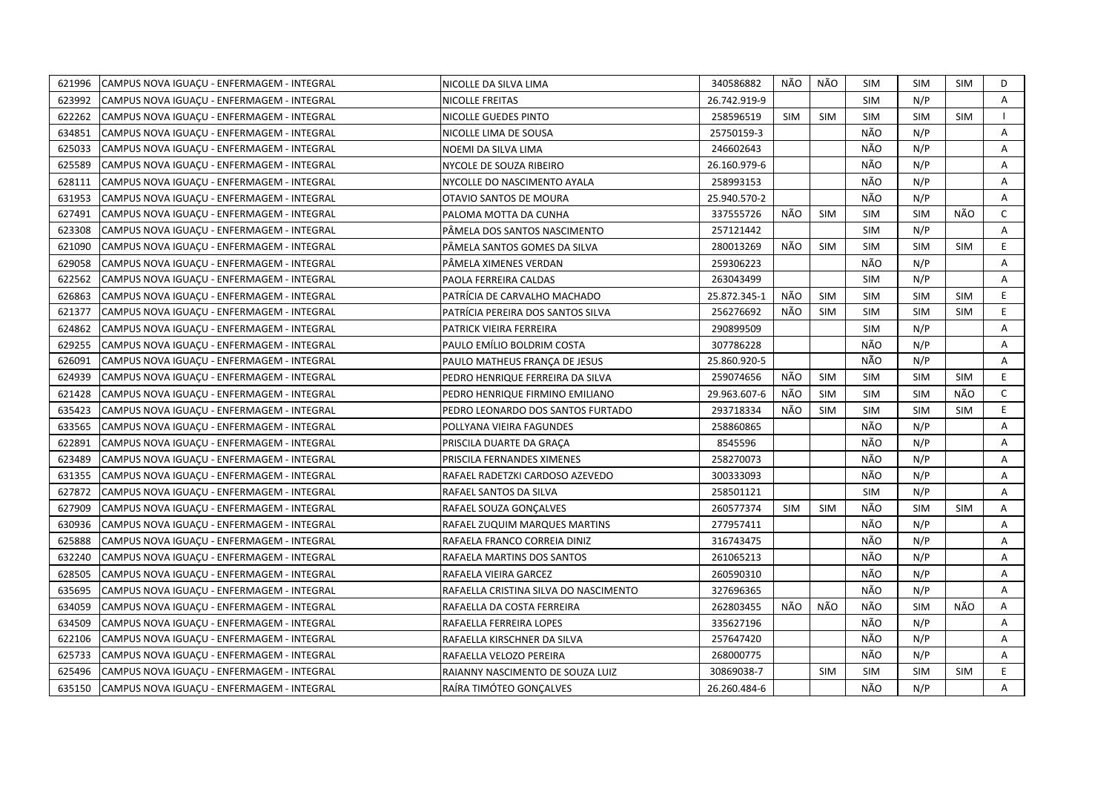| 621996 | CAMPUS NOVA IGUACU - ENFERMAGEM - INTEGRAL | NICOLLE DA SILVA LIMA                 | 340586882    | NÃO        | NÃO        | SIM        | <b>SIM</b> | SIM        | D            |
|--------|--------------------------------------------|---------------------------------------|--------------|------------|------------|------------|------------|------------|--------------|
| 623992 | CAMPUS NOVA IGUACU - ENFERMAGEM - INTEGRAL | <b>NICOLLE FREITAS</b>                | 26.742.919-9 |            |            | <b>SIM</b> | N/P        |            | A            |
| 622262 | CAMPUS NOVA IGUACU - ENFERMAGEM - INTEGRAL | NICOLLE GUEDES PINTO                  | 258596519    | <b>SIM</b> | <b>SIM</b> | <b>SIM</b> | <b>SIM</b> | <b>SIM</b> | $\mathbf{I}$ |
| 634851 | CAMPUS NOVA IGUACU - ENFERMAGEM - INTEGRAL | NICOLLE LIMA DE SOUSA                 | 25750159-3   |            |            | NÃO        | N/P        |            | A            |
| 625033 | CAMPUS NOVA IGUAÇU - ENFERMAGEM - INTEGRAL | NOEMI DA SILVA LIMA                   | 246602643    |            |            | NÃO        | N/P        |            | Α            |
| 625589 | CAMPUS NOVA IGUAÇU - ENFERMAGEM - INTEGRAL | NYCOLE DE SOUZA RIBEIRO               | 26.160.979-6 |            |            | NÃO        | N/P        |            | Α            |
| 628111 | CAMPUS NOVA IGUACU - ENFERMAGEM - INTEGRAL | NYCOLLE DO NASCIMENTO AYALA           | 258993153    |            |            | NÃO        | N/P        |            | A            |
| 631953 | CAMPUS NOVA IGUAÇU - ENFERMAGEM - INTEGRAL | OTAVIO SANTOS DE MOURA                | 25.940.570-2 |            |            | NÃO        | N/P        |            | A            |
| 627491 | CAMPUS NOVA IGUAÇU - ENFERMAGEM - INTEGRAL | PALOMA MOTTA DA CUNHA                 | 337555726    | NÃO        | <b>SIM</b> | <b>SIM</b> | <b>SIM</b> | NÃO        | $\mathsf{C}$ |
| 623308 | CAMPUS NOVA IGUAÇU - ENFERMAGEM - INTEGRAL | PÂMELA DOS SANTOS NASCIMENTO          | 257121442    |            |            | <b>SIM</b> | N/P        |            | Α            |
| 621090 | CAMPUS NOVA IGUAÇU - ENFERMAGEM - INTEGRAL | PÂMELA SANTOS GOMES DA SILVA          | 280013269    | NÃO        | <b>SIM</b> | <b>SIM</b> | <b>SIM</b> | <b>SIM</b> | E            |
| 629058 | CAMPUS NOVA IGUAÇU - ENFERMAGEM - INTEGRAL | PÄMELA XIMENES VERDAN                 | 259306223    |            |            | NÃO        | N/P        |            | Α            |
| 622562 | CAMPUS NOVA IGUACU - ENFERMAGEM - INTEGRAL | PAOLA FERREIRA CALDAS                 | 263043499    |            |            | <b>SIM</b> | N/P        |            | Α            |
| 626863 | CAMPUS NOVA IGUAÇU - ENFERMAGEM - INTEGRAL | PATRÍCIA DE CARVALHO MACHADO          | 25.872.345-1 | NÃO        | <b>SIM</b> | <b>SIM</b> | <b>SIM</b> | <b>SIM</b> | E.           |
| 621377 | CAMPUS NOVA IGUACU - ENFERMAGEM - INTEGRAL | PATRÍCIA PEREIRA DOS SANTOS SILVA     | 256276692    | NÃO        | <b>SIM</b> | <b>SIM</b> | <b>SIM</b> | <b>SIM</b> | E.           |
| 624862 | CAMPUS NOVA IGUACU - ENFERMAGEM - INTEGRAL | PATRICK VIEIRA FERREIRA               | 290899509    |            |            | <b>SIM</b> | N/P        |            | A            |
| 629255 | CAMPUS NOVA IGUAÇU - ENFERMAGEM - INTEGRAL | PAULO EMÍLIO BOLDRIM COSTA            | 307786228    |            |            | NÃO        | N/P        |            | A            |
| 626091 | CAMPUS NOVA IGUAÇU - ENFERMAGEM - INTEGRAL | PAULO MATHEUS FRANÇA DE JESUS         | 25.860.920-5 |            |            | NÃO        | N/P        |            | A            |
| 624939 | CAMPUS NOVA IGUAÇU - ENFERMAGEM - INTEGRAL | PEDRO HENRIQUE FERREIRA DA SILVA      | 259074656    | NÃO        | <b>SIM</b> | <b>SIM</b> | <b>SIM</b> | SIM        | E.           |
| 621428 | CAMPUS NOVA IGUACU - ENFERMAGEM - INTEGRAL | PEDRO HENRIQUE FIRMINO EMILIANO       | 29.963.607-6 | NÃO        | <b>SIM</b> | <b>SIM</b> | <b>SIM</b> | NÃO        | $\mathsf{C}$ |
| 635423 | CAMPUS NOVA IGUAÇU - ENFERMAGEM - INTEGRAL | PEDRO LEONARDO DOS SANTOS FURTADO     | 293718334    | NÃO        | <b>SIM</b> | <b>SIM</b> | <b>SIM</b> | SIM        | E.           |
| 633565 | CAMPUS NOVA IGUACU - ENFERMAGEM - INTEGRAL | POLLYANA VIEIRA FAGUNDES              | 258860865    |            |            | NÃO        | N/P        |            | A            |
| 622891 | CAMPUS NOVA IGUAÇU - ENFERMAGEM - INTEGRAL | PRISCILA DUARTE DA GRACA              | 8545596      |            |            | NÃO        | N/P        |            | A            |
| 623489 | CAMPUS NOVA IGUACU - ENFERMAGEM - INTEGRAL | PRISCILA FERNANDES XIMENES            | 258270073    |            |            | NÃO        | N/P        |            | A            |
| 631355 | CAMPUS NOVA IGUAÇU - ENFERMAGEM - INTEGRAL | RAFAEL RADETZKI CARDOSO AZEVEDO       | 300333093    |            |            | NÃO        | N/P        |            | Α            |
| 627872 | CAMPUS NOVA IGUAÇU - ENFERMAGEM - INTEGRAL | RAFAEL SANTOS DA SILVA                | 258501121    |            |            | <b>SIM</b> | N/P        |            | A            |
| 627909 | CAMPUS NOVA IGUAÇU - ENFERMAGEM - INTEGRAL | RAFAEL SOUZA GONCALVES                | 260577374    | <b>SIM</b> | <b>SIM</b> | NÃO        | <b>SIM</b> | <b>SIM</b> | A            |
| 630936 | CAMPUS NOVA IGUAÇU - ENFERMAGEM - INTEGRAL | RAFAEL ZUQUIM MARQUES MARTINS         | 277957411    |            |            | NÃO        | N/P        |            | A            |
| 625888 | CAMPUS NOVA IGUAÇU - ENFERMAGEM - INTEGRAL | RAFAELA FRANCO CORREIA DINIZ          | 316743475    |            |            | NÃO        | N/P        |            | A            |
| 632240 | CAMPUS NOVA IGUAÇU - ENFERMAGEM - INTEGRAL | RAFAELA MARTINS DOS SANTOS            | 261065213    |            |            | NÃO        | N/P        |            | A            |
| 628505 | CAMPUS NOVA IGUACU - ENFERMAGEM - INTEGRAL | RAFAELA VIEIRA GARCEZ                 | 260590310    |            |            | NÃO        | N/P        |            | A            |
| 635695 | CAMPUS NOVA IGUAÇU - ENFERMAGEM - INTEGRAL | RAFAELLA CRISTINA SILVA DO NASCIMENTO | 327696365    |            |            | NÃO        | N/P        |            | A            |
| 634059 | CAMPUS NOVA IGUACU - ENFERMAGEM - INTEGRAL | RAFAELLA DA COSTA FERREIRA            | 262803455    | NÃO        | NÃO        | NÃO        | <b>SIM</b> | NÃO        | Α            |
| 634509 | CAMPUS NOVA IGUAÇU - ENFERMAGEM - INTEGRAL | RAFAELLA FERREIRA LOPES               | 335627196    |            |            | NÃO        | N/P        |            | A            |
| 622106 | CAMPUS NOVA IGUAÇU - ENFERMAGEM - INTEGRAL | RAFAELLA KIRSCHNER DA SILVA           | 257647420    |            |            | NÃO        | N/P        |            | A            |
| 625733 | CAMPUS NOVA IGUAÇU - ENFERMAGEM - INTEGRAL | RAFAELLA VELOZO PEREIRA               | 268000775    |            |            | NÃO        | N/P        |            | Α            |
| 625496 | CAMPUS NOVA IGUACU - ENFERMAGEM - INTEGRAL | RAIANNY NASCIMENTO DE SOUZA LUIZ      | 30869038-7   |            | <b>SIM</b> | <b>SIM</b> | <b>SIM</b> | <b>SIM</b> | E.           |
| 635150 | CAMPUS NOVA IGUACU - ENFERMAGEM - INTEGRAL | RAÍRA TIMÓTEO GONCALVES               | 26.260.484-6 |            |            | NÃO        | N/P        |            | A            |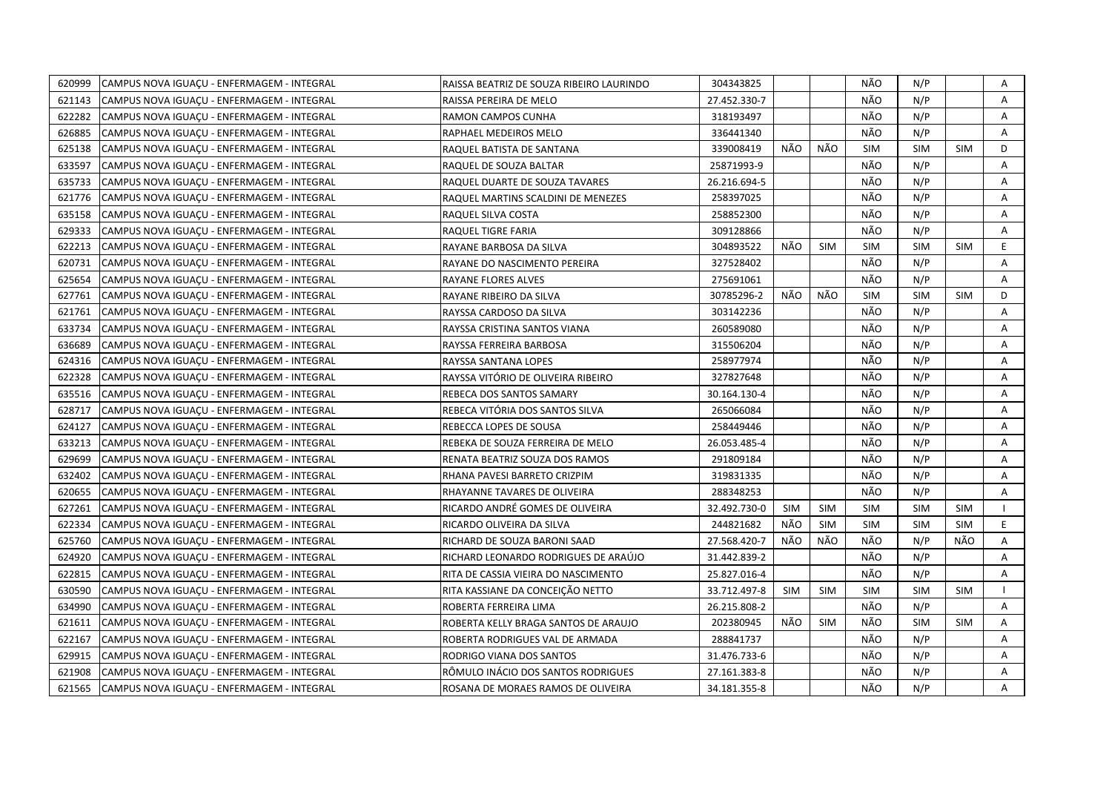| 620999 | CAMPUS NOVA IGUAÇU - ENFERMAGEM - INTEGRAL | RAISSA BEATRIZ DE SOUZA RIBEIRO LAURINDO | 304343825    |            |            | NÃO        | N/P        |            | Α |
|--------|--------------------------------------------|------------------------------------------|--------------|------------|------------|------------|------------|------------|---|
| 621143 | CAMPUS NOVA IGUAÇU - ENFERMAGEM - INTEGRAL | RAISSA PEREIRA DE MELO                   | 27.452.330-7 |            |            | NÃO        | N/P        |            | A |
| 622282 | CAMPUS NOVA IGUACU - ENFERMAGEM - INTEGRAL | RAMON CAMPOS CUNHA                       | 318193497    |            |            | NÃO        | N/P        |            | A |
| 626885 | CAMPUS NOVA IGUAÇU - ENFERMAGEM - INTEGRAL | RAPHAEL MEDEIROS MELO                    | 336441340    |            |            | NÃO        | N/P        |            | A |
| 625138 | CAMPUS NOVA IGUACU - ENFERMAGEM - INTEGRAL | RAQUEL BATISTA DE SANTANA                | 339008419    | NÃO        | NÃO        | <b>SIM</b> | <b>SIM</b> | <b>SIM</b> | D |
| 633597 | CAMPUS NOVA IGUAÇU - ENFERMAGEM - INTEGRAL | RAQUEL DE SOUZA BALTAR                   | 25871993-9   |            |            | NÃO        | N/P        |            | Α |
| 635733 | CAMPUS NOVA IGUACU - ENFERMAGEM - INTEGRAL | RAQUEL DUARTE DE SOUZA TAVARES           | 26.216.694-5 |            |            | NÃO        | N/P        |            | A |
| 621776 | CAMPUS NOVA IGUAÇU - ENFERMAGEM - INTEGRAL | RAQUEL MARTINS SCALDINI DE MENEZES       | 258397025    |            |            | NÃO        | N/P        |            | Α |
| 635158 | CAMPUS NOVA IGUAÇU - ENFERMAGEM - INTEGRAL | RAQUEL SILVA COSTA                       | 258852300    |            |            | NÃO        | N/P        |            | A |
| 629333 | CAMPUS NOVA IGUAÇU - ENFERMAGEM - INTEGRAL | RAQUEL TIGRE FARIA                       | 309128866    |            |            | NÃO        | N/P        |            | A |
| 622213 | CAMPUS NOVA IGUAÇU - ENFERMAGEM - INTEGRAL | RAYANE BARBOSA DA SILVA                  | 304893522    | NÃO        | <b>SIM</b> | <b>SIM</b> | <b>SIM</b> | <b>SIM</b> | E |
| 620731 | CAMPUS NOVA IGUAÇU - ENFERMAGEM - INTEGRAL | RAYANE DO NASCIMENTO PEREIRA             | 327528402    |            |            | NÃO        | N/P        |            | A |
| 625654 | CAMPUS NOVA IGUAÇU - ENFERMAGEM - INTEGRAL | RAYANE FLORES ALVES                      | 275691061    |            |            | NÃO        | N/P        |            | Α |
| 627761 | CAMPUS NOVA IGUAÇU - ENFERMAGEM - INTEGRAL | RAYANE RIBEIRO DA SILVA                  | 30785296-2   | NÃO        | NÃO        | <b>SIM</b> | <b>SIM</b> | <b>SIM</b> | D |
| 621761 | CAMPUS NOVA IGUAÇU - ENFERMAGEM - INTEGRAL | RAYSSA CARDOSO DA SILVA                  | 303142236    |            |            | NÃO        | N/P        |            | A |
| 633734 | CAMPUS NOVA IGUAÇU - ENFERMAGEM - INTEGRAL | RAYSSA CRISTINA SANTOS VIANA             | 260589080    |            |            | NÃO        | N/P        |            | A |
| 636689 | CAMPUS NOVA IGUACU - ENFERMAGEM - INTEGRAL | RAYSSA FERREIRA BARBOSA                  | 315506204    |            |            | NÃO        | N/P        |            | A |
| 624316 | CAMPUS NOVA IGUAÇU - ENFERMAGEM - INTEGRAL | RAYSSA SANTANA LOPES                     | 258977974    |            |            | NÃO        | N/P        |            | Α |
| 622328 | CAMPUS NOVA IGUAÇU - ENFERMAGEM - INTEGRAL | RAYSSA VITÓRIO DE OLIVEIRA RIBEIRO       | 327827648    |            |            | NÃO        | N/P        |            | Α |
| 635516 | CAMPUS NOVA IGUAÇU - ENFERMAGEM - INTEGRAL | REBECA DOS SANTOS SAMARY                 | 30.164.130-4 |            |            | NÃO        | N/P        |            | Α |
| 628717 | CAMPUS NOVA IGUACU - ENFERMAGEM - INTEGRAL | REBECA VITÓRIA DOS SANTOS SILVA          | 265066084    |            |            | NÃO        | N/P        |            | A |
| 624127 | CAMPUS NOVA IGUAÇU - ENFERMAGEM - INTEGRAL | REBECCA LOPES DE SOUSA                   | 258449446    |            |            | NÃO        | N/P        |            | Α |
| 633213 | CAMPUS NOVA IGUAÇU - ENFERMAGEM - INTEGRAL | REBEKA DE SOUZA FERREIRA DE MELO         | 26.053.485-4 |            |            | NÃO        | N/P        |            | A |
| 629699 | CAMPUS NOVA IGUACU - ENFERMAGEM - INTEGRAL | RENATA BEATRIZ SOUZA DOS RAMOS           | 291809184    |            |            | NÃO        | N/P        |            | A |
| 632402 | CAMPUS NOVA IGUAÇU - ENFERMAGEM - INTEGRAL | RHANA PAVESI BARRETO CRIZPIM             | 319831335    |            |            | NÃO        | N/P        |            | A |
| 620655 | CAMPUS NOVA IGUAÇU - ENFERMAGEM - INTEGRAL | RHAYANNE TAVARES DE OLIVEIRA             | 288348253    |            |            | NÃO        | N/P        |            | A |
| 627261 | CAMPUS NOVA IGUAÇU - ENFERMAGEM - INTEGRAL | RICARDO ANDRÉ GOMES DE OLIVEIRA          | 32.492.730-0 | SIM        | <b>SIM</b> | <b>SIM</b> | <b>SIM</b> | <b>SIM</b> |   |
| 622334 | CAMPUS NOVA IGUAÇU - ENFERMAGEM - INTEGRAL | RICARDO OLIVEIRA DA SILVA                | 244821682    | NÃO        | <b>SIM</b> | <b>SIM</b> | <b>SIM</b> | <b>SIM</b> | E |
| 625760 | CAMPUS NOVA IGUAÇU - ENFERMAGEM - INTEGRAL | RICHARD DE SOUZA BARONI SAAD             | 27.568.420-7 | NÃO        | NÃO        | NÃO        | N/P        | NÃO        | Α |
| 624920 | CAMPUS NOVA IGUACU - ENFERMAGEM - INTEGRAL | RICHARD LEONARDO RODRIGUES DE ARAÚJO     | 31.442.839-2 |            |            | NÃO        | N/P        |            | A |
| 622815 | CAMPUS NOVA IGUACU - ENFERMAGEM - INTEGRAL | RITA DE CASSIA VIEIRA DO NASCIMENTO      | 25.827.016-4 |            |            | NÃO        | N/P        |            | A |
| 630590 | CAMPUS NOVA IGUAÇU - ENFERMAGEM - INTEGRAL | RITA KASSIANE DA CONCEIÇÃO NETTO         | 33.712.497-8 | <b>SIM</b> | <b>SIM</b> | <b>SIM</b> | <b>SIM</b> | <b>SIM</b> |   |
| 634990 | CAMPUS NOVA IGUAÇU - ENFERMAGEM - INTEGRAL | ROBERTA FERREIRA LIMA                    | 26.215.808-2 |            |            | NÃO        | N/P        |            | Α |
| 621611 | CAMPUS NOVA IGUAÇU - ENFERMAGEM - INTEGRAL | ROBERTA KELLY BRAGA SANTOS DE ARAUJO     | 202380945    | NÃO        | <b>SIM</b> | NÃO        | <b>SIM</b> | <b>SIM</b> | Α |
| 622167 | CAMPUS NOVA IGUACU - ENFERMAGEM - INTEGRAL | ROBERTA RODRIGUES VAL DE ARMADA          | 288841737    |            |            | NÃO        | N/P        |            | A |
| 629915 | CAMPUS NOVA IGUAÇU - ENFERMAGEM - INTEGRAL | RODRIGO VIANA DOS SANTOS                 | 31.476.733-6 |            |            | NÃO        | N/P        |            | Α |
| 621908 | CAMPUS NOVA IGUACU - ENFERMAGEM - INTEGRAL | RÔMULO INÁCIO DOS SANTOS RODRIGUES       | 27.161.383-8 |            |            | NÃO        | N/P        |            | A |
| 621565 | CAMPUS NOVA IGUAÇU - ENFERMAGEM - INTEGRAL | ROSANA DE MORAES RAMOS DE OLIVEIRA       | 34.181.355-8 |            |            | NÃO        | N/P        |            | A |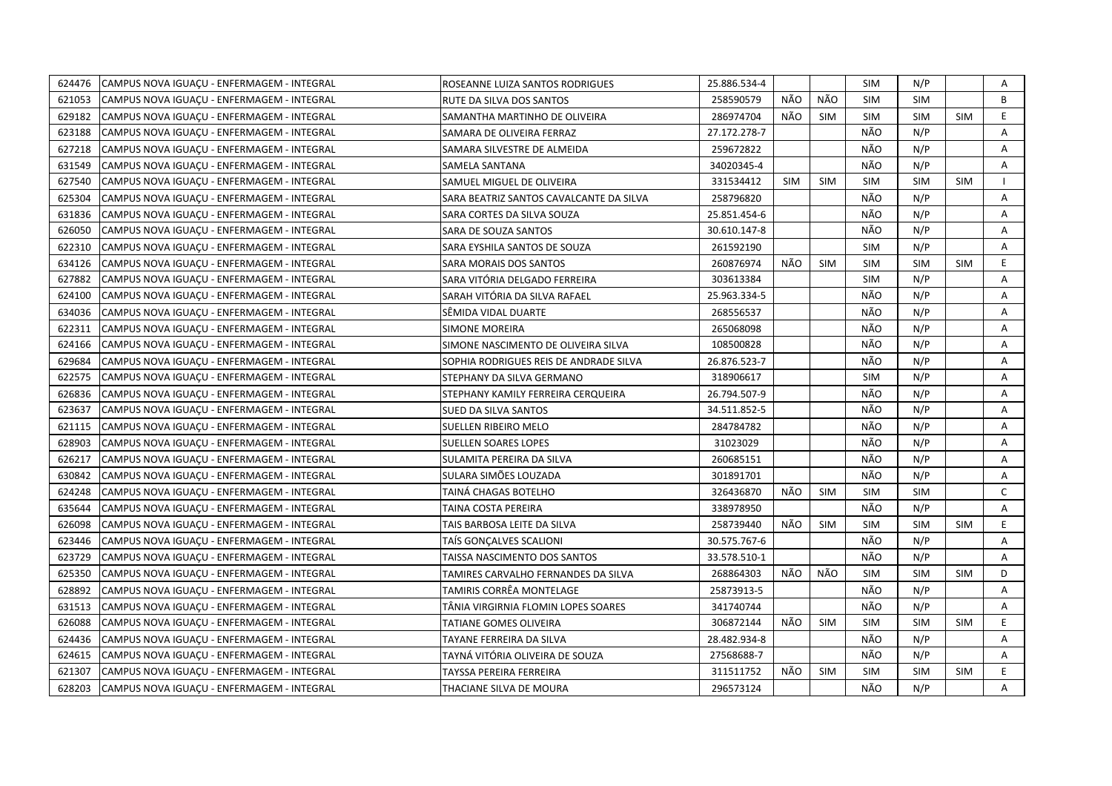| 624476 | CAMPUS NOVA IGUAÇU - ENFERMAGEM - INTEGRAL | ROSEANNE LUIZA SANTOS RODRIGUES         | 25.886.534-4 |            |            | SIM        | N/P        |            | Α            |
|--------|--------------------------------------------|-----------------------------------------|--------------|------------|------------|------------|------------|------------|--------------|
| 621053 | CAMPUS NOVA IGUACU - ENFERMAGEM - INTEGRAL | RUTE DA SILVA DOS SANTOS                | 258590579    | NÃO        | <b>NÃO</b> | <b>SIM</b> | <b>SIM</b> |            | B            |
| 629182 | CAMPUS NOVA IGUACU - ENFERMAGEM - INTEGRAL | SAMANTHA MARTINHO DE OLIVEIRA           | 286974704    | NÃO        | <b>SIM</b> | <b>SIM</b> | <b>SIM</b> | <b>SIM</b> | E            |
| 623188 | CAMPUS NOVA IGUACU - ENFERMAGEM - INTEGRAL | SAMARA DE OLIVEIRA FERRAZ               | 27.172.278-7 |            |            | NÃO        | N/P        |            | A            |
| 627218 | CAMPUS NOVA IGUAÇU - ENFERMAGEM - INTEGRAL | SAMARA SILVESTRE DE ALMEIDA             | 259672822    |            |            | NÃO        | N/P        |            | Α            |
| 631549 | CAMPUS NOVA IGUAÇU - ENFERMAGEM - INTEGRAL | SAMELA SANTANA                          | 34020345-4   |            |            | NÃO        | N/P        |            | A            |
| 627540 | CAMPUS NOVA IGUAÇU - ENFERMAGEM - INTEGRAL | SAMUEL MIGUEL DE OLIVEIRA               | 331534412    | <b>SIM</b> | <b>SIM</b> | <b>SIM</b> | <b>SIM</b> | <b>SIM</b> |              |
| 625304 | CAMPUS NOVA IGUAÇU - ENFERMAGEM - INTEGRAL | SARA BEATRIZ SANTOS CAVALCANTE DA SILVA | 258796820    |            |            | NÃO        | N/P        |            | Α            |
| 631836 | CAMPUS NOVA IGUACU - ENFERMAGEM - INTEGRAL | SARA CORTES DA SILVA SOUZA              | 25.851.454-6 |            |            | NÃO        | N/P        |            | A            |
| 626050 | CAMPUS NOVA IGUAÇU - ENFERMAGEM - INTEGRAL | SARA DE SOUZA SANTOS                    | 30.610.147-8 |            |            | NÃO        | N/P        |            | A            |
| 622310 | CAMPUS NOVA IGUACU - ENFERMAGEM - INTEGRAL | SARA EYSHILA SANTOS DE SOUZA            | 261592190    |            |            | <b>SIM</b> | N/P        |            | A            |
| 634126 | CAMPUS NOVA IGUAÇU - ENFERMAGEM - INTEGRAL | SARA MORAIS DOS SANTOS                  | 260876974    | NÃO        | <b>SIM</b> | <b>SIM</b> | <b>SIM</b> | <b>SIM</b> | E.           |
| 627882 | CAMPUS NOVA IGUACU - ENFERMAGEM - INTEGRAL | SARA VITÓRIA DELGADO FERREIRA           | 303613384    |            |            | <b>SIM</b> | N/P        |            | A            |
| 624100 | CAMPUS NOVA IGUAÇU - ENFERMAGEM - INTEGRAL | SARAH VITÓRIA DA SILVA RAFAEL           | 25.963.334-5 |            |            | NÃO        | N/P        |            | A            |
| 634036 | CAMPUS NOVA IGUAÇU - ENFERMAGEM - INTEGRAL | SËMIDA VIDAL DUARTE                     | 268556537    |            |            | NÃO        | N/P        |            | A            |
| 622311 | CAMPUS NOVA IGUACU - ENFERMAGEM - INTEGRAL | <b>SIMONE MOREIRA</b>                   | 265068098    |            |            | NÃO        | N/P        |            | A            |
| 624166 | CAMPUS NOVA IGUAÇU - ENFERMAGEM - INTEGRAL | SIMONE NASCIMENTO DE OLIVEIRA SILVA     | 108500828    |            |            | NÃO        | N/P        |            | Α            |
| 629684 | CAMPUS NOVA IGUAÇU - ENFERMAGEM - INTEGRAL | SOPHIA RODRIGUES REIS DE ANDRADE SILVA  | 26.876.523-7 |            |            | NÃO        | N/P        |            | Α            |
| 622575 | CAMPUS NOVA IGUAÇU - ENFERMAGEM - INTEGRAL | STEPHANY DA SILVA GERMANO               | 318906617    |            |            | <b>SIM</b> | N/P        |            | Α            |
| 626836 | CAMPUS NOVA IGUACU - ENFERMAGEM - INTEGRAL | STEPHANY KAMILY FERREIRA CERQUEIRA      | 26.794.507-9 |            |            | NÃO        | N/P        |            | A            |
| 623637 | CAMPUS NOVA IGUAÇU - ENFERMAGEM - INTEGRAL | SUED DA SILVA SANTOS                    | 34.511.852-5 |            |            | NÃO        | N/P        |            | Α            |
| 621115 | CAMPUS NOVA IGUACU - ENFERMAGEM - INTEGRAL | SUELLEN RIBEIRO MELO                    | 284784782    |            |            | NÃO        | N/P        |            | A            |
| 628903 | CAMPUS NOVA IGUACU - ENFERMAGEM - INTEGRAL | <b>SUELLEN SOARES LOPES</b>             | 31023029     |            |            | NÃO        | N/P        |            | A            |
| 626217 | CAMPUS NOVA IGUAÇU - ENFERMAGEM - INTEGRAL | SULAMITA PEREIRA DA SILVA               | 260685151    |            |            | NÃO        | N/P        |            | A            |
| 630842 | CAMPUS NOVA IGUAÇU - ENFERMAGEM - INTEGRAL | SULARA SIMÕES LOUZADA                   | 301891701    |            |            | NÃO        | N/P        |            | A            |
| 624248 | CAMPUS NOVA IGUAÇU - ENFERMAGEM - INTEGRAL | TAINA CHAGAS BOTELHO                    | 326436870    | NÃO        | <b>SIM</b> | <b>SIM</b> | <b>SIM</b> |            | $\mathsf{C}$ |
| 635644 | CAMPUS NOVA IGUAÇU - ENFERMAGEM - INTEGRAL | TAINA COSTA PEREIRA                     | 338978950    |            |            | NÃO        | N/P        |            | A            |
| 626098 | CAMPUS NOVA IGUAÇU - ENFERMAGEM - INTEGRAL | TAIS BARBOSA LEITE DA SILVA             | 258739440    | NÃO        | <b>SIM</b> | <b>SIM</b> | <b>SIM</b> | <b>SIM</b> | E.           |
| 623446 | CAMPUS NOVA IGUAÇU - ENFERMAGEM - INTEGRAL | TAÍS GONCALVES SCALIONI                 | 30.575.767-6 |            |            | NÃO        | N/P        |            | A            |
| 623729 | CAMPUS NOVA IGUACU - ENFERMAGEM - INTEGRAL | TAISSA NASCIMENTO DOS SANTOS            | 33.578.510-1 |            |            | NÃO        | N/P        |            | A            |
| 625350 | CAMPUS NOVA IGUAÇU - ENFERMAGEM - INTEGRAL | TAMIRES CARVALHO FERNANDES DA SILVA     | 268864303    | NÃO        | NÃO        | <b>SIM</b> | <b>SIM</b> | <b>SIM</b> | D            |
| 628892 | CAMPUS NOVA IGUAÇU - ENFERMAGEM - INTEGRAL | TAMIRIS CORRÊA MONTELAGE                | 25873913-5   |            |            | NÃO        | N/P        |            | Α            |
| 631513 | CAMPUS NOVA IGUACU - ENFERMAGEM - INTEGRAL | TÄNIA VIRGIRNIA FLOMIN LOPES SOARES     | 341740744    |            |            | NÃO        | N/P        |            | A            |
| 626088 | CAMPUS NOVA IGUAÇU - ENFERMAGEM - INTEGRAL | TATIANE GOMES OLIVEIRA                  | 306872144    | NÃO        | <b>SIM</b> | <b>SIM</b> | <b>SIM</b> | <b>SIM</b> | E.           |
| 624436 | CAMPUS NOVA IGUACU - ENFERMAGEM - INTEGRAL | TAYANE FERREIRA DA SILVA                | 28.482.934-8 |            |            | NÃO        | N/P        |            | A            |
| 624615 | CAMPUS NOVA IGUAÇU - ENFERMAGEM - INTEGRAL | TAYNÁ VITÓRIA OLIVEIRA DE SOUZA         | 27568688-7   |            |            | NÃO        | N/P        |            | A            |
| 621307 | CAMPUS NOVA IGUACU - ENFERMAGEM - INTEGRAL | TAYSSA PEREIRA FERREIRA                 | 311511752    | NÃO        | <b>SIM</b> | <b>SIM</b> | <b>SIM</b> | <b>SIM</b> | E.           |
| 628203 | CAMPUS NOVA IGUACU - ENFERMAGEM - INTEGRAL | THACIANE SILVA DE MOURA                 | 296573124    |            |            | NÃO        | N/P        |            | A            |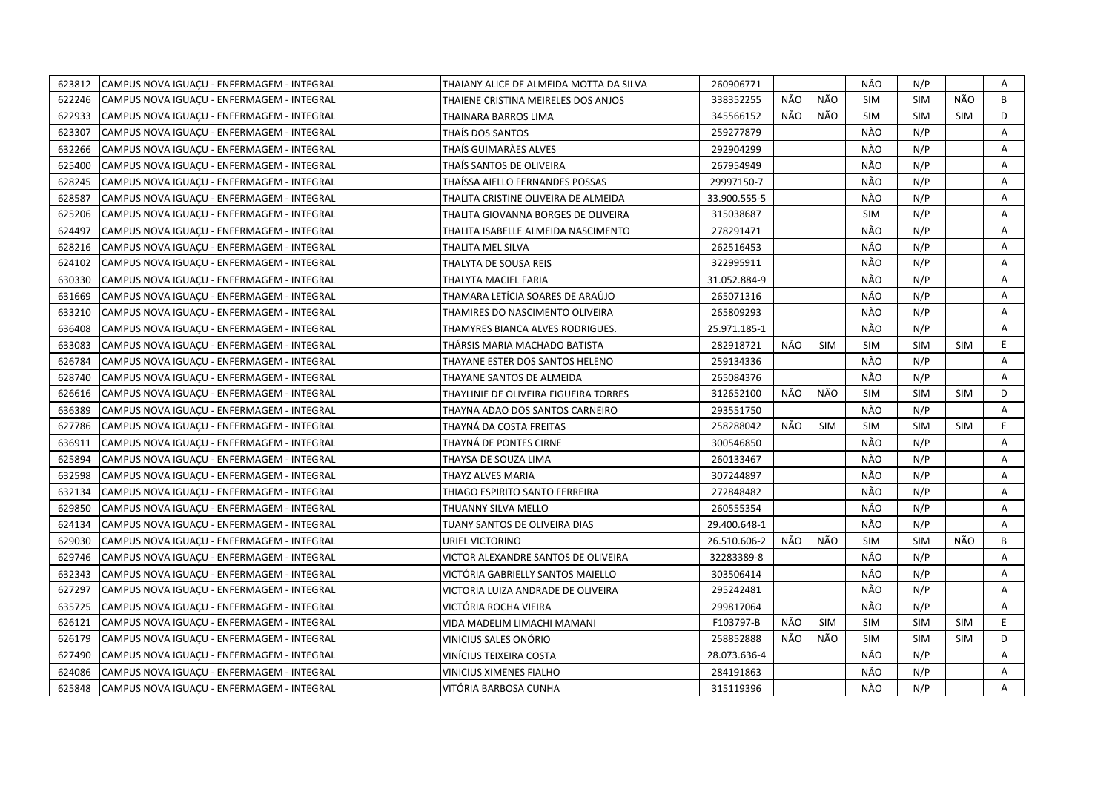| 623812 | CAMPUS NOVA IGUACU - ENFERMAGEM - INTEGRAL | THAIANY ALICE DE ALMEIDA MOTTA DA SILVA | 260906771    |     |            | NÃO        | N/P        |            | A  |
|--------|--------------------------------------------|-----------------------------------------|--------------|-----|------------|------------|------------|------------|----|
| 622246 | CAMPUS NOVA IGUACU - ENFERMAGEM - INTEGRAL | THAIENE CRISTINA MEIRELES DOS ANJOS     | 338352255    | NÃO | NÃO        | <b>SIM</b> | <b>SIM</b> | NÃO        | B  |
| 622933 | CAMPUS NOVA IGUAÇU - ENFERMAGEM - INTEGRAL | THAINARA BARROS LIMA                    | 345566152    | NÃO | NÃO        | <b>SIM</b> | <b>SIM</b> | <b>SIM</b> | D  |
| 623307 | CAMPUS NOVA IGUACU - ENFERMAGEM - INTEGRAL | THAÍS DOS SANTOS                        | 259277879    |     |            | NÃO        | N/P        |            | Α  |
| 632266 | CAMPUS NOVA IGUACU - ENFERMAGEM - INTEGRAL | THAÍS GUIMARÃES ALVES                   | 292904299    |     |            | NÃO        | N/P        |            | Α  |
| 625400 | CAMPUS NOVA IGUACU - ENFERMAGEM - INTEGRAL | THAÍS SANTOS DE OLIVEIRA                | 267954949    |     |            | NÃO        | N/P        |            | Α  |
| 628245 | CAMPUS NOVA IGUACU - ENFERMAGEM - INTEGRAL | THAÍSSA AIELLO FERNANDES POSSAS         | 29997150-7   |     |            | NÃO        | N/P        |            | A  |
| 628587 | CAMPUS NOVA IGUACU - ENFERMAGEM - INTEGRAL | THALITA CRISTINE OLIVEIRA DE ALMEIDA    | 33.900.555-5 |     |            | NÃO        | N/P        |            | Α  |
| 625206 | CAMPUS NOVA IGUAÇU - ENFERMAGEM - INTEGRAL | THALITA GIOVANNA BORGES DE OLIVEIRA     | 315038687    |     |            | <b>SIM</b> | N/P        |            | Α  |
| 624497 | CAMPUS NOVA IGUAÇU - ENFERMAGEM - INTEGRAL | THALITA ISABELLE ALMEIDA NASCIMENTO     | 278291471    |     |            | NÃO        | N/P        |            | A  |
| 628216 | CAMPUS NOVA IGUACU - ENFERMAGEM - INTEGRAL | THALITA MEL SILVA                       | 262516453    |     |            | NÃO        | N/P        |            | Α  |
| 624102 | CAMPUS NOVA IGUAÇU - ENFERMAGEM - INTEGRAL | THALYTA DE SOUSA REIS                   | 322995911    |     |            | NÃO        | N/P        |            | A  |
| 630330 | CAMPUS NOVA IGUAÇU - ENFERMAGEM - INTEGRAL | THALYTA MACIEL FARIA                    | 31.052.884-9 |     |            | NÃO        | N/P        |            | Α  |
| 631669 | CAMPUS NOVA IGUAÇU - ENFERMAGEM - INTEGRAL | THAMARA LETÍCIA SOARES DE ARAÚJO        | 265071316    |     |            | NÃO        | N/P        |            | Α  |
| 633210 | CAMPUS NOVA IGUAÇU - ENFERMAGEM - INTEGRAL | THAMIRES DO NASCIMENTO OLIVEIRA         | 265809293    |     |            | NÃO        | N/P        |            | A  |
| 636408 | CAMPUS NOVA IGUAÇU - ENFERMAGEM - INTEGRAL | THAMYRES BIANCA ALVES RODRIGUES.        | 25.971.185-1 |     |            | NÃO        | N/P        |            | Α  |
| 633083 | CAMPUS NOVA IGUACU - ENFERMAGEM - INTEGRAL | THÁRSIS MARIA MACHADO BATISTA           | 282918721    | NÃO | <b>SIM</b> | <b>SIM</b> | <b>SIM</b> | <b>SIM</b> | E  |
| 626784 | CAMPUS NOVA IGUACU - ENFERMAGEM - INTEGRAL | THAYANE ESTER DOS SANTOS HELENO         | 259134336    |     |            | NÃO        | N/P        |            | Α  |
| 628740 | CAMPUS NOVA IGUACU - ENFERMAGEM - INTEGRAL | THAYANE SANTOS DE ALMEIDA               | 265084376    |     |            | NÃO        | N/P        |            | Α  |
| 626616 | CAMPUS NOVA IGUAÇU - ENFERMAGEM - INTEGRAL | THAYLINIE DE OLIVEIRA FIGUEIRA TORRES   | 312652100    | NÃO | NÃO        | <b>SIM</b> | <b>SIM</b> | <b>SIM</b> | D  |
| 636389 | CAMPUS NOVA IGUACU - ENFERMAGEM - INTEGRAL | THAYNA ADAO DOS SANTOS CARNEIRO         | 293551750    |     |            | NÃO        | N/P        |            | A  |
| 627786 | CAMPUS NOVA IGUAÇU - ENFERMAGEM - INTEGRAL | THAYNÁ DA COSTA FREITAS                 | 258288042    | NÃO | SIM        | <b>SIM</b> | <b>SIM</b> | <b>SIM</b> | E. |
| 636911 | CAMPUS NOVA IGUACU - ENFERMAGEM - INTEGRAL | THAYNÁ DE PONTES CIRNE                  | 300546850    |     |            | NÃO        | N/P        |            | A  |
| 625894 | CAMPUS NOVA IGUAÇU - ENFERMAGEM - INTEGRAL | THAYSA DE SOUZA LIMA                    | 260133467    |     |            | NÃO        | N/P        |            | Α  |
| 632598 | CAMPUS NOVA IGUACU - ENFERMAGEM - INTEGRAL | THAYZ ALVES MARIA                       | 307244897    |     |            | NÃO        | N/P        |            | A  |
| 632134 | CAMPUS NOVA IGUAÇU - ENFERMAGEM - INTEGRAL | THIAGO ESPIRITO SANTO FERREIRA          | 272848482    |     |            | NÃO        | N/P        |            | Α  |
| 629850 | CAMPUS NOVA IGUACU - ENFERMAGEM - INTEGRAL | THUANNY SILVA MELLO                     | 260555354    |     |            | NÃO        | N/P        |            | A  |
| 624134 | CAMPUS NOVA IGUAÇU - ENFERMAGEM - INTEGRAL | TUANY SANTOS DE OLIVEIRA DIAS           | 29.400.648-1 |     |            | NÃO        | N/P        |            | Α  |
| 629030 | CAMPUS NOVA IGUACU - ENFERMAGEM - INTEGRAL | URIEL VICTORINO                         | 26.510.606-2 | NÃO | NÃO        | <b>SIM</b> | <b>SIM</b> | NÃO        | B  |
| 629746 | CAMPUS NOVA IGUACU - ENFERMAGEM - INTEGRAL | VICTOR ALEXANDRE SANTOS DE OLIVEIRA     | 32283389-8   |     |            | NÃO        | N/P        |            | A  |
| 632343 | CAMPUS NOVA IGUACU - ENFERMAGEM - INTEGRAL | VICTÓRIA GABRIELLY SANTOS MAIELLO       | 303506414    |     |            | NÃO        | N/P        |            | A  |
| 627297 | CAMPUS NOVA IGUAÇU - ENFERMAGEM - INTEGRAL | VICTORIA LUIZA ANDRADE DE OLIVEIRA      | 295242481    |     |            | NÃO        | N/P        |            | A  |
| 635725 | CAMPUS NOVA IGUACU - ENFERMAGEM - INTEGRAL | VICTÓRIA ROCHA VIEIRA                   | 299817064    |     |            | NÃO        | N/P        |            | A  |
| 626121 | CAMPUS NOVA IGUAÇU - ENFERMAGEM - INTEGRAL | VIDA MADELIM LIMACHI MAMANI             | F103797-B    | NÃO | SIM        | <b>SIM</b> | <b>SIM</b> | <b>SIM</b> | E  |
| 626179 | CAMPUS NOVA IGUACU - ENFERMAGEM - INTEGRAL | VINICIUS SALES ONÓRIO                   | 258852888    | NÃO | NÃO        | <b>SIM</b> | <b>SIM</b> | <b>SIM</b> | D  |
| 627490 | CAMPUS NOVA IGUAÇU - ENFERMAGEM - INTEGRAL | VINÍCIUS TEIXEIRA COSTA                 | 28.073.636-4 |     |            | NÃO        | N/P        |            | Α  |
| 624086 | CAMPUS NOVA IGUAÇU - ENFERMAGEM - INTEGRAL | VINICIUS XIMENES FIALHO                 | 284191863    |     |            | NÃO        | N/P        |            | Α  |
| 625848 | CAMPUS NOVA IGUAÇU - ENFERMAGEM - INTEGRAL | VITÓRIA BARBOSA CUNHA                   | 315119396    |     |            | NÃO        | N/P        |            | A  |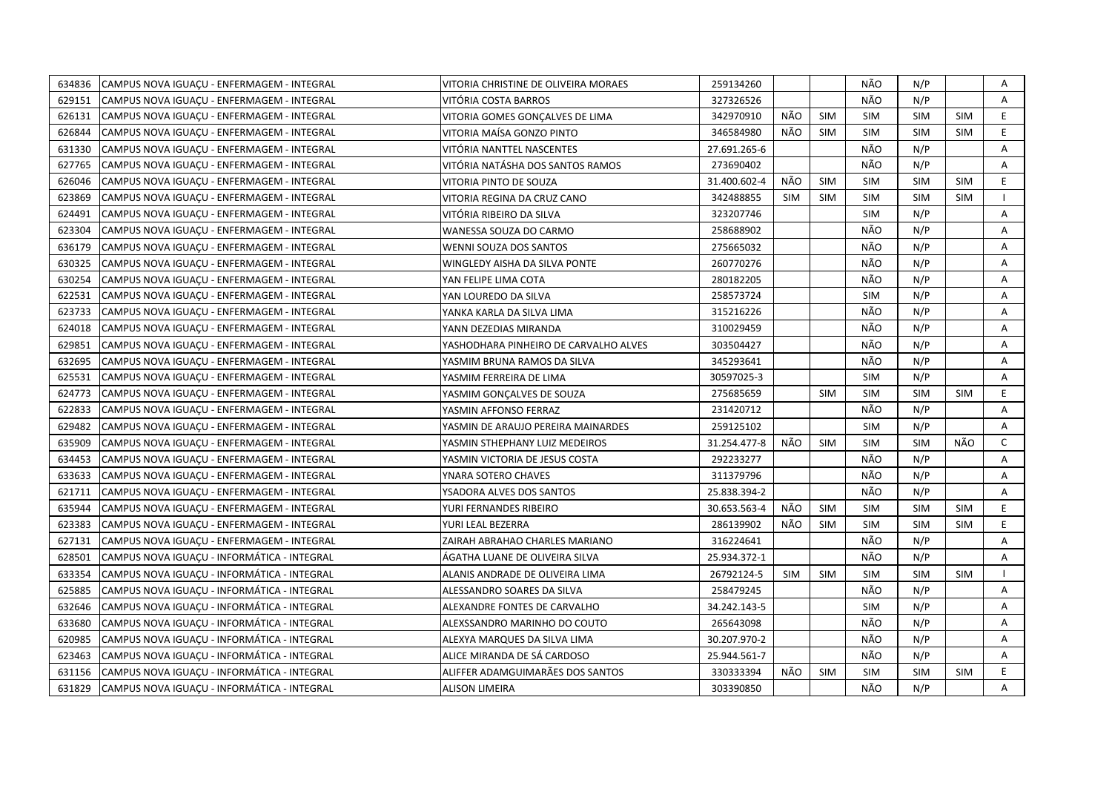| 634836 | CAMPUS NOVA IGUACU - ENFERMAGEM - INTEGRAL  | VITORIA CHRISTINE DE OLIVEIRA MORAES  | 259134260    |            |            | NÃO        | N/P        |            | Α            |
|--------|---------------------------------------------|---------------------------------------|--------------|------------|------------|------------|------------|------------|--------------|
| 629151 | CAMPUS NOVA IGUACU - ENFERMAGEM - INTEGRAL  | VITÓRIA COSTA BARROS                  | 327326526    |            |            | NÃO        | N/P        |            | A            |
| 626131 | CAMPUS NOVA IGUAÇU - ENFERMAGEM - INTEGRAL  | VITORIA GOMES GONCALVES DE LIMA       | 342970910    | NÃO        | <b>SIM</b> | <b>SIM</b> | <b>SIM</b> | <b>SIM</b> | E            |
| 626844 | CAMPUS NOVA IGUAÇU - ENFERMAGEM - INTEGRAL  | VITORIA MAÍSA GONZO PINTO             | 346584980    | NÃO        | <b>SIM</b> | <b>SIM</b> | <b>SIM</b> | <b>SIM</b> | E.           |
| 631330 | CAMPUS NOVA IGUACU - ENFERMAGEM - INTEGRAL  | VITÓRIA NANTTEL NASCENTES             | 27.691.265-6 |            |            | NÃO        | N/P        |            | Α            |
| 627765 | CAMPUS NOVA IGUAÇU - ENFERMAGEM - INTEGRAL  | VITÓRIA NATÁSHA DOS SANTOS RAMOS      | 273690402    |            |            | NÃO        | N/P        |            | Α            |
| 626046 | CAMPUS NOVA IGUAÇU - ENFERMAGEM - INTEGRAL  | VITORIA PINTO DE SOUZA                | 31.400.602-4 | NÃO        | <b>SIM</b> | <b>SIM</b> | <b>SIM</b> | <b>SIM</b> | E.           |
| 623869 | CAMPUS NOVA IGUAÇU - ENFERMAGEM - INTEGRAL  | VITORIA REGINA DA CRUZ CANO           | 342488855    | <b>SIM</b> | <b>SIM</b> | <b>SIM</b> | <b>SIM</b> | <b>SIM</b> |              |
| 624491 | CAMPUS NOVA IGUACU - ENFERMAGEM - INTEGRAL  | VITÓRIA RIBEIRO DA SILVA              | 323207746    |            |            | <b>SIM</b> | N/P        |            | A            |
| 623304 | CAMPUS NOVA IGUAÇU - ENFERMAGEM - INTEGRAL  | WANESSA SOUZA DO CARMO                | 258688902    |            |            | NÃO        | N/P        |            | A            |
| 636179 | CAMPUS NOVA IGUAÇU - ENFERMAGEM - INTEGRAL  | WENNI SOUZA DOS SANTOS                | 275665032    |            |            | NÃO        | N/P        |            | Α            |
| 630325 | CAMPUS NOVA IGUAÇU - ENFERMAGEM - INTEGRAL  | WINGLEDY AISHA DA SILVA PONTE         | 260770276    |            |            | NÃO        | N/P        |            | A            |
| 630254 | CAMPUS NOVA IGUAÇU - ENFERMAGEM - INTEGRAL  | YAN FELIPE LIMA COTA                  | 280182205    |            |            | NÃO        | N/P        |            | Α            |
| 622531 | CAMPUS NOVA IGUACU - ENFERMAGEM - INTEGRAL  | YAN LOUREDO DA SILVA                  | 258573724    |            |            | <b>SIM</b> | N/P        |            | A            |
| 623733 | CAMPUS NOVA IGUAÇU - ENFERMAGEM - INTEGRAL  | YANKA KARLA DA SILVA LIMA             | 315216226    |            |            | NÃO        | N/P        |            | Α            |
| 624018 | CAMPUS NOVA IGUACU - ENFERMAGEM - INTEGRAL  | YANN DEZEDIAS MIRANDA                 | 310029459    |            |            | NÃO        | N/P        |            | A            |
| 629851 | CAMPUS NOVA IGUACU - ENFERMAGEM - INTEGRAL  | YASHODHARA PINHEIRO DE CARVALHO ALVES | 303504427    |            |            | NÃO        | N/P        |            | Α            |
| 632695 | CAMPUS NOVA IGUAÇU - ENFERMAGEM - INTEGRAL  | YASMIM BRUNA RAMOS DA SILVA           | 345293641    |            |            | NÃO        | N/P        |            | A            |
| 625531 | CAMPUS NOVA IGUAÇU - ENFERMAGEM - INTEGRAL  | YASMIM FERREIRA DE LIMA               | 30597025-3   |            |            | <b>SIM</b> | N/P        |            | A            |
| 624773 | CAMPUS NOVA IGUAÇU - ENFERMAGEM - INTEGRAL  | YASMIM GONÇALVES DE SOUZA             | 275685659    |            | <b>SIM</b> | <b>SIM</b> | <b>SIM</b> | <b>SIM</b> | E.           |
| 622833 | CAMPUS NOVA IGUAÇU - ENFERMAGEM - INTEGRAL  | YASMIN AFFONSO FERRAZ                 | 231420712    |            |            | NÃO        | N/P        |            | A            |
| 629482 | CAMPUS NOVA IGUACU - ENFERMAGEM - INTEGRAL  | YASMIN DE ARAUJO PEREIRA MAINARDES    | 259125102    |            |            | <b>SIM</b> | N/P        |            | A            |
| 635909 | CAMPUS NOVA IGUACU - ENFERMAGEM - INTEGRAL  | YASMIN STHEPHANY LUIZ MEDEIROS        | 31.254.477-8 | NÃO        | <b>SIM</b> | <b>SIM</b> | <b>SIM</b> | NÃO        | $\mathsf{C}$ |
| 634453 | CAMPUS NOVA IGUAÇU - ENFERMAGEM - INTEGRAL  | YASMIN VICTORIA DE JESUS COSTA        | 292233277    |            |            | NÃO        | N/P        |            | A            |
| 633633 | CAMPUS NOVA IGUAÇU - ENFERMAGEM - INTEGRAL  | YNARA SOTERO CHAVES                   | 311379796    |            |            | NÃO        | N/P        |            | A            |
| 621711 | CAMPUS NOVA IGUAÇU - ENFERMAGEM - INTEGRAL  | YSADORA ALVES DOS SANTOS              | 25.838.394-2 |            |            | NÃO        | N/P        |            | A            |
| 635944 | CAMPUS NOVA IGUAÇU - ENFERMAGEM - INTEGRAL  | YURI FERNANDES RIBEIRO                | 30.653.563-4 | NÃO        | <b>SIM</b> | <b>SIM</b> | <b>SIM</b> | <b>SIM</b> | E.           |
| 623383 | CAMPUS NOVA IGUACU - ENFERMAGEM - INTEGRAL  | YURI LEAL BEZERRA                     | 286139902    | NÃO        | <b>SIM</b> | <b>SIM</b> | <b>SIM</b> | <b>SIM</b> | E.           |
| 627131 | CAMPUS NOVA IGUACU - ENFERMAGEM - INTEGRAL  | ZAIRAH ABRAHAO CHARLES MARIANO        | 316224641    |            |            | NÃO        | N/P        |            | A            |
| 628501 | CAMPUS NOVA IGUACU - INFORMÁTICA - INTEGRAL | ÁGATHA LUANE DE OLIVEIRA SILVA        | 25.934.372-1 |            |            | NÃO        | N/P        |            | A            |
| 633354 | CAMPUS NOVA IGUAÇU - INFORMÁTICA - INTEGRAL | ALANIS ANDRADE DE OLIVEIRA LIMA       | 26792124-5   | <b>SIM</b> | <b>SIM</b> | <b>SIM</b> | <b>SIM</b> | <b>SIM</b> |              |
| 625885 | CAMPUS NOVA IGUAÇU - INFORMÁTICA - INTEGRAL | ALESSANDRO SOARES DA SILVA            | 258479245    |            |            | NÃO        | N/P        |            | A            |
| 632646 | CAMPUS NOVA IGUACU - INFORMÁTICA - INTEGRAL | ALEXANDRE FONTES DE CARVALHO          | 34.242.143-5 |            |            | <b>SIM</b> | N/P        |            | A            |
| 633680 | CAMPUS NOVA IGUAÇU - INFORMÁTICA - INTEGRAL | ALEXSSANDRO MARINHO DO COUTO          | 265643098    |            |            | NÃO        | N/P        |            | Α            |
| 620985 | CAMPUS NOVA IGUACU - INFORMÁTICA - INTEGRAL | ALEXYA MARQUES DA SILVA LIMA          | 30.207.970-2 |            |            | NÃO        | N/P        |            | A            |
| 623463 | CAMPUS NOVA IGUAÇU - INFORMÁTICA - INTEGRAL | ALICE MIRANDA DE SÁ CARDOSO           | 25.944.561-7 |            |            | NÃO        | N/P        |            | A            |
| 631156 | CAMPUS NOVA IGUACU - INFORMÁTICA - INTEGRAL | ALIFFER ADAMGUIMARÄES DOS SANTOS      | 330333394    | NÃO        | <b>SIM</b> | <b>SIM</b> | <b>SIM</b> | <b>SIM</b> | E.           |
| 631829 | CAMPUS NOVA IGUAÇU - INFORMÁTICA - INTEGRAL | <b>ALISON LIMEIRA</b>                 | 303390850    |            |            | NÃO        | N/P        |            | A            |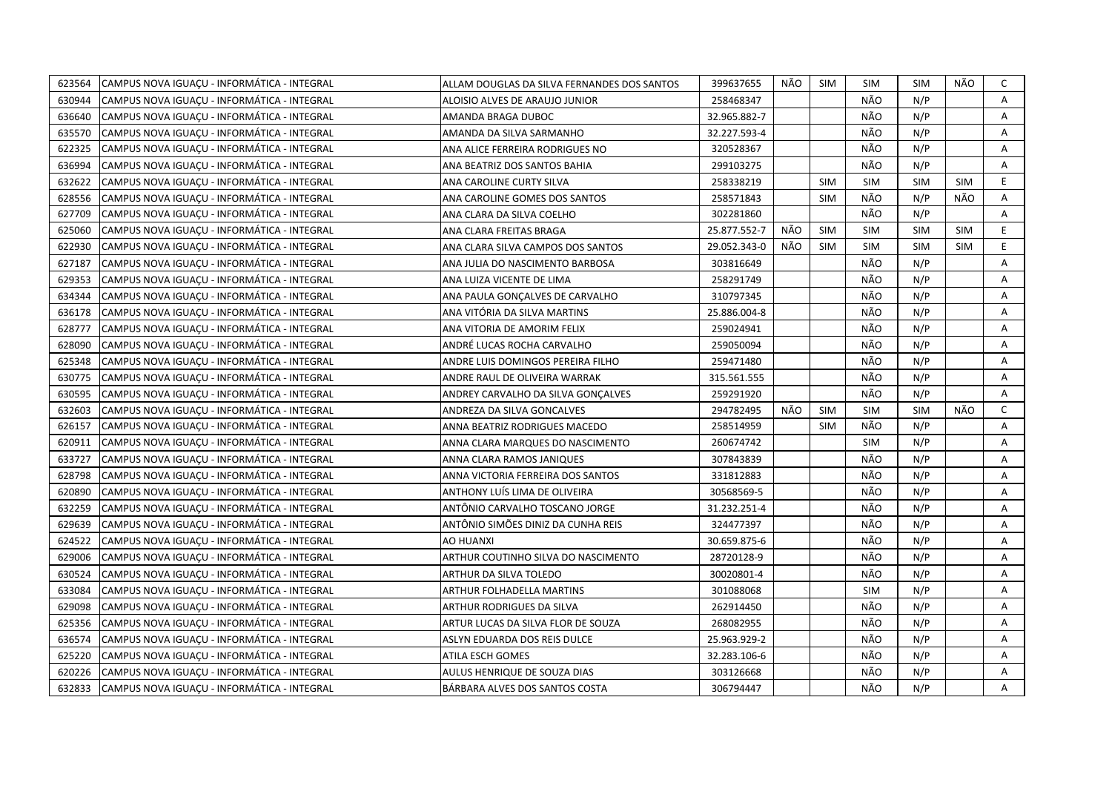| 623564 | CAMPUS NOVA IGUAÇU - INFORMÁTICA - INTEGRAL | ALLAM DOUGLAS DA SILVA FERNANDES DOS SANTOS | 399637655    | NÃO | SIM        | SIM        | <b>SIM</b> | NÃO        | C            |
|--------|---------------------------------------------|---------------------------------------------|--------------|-----|------------|------------|------------|------------|--------------|
| 630944 | CAMPUS NOVA IGUAÇU - INFORMÁTICA - INTEGRAL | ALOISIO ALVES DE ARAUJO JUNIOR              | 258468347    |     |            | NÃO        | N/P        |            | A            |
| 636640 | CAMPUS NOVA IGUACU - INFORMÁTICA - INTEGRAL | AMANDA BRAGA DUBOC                          | 32.965.882-7 |     |            | NÃO        | N/P        |            | A            |
| 635570 | CAMPUS NOVA IGUAÇU - INFORMÁTICA - INTEGRAL | AMANDA DA SILVA SARMANHO                    | 32.227.593-4 |     |            | NÃO        | N/P        |            | Α            |
| 622325 | CAMPUS NOVA IGUACU - INFORMÁTICA - INTEGRAL | ANA ALICE FERREIRA RODRIGUES NO             | 320528367    |     |            | NÃO        | N/P        |            | A            |
| 636994 | CAMPUS NOVA IGUAÇU - INFORMÁTICA - INTEGRAL | ANA BEATRIZ DOS SANTOS BAHIA                | 299103275    |     |            | NÃO        | N/P        |            | Α            |
| 632622 | CAMPUS NOVA IGUACU - INFORMÁTICA - INTEGRAL | ANA CAROLINE CURTY SILVA                    | 258338219    |     | <b>SIM</b> | <b>SIM</b> | <b>SIM</b> | <b>SIM</b> | E            |
| 628556 | CAMPUS NOVA IGUAÇU - INFORMÁTICA - INTEGRAL | ANA CAROLINE GOMES DOS SANTOS               | 258571843    |     | <b>SIM</b> | NÃO        | N/P        | NÃO        | Α            |
| 627709 | CAMPUS NOVA IGUACU - INFORMÁTICA - INTEGRAL | ANA CLARA DA SILVA COELHO                   | 302281860    |     |            | NÃO        | N/P        |            | A            |
| 625060 | CAMPUS NOVA IGUAÇU - INFORMÁTICA - INTEGRAL | ANA CLARA FREITAS BRAGA                     | 25.877.552-7 | NÃO | <b>SIM</b> | <b>SIM</b> | <b>SIM</b> | <b>SIM</b> | E            |
| 622930 | CAMPUS NOVA IGUAÇU - INFORMÁTICA - INTEGRAL | ANA CLARA SILVA CAMPOS DOS SANTOS           | 29.052.343-0 | NÃO | <b>SIM</b> | <b>SIM</b> | <b>SIM</b> | <b>SIM</b> | E            |
| 627187 | CAMPUS NOVA IGUACU - INFORMÁTICA - INTEGRAL | ANA JULIA DO NASCIMENTO BARBOSA             | 303816649    |     |            | NÃO        | N/P        |            | A            |
| 629353 | CAMPUS NOVA IGUAÇU - INFORMÁTICA - INTEGRAL | ANA LUIZA VICENTE DE LIMA                   | 258291749    |     |            | NÃO        | N/P        |            | Α            |
| 634344 | CAMPUS NOVA IGUACU - INFORMÁTICA - INTEGRAL | ANA PAULA GONCALVES DE CARVALHO             | 310797345    |     |            | NÃO        | N/P        |            | A            |
| 636178 | CAMPUS NOVA IGUAÇU - INFORMÁTICA - INTEGRAL | ANA VITÓRIA DA SILVA MARTINS                | 25.886.004-8 |     |            | NÃO        | N/P        |            | A            |
| 628777 | CAMPUS NOVA IGUAÇU - INFORMÁTICA - INTEGRAL | ANA VITORIA DE AMORIM FELIX                 | 259024941    |     |            | NÃO        | N/P        |            | A            |
| 628090 | CAMPUS NOVA IGUACU - INFORMÁTICA - INTEGRAL | ANDRÉ LUCAS ROCHA CARVALHO                  | 259050094    |     |            | NÃO        | N/P        |            | A            |
| 625348 | CAMPUS NOVA IGUAÇU - INFORMÁTICA - INTEGRAL | ANDRE LUIS DOMINGOS PEREIRA FILHO           | 259471480    |     |            | NÃO        | N/P        |            | Α            |
| 630775 | CAMPUS NOVA IGUACU - INFORMÁTICA - INTEGRAL | ANDRE RAUL DE OLIVEIRA WARRAK               | 315.561.555  |     |            | NÃO        | N/P        |            | Α            |
| 630595 | CAMPUS NOVA IGUAÇU - INFORMÁTICA - INTEGRAL | ANDREY CARVALHO DA SILVA GONÇALVES          | 259291920    |     |            | NÃO        | N/P        |            | A            |
| 632603 | CAMPUS NOVA IGUACU - INFORMÁTICA - INTEGRAL | ANDREZA DA SILVA GONCALVES                  | 294782495    | NÃO | SIM        | <b>SIM</b> | <b>SIM</b> | NÃO        | $\mathsf{C}$ |
| 626157 | CAMPUS NOVA IGUAÇU - INFORMÁTICA - INTEGRAL | ANNA BEATRIZ RODRIGUES MACEDO               | 258514959    |     | <b>SIM</b> | NÃO        | N/P        |            | Α            |
| 620911 | CAMPUS NOVA IGUACU - INFORMATICA - INTEGRAL | ANNA CLARA MARQUES DO NASCIMENTO            | 260674742    |     |            | <b>SIM</b> | N/P        |            | A            |
| 633727 | CAMPUS NOVA IGUACU - INFORMÁTICA - INTEGRAL | ANNA CLARA RAMOS JANIQUES                   | 307843839    |     |            | NÃO        | N/P        |            | A            |
| 628798 | CAMPUS NOVA IGUAÇU - INFORMÁTICA - INTEGRAL | ANNA VICTORIA FERREIRA DOS SANTOS           | 331812883    |     |            | NÃO        | N/P        |            | A            |
| 620890 | CAMPUS NOVA IGUAÇU - INFORMÁTICA - INTEGRAL | ANTHONY LUÍS LIMA DE OLIVEIRA               | 30568569-5   |     |            | NÃO        | N/P        |            | A            |
| 632259 | CAMPUS NOVA IGUAÇU - INFORMÁTICA - INTEGRAL | ANTÔNIO CARVALHO TOSCANO JORGE              | 31.232.251-4 |     |            | NÃO        | N/P        |            | Α            |
| 629639 | CAMPUS NOVA IGUACU - INFORMATICA - INTEGRAL | ANTÔNIO SIMÕES DINIZ DA CUNHA REIS          | 324477397    |     |            | NÃO        | N/P        |            | A            |
| 624522 | CAMPUS NOVA IGUACU - INFORMÁTICA - INTEGRAL | AO HUANXI                                   | 30.659.875-6 |     |            | NÃO        | N/P        |            | Α            |
| 629006 | CAMPUS NOVA IGUACU - INFORMATICA - INTEGRAL | ARTHUR COUTINHO SILVA DO NASCIMENTO         | 28720128-9   |     |            | NÃO        | N/P        |            | A            |
| 630524 | CAMPUS NOVA IGUACU - INFORMÁTICA - INTEGRAL | ARTHUR DA SILVA TOLEDO                      | 30020801-4   |     |            | NÃO        | N/P        |            | Α            |
| 633084 | CAMPUS NOVA IGUAÇU - INFORMÁTICA - INTEGRAL | ARTHUR FOLHADELLA MARTINS                   | 301088068    |     |            | <b>SIM</b> | N/P        |            | Α            |
| 629098 | CAMPUS NOVA IGUACU - INFORMÁTICA - INTEGRAL | ARTHUR RODRIGUES DA SILVA                   | 262914450    |     |            | NÃO        | N/P        |            | Α            |
| 625356 | CAMPUS NOVA IGUAÇU - INFORMÁTICA - INTEGRAL | ARTUR LUCAS DA SILVA FLOR DE SOUZA          | 268082955    |     |            | NÃO        | N/P        |            | Α            |
| 636574 | CAMPUS NOVA IGUAÇU - INFORMÁTICA - INTEGRAL | ASLYN EDUARDA DOS REIS DULCE                | 25.963.929-2 |     |            | NÃO        | N/P        |            | A            |
| 625220 | CAMPUS NOVA IGUAÇU - INFORMÁTICA - INTEGRAL | ATILA ESCH GOMES                            | 32.283.106-6 |     |            | NÃO        | N/P        |            | Α            |
| 620226 | CAMPUS NOVA IGUACU - INFORMÁTICA - INTEGRAL | AULUS HENRIQUE DE SOUZA DIAS                | 303126668    |     |            | NÃO        | N/P        |            | A            |
| 632833 | CAMPUS NOVA IGUAÇU - INFORMÁTICA - INTEGRAL | BÁRBARA ALVES DOS SANTOS COSTA              | 306794447    |     |            | NÃO        | N/P        |            | A            |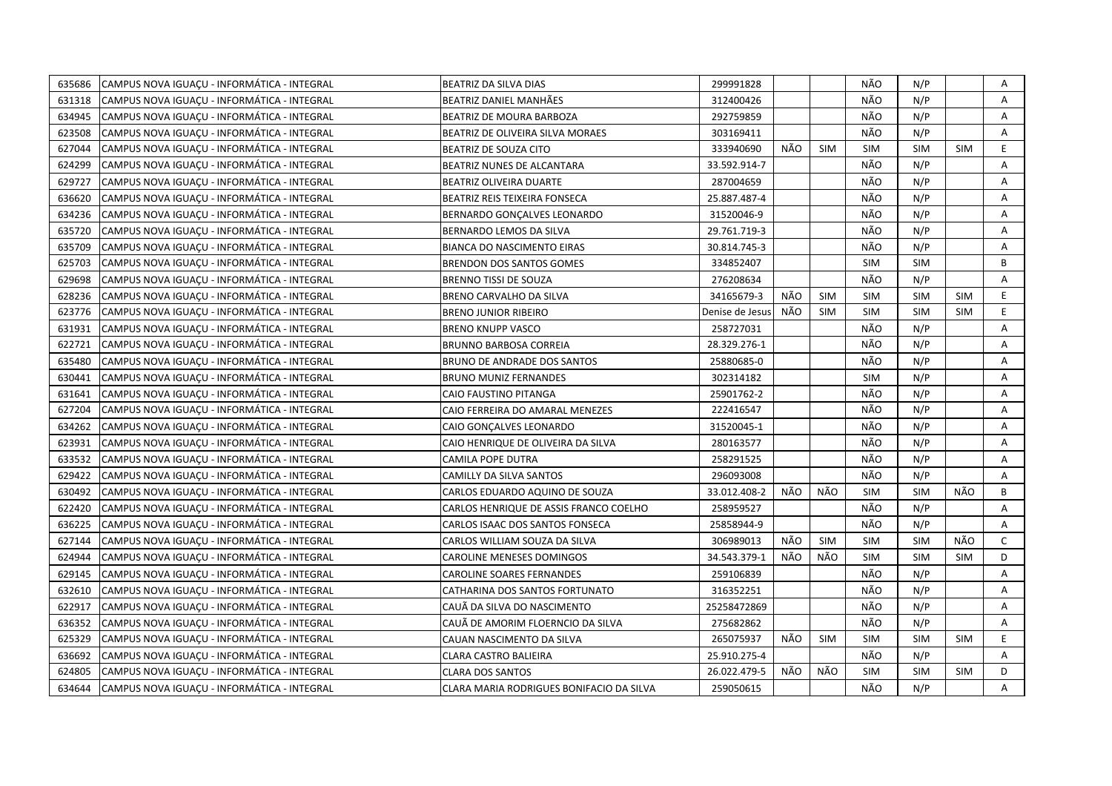| 635686 | CAMPUS NOVA IGUACU - INFORMÁTICA - INTEGRAL | BEATRIZ DA SILVA DIAS                    | 299991828       |     |            | NÃO        | N/P        |            | Α            |
|--------|---------------------------------------------|------------------------------------------|-----------------|-----|------------|------------|------------|------------|--------------|
| 631318 | CAMPUS NOVA IGUACU - INFORMÁTICA - INTEGRAL | BEATRIZ DANIEL MANHÄES                   | 312400426       |     |            | NÃO        | N/P        |            | $\mathsf{A}$ |
| 634945 | CAMPUS NOVA IGUACU - INFORMÁTICA - INTEGRAL | BEATRIZ DE MOURA BARBOZA                 | 292759859       |     |            | NÃO        | N/P        |            | A            |
| 623508 | CAMPUS NOVA IGUACU - INFORMÁTICA - INTEGRAL | <b>BEATRIZ DE OLIVEIRA SILVA MORAES</b>  | 303169411       |     |            | NÃO        | N/P        |            | A            |
| 627044 | CAMPUS NOVA IGUACU - INFORMÁTICA - INTEGRAL | BEATRIZ DE SOUZA CITO                    | 333940690       | NÃO | <b>SIM</b> | <b>SIM</b> | <b>SIM</b> | <b>SIM</b> | E            |
| 624299 | CAMPUS NOVA IGUAÇU - INFORMÁTICA - INTEGRAL | BEATRIZ NUNES DE ALCANTARA               | 33.592.914-7    |     |            | NÃO        | N/P        |            | Α            |
| 629727 | CAMPUS NOVA IGUACU - INFORMÁTICA - INTEGRAL | <b>BEATRIZ OLIVEIRA DUARTE</b>           | 287004659       |     |            | NÃO        | N/P        |            | Α            |
| 636620 | CAMPUS NOVA IGUAÇU - INFORMÁTICA - INTEGRAL | BEATRIZ REIS TEIXEIRA FONSECA            | 25.887.487-4    |     |            | NÃO        | N/P        |            | Α            |
| 634236 | CAMPUS NOVA IGUACU - INFORMÁTICA - INTEGRAL | BERNARDO GONCALVES LEONARDO              | 31520046-9      |     |            | NÃO        | N/P        |            | А            |
| 635720 | CAMPUS NOVA IGUAÇU - INFORMÁTICA - INTEGRAL | BERNARDO LEMOS DA SILVA                  | 29.761.719-3    |     |            | NÃO        | N/P        |            | Α            |
| 635709 | CAMPUS NOVA IGUACU - INFORMÁTICA - INTEGRAL | <b>BIANCA DO NASCIMENTO EIRAS</b>        | 30.814.745-3    |     |            | NÃO        | N/P        |            | A            |
| 625703 | CAMPUS NOVA IGUAÇU - INFORMÁTICA - INTEGRAL | <b>BRENDON DOS SANTOS GOMES</b>          | 334852407       |     |            | <b>SIM</b> | <b>SIM</b> |            | B            |
| 629698 | CAMPUS NOVA IGUACU - INFORMÁTICA - INTEGRAL | <b>BRENNO TISSI DE SOUZA</b>             | 276208634       |     |            | NÃO        | N/P        |            | A            |
| 628236 | CAMPUS NOVA IGUAÇU - INFORMÁTICA - INTEGRAL | BRENO CARVALHO DA SILVA                  | 34165679-3      | NÃO | <b>SIM</b> | <b>SIM</b> | <b>SIM</b> | <b>SIM</b> | E.           |
| 623776 | CAMPUS NOVA IGUAÇU - INFORMÁTICA - INTEGRAL | <b>BRENO JUNIOR RIBEIRO</b>              | Denise de Jesus | NÃO | <b>SIM</b> | <b>SIM</b> | <b>SIM</b> | <b>SIM</b> | E            |
| 631931 | CAMPUS NOVA IGUACU - INFORMÁTICA - INTEGRAL | <b>BRENO KNUPP VASCO</b>                 | 258727031       |     |            | NÃO        | N/P        |            | A            |
| 622721 | CAMPUS NOVA IGUAÇU - INFORMÁTICA - INTEGRAL | <b>BRUNNO BARBOSA CORREIA</b>            | 28.329.276-1    |     |            | NÃO        | N/P        |            | Α            |
| 635480 | CAMPUS NOVA IGUACU - INFORMÁTICA - INTEGRAL | BRUNO DE ANDRADE DOS SANTOS              | 25880685-0      |     |            | NÃO        | N/P        |            | A            |
| 630441 | CAMPUS NOVA IGUACU - INFORMÁTICA - INTEGRAL | <b>BRUNO MUNIZ FERNANDES</b>             | 302314182       |     |            | <b>SIM</b> | N/P        |            | Α            |
| 631641 | CAMPUS NOVA IGUACU - INFORMÁTICA - INTEGRAL | CAIO FAUSTINO PITANGA                    | 25901762-2      |     |            | NÃO        | N/P        |            | Α            |
| 627204 | CAMPUS NOVA IGUAÇU - INFORMÁTICA - INTEGRAL | CAIO FERREIRA DO AMARAL MENEZES          | 222416547       |     |            | NÃO        | N/P        |            | Α            |
| 634262 | CAMPUS NOVA IGUACU - INFORMÁTICA - INTEGRAL | CAIO GONCALVES LEONARDO                  | 31520045-1      |     |            | NÃO        | N/P        |            | A            |
| 623931 | CAMPUS NOVA IGUACU - INFORMÁTICA - INTEGRAL | CAIO HENRIQUE DE OLIVEIRA DA SILVA       | 280163577       |     |            | NÃO        | N/P        |            | Α            |
| 633532 | CAMPUS NOVA IGUACU - INFORMÁTICA - INTEGRAL | <b>CAMILA POPE DUTRA</b>                 | 258291525       |     |            | NÃO        | N/P        |            | A            |
| 629422 | CAMPUS NOVA IGUACU - INFORMÁTICA - INTEGRAL | <b>CAMILLY DA SILVA SANTOS</b>           | 296093008       |     |            | NÃO        | N/P        |            | A            |
| 630492 | CAMPUS NOVA IGUAÇU - INFORMÁTICA - INTEGRAL | CARLOS EDUARDO AQUINO DE SOUZA           | 33.012.408-2    | NÃO | NÃO        | <b>SIM</b> | <b>SIM</b> | NÃO        | B            |
| 622420 | CAMPUS NOVA IGUAÇU - INFORMÁTICA - INTEGRAL | CARLOS HENRIQUE DE ASSIS FRANCO COELHO   | 258959527       |     |            | NÃO        | N/P        |            | A            |
| 636225 | CAMPUS NOVA IGUAÇU - INFORMÁTICA - INTEGRAL | CARLOS ISAAC DOS SANTOS FONSECA          | 25858944-9      |     |            | NÃO        | N/P        |            | Α            |
| 627144 | CAMPUS NOVA IGUAÇU - INFORMÁTICA - INTEGRAL | CARLOS WILLIAM SOUZA DA SILVA            | 306989013       | NÃO | <b>SIM</b> | <b>SIM</b> | <b>SIM</b> | NÃO        | $\mathsf{C}$ |
| 624944 | CAMPUS NOVA IGUAÇU - INFORMÁTICA - INTEGRAL | <b>CAROLINE MENESES DOMINGOS</b>         | 34.543.379-1    | NÃO | NÃO        | <b>SIM</b> | <b>SIM</b> | <b>SIM</b> | D            |
| 629145 | CAMPUS NOVA IGUACU - INFORMÁTICA - INTEGRAL | <b>CAROLINE SOARES FERNANDES</b>         | 259106839       |     |            | NÃO        | N/P        |            | A            |
| 632610 | CAMPUS NOVA IGUACU - INFORMÁTICA - INTEGRAL | CATHARINA DOS SANTOS FORTUNATO           | 316352251       |     |            | NÃO        | N/P        |            | A            |
| 622917 | CAMPUS NOVA IGUACU - INFORMÁTICA - INTEGRAL | CAUÃ DA SILVA DO NASCIMENTO              | 25258472869     |     |            | NÃO        | N/P        |            | A            |
| 636352 | CAMPUS NOVA IGUAÇU - INFORMÁTICA - INTEGRAL | CAUÃ DE AMORIM FLOERNCIO DA SILVA        | 275682862       |     |            | NÃO        | N/P        |            | Α            |
| 625329 | CAMPUS NOVA IGUACU - INFORMÁTICA - INTEGRAL | CAUAN NASCIMENTO DA SILVA                | 265075937       | NÃO | <b>SIM</b> | <b>SIM</b> | <b>SIM</b> | <b>SIM</b> | E.           |
| 636692 | CAMPUS NOVA IGUACU - INFORMÁTICA - INTEGRAL | <b>CLARA CASTRO BALIEIRA</b>             | 25.910.275-4    |     |            | NÃO        | N/P        |            | A            |
| 624805 | CAMPUS NOVA IGUACU - INFORMÁTICA - INTEGRAL | <b>CLARA DOS SANTOS</b>                  | 26.022.479-5    | NÃO | NÃO        | <b>SIM</b> | <b>SIM</b> | <b>SIM</b> | D            |
| 634644 | CAMPUS NOVA IGUACU - INFORMÁTICA - INTEGRAL | CLARA MARIA RODRIGUES BONIFACIO DA SILVA | 259050615       |     |            | NÃO        | N/P        |            | A            |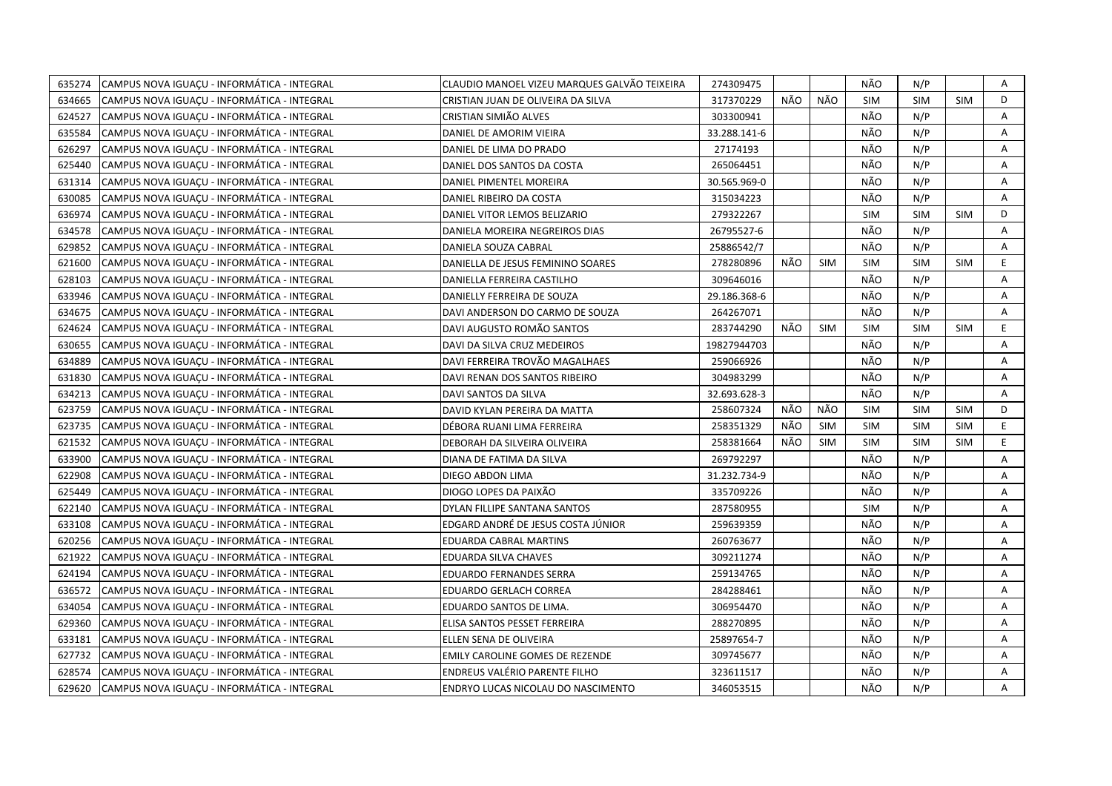| 635274 | CAMPUS NOVA IGUACU - INFORMÁTICA - INTEGRAL | CLAUDIO MANOEL VIZEU MARQUES GALVÃO TEIXEIRA | 274309475    |     |            | NÃO        | N/P        |            | Α              |
|--------|---------------------------------------------|----------------------------------------------|--------------|-----|------------|------------|------------|------------|----------------|
| 634665 | CAMPUS NOVA IGUACU - INFORMÁTICA - INTEGRAL | CRISTIAN JUAN DE OLIVEIRA DA SILVA           | 317370229    | NÃO | NÃO        | <b>SIM</b> | <b>SIM</b> | <b>SIM</b> | D              |
| 624527 | CAMPUS NOVA IGUACU - INFORMÁTICA - INTEGRAL | CRISTIAN SIMIÃO ALVES                        | 303300941    |     |            | NÃO        | N/P        |            | $\overline{A}$ |
| 635584 | CAMPUS NOVA IGUACU - INFORMÁTICA - INTEGRAL | DANIEL DE AMORIM VIEIRA                      | 33.288.141-6 |     |            | NÃO        | N/P        |            | A              |
| 626297 | CAMPUS NOVA IGUACU - INFORMÁTICA - INTEGRAL | DANIEL DE LIMA DO PRADO                      | 27174193     |     |            | NÃO        | N/P        |            | A              |
| 625440 | CAMPUS NOVA IGUAÇU - INFORMÁTICA - INTEGRAL | DANIEL DOS SANTOS DA COSTA                   | 265064451    |     |            | NÃO        | N/P        |            | Α              |
| 631314 | CAMPUS NOVA IGUAÇU - INFORMÁTICA - INTEGRAL | DANIEL PIMENTEL MOREIRA                      | 30.565.969-0 |     |            | NÃO        | N/P        |            | Α              |
| 630085 | CAMPUS NOVA IGUAÇU - INFORMÁTICA - INTEGRAL | DANIEL RIBEIRO DA COSTA                      | 315034223    |     |            | NÃO        | N/P        |            | A              |
| 636974 | CAMPUS NOVA IGUACU - INFORMÁTICA - INTEGRAL | DANIEL VITOR LEMOS BELIZARIO                 | 279322267    |     |            | <b>SIM</b> | SIM        | <b>SIM</b> | D              |
| 634578 | CAMPUS NOVA IGUAÇU - INFORMÁTICA - INTEGRAL | DANIELA MOREIRA NEGREIROS DIAS               | 26795527-6   |     |            | NÃO        | N/P        |            | Α              |
| 629852 | CAMPUS NOVA IGUACU - INFORMÁTICA - INTEGRAL | DANIELA SOUZA CABRAL                         | 25886542/7   |     |            | NÃO        | N/P        |            | A              |
| 621600 | CAMPUS NOVA IGUAÇU - INFORMÁTICA - INTEGRAL | DANIELLA DE JESUS FEMININO SOARES            | 278280896    | NÃO | <b>SIM</b> | <b>SIM</b> | <b>SIM</b> | <b>SIM</b> | E              |
| 628103 | CAMPUS NOVA IGUACU - INFORMÁTICA - INTEGRAL | DANIELLA FERREIRA CASTILHO                   | 309646016    |     |            | NÃO        | N/P        |            | A              |
| 633946 | CAMPUS NOVA IGUAÇU - INFORMÁTICA - INTEGRAL | DANIELLY FERREIRA DE SOUZA                   | 29.186.368-6 |     |            | NÃO        | N/P        |            | Α              |
| 634675 | CAMPUS NOVA IGUAÇU - INFORMÁTICA - INTEGRAL | DAVI ANDERSON DO CARMO DE SOUZA              | 264267071    |     |            | NÃO        | N/P        |            | A              |
| 624624 | CAMPUS NOVA IGUAÇU - INFORMÁTICA - INTEGRAL | DAVI AUGUSTO ROMÃO SANTOS                    | 283744290    | NÃO | <b>SIM</b> | <b>SIM</b> | <b>SIM</b> | <b>SIM</b> | E              |
| 630655 | CAMPUS NOVA IGUACU - INFORMÁTICA - INTEGRAL | DAVI DA SILVA CRUZ MEDEIROS                  | 19827944703  |     |            | NÃO        | N/P        |            | Α              |
| 634889 | CAMPUS NOVA IGUACU - INFORMÁTICA - INTEGRAL | DAVI FERREIRA TROVÃO MAGALHAES               | 259066926    |     |            | NÃO        | N/P        |            | A              |
| 631830 | CAMPUS NOVA IGUACU - INFORMÁTICA - INTEGRAL | DAVI RENAN DOS SANTOS RIBEIRO                | 304983299    |     |            | NÃO        | N/P        |            | A              |
| 634213 | CAMPUS NOVA IGUACU - INFORMÁTICA - INTEGRAL | DAVI SANTOS DA SILVA                         | 32.693.628-3 |     |            | NÃO        | N/P        |            | Α              |
| 623759 | CAMPUS NOVA IGUAÇU - INFORMÁTICA - INTEGRAL | DAVID KYLAN PEREIRA DA MATTA                 | 258607324    | NÃO | NÃO        | <b>SIM</b> | <b>SIM</b> | SIM        | D              |
| 623735 | CAMPUS NOVA IGUAÇU - INFORMÁTICA - INTEGRAL | DÉBORA RUANI LIMA FERREIRA                   | 258351329    | NÃO | <b>SIM</b> | <b>SIM</b> | <b>SIM</b> | <b>SIM</b> | E              |
| 621532 | CAMPUS NOVA IGUAÇU - INFORMÁTICA - INTEGRAL | DEBORAH DA SILVEIRA OLIVEIRA                 | 258381664    | NÃO | <b>SIM</b> | <b>SIM</b> | <b>SIM</b> | <b>SIM</b> | E.             |
| 633900 | CAMPUS NOVA IGUACU - INFORMÁTICA - INTEGRAL | DIANA DE FATIMA DA SILVA                     | 269792297    |     |            | NÃO        | N/P        |            | A              |
| 622908 | CAMPUS NOVA IGUACU - INFORMÁTICA - INTEGRAL | DIEGO ABDON LIMA                             | 31.232.734-9 |     |            | NÃO        | N/P        |            | A              |
| 625449 | CAMPUS NOVA IGUAÇU - INFORMÁTICA - INTEGRAL | DIOGO LOPES DA PAIXÃO                        | 335709226    |     |            | NÃO        | N/P        |            | A              |
| 622140 | CAMPUS NOVA IGUAÇU - INFORMÁTICA - INTEGRAL | DYLAN FILLIPE SANTANA SANTOS                 | 287580955    |     |            | <b>SIM</b> | N/P        |            | A              |
| 633108 | CAMPUS NOVA IGUAÇU - INFORMÁTICA - INTEGRAL | EDGARD ANDRÉ DE JESUS COSTA JÚNIOR           | 259639359    |     |            | NÃO        | N/P        |            | Α              |
| 620256 | CAMPUS NOVA IGUAÇU - INFORMÁTICA - INTEGRAL | EDUARDA CABRAL MARTINS                       | 260763677    |     |            | NÃO        | N/P        |            | A              |
| 621922 | CAMPUS NOVA IGUAÇU - INFORMÁTICA - INTEGRAL | EDUARDA SILVA CHAVES                         | 309211274    |     |            | NÃO        | N/P        |            | Α              |
| 624194 | CAMPUS NOVA IGUACU - INFORMÁTICA - INTEGRAL | <b>EDUARDO FERNANDES SERRA</b>               | 259134765    |     |            | NÃO        | N/P        |            | A              |
| 636572 | CAMPUS NOVA IGUACU - INFORMÁTICA - INTEGRAL | EDUARDO GERLACH CORREA                       | 284288461    |     |            | NÃO        | N/P        |            | A              |
| 634054 | CAMPUS NOVA IGUACU - INFORMÁTICA - INTEGRAL | EDUARDO SANTOS DE LIMA.                      | 306954470    |     |            | NÃO        | N/P        |            | A              |
| 629360 | CAMPUS NOVA IGUAÇU - INFORMÁTICA - INTEGRAL | ELISA SANTOS PESSET FERREIRA                 | 288270895    |     |            | NÃO        | N/P        |            | Α              |
| 633181 | CAMPUS NOVA IGUACU - INFORMÁTICA - INTEGRAL | ELLEN SENA DE OLIVEIRA                       | 25897654-7   |     |            | NÃO        | N/P        |            | A              |
| 627732 | CAMPUS NOVA IGUAÇU - INFORMÁTICA - INTEGRAL | EMILY CAROLINE GOMES DE REZENDE              | 309745677    |     |            | NÃO        | N/P        |            | A              |
| 628574 | CAMPUS NOVA IGUAÇU - INFORMÁTICA - INTEGRAL | <b>ENDREUS VALÉRIO PARENTE FILHO</b>         | 323611517    |     |            | NÃO        | N/P        |            | Α              |
| 629620 | CAMPUS NOVA IGUACU - INFORMÁTICA - INTEGRAL | ENDRYO LUCAS NICOLAU DO NASCIMENTO           | 346053515    |     |            | NÃO        | N/P        |            | A              |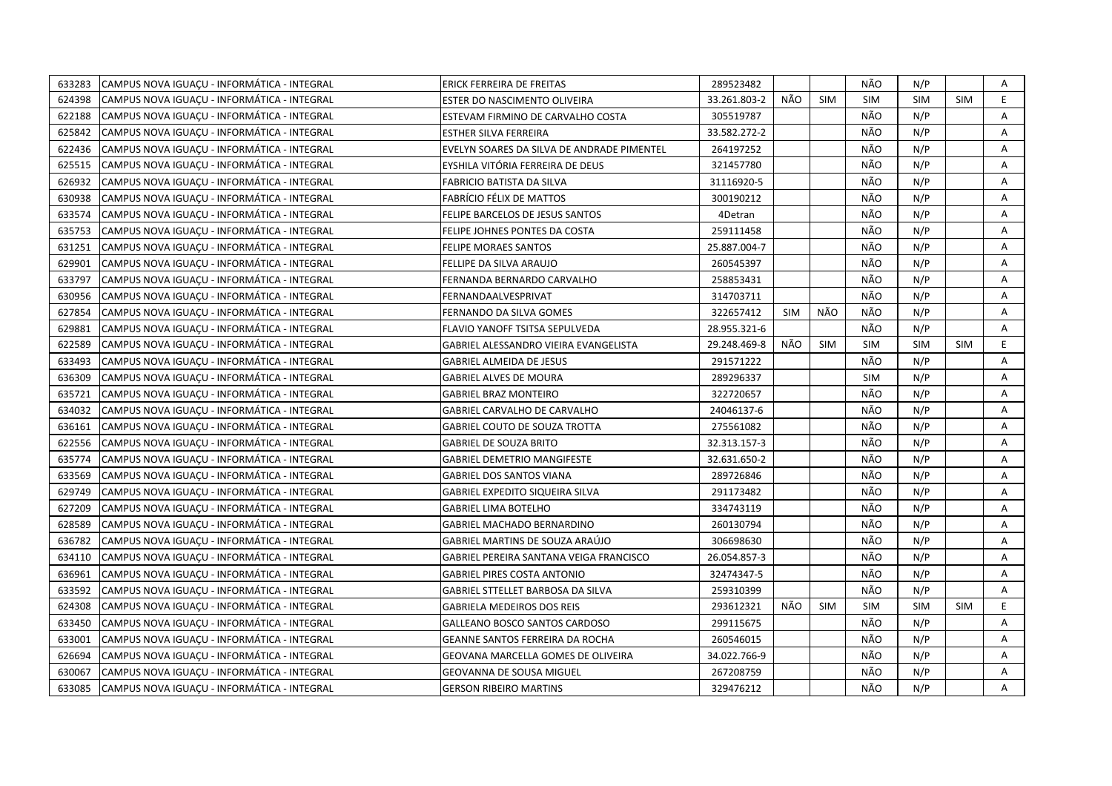| 633283 | CAMPUS NOVA IGUACU - INFORMÁTICA - INTEGRAL | ERICK FERREIRA DE FREITAS                  | 289523482    |            |            | NÃO        | N/P        |            | Α  |
|--------|---------------------------------------------|--------------------------------------------|--------------|------------|------------|------------|------------|------------|----|
| 624398 | CAMPUS NOVA IGUACU - INFORMÁTICA - INTEGRAL | ESTER DO NASCIMENTO OLIVEIRA               | 33.261.803-2 | NÃO        | <b>SIM</b> | <b>SIM</b> | <b>SIM</b> | <b>SIM</b> | E  |
| 622188 | CAMPUS NOVA IGUACU - INFORMÁTICA - INTEGRAL | ESTEVAM FIRMINO DE CARVALHO COSTA          | 305519787    |            |            | NÃO        | N/P        |            | A  |
| 625842 | CAMPUS NOVA IGUAÇU - INFORMÁTICA - INTEGRAL | ESTHER SILVA FERREIRA                      | 33.582.272-2 |            |            | NÃO        | N/P        |            | Α  |
| 622436 | CAMPUS NOVA IGUACU - INFORMÁTICA - INTEGRAL | EVELYN SOARES DA SILVA DE ANDRADE PIMENTEL | 264197252    |            |            | NÃO        | N/P        |            | Α  |
| 625515 | CAMPUS NOVA IGUAÇU - INFORMÁTICA - INTEGRAL | EYSHILA VITÓRIA FERREIRA DE DEUS           | 321457780    |            |            | NÃO        | N/P        |            | Α  |
| 626932 | CAMPUS NOVA IGUACU - INFORMÁTICA - INTEGRAL | <b>FABRICIO BATISTA DA SILVA</b>           | 31116920-5   |            |            | NÃO        | N/P        |            | A  |
| 630938 | CAMPUS NOVA IGUACU - INFORMÁTICA - INTEGRAL | FABRÍCIO FÉLIX DE MATTOS                   | 300190212    |            |            | NÃO        | N/P        |            | A  |
| 633574 | CAMPUS NOVA IGUACU - INFORMÁTICA - INTEGRAL | FELIPE BARCELOS DE JESUS SANTOS            | 4Detran      |            |            | NÃO        | N/P        |            | A  |
| 635753 | CAMPUS NOVA IGUACU - INFORMÁTICA - INTEGRAL | FELIPE JOHNES PONTES DA COSTA              | 259111458    |            |            | NÃO        | N/P        |            | A  |
| 631251 | CAMPUS NOVA IGUAÇU - INFORMÁTICA - INTEGRAL | <b>FELIPE MORAES SANTOS</b>                | 25.887.004-7 |            |            | NÃO        | N/P        |            | Α  |
| 629901 | CAMPUS NOVA IGUACU - INFORMÁTICA - INTEGRAL | FELLIPE DA SILVA ARAUJO                    | 260545397    |            |            | NÃO        | N/P        |            | A  |
| 633797 | CAMPUS NOVA IGUACU - INFORMÁTICA - INTEGRAL | FERNANDA BERNARDO CARVALHO                 | 258853431    |            |            | NÃO        | N/P        |            | A  |
| 630956 | CAMPUS NOVA IGUACU - INFORMÁTICA - INTEGRAL | FERNANDAALVESPRIVAT                        | 314703711    |            |            | NÃO        | N/P        |            | Α  |
| 627854 | CAMPUS NOVA IGUACU - INFORMÁTICA - INTEGRAL | <b>FERNANDO DA SILVA GOMES</b>             | 322657412    | <b>SIM</b> | NÃO        | NÃO        | N/P        |            | A  |
| 629881 | CAMPUS NOVA IGUACU - INFORMÁTICA - INTEGRAL | FLAVIO YANOFF TSITSA SEPULVEDA             | 28.955.321-6 |            |            | NÃO        | N/P        |            | Α  |
| 622589 | CAMPUS NOVA IGUAÇU - INFORMÁTICA - INTEGRAL | GABRIEL ALESSANDRO VIEIRA EVANGELISTA      | 29.248.469-8 | NÃO        | <b>SIM</b> | <b>SIM</b> | <b>SIM</b> | <b>SIM</b> | E  |
| 633493 | CAMPUS NOVA IGUACU - INFORMÁTICA - INTEGRAL | <b>GABRIEL ALMEIDA DE JESUS</b>            | 291571222    |            |            | NÃO        | N/P        |            | A  |
| 636309 | CAMPUS NOVA IGUAÇU - INFORMÁTICA - INTEGRAL | <b>GABRIEL ALVES DE MOURA</b>              | 289296337    |            |            | <b>SIM</b> | N/P        |            | A  |
| 635721 | CAMPUS NOVA IGUACU - INFORMÁTICA - INTEGRAL | <b>GABRIEL BRAZ MONTEIRO</b>               | 322720657    |            |            | NÃO        | N/P        |            | A  |
| 634032 | CAMPUS NOVA IGUACU - INFORMÁTICA - INTEGRAL | GABRIEL CARVALHO DE CARVALHO               | 24046137-6   |            |            | NÃO        | N/P        |            | A  |
| 636161 | CAMPUS NOVA IGUACU - INFORMÁTICA - INTEGRAL | <b>GABRIEL COUTO DE SOUZA TROTTA</b>       | 275561082    |            |            | NÃO        | N/P        |            | A  |
| 622556 | CAMPUS NOVA IGUACU - INFORMÁTICA - INTEGRAL | <b>GABRIEL DE SOUZA BRITO</b>              | 32.313.157-3 |            |            | NÃO        | N/P        |            | A  |
| 635774 | CAMPUS NOVA IGUAÇU - INFORMÁTICA - INTEGRAL | <b>GABRIEL DEMETRIO MANGIFESTE</b>         | 32.631.650-2 |            |            | NÃO        | N/P        |            | A  |
| 633569 | CAMPUS NOVA IGUACU - INFORMÁTICA - INTEGRAL | <b>GABRIEL DOS SANTOS VIANA</b>            | 289726846    |            |            | NÃO        | N/P        |            | A  |
| 629749 | CAMPUS NOVA IGUAÇU - INFORMÁTICA - INTEGRAL | GABRIEL EXPEDITO SIQUEIRA SILVA            | 291173482    |            |            | NÃO        | N/P        |            | Α  |
| 627209 | CAMPUS NOVA IGUACU - INFORMÁTICA - INTEGRAL | <b>GABRIEL LIMA BOTELHO</b>                | 334743119    |            |            | NÃO        | N/P        |            | A  |
| 628589 | CAMPUS NOVA IGUACU - INFORMÁTICA - INTEGRAL | <b>GABRIEL MACHADO BERNARDINO</b>          | 260130794    |            |            | NÃO        | N/P        |            | A  |
| 636782 | CAMPUS NOVA IGUAÇU - INFORMÁTICA - INTEGRAL | GABRIEL MARTINS DE SOUZA ARAÚJO            | 306698630    |            |            | NÃO        | N/P        |            | A  |
| 634110 | CAMPUS NOVA IGUACU - INFORMÁTICA - INTEGRAL | GABRIEL PEREIRA SANTANA VEIGA FRANCISCO    | 26.054.857-3 |            |            | NÃO        | N/P        |            | Α  |
| 636961 | CAMPUS NOVA IGUACU - INFORMÁTICA - INTEGRAL | <b>GABRIEL PIRES COSTA ANTONIO</b>         | 32474347-5   |            |            | NÃO        | N/P        |            | A  |
| 633592 | CAMPUS NOVA IGUACU - INFORMÁTICA - INTEGRAL | GABRIEL STTELLET BARBOSA DA SILVA          | 259310399    |            |            | NÃO        | N/P        |            | A  |
| 624308 | CAMPUS NOVA IGUAÇU - INFORMÁTICA - INTEGRAL | <b>GABRIELA MEDEIROS DOS REIS</b>          | 293612321    | NÃO        | <b>SIM</b> | <b>SIM</b> | <b>SIM</b> | <b>SIM</b> | E. |
| 633450 | CAMPUS NOVA IGUAÇU - INFORMÁTICA - INTEGRAL | <b>GALLEANO BOSCO SANTOS CARDOSO</b>       | 299115675    |            |            | NÃO        | N/P        |            | A  |
| 633001 | CAMPUS NOVA IGUACU - INFORMÁTICA - INTEGRAL | <b>GEANNE SANTOS FERREIRA DA ROCHA</b>     | 260546015    |            |            | NÃO        | N/P        |            | A  |
| 626694 | CAMPUS NOVA IGUAÇU - INFORMÁTICA - INTEGRAL | GEOVANA MARCELLA GOMES DE OLIVEIRA         | 34.022.766-9 |            |            | NÃO        | N/P        |            | Α  |
| 630067 | CAMPUS NOVA IGUACU - INFORMÁTICA - INTEGRAL | <b>GEOVANNA DE SOUSA MIGUEL</b>            | 267208759    |            |            | NÃO        | N/P        |            | A  |
| 633085 | CAMPUS NOVA IGUACU - INFORMÁTICA - INTEGRAL | <b>GERSON RIBEIRO MARTINS</b>              | 329476212    |            |            | NÃO        | N/P        |            | A  |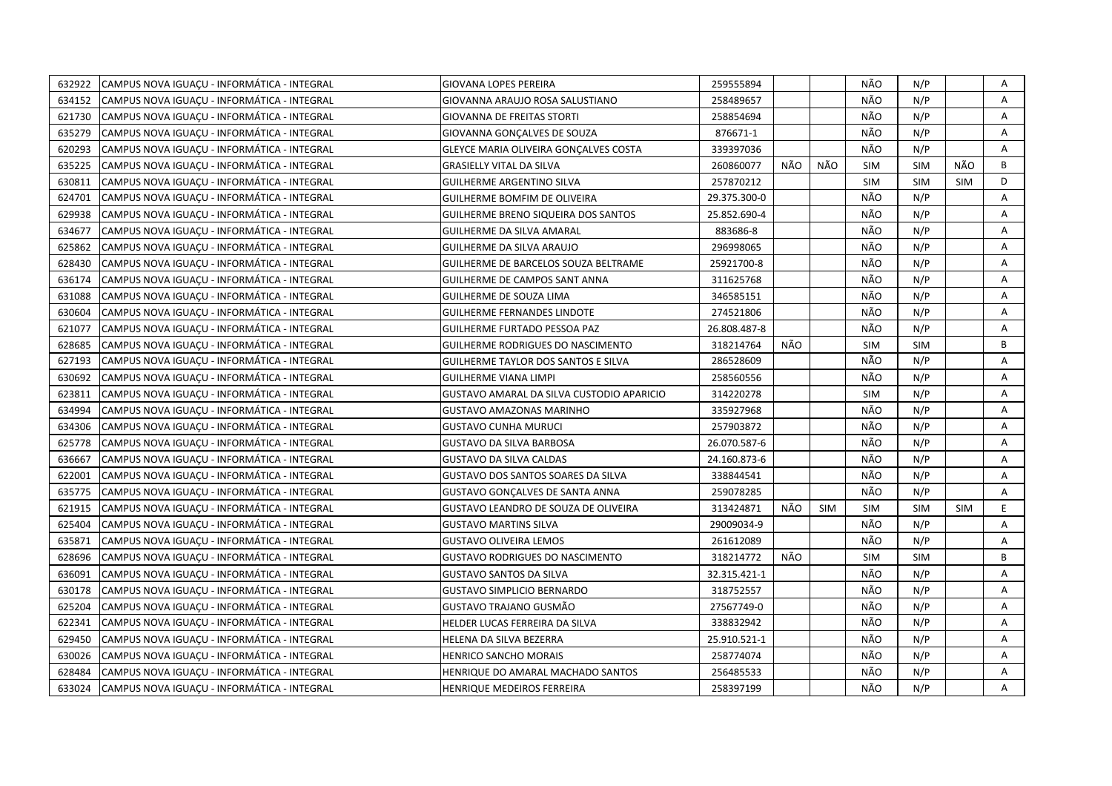| 632922 | CAMPUS NOVA IGUACU - INFORMÁTICA - INTEGRAL | GIOVANA LOPES PEREIRA                      | 259555894    |     |            | NÃO        | N/P        |            | A |
|--------|---------------------------------------------|--------------------------------------------|--------------|-----|------------|------------|------------|------------|---|
| 634152 | CAMPUS NOVA IGUAÇU - INFORMÁTICA - INTEGRAL | GIOVANNA ARAUJO ROSA SALUSTIANO            | 258489657    |     |            | NÃO        | N/P        |            | A |
| 621730 | CAMPUS NOVA IGUACU - INFORMÁTICA - INTEGRAL | <b>GIOVANNA DE FREITAS STORTI</b>          | 258854694    |     |            | NÃO        | N/P        |            | A |
| 635279 | CAMPUS NOVA IGUACU - INFORMÁTICA - INTEGRAL | GIOVANNA GONCALVES DE SOUZA                | 876671-1     |     |            | NÃO        | N/P        |            | A |
| 620293 | CAMPUS NOVA IGUACU - INFORMÁTICA - INTEGRAL | GLEYCE MARIA OLIVEIRA GONCALVES COSTA      | 339397036    |     |            | NÃO        | N/P        |            | A |
| 635225 | CAMPUS NOVA IGUACU - INFORMÁTICA - INTEGRAL | <b>GRASIELLY VITAL DA SILVA</b>            | 260860077    | NÃO | NÃO        | <b>SIM</b> | <b>SIM</b> | NÃO        | B |
| 630811 | CAMPUS NOVA IGUAÇU - INFORMÁTICA - INTEGRAL | <b>GUILHERME ARGENTINO SILVA</b>           | 257870212    |     |            | <b>SIM</b> | <b>SIM</b> | <b>SIM</b> | D |
| 624701 | CAMPUS NOVA IGUACU - INFORMÁTICA - INTEGRAL | <b>GUILHERME BOMFIM DE OLIVEIRA</b>        | 29.375.300-0 |     |            | NÃO        | N/P        |            | A |
| 629938 | CAMPUS NOVA IGUAÇU - INFORMÁTICA - INTEGRAL | <b>GUILHERME BRENO SIQUEIRA DOS SANTOS</b> | 25.852.690-4 |     |            | NÃO        | N/P        |            | A |
| 634677 | CAMPUS NOVA IGUAÇU - INFORMÁTICA - INTEGRAL | <b>GUILHERME DA SILVA AMARAL</b>           | 883686-8     |     |            | NÃO        | N/P        |            | A |
| 625862 | CAMPUS NOVA IGUACU - INFORMÁTICA - INTEGRAL | GUILHERME DA SILVA ARAUJO                  | 296998065    |     |            | NÃO        | N/P        |            | A |
| 628430 | CAMPUS NOVA IGUAÇU - INFORMÁTICA - INTEGRAL | GUILHERME DE BARCELOS SOUZA BELTRAME       | 25921700-8   |     |            | NÃO        | N/P        |            | Α |
| 636174 | CAMPUS NOVA IGUACU - INFORMÁTICA - INTEGRAL | GUILHERME DE CAMPOS SANT ANNA              | 311625768    |     |            | NÃO        | N/P        |            | A |
| 631088 | CAMPUS NOVA IGUACU - INFORMÁTICA - INTEGRAL | GUILHERME DE SOUZA LIMA                    | 346585151    |     |            | NÃO        | N/P        |            | A |
| 630604 | CAMPUS NOVA IGUACU - INFORMÁTICA - INTEGRAL | <b>GUILHERME FERNANDES LINDOTE</b>         | 274521806    |     |            | NÃO        | N/P        |            | Α |
| 621077 | CAMPUS NOVA IGUACU - INFORMÁTICA - INTEGRAL | GUILHERME FURTADO PESSOA PAZ               | 26.808.487-8 |     |            | NÃO        | N/P        |            | A |
| 628685 | CAMPUS NOVA IGUACU - INFORMÁTICA - INTEGRAL | GUILHERME RODRIGUES DO NASCIMENTO          | 318214764    | NÃO |            | <b>SIM</b> | <b>SIM</b> |            | B |
| 627193 | CAMPUS NOVA IGUAÇU - INFORMÁTICA - INTEGRAL | GUILHERME TAYLOR DOS SANTOS E SILVA        | 286528609    |     |            | NÃO        | N/P        |            | A |
| 630692 | CAMPUS NOVA IGUACU - INFORMÁTICA - INTEGRAL | <b>GUILHERME VIANA LIMPI</b>               | 258560556    |     |            | NÃO        | N/P        |            | A |
| 623811 | CAMPUS NOVA IGUAÇU - INFORMÁTICA - INTEGRAL | GUSTAVO AMARAL DA SILVA CUSTODIO APARICIO  | 314220278    |     |            | <b>SIM</b> | N/P        |            | Α |
| 634994 | CAMPUS NOVA IGUACU - INFORMÁTICA - INTEGRAL | GUSTAVO AMAZONAS MARINHO                   | 335927968    |     |            | NÃO        | N/P        |            | A |
| 634306 | CAMPUS NOVA IGUACU - INFORMÁTICA - INTEGRAL | <b>GUSTAVO CUNHA MURUCI</b>                | 257903872    |     |            | NÃO        | N/P        |            | A |
| 625778 | CAMPUS NOVA IGUAÇU - INFORMÁTICA - INTEGRAL | <b>GUSTAVO DA SILVA BARBOSA</b>            | 26.070.587-6 |     |            | NÃO        | N/P        |            | A |
| 636667 | CAMPUS NOVA IGUACU - INFORMÁTICA - INTEGRAL | <b>GUSTAVO DA SILVA CALDAS</b>             | 24.160.873-6 |     |            | NÃO        | N/P        |            | A |
| 622001 | CAMPUS NOVA IGUAÇU - INFORMÁTICA - INTEGRAL | <b>GUSTAVO DOS SANTOS SOARES DA SILVA</b>  | 338844541    |     |            | NÃO        | N/P        |            | A |
| 635775 | CAMPUS NOVA IGUACU - INFORMÁTICA - INTEGRAL | GUSTAVO GONCALVES DE SANTA ANNA            | 259078285    |     |            | NÃO        | N/P        |            | A |
| 621915 | CAMPUS NOVA IGUAÇU - INFORMÁTICA - INTEGRAL | GUSTAVO LEANDRO DE SOUZA DE OLIVEIRA       | 313424871    | NÃO | <b>SIM</b> | <b>SIM</b> | <b>SIM</b> | <b>SIM</b> | E |
| 625404 | CAMPUS NOVA IGUACU - INFORMÁTICA - INTEGRAL | <b>GUSTAVO MARTINS SILVA</b>               | 29009034-9   |     |            | NÃO        | N/P        |            | A |
| 635871 | CAMPUS NOVA IGUACU - INFORMÁTICA - INTEGRAL | <b>GUSTAVO OLIVEIRA LEMOS</b>              | 261612089    |     |            | NÃO        | N/P        |            | A |
| 628696 | CAMPUS NOVA IGUAÇU - INFORMÁTICA - INTEGRAL | <b>GUSTAVO RODRIGUES DO NASCIMENTO</b>     | 318214772    | NÃO |            | <b>SIM</b> | <b>SIM</b> |            | B |
| 636091 | CAMPUS NOVA IGUAÇU - INFORMÁTICA - INTEGRAL | <b>GUSTAVO SANTOS DA SILVA</b>             | 32.315.421-1 |     |            | NÃO        | N/P        |            | A |
| 630178 | CAMPUS NOVA IGUACU - INFORMÁTICA - INTEGRAL | <b>GUSTAVO SIMPLICIO BERNARDO</b>          | 318752557    |     |            | NÃO        | N/P        |            | A |
| 625204 | CAMPUS NOVA IGUAÇU - INFORMÁTICA - INTEGRAL | GUSTAVO TRAJANO GUSMÃO                     | 27567749-0   |     |            | NÃO        | N/P        |            | A |
| 622341 | CAMPUS NOVA IGUACU - INFORMÁTICA - INTEGRAL | HELDER LUCAS FERREIRA DA SILVA             | 338832942    |     |            | NÃO        | N/P        |            | A |
| 629450 | CAMPUS NOVA IGUACU - INFORMÁTICA - INTEGRAL | HELENA DA SILVA BEZERRA                    | 25.910.521-1 |     |            | NÃO        | N/P        |            | A |
| 630026 | CAMPUS NOVA IGUAÇU - INFORMÁTICA - INTEGRAL | <b>HENRICO SANCHO MORAIS</b>               | 258774074    |     |            | NÃO        | N/P        |            | Α |
| 628484 | CAMPUS NOVA IGUACU - INFORMÁTICA - INTEGRAL | HENRIQUE DO AMARAL MACHADO SANTOS          | 256485533    |     |            | NÃO        | N/P        |            | A |
| 633024 | CAMPUS NOVA IGUAÇU - INFORMÁTICA - INTEGRAL | <b>HENRIQUE MEDEIROS FERREIRA</b>          | 258397199    |     |            | NÃO        | N/P        |            | A |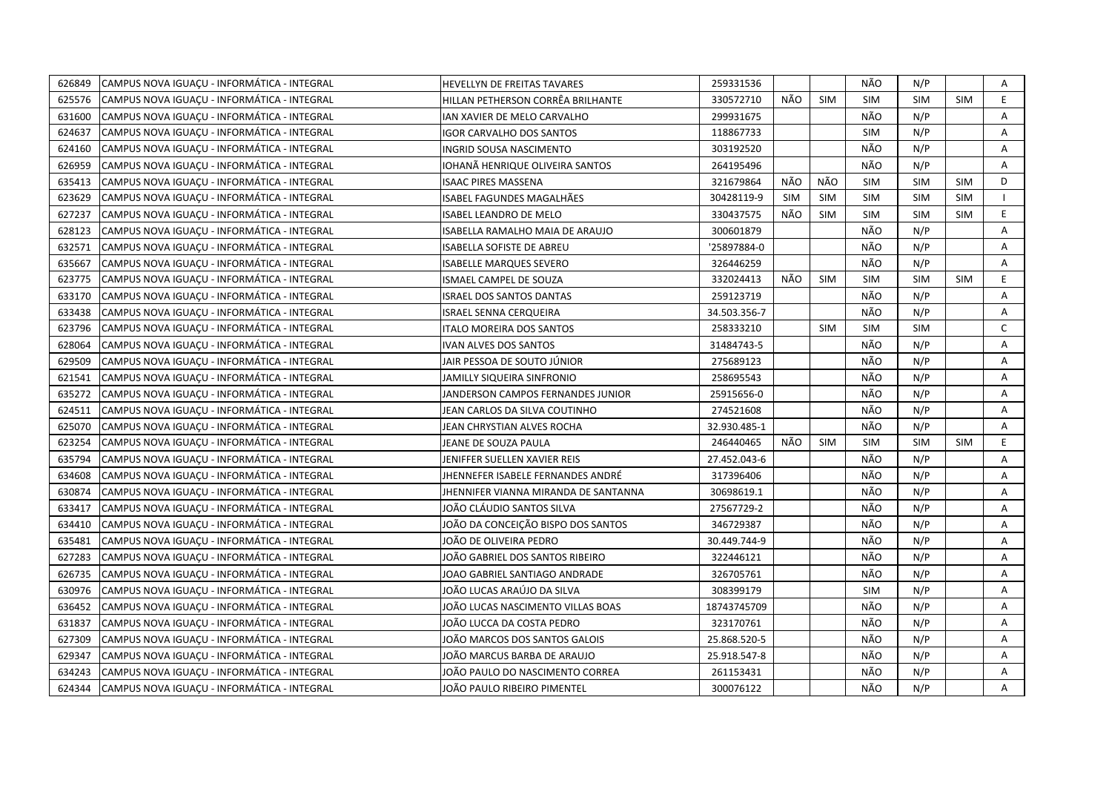| 626849 | CAMPUS NOVA IGUAÇU - INFORMÁTICA - INTEGRAL | HEVELLYN DE FREITAS TAVARES            | 259331536    |            |            | NÃO        | N/P        |            | Α            |
|--------|---------------------------------------------|----------------------------------------|--------------|------------|------------|------------|------------|------------|--------------|
| 625576 | CAMPUS NOVA IGUACU - INFORMÁTICA - INTEGRAL | HILLAN PETHERSON CORRËA BRILHANTE      | 330572710    | NÃO        | <b>SIM</b> | <b>SIM</b> | <b>SIM</b> | <b>SIM</b> | E.           |
| 631600 | CAMPUS NOVA IGUACU - INFORMÁTICA - INTEGRAL | IAN XAVIER DE MELO CARVALHO            | 299931675    |            |            | NÃO        | N/P        |            | Α            |
| 624637 | CAMPUS NOVA IGUACU - INFORMÁTICA - INTEGRAL | <b>IGOR CARVALHO DOS SANTOS</b>        | 118867733    |            |            | <b>SIM</b> | N/P        |            | A            |
| 624160 | CAMPUS NOVA IGUAÇU - INFORMÁTICA - INTEGRAL | <b>INGRID SOUSA NASCIMENTO</b>         | 303192520    |            |            | NÃO        | N/P        |            | Α            |
| 626959 | CAMPUS NOVA IGUAÇU - INFORMÁTICA - INTEGRAL | IOHANÃ HENRIQUE OLIVEIRA SANTOS        | 264195496    |            |            | NÃO        | N/P        |            | A            |
| 635413 | CAMPUS NOVA IGUACU - INFORMÁTICA - INTEGRAL | <b>ISAAC PIRES MASSENA</b>             | 321679864    | NÃO        | NÃO        | <b>SIM</b> | SIM        | <b>SIM</b> | D            |
| 623629 | CAMPUS NOVA IGUAÇU - INFORMÁTICA - INTEGRAL | ISABEL FAGUNDES MAGALHÃES              | 30428119-9   | <b>SIM</b> | <b>SIM</b> | <b>SIM</b> | <b>SIM</b> | <b>SIM</b> |              |
| 627237 | CAMPUS NOVA IGUACU - INFORMÁTICA - INTEGRAL | <b>ISABEL LEANDRO DE MELO</b>          | 330437575    | NÃO        | <b>SIM</b> | <b>SIM</b> | <b>SIM</b> | <b>SIM</b> | E            |
| 628123 | CAMPUS NOVA IGUACU - INFORMÁTICA - INTEGRAL | <b>ISABELLA RAMALHO MAIA DE ARAUJO</b> | 300601879    |            |            | NÃO        | N/P        |            | A            |
| 632571 | CAMPUS NOVA IGUACU - INFORMÁTICA - INTEGRAL | <b>ISABELLA SOFISTE DE ABREU</b>       | '25897884-0  |            |            | NÃO        | N/P        |            | A            |
| 635667 | CAMPUS NOVA IGUAÇU - INFORMÁTICA - INTEGRAL | <b>ISABELLE MARQUES SEVERO</b>         | 326446259    |            |            | NÃO        | N/P        |            | Α            |
| 623775 | CAMPUS NOVA IGUAÇU - INFORMÁTICA - INTEGRAL | ISMAEL CAMPEL DE SOUZA                 | 332024413    | NÃO        | <b>SIM</b> | <b>SIM</b> | <b>SIM</b> | <b>SIM</b> | E.           |
| 633170 | CAMPUS NOVA IGUACU - INFORMÁTICA - INTEGRAL | <b>ISRAEL DOS SANTOS DANTAS</b>        | 259123719    |            |            | NÃO        | N/P        |            | Α            |
| 633438 | CAMPUS NOVA IGUAÇU - INFORMÁTICA - INTEGRAL | <b>ISRAEL SENNA CERQUEIRA</b>          | 34.503.356-7 |            |            | NÃO        | N/P        |            | A            |
| 623796 | CAMPUS NOVA IGUAÇU - INFORMÁTICA - INTEGRAL | <b>ITALO MOREIRA DOS SANTOS</b>        | 258333210    |            | <b>SIM</b> | <b>SIM</b> | <b>SIM</b> |            | $\mathsf{C}$ |
| 628064 | CAMPUS NOVA IGUAÇU - INFORMÁTICA - INTEGRAL | <b>IVAN ALVES DOS SANTOS</b>           | 31484743-5   |            |            | NÃO        | N/P        |            | A            |
| 629509 | CAMPUS NOVA IGUACU - INFORMÁTICA - INTEGRAL | JAIR PESSOA DE SOUTO JÚNIOR            | 275689123    |            |            | NÃO        | N/P        |            | Α            |
| 621541 | CAMPUS NOVA IGUAÇU - INFORMÁTICA - INTEGRAL | JAMILLY SIQUEIRA SINFRONIO             | 258695543    |            |            | NÃO        | N/P        |            | Α            |
| 635272 | CAMPUS NOVA IGUACU - INFORMÁTICA - INTEGRAL | JANDERSON CAMPOS FERNANDES JUNIOR      | 25915656-0   |            |            | NÃO        | N/P        |            | A            |
| 624511 | CAMPUS NOVA IGUAÇU - INFORMÁTICA - INTEGRAL | JEAN CARLOS DA SILVA COUTINHO          | 274521608    |            |            | NÃO        | N/P        |            | Α            |
| 625070 | CAMPUS NOVA IGUACU - INFORMÁTICA - INTEGRAL | JEAN CHRYSTIAN ALVES ROCHA             | 32.930.485-1 |            |            | NÃO        | N/P        |            | A            |
| 623254 | CAMPUS NOVA IGUAÇU - INFORMÁTICA - INTEGRAL | JEANE DE SOUZA PAULA                   | 246440465    | NÃO        | <b>SIM</b> | <b>SIM</b> | <b>SIM</b> | <b>SIM</b> | E.           |
| 635794 | CAMPUS NOVA IGUACU - INFORMÁTICA - INTEGRAL | JENIFFER SUELLEN XAVIER REIS           | 27.452.043-6 |            |            | NÃO        | N/P        |            | A            |
| 634608 | CAMPUS NOVA IGUACU - INFORMÁTICA - INTEGRAL | JHENNEFER ISABELE FERNANDES ANDRÉ      | 317396406    |            |            | NÃO        | N/P        |            | A            |
| 630874 | CAMPUS NOVA IGUACU - INFORMÁTICA - INTEGRAL | JHENNIFER VIANNA MIRANDA DE SANTANNA   | 30698619.1   |            |            | NÃO        | N/P        |            | A            |
| 633417 | CAMPUS NOVA IGUACU - INFORMÁTICA - INTEGRAL | IOÃO CLÁUDIO SANTOS SILVA              | 27567729-2   |            |            | NÃO        | N/P        |            | A            |
| 634410 | CAMPUS NOVA IGUAÇU - INFORMÁTICA - INTEGRAL | JOÃO DA CONCEIÇÃO BISPO DOS SANTOS     | 346729387    |            |            | NÃO        | N/P        |            | A            |
| 635481 | CAMPUS NOVA IGUACU - INFORMÁTICA - INTEGRAL | JOÃO DE OLIVEIRA PEDRO                 | 30.449.744-9 |            |            | NÃO        | N/P        |            | A            |
| 627283 | CAMPUS NOVA IGUAÇU - INFORMÁTICA - INTEGRAL | JOÃO GABRIEL DOS SANTOS RIBEIRO        | 322446121    |            |            | NÃO        | N/P        |            | Α            |
| 626735 | CAMPUS NOVA IGUACU - INFORMÁTICA - INTEGRAL | JOAO GABRIEL SANTIAGO ANDRADE          | 326705761    |            |            | NÃO        | N/P        |            | A            |
| 630976 | CAMPUS NOVA IGUAÇU - INFORMÁTICA - INTEGRAL | JOÃO LUCAS ARAÚJO DA SILVA             | 308399179    |            |            | <b>SIM</b> | N/P        |            | Α            |
| 636452 | CAMPUS NOVA IGUACU - INFORMÁTICA - INTEGRAL | JOÃO LUCAS NASCIMENTO VILLAS BOAS      | 18743745709  |            |            | NÃO        | N/P        |            | Α            |
| 631837 | CAMPUS NOVA IGUAÇU - INFORMÁTICA - INTEGRAL | JOÃO LUCCA DA COSTA PEDRO              | 323170761    |            |            | NÃO        | N/P        |            | Α            |
| 627309 | CAMPUS NOVA IGUACU - INFORMÁTICA - INTEGRAL | JOÃO MARCOS DOS SANTOS GALOIS          | 25.868.520-5 |            |            | NÃO        | N/P        |            | A            |
| 629347 | CAMPUS NOVA IGUAÇU - INFORMÁTICA - INTEGRAL | JOÃO MARCUS BARBA DE ARAUJO            | 25.918.547-8 |            |            | NÃO        | N/P        |            | Α            |
| 634243 | CAMPUS NOVA IGUACU - INFORMÁTICA - INTEGRAL | JOÃO PAULO DO NASCIMENTO CORREA        | 261153431    |            |            | NÃO        | N/P        |            | A            |
| 624344 | CAMPUS NOVA IGUAÇU - INFORMÁTICA - INTEGRAL | JOÃO PAULO RIBEIRO PIMENTEL            | 300076122    |            |            | NÃO        | N/P        |            | A            |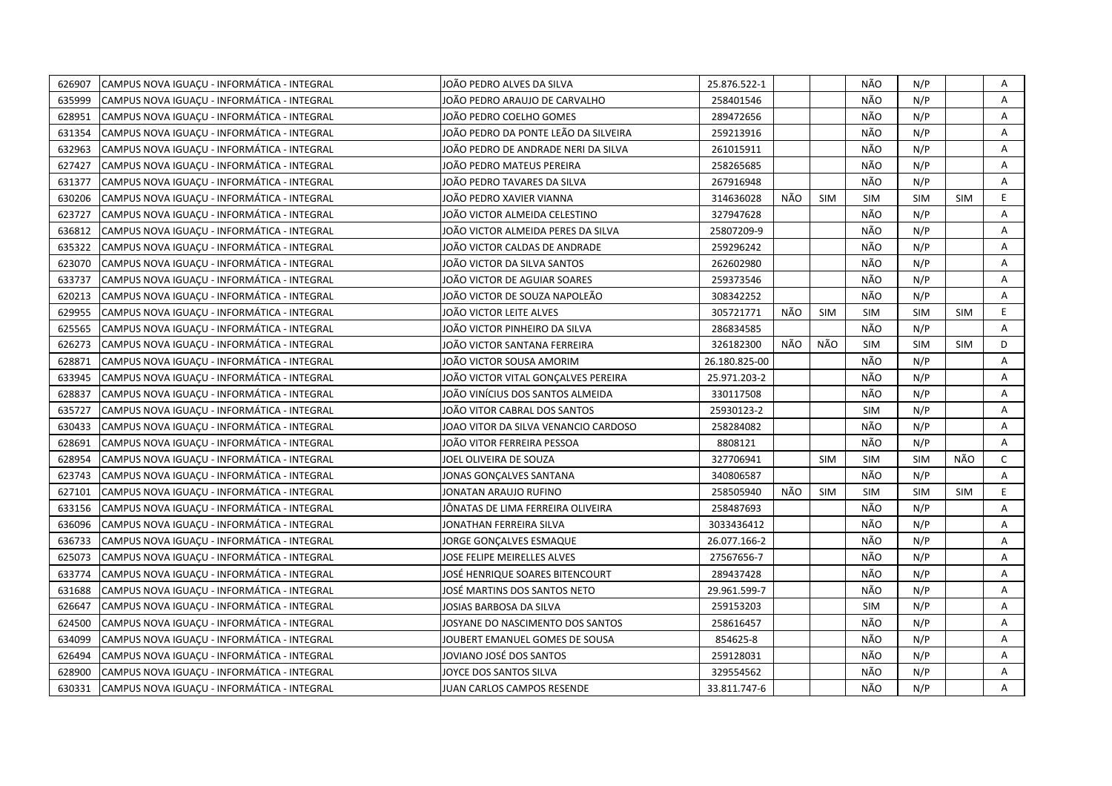| 626907 | CAMPUS NOVA IGUACU - INFORMÁTICA - INTEGRAL | JOÃO PEDRO ALVES DA SILVA            | 25.876.522-1  |     |            | NÃO        | N/P        |            | Α              |
|--------|---------------------------------------------|--------------------------------------|---------------|-----|------------|------------|------------|------------|----------------|
| 635999 | CAMPUS NOVA IGUACU - INFORMÁTICA - INTEGRAL | JOÃO PEDRO ARAUJO DE CARVALHO        | 258401546     |     |            | NÃO        | N/P        |            | A              |
| 628951 | CAMPUS NOVA IGUACU - INFORMÁTICA - INTEGRAL | JOÃO PEDRO COELHO GOMES              | 289472656     |     |            | NÃO        | N/P        |            | A              |
| 631354 | CAMPUS NOVA IGUACU - INFORMÁTICA - INTEGRAL | JOÃO PEDRO DA PONTE LEÃO DA SILVEIRA | 259213916     |     |            | NÃO        | N/P        |            | A              |
| 632963 | CAMPUS NOVA IGUACU - INFORMÁTICA - INTEGRAL | JOÃO PEDRO DE ANDRADE NERI DA SILVA  | 261015911     |     |            | NÃO        | N/P        |            | A              |
| 627427 | CAMPUS NOVA IGUAÇU - INFORMÁTICA - INTEGRAL | JOÃO PEDRO MATEUS PEREIRA            | 258265685     |     |            | NÃO        | N/P        |            | Α              |
| 631377 | CAMPUS NOVA IGUACU - INFORMÁTICA - INTEGRAL | JOÃO PEDRO TAVARES DA SILVA          | 267916948     |     |            | NÃO        | N/P        |            | Α              |
| 630206 | CAMPUS NOVA IGUAÇU - INFORMÁTICA - INTEGRAL | JOÃO PEDRO XAVIER VIANNA             | 314636028     | NÃO | <b>SIM</b> | <b>SIM</b> | <b>SIM</b> | <b>SIM</b> | E              |
| 623727 | CAMPUS NOVA IGUACU - INFORMÁTICA - INTEGRAL | JOÃO VICTOR ALMEIDA CELESTINO        | 327947628     |     |            | NÃO        | N/P        |            | A              |
| 636812 | CAMPUS NOVA IGUAÇU - INFORMÁTICA - INTEGRAL | JOÃO VICTOR ALMEIDA PERES DA SILVA   | 25807209-9    |     |            | NÃO        | N/P        |            | Α              |
| 635322 | CAMPUS NOVA IGUACU - INFORMÁTICA - INTEGRAL | JOÃO VICTOR CALDAS DE ANDRADE        | 259296242     |     |            | NÃO        | N/P        |            | A              |
| 623070 | CAMPUS NOVA IGUACU - INFORMÁTICA - INTEGRAL | JOÃO VICTOR DA SILVA SANTOS          | 262602980     |     |            | NÃO        | N/P        |            | A              |
| 633737 | CAMPUS NOVA IGUACU - INFORMÁTICA - INTEGRAL | JOÃO VICTOR DE AGUIAR SOARES         | 259373546     |     |            | NÃO        | N/P        |            | A              |
| 620213 | CAMPUS NOVA IGUAÇU - INFORMÁTICA - INTEGRAL | JOÃO VICTOR DE SOUZA NAPOLEÃO        | 308342252     |     |            | NÃO        | N/P        |            | Α              |
| 629955 | CAMPUS NOVA IGUAÇU - INFORMÁTICA - INTEGRAL | JOÃO VICTOR LEITE ALVES              | 305721771     | NÃO | <b>SIM</b> | <b>SIM</b> | <b>SIM</b> | <b>SIM</b> | E.             |
| 625565 | CAMPUS NOVA IGUACU - INFORMÁTICA - INTEGRAL | JOÃO VICTOR PINHEIRO DA SILVA        | 286834585     |     |            | NÃO        | N/P        |            | A              |
| 626273 | CAMPUS NOVA IGUAÇU - INFORMÁTICA - INTEGRAL | JOÃO VICTOR SANTANA FERREIRA         | 326182300     | NÃO | NÃO        | <b>SIM</b> | <b>SIM</b> | <b>SIM</b> | D              |
| 628871 | CAMPUS NOVA IGUACU - INFORMÁTICA - INTEGRAL | JOÃO VICTOR SOUSA AMORIM             | 26.180.825-00 |     |            | NÃO        | N/P        |            | A              |
| 633945 | CAMPUS NOVA IGUACU - INFORMÁTICA - INTEGRAL | JOÃO VICTOR VITAL GONÇALVES PEREIRA  | 25.971.203-2  |     |            | NÃO        | N/P        |            | A              |
| 628837 | CAMPUS NOVA IGUACU - INFORMÁTICA - INTEGRAL | JOÃO VINÍCIUS DOS SANTOS ALMEIDA     | 330117508     |     |            | NÃO        | N/P        |            | Α              |
| 635727 | CAMPUS NOVA IGUAÇU - INFORMÁTICA - INTEGRAL | JOÃO VITOR CABRAL DOS SANTOS         | 25930123-2    |     |            | <b>SIM</b> | N/P        |            | A              |
| 630433 | CAMPUS NOVA IGUACU - INFORMÁTICA - INTEGRAL | JOAO VITOR DA SILVA VENANCIO CARDOSO | 258284082     |     |            | NÃO        | N/P        |            | A              |
| 628691 | CAMPUS NOVA IGUACU - INFORMÁTICA - INTEGRAL | JOÃO VITOR FERREIRA PESSOA           | 8808121       |     |            | NÃO        | N/P        |            | A              |
| 628954 | CAMPUS NOVA IGUACU - INFORMÁTICA - INTEGRAL | JOEL OLIVEIRA DE SOUZA               | 327706941     |     | <b>SIM</b> | <b>SIM</b> | <b>SIM</b> | NÃO        | C              |
| 623743 | CAMPUS NOVA IGUAÇU - INFORMÁTICA - INTEGRAL | JONAS GONCALVES SANTANA              | 340806587     |     |            | NÃO        | N/P        |            | $\overline{A}$ |
| 627101 | CAMPUS NOVA IGUACU - INFORMÁTICA - INTEGRAL | IONATAN ARAUJO RUFINO                | 258505940     | NÃO | <b>SIM</b> | <b>SIM</b> | <b>SIM</b> | <b>SIM</b> | E.             |
| 633156 | CAMPUS NOVA IGUACU - INFORMÁTICA - INTEGRAL | JÖNATAS DE LIMA FERREIRA OLIVEIRA    | 258487693     |     |            | NÃO        | N/P        |            | A              |
| 636096 | CAMPUS NOVA IGUAÇU - INFORMÁTICA - INTEGRAL | JONATHAN FERREIRA SILVA              | 3033436412    |     |            | NÃO        | N/P        |            | Α              |
| 636733 | CAMPUS NOVA IGUACU - INFORMÁTICA - INTEGRAL | <b>JORGE GONCALVES ESMAQUE</b>       | 26.077.166-2  |     |            | NÃO        | N/P        |            | A              |
| 625073 | CAMPUS NOVA IGUAÇU - INFORMÁTICA - INTEGRAL | JOSE FELIPE MEIRELLES ALVES          | 27567656-7    |     |            | NÃO        | N/P        |            | Α              |
| 633774 | CAMPUS NOVA IGUACU - INFORMÁTICA - INTEGRAL | JOSÉ HENRIQUE SOARES BITENCOURT      | 289437428     |     |            | NÃO        | N/P        |            | A              |
| 631688 | CAMPUS NOVA IGUACU - INFORMÁTICA - INTEGRAL | JOSÉ MARTINS DOS SANTOS NETO         | 29.961.599-7  |     |            | NÃO        | N/P        |            | A              |
| 626647 | CAMPUS NOVA IGUACU - INFORMÁTICA - INTEGRAL | JOSIAS BARBOSA DA SILVA              | 259153203     |     |            | <b>SIM</b> | N/P        |            | A              |
| 624500 | CAMPUS NOVA IGUAÇU - INFORMÁTICA - INTEGRAL | JOSYANE DO NASCIMENTO DOS SANTOS     | 258616457     |     |            | NÃO        | N/P        |            | Α              |
| 634099 | CAMPUS NOVA IGUACU - INFORMÁTICA - INTEGRAL | JOUBERT EMANUEL GOMES DE SOUSA       | 854625-8      |     |            | NÃO        | N/P        |            | A              |
| 626494 | CAMPUS NOVA IGUAÇU - INFORMÁTICA - INTEGRAL | JOVIANO JOSÉ DOS SANTOS              | 259128031     |     |            | NÃO        | N/P        |            | A              |
| 628900 | CAMPUS NOVA IGUAÇU - INFORMÁTICA - INTEGRAL | JOYCE DOS SANTOS SILVA               | 329554562     |     |            | NÃO        | N/P        |            | Α              |
| 630331 | CAMPUS NOVA IGUACU - INFORMÁTICA - INTEGRAL | <b>JUAN CARLOS CAMPOS RESENDE</b>    | 33.811.747-6  |     |            | NÃO        | N/P        |            | A              |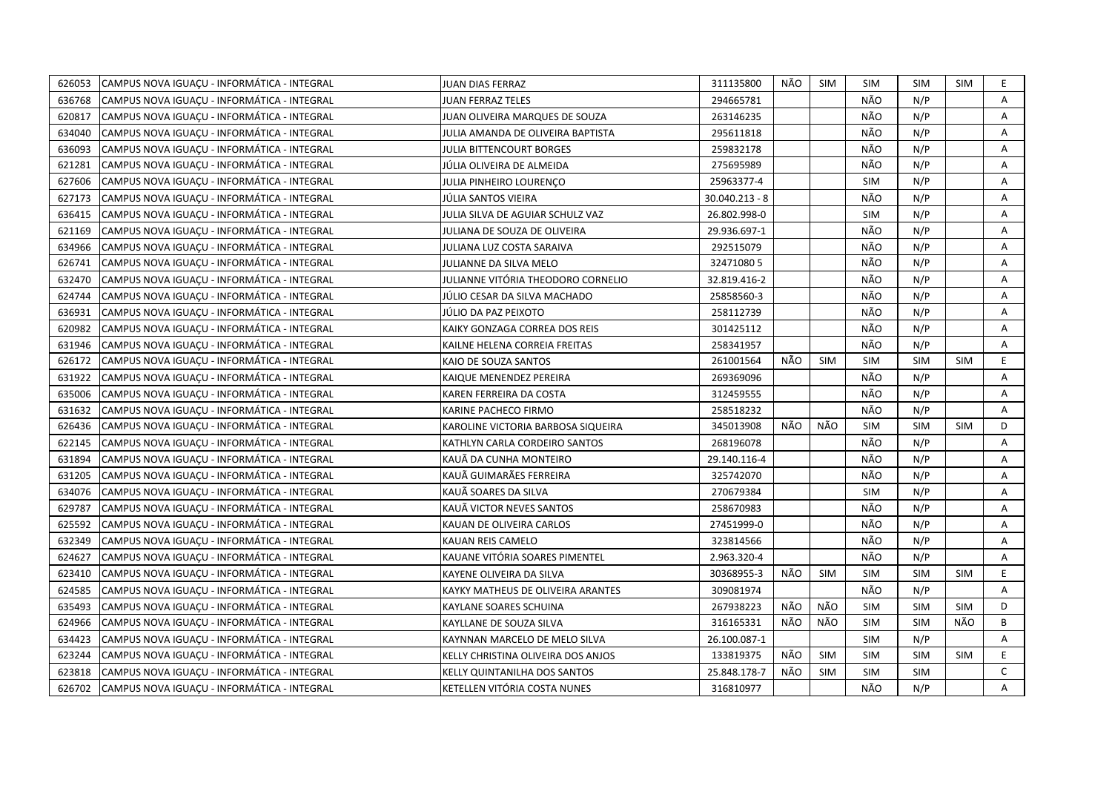| 626053 | CAMPUS NOVA IGUAÇU - INFORMÁTICA - INTEGRAL | JUAN DIAS FERRAZ                   | 311135800      | NÃO | <b>SIM</b> | <b>SIM</b> | SIM        | <b>SIM</b> | E.           |
|--------|---------------------------------------------|------------------------------------|----------------|-----|------------|------------|------------|------------|--------------|
| 636768 | CAMPUS NOVA IGUAÇU - INFORMÁTICA - INTEGRAL | <b>JUAN FERRAZ TELES</b>           | 294665781      |     |            | NÃO        | N/P        |            | $\mathsf{A}$ |
| 620817 | CAMPUS NOVA IGUACU - INFORMÁTICA - INTEGRAL | JUAN OLIVEIRA MARQUES DE SOUZA     | 263146235      |     |            | NÃO        | N/P        |            | A            |
| 634040 | CAMPUS NOVA IGUACU - INFORMÁTICA - INTEGRAL | JULIA AMANDA DE OLIVEIRA BAPTISTA  | 295611818      |     |            | NÃO        | N/P        |            | A            |
| 636093 | CAMPUS NOVA IGUACU - INFORMÁTICA - INTEGRAL | <b>JULIA BITTENCOURT BORGES</b>    | 259832178      |     |            | NÃO        | N/P        |            | A            |
| 621281 | CAMPUS NOVA IGUAÇU - INFORMÁTICA - INTEGRAL | JÚLIA OLIVEIRA DE ALMEIDA          | 275695989      |     |            | NÃO        | N/P        |            | Α            |
| 627606 | CAMPUS NOVA IGUACU - INFORMÁTICA - INTEGRAL | JULIA PINHEIRO LOURENÇO            | 25963377-4     |     |            | <b>SIM</b> | N/P        |            | Α            |
| 627173 | CAMPUS NOVA IGUACU - INFORMÁTICA - INTEGRAL | JÚLIA SANTOS VIEIRA                | 30.040.213 - 8 |     |            | NÃO        | N/P        |            | А            |
| 636415 | CAMPUS NOVA IGUAÇU - INFORMÁTICA - INTEGRAL | JULIA SILVA DE AGUIAR SCHULZ VAZ   | 26.802.998-0   |     |            | <b>SIM</b> | N/P        |            | Α            |
| 621169 | CAMPUS NOVA IGUACU - INFORMÁTICA - INTEGRAL | JULIANA DE SOUZA DE OLIVEIRA       | 29.936.697-1   |     |            | NÃO        | N/P        |            | A            |
| 634966 | CAMPUS NOVA IGUAÇU - INFORMÁTICA - INTEGRAL | JULIANA LUZ COSTA SARAIVA          | 292515079      |     |            | NÃO        | N/P        |            | Α            |
| 626741 | CAMPUS NOVA IGUAÇU - INFORMÁTICA - INTEGRAL | JULIANNE DA SILVA MELO             | 324710805      |     |            | NÃO        | N/P        |            | А            |
| 632470 | CAMPUS NOVA IGUAÇU - INFORMÁTICA - INTEGRAL | JULIANNE VITÓRIA THEODORO CORNELIO | 32.819.416-2   |     |            | NÃO        | N/P        |            | Α            |
| 624744 | CAMPUS NOVA IGUACU - INFORMÁTICA - INTEGRAL | JÚLIO CESAR DA SILVA MACHADO       | 25858560-3     |     |            | NÃO        | N/P        |            | Α            |
| 636931 | CAMPUS NOVA IGUACU - INFORMÁTICA - INTEGRAL | JÚLIO DA PAZ PEIXOTO               | 258112739      |     |            | NÃO        | N/P        |            | А            |
| 620982 | CAMPUS NOVA IGUAÇU - INFORMÁTICA - INTEGRAL | KAIKY GONZAGA CORREA DOS REIS      | 301425112      |     |            | NÃO        | N/P        |            | A            |
| 631946 | CAMPUS NOVA IGUACU - INFORMÁTICA - INTEGRAL | KAILNE HELENA CORREIA FREITAS      | 258341957      |     |            | NÃO        | N/P        |            | A            |
| 626172 | CAMPUS NOVA IGUAÇU - INFORMÁTICA - INTEGRAL | KAIO DE SOUZA SANTOS               | 261001564      | NÃO | SIM        | <b>SIM</b> | <b>SIM</b> | <b>SIM</b> | E.           |
| 631922 | CAMPUS NOVA IGUACU - INFORMÁTICA - INTEGRAL | KAIQUE MENENDEZ PEREIRA            | 269369096      |     |            | NÃO        | N/P        |            | A            |
| 635006 | CAMPUS NOVA IGUAÇU - INFORMÁTICA - INTEGRAL | KAREN FERREIRA DA COSTA            | 312459555      |     |            | NÃO        | N/P        |            | A            |
| 631632 | CAMPUS NOVA IGUACU - INFORMÁTICA - INTEGRAL | KARINE PACHECO FIRMO               | 258518232      |     |            | NÃO        | N/P        |            | A            |
| 626436 | CAMPUS NOVA IGUAÇU - INFORMÁTICA - INTEGRAL | KAROLINE VICTORIA BARBOSA SIQUEIRA | 345013908      | NÃO | NÃO        | <b>SIM</b> | <b>SIM</b> | <b>SIM</b> | D            |
| 622145 | CAMPUS NOVA IGUAÇU - INFORMÁTICA - INTEGRAL | KATHLYN CARLA CORDEIRO SANTOS      | 268196078      |     |            | NÃO        | N/P        |            | A            |
| 631894 | CAMPUS NOVA IGUACU - INFORMÁTICA - INTEGRAL | KAUÃ DA CUNHA MONTEIRO             | 29.140.116-4   |     |            | NÃO        | N/P        |            | A            |
| 631205 | CAMPUS NOVA IGUAÇU - INFORMÁTICA - INTEGRAL | KAUÃ GUIMARÃES FERREIRA            | 325742070      |     |            | NÃO        | N/P        |            | Α            |
| 634076 | CAMPUS NOVA IGUAÇU - INFORMÁTICA - INTEGRAL | KAUÃ SOARES DA SILVA               | 270679384      |     |            | <b>SIM</b> | N/P        |            | A            |
| 629787 | CAMPUS NOVA IGUAÇU - INFORMÁTICA - INTEGRAL | KAUÃ VICTOR NEVES SANTOS           | 258670983      |     |            | NÃO        | N/P        |            | А            |
| 625592 | CAMPUS NOVA IGUACU - INFORMÁTICA - INTEGRAL | KAUAN DE OLIVEIRA CARLOS           | 27451999-0     |     |            | NÃO        | N/P        |            | A            |
| 632349 | CAMPUS NOVA IGUACU - INFORMÁTICA - INTEGRAL | KAUAN REIS CAMELO                  | 323814566      |     |            | NÃO        | N/P        |            | Α            |
| 624627 | CAMPUS NOVA IGUACU - INFORMÁTICA - INTEGRAL | KAUANE VITÓRIA SOARES PIMENTEL     | 2.963.320-4    |     |            | <b>NÃO</b> | N/P        |            | A            |
| 623410 | CAMPUS NOVA IGUAÇU - INFORMÁTICA - INTEGRAL | KAYENE OLIVEIRA DA SILVA           | 30368955-3     | NÃO | SIM        | <b>SIM</b> | <b>SIM</b> | <b>SIM</b> | E.           |
| 624585 | CAMPUS NOVA IGUAÇU - INFORMÁTICA - INTEGRAL | KAYKY MATHEUS DE OLIVEIRA ARANTES  | 309081974      |     |            | NÃO        | N/P        |            | Α            |
| 635493 | CAMPUS NOVA IGUACU - INFORMÁTICA - INTEGRAL | KAYLANE SOARES SCHUINA             | 267938223      | NÃO | NÃO        | <b>SIM</b> | <b>SIM</b> | <b>SIM</b> | D            |
| 624966 | CAMPUS NOVA IGUAÇU - INFORMÁTICA - INTEGRAL | KAYLLANE DE SOUZA SILVA            | 316165331      | NÃO | NÃO        | <b>SIM</b> | <b>SIM</b> | NÃO        | B            |
| 634423 | CAMPUS NOVA IGUACU - INFORMÁTICA - INTEGRAL | KAYNNAN MARCELO DE MELO SILVA      | 26.100.087-1   |     |            | <b>SIM</b> | N/P        |            | A            |
| 623244 | CAMPUS NOVA IGUAÇU - INFORMÁTICA - INTEGRAL | KELLY CHRISTINA OLIVEIRA DOS ANJOS | 133819375      | NÃO | SIM        | <b>SIM</b> | <b>SIM</b> | <b>SIM</b> | E.           |
| 623818 | CAMPUS NOVA IGUACU - INFORMÁTICA - INTEGRAL | KELLY QUINTANILHA DOS SANTOS       | 25.848.178-7   | NÃO | <b>SIM</b> | <b>SIM</b> | <b>SIM</b> |            | $\mathsf{C}$ |
| 626702 | CAMPUS NOVA IGUACU - INFORMÁTICA - INTEGRAL | KETELLEN VITÓRIA COSTA NUNES       | 316810977      |     |            | NÃO        | N/P        |            | A            |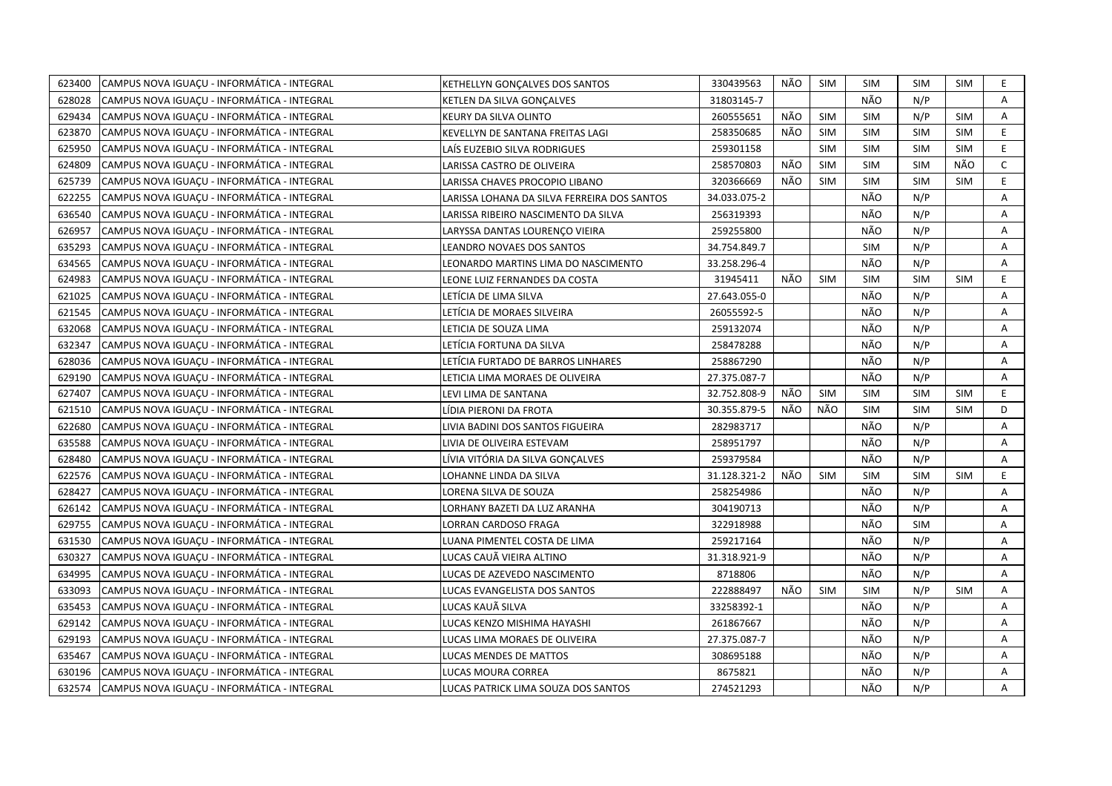| 623400 | CAMPUS NOVA IGUAÇU - INFORMÁTICA - INTEGRAL  | KETHELLYN GONCALVES DOS SANTOS              | 330439563    | NÃO | <b>SIM</b> | <b>SIM</b> | <b>SIM</b> | <b>SIM</b> | E.             |
|--------|----------------------------------------------|---------------------------------------------|--------------|-----|------------|------------|------------|------------|----------------|
| 628028 | ICAMPUS NOVA IGUACU - INFORMÁTICA - INTEGRAL | KETLEN DA SILVA GONCALVES                   | 31803145-7   |     |            | NÃO        | N/P        |            | A              |
| 629434 | CAMPUS NOVA IGUACU - INFORMÁTICA - INTEGRAL  | KEURY DA SILVA OLINTO                       | 260555651    | NÃO | <b>SIM</b> | <b>SIM</b> | N/P        | <b>SIM</b> | Α              |
| 623870 | CAMPUS NOVA IGUACU - INFORMÁTICA - INTEGRAL  | KEVELLYN DE SANTANA FREITAS LAGI            | 258350685    | NÃO | <b>SIM</b> | <b>SIM</b> | <b>SIM</b> | <b>SIM</b> | E.             |
| 625950 | CAMPUS NOVA IGUAÇU - INFORMÁTICA - INTEGRAL  | LAÍS EUZEBIO SILVA RODRIGUES                | 259301158    |     | <b>SIM</b> | <b>SIM</b> | <b>SIM</b> | <b>SIM</b> | E              |
| 624809 | CAMPUS NOVA IGUAÇU - INFORMÁTICA - INTEGRAL  | LARISSA CASTRO DE OLIVEIRA                  | 258570803    | NÃO | <b>SIM</b> | <b>SIM</b> | <b>SIM</b> | NÃO        | $\mathsf{C}$   |
| 625739 | CAMPUS NOVA IGUAÇU - INFORMÁTICA - INTEGRAL  | LARISSA CHAVES PROCOPIO LIBANO              | 320366669    | NÃO | <b>SIM</b> | <b>SIM</b> | <b>SIM</b> | <b>SIM</b> | E.             |
| 622255 | CAMPUS NOVA IGUAÇU - INFORMÁTICA - INTEGRAL  | LARISSA LOHANA DA SILVA FERREIRA DOS SANTOS | 34.033.075-2 |     |            | NÃO        | N/P        |            | Α              |
| 636540 | CAMPUS NOVA IGUACU - INFORMÁTICA - INTEGRAL  | LARISSA RIBEIRO NASCIMENTO DA SILVA         | 256319393    |     |            | NÃO        | N/P        |            | A              |
| 626957 | CAMPUS NOVA IGUAÇU - INFORMÁTICA - INTEGRAL  | LARYSSA DANTAS LOURENCO VIEIRA              | 259255800    |     |            | NÃO        | N/P        |            | A              |
| 635293 | CAMPUS NOVA IGUACU - INFORMÁTICA - INTEGRAL  | LEANDRO NOVAES DOS SANTOS                   | 34.754.849.7 |     |            | <b>SIM</b> | N/P        |            | A              |
| 634565 | CAMPUS NOVA IGUAÇU - INFORMÁTICA - INTEGRAL  | LEONARDO MARTINS LIMA DO NASCIMENTO         | 33.258.296-4 |     |            | NÃO        | N/P        |            | Α              |
| 624983 | CAMPUS NOVA IGUACU - INFORMÁTICA - INTEGRAL  | LEONE LUIZ FERNANDES DA COSTA               | 31945411     | NÃO | <b>SIM</b> | <b>SIM</b> | <b>SIM</b> | <b>SIM</b> | E.             |
| 621025 | CAMPUS NOVA IGUACU - INFORMÁTICA - INTEGRAL  | LETÍCIA DE LIMA SILVA                       | 27.643.055-0 |     |            | NÃO        | N/P        |            | Α              |
| 621545 | CAMPUS NOVA IGUAÇU - INFORMÁTICA - INTEGRAL  | LETÍCIA DE MORAES SILVEIRA                  | 26055592-5   |     |            | NÃO        | N/P        |            | A              |
| 632068 | CAMPUS NOVA IGUACU - INFORMÁTICA - INTEGRAL  | LETICIA DE SOUZA LIMA                       | 259132074    |     |            | NÃO        | N/P        |            | Α              |
| 632347 | CAMPUS NOVA IGUAÇU - INFORMÁTICA - INTEGRAL  | LETÍCIA FORTUNA DA SILVA                    | 258478288    |     |            | NÃO        | N/P        |            | A              |
| 628036 | CAMPUS NOVA IGUACU - INFORMÁTICA - INTEGRAL  | LETÍCIA FURTADO DE BARROS LINHARES          | 258867290    |     |            | NÃO        | N/P        |            | Α              |
| 629190 | CAMPUS NOVA IGUAÇU - INFORMÁTICA - INTEGRAL  | LETICIA LIMA MORAES DE OLIVEIRA             | 27.375.087-7 |     |            | NÃO        | N/P        |            | Α              |
| 627407 | CAMPUS NOVA IGUAÇU - INFORMÁTICA - INTEGRAL  | LEVI LIMA DE SANTANA                        | 32.752.808-9 | NÃO | <b>SIM</b> | <b>SIM</b> | <b>SIM</b> | <b>SIM</b> | E.             |
| 621510 | CAMPUS NOVA IGUAÇU - INFORMÁTICA - INTEGRAL  | LÍDIA PIERONI DA FROTA                      | 30.355.879-5 | NÃO | NÃO        | <b>SIM</b> | <b>SIM</b> | <b>SIM</b> | D              |
| 622680 | CAMPUS NOVA IGUACU - INFORMÁTICA - INTEGRAL  | LIVIA BADINI DOS SANTOS FIGUEIRA            | 282983717    |     |            | NÃO        | N/P        |            | A              |
| 635588 | CAMPUS NOVA IGUACU - INFORMÁTICA - INTEGRAL  | LIVIA DE OLIVEIRA ESTEVAM                   | 258951797    |     |            | NÃO        | N/P        |            | A              |
| 628480 | CAMPUS NOVA IGUACU - INFORMÁTICA - INTEGRAL  | LÍVIA VITÓRIA DA SILVA GONCALVES            | 259379584    |     |            | NÃO        | N/P        |            | A              |
| 622576 | CAMPUS NOVA IGUAÇU - INFORMÁTICA - INTEGRAL  | LOHANNE LINDA DA SILVA                      | 31.128.321-2 | NÃO | <b>SIM</b> | <b>SIM</b> | <b>SIM</b> | <b>SIM</b> | E.             |
| 628427 | CAMPUS NOVA IGUACU - INFORMÁTICA - INTEGRAL  | LORENA SILVA DE SOUZA                       | 258254986    |     |            | NÃO        | N/P        |            | A              |
| 626142 | CAMPUS NOVA IGUAÇU - INFORMÁTICA - INTEGRAL  | LORHANY BAZETI DA LUZ ARANHA                | 304190713    |     |            | NÃO        | N/P        |            | A              |
| 629755 | CAMPUS NOVA IGUAÇU - INFORMÁTICA - INTEGRAL  | LORRAN CARDOSO FRAGA                        | 322918988    |     |            | NÃO        | <b>SIM</b> |            | $\overline{A}$ |
| 631530 | CAMPUS NOVA IGUACU - INFORMÁTICA - INTEGRAL  | LUANA PIMENTEL COSTA DE LIMA                | 259217164    |     |            | NÃO        | N/P        |            | A              |
| 630327 | CAMPUS NOVA IGUAÇU - INFORMÁTICA - INTEGRAL  | LUCAS CAUÃ VIEIRA ALTINO                    | 31.318.921-9 |     |            | NÃO        | N/P        |            | Α              |
| 634995 | CAMPUS NOVA IGUACU - INFORMÁTICA - INTEGRAL  | LUCAS DE AZEVEDO NASCIMENTO                 | 8718806      |     |            | NÃO        | N/P        |            | A              |
| 633093 | CAMPUS NOVA IGUAÇU - INFORMÁTICA - INTEGRAL  | LUCAS EVANGELISTA DOS SANTOS                | 222888497    | NÃO | <b>SIM</b> | <b>SIM</b> | N/P        | <b>SIM</b> | Α              |
| 635453 | CAMPUS NOVA IGUACU - INFORMÁTICA - INTEGRAL  | LUCAS KAUÃ SILVA                            | 33258392-1   |     |            | NÃO        | N/P        |            | Α              |
| 629142 | CAMPUS NOVA IGUAÇU - INFORMÁTICA - INTEGRAL  | LUCAS KENZO MISHIMA HAYASHI                 | 261867667    |     |            | NÃO        | N/P        |            | Α              |
| 629193 | CAMPUS NOVA IGUACU - INFORMÁTICA - INTEGRAL  | LUCAS LIMA MORAES DE OLIVEIRA               | 27.375.087-7 |     |            | NÃO        | N/P        |            | A              |
| 635467 | CAMPUS NOVA IGUAÇU - INFORMÁTICA - INTEGRAL  | LUCAS MENDES DE MATTOS                      | 308695188    |     |            | NÃO        | N/P        |            | Α              |
| 630196 | CAMPUS NOVA IGUACU - INFORMÁTICA - INTEGRAL  | LUCAS MOURA CORREA                          | 8675821      |     |            | NÃO        | N/P        |            | A              |
| 632574 | CAMPUS NOVA IGUAÇU - INFORMÁTICA - INTEGRAL  | LUCAS PATRICK LIMA SOUZA DOS SANTOS         | 274521293    |     |            | NÃO        | N/P        |            | A              |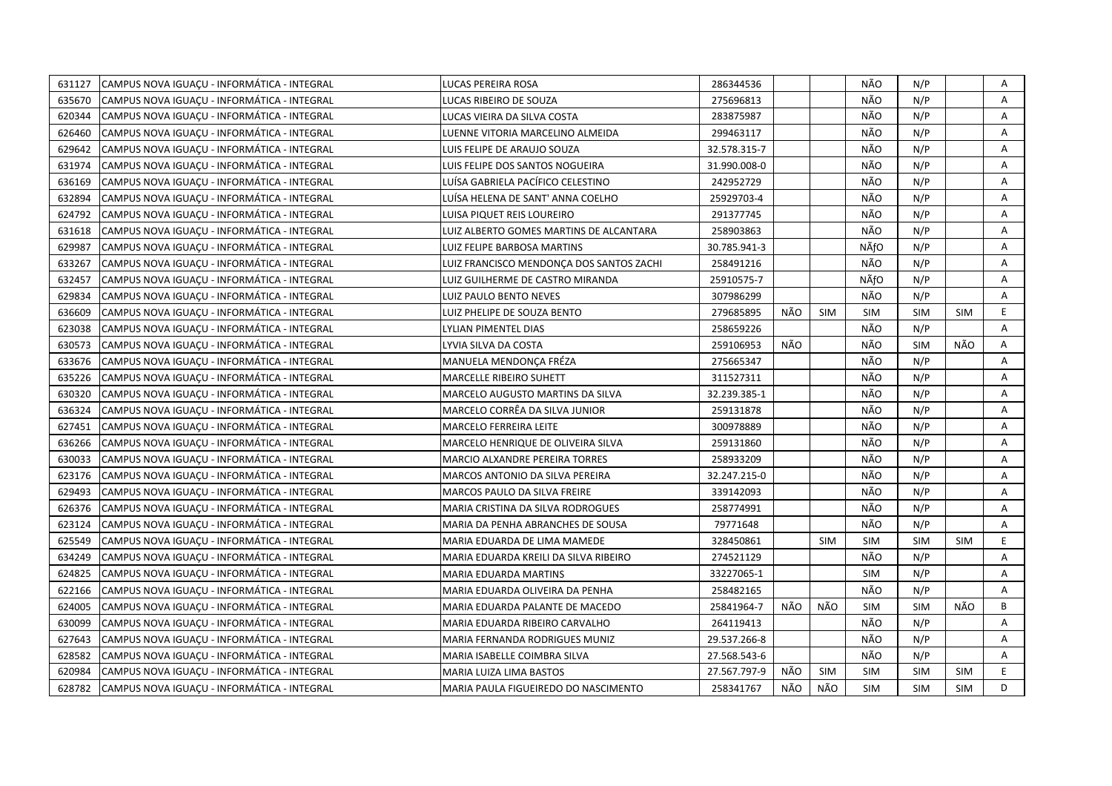| 631127 | CAMPUS NOVA IGUACU - INFORMÁTICA - INTEGRAL | LUCAS PEREIRA ROSA                       | 286344536    |     |            | NÃO        | N/P        |            | Α            |
|--------|---------------------------------------------|------------------------------------------|--------------|-----|------------|------------|------------|------------|--------------|
| 635670 | CAMPUS NOVA IGUAÇU - INFORMÁTICA - INTEGRAL | LUCAS RIBEIRO DE SOUZA                   | 275696813    |     |            | NÃO        | N/P        |            | A            |
| 620344 | CAMPUS NOVA IGUAÇU - INFORMÁTICA - INTEGRAL | LUCAS VIEIRA DA SILVA COSTA              | 283875987    |     |            | NÃO        | N/P        |            | A            |
| 626460 | CAMPUS NOVA IGUACU - INFORMÁTICA - INTEGRAL | LUENNE VITORIA MARCELINO ALMEIDA         | 299463117    |     |            | NÃO        | N/P        |            | A            |
| 629642 | CAMPUS NOVA IGUACU - INFORMÁTICA - INTEGRAL | LUIS FELIPE DE ARAUJO SOUZA              | 32.578.315-7 |     |            | NÃO        | N/P        |            | Α            |
| 631974 | CAMPUS NOVA IGUAÇU - INFORMÁTICA - INTEGRAL | LUIS FELIPE DOS SANTOS NOGUEIRA          | 31.990.008-0 |     |            | NÃO        | N/P        |            | Α            |
| 636169 | CAMPUS NOVA IGUAÇU - INFORMÁTICA - INTEGRAL | LUÍSA GABRIELA PACÍFICO CELESTINO        | 242952729    |     |            | NÃO        | N/P        |            | Α            |
| 632894 | CAMPUS NOVA IGUACU - INFORMÁTICA - INTEGRAL | LUÍSA HELENA DE SANT' ANNA COELHO        | 25929703-4   |     |            | NÃO        | N/P        |            | A            |
| 624792 | CAMPUS NOVA IGUACU - INFORMÁTICA - INTEGRAL | LUISA PIQUET REIS LOUREIRO               | 291377745    |     |            | NÃO        | N/P        |            | Α            |
| 631618 | CAMPUS NOVA IGUAÇU - INFORMÁTICA - INTEGRAL | LUIZ ALBERTO GOMES MARTINS DE ALCANTARA  | 258903863    |     |            | NÃO        | N/P        |            | Α            |
| 629987 | CAMPUS NOVA IGUAÇU - INFORMÁTICA - INTEGRAL | <b>LUIZ FELIPE BARBOSA MARTINS</b>       | 30.785.941-3 |     |            | NÃfO       | N/P        |            | Α            |
| 633267 | CAMPUS NOVA IGUACU - INFORMÁTICA - INTEGRAL | LUIZ FRANCISCO MENDONCA DOS SANTOS ZACHI | 258491216    |     |            | NÃO        | N/P        |            | A            |
| 632457 | CAMPUS NOVA IGUACU - INFORMÁTICA - INTEGRAL | LUIZ GUILHERME DE CASTRO MIRANDA         | 25910575-7   |     |            | NÃfO       | N/P        |            | Α            |
| 629834 | CAMPUS NOVA IGUACU - INFORMÁTICA - INTEGRAL | LUIZ PAULO BENTO NEVES                   | 307986299    |     |            | NÃO        | N/P        |            | A            |
| 636609 | CAMPUS NOVA IGUAÇU - INFORMÁTICA - INTEGRAL | LUIZ PHELIPE DE SOUZA BENTO              | 279685895    | NÃO | <b>SIM</b> | <b>SIM</b> | <b>SIM</b> | <b>SIM</b> | E            |
| 623038 | CAMPUS NOVA IGUACU - INFORMÁTICA - INTEGRAL | LYLIAN PIMENTEL DIAS                     | 258659226    |     |            | NÃO        | N/P        |            | A            |
| 630573 | CAMPUS NOVA IGUACU - INFORMÁTICA - INTEGRAL | LYVIA SILVA DA COSTA                     | 259106953    | NÃO |            | NÃO        | <b>SIM</b> | NÃO        | A            |
| 633676 | CAMPUS NOVA IGUACU - INFORMÁTICA - INTEGRAL | MANUELA MENDONCA FRÉZA                   | 275665347    |     |            | NÃO        | N/P        |            | Α            |
| 635226 | CAMPUS NOVA IGUACU - INFORMÁTICA - INTEGRAL | <b>MARCELLE RIBEIRO SUHETT</b>           | 311527311    |     |            | NÃO        | N/P        |            | A            |
| 630320 | CAMPUS NOVA IGUACU - INFORMÁTICA - INTEGRAL | MARCELO AUGUSTO MARTINS DA SILVA         | 32.239.385-1 |     |            | NÃO        | N/P        |            | A            |
| 636324 | CAMPUS NOVA IGUAÇU - INFORMÁTICA - INTEGRAL | MARCELO CORRÊA DA SILVA JUNIOR           | 259131878    |     |            | NÃO        | N/P        |            | A            |
| 627451 | CAMPUS NOVA IGUAÇU - INFORMÁTICA - INTEGRAL | MARCELO FERREIRA LEITE                   | 300978889    |     |            | NÃO        | N/P        |            | Α            |
| 636266 | CAMPUS NOVA IGUACU - INFORMÁTICA - INTEGRAL | MARCELO HENRIQUE DE OLIVEIRA SILVA       | 259131860    |     |            | NÃO        | N/P        |            | A            |
| 630033 | CAMPUS NOVA IGUACU - INFORMÁTICA - INTEGRAL | MARCIO ALXANDRE PEREIRA TORRES           | 258933209    |     |            | NÃO        | N/P        |            | A            |
| 623176 | CAMPUS NOVA IGUACU - INFORMÁTICA - INTEGRAL | <b>MARCOS ANTONIO DA SILVA PEREIRA</b>   | 32.247.215-0 |     |            | NÃO        | N/P        |            | Α            |
| 629493 | CAMPUS NOVA IGUAÇU - INFORMÁTICA - INTEGRAL | MARCOS PAULO DA SILVA FREIRE             | 339142093    |     |            | NÃO        | N/P        |            | Α            |
| 626376 | CAMPUS NOVA IGUACU - INFORMÁTICA - INTEGRAL | MARIA CRISTINA DA SILVA RODROGUES        | 258774991    |     |            | NÃO        | N/P        |            | A            |
| 623124 | CAMPUS NOVA IGUAÇU - INFORMÁTICA - INTEGRAL | MARIA DA PENHA ABRANCHES DE SOUSA        | 79771648     |     |            | NÃO        | N/P        |            | A            |
| 625549 | CAMPUS NOVA IGUAÇU - INFORMÁTICA - INTEGRAL | MARIA EDUARDA DE LIMA MAMEDE             | 328450861    |     | <b>SIM</b> | <b>SIM</b> | <b>SIM</b> | <b>SIM</b> | E            |
| 634249 | CAMPUS NOVA IGUAÇU - INFORMÁTICA - INTEGRAL | MARIA EDUARDA KREILI DA SILVA RIBEIRO    | 274521129    |     |            | NÃO        | N/P        |            | Α            |
| 624825 | CAMPUS NOVA IGUAÇU - INFORMÁTICA - INTEGRAL | MARIA EDUARDA MARTINS                    | 33227065-1   |     |            | <b>SIM</b> | N/P        |            | А            |
| 622166 | CAMPUS NOVA IGUACU - INFORMÁTICA - INTEGRAL | MARIA EDUARDA OLIVEIRA DA PENHA          | 258482165    |     |            | NÃO        | N/P        |            | A            |
| 624005 | CAMPUS NOVA IGUACU - INFORMÁTICA - INTEGRAL | MARIA EDUARDA PALANTE DE MACEDO          | 25841964-7   | NÃO | NÃO        | <b>SIM</b> | <b>SIM</b> | NÃO        | B            |
| 630099 | CAMPUS NOVA IGUAÇU - INFORMÁTICA - INTEGRAL | MARIA EDUARDA RIBEIRO CARVALHO           | 264119413    |     |            | NÃO        | N/P        |            | Α            |
| 627643 | CAMPUS NOVA IGUACU - INFORMÁTICA - INTEGRAL | MARIA FERNANDA RODRIGUES MUNIZ           | 29.537.266-8 |     |            | NÃO        | N/P        |            | $\mathsf{A}$ |
| 628582 | CAMPUS NOVA IGUAÇU - INFORMÁTICA - INTEGRAL | MARIA ISABELLE COIMBRA SILVA             | 27.568.543-6 |     |            | NÃO        | N/P        |            | A            |
| 620984 | CAMPUS NOVA IGUAÇU - INFORMÁTICA - INTEGRAL | MARIA LUIZA LIMA BASTOS                  | 27.567.797-9 | NÃO | SIM        | <b>SIM</b> | <b>SIM</b> | <b>SIM</b> | E            |
| 628782 | CAMPUS NOVA IGUAÇU - INFORMÁTICA - INTEGRAL | MARIA PAULA FIGUEIREDO DO NASCIMENTO     | 258341767    | NÃO | NÃO        | <b>SIM</b> | <b>SIM</b> | <b>SIM</b> | D            |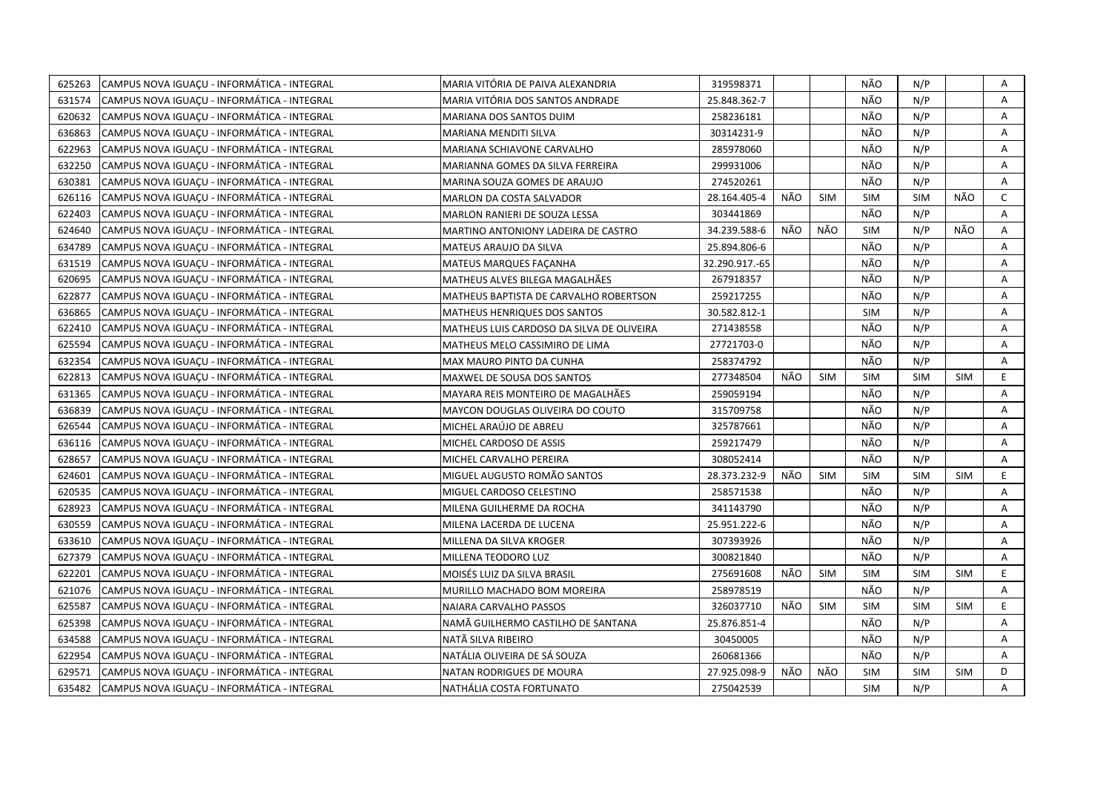| 625263 | CAMPUS NOVA IGUACU - INFORMÁTICA - INTEGRAL | MARIA VITÓRIA DE PAIVA ALEXANDRIA         | 319598371      |     |            | NÃO        | N/P        |            | Α            |
|--------|---------------------------------------------|-------------------------------------------|----------------|-----|------------|------------|------------|------------|--------------|
| 631574 | CAMPUS NOVA IGUAÇU - INFORMÁTICA - INTEGRAL | MARIA VITÓRIA DOS SANTOS ANDRADE          | 25.848.362-7   |     |            | NÃO        | N/P        |            | A            |
| 620632 | CAMPUS NOVA IGUACU - INFORMÁTICA - INTEGRAL | MARIANA DOS SANTOS DUIM                   | 258236181      |     |            | NÃO        | N/P        |            | A            |
| 636863 | CAMPUS NOVA IGUACU - INFORMÁTICA - INTEGRAL | MARIANA MENDITI SILVA                     | 30314231-9     |     |            | NÃO        | N/P        |            | Α            |
| 622963 | CAMPUS NOVA IGUACU - INFORMÁTICA - INTEGRAL | MARIANA SCHIAVONE CARVALHO                | 285978060      |     |            | NÃO        | N/P        |            | A            |
| 632250 | CAMPUS NOVA IGUACU - INFORMÁTICA - INTEGRAL | MARIANNA GOMES DA SILVA FERREIRA          | 299931006      |     |            | NÃO        | N/P        |            | Α            |
| 630381 | CAMPUS NOVA IGUAÇU - INFORMÁTICA - INTEGRAL | MARINA SOUZA GOMES DE ARAUJO              | 274520261      |     |            | NÃO        | N/P        |            | Α            |
| 626116 | CAMPUS NOVA IGUACU - INFORMÁTICA - INTEGRAL | MARLON DA COSTA SALVADOR                  | 28.164.405-4   | NÃO | <b>SIM</b> | <b>SIM</b> | <b>SIM</b> | NÃO        | $\mathsf{C}$ |
| 622403 | CAMPUS NOVA IGUAÇU - INFORMÁTICA - INTEGRAL | MARLON RANIERI DE SOUZA LESSA             | 303441869      |     |            | NÃO        | N/P        |            | A            |
| 624640 | CAMPUS NOVA IGUAÇU - INFORMÁTICA - INTEGRAL | MARTINO ANTONIONY LADEIRA DE CASTRO       | 34.239.588-6   | NÃO | NÃO        | <b>SIM</b> | N/P        | NÃO        | A            |
| 634789 | CAMPUS NOVA IGUACU - INFORMÁTICA - INTEGRAL | MATEUS ARAUJO DA SILVA                    | 25.894.806-6   |     |            | NÃO        | N/P        |            | A            |
| 631519 | CAMPUS NOVA IGUAÇU - INFORMÁTICA - INTEGRAL | <b>MATEUS MARQUES FAÇANHA</b>             | 32.290.917.-65 |     |            | NÃO        | N/P        |            | Α            |
| 620695 | CAMPUS NOVA IGUACU - INFORMÁTICA - INTEGRAL | MATHEUS ALVES BILEGA MAGALHÃES            | 267918357      |     |            | NÃO        | N/P        |            | A            |
| 622877 | CAMPUS NOVA IGUACU - INFORMÁTICA - INTEGRAL | MATHEUS BAPTISTA DE CARVALHO ROBERTSON    | 259217255      |     |            | NÃO        | N/P        |            | A            |
| 636865 | CAMPUS NOVA IGUACU - INFORMÁTICA - INTEGRAL | MATHEUS HENRIQUES DOS SANTOS              | 30.582.812-1   |     |            | <b>SIM</b> | N/P        |            | Α            |
| 622410 | CAMPUS NOVA IGUACU - INFORMÁTICA - INTEGRAL | MATHEUS LUIS CARDOSO DA SILVA DE OLIVEIRA | 271438558      |     |            | NÃO        | N/P        |            | A            |
| 625594 | CAMPUS NOVA IGUAÇU - INFORMÁTICA - INTEGRAL | MATHEUS MELO CASSIMIRO DE LIMA            | 27721703-0     |     |            | NÃO        | N/P        |            | A            |
| 632354 | CAMPUS NOVA IGUAÇU - INFORMÁTICA - INTEGRAL | MAX MAURO PINTO DA CUNHA                  | 258374792      |     |            | NÃO        | N/P        |            | A            |
| 622813 | CAMPUS NOVA IGUAÇU - INFORMÁTICA - INTEGRAL | MAXWEL DE SOUSA DOS SANTOS                | 277348504      | NÃO | <b>SIM</b> | <b>SIM</b> | <b>SIM</b> | <b>SIM</b> | E.           |
| 631365 | CAMPUS NOVA IGUAÇU - INFORMÁTICA - INTEGRAL | MAYARA REIS MONTEIRO DE MAGALHÃES         | 259059194      |     |            | NÃO        | N/P        |            | Α            |
| 636839 | CAMPUS NOVA IGUACU - INFORMÁTICA - INTEGRAL | MAYCON DOUGLAS OLIVEIRA DO COUTO          | 315709758      |     |            | NÃO        | N/P        |            | A            |
| 626544 | CAMPUS NOVA IGUAÇU - INFORMÁTICA - INTEGRAL | MICHEL ARAÚJO DE ABREU                    | 325787661      |     |            | NÃO        | N/P        |            | A            |
| 636116 | CAMPUS NOVA IGUAÇU - INFORMÁTICA - INTEGRAL | MICHEL CARDOSO DE ASSIS                   | 259217479      |     |            | NÃO        | N/P        |            | A            |
| 628657 | CAMPUS NOVA IGUACU - INFORMÁTICA - INTEGRAL | MICHEL CARVALHO PEREIRA                   | 308052414      |     |            | NÃO        | N/P        |            | A            |
| 624601 | CAMPUS NOVA IGUAÇU - INFORMÁTICA - INTEGRAL | MIGUEL AUGUSTO ROMÃO SANTOS               | 28.373.232-9   | NÃO | <b>SIM</b> | <b>SIM</b> | <b>SIM</b> | <b>SIM</b> | E            |
| 620535 | CAMPUS NOVA IGUACU - INFORMÁTICA - INTEGRAL | MIGUEL CARDOSO CELESTINO                  | 258571538      |     |            | NÃO        | N/P        |            | A            |
| 628923 | CAMPUS NOVA IGUACU - INFORMÁTICA - INTEGRAL | MILENA GUILHERME DA ROCHA                 | 341143790      |     |            | NÃO        | N/P        |            | A            |
| 630559 | CAMPUS NOVA IGUAÇU - INFORMÁTICA - INTEGRAL | MILENA LACERDA DE LUCENA                  | 25.951.222-6   |     |            | NÃO        | N/P        |            | Α            |
| 633610 | CAMPUS NOVA IGUACU - INFORMÁTICA - INTEGRAL | MILLENA DA SILVA KROGER                   | 307393926      |     |            | NÃO        | N/P        |            | A            |
| 627379 | CAMPUS NOVA IGUAÇU - INFORMÁTICA - INTEGRAL | MILLENA TEODORO LUZ                       | 300821840      |     |            | NÃO        | N/P        |            | Α            |
| 622201 | CAMPUS NOVA IGUAÇU - INFORMÁTICA - INTEGRAL | MOISÉS LUIZ DA SILVA BRASIL               | 275691608      | NÃO | <b>SIM</b> | <b>SIM</b> | <b>SIM</b> | <b>SIM</b> | E.           |
| 621076 | CAMPUS NOVA IGUACU - INFORMÁTICA - INTEGRAL | MURILLO MACHADO BOM MOREIRA               | 258978519      |     |            | NÃO        | N/P        |            | A            |
| 625587 | CAMPUS NOVA IGUAÇU - INFORMÁTICA - INTEGRAL | NAIARA CARVALHO PASSOS                    | 326037710      | NÃO | <b>SIM</b> | <b>SIM</b> | <b>SIM</b> | <b>SIM</b> | E.           |
| 625398 | CAMPUS NOVA IGUACU - INFORMÁTICA - INTEGRAL | NAMA GUILHERMO CASTILHO DE SANTANA        | 25.876.851-4   |     |            | NÃO        | N/P        |            | A            |
| 634588 | CAMPUS NOVA IGUAÇU - INFORMÁTICA - INTEGRAL | NATÃ SILVA RIBEIRO                        | 30450005       |     |            | NÃO        | N/P        |            | A            |
| 622954 | CAMPUS NOVA IGUAÇU - INFORMÁTICA - INTEGRAL | NATÁLIA OLIVEIRA DE SÁ SOUZA              | 260681366      |     |            | NÃO        | N/P        |            | Α            |
| 629571 | CAMPUS NOVA IGUAÇU - INFORMÁTICA - INTEGRAL | NATAN RODRIGUES DE MOURA                  | 27.925.098-9   | NÃO | NÃO        | <b>SIM</b> | <b>SIM</b> | <b>SIM</b> | D            |
| 635482 | CAMPUS NOVA IGUACU - INFORMÁTICA - INTEGRAL | NATHÁLIA COSTA FORTUNATO                  | 275042539      |     |            | <b>SIM</b> | N/P        |            | A            |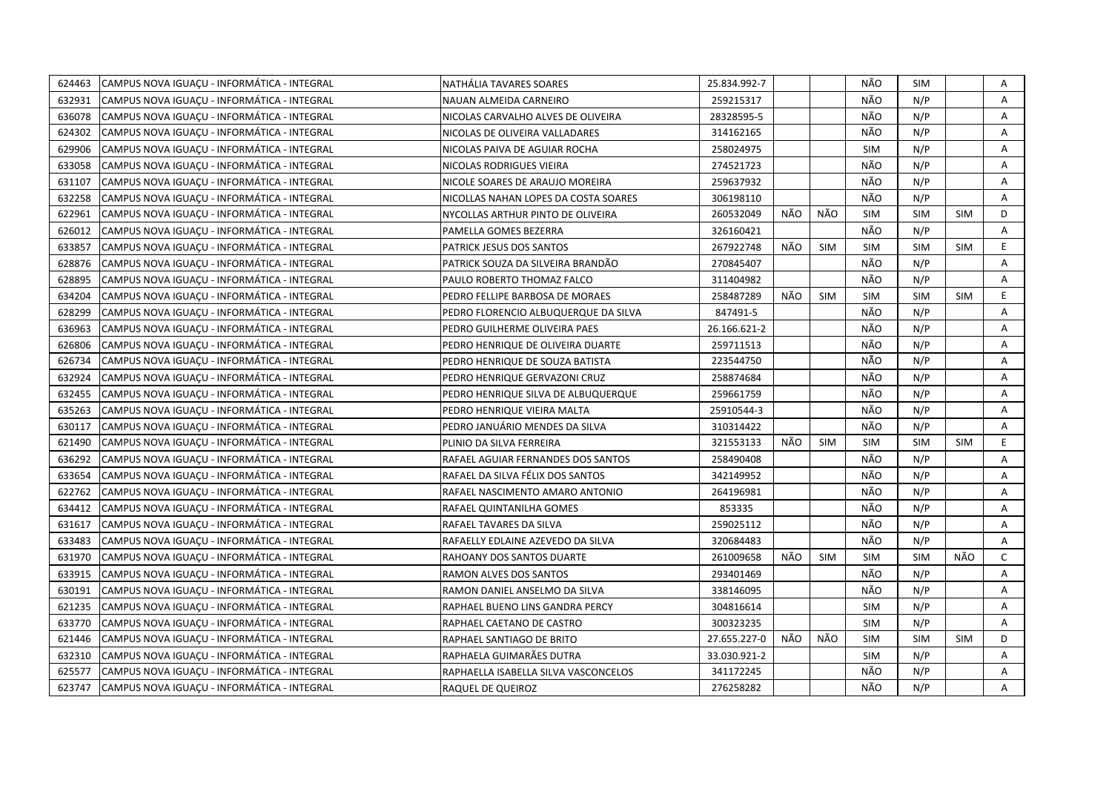| 624463 | CAMPUS NOVA IGUAÇU - INFORMÁTICA - INTEGRAL | NATHÁLIA TAVARES SOARES              | 25.834.992-7 |     |            | NÃO        | <b>SIM</b> |            | Α              |
|--------|---------------------------------------------|--------------------------------------|--------------|-----|------------|------------|------------|------------|----------------|
| 632931 | CAMPUS NOVA IGUACU - INFORMÁTICA - INTEGRAL | NAUAN ALMEIDA CARNEIRO               | 259215317    |     |            | NÃO        | N/P        |            | $\overline{A}$ |
| 636078 | CAMPUS NOVA IGUACU - INFORMÁTICA - INTEGRAL | NICOLAS CARVALHO ALVES DE OLIVEIRA   | 28328595-5   |     |            | NÃO        | N/P        |            | Α              |
| 624302 | CAMPUS NOVA IGUACU - INFORMÁTICA - INTEGRAL | NICOLAS DE OLIVEIRA VALLADARES       | 314162165    |     |            | NÃO        | N/P        |            | A              |
| 629906 | CAMPUS NOVA IGUACU - INFORMÁTICA - INTEGRAL | NICOLAS PAIVA DE AGUIAR ROCHA        | 258024975    |     |            | <b>SIM</b> | N/P        |            | A              |
| 633058 | CAMPUS NOVA IGUACU - INFORMÁTICA - INTEGRAL | NICOLAS RODRIGUES VIEIRA             | 274521723    |     |            | NÃO        | N/P        |            | A              |
| 631107 | CAMPUS NOVA IGUACU - INFORMÁTICA - INTEGRAL | NICOLE SOARES DE ARAUJO MOREIRA      | 259637932    |     |            | NÃO        | N/P        |            | Α              |
| 632258 | CAMPUS NOVA IGUAÇU - INFORMÁTICA - INTEGRAL | NICOLLAS NAHAN LOPES DA COSTA SOARES | 306198110    |     |            | NÃO        | N/P        |            | A              |
| 622961 | CAMPUS NOVA IGUAÇU - INFORMÁTICA - INTEGRAL | NYCOLLAS ARTHUR PINTO DE OLIVEIRA    | 260532049    | NÃO | NÃO        | <b>SIM</b> | <b>SIM</b> | <b>SIM</b> | D              |
| 626012 | CAMPUS NOVA IGUAÇU - INFORMÁTICA - INTEGRAL | PAMELLA GOMES BEZERRA                | 326160421    |     |            | NÃO        | N/P        |            | A              |
| 633857 | CAMPUS NOVA IGUACU - INFORMÁTICA - INTEGRAL | PATRICK JESUS DOS SANTOS             | 267922748    | NÃO | <b>SIM</b> | <b>SIM</b> | <b>SIM</b> | <b>SIM</b> | E              |
| 628876 | CAMPUS NOVA IGUAÇU - INFORMÁTICA - INTEGRAL | PATRICK SOUZA DA SILVEIRA BRANDÃO    | 270845407    |     |            | NÃO        | N/P        |            | A              |
| 628895 | CAMPUS NOVA IGUACU - INFORMÁTICA - INTEGRAL | PAULO ROBERTO THOMAZ FALCO           | 311404982    |     |            | NÃO        | N/P        |            | A              |
| 634204 | CAMPUS NOVA IGUAÇU - INFORMÁTICA - INTEGRAL | PEDRO FELLIPE BARBOSA DE MORAES      | 258487289    | NÃO | <b>SIM</b> | <b>SIM</b> | <b>SIM</b> | <b>SIM</b> | E.             |
| 628299 | CAMPUS NOVA IGUACU - INFORMÁTICA - INTEGRAL | PEDRO FLORENCIO ALBUQUERQUE DA SILVA | 847491-5     |     |            | NÃO        | N/P        |            | A              |
| 636963 | CAMPUS NOVA IGUAÇU - INFORMÁTICA - INTEGRAL | PEDRO GUILHERME OLIVEIRA PAES        | 26.166.621-2 |     |            | NÃO        | N/P        |            | Α              |
| 626806 | CAMPUS NOVA IGUACU - INFORMÁTICA - INTEGRAL | PEDRO HENRIQUE DE OLIVEIRA DUARTE    | 259711513    |     |            | NÃO        | N/P        |            | A              |
| 626734 | CAMPUS NOVA IGUAÇU - INFORMÁTICA - INTEGRAL | PEDRO HENRIQUE DE SOUZA BATISTA      | 223544750    |     |            | NÃO        | N/P        |            | A              |
| 632924 | CAMPUS NOVA IGUACU - INFORMÁTICA - INTEGRAL | PEDRO HENRIQUE GERVAZONI CRUZ        | 258874684    |     |            | NÃO        | N/P        |            | A              |
| 632455 | CAMPUS NOVA IGUACU - INFORMÁTICA - INTEGRAL | PEDRO HENRIQUE SILVA DE ALBUQUERQUE  | 259661759    |     |            | NÃO        | N/P        |            | Α              |
| 635263 | CAMPUS NOVA IGUACU - INFORMÁTICA - INTEGRAL | PEDRO HENRIQUE VIEIRA MALTA          | 25910544-3   |     |            | NÃO        | N/P        |            | A              |
| 630117 | CAMPUS NOVA IGUAÇU - INFORMÁTICA - INTEGRAL | PEDRO JANUÁRIO MENDES DA SILVA       | 310314422    |     |            | NÃO        | N/P        |            | A              |
| 621490 | CAMPUS NOVA IGUAÇU - INFORMÁTICA - INTEGRAL | PLINIO DA SILVA FERREIRA             | 321553133    | NÃO | <b>SIM</b> | <b>SIM</b> | <b>SIM</b> | <b>SIM</b> | E.             |
| 636292 | CAMPUS NOVA IGUACU - INFORMÁTICA - INTEGRAL | RAFAEL AGUIAR FERNANDES DOS SANTOS   | 258490408    |     |            | NÃO        | N/P        |            | Α              |
| 633654 | CAMPUS NOVA IGUACU - INFORMÁTICA - INTEGRAL | RAFAEL DA SILVA FÉLIX DOS SANTOS     | 342149952    |     |            | NÃO        | N/P        |            | A              |
| 622762 | CAMPUS NOVA IGUAÇU - INFORMÁTICA - INTEGRAL | RAFAEL NASCIMENTO AMARO ANTONIO      | 264196981    |     |            | NÃO        | N/P        |            | A              |
| 634412 | CAMPUS NOVA IGUACU - INFORMÁTICA - INTEGRAL | RAFAEL QUINTANILHA GOMES             | 853335       |     |            | NÃO        | N/P        |            | A              |
| 631617 | CAMPUS NOVA IGUAÇU - INFORMÁTICA - INTEGRAL | RAFAEL TAVARES DA SILVA              | 259025112    |     |            | NÃO        | N/P        |            | A              |
| 633483 | CAMPUS NOVA IGUACU - INFORMÁTICA - INTEGRAL | RAFAELLY EDLAINE AZEVEDO DA SILVA    | 320684483    |     |            | NÃO        | N/P        |            | A              |
| 631970 | CAMPUS NOVA IGUAÇU - INFORMÁTICA - INTEGRAL | RAHOANY DOS SANTOS DUARTE            | 261009658    | NÃO | <b>SIM</b> | <b>SIM</b> | <b>SIM</b> | NÃO        | $\mathsf{C}$   |
| 633915 | CAMPUS NOVA IGUACU - INFORMÁTICA - INTEGRAL | RAMON ALVES DOS SANTOS               | 293401469    |     |            | NÃO        | N/P        |            | A              |
| 630191 | CAMPUS NOVA IGUACU - INFORMÁTICA - INTEGRAL | RAMON DANIEL ANSELMO DA SILVA        | 338146095    |     |            | NÃO        | N/P        |            | A              |
| 621235 | CAMPUS NOVA IGUACU - INFORMÁTICA - INTEGRAL | RAPHAEL BUENO LINS GANDRA PERCY      | 304816614    |     |            | <b>SIM</b> | N/P        |            | A              |
| 633770 | CAMPUS NOVA IGUACU - INFORMÁTICA - INTEGRAL | RAPHAEL CAETANO DE CASTRO            | 300323235    |     |            | <b>SIM</b> | N/P        |            | A              |
| 621446 | CAMPUS NOVA IGUAÇU - INFORMÁTICA - INTEGRAL | RAPHAEL SANTIAGO DE BRITO            | 27.655.227-0 | NÃO | NÃO        | <b>SIM</b> | <b>SIM</b> | <b>SIM</b> | D              |
| 632310 | CAMPUS NOVA IGUACU - INFORMÁTICA - INTEGRAL | RAPHAELA GUIMARÃES DUTRA             | 33.030.921-2 |     |            | <b>SIM</b> | N/P        |            | Α              |
| 625577 | CAMPUS NOVA IGUAÇU - INFORMÁTICA - INTEGRAL | RAPHAELLA ISABELLA SILVA VASCONCELOS | 341172245    |     |            | NÃO        | N/P        |            | Α              |
| 623747 | CAMPUS NOVA IGUACU - INFORMÁTICA - INTEGRAL | RAQUEL DE QUEIROZ                    | 276258282    |     |            | NÃO        | N/P        |            | A              |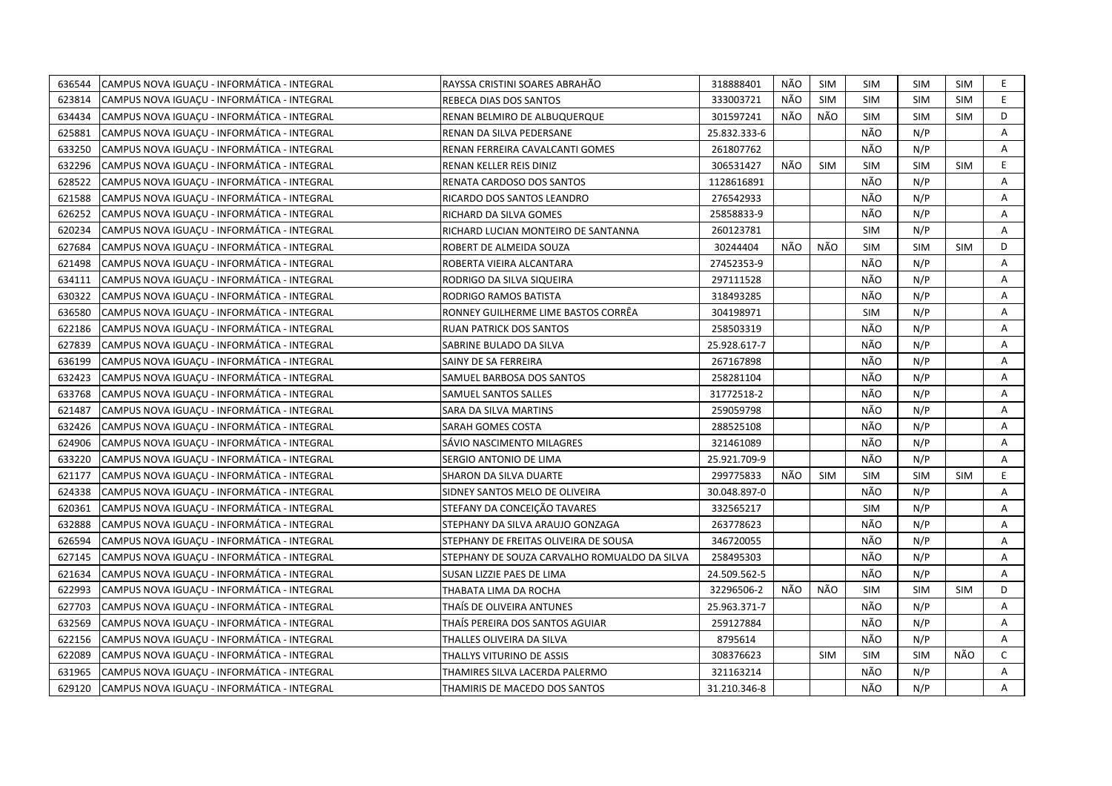| 636544 | CAMPUS NOVA IGUACU - INFORMÁTICA - INTEGRAL | RAYSSA CRISTINI SOARES ABRAHÃO               | 318888401    | NÃO | SIM        | <b>SIM</b> | SIM        | <b>SIM</b> | E.           |
|--------|---------------------------------------------|----------------------------------------------|--------------|-----|------------|------------|------------|------------|--------------|
| 623814 | CAMPUS NOVA IGUACU - INFORMÁTICA - INTEGRAL | REBECA DIAS DOS SANTOS                       | 333003721    | NÃO | <b>SIM</b> | <b>SIM</b> | <b>SIM</b> | <b>SIM</b> | E            |
| 634434 | CAMPUS NOVA IGUACU - INFORMÁTICA - INTEGRAL | RENAN BELMIRO DE ALBUQUERQUE                 | 301597241    | NÃO | NÃO        | <b>SIM</b> | <b>SIM</b> | <b>SIM</b> | D            |
| 625881 | CAMPUS NOVA IGUACU - INFORMÁTICA - INTEGRAL | RENAN DA SILVA PEDERSANE                     | 25.832.333-6 |     |            | NÃO        | N/P        |            | Α            |
| 633250 | CAMPUS NOVA IGUACU - INFORMÁTICA - INTEGRAL | RENAN FERREIRA CAVALCANTI GOMES              | 261807762    |     |            | NÃO        | N/P        |            | Α            |
| 632296 | CAMPUS NOVA IGUACU - INFORMÁTICA - INTEGRAL | RENAN KELLER REIS DINIZ                      | 306531427    | NÃO | <b>SIM</b> | <b>SIM</b> | <b>SIM</b> | <b>SIM</b> | E.           |
| 628522 | CAMPUS NOVA IGUACU - INFORMÁTICA - INTEGRAL | RENATA CARDOSO DOS SANTOS                    | 1128616891   |     |            | NÃO        | N/P        |            | A            |
| 621588 | CAMPUS NOVA IGUACU - INFORMÁTICA - INTEGRAL | RICARDO DOS SANTOS LEANDRO                   | 276542933    |     |            | NÃO        | N/P        |            | Α            |
| 626252 | CAMPUS NOVA IGUAÇU - INFORMÁTICA - INTEGRAL | RICHARD DA SILVA GOMES                       | 25858833-9   |     |            | NÃO        | N/P        |            | Α            |
| 620234 | CAMPUS NOVA IGUACU - INFORMÁTICA - INTEGRAL | RICHARD LUCIAN MONTEIRO DE SANTANNA          | 260123781    |     |            | <b>SIM</b> | N/P        |            | A            |
| 627684 | CAMPUS NOVA IGUACU - INFORMÁTICA - INTEGRAL | ROBERT DE ALMEIDA SOUZA                      | 30244404     | NÃO | NÃO        | <b>SIM</b> | <b>SIM</b> | <b>SIM</b> | D            |
| 621498 | CAMPUS NOVA IGUAÇU - INFORMÁTICA - INTEGRAL | ROBERTA VIEIRA ALCANTARA                     | 27452353-9   |     |            | NÃO        | N/P        |            | A            |
| 634111 | CAMPUS NOVA IGUAÇU - INFORMÁTICA - INTEGRAL | RODRIGO DA SILVA SIQUEIRA                    | 297111528    |     |            | NÃO        | N/P        |            | Α            |
| 630322 | CAMPUS NOVA IGUAÇU - INFORMÁTICA - INTEGRAL | RODRIGO RAMOS BATISTA                        | 318493285    |     |            | NÃO        | N/P        |            | Α            |
| 636580 | CAMPUS NOVA IGUACU - INFORMÁTICA - INTEGRAL | RONNEY GUILHERME LIME BASTOS CORRÊA          | 304198971    |     |            | <b>SIM</b> | N/P        |            | А            |
| 622186 | CAMPUS NOVA IGUAÇU - INFORMÁTICA - INTEGRAL | <b>RUAN PATRICK DOS SANTOS</b>               | 258503319    |     |            | NÃO        | N/P        |            | Α            |
| 627839 | CAMPUS NOVA IGUACU - INFORMÁTICA - INTEGRAL | SABRINE BULADO DA SILVA                      | 25.928.617-7 |     |            | NÃO        | N/P        |            | A            |
| 636199 | CAMPUS NOVA IGUACU - INFORMÁTICA - INTEGRAL | SAINY DE SA FERREIRA                         | 267167898    |     |            | NÃO        | N/P        |            | A            |
| 632423 | CAMPUS NOVA IGUACU - INFORMÁTICA - INTEGRAL | SAMUEL BARBOSA DOS SANTOS                    | 258281104    |     |            | NÃO        | N/P        |            | Α            |
| 633768 | CAMPUS NOVA IGUAÇU - INFORMÁTICA - INTEGRAL | SAMUEL SANTOS SALLES                         | 31772518-2   |     |            | NÃO        | N/P        |            | Α            |
| 621487 | CAMPUS NOVA IGUACU - INFORMÁTICA - INTEGRAL | SARA DA SILVA MARTINS                        | 259059798    |     |            | NÃO        | N/P        |            | A            |
| 632426 | CAMPUS NOVA IGUAÇU - INFORMÁTICA - INTEGRAL | SARAH GOMES COSTA                            | 288525108    |     |            | NÃO        | N/P        |            | A            |
| 624906 | CAMPUS NOVA IGUACU - INFORMÁTICA - INTEGRAL | SÁVIO NASCIMENTO MILAGRES                    | 321461089    |     |            | NÃO        | N/P        |            | A            |
| 633220 | CAMPUS NOVA IGUACU - INFORMÁTICA - INTEGRAL | SERGIO ANTONIO DE LIMA                       | 25.921.709-9 |     |            | NÃO        | N/P        |            | Α            |
| 621177 | CAMPUS NOVA IGUAÇU - INFORMATICA - INTEGRAL | SHARON DA SILVA DUARTE                       | 299775833    | NÃO | <b>SIM</b> | <b>SIM</b> | <b>SIM</b> | <b>SIM</b> | E            |
| 624338 | CAMPUS NOVA IGUAÇU - INFORMÁTICA - INTEGRAL | SIDNEY SANTOS MELO DE OLIVEIRA               | 30.048.897-0 |     |            | NÃO        | N/P        |            | Α            |
| 620361 | CAMPUS NOVA IGUACU - INFORMÁTICA - INTEGRAL | STEFANY DA CONCEIÇÃO TAVARES                 | 332565217    |     |            | <b>SIM</b> | N/P        |            | A            |
| 632888 | CAMPUS NOVA IGUAÇU - INFORMÁTICA - INTEGRAL | STEPHANY DA SILVA ARAUJO GONZAGA             | 263778623    |     |            | NÃO        | N/P        |            | A            |
| 626594 | CAMPUS NOVA IGUAÇU - INFORMÁTICA - INTEGRAL | STEPHANY DE FREITAS OLIVEIRA DE SOUSA        | 346720055    |     |            | NÃO        | N/P        |            | A            |
| 627145 | CAMPUS NOVA IGUAÇU - INFORMÁTICA - INTEGRAL | STEPHANY DE SOUZA CARVALHO ROMUALDO DA SILVA | 258495303    |     |            | NÃO        | N/P        |            | A            |
| 621634 | CAMPUS NOVA IGUACU - INFORMÁTICA - INTEGRAL | SUSAN LIZZIE PAES DE LIMA                    | 24.509.562-5 |     |            | NÃO        | N/P        |            | A            |
| 622993 | CAMPUS NOVA IGUAÇU - INFORMÁTICA - INTEGRAL | THABATA LIMA DA ROCHA                        | 32296506-2   | NÃO | NÃO        | <b>SIM</b> | <b>SIM</b> | <b>SIM</b> | D            |
| 627703 | CAMPUS NOVA IGUACU - INFORMÁTICA - INTEGRAL | THAIS DE OLIVEIRA ANTUNES                    | 25.963.371-7 |     |            | NÃO        | N/P        |            | A            |
| 632569 | CAMPUS NOVA IGUAÇU - INFORMÁTICA - INTEGRAL | THAIS PEREIRA DOS SANTOS AGUIAR              | 259127884    |     |            | NÃO        | N/P        |            | Α            |
| 622156 | CAMPUS NOVA IGUAÇU - INFORMÁTICA - INTEGRAL | THALLES OLIVEIRA DA SILVA                    | 8795614      |     |            | NÃO        | N/P        |            | A            |
| 622089 | CAMPUS NOVA IGUAÇU - INFORMÁTICA - INTEGRAL | THALLYS VITURINO DE ASSIS                    | 308376623    |     | <b>SIM</b> | <b>SIM</b> | <b>SIM</b> | NÃO        | $\mathsf{C}$ |
| 631965 | CAMPUS NOVA IGUAÇU - INFORMÁTICA - INTEGRAL | THAMIRES SILVA LACERDA PALERMO               | 321163214    |     |            | NÃO        | N/P        |            | A            |
| 629120 | CAMPUS NOVA IGUACU - INFORMÁTICA - INTEGRAL | THAMIRIS DE MACEDO DOS SANTOS                | 31.210.346-8 |     |            | NÃO        | N/P        |            | A            |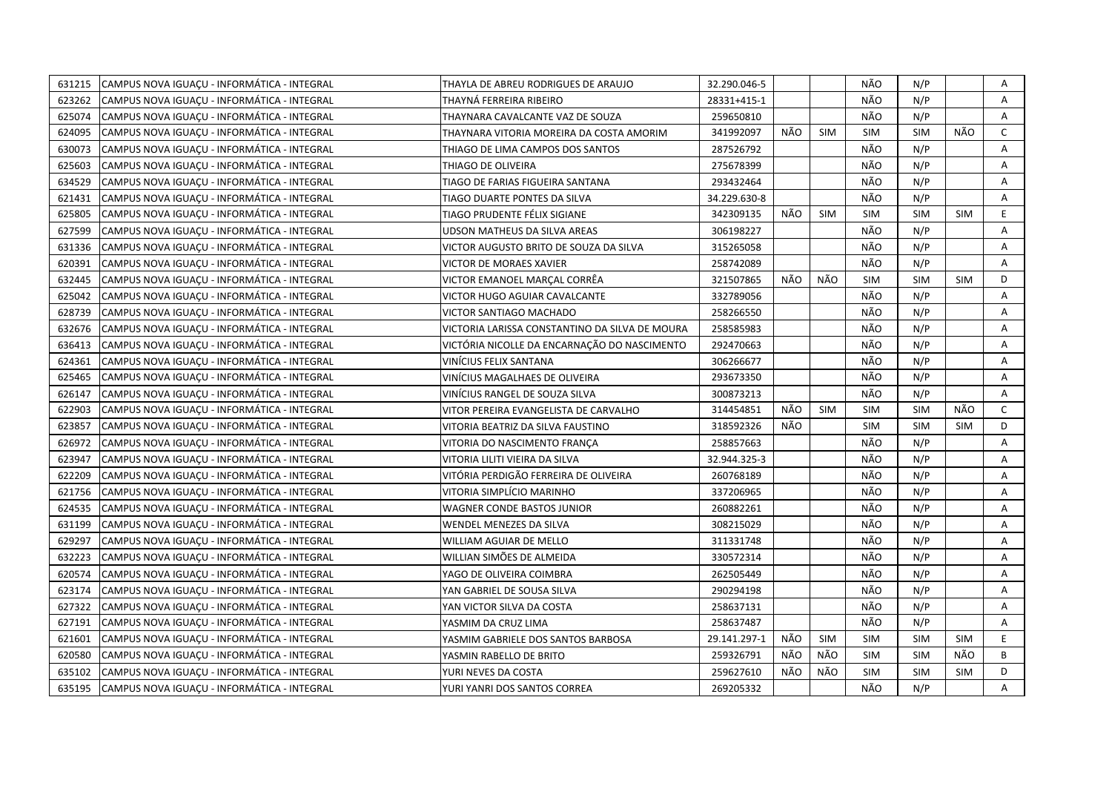| 631215 | CAMPUS NOVA IGUACU - INFORMÁTICA - INTEGRAL | THAYLA DE ABREU RODRIGUES DE ARAUJO            | 32.290.046-5 |     |            | NÃO        | N/P        |            | Α            |
|--------|---------------------------------------------|------------------------------------------------|--------------|-----|------------|------------|------------|------------|--------------|
| 623262 | CAMPUS NOVA IGUACU - INFORMÁTICA - INTEGRAL | THAYNÁ FERREIRA RIBEIRO                        | 28331+415-1  |     |            | NÃO        | N/P        |            | A            |
| 625074 | CAMPUS NOVA IGUACU - INFORMÁTICA - INTEGRAL | THAYNARA CAVALCANTE VAZ DE SOUZA               | 259650810    |     |            | NÃO        | N/P        |            | A            |
| 624095 | CAMPUS NOVA IGUACU - INFORMÁTICA - INTEGRAL | THAYNARA VITORIA MOREIRA DA COSTA AMORIM       | 341992097    | NÃO | <b>SIM</b> | <b>SIM</b> | <b>SIM</b> | NÃO        | C            |
| 630073 | CAMPUS NOVA IGUACU - INFORMÁTICA - INTEGRAL | THIAGO DE LIMA CAMPOS DOS SANTOS               | 287526792    |     |            | NÃO        | N/P        |            | Α            |
| 625603 | CAMPUS NOVA IGUACU - INFORMÁTICA - INTEGRAL | THIAGO DE OLIVEIRA                             | 275678399    |     |            | NÃO        | N/P        |            | A            |
| 634529 | CAMPUS NOVA IGUACU - INFORMÁTICA - INTEGRAL | TIAGO DE FARIAS FIGUEIRA SANTANA               | 293432464    |     |            | NÃO        | N/P        |            | Α            |
| 621431 | CAMPUS NOVA IGUACU - INFORMÁTICA - INTEGRAL | TIAGO DUARTE PONTES DA SILVA                   | 34.229.630-8 |     |            | NÃO        | N/P        |            | A            |
| 625805 | CAMPUS NOVA IGUAÇU - INFORMÁTICA - INTEGRAL | TIAGO PRUDENTE FÉLIX SIGIANE                   | 342309135    | NÃO | <b>SIM</b> | <b>SIM</b> | <b>SIM</b> | <b>SIM</b> | E            |
| 627599 | CAMPUS NOVA IGUAÇU - INFORMÁTICA - INTEGRAL | UDSON MATHEUS DA SILVA AREAS                   | 306198227    |     |            | NÃO        | N/P        |            | A            |
| 631336 | CAMPUS NOVA IGUACU - INFORMÁTICA - INTEGRAL | VICTOR AUGUSTO BRITO DE SOUZA DA SILVA         | 315265058    |     |            | NÃO        | N/P        |            | A            |
| 620391 | CAMPUS NOVA IGUAÇU - INFORMÁTICA - INTEGRAL | VICTOR DE MORAES XAVIER                        | 258742089    |     |            | NÃO        | N/P        |            | A            |
| 632445 | CAMPUS NOVA IGUAÇU - INFORMÁTICA - INTEGRAL | VICTOR EMANOEL MARÇAL CORRÊA                   | 321507865    | NÃO | NÃO        | <b>SIM</b> | <b>SIM</b> | <b>SIM</b> | D            |
| 625042 | CAMPUS NOVA IGUAÇU - INFORMÁTICA - INTEGRAL | VICTOR HUGO AGUIAR CAVALCANTE                  | 332789056    |     |            | NÃO        | N/P        |            | Α            |
| 628739 | CAMPUS NOVA IGUACU - INFORMÁTICA - INTEGRAL | VICTOR SANTIAGO MACHADO                        | 258266550    |     |            | NÃO        | N/P        |            | A            |
| 632676 | CAMPUS NOVA IGUACU - INFORMÁTICA - INTEGRAL | VICTORIA LARISSA CONSTANTINO DA SILVA DE MOURA | 258585983    |     |            | NÃO        | N/P        |            | Α            |
| 636413 | CAMPUS NOVA IGUACU - INFORMÁTICA - INTEGRAL | VICTÓRIA NICOLLE DA ENCARNAÇÃO DO NASCIMENTO   | 292470663    |     |            | NÃO        | N/P        |            | A            |
| 624361 | CAMPUS NOVA IGUAÇU - INFORMÁTICA - INTEGRAL | VINÍCIUS FELIX SANTANA                         | 306266677    |     |            | NÃO        | N/P        |            | Α            |
| 625465 | CAMPUS NOVA IGUAÇU - INFORMÁTICA - INTEGRAL | VINÍCIUS MAGALHAES DE OLIVEIRA                 | 293673350    |     |            | NÃO        | N/P        |            | Α            |
| 626147 | CAMPUS NOVA IGUAÇU - INFORMÁTICA - INTEGRAL | VINÍCIUS RANGEL DE SOUZA SILVA                 | 300873213    |     |            | NÃO        | N/P        |            | Α            |
| 622903 | CAMPUS NOVA IGUAÇU - INFORMÁTICA - INTEGRAL | VITOR PEREIRA EVANGELISTA DE CARVALHO          | 314454851    | NÃO | <b>SIM</b> | <b>SIM</b> | <b>SIM</b> | NÃO        | $\mathsf{C}$ |
| 623857 | CAMPUS NOVA IGUAÇU - INFORMÁTICA - INTEGRAL | VITORIA BEATRIZ DA SILVA FAUSTINO              | 318592326    | NÃO |            | <b>SIM</b> | <b>SIM</b> | <b>SIM</b> | D            |
| 626972 | CAMPUS NOVA IGUACU - INFORMÁTICA - INTEGRAL | VITORIA DO NASCIMENTO FRANCA                   | 258857663    |     |            | NÃO        | N/P        |            | A            |
| 623947 | CAMPUS NOVA IGUAÇU - INFORMÁTICA - INTEGRAL | VITORIA LILITI VIEIRA DA SILVA                 | 32.944.325-3 |     |            | NÃO        | N/P        |            | A            |
| 622209 | CAMPUS NOVA IGUACU - INFORMÁTICA - INTEGRAL | VITÓRIA PERDIGÃO FERREIRA DE OLIVEIRA          | 260768189    |     |            | NÃO        | N/P        |            | A            |
| 621756 | CAMPUS NOVA IGUAÇU - INFORMÁTICA - INTEGRAL | VITORIA SIMPLÍCIO MARINHO                      | 337206965    |     |            | NÃO        | N/P        |            | A            |
| 624535 | CAMPUS NOVA IGUACU - INFORMÁTICA - INTEGRAL | WAGNER CONDE BASTOS JUNIOR                     | 260882261    |     |            | NÃO        | N/P        |            | A            |
| 631199 | CAMPUS NOVA IGUAÇU - INFORMÁTICA - INTEGRAL | WENDEL MENEZES DA SILVA                        | 308215029    |     |            | NÃO        | N/P        |            | A            |
| 629297 | CAMPUS NOVA IGUACU - INFORMÁTICA - INTEGRAL | WILLIAM AGUIAR DE MELLO                        | 311331748    |     |            | NÃO        | N/P        |            | A            |
| 632223 | CAMPUS NOVA IGUAÇU - INFORMÁTICA - INTEGRAL | WILLIAN SIMÕES DE ALMEIDA                      | 330572314    |     |            | NÃO        | N/P        |            | A            |
| 620574 | CAMPUS NOVA IGUACU - INFORMÁTICA - INTEGRAL | YAGO DE OLIVEIRA COIMBRA                       | 262505449    |     |            | NÃO        | N/P        |            | A            |
| 623174 | CAMPUS NOVA IGUACU - INFORMÁTICA - INTEGRAL | YAN GABRIEL DE SOUSA SILVA                     | 290294198    |     |            | NÃO        | N/P        |            | A            |
| 627322 | CAMPUS NOVA IGUACU - INFORMÁTICA - INTEGRAL | YAN VICTOR SILVA DA COSTA                      | 258637131    |     |            | NÃO        | N/P        |            | A            |
| 627191 | CAMPUS NOVA IGUAÇU - INFORMÁTICA - INTEGRAL | YASMIM DA CRUZ LIMA                            | 258637487    |     |            | NÃO        | N/P        |            | A            |
| 621601 | CAMPUS NOVA IGUACU - INFORMÁTICA - INTEGRAL | YASMIM GABRIELE DOS SANTOS BARBOSA             | 29.141.297-1 | NÃO | <b>SIM</b> | <b>SIM</b> | <b>SIM</b> | <b>SIM</b> | E.           |
| 620580 | CAMPUS NOVA IGUACU - INFORMÁTICA - INTEGRAL | YASMIN RABELLO DE BRITO                        | 259326791    | NÃO | NÃO        | <b>SIM</b> | <b>SIM</b> | NÃO        | B            |
| 635102 | CAMPUS NOVA IGUAÇU - INFORMÁTICA - INTEGRAL | YURI NEVES DA COSTA                            | 259627610    | NÃO | NÃO        | <b>SIM</b> | <b>SIM</b> | <b>SIM</b> | D            |
| 635195 | CAMPUS NOVA IGUACU - INFORMÁTICA - INTEGRAL | YURI YANRI DOS SANTOS CORREA                   | 269205332    |     |            | NÃO        | N/P        |            | A            |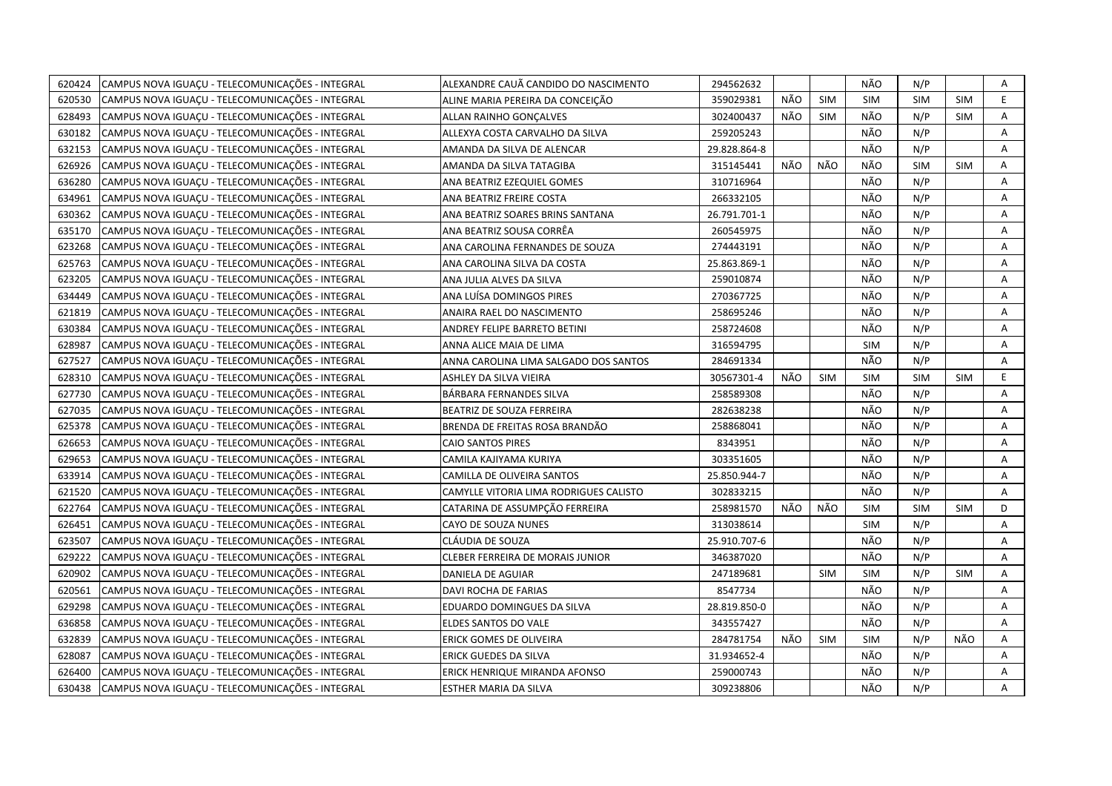| 620424 | CAMPUS NOVA IGUACU - TELECOMUNICAÇÕES - INTEGRAL | ALEXANDRE CAUÃ CANDIDO DO NASCIMENTO   | 294562632    |     |            | NÃO        | N/P        |            | Α              |
|--------|--------------------------------------------------|----------------------------------------|--------------|-----|------------|------------|------------|------------|----------------|
| 620530 | CAMPUS NOVA IGUAÇU - TELECOMUNICAÇÕES - INTEGRAL | ALINE MARIA PEREIRA DA CONCEIÇÃO       | 359029381    | NÃO | <b>SIM</b> | <b>SIM</b> | <b>SIM</b> | <b>SIM</b> | E              |
| 628493 | CAMPUS NOVA IGUAÇU - TELECOMUNICAÇÕES - INTEGRAL | ALLAN RAINHO GONCALVES                 | 302400437    | NÃO | <b>SIM</b> | NÃO        | N/P        | <b>SIM</b> | A              |
| 630182 | CAMPUS NOVA IGUACU - TELECOMUNICAÇÕES - INTEGRAL | ALLEXYA COSTA CARVALHO DA SILVA        | 259205243    |     |            | NÃO        | N/P        |            | A              |
| 632153 | CAMPUS NOVA IGUAÇU - TELECOMUNICAÇÕES - INTEGRAL | AMANDA DA SILVA DE ALENCAR             | 29.828.864-8 |     |            | NÃO        | N/P        |            | A              |
| 626926 | CAMPUS NOVA IGUAÇU - TELECOMUNICAÇÕES - INTEGRAL | AMANDA DA SILVA TATAGIBA               | 315145441    | NÃO | NÃO        | NÃO        | <b>SIM</b> | <b>SIM</b> | Α              |
| 636280 | CAMPUS NOVA IGUAÇU - TELECOMUNICAÇÕES - INTEGRAL | ANA BEATRIZ EZEQUIEL GOMES             | 310716964    |     |            | NÃO        | N/P        |            | Α              |
| 634961 | CAMPUS NOVA IGUACU - TELECOMUNICAÇÕES - INTEGRAL | ANA BEATRIZ FREIRE COSTA               | 266332105    |     |            | NÃO        | N/P        |            | А              |
| 630362 | CAMPUS NOVA IGUAÇU - TELECOMUNICAÇÕES - INTEGRAL | ANA BEATRIZ SOARES BRINS SANTANA       | 26.791.701-1 |     |            | NÃO        | N/P        |            | Α              |
| 635170 | CAMPUS NOVA IGUAÇU - TELECOMUNICAÇÕES - INTEGRAL | ANA BEATRIZ SOUSA CORRÊA               | 260545975    |     |            | NÃO        | N/P        |            | A              |
| 623268 | CAMPUS NOVA IGUAÇU - TELECOMUNICAÇÕES - INTEGRAL | ANA CAROLINA FERNANDES DE SOUZA        | 274443191    |     |            | NÃO        | N/P        |            | А              |
| 625763 | CAMPUS NOVA IGUAÇU - TELECOMUNICAÇÕES - INTEGRAL | ANA CAROLINA SILVA DA COSTA            | 25.863.869-1 |     |            | NÃO        | N/P        |            | Α              |
| 623205 | CAMPUS NOVA IGUACU - TELECOMUNICAÇÕES - INTEGRAL | ANA JULIA ALVES DA SILVA               | 259010874    |     |            | NÃO        | N/P        |            | Α              |
| 634449 | CAMPUS NOVA IGUAÇU - TELECOMUNICAÇÕES - INTEGRAL | ANA LUÍSA DOMINGOS PIRES               | 270367725    |     |            | NÃO        | N/P        |            | А              |
| 621819 | CAMPUS NOVA IGUAÇU - TELECOMUNICAÇÕES - INTEGRAL | ANAIRA RAEL DO NASCIMENTO              | 258695246    |     |            | NÃO        | N/P        |            | Α              |
| 630384 | CAMPUS NOVA IGUAÇU - TELECOMUNICAÇÕES - INTEGRAL | <b>ANDREY FELIPE BARRETO BETINI</b>    | 258724608    |     |            | NÃO        | N/P        |            | A              |
| 628987 | CAMPUS NOVA IGUAÇU - TELECOMUNICAÇÕES - INTEGRAL | ANNA ALICE MAIA DE LIMA                | 316594795    |     |            | <b>SIM</b> | N/P        |            | Α              |
| 627527 | CAMPUS NOVA IGUAÇU - TELECOMUNICAÇÕES - INTEGRAL | ANNA CAROLINA LIMA SALGADO DOS SANTOS  | 284691334    |     |            | NÃO        | N/P        |            | Α              |
| 628310 | CAMPUS NOVA IGUACU - TELECOMUNICAÇÕES - INTEGRAL | ASHLEY DA SILVA VIEIRA                 | 30567301-4   | NÃO | <b>SIM</b> | <b>SIM</b> | <b>SIM</b> | <b>SIM</b> | E              |
| 627730 | CAMPUS NOVA IGUAÇU - TELECOMUNICAÇÕES - INTEGRAL | BÁRBARA FERNANDES SILVA                | 258589308    |     |            | NÃO        | N/P        |            | Α              |
| 627035 | CAMPUS NOVA IGUAÇU - TELECOMUNICAÇÕES - INTEGRAL | BEATRIZ DE SOUZA FERREIRA              | 282638238    |     |            | NÃO        | N/P        |            | A              |
| 625378 | CAMPUS NOVA IGUAÇU - TELECOMUNICAÇÕES - INTEGRAL | BRENDA DE FREITAS ROSA BRANDÃO         | 258868041    |     |            | NÃO        | N/P        |            | Α              |
| 626653 | CAMPUS NOVA IGUAÇU - TELECOMUNICAÇÕES - INTEGRAL | <b>CAIO SANTOS PIRES</b>               | 8343951      |     |            | NÃO        | N/P        |            | A              |
| 629653 | CAMPUS NOVA IGUACU - TELECOMUNICAÇÕES - INTEGRAL | CAMILA KAJIYAMA KURIYA                 | 303351605    |     |            | NÃO        | N/P        |            | Α              |
| 633914 | CAMPUS NOVA IGUAÇU - TELECOMUNICAÇÕES - INTEGRAL | CAMILLA DE OLIVEIRA SANTOS             | 25.850.944-7 |     |            | NÃO        | N/P        |            | Α              |
| 621520 | CAMPUS NOVA IGUACU - TELECOMUNICAÇÕES - INTEGRAL | CAMYLLE VITORIA LIMA RODRIGUES CALISTO | 302833215    |     |            | NÃO        | N/P        |            | $\overline{A}$ |
| 622764 | CAMPUS NOVA IGUAÇU - TELECOMUNICAÇÕES - INTEGRAL | CATARINA DE ASSUMPÇÃO FERREIRA         | 258981570    | NÃO | NÃO        | <b>SIM</b> | <b>SIM</b> | <b>SIM</b> | D              |
| 626451 | CAMPUS NOVA IGUAÇU - TELECOMUNICAÇÕES - INTEGRAL | CAYO DE SOUZA NUNES                    | 313038614    |     |            | <b>SIM</b> | N/P        |            | А              |
| 623507 | CAMPUS NOVA IGUAÇU - TELECOMUNICAÇÕES - INTEGRAL | CLÁUDIA DE SOUZA                       | 25.910.707-6 |     |            | NÃO        | N/P        |            | А              |
| 629222 | CAMPUS NOVA IGUAÇU - TELECOMUNICAÇÕES - INTEGRAL | CLEBER FERREIRA DE MORAIS JUNIOR       | 346387020    |     |            | NÃO        | N/P        |            | Α              |
| 620902 | CAMPUS NOVA IGUAÇU - TELECOMUNICAÇÕES - INTEGRAL | DANIELA DE AGUIAR                      | 247189681    |     | <b>SIM</b> | <b>SIM</b> | N/P        | <b>SIM</b> | Α              |
| 620561 | CAMPUS NOVA IGUACU - TELECOMUNICAÇÕES - INTEGRAL | DAVI ROCHA DE FARIAS                   | 8547734      |     |            | NÃO        | N/P        |            | A              |
| 629298 | CAMPUS NOVA IGUAÇU - TELECOMUNICAÇÕES - INTEGRAL | EDUARDO DOMINGUES DA SILVA             | 28.819.850-0 |     |            | NÃO        | N/P        |            | Α              |
| 636858 | CAMPUS NOVA IGUACU - TELECOMUNICAÇÕES - INTEGRAL | ELDES SANTOS DO VALE                   | 343557427    |     |            | NÃO        | N/P        |            | A              |
| 632839 | CAMPUS NOVA IGUAÇU - TELECOMUNICAÇÕES - INTEGRAL | ERICK GOMES DE OLIVEIRA                | 284781754    | NÃO | <b>SIM</b> | <b>SIM</b> | N/P        | NÃO        | A              |
| 628087 | CAMPUS NOVA IGUAÇU - TELECOMUNICAÇÕES - INTEGRAL | ERICK GUEDES DA SILVA                  | 31.934652-4  |     |            | NÃO        | N/P        |            | Α              |
| 626400 | CAMPUS NOVA IGUAÇU - TELECOMUNICAÇÕES - INTEGRAL | ERICK HENRIQUE MIRANDA AFONSO          | 259000743    |     |            | NÃO        | N/P        |            | Α              |
| 630438 | CAMPUS NOVA IGUAÇU - TELECOMUNICAÇÕES - INTEGRAL | ESTHER MARIA DA SILVA                  | 309238806    |     |            | NÃO        | N/P        |            | A              |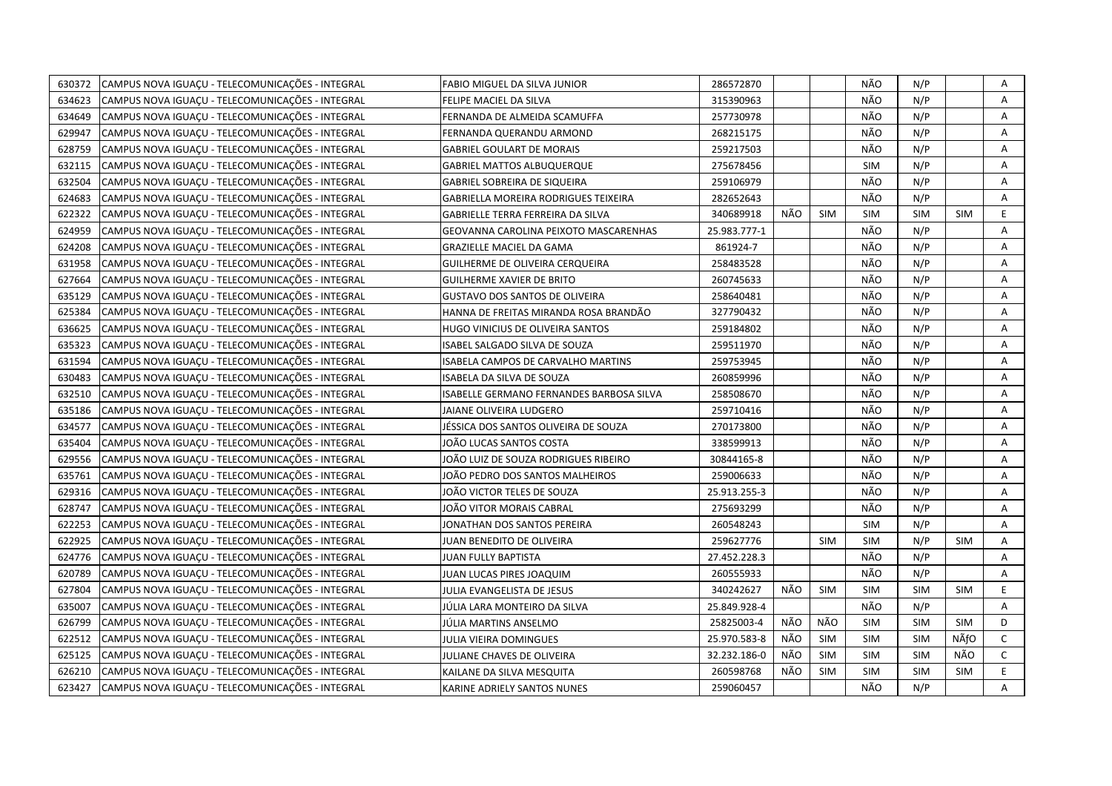| 630372 | CAMPUS NOVA IGUAÇU - TELECOMUNICAÇÕES - INTEGRAL | FABIO MIGUEL DA SILVA JUNIOR                | 286572870    |     |            | NÃO        | N/P        |            | Α            |
|--------|--------------------------------------------------|---------------------------------------------|--------------|-----|------------|------------|------------|------------|--------------|
| 634623 | CAMPUS NOVA IGUAÇU - TELECOMUNICAÇÕES - INTEGRAL | FELIPE MACIEL DA SILVA                      | 315390963    |     |            | NÃO        | N/P        |            | A            |
| 634649 | CAMPUS NOVA IGUACU - TELECOMUNICAÇÕES - INTEGRAL | FERNANDA DE ALMEIDA SCAMUFFA                | 257730978    |     |            | NÃO        | N/P        |            | A            |
| 629947 | CAMPUS NOVA IGUACU - TELECOMUNICAÇÕES - INTEGRAL | FERNANDA QUERANDU ARMOND                    | 268215175    |     |            | NÃO        | N/P        |            | А            |
| 628759 | CAMPUS NOVA IGUAÇU - TELECOMUNICAÇÕES - INTEGRAL | <b>GABRIEL GOULART DE MORAIS</b>            | 259217503    |     |            | NÃO        | N/P        |            | Α            |
| 632115 | CAMPUS NOVA IGUAÇU - TELECOMUNICAÇÕES - INTEGRAL | <b>GABRIEL MATTOS ALBUQUERQUE</b>           | 275678456    |     |            | <b>SIM</b> | N/P        |            | А            |
| 632504 | CAMPUS NOVA IGUAÇU - TELECOMUNICAÇÕES - INTEGRAL | GABRIEL SOBREIRA DE SIQUEIRA                | 259106979    |     |            | NÃO        | N/P        |            | Α            |
| 624683 | CAMPUS NOVA IGUAÇU - TELECOMUNICAÇÕES - INTEGRAL | <b>GABRIELLA MOREIRA RODRIGUES TEIXEIRA</b> | 282652643    |     |            | NÃO        | N/P        |            | A            |
| 622322 | CAMPUS NOVA IGUAÇU - TELECOMUNICAÇÕES - INTEGRAL | GABRIELLE TERRA FERREIRA DA SILVA           | 340689918    | NÃO | <b>SIM</b> | <b>SIM</b> | <b>SIM</b> | <b>SIM</b> | E.           |
| 624959 | CAMPUS NOVA IGUAÇU - TELECOMUNICAÇÕES - INTEGRAL | GEOVANNA CAROLINA PEIXOTO MASCARENHAS       | 25.983.777-1 |     |            | NÃO        | N/P        |            | A            |
| 624208 | CAMPUS NOVA IGUAÇU - TELECOMUNICAÇÕES - INTEGRAL | <b>GRAZIELLE MACIEL DA GAMA</b>             | 861924-7     |     |            | NÃO        | N/P        |            | Α            |
| 631958 | CAMPUS NOVA IGUAÇU - TELECOMUNICAÇÕES - INTEGRAL | GUILHERME DE OLIVEIRA CERQUEIRA             | 258483528    |     |            | NÃO        | N/P        |            | Α            |
| 627664 | CAMPUS NOVA IGUAÇU - TELECOMUNICAÇÕES - INTEGRAL | <b>GUILHERME XAVIER DE BRITO</b>            | 260745633    |     |            | NÃO        | N/P        |            | Α            |
| 635129 | CAMPUS NOVA IGUAÇU - TELECOMUNICAÇÕES - INTEGRAL | <b>GUSTAVO DOS SANTOS DE OLIVEIRA</b>       | 258640481    |     |            | NÃO        | N/P        |            | Α            |
| 625384 | CAMPUS NOVA IGUAÇU - TELECOMUNICAÇÕES - INTEGRAL | HANNA DE FREITAS MIRANDA ROSA BRANDÃO       | 327790432    |     |            | NÃO        | N/P        |            | Α            |
| 636625 | CAMPUS NOVA IGUAÇU - TELECOMUNICAÇÕES - INTEGRAL | HUGO VINICIUS DE OLIVEIRA SANTOS            | 259184802    |     |            | NÃO        | N/P        |            | A            |
| 635323 | CAMPUS NOVA IGUACU - TELECOMUNICAÇÕES - INTEGRAL | ISABEL SALGADO SILVA DE SOUZA               | 259511970    |     |            | NÃO        | N/P        |            | Α            |
| 631594 | CAMPUS NOVA IGUAÇU - TELECOMUNICAÇÕES - INTEGRAL | ISABELA CAMPOS DE CARVALHO MARTINS          | 259753945    |     |            | NÃO        | N/P        |            | Α            |
| 630483 | CAMPUS NOVA IGUAÇU - TELECOMUNICAÇÕES - INTEGRAL | ISABELA DA SILVA DE SOUZA                   | 260859996    |     |            | NÃO        | N/P        |            | Α            |
| 632510 | CAMPUS NOVA IGUAÇU - TELECOMUNICAÇÕES - INTEGRAL | ISABELLE GERMANO FERNANDES BARBOSA SILVA    | 258508670    |     |            | NÃO        | N/P        |            | Α            |
| 635186 | CAMPUS NOVA IGUAÇU - TELECOMUNICAÇÕES - INTEGRAL | JAIANE OLIVEIRA LUDGERO                     | 259710416    |     |            | NÃO        | N/P        |            | Α            |
| 634577 | CAMPUS NOVA IGUAÇU - TELECOMUNICAÇÕES - INTEGRAL | JÉSSICA DOS SANTOS OLIVEIRA DE SOUZA        | 270173800    |     |            | NÃO        | N/P        |            | A            |
| 635404 | CAMPUS NOVA IGUAÇU - TELECOMUNICAÇÕES - INTEGRAL | JOÃO LUCAS SANTOS COSTA                     | 338599913    |     |            | NÃO        | N/P        |            | Α            |
| 629556 | CAMPUS NOVA IGUAÇU - TELECOMUNICAÇÕES - INTEGRAL | JOÃO LUIZ DE SOUZA RODRIGUES RIBEIRO        | 30844165-8   |     |            | NÃO        | N/P        |            | A            |
| 635761 | CAMPUS NOVA IGUACU - TELECOMUNICAÇÕES - INTEGRAL | IOÃO PEDRO DOS SANTOS MALHEIROS             | 259006633    |     |            | NÃO        | N/P        |            | Α            |
| 629316 | CAMPUS NOVA IGUAÇU - TELECOMUNICAÇÕES - INTEGRAL | IOÃO VICTOR TELES DE SOUZA                  | 25.913.255-3 |     |            | NÃO        | N/P        |            | A            |
| 628747 | CAMPUS NOVA IGUAÇU - TELECOMUNICAÇÕES - INTEGRAL | IOÃO VITOR MORAIS CABRAL                    | 275693299    |     |            | NÃO        | N/P        |            | Α            |
| 622253 | CAMPUS NOVA IGUAÇU - TELECOMUNICAÇÕES - INTEGRAL | ONATHAN DOS SANTOS PEREIRA                  | 260548243    |     |            | <b>SIM</b> | N/P        |            | A            |
| 622925 | CAMPUS NOVA IGUAÇU - TELECOMUNICAÇÕES - INTEGRAL | JUAN BENEDITO DE OLIVEIRA                   | 259627776    |     | <b>SIM</b> | <b>SIM</b> | N/P        | SIM        | Α            |
| 624776 | CAMPUS NOVA IGUAÇU - TELECOMUNICAÇÕES - INTEGRAL | JUAN FULLY BAPTISTA                         | 27.452.228.3 |     |            | NÃO        | N/P        |            | A            |
| 620789 | CAMPUS NOVA IGUAÇU - TELECOMUNICAÇÕES - INTEGRAL | JUAN LUCAS PIRES JOAQUIM                    | 260555933    |     |            | NÃO        | N/P        |            | Α            |
| 627804 | CAMPUS NOVA IGUAÇU - TELECOMUNICAÇÕES - INTEGRAL | JULIA EVANGELISTA DE JESUS                  | 340242627    | NÃO | <b>SIM</b> | <b>SIM</b> | <b>SIM</b> | <b>SIM</b> | E.           |
| 635007 | CAMPUS NOVA IGUAÇU - TELECOMUNICAÇÕES - INTEGRAL | JÚLIA LARA MONTEIRO DA SILVA                | 25.849.928-4 |     |            | NÃO        | N/P        |            | А            |
| 626799 | CAMPUS NOVA IGUAÇU - TELECOMUNICAÇÕES - INTEGRAL | JÚLIA MARTINS ANSELMO                       | 25825003-4   | NÃO | NÃO        | <b>SIM</b> | <b>SIM</b> | <b>SIM</b> | D            |
| 622512 | CAMPUS NOVA IGUAÇU - TELECOMUNICAÇÕES - INTEGRAL | JULIA VIEIRA DOMINGUES                      | 25.970.583-8 | NÃO | SIM        | <b>SIM</b> | <b>SIM</b> | NÃfO       | $\mathsf{C}$ |
| 625125 | CAMPUS NOVA IGUAÇU - TELECOMUNICAÇÕES - INTEGRAL | JULIANE CHAVES DE OLIVEIRA                  | 32.232.186-0 | NÃO | <b>SIM</b> | <b>SIM</b> | <b>SIM</b> | NÃO        | $\mathsf{C}$ |
| 626210 | CAMPUS NOVA IGUAÇU - TELECOMUNICAÇÕES - INTEGRAL | KAILANE DA SILVA MESQUITA                   | 260598768    | NÃO | <b>SIM</b> | <b>SIM</b> | <b>SIM</b> | <b>SIM</b> | E            |
| 623427 | CAMPUS NOVA IGUACU - TELECOMUNICAÇÕES - INTEGRAL | KARINE ADRIELY SANTOS NUNES                 | 259060457    |     |            | NÃO        | N/P        |            | A            |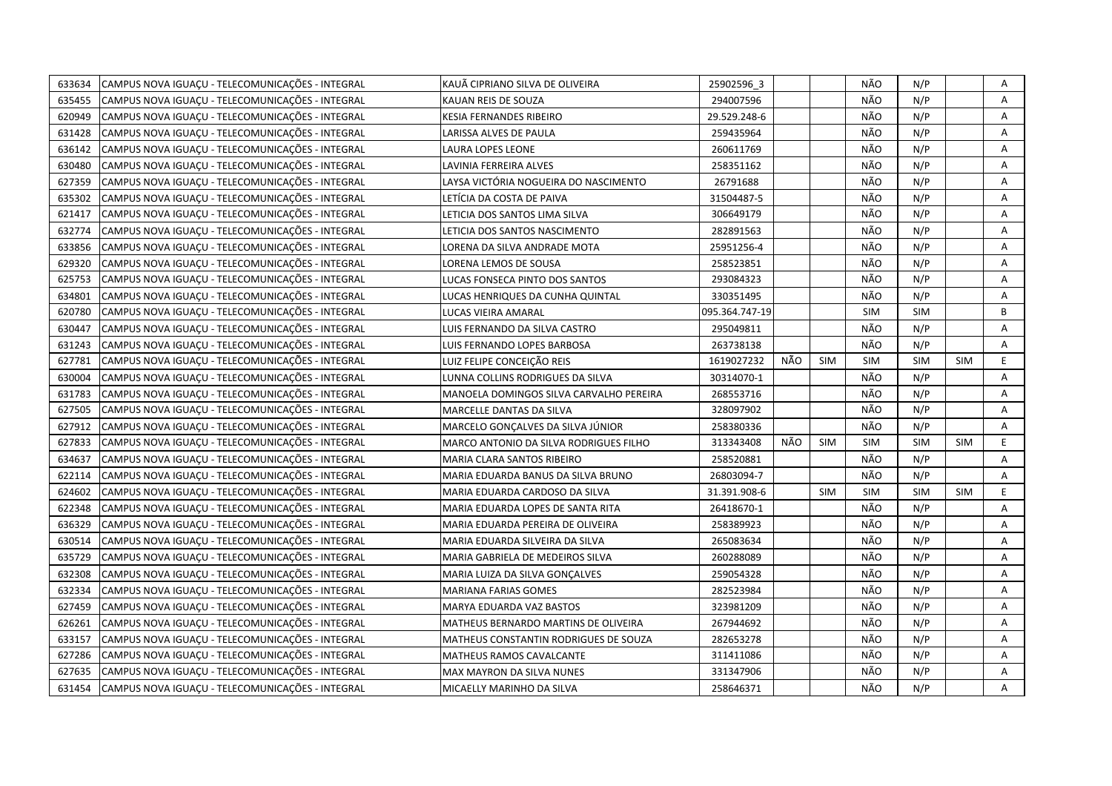| 633634 | CAMPUS NOVA IGUACU - TELECOMUNICAÇÕES - INTEGRAL | KAUÃ CIPRIANO SILVA DE OLIVEIRA         | 25902596 3     |     |            | NÃO        | N/P        |            | Α |
|--------|--------------------------------------------------|-----------------------------------------|----------------|-----|------------|------------|------------|------------|---|
| 635455 | CAMPUS NOVA IGUACU - TELECOMUNICACÕES - INTEGRAL | KAUAN REIS DE SOUZA                     | 294007596      |     |            | NÃO        | N/P        |            | A |
| 620949 | CAMPUS NOVA IGUACU - TELECOMUNICAÇÕES - INTEGRAL | KESIA FERNANDES RIBEIRO                 | 29.529.248-6   |     |            | NÃO        | N/P        |            | Α |
| 631428 | CAMPUS NOVA IGUAÇU - TELECOMUNICAÇÕES - INTEGRAL | LARISSA ALVES DE PAULA                  | 259435964      |     |            | NÃO        | N/P        |            | Α |
| 636142 | CAMPUS NOVA IGUAÇU - TELECOMUNICAÇÕES - INTEGRAL | LAURA LOPES LEONE                       | 260611769      |     |            | NÃO        | N/P        |            | Α |
| 630480 | CAMPUS NOVA IGUAÇU - TELECOMUNICAÇÕES - INTEGRAL | LAVINIA FERREIRA ALVES                  | 258351162      |     |            | NÃO        | N/P        |            | Α |
| 627359 | CAMPUS NOVA IGUAÇU - TELECOMUNICAÇÕES - INTEGRAL | LAYSA VICTÓRIA NOGUEIRA DO NASCIMENTO   | 26791688       |     |            | NÃO        | N/P        |            | Α |
| 635302 | CAMPUS NOVA IGUAÇU - TELECOMUNICAÇÕES - INTEGRAL | LETÍCIA DA COSTA DE PAIVA               | 31504487-5     |     |            | NÃO        | N/P        |            | A |
| 621417 | CAMPUS NOVA IGUAÇU - TELECOMUNICAÇÕES - INTEGRAL | LETICIA DOS SANTOS LIMA SILVA           | 306649179      |     |            | NÃO        | N/P        |            | A |
| 632774 | CAMPUS NOVA IGUAÇU - TELECOMUNICAÇÕES - INTEGRAL | LETICIA DOS SANTOS NASCIMENTO           | 282891563      |     |            | NÃO        | N/P        |            | A |
| 633856 | CAMPUS NOVA IGUAÇU - TELECOMUNICAÇÕES - INTEGRAL | LORENA DA SILVA ANDRADE MOTA            | 25951256-4     |     |            | NÃO        | N/P        |            | Α |
| 629320 | CAMPUS NOVA IGUACU - TELECOMUNICAÇÕES - INTEGRAL | LORENA LEMOS DE SOUSA                   | 258523851      |     |            | NÃO        | N/P        |            | A |
| 625753 | CAMPUS NOVA IGUAÇU - TELECOMUNICAÇÕES - INTEGRAL | LUCAS FONSECA PINTO DOS SANTOS          | 293084323      |     |            | NÃO        | N/P        |            | A |
| 634801 | CAMPUS NOVA IGUAÇU - TELECOMUNICAÇÕES - INTEGRAL | LUCAS HENRIQUES DA CUNHA QUINTAL        | 330351495      |     |            | NÃO        | N/P        |            | Α |
| 620780 | CAMPUS NOVA IGUAÇU - TELECOMUNICAÇÕES - INTEGRAL | LUCAS VIEIRA AMARAL                     | 095.364.747-19 |     |            | <b>SIM</b> | SIM        |            | B |
| 630447 | CAMPUS NOVA IGUAÇU - TELECOMUNICAÇÕES - INTEGRAL | LUIS FERNANDO DA SILVA CASTRO           | 295049811      |     |            | NÃO        | N/P        |            | Α |
| 631243 | CAMPUS NOVA IGUACU - TELECOMUNICAÇÕES - INTEGRAL | LUIS FERNANDO LOPES BARBOSA             | 263738138      |     |            | NÃO        | N/P        |            | A |
| 627781 | CAMPUS NOVA IGUAÇU - TELECOMUNICAÇÕES - INTEGRAL | LUIZ FELIPE CONCEIÇÃO REIS              | 1619027232     | NÃO | <b>SIM</b> | <b>SIM</b> | <b>SIM</b> | <b>SIM</b> | E |
| 630004 | CAMPUS NOVA IGUAÇU - TELECOMUNICAÇÕES - INTEGRAL | LUNNA COLLINS RODRIGUES DA SILVA        | 30314070-1     |     |            | NÃO        | N/P        |            | A |
| 631783 | CAMPUS NOVA IGUAÇU - TELECOMUNICAÇÕES - INTEGRAL | MANOELA DOMINGOS SILVA CARVALHO PEREIRA | 268553716      |     |            | NÃO        | N/P        |            | A |
| 627505 | CAMPUS NOVA IGUAÇU - TELECOMUNICAÇÕES - INTEGRAL | MARCELLE DANTAS DA SILVA                | 328097902      |     |            | NÃO        | N/P        |            | A |
| 627912 | CAMPUS NOVA IGUACU - TELECOMUNICAÇÕES - INTEGRAL | MARCELO GONCALVES DA SILVA JÚNIOR       | 258380336      |     |            | NÃO        | N/P        |            | A |
| 627833 | CAMPUS NOVA IGUAÇU - TELECOMUNICAÇÕES - INTEGRAL | MARCO ANTONIO DA SILVA RODRIGUES FILHO  | 313343408      | NÃO | <b>SIM</b> | <b>SIM</b> | <b>SIM</b> | <b>SIM</b> | E |
| 634637 | CAMPUS NOVA IGUAÇU - TELECOMUNICAÇÕES - INTEGRAL | MARIA CLARA SANTOS RIBEIRO              | 258520881      |     |            | NÃO        | N/P        |            | A |
| 622114 | CAMPUS NOVA IGUACU - TELECOMUNICAÇÕES - INTEGRAL | MARIA EDUARDA BANUS DA SILVA BRUNO      | 26803094-7     |     |            | NÃO        | N/P        |            | A |
| 624602 | CAMPUS NOVA IGUAÇU - TELECOMUNICAÇÕES - INTEGRAL | MARIA EDUARDA CARDOSO DA SILVA          | 31.391.908-6   |     | <b>SIM</b> | <b>SIM</b> | <b>SIM</b> | <b>SIM</b> | E |
| 622348 | CAMPUS NOVA IGUAÇU - TELECOMUNICAÇÕES - INTEGRAL | MARIA EDUARDA LOPES DE SANTA RITA       | 26418670-1     |     |            | NÃO        | N/P        |            | A |
| 636329 | CAMPUS NOVA IGUAÇU - TELECOMUNICAÇÕES - INTEGRAL | MARIA EDUARDA PEREIRA DE OLIVEIRA       | 258389923      |     |            | NÃO        | N/P        |            | Α |
| 630514 | CAMPUS NOVA IGUAÇU - TELECOMUNICAÇÕES - INTEGRAL | MARIA EDUARDA SILVEIRA DA SILVA         | 265083634      |     |            | NÃO        | N/P        |            | A |
| 635729 | CAMPUS NOVA IGUACU - TELECOMUNICAÇÕES - INTEGRAL | MARIA GABRIELA DE MEDEIROS SILVA        | 260288089      |     |            | NÃO        | N/P        |            | Α |
| 632308 | CAMPUS NOVA IGUAÇU - TELECOMUNICAÇÕES - INTEGRAL | MARIA LUIZA DA SILVA GONÇALVES          | 259054328      |     |            | NÃO        | N/P        |            | Α |
| 632334 | CAMPUS NOVA IGUAÇU - TELECOMUNICAÇÕES - INTEGRAL | <b>MARIANA FARIAS GOMES</b>             | 282523984      |     |            | NÃO        | N/P        |            | A |
| 627459 | CAMPUS NOVA IGUAÇU - TELECOMUNICAÇÕES - INTEGRAL | MARYA EDUARDA VAZ BASTOS                | 323981209      |     |            | NÃO        | N/P        |            | A |
| 626261 | CAMPUS NOVA IGUAÇU - TELECOMUNICAÇÕES - INTEGRAL | MATHEUS BERNARDO MARTINS DE OLIVEIRA    | 267944692      |     |            | NÃO        | N/P        |            | A |
| 633157 | CAMPUS NOVA IGUACU - TELECOMUNICAÇÕES - INTEGRAL | MATHEUS CONSTANTIN RODRIGUES DE SOUZA   | 282653278      |     |            | NÃO        | N/P        |            | A |
| 627286 | CAMPUS NOVA IGUAÇU - TELECOMUNICAÇÕES - INTEGRAL | MATHEUS RAMOS CAVALCANTE                | 311411086      |     |            | NÃO        | N/P        |            | Α |
| 627635 | CAMPUS NOVA IGUAÇU - TELECOMUNICAÇÕES - INTEGRAL | MAX MAYRON DA SILVA NUNES               | 331347906      |     |            | NÃO        | N/P        |            | Α |
| 631454 | CAMPUS NOVA IGUACU - TELECOMUNICAÇÕES - INTEGRAL | MICAELLY MARINHO DA SILVA               | 258646371      |     |            | NÃO        | N/P        |            | A |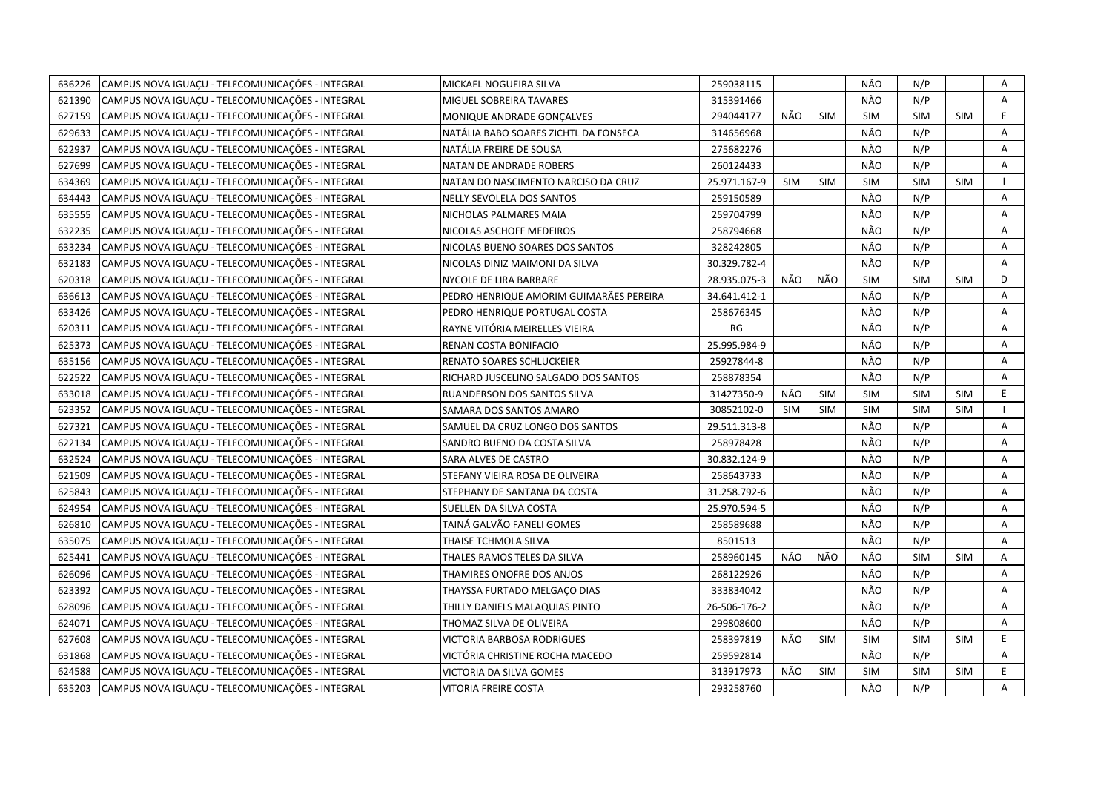| 636226 | CAMPUS NOVA IGUACU - TELECOMUNICAÇÕES - INTEGRAL | MICKAEL NOGUEIRA SILVA                  | 259038115    |            |            | NÃO        | N/P        |            | Α  |
|--------|--------------------------------------------------|-----------------------------------------|--------------|------------|------------|------------|------------|------------|----|
| 621390 | CAMPUS NOVA IGUAÇU - TELECOMUNICAÇÕES - INTEGRAL | MIGUEL SOBREIRA TAVARES                 | 315391466    |            |            | NÃO        | N/P        |            | Α  |
| 627159 | CAMPUS NOVA IGUAÇU - TELECOMUNICAÇÕES - INTEGRAL | MONIQUE ANDRADE GONCALVES               | 294044177    | NÃO        | <b>SIM</b> | SIM        | <b>SIM</b> | <b>SIM</b> | E. |
| 629633 | CAMPUS NOVA IGUACU - TELECOMUNICAÇÕES - INTEGRAL | NATÁLIA BABO SOARES ZICHTL DA FONSECA   | 314656968    |            |            | NÃO        | N/P        |            | A  |
| 622937 | CAMPUS NOVA IGUACU - TELECOMUNICAÇÕES - INTEGRAL | NATÁLIA FREIRE DE SOUSA                 | 275682276    |            |            | NÃO        | N/P        |            | A  |
| 627699 | CAMPUS NOVA IGUAÇU - TELECOMUNICAÇÕES - INTEGRAL | NATAN DE ANDRADE ROBERS                 | 260124433    |            |            | NÃO        | N/P        |            | Α  |
| 634369 | CAMPUS NOVA IGUAÇU - TELECOMUNICAÇÕES - INTEGRAL | NATAN DO NASCIMENTO NARCISO DA CRUZ     | 25.971.167-9 | <b>SIM</b> | <b>SIM</b> | <b>SIM</b> | <b>SIM</b> | <b>SIM</b> |    |
| 634443 | CAMPUS NOVA IGUACU - TELECOMUNICAÇÕES - INTEGRAL | NELLY SEVOLELA DOS SANTOS               | 259150589    |            |            | NÃO        | N/P        |            | A  |
| 635555 | CAMPUS NOVA IGUAÇU - TELECOMUNICAÇÕES - INTEGRAL | NICHOLAS PALMARES MAIA                  | 259704799    |            |            | NÃO        | N/P        |            | Α  |
| 632235 | CAMPUS NOVA IGUAÇU - TELECOMUNICAÇÕES - INTEGRAL | NICOLAS ASCHOFF MEDEIROS                | 258794668    |            |            | NÃO        | N/P        |            | A  |
| 633234 | CAMPUS NOVA IGUACU - TELECOMUNICAÇÕES - INTEGRAL | NICOLAS BUENO SOARES DOS SANTOS         | 328242805    |            |            | NÃO        | N/P        |            | A  |
| 632183 | CAMPUS NOVA IGUAÇU - TELECOMUNICAÇÕES - INTEGRAL | NICOLAS DINIZ MAIMONI DA SILVA          | 30.329.782-4 |            |            | NÃO        | N/P        |            | Α  |
| 620318 | CAMPUS NOVA IGUAÇU - TELECOMUNICAÇÕES - INTEGRAL | NYCOLE DE LIRA BARBARE                  | 28.935.075-3 | NÃO        | NÃO        | <b>SIM</b> | <b>SIM</b> | <b>SIM</b> | D  |
| 636613 | CAMPUS NOVA IGUAÇU - TELECOMUNICAÇÕES - INTEGRAL | PEDRO HENRIQUE AMORIM GUIMARÃES PEREIRA | 34.641.412-1 |            |            | NÃO        | N/P        |            | Α  |
| 633426 | CAMPUS NOVA IGUAÇU - TELECOMUNICAÇÕES - INTEGRAL | PEDRO HENRIQUE PORTUGAL COSTA           | 258676345    |            |            | NÃO        | N/P        |            | Α  |
| 620311 | CAMPUS NOVA IGUAÇU - TELECOMUNICAÇÕES - INTEGRAL | RAYNE VITÓRIA MEIRELLES VIEIRA          | RG           |            |            | NÃO        | N/P        |            | A  |
| 625373 | CAMPUS NOVA IGUAÇU - TELECOMUNICAÇÕES - INTEGRAL | RENAN COSTA BONIFACIO                   | 25.995.984-9 |            |            | NÃO        | N/P        |            | A  |
| 635156 | CAMPUS NOVA IGUAÇU - TELECOMUNICAÇÕES - INTEGRAL | RENATO SOARES SCHLUCKEIER               | 25927844-8   |            |            | NÃO        | N/P        |            | Α  |
| 622522 | CAMPUS NOVA IGUACU - TELECOMUNICAÇÕES - INTEGRAL | RICHARD JUSCELINO SALGADO DOS SANTOS    | 258878354    |            |            | NÃO        | N/P        |            | A  |
| 633018 | CAMPUS NOVA IGUAÇU - TELECOMUNICAÇÕES - INTEGRAL | RUANDERSON DOS SANTOS SILVA             | 31427350-9   | NÃO        | <b>SIM</b> | <b>SIM</b> | <b>SIM</b> | SIM        | E. |
| 623352 | CAMPUS NOVA IGUAÇU - TELECOMUNICAÇÕES - INTEGRAL | SAMARA DOS SANTOS AMARO                 | 30852102-0   | <b>SIM</b> | <b>SIM</b> | <b>SIM</b> | <b>SIM</b> | <b>SIM</b> |    |
| 627321 | CAMPUS NOVA IGUACU - TELECOMUNICAÇÕES - INTEGRAL | SAMUEL DA CRUZ LONGO DOS SANTOS         | 29.511.313-8 |            |            | NÃO        | N/P        |            | A  |
| 622134 | CAMPUS NOVA IGUAÇU - TELECOMUNICAÇÕES - INTEGRAL | SANDRO BUENO DA COSTA SILVA             | 258978428    |            |            | NÃO        | N/P        |            | A  |
| 632524 | CAMPUS NOVA IGUAÇU - TELECOMUNICAÇÕES - INTEGRAL | SARA ALVES DE CASTRO                    | 30.832.124-9 |            |            | NÃO        | N/P        |            | Α  |
| 621509 | CAMPUS NOVA IGUAÇU - TELECOMUNICAÇÕES - INTEGRAL | STEFANY VIEIRA ROSA DE OLIVEIRA         | 258643733    |            |            | NÃO        | N/P        |            | Α  |
| 625843 | CAMPUS NOVA IGUACU - TELECOMUNICAÇÕES - INTEGRAL | STEPHANY DE SANTANA DA COSTA            | 31.258.792-6 |            |            | NÃO        | N/P        |            | Α  |
| 624954 | CAMPUS NOVA IGUAÇU - TELECOMUNICAÇÕES - INTEGRAL | SUELLEN DA SILVA COSTA                  | 25.970.594-5 |            |            | NÃO        | N/P        |            | A  |
| 626810 | CAMPUS NOVA IGUAÇU - TELECOMUNICAÇÕES - INTEGRAL | TAINÁ GALVÃO FANELI GOMES               | 258589688    |            |            | NÃO        | N/P        |            | A  |
| 635075 | CAMPUS NOVA IGUACU - TELECOMUNICAÇÕES - INTEGRAL | THAISE TCHMOLA SILVA                    | 8501513      |            |            | NÃO        | N/P        |            | A  |
| 625441 | CAMPUS NOVA IGUAÇU - TELECOMUNICAÇÕES - INTEGRAL | THALES RAMOS TELES DA SILVA             | 258960145    | NÃO        | NÃO        | NÃO        | <b>SIM</b> | <b>SIM</b> | Α  |
| 626096 | CAMPUS NOVA IGUAÇU - TELECOMUNICAÇÕES - INTEGRAL | THAMIRES ONOFRE DOS ANJOS               | 268122926    |            |            | NÃO        | N/P        |            | Α  |
| 623392 | CAMPUS NOVA IGUACU - TELECOMUNICAÇÕES - INTEGRAL | THAYSSA FURTADO MELGAÇO DIAS            | 333834042    |            |            | NÃO        | N/P        |            | A  |
| 628096 | CAMPUS NOVA IGUAÇU - TELECOMUNICAÇÕES - INTEGRAL | THILLY DANIELS MALAQUIAS PINTO          | 26-506-176-2 |            |            | NÃO        | N/P        |            | Α  |
| 624071 | CAMPUS NOVA IGUAÇU - TELECOMUNICAÇÕES - INTEGRAL | THOMAZ SILVA DE OLIVEIRA                | 299808600    |            |            | NÃO        | N/P        |            | A  |
| 627608 | CAMPUS NOVA IGUAÇU - TELECOMUNICAÇÕES - INTEGRAL | VICTORIA BARBOSA RODRIGUES              | 258397819    | NÃO        | <b>SIM</b> | <b>SIM</b> | <b>SIM</b> | <b>SIM</b> | E  |
| 631868 | CAMPUS NOVA IGUAÇU - TELECOMUNICAÇÕES - INTEGRAL | VICTÓRIA CHRISTINE ROCHA MACEDO         | 259592814    |            |            | NÃO        | N/P        |            | A  |
| 624588 | CAMPUS NOVA IGUAÇU - TELECOMUNICAÇÕES - INTEGRAL | VICTORIA DA SILVA GOMES                 | 313917973    | NÃO        | <b>SIM</b> | <b>SIM</b> | <b>SIM</b> | <b>SIM</b> | E  |
| 635203 | CAMPUS NOVA IGUACU - TELECOMUNICAÇÕES - INTEGRAL | <b>VITORIA FREIRE COSTA</b>             | 293258760    |            |            | NÃO        | N/P        |            | A  |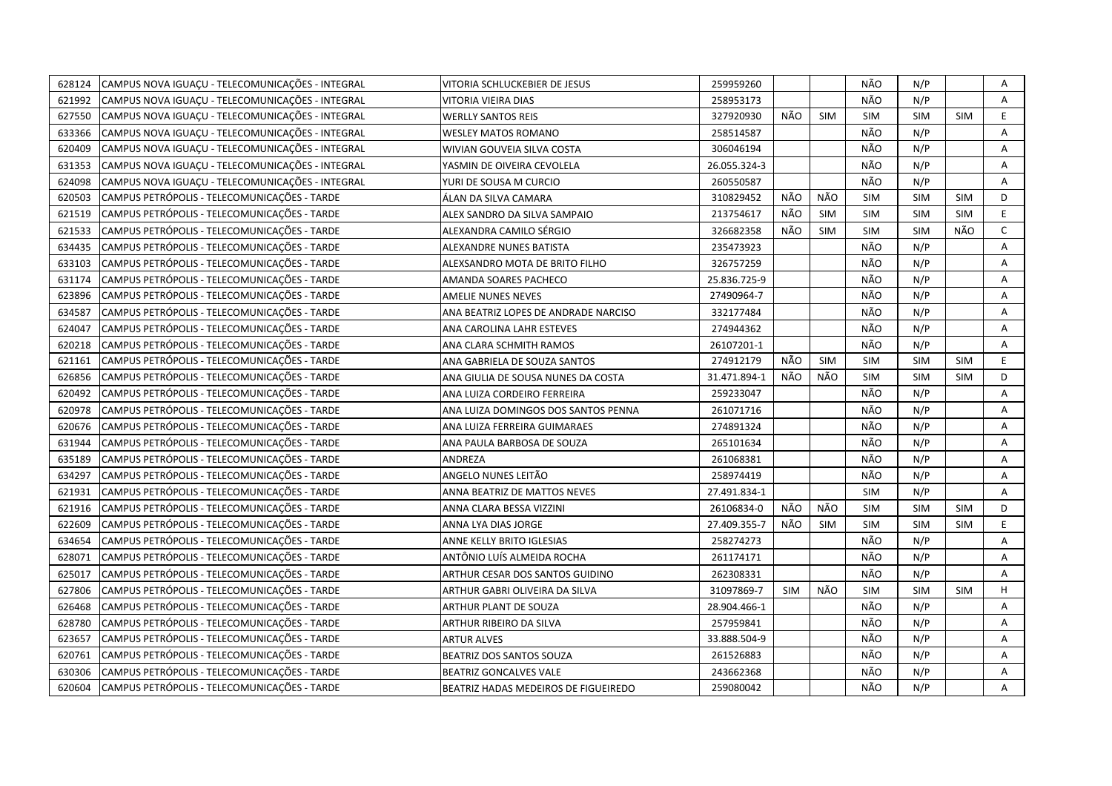| 628124 | CAMPUS NOVA IGUACU - TELECOMUNICAÇÕES - INTEGRAL | VITORIA SCHLUCKEBIER DE JESUS        | 259959260    |     |            | NÃO        | N/P        |            | Α              |
|--------|--------------------------------------------------|--------------------------------------|--------------|-----|------------|------------|------------|------------|----------------|
| 621992 | CAMPUS NOVA IGUAÇU - TELECOMUNICAÇÕES - INTEGRAL | VITORIA VIEIRA DIAS                  | 258953173    |     |            | NÃO        | N/P        |            | Α              |
| 627550 | CAMPUS NOVA IGUACU - TELECOMUNICAÇÕES - INTEGRAL | <b>WERLLY SANTOS REIS</b>            | 327920930    | NÃO | <b>SIM</b> | <b>SIM</b> | <b>SIM</b> | <b>SIM</b> | E.             |
| 633366 | CAMPUS NOVA IGUACU - TELECOMUNICAÇÕES - INTEGRAL | <b>WESLEY MATOS ROMANO</b>           | 258514587    |     |            | NÃO        | N/P        |            | A              |
| 620409 | CAMPUS NOVA IGUAÇU - TELECOMUNICAÇÕES - INTEGRAL | WIVIAN GOUVEIA SILVA COSTA           | 306046194    |     |            | NÃO        | N/P        |            | A              |
| 631353 | CAMPUS NOVA IGUAÇU - TELECOMUNICAÇÕES - INTEGRAL | YASMIN DE OIVEIRA CEVOLELA           | 26.055.324-3 |     |            | NÃO        | N/P        |            | Α              |
| 624098 | CAMPUS NOVA IGUAÇU - TELECOMUNICAÇÕES - INTEGRAL | YURI DE SOUSA M CURCIO               | 260550587    |     |            | NÃO        | N/P        |            | A              |
| 620503 | CAMPUS PETRÓPOLIS - TELECOMUNICAÇÕES - TARDE     | ÁLAN DA SILVA CAMARA                 | 310829452    | NÃO | NÃO        | <b>SIM</b> | <b>SIM</b> | <b>SIM</b> | D              |
| 621519 | CAMPUS PETRÓPOLIS - TELECOMUNICAÇÕES - TARDE     | ALEX SANDRO DA SILVA SAMPAIO         | 213754617    | NÃO | <b>SIM</b> | <b>SIM</b> | <b>SIM</b> | <b>SIM</b> | E              |
| 621533 | CAMPUS PETRÓPOLIS - TELECOMUNICAÇÕES - TARDE     | ALEXANDRA CAMILO SÉRGIO              | 326682358    | NÃO | <b>SIM</b> | <b>SIM</b> | <b>SIM</b> | NÃO        | $\mathsf{C}$   |
| 634435 | CAMPUS PETRÓPOLIS - TELECOMUNICAÇÕES - TARDE     | ALEXANDRE NUNES BATISTA              | 235473923    |     |            | NÃO        | N/P        |            | A              |
| 633103 | CAMPUS PETRÓPOLIS - TELECOMUNICAÇÕES - TARDE     | ALEXSANDRO MOTA DE BRITO FILHO       | 326757259    |     |            | NÃO        | N/P        |            | Α              |
| 631174 | CAMPUS PETRÓPOLIS - TELECOMUNICAÇÕES - TARDE     | AMANDA SOARES PACHECO                | 25.836.725-9 |     |            | NÃO        | N/P        |            | Α              |
| 623896 | CAMPUS PETRÓPOLIS - TELECOMUNICAÇÕES - TARDE     | <b>AMELIE NUNES NEVES</b>            | 27490964-7   |     |            | NÃO        | N/P        |            | A              |
| 634587 | CAMPUS PETRÓPOLIS - TELECOMUNICAÇÕES - TARDE     | ANA BEATRIZ LOPES DE ANDRADE NARCISO | 332177484    |     |            | NÃO        | N/P        |            | $\overline{A}$ |
| 624047 | CAMPUS PETRÓPOLIS - TELECOMUNICAÇÕES - TARDE     | ANA CAROLINA LAHR ESTEVES            | 274944362    |     |            | NÃO        | N/P        |            | Α              |
| 620218 | CAMPUS PETRÓPOLIS - TELECOMUNICAÇÕES - TARDE     | ANA CLARA SCHMITH RAMOS              | 26107201-1   |     |            | NÃO        | N/P        |            | $\overline{A}$ |
| 621161 | CAMPUS PETRÓPOLIS - TELECOMUNICAÇÕES - TARDE     | ANA GABRIELA DE SOUZA SANTOS         | 274912179    | NÃO | <b>SIM</b> | <b>SIM</b> | <b>SIM</b> | <b>SIM</b> | E              |
| 626856 | CAMPUS PETRÓPOLIS - TELECOMUNICAÇÕES - TARDE     | ANA GIULIA DE SOUSA NUNES DA COSTA   | 31.471.894-1 | NÃO | NÃO        | <b>SIM</b> | <b>SIM</b> | <b>SIM</b> | D              |
| 620492 | CAMPUS PETRÓPOLIS - TELECOMUNICAÇÕES - TARDE     | ANA LUIZA CORDEIRO FERREIRA          | 259233047    |     |            | NÃO        | N/P        |            | A              |
| 620978 | CAMPUS PETRÓPOLIS - TELECOMUNICAÇÕES - TARDE     | ANA LUIZA DOMINGOS DOS SANTOS PENNA  | 261071716    |     |            | NÃO        | N/P        |            | A              |
| 620676 | CAMPUS PETRÓPOLIS - TELECOMUNICAÇÕES - TARDE     | ANA LUIZA FERREIRA GUIMARAES         | 274891324    |     |            | NÃO        | N/P        |            | A              |
| 631944 | CAMPUS PETRÓPOLIS - TELECOMUNICAÇÕES - TARDE     | ANA PAULA BARBOSA DE SOUZA           | 265101634    |     |            | NÃO        | N/P        |            | A              |
| 635189 | CAMPUS PETRÓPOLIS - TELECOMUNICAÇÕES - TARDE     | ANDREZA                              | 261068381    |     |            | NÃO        | N/P        |            | Α              |
| 634297 | CAMPUS PETRÓPOLIS - TELECOMUNICAÇÕES - TARDE     | ANGELO NUNES LEITÃO                  | 258974419    |     |            | NÃO        | N/P        |            | A              |
| 621931 | CAMPUS PETRÓPOLIS - TELECOMUNICAÇÕES - TARDE     | ANNA BEATRIZ DE MATTOS NEVES         | 27.491.834-1 |     |            | SIM        | N/P        |            | A              |
| 621916 | CAMPUS PETRÓPOLIS - TELECOMUNICAÇÕES - TARDE     | ANNA CLARA BESSA VIZZINI             | 26106834-0   | NÃO | NÃO        | <b>SIM</b> | <b>SIM</b> | <b>SIM</b> | D              |
| 622609 | CAMPUS PETRÓPOLIS - TELECOMUNICAÇÕES - TARDE     | ANNA LYA DIAS JORGE                  | 27.409.355-7 | NÃO | <b>SIM</b> | <b>SIM</b> | <b>SIM</b> | <b>SIM</b> | E.             |
| 634654 | CAMPUS PETRÓPOLIS - TELECOMUNICAÇÕES - TARDE     | ANNE KELLY BRITO IGLESIAS            | 258274273    |     |            | NÃO        | N/P        |            | Α              |
| 628071 | CAMPUS PETRÓPOLIS - TELECOMUNICAÇÕES - TARDE     | ANTÔNIO LUÍS ALMEIDA ROCHA           | 261174171    |     |            | NÃO        | N/P        |            | Α              |
| 625017 | CAMPUS PETRÓPOLIS - TELECOMUNICAÇÕES - TARDE     | ARTHUR CESAR DOS SANTOS GUIDINO      | 262308331    |     |            | NÃO        | N/P        |            | A              |
| 627806 | CAMPUS PETRÓPOLIS - TELECOMUNICAÇÕES - TARDE     | ARTHUR GABRI OLIVEIRA DA SILVA       | 31097869-7   | SIM | NÃO        | <b>SIM</b> | <b>SIM</b> | <b>SIM</b> | H              |
| 626468 | CAMPUS PETRÓPOLIS - TELECOMUNICAÇÕES - TARDE     | ARTHUR PLANT DE SOUZA                | 28.904.466-1 |     |            | NÃO        | N/P        |            | A              |
| 628780 | CAMPUS PETRÓPOLIS - TELECOMUNICAÇÕES - TARDE     | ARTHUR RIBEIRO DA SILVA              | 257959841    |     |            | NÃO        | N/P        |            | A              |
| 623657 | CAMPUS PETRÓPOLIS - TELECOMUNICAÇÕES - TARDE     | <b>ARTUR ALVES</b>                   | 33.888.504-9 |     |            | NÃO        | N/P        |            | Α              |
| 620761 | CAMPUS PETRÓPOLIS - TELECOMUNICAÇÕES - TARDE     | BEATRIZ DOS SANTOS SOUZA             | 261526883    |     |            | NÃO        | N/P        |            | A              |
| 630306 | CAMPUS PETRÓPOLIS - TELECOMUNICAÇÕES - TARDE     | <b>BEATRIZ GONCALVES VALE</b>        | 243662368    |     |            | NÃO        | N/P        |            | Α              |
| 620604 | CAMPUS PETRÓPOLIS - TELECOMUNICAÇÕES - TARDE     | BEATRIZ HADAS MEDEIROS DE FIGUEIREDO | 259080042    |     |            | NÃO        | N/P        |            | A              |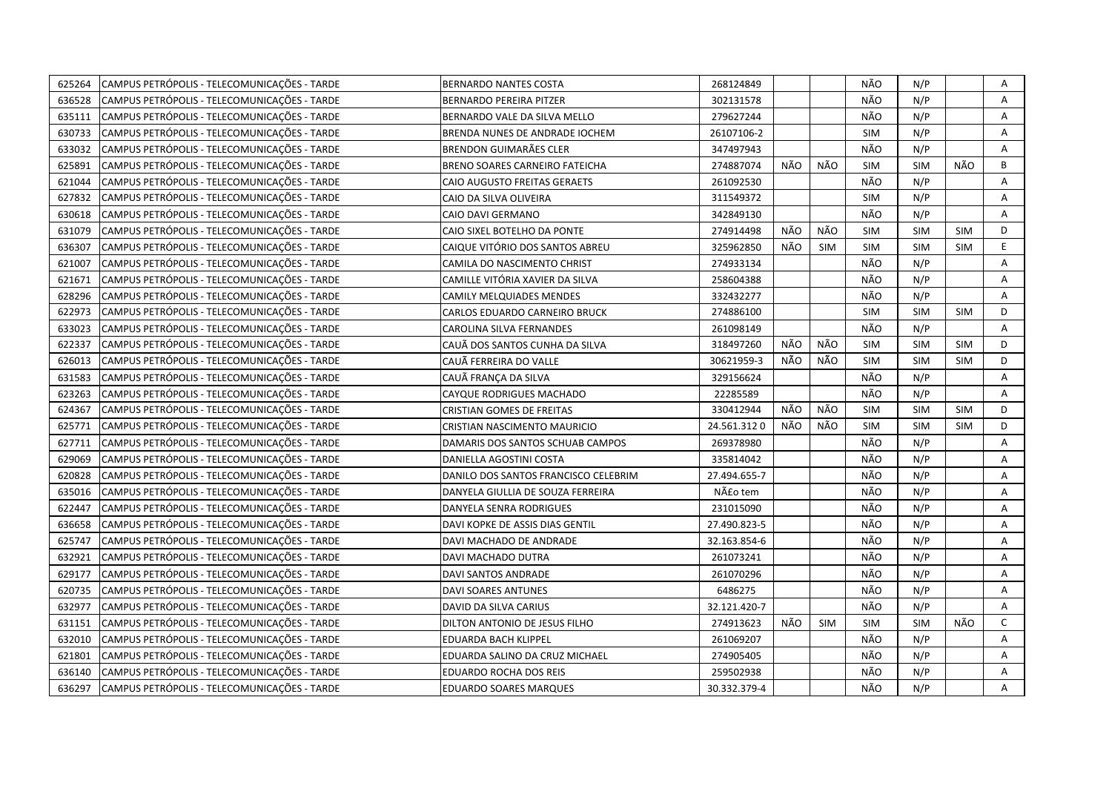| CAMPUS PETRÓPOLIS - TELECOMUNICAÇÕES - TARDE<br>625264 | <b>BERNARDO NANTES COSTA</b>         | 268124849    |     |            | NÃO        | N/P        |            | Α            |
|--------------------------------------------------------|--------------------------------------|--------------|-----|------------|------------|------------|------------|--------------|
| 636528<br>CAMPUS PETRÓPOLIS - TELECOMUNICAÇÕES - TARDE | <b>BERNARDO PEREIRA PITZER</b>       | 302131578    |     |            | NÃO        | N/P        |            | A            |
| CAMPUS PETRÓPOLIS - TELECOMUNICAÇÕES - TARDE<br>635111 | BERNARDO VALE DA SILVA MELLO         | 279627244    |     |            | NÃO        | N/P        |            | A            |
| 630733<br>CAMPUS PETRÓPOLIS - TELECOMUNICAÇÕES - TARDE | BRENDA NUNES DE ANDRADE IOCHEM       | 26107106-2   |     |            | <b>SIM</b> | N/P        |            | Α            |
| 633032<br>CAMPUS PETRÓPOLIS - TELECOMUNICAÇÕES - TARDE | BRENDON GUIMARÃES CLER               | 347497943    |     |            | NÃO        | N/P        |            | A            |
| 625891<br>CAMPUS PETRÓPOLIS - TELECOMUNICAÇÕES - TARDE | BRENO SOARES CARNEIRO FATEICHA       | 274887074    | NÃO | NÃO        | <b>SIM</b> | <b>SIM</b> | NÃO        | B            |
| CAMPUS PETRÓPOLIS - TELECOMUNICAÇÕES - TARDE<br>621044 | <b>CAIO AUGUSTO FREITAS GERAETS</b>  | 261092530    |     |            | NÃO        | N/P        |            | Α            |
| CAMPUS PETRÓPOLIS - TELECOMUNICAÇÕES - TARDE<br>627832 | CAIO DA SILVA OLIVEIRA               | 311549372    |     |            | SIM        | N/P        |            | A            |
| CAMPUS PETRÓPOLIS - TELECOMUNICAÇÕES - TARDE<br>630618 | CAIO DAVI GERMANO                    | 342849130    |     |            | NÃO        | N/P        |            | Α            |
| CAMPUS PETRÓPOLIS - TELECOMUNICAÇÕES - TARDE<br>631079 | CAIO SIXEL BOTELHO DA PONTE          | 274914498    | NÃO | NÃO        | <b>SIM</b> | <b>SIM</b> | <b>SIM</b> | D            |
| CAMPUS PETRÓPOLIS - TELECOMUNICAÇÕES - TARDE<br>636307 | CAIQUE VITÓRIO DOS SANTOS ABREU      | 325962850    | NÃO | <b>SIM</b> | <b>SIM</b> | <b>SIM</b> | <b>SIM</b> | E.           |
| CAMPUS PETRÓPOLIS - TELECOMUNICAÇÕES - TARDE<br>621007 | CAMILA DO NASCIMENTO CHRIST          | 274933134    |     |            | NÃO        | N/P        |            | Α            |
| CAMPUS PETRÓPOLIS - TELECOMUNICAÇÕES - TARDE<br>621671 | CAMILLE VITÓRIA XAVIER DA SILVA      | 258604388    |     |            | NÃO        | N/P        |            | A            |
| CAMPUS PETRÓPOLIS - TELECOMUNICAÇÕES - TARDE<br>628296 | CAMILY MELQUIADES MENDES             | 332432277    |     |            | NÃO        | N/P        |            | Α            |
| 622973<br>CAMPUS PETRÓPOLIS - TELECOMUNICAÇÕES - TARDE | CARLOS EDUARDO CARNEIRO BRUCK        | 274886100    |     |            | <b>SIM</b> | <b>SIM</b> | <b>SIM</b> | D            |
| CAMPUS PETRÓPOLIS - TELECOMUNICAÇÕES - TARDE<br>633023 | CAROLINA SILVA FERNANDES             | 261098149    |     |            | NÃO        | N/P        |            | A            |
| CAMPUS PETRÓPOLIS - TELECOMUNICAÇÕES - TARDE<br>622337 | CAUÃ DOS SANTOS CUNHA DA SILVA       | 318497260    | NÃO | NÃO        | <b>SIM</b> | <b>SIM</b> | <b>SIM</b> | D            |
| 626013<br>CAMPUS PETRÓPOLIS - TELECOMUNICAÇÕES - TARDE | CAUÃ FERREIRA DO VALLE               | 30621959-3   | NÃO | NÃO        | <b>SIM</b> | <b>SIM</b> | <b>SIM</b> | D            |
| CAMPUS PETRÓPOLIS - TELECOMUNICAÇÕES - TARDE<br>631583 | CAUÃ FRANÇA DA SILVA                 | 329156624    |     |            | NÃO        | N/P        |            | A            |
| 623263<br>CAMPUS PETRÓPOLIS - TELECOMUNICAÇÕES - TARDE | CAYQUE RODRIGUES MACHADO             | 22285589     |     |            | NÃO        | N/P        |            | A            |
| CAMPUS PETRÓPOLIS - TELECOMUNICAÇÕES - TARDE<br>624367 | <b>CRISTIAN GOMES DE FREITAS</b>     | 330412944    | NÃO | NÃO        | <b>SIM</b> | <b>SIM</b> | <b>SIM</b> | D            |
| 625771<br>CAMPUS PETRÓPOLIS - TELECOMUNICAÇÕES - TARDE | CRISTIAN NASCIMENTO MAURICIO         | 24.561.3120  | NÃO | NÃO        | <b>SIM</b> | <b>SIM</b> | <b>SIM</b> | D            |
| CAMPUS PETRÓPOLIS - TELECOMUNICAÇÕES - TARDE<br>627711 | DAMARIS DOS SANTOS SCHUAB CAMPOS     | 269378980    |     |            | NÃO        | N/P        |            | Α            |
| CAMPUS PETRÓPOLIS - TELECOMUNICAÇÕES - TARDE<br>629069 | DANIELLA AGOSTINI COSTA              | 335814042    |     |            | NÃO        | N/P        |            | Α            |
| CAMPUS PETRÓPOLIS - TELECOMUNICAÇÕES - TARDE<br>620828 | DANILO DOS SANTOS FRANCISCO CELEBRIM | 27.494.655-7 |     |            | NÃO        | N/P        |            | A            |
| 635016<br>CAMPUS PETRÓPOLIS - TELECOMUNICAÇÕES - TARDE | DANYELA GIULLIA DE SOUZA FERREIRA    | Não tem      |     |            | NÃO        | N/P        |            | Α            |
| 622447<br>CAMPUS PETRÓPOLIS - TELECOMUNICAÇÕES - TARDE | DANYELA SENRA RODRIGUES              | 231015090    |     |            | NÃO        | N/P        |            | A            |
| CAMPUS PETRÓPOLIS - TELECOMUNICAÇÕES - TARDE<br>636658 | DAVI KOPKE DE ASSIS DIAS GENTIL      | 27.490.823-5 |     |            | NÃO        | N/P        |            | A            |
| 625747<br>CAMPUS PETRÓPOLIS - TELECOMUNICAÇÕES - TARDE | DAVI MACHADO DE ANDRADE              | 32.163.854-6 |     |            | NÃO        | N/P        |            | A            |
| CAMPUS PETRÓPOLIS - TELECOMUNICAÇÕES - TARDE<br>632921 | DAVI MACHADO DUTRA                   | 261073241    |     |            | NÃO        | N/P        |            | А            |
| 629177<br>CAMPUS PETRÓPOLIS - TELECOMUNICAÇÕES - TARDE | DAVI SANTOS ANDRADE                  | 261070296    |     |            | NÃO        | N/P        |            | A            |
| 620735<br>CAMPUS PETRÓPOLIS - TELECOMUNICAÇÕES - TARDE | DAVI SOARES ANTUNES                  | 6486275      |     |            | NÃO        | N/P        |            | A            |
| 632977<br>CAMPUS PETRÓPOLIS - TELECOMUNICAÇÕES - TARDE | DAVID DA SILVA CARIUS                | 32.121.420-7 |     |            | NÃO        | N/P        |            | A            |
| CAMPUS PETRÓPOLIS - TELECOMUNICAÇÕES - TARDE<br>631151 | DILTON ANTONIO DE JESUS FILHO        | 274913623    | NÃO | <b>SIM</b> | <b>SIM</b> | <b>SIM</b> | NÃO        | $\mathsf{C}$ |
| CAMPUS PETRÓPOLIS - TELECOMUNICAÇÕES - TARDE<br>632010 | EDUARDA BACH KLIPPEL                 | 261069207    |     |            | NÃO        | N/P        |            | A            |
| CAMPUS PETRÓPOLIS - TELECOMUNICAÇÕES - TARDE<br>621801 | EDUARDA SALINO DA CRUZ MICHAEL       | 274905405    |     |            | NÃO        | N/P        |            | Α            |
| CAMPUS PETRÓPOLIS - TELECOMUNICAÇÕES - TARDE<br>636140 | EDUARDO ROCHA DOS REIS               | 259502938    |     |            | NÃO        | N/P        |            | А            |
| CAMPUS PETRÓPOLIS - TELECOMUNICAÇÕES - TARDE<br>636297 | <b>EDUARDO SOARES MARQUES</b>        | 30.332.379-4 |     |            | NÃO        | N/P        |            | A            |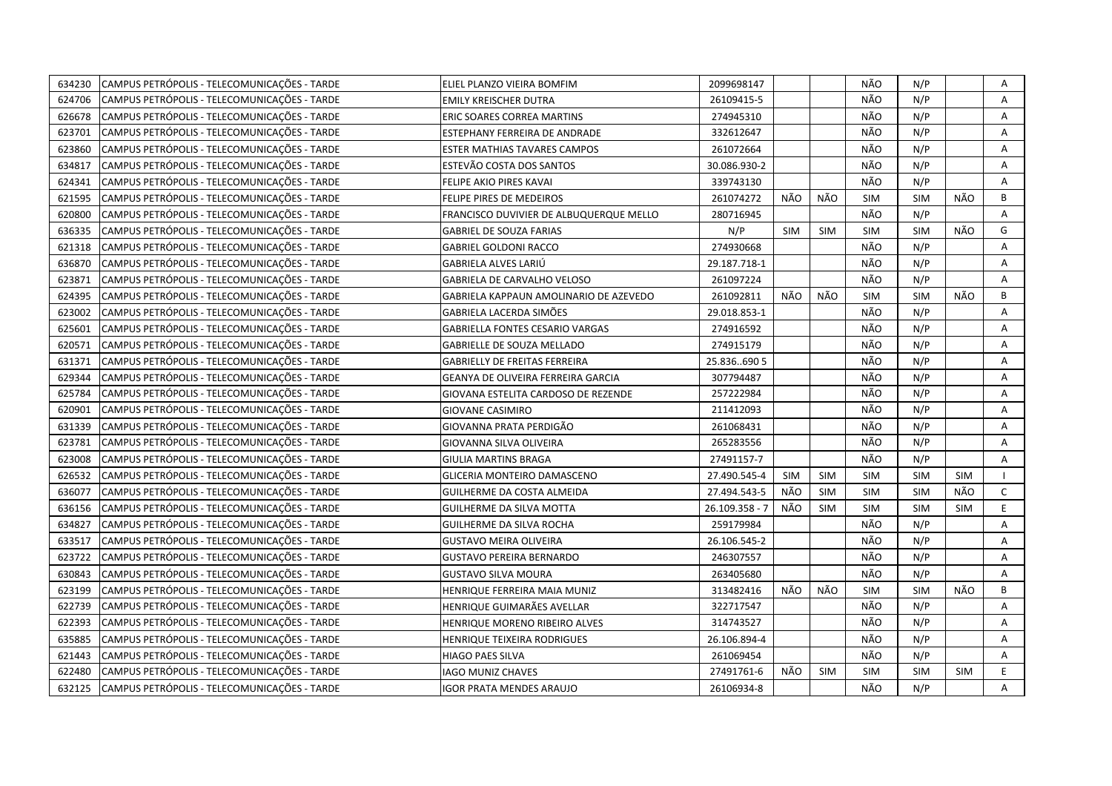| 634230 | CAMPUS PETRÓPOLIS - TELECOMUNICAÇÕES - TARDE | ELIEL PLANZO VIEIRA BOMFIM              | 2099698147     |            |            | NÃO        | N/P        |            | Α            |
|--------|----------------------------------------------|-----------------------------------------|----------------|------------|------------|------------|------------|------------|--------------|
| 624706 | CAMPUS PETRÓPOLIS - TELECOMUNICAÇÕES - TARDE | <b>EMILY KREISCHER DUTRA</b>            | 26109415-5     |            |            | NÃO        | N/P        |            | A            |
| 626678 | CAMPUS PETRÓPOLIS - TELECOMUNICAÇÕES - TARDE | ERIC SOARES CORREA MARTINS              | 274945310      |            |            | NÃO        | N/P        |            | A            |
| 623701 | CAMPUS PETRÓPOLIS - TELECOMUNICAÇÕES - TARDE | ESTEPHANY FERREIRA DE ANDRADE           | 332612647      |            |            | NÃO        | N/P        |            | Α            |
| 623860 | CAMPUS PETRÓPOLIS - TELECOMUNICAÇÕES - TARDE | ESTER MATHIAS TAVARES CAMPOS            | 261072664      |            |            | NÃO        | N/P        |            | A            |
| 634817 | CAMPUS PETRÓPOLIS - TELECOMUNICAÇÕES - TARDE | ESTEVÃO COSTA DOS SANTOS                | 30.086.930-2   |            |            | NÃO        | N/P        |            | A            |
| 624341 | CAMPUS PETRÓPOLIS - TELECOMUNICAÇÕES - TARDE | FELIPE AKIO PIRES KAVAI                 | 339743130      |            |            | NÃO        | N/P        |            | Α            |
| 621595 | CAMPUS PETRÓPOLIS - TELECOMUNICAÇÕES - TARDE | FELIPE PIRES DE MEDEIROS                | 261074272      | NÃO        | NÃO        | <b>SIM</b> | <b>SIM</b> | NÃO        | B            |
| 620800 | CAMPUS PETRÓPOLIS - TELECOMUNICAÇÕES - TARDE | FRANCISCO DUVIVIER DE ALBUQUERQUE MELLO | 280716945      |            |            | NÃO        | N/P        |            | A            |
| 636335 | CAMPUS PETRÓPOLIS - TELECOMUNICAÇÕES - TARDE | <b>GABRIEL DE SOUZA FARIAS</b>          | N/P            | <b>SIM</b> | <b>SIM</b> | <b>SIM</b> | <b>SIM</b> | NÃO        | G            |
| 621318 | CAMPUS PETRÓPOLIS - TELECOMUNICAÇÕES - TARDE | <b>GABRIEL GOLDONI RACCO</b>            | 274930668      |            |            | NÃO        | N/P        |            | Α            |
| 636870 | CAMPUS PETRÓPOLIS - TELECOMUNICAÇÕES - TARDE | GABRIELA ALVES LARIÚ                    | 29.187.718-1   |            |            | NÃO        | N/P        |            | Α            |
| 623871 | CAMPUS PETRÓPOLIS - TELECOMUNICAÇÕES - TARDE | GABRIELA DE CARVALHO VELOSO             | 261097224      |            |            | NÃO        | N/P        |            | A            |
| 624395 | CAMPUS PETRÓPOLIS - TELECOMUNICAÇÕES - TARDE | GABRIELA KAPPAUN AMOLINARIO DE AZEVEDO  | 261092811      | NÃO        | NÃO        | <b>SIM</b> | <b>SIM</b> | NÃO        | В            |
| 623002 | CAMPUS PETRÓPOLIS - TELECOMUNICAÇÕES - TARDE | GABRIELA LACERDA SIMÕES                 | 29.018.853-1   |            |            | NÃO        | N/P        |            | A            |
| 625601 | CAMPUS PETRÓPOLIS - TELECOMUNICAÇÕES - TARDE | GABRIELLA FONTES CESARIO VARGAS         | 274916592      |            |            | NÃO        | N/P        |            | A            |
| 620571 | CAMPUS PETRÓPOLIS - TELECOMUNICAÇÕES - TARDE | <b>GABRIELLE DE SOUZA MELLADO</b>       | 274915179      |            |            | NÃO        | N/P        |            | Α            |
| 631371 | CAMPUS PETRÓPOLIS - TELECOMUNICAÇÕES - TARDE | <b>GABRIELLY DE FREITAS FERREIRA</b>    | 25.836690 5    |            |            | NÃO        | N/P        |            | A            |
| 629344 | CAMPUS PETRÓPOLIS - TELECOMUNICAÇÕES - TARDE | GEANYA DE OLIVEIRA FERREIRA GARCIA      | 307794487      |            |            | NÃO        | N/P        |            | A            |
| 625784 | CAMPUS PETRÓPOLIS - TELECOMUNICAÇÕES - TARDE | GIOVANA ESTELITA CARDOSO DE REZENDE     | 257222984      |            |            | NÃO        | N/P        |            | A            |
| 620901 | CAMPUS PETRÓPOLIS - TELECOMUNICAÇÕES - TARDE | <b>GIOVANE CASIMIRO</b>                 | 211412093      |            |            | NÃO        | N/P        |            | Α            |
| 631339 | CAMPUS PETRÓPOLIS - TELECOMUNICAÇÕES - TARDE | GIOVANNA PRATA PERDIGÃO                 | 261068431      |            |            | NÃO        | N/P        |            | A            |
| 623781 | CAMPUS PETRÓPOLIS - TELECOMUNICAÇÕES - TARDE | GIOVANNA SILVA OLIVEIRA                 | 265283556      |            |            | NÃO        | N/P        |            | Α            |
| 623008 | CAMPUS PETRÓPOLIS - TELECOMUNICAÇÕES - TARDE | GIULIA MARTINS BRAGA                    | 27491157-7     |            |            | NÃO        | N/P        |            | Α            |
| 626532 | CAMPUS PETRÓPOLIS - TELECOMUNICAÇÕES - TARDE | GLICERIA MONTEIRO DAMASCENO             | 27.490.545-4   | <b>SIM</b> | SIM        | <b>SIM</b> | <b>SIM</b> | <b>SIM</b> |              |
| 636077 | CAMPUS PETRÓPOLIS - TELECOMUNICAÇÕES - TARDE | GUILHERME DA COSTA ALMEIDA              | 27.494.543-5   | NÃO        | <b>SIM</b> | <b>SIM</b> | <b>SIM</b> | NÃO        | $\mathsf{C}$ |
| 636156 | CAMPUS PETRÓPOLIS - TELECOMUNICAÇÕES - TARDE | GUILHERME DA SILVA MOTTA                | 26.109.358 - 7 | NÃO        | <b>SIM</b> | <b>SIM</b> | <b>SIM</b> | <b>SIM</b> | E            |
| 634827 | CAMPUS PETRÓPOLIS - TELECOMUNICAÇÕES - TARDE | GUILHERME DA SILVA ROCHA                | 259179984      |            |            | NÃO        | N/P        |            | A            |
| 633517 | CAMPUS PETRÓPOLIS - TELECOMUNICAÇÕES - TARDE | GUSTAVO MEIRA OLIVEIRA                  | 26.106.545-2   |            |            | NÃO        | N/P        |            | Α            |
| 623722 | CAMPUS PETRÓPOLIS - TELECOMUNICAÇÕES - TARDE | <b>GUSTAVO PEREIRA BERNARDO</b>         | 246307557      |            |            | NÃO        | N/P        |            | А            |
| 630843 | CAMPUS PETRÓPOLIS - TELECOMUNICAÇÕES - TARDE | GUSTAVO SILVA MOURA                     | 263405680      |            |            | NÃO        | N/P        |            | A            |
| 623199 | CAMPUS PETRÓPOLIS - TELECOMUNICAÇÕES - TARDE | HENRIQUE FERREIRA MAIA MUNIZ            | 313482416      | NÃO        | NÃO        | <b>SIM</b> | <b>SIM</b> | NÃO        | B            |
| 622739 | CAMPUS PETRÓPOLIS - TELECOMUNICAÇÕES - TARDE | HENRIQUE GUIMARÃES AVELLAR              | 322717547      |            |            | NÃO        | N/P        |            | Α            |
| 622393 | CAMPUS PETRÓPOLIS - TELECOMUNICAÇÕES - TARDE | <b>HENRIQUE MORENO RIBEIRO ALVES</b>    | 314743527      |            |            | NÃO        | N/P        |            | A            |
| 635885 | CAMPUS PETRÓPOLIS - TELECOMUNICAÇÕES - TARDE | HENRIQUE TEIXEIRA RODRIGUES             | 26.106.894-4   |            |            | NÃO        | N/P        |            | A            |
| 621443 | CAMPUS PETRÓPOLIS - TELECOMUNICAÇÕES - TARDE | HIAGO PAES SILVA                        | 261069454      |            |            | NÃO        | N/P        |            | Α            |
| 622480 | CAMPUS PETRÓPOLIS - TELECOMUNICAÇÕES - TARDE | <b>IAGO MUNIZ CHAVES</b>                | 27491761-6     | NÃO        | <b>SIM</b> | <b>SIM</b> | <b>SIM</b> | <b>SIM</b> | E            |
| 632125 | CAMPUS PETRÓPOLIS - TELECOMUNICAÇÕES - TARDE | <b>IGOR PRATA MENDES ARAUJO</b>         | 26106934-8     |            |            | NÃO        | N/P        |            | A            |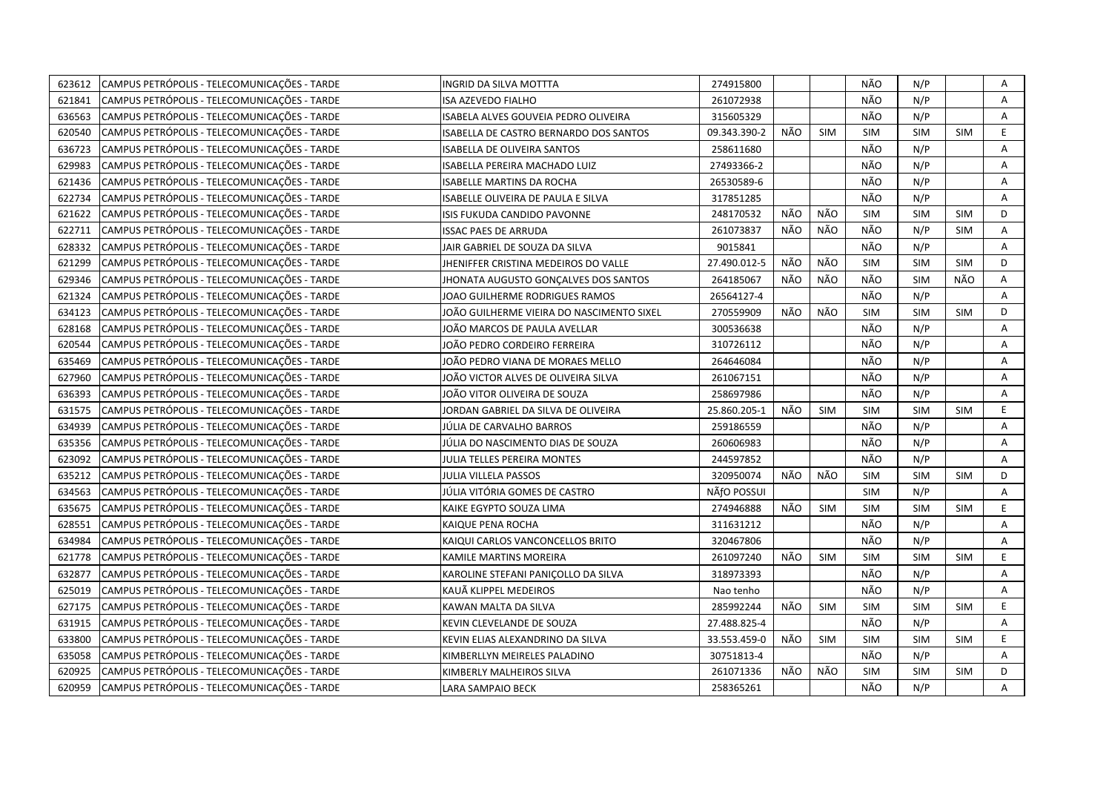| CAMPUS PETRÓPOLIS - TELECOMUNICAÇÕES - TARDE<br>623612 | INGRID DA SILVA MOTTTA                    | 274915800    |     |            | NÃO        | N/P        |            | Α  |
|--------------------------------------------------------|-------------------------------------------|--------------|-----|------------|------------|------------|------------|----|
| 621841<br>CAMPUS PETRÓPOLIS - TELECOMUNICAÇÕES - TARDE | ISA AZEVEDO FIALHO                        | 261072938    |     |            | NÃO        | N/P        |            | A  |
| CAMPUS PETRÓPOLIS - TELECOMUNICAÇÕES - TARDE<br>636563 | ISABELA ALVES GOUVEIA PEDRO OLIVEIRA      | 315605329    |     |            | NÃO        | N/P        |            | A  |
| 620540<br>CAMPUS PETRÓPOLIS - TELECOMUNICAÇÕES - TARDE | ISABELLA DE CASTRO BERNARDO DOS SANTOS    | 09.343.390-2 | NÃO | <b>SIM</b> | <b>SIM</b> | <b>SIM</b> | <b>SIM</b> | E  |
| CAMPUS PETRÓPOLIS - TELECOMUNICAÇÕES - TARDE<br>636723 | <b>ISABELLA DE OLIVEIRA SANTOS</b>        | 258611680    |     |            | NÃO        | N/P        |            | А  |
| CAMPUS PETRÓPOLIS - TELECOMUNICAÇÕES - TARDE<br>629983 | ISABELLA PEREIRA MACHADO LUIZ             | 27493366-2   |     |            | NÃO        | N/P        |            | Α  |
| CAMPUS PETRÓPOLIS - TELECOMUNICAÇÕES - TARDE<br>621436 | <b>ISABELLE MARTINS DA ROCHA</b>          | 26530589-6   |     |            | NÃO        | N/P        |            | A  |
| CAMPUS PETRÓPOLIS - TELECOMUNICAÇÕES - TARDE<br>622734 | ISABELLE OLIVEIRA DE PAULA E SILVA        | 317851285    |     |            | NÃO        | N/P        |            | Α  |
| CAMPUS PETRÓPOLIS - TELECOMUNICAÇÕES - TARDE<br>621622 | ISIS FUKUDA CANDIDO PAVONNE               | 248170532    | NÃO | NÃO        | <b>SIM</b> | <b>SIM</b> | <b>SIM</b> | D  |
| CAMPUS PETRÓPOLIS - TELECOMUNICAÇÕES - TARDE<br>622711 | <b>ISSAC PAES DE ARRUDA</b>               | 261073837    | NÃO | NÃO        | NÃO        | N/P        | <b>SIM</b> | Α  |
| CAMPUS PETRÓPOLIS - TELECOMUNICAÇÕES - TARDE<br>628332 | JAIR GABRIEL DE SOUZA DA SILVA            | 9015841      |     |            | NÃO        | N/P        |            | A  |
| CAMPUS PETRÓPOLIS - TELECOMUNICAÇÕES - TARDE<br>621299 | JHENIFFER CRISTINA MEDEIROS DO VALLE      | 27.490.012-5 | NÃO | NÃO        | <b>SIM</b> | <b>SIM</b> | <b>SIM</b> | D  |
| CAMPUS PETRÓPOLIS - TELECOMUNICAÇÕES - TARDE<br>629346 | JHONATA AUGUSTO GONCALVES DOS SANTOS      | 264185067    | NÃO | NÃO        | NÃO        | <b>SIM</b> | NÃO        | A  |
| CAMPUS PETRÓPOLIS - TELECOMUNICAÇÕES - TARDE<br>621324 | JOAO GUILHERME RODRIGUES RAMOS            | 26564127-4   |     |            | NÃO        | N/P        |            | A  |
| CAMPUS PETRÓPOLIS - TELECOMUNICAÇÕES - TARDE<br>634123 | JOÃO GUILHERME VIEIRA DO NASCIMENTO SIXEL | 270559909    | NÃO | NÃO        | <b>SIM</b> | <b>SIM</b> | SIM        | D  |
| CAMPUS PETRÓPOLIS - TELECOMUNICAÇÕES - TARDE<br>628168 | IOÃO MARCOS DE PAULA AVELLAR              | 300536638    |     |            | NÃO        | N/P        |            | Α  |
| 620544<br>CAMPUS PETRÓPOLIS - TELECOMUNICAÇÕES - TARDE | IOÃO PEDRO CORDEIRO FERREIRA              | 310726112    |     |            | NÃO        | N/P        |            | Α  |
| CAMPUS PETRÓPOLIS - TELECOMUNICAÇÕES - TARDE<br>635469 | IOÃO PEDRO VIANA DE MORAES MELLO          | 264646084    |     |            | NÃO        | N/P        |            | Α  |
| CAMPUS PETRÓPOLIS - TELECOMUNICAÇÕES - TARDE<br>627960 | IOÃO VICTOR ALVES DE OLIVEIRA SILVA       | 261067151    |     |            | NÃO        | N/P        |            | A  |
| CAMPUS PETRÓPOLIS - TELECOMUNICAÇÕES - TARDE<br>636393 | JOÃO VITOR OLIVEIRA DE SOUZA              | 258697986    |     |            | NÃO        | N/P        |            | A  |
| CAMPUS PETRÓPOLIS - TELECOMUNICAÇÕES - TARDE<br>631575 | JORDAN GABRIEL DA SILVA DE OLIVEIRA       | 25.860.205-1 | NÃO | <b>SIM</b> | <b>SIM</b> | <b>SIM</b> | <b>SIM</b> | E. |
| 634939<br>CAMPUS PETRÓPOLIS - TELECOMUNICAÇÕES - TARDE | JÚLIA DE CARVALHO BARROS                  | 259186559    |     |            | NÃO        | N/P        |            | A  |
| CAMPUS PETRÓPOLIS - TELECOMUNICAÇÕES - TARDE<br>635356 | JÚLIA DO NASCIMENTO DIAS DE SOUZA         | 260606983    |     |            | NÃO        | N/P        |            | Α  |
| CAMPUS PETRÓPOLIS - TELECOMUNICAÇÕES - TARDE<br>623092 | JULIA TELLES PEREIRA MONTES               | 244597852    |     |            | NÃO        | N/P        |            | A  |
| 635212<br>CAMPUS PETRÓPOLIS - TELECOMUNICAÇÕES - TARDE | JULIA VILLELA PASSOS                      | 320950074    | NÃO | NÃO        | <b>SIM</b> | <b>SIM</b> | <b>SIM</b> | D  |
| CAMPUS PETRÓPOLIS - TELECOMUNICAÇÕES - TARDE<br>634563 | JÚLIA VITÓRIA GOMES DE CASTRO             | NÄfO POSSUI  |     |            | <b>SIM</b> | N/P        |            | A  |
| CAMPUS PETRÓPOLIS - TELECOMUNICAÇÕES - TARDE<br>635675 | KAIKE EGYPTO SOUZA LIMA                   | 274946888    | NÃO | SIM        | <b>SIM</b> | <b>SIM</b> | <b>SIM</b> | E  |
| 628551<br>CAMPUS PETRÓPOLIS - TELECOMUNICAÇÕES - TARDE | KAIQUE PENA ROCHA                         | 311631212    |     |            | NÃO        | N/P        |            | A  |
| CAMPUS PETRÓPOLIS - TELECOMUNICAÇÕES - TARDE<br>634984 | KAIQUI CARLOS VANCONCELLOS BRITO          | 320467806    |     |            | NÃO        | N/P        |            | A  |
| 621778<br>CAMPUS PETRÓPOLIS - TELECOMUNICAÇÕES - TARDE | KAMILE MARTINS MOREIRA                    | 261097240    | NÃO | SIM        | <b>SIM</b> | <b>SIM</b> | <b>SIM</b> | E  |
| 632877<br>CAMPUS PETRÓPOLIS - TELECOMUNICAÇÕES - TARDE | KAROLINE STEFANI PANIÇOLLO DA SILVA       | 318973393    |     |            | NÃO        | N/P        |            | A  |
| 625019<br>CAMPUS PETRÓPOLIS - TELECOMUNICAÇÕES - TARDE | KAUÃ KLIPPEL MEDEIROS                     | Nao tenho    |     |            | NÃO        | N/P        |            | Α  |
| 627175<br>CAMPUS PETRÓPOLIS - TELECOMUNICAÇÕES - TARDE | KAWAN MALTA DA SILVA                      | 285992244    | NÃO | <b>SIM</b> | <b>SIM</b> | <b>SIM</b> | <b>SIM</b> | E  |
| 631915<br>CAMPUS PETRÓPOLIS - TELECOMUNICAÇÕES - TARDE | KEVIN CLEVELANDE DE SOUZA                 | 27.488.825-4 |     |            | NÃO        | N/P        |            | A  |
| CAMPUS PETRÓPOLIS - TELECOMUNICAÇÕES - TARDE<br>633800 | KEVIN ELIAS ALEXANDRINO DA SILVA          | 33.553.459-0 | NÃO | <b>SIM</b> | <b>SIM</b> | <b>SIM</b> | <b>SIM</b> | E. |
| CAMPUS PETRÓPOLIS - TELECOMUNICAÇÕES - TARDE<br>635058 | KIMBERLLYN MEIRELES PALADINO              | 30751813-4   |     |            | NÃO        | N/P        |            | A  |
| CAMPUS PETRÓPOLIS - TELECOMUNICAÇÕES - TARDE<br>620925 | KIMBERLY MALHEIROS SILVA                  | 261071336    | NÃO | NÃO        | <b>SIM</b> | <b>SIM</b> | <b>SIM</b> | D  |
| CAMPUS PETRÓPOLIS - TELECOMUNICAÇÕES - TARDE<br>620959 | <b>LARA SAMPAIO BECK</b>                  | 258365261    |     |            | NÃO        | N/P        |            | A  |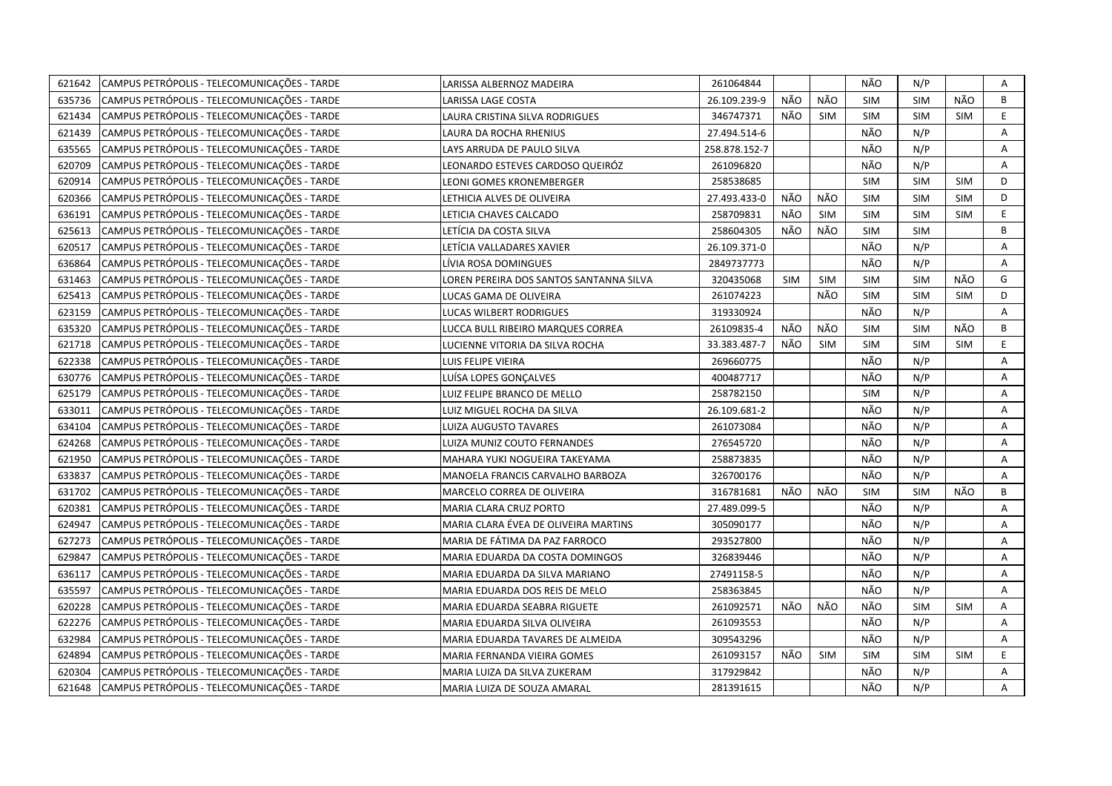| 621642 | CAMPUS PETRÓPOLIS - TELECOMUNICAÇÕES - TARDE | LARISSA ALBERNOZ MADEIRA                | 261064844     |            |            | NÃO        | N/P        |            | Α  |
|--------|----------------------------------------------|-----------------------------------------|---------------|------------|------------|------------|------------|------------|----|
| 635736 | CAMPUS PETRÓPOLIS - TELECOMUNICAÇÕES - TARDE | LARISSA LAGE COSTA                      | 26.109.239-9  | NÃO        | NÃO        | <b>SIM</b> | <b>SIM</b> | NÃO        | B  |
| 621434 | CAMPUS PETRÓPOLIS - TELECOMUNICAÇÕES - TARDE | LAURA CRISTINA SILVA RODRIGUES          | 346747371     | NÃO        | SIM        | SIM        | <b>SIM</b> | <b>SIM</b> | E. |
| 621439 | CAMPUS PETRÓPOLIS - TELECOMUNICAÇÕES - TARDE | LAURA DA ROCHA RHENIUS                  | 27.494.514-6  |            |            | NÃO        | N/P        |            | A  |
| 635565 | CAMPUS PETRÓPOLIS - TELECOMUNICAÇÕES - TARDE | LAYS ARRUDA DE PAULO SILVA              | 258.878.152-7 |            |            | NÃO        | N/P        |            | A  |
| 620709 | CAMPUS PETRÓPOLIS - TELECOMUNICAÇÕES - TARDE | LEONARDO ESTEVES CARDOSO QUEIRÓZ        | 261096820     |            |            | NÃO        | N/P        |            | A  |
| 620914 | CAMPUS PETRÓPOLIS - TELECOMUNICAÇÕES - TARDE | LEONI GOMES KRONEMBERGER                | 258538685     |            |            | <b>SIM</b> | <b>SIM</b> | <b>SIM</b> | D  |
| 620366 | CAMPUS PETRÓPOLIS - TELECOMUNICAÇÕES - TARDE | LETHICIA ALVES DE OLIVEIRA              | 27.493.433-0  | NÃO        | NÃO        | <b>SIM</b> | <b>SIM</b> | <b>SIM</b> | D  |
| 636191 | CAMPUS PETRÓPOLIS - TELECOMUNICAÇÕES - TARDE | LETICIA CHAVES CALCADO                  | 258709831     | NÃO        | <b>SIM</b> | <b>SIM</b> | <b>SIM</b> | <b>SIM</b> | E  |
| 625613 | CAMPUS PETRÓPOLIS - TELECOMUNICAÇÕES - TARDE | LETÍCIA DA COSTA SILVA                  | 258604305     | NÃO        | NÃO        | SIM        | <b>SIM</b> |            | B  |
| 620517 | CAMPUS PETRÓPOLIS - TELECOMUNICAÇÕES - TARDE | LETİCIA VALLADARES XAVIER               | 26.109.371-0  |            |            | NÃO        | N/P        |            | A  |
| 636864 | CAMPUS PETRÓPOLIS - TELECOMUNICAÇÕES - TARDE | LÍVIA ROSA DOMINGUES                    | 2849737773    |            |            | NÃO        | N/P        |            | A  |
| 631463 | CAMPUS PETRÓPOLIS - TELECOMUNICAÇÕES - TARDE | LOREN PEREIRA DOS SANTOS SANTANNA SILVA | 320435068     | <b>SIM</b> | <b>SIM</b> | <b>SIM</b> | <b>SIM</b> | NÃO        | G  |
| 625413 | CAMPUS PETRÓPOLIS - TELECOMUNICAÇÕES - TARDE | LUCAS GAMA DE OLIVEIRA                  | 261074223     |            | NÃO        | <b>SIM</b> | <b>SIM</b> | <b>SIM</b> | D  |
| 623159 | CAMPUS PETRÓPOLIS - TELECOMUNICAÇÕES - TARDE | LUCAS WILBERT RODRIGUES                 | 319330924     |            |            | NÃO        | N/P        |            | A  |
| 635320 | CAMPUS PETRÓPOLIS - TELECOMUNICAÇÕES - TARDE | LUCCA BULL RIBEIRO MARQUES CORREA       | 26109835-4    | NÃO        | NÃO        | SIM        | <b>SIM</b> | NÃO        | B  |
| 621718 | CAMPUS PETRÓPOLIS - TELECOMUNICAÇÕES - TARDE | LUCIENNE VITORIA DA SILVA ROCHA         | 33.383.487-7  | NÃO        | <b>SIM</b> | <b>SIM</b> | <b>SIM</b> | <b>SIM</b> | E. |
| 622338 | CAMPUS PETRÓPOLIS - TELECOMUNICAÇÕES - TARDE | LUIS FELIPE VIEIRA                      | 269660775     |            |            | NÃO        | N/P        |            | A  |
| 630776 | CAMPUS PETRÓPOLIS - TELECOMUNICAÇÕES - TARDE | LUÍSA LOPES GONÇALVES                   | 400487717     |            |            | NÃO        | N/P        |            | A  |
| 625179 | CAMPUS PETRÓPOLIS - TELECOMUNICAÇÕES - TARDE | LUIZ FELIPE BRANCO DE MELLO             | 258782150     |            |            | <b>SIM</b> | N/P        |            | A  |
| 633011 | CAMPUS PETRÓPOLIS - TELECOMUNICAÇÕES - TARDE | LUIZ MIGUEL ROCHA DA SILVA              | 26.109.681-2  |            |            | NÃO        | N/P        |            | A  |
| 634104 | CAMPUS PETRÓPOLIS - TELECOMUNICAÇÕES - TARDE | LUIZA AUGUSTO TAVARES                   | 261073084     |            |            | NÃO        | N/P        |            | A  |
| 624268 | CAMPUS PETRÓPOLIS - TELECOMUNICAÇÕES - TARDE | LUIZA MUNIZ COUTO FERNANDES             | 276545720     |            |            | NÃO        | N/P        |            | A  |
| 621950 | CAMPUS PETRÓPOLIS - TELECOMUNICAÇÕES - TARDE | MAHARA YUKI NOGUEIRA TAKEYAMA           | 258873835     |            |            | NÃO        | N/P        |            | A  |
| 633837 | CAMPUS PETRÓPOLIS - TELECOMUNICAÇÕES - TARDE | MANOELA FRANCIS CARVALHO BARBOZA        | 326700176     |            |            | NÃO        | N/P        |            | A  |
| 631702 | CAMPUS PETRÓPOLIS - TELECOMUNICAÇÕES - TARDE | MARCELO CORREA DE OLIVEIRA              | 316781681     | NÃO        | NÃO        | <b>SIM</b> | <b>SIM</b> | NÃO        | B  |
| 620381 | CAMPUS PETRÓPOLIS - TELECOMUNICAÇÕES - TARDE | MARIA CLARA CRUZ PORTO                  | 27.489.099-5  |            |            | NÃO        | N/P        |            | A  |
| 624947 | CAMPUS PETRÓPOLIS - TELECOMUNICAÇÕES - TARDE | MARIA CLARA ÉVEA DE OLIVEIRA MARTINS    | 305090177     |            |            | NÃO        | N/P        |            | Α  |
| 627273 | CAMPUS PETRÓPOLIS - TELECOMUNICAÇÕES - TARDE | MARIA DE FÁTIMA DA PAZ FARROCO          | 293527800     |            |            | NÃO        | N/P        |            | Α  |
| 629847 | CAMPUS PETRÓPOLIS - TELECOMUNICAÇÕES - TARDE | MARIA EDUARDA DA COSTA DOMINGOS         | 326839446     |            |            | NÃO        | N/P        |            | A  |
| 636117 | CAMPUS PETRÓPOLIS - TELECOMUNICAÇÕES - TARDE | MARIA EDUARDA DA SILVA MARIANO          | 27491158-5    |            |            | NÃO        | N/P        |            | Α  |
| 635597 | CAMPUS PETRÓPOLIS - TELECOMUNICAÇÕES - TARDE | MARIA EDUARDA DOS REIS DE MELO          | 258363845     |            |            | NÃO        | N/P        |            | A  |
| 620228 | CAMPUS PETRÓPOLIS - TELECOMUNICAÇÕES - TARDE | MARIA EDUARDA SEABRA RIGUETE            | 261092571     | NÃO        | NÃO        | NÃO        | <b>SIM</b> | SIM        | Α  |
| 622276 | CAMPUS PETRÓPOLIS - TELECOMUNICAÇÕES - TARDE | MARIA EDUARDA SILVA OLIVEIRA            | 261093553     |            |            | NÃO        | N/P        |            | A  |
| 632984 | CAMPUS PETRÓPOLIS - TELECOMUNICAÇÕES - TARDE | MARIA EDUARDA TAVARES DE ALMEIDA        | 309543296     |            |            | NÃO        | N/P        |            | A  |
| 624894 | CAMPUS PETRÓPOLIS - TELECOMUNICAÇÕES - TARDE | MARIA FERNANDA VIEIRA GOMES             | 261093157     | NÃO        | <b>SIM</b> | <b>SIM</b> | <b>SIM</b> | <b>SIM</b> | E. |
| 620304 | CAMPUS PETRÓPOLIS - TELECOMUNICAÇÕES - TARDE | MARIA LUIZA DA SILVA ZUKERAM            | 317929842     |            |            | NÃO        | N/P        |            | A  |
| 621648 | CAMPUS PETRÓPOLIS - TELECOMUNICAÇÕES - TARDE | MARIA LUIZA DE SOUZA AMARAL             | 281391615     |            |            | NÃO        | N/P        |            | A  |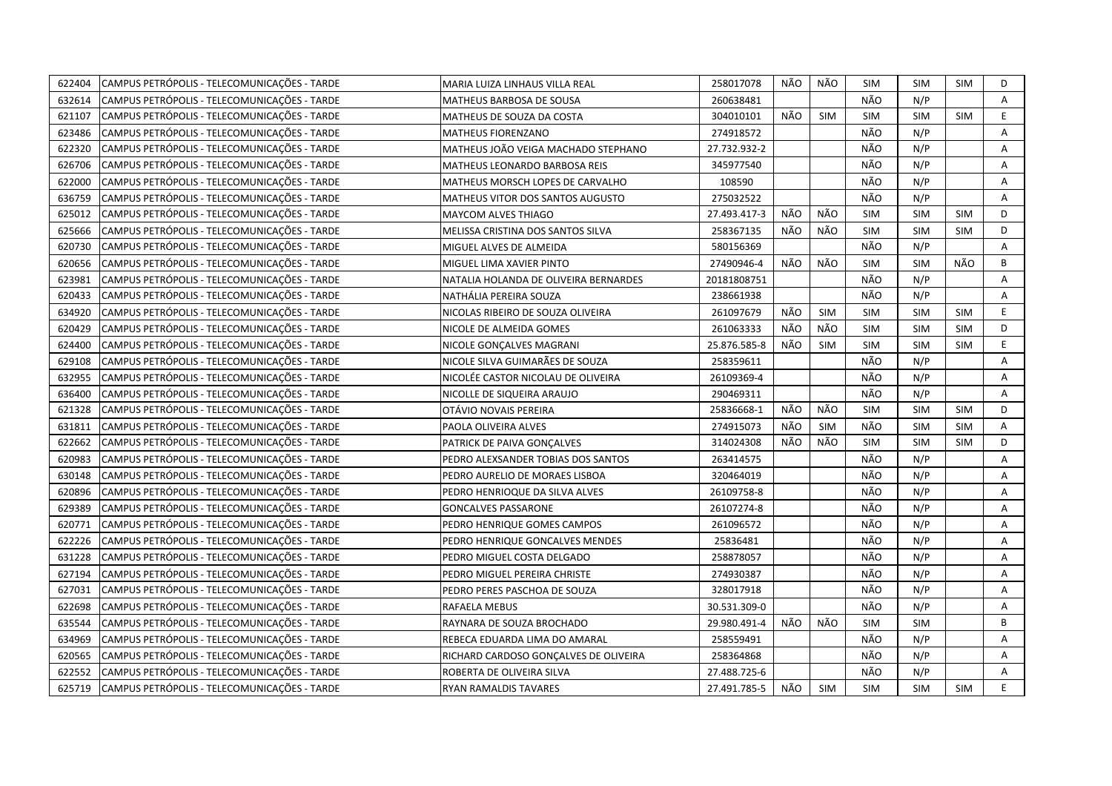| 622404 | CAMPUS PETRÓPOLIS - TELECOMUNICAÇÕES - TARDE | MARIA LUIZA LINHAUS VILLA REAL        | 258017078    | NÃO | NÃO        | <b>SIM</b> | SIM        | <b>SIM</b> | D  |
|--------|----------------------------------------------|---------------------------------------|--------------|-----|------------|------------|------------|------------|----|
| 632614 | CAMPUS PETRÓPOLIS - TELECOMUNICAÇÕES - TARDE | MATHEUS BARBOSA DE SOUSA              | 260638481    |     |            | NÃO        | N/P        |            | A  |
| 621107 | CAMPUS PETRÓPOLIS - TELECOMUNICAÇÕES - TARDE | MATHEUS DE SOUZA DA COSTA             | 304010101    | NÃO | SIM        | <b>SIM</b> | <b>SIM</b> | <b>SIM</b> | E  |
| 623486 | CAMPUS PETRÓPOLIS - TELECOMUNICAÇÕES - TARDE | MATHEUS FIORENZANO                    | 274918572    |     |            | NÃO        | N/P        |            | А  |
| 622320 | CAMPUS PETRÓPOLIS - TELECOMUNICAÇÕES - TARDE | MATHEUS JOÃO VEIGA MACHADO STEPHANO   | 27.732.932-2 |     |            | NÃO        | N/P        |            | A  |
| 626706 | CAMPUS PETRÓPOLIS - TELECOMUNICAÇÕES - TARDE | MATHEUS LEONARDO BARBOSA REIS         | 345977540    |     |            | NÃO        | N/P        |            | Α  |
| 622000 | CAMPUS PETRÓPOLIS - TELECOMUNICAÇÕES - TARDE | MATHEUS MORSCH LOPES DE CARVALHO      | 108590       |     |            | NÃO        | N/P        |            | A  |
| 636759 | CAMPUS PETRÓPOLIS - TELECOMUNICAÇÕES - TARDE | MATHEUS VITOR DOS SANTOS AUGUSTO      | 275032522    |     |            | NÃO        | N/P        |            | A  |
| 625012 | CAMPUS PETRÓPOLIS - TELECOMUNICAÇÕES - TARDE | MAYCOM ALVES THIAGO                   | 27.493.417-3 | NÃO | NÃO        | <b>SIM</b> | <b>SIM</b> | <b>SIM</b> | D  |
| 625666 | CAMPUS PETRÓPOLIS - TELECOMUNICAÇÕES - TARDE | MELISSA CRISTINA DOS SANTOS SILVA     | 258367135    | NÃO | NÃO        | <b>SIM</b> | <b>SIM</b> | <b>SIM</b> | D  |
| 620730 | CAMPUS PETRÓPOLIS - TELECOMUNICAÇÕES - TARDE | MIGUEL ALVES DE ALMEIDA               | 580156369    |     |            | NÃO        | N/P        |            | A  |
| 620656 | CAMPUS PETRÓPOLIS - TELECOMUNICAÇÕES - TARDE | MIGUEL LIMA XAVIER PINTO              | 27490946-4   | NÃO | NÃO        | <b>SIM</b> | <b>SIM</b> | NÃO        | B  |
| 623981 | CAMPUS PETRÓPOLIS - TELECOMUNICAÇÕES - TARDE | NATALIA HOLANDA DE OLIVEIRA BERNARDES | 20181808751  |     |            | NÃO        | N/P        |            | Α  |
| 620433 | CAMPUS PETRÓPOLIS - TELECOMUNICAÇÕES - TARDE | NATHÁLIA PEREIRA SOUZA                | 238661938    |     |            | NÃO        | N/P        |            | Α  |
| 634920 | CAMPUS PETRÓPOLIS - TELECOMUNICAÇÕES - TARDE | NICOLAS RIBEIRO DE SOUZA OLIVEIRA     | 261097679    | NÃO | SIM        | <b>SIM</b> | <b>SIM</b> | <b>SIM</b> | E. |
| 620429 | CAMPUS PETRÓPOLIS - TELECOMUNICAÇÕES - TARDE | NICOLE DE ALMEIDA GOMES               | 261063333    | NÃO | NÃO        | <b>SIM</b> | <b>SIM</b> | <b>SIM</b> | D  |
| 624400 | CAMPUS PETRÓPOLIS - TELECOMUNICAÇÕES - TARDE | NICOLE GONÇALVES MAGRANI              | 25.876.585-8 | NÃO | <b>SIM</b> | <b>SIM</b> | <b>SIM</b> | <b>SIM</b> | E. |
| 629108 | CAMPUS PETRÓPOLIS - TELECOMUNICAÇÕES - TARDE | NICOLE SILVA GUIMARÃES DE SOUZA       | 258359611    |     |            | NÃO        | N/P        |            | A  |
| 632955 | CAMPUS PETRÓPOLIS - TELECOMUNICAÇÕES - TARDE | NICOLÉE CASTOR NICOLAU DE OLIVEIRA    | 26109369-4   |     |            | NÃO        | N/P        |            | Α  |
| 636400 | CAMPUS PETRÓPOLIS - TELECOMUNICAÇÕES - TARDE | NICOLLE DE SIQUEIRA ARAUJO            | 290469311    |     |            | NÃO        | N/P        |            | Α  |
| 621328 | CAMPUS PETRÓPOLIS - TELECOMUNICAÇÕES - TARDE | OTÁVIO NOVAIS PEREIRA                 | 25836668-1   | NÃO | NÃO        | <b>SIM</b> | <b>SIM</b> | <b>SIM</b> | D  |
| 631811 | CAMPUS PETRÓPOLIS - TELECOMUNICAÇÕES - TARDE | PAOLA OLIVEIRA ALVES                  | 274915073    | NÃO | SIM        | NÃO        | <b>SIM</b> | <b>SIM</b> | Α  |
| 622662 | CAMPUS PETRÓPOLIS - TELECOMUNICAÇÕES - TARDE | PATRICK DE PAIVA GONÇALVES            | 314024308    | NÃO | NÃO        | <b>SIM</b> | <b>SIM</b> | SIM        | D  |
| 620983 | CAMPUS PETRÓPOLIS - TELECOMUNICAÇÕES - TARDE | PEDRO ALEXSANDER TOBIAS DOS SANTOS    | 263414575    |     |            | NÃO        | N/P        |            | Α  |
| 630148 | CAMPUS PETRÓPOLIS - TELECOMUNICAÇÕES - TARDE | PEDRO AURELIO DE MORAES LISBOA        | 320464019    |     |            | NÃO        | N/P        |            | Α  |
| 620896 | CAMPUS PETRÓPOLIS - TELECOMUNICAÇÕES - TARDE | PEDRO HENRIOQUE DA SILVA ALVES        | 26109758-8   |     |            | NÃO        | N/P        |            | Α  |
| 629389 | CAMPUS PETRÓPOLIS - TELECOMUNICAÇÕES - TARDE | <b>GONCALVES PASSARONE</b>            | 26107274-8   |     |            | NÃO        | N/P        |            | Α  |
| 620771 | CAMPUS PETRÓPOLIS - TELECOMUNICAÇÕES - TARDE | PEDRO HENRIQUE GOMES CAMPOS           | 261096572    |     |            | NÃO        | N/P        |            | A  |
| 622226 | CAMPUS PETRÓPOLIS - TELECOMUNICAÇÕES - TARDE | PEDRO HENRIQUE GONCALVES MENDES       | 25836481     |     |            | NÃO        | N/P        |            | A  |
| 631228 | CAMPUS PETRÓPOLIS - TELECOMUNICAÇÕES - TARDE | PEDRO MIGUEL COSTA DELGADO            | 258878057    |     |            | NÃO        | N/P        |            | Α  |
| 627194 | CAMPUS PETRÓPOLIS - TELECOMUNICAÇÕES - TARDE | PEDRO MIGUEL PEREIRA CHRISTE          | 274930387    |     |            | NÃO        | N/P        |            | Α  |
| 627031 | CAMPUS PETRÓPOLIS - TELECOMUNICAÇÕES - TARDE | PEDRO PERES PASCHOA DE SOUZA          | 328017918    |     |            | NÃO        | N/P        |            | A  |
| 622698 | CAMPUS PETRÓPOLIS - TELECOMUNICAÇÕES - TARDE | RAFAELA MEBUS                         | 30.531.309-0 |     |            | NÃO        | N/P        |            | Α  |
| 635544 | CAMPUS PETRÓPOLIS - TELECOMUNICAÇÕES - TARDE | RAYNARA DE SOUZA BROCHADO             | 29.980.491-4 | NÃO | NÃO        | <b>SIM</b> | <b>SIM</b> |            | B  |
| 634969 | CAMPUS PETRÓPOLIS - TELECOMUNICAÇÕES - TARDE | REBECA EDUARDA LIMA DO AMARAL         | 258559491    |     |            | NÃO        | N/P        |            | A  |
| 620565 | CAMPUS PETRÓPOLIS - TELECOMUNICAÇÕES - TARDE | RICHARD CARDOSO GONÇALVES DE OLIVEIRA | 258364868    |     |            | NÃO        | N/P        |            | Α  |
| 622552 | CAMPUS PETRÓPOLIS - TELECOMUNICAÇÕES - TARDE | ROBERTA DE OLIVEIRA SILVA             | 27.488.725-6 |     |            | NÃO        | N/P        |            | A  |
| 625719 | CAMPUS PETRÓPOLIS - TELECOMUNICAÇÕES - TARDE | RYAN RAMALDIS TAVARES                 | 27.491.785-5 | NÃO | <b>SIM</b> | <b>SIM</b> | <b>SIM</b> | <b>SIM</b> | E  |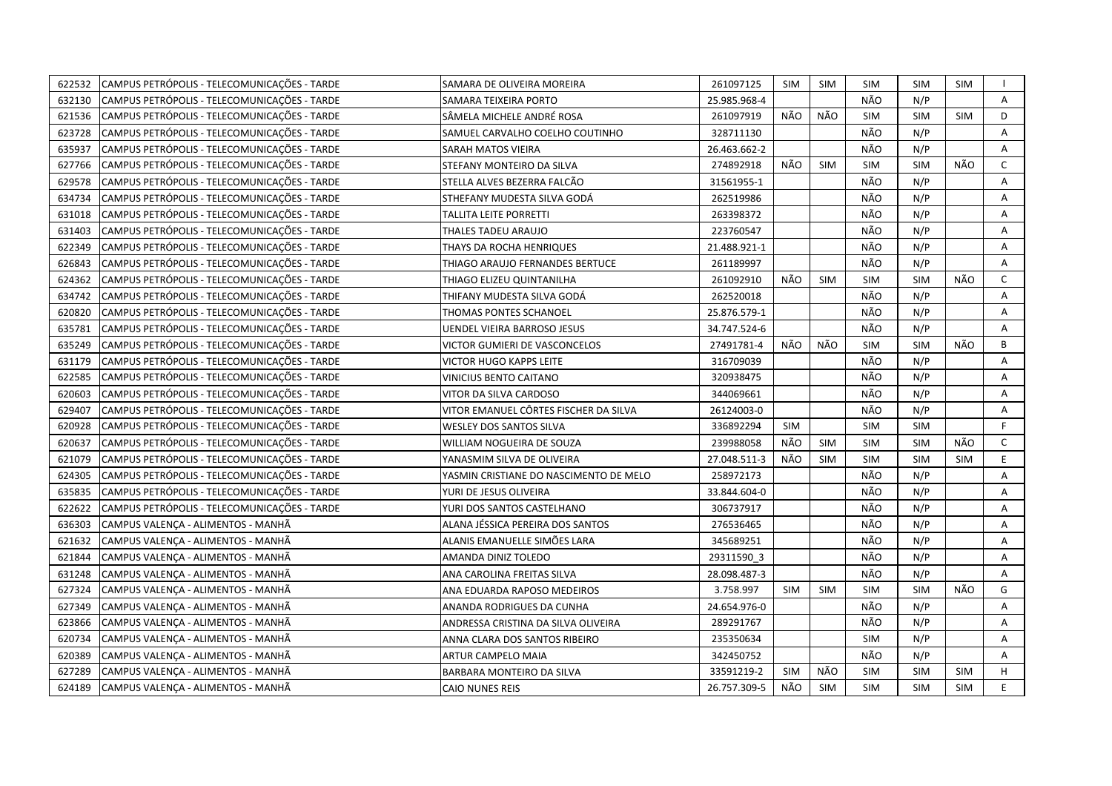| CAMPUS PETRÓPOLIS - TELECOMUNICAÇÕES - TARDE<br>622532 | SAMARA DE OLIVEIRA MOREIRA             | 261097125    | SIM        | <b>SIM</b> | <b>SIM</b> | SIM        | SIM        | $\mathbf{I}$ |
|--------------------------------------------------------|----------------------------------------|--------------|------------|------------|------------|------------|------------|--------------|
| 632130<br>CAMPUS PETRÓPOLIS - TELECOMUNICAÇÕES - TARDE | SAMARA TEIXEIRA PORTO                  | 25.985.968-4 |            |            | NÃO        | N/P        |            | A            |
| 621536<br>CAMPUS PETRÓPOLIS - TELECOMUNICAÇÕES - TARDE | SÂMELA MICHELE ANDRÉ ROSA              | 261097919    | NÃO        | NÃO        | <b>SIM</b> | <b>SIM</b> | <b>SIM</b> | D            |
| 623728<br>CAMPUS PETRÓPOLIS - TELECOMUNICAÇÕES - TARDE | SAMUEL CARVALHO COELHO COUTINHO        | 328711130    |            |            | NÃO        | N/P        |            | Α            |
| CAMPUS PETRÓPOLIS - TELECOMUNICAÇÕES - TARDE<br>635937 | SARAH MATOS VIEIRA                     | 26.463.662-2 |            |            | NÃO        | N/P        |            | A            |
| 627766<br>CAMPUS PETRÓPOLIS - TELECOMUNICAÇÕES - TARDE | STEFANY MONTEIRO DA SILVA              | 274892918    | NÃO        | <b>SIM</b> | <b>SIM</b> | <b>SIM</b> | NÃO        | $\mathsf{C}$ |
| 629578<br>CAMPUS PETRÓPOLIS - TELECOMUNICAÇÕES - TARDE | STELLA ALVES BEZERRA FALCÃO            | 31561955-1   |            |            | NÃO        | N/P        |            | A            |
| CAMPUS PETRÓPOLIS - TELECOMUNICAÇÕES - TARDE<br>634734 | STHEFANY MUDESTA SILVA GODÁ            | 262519986    |            |            | NÃO        | N/P        |            | Α            |
| 631018<br>CAMPUS PETRÓPOLIS - TELECOMUNICAÇÕES - TARDE | TALLITA LEITE PORRETTI                 | 263398372    |            |            | NÃO        | N/P        |            | A            |
| CAMPUS PETRÓPOLIS - TELECOMUNICAÇÕES - TARDE<br>631403 | THALES TADEU ARAUJO                    | 223760547    |            |            | NÃO        | N/P        |            | Α            |
| CAMPUS PETRÓPOLIS - TELECOMUNICAÇÕES - TARDE<br>622349 | THAYS DA ROCHA HENRIQUES               | 21.488.921-1 |            |            | NÃO        | N/P        |            | A            |
| CAMPUS PETRÓPOLIS - TELECOMUNICAÇÕES - TARDE<br>626843 | THIAGO ARAUJO FERNANDES BERTUCE        | 261189997    |            |            | NÃO        | N/P        |            | Α            |
| CAMPUS PETRÓPOLIS - TELECOMUNICAÇÕES - TARDE<br>624362 | THIAGO ELIZEU QUINTANILHA              | 261092910    | NÃO        | <b>SIM</b> | <b>SIM</b> | <b>SIM</b> | NÃO        | $\mathsf{C}$ |
| CAMPUS PETRÓPOLIS - TELECOMUNICAÇÕES - TARDE<br>634742 | THIFANY MUDESTA SILVA GODÁ             | 262520018    |            |            | NÃO        | N/P        |            | A            |
| CAMPUS PETRÓPOLIS - TELECOMUNICAÇÕES - TARDE<br>620820 | THOMAS PONTES SCHANOEL                 | 25.876.579-1 |            |            | NÃO        | N/P        |            | Α            |
| CAMPUS PETRÓPOLIS - TELECOMUNICAÇÕES - TARDE<br>635781 | <b>UENDEL VIEIRA BARROSO JESUS</b>     | 34.747.524-6 |            |            | NÃO        | N/P        |            | Α            |
| CAMPUS PETRÓPOLIS - TELECOMUNICAÇÕES - TARDE<br>635249 | VICTOR GUMIERI DE VASCONCELOS          | 27491781-4   | NÃO        | NÃO        | <b>SIM</b> | <b>SIM</b> | NÃO        | B            |
| CAMPUS PETRÓPOLIS - TELECOMUNICAÇÕES - TARDE<br>631179 | VICTOR HUGO KAPPS LEITE                | 316709039    |            |            | NÃO        | N/P        |            | Α            |
| 622585<br>CAMPUS PETRÓPOLIS - TELECOMUNICAÇÕES - TARDE | VINICIUS BENTO CAITANO                 | 320938475    |            |            | NÃO        | N/P        |            | Α            |
| 620603<br>CAMPUS PETRÓPOLIS - TELECOMUNICAÇÕES - TARDE | VITOR DA SILVA CARDOSO                 | 344069661    |            |            | NÃO        | N/P        |            | A            |
| CAMPUS PETRÓPOLIS - TELECOMUNICAÇÕES - TARDE<br>629407 | VITOR EMANUEL CÔRTES FISCHER DA SILVA  | 26124003-0   |            |            | NÃO        | N/P        |            | A            |
| CAMPUS PETRÓPOLIS - TELECOMUNICAÇÕES - TARDE<br>620928 | <b>WESLEY DOS SANTOS SILVA</b>         | 336892294    | <b>SIM</b> |            | <b>SIM</b> | <b>SIM</b> |            | F.           |
| CAMPUS PETRÓPOLIS - TELECOMUNICAÇÕES - TARDE<br>620637 | WILLIAM NOGUEIRA DE SOUZA              | 239988058    | NÃO        | <b>SIM</b> | <b>SIM</b> | <b>SIM</b> | NÃO        | $\mathsf{C}$ |
| CAMPUS PETRÓPOLIS - TELECOMUNICAÇÕES - TARDE<br>621079 | YANASMIM SILVA DE OLIVEIRA             | 27.048.511-3 | NÃO        | <b>SIM</b> | <b>SIM</b> | <b>SIM</b> | <b>SIM</b> | E            |
| CAMPUS PETRÓPOLIS - TELECOMUNICAÇÕES - TARDE<br>624305 | YASMIN CRISTIANE DO NASCIMENTO DE MELO | 258972173    |            |            | NÃO        | N/P        |            | Α            |
| CAMPUS PETRÓPOLIS - TELECOMUNICAÇÕES - TARDE<br>635835 | YURI DE JESUS OLIVEIRA                 | 33.844.604-0 |            |            | NÃO        | N/P        |            | A            |
| CAMPUS PETRÓPOLIS - TELECOMUNICAÇÕES - TARDE<br>622622 | YURI DOS SANTOS CASTELHANO             | 306737917    |            |            | NÃO        | N/P        |            | A            |
| 636303<br>CAMPUS VALENÇA - ALIMENTOS - MANHÃ           | ALANA JÉSSICA PEREIRA DOS SANTOS       | 276536465    |            |            | NÃO        | N/P        |            | A            |
| 621632<br>CAMPUS VALENÇA - ALIMENTOS - MANHÃ           | ALANIS EMANUELLE SIMÕES LARA           | 345689251    |            |            | NÃO        | N/P        |            | A            |
| 621844<br>CAMPUS VALENÇA - ALIMENTOS - MANHÃ           | AMANDA DINIZ TOLEDO                    | 29311590 3   |            |            | NÃO        | N/P        |            | A            |
| 631248<br>CAMPUS VALENÇA - ALIMENTOS - MANHÃ           | ANA CAROLINA FREITAS SILVA             | 28.098.487-3 |            |            | NÃO        | N/P        |            | A            |
| 627324<br>CAMPUS VALENÇA - ALIMENTOS - MANHÃ           | ANA EDUARDA RAPOSO MEDEIROS            | 3.758.997    | SIM        | SIM        | <b>SIM</b> | <b>SIM</b> | NÃO        | G            |
| 627349<br>CAMPUS VALENÇA - ALIMENTOS - MANHÃ           | ANANDA RODRIGUES DA CUNHA              | 24.654.976-0 |            |            | NÃO        | N/P        |            | А            |
| 623866<br>CAMPUS VALENÇA - ALIMENTOS - MANHÃ           | ANDRESSA CRISTINA DA SILVA OLIVEIRA    | 289291767    |            |            | NÃO        | N/P        |            | A            |
| CAMPUS VALENÇA - ALIMENTOS - MANHÃ<br>620734           | ANNA CLARA DOS SANTOS RIBEIRO          | 235350634    |            |            | <b>SIM</b> | N/P        |            | Α            |
| CAMPUS VALENÇA - ALIMENTOS - MANHÃ<br>620389           | ARTUR CAMPELO MAIA                     | 342450752    |            |            | NÃO        | N/P        |            | Α            |
| CAMPUS VALENÇA - ALIMENTOS - MANHÃ<br>627289           | BARBARA MONTEIRO DA SILVA              | 33591219-2   | <b>SIM</b> | NÃO        | <b>SIM</b> | <b>SIM</b> | <b>SIM</b> | H            |
| 624189<br>CAMPUS VALENÇA - ALIMENTOS - MANHÃ           | <b>CAIO NUNES REIS</b>                 | 26.757.309-5 | NÃO        | <b>SIM</b> | <b>SIM</b> | <b>SIM</b> | <b>SIM</b> | E.           |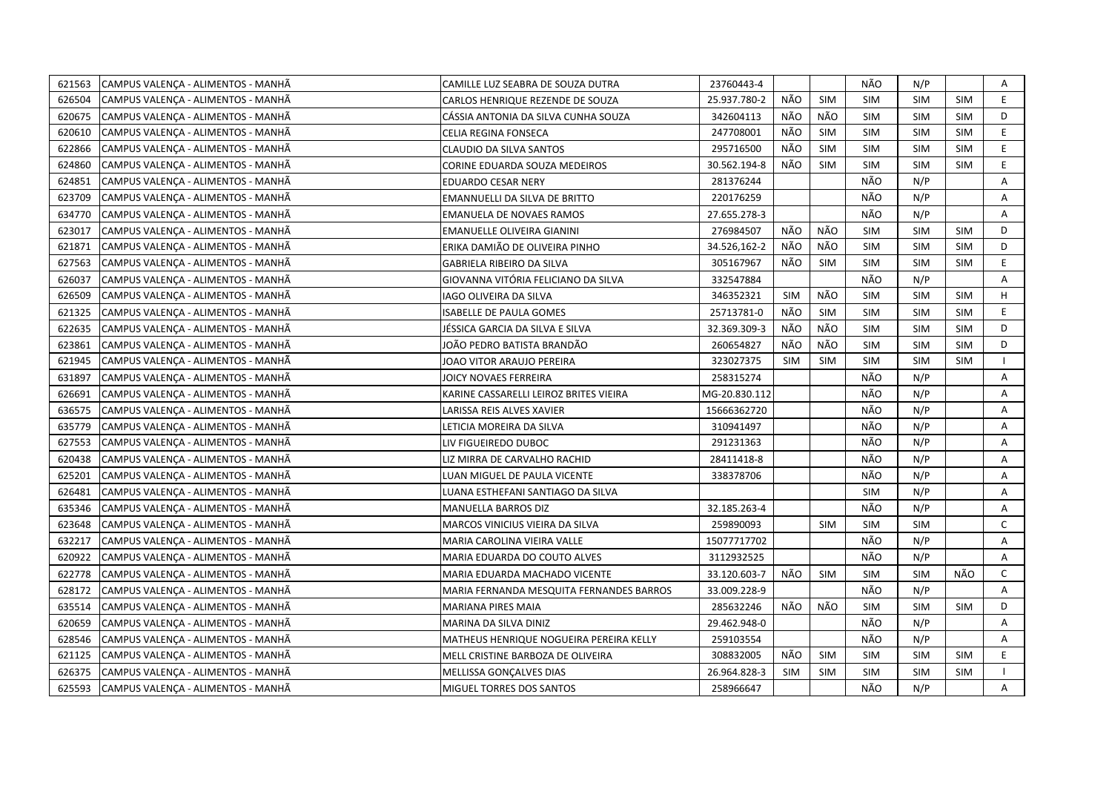| 621563 | CAMPUS VALENÇA - ALIMENTOS - MANHÃ | CAMILLE LUZ SEABRA DE SOUZA DUTRA        | 23760443-4    |            |            | NÃO        | N/P        |            | Α            |
|--------|------------------------------------|------------------------------------------|---------------|------------|------------|------------|------------|------------|--------------|
| 626504 | CAMPUS VALENÇA - ALIMENTOS - MANHÃ | CARLOS HENRIQUE REZENDE DE SOUZA         | 25.937.780-2  | NÃO        | <b>SIM</b> | <b>SIM</b> | <b>SIM</b> | <b>SIM</b> | E.           |
| 620675 | CAMPUS VALENÇA - ALIMENTOS - MANHÃ | CÁSSIA ANTONIA DA SILVA CUNHA SOUZA      | 342604113     | NÃO        | NÃO        | <b>SIM</b> | <b>SIM</b> | <b>SIM</b> | D            |
| 620610 | CAMPUS VALENÇA - ALIMENTOS - MANHÃ | CELIA REGINA FONSECA                     | 247708001     | NÃO        | <b>SIM</b> | <b>SIM</b> | <b>SIM</b> | <b>SIM</b> | E            |
| 622866 | CAMPUS VALENÇA - ALIMENTOS - MANHÃ | CLAUDIO DA SILVA SANTOS                  | 295716500     | NÃO        | <b>SIM</b> | <b>SIM</b> | <b>SIM</b> | <b>SIM</b> | E            |
| 624860 | CAMPUS VALENÇA - ALIMENTOS - MANHÃ | CORINE EDUARDA SOUZA MEDEIROS            | 30.562.194-8  | NÃO        | <b>SIM</b> | <b>SIM</b> | <b>SIM</b> | <b>SIM</b> | E            |
| 624851 | CAMPUS VALENÇA - ALIMENTOS - MANHÃ | <b>EDUARDO CESAR NERY</b>                | 281376244     |            |            | NÃO        | N/P        |            | Α            |
| 623709 | CAMPUS VALENÇA - ALIMENTOS - MANHÃ | EMANNUELLI DA SILVA DE BRITTO            | 220176259     |            |            | NÃO        | N/P        |            | Α            |
| 634770 | CAMPUS VALENÇA - ALIMENTOS - MANHÃ | <b>EMANUELA DE NOVAES RAMOS</b>          | 27.655.278-3  |            |            | NÃO        | N/P        |            | Α            |
| 623017 | CAMPUS VALENÇA - ALIMENTOS - MANHÃ | EMANUELLE OLIVEIRA GIANINI               | 276984507     | NÃO        | NÃO        | <b>SIM</b> | <b>SIM</b> | <b>SIM</b> | D            |
| 621871 | CAMPUS VALENÇA - ALIMENTOS - MANHÃ | ERIKA DAMIÃO DE OLIVEIRA PINHO           | 34.526,162-2  | NÃO        | NÃO        | <b>SIM</b> | <b>SIM</b> | <b>SIM</b> | D            |
| 627563 | CAMPUS VALENÇA - ALIMENTOS - MANHÃ | <b>GABRIELA RIBEIRO DA SILVA</b>         | 305167967     | NÃO        | <b>SIM</b> | <b>SIM</b> | <b>SIM</b> | <b>SIM</b> | E.           |
| 626037 | CAMPUS VALENÇA - ALIMENTOS - MANHÃ | GIOVANNA VITÓRIA FELICIANO DA SILVA      | 332547884     |            |            | NÃO        | N/P        |            | A            |
| 626509 | CAMPUS VALENÇA - ALIMENTOS - MANHÃ | IAGO OLIVEIRA DA SILVA                   | 346352321     | <b>SIM</b> | NÃO        | SIM        | <b>SIM</b> | <b>SIM</b> | H            |
| 621325 | CAMPUS VALENÇA - ALIMENTOS - MANHÃ | <b>ISABELLE DE PAULA GOMES</b>           | 25713781-0    | NÃO        | <b>SIM</b> | <b>SIM</b> | <b>SIM</b> | <b>SIM</b> | E            |
| 622635 | CAMPUS VALENÇA - ALIMENTOS - MANHÃ | JÉSSICA GARCIA DA SILVA E SILVA          | 32.369.309-3  | NÃO        | NÃO        | <b>SIM</b> | <b>SIM</b> | <b>SIM</b> | D            |
| 623861 | CAMPUS VALENÇA - ALIMENTOS - MANHÃ | JOÃO PEDRO BATISTA BRANDÃO               | 260654827     | NÃO        | NÃO        | <b>SIM</b> | <b>SIM</b> | <b>SIM</b> | D            |
| 621945 | CAMPUS VALENÇA - ALIMENTOS - MANHÃ | JOAO VITOR ARAUJO PEREIRA                | 323027375     | <b>SIM</b> | <b>SIM</b> | <b>SIM</b> | <b>SIM</b> | <b>SIM</b> |              |
| 631897 | CAMPUS VALENÇA - ALIMENTOS - MANHÃ | JOICY NOVAES FERREIRA                    | 258315274     |            |            | NÃO        | N/P        |            | Α            |
| 626691 | CAMPUS VALENÇA - ALIMENTOS - MANHÃ | KARINE CASSARELLI LEIROZ BRITES VIEIRA   | MG-20.830.112 |            |            | NÃO        | N/P        |            | Α            |
| 636575 | CAMPUS VALENÇA - ALIMENTOS - MANHÃ | LARISSA REIS ALVES XAVIER                | 15666362720   |            |            | NÃO        | N/P        |            | A            |
| 635779 | CAMPUS VALENCA - ALIMENTOS - MANHÃ | LETICIA MOREIRA DA SILVA                 | 310941497     |            |            | NÃO        | N/P        |            | A            |
| 627553 | CAMPUS VALENÇA - ALIMENTOS - MANHÃ | LIV FIGUEIREDO DUBOC                     | 291231363     |            |            | NÃO        | N/P        |            | Α            |
| 620438 | CAMPUS VALENÇA - ALIMENTOS - MANHÃ | LIZ MIRRA DE CARVALHO RACHID             | 28411418-8    |            |            | NÃO        | N/P        |            | A            |
| 625201 | CAMPUS VALENÇA - ALIMENTOS - MANHÃ | LUAN MIGUEL DE PAULA VICENTE             | 338378706     |            |            | NÃO        | N/P        |            | A            |
| 626481 | CAMPUS VALENÇA - ALIMENTOS - MANHÃ | LUANA ESTHEFANI SANTIAGO DA SILVA        |               |            |            | SIM        | N/P        |            | Α            |
| 635346 | CAMPUS VALENCA - ALIMENTOS - MANHÃ | MANUELLA BARROS DIZ                      | 32.185.263-4  |            |            | NÃO        | N/P        |            | A            |
| 623648 | CAMPUS VALENÇA - ALIMENTOS - MANHÃ | MARCOS VINICIUS VIEIRA DA SILVA          | 259890093     |            | <b>SIM</b> | <b>SIM</b> | <b>SIM</b> |            | $\mathsf{C}$ |
| 632217 | CAMPUS VALENÇA - ALIMENTOS - MANHÃ | MARIA CAROLINA VIEIRA VALLE              | 15077717702   |            |            | NÃO        | N/P        |            | Α            |
| 620922 | CAMPUS VALENÇA - ALIMENTOS - MANHÃ | MARIA EDUARDA DO COUTO ALVES             | 3112932525    |            |            | NÃO        | N/P        |            | A            |
| 622778 | CAMPUS VALENÇA - ALIMENTOS - MANHÃ | MARIA EDUARDA MACHADO VICENTE            | 33.120.603-7  | NÃO        | <b>SIM</b> | SIM        | <b>SIM</b> | NÃO        | $\mathsf{C}$ |
| 628172 | CAMPUS VALENÇA - ALIMENTOS - MANHÃ | MARIA FERNANDA MESQUITA FERNANDES BARROS | 33.009.228-9  |            |            | NÃO        | N/P        |            | A            |
| 635514 | CAMPUS VALENÇA - ALIMENTOS - MANHÃ | <b>MARIANA PIRES MAIA</b>                | 285632246     | NÃO        | NÃO        | <b>SIM</b> | <b>SIM</b> | <b>SIM</b> | D            |
| 620659 | CAMPUS VALENÇA - ALIMENTOS - MANHÃ | MARINA DA SILVA DINIZ                    | 29.462.948-0  |            |            | NÃO        | N/P        |            | A            |
| 628546 | CAMPUS VALENÇA - ALIMENTOS - MANHÃ | MATHEUS HENRIQUE NOGUEIRA PEREIRA KELLY  | 259103554     |            |            | NÃO        | N/P        |            | Α            |
| 621125 | CAMPUS VALENÇA - ALIMENTOS - MANHÃ | MELL CRISTINE BARBOZA DE OLIVEIRA        | 308832005     | NÃO        | SIM        | <b>SIM</b> | <b>SIM</b> | SIM        | E            |
| 626375 | CAMPUS VALENÇA - ALIMENTOS - MANHÃ | MELLISSA GONÇALVES DIAS                  | 26.964.828-3  | SIM        | <b>SIM</b> | <b>SIM</b> | <b>SIM</b> | <b>SIM</b> |              |
| 625593 | CAMPUS VALENÇA - ALIMENTOS - MANHÃ | MIGUEL TORRES DOS SANTOS                 | 258966647     |            |            | NÃO        | N/P        |            | A            |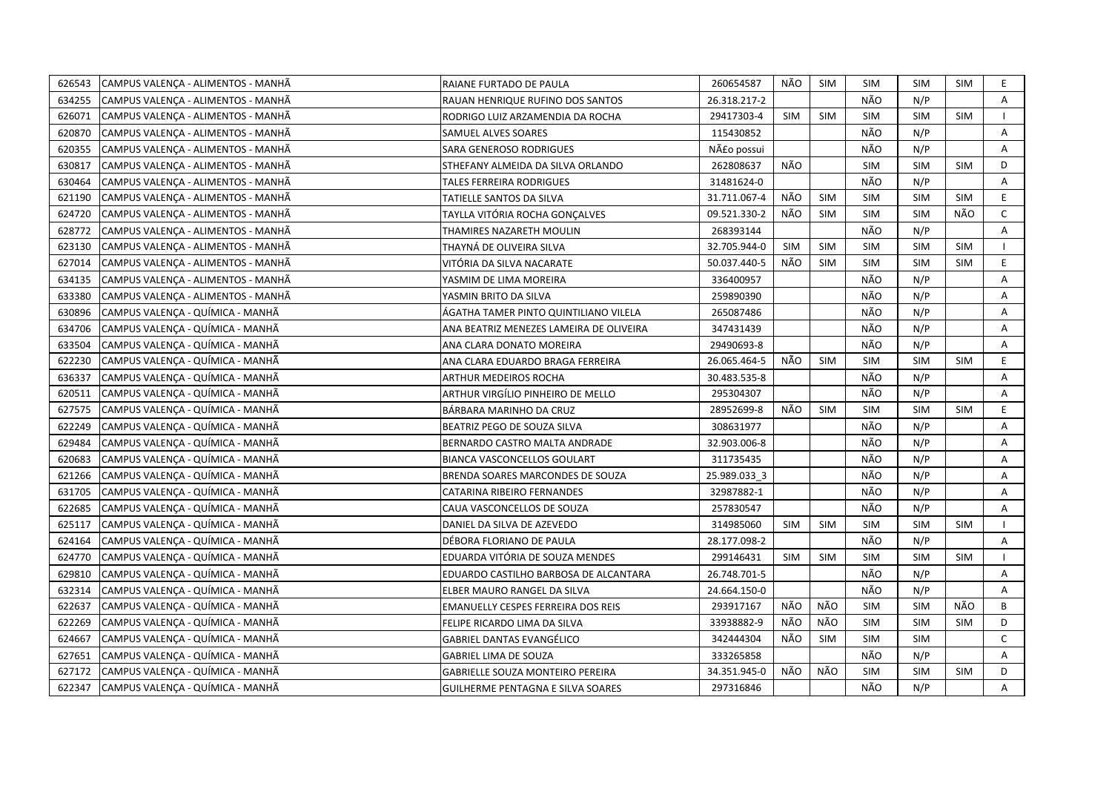| 626543 | CAMPUS VALENÇA - ALIMENTOS - MANHÃ | RAIANE FURTADO DE PAULA                   | 260654587    | NÃO        | SIM        | <b>SIM</b> | <b>SIM</b> | <b>SIM</b> | E.           |
|--------|------------------------------------|-------------------------------------------|--------------|------------|------------|------------|------------|------------|--------------|
| 634255 | CAMPUS VALENÇA - ALIMENTOS - MANHÃ | RAUAN HENRIQUE RUFINO DOS SANTOS          | 26.318.217-2 |            |            | NÃO        | N/P        |            | A            |
| 626071 | CAMPUS VALENÇA - ALIMENTOS - MANHÃ | RODRIGO LUIZ ARZAMENDIA DA ROCHA          | 29417303-4   | <b>SIM</b> | <b>SIM</b> | <b>SIM</b> | <b>SIM</b> | <b>SIM</b> |              |
| 620870 | CAMPUS VALENCA - ALIMENTOS - MANHÃ | SAMUEL ALVES SOARES                       | 115430852    |            |            | NÃO        | N/P        |            | A            |
| 620355 | CAMPUS VALENÇA - ALIMENTOS - MANHÃ | <b>SARA GENEROSO RODRIGUES</b>            | Não possui   |            |            | NÃO        | N/P        |            | Α            |
| 630817 | CAMPUS VALENÇA - ALIMENTOS - MANHÃ | STHEFANY ALMEIDA DA SILVA ORLANDO         | 262808637    | NÃO        |            | <b>SIM</b> | <b>SIM</b> | <b>SIM</b> | D            |
| 630464 | CAMPUS VALENÇA - ALIMENTOS - MANHÃ | <b>TALES FERREIRA RODRIGUES</b>           | 31481624-0   |            |            | NÃO        | N/P        |            | Α            |
| 621190 | CAMPUS VALENÇA - ALIMENTOS - MANHÃ | TATIELLE SANTOS DA SILVA                  | 31.711.067-4 | NÃO        | <b>SIM</b> | <b>SIM</b> | <b>SIM</b> | <b>SIM</b> | E            |
| 624720 | CAMPUS VALENÇA - ALIMENTOS - MANHÃ | TAYLLA VITÓRIA ROCHA GONCALVES            | 09.521.330-2 | NÃO        | <b>SIM</b> | <b>SIM</b> | <b>SIM</b> | NÃO        | $\mathsf{C}$ |
| 628772 | CAMPUS VALENÇA - ALIMENTOS - MANHÃ | THAMIRES NAZARETH MOULIN                  | 268393144    |            |            | NÃO        | N/P        |            | A            |
| 623130 | CAMPUS VALENÇA - ALIMENTOS - MANHÃ | THAYNA DE OLIVEIRA SILVA                  | 32.705.944-0 | <b>SIM</b> | <b>SIM</b> | SIM        | <b>SIM</b> | <b>SIM</b> |              |
| 627014 | CAMPUS VALENÇA - ALIMENTOS - MANHÃ | VITÓRIA DA SILVA NACARATE                 | 50.037.440-5 | NÃO        | <b>SIM</b> | <b>SIM</b> | <b>SIM</b> | <b>SIM</b> | E            |
| 634135 | CAMPUS VALENÇA - ALIMENTOS - MANHÃ | YASMIM DE LIMA MOREIRA                    | 336400957    |            |            | NÃO        | N/P        |            | A            |
| 633380 | CAMPUS VALENÇA - ALIMENTOS - MANHÃ | YASMIN BRITO DA SILVA                     | 259890390    |            |            | NÃO        | N/P        |            | Α            |
| 630896 | CAMPUS VALENÇA - QUÍMICA - MANHÃ   | ÁGATHA TAMER PINTO QUINTILIANO VILELA     | 265087486    |            |            | NÃO        | N/P        |            | A            |
| 634706 | CAMPUS VALENCA - QUÍMICA - MANHÃ   | ANA BEATRIZ MENEZES LAMEIRA DE OLIVEIRA   | 347431439    |            |            | NÃO        | N/P        |            | Α            |
| 633504 | CAMPUS VALENÇA - QUÍMICA - MANHÃ   | ANA CLARA DONATO MOREIRA                  | 29490693-8   |            |            | NÃO        | N/P        |            | A            |
| 622230 | CAMPUS VALENÇA - QUÍMICA - MANHÃ   | ANA CLARA EDUARDO BRAGA FERREIRA          | 26.065.464-5 | NÃO        | <b>SIM</b> | <b>SIM</b> | <b>SIM</b> | <b>SIM</b> | E            |
| 636337 | CAMPUS VALENÇA - QUÍMICA - MANHÃ   | ARTHUR MEDEIROS ROCHA                     | 30.483.535-8 |            |            | NÃO        | N/P        |            | Α            |
| 620511 | CAMPUS VALENÇA - QUÍMICA - MANHÃ   | ARTHUR VIRGÍLIO PINHEIRO DE MELLO         | 295304307    |            |            | NÃO        | N/P        |            | Α            |
| 627575 | CAMPUS VALENÇA - QUÍMICA - MANHÃ   | BÁRBARA MARINHO DA CRUZ                   | 28952699-8   | NÃO        | <b>SIM</b> | <b>SIM</b> | <b>SIM</b> | <b>SIM</b> | E.           |
| 622249 | CAMPUS VALENCA - QUÍMICA - MANHÃ   | BEATRIZ PEGO DE SOUZA SILVA               | 308631977    |            |            | NÃO        | N/P        |            | A            |
| 629484 | CAMPUS VALENCA - QUÍMICA - MANHÃ   | BERNARDO CASTRO MALTA ANDRADE             | 32.903.006-8 |            |            | NÃO        | N/P        |            | A            |
| 620683 | CAMPUS VALENCA - QUÍMICA - MANHÃ   | <b>BIANCA VASCONCELLOS GOULART</b>        | 311735435    |            |            | NÃO        | N/P        |            | A            |
| 621266 | CAMPUS VALENÇA - QUÍMICA - MANHÃ   | BRENDA SOARES MARCONDES DE SOUZA          | 25.989.033 3 |            |            | NÃO        | N/P        |            | A            |
| 631705 | CAMPUS VALENCA - QUÍMICA - MANHÃ   | CATARINA RIBEIRO FERNANDES                | 32987882-1   |            |            | NÃO        | N/P        |            | A            |
| 622685 | CAMPUS VALENÇA - QUÍMICA - MANHÃ   | CAUA VASCONCELLOS DE SOUZA                | 257830547    |            |            | NÃO        | N/P        |            | A            |
| 625117 | CAMPUS VALENÇA - QUÍMICA - MANHÃ   | DANIEL DA SILVA DE AZEVEDO                | 314985060    | <b>SIM</b> | <b>SIM</b> | <b>SIM</b> | <b>SIM</b> | <b>SIM</b> |              |
| 624164 | CAMPUS VALENCA - QUÍMICA - MANHÃ   | DÉBORA FLORIANO DE PAULA                  | 28.177.098-2 |            |            | NÃO        | N/P        |            | A            |
| 624770 | CAMPUS VALENÇA - QUÍMICA - MANHÃ   | EDUARDA VITÓRIA DE SOUZA MENDES           | 299146431    | <b>SIM</b> | SIM        | <b>SIM</b> | <b>SIM</b> | <b>SIM</b> |              |
| 629810 | CAMPUS VALENCA - QUÍMICA - MANHÃ   | EDUARDO CASTILHO BARBOSA DE ALCANTARA     | 26.748.701-5 |            |            | NÃO        | N/P        |            | A            |
| 632314 | CAMPUS VALENÇA - QUÍMICA - MANHÃ   | ELBER MAURO RANGEL DA SILVA               | 24.664.150-0 |            |            | NÃO        | N/P        |            | Α            |
| 622637 | CAMPUS VALENCA - QUÍMICA - MANHÃ   | <b>EMANUELLY CESPES FERREIRA DOS REIS</b> | 293917167    | NÃO        | NÃO        | <b>SIM</b> | <b>SIM</b> | NÃO        | B            |
| 622269 | CAMPUS VALENÇA - QUÍMICA - MANHÃ   | FELIPE RICARDO LIMA DA SILVA              | 33938882-9   | NÃO        | NÃO        | <b>SIM</b> | <b>SIM</b> | <b>SIM</b> | D            |
| 624667 | CAMPUS VALENCA - QUÍMICA - MANHÃ   | GABRIEL DANTAS EVANGÉLICO                 | 342444304    | NÃO        | <b>SIM</b> | <b>SIM</b> | <b>SIM</b> |            | C            |
| 627651 | CAMPUS VALENCA - QUÍMICA - MANHÃ   | <b>GABRIEL LIMA DE SOUZA</b>              | 333265858    |            |            | NÃO        | N/P        |            | A            |
| 627172 | CAMPUS VALENCA - QUÍMICA - MANHÃ   | <b>GABRIELLE SOUZA MONTEIRO PEREIRA</b>   | 34.351.945-0 | NÃO        | NÃO        | <b>SIM</b> | <b>SIM</b> | <b>SIM</b> | D            |
| 622347 | CAMPUS VALENÇA - QUÍMICA - MANHÃ   | <b>GUILHERME PENTAGNA E SILVA SOARES</b>  | 297316846    |            |            | NÃO        | N/P        |            | A            |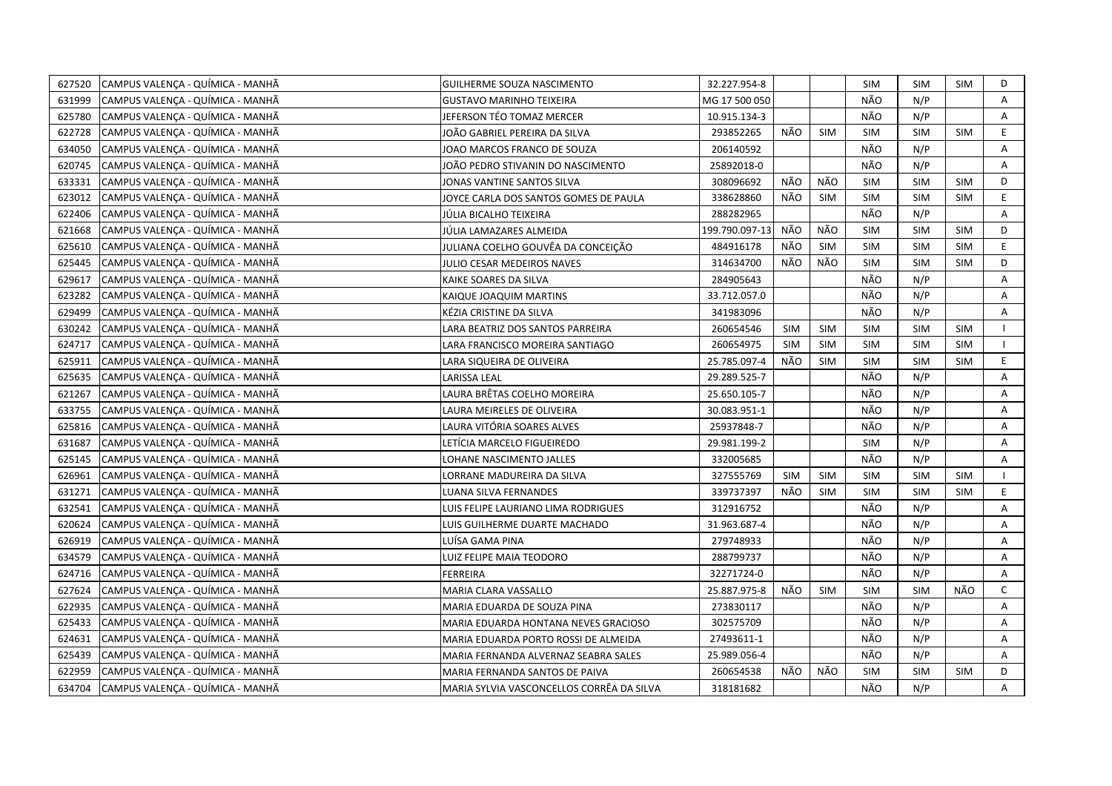| 627520 | CAMPUS VALENÇA - QUÍMICA - MANHÃ | GUILHERME SOUZA NASCIMENTO                | 32.227.954-8   |            |            | SIM        | <b>SIM</b> | <b>SIM</b> | D  |
|--------|----------------------------------|-------------------------------------------|----------------|------------|------------|------------|------------|------------|----|
| 631999 | CAMPUS VALENÇA - QUÍMICA - MANHÃ | <b>GUSTAVO MARINHO TEIXEIRA</b>           | MG 17 500 050  |            |            | NÃO        | N/P        |            | A  |
| 625780 | CAMPUS VALENÇA - QUÍMICA - MANHÃ | JEFERSON TÉO TOMAZ MERCER                 | 10.915.134-3   |            |            | NÃO        | N/P        |            | Α  |
| 622728 | CAMPUS VALENÇA - QUÍMICA - MANHÃ | JOÃO GABRIEL PEREIRA DA SILVA             | 293852265      | NÃO        | <b>SIM</b> | <b>SIM</b> | <b>SIM</b> | <b>SIM</b> | E  |
| 634050 | CAMPUS VALENÇA - QUÍMICA - MANHÃ | JOAO MARCOS FRANCO DE SOUZA               | 206140592      |            |            | NÃO        | N/P        |            | Α  |
| 620745 | CAMPUS VALENCA - QUÍMICA - MANHÃ | JOÃO PEDRO STIVANIN DO NASCIMENTO         | 25892018-0     |            |            | NÃO        | N/P        |            | Α  |
| 633331 | CAMPUS VALENÇA - QUÍMICA - MANHÃ | JONAS VANTINE SANTOS SILVA                | 308096692      | NÃO        | NÃO        | <b>SIM</b> | <b>SIM</b> | <b>SIM</b> | D  |
| 623012 | CAMPUS VALENÇA - QUÍMICA - MANHÃ | JOYCE CARLA DOS SANTOS GOMES DE PAULA     | 338628860      | NÃO        | SIM        | <b>SIM</b> | <b>SIM</b> | <b>SIM</b> | E  |
| 622406 | CAMPUS VALENÇA - QUÍMICA - MANHÃ | JÚLIA BICALHO TEIXEIRA                    | 288282965      |            |            | NÃO        | N/P        |            | A  |
| 621668 | CAMPUS VALENÇA - QUÍMICA - MANHÃ | JÚLIA LAMAZARES ALMEIDA                   | 199.790.097-13 | NÃO        | NÃO        | <b>SIM</b> | <b>SIM</b> | <b>SIM</b> | D  |
| 625610 | CAMPUS VALENÇA - QUÍMICA - MANHÃ | JULIANA COELHO GOUVÊA DA CONCEIÇÃO        | 484916178      | NÃO        | <b>SIM</b> | <b>SIM</b> | <b>SIM</b> | <b>SIM</b> | E  |
| 625445 | CAMPUS VALENÇA - QUÍMICA - MANHÃ | JULIO CESAR MEDEIROS NAVES                | 314634700      | NÃO        | NÃO        | <b>SIM</b> | <b>SIM</b> | <b>SIM</b> | D  |
| 629617 | CAMPUS VALENÇA - QUÍMICA - MANHÃ | KAIKE SOARES DA SILVA                     | 284905643      |            |            | NÃO        | N/P        |            | Α  |
| 623282 | CAMPUS VALENCA - QUÍMICA - MANHÃ | KAIQUE JOAQUIM MARTINS                    | 33.712.057.0   |            |            | NÃO        | N/P        |            | A  |
| 629499 | CAMPUS VALENCA - QUÍMICA - MANHÃ | KÉZIA CRISTINE DA SILVA                   | 341983096      |            |            | NÃO        | N/P        |            | Α  |
| 630242 | CAMPUS VALENÇA - QUÍMICA - MANHÃ | LARA BEATRIZ DOS SANTOS PARREIRA          | 260654546      | <b>SIM</b> | <b>SIM</b> | <b>SIM</b> | <b>SIM</b> | <b>SIM</b> |    |
| 624717 | CAMPUS VALENÇA - QUÍMICA - MANHÃ | LARA FRANCISCO MOREIRA SANTIAGO           | 260654975      | <b>SIM</b> | <b>SIM</b> | <b>SIM</b> | <b>SIM</b> | <b>SIM</b> |    |
| 625911 | CAMPUS VALENÇA - QUÍMICA - MANHÃ | LARA SIQUEIRA DE OLIVEIRA                 | 25.785.097-4   | NÃO        | SIM        | <b>SIM</b> | <b>SIM</b> | <b>SIM</b> | E. |
| 625635 | CAMPUS VALENÇA - QUÍMICA - MANHÃ | <b>LARISSA LEAL</b>                       | 29.289.525-7   |            |            | NÃO        | N/P        |            | A  |
| 621267 | CAMPUS VALENÇA - QUÍMICA - MANHÃ | LAURA BRÊTAS COELHO MOREIRA               | 25.650.105-7   |            |            | NÃO        | N/P        |            | A  |
| 633755 | CAMPUS VALENÇA - QUÍMICA - MANHÃ | LAURA MEIRELES DE OLIVEIRA                | 30.083.951-1   |            |            | NÃO        | N/P        |            | A  |
| 625816 | CAMPUS VALENÇA - QUÍMICA - MANHÃ | LAURA VITÓRIA SOARES ALVES                | 25937848-7     |            |            | NÃO        | N/P        |            | Α  |
| 631687 | CAMPUS VALENÇA - QUÍMICA - MANHÃ | LETÍCIA MARCELO FIGUEIREDO                | 29.981.199-2   |            |            | <b>SIM</b> | N/P        |            | A  |
| 625145 | CAMPUS VALENÇA - QUÍMICA - MANHÃ | LOHANE NASCIMENTO JALLES                  | 332005685      |            |            | NÃO        | N/P        |            | A  |
| 626961 | CAMPUS VALENÇA - QUÍMICA - MANHÃ | LORRANE MADUREIRA DA SILVA                | 327555769      | <b>SIM</b> | <b>SIM</b> | <b>SIM</b> | <b>SIM</b> | <b>SIM</b> |    |
| 631271 | CAMPUS VALENÇA - QUÍMICA - MANHÃ | LUANA SILVA FERNANDES                     | 339737397      | NÃO        | <b>SIM</b> | <b>SIM</b> | <b>SIM</b> | <b>SIM</b> | E  |
| 632541 | CAMPUS VALENÇA - QUÍMICA - MANHÃ | LUIS FELIPE LAURIANO LIMA RODRIGUES       | 312916752      |            |            | NÃO        | N/P        |            | Α  |
| 620624 | CAMPUS VALENÇA - QUÍMICA - MANHÃ | LUIS GUILHERME DUARTE MACHADO             | 31.963.687-4   |            |            | NÃO        | N/P        |            | Α  |
| 626919 | CAMPUS VALENÇA - QUÍMICA - MANHÃ | LUÍSA GAMA PINA                           | 279748933      |            |            | NÃO        | N/P        |            | Α  |
| 634579 | CAMPUS VALENÇA - QUÍMICA - MANHÃ | LUIZ FELIPE MAIA TEODORO                  | 288799737      |            |            | NÃO        | N/P        |            | Α  |
| 624716 | CAMPUS VALENÇA - QUÍMICA - MANHÃ | <b>FERREIRA</b>                           | 32271724-0     |            |            | NÃO        | N/P        |            | Α  |
| 627624 | CAMPUS VALENÇA - QUÍMICA - MANHÃ | <b>MARIA CLARA VASSALLO</b>               | 25.887.975-8   | NÃO        | <b>SIM</b> | <b>SIM</b> | <b>SIM</b> | NÃO        | C  |
| 622935 | CAMPUS VALENÇA - QUÍMICA - MANHÃ | MARIA EDUARDA DE SOUZA PINA               | 273830117      |            |            | NÃO        | N/P        |            | A  |
| 625433 | CAMPUS VALENÇA - QUÍMICA - MANHÃ | MARIA EDUARDA HONTANA NEVES GRACIOSO      | 302575709      |            |            | NÃO        | N/P        |            | A  |
| 624631 | CAMPUS VALENÇA - QUÍMICA - MANHÃ | MARIA EDUARDA PORTO ROSSI DE ALMEIDA      | 27493611-1     |            |            | NÃO        | N/P        |            | A  |
| 625439 | CAMPUS VALENÇA - QUÍMICA - MANHÃ | MARIA FERNANDA ALVERNAZ SEABRA SALES      | 25.989.056-4   |            |            | NÃO        | N/P        |            | Α  |
| 622959 | CAMPUS VALENÇA - QUÍMICA - MANHÃ | MARIA FERNANDA SANTOS DE PAIVA            | 260654538      | NÃO        | NÃO        | <b>SIM</b> | <b>SIM</b> | <b>SIM</b> | D  |
| 634704 | CAMPUS VALENCA - QUÍMICA - MANHÃ | MARIA SYLVIA VASCONCELLOS CORRÊA DA SILVA | 318181682      |            |            | NÃO        | N/P        |            | A  |